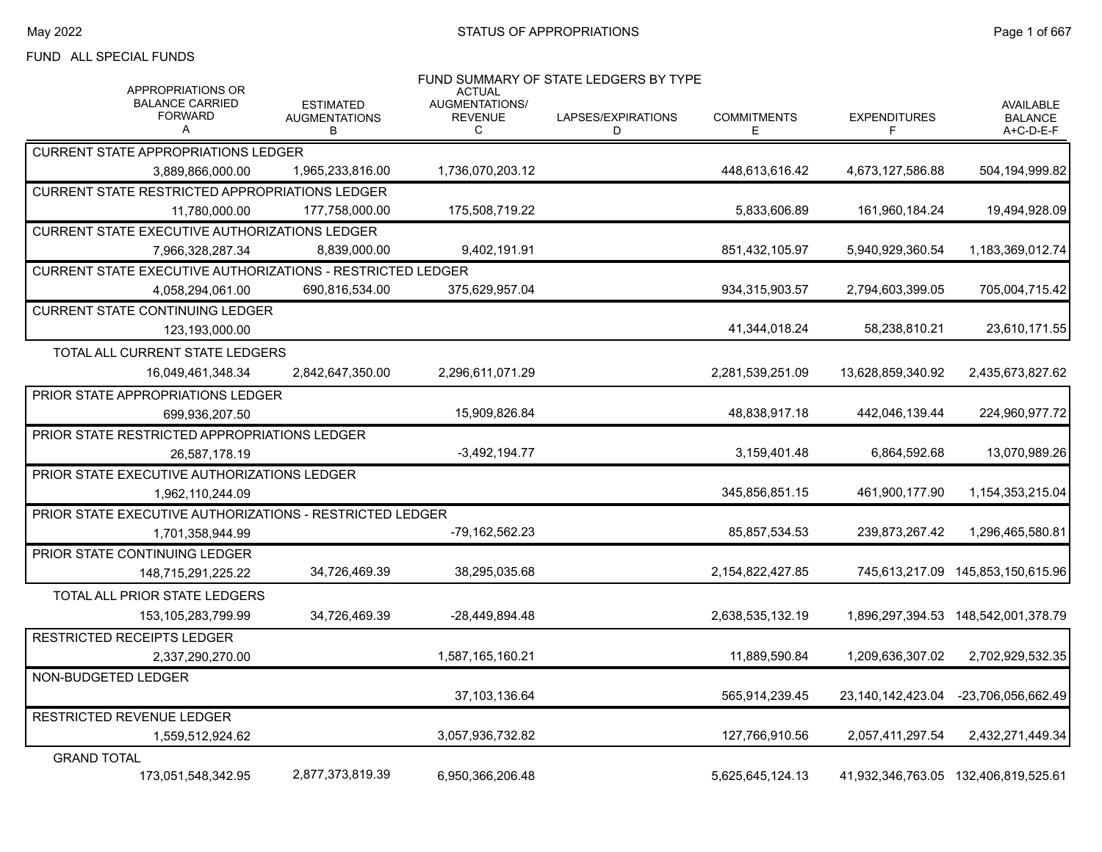#### FUND ALL SPECIAL FUNDS

| <b>APPROPRIATIONS OR</b>                                   |                                               | <b>ACTUAL</b>                         | FUND SUMMARY OF STATE LEDGERS BY TYPE |                         |                          |                                                 |
|------------------------------------------------------------|-----------------------------------------------|---------------------------------------|---------------------------------------|-------------------------|--------------------------|-------------------------------------------------|
| <b>BALANCE CARRIED</b><br><b>FORWARD</b><br>А              | <b>ESTIMATED</b><br><b>AUGMENTATIONS</b><br>В | AUGMENTATIONS/<br><b>REVENUE</b><br>C | LAPSES/EXPIRATIONS<br>D               | <b>COMMITMENTS</b><br>Е | <b>EXPENDITURES</b><br>F | <b>AVAILABLE</b><br><b>BALANCE</b><br>A+C-D-E-F |
| <b>CURRENT STATE APPROPRIATIONS LEDGER</b>                 |                                               |                                       |                                       |                         |                          |                                                 |
| 3,889,866,000.00                                           | 1,965,233,816.00                              | 1,736,070,203.12                      |                                       | 448.613.616.42          | 4,673,127,586.88         | 504,194,999.82                                  |
| <b>CURRENT STATE RESTRICTED APPROPRIATIONS LEDGER</b>      |                                               |                                       |                                       |                         |                          |                                                 |
| 11.780.000.00                                              | 177,758,000.00                                | 175,508,719.22                        |                                       | 5,833,606.89            | 161,960,184.24           | 19,494,928.09                                   |
| <b>CURRENT STATE EXECUTIVE AUTHORIZATIONS LEDGER</b>       |                                               |                                       |                                       |                         |                          |                                                 |
| 7,966,328,287.34                                           | 8,839,000.00                                  | 9,402,191.91                          |                                       | 851,432,105.97          | 5,940,929,360.54         | 1,183,369,012.74                                |
| CURRENT STATE EXECUTIVE AUTHORIZATIONS - RESTRICTED LEDGER |                                               |                                       |                                       |                         |                          |                                                 |
| 4,058,294,061.00                                           | 690,816,534.00                                | 375,629,957.04                        |                                       | 934,315,903.57          | 2,794,603,399.05         | 705,004,715.42                                  |
| <b>CURRENT STATE CONTINUING LEDGER</b>                     |                                               |                                       |                                       |                         |                          |                                                 |
| 123,193,000.00                                             |                                               |                                       |                                       | 41,344,018.24           | 58,238,810.21            | 23,610,171.55                                   |
| TOTAL ALL CURRENT STATE LEDGERS                            |                                               |                                       |                                       |                         |                          |                                                 |
| 16,049,461,348.34                                          | 2,842,647,350.00                              | 2,296,611,071.29                      |                                       | 2,281,539,251.09        | 13,628,859,340.92        | 2,435,673,827.62                                |
| <b>PRIOR STATE APPROPRIATIONS LEDGER</b>                   |                                               |                                       |                                       |                         |                          |                                                 |
| 699,936,207.50                                             |                                               | 15.909.826.84                         |                                       | 48.838.917.18           | 442.046.139.44           | 224,960,977.72                                  |
| PRIOR STATE RESTRICTED APPROPRIATIONS LEDGER               |                                               |                                       |                                       |                         |                          |                                                 |
| 26,587,178.19                                              |                                               | $-3,492,194.77$                       |                                       | 3,159,401.48            | 6,864,592.68             | 13,070,989.26                                   |
| PRIOR STATE EXECUTIVE AUTHORIZATIONS LEDGER                |                                               |                                       |                                       |                         |                          |                                                 |
| 1,962,110,244.09                                           |                                               |                                       |                                       | 345,856,851.15          | 461,900,177.90           | 1,154,353,215.04                                |
| PRIOR STATE EXECUTIVE AUTHORIZATIONS - RESTRICTED LEDGER   |                                               |                                       |                                       |                         |                          |                                                 |
| 1,701,358,944.99                                           |                                               | -79,162,562.23                        |                                       | 85,857,534.53           | 239,873,267.42           | 1,296,465,580.81                                |
| PRIOR STATE CONTINUING LEDGER                              |                                               |                                       |                                       |                         |                          |                                                 |
| 148,715,291,225.22                                         | 34,726,469.39                                 | 38,295,035.68                         |                                       | 2,154,822,427.85        | 745,613,217.09           | 145,853,150,615.96                              |
| TOTAL ALL PRIOR STATE LEDGERS                              |                                               |                                       |                                       |                         |                          |                                                 |
| 153, 105, 283, 799. 99                                     | 34,726,469.39                                 | -28,449,894.48                        |                                       | 2,638,535,132.19        |                          |                                                 |
| <b>RESTRICTED RECEIPTS LEDGER</b>                          |                                               |                                       |                                       |                         |                          |                                                 |
| 2,337,290,270.00                                           |                                               | 1,587,165,160.21                      |                                       | 11,889,590.84           | 1,209,636,307.02         | 2,702,929,532.35                                |
| NON-BUDGETED LEDGER                                        |                                               |                                       |                                       |                         |                          |                                                 |
|                                                            |                                               | 37,103,136.64                         |                                       | 565,914,239.45          | 23,140,142,423.04        | -23,706,056,662.49                              |
| RESTRICTED REVENUE LEDGER                                  |                                               |                                       |                                       |                         |                          |                                                 |
| 1,559,512,924.62                                           |                                               | 3,057,936,732.82                      |                                       | 127,766,910.56          | 2,057,411,297.54         | 2,432,271,449.34                                |
| <b>GRAND TOTAL</b>                                         |                                               |                                       |                                       |                         |                          |                                                 |
| 173,051,548,342.95                                         | 2,877,373,819.39                              | 6,950,366,206.48                      |                                       | 5,625,645,124.13        |                          | 41,932,346,763.05 132,406,819,525.61            |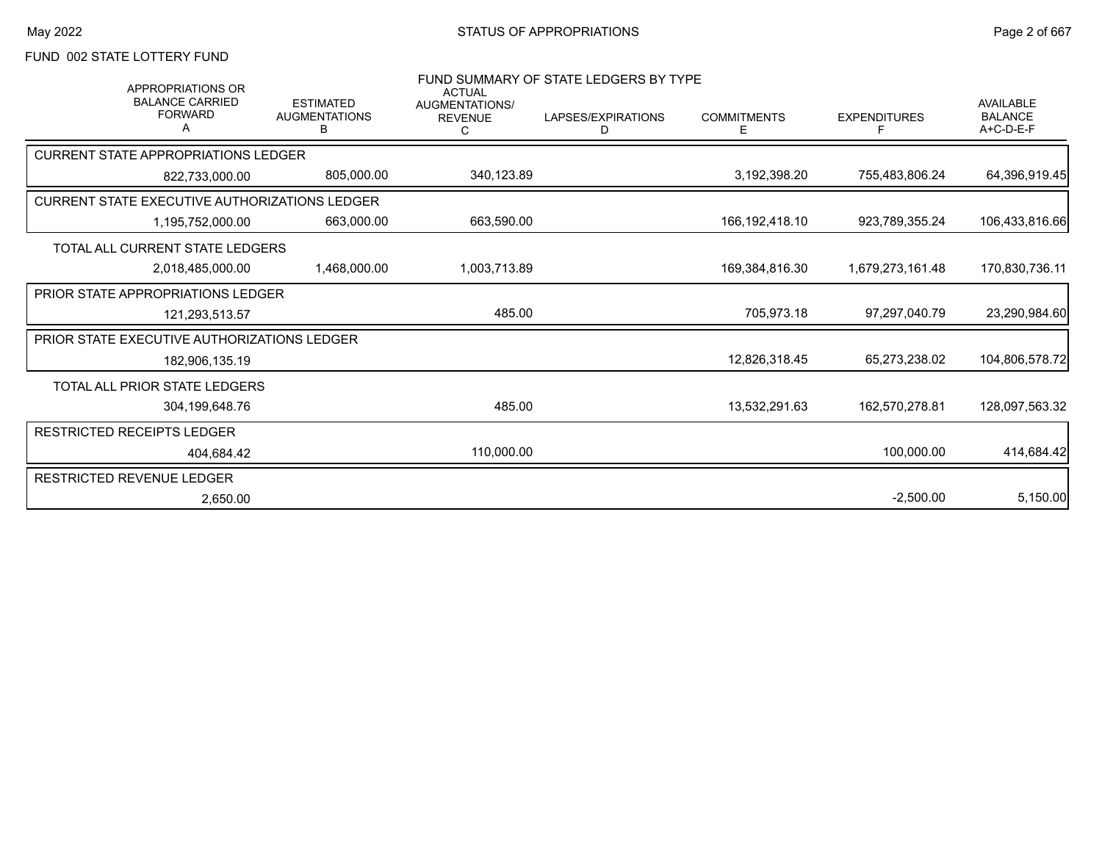# FUND 002 STATE LOTTERY FUND

| <b>APPROPRIATIONS OR</b><br><b>BALANCE CARRIED</b><br><b>FORWARD</b> | <b>ESTIMATED</b><br><b>AUGMENTATIONS</b><br>в | <b>ACTUAL</b><br><b>AUGMENTATIONS/</b><br><b>REVENUE</b><br>C | FUND SUMMARY OF STATE LEDGERS BY TYPE<br>LAPSES/EXPIRATIONS<br>D | <b>COMMITMENTS</b><br>Е | <b>EXPENDITURES</b> | <b>AVAILABLE</b><br><b>BALANCE</b><br>$A+C-D-E-F$ |
|----------------------------------------------------------------------|-----------------------------------------------|---------------------------------------------------------------|------------------------------------------------------------------|-------------------------|---------------------|---------------------------------------------------|
| <b>CURRENT STATE APPROPRIATIONS LEDGER</b>                           |                                               |                                                               |                                                                  |                         |                     |                                                   |
| 822,733,000.00                                                       | 805,000.00                                    | 340,123.89                                                    |                                                                  | 3,192,398.20            | 755,483,806.24      | 64,396,919.45                                     |
| CURRENT STATE EXECUTIVE AUTHORIZATIONS LEDGER                        |                                               |                                                               |                                                                  |                         |                     |                                                   |
| 1,195,752,000.00                                                     | 663,000.00                                    | 663,590.00                                                    |                                                                  | 166, 192, 418. 10       | 923,789,355.24      | 106,433,816.66                                    |
| TOTAL ALL CURRENT STATE LEDGERS                                      |                                               |                                                               |                                                                  |                         |                     |                                                   |
| 2,018,485,000.00                                                     | 1,468,000.00                                  | 1,003,713.89                                                  |                                                                  | 169,384,816.30          | 1,679,273,161.48    | 170,830,736.11                                    |
| <b>PRIOR STATE APPROPRIATIONS LEDGER</b>                             |                                               |                                                               |                                                                  |                         |                     |                                                   |
| 121,293,513.57                                                       |                                               | 485.00                                                        |                                                                  | 705,973.18              | 97.297.040.79       | 23,290,984.60                                     |
| PRIOR STATE EXECUTIVE AUTHORIZATIONS LEDGER                          |                                               |                                                               |                                                                  |                         |                     |                                                   |
| 182,906,135.19                                                       |                                               |                                                               |                                                                  | 12,826,318.45           | 65,273,238.02       | 104,806,578.72                                    |
| <b>TOTAL ALL PRIOR STATE LEDGERS</b>                                 |                                               |                                                               |                                                                  |                         |                     |                                                   |
| 304.199.648.76                                                       |                                               | 485.00                                                        |                                                                  | 13.532.291.63           | 162.570.278.81      | 128.097.563.32                                    |
| <b>RESTRICTED RECEIPTS LEDGER</b>                                    |                                               |                                                               |                                                                  |                         |                     |                                                   |
| 404.684.42                                                           |                                               | 110,000.00                                                    |                                                                  |                         | 100,000.00          | 414,684.42                                        |
| <b>RESTRICTED REVENUE LEDGER</b>                                     |                                               |                                                               |                                                                  |                         |                     |                                                   |
| 2,650.00                                                             |                                               |                                                               |                                                                  |                         | $-2,500.00$         | 5,150.00                                          |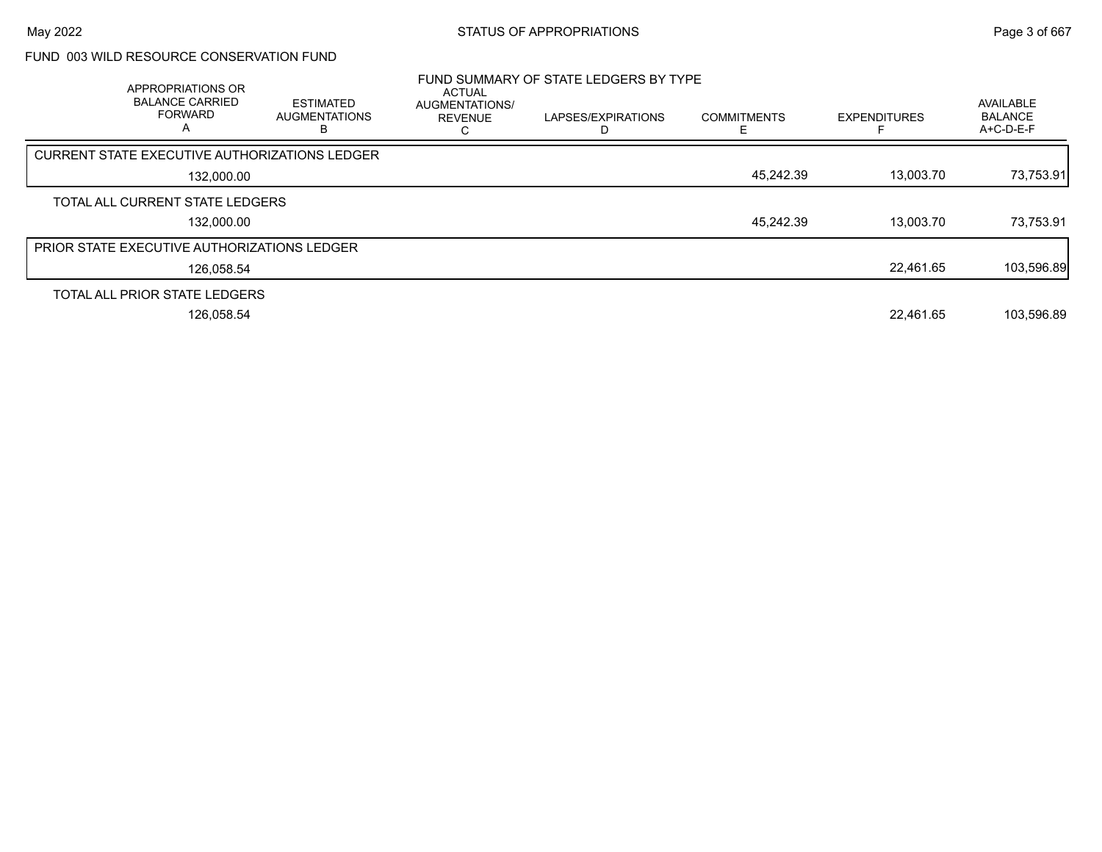### FUND 003 WILD RESOURCE CONSERVATION FUND

| APPROPRIATIONS OR<br><b>BALANCE CARRIED</b><br><b>FORWARD</b><br>A | <b>ESTIMATED</b><br><b>AUGMENTATIONS</b> | <b>ACTUAL</b><br>AUGMENTATIONS/<br><b>REVENUE</b> | FUND SUMMARY OF STATE LEDGERS BY TYPE<br>LAPSES/EXPIRATIONS | <b>COMMITMENTS</b> | <b>EXPENDITURES</b> | AVAILABLE<br><b>BALANCE</b><br>A+C-D-E-F |
|--------------------------------------------------------------------|------------------------------------------|---------------------------------------------------|-------------------------------------------------------------|--------------------|---------------------|------------------------------------------|
| CURRENT STATE EXECUTIVE AUTHORIZATIONS LEDGER                      |                                          |                                                   |                                                             |                    |                     |                                          |
| 132.000.00                                                         |                                          |                                                   |                                                             | 45,242.39          | 13,003.70           | 73,753.91                                |
| TOTAL ALL CURRENT STATE LEDGERS                                    |                                          |                                                   |                                                             |                    |                     |                                          |
| 132,000.00                                                         |                                          |                                                   |                                                             | 45.242.39          | 13.003.70           | 73,753.91                                |
| <b>PRIOR STATE EXECUTIVE AUTHORIZATIONS LEDGER</b>                 |                                          |                                                   |                                                             |                    |                     |                                          |
| 126,058.54                                                         |                                          |                                                   |                                                             |                    | 22,461.65           | 103,596.89                               |
| TOTAL ALL PRIOR STATE LEDGERS                                      |                                          |                                                   |                                                             |                    |                     |                                          |
| 126.058.54                                                         |                                          |                                                   |                                                             |                    | 22.461.65           | 103,596.89                               |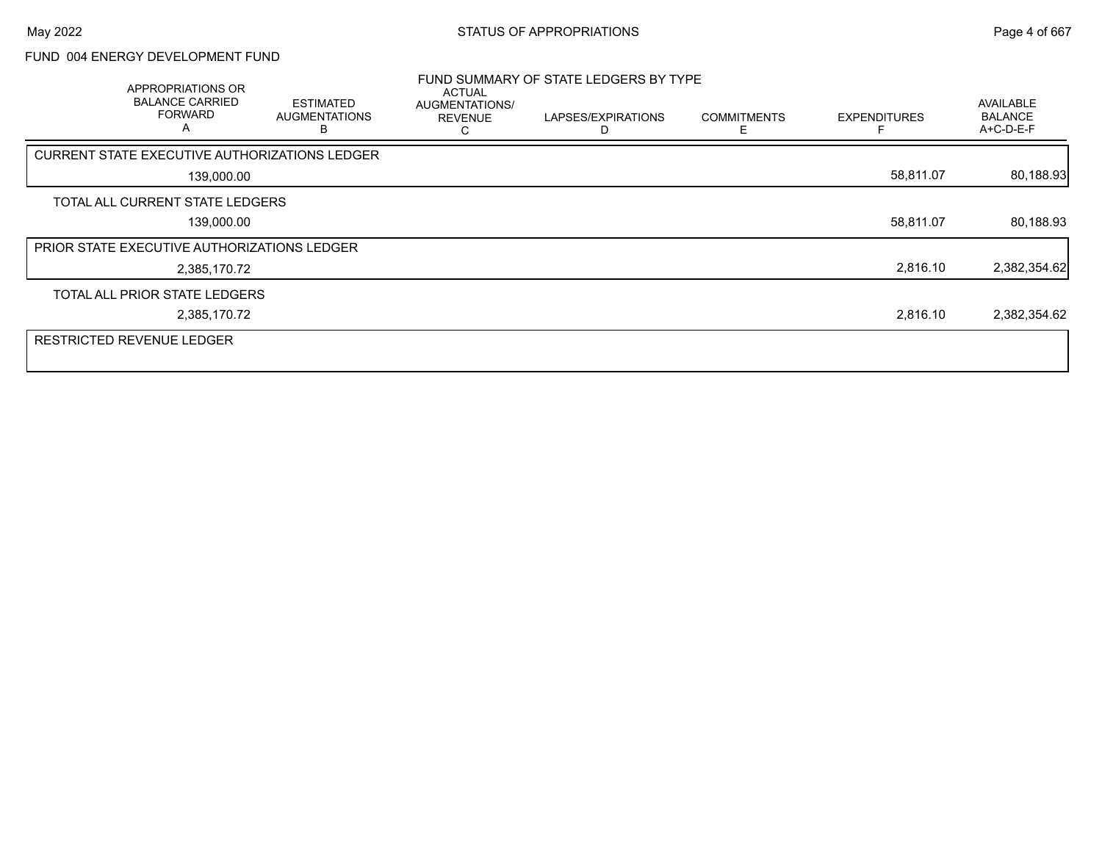### FUND 004 ENERGY DEVELOPMENT FUND

| APPROPRIATIONS OR<br><b>BALANCE CARRIED</b><br><b>FORWARD</b><br>A | <b>ESTIMATED</b><br><b>AUGMENTATIONS</b> | <b>ACTUAL</b><br>AUGMENTATIONS/<br><b>REVENUE</b> | FUND SUMMARY OF STATE LEDGERS BY TYPE<br>LAPSES/EXPIRATIONS | <b>COMMITMENTS</b><br>F | <b>EXPENDITURES</b> | <b>AVAILABLE</b><br><b>BALANCE</b><br>A+C-D-E-F |
|--------------------------------------------------------------------|------------------------------------------|---------------------------------------------------|-------------------------------------------------------------|-------------------------|---------------------|-------------------------------------------------|
| CURRENT STATE EXECUTIVE AUTHORIZATIONS LEDGER                      |                                          |                                                   |                                                             |                         |                     |                                                 |
| 139,000.00                                                         |                                          |                                                   |                                                             |                         | 58,811.07           | 80,188.93                                       |
| TOTAL ALL CURRENT STATE LEDGERS                                    |                                          |                                                   |                                                             |                         |                     |                                                 |
| 139,000.00                                                         |                                          |                                                   |                                                             |                         | 58,811.07           | 80,188.93                                       |
| PRIOR STATE EXECUTIVE AUTHORIZATIONS LEDGER                        |                                          |                                                   |                                                             |                         |                     |                                                 |
| 2,385,170.72                                                       |                                          |                                                   |                                                             |                         | 2,816.10            | 2,382,354.62                                    |
| TOTAL ALL PRIOR STATE LEDGERS                                      |                                          |                                                   |                                                             |                         |                     |                                                 |
| 2,385,170.72                                                       |                                          |                                                   |                                                             |                         | 2,816.10            | 2,382,354.62                                    |
| <b>RESTRICTED REVENUE LEDGER</b>                                   |                                          |                                                   |                                                             |                         |                     |                                                 |
|                                                                    |                                          |                                                   |                                                             |                         |                     |                                                 |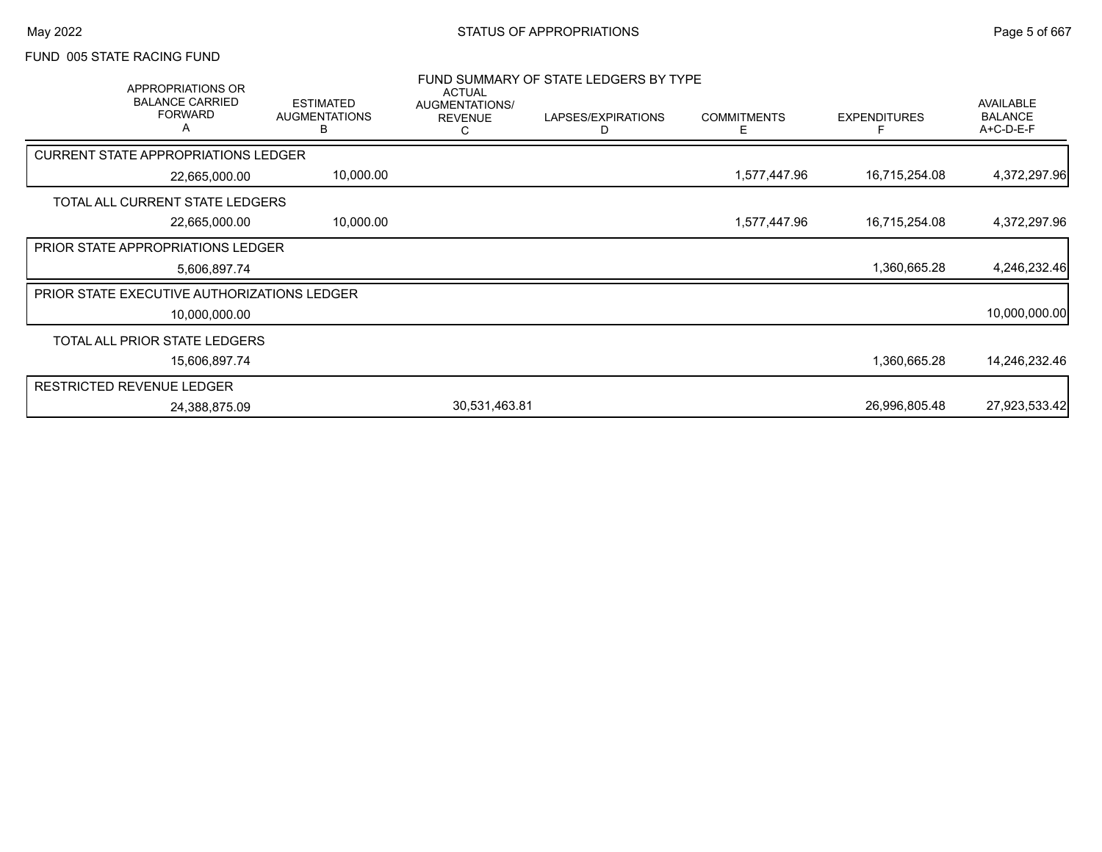# FUND 005 STATE RACING FUND

| APPROPRIATIONS OR<br><b>BALANCE CARRIED</b><br><b>FORWARD</b> | <b>ESTIMATED</b><br><b>AUGMENTATIONS</b><br>В | <b>ACTUAL</b><br>AUGMENTATIONS/<br><b>REVENUE</b><br>С | FUND SUMMARY OF STATE LEDGERS BY TYPE<br>LAPSES/EXPIRATIONS<br>D | <b>COMMITMENTS</b><br>E. | <b>EXPENDITURES</b> | AVAILABLE<br><b>BALANCE</b><br>A+C-D-E-F |
|---------------------------------------------------------------|-----------------------------------------------|--------------------------------------------------------|------------------------------------------------------------------|--------------------------|---------------------|------------------------------------------|
| <b>CURRENT STATE APPROPRIATIONS LEDGER</b>                    |                                               |                                                        |                                                                  |                          |                     |                                          |
| 22,665,000.00                                                 | 10,000.00                                     |                                                        |                                                                  | 1,577,447.96             | 16,715,254.08       | 4,372,297.96                             |
| TOTAL ALL CURRENT STATE LEDGERS                               |                                               |                                                        |                                                                  |                          |                     |                                          |
| 22,665,000.00                                                 | 10,000.00                                     |                                                        |                                                                  | 1,577,447.96             | 16,715,254.08       | 4,372,297.96                             |
| <b>PRIOR STATE APPROPRIATIONS LEDGER</b>                      |                                               |                                                        |                                                                  |                          |                     |                                          |
| 5,606,897.74                                                  |                                               |                                                        |                                                                  |                          | 1,360,665.28        | 4,246,232.46                             |
| <b>PRIOR STATE EXECUTIVE AUTHORIZATIONS LEDGER</b>            |                                               |                                                        |                                                                  |                          |                     |                                          |
| 10,000,000.00                                                 |                                               |                                                        |                                                                  |                          |                     | 10,000,000.00                            |
| TOTAL ALL PRIOR STATE LEDGERS                                 |                                               |                                                        |                                                                  |                          |                     |                                          |
| 15,606,897.74                                                 |                                               |                                                        |                                                                  |                          | 1,360,665.28        | 14,246,232.46                            |
| <b>RESTRICTED REVENUE LEDGER</b>                              |                                               |                                                        |                                                                  |                          |                     |                                          |
| 24,388,875.09                                                 |                                               | 30,531,463.81                                          |                                                                  |                          | 26,996,805.48       | 27,923,533.42                            |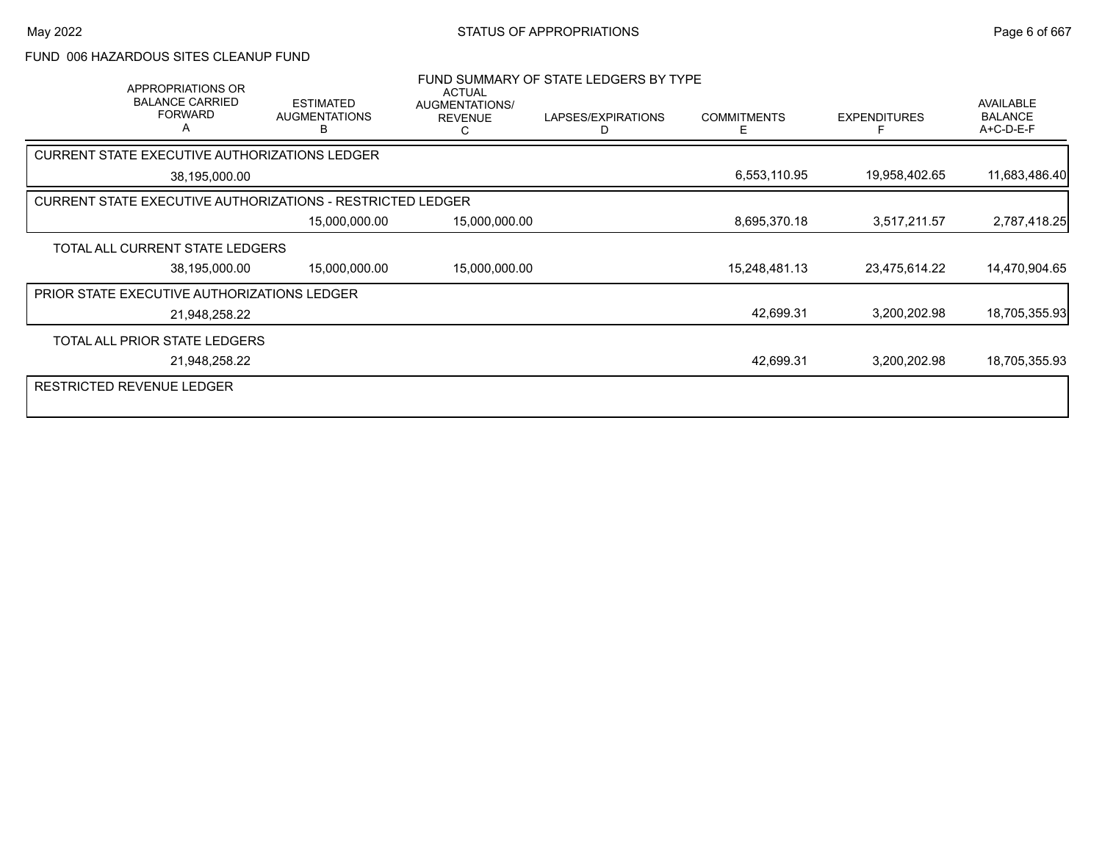#### FUND 006 HAZARDOUS SITES CLEANUP FUND

| APPROPRIATIONS OR<br><b>BALANCE CARRIED</b><br><b>FORWARD</b>     | <b>ESTIMATED</b><br><b>AUGMENTATIONS</b><br>в | <b>ACTUAL</b><br>AUGMENTATIONS/<br><b>REVENUE</b><br>C | FUND SUMMARY OF STATE LEDGERS BY TYPE<br>LAPSES/EXPIRATIONS<br>D | <b>COMMITMENTS</b><br>Ε | <b>EXPENDITURES</b> | <b>AVAILABLE</b><br><b>BALANCE</b><br>A+C-D-E-F |
|-------------------------------------------------------------------|-----------------------------------------------|--------------------------------------------------------|------------------------------------------------------------------|-------------------------|---------------------|-------------------------------------------------|
| CURRENT STATE EXECUTIVE AUTHORIZATIONS LEDGER                     |                                               |                                                        |                                                                  |                         |                     |                                                 |
| 38,195,000.00                                                     |                                               |                                                        |                                                                  | 6,553,110.95            | 19,958,402.65       | 11,683,486.40                                   |
| <b>CURRENT STATE EXECUTIVE AUTHORIZATIONS - RESTRICTED LEDGER</b> |                                               |                                                        |                                                                  |                         |                     |                                                 |
|                                                                   | 15,000,000.00                                 | 15,000,000.00                                          |                                                                  | 8,695,370.18            | 3,517,211.57        | 2,787,418.25                                    |
| TOTAL ALL CURRENT STATE LEDGERS                                   |                                               |                                                        |                                                                  |                         |                     |                                                 |
| 38,195,000.00                                                     | 15,000,000.00                                 | 15,000,000.00                                          |                                                                  | 15,248,481.13           | 23,475,614.22       | 14,470,904.65                                   |
| PRIOR STATE EXECUTIVE AUTHORIZATIONS LEDGER                       |                                               |                                                        |                                                                  |                         |                     |                                                 |
| 21,948,258.22                                                     |                                               |                                                        |                                                                  | 42,699.31               | 3,200,202.98        | 18,705,355.93                                   |
| TOTAL ALL PRIOR STATE LEDGERS                                     |                                               |                                                        |                                                                  |                         |                     |                                                 |
| 21,948,258.22                                                     |                                               |                                                        |                                                                  | 42,699.31               | 3,200,202.98        | 18,705,355.93                                   |
| <b>RESTRICTED REVENUE LEDGER</b>                                  |                                               |                                                        |                                                                  |                         |                     |                                                 |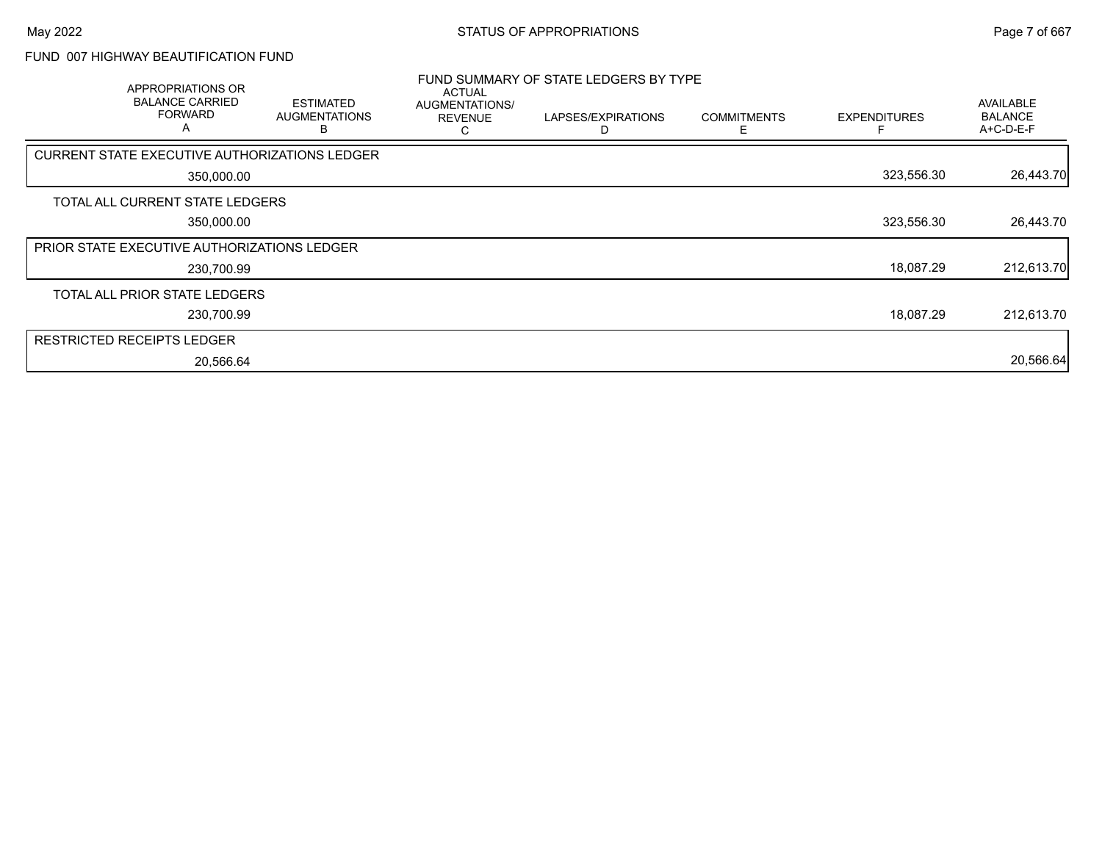### FUND 007 HIGHWAY BEAUTIFICATION FUND

| APPROPRIATIONS OR<br><b>BALANCE CARRIED</b><br><b>FORWARD</b><br>A | <b>ESTIMATED</b><br><b>AUGMENTATIONS</b> | <b>ACTUAL</b><br>AUGMENTATIONS/<br><b>REVENUE</b> | FUND SUMMARY OF STATE LEDGERS BY TYPE<br>LAPSES/EXPIRATIONS | <b>COMMITMENTS</b> | <b>EXPENDITURES</b> | AVAILABLE<br><b>BALANCE</b><br>A+C-D-E-F |
|--------------------------------------------------------------------|------------------------------------------|---------------------------------------------------|-------------------------------------------------------------|--------------------|---------------------|------------------------------------------|
| CURRENT STATE EXECUTIVE AUTHORIZATIONS LEDGER                      |                                          |                                                   |                                                             |                    |                     |                                          |
| 350,000.00                                                         |                                          |                                                   |                                                             |                    | 323,556.30          | 26,443.70                                |
| TOTAL ALL CURRENT STATE LEDGERS                                    |                                          |                                                   |                                                             |                    |                     |                                          |
| 350,000.00                                                         |                                          |                                                   |                                                             |                    | 323,556.30          | 26,443.70                                |
| <b>PRIOR STATE EXECUTIVE AUTHORIZATIONS LEDGER</b>                 |                                          |                                                   |                                                             |                    |                     |                                          |
| 230,700.99                                                         |                                          |                                                   |                                                             |                    | 18,087.29           | 212,613.70                               |
| TOTAL ALL PRIOR STATE LEDGERS                                      |                                          |                                                   |                                                             |                    |                     |                                          |
| 230,700.99                                                         |                                          |                                                   |                                                             |                    | 18,087.29           | 212,613.70                               |
| RESTRICTED RECEIPTS LEDGER                                         |                                          |                                                   |                                                             |                    |                     |                                          |
| 20,566.64                                                          |                                          |                                                   |                                                             |                    |                     | 20,566.64                                |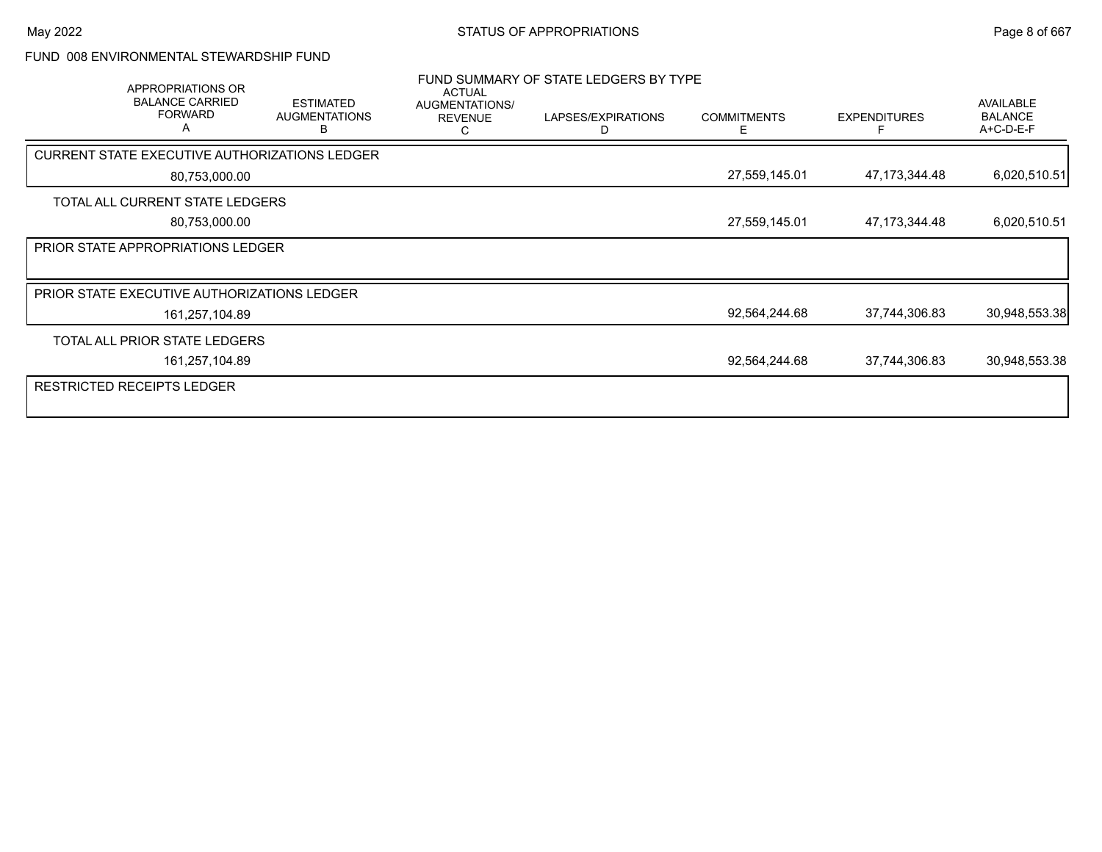#### FUND 008 ENVIRONMENTAL STEWARDSHIP FUND

| APPROPRIATIONS OR<br><b>BALANCE CARRIED</b><br><b>FORWARD</b><br>Α | <b>ESTIMATED</b><br><b>AUGMENTATIONS</b> | <b>ACTUAL</b><br>AUGMENTATIONS/<br><b>REVENUE</b><br>С | FUND SUMMARY OF STATE LEDGERS BY TYPE<br>LAPSES/EXPIRATIONS<br>D | <b>COMMITMENTS</b><br>E. | <b>EXPENDITURES</b> | AVAILABLE<br><b>BALANCE</b><br>A+C-D-E-F |
|--------------------------------------------------------------------|------------------------------------------|--------------------------------------------------------|------------------------------------------------------------------|--------------------------|---------------------|------------------------------------------|
| CURRENT STATE EXECUTIVE AUTHORIZATIONS LEDGER                      |                                          |                                                        |                                                                  |                          |                     |                                          |
| 80,753,000.00                                                      |                                          |                                                        |                                                                  | 27,559,145.01            | 47, 173, 344. 48    | 6,020,510.51                             |
| TOTAL ALL CURRENT STATE LEDGERS                                    |                                          |                                                        |                                                                  |                          |                     |                                          |
| 80,753,000.00                                                      |                                          |                                                        |                                                                  | 27,559,145.01            | 47, 173, 344. 48    | 6,020,510.51                             |
| <b>PRIOR STATE APPROPRIATIONS LEDGER</b>                           |                                          |                                                        |                                                                  |                          |                     |                                          |
|                                                                    |                                          |                                                        |                                                                  |                          |                     |                                          |
| <b>PRIOR STATE EXECUTIVE AUTHORIZATIONS LEDGER</b>                 |                                          |                                                        |                                                                  |                          |                     |                                          |
| 161,257,104.89                                                     |                                          |                                                        |                                                                  | 92,564,244.68            | 37,744,306.83       | 30,948,553.38                            |
| TOTAL ALL PRIOR STATE LEDGERS                                      |                                          |                                                        |                                                                  |                          |                     |                                          |
| 161,257,104.89                                                     |                                          |                                                        |                                                                  | 92,564,244.68            | 37,744,306.83       | 30,948,553.38                            |
| <b>RESTRICTED RECEIPTS LEDGER</b>                                  |                                          |                                                        |                                                                  |                          |                     |                                          |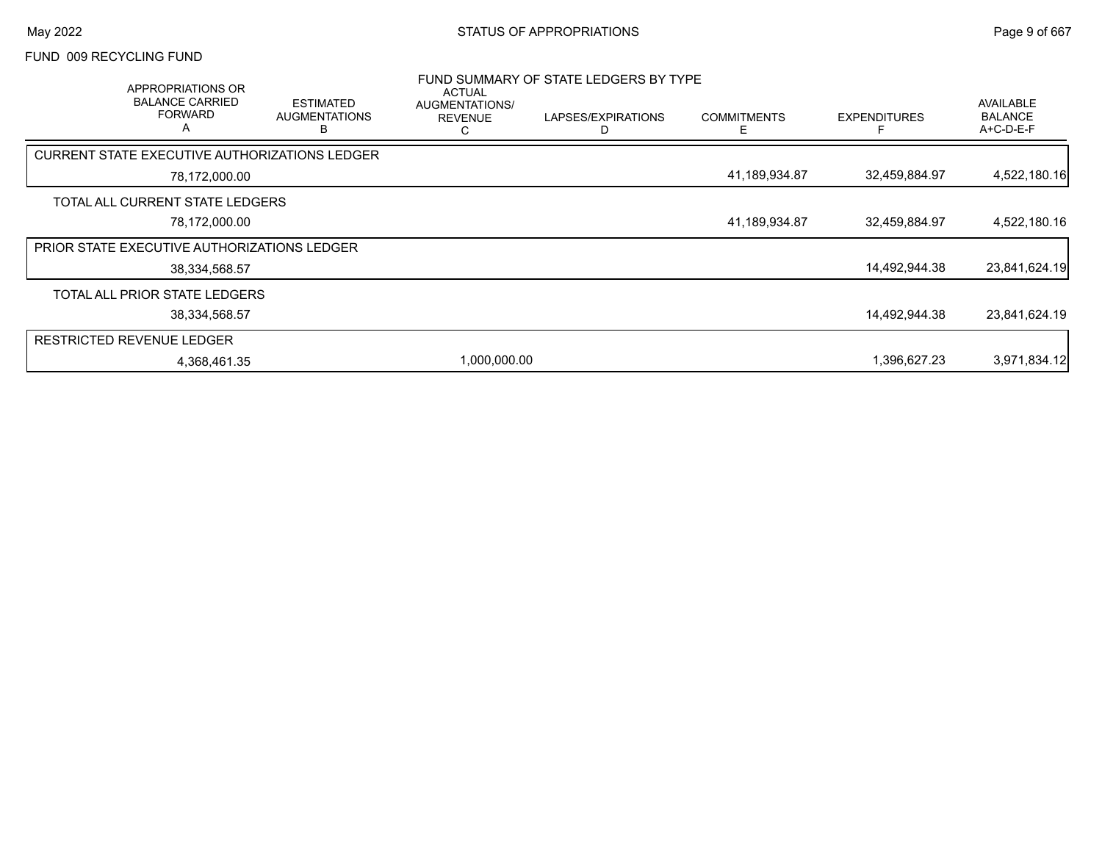### FUND 009 RECYCLING FUND

| APPROPRIATIONS OR<br><b>BALANCE CARRIED</b><br><b>FORWARD</b><br>$\overline{a}$ | <b>ESTIMATED</b><br><b>AUGMENTATIONS</b><br>В | <b>ACTUAL</b><br><b>AUGMENTATIONS/</b><br><b>REVENUE</b> | FUND SUMMARY OF STATE LEDGERS BY TYPE<br>LAPSES/EXPIRATIONS<br>D | <b>COMMITMENTS</b> | <b>EXPENDITURES</b> | AVAILABLE<br><b>BALANCE</b><br>$A+C-D-E-F$ |
|---------------------------------------------------------------------------------|-----------------------------------------------|----------------------------------------------------------|------------------------------------------------------------------|--------------------|---------------------|--------------------------------------------|
| CURRENT STATE EXECUTIVE AUTHORIZATIONS LEDGER                                   |                                               |                                                          |                                                                  |                    |                     |                                            |
| 78,172,000.00                                                                   |                                               |                                                          |                                                                  | 41,189,934.87      | 32,459,884.97       | 4,522,180.16                               |
| TOTAL ALL CURRENT STATE LEDGERS                                                 |                                               |                                                          |                                                                  |                    |                     |                                            |
| 78,172,000.00                                                                   |                                               |                                                          |                                                                  | 41,189,934.87      | 32,459,884.97       | 4,522,180.16                               |
| <b>PRIOR STATE EXECUTIVE AUTHORIZATIONS LEDGER</b>                              |                                               |                                                          |                                                                  |                    |                     |                                            |
| 38,334,568.57                                                                   |                                               |                                                          |                                                                  |                    | 14,492,944.38       | 23,841,624.19                              |
| TOTAL ALL PRIOR STATE LEDGERS                                                   |                                               |                                                          |                                                                  |                    |                     |                                            |
| 38,334,568.57                                                                   |                                               |                                                          |                                                                  |                    | 14,492,944.38       | 23,841,624.19                              |
| <b>RESTRICTED REVENUE LEDGER</b>                                                |                                               |                                                          |                                                                  |                    |                     |                                            |
| 4,368,461.35                                                                    |                                               | 1,000,000.00                                             |                                                                  |                    | 1,396,627.23        | 3,971,834.12                               |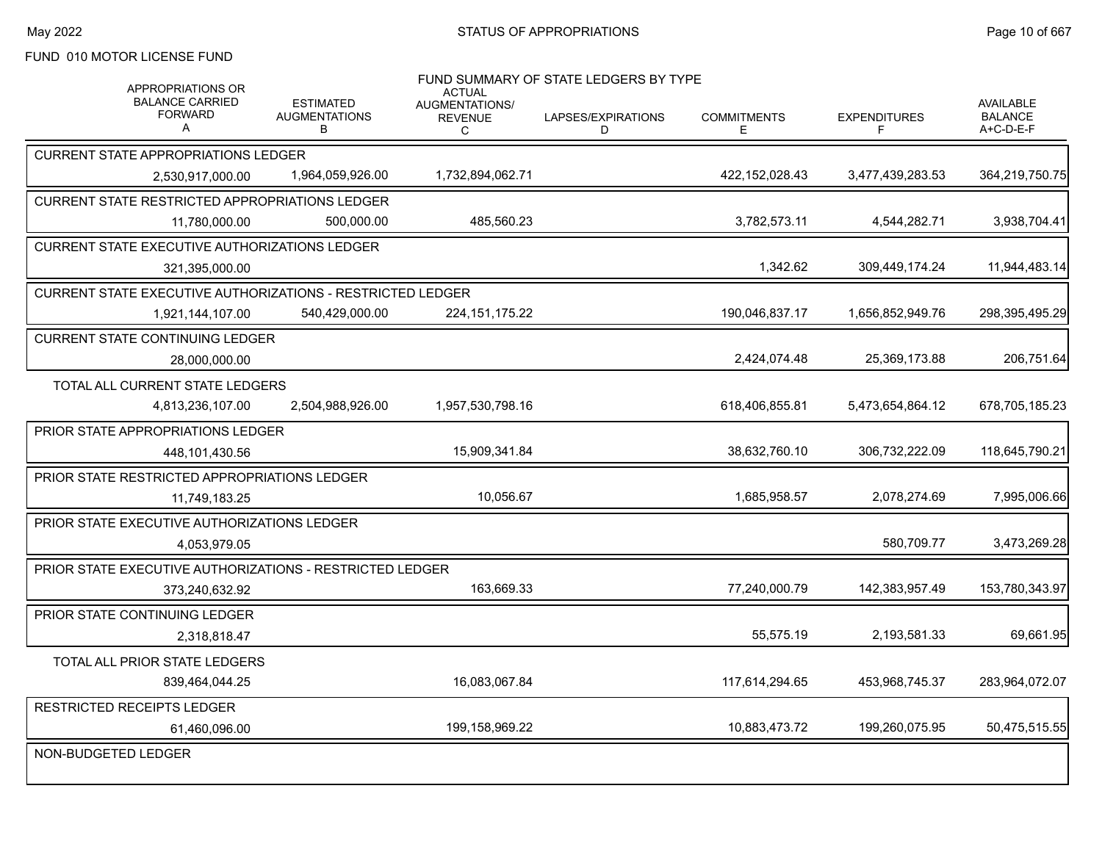## FUND 010 MOTOR LICENSE FUND

| <b>APPROPRIATIONS OR</b>                                        |                                               | ACTUAL                                | FUND SUMMARY OF STATE LEDGERS BY TYPE |                          |                           |                                                 |
|-----------------------------------------------------------------|-----------------------------------------------|---------------------------------------|---------------------------------------|--------------------------|---------------------------|-------------------------------------------------|
| <b>BALANCE CARRIED</b><br><b>FORWARD</b><br>A                   | <b>ESTIMATED</b><br><b>AUGMENTATIONS</b><br>B | AUGMENTATIONS/<br><b>REVENUE</b><br>C | LAPSES/EXPIRATIONS<br>D               | <b>COMMITMENTS</b><br>E. | <b>EXPENDITURES</b><br>F. | <b>AVAILABLE</b><br><b>BALANCE</b><br>A+C-D-E-F |
| <b>CURRENT STATE APPROPRIATIONS LEDGER</b>                      |                                               |                                       |                                       |                          |                           |                                                 |
| 2.530.917.000.00                                                | 1,964,059,926.00                              | 1,732,894,062.71                      |                                       | 422,152,028.43           | 3,477,439,283.53          | 364,219,750.75                                  |
| CURRENT STATE RESTRICTED APPROPRIATIONS LEDGER                  |                                               |                                       |                                       |                          |                           |                                                 |
| 11,780,000.00                                                   | 500.000.00                                    | 485,560.23                            |                                       | 3,782,573.11             | 4,544,282.71              | 3,938,704.41                                    |
| <b>CURRENT STATE EXECUTIVE AUTHORIZATIONS LEDGER</b>            |                                               |                                       |                                       |                          |                           |                                                 |
| 321,395,000.00                                                  |                                               |                                       |                                       | 1,342.62                 | 309,449,174.24            | 11,944,483.14                                   |
| CURRENT STATE EXECUTIVE AUTHORIZATIONS - RESTRICTED LEDGER      |                                               |                                       |                                       |                          |                           |                                                 |
| 1,921,144,107.00                                                | 540,429,000.00                                | 224, 151, 175. 22                     |                                       | 190,046,837.17           | 1,656,852,949.76          | 298,395,495.29                                  |
| <b>CURRENT STATE CONTINUING LEDGER</b>                          |                                               |                                       |                                       |                          |                           |                                                 |
| 28,000,000.00                                                   |                                               |                                       |                                       | 2,424,074.48             | 25,369,173.88             | 206,751.64                                      |
| TOTAL ALL CURRENT STATE LEDGERS                                 |                                               |                                       |                                       |                          |                           |                                                 |
| 4,813,236,107.00                                                | 2,504,988,926.00                              | 1,957,530,798.16                      |                                       | 618,406,855.81           | 5,473,654,864.12          | 678,705,185.23                                  |
| PRIOR STATE APPROPRIATIONS LEDGER                               |                                               |                                       |                                       |                          |                           |                                                 |
| 448,101,430.56                                                  |                                               | 15,909,341.84                         |                                       | 38,632,760.10            | 306,732,222.09            | 118,645,790.21                                  |
| PRIOR STATE RESTRICTED APPROPRIATIONS LEDGER                    |                                               |                                       |                                       |                          |                           |                                                 |
| 11,749,183.25                                                   |                                               | 10,056.67                             |                                       | 1,685,958.57             | 2,078,274.69              | 7,995,006.66                                    |
| PRIOR STATE EXECUTIVE AUTHORIZATIONS LEDGER                     |                                               |                                       |                                       |                          |                           |                                                 |
| 4,053,979.05                                                    |                                               |                                       |                                       |                          | 580,709.77                | 3,473,269.28                                    |
| <b>PRIOR STATE EXECUTIVE AUTHORIZATIONS - RESTRICTED LEDGER</b> |                                               |                                       |                                       |                          |                           |                                                 |
| 373,240,632.92                                                  |                                               | 163,669.33                            |                                       | 77,240,000.79            | 142,383,957.49            | 153,780,343.97                                  |
| PRIOR STATE CONTINUING LEDGER                                   |                                               |                                       |                                       |                          |                           |                                                 |
| 2,318,818.47                                                    |                                               |                                       |                                       | 55,575.19                | 2,193,581.33              | 69,661.95                                       |
| TOTAL ALL PRIOR STATE LEDGERS                                   |                                               |                                       |                                       |                          |                           |                                                 |
| 839.464.044.25                                                  |                                               | 16.083.067.84                         |                                       | 117,614,294.65           | 453,968,745.37            | 283,964,072.07                                  |
| <b>RESTRICTED RECEIPTS LEDGER</b>                               |                                               |                                       |                                       |                          |                           |                                                 |
| 61,460,096.00                                                   |                                               | 199,158,969.22                        |                                       | 10,883,473.72            | 199,260,075.95            | 50,475,515.55                                   |
| NON-BUDGETED LEDGER                                             |                                               |                                       |                                       |                          |                           |                                                 |
|                                                                 |                                               |                                       |                                       |                          |                           |                                                 |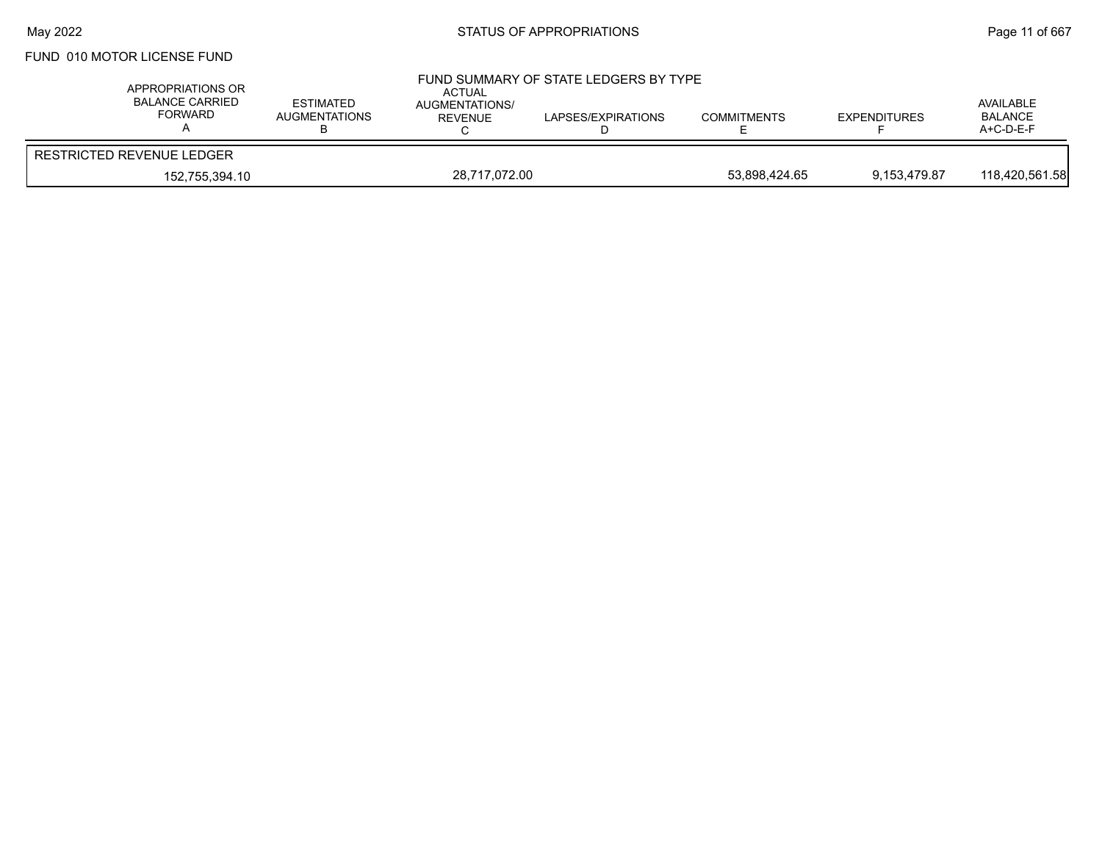## FUND 010 MOTOR LICENSE FUND

| APPROPRIATIONS OR<br><b>BALANCE CARRIED</b><br>FORWARD | <b>ESTIMATED</b><br><b>AUGMENTATIONS</b> | <b>ACTUAL</b><br><b>AUGMENTATIONS/</b><br><b>REVENUE</b> | FUND SUMMARY OF STATE LEDGERS BY TYPE<br>LAPSES/EXPIRATIONS | <b>COMMITMENTS</b> | <b>EXPENDITURES</b> | AVAILABLE<br><b>BALANCE</b><br>$A+C-D-E-F$ |
|--------------------------------------------------------|------------------------------------------|----------------------------------------------------------|-------------------------------------------------------------|--------------------|---------------------|--------------------------------------------|
| <b>RESTRICTED REVENUE LEDGER</b>                       |                                          |                                                          |                                                             |                    |                     |                                            |
| 152,755,394.10                                         |                                          | 28,717,072.00                                            |                                                             | 53.898.424.65      | 9.153.479.87        | 118,420,561.58                             |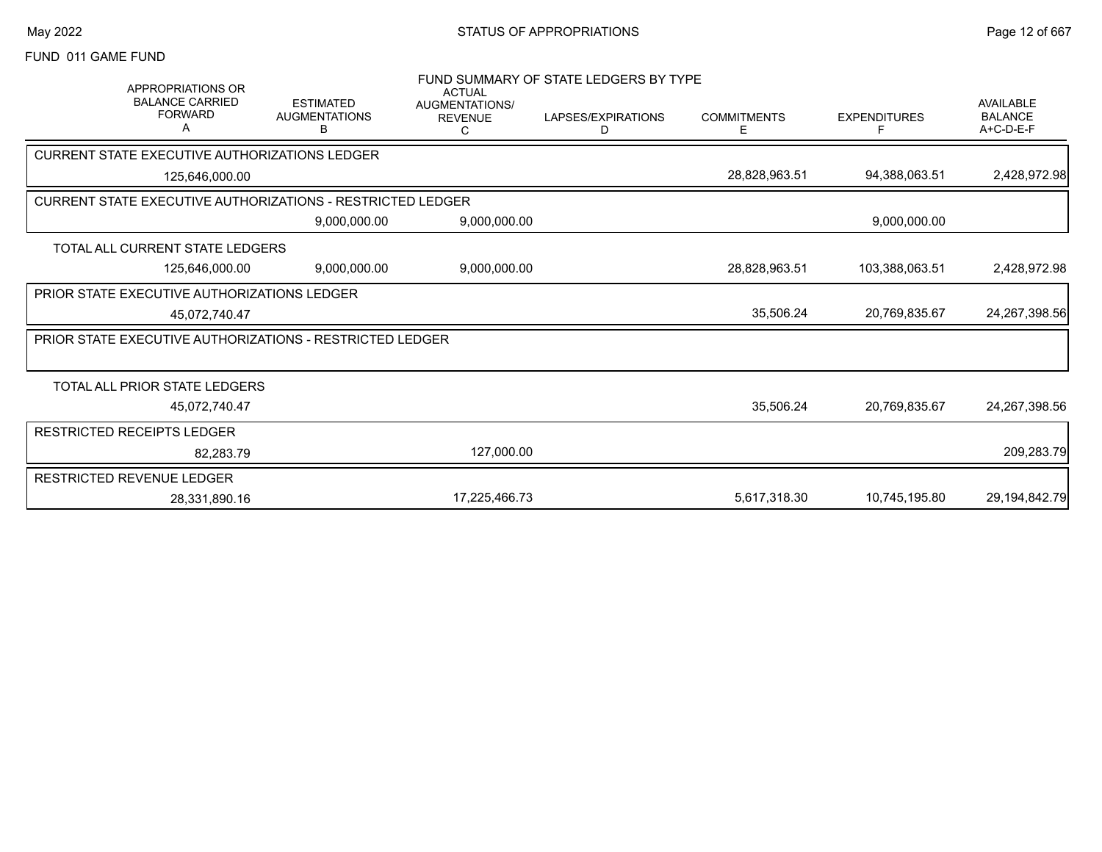### FUND 011 GAME FUND

| <b>APPROPRIATIONS OR</b><br><b>BALANCE CARRIED</b><br><b>FORWARD</b><br>А | <b>ESTIMATED</b><br><b>AUGMENTATIONS</b><br>в | <b>ACTUAL</b><br><b>AUGMENTATIONS/</b><br><b>REVENUE</b><br>С | FUND SUMMARY OF STATE LEDGERS BY TYPE<br>LAPSES/EXPIRATIONS<br>D | <b>COMMITMENTS</b><br>Ε | <b>EXPENDITURES</b> | <b>AVAILABLE</b><br><b>BALANCE</b><br>A+C-D-E-F |
|---------------------------------------------------------------------------|-----------------------------------------------|---------------------------------------------------------------|------------------------------------------------------------------|-------------------------|---------------------|-------------------------------------------------|
| CURRENT STATE EXECUTIVE AUTHORIZATIONS LEDGER                             |                                               |                                                               |                                                                  |                         |                     |                                                 |
| 125,646,000.00                                                            |                                               |                                                               |                                                                  | 28,828,963.51           | 94,388,063.51       | 2,428,972.98                                    |
| <b>CURRENT STATE EXECUTIVE AUTHORIZATIONS - RESTRICTED LEDGER</b>         |                                               |                                                               |                                                                  |                         |                     |                                                 |
|                                                                           | 9,000,000.00                                  | 9,000,000.00                                                  |                                                                  |                         | 9,000,000.00        |                                                 |
| TOTAL ALL CURRENT STATE LEDGERS                                           |                                               |                                                               |                                                                  |                         |                     |                                                 |
| 125,646,000.00                                                            | 9,000,000.00                                  | 9,000,000.00                                                  |                                                                  | 28,828,963.51           | 103,388,063.51      | 2,428,972.98                                    |
| <b>PRIOR STATE EXECUTIVE AUTHORIZATIONS LEDGER</b>                        |                                               |                                                               |                                                                  |                         |                     |                                                 |
| 45,072,740.47                                                             |                                               |                                                               |                                                                  | 35,506.24               | 20,769,835.67       | 24, 267, 398.56                                 |
| PRIOR STATE EXECUTIVE AUTHORIZATIONS - RESTRICTED LEDGER                  |                                               |                                                               |                                                                  |                         |                     |                                                 |
|                                                                           |                                               |                                                               |                                                                  |                         |                     |                                                 |
| <b>TOTAL ALL PRIOR STATE LEDGERS</b>                                      |                                               |                                                               |                                                                  |                         |                     |                                                 |
| 45,072,740.47                                                             |                                               |                                                               |                                                                  | 35,506.24               | 20,769,835.67       | 24,267,398.56                                   |
| RESTRICTED RECEIPTS LEDGER                                                |                                               |                                                               |                                                                  |                         |                     |                                                 |
| 82,283.79                                                                 |                                               | 127,000.00                                                    |                                                                  |                         |                     | 209,283.79                                      |
| RESTRICTED REVENUE LEDGER                                                 |                                               |                                                               |                                                                  |                         |                     |                                                 |
| 28.331.890.16                                                             |                                               | 17,225,466.73                                                 |                                                                  | 5,617,318.30            | 10,745,195.80       | 29,194,842.79                                   |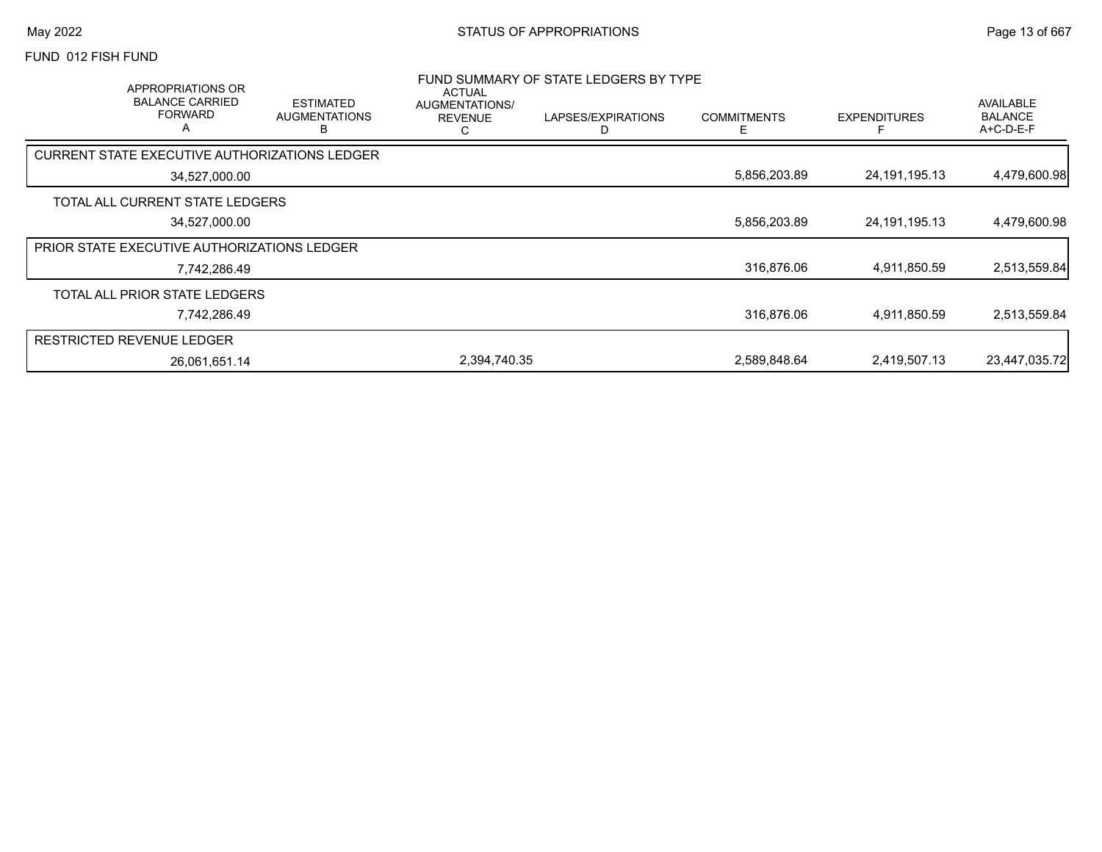### FUND 012 FISH FUND

| APPROPRIATIONS OR<br><b>BALANCE CARRIED</b><br><b>FORWARD</b><br>$\overline{\mathsf{A}}$ | <b>ESTIMATED</b><br><b>AUGMENTATIONS</b><br>в | ACTUAL<br><b>AUGMENTATIONS/</b><br><b>REVENUE</b><br>С | FUND SUMMARY OF STATE LEDGERS BY TYPE<br>LAPSES/EXPIRATIONS | <b>COMMITMENTS</b> | <b>EXPENDITURES</b> | AVAILABLE<br><b>BALANCE</b><br>$A+C-D-E-F$ |
|------------------------------------------------------------------------------------------|-----------------------------------------------|--------------------------------------------------------|-------------------------------------------------------------|--------------------|---------------------|--------------------------------------------|
| <b>CURRENT STATE EXECUTIVE AUTHORIZATIONS LEDGER</b>                                     |                                               |                                                        |                                                             |                    |                     |                                            |
| 34,527,000.00                                                                            |                                               |                                                        |                                                             | 5,856,203.89       | 24, 191, 195. 13    | 4,479,600.98                               |
| TOTAL ALL CURRENT STATE LEDGERS                                                          |                                               |                                                        |                                                             |                    |                     |                                            |
| 34,527,000.00                                                                            |                                               |                                                        |                                                             | 5,856,203.89       | 24, 191, 195. 13    | 4,479,600.98                               |
| PRIOR STATE EXECUTIVE AUTHORIZATIONS LEDGER                                              |                                               |                                                        |                                                             |                    |                     |                                            |
| 7,742,286.49                                                                             |                                               |                                                        |                                                             | 316,876.06         | 4,911,850.59        | 2,513,559.84                               |
| TOTAL ALL PRIOR STATE LEDGERS                                                            |                                               |                                                        |                                                             |                    |                     |                                            |
| 7,742,286.49                                                                             |                                               |                                                        |                                                             | 316,876.06         | 4,911,850.59        | 2,513,559.84                               |
| <b>RESTRICTED REVENUE LEDGER</b>                                                         |                                               |                                                        |                                                             |                    |                     |                                            |
| 26,061,651.14                                                                            |                                               | 2,394,740.35                                           |                                                             | 2,589,848.64       | 2,419,507.13        | 23,447,035.72                              |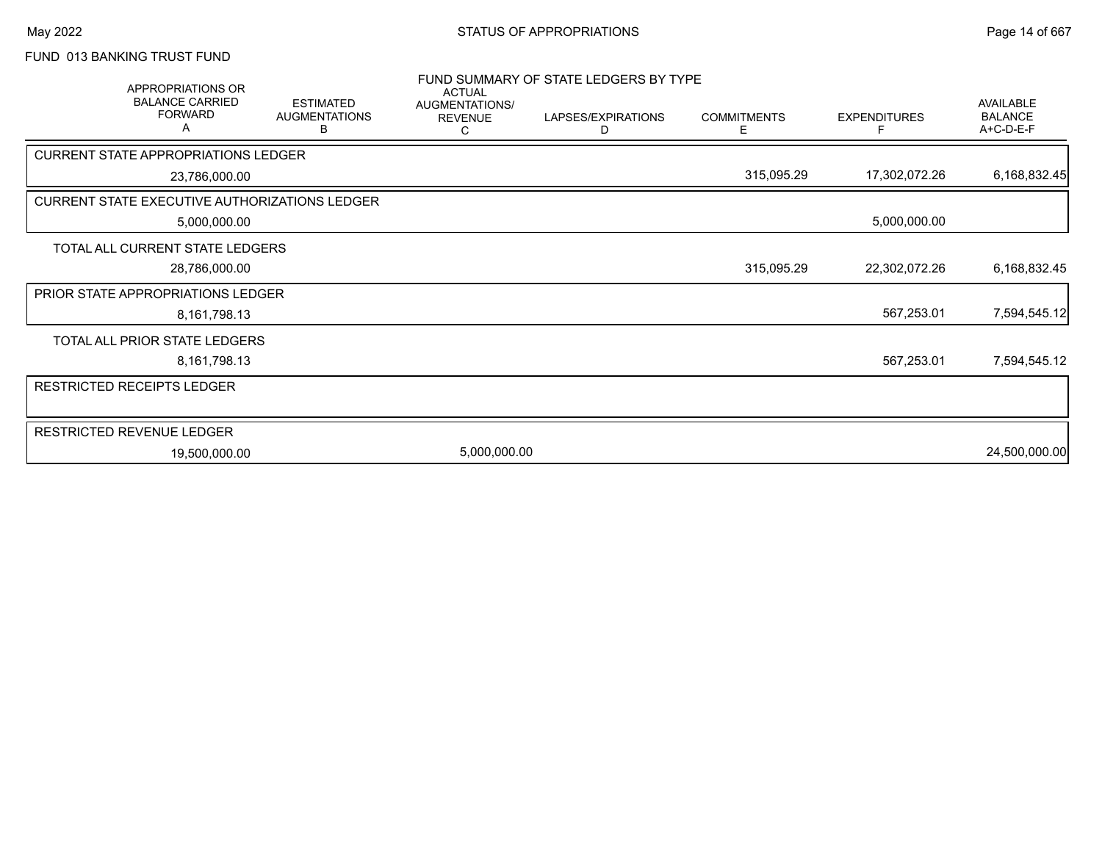# FUND 013 BANKING TRUST FUND

|                                                      | APPROPRIATIONS OR<br><b>BALANCE CARRIED</b><br><b>FORWARD</b><br>А | <b>ESTIMATED</b><br><b>AUGMENTATIONS</b><br>в | <b>ACTUAL</b><br>AUGMENTATIONS/<br><b>REVENUE</b> | FUND SUMMARY OF STATE LEDGERS BY TYPE<br>LAPSES/EXPIRATIONS<br>D | <b>COMMITMENTS</b><br>Ε | <b>EXPENDITURES</b><br>F | <b>AVAILABLE</b><br><b>BALANCE</b><br>A+C-D-E-F |
|------------------------------------------------------|--------------------------------------------------------------------|-----------------------------------------------|---------------------------------------------------|------------------------------------------------------------------|-------------------------|--------------------------|-------------------------------------------------|
| <b>CURRENT STATE APPROPRIATIONS LEDGER</b>           |                                                                    |                                               |                                                   |                                                                  |                         |                          |                                                 |
|                                                      | 23,786,000.00                                                      |                                               |                                                   |                                                                  | 315,095.29              | 17,302,072.26            | 6,168,832.45                                    |
| <b>CURRENT STATE EXECUTIVE AUTHORIZATIONS LEDGER</b> |                                                                    |                                               |                                                   |                                                                  |                         |                          |                                                 |
|                                                      | 5,000,000.00                                                       |                                               |                                                   |                                                                  |                         | 5,000,000.00             |                                                 |
| TOTAL ALL CURRENT STATE LEDGERS                      |                                                                    |                                               |                                                   |                                                                  |                         |                          |                                                 |
|                                                      | 28,786,000.00                                                      |                                               |                                                   |                                                                  | 315,095.29              | 22,302,072.26            | 6,168,832.45                                    |
| PRIOR STATE APPROPRIATIONS LEDGER                    |                                                                    |                                               |                                                   |                                                                  |                         |                          |                                                 |
|                                                      | 8,161,798.13                                                       |                                               |                                                   |                                                                  |                         | 567,253.01               | 7,594,545.12                                    |
| TOTAL ALL PRIOR STATE LEDGERS                        |                                                                    |                                               |                                                   |                                                                  |                         |                          |                                                 |
|                                                      | 8, 161, 798. 13                                                    |                                               |                                                   |                                                                  |                         | 567,253.01               | 7,594,545.12                                    |
| <b>RESTRICTED RECEIPTS LEDGER</b>                    |                                                                    |                                               |                                                   |                                                                  |                         |                          |                                                 |
|                                                      |                                                                    |                                               |                                                   |                                                                  |                         |                          |                                                 |
| RESTRICTED REVENUE LEDGER                            |                                                                    |                                               |                                                   |                                                                  |                         |                          |                                                 |
|                                                      | 19,500,000.00                                                      |                                               | 5,000,000.00                                      |                                                                  |                         |                          | 24,500,000.00                                   |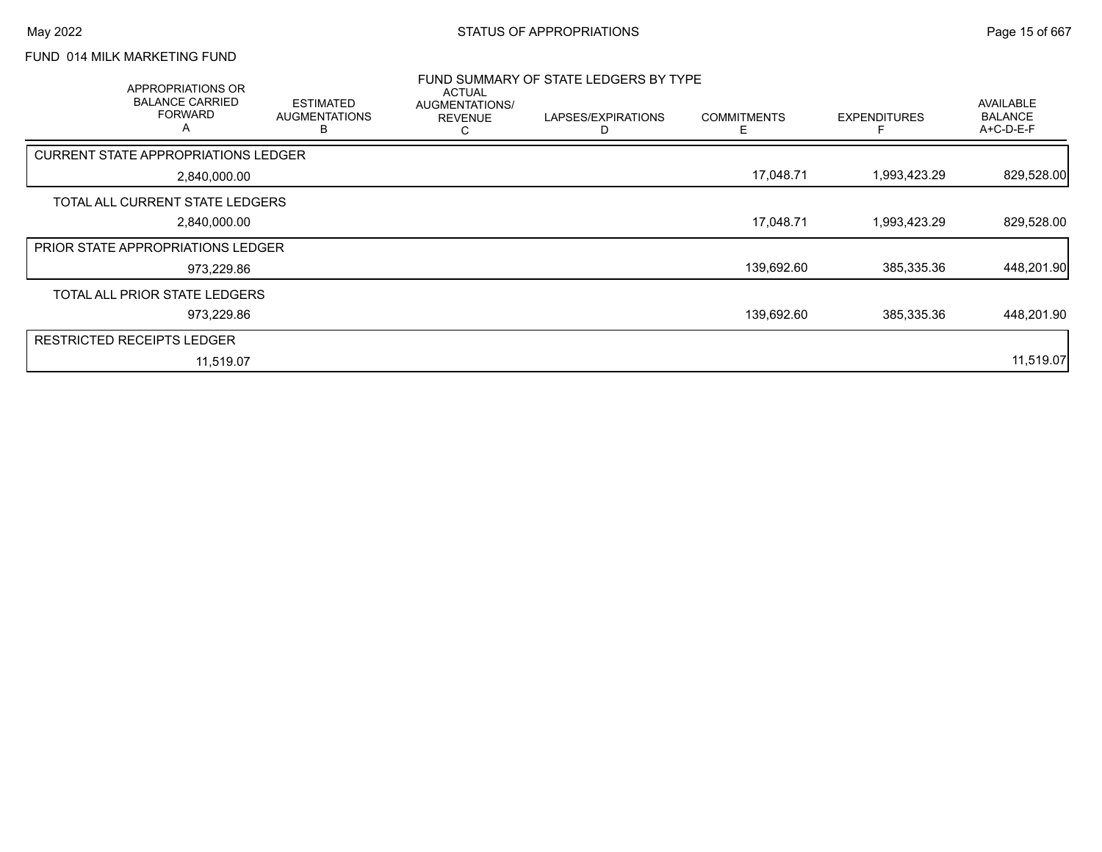## FUND 014 MILK MARKETING FUND

| APPROPRIATIONS OR<br><b>BALANCE CARRIED</b><br><b>FORWARD</b><br>A | <b>ESTIMATED</b><br><b>AUGMENTATIONS</b><br>В | <b>ACTUAL</b><br>AUGMENTATIONS/<br><b>REVENUE</b><br>C | FUND SUMMARY OF STATE LEDGERS BY TYPE<br>LAPSES/EXPIRATIONS<br>D | <b>COMMITMENTS</b><br>Е | <b>EXPENDITURES</b> | AVAILABLE<br><b>BALANCE</b><br>A+C-D-E-F |
|--------------------------------------------------------------------|-----------------------------------------------|--------------------------------------------------------|------------------------------------------------------------------|-------------------------|---------------------|------------------------------------------|
| <b>CURRENT STATE APPROPRIATIONS LEDGER</b>                         |                                               |                                                        |                                                                  |                         |                     |                                          |
| 2,840,000.00                                                       |                                               |                                                        |                                                                  | 17,048.71               | 1,993,423.29        | 829,528.00                               |
| TOTAL ALL CURRENT STATE LEDGERS                                    |                                               |                                                        |                                                                  |                         |                     |                                          |
| 2,840,000.00                                                       |                                               |                                                        |                                                                  | 17,048.71               | 1,993,423.29        | 829,528.00                               |
| <b>PRIOR STATE APPROPRIATIONS LEDGER</b>                           |                                               |                                                        |                                                                  |                         |                     |                                          |
| 973,229.86                                                         |                                               |                                                        |                                                                  | 139,692.60              | 385,335.36          | 448,201.90                               |
| TOTAL ALL PRIOR STATE LEDGERS                                      |                                               |                                                        |                                                                  |                         |                     |                                          |
| 973,229.86                                                         |                                               |                                                        |                                                                  | 139,692.60              | 385,335.36          | 448,201.90                               |
| <b>RESTRICTED RECEIPTS LEDGER</b>                                  |                                               |                                                        |                                                                  |                         |                     |                                          |
| 11,519.07                                                          |                                               |                                                        |                                                                  |                         |                     | 11,519.07                                |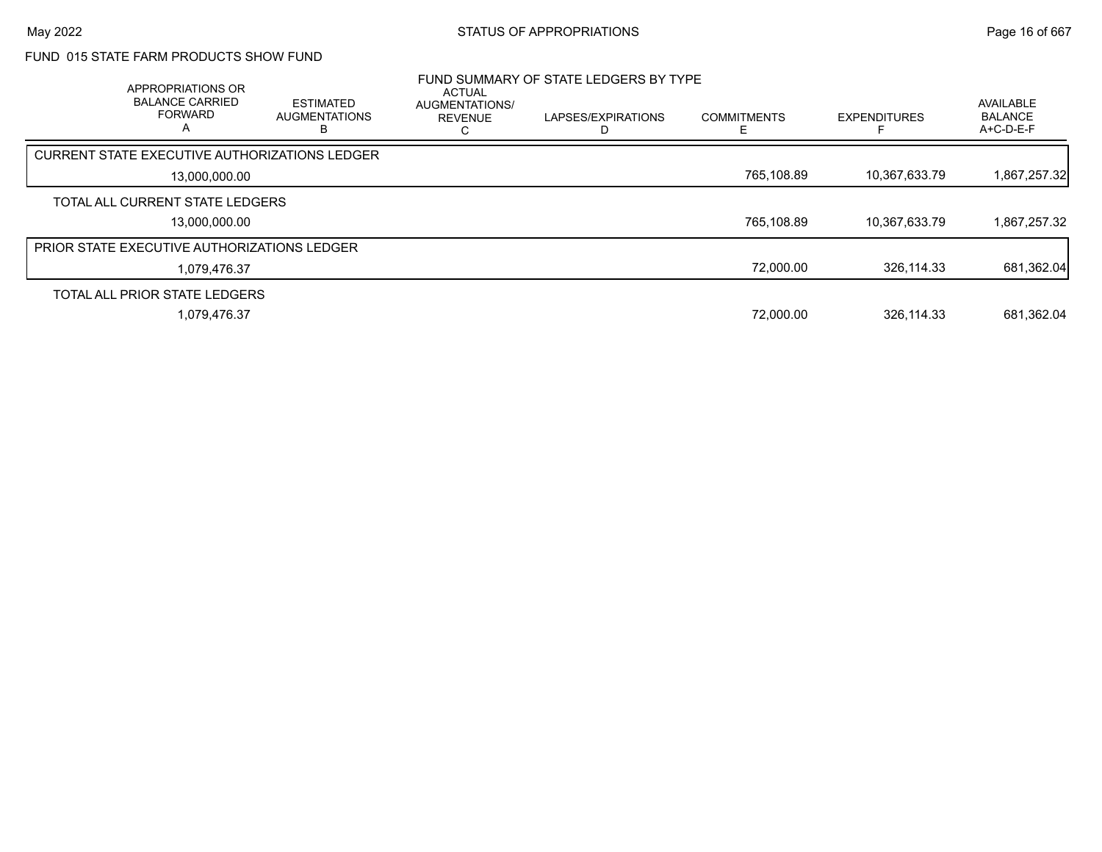### FUND 015 STATE FARM PRODUCTS SHOW FUND

| APPROPRIATIONS OR<br><b>BALANCE CARRIED</b><br><b>FORWARD</b><br>А | <b>ESTIMATED</b><br><b>AUGMENTATIONS</b><br>в | <b>ACTUAL</b><br>AUGMENTATIONS/<br><b>REVENUE</b> | FUND SUMMARY OF STATE LEDGERS BY TYPE<br>LAPSES/EXPIRATIONS | <b>COMMITMENTS</b> | <b>EXPENDITURES</b> | <b>AVAILABLE</b><br><b>BALANCE</b><br>$A+C-D-E-F$ |
|--------------------------------------------------------------------|-----------------------------------------------|---------------------------------------------------|-------------------------------------------------------------|--------------------|---------------------|---------------------------------------------------|
| CURRENT STATE EXECUTIVE AUTHORIZATIONS LEDGER                      |                                               |                                                   |                                                             |                    |                     |                                                   |
| 13,000,000.00                                                      |                                               |                                                   |                                                             | 765,108.89         | 10.367.633.79       | 1,867,257.32                                      |
| TOTAL ALL CURRENT STATE LEDGERS                                    |                                               |                                                   |                                                             |                    |                     |                                                   |
| 13.000.000.00                                                      |                                               |                                                   |                                                             | 765,108.89         | 10,367,633.79       | 1,867,257.32                                      |
| <b>PRIOR STATE EXECUTIVE AUTHORIZATIONS LEDGER</b>                 |                                               |                                                   |                                                             |                    |                     |                                                   |
| 1,079,476.37                                                       |                                               |                                                   |                                                             | 72,000.00          | 326,114.33          | 681,362.04                                        |
| TOTAL ALL PRIOR STATE LEDGERS                                      |                                               |                                                   |                                                             |                    |                     |                                                   |
| 1,079,476.37                                                       |                                               |                                                   |                                                             | 72,000.00          | 326,114.33          | 681,362.04                                        |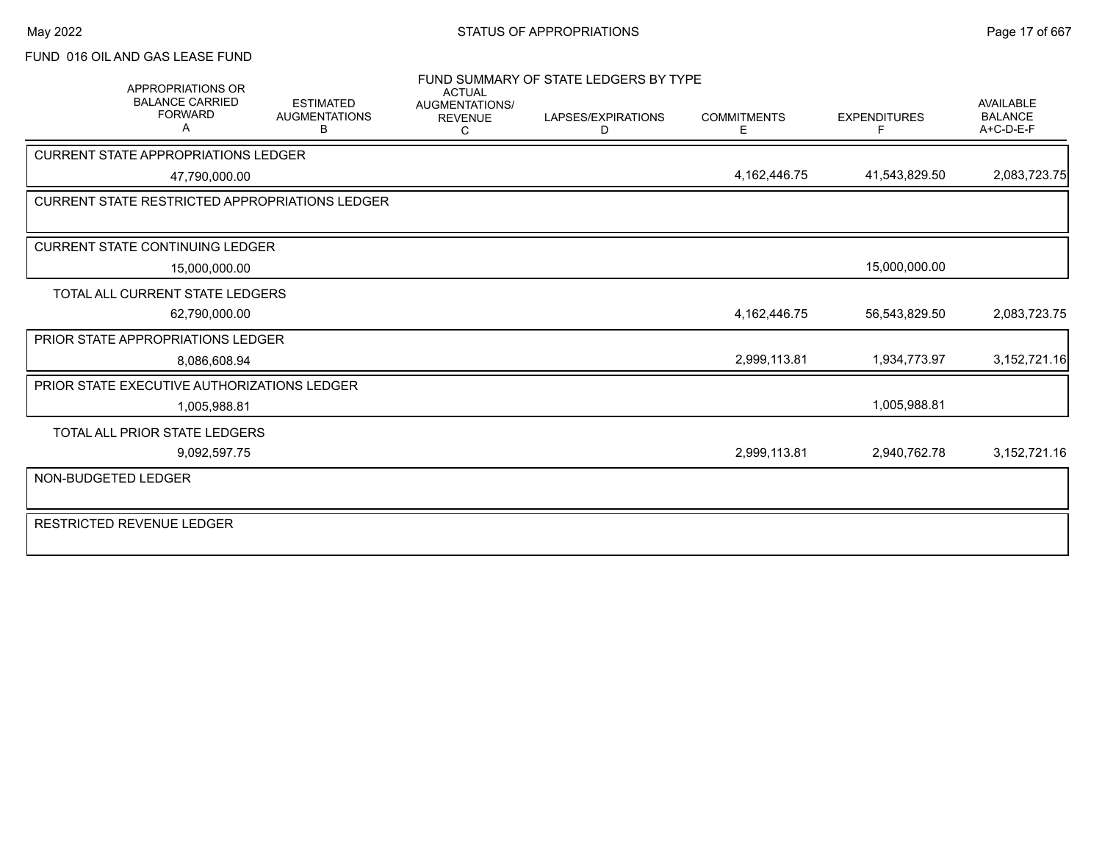### FUND 016 OIL AND GAS LEASE FUND

|                     | <b>APPROPRIATIONS OR</b><br><b>BALANCE CARRIED</b><br><b>FORWARD</b><br>A | <b>ESTIMATED</b><br><b>AUGMENTATIONS</b><br>В | <b>ACTUAL</b><br><b>AUGMENTATIONS/</b><br><b>REVENUE</b><br>C | FUND SUMMARY OF STATE LEDGERS BY TYPE<br>LAPSES/EXPIRATIONS<br>D | <b>COMMITMENTS</b><br>E | <b>EXPENDITURES</b><br>F | <b>AVAILABLE</b><br><b>BALANCE</b><br>$A+C-D-E-F$ |
|---------------------|---------------------------------------------------------------------------|-----------------------------------------------|---------------------------------------------------------------|------------------------------------------------------------------|-------------------------|--------------------------|---------------------------------------------------|
|                     | <b>CURRENT STATE APPROPRIATIONS LEDGER</b>                                |                                               |                                                               |                                                                  |                         |                          |                                                   |
|                     | 47,790,000.00                                                             |                                               |                                                               |                                                                  | 4,162,446.75            | 41,543,829.50            | 2,083,723.75                                      |
|                     | <b>CURRENT STATE RESTRICTED APPROPRIATIONS LEDGER</b>                     |                                               |                                                               |                                                                  |                         |                          |                                                   |
|                     |                                                                           |                                               |                                                               |                                                                  |                         |                          |                                                   |
|                     | <b>CURRENT STATE CONTINUING LEDGER</b>                                    |                                               |                                                               |                                                                  |                         |                          |                                                   |
|                     | 15,000,000.00                                                             |                                               |                                                               |                                                                  |                         | 15,000,000.00            |                                                   |
|                     | TOTAL ALL CURRENT STATE LEDGERS                                           |                                               |                                                               |                                                                  |                         |                          |                                                   |
|                     | 62,790,000.00                                                             |                                               |                                                               |                                                                  | 4, 162, 446. 75         | 56,543,829.50            | 2,083,723.75                                      |
|                     | PRIOR STATE APPROPRIATIONS LEDGER                                         |                                               |                                                               |                                                                  |                         |                          |                                                   |
|                     | 8,086,608.94                                                              |                                               |                                                               |                                                                  | 2,999,113.81            | 1,934,773.97             | 3, 152, 721. 16                                   |
|                     | PRIOR STATE EXECUTIVE AUTHORIZATIONS LEDGER                               |                                               |                                                               |                                                                  |                         |                          |                                                   |
|                     | 1,005,988.81                                                              |                                               |                                                               |                                                                  |                         | 1,005,988.81             |                                                   |
|                     | TOTAL ALL PRIOR STATE LEDGERS                                             |                                               |                                                               |                                                                  |                         |                          |                                                   |
|                     | 9,092,597.75                                                              |                                               |                                                               |                                                                  | 2,999,113.81            | 2,940,762.78             | 3,152,721.16                                      |
| NON-BUDGETED LEDGER |                                                                           |                                               |                                                               |                                                                  |                         |                          |                                                   |
|                     | <b>RESTRICTED REVENUE LEDGER</b>                                          |                                               |                                                               |                                                                  |                         |                          |                                                   |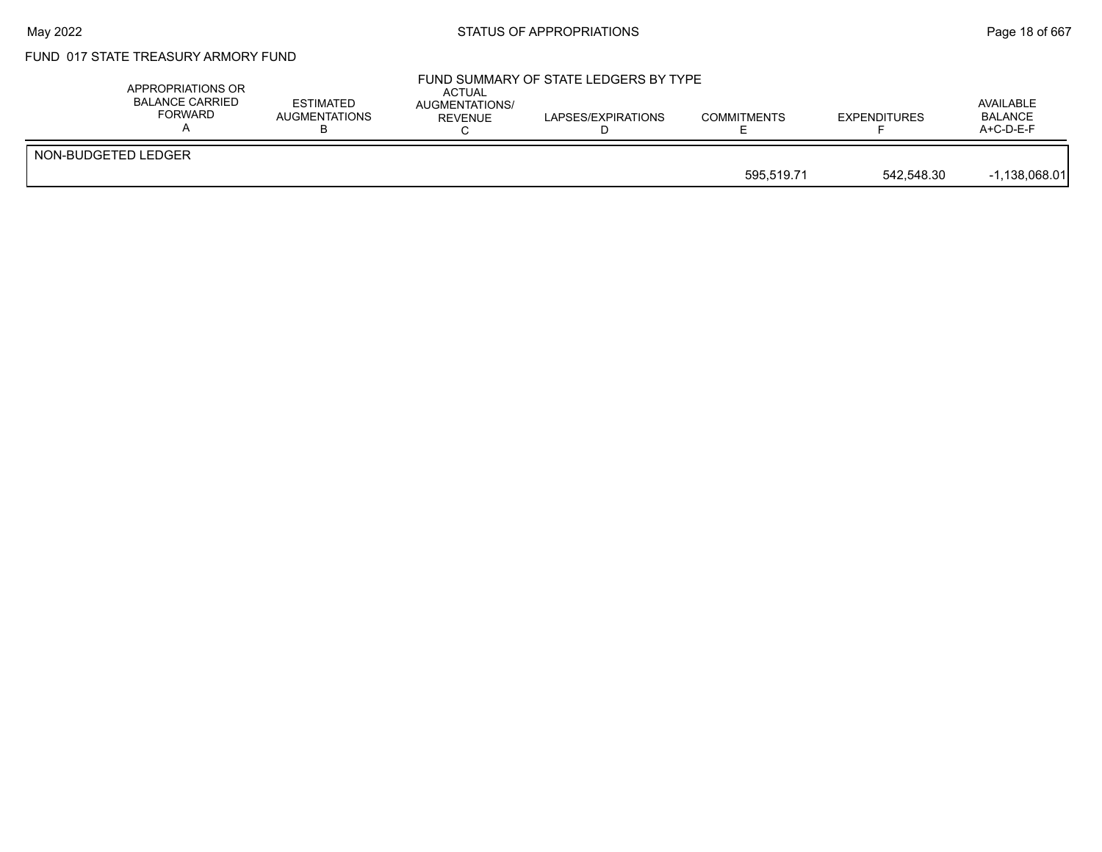#### May 2022 **Example 2018 of STATUS OF APPROPRIATIONS** STATUS OF APPROPRIATIONS

## FUND 017 STATE TREASURY ARMORY FUND

| APPROPRIATIONS OR<br>BALANCE CARRIED<br>FORWARD | <b>ESTIMATED</b><br><b>AUGMENTATIONS</b> | <b>ACTUAL</b><br><b>AUGMENTATIONS/</b><br>REVENUE | FUND SUMMARY OF STATE LEDGERS BY TYPE<br>LAPSES/EXPIRATIONS | <b>COMMITMENTS</b> | <b>EXPENDITURES</b> | AVAILABLE<br><b>BALANCE</b><br>$A+C-D-E-F$ |
|-------------------------------------------------|------------------------------------------|---------------------------------------------------|-------------------------------------------------------------|--------------------|---------------------|--------------------------------------------|
| NON-BUDGETED LEDGER                             |                                          |                                                   |                                                             | 595.519.71         | 542.548.30          | $-1.138.068.01$                            |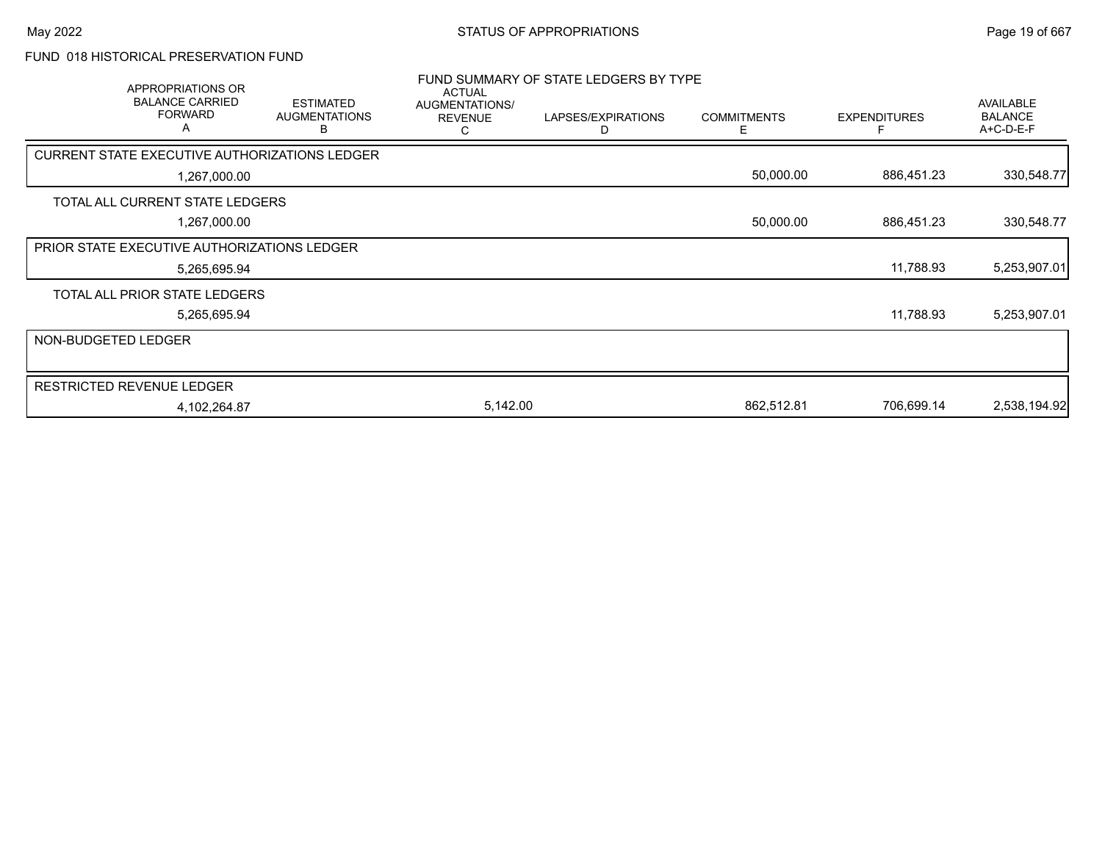### FUND 018 HISTORICAL PRESERVATION FUND

| APPROPRIATIONS OR<br><b>BALANCE CARRIED</b><br><b>FORWARD</b><br>A | <b>ESTIMATED</b><br><b>AUGMENTATIONS</b><br>В | <b>ACTUAL</b><br>AUGMENTATIONS/<br><b>REVENUE</b><br>С | FUND SUMMARY OF STATE LEDGERS BY TYPE<br>LAPSES/EXPIRATIONS<br>D | <b>COMMITMENTS</b><br>E. | <b>EXPENDITURES</b> | <b>AVAILABLE</b><br><b>BALANCE</b><br>A+C-D-E-F |
|--------------------------------------------------------------------|-----------------------------------------------|--------------------------------------------------------|------------------------------------------------------------------|--------------------------|---------------------|-------------------------------------------------|
| CURRENT STATE EXECUTIVE AUTHORIZATIONS LEDGER                      |                                               |                                                        |                                                                  |                          |                     |                                                 |
| 1,267,000.00                                                       |                                               |                                                        |                                                                  | 50,000.00                | 886,451.23          | 330,548.77                                      |
| TOTAL ALL CURRENT STATE LEDGERS                                    |                                               |                                                        |                                                                  |                          |                     |                                                 |
| 1,267,000.00                                                       |                                               |                                                        |                                                                  | 50,000.00                | 886,451.23          | 330,548.77                                      |
| PRIOR STATE EXECUTIVE AUTHORIZATIONS LEDGER                        |                                               |                                                        |                                                                  |                          |                     |                                                 |
| 5,265,695.94                                                       |                                               |                                                        |                                                                  |                          | 11,788.93           | 5,253,907.01                                    |
| TOTAL ALL PRIOR STATE LEDGERS                                      |                                               |                                                        |                                                                  |                          |                     |                                                 |
| 5,265,695.94                                                       |                                               |                                                        |                                                                  |                          | 11,788.93           | 5,253,907.01                                    |
| NON-BUDGETED LEDGER                                                |                                               |                                                        |                                                                  |                          |                     |                                                 |
|                                                                    |                                               |                                                        |                                                                  |                          |                     |                                                 |
| <b>RESTRICTED REVENUE LEDGER</b>                                   |                                               |                                                        |                                                                  |                          |                     |                                                 |
| 4,102,264.87                                                       |                                               | 5,142.00                                               |                                                                  | 862,512.81               | 706,699.14          | 2,538,194.92                                    |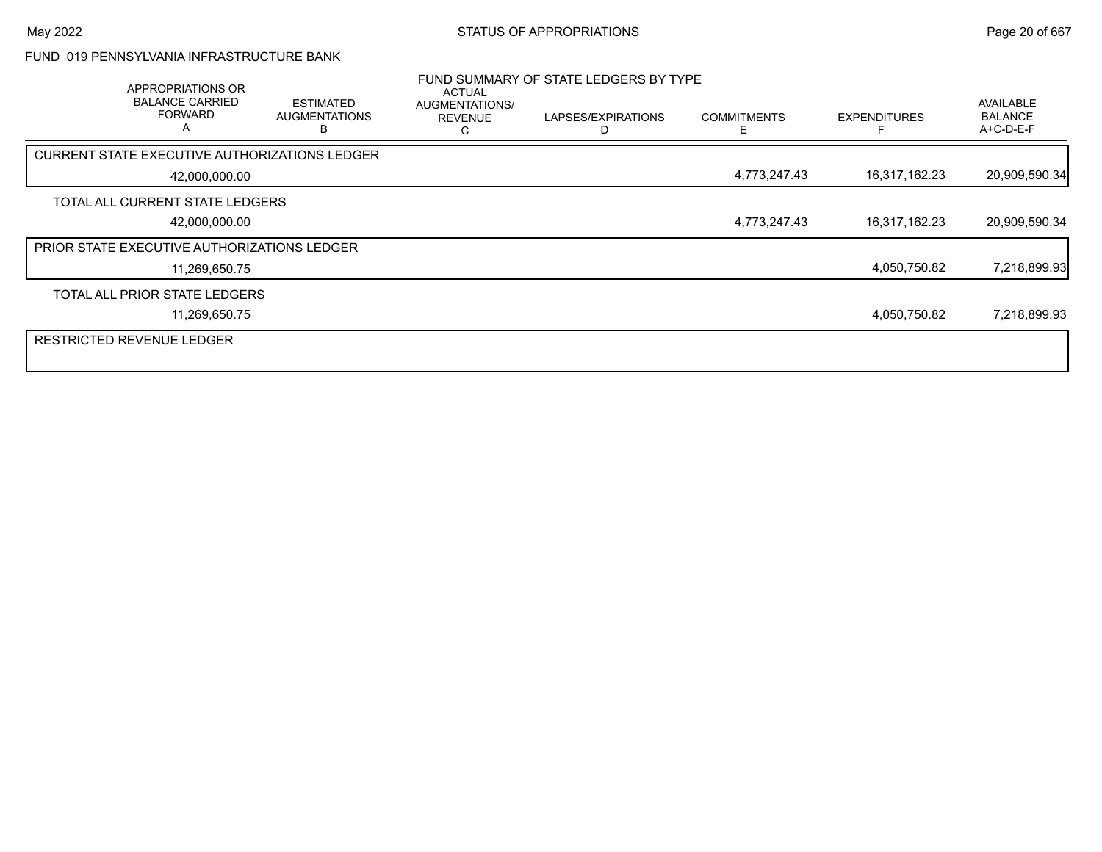#### FUND 019 PENNSYLVANIA INFRASTRUCTURE BANK

| <b>APPROPRIATIONS OR</b><br><b>BALANCE CARRIED</b><br><b>FORWARD</b><br>$\mathsf{A}$ | <b>ESTIMATED</b><br><b>AUGMENTATIONS</b> | ACTUAL<br>AUGMENTATIONS/<br><b>REVENUE</b> | FUND SUMMARY OF STATE LEDGERS BY TYPE<br>LAPSES/EXPIRATIONS | <b>COMMITMENTS</b><br>E. | <b>EXPENDITURES</b> | AVAILABLE<br><b>BALANCE</b><br>A+C-D-E-F |
|--------------------------------------------------------------------------------------|------------------------------------------|--------------------------------------------|-------------------------------------------------------------|--------------------------|---------------------|------------------------------------------|
| CURRENT STATE EXECUTIVE AUTHORIZATIONS LEDGER                                        |                                          |                                            |                                                             |                          |                     |                                          |
| 42,000,000.00                                                                        |                                          |                                            |                                                             | 4,773,247.43             | 16,317,162.23       | 20,909,590.34                            |
| TOTAL ALL CURRENT STATE LEDGERS                                                      |                                          |                                            |                                                             |                          |                     |                                          |
| 42,000,000.00                                                                        |                                          |                                            |                                                             | 4,773,247.43             | 16,317,162.23       | 20,909,590.34                            |
| PRIOR STATE EXECUTIVE AUTHORIZATIONS LEDGER                                          |                                          |                                            |                                                             |                          |                     |                                          |
| 11,269,650.75                                                                        |                                          |                                            |                                                             |                          | 4,050,750.82        | 7,218,899.93                             |
| TOTAL ALL PRIOR STATE LEDGERS                                                        |                                          |                                            |                                                             |                          |                     |                                          |
| 11,269,650.75                                                                        |                                          |                                            |                                                             |                          | 4.050.750.82        | 7,218,899.93                             |
| <b>RESTRICTED REVENUE LEDGER</b>                                                     |                                          |                                            |                                                             |                          |                     |                                          |
|                                                                                      |                                          |                                            |                                                             |                          |                     |                                          |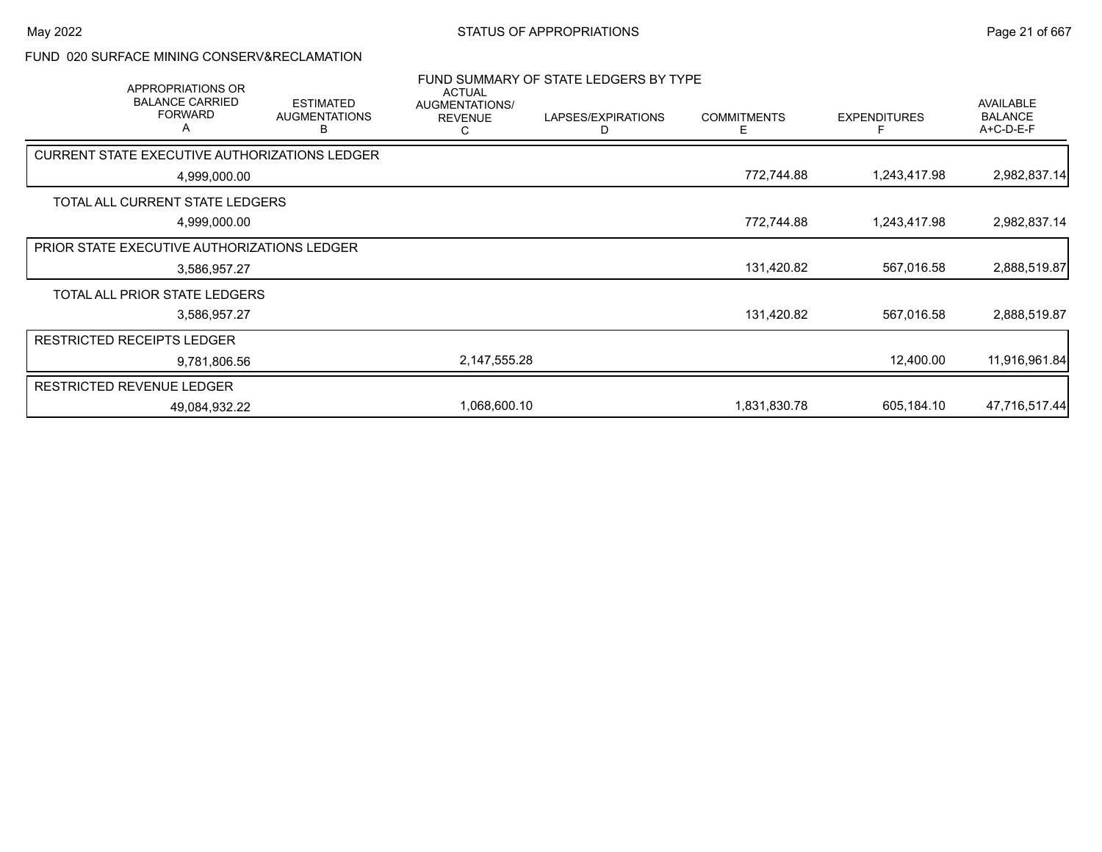#### FUND 020 SURFACE MINING CONSERV&RECLAMATION

|                                               | <b>APPROPRIATIONS OR</b><br><b>BALANCE CARRIED</b><br><b>FORWARD</b><br>Α | <b>ESTIMATED</b><br><b>AUGMENTATIONS</b><br>в | <b>ACTUAL</b><br>AUGMENTATIONS/<br><b>REVENUE</b><br>С | FUND SUMMARY OF STATE LEDGERS BY TYPE<br>LAPSES/EXPIRATIONS<br>D | <b>COMMITMENTS</b><br>Е | <b>EXPENDITURES</b> | <b>AVAILABLE</b><br><b>BALANCE</b><br>A+C-D-E-F |
|-----------------------------------------------|---------------------------------------------------------------------------|-----------------------------------------------|--------------------------------------------------------|------------------------------------------------------------------|-------------------------|---------------------|-------------------------------------------------|
| CURRENT STATE EXECUTIVE AUTHORIZATIONS LEDGER |                                                                           |                                               |                                                        |                                                                  |                         |                     |                                                 |
|                                               | 4,999,000.00                                                              |                                               |                                                        |                                                                  | 772,744.88              | 1,243,417.98        | 2,982,837.14                                    |
| TOTAL ALL CURRENT STATE LEDGERS               |                                                                           |                                               |                                                        |                                                                  |                         |                     |                                                 |
|                                               | 4,999,000.00                                                              |                                               |                                                        |                                                                  | 772,744.88              | 1,243,417.98        | 2,982,837.14                                    |
| PRIOR STATE EXECUTIVE AUTHORIZATIONS LEDGER   |                                                                           |                                               |                                                        |                                                                  |                         |                     |                                                 |
|                                               | 3,586,957.27                                                              |                                               |                                                        |                                                                  | 131,420.82              | 567,016.58          | 2,888,519.87                                    |
| TOTAL ALL PRIOR STATE LEDGERS                 |                                                                           |                                               |                                                        |                                                                  |                         |                     |                                                 |
|                                               | 3,586,957.27                                                              |                                               |                                                        |                                                                  | 131,420.82              | 567,016.58          | 2,888,519.87                                    |
| <b>RESTRICTED RECEIPTS LEDGER</b>             |                                                                           |                                               |                                                        |                                                                  |                         |                     |                                                 |
|                                               | 9,781,806.56                                                              |                                               | 2,147,555.28                                           |                                                                  |                         | 12,400.00           | 11,916,961.84                                   |
| RESTRICTED REVENUE LEDGER                     |                                                                           |                                               |                                                        |                                                                  |                         |                     |                                                 |
|                                               | 49,084,932.22                                                             |                                               | 1.068.600.10                                           |                                                                  | 1,831,830.78            | 605,184.10          | 47,716,517.44                                   |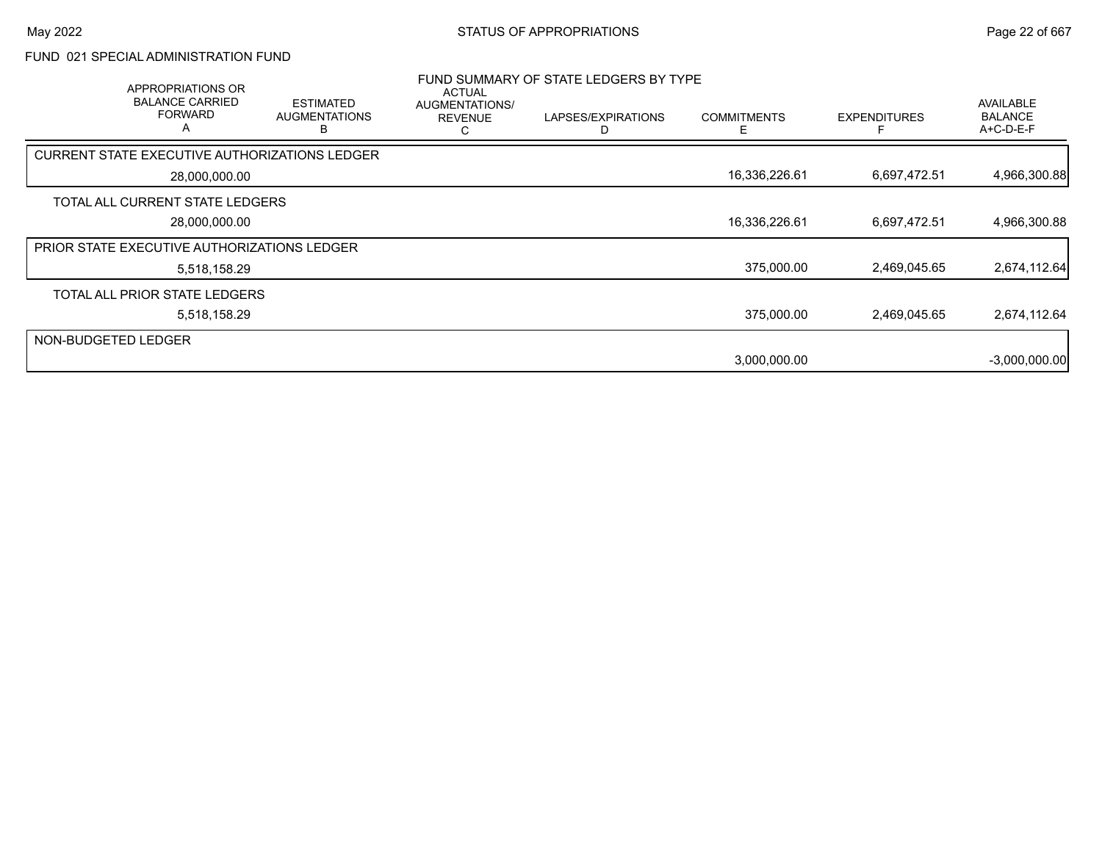### FUND 021 SPECIAL ADMINISTRATION FUND

|                     | <b>APPROPRIATIONS OR</b><br><b>BALANCE CARRIED</b><br><b>FORWARD</b><br>A | <b>ESTIMATED</b><br><b>AUGMENTATIONS</b><br>в | ACTUAL<br>AUGMENTATIONS/<br><b>REVENUE</b><br>Ü | FUND SUMMARY OF STATE LEDGERS BY TYPE<br>LAPSES/EXPIRATIONS | <b>COMMITMENTS</b><br>Е | <b>EXPENDITURES</b> | <b>AVAILABLE</b><br><b>BALANCE</b><br>A+C-D-E-F |
|---------------------|---------------------------------------------------------------------------|-----------------------------------------------|-------------------------------------------------|-------------------------------------------------------------|-------------------------|---------------------|-------------------------------------------------|
|                     | <b>CURRENT STATE EXECUTIVE AUTHORIZATIONS LEDGER</b>                      |                                               |                                                 |                                                             |                         |                     |                                                 |
|                     | 28,000,000.00                                                             |                                               |                                                 |                                                             | 16,336,226.61           | 6,697,472.51        | 4,966,300.88                                    |
|                     | TOTAL ALL CURRENT STATE LEDGERS                                           |                                               |                                                 |                                                             |                         |                     |                                                 |
|                     | 28,000,000.00                                                             |                                               |                                                 |                                                             | 16,336,226.61           | 6,697,472.51        | 4,966,300.88                                    |
|                     | PRIOR STATE EXECUTIVE AUTHORIZATIONS LEDGER                               |                                               |                                                 |                                                             |                         |                     |                                                 |
|                     | 5,518,158.29                                                              |                                               |                                                 |                                                             | 375,000.00              | 2,469,045.65        | 2,674,112.64                                    |
|                     | TOTAL ALL PRIOR STATE LEDGERS                                             |                                               |                                                 |                                                             |                         |                     |                                                 |
|                     | 5,518,158.29                                                              |                                               |                                                 |                                                             | 375,000.00              | 2,469,045.65        | 2,674,112.64                                    |
| NON-BUDGETED LEDGER |                                                                           |                                               |                                                 |                                                             |                         |                     |                                                 |
|                     |                                                                           |                                               |                                                 |                                                             | 3,000,000.00            |                     | $-3,000,000.00$                                 |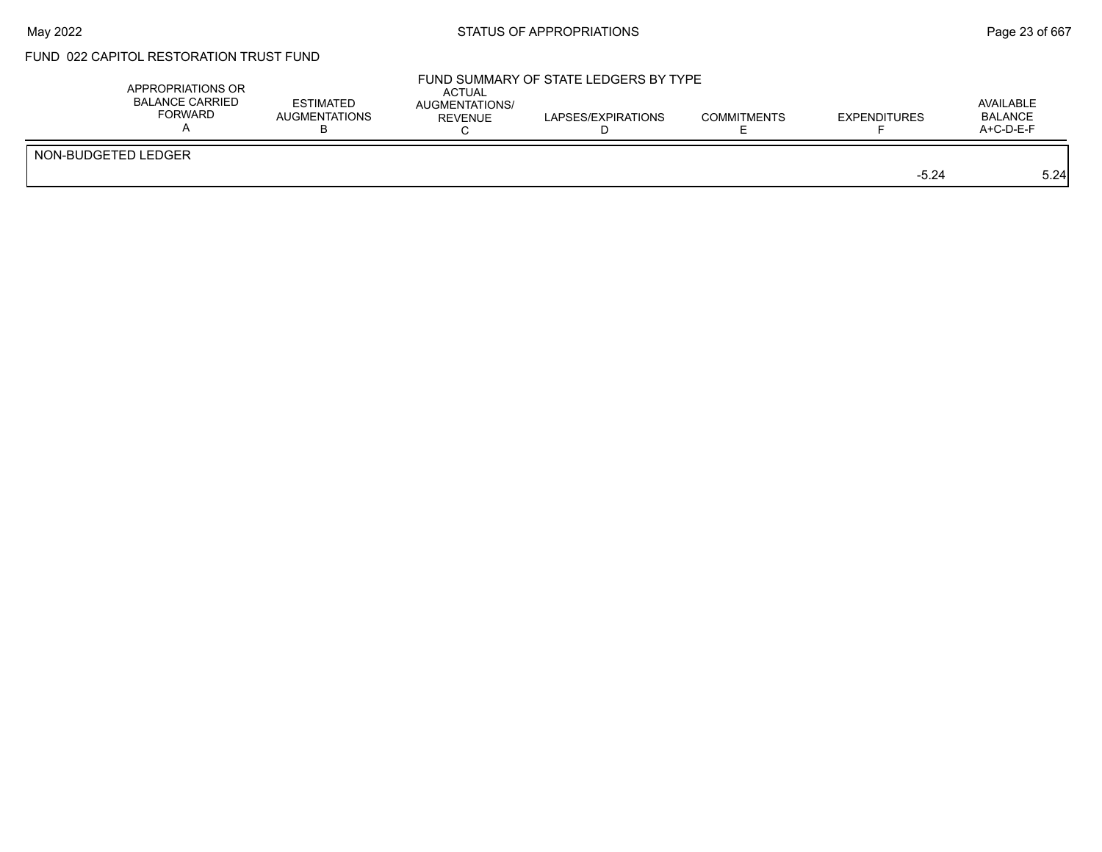# FUND 022 CAPITOL RESTORATION TRUST FUND

| APPROPRIATIONS OR<br><b>BALANCE CARRIED</b><br>FORWARD | <b>ESTIMATED</b><br><b>AUGMENTATIONS</b> | ACTUAL<br><b>AUGMENTATIONS/</b><br><b>REVENUE</b> | FUND SUMMARY OF STATE LEDGERS BY TYPE<br>LAPSES/EXPIRATIONS | <b>COMMITMENTS</b> | EXPENDITURES | AVAILABLE<br><b>BALANCE</b><br>A+C-D-E-F |
|--------------------------------------------------------|------------------------------------------|---------------------------------------------------|-------------------------------------------------------------|--------------------|--------------|------------------------------------------|
| NON-BUDGETED LEDGER                                    |                                          |                                                   |                                                             |                    | $-5.24$      | 5.24                                     |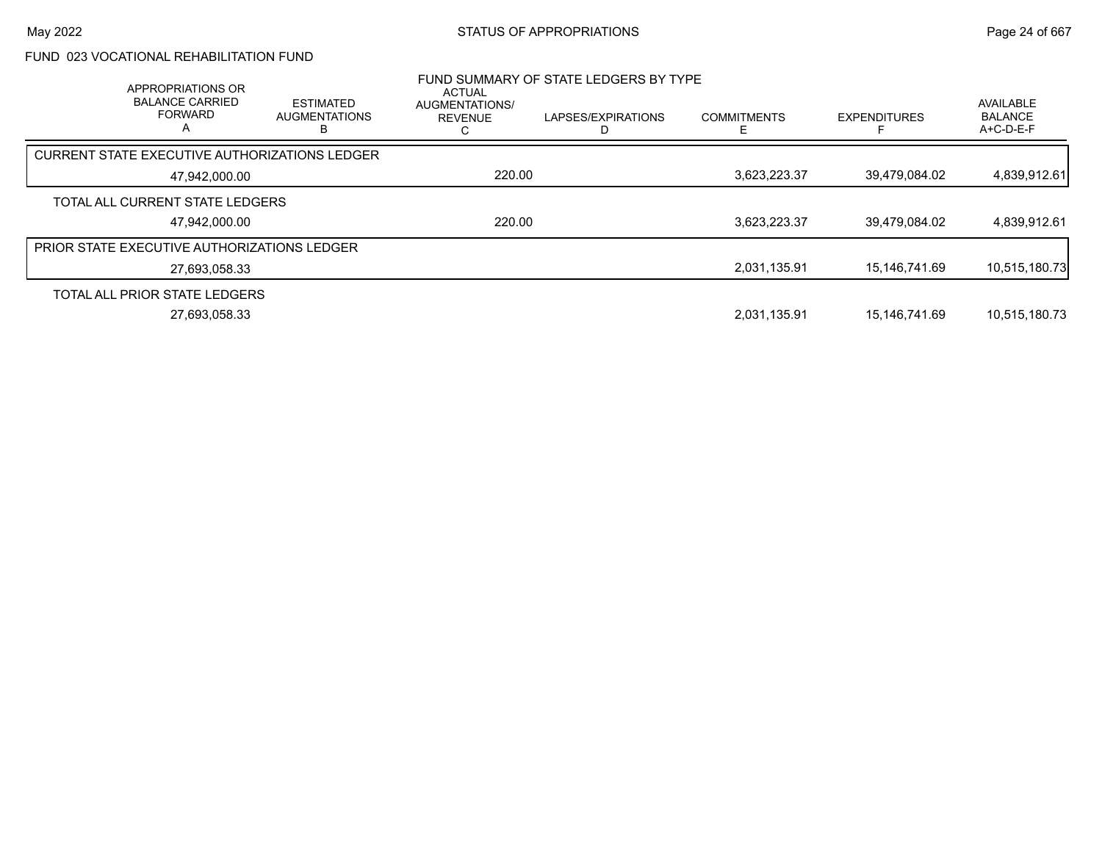### FUND 023 VOCATIONAL REHABILITATION FUND

| <b>APPROPRIATIONS OR</b><br><b>BALANCE CARRIED</b><br><b>FORWARD</b><br>А | <b>ESTIMATED</b><br><b>AUGMENTATIONS</b> | <b>ACTUAL</b><br>AUGMENTATIONS/<br><b>REVENUE</b> | FUND SUMMARY OF STATE LEDGERS BY TYPE<br>LAPSES/EXPIRATIONS | <b>COMMITMENTS</b> | <b>EXPENDITURES</b> | <b>AVAILABLE</b><br><b>BALANCE</b><br>$A+C-D-E-F$ |
|---------------------------------------------------------------------------|------------------------------------------|---------------------------------------------------|-------------------------------------------------------------|--------------------|---------------------|---------------------------------------------------|
| CURRENT STATE EXECUTIVE AUTHORIZATIONS LEDGER                             |                                          |                                                   |                                                             |                    |                     |                                                   |
| 47.942.000.00                                                             |                                          | 220.00                                            |                                                             | 3,623,223.37       | 39.479.084.02       | 4,839,912.61                                      |
| TOTAL ALL CURRENT STATE LEDGERS                                           |                                          |                                                   |                                                             |                    |                     |                                                   |
| 47.942.000.00                                                             |                                          | 220.00                                            |                                                             | 3.623.223.37       | 39.479.084.02       | 4,839,912.61                                      |
| PRIOR STATE EXECUTIVE AUTHORIZATIONS LEDGER                               |                                          |                                                   |                                                             |                    |                     |                                                   |
| 27.693.058.33                                                             |                                          |                                                   |                                                             | 2,031,135.91       | 15,146,741.69       | 10,515,180.73                                     |
| TOTAL ALL PRIOR STATE LEDGERS                                             |                                          |                                                   |                                                             |                    |                     |                                                   |
| 27,693,058.33                                                             |                                          |                                                   |                                                             | 2.031.135.91       | 15.146.741.69       | 10,515,180.73                                     |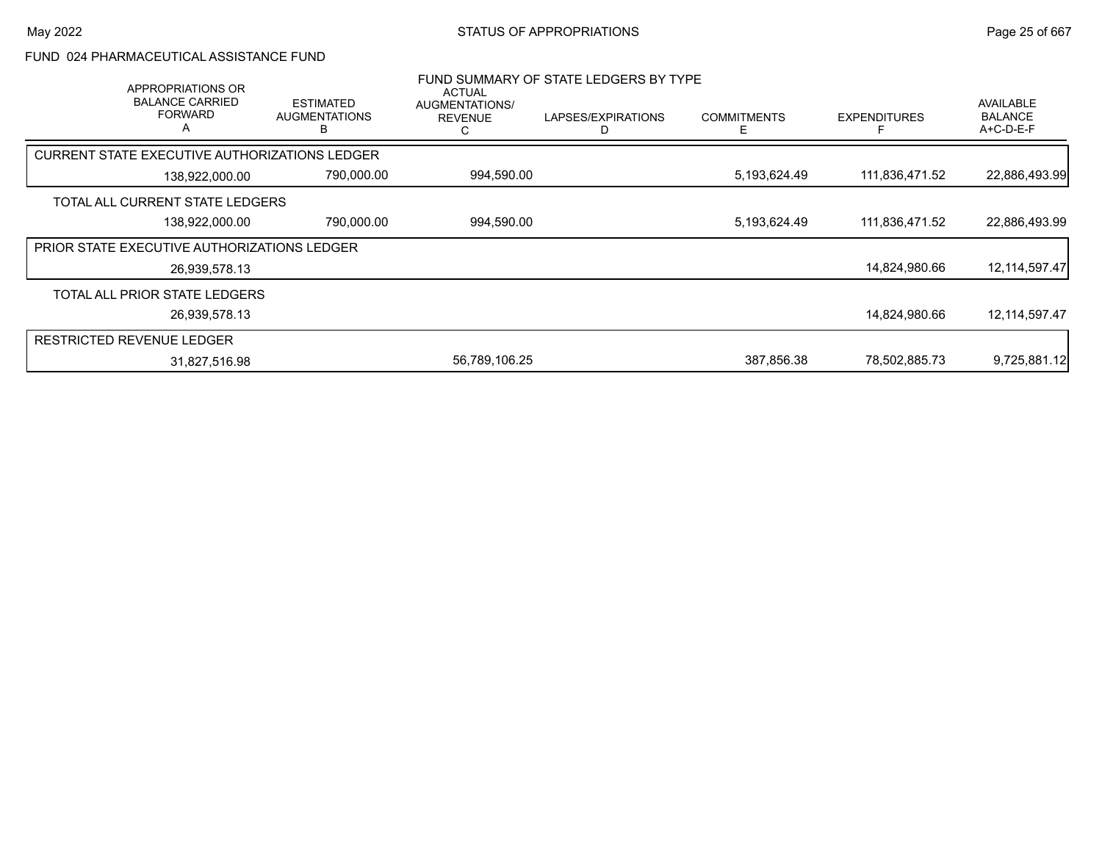### FUND 024 PHARMACEUTICAL ASSISTANCE FUND

| APPROPRIATIONS OR<br><b>BALANCE CARRIED</b><br><b>FORWARD</b><br>A | <b>ESTIMATED</b><br><b>AUGMENTATIONS</b> | <b>ACTUAL</b><br>AUGMENTATIONS/<br><b>REVENUE</b><br>С | FUND SUMMARY OF STATE LEDGERS BY TYPE<br>LAPSES/EXPIRATIONS | <b>COMMITMENTS</b> | <b>EXPENDITURES</b> | AVAILABLE<br><b>BALANCE</b><br>$A+C-D-E-F$ |
|--------------------------------------------------------------------|------------------------------------------|--------------------------------------------------------|-------------------------------------------------------------|--------------------|---------------------|--------------------------------------------|
| CURRENT STATE EXECUTIVE AUTHORIZATIONS LEDGER                      |                                          |                                                        |                                                             |                    |                     |                                            |
| 138,922,000.00                                                     | 790,000.00                               | 994,590.00                                             |                                                             | 5,193,624.49       | 111,836,471.52      | 22,886,493.99                              |
| TOTAL ALL CURRENT STATE LEDGERS                                    |                                          |                                                        |                                                             |                    |                     |                                            |
| 138,922,000.00                                                     | 790,000.00                               | 994,590.00                                             |                                                             | 5,193,624.49       | 111,836,471.52      | 22,886,493.99                              |
| <b>PRIOR STATE EXECUTIVE AUTHORIZATIONS LEDGER</b>                 |                                          |                                                        |                                                             |                    |                     |                                            |
| 26,939,578.13                                                      |                                          |                                                        |                                                             |                    | 14,824,980.66       | 12, 114, 597. 47                           |
| TOTAL ALL PRIOR STATE LEDGERS                                      |                                          |                                                        |                                                             |                    |                     |                                            |
| 26,939,578.13                                                      |                                          |                                                        |                                                             |                    | 14,824,980.66       | 12,114,597.47                              |
| <b>RESTRICTED REVENUE LEDGER</b>                                   |                                          |                                                        |                                                             |                    |                     |                                            |
| 31,827,516.98                                                      |                                          | 56,789,106.25                                          |                                                             | 387.856.38         | 78,502,885.73       | 9,725,881.12                               |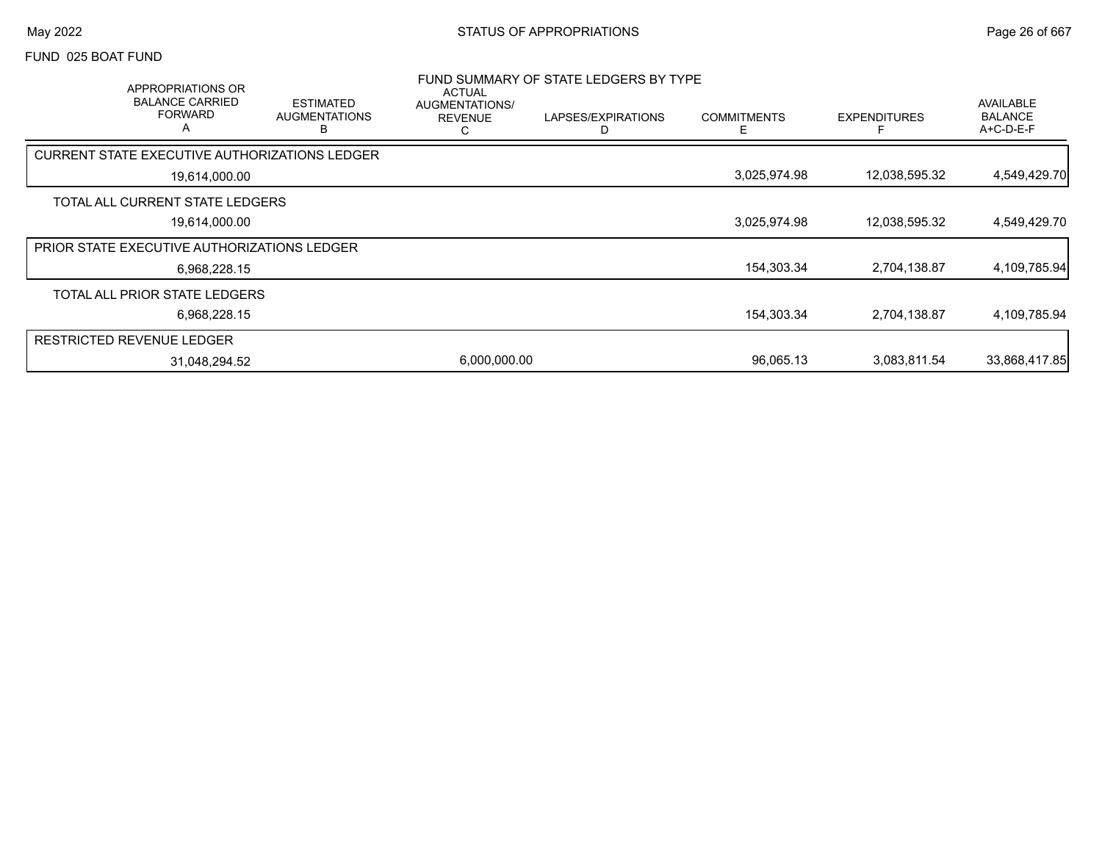#### FUND 025 BOAT FUND

| APPROPRIATIONS OR<br><b>BALANCE CARRIED</b><br><b>FORWARD</b><br>A | <b>ESTIMATED</b><br><b>AUGMENTATIONS</b><br>в | <b>ACTUAL</b><br><b>AUGMENTATIONS/</b><br><b>REVENUE</b> | FUND SUMMARY OF STATE LEDGERS BY TYPE<br>LAPSES/EXPIRATIONS<br>D | <b>COMMITMENTS</b><br>F | <b>EXPENDITURES</b> | AVAILABLE<br><b>BALANCE</b><br>A+C-D-E-F |
|--------------------------------------------------------------------|-----------------------------------------------|----------------------------------------------------------|------------------------------------------------------------------|-------------------------|---------------------|------------------------------------------|
| CURRENT STATE EXECUTIVE AUTHORIZATIONS LEDGER                      |                                               |                                                          |                                                                  |                         |                     |                                          |
| 19,614,000.00                                                      |                                               |                                                          |                                                                  | 3,025,974.98            | 12,038,595.32       | 4,549,429.70                             |
| TOTAL ALL CURRENT STATE LEDGERS                                    |                                               |                                                          |                                                                  |                         |                     |                                          |
| 19,614,000.00                                                      |                                               |                                                          |                                                                  | 3,025,974.98            | 12,038,595.32       | 4,549,429.70                             |
| <b>PRIOR STATE EXECUTIVE AUTHORIZATIONS LEDGER</b>                 |                                               |                                                          |                                                                  |                         |                     |                                          |
| 6,968,228.15                                                       |                                               |                                                          |                                                                  | 154,303.34              | 2,704,138.87        | 4,109,785.94                             |
| TOTAL ALL PRIOR STATE LEDGERS                                      |                                               |                                                          |                                                                  |                         |                     |                                          |
| 6,968,228.15                                                       |                                               |                                                          |                                                                  | 154,303.34              | 2,704,138.87        | 4,109,785.94                             |
| <b>RESTRICTED REVENUE LEDGER</b>                                   |                                               |                                                          |                                                                  |                         |                     |                                          |
| 31,048,294.52                                                      |                                               | 6,000,000.00                                             |                                                                  | 96,065.13               | 3,083,811.54        | 33,868,417.85                            |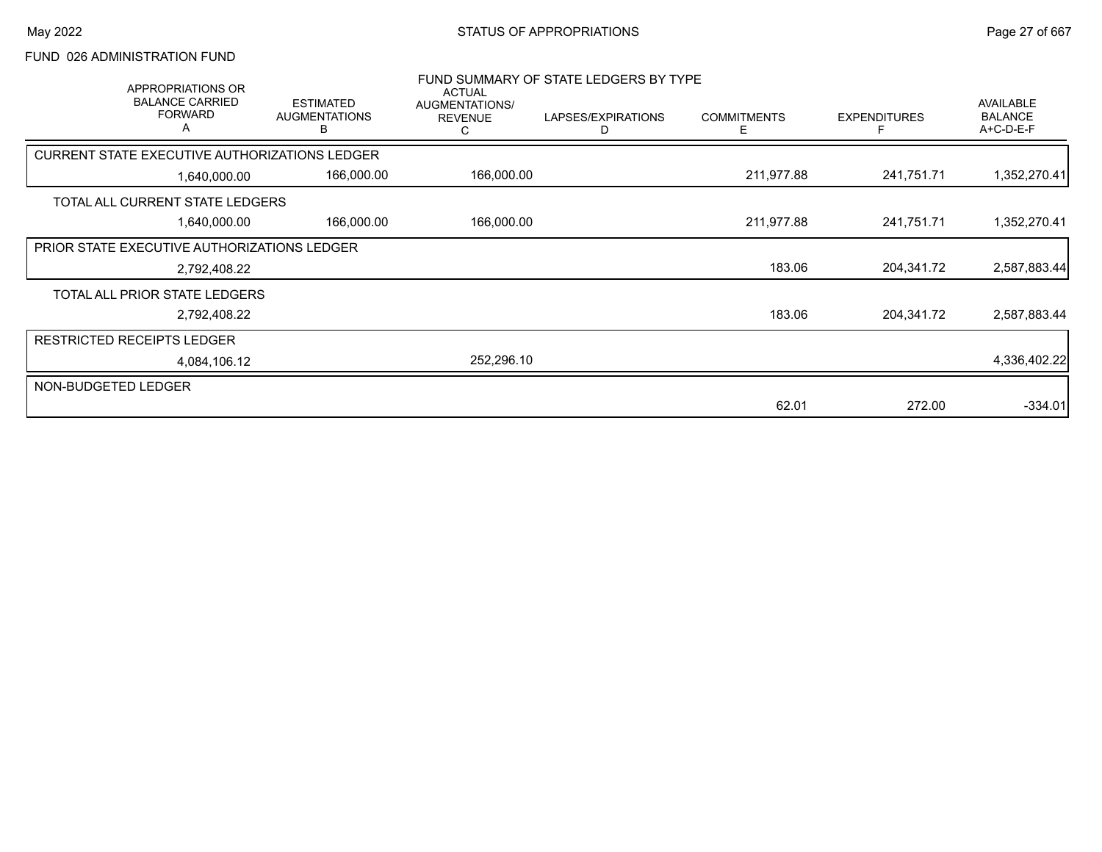### FUND 026 ADMINISTRATION FUND

| APPROPRIATIONS OR<br><b>BALANCE CARRIED</b><br><b>FORWARD</b><br>A | <b>ESTIMATED</b><br><b>AUGMENTATIONS</b><br>в | <b>ACTUAL</b><br>AUGMENTATIONS/<br><b>REVENUE</b> | FUND SUMMARY OF STATE LEDGERS BY TYPE<br>LAPSES/EXPIRATIONS<br>D | <b>COMMITMENTS</b><br>E. | <b>EXPENDITURES</b> | <b>AVAILABLE</b><br><b>BALANCE</b><br>A+C-D-E-F |
|--------------------------------------------------------------------|-----------------------------------------------|---------------------------------------------------|------------------------------------------------------------------|--------------------------|---------------------|-------------------------------------------------|
| CURRENT STATE EXECUTIVE AUTHORIZATIONS LEDGER                      |                                               |                                                   |                                                                  |                          |                     |                                                 |
| 1,640,000.00                                                       | 166,000.00                                    | 166,000.00                                        |                                                                  | 211,977.88               | 241,751.71          | 1,352,270.41                                    |
| TOTAL ALL CURRENT STATE LEDGERS                                    |                                               |                                                   |                                                                  |                          |                     |                                                 |
| 1,640,000.00                                                       | 166,000.00                                    | 166,000.00                                        |                                                                  | 211,977.88               | 241,751.71          | 1,352,270.41                                    |
| <b>PRIOR STATE EXECUTIVE AUTHORIZATIONS LEDGER</b>                 |                                               |                                                   |                                                                  |                          |                     |                                                 |
| 2,792,408.22                                                       |                                               |                                                   |                                                                  | 183.06                   | 204,341.72          | 2,587,883.44                                    |
| TOTAL ALL PRIOR STATE LEDGERS                                      |                                               |                                                   |                                                                  |                          |                     |                                                 |
| 2,792,408.22                                                       |                                               |                                                   |                                                                  | 183.06                   | 204,341.72          | 2,587,883.44                                    |
| <b>RESTRICTED RECEIPTS LEDGER</b>                                  |                                               |                                                   |                                                                  |                          |                     |                                                 |
| 4,084,106.12                                                       |                                               | 252,296.10                                        |                                                                  |                          |                     | 4,336,402.22                                    |
| NON-BUDGETED LEDGER                                                |                                               |                                                   |                                                                  |                          |                     |                                                 |
|                                                                    |                                               |                                                   |                                                                  | 62.01                    | 272.00              | $-334.01$                                       |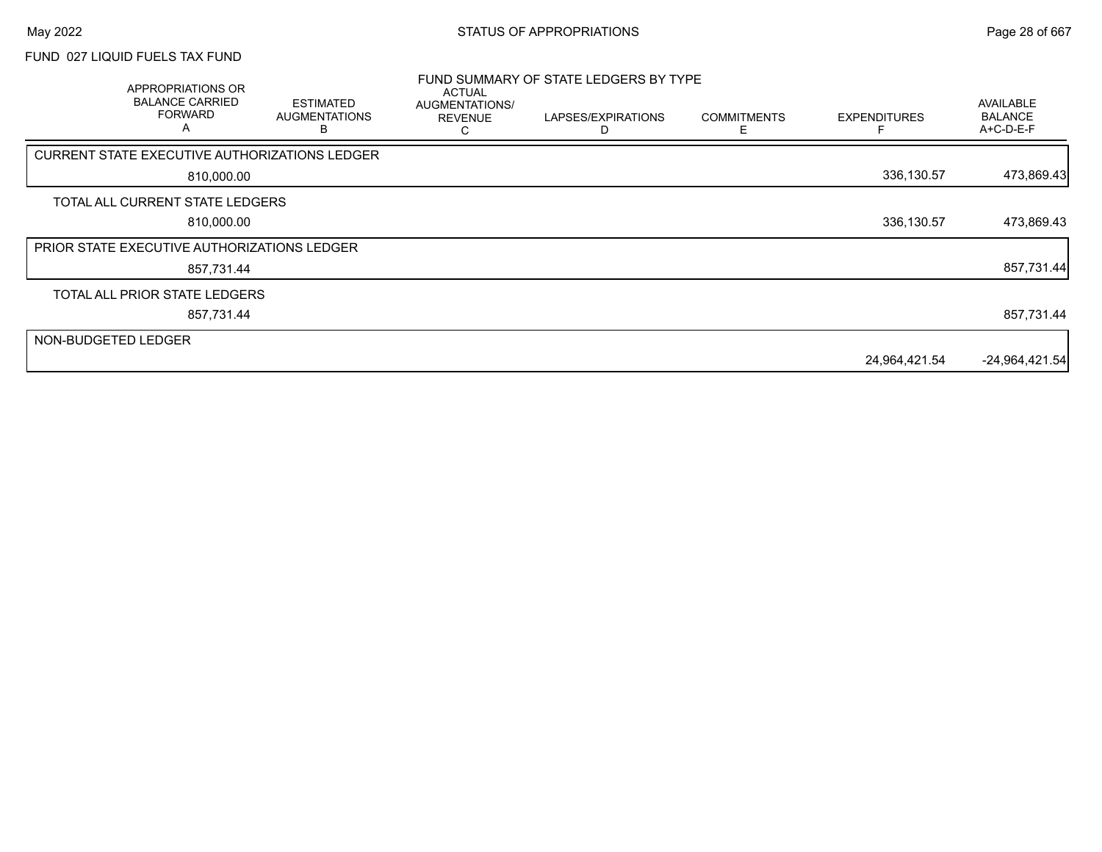## FUND 027 LIQUID FUELS TAX FUND

|                     | APPROPRIATIONS OR<br><b>BALANCE CARRIED</b><br><b>FORWARD</b><br>A | <b>ESTIMATED</b><br><b>AUGMENTATIONS</b> | <b>ACTUAL</b><br>AUGMENTATIONS/<br><b>REVENUE</b> | FUND SUMMARY OF STATE LEDGERS BY TYPE<br>LAPSES/EXPIRATIONS | <b>COMMITMENTS</b><br>F | <b>EXPENDITURES</b> | AVAILABLE<br><b>BALANCE</b><br>A+C-D-E-F |
|---------------------|--------------------------------------------------------------------|------------------------------------------|---------------------------------------------------|-------------------------------------------------------------|-------------------------|---------------------|------------------------------------------|
|                     | CURRENT STATE EXECUTIVE AUTHORIZATIONS LEDGER                      |                                          |                                                   |                                                             |                         |                     |                                          |
|                     | 810,000.00                                                         |                                          |                                                   |                                                             |                         | 336,130.57          | 473,869.43                               |
|                     | TOTAL ALL CURRENT STATE LEDGERS                                    |                                          |                                                   |                                                             |                         |                     |                                          |
|                     | 810,000.00                                                         |                                          |                                                   |                                                             |                         | 336,130.57          | 473,869.43                               |
|                     | <b>PRIOR STATE EXECUTIVE AUTHORIZATIONS LEDGER</b>                 |                                          |                                                   |                                                             |                         |                     |                                          |
|                     | 857,731.44                                                         |                                          |                                                   |                                                             |                         |                     | 857,731.44                               |
|                     | TOTAL ALL PRIOR STATE LEDGERS                                      |                                          |                                                   |                                                             |                         |                     |                                          |
|                     | 857,731.44                                                         |                                          |                                                   |                                                             |                         |                     | 857,731.44                               |
| NON-BUDGETED LEDGER |                                                                    |                                          |                                                   |                                                             |                         |                     |                                          |
|                     |                                                                    |                                          |                                                   |                                                             |                         | 24,964,421.54       | $-24,964,421.54$                         |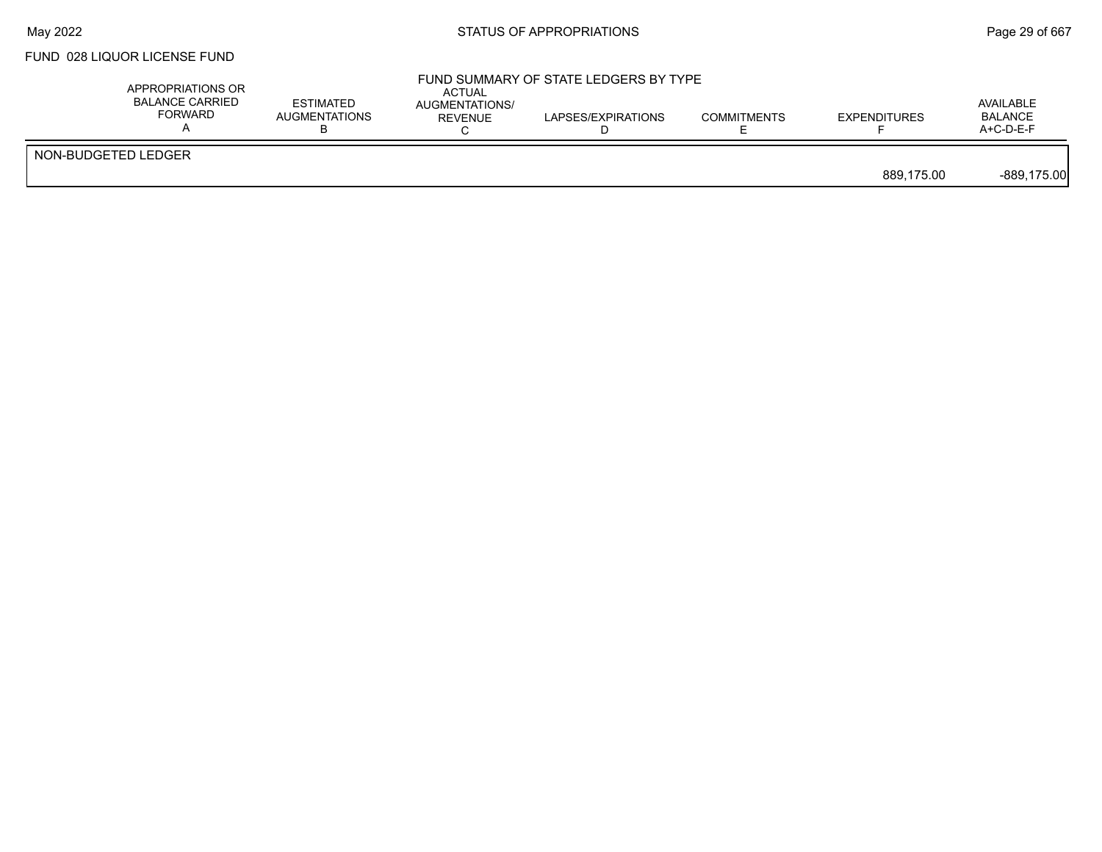### FUND 028 LIQUOR LICENSE FUND

|                     | APPROPRIATIONS OR<br><b>BALANCE CARRIED</b><br><b>FORWARD</b> | ESTIMATED<br><b>AUGMENTATIONS</b> | ACTUAL<br>AUGMENTATIONS/<br><b>REVENUE</b> | LAPSES/EXPIRATIONS | <b>COMMITMENTS</b> | <b>EXPENDITURES</b> | AVAILABLE<br><b>BALANCE</b><br>A+C-D-E-F |
|---------------------|---------------------------------------------------------------|-----------------------------------|--------------------------------------------|--------------------|--------------------|---------------------|------------------------------------------|
| NON-BUDGETED LEDGER |                                                               |                                   |                                            |                    |                    | 889.175.00          | $-889,175.00$                            |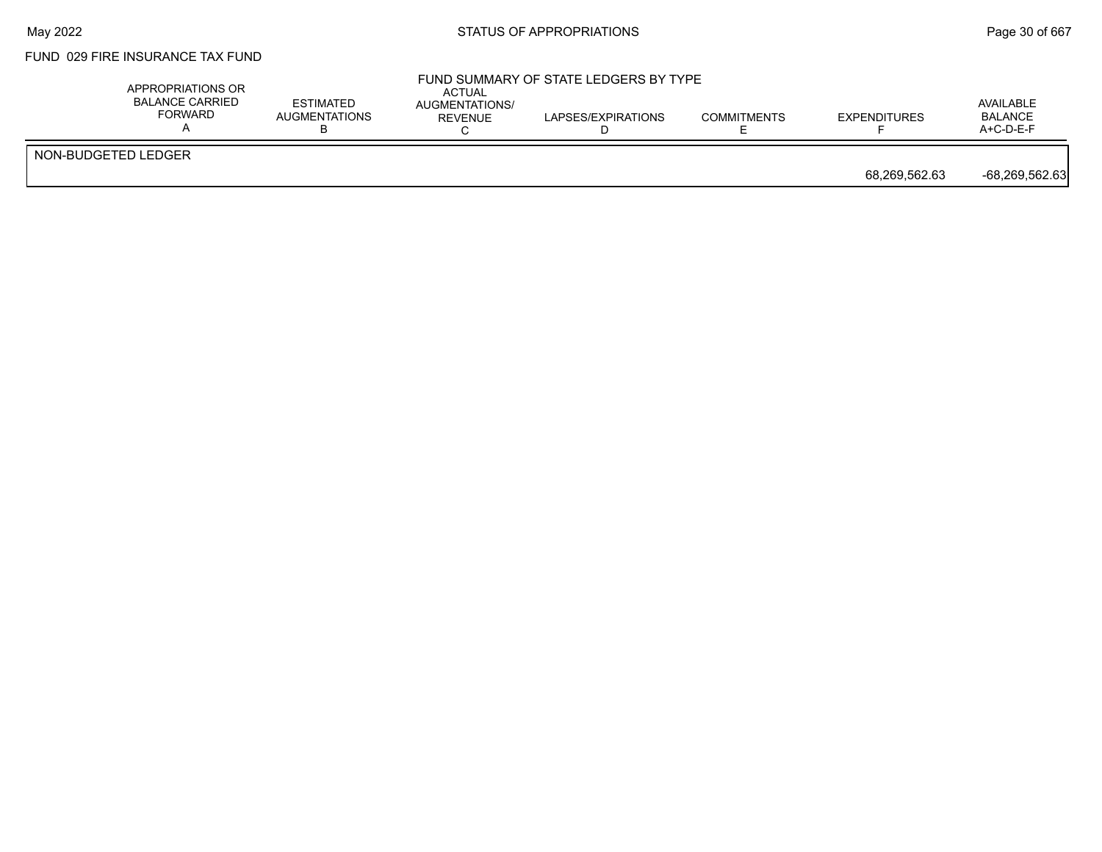### FUND 029 FIRE INSURANCE TAX FUND

|                     | APPROPRIATIONS OR<br><b>BALANCE CARRIED</b><br><b>FORWARD</b> | <b>ESTIMATED</b><br>AUGMENTATIONS | <b>ACTUAL</b><br>AUGMENTATIONS/<br><b>REVENUE</b> | FUND SUMMARY OF STATE LEDGERS BY TYPE<br>LAPSES/EXPIRATIONS | <b>COMMITMENTS</b> | <b>EXPENDITURES</b> | AVAILABLE<br><b>BALANCE</b><br>$A+C-D-E-F$ |
|---------------------|---------------------------------------------------------------|-----------------------------------|---------------------------------------------------|-------------------------------------------------------------|--------------------|---------------------|--------------------------------------------|
| NON-BUDGETED LEDGER |                                                               |                                   |                                                   |                                                             |                    | 68,269,562.63       | -68,269,562.63                             |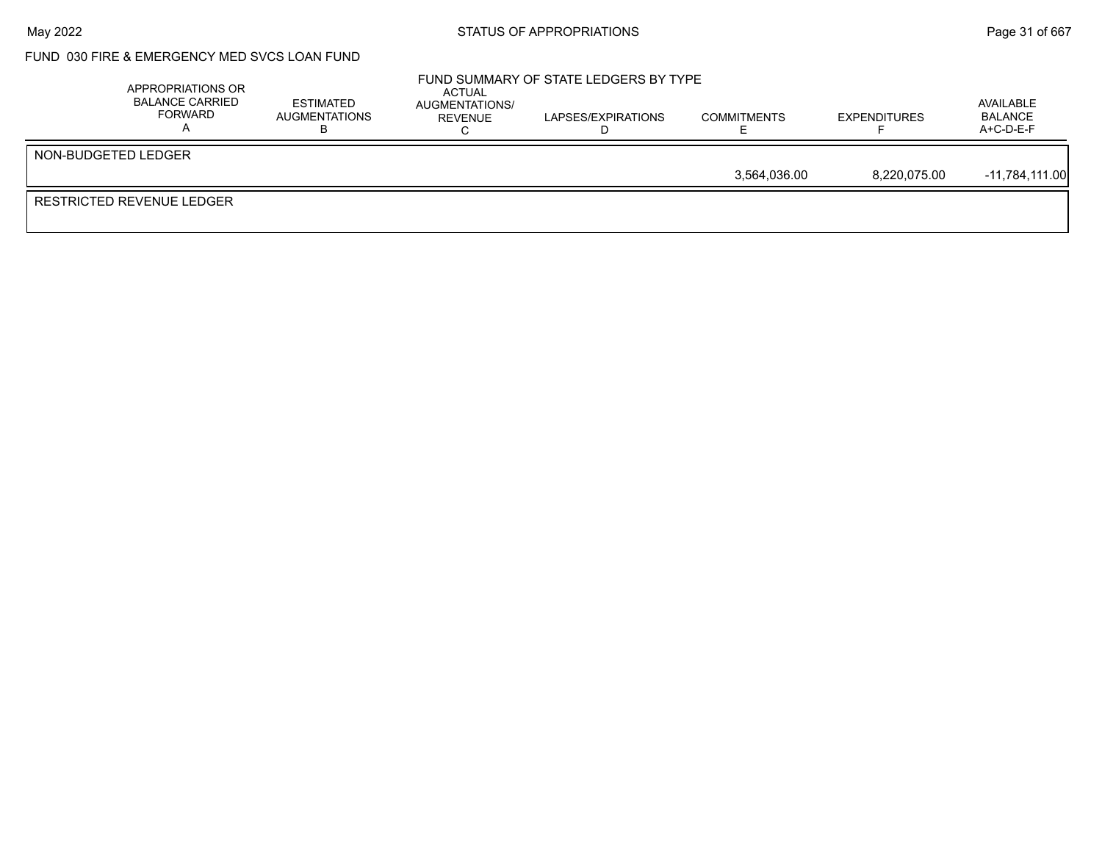### May 2022 **Example 2018** STATUS OF APPROPRIATIONS **Page 31** of 667

### FUND 030 FIRE & EMERGENCY MED SVCS LOAN FUND

|                           | APPROPRIATIONS OR<br><b>BALANCE CARRIED</b><br>FORWARD | <b>ESTIMATED</b><br>AUGMENTATIONS | ACTUAL<br>AUGMENTATIONS/<br>REVENUE | FUND SUMMARY OF STATE LEDGERS BY TYPE<br>LAPSES/EXPIRATIONS | <b>COMMITMENTS</b> | <b>EXPENDITURES</b> | AVAILABLE<br>BALANCE<br>$A+C-D-E-F$ |
|---------------------------|--------------------------------------------------------|-----------------------------------|-------------------------------------|-------------------------------------------------------------|--------------------|---------------------|-------------------------------------|
| NON-BUDGETED LEDGER       |                                                        |                                   |                                     |                                                             |                    |                     |                                     |
|                           |                                                        |                                   |                                     |                                                             | 3.564.036.00       | 8.220.075.00        | -11.784.111.00                      |
| RESTRICTED REVENUE LEDGER |                                                        |                                   |                                     |                                                             |                    |                     |                                     |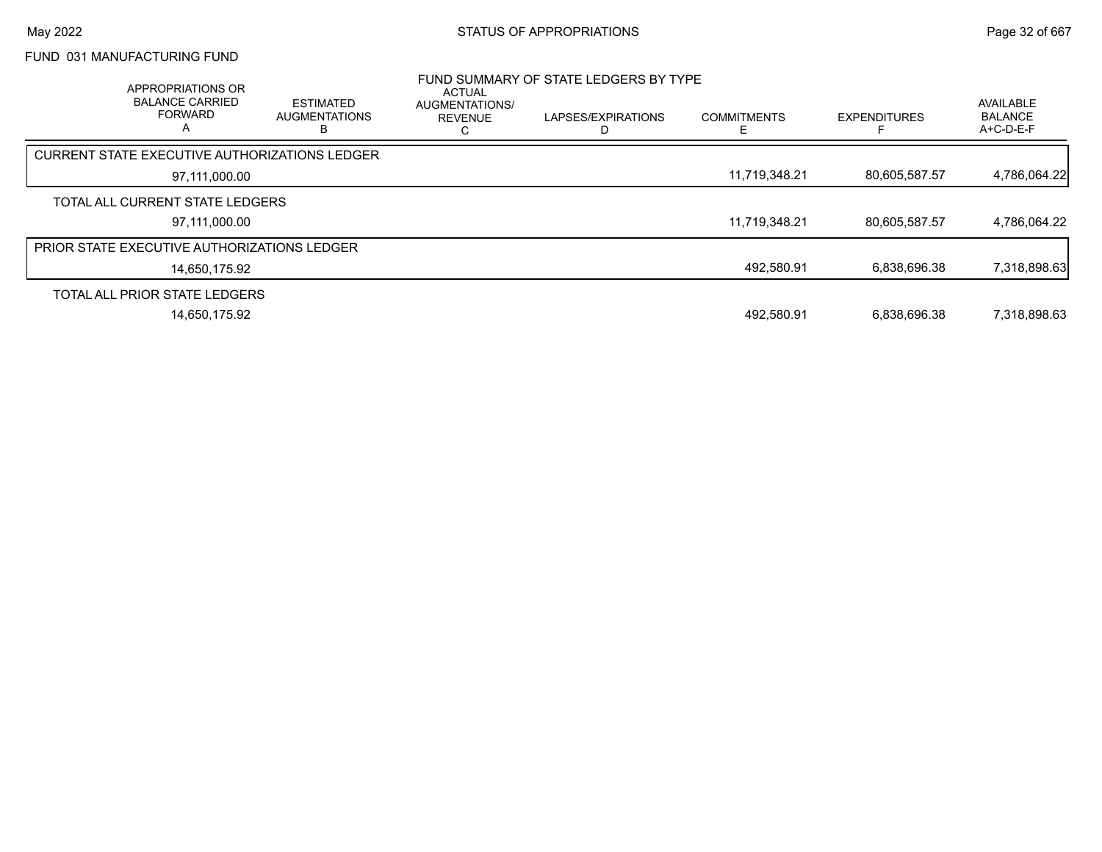## FUND 031 MANUFACTURING FUND

| APPROPRIATIONS OR<br><b>BALANCE CARRIED</b><br><b>FORWARD</b><br>$\mathsf{A}$ | ESTIMATED<br><b>AUGMENTATIONS</b><br>в | ACTUAL<br>AUGMENTATIONS/<br><b>REVENUE</b><br>C | FUND SUMMARY OF STATE LEDGERS BY TYPE<br>LAPSES/EXPIRATIONS | <b>COMMITMENTS</b> | <b>EXPENDITURES</b> | <b>AVAILABLE</b><br><b>BALANCE</b><br>$A+C-D-E-F$ |
|-------------------------------------------------------------------------------|----------------------------------------|-------------------------------------------------|-------------------------------------------------------------|--------------------|---------------------|---------------------------------------------------|
| CURRENT STATE EXECUTIVE AUTHORIZATIONS LEDGER                                 |                                        |                                                 |                                                             |                    |                     |                                                   |
| 97,111,000.00                                                                 |                                        |                                                 |                                                             | 11.719.348.21      | 80,605,587.57       | 4,786,064.22                                      |
| TOTAL ALL CURRENT STATE LEDGERS                                               |                                        |                                                 |                                                             |                    |                     |                                                   |
| 97.111.000.00                                                                 |                                        |                                                 |                                                             | 11,719,348.21      | 80,605,587.57       | 4,786,064.22                                      |
| <b>PRIOR STATE EXECUTIVE AUTHORIZATIONS LEDGER</b>                            |                                        |                                                 |                                                             |                    |                     |                                                   |
| 14,650,175.92                                                                 |                                        |                                                 |                                                             | 492,580.91         | 6,838,696.38        | 7,318,898.63                                      |
| TOTAL ALL PRIOR STATE LEDGERS                                                 |                                        |                                                 |                                                             |                    |                     |                                                   |
| 14,650,175.92                                                                 |                                        |                                                 |                                                             | 492,580.91         | 6,838,696.38        | 7,318,898.63                                      |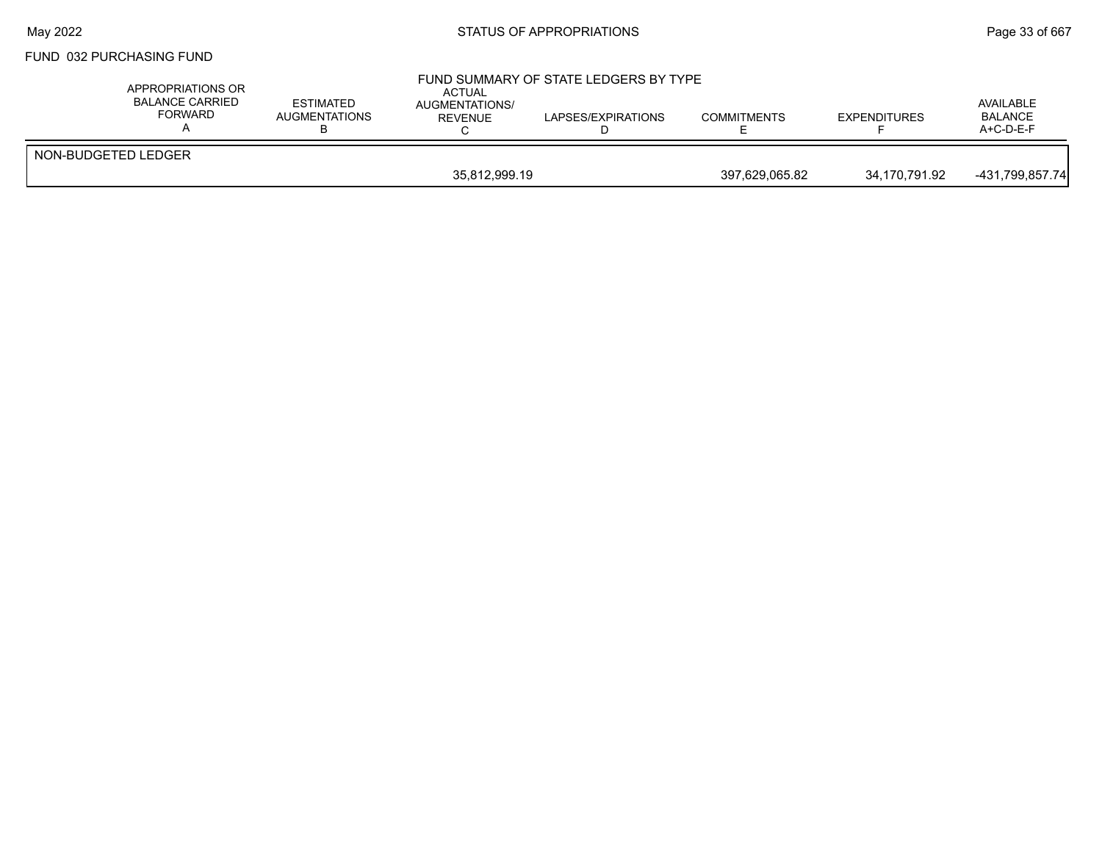### FUND 032 PURCHASING FUND

| APPROPRIATIONS OR<br>BALANCE CARRIED<br>FORWARD | ESTIMATED<br><b>AUGMENTATIONS</b> | ACTUAL<br>AUGMENTATIONS/<br>REVENUE | FUND SUMMARY OF STATE LEDGERS BY TYPE<br>LAPSES/EXPIRATIONS | <b>COMMITMENTS</b> | <b>EXPENDITURES</b> | AVAILABLE<br><b>BALANCE</b><br>$A+C-D-E-F$ |
|-------------------------------------------------|-----------------------------------|-------------------------------------|-------------------------------------------------------------|--------------------|---------------------|--------------------------------------------|
| NON-BUDGETED LEDGER                             |                                   |                                     |                                                             |                    |                     |                                            |
|                                                 |                                   | 35,812,999.19                       |                                                             | 397,629,065.82     | 34,170,791.92       | -431,799,857.74                            |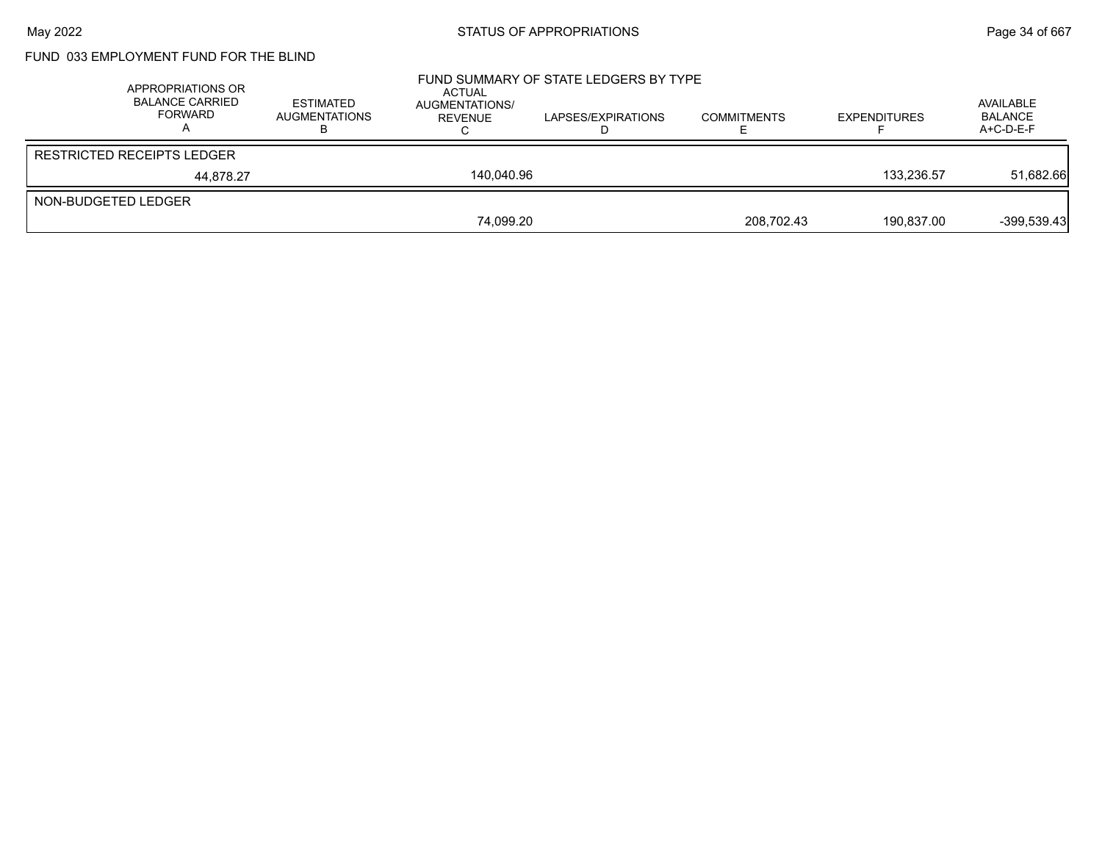# FUND 033 EMPLOYMENT FUND FOR THE BLIND

|                     | APPROPRIATIONS OR<br><b>BALANCE CARRIED</b><br>FORWARD | <b>ESTIMATED</b><br><b>AUGMENTATIONS</b> | ACTUAL<br>AUGMENTATIONS/<br>REVENUE | FUND SUMMARY OF STATE LEDGERS BY TYPE<br>LAPSES/EXPIRATIONS | <b>COMMITMENTS</b> | <b>EXPENDITURES</b> | AVAILABLE<br><b>BALANCE</b><br>$A+C-D-E-F$ |
|---------------------|--------------------------------------------------------|------------------------------------------|-------------------------------------|-------------------------------------------------------------|--------------------|---------------------|--------------------------------------------|
|                     | <b>RESTRICTED RECEIPTS LEDGER</b>                      |                                          |                                     |                                                             |                    |                     |                                            |
|                     | 44.878.27                                              |                                          | 140.040.96                          |                                                             |                    | 133.236.57          | 51,682.66                                  |
| NON-BUDGETED LEDGER |                                                        |                                          |                                     |                                                             |                    |                     |                                            |
|                     |                                                        |                                          | 74.099.20                           |                                                             | 208,702.43         | 190.837.00          | $-399.539.43$                              |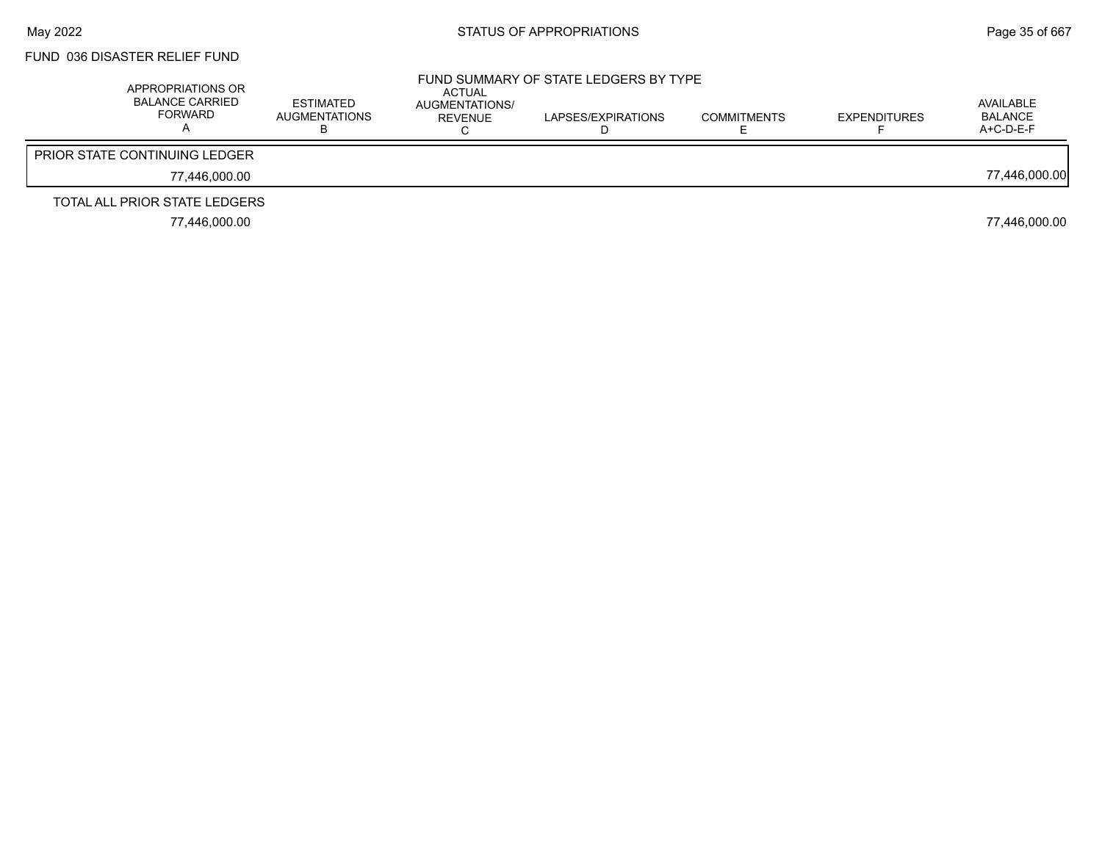# FUND 036 DISASTER RELIEF FUND

| APPROPRIATIONS OR<br><b>BALANCE CARRIED</b><br><b>FORWARD</b> | ESTIMATED<br>AUGMENTATIONS | ACTUAL<br>AUGMENTATIONS/<br><b>REVENUE</b> | FUND SUMMARY OF STATE LEDGERS BY TYPE<br>LAPSES/EXPIRATIONS | <b>COMMITMENTS</b> | <b>EXPENDITURES</b> | AVAILABLE<br>BALANCE<br>$A+C-D-E-F$ |
|---------------------------------------------------------------|----------------------------|--------------------------------------------|-------------------------------------------------------------|--------------------|---------------------|-------------------------------------|
| <b>PRIOR STATE CONTINUING LEDGER</b>                          |                            |                                            |                                                             |                    |                     |                                     |
| 77.446.000.00                                                 |                            |                                            |                                                             |                    |                     | 77,446,000.00                       |
| TOTAL ALL PRIOR STATE LEDGERS                                 |                            |                                            |                                                             |                    |                     |                                     |
| 77.446.000.00                                                 |                            |                                            |                                                             |                    |                     | 77,446,000.00                       |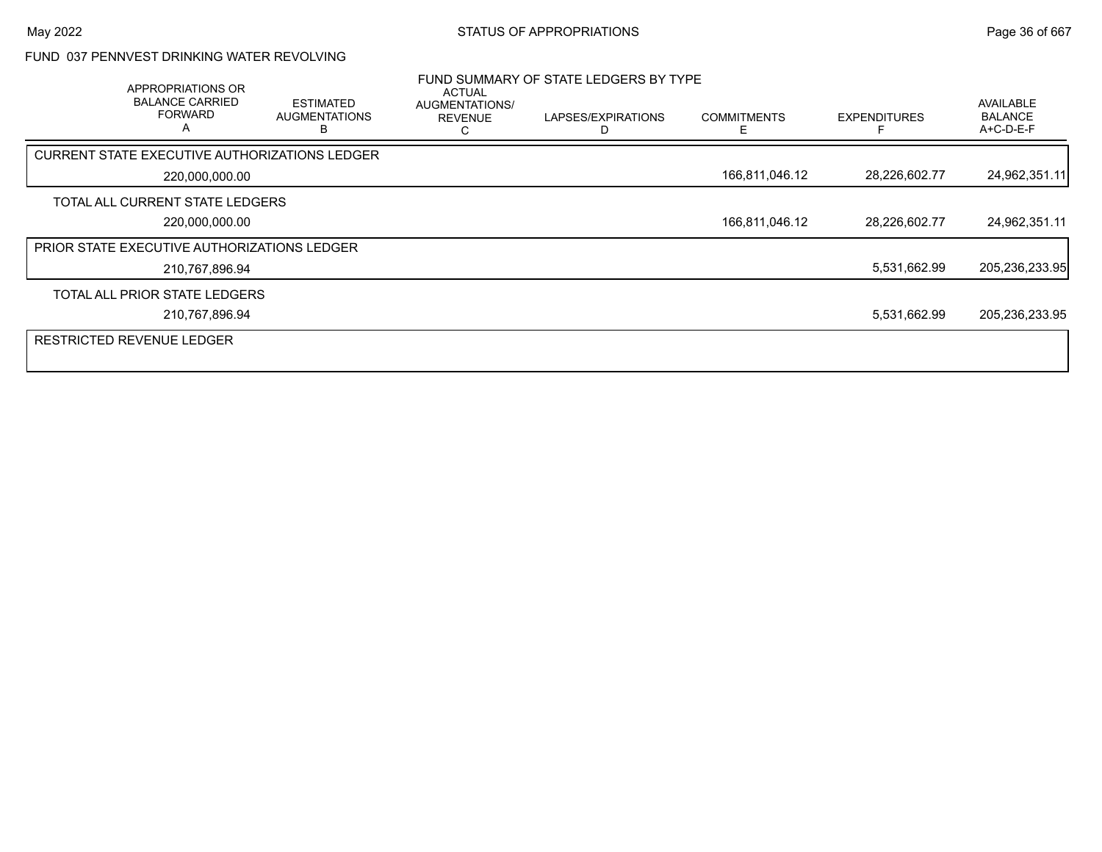#### FUND 037 PENNVEST DRINKING WATER REVOLVING

| APPROPRIATIONS OR<br><b>BALANCE CARRIED</b><br><b>FORWARD</b><br>A | <b>ESTIMATED</b><br><b>AUGMENTATIONS</b> | <b>ACTUAL</b><br>AUGMENTATIONS/<br><b>REVENUE</b> | FUND SUMMARY OF STATE LEDGERS BY TYPE<br>LAPSES/EXPIRATIONS | <b>COMMITMENTS</b><br>F | <b>EXPENDITURES</b> | AVAILABLE<br><b>BALANCE</b><br>A+C-D-E-F |
|--------------------------------------------------------------------|------------------------------------------|---------------------------------------------------|-------------------------------------------------------------|-------------------------|---------------------|------------------------------------------|
| CURRENT STATE EXECUTIVE AUTHORIZATIONS LEDGER                      |                                          |                                                   |                                                             |                         |                     |                                          |
| 220,000,000.00                                                     |                                          |                                                   |                                                             | 166,811,046.12          | 28,226,602.77       | 24,962,351.11                            |
| TOTAL ALL CURRENT STATE LEDGERS                                    |                                          |                                                   |                                                             |                         |                     |                                          |
| 220,000,000.00                                                     |                                          |                                                   |                                                             | 166,811,046.12          | 28,226,602.77       | 24,962,351.11                            |
| PRIOR STATE EXECUTIVE AUTHORIZATIONS LEDGER                        |                                          |                                                   |                                                             |                         |                     |                                          |
| 210,767,896.94                                                     |                                          |                                                   |                                                             |                         | 5,531,662.99        | 205,236,233.95                           |
| TOTAL ALL PRIOR STATE LEDGERS                                      |                                          |                                                   |                                                             |                         |                     |                                          |
| 210,767,896.94                                                     |                                          |                                                   |                                                             |                         | 5,531,662.99        | 205,236,233.95                           |
| <b>RESTRICTED REVENUE LEDGER</b>                                   |                                          |                                                   |                                                             |                         |                     |                                          |
|                                                                    |                                          |                                                   |                                                             |                         |                     |                                          |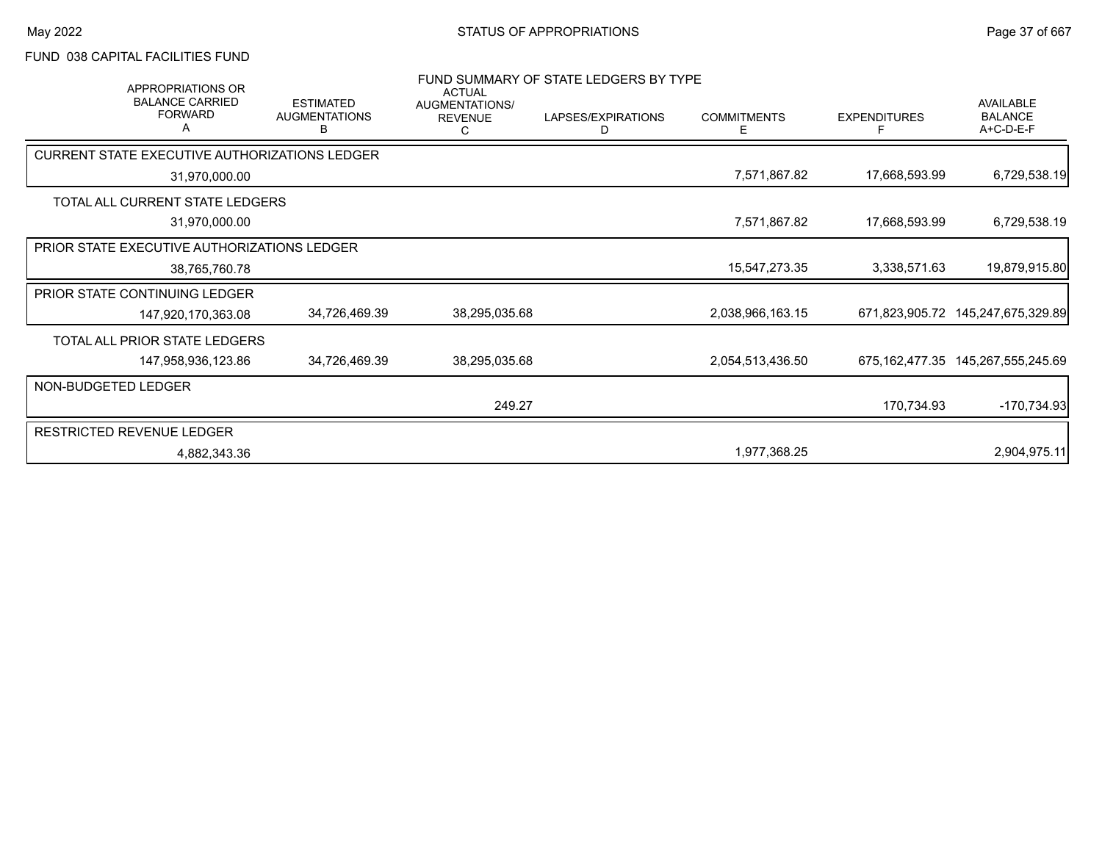# FUND 038 CAPITAL FACILITIES FUND

| <b>APPROPRIATIONS OR</b><br><b>BALANCE CARRIED</b><br><b>FORWARD</b> | <b>ESTIMATED</b><br><b>AUGMENTATIONS</b><br>B | <b>ACTUAL</b><br>AUGMENTATIONS/<br><b>REVENUE</b><br>С | FUND SUMMARY OF STATE LEDGERS BY TYPE<br>LAPSES/EXPIRATIONS<br>D | <b>COMMITMENTS</b><br>Е | <b>EXPENDITURES</b><br>F | <b>AVAILABLE</b><br><b>BALANCE</b><br>A+C-D-E-F |
|----------------------------------------------------------------------|-----------------------------------------------|--------------------------------------------------------|------------------------------------------------------------------|-------------------------|--------------------------|-------------------------------------------------|
| CURRENT STATE EXECUTIVE AUTHORIZATIONS LEDGER                        |                                               |                                                        |                                                                  |                         |                          |                                                 |
| 31,970,000.00                                                        |                                               |                                                        |                                                                  | 7,571,867.82            | 17,668,593.99            | 6,729,538.19                                    |
| TOTAL ALL CURRENT STATE LEDGERS                                      |                                               |                                                        |                                                                  |                         |                          |                                                 |
| 31,970,000.00                                                        |                                               |                                                        |                                                                  | 7,571,867.82            | 17,668,593.99            | 6,729,538.19                                    |
| PRIOR STATE EXECUTIVE AUTHORIZATIONS LEDGER                          |                                               |                                                        |                                                                  |                         |                          |                                                 |
| 38,765,760.78                                                        |                                               |                                                        |                                                                  | 15,547,273.35           | 3,338,571.63             | 19,879,915.80                                   |
| PRIOR STATE CONTINUING LEDGER                                        |                                               |                                                        |                                                                  |                         |                          |                                                 |
| 147,920,170,363.08                                                   | 34,726,469.39                                 | 38,295,035.68                                          |                                                                  | 2,038,966,163.15        | 671,823,905.72           | 145,247,675,329.89                              |
| TOTAL ALL PRIOR STATE LEDGERS                                        |                                               |                                                        |                                                                  |                         |                          |                                                 |
| 147,958,936,123.86                                                   | 34,726,469.39                                 | 38,295,035.68                                          |                                                                  | 2,054,513,436.50        |                          | 675, 162, 477.35 145, 267, 555, 245.69          |
| NON-BUDGETED LEDGER                                                  |                                               |                                                        |                                                                  |                         |                          |                                                 |
|                                                                      |                                               | 249.27                                                 |                                                                  |                         | 170,734.93               | $-170,734.93$                                   |
| <b>RESTRICTED REVENUE LEDGER</b>                                     |                                               |                                                        |                                                                  |                         |                          |                                                 |
| 4,882,343.36                                                         |                                               |                                                        |                                                                  | 1,977,368.25            |                          | 2,904,975.11                                    |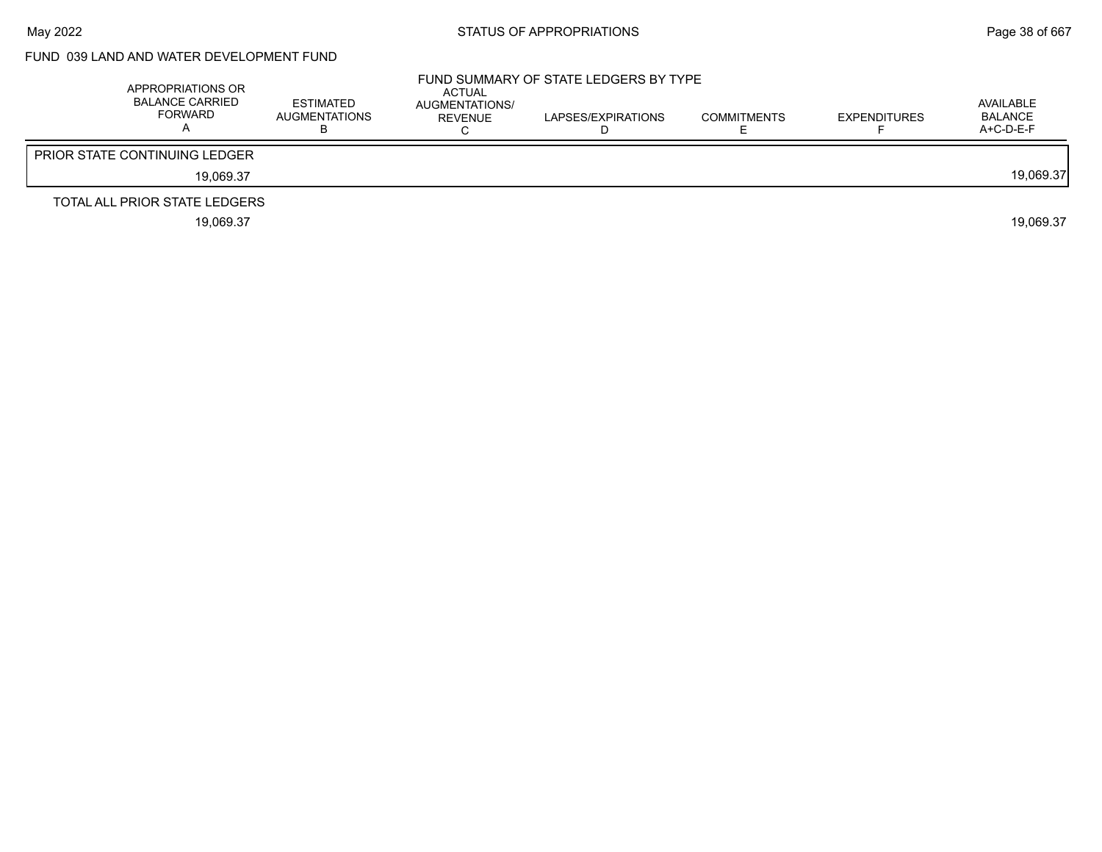# FUND 039 LAND AND WATER DEVELOPMENT FUND

| APPROPRIATIONS OR<br><b>BALANCE CARRIED</b><br><b>FORWARD</b> | ESTIMATED<br>AUGMENTATIONS | <b>ACTUAL</b><br>AUGMENTATIONS/<br>REVENUE | FUND SUMMARY OF STATE LEDGERS BY TYPE<br>LAPSES/EXPIRATIONS | COMMITMENTS | <b>EXPENDITURES</b> | AVAILABLE<br>BALANCE<br>A+C-D-E-F |
|---------------------------------------------------------------|----------------------------|--------------------------------------------|-------------------------------------------------------------|-------------|---------------------|-----------------------------------|
| <b>PRIOR STATE CONTINUING LEDGER</b>                          |                            |                                            |                                                             |             |                     |                                   |
| 19.069.37                                                     |                            |                                            |                                                             |             |                     | 19.069.37                         |
| TOTAL ALL PRIOR STATE LEDGERS                                 |                            |                                            |                                                             |             |                     |                                   |
| 19,069.37                                                     |                            |                                            |                                                             |             |                     | 19.069.37                         |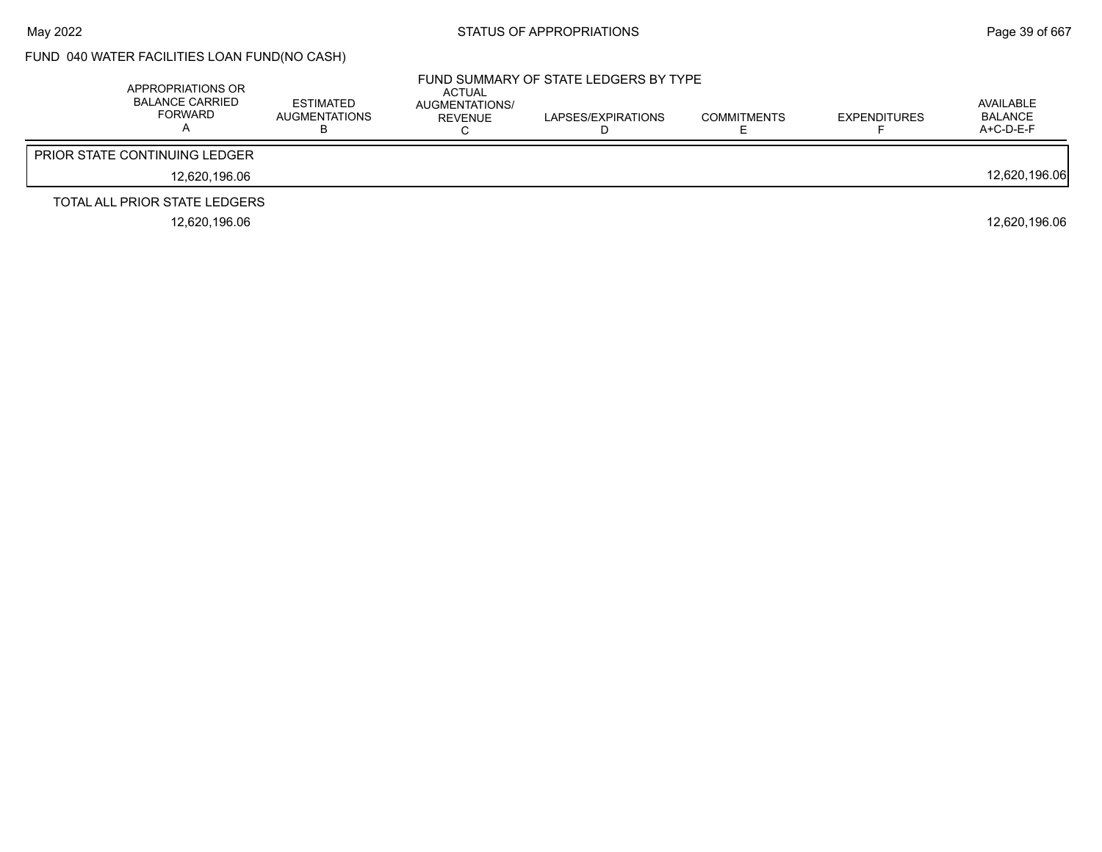# FUND 040 WATER FACILITIES LOAN FUND(NO CASH)

| APPROPRIATIONS OR<br><b>BALANCE CARRIED</b><br><b>FORWARD</b> | <b>ESTIMATED</b><br><b>AUGMENTATIONS</b> | ACTUAL<br>AUGMENTATIONS/<br>REVENUE | FUND SUMMARY OF STATE LEDGERS BY TYPE<br>LAPSES/EXPIRATIONS | <b>COMMITMENTS</b> | <b>EXPENDITURES</b> | AVAILABLE<br><b>BALANCE</b><br>$A+C-D-E-F$ |
|---------------------------------------------------------------|------------------------------------------|-------------------------------------|-------------------------------------------------------------|--------------------|---------------------|--------------------------------------------|
| <b>PRIOR STATE CONTINUING LEDGER</b>                          |                                          |                                     |                                                             |                    |                     |                                            |
| 12.620.196.06                                                 |                                          |                                     |                                                             |                    |                     | 12,620,196.06                              |
| TOTAL ALL PRIOR STATE LEDGERS                                 |                                          |                                     |                                                             |                    |                     |                                            |
| 12.620.196.06                                                 |                                          |                                     |                                                             |                    |                     | 12.620.196.06                              |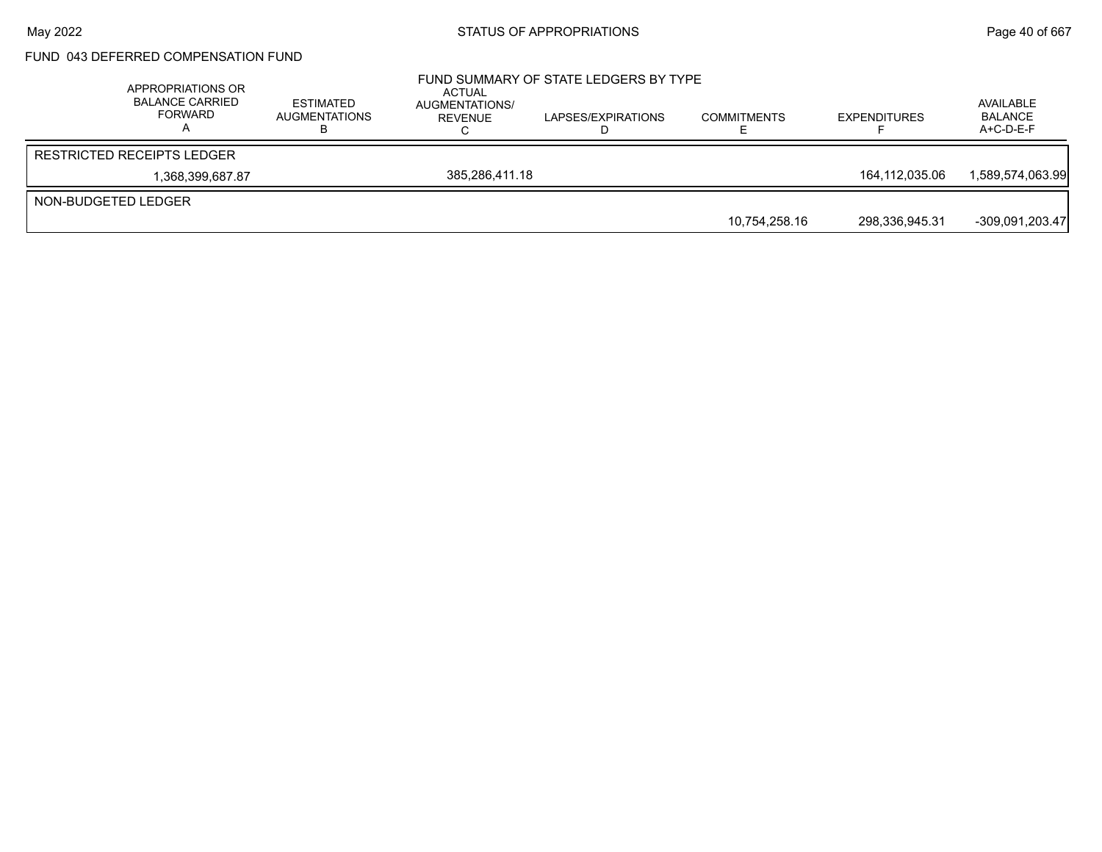## FUND 043 DEFERRED COMPENSATION FUND

| APPROPRIATIONS OR<br><b>BALANCE CARRIED</b><br>FORWARD | <b>ESTIMATED</b><br><b>AUGMENTATIONS</b> | ACTUAL<br>AUGMENTATIONS/<br>REVENUE | FUND SUMMARY OF STATE LEDGERS BY TYPE<br>LAPSES/EXPIRATIONS | <b>COMMITMENTS</b> | <b>EXPENDITURES</b> | AVAILABLE<br><b>BALANCE</b><br>$A+C-D-E-F$ |
|--------------------------------------------------------|------------------------------------------|-------------------------------------|-------------------------------------------------------------|--------------------|---------------------|--------------------------------------------|
| <b>RESTRICTED RECEIPTS LEDGER</b>                      |                                          |                                     |                                                             |                    |                     |                                            |
| 1,368,399,687.87                                       |                                          | 385.286.411.18                      |                                                             |                    | 164.112.035.06      | 1,589,574,063.99                           |
| NON-BUDGETED LEDGER                                    |                                          |                                     |                                                             |                    |                     |                                            |
|                                                        |                                          |                                     |                                                             | 10.754.258.16      | 298,336,945.31      | -309,091,203.47                            |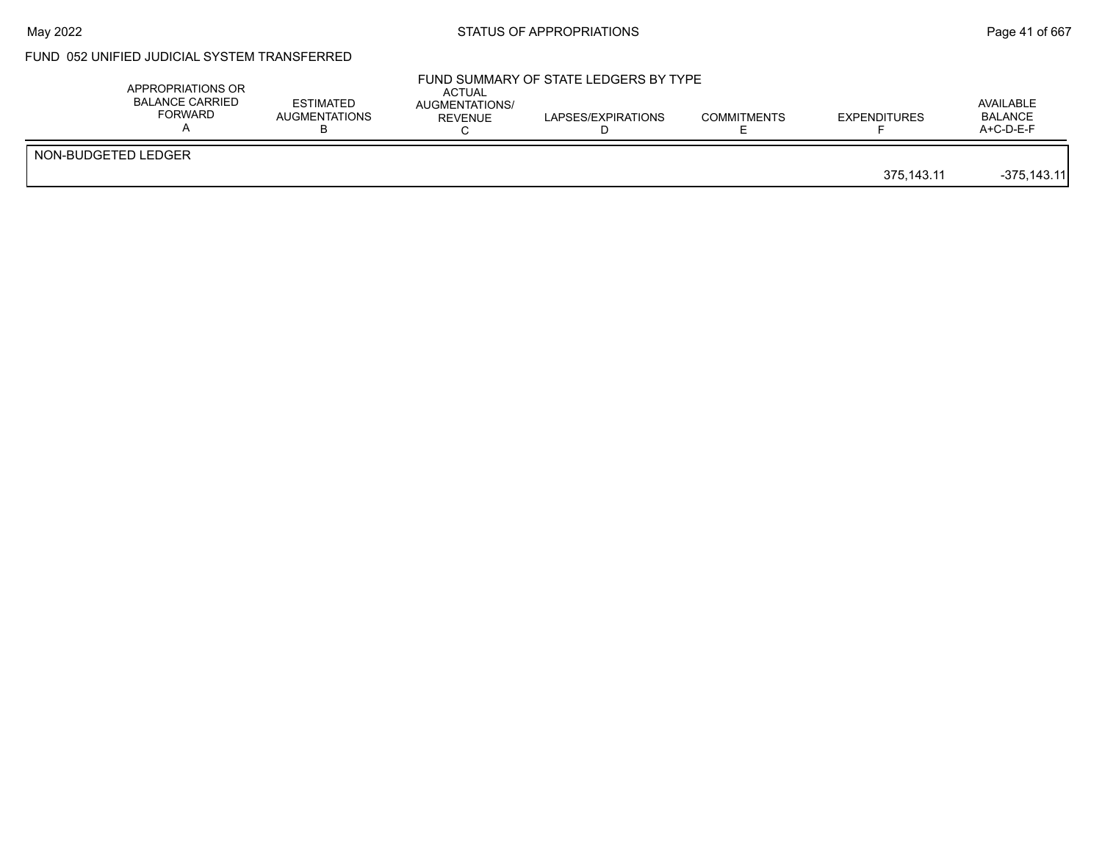## May 2022 **Example 2018** STATUS OF APPROPRIATIONS **Page 41** of 667

# FUND 052 UNIFIED JUDICIAL SYSTEM TRANSFERRED

|                     | APPROPRIATIONS OR<br><b>BALANCE CARRIED</b><br><b>FORWARD</b> | <b>ESTIMATED</b><br><b>AUGMENTATIONS</b> | <b>ACTUAL</b><br>AUGMENTATIONS/<br>REVENUE | FUND SUMMARY OF STATE LEDGERS BY TYPE<br>LAPSES/EXPIRATIONS | <b>COMMITMENTS</b> | <b>EXPENDITURES</b> | AVAILABLE<br><b>BALANCE</b><br>$A+C-D-E-F$ |
|---------------------|---------------------------------------------------------------|------------------------------------------|--------------------------------------------|-------------------------------------------------------------|--------------------|---------------------|--------------------------------------------|
| NON-BUDGETED LEDGER |                                                               |                                          |                                            |                                                             |                    | 375.143.11          | $-375.143.11$                              |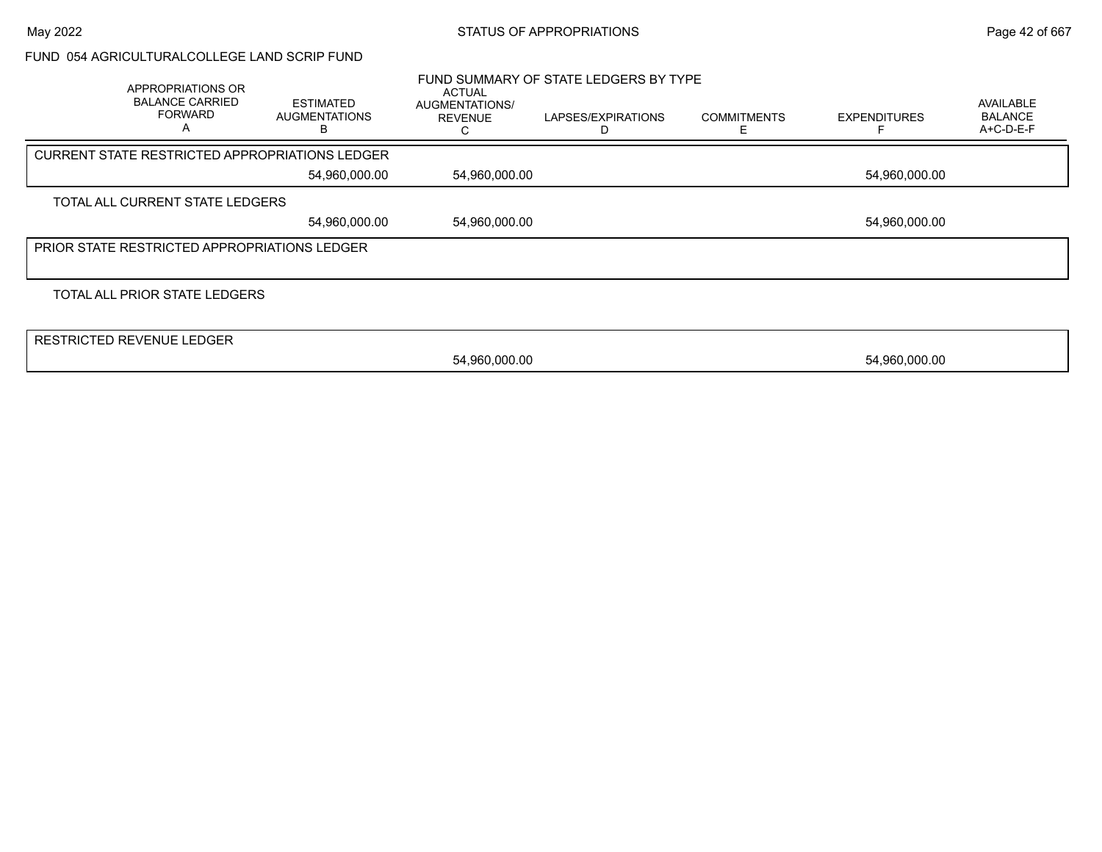#### FUND 054 AGRICULTURALCOLLEGE LAND SCRIP FUND

| APPROPRIATIONS OR<br><b>BALANCE CARRIED</b><br><b>FORWARD</b><br>А | <b>ESTIMATED</b><br><b>AUGMENTATIONS</b> | <b>ACTUAL</b><br>AUGMENTATIONS/<br><b>REVENUE</b> | FUND SUMMARY OF STATE LEDGERS BY TYPE<br>LAPSES/EXPIRATIONS | <b>COMMITMENTS</b> | <b>EXPENDITURES</b> | AVAILABLE<br><b>BALANCE</b><br>A+C-D-E-F |
|--------------------------------------------------------------------|------------------------------------------|---------------------------------------------------|-------------------------------------------------------------|--------------------|---------------------|------------------------------------------|
| <b>CURRENT STATE RESTRICTED APPROPRIATIONS LEDGER</b>              |                                          |                                                   |                                                             |                    |                     |                                          |
|                                                                    | 54,960,000.00                            | 54,960,000.00                                     |                                                             |                    | 54,960,000.00       |                                          |
| TOTAL ALL CURRENT STATE LEDGERS                                    |                                          |                                                   |                                                             |                    |                     |                                          |
|                                                                    | 54,960,000.00                            | 54,960,000.00                                     |                                                             |                    | 54,960,000.00       |                                          |
| PRIOR STATE RESTRICTED APPROPRIATIONS LEDGER                       |                                          |                                                   |                                                             |                    |                     |                                          |
|                                                                    |                                          |                                                   |                                                             |                    |                     |                                          |
| TOTAL ALL PRIOR STATE LEDGERS                                      |                                          |                                                   |                                                             |                    |                     |                                          |
|                                                                    |                                          |                                                   |                                                             |                    |                     |                                          |
| <b>RESTRICTED REVENUE LEDGER</b>                                   |                                          |                                                   |                                                             |                    |                     |                                          |
|                                                                    |                                          | 54,960,000.00                                     |                                                             |                    | 54,960,000.00       |                                          |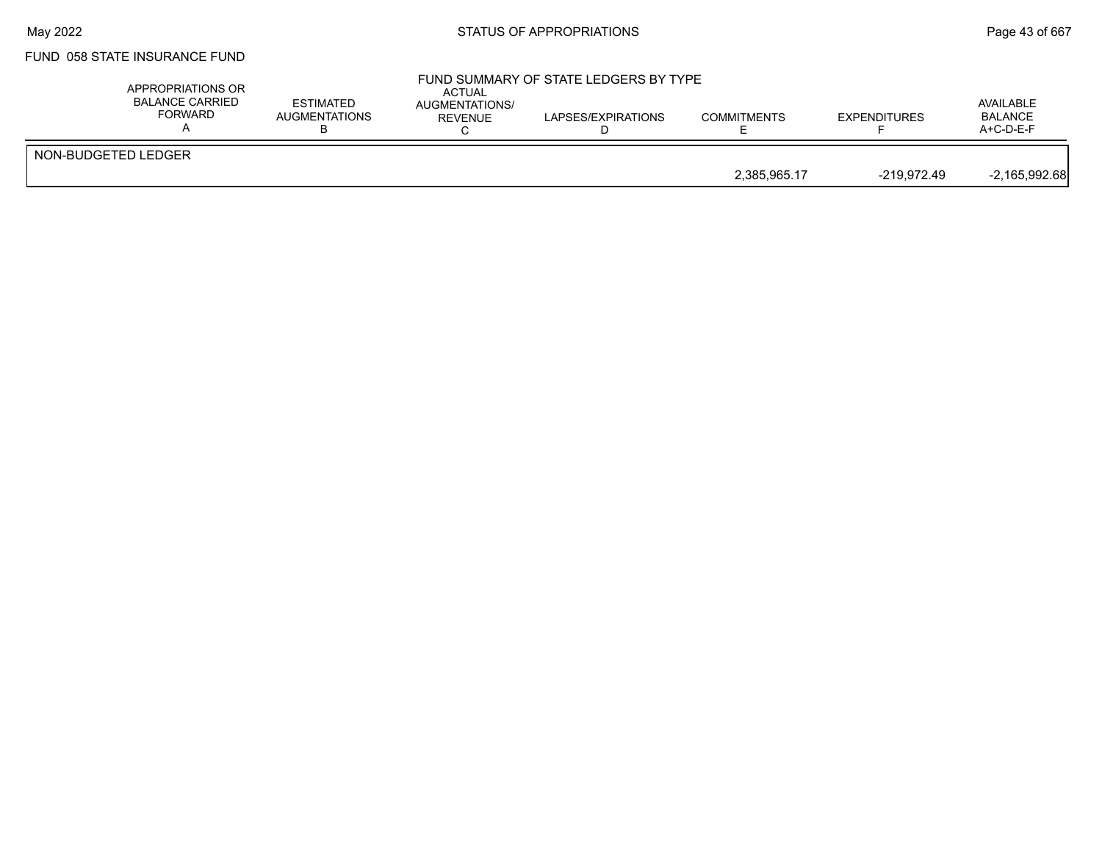## FUND 058 STATE INSURANCE FUND

| APPROPRIATIONS OR<br><b>BALANCE CARRIED</b><br><b>FORWARD</b> | ESTIMATED<br>AUGMENTATIONS | ACTUAL<br><b>AUGMENTATIONS/</b><br>REVENUE | FUND SUMMARY OF STATE LEDGERS BY TYPE<br>LAPSES/EXPIRATIONS | <b>COMMITMENTS</b> | <b>EXPENDITURES</b> | AVAILABLE<br><b>BALANCE</b><br>$A+C-D-E-F$ |
|---------------------------------------------------------------|----------------------------|--------------------------------------------|-------------------------------------------------------------|--------------------|---------------------|--------------------------------------------|
| NON-BUDGETED LEDGER                                           |                            |                                            |                                                             | 2.385.965.17       | -219.972.49         | $-2,165,992.68$                            |
|                                                               |                            |                                            |                                                             |                    |                     |                                            |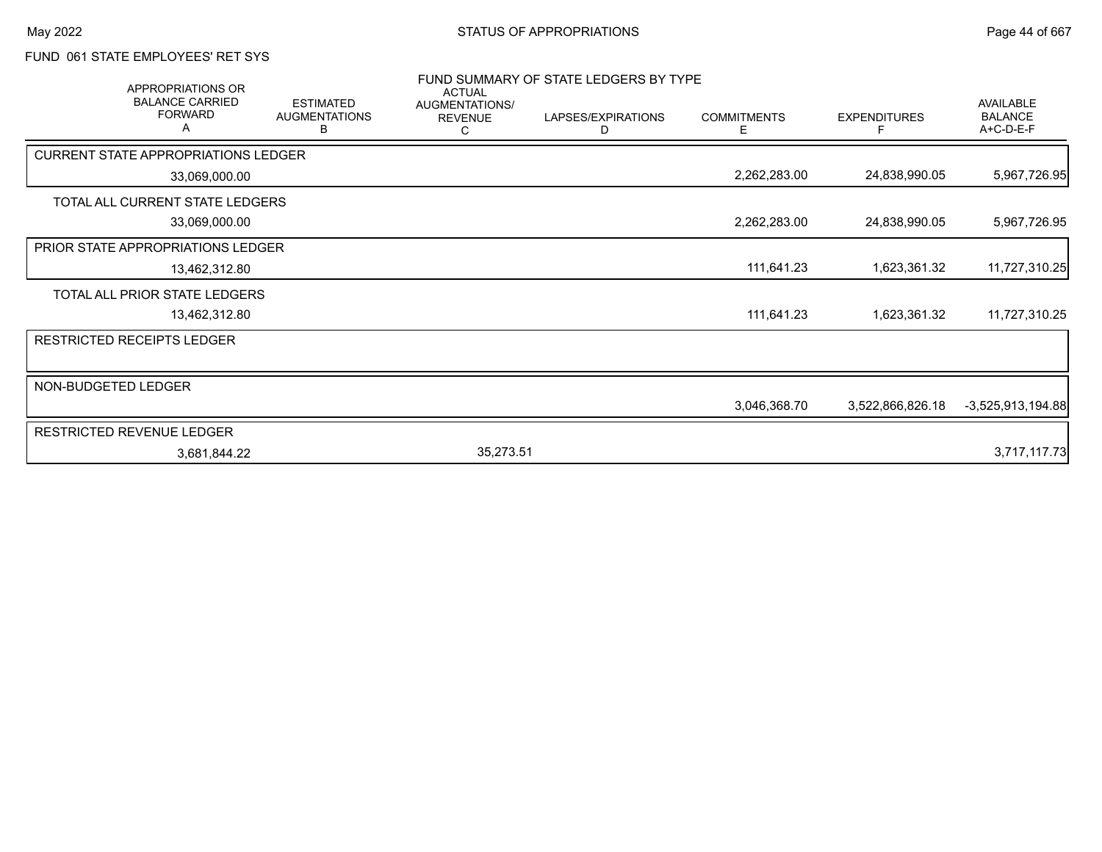## FUND 061 STATE EMPLOYEES' RET SYS

| <b>APPROPRIATIONS OR</b><br><b>BALANCE CARRIED</b><br><b>FORWARD</b> | <b>ESTIMATED</b><br><b>AUGMENTATIONS</b><br>в | <b>ACTUAL</b><br>AUGMENTATIONS/<br><b>REVENUE</b> | FUND SUMMARY OF STATE LEDGERS BY TYPE<br>LAPSES/EXPIRATIONS<br>D | <b>COMMITMENTS</b><br>Ε | <b>EXPENDITURES</b><br>F | <b>AVAILABLE</b><br><b>BALANCE</b><br>A+C-D-E-F |
|----------------------------------------------------------------------|-----------------------------------------------|---------------------------------------------------|------------------------------------------------------------------|-------------------------|--------------------------|-------------------------------------------------|
| <b>CURRENT STATE APPROPRIATIONS LEDGER</b>                           |                                               |                                                   |                                                                  |                         |                          |                                                 |
|                                                                      | 33,069,000.00                                 |                                                   |                                                                  | 2,262,283.00            | 24,838,990.05            | 5,967,726.95                                    |
| TOTAL ALL CURRENT STATE LEDGERS                                      |                                               |                                                   |                                                                  |                         |                          |                                                 |
|                                                                      | 33,069,000.00                                 |                                                   |                                                                  | 2,262,283.00            | 24,838,990.05            | 5,967,726.95                                    |
| <b>PRIOR STATE APPROPRIATIONS LEDGER</b>                             |                                               |                                                   |                                                                  |                         |                          |                                                 |
|                                                                      | 13,462,312.80                                 |                                                   |                                                                  | 111,641.23              | 1,623,361.32             | 11,727,310.25                                   |
| TOTAL ALL PRIOR STATE LEDGERS                                        |                                               |                                                   |                                                                  |                         |                          |                                                 |
|                                                                      | 13,462,312.80                                 |                                                   |                                                                  | 111,641.23              | 1,623,361.32             | 11,727,310.25                                   |
| <b>RESTRICTED RECEIPTS LEDGER</b>                                    |                                               |                                                   |                                                                  |                         |                          |                                                 |
| NON-BUDGETED LEDGER                                                  |                                               |                                                   |                                                                  |                         |                          |                                                 |
|                                                                      |                                               |                                                   |                                                                  | 3,046,368.70            | 3,522,866,826.18         | $-3,525,913,194.88$                             |
| <b>RESTRICTED REVENUE LEDGER</b>                                     |                                               |                                                   |                                                                  |                         |                          |                                                 |
|                                                                      | 3,681,844.22                                  | 35,273.51                                         |                                                                  |                         |                          | 3,717,117.73                                    |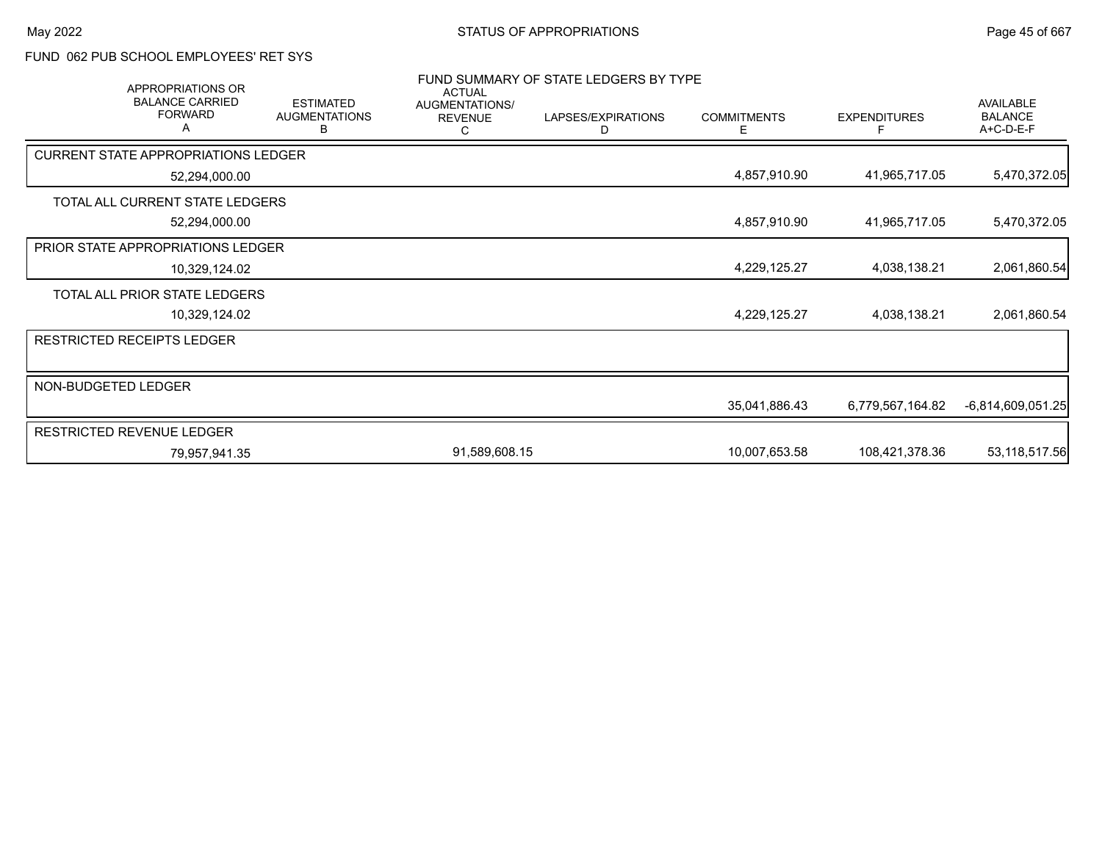## FUND 062 PUB SCHOOL EMPLOYEES' RET SYS

| FUND SUMMARY OF STATE LEDGERS BY TYPE<br><b>APPROPRIATIONS OR</b><br><b>ACTUAL</b> |                                               |                                       |                         |                         |                     |                                                 |
|------------------------------------------------------------------------------------|-----------------------------------------------|---------------------------------------|-------------------------|-------------------------|---------------------|-------------------------------------------------|
| <b>BALANCE CARRIED</b><br><b>FORWARD</b><br>А                                      | <b>ESTIMATED</b><br><b>AUGMENTATIONS</b><br>В | AUGMENTATIONS/<br><b>REVENUE</b><br>С | LAPSES/EXPIRATIONS<br>D | <b>COMMITMENTS</b><br>Ε | <b>EXPENDITURES</b> | <b>AVAILABLE</b><br><b>BALANCE</b><br>A+C-D-E-F |
| <b>CURRENT STATE APPROPRIATIONS LEDGER</b>                                         |                                               |                                       |                         |                         |                     |                                                 |
| 52,294,000.00                                                                      |                                               |                                       |                         | 4,857,910.90            | 41,965,717.05       | 5,470,372.05                                    |
| TOTAL ALL CURRENT STATE LEDGERS                                                    |                                               |                                       |                         |                         |                     |                                                 |
| 52,294,000.00                                                                      |                                               |                                       |                         | 4,857,910.90            | 41,965,717.05       | 5,470,372.05                                    |
| PRIOR STATE APPROPRIATIONS LEDGER                                                  |                                               |                                       |                         |                         |                     |                                                 |
| 10,329,124.02                                                                      |                                               |                                       |                         | 4,229,125.27            | 4,038,138.21        | 2,061,860.54                                    |
| TOTAL ALL PRIOR STATE LEDGERS                                                      |                                               |                                       |                         |                         |                     |                                                 |
| 10,329,124.02                                                                      |                                               |                                       |                         | 4,229,125.27            | 4,038,138.21        | 2,061,860.54                                    |
| <b>RESTRICTED RECEIPTS LEDGER</b>                                                  |                                               |                                       |                         |                         |                     |                                                 |
|                                                                                    |                                               |                                       |                         |                         |                     |                                                 |
| NON-BUDGETED LEDGER                                                                |                                               |                                       |                         |                         |                     |                                                 |
|                                                                                    |                                               |                                       |                         | 35,041,886.43           | 6,779,567,164.82    | $-6,814,609,051.25$                             |
| <b>RESTRICTED REVENUE LEDGER</b>                                                   |                                               |                                       |                         |                         |                     |                                                 |
| 79,957,941.35                                                                      |                                               | 91,589,608.15                         |                         | 10,007,653.58           | 108,421,378.36      | 53,118,517.56                                   |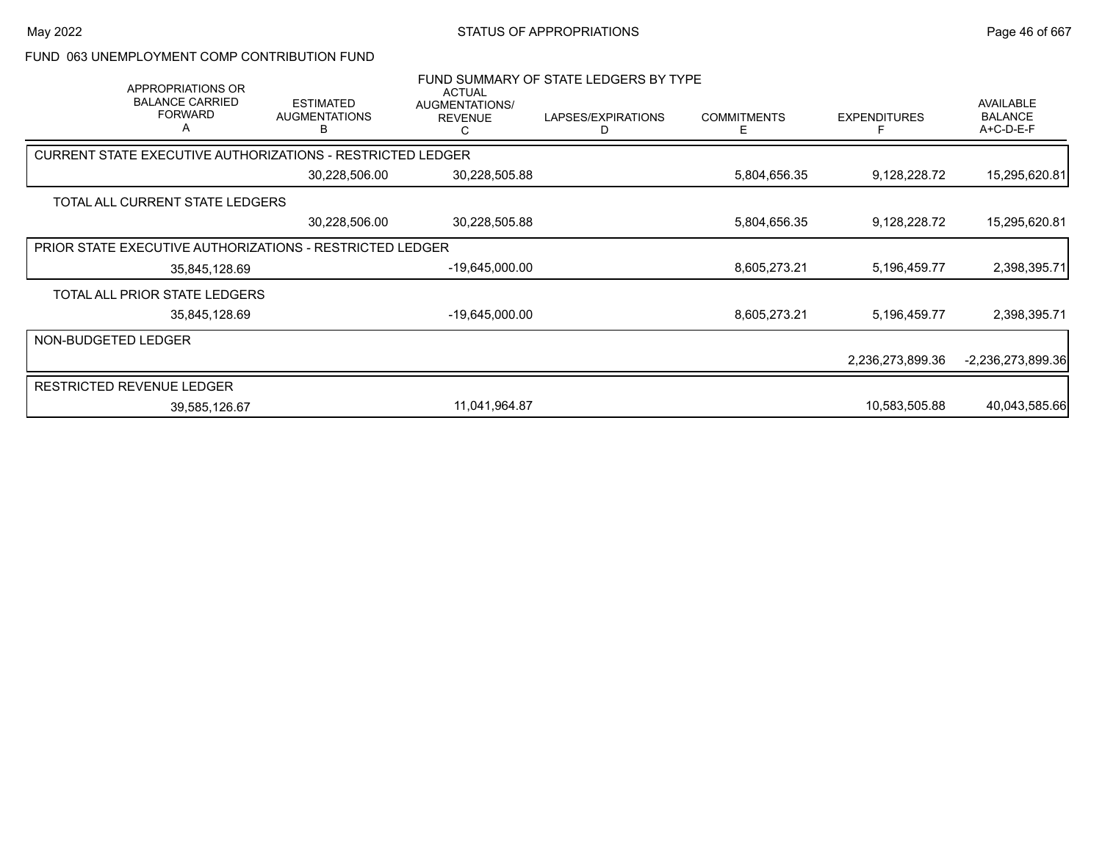FUND 063 UNEMPLOYMENT COMP CONTRIBUTION FUND

| APPROPRIATIONS OR<br><b>BALANCE CARRIED</b><br><b>FORWARD</b><br>A | <b>ESTIMATED</b><br><b>AUGMENTATIONS</b><br>в | <b>ACTUAL</b><br>AUGMENTATIONS/<br><b>REVENUE</b><br>С | FUND SUMMARY OF STATE LEDGERS BY TYPE<br>LAPSES/EXPIRATIONS<br>D | <b>COMMITMENTS</b><br>Е | <b>EXPENDITURES</b> | <b>AVAILABLE</b><br><b>BALANCE</b><br>A+C-D-E-F |
|--------------------------------------------------------------------|-----------------------------------------------|--------------------------------------------------------|------------------------------------------------------------------|-------------------------|---------------------|-------------------------------------------------|
| <b>CURRENT STATE EXECUTIVE AUTHORIZATIONS - RESTRICTED LEDGER</b>  |                                               |                                                        |                                                                  |                         |                     |                                                 |
|                                                                    | 30,228,506.00                                 | 30,228,505.88                                          |                                                                  | 5,804,656.35            | 9,128,228.72        | 15,295,620.81                                   |
| TOTAL ALL CURRENT STATE LEDGERS                                    |                                               |                                                        |                                                                  |                         |                     |                                                 |
|                                                                    | 30,228,506.00                                 | 30,228,505.88                                          |                                                                  | 5,804,656.35            | 9,128,228.72        | 15,295,620.81                                   |
| <b>PRIOR STATE EXECUTIVE AUTHORIZATIONS - RESTRICTED LEDGER</b>    |                                               |                                                        |                                                                  |                         |                     |                                                 |
| 35,845,128.69                                                      |                                               | -19,645,000.00                                         |                                                                  | 8,605,273.21            | 5,196,459.77        | 2,398,395.71                                    |
| TOTAL ALL PRIOR STATE LEDGERS                                      |                                               |                                                        |                                                                  |                         |                     |                                                 |
| 35,845,128.69                                                      |                                               | -19,645,000.00                                         |                                                                  | 8,605,273.21            | 5,196,459.77        | 2,398,395.71                                    |
| NON-BUDGETED LEDGER                                                |                                               |                                                        |                                                                  |                         |                     |                                                 |
|                                                                    |                                               |                                                        |                                                                  |                         | 2,236,273,899.36    | -2,236,273,899.36                               |
| <b>RESTRICTED REVENUE LEDGER</b>                                   |                                               |                                                        |                                                                  |                         |                     |                                                 |
| 39,585,126.67                                                      |                                               | 11,041,964.87                                          |                                                                  |                         | 10,583,505.88       | 40,043,585.66                                   |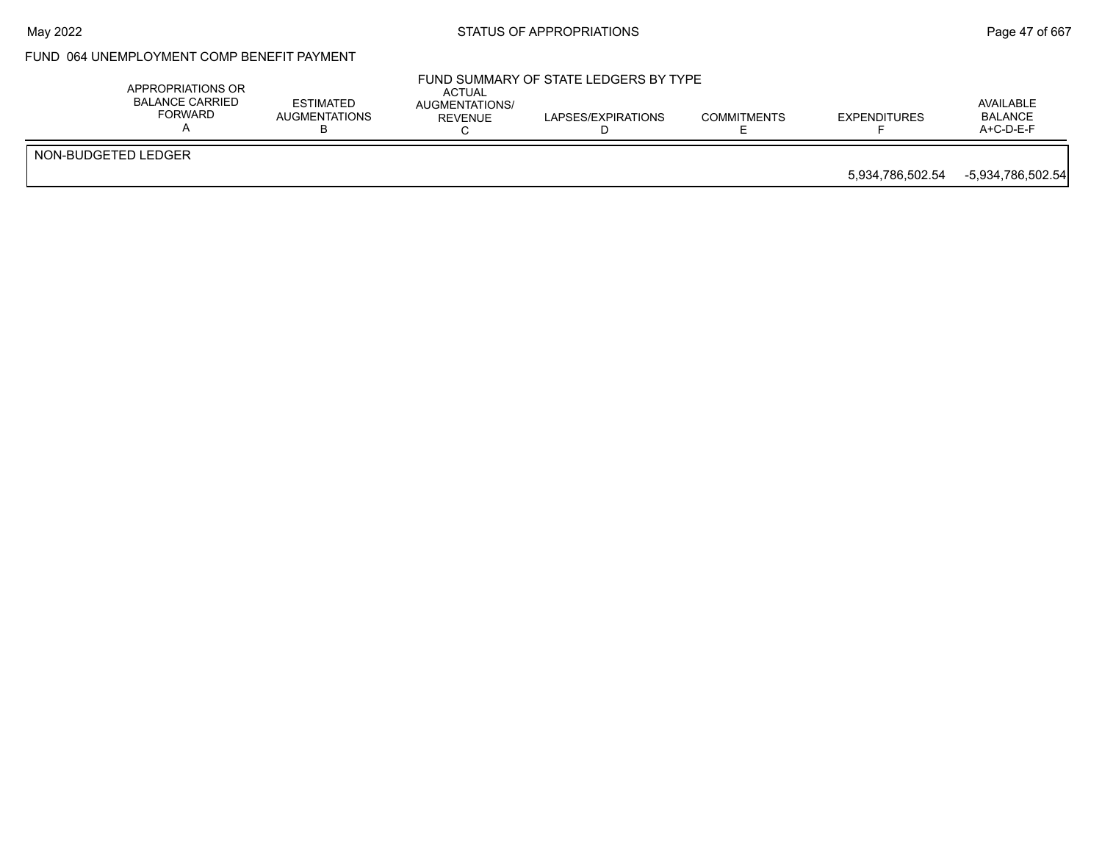## May 2022 **Example 2018** STATUS OF APPROPRIATIONS **Page 47** of 667

## FUND 064 UNEMPLOYMENT COMP BENEFIT PAYMENT

|                     | APPROPRIATIONS OR<br>BALANCE CARRIED<br>FORWARD | <b>ESTIMATED</b><br>AUGMENTATIONS<br>◡ | <b>ACTUAL</b><br>AUGMENTATIONS/<br>REVENUE | FUND SUMMARY OF STATE LEDGERS BY TYPE<br>LAPSES/EXPIRATIONS | <b>COMMITMENTS</b> | EXPENDITURES     | AVAILABLE<br><b>BALANCE</b><br>A+C-D-E-F |
|---------------------|-------------------------------------------------|----------------------------------------|--------------------------------------------|-------------------------------------------------------------|--------------------|------------------|------------------------------------------|
| NON-BUDGETED LEDGER |                                                 |                                        |                                            |                                                             |                    |                  |                                          |
|                     |                                                 |                                        |                                            |                                                             |                    | 5,934,786,502.54 | -5,934,786,502.54                        |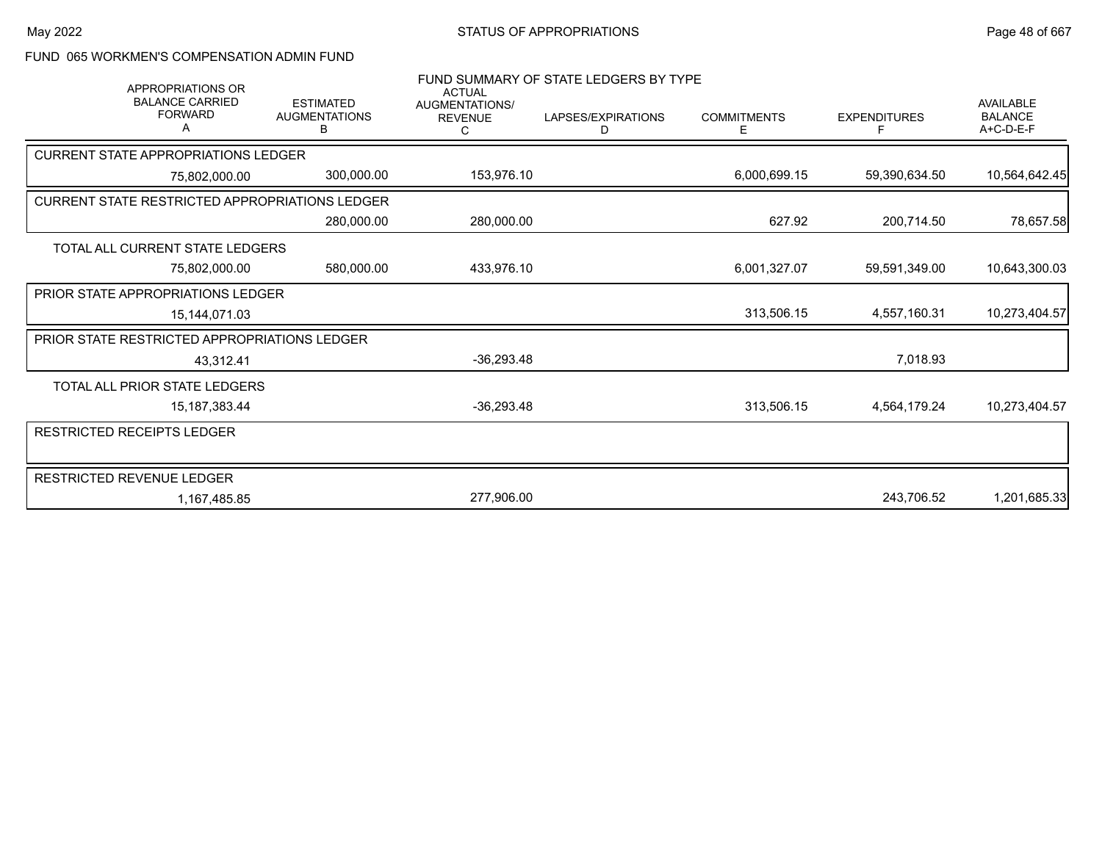### FUND 065 WORKMEN'S COMPENSATION ADMIN FUND

| <b>APPROPRIATIONS OR</b>                              |                                               | <b>ACTUAL</b>                    | FUND SUMMARY OF STATE LEDGERS BY TYPE |                         |                     |                                                   |
|-------------------------------------------------------|-----------------------------------------------|----------------------------------|---------------------------------------|-------------------------|---------------------|---------------------------------------------------|
| <b>BALANCE CARRIED</b><br><b>FORWARD</b>              | <b>ESTIMATED</b><br><b>AUGMENTATIONS</b><br>в | AUGMENTATIONS/<br><b>REVENUE</b> | LAPSES/EXPIRATIONS<br>D               | <b>COMMITMENTS</b><br>Е | <b>EXPENDITURES</b> | <b>AVAILABLE</b><br><b>BALANCE</b><br>$A+C-D-E-F$ |
| <b>CURRENT STATE APPROPRIATIONS LEDGER</b>            |                                               |                                  |                                       |                         |                     |                                                   |
| 75,802,000.00                                         | 300,000.00                                    | 153,976.10                       |                                       | 6,000,699.15            | 59,390,634.50       | 10,564,642.45                                     |
| <b>CURRENT STATE RESTRICTED APPROPRIATIONS LEDGER</b> |                                               |                                  |                                       |                         |                     |                                                   |
|                                                       | 280,000.00                                    | 280,000.00                       |                                       | 627.92                  | 200,714.50          | 78,657.58                                         |
| TOTAL ALL CURRENT STATE LEDGERS                       |                                               |                                  |                                       |                         |                     |                                                   |
| 75,802,000.00                                         | 580,000.00                                    | 433,976.10                       |                                       | 6,001,327.07            | 59,591,349.00       | 10,643,300.03                                     |
| <b>PRIOR STATE APPROPRIATIONS LEDGER</b>              |                                               |                                  |                                       |                         |                     |                                                   |
| 15,144,071.03                                         |                                               |                                  |                                       | 313,506.15              | 4,557,160.31        | 10,273,404.57                                     |
| PRIOR STATE RESTRICTED APPROPRIATIONS LEDGER          |                                               |                                  |                                       |                         |                     |                                                   |
| 43,312.41                                             |                                               | $-36,293.48$                     |                                       |                         | 7,018.93            |                                                   |
| TOTAL ALL PRIOR STATE LEDGERS                         |                                               |                                  |                                       |                         |                     |                                                   |
| 15, 187, 383. 44                                      |                                               | $-36,293.48$                     |                                       | 313,506.15              | 4,564,179.24        | 10,273,404.57                                     |
| RESTRICTED RECEIPTS LEDGER                            |                                               |                                  |                                       |                         |                     |                                                   |
|                                                       |                                               |                                  |                                       |                         |                     |                                                   |
| RESTRICTED REVENUE LEDGER                             |                                               |                                  |                                       |                         |                     |                                                   |
| 1,167,485.85                                          |                                               | 277,906.00                       |                                       |                         | 243,706.52          | 1,201,685.33                                      |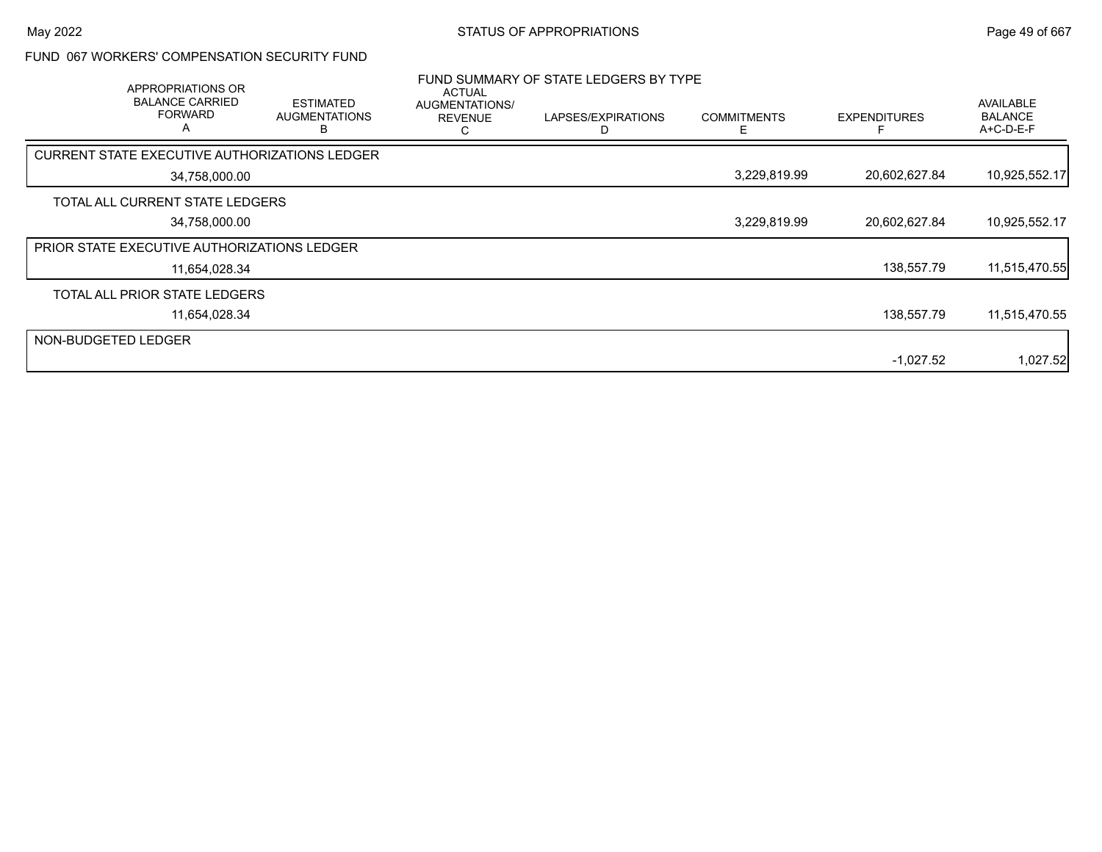### FUND 067 WORKERS' COMPENSATION SECURITY FUND

|                     | APPROPRIATIONS OR<br><b>BALANCE CARRIED</b><br><b>FORWARD</b><br>A | <b>ESTIMATED</b><br><b>AUGMENTATIONS</b><br>ĸ | <b>ACTUAL</b><br>AUGMENTATIONS/<br><b>REVENUE</b> | FUND SUMMARY OF STATE LEDGERS BY TYPE<br>LAPSES/EXPIRATIONS | <b>COMMITMENTS</b><br>F. | <b>EXPENDITURES</b> | AVAILABLE<br><b>BALANCE</b><br>A+C-D-E-F |
|---------------------|--------------------------------------------------------------------|-----------------------------------------------|---------------------------------------------------|-------------------------------------------------------------|--------------------------|---------------------|------------------------------------------|
|                     |                                                                    | CURRENT STATE EXECUTIVE AUTHORIZATIONS LEDGER |                                                   |                                                             |                          |                     |                                          |
|                     | 34,758,000.00                                                      |                                               |                                                   |                                                             | 3,229,819.99             | 20,602,627.84       | 10,925,552.17                            |
|                     | TOTAL ALL CURRENT STATE LEDGERS                                    |                                               |                                                   |                                                             |                          |                     |                                          |
|                     | 34,758,000.00                                                      |                                               |                                                   |                                                             | 3,229,819.99             | 20,602,627.84       | 10,925,552.17                            |
|                     | <b>PRIOR STATE EXECUTIVE AUTHORIZATIONS LEDGER</b>                 |                                               |                                                   |                                                             |                          |                     |                                          |
|                     | 11,654,028.34                                                      |                                               |                                                   |                                                             |                          | 138,557.79          | 11,515,470.55                            |
|                     | TOTAL ALL PRIOR STATE LEDGERS                                      |                                               |                                                   |                                                             |                          |                     |                                          |
|                     | 11,654,028.34                                                      |                                               |                                                   |                                                             |                          | 138,557.79          | 11,515,470.55                            |
| NON-BUDGETED LEDGER |                                                                    |                                               |                                                   |                                                             |                          |                     |                                          |
|                     |                                                                    |                                               |                                                   |                                                             |                          | $-1,027.52$         | 1,027.52                                 |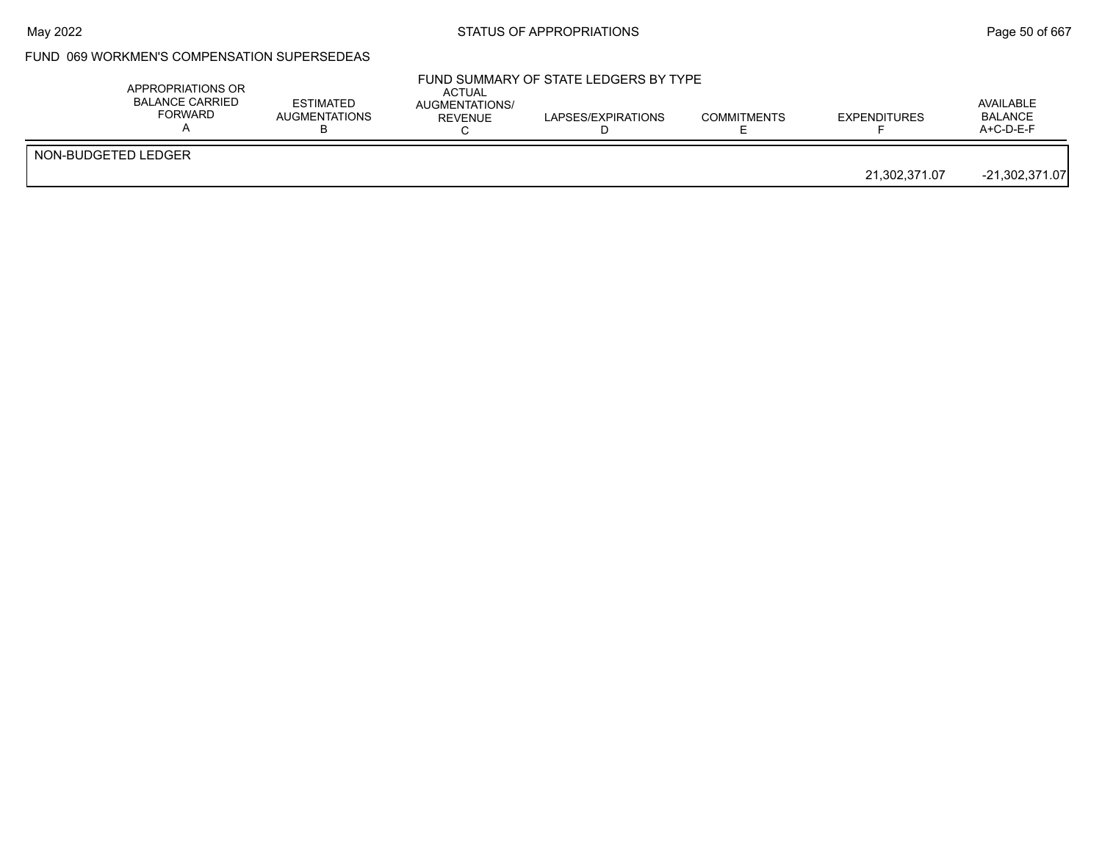## FUND 069 WORKMEN'S COMPENSATION SUPERSEDEAS

|                     | APPROPRIATIONS OR<br><b>BALANCE CARRIED</b><br>FORWARD | <b>ESTIMATED</b><br>AUGMENTATIONS | <b>ACTUAL</b><br>AUGMENTATIONS/<br>REVENUE | FUND SUMMARY OF STATE LEDGERS BY TYPE<br>LAPSES/EXPIRATIONS | <b>COMMITMENTS</b> | <b>EXPENDITURES</b> | AVAILABLE<br><b>BALANCE</b><br>$A+C-D-E-F$ |
|---------------------|--------------------------------------------------------|-----------------------------------|--------------------------------------------|-------------------------------------------------------------|--------------------|---------------------|--------------------------------------------|
| NON-BUDGETED LEDGER |                                                        |                                   |                                            |                                                             |                    | 21,302,371.07       | $-21,302,371.07$                           |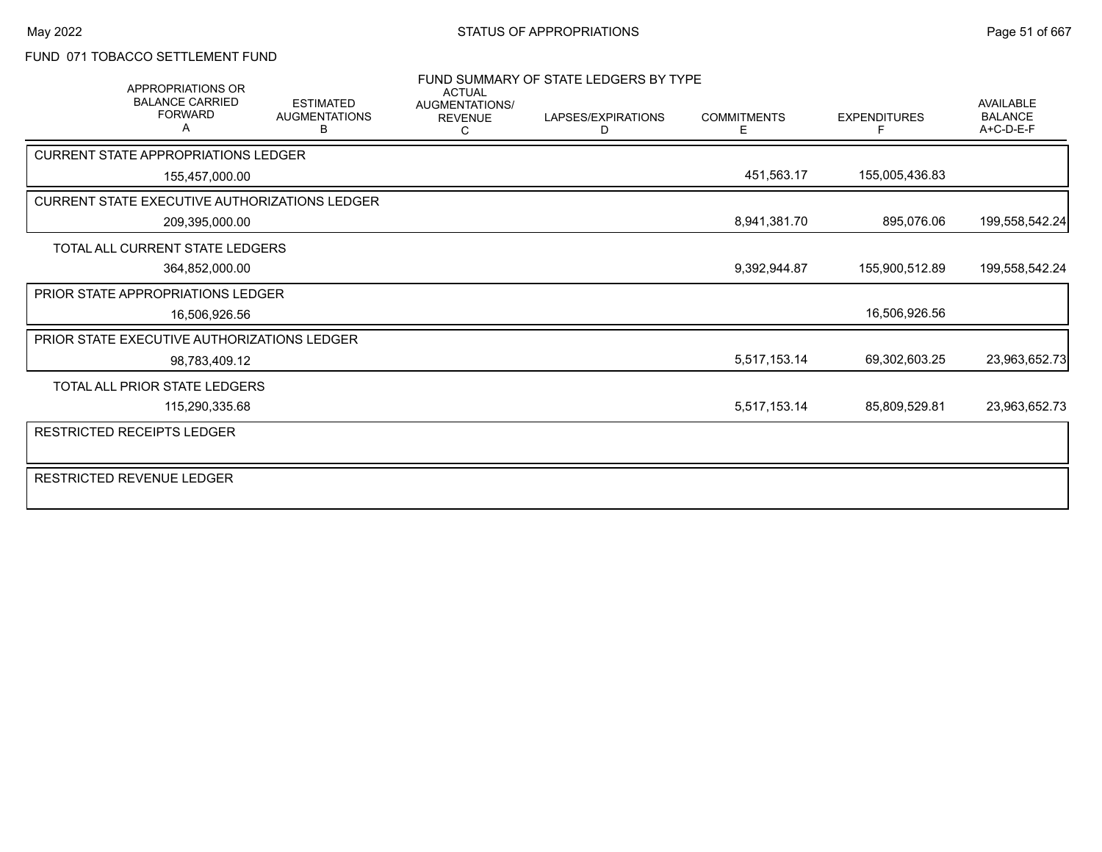## FUND 071 TOBACCO SETTLEMENT FUND

| <b>APPROPRIATIONS OR</b><br><b>BALANCE CARRIED</b><br><b>FORWARD</b> |               | <b>ESTIMATED</b><br><b>AUGMENTATIONS</b><br>в | <b>ACTUAL</b><br>AUGMENTATIONS/<br><b>REVENUE</b><br>С | FUND SUMMARY OF STATE LEDGERS BY TYPE<br>LAPSES/EXPIRATIONS<br>D | <b>COMMITMENTS</b><br>E | <b>EXPENDITURES</b> | <b>AVAILABLE</b><br><b>BALANCE</b><br>A+C-D-E-F |
|----------------------------------------------------------------------|---------------|-----------------------------------------------|--------------------------------------------------------|------------------------------------------------------------------|-------------------------|---------------------|-------------------------------------------------|
| <b>CURRENT STATE APPROPRIATIONS LEDGER</b>                           |               |                                               |                                                        |                                                                  |                         |                     |                                                 |
| 155,457,000.00                                                       |               |                                               |                                                        |                                                                  | 451,563.17              | 155,005,436.83      |                                                 |
| CURRENT STATE EXECUTIVE AUTHORIZATIONS LEDGER                        |               |                                               |                                                        |                                                                  |                         |                     |                                                 |
| 209,395,000.00                                                       |               |                                               |                                                        |                                                                  | 8,941,381.70            | 895,076.06          | 199,558,542.24                                  |
| TOTAL ALL CURRENT STATE LEDGERS                                      |               |                                               |                                                        |                                                                  |                         |                     |                                                 |
| 364,852,000.00                                                       |               |                                               |                                                        |                                                                  | 9,392,944.87            | 155,900,512.89      | 199,558,542.24                                  |
| PRIOR STATE APPROPRIATIONS LEDGER                                    |               |                                               |                                                        |                                                                  |                         |                     |                                                 |
|                                                                      | 16,506,926.56 |                                               |                                                        |                                                                  |                         | 16,506,926.56       |                                                 |
| PRIOR STATE EXECUTIVE AUTHORIZATIONS LEDGER                          |               |                                               |                                                        |                                                                  |                         |                     |                                                 |
|                                                                      | 98,783,409.12 |                                               |                                                        |                                                                  | 5,517,153.14            | 69,302,603.25       | 23,963,652.73                                   |
| <b>TOTAL ALL PRIOR STATE LEDGERS</b>                                 |               |                                               |                                                        |                                                                  |                         |                     |                                                 |
| 115,290,335.68                                                       |               |                                               |                                                        |                                                                  | 5,517,153.14            | 85,809,529.81       | 23,963,652.73                                   |
| <b>RESTRICTED RECEIPTS LEDGER</b>                                    |               |                                               |                                                        |                                                                  |                         |                     |                                                 |
|                                                                      |               |                                               |                                                        |                                                                  |                         |                     |                                                 |
| RESTRICTED REVENUE LEDGER                                            |               |                                               |                                                        |                                                                  |                         |                     |                                                 |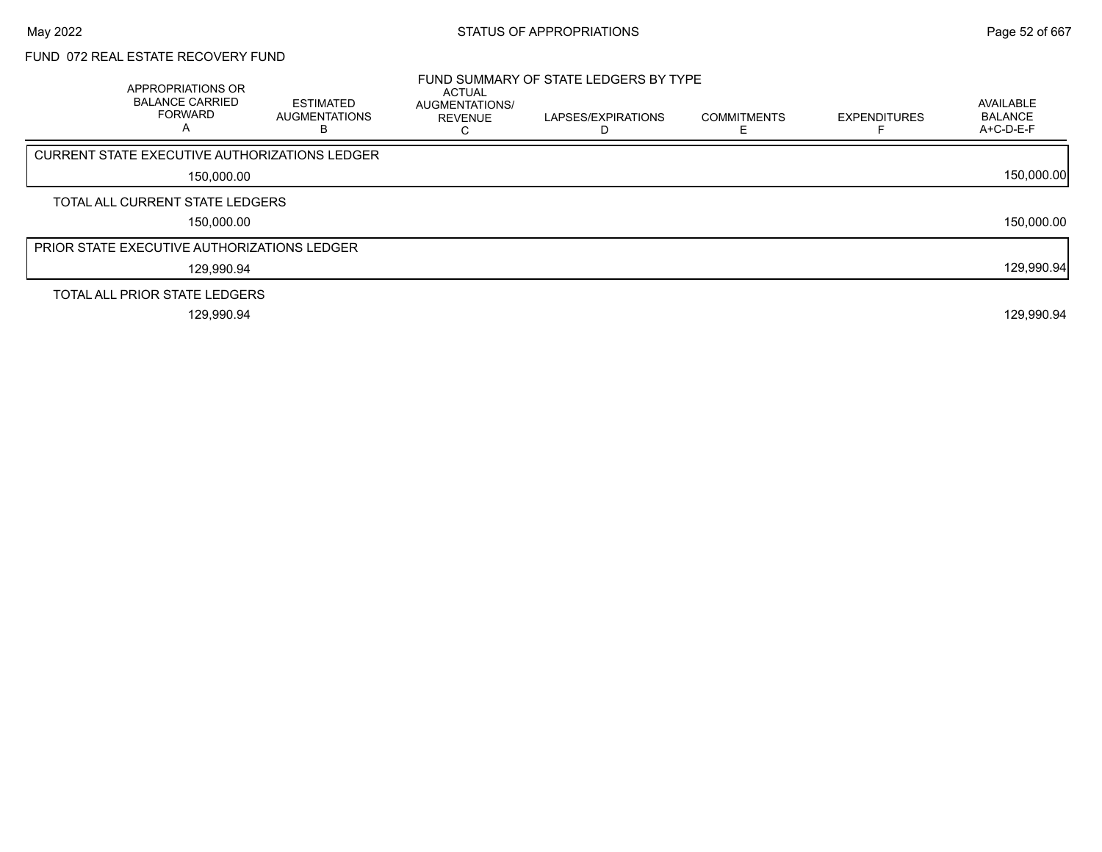# FUND 072 REAL ESTATE RECOVERY FUND

| APPROPRIATIONS OR<br><b>BALANCE CARRIED</b><br><b>FORWARD</b><br>А | <b>ESTIMATED</b><br><b>AUGMENTATIONS</b><br>ר | ACTUAL<br>AUGMENTATIONS/<br><b>REVENUE</b> | FUND SUMMARY OF STATE LEDGERS BY TYPE<br>LAPSES/EXPIRATIONS<br>D | <b>COMMITMENTS</b> | <b>EXPENDITURES</b> | AVAILABLE<br><b>BALANCE</b><br>$A+C-D-E-F$ |
|--------------------------------------------------------------------|-----------------------------------------------|--------------------------------------------|------------------------------------------------------------------|--------------------|---------------------|--------------------------------------------|
| CURRENT STATE EXECUTIVE AUTHORIZATIONS LEDGER                      |                                               |                                            |                                                                  |                    |                     |                                            |
| 150,000.00                                                         |                                               |                                            |                                                                  |                    |                     | 150,000.00                                 |
| TOTAL ALL CURRENT STATE LEDGERS                                    |                                               |                                            |                                                                  |                    |                     |                                            |
| 150,000.00                                                         |                                               |                                            |                                                                  |                    |                     | 150,000.00                                 |
| PRIOR STATE EXECUTIVE AUTHORIZATIONS LEDGER                        |                                               |                                            |                                                                  |                    |                     |                                            |
| 129,990.94                                                         |                                               |                                            |                                                                  |                    |                     | 129,990.94                                 |
| TOTAL ALL PRIOR STATE LEDGERS                                      |                                               |                                            |                                                                  |                    |                     |                                            |
| 129,990.94                                                         |                                               |                                            |                                                                  |                    |                     | 129,990.94                                 |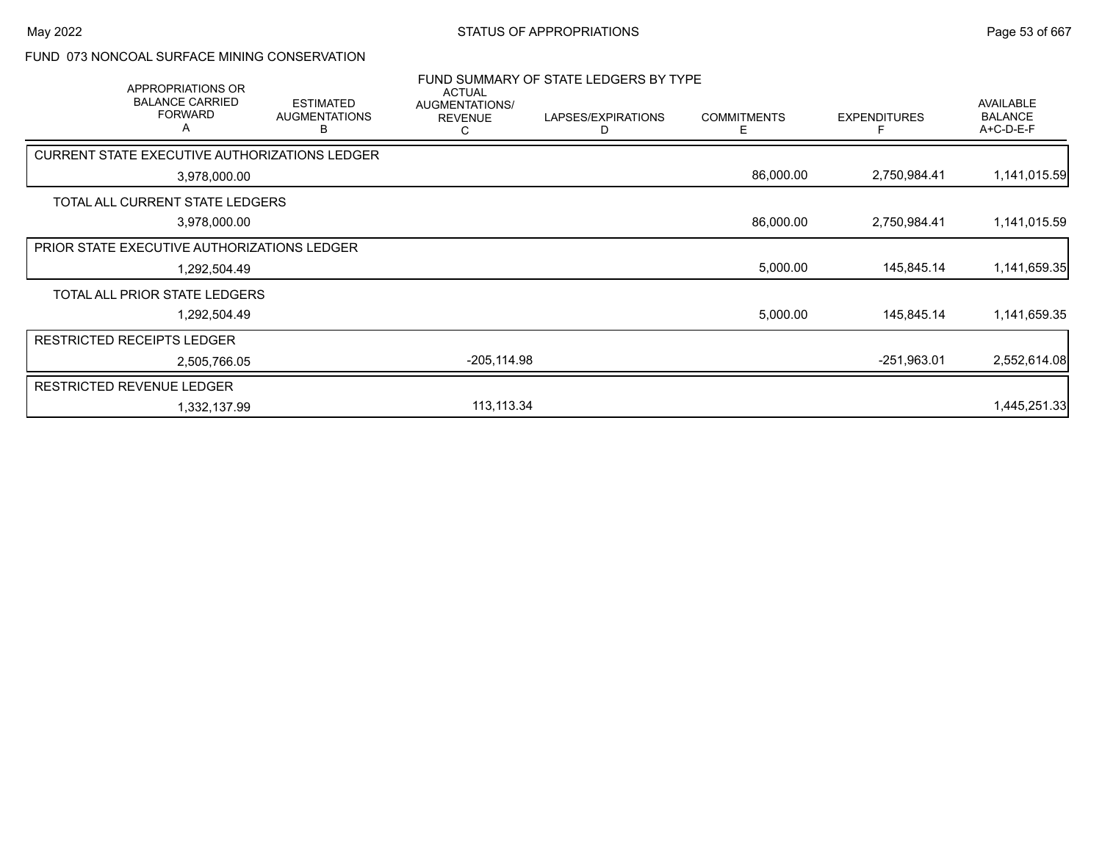#### FUND 073 NONCOAL SURFACE MINING CONSERVATION

|                                   | APPROPRIATIONS OR<br><b>BALANCE CARRIED</b><br><b>FORWARD</b><br>A | <b>ESTIMATED</b><br><b>AUGMENTATIONS</b><br>в        | <b>ACTUAL</b><br>AUGMENTATIONS/<br><b>REVENUE</b><br>С | FUND SUMMARY OF STATE LEDGERS BY TYPE<br>LAPSES/EXPIRATIONS<br>D | <b>COMMITMENTS</b><br>Е | <b>EXPENDITURES</b> | AVAILABLE<br><b>BALANCE</b><br>A+C-D-E-F |
|-----------------------------------|--------------------------------------------------------------------|------------------------------------------------------|--------------------------------------------------------|------------------------------------------------------------------|-------------------------|---------------------|------------------------------------------|
|                                   |                                                                    | <b>CURRENT STATE EXECUTIVE AUTHORIZATIONS LEDGER</b> |                                                        |                                                                  |                         |                     |                                          |
|                                   | 3,978,000.00                                                       |                                                      |                                                        |                                                                  | 86,000.00               | 2,750,984.41        | 1,141,015.59                             |
|                                   | TOTAL ALL CURRENT STATE LEDGERS                                    |                                                      |                                                        |                                                                  |                         |                     |                                          |
|                                   | 3,978,000.00                                                       |                                                      |                                                        |                                                                  | 86,000.00               | 2,750,984.41        | 1,141,015.59                             |
|                                   | PRIOR STATE EXECUTIVE AUTHORIZATIONS LEDGER                        |                                                      |                                                        |                                                                  |                         |                     |                                          |
|                                   | 1,292,504.49                                                       |                                                      |                                                        |                                                                  | 5,000.00                | 145,845.14          | 1,141,659.35                             |
|                                   | TOTAL ALL PRIOR STATE LEDGERS                                      |                                                      |                                                        |                                                                  |                         |                     |                                          |
|                                   | 1,292,504.49                                                       |                                                      |                                                        |                                                                  | 5,000.00                | 145,845.14          | 1,141,659.35                             |
| <b>RESTRICTED RECEIPTS LEDGER</b> |                                                                    |                                                      |                                                        |                                                                  |                         |                     |                                          |
|                                   | 2,505,766.05                                                       |                                                      | $-205,114.98$                                          |                                                                  |                         | $-251,963.01$       | 2,552,614.08                             |
| <b>RESTRICTED REVENUE LEDGER</b>  |                                                                    |                                                      |                                                        |                                                                  |                         |                     |                                          |
|                                   | 1,332,137.99                                                       |                                                      | 113,113.34                                             |                                                                  |                         |                     | 1,445,251.33                             |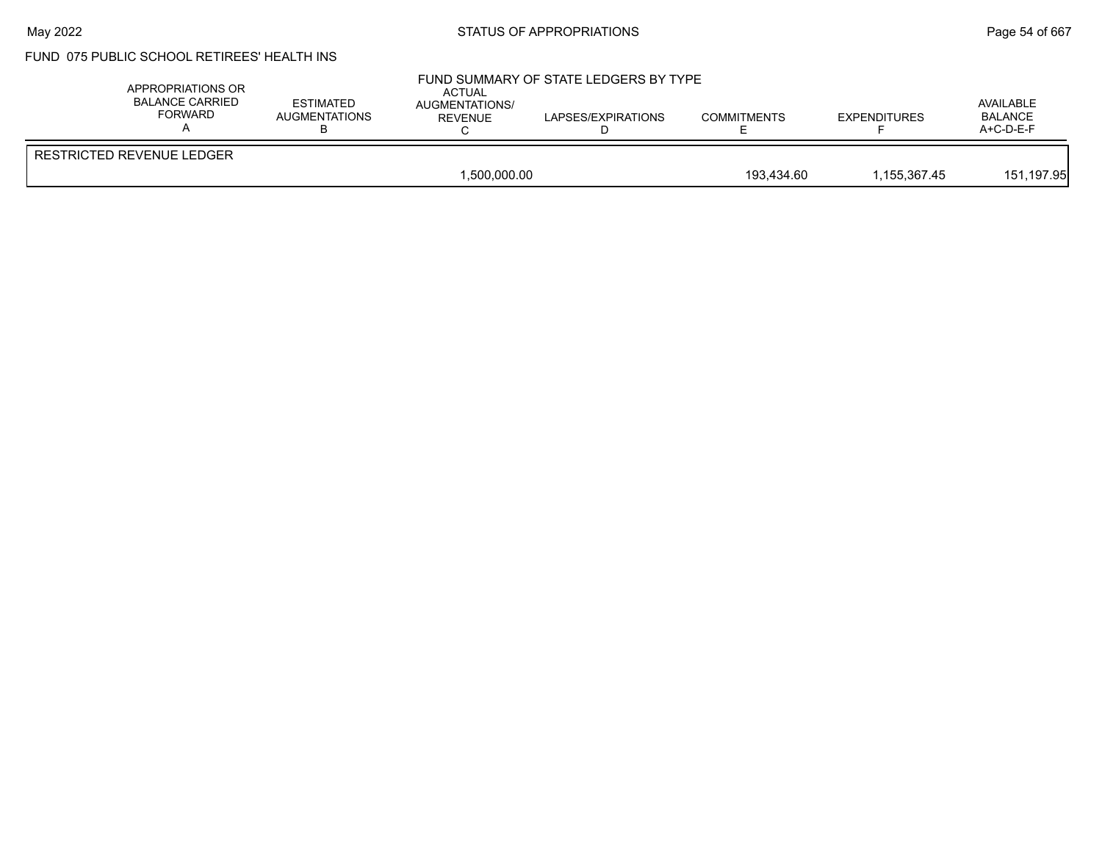#### May 2022 **Example 2018** STATUS OF APPROPRIATIONS **Page 54 of 667**

# FUND 075 PUBLIC SCHOOL RETIREES' HEALTH INS

| APPROPRIATIONS OR<br>BALANCE CARRIED<br>FORWARD | <b>ESTIMATED</b><br>AUGMENTATIONS | <b>ACTUAL</b><br><b>AUGMENTATIONS/</b><br>REVENUE | FUND SUMMARY OF STATE LEDGERS BY TYPE<br>LAPSES/EXPIRATIONS | <b>COMMITMENTS</b> | <b>EXPENDITURES</b> | AVAILABLE<br><b>BALANCE</b><br>$A+C-D-E-F$ |
|-------------------------------------------------|-----------------------------------|---------------------------------------------------|-------------------------------------------------------------|--------------------|---------------------|--------------------------------------------|
| RESTRICTED REVENUE LEDGER                       |                                   |                                                   |                                                             |                    |                     |                                            |
|                                                 |                                   | 1.500.000.00                                      |                                                             | 193.434.60         | 1.155.367.45        | 151,197.95                                 |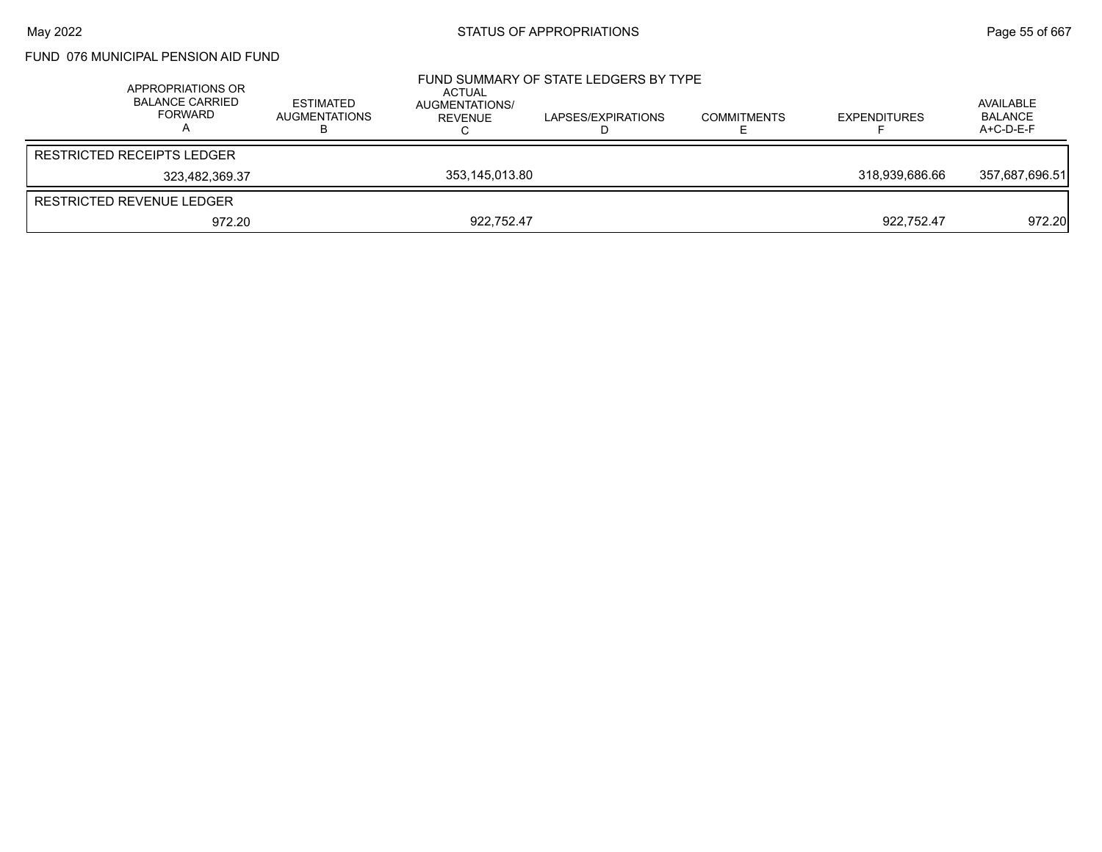FUND 076 MUNICIPAL PENSION AID FUND

| APPROPRIATIONS OR<br><b>BALANCE CARRIED</b><br>FORWARD | <b>ESTIMATED</b><br><b>AUGMENTATIONS</b> | ACTUAL<br>AUGMENTATIONS/<br>REVENUE | FUND SUMMARY OF STATE LEDGERS BY TYPE<br>LAPSES/EXPIRATIONS | <b>COMMITMENTS</b> | <b>EXPENDITURES</b> | AVAILABLE<br>BALANCE<br>A+C-D-E-F |
|--------------------------------------------------------|------------------------------------------|-------------------------------------|-------------------------------------------------------------|--------------------|---------------------|-----------------------------------|
| <b>RESTRICTED RECEIPTS LEDGER</b>                      |                                          |                                     |                                                             |                    |                     |                                   |
| 323.482.369.37                                         |                                          | 353,145,013.80                      |                                                             |                    | 318.939.686.66      | 357,687,696.51                    |
| RESTRICTED REVENUE LEDGER                              |                                          |                                     |                                                             |                    |                     |                                   |
| 972.20                                                 |                                          | 922.752.47                          |                                                             |                    | 922.752.47          | 972.20                            |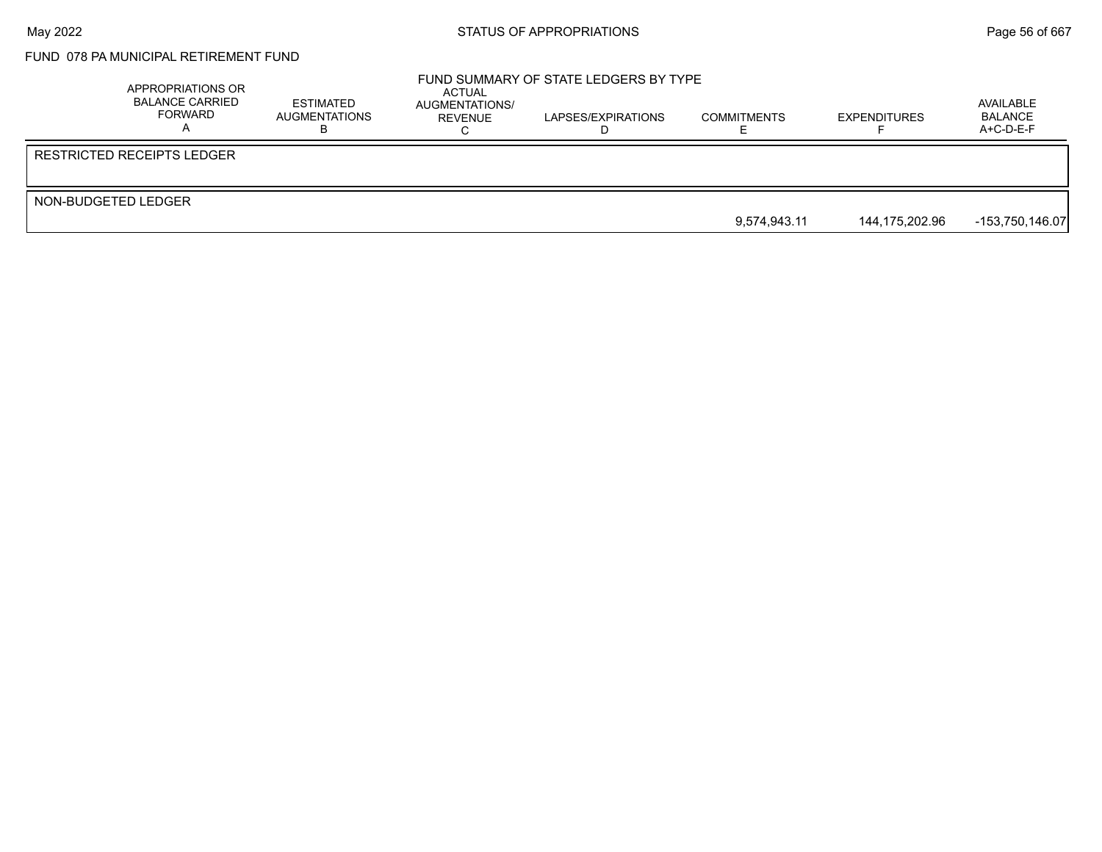# FUND 078 PA MUNICIPAL RETIREMENT FUND

|                     | APPROPRIATIONS OR<br><b>BALANCE CARRIED</b><br>FORWARD | ESTIMATED<br>AUGMENTATIONS | ACTUAL<br>AUGMENTATIONS/<br>REVENUE | FUND SUMMARY OF STATE LEDGERS BY TYPE<br>LAPSES/EXPIRATIONS | <b>COMMITMENTS</b> | <b>EXPENDITURES</b> | AVAILABLE<br>BALANCE<br>$A+C-D-E-F$ |
|---------------------|--------------------------------------------------------|----------------------------|-------------------------------------|-------------------------------------------------------------|--------------------|---------------------|-------------------------------------|
|                     | RESTRICTED RECEIPTS LEDGER                             |                            |                                     |                                                             |                    |                     |                                     |
| NON-BUDGETED LEDGER |                                                        |                            |                                     |                                                             |                    |                     |                                     |
|                     |                                                        |                            |                                     |                                                             | 9.574.943.11       | 144.175.202.96      | -153,750,146.07                     |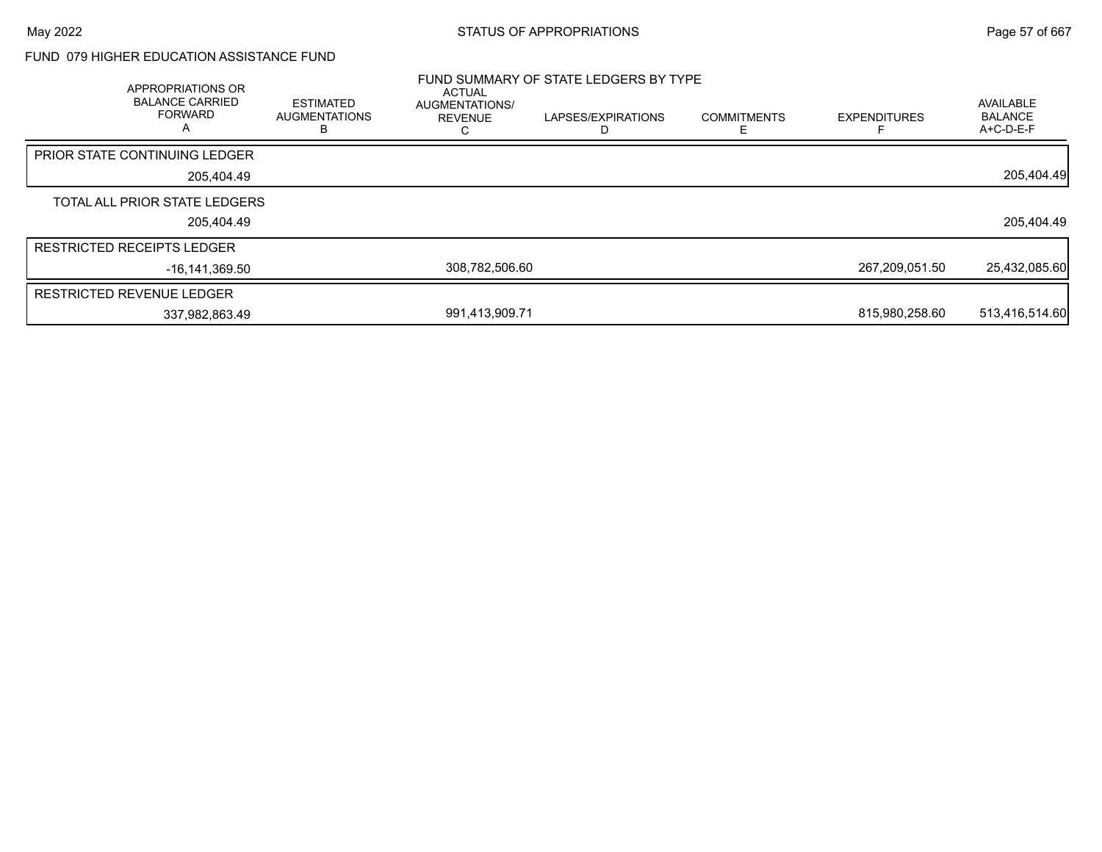### FUND 079 HIGHER EDUCATION ASSISTANCE FUND

| <b>APPROPRIATIONS OR</b><br><b>BALANCE CARRIED</b><br><b>FORWARD</b> | <b>ESTIMATED</b><br><b>AUGMENTATIONS</b> | <b>ACTUAL</b><br>AUGMENTATIONS/<br><b>REVENUE</b> | FUND SUMMARY OF STATE LEDGERS BY TYPE<br>LAPSES/EXPIRATIONS | <b>COMMITMENTS</b> | <b>EXPENDITURES</b> | AVAILABLE<br><b>BALANCE</b><br>A+C-D-E-F |
|----------------------------------------------------------------------|------------------------------------------|---------------------------------------------------|-------------------------------------------------------------|--------------------|---------------------|------------------------------------------|
| <b>PRIOR STATE CONTINUING LEDGER</b>                                 |                                          |                                                   |                                                             |                    |                     |                                          |
|                                                                      | 205,404.49                               |                                                   |                                                             |                    |                     | 205,404.49                               |
| TOTAL ALL PRIOR STATE LEDGERS                                        |                                          |                                                   |                                                             |                    |                     |                                          |
|                                                                      | 205,404.49                               |                                                   |                                                             |                    |                     | 205,404.49                               |
| <b>RESTRICTED RECEIPTS LEDGER</b>                                    |                                          |                                                   |                                                             |                    |                     |                                          |
|                                                                      | -16.141.369.50                           | 308.782.506.60                                    |                                                             |                    | 267,209,051.50      | 25,432,085.60                            |
| <b>RESTRICTED REVENUE LEDGER</b>                                     |                                          |                                                   |                                                             |                    |                     |                                          |
|                                                                      | 337,982,863.49                           | 991,413,909.71                                    |                                                             |                    | 815,980,258.60      | 513,416,514.60                           |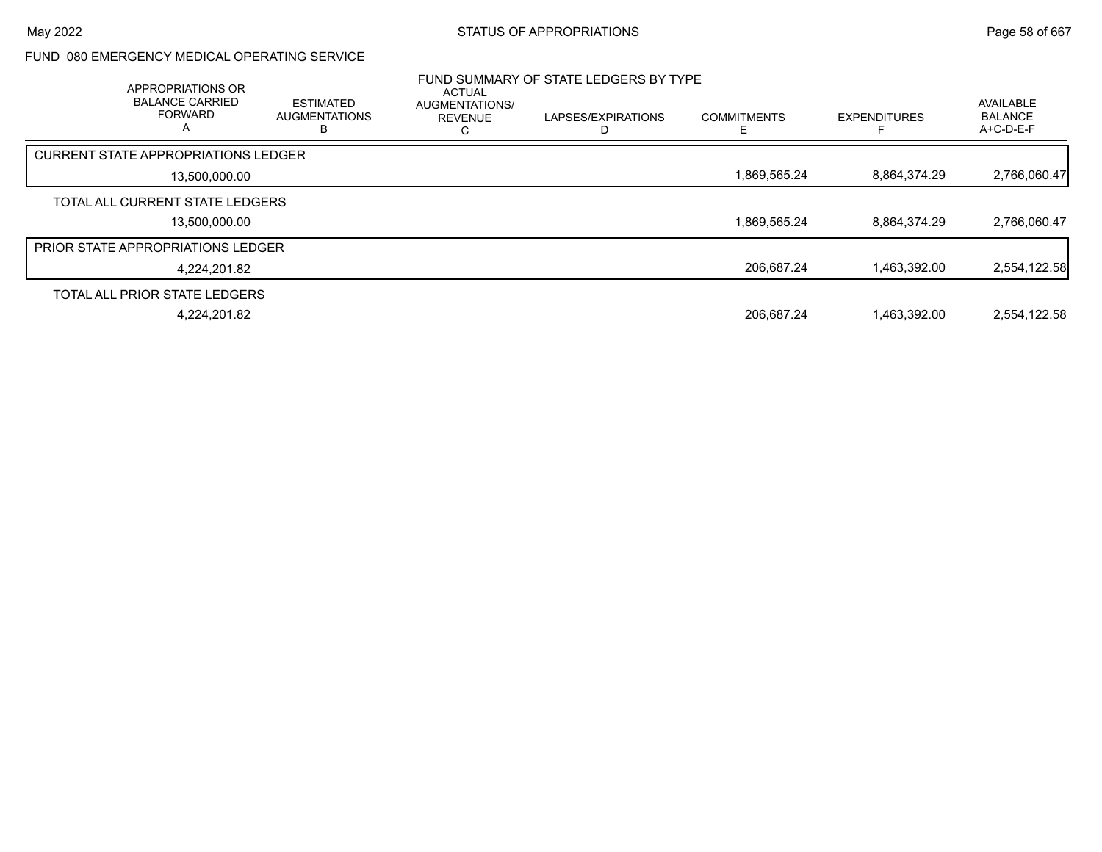### FUND 080 EMERGENCY MEDICAL OPERATING SERVICE

| APPROPRIATIONS OR<br><b>BALANCE CARRIED</b><br><b>FORWARD</b><br>А | <b>ESTIMATED</b><br><b>AUGMENTATIONS</b><br>в | <b>ACTUAL</b><br><b>AUGMENTATIONS/</b><br><b>REVENUE</b> | FUND SUMMARY OF STATE LEDGERS BY TYPE<br>LAPSES/EXPIRATIONS | <b>COMMITMENTS</b> | <b>EXPENDITURES</b> | <b>AVAILABLE</b><br><b>BALANCE</b><br>$A+C-D-E-F$ |
|--------------------------------------------------------------------|-----------------------------------------------|----------------------------------------------------------|-------------------------------------------------------------|--------------------|---------------------|---------------------------------------------------|
| <b>CURRENT STATE APPROPRIATIONS LEDGER</b>                         |                                               |                                                          |                                                             |                    |                     |                                                   |
| 13,500,000.00                                                      |                                               |                                                          |                                                             | 1,869,565.24       | 8.864.374.29        | 2,766,060.47                                      |
| TOTAL ALL CURRENT STATE LEDGERS                                    |                                               |                                                          |                                                             |                    |                     |                                                   |
| 13,500,000.00                                                      |                                               |                                                          |                                                             | 1,869,565.24       | 8.864.374.29        | 2,766,060.47                                      |
| <b>PRIOR STATE APPROPRIATIONS LEDGER</b>                           |                                               |                                                          |                                                             |                    |                     |                                                   |
| 4.224.201.82                                                       |                                               |                                                          |                                                             | 206,687.24         | 1,463,392.00        | 2,554,122.58                                      |
| TOTAL ALL PRIOR STATE LEDGERS                                      |                                               |                                                          |                                                             |                    |                     |                                                   |
| 4,224,201.82                                                       |                                               |                                                          |                                                             | 206,687.24         | 1.463.392.00        | 2,554,122.58                                      |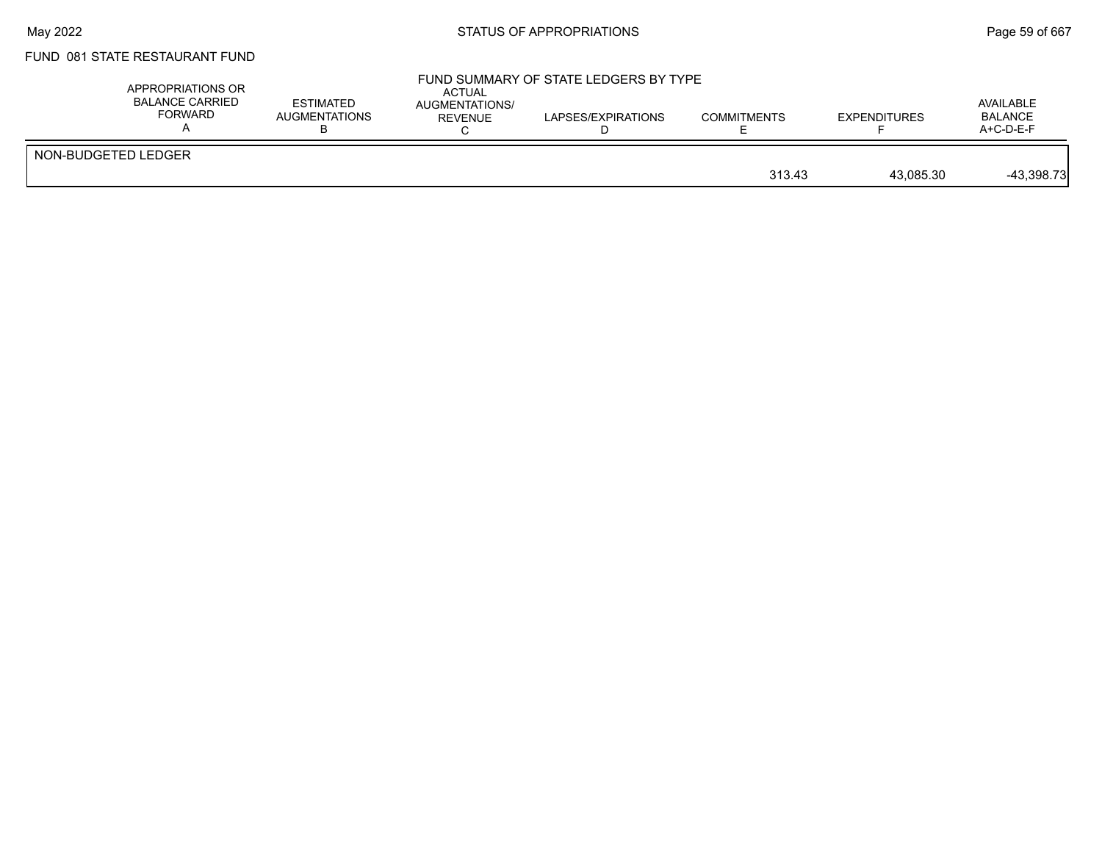## FUND 081 STATE RESTAURANT FUND

|                     | A+C-D-E-F    |
|---------------------|--------------|
| NON-BUDGETED LEDGER | $-43,398.73$ |
| 313.43              | 43.085.30    |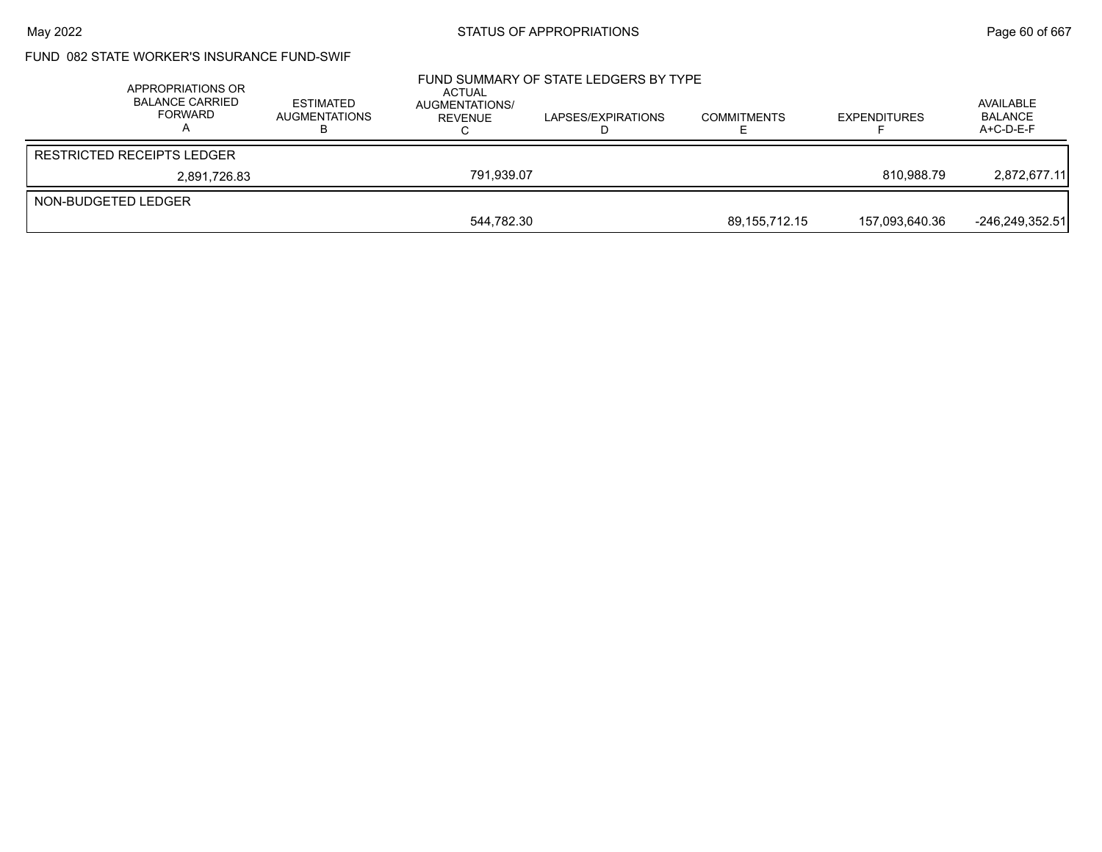## FUND 082 STATE WORKER'S INSURANCE FUND-SWIF

|                     | APPROPRIATIONS OR<br><b>BALANCE CARRIED</b><br><b>FORWARD</b> | <b>ESTIMATED</b><br><b>AUGMENTATIONS</b> | ACTUAL<br>AUGMENTATIONS/<br>REVENUE | FUND SUMMARY OF STATE LEDGERS BY TYPE<br>LAPSES/EXPIRATIONS | <b>COMMITMENTS</b> | <b>EXPENDITURES</b> | AVAILABLE<br><b>BALANCE</b><br>$A+C-D-E-F$ |
|---------------------|---------------------------------------------------------------|------------------------------------------|-------------------------------------|-------------------------------------------------------------|--------------------|---------------------|--------------------------------------------|
|                     | <b>RESTRICTED RECEIPTS LEDGER</b>                             |                                          |                                     |                                                             |                    |                     |                                            |
|                     | 2,891,726.83                                                  |                                          | 791.939.07                          |                                                             |                    | 810.988.79          | 2.872.677.11                               |
| NON-BUDGETED LEDGER |                                                               |                                          |                                     |                                                             |                    |                     |                                            |
|                     |                                                               |                                          | 544.782.30                          |                                                             | 89,155,712.15      | 157,093,640.36      | $-246,249,352.51$                          |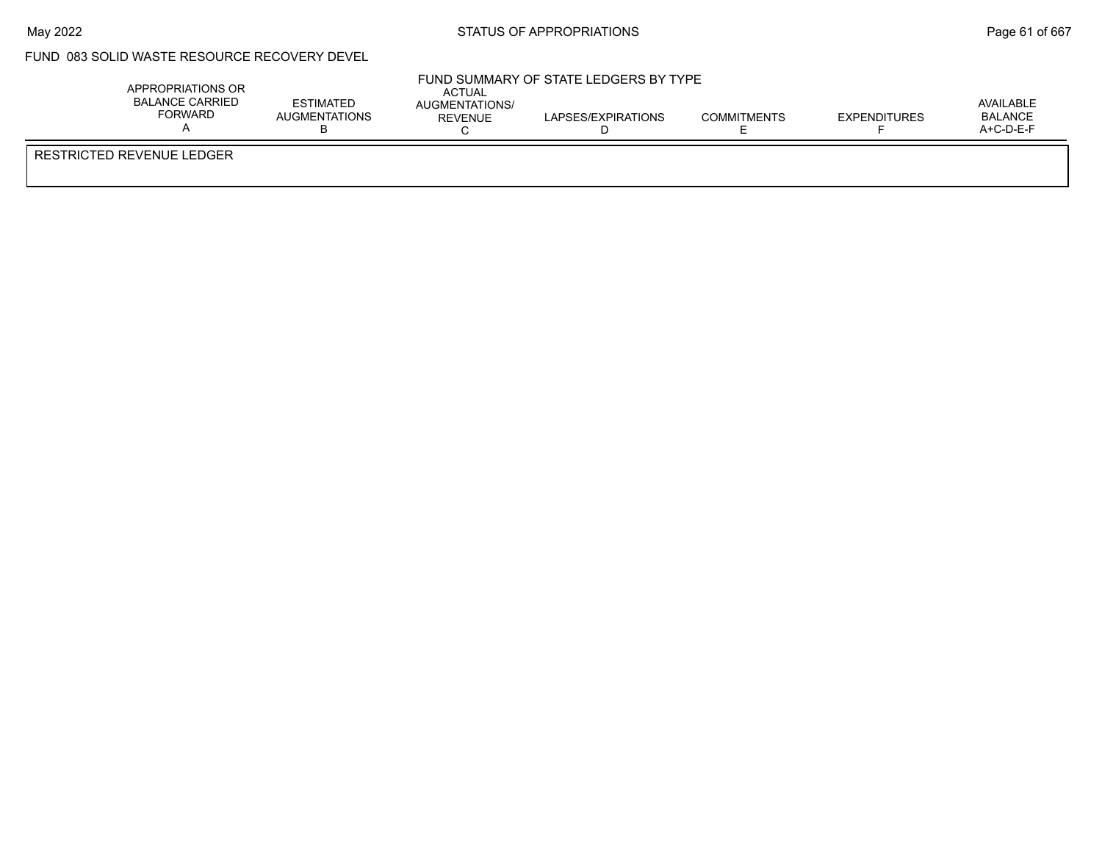## FUND 083 SOLID WASTE RESOURCE RECOVERY DEVEL

| APPROPRIATIONS OR<br>BALANCE CARRIED<br><b>FORWARD</b> | <b>ESTIMATED</b><br>AUGMENTATIONS | <b>ACTUAL</b><br>AUGMENTATIONS/<br>REVENUE | FUND SUMMARY OF STATE LEDGERS BY TYPE<br>LAPSES/EXPIRATIONS | <b>COMMITMENTS</b> | <b>EXPENDITURES</b> | AVAILABLE<br>BALANCE<br>$A+C-D-E-F$ |
|--------------------------------------------------------|-----------------------------------|--------------------------------------------|-------------------------------------------------------------|--------------------|---------------------|-------------------------------------|
| RESTRICTED REVENUE LEDGER                              |                                   |                                            |                                                             |                    |                     |                                     |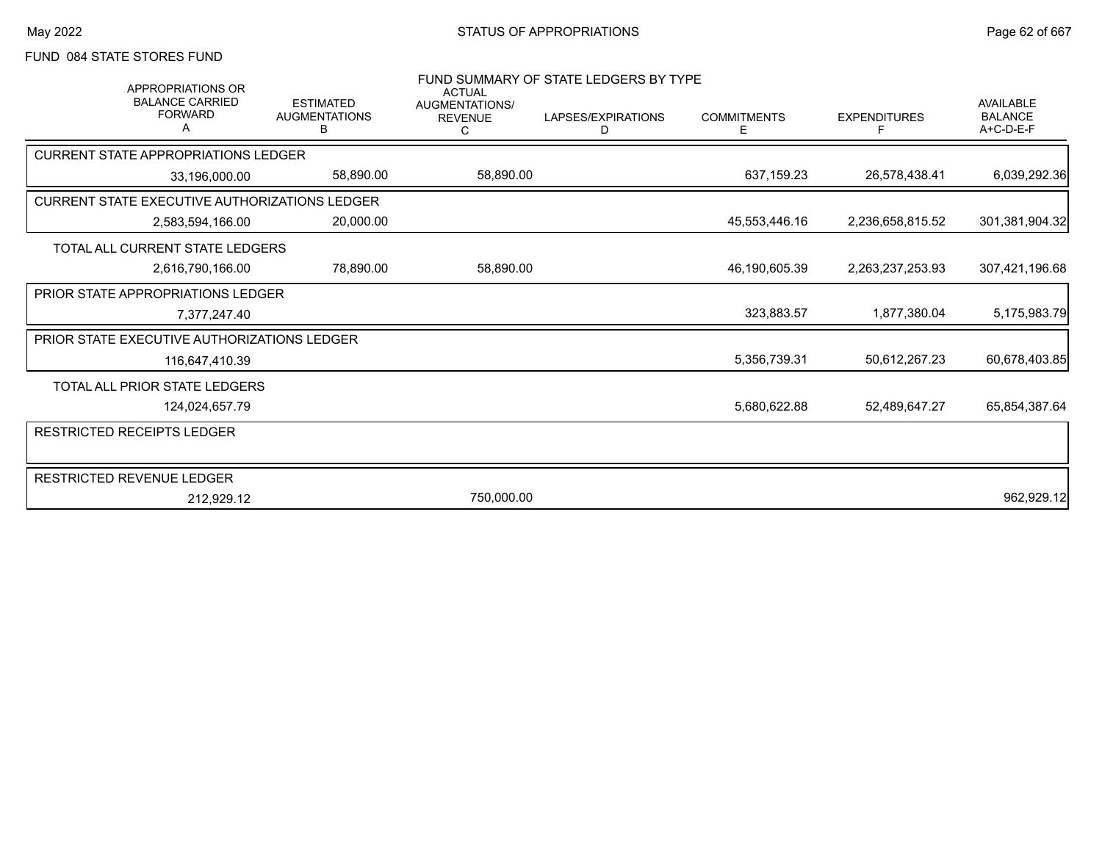# FUND 084 STATE STORES FUND

| <b>APPROPRIATIONS OR</b>                      |                                               | <b>ACTUAL</b>                           | FUND SUMMARY OF STATE LEDGERS BY TYPE |                         |                     |                                                   |
|-----------------------------------------------|-----------------------------------------------|-----------------------------------------|---------------------------------------|-------------------------|---------------------|---------------------------------------------------|
| <b>BALANCE CARRIED</b><br><b>FORWARD</b>      | <b>ESTIMATED</b><br><b>AUGMENTATIONS</b><br>в | <b>AUGMENTATIONS/</b><br><b>REVENUE</b> | LAPSES/EXPIRATIONS<br>D               | <b>COMMITMENTS</b><br>E | <b>EXPENDITURES</b> | <b>AVAILABLE</b><br><b>BALANCE</b><br>$A+C-D-E-F$ |
| <b>CURRENT STATE APPROPRIATIONS LEDGER</b>    |                                               |                                         |                                       |                         |                     |                                                   |
| 33,196,000.00                                 | 58,890.00                                     | 58,890.00                               |                                       | 637,159.23              | 26,578,438.41       | 6,039,292.36                                      |
| CURRENT STATE EXECUTIVE AUTHORIZATIONS LEDGER |                                               |                                         |                                       |                         |                     |                                                   |
| 2,583,594,166.00                              | 20,000.00                                     |                                         |                                       | 45,553,446.16           | 2,236,658,815.52    | 301,381,904.32                                    |
| TOTAL ALL CURRENT STATE LEDGERS               |                                               |                                         |                                       |                         |                     |                                                   |
| 2,616,790,166.00                              | 78,890.00                                     | 58,890.00                               |                                       | 46,190,605.39           | 2,263,237,253.93    | 307,421,196.68                                    |
| <b>PRIOR STATE APPROPRIATIONS LEDGER</b>      |                                               |                                         |                                       |                         |                     |                                                   |
| 7,377,247.40                                  |                                               |                                         |                                       | 323,883.57              | 1.877.380.04        | 5,175,983.79                                      |
| PRIOR STATE EXECUTIVE AUTHORIZATIONS LEDGER   |                                               |                                         |                                       |                         |                     |                                                   |
| 116,647,410.39                                |                                               |                                         |                                       | 5,356,739.31            | 50,612,267.23       | 60,678,403.85                                     |
| TOTAL ALL PRIOR STATE LEDGERS                 |                                               |                                         |                                       |                         |                     |                                                   |
| 124,024,657.79                                |                                               |                                         |                                       | 5,680,622.88            | 52,489,647.27       | 65,854,387.64                                     |
| <b>RESTRICTED RECEIPTS LEDGER</b>             |                                               |                                         |                                       |                         |                     |                                                   |
|                                               |                                               |                                         |                                       |                         |                     |                                                   |
| RESTRICTED REVENUE LEDGER                     |                                               |                                         |                                       |                         |                     |                                                   |
| 212,929.12                                    |                                               | 750,000.00                              |                                       |                         |                     | 962,929.12                                        |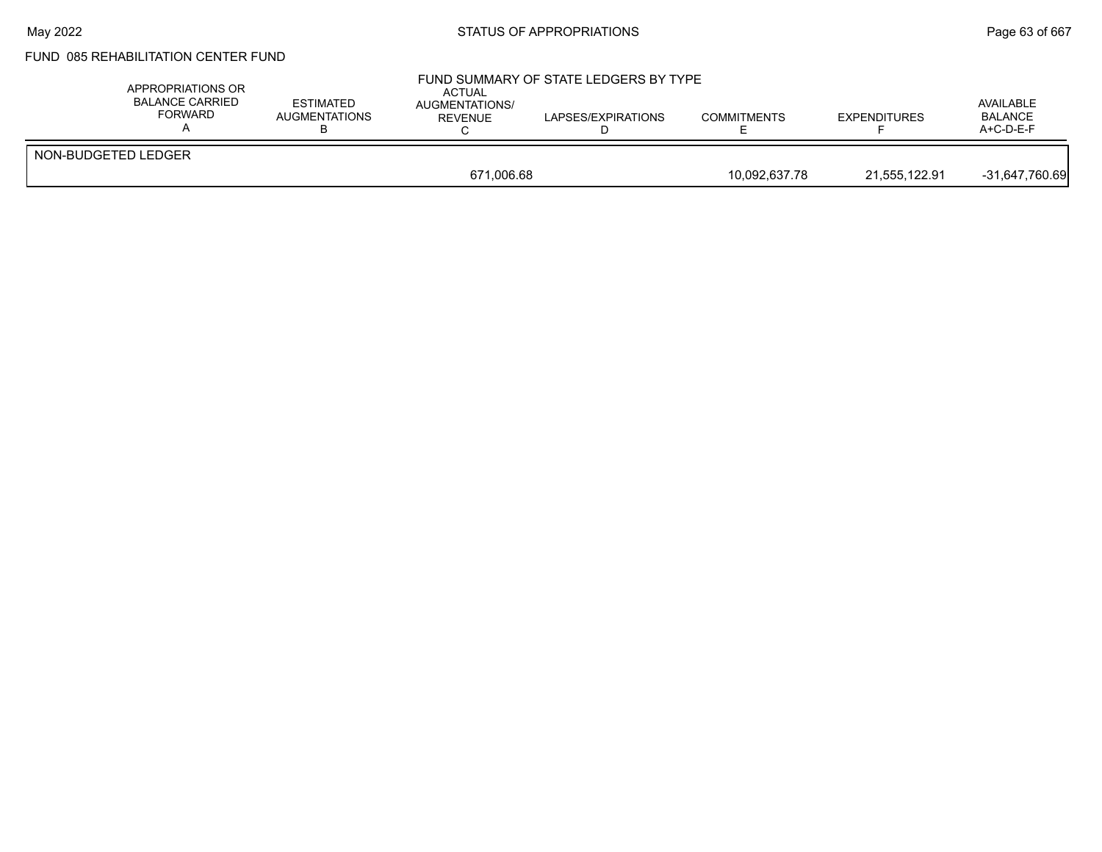# FUND 085 REHABILITATION CENTER FUND

| APPROPRIATIONS OR<br><b>BALANCE CARRIED</b><br>FORWARD | <b>ESTIMATED</b><br>AUGMENTATIONS | ACTUAL<br><b>AUGMENTATIONS/</b><br>REVENUE | FUND SUMMARY OF STATE LEDGERS BY TYPE<br>LAPSES/EXPIRATIONS | <b>COMMITMENTS</b> | <b>EXPENDITURES</b> | AVAILABLE<br><b>BALANCE</b><br>$A+C-D-E-F$ |
|--------------------------------------------------------|-----------------------------------|--------------------------------------------|-------------------------------------------------------------|--------------------|---------------------|--------------------------------------------|
| NON-BUDGETED LEDGER                                    |                                   |                                            |                                                             |                    |                     |                                            |
|                                                        |                                   | 671,006.68                                 |                                                             | 10.092.637.78      | 21,555,122.91       | $-31,647,760.69$                           |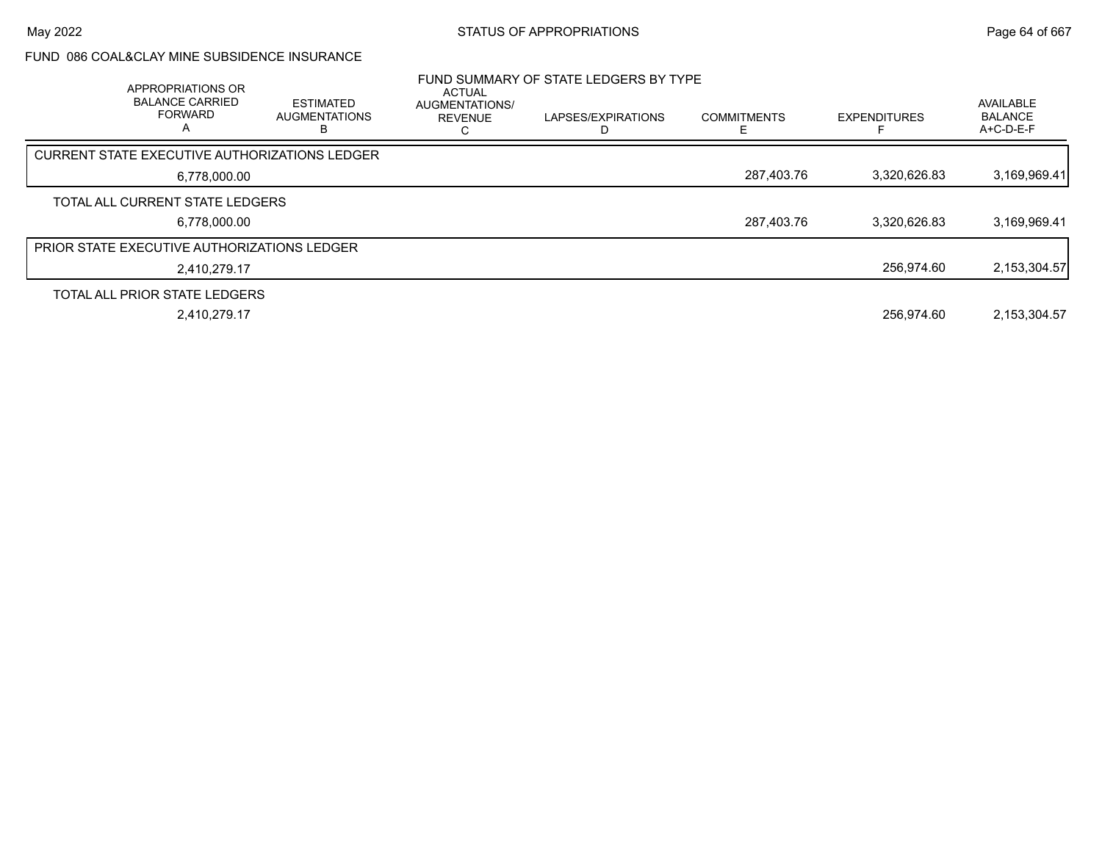## FUND 086 COAL&CLAY MINE SUBSIDENCE INSURANCE

| APPROPRIATIONS OR<br><b>BALANCE CARRIED</b><br><b>FORWARD</b><br>A | <b>ESTIMATED</b><br><b>AUGMENTATIONS</b> | <b>ACTUAL</b><br><b>AUGMENTATIONS/</b><br><b>REVENUE</b> | FUND SUMMARY OF STATE LEDGERS BY TYPE<br>LAPSES/EXPIRATIONS | <b>COMMITMENTS</b> | <b>EXPENDITURES</b> | AVAILABLE<br><b>BALANCE</b><br>A+C-D-E-F |
|--------------------------------------------------------------------|------------------------------------------|----------------------------------------------------------|-------------------------------------------------------------|--------------------|---------------------|------------------------------------------|
| CURRENT STATE EXECUTIVE AUTHORIZATIONS LEDGER                      |                                          |                                                          |                                                             |                    |                     |                                          |
| 6,778,000.00                                                       |                                          |                                                          |                                                             | 287,403.76         | 3.320.626.83        | 3,169,969.41                             |
| TOTAL ALL CURRENT STATE LEDGERS                                    |                                          |                                                          |                                                             |                    |                     |                                          |
| 6,778,000.00                                                       |                                          |                                                          |                                                             | 287,403.76         | 3.320.626.83        | 3,169,969.41                             |
| <b>PRIOR STATE EXECUTIVE AUTHORIZATIONS LEDGER</b>                 |                                          |                                                          |                                                             |                    |                     |                                          |
| 2.410.279.17                                                       |                                          |                                                          |                                                             |                    | 256.974.60          | 2, 153, 304.57                           |
| TOTAL ALL PRIOR STATE LEDGERS                                      |                                          |                                                          |                                                             |                    |                     |                                          |
| 2,410,279.17                                                       |                                          |                                                          |                                                             |                    | 256.974.60          | 2,153,304.57                             |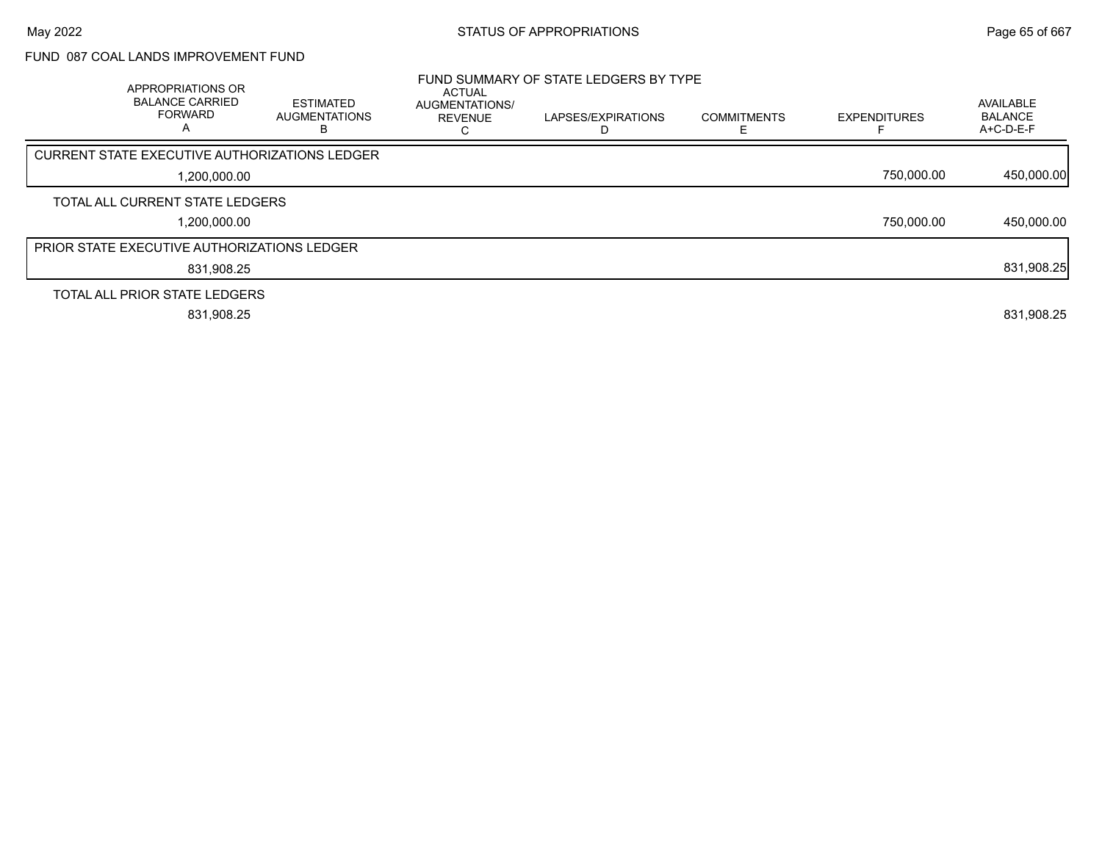## FUND 087 COAL LANDS IMPROVEMENT FUND

| APPROPRIATIONS OR<br><b>BALANCE CARRIED</b><br><b>FORWARD</b><br>A | <b>ESTIMATED</b><br><b>AUGMENTATIONS</b><br>в | <b>ACTUAL</b><br>AUGMENTATIONS/<br><b>REVENUE</b> | FUND SUMMARY OF STATE LEDGERS BY TYPE<br>LAPSES/EXPIRATIONS | <b>COMMITMENTS</b> | <b>EXPENDITURES</b> | AVAILABLE<br><b>BALANCE</b><br>$A+C-D-E-F$ |
|--------------------------------------------------------------------|-----------------------------------------------|---------------------------------------------------|-------------------------------------------------------------|--------------------|---------------------|--------------------------------------------|
| CURRENT STATE EXECUTIVE AUTHORIZATIONS LEDGER                      |                                               |                                                   |                                                             |                    |                     |                                            |
| 1.200.000.00                                                       |                                               |                                                   |                                                             |                    | 750.000.00          | 450,000.00                                 |
| TOTAL ALL CURRENT STATE LEDGERS                                    |                                               |                                                   |                                                             |                    |                     |                                            |
| 1.200.000.00                                                       |                                               |                                                   |                                                             |                    | 750.000.00          | 450,000.00                                 |
| <b>PRIOR STATE EXECUTIVE AUTHORIZATIONS LEDGER</b>                 |                                               |                                                   |                                                             |                    |                     |                                            |
| 831,908.25                                                         |                                               |                                                   |                                                             |                    |                     | 831,908.25                                 |
| TOTAL ALL PRIOR STATE LEDGERS                                      |                                               |                                                   |                                                             |                    |                     |                                            |
| 831,908.25                                                         |                                               |                                                   |                                                             |                    |                     | 831,908.25                                 |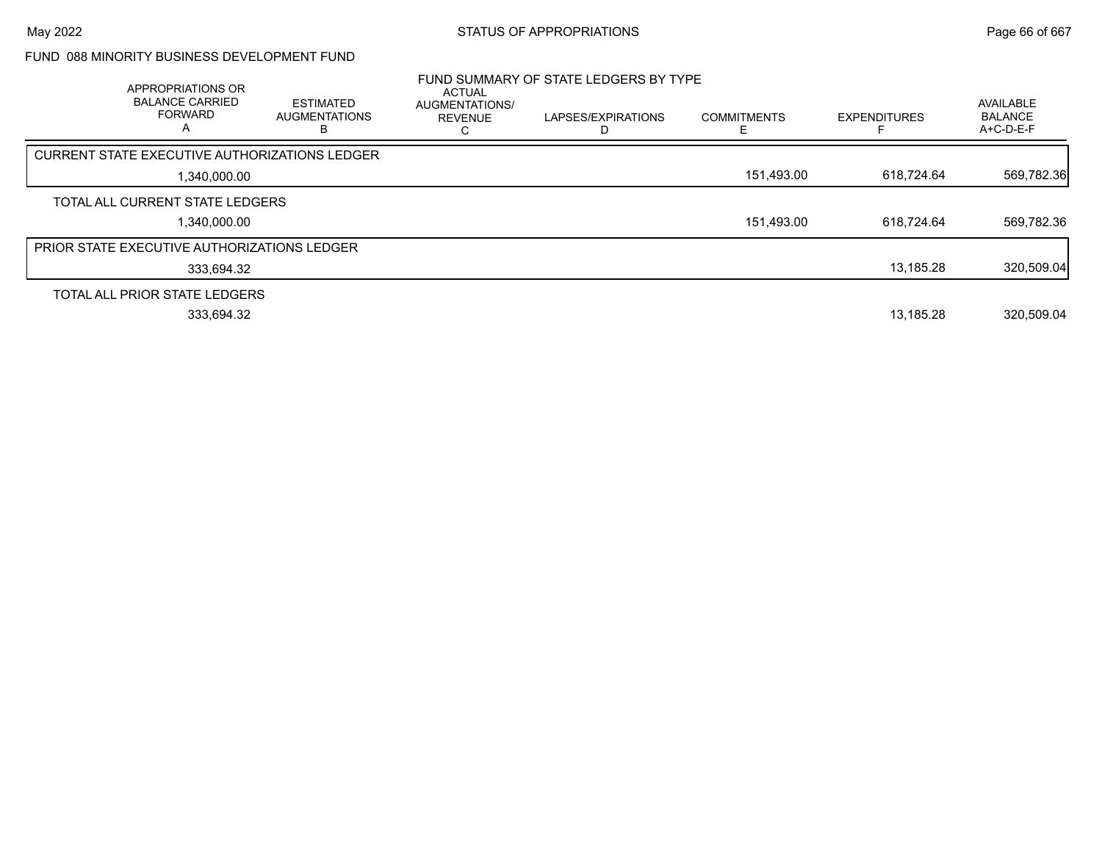## FUND 088 MINORITY BUSINESS DEVELOPMENT FUND

| APPROPRIATIONS OR<br><b>BALANCE CARRIED</b><br><b>FORWARD</b><br>A | <b>ESTIMATED</b><br><b>AUGMENTATIONS</b> | ACTUAL<br>AUGMENTATIONS/<br><b>REVENUE</b> | FUND SUMMARY OF STATE LEDGERS BY TYPE<br>LAPSES/EXPIRATIONS | <b>COMMITMENTS</b><br>E | <b>EXPENDITURES</b> | AVAILABLE<br><b>BALANCE</b><br>$A+C-D-E-F$ |
|--------------------------------------------------------------------|------------------------------------------|--------------------------------------------|-------------------------------------------------------------|-------------------------|---------------------|--------------------------------------------|
| CURRENT STATE EXECUTIVE AUTHORIZATIONS LEDGER                      |                                          |                                            |                                                             |                         |                     |                                            |
| 1,340,000.00                                                       |                                          |                                            |                                                             | 151,493.00              | 618,724.64          | 569,782.36                                 |
| TOTAL ALL CURRENT STATE LEDGERS                                    |                                          |                                            |                                                             |                         |                     |                                            |
| 1.340.000.00                                                       |                                          |                                            |                                                             | 151,493.00              | 618.724.64          | 569,782.36                                 |
| <b>PRIOR STATE EXECUTIVE AUTHORIZATIONS LEDGER</b>                 |                                          |                                            |                                                             |                         |                     |                                            |
| 333,694.32                                                         |                                          |                                            |                                                             |                         | 13,185.28           | 320,509.04                                 |
| TOTAL ALL PRIOR STATE LEDGERS                                      |                                          |                                            |                                                             |                         |                     |                                            |
| 333.694.32                                                         |                                          |                                            |                                                             |                         | 13.185.28           | 320.509.04                                 |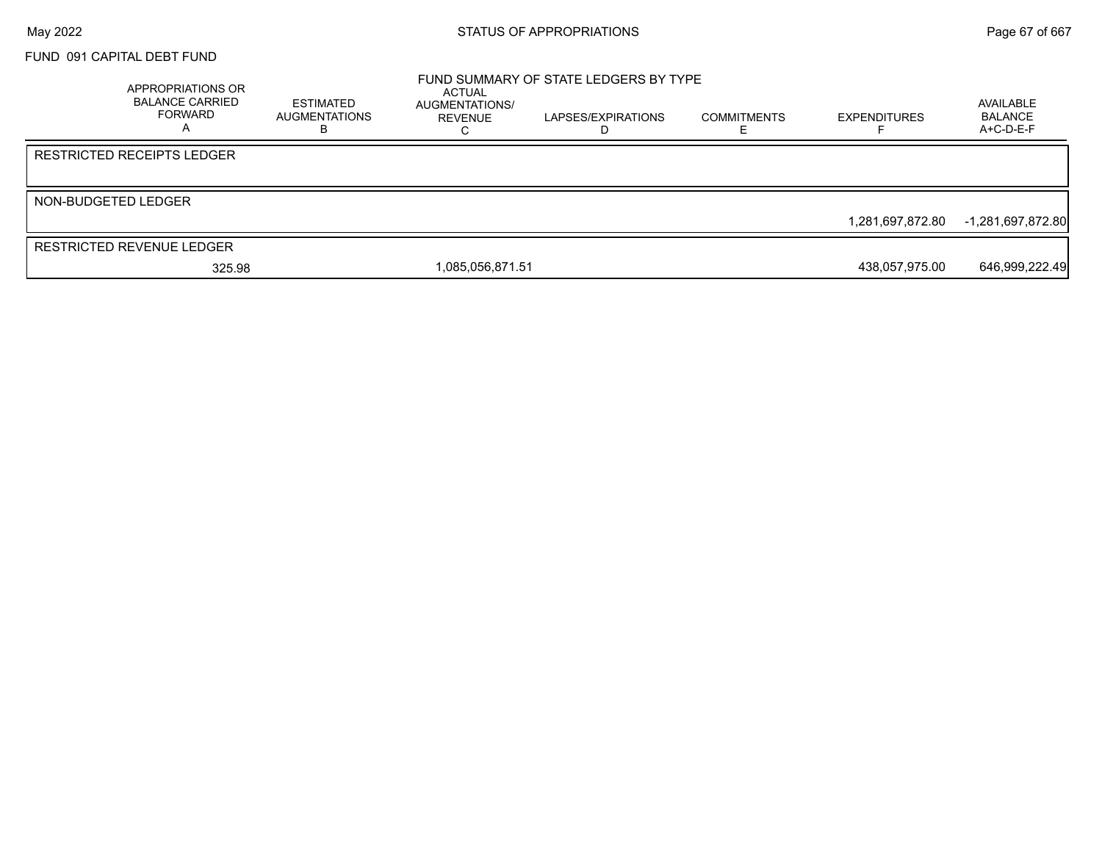### FUND 091 CAPITAL DEBT FUND

|                     | APPROPRIATIONS OR<br><b>BALANCE CARRIED</b><br>FORWARD | ESTIMATED<br><b>AUGMENTATIONS</b><br>в | ACTUAL<br>AUGMENTATIONS/<br>REVENUE | FUND SUMMARY OF STATE LEDGERS BY TYPE<br>LAPSES/EXPIRATIONS<br>D | <b>COMMITMENTS</b> | <b>EXPENDITURES</b> | AVAILABLE<br><b>BALANCE</b><br>$A+C-D-E-F$ |
|---------------------|--------------------------------------------------------|----------------------------------------|-------------------------------------|------------------------------------------------------------------|--------------------|---------------------|--------------------------------------------|
|                     | <b>RESTRICTED RECEIPTS LEDGER</b>                      |                                        |                                     |                                                                  |                    |                     |                                            |
| NON-BUDGETED LEDGER |                                                        |                                        |                                     |                                                                  |                    |                     |                                            |
|                     |                                                        |                                        |                                     |                                                                  |                    | 1.281.697.872.80    | -1,281,697,872.80                          |
|                     | <b>RESTRICTED REVENUE LEDGER</b>                       |                                        |                                     |                                                                  |                    |                     |                                            |
|                     | 325.98                                                 |                                        | 1,085,056,871.51                    |                                                                  |                    | 438,057,975.00      | 646,999,222.49                             |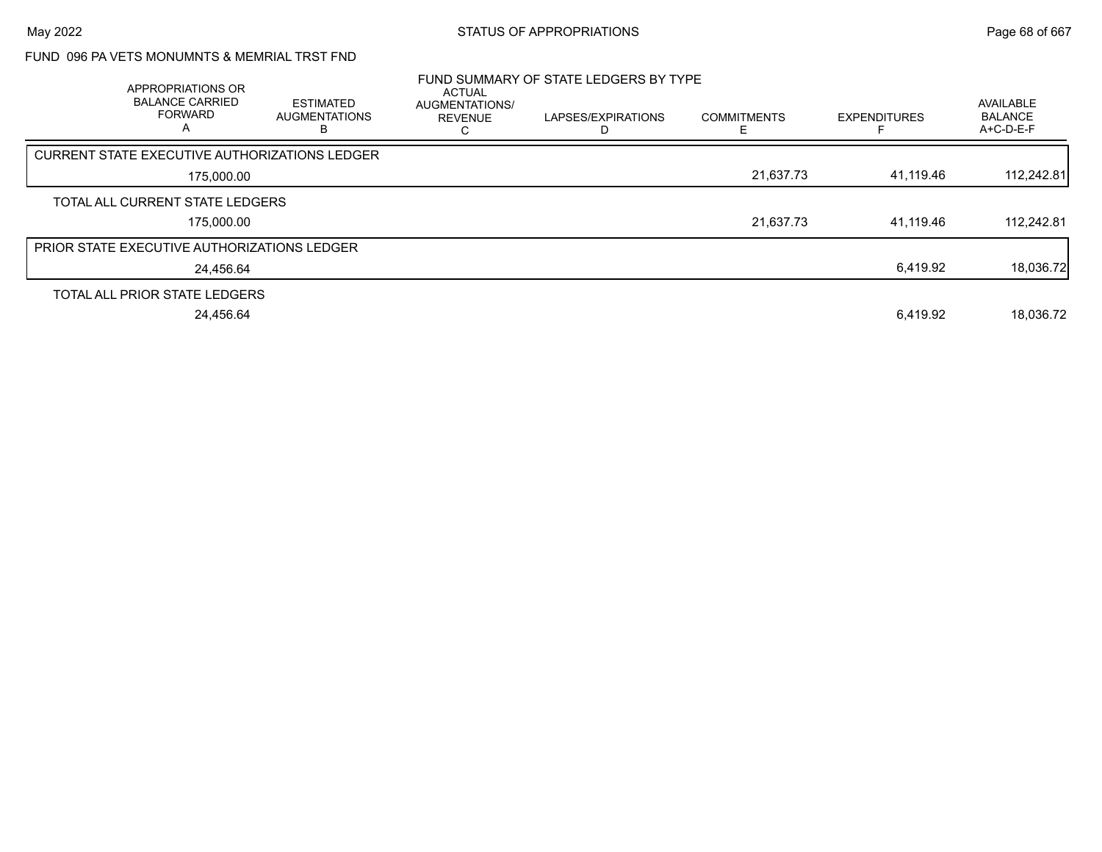## FUND 096 PA VETS MONUMNTS & MEMRIAL TRST FND

| APPROPRIATIONS OR<br><b>BALANCE CARRIED</b><br><b>FORWARD</b><br>A | <b>ESTIMATED</b><br><b>AUGMENTATIONS</b> | ACTUAL<br>AUGMENTATIONS/<br><b>REVENUE</b> | FUND SUMMARY OF STATE LEDGERS BY TYPE<br>LAPSES/EXPIRATIONS | <b>COMMITMENTS</b> | <b>EXPENDITURES</b> | AVAILABLE<br><b>BALANCE</b><br>A+C-D-E-F |
|--------------------------------------------------------------------|------------------------------------------|--------------------------------------------|-------------------------------------------------------------|--------------------|---------------------|------------------------------------------|
| <b>CURRENT STATE EXECUTIVE AUTHORIZATIONS LEDGER</b>               |                                          |                                            |                                                             |                    |                     |                                          |
| 175,000.00                                                         |                                          |                                            |                                                             | 21,637.73          | 41,119.46           | 112,242.81                               |
| TOTAL ALL CURRENT STATE LEDGERS                                    |                                          |                                            |                                                             |                    |                     |                                          |
| 175,000.00                                                         |                                          |                                            |                                                             | 21,637.73          | 41.119.46           | 112,242.81                               |
| <b>PRIOR STATE EXECUTIVE AUTHORIZATIONS LEDGER</b>                 |                                          |                                            |                                                             |                    |                     |                                          |
| 24,456.64                                                          |                                          |                                            |                                                             |                    | 6,419.92            | 18,036.72                                |
| TOTAL ALL PRIOR STATE LEDGERS                                      |                                          |                                            |                                                             |                    |                     |                                          |
| 24.456.64                                                          |                                          |                                            |                                                             |                    | 6,419.92            | 18.036.72                                |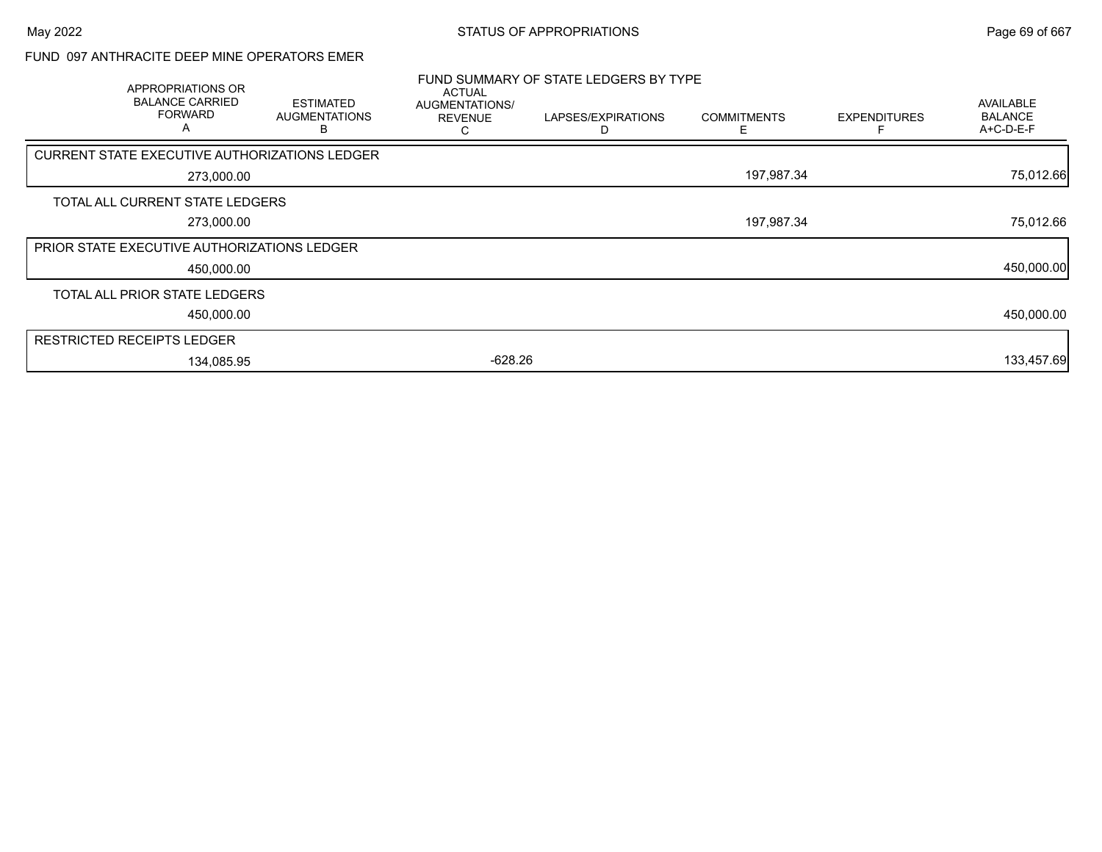## FUND 097 ANTHRACITE DEEP MINE OPERATORS EMER

| APPROPRIATIONS OR<br><b>BALANCE CARRIED</b><br><b>FORWARD</b><br>A | <b>ESTIMATED</b><br><b>AUGMENTATIONS</b> | <b>ACTUAL</b><br>AUGMENTATIONS/<br><b>REVENUE</b> | FUND SUMMARY OF STATE LEDGERS BY TYPE<br>LAPSES/EXPIRATIONS | <b>COMMITMENTS</b> | <b>EXPENDITURES</b> | AVAILABLE<br><b>BALANCE</b><br>A+C-D-E-F |
|--------------------------------------------------------------------|------------------------------------------|---------------------------------------------------|-------------------------------------------------------------|--------------------|---------------------|------------------------------------------|
| CURRENT STATE EXECUTIVE AUTHORIZATIONS LEDGER                      |                                          |                                                   |                                                             |                    |                     |                                          |
| 273,000.00                                                         |                                          |                                                   |                                                             | 197,987.34         |                     | 75,012.66                                |
| TOTAL ALL CURRENT STATE LEDGERS                                    |                                          |                                                   |                                                             |                    |                     |                                          |
| 273,000.00                                                         |                                          |                                                   |                                                             | 197,987.34         |                     | 75,012.66                                |
| <b>PRIOR STATE EXECUTIVE AUTHORIZATIONS LEDGER</b>                 |                                          |                                                   |                                                             |                    |                     |                                          |
| 450,000.00                                                         |                                          |                                                   |                                                             |                    |                     | 450,000.00                               |
| TOTAL ALL PRIOR STATE LEDGERS                                      |                                          |                                                   |                                                             |                    |                     |                                          |
| 450,000.00                                                         |                                          |                                                   |                                                             |                    |                     | 450,000.00                               |
| <b>RESTRICTED RECEIPTS LEDGER</b>                                  |                                          |                                                   |                                                             |                    |                     |                                          |
| 134,085.95                                                         |                                          | $-628.26$                                         |                                                             |                    |                     | 133,457.69                               |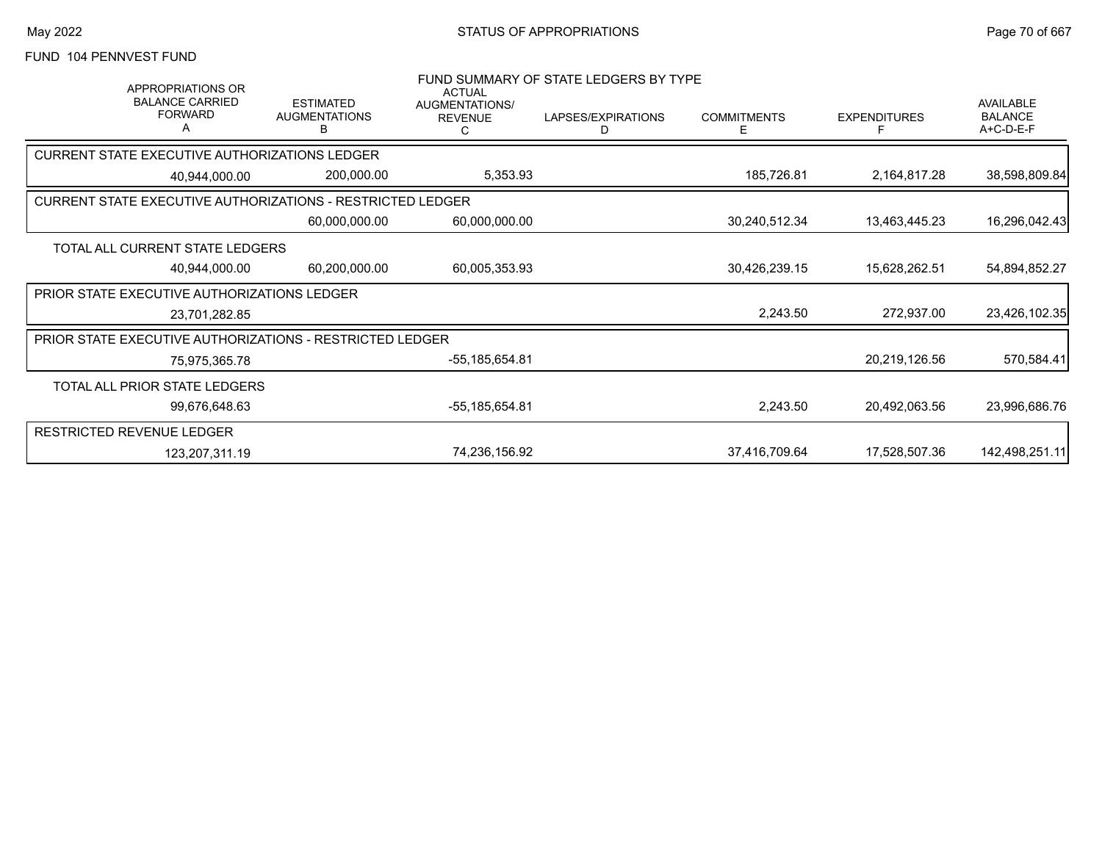# FUND 104 PENNVEST FUND

| APPROPRIATIONS OR<br><b>BALANCE CARRIED</b><br><b>FORWARD</b><br>A | <b>ESTIMATED</b><br><b>AUGMENTATIONS</b><br>в | <b>ACTUAL</b><br>AUGMENTATIONS/<br><b>REVENUE</b> | FUND SUMMARY OF STATE LEDGERS BY TYPE<br>LAPSES/EXPIRATIONS<br>D | <b>COMMITMENTS</b><br>Е | <b>EXPENDITURES</b> | <b>AVAILABLE</b><br><b>BALANCE</b><br>A+C-D-E-F |
|--------------------------------------------------------------------|-----------------------------------------------|---------------------------------------------------|------------------------------------------------------------------|-------------------------|---------------------|-------------------------------------------------|
| CURRENT STATE EXECUTIVE AUTHORIZATIONS LEDGER                      |                                               |                                                   |                                                                  |                         |                     |                                                 |
| 40,944,000.00                                                      | 200,000.00                                    | 5,353.93                                          |                                                                  | 185,726.81              | 2,164,817.28        | 38,598,809.84                                   |
| <b>CURRENT STATE EXECUTIVE AUTHORIZATIONS - RESTRICTED LEDGER</b>  |                                               |                                                   |                                                                  |                         |                     |                                                 |
|                                                                    | 60,000,000.00                                 | 60,000,000.00                                     |                                                                  | 30,240,512.34           | 13,463,445.23       | 16,296,042.43                                   |
| TOTAL ALL CURRENT STATE LEDGERS                                    |                                               |                                                   |                                                                  |                         |                     |                                                 |
| 40,944,000.00                                                      | 60,200,000.00                                 | 60,005,353.93                                     |                                                                  | 30,426,239.15           | 15,628,262.51       | 54,894,852.27                                   |
| <b>PRIOR STATE EXECUTIVE AUTHORIZATIONS LEDGER</b>                 |                                               |                                                   |                                                                  |                         |                     |                                                 |
| 23,701,282.85                                                      |                                               |                                                   |                                                                  | 2,243.50                | 272,937.00          | 23,426,102.35                                   |
| PRIOR STATE EXECUTIVE AUTHORIZATIONS - RESTRICTED LEDGER           |                                               |                                                   |                                                                  |                         |                     |                                                 |
| 75,975,365.78                                                      |                                               | -55,185,654.81                                    |                                                                  |                         | 20,219,126.56       | 570,584.41                                      |
| TOTAL ALL PRIOR STATE LEDGERS                                      |                                               |                                                   |                                                                  |                         |                     |                                                 |
| 99,676,648.63                                                      |                                               | -55,185,654.81                                    |                                                                  | 2,243.50                | 20,492,063.56       | 23,996,686.76                                   |
| <b>RESTRICTED REVENUE LEDGER</b>                                   |                                               |                                                   |                                                                  |                         |                     |                                                 |
| 123,207,311.19                                                     |                                               | 74,236,156.92                                     |                                                                  | 37,416,709.64           | 17,528,507.36       | 142,498,251.11                                  |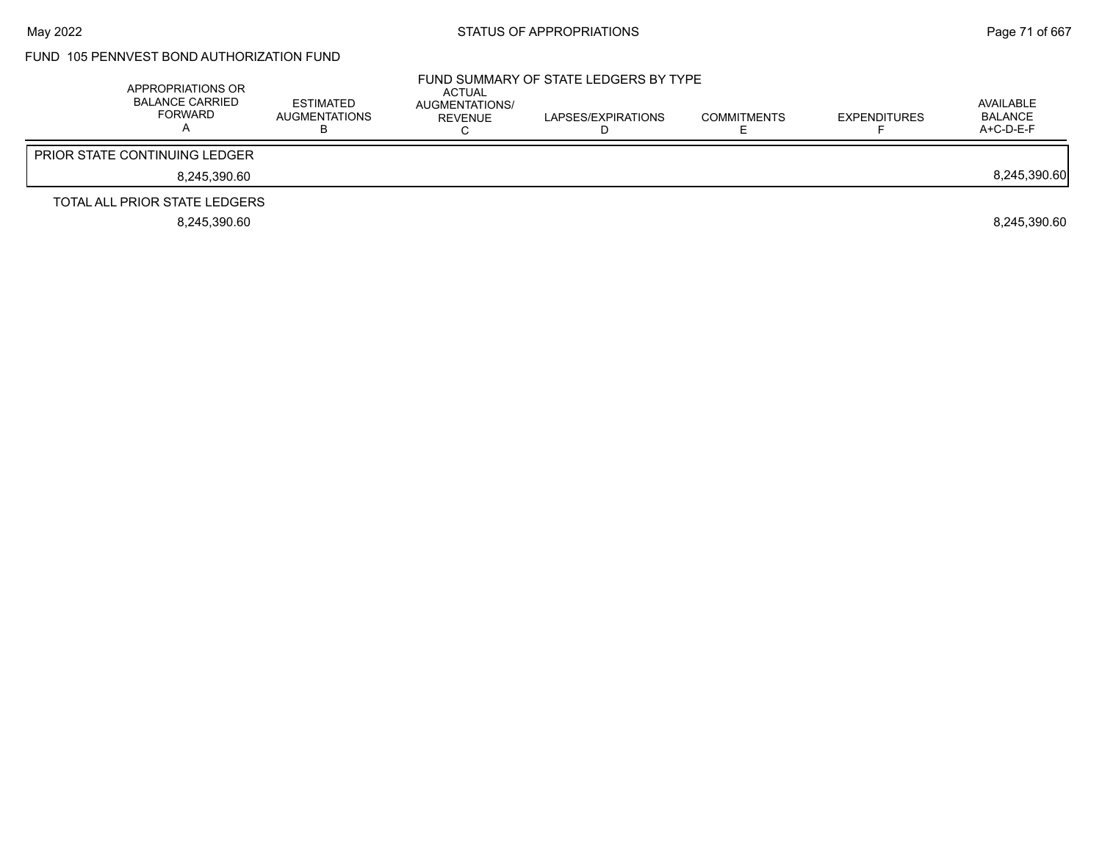## FUND 105 PENNVEST BOND AUTHORIZATION FUND

| APPROPRIATIONS OR<br><b>BALANCE CARRIED</b><br>FORWARD | ESTIMATED<br>AUGMENTATIONS | <b>ACTUAL</b><br>AUGMENTATIONS/<br>REVENUE | FUND SUMMARY OF STATE LEDGERS BY TYPE<br>LAPSES/EXPIRATIONS | <b>COMMITMENTS</b> | <b>EXPENDITURES</b> | AVAILABLE<br>BALANCE<br>$A+C-D-E-F$ |
|--------------------------------------------------------|----------------------------|--------------------------------------------|-------------------------------------------------------------|--------------------|---------------------|-------------------------------------|
| <b>PRIOR STATE CONTINUING LEDGER</b>                   |                            |                                            |                                                             |                    |                     |                                     |
| 8.245.390.60                                           |                            |                                            |                                                             |                    |                     | 8,245,390.60                        |
| TOTAL ALL PRIOR STATE LEDGERS                          |                            |                                            |                                                             |                    |                     |                                     |
| 8.245.390.60                                           |                            |                                            |                                                             |                    |                     | 8.245.390.60                        |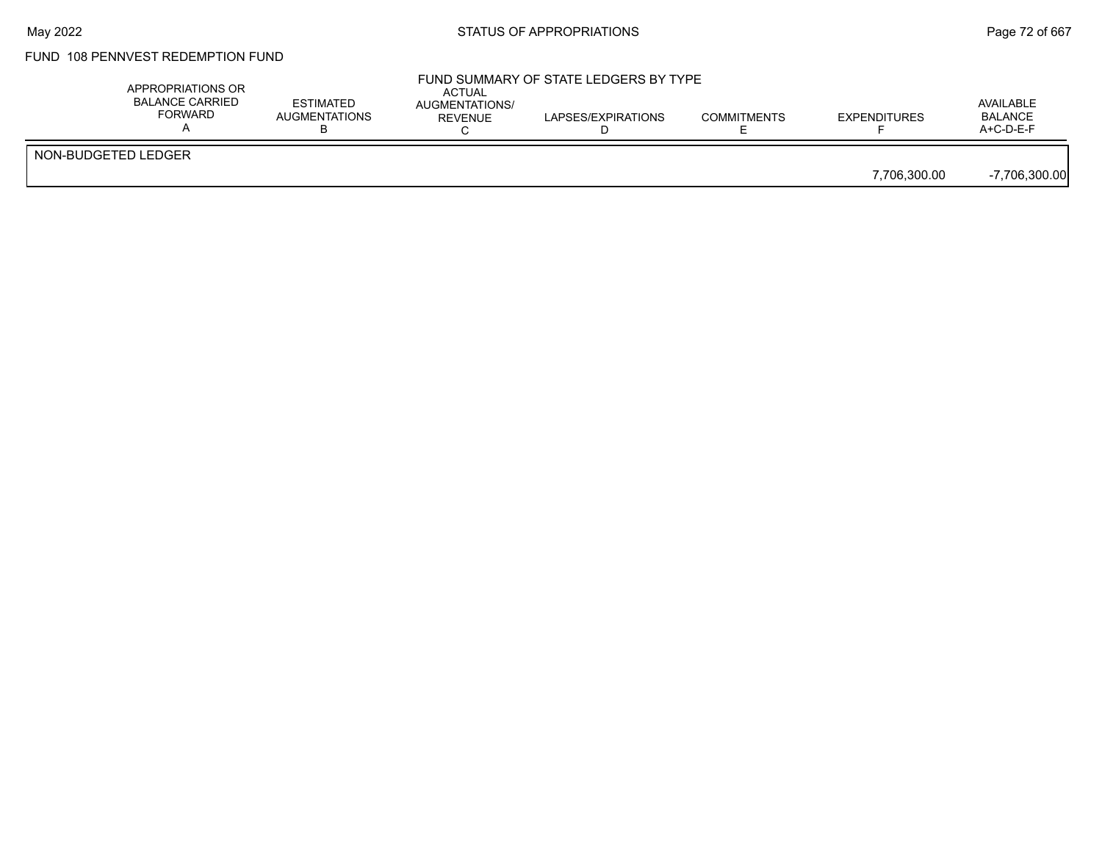## FUND 108 PENNVEST REDEMPTION FUND

| APPROPRIATIONS OR<br><b>BALANCE CARRIED</b><br>FORWARD | <b>ESTIMATED</b><br>AUGMENTATIONS | ACTUAL<br><b>AUGMENTATIONS/</b><br>REVENUE | FUND SUMMARY OF STATE LEDGERS BY TYPE<br>LAPSES/EXPIRATIONS | <b>COMMITMENTS</b> | <b>EXPENDITURES</b> | AVAILABLE<br><b>BALANCE</b><br>$A+C-D-E-F$ |
|--------------------------------------------------------|-----------------------------------|--------------------------------------------|-------------------------------------------------------------|--------------------|---------------------|--------------------------------------------|
| NON-BUDGETED LEDGER                                    |                                   |                                            |                                                             |                    | 7.706.300.00        | $-7,706,300.00$                            |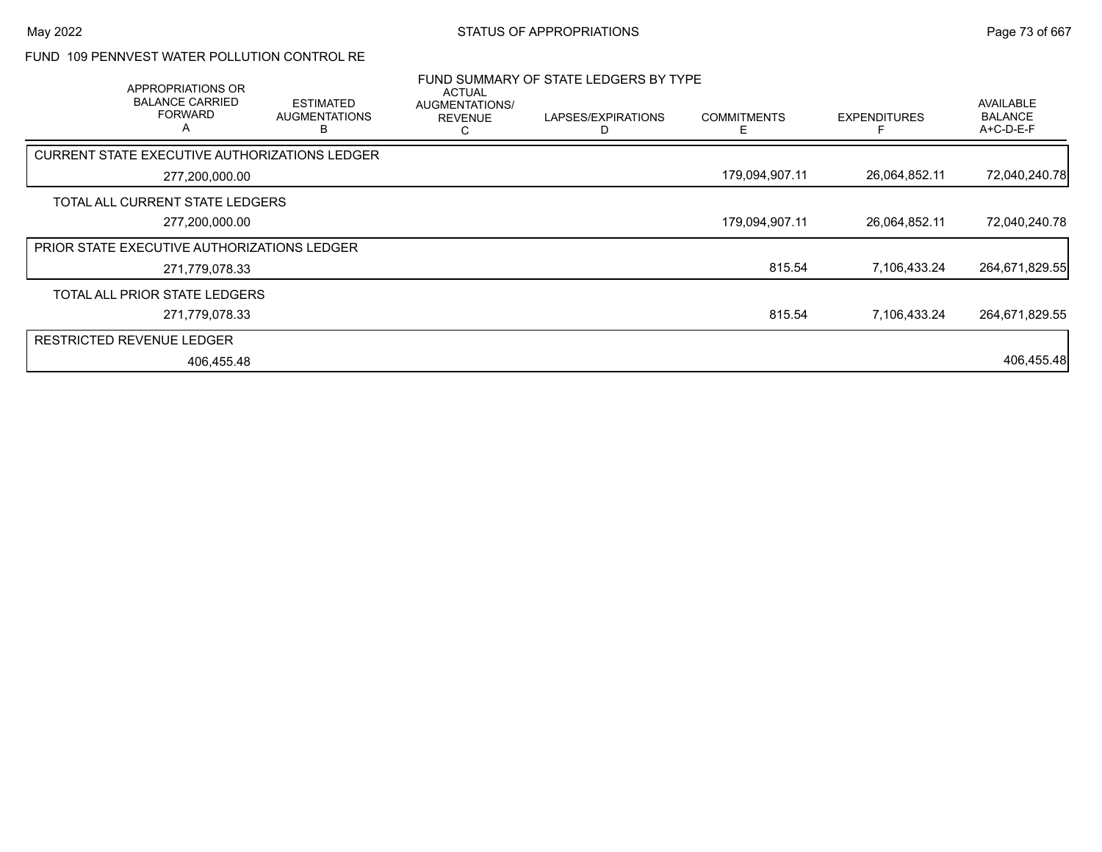#### FUND 109 PENNVEST WATER POLLUTION CONTROL RE

| APPROPRIATIONS OR<br><b>BALANCE CARRIED</b><br><b>FORWARD</b><br>A | <b>ESTIMATED</b><br><b>AUGMENTATIONS</b><br>в | ACTUAL<br>AUGMENTATIONS/<br><b>REVENUE</b> | FUND SUMMARY OF STATE LEDGERS BY TYPE<br>LAPSES/EXPIRATIONS | <b>COMMITMENTS</b><br>E | <b>EXPENDITURES</b> | <b>AVAILABLE</b><br><b>BALANCE</b><br>$A+C-D-E-F$ |
|--------------------------------------------------------------------|-----------------------------------------------|--------------------------------------------|-------------------------------------------------------------|-------------------------|---------------------|---------------------------------------------------|
| CURRENT STATE EXECUTIVE AUTHORIZATIONS LEDGER                      |                                               |                                            |                                                             |                         |                     |                                                   |
| 277,200,000.00                                                     |                                               |                                            |                                                             | 179,094,907.11          | 26,064,852.11       | 72,040,240.78                                     |
| TOTAL ALL CURRENT STATE LEDGERS                                    |                                               |                                            |                                                             |                         |                     |                                                   |
| 277,200,000.00                                                     |                                               |                                            |                                                             | 179,094,907.11          | 26,064,852.11       | 72,040,240.78                                     |
| <b>PRIOR STATE EXECUTIVE AUTHORIZATIONS LEDGER</b>                 |                                               |                                            |                                                             |                         |                     |                                                   |
| 271,779,078.33                                                     |                                               |                                            |                                                             | 815.54                  | 7,106,433.24        | 264,671,829.55                                    |
| TOTAL ALL PRIOR STATE LEDGERS                                      |                                               |                                            |                                                             |                         |                     |                                                   |
| 271,779,078.33                                                     |                                               |                                            |                                                             | 815.54                  | 7.106.433.24        | 264.671.829.55                                    |
| <b>RESTRICTED REVENUE LEDGER</b>                                   |                                               |                                            |                                                             |                         |                     |                                                   |
| 406,455.48                                                         |                                               |                                            |                                                             |                         |                     | 406,455.48                                        |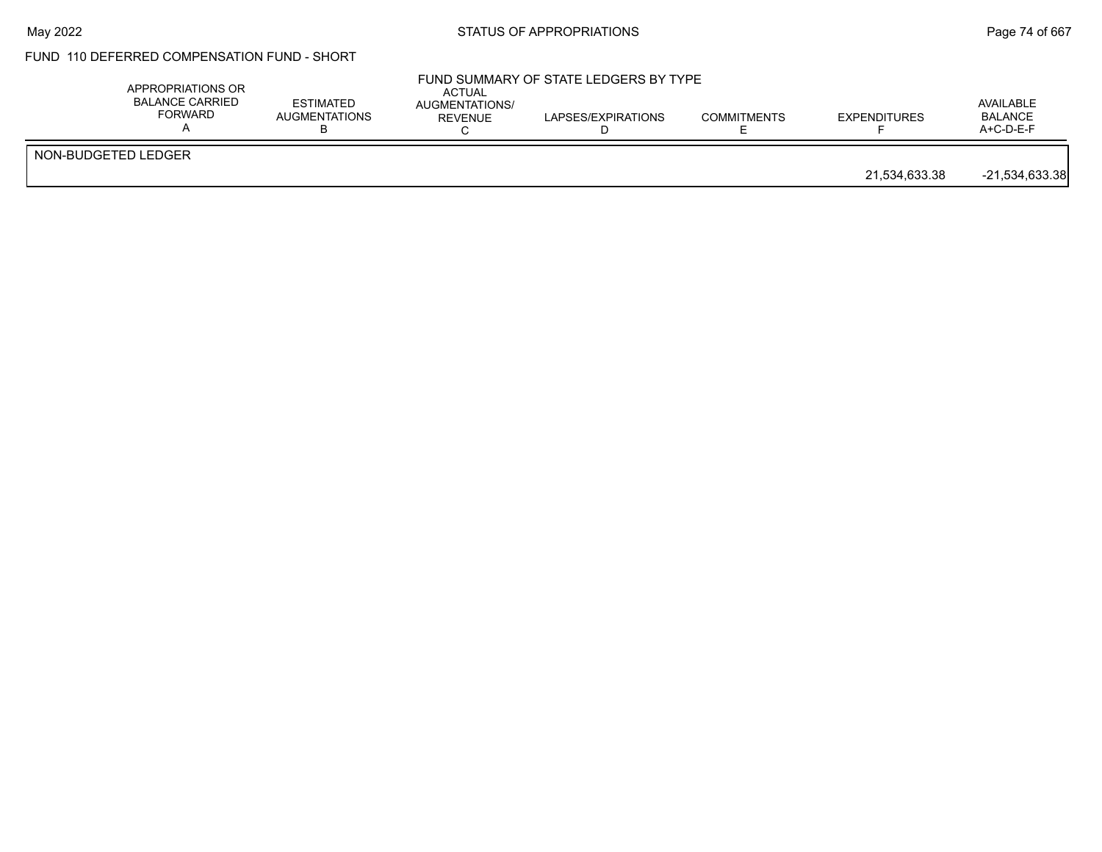### May 2022 **Example 2018** STATUS OF APPROPRIATIONS **Page 74 of 667**

## FUND 110 DEFERRED COMPENSATION FUND - SHORT

|                     | APPROPRIATIONS OR<br><b>BALANCE CARRIED</b><br>FORWARD | <b>ESTIMATED</b><br><b>AUGMENTATIONS</b> | <b>ACTUAL</b><br>AUGMENTATIONS/<br><b>REVENUE</b> | FUND SUMMARY OF STATE LEDGERS BY TYPE<br>LAPSES/EXPIRATIONS | <b>COMMITMENTS</b> | <b>EXPENDITURES</b> | AVAILABLE<br><b>BALANCE</b><br>A+C-D-E-F |
|---------------------|--------------------------------------------------------|------------------------------------------|---------------------------------------------------|-------------------------------------------------------------|--------------------|---------------------|------------------------------------------|
| NON-BUDGETED LEDGER |                                                        |                                          |                                                   |                                                             |                    | 21.534.633.38       | $-21,534,633.38$                         |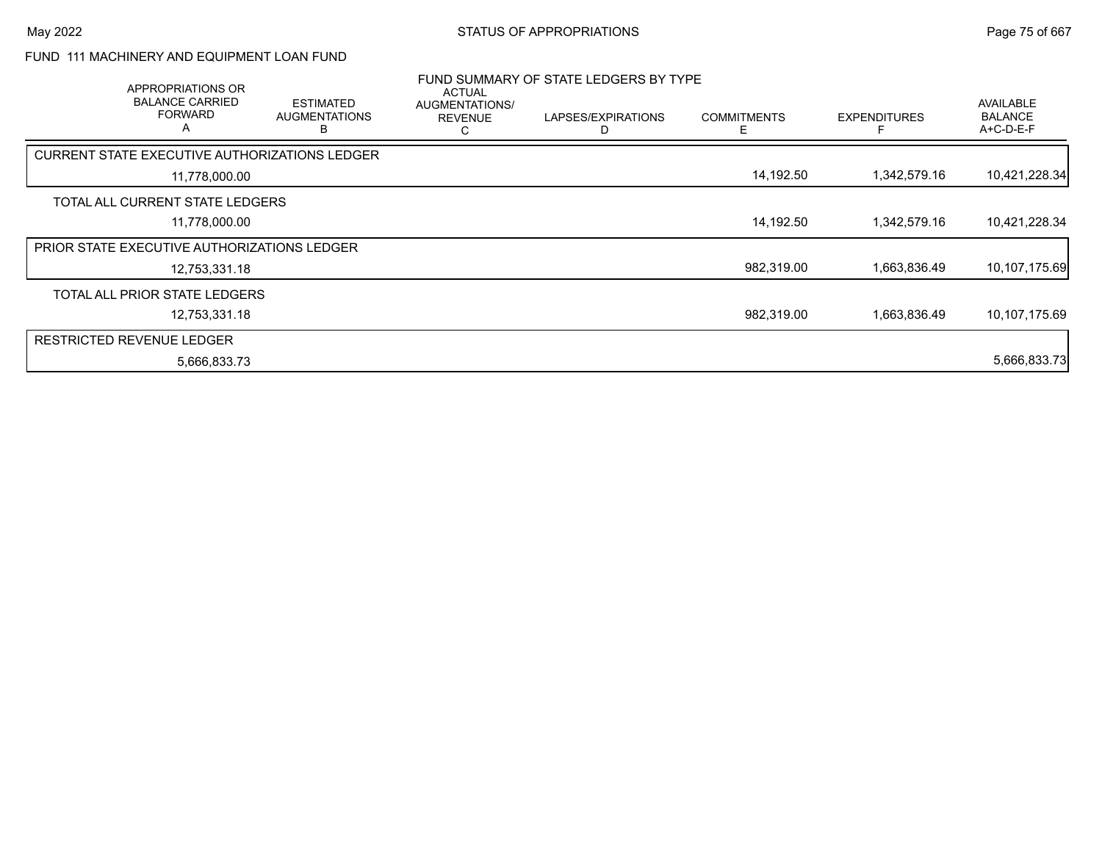#### FUND 111 MACHINERY AND EQUIPMENT LOAN FUND

| APPROPRIATIONS OR<br><b>BALANCE CARRIED</b><br><b>FORWARD</b><br>A | <b>ESTIMATED</b><br><b>AUGMENTATIONS</b><br>В | <b>ACTUAL</b><br>AUGMENTATIONS/<br><b>REVENUE</b><br>С | FUND SUMMARY OF STATE LEDGERS BY TYPE<br>LAPSES/EXPIRATIONS<br>D | <b>COMMITMENTS</b><br>E | <b>EXPENDITURES</b> | <b>AVAILABLE</b><br><b>BALANCE</b><br>$A+C-D-E-F$ |
|--------------------------------------------------------------------|-----------------------------------------------|--------------------------------------------------------|------------------------------------------------------------------|-------------------------|---------------------|---------------------------------------------------|
| CURRENT STATE EXECUTIVE AUTHORIZATIONS LEDGER                      |                                               |                                                        |                                                                  |                         |                     |                                                   |
| 11,778,000.00                                                      |                                               |                                                        |                                                                  | 14,192.50               | 1,342,579.16        | 10,421,228.34                                     |
| TOTAL ALL CURRENT STATE LEDGERS                                    |                                               |                                                        |                                                                  |                         |                     |                                                   |
| 11,778,000.00                                                      |                                               |                                                        |                                                                  | 14,192.50               | 1,342,579.16        | 10,421,228.34                                     |
| <b>PRIOR STATE EXECUTIVE AUTHORIZATIONS LEDGER</b>                 |                                               |                                                        |                                                                  |                         |                     |                                                   |
| 12,753,331.18                                                      |                                               |                                                        |                                                                  | 982,319.00              | 1,663,836.49        | 10,107,175.69                                     |
| TOTAL ALL PRIOR STATE LEDGERS                                      |                                               |                                                        |                                                                  |                         |                     |                                                   |
| 12.753.331.18                                                      |                                               |                                                        |                                                                  | 982,319.00              | 1.663.836.49        | 10,107,175.69                                     |
| <b>RESTRICTED REVENUE LEDGER</b>                                   |                                               |                                                        |                                                                  |                         |                     |                                                   |
| 5,666,833.73                                                       |                                               |                                                        |                                                                  |                         |                     | 5,666,833.73                                      |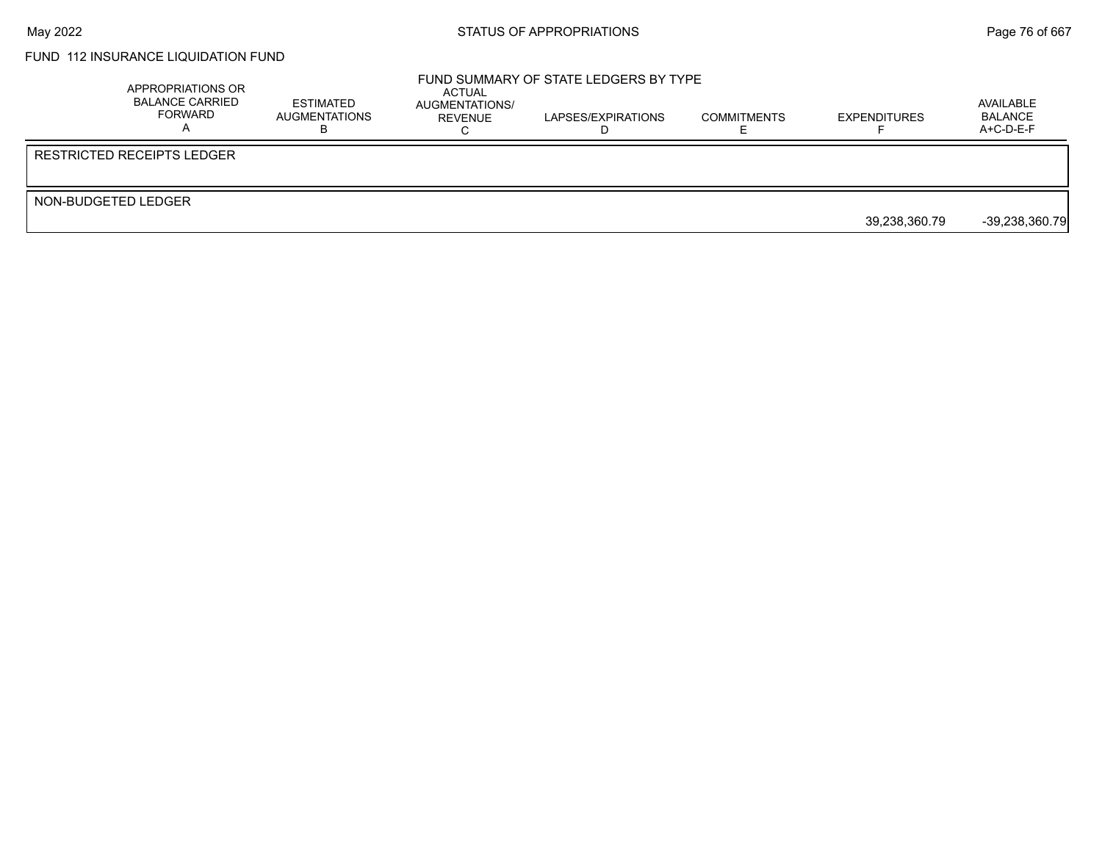### FUND 112 INSURANCE LIQUIDATION FUND

|                     | APPROPRIATIONS OR<br><b>BALANCE CARRIED</b><br>FORWARD | ESTIMATED<br>AUGMENTATIONS | ACTUAL<br>AUGMENTATIONS/<br><b>REVENUE</b> | FUND SUMMARY OF STATE LEDGERS BY TYPE<br>LAPSES/EXPIRATIONS | <b>COMMITMENTS</b> | <b>EXPENDITURES</b> | AVAILABLE<br><b>BALANCE</b><br>$A+C-D-E-F$ |
|---------------------|--------------------------------------------------------|----------------------------|--------------------------------------------|-------------------------------------------------------------|--------------------|---------------------|--------------------------------------------|
|                     | l RESTRICTED RECEIPTS LEDGER                           |                            |                                            |                                                             |                    |                     |                                            |
| NON-BUDGETED LEDGER |                                                        |                            |                                            |                                                             |                    | 39,238,360.79       | $-39,238,360.79$                           |
|                     |                                                        |                            |                                            |                                                             |                    |                     |                                            |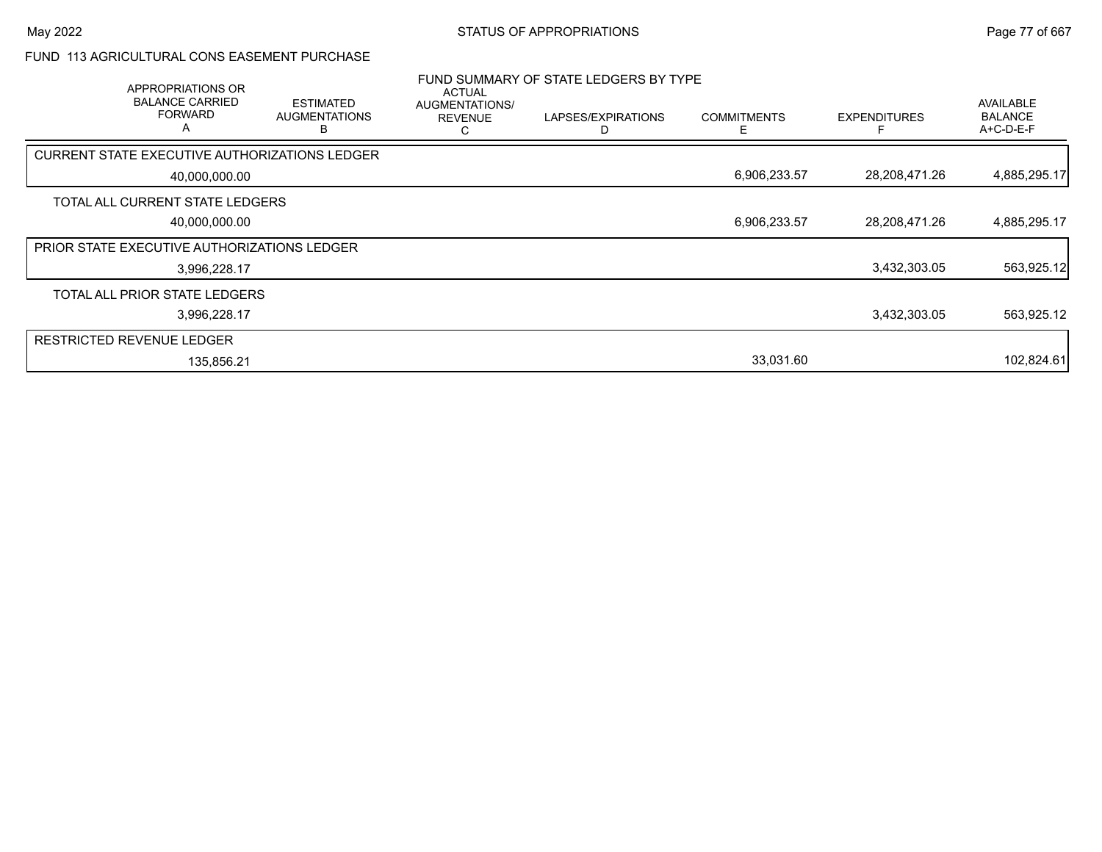#### FUND 113 AGRICULTURAL CONS EASEMENT PURCHASE

|                                                    | APPROPRIATIONS OR<br><b>BALANCE CARRIED</b><br><b>FORWARD</b><br>A | <b>ESTIMATED</b><br><b>AUGMENTATIONS</b><br>רו       | <b>ACTUAL</b><br><b>AUGMENTATIONS/</b><br><b>REVENUE</b> | FUND SUMMARY OF STATE LEDGERS BY TYPE<br>LAPSES/EXPIRATIONS | <b>COMMITMENTS</b><br>E. | <b>EXPENDITURES</b> | <b>AVAILABLE</b><br><b>BALANCE</b><br>A+C-D-E-F |
|----------------------------------------------------|--------------------------------------------------------------------|------------------------------------------------------|----------------------------------------------------------|-------------------------------------------------------------|--------------------------|---------------------|-------------------------------------------------|
|                                                    |                                                                    | <b>CURRENT STATE EXECUTIVE AUTHORIZATIONS LEDGER</b> |                                                          |                                                             |                          |                     |                                                 |
|                                                    | 40,000,000.00                                                      |                                                      |                                                          |                                                             | 6,906,233.57             | 28,208,471.26       | 4,885,295.17                                    |
|                                                    | TOTAL ALL CURRENT STATE LEDGERS                                    |                                                      |                                                          |                                                             |                          |                     |                                                 |
|                                                    | 40,000,000.00                                                      |                                                      |                                                          |                                                             | 6,906,233.57             | 28,208,471.26       | 4,885,295.17                                    |
| <b>PRIOR STATE EXECUTIVE AUTHORIZATIONS LEDGER</b> |                                                                    |                                                      |                                                          |                                                             |                          |                     |                                                 |
|                                                    | 3,996,228.17                                                       |                                                      |                                                          |                                                             |                          | 3,432,303.05        | 563,925.12                                      |
|                                                    | TOTAL ALL PRIOR STATE LEDGERS                                      |                                                      |                                                          |                                                             |                          |                     |                                                 |
|                                                    | 3,996,228.17                                                       |                                                      |                                                          |                                                             |                          | 3,432,303.05        | 563,925.12                                      |
| <b>RESTRICTED REVENUE LEDGER</b>                   |                                                                    |                                                      |                                                          |                                                             |                          |                     |                                                 |
|                                                    | 135,856.21                                                         |                                                      |                                                          |                                                             | 33,031.60                |                     | 102,824.61                                      |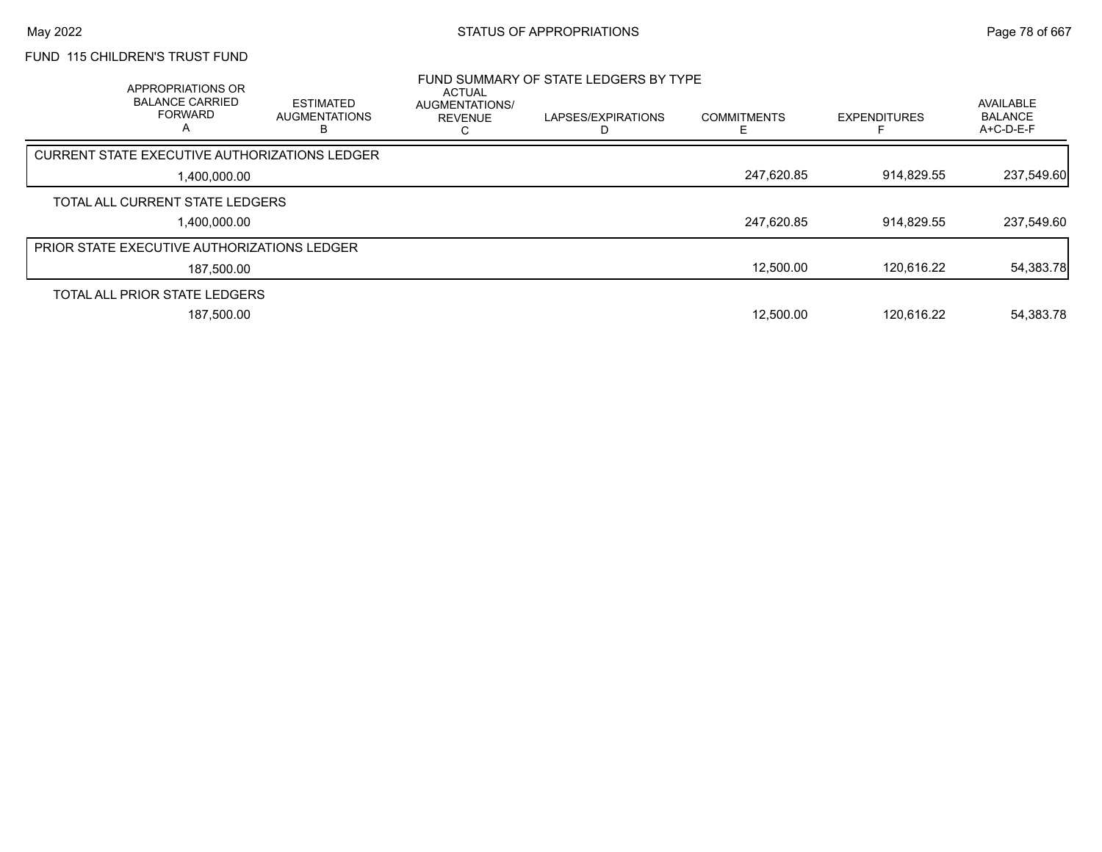# FUND 115 CHILDREN'S TRUST FUND

| APPROPRIATIONS OR<br><b>BALANCE CARRIED</b><br><b>FORWARD</b><br>А | <b>ESTIMATED</b><br><b>AUGMENTATIONS</b> | <b>ACTUAL</b><br><b>AUGMENTATIONS/</b><br><b>REVENUE</b> | FUND SUMMARY OF STATE LEDGERS BY TYPE<br>LAPSES/EXPIRATIONS | <b>COMMITMENTS</b> | <b>EXPENDITURES</b> | <b>AVAILABLE</b><br><b>BALANCE</b><br>$A+C-D-E-F$ |
|--------------------------------------------------------------------|------------------------------------------|----------------------------------------------------------|-------------------------------------------------------------|--------------------|---------------------|---------------------------------------------------|
| CURRENT STATE EXECUTIVE AUTHORIZATIONS LEDGER                      |                                          |                                                          |                                                             |                    |                     |                                                   |
| 1,400,000.00                                                       |                                          |                                                          |                                                             | 247,620.85         | 914,829.55          | 237,549.60                                        |
| TOTAL ALL CURRENT STATE LEDGERS                                    |                                          |                                                          |                                                             |                    |                     |                                                   |
| 1,400,000.00                                                       |                                          |                                                          |                                                             | 247,620.85         | 914,829.55          | 237,549.60                                        |
| <b>PRIOR STATE EXECUTIVE AUTHORIZATIONS LEDGER</b>                 |                                          |                                                          |                                                             |                    |                     |                                                   |
| 187,500.00                                                         |                                          |                                                          |                                                             | 12.500.00          | 120.616.22          | 54,383.78                                         |
| TOTAL ALL PRIOR STATE LEDGERS                                      |                                          |                                                          |                                                             |                    |                     |                                                   |
| 187.500.00                                                         |                                          |                                                          |                                                             | 12.500.00          | 120.616.22          | 54,383.78                                         |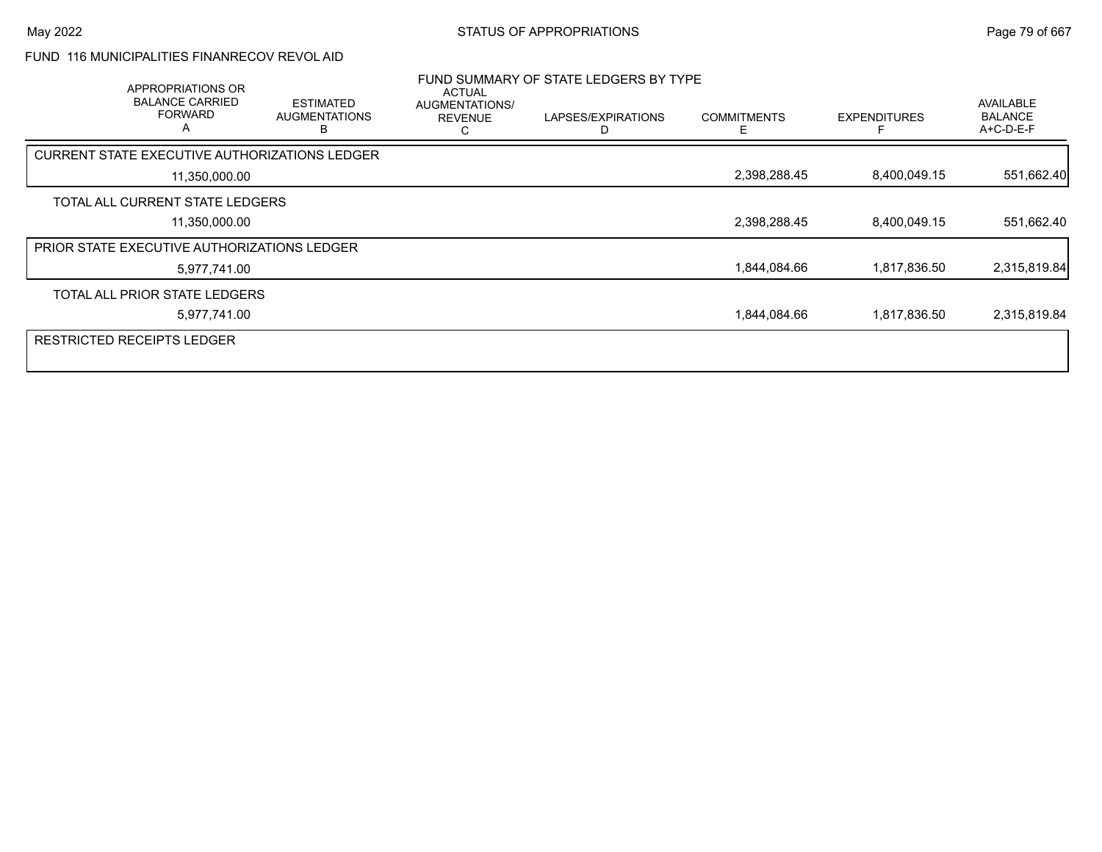#### FUND 116 MUNICIPALITIES FINANRECOV REVOL AID

|                                               | APPROPRIATIONS OR<br><b>BALANCE CARRIED</b><br><b>FORWARD</b><br>A | <b>ESTIMATED</b><br><b>AUGMENTATIONS</b><br>В | <b>ACTUAL</b><br><b>AUGMENTATIONS/</b><br><b>REVENUE</b> | FUND SUMMARY OF STATE LEDGERS BY TYPE<br>LAPSES/EXPIRATIONS | <b>COMMITMENTS</b> | <b>EXPENDITURES</b> | AVAILABLE<br><b>BALANCE</b><br>A+C-D-E-F |
|-----------------------------------------------|--------------------------------------------------------------------|-----------------------------------------------|----------------------------------------------------------|-------------------------------------------------------------|--------------------|---------------------|------------------------------------------|
| CURRENT STATE EXECUTIVE AUTHORIZATIONS LEDGER |                                                                    |                                               |                                                          |                                                             |                    |                     |                                          |
|                                               | 11,350,000.00                                                      |                                               |                                                          |                                                             | 2,398,288.45       | 8,400,049.15        | 551,662.40                               |
| TOTAL ALL CURRENT STATE LEDGERS               |                                                                    |                                               |                                                          |                                                             |                    |                     |                                          |
|                                               | 11,350,000.00                                                      |                                               |                                                          |                                                             | 2,398,288.45       | 8,400,049.15        | 551,662.40                               |
| PRIOR STATE EXECUTIVE AUTHORIZATIONS LEDGER   |                                                                    |                                               |                                                          |                                                             |                    |                     |                                          |
|                                               | 5,977,741.00                                                       |                                               |                                                          |                                                             | 1,844,084.66       | 1,817,836.50        | 2,315,819.84                             |
| TOTAL ALL PRIOR STATE LEDGERS                 |                                                                    |                                               |                                                          |                                                             |                    |                     |                                          |
|                                               | 5,977,741.00                                                       |                                               |                                                          |                                                             | 1,844,084.66       | 1,817,836.50        | 2,315,819.84                             |
| <b>RESTRICTED RECEIPTS LEDGER</b>             |                                                                    |                                               |                                                          |                                                             |                    |                     |                                          |
|                                               |                                                                    |                                               |                                                          |                                                             |                    |                     |                                          |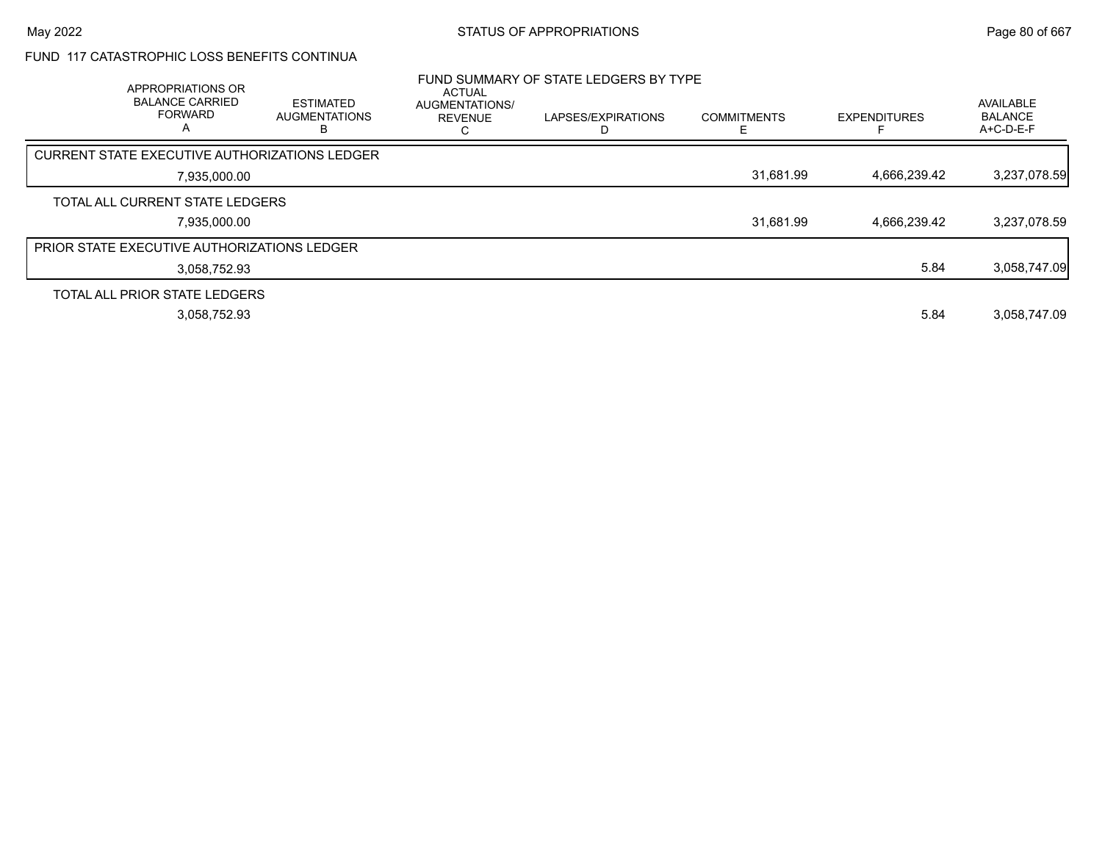#### FUND 117 CATASTROPHIC LOSS BENEFITS CONTINUA

| APPROPRIATIONS OR<br><b>BALANCE CARRIED</b><br><b>FORWARD</b><br>A | <b>ESTIMATED</b><br><b>AUGMENTATIONS</b> | <b>ACTUAL</b><br><b>AUGMENTATIONS/</b><br><b>REVENUE</b> | FUND SUMMARY OF STATE LEDGERS BY TYPE<br>LAPSES/EXPIRATIONS<br>D | <b>COMMITMENTS</b> | <b>EXPENDITURES</b> | AVAILABLE<br><b>BALANCE</b><br>A+C-D-E-F |
|--------------------------------------------------------------------|------------------------------------------|----------------------------------------------------------|------------------------------------------------------------------|--------------------|---------------------|------------------------------------------|
| CURRENT STATE EXECUTIVE AUTHORIZATIONS LEDGER                      |                                          |                                                          |                                                                  |                    |                     |                                          |
| 7.935.000.00                                                       |                                          |                                                          |                                                                  | 31,681.99          | 4.666.239.42        | 3,237,078.59                             |
| TOTAL ALL CURRENT STATE LEDGERS                                    |                                          |                                                          |                                                                  |                    |                     |                                          |
| 7,935,000.00                                                       |                                          |                                                          |                                                                  | 31,681.99          | 4.666.239.42        | 3,237,078.59                             |
| <b>PRIOR STATE EXECUTIVE AUTHORIZATIONS LEDGER</b>                 |                                          |                                                          |                                                                  |                    |                     |                                          |
| 3.058.752.93                                                       |                                          |                                                          |                                                                  |                    | 5.84                | 3,058,747.09                             |
| TOTAL ALL PRIOR STATE LEDGERS                                      |                                          |                                                          |                                                                  |                    |                     |                                          |
| 3,058,752.93                                                       |                                          |                                                          |                                                                  |                    | 5.84                | 3,058,747.09                             |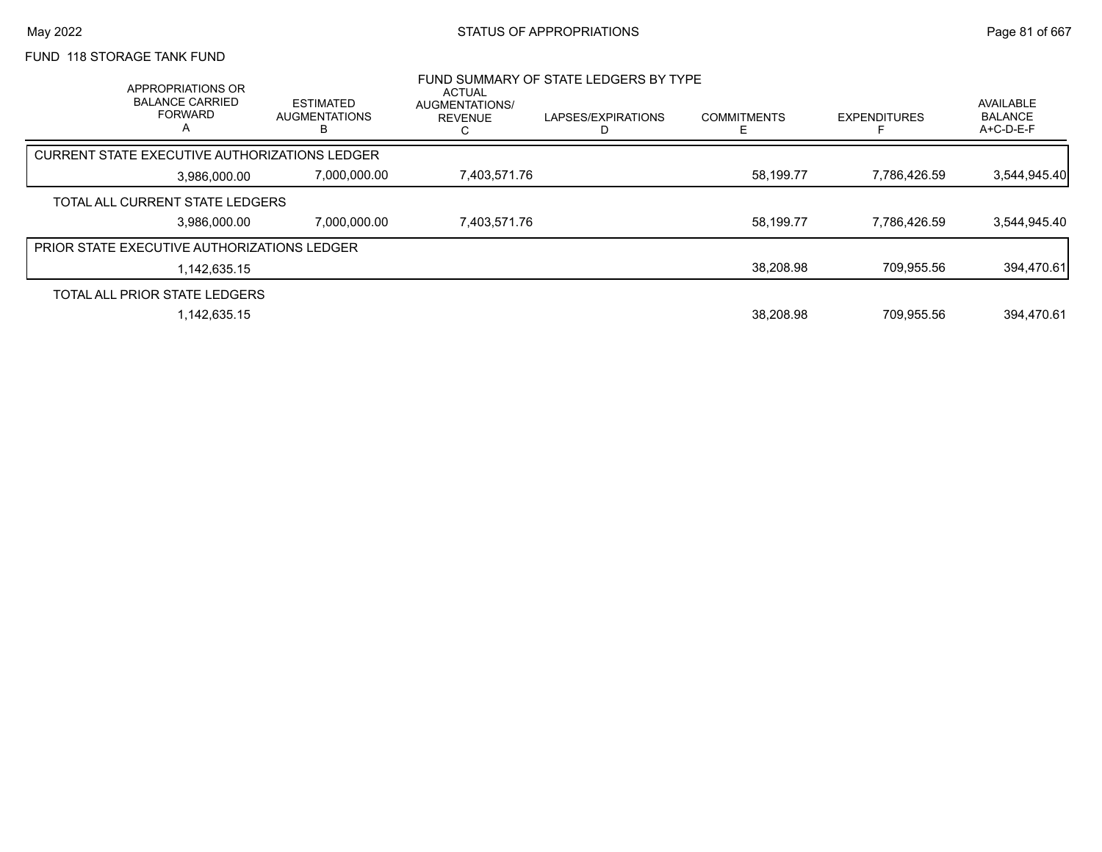## FUND 118 STORAGE TANK FUND

| APPROPRIATIONS OR<br><b>BALANCE CARRIED</b><br><b>FORWARD</b><br>A |              | <b>ESTIMATED</b><br><b>AUGMENTATIONS</b><br>B | <b>ACTUAL</b><br>AUGMENTATIONS/<br><b>REVENUE</b> | FUND SUMMARY OF STATE LEDGERS BY TYPE<br>LAPSES/EXPIRATIONS | <b>COMMITMENTS</b> | <b>EXPENDITURES</b> | <b>AVAILABLE</b><br><b>BALANCE</b><br>$A+C-D-E-F$ |
|--------------------------------------------------------------------|--------------|-----------------------------------------------|---------------------------------------------------|-------------------------------------------------------------|--------------------|---------------------|---------------------------------------------------|
| CURRENT STATE EXECUTIVE AUTHORIZATIONS LEDGER                      |              |                                               |                                                   |                                                             |                    |                     |                                                   |
|                                                                    | 3.986.000.00 | 7,000,000.00                                  | 7,403,571.76                                      |                                                             | 58,199.77          | 7,786,426.59        | 3,544,945.40                                      |
| TOTAL ALL CURRENT STATE LEDGERS                                    |              |                                               |                                                   |                                                             |                    |                     |                                                   |
|                                                                    | 3.986.000.00 | 7,000,000.00                                  | 7,403,571.76                                      |                                                             | 58,199.77          | 7,786,426.59        | 3,544,945.40                                      |
| <b>PRIOR STATE EXECUTIVE AUTHORIZATIONS LEDGER</b>                 |              |                                               |                                                   |                                                             |                    |                     |                                                   |
|                                                                    | 1.142.635.15 |                                               |                                                   |                                                             | 38,208.98          | 709.955.56          | 394,470.61                                        |
| TOTAL ALL PRIOR STATE LEDGERS                                      |              |                                               |                                                   |                                                             |                    |                     |                                                   |
|                                                                    | 1.142.635.15 |                                               |                                                   |                                                             | 38.208.98          | 709.955.56          | 394.470.61                                        |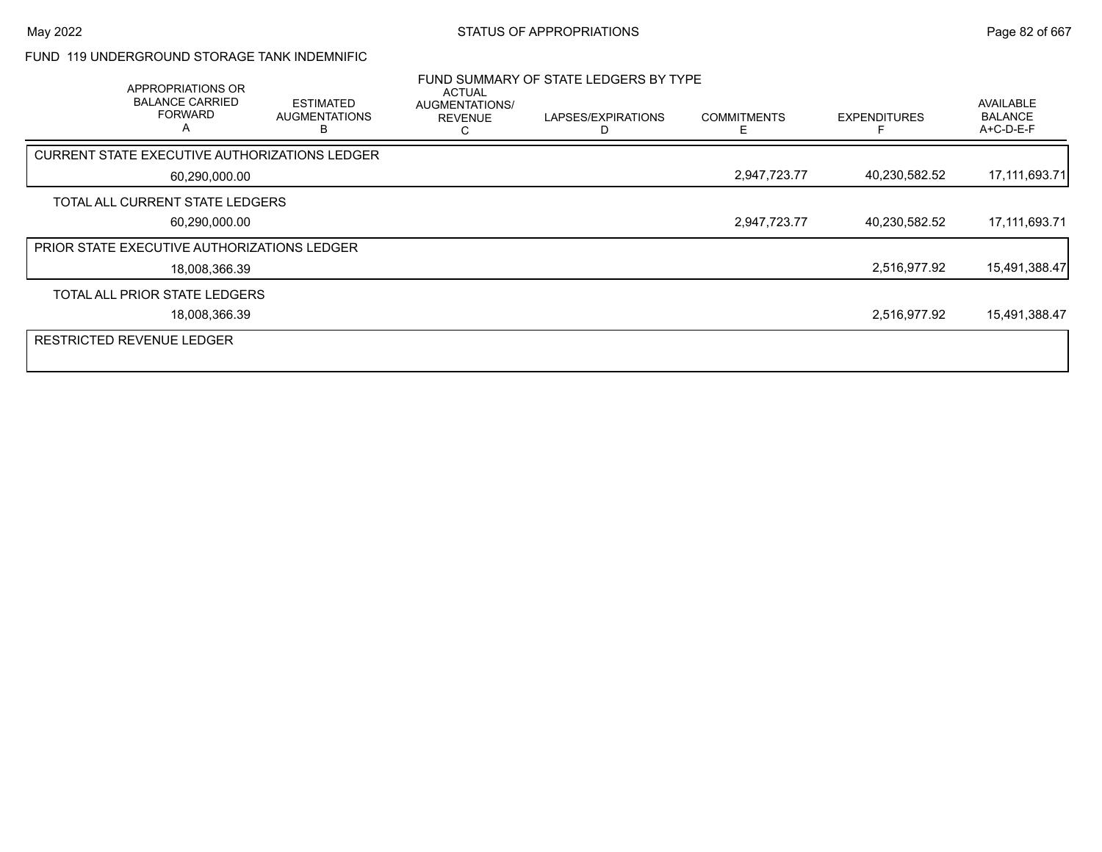#### FUND 119 UNDERGROUND STORAGE TANK INDEMNIFIC

| APPROPRIATIONS OR<br><b>BALANCE CARRIED</b><br><b>FORWARD</b><br>А | <b>ESTIMATED</b><br><b>AUGMENTATIONS</b><br>в | <b>ACTUAL</b><br>AUGMENTATIONS/<br><b>REVENUE</b> | FUND SUMMARY OF STATE LEDGERS BY TYPE<br>LAPSES/EXPIRATIONS | <b>COMMITMENTS</b> | <b>EXPENDITURES</b> | <b>AVAILABLE</b><br><b>BALANCE</b><br>A+C-D-E-F |
|--------------------------------------------------------------------|-----------------------------------------------|---------------------------------------------------|-------------------------------------------------------------|--------------------|---------------------|-------------------------------------------------|
| CURRENT STATE EXECUTIVE AUTHORIZATIONS LEDGER                      |                                               |                                                   |                                                             |                    |                     |                                                 |
| 60,290,000.00                                                      |                                               |                                                   |                                                             | 2,947,723.77       | 40,230,582.52       | 17,111,693.71                                   |
| TOTAL ALL CURRENT STATE LEDGERS                                    |                                               |                                                   |                                                             |                    |                     |                                                 |
| 60,290,000.00                                                      |                                               |                                                   |                                                             | 2,947,723.77       | 40,230,582.52       | 17,111,693.71                                   |
| PRIOR STATE EXECUTIVE AUTHORIZATIONS LEDGER                        |                                               |                                                   |                                                             |                    |                     |                                                 |
| 18,008,366.39                                                      |                                               |                                                   |                                                             |                    | 2,516,977.92        | 15,491,388.47                                   |
| TOTAL ALL PRIOR STATE LEDGERS                                      |                                               |                                                   |                                                             |                    |                     |                                                 |
| 18,008,366.39                                                      |                                               |                                                   |                                                             |                    | 2,516,977.92        | 15,491,388.47                                   |
| <b>RESTRICTED REVENUE LEDGER</b>                                   |                                               |                                                   |                                                             |                    |                     |                                                 |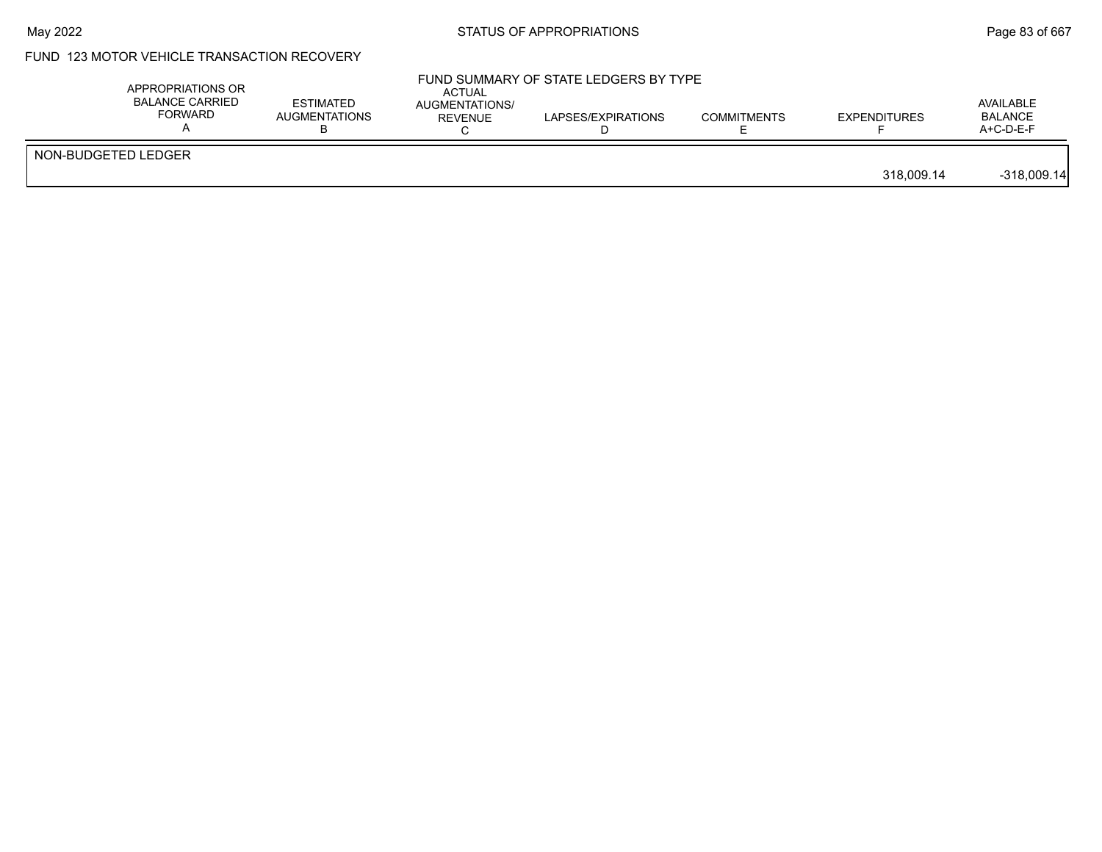### May 2022 **Example 2018** STATUS OF APPROPRIATIONS **Page 83** of 667

## FUND 123 MOTOR VEHICLE TRANSACTION RECOVERY

| APPROPRIATIONS OR<br><b>BALANCE CARRIED</b><br><b>FORWARD</b> | <b>ESTIMATED</b><br><b>AUGMENTATIONS</b> | ACTUAL<br>AUGMENTATIONS/<br>REVENUE | FUND SUMMARY OF STATE LEDGERS BY TYPE<br>LAPSES/EXPIRATIONS | <b>COMMITMENTS</b> | <b>EXPENDITURES</b> | AVAILABLE<br><b>BALANCE</b><br>$A+C-D-E-F$ |
|---------------------------------------------------------------|------------------------------------------|-------------------------------------|-------------------------------------------------------------|--------------------|---------------------|--------------------------------------------|
| NON-BUDGETED LEDGER                                           |                                          |                                     |                                                             |                    | 318.009.14          | $-318,009.14$                              |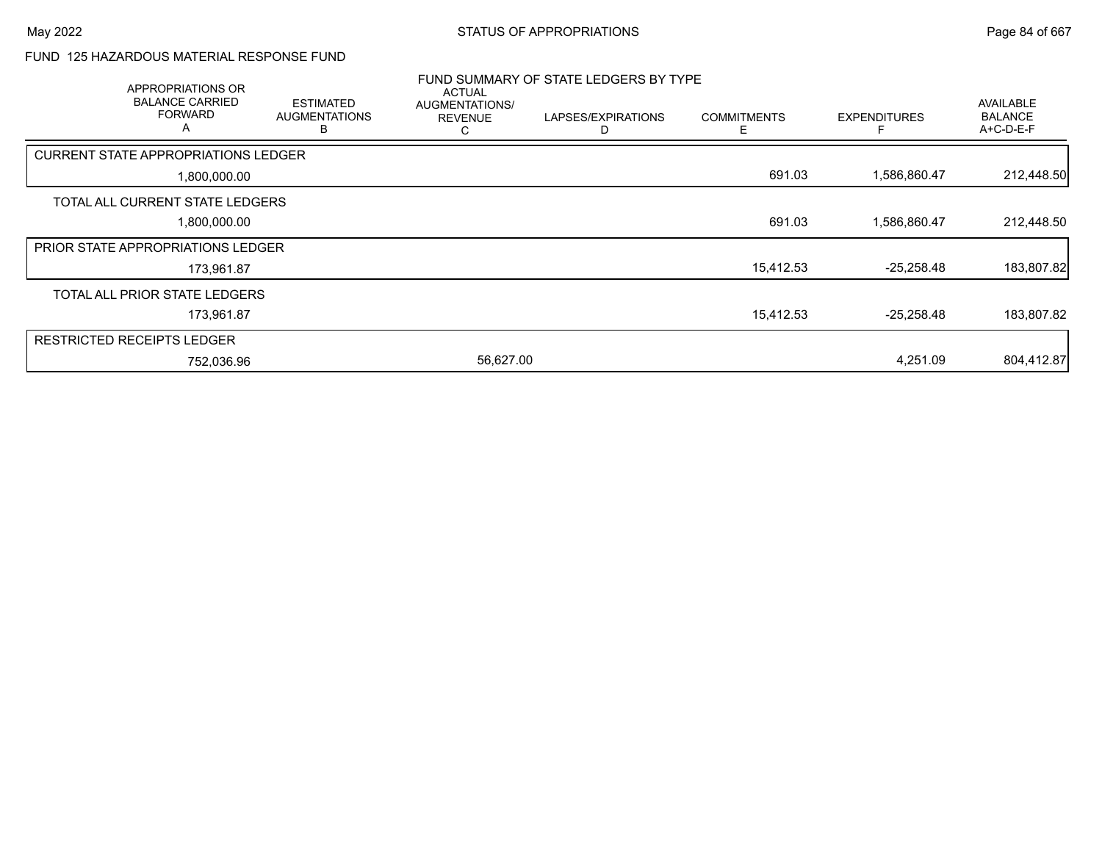#### FUND 125 HAZARDOUS MATERIAL RESPONSE FUND

| APPROPRIATIONS OR                             |                                               |                                                        | FUND SUMMARY OF STATE LEDGERS BY TYPE |                    |                     |                                                 |
|-----------------------------------------------|-----------------------------------------------|--------------------------------------------------------|---------------------------------------|--------------------|---------------------|-------------------------------------------------|
| <b>BALANCE CARRIED</b><br><b>FORWARD</b><br>A | <b>ESTIMATED</b><br><b>AUGMENTATIONS</b><br>B | <b>ACTUAL</b><br>AUGMENTATIONS/<br><b>REVENUE</b><br>С | LAPSES/EXPIRATIONS                    | <b>COMMITMENTS</b> | <b>EXPENDITURES</b> | <b>AVAILABLE</b><br><b>BALANCE</b><br>A+C-D-E-F |
| <b>CURRENT STATE APPROPRIATIONS LEDGER</b>    |                                               |                                                        |                                       |                    |                     |                                                 |
| 1,800,000.00                                  |                                               |                                                        |                                       | 691.03             | 1,586,860.47        | 212,448.50                                      |
| TOTAL ALL CURRENT STATE LEDGERS               |                                               |                                                        |                                       |                    |                     |                                                 |
| 1,800,000.00                                  |                                               |                                                        |                                       | 691.03             | 1,586,860.47        | 212,448.50                                      |
| <b>PRIOR STATE APPROPRIATIONS LEDGER</b>      |                                               |                                                        |                                       |                    |                     |                                                 |
| 173,961.87                                    |                                               |                                                        |                                       | 15,412.53          | $-25,258.48$        | 183,807.82                                      |
| TOTAL ALL PRIOR STATE LEDGERS                 |                                               |                                                        |                                       |                    |                     |                                                 |
| 173,961.87                                    |                                               |                                                        |                                       | 15,412.53          | $-25,258.48$        | 183,807.82                                      |
| <b>RESTRICTED RECEIPTS LEDGER</b>             |                                               |                                                        |                                       |                    |                     |                                                 |
| 752,036.96                                    |                                               | 56,627.00                                              |                                       |                    | 4,251.09            | 804,412.87                                      |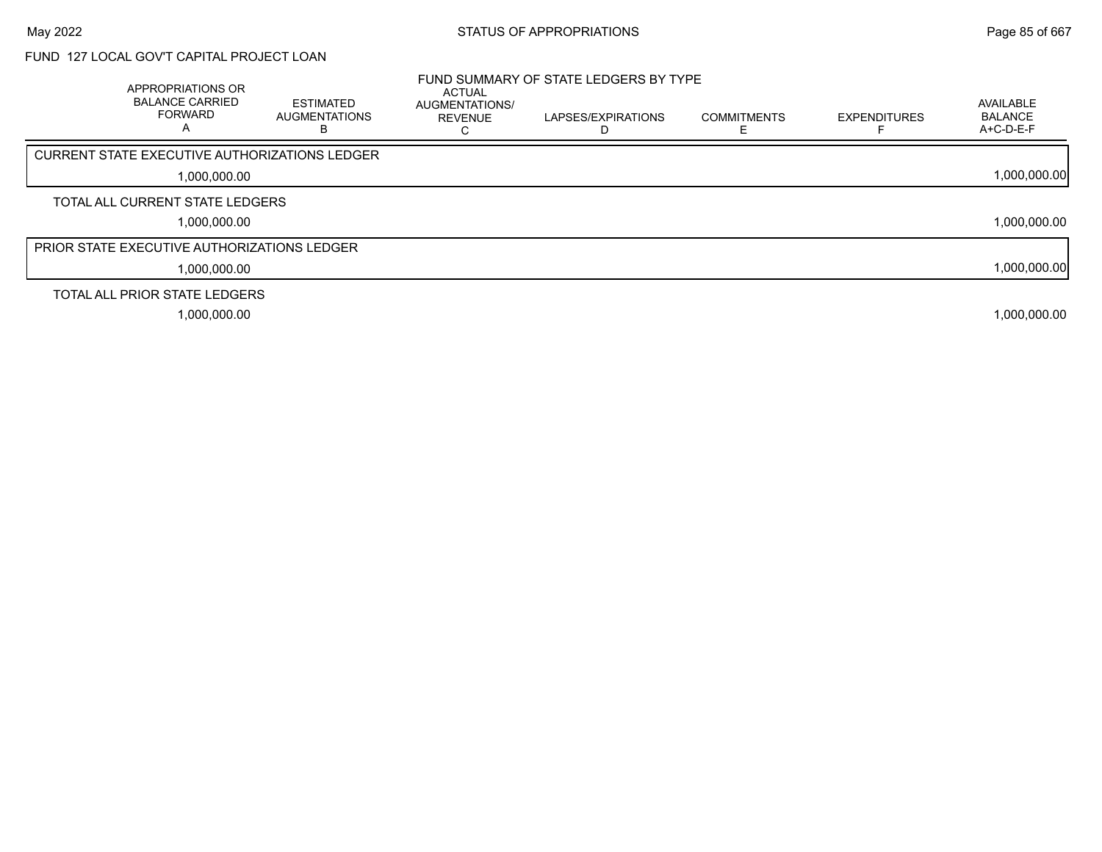## FUND 127 LOCAL GOV'T CAPITAL PROJECT LOAN

| <b>APPROPRIATIONS OR</b><br><b>BALANCE CARRIED</b><br><b>FORWARD</b><br>A | <b>ESTIMATED</b><br><b>AUGMENTATIONS</b> | <b>ACTUAL</b><br><b>AUGMENTATIONS/</b><br><b>REVENUE</b><br>ι. | FUND SUMMARY OF STATE LEDGERS BY TYPE<br>LAPSES/EXPIRATIONS | <b>COMMITMENTS</b> | <b>EXPENDITURES</b> | AVAILABLE<br><b>BALANCE</b><br>$A+C-D-E-F$ |
|---------------------------------------------------------------------------|------------------------------------------|----------------------------------------------------------------|-------------------------------------------------------------|--------------------|---------------------|--------------------------------------------|
| <b>CURRENT STATE EXECUTIVE AUTHORIZATIONS LEDGER</b>                      |                                          |                                                                |                                                             |                    |                     |                                            |
| 1,000,000.00                                                              |                                          |                                                                |                                                             |                    |                     | 1,000,000.00                               |
| TOTAL ALL CURRENT STATE LEDGERS                                           |                                          |                                                                |                                                             |                    |                     |                                            |
| 1,000,000.00                                                              |                                          |                                                                |                                                             |                    |                     | 1,000,000.00                               |
| <b>PRIOR STATE EXECUTIVE AUTHORIZATIONS LEDGER</b>                        |                                          |                                                                |                                                             |                    |                     |                                            |
| 1,000,000.00                                                              |                                          |                                                                |                                                             |                    |                     | 1,000,000.00                               |
| TOTAL ALL PRIOR STATE LEDGERS                                             |                                          |                                                                |                                                             |                    |                     |                                            |
| 1,000,000.00                                                              |                                          |                                                                |                                                             |                    |                     | 1,000,000.00                               |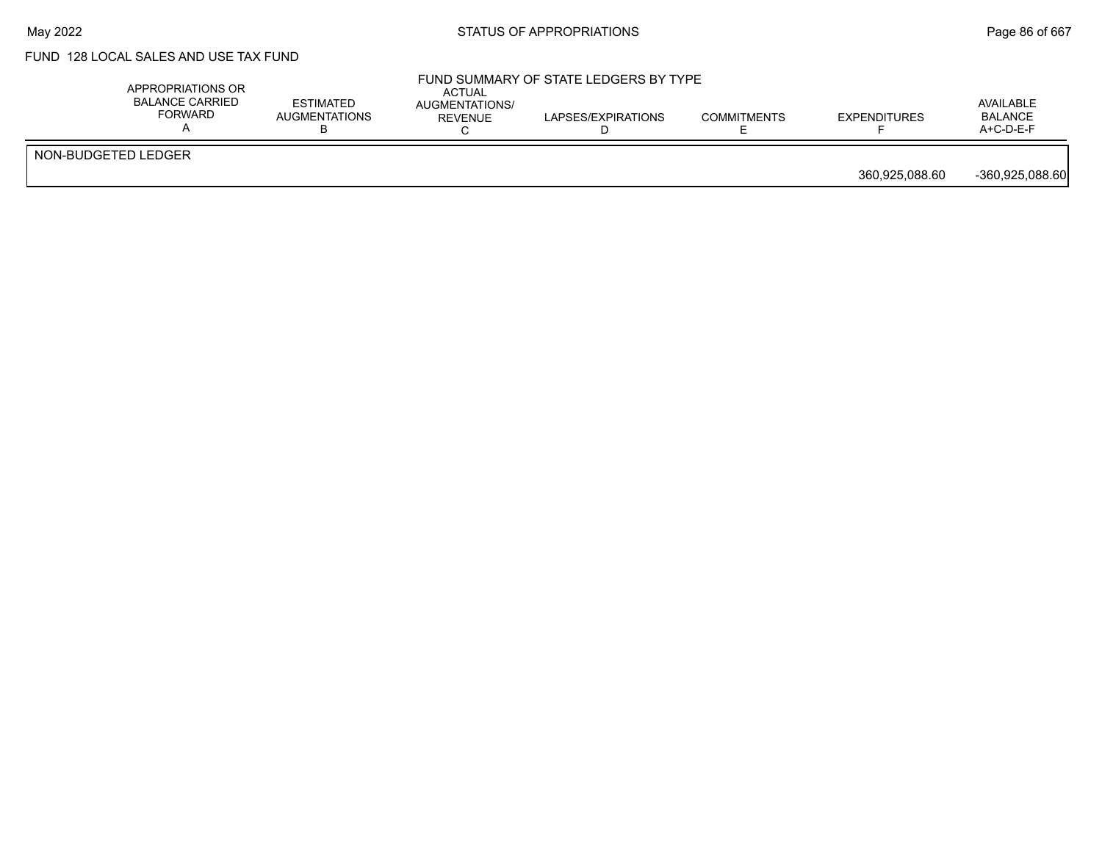## FUND 128 LOCAL SALES AND USE TAX FUND

|                     | APPROPRIATIONS OR<br>BALANCE CARRIED<br>FORWARD | <b>ESTIMATED</b><br><b>AUGMENTATIONS</b> | ACTUAL<br>AUGMENTATIONS/<br><b>REVENUE</b> | FUND SUMMARY OF STATE LEDGERS BY TYPE<br>LAPSES/EXPIRATIONS | <b>COMMITMENTS</b> | <b>EXPENDITURES</b> | AVAILABLE<br><b>BALANCE</b><br>$A+C-D-E-F$ |
|---------------------|-------------------------------------------------|------------------------------------------|--------------------------------------------|-------------------------------------------------------------|--------------------|---------------------|--------------------------------------------|
| NON-BUDGETED LEDGER |                                                 |                                          |                                            |                                                             |                    | 360.925.088.60      | -360.925.088.60                            |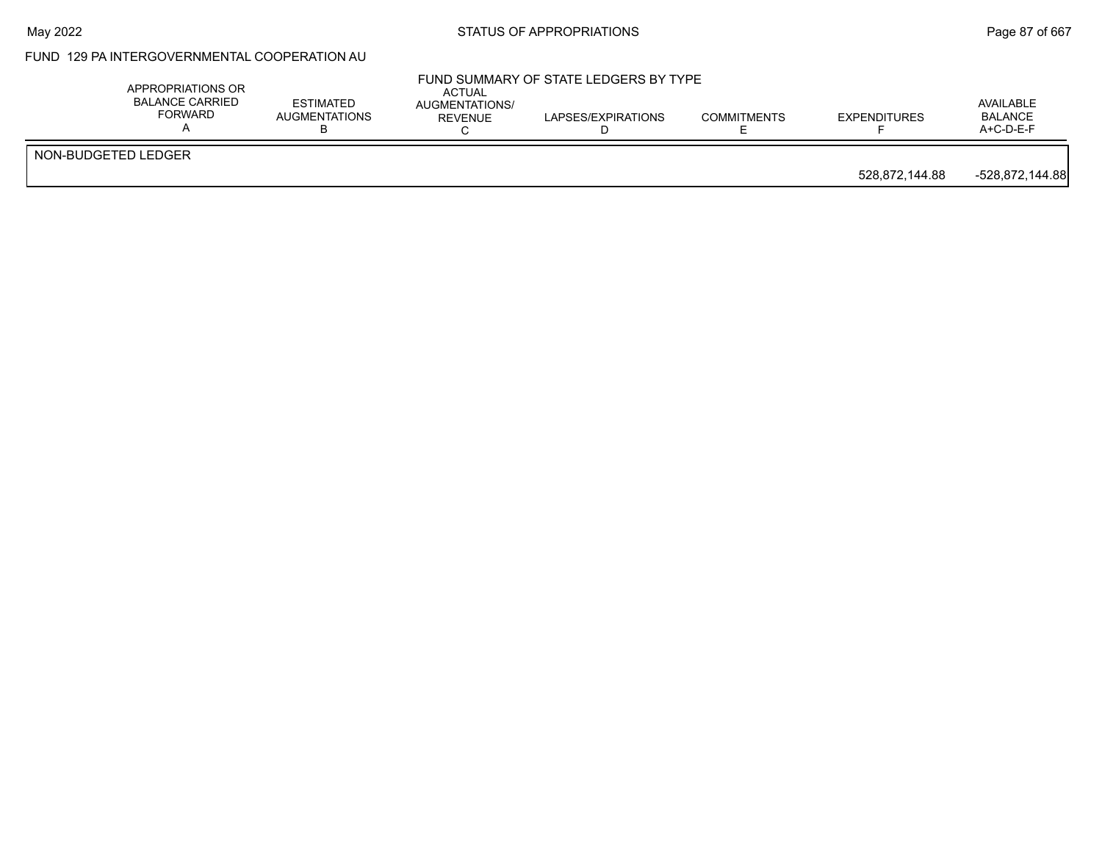# May 2022 **Example 2018** STATUS OF APPROPRIATIONS **Page 87** of 667

### FUND 129 PA INTERGOVERNMENTAL COOPERATION AU

|                     | APPROPRIATIONS OR<br><b>BALANCE CARRIED</b><br><b>FORWARD</b> | <b>ACTUAL</b><br><b>ESTIMATED</b><br>AUGMENTATIONS/<br><b>AUGMENTATIONS</b><br>REVENUE | FUND SUMMARY OF STATE LEDGERS BY TYPE<br>LAPSES/EXPIRATIONS | <b>COMMITMENTS</b> | <b>EXPENDITURES</b> | AVAILABLE<br><b>BALANCE</b><br>A+C-D-E-F |
|---------------------|---------------------------------------------------------------|----------------------------------------------------------------------------------------|-------------------------------------------------------------|--------------------|---------------------|------------------------------------------|
| NON-BUDGETED LEDGER |                                                               |                                                                                        |                                                             |                    | 528.872.144.88      | -528,872,144.88                          |
|                     |                                                               |                                                                                        |                                                             |                    |                     |                                          |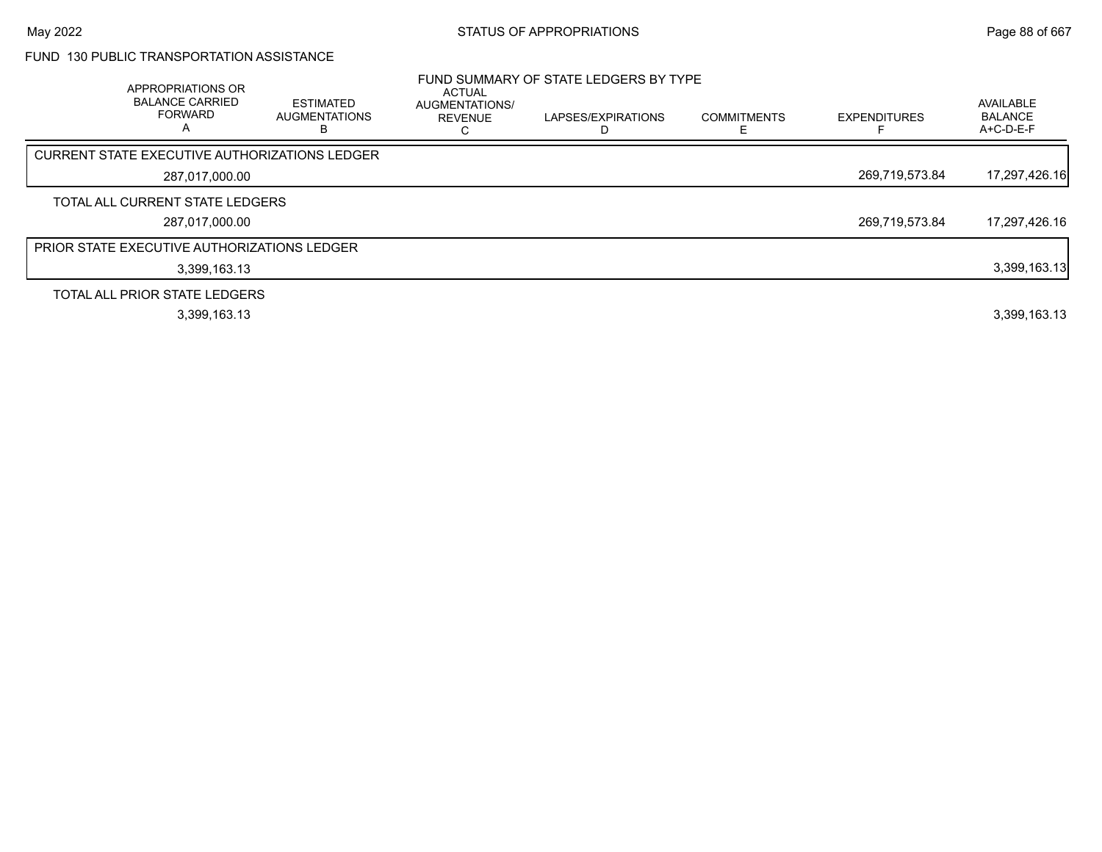### FUND 130 PUBLIC TRANSPORTATION ASSISTANCE

| APPROPRIATIONS OR<br><b>BALANCE CARRIED</b><br><b>FORWARD</b><br>A | <b>ESTIMATED</b><br><b>AUGMENTATIONS</b><br>в | <b>ACTUAL</b><br>AUGMENTATIONS/<br><b>REVENUE</b> | FUND SUMMARY OF STATE LEDGERS BY TYPE<br>LAPSES/EXPIRATIONS | <b>COMMITMENTS</b> | <b>EXPENDITURES</b> | AVAILABLE<br><b>BALANCE</b><br>A+C-D-E-F |
|--------------------------------------------------------------------|-----------------------------------------------|---------------------------------------------------|-------------------------------------------------------------|--------------------|---------------------|------------------------------------------|
| CURRENT STATE EXECUTIVE AUTHORIZATIONS LEDGER                      |                                               |                                                   |                                                             |                    |                     |                                          |
| 287,017,000.00                                                     |                                               |                                                   |                                                             |                    | 269,719,573.84      | 17,297,426.16                            |
| TOTAL ALL CURRENT STATE LEDGERS                                    |                                               |                                                   |                                                             |                    |                     |                                          |
| 287.017.000.00                                                     |                                               |                                                   |                                                             |                    | 269,719,573.84      | 17,297,426.16                            |
| <b>PRIOR STATE EXECUTIVE AUTHORIZATIONS LEDGER</b>                 |                                               |                                                   |                                                             |                    |                     |                                          |
| 3,399,163.13                                                       |                                               |                                                   |                                                             |                    |                     | 3,399,163.13                             |
| TOTAL ALL PRIOR STATE LEDGERS                                      |                                               |                                                   |                                                             |                    |                     |                                          |
| 3,399,163.13                                                       |                                               |                                                   |                                                             |                    |                     | 3,399,163.13                             |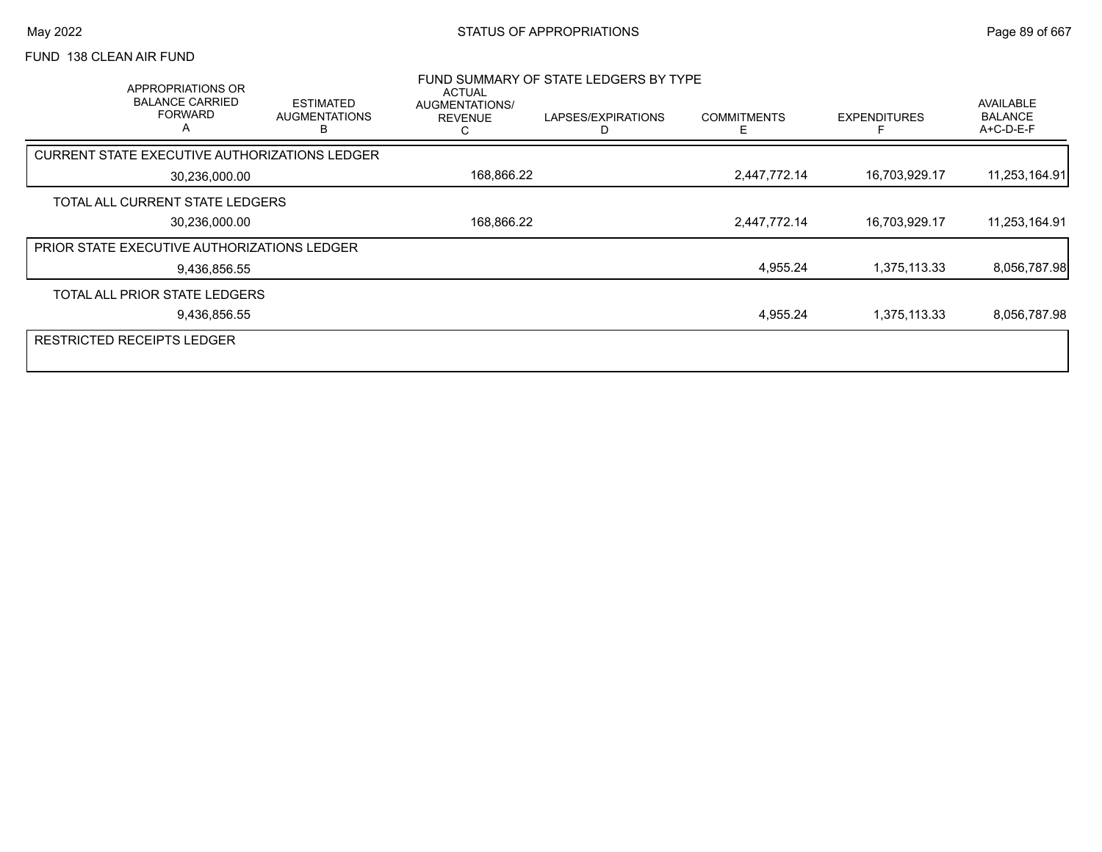### FUND 138 CLEAN AIR FUND

|               | APPROPRIATIONS OR<br><b>BALANCE CARRIED</b><br><b>FORWARD</b><br>А | <b>ESTIMATED</b><br><b>AUGMENTATIONS</b> | <b>ACTUAL</b><br>AUGMENTATIONS/<br><b>REVENUE</b> | FUND SUMMARY OF STATE LEDGERS BY TYPE<br>LAPSES/EXPIRATIONS | <b>COMMITMENTS</b> | <b>EXPENDITURES</b> | <b>AVAILABLE</b><br><b>BALANCE</b><br>A+C-D-E-F |
|---------------|--------------------------------------------------------------------|------------------------------------------|---------------------------------------------------|-------------------------------------------------------------|--------------------|---------------------|-------------------------------------------------|
|               | CURRENT STATE EXECUTIVE AUTHORIZATIONS LEDGER                      |                                          |                                                   |                                                             |                    |                     |                                                 |
| 30,236,000.00 |                                                                    |                                          | 168,866.22                                        |                                                             | 2,447,772.14       | 16,703,929.17       | 11,253,164.91                                   |
|               | TOTAL ALL CURRENT STATE LEDGERS                                    |                                          |                                                   |                                                             |                    |                     |                                                 |
| 30,236,000.00 |                                                                    |                                          | 168,866.22                                        |                                                             | 2,447,772.14       | 16,703,929.17       | 11,253,164.91                                   |
|               | PRIOR STATE EXECUTIVE AUTHORIZATIONS LEDGER                        |                                          |                                                   |                                                             |                    |                     |                                                 |
|               | 9,436,856.55                                                       |                                          |                                                   |                                                             | 4,955.24           | 1,375,113.33        | 8,056,787.98                                    |
|               | TOTAL ALL PRIOR STATE LEDGERS                                      |                                          |                                                   |                                                             |                    |                     |                                                 |
|               | 9,436,856.55                                                       |                                          |                                                   |                                                             | 4,955.24           | 1,375,113.33        | 8,056,787.98                                    |
|               | <b>RESTRICTED RECEIPTS LEDGER</b>                                  |                                          |                                                   |                                                             |                    |                     |                                                 |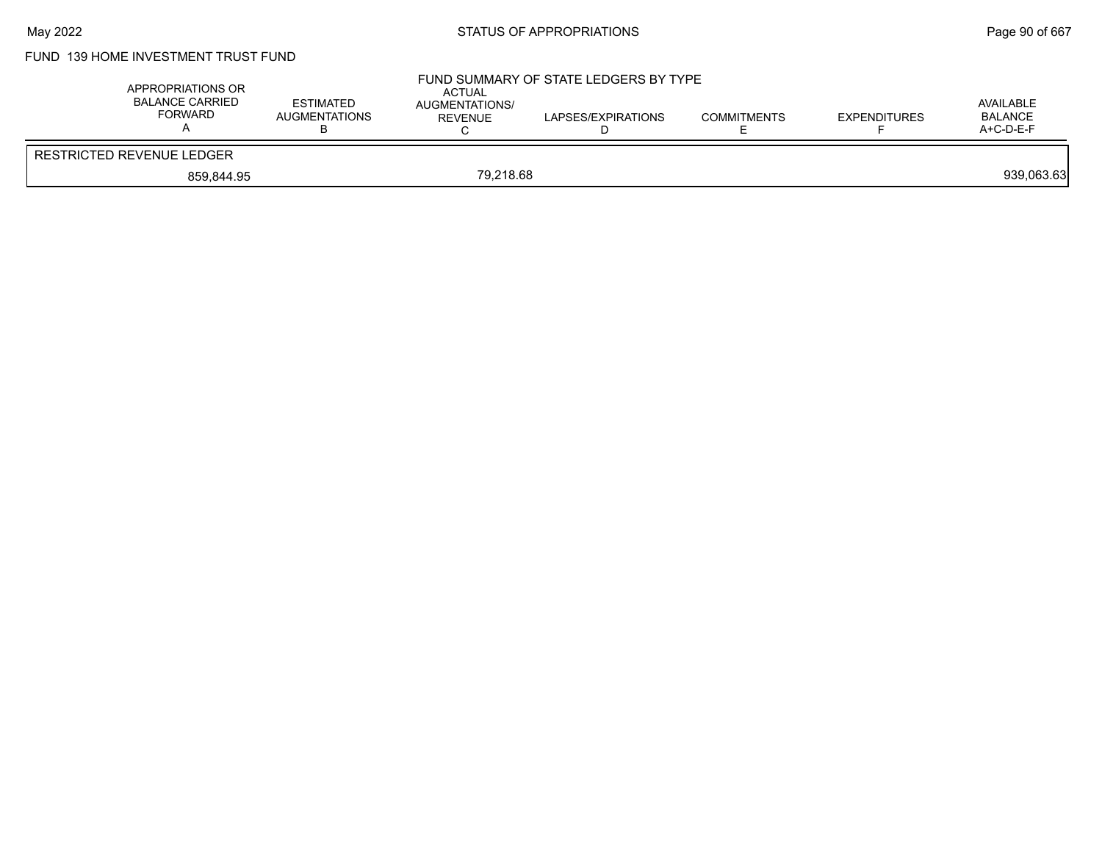## FUND 139 HOME INVESTMENT TRUST FUND

| APPROPRIATIONS OR<br>BALANCE CARRIED<br>FORWARD | <b>ESTIMATED</b><br>AUGMENTATIONS | <b>ACTUAL</b><br>AUGMENTATIONS/<br>REVENUE | FUND SUMMARY OF STATE LEDGERS BY TYPE<br>LAPSES/EXPIRATIONS | <b>COMMITMENTS</b> | <b>EXPENDITURES</b> | AVAILABLE<br><b>BALANCE</b><br>$A+C-D-E-F$ |
|-------------------------------------------------|-----------------------------------|--------------------------------------------|-------------------------------------------------------------|--------------------|---------------------|--------------------------------------------|
| <b>RESTRICTED REVENUE LEDGER</b>                |                                   |                                            |                                                             |                    |                     |                                            |
| 859.844.95                                      |                                   | 79.218.68                                  |                                                             |                    |                     | 939,063.63                                 |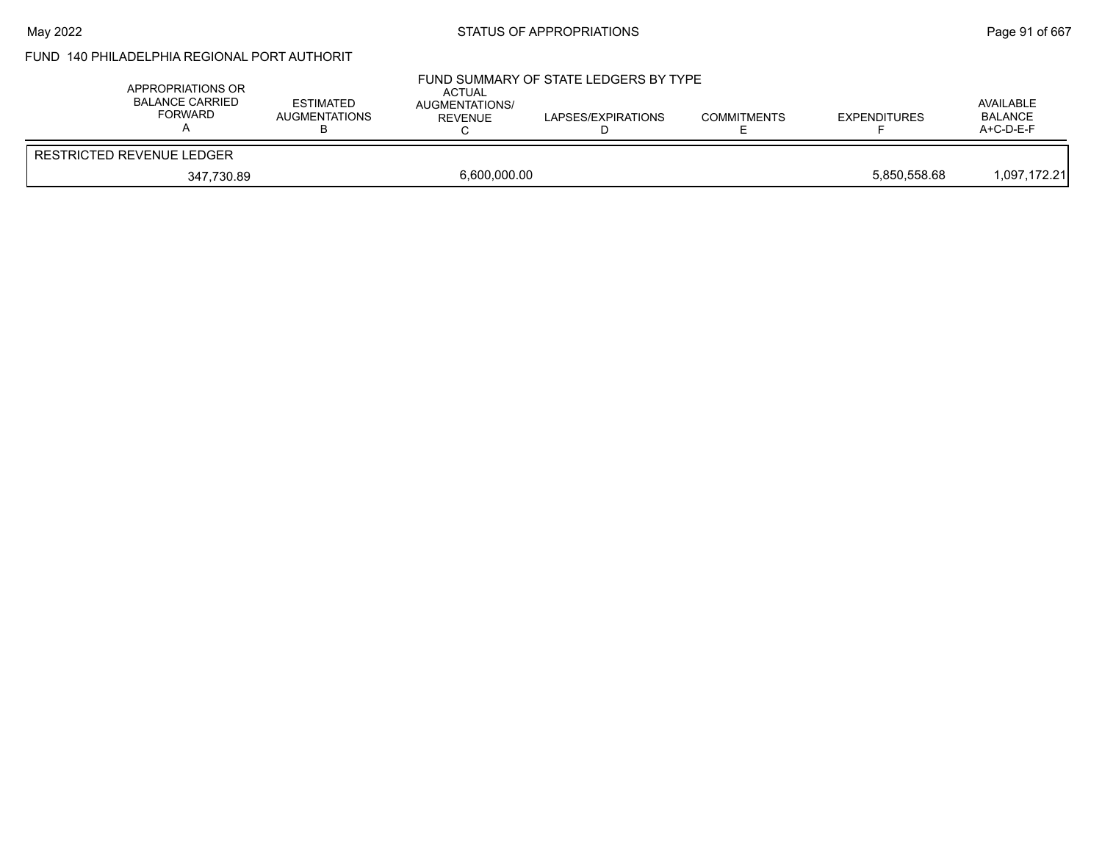### May 2022 **Example 2018** STATUS OF APPROPRIATIONS **Page 91** of 667

## FUND 140 PHILADELPHIA REGIONAL PORT AUTHORIT

| APPROPRIATIONS OR<br><b>BALANCE CARRIED</b><br>FORWARD | <b>ESTIMATED</b><br><b>AUGMENTATIONS</b> | <b>ACTUAL</b><br>AUGMENTATIONS/<br><b>REVENUE</b> | FUND SUMMARY OF STATE LEDGERS BY TYPE<br>LAPSES/EXPIRATIONS | <b>COMMITMENTS</b> | <b>EXPENDITURES</b> | AVAILABLE<br><b>BALANCE</b><br>$A+C-D-E-F$ |
|--------------------------------------------------------|------------------------------------------|---------------------------------------------------|-------------------------------------------------------------|--------------------|---------------------|--------------------------------------------|
| <b>RESTRICTED REVENUE LEDGER</b>                       |                                          |                                                   |                                                             |                    |                     |                                            |
| 347.730.89                                             |                                          | 6,600,000.00                                      |                                                             |                    | 5.850.558.68        | 1.097.172.21                               |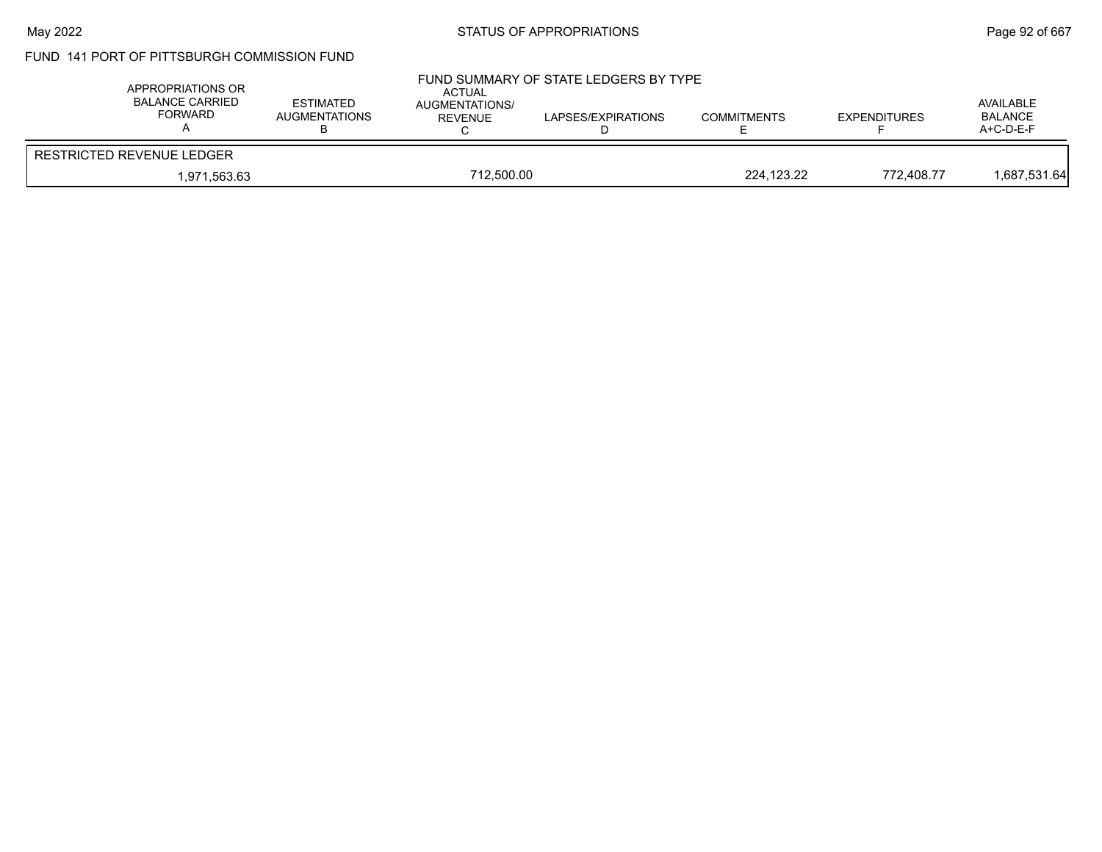### May 2022 **Example 2018** STATUS OF APPROPRIATIONS **Page 92 of 667**

## FUND 141 PORT OF PITTSBURGH COMMISSION FUND

| APPROPRIATIONS OR<br><b>BALANCE CARRIED</b><br>FORWARD | <b>ESTIMATED</b><br><b>AUGMENTATIONS</b> | ACTUAL<br><b>AUGMENTATIONS/</b><br>REVENUE | FUND SUMMARY OF STATE LEDGERS BY TYPE<br>LAPSES/EXPIRATIONS | <b>COMMITMENTS</b> | <b>EXPENDITURES</b> | AVAILABLE<br><b>BALANCE</b><br>A+C-D-E-F |
|--------------------------------------------------------|------------------------------------------|--------------------------------------------|-------------------------------------------------------------|--------------------|---------------------|------------------------------------------|
| RESTRICTED REVENUE LEDGER                              |                                          |                                            |                                                             |                    |                     |                                          |
| 712.500.00<br>1.971.563.63                             |                                          |                                            | 224.123.22                                                  | 772.408.77         | 1,687,531.64        |                                          |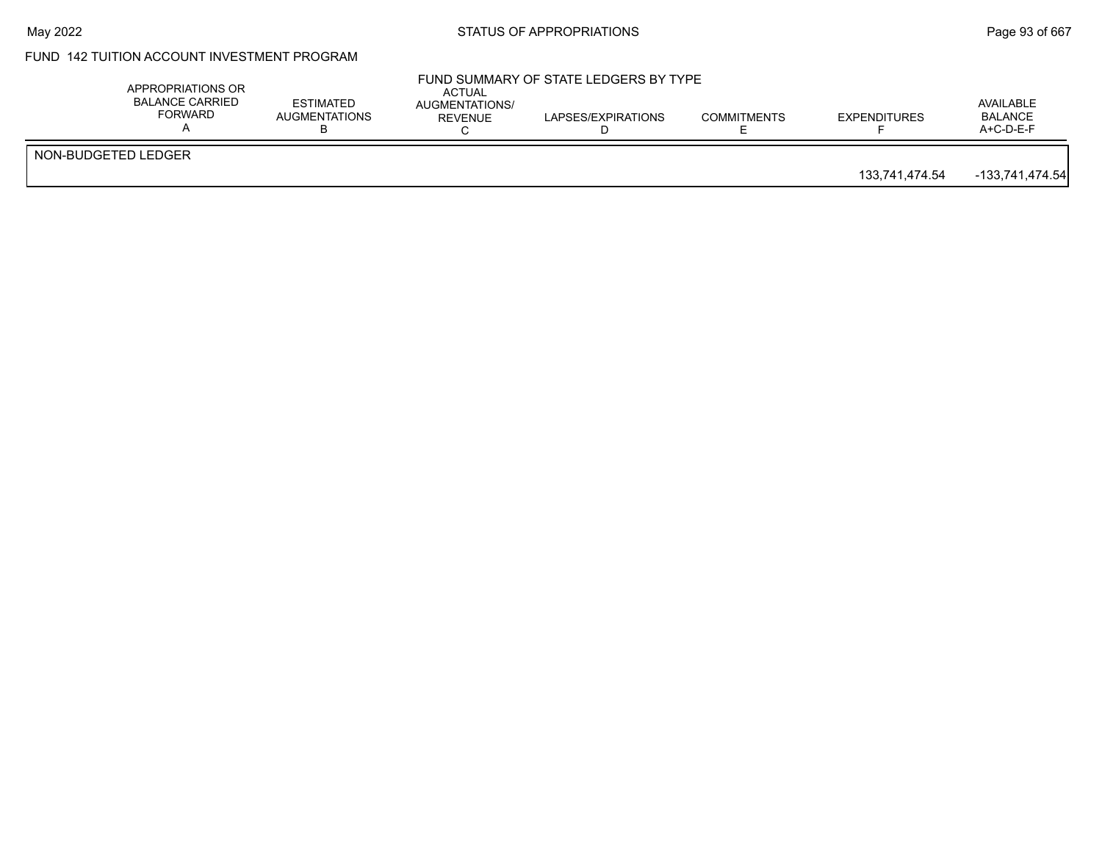### May 2022 **Example 2018** STATUS OF APPROPRIATIONS **Page 93** of 667

## FUND 142 TUITION ACCOUNT INVESTMENT PROGRAM

|                     | APPROPRIATIONS OR<br><b>BALANCE CARRIED</b><br>FORWARD | <b>ESTIMATED</b><br><b>AUGMENTATIONS</b> | ACTUAL<br>AUGMENTATIONS/<br>REVENUE | FUND SUMMARY OF STATE LEDGERS BY TYPE<br>LAPSES/EXPIRATIONS | <b>COMMITMENTS</b> | <b>EXPENDITURES</b> | AVAILABLE<br>BALANCE<br>$A+C-D-E-F$ |
|---------------------|--------------------------------------------------------|------------------------------------------|-------------------------------------|-------------------------------------------------------------|--------------------|---------------------|-------------------------------------|
| NON-BUDGETED LEDGER |                                                        |                                          |                                     |                                                             |                    | 133.741.474.54      | $-133,741,474.54$                   |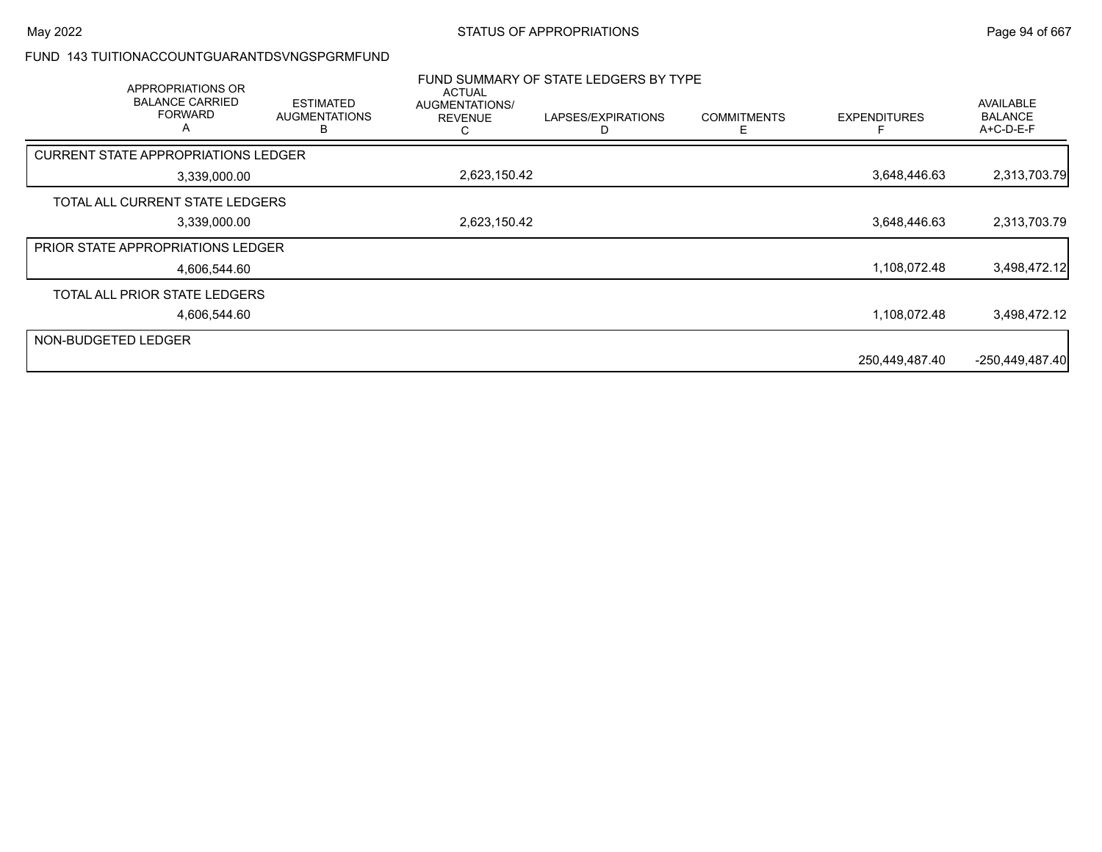#### FUND 143 TUITIONACCOUNTGUARANTDSVNGSPGRMFUND

| APPROPRIATIONS OR<br><b>BALANCE CARRIED</b><br><b>FORWARD</b><br>A | <b>ESTIMATED</b><br><b>AUGMENTATIONS</b> | <b>ACTUAL</b><br>AUGMENTATIONS/<br><b>REVENUE</b> | FUND SUMMARY OF STATE LEDGERS BY TYPE<br>LAPSES/EXPIRATIONS | <b>COMMITMENTS</b> | <b>EXPENDITURES</b> | AVAILABLE<br><b>BALANCE</b><br>A+C-D-E-F |
|--------------------------------------------------------------------|------------------------------------------|---------------------------------------------------|-------------------------------------------------------------|--------------------|---------------------|------------------------------------------|
| <b>CURRENT STATE APPROPRIATIONS LEDGER</b>                         |                                          |                                                   |                                                             |                    |                     |                                          |
| 3,339,000.00                                                       |                                          | 2,623,150.42                                      |                                                             |                    | 3,648,446.63        | 2,313,703.79                             |
| TOTAL ALL CURRENT STATE LEDGERS                                    |                                          |                                                   |                                                             |                    |                     |                                          |
| 3,339,000.00                                                       |                                          | 2,623,150.42                                      |                                                             |                    | 3,648,446.63        | 2,313,703.79                             |
| <b>PRIOR STATE APPROPRIATIONS LEDGER</b>                           |                                          |                                                   |                                                             |                    |                     |                                          |
| 4,606,544.60                                                       |                                          |                                                   |                                                             |                    | 1,108,072.48        | 3,498,472.12                             |
| TOTAL ALL PRIOR STATE LEDGERS                                      |                                          |                                                   |                                                             |                    |                     |                                          |
| 4,606,544.60                                                       |                                          |                                                   |                                                             |                    | 1,108,072.48        | 3,498,472.12                             |
| NON-BUDGETED LEDGER                                                |                                          |                                                   |                                                             |                    |                     |                                          |
|                                                                    |                                          |                                                   |                                                             |                    | 250,449,487.40      | $-250,449,487.40$                        |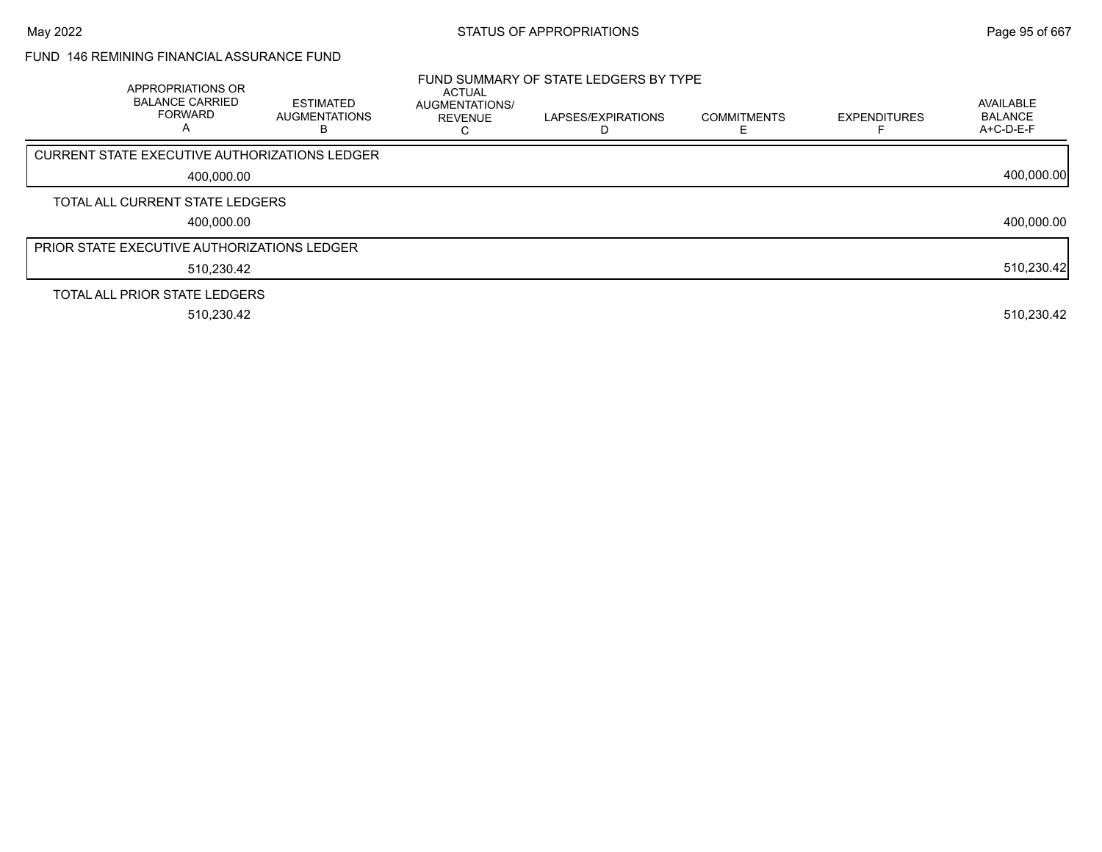### FUND 146 REMINING FINANCIAL ASSURANCE FUND

| APPROPRIATIONS OR<br><b>BALANCE CARRIED</b><br><b>FORWARD</b><br>A | <b>ESTIMATED</b><br><b>AUGMENTATIONS</b><br>В | <b>ACTUAL</b><br><b>AUGMENTATIONS/</b><br><b>REVENUE</b> | FUND SUMMARY OF STATE LEDGERS BY TYPE<br>LAPSES/EXPIRATIONS | <b>COMMITMENTS</b> | <b>EXPENDITURES</b> | <b>AVAILABLE</b><br><b>BALANCE</b><br>A+C-D-E-F |
|--------------------------------------------------------------------|-----------------------------------------------|----------------------------------------------------------|-------------------------------------------------------------|--------------------|---------------------|-------------------------------------------------|
| CURRENT STATE EXECUTIVE AUTHORIZATIONS LEDGER                      |                                               |                                                          |                                                             |                    |                     |                                                 |
| 400.000.00                                                         |                                               |                                                          |                                                             |                    |                     | 400,000.00                                      |
| TOTAL ALL CURRENT STATE LEDGERS                                    |                                               |                                                          |                                                             |                    |                     |                                                 |
| 400.000.00                                                         |                                               |                                                          |                                                             |                    |                     | 400,000.00                                      |
| <b>PRIOR STATE EXECUTIVE AUTHORIZATIONS LEDGER</b>                 |                                               |                                                          |                                                             |                    |                     |                                                 |
| 510,230.42                                                         |                                               |                                                          |                                                             |                    |                     | 510,230.42                                      |
| TOTAL ALL PRIOR STATE LEDGERS                                      |                                               |                                                          |                                                             |                    |                     |                                                 |
| 510,230.42                                                         |                                               |                                                          |                                                             |                    |                     | 510,230.42                                      |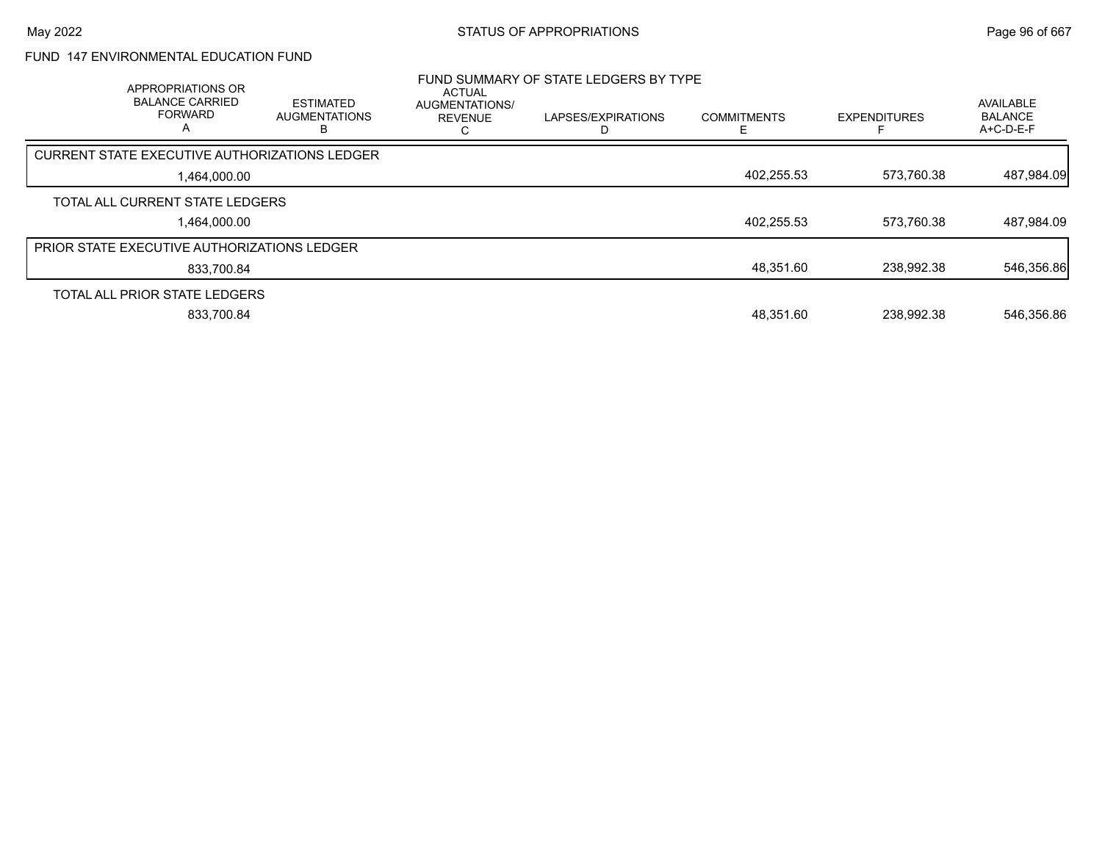## FUND 147 ENVIRONMENTAL EDUCATION FUND

| APPROPRIATIONS OR<br><b>BALANCE CARRIED</b><br><b>FORWARD</b><br>A | <b>ESTIMATED</b><br><b>AUGMENTATIONS</b><br>ь | <b>ACTUAL</b><br><b>AUGMENTATIONS/</b><br><b>REVENUE</b> | FUND SUMMARY OF STATE LEDGERS BY TYPE<br>LAPSES/EXPIRATIONS | <b>COMMITMENTS</b> | <b>EXPENDITURES</b> | AVAILABLE<br><b>BALANCE</b><br>$A+C-D-E-F$ |
|--------------------------------------------------------------------|-----------------------------------------------|----------------------------------------------------------|-------------------------------------------------------------|--------------------|---------------------|--------------------------------------------|
| CURRENT STATE EXECUTIVE AUTHORIZATIONS LEDGER                      |                                               |                                                          |                                                             |                    |                     |                                            |
| 1,464,000.00                                                       |                                               |                                                          |                                                             | 402,255.53         | 573.760.38          | 487,984.09                                 |
| TOTAL ALL CURRENT STATE LEDGERS                                    |                                               |                                                          |                                                             |                    |                     |                                            |
| 1.464.000.00                                                       |                                               |                                                          |                                                             | 402,255.53         | 573.760.38          | 487,984.09                                 |
| <b>PRIOR STATE EXECUTIVE AUTHORIZATIONS LEDGER</b>                 |                                               |                                                          |                                                             |                    |                     |                                            |
| 833,700.84                                                         |                                               |                                                          |                                                             | 48,351.60          | 238,992.38          | 546,356.86                                 |
| TOTAL ALL PRIOR STATE LEDGERS                                      |                                               |                                                          |                                                             |                    |                     |                                            |
| 833.700.84                                                         |                                               |                                                          |                                                             | 48.351.60          | 238.992.38          | 546,356.86                                 |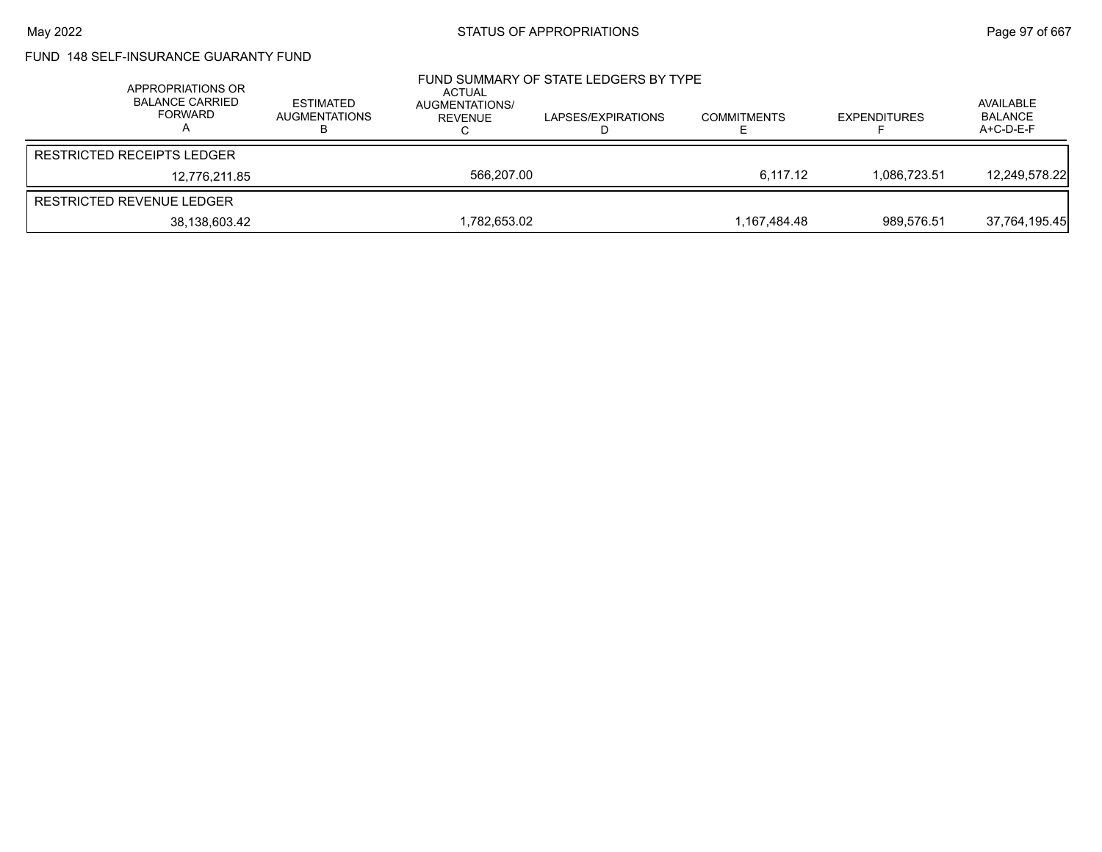### FUND 148 SELF-INSURANCE GUARANTY FUND

| APPROPRIATIONS OR<br><b>BALANCE CARRIED</b><br>FORWARD | ESTIMATED<br>AUGMENTATIONS | ACTUAL<br>AUGMENTATIONS/<br>REVENUE | FUND SUMMARY OF STATE LEDGERS BY TYPE<br>LAPSES/EXPIRATIONS | <b>COMMITMENTS</b> | <b>EXPENDITURES</b> | AVAILABLE<br><b>BALANCE</b><br>$A+C-D-E-F$ |
|--------------------------------------------------------|----------------------------|-------------------------------------|-------------------------------------------------------------|--------------------|---------------------|--------------------------------------------|
| <b>RESTRICTED RECEIPTS LEDGER</b>                      |                            |                                     |                                                             |                    |                     |                                            |
| 12.776.211.85                                          |                            | 566.207.00                          |                                                             | 6.117.12           | 1.086.723.51        | 12.249.578.22                              |
| RESTRICTED REVENUE LEDGER                              |                            |                                     |                                                             |                    |                     |                                            |
| 38,138,603.42                                          |                            | 1,782,653.02                        |                                                             | 1.167.484.48       | 989.576.51          | 37,764,195.45                              |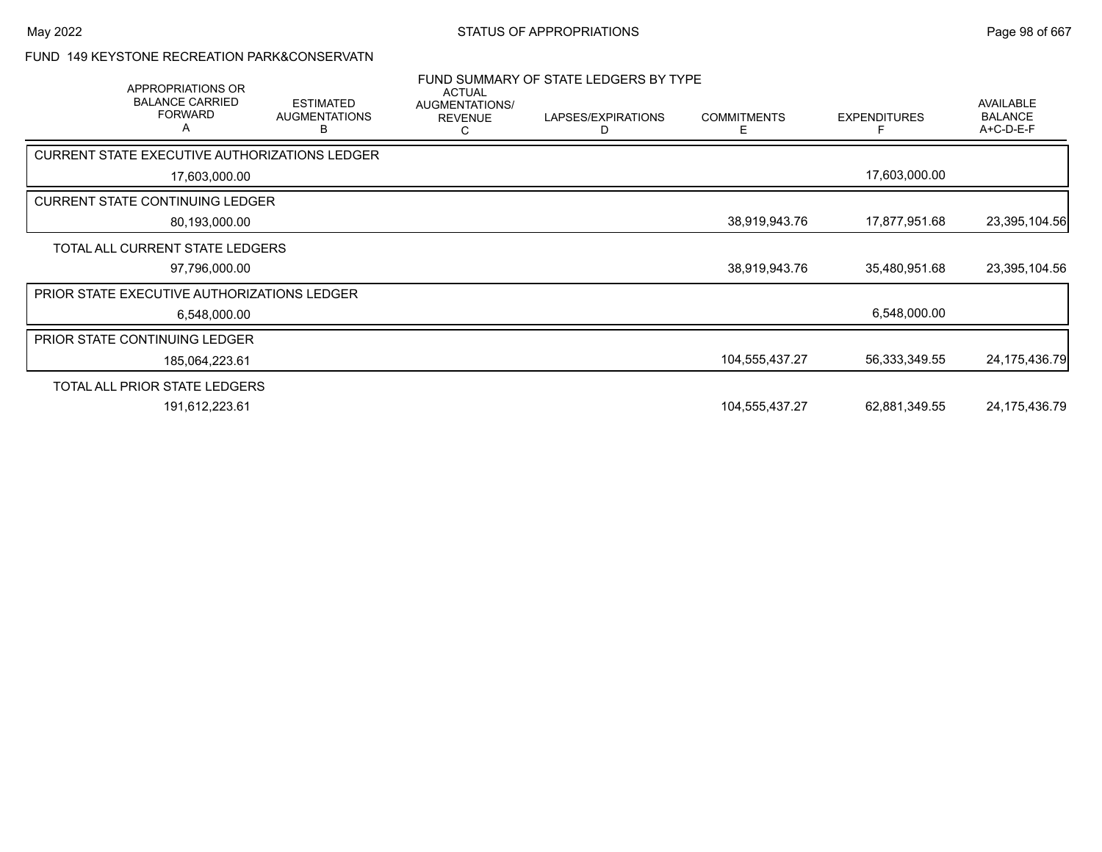#### FUND 149 KEYSTONE RECREATION PARK&CONSERVATN

| APPROPRIATIONS OR<br><b>BALANCE CARRIED</b><br><b>FORWARD</b><br>A | <b>ESTIMATED</b><br><b>AUGMENTATIONS</b><br>в | <b>ACTUAL</b><br>AUGMENTATIONS/<br><b>REVENUE</b><br>C | FUND SUMMARY OF STATE LEDGERS BY TYPE<br>LAPSES/EXPIRATIONS<br>D | <b>COMMITMENTS</b><br>E. | <b>EXPENDITURES</b> | <b>AVAILABLE</b><br><b>BALANCE</b><br>A+C-D-E-F |
|--------------------------------------------------------------------|-----------------------------------------------|--------------------------------------------------------|------------------------------------------------------------------|--------------------------|---------------------|-------------------------------------------------|
| CURRENT STATE EXECUTIVE AUTHORIZATIONS LEDGER                      |                                               |                                                        |                                                                  |                          |                     |                                                 |
| 17,603,000.00                                                      |                                               |                                                        |                                                                  |                          | 17,603,000.00       |                                                 |
| <b>CURRENT STATE CONTINUING LEDGER</b>                             |                                               |                                                        |                                                                  |                          |                     |                                                 |
| 80,193,000.00                                                      |                                               |                                                        |                                                                  | 38,919,943.76            | 17,877,951.68       | 23,395,104.56                                   |
| TOTAL ALL CURRENT STATE LEDGERS                                    |                                               |                                                        |                                                                  |                          |                     |                                                 |
| 97,796,000.00                                                      |                                               |                                                        |                                                                  | 38,919,943.76            | 35,480,951.68       | 23,395,104.56                                   |
| PRIOR STATE EXECUTIVE AUTHORIZATIONS LEDGER                        |                                               |                                                        |                                                                  |                          |                     |                                                 |
| 6,548,000.00                                                       |                                               |                                                        |                                                                  |                          | 6,548,000.00        |                                                 |
| <b>PRIOR STATE CONTINUING LEDGER</b>                               |                                               |                                                        |                                                                  |                          |                     |                                                 |
| 185,064,223.61                                                     |                                               |                                                        |                                                                  | 104,555,437.27           | 56,333,349.55       | 24, 175, 436. 79                                |
| TOTAL ALL PRIOR STATE LEDGERS                                      |                                               |                                                        |                                                                  |                          |                     |                                                 |
| 191,612,223.61                                                     |                                               |                                                        |                                                                  | 104,555,437.27           | 62,881,349.55       | 24, 175, 436. 79                                |
|                                                                    |                                               |                                                        |                                                                  |                          |                     |                                                 |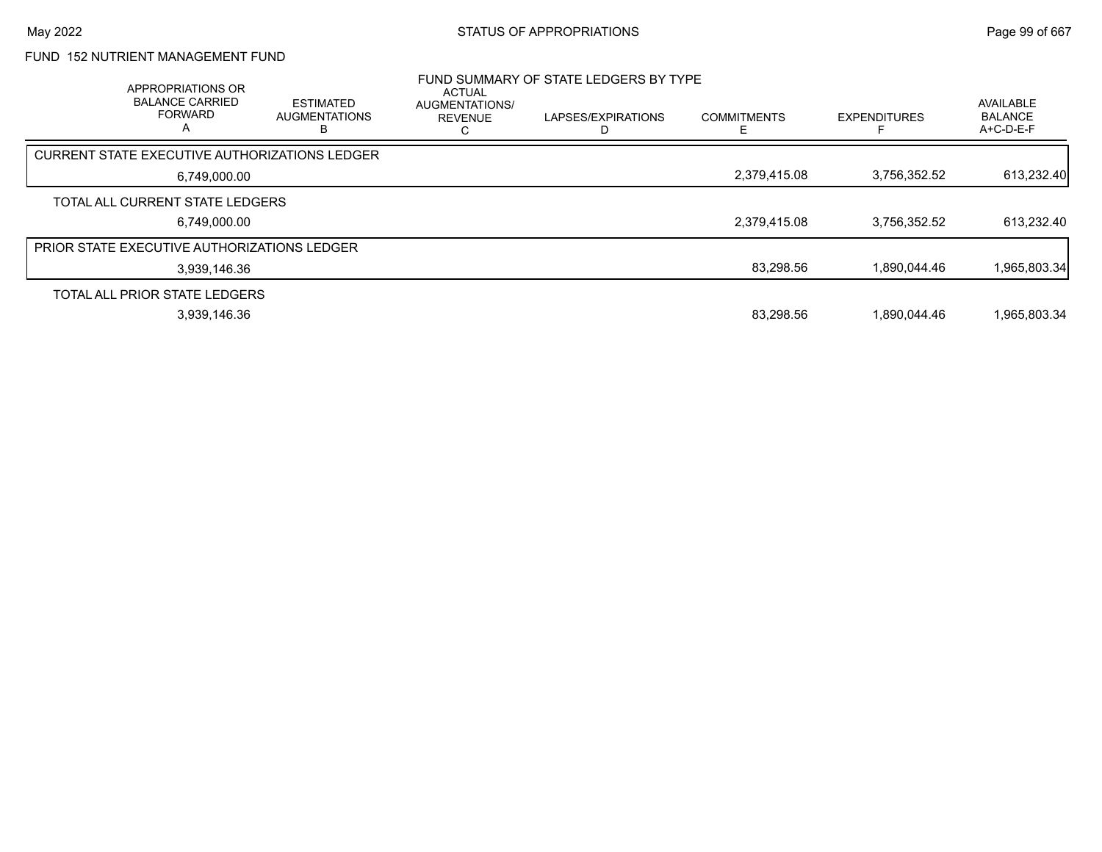### FUND 152 NUTRIENT MANAGEMENT FUND

| APPROPRIATIONS OR<br><b>BALANCE CARRIED</b><br><b>FORWARD</b><br>А | <b>ESTIMATED</b><br><b>AUGMENTATIONS</b> | <b>ACTUAL</b><br><b>AUGMENTATIONS/</b><br><b>REVENUE</b> | FUND SUMMARY OF STATE LEDGERS BY TYPE<br>LAPSES/EXPIRATIONS | <b>COMMITMENTS</b> | <b>EXPENDITURES</b> | <b>AVAILABLE</b><br><b>BALANCE</b><br>$A+C-D-E-F$ |
|--------------------------------------------------------------------|------------------------------------------|----------------------------------------------------------|-------------------------------------------------------------|--------------------|---------------------|---------------------------------------------------|
| CURRENT STATE EXECUTIVE AUTHORIZATIONS LEDGER                      |                                          |                                                          |                                                             |                    |                     |                                                   |
| 6,749,000.00                                                       |                                          |                                                          |                                                             | 2,379,415.08       | 3,756,352.52        | 613,232.40                                        |
| TOTAL ALL CURRENT STATE LEDGERS                                    |                                          |                                                          |                                                             |                    |                     |                                                   |
| 6,749,000.00                                                       |                                          |                                                          |                                                             | 2,379,415.08       | 3,756,352.52        | 613,232.40                                        |
| <b>PRIOR STATE EXECUTIVE AUTHORIZATIONS LEDGER</b>                 |                                          |                                                          |                                                             |                    |                     |                                                   |
| 3,939,146.36                                                       |                                          |                                                          |                                                             | 83,298.56          | 1.890.044.46        | 1,965,803.34                                      |
| TOTAL ALL PRIOR STATE LEDGERS                                      |                                          |                                                          |                                                             |                    |                     |                                                   |
| 3,939,146.36                                                       |                                          |                                                          |                                                             | 83,298.56          | 1.890.044.46        | 1,965,803.34                                      |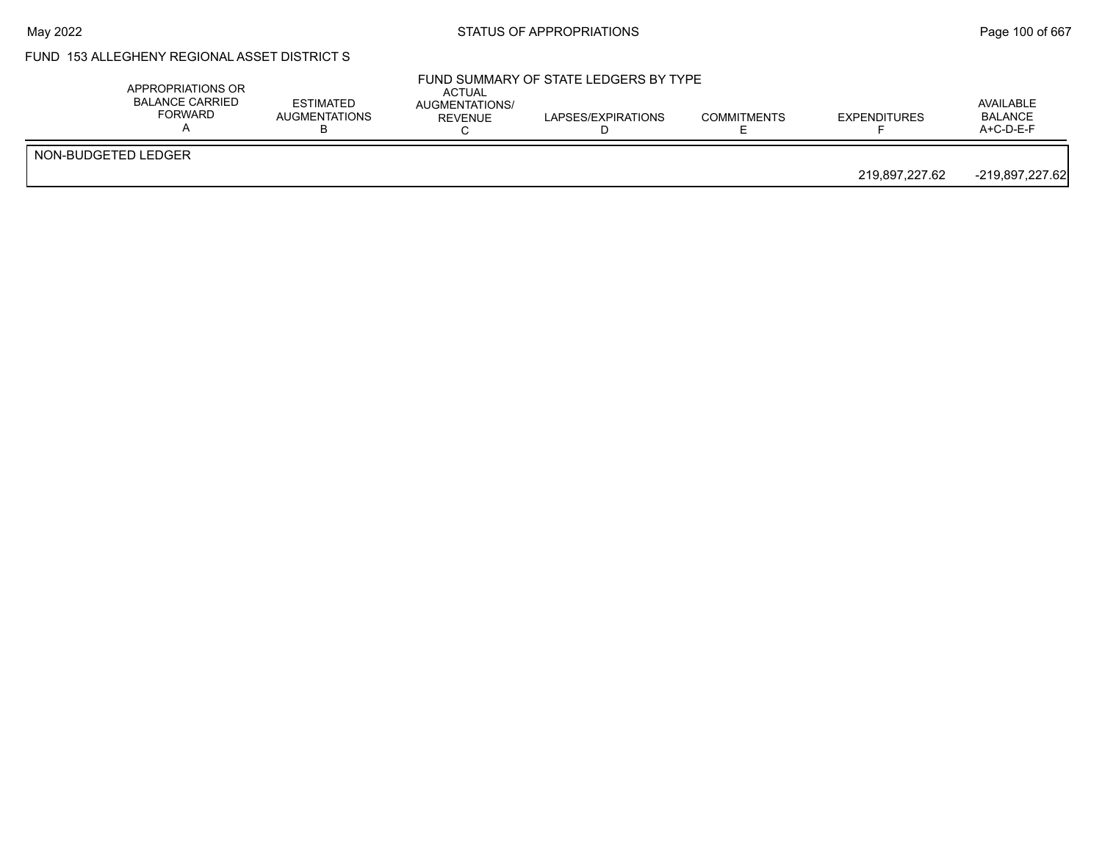### May 2022 **Example 2018** STATUS OF APPROPRIATIONS **Page 100 of 667**

# FUND 153 ALLEGHENY REGIONAL ASSET DISTRICT S

|                     |  |  |                | A+C-D-E-F       |
|---------------------|--|--|----------------|-----------------|
| NON-BUDGETED LEDGER |  |  | 219,897,227.62 | -219,897,227.62 |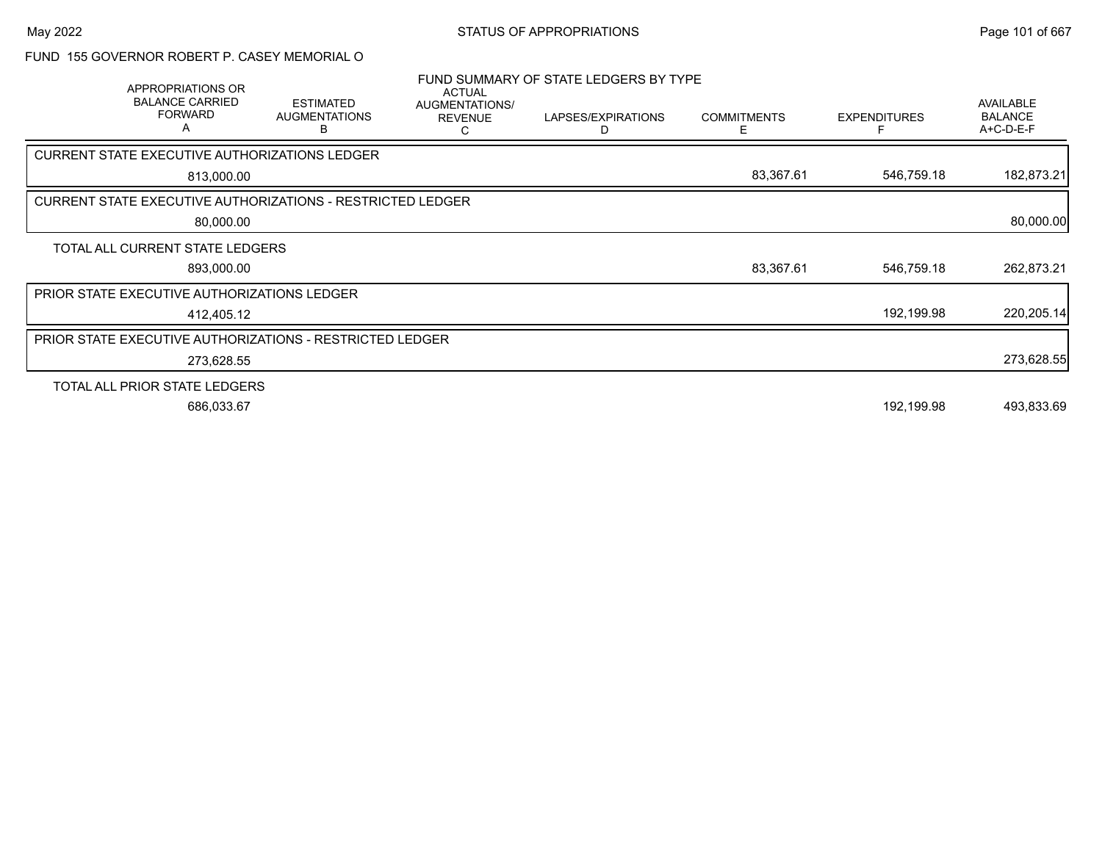#### FUND 155 GOVERNOR ROBERT P. CASEY MEMORIAL O

|                                                                   | APPROPRIATIONS OR<br><b>BALANCE CARRIED</b><br><b>FORWARD</b><br>A | <b>ESTIMATED</b><br><b>AUGMENTATIONS</b><br>В | <b>ACTUAL</b><br><b>AUGMENTATIONS/</b><br><b>REVENUE</b><br>C | FUND SUMMARY OF STATE LEDGERS BY TYPE<br>LAPSES/EXPIRATIONS<br>D | <b>COMMITMENTS</b><br>E. | <b>EXPENDITURES</b> | AVAILABLE<br><b>BALANCE</b><br>A+C-D-E-F |
|-------------------------------------------------------------------|--------------------------------------------------------------------|-----------------------------------------------|---------------------------------------------------------------|------------------------------------------------------------------|--------------------------|---------------------|------------------------------------------|
| CURRENT STATE EXECUTIVE AUTHORIZATIONS LEDGER                     |                                                                    |                                               |                                                               |                                                                  |                          |                     |                                          |
|                                                                   | 813,000.00                                                         |                                               |                                                               |                                                                  | 83,367.61                | 546,759.18          | 182,873.21                               |
| <b>CURRENT STATE EXECUTIVE AUTHORIZATIONS - RESTRICTED LEDGER</b> |                                                                    |                                               |                                                               |                                                                  |                          |                     |                                          |
|                                                                   | 80,000.00                                                          |                                               |                                                               |                                                                  |                          |                     | 80,000.00                                |
| TOTAL ALL CURRENT STATE LEDGERS                                   |                                                                    |                                               |                                                               |                                                                  |                          |                     |                                          |
|                                                                   | 893,000.00                                                         |                                               |                                                               |                                                                  | 83,367.61                | 546,759.18          | 262,873.21                               |
| PRIOR STATE EXECUTIVE AUTHORIZATIONS LEDGER                       |                                                                    |                                               |                                                               |                                                                  |                          |                     |                                          |
|                                                                   | 412,405.12                                                         |                                               |                                                               |                                                                  |                          | 192,199.98          | 220,205.14                               |
| <b>PRIOR STATE EXECUTIVE AUTHORIZATIONS - RESTRICTED LEDGER</b>   |                                                                    |                                               |                                                               |                                                                  |                          |                     |                                          |
|                                                                   | 273,628.55                                                         |                                               |                                                               |                                                                  |                          |                     | 273,628.55                               |
| TOTAL ALL PRIOR STATE LEDGERS                                     |                                                                    |                                               |                                                               |                                                                  |                          |                     |                                          |
|                                                                   | 686,033.67                                                         |                                               |                                                               |                                                                  |                          | 192,199.98          | 493,833.69                               |
|                                                                   |                                                                    |                                               |                                                               |                                                                  |                          |                     |                                          |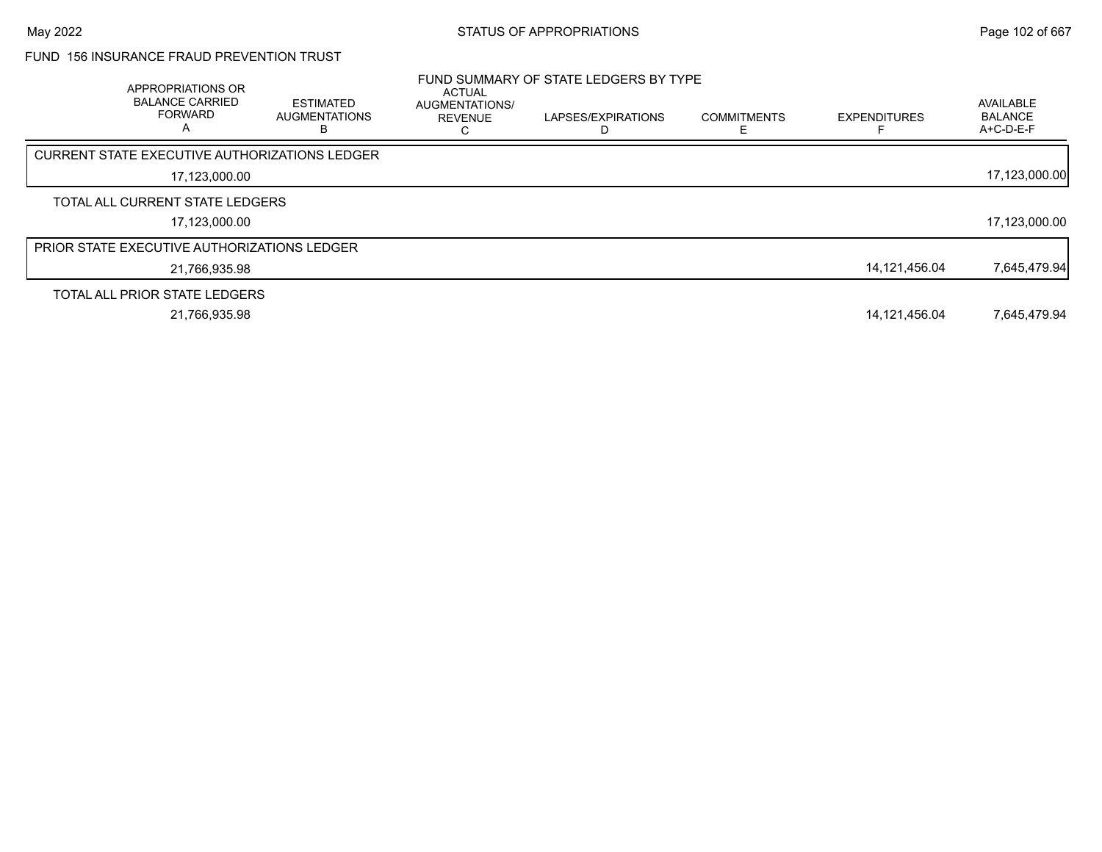### FUND 156 INSURANCE FRAUD PREVENTION TRUST

| APPROPRIATIONS OR<br><b>BALANCE CARRIED</b><br><b>FORWARD</b><br>А | <b>ESTIMATED</b><br><b>AUGMENTATIONS</b><br>В | <b>ACTUAL</b><br><b>AUGMENTATIONS/</b><br><b>REVENUE</b> | FUND SUMMARY OF STATE LEDGERS BY TYPE<br>LAPSES/EXPIRATIONS | <b>COMMITMENTS</b> | <b>EXPENDITURES</b> | AVAILABLE<br><b>BALANCE</b><br>A+C-D-E-F |
|--------------------------------------------------------------------|-----------------------------------------------|----------------------------------------------------------|-------------------------------------------------------------|--------------------|---------------------|------------------------------------------|
| CURRENT STATE EXECUTIVE AUTHORIZATIONS LEDGER                      |                                               |                                                          |                                                             |                    |                     |                                          |
| 17,123,000.00                                                      |                                               |                                                          |                                                             |                    |                     | 17,123,000.00                            |
| TOTAL ALL CURRENT STATE LEDGERS                                    |                                               |                                                          |                                                             |                    |                     |                                          |
| 17,123,000.00                                                      |                                               |                                                          |                                                             |                    |                     | 17,123,000.00                            |
| <b>PRIOR STATE EXECUTIVE AUTHORIZATIONS LEDGER</b>                 |                                               |                                                          |                                                             |                    |                     |                                          |
| 21.766.935.98                                                      |                                               |                                                          |                                                             |                    | 14,121,456.04       | 7,645,479.94                             |
| TOTAL ALL PRIOR STATE LEDGERS                                      |                                               |                                                          |                                                             |                    |                     |                                          |
| 21.766.935.98                                                      |                                               |                                                          |                                                             |                    | 14,121,456.04       | 7.645.479.94                             |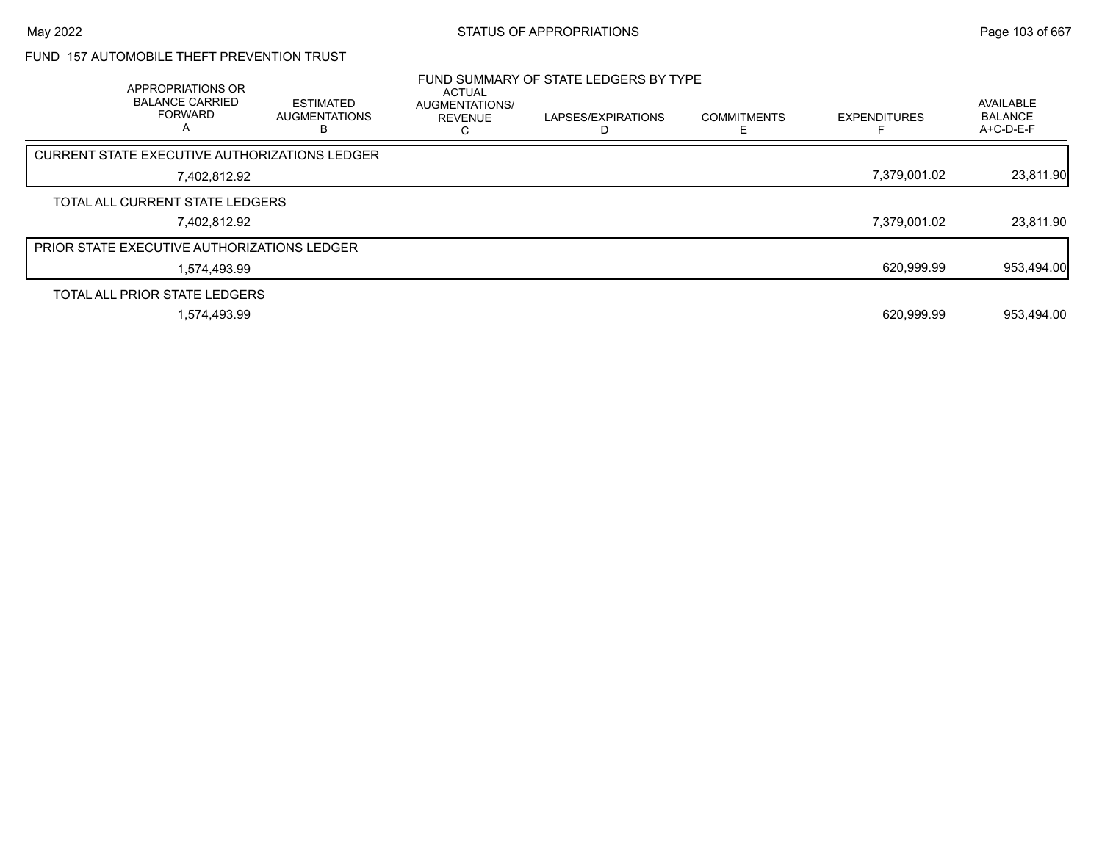### FUND 157 AUTOMOBILE THEFT PREVENTION TRUST

| APPROPRIATIONS OR<br><b>BALANCE CARRIED</b><br><b>FORWARD</b><br>A | <b>ESTIMATED</b><br><b>AUGMENTATIONS</b> | <b>ACTUAL</b><br><b>AUGMENTATIONS/</b><br><b>REVENUE</b> | FUND SUMMARY OF STATE LEDGERS BY TYPE<br>LAPSES/EXPIRATIONS<br>D | <b>COMMITMENTS</b> | <b>EXPENDITURES</b> | AVAILABLE<br><b>BALANCE</b><br>A+C-D-E-F |
|--------------------------------------------------------------------|------------------------------------------|----------------------------------------------------------|------------------------------------------------------------------|--------------------|---------------------|------------------------------------------|
| CURRENT STATE EXECUTIVE AUTHORIZATIONS LEDGER                      |                                          |                                                          |                                                                  |                    |                     |                                          |
| 7.402.812.92                                                       |                                          |                                                          |                                                                  |                    | 7,379,001.02        | 23,811.90                                |
| TOTAL ALL CURRENT STATE LEDGERS                                    |                                          |                                                          |                                                                  |                    |                     |                                          |
| 7.402.812.92                                                       |                                          |                                                          |                                                                  |                    | 7,379,001.02        | 23,811.90                                |
| <b>PRIOR STATE EXECUTIVE AUTHORIZATIONS LEDGER</b>                 |                                          |                                                          |                                                                  |                    |                     |                                          |
| 1.574.493.99                                                       |                                          |                                                          |                                                                  |                    | 620,999.99          | 953,494.00                               |
| TOTAL ALL PRIOR STATE LEDGERS                                      |                                          |                                                          |                                                                  |                    |                     |                                          |
| 1,574,493.99                                                       |                                          |                                                          |                                                                  |                    | 620.999.99          | 953,494.00                               |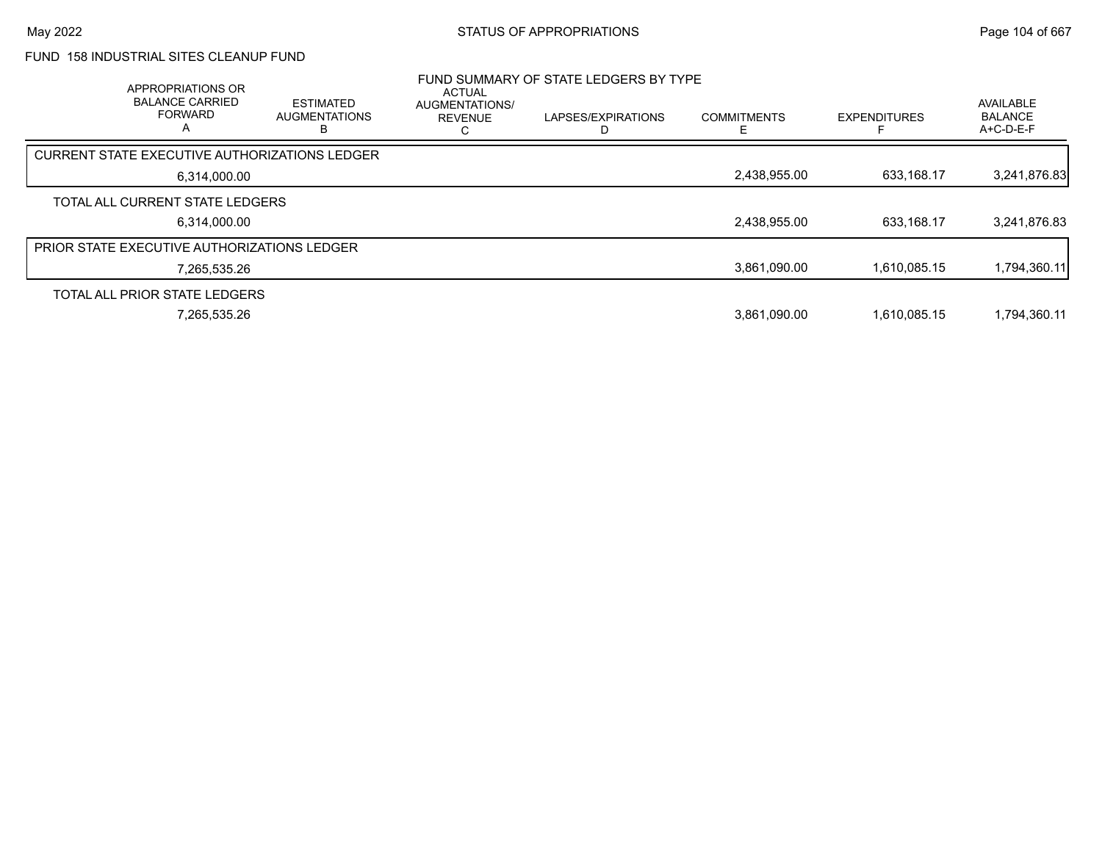### FUND 158 INDUSTRIAL SITES CLEANUP FUND

| APPROPRIATIONS OR<br><b>BALANCE CARRIED</b><br><b>FORWARD</b><br>Α | <b>ESTIMATED</b><br><b>AUGMENTATIONS</b> | <b>ACTUAL</b><br>AUGMENTATIONS/<br><b>REVENUE</b> | FUND SUMMARY OF STATE LEDGERS BY TYPE<br>LAPSES/EXPIRATIONS | <b>COMMITMENTS</b> | <b>EXPENDITURES</b> | AVAILABLE<br><b>BALANCE</b><br>$A+C-D-E-F$ |
|--------------------------------------------------------------------|------------------------------------------|---------------------------------------------------|-------------------------------------------------------------|--------------------|---------------------|--------------------------------------------|
| CURRENT STATE EXECUTIVE AUTHORIZATIONS LEDGER                      |                                          |                                                   |                                                             |                    |                     |                                            |
| 6,314,000.00                                                       |                                          |                                                   |                                                             | 2,438,955.00       | 633,168.17          | 3,241,876.83                               |
| TOTAL ALL CURRENT STATE LEDGERS                                    |                                          |                                                   |                                                             |                    |                     |                                            |
| 6,314,000.00                                                       |                                          |                                                   |                                                             | 2,438,955.00       | 633.168.17          | 3,241,876.83                               |
| <b>PRIOR STATE EXECUTIVE AUTHORIZATIONS LEDGER</b>                 |                                          |                                                   |                                                             |                    |                     |                                            |
| 7,265,535.26                                                       |                                          |                                                   |                                                             | 3,861,090.00       | 1,610,085.15        | 1,794,360.11                               |
| TOTAL ALL PRIOR STATE LEDGERS                                      |                                          |                                                   |                                                             |                    |                     |                                            |
| 7,265,535.26                                                       |                                          |                                                   |                                                             | 3,861,090.00       | 1.610.085.15        | 1,794,360.11                               |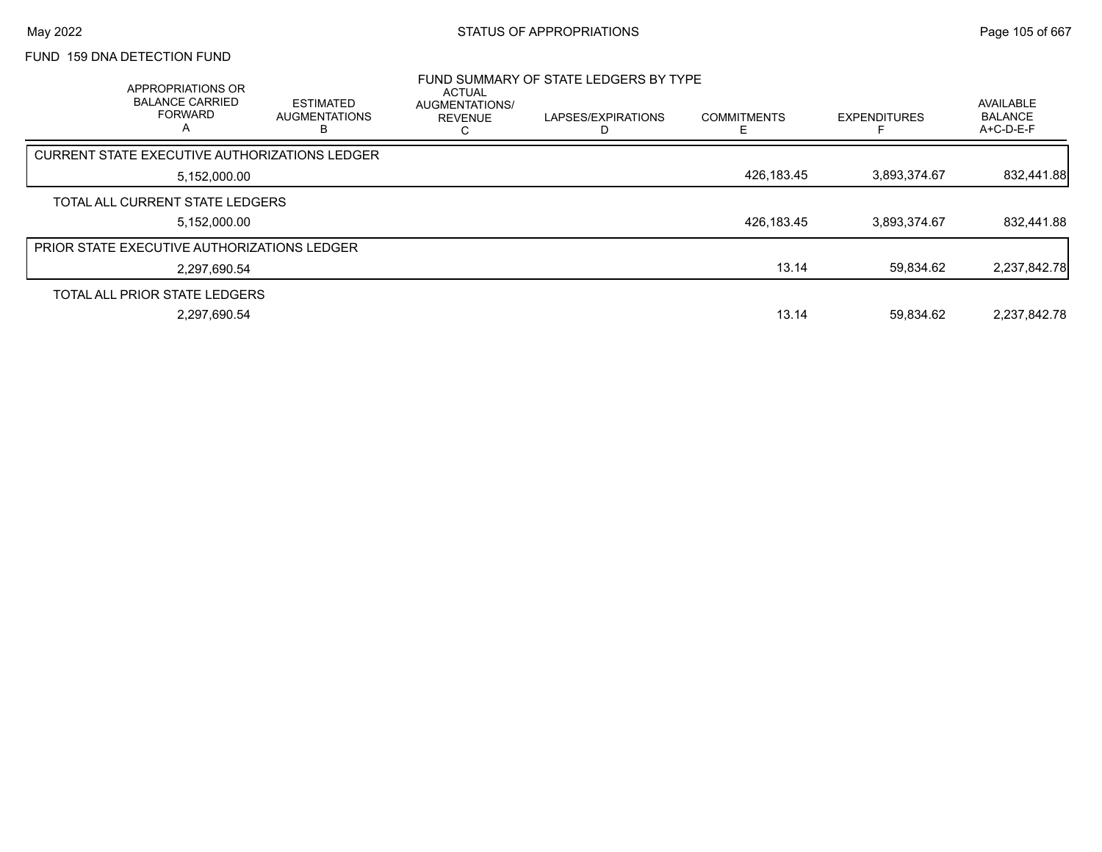# FUND 159 DNA DETECTION FUND

| APPROPRIATIONS OR<br><b>BALANCE CARRIED</b><br><b>FORWARD</b><br>A | <b>ESTIMATED</b><br><b>AUGMENTATIONS</b><br>в | <b>ACTUAL</b><br><b>AUGMENTATIONS/</b><br><b>REVENUE</b> | FUND SUMMARY OF STATE LEDGERS BY TYPE<br>LAPSES/EXPIRATIONS | <b>COMMITMENTS</b> | <b>EXPENDITURES</b> | AVAILABLE<br><b>BALANCE</b><br>A+C-D-E-F |
|--------------------------------------------------------------------|-----------------------------------------------|----------------------------------------------------------|-------------------------------------------------------------|--------------------|---------------------|------------------------------------------|
| CURRENT STATE EXECUTIVE AUTHORIZATIONS LEDGER                      |                                               |                                                          |                                                             |                    |                     |                                          |
| 5,152,000.00                                                       |                                               |                                                          |                                                             | 426,183.45         | 3,893,374.67        | 832,441.88                               |
| TOTAL ALL CURRENT STATE LEDGERS                                    |                                               |                                                          |                                                             |                    |                     |                                          |
| 5,152,000.00                                                       |                                               |                                                          |                                                             | 426,183.45         | 3.893.374.67        | 832,441.88                               |
| <b>PRIOR STATE EXECUTIVE AUTHORIZATIONS LEDGER</b>                 |                                               |                                                          |                                                             |                    |                     |                                          |
| 2,297,690.54                                                       |                                               |                                                          |                                                             | 13.14              | 59.834.62           | 2,237,842.78                             |
| TOTAL ALL PRIOR STATE LEDGERS                                      |                                               |                                                          |                                                             |                    |                     |                                          |
| 2.297.690.54                                                       |                                               |                                                          |                                                             | 13.14              | 59.834.62           | 2.237.842.78                             |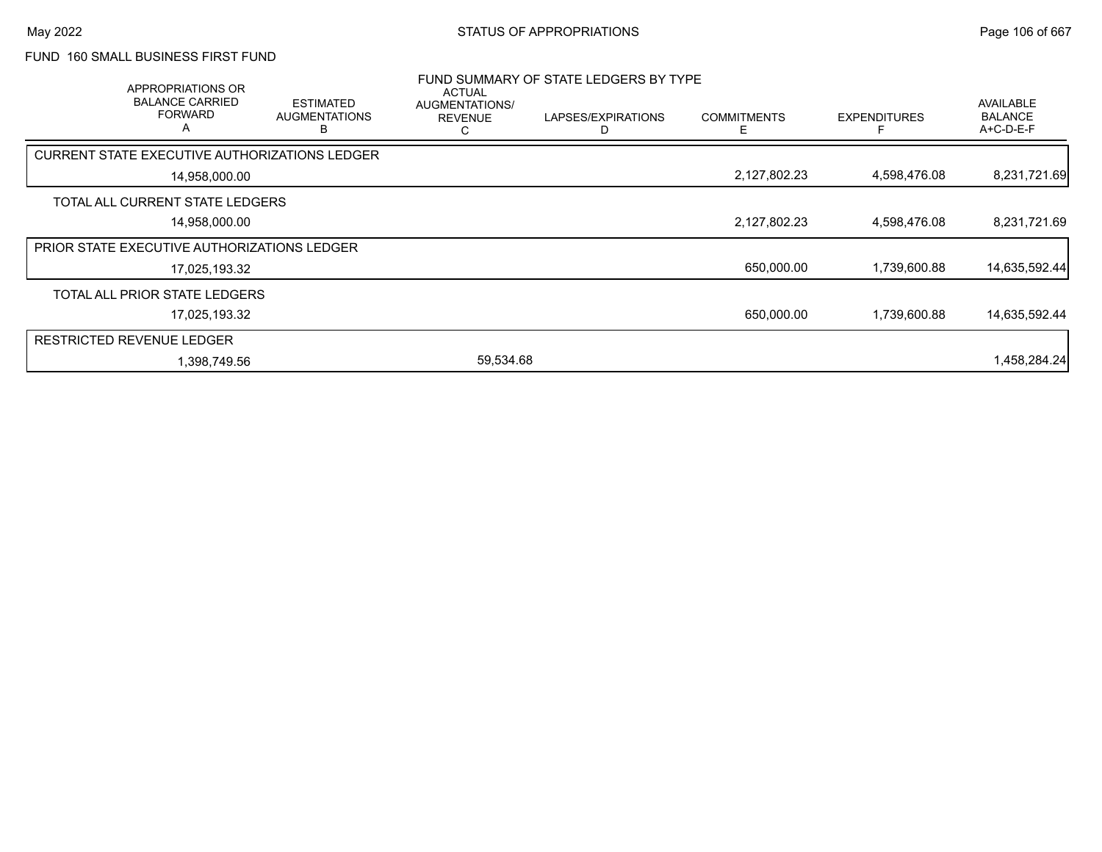### FUND 160 SMALL BUSINESS FIRST FUND

| APPROPRIATIONS OR<br><b>BALANCE CARRIED</b><br><b>FORWARD</b><br>A | <b>ESTIMATED</b><br><b>AUGMENTATIONS</b><br>R | <b>ACTUAL</b><br>AUGMENTATIONS/<br><b>REVENUE</b><br>С | FUND SUMMARY OF STATE LEDGERS BY TYPE<br>LAPSES/EXPIRATIONS<br>D | <b>COMMITMENTS</b><br>Е | <b>EXPENDITURES</b> | AVAILABLE<br><b>BALANCE</b><br>$A+C-D-E-F$ |
|--------------------------------------------------------------------|-----------------------------------------------|--------------------------------------------------------|------------------------------------------------------------------|-------------------------|---------------------|--------------------------------------------|
| CURRENT STATE EXECUTIVE AUTHORIZATIONS LEDGER                      |                                               |                                                        |                                                                  |                         |                     |                                            |
| 14,958,000.00                                                      |                                               |                                                        |                                                                  | 2,127,802.23            | 4,598,476.08        | 8,231,721.69                               |
| TOTAL ALL CURRENT STATE LEDGERS                                    |                                               |                                                        |                                                                  |                         |                     |                                            |
| 14,958,000.00                                                      |                                               |                                                        |                                                                  | 2,127,802.23            | 4,598,476.08        | 8,231,721.69                               |
| PRIOR STATE EXECUTIVE AUTHORIZATIONS LEDGER                        |                                               |                                                        |                                                                  |                         |                     |                                            |
| 17,025,193.32                                                      |                                               |                                                        |                                                                  | 650,000.00              | 1,739,600.88        | 14,635,592.44                              |
| TOTAL ALL PRIOR STATE LEDGERS                                      |                                               |                                                        |                                                                  |                         |                     |                                            |
| 17,025,193.32                                                      |                                               |                                                        |                                                                  | 650,000.00              | 1,739,600.88        | 14,635,592.44                              |
| <b>RESTRICTED REVENUE LEDGER</b>                                   |                                               |                                                        |                                                                  |                         |                     |                                            |
| 1,398,749.56                                                       |                                               | 59,534.68                                              |                                                                  |                         |                     | 1,458,284.24                               |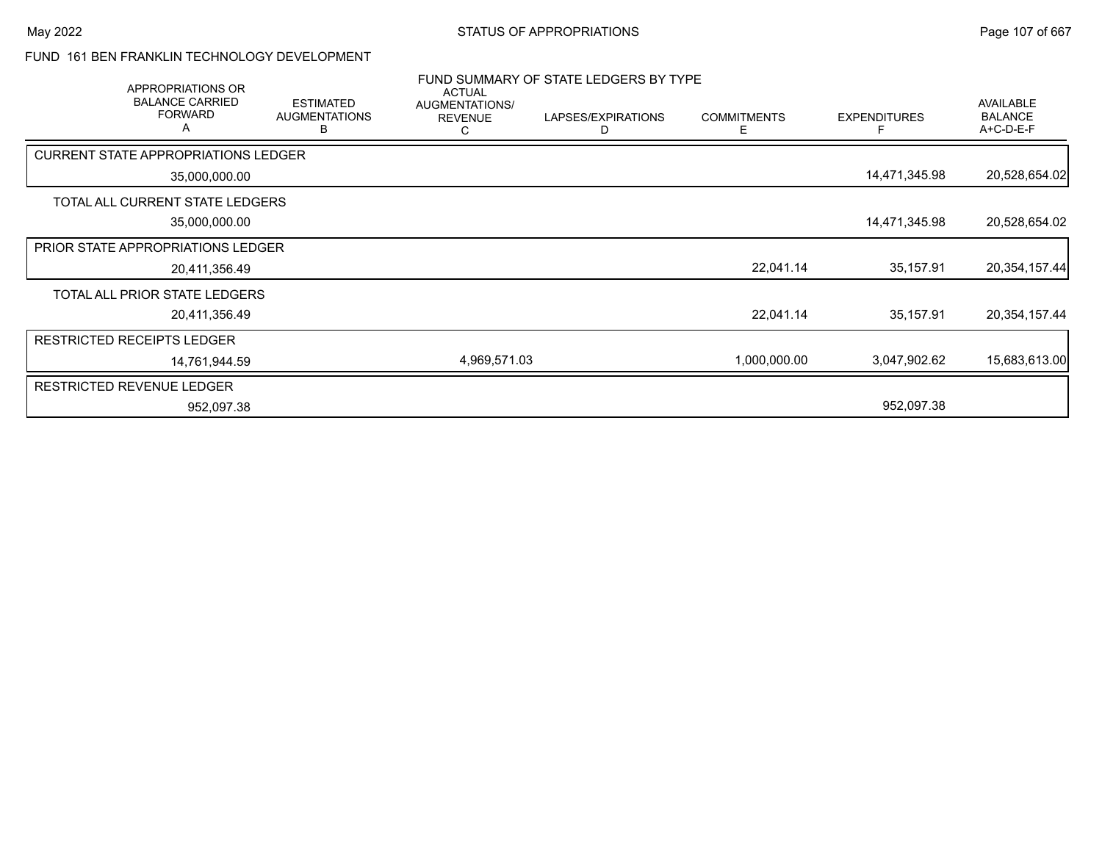#### FUND 161 BEN FRANKLIN TECHNOLOGY DEVELOPMENT

| APPROPRIATIONS OR                             |                                               | <b>ACTUAL</b>                         | FUND SUMMARY OF STATE LEDGERS BY TYPE |                         |                     |                                          |
|-----------------------------------------------|-----------------------------------------------|---------------------------------------|---------------------------------------|-------------------------|---------------------|------------------------------------------|
| <b>BALANCE CARRIED</b><br><b>FORWARD</b><br>A | <b>ESTIMATED</b><br><b>AUGMENTATIONS</b><br>B | AUGMENTATIONS/<br><b>REVENUE</b><br>C | LAPSES/EXPIRATIONS                    | <b>COMMITMENTS</b><br>F | <b>EXPENDITURES</b> | AVAILABLE<br><b>BALANCE</b><br>A+C-D-E-F |
| <b>CURRENT STATE APPROPRIATIONS LEDGER</b>    |                                               |                                       |                                       |                         |                     |                                          |
| 35,000,000.00                                 |                                               |                                       |                                       |                         | 14,471,345.98       | 20,528,654.02                            |
| TOTAL ALL CURRENT STATE LEDGERS               |                                               |                                       |                                       |                         |                     |                                          |
| 35,000,000.00                                 |                                               |                                       |                                       |                         | 14,471,345.98       | 20,528,654.02                            |
| <b>PRIOR STATE APPROPRIATIONS LEDGER</b>      |                                               |                                       |                                       |                         |                     |                                          |
| 20,411,356.49                                 |                                               |                                       |                                       | 22,041.14               | 35,157.91           | 20,354,157.44                            |
| TOTAL ALL PRIOR STATE LEDGERS                 |                                               |                                       |                                       |                         |                     |                                          |
| 20,411,356.49                                 |                                               |                                       |                                       | 22,041.14               | 35,157.91           | 20,354,157.44                            |
| <b>RESTRICTED RECEIPTS LEDGER</b>             |                                               |                                       |                                       |                         |                     |                                          |
| 14.761.944.59                                 |                                               | 4,969,571.03                          |                                       | 1,000,000.00            | 3,047,902.62        | 15,683,613.00                            |
| <b>RESTRICTED REVENUE LEDGER</b>              |                                               |                                       |                                       |                         |                     |                                          |
| 952,097.38                                    |                                               |                                       |                                       |                         | 952,097.38          |                                          |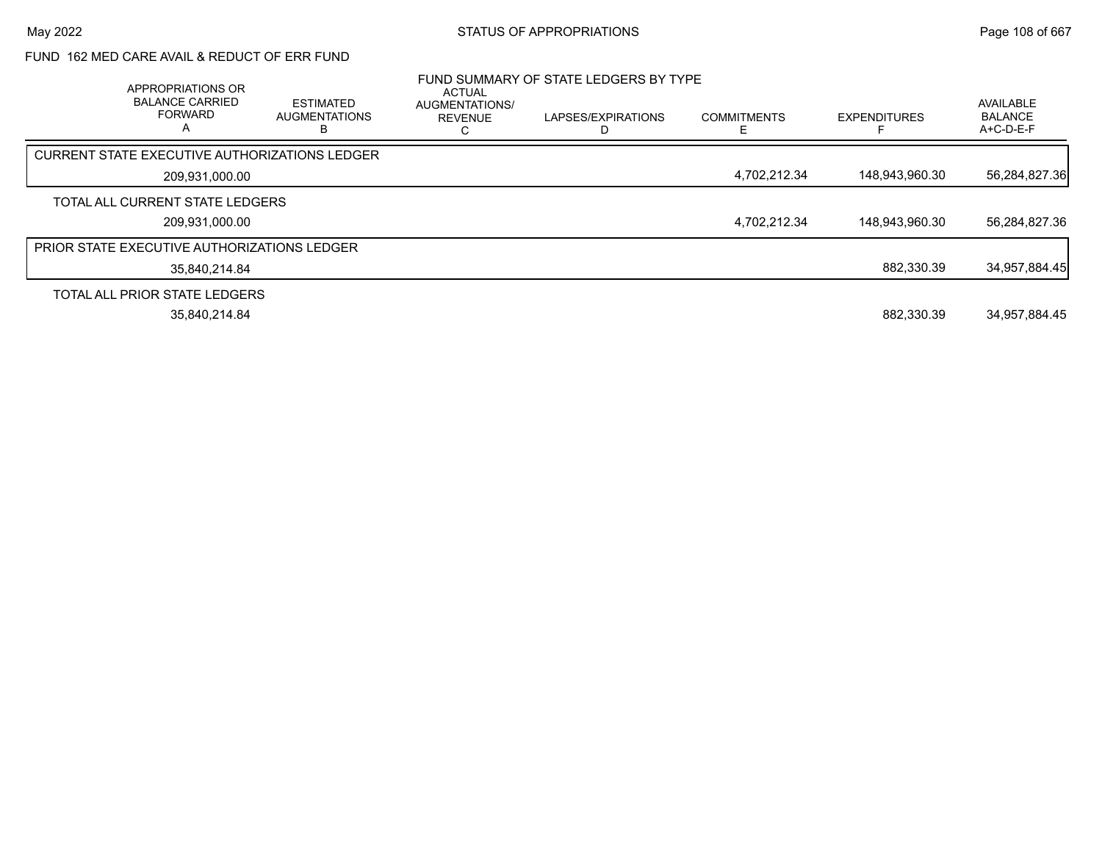## FUND 162 MED CARE AVAIL & REDUCT OF ERR FUND

| APPROPRIATIONS OR<br><b>BALANCE CARRIED</b><br><b>FORWARD</b><br>$\mathsf{A}$ | <b>ESTIMATED</b><br><b>AUGMENTATIONS</b> | ACTUAL<br>AUGMENTATIONS/<br><b>REVENUE</b><br>Ü | FUND SUMMARY OF STATE LEDGERS BY TYPE<br>LAPSES/EXPIRATIONS | <b>COMMITMENTS</b> | <b>EXPENDITURES</b> | AVAILABLE<br><b>BALANCE</b><br>A+C-D-E-F |
|-------------------------------------------------------------------------------|------------------------------------------|-------------------------------------------------|-------------------------------------------------------------|--------------------|---------------------|------------------------------------------|
| CURRENT STATE EXECUTIVE AUTHORIZATIONS LEDGER                                 |                                          |                                                 |                                                             |                    |                     |                                          |
| 209,931,000.00                                                                |                                          |                                                 |                                                             | 4.702.212.34       | 148,943,960.30      | 56,284,827.36                            |
| TOTAL ALL CURRENT STATE LEDGERS                                               |                                          |                                                 |                                                             |                    |                     |                                          |
| 209,931,000.00                                                                |                                          |                                                 |                                                             | 4.702.212.34       | 148,943,960.30      | 56,284,827.36                            |
| <b>PRIOR STATE EXECUTIVE AUTHORIZATIONS LEDGER</b>                            |                                          |                                                 |                                                             |                    |                     |                                          |
| 35.840.214.84                                                                 |                                          |                                                 |                                                             |                    | 882,330.39          | 34,957,884.45                            |
| TOTAL ALL PRIOR STATE LEDGERS                                                 |                                          |                                                 |                                                             |                    |                     |                                          |
| 35,840,214.84                                                                 |                                          |                                                 |                                                             |                    | 882.330.39          | 34,957,884.45                            |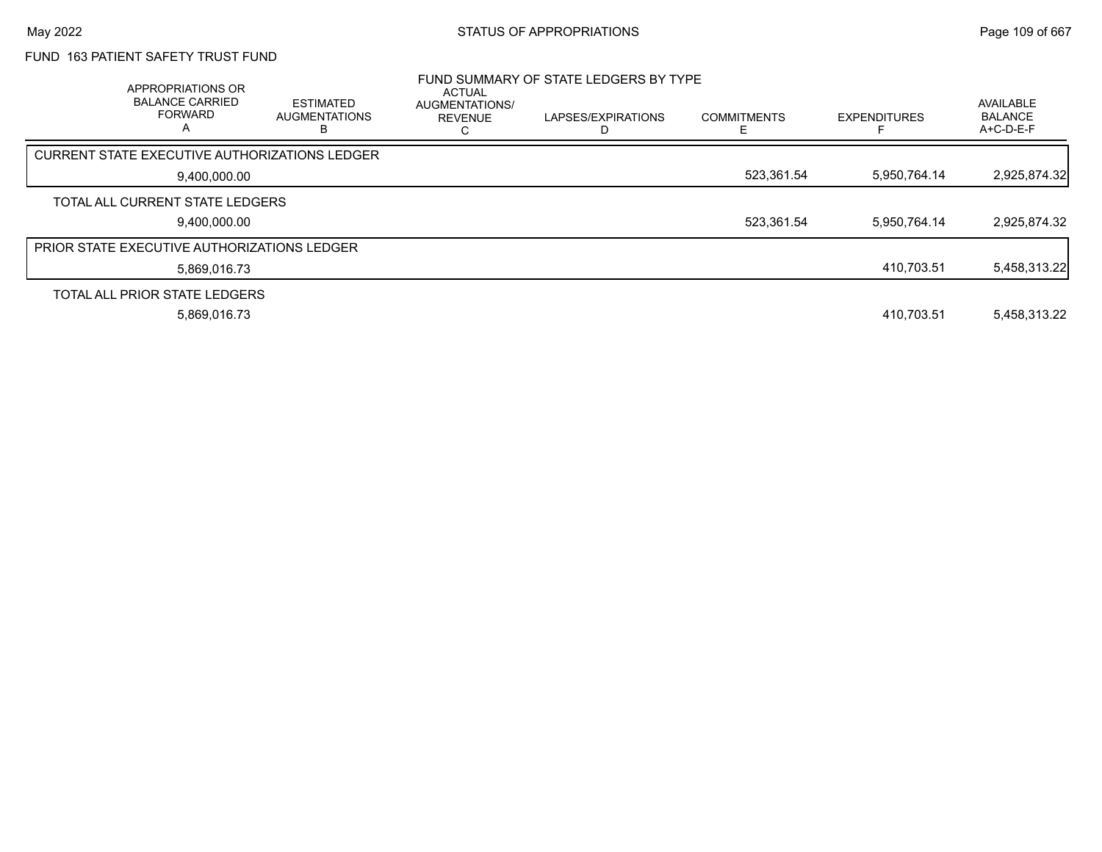## FUND 163 PATIENT SAFETY TRUST FUND

| APPROPRIATIONS OR<br><b>BALANCE CARRIED</b><br><b>FORWARD</b><br>A | <b>ESTIMATED</b><br><b>AUGMENTATIONS</b> | ACTUAL<br>AUGMENTATIONS/<br><b>REVENUE</b> | FUND SUMMARY OF STATE LEDGERS BY TYPE<br>LAPSES/EXPIRATIONS | <b>COMMITMENTS</b> | <b>EXPENDITURES</b> | AVAILABLE<br><b>BALANCE</b><br>A+C-D-E-F |
|--------------------------------------------------------------------|------------------------------------------|--------------------------------------------|-------------------------------------------------------------|--------------------|---------------------|------------------------------------------|
| <b>CURRENT STATE EXECUTIVE AUTHORIZATIONS LEDGER</b>               |                                          |                                            |                                                             |                    |                     |                                          |
| 9,400,000.00                                                       |                                          |                                            |                                                             | 523,361.54         | 5,950,764.14        | 2,925,874.32                             |
| TOTAL ALL CURRENT STATE LEDGERS                                    |                                          |                                            |                                                             |                    |                     |                                          |
| 9.400.000.00                                                       |                                          |                                            |                                                             | 523,361.54         | 5.950.764.14        | 2,925,874.32                             |
| <b>PRIOR STATE EXECUTIVE AUTHORIZATIONS LEDGER</b>                 |                                          |                                            |                                                             |                    |                     |                                          |
| 5.869.016.73                                                       |                                          |                                            |                                                             |                    | 410.703.51          | 5,458,313.22                             |
| TOTAL ALL PRIOR STATE LEDGERS                                      |                                          |                                            |                                                             |                    |                     |                                          |
| 5.869.016.73                                                       |                                          |                                            |                                                             |                    | 410.703.51          | 5.458.313.22                             |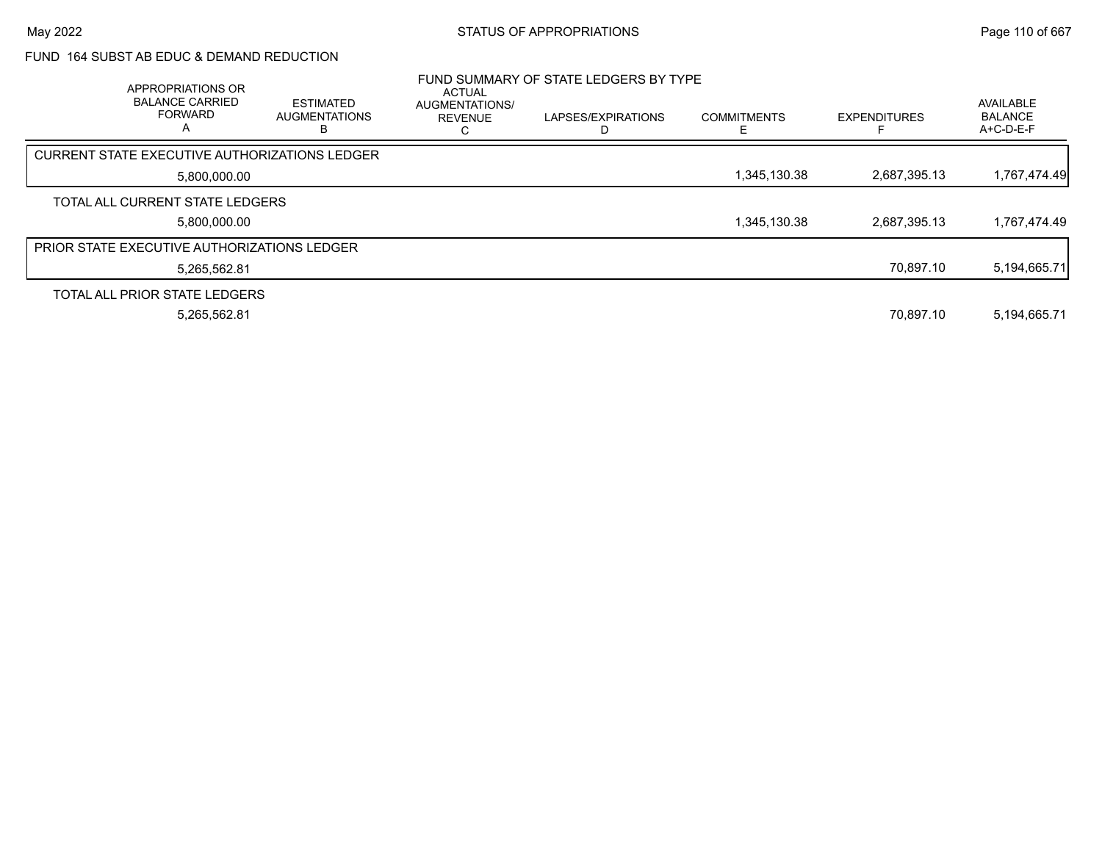#### FUND 164 SUBST AB EDUC & DEMAND REDUCTION

| APPROPRIATIONS OR<br><b>BALANCE CARRIED</b><br><b>FORWARD</b><br>A | <b>ESTIMATED</b><br><b>AUGMENTATIONS</b> | ACTUAL<br>AUGMENTATIONS/<br><b>REVENUE</b> | FUND SUMMARY OF STATE LEDGERS BY TYPE<br>LAPSES/EXPIRATIONS | <b>COMMITMENTS</b> | <b>EXPENDITURES</b> | AVAILABLE<br><b>BALANCE</b><br>A+C-D-E-F |
|--------------------------------------------------------------------|------------------------------------------|--------------------------------------------|-------------------------------------------------------------|--------------------|---------------------|------------------------------------------|
| CURRENT STATE EXECUTIVE AUTHORIZATIONS LEDGER                      |                                          |                                            |                                                             |                    |                     |                                          |
| 5,800,000.00                                                       |                                          |                                            |                                                             | 1,345,130.38       | 2.687.395.13        | 1,767,474.49                             |
| TOTAL ALL CURRENT STATE LEDGERS                                    |                                          |                                            |                                                             |                    |                     |                                          |
| 5.800.000.00                                                       |                                          |                                            |                                                             | 1,345,130.38       | 2.687.395.13        | 1,767,474.49                             |
| PRIOR STATE EXECUTIVE AUTHORIZATIONS LEDGER                        |                                          |                                            |                                                             |                    |                     |                                          |
| 5,265,562.81                                                       |                                          |                                            |                                                             |                    | 70.897.10           | 5,194,665.71                             |
| TOTAL ALL PRIOR STATE LEDGERS                                      |                                          |                                            |                                                             |                    |                     |                                          |
| 5,265,562.81                                                       |                                          |                                            |                                                             |                    | 70.897.10           | 5,194,665.71                             |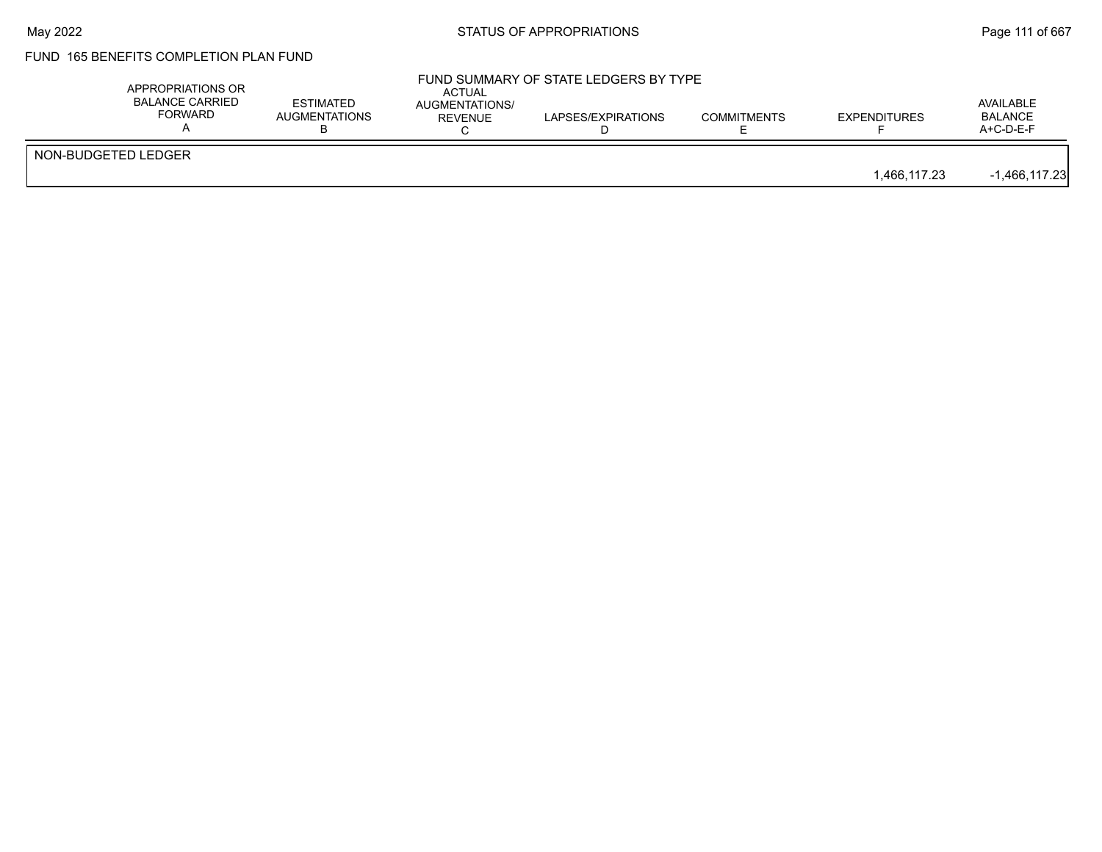## FUND 165 BENEFITS COMPLETION PLAN FUND

|                     | APPROPRIATIONS OR<br><b>BALANCE CARRIED</b><br>FORWARD | <b>ESTIMATED</b><br>AUGMENTATIONS | <b>ACTUAL</b><br>AUGMENTATIONS/<br>REVENUE | FUND SUMMARY OF STATE LEDGERS BY TYPE<br>LAPSES/EXPIRATIONS | <b>COMMITMENTS</b> | <b>EXPENDITURES</b> | AVAILABLE<br><b>BALANCE</b><br>$A+C-D-E-F$ |
|---------------------|--------------------------------------------------------|-----------------------------------|--------------------------------------------|-------------------------------------------------------------|--------------------|---------------------|--------------------------------------------|
| NON-BUDGETED LEDGER |                                                        |                                   |                                            |                                                             |                    | 1.466.117.23        | $-1,466,117.23$                            |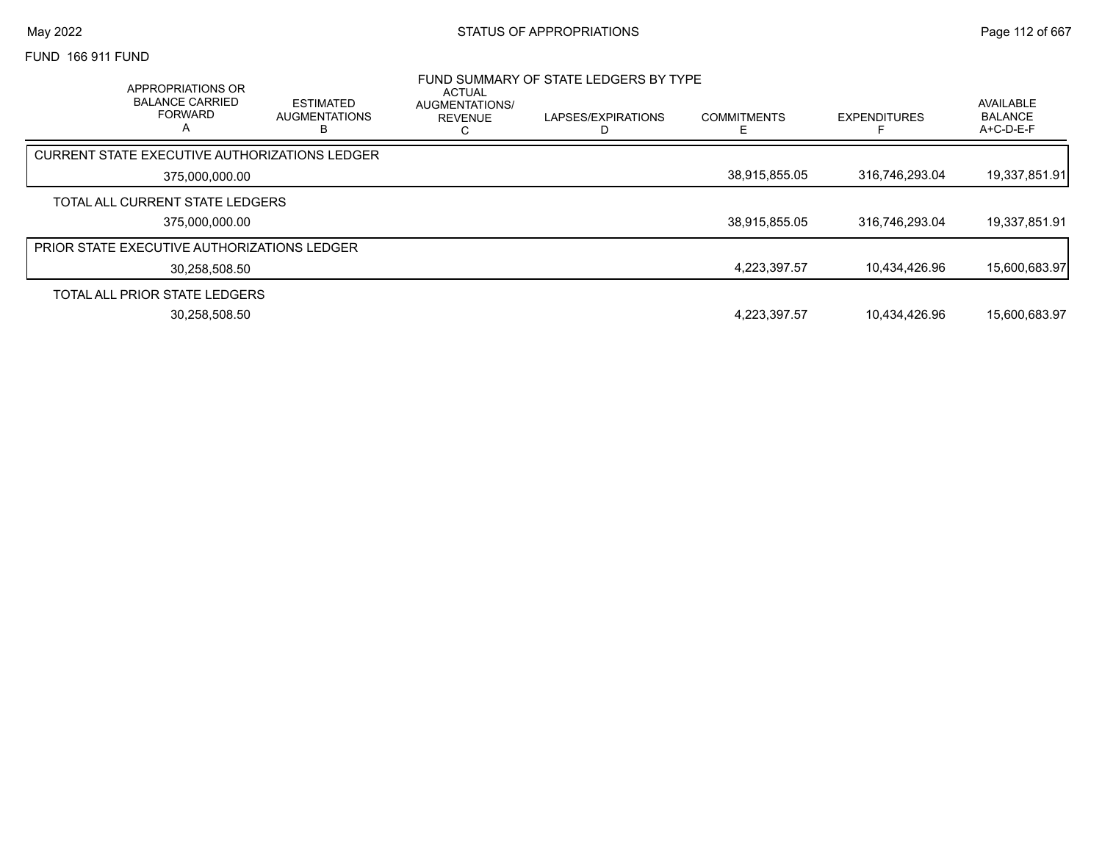FUND 166 911 FUND

| <b>APPROPRIATIONS OR</b><br><b>BALANCE CARRIED</b><br><b>FORWARD</b> | ESTIMATED<br><b>AUGMENTATIONS</b><br>в | <b>ACTUAL</b><br>AUGMENTATIONS/<br>REVENUE | FUND SUMMARY OF STATE LEDGERS BY TYPE<br>LAPSES/EXPIRATIONS<br>D | <b>COMMITMENTS</b> | <b>EXPENDITURES</b> | AVAILABLE<br><b>BALANCE</b><br>$A+C-D-E-F$ |
|----------------------------------------------------------------------|----------------------------------------|--------------------------------------------|------------------------------------------------------------------|--------------------|---------------------|--------------------------------------------|
| CURRENT STATE EXECUTIVE AUTHORIZATIONS LEDGER                        |                                        |                                            |                                                                  |                    |                     |                                            |
| 375,000,000.00                                                       |                                        |                                            |                                                                  | 38,915,855.05      | 316,746,293.04      | 19,337,851.91                              |
| TOTAL ALL CURRENT STATE LEDGERS                                      |                                        |                                            |                                                                  |                    |                     |                                            |
| 375,000,000.00                                                       |                                        |                                            |                                                                  | 38.915.855.05      | 316.746.293.04      | 19,337,851.91                              |
| <b>PRIOR STATE EXECUTIVE AUTHORIZATIONS LEDGER</b>                   |                                        |                                            |                                                                  |                    |                     |                                            |
| 30.258.508.50                                                        |                                        |                                            |                                                                  | 4.223.397.57       | 10.434.426.96       | 15,600,683.97                              |
| TOTAL ALL PRIOR STATE LEDGERS                                        |                                        |                                            |                                                                  |                    |                     |                                            |
| 30,258,508.50                                                        |                                        |                                            |                                                                  | 4.223.397.57       | 10.434.426.96       | 15.600.683.97                              |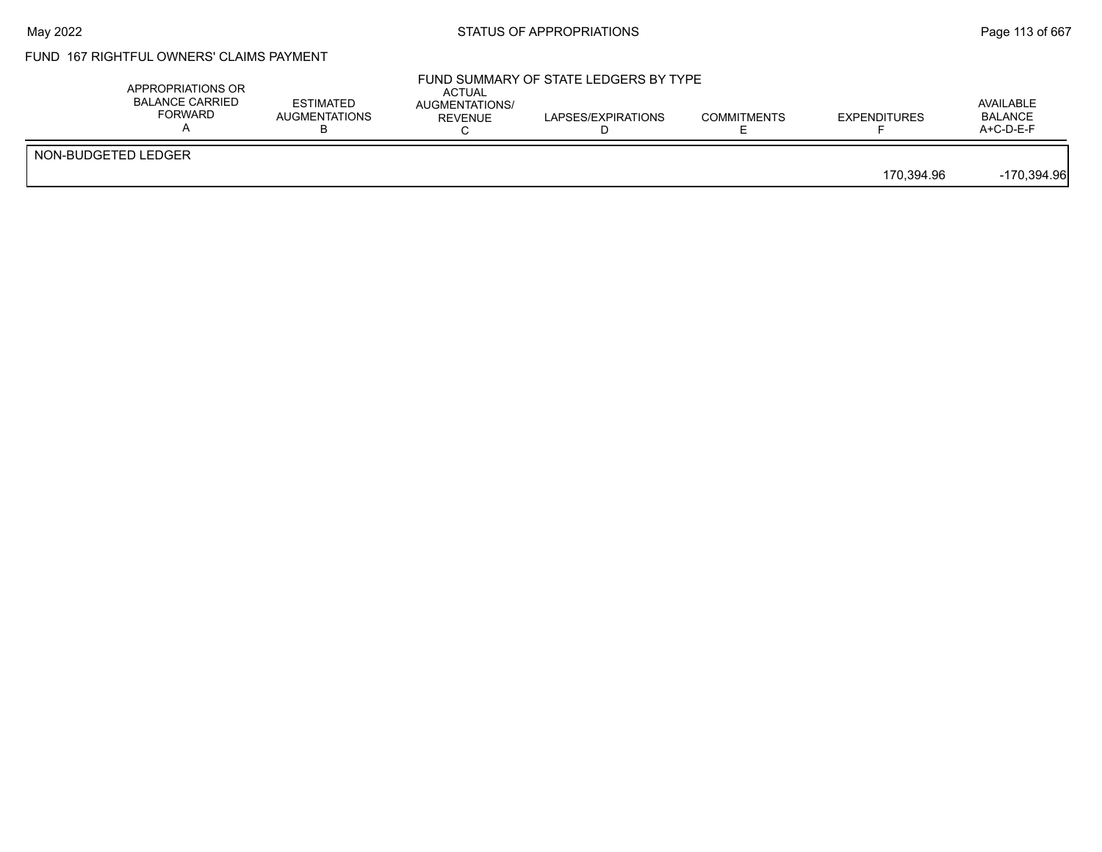### FUND 167 RIGHTFUL OWNERS' CLAIMS PAYMENT

|                     | APPROPRIATIONS OR<br><b>BALANCE CARRIED</b><br>FORWARD | <b>ESTIMATED</b><br><b>AUGMENTATIONS</b> | <b>ACTUAL</b><br>AUGMENTATIONS/<br>REVENUE | FUND SUMMARY OF STATE LEDGERS BY TYPE<br>LAPSES/EXPIRATIONS | <b>COMMITMENTS</b> | <b>EXPENDITURES</b> | AVAILABLE<br><b>BALANCE</b><br>$A+C-D-E-F$ |
|---------------------|--------------------------------------------------------|------------------------------------------|--------------------------------------------|-------------------------------------------------------------|--------------------|---------------------|--------------------------------------------|
| NON-BUDGETED LEDGER |                                                        |                                          |                                            |                                                             |                    | 170.394.96          | $-170,394.96$                              |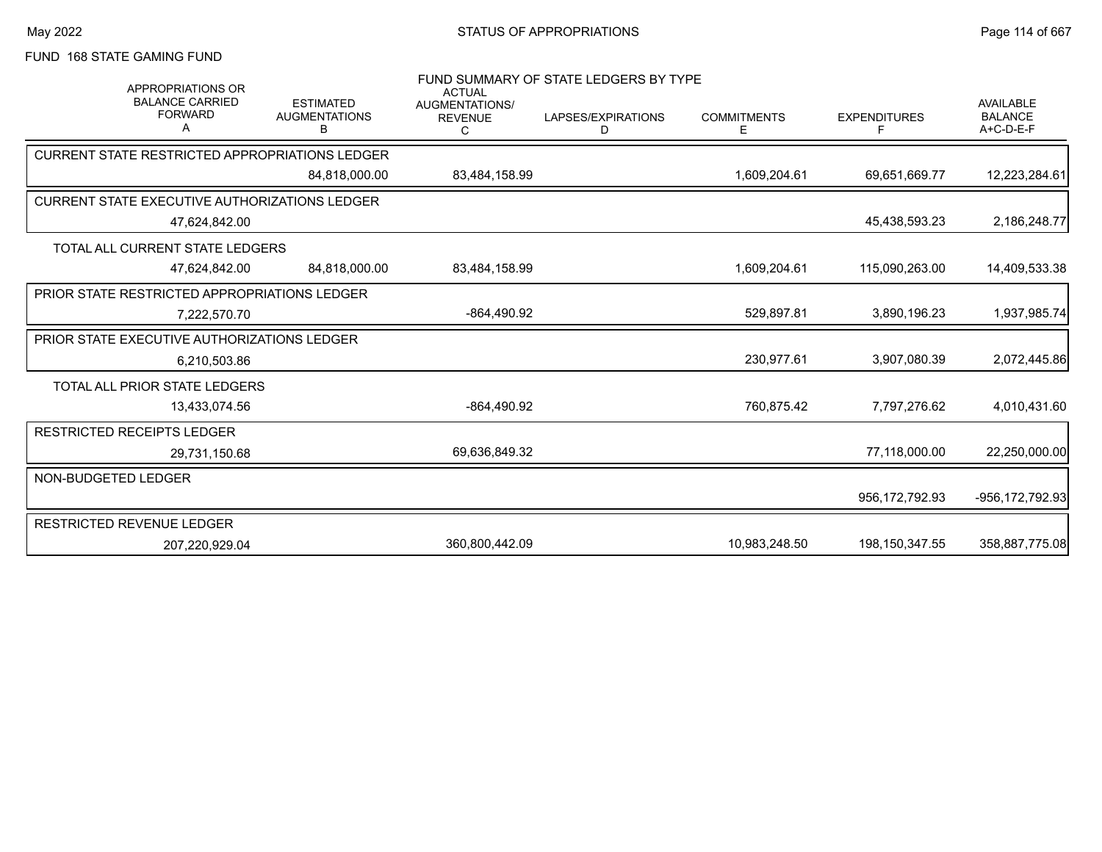FUND 168 STATE GAMING FUND

| <b>APPROPRIATIONS OR</b><br><b>BALANCE CARRIED</b><br><b>FORWARD</b><br>A | <b>ESTIMATED</b><br><b>AUGMENTATIONS</b><br>B | <b>ACTUAL</b><br>AUGMENTATIONS/<br><b>REVENUE</b><br>C | FUND SUMMARY OF STATE LEDGERS BY TYPE<br>LAPSES/EXPIRATIONS<br>D | <b>COMMITMENTS</b><br>E. | <b>EXPENDITURES</b><br>F | <b>AVAILABLE</b><br><b>BALANCE</b><br>A+C-D-E-F |
|---------------------------------------------------------------------------|-----------------------------------------------|--------------------------------------------------------|------------------------------------------------------------------|--------------------------|--------------------------|-------------------------------------------------|
| <b>CURRENT STATE RESTRICTED APPROPRIATIONS LEDGER</b>                     |                                               |                                                        |                                                                  |                          |                          |                                                 |
|                                                                           | 84.818.000.00                                 | 83,484,158.99                                          |                                                                  | 1,609,204.61             | 69,651,669.77            | 12,223,284.61                                   |
| <b>CURRENT STATE EXECUTIVE AUTHORIZATIONS LEDGER</b>                      |                                               |                                                        |                                                                  |                          |                          |                                                 |
| 47,624,842.00                                                             |                                               |                                                        |                                                                  |                          | 45,438,593.23            | 2,186,248.77                                    |
| TOTAL ALL CURRENT STATE LEDGERS                                           |                                               |                                                        |                                                                  |                          |                          |                                                 |
| 47,624,842.00                                                             | 84,818,000.00                                 | 83,484,158.99                                          |                                                                  | 1,609,204.61             | 115,090,263.00           | 14,409,533.38                                   |
| PRIOR STATE RESTRICTED APPROPRIATIONS LEDGER                              |                                               |                                                        |                                                                  |                          |                          |                                                 |
| 7.222.570.70                                                              |                                               | $-864,490.92$                                          |                                                                  | 529,897.81               | 3,890,196.23             | 1,937,985.74                                    |
| PRIOR STATE EXECUTIVE AUTHORIZATIONS LEDGER                               |                                               |                                                        |                                                                  |                          |                          |                                                 |
| 6,210,503.86                                                              |                                               |                                                        |                                                                  | 230,977.61               | 3.907.080.39             | 2,072,445.86                                    |
| TOTAL ALL PRIOR STATE LEDGERS                                             |                                               |                                                        |                                                                  |                          |                          |                                                 |
| 13,433,074.56                                                             |                                               | -864,490.92                                            |                                                                  | 760,875.42               | 7,797,276.62             | 4,010,431.60                                    |
| <b>RESTRICTED RECEIPTS LEDGER</b>                                         |                                               |                                                        |                                                                  |                          |                          |                                                 |
| 29,731,150.68                                                             |                                               | 69,636,849.32                                          |                                                                  |                          | 77,118,000.00            | 22,250,000.00                                   |
| NON-BUDGETED LEDGER                                                       |                                               |                                                        |                                                                  |                          |                          |                                                 |
|                                                                           |                                               |                                                        |                                                                  |                          | 956,172,792.93           | -956,172,792.93                                 |
| RESTRICTED REVENUE LEDGER                                                 |                                               |                                                        |                                                                  |                          |                          |                                                 |
| 207.220.929.04                                                            |                                               | 360,800,442.09                                         |                                                                  | 10,983,248.50            | 198,150,347.55           | 358,887,775.08                                  |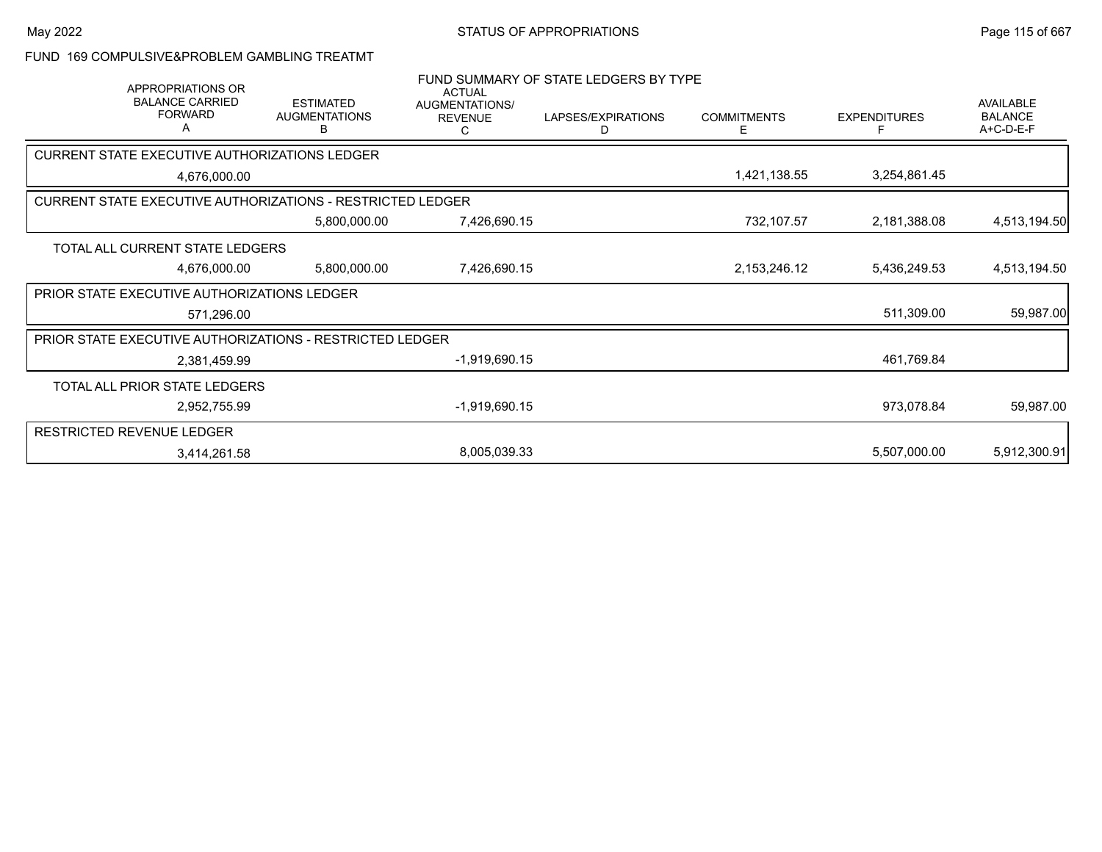FUND 169 COMPULSIVE&PROBLEM GAMBLING TREATMT

| <b>APPROPRIATIONS OR</b><br><b>BALANCE CARRIED</b><br><b>FORWARD</b><br>A | <b>ESTIMATED</b><br><b>AUGMENTATIONS</b><br>B | <b>ACTUAL</b><br><b>AUGMENTATIONS/</b><br><b>REVENUE</b> | FUND SUMMARY OF STATE LEDGERS BY TYPE<br>LAPSES/EXPIRATIONS<br>D | <b>COMMITMENTS</b><br>Е | <b>EXPENDITURES</b><br>F | AVAILABLE<br><b>BALANCE</b><br>A+C-D-E-F |
|---------------------------------------------------------------------------|-----------------------------------------------|----------------------------------------------------------|------------------------------------------------------------------|-------------------------|--------------------------|------------------------------------------|
| CURRENT STATE EXECUTIVE AUTHORIZATIONS LEDGER                             |                                               |                                                          |                                                                  |                         |                          |                                          |
| 4,676,000.00                                                              |                                               |                                                          |                                                                  | 1,421,138.55            | 3,254,861.45             |                                          |
| <b>CURRENT STATE EXECUTIVE AUTHORIZATIONS - RESTRICTED LEDGER</b>         |                                               |                                                          |                                                                  |                         |                          |                                          |
|                                                                           | 5,800,000.00                                  | 7,426,690.15                                             |                                                                  | 732,107.57              | 2,181,388.08             | 4,513,194.50                             |
| TOTAL ALL CURRENT STATE LEDGERS                                           |                                               |                                                          |                                                                  |                         |                          |                                          |
| 4,676,000.00                                                              | 5,800,000.00                                  | 7,426,690.15                                             |                                                                  | 2, 153, 246. 12         | 5,436,249.53             | 4,513,194.50                             |
| <b>PRIOR STATE EXECUTIVE AUTHORIZATIONS LEDGER</b>                        |                                               |                                                          |                                                                  |                         |                          |                                          |
| 571,296.00                                                                |                                               |                                                          |                                                                  |                         | 511,309.00               | 59,987.00                                |
| <b>PRIOR STATE EXECUTIVE AUTHORIZATIONS - RESTRICTED LEDGER</b>           |                                               |                                                          |                                                                  |                         |                          |                                          |
| 2,381,459.99                                                              |                                               | $-1,919,690.15$                                          |                                                                  |                         | 461,769.84               |                                          |
| TOTAL ALL PRIOR STATE LEDGERS                                             |                                               |                                                          |                                                                  |                         |                          |                                          |
| 2,952,755.99                                                              |                                               | $-1,919,690.15$                                          |                                                                  |                         | 973,078.84               | 59,987.00                                |
| <b>RESTRICTED REVENUE LEDGER</b>                                          |                                               |                                                          |                                                                  |                         |                          |                                          |
| 3,414,261.58                                                              |                                               | 8,005,039.33                                             |                                                                  |                         | 5,507,000.00             | 5,912,300.91                             |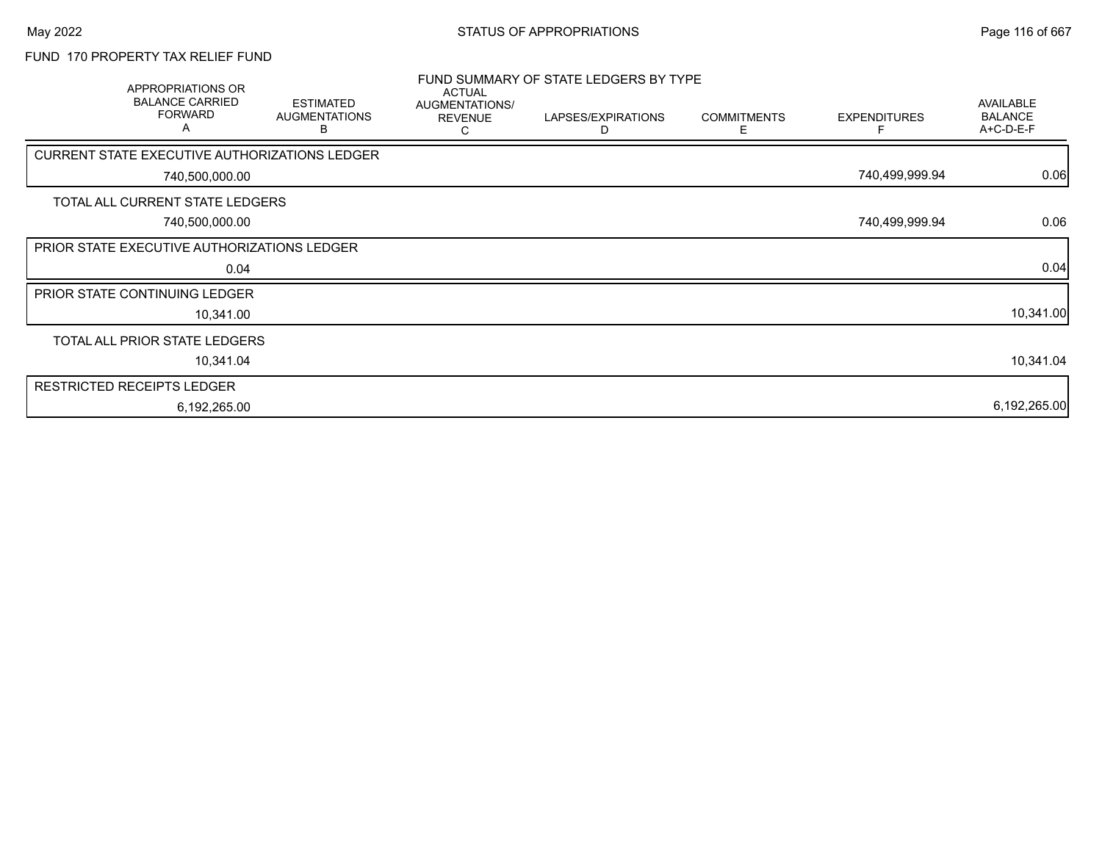#### FUND 170 PROPERTY TAX RELIEF FUND

|                            | APPROPRIATIONS OR<br><b>BALANCE CARRIED</b><br><b>FORWARD</b><br>A | <b>ESTIMATED</b><br><b>AUGMENTATIONS</b><br>в | <b>ACTUAL</b><br>AUGMENTATIONS/<br><b>REVENUE</b><br>С | FUND SUMMARY OF STATE LEDGERS BY TYPE<br>LAPSES/EXPIRATIONS<br>D | <b>COMMITMENTS</b><br>Е | <b>EXPENDITURES</b> | AVAILABLE<br><b>BALANCE</b><br>A+C-D-E-F |
|----------------------------|--------------------------------------------------------------------|-----------------------------------------------|--------------------------------------------------------|------------------------------------------------------------------|-------------------------|---------------------|------------------------------------------|
|                            | <b>CURRENT STATE EXECUTIVE AUTHORIZATIONS LEDGER</b>               |                                               |                                                        |                                                                  |                         |                     |                                          |
|                            | 740,500,000.00                                                     |                                               |                                                        |                                                                  |                         | 740,499,999.94      | 0.06                                     |
|                            | TOTAL ALL CURRENT STATE LEDGERS                                    |                                               |                                                        |                                                                  |                         |                     |                                          |
|                            | 740,500,000.00                                                     |                                               |                                                        |                                                                  |                         | 740,499,999.94      | 0.06                                     |
|                            | PRIOR STATE EXECUTIVE AUTHORIZATIONS LEDGER                        |                                               |                                                        |                                                                  |                         |                     |                                          |
|                            | 0.04                                                               |                                               |                                                        |                                                                  |                         |                     | 0.04                                     |
|                            | PRIOR STATE CONTINUING LEDGER                                      |                                               |                                                        |                                                                  |                         |                     |                                          |
|                            | 10,341.00                                                          |                                               |                                                        |                                                                  |                         |                     | 10,341.00                                |
|                            | TOTAL ALL PRIOR STATE LEDGERS                                      |                                               |                                                        |                                                                  |                         |                     |                                          |
|                            | 10,341.04                                                          |                                               |                                                        |                                                                  |                         |                     | 10,341.04                                |
| RESTRICTED RECEIPTS LEDGER |                                                                    |                                               |                                                        |                                                                  |                         |                     |                                          |
|                            | 6,192,265.00                                                       |                                               |                                                        |                                                                  |                         |                     | 6,192,265.00                             |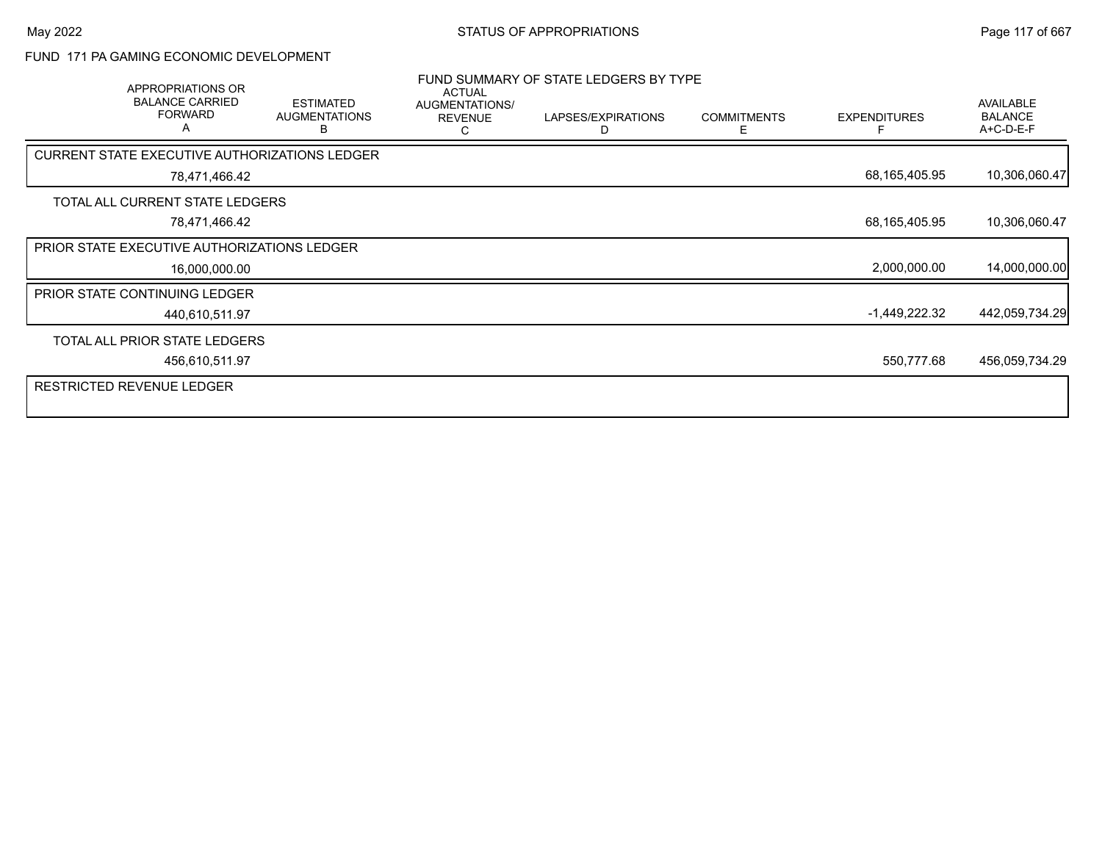#### FUND 171 PA GAMING ECONOMIC DEVELOPMENT

| APPROPRIATIONS OR<br><b>BALANCE CARRIED</b><br><b>FORWARD</b><br>A | <b>ESTIMATED</b><br><b>AUGMENTATIONS</b><br>в | <b>ACTUAL</b><br>AUGMENTATIONS/<br><b>REVENUE</b><br>С | FUND SUMMARY OF STATE LEDGERS BY TYPE<br>LAPSES/EXPIRATIONS<br>D | <b>COMMITMENTS</b><br>E. | <b>EXPENDITURES</b> | AVAILABLE<br><b>BALANCE</b><br>A+C-D-E-F |
|--------------------------------------------------------------------|-----------------------------------------------|--------------------------------------------------------|------------------------------------------------------------------|--------------------------|---------------------|------------------------------------------|
| <b>CURRENT STATE EXECUTIVE AUTHORIZATIONS LEDGER</b>               |                                               |                                                        |                                                                  |                          |                     |                                          |
| 78,471,466.42                                                      |                                               |                                                        |                                                                  |                          | 68,165,405.95       | 10,306,060.47                            |
| TOTAL ALL CURRENT STATE LEDGERS                                    |                                               |                                                        |                                                                  |                          |                     |                                          |
| 78,471,466.42                                                      |                                               |                                                        |                                                                  |                          | 68,165,405.95       | 10,306,060.47                            |
| <b>PRIOR STATE EXECUTIVE AUTHORIZATIONS LEDGER</b>                 |                                               |                                                        |                                                                  |                          |                     |                                          |
| 16,000,000.00                                                      |                                               |                                                        |                                                                  |                          | 2,000,000.00        | 14,000,000.00                            |
| <b>PRIOR STATE CONTINUING LEDGER</b>                               |                                               |                                                        |                                                                  |                          |                     |                                          |
| 440,610,511.97                                                     |                                               |                                                        |                                                                  |                          | -1,449,222.32       | 442,059,734.29                           |
| TOTAL ALL PRIOR STATE LEDGERS                                      |                                               |                                                        |                                                                  |                          |                     |                                          |
| 456,610,511.97                                                     |                                               |                                                        |                                                                  |                          | 550,777.68          | 456,059,734.29                           |
| RESTRICTED REVENUE LEDGER                                          |                                               |                                                        |                                                                  |                          |                     |                                          |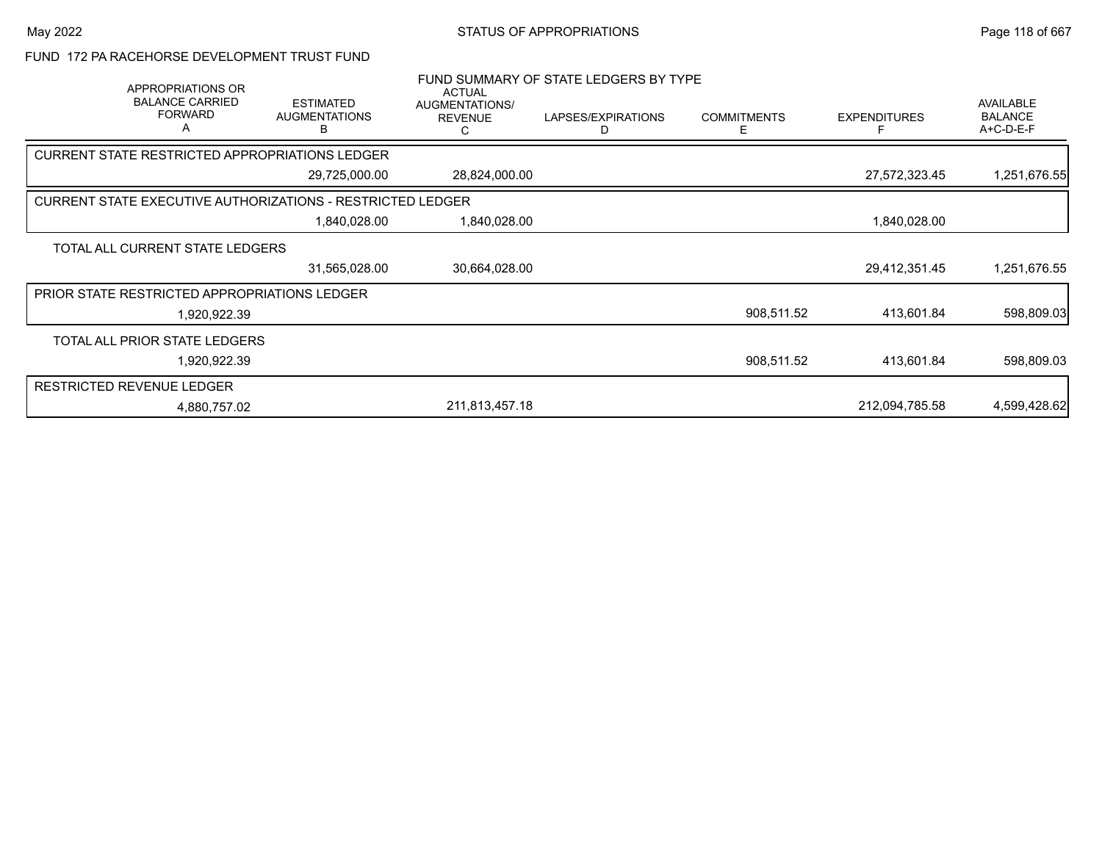FUND 172 PA RACEHORSE DEVELOPMENT TRUST FUND

| APPROPRIATIONS OR<br><b>BALANCE CARRIED</b><br><b>FORWARD</b><br>Α | <b>ESTIMATED</b><br><b>AUGMENTATIONS</b><br>в | <b>ACTUAL</b><br>AUGMENTATIONS/<br><b>REVENUE</b><br>C | FUND SUMMARY OF STATE LEDGERS BY TYPE<br>LAPSES/EXPIRATIONS<br>D | <b>COMMITMENTS</b><br>Е | <b>EXPENDITURES</b> | AVAILABLE<br><b>BALANCE</b><br>A+C-D-E-F |
|--------------------------------------------------------------------|-----------------------------------------------|--------------------------------------------------------|------------------------------------------------------------------|-------------------------|---------------------|------------------------------------------|
| CURRENT STATE RESTRICTED APPROPRIATIONS LEDGER                     |                                               |                                                        |                                                                  |                         |                     |                                          |
|                                                                    | 29,725,000.00                                 | 28,824,000.00                                          |                                                                  |                         | 27,572,323.45       | 1,251,676.55                             |
| <b>CURRENT STATE EXECUTIVE AUTHORIZATIONS - RESTRICTED LEDGER</b>  |                                               |                                                        |                                                                  |                         |                     |                                          |
|                                                                    | 1,840,028.00                                  | 1,840,028.00                                           |                                                                  |                         | 1,840,028.00        |                                          |
| TOTAL ALL CURRENT STATE LEDGERS                                    |                                               |                                                        |                                                                  |                         |                     |                                          |
|                                                                    | 31,565,028.00                                 | 30,664,028.00                                          |                                                                  |                         | 29,412,351.45       | 1,251,676.55                             |
| <b>PRIOR STATE RESTRICTED APPROPRIATIONS LEDGER</b>                |                                               |                                                        |                                                                  |                         |                     |                                          |
| 1,920,922.39                                                       |                                               |                                                        |                                                                  | 908,511.52              | 413,601.84          | 598,809.03                               |
| TOTAL ALL PRIOR STATE LEDGERS                                      |                                               |                                                        |                                                                  |                         |                     |                                          |
| 1,920,922.39                                                       |                                               |                                                        |                                                                  | 908,511.52              | 413,601.84          | 598,809.03                               |
| <b>RESTRICTED REVENUE LEDGER</b>                                   |                                               |                                                        |                                                                  |                         |                     |                                          |
| 4,880,757.02                                                       |                                               | 211,813,457.18                                         |                                                                  |                         | 212,094,785.58      | 4,599,428.62                             |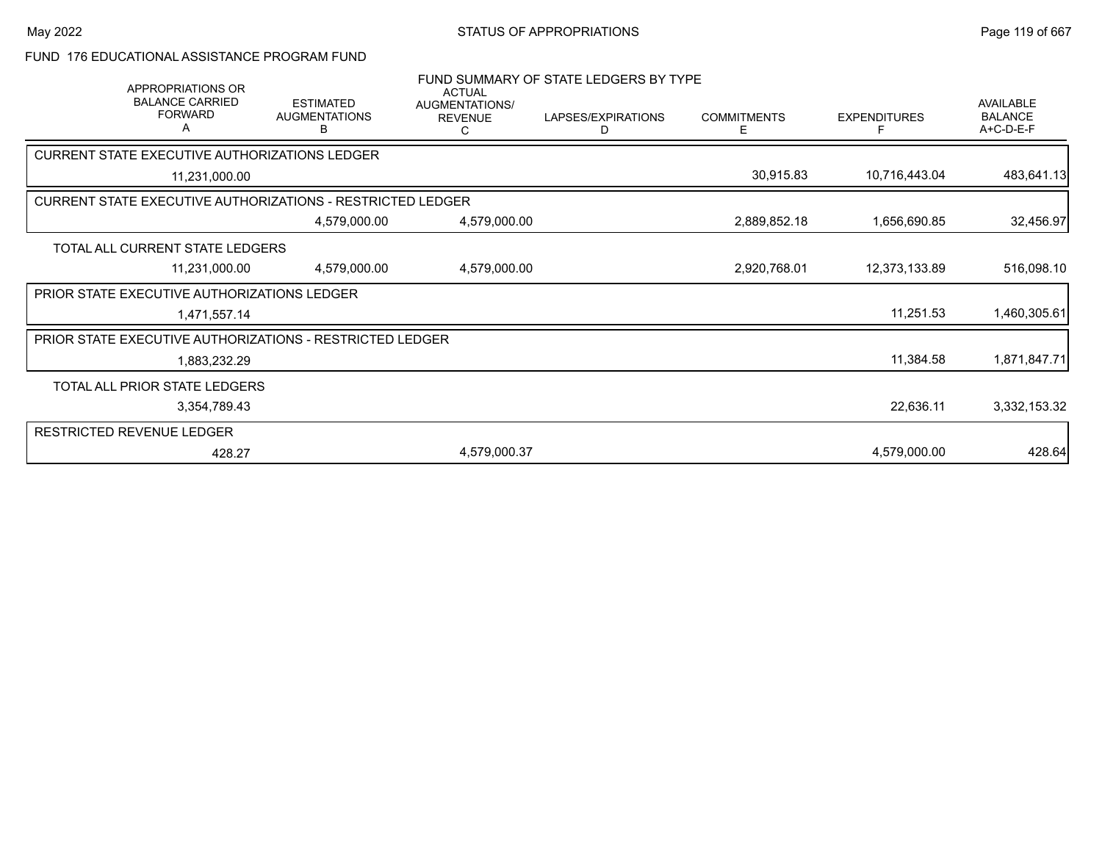#### FUND 176 EDUCATIONAL ASSISTANCE PROGRAM FUND

| APPROPRIATIONS OR<br><b>BALANCE CARRIED</b><br><b>FORWARD</b><br>A | <b>ESTIMATED</b><br><b>AUGMENTATIONS</b><br>в | <b>ACTUAL</b><br>AUGMENTATIONS/<br><b>REVENUE</b><br>C. | FUND SUMMARY OF STATE LEDGERS BY TYPE<br>LAPSES/EXPIRATIONS<br>D | <b>COMMITMENTS</b><br>Е | <b>EXPENDITURES</b><br>F | AVAILABLE<br><b>BALANCE</b><br>A+C-D-E-F |
|--------------------------------------------------------------------|-----------------------------------------------|---------------------------------------------------------|------------------------------------------------------------------|-------------------------|--------------------------|------------------------------------------|
| CURRENT STATE EXECUTIVE AUTHORIZATIONS LEDGER                      |                                               |                                                         |                                                                  |                         |                          |                                          |
| 11,231,000.00                                                      |                                               |                                                         |                                                                  | 30,915.83               | 10,716,443.04            | 483,641.13                               |
| <b>CURRENT STATE EXECUTIVE AUTHORIZATIONS - RESTRICTED LEDGER</b>  |                                               |                                                         |                                                                  |                         |                          |                                          |
|                                                                    | 4,579,000.00                                  | 4,579,000.00                                            |                                                                  | 2,889,852.18            | 1,656,690.85             | 32,456.97                                |
| TOTAL ALL CURRENT STATE LEDGERS                                    |                                               |                                                         |                                                                  |                         |                          |                                          |
| 11,231,000.00                                                      | 4,579,000.00                                  | 4,579,000.00                                            |                                                                  | 2,920,768.01            | 12,373,133.89            | 516,098.10                               |
| PRIOR STATE EXECUTIVE AUTHORIZATIONS LEDGER                        |                                               |                                                         |                                                                  |                         |                          |                                          |
| 1,471,557.14                                                       |                                               |                                                         |                                                                  |                         | 11,251.53                | 1,460,305.61                             |
| <b>PRIOR STATE EXECUTIVE AUTHORIZATIONS - RESTRICTED LEDGER</b>    |                                               |                                                         |                                                                  |                         |                          |                                          |
| 1,883,232.29                                                       |                                               |                                                         |                                                                  |                         | 11,384.58                | 1,871,847.71                             |
| TOTAL ALL PRIOR STATE LEDGERS                                      |                                               |                                                         |                                                                  |                         |                          |                                          |
| 3,354,789.43                                                       |                                               |                                                         |                                                                  |                         | 22,636.11                | 3,332,153.32                             |
| RESTRICTED REVENUE LEDGER                                          |                                               |                                                         |                                                                  |                         |                          |                                          |
| 428.27                                                             |                                               | 4,579,000.37                                            |                                                                  |                         | 4,579,000.00             | 428.64                                   |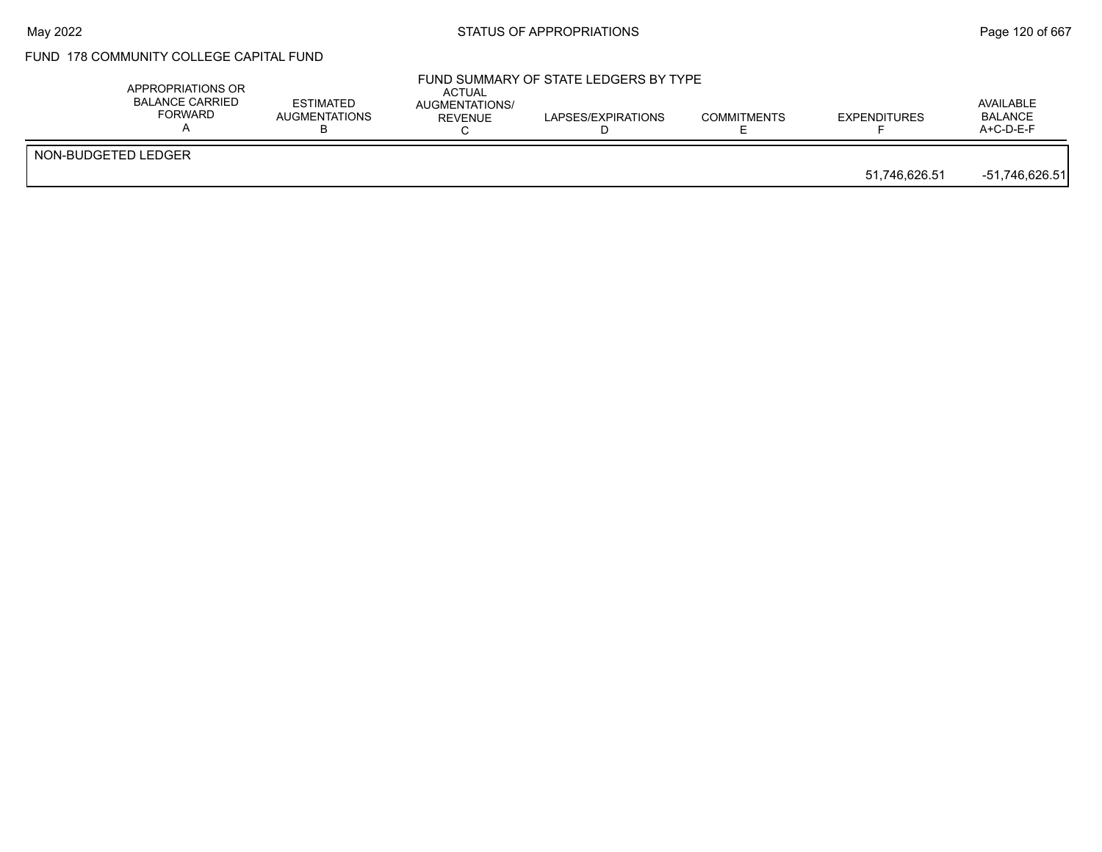# FUND 178 COMMUNITY COLLEGE CAPITAL FUND

|                     | APPROPRIATIONS OR<br><b>BALANCE CARRIED</b><br><b>FORWARD</b> | <b>ESTIMATED</b><br>AUGMENTATIONS | <b>ACTUAL</b><br>AUGMENTATIONS/<br>REVENUE | FUND SUMMARY OF STATE LEDGERS BY TYPE<br>LAPSES/EXPIRATIONS | <b>COMMITMENTS</b> | <b>EXPENDITURES</b> | AVAILABLE<br><b>BALANCE</b><br>A+C-D-E-F |
|---------------------|---------------------------------------------------------------|-----------------------------------|--------------------------------------------|-------------------------------------------------------------|--------------------|---------------------|------------------------------------------|
| NON-BUDGETED LEDGER |                                                               |                                   |                                            |                                                             |                    | 51,746,626.51       | $-51,746,626.51$                         |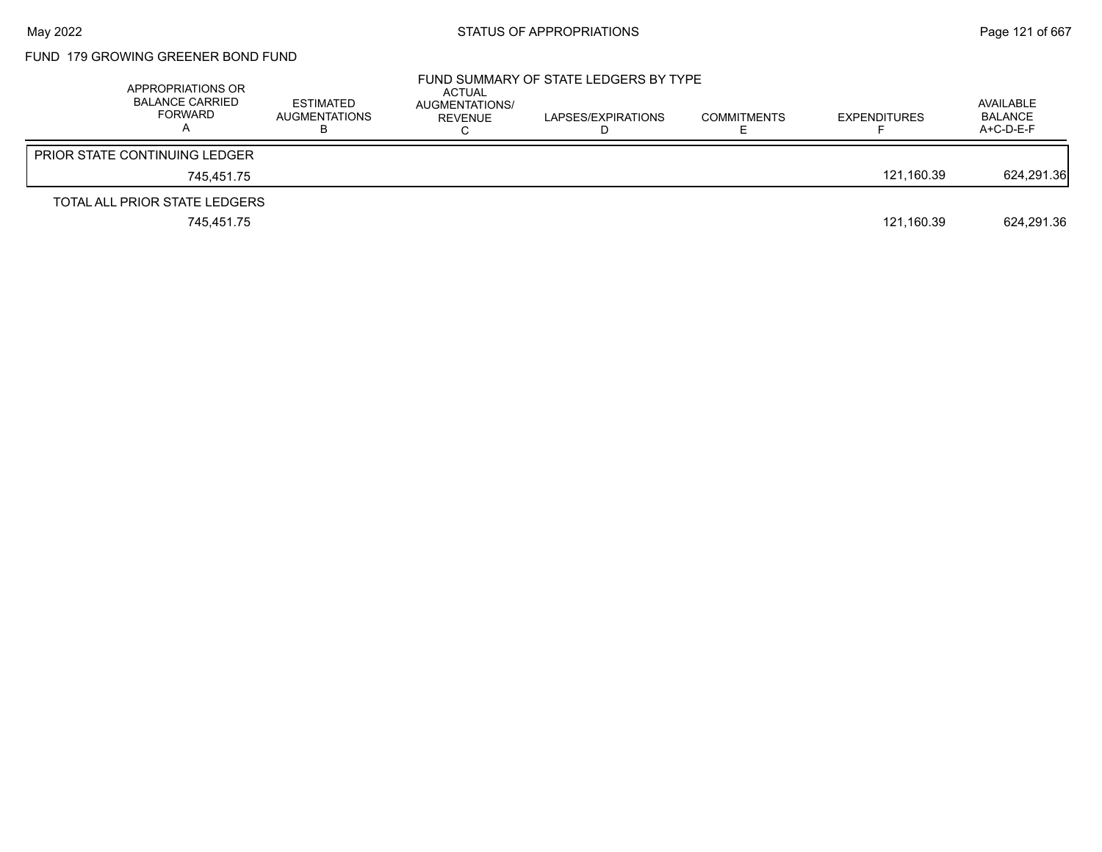## FUND 179 GROWING GREENER BOND FUND

| APPROPRIATIONS OR<br><b>BALANCE CARRIED</b><br>FORWARD | <b>ESTIMATED</b><br><b>AUGMENTATIONS</b> | ACTUAL<br>AUGMENTATIONS/<br>REVENUE | FUND SUMMARY OF STATE LEDGERS BY TYPE<br>LAPSES/EXPIRATIONS | <b>COMMITMENTS</b> | <b>EXPENDITURES</b> | AVAILABLE<br><b>BALANCE</b><br>A+C-D-E-F |
|--------------------------------------------------------|------------------------------------------|-------------------------------------|-------------------------------------------------------------|--------------------|---------------------|------------------------------------------|
| <b>PRIOR STATE CONTINUING LEDGER</b>                   |                                          |                                     |                                                             |                    |                     |                                          |
| 745.451.75                                             |                                          |                                     |                                                             |                    | 121.160.39          | 624,291.36                               |
| TOTAL ALL PRIOR STATE LEDGERS                          |                                          |                                     |                                                             |                    |                     |                                          |
| 745,451.75                                             |                                          |                                     |                                                             |                    | 121,160.39          | 624,291.36                               |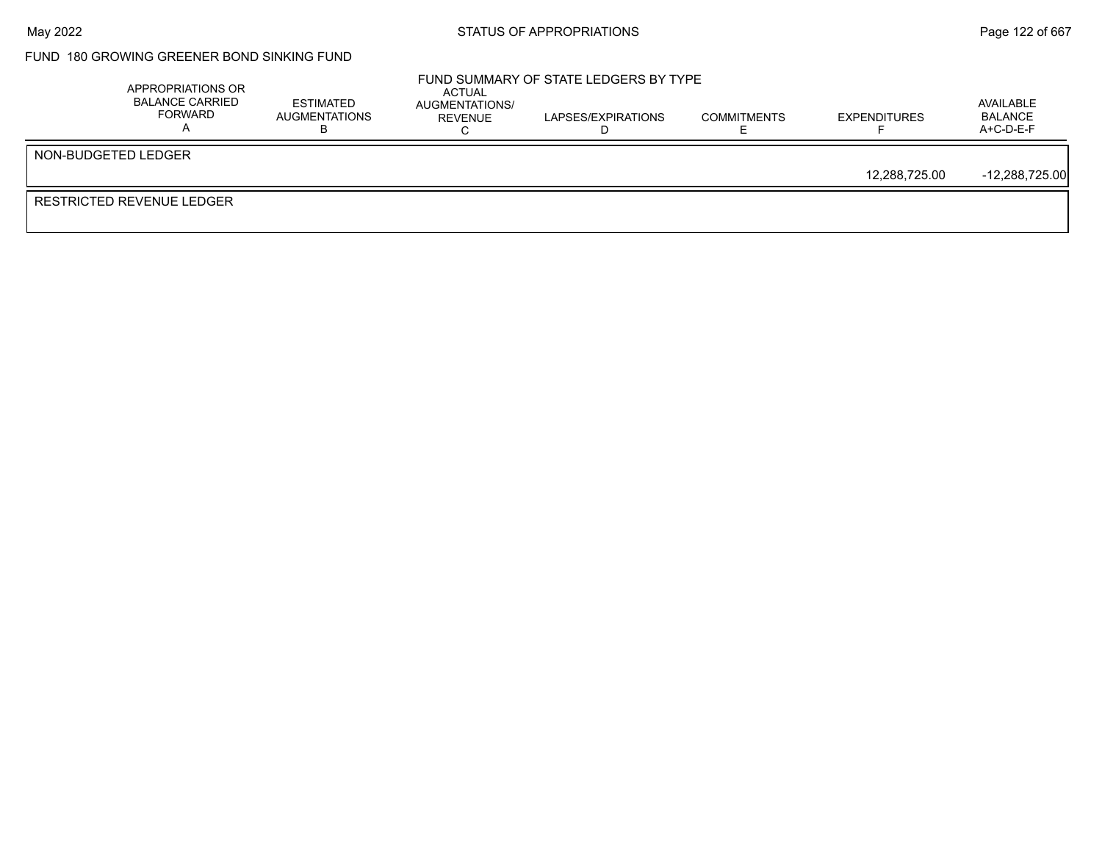## FUND 180 GROWING GREENER BOND SINKING FUND

|                     | APPROPRIATIONS OR<br><b>BALANCE CARRIED</b><br>FORWARD | <b>ESTIMATED</b><br>AUGMENTATIONS | ACTUAL<br>AUGMENTATIONS/<br>REVENUE | FUND SUMMARY OF STATE LEDGERS BY TYPE<br>LAPSES/EXPIRATIONS | <b>COMMITMENTS</b> | <b>EXPENDITURES</b> | AVAILABLE<br><b>BALANCE</b><br>$A+C-D-E-F$ |
|---------------------|--------------------------------------------------------|-----------------------------------|-------------------------------------|-------------------------------------------------------------|--------------------|---------------------|--------------------------------------------|
| NON-BUDGETED LEDGER |                                                        |                                   |                                     |                                                             |                    |                     |                                            |
|                     |                                                        |                                   |                                     |                                                             |                    | 12,288,725.00       | $-12,288,725.00$                           |
|                     | RESTRICTED REVENUE LEDGER                              |                                   |                                     |                                                             |                    |                     |                                            |
|                     |                                                        |                                   |                                     |                                                             |                    |                     |                                            |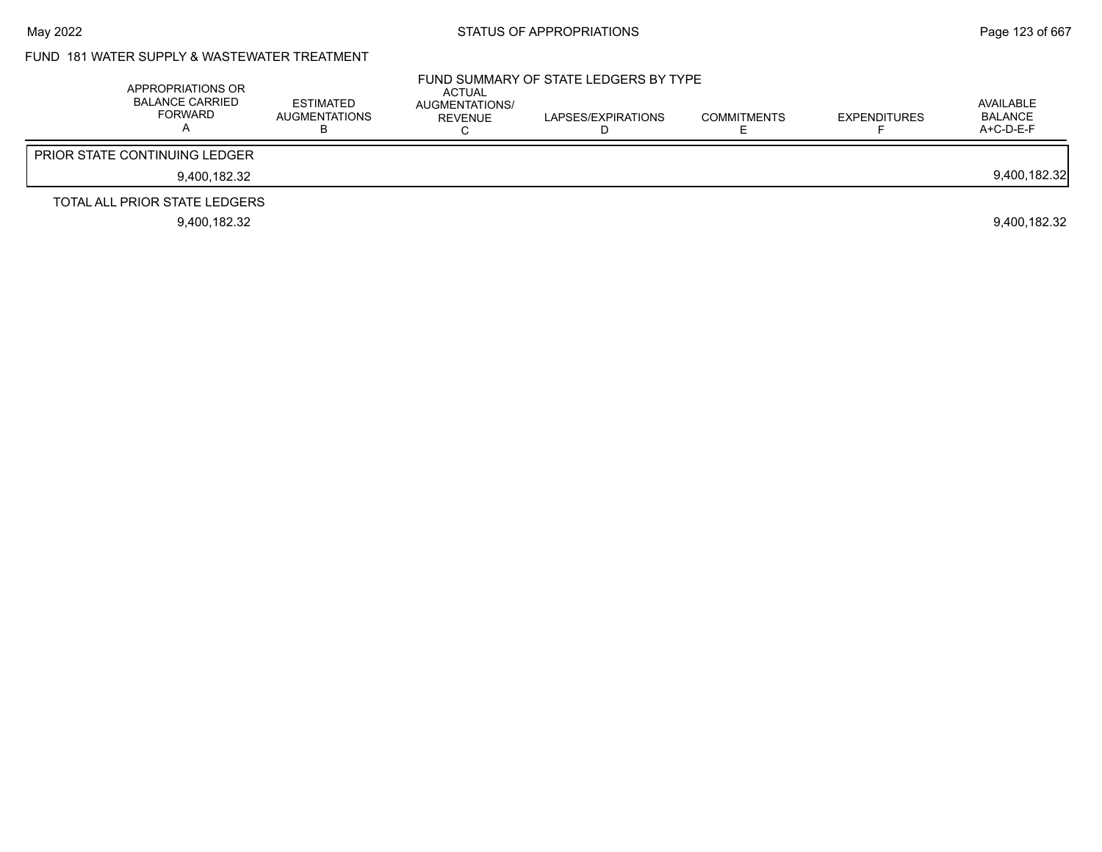## FUND 181 WATER SUPPLY & WASTEWATER TREATMENT

| APPROPRIATIONS OR<br><b>BALANCE CARRIED</b><br>FORWARD | <b>ESTIMATED</b><br><b>AUGMENTATIONS</b> | ACTUAL<br>AUGMENTATIONS/<br>REVENUE | FUND SUMMARY OF STATE LEDGERS BY TYPE<br>LAPSES/EXPIRATIONS | <b>COMMITMENTS</b> | <b>EXPENDITURES</b> | AVAILABLE<br><b>BALANCE</b><br>$A+C-D-E-F$ |
|--------------------------------------------------------|------------------------------------------|-------------------------------------|-------------------------------------------------------------|--------------------|---------------------|--------------------------------------------|
| <b>PRIOR STATE CONTINUING LEDGER</b>                   |                                          |                                     |                                                             |                    |                     |                                            |
| 9.400.182.32                                           |                                          |                                     |                                                             |                    |                     | 9,400,182.32                               |
| TOTAL ALL PRIOR STATE LEDGERS                          |                                          |                                     |                                                             |                    |                     |                                            |
| 9.400.182.32                                           |                                          |                                     |                                                             |                    |                     | 9.400.182.32                               |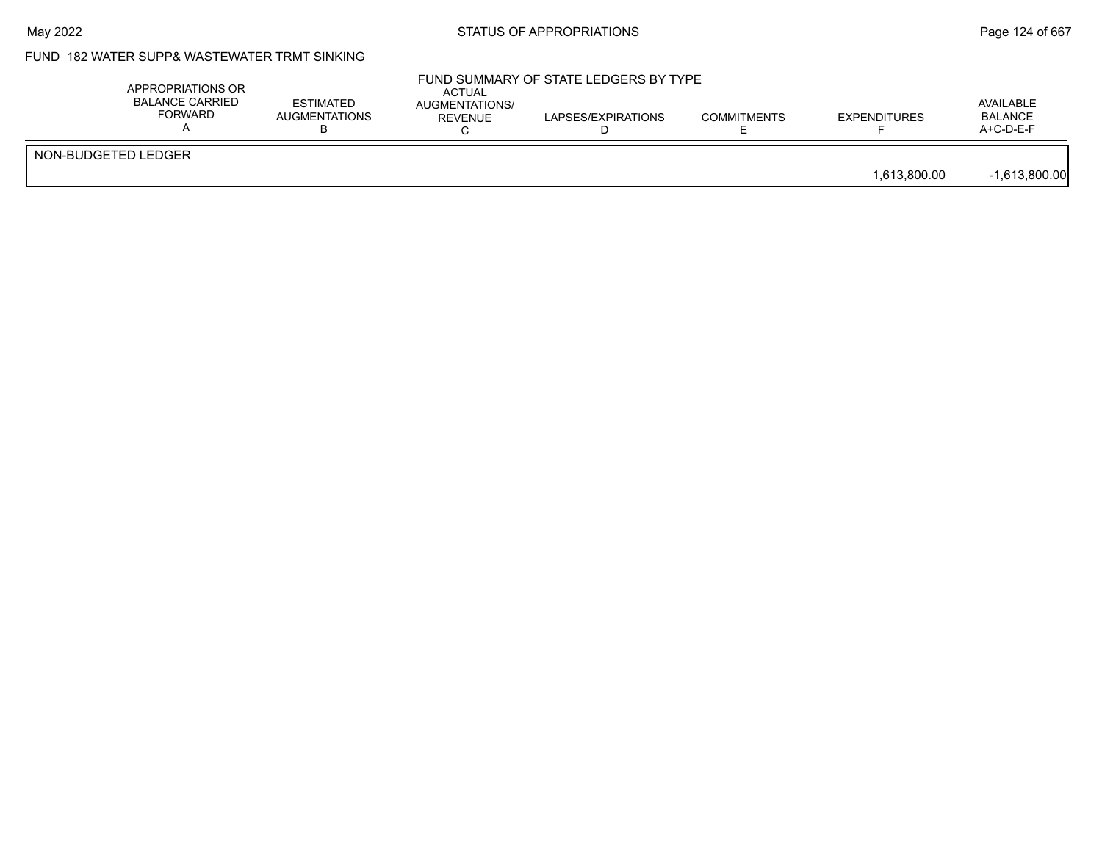## FUND 182 WATER SUPP& WASTEWATER TRMT SINKING

|                     | APPROPRIATIONS OR<br><b>BALANCE CARRIED</b><br>FORWARD | <b>ESTIMATED</b><br><b>AUGMENTATIONS</b> | <b>ACTUAL</b><br>AUGMENTATIONS/<br>REVENUE | FUND SUMMARY OF STATE LEDGERS BY TYPE<br>LAPSES/EXPIRATIONS | <b>COMMITMENTS</b> | <b>EXPENDITURES</b> | AVAILABLE<br><b>BALANCE</b><br>$A+C-D-E-F$ |
|---------------------|--------------------------------------------------------|------------------------------------------|--------------------------------------------|-------------------------------------------------------------|--------------------|---------------------|--------------------------------------------|
| NON-BUDGETED LEDGER |                                                        |                                          |                                            |                                                             |                    | 1,613,800.00        | $-1,613,800.00$                            |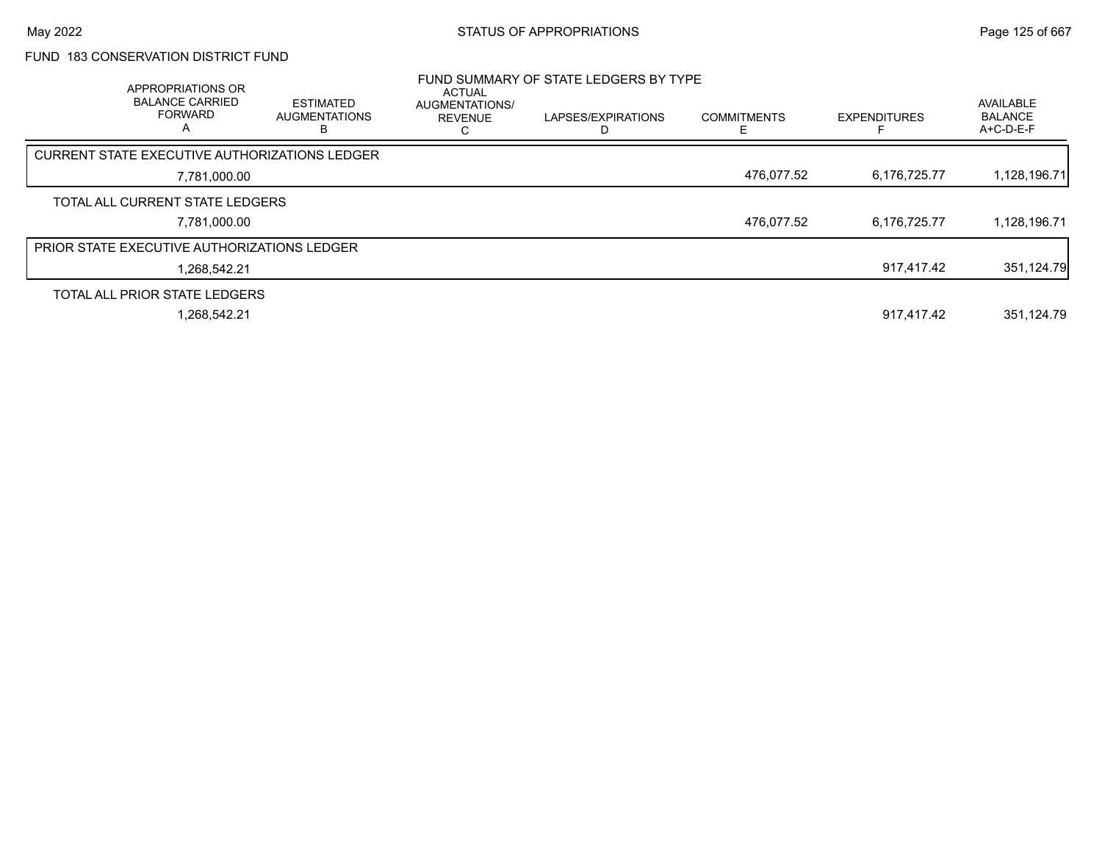### FUND 183 CONSERVATION DISTRICT FUND

| APPROPRIATIONS OR<br><b>BALANCE CARRIED</b><br><b>FORWARD</b><br>A | <b>ESTIMATED</b><br><b>AUGMENTATIONS</b> | ACTUAL<br>AUGMENTATIONS/<br><b>REVENUE</b> | FUND SUMMARY OF STATE LEDGERS BY TYPE<br>LAPSES/EXPIRATIONS | <b>COMMITMENTS</b> | <b>EXPENDITURES</b> | AVAILABLE<br><b>BALANCE</b><br>A+C-D-E-F |
|--------------------------------------------------------------------|------------------------------------------|--------------------------------------------|-------------------------------------------------------------|--------------------|---------------------|------------------------------------------|
| <b>CURRENT STATE EXECUTIVE AUTHORIZATIONS LEDGER</b>               |                                          |                                            |                                                             |                    |                     |                                          |
| 7,781,000.00                                                       |                                          |                                            |                                                             | 476,077.52         | 6,176,725.77        | 1,128,196.71                             |
| TOTAL ALL CURRENT STATE LEDGERS                                    |                                          |                                            |                                                             |                    |                     |                                          |
| 7,781,000.00                                                       |                                          |                                            |                                                             | 476.077.52         | 6,176,725.77        | 1,128,196.71                             |
| <b>PRIOR STATE EXECUTIVE AUTHORIZATIONS LEDGER</b>                 |                                          |                                            |                                                             |                    |                     |                                          |
| 1.268.542.21                                                       |                                          |                                            |                                                             |                    | 917.417.42          | 351,124.79                               |
| TOTAL ALL PRIOR STATE LEDGERS                                      |                                          |                                            |                                                             |                    |                     |                                          |
| 1.268.542.21                                                       |                                          |                                            |                                                             |                    | 917.417.42          | 351.124.79                               |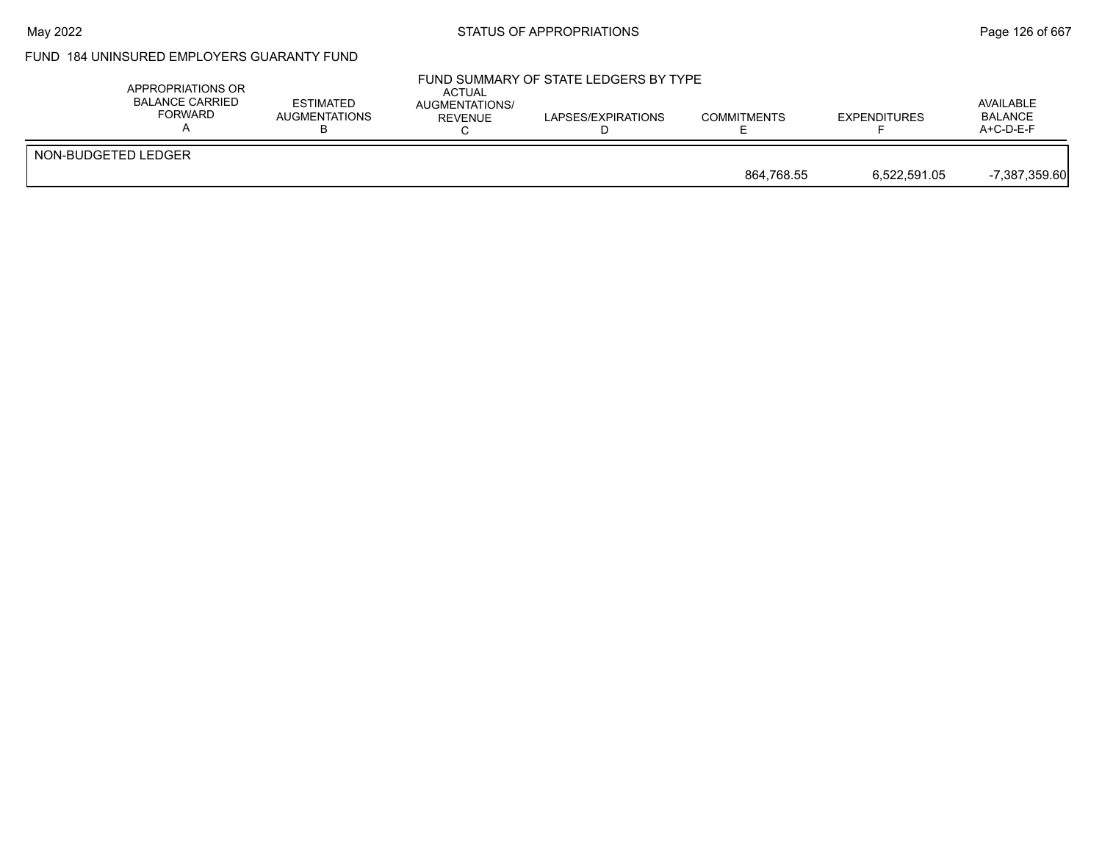#### May 2022 **Example 2018** STATUS OF APPROPRIATIONS **Page 126 of 667**

## FUND 184 UNINSURED EMPLOYERS GUARANTY FUND

| APPROPRIATIONS OR<br><b>BALANCE CARRIED</b><br><b>FORWARD</b> | <b>ESTIMATED</b><br>AUGMENTATIONS | ACTUAL<br>AUGMENTATIONS/<br>REVENUE | FUND SUMMARY OF STATE LEDGERS BY TYPE<br>LAPSES/EXPIRATIONS | <b>COMMITMENTS</b> | <b>EXPENDITURES</b> | AVAILABLE<br><b>BALANCE</b><br>$A+C-D-E-F$ |
|---------------------------------------------------------------|-----------------------------------|-------------------------------------|-------------------------------------------------------------|--------------------|---------------------|--------------------------------------------|
| NON-BUDGETED LEDGER                                           |                                   |                                     |                                                             |                    |                     |                                            |
|                                                               |                                   |                                     |                                                             | 864.768.55         | 6,522,591.05        | $-7,387,359.60$                            |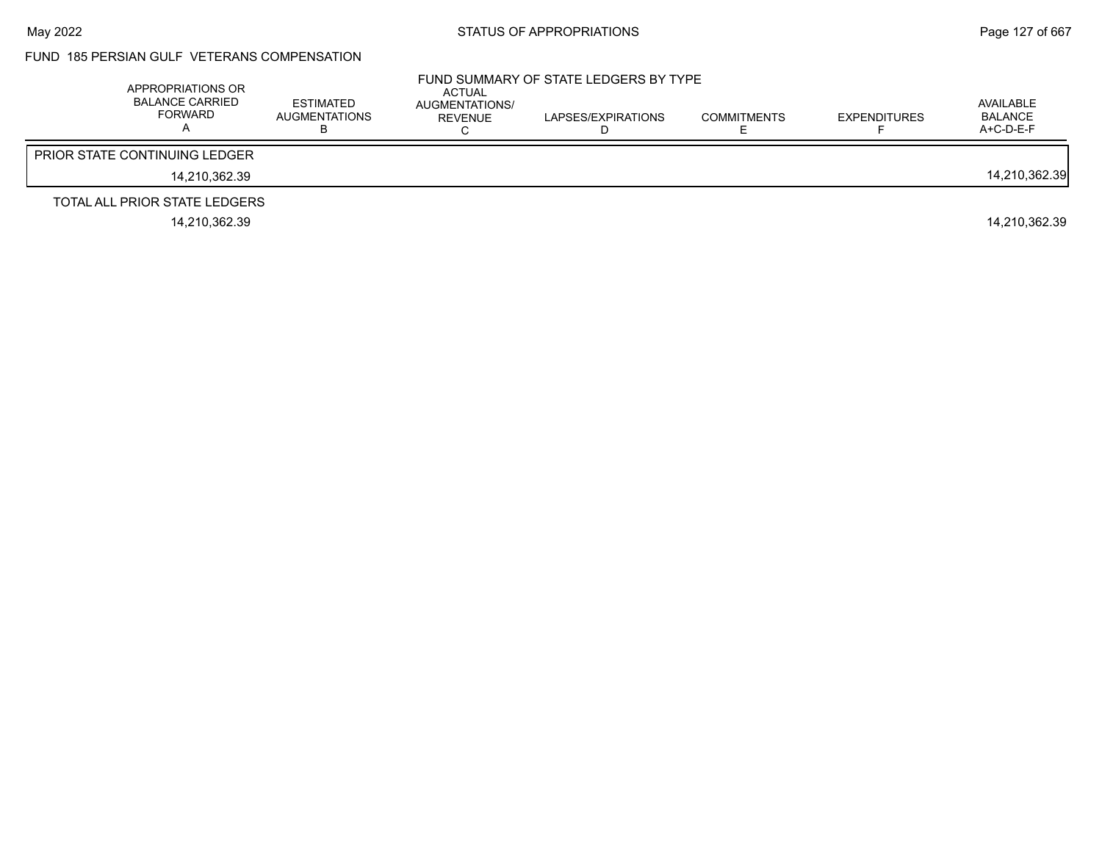#### FUND 185 PERSIAN GULF VETERANS COMPENSATION

| APPROPRIATIONS OR<br><b>BALANCE CARRIED</b><br>FORWARD | ESTIMATED<br>AUGMENTATIONS | ACTUAL<br>AUGMENTATIONS/<br>REVENUE | FUND SUMMARY OF STATE LEDGERS BY TYPE<br>LAPSES/EXPIRATIONS | <b>COMMITMENTS</b> | <b>EXPENDITURES</b> | AVAILABLE<br>BALANCE<br>$A+C-D-E-F$ |
|--------------------------------------------------------|----------------------------|-------------------------------------|-------------------------------------------------------------|--------------------|---------------------|-------------------------------------|
| <b>PRIOR STATE CONTINUING LEDGER</b>                   |                            |                                     |                                                             |                    |                     |                                     |
| 14.210.362.39                                          |                            |                                     |                                                             |                    |                     | 14,210,362.39                       |
| TOTAL ALL PRIOR STATE LEDGERS                          |                            |                                     |                                                             |                    |                     |                                     |
| 14.210.362.39                                          |                            |                                     |                                                             |                    |                     | 14.210.362.39                       |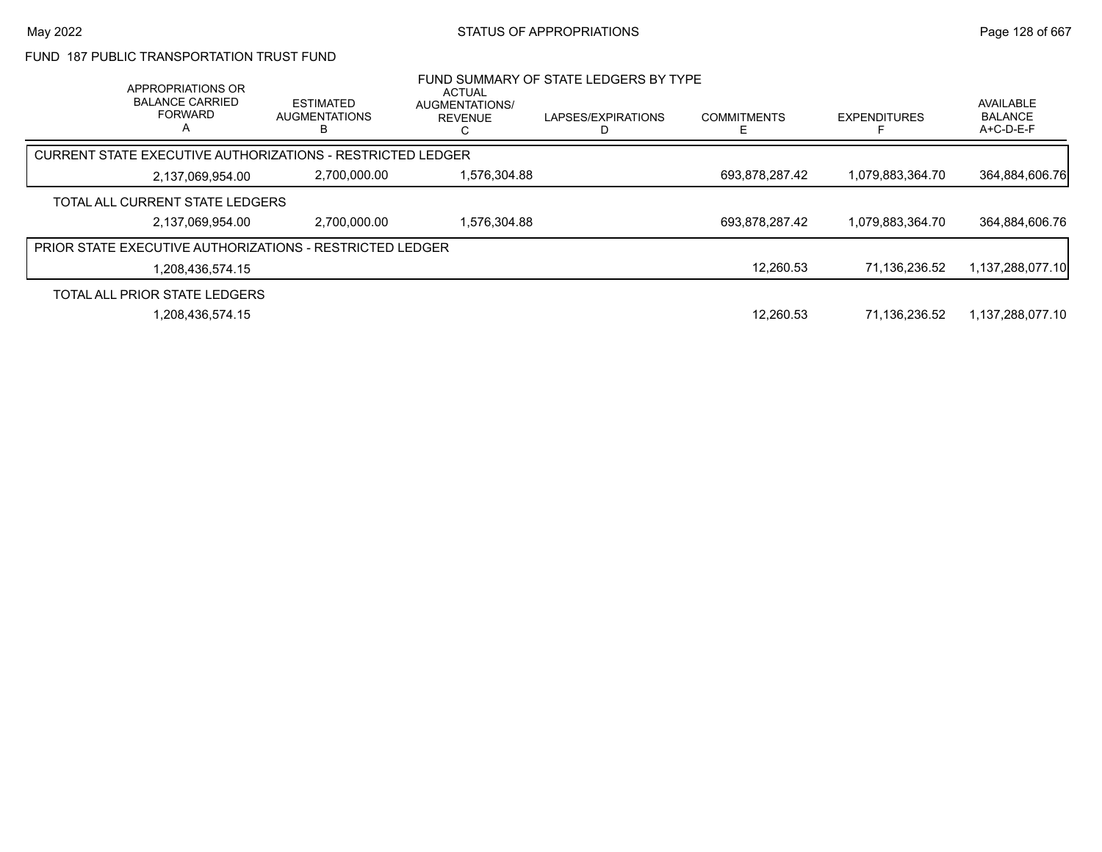#### FUND 187 PUBLIC TRANSPORTATION TRUST FUND

| APPROPRIATIONS OR<br><b>BALANCE CARRIED</b><br><b>FORWARD</b><br>A |                  | <b>ESTIMATED</b><br>AUGMENTATIONS | <b>ACTUAL</b><br><b>AUGMENTATIONS/</b><br><b>REVENUE</b> | FUND SUMMARY OF STATE LEDGERS BY TYPE<br>LAPSES/EXPIRATIONS | <b>COMMITMENTS</b> | <b>EXPENDITURES</b> | <b>AVAILABLE</b><br><b>BALANCE</b><br>$A+C-D-E-F$ |
|--------------------------------------------------------------------|------------------|-----------------------------------|----------------------------------------------------------|-------------------------------------------------------------|--------------------|---------------------|---------------------------------------------------|
| CURRENT STATE EXECUTIVE AUTHORIZATIONS - RESTRICTED LEDGER         |                  |                                   |                                                          |                                                             |                    |                     |                                                   |
|                                                                    | 2,137,069,954.00 | 2,700,000.00                      | .576.304.88                                              |                                                             | 693.878.287.42     | 1,079,883,364.70    | 364,884,606.76                                    |
| TOTAL ALL CURRENT STATE LEDGERS                                    |                  |                                   |                                                          |                                                             |                    |                     |                                                   |
|                                                                    | 2.137.069.954.00 | 2.700.000.00                      | 1.576.304.88                                             |                                                             | 693.878.287.42     | 1.079.883.364.70    | 364.884.606.76                                    |
| <b>PRIOR STATE EXECUTIVE AUTHORIZATIONS - RESTRICTED LEDGER</b>    |                  |                                   |                                                          |                                                             |                    |                     |                                                   |
|                                                                    | 1.208.436.574.15 |                                   |                                                          |                                                             | 12,260.53          | 71.136.236.52       | 1,137,288,077.10                                  |
| TOTAL ALL PRIOR STATE LEDGERS                                      |                  |                                   |                                                          |                                                             |                    |                     |                                                   |
|                                                                    | 1,208,436,574.15 |                                   |                                                          |                                                             | 12.260.53          | 71,136,236.52       | 1.137.288.077.10                                  |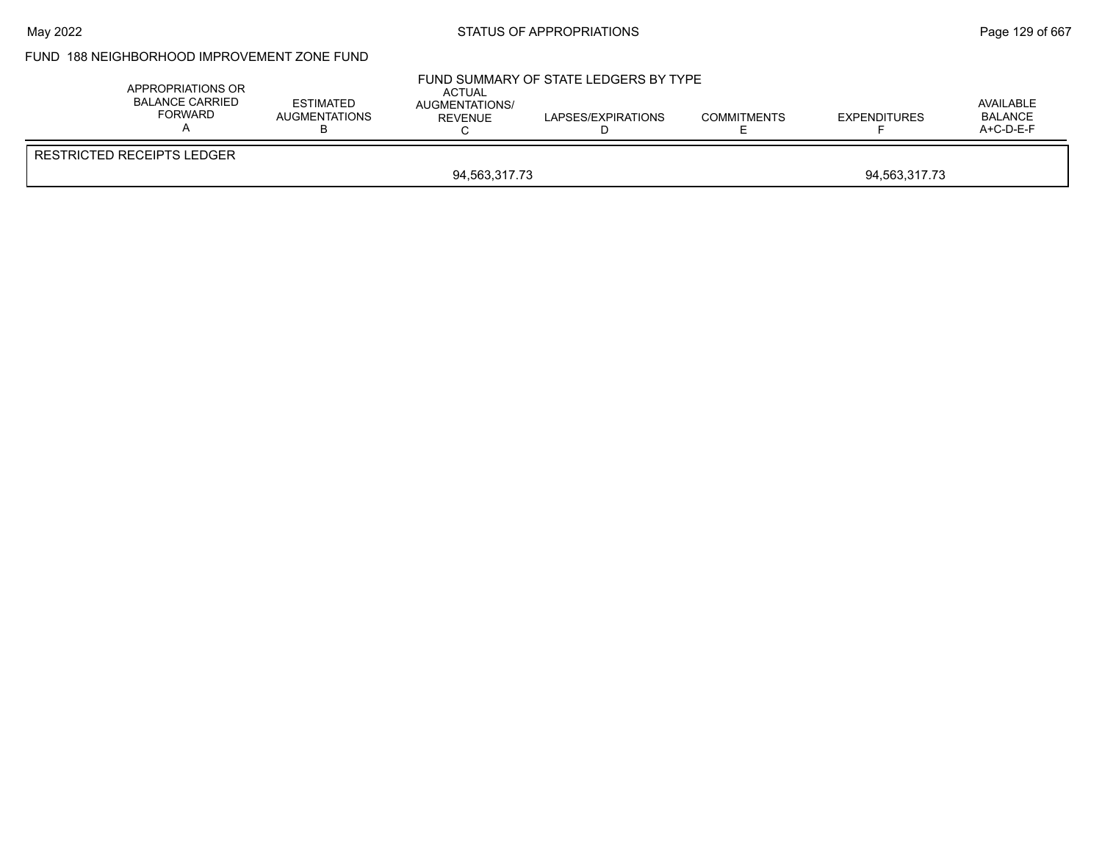#### May 2022 **Example 2018** STATUS OF APPROPRIATIONS **Page 129 of 667**

### FUND 188 NEIGHBORHOOD IMPROVEMENT ZONE FUND

| <b>RESTRICTED RECEIPTS LEDGER</b> | APPROPRIATIONS OR<br><b>BALANCE CARRIED</b><br>FORWARD | <b>ESTIMATED</b><br><b>AUGMENTATIONS</b> | ACTUAL<br>AUGMENTATIONS/<br><b>REVENUE</b> | FUND SUMMARY OF STATE LEDGERS BY TYPE<br>LAPSES/EXPIRATIONS | <b>COMMITMENTS</b> | <b>EXPENDITURES</b> | AVAILABLE<br><b>BALANCE</b><br>A+C-D-E-F |  |
|-----------------------------------|--------------------------------------------------------|------------------------------------------|--------------------------------------------|-------------------------------------------------------------|--------------------|---------------------|------------------------------------------|--|
|                                   | 94.563.317.73<br>94.563.317.73                         |                                          |                                            |                                                             |                    |                     |                                          |  |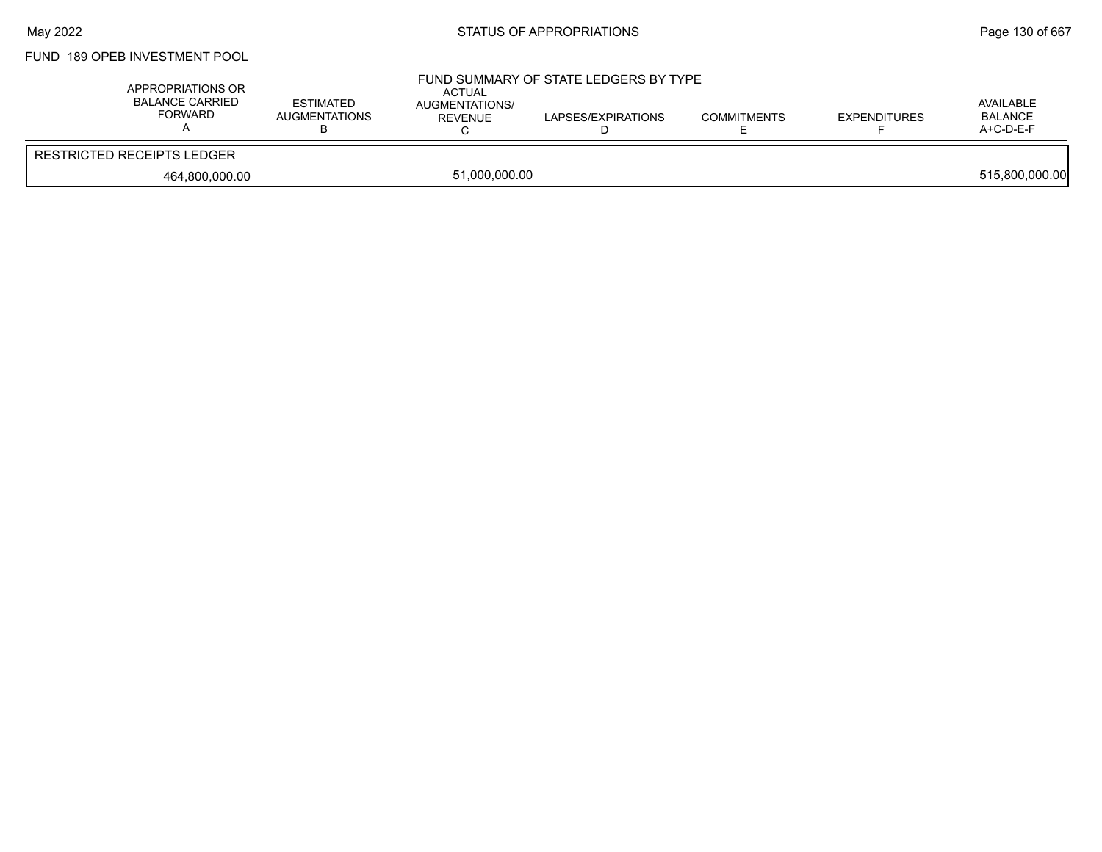# FUND 189 OPEB INVESTMENT POOL

| APPROPRIATIONS OR<br><b>BALANCE CARRIED</b><br>FORWARD | <b>ESTIMATED</b><br>AUGMENTATIONS | <b>ACTUAL</b><br>AUGMENTATIONS/<br>REVENUE | FUND SUMMARY OF STATE LEDGERS BY TYPE<br>LAPSES/EXPIRATIONS | <b>COMMITMENTS</b> | <b>EXPENDITURES</b> | AVAILABLE<br><b>BALANCE</b><br>$A+C-D-E-F$ |
|--------------------------------------------------------|-----------------------------------|--------------------------------------------|-------------------------------------------------------------|--------------------|---------------------|--------------------------------------------|
| <b>RESTRICTED RECEIPTS LEDGER</b>                      |                                   |                                            |                                                             |                    |                     |                                            |
| 464,800,000.00                                         |                                   | 51,000,000.00                              |                                                             |                    |                     | 515,800,000.00                             |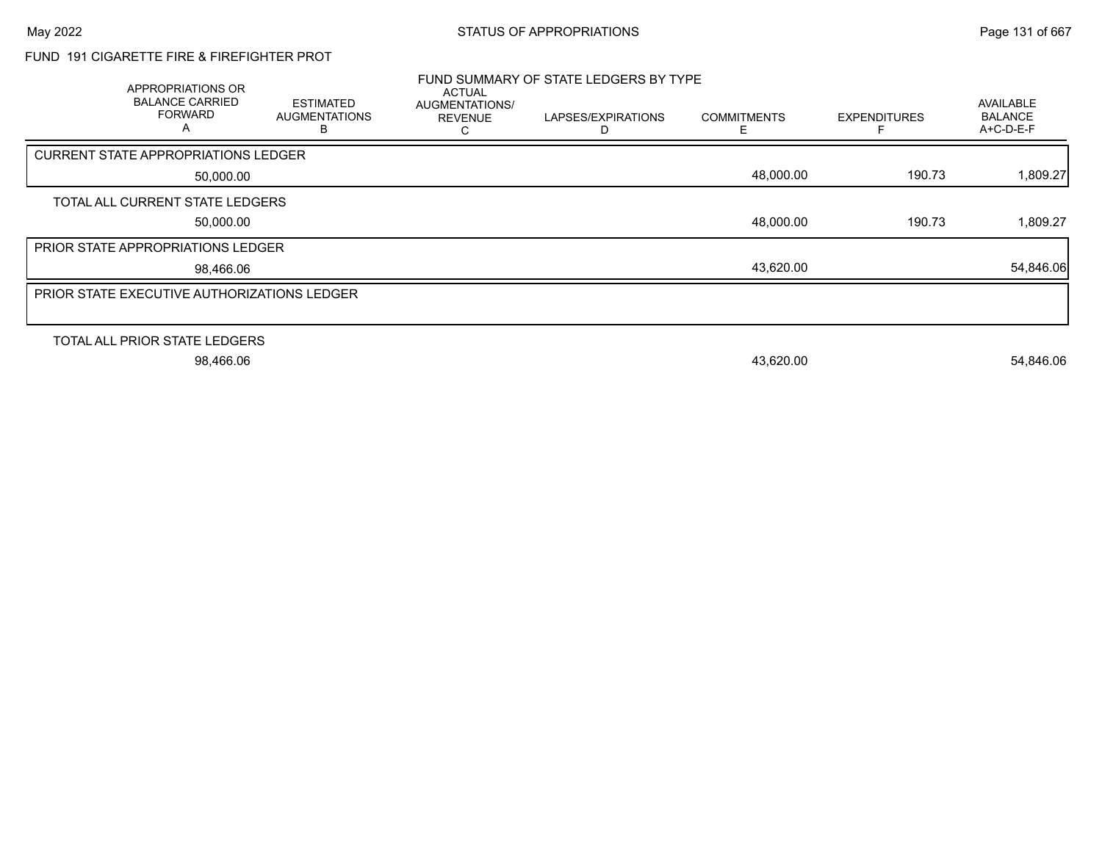## FUND 191 CIGARETTE FIRE & FIREFIGHTER PROT

|                                                    | <b>APPROPRIATIONS OR</b><br><b>BALANCE CARRIED</b><br><b>FORWARD</b><br>A | <b>ESTIMATED</b><br><b>AUGMENTATIONS</b><br>в | <b>ACTUAL</b><br>AUGMENTATIONS/<br><b>REVENUE</b> | FUND SUMMARY OF STATE LEDGERS BY TYPE<br>LAPSES/EXPIRATIONS<br>D | <b>COMMITMENTS</b><br>F | <b>EXPENDITURES</b> | AVAILABLE<br><b>BALANCE</b><br>A+C-D-E-F |
|----------------------------------------------------|---------------------------------------------------------------------------|-----------------------------------------------|---------------------------------------------------|------------------------------------------------------------------|-------------------------|---------------------|------------------------------------------|
| <b>CURRENT STATE APPROPRIATIONS LEDGER</b>         |                                                                           |                                               |                                                   |                                                                  |                         |                     |                                          |
|                                                    | 50,000.00                                                                 |                                               |                                                   |                                                                  | 48,000.00               | 190.73              | 1,809.27                                 |
| TOTAL ALL CURRENT STATE LEDGERS                    |                                                                           |                                               |                                                   |                                                                  |                         |                     |                                          |
|                                                    | 50,000.00                                                                 |                                               |                                                   |                                                                  | 48,000.00               | 190.73              | 1,809.27                                 |
| PRIOR STATE APPROPRIATIONS LEDGER                  |                                                                           |                                               |                                                   |                                                                  |                         |                     |                                          |
|                                                    | 98,466.06                                                                 |                                               |                                                   |                                                                  | 43,620.00               |                     | 54,846.06                                |
| <b>PRIOR STATE EXECUTIVE AUTHORIZATIONS LEDGER</b> |                                                                           |                                               |                                                   |                                                                  |                         |                     |                                          |
|                                                    |                                                                           |                                               |                                                   |                                                                  |                         |                     |                                          |
| TOTAL ALL PRIOR STATE LEDGERS                      |                                                                           |                                               |                                                   |                                                                  |                         |                     |                                          |
|                                                    | 98,466.06                                                                 |                                               |                                                   |                                                                  | 43,620.00               |                     | 54,846.06                                |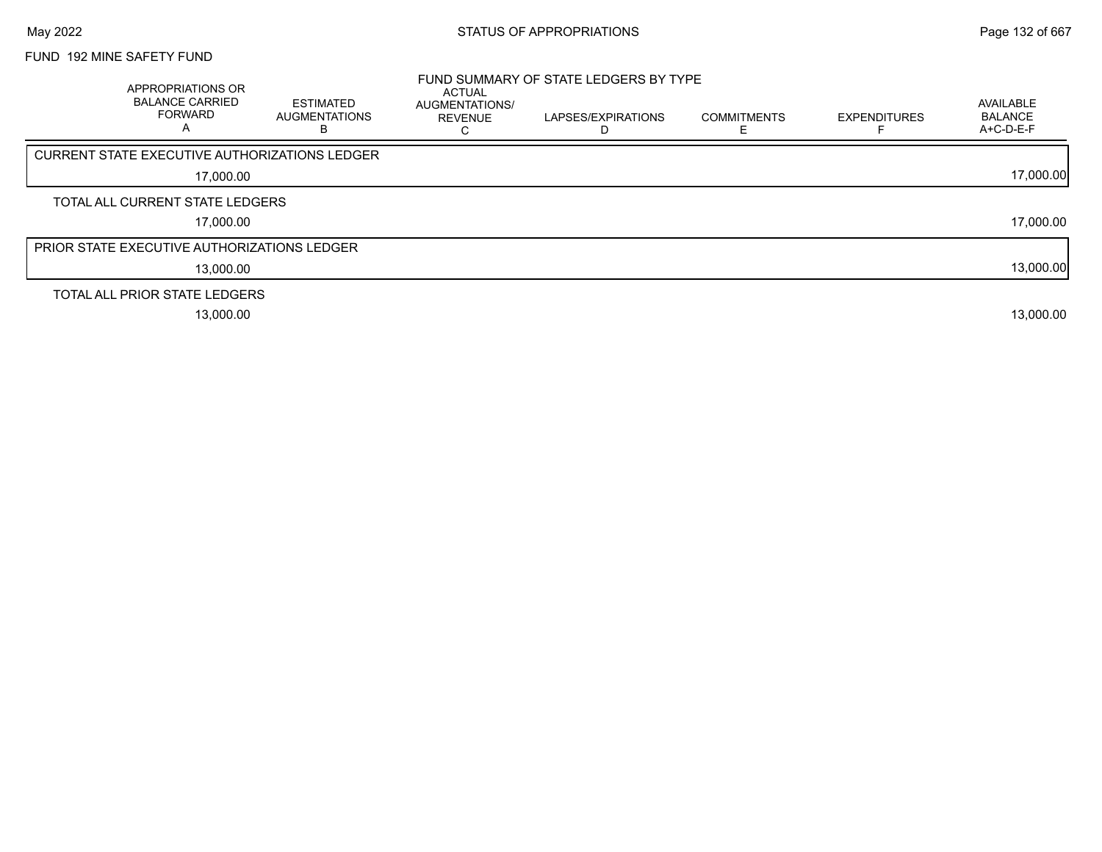# FUND 192 MINE SAFETY FUND

| APPROPRIATIONS OR<br><b>BALANCE CARRIED</b><br>FORWARD | <b>ESTIMATED</b><br><b>AUGMENTATIONS</b><br>в | <b>ACTUAL</b><br><b>AUGMENTATIONS/</b><br><b>REVENUE</b> | FUND SUMMARY OF STATE LEDGERS BY TYPE<br>LAPSES/EXPIRATIONS | <b>COMMITMENTS</b> | <b>EXPENDITURES</b> | AVAILABLE<br><b>BALANCE</b><br>A+C-D-E-F |
|--------------------------------------------------------|-----------------------------------------------|----------------------------------------------------------|-------------------------------------------------------------|--------------------|---------------------|------------------------------------------|
| CURRENT STATE EXECUTIVE AUTHORIZATIONS LEDGER          |                                               |                                                          |                                                             |                    |                     |                                          |
| 17,000.00                                              |                                               |                                                          |                                                             |                    |                     | 17,000.00                                |
| TOTAL ALL CURRENT STATE LEDGERS                        |                                               |                                                          |                                                             |                    |                     |                                          |
| 17,000.00                                              |                                               |                                                          |                                                             |                    |                     | 17,000.00                                |
| <b>PRIOR STATE EXECUTIVE AUTHORIZATIONS LEDGER</b>     |                                               |                                                          |                                                             |                    |                     |                                          |
| 13,000.00                                              |                                               |                                                          |                                                             |                    |                     | 13,000.00                                |
| TOTAL ALL PRIOR STATE LEDGERS                          |                                               |                                                          |                                                             |                    |                     |                                          |
| 13,000.00                                              |                                               |                                                          |                                                             |                    |                     | 13,000.00                                |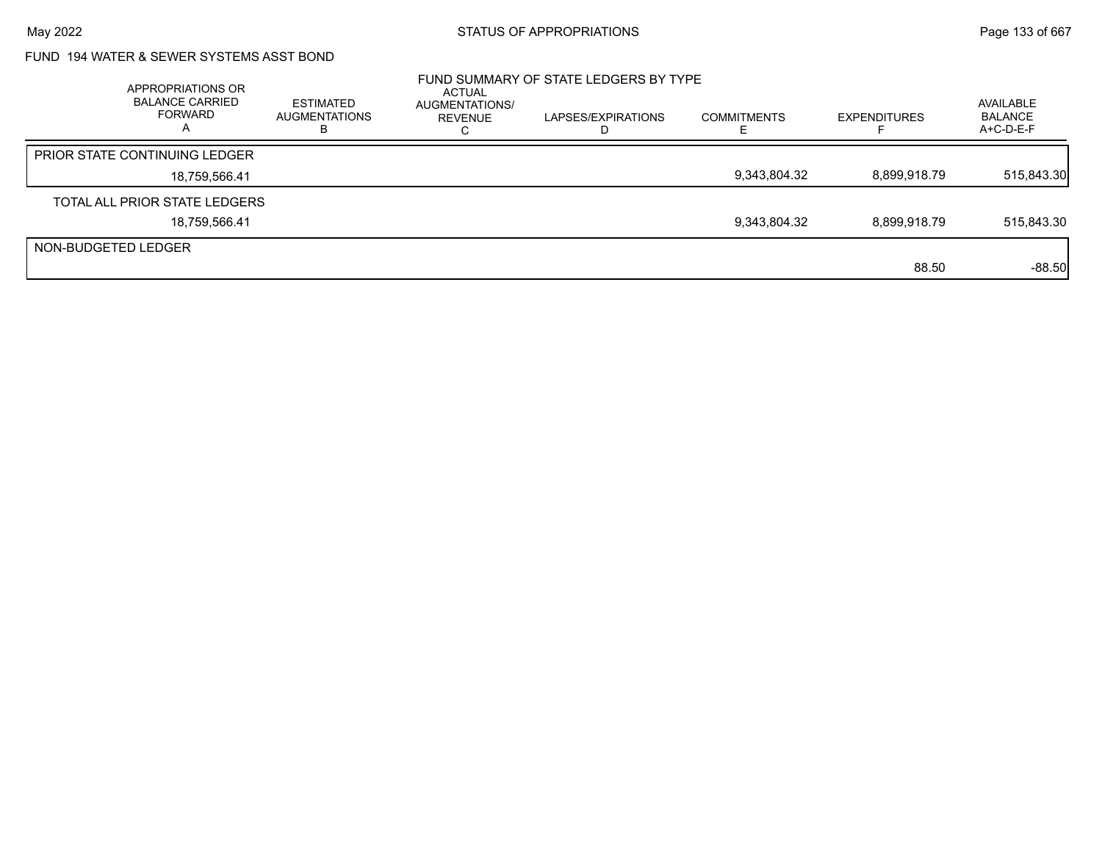## FUND 194 WATER & SEWER SYSTEMS ASST BOND

|                     | APPROPRIATIONS OR<br><b>BALANCE CARRIED</b><br>FORWARD | ESTIMATED<br>AUGMENTATIONS<br>в | <b>ACTUAL</b><br>AUGMENTATIONS/<br>REVENUE | FUND SUMMARY OF STATE LEDGERS BY TYPE<br>LAPSES/EXPIRATIONS | <b>COMMITMENTS</b> | <b>EXPENDITURES</b> | AVAILABLE<br><b>BALANCE</b><br>$A+C-D-E-F$ |
|---------------------|--------------------------------------------------------|---------------------------------|--------------------------------------------|-------------------------------------------------------------|--------------------|---------------------|--------------------------------------------|
|                     | <b>PRIOR STATE CONTINUING LEDGER</b>                   |                                 |                                            |                                                             |                    |                     |                                            |
|                     | 18,759,566.41                                          |                                 |                                            |                                                             | 9,343,804.32       | 8,899,918.79        | 515,843.30                                 |
|                     | TOTAL ALL PRIOR STATE LEDGERS                          |                                 |                                            |                                                             |                    |                     |                                            |
|                     | 18,759,566.41                                          |                                 |                                            |                                                             | 9,343,804.32       | 8,899,918.79        | 515,843.30                                 |
| NON-BUDGETED LEDGER |                                                        |                                 |                                            |                                                             |                    |                     |                                            |
|                     |                                                        |                                 |                                            |                                                             |                    | 88.50               | $-88.50$                                   |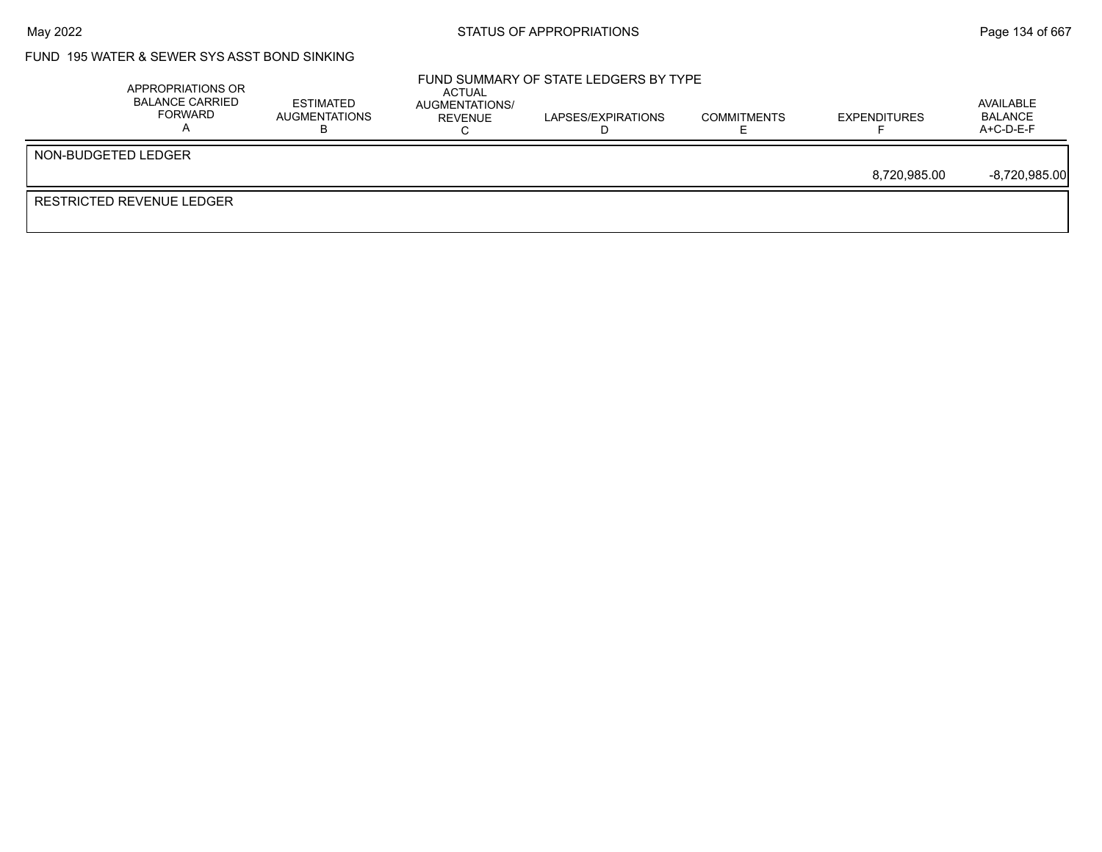### FUND 195 WATER & SEWER SYS ASST BOND SINKING

|                                  | APPROPRIATIONS OR<br>BALANCE CARRIED<br>FORWARD | <b>ESTIMATED</b><br>AUGMENTATIONS | ACTUAL<br>AUGMENTATIONS/<br>REVENUE | FUND SUMMARY OF STATE LEDGERS BY TYPE<br>LAPSES/EXPIRATIONS | <b>COMMITMENTS</b> | <b>EXPENDITURES</b> | AVAILABLE<br><b>BALANCE</b><br>$A+C-D-E-F$ |
|----------------------------------|-------------------------------------------------|-----------------------------------|-------------------------------------|-------------------------------------------------------------|--------------------|---------------------|--------------------------------------------|
| NON-BUDGETED LEDGER              |                                                 |                                   |                                     |                                                             |                    |                     |                                            |
|                                  |                                                 |                                   |                                     |                                                             |                    | 8.720.985.00        | $-8,720,985.00$                            |
| <b>RESTRICTED REVENUE LEDGER</b> |                                                 |                                   |                                     |                                                             |                    |                     |                                            |
|                                  |                                                 |                                   |                                     |                                                             |                    |                     |                                            |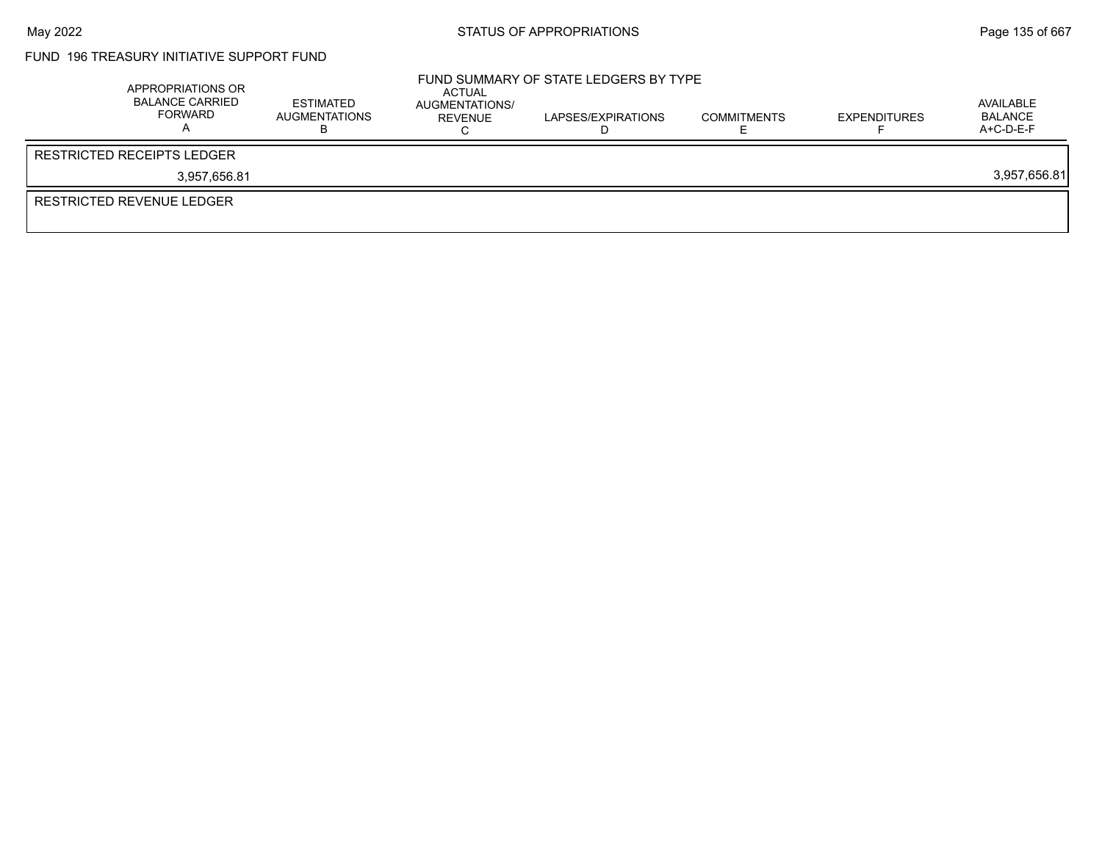# FUND 196 TREASURY INITIATIVE SUPPORT FUND

| APPROPRIATIONS OR<br><b>BALANCE CARRIED</b><br>FORWARD | ESTIMATED<br>AUGMENTATIONS | ACTUAL<br>AUGMENTATIONS/<br>REVENUE | FUND SUMMARY OF STATE LEDGERS BY TYPE<br>LAPSES/EXPIRATIONS | <b>COMMITMENTS</b> | <b>EXPENDITURES</b> | AVAILABLE<br>BALANCE<br>$A+C-D-E-F$ |
|--------------------------------------------------------|----------------------------|-------------------------------------|-------------------------------------------------------------|--------------------|---------------------|-------------------------------------|
| RESTRICTED RECEIPTS LEDGER                             |                            |                                     |                                                             |                    |                     |                                     |
| 3.957.656.81                                           |                            |                                     |                                                             |                    |                     | 3,957,656.81                        |
| <b>RESTRICTED REVENUE LEDGER</b>                       |                            |                                     |                                                             |                    |                     |                                     |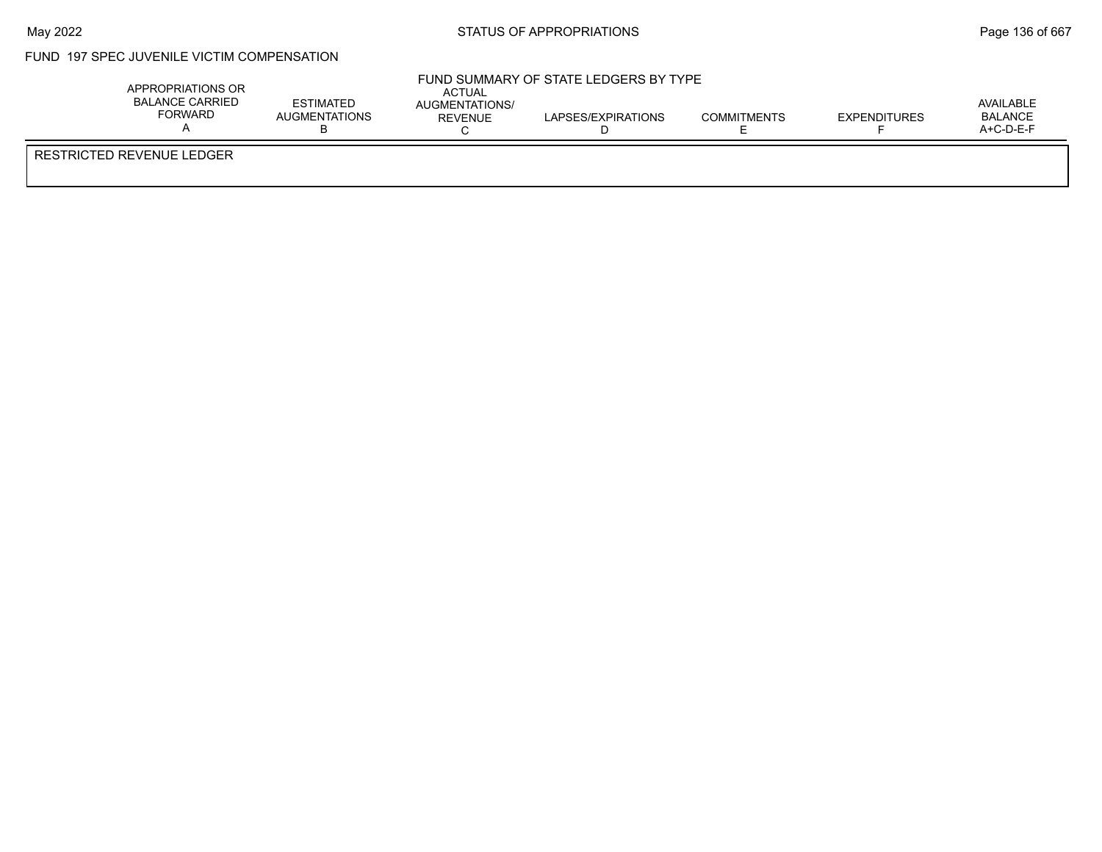## FUND 197 SPEC JUVENILE VICTIM COMPENSATION

| APPROPRIATIONS OR<br><b>BALANCE CARRIED</b><br><b>FORWARD</b> | <b>ESTIMATED</b><br><b>AUGMENTATIONS</b><br>◡ | <b>ACTUAL</b><br><b>AUGMENTATIONS/</b><br>REVENUE | FUND SUMMARY OF STATE LEDGERS BY TYPE<br>LAPSES/EXPIRATIONS | <b>COMMITMENTS</b> | EXPENDITURES | AVAILABLE<br><b>BALANCE</b><br>A+C-D-E-F |
|---------------------------------------------------------------|-----------------------------------------------|---------------------------------------------------|-------------------------------------------------------------|--------------------|--------------|------------------------------------------|
| <b>RESTRICTED REVENUE LEDGER</b>                              |                                               |                                                   |                                                             |                    |              |                                          |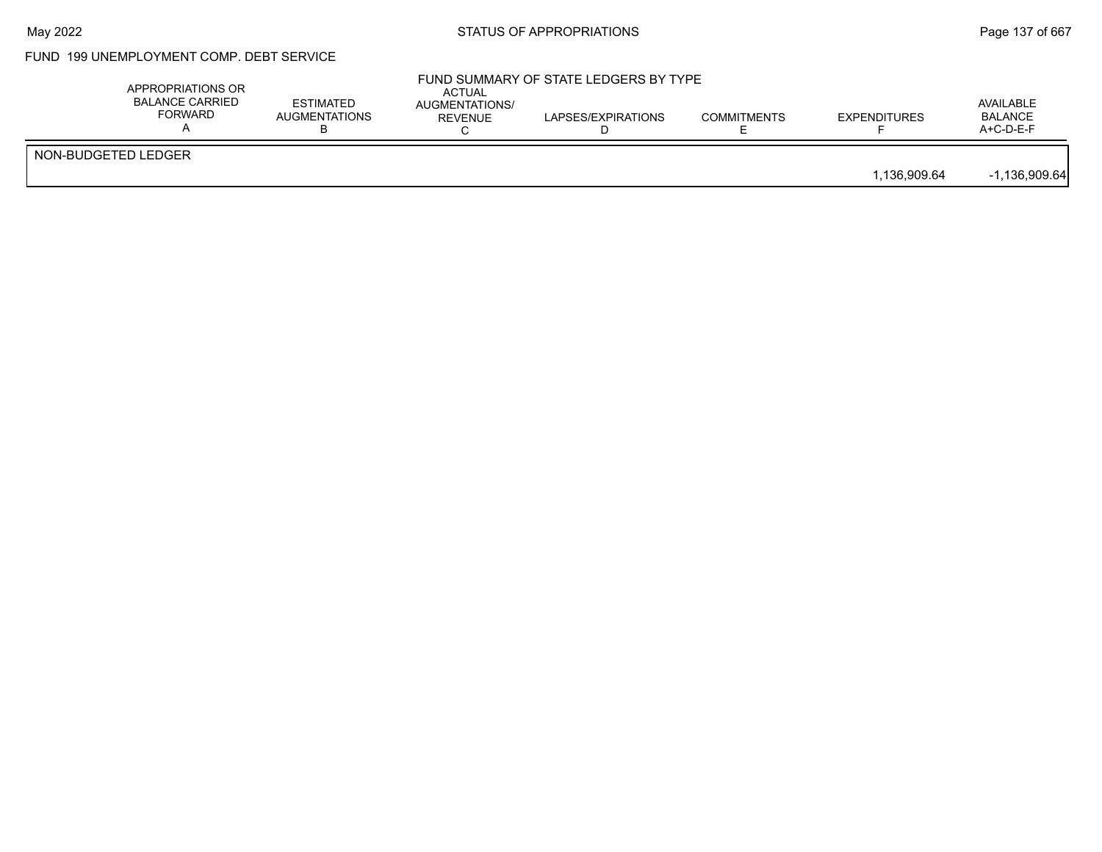## FUND 199 UNEMPLOYMENT COMP. DEBT SERVICE

|                     | APPROPRIATIONS OR<br><b>BALANCE CARRIED</b><br><b>FORWARD</b> | <b>ESTIMATED</b><br>AUGMENTATIONS | <b>ACTUAL</b><br><b>AUGMENTATIONS/</b><br>REVENUE | FUND SUMMARY OF STATE LEDGERS BY TYPE<br>LAPSES/EXPIRATIONS | <b>COMMITMENTS</b> | <b>EXPENDITURES</b> | AVAILABLE<br><b>BALANCE</b><br>A+C-D-E-F |
|---------------------|---------------------------------------------------------------|-----------------------------------|---------------------------------------------------|-------------------------------------------------------------|--------------------|---------------------|------------------------------------------|
| NON-BUDGETED LEDGER |                                                               |                                   |                                                   |                                                             |                    | 1.136.909.64        | $-1,136,909.64$                          |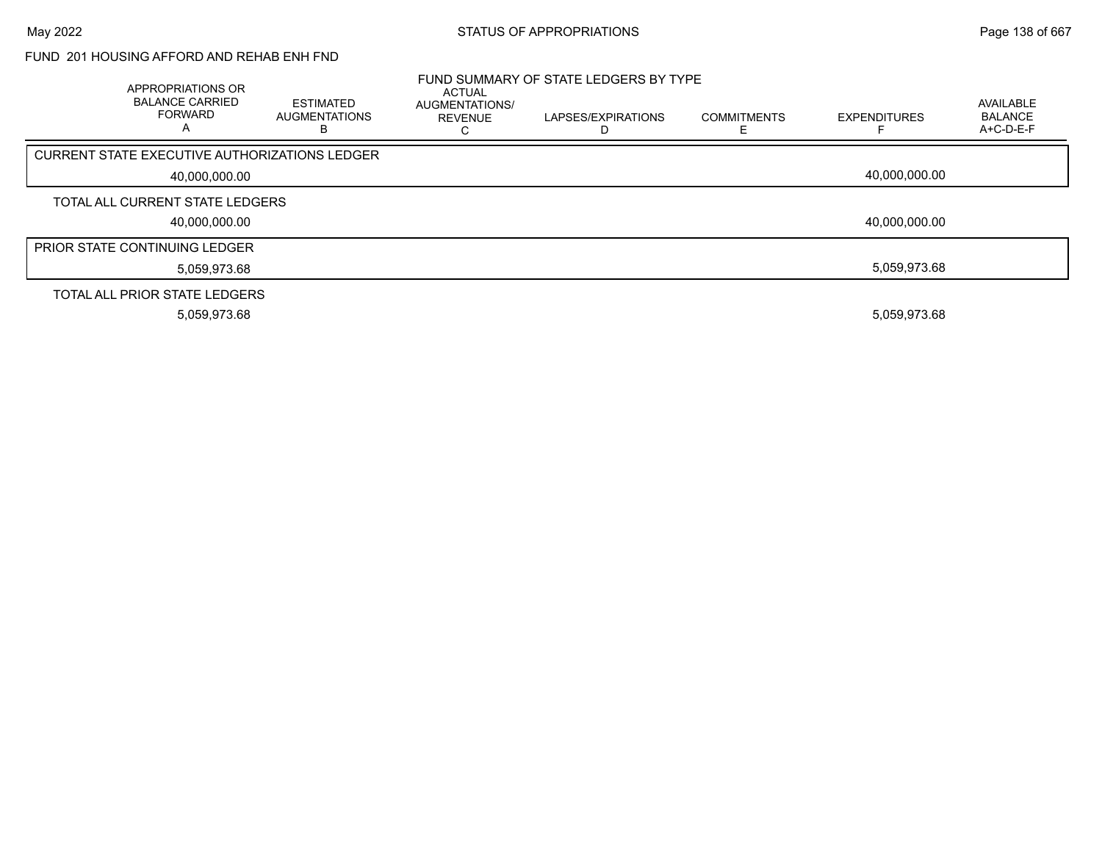#### FUND 201 HOUSING AFFORD AND REHAB ENH FND

| APPROPRIATIONS OR<br><b>BALANCE CARRIED</b><br><b>FORWARD</b> | ESTIMATED<br><b>AUGMENTATIONS</b><br>в | ACTUAL<br>AUGMENTATIONS/<br><b>REVENUE</b> | FUND SUMMARY OF STATE LEDGERS BY TYPE<br>LAPSES/EXPIRATIONS | <b>COMMITMENTS</b> | <b>EXPENDITURES</b> | AVAILABLE<br><b>BALANCE</b><br>$A+C-D-E-F$ |
|---------------------------------------------------------------|----------------------------------------|--------------------------------------------|-------------------------------------------------------------|--------------------|---------------------|--------------------------------------------|
| CURRENT STATE EXECUTIVE AUTHORIZATIONS LEDGER                 |                                        |                                            |                                                             |                    |                     |                                            |
| 40,000,000.00                                                 |                                        |                                            |                                                             |                    | 40.000.000.00       |                                            |
| TOTAL ALL CURRENT STATE LEDGERS                               |                                        |                                            |                                                             |                    |                     |                                            |
| 40,000,000.00                                                 |                                        |                                            |                                                             |                    | 40,000,000.00       |                                            |
| <b>PRIOR STATE CONTINUING LEDGER</b>                          |                                        |                                            |                                                             |                    |                     |                                            |
| 5,059,973.68                                                  |                                        |                                            |                                                             |                    | 5.059.973.68        |                                            |
| TOTAL ALL PRIOR STATE LEDGERS                                 |                                        |                                            |                                                             |                    |                     |                                            |
| 5,059,973.68                                                  |                                        |                                            |                                                             |                    | 5,059,973.68        |                                            |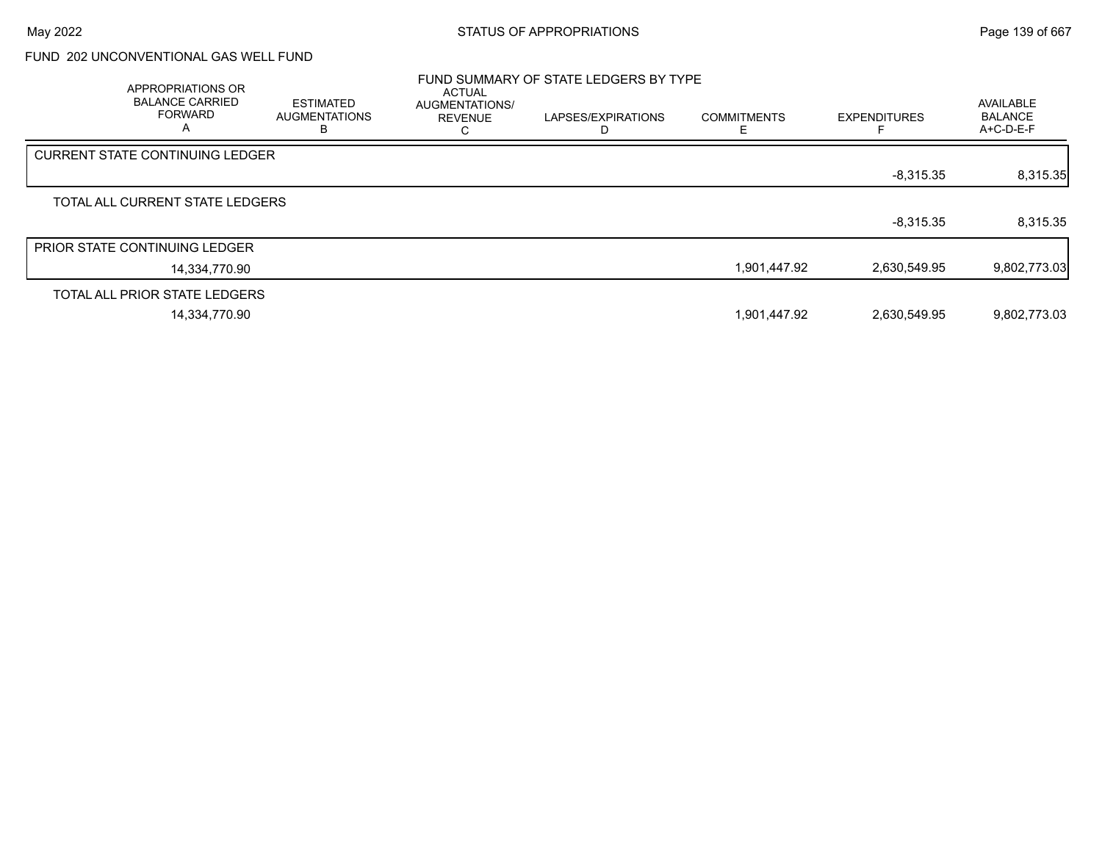## FUND 202 UNCONVENTIONAL GAS WELL FUND

| FUND SUMMARY OF STATE LEDGERS BY TYPE<br>APPROPRIATIONS OR<br><b>ACTUAL</b> |               |                                               |                                        |                         |                    |                     |                                            |
|-----------------------------------------------------------------------------|---------------|-----------------------------------------------|----------------------------------------|-------------------------|--------------------|---------------------|--------------------------------------------|
| <b>BALANCE CARRIED</b><br><b>FORWARD</b><br>A                               |               | <b>ESTIMATED</b><br><b>AUGMENTATIONS</b><br>В | AUGMENTATIONS/<br><b>REVENUE</b><br>ι. | LAPSES/EXPIRATIONS<br>D | <b>COMMITMENTS</b> | <b>EXPENDITURES</b> | AVAILABLE<br><b>BALANCE</b><br>$A+C-D-E-F$ |
| CURRENT STATE CONTINUING LEDGER                                             |               |                                               |                                        |                         |                    |                     |                                            |
|                                                                             |               |                                               |                                        |                         |                    | $-8,315.35$         | 8,315.35                                   |
| TOTAL ALL CURRENT STATE LEDGERS                                             |               |                                               |                                        |                         |                    |                     |                                            |
|                                                                             |               |                                               |                                        |                         |                    | $-8,315.35$         | 8,315.35                                   |
| <b>PRIOR STATE CONTINUING LEDGER</b>                                        |               |                                               |                                        |                         |                    |                     |                                            |
|                                                                             | 14.334.770.90 |                                               |                                        |                         | 1,901,447.92       | 2,630,549.95        | 9,802,773.03                               |
| TOTAL ALL PRIOR STATE LEDGERS                                               |               |                                               |                                        |                         |                    |                     |                                            |
|                                                                             | 14,334,770.90 |                                               |                                        |                         | 1,901,447.92       | 2,630,549.95        | 9,802,773.03                               |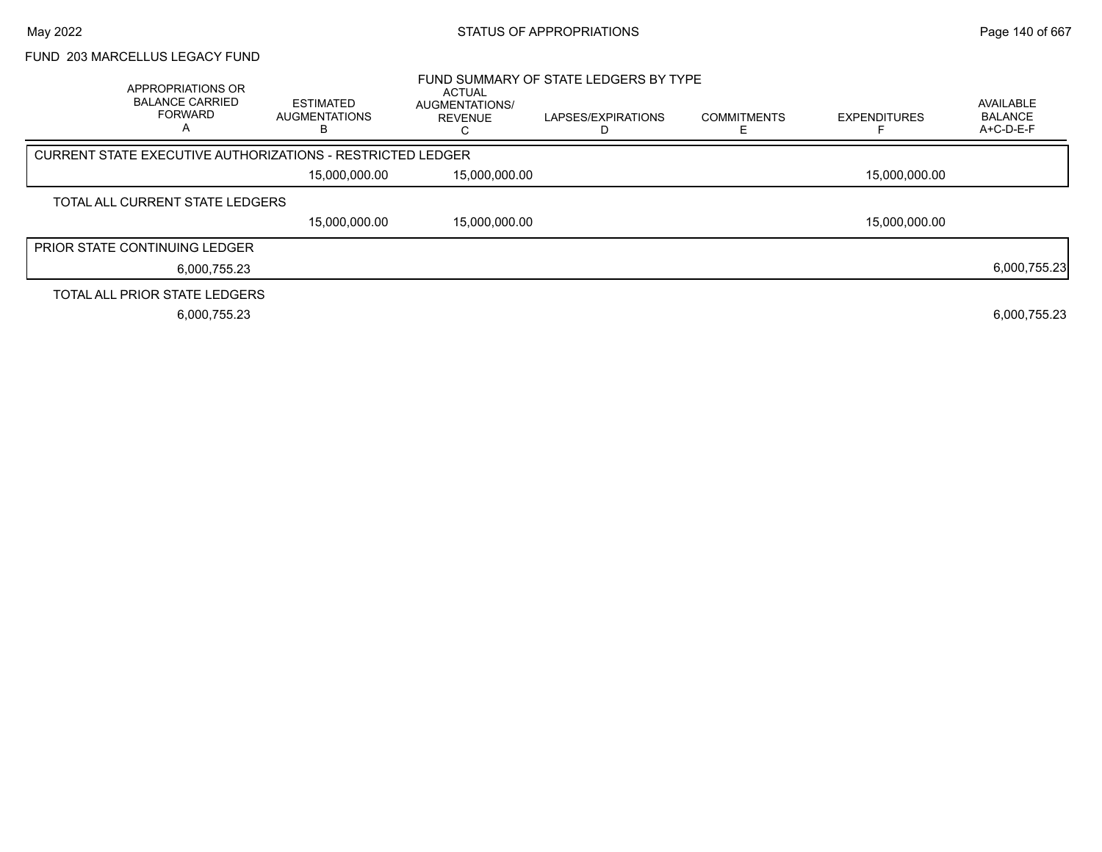# FUND 203 MARCELLUS LEGACY FUND

| APPROPRIATIONS OR<br><b>BALANCE CARRIED</b><br><b>FORWARD</b> | <b>ESTIMATED</b><br><b>AUGMENTATIONS</b><br>в              | <b>ACTUAL</b><br>AUGMENTATIONS/<br><b>REVENUE</b> | FUND SUMMARY OF STATE LEDGERS BY TYPE<br>LAPSES/EXPIRATIONS | <b>COMMITMENTS</b> | <b>EXPENDITURES</b> | AVAILABLE<br><b>BALANCE</b><br>$A+C-D-E-F$ |
|---------------------------------------------------------------|------------------------------------------------------------|---------------------------------------------------|-------------------------------------------------------------|--------------------|---------------------|--------------------------------------------|
|                                                               | CURRENT STATE EXECUTIVE AUTHORIZATIONS - RESTRICTED LEDGER |                                                   |                                                             |                    |                     |                                            |
|                                                               | 15,000,000.00                                              | 15,000,000.00                                     |                                                             |                    | 15,000,000.00       |                                            |
| TOTAL ALL CURRENT STATE LEDGERS                               |                                                            |                                                   |                                                             |                    |                     |                                            |
|                                                               | 15.000.000.00                                              | 15,000,000.00                                     |                                                             |                    | 15,000,000.00       |                                            |
| <b>PRIOR STATE CONTINUING LEDGER</b>                          |                                                            |                                                   |                                                             |                    |                     |                                            |
|                                                               | 6,000,755.23                                               |                                                   |                                                             |                    |                     | 6,000,755.23                               |
| TOTAL ALL PRIOR STATE LEDGERS                                 |                                                            |                                                   |                                                             |                    |                     |                                            |
|                                                               | 6,000,755.23                                               |                                                   |                                                             |                    |                     | 6,000,755.23                               |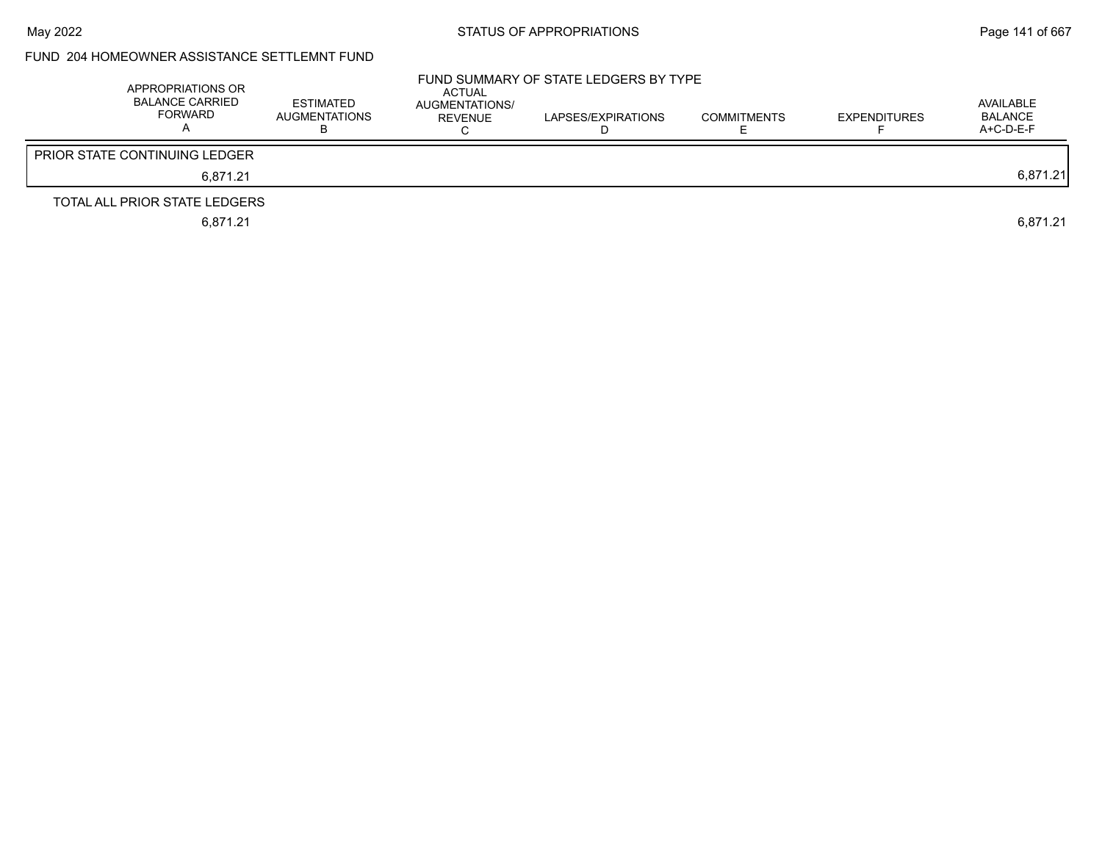### FUND 204 HOMEOWNER ASSISTANCE SETTLEMNT FUND

| APPROPRIATIONS OR<br><b>BALANCE CARRIED</b><br>FORWARD | ESTIMATED<br><b>AUGMENTATIONS</b> | ACTUAL<br>AUGMENTATIONS/<br>REVENUE | FUND SUMMARY OF STATE LEDGERS BY TYPE<br>LAPSES/EXPIRATIONS<br>., | <b>COMMITMENTS</b> | <b>EXPENDITURES</b> | AVAILABLE<br><b>BALANCE</b><br>$A+C-D-E-F$ |
|--------------------------------------------------------|-----------------------------------|-------------------------------------|-------------------------------------------------------------------|--------------------|---------------------|--------------------------------------------|
| <b>PRIOR STATE CONTINUING LEDGER</b>                   |                                   |                                     |                                                                   |                    |                     |                                            |
| 6.871.21                                               |                                   |                                     |                                                                   |                    |                     | 6,871.21                                   |
| TOTAL ALL PRIOR STATE LEDGERS                          |                                   |                                     |                                                                   |                    |                     |                                            |
| 6,871.21                                               |                                   |                                     |                                                                   |                    |                     | 6,871.21                                   |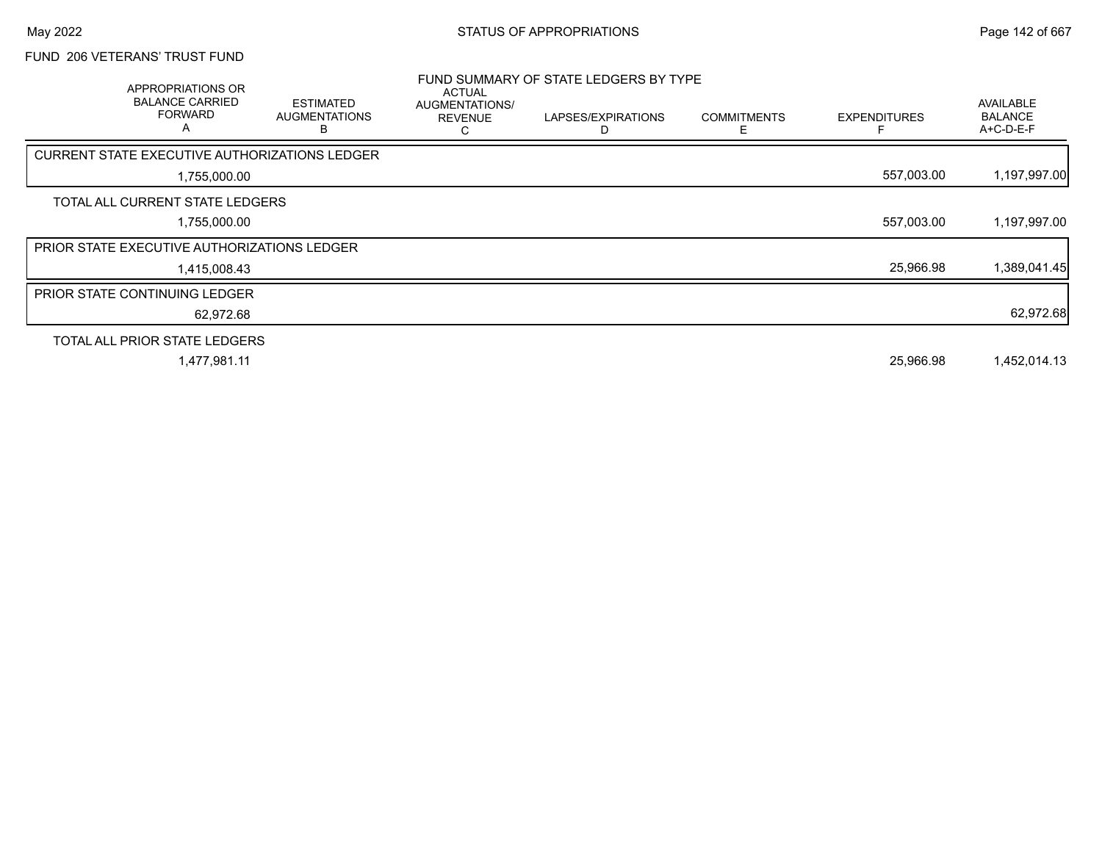#### FUND 206 VETERANS' TRUST FUND

| <b>APPROPRIATIONS OR</b><br><b>BALANCE CARRIED</b><br><b>FORWARD</b><br>A | <b>ESTIMATED</b><br><b>AUGMENTATIONS</b><br>в | <b>ACTUAL</b><br>AUGMENTATIONS/<br><b>REVENUE</b><br>С | FUND SUMMARY OF STATE LEDGERS BY TYPE<br>LAPSES/EXPIRATIONS | <b>COMMITMENTS</b><br>F | <b>EXPENDITURES</b> | AVAILABLE<br><b>BALANCE</b><br>A+C-D-E-F |
|---------------------------------------------------------------------------|-----------------------------------------------|--------------------------------------------------------|-------------------------------------------------------------|-------------------------|---------------------|------------------------------------------|
| CURRENT STATE EXECUTIVE AUTHORIZATIONS LEDGER                             |                                               |                                                        |                                                             |                         |                     |                                          |
| 1,755,000.00                                                              |                                               |                                                        |                                                             |                         | 557,003.00          | 1,197,997.00                             |
| TOTAL ALL CURRENT STATE LEDGERS                                           |                                               |                                                        |                                                             |                         |                     |                                          |
| 1,755,000.00                                                              |                                               |                                                        |                                                             |                         | 557,003.00          | 1,197,997.00                             |
| <b>PRIOR STATE EXECUTIVE AUTHORIZATIONS LEDGER</b>                        |                                               |                                                        |                                                             |                         |                     |                                          |
| 1,415,008.43                                                              |                                               |                                                        |                                                             |                         | 25,966.98           | 1,389,041.45                             |
| <b>PRIOR STATE CONTINUING LEDGER</b>                                      |                                               |                                                        |                                                             |                         |                     |                                          |
| 62,972.68                                                                 |                                               |                                                        |                                                             |                         |                     | 62,972.68                                |
| TOTAL ALL PRIOR STATE LEDGERS                                             |                                               |                                                        |                                                             |                         |                     |                                          |
| 1,477,981.11                                                              |                                               |                                                        |                                                             |                         | 25,966.98           | 1,452,014.13                             |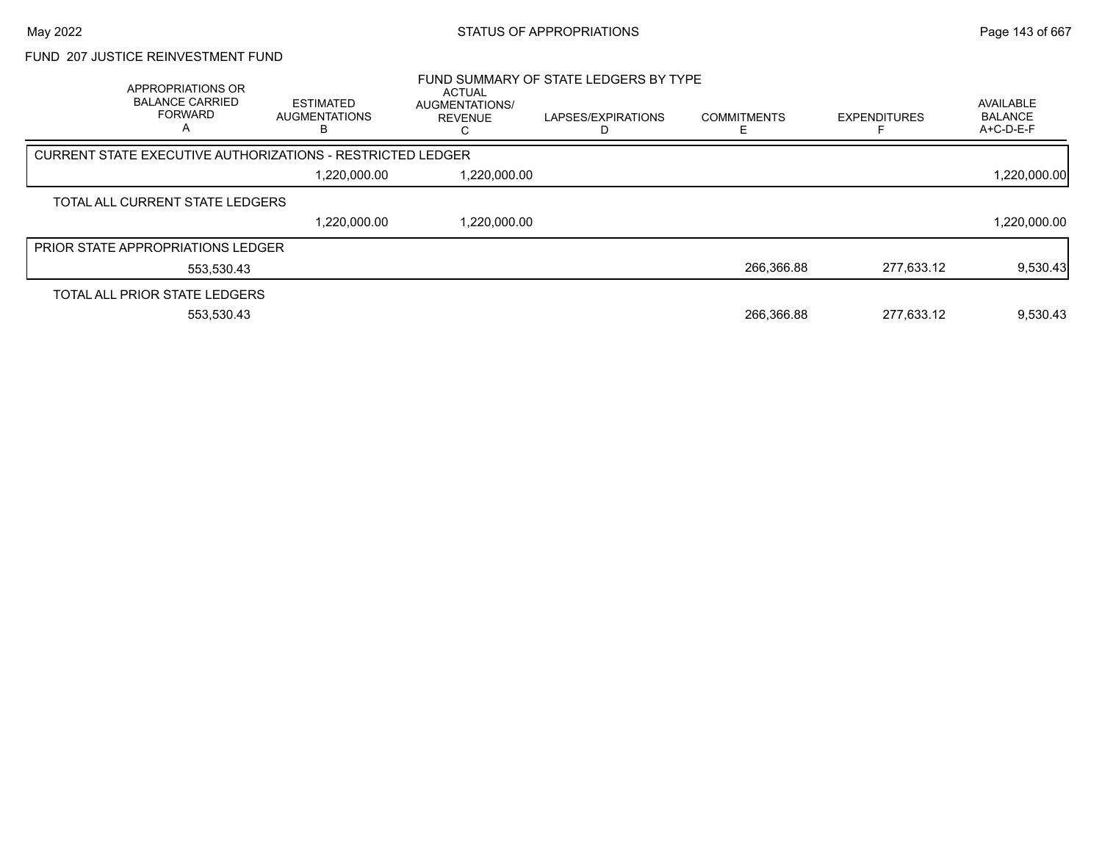#### FUND 207 JUSTICE REINVESTMENT FUND

| APPROPRIATIONS OR<br><b>BALANCE CARRIED</b><br><b>FORWARD</b> | <b>ESTIMATED</b><br><b>AUGMENTATIONS</b><br>ĸ                     | <b>ACTUAL</b><br>AUGMENTATIONS/<br><b>REVENUE</b> | FUND SUMMARY OF STATE LEDGERS BY TYPE<br>LAPSES/EXPIRATIONS | <b>COMMITMENTS</b> | <b>EXPENDITURES</b> | AVAILABLE<br><b>BALANCE</b><br>A+C-D-E-F |
|---------------------------------------------------------------|-------------------------------------------------------------------|---------------------------------------------------|-------------------------------------------------------------|--------------------|---------------------|------------------------------------------|
|                                                               | <b>CURRENT STATE EXECUTIVE AUTHORIZATIONS - RESTRICTED LEDGER</b> |                                                   |                                                             |                    |                     |                                          |
|                                                               | 1,220,000.00                                                      | 1,220,000.00                                      |                                                             |                    |                     | 1,220,000.00                             |
| TOTAL ALL CURRENT STATE LEDGERS                               |                                                                   |                                                   |                                                             |                    |                     |                                          |
|                                                               | 1,220,000.00                                                      | 1,220,000.00                                      |                                                             |                    |                     | 1,220,000.00                             |
| <b>PRIOR STATE APPROPRIATIONS LEDGER</b>                      |                                                                   |                                                   |                                                             |                    |                     |                                          |
| 553,530.43                                                    |                                                                   |                                                   |                                                             | 266.366.88         | 277.633.12          | 9,530.43                                 |
| TOTAL ALL PRIOR STATE LEDGERS                                 |                                                                   |                                                   |                                                             |                    |                     |                                          |
| 553.530.43                                                    |                                                                   |                                                   |                                                             | 266.366.88         | 277.633.12          | 9.530.43                                 |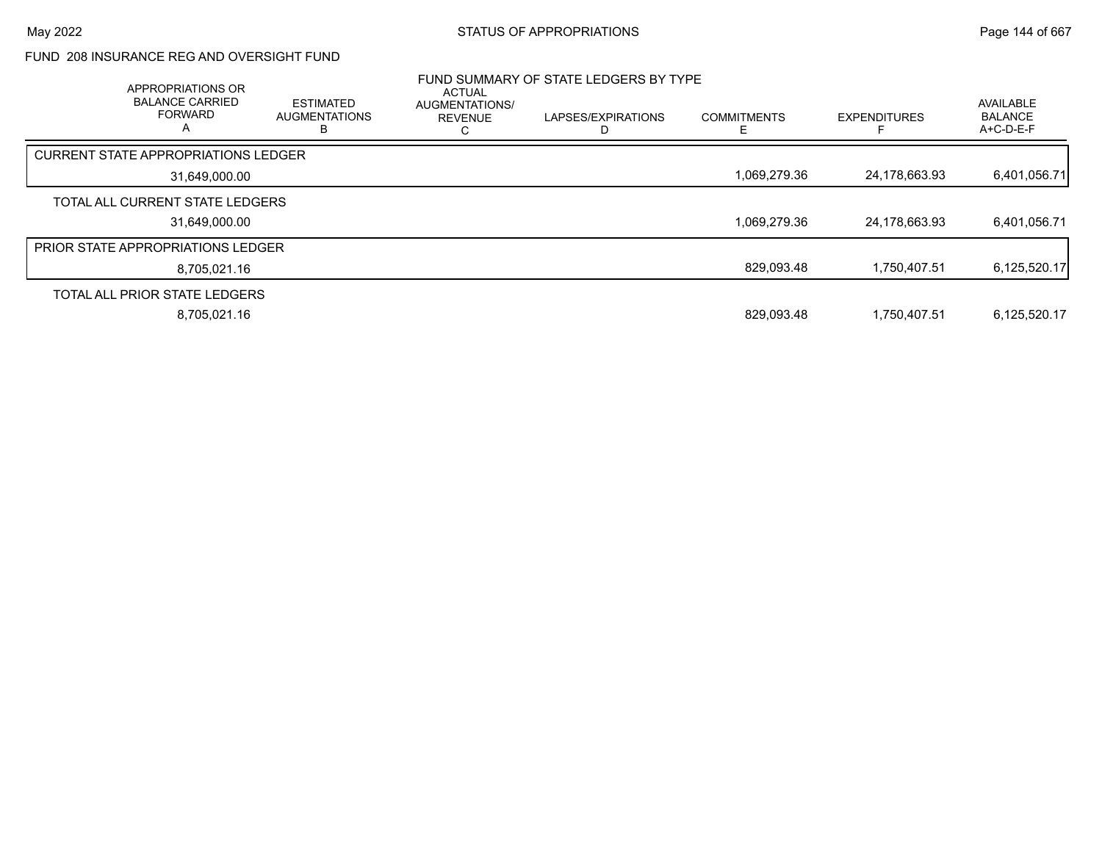#### FUND 208 INSURANCE REG AND OVERSIGHT FUND

| APPROPRIATIONS OR<br><b>BALANCE CARRIED</b><br><b>FORWARD</b><br>А | <b>ESTIMATED</b><br><b>AUGMENTATIONS</b> | <b>ACTUAL</b><br>AUGMENTATIONS/<br><b>REVENUE</b> | FUND SUMMARY OF STATE LEDGERS BY TYPE<br>LAPSES/EXPIRATIONS | <b>COMMITMENTS</b> | <b>EXPENDITURES</b> | <b>AVAILABLE</b><br><b>BALANCE</b><br>$A+C-D-E-F$ |
|--------------------------------------------------------------------|------------------------------------------|---------------------------------------------------|-------------------------------------------------------------|--------------------|---------------------|---------------------------------------------------|
| <b>CURRENT STATE APPROPRIATIONS LEDGER</b>                         |                                          |                                                   |                                                             |                    |                     |                                                   |
| 31,649,000.00                                                      |                                          |                                                   |                                                             | 1,069,279.36       | 24,178,663.93       | 6,401,056.71                                      |
| TOTAL ALL CURRENT STATE LEDGERS                                    |                                          |                                                   |                                                             |                    |                     |                                                   |
| 31,649,000.00                                                      |                                          |                                                   |                                                             | 1,069,279.36       | 24,178,663.93       | 6,401,056.71                                      |
| <b>PRIOR STATE APPROPRIATIONS LEDGER</b>                           |                                          |                                                   |                                                             |                    |                     |                                                   |
| 8.705.021.16                                                       |                                          |                                                   |                                                             | 829,093.48         | 1,750,407.51        | 6,125,520.17                                      |
| TOTAL ALL PRIOR STATE LEDGERS                                      |                                          |                                                   |                                                             |                    |                     |                                                   |
| 8,705,021.16                                                       |                                          |                                                   |                                                             | 829,093.48         | 1.750.407.51        | 6,125,520.17                                      |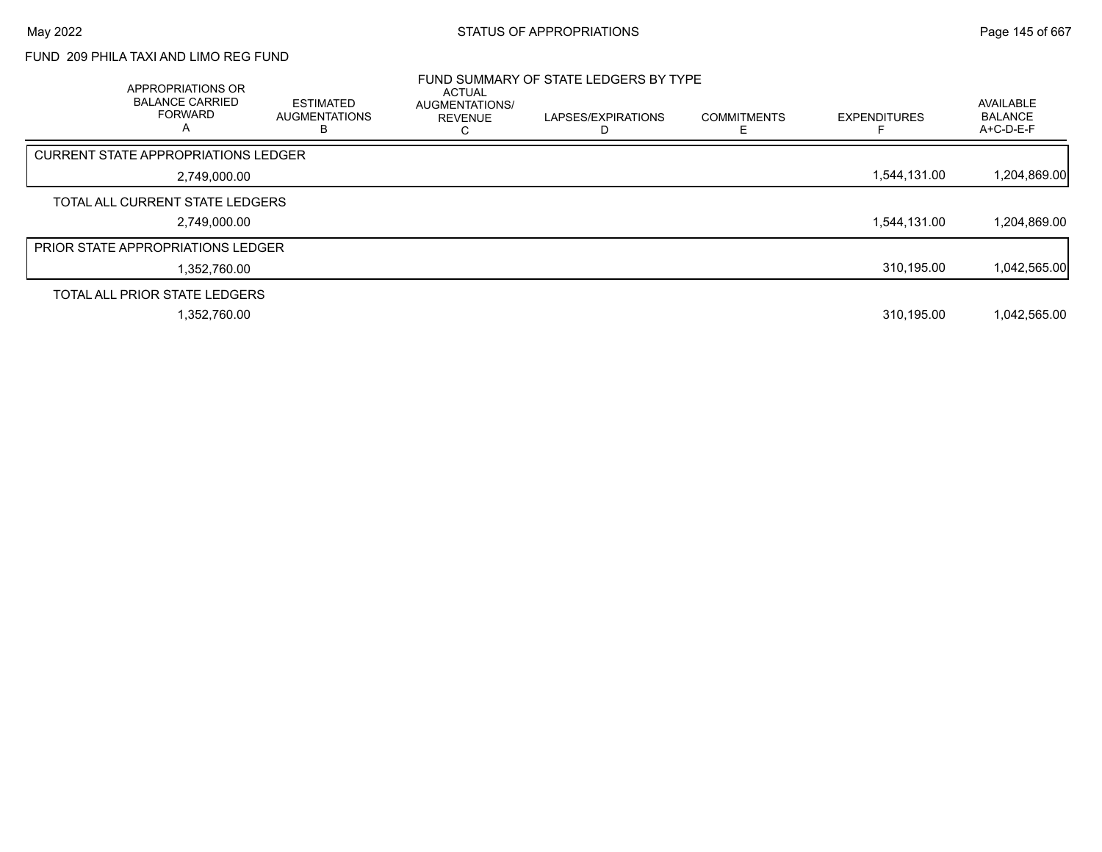## FUND 209 PHILA TAXI AND LIMO REG FUND

| APPROPRIATIONS OR<br><b>BALANCE CARRIED</b><br><b>FORWARD</b><br>A | <b>ESTIMATED</b><br>AUGMENTATIONS<br>В | ACTUAL<br><b>AUGMENTATIONS/</b><br><b>REVENUE</b> | FUND SUMMARY OF STATE LEDGERS BY TYPE<br>LAPSES/EXPIRATIONS | <b>COMMITMENTS</b> | <b>EXPENDITURES</b> | AVAILABLE<br><b>BALANCE</b><br>A+C-D-E-F |
|--------------------------------------------------------------------|----------------------------------------|---------------------------------------------------|-------------------------------------------------------------|--------------------|---------------------|------------------------------------------|
| <b>CURRENT STATE APPROPRIATIONS LEDGER</b>                         |                                        |                                                   |                                                             |                    |                     |                                          |
| 2,749,000.00                                                       |                                        |                                                   |                                                             |                    | 1.544.131.00        | 1,204,869.00                             |
| TOTAL ALL CURRENT STATE LEDGERS                                    |                                        |                                                   |                                                             |                    |                     |                                          |
| 2,749,000.00                                                       |                                        |                                                   |                                                             |                    | 1.544.131.00        | 1,204,869.00                             |
| PRIOR STATE APPROPRIATIONS LEDGER                                  |                                        |                                                   |                                                             |                    |                     |                                          |
| 1.352.760.00                                                       |                                        |                                                   |                                                             |                    | 310,195.00          | 1,042,565.00                             |
| TOTAL ALL PRIOR STATE LEDGERS                                      |                                        |                                                   |                                                             |                    |                     |                                          |
| 1.352.760.00                                                       |                                        |                                                   |                                                             |                    | 310.195.00          | 1,042,565.00                             |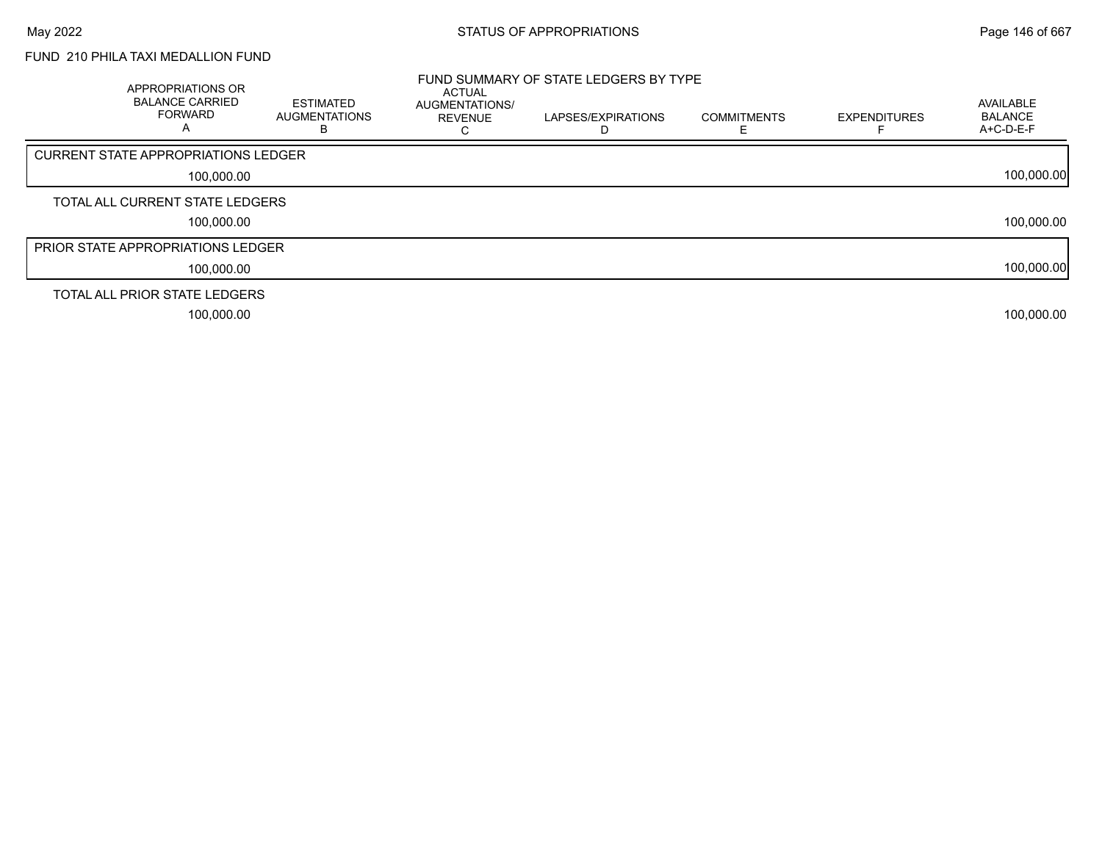## FUND 210 PHILA TAXI MEDALLION FUND

| APPROPRIATIONS OR<br><b>BALANCE CARRIED</b><br><b>FORWARD</b><br>$\mathsf{A}$ | <b>ESTIMATED</b><br><b>AUGMENTATIONS</b><br>E | <b>ACTUAL</b><br>AUGMENTATIONS/<br><b>REVENUE</b> | FUND SUMMARY OF STATE LEDGERS BY TYPE<br>LAPSES/EXPIRATIONS | <b>COMMITMENTS</b> | <b>EXPENDITURES</b> | AVAILABLE<br><b>BALANCE</b><br>A+C-D-E-F |
|-------------------------------------------------------------------------------|-----------------------------------------------|---------------------------------------------------|-------------------------------------------------------------|--------------------|---------------------|------------------------------------------|
| CURRENT STATE APPROPRIATIONS LEDGER                                           |                                               |                                                   |                                                             |                    |                     |                                          |
| 100,000.00                                                                    |                                               |                                                   |                                                             |                    |                     | 100,000.00                               |
| TOTAL ALL CURRENT STATE LEDGERS                                               |                                               |                                                   |                                                             |                    |                     |                                          |
| 100,000.00                                                                    |                                               |                                                   |                                                             |                    |                     | 100,000.00                               |
| <b>PRIOR STATE APPROPRIATIONS LEDGER</b>                                      |                                               |                                                   |                                                             |                    |                     |                                          |
| 100,000.00                                                                    |                                               |                                                   |                                                             |                    |                     | 100,000.00                               |
| TOTAL ALL PRIOR STATE LEDGERS                                                 |                                               |                                                   |                                                             |                    |                     |                                          |
| 100.000.00                                                                    |                                               |                                                   |                                                             |                    |                     | 100.000.00                               |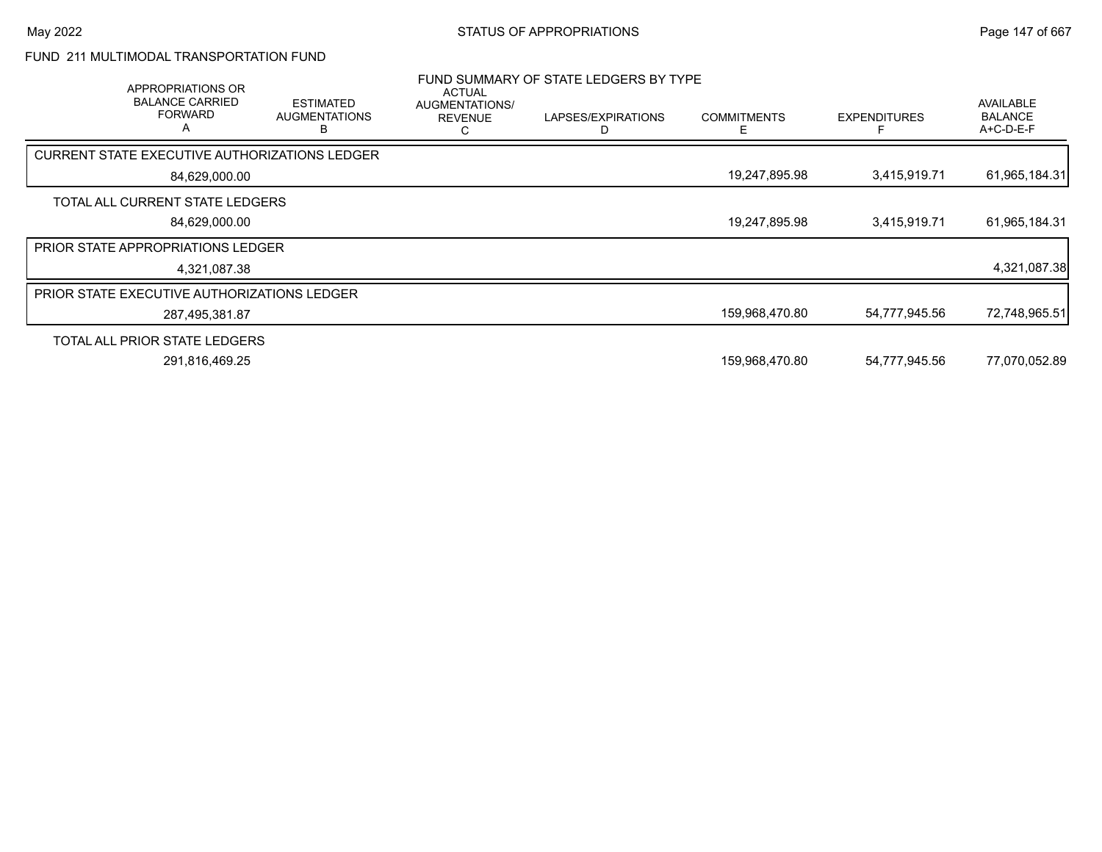## FUND 211 MULTIMODAL TRANSPORTATION FUND

| APPROPRIATIONS OR<br><b>BALANCE CARRIED</b><br><b>FORWARD</b><br>A | <b>ESTIMATED</b><br><b>AUGMENTATIONS</b> | <b>ACTUAL</b><br>AUGMENTATIONS/<br><b>REVENUE</b> | FUND SUMMARY OF STATE LEDGERS BY TYPE<br>LAPSES/EXPIRATIONS | <b>COMMITMENTS</b> | <b>EXPENDITURES</b> | <b>AVAILABLE</b><br><b>BALANCE</b><br>$A+C-D-E-F$ |
|--------------------------------------------------------------------|------------------------------------------|---------------------------------------------------|-------------------------------------------------------------|--------------------|---------------------|---------------------------------------------------|
| CURRENT STATE EXECUTIVE AUTHORIZATIONS LEDGER                      |                                          |                                                   |                                                             |                    |                     |                                                   |
| 84,629,000.00                                                      |                                          |                                                   |                                                             | 19,247,895.98      | 3,415,919.71        | 61,965,184.31                                     |
| TOTAL ALL CURRENT STATE LEDGERS                                    |                                          |                                                   |                                                             |                    |                     |                                                   |
| 84,629,000.00                                                      |                                          |                                                   |                                                             | 19,247,895.98      | 3,415,919.71        | 61,965,184.31                                     |
| <b>PRIOR STATE APPROPRIATIONS LEDGER</b>                           |                                          |                                                   |                                                             |                    |                     |                                                   |
| 4,321,087.38                                                       |                                          |                                                   |                                                             |                    |                     | 4,321,087.38                                      |
| <b>PRIOR STATE EXECUTIVE AUTHORIZATIONS LEDGER</b>                 |                                          |                                                   |                                                             |                    |                     |                                                   |
| 287,495,381.87                                                     |                                          |                                                   |                                                             | 159,968,470.80     | 54,777,945.56       | 72,748,965.51                                     |
| TOTAL ALL PRIOR STATE LEDGERS                                      |                                          |                                                   |                                                             |                    |                     |                                                   |
| 291,816,469.25                                                     |                                          |                                                   |                                                             | 159,968,470.80     | 54,777,945.56       | 77,070,052.89                                     |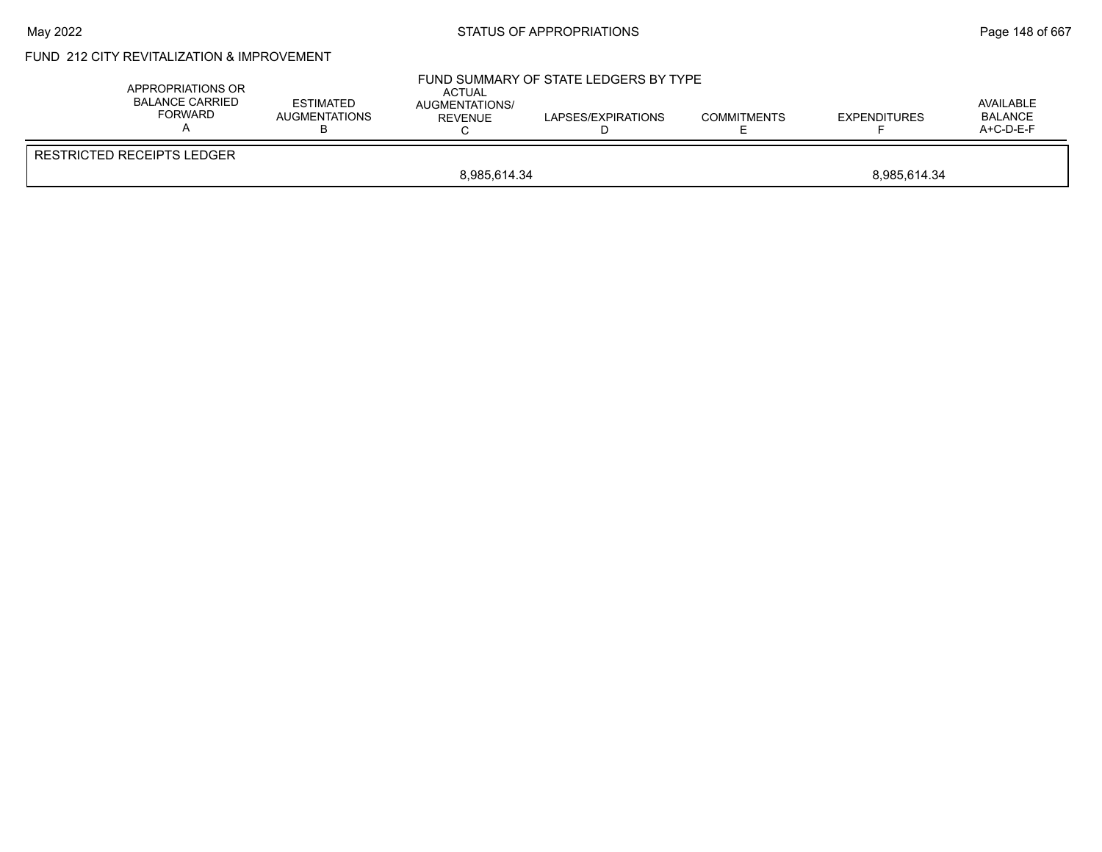## May 2022 **Example 2022** Page 148 of 667

## FUND 212 CITY REVITALIZATION & IMPROVEMENT

| APPROPRIATIONS OR<br><b>BALANCE CARRIED</b><br>FORWARD | <b>ESTIMATED</b><br>AUGMENTATIONS | <b>ACTUAL</b><br>AUGMENTATIONS/<br><b>REVENUE</b> | FUND SUMMARY OF STATE LEDGERS BY TYPE<br>LAPSES/EXPIRATIONS | <b>COMMITMENTS</b> | <b>EXPENDITURES</b> | AVAILABLE<br><b>BALANCE</b><br>$A+C-D-E-F$ |  |
|--------------------------------------------------------|-----------------------------------|---------------------------------------------------|-------------------------------------------------------------|--------------------|---------------------|--------------------------------------------|--|
| RESTRICTED RECEIPTS LEDGER                             |                                   |                                                   |                                                             |                    |                     |                                            |  |
| 8,985,614.34<br>8,985,614.34                           |                                   |                                                   |                                                             |                    |                     |                                            |  |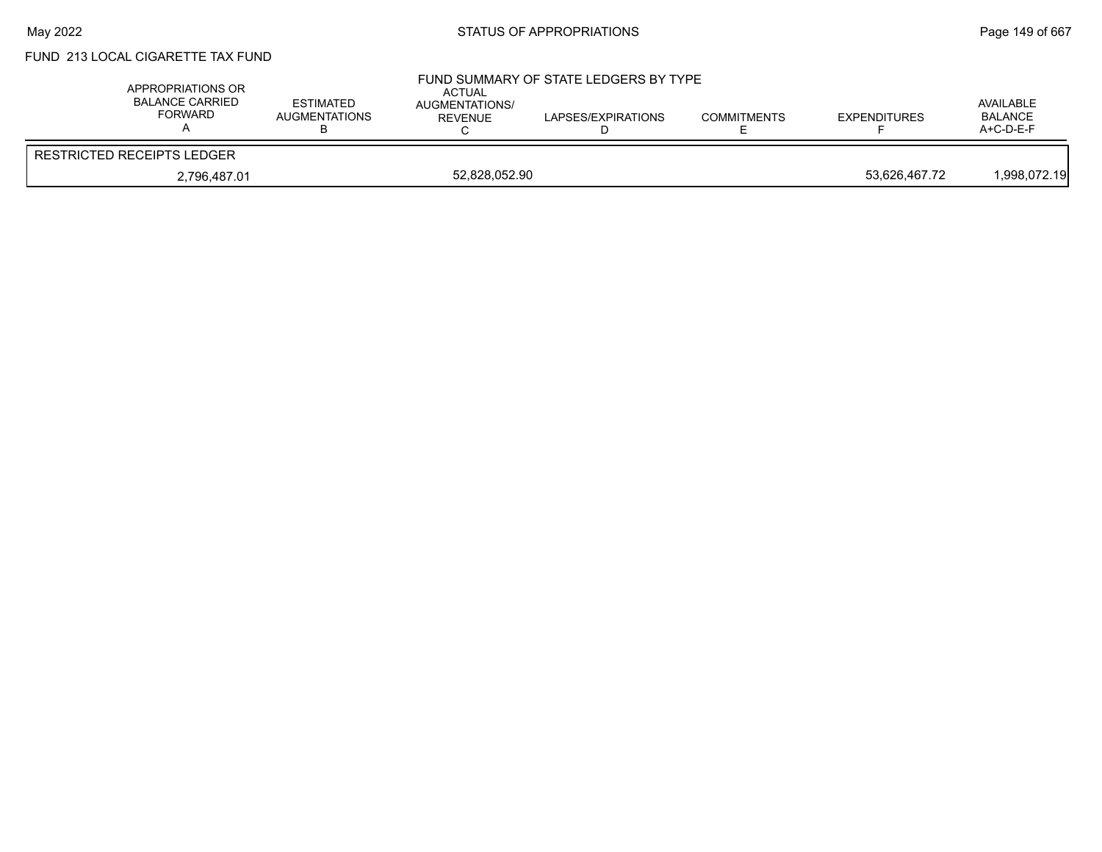# FUND 213 LOCAL CIGARETTE TAX FUND

| APPROPRIATIONS OR<br><b>BALANCE CARRIED</b><br>FORWARD | <b>ESTIMATED</b><br><b>AUGMENTATIONS</b> | ACTUAL<br><b>AUGMENTATIONS/</b><br>REVENUE | FUND SUMMARY OF STATE LEDGERS BY TYPE<br>LAPSES/EXPIRATIONS | <b>COMMITMENTS</b> | <b>EXPENDITURES</b> | AVAILABLE<br><b>BALANCE</b><br>$A+C-D-E-F$ |
|--------------------------------------------------------|------------------------------------------|--------------------------------------------|-------------------------------------------------------------|--------------------|---------------------|--------------------------------------------|
| <b>RESTRICTED RECEIPTS LEDGER</b>                      |                                          |                                            |                                                             |                    |                     |                                            |
| 2,796,487.01                                           |                                          | 52,828,052.90                              |                                                             |                    | 53.626.467.72       | l,998,072.19                               |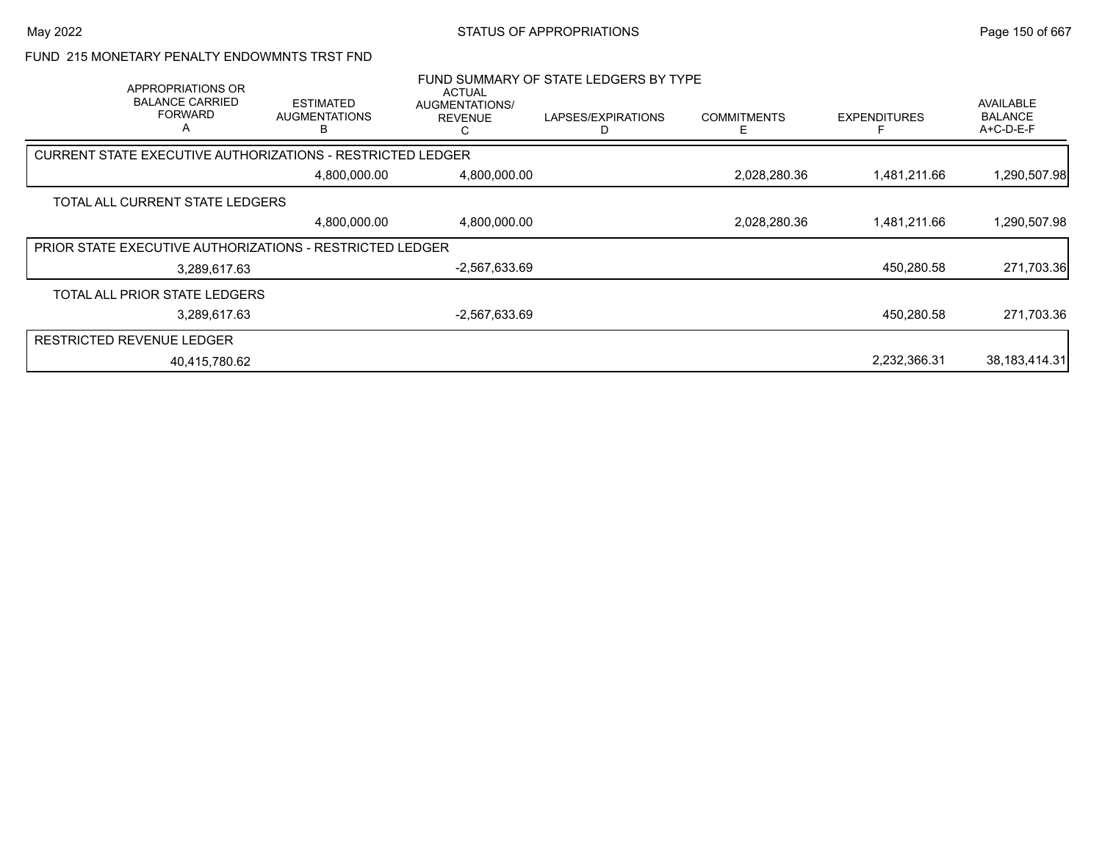#### FUND 215 MONETARY PENALTY ENDOWMNTS TRST FND

|                                  | APPROPRIATIONS OR<br><b>BALANCE CARRIED</b><br><b>FORWARD</b><br>A | <b>ESTIMATED</b><br><b>AUGMENTATIONS</b>                   | ACTUAL<br>AUGMENTATIONS/<br><b>REVENUE</b><br>С | FUND SUMMARY OF STATE LEDGERS BY TYPE<br>LAPSES/EXPIRATIONS | <b>COMMITMENTS</b><br>F | <b>EXPENDITURES</b> | AVAILABLE<br><b>BALANCE</b><br>A+C-D-E-F |
|----------------------------------|--------------------------------------------------------------------|------------------------------------------------------------|-------------------------------------------------|-------------------------------------------------------------|-------------------------|---------------------|------------------------------------------|
|                                  |                                                                    | CURRENT STATE EXECUTIVE AUTHORIZATIONS - RESTRICTED LEDGER |                                                 |                                                             |                         |                     |                                          |
|                                  |                                                                    | 4,800,000.00                                               | 4,800,000.00                                    |                                                             | 2,028,280.36            | 1,481,211.66        | 1,290,507.98                             |
|                                  | TOTAL ALL CURRENT STATE LEDGERS                                    |                                                            |                                                 |                                                             |                         |                     |                                          |
|                                  |                                                                    | 4,800,000.00                                               | 4,800,000.00                                    |                                                             | 2,028,280.36            | 1,481,211.66        | 1,290,507.98                             |
|                                  |                                                                    | PRIOR STATE EXECUTIVE AUTHORIZATIONS - RESTRICTED LEDGER   |                                                 |                                                             |                         |                     |                                          |
|                                  | 3,289,617.63                                                       |                                                            | $-2,567,633.69$                                 |                                                             |                         | 450,280.58          | 271,703.36                               |
|                                  | TOTAL ALL PRIOR STATE LEDGERS                                      |                                                            |                                                 |                                                             |                         |                     |                                          |
|                                  | 3,289,617.63                                                       |                                                            | -2,567,633.69                                   |                                                             |                         | 450,280.58          | 271,703.36                               |
| <b>RESTRICTED REVENUE LEDGER</b> |                                                                    |                                                            |                                                 |                                                             |                         |                     |                                          |
|                                  | 40.415.780.62                                                      |                                                            |                                                 |                                                             |                         | 2,232,366.31        | 38, 183, 414. 31                         |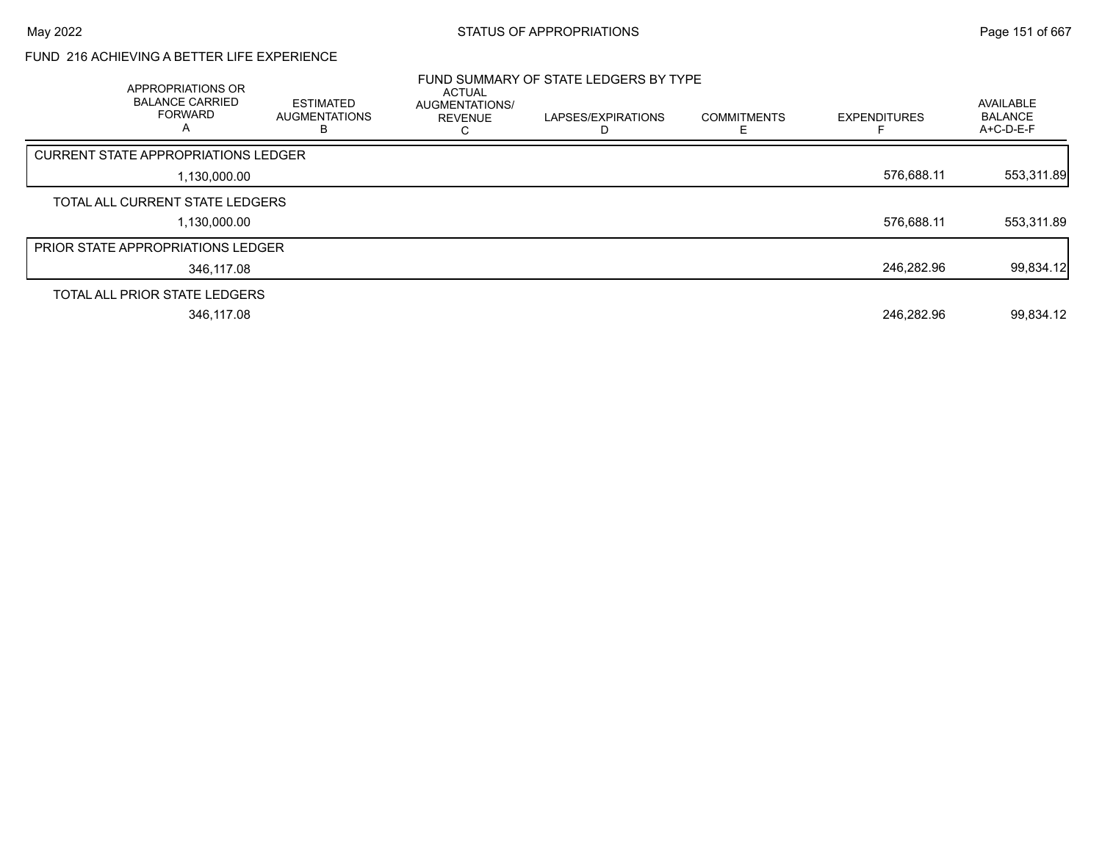## FUND 216 ACHIEVING A BETTER LIFE EXPERIENCE

|                                            | APPROPRIATIONS OR<br><b>BALANCE CARRIED</b><br><b>FORWARD</b><br>A | <b>ESTIMATED</b><br><b>AUGMENTATIONS</b><br>В | ACTUAL<br>AUGMENTATIONS/<br><b>REVENUE</b> | FUND SUMMARY OF STATE LEDGERS BY TYPE<br>LAPSES/EXPIRATIONS | <b>COMMITMENTS</b> | <b>EXPENDITURES</b> | AVAILABLE<br><b>BALANCE</b><br>A+C-D-E-F |
|--------------------------------------------|--------------------------------------------------------------------|-----------------------------------------------|--------------------------------------------|-------------------------------------------------------------|--------------------|---------------------|------------------------------------------|
| <b>CURRENT STATE APPROPRIATIONS LEDGER</b> |                                                                    |                                               |                                            |                                                             |                    |                     |                                          |
|                                            | 1,130,000.00                                                       |                                               |                                            |                                                             |                    | 576.688.11          | 553,311.89                               |
|                                            | TOTAL ALL CURRENT STATE LEDGERS                                    |                                               |                                            |                                                             |                    |                     |                                          |
|                                            | 1,130,000.00                                                       |                                               |                                            |                                                             |                    | 576,688.11          | 553,311.89                               |
| PRIOR STATE APPROPRIATIONS LEDGER          |                                                                    |                                               |                                            |                                                             |                    |                     |                                          |
|                                            | 346,117.08                                                         |                                               |                                            |                                                             |                    | 246.282.96          | 99,834.12                                |
|                                            | TOTAL ALL PRIOR STATE LEDGERS                                      |                                               |                                            |                                                             |                    |                     |                                          |
|                                            | 346,117.08                                                         |                                               |                                            |                                                             |                    | 246.282.96          | 99,834.12                                |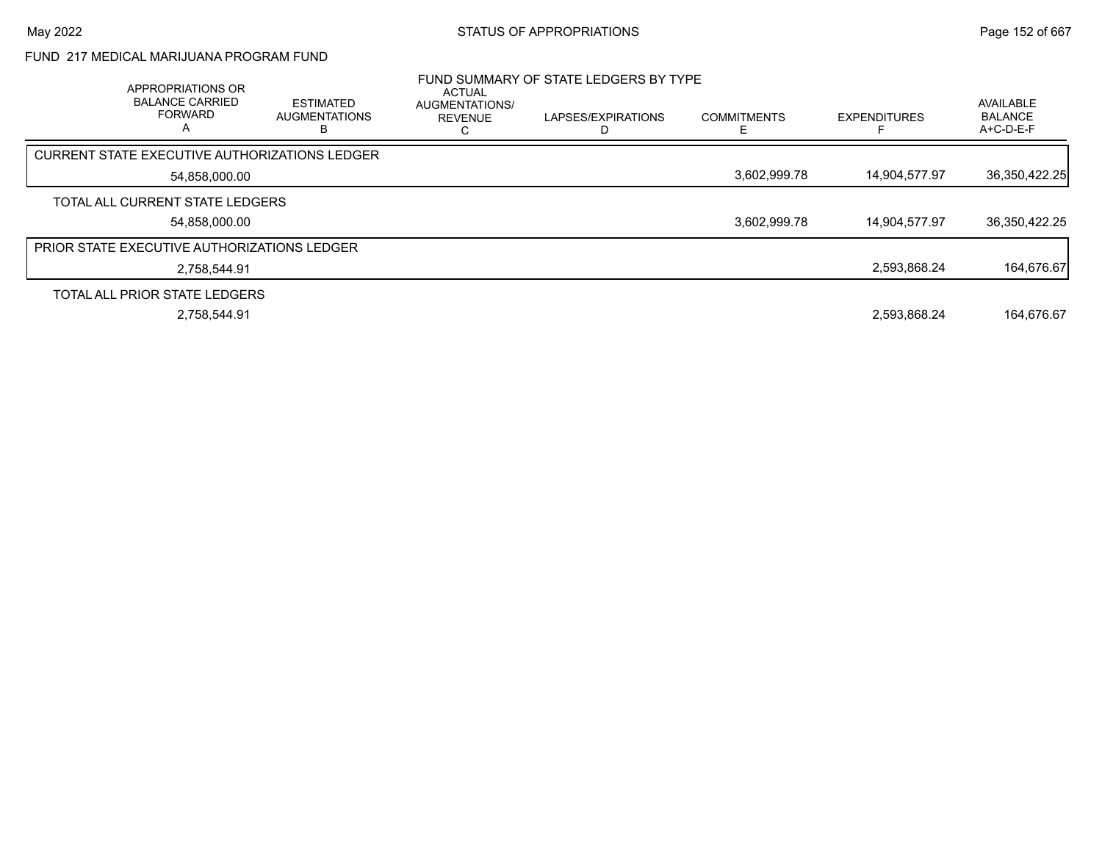## FUND 217 MEDICAL MARIJUANA PROGRAM FUND

| APPROPRIATIONS OR<br><b>BALANCE CARRIED</b><br><b>FORWARD</b><br>А | <b>ESTIMATED</b><br><b>AUGMENTATIONS</b> | ACTUAL<br>AUGMENTATIONS/<br><b>REVENUE</b> | FUND SUMMARY OF STATE LEDGERS BY TYPE<br>LAPSES/EXPIRATIONS | <b>COMMITMENTS</b> | <b>EXPENDITURES</b> | AVAILABLE<br><b>BALANCE</b><br>A+C-D-E-F |
|--------------------------------------------------------------------|------------------------------------------|--------------------------------------------|-------------------------------------------------------------|--------------------|---------------------|------------------------------------------|
| <b>CURRENT STATE EXECUTIVE AUTHORIZATIONS LEDGER</b>               |                                          |                                            |                                                             |                    |                     |                                          |
| 54,858,000.00                                                      |                                          |                                            |                                                             | 3,602,999.78       | 14,904,577.97       | 36,350,422.25                            |
| TOTAL ALL CURRENT STATE LEDGERS                                    |                                          |                                            |                                                             |                    |                     |                                          |
| 54.858.000.00                                                      |                                          |                                            |                                                             | 3.602.999.78       | 14.904.577.97       | 36,350,422.25                            |
| <b>PRIOR STATE EXECUTIVE AUTHORIZATIONS LEDGER</b>                 |                                          |                                            |                                                             |                    |                     |                                          |
| 2.758.544.91                                                       |                                          |                                            |                                                             |                    | 2.593.868.24        | 164,676.67                               |
| TOTAL ALL PRIOR STATE LEDGERS                                      |                                          |                                            |                                                             |                    |                     |                                          |
| 2.758.544.91                                                       |                                          |                                            |                                                             |                    | 2.593.868.24        | 164.676.67                               |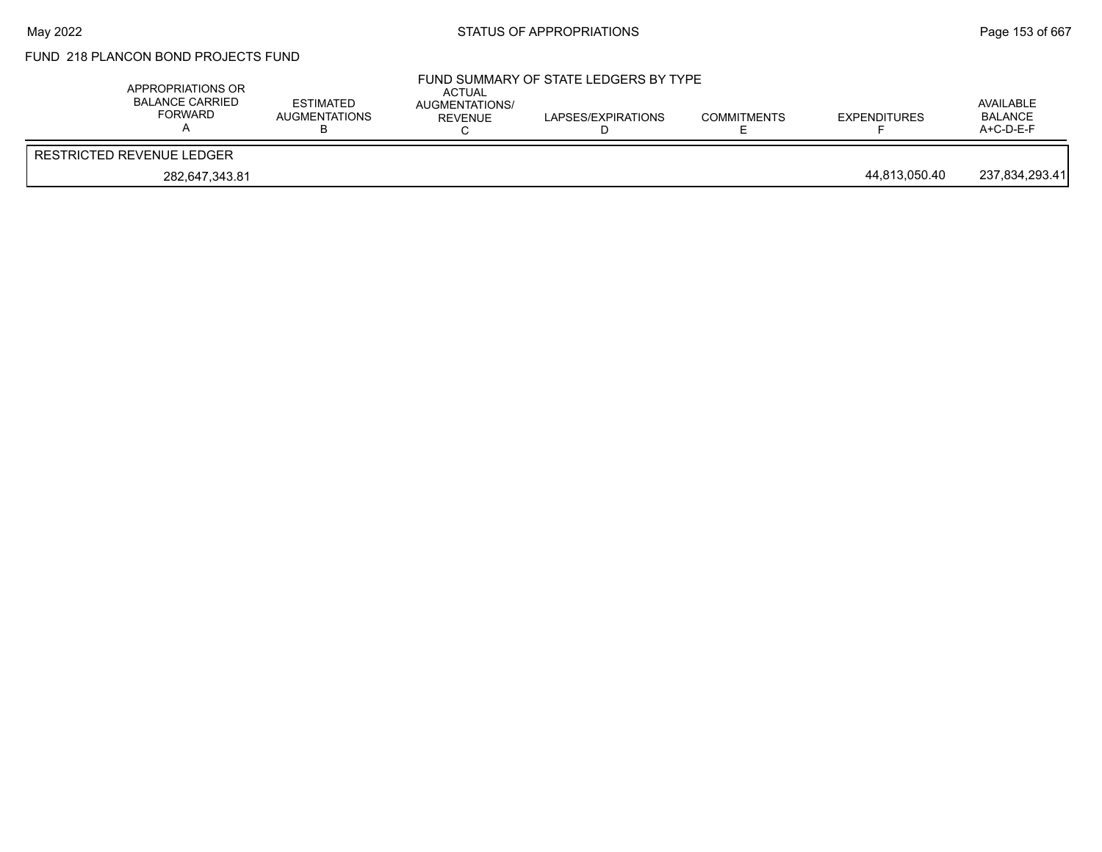## FUND 218 PLANCON BOND PROJECTS FUND

| APPROPRIATIONS OR<br><b>BALANCE CARRIED</b><br>FORWARD | <b>ESTIMATED</b><br>AUGMENTATIONS | ACTUAL<br>AUGMENTATIONS/<br>REVENUE | FUND SUMMARY OF STATE LEDGERS BY TYPE<br>LAPSES/EXPIRATIONS | <b>COMMITMENTS</b> | EXPENDITURES  | AVAILABLE<br><b>BALANCE</b><br>$A+C-D-E-F$ |
|--------------------------------------------------------|-----------------------------------|-------------------------------------|-------------------------------------------------------------|--------------------|---------------|--------------------------------------------|
| RESTRICTED REVENUE LEDGER                              |                                   |                                     |                                                             |                    |               |                                            |
| 282,647,343.81                                         |                                   |                                     |                                                             |                    | 44,813,050.40 | 237,834,293.41                             |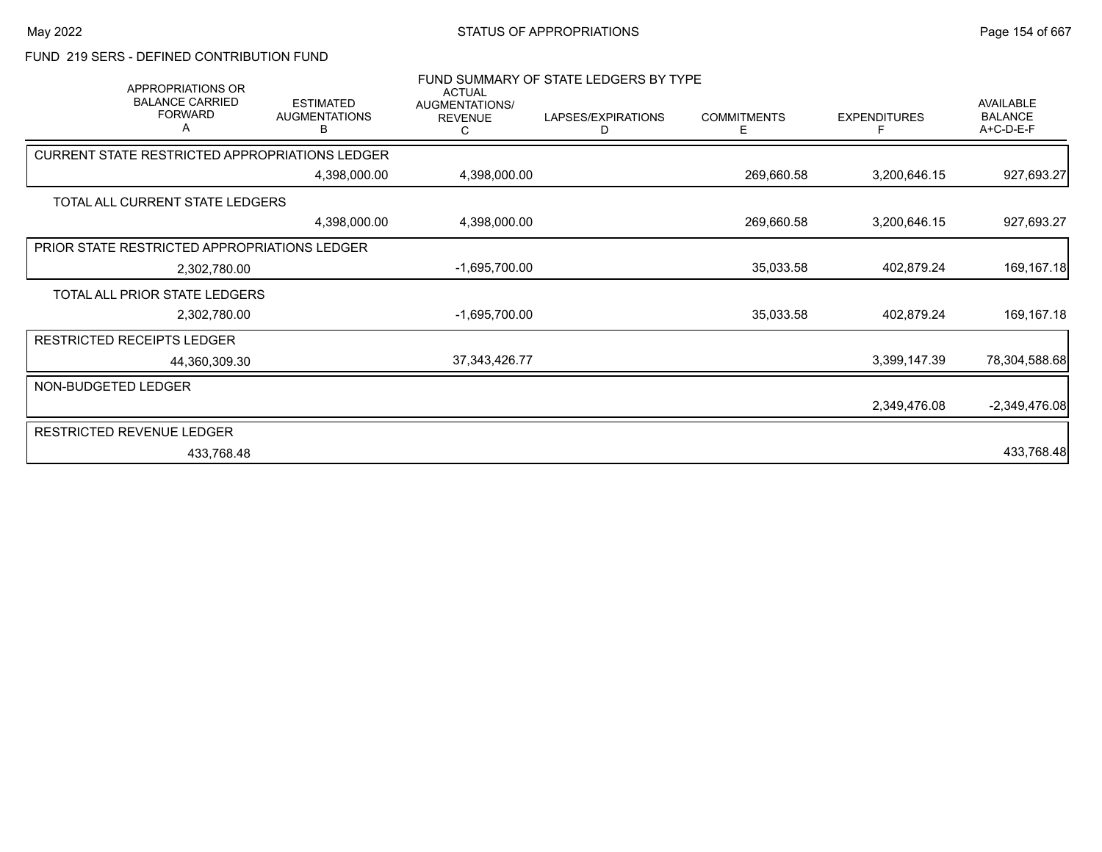## FUND 219 SERS - DEFINED CONTRIBUTION FUND

| <b>APPROPRIATIONS OR</b><br><b>BALANCE CARRIED</b><br><b>FORWARD</b><br>Α | <b>ESTIMATED</b><br><b>AUGMENTATIONS</b><br>В | <b>ACTUAL</b><br>AUGMENTATIONS/<br><b>REVENUE</b><br>С | FUND SUMMARY OF STATE LEDGERS BY TYPE<br>LAPSES/EXPIRATIONS<br>D | <b>COMMITMENTS</b><br>Е | <b>EXPENDITURES</b><br>F | AVAILABLE<br><b>BALANCE</b><br>A+C-D-E-F |
|---------------------------------------------------------------------------|-----------------------------------------------|--------------------------------------------------------|------------------------------------------------------------------|-------------------------|--------------------------|------------------------------------------|
| CURRENT STATE RESTRICTED APPROPRIATIONS LEDGER                            |                                               |                                                        |                                                                  |                         |                          |                                          |
|                                                                           | 4,398,000.00                                  | 4,398,000.00                                           |                                                                  | 269,660.58              | 3,200,646.15             | 927,693.27                               |
| TOTAL ALL CURRENT STATE LEDGERS                                           |                                               |                                                        |                                                                  |                         |                          |                                          |
|                                                                           | 4,398,000.00                                  | 4,398,000.00                                           |                                                                  | 269,660.58              | 3,200,646.15             | 927,693.27                               |
| PRIOR STATE RESTRICTED APPROPRIATIONS LEDGER                              |                                               |                                                        |                                                                  |                         |                          |                                          |
| 2,302,780.00                                                              |                                               | $-1,695,700.00$                                        |                                                                  | 35,033.58               | 402,879.24               | 169, 167. 18                             |
| TOTAL ALL PRIOR STATE LEDGERS                                             |                                               |                                                        |                                                                  |                         |                          |                                          |
| 2,302,780.00                                                              |                                               | -1,695,700.00                                          |                                                                  | 35,033.58               | 402,879.24               | 169,167.18                               |
| <b>RESTRICTED RECEIPTS LEDGER</b>                                         |                                               |                                                        |                                                                  |                         |                          |                                          |
| 44,360,309.30                                                             |                                               | 37, 343, 426. 77                                       |                                                                  |                         | 3,399,147.39             | 78,304,588.68                            |
| NON-BUDGETED LEDGER                                                       |                                               |                                                        |                                                                  |                         |                          |                                          |
|                                                                           |                                               |                                                        |                                                                  |                         | 2,349,476.08             | $-2,349,476.08$                          |
| <b>RESTRICTED REVENUE LEDGER</b>                                          |                                               |                                                        |                                                                  |                         |                          |                                          |
| 433,768.48                                                                |                                               |                                                        |                                                                  |                         |                          | 433,768.48                               |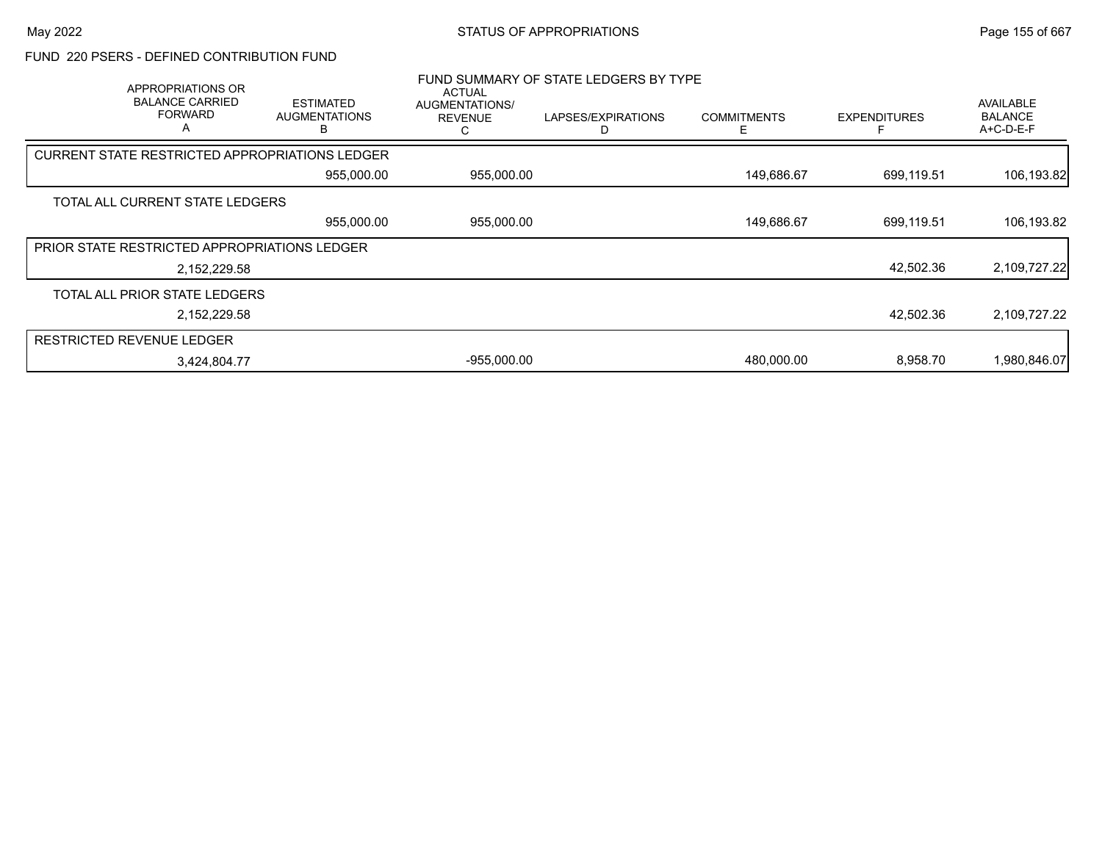### FUND 220 PSERS - DEFINED CONTRIBUTION FUND

| APPROPRIATIONS OR<br><b>BALANCE CARRIED</b><br><b>FORWARD</b><br>A | <b>ESTIMATED</b><br><b>AUGMENTATIONS</b>              | <b>ACTUAL</b><br>AUGMENTATIONS/<br><b>REVENUE</b> | FUND SUMMARY OF STATE LEDGERS BY TYPE<br>LAPSES/EXPIRATIONS | <b>COMMITMENTS</b> | <b>EXPENDITURES</b> | <b>AVAILABLE</b><br><b>BALANCE</b><br>A+C-D-E-F |
|--------------------------------------------------------------------|-------------------------------------------------------|---------------------------------------------------|-------------------------------------------------------------|--------------------|---------------------|-------------------------------------------------|
|                                                                    | <b>CURRENT STATE RESTRICTED APPROPRIATIONS LEDGER</b> |                                                   |                                                             |                    |                     |                                                 |
|                                                                    | 955,000.00                                            | 955,000.00                                        |                                                             | 149,686.67         | 699,119.51          | 106,193.82                                      |
| TOTAL ALL CURRENT STATE LEDGERS                                    |                                                       |                                                   |                                                             |                    |                     |                                                 |
|                                                                    | 955,000.00                                            | 955,000.00                                        |                                                             | 149,686.67         | 699,119.51          | 106,193.82                                      |
| PRIOR STATE RESTRICTED APPROPRIATIONS LEDGER                       |                                                       |                                                   |                                                             |                    |                     |                                                 |
|                                                                    | 2,152,229.58                                          |                                                   |                                                             |                    | 42,502.36           | 2,109,727.22                                    |
| TOTAL ALL PRIOR STATE LEDGERS                                      |                                                       |                                                   |                                                             |                    |                     |                                                 |
|                                                                    | 2,152,229.58                                          |                                                   |                                                             |                    | 42,502.36           | 2,109,727.22                                    |
| <b>RESTRICTED REVENUE LEDGER</b>                                   |                                                       |                                                   |                                                             |                    |                     |                                                 |
|                                                                    | 3,424,804.77                                          | $-955,000.00$                                     |                                                             | 480,000.00         | 8.958.70            | 1,980,846.07                                    |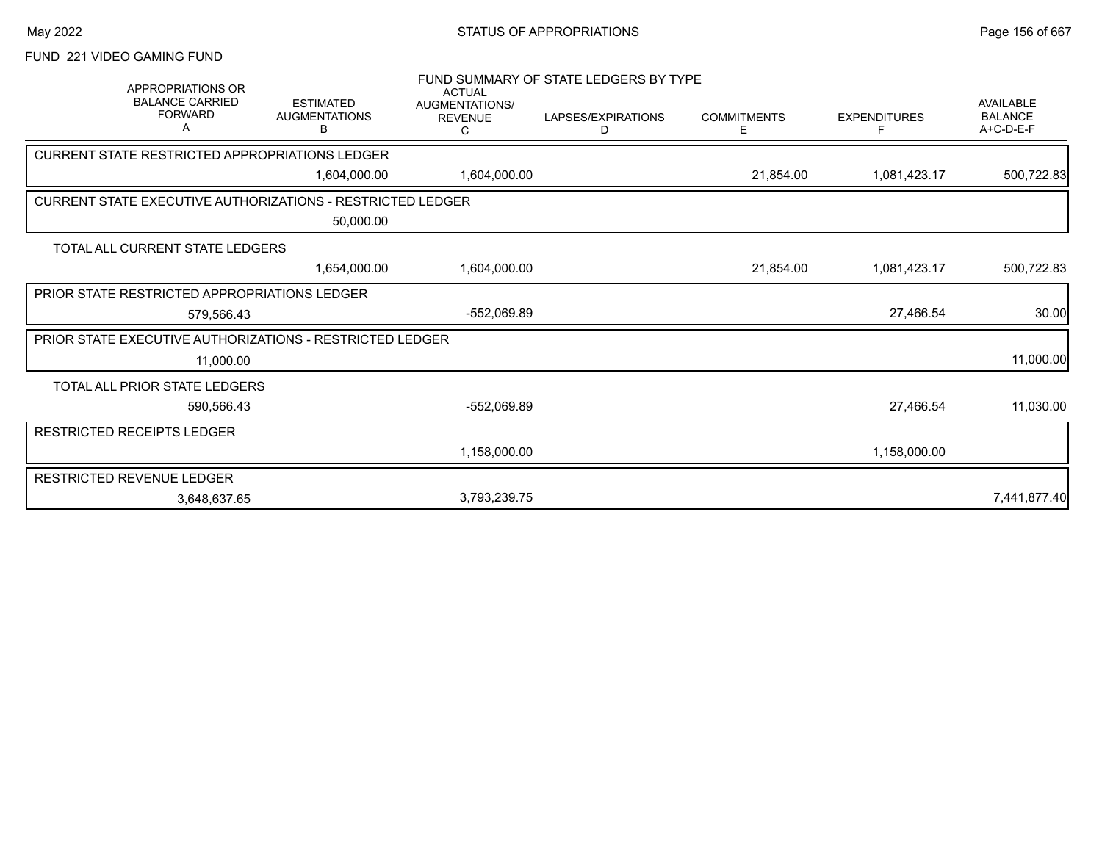# FUND 221 VIDEO GAMING FUND

| <b>APPROPRIATIONS OR</b><br><b>BALANCE CARRIED</b><br><b>FORWARD</b><br>Α    | <b>ESTIMATED</b><br><b>AUGMENTATIONS</b><br>В | <b>ACTUAL</b><br>AUGMENTATIONS/<br><b>REVENUE</b><br>С | FUND SUMMARY OF STATE LEDGERS BY TYPE<br>LAPSES/EXPIRATIONS<br>D | <b>COMMITMENTS</b><br>Е | <b>EXPENDITURES</b> | <b>AVAILABLE</b><br><b>BALANCE</b><br>A+C-D-E-F |
|------------------------------------------------------------------------------|-----------------------------------------------|--------------------------------------------------------|------------------------------------------------------------------|-------------------------|---------------------|-------------------------------------------------|
| CURRENT STATE RESTRICTED APPROPRIATIONS LEDGER                               |                                               |                                                        |                                                                  |                         |                     |                                                 |
|                                                                              | 1,604,000.00                                  | 1,604,000.00                                           |                                                                  | 21,854.00               | 1,081,423.17        | 500,722.83                                      |
| <b>CURRENT STATE EXECUTIVE AUTHORIZATIONS - RESTRICTED LEDGER</b>            |                                               |                                                        |                                                                  |                         |                     |                                                 |
|                                                                              | 50,000.00                                     |                                                        |                                                                  |                         |                     |                                                 |
| TOTAL ALL CURRENT STATE LEDGERS                                              |                                               |                                                        |                                                                  |                         |                     |                                                 |
|                                                                              | 1,654,000.00                                  | 1,604,000.00                                           |                                                                  | 21,854.00               | 1,081,423.17        | 500,722.83                                      |
| PRIOR STATE RESTRICTED APPROPRIATIONS LEDGER                                 |                                               |                                                        |                                                                  |                         |                     |                                                 |
| 579,566.43                                                                   |                                               | $-552,069.89$                                          |                                                                  |                         | 27,466.54           | 30.00                                           |
| <b>PRIOR STATE EXECUTIVE AUTHORIZATIONS - RESTRICTED LEDGER</b><br>11,000.00 |                                               |                                                        |                                                                  |                         |                     | 11,000.00                                       |
| TOTAL ALL PRIOR STATE LEDGERS                                                |                                               |                                                        |                                                                  |                         |                     |                                                 |
| 590,566.43                                                                   |                                               | -552,069.89                                            |                                                                  |                         | 27,466.54           | 11,030.00                                       |
| RESTRICTED RECEIPTS LEDGER                                                   |                                               |                                                        |                                                                  |                         |                     |                                                 |
|                                                                              |                                               | 1,158,000.00                                           |                                                                  |                         | 1,158,000.00        |                                                 |
| RESTRICTED REVENUE LEDGER                                                    |                                               |                                                        |                                                                  |                         |                     |                                                 |
| 3,648,637.65                                                                 |                                               | 3,793,239.75                                           |                                                                  |                         |                     | 7,441,877.40                                    |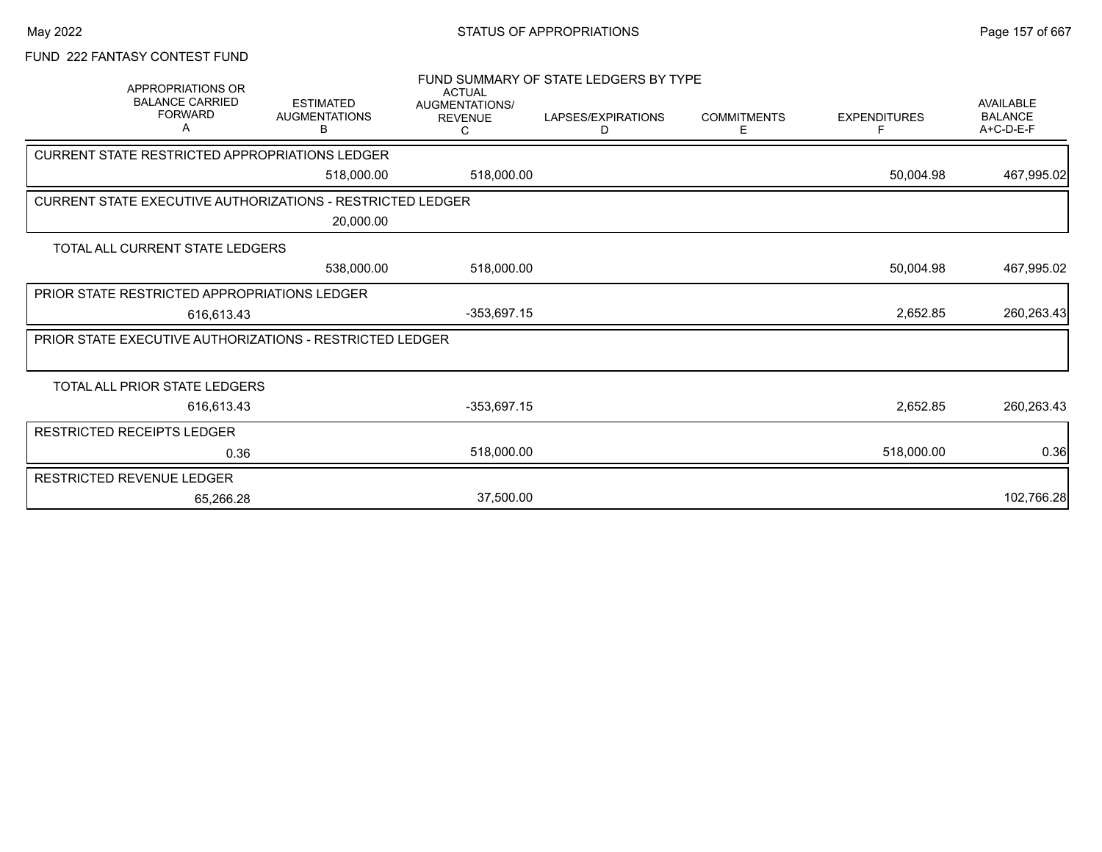## FUND 222 FANTASY CONTEST FUND

|                                                | APPROPRIATIONS OR                             |                                                                   | <b>ACTUAL</b>                                | FUND SUMMARY OF STATE LEDGERS BY TYPE |                         |                     |                                                 |
|------------------------------------------------|-----------------------------------------------|-------------------------------------------------------------------|----------------------------------------------|---------------------------------------|-------------------------|---------------------|-------------------------------------------------|
|                                                | <b>BALANCE CARRIED</b><br><b>FORWARD</b><br>A | <b>ESTIMATED</b><br><b>AUGMENTATIONS</b><br>в                     | <b>AUGMENTATIONS/</b><br><b>REVENUE</b><br>С | LAPSES/EXPIRATIONS<br>D               | <b>COMMITMENTS</b><br>Е | <b>EXPENDITURES</b> | <b>AVAILABLE</b><br><b>BALANCE</b><br>A+C-D-E-F |
| CURRENT STATE RESTRICTED APPROPRIATIONS LEDGER |                                               |                                                                   |                                              |                                       |                         |                     |                                                 |
|                                                |                                               | 518,000.00                                                        | 518,000.00                                   |                                       |                         | 50,004.98           | 467,995.02                                      |
|                                                |                                               | <b>CURRENT STATE EXECUTIVE AUTHORIZATIONS - RESTRICTED LEDGER</b> |                                              |                                       |                         |                     |                                                 |
|                                                |                                               | 20,000.00                                                         |                                              |                                       |                         |                     |                                                 |
| TOTAL ALL CURRENT STATE LEDGERS                |                                               |                                                                   |                                              |                                       |                         |                     |                                                 |
|                                                |                                               | 538,000.00                                                        | 518,000.00                                   |                                       |                         | 50,004.98           | 467,995.02                                      |
| PRIOR STATE RESTRICTED APPROPRIATIONS LEDGER   |                                               |                                                                   |                                              |                                       |                         |                     |                                                 |
|                                                | 616.613.43                                    |                                                                   | $-353,697.15$                                |                                       |                         | 2,652.85            | 260,263.43                                      |
|                                                |                                               | <b>PRIOR STATE EXECUTIVE AUTHORIZATIONS - RESTRICTED LEDGER</b>   |                                              |                                       |                         |                     |                                                 |
|                                                |                                               |                                                                   |                                              |                                       |                         |                     |                                                 |
| TOTAL ALL PRIOR STATE LEDGERS                  |                                               |                                                                   |                                              |                                       |                         |                     |                                                 |
|                                                | 616,613.43                                    |                                                                   | $-353,697.15$                                |                                       |                         | 2,652.85            | 260,263.43                                      |
| RESTRICTED RECEIPTS LEDGER                     |                                               |                                                                   |                                              |                                       |                         |                     |                                                 |
|                                                | 0.36                                          |                                                                   | 518,000.00                                   |                                       |                         | 518,000.00          | 0.36                                            |
| RESTRICTED REVENUE LEDGER                      |                                               |                                                                   |                                              |                                       |                         |                     |                                                 |
|                                                | 65.266.28                                     |                                                                   | 37,500.00                                    |                                       |                         |                     | 102,766.28                                      |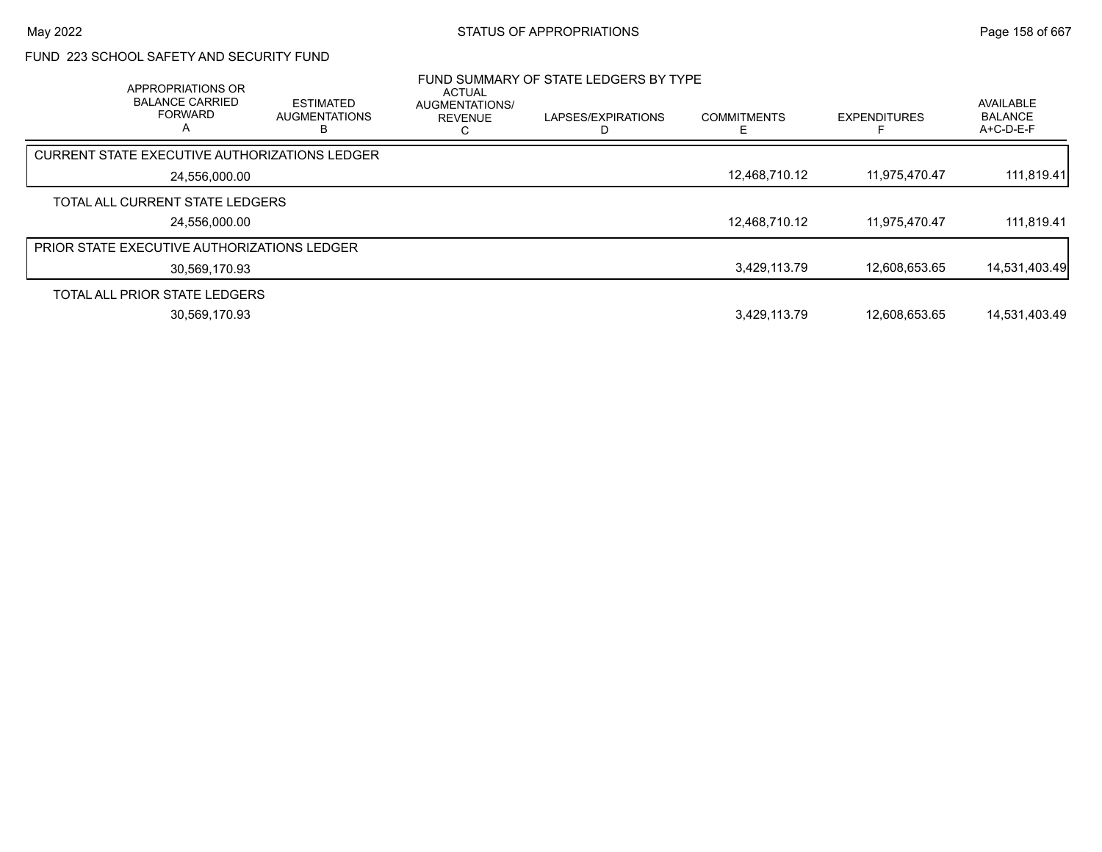## FUND 223 SCHOOL SAFETY AND SECURITY FUND

| APPROPRIATIONS OR<br><b>BALANCE CARRIED</b><br><b>FORWARD</b><br>А | <b>ESTIMATED</b><br><b>AUGMENTATIONS</b> | ACTUAL<br>AUGMENTATIONS/<br><b>REVENUE</b> | FUND SUMMARY OF STATE LEDGERS BY TYPE<br>LAPSES/EXPIRATIONS | <b>COMMITMENTS</b> | <b>EXPENDITURES</b> | AVAILABLE<br><b>BALANCE</b><br>A+C-D-E-F |
|--------------------------------------------------------------------|------------------------------------------|--------------------------------------------|-------------------------------------------------------------|--------------------|---------------------|------------------------------------------|
| <b>CURRENT STATE EXECUTIVE AUTHORIZATIONS LEDGER</b>               |                                          |                                            |                                                             |                    |                     |                                          |
| 24,556,000.00                                                      |                                          |                                            |                                                             | 12,468,710.12      | 11,975,470.47       | 111,819.41                               |
| TOTAL ALL CURRENT STATE LEDGERS                                    |                                          |                                            |                                                             |                    |                     |                                          |
| 24.556.000.00                                                      |                                          |                                            |                                                             | 12.468.710.12      | 11.975.470.47       | 111,819.41                               |
| PRIOR STATE EXECUTIVE AUTHORIZATIONS LEDGER                        |                                          |                                            |                                                             |                    |                     |                                          |
| 30,569,170.93                                                      |                                          |                                            |                                                             | 3,429,113.79       | 12,608,653.65       | 14,531,403.49                            |
| TOTAL ALL PRIOR STATE LEDGERS                                      |                                          |                                            |                                                             |                    |                     |                                          |
| 30,569,170.93                                                      |                                          |                                            |                                                             | 3,429,113.79       | 12.608.653.65       | 14.531.403.49                            |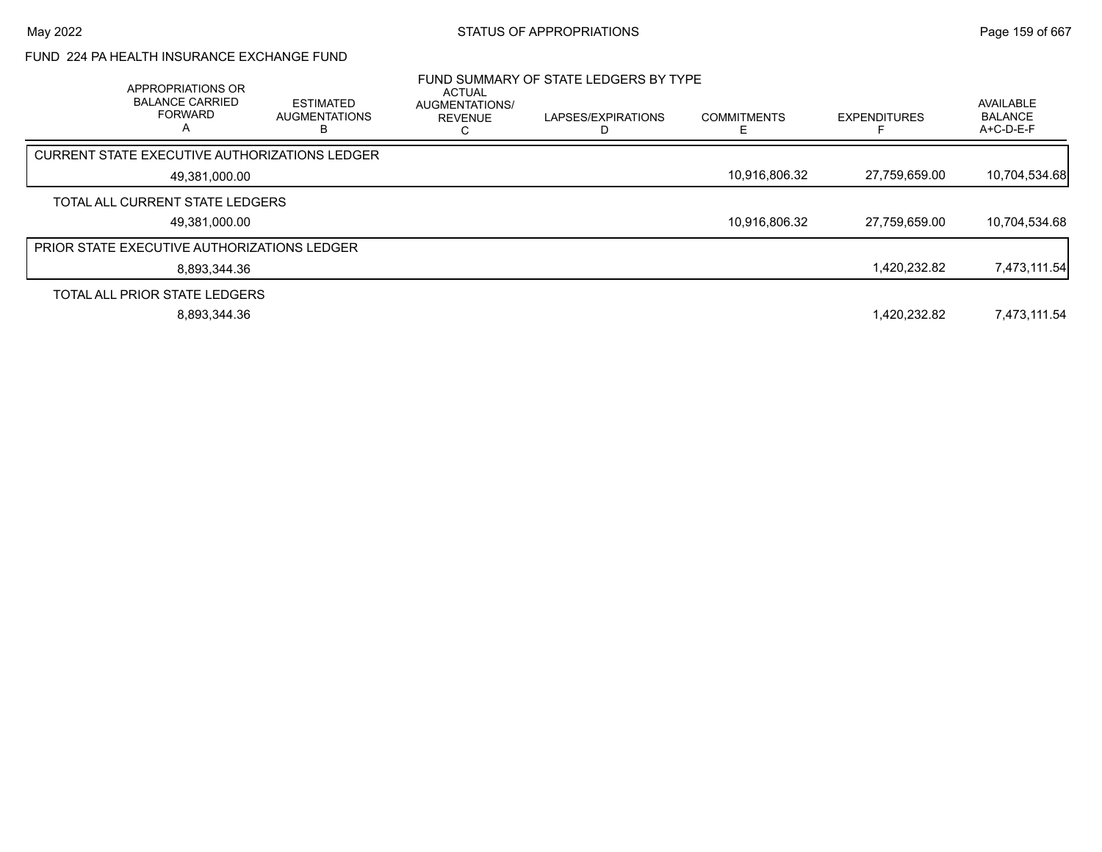## FUND 224 PA HEALTH INSURANCE EXCHANGE FUND

| APPROPRIATIONS OR<br><b>BALANCE CARRIED</b><br><b>FORWARD</b> | <b>ESTIMATED</b><br><b>AUGMENTATIONS</b> | ACTUAL<br>AUGMENTATIONS/<br><b>REVENUE</b> | FUND SUMMARY OF STATE LEDGERS BY TYPE<br>LAPSES/EXPIRATIONS | <b>COMMITMENTS</b> | <b>EXPENDITURES</b> | AVAILABLE<br><b>BALANCE</b><br>A+C-D-E-F |
|---------------------------------------------------------------|------------------------------------------|--------------------------------------------|-------------------------------------------------------------|--------------------|---------------------|------------------------------------------|
| CURRENT STATE EXECUTIVE AUTHORIZATIONS LEDGER                 |                                          |                                            |                                                             |                    |                     |                                          |
| 49,381,000.00                                                 |                                          |                                            |                                                             | 10,916,806.32      | 27,759,659.00       | 10,704,534.68                            |
| TOTAL ALL CURRENT STATE LEDGERS<br>49,381,000.00              |                                          |                                            |                                                             | 10,916,806.32      | 27,759,659.00       | 10,704,534.68                            |
| <b>PRIOR STATE EXECUTIVE AUTHORIZATIONS LEDGER</b>            |                                          |                                            |                                                             |                    |                     |                                          |
| 8,893,344.36                                                  |                                          |                                            |                                                             |                    | 1,420,232.82        | 7,473,111.54                             |
| TOTAL ALL PRIOR STATE LEDGERS                                 |                                          |                                            |                                                             |                    |                     |                                          |
| 8,893,344.36                                                  |                                          |                                            |                                                             |                    | 1.420.232.82        | 7,473,111.54                             |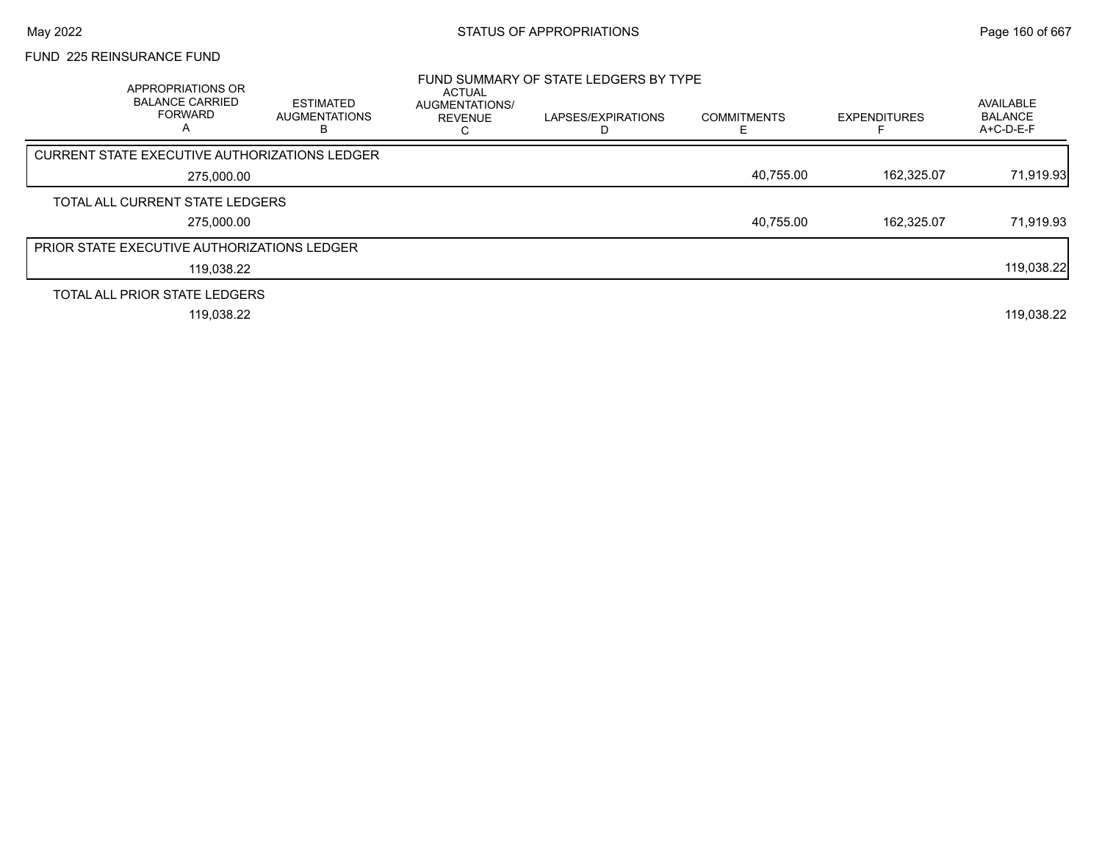# FUND 225 REINSURANCE FUND

| APPROPRIATIONS OR<br><b>BALANCE CARRIED</b><br><b>FORWARD</b><br>А | <b>ESTIMATED</b><br><b>AUGMENTATIONS</b> | <b>ACTUAL</b><br>AUGMENTATIONS/<br><b>REVENUE</b> | FUND SUMMARY OF STATE LEDGERS BY TYPE<br>LAPSES/EXPIRATIONS | <b>COMMITMENTS</b> | <b>EXPENDITURES</b> | AVAILABLE<br><b>BALANCE</b><br>A+C-D-E-F |
|--------------------------------------------------------------------|------------------------------------------|---------------------------------------------------|-------------------------------------------------------------|--------------------|---------------------|------------------------------------------|
| CURRENT STATE EXECUTIVE AUTHORIZATIONS LEDGER                      |                                          |                                                   |                                                             |                    |                     |                                          |
| 275,000.00                                                         |                                          |                                                   |                                                             | 40,755.00          | 162.325.07          | 71,919.93                                |
| TOTAL ALL CURRENT STATE LEDGERS                                    |                                          |                                                   |                                                             |                    |                     |                                          |
| 275,000.00                                                         |                                          |                                                   |                                                             | 40,755.00          | 162.325.07          | 71,919.93                                |
| PRIOR STATE EXECUTIVE AUTHORIZATIONS LEDGER                        |                                          |                                                   |                                                             |                    |                     |                                          |
| 119,038.22                                                         |                                          |                                                   |                                                             |                    |                     | 119,038.22                               |
| TOTAL ALL PRIOR STATE LEDGERS                                      |                                          |                                                   |                                                             |                    |                     |                                          |
| 119,038.22                                                         |                                          |                                                   |                                                             |                    |                     | 119,038.22                               |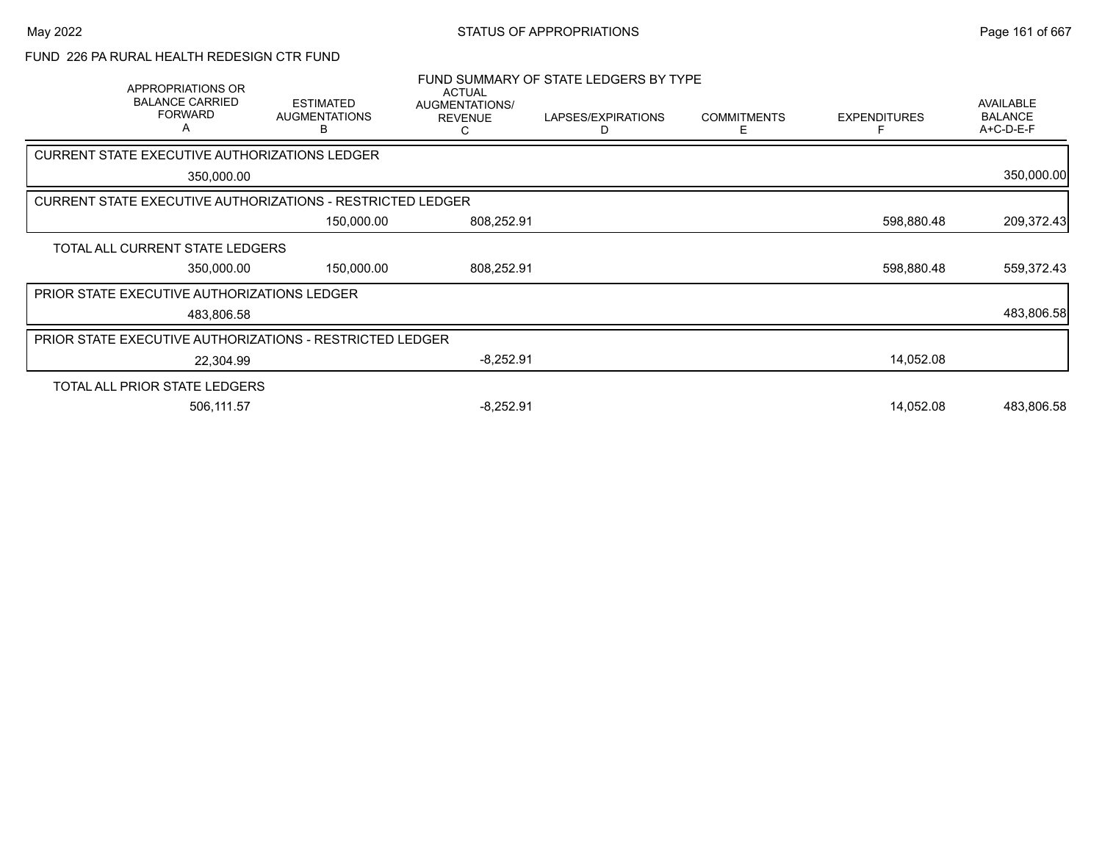### FUND 226 PA RURAL HEALTH REDESIGN CTR FUND

| APPROPRIATIONS OR<br><b>BALANCE CARRIED</b><br><b>FORWARD</b>     | <b>ESTIMATED</b><br><b>AUGMENTATIONS</b><br>в | <b>ACTUAL</b><br>AUGMENTATIONS/<br><b>REVENUE</b> | FUND SUMMARY OF STATE LEDGERS BY TYPE<br>LAPSES/EXPIRATIONS<br>D | <b>COMMITMENTS</b><br>F | <b>EXPENDITURES</b> | <b>AVAILABLE</b><br><b>BALANCE</b><br>A+C-D-E-F |
|-------------------------------------------------------------------|-----------------------------------------------|---------------------------------------------------|------------------------------------------------------------------|-------------------------|---------------------|-------------------------------------------------|
| CURRENT STATE EXECUTIVE AUTHORIZATIONS LEDGER                     |                                               |                                                   |                                                                  |                         |                     |                                                 |
| 350,000.00                                                        |                                               |                                                   |                                                                  |                         |                     | 350,000.00                                      |
| <b>CURRENT STATE EXECUTIVE AUTHORIZATIONS - RESTRICTED LEDGER</b> |                                               |                                                   |                                                                  |                         |                     |                                                 |
|                                                                   | 150,000.00                                    | 808,252.91                                        |                                                                  |                         | 598,880.48          | 209,372.43                                      |
| TOTAL ALL CURRENT STATE LEDGERS                                   |                                               |                                                   |                                                                  |                         |                     |                                                 |
| 350,000.00                                                        | 150,000.00                                    | 808,252.91                                        |                                                                  |                         | 598,880.48          | 559,372.43                                      |
| <b>PRIOR STATE EXECUTIVE AUTHORIZATIONS LEDGER</b>                |                                               |                                                   |                                                                  |                         |                     |                                                 |
| 483,806.58                                                        |                                               |                                                   |                                                                  |                         |                     | 483,806.58                                      |
| <b>PRIOR STATE EXECUTIVE AUTHORIZATIONS - RESTRICTED LEDGER</b>   |                                               |                                                   |                                                                  |                         |                     |                                                 |
| 22,304.99                                                         |                                               | $-8,252.91$                                       |                                                                  |                         | 14,052.08           |                                                 |
| TOTAL ALL PRIOR STATE LEDGERS                                     |                                               |                                                   |                                                                  |                         |                     |                                                 |
| 506,111.57                                                        |                                               | $-8,252.91$                                       |                                                                  |                         | 14,052.08           | 483,806.58                                      |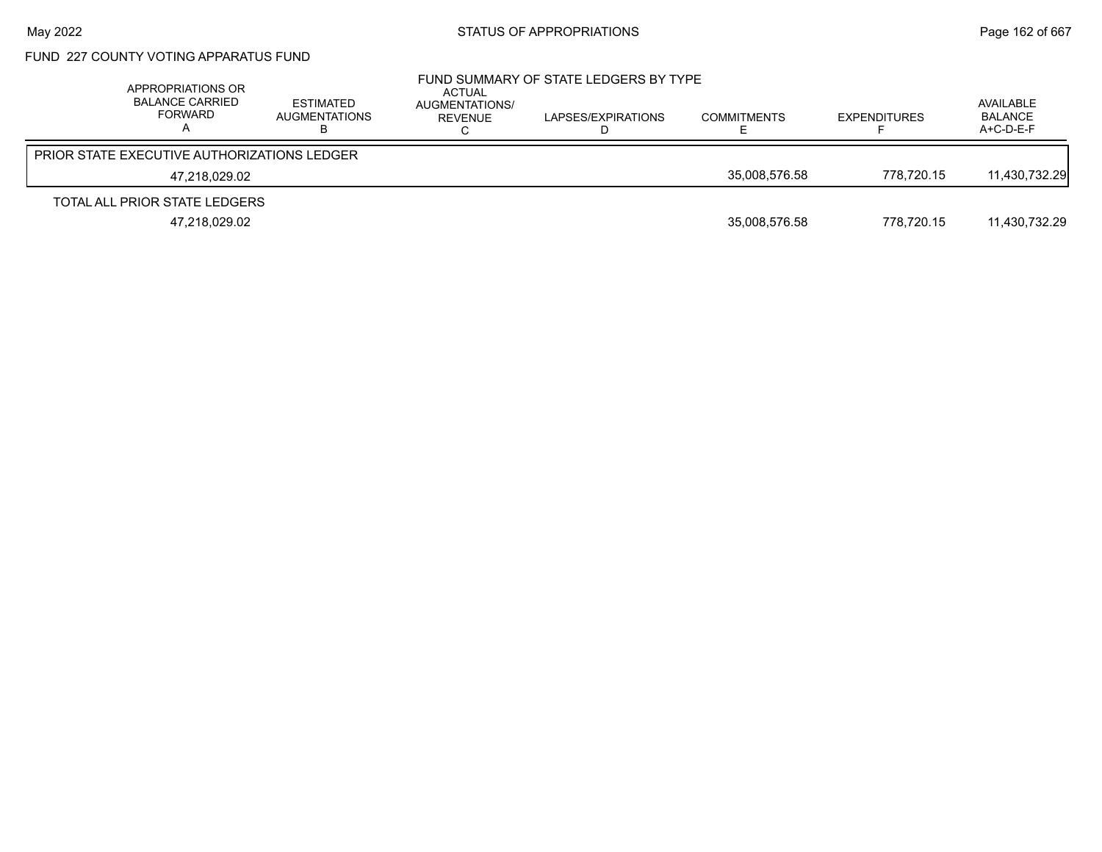## FUND 227 COUNTY VOTING APPARATUS FUND

| APPROPRIATIONS OR<br><b>BALANCE CARRIED</b><br><b>FORWARD</b> | ESTIMATED<br>AUGMENTATIONS | ACTUAL<br>AUGMENTATIONS/<br>REVENUE | FUND SUMMARY OF STATE LEDGERS BY TYPE<br>LAPSES/EXPIRATIONS | <b>COMMITMENTS</b> | <b>EXPENDITURES</b> | AVAILABLE<br><b>BALANCE</b><br>$A+C-D-E-F$ |
|---------------------------------------------------------------|----------------------------|-------------------------------------|-------------------------------------------------------------|--------------------|---------------------|--------------------------------------------|
| <b>PRIOR STATE EXECUTIVE AUTHORIZATIONS LEDGER</b>            |                            |                                     |                                                             |                    |                     |                                            |
| 47.218.029.02                                                 |                            |                                     |                                                             | 35.008.576.58      | 778.720.15          | 11,430,732.29                              |
| TOTAL ALL PRIOR STATE LEDGERS                                 |                            |                                     |                                                             |                    |                     |                                            |
| 47,218,029.02                                                 |                            |                                     |                                                             | 35,008,576.58      | 778.720.15          | 11,430,732.29                              |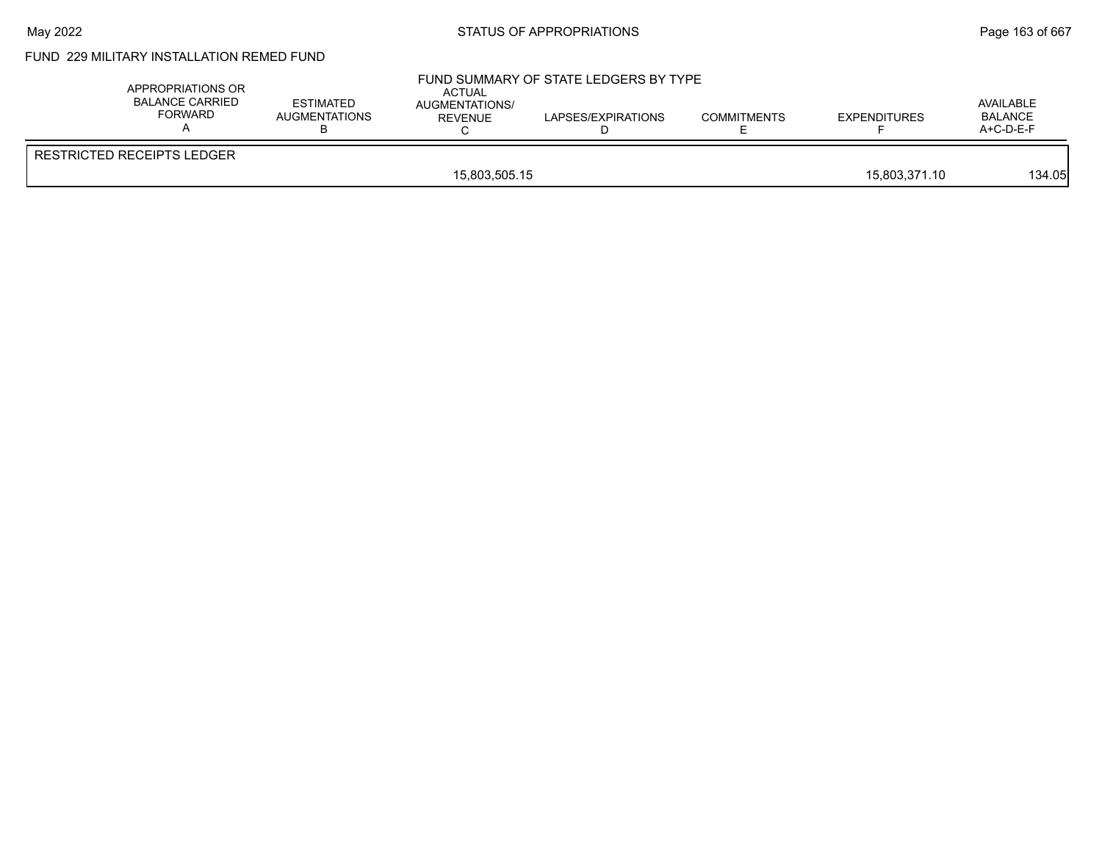## May 2022 **Example 2022** Page 163 of 667

# FUND 229 MILITARY INSTALLATION REMED FUND

| APPROPRIATIONS OR<br>BALANCE CARRIED<br><b>FORWARD</b> | <b>ESTIMATED</b><br>AUGMENTATIONS | ACTUAL<br><b>AUGMENTATIONS/</b><br><b>REVENUE</b> | FUND SUMMARY OF STATE LEDGERS BY TYPE<br>LAPSES/EXPIRATIONS | <b>COMMITMENTS</b> | <b>EXPENDITURES</b> | AVAILABLE<br><b>BALANCE</b><br>$A+C-D-E-F$ |
|--------------------------------------------------------|-----------------------------------|---------------------------------------------------|-------------------------------------------------------------|--------------------|---------------------|--------------------------------------------|
| <b>RESTRICTED RECEIPTS LEDGER</b>                      |                                   |                                                   |                                                             |                    |                     |                                            |
|                                                        |                                   | 15,803,505.15                                     |                                                             |                    | 15,803,371.10       | 134.05                                     |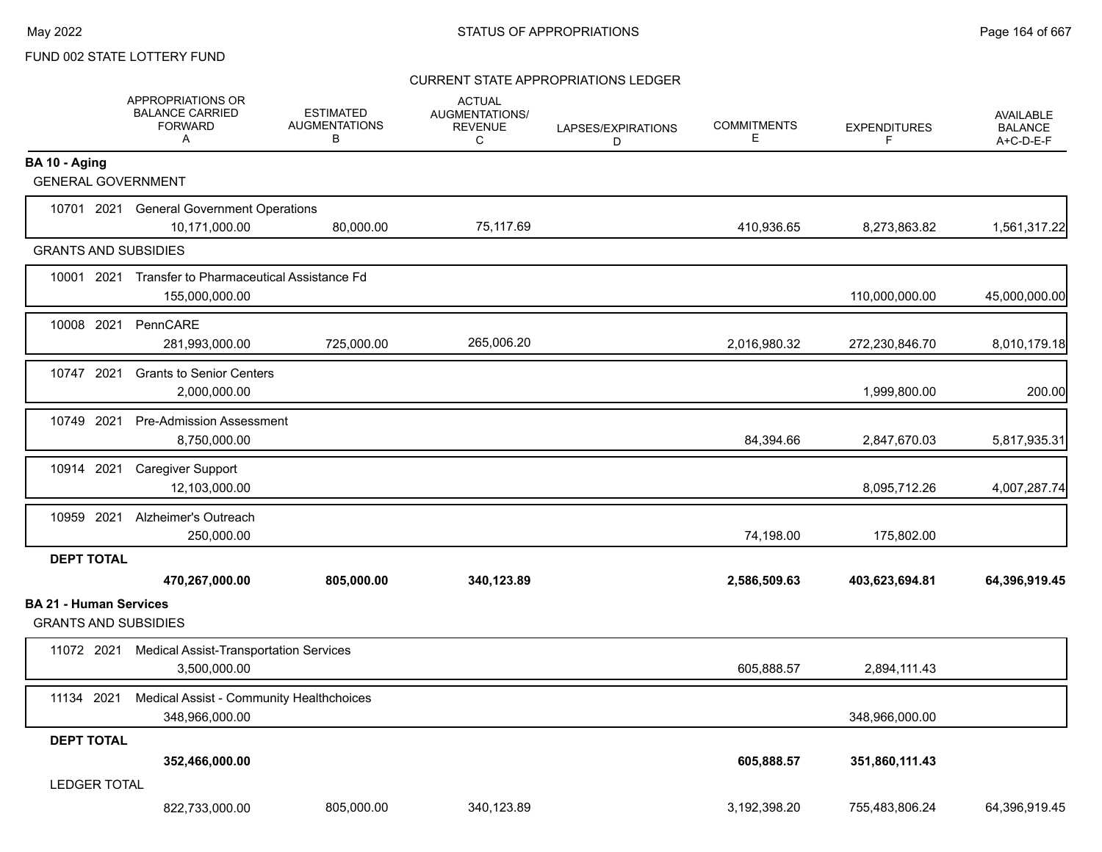#### CURRENT STATE APPROPRIATIONS LEDGER

|                                                              | APPROPRIATIONS OR<br><b>BALANCE CARRIED</b><br><b>FORWARD</b><br>Α    | <b>ESTIMATED</b><br><b>AUGMENTATIONS</b><br>В | <b>ACTUAL</b><br>AUGMENTATIONS/<br><b>REVENUE</b><br>C | LAPSES/EXPIRATIONS<br>D | <b>COMMITMENTS</b><br>Е | <b>EXPENDITURES</b><br>F | <b>AVAILABLE</b><br><b>BALANCE</b><br>A+C-D-E-F |
|--------------------------------------------------------------|-----------------------------------------------------------------------|-----------------------------------------------|--------------------------------------------------------|-------------------------|-------------------------|--------------------------|-------------------------------------------------|
| BA 10 - Aging<br><b>GENERAL GOVERNMENT</b>                   |                                                                       |                                               |                                                        |                         |                         |                          |                                                 |
|                                                              |                                                                       |                                               |                                                        |                         |                         |                          |                                                 |
|                                                              | 10701 2021 General Government Operations<br>10,171,000.00             | 80,000.00                                     | 75,117.69                                              |                         | 410,936.65              | 8,273,863.82             | 1,561,317.22                                    |
| <b>GRANTS AND SUBSIDIES</b>                                  |                                                                       |                                               |                                                        |                         |                         |                          |                                                 |
|                                                              | 10001 2021 Transfer to Pharmaceutical Assistance Fd<br>155,000,000.00 |                                               |                                                        |                         |                         | 110,000,000.00           | 45,000,000.00                                   |
| 10008 2021                                                   | PennCARE<br>281,993,000.00                                            | 725,000.00                                    | 265,006.20                                             |                         | 2,016,980.32            | 272,230,846.70           | 8,010,179.18                                    |
| 10747 2021                                                   | <b>Grants to Senior Centers</b><br>2,000,000.00                       |                                               |                                                        |                         |                         | 1,999,800.00             | 200.00                                          |
| 10749 2021                                                   | <b>Pre-Admission Assessment</b><br>8,750,000.00                       |                                               |                                                        |                         | 84,394.66               | 2,847,670.03             | 5,817,935.31                                    |
| 10914 2021                                                   | <b>Caregiver Support</b><br>12,103,000.00                             |                                               |                                                        |                         |                         | 8,095,712.26             | 4,007,287.74                                    |
| 10959 2021                                                   | Alzheimer's Outreach<br>250,000.00                                    |                                               |                                                        |                         | 74,198.00               | 175,802.00               |                                                 |
| <b>DEPT TOTAL</b>                                            |                                                                       |                                               |                                                        |                         |                         |                          |                                                 |
|                                                              | 470,267,000.00                                                        | 805,000.00                                    | 340,123.89                                             |                         | 2,586,509.63            | 403,623,694.81           | 64,396,919.45                                   |
| <b>BA 21 - Human Services</b><br><b>GRANTS AND SUBSIDIES</b> |                                                                       |                                               |                                                        |                         |                         |                          |                                                 |
| 11072 2021                                                   | <b>Medical Assist-Transportation Services</b><br>3,500,000.00         |                                               |                                                        |                         | 605,888.57              | 2,894,111.43             |                                                 |
| 11134 2021                                                   | Medical Assist - Community Healthchoices<br>348,966,000.00            |                                               |                                                        |                         |                         | 348,966,000.00           |                                                 |
| <b>DEPT TOTAL</b>                                            | 352,466,000.00                                                        |                                               |                                                        |                         | 605,888.57              | 351,860,111.43           |                                                 |
| <b>LEDGER TOTAL</b>                                          | 822,733,000.00                                                        | 805,000.00                                    | 340,123.89                                             |                         | 3,192,398.20            | 755,483,806.24           | 64,396,919.45                                   |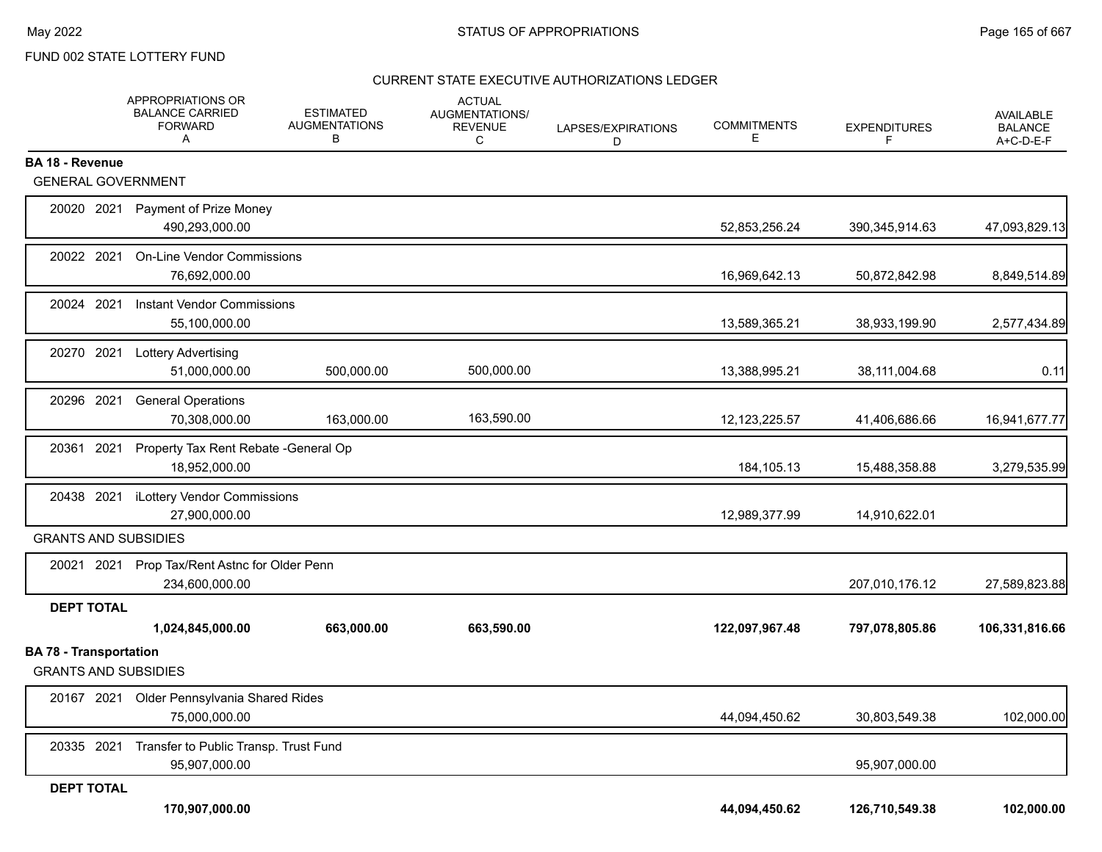#### CURRENT STATE EXECUTIVE AUTHORIZATIONS LEDGER

|                                                              |      | APPROPRIATIONS OR<br><b>BALANCE CARRIED</b><br><b>FORWARD</b><br>Α | ESTIMATED<br><b>AUGMENTATIONS</b><br>в | <b>ACTUAL</b><br>AUGMENTATIONS/<br><b>REVENUE</b><br>C | LAPSES/EXPIRATIONS<br>D | <b>COMMITMENTS</b><br>Е | <b>EXPENDITURES</b><br>F | <b>AVAILABLE</b><br><b>BALANCE</b><br>A+C-D-E-F |
|--------------------------------------------------------------|------|--------------------------------------------------------------------|----------------------------------------|--------------------------------------------------------|-------------------------|-------------------------|--------------------------|-------------------------------------------------|
| <b>BA 18 - Revenue</b><br><b>GENERAL GOVERNMENT</b>          |      |                                                                    |                                        |                                                        |                         |                         |                          |                                                 |
|                                                              |      |                                                                    |                                        |                                                        |                         |                         |                          |                                                 |
| 20020 2021                                                   |      | Payment of Prize Money<br>490,293,000.00                           |                                        |                                                        |                         | 52,853,256.24           | 390,345,914.63           | 47,093,829.13                                   |
| 20022 2021                                                   |      | <b>On-Line Vendor Commissions</b><br>76,692,000.00                 |                                        |                                                        |                         | 16,969,642.13           | 50,872,842.98            | 8,849,514.89                                    |
| 20024 2021                                                   |      | <b>Instant Vendor Commissions</b><br>55,100,000.00                 |                                        |                                                        |                         | 13,589,365.21           | 38,933,199.90            | 2,577,434.89                                    |
| 20270 2021                                                   |      | <b>Lottery Advertising</b><br>51,000,000.00                        | 500,000.00                             | 500,000.00                                             |                         | 13,388,995.21           | 38,111,004.68            | 0.11                                            |
| 20296 2021                                                   |      | <b>General Operations</b><br>70,308,000.00                         | 163,000.00                             | 163,590.00                                             |                         | 12, 123, 225.57         | 41,406,686.66            | 16,941,677.77                                   |
| 20361                                                        | 2021 | Property Tax Rent Rebate - General Op<br>18,952,000.00             |                                        |                                                        |                         | 184,105.13              | 15,488,358.88            | 3,279,535.99                                    |
| 20438 2021                                                   |      | iLottery Vendor Commissions<br>27,900,000.00                       |                                        |                                                        |                         | 12,989,377.99           | 14,910,622.01            |                                                 |
| <b>GRANTS AND SUBSIDIES</b>                                  |      |                                                                    |                                        |                                                        |                         |                         |                          |                                                 |
|                                                              |      | 20021 2021 Prop Tax/Rent Astnc for Older Penn<br>234,600,000.00    |                                        |                                                        |                         |                         | 207,010,176.12           | 27,589,823.88                                   |
| <b>DEPT TOTAL</b>                                            |      |                                                                    |                                        |                                                        |                         |                         |                          |                                                 |
|                                                              |      | 1,024,845,000.00                                                   | 663,000.00                             | 663,590.00                                             |                         | 122,097,967.48          | 797,078,805.86           | 106,331,816.66                                  |
| <b>BA 78 - Transportation</b><br><b>GRANTS AND SUBSIDIES</b> |      |                                                                    |                                        |                                                        |                         |                         |                          |                                                 |
| 20167 2021                                                   |      | Older Pennsylvania Shared Rides<br>75,000,000.00                   |                                        |                                                        |                         | 44,094,450.62           | 30,803,549.38            | 102,000.00                                      |
| 20335 2021                                                   |      | Transfer to Public Transp. Trust Fund<br>95,907,000.00             |                                        |                                                        |                         |                         | 95,907,000.00            |                                                 |
| <b>DEPT TOTAL</b>                                            |      |                                                                    |                                        |                                                        |                         |                         |                          |                                                 |
|                                                              |      | 170,907,000.00                                                     |                                        |                                                        |                         | 44,094,450.62           | 126,710,549.38           | 102,000.00                                      |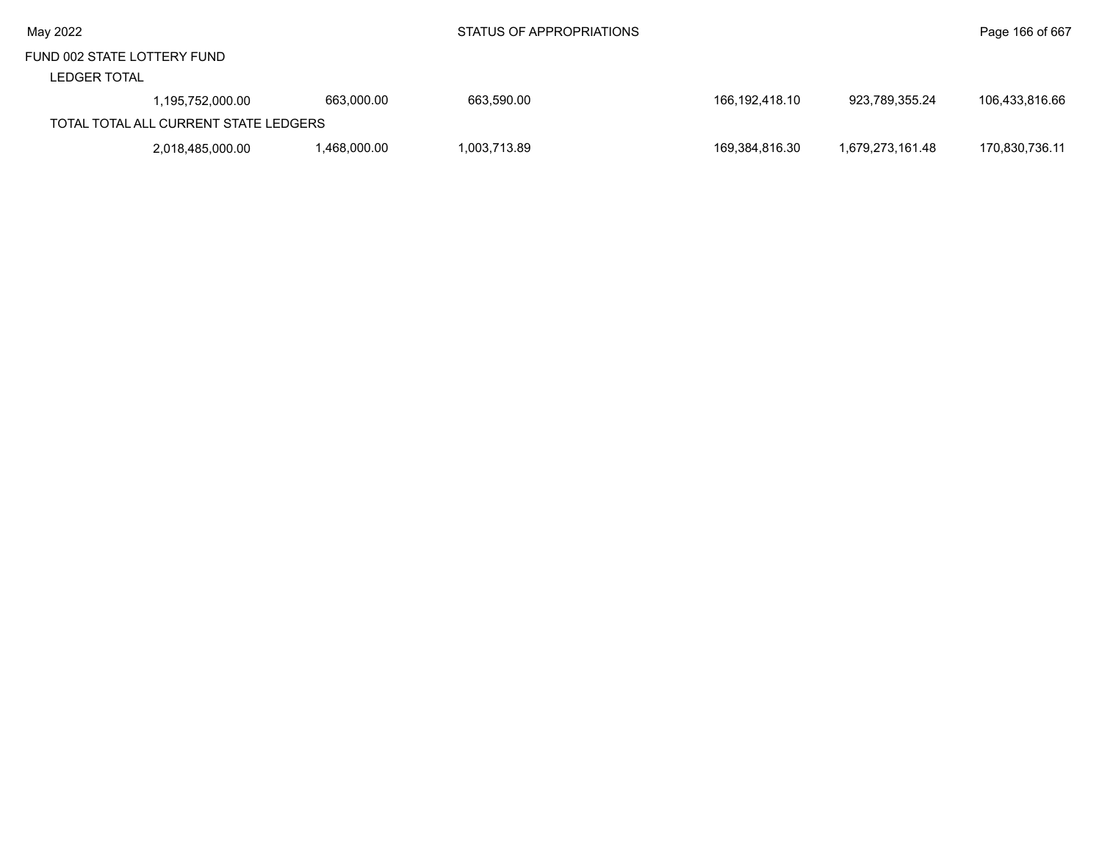|  | May 2022 |
|--|----------|
|--|----------|

#### LEDGER TOTAL

| -----------                           |                  |             |              |                |                  |                |  |  |
|---------------------------------------|------------------|-------------|--------------|----------------|------------------|----------------|--|--|
|                                       | 1.195.752.000.00 | 663.000.00  | 663.590.00   | 166,192,418.10 | 923.789.355.24   | 106.433.816.66 |  |  |
| TOTAL TOTAL ALL CURRENT STATE LEDGERS |                  |             |              |                |                  |                |  |  |
|                                       | 2,018,485,000.00 | .468.000.00 | 1.003.713.89 | 169,384,816.30 | 1.679.273.161.48 | 170,830,736.11 |  |  |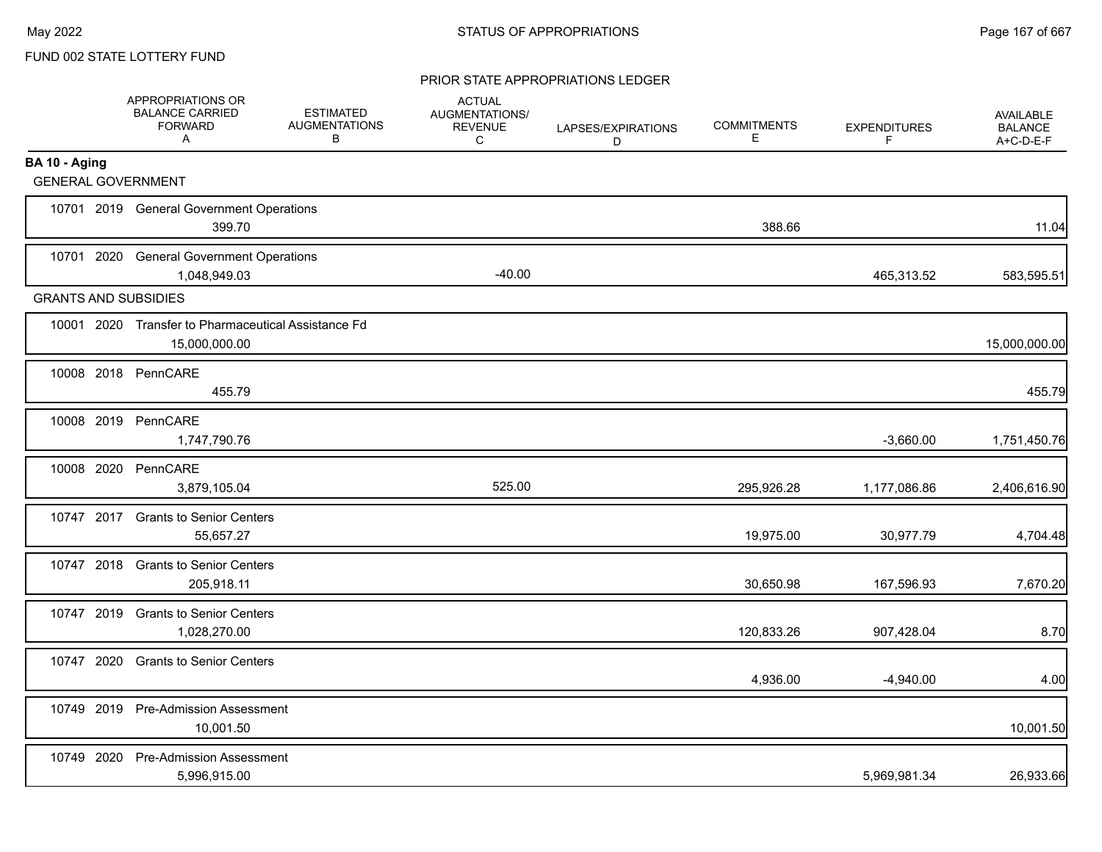#### PRIOR STATE APPROPRIATIONS LEDGER

|                             | APPROPRIATIONS OR<br><b>BALANCE CARRIED</b><br><b>FORWARD</b><br>A   | <b>ESTIMATED</b><br><b>AUGMENTATIONS</b><br>В | <b>ACTUAL</b><br>AUGMENTATIONS/<br><b>REVENUE</b><br>C | LAPSES/EXPIRATIONS<br>D | <b>COMMITMENTS</b><br>Е | <b>EXPENDITURES</b><br>F | <b>AVAILABLE</b><br><b>BALANCE</b><br>A+C-D-E-F |
|-----------------------------|----------------------------------------------------------------------|-----------------------------------------------|--------------------------------------------------------|-------------------------|-------------------------|--------------------------|-------------------------------------------------|
| BA 10 - Aging               |                                                                      |                                               |                                                        |                         |                         |                          |                                                 |
| <b>GENERAL GOVERNMENT</b>   |                                                                      |                                               |                                                        |                         |                         |                          |                                                 |
|                             | 10701 2019 General Government Operations<br>399.70                   |                                               |                                                        |                         | 388.66                  |                          | 11.04                                           |
|                             | 10701 2020 General Government Operations<br>1,048,949.03             |                                               | $-40.00$                                               |                         |                         | 465,313.52               | 583,595.51                                      |
| <b>GRANTS AND SUBSIDIES</b> |                                                                      |                                               |                                                        |                         |                         |                          |                                                 |
|                             | 10001 2020 Transfer to Pharmaceutical Assistance Fd<br>15,000,000.00 |                                               |                                                        |                         |                         |                          | 15,000,000.00                                   |
|                             | 10008 2018 PennCARE<br>455.79                                        |                                               |                                                        |                         |                         |                          | 455.79                                          |
| 10008 2019                  | PennCARE<br>1,747,790.76                                             |                                               |                                                        |                         |                         | $-3,660.00$              | 1,751,450.76                                    |
| 10008 2020                  | PennCARE<br>3,879,105.04                                             |                                               | 525.00                                                 |                         | 295,926.28              | 1,177,086.86             | 2,406,616.90                                    |
|                             | 10747 2017 Grants to Senior Centers<br>55,657.27                     |                                               |                                                        |                         | 19,975.00               | 30,977.79                | 4,704.48                                        |
|                             | 10747 2018 Grants to Senior Centers<br>205,918.11                    |                                               |                                                        |                         | 30,650.98               | 167,596.93               | 7,670.20                                        |
| 10747 2019                  | <b>Grants to Senior Centers</b><br>1,028,270.00                      |                                               |                                                        |                         | 120,833.26              | 907,428.04               | 8.70                                            |
| 10747 2020                  | <b>Grants to Senior Centers</b>                                      |                                               |                                                        |                         | 4,936.00                | $-4,940.00$              | 4.00                                            |
|                             | 10749 2019 Pre-Admission Assessment<br>10,001.50                     |                                               |                                                        |                         |                         |                          | 10,001.50                                       |
| 10749 2020                  | <b>Pre-Admission Assessment</b><br>5,996,915.00                      |                                               |                                                        |                         |                         | 5,969,981.34             | 26,933.66                                       |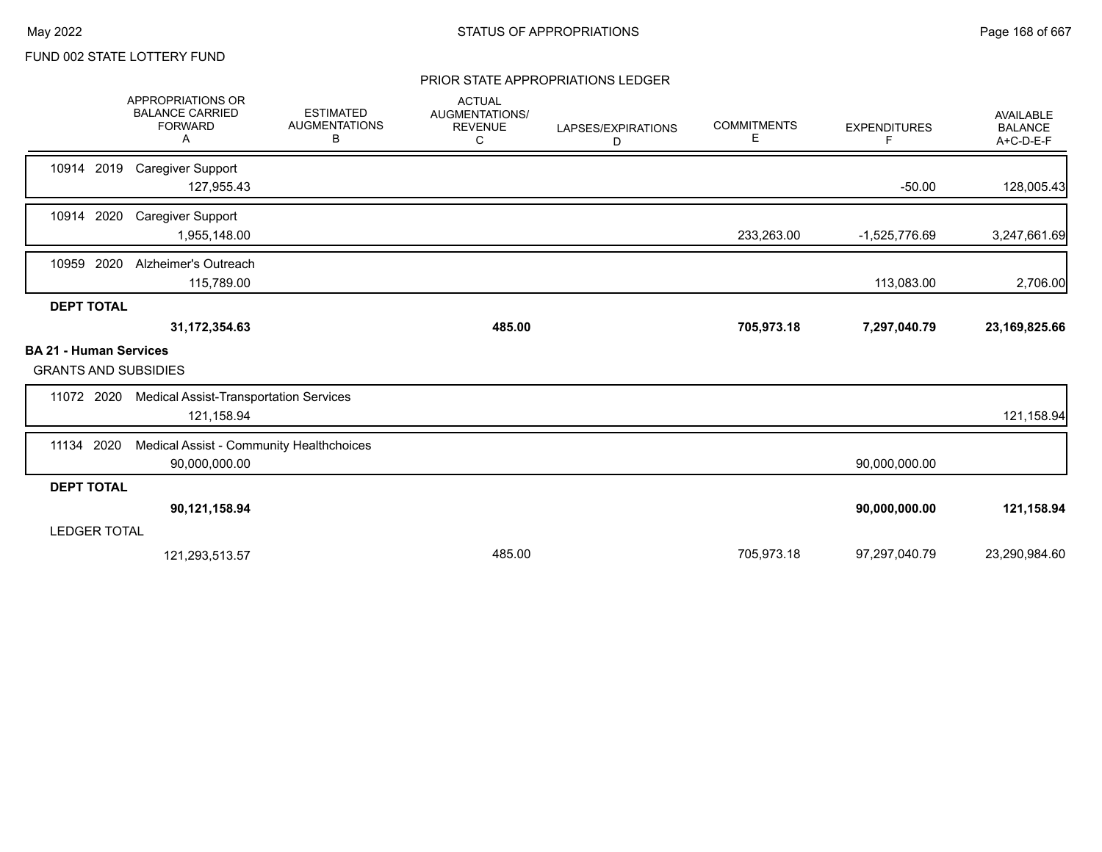#### PRIOR STATE APPROPRIATIONS LEDGER

|                                                              | <b>APPROPRIATIONS OR</b><br><b>BALANCE CARRIED</b><br><b>FORWARD</b><br>Α | <b>ESTIMATED</b><br><b>AUGMENTATIONS</b><br>в | <b>ACTUAL</b><br>AUGMENTATIONS/<br><b>REVENUE</b><br>C | LAPSES/EXPIRATIONS<br>D | <b>COMMITMENTS</b><br>Е | <b>EXPENDITURES</b><br>F. | <b>AVAILABLE</b><br><b>BALANCE</b><br>A+C-D-E-F |
|--------------------------------------------------------------|---------------------------------------------------------------------------|-----------------------------------------------|--------------------------------------------------------|-------------------------|-------------------------|---------------------------|-------------------------------------------------|
| 10914 2019                                                   | <b>Caregiver Support</b><br>127,955.43                                    |                                               |                                                        |                         |                         | $-50.00$                  | 128,005.43                                      |
| 10914 2020                                                   | <b>Caregiver Support</b><br>1,955,148.00                                  |                                               |                                                        |                         | 233,263.00              | -1,525,776.69             | 3,247,661.69                                    |
| 10959 2020                                                   | Alzheimer's Outreach<br>115,789.00                                        |                                               |                                                        |                         |                         | 113,083.00                | 2,706.00                                        |
| <b>DEPT TOTAL</b>                                            |                                                                           |                                               |                                                        |                         |                         |                           |                                                 |
|                                                              | 31,172,354.63                                                             |                                               | 485.00                                                 |                         | 705,973.18              | 7,297,040.79              | 23, 169, 825.66                                 |
| <b>BA 21 - Human Services</b><br><b>GRANTS AND SUBSIDIES</b> |                                                                           |                                               |                                                        |                         |                         |                           |                                                 |
| 11072 2020                                                   | <b>Medical Assist-Transportation Services</b><br>121,158.94               |                                               |                                                        |                         |                         |                           | 121,158.94                                      |
| 2020<br>11134                                                | Medical Assist - Community Healthchoices<br>90,000,000.00                 |                                               |                                                        |                         |                         | 90,000,000.00             |                                                 |
| <b>DEPT TOTAL</b>                                            |                                                                           |                                               |                                                        |                         |                         |                           |                                                 |
|                                                              | 90,121,158.94                                                             |                                               |                                                        |                         |                         | 90,000,000.00             | 121,158.94                                      |
| <b>LEDGER TOTAL</b>                                          |                                                                           |                                               |                                                        |                         |                         |                           |                                                 |
|                                                              | 121,293,513.57                                                            |                                               | 485.00                                                 |                         | 705,973.18              | 97,297,040.79             | 23,290,984.60                                   |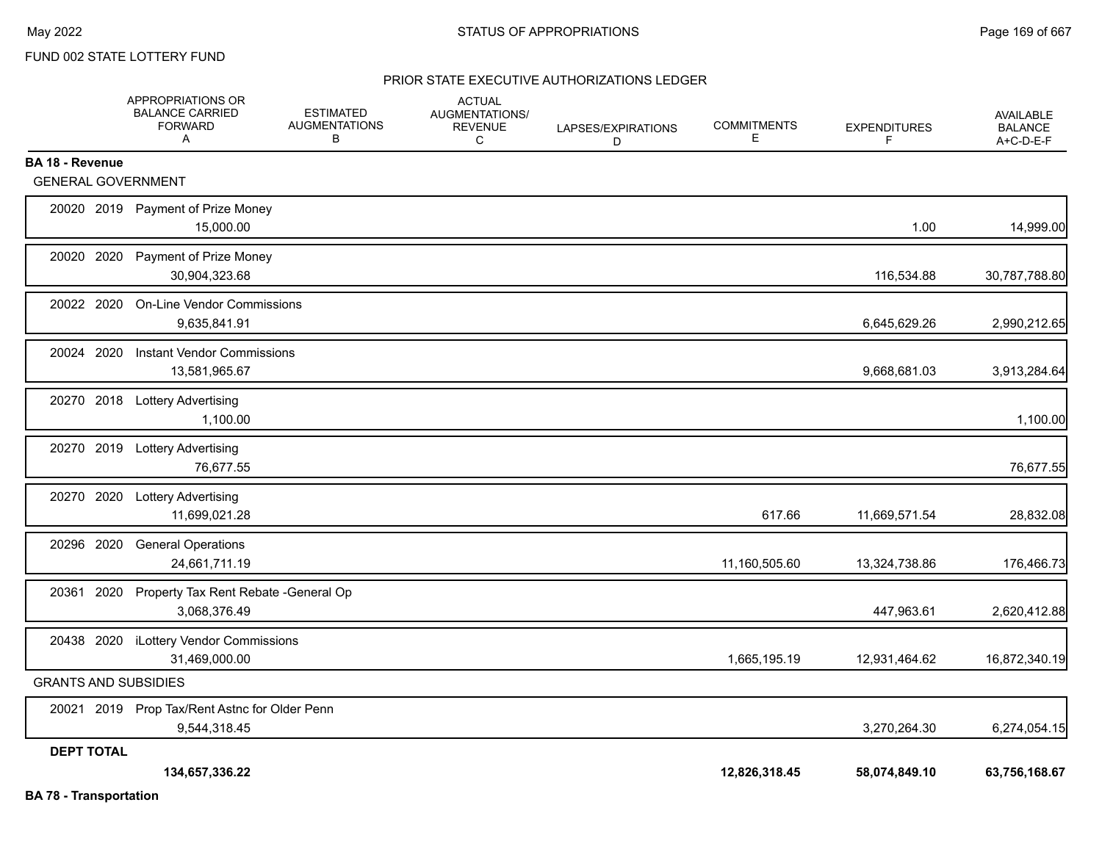#### PRIOR STATE EXECUTIVE AUTHORIZATIONS LEDGER

|                               | APPROPRIATIONS OR<br><b>BALANCE CARRIED</b><br><b>FORWARD</b><br>A | <b>ESTIMATED</b><br><b>AUGMENTATIONS</b><br>В | <b>ACTUAL</b><br>AUGMENTATIONS/<br><b>REVENUE</b><br>C | LAPSES/EXPIRATIONS<br>D | <b>COMMITMENTS</b><br>Е | <b>EXPENDITURES</b><br>F | AVAILABLE<br><b>BALANCE</b><br>A+C-D-E-F |
|-------------------------------|--------------------------------------------------------------------|-----------------------------------------------|--------------------------------------------------------|-------------------------|-------------------------|--------------------------|------------------------------------------|
| <b>BA 18 - Revenue</b>        |                                                                    |                                               |                                                        |                         |                         |                          |                                          |
| <b>GENERAL GOVERNMENT</b>     |                                                                    |                                               |                                                        |                         |                         |                          |                                          |
|                               | 20020 2019 Payment of Prize Money<br>15,000.00                     |                                               |                                                        |                         |                         | 1.00                     | 14,999.00                                |
| 20020 2020                    | Payment of Prize Money<br>30,904,323.68                            |                                               |                                                        |                         |                         | 116,534.88               | 30,787,788.80                            |
| 20022 2020                    | <b>On-Line Vendor Commissions</b><br>9,635,841.91                  |                                               |                                                        |                         |                         | 6,645,629.26             | 2,990,212.65                             |
| 20024 2020                    | <b>Instant Vendor Commissions</b><br>13,581,965.67                 |                                               |                                                        |                         |                         | 9,668,681.03             | 3,913,284.64                             |
|                               | 20270 2018 Lottery Advertising<br>1,100.00                         |                                               |                                                        |                         |                         |                          | 1,100.00                                 |
|                               | 20270 2019 Lottery Advertising<br>76,677.55                        |                                               |                                                        |                         |                         |                          | 76,677.55                                |
|                               | 20270 2020 Lottery Advertising<br>11,699,021.28                    |                                               |                                                        |                         | 617.66                  | 11,669,571.54            | 28,832.08                                |
| 20296 2020                    | <b>General Operations</b><br>24,661,711.19                         |                                               |                                                        |                         | 11,160,505.60           | 13,324,738.86            | 176,466.73                               |
|                               | 20361 2020 Property Tax Rent Rebate - General Op<br>3,068,376.49   |                                               |                                                        |                         |                         | 447,963.61               | 2,620,412.88                             |
|                               | 20438 2020 iLottery Vendor Commissions<br>31,469,000.00            |                                               |                                                        |                         | 1,665,195.19            | 12,931,464.62            | 16,872,340.19                            |
| <b>GRANTS AND SUBSIDIES</b>   |                                                                    |                                               |                                                        |                         |                         |                          |                                          |
|                               | 20021 2019 Prop Tax/Rent Astnc for Older Penn<br>9,544,318.45      |                                               |                                                        |                         |                         | 3,270,264.30             | 6,274,054.15                             |
| <b>DEPT TOTAL</b>             |                                                                    |                                               |                                                        |                         |                         |                          |                                          |
| <b>BA 78 - Transportation</b> | 134,657,336.22                                                     |                                               |                                                        |                         | 12,826,318.45           | 58,074,849.10            | 63,756,168.67                            |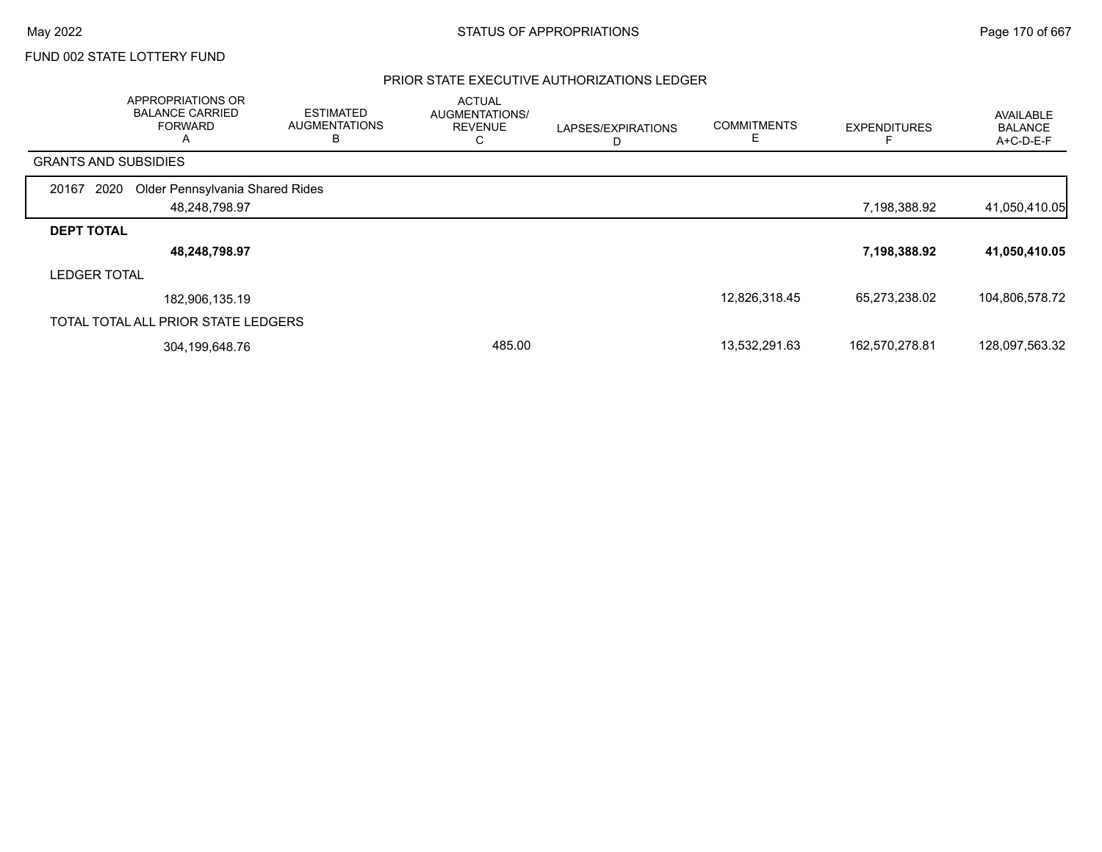#### PRIOR STATE EXECUTIVE AUTHORIZATIONS LEDGER

|                             | APPROPRIATIONS OR<br><b>BALANCE CARRIED</b><br><b>FORWARD</b><br>A | <b>ESTIMATED</b><br><b>AUGMENTATIONS</b><br>в | <b>ACTUAL</b><br>AUGMENTATIONS/<br><b>REVENUE</b><br>C | LAPSES/EXPIRATIONS<br>D | <b>COMMITMENTS</b> | <b>EXPENDITURES</b> | AVAILABLE<br><b>BALANCE</b><br>A+C-D-E-F |
|-----------------------------|--------------------------------------------------------------------|-----------------------------------------------|--------------------------------------------------------|-------------------------|--------------------|---------------------|------------------------------------------|
| <b>GRANTS AND SUBSIDIES</b> |                                                                    |                                               |                                                        |                         |                    |                     |                                          |
| 2020<br>20167               | Older Pennsylvania Shared Rides                                    |                                               |                                                        |                         |                    |                     |                                          |
|                             | 48,248,798.97                                                      |                                               |                                                        |                         |                    | 7,198,388.92        | 41,050,410.05                            |
| <b>DEPT TOTAL</b>           |                                                                    |                                               |                                                        |                         |                    |                     |                                          |
|                             | 48,248,798.97                                                      |                                               |                                                        |                         |                    | 7,198,388.92        | 41,050,410.05                            |
| <b>LEDGER TOTAL</b>         |                                                                    |                                               |                                                        |                         |                    |                     |                                          |
|                             | 182,906,135.19                                                     |                                               |                                                        |                         | 12,826,318.45      | 65,273,238.02       | 104,806,578.72                           |
|                             | TOTAL TOTAL ALL PRIOR STATE LEDGERS                                |                                               |                                                        |                         |                    |                     |                                          |
|                             | 304,199,648.76                                                     |                                               | 485.00                                                 |                         | 13,532,291.63      | 162,570,278.81      | 128,097,563.32                           |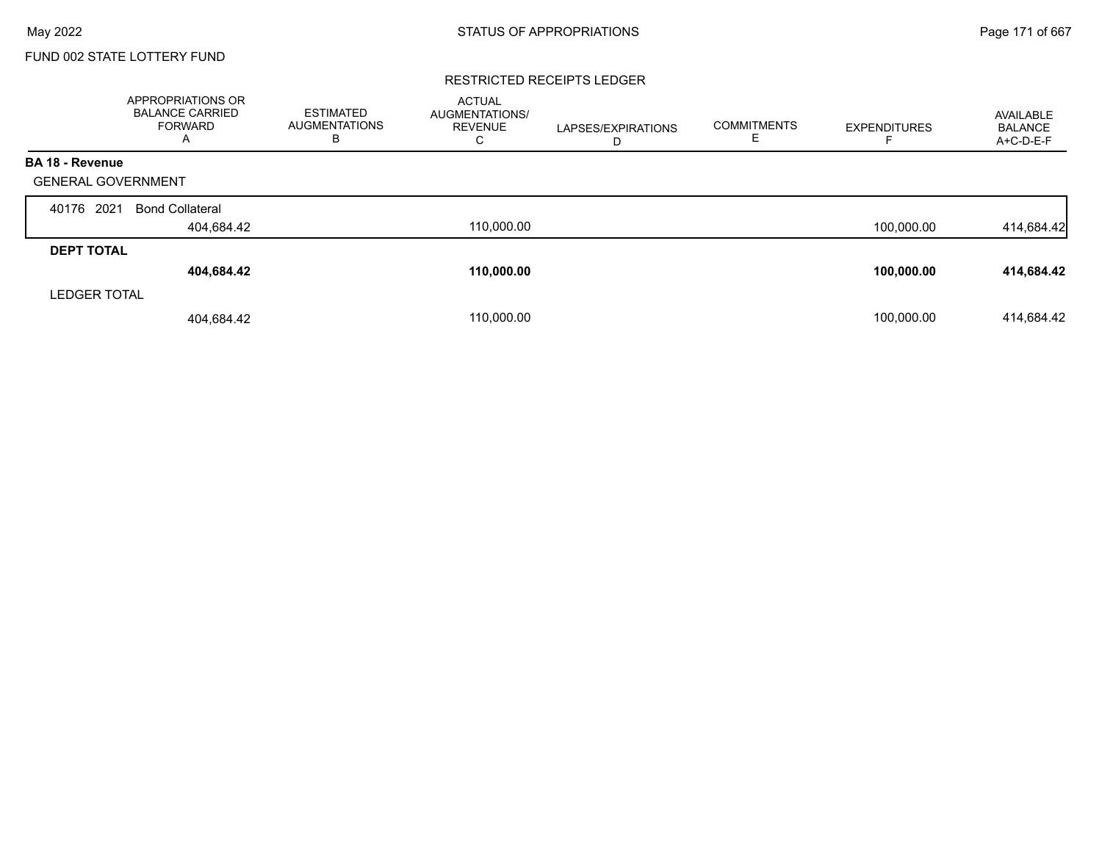#### RESTRICTED RECEIPTS LEDGER

|                           | <b>APPROPRIATIONS OR</b><br><b>BALANCE CARRIED</b><br>FORWARD<br>A | <b>ESTIMATED</b><br><b>AUGMENTATIONS</b><br>в | <b>ACTUAL</b><br><b>AUGMENTATIONS/</b><br><b>REVENUE</b><br>С | LAPSES/EXPIRATIONS<br>D | <b>COMMITMENTS</b><br>Е | <b>EXPENDITURES</b> | AVAILABLE<br><b>BALANCE</b><br>A+C-D-E-F |
|---------------------------|--------------------------------------------------------------------|-----------------------------------------------|---------------------------------------------------------------|-------------------------|-------------------------|---------------------|------------------------------------------|
| <b>BA 18 - Revenue</b>    |                                                                    |                                               |                                                               |                         |                         |                     |                                          |
| <b>GENERAL GOVERNMENT</b> |                                                                    |                                               |                                                               |                         |                         |                     |                                          |
| 2021<br>40176             | <b>Bond Collateral</b>                                             |                                               |                                                               |                         |                         |                     |                                          |
|                           | 404,684.42                                                         |                                               | 110,000.00                                                    |                         |                         | 100,000.00          | 414,684.42                               |
| <b>DEPT TOTAL</b>         |                                                                    |                                               |                                                               |                         |                         |                     |                                          |
|                           | 404,684.42                                                         |                                               | 110,000.00                                                    |                         |                         | 100,000.00          | 414,684.42                               |
| <b>LEDGER TOTAL</b>       |                                                                    |                                               |                                                               |                         |                         |                     |                                          |
|                           | 404,684.42                                                         |                                               | 110.000.00                                                    |                         |                         | 100.000.00          | 414,684.42                               |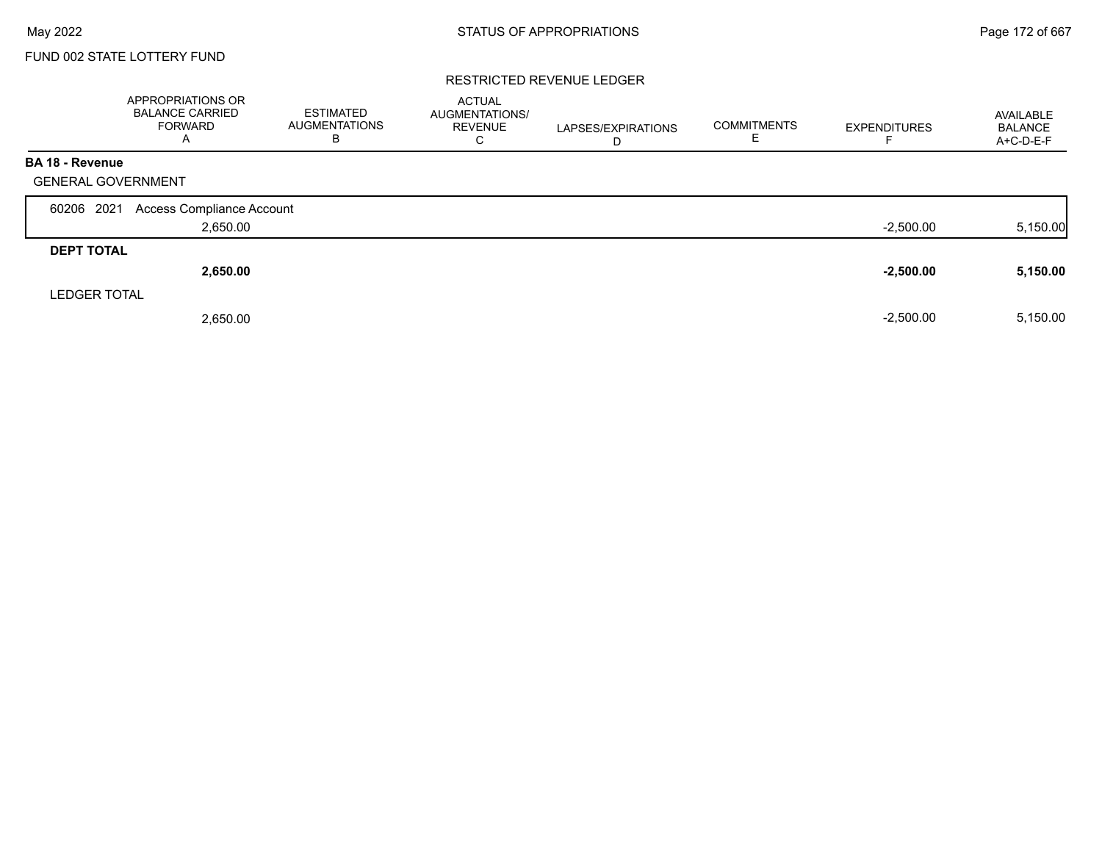## FUND 002 STATE LOTTERY FUND

#### RESTRICTED REVENUE LEDGER

|                           | APPROPRIATIONS OR<br><b>BALANCE CARRIED</b><br>FORWARD<br>$\mathsf{A}$ | <b>ESTIMATED</b><br><b>AUGMENTATIONS</b><br>В | <b>ACTUAL</b><br><b>AUGMENTATIONS/</b><br><b>REVENUE</b><br>C | LAPSES/EXPIRATIONS<br>D | <b>COMMITMENTS</b><br>E. | <b>EXPENDITURES</b> | AVAILABLE<br><b>BALANCE</b><br>$A+C-D-E-F$ |
|---------------------------|------------------------------------------------------------------------|-----------------------------------------------|---------------------------------------------------------------|-------------------------|--------------------------|---------------------|--------------------------------------------|
| <b>BA 18 - Revenue</b>    |                                                                        |                                               |                                                               |                         |                          |                     |                                            |
| <b>GENERAL GOVERNMENT</b> |                                                                        |                                               |                                                               |                         |                          |                     |                                            |
| 60206 2021                | Access Compliance Account                                              |                                               |                                                               |                         |                          |                     |                                            |
|                           | 2,650.00                                                               |                                               |                                                               |                         |                          | $-2,500.00$         | 5,150.00                                   |
| <b>DEPT TOTAL</b>         |                                                                        |                                               |                                                               |                         |                          |                     |                                            |
|                           | 2,650.00                                                               |                                               |                                                               |                         |                          | $-2,500.00$         | 5,150.00                                   |
| <b>LEDGER TOTAL</b>       |                                                                        |                                               |                                                               |                         |                          |                     |                                            |
|                           | 2,650.00                                                               |                                               |                                                               |                         |                          | $-2,500.00$         | 5,150.00                                   |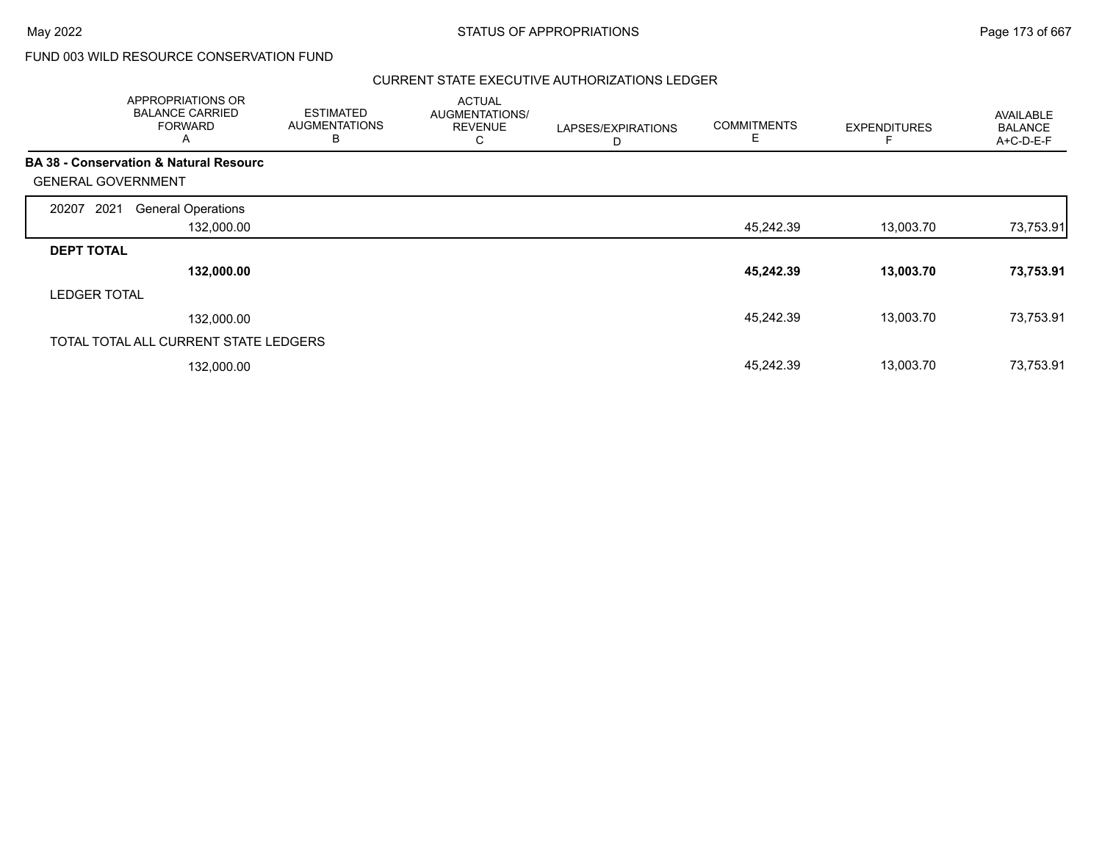## FUND 003 WILD RESOURCE CONSERVATION FUND

#### CURRENT STATE EXECUTIVE AUTHORIZATIONS LEDGER

|                           | APPROPRIATIONS OR<br><b>BALANCE CARRIED</b><br><b>FORWARD</b><br>A | <b>ESTIMATED</b><br><b>AUGMENTATIONS</b><br>B | <b>ACTUAL</b><br>AUGMENTATIONS/<br><b>REVENUE</b><br>С | LAPSES/EXPIRATIONS<br>D | <b>COMMITMENTS</b><br>Е | <b>EXPENDITURES</b> | AVAILABLE<br><b>BALANCE</b><br>A+C-D-E-F |
|---------------------------|--------------------------------------------------------------------|-----------------------------------------------|--------------------------------------------------------|-------------------------|-------------------------|---------------------|------------------------------------------|
|                           | <b>BA 38 - Conservation &amp; Natural Resourc</b>                  |                                               |                                                        |                         |                         |                     |                                          |
| <b>GENERAL GOVERNMENT</b> |                                                                    |                                               |                                                        |                         |                         |                     |                                          |
| 2021<br>20207             | <b>General Operations</b>                                          |                                               |                                                        |                         |                         |                     |                                          |
|                           | 132,000.00                                                         |                                               |                                                        |                         | 45,242.39               | 13,003.70           | 73,753.91                                |
| <b>DEPT TOTAL</b>         |                                                                    |                                               |                                                        |                         |                         |                     |                                          |
|                           | 132,000.00                                                         |                                               |                                                        |                         | 45,242.39               | 13,003.70           | 73,753.91                                |
| <b>LEDGER TOTAL</b>       |                                                                    |                                               |                                                        |                         |                         |                     |                                          |
|                           | 132,000.00                                                         |                                               |                                                        |                         | 45,242.39               | 13,003.70           | 73,753.91                                |
|                           | TOTAL TOTAL ALL CURRENT STATE LEDGERS                              |                                               |                                                        |                         |                         |                     |                                          |
|                           | 132,000.00                                                         |                                               |                                                        |                         | 45,242.39               | 13,003.70           | 73,753.91                                |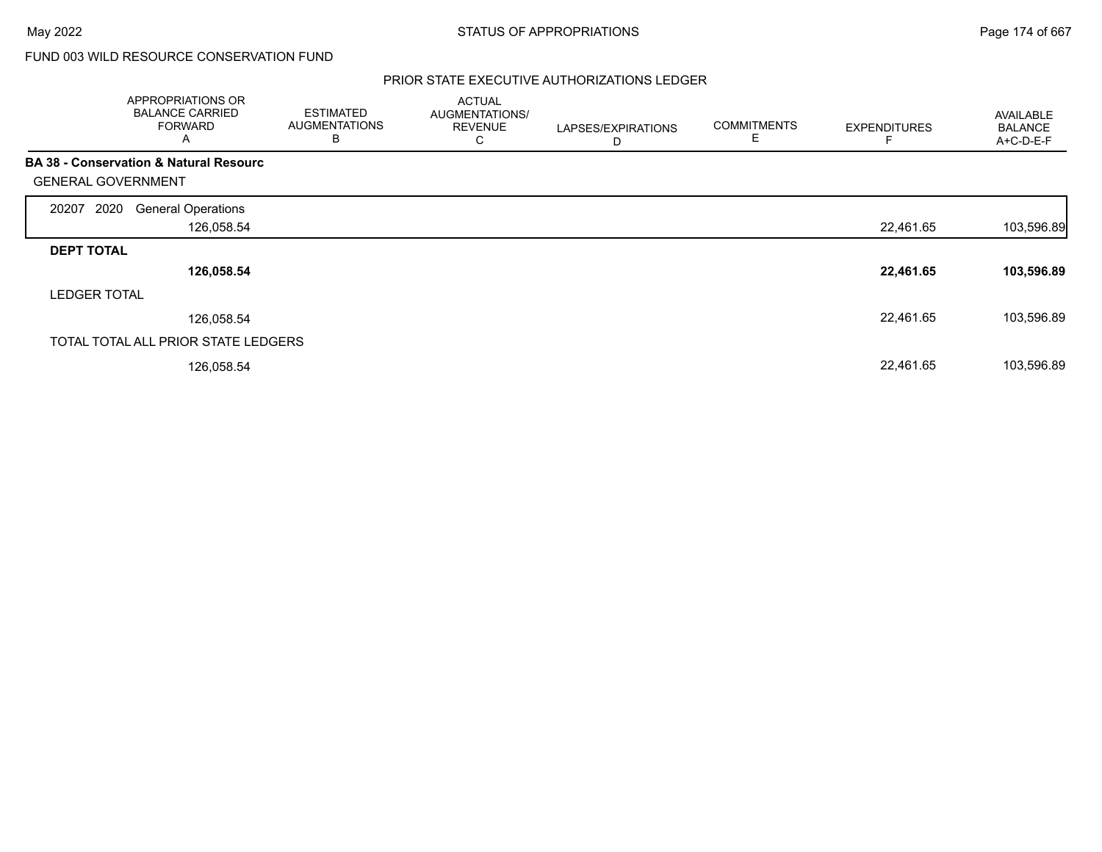## FUND 003 WILD RESOURCE CONSERVATION FUND

#### PRIOR STATE EXECUTIVE AUTHORIZATIONS LEDGER

|                           | APPROPRIATIONS OR<br><b>BALANCE CARRIED</b><br><b>FORWARD</b><br>A | <b>ESTIMATED</b><br><b>AUGMENTATIONS</b><br>В | <b>ACTUAL</b><br>AUGMENTATIONS/<br><b>REVENUE</b><br>С | LAPSES/EXPIRATIONS<br>D | <b>COMMITMENTS</b><br>Е | <b>EXPENDITURES</b> | <b>AVAILABLE</b><br><b>BALANCE</b><br>A+C-D-E-F |
|---------------------------|--------------------------------------------------------------------|-----------------------------------------------|--------------------------------------------------------|-------------------------|-------------------------|---------------------|-------------------------------------------------|
|                           | <b>BA 38 - Conservation &amp; Natural Resourc</b>                  |                                               |                                                        |                         |                         |                     |                                                 |
| <b>GENERAL GOVERNMENT</b> |                                                                    |                                               |                                                        |                         |                         |                     |                                                 |
| 2020<br>20207             | <b>General Operations</b>                                          |                                               |                                                        |                         |                         |                     |                                                 |
|                           | 126,058.54                                                         |                                               |                                                        |                         |                         | 22,461.65           | 103,596.89                                      |
| <b>DEPT TOTAL</b>         |                                                                    |                                               |                                                        |                         |                         |                     |                                                 |
|                           | 126,058.54                                                         |                                               |                                                        |                         |                         | 22,461.65           | 103,596.89                                      |
| <b>LEDGER TOTAL</b>       |                                                                    |                                               |                                                        |                         |                         |                     |                                                 |
|                           | 126,058.54                                                         |                                               |                                                        |                         |                         | 22,461.65           | 103,596.89                                      |
|                           | TOTAL TOTAL ALL PRIOR STATE LEDGERS                                |                                               |                                                        |                         |                         |                     |                                                 |
|                           | 126,058.54                                                         |                                               |                                                        |                         |                         | 22,461.65           | 103,596.89                                      |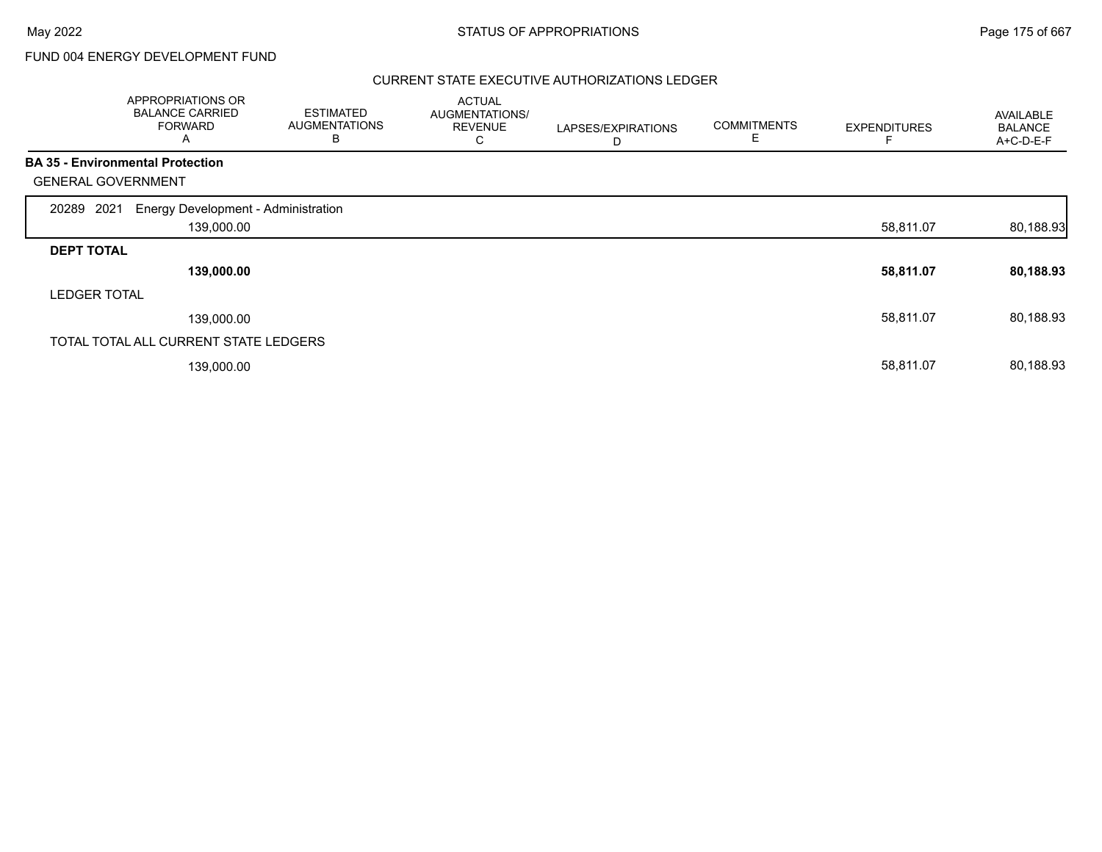## FUND 004 ENERGY DEVELOPMENT FUND

#### CURRENT STATE EXECUTIVE AUTHORIZATIONS LEDGER

|                           | APPROPRIATIONS OR<br><b>BALANCE CARRIED</b><br><b>FORWARD</b><br>A | <b>ESTIMATED</b><br><b>AUGMENTATIONS</b><br>В | <b>ACTUAL</b><br>AUGMENTATIONS/<br><b>REVENUE</b><br>С | LAPSES/EXPIRATIONS<br>D | <b>COMMITMENTS</b><br>Е | <b>EXPENDITURES</b> | <b>AVAILABLE</b><br><b>BALANCE</b><br>A+C-D-E-F |
|---------------------------|--------------------------------------------------------------------|-----------------------------------------------|--------------------------------------------------------|-------------------------|-------------------------|---------------------|-------------------------------------------------|
|                           | <b>BA 35 - Environmental Protection</b>                            |                                               |                                                        |                         |                         |                     |                                                 |
| <b>GENERAL GOVERNMENT</b> |                                                                    |                                               |                                                        |                         |                         |                     |                                                 |
| 2021<br>20289             | Energy Development - Administration                                |                                               |                                                        |                         |                         |                     |                                                 |
|                           | 139,000.00                                                         |                                               |                                                        |                         |                         | 58,811.07           | 80,188.93                                       |
| <b>DEPT TOTAL</b>         |                                                                    |                                               |                                                        |                         |                         |                     |                                                 |
|                           | 139,000.00                                                         |                                               |                                                        |                         |                         | 58,811.07           | 80,188.93                                       |
| <b>LEDGER TOTAL</b>       |                                                                    |                                               |                                                        |                         |                         |                     |                                                 |
|                           | 139,000.00                                                         |                                               |                                                        |                         |                         | 58,811.07           | 80,188.93                                       |
|                           | TOTAL TOTAL ALL CURRENT STATE LEDGERS                              |                                               |                                                        |                         |                         |                     |                                                 |
|                           | 139,000.00                                                         |                                               |                                                        |                         |                         | 58,811.07           | 80,188.93                                       |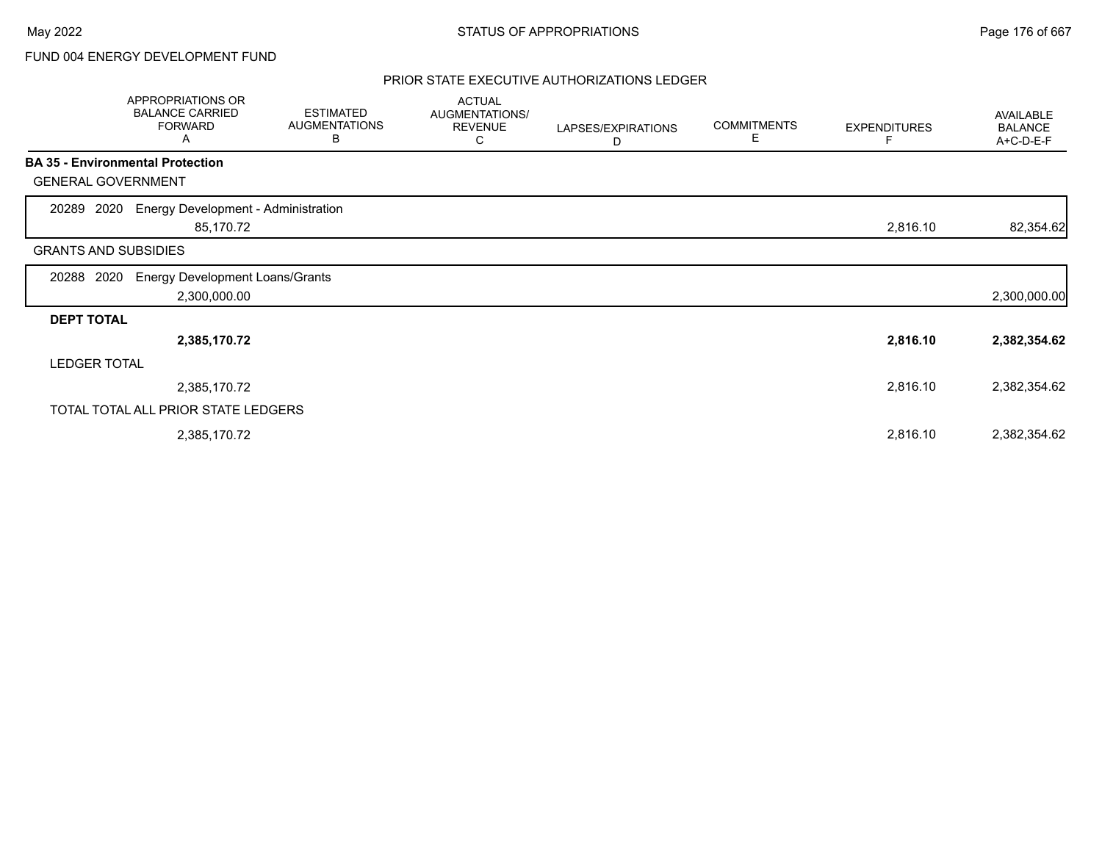## FUND 004 ENERGY DEVELOPMENT FUND

#### PRIOR STATE EXECUTIVE AUTHORIZATIONS LEDGER

|                             | <b>APPROPRIATIONS OR</b><br><b>BALANCE CARRIED</b><br><b>FORWARD</b><br>Α | <b>ESTIMATED</b><br><b>AUGMENTATIONS</b><br>В | <b>ACTUAL</b><br>AUGMENTATIONS/<br><b>REVENUE</b><br>С | LAPSES/EXPIRATIONS<br>D | <b>COMMITMENTS</b><br>Е | <b>EXPENDITURES</b> | AVAILABLE<br><b>BALANCE</b><br>A+C-D-E-F |
|-----------------------------|---------------------------------------------------------------------------|-----------------------------------------------|--------------------------------------------------------|-------------------------|-------------------------|---------------------|------------------------------------------|
|                             | <b>BA 35 - Environmental Protection</b>                                   |                                               |                                                        |                         |                         |                     |                                          |
| <b>GENERAL GOVERNMENT</b>   |                                                                           |                                               |                                                        |                         |                         |                     |                                          |
| 2020<br>20289               | <b>Energy Development - Administration</b><br>85,170.72                   |                                               |                                                        |                         |                         | 2,816.10            | 82,354.62                                |
| <b>GRANTS AND SUBSIDIES</b> |                                                                           |                                               |                                                        |                         |                         |                     |                                          |
| 2020<br>20288               | <b>Energy Development Loans/Grants</b><br>2,300,000.00                    |                                               |                                                        |                         |                         |                     | 2,300,000.00                             |
| <b>DEPT TOTAL</b>           |                                                                           |                                               |                                                        |                         |                         |                     |                                          |
|                             | 2,385,170.72                                                              |                                               |                                                        |                         |                         | 2,816.10            | 2,382,354.62                             |
| <b>LEDGER TOTAL</b>         |                                                                           |                                               |                                                        |                         |                         |                     |                                          |
|                             | 2,385,170.72                                                              |                                               |                                                        |                         |                         | 2,816.10            | 2,382,354.62                             |
|                             | TOTAL TOTAL ALL PRIOR STATE LEDGERS                                       |                                               |                                                        |                         |                         |                     |                                          |
|                             | 2,385,170.72                                                              |                                               |                                                        |                         |                         | 2,816.10            | 2,382,354.62                             |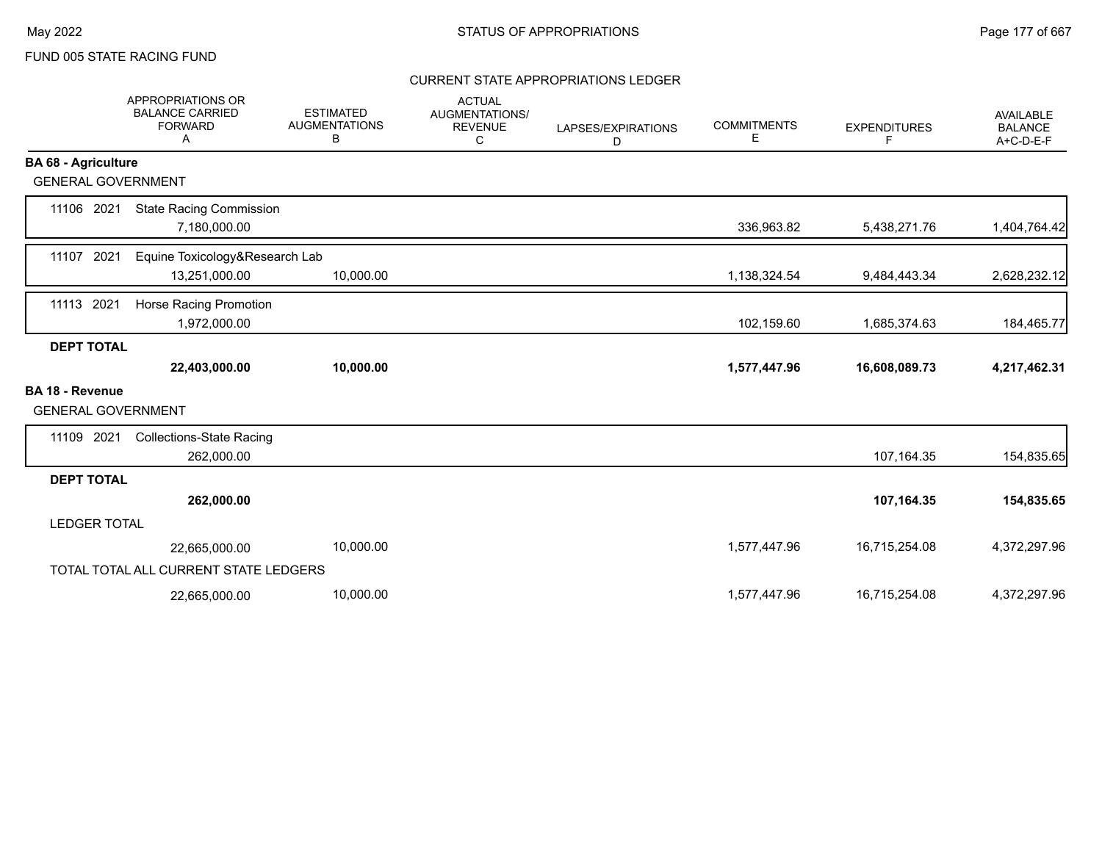### CURRENT STATE APPROPRIATIONS LEDGER

|                                                     | APPROPRIATIONS OR<br><b>BALANCE CARRIED</b><br><b>FORWARD</b><br>Α | <b>ESTIMATED</b><br><b>AUGMENTATIONS</b><br>В | <b>ACTUAL</b><br>AUGMENTATIONS/<br><b>REVENUE</b><br>C | LAPSES/EXPIRATIONS<br>D | <b>COMMITMENTS</b><br>Е | <b>EXPENDITURES</b><br>F. | <b>AVAILABLE</b><br><b>BALANCE</b><br>A+C-D-E-F |
|-----------------------------------------------------|--------------------------------------------------------------------|-----------------------------------------------|--------------------------------------------------------|-------------------------|-------------------------|---------------------------|-------------------------------------------------|
| <b>BA 68 - Agriculture</b>                          |                                                                    |                                               |                                                        |                         |                         |                           |                                                 |
| <b>GENERAL GOVERNMENT</b>                           |                                                                    |                                               |                                                        |                         |                         |                           |                                                 |
| 11106 2021                                          | <b>State Racing Commission</b><br>7,180,000.00                     |                                               |                                                        |                         | 336,963.82              | 5,438,271.76              | 1,404,764.42                                    |
| 11107 2021                                          | Equine Toxicology&Research Lab<br>13,251,000.00                    | 10,000.00                                     |                                                        |                         | 1,138,324.54            | 9,484,443.34              | 2,628,232.12                                    |
| 11113 2021                                          | Horse Racing Promotion<br>1,972,000.00                             |                                               |                                                        |                         | 102,159.60              | 1,685,374.63              | 184,465.77                                      |
| <b>DEPT TOTAL</b>                                   |                                                                    |                                               |                                                        |                         |                         |                           |                                                 |
|                                                     | 22,403,000.00                                                      | 10,000.00                                     |                                                        |                         | 1,577,447.96            | 16,608,089.73             | 4,217,462.31                                    |
| <b>BA 18 - Revenue</b><br><b>GENERAL GOVERNMENT</b> |                                                                    |                                               |                                                        |                         |                         |                           |                                                 |
| 11109 2021                                          | <b>Collections-State Racing</b><br>262,000.00                      |                                               |                                                        |                         |                         | 107,164.35                | 154,835.65                                      |
| <b>DEPT TOTAL</b>                                   |                                                                    |                                               |                                                        |                         |                         |                           |                                                 |
|                                                     | 262,000.00                                                         |                                               |                                                        |                         |                         | 107,164.35                | 154,835.65                                      |
| <b>LEDGER TOTAL</b>                                 |                                                                    |                                               |                                                        |                         |                         |                           |                                                 |
|                                                     | 22,665,000.00                                                      | 10,000.00                                     |                                                        |                         | 1,577,447.96            | 16,715,254.08             | 4,372,297.96                                    |
|                                                     | TOTAL TOTAL ALL CURRENT STATE LEDGERS                              |                                               |                                                        |                         |                         |                           |                                                 |
|                                                     | 22,665,000.00                                                      | 10,000.00                                     |                                                        |                         | 1,577,447.96            | 16,715,254.08             | 4,372,297.96                                    |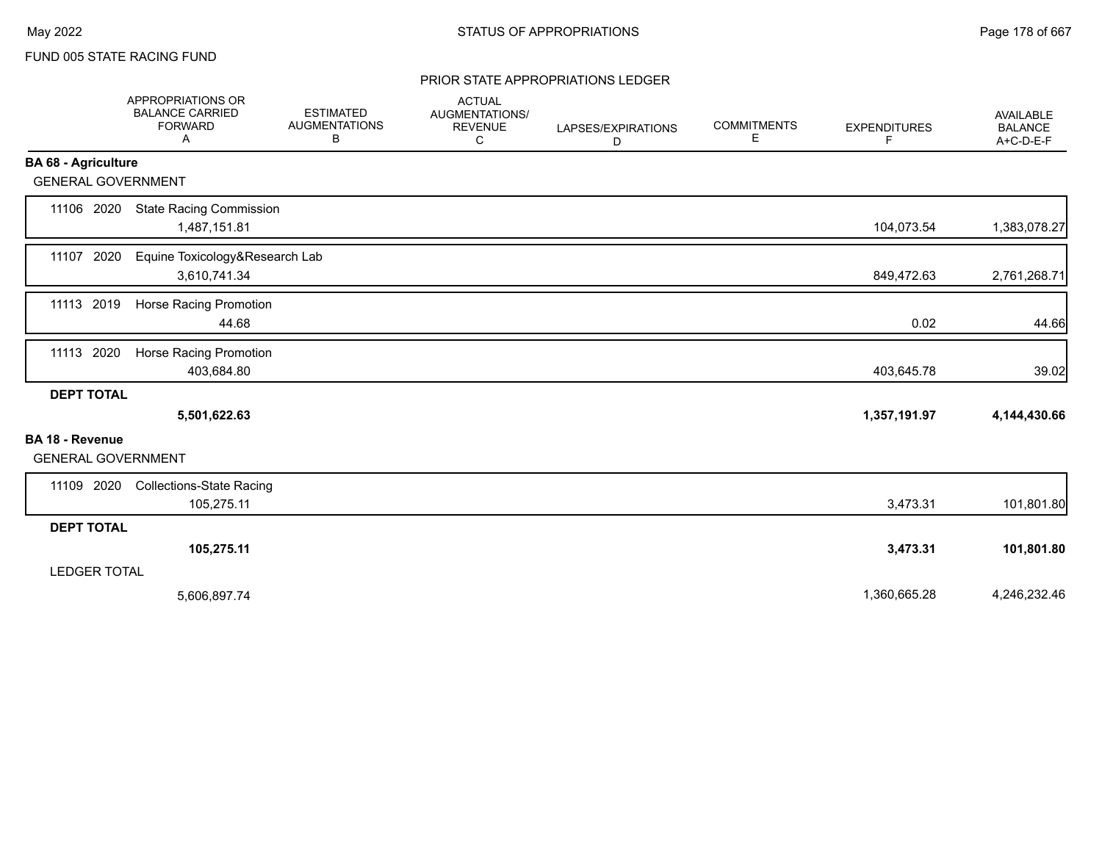#### PRIOR STATE APPROPRIATIONS LEDGER

|                                              | APPROPRIATIONS OR<br><b>BALANCE CARRIED</b><br><b>FORWARD</b><br>Α | <b>ESTIMATED</b><br><b>AUGMENTATIONS</b><br>В | <b>ACTUAL</b><br>AUGMENTATIONS/<br><b>REVENUE</b><br>C | LAPSES/EXPIRATIONS<br>D | <b>COMMITMENTS</b><br>Е | <b>EXPENDITURES</b><br>F. | AVAILABLE<br><b>BALANCE</b><br>A+C-D-E-F |
|----------------------------------------------|--------------------------------------------------------------------|-----------------------------------------------|--------------------------------------------------------|-------------------------|-------------------------|---------------------------|------------------------------------------|
| <b>BA 68 - Agriculture</b>                   |                                                                    |                                               |                                                        |                         |                         |                           |                                          |
| <b>GENERAL GOVERNMENT</b>                    |                                                                    |                                               |                                                        |                         |                         |                           |                                          |
| 11106 2020                                   | <b>State Racing Commission</b><br>1,487,151.81                     |                                               |                                                        |                         |                         | 104,073.54                | 1,383,078.27                             |
| 11107 2020                                   | Equine Toxicology&Research Lab<br>3,610,741.34                     |                                               |                                                        |                         |                         | 849,472.63                | 2,761,268.71                             |
| 11113 2019                                   | Horse Racing Promotion<br>44.68                                    |                                               |                                                        |                         |                         | 0.02                      | 44.66                                    |
| 11113 2020                                   | Horse Racing Promotion<br>403,684.80                               |                                               |                                                        |                         |                         | 403,645.78                | 39.02                                    |
| <b>DEPT TOTAL</b>                            | 5,501,622.63                                                       |                                               |                                                        |                         |                         | 1,357,191.97              | 4,144,430.66                             |
| BA 18 - Revenue<br><b>GENERAL GOVERNMENT</b> |                                                                    |                                               |                                                        |                         |                         |                           |                                          |
| 11109 2020                                   | <b>Collections-State Racing</b><br>105,275.11                      |                                               |                                                        |                         |                         | 3,473.31                  | 101,801.80                               |
| <b>DEPT TOTAL</b>                            |                                                                    |                                               |                                                        |                         |                         |                           |                                          |
|                                              | 105,275.11                                                         |                                               |                                                        |                         |                         | 3,473.31                  | 101,801.80                               |
| <b>LEDGER TOTAL</b>                          |                                                                    |                                               |                                                        |                         |                         |                           |                                          |
|                                              | 5,606,897.74                                                       |                                               |                                                        |                         |                         | 1,360,665.28              | 4,246,232.46                             |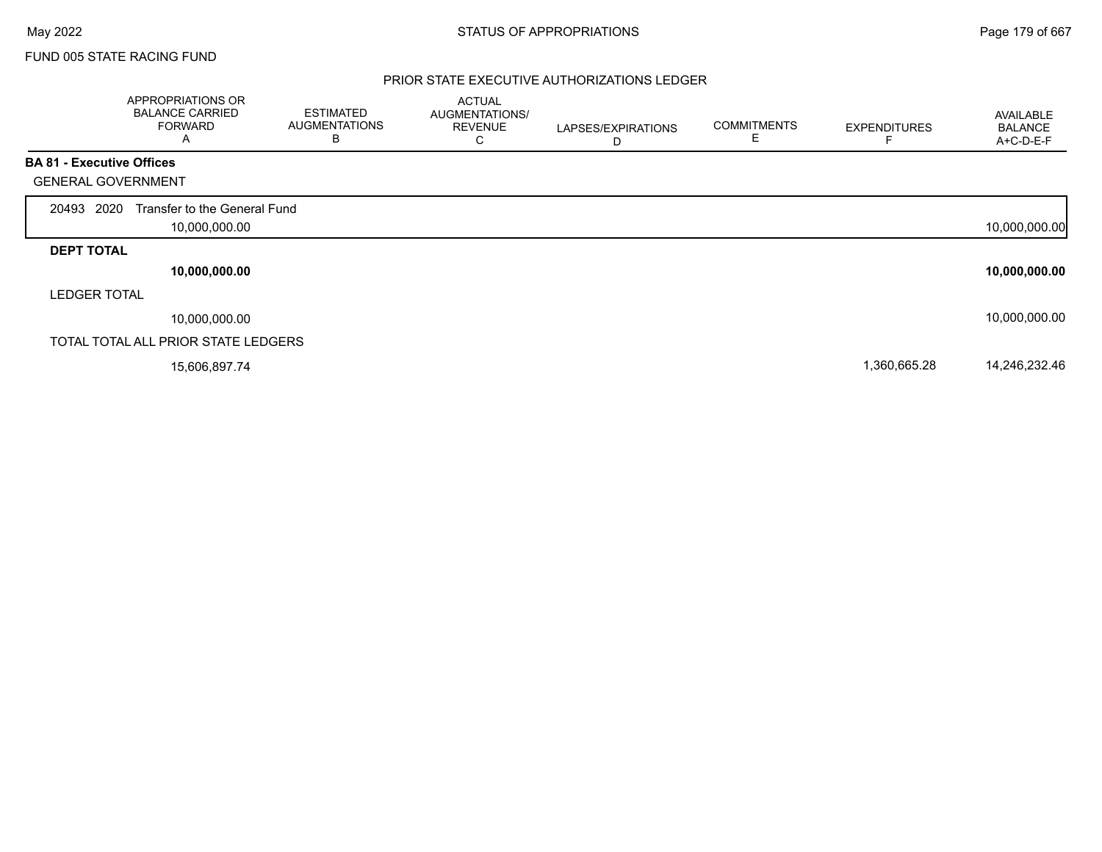#### PRIOR STATE EXECUTIVE AUTHORIZATIONS LEDGER

|                                  | <b>APPROPRIATIONS OR</b><br><b>BALANCE CARRIED</b><br><b>FORWARD</b><br>A | <b>ESTIMATED</b><br><b>AUGMENTATIONS</b><br>B | <b>ACTUAL</b><br>AUGMENTATIONS/<br><b>REVENUE</b><br>С | LAPSES/EXPIRATIONS<br>D | <b>COMMITMENTS</b> | <b>EXPENDITURES</b> | AVAILABLE<br><b>BALANCE</b><br>A+C-D-E-F |
|----------------------------------|---------------------------------------------------------------------------|-----------------------------------------------|--------------------------------------------------------|-------------------------|--------------------|---------------------|------------------------------------------|
| <b>BA 81 - Executive Offices</b> |                                                                           |                                               |                                                        |                         |                    |                     |                                          |
| <b>GENERAL GOVERNMENT</b>        |                                                                           |                                               |                                                        |                         |                    |                     |                                          |
| 2020<br>20493                    | Transfer to the General Fund                                              |                                               |                                                        |                         |                    |                     |                                          |
|                                  | 10,000,000.00                                                             |                                               |                                                        |                         |                    |                     | 10,000,000.00                            |
| <b>DEPT TOTAL</b>                |                                                                           |                                               |                                                        |                         |                    |                     |                                          |
|                                  | 10,000,000.00                                                             |                                               |                                                        |                         |                    |                     | 10,000,000.00                            |
| <b>LEDGER TOTAL</b>              |                                                                           |                                               |                                                        |                         |                    |                     |                                          |
|                                  | 10,000,000.00                                                             |                                               |                                                        |                         |                    |                     | 10,000,000.00                            |
|                                  | TOTAL TOTAL ALL PRIOR STATE LEDGERS                                       |                                               |                                                        |                         |                    |                     |                                          |
|                                  | 15,606,897.74                                                             |                                               |                                                        |                         |                    | 1,360,665.28        | 14,246,232.46                            |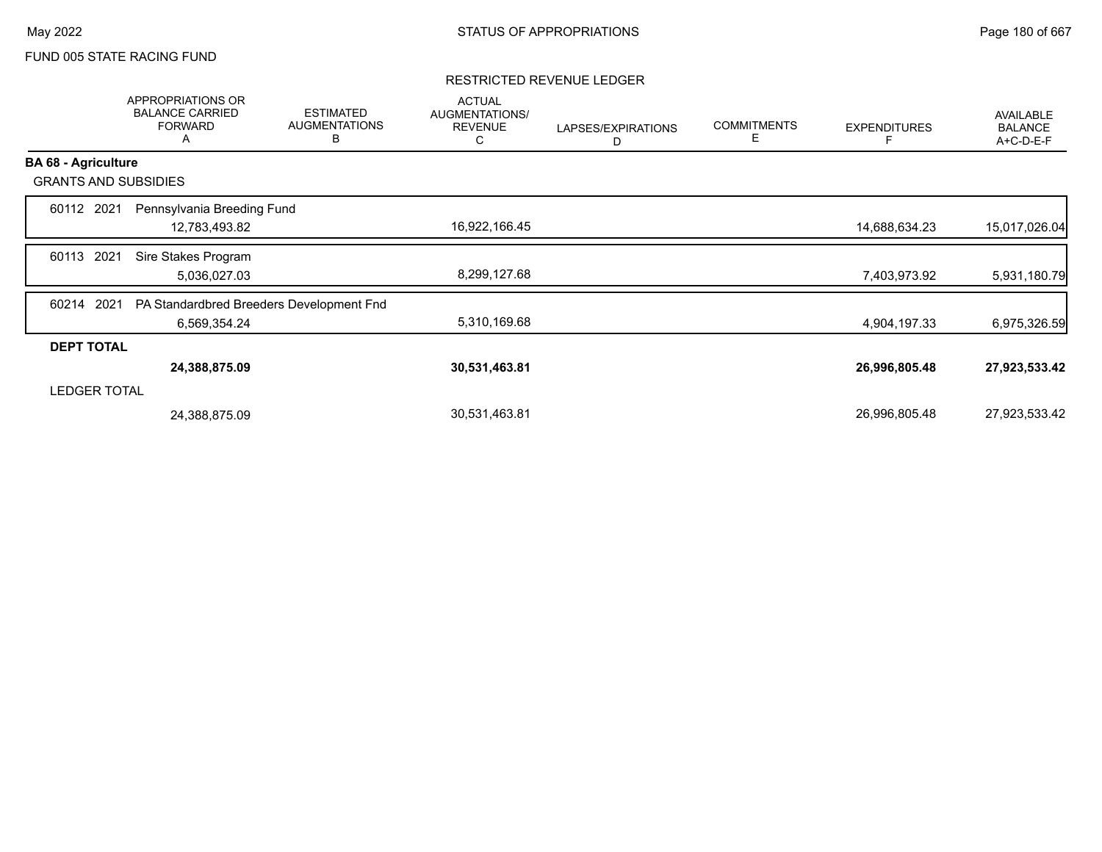#### RESTRICTED REVENUE LEDGER

|                             | APPROPRIATIONS OR<br><b>BALANCE CARRIED</b><br><b>FORWARD</b><br>A | <b>ESTIMATED</b><br><b>AUGMENTATIONS</b><br>B | <b>ACTUAL</b><br>AUGMENTATIONS/<br><b>REVENUE</b><br>C | LAPSES/EXPIRATIONS<br>D | <b>COMMITMENTS</b><br>Е | <b>EXPENDITURES</b> | AVAILABLE<br><b>BALANCE</b><br>A+C-D-E-F |
|-----------------------------|--------------------------------------------------------------------|-----------------------------------------------|--------------------------------------------------------|-------------------------|-------------------------|---------------------|------------------------------------------|
| <b>BA 68 - Agriculture</b>  |                                                                    |                                               |                                                        |                         |                         |                     |                                          |
| <b>GRANTS AND SUBSIDIES</b> |                                                                    |                                               |                                                        |                         |                         |                     |                                          |
| 60112 2021                  | Pennsylvania Breeding Fund                                         |                                               |                                                        |                         |                         |                     |                                          |
|                             | 12,783,493.82                                                      |                                               | 16,922,166.45                                          |                         |                         | 14,688,634.23       | 15,017,026.04                            |
| 2021<br>60113               | Sire Stakes Program                                                |                                               |                                                        |                         |                         |                     |                                          |
|                             | 5,036,027.03                                                       |                                               | 8,299,127.68                                           |                         |                         | 7,403,973.92        | 5,931,180.79                             |
| 2021<br>60214               | PA Standardbred Breeders Development Fnd                           |                                               |                                                        |                         |                         |                     |                                          |
|                             | 6,569,354.24                                                       |                                               | 5,310,169.68                                           |                         |                         | 4,904,197.33        | 6,975,326.59                             |
| <b>DEPT TOTAL</b>           |                                                                    |                                               |                                                        |                         |                         |                     |                                          |
|                             | 24,388,875.09                                                      |                                               | 30,531,463.81                                          |                         |                         | 26,996,805.48       | 27,923,533.42                            |
| <b>LEDGER TOTAL</b>         |                                                                    |                                               |                                                        |                         |                         |                     |                                          |
|                             | 24,388,875.09                                                      |                                               | 30,531,463.81                                          |                         |                         | 26,996,805.48       | 27,923,533.42                            |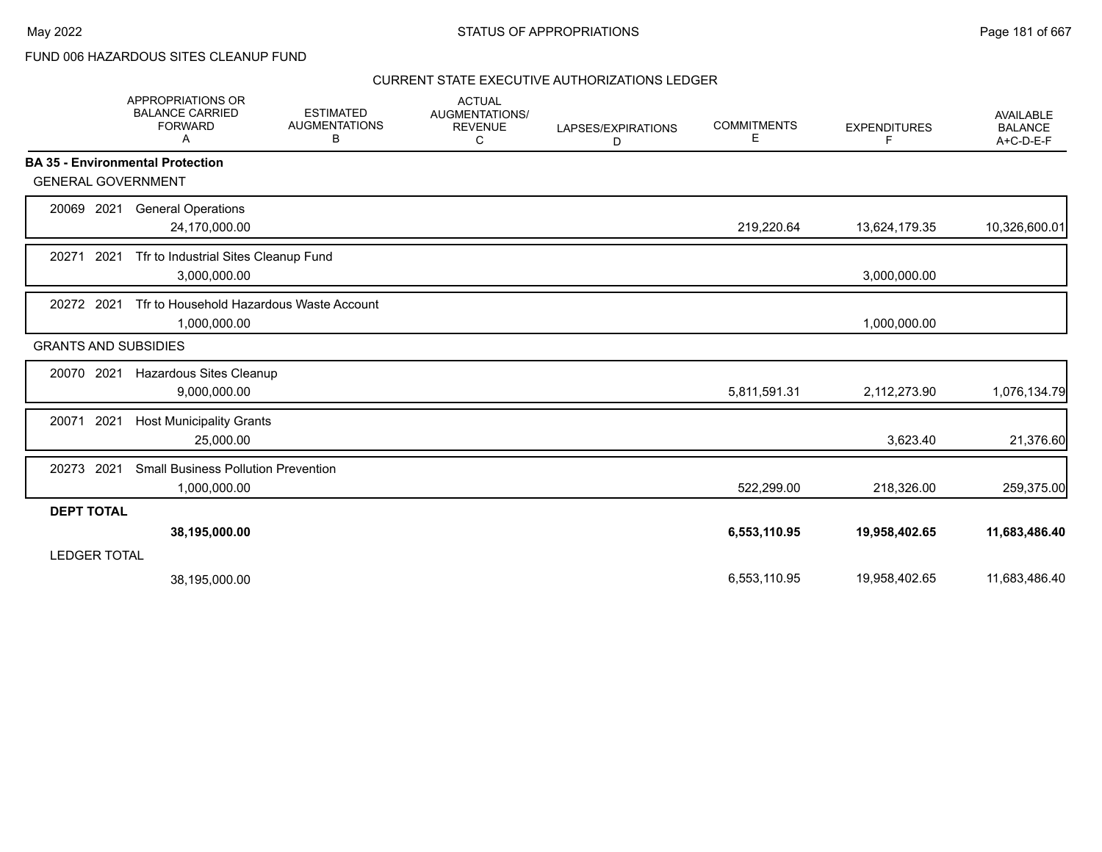FUND 006 HAZARDOUS SITES CLEANUP FUND

|                     | <b>APPROPRIATIONS OR</b><br><b>BALANCE CARRIED</b><br><b>FORWARD</b><br>A | <b>ESTIMATED</b><br><b>AUGMENTATIONS</b><br>В | <b>ACTUAL</b><br>AUGMENTATIONS/<br><b>REVENUE</b><br>С | LAPSES/EXPIRATIONS<br>D | <b>COMMITMENTS</b><br>E. | <b>EXPENDITURES</b><br>F | <b>AVAILABLE</b><br><b>BALANCE</b><br>A+C-D-E-F |
|---------------------|---------------------------------------------------------------------------|-----------------------------------------------|--------------------------------------------------------|-------------------------|--------------------------|--------------------------|-------------------------------------------------|
|                     | <b>BA 35 - Environmental Protection</b>                                   |                                               |                                                        |                         |                          |                          |                                                 |
|                     | <b>GENERAL GOVERNMENT</b>                                                 |                                               |                                                        |                         |                          |                          |                                                 |
| 20069 2021          | <b>General Operations</b><br>24,170,000.00                                |                                               |                                                        |                         | 219,220.64               | 13,624,179.35            | 10,326,600.01                                   |
| 20271               | 2021<br>Tfr to Industrial Sites Cleanup Fund<br>3,000,000.00              |                                               |                                                        |                         |                          | 3,000,000.00             |                                                 |
| 20272 2021          | Tfr to Household Hazardous Waste Account<br>1,000,000.00                  |                                               |                                                        |                         |                          | 1,000,000.00             |                                                 |
|                     | <b>GRANTS AND SUBSIDIES</b>                                               |                                               |                                                        |                         |                          |                          |                                                 |
| 20070               | 2021<br>Hazardous Sites Cleanup<br>9,000,000.00                           |                                               |                                                        |                         | 5,811,591.31             | 2,112,273.90             | 1,076,134.79                                    |
| 20071               | 2021<br><b>Host Municipality Grants</b><br>25,000.00                      |                                               |                                                        |                         |                          | 3,623.40                 | 21,376.60                                       |
| 20273               | 2021<br><b>Small Business Pollution Prevention</b><br>1,000,000.00        |                                               |                                                        |                         | 522,299.00               | 218,326.00               | 259,375.00                                      |
| <b>DEPT TOTAL</b>   |                                                                           |                                               |                                                        |                         |                          |                          |                                                 |
| <b>LEDGER TOTAL</b> | 38,195,000.00                                                             |                                               |                                                        |                         | 6,553,110.95             | 19,958,402.65            | 11,683,486.40                                   |
|                     | 38,195,000.00                                                             |                                               |                                                        |                         | 6,553,110.95             | 19,958,402.65            | 11,683,486.40                                   |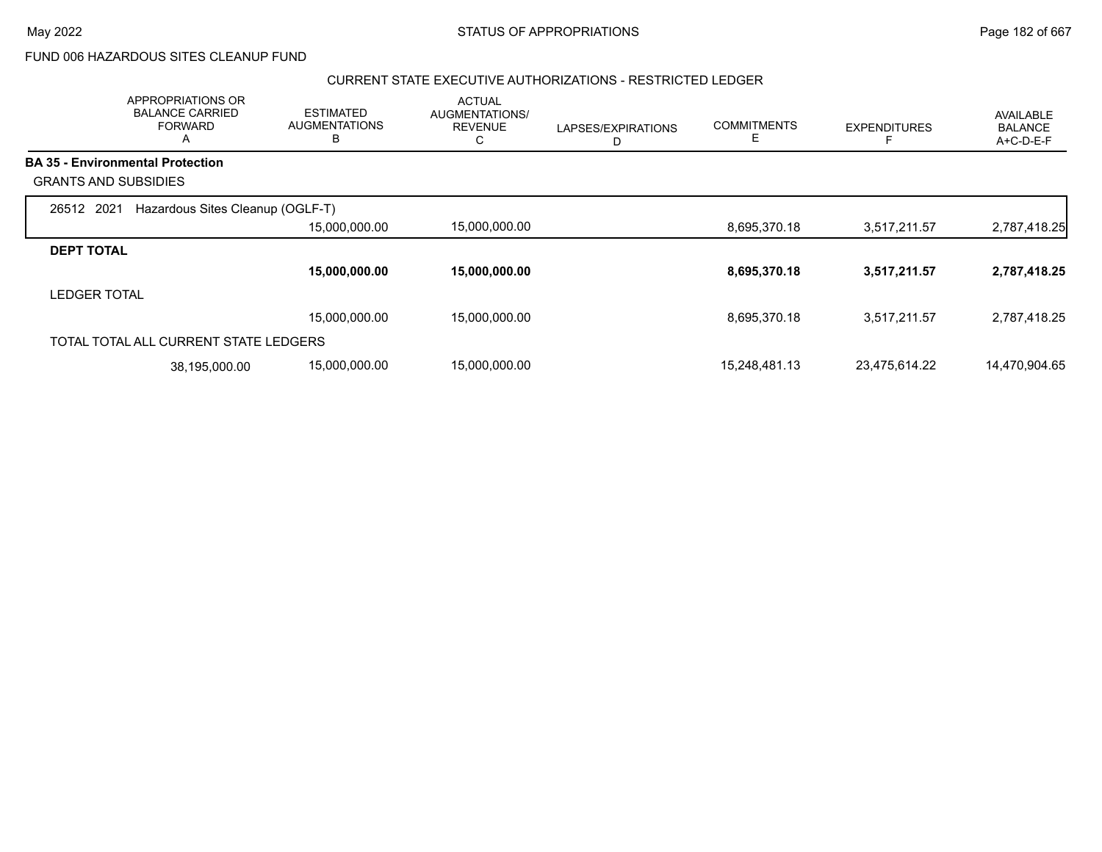$\overline{\phantom{0}}$ 

FUND 006 HAZARDOUS SITES CLEANUP FUND

#### CURRENT STATE EXECUTIVE AUTHORIZATIONS - RESTRICTED LEDGER

|                             | APPROPRIATIONS OR<br><b>BALANCE CARRIED</b><br><b>FORWARD</b><br>A | <b>ESTIMATED</b><br><b>AUGMENTATIONS</b><br>в | <b>ACTUAL</b><br>AUGMENTATIONS/<br><b>REVENUE</b><br>С | LAPSES/EXPIRATIONS<br>D | <b>COMMITMENTS</b><br>E | <b>EXPENDITURES</b> | <b>AVAILABLE</b><br><b>BALANCE</b><br>A+C-D-E-F |
|-----------------------------|--------------------------------------------------------------------|-----------------------------------------------|--------------------------------------------------------|-------------------------|-------------------------|---------------------|-------------------------------------------------|
|                             | <b>BA 35 - Environmental Protection</b>                            |                                               |                                                        |                         |                         |                     |                                                 |
| <b>GRANTS AND SUBSIDIES</b> |                                                                    |                                               |                                                        |                         |                         |                     |                                                 |
| 26512 2021                  | Hazardous Sites Cleanup (OGLF-T)                                   |                                               |                                                        |                         |                         |                     |                                                 |
|                             |                                                                    | 15,000,000.00                                 | 15,000,000.00                                          |                         | 8,695,370.18            | 3,517,211.57        | 2,787,418.25                                    |
| <b>DEPT TOTAL</b>           |                                                                    |                                               |                                                        |                         |                         |                     |                                                 |
|                             |                                                                    | 15,000,000.00                                 | 15,000,000.00                                          |                         | 8,695,370.18            | 3,517,211.57        | 2,787,418.25                                    |
| LEDGER TOTAL                |                                                                    |                                               |                                                        |                         |                         |                     |                                                 |
|                             |                                                                    | 15,000,000.00                                 | 15.000.000.00                                          |                         | 8,695,370.18            | 3,517,211.57        | 2,787,418.25                                    |
|                             | TOTAL TOTAL ALL CURRENT STATE LEDGERS                              |                                               |                                                        |                         |                         |                     |                                                 |
|                             | 38,195,000.00                                                      | 15,000,000.00                                 | 15,000,000.00                                          |                         | 15,248,481.13           | 23,475,614.22       | 14,470,904.65                                   |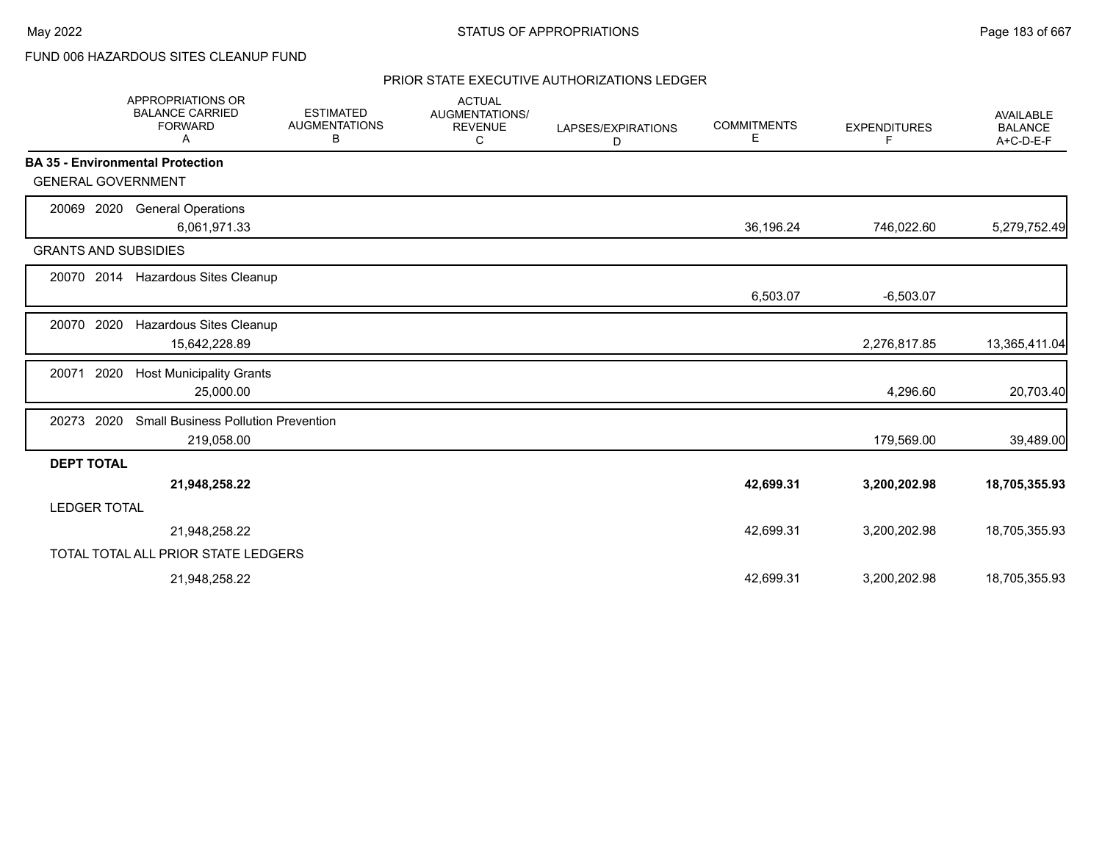# FUND 006 HAZARDOUS SITES CLEANUP FUND

|                     | <b>APPROPRIATIONS OR</b><br><b>BALANCE CARRIED</b><br><b>FORWARD</b><br>A | <b>ESTIMATED</b><br><b>AUGMENTATIONS</b><br>В | <b>ACTUAL</b><br>AUGMENTATIONS/<br><b>REVENUE</b><br>C | LAPSES/EXPIRATIONS<br>D | <b>COMMITMENTS</b><br>Е | <b>EXPENDITURES</b><br>F. | <b>AVAILABLE</b><br><b>BALANCE</b><br>A+C-D-E-F |
|---------------------|---------------------------------------------------------------------------|-----------------------------------------------|--------------------------------------------------------|-------------------------|-------------------------|---------------------------|-------------------------------------------------|
|                     | <b>BA 35 - Environmental Protection</b>                                   |                                               |                                                        |                         |                         |                           |                                                 |
|                     | <b>GENERAL GOVERNMENT</b>                                                 |                                               |                                                        |                         |                         |                           |                                                 |
| 20069               | 2020<br><b>General Operations</b>                                         |                                               |                                                        |                         |                         |                           |                                                 |
|                     | 6,061,971.33                                                              |                                               |                                                        |                         | 36,196.24               | 746,022.60                | 5,279,752.49                                    |
|                     | <b>GRANTS AND SUBSIDIES</b>                                               |                                               |                                                        |                         |                         |                           |                                                 |
| 20070 2014          | Hazardous Sites Cleanup                                                   |                                               |                                                        |                         |                         |                           |                                                 |
|                     |                                                                           |                                               |                                                        |                         | 6,503.07                | $-6,503.07$               |                                                 |
| 20070               | 2020<br>Hazardous Sites Cleanup                                           |                                               |                                                        |                         |                         |                           |                                                 |
|                     | 15,642,228.89                                                             |                                               |                                                        |                         |                         | 2,276,817.85              | 13,365,411.04                                   |
| 20071               | 2020<br><b>Host Municipality Grants</b>                                   |                                               |                                                        |                         |                         |                           |                                                 |
|                     | 25,000.00                                                                 |                                               |                                                        |                         |                         | 4,296.60                  | 20,703.40                                       |
| 20273               | 2020<br><b>Small Business Pollution Prevention</b>                        |                                               |                                                        |                         |                         |                           |                                                 |
|                     | 219,058.00                                                                |                                               |                                                        |                         |                         | 179,569.00                | 39,489.00                                       |
| <b>DEPT TOTAL</b>   |                                                                           |                                               |                                                        |                         |                         |                           |                                                 |
|                     | 21,948,258.22                                                             |                                               |                                                        |                         | 42,699.31               | 3,200,202.98              | 18,705,355.93                                   |
| <b>LEDGER TOTAL</b> |                                                                           |                                               |                                                        |                         |                         |                           |                                                 |
|                     | 21,948,258.22                                                             |                                               |                                                        |                         | 42,699.31               | 3,200,202.98              | 18,705,355.93                                   |
|                     | TOTAL TOTAL ALL PRIOR STATE LEDGERS                                       |                                               |                                                        |                         |                         |                           |                                                 |
|                     | 21,948,258.22                                                             |                                               |                                                        |                         | 42,699.31               | 3,200,202.98              | 18,705,355.93                                   |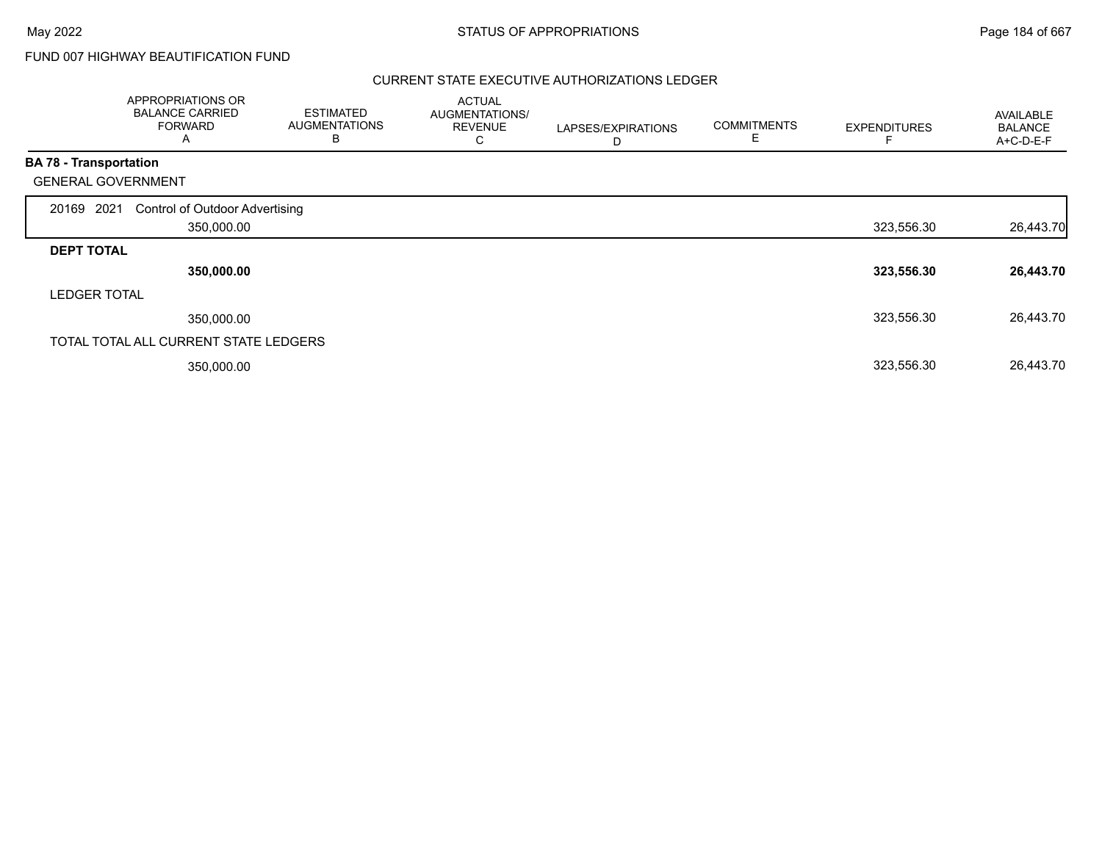## FUND 007 HIGHWAY BEAUTIFICATION FUND

|                               | APPROPRIATIONS OR<br><b>BALANCE CARRIED</b><br><b>FORWARD</b><br>A | <b>ESTIMATED</b><br><b>AUGMENTATIONS</b><br>B | <b>ACTUAL</b><br>AUGMENTATIONS/<br><b>REVENUE</b><br>С | LAPSES/EXPIRATIONS<br>D | <b>COMMITMENTS</b> | <b>EXPENDITURES</b> | AVAILABLE<br><b>BALANCE</b><br>A+C-D-E-F |
|-------------------------------|--------------------------------------------------------------------|-----------------------------------------------|--------------------------------------------------------|-------------------------|--------------------|---------------------|------------------------------------------|
| <b>BA 78 - Transportation</b> |                                                                    |                                               |                                                        |                         |                    |                     |                                          |
|                               | <b>GENERAL GOVERNMENT</b>                                          |                                               |                                                        |                         |                    |                     |                                          |
| 20169 2021                    | <b>Control of Outdoor Advertising</b>                              |                                               |                                                        |                         |                    |                     |                                          |
|                               | 350,000.00                                                         |                                               |                                                        |                         |                    | 323,556.30          | 26,443.70                                |
| <b>DEPT TOTAL</b>             |                                                                    |                                               |                                                        |                         |                    |                     |                                          |
|                               | 350,000.00                                                         |                                               |                                                        |                         |                    | 323,556.30          | 26,443.70                                |
| <b>LEDGER TOTAL</b>           |                                                                    |                                               |                                                        |                         |                    |                     |                                          |
|                               | 350,000.00                                                         |                                               |                                                        |                         |                    | 323,556.30          | 26,443.70                                |
|                               | TOTAL TOTAL ALL CURRENT STATE LEDGERS                              |                                               |                                                        |                         |                    |                     |                                          |
|                               | 350,000.00                                                         |                                               |                                                        |                         |                    | 323,556.30          | 26,443.70                                |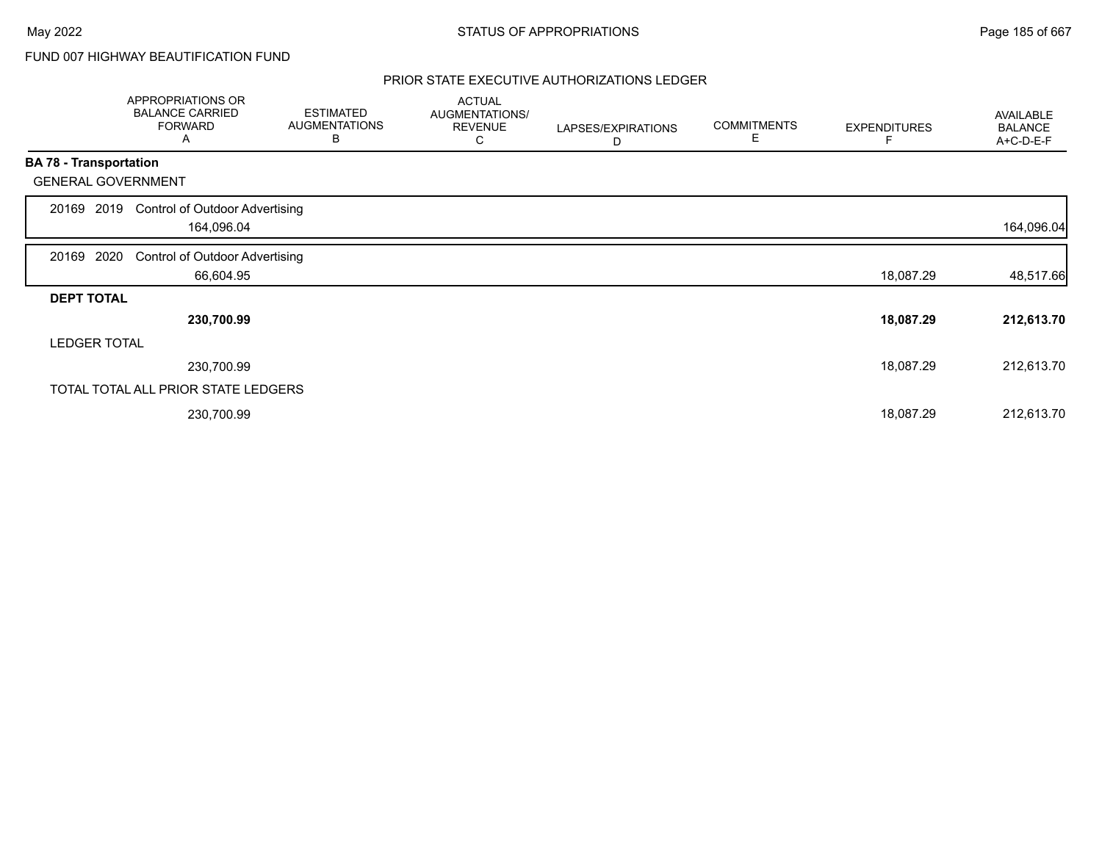# FUND 007 HIGHWAY BEAUTIFICATION FUND

|                               | APPROPRIATIONS OR<br><b>BALANCE CARRIED</b><br><b>FORWARD</b><br>Α | <b>ESTIMATED</b><br><b>AUGMENTATIONS</b><br>B | <b>ACTUAL</b><br>AUGMENTATIONS/<br><b>REVENUE</b><br>С | LAPSES/EXPIRATIONS<br>D | <b>COMMITMENTS</b><br>Е | <b>EXPENDITURES</b> | AVAILABLE<br><b>BALANCE</b><br>A+C-D-E-F |
|-------------------------------|--------------------------------------------------------------------|-----------------------------------------------|--------------------------------------------------------|-------------------------|-------------------------|---------------------|------------------------------------------|
| <b>BA 78 - Transportation</b> |                                                                    |                                               |                                                        |                         |                         |                     |                                          |
|                               | <b>GENERAL GOVERNMENT</b>                                          |                                               |                                                        |                         |                         |                     |                                          |
| 20169                         | <b>Control of Outdoor Advertising</b><br>2019                      |                                               |                                                        |                         |                         |                     |                                          |
|                               | 164,096.04                                                         |                                               |                                                        |                         |                         |                     | 164,096.04                               |
| 20169 2020                    | <b>Control of Outdoor Advertising</b>                              |                                               |                                                        |                         |                         |                     |                                          |
|                               | 66,604.95                                                          |                                               |                                                        |                         |                         | 18,087.29           | 48,517.66                                |
| <b>DEPT TOTAL</b>             |                                                                    |                                               |                                                        |                         |                         |                     |                                          |
|                               | 230,700.99                                                         |                                               |                                                        |                         |                         | 18,087.29           | 212,613.70                               |
| <b>LEDGER TOTAL</b>           |                                                                    |                                               |                                                        |                         |                         |                     |                                          |
|                               | 230,700.99                                                         |                                               |                                                        |                         |                         | 18,087.29           | 212,613.70                               |
|                               | TOTAL TOTAL ALL PRIOR STATE LEDGERS                                |                                               |                                                        |                         |                         |                     |                                          |
|                               | 230,700.99                                                         |                                               |                                                        |                         |                         | 18,087.29           | 212,613.70                               |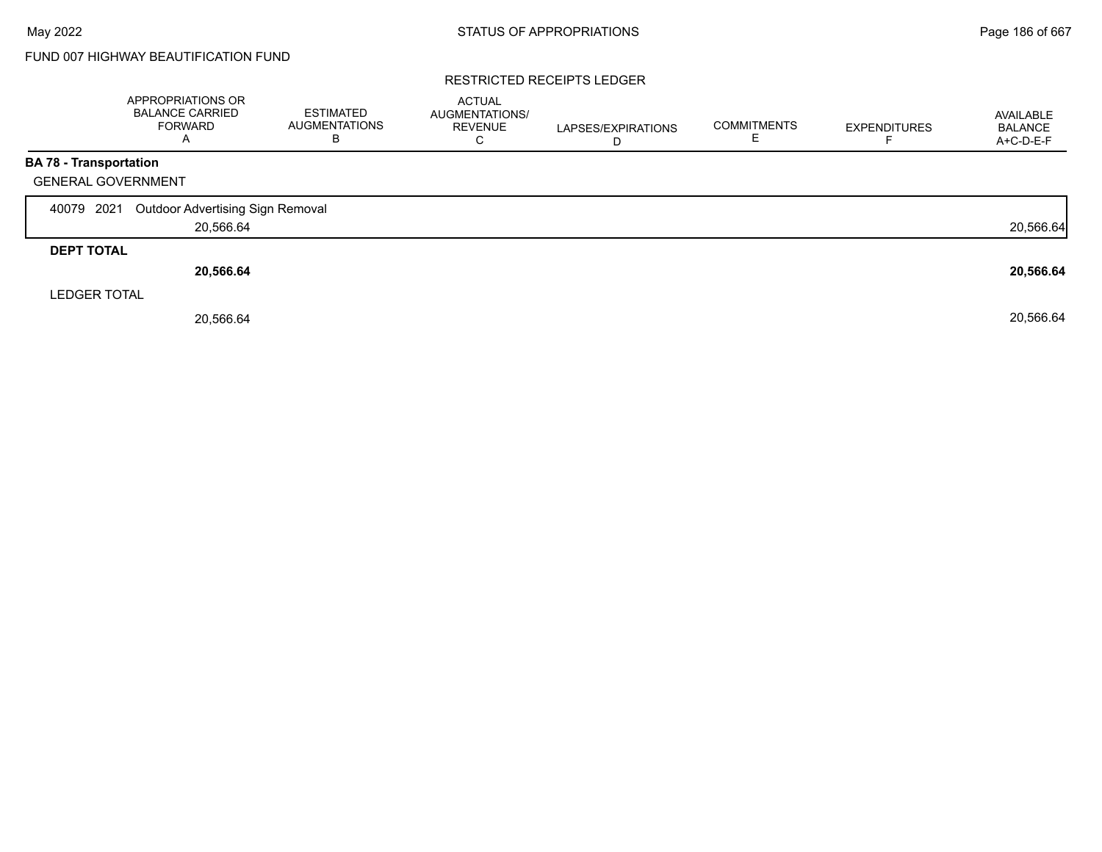# FUND 007 HIGHWAY BEAUTIFICATION FUND

#### RESTRICTED RECEIPTS LEDGER

|                               | APPROPRIATIONS OR<br><b>BALANCE CARRIED</b><br><b>FORWARD</b><br>$\overline{A}$ | <b>ESTIMATED</b><br><b>AUGMENTATIONS</b><br>B | <b>ACTUAL</b><br>AUGMENTATIONS/<br><b>REVENUE</b><br>C | LAPSES/EXPIRATIONS<br>D | <b>COMMITMENTS</b><br>E | <b>EXPENDITURES</b> | AVAILABLE<br><b>BALANCE</b><br>A+C-D-E-F |
|-------------------------------|---------------------------------------------------------------------------------|-----------------------------------------------|--------------------------------------------------------|-------------------------|-------------------------|---------------------|------------------------------------------|
| <b>BA 78 - Transportation</b> |                                                                                 |                                               |                                                        |                         |                         |                     |                                          |
| <b>GENERAL GOVERNMENT</b>     |                                                                                 |                                               |                                                        |                         |                         |                     |                                          |
| 40079 2021                    | Outdoor Advertising Sign Removal                                                |                                               |                                                        |                         |                         |                     |                                          |
|                               | 20,566.64                                                                       |                                               |                                                        |                         |                         |                     | 20,566.64                                |
| <b>DEPT TOTAL</b>             |                                                                                 |                                               |                                                        |                         |                         |                     |                                          |
|                               | 20,566.64                                                                       |                                               |                                                        |                         |                         |                     | 20,566.64                                |
| <b>LEDGER TOTAL</b>           |                                                                                 |                                               |                                                        |                         |                         |                     |                                          |
|                               | 20,566.64                                                                       |                                               |                                                        |                         |                         |                     | 20,566.64                                |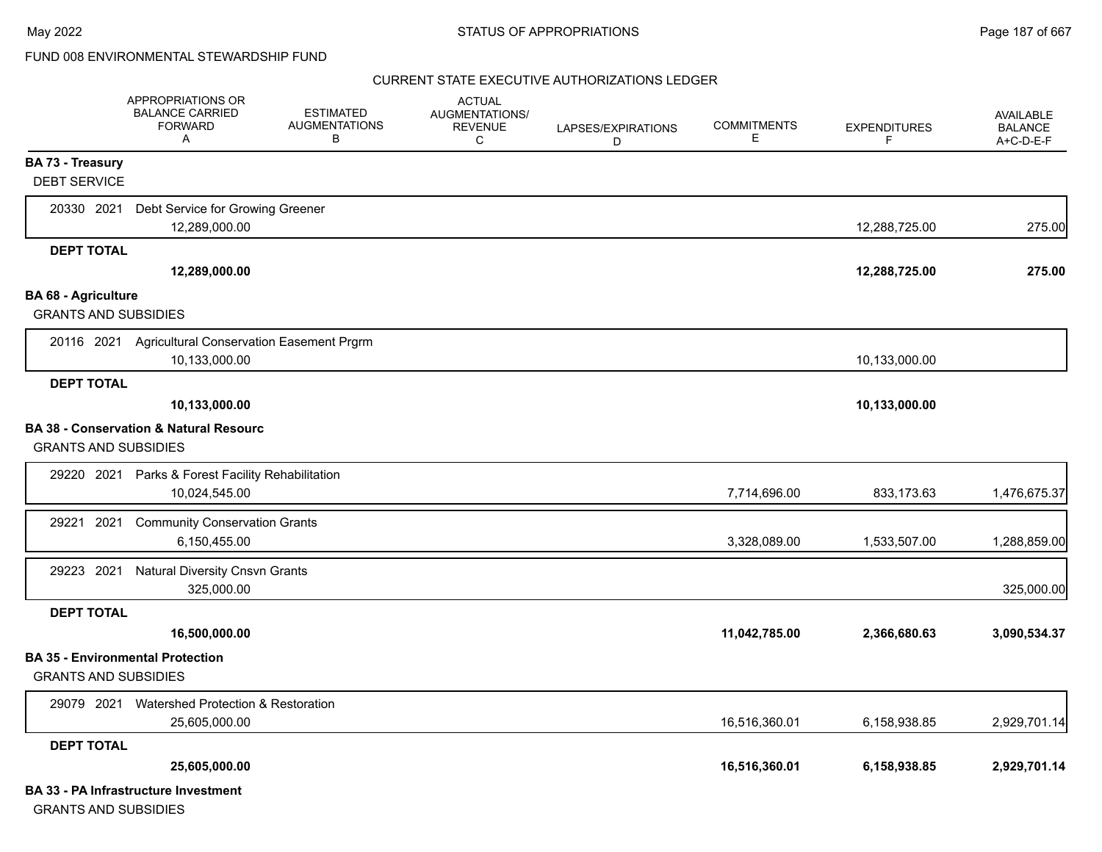|                                                | <b>APPROPRIATIONS OR</b><br><b>BALANCE CARRIED</b><br><b>FORWARD</b><br>Α | <b>ESTIMATED</b><br><b>AUGMENTATIONS</b><br>В | <b>ACTUAL</b><br><b>AUGMENTATIONS/</b><br><b>REVENUE</b><br>С | LAPSES/EXPIRATIONS<br>D | <b>COMMITMENTS</b><br>Е | <b>EXPENDITURES</b><br>F. | <b>AVAILABLE</b><br><b>BALANCE</b><br>A+C-D-E-F |
|------------------------------------------------|---------------------------------------------------------------------------|-----------------------------------------------|---------------------------------------------------------------|-------------------------|-------------------------|---------------------------|-------------------------------------------------|
| <b>BA 73 - Treasury</b><br><b>DEBT SERVICE</b> |                                                                           |                                               |                                                               |                         |                         |                           |                                                 |
| 20330 2021                                     | Debt Service for Growing Greener<br>12,289,000.00                         |                                               |                                                               |                         |                         | 12,288,725.00             | 275.00                                          |
| <b>DEPT TOTAL</b>                              | 12,289,000.00                                                             |                                               |                                                               |                         |                         | 12,288,725.00             | 275.00                                          |
| <b>BA 68 - Agriculture</b>                     |                                                                           |                                               |                                                               |                         |                         |                           |                                                 |
| <b>GRANTS AND SUBSIDIES</b>                    |                                                                           |                                               |                                                               |                         |                         |                           |                                                 |
|                                                | 20116 2021 Agricultural Conservation Easement Prgrm<br>10,133,000.00      |                                               |                                                               |                         |                         | 10,133,000.00             |                                                 |
| <b>DEPT TOTAL</b>                              |                                                                           |                                               |                                                               |                         |                         |                           |                                                 |
|                                                | 10,133,000.00                                                             |                                               |                                                               |                         |                         | 10,133,000.00             |                                                 |
| <b>GRANTS AND SUBSIDIES</b>                    | <b>BA 38 - Conservation &amp; Natural Resourc</b>                         |                                               |                                                               |                         |                         |                           |                                                 |
| 29220 2021                                     | Parks & Forest Facility Rehabilitation<br>10,024,545.00                   |                                               |                                                               |                         | 7,714,696.00            | 833,173.63                | 1,476,675.37                                    |
| 29221 2021                                     | <b>Community Conservation Grants</b><br>6,150,455.00                      |                                               |                                                               |                         | 3,328,089.00            | 1,533,507.00              | 1,288,859.00                                    |
| 29223 2021                                     | <b>Natural Diversity Cnsvn Grants</b><br>325,000.00                       |                                               |                                                               |                         |                         |                           | 325,000.00                                      |
| <b>DEPT TOTAL</b>                              |                                                                           |                                               |                                                               |                         |                         |                           |                                                 |
|                                                | 16,500,000.00                                                             |                                               |                                                               |                         | 11,042,785.00           | 2,366,680.63              | 3,090,534.37                                    |
| <b>GRANTS AND SUBSIDIES</b>                    | <b>BA 35 - Environmental Protection</b>                                   |                                               |                                                               |                         |                         |                           |                                                 |
| 29079 2021                                     | Watershed Protection & Restoration                                        |                                               |                                                               |                         |                         |                           |                                                 |
|                                                | 25,605,000.00                                                             |                                               |                                                               |                         | 16,516,360.01           | 6,158,938.85              | 2,929,701.14                                    |
| <b>DEPT TOTAL</b>                              |                                                                           |                                               |                                                               |                         |                         |                           |                                                 |
|                                                | 25,605,000.00                                                             |                                               |                                                               |                         | 16,516,360.01           | 6,158,938.85              | 2,929,701.14                                    |
|                                                | <b>BA 33 - PA Infrastructure Investment</b>                               |                                               |                                                               |                         |                         |                           |                                                 |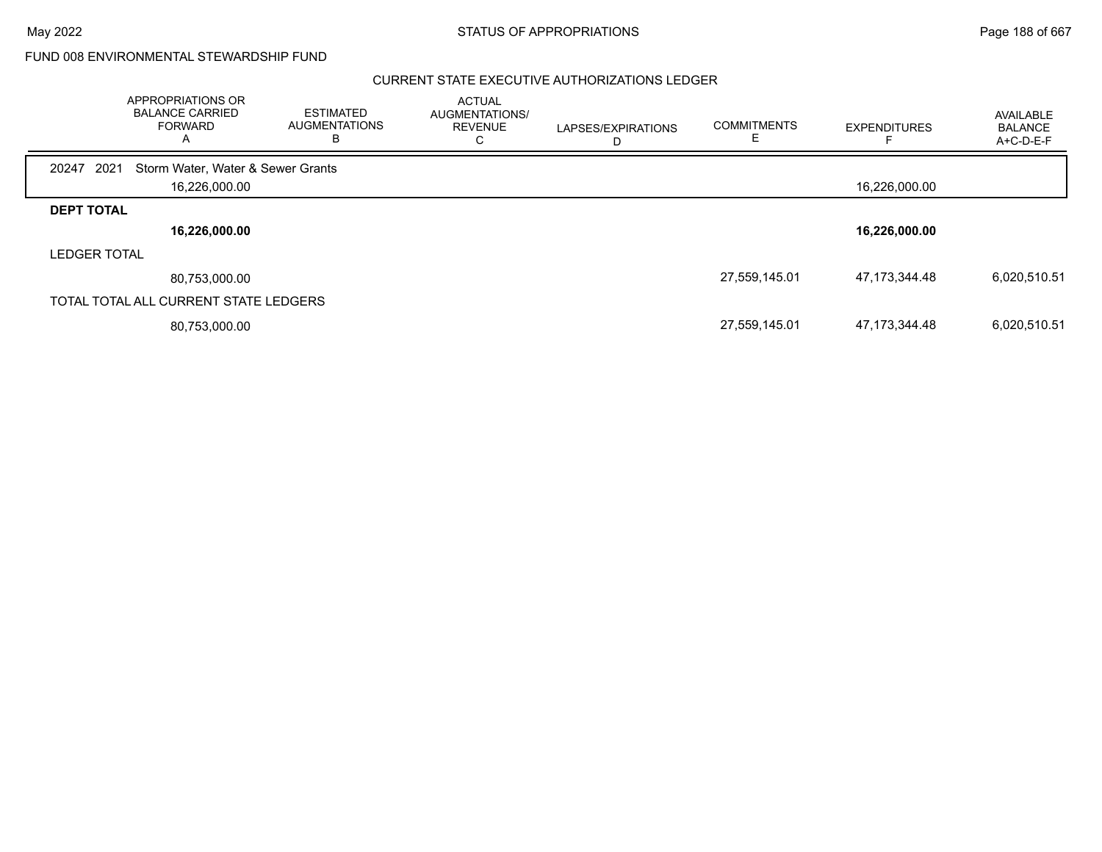|                     | APPROPRIATIONS OR<br><b>BALANCE CARRIED</b><br><b>FORWARD</b><br>A | ESTIMATED<br><b>AUGMENTATIONS</b><br>в | <b>ACTUAL</b><br>AUGMENTATIONS/<br><b>REVENUE</b><br>U | LAPSES/EXPIRATIONS | <b>COMMITMENTS</b> | <b>EXPENDITURES</b> | AVAILABLE<br><b>BALANCE</b><br>A+C-D-E-F |
|---------------------|--------------------------------------------------------------------|----------------------------------------|--------------------------------------------------------|--------------------|--------------------|---------------------|------------------------------------------|
| 2021<br>20247       | Storm Water, Water & Sewer Grants                                  |                                        |                                                        |                    |                    |                     |                                          |
|                     | 16,226,000.00                                                      |                                        |                                                        |                    |                    | 16,226,000.00       |                                          |
| <b>DEPT TOTAL</b>   |                                                                    |                                        |                                                        |                    |                    |                     |                                          |
|                     | 16,226,000.00                                                      |                                        |                                                        |                    |                    | 16,226,000.00       |                                          |
| <b>LEDGER TOTAL</b> |                                                                    |                                        |                                                        |                    |                    |                     |                                          |
|                     | 80,753,000.00                                                      |                                        |                                                        |                    | 27,559,145.01      | 47,173,344.48       | 6,020,510.51                             |
|                     | TOTAL TOTAL ALL CURRENT STATE LEDGERS                              |                                        |                                                        |                    |                    |                     |                                          |
|                     | 80,753,000.00                                                      |                                        |                                                        |                    | 27,559,145.01      | 47,173,344.48       | 6,020,510.51                             |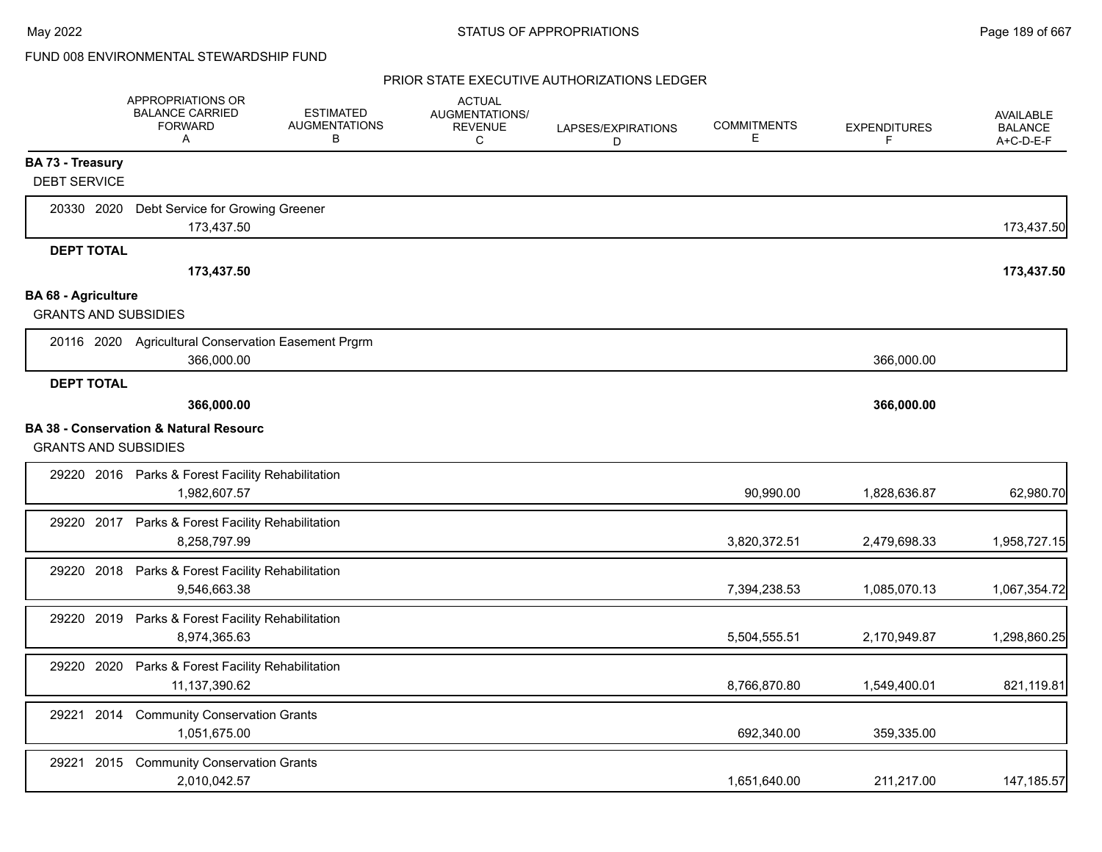|                             | <b>APPROPRIATIONS OR</b><br><b>BALANCE CARRIED</b><br><b>FORWARD</b><br>Α | <b>ESTIMATED</b><br><b>AUGMENTATIONS</b><br>В | <b>ACTUAL</b><br><b>AUGMENTATIONS/</b><br><b>REVENUE</b><br>C | LAPSES/EXPIRATIONS<br>D | <b>COMMITMENTS</b><br>Е | <b>EXPENDITURES</b><br>F | <b>AVAILABLE</b><br><b>BALANCE</b><br>$A+C-D-E-F$ |
|-----------------------------|---------------------------------------------------------------------------|-----------------------------------------------|---------------------------------------------------------------|-------------------------|-------------------------|--------------------------|---------------------------------------------------|
| <b>BA 73 - Treasury</b>     |                                                                           |                                               |                                                               |                         |                         |                          |                                                   |
| <b>DEBT SERVICE</b>         |                                                                           |                                               |                                                               |                         |                         |                          |                                                   |
| 20330 2020                  | Debt Service for Growing Greener<br>173,437.50                            |                                               |                                                               |                         |                         |                          | 173,437.50                                        |
| <b>DEPT TOTAL</b>           |                                                                           |                                               |                                                               |                         |                         |                          |                                                   |
|                             | 173,437.50                                                                |                                               |                                                               |                         |                         |                          | 173,437.50                                        |
| <b>BA 68 - Agriculture</b>  |                                                                           |                                               |                                                               |                         |                         |                          |                                                   |
| <b>GRANTS AND SUBSIDIES</b> |                                                                           |                                               |                                                               |                         |                         |                          |                                                   |
|                             | 20116 2020 Agricultural Conservation Easement Prgrm<br>366,000.00         |                                               |                                                               |                         |                         | 366,000.00               |                                                   |
| <b>DEPT TOTAL</b>           |                                                                           |                                               |                                                               |                         |                         |                          |                                                   |
|                             | 366,000.00                                                                |                                               |                                                               |                         |                         | 366,000.00               |                                                   |
|                             | <b>BA 38 - Conservation &amp; Natural Resourc</b>                         |                                               |                                                               |                         |                         |                          |                                                   |
| <b>GRANTS AND SUBSIDIES</b> |                                                                           |                                               |                                                               |                         |                         |                          |                                                   |
|                             | 29220 2016 Parks & Forest Facility Rehabilitation<br>1,982,607.57         |                                               |                                                               |                         | 90,990.00               | 1,828,636.87             | 62,980.70                                         |
|                             | 29220 2017 Parks & Forest Facility Rehabilitation<br>8,258,797.99         |                                               |                                                               |                         | 3,820,372.51            | 2,479,698.33             | 1,958,727.15                                      |
|                             |                                                                           |                                               |                                                               |                         |                         |                          |                                                   |
| 29220 2018                  | Parks & Forest Facility Rehabilitation<br>9,546,663.38                    |                                               |                                                               |                         | 7,394,238.53            | 1,085,070.13             | 1,067,354.72                                      |
| 29220 2019                  | Parks & Forest Facility Rehabilitation<br>8,974,365.63                    |                                               |                                                               |                         | 5,504,555.51            | 2,170,949.87             | 1,298,860.25                                      |
| 29220 2020                  | Parks & Forest Facility Rehabilitation<br>11,137,390.62                   |                                               |                                                               |                         | 8,766,870.80            | 1,549,400.01             | 821,119.81                                        |
| 29221 2014                  | <b>Community Conservation Grants</b><br>1,051,675.00                      |                                               |                                                               |                         | 692,340.00              | 359,335.00               |                                                   |
| 29221 2015                  | <b>Community Conservation Grants</b><br>2,010,042.57                      |                                               |                                                               |                         | 1,651,640.00            | 211,217.00               | 147, 185.57                                       |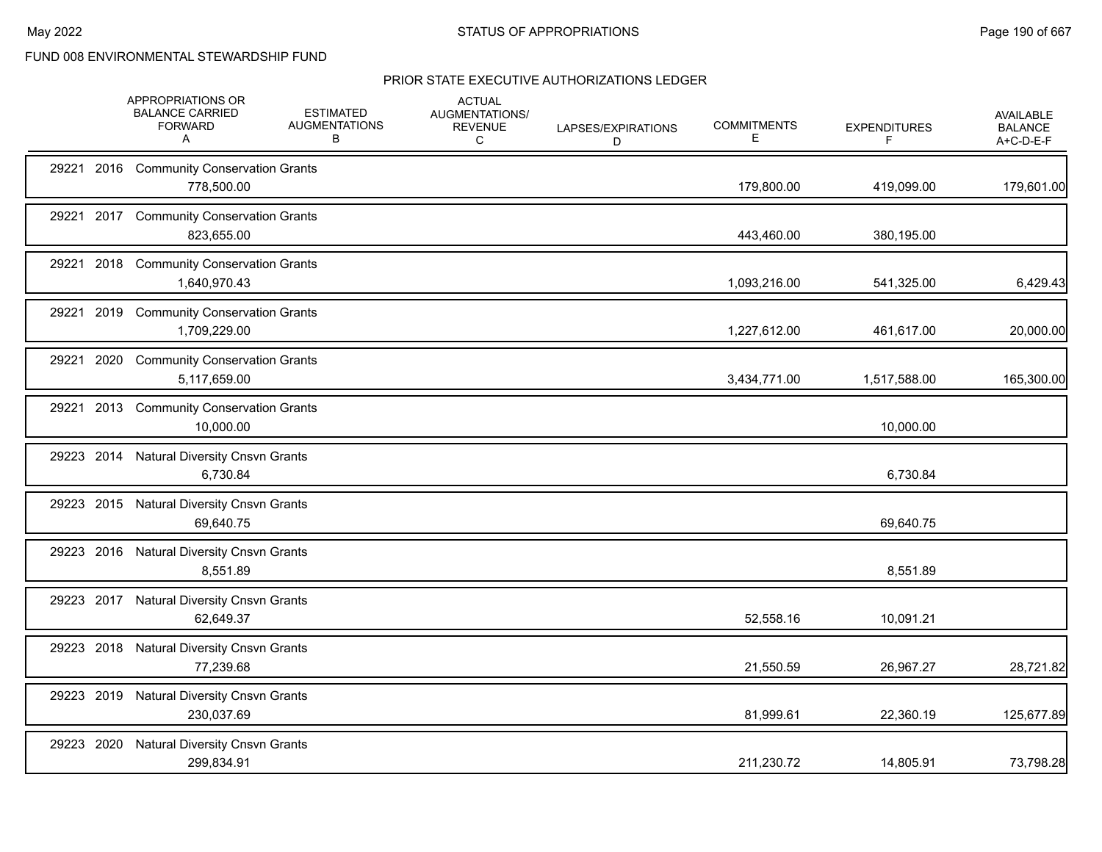|            |      | APPROPRIATIONS OR<br><b>BALANCE CARRIED</b><br><b>FORWARD</b><br>A | <b>ESTIMATED</b><br><b>AUGMENTATIONS</b><br>В | <b>ACTUAL</b><br>AUGMENTATIONS/<br><b>REVENUE</b><br>С | LAPSES/EXPIRATIONS<br>D | <b>COMMITMENTS</b><br>Е | <b>EXPENDITURES</b><br>F | AVAILABLE<br><b>BALANCE</b><br>A+C-D-E-F |
|------------|------|--------------------------------------------------------------------|-----------------------------------------------|--------------------------------------------------------|-------------------------|-------------------------|--------------------------|------------------------------------------|
|            |      | 29221 2016 Community Conservation Grants<br>778,500.00             |                                               |                                                        |                         | 179,800.00              | 419,099.00               | 179,601.00                               |
|            |      | 29221 2017 Community Conservation Grants<br>823,655.00             |                                               |                                                        |                         | 443,460.00              | 380,195.00               |                                          |
| 29221      | 2018 | <b>Community Conservation Grants</b><br>1,640,970.43               |                                               |                                                        |                         | 1,093,216.00            | 541,325.00               | 6,429.43                                 |
| 29221 2019 |      | <b>Community Conservation Grants</b><br>1,709,229.00               |                                               |                                                        |                         | 1,227,612.00            | 461,617.00               | 20,000.00                                |
| 29221 2020 |      | <b>Community Conservation Grants</b><br>5,117,659.00               |                                               |                                                        |                         | 3,434,771.00            | 1,517,588.00             | 165,300.00                               |
|            |      | 29221 2013 Community Conservation Grants<br>10,000.00              |                                               |                                                        |                         |                         | 10,000.00                |                                          |
|            |      | 29223 2014 Natural Diversity Cnsvn Grants<br>6,730.84              |                                               |                                                        |                         |                         | 6,730.84                 |                                          |
|            |      | 29223 2015 Natural Diversity Cnsvn Grants<br>69,640.75             |                                               |                                                        |                         |                         | 69,640.75                |                                          |
|            |      | 29223 2016 Natural Diversity Cnsvn Grants<br>8,551.89              |                                               |                                                        |                         |                         | 8,551.89                 |                                          |
|            |      | 29223 2017 Natural Diversity Cnsvn Grants<br>62,649.37             |                                               |                                                        |                         | 52,558.16               | 10,091.21                |                                          |
|            |      | 29223 2018 Natural Diversity Cnsvn Grants<br>77,239.68             |                                               |                                                        |                         | 21,550.59               | 26,967.27                | 28,721.82                                |
|            |      | 29223 2019 Natural Diversity Cnsvn Grants<br>230,037.69            |                                               |                                                        |                         | 81,999.61               | 22,360.19                | 125,677.89                               |
| 29223 2020 |      | <b>Natural Diversity Cnsvn Grants</b><br>299,834.91                |                                               |                                                        |                         | 211,230.72              | 14,805.91                | 73,798.28                                |
|            |      |                                                                    |                                               |                                                        |                         |                         |                          |                                          |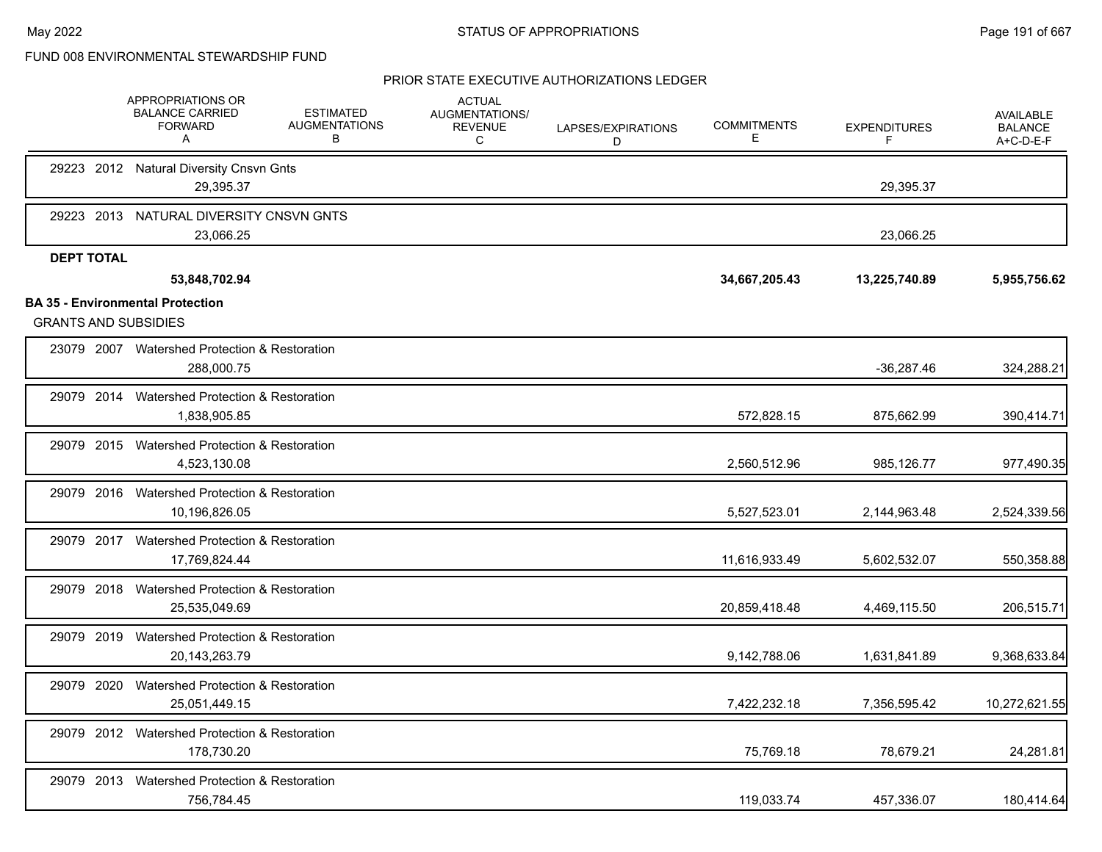|                                                                        | <b>APPROPRIATIONS OR</b><br><b>BALANCE CARRIED</b><br><b>FORWARD</b><br>Α | <b>ESTIMATED</b><br><b>AUGMENTATIONS</b><br>B | <b>ACTUAL</b><br>AUGMENTATIONS/<br><b>REVENUE</b><br>C | LAPSES/EXPIRATIONS<br>D | <b>COMMITMENTS</b><br>Е | <b>EXPENDITURES</b><br>F | <b>AVAILABLE</b><br><b>BALANCE</b><br>A+C-D-E-F |
|------------------------------------------------------------------------|---------------------------------------------------------------------------|-----------------------------------------------|--------------------------------------------------------|-------------------------|-------------------------|--------------------------|-------------------------------------------------|
|                                                                        | 29223 2012 Natural Diversity Cnsvn Gnts<br>29,395.37                      |                                               |                                                        |                         |                         | 29,395.37                |                                                 |
| 29223 2013                                                             | NATURAL DIVERSITY CNSVN GNTS<br>23,066.25                                 |                                               |                                                        |                         |                         | 23,066.25                |                                                 |
| <b>DEPT TOTAL</b>                                                      | 53,848,702.94                                                             |                                               |                                                        |                         | 34,667,205.43           | 13,225,740.89            | 5,955,756.62                                    |
| <b>BA 35 - Environmental Protection</b><br><b>GRANTS AND SUBSIDIES</b> |                                                                           |                                               |                                                        |                         |                         |                          |                                                 |
|                                                                        | 23079 2007 Watershed Protection & Restoration<br>288,000.75               |                                               |                                                        |                         |                         | $-36,287.46$             | 324,288.21                                      |
|                                                                        | 29079 2014 Watershed Protection & Restoration<br>1,838,905.85             |                                               |                                                        |                         | 572,828.15              | 875,662.99               | 390,414.71                                      |
|                                                                        | 29079 2015 Watershed Protection & Restoration<br>4,523,130.08             |                                               |                                                        |                         | 2,560,512.96            | 985,126.77               | 977,490.35                                      |
| 29079 2016                                                             | Watershed Protection & Restoration<br>10,196,826.05                       |                                               |                                                        |                         | 5,527,523.01            | 2,144,963.48             | 2,524,339.56                                    |
|                                                                        | 29079 2017 Watershed Protection & Restoration<br>17,769,824.44            |                                               |                                                        |                         | 11,616,933.49           | 5,602,532.07             | 550,358.88                                      |
| 29079 2018                                                             | Watershed Protection & Restoration<br>25,535,049.69                       |                                               |                                                        |                         | 20,859,418.48           | 4,469,115.50             | 206,515.71                                      |
|                                                                        | 29079 2019 Watershed Protection & Restoration<br>20,143,263.79            |                                               |                                                        |                         | 9,142,788.06            | 1,631,841.89             | 9,368,633.84                                    |
| 29079 2020                                                             | Watershed Protection & Restoration<br>25,051,449.15                       |                                               |                                                        |                         | 7,422,232.18            | 7,356,595.42             | 10,272,621.55                                   |
|                                                                        | 29079 2012 Watershed Protection & Restoration<br>178.730.20               |                                               |                                                        |                         | 75,769.18               | 78,679.21                | 24,281.81                                       |
| 29079 2013                                                             | Watershed Protection & Restoration<br>756,784.45                          |                                               |                                                        |                         | 119,033.74              | 457.336.07               | 180,414.64                                      |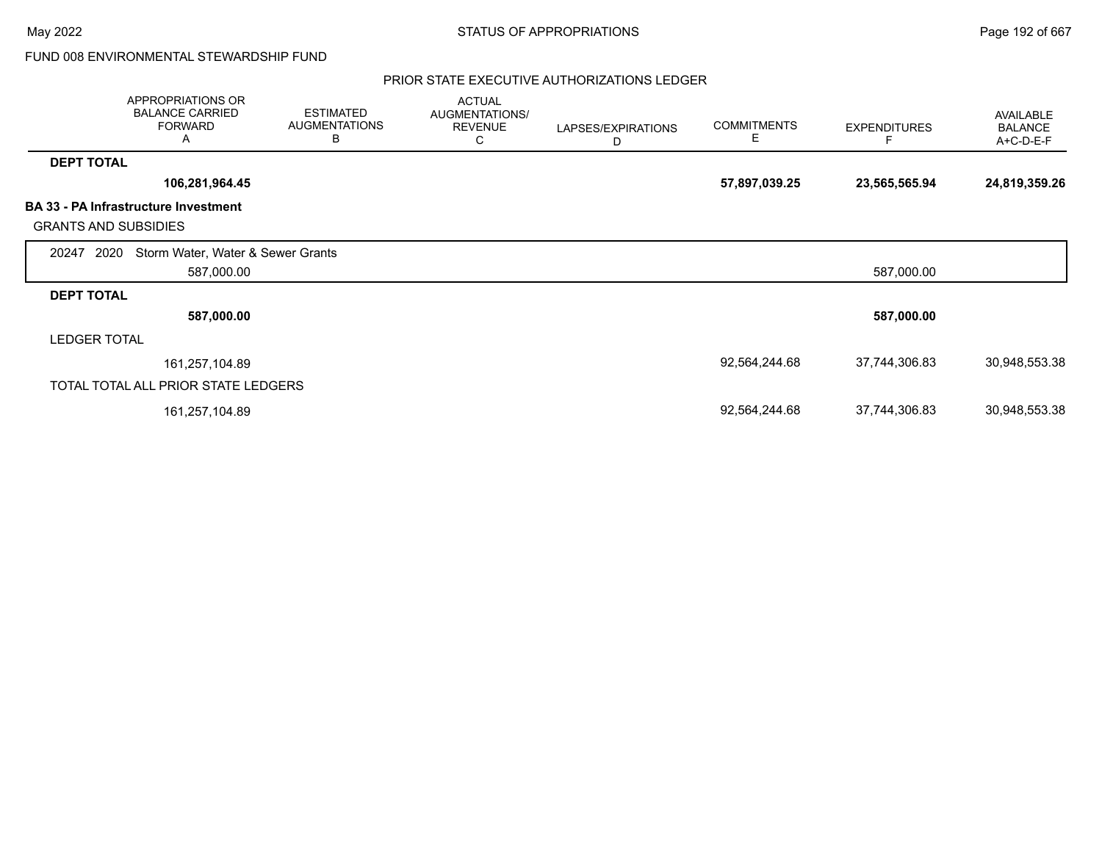|                             | APPROPRIATIONS OR<br><b>BALANCE CARRIED</b><br><b>FORWARD</b><br>A | <b>ESTIMATED</b><br><b>AUGMENTATIONS</b><br>B | <b>ACTUAL</b><br>AUGMENTATIONS/<br><b>REVENUE</b><br>C | LAPSES/EXPIRATIONS<br>D | <b>COMMITMENTS</b><br>Е | <b>EXPENDITURES</b> | AVAILABLE<br><b>BALANCE</b><br>A+C-D-E-F |
|-----------------------------|--------------------------------------------------------------------|-----------------------------------------------|--------------------------------------------------------|-------------------------|-------------------------|---------------------|------------------------------------------|
| <b>DEPT TOTAL</b>           |                                                                    |                                               |                                                        |                         |                         |                     |                                          |
|                             | 106,281,964.45                                                     |                                               |                                                        |                         | 57,897,039.25           | 23,565,565.94       | 24,819,359.26                            |
| <b>GRANTS AND SUBSIDIES</b> | <b>BA 33 - PA Infrastructure Investment</b>                        |                                               |                                                        |                         |                         |                     |                                          |
| 2020<br>20247               | Storm Water, Water & Sewer Grants                                  |                                               |                                                        |                         |                         |                     |                                          |
|                             | 587,000.00                                                         |                                               |                                                        |                         |                         | 587,000.00          |                                          |
| <b>DEPT TOTAL</b>           |                                                                    |                                               |                                                        |                         |                         |                     |                                          |
|                             | 587,000.00                                                         |                                               |                                                        |                         |                         | 587,000.00          |                                          |
| <b>LEDGER TOTAL</b>         |                                                                    |                                               |                                                        |                         |                         |                     |                                          |
|                             | 161,257,104.89                                                     |                                               |                                                        |                         | 92,564,244.68           | 37,744,306.83       | 30,948,553.38                            |
|                             | TOTAL TOTAL ALL PRIOR STATE LEDGERS                                |                                               |                                                        |                         |                         |                     |                                          |
|                             | 161,257,104.89                                                     |                                               |                                                        |                         | 92,564,244.68           | 37,744,306.83       | 30,948,553.38                            |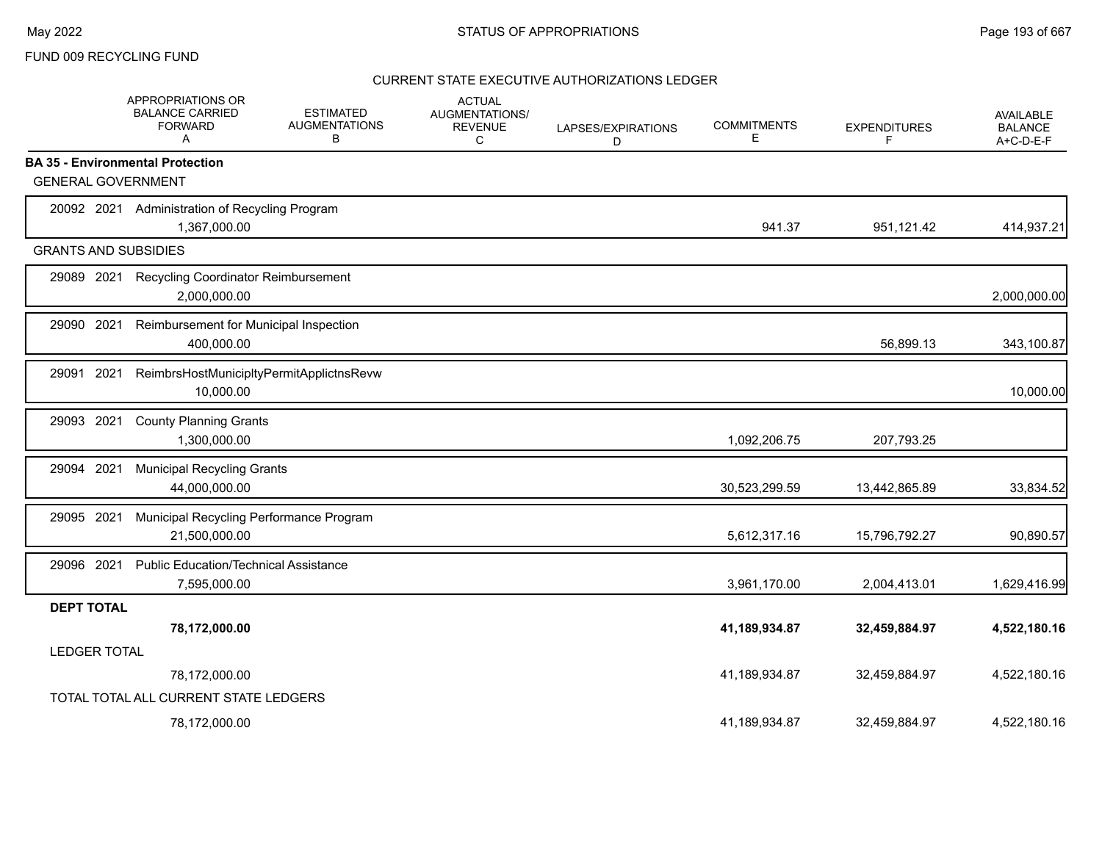## FUND 009 RECYCLING FUND

|                             | APPROPRIATIONS OR<br><b>BALANCE CARRIED</b><br><b>FORWARD</b><br>A | <b>ESTIMATED</b><br><b>AUGMENTATIONS</b><br>В | <b>ACTUAL</b><br>AUGMENTATIONS/<br><b>REVENUE</b><br>C | LAPSES/EXPIRATIONS<br>D | <b>COMMITMENTS</b><br>Е | <b>EXPENDITURES</b><br>F | <b>AVAILABLE</b><br><b>BALANCE</b><br>A+C-D-E-F |
|-----------------------------|--------------------------------------------------------------------|-----------------------------------------------|--------------------------------------------------------|-------------------------|-------------------------|--------------------------|-------------------------------------------------|
|                             | <b>BA 35 - Environmental Protection</b>                            |                                               |                                                        |                         |                         |                          |                                                 |
| <b>GENERAL GOVERNMENT</b>   |                                                                    |                                               |                                                        |                         |                         |                          |                                                 |
| 20092 2021                  | Administration of Recycling Program<br>1,367,000.00                |                                               |                                                        |                         | 941.37                  | 951,121.42               | 414,937.21                                      |
| <b>GRANTS AND SUBSIDIES</b> |                                                                    |                                               |                                                        |                         |                         |                          |                                                 |
| 29089 2021                  | <b>Recycling Coordinator Reimbursement</b><br>2,000,000.00         |                                               |                                                        |                         |                         |                          | 2,000,000.00                                    |
| 29090 2021                  | Reimbursement for Municipal Inspection<br>400,000.00               |                                               |                                                        |                         |                         | 56,899.13                | 343,100.87                                      |
| 2021<br>29091               | ReimbrsHostMunicipltyPermitApplictnsRevw<br>10,000.00              |                                               |                                                        |                         |                         |                          | 10,000.00                                       |
| 2021<br>29093               | <b>County Planning Grants</b><br>1,300,000.00                      |                                               |                                                        |                         | 1,092,206.75            | 207,793.25               |                                                 |
| 29094 2021                  | <b>Municipal Recycling Grants</b><br>44,000,000.00                 |                                               |                                                        |                         | 30,523,299.59           | 13,442,865.89            | 33,834.52                                       |
| 29095 2021                  | Municipal Recycling Performance Program<br>21,500,000.00           |                                               |                                                        |                         | 5,612,317.16            | 15,796,792.27            | 90,890.57                                       |
| 29096 2021                  | <b>Public Education/Technical Assistance</b><br>7,595,000.00       |                                               |                                                        |                         | 3,961,170.00            | 2,004,413.01             | 1,629,416.99                                    |
| <b>DEPT TOTAL</b>           |                                                                    |                                               |                                                        |                         |                         |                          |                                                 |
|                             | 78,172,000.00                                                      |                                               |                                                        |                         | 41,189,934.87           | 32,459,884.97            | 4,522,180.16                                    |
| <b>LEDGER TOTAL</b>         |                                                                    |                                               |                                                        |                         |                         |                          |                                                 |
|                             | 78,172,000.00                                                      |                                               |                                                        |                         | 41,189,934.87           | 32,459,884.97            | 4,522,180.16                                    |
|                             | TOTAL TOTAL ALL CURRENT STATE LEDGERS                              |                                               |                                                        |                         |                         |                          |                                                 |
|                             | 78,172,000.00                                                      |                                               |                                                        |                         | 41.189.934.87           | 32.459.884.97            | 4.522.180.16                                    |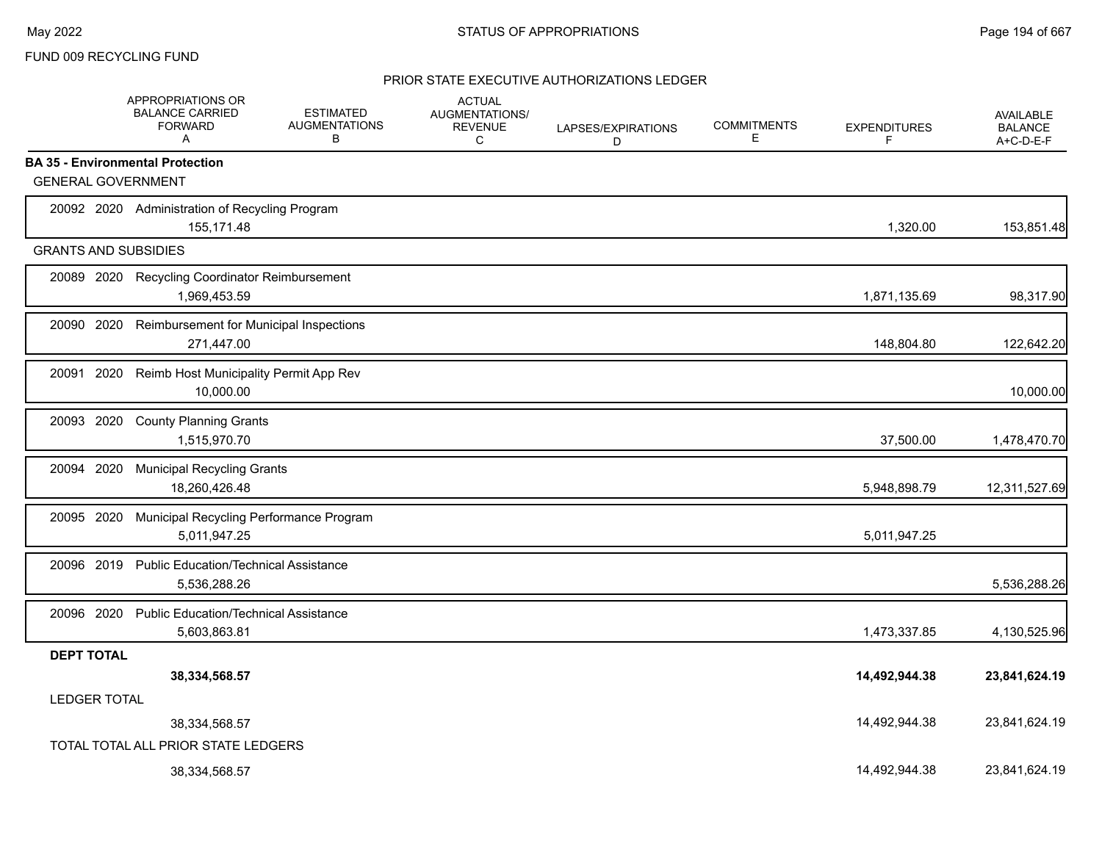## FUND 009 RECYCLING FUND

|                             | <b>APPROPRIATIONS OR</b><br><b>BALANCE CARRIED</b><br><b>FORWARD</b><br>Α | <b>ESTIMATED</b><br><b>AUGMENTATIONS</b><br>B | <b>ACTUAL</b><br><b>AUGMENTATIONS/</b><br><b>REVENUE</b><br>С | LAPSES/EXPIRATIONS<br>D | <b>COMMITMENTS</b><br>Ε | <b>EXPENDITURES</b><br>F | <b>AVAILABLE</b><br><b>BALANCE</b><br>A+C-D-E-F |
|-----------------------------|---------------------------------------------------------------------------|-----------------------------------------------|---------------------------------------------------------------|-------------------------|-------------------------|--------------------------|-------------------------------------------------|
|                             | <b>BA 35 - Environmental Protection</b>                                   |                                               |                                                               |                         |                         |                          |                                                 |
| <b>GENERAL GOVERNMENT</b>   |                                                                           |                                               |                                                               |                         |                         |                          |                                                 |
|                             | 20092 2020 Administration of Recycling Program<br>155,171.48              |                                               |                                                               |                         |                         | 1,320.00                 | 153,851.48                                      |
| <b>GRANTS AND SUBSIDIES</b> |                                                                           |                                               |                                                               |                         |                         |                          |                                                 |
| 20089 2020                  | <b>Recycling Coordinator Reimbursement</b><br>1,969,453.59                |                                               |                                                               |                         |                         | 1,871,135.69             | 98,317.90                                       |
| 20090 2020                  | Reimbursement for Municipal Inspections<br>271,447.00                     |                                               |                                                               |                         |                         | 148,804.80               | 122,642.20                                      |
| 20091 2020                  | Reimb Host Municipality Permit App Rev<br>10,000.00                       |                                               |                                                               |                         |                         |                          | 10,000.00                                       |
| 20093 2020                  | <b>County Planning Grants</b><br>1,515,970.70                             |                                               |                                                               |                         |                         | 37,500.00                | 1,478,470.70                                    |
| 20094 2020                  | <b>Municipal Recycling Grants</b><br>18,260,426.48                        |                                               |                                                               |                         |                         | 5,948,898.79             | 12,311,527.69                                   |
| 20095 2020                  | Municipal Recycling Performance Program<br>5,011,947.25                   |                                               |                                                               |                         |                         | 5,011,947.25             |                                                 |
| 20096 2019                  | <b>Public Education/Technical Assistance</b><br>5,536,288.26              |                                               |                                                               |                         |                         |                          | 5,536,288.26                                    |
| 20096 2020                  | <b>Public Education/Technical Assistance</b><br>5,603,863.81              |                                               |                                                               |                         |                         | 1,473,337.85             | 4,130,525.96                                    |
| <b>DEPT TOTAL</b>           |                                                                           |                                               |                                                               |                         |                         |                          |                                                 |
|                             | 38,334,568.57                                                             |                                               |                                                               |                         |                         | 14,492,944.38            | 23,841,624.19                                   |
| <b>LEDGER TOTAL</b>         |                                                                           |                                               |                                                               |                         |                         | 14,492,944.38            | 23,841,624.19                                   |
|                             | 38,334,568.57<br>TOTAL TOTAL ALL PRIOR STATE LEDGERS                      |                                               |                                                               |                         |                         |                          |                                                 |
|                             | 38,334,568.57                                                             |                                               |                                                               |                         |                         | 14.492.944.38            | 23.841.624.19                                   |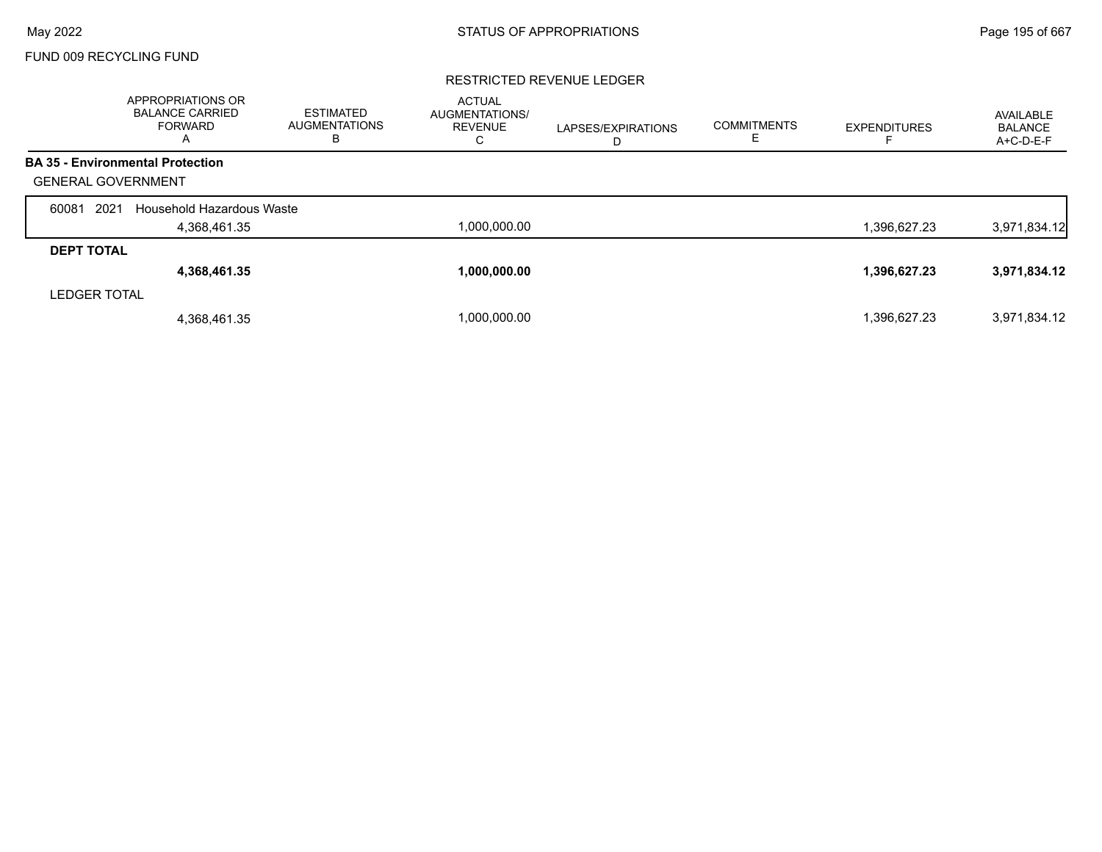FUND 009 RECYCLING FUND

# RESTRICTED REVENUE LEDGER

|                           | APPROPRIATIONS OR<br><b>BALANCE CARRIED</b><br><b>FORWARD</b><br>A | <b>ESTIMATED</b><br><b>AUGMENTATIONS</b><br>B | <b>ACTUAL</b><br>AUGMENTATIONS/<br><b>REVENUE</b><br>С | LAPSES/EXPIRATIONS<br>D | <b>COMMITMENTS</b> | <b>EXPENDITURES</b> | AVAILABLE<br><b>BALANCE</b><br>A+C-D-E-F |
|---------------------------|--------------------------------------------------------------------|-----------------------------------------------|--------------------------------------------------------|-------------------------|--------------------|---------------------|------------------------------------------|
|                           | <b>BA 35 - Environmental Protection</b>                            |                                               |                                                        |                         |                    |                     |                                          |
| <b>GENERAL GOVERNMENT</b> |                                                                    |                                               |                                                        |                         |                    |                     |                                          |
| 2021<br>60081             | Household Hazardous Waste                                          |                                               |                                                        |                         |                    |                     |                                          |
|                           | 4.368.461.35                                                       |                                               | 1,000,000.00                                           |                         |                    | 1,396,627.23        | 3,971,834.12                             |
| <b>DEPT TOTAL</b>         |                                                                    |                                               |                                                        |                         |                    |                     |                                          |
|                           | 4,368,461.35                                                       |                                               | 1.000.000.00                                           |                         |                    | 1,396,627.23        | 3,971,834.12                             |
| <b>LEDGER TOTAL</b>       |                                                                    |                                               |                                                        |                         |                    |                     |                                          |
|                           | 4,368,461.35                                                       |                                               | 1,000,000.00                                           |                         |                    | 1,396,627.23        | 3,971,834.12                             |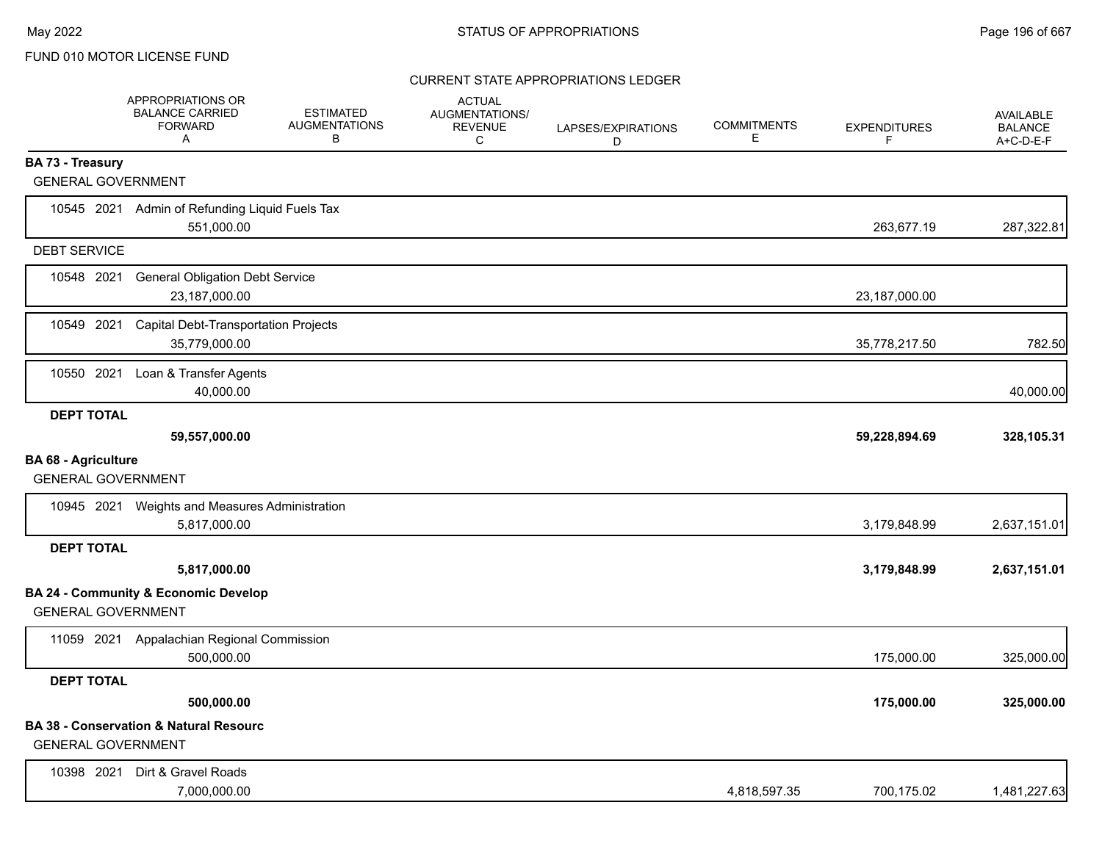|                                                         | <b>APPROPRIATIONS OR</b><br><b>BALANCE CARRIED</b><br><b>FORWARD</b><br>Α | <b>ESTIMATED</b><br><b>AUGMENTATIONS</b><br>В | <b>ACTUAL</b><br>AUGMENTATIONS/<br><b>REVENUE</b><br>C | LAPSES/EXPIRATIONS<br>D | <b>COMMITMENTS</b><br>E. | <b>EXPENDITURES</b><br>F | <b>AVAILABLE</b><br><b>BALANCE</b><br>$A+C-D-E-F$ |
|---------------------------------------------------------|---------------------------------------------------------------------------|-----------------------------------------------|--------------------------------------------------------|-------------------------|--------------------------|--------------------------|---------------------------------------------------|
| <b>BA 73 - Treasury</b>                                 |                                                                           |                                               |                                                        |                         |                          |                          |                                                   |
| <b>GENERAL GOVERNMENT</b>                               |                                                                           |                                               |                                                        |                         |                          |                          |                                                   |
|                                                         | 10545 2021 Admin of Refunding Liquid Fuels Tax<br>551,000.00              |                                               |                                                        |                         |                          | 263,677.19               | 287,322.81                                        |
| <b>DEBT SERVICE</b>                                     |                                                                           |                                               |                                                        |                         |                          |                          |                                                   |
| 10548 2021                                              | <b>General Obligation Debt Service</b><br>23,187,000.00                   |                                               |                                                        |                         |                          | 23,187,000.00            |                                                   |
| 10549 2021                                              | <b>Capital Debt-Transportation Projects</b><br>35,779,000.00              |                                               |                                                        |                         |                          | 35,778,217.50            | 782.50                                            |
| 10550 2021                                              | Loan & Transfer Agents<br>40,000.00                                       |                                               |                                                        |                         |                          |                          | 40,000.00                                         |
| <b>DEPT TOTAL</b>                                       |                                                                           |                                               |                                                        |                         |                          |                          |                                                   |
|                                                         | 59,557,000.00                                                             |                                               |                                                        |                         |                          | 59,228,894.69            | 328,105.31                                        |
| <b>BA 68 - Agriculture</b><br><b>GENERAL GOVERNMENT</b> |                                                                           |                                               |                                                        |                         |                          |                          |                                                   |
|                                                         | 10945 2021 Weights and Measures Administration<br>5,817,000.00            |                                               |                                                        |                         |                          | 3,179,848.99             | 2,637,151.01                                      |
| <b>DEPT TOTAL</b>                                       |                                                                           |                                               |                                                        |                         |                          |                          |                                                   |
|                                                         | 5,817,000.00                                                              |                                               |                                                        |                         |                          | 3,179,848.99             | 2,637,151.01                                      |
| <b>GENERAL GOVERNMENT</b>                               | <b>BA 24 - Community &amp; Economic Develop</b>                           |                                               |                                                        |                         |                          |                          |                                                   |
|                                                         | 11059 2021 Appalachian Regional Commission<br>500,000.00                  |                                               |                                                        |                         |                          | 175,000.00               | 325,000.00                                        |
| <b>DEPT TOTAL</b>                                       |                                                                           |                                               |                                                        |                         |                          |                          |                                                   |
|                                                         | 500,000.00                                                                |                                               |                                                        |                         |                          | 175,000.00               | 325,000.00                                        |
| <b>GENERAL GOVERNMENT</b>                               | <b>BA 38 - Conservation &amp; Natural Resourc</b>                         |                                               |                                                        |                         |                          |                          |                                                   |
| 10398 2021                                              | Dirt & Gravel Roads<br>7,000,000.00                                       |                                               |                                                        |                         | 4,818,597.35             | 700,175.02               | 1,481,227.63                                      |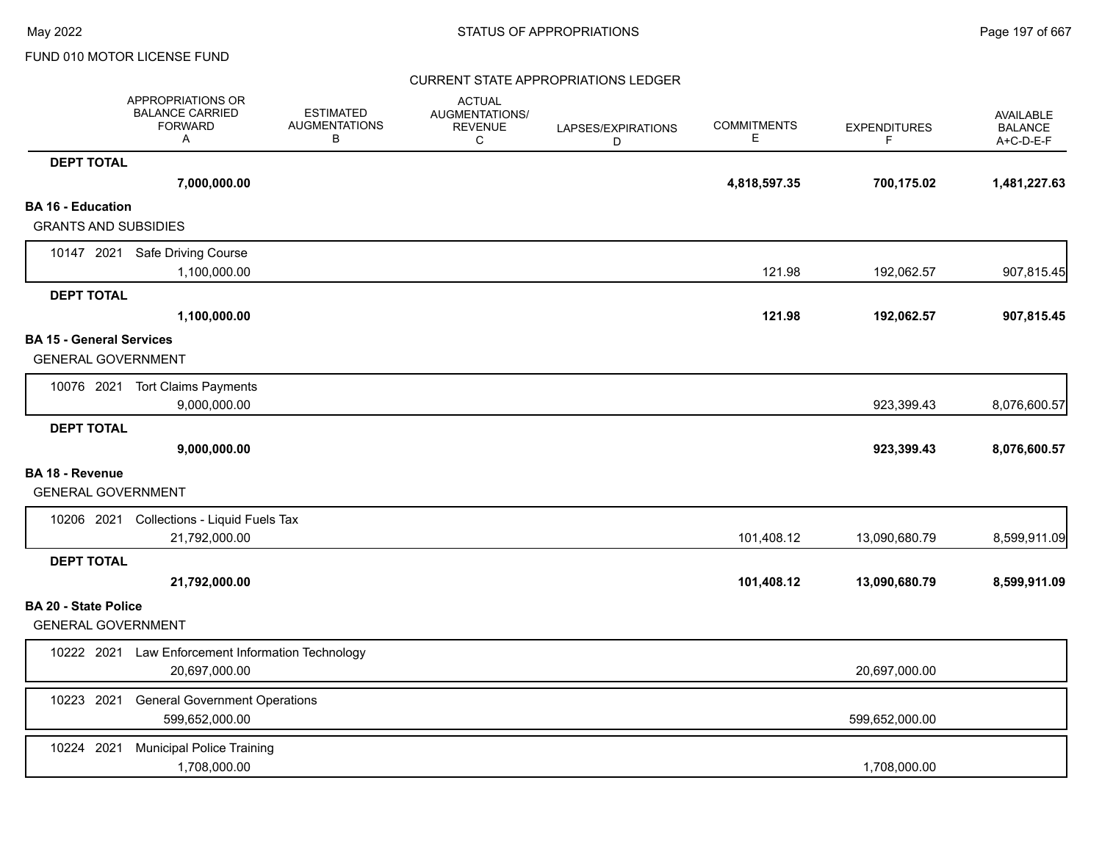|                                 | APPROPRIATIONS OR<br><b>BALANCE CARRIED</b><br><b>FORWARD</b><br>Α | <b>ESTIMATED</b><br><b>AUGMENTATIONS</b><br>B | <b>ACTUAL</b><br><b>AUGMENTATIONS/</b><br><b>REVENUE</b><br>C | LAPSES/EXPIRATIONS<br>D | <b>COMMITMENTS</b><br>Е | <b>EXPENDITURES</b><br>F. | <b>AVAILABLE</b><br><b>BALANCE</b><br>A+C-D-E-F |
|---------------------------------|--------------------------------------------------------------------|-----------------------------------------------|---------------------------------------------------------------|-------------------------|-------------------------|---------------------------|-------------------------------------------------|
| <b>DEPT TOTAL</b>               |                                                                    |                                               |                                                               |                         |                         |                           |                                                 |
|                                 | 7,000,000.00                                                       |                                               |                                                               |                         | 4,818,597.35            | 700,175.02                | 1,481,227.63                                    |
| <b>BA 16 - Education</b>        |                                                                    |                                               |                                                               |                         |                         |                           |                                                 |
| <b>GRANTS AND SUBSIDIES</b>     |                                                                    |                                               |                                                               |                         |                         |                           |                                                 |
|                                 | 10147 2021 Safe Driving Course                                     |                                               |                                                               |                         |                         |                           |                                                 |
|                                 | 1,100,000.00                                                       |                                               |                                                               |                         | 121.98                  | 192,062.57                | 907,815.45                                      |
| <b>DEPT TOTAL</b>               |                                                                    |                                               |                                                               |                         |                         |                           |                                                 |
|                                 | 1,100,000.00                                                       |                                               |                                                               |                         | 121.98                  | 192,062.57                | 907,815.45                                      |
| <b>BA 15 - General Services</b> |                                                                    |                                               |                                                               |                         |                         |                           |                                                 |
| <b>GENERAL GOVERNMENT</b>       |                                                                    |                                               |                                                               |                         |                         |                           |                                                 |
|                                 | 10076 2021 Tort Claims Payments                                    |                                               |                                                               |                         |                         |                           |                                                 |
|                                 | 9,000,000.00                                                       |                                               |                                                               |                         |                         | 923,399.43                | 8,076,600.57                                    |
| <b>DEPT TOTAL</b>               |                                                                    |                                               |                                                               |                         |                         |                           |                                                 |
|                                 | 9,000,000.00                                                       |                                               |                                                               |                         |                         | 923,399.43                | 8,076,600.57                                    |
| <b>BA 18 - Revenue</b>          |                                                                    |                                               |                                                               |                         |                         |                           |                                                 |
| <b>GENERAL GOVERNMENT</b>       |                                                                    |                                               |                                                               |                         |                         |                           |                                                 |
|                                 | 10206 2021 Collections - Liquid Fuels Tax                          |                                               |                                                               |                         |                         |                           |                                                 |
|                                 | 21,792,000.00                                                      |                                               |                                                               |                         | 101,408.12              | 13,090,680.79             | 8,599,911.09                                    |
| <b>DEPT TOTAL</b>               |                                                                    |                                               |                                                               |                         |                         |                           |                                                 |
|                                 | 21,792,000.00                                                      |                                               |                                                               |                         | 101,408.12              | 13,090,680.79             | 8,599,911.09                                    |
| <b>BA 20 - State Police</b>     |                                                                    |                                               |                                                               |                         |                         |                           |                                                 |
| <b>GENERAL GOVERNMENT</b>       |                                                                    |                                               |                                                               |                         |                         |                           |                                                 |
|                                 | 10222 2021 Law Enforcement Information Technology                  |                                               |                                                               |                         |                         |                           |                                                 |
|                                 | 20.697.000.00                                                      |                                               |                                                               |                         |                         | 20,697,000.00             |                                                 |
| 10223 2021                      | <b>General Government Operations</b>                               |                                               |                                                               |                         |                         |                           |                                                 |
|                                 | 599,652,000.00                                                     |                                               |                                                               |                         |                         | 599,652,000.00            |                                                 |
| 10224 2021                      | <b>Municipal Police Training</b>                                   |                                               |                                                               |                         |                         |                           |                                                 |
|                                 | 1,708,000.00                                                       |                                               |                                                               |                         |                         | 1,708,000.00              |                                                 |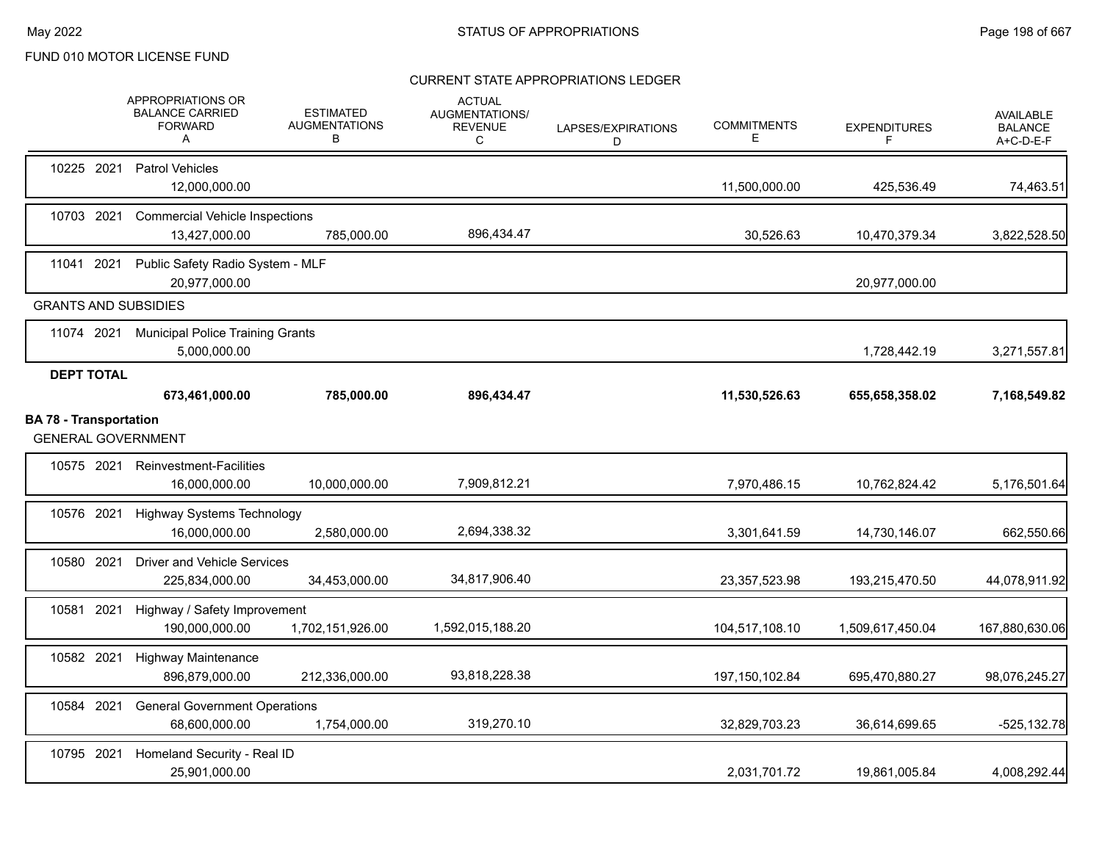|                               |                   | <b>APPROPRIATIONS OR</b><br><b>BALANCE CARRIED</b><br><b>FORWARD</b><br>A | <b>ESTIMATED</b><br><b>AUGMENTATIONS</b><br>В | <b>ACTUAL</b><br>AUGMENTATIONS/<br><b>REVENUE</b><br>C | LAPSES/EXPIRATIONS<br>D | <b>COMMITMENTS</b><br>Е | <b>EXPENDITURES</b><br>F | <b>AVAILABLE</b><br><b>BALANCE</b><br>A+C-D-E-F |
|-------------------------------|-------------------|---------------------------------------------------------------------------|-----------------------------------------------|--------------------------------------------------------|-------------------------|-------------------------|--------------------------|-------------------------------------------------|
|                               | 10225 2021        | <b>Patrol Vehicles</b><br>12,000,000.00                                   |                                               |                                                        |                         | 11,500,000.00           | 425,536.49               | 74,463.51                                       |
|                               | 10703 2021        | <b>Commercial Vehicle Inspections</b><br>13,427,000.00                    | 785,000.00                                    | 896,434.47                                             |                         | 30,526.63               | 10,470,379.34            | 3,822,528.50                                    |
| 11041 2021                    |                   | Public Safety Radio System - MLF<br>20,977,000.00                         |                                               |                                                        |                         |                         | 20,977,000.00            |                                                 |
|                               |                   | <b>GRANTS AND SUBSIDIES</b>                                               |                                               |                                                        |                         |                         |                          |                                                 |
|                               | 11074 2021        | <b>Municipal Police Training Grants</b><br>5,000,000.00                   |                                               |                                                        |                         |                         | 1,728,442.19             | 3,271,557.81                                    |
|                               | <b>DEPT TOTAL</b> | 673,461,000.00                                                            | 785,000.00                                    | 896,434.47                                             |                         | 11,530,526.63           | 655,658,358.02           | 7,168,549.82                                    |
| <b>BA 78 - Transportation</b> |                   | <b>GENERAL GOVERNMENT</b>                                                 |                                               |                                                        |                         |                         |                          |                                                 |
|                               | 10575 2021        | <b>Reinvestment-Facilities</b><br>16,000,000.00                           | 10,000,000.00                                 | 7,909,812.21                                           |                         | 7,970,486.15            | 10,762,824.42            | 5,176,501.64                                    |
| 10576 2021                    |                   | <b>Highway Systems Technology</b><br>16,000,000.00                        | 2,580,000.00                                  | 2,694,338.32                                           |                         | 3,301,641.59            | 14,730,146.07            | 662,550.66                                      |
|                               | 10580 2021        | <b>Driver and Vehicle Services</b><br>225,834,000.00                      | 34,453,000.00                                 | 34,817,906.40                                          |                         | 23,357,523.98           | 193,215,470.50           | 44,078,911.92                                   |
| 10581 2021                    |                   | Highway / Safety Improvement<br>190,000,000.00                            | 1,702,151,926.00                              | 1,592,015,188.20                                       |                         | 104,517,108.10          | 1,509,617,450.04         | 167,880,630.06                                  |
| 10582 2021                    |                   | <b>Highway Maintenance</b><br>896,879,000.00                              | 212,336,000.00                                | 93,818,228.38                                          |                         | 197, 150, 102.84        | 695,470,880.27           | 98,076,245.27                                   |
| 10584 2021                    |                   | <b>General Government Operations</b><br>68,600,000.00                     | 1,754,000.00                                  | 319,270.10                                             |                         | 32,829,703.23           | 36,614,699.65            | $-525, 132.78$                                  |
| 10795 2021                    |                   | Homeland Security - Real ID<br>25,901,000.00                              |                                               |                                                        |                         | 2,031,701.72            | 19,861,005.84            | 4,008,292.44                                    |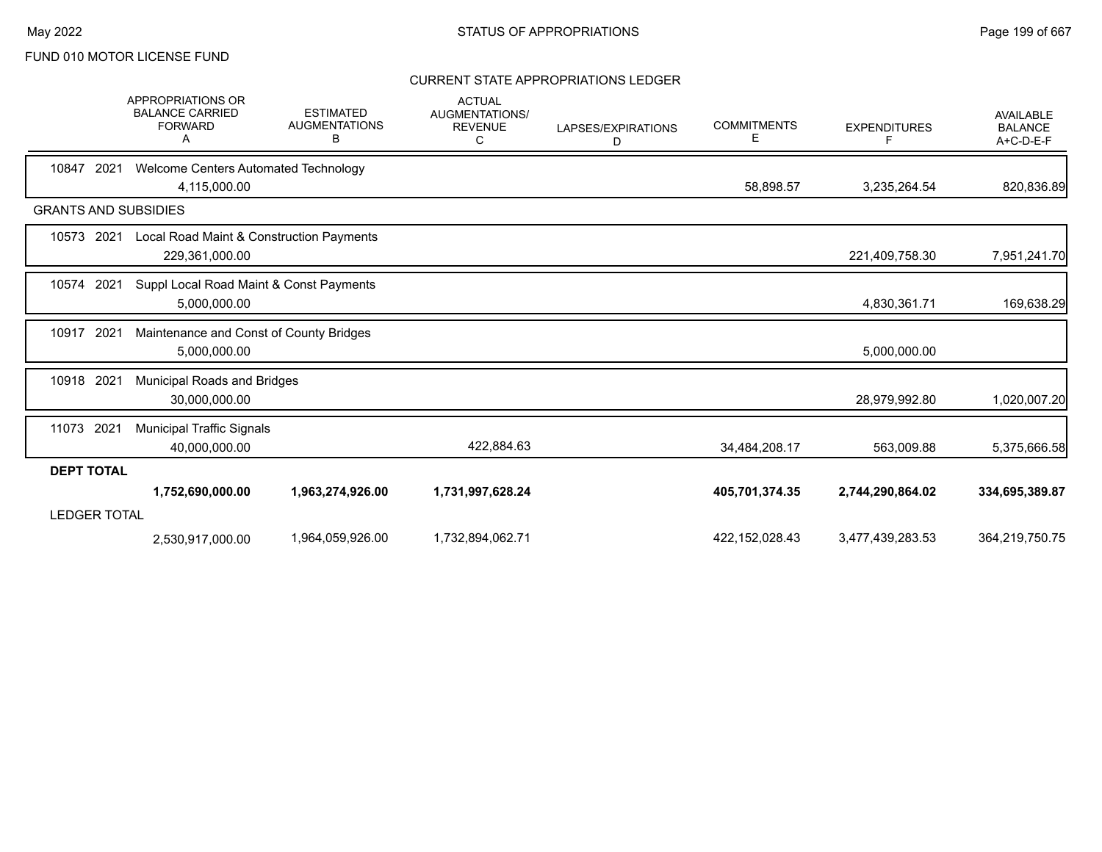|                             | <b>APPROPRIATIONS OR</b><br><b>BALANCE CARRIED</b><br><b>FORWARD</b><br>A | <b>ESTIMATED</b><br><b>AUGMENTATIONS</b><br>в | <b>ACTUAL</b><br><b>AUGMENTATIONS/</b><br><b>REVENUE</b><br>C | LAPSES/EXPIRATIONS<br>D | <b>COMMITMENTS</b><br>Е | <b>EXPENDITURES</b><br>F | <b>AVAILABLE</b><br><b>BALANCE</b><br>A+C-D-E-F |
|-----------------------------|---------------------------------------------------------------------------|-----------------------------------------------|---------------------------------------------------------------|-------------------------|-------------------------|--------------------------|-------------------------------------------------|
| 10847<br>2021               | Welcome Centers Automated Technology<br>4,115,000.00                      |                                               |                                                               |                         | 58,898.57               | 3,235,264.54             | 820,836.89                                      |
| <b>GRANTS AND SUBSIDIES</b> |                                                                           |                                               |                                                               |                         |                         |                          |                                                 |
| 10573<br>2021               | Local Road Maint & Construction Payments<br>229,361,000.00                |                                               |                                                               |                         |                         | 221,409,758.30           | 7,951,241.70                                    |
| 10574<br>2021               | Suppl Local Road Maint & Const Payments<br>5,000,000.00                   |                                               |                                                               |                         |                         | 4,830,361.71             | 169,638.29                                      |
| 10917<br>2021               | Maintenance and Const of County Bridges<br>5,000,000.00                   |                                               |                                                               |                         |                         | 5,000,000.00             |                                                 |
| 10918 2021                  | Municipal Roads and Bridges<br>30,000,000.00                              |                                               |                                                               |                         |                         | 28,979,992.80            | 1,020,007.20                                    |
| 11073 2021                  | <b>Municipal Traffic Signals</b><br>40,000,000.00                         |                                               | 422,884.63                                                    |                         | 34,484,208.17           | 563,009.88               | 5,375,666.58                                    |
| <b>DEPT TOTAL</b>           |                                                                           |                                               |                                                               |                         |                         |                          |                                                 |
| <b>LEDGER TOTAL</b>         | 1,752,690,000.00                                                          | 1,963,274,926.00                              | 1,731,997,628.24                                              |                         | 405,701,374.35          | 2,744,290,864.02         | 334,695,389.87                                  |
|                             | 2,530,917,000.00                                                          | 1,964,059,926.00                              | 1,732,894,062.71                                              |                         | 422, 152, 028.43        | 3,477,439,283.53         | 364,219,750.75                                  |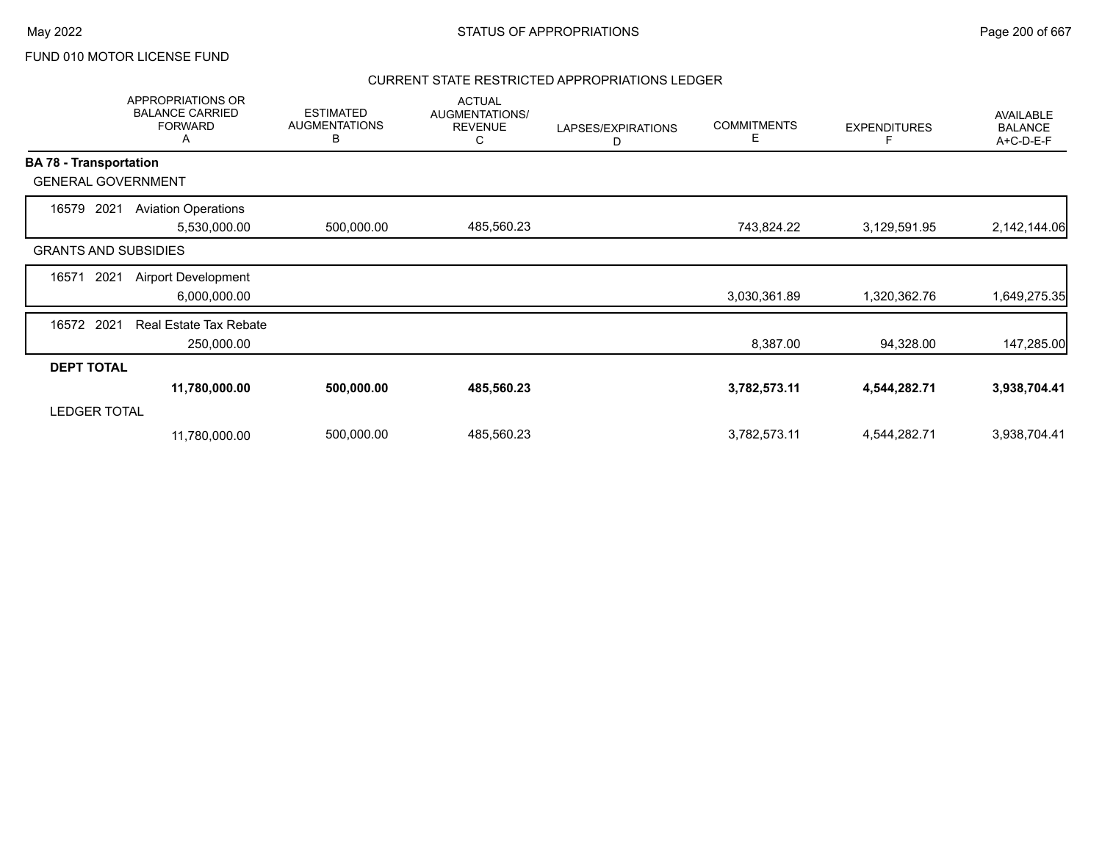## CURRENT STATE RESTRICTED APPROPRIATIONS LEDGER

|                               | APPROPRIATIONS OR<br><b>BALANCE CARRIED</b><br><b>FORWARD</b><br>А | <b>ESTIMATED</b><br><b>AUGMENTATIONS</b><br>B | <b>ACTUAL</b><br>AUGMENTATIONS/<br><b>REVENUE</b><br>С | LAPSES/EXPIRATIONS<br>D | <b>COMMITMENTS</b><br>E | <b>EXPENDITURES</b> | <b>AVAILABLE</b><br><b>BALANCE</b><br>A+C-D-E-F |
|-------------------------------|--------------------------------------------------------------------|-----------------------------------------------|--------------------------------------------------------|-------------------------|-------------------------|---------------------|-------------------------------------------------|
| <b>BA 78 - Transportation</b> |                                                                    |                                               |                                                        |                         |                         |                     |                                                 |
|                               | <b>GENERAL GOVERNMENT</b>                                          |                                               |                                                        |                         |                         |                     |                                                 |
| 16579                         | 2021<br><b>Aviation Operations</b><br>5,530,000.00                 | 500,000.00                                    | 485,560.23                                             |                         | 743,824.22              | 3,129,591.95        | 2,142,144.06                                    |
|                               | <b>GRANTS AND SUBSIDIES</b>                                        |                                               |                                                        |                         |                         |                     |                                                 |
| 16571                         | <b>Airport Development</b><br>2021<br>6,000,000.00                 |                                               |                                                        |                         | 3,030,361.89            | 1,320,362.76        | 649,275.35                                      |
| 16572                         | 2021<br><b>Real Estate Tax Rebate</b><br>250,000.00                |                                               |                                                        |                         | 8,387.00                | 94,328.00           | 147,285.00                                      |
| <b>DEPT TOTAL</b>             |                                                                    |                                               |                                                        |                         |                         |                     |                                                 |
|                               | 11,780,000.00                                                      | 500,000.00                                    | 485,560.23                                             |                         | 3,782,573.11            | 4,544,282.71        | 3,938,704.41                                    |
| <b>LEDGER TOTAL</b>           |                                                                    |                                               |                                                        |                         |                         |                     |                                                 |
|                               | 11,780,000.00                                                      | 500,000.00                                    | 485,560.23                                             |                         | 3,782,573.11            | 4,544,282.71        | 3,938,704.41                                    |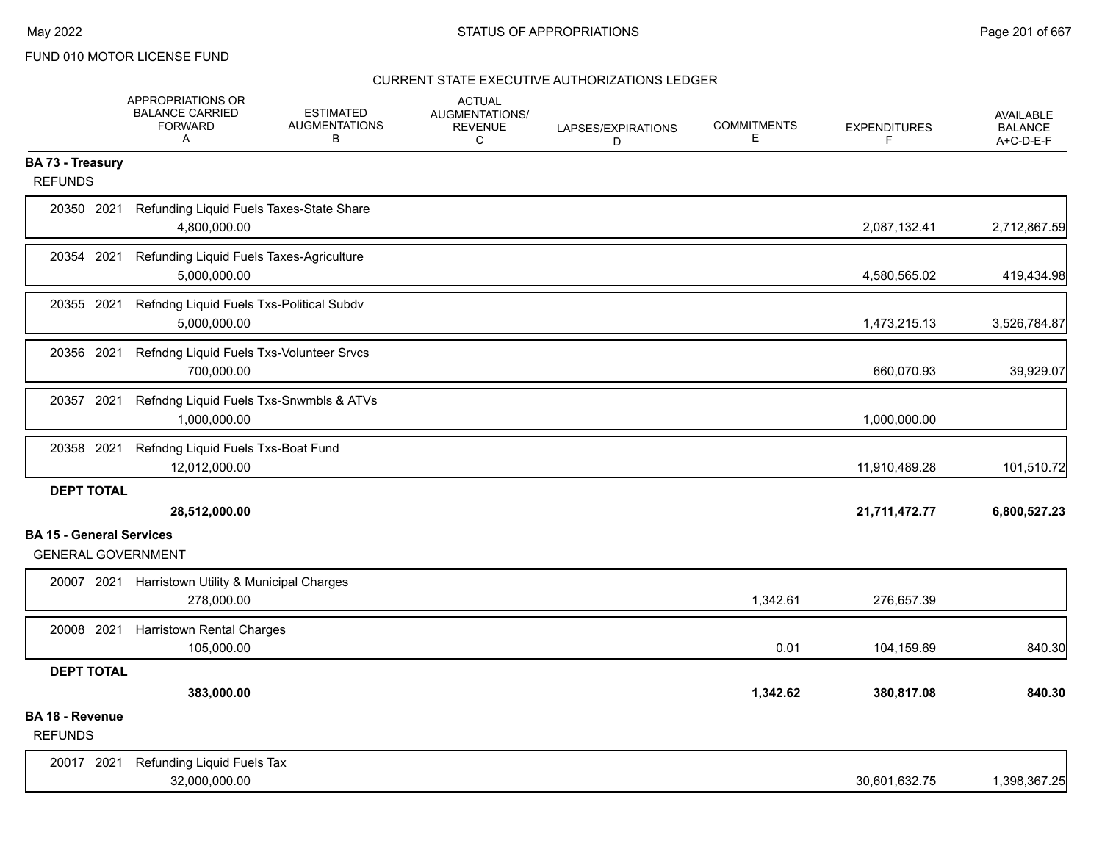|                                   | APPROPRIATIONS OR<br><b>BALANCE CARRIED</b><br><b>FORWARD</b><br>A | <b>ESTIMATED</b><br><b>AUGMENTATIONS</b><br>В | <b>ACTUAL</b><br><b>AUGMENTATIONS/</b><br><b>REVENUE</b><br>C | LAPSES/EXPIRATIONS<br>D | <b>COMMITMENTS</b><br>Е | <b>EXPENDITURES</b><br>F | <b>AVAILABLE</b><br><b>BALANCE</b><br>A+C-D-E-F |
|-----------------------------------|--------------------------------------------------------------------|-----------------------------------------------|---------------------------------------------------------------|-------------------------|-------------------------|--------------------------|-------------------------------------------------|
| <b>BA 73 - Treasury</b>           |                                                                    |                                               |                                                               |                         |                         |                          |                                                 |
| <b>REFUNDS</b>                    |                                                                    |                                               |                                                               |                         |                         |                          |                                                 |
| 20350 2021                        | Refunding Liquid Fuels Taxes-State Share<br>4,800,000.00           |                                               |                                                               |                         |                         | 2,087,132.41             | 2,712,867.59                                    |
| 20354 2021                        | Refunding Liquid Fuels Taxes-Agriculture<br>5,000,000.00           |                                               |                                                               |                         |                         | 4,580,565.02             | 419,434.98                                      |
| 20355 2021                        | Refndng Liquid Fuels Txs-Political Subdv<br>5,000,000.00           |                                               |                                                               |                         |                         | 1,473,215.13             | 3,526,784.87                                    |
| 20356 2021                        | Refndng Liquid Fuels Txs-Volunteer Srvcs<br>700,000.00             |                                               |                                                               |                         |                         | 660,070.93               | 39,929.07                                       |
| 20357 2021                        | Refndng Liquid Fuels Txs-Snwmbls & ATVs<br>1,000,000.00            |                                               |                                                               |                         |                         | 1,000,000.00             |                                                 |
| 20358 2021                        | Refndng Liquid Fuels Txs-Boat Fund<br>12,012,000.00                |                                               |                                                               |                         |                         | 11,910,489.28            | 101,510.72                                      |
| <b>DEPT TOTAL</b>                 |                                                                    |                                               |                                                               |                         |                         |                          |                                                 |
|                                   | 28,512,000.00                                                      |                                               |                                                               |                         |                         | 21,711,472.77            | 6,800,527.23                                    |
| <b>BA 15 - General Services</b>   |                                                                    |                                               |                                                               |                         |                         |                          |                                                 |
| <b>GENERAL GOVERNMENT</b>         |                                                                    |                                               |                                                               |                         |                         |                          |                                                 |
|                                   | 20007 2021 Harristown Utility & Municipal Charges<br>278,000.00    |                                               |                                                               |                         | 1,342.61                | 276,657.39               |                                                 |
| 20008 2021                        | <b>Harristown Rental Charges</b><br>105,000.00                     |                                               |                                                               |                         | 0.01                    | 104,159.69               | 840.30                                          |
| <b>DEPT TOTAL</b>                 |                                                                    |                                               |                                                               |                         |                         |                          |                                                 |
|                                   | 383,000.00                                                         |                                               |                                                               |                         | 1,342.62                | 380,817.08               | 840.30                                          |
| BA 18 - Revenue<br><b>REFUNDS</b> |                                                                    |                                               |                                                               |                         |                         |                          |                                                 |
| 20017 2021                        | Refunding Liquid Fuels Tax                                         |                                               |                                                               |                         |                         |                          |                                                 |
|                                   | 32,000,000.00                                                      |                                               |                                                               |                         |                         | 30,601,632.75            | 1,398,367.25                                    |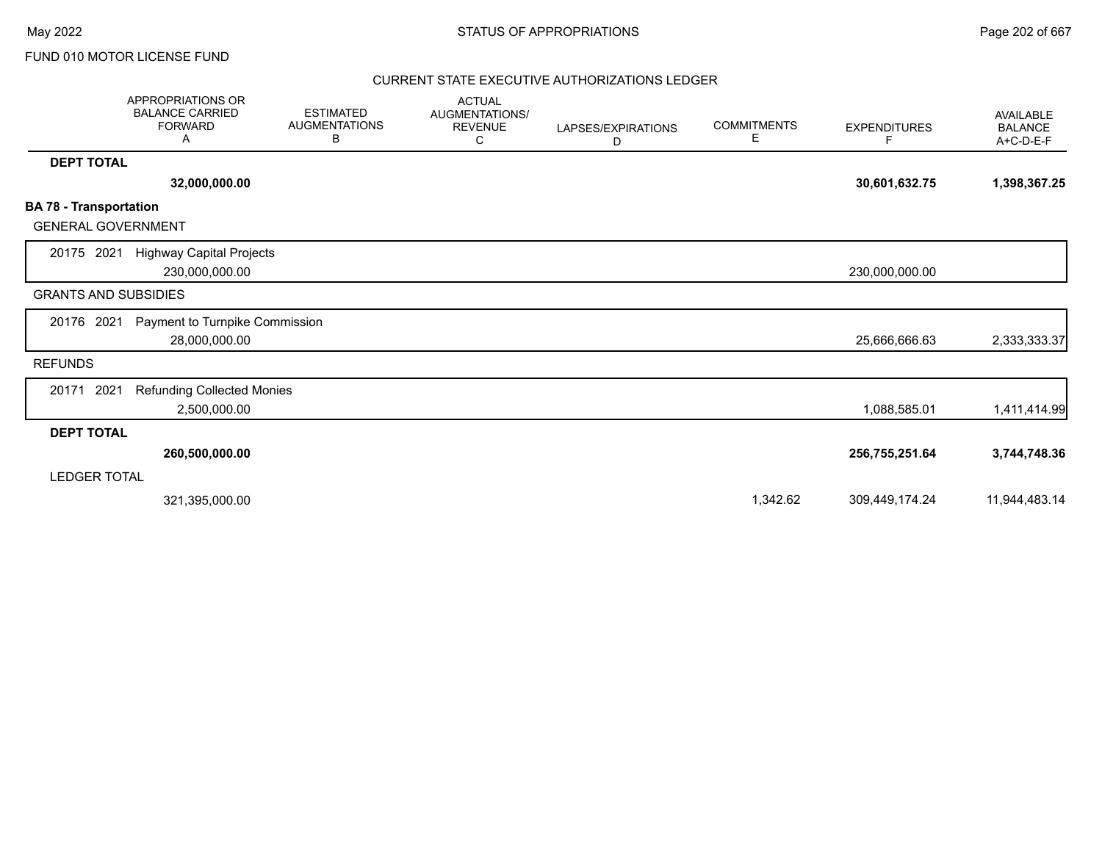|                                                            | <b>APPROPRIATIONS OR</b><br><b>BALANCE CARRIED</b><br><b>FORWARD</b><br>A | <b>ESTIMATED</b><br><b>AUGMENTATIONS</b><br>В | <b>ACTUAL</b><br>AUGMENTATIONS/<br><b>REVENUE</b><br>С | LAPSES/EXPIRATIONS<br>D | <b>COMMITMENTS</b><br>Е | <b>EXPENDITURES</b><br>F | <b>AVAILABLE</b><br><b>BALANCE</b><br>A+C-D-E-F |
|------------------------------------------------------------|---------------------------------------------------------------------------|-----------------------------------------------|--------------------------------------------------------|-------------------------|-------------------------|--------------------------|-------------------------------------------------|
| <b>DEPT TOTAL</b>                                          |                                                                           |                                               |                                                        |                         |                         |                          |                                                 |
|                                                            | 32,000,000.00                                                             |                                               |                                                        |                         |                         | 30,601,632.75            | 1,398,367.25                                    |
| <b>BA 78 - Transportation</b><br><b>GENERAL GOVERNMENT</b> |                                                                           |                                               |                                                        |                         |                         |                          |                                                 |
| 20175 2021                                                 | <b>Highway Capital Projects</b><br>230,000,000.00                         |                                               |                                                        |                         |                         | 230,000,000.00           |                                                 |
| <b>GRANTS AND SUBSIDIES</b>                                |                                                                           |                                               |                                                        |                         |                         |                          |                                                 |
| 20176 2021                                                 | Payment to Turnpike Commission<br>28,000,000.00                           |                                               |                                                        |                         |                         | 25,666,666.63            | 2,333,333.37                                    |
| <b>REFUNDS</b>                                             |                                                                           |                                               |                                                        |                         |                         |                          |                                                 |
| 2021<br>20171                                              | <b>Refunding Collected Monies</b><br>2,500,000.00                         |                                               |                                                        |                         |                         | 1,088,585.01             | 1,411,414.99                                    |
| <b>DEPT TOTAL</b>                                          |                                                                           |                                               |                                                        |                         |                         |                          |                                                 |
|                                                            | 260,500,000.00                                                            |                                               |                                                        |                         |                         | 256,755,251.64           | 3,744,748.36                                    |
| <b>LEDGER TOTAL</b>                                        |                                                                           |                                               |                                                        |                         |                         |                          |                                                 |
|                                                            | 321,395,000.00                                                            |                                               |                                                        |                         | 1,342.62                | 309,449,174.24           | 11,944,483.14                                   |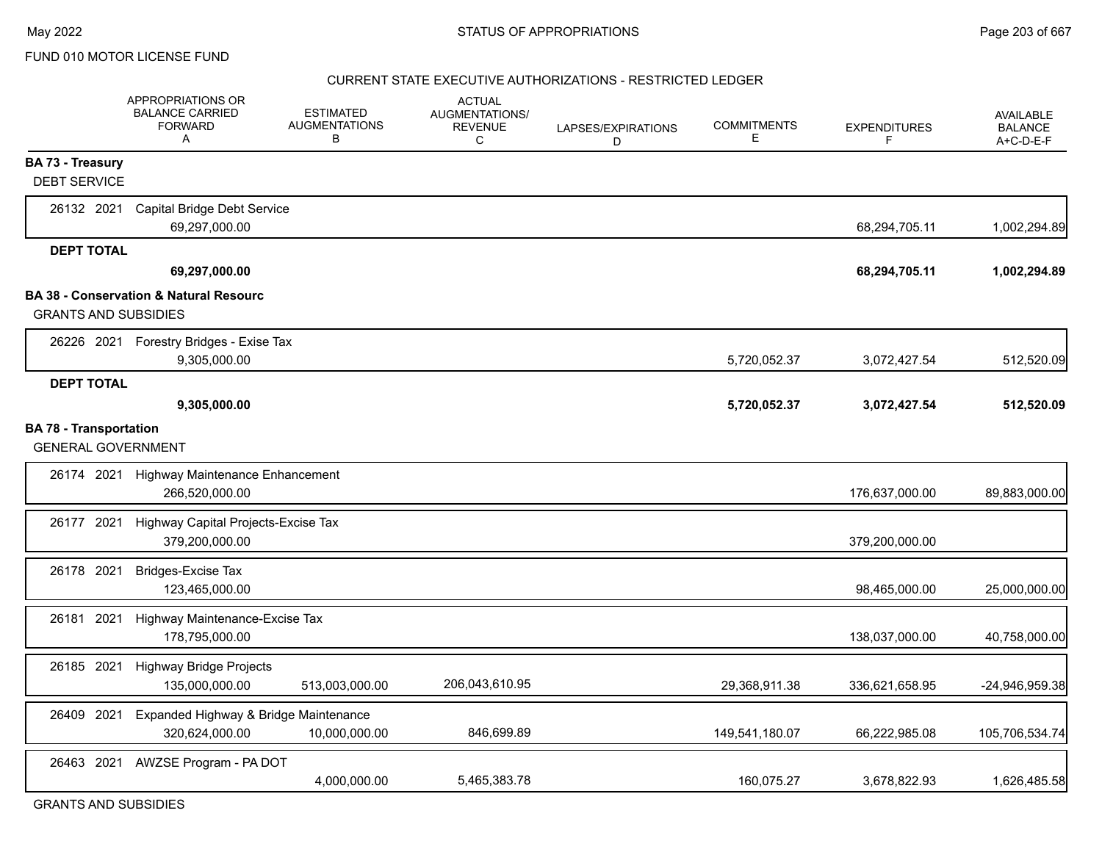#### CURRENT STATE EXECUTIVE AUTHORIZATIONS - RESTRICTED LEDGER

|                                                            | <b>APPROPRIATIONS OR</b><br><b>BALANCE CARRIED</b><br><b>FORWARD</b><br>Α | <b>ESTIMATED</b><br><b>AUGMENTATIONS</b><br>В | <b>ACTUAL</b><br>AUGMENTATIONS/<br><b>REVENUE</b><br>C | LAPSES/EXPIRATIONS<br>D | <b>COMMITMENTS</b><br>Е | <b>EXPENDITURES</b><br>F | <b>AVAILABLE</b><br><b>BALANCE</b><br>A+C-D-E-F |
|------------------------------------------------------------|---------------------------------------------------------------------------|-----------------------------------------------|--------------------------------------------------------|-------------------------|-------------------------|--------------------------|-------------------------------------------------|
| <b>BA 73 - Treasury</b>                                    |                                                                           |                                               |                                                        |                         |                         |                          |                                                 |
| <b>DEBT SERVICE</b>                                        |                                                                           |                                               |                                                        |                         |                         |                          |                                                 |
| 26132 2021                                                 | <b>Capital Bridge Debt Service</b><br>69,297,000.00                       |                                               |                                                        |                         |                         | 68,294,705.11            | 1,002,294.89                                    |
| <b>DEPT TOTAL</b>                                          |                                                                           |                                               |                                                        |                         |                         |                          |                                                 |
|                                                            | 69,297,000.00                                                             |                                               |                                                        |                         |                         | 68,294,705.11            | 1,002,294.89                                    |
|                                                            | <b>BA 38 - Conservation &amp; Natural Resourc</b>                         |                                               |                                                        |                         |                         |                          |                                                 |
| <b>GRANTS AND SUBSIDIES</b>                                |                                                                           |                                               |                                                        |                         |                         |                          |                                                 |
|                                                            | 26226 2021 Forestry Bridges - Exise Tax<br>9,305,000.00                   |                                               |                                                        |                         | 5,720,052.37            | 3,072,427.54             | 512,520.09                                      |
| <b>DEPT TOTAL</b>                                          |                                                                           |                                               |                                                        |                         |                         |                          |                                                 |
|                                                            | 9,305,000.00                                                              |                                               |                                                        |                         | 5,720,052.37            | 3,072,427.54             | 512,520.09                                      |
| <b>BA 78 - Transportation</b><br><b>GENERAL GOVERNMENT</b> |                                                                           |                                               |                                                        |                         |                         |                          |                                                 |
| 26174 2021                                                 | Highway Maintenance Enhancement                                           |                                               |                                                        |                         |                         |                          |                                                 |
|                                                            | 266,520,000.00                                                            |                                               |                                                        |                         |                         | 176,637,000.00           | 89,883,000.00                                   |
| 26177 2021                                                 | Highway Capital Projects-Excise Tax                                       |                                               |                                                        |                         |                         |                          |                                                 |
|                                                            | 379,200,000.00                                                            |                                               |                                                        |                         |                         | 379,200,000.00           |                                                 |
| 26178 2021                                                 | <b>Bridges-Excise Tax</b><br>123,465,000.00                               |                                               |                                                        |                         |                         | 98,465,000.00            | 25,000,000.00                                   |
| 26181 2021                                                 | Highway Maintenance-Excise Tax                                            |                                               |                                                        |                         |                         |                          |                                                 |
|                                                            | 178,795,000.00                                                            |                                               |                                                        |                         |                         | 138,037,000.00           | 40,758,000.00                                   |
| 26185 2021                                                 | <b>Highway Bridge Projects</b><br>135,000,000.00                          | 513,003,000.00                                | 206,043,610.95                                         |                         | 29,368,911.38           | 336,621,658.95           | -24,946,959.38                                  |
| 26409 2021                                                 | Expanded Highway & Bridge Maintenance                                     |                                               |                                                        |                         |                         |                          |                                                 |
|                                                            | 320,624,000.00                                                            | 10,000,000.00                                 | 846,699.89                                             |                         | 149,541,180.07          | 66,222,985.08            | 105,706,534.74                                  |
| 26463 2021                                                 | AWZSE Program - PA DOT                                                    |                                               |                                                        |                         |                         |                          |                                                 |
|                                                            |                                                                           | 4,000,000.00                                  | 5,465,383.78                                           |                         | 160,075.27              | 3,678,822.93             | 1,626,485.58                                    |

GRANTS AND SUBSIDIES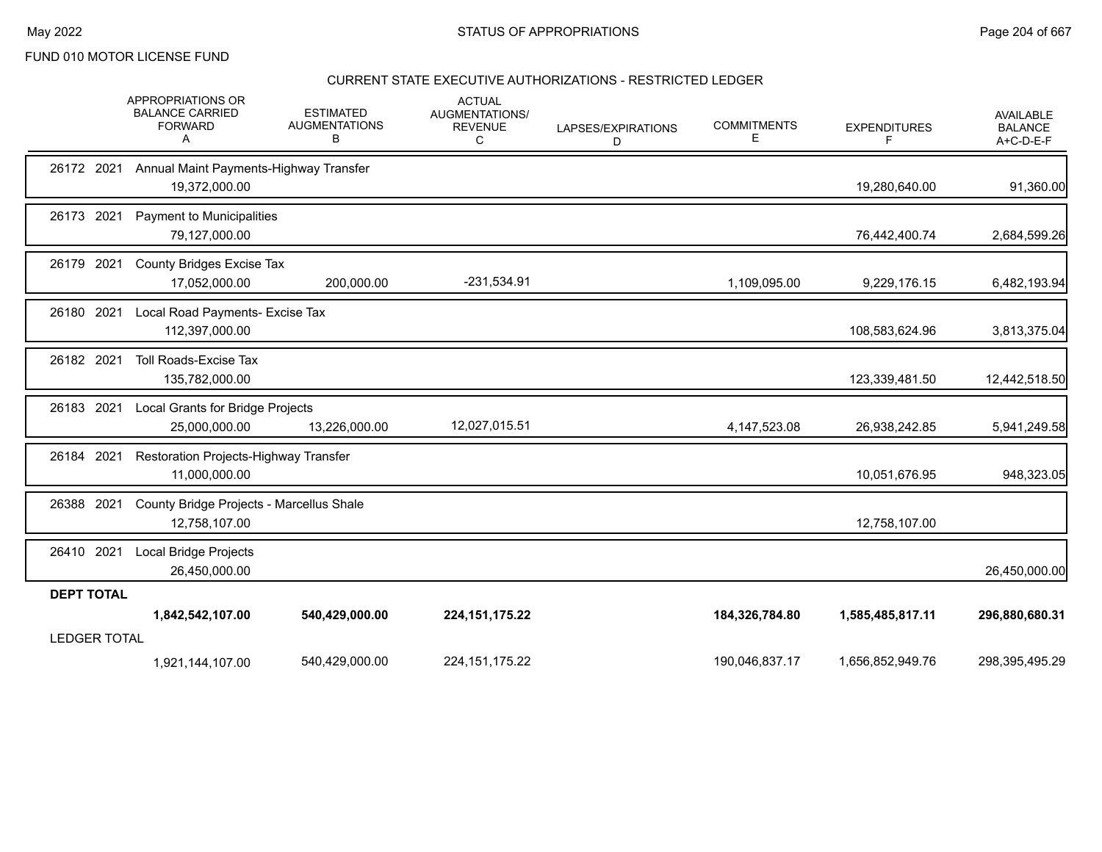## CURRENT STATE EXECUTIVE AUTHORIZATIONS - RESTRICTED LEDGER

|                     | APPROPRIATIONS OR<br><b>BALANCE CARRIED</b><br><b>FORWARD</b><br>A | <b>ESTIMATED</b><br><b>AUGMENTATIONS</b><br>в | <b>ACTUAL</b><br>AUGMENTATIONS/<br><b>REVENUE</b><br>С | LAPSES/EXPIRATIONS<br>D | <b>COMMITMENTS</b><br>Е | <b>EXPENDITURES</b><br>F | <b>AVAILABLE</b><br><b>BALANCE</b><br>A+C-D-E-F |
|---------------------|--------------------------------------------------------------------|-----------------------------------------------|--------------------------------------------------------|-------------------------|-------------------------|--------------------------|-------------------------------------------------|
| 26172 2021          | Annual Maint Payments-Highway Transfer<br>19,372,000.00            |                                               |                                                        |                         |                         | 19,280,640.00            | 91,360.00                                       |
| 26173 2021          | Payment to Municipalities<br>79,127,000.00                         |                                               |                                                        |                         |                         | 76,442,400.74            | 2,684,599.26                                    |
| 26179 2021          | County Bridges Excise Tax<br>17,052,000.00                         | 200,000.00                                    | -231,534.91                                            |                         | 1,109,095.00            | 9,229,176.15             | 6,482,193.94                                    |
| 26180 2021          | Local Road Payments- Excise Tax<br>112,397,000.00                  |                                               |                                                        |                         |                         | 108,583,624.96           | 3,813,375.04                                    |
| 26182 2021          | <b>Toll Roads-Excise Tax</b><br>135,782,000.00                     |                                               |                                                        |                         |                         | 123,339,481.50           | 12,442,518.50                                   |
| 26183 2021          | Local Grants for Bridge Projects<br>25,000,000.00                  | 13,226,000.00                                 | 12,027,015.51                                          |                         | 4, 147, 523. 08         | 26,938,242.85            | 5,941,249.58                                    |
| 26184 2021          | Restoration Projects-Highway Transfer<br>11,000,000.00             |                                               |                                                        |                         |                         | 10,051,676.95            | 948,323.05                                      |
| 26388 2021          | County Bridge Projects - Marcellus Shale<br>12,758,107.00          |                                               |                                                        |                         |                         | 12,758,107.00            |                                                 |
| 26410 2021          | Local Bridge Projects<br>26,450,000.00                             |                                               |                                                        |                         |                         |                          | 26,450,000.00                                   |
| <b>DEPT TOTAL</b>   |                                                                    |                                               |                                                        |                         |                         |                          |                                                 |
|                     | 1,842,542,107.00                                                   | 540,429,000.00                                | 224, 151, 175. 22                                      |                         | 184,326,784.80          | 1,585,485,817.11         | 296,880,680.31                                  |
| <b>LEDGER TOTAL</b> |                                                                    |                                               |                                                        |                         |                         |                          |                                                 |
|                     | 1,921,144,107.00                                                   | 540,429,000.00                                | 224, 151, 175. 22                                      |                         | 190,046,837.17          | 1,656,852,949.76         | 298,395,495.29                                  |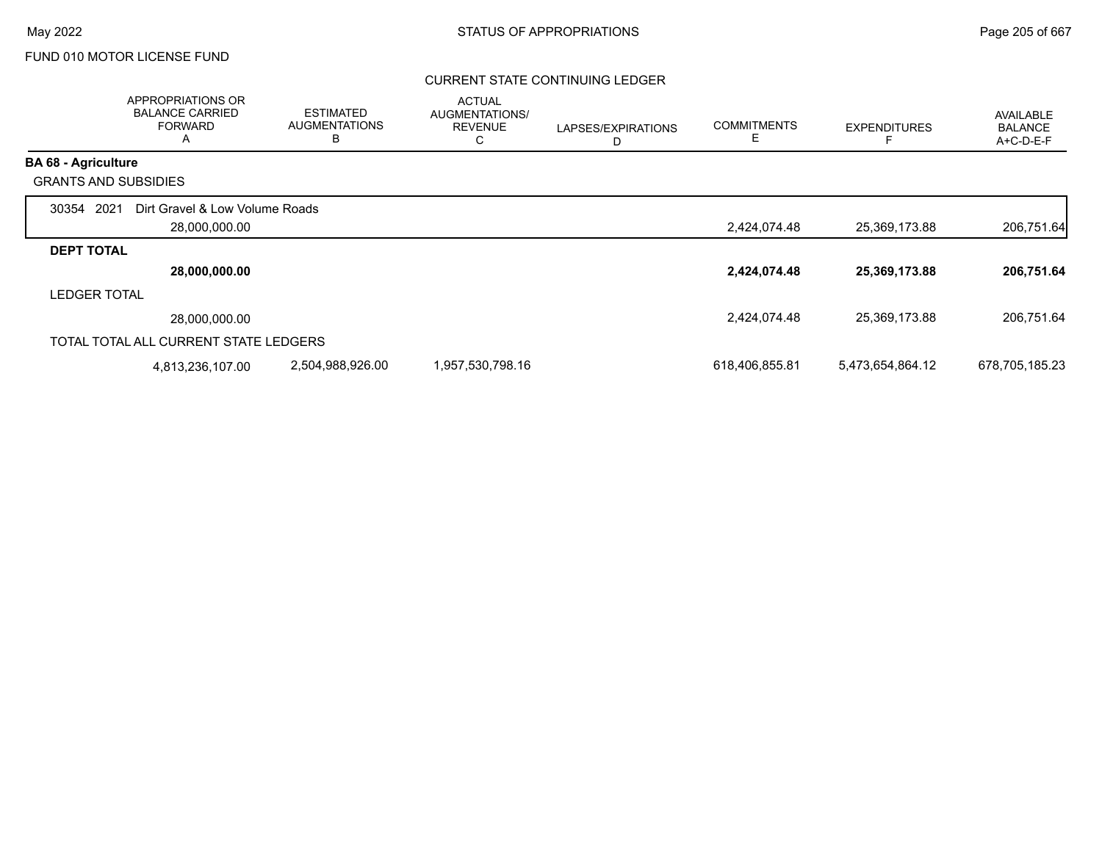## CURRENT STATE CONTINUING LEDGER

|                             | APPROPRIATIONS OR<br><b>BALANCE CARRIED</b><br><b>FORWARD</b><br>A | <b>ESTIMATED</b><br><b>AUGMENTATIONS</b><br>В | <b>ACTUAL</b><br>AUGMENTATIONS/<br><b>REVENUE</b><br>С | LAPSES/EXPIRATIONS<br>D | <b>COMMITMENTS</b><br>Е | <b>EXPENDITURES</b> | <b>AVAILABLE</b><br><b>BALANCE</b><br>A+C-D-E-F |
|-----------------------------|--------------------------------------------------------------------|-----------------------------------------------|--------------------------------------------------------|-------------------------|-------------------------|---------------------|-------------------------------------------------|
| <b>BA 68 - Agriculture</b>  |                                                                    |                                               |                                                        |                         |                         |                     |                                                 |
| <b>GRANTS AND SUBSIDIES</b> |                                                                    |                                               |                                                        |                         |                         |                     |                                                 |
| 2021<br>30354               | Dirt Gravel & Low Volume Roads<br>28,000,000.00                    |                                               |                                                        |                         | 2,424,074.48            | 25,369,173.88       | 206,751.64                                      |
| <b>DEPT TOTAL</b>           |                                                                    |                                               |                                                        |                         |                         |                     |                                                 |
|                             | 28,000,000.00                                                      |                                               |                                                        |                         | 2,424,074.48            | 25,369,173.88       | 206,751.64                                      |
| <b>LEDGER TOTAL</b>         |                                                                    |                                               |                                                        |                         |                         |                     |                                                 |
|                             | 28,000,000.00                                                      |                                               |                                                        |                         | 2,424,074.48            | 25,369,173.88       | 206,751.64                                      |
|                             | TOTAL TOTAL ALL CURRENT STATE LEDGERS                              |                                               |                                                        |                         |                         |                     |                                                 |
|                             | 4,813,236,107.00                                                   | 2,504,988,926.00                              | 1,957,530,798.16                                       |                         | 618,406,855.81          | 5,473,654,864.12    | 678,705,185.23                                  |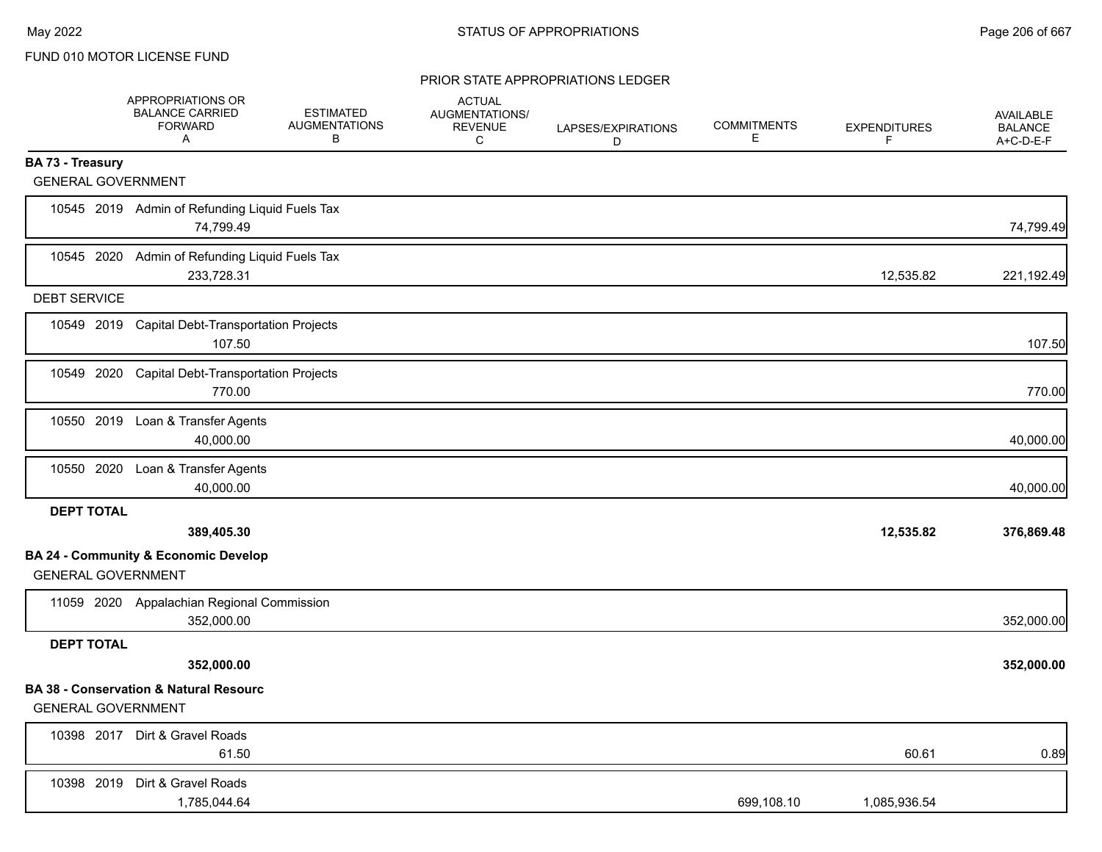|                           | APPROPRIATIONS OR<br><b>BALANCE CARRIED</b><br><b>FORWARD</b><br>A | <b>ESTIMATED</b><br><b>AUGMENTATIONS</b><br>в | <b>ACTUAL</b><br>AUGMENTATIONS/<br><b>REVENUE</b><br>C | LAPSES/EXPIRATIONS<br>D | <b>COMMITMENTS</b><br>Е | <b>EXPENDITURES</b><br>F. | AVAILABLE<br><b>BALANCE</b><br>A+C-D-E-F |
|---------------------------|--------------------------------------------------------------------|-----------------------------------------------|--------------------------------------------------------|-------------------------|-------------------------|---------------------------|------------------------------------------|
| <b>BA 73 - Treasury</b>   |                                                                    |                                               |                                                        |                         |                         |                           |                                          |
| <b>GENERAL GOVERNMENT</b> |                                                                    |                                               |                                                        |                         |                         |                           |                                          |
|                           | 10545 2019 Admin of Refunding Liquid Fuels Tax<br>74,799.49        |                                               |                                                        |                         |                         |                           | 74,799.49                                |
|                           | 10545 2020 Admin of Refunding Liquid Fuels Tax<br>233,728.31       |                                               |                                                        |                         |                         | 12,535.82                 | 221,192.49                               |
| <b>DEBT SERVICE</b>       |                                                                    |                                               |                                                        |                         |                         |                           |                                          |
|                           | 10549 2019 Capital Debt-Transportation Projects<br>107.50          |                                               |                                                        |                         |                         |                           | 107.50                                   |
| 10549 2020                | <b>Capital Debt-Transportation Projects</b><br>770.00              |                                               |                                                        |                         |                         |                           | 770.00                                   |
|                           | 10550 2019 Loan & Transfer Agents<br>40,000.00                     |                                               |                                                        |                         |                         |                           | 40,000.00                                |
|                           | 10550 2020 Loan & Transfer Agents<br>40,000.00                     |                                               |                                                        |                         |                         |                           | 40,000.00                                |
| <b>DEPT TOTAL</b>         |                                                                    |                                               |                                                        |                         |                         |                           |                                          |
|                           | 389,405.30                                                         |                                               |                                                        |                         |                         | 12,535.82                 | 376,869.48                               |
| <b>GENERAL GOVERNMENT</b> | <b>BA 24 - Community &amp; Economic Develop</b>                    |                                               |                                                        |                         |                         |                           |                                          |
|                           | 11059 2020 Appalachian Regional Commission<br>352,000.00           |                                               |                                                        |                         |                         |                           | 352,000.00                               |
| <b>DEPT TOTAL</b>         |                                                                    |                                               |                                                        |                         |                         |                           |                                          |
|                           | 352,000.00                                                         |                                               |                                                        |                         |                         |                           | 352,000.00                               |
| <b>GENERAL GOVERNMENT</b> | <b>BA 38 - Conservation &amp; Natural Resourc</b>                  |                                               |                                                        |                         |                         |                           |                                          |
|                           | 10398 2017 Dirt & Gravel Roads<br>61.50                            |                                               |                                                        |                         |                         | 60.61                     | 0.89                                     |
|                           | 10398 2019 Dirt & Gravel Roads<br>1,785,044.64                     |                                               |                                                        |                         | 699,108.10              | 1,085,936.54              |                                          |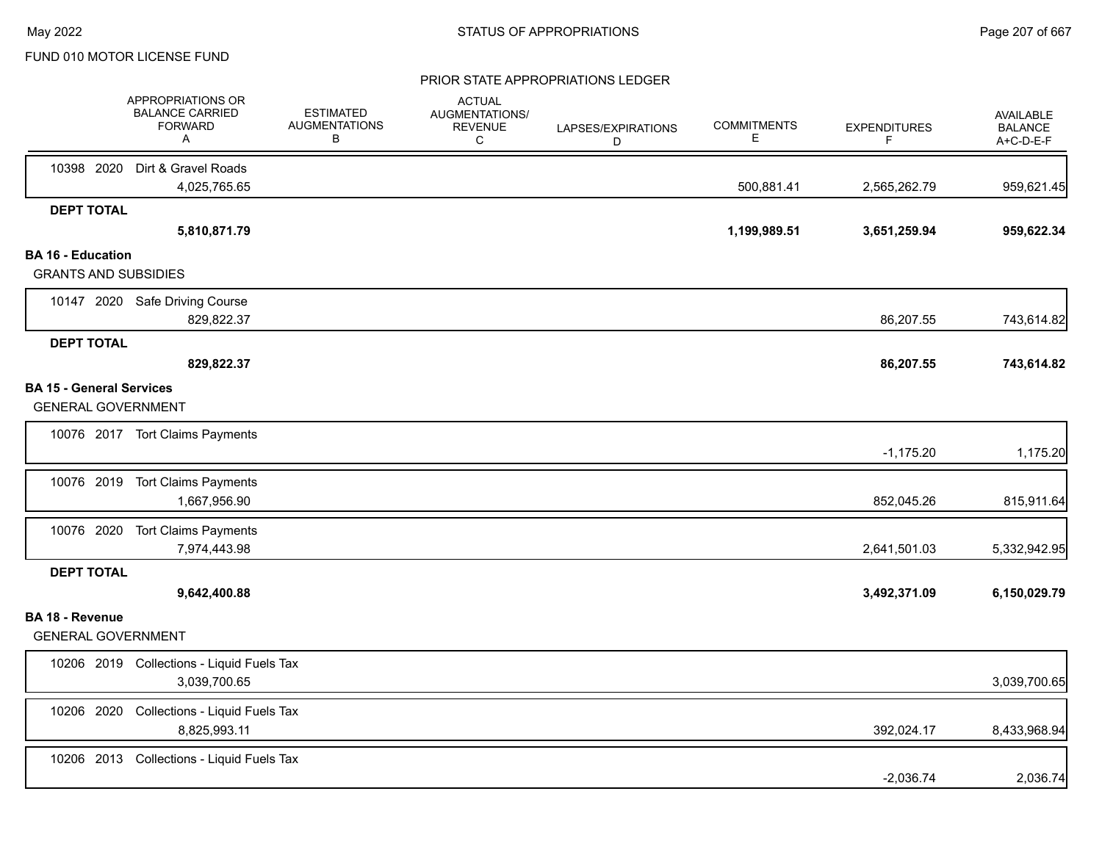|                                                              | APPROPRIATIONS OR<br><b>BALANCE CARRIED</b><br><b>FORWARD</b><br>A | <b>ESTIMATED</b><br><b>AUGMENTATIONS</b><br>В | <b>ACTUAL</b><br>AUGMENTATIONS/<br><b>REVENUE</b><br>C | LAPSES/EXPIRATIONS<br>D | <b>COMMITMENTS</b><br>Е | <b>EXPENDITURES</b><br>F | AVAILABLE<br><b>BALANCE</b><br>A+C-D-E-F |
|--------------------------------------------------------------|--------------------------------------------------------------------|-----------------------------------------------|--------------------------------------------------------|-------------------------|-------------------------|--------------------------|------------------------------------------|
|                                                              | 10398 2020 Dirt & Gravel Roads<br>4,025,765.65                     |                                               |                                                        |                         | 500,881.41              | 2,565,262.79             | 959,621.45                               |
| <b>DEPT TOTAL</b>                                            |                                                                    |                                               |                                                        |                         |                         |                          |                                          |
|                                                              | 5,810,871.79                                                       |                                               |                                                        |                         | 1,199,989.51            | 3,651,259.94             | 959,622.34                               |
| <b>BA 16 - Education</b><br><b>GRANTS AND SUBSIDIES</b>      |                                                                    |                                               |                                                        |                         |                         |                          |                                          |
|                                                              | 10147 2020 Safe Driving Course<br>829,822.37                       |                                               |                                                        |                         |                         | 86,207.55                | 743,614.82                               |
| <b>DEPT TOTAL</b>                                            | 829,822.37                                                         |                                               |                                                        |                         |                         | 86,207.55                | 743,614.82                               |
| <b>BA 15 - General Services</b><br><b>GENERAL GOVERNMENT</b> |                                                                    |                                               |                                                        |                         |                         |                          |                                          |
|                                                              | 10076 2017 Tort Claims Payments                                    |                                               |                                                        |                         |                         | $-1,175.20$              | 1,175.20                                 |
|                                                              | 10076 2019 Tort Claims Payments<br>1,667,956.90                    |                                               |                                                        |                         |                         | 852,045.26               | 815,911.64                               |
|                                                              | 10076 2020 Tort Claims Payments<br>7,974,443.98                    |                                               |                                                        |                         |                         | 2,641,501.03             | 5,332,942.95                             |
| <b>DEPT TOTAL</b>                                            | 9,642,400.88                                                       |                                               |                                                        |                         |                         | 3,492,371.09             | 6,150,029.79                             |
| <b>BA 18 - Revenue</b><br><b>GENERAL GOVERNMENT</b>          |                                                                    |                                               |                                                        |                         |                         |                          |                                          |
|                                                              | 10206 2019 Collections - Liquid Fuels Tax<br>3,039,700.65          |                                               |                                                        |                         |                         |                          | 3,039,700.65                             |
| 10206 2020                                                   | Collections - Liquid Fuels Tax<br>8,825,993.11                     |                                               |                                                        |                         |                         | 392,024.17               | 8,433,968.94                             |
|                                                              | 10206 2013 Collections - Liquid Fuels Tax                          |                                               |                                                        |                         |                         | $-2,036.74$              | 2,036.74                                 |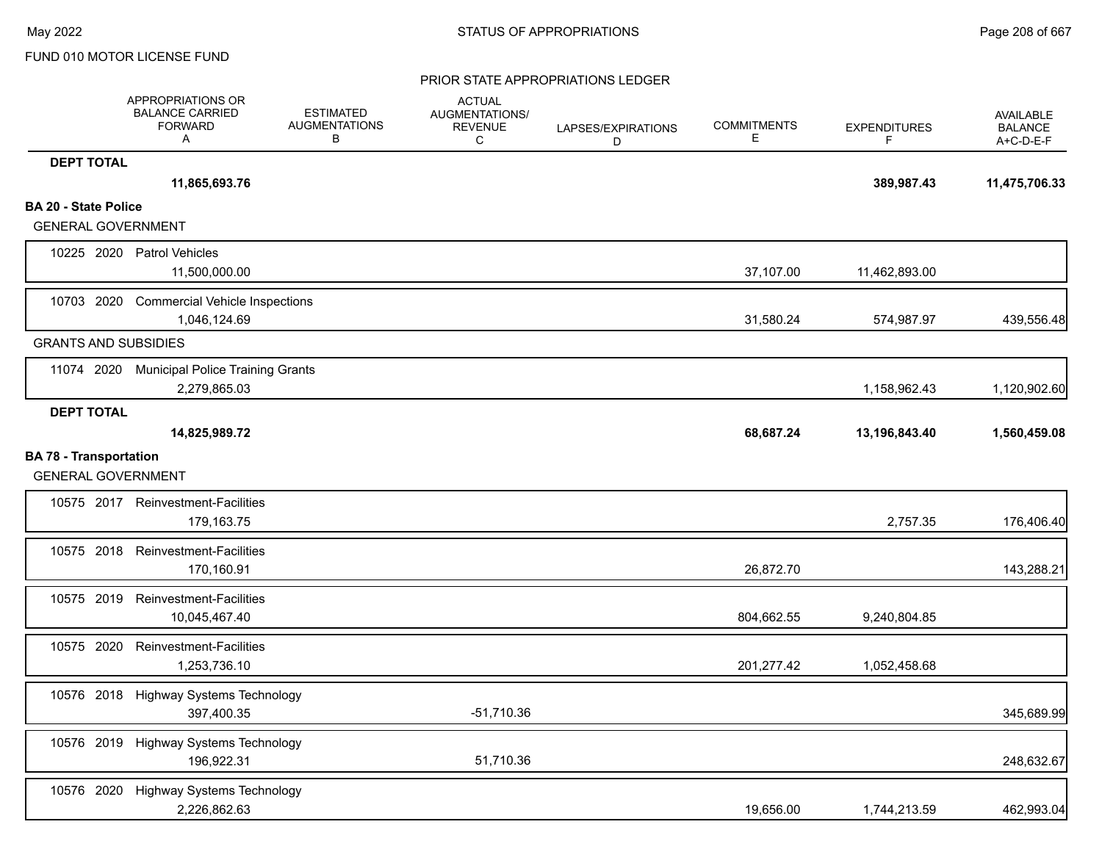|                                                            | <b>APPROPRIATIONS OR</b><br><b>BALANCE CARRIED</b><br><b>FORWARD</b><br>A | <b>ESTIMATED</b><br><b>AUGMENTATIONS</b><br>В | <b>ACTUAL</b><br>AUGMENTATIONS/<br><b>REVENUE</b><br>C | LAPSES/EXPIRATIONS<br>D | <b>COMMITMENTS</b><br>Е | <b>EXPENDITURES</b><br>F | AVAILABLE<br><b>BALANCE</b><br>A+C-D-E-F |
|------------------------------------------------------------|---------------------------------------------------------------------------|-----------------------------------------------|--------------------------------------------------------|-------------------------|-------------------------|--------------------------|------------------------------------------|
| <b>DEPT TOTAL</b>                                          |                                                                           |                                               |                                                        |                         |                         |                          |                                          |
|                                                            | 11,865,693.76                                                             |                                               |                                                        |                         |                         | 389,987.43               | 11,475,706.33                            |
| <b>BA 20 - State Police</b>                                |                                                                           |                                               |                                                        |                         |                         |                          |                                          |
| <b>GENERAL GOVERNMENT</b>                                  |                                                                           |                                               |                                                        |                         |                         |                          |                                          |
|                                                            | 10225 2020 Patrol Vehicles<br>11,500,000.00                               |                                               |                                                        |                         | 37,107.00               | 11,462,893.00            |                                          |
| 10703 2020                                                 | <b>Commercial Vehicle Inspections</b><br>1,046,124.69                     |                                               |                                                        |                         | 31,580.24               | 574,987.97               | 439,556.48                               |
| <b>GRANTS AND SUBSIDIES</b>                                |                                                                           |                                               |                                                        |                         |                         |                          |                                          |
| 11074 2020                                                 | <b>Municipal Police Training Grants</b><br>2,279,865.03                   |                                               |                                                        |                         |                         | 1,158,962.43             | 1,120,902.60                             |
| <b>DEPT TOTAL</b>                                          |                                                                           |                                               |                                                        |                         |                         |                          |                                          |
|                                                            | 14,825,989.72                                                             |                                               |                                                        |                         | 68,687.24               | 13,196,843.40            | 1,560,459.08                             |
| <b>BA 78 - Transportation</b><br><b>GENERAL GOVERNMENT</b> |                                                                           |                                               |                                                        |                         |                         |                          |                                          |
|                                                            | 10575 2017 Reinvestment-Facilities<br>179,163.75                          |                                               |                                                        |                         |                         | 2,757.35                 | 176,406.40                               |
|                                                            | 10575 2018 Reinvestment-Facilities<br>170,160.91                          |                                               |                                                        |                         | 26,872.70               |                          | 143,288.21                               |
| 10575 2019                                                 | Reinvestment-Facilities<br>10,045,467.40                                  |                                               |                                                        |                         | 804,662.55              | 9,240,804.85             |                                          |
| 10575 2020                                                 | Reinvestment-Facilities<br>1,253,736.10                                   |                                               |                                                        |                         | 201,277.42              | 1,052,458.68             |                                          |
| 10576 2018                                                 | Highway Systems Technology<br>397,400.35                                  |                                               | -51,710.36                                             |                         |                         |                          | 345,689.99                               |
|                                                            | 10576 2019 Highway Systems Technology<br>196,922.31                       |                                               | 51,710.36                                              |                         |                         |                          | 248,632.67                               |
| 10576 2020                                                 | Highway Systems Technology<br>2,226,862.63                                |                                               |                                                        |                         | 19,656.00               | 1,744,213.59             | 462,993.04                               |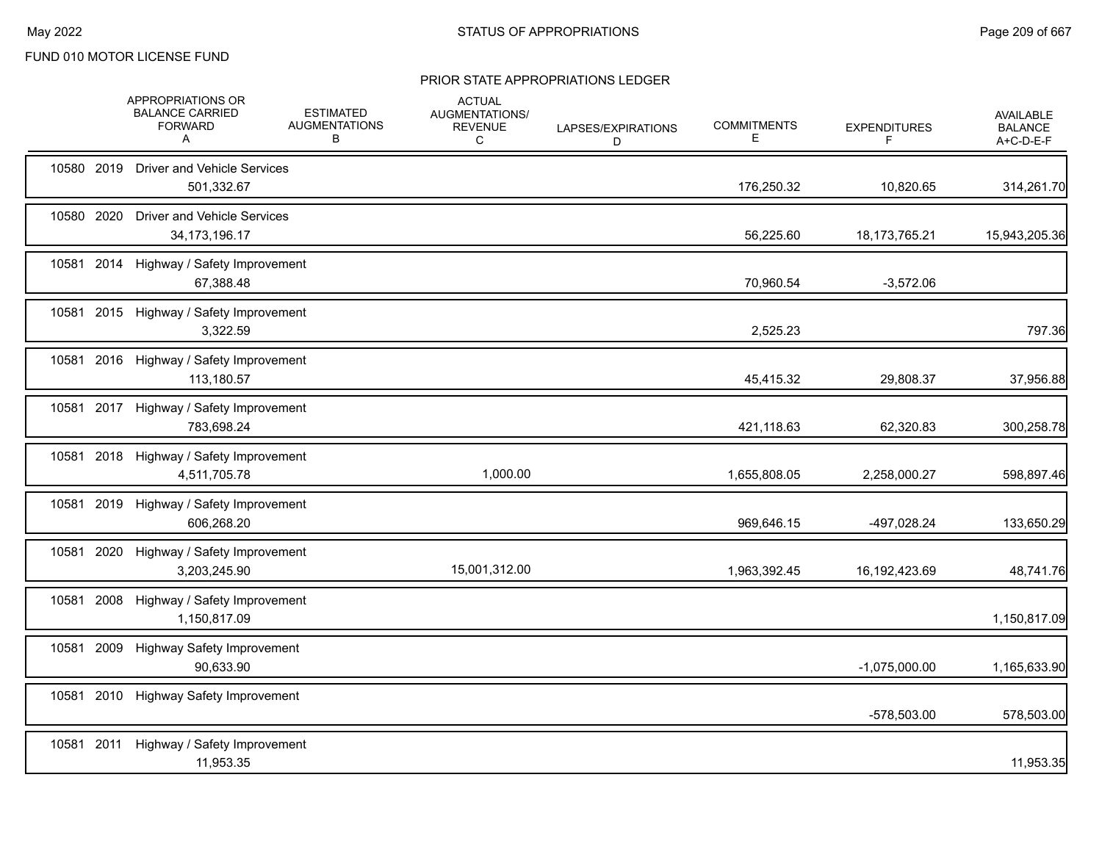|            |            | APPROPRIATIONS OR<br><b>BALANCE CARRIED</b><br><b>FORWARD</b><br>A | <b>ESTIMATED</b><br><b>AUGMENTATIONS</b><br>в | <b>ACTUAL</b><br>AUGMENTATIONS/<br><b>REVENUE</b><br>С | LAPSES/EXPIRATIONS<br>D | <b>COMMITMENTS</b><br>Е | <b>EXPENDITURES</b><br>F | <b>AVAILABLE</b><br><b>BALANCE</b><br>A+C-D-E-F |
|------------|------------|--------------------------------------------------------------------|-----------------------------------------------|--------------------------------------------------------|-------------------------|-------------------------|--------------------------|-------------------------------------------------|
|            |            | 10580 2019 Driver and Vehicle Services<br>501,332.67               |                                               |                                                        |                         | 176,250.32              | 10,820.65                | 314,261.70                                      |
|            | 10580 2020 | <b>Driver and Vehicle Services</b><br>34, 173, 196. 17             |                                               |                                                        |                         | 56,225.60               | 18, 173, 765. 21         | 15,943,205.36                                   |
| 10581 2014 |            | Highway / Safety Improvement<br>67,388.48                          |                                               |                                                        |                         | 70,960.54               | $-3,572.06$              |                                                 |
|            |            | 10581 2015 Highway / Safety Improvement<br>3,322.59                |                                               |                                                        |                         | 2,525.23                |                          | 797.36                                          |
|            |            | 10581 2016 Highway / Safety Improvement<br>113,180.57              |                                               |                                                        |                         | 45,415.32               | 29,808.37                | 37,956.88                                       |
|            |            | 10581 2017 Highway / Safety Improvement<br>783,698.24              |                                               |                                                        |                         | 421,118.63              | 62,320.83                | 300,258.78                                      |
|            |            | 10581 2018 Highway / Safety Improvement<br>4,511,705.78            |                                               | 1,000.00                                               |                         | 1,655,808.05            | 2,258,000.27             | 598,897.46                                      |
| 10581 2019 |            | Highway / Safety Improvement<br>606,268.20                         |                                               |                                                        |                         | 969,646.15              | -497,028.24              | 133,650.29                                      |
| 10581 2020 |            | Highway / Safety Improvement<br>3,203,245.90                       |                                               | 15,001,312.00                                          |                         | 1,963,392.45            | 16, 192, 423.69          | 48,741.76                                       |
| 10581 2008 |            | Highway / Safety Improvement<br>1,150,817.09                       |                                               |                                                        |                         |                         |                          | 1,150,817.09                                    |
| 10581 2009 |            | <b>Highway Safety Improvement</b><br>90,633.90                     |                                               |                                                        |                         |                         | $-1,075,000.00$          | 1,165,633.90                                    |
| 10581 2010 |            | <b>Highway Safety Improvement</b>                                  |                                               |                                                        |                         |                         | -578,503.00              | 578,503.00                                      |
| 10581 2011 |            | Highway / Safety Improvement<br>11,953.35                          |                                               |                                                        |                         |                         |                          | 11,953.35                                       |
|            |            |                                                                    |                                               |                                                        |                         |                         |                          |                                                 |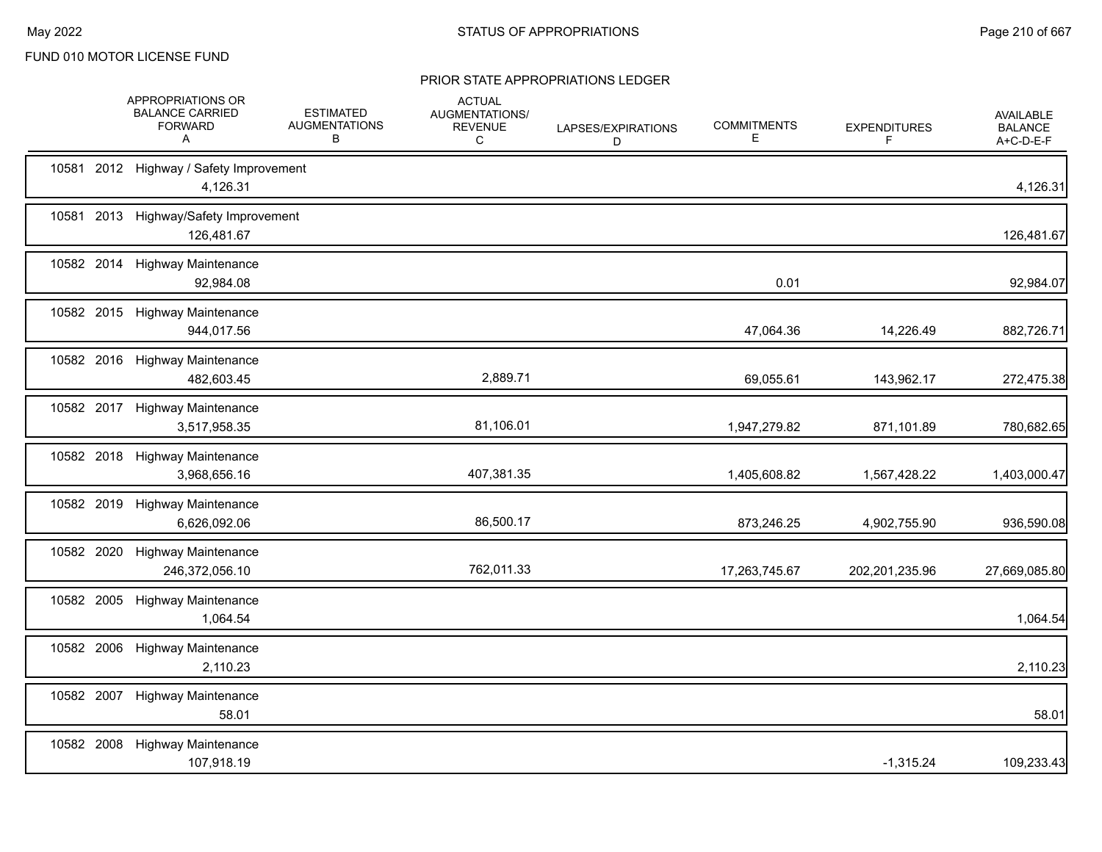|       | APPROPRIATIONS OR<br><b>BALANCE CARRIED</b><br><b>FORWARD</b><br>A | <b>ESTIMATED</b><br><b>AUGMENTATIONS</b><br>В | <b>ACTUAL</b><br>AUGMENTATIONS/<br><b>REVENUE</b><br>С | LAPSES/EXPIRATIONS<br>D | <b>COMMITMENTS</b><br>Е | <b>EXPENDITURES</b><br>F | <b>AVAILABLE</b><br><b>BALANCE</b><br>A+C-D-E-F |
|-------|--------------------------------------------------------------------|-----------------------------------------------|--------------------------------------------------------|-------------------------|-------------------------|--------------------------|-------------------------------------------------|
|       | 10581 2012 Highway / Safety Improvement<br>4,126.31                |                                               |                                                        |                         |                         |                          | 4,126.31                                        |
| 10581 | 2013 Highway/Safety Improvement<br>126,481.67                      |                                               |                                                        |                         |                         |                          | 126,481.67                                      |
|       | 10582 2014 Highway Maintenance<br>92,984.08                        |                                               |                                                        |                         | 0.01                    |                          | 92,984.07                                       |
|       | 10582 2015 Highway Maintenance<br>944,017.56                       |                                               |                                                        |                         | 47,064.36               | 14,226.49                | 882,726.71                                      |
|       | 10582 2016 Highway Maintenance<br>482,603.45                       |                                               | 2,889.71                                               |                         | 69,055.61               | 143,962.17               | 272,475.38                                      |
|       | 10582 2017 Highway Maintenance<br>3,517,958.35                     |                                               | 81,106.01                                              |                         | 1,947,279.82            | 871,101.89               | 780,682.65                                      |
|       | 10582 2018 Highway Maintenance<br>3,968,656.16                     |                                               | 407,381.35                                             |                         | 1,405,608.82            | 1,567,428.22             | 1,403,000.47                                    |
|       | 10582 2019 Highway Maintenance<br>6,626,092.06                     |                                               | 86,500.17                                              |                         | 873,246.25              | 4,902,755.90             | 936,590.08                                      |
|       | 10582 2020 Highway Maintenance<br>246,372,056.10                   |                                               | 762,011.33                                             |                         | 17,263,745.67           | 202,201,235.96           | 27,669,085.80                                   |
|       | 10582 2005 Highway Maintenance<br>1,064.54                         |                                               |                                                        |                         |                         |                          | 1,064.54                                        |
|       | 10582 2006 Highway Maintenance<br>2,110.23                         |                                               |                                                        |                         |                         |                          | 2,110.23                                        |
|       | 10582 2007 Highway Maintenance<br>58.01                            |                                               |                                                        |                         |                         |                          | 58.01                                           |
|       | 10582 2008 Highway Maintenance<br>107,918.19                       |                                               |                                                        |                         |                         | $-1,315.24$              | 109,233.43                                      |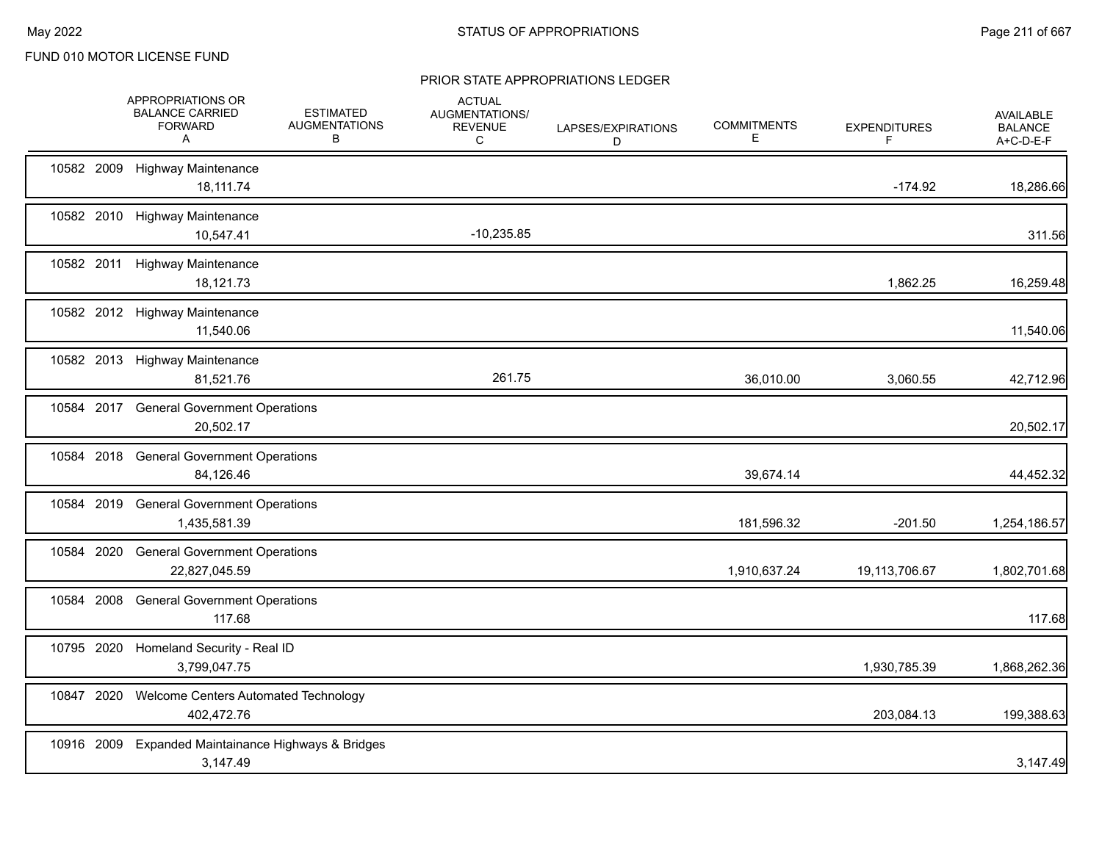|            | APPROPRIATIONS OR<br><b>BALANCE CARRIED</b><br><b>FORWARD</b><br>A | <b>ESTIMATED</b><br><b>AUGMENTATIONS</b><br>в | <b>ACTUAL</b><br><b>AUGMENTATIONS/</b><br><b>REVENUE</b><br>C | LAPSES/EXPIRATIONS<br>D | <b>COMMITMENTS</b><br>E. | <b>EXPENDITURES</b><br>F | <b>AVAILABLE</b><br><b>BALANCE</b><br>A+C-D-E-F |
|------------|--------------------------------------------------------------------|-----------------------------------------------|---------------------------------------------------------------|-------------------------|--------------------------|--------------------------|-------------------------------------------------|
|            | 10582 2009 Highway Maintenance<br>18,111.74                        |                                               |                                                               |                         |                          | $-174.92$                | 18,286.66                                       |
|            | 10582 2010 Highway Maintenance<br>10,547.41                        |                                               | $-10,235.85$                                                  |                         |                          |                          | 311.56                                          |
|            | 10582 2011 Highway Maintenance<br>18,121.73                        |                                               |                                                               |                         |                          | 1,862.25                 | 16,259.48                                       |
|            | 10582 2012 Highway Maintenance<br>11,540.06                        |                                               |                                                               |                         |                          |                          | 11,540.06                                       |
|            | 10582 2013 Highway Maintenance<br>81,521.76                        |                                               | 261.75                                                        |                         | 36,010.00                | 3,060.55                 | 42,712.96                                       |
|            | 10584 2017 General Government Operations<br>20,502.17              |                                               |                                                               |                         |                          |                          | 20,502.17                                       |
|            | 10584 2018 General Government Operations<br>84,126.46              |                                               |                                                               |                         | 39,674.14                |                          | 44,452.32                                       |
| 10584 2019 | <b>General Government Operations</b><br>1,435,581.39               |                                               |                                                               |                         | 181,596.32               | $-201.50$                | 1,254,186.57                                    |
| 10584 2020 | <b>General Government Operations</b><br>22,827,045.59              |                                               |                                                               |                         | 1,910,637.24             | 19,113,706.67            | 1,802,701.68                                    |
| 10584 2008 | <b>General Government Operations</b><br>117.68                     |                                               |                                                               |                         |                          |                          | 117.68                                          |
| 10795 2020 | Homeland Security - Real ID<br>3,799,047.75                        |                                               |                                                               |                         |                          | 1,930,785.39             | 1,868,262.36                                    |
| 10847 2020 | Welcome Centers Automated Technology<br>402,472.76                 |                                               |                                                               |                         |                          | 203,084.13               | 199,388.63                                      |
| 10916 2009 | Expanded Maintainance Highways & Bridges<br>3,147.49               |                                               |                                                               |                         |                          |                          | 3,147.49                                        |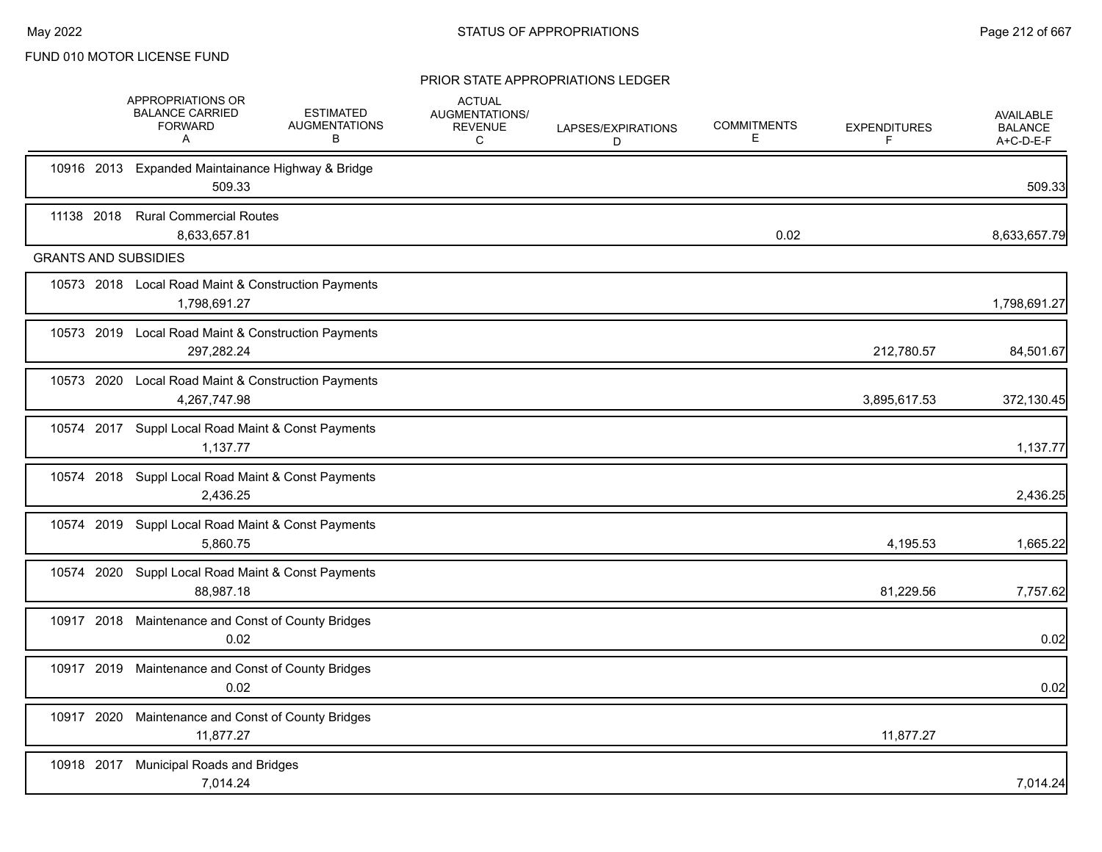|            |            | APPROPRIATIONS OR<br><b>BALANCE CARRIED</b><br><b>FORWARD</b><br>A  | <b>ESTIMATED</b><br><b>AUGMENTATIONS</b><br>B | <b>ACTUAL</b><br>AUGMENTATIONS/<br><b>REVENUE</b><br>C | LAPSES/EXPIRATIONS<br>D | <b>COMMITMENTS</b><br>E | <b>EXPENDITURES</b><br>F | <b>AVAILABLE</b><br><b>BALANCE</b><br>A+C-D-E-F |
|------------|------------|---------------------------------------------------------------------|-----------------------------------------------|--------------------------------------------------------|-------------------------|-------------------------|--------------------------|-------------------------------------------------|
|            |            | 10916 2013 Expanded Maintainance Highway & Bridge<br>509.33         |                                               |                                                        |                         |                         |                          | 509.33                                          |
| 11138 2018 |            | <b>Rural Commercial Routes</b><br>8,633,657.81                      |                                               |                                                        |                         | 0.02                    |                          | 8,633,657.79                                    |
|            |            | <b>GRANTS AND SUBSIDIES</b>                                         |                                               |                                                        |                         |                         |                          |                                                 |
|            |            | 10573 2018 Local Road Maint & Construction Payments<br>1,798,691.27 |                                               |                                                        |                         |                         |                          | 1,798,691.27                                    |
|            |            | 10573 2019 Local Road Maint & Construction Payments<br>297,282.24   |                                               |                                                        |                         |                         | 212,780.57               | 84,501.67                                       |
|            |            | 10573 2020 Local Road Maint & Construction Payments<br>4,267,747.98 |                                               |                                                        |                         |                         | 3,895,617.53             | 372,130.45                                      |
|            |            | 10574 2017 Suppl Local Road Maint & Const Payments<br>1,137.77      |                                               |                                                        |                         |                         |                          | 1,137.77                                        |
|            |            | 10574 2018 Suppl Local Road Maint & Const Payments<br>2,436.25      |                                               |                                                        |                         |                         |                          | 2,436.25                                        |
|            |            | 10574 2019 Suppl Local Road Maint & Const Payments<br>5.860.75      |                                               |                                                        |                         |                         | 4,195.53                 | 1,665.22                                        |
|            |            | 10574 2020 Suppl Local Road Maint & Const Payments<br>88.987.18     |                                               |                                                        |                         |                         | 81,229.56                | 7,757.62                                        |
|            |            | 10917 2018 Maintenance and Const of County Bridges<br>0.02          |                                               |                                                        |                         |                         |                          | 0.02                                            |
|            |            | 10917 2019 Maintenance and Const of County Bridges<br>0.02          |                                               |                                                        |                         |                         |                          | 0.02                                            |
|            | 10917 2020 | Maintenance and Const of County Bridges<br>11,877.27                |                                               |                                                        |                         |                         | 11,877.27                |                                                 |
|            | 10918 2017 | <b>Municipal Roads and Bridges</b><br>7,014.24                      |                                               |                                                        |                         |                         |                          | 7,014.24                                        |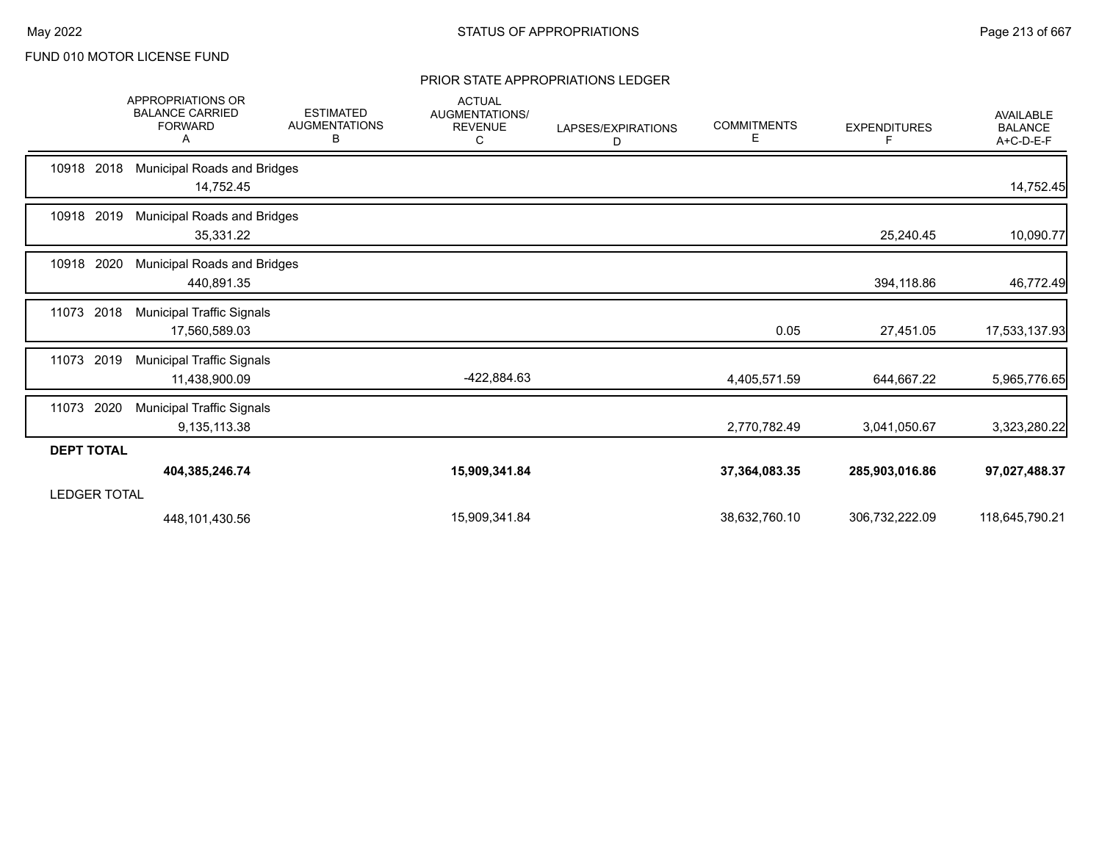|                     | <b>APPROPRIATIONS OR</b><br><b>BALANCE CARRIED</b><br><b>FORWARD</b><br>A | <b>ESTIMATED</b><br><b>AUGMENTATIONS</b><br>В | <b>ACTUAL</b><br>AUGMENTATIONS/<br><b>REVENUE</b><br>C | LAPSES/EXPIRATIONS<br>D | <b>COMMITMENTS</b><br>Е | <b>EXPENDITURES</b> | <b>AVAILABLE</b><br><b>BALANCE</b><br>A+C-D-E-F |
|---------------------|---------------------------------------------------------------------------|-----------------------------------------------|--------------------------------------------------------|-------------------------|-------------------------|---------------------|-------------------------------------------------|
| 10918 2018          | <b>Municipal Roads and Bridges</b><br>14,752.45                           |                                               |                                                        |                         |                         |                     | 14,752.45                                       |
| 10918 2019          | <b>Municipal Roads and Bridges</b><br>35,331.22                           |                                               |                                                        |                         |                         | 25,240.45           | 10,090.77                                       |
| 10918 2020          | <b>Municipal Roads and Bridges</b><br>440,891.35                          |                                               |                                                        |                         |                         | 394,118.86          | 46,772.49                                       |
| 11073<br>2018       | <b>Municipal Traffic Signals</b><br>17,560,589.03                         |                                               |                                                        |                         | 0.05                    | 27,451.05           | 17,533,137.93                                   |
| 2019<br>11073       | <b>Municipal Traffic Signals</b><br>11,438,900.09                         |                                               | -422,884.63                                            |                         | 4,405,571.59            | 644,667.22          | 5,965,776.65                                    |
| 11073<br>2020       | <b>Municipal Traffic Signals</b><br>9,135,113.38                          |                                               |                                                        |                         | 2,770,782.49            | 3,041,050.67        | 3,323,280.22                                    |
| <b>DEPT TOTAL</b>   |                                                                           |                                               |                                                        |                         |                         |                     |                                                 |
|                     | 404,385,246.74                                                            |                                               | 15,909,341.84                                          |                         | 37,364,083.35           | 285,903,016.86      | 97,027,488.37                                   |
| <b>LEDGER TOTAL</b> |                                                                           |                                               |                                                        |                         |                         |                     |                                                 |
|                     | 448,101,430.56                                                            |                                               | 15,909,341.84                                          |                         | 38,632,760.10           | 306,732,222.09      | 118,645,790.21                                  |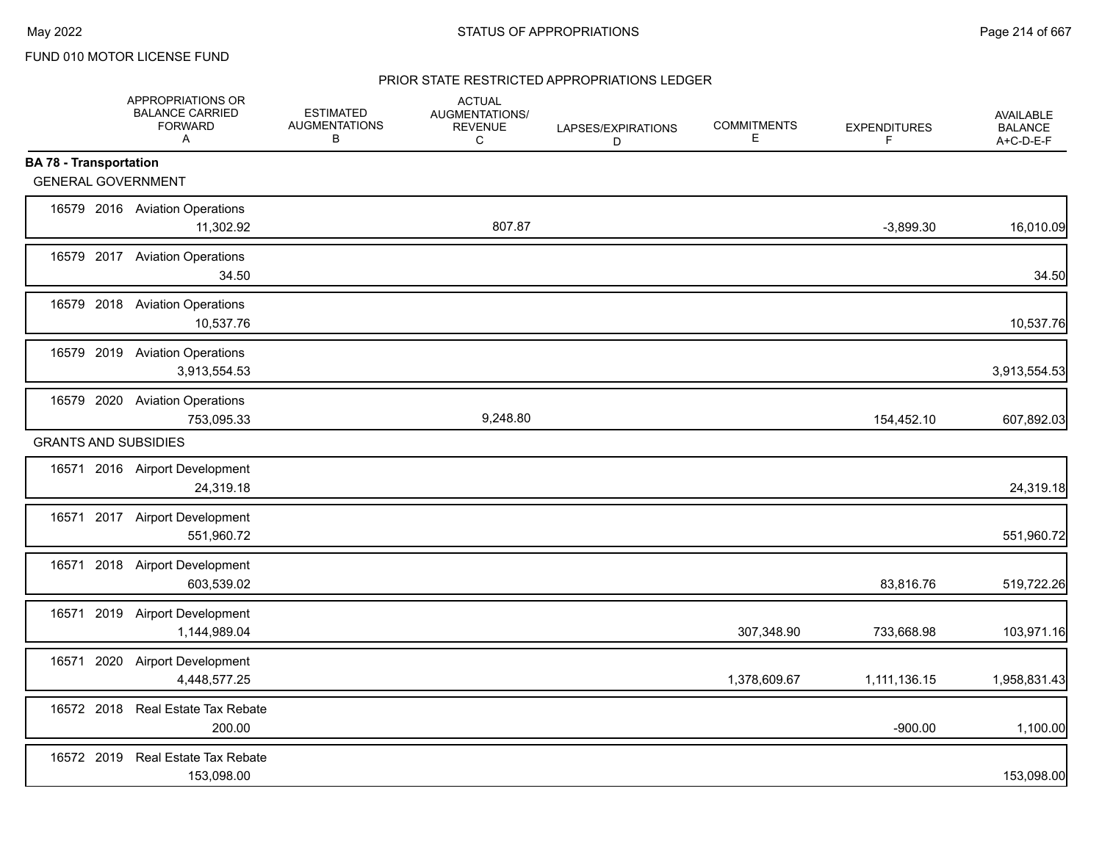## PRIOR STATE RESTRICTED APPROPRIATIONS LEDGER

|                               | APPROPRIATIONS OR<br><b>BALANCE CARRIED</b><br><b>FORWARD</b><br>A | <b>ESTIMATED</b><br><b>AUGMENTATIONS</b><br>В | <b>ACTUAL</b><br>AUGMENTATIONS/<br><b>REVENUE</b><br>C | LAPSES/EXPIRATIONS<br>D | <b>COMMITMENTS</b><br>Е | <b>EXPENDITURES</b><br>F | <b>AVAILABLE</b><br><b>BALANCE</b><br>A+C-D-E-F |
|-------------------------------|--------------------------------------------------------------------|-----------------------------------------------|--------------------------------------------------------|-------------------------|-------------------------|--------------------------|-------------------------------------------------|
| <b>BA 78 - Transportation</b> |                                                                    |                                               |                                                        |                         |                         |                          |                                                 |
|                               | <b>GENERAL GOVERNMENT</b>                                          |                                               |                                                        |                         |                         |                          |                                                 |
|                               | 16579 2016 Aviation Operations<br>11,302.92                        |                                               | 807.87                                                 |                         |                         | $-3,899.30$              | 16,010.09                                       |
|                               | 16579 2017 Aviation Operations<br>34.50                            |                                               |                                                        |                         |                         |                          | 34.50                                           |
|                               | 16579 2018 Aviation Operations<br>10,537.76                        |                                               |                                                        |                         |                         |                          | 10,537.76                                       |
|                               | 16579 2019 Aviation Operations<br>3,913,554.53                     |                                               |                                                        |                         |                         |                          | 3,913,554.53                                    |
| 16579 2020                    | <b>Aviation Operations</b><br>753,095.33                           |                                               | 9,248.80                                               |                         |                         | 154,452.10               | 607,892.03                                      |
|                               | <b>GRANTS AND SUBSIDIES</b>                                        |                                               |                                                        |                         |                         |                          |                                                 |
|                               | 16571 2016 Airport Development<br>24,319.18                        |                                               |                                                        |                         |                         |                          | 24,319.18                                       |
|                               | 16571 2017 Airport Development<br>551,960.72                       |                                               |                                                        |                         |                         |                          | 551,960.72                                      |
|                               | 16571 2018 Airport Development<br>603,539.02                       |                                               |                                                        |                         |                         | 83,816.76                | 519,722.26                                      |
|                               | 16571 2019 Airport Development<br>1,144,989.04                     |                                               |                                                        |                         | 307,348.90              | 733,668.98               | 103,971.16                                      |
| 16571                         | 2020 Airport Development<br>4,448,577.25                           |                                               |                                                        |                         | 1,378,609.67            | 1,111,136.15             | 1,958,831.43                                    |
|                               | 16572 2018 Real Estate Tax Rebate<br>200.00                        |                                               |                                                        |                         |                         | $-900.00$                | 1,100.00                                        |
|                               | 16572 2019 Real Estate Tax Rebate<br>153,098.00                    |                                               |                                                        |                         |                         |                          | 153,098.00                                      |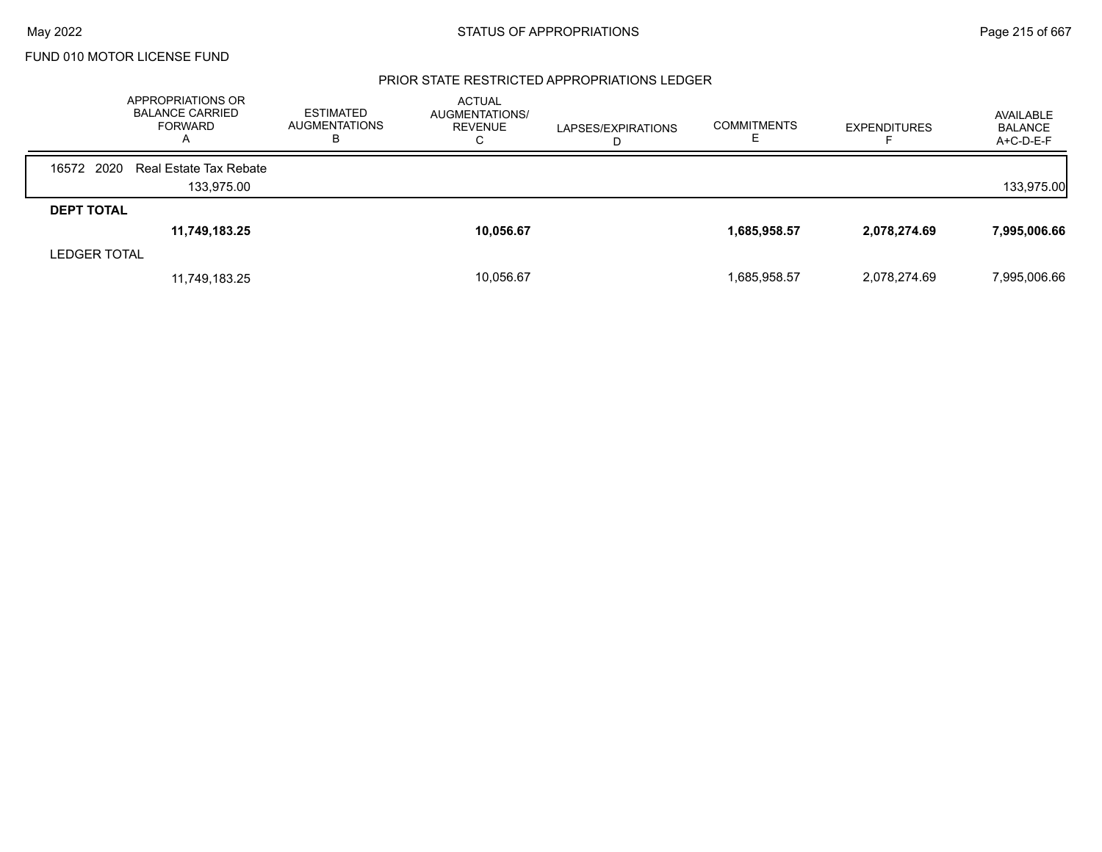#### PRIOR STATE RESTRICTED APPROPRIATIONS LEDGER

|                   | APPROPRIATIONS OR<br><b>BALANCE CARRIED</b><br><b>FORWARD</b><br>A | <b>ESTIMATED</b><br><b>AUGMENTATIONS</b><br>в | <b>ACTUAL</b><br>AUGMENTATIONS/<br><b>REVENUE</b><br>U | LAPSES/EXPIRATIONS<br>D | <b>COMMITMENTS</b> | <b>EXPENDITURES</b> | AVAILABLE<br><b>BALANCE</b><br>$A+C-D-E-F$ |
|-------------------|--------------------------------------------------------------------|-----------------------------------------------|--------------------------------------------------------|-------------------------|--------------------|---------------------|--------------------------------------------|
| 2020<br>16572     | Real Estate Tax Rebate                                             |                                               |                                                        |                         |                    |                     |                                            |
|                   | 133.975.00                                                         |                                               |                                                        |                         |                    |                     | 133,975.00                                 |
| <b>DEPT TOTAL</b> |                                                                    |                                               |                                                        |                         |                    |                     |                                            |
|                   | 11,749,183.25                                                      |                                               | 10,056.67                                              |                         | 1,685,958.57       | 2,078,274.69        | 7,995,006.66                               |
| LEDGER TOTAL      |                                                                    |                                               |                                                        |                         |                    |                     |                                            |
|                   | 11,749,183.25                                                      |                                               | 10,056.67                                              |                         | 1,685,958.57       | 2,078,274.69        | 7,995,006.66                               |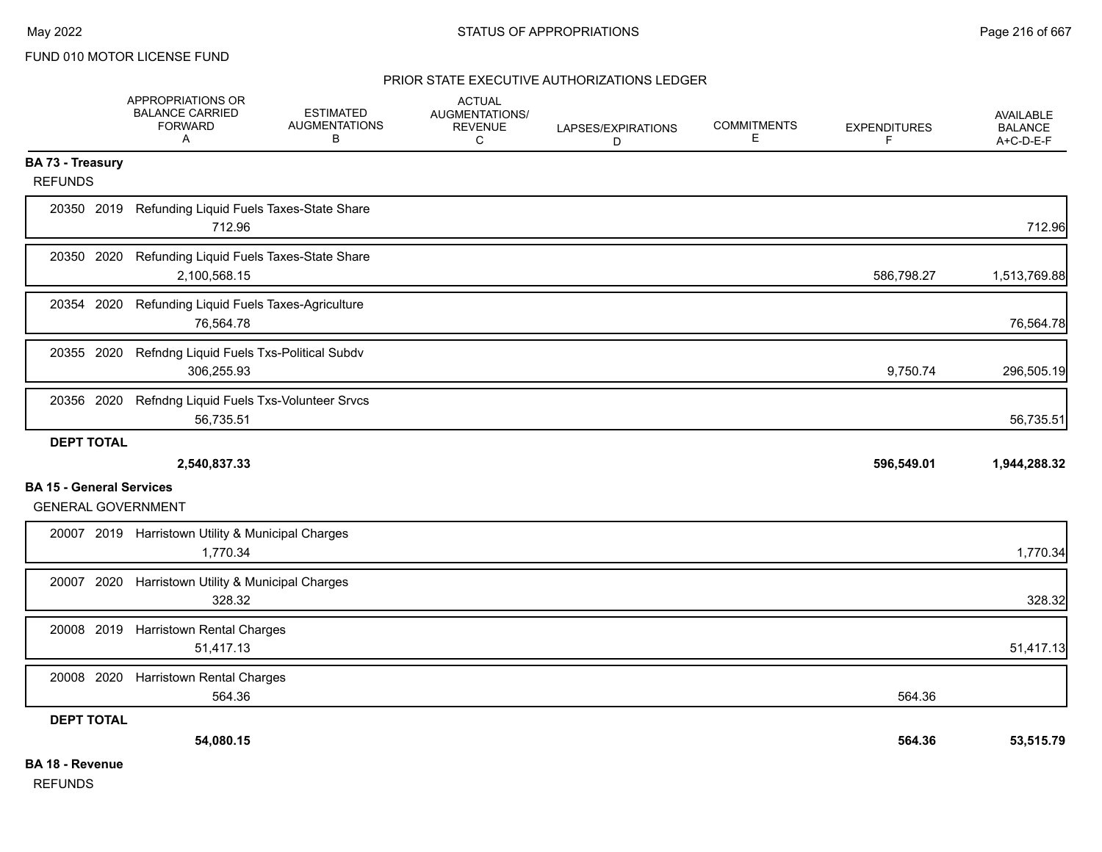#### PRIOR STATE EXECUTIVE AUTHORIZATIONS LEDGER

|                                                              | APPROPRIATIONS OR<br><b>BALANCE CARRIED</b><br><b>FORWARD</b><br>A | <b>ESTIMATED</b><br><b>AUGMENTATIONS</b><br>в | <b>ACTUAL</b><br>AUGMENTATIONS/<br><b>REVENUE</b><br>$\mathsf{C}$ | LAPSES/EXPIRATIONS<br>D | <b>COMMITMENTS</b><br>Е | <b>EXPENDITURES</b><br>F | <b>AVAILABLE</b><br><b>BALANCE</b><br>A+C-D-E-F |
|--------------------------------------------------------------|--------------------------------------------------------------------|-----------------------------------------------|-------------------------------------------------------------------|-------------------------|-------------------------|--------------------------|-------------------------------------------------|
| <b>BA 73 - Treasury</b><br><b>REFUNDS</b>                    |                                                                    |                                               |                                                                   |                         |                         |                          |                                                 |
| 20350 2019                                                   | Refunding Liquid Fuels Taxes-State Share<br>712.96                 |                                               |                                                                   |                         |                         |                          | 712.96                                          |
| 20350 2020                                                   | Refunding Liquid Fuels Taxes-State Share<br>2,100,568.15           |                                               |                                                                   |                         |                         | 586,798.27               | 1,513,769.88                                    |
| 20354 2020                                                   | Refunding Liquid Fuels Taxes-Agriculture<br>76,564.78              |                                               |                                                                   |                         |                         |                          | 76,564.78                                       |
| 20355 2020                                                   | Refndng Liquid Fuels Txs-Political Subdv<br>306,255.93             |                                               |                                                                   |                         |                         | 9,750.74                 | 296,505.19                                      |
| 20356 2020                                                   | Refndng Liquid Fuels Txs-Volunteer Srvcs<br>56,735.51              |                                               |                                                                   |                         |                         |                          | 56,735.51                                       |
| <b>DEPT TOTAL</b>                                            |                                                                    |                                               |                                                                   |                         |                         |                          |                                                 |
|                                                              | 2,540,837.33                                                       |                                               |                                                                   |                         |                         | 596,549.01               | 1,944,288.32                                    |
| <b>BA 15 - General Services</b><br><b>GENERAL GOVERNMENT</b> |                                                                    |                                               |                                                                   |                         |                         |                          |                                                 |
|                                                              | 20007 2019 Harristown Utility & Municipal Charges<br>1,770.34      |                                               |                                                                   |                         |                         |                          | 1,770.34                                        |
| 20007 2020                                                   | Harristown Utility & Municipal Charges<br>328.32                   |                                               |                                                                   |                         |                         |                          | 328.32                                          |
| 20008 2019                                                   | <b>Harristown Rental Charges</b><br>51,417.13                      |                                               |                                                                   |                         |                         |                          | 51,417.13                                       |
| 20008 2020                                                   | <b>Harristown Rental Charges</b><br>564.36                         |                                               |                                                                   |                         |                         | 564.36                   |                                                 |
| <b>DEPT TOTAL</b>                                            |                                                                    |                                               |                                                                   |                         |                         |                          |                                                 |
|                                                              | 54,080.15                                                          |                                               |                                                                   |                         |                         | 564.36                   | 53,515.79                                       |
| <b>BA 18 - Revenue</b>                                       |                                                                    |                                               |                                                                   |                         |                         |                          |                                                 |

REFUNDS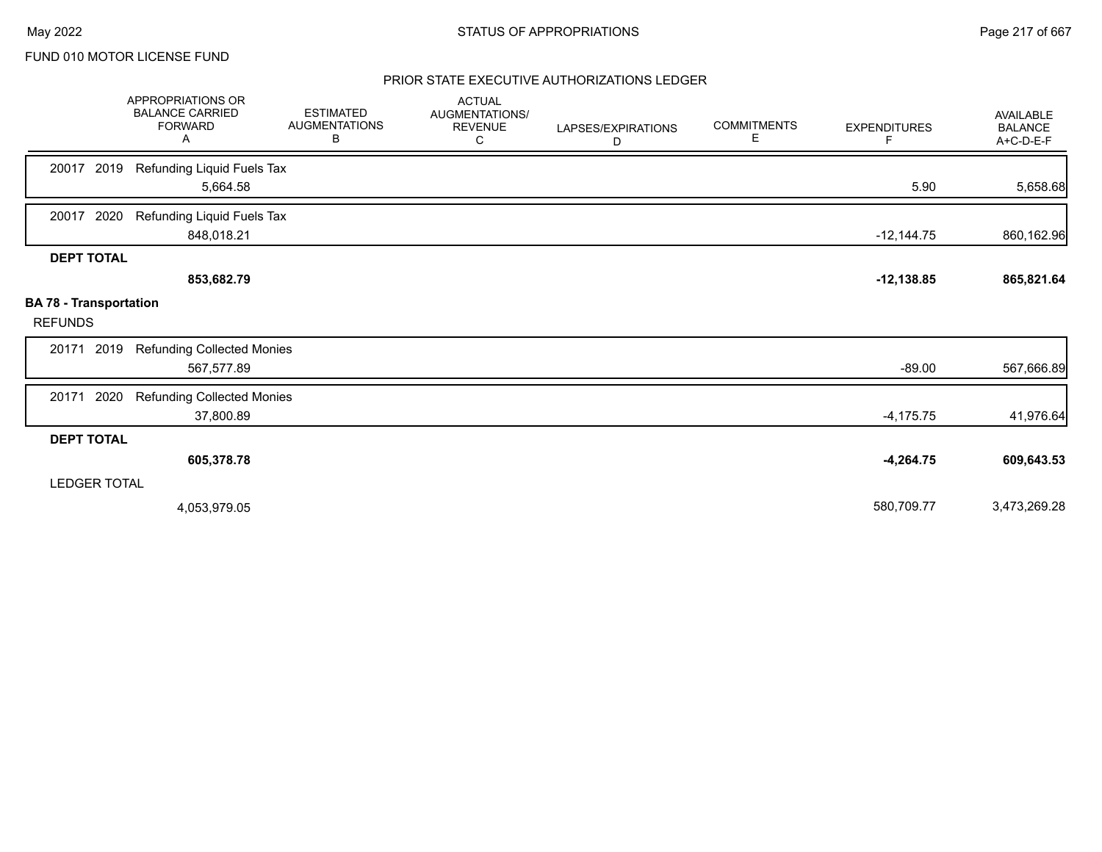## PRIOR STATE EXECUTIVE AUTHORIZATIONS LEDGER

|                                                 | <b>APPROPRIATIONS OR</b><br><b>BALANCE CARRIED</b><br><b>FORWARD</b><br>Α | <b>ESTIMATED</b><br><b>AUGMENTATIONS</b><br>В | <b>ACTUAL</b><br>AUGMENTATIONS/<br><b>REVENUE</b><br>С | LAPSES/EXPIRATIONS<br>D | <b>COMMITMENTS</b><br>Е | <b>EXPENDITURES</b><br>F | <b>AVAILABLE</b><br><b>BALANCE</b><br>A+C-D-E-F |
|-------------------------------------------------|---------------------------------------------------------------------------|-----------------------------------------------|--------------------------------------------------------|-------------------------|-------------------------|--------------------------|-------------------------------------------------|
| 2019<br>20017                                   | Refunding Liquid Fuels Tax<br>5,664.58                                    |                                               |                                                        |                         |                         | 5.90                     | 5,658.68                                        |
| 2020<br>20017                                   | Refunding Liquid Fuels Tax<br>848,018.21                                  |                                               |                                                        |                         |                         | $-12,144.75$             | 860,162.96                                      |
| <b>DEPT TOTAL</b>                               | 853,682.79                                                                |                                               |                                                        |                         |                         | $-12,138.85$             | 865,821.64                                      |
| <b>BA 78 - Transportation</b><br><b>REFUNDS</b> |                                                                           |                                               |                                                        |                         |                         |                          |                                                 |
| 2019<br>20171                                   | <b>Refunding Collected Monies</b><br>567,577.89                           |                                               |                                                        |                         |                         | $-89.00$                 | 567,666.89                                      |
| 2020<br>20171                                   | <b>Refunding Collected Monies</b><br>37,800.89                            |                                               |                                                        |                         |                         | $-4,175.75$              | 41,976.64                                       |
| <b>DEPT TOTAL</b>                               |                                                                           |                                               |                                                        |                         |                         |                          |                                                 |
| <b>LEDGER TOTAL</b>                             | 605,378.78                                                                |                                               |                                                        |                         |                         | $-4,264.75$              | 609,643.53                                      |
|                                                 | 4,053,979.05                                                              |                                               |                                                        |                         |                         | 580,709.77               | 3,473,269.28                                    |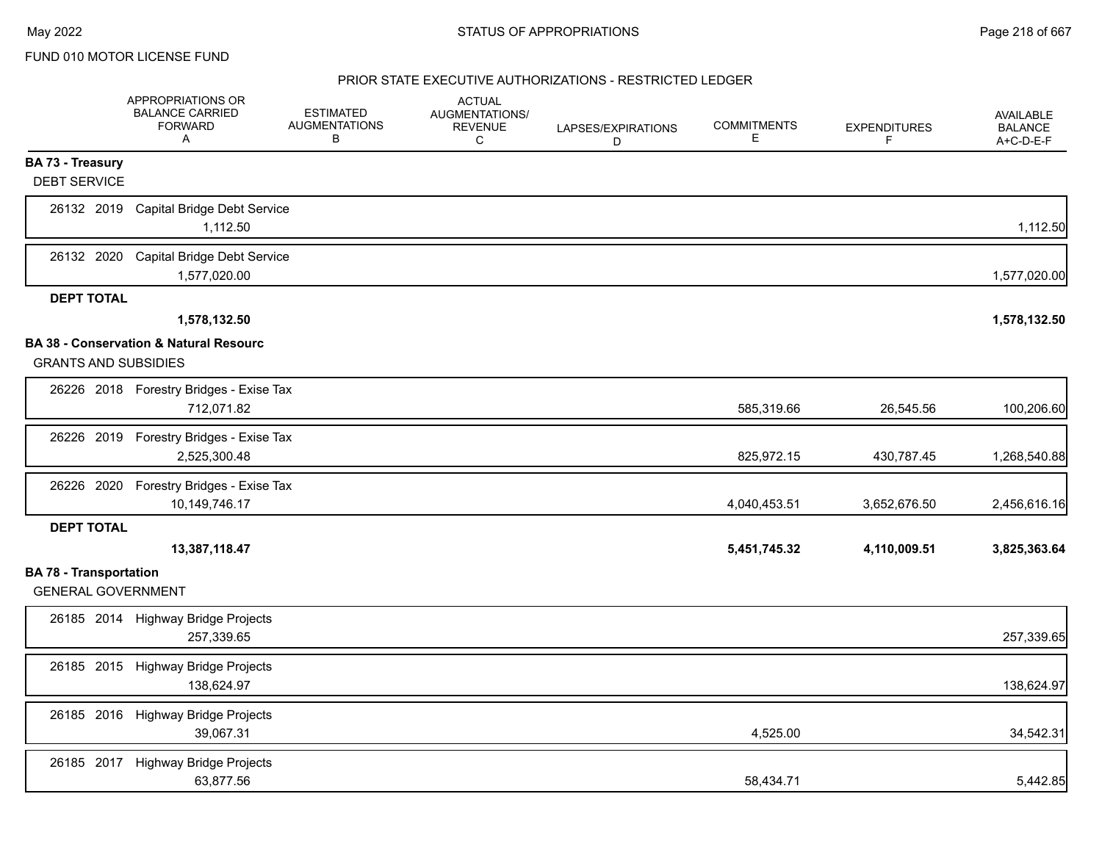|                                                            | APPROPRIATIONS OR<br><b>BALANCE CARRIED</b><br><b>FORWARD</b><br>A | <b>ESTIMATED</b><br><b>AUGMENTATIONS</b><br>В | <b>ACTUAL</b><br>AUGMENTATIONS/<br><b>REVENUE</b><br>C | LAPSES/EXPIRATIONS<br>D | <b>COMMITMENTS</b><br>Е | <b>EXPENDITURES</b><br>F. | <b>AVAILABLE</b><br><b>BALANCE</b><br>A+C-D-E-F |
|------------------------------------------------------------|--------------------------------------------------------------------|-----------------------------------------------|--------------------------------------------------------|-------------------------|-------------------------|---------------------------|-------------------------------------------------|
| BA 73 - Treasury<br><b>DEBT SERVICE</b>                    |                                                                    |                                               |                                                        |                         |                         |                           |                                                 |
| 26132 2019                                                 | <b>Capital Bridge Debt Service</b><br>1,112.50                     |                                               |                                                        |                         |                         |                           | 1,112.50                                        |
| 26132 2020                                                 | <b>Capital Bridge Debt Service</b><br>1,577,020.00                 |                                               |                                                        |                         |                         |                           | 1,577,020.00                                    |
| <b>DEPT TOTAL</b>                                          |                                                                    |                                               |                                                        |                         |                         |                           |                                                 |
|                                                            | 1,578,132.50                                                       |                                               |                                                        |                         |                         |                           | 1,578,132.50                                    |
| <b>GRANTS AND SUBSIDIES</b>                                | BA 38 - Conservation & Natural Resourc                             |                                               |                                                        |                         |                         |                           |                                                 |
|                                                            | 26226 2018 Forestry Bridges - Exise Tax<br>712,071.82              |                                               |                                                        |                         | 585,319.66              | 26,545.56                 | 100,206.60                                      |
| 26226 2019                                                 | Forestry Bridges - Exise Tax<br>2,525,300.48                       |                                               |                                                        |                         | 825,972.15              | 430,787.45                | 1,268,540.88                                    |
| 26226 2020                                                 | Forestry Bridges - Exise Tax<br>10,149,746.17                      |                                               |                                                        |                         | 4,040,453.51            | 3,652,676.50              | 2,456,616.16                                    |
| <b>DEPT TOTAL</b>                                          |                                                                    |                                               |                                                        |                         |                         |                           |                                                 |
|                                                            | 13,387,118.47                                                      |                                               |                                                        |                         | 5,451,745.32            | 4,110,009.51              | 3,825,363.64                                    |
| <b>BA 78 - Transportation</b><br><b>GENERAL GOVERNMENT</b> |                                                                    |                                               |                                                        |                         |                         |                           |                                                 |
| 26185 2014                                                 | <b>Highway Bridge Projects</b><br>257,339.65                       |                                               |                                                        |                         |                         |                           | 257,339.65                                      |
|                                                            | 26185 2015 Highway Bridge Projects<br>138,624.97                   |                                               |                                                        |                         |                         |                           | 138,624.97                                      |
|                                                            | 26185 2016 Highway Bridge Projects<br>39,067.31                    |                                               |                                                        |                         | 4,525.00                |                           | 34,542.31                                       |
| 26185 2017                                                 | Highway Bridge Projects<br>63,877.56                               |                                               |                                                        |                         | 58,434.71               |                           | 5,442.85                                        |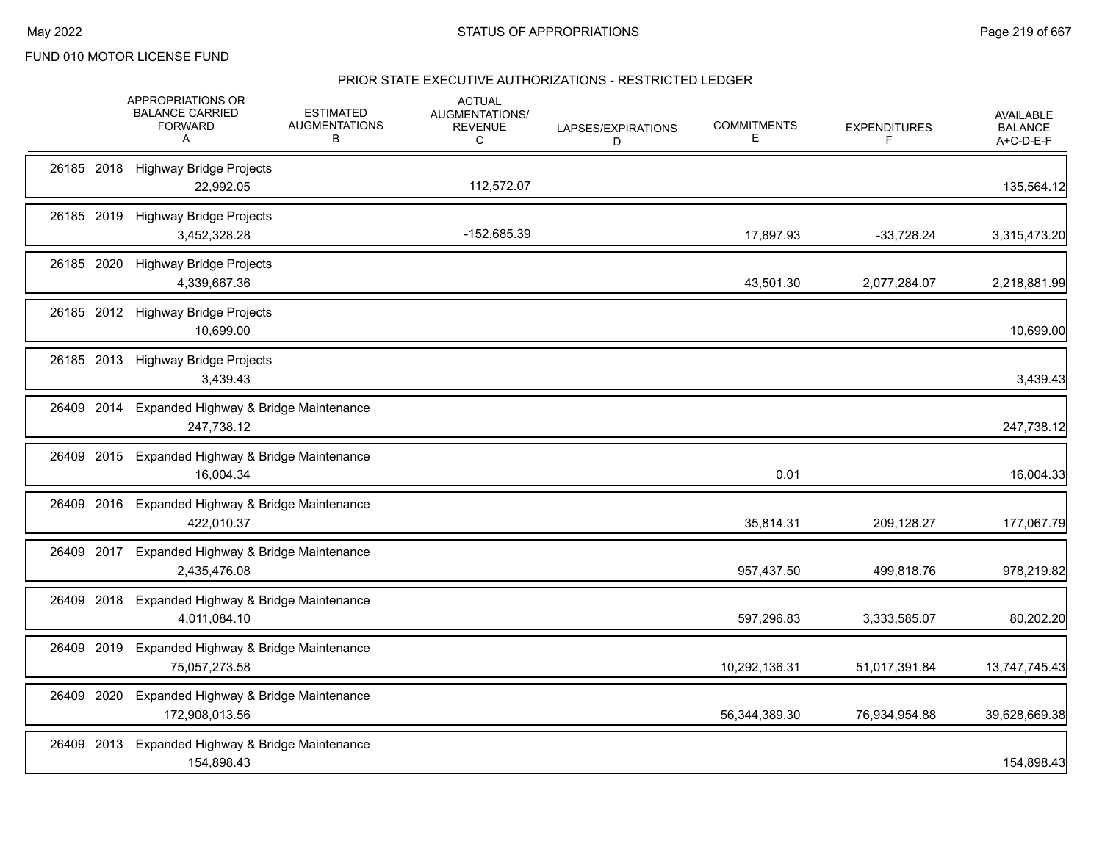|               | APPROPRIATIONS OR<br><b>BALANCE CARRIED</b><br><b>FORWARD</b><br>Α | <b>ESTIMATED</b><br><b>AUGMENTATIONS</b><br>В | <b>ACTUAL</b><br>AUGMENTATIONS/<br><b>REVENUE</b><br>С | LAPSES/EXPIRATIONS<br>D | <b>COMMITMENTS</b><br>Е | <b>EXPENDITURES</b><br>F. | AVAILABLE<br><b>BALANCE</b><br>A+C-D-E-F |
|---------------|--------------------------------------------------------------------|-----------------------------------------------|--------------------------------------------------------|-------------------------|-------------------------|---------------------------|------------------------------------------|
|               | 26185 2018 Highway Bridge Projects<br>22,992.05                    |                                               | 112,572.07                                             |                         |                         |                           | 135,564.12                               |
|               | 26185 2019 Highway Bridge Projects<br>3,452,328.28                 |                                               | -152,685.39                                            |                         | 17,897.93               | $-33,728.24$              | 3,315,473.20                             |
|               | 26185 2020 Highway Bridge Projects<br>4,339,667.36                 |                                               |                                                        |                         | 43,501.30               | 2,077,284.07              | 2,218,881.99                             |
|               | 26185 2012 Highway Bridge Projects<br>10,699.00                    |                                               |                                                        |                         |                         |                           | 10,699.00                                |
|               | 26185 2013 Highway Bridge Projects<br>3,439.43                     |                                               |                                                        |                         |                         |                           | 3,439.43                                 |
| 26409 2014    | Expanded Highway & Bridge Maintenance<br>247,738.12                |                                               |                                                        |                         |                         |                           | 247,738.12                               |
| 26409         | 2015 Expanded Highway & Bridge Maintenance<br>16,004.34            |                                               |                                                        |                         | 0.01                    |                           | 16,004.33                                |
|               | 26409 2016 Expanded Highway & Bridge Maintenance<br>422,010.37     |                                               |                                                        |                         | 35,814.31               | 209,128.27                | 177,067.79                               |
| 26409 2017    | Expanded Highway & Bridge Maintenance<br>2,435,476.08              |                                               |                                                        |                         | 957,437.50              | 499,818.76                | 978,219.82                               |
| 26409 2018    | Expanded Highway & Bridge Maintenance<br>4,011,084.10              |                                               |                                                        |                         | 597,296.83              | 3,333,585.07              | 80,202.20                                |
| 26409<br>2019 | Expanded Highway & Bridge Maintenance<br>75,057,273.58             |                                               |                                                        |                         | 10,292,136.31           | 51,017,391.84             | 13,747,745.43                            |
| 26409 2020    | Expanded Highway & Bridge Maintenance<br>172,908,013.56            |                                               |                                                        |                         | 56,344,389.30           | 76,934,954.88             | 39,628,669.38                            |
|               | 26409 2013 Expanded Highway & Bridge Maintenance<br>154,898.43     |                                               |                                                        |                         |                         |                           | 154,898.43                               |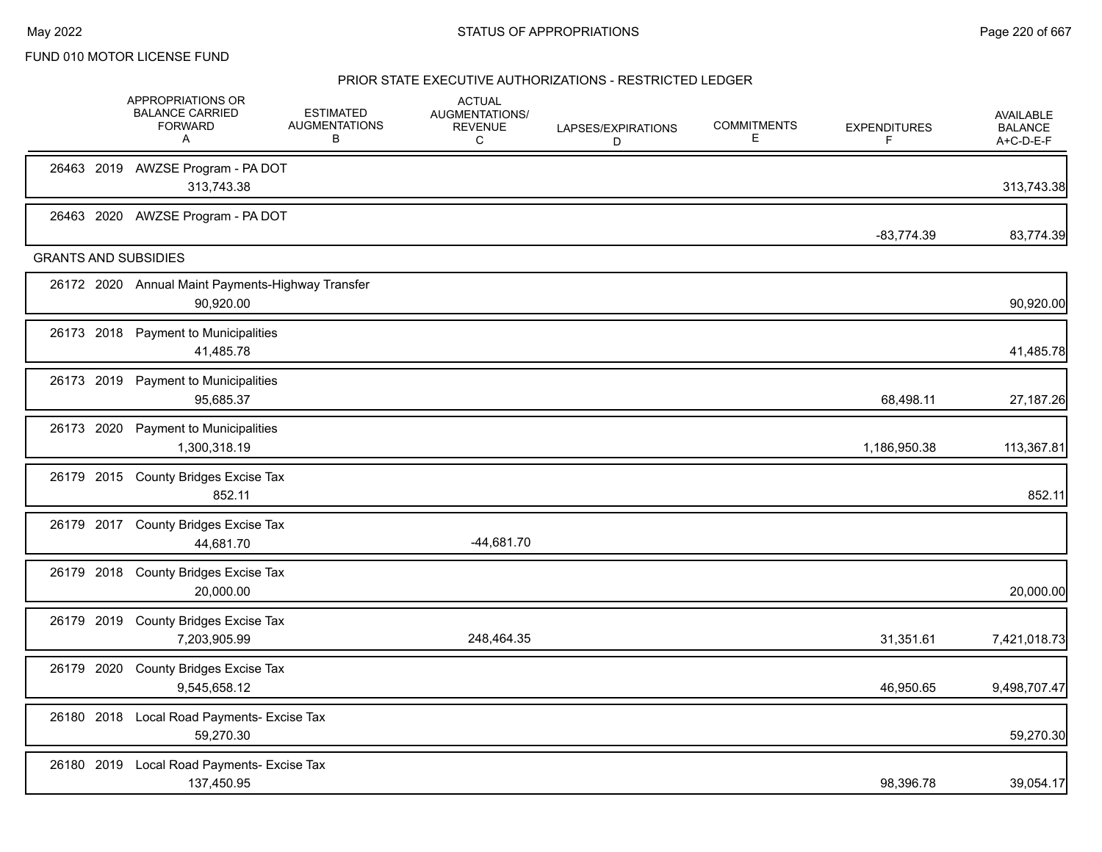| 26463 2019 AWZSE Program - PA DOT<br>313,743.38<br>26463 2020 AWZSE Program - PA DOT<br>$-83,774.39$<br><b>GRANTS AND SUBSIDIES</b><br>26172 2020 Annual Maint Payments-Highway Transfer<br>90,920.00<br>26173 2018 Payment to Municipalities<br>41,485.78<br>26173 2019 Payment to Municipalities<br>95,685.37<br>68,498.11<br>26173 2020 Payment to Municipalities<br>1,300,318.19<br>1,186,950.38<br>26179 2015 County Bridges Excise Tax<br>852.11<br>26179 2017 County Bridges Excise Tax<br>$-44,681.70$<br>44,681.70<br>26179 2018 County Bridges Excise Tax<br>20,000.00<br>26179 2019 County Bridges Excise Tax<br>248,464.35<br>31,351.61<br>7,203,905.99<br>26179 2020 County Bridges Excise Tax<br>9,545,658.12<br>46,950.65<br>26180 2018 Local Road Payments- Excise Tax<br>59,270.30<br>26180 2019 Local Road Payments- Excise Tax<br>137,450.95<br>98,396.78 |  | APPROPRIATIONS OR<br><b>BALANCE CARRIED</b><br><b>FORWARD</b><br>A | <b>ESTIMATED</b><br><b>AUGMENTATIONS</b><br>В | <b>ACTUAL</b><br>AUGMENTATIONS/<br><b>REVENUE</b><br>C | LAPSES/EXPIRATIONS<br>D | <b>COMMITMENTS</b><br>Е | <b>EXPENDITURES</b><br>F | AVAILABLE<br><b>BALANCE</b><br>A+C-D-E-F |
|------------------------------------------------------------------------------------------------------------------------------------------------------------------------------------------------------------------------------------------------------------------------------------------------------------------------------------------------------------------------------------------------------------------------------------------------------------------------------------------------------------------------------------------------------------------------------------------------------------------------------------------------------------------------------------------------------------------------------------------------------------------------------------------------------------------------------------------------------------------------------|--|--------------------------------------------------------------------|-----------------------------------------------|--------------------------------------------------------|-------------------------|-------------------------|--------------------------|------------------------------------------|
|                                                                                                                                                                                                                                                                                                                                                                                                                                                                                                                                                                                                                                                                                                                                                                                                                                                                              |  |                                                                    |                                               |                                                        |                         |                         |                          | 313,743.38                               |
|                                                                                                                                                                                                                                                                                                                                                                                                                                                                                                                                                                                                                                                                                                                                                                                                                                                                              |  |                                                                    |                                               |                                                        |                         |                         |                          | 83,774.39                                |
|                                                                                                                                                                                                                                                                                                                                                                                                                                                                                                                                                                                                                                                                                                                                                                                                                                                                              |  |                                                                    |                                               |                                                        |                         |                         |                          |                                          |
|                                                                                                                                                                                                                                                                                                                                                                                                                                                                                                                                                                                                                                                                                                                                                                                                                                                                              |  |                                                                    |                                               |                                                        |                         |                         |                          | 90,920.00                                |
|                                                                                                                                                                                                                                                                                                                                                                                                                                                                                                                                                                                                                                                                                                                                                                                                                                                                              |  |                                                                    |                                               |                                                        |                         |                         |                          | 41,485.78                                |
|                                                                                                                                                                                                                                                                                                                                                                                                                                                                                                                                                                                                                                                                                                                                                                                                                                                                              |  |                                                                    |                                               |                                                        |                         |                         |                          | 27,187.26                                |
|                                                                                                                                                                                                                                                                                                                                                                                                                                                                                                                                                                                                                                                                                                                                                                                                                                                                              |  |                                                                    |                                               |                                                        |                         |                         |                          | 113,367.81                               |
|                                                                                                                                                                                                                                                                                                                                                                                                                                                                                                                                                                                                                                                                                                                                                                                                                                                                              |  |                                                                    |                                               |                                                        |                         |                         |                          | 852.11                                   |
|                                                                                                                                                                                                                                                                                                                                                                                                                                                                                                                                                                                                                                                                                                                                                                                                                                                                              |  |                                                                    |                                               |                                                        |                         |                         |                          |                                          |
|                                                                                                                                                                                                                                                                                                                                                                                                                                                                                                                                                                                                                                                                                                                                                                                                                                                                              |  |                                                                    |                                               |                                                        |                         |                         |                          | 20,000.00                                |
|                                                                                                                                                                                                                                                                                                                                                                                                                                                                                                                                                                                                                                                                                                                                                                                                                                                                              |  |                                                                    |                                               |                                                        |                         |                         |                          | 7,421,018.73                             |
|                                                                                                                                                                                                                                                                                                                                                                                                                                                                                                                                                                                                                                                                                                                                                                                                                                                                              |  |                                                                    |                                               |                                                        |                         |                         |                          | 9,498,707.47                             |
|                                                                                                                                                                                                                                                                                                                                                                                                                                                                                                                                                                                                                                                                                                                                                                                                                                                                              |  |                                                                    |                                               |                                                        |                         |                         |                          | 59,270.30                                |
|                                                                                                                                                                                                                                                                                                                                                                                                                                                                                                                                                                                                                                                                                                                                                                                                                                                                              |  |                                                                    |                                               |                                                        |                         |                         |                          | 39,054.17                                |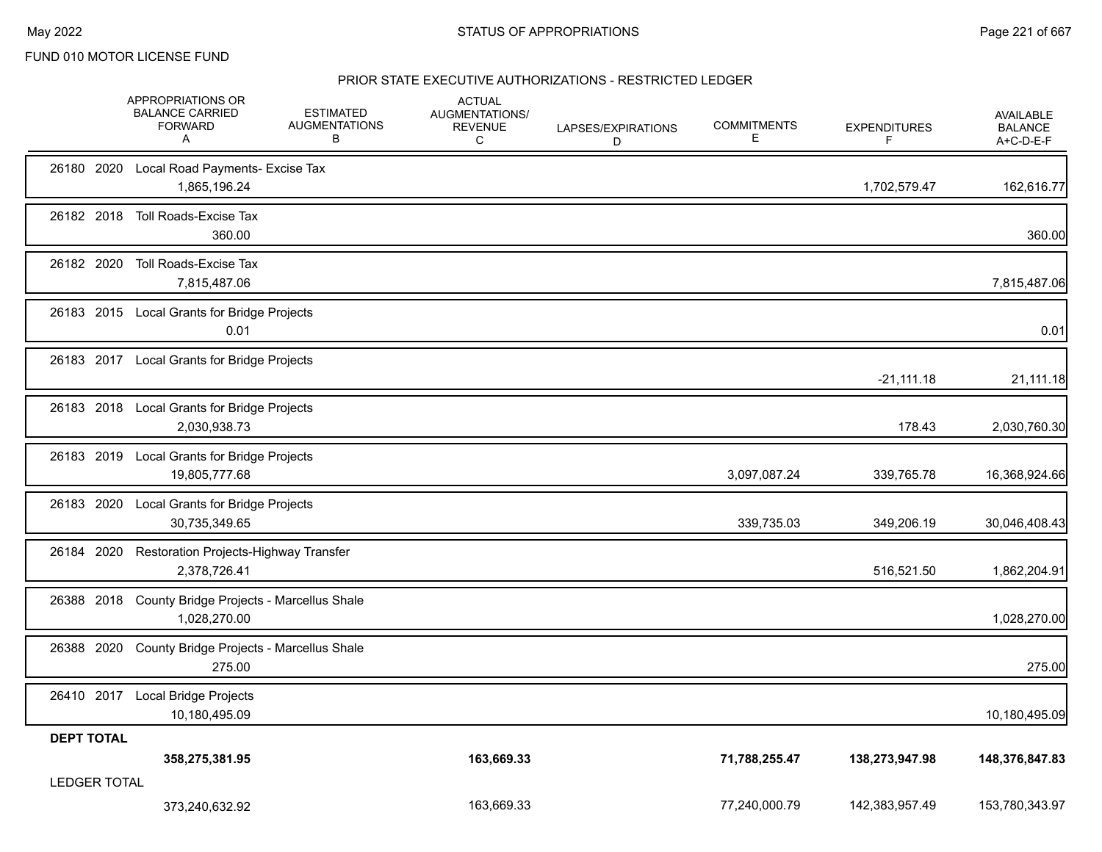|                     | APPROPRIATIONS OR<br><b>BALANCE CARRIED</b><br><b>FORWARD</b><br>Α | <b>ESTIMATED</b><br><b>AUGMENTATIONS</b><br>В | <b>ACTUAL</b><br>AUGMENTATIONS/<br><b>REVENUE</b><br>C | LAPSES/EXPIRATIONS<br>D | <b>COMMITMENTS</b><br>Е. | <b>EXPENDITURES</b><br>F. | AVAILABLE<br><b>BALANCE</b><br>A+C-D-E-F |
|---------------------|--------------------------------------------------------------------|-----------------------------------------------|--------------------------------------------------------|-------------------------|--------------------------|---------------------------|------------------------------------------|
|                     | 26180 2020 Local Road Payments- Excise Tax<br>1,865,196.24         |                                               |                                                        |                         |                          | 1,702,579.47              | 162,616.77                               |
| 26182 2018          | Toll Roads-Excise Tax<br>360.00                                    |                                               |                                                        |                         |                          |                           | 360.00                                   |
| 26182 2020          | Toll Roads-Excise Tax<br>7,815,487.06                              |                                               |                                                        |                         |                          |                           | 7,815,487.06                             |
|                     | 26183 2015 Local Grants for Bridge Projects<br>0.01                |                                               |                                                        |                         |                          |                           | 0.01                                     |
|                     | 26183 2017 Local Grants for Bridge Projects                        |                                               |                                                        |                         |                          | $-21,111.18$              | 21,111.18                                |
|                     | 26183 2018 Local Grants for Bridge Projects<br>2,030,938.73        |                                               |                                                        |                         |                          | 178.43                    | 2,030,760.30                             |
|                     | 26183 2019 Local Grants for Bridge Projects<br>19,805,777.68       |                                               |                                                        |                         | 3,097,087.24             | 339,765.78                | 16,368,924.66                            |
|                     | 26183 2020 Local Grants for Bridge Projects<br>30,735,349.65       |                                               |                                                        |                         | 339,735.03               | 349,206.19                | 30,046,408.43                            |
|                     | 26184 2020 Restoration Projects-Highway Transfer<br>2,378,726.41   |                                               |                                                        |                         |                          | 516,521.50                | 1,862,204.91                             |
| 26388 2018          | County Bridge Projects - Marcellus Shale<br>1,028,270.00           |                                               |                                                        |                         |                          |                           | 1,028,270.00                             |
|                     | 26388 2020 County Bridge Projects - Marcellus Shale<br>275.00      |                                               |                                                        |                         |                          |                           | 275.00                                   |
|                     | 26410 2017 Local Bridge Projects<br>10,180,495.09                  |                                               |                                                        |                         |                          |                           | 10,180,495.09                            |
| <b>DEPT TOTAL</b>   | 358,275,381.95                                                     |                                               | 163,669.33                                             |                         | 71,788,255.47            | 138,273,947.98            | 148,376,847.83                           |
| <b>LEDGER TOTAL</b> | 373,240,632.92                                                     |                                               | 163,669.33                                             |                         | 77,240,000.79            | 142,383,957.49            | 153,780,343.97                           |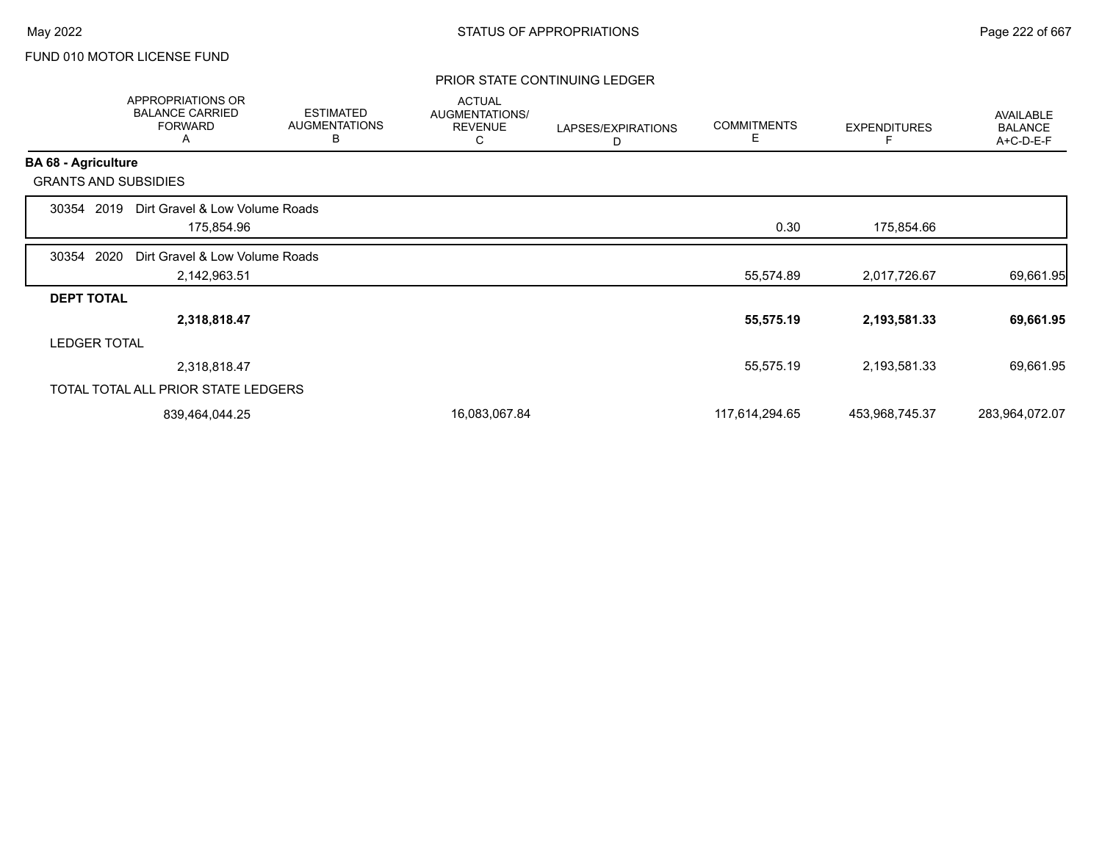## PRIOR STATE CONTINUING LEDGER

|                            | <b>APPROPRIATIONS OR</b><br><b>BALANCE CARRIED</b><br><b>FORWARD</b><br>A | <b>ESTIMATED</b><br><b>AUGMENTATIONS</b><br>B | <b>ACTUAL</b><br>AUGMENTATIONS/<br><b>REVENUE</b><br>С | LAPSES/EXPIRATIONS<br>D | <b>COMMITMENTS</b><br>Ε | <b>EXPENDITURES</b><br>F | AVAILABLE<br><b>BALANCE</b><br>A+C-D-E-F |
|----------------------------|---------------------------------------------------------------------------|-----------------------------------------------|--------------------------------------------------------|-------------------------|-------------------------|--------------------------|------------------------------------------|
| <b>BA 68 - Agriculture</b> |                                                                           |                                               |                                                        |                         |                         |                          |                                          |
|                            | <b>GRANTS AND SUBSIDIES</b>                                               |                                               |                                                        |                         |                         |                          |                                          |
| 30354                      | Dirt Gravel & Low Volume Roads<br>2019                                    |                                               |                                                        |                         |                         |                          |                                          |
|                            | 175,854.96                                                                |                                               |                                                        |                         | 0.30                    | 175,854.66               |                                          |
| 30354                      | 2020<br>Dirt Gravel & Low Volume Roads                                    |                                               |                                                        |                         |                         |                          |                                          |
|                            | 2,142,963.51                                                              |                                               |                                                        |                         | 55,574.89               | 2,017,726.67             | 69,661.95                                |
| <b>DEPT TOTAL</b>          |                                                                           |                                               |                                                        |                         |                         |                          |                                          |
|                            | 2,318,818.47                                                              |                                               |                                                        |                         | 55,575.19               | 2,193,581.33             | 69,661.95                                |
|                            | <b>LEDGER TOTAL</b>                                                       |                                               |                                                        |                         |                         |                          |                                          |
|                            | 2,318,818.47                                                              |                                               |                                                        |                         | 55,575.19               | 2,193,581.33             | 69,661.95                                |
|                            | TOTAL TOTAL ALL PRIOR STATE LEDGERS                                       |                                               |                                                        |                         |                         |                          |                                          |
|                            | 839,464,044.25                                                            |                                               | 16,083,067.84                                          |                         | 117,614,294.65          | 453,968,745.37           | 283,964,072.07                           |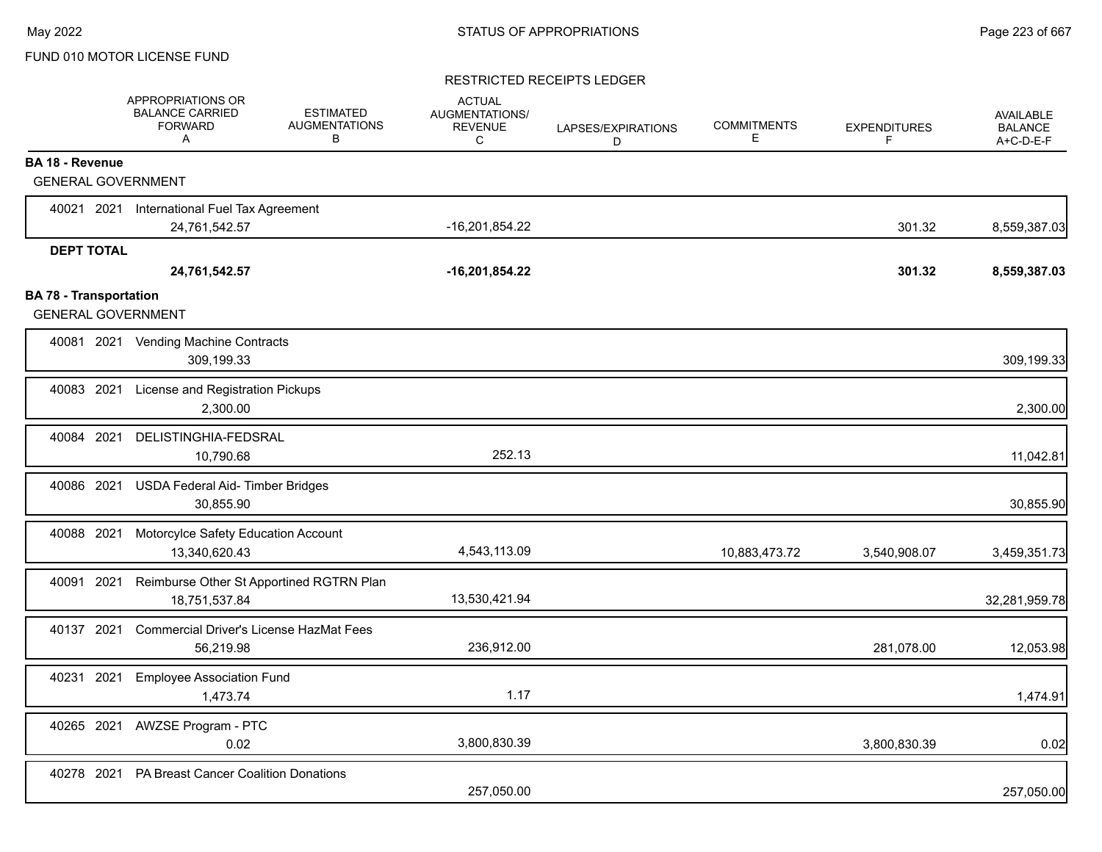## RESTRICTED RECEIPTS LEDGER

|                                                            | APPROPRIATIONS OR<br><b>BALANCE CARRIED</b><br><b>FORWARD</b><br>A | <b>ESTIMATED</b><br><b>AUGMENTATIONS</b><br>В | <b>ACTUAL</b><br>AUGMENTATIONS/<br><b>REVENUE</b><br>C | LAPSES/EXPIRATIONS<br>D | <b>COMMITMENTS</b><br>Е | <b>EXPENDITURES</b><br>F | <b>AVAILABLE</b><br><b>BALANCE</b><br>A+C-D-E-F |
|------------------------------------------------------------|--------------------------------------------------------------------|-----------------------------------------------|--------------------------------------------------------|-------------------------|-------------------------|--------------------------|-------------------------------------------------|
| <b>BA 18 - Revenue</b>                                     |                                                                    |                                               |                                                        |                         |                         |                          |                                                 |
| <b>GENERAL GOVERNMENT</b>                                  |                                                                    |                                               |                                                        |                         |                         |                          |                                                 |
| 40021 2021                                                 | International Fuel Tax Agreement                                   |                                               |                                                        |                         |                         |                          |                                                 |
|                                                            | 24,761,542.57                                                      |                                               | -16,201,854.22                                         |                         |                         | 301.32                   | 8,559,387.03                                    |
| <b>DEPT TOTAL</b>                                          |                                                                    |                                               |                                                        |                         |                         |                          |                                                 |
|                                                            | 24,761,542.57                                                      |                                               | $-16,201,854.22$                                       |                         |                         | 301.32                   | 8,559,387.03                                    |
| <b>BA 78 - Transportation</b><br><b>GENERAL GOVERNMENT</b> |                                                                    |                                               |                                                        |                         |                         |                          |                                                 |
|                                                            | 40081 2021 Vending Machine Contracts<br>309,199.33                 |                                               |                                                        |                         |                         |                          | 309,199.33                                      |
| 40083 2021                                                 | License and Registration Pickups<br>2.300.00                       |                                               |                                                        |                         |                         |                          | 2,300.00                                        |
| 40084 2021                                                 | DELISTINGHIA-FEDSRAL<br>10,790.68                                  |                                               | 252.13                                                 |                         |                         |                          | 11,042.81                                       |
| 40086 2021                                                 | <b>USDA Federal Aid- Timber Bridges</b><br>30,855.90               |                                               |                                                        |                         |                         |                          | 30,855.90                                       |
| 40088 2021                                                 | Motorcylce Safety Education Account<br>13,340,620.43               |                                               | 4,543,113.09                                           |                         | 10,883,473.72           | 3,540,908.07             | 3,459,351.73                                    |
| 40091 2021                                                 | Reimburse Other St Apportined RGTRN Plan<br>18,751,537.84          |                                               | 13,530,421.94                                          |                         |                         |                          | 32,281,959.78                                   |
| 40137 2021                                                 | <b>Commercial Driver's License HazMat Fees</b><br>56,219.98        |                                               | 236,912.00                                             |                         |                         | 281,078.00               | 12,053.98                                       |
| 40231 2021                                                 | <b>Employee Association Fund</b><br>1,473.74                       |                                               | 1.17                                                   |                         |                         |                          | 1,474.91                                        |
| 40265 2021                                                 | <b>AWZSE Program - PTC</b><br>0.02                                 |                                               | 3,800,830.39                                           |                         |                         | 3,800,830.39             | 0.02                                            |
| 40278 2021                                                 | <b>PA Breast Cancer Coalition Donations</b>                        |                                               | 257,050.00                                             |                         |                         |                          | 257,050.00                                      |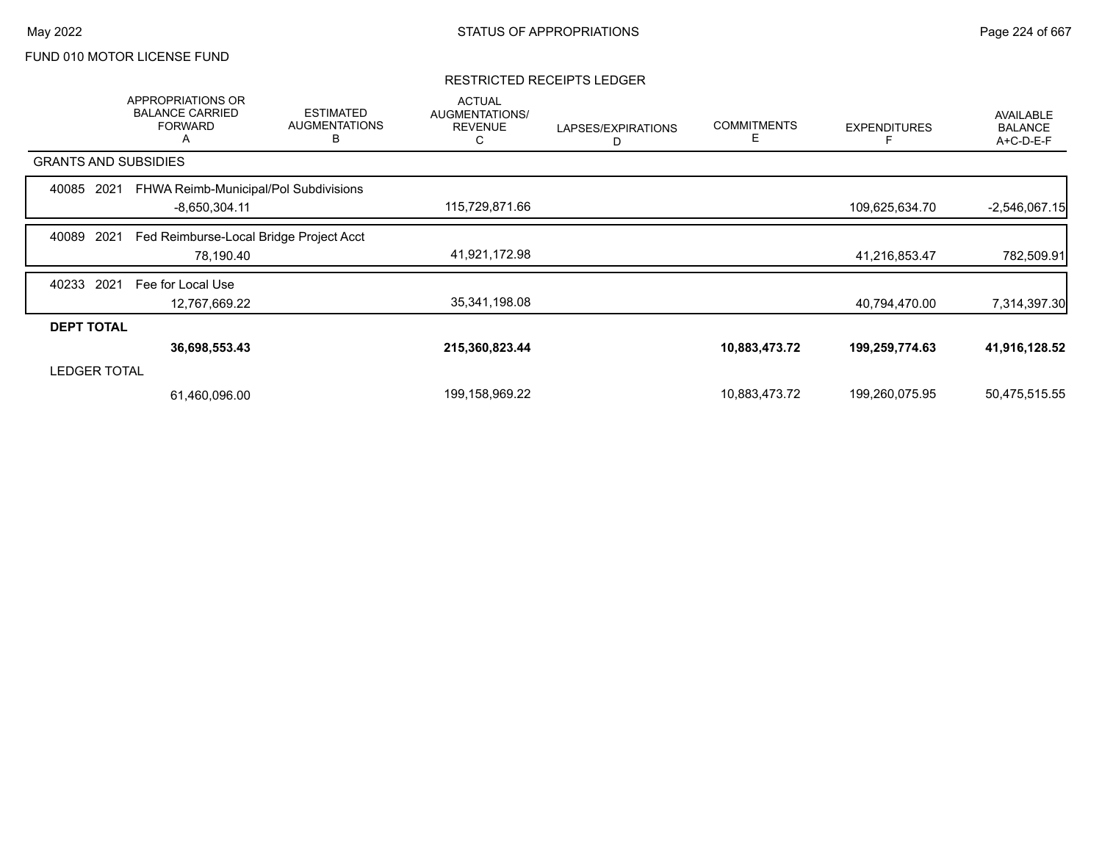#### RESTRICTED RECEIPTS LEDGER

|                             | <b>APPROPRIATIONS OR</b><br><b>BALANCE CARRIED</b><br><b>FORWARD</b><br>A | <b>ESTIMATED</b><br><b>AUGMENTATIONS</b><br>B | <b>ACTUAL</b><br>AUGMENTATIONS/<br><b>REVENUE</b><br>С | LAPSES/EXPIRATIONS<br>D | <b>COMMITMENTS</b> | <b>EXPENDITURES</b> | AVAILABLE<br><b>BALANCE</b><br>A+C-D-E-F |
|-----------------------------|---------------------------------------------------------------------------|-----------------------------------------------|--------------------------------------------------------|-------------------------|--------------------|---------------------|------------------------------------------|
| <b>GRANTS AND SUBSIDIES</b> |                                                                           |                                               |                                                        |                         |                    |                     |                                          |
| 40085<br>2021               | FHWA Reimb-Municipal/Pol Subdivisions                                     |                                               |                                                        |                         |                    |                     |                                          |
|                             | $-8,650,304.11$                                                           |                                               | 115,729,871.66                                         |                         |                    | 109,625,634.70      | $-2,546,067.15$                          |
| 40089<br>2021               | Fed Reimburse-Local Bridge Project Acct                                   |                                               |                                                        |                         |                    |                     |                                          |
|                             | 78,190.40                                                                 |                                               | 41,921,172.98                                          |                         |                    | 41,216,853.47       | 782,509.91                               |
| 2021<br>40233               | Fee for Local Use                                                         |                                               |                                                        |                         |                    |                     |                                          |
|                             | 12,767,669.22                                                             |                                               | 35,341,198.08                                          |                         |                    | 40,794,470.00       | 7,314,397.30                             |
| <b>DEPT TOTAL</b>           |                                                                           |                                               |                                                        |                         |                    |                     |                                          |
|                             | 36,698,553.43                                                             |                                               | 215,360,823.44                                         |                         | 10,883,473.72      | 199,259,774.63      | 41,916,128.52                            |
| <b>LEDGER TOTAL</b>         |                                                                           |                                               |                                                        |                         |                    |                     |                                          |
|                             | 61,460,096.00                                                             |                                               | 199,158,969.22                                         |                         | 10,883,473.72      | 199,260,075.95      | 50,475,515.55                            |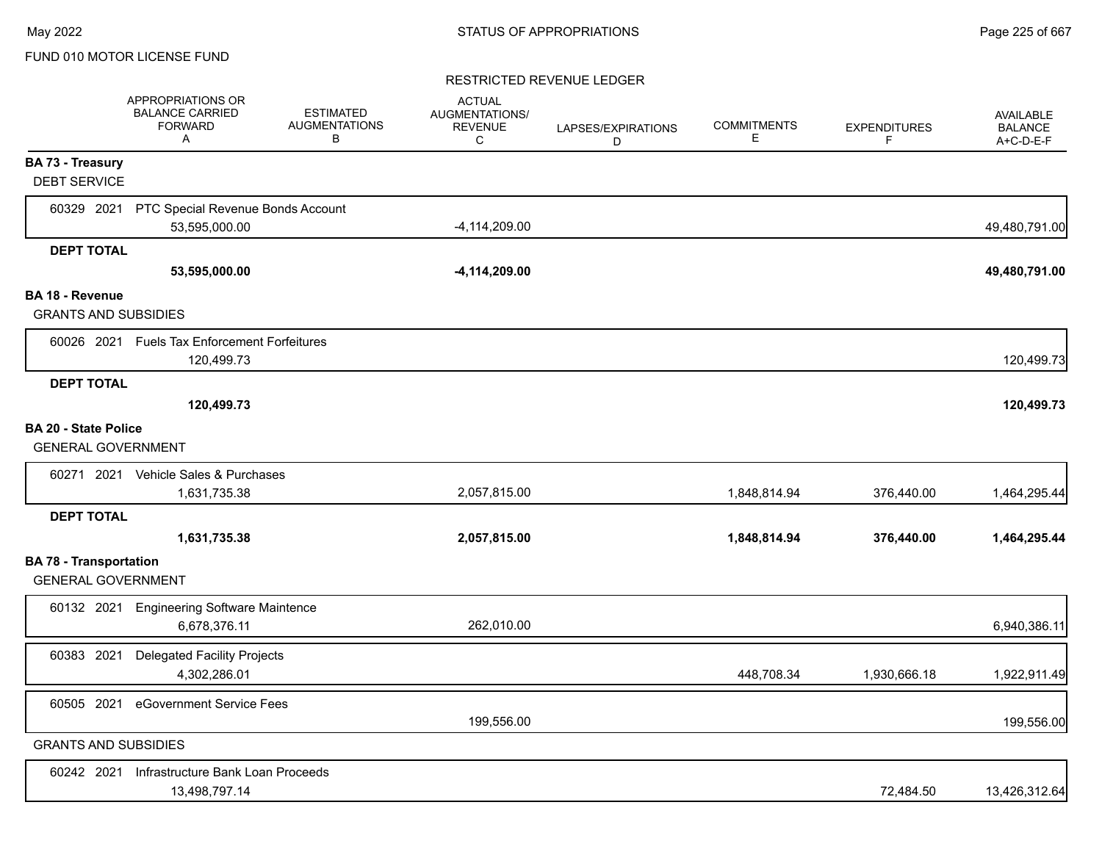#### RESTRICTED REVENUE LEDGER

|                                                            | <b>APPROPRIATIONS OR</b><br><b>BALANCE CARRIED</b><br><b>FORWARD</b><br>A | <b>ESTIMATED</b><br><b>AUGMENTATIONS</b><br>В | <b>ACTUAL</b><br>AUGMENTATIONS/<br><b>REVENUE</b><br>C | LAPSES/EXPIRATIONS<br>D | <b>COMMITMENTS</b><br>Е | <b>EXPENDITURES</b><br>F | <b>AVAILABLE</b><br><b>BALANCE</b><br>A+C-D-E-F |
|------------------------------------------------------------|---------------------------------------------------------------------------|-----------------------------------------------|--------------------------------------------------------|-------------------------|-------------------------|--------------------------|-------------------------------------------------|
| <b>BA 73 - Treasury</b><br><b>DEBT SERVICE</b>             |                                                                           |                                               |                                                        |                         |                         |                          |                                                 |
| 60329 2021                                                 | PTC Special Revenue Bonds Account                                         |                                               |                                                        |                         |                         |                          |                                                 |
|                                                            | 53,595,000.00                                                             |                                               | $-4, 114, 209.00$                                      |                         |                         |                          | 49,480,791.00                                   |
| <b>DEPT TOTAL</b>                                          |                                                                           |                                               |                                                        |                         |                         |                          |                                                 |
|                                                            | 53,595,000.00                                                             |                                               | -4,114,209.00                                          |                         |                         |                          | 49,480,791.00                                   |
| <b>BA 18 - Revenue</b>                                     |                                                                           |                                               |                                                        |                         |                         |                          |                                                 |
| <b>GRANTS AND SUBSIDIES</b>                                |                                                                           |                                               |                                                        |                         |                         |                          |                                                 |
|                                                            | 60026 2021 Fuels Tax Enforcement Forfeitures<br>120,499.73                |                                               |                                                        |                         |                         |                          | 120,499.73                                      |
| <b>DEPT TOTAL</b>                                          |                                                                           |                                               |                                                        |                         |                         |                          |                                                 |
|                                                            | 120,499.73                                                                |                                               |                                                        |                         |                         |                          | 120,499.73                                      |
| <b>BA 20 - State Police</b><br><b>GENERAL GOVERNMENT</b>   |                                                                           |                                               |                                                        |                         |                         |                          |                                                 |
|                                                            | 60271 2021 Vehicle Sales & Purchases                                      |                                               |                                                        |                         |                         |                          |                                                 |
|                                                            | 1,631,735.38                                                              |                                               | 2,057,815.00                                           |                         | 1,848,814.94            | 376,440.00               | 1,464,295.44                                    |
| <b>DEPT TOTAL</b>                                          |                                                                           |                                               |                                                        |                         |                         |                          |                                                 |
|                                                            | 1,631,735.38                                                              |                                               | 2,057,815.00                                           |                         | 1,848,814.94            | 376,440.00               | 1,464,295.44                                    |
| <b>BA 78 - Transportation</b><br><b>GENERAL GOVERNMENT</b> |                                                                           |                                               |                                                        |                         |                         |                          |                                                 |
|                                                            | 60132 2021 Engineering Software Maintence<br>6,678,376.11                 |                                               | 262,010.00                                             |                         |                         |                          | 6,940,386.11                                    |
| 60383 2021                                                 | <b>Delegated Facility Projects</b><br>4,302,286.01                        |                                               |                                                        |                         | 448,708.34              | 1,930,666.18             | 1,922,911.49                                    |
| 60505 2021                                                 | eGovernment Service Fees                                                  |                                               | 199,556.00                                             |                         |                         |                          | 199,556.00                                      |
| <b>GRANTS AND SUBSIDIES</b>                                |                                                                           |                                               |                                                        |                         |                         |                          |                                                 |
| 60242 2021                                                 | Infrastructure Bank Loan Proceeds<br>13,498,797.14                        |                                               |                                                        |                         |                         | 72,484.50                | 13,426,312.64                                   |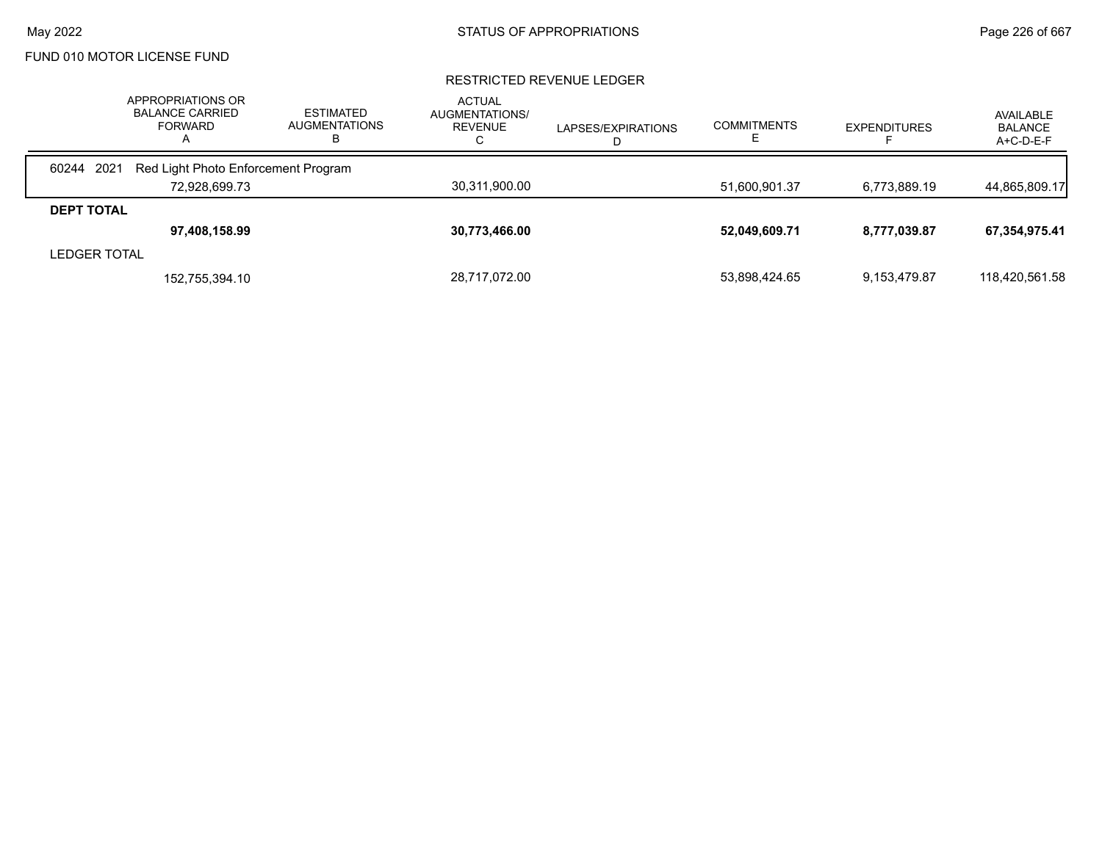#### RESTRICTED REVENUE LEDGER

|                     | APPROPRIATIONS OR<br><b>BALANCE CARRIED</b><br><b>FORWARD</b><br>A | <b>ESTIMATED</b><br><b>AUGMENTATIONS</b><br>в | <b>ACTUAL</b><br>AUGMENTATIONS/<br>REVENUE<br>U | LAPSES/EXPIRATIONS | <b>COMMITMENTS</b> | <b>EXPENDITURES</b> | AVAILABLE<br><b>BALANCE</b><br>A+C-D-E-F |
|---------------------|--------------------------------------------------------------------|-----------------------------------------------|-------------------------------------------------|--------------------|--------------------|---------------------|------------------------------------------|
| 60244 2021          | Red Light Photo Enforcement Program                                |                                               |                                                 |                    |                    |                     |                                          |
|                     | 72,928,699.73                                                      |                                               | 30,311,900.00                                   |                    | 51,600,901.37      | 6,773,889.19        | 44,865,809.17                            |
| <b>DEPT TOTAL</b>   |                                                                    |                                               |                                                 |                    |                    |                     |                                          |
|                     | 97,408,158.99                                                      |                                               | 30,773,466.00                                   |                    | 52,049,609.71      | 8,777,039.87        | 67,354,975.41                            |
| <b>LEDGER TOTAL</b> |                                                                    |                                               |                                                 |                    |                    |                     |                                          |
|                     | 152,755,394.10                                                     |                                               | 28,717,072.00                                   |                    | 53,898,424.65      | 9,153,479.87        | 118,420,561.58                           |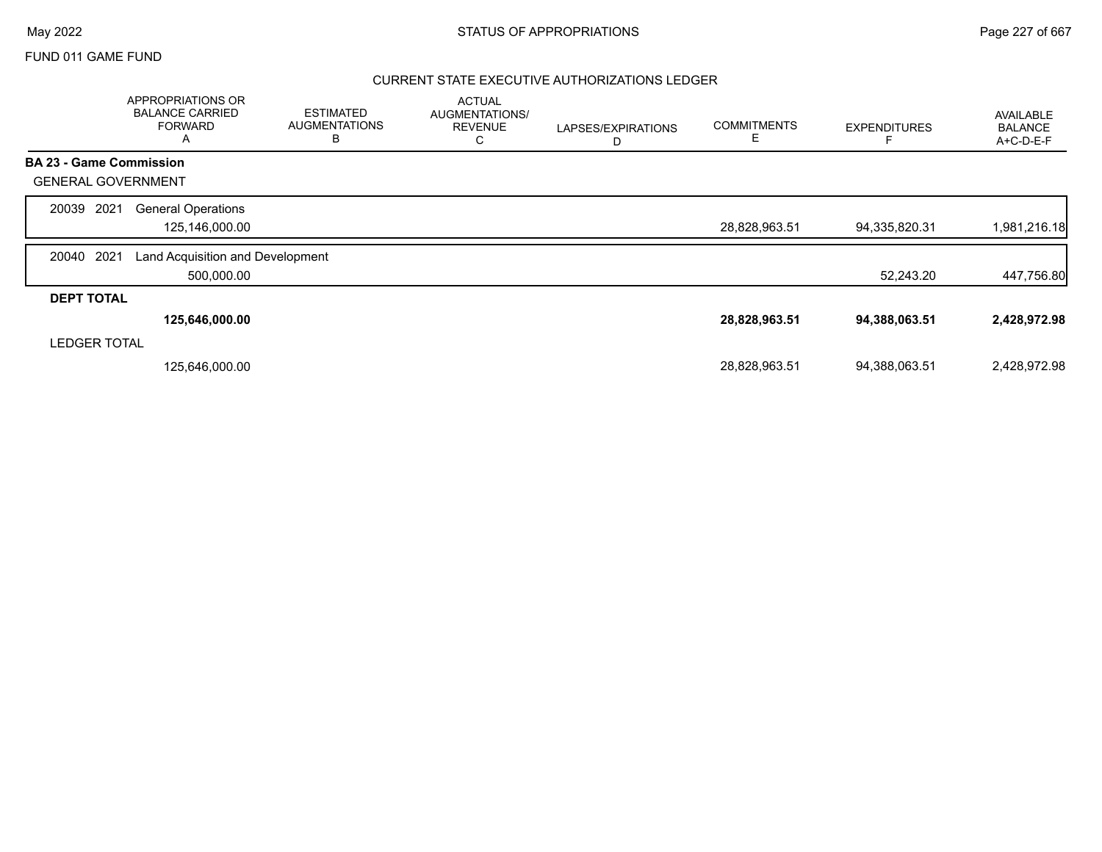# May 2022 **Example 227 of 667** STATUS OF APPROPRIATIONS **Page 227 of 667**

## FUND 011 GAME FUND

## CURRENT STATE EXECUTIVE AUTHORIZATIONS LEDGER

|                                | APPROPRIATIONS OR<br><b>BALANCE CARRIED</b><br><b>FORWARD</b><br>Α | <b>ESTIMATED</b><br><b>AUGMENTATIONS</b><br>В | <b>ACTUAL</b><br>AUGMENTATIONS/<br><b>REVENUE</b><br>С | LAPSES/EXPIRATIONS | <b>COMMITMENTS</b><br>Ε | <b>EXPENDITURES</b> | <b>AVAILABLE</b><br><b>BALANCE</b><br>A+C-D-E-F |
|--------------------------------|--------------------------------------------------------------------|-----------------------------------------------|--------------------------------------------------------|--------------------|-------------------------|---------------------|-------------------------------------------------|
| <b>BA 23 - Game Commission</b> |                                                                    |                                               |                                                        |                    |                         |                     |                                                 |
| <b>GENERAL GOVERNMENT</b>      |                                                                    |                                               |                                                        |                    |                         |                     |                                                 |
| 2021<br>20039                  | <b>General Operations</b><br>125,146,000.00                        |                                               |                                                        |                    | 28,828,963.51           | 94,335,820.31       | 1,981,216.18                                    |
| 2021<br>20040                  | Land Acquisition and Development<br>500,000.00                     |                                               |                                                        |                    |                         | 52,243.20           | 447,756.80                                      |
| <b>DEPT TOTAL</b>              |                                                                    |                                               |                                                        |                    |                         |                     |                                                 |
|                                | 125,646,000.00                                                     |                                               |                                                        |                    | 28,828,963.51           | 94,388,063.51       | 2,428,972.98                                    |
| <b>LEDGER TOTAL</b>            |                                                                    |                                               |                                                        |                    |                         |                     |                                                 |
|                                | 125,646,000.00                                                     |                                               |                                                        |                    | 28,828,963.51           | 94,388,063.51       | 2,428,972.98                                    |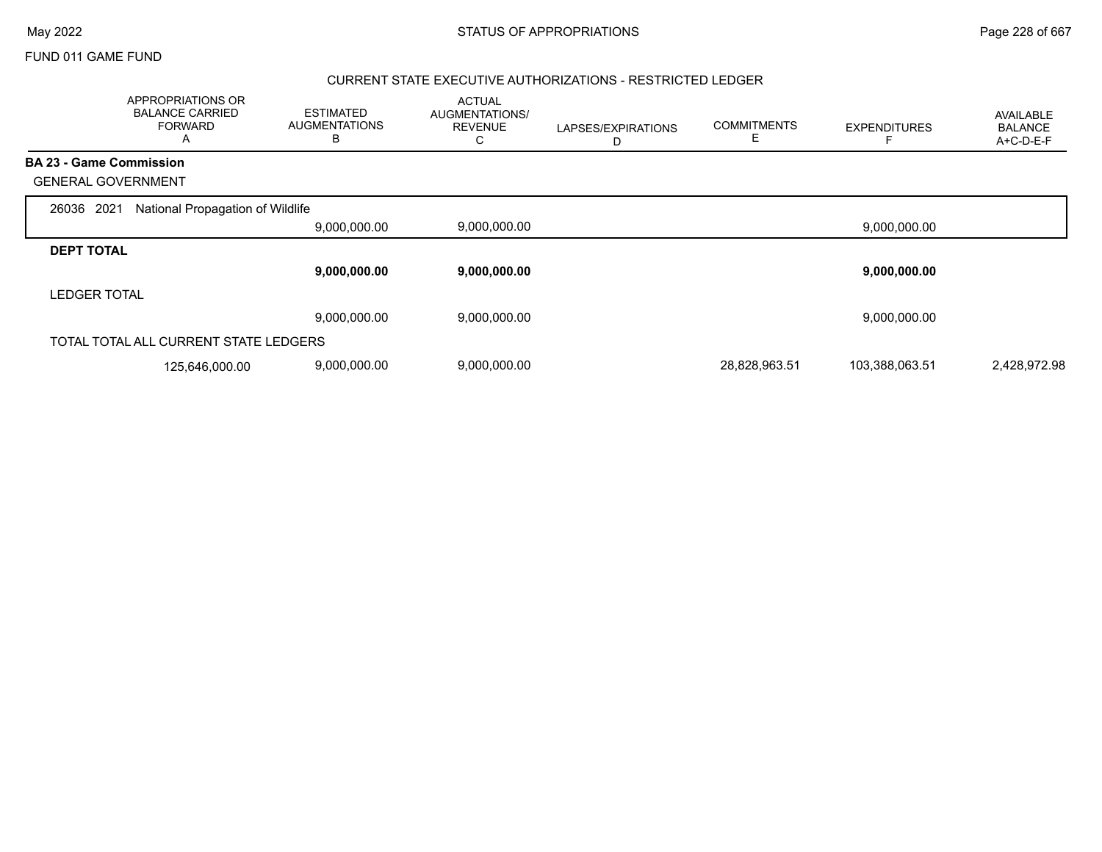|                                | APPROPRIATIONS OR<br><b>BALANCE CARRIED</b><br><b>FORWARD</b><br>А | <b>ESTIMATED</b><br><b>AUGMENTATIONS</b><br>В | <b>ACTUAL</b><br><b>AUGMENTATIONS/</b><br><b>REVENUE</b><br>С | LAPSES/EXPIRATIONS<br>D | <b>COMMITMENTS</b> | <b>EXPENDITURES</b> | AVAILABLE<br><b>BALANCE</b><br>A+C-D-E-F |
|--------------------------------|--------------------------------------------------------------------|-----------------------------------------------|---------------------------------------------------------------|-------------------------|--------------------|---------------------|------------------------------------------|
| <b>BA 23 - Game Commission</b> |                                                                    |                                               |                                                               |                         |                    |                     |                                          |
| <b>GENERAL GOVERNMENT</b>      |                                                                    |                                               |                                                               |                         |                    |                     |                                          |
| 2021<br>26036                  | National Propagation of Wildlife                                   |                                               |                                                               |                         |                    |                     |                                          |
|                                |                                                                    | 9,000,000.00                                  | 9,000,000.00                                                  |                         |                    | 9,000,000.00        |                                          |
| <b>DEPT TOTAL</b>              |                                                                    |                                               |                                                               |                         |                    |                     |                                          |
|                                |                                                                    | 9,000,000.00                                  | 9,000,000.00                                                  |                         |                    | 9,000,000.00        |                                          |
| <b>LEDGER TOTAL</b>            |                                                                    |                                               |                                                               |                         |                    |                     |                                          |
|                                |                                                                    | 9,000,000.00                                  | 9,000,000.00                                                  |                         |                    | 9,000,000.00        |                                          |
|                                | TOTAL TOTAL ALL CURRENT STATE LEDGERS                              |                                               |                                                               |                         |                    |                     |                                          |
|                                | 125,646,000.00                                                     | 9,000,000.00                                  | 9,000,000.00                                                  |                         | 28,828,963.51      | 103,388,063.51      | 2,428,972.98                             |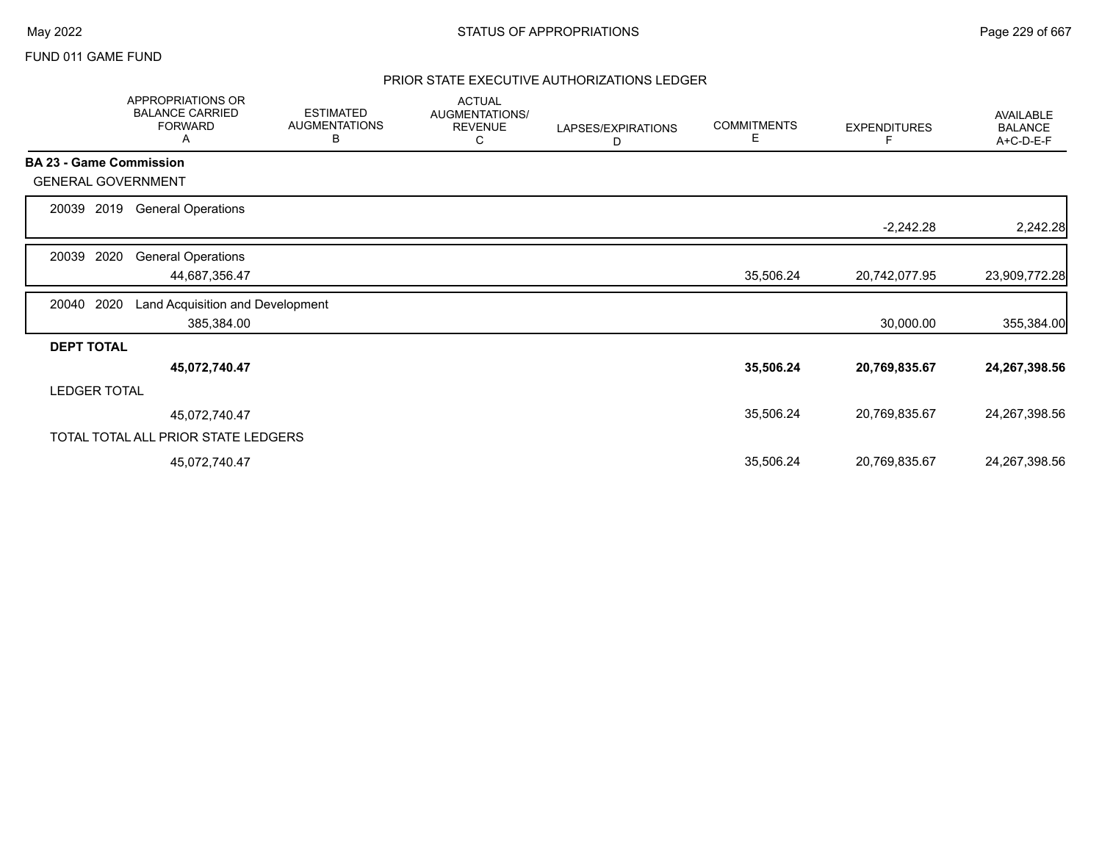## PRIOR STATE EXECUTIVE AUTHORIZATIONS LEDGER

|                                | APPROPRIATIONS OR<br><b>BALANCE CARRIED</b><br><b>FORWARD</b><br>A | <b>ESTIMATED</b><br><b>AUGMENTATIONS</b><br>В | <b>ACTUAL</b><br>AUGMENTATIONS/<br><b>REVENUE</b><br>С | LAPSES/EXPIRATIONS<br>D | <b>COMMITMENTS</b><br>Е | <b>EXPENDITURES</b> | AVAILABLE<br><b>BALANCE</b><br>A+C-D-E-F |
|--------------------------------|--------------------------------------------------------------------|-----------------------------------------------|--------------------------------------------------------|-------------------------|-------------------------|---------------------|------------------------------------------|
| <b>BA 23 - Game Commission</b> |                                                                    |                                               |                                                        |                         |                         |                     |                                          |
| <b>GENERAL GOVERNMENT</b>      |                                                                    |                                               |                                                        |                         |                         |                     |                                          |
| 20039                          | 2019<br><b>General Operations</b>                                  |                                               |                                                        |                         |                         |                     |                                          |
|                                |                                                                    |                                               |                                                        |                         |                         | $-2,242.28$         | 2,242.28                                 |
| 2020<br>20039                  | <b>General Operations</b>                                          |                                               |                                                        |                         |                         |                     |                                          |
|                                | 44,687,356.47                                                      |                                               |                                                        |                         | 35,506.24               | 20,742,077.95       | 23,909,772.28                            |
| 2020<br>20040                  | Land Acquisition and Development                                   |                                               |                                                        |                         |                         |                     |                                          |
|                                | 385,384.00                                                         |                                               |                                                        |                         |                         | 30,000.00           | 355,384.00                               |
| <b>DEPT TOTAL</b>              |                                                                    |                                               |                                                        |                         |                         |                     |                                          |
|                                | 45,072,740.47                                                      |                                               |                                                        |                         | 35,506.24               | 20,769,835.67       | 24,267,398.56                            |
| <b>LEDGER TOTAL</b>            |                                                                    |                                               |                                                        |                         |                         |                     |                                          |
|                                | 45,072,740.47                                                      |                                               |                                                        |                         | 35,506.24               | 20,769,835.67       | 24,267,398.56                            |
|                                | TOTAL TOTAL ALL PRIOR STATE LEDGERS                                |                                               |                                                        |                         |                         |                     |                                          |
|                                | 45,072,740.47                                                      |                                               |                                                        |                         | 35,506.24               | 20,769,835.67       | 24,267,398.56                            |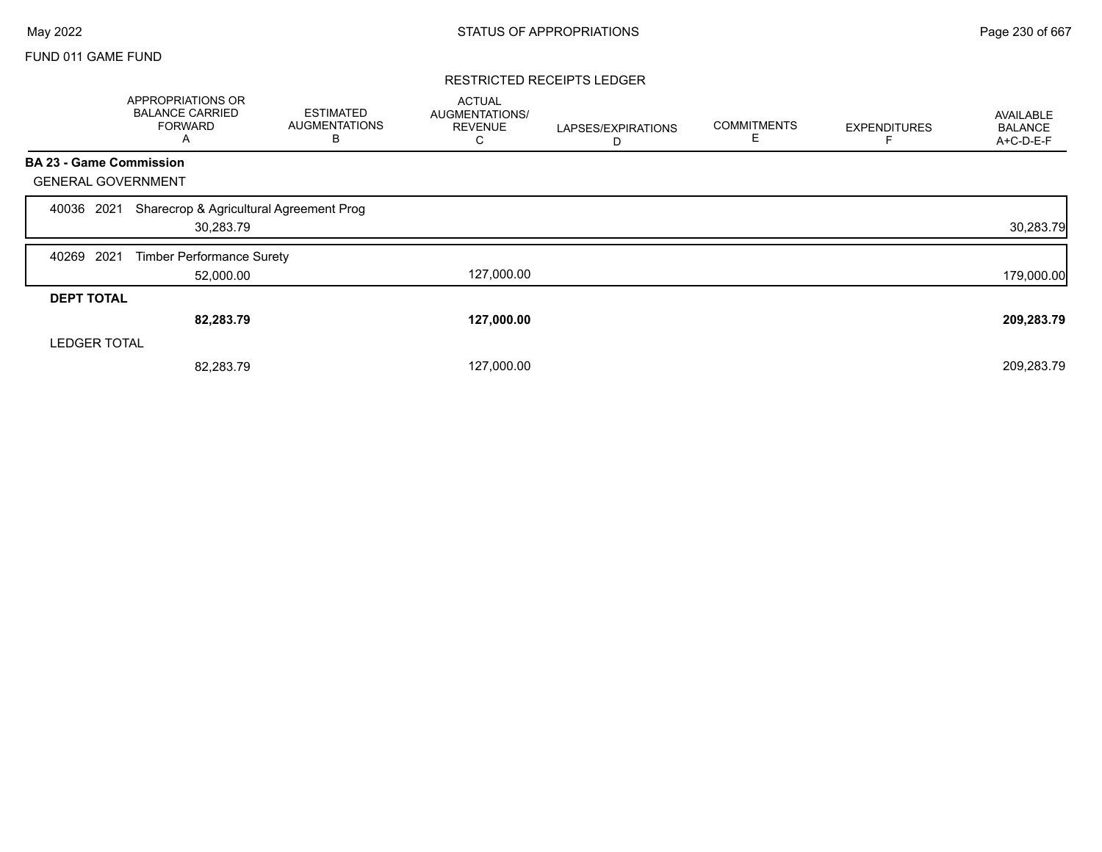#### RESTRICTED RECEIPTS LEDGER

|                                | APPROPRIATIONS OR<br><b>BALANCE CARRIED</b><br><b>FORWARD</b><br>Α | <b>ESTIMATED</b><br><b>AUGMENTATIONS</b><br>В | <b>ACTUAL</b><br>AUGMENTATIONS/<br><b>REVENUE</b><br>С | LAPSES/EXPIRATIONS<br>D | <b>COMMITMENTS</b><br>E | <b>EXPENDITURES</b> | <b>AVAILABLE</b><br><b>BALANCE</b><br>A+C-D-E-F |
|--------------------------------|--------------------------------------------------------------------|-----------------------------------------------|--------------------------------------------------------|-------------------------|-------------------------|---------------------|-------------------------------------------------|
| <b>BA 23 - Game Commission</b> |                                                                    |                                               |                                                        |                         |                         |                     |                                                 |
| <b>GENERAL GOVERNMENT</b>      |                                                                    |                                               |                                                        |                         |                         |                     |                                                 |
| 2021<br>40036                  | Sharecrop & Agricultural Agreement Prog<br>30,283.79               |                                               |                                                        |                         |                         |                     | 30,283.79                                       |
| 2021<br>40269                  | <b>Timber Performance Surety</b>                                   |                                               |                                                        |                         |                         |                     |                                                 |
|                                | 52,000.00                                                          |                                               | 127,000.00                                             |                         |                         |                     | 179,000.00                                      |
| <b>DEPT TOTAL</b>              |                                                                    |                                               |                                                        |                         |                         |                     |                                                 |
|                                | 82,283.79                                                          |                                               | 127,000.00                                             |                         |                         |                     | 209,283.79                                      |
| <b>LEDGER TOTAL</b>            |                                                                    |                                               |                                                        |                         |                         |                     |                                                 |
|                                | 82,283.79                                                          |                                               | 127,000.00                                             |                         |                         |                     | 209,283.79                                      |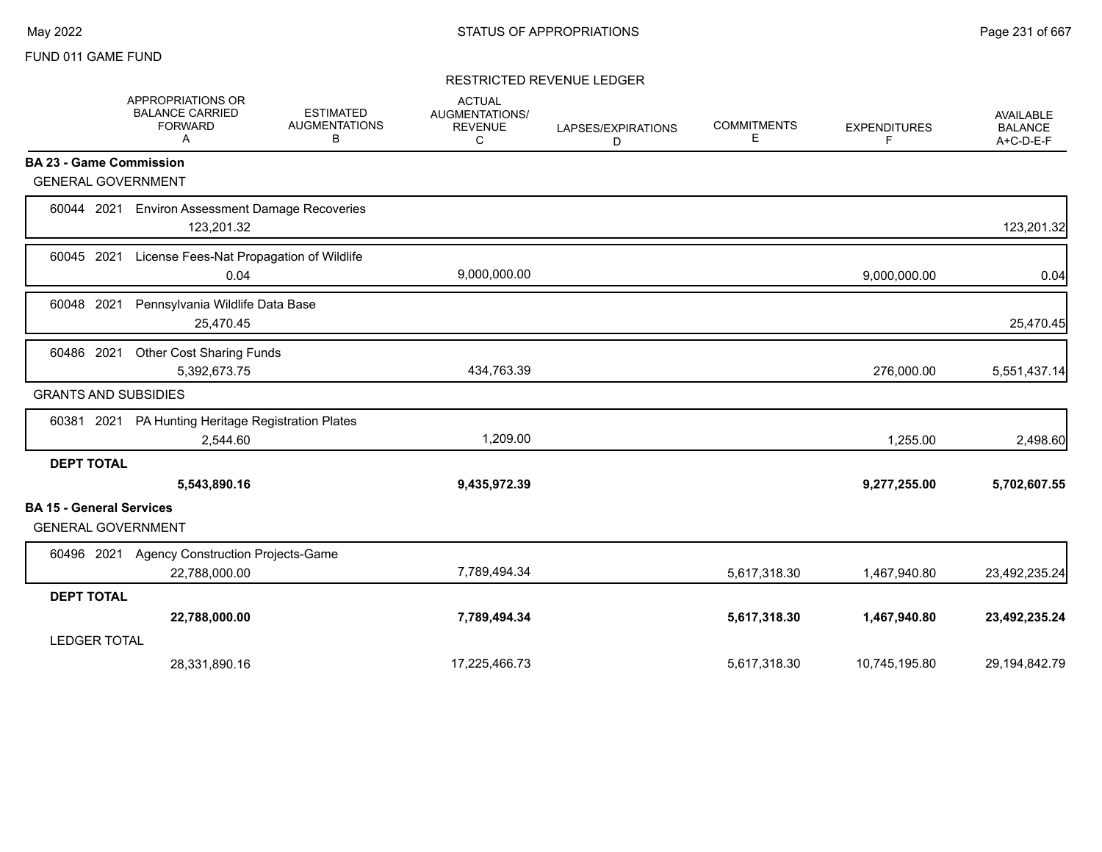## RESTRICTED REVENUE LEDGER

|                                                              | <b>APPROPRIATIONS OR</b><br><b>BALANCE CARRIED</b><br><b>FORWARD</b><br>Α | <b>ESTIMATED</b><br><b>AUGMENTATIONS</b><br>В | <b>ACTUAL</b><br><b>AUGMENTATIONS/</b><br><b>REVENUE</b><br>С | LAPSES/EXPIRATIONS<br>D | <b>COMMITMENTS</b><br>Е | <b>EXPENDITURES</b><br>F | <b>AVAILABLE</b><br><b>BALANCE</b><br>A+C-D-E-F |
|--------------------------------------------------------------|---------------------------------------------------------------------------|-----------------------------------------------|---------------------------------------------------------------|-------------------------|-------------------------|--------------------------|-------------------------------------------------|
| <b>BA 23 - Game Commission</b>                               |                                                                           |                                               |                                                               |                         |                         |                          |                                                 |
| <b>GENERAL GOVERNMENT</b>                                    |                                                                           |                                               |                                                               |                         |                         |                          |                                                 |
| 60044 2021                                                   | <b>Environ Assessment Damage Recoveries</b><br>123,201.32                 |                                               |                                                               |                         |                         |                          | 123,201.32                                      |
| 60045 2021                                                   | License Fees-Nat Propagation of Wildlife<br>0.04                          |                                               | 9,000,000.00                                                  |                         |                         | 9,000,000.00             | 0.04                                            |
| 60048 2021                                                   | Pennsylvania Wildlife Data Base<br>25,470.45                              |                                               |                                                               |                         |                         |                          | 25,470.45                                       |
| 60486 2021                                                   | Other Cost Sharing Funds<br>5,392,673.75                                  |                                               | 434,763.39                                                    |                         |                         | 276,000.00               | 5,551,437.14                                    |
| <b>GRANTS AND SUBSIDIES</b>                                  |                                                                           |                                               |                                                               |                         |                         |                          |                                                 |
| 60381 2021                                                   | PA Hunting Heritage Registration Plates<br>2,544.60                       |                                               | 1,209.00                                                      |                         |                         | 1,255.00                 | 2,498.60                                        |
| <b>DEPT TOTAL</b>                                            | 5,543,890.16                                                              |                                               | 9,435,972.39                                                  |                         |                         | 9,277,255.00             | 5,702,607.55                                    |
| <b>BA 15 - General Services</b><br><b>GENERAL GOVERNMENT</b> |                                                                           |                                               |                                                               |                         |                         |                          |                                                 |
| 60496 2021                                                   | <b>Agency Construction Projects-Game</b><br>22,788,000.00                 |                                               | 7,789,494.34                                                  |                         | 5,617,318.30            | 1,467,940.80             | 23,492,235.24                                   |
| <b>DEPT TOTAL</b>                                            |                                                                           |                                               |                                                               |                         |                         |                          |                                                 |
|                                                              | 22,788,000.00                                                             |                                               | 7,789,494.34                                                  |                         | 5,617,318.30            | 1,467,940.80             | 23,492,235.24                                   |
| <b>LEDGER TOTAL</b>                                          |                                                                           |                                               |                                                               |                         |                         |                          |                                                 |
|                                                              | 28,331,890.16                                                             |                                               | 17,225,466.73                                                 |                         | 5,617,318.30            | 10,745,195.80            | 29,194,842.79                                   |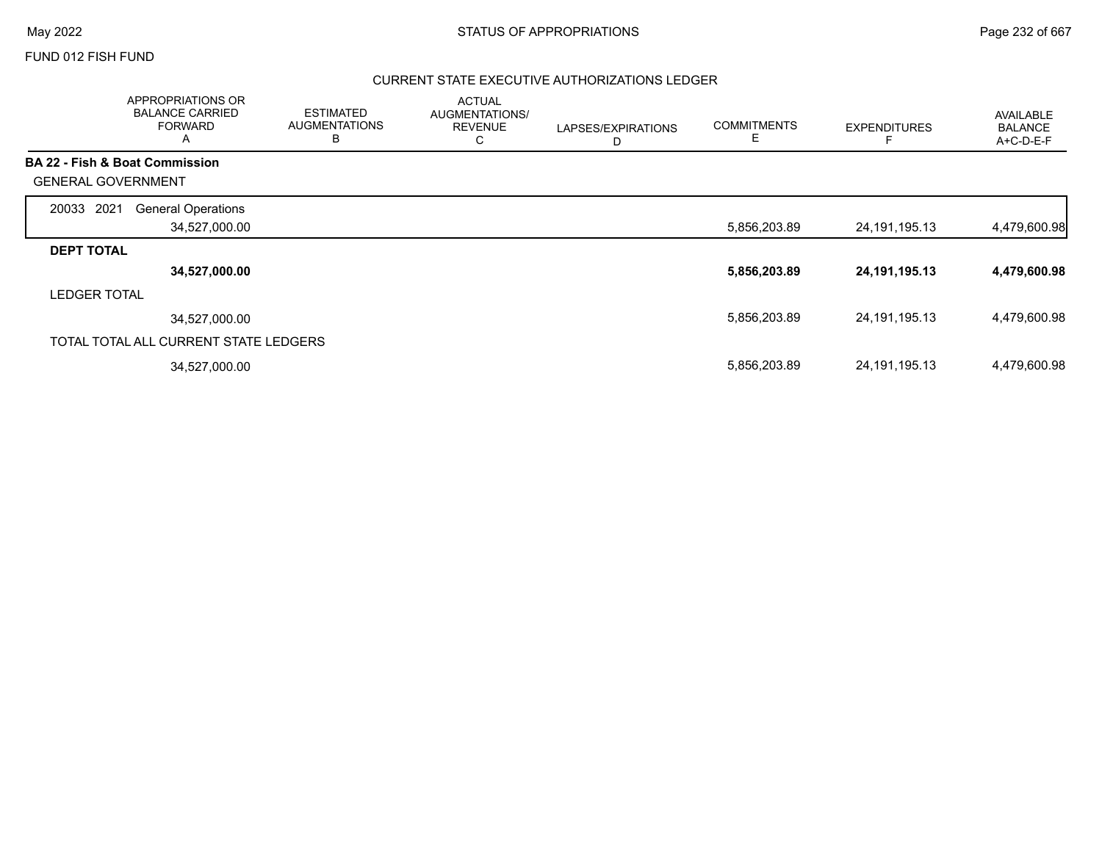## FUND 012 FISH FUND

## CURRENT STATE EXECUTIVE AUTHORIZATIONS LEDGER

|                           | APPROPRIATIONS OR<br><b>BALANCE CARRIED</b><br><b>FORWARD</b><br>$\mathsf{A}$ | <b>ESTIMATED</b><br><b>AUGMENTATIONS</b><br>в | <b>ACTUAL</b><br>AUGMENTATIONS/<br><b>REVENUE</b><br>С | LAPSES/EXPIRATIONS<br>D | <b>COMMITMENTS</b><br>Е | <b>EXPENDITURES</b> | <b>AVAILABLE</b><br><b>BALANCE</b><br>$A+C-D-E-F$ |
|---------------------------|-------------------------------------------------------------------------------|-----------------------------------------------|--------------------------------------------------------|-------------------------|-------------------------|---------------------|---------------------------------------------------|
|                           | <b>BA 22 - Fish &amp; Boat Commission</b>                                     |                                               |                                                        |                         |                         |                     |                                                   |
| <b>GENERAL GOVERNMENT</b> |                                                                               |                                               |                                                        |                         |                         |                     |                                                   |
| 2021<br>20033             | <b>General Operations</b>                                                     |                                               |                                                        |                         |                         |                     |                                                   |
|                           | 34,527,000.00                                                                 |                                               |                                                        |                         | 5,856,203.89            | 24, 191, 195. 13    | 4,479,600.98                                      |
| <b>DEPT TOTAL</b>         |                                                                               |                                               |                                                        |                         |                         |                     |                                                   |
|                           | 34,527,000.00                                                                 |                                               |                                                        |                         | 5,856,203.89            | 24, 191, 195. 13    | 4,479,600.98                                      |
| <b>LEDGER TOTAL</b>       |                                                                               |                                               |                                                        |                         |                         |                     |                                                   |
|                           | 34.527.000.00                                                                 |                                               |                                                        |                         | 5,856,203.89            | 24, 191, 195. 13    | 4,479,600.98                                      |
|                           | TOTAL TOTAL ALL CURRENT STATE LEDGERS                                         |                                               |                                                        |                         |                         |                     |                                                   |
|                           | 34,527,000.00                                                                 |                                               |                                                        |                         | 5,856,203.89            | 24, 191, 195. 13    | 4,479,600.98                                      |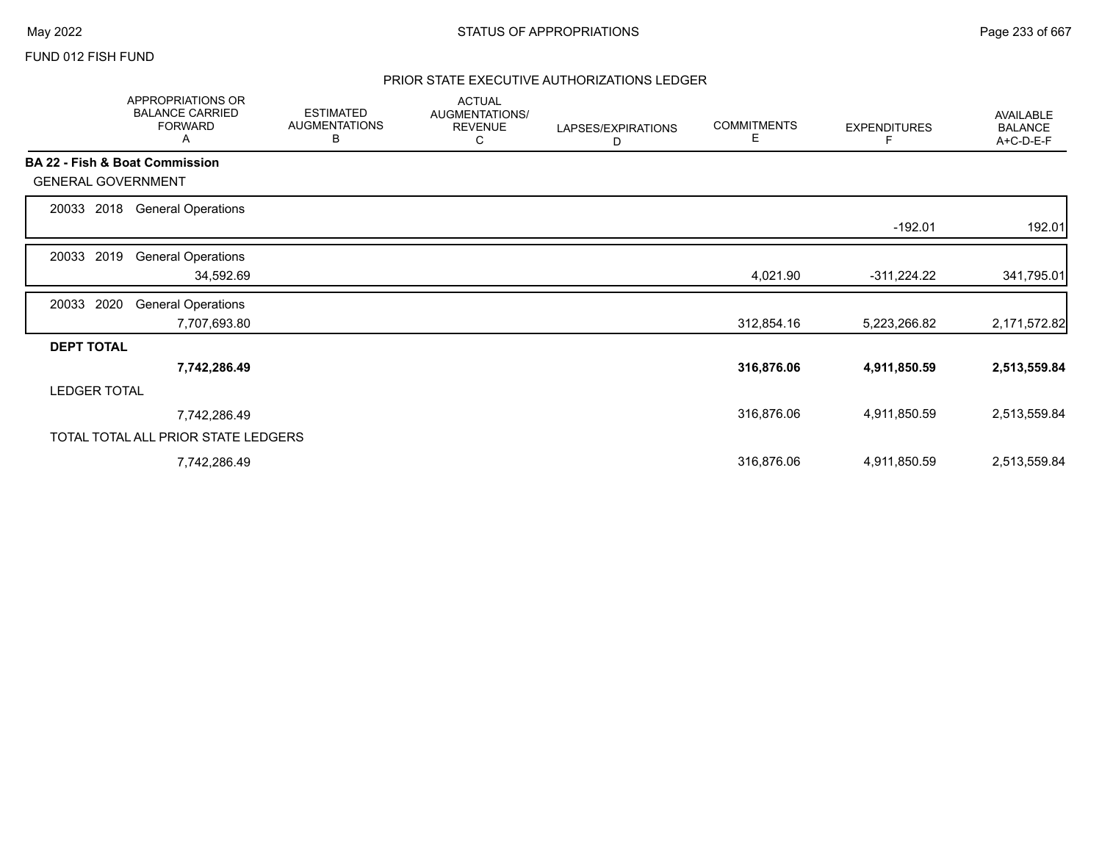## FUND 012 FISH FUND

# PRIOR STATE EXECUTIVE AUTHORIZATIONS LEDGER

|                                           | APPROPRIATIONS OR<br><b>BALANCE CARRIED</b><br><b>FORWARD</b><br>A | <b>ESTIMATED</b><br><b>AUGMENTATIONS</b><br>B | <b>ACTUAL</b><br>AUGMENTATIONS/<br><b>REVENUE</b><br>С | LAPSES/EXPIRATIONS<br>D | <b>COMMITMENTS</b><br>Е | <b>EXPENDITURES</b><br>F | AVAILABLE<br><b>BALANCE</b><br>A+C-D-E-F |
|-------------------------------------------|--------------------------------------------------------------------|-----------------------------------------------|--------------------------------------------------------|-------------------------|-------------------------|--------------------------|------------------------------------------|
| <b>BA 22 - Fish &amp; Boat Commission</b> |                                                                    |                                               |                                                        |                         |                         |                          |                                          |
| <b>GENERAL GOVERNMENT</b>                 |                                                                    |                                               |                                                        |                         |                         |                          |                                          |
| 2018<br>20033                             | <b>General Operations</b>                                          |                                               |                                                        |                         |                         |                          |                                          |
|                                           |                                                                    |                                               |                                                        |                         |                         | $-192.01$                | 192.01                                   |
| 2019<br>20033                             | <b>General Operations</b>                                          |                                               |                                                        |                         |                         |                          |                                          |
|                                           | 34,592.69                                                          |                                               |                                                        |                         | 4,021.90                | $-311,224.22$            | 341,795.01                               |
| 2020<br>20033                             | <b>General Operations</b>                                          |                                               |                                                        |                         |                         |                          |                                          |
|                                           | 7,707,693.80                                                       |                                               |                                                        |                         | 312,854.16              | 5,223,266.82             | 2,171,572.82                             |
| <b>DEPT TOTAL</b>                         |                                                                    |                                               |                                                        |                         |                         |                          |                                          |
|                                           | 7,742,286.49                                                       |                                               |                                                        |                         | 316,876.06              | 4,911,850.59             | 2,513,559.84                             |
| <b>LEDGER TOTAL</b>                       |                                                                    |                                               |                                                        |                         |                         |                          |                                          |
|                                           | 7,742,286.49                                                       |                                               |                                                        |                         | 316,876.06              | 4,911,850.59             | 2,513,559.84                             |
|                                           | TOTAL TOTAL ALL PRIOR STATE LEDGERS                                |                                               |                                                        |                         |                         |                          |                                          |
|                                           | 7,742,286.49                                                       |                                               |                                                        |                         | 316,876.06              | 4,911,850.59             | 2,513,559.84                             |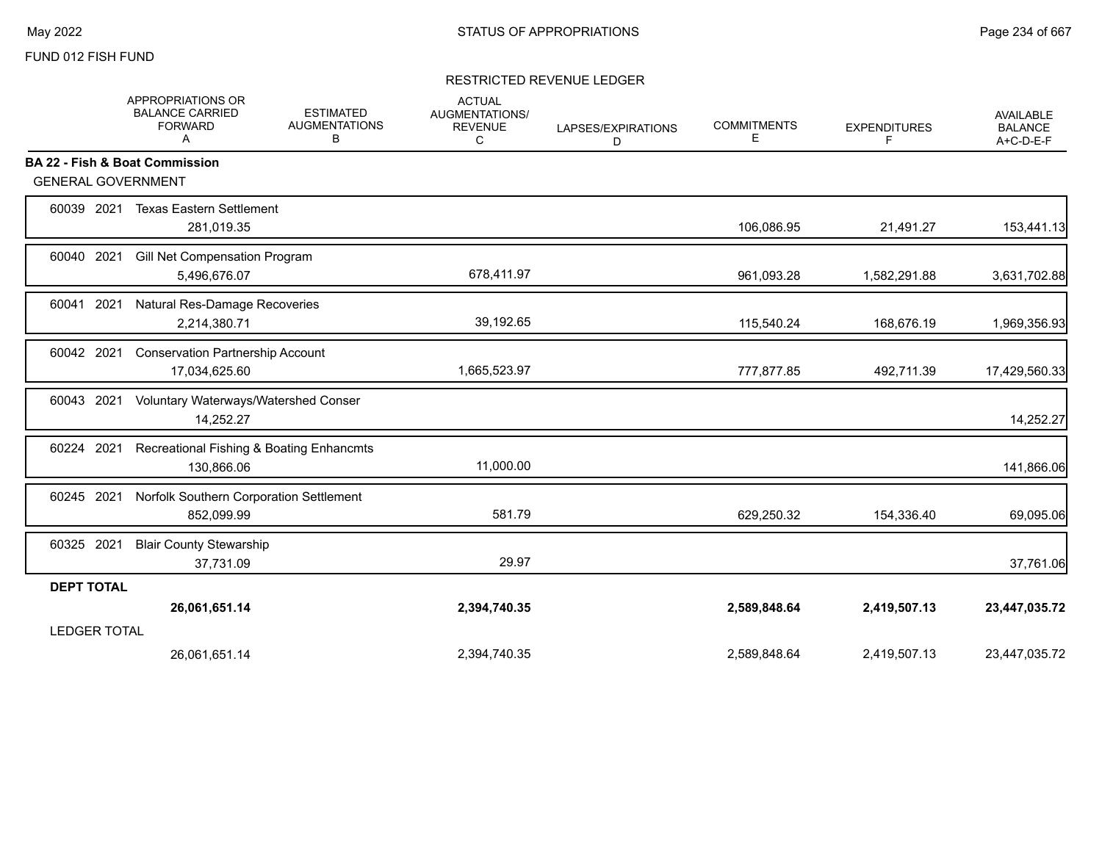## FUND 012 FISH FUND

## RESTRICTED REVENUE LEDGER

|                           | APPROPRIATIONS OR<br><b>BALANCE CARRIED</b><br><b>FORWARD</b><br>Α | <b>ESTIMATED</b><br><b>AUGMENTATIONS</b><br>в | <b>ACTUAL</b><br><b>AUGMENTATIONS/</b><br><b>REVENUE</b><br>C | LAPSES/EXPIRATIONS<br>D | <b>COMMITMENTS</b><br>Е | <b>EXPENDITURES</b><br>F | <b>AVAILABLE</b><br><b>BALANCE</b><br>A+C-D-E-F |
|---------------------------|--------------------------------------------------------------------|-----------------------------------------------|---------------------------------------------------------------|-------------------------|-------------------------|--------------------------|-------------------------------------------------|
|                           | <b>BA 22 - Fish &amp; Boat Commission</b>                          |                                               |                                                               |                         |                         |                          |                                                 |
| <b>GENERAL GOVERNMENT</b> |                                                                    |                                               |                                                               |                         |                         |                          |                                                 |
| 60039 2021                | <b>Texas Eastern Settlement</b><br>281,019.35                      |                                               |                                                               |                         | 106,086.95              | 21,491.27                | 153,441.13                                      |
| 60040 2021                | Gill Net Compensation Program<br>5,496,676.07                      |                                               | 678,411.97                                                    |                         | 961,093.28              | 1,582,291.88             | 3,631,702.88                                    |
| 60041 2021                | Natural Res-Damage Recoveries<br>2,214,380.71                      |                                               | 39,192.65                                                     |                         | 115,540.24              | 168,676.19               | 1,969,356.93                                    |
| 60042 2021                | <b>Conservation Partnership Account</b><br>17,034,625.60           |                                               | 1,665,523.97                                                  |                         | 777,877.85              | 492,711.39               | 17,429,560.33                                   |
| 60043 2021                | Voluntary Waterways/Watershed Conser<br>14,252.27                  |                                               |                                                               |                         |                         |                          | 14,252.27                                       |
| 60224 2021                | Recreational Fishing & Boating Enhancmts<br>130,866.06             |                                               | 11,000.00                                                     |                         |                         |                          | 141,866.06                                      |
| 60245 2021                | Norfolk Southern Corporation Settlement<br>852,099.99              |                                               | 581.79                                                        |                         | 629,250.32              | 154,336.40               | 69,095.06                                       |
| 60325 2021                | <b>Blair County Stewarship</b><br>37,731.09                        |                                               | 29.97                                                         |                         |                         |                          | 37,761.06                                       |
| <b>DEPT TOTAL</b>         |                                                                    |                                               |                                                               |                         |                         |                          |                                                 |
|                           | 26,061,651.14                                                      |                                               | 2,394,740.35                                                  |                         | 2,589,848.64            | 2,419,507.13             | 23,447,035.72                                   |
| <b>LEDGER TOTAL</b>       |                                                                    |                                               |                                                               |                         |                         |                          |                                                 |
|                           | 26,061,651.14                                                      |                                               | 2,394,740.35                                                  |                         | 2.589.848.64            | 2,419,507.13             | 23,447,035.72                                   |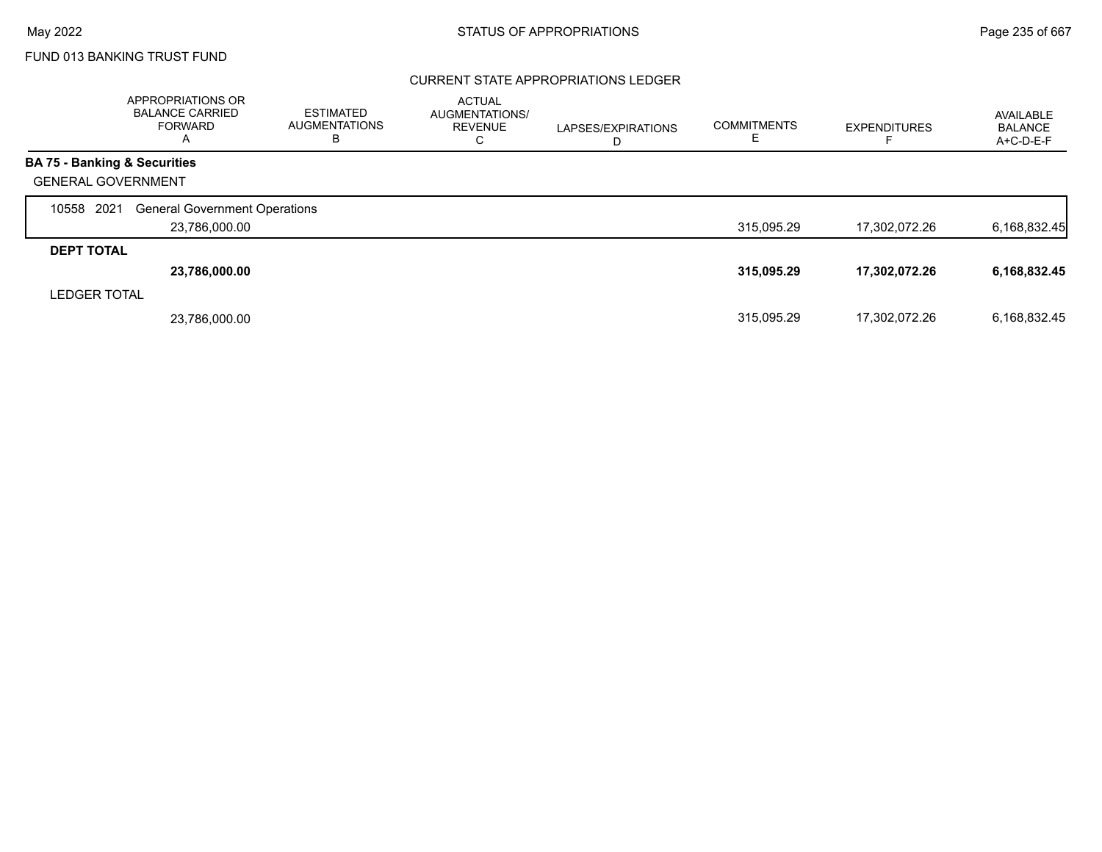## CURRENT STATE APPROPRIATIONS LEDGER

|                                         | APPROPRIATIONS OR<br><b>BALANCE CARRIED</b><br><b>FORWARD</b><br>Α | <b>ESTIMATED</b><br><b>AUGMENTATIONS</b><br>В | <b>ACTUAL</b><br>AUGMENTATIONS/<br><b>REVENUE</b><br>С | LAPSES/EXPIRATIONS<br>D | <b>COMMITMENTS</b> | <b>EXPENDITURES</b> | AVAILABLE<br><b>BALANCE</b><br>A+C-D-E-F |
|-----------------------------------------|--------------------------------------------------------------------|-----------------------------------------------|--------------------------------------------------------|-------------------------|--------------------|---------------------|------------------------------------------|
| <b>BA 75 - Banking &amp; Securities</b> |                                                                    |                                               |                                                        |                         |                    |                     |                                          |
| <b>GENERAL GOVERNMENT</b>               |                                                                    |                                               |                                                        |                         |                    |                     |                                          |
| 2021<br>10558                           | <b>General Government Operations</b>                               |                                               |                                                        |                         |                    |                     |                                          |
|                                         | 23,786,000.00                                                      |                                               |                                                        |                         | 315,095.29         | 17,302,072.26       | 6,168,832.45                             |
| <b>DEPT TOTAL</b>                       |                                                                    |                                               |                                                        |                         |                    |                     |                                          |
|                                         | 23,786,000.00                                                      |                                               |                                                        |                         | 315,095.29         | 17,302,072.26       | 6,168,832.45                             |
| <b>LEDGER TOTAL</b>                     |                                                                    |                                               |                                                        |                         |                    |                     |                                          |
|                                         | 23.786.000.00                                                      |                                               |                                                        |                         | 315.095.29         | 17.302.072.26       | 6,168,832.45                             |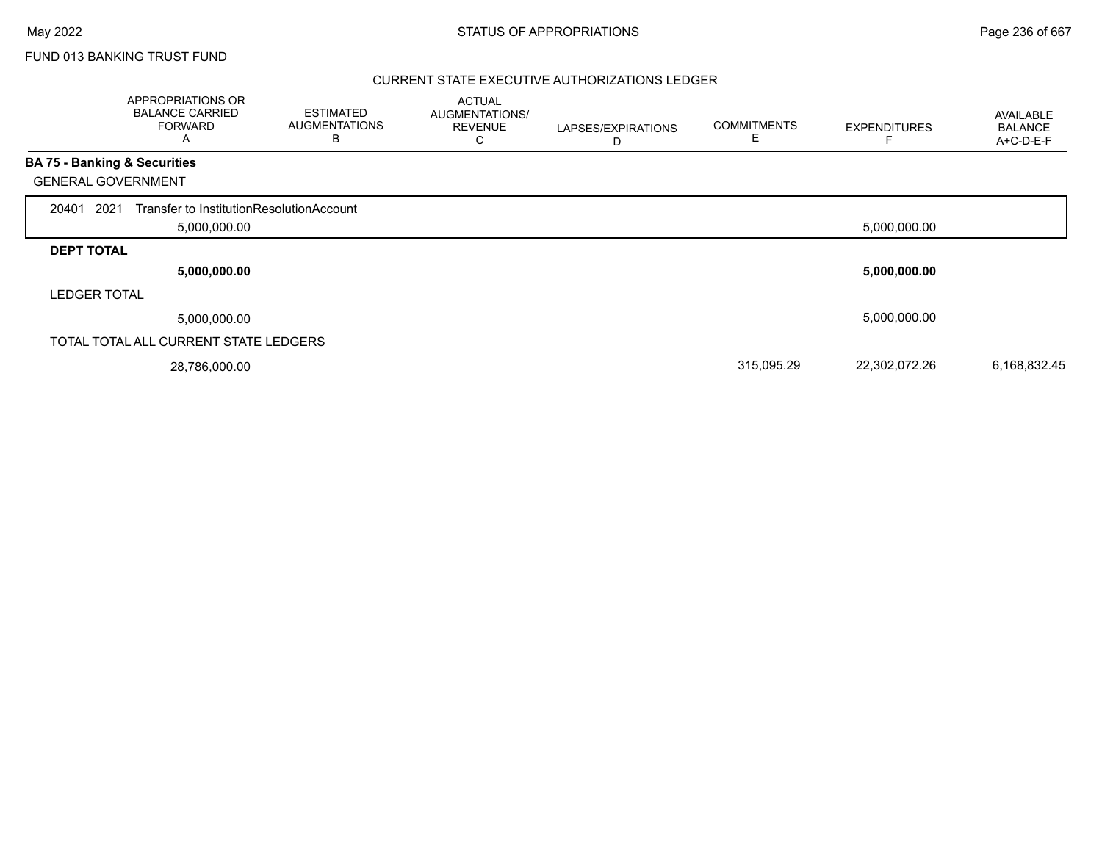## CURRENT STATE EXECUTIVE AUTHORIZATIONS LEDGER

|                     | APPROPRIATIONS OR<br><b>BALANCE CARRIED</b><br><b>FORWARD</b><br>A | <b>ESTIMATED</b><br><b>AUGMENTATIONS</b><br>B | <b>ACTUAL</b><br>AUGMENTATIONS/<br><b>REVENUE</b><br>С | LAPSES/EXPIRATIONS<br>D | <b>COMMITMENTS</b><br>Ε | <b>EXPENDITURES</b> | AVAILABLE<br><b>BALANCE</b><br>A+C-D-E-F |
|---------------------|--------------------------------------------------------------------|-----------------------------------------------|--------------------------------------------------------|-------------------------|-------------------------|---------------------|------------------------------------------|
|                     | <b>BA 75 - Banking &amp; Securities</b>                            |                                               |                                                        |                         |                         |                     |                                          |
|                     | <b>GENERAL GOVERNMENT</b>                                          |                                               |                                                        |                         |                         |                     |                                          |
| 20401               | 2021<br>Transfer to InstitutionResolutionAccount<br>5,000,000.00   |                                               |                                                        |                         |                         | 5,000,000.00        |                                          |
| <b>DEPT TOTAL</b>   |                                                                    |                                               |                                                        |                         |                         |                     |                                          |
|                     | 5,000,000.00                                                       |                                               |                                                        |                         |                         | 5,000,000.00        |                                          |
| <b>LEDGER TOTAL</b> |                                                                    |                                               |                                                        |                         |                         |                     |                                          |
|                     | 5,000,000.00                                                       |                                               |                                                        |                         |                         | 5,000,000.00        |                                          |
|                     | TOTAL TOTAL ALL CURRENT STATE LEDGERS                              |                                               |                                                        |                         |                         |                     |                                          |
|                     | 28,786,000.00                                                      |                                               |                                                        |                         | 315,095.29              | 22,302,072.26       | 6,168,832.45                             |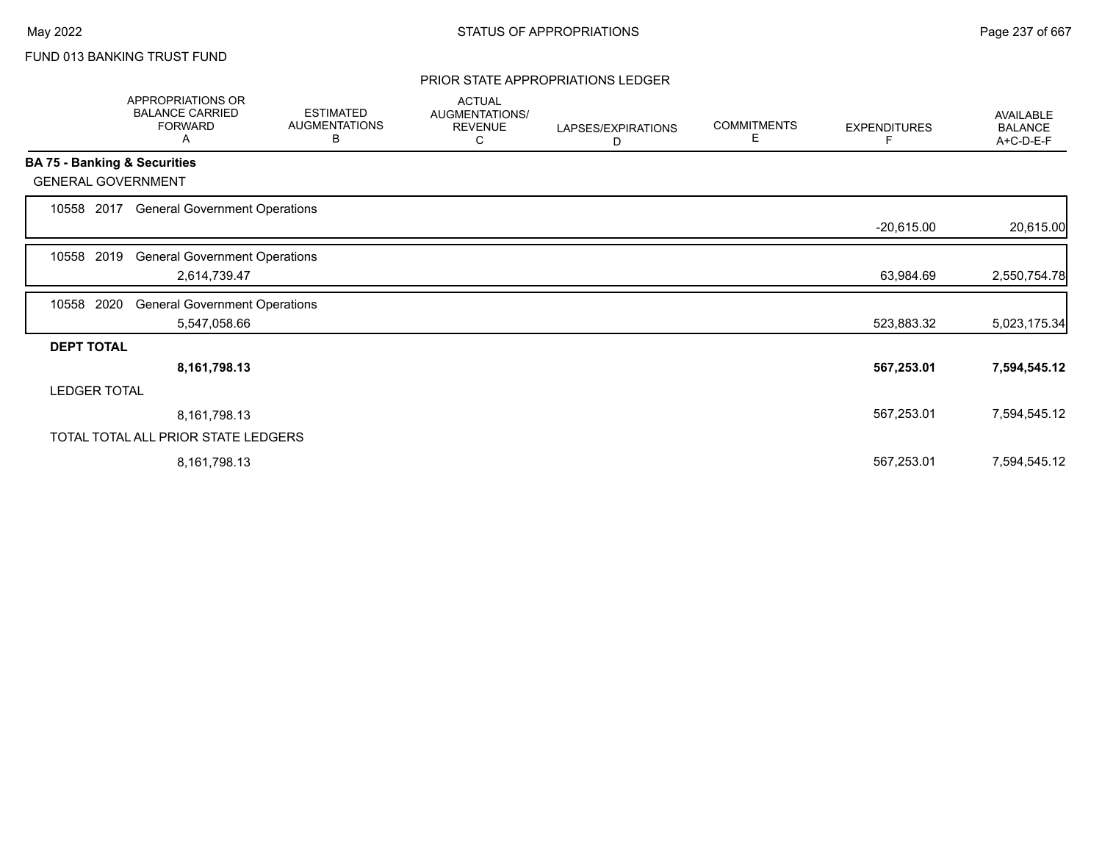## PRIOR STATE APPROPRIATIONS LEDGER

|                              | APPROPRIATIONS OR<br><b>BALANCE CARRIED</b><br><b>FORWARD</b><br>A | <b>ESTIMATED</b><br><b>AUGMENTATIONS</b><br>В | <b>ACTUAL</b><br>AUGMENTATIONS/<br><b>REVENUE</b><br>С | LAPSES/EXPIRATIONS<br>D | <b>COMMITMENTS</b><br>Е | <b>EXPENDITURES</b><br>F | <b>AVAILABLE</b><br><b>BALANCE</b><br>A+C-D-E-F |
|------------------------------|--------------------------------------------------------------------|-----------------------------------------------|--------------------------------------------------------|-------------------------|-------------------------|--------------------------|-------------------------------------------------|
| BA 75 - Banking & Securities |                                                                    |                                               |                                                        |                         |                         |                          |                                                 |
| <b>GENERAL GOVERNMENT</b>    |                                                                    |                                               |                                                        |                         |                         |                          |                                                 |
| 10558 2017                   | <b>General Government Operations</b>                               |                                               |                                                        |                         |                         |                          |                                                 |
|                              |                                                                    |                                               |                                                        |                         |                         | $-20,615.00$             | 20,615.00                                       |
| 2019<br>10558                | <b>General Government Operations</b>                               |                                               |                                                        |                         |                         |                          |                                                 |
|                              | 2,614,739.47                                                       |                                               |                                                        |                         |                         | 63,984.69                | 2,550,754.78                                    |
| 2020<br>10558                | <b>General Government Operations</b>                               |                                               |                                                        |                         |                         |                          |                                                 |
|                              | 5,547,058.66                                                       |                                               |                                                        |                         |                         | 523,883.32               | 5,023,175.34                                    |
| <b>DEPT TOTAL</b>            |                                                                    |                                               |                                                        |                         |                         |                          |                                                 |
|                              | 8,161,798.13                                                       |                                               |                                                        |                         |                         | 567,253.01               | 7,594,545.12                                    |
| <b>LEDGER TOTAL</b>          |                                                                    |                                               |                                                        |                         |                         |                          |                                                 |
|                              | 8,161,798.13                                                       |                                               |                                                        |                         |                         | 567,253.01               | 7,594,545.12                                    |
|                              | TOTAL TOTAL ALL PRIOR STATE LEDGERS                                |                                               |                                                        |                         |                         |                          |                                                 |
|                              | 8,161,798.13                                                       |                                               |                                                        |                         |                         | 567,253.01               | 7,594,545.12                                    |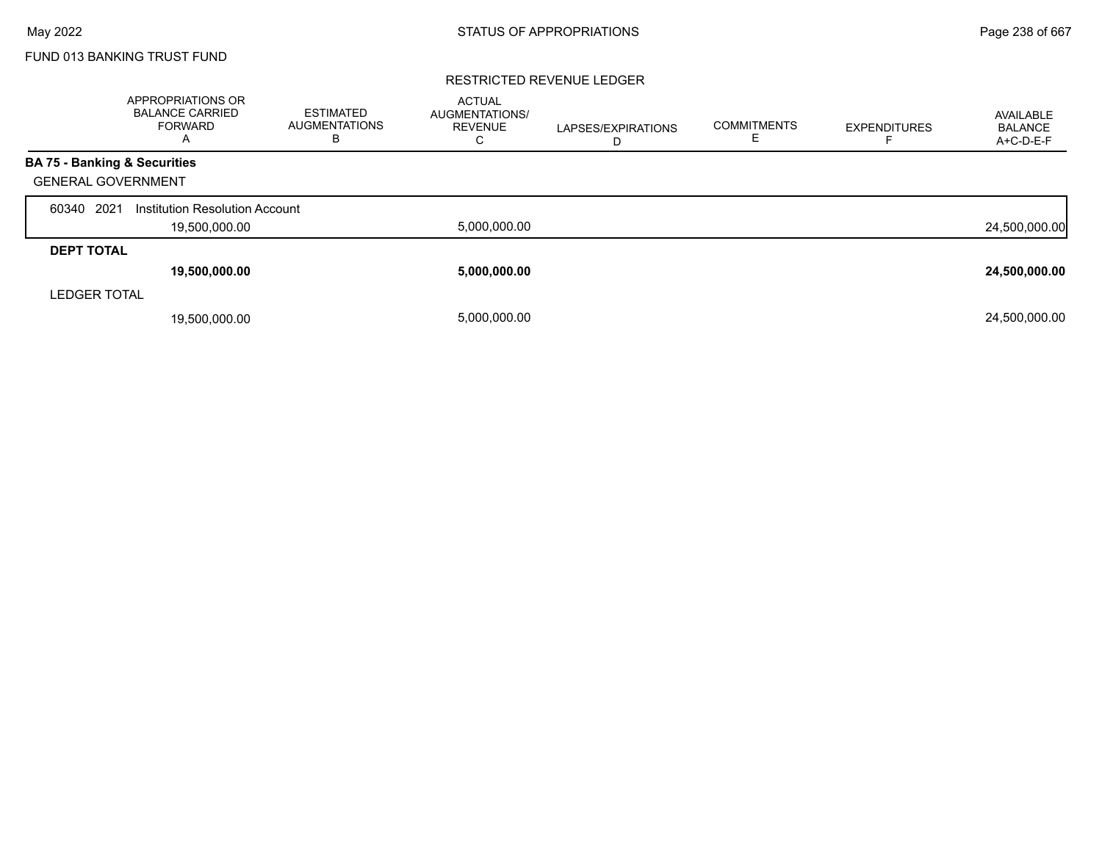### RESTRICTED REVENUE LEDGER

|                                         | <b>APPROPRIATIONS OR</b><br><b>BALANCE CARRIED</b><br><b>FORWARD</b><br>A | <b>ESTIMATED</b><br><b>AUGMENTATIONS</b><br>в | <b>ACTUAL</b><br><b>AUGMENTATIONS/</b><br><b>REVENUE</b><br>С | LAPSES/EXPIRATIONS<br>D | <b>COMMITMENTS</b> | <b>EXPENDITURES</b> | AVAILABLE<br><b>BALANCE</b><br>A+C-D-E-F |
|-----------------------------------------|---------------------------------------------------------------------------|-----------------------------------------------|---------------------------------------------------------------|-------------------------|--------------------|---------------------|------------------------------------------|
| <b>BA 75 - Banking &amp; Securities</b> |                                                                           |                                               |                                                               |                         |                    |                     |                                          |
| <b>GENERAL GOVERNMENT</b>               |                                                                           |                                               |                                                               |                         |                    |                     |                                          |
| 2021<br>60340                           | Institution Resolution Account                                            |                                               |                                                               |                         |                    |                     |                                          |
|                                         | 19,500,000.00                                                             |                                               | 5,000,000.00                                                  |                         |                    |                     | 24,500,000.00                            |
| <b>DEPT TOTAL</b>                       |                                                                           |                                               |                                                               |                         |                    |                     |                                          |
|                                         | 19,500,000.00                                                             |                                               | 5,000,000.00                                                  |                         |                    |                     | 24,500,000.00                            |
| <b>LEDGER TOTAL</b>                     |                                                                           |                                               |                                                               |                         |                    |                     |                                          |
|                                         | 19,500,000.00                                                             |                                               | 5.000.000.00                                                  |                         |                    |                     | 24,500,000.00                            |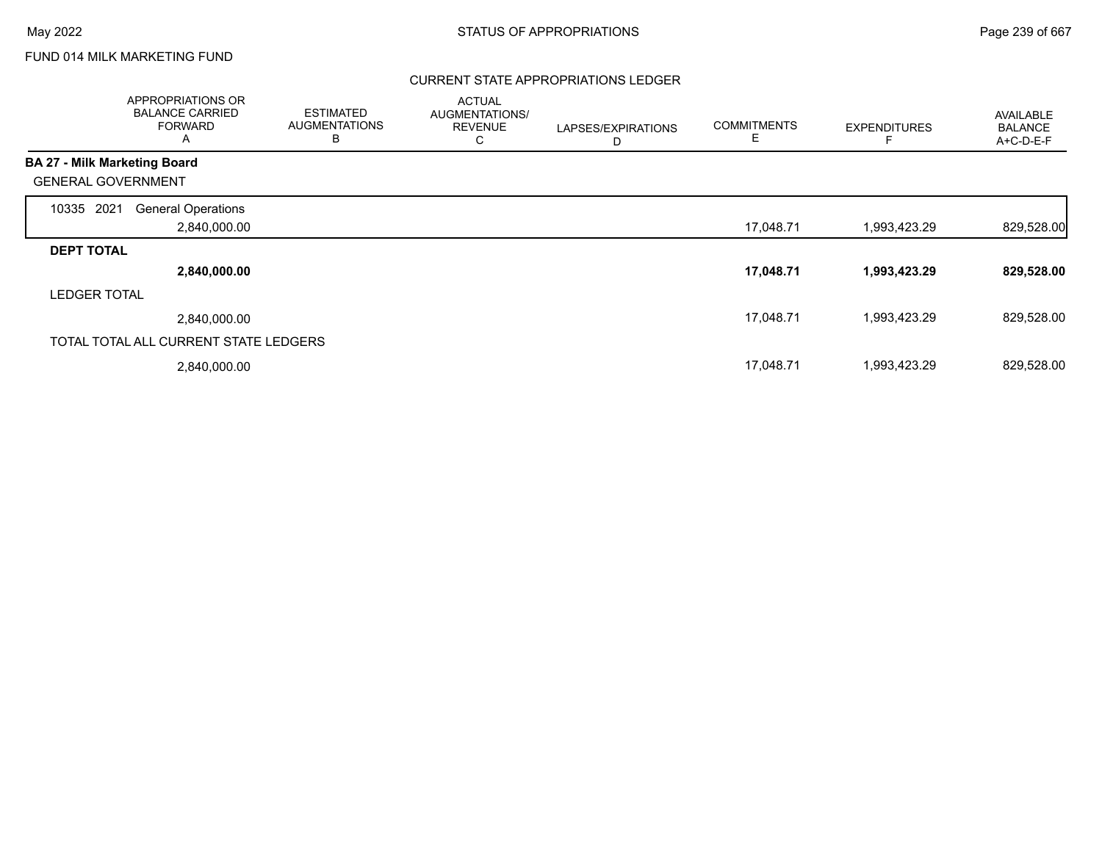# FUND 014 MILK MARKETING FUND

## CURRENT STATE APPROPRIATIONS LEDGER

|                                     | APPROPRIATIONS OR<br><b>BALANCE CARRIED</b><br><b>FORWARD</b><br>A | <b>ESTIMATED</b><br><b>AUGMENTATIONS</b><br>B | <b>ACTUAL</b><br>AUGMENTATIONS/<br><b>REVENUE</b><br>C | LAPSES/EXPIRATIONS<br>D | <b>COMMITMENTS</b><br>Е | <b>EXPENDITURES</b> | <b>AVAILABLE</b><br><b>BALANCE</b><br>A+C-D-E-F |
|-------------------------------------|--------------------------------------------------------------------|-----------------------------------------------|--------------------------------------------------------|-------------------------|-------------------------|---------------------|-------------------------------------------------|
| <b>BA 27 - Milk Marketing Board</b> |                                                                    |                                               |                                                        |                         |                         |                     |                                                 |
| <b>GENERAL GOVERNMENT</b>           |                                                                    |                                               |                                                        |                         |                         |                     |                                                 |
| 2021<br>10335                       | <b>General Operations</b>                                          |                                               |                                                        |                         |                         |                     |                                                 |
|                                     | 2,840,000.00                                                       |                                               |                                                        |                         | 17,048.71               | 1,993,423.29        | 829,528.00                                      |
| <b>DEPT TOTAL</b>                   |                                                                    |                                               |                                                        |                         |                         |                     |                                                 |
|                                     | 2,840,000.00                                                       |                                               |                                                        |                         | 17,048.71               | 1,993,423.29        | 829,528.00                                      |
| <b>LEDGER TOTAL</b>                 |                                                                    |                                               |                                                        |                         |                         |                     |                                                 |
|                                     | 2,840,000.00                                                       |                                               |                                                        |                         | 17,048.71               | 1,993,423.29        | 829,528.00                                      |
|                                     | TOTAL TOTAL ALL CURRENT STATE LEDGERS                              |                                               |                                                        |                         |                         |                     |                                                 |
|                                     | 2,840,000.00                                                       |                                               |                                                        |                         | 17,048.71               | 1,993,423.29        | 829,528.00                                      |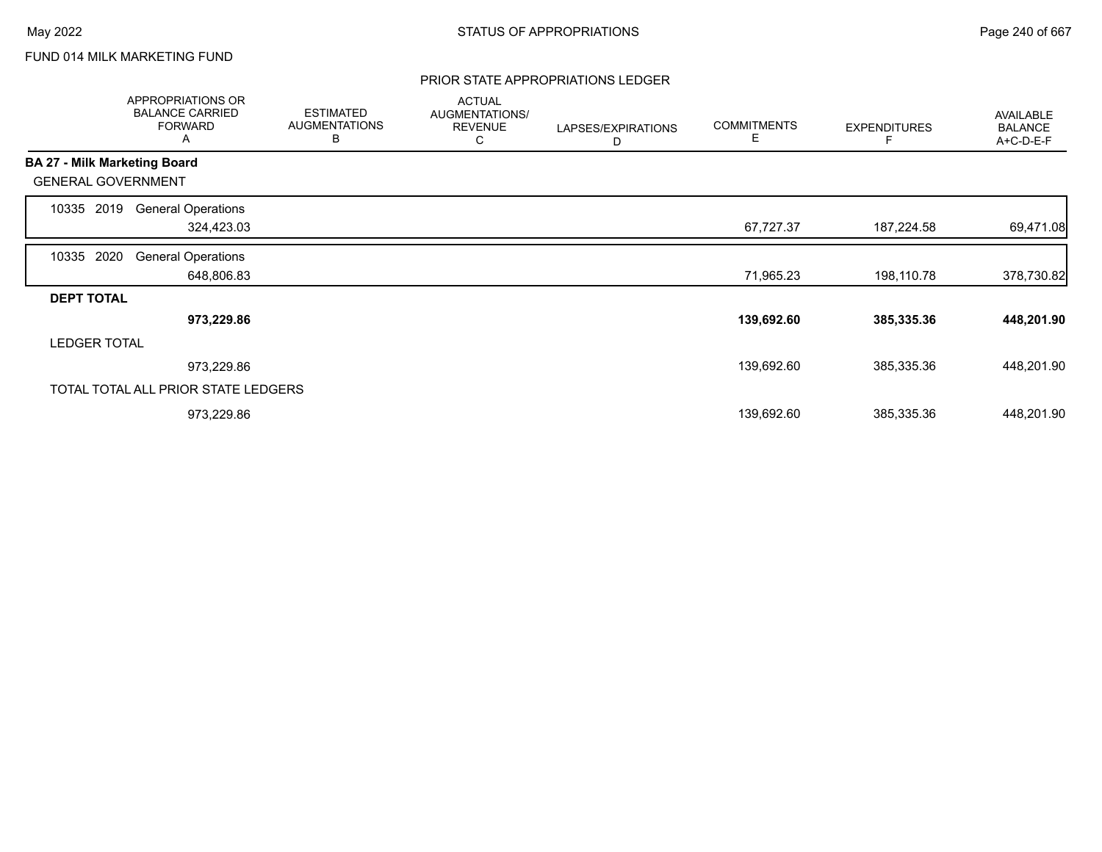# FUND 014 MILK MARKETING FUND

## PRIOR STATE APPROPRIATIONS LEDGER

|                     | APPROPRIATIONS OR<br><b>BALANCE CARRIED</b><br><b>FORWARD</b><br>A | <b>ESTIMATED</b><br><b>AUGMENTATIONS</b><br>В | <b>ACTUAL</b><br>AUGMENTATIONS/<br><b>REVENUE</b><br>С | LAPSES/EXPIRATIONS<br>D | <b>COMMITMENTS</b><br>Е | <b>EXPENDITURES</b> | AVAILABLE<br><b>BALANCE</b><br>A+C-D-E-F |
|---------------------|--------------------------------------------------------------------|-----------------------------------------------|--------------------------------------------------------|-------------------------|-------------------------|---------------------|------------------------------------------|
|                     | <b>BA 27 - Milk Marketing Board</b>                                |                                               |                                                        |                         |                         |                     |                                          |
|                     | <b>GENERAL GOVERNMENT</b>                                          |                                               |                                                        |                         |                         |                     |                                          |
| 10335               | 2019<br><b>General Operations</b>                                  |                                               |                                                        |                         |                         |                     |                                          |
|                     | 324,423.03                                                         |                                               |                                                        |                         | 67,727.37               | 187,224.58          | 69,471.08                                |
| 10335               | 2020<br><b>General Operations</b>                                  |                                               |                                                        |                         |                         |                     |                                          |
|                     | 648,806.83                                                         |                                               |                                                        |                         | 71,965.23               | 198,110.78          | 378,730.82                               |
| <b>DEPT TOTAL</b>   |                                                                    |                                               |                                                        |                         |                         |                     |                                          |
|                     | 973,229.86                                                         |                                               |                                                        |                         | 139,692.60              | 385,335.36          | 448,201.90                               |
| <b>LEDGER TOTAL</b> |                                                                    |                                               |                                                        |                         |                         |                     |                                          |
|                     | 973,229.86                                                         |                                               |                                                        |                         | 139,692.60              | 385,335.36          | 448,201.90                               |
|                     | TOTAL TOTAL ALL PRIOR STATE LEDGERS                                |                                               |                                                        |                         |                         |                     |                                          |
|                     | 973,229.86                                                         |                                               |                                                        |                         | 139,692.60              | 385,335.36          | 448,201.90                               |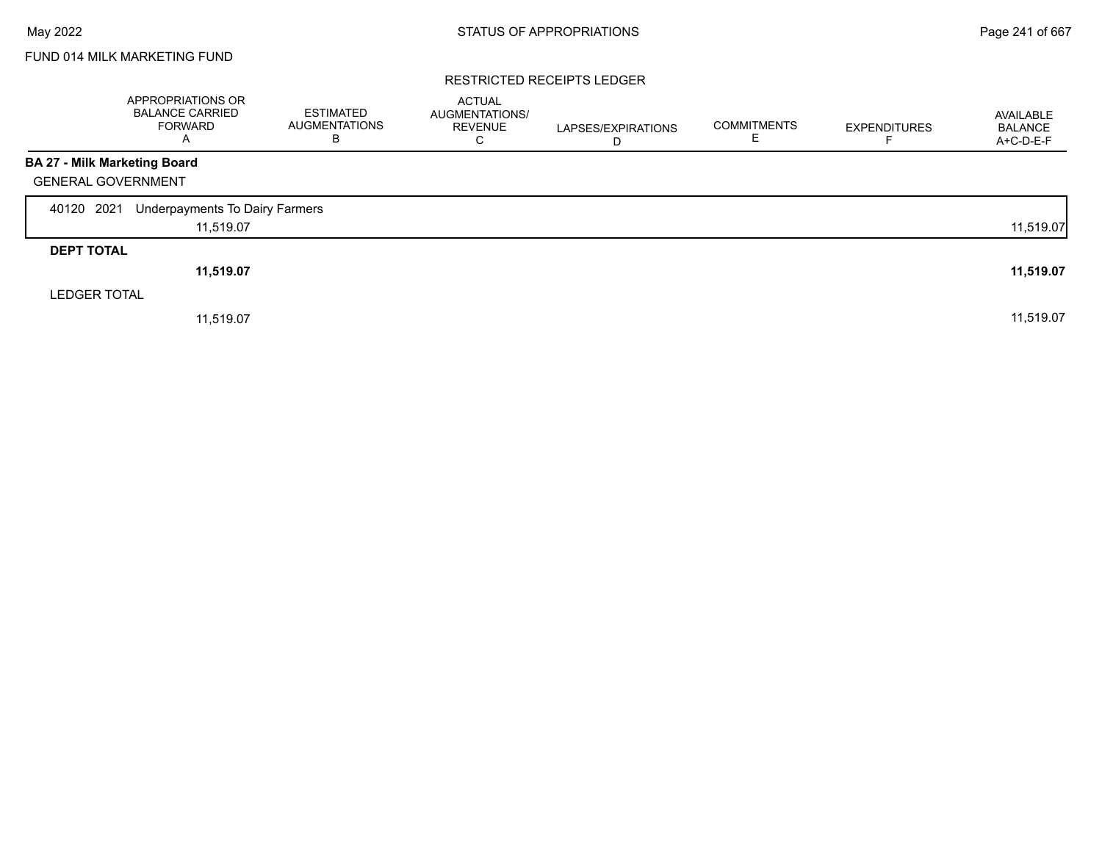# FUND 014 MILK MARKETING FUND

### RESTRICTED RECEIPTS LEDGER

|                                     | APPROPRIATIONS OR<br><b>BALANCE CARRIED</b><br><b>FORWARD</b><br>A | <b>ESTIMATED</b><br><b>AUGMENTATIONS</b><br>B | <b>ACTUAL</b><br>AUGMENTATIONS/<br><b>REVENUE</b><br>С | LAPSES/EXPIRATIONS<br>D | <b>COMMITMENTS</b> | <b>EXPENDITURES</b> | AVAILABLE<br><b>BALANCE</b><br>A+C-D-E-F |
|-------------------------------------|--------------------------------------------------------------------|-----------------------------------------------|--------------------------------------------------------|-------------------------|--------------------|---------------------|------------------------------------------|
| <b>BA 27 - Milk Marketing Board</b> |                                                                    |                                               |                                                        |                         |                    |                     |                                          |
| <b>GENERAL GOVERNMENT</b>           |                                                                    |                                               |                                                        |                         |                    |                     |                                          |
| 40120 2021                          | Underpayments To Dairy Farmers                                     |                                               |                                                        |                         |                    |                     |                                          |
|                                     | 11,519.07                                                          |                                               |                                                        |                         |                    |                     | 11,519.07                                |
| <b>DEPT TOTAL</b>                   |                                                                    |                                               |                                                        |                         |                    |                     |                                          |
|                                     | 11,519.07                                                          |                                               |                                                        |                         |                    |                     | 11,519.07                                |
| <b>LEDGER TOTAL</b>                 |                                                                    |                                               |                                                        |                         |                    |                     |                                          |
|                                     | 11,519.07                                                          |                                               |                                                        |                         |                    |                     | 11,519.07                                |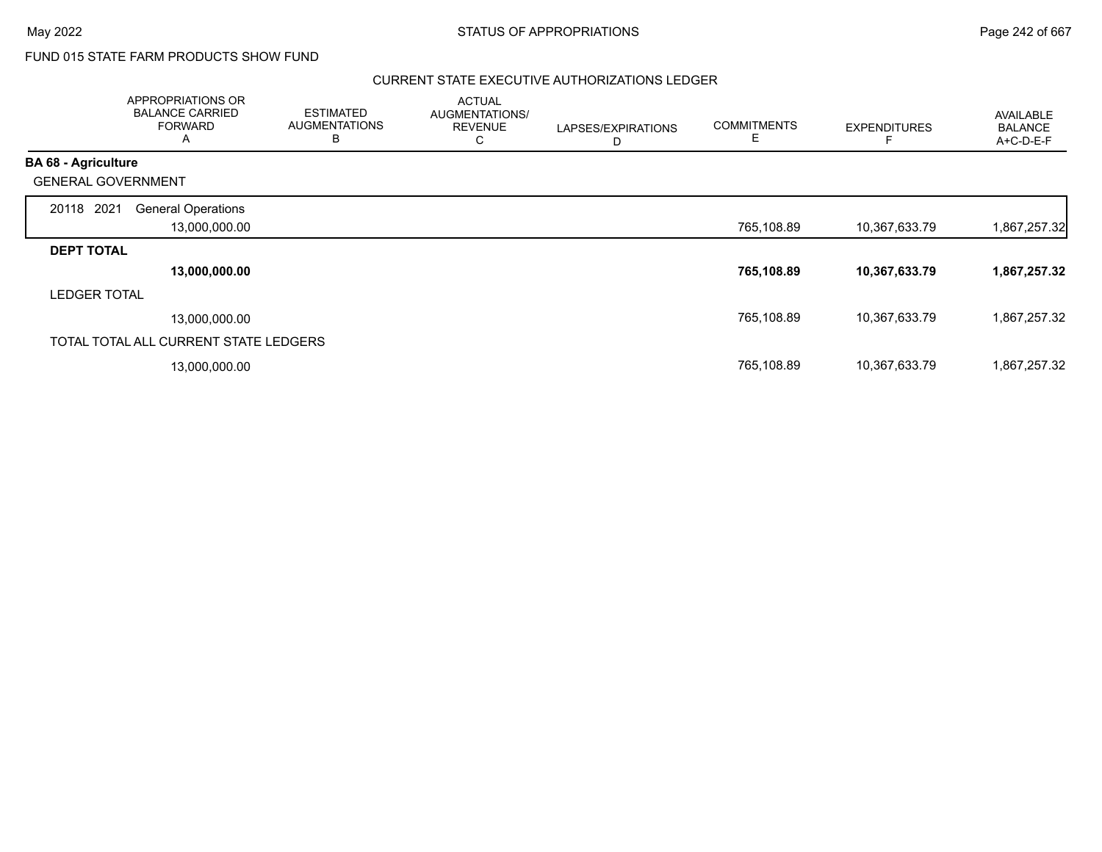Г

# FUND 015 STATE FARM PRODUCTS SHOW FUND

## CURRENT STATE EXECUTIVE AUTHORIZATIONS LEDGER

|                            | APPROPRIATIONS OR<br><b>BALANCE CARRIED</b><br><b>FORWARD</b><br>A | <b>ESTIMATED</b><br><b>AUGMENTATIONS</b><br>B | <b>ACTUAL</b><br>AUGMENTATIONS/<br><b>REVENUE</b><br>С | LAPSES/EXPIRATIONS<br>D | <b>COMMITMENTS</b><br>E | <b>EXPENDITURES</b> | <b>AVAILABLE</b><br><b>BALANCE</b><br>A+C-D-E-F |
|----------------------------|--------------------------------------------------------------------|-----------------------------------------------|--------------------------------------------------------|-------------------------|-------------------------|---------------------|-------------------------------------------------|
| <b>BA 68 - Agriculture</b> |                                                                    |                                               |                                                        |                         |                         |                     |                                                 |
| <b>GENERAL GOVERNMENT</b>  |                                                                    |                                               |                                                        |                         |                         |                     |                                                 |
| 2021<br>20118              | <b>General Operations</b>                                          |                                               |                                                        |                         |                         |                     |                                                 |
|                            | 13,000,000.00                                                      |                                               |                                                        |                         | 765,108.89              | 10,367,633.79       | 1,867,257.32                                    |
| <b>DEPT TOTAL</b>          |                                                                    |                                               |                                                        |                         |                         |                     |                                                 |
|                            | 13,000,000.00                                                      |                                               |                                                        |                         | 765,108.89              | 10,367,633.79       | 1,867,257.32                                    |
| <b>LEDGER TOTAL</b>        |                                                                    |                                               |                                                        |                         |                         |                     |                                                 |
|                            | 13,000,000.00                                                      |                                               |                                                        |                         | 765,108.89              | 10,367,633.79       | 1,867,257.32                                    |
|                            | TOTAL TOTAL ALL CURRENT STATE LEDGERS                              |                                               |                                                        |                         |                         |                     |                                                 |
|                            | 13,000,000.00                                                      |                                               |                                                        |                         | 765,108.89              | 10,367,633.79       | 1,867,257.32                                    |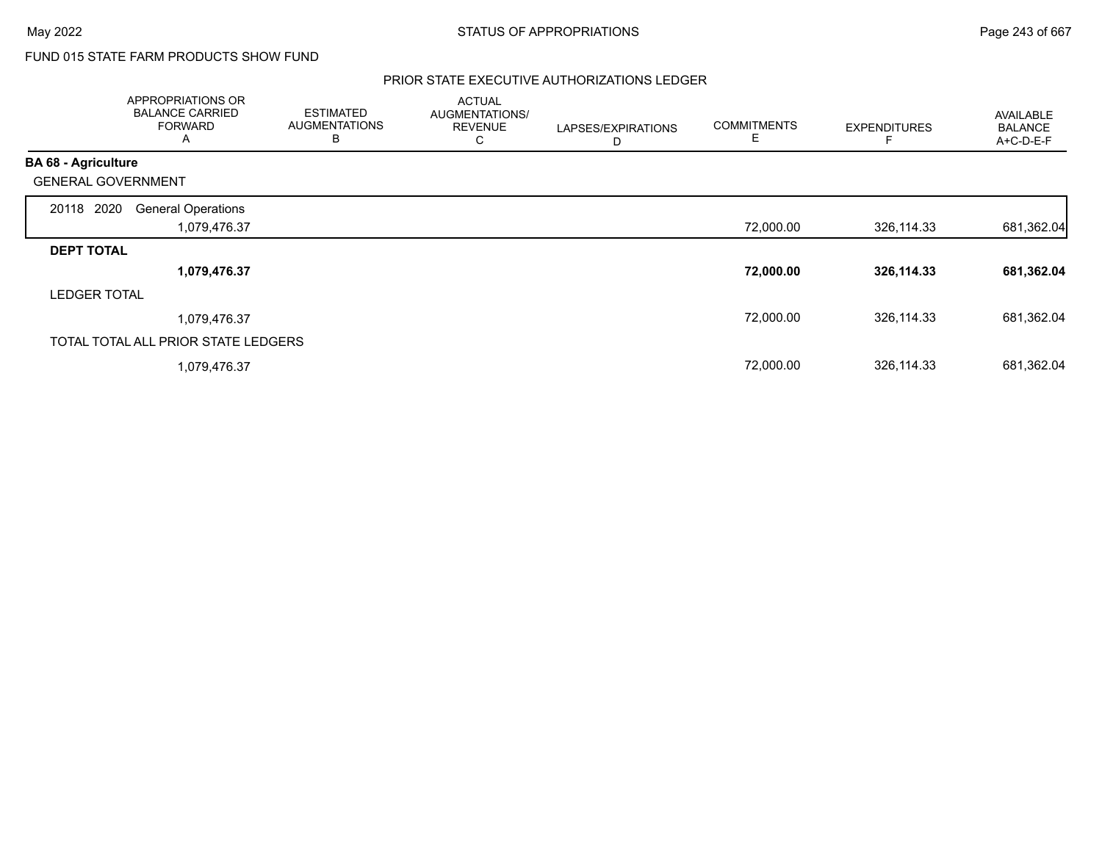# FUND 015 STATE FARM PRODUCTS SHOW FUND

## PRIOR STATE EXECUTIVE AUTHORIZATIONS LEDGER

|                            | APPROPRIATIONS OR<br><b>BALANCE CARRIED</b><br><b>FORWARD</b><br>A | <b>ESTIMATED</b><br><b>AUGMENTATIONS</b><br>B | <b>ACTUAL</b><br>AUGMENTATIONS/<br><b>REVENUE</b><br>С | LAPSES/EXPIRATIONS<br>D | <b>COMMITMENTS</b><br>E | <b>EXPENDITURES</b> | <b>AVAILABLE</b><br><b>BALANCE</b><br>A+C-D-E-F |
|----------------------------|--------------------------------------------------------------------|-----------------------------------------------|--------------------------------------------------------|-------------------------|-------------------------|---------------------|-------------------------------------------------|
| <b>BA 68 - Agriculture</b> |                                                                    |                                               |                                                        |                         |                         |                     |                                                 |
| <b>GENERAL GOVERNMENT</b>  |                                                                    |                                               |                                                        |                         |                         |                     |                                                 |
| 20118 2020                 | <b>General Operations</b>                                          |                                               |                                                        |                         |                         |                     |                                                 |
|                            | 1,079,476.37                                                       |                                               |                                                        |                         | 72,000.00               | 326,114.33          | 681,362.04                                      |
| <b>DEPT TOTAL</b>          |                                                                    |                                               |                                                        |                         |                         |                     |                                                 |
|                            | 1,079,476.37                                                       |                                               |                                                        |                         | 72,000.00               | 326,114.33          | 681,362.04                                      |
| <b>LEDGER TOTAL</b>        |                                                                    |                                               |                                                        |                         |                         |                     |                                                 |
|                            | 1,079,476.37                                                       |                                               |                                                        |                         | 72,000.00               | 326,114.33          | 681,362.04                                      |
|                            | TOTAL TOTAL ALL PRIOR STATE LEDGERS                                |                                               |                                                        |                         |                         |                     |                                                 |
|                            | 1,079,476.37                                                       |                                               |                                                        |                         | 72,000.00               | 326,114.33          | 681,362.04                                      |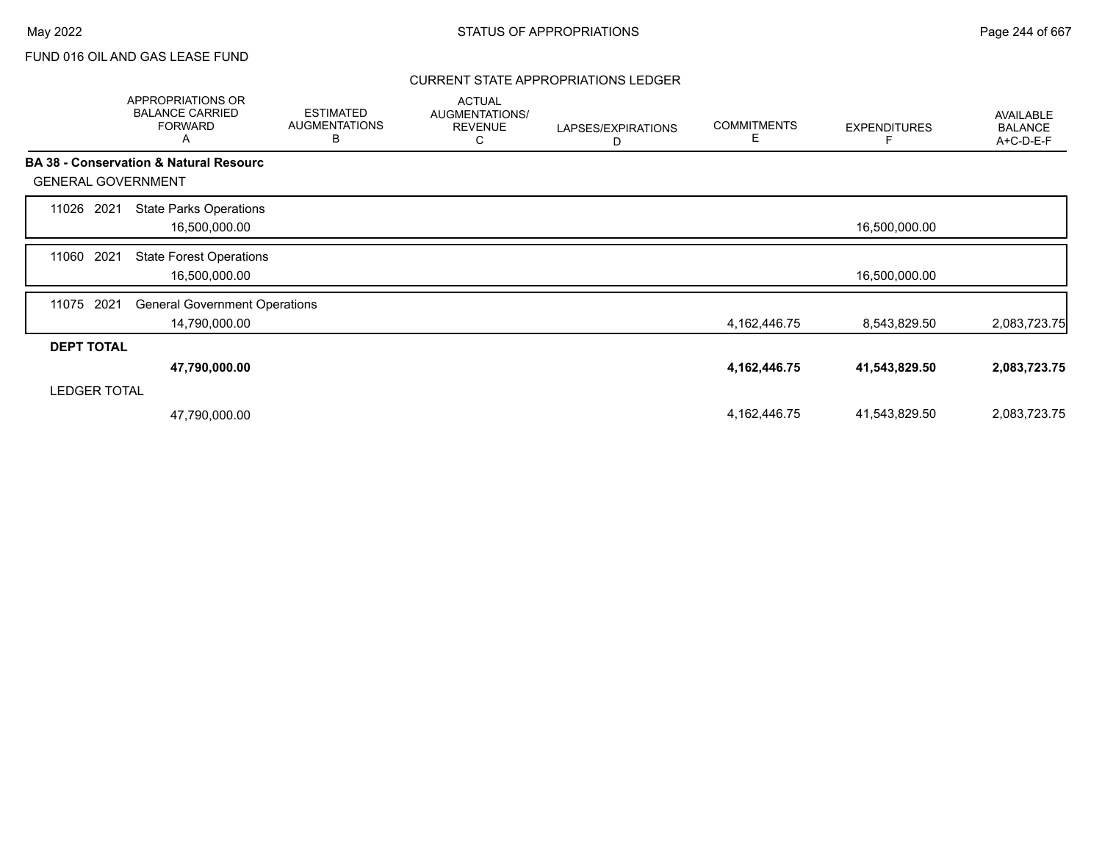## CURRENT STATE APPROPRIATIONS LEDGER

|                           | <b>APPROPRIATIONS OR</b><br><b>BALANCE CARRIED</b><br><b>FORWARD</b><br>Α | <b>ESTIMATED</b><br><b>AUGMENTATIONS</b><br>B | <b>ACTUAL</b><br>AUGMENTATIONS/<br><b>REVENUE</b><br>С | LAPSES/EXPIRATIONS<br>D | <b>COMMITMENTS</b><br>Е | <b>EXPENDITURES</b> | <b>AVAILABLE</b><br><b>BALANCE</b><br>A+C-D-E-F |
|---------------------------|---------------------------------------------------------------------------|-----------------------------------------------|--------------------------------------------------------|-------------------------|-------------------------|---------------------|-------------------------------------------------|
|                           | <b>BA 38 - Conservation &amp; Natural Resourc</b>                         |                                               |                                                        |                         |                         |                     |                                                 |
| <b>GENERAL GOVERNMENT</b> |                                                                           |                                               |                                                        |                         |                         |                     |                                                 |
| 2021<br>11026             | <b>State Parks Operations</b><br>16,500,000.00                            |                                               |                                                        |                         |                         | 16,500,000.00       |                                                 |
| 2021<br>11060             | <b>State Forest Operations</b><br>16,500,000.00                           |                                               |                                                        |                         |                         | 16,500,000.00       |                                                 |
| 2021<br>11075             | <b>General Government Operations</b><br>14,790,000.00                     |                                               |                                                        |                         | 4,162,446.75            | 8,543,829.50        | 2,083,723.75                                    |
| <b>DEPT TOTAL</b>         |                                                                           |                                               |                                                        |                         |                         |                     |                                                 |
|                           | 47,790,000.00                                                             |                                               |                                                        |                         | 4, 162, 446. 75         | 41,543,829.50       | 2,083,723.75                                    |
| <b>LEDGER TOTAL</b>       |                                                                           |                                               |                                                        |                         |                         |                     |                                                 |
|                           | 47,790,000.00                                                             |                                               |                                                        |                         | 4,162,446.75            | 41,543,829.50       | 2,083,723.75                                    |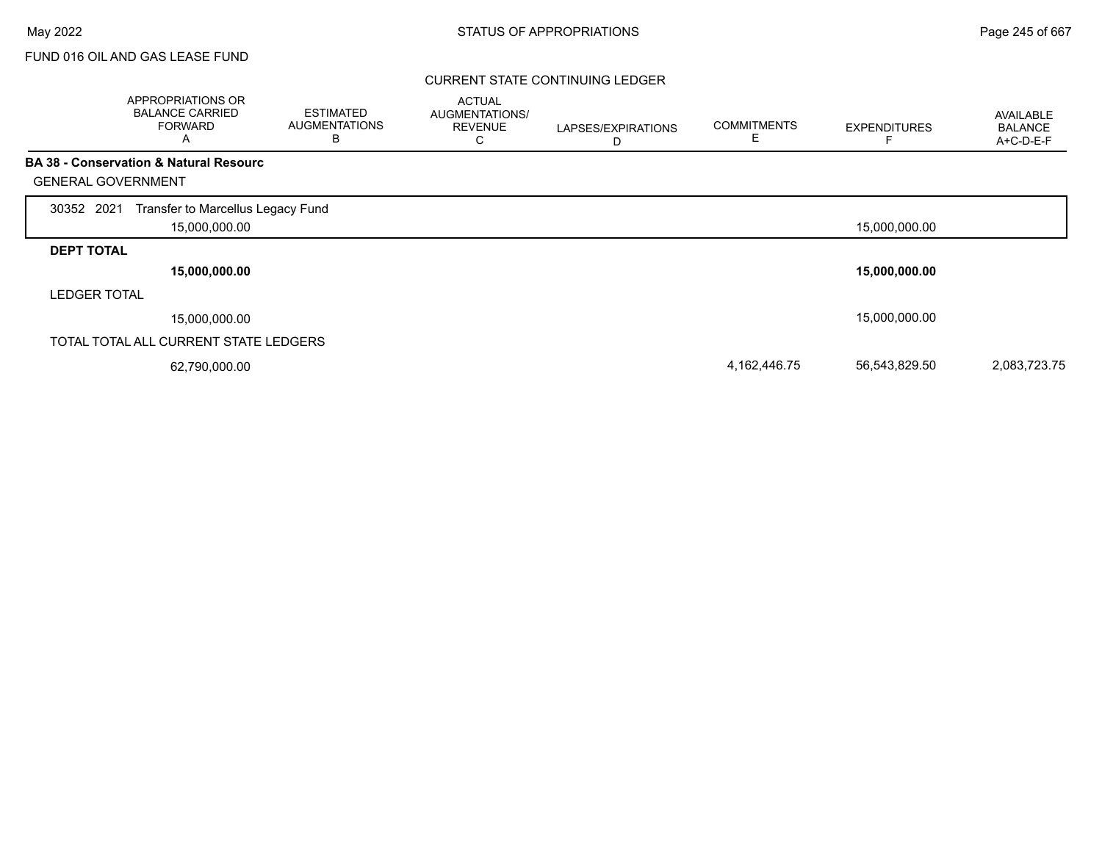## CURRENT STATE CONTINUING LEDGER

|                           | APPROPRIATIONS OR<br><b>BALANCE CARRIED</b><br><b>FORWARD</b><br>Α | <b>ESTIMATED</b><br><b>AUGMENTATIONS</b><br>В | <b>ACTUAL</b><br>AUGMENTATIONS/<br><b>REVENUE</b><br>◡ | LAPSES/EXPIRATIONS<br>D | <b>COMMITMENTS</b><br>E | <b>EXPENDITURES</b> | <b>AVAILABLE</b><br><b>BALANCE</b><br>A+C-D-E-F |
|---------------------------|--------------------------------------------------------------------|-----------------------------------------------|--------------------------------------------------------|-------------------------|-------------------------|---------------------|-------------------------------------------------|
|                           | <b>BA 38 - Conservation &amp; Natural Resourc</b>                  |                                               |                                                        |                         |                         |                     |                                                 |
| <b>GENERAL GOVERNMENT</b> |                                                                    |                                               |                                                        |                         |                         |                     |                                                 |
| 30352 2021                | Transfer to Marcellus Legacy Fund                                  |                                               |                                                        |                         |                         |                     |                                                 |
|                           | 15,000,000.00                                                      |                                               |                                                        |                         |                         | 15,000,000.00       |                                                 |
| <b>DEPT TOTAL</b>         |                                                                    |                                               |                                                        |                         |                         |                     |                                                 |
|                           | 15,000,000.00                                                      |                                               |                                                        |                         |                         | 15,000,000.00       |                                                 |
| <b>LEDGER TOTAL</b>       |                                                                    |                                               |                                                        |                         |                         |                     |                                                 |
|                           | 15,000,000.00                                                      |                                               |                                                        |                         |                         | 15,000,000.00       |                                                 |
|                           | TOTAL TOTAL ALL CURRENT STATE LEDGERS                              |                                               |                                                        |                         |                         |                     |                                                 |
|                           | 62,790,000.00                                                      |                                               |                                                        |                         | 4,162,446.75            | 56,543,829.50       | 2,083,723.75                                    |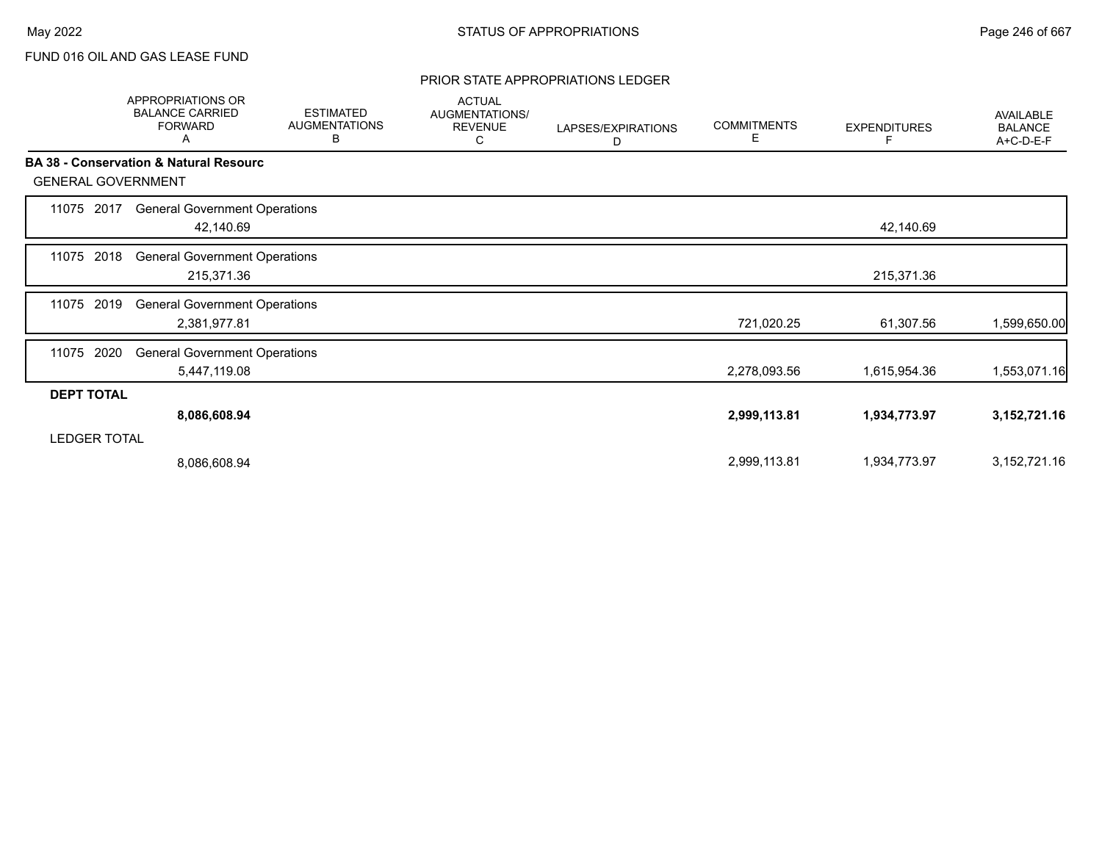## PRIOR STATE APPROPRIATIONS LEDGER

|                           | APPROPRIATIONS OR<br><b>BALANCE CARRIED</b><br><b>FORWARD</b><br>A | <b>ESTIMATED</b><br><b>AUGMENTATIONS</b><br>В | <b>ACTUAL</b><br>AUGMENTATIONS/<br><b>REVENUE</b><br>С | LAPSES/EXPIRATIONS<br>D | <b>COMMITMENTS</b><br>Е | <b>EXPENDITURES</b><br>F | <b>AVAILABLE</b><br><b>BALANCE</b><br>A+C-D-E-F |
|---------------------------|--------------------------------------------------------------------|-----------------------------------------------|--------------------------------------------------------|-------------------------|-------------------------|--------------------------|-------------------------------------------------|
| <b>GENERAL GOVERNMENT</b> | <b>BA 38 - Conservation &amp; Natural Resourc</b>                  |                                               |                                                        |                         |                         |                          |                                                 |
| 2017<br>11075             | <b>General Government Operations</b><br>42,140.69                  |                                               |                                                        |                         |                         | 42,140.69                |                                                 |
| 2018<br>11075             | <b>General Government Operations</b><br>215,371.36                 |                                               |                                                        |                         |                         | 215,371.36               |                                                 |
| 2019<br>11075             | <b>General Government Operations</b><br>2,381,977.81               |                                               |                                                        |                         | 721,020.25              | 61,307.56                | 1,599,650.00                                    |
| 2020<br>11075             | <b>General Government Operations</b><br>5,447,119.08               |                                               |                                                        |                         | 2,278,093.56            | 1,615,954.36             | 1,553,071.16                                    |
| <b>DEPT TOTAL</b>         |                                                                    |                                               |                                                        |                         |                         |                          |                                                 |
|                           | 8,086,608.94                                                       |                                               |                                                        |                         | 2,999,113.81            | 1,934,773.97             | 3, 152, 721. 16                                 |
| <b>LEDGER TOTAL</b>       |                                                                    |                                               |                                                        |                         |                         |                          |                                                 |
|                           | 8,086,608.94                                                       |                                               |                                                        |                         | 2,999,113.81            | 1,934,773.97             | 3, 152, 721. 16                                 |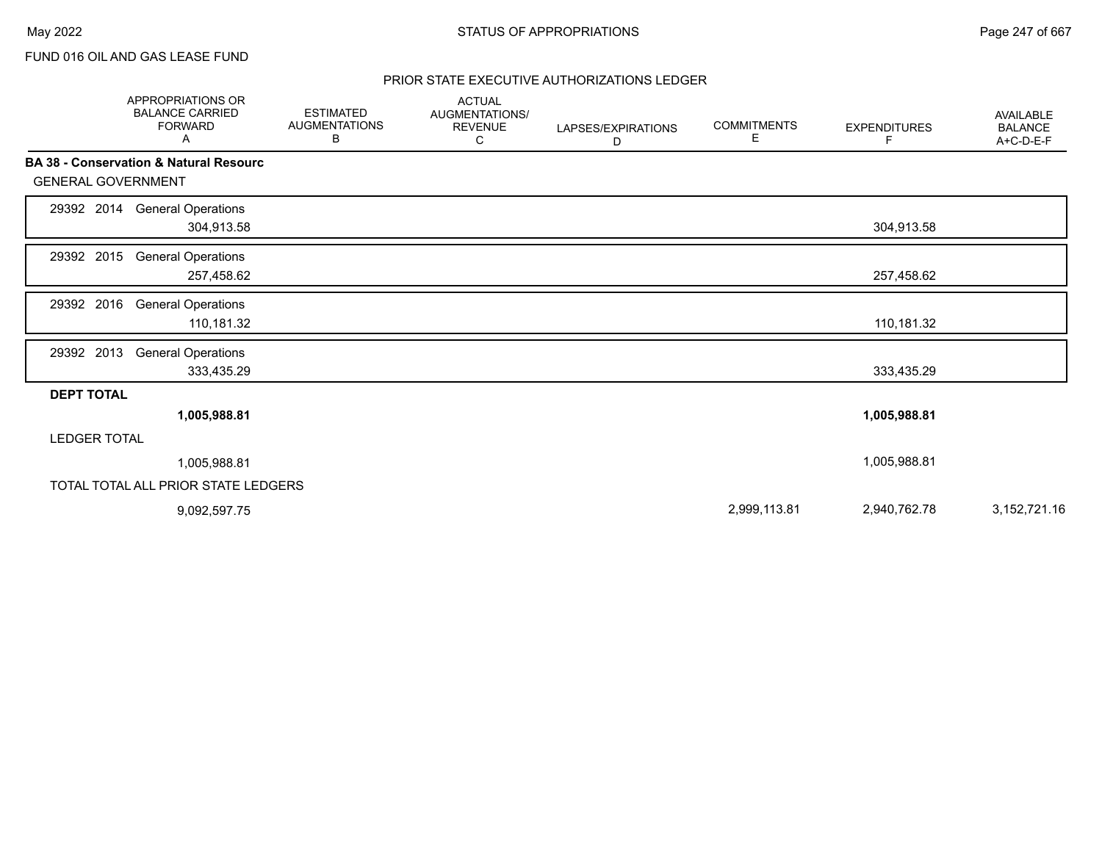## PRIOR STATE EXECUTIVE AUTHORIZATIONS LEDGER

|                           | <b>APPROPRIATIONS OR</b><br><b>BALANCE CARRIED</b><br><b>FORWARD</b><br>Α | <b>ESTIMATED</b><br><b>AUGMENTATIONS</b><br>В | <b>ACTUAL</b><br>AUGMENTATIONS/<br><b>REVENUE</b><br>С | LAPSES/EXPIRATIONS<br>D | <b>COMMITMENTS</b><br>Е | <b>EXPENDITURES</b><br>F | <b>AVAILABLE</b><br><b>BALANCE</b><br>A+C-D-E-F |
|---------------------------|---------------------------------------------------------------------------|-----------------------------------------------|--------------------------------------------------------|-------------------------|-------------------------|--------------------------|-------------------------------------------------|
|                           | <b>BA 38 - Conservation &amp; Natural Resourc</b>                         |                                               |                                                        |                         |                         |                          |                                                 |
| <b>GENERAL GOVERNMENT</b> |                                                                           |                                               |                                                        |                         |                         |                          |                                                 |
| 29392 2014                | <b>General Operations</b><br>304,913.58                                   |                                               |                                                        |                         |                         | 304,913.58               |                                                 |
| 29392 2015                | <b>General Operations</b><br>257,458.62                                   |                                               |                                                        |                         |                         | 257,458.62               |                                                 |
| 29392 2016                | <b>General Operations</b><br>110,181.32                                   |                                               |                                                        |                         |                         | 110,181.32               |                                                 |
| 29392 2013                | <b>General Operations</b><br>333,435.29                                   |                                               |                                                        |                         |                         | 333,435.29               |                                                 |
| <b>DEPT TOTAL</b>         |                                                                           |                                               |                                                        |                         |                         |                          |                                                 |
|                           | 1,005,988.81                                                              |                                               |                                                        |                         |                         | 1,005,988.81             |                                                 |
| <b>LEDGER TOTAL</b>       |                                                                           |                                               |                                                        |                         |                         |                          |                                                 |
|                           | 1,005,988.81                                                              |                                               |                                                        |                         |                         | 1,005,988.81             |                                                 |
|                           | TOTAL TOTAL ALL PRIOR STATE LEDGERS                                       |                                               |                                                        |                         |                         |                          |                                                 |
|                           | 9,092,597.75                                                              |                                               |                                                        |                         | 2,999,113.81            | 2,940,762.78             | 3, 152, 721. 16                                 |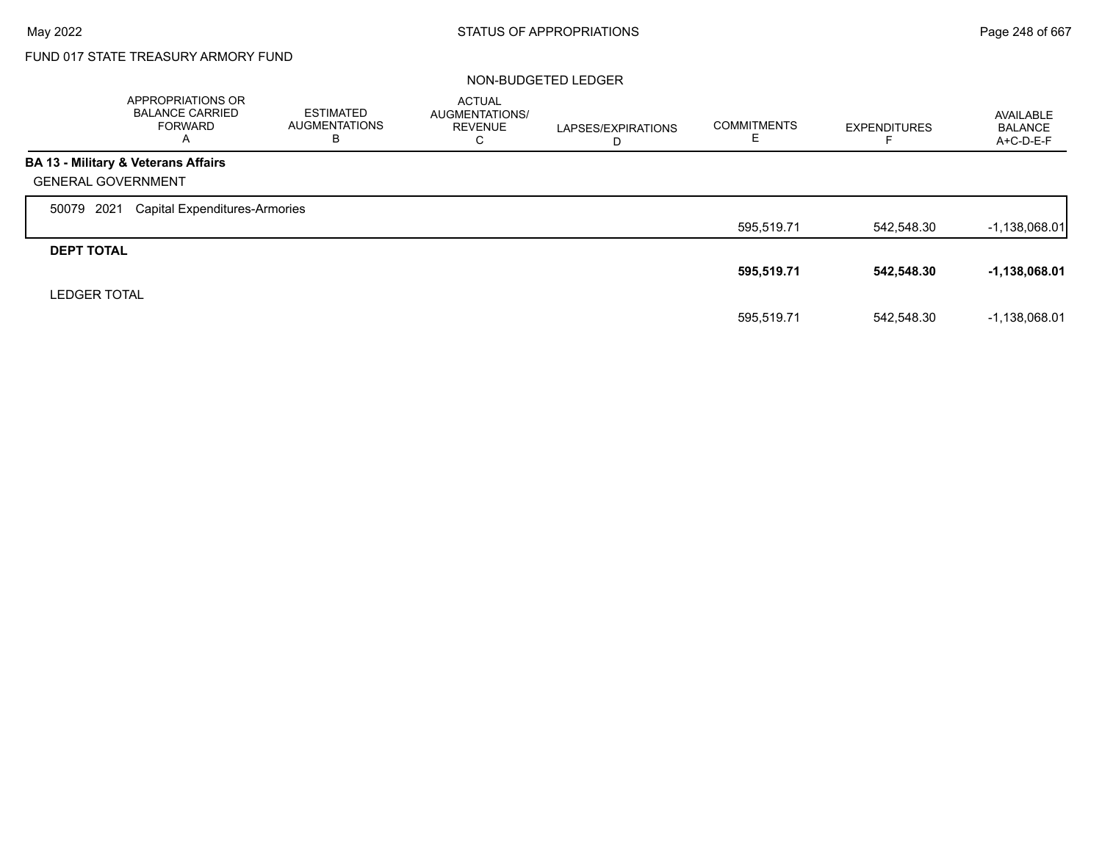# FUND 017 STATE TREASURY ARMORY FUND

### NON-BUDGETED LEDGER

|                           | <b>APPROPRIATIONS OR</b><br><b>BALANCE CARRIED</b><br>FORWARD<br>A | <b>ESTIMATED</b><br><b>AUGMENTATIONS</b><br>в | <b>ACTUAL</b><br>AUGMENTATIONS/<br><b>REVENUE</b><br>C | LAPSES/EXPIRATIONS<br>D | <b>COMMITMENTS</b><br>E | <b>EXPENDITURES</b> | AVAILABLE<br><b>BALANCE</b><br>$A+C-D-E-F$ |
|---------------------------|--------------------------------------------------------------------|-----------------------------------------------|--------------------------------------------------------|-------------------------|-------------------------|---------------------|--------------------------------------------|
|                           | BA 13 - Military & Veterans Affairs                                |                                               |                                                        |                         |                         |                     |                                            |
| <b>GENERAL GOVERNMENT</b> |                                                                    |                                               |                                                        |                         |                         |                     |                                            |
| 2021<br>50079             | <b>Capital Expenditures-Armories</b>                               |                                               |                                                        |                         |                         |                     |                                            |
|                           |                                                                    |                                               |                                                        |                         | 595,519.71              | 542.548.30          | $-1,138,068.01$                            |
| <b>DEPT TOTAL</b>         |                                                                    |                                               |                                                        |                         |                         |                     |                                            |
|                           |                                                                    |                                               |                                                        |                         | 595,519.71              | 542,548.30          | -1,138,068.01                              |
| <b>LEDGER TOTAL</b>       |                                                                    |                                               |                                                        |                         |                         |                     |                                            |
|                           |                                                                    |                                               |                                                        |                         | 595,519.71              | 542.548.30          | $-1,138,068.01$                            |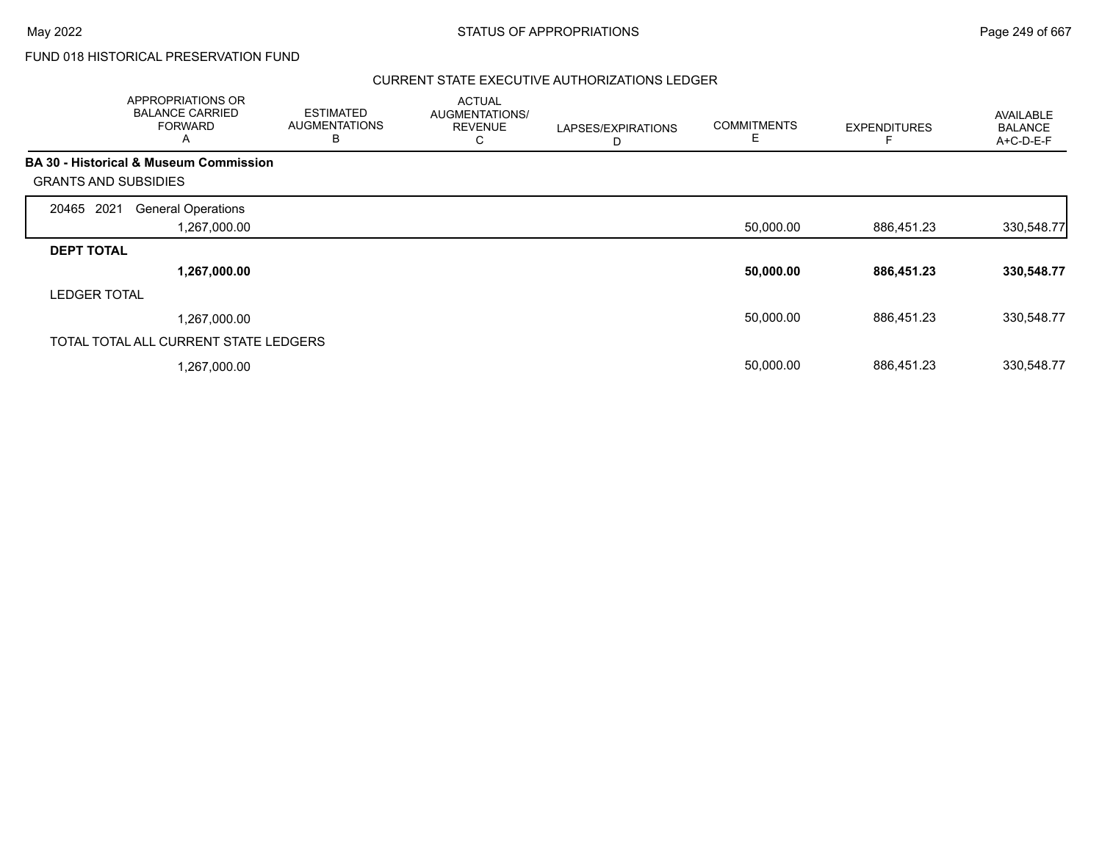# FUND 018 HISTORICAL PRESERVATION FUND

## CURRENT STATE EXECUTIVE AUTHORIZATIONS LEDGER

|                             | APPROPRIATIONS OR<br><b>BALANCE CARRIED</b><br><b>FORWARD</b><br>A | <b>ESTIMATED</b><br><b>AUGMENTATIONS</b><br>B | <b>ACTUAL</b><br>AUGMENTATIONS/<br><b>REVENUE</b><br>С | LAPSES/EXPIRATIONS<br>D | <b>COMMITMENTS</b><br>Е | <b>EXPENDITURES</b> | AVAILABLE<br><b>BALANCE</b><br>A+C-D-E-F |
|-----------------------------|--------------------------------------------------------------------|-----------------------------------------------|--------------------------------------------------------|-------------------------|-------------------------|---------------------|------------------------------------------|
|                             | <b>BA 30 - Historical &amp; Museum Commission</b>                  |                                               |                                                        |                         |                         |                     |                                          |
| <b>GRANTS AND SUBSIDIES</b> |                                                                    |                                               |                                                        |                         |                         |                     |                                          |
| 2021<br>20465               | <b>General Operations</b>                                          |                                               |                                                        |                         |                         |                     |                                          |
|                             | 1,267,000.00                                                       |                                               |                                                        |                         | 50,000.00               | 886,451.23          | 330,548.77                               |
| <b>DEPT TOTAL</b>           |                                                                    |                                               |                                                        |                         |                         |                     |                                          |
|                             | 1,267,000.00                                                       |                                               |                                                        |                         | 50,000.00               | 886,451.23          | 330,548.77                               |
| <b>LEDGER TOTAL</b>         |                                                                    |                                               |                                                        |                         |                         |                     |                                          |
|                             | 1,267,000.00                                                       |                                               |                                                        |                         | 50,000.00               | 886,451.23          | 330,548.77                               |
|                             | TOTAL TOTAL ALL CURRENT STATE LEDGERS                              |                                               |                                                        |                         |                         |                     |                                          |
|                             | 1,267,000.00                                                       |                                               |                                                        |                         | 50,000.00               | 886,451.23          | 330,548.77                               |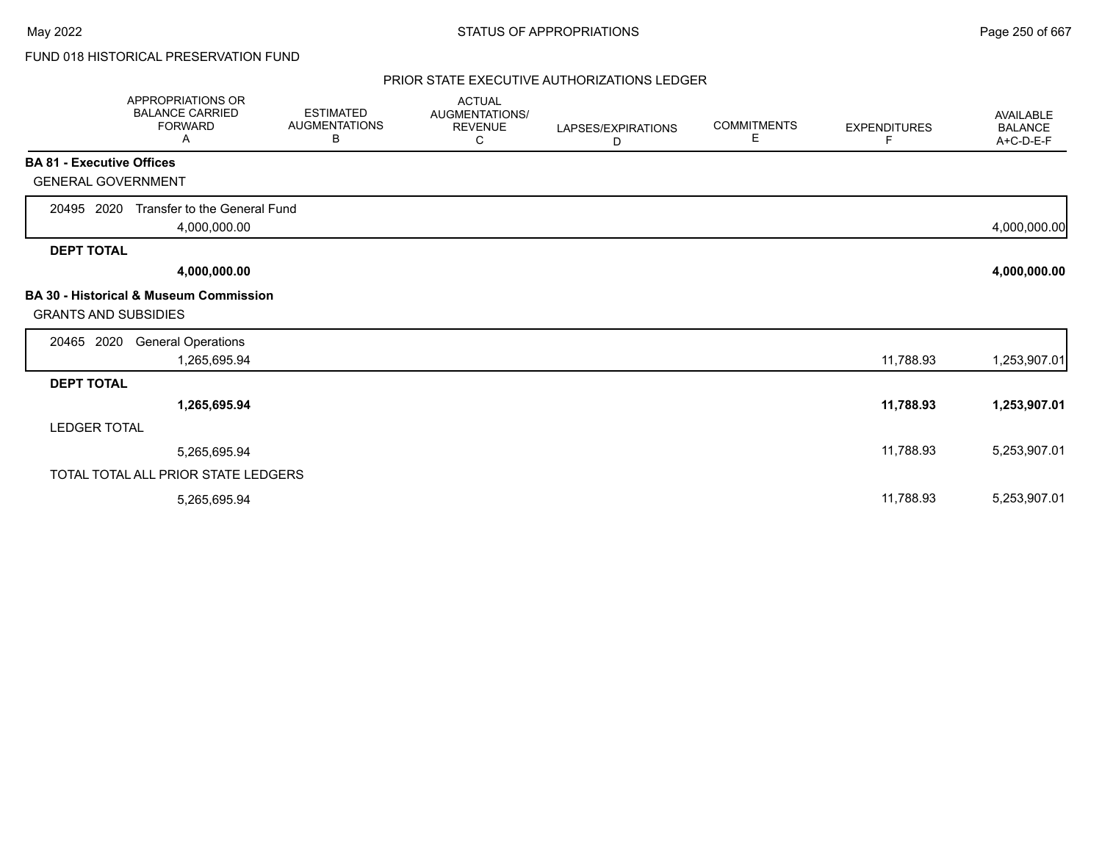# FUND 018 HISTORICAL PRESERVATION FUND

## PRIOR STATE EXECUTIVE AUTHORIZATIONS LEDGER

|                                  | APPROPRIATIONS OR<br><b>BALANCE CARRIED</b><br><b>FORWARD</b><br>Α | <b>ESTIMATED</b><br><b>AUGMENTATIONS</b><br>В | <b>ACTUAL</b><br>AUGMENTATIONS/<br><b>REVENUE</b><br>C | LAPSES/EXPIRATIONS<br>D | <b>COMMITMENTS</b><br>E. | <b>EXPENDITURES</b><br>F | <b>AVAILABLE</b><br><b>BALANCE</b><br>A+C-D-E-F |
|----------------------------------|--------------------------------------------------------------------|-----------------------------------------------|--------------------------------------------------------|-------------------------|--------------------------|--------------------------|-------------------------------------------------|
| <b>BA 81 - Executive Offices</b> |                                                                    |                                               |                                                        |                         |                          |                          |                                                 |
| <b>GENERAL GOVERNMENT</b>        |                                                                    |                                               |                                                        |                         |                          |                          |                                                 |
| 20495 2020                       | Transfer to the General Fund<br>4,000,000.00                       |                                               |                                                        |                         |                          |                          | 4,000,000.00                                    |
| <b>DEPT TOTAL</b>                |                                                                    |                                               |                                                        |                         |                          |                          |                                                 |
|                                  | 4,000,000.00                                                       |                                               |                                                        |                         |                          |                          | 4,000,000.00                                    |
| <b>GRANTS AND SUBSIDIES</b>      | <b>BA 30 - Historical &amp; Museum Commission</b>                  |                                               |                                                        |                         |                          |                          |                                                 |
| 20465 2020                       | <b>General Operations</b><br>1,265,695.94                          |                                               |                                                        |                         |                          | 11,788.93                | 1,253,907.01                                    |
| <b>DEPT TOTAL</b>                |                                                                    |                                               |                                                        |                         |                          |                          |                                                 |
|                                  | 1,265,695.94                                                       |                                               |                                                        |                         |                          | 11,788.93                | 1,253,907.01                                    |
| <b>LEDGER TOTAL</b>              |                                                                    |                                               |                                                        |                         |                          |                          |                                                 |
|                                  | 5,265,695.94                                                       |                                               |                                                        |                         |                          | 11,788.93                | 5,253,907.01                                    |
|                                  | TOTAL TOTAL ALL PRIOR STATE LEDGERS                                |                                               |                                                        |                         |                          |                          |                                                 |
|                                  | 5,265,695.94                                                       |                                               |                                                        |                         |                          | 11,788.93                | 5,253,907.01                                    |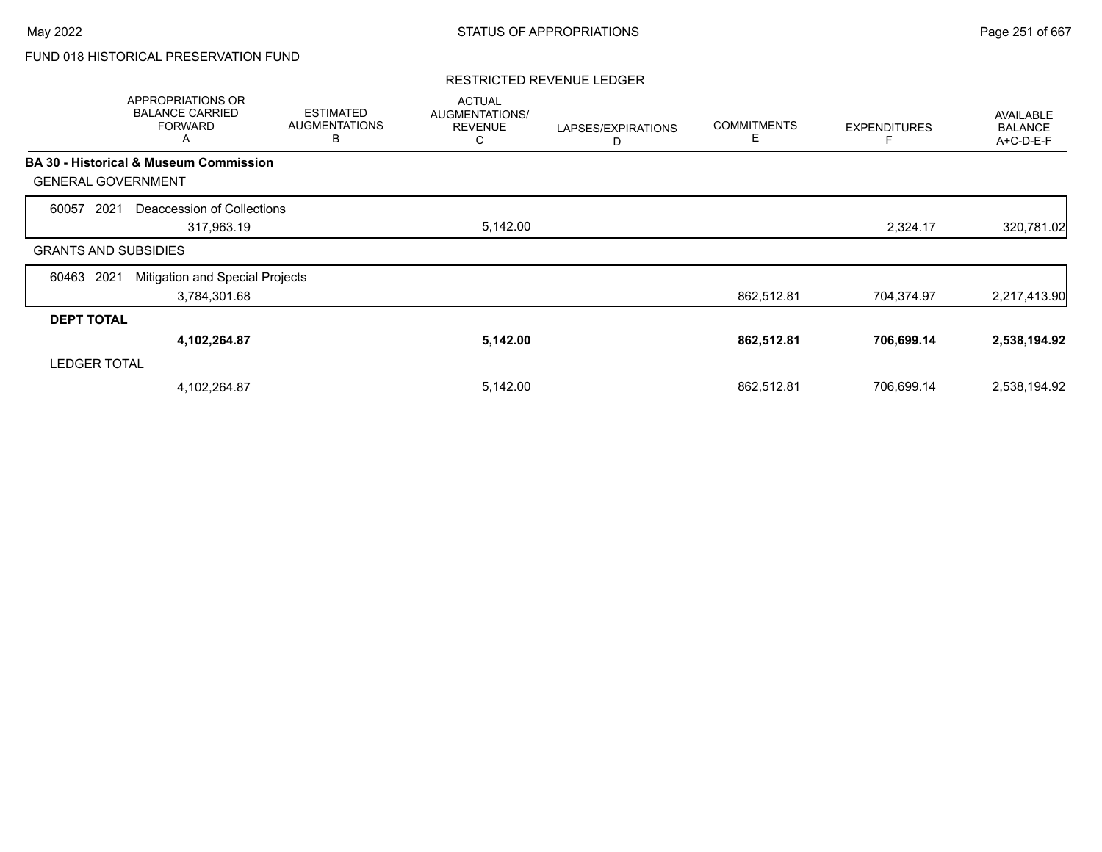# FUND 018 HISTORICAL PRESERVATION FUND

## RESTRICTED REVENUE LEDGER

|                             | APPROPRIATIONS OR<br><b>BALANCE CARRIED</b><br><b>FORWARD</b><br>A | <b>ESTIMATED</b><br><b>AUGMENTATIONS</b><br>В | <b>ACTUAL</b><br>AUGMENTATIONS/<br><b>REVENUE</b><br>С | LAPSES/EXPIRATIONS<br>D | <b>COMMITMENTS</b><br>E | <b>EXPENDITURES</b> | AVAILABLE<br><b>BALANCE</b><br>A+C-D-E-F |
|-----------------------------|--------------------------------------------------------------------|-----------------------------------------------|--------------------------------------------------------|-------------------------|-------------------------|---------------------|------------------------------------------|
|                             | <b>BA 30 - Historical &amp; Museum Commission</b>                  |                                               |                                                        |                         |                         |                     |                                          |
| <b>GENERAL GOVERNMENT</b>   |                                                                    |                                               |                                                        |                         |                         |                     |                                          |
| 60057<br>2021               | Deaccession of Collections                                         |                                               |                                                        |                         |                         |                     |                                          |
|                             | 317,963.19                                                         |                                               | 5,142.00                                               |                         |                         | 2,324.17            | 320,781.02                               |
| <b>GRANTS AND SUBSIDIES</b> |                                                                    |                                               |                                                        |                         |                         |                     |                                          |
| 2021<br>60463               | Mitigation and Special Projects                                    |                                               |                                                        |                         |                         |                     |                                          |
|                             | 3,784,301.68                                                       |                                               |                                                        |                         | 862,512.81              | 704,374.97          | 2,217,413.90                             |
| <b>DEPT TOTAL</b>           |                                                                    |                                               |                                                        |                         |                         |                     |                                          |
|                             | 4,102,264.87                                                       |                                               | 5,142.00                                               |                         | 862,512.81              | 706,699.14          | 2,538,194.92                             |
| <b>LEDGER TOTAL</b>         |                                                                    |                                               |                                                        |                         |                         |                     |                                          |
|                             | 4,102,264.87                                                       |                                               | 5,142.00                                               |                         | 862,512.81              | 706,699.14          | 2,538,194.92                             |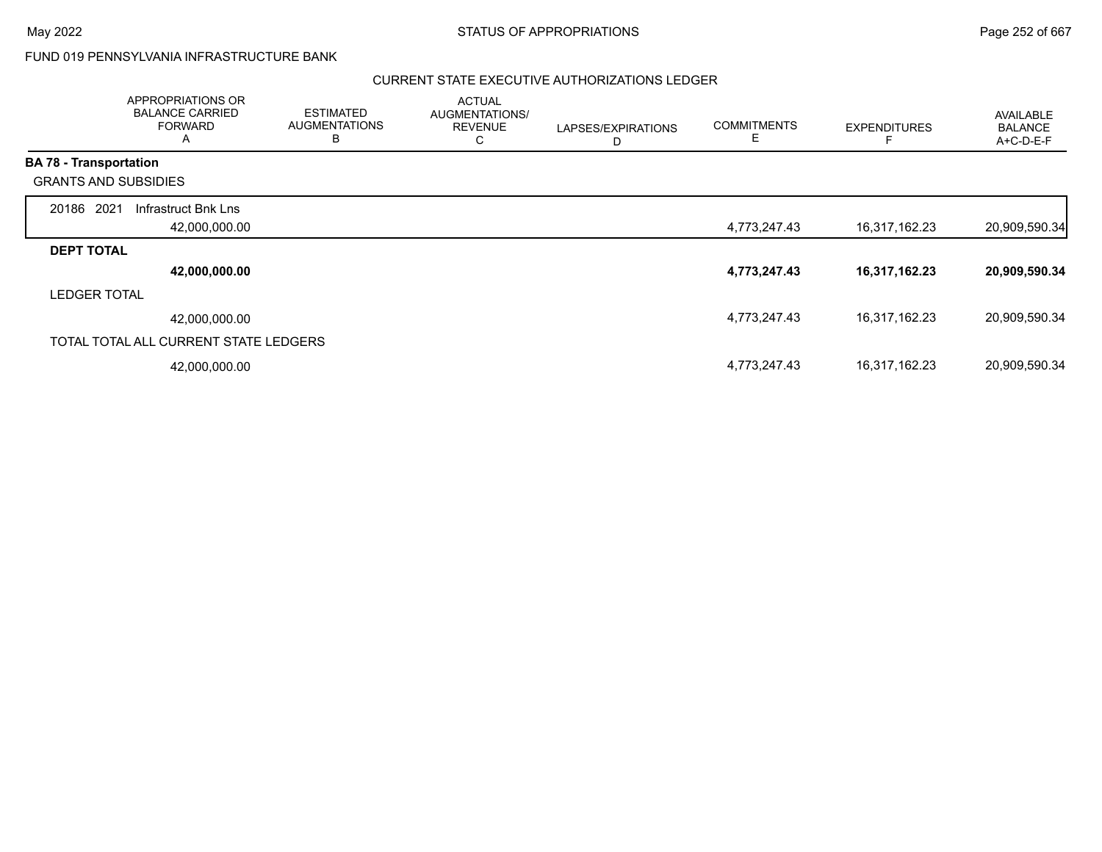Г

# FUND 019 PENNSYLVANIA INFRASTRUCTURE BANK

## CURRENT STATE EXECUTIVE AUTHORIZATIONS LEDGER

|                               | APPROPRIATIONS OR<br><b>BALANCE CARRIED</b><br><b>FORWARD</b><br>A | <b>ESTIMATED</b><br><b>AUGMENTATIONS</b><br>B | <b>ACTUAL</b><br>AUGMENTATIONS/<br><b>REVENUE</b><br>С | LAPSES/EXPIRATIONS<br>D | <b>COMMITMENTS</b><br>Ε | <b>EXPENDITURES</b> | AVAILABLE<br><b>BALANCE</b><br>A+C-D-E-F |
|-------------------------------|--------------------------------------------------------------------|-----------------------------------------------|--------------------------------------------------------|-------------------------|-------------------------|---------------------|------------------------------------------|
| <b>BA 78 - Transportation</b> |                                                                    |                                               |                                                        |                         |                         |                     |                                          |
| <b>GRANTS AND SUBSIDIES</b>   |                                                                    |                                               |                                                        |                         |                         |                     |                                          |
| 20186 2021                    | Infrastruct Bnk Lns                                                |                                               |                                                        |                         |                         |                     |                                          |
|                               | 42,000,000.00                                                      |                                               |                                                        |                         | 4,773,247.43            | 16,317,162.23       | 20,909,590.34                            |
| <b>DEPT TOTAL</b>             |                                                                    |                                               |                                                        |                         |                         |                     |                                          |
|                               | 42,000,000.00                                                      |                                               |                                                        |                         | 4,773,247.43            | 16,317,162.23       | 20,909,590.34                            |
| <b>LEDGER TOTAL</b>           |                                                                    |                                               |                                                        |                         |                         |                     |                                          |
|                               | 42,000,000.00                                                      |                                               |                                                        |                         | 4,773,247.43            | 16,317,162.23       | 20,909,590.34                            |
|                               | TOTAL TOTAL ALL CURRENT STATE LEDGERS                              |                                               |                                                        |                         |                         |                     |                                          |
|                               | 42,000,000.00                                                      |                                               |                                                        |                         | 4,773,247.43            | 16,317,162.23       | 20,909,590.34                            |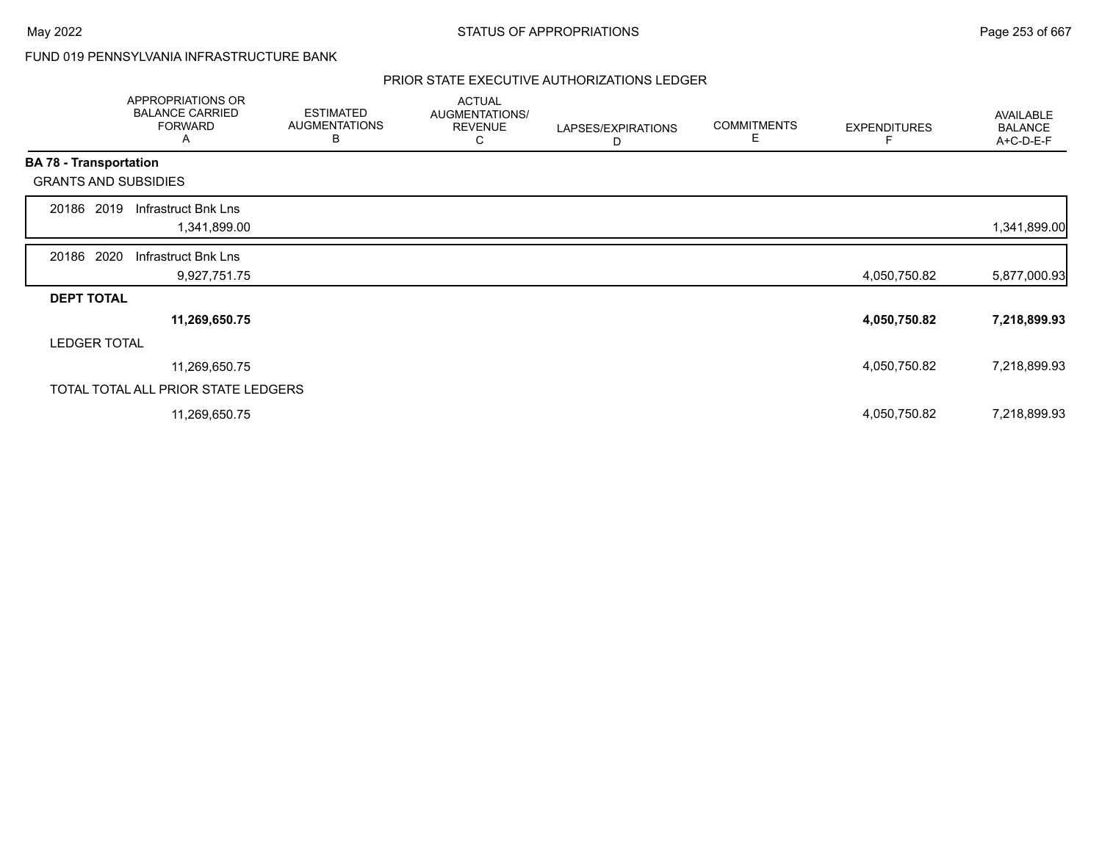# FUND 019 PENNSYLVANIA INFRASTRUCTURE BANK

|                               | <b>APPROPRIATIONS OR</b><br><b>BALANCE CARRIED</b><br><b>FORWARD</b><br>A | <b>ESTIMATED</b><br><b>AUGMENTATIONS</b><br>В | <b>ACTUAL</b><br>AUGMENTATIONS/<br><b>REVENUE</b><br>С | LAPSES/EXPIRATIONS<br>D | <b>COMMITMENTS</b><br>Е | <b>EXPENDITURES</b> | AVAILABLE<br><b>BALANCE</b><br>A+C-D-E-F |
|-------------------------------|---------------------------------------------------------------------------|-----------------------------------------------|--------------------------------------------------------|-------------------------|-------------------------|---------------------|------------------------------------------|
| <b>BA 78 - Transportation</b> |                                                                           |                                               |                                                        |                         |                         |                     |                                          |
|                               | <b>GRANTS AND SUBSIDIES</b>                                               |                                               |                                                        |                         |                         |                     |                                          |
| 20186                         | Infrastruct Bnk Lns<br>2019<br>1,341,899.00                               |                                               |                                                        |                         |                         |                     | 1,341,899.00                             |
| 20186 2020                    | Infrastruct Bnk Lns<br>9,927,751.75                                       |                                               |                                                        |                         |                         | 4,050,750.82        | 5,877,000.93                             |
| <b>DEPT TOTAL</b>             |                                                                           |                                               |                                                        |                         |                         |                     |                                          |
|                               | 11,269,650.75                                                             |                                               |                                                        |                         |                         | 4,050,750.82        | 7,218,899.93                             |
|                               | <b>LEDGER TOTAL</b>                                                       |                                               |                                                        |                         |                         |                     |                                          |
|                               | 11,269,650.75                                                             |                                               |                                                        |                         |                         | 4,050,750.82        | 7,218,899.93                             |
|                               | TOTAL TOTAL ALL PRIOR STATE LEDGERS                                       |                                               |                                                        |                         |                         |                     |                                          |
|                               | 11,269,650.75                                                             |                                               |                                                        |                         |                         | 4,050,750.82        | 7,218,899.93                             |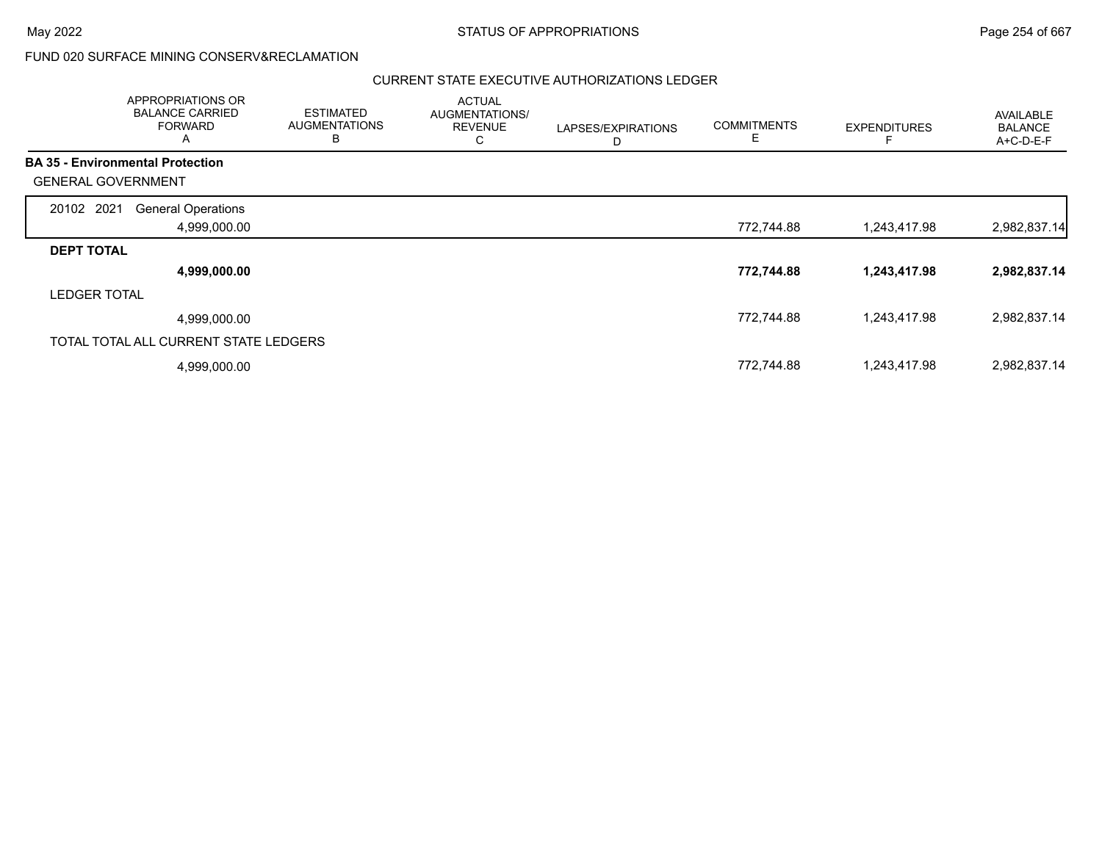|                                         | <b>APPROPRIATIONS OR</b><br><b>BALANCE CARRIED</b><br><b>FORWARD</b><br>A | <b>ESTIMATED</b><br><b>AUGMENTATIONS</b><br>B | <b>ACTUAL</b><br>AUGMENTATIONS/<br><b>REVENUE</b><br>С | LAPSES/EXPIRATIONS<br>D | <b>COMMITMENTS</b><br>Е | <b>EXPENDITURES</b> | AVAILABLE<br><b>BALANCE</b><br>A+C-D-E-F |
|-----------------------------------------|---------------------------------------------------------------------------|-----------------------------------------------|--------------------------------------------------------|-------------------------|-------------------------|---------------------|------------------------------------------|
| <b>BA 35 - Environmental Protection</b> |                                                                           |                                               |                                                        |                         |                         |                     |                                          |
| <b>GENERAL GOVERNMENT</b>               |                                                                           |                                               |                                                        |                         |                         |                     |                                          |
| 20102 2021                              | <b>General Operations</b>                                                 |                                               |                                                        |                         |                         |                     |                                          |
|                                         | 4,999,000.00                                                              |                                               |                                                        |                         | 772,744.88              | 1,243,417.98        | 2,982,837.14                             |
| <b>DEPT TOTAL</b>                       |                                                                           |                                               |                                                        |                         |                         |                     |                                          |
|                                         | 4,999,000.00                                                              |                                               |                                                        |                         | 772,744.88              | 1,243,417.98        | 2,982,837.14                             |
| <b>LEDGER TOTAL</b>                     |                                                                           |                                               |                                                        |                         |                         |                     |                                          |
|                                         | 4,999,000.00                                                              |                                               |                                                        |                         | 772,744.88              | 1,243,417.98        | 2,982,837.14                             |
|                                         | TOTAL TOTAL ALL CURRENT STATE LEDGERS                                     |                                               |                                                        |                         |                         |                     |                                          |
|                                         | 4,999,000.00                                                              |                                               |                                                        |                         | 772,744.88              | 1,243,417.98        | 2,982,837.14                             |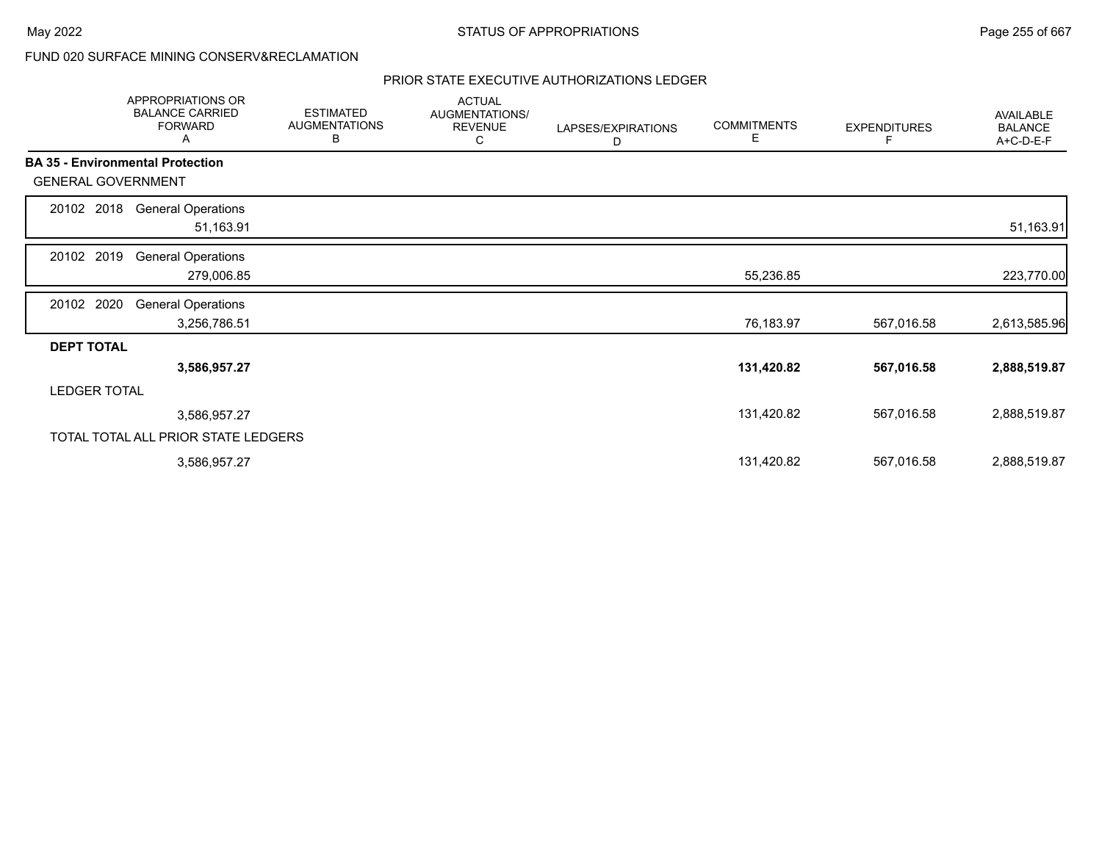|                           | APPROPRIATIONS OR<br><b>BALANCE CARRIED</b><br><b>FORWARD</b><br>Α | <b>ESTIMATED</b><br><b>AUGMENTATIONS</b><br>В | <b>ACTUAL</b><br>AUGMENTATIONS/<br><b>REVENUE</b><br>С | LAPSES/EXPIRATIONS<br>D | <b>COMMITMENTS</b><br>Е | <b>EXPENDITURES</b><br>F | AVAILABLE<br><b>BALANCE</b><br>A+C-D-E-F |
|---------------------------|--------------------------------------------------------------------|-----------------------------------------------|--------------------------------------------------------|-------------------------|-------------------------|--------------------------|------------------------------------------|
|                           | <b>BA 35 - Environmental Protection</b>                            |                                               |                                                        |                         |                         |                          |                                          |
| <b>GENERAL GOVERNMENT</b> |                                                                    |                                               |                                                        |                         |                         |                          |                                          |
| 20102 2018                | <b>General Operations</b><br>51,163.91                             |                                               |                                                        |                         |                         |                          | 51,163.91                                |
| 20102 2019                | <b>General Operations</b><br>279,006.85                            |                                               |                                                        |                         | 55,236.85               |                          | 223,770.00                               |
| 20102 2020                | <b>General Operations</b><br>3,256,786.51                          |                                               |                                                        |                         | 76,183.97               | 567,016.58               | 2,613,585.96                             |
| <b>DEPT TOTAL</b>         |                                                                    |                                               |                                                        |                         |                         |                          |                                          |
|                           | 3,586,957.27                                                       |                                               |                                                        |                         | 131,420.82              | 567,016.58               | 2,888,519.87                             |
| <b>LEDGER TOTAL</b>       |                                                                    |                                               |                                                        |                         |                         |                          |                                          |
|                           | 3,586,957.27                                                       |                                               |                                                        |                         | 131,420.82              | 567,016.58               | 2,888,519.87                             |
|                           | TOTAL TOTAL ALL PRIOR STATE LEDGERS                                |                                               |                                                        |                         |                         |                          |                                          |
|                           | 3,586,957.27                                                       |                                               |                                                        |                         | 131,420.82              | 567,016.58               | 2,888,519.87                             |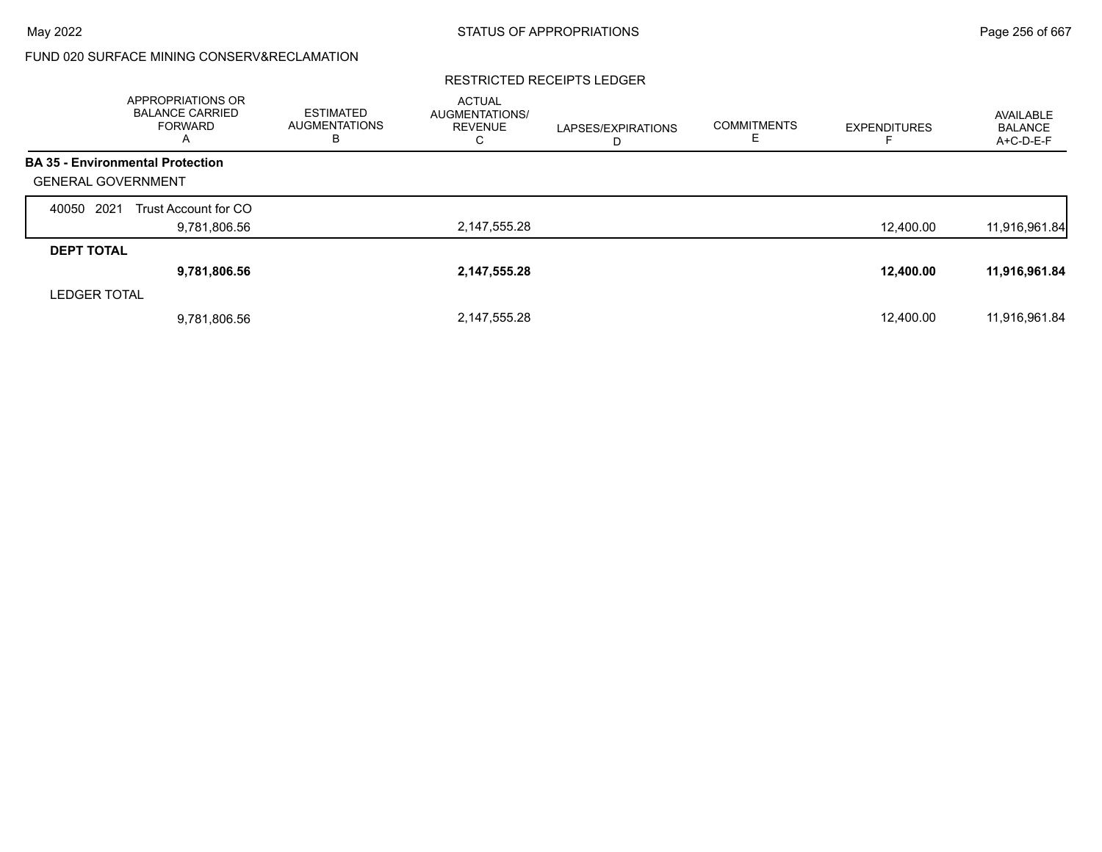### RESTRICTED RECEIPTS LEDGER

|                           | <b>APPROPRIATIONS OR</b><br><b>BALANCE CARRIED</b><br><b>FORWARD</b><br>A | <b>ESTIMATED</b><br><b>AUGMENTATIONS</b><br>в | <b>ACTUAL</b><br><b>AUGMENTATIONS/</b><br><b>REVENUE</b><br>С | LAPSES/EXPIRATIONS<br>D | <b>COMMITMENTS</b> | <b>EXPENDITURES</b> | AVAILABLE<br><b>BALANCE</b><br>A+C-D-E-F |
|---------------------------|---------------------------------------------------------------------------|-----------------------------------------------|---------------------------------------------------------------|-------------------------|--------------------|---------------------|------------------------------------------|
|                           | <b>BA 35 - Environmental Protection</b>                                   |                                               |                                                               |                         |                    |                     |                                          |
| <b>GENERAL GOVERNMENT</b> |                                                                           |                                               |                                                               |                         |                    |                     |                                          |
| 2021<br>40050             | Trust Account for CO                                                      |                                               |                                                               |                         |                    |                     |                                          |
|                           | 9,781,806.56                                                              |                                               | 2,147,555.28                                                  |                         |                    | 12,400.00           | 11,916,961.84                            |
| <b>DEPT TOTAL</b>         |                                                                           |                                               |                                                               |                         |                    |                     |                                          |
|                           | 9,781,806.56                                                              |                                               | 2,147,555.28                                                  |                         |                    | 12,400.00           | 11,916,961.84                            |
| <b>LEDGER TOTAL</b>       |                                                                           |                                               |                                                               |                         |                    |                     |                                          |
|                           | 9,781,806.56                                                              |                                               | 2,147,555.28                                                  |                         |                    | 12.400.00           | 11,916,961.84                            |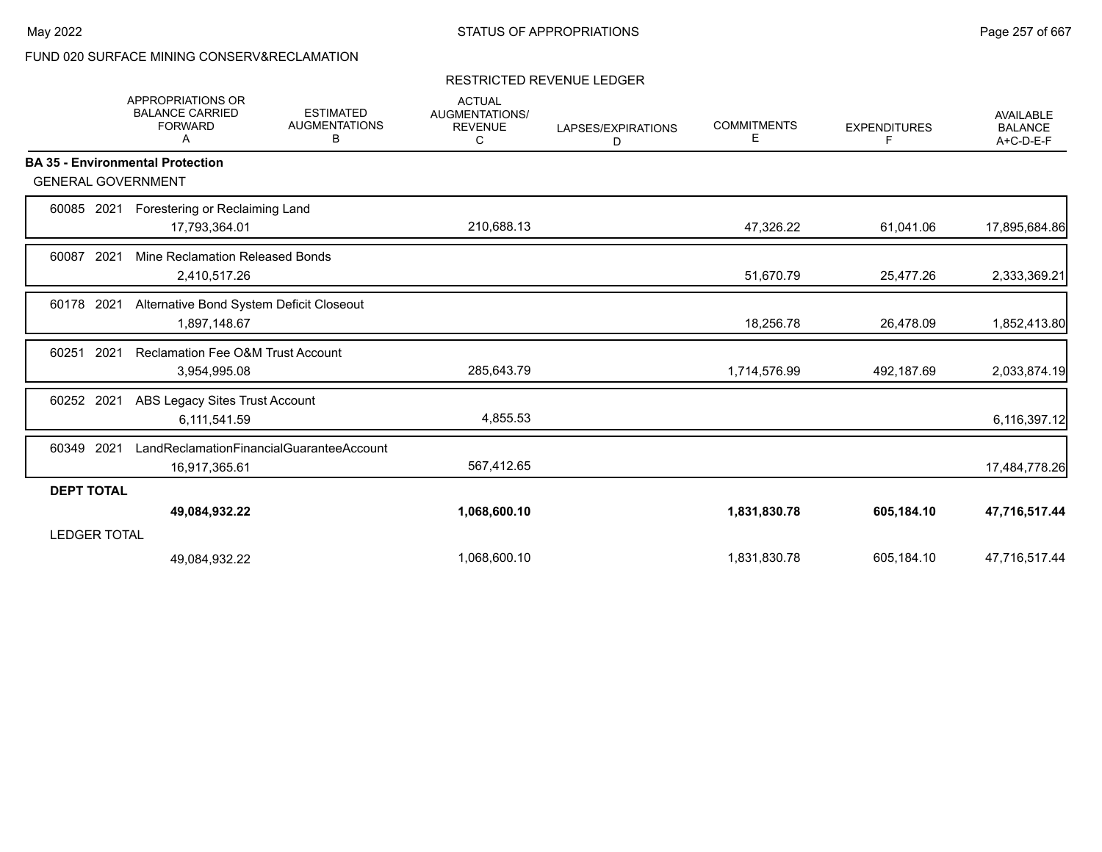### RESTRICTED REVENUE LEDGER

|                           | <b>APPROPRIATIONS OR</b><br><b>BALANCE CARRIED</b><br><b>FORWARD</b><br>A | <b>ESTIMATED</b><br><b>AUGMENTATIONS</b><br>В | <b>ACTUAL</b><br>AUGMENTATIONS/<br><b>REVENUE</b><br>С | LAPSES/EXPIRATIONS<br>D | <b>COMMITMENTS</b><br>Е | <b>EXPENDITURES</b><br>F. | <b>AVAILABLE</b><br><b>BALANCE</b><br>A+C-D-E-F |
|---------------------------|---------------------------------------------------------------------------|-----------------------------------------------|--------------------------------------------------------|-------------------------|-------------------------|---------------------------|-------------------------------------------------|
|                           | <b>BA 35 - Environmental Protection</b>                                   |                                               |                                                        |                         |                         |                           |                                                 |
| <b>GENERAL GOVERNMENT</b> |                                                                           |                                               |                                                        |                         |                         |                           |                                                 |
| 2021<br>60085             | Forestering or Reclaiming Land                                            |                                               |                                                        |                         |                         |                           |                                                 |
|                           | 17,793,364.01                                                             |                                               | 210,688.13                                             |                         | 47,326.22               | 61,041.06                 | 17,895,684.86                                   |
| 2021<br>60087             | Mine Reclamation Released Bonds                                           |                                               |                                                        |                         |                         |                           |                                                 |
|                           | 2,410,517.26                                                              |                                               |                                                        |                         | 51,670.79               | 25,477.26                 | 2,333,369.21                                    |
| 60178 2021                | Alternative Bond System Deficit Closeout                                  |                                               |                                                        |                         |                         |                           |                                                 |
|                           | 1,897,148.67                                                              |                                               |                                                        |                         | 18,256.78               | 26,478.09                 | 1,852,413.80                                    |
| 2021<br>60251             | <b>Reclamation Fee O&amp;M Trust Account</b>                              |                                               |                                                        |                         |                         |                           |                                                 |
|                           | 3,954,995.08                                                              |                                               | 285,643.79                                             |                         | 1,714,576.99            | 492,187.69                | 2,033,874.19                                    |
| 60252 2021                | ABS Legacy Sites Trust Account                                            |                                               |                                                        |                         |                         |                           |                                                 |
|                           | 6,111,541.59                                                              |                                               | 4,855.53                                               |                         |                         |                           | 6,116,397.12                                    |
| 2021<br>60349             |                                                                           | LandReclamationFinancialGuaranteeAccount      |                                                        |                         |                         |                           |                                                 |
|                           | 16,917,365.61                                                             |                                               | 567,412.65                                             |                         |                         |                           | 17,484,778.26                                   |
| <b>DEPT TOTAL</b>         |                                                                           |                                               |                                                        |                         |                         |                           |                                                 |
|                           | 49,084,932.22                                                             |                                               | 1,068,600.10                                           |                         | 1,831,830.78            | 605,184.10                | 47,716,517.44                                   |
| <b>LEDGER TOTAL</b>       |                                                                           |                                               |                                                        |                         |                         |                           |                                                 |
|                           | 49,084,932.22                                                             |                                               | 1,068,600.10                                           |                         | 1,831,830.78            | 605,184.10                | 47,716,517.44                                   |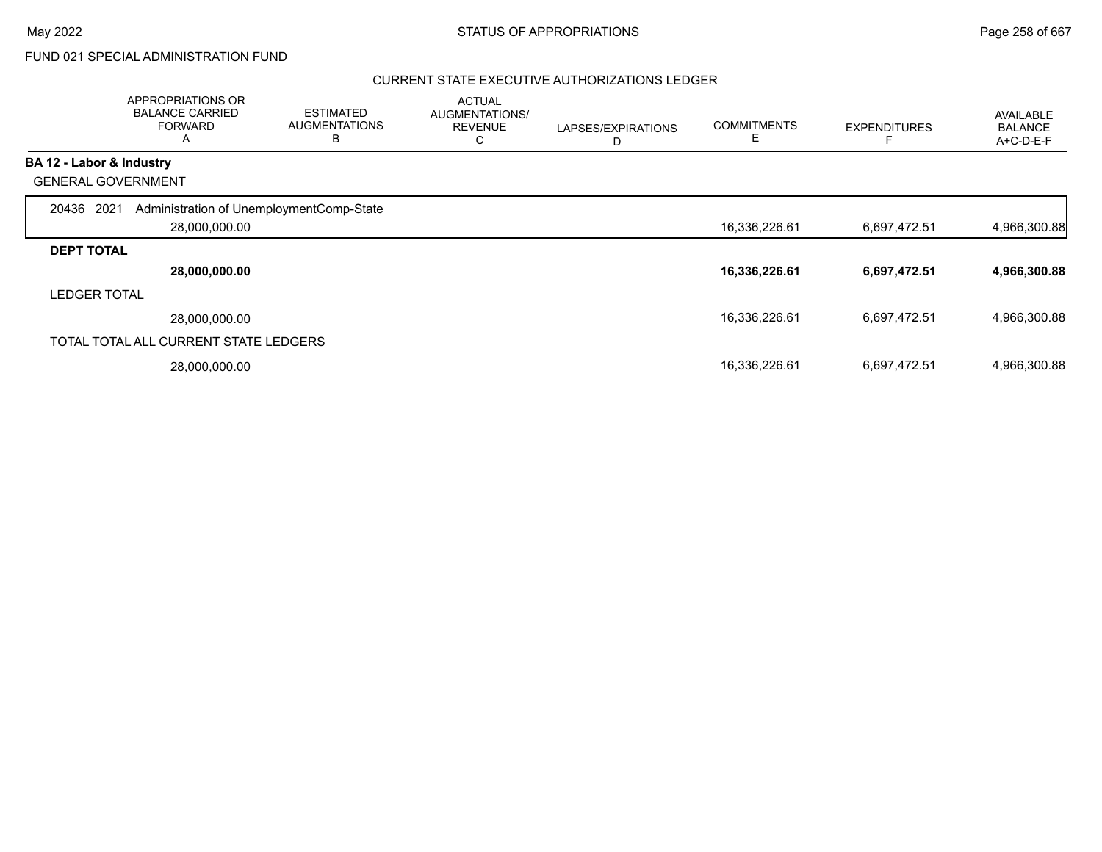# FUND 021 SPECIAL ADMINISTRATION FUND

|                          | APPROPRIATIONS OR<br><b>BALANCE CARRIED</b><br><b>FORWARD</b><br>A | <b>ESTIMATED</b><br><b>AUGMENTATIONS</b><br>B | <b>ACTUAL</b><br>AUGMENTATIONS/<br><b>REVENUE</b><br>С | LAPSES/EXPIRATIONS<br>D | <b>COMMITMENTS</b><br>E | <b>EXPENDITURES</b> | <b>AVAILABLE</b><br><b>BALANCE</b><br>$A+C-D-E-F$ |
|--------------------------|--------------------------------------------------------------------|-----------------------------------------------|--------------------------------------------------------|-------------------------|-------------------------|---------------------|---------------------------------------------------|
| BA 12 - Labor & Industry |                                                                    |                                               |                                                        |                         |                         |                     |                                                   |
|                          | <b>GENERAL GOVERNMENT</b>                                          |                                               |                                                        |                         |                         |                     |                                                   |
| 20436                    | Administration of UnemploymentComp-State<br>2021<br>28,000,000.00  |                                               |                                                        |                         | 16,336,226.61           | 6,697,472.51        | 4,966,300.88                                      |
| <b>DEPT TOTAL</b>        |                                                                    |                                               |                                                        |                         |                         |                     |                                                   |
|                          | 28,000,000.00                                                      |                                               |                                                        |                         | 16,336,226.61           | 6,697,472.51        | 4,966,300.88                                      |
| <b>LEDGER TOTAL</b>      |                                                                    |                                               |                                                        |                         |                         |                     |                                                   |
|                          | 28.000.000.00                                                      |                                               |                                                        |                         | 16,336,226.61           | 6,697,472.51        | 4,966,300.88                                      |
|                          | TOTAL TOTAL ALL CURRENT STATE LEDGERS                              |                                               |                                                        |                         |                         |                     |                                                   |
|                          | 28,000,000.00                                                      |                                               |                                                        |                         | 16,336,226.61           | 6,697,472.51        | 4,966,300.88                                      |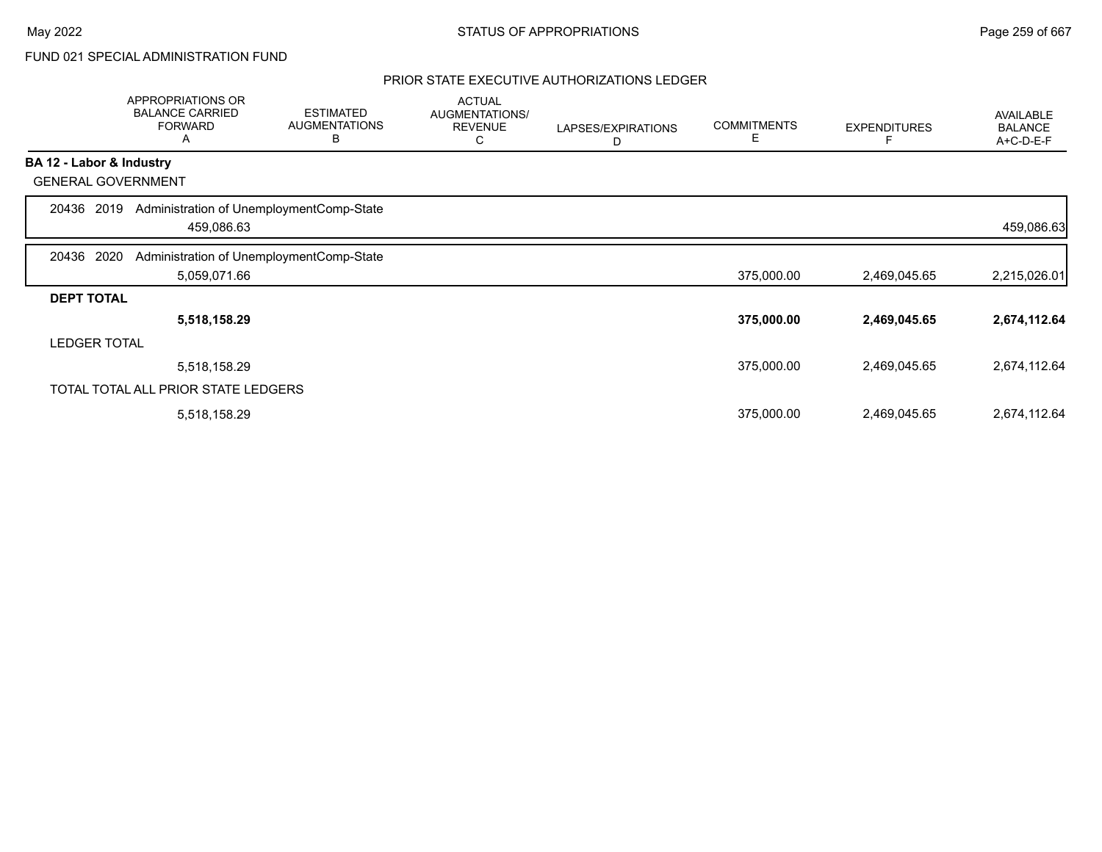# FUND 021 SPECIAL ADMINISTRATION FUND

|                           | APPROPRIATIONS OR<br><b>BALANCE CARRIED</b><br><b>FORWARD</b><br>Α | <b>ESTIMATED</b><br><b>AUGMENTATIONS</b><br>B | <b>ACTUAL</b><br>AUGMENTATIONS/<br><b>REVENUE</b><br>С | LAPSES/EXPIRATIONS<br>D | <b>COMMITMENTS</b><br>Е | <b>EXPENDITURES</b> | <b>AVAILABLE</b><br><b>BALANCE</b><br>A+C-D-E-F |
|---------------------------|--------------------------------------------------------------------|-----------------------------------------------|--------------------------------------------------------|-------------------------|-------------------------|---------------------|-------------------------------------------------|
| BA 12 - Labor & Industry  |                                                                    |                                               |                                                        |                         |                         |                     |                                                 |
| <b>GENERAL GOVERNMENT</b> |                                                                    |                                               |                                                        |                         |                         |                     |                                                 |
| 2019<br>20436             | Administration of UnemploymentComp-State<br>459,086.63             |                                               |                                                        |                         |                         |                     | 459,086.63                                      |
| 2020<br>20436             | Administration of UnemploymentComp-State                           |                                               |                                                        |                         |                         |                     |                                                 |
|                           | 5,059,071.66                                                       |                                               |                                                        |                         | 375,000.00              | 2,469,045.65        | 2,215,026.01                                    |
| <b>DEPT TOTAL</b>         |                                                                    |                                               |                                                        |                         |                         |                     |                                                 |
|                           | 5,518,158.29                                                       |                                               |                                                        |                         | 375,000.00              | 2,469,045.65        | 2,674,112.64                                    |
| <b>LEDGER TOTAL</b>       |                                                                    |                                               |                                                        |                         |                         |                     |                                                 |
|                           | 5,518,158.29                                                       |                                               |                                                        |                         | 375,000.00              | 2,469,045.65        | 2,674,112.64                                    |
|                           | TOTAL TOTAL ALL PRIOR STATE LEDGERS                                |                                               |                                                        |                         |                         |                     |                                                 |
|                           | 5,518,158.29                                                       |                                               |                                                        |                         | 375,000.00              | 2,469,045.65        | 2,674,112.64                                    |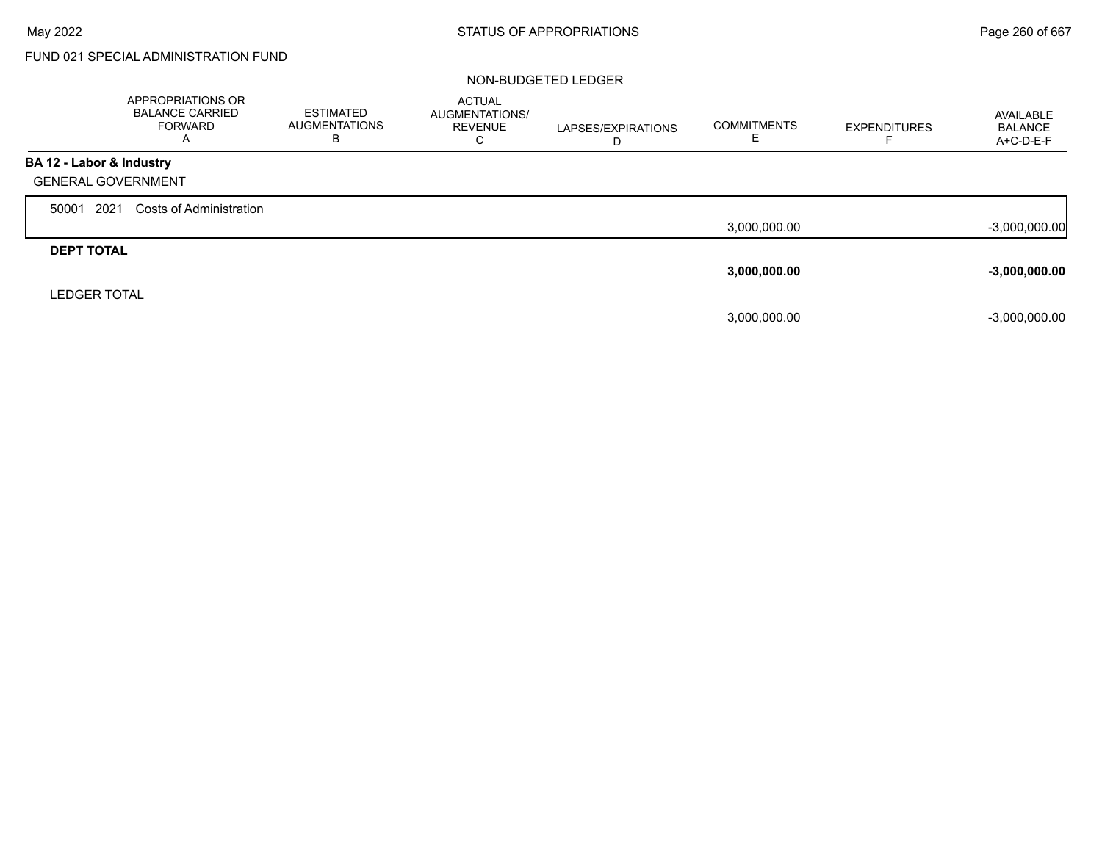Г

# FUND 021 SPECIAL ADMINISTRATION FUND

|                           | <b>APPROPRIATIONS OR</b><br><b>BALANCE CARRIED</b><br><b>FORWARD</b><br>$\overline{A}$ | <b>ESTIMATED</b><br><b>AUGMENTATIONS</b><br>В | <b>ACTUAL</b><br><b>AUGMENTATIONS/</b><br><b>REVENUE</b><br>С | LAPSES/EXPIRATIONS<br>D | <b>COMMITMENTS</b> | <b>EXPENDITURES</b> | AVAILABLE<br><b>BALANCE</b><br>A+C-D-E-F |
|---------------------------|----------------------------------------------------------------------------------------|-----------------------------------------------|---------------------------------------------------------------|-------------------------|--------------------|---------------------|------------------------------------------|
| BA 12 - Labor & Industry  |                                                                                        |                                               |                                                               |                         |                    |                     |                                          |
| <b>GENERAL GOVERNMENT</b> |                                                                                        |                                               |                                                               |                         |                    |                     |                                          |
| 2021<br>50001             | Costs of Administration                                                                |                                               |                                                               |                         |                    |                     |                                          |
|                           |                                                                                        |                                               |                                                               |                         | 3,000,000.00       |                     | $-3,000,000.00$                          |
| <b>DEPT TOTAL</b>         |                                                                                        |                                               |                                                               |                         |                    |                     |                                          |
|                           |                                                                                        |                                               |                                                               |                         | 3,000,000.00       |                     | $-3,000,000.00$                          |
| <b>LEDGER TOTAL</b>       |                                                                                        |                                               |                                                               |                         |                    |                     |                                          |
|                           |                                                                                        |                                               |                                                               |                         | 3,000,000.00       |                     | $-3,000,000.00$                          |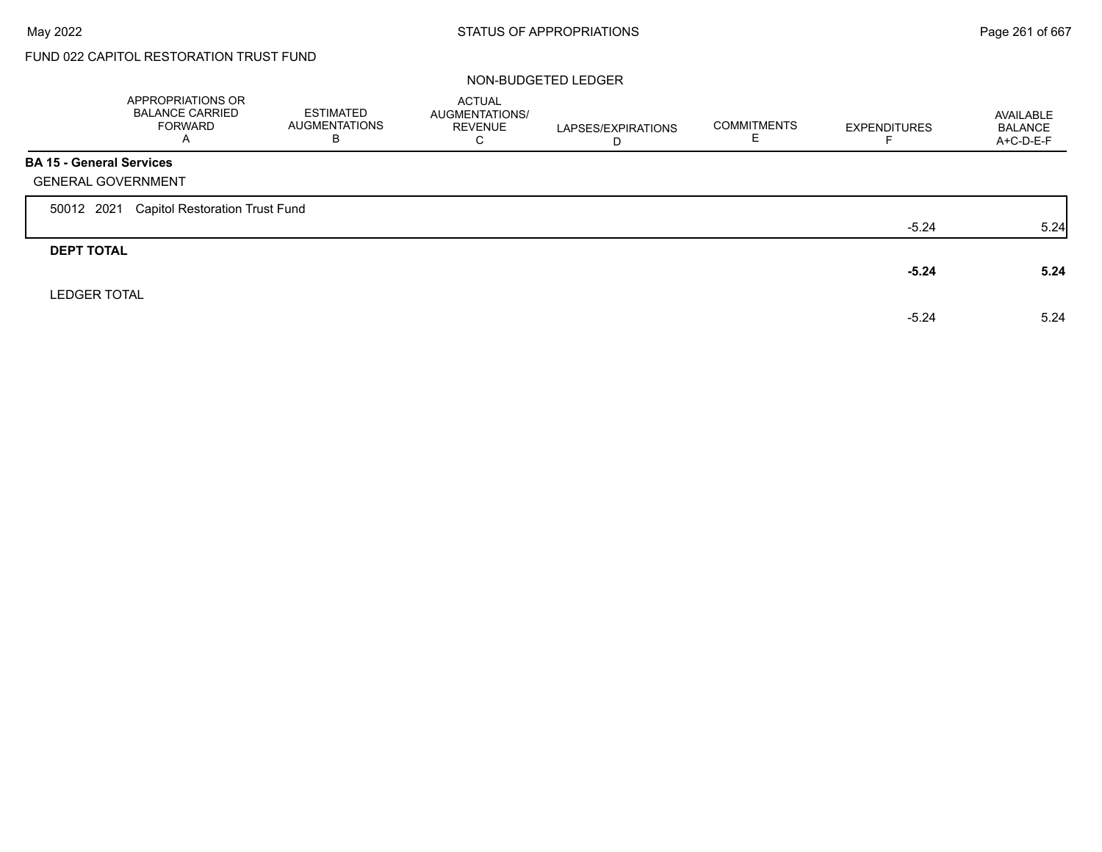г

# FUND 022 CAPITOL RESTORATION TRUST FUND

|                                 | APPROPRIATIONS OR<br><b>BALANCE CARRIED</b><br><b>FORWARD</b><br>A | ESTIMATED<br><b>AUGMENTATIONS</b><br>В | <b>ACTUAL</b><br>AUGMENTATIONS/<br><b>REVENUE</b><br>C | LAPSES/EXPIRATIONS<br>D | <b>COMMITMENTS</b> | <b>EXPENDITURES</b> | AVAILABLE<br><b>BALANCE</b><br>$A+C-D-E-F$ |
|---------------------------------|--------------------------------------------------------------------|----------------------------------------|--------------------------------------------------------|-------------------------|--------------------|---------------------|--------------------------------------------|
| <b>BA 15 - General Services</b> |                                                                    |                                        |                                                        |                         |                    |                     |                                            |
|                                 | <b>GENERAL GOVERNMENT</b>                                          |                                        |                                                        |                         |                    |                     |                                            |
| 50012 2021                      | <b>Capitol Restoration Trust Fund</b>                              |                                        |                                                        |                         |                    |                     |                                            |
|                                 |                                                                    |                                        |                                                        |                         |                    | $-5.24$             | 5.24                                       |
| <b>DEPT TOTAL</b>               |                                                                    |                                        |                                                        |                         |                    |                     |                                            |
|                                 |                                                                    |                                        |                                                        |                         |                    | $-5.24$             | 5.24                                       |
| <b>LEDGER TOTAL</b>             |                                                                    |                                        |                                                        |                         |                    |                     |                                            |
|                                 |                                                                    |                                        |                                                        |                         |                    | $-5.24$             | 5.24                                       |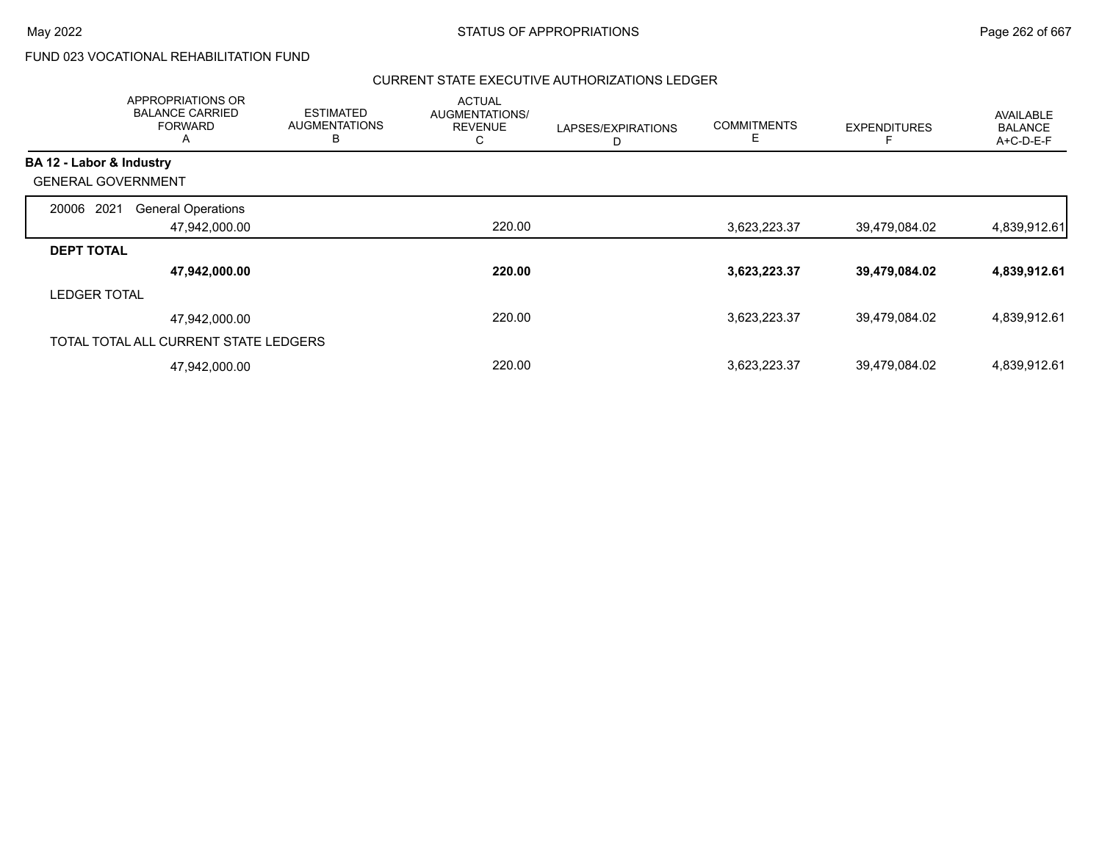# FUND 023 VOCATIONAL REHABILITATION FUND

|                           | <b>APPROPRIATIONS OR</b><br><b>BALANCE CARRIED</b><br><b>FORWARD</b> | <b>ESTIMATED</b><br><b>AUGMENTATIONS</b><br>В | <b>ACTUAL</b><br>AUGMENTATIONS/<br><b>REVENUE</b><br>С | LAPSES/EXPIRATIONS<br>D | <b>COMMITMENTS</b> | <b>EXPENDITURES</b> | <b>AVAILABLE</b><br><b>BALANCE</b><br>A+C-D-E-F |
|---------------------------|----------------------------------------------------------------------|-----------------------------------------------|--------------------------------------------------------|-------------------------|--------------------|---------------------|-------------------------------------------------|
| BA 12 - Labor & Industry  |                                                                      |                                               |                                                        |                         |                    |                     |                                                 |
| <b>GENERAL GOVERNMENT</b> |                                                                      |                                               |                                                        |                         |                    |                     |                                                 |
| 2021<br>20006             | <b>General Operations</b>                                            |                                               |                                                        |                         |                    |                     |                                                 |
|                           | 47,942,000.00                                                        |                                               | 220.00                                                 |                         | 3,623,223.37       | 39,479,084.02       | 4,839,912.61                                    |
| <b>DEPT TOTAL</b>         |                                                                      |                                               |                                                        |                         |                    |                     |                                                 |
|                           | 47,942,000.00                                                        |                                               | 220.00                                                 |                         | 3,623,223.37       | 39,479,084.02       | 4,839,912.61                                    |
| <b>LEDGER TOTAL</b>       |                                                                      |                                               |                                                        |                         |                    |                     |                                                 |
|                           | 47,942,000.00                                                        |                                               | 220.00                                                 |                         | 3,623,223.37       | 39,479,084.02       | 4,839,912.61                                    |
|                           | TOTAL TOTAL ALL CURRENT STATE LEDGERS                                |                                               |                                                        |                         |                    |                     |                                                 |
|                           | 47,942,000.00                                                        |                                               | 220.00                                                 |                         | 3,623,223.37       | 39,479,084.02       | 4,839,912.61                                    |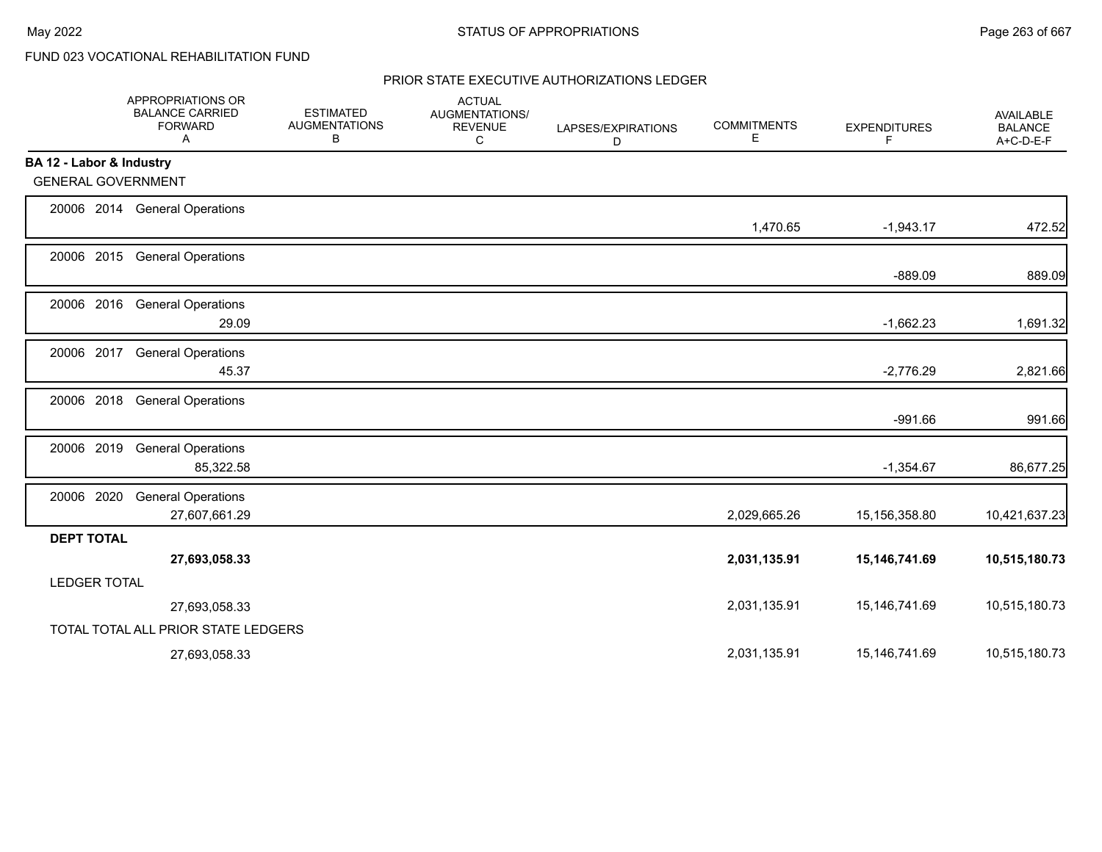# FUND 023 VOCATIONAL REHABILITATION FUND

|                           | APPROPRIATIONS OR<br><b>BALANCE CARRIED</b><br><b>FORWARD</b><br>Α | <b>ESTIMATED</b><br><b>AUGMENTATIONS</b><br>В | <b>ACTUAL</b><br><b>AUGMENTATIONS/</b><br><b>REVENUE</b><br>С | LAPSES/EXPIRATIONS<br>D | <b>COMMITMENTS</b><br>Е | <b>EXPENDITURES</b><br>F | <b>AVAILABLE</b><br><b>BALANCE</b><br>A+C-D-E-F |
|---------------------------|--------------------------------------------------------------------|-----------------------------------------------|---------------------------------------------------------------|-------------------------|-------------------------|--------------------------|-------------------------------------------------|
| BA 12 - Labor & Industry  |                                                                    |                                               |                                                               |                         |                         |                          |                                                 |
| <b>GENERAL GOVERNMENT</b> |                                                                    |                                               |                                                               |                         |                         |                          |                                                 |
|                           | 20006 2014 General Operations                                      |                                               |                                                               |                         | 1,470.65                | $-1,943.17$              | 472.52                                          |
|                           | 20006 2015 General Operations                                      |                                               |                                                               |                         |                         | $-889.09$                | 889.09                                          |
|                           | 20006 2016 General Operations<br>29.09                             |                                               |                                                               |                         |                         | $-1,662.23$              | 1,691.32                                        |
| 20006 2017                | <b>General Operations</b><br>45.37                                 |                                               |                                                               |                         |                         | $-2,776.29$              | 2,821.66                                        |
| 20006 2018                | <b>General Operations</b>                                          |                                               |                                                               |                         |                         | $-991.66$                | 991.66                                          |
| 20006 2019                | <b>General Operations</b><br>85,322.58                             |                                               |                                                               |                         |                         | $-1,354.67$              | 86,677.25                                       |
| 20006 2020                | <b>General Operations</b><br>27,607,661.29                         |                                               |                                                               |                         | 2,029,665.26            | 15,156,358.80            | 10,421,637.23                                   |
| <b>DEPT TOTAL</b>         | 27,693,058.33                                                      |                                               |                                                               |                         | 2,031,135.91            | 15,146,741.69            | 10,515,180.73                                   |
| <b>LEDGER TOTAL</b>       |                                                                    |                                               |                                                               |                         |                         |                          |                                                 |
|                           | 27,693,058.33                                                      |                                               |                                                               |                         | 2,031,135.91            | 15,146,741.69            | 10,515,180.73                                   |
|                           | TOTAL TOTAL ALL PRIOR STATE LEDGERS                                |                                               |                                                               |                         |                         |                          |                                                 |
|                           | 27,693,058.33                                                      |                                               |                                                               |                         | 2,031,135.91            | 15, 146, 741.69          | 10,515,180.73                                   |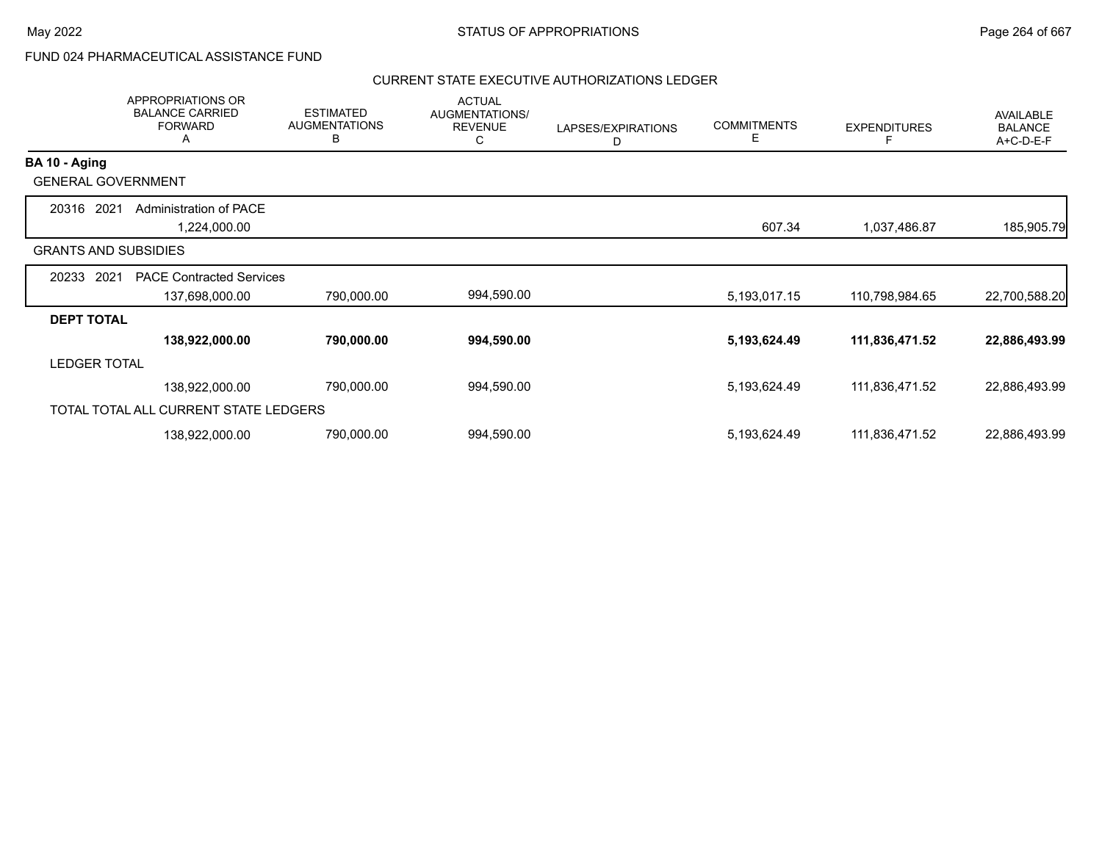# FUND 024 PHARMACEUTICAL ASSISTANCE FUND

|                             | <b>APPROPRIATIONS OR</b><br><b>BALANCE CARRIED</b><br><b>FORWARD</b><br>A | <b>ESTIMATED</b><br><b>AUGMENTATIONS</b><br>В | <b>ACTUAL</b><br>AUGMENTATIONS/<br><b>REVENUE</b><br>С | LAPSES/EXPIRATIONS<br>D | <b>COMMITMENTS</b><br>Е | <b>EXPENDITURES</b> | <b>AVAILABLE</b><br><b>BALANCE</b><br>A+C-D-E-F |
|-----------------------------|---------------------------------------------------------------------------|-----------------------------------------------|--------------------------------------------------------|-------------------------|-------------------------|---------------------|-------------------------------------------------|
| BA 10 - Aging               |                                                                           |                                               |                                                        |                         |                         |                     |                                                 |
| <b>GENERAL GOVERNMENT</b>   |                                                                           |                                               |                                                        |                         |                         |                     |                                                 |
| 20316 2021                  | Administration of PACE<br>1,224,000.00                                    |                                               |                                                        |                         | 607.34                  | 1,037,486.87        | 185,905.79                                      |
| <b>GRANTS AND SUBSIDIES</b> |                                                                           |                                               |                                                        |                         |                         |                     |                                                 |
| 2021<br>20233               | <b>PACE Contracted Services</b><br>137,698,000.00                         | 790,000.00                                    | 994,590.00                                             |                         | 5,193,017.15            | 110,798,984.65      | 22,700,588.20                                   |
| <b>DEPT TOTAL</b>           |                                                                           |                                               |                                                        |                         |                         |                     |                                                 |
|                             | 138,922,000.00                                                            | 790,000.00                                    | 994,590.00                                             |                         | 5,193,624.49            | 111,836,471.52      | 22,886,493.99                                   |
| <b>LEDGER TOTAL</b>         |                                                                           |                                               |                                                        |                         |                         |                     |                                                 |
|                             | 138,922,000.00                                                            | 790,000.00                                    | 994,590.00                                             |                         | 5,193,624.49            | 111,836,471.52      | 22,886,493.99                                   |
|                             | TOTAL TOTAL ALL CURRENT STATE LEDGERS                                     |                                               |                                                        |                         |                         |                     |                                                 |
|                             | 138,922,000.00                                                            | 790,000.00                                    | 994,590.00                                             |                         | 5,193,624.49            | 111,836,471.52      | 22,886,493.99                                   |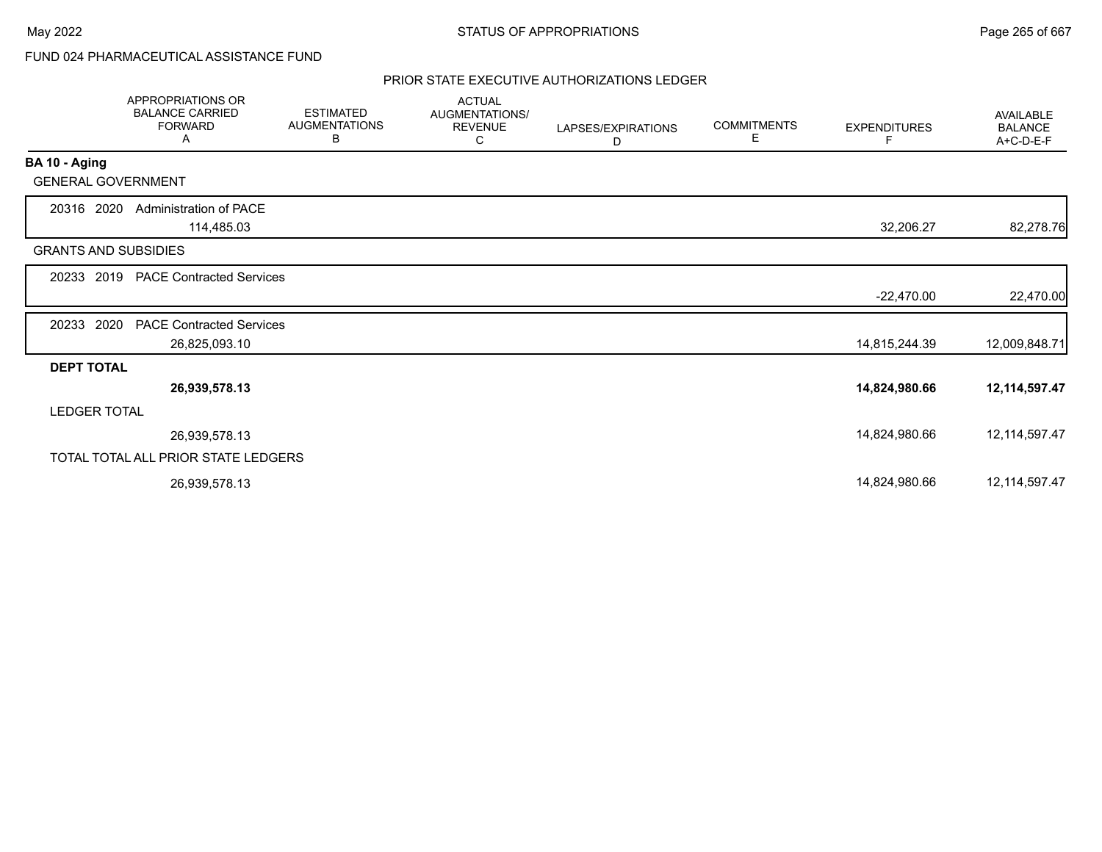# FUND 024 PHARMACEUTICAL ASSISTANCE FUND

|                             | <b>APPROPRIATIONS OR</b><br><b>BALANCE CARRIED</b><br><b>FORWARD</b><br>A | <b>ESTIMATED</b><br><b>AUGMENTATIONS</b><br>В | <b>ACTUAL</b><br>AUGMENTATIONS/<br><b>REVENUE</b><br>C | LAPSES/EXPIRATIONS<br>D | <b>COMMITMENTS</b><br>Е | <b>EXPENDITURES</b><br>F. | AVAILABLE<br><b>BALANCE</b><br>A+C-D-E-F |
|-----------------------------|---------------------------------------------------------------------------|-----------------------------------------------|--------------------------------------------------------|-------------------------|-------------------------|---------------------------|------------------------------------------|
| BA 10 - Aging               |                                                                           |                                               |                                                        |                         |                         |                           |                                          |
| <b>GENERAL GOVERNMENT</b>   |                                                                           |                                               |                                                        |                         |                         |                           |                                          |
| 20316 2020                  | Administration of PACE<br>114,485.03                                      |                                               |                                                        |                         |                         | 32,206.27                 | 82,278.76                                |
| <b>GRANTS AND SUBSIDIES</b> |                                                                           |                                               |                                                        |                         |                         |                           |                                          |
|                             | 20233 2019 PACE Contracted Services                                       |                                               |                                                        |                         |                         |                           |                                          |
|                             |                                                                           |                                               |                                                        |                         |                         | $-22,470.00$              | 22,470.00                                |
| 2020<br>20233               | <b>PACE Contracted Services</b>                                           |                                               |                                                        |                         |                         |                           |                                          |
|                             | 26,825,093.10                                                             |                                               |                                                        |                         |                         | 14,815,244.39             | 12,009,848.71                            |
| <b>DEPT TOTAL</b>           |                                                                           |                                               |                                                        |                         |                         |                           |                                          |
|                             | 26,939,578.13                                                             |                                               |                                                        |                         |                         | 14,824,980.66             | 12,114,597.47                            |
| <b>LEDGER TOTAL</b>         |                                                                           |                                               |                                                        |                         |                         |                           |                                          |
|                             | 26,939,578.13                                                             |                                               |                                                        |                         |                         | 14,824,980.66             | 12, 114, 597. 47                         |
|                             | TOTAL TOTAL ALL PRIOR STATE LEDGERS                                       |                                               |                                                        |                         |                         |                           |                                          |
|                             | 26,939,578.13                                                             |                                               |                                                        |                         |                         | 14,824,980.66             | 12, 114, 597. 47                         |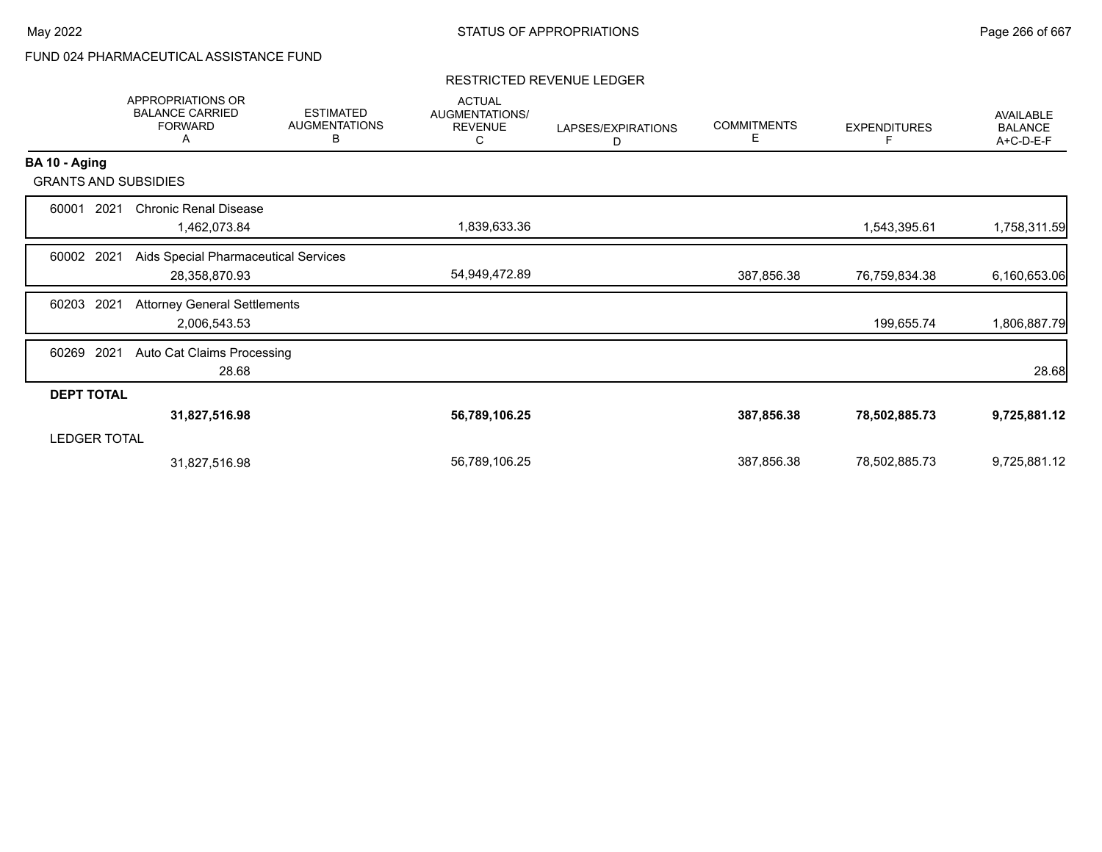# FUND 024 PHARMACEUTICAL ASSISTANCE FUND

### RESTRICTED REVENUE LEDGER

|                     | APPROPRIATIONS OR<br><b>BALANCE CARRIED</b><br><b>FORWARD</b><br>A | <b>ESTIMATED</b><br><b>AUGMENTATIONS</b><br>В | <b>ACTUAL</b><br>AUGMENTATIONS/<br><b>REVENUE</b><br>С | LAPSES/EXPIRATIONS<br>D | <b>COMMITMENTS</b><br>Е | <b>EXPENDITURES</b> | AVAILABLE<br><b>BALANCE</b><br>$A+C-D-E-F$ |
|---------------------|--------------------------------------------------------------------|-----------------------------------------------|--------------------------------------------------------|-------------------------|-------------------------|---------------------|--------------------------------------------|
| BA 10 - Aging       |                                                                    |                                               |                                                        |                         |                         |                     |                                            |
|                     | <b>GRANTS AND SUBSIDIES</b>                                        |                                               |                                                        |                         |                         |                     |                                            |
| 60001               | <b>Chronic Renal Disease</b><br>2021<br>1,462,073.84               |                                               | 1,839,633.36                                           |                         |                         | 1,543,395.61        | 1,758,311.59                               |
| 60002               | 2021<br>Aids Special Pharmaceutical Services<br>28,358,870.93      |                                               | 54,949,472.89                                          |                         | 387,856.38              | 76,759,834.38       | 6,160,653.06                               |
| 60203               | <b>Attorney General Settlements</b><br>2021<br>2,006,543.53        |                                               |                                                        |                         |                         | 199,655.74          | 1,806,887.79                               |
| 60269               | 2021<br>Auto Cat Claims Processing<br>28.68                        |                                               |                                                        |                         |                         |                     | 28.68                                      |
| <b>DEPT TOTAL</b>   |                                                                    |                                               |                                                        |                         |                         |                     |                                            |
|                     | 31,827,516.98                                                      |                                               | 56,789,106.25                                          |                         | 387,856.38              | 78,502,885.73       | 9,725,881.12                               |
| <b>LEDGER TOTAL</b> |                                                                    |                                               |                                                        |                         |                         |                     |                                            |
|                     | 31,827,516.98                                                      |                                               | 56,789,106.25                                          |                         | 387,856.38              | 78,502,885.73       | 9,725,881.12                               |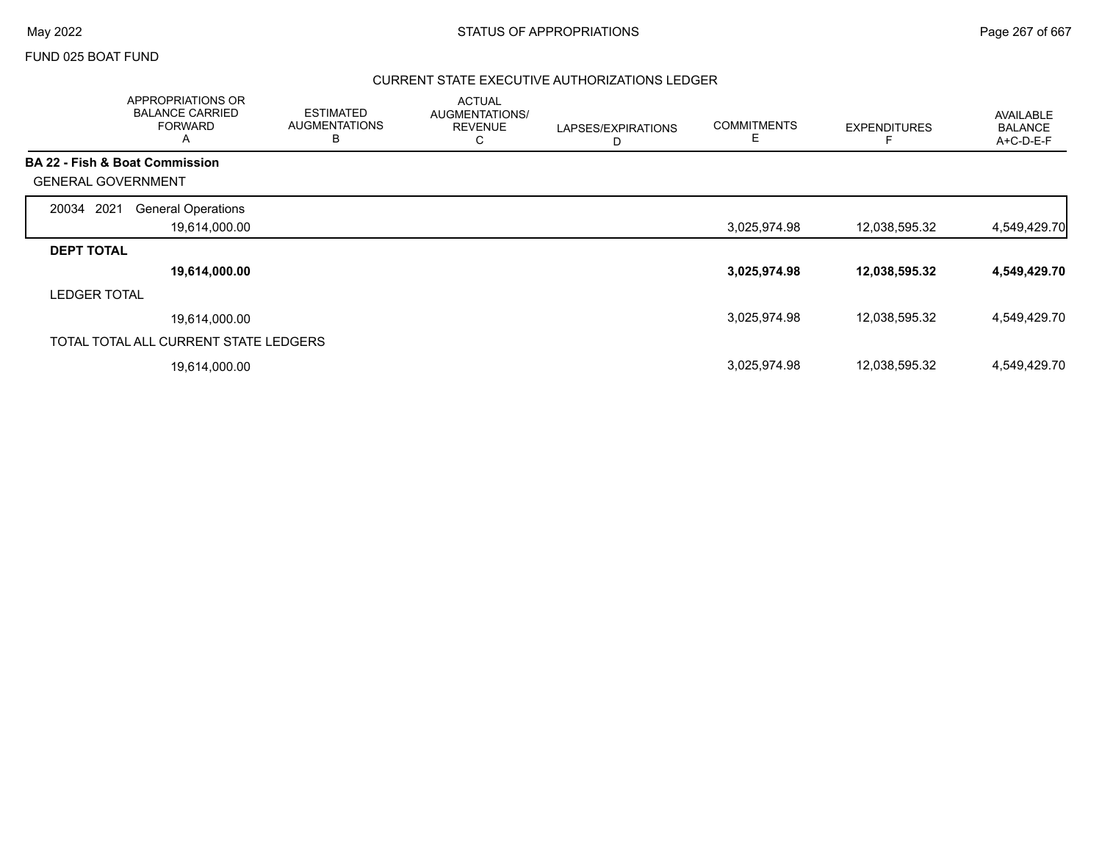### FUND 025 BOAT FUND

|                           | <b>APPROPRIATIONS OR</b><br><b>BALANCE CARRIED</b><br><b>FORWARD</b><br>$\mathsf{A}$ | <b>ESTIMATED</b><br><b>AUGMENTATIONS</b><br>в | <b>ACTUAL</b><br>AUGMENTATIONS/<br><b>REVENUE</b><br>С | LAPSES/EXPIRATIONS<br>D | <b>COMMITMENTS</b><br>Е | <b>EXPENDITURES</b> | <b>AVAILABLE</b><br><b>BALANCE</b><br>$A+C-D-E-F$ |
|---------------------------|--------------------------------------------------------------------------------------|-----------------------------------------------|--------------------------------------------------------|-------------------------|-------------------------|---------------------|---------------------------------------------------|
|                           | <b>BA 22 - Fish &amp; Boat Commission</b>                                            |                                               |                                                        |                         |                         |                     |                                                   |
| <b>GENERAL GOVERNMENT</b> |                                                                                      |                                               |                                                        |                         |                         |                     |                                                   |
| 2021<br>20034             | <b>General Operations</b>                                                            |                                               |                                                        |                         |                         |                     |                                                   |
|                           | 19,614,000.00                                                                        |                                               |                                                        |                         | 3,025,974.98            | 12,038,595.32       | 4,549,429.70                                      |
| <b>DEPT TOTAL</b>         |                                                                                      |                                               |                                                        |                         |                         |                     |                                                   |
|                           | 19,614,000.00                                                                        |                                               |                                                        |                         | 3,025,974.98            | 12,038,595.32       | 4,549,429.70                                      |
| <b>LEDGER TOTAL</b>       |                                                                                      |                                               |                                                        |                         |                         |                     |                                                   |
|                           | 19.614.000.00                                                                        |                                               |                                                        |                         | 3,025,974.98            | 12,038,595.32       | 4,549,429.70                                      |
|                           | TOTAL TOTAL ALL CURRENT STATE LEDGERS                                                |                                               |                                                        |                         |                         |                     |                                                   |
|                           | 19,614,000.00                                                                        |                                               |                                                        |                         | 3,025,974.98            | 12,038,595.32       | 4,549,429.70                                      |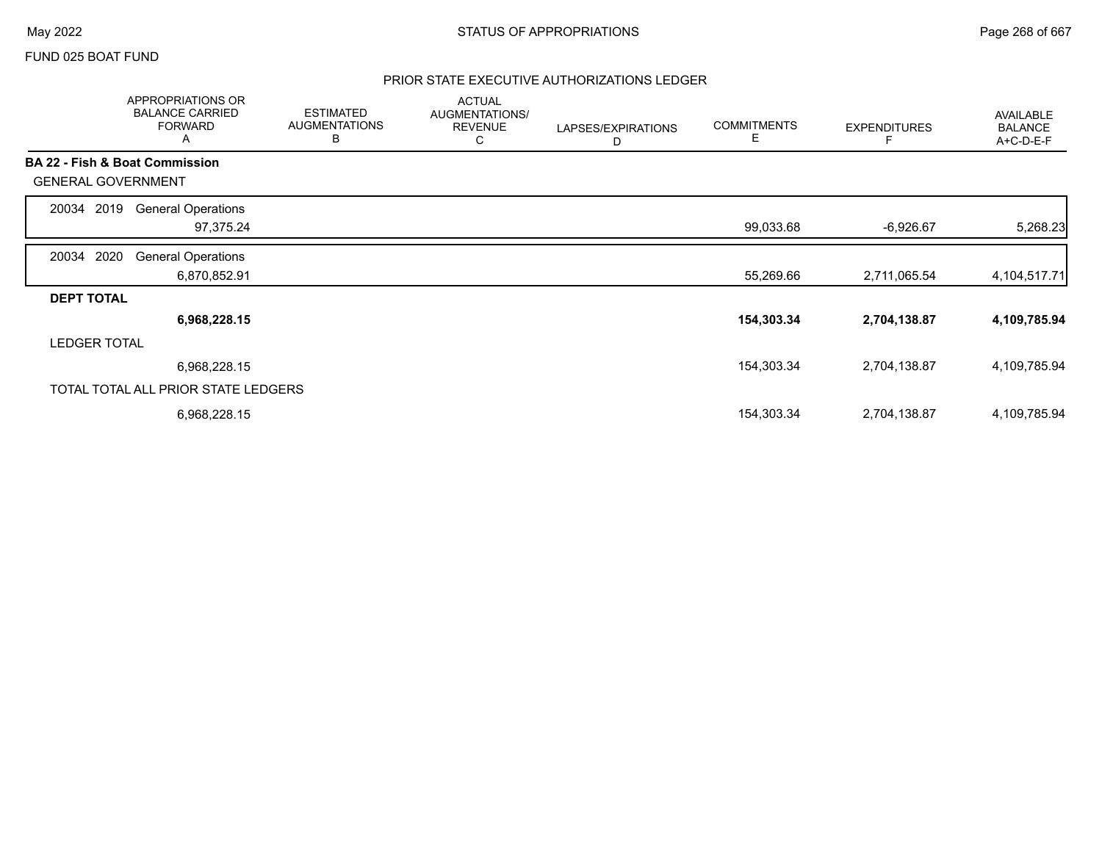### FUND 025 BOAT FUND

|                           | APPROPRIATIONS OR<br><b>BALANCE CARRIED</b><br><b>FORWARD</b><br>A | <b>ESTIMATED</b><br><b>AUGMENTATIONS</b><br>В | <b>ACTUAL</b><br>AUGMENTATIONS/<br><b>REVENUE</b><br>С | LAPSES/EXPIRATIONS<br>D | <b>COMMITMENTS</b><br>E | <b>EXPENDITURES</b> | AVAILABLE<br><b>BALANCE</b><br>A+C-D-E-F |
|---------------------------|--------------------------------------------------------------------|-----------------------------------------------|--------------------------------------------------------|-------------------------|-------------------------|---------------------|------------------------------------------|
|                           | BA 22 - Fish & Boat Commission                                     |                                               |                                                        |                         |                         |                     |                                          |
| <b>GENERAL GOVERNMENT</b> |                                                                    |                                               |                                                        |                         |                         |                     |                                          |
| 2019<br>20034             | <b>General Operations</b>                                          |                                               |                                                        |                         |                         |                     |                                          |
|                           | 97,375.24                                                          |                                               |                                                        |                         | 99,033.68               | $-6,926.67$         | 5,268.23                                 |
| 2020<br>20034             | <b>General Operations</b>                                          |                                               |                                                        |                         |                         |                     |                                          |
|                           | 6,870,852.91                                                       |                                               |                                                        |                         | 55,269.66               | 2,711,065.54        | 4, 104, 517. 71                          |
| <b>DEPT TOTAL</b>         |                                                                    |                                               |                                                        |                         |                         |                     |                                          |
|                           | 6,968,228.15                                                       |                                               |                                                        |                         | 154,303.34              | 2,704,138.87        | 4,109,785.94                             |
| <b>LEDGER TOTAL</b>       |                                                                    |                                               |                                                        |                         |                         |                     |                                          |
|                           | 6,968,228.15                                                       |                                               |                                                        |                         | 154,303.34              | 2,704,138.87        | 4,109,785.94                             |
|                           | TOTAL TOTAL ALL PRIOR STATE LEDGERS                                |                                               |                                                        |                         |                         |                     |                                          |
|                           | 6,968,228.15                                                       |                                               |                                                        |                         | 154,303.34              | 2,704,138.87        | 4,109,785.94                             |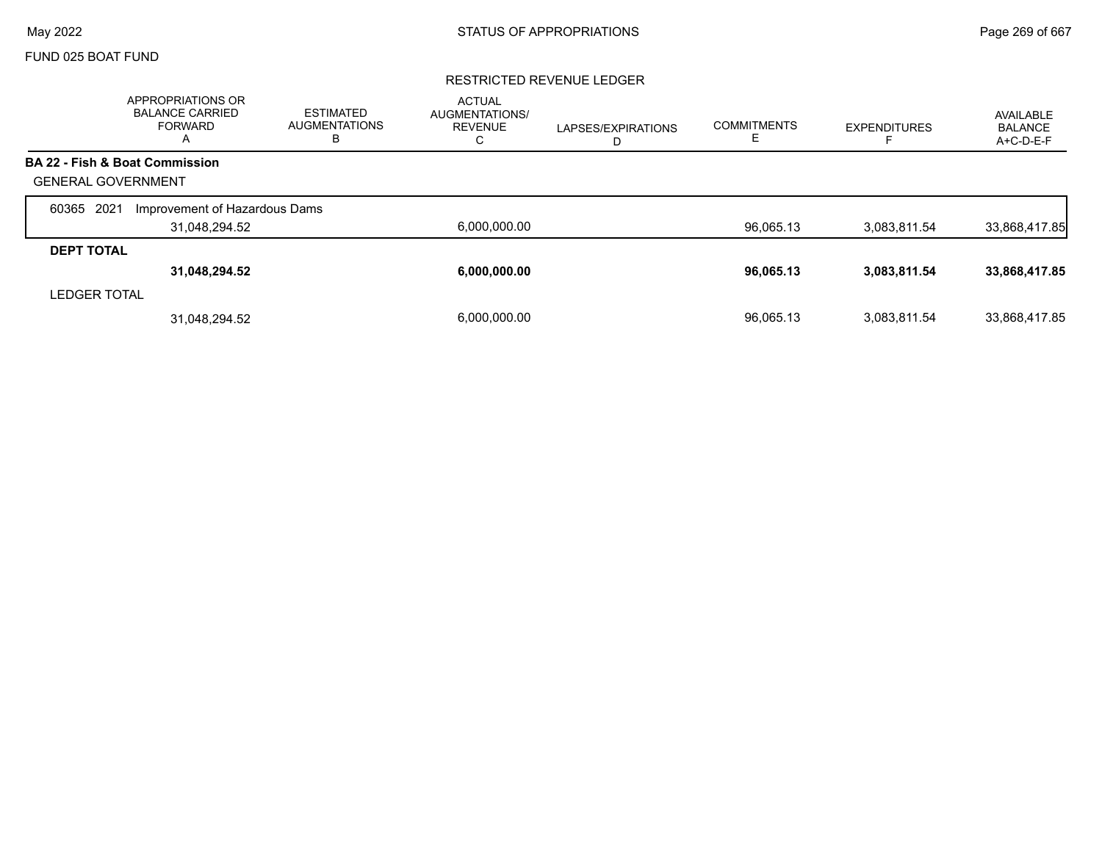## FUND 025 BOAT FUND

### RESTRICTED REVENUE LEDGER

|                           | APPROPRIATIONS OR<br><b>BALANCE CARRIED</b><br><b>FORWARD</b><br>A | <b>ESTIMATED</b><br><b>AUGMENTATIONS</b><br>в | <b>ACTUAL</b><br><b>AUGMENTATIONS/</b><br><b>REVENUE</b><br>С | LAPSES/EXPIRATIONS<br>D | <b>COMMITMENTS</b><br>╘ | <b>EXPENDITURES</b> | AVAILABLE<br><b>BALANCE</b><br>A+C-D-E-F |
|---------------------------|--------------------------------------------------------------------|-----------------------------------------------|---------------------------------------------------------------|-------------------------|-------------------------|---------------------|------------------------------------------|
|                           | <b>BA 22 - Fish &amp; Boat Commission</b>                          |                                               |                                                               |                         |                         |                     |                                          |
| <b>GENERAL GOVERNMENT</b> |                                                                    |                                               |                                                               |                         |                         |                     |                                          |
| 2021<br>60365             | Improvement of Hazardous Dams                                      |                                               |                                                               |                         |                         |                     |                                          |
|                           | 31,048,294.52                                                      |                                               | 6,000,000.00                                                  |                         | 96,065.13               | 3,083,811.54        | 33,868,417.85                            |
| <b>DEPT TOTAL</b>         |                                                                    |                                               |                                                               |                         |                         |                     |                                          |
|                           | 31,048,294.52                                                      |                                               | 6.000.000.00                                                  |                         | 96,065.13               | 3,083,811.54        | 33,868,417.85                            |
| <b>LEDGER TOTAL</b>       |                                                                    |                                               |                                                               |                         |                         |                     |                                          |
|                           | 31,048,294.52                                                      |                                               | 6.000.000.00                                                  |                         | 96.065.13               | 3.083.811.54        | 33,868,417.85                            |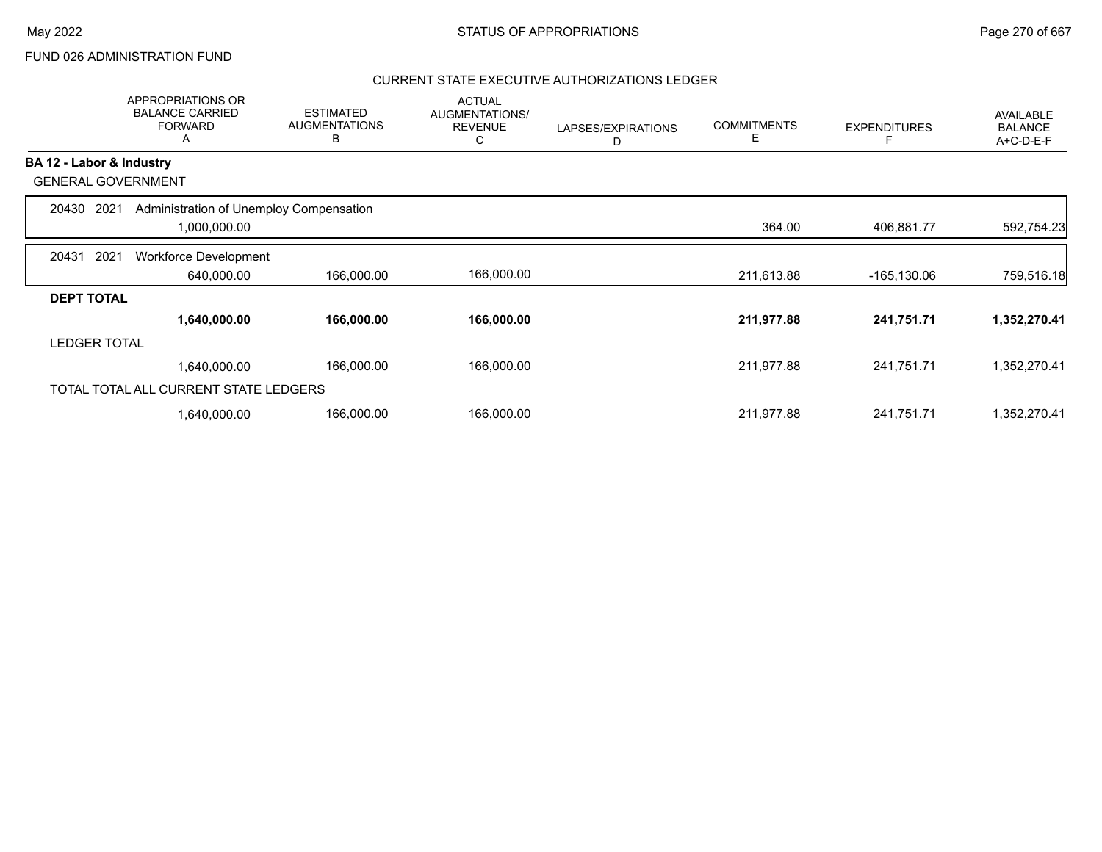# FUND 026 ADMINISTRATION FUND

|                           |                     | <b>APPROPRIATIONS OR</b><br><b>BALANCE CARRIED</b><br><b>FORWARD</b><br>A | <b>ESTIMATED</b><br><b>AUGMENTATIONS</b><br>В | <b>ACTUAL</b><br>AUGMENTATIONS/<br><b>REVENUE</b><br>С | LAPSES/EXPIRATIONS<br>D | <b>COMMITMENTS</b><br>Е | <b>EXPENDITURES</b> | <b>AVAILABLE</b><br><b>BALANCE</b><br>A+C-D-E-F |
|---------------------------|---------------------|---------------------------------------------------------------------------|-----------------------------------------------|--------------------------------------------------------|-------------------------|-------------------------|---------------------|-------------------------------------------------|
| BA 12 - Labor & Industry  |                     |                                                                           |                                               |                                                        |                         |                         |                     |                                                 |
| <b>GENERAL GOVERNMENT</b> |                     |                                                                           |                                               |                                                        |                         |                         |                     |                                                 |
| 20430                     | 2021                | Administration of Unemploy Compensation                                   |                                               |                                                        |                         |                         |                     |                                                 |
|                           |                     | 1,000,000.00                                                              |                                               |                                                        |                         | 364.00                  | 406,881.77          | 592,754.23                                      |
| 20431                     | 2021                | <b>Workforce Development</b>                                              |                                               |                                                        |                         |                         |                     |                                                 |
|                           |                     | 640,000.00                                                                | 166,000.00                                    | 166,000.00                                             |                         | 211,613.88              | -165,130.06         | 759,516.18                                      |
| <b>DEPT TOTAL</b>         |                     |                                                                           |                                               |                                                        |                         |                         |                     |                                                 |
|                           |                     | 1,640,000.00                                                              | 166,000.00                                    | 166,000.00                                             |                         | 211,977.88              | 241,751.71          | 1,352,270.41                                    |
|                           | <b>LEDGER TOTAL</b> |                                                                           |                                               |                                                        |                         |                         |                     |                                                 |
|                           |                     | 1,640,000.00                                                              | 166,000.00                                    | 166,000.00                                             |                         | 211,977.88              | 241,751.71          | 1,352,270.41                                    |
|                           |                     | TOTAL TOTAL ALL CURRENT STATE LEDGERS                                     |                                               |                                                        |                         |                         |                     |                                                 |
|                           |                     | 1,640,000.00                                                              | 166,000.00                                    | 166,000.00                                             |                         | 211,977.88              | 241,751.71          | 1,352,270.41                                    |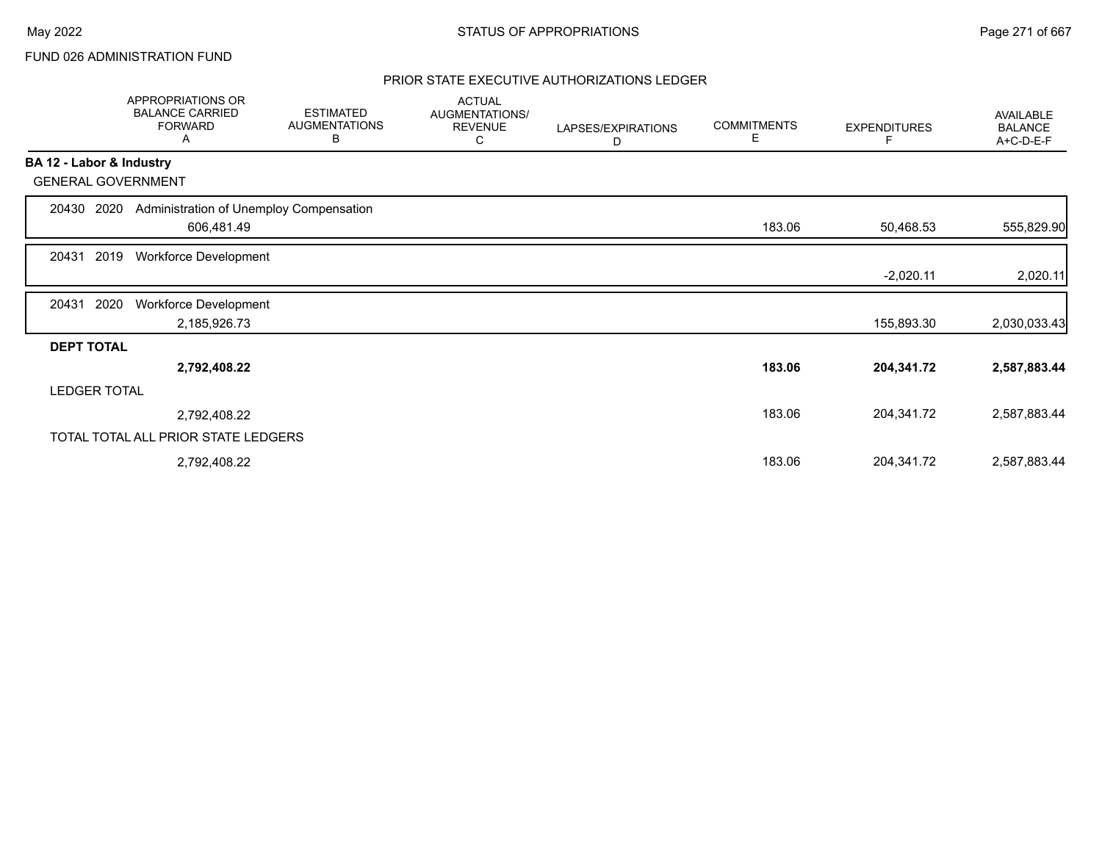# FUND 026 ADMINISTRATION FUND

|                          | APPROPRIATIONS OR<br><b>BALANCE CARRIED</b><br><b>FORWARD</b><br>Α | <b>ESTIMATED</b><br><b>AUGMENTATIONS</b><br>В | <b>ACTUAL</b><br>AUGMENTATIONS/<br><b>REVENUE</b><br>С | LAPSES/EXPIRATIONS<br>D | <b>COMMITMENTS</b><br>Е | <b>EXPENDITURES</b> | AVAILABLE<br><b>BALANCE</b><br>A+C-D-E-F |
|--------------------------|--------------------------------------------------------------------|-----------------------------------------------|--------------------------------------------------------|-------------------------|-------------------------|---------------------|------------------------------------------|
| BA 12 - Labor & Industry |                                                                    |                                               |                                                        |                         |                         |                     |                                          |
|                          | <b>GENERAL GOVERNMENT</b>                                          |                                               |                                                        |                         |                         |                     |                                          |
| 20430                    | 2020                                                               | Administration of Unemploy Compensation       |                                                        |                         |                         |                     |                                          |
|                          | 606,481.49                                                         |                                               |                                                        |                         | 183.06                  | 50,468.53           | 555,829.90                               |
| 20431                    | 2019<br><b>Workforce Development</b>                               |                                               |                                                        |                         |                         |                     |                                          |
|                          |                                                                    |                                               |                                                        |                         |                         | $-2,020.11$         | 2,020.11                                 |
| 20431                    | 2020<br><b>Workforce Development</b>                               |                                               |                                                        |                         |                         |                     |                                          |
|                          | 2,185,926.73                                                       |                                               |                                                        |                         |                         | 155,893.30          | 2,030,033.43                             |
| <b>DEPT TOTAL</b>        |                                                                    |                                               |                                                        |                         |                         |                     |                                          |
|                          | 2,792,408.22                                                       |                                               |                                                        |                         | 183.06                  | 204,341.72          | 2,587,883.44                             |
| <b>LEDGER TOTAL</b>      |                                                                    |                                               |                                                        |                         |                         |                     |                                          |
|                          | 2,792,408.22                                                       |                                               |                                                        |                         | 183.06                  | 204,341.72          | 2,587,883.44                             |
|                          | TOTAL TOTAL ALL PRIOR STATE LEDGERS                                |                                               |                                                        |                         |                         |                     |                                          |
|                          | 2,792,408.22                                                       |                                               |                                                        |                         | 183.06                  | 204,341.72          | 2,587,883.44                             |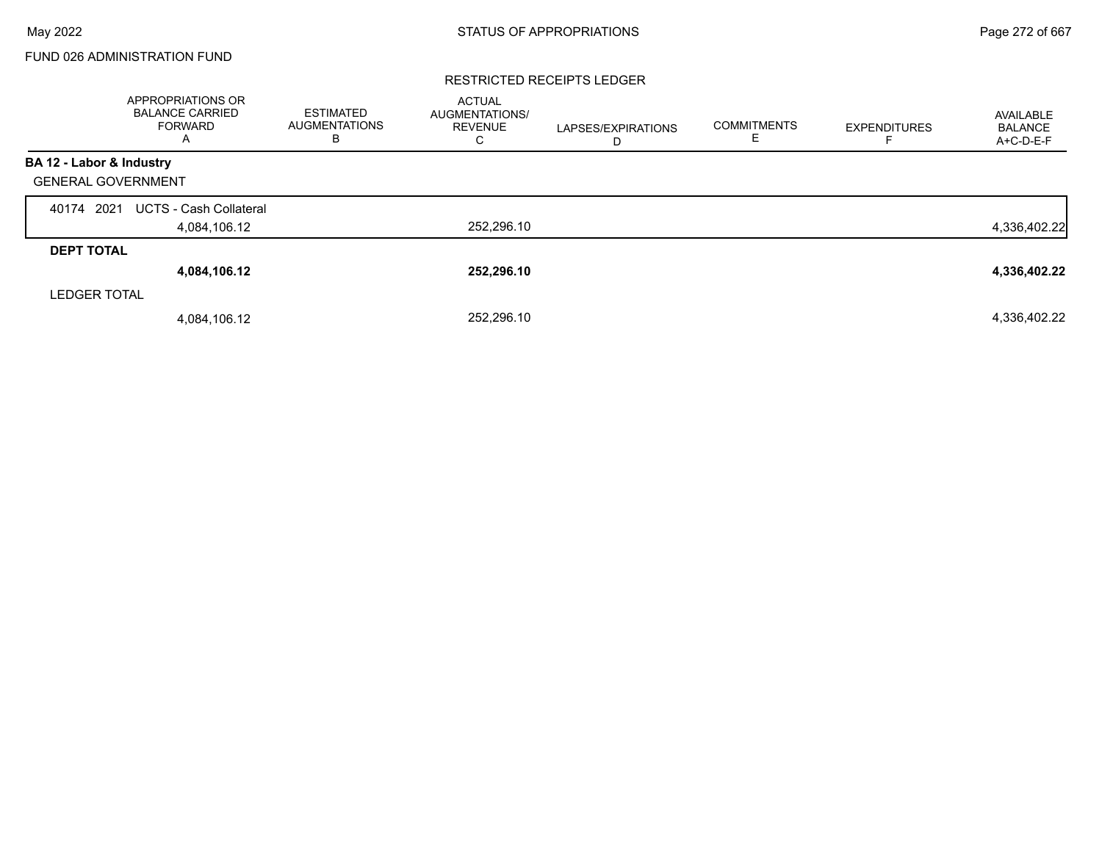# FUND 026 ADMINISTRATION FUND

#### RESTRICTED RECEIPTS LEDGER

|                           | APPROPRIATIONS OR<br><b>BALANCE CARRIED</b><br><b>FORWARD</b><br>A | <b>ESTIMATED</b><br><b>AUGMENTATIONS</b><br>в | <b>ACTUAL</b><br>AUGMENTATIONS/<br><b>REVENUE</b><br>С | LAPSES/EXPIRATIONS<br>D | <b>COMMITMENTS</b><br>E | <b>EXPENDITURES</b> | AVAILABLE<br><b>BALANCE</b><br>A+C-D-E-F |
|---------------------------|--------------------------------------------------------------------|-----------------------------------------------|--------------------------------------------------------|-------------------------|-------------------------|---------------------|------------------------------------------|
| BA 12 - Labor & Industry  |                                                                    |                                               |                                                        |                         |                         |                     |                                          |
| <b>GENERAL GOVERNMENT</b> |                                                                    |                                               |                                                        |                         |                         |                     |                                          |
| 2021<br>40174             | <b>UCTS - Cash Collateral</b>                                      |                                               |                                                        |                         |                         |                     |                                          |
|                           | 4,084,106.12                                                       |                                               | 252,296.10                                             |                         |                         |                     | 4,336,402.22                             |
| <b>DEPT TOTAL</b>         |                                                                    |                                               |                                                        |                         |                         |                     |                                          |
|                           | 4,084,106.12                                                       |                                               | 252,296.10                                             |                         |                         |                     | 4,336,402.22                             |
| <b>LEDGER TOTAL</b>       |                                                                    |                                               |                                                        |                         |                         |                     |                                          |
|                           | 4,084,106.12                                                       |                                               | 252.296.10                                             |                         |                         |                     | 4,336,402.22                             |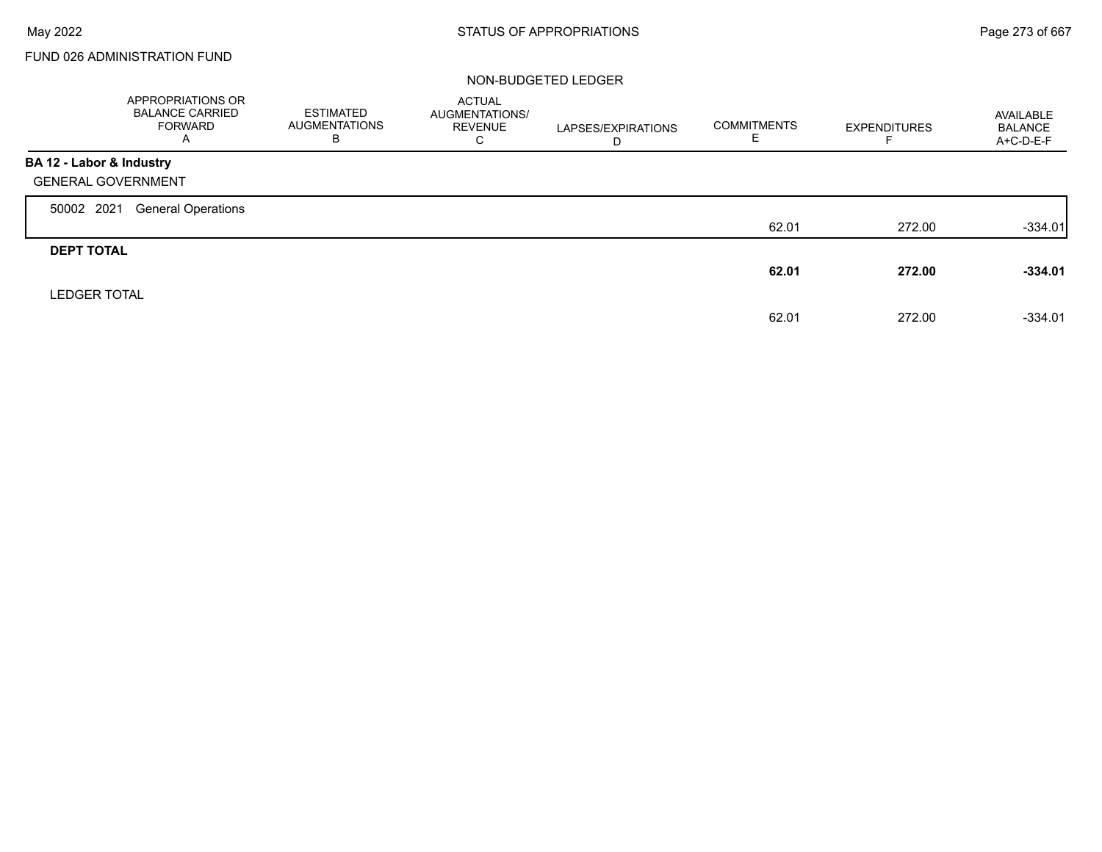Г

# FUND 026 ADMINISTRATION FUND

|                           | APPROPRIATIONS OR<br><b>BALANCE CARRIED</b><br><b>FORWARD</b><br>A | ESTIMATED<br><b>AUGMENTATIONS</b><br>В | <b>ACTUAL</b><br>AUGMENTATIONS/<br><b>REVENUE</b><br>C | LAPSES/EXPIRATIONS<br>D | <b>COMMITMENTS</b> | <b>EXPENDITURES</b> | AVAILABLE<br><b>BALANCE</b><br>A+C-D-E-F |
|---------------------------|--------------------------------------------------------------------|----------------------------------------|--------------------------------------------------------|-------------------------|--------------------|---------------------|------------------------------------------|
| BA 12 - Labor & Industry  |                                                                    |                                        |                                                        |                         |                    |                     |                                          |
| <b>GENERAL GOVERNMENT</b> |                                                                    |                                        |                                                        |                         |                    |                     |                                          |
| 50002 2021                | <b>General Operations</b>                                          |                                        |                                                        |                         |                    |                     |                                          |
|                           |                                                                    |                                        |                                                        |                         | 62.01              | 272.00              | $-334.01$                                |
| <b>DEPT TOTAL</b>         |                                                                    |                                        |                                                        |                         |                    |                     |                                          |
|                           |                                                                    |                                        |                                                        |                         | 62.01              | 272.00              | $-334.01$                                |
| <b>LEDGER TOTAL</b>       |                                                                    |                                        |                                                        |                         |                    |                     |                                          |
|                           |                                                                    |                                        |                                                        |                         | 62.01              | 272.00              | $-334.01$                                |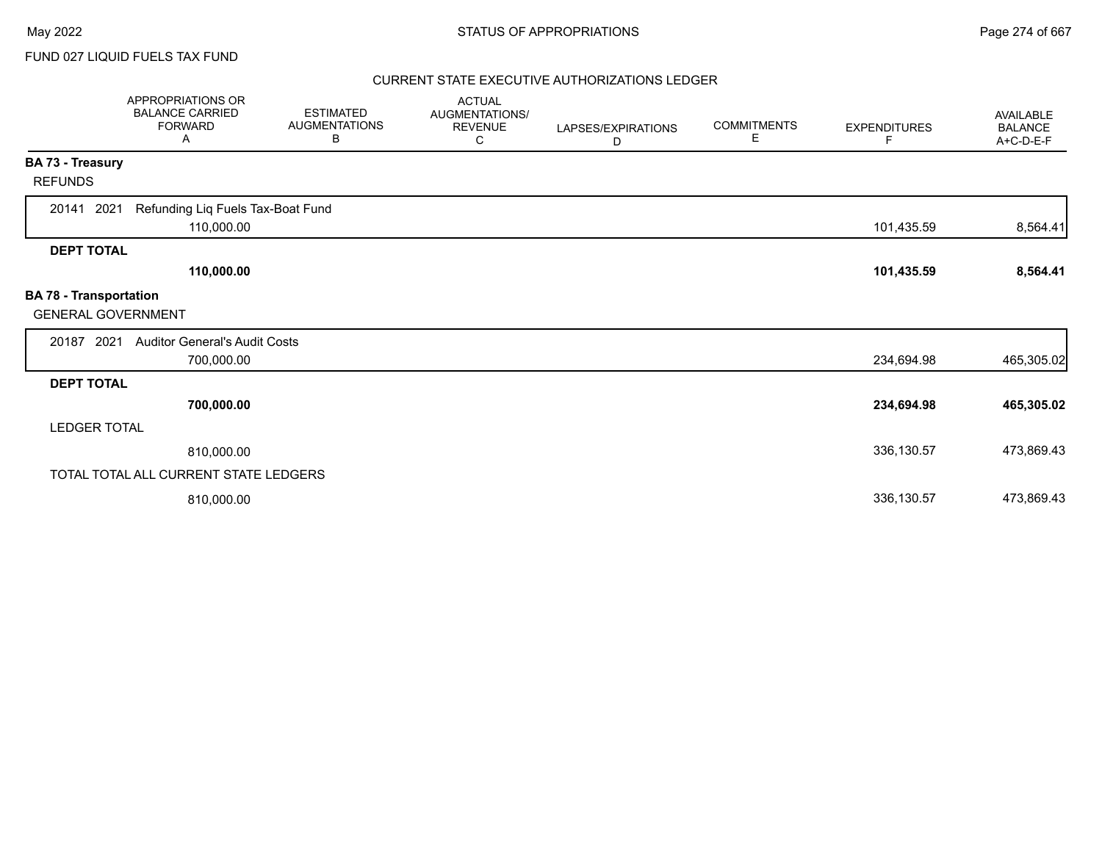FUND 027 LIQUID FUELS TAX FUND

|                                                            | <b>APPROPRIATIONS OR</b><br><b>BALANCE CARRIED</b><br><b>FORWARD</b><br>A | <b>ESTIMATED</b><br><b>AUGMENTATIONS</b><br>В | <b>ACTUAL</b><br>AUGMENTATIONS/<br><b>REVENUE</b><br>C | LAPSES/EXPIRATIONS<br>D | <b>COMMITMENTS</b><br>Е | <b>EXPENDITURES</b><br>F | <b>AVAILABLE</b><br><b>BALANCE</b><br>A+C-D-E-F |
|------------------------------------------------------------|---------------------------------------------------------------------------|-----------------------------------------------|--------------------------------------------------------|-------------------------|-------------------------|--------------------------|-------------------------------------------------|
| BA 73 - Treasury                                           |                                                                           |                                               |                                                        |                         |                         |                          |                                                 |
| <b>REFUNDS</b>                                             |                                                                           |                                               |                                                        |                         |                         |                          |                                                 |
| 2021<br>20141                                              | Refunding Liq Fuels Tax-Boat Fund<br>110,000.00                           |                                               |                                                        |                         |                         | 101,435.59               | 8,564.41                                        |
| <b>DEPT TOTAL</b>                                          |                                                                           |                                               |                                                        |                         |                         |                          |                                                 |
|                                                            | 110,000.00                                                                |                                               |                                                        |                         |                         | 101,435.59               | 8,564.41                                        |
| <b>BA 78 - Transportation</b><br><b>GENERAL GOVERNMENT</b> |                                                                           |                                               |                                                        |                         |                         |                          |                                                 |
| 20187 2021                                                 | <b>Auditor General's Audit Costs</b>                                      |                                               |                                                        |                         |                         |                          |                                                 |
|                                                            | 700,000.00                                                                |                                               |                                                        |                         |                         | 234,694.98               | 465,305.02                                      |
| <b>DEPT TOTAL</b>                                          |                                                                           |                                               |                                                        |                         |                         |                          |                                                 |
|                                                            | 700,000.00                                                                |                                               |                                                        |                         |                         | 234,694.98               | 465,305.02                                      |
| <b>LEDGER TOTAL</b>                                        |                                                                           |                                               |                                                        |                         |                         |                          |                                                 |
|                                                            | 810,000.00                                                                |                                               |                                                        |                         |                         | 336,130.57               | 473,869.43                                      |
|                                                            | TOTAL TOTAL ALL CURRENT STATE LEDGERS                                     |                                               |                                                        |                         |                         |                          |                                                 |
|                                                            | 810,000.00                                                                |                                               |                                                        |                         |                         | 336,130.57               | 473,869.43                                      |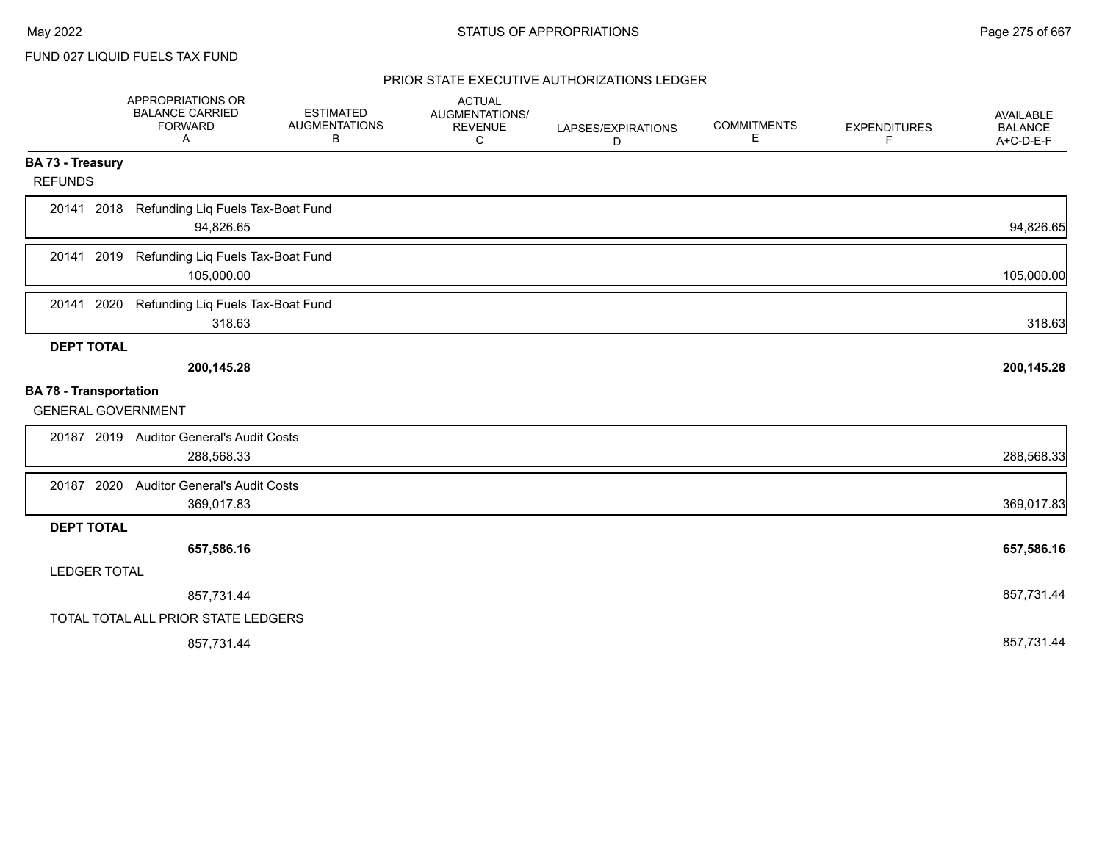FUND 027 LIQUID FUELS TAX FUND

|                                                            | APPROPRIATIONS OR<br><b>BALANCE CARRIED</b><br><b>FORWARD</b><br>Α | <b>ESTIMATED</b><br><b>AUGMENTATIONS</b><br>В | <b>ACTUAL</b><br>AUGMENTATIONS/<br><b>REVENUE</b><br>C | LAPSES/EXPIRATIONS<br>D | <b>COMMITMENTS</b><br>E. | <b>EXPENDITURES</b><br>F | AVAILABLE<br><b>BALANCE</b><br>A+C-D-E-F |
|------------------------------------------------------------|--------------------------------------------------------------------|-----------------------------------------------|--------------------------------------------------------|-------------------------|--------------------------|--------------------------|------------------------------------------|
| BA 73 - Treasury                                           |                                                                    |                                               |                                                        |                         |                          |                          |                                          |
| <b>REFUNDS</b>                                             |                                                                    |                                               |                                                        |                         |                          |                          |                                          |
| 20141 2018                                                 | Refunding Liq Fuels Tax-Boat Fund<br>94,826.65                     |                                               |                                                        |                         |                          |                          | 94,826.65                                |
| 20141 2019                                                 | Refunding Liq Fuels Tax-Boat Fund<br>105,000.00                    |                                               |                                                        |                         |                          |                          | 105,000.00                               |
| 20141 2020                                                 | Refunding Liq Fuels Tax-Boat Fund<br>318.63                        |                                               |                                                        |                         |                          |                          | 318.63                                   |
| <b>DEPT TOTAL</b>                                          |                                                                    |                                               |                                                        |                         |                          |                          |                                          |
|                                                            | 200,145.28                                                         |                                               |                                                        |                         |                          |                          | 200,145.28                               |
| <b>BA 78 - Transportation</b><br><b>GENERAL GOVERNMENT</b> |                                                                    |                                               |                                                        |                         |                          |                          |                                          |
|                                                            | 20187 2019 Auditor General's Audit Costs<br>288,568.33             |                                               |                                                        |                         |                          |                          | 288,568.33                               |
|                                                            |                                                                    |                                               |                                                        |                         |                          |                          |                                          |
| 20187 2020                                                 | <b>Auditor General's Audit Costs</b><br>369,017.83                 |                                               |                                                        |                         |                          |                          | 369,017.83                               |
| <b>DEPT TOTAL</b>                                          |                                                                    |                                               |                                                        |                         |                          |                          |                                          |
|                                                            | 657,586.16                                                         |                                               |                                                        |                         |                          |                          | 657,586.16                               |
| <b>LEDGER TOTAL</b>                                        |                                                                    |                                               |                                                        |                         |                          |                          |                                          |
|                                                            | 857,731.44                                                         |                                               |                                                        |                         |                          |                          | 857,731.44                               |
|                                                            | TOTAL TOTAL ALL PRIOR STATE LEDGERS                                |                                               |                                                        |                         |                          |                          |                                          |
|                                                            | 857,731.44                                                         |                                               |                                                        |                         |                          |                          | 857,731.44                               |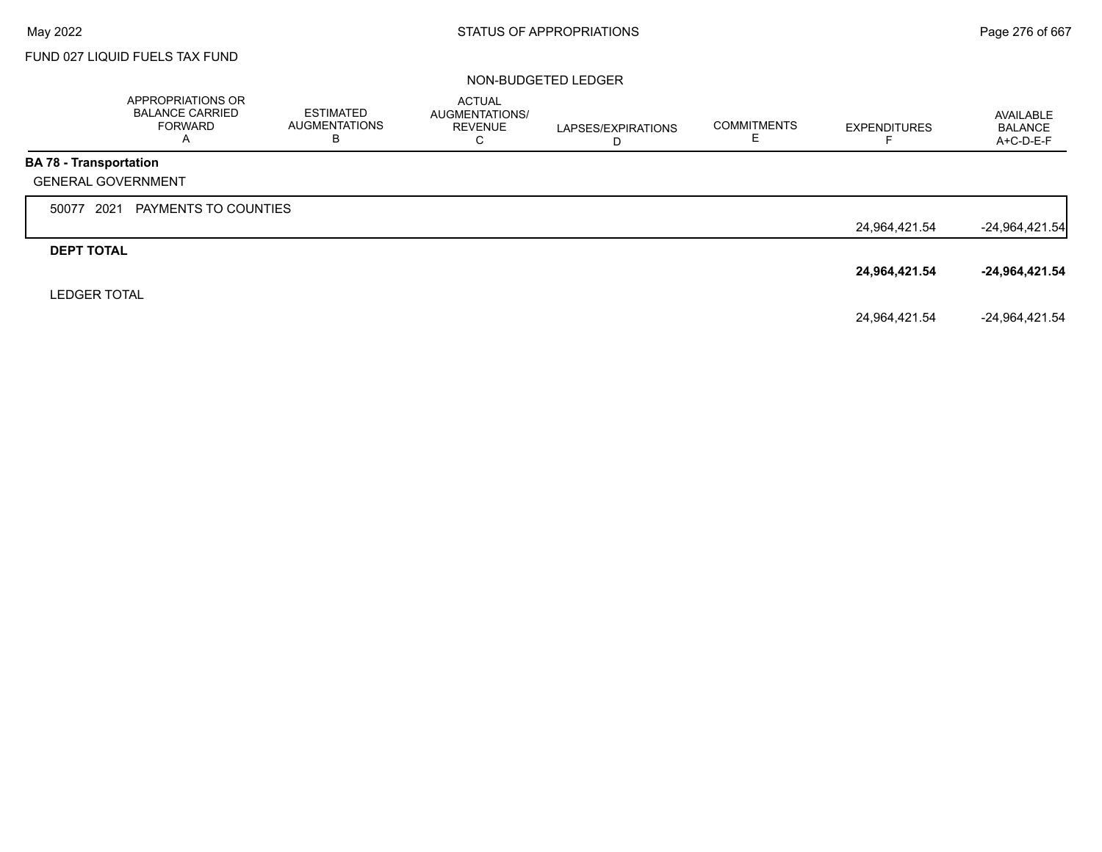# FUND 027 LIQUID FUELS TAX FUND

|                           | APPROPRIATIONS OR<br><b>BALANCE CARRIED</b><br><b>FORWARD</b><br>A | ESTIMATED<br><b>AUGMENTATIONS</b><br>в | <b>ACTUAL</b><br>AUGMENTATIONS/<br><b>REVENUE</b><br>С | LAPSES/EXPIRATIONS<br>D | <b>COMMITMENTS</b> | <b>EXPENDITURES</b> | AVAILABLE<br><b>BALANCE</b><br>A+C-D-E-F |
|---------------------------|--------------------------------------------------------------------|----------------------------------------|--------------------------------------------------------|-------------------------|--------------------|---------------------|------------------------------------------|
| BA 78 - Transportation    |                                                                    |                                        |                                                        |                         |                    |                     |                                          |
| <b>GENERAL GOVERNMENT</b> |                                                                    |                                        |                                                        |                         |                    |                     |                                          |
| 2021<br>50077             | PAYMENTS TO COUNTIES                                               |                                        |                                                        |                         |                    |                     |                                          |
|                           |                                                                    |                                        |                                                        |                         |                    | 24,964,421.54       | $-24,964,421.54$                         |
| <b>DEPT TOTAL</b>         |                                                                    |                                        |                                                        |                         |                    |                     |                                          |
|                           |                                                                    |                                        |                                                        |                         |                    | 24,964,421.54       | $-24,964,421.54$                         |
| <b>LEDGER TOTAL</b>       |                                                                    |                                        |                                                        |                         |                    |                     |                                          |
|                           |                                                                    |                                        |                                                        |                         |                    | 24,964,421.54       | -24,964,421.54                           |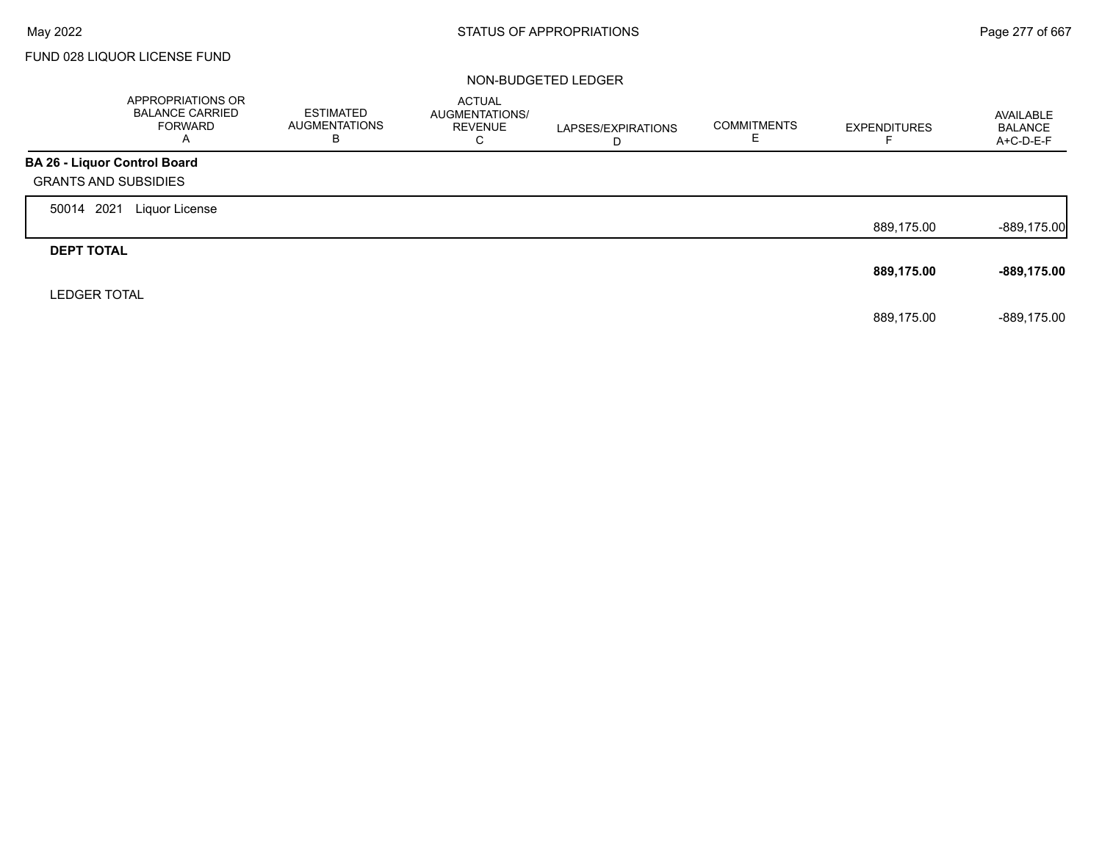$\Gamma$ 

# FUND 028 LIQUOR LICENSE FUND

|                                     | APPROPRIATIONS OR<br><b>BALANCE CARRIED</b><br>FORWARD<br>A | <b>ESTIMATED</b><br>AUGMENTATIONS<br>в | <b>ACTUAL</b><br>AUGMENTATIONS/<br><b>REVENUE</b><br>С | LAPSES/EXPIRATIONS<br>D | <b>COMMITMENTS</b><br>Е | <b>EXPENDITURES</b> | AVAILABLE<br><b>BALANCE</b><br>A+C-D-E-F |
|-------------------------------------|-------------------------------------------------------------|----------------------------------------|--------------------------------------------------------|-------------------------|-------------------------|---------------------|------------------------------------------|
| <b>BA 26 - Liquor Control Board</b> |                                                             |                                        |                                                        |                         |                         |                     |                                          |
| <b>GRANTS AND SUBSIDIES</b>         |                                                             |                                        |                                                        |                         |                         |                     |                                          |
| 2021<br>50014                       | Liquor License                                              |                                        |                                                        |                         |                         |                     |                                          |
|                                     |                                                             |                                        |                                                        |                         |                         | 889,175.00          | $-889,175.00$                            |
| <b>DEPT TOTAL</b>                   |                                                             |                                        |                                                        |                         |                         |                     |                                          |
|                                     |                                                             |                                        |                                                        |                         |                         | 889,175.00          | -889,175.00                              |
| <b>LEDGER TOTAL</b>                 |                                                             |                                        |                                                        |                         |                         |                     |                                          |
|                                     |                                                             |                                        |                                                        |                         |                         | 889,175.00          | -889.175.00                              |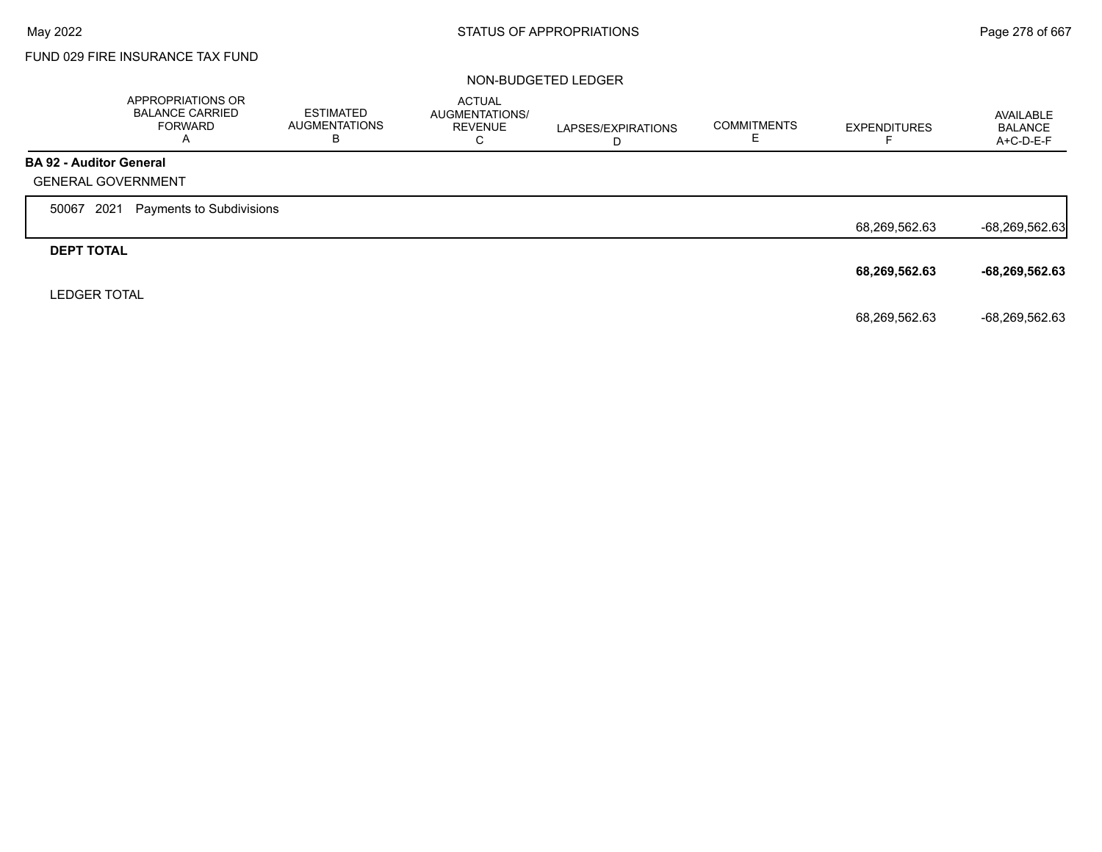г

# FUND 029 FIRE INSURANCE TAX FUND

|                                | APPROPRIATIONS OR<br><b>BALANCE CARRIED</b><br><b>FORWARD</b><br>A | <b>ESTIMATED</b><br><b>AUGMENTATIONS</b><br>в | <b>ACTUAL</b><br>AUGMENTATIONS/<br><b>REVENUE</b><br>С | LAPSES/EXPIRATIONS<br>D | <b>COMMITMENTS</b> | <b>EXPENDITURES</b> | AVAILABLE<br>BALANCE<br>A+C-D-E-F |
|--------------------------------|--------------------------------------------------------------------|-----------------------------------------------|--------------------------------------------------------|-------------------------|--------------------|---------------------|-----------------------------------|
| <b>BA 92 - Auditor General</b> |                                                                    |                                               |                                                        |                         |                    |                     |                                   |
| <b>GENERAL GOVERNMENT</b>      |                                                                    |                                               |                                                        |                         |                    |                     |                                   |
| 2021<br>50067                  | Payments to Subdivisions                                           |                                               |                                                        |                         |                    |                     |                                   |
|                                |                                                                    |                                               |                                                        |                         |                    | 68,269,562.63       | $-68,269,562.63$                  |
| <b>DEPT TOTAL</b>              |                                                                    |                                               |                                                        |                         |                    |                     |                                   |
|                                |                                                                    |                                               |                                                        |                         |                    | 68,269,562.63       | $-68,269,562.63$                  |
| <b>LEDGER TOTAL</b>            |                                                                    |                                               |                                                        |                         |                    |                     |                                   |
|                                |                                                                    |                                               |                                                        |                         |                    | 68,269,562.63       | -68,269,562.63                    |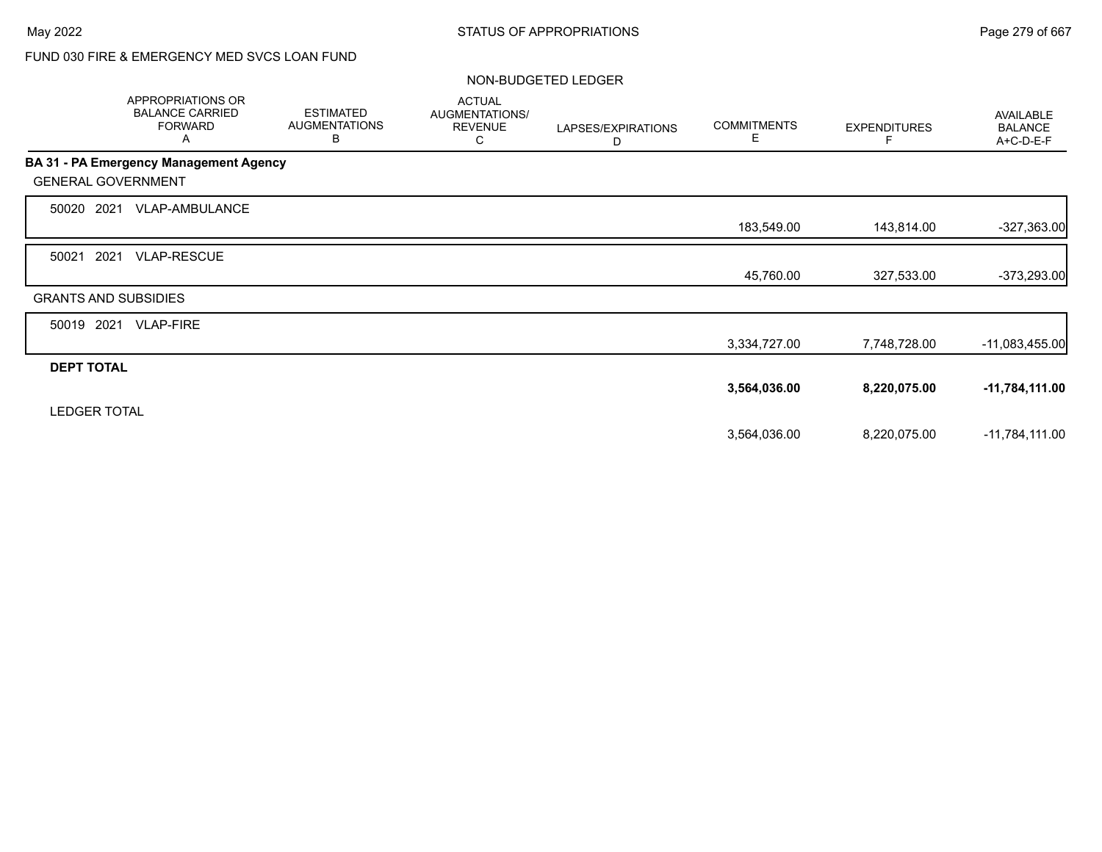# FUND 030 FIRE & EMERGENCY MED SVCS LOAN FUND

|                             | APPROPRIATIONS OR<br><b>BALANCE CARRIED</b><br><b>FORWARD</b><br>Α | <b>ESTIMATED</b><br><b>AUGMENTATIONS</b><br>В | <b>ACTUAL</b><br>AUGMENTATIONS/<br><b>REVENUE</b><br>С | LAPSES/EXPIRATIONS<br>D | <b>COMMITMENTS</b><br>E. | <b>EXPENDITURES</b> | <b>AVAILABLE</b><br><b>BALANCE</b><br>A+C-D-E-F |
|-----------------------------|--------------------------------------------------------------------|-----------------------------------------------|--------------------------------------------------------|-------------------------|--------------------------|---------------------|-------------------------------------------------|
|                             | <b>BA 31 - PA Emergency Management Agency</b>                      |                                               |                                                        |                         |                          |                     |                                                 |
| <b>GENERAL GOVERNMENT</b>   |                                                                    |                                               |                                                        |                         |                          |                     |                                                 |
| 50020 2021                  | VLAP-AMBULANCE                                                     |                                               |                                                        |                         |                          |                     |                                                 |
|                             |                                                                    |                                               |                                                        |                         | 183,549.00               | 143,814.00          | $-327,363.00$                                   |
| 2021<br>50021               | <b>VLAP-RESCUE</b>                                                 |                                               |                                                        |                         |                          |                     |                                                 |
|                             |                                                                    |                                               |                                                        |                         | 45,760.00                | 327,533.00          | $-373,293.00$                                   |
| <b>GRANTS AND SUBSIDIES</b> |                                                                    |                                               |                                                        |                         |                          |                     |                                                 |
| 50019 2021                  | <b>VLAP-FIRE</b>                                                   |                                               |                                                        |                         |                          |                     |                                                 |
|                             |                                                                    |                                               |                                                        |                         | 3,334,727.00             | 7,748,728.00        | -11,083,455.00                                  |
| <b>DEPT TOTAL</b>           |                                                                    |                                               |                                                        |                         |                          |                     |                                                 |
|                             |                                                                    |                                               |                                                        |                         | 3,564,036.00             | 8,220,075.00        | $-11,784,111.00$                                |
| <b>LEDGER TOTAL</b>         |                                                                    |                                               |                                                        |                         |                          |                     |                                                 |
|                             |                                                                    |                                               |                                                        |                         | 3,564,036.00             | 8,220,075.00        | $-11,784,111.00$                                |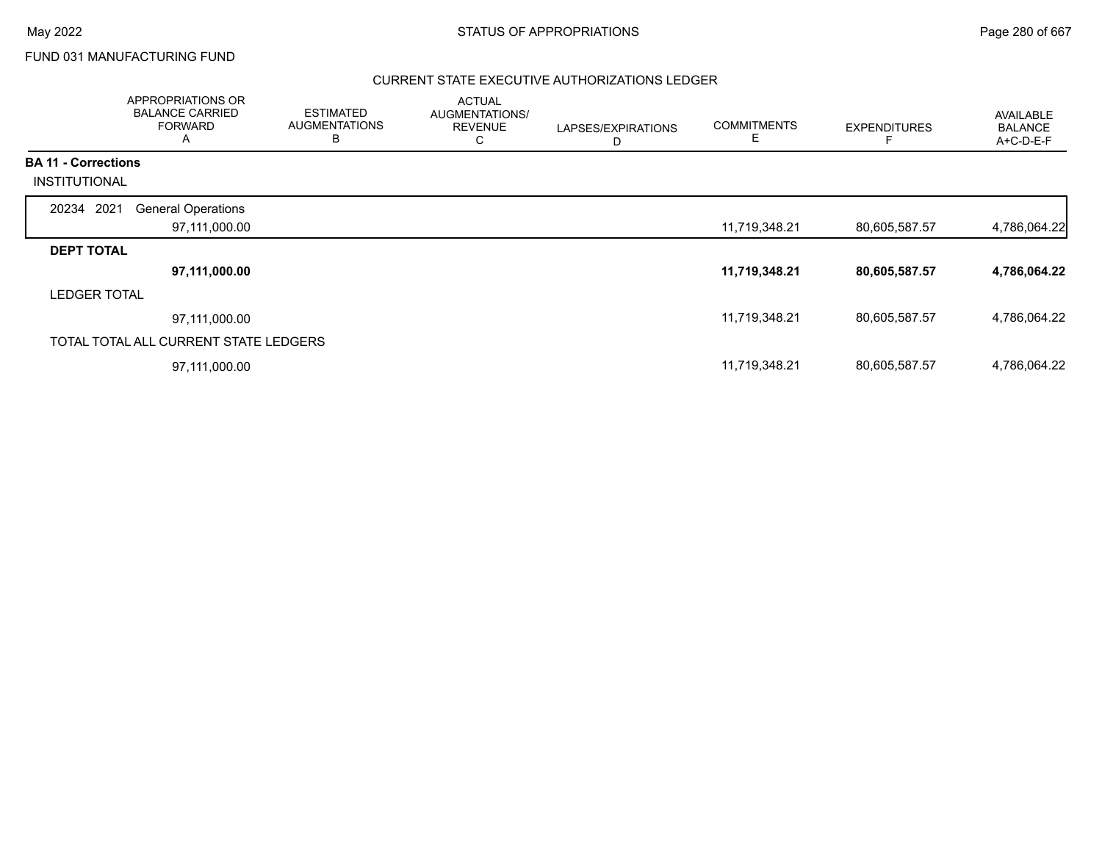FUND 031 MANUFACTURING FUND

|                                                    | APPROPRIATIONS OR<br><b>BALANCE CARRIED</b><br><b>FORWARD</b><br>A | <b>ESTIMATED</b><br><b>AUGMENTATIONS</b><br>В | <b>ACTUAL</b><br>AUGMENTATIONS/<br><b>REVENUE</b><br>C | LAPSES/EXPIRATIONS<br>D | <b>COMMITMENTS</b><br>Е | <b>EXPENDITURES</b> | AVAILABLE<br><b>BALANCE</b><br>A+C-D-E-F |
|----------------------------------------------------|--------------------------------------------------------------------|-----------------------------------------------|--------------------------------------------------------|-------------------------|-------------------------|---------------------|------------------------------------------|
| <b>BA 11 - Corrections</b><br><b>INSTITUTIONAL</b> |                                                                    |                                               |                                                        |                         |                         |                     |                                          |
|                                                    |                                                                    |                                               |                                                        |                         |                         |                     |                                          |
| 20234 2021                                         | <b>General Operations</b>                                          |                                               |                                                        |                         |                         |                     |                                          |
|                                                    | 97,111,000.00                                                      |                                               |                                                        |                         | 11,719,348.21           | 80,605,587.57       | 4,786,064.22                             |
| <b>DEPT TOTAL</b>                                  |                                                                    |                                               |                                                        |                         |                         |                     |                                          |
|                                                    | 97,111,000.00                                                      |                                               |                                                        |                         | 11,719,348.21           | 80,605,587.57       | 4,786,064.22                             |
| <b>LEDGER TOTAL</b>                                |                                                                    |                                               |                                                        |                         |                         |                     |                                          |
|                                                    | 97,111,000.00                                                      |                                               |                                                        |                         | 11,719,348.21           | 80,605,587.57       | 4,786,064.22                             |
|                                                    | TOTAL TOTAL ALL CURRENT STATE LEDGERS                              |                                               |                                                        |                         |                         |                     |                                          |
|                                                    | 97,111,000.00                                                      |                                               |                                                        |                         | 11,719,348.21           | 80,605,587.57       | 4,786,064.22                             |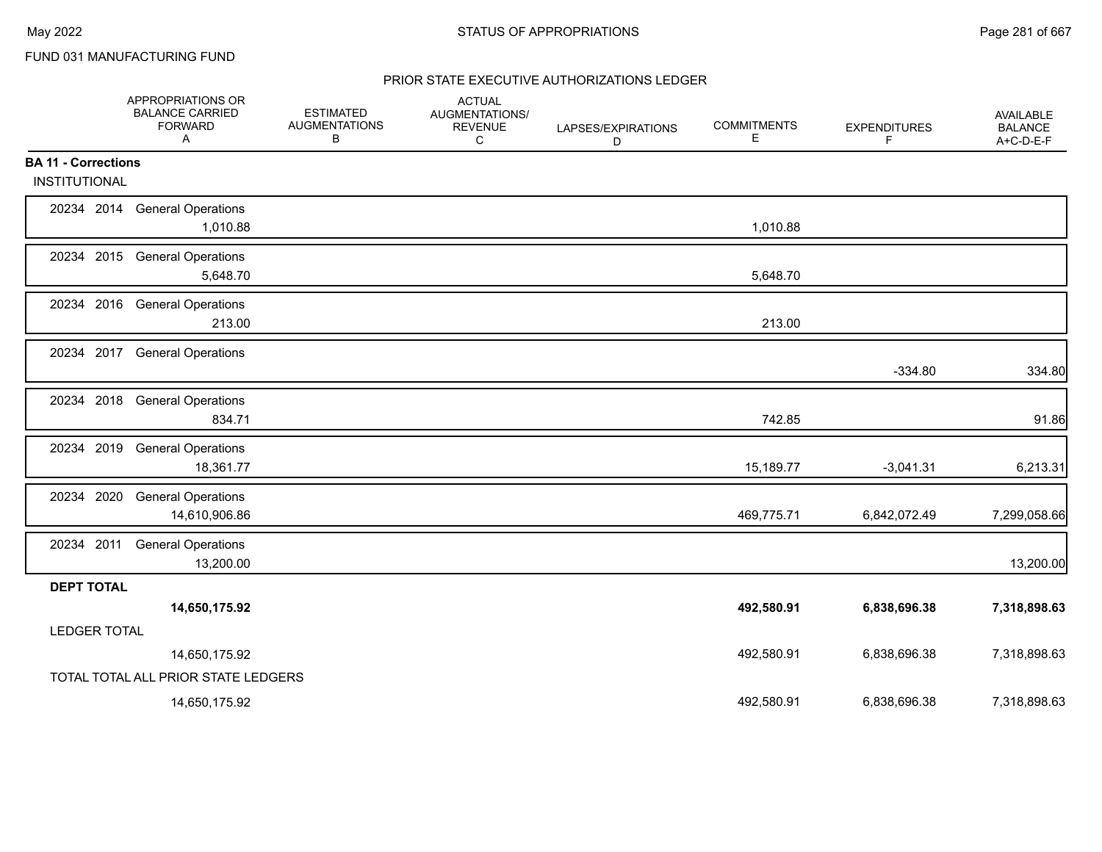FUND 031 MANUFACTURING FUND

|                            | APPROPRIATIONS OR<br><b>BALANCE CARRIED</b><br><b>FORWARD</b><br>$\mathsf{A}$ | <b>ESTIMATED</b><br><b>AUGMENTATIONS</b><br>В | <b>ACTUAL</b><br>AUGMENTATIONS/<br><b>REVENUE</b><br>С | LAPSES/EXPIRATIONS<br>D | <b>COMMITMENTS</b><br>Е. | <b>EXPENDITURES</b><br>F | AVAILABLE<br><b>BALANCE</b><br>A+C-D-E-F |
|----------------------------|-------------------------------------------------------------------------------|-----------------------------------------------|--------------------------------------------------------|-------------------------|--------------------------|--------------------------|------------------------------------------|
| <b>BA 11 - Corrections</b> |                                                                               |                                               |                                                        |                         |                          |                          |                                          |
| INSTITUTIONAL              |                                                                               |                                               |                                                        |                         |                          |                          |                                          |
| 20234 2014                 | <b>General Operations</b><br>1,010.88                                         |                                               |                                                        |                         | 1,010.88                 |                          |                                          |
| 20234 2015                 | <b>General Operations</b><br>5,648.70                                         |                                               |                                                        |                         | 5,648.70                 |                          |                                          |
|                            | 20234 2016 General Operations<br>213.00                                       |                                               |                                                        |                         | 213.00                   |                          |                                          |
| 20234                      | 2017 General Operations                                                       |                                               |                                                        |                         |                          | $-334.80$                | 334.80                                   |
|                            | 20234 2018 General Operations<br>834.71                                       |                                               |                                                        |                         | 742.85                   |                          | 91.86                                    |
| 2019<br>20234              | <b>General Operations</b><br>18,361.77                                        |                                               |                                                        |                         | 15,189.77                | $-3,041.31$              | 6,213.31                                 |
| 20234 2020                 | <b>General Operations</b><br>14,610,906.86                                    |                                               |                                                        |                         | 469,775.71               | 6,842,072.49             | 7,299,058.66                             |
| 20234 2011                 | <b>General Operations</b><br>13,200.00                                        |                                               |                                                        |                         |                          |                          | 13,200.00                                |
| <b>DEPT TOTAL</b>          |                                                                               |                                               |                                                        |                         |                          |                          |                                          |
| <b>LEDGER TOTAL</b>        | 14,650,175.92                                                                 |                                               |                                                        |                         | 492,580.91               | 6,838,696.38             | 7,318,898.63                             |
|                            | 14,650,175.92                                                                 |                                               |                                                        |                         | 492,580.91               | 6,838,696.38             | 7,318,898.63                             |
|                            | TOTAL TOTAL ALL PRIOR STATE LEDGERS                                           |                                               |                                                        |                         |                          |                          |                                          |
|                            | 14,650,175.92                                                                 |                                               |                                                        |                         | 492,580.91               | 6,838,696.38             | 7,318,898.63                             |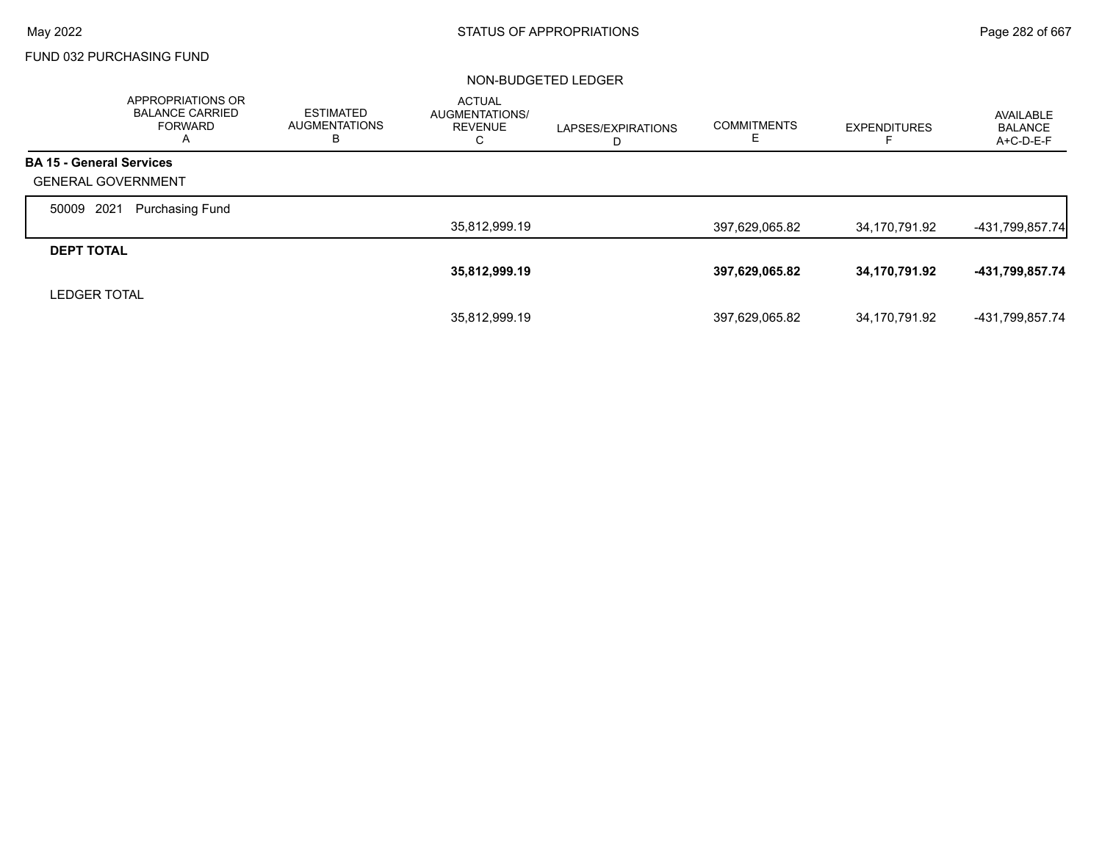## FUND 032 PURCHASING FUND

|                                 | <b>APPROPRIATIONS OR</b><br><b>BALANCE CARRIED</b><br><b>FORWARD</b><br>A | <b>ESTIMATED</b><br><b>AUGMENTATIONS</b><br>в | <b>ACTUAL</b><br>AUGMENTATIONS/<br><b>REVENUE</b><br>С | LAPSES/EXPIRATIONS<br>D | <b>COMMITMENTS</b><br>E. | <b>EXPENDITURES</b> | AVAILABLE<br><b>BALANCE</b><br>$A+C-D-E-F$ |
|---------------------------------|---------------------------------------------------------------------------|-----------------------------------------------|--------------------------------------------------------|-------------------------|--------------------------|---------------------|--------------------------------------------|
| <b>BA 15 - General Services</b> |                                                                           |                                               |                                                        |                         |                          |                     |                                            |
| <b>GENERAL GOVERNMENT</b>       |                                                                           |                                               |                                                        |                         |                          |                     |                                            |
| 2021<br>50009                   | <b>Purchasing Fund</b>                                                    |                                               |                                                        |                         |                          |                     |                                            |
|                                 |                                                                           |                                               | 35,812,999.19                                          |                         | 397,629,065.82           | 34,170,791.92       | -431,799,857.74                            |
| <b>DEPT TOTAL</b>               |                                                                           |                                               |                                                        |                         |                          |                     |                                            |
|                                 |                                                                           |                                               | 35,812,999.19                                          |                         | 397,629,065.82           | 34,170,791.92       | -431,799,857.74                            |
| <b>LEDGER TOTAL</b>             |                                                                           |                                               |                                                        |                         |                          |                     |                                            |
|                                 |                                                                           |                                               | 35,812,999.19                                          |                         | 397,629,065.82           | 34,170,791.92       | -431,799,857.74                            |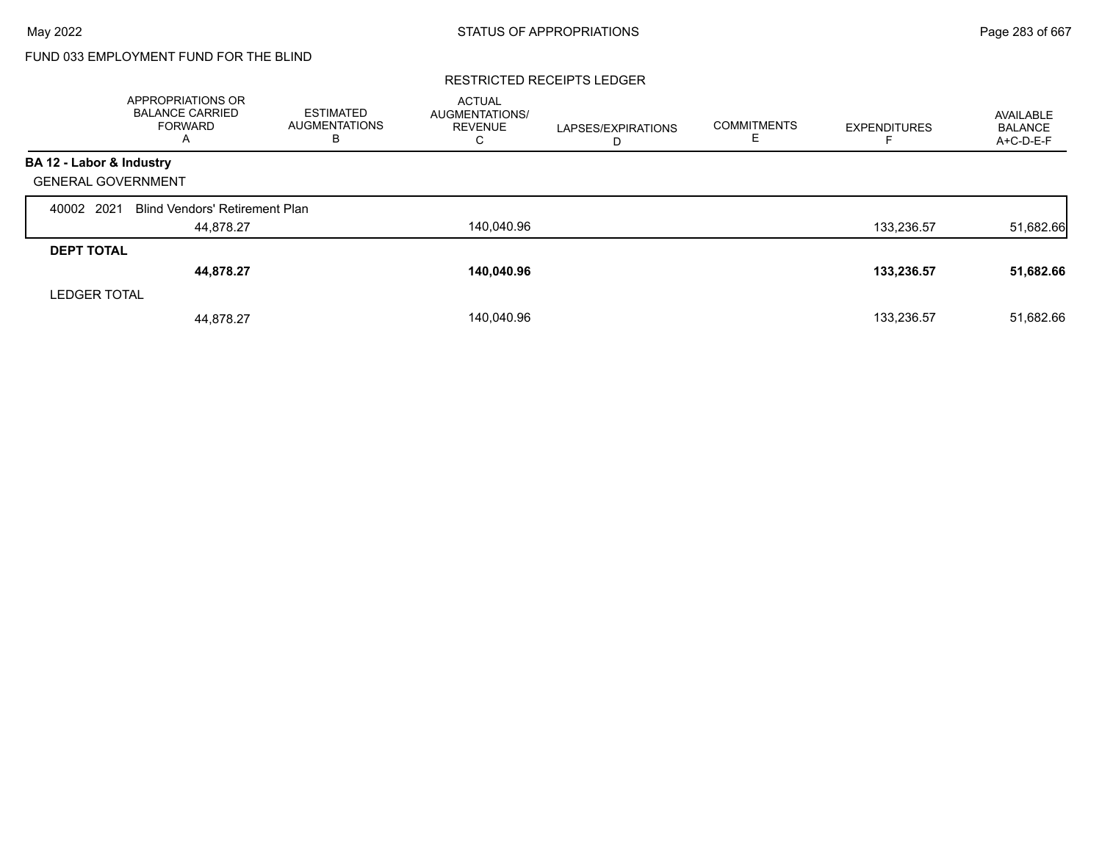# FUND 033 EMPLOYMENT FUND FOR THE BLIND

#### RESTRICTED RECEIPTS LEDGER

|                           | APPROPRIATIONS OR<br><b>BALANCE CARRIED</b><br><b>FORWARD</b><br>A | <b>ESTIMATED</b><br><b>AUGMENTATIONS</b><br>в | <b>ACTUAL</b><br>AUGMENTATIONS/<br><b>REVENUE</b><br>С | LAPSES/EXPIRATIONS<br>D | <b>COMMITMENTS</b> | <b>EXPENDITURES</b> | AVAILABLE<br><b>BALANCE</b><br>A+C-D-E-F |
|---------------------------|--------------------------------------------------------------------|-----------------------------------------------|--------------------------------------------------------|-------------------------|--------------------|---------------------|------------------------------------------|
| BA 12 - Labor & Industry  |                                                                    |                                               |                                                        |                         |                    |                     |                                          |
| <b>GENERAL GOVERNMENT</b> |                                                                    |                                               |                                                        |                         |                    |                     |                                          |
| 2021<br>40002             | <b>Blind Vendors' Retirement Plan</b>                              |                                               |                                                        |                         |                    |                     |                                          |
|                           | 44,878.27                                                          |                                               | 140,040.96                                             |                         |                    | 133,236.57          | 51,682.66                                |
| <b>DEPT TOTAL</b>         |                                                                    |                                               |                                                        |                         |                    |                     |                                          |
|                           | 44,878.27                                                          |                                               | 140,040.96                                             |                         |                    | 133,236.57          | 51,682.66                                |
| <b>LEDGER TOTAL</b>       |                                                                    |                                               |                                                        |                         |                    |                     |                                          |
|                           | 44,878.27                                                          |                                               | 140.040.96                                             |                         |                    | 133.236.57          | 51,682.66                                |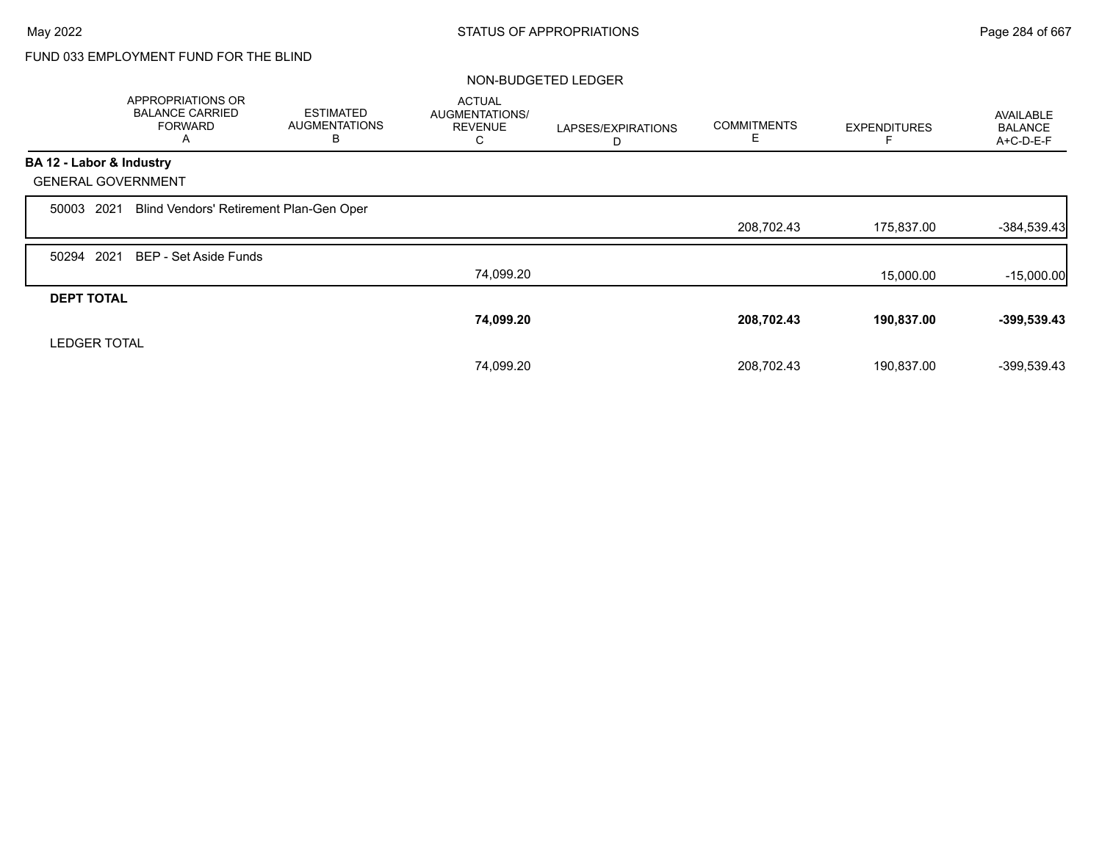# FUND 033 EMPLOYMENT FUND FOR THE BLIND

|                           | <b>APPROPRIATIONS OR</b><br><b>BALANCE CARRIED</b><br><b>FORWARD</b><br>A | <b>ESTIMATED</b><br><b>AUGMENTATIONS</b><br>в | <b>ACTUAL</b><br>AUGMENTATIONS/<br><b>REVENUE</b><br>С | LAPSES/EXPIRATIONS<br>D | <b>COMMITMENTS</b><br>E | <b>EXPENDITURES</b> | AVAILABLE<br><b>BALANCE</b><br>A+C-D-E-F |
|---------------------------|---------------------------------------------------------------------------|-----------------------------------------------|--------------------------------------------------------|-------------------------|-------------------------|---------------------|------------------------------------------|
| BA 12 - Labor & Industry  |                                                                           |                                               |                                                        |                         |                         |                     |                                          |
| <b>GENERAL GOVERNMENT</b> |                                                                           |                                               |                                                        |                         |                         |                     |                                          |
| 2021<br>50003             | Blind Vendors' Retirement Plan-Gen Oper                                   |                                               |                                                        |                         |                         |                     |                                          |
|                           |                                                                           |                                               |                                                        |                         | 208,702.43              | 175,837.00          | $-384,539.43$                            |
| 2021<br>50294             | BEP - Set Aside Funds                                                     |                                               |                                                        |                         |                         |                     |                                          |
|                           |                                                                           |                                               | 74,099.20                                              |                         |                         | 15,000.00           | $-15,000.00$                             |
| <b>DEPT TOTAL</b>         |                                                                           |                                               |                                                        |                         |                         |                     |                                          |
|                           |                                                                           |                                               | 74,099.20                                              |                         | 208,702.43              | 190,837.00          | $-399,539.43$                            |
| <b>LEDGER TOTAL</b>       |                                                                           |                                               |                                                        |                         |                         |                     |                                          |
|                           |                                                                           |                                               | 74,099.20                                              |                         | 208.702.43              | 190.837.00          | -399,539.43                              |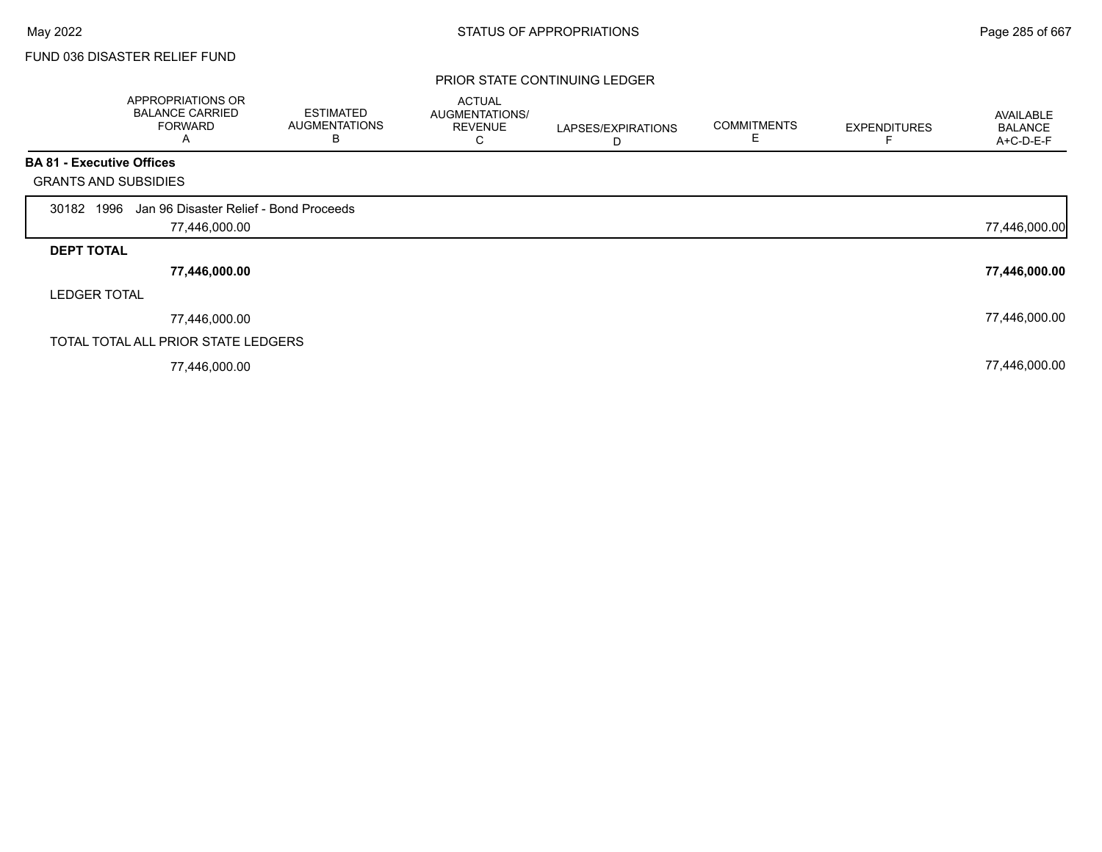# FUND 036 DISASTER RELIEF FUND

### PRIOR STATE CONTINUING LEDGER

|                                  | APPROPRIATIONS OR<br><b>BALANCE CARRIED</b><br><b>FORWARD</b><br>A | <b>ESTIMATED</b><br><b>AUGMENTATIONS</b><br>B | <b>ACTUAL</b><br>AUGMENTATIONS/<br><b>REVENUE</b><br>C | LAPSES/EXPIRATIONS<br>D | <b>COMMITMENTS</b><br>E | <b>EXPENDITURES</b> | AVAILABLE<br><b>BALANCE</b><br>A+C-D-E-F |
|----------------------------------|--------------------------------------------------------------------|-----------------------------------------------|--------------------------------------------------------|-------------------------|-------------------------|---------------------|------------------------------------------|
| <b>BA 81 - Executive Offices</b> |                                                                    |                                               |                                                        |                         |                         |                     |                                          |
| <b>GRANTS AND SUBSIDIES</b>      |                                                                    |                                               |                                                        |                         |                         |                     |                                          |
| 30182 1996                       | Jan 96 Disaster Relief - Bond Proceeds                             |                                               |                                                        |                         |                         |                     |                                          |
|                                  | 77,446,000.00                                                      |                                               |                                                        |                         |                         |                     | 77,446,000.00                            |
| <b>DEPT TOTAL</b>                |                                                                    |                                               |                                                        |                         |                         |                     |                                          |
|                                  | 77,446,000.00                                                      |                                               |                                                        |                         |                         |                     | 77,446,000.00                            |
| <b>LEDGER TOTAL</b>              |                                                                    |                                               |                                                        |                         |                         |                     |                                          |
|                                  | 77,446,000.00                                                      |                                               |                                                        |                         |                         |                     | 77,446,000.00                            |
|                                  | TOTAL TOTAL ALL PRIOR STATE LEDGERS                                |                                               |                                                        |                         |                         |                     |                                          |
|                                  | 77,446,000.00                                                      |                                               |                                                        |                         |                         |                     | 77,446,000.00                            |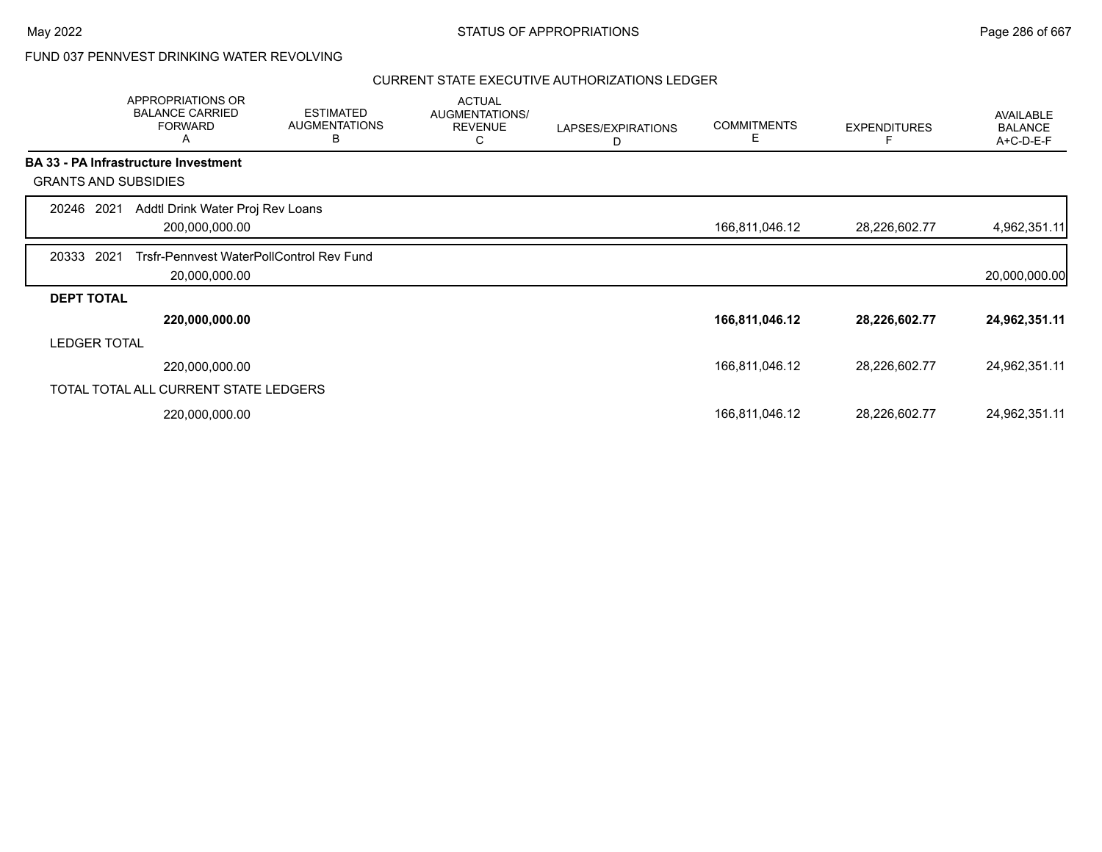## FUND 037 PENNVEST DRINKING WATER REVOLVING

|                     | APPROPRIATIONS OR<br><b>BALANCE CARRIED</b><br><b>FORWARD</b><br>Α | <b>ESTIMATED</b><br><b>AUGMENTATIONS</b><br>B | <b>ACTUAL</b><br>AUGMENTATIONS/<br><b>REVENUE</b><br>С | LAPSES/EXPIRATIONS<br>D | <b>COMMITMENTS</b><br>Е | <b>EXPENDITURES</b> | <b>AVAILABLE</b><br><b>BALANCE</b><br>A+C-D-E-F |
|---------------------|--------------------------------------------------------------------|-----------------------------------------------|--------------------------------------------------------|-------------------------|-------------------------|---------------------|-------------------------------------------------|
|                     | <b>BA 33 - PA Infrastructure Investment</b>                        |                                               |                                                        |                         |                         |                     |                                                 |
|                     | <b>GRANTS AND SUBSIDIES</b>                                        |                                               |                                                        |                         |                         |                     |                                                 |
| 20246 2021          | Addtl Drink Water Proj Rev Loans<br>200,000,000.00                 |                                               |                                                        |                         | 166,811,046.12          | 28,226,602.77       | 4,962,351.11                                    |
| 20333               | 2021<br>Trsfr-Pennvest WaterPollControl Rev Fund<br>20,000,000.00  |                                               |                                                        |                         |                         |                     | 20,000,000.00                                   |
| <b>DEPT TOTAL</b>   |                                                                    |                                               |                                                        |                         |                         |                     |                                                 |
|                     | 220,000,000.00                                                     |                                               |                                                        |                         | 166,811,046.12          | 28,226,602.77       | 24,962,351.11                                   |
| <b>LEDGER TOTAL</b> |                                                                    |                                               |                                                        |                         |                         |                     |                                                 |
|                     | 220,000,000.00                                                     |                                               |                                                        |                         | 166,811,046.12          | 28,226,602.77       | 24,962,351.11                                   |
|                     | TOTAL TOTAL ALL CURRENT STATE LEDGERS                              |                                               |                                                        |                         |                         |                     |                                                 |
|                     | 220,000,000.00                                                     |                                               |                                                        |                         | 166,811,046.12          | 28,226,602.77       | 24,962,351.11                                   |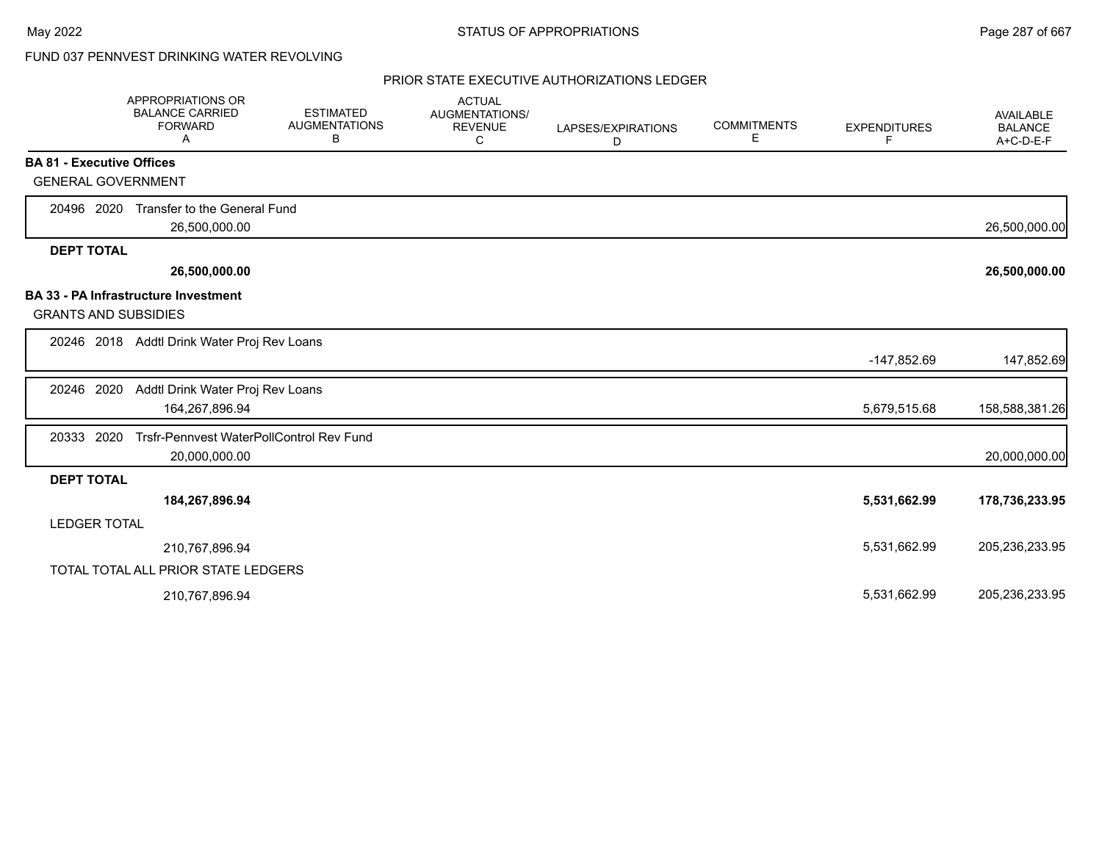# FUND 037 PENNVEST DRINKING WATER REVOLVING

|                                  | <b>APPROPRIATIONS OR</b><br><b>BALANCE CARRIED</b><br><b>FORWARD</b><br>A | <b>ESTIMATED</b><br><b>AUGMENTATIONS</b><br>В | <b>ACTUAL</b><br><b>AUGMENTATIONS/</b><br><b>REVENUE</b><br>С | LAPSES/EXPIRATIONS<br>D | <b>COMMITMENTS</b><br>E | <b>EXPENDITURES</b><br>F | <b>AVAILABLE</b><br><b>BALANCE</b><br>A+C-D-E-F |
|----------------------------------|---------------------------------------------------------------------------|-----------------------------------------------|---------------------------------------------------------------|-------------------------|-------------------------|--------------------------|-------------------------------------------------|
| <b>BA 81 - Executive Offices</b> |                                                                           |                                               |                                                               |                         |                         |                          |                                                 |
| <b>GENERAL GOVERNMENT</b>        |                                                                           |                                               |                                                               |                         |                         |                          |                                                 |
| 20496 2020                       | Transfer to the General Fund<br>26,500,000.00                             |                                               |                                                               |                         |                         |                          | 26,500,000.00                                   |
| <b>DEPT TOTAL</b>                |                                                                           |                                               |                                                               |                         |                         |                          |                                                 |
|                                  | 26,500,000.00                                                             |                                               |                                                               |                         |                         |                          | 26,500,000.00                                   |
|                                  | <b>BA 33 - PA Infrastructure Investment</b>                               |                                               |                                                               |                         |                         |                          |                                                 |
| <b>GRANTS AND SUBSIDIES</b>      |                                                                           |                                               |                                                               |                         |                         |                          |                                                 |
|                                  | 20246 2018 Addtl Drink Water Proj Rev Loans                               |                                               |                                                               |                         |                         |                          |                                                 |
|                                  |                                                                           |                                               |                                                               |                         |                         | -147,852.69              | 147,852.69                                      |
| 20246 2020                       | Addtl Drink Water Proj Rev Loans                                          |                                               |                                                               |                         |                         |                          |                                                 |
|                                  | 164,267,896.94                                                            |                                               |                                                               |                         |                         | 5,679,515.68             | 158,588,381.26                                  |
| 20333 2020                       | Trsfr-Pennvest WaterPollControl Rev Fund                                  |                                               |                                                               |                         |                         |                          |                                                 |
|                                  | 20,000,000.00                                                             |                                               |                                                               |                         |                         |                          | 20,000,000.00                                   |
| <b>DEPT TOTAL</b>                |                                                                           |                                               |                                                               |                         |                         |                          |                                                 |
|                                  | 184,267,896.94                                                            |                                               |                                                               |                         |                         | 5,531,662.99             | 178,736,233.95                                  |
| <b>LEDGER TOTAL</b>              |                                                                           |                                               |                                                               |                         |                         |                          |                                                 |
|                                  | 210,767,896.94                                                            |                                               |                                                               |                         |                         | 5,531,662.99             | 205,236,233.95                                  |
|                                  | TOTAL TOTAL ALL PRIOR STATE LEDGERS                                       |                                               |                                                               |                         |                         |                          |                                                 |
|                                  | 210,767,896.94                                                            |                                               |                                                               |                         |                         | 5,531,662.99             | 205,236,233.95                                  |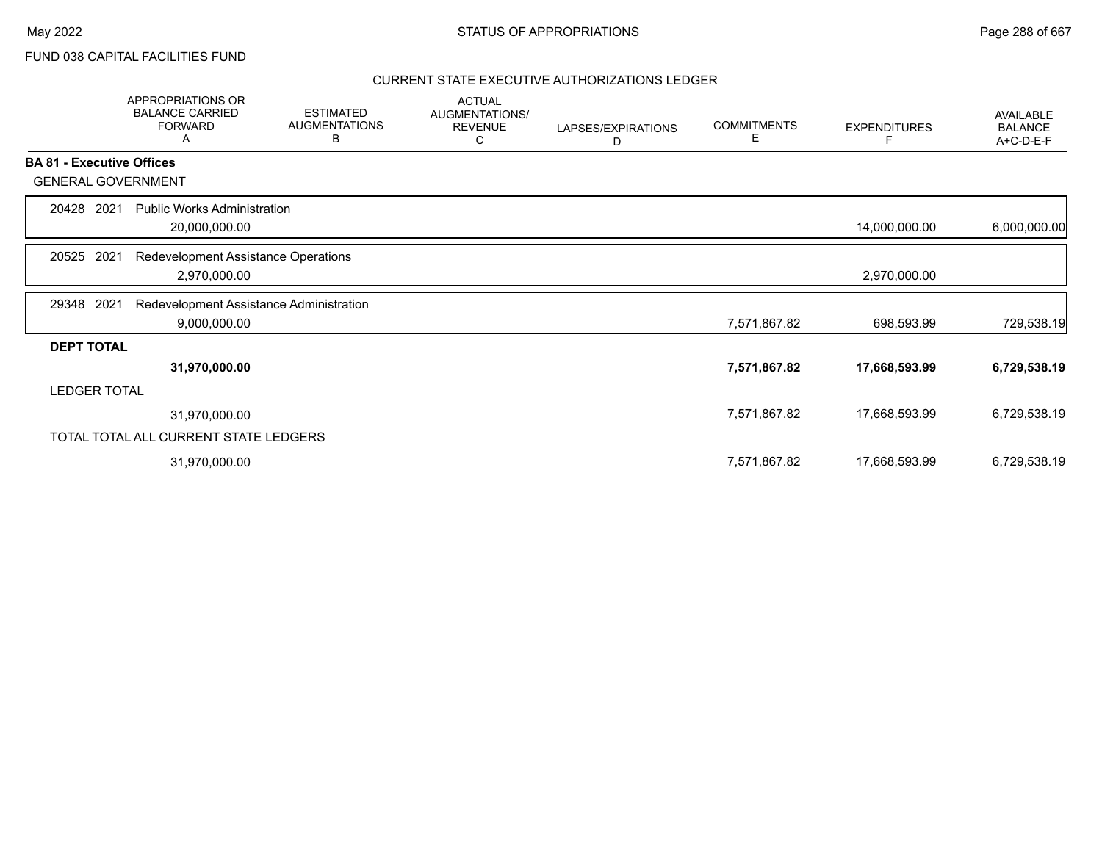FUND 038 CAPITAL FACILITIES FUND

|                                  | <b>APPROPRIATIONS OR</b><br><b>BALANCE CARRIED</b><br><b>FORWARD</b><br>Α | <b>ESTIMATED</b><br><b>AUGMENTATIONS</b><br>В | <b>ACTUAL</b><br>AUGMENTATIONS/<br><b>REVENUE</b><br>С | LAPSES/EXPIRATIONS<br>D | <b>COMMITMENTS</b><br>Е | <b>EXPENDITURES</b> | AVAILABLE<br><b>BALANCE</b><br>A+C-D-E-F |
|----------------------------------|---------------------------------------------------------------------------|-----------------------------------------------|--------------------------------------------------------|-------------------------|-------------------------|---------------------|------------------------------------------|
| <b>BA 81 - Executive Offices</b> |                                                                           |                                               |                                                        |                         |                         |                     |                                          |
| <b>GENERAL GOVERNMENT</b>        |                                                                           |                                               |                                                        |                         |                         |                     |                                          |
| 20428<br>2021                    | <b>Public Works Administration</b><br>20,000,000.00                       |                                               |                                                        |                         |                         | 14,000,000.00       | 6,000,000.00                             |
| 20525<br>2021                    | Redevelopment Assistance Operations<br>2,970,000.00                       |                                               |                                                        |                         |                         | 2,970,000.00        |                                          |
| 2021<br>29348                    | Redevelopment Assistance Administration                                   |                                               |                                                        |                         |                         |                     |                                          |
|                                  | 9,000,000.00                                                              |                                               |                                                        |                         | 7,571,867.82            | 698,593.99          | 729,538.19                               |
| <b>DEPT TOTAL</b>                |                                                                           |                                               |                                                        |                         |                         |                     |                                          |
|                                  | 31,970,000.00                                                             |                                               |                                                        |                         | 7,571,867.82            | 17,668,593.99       | 6,729,538.19                             |
| <b>LEDGER TOTAL</b>              |                                                                           |                                               |                                                        |                         |                         |                     |                                          |
|                                  | 31,970,000.00                                                             |                                               |                                                        |                         | 7,571,867.82            | 17,668,593.99       | 6,729,538.19                             |
|                                  | TOTAL TOTAL ALL CURRENT STATE LEDGERS                                     |                                               |                                                        |                         |                         |                     |                                          |
|                                  | 31,970,000.00                                                             |                                               |                                                        |                         | 7,571,867.82            | 17,668,593.99       | 6,729,538.19                             |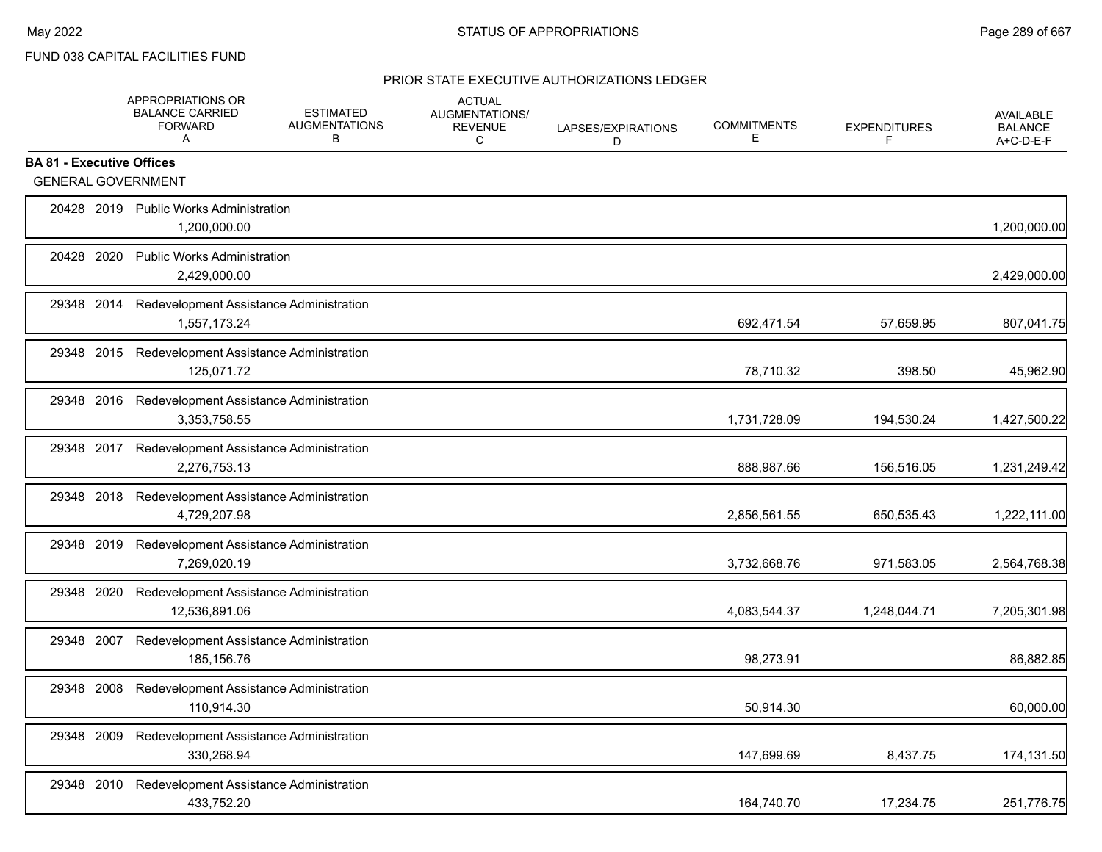### PRIOR STATE EXECUTIVE AUTHORIZATIONS LEDGER

|                                                               | APPROPRIATIONS OR<br><b>BALANCE CARRIED</b><br><b>FORWARD</b><br>A | <b>ESTIMATED</b><br><b>AUGMENTATIONS</b><br>В | <b>ACTUAL</b><br>AUGMENTATIONS/<br><b>REVENUE</b><br>C | LAPSES/EXPIRATIONS<br>D | <b>COMMITMENTS</b><br>Е | <b>EXPENDITURES</b><br>F | <b>AVAILABLE</b><br><b>BALANCE</b><br>A+C-D-E-F |
|---------------------------------------------------------------|--------------------------------------------------------------------|-----------------------------------------------|--------------------------------------------------------|-------------------------|-------------------------|--------------------------|-------------------------------------------------|
| <b>BA 81 - Executive Offices</b><br><b>GENERAL GOVERNMENT</b> |                                                                    |                                               |                                                        |                         |                         |                          |                                                 |
|                                                               | 20428 2019 Public Works Administration<br>1,200,000.00             |                                               |                                                        |                         |                         |                          | 1,200,000.00                                    |
| 20428 2020                                                    | <b>Public Works Administration</b><br>2,429,000.00                 |                                               |                                                        |                         |                         |                          | 2,429,000.00                                    |
| 29348 2014                                                    | Redevelopment Assistance Administration<br>1,557,173.24            |                                               |                                                        |                         | 692,471.54              | 57,659.95                | 807,041.75                                      |
|                                                               | 29348 2015 Redevelopment Assistance Administration<br>125,071.72   |                                               |                                                        |                         | 78,710.32               | 398.50                   | 45,962.90                                       |
|                                                               | 29348 2016 Redevelopment Assistance Administration<br>3,353,758.55 |                                               |                                                        |                         | 1,731,728.09            | 194,530.24               | 1,427,500.22                                    |
|                                                               | 29348 2017 Redevelopment Assistance Administration<br>2,276,753.13 |                                               |                                                        |                         | 888,987.66              | 156,516.05               | 1,231,249.42                                    |
| 29348 2018                                                    | Redevelopment Assistance Administration<br>4,729,207.98            |                                               |                                                        |                         | 2,856,561.55            | 650,535.43               | 1,222,111.00                                    |
| 29348 2019                                                    | Redevelopment Assistance Administration<br>7,269,020.19            |                                               |                                                        |                         | 3,732,668.76            | 971,583.05               | 2,564,768.38                                    |
| 29348 2020                                                    | Redevelopment Assistance Administration<br>12,536,891.06           |                                               |                                                        |                         | 4,083,544.37            | 1,248,044.71             | 7,205,301.98                                    |
| 29348 2007                                                    | Redevelopment Assistance Administration<br>185,156.76              |                                               |                                                        |                         | 98,273.91               |                          | 86,882.85                                       |
| 29348 2008                                                    | Redevelopment Assistance Administration<br>110,914.30              |                                               |                                                        |                         | 50,914.30               |                          | 60,000.00                                       |
| 29348 2009                                                    | Redevelopment Assistance Administration<br>330,268.94              |                                               |                                                        |                         | 147,699.69              | 8,437.75                 | 174,131.50                                      |
| 29348 2010                                                    | Redevelopment Assistance Administration<br>433,752.20              |                                               |                                                        |                         | 164,740.70              | 17,234.75                | 251,776.75                                      |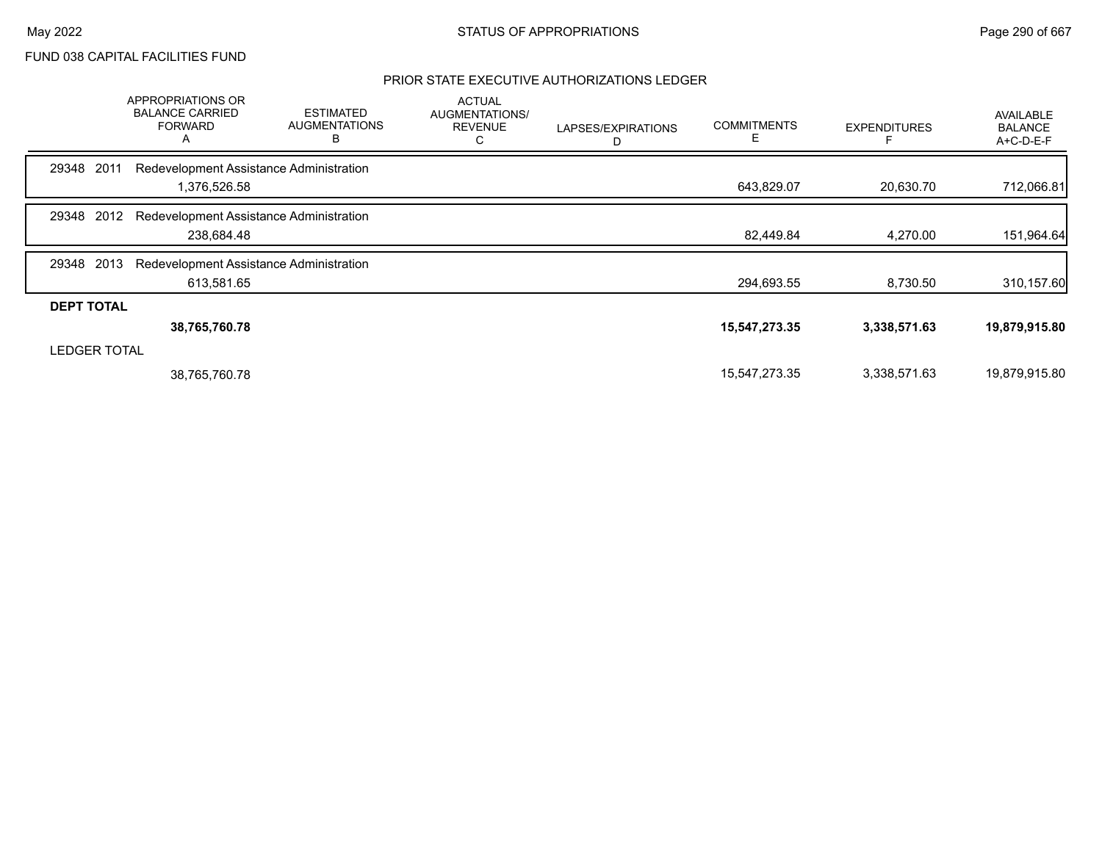## PRIOR STATE EXECUTIVE AUTHORIZATIONS LEDGER

|                     | <b>APPROPRIATIONS OR</b><br><b>BALANCE CARRIED</b><br><b>FORWARD</b><br>A | <b>ESTIMATED</b><br><b>AUGMENTATIONS</b><br>В | <b>ACTUAL</b><br>AUGMENTATIONS/<br><b>REVENUE</b><br>С | LAPSES/EXPIRATIONS<br>D | <b>COMMITMENTS</b><br>E | <b>EXPENDITURES</b> | <b>AVAILABLE</b><br><b>BALANCE</b><br>A+C-D-E-F |
|---------------------|---------------------------------------------------------------------------|-----------------------------------------------|--------------------------------------------------------|-------------------------|-------------------------|---------------------|-------------------------------------------------|
| 2011<br>29348       | Redevelopment Assistance Administration                                   |                                               |                                                        |                         |                         |                     |                                                 |
|                     | 1,376,526.58                                                              |                                               |                                                        |                         | 643,829.07              | 20,630.70           | 712,066.81                                      |
| 2012<br>29348       | Redevelopment Assistance Administration                                   |                                               |                                                        |                         |                         |                     |                                                 |
|                     | 238,684.48                                                                |                                               |                                                        |                         | 82,449.84               | 4,270.00            | 151,964.64                                      |
| 2013<br>29348       | Redevelopment Assistance Administration                                   |                                               |                                                        |                         |                         |                     |                                                 |
|                     | 613,581.65                                                                |                                               |                                                        |                         | 294,693.55              | 8,730.50            | 310,157.60                                      |
| <b>DEPT TOTAL</b>   |                                                                           |                                               |                                                        |                         |                         |                     |                                                 |
|                     | 38,765,760.78                                                             |                                               |                                                        |                         | 15,547,273.35           | 3,338,571.63        | 19,879,915.80                                   |
| <b>LEDGER TOTAL</b> |                                                                           |                                               |                                                        |                         |                         |                     |                                                 |
|                     | 38,765,760.78                                                             |                                               |                                                        |                         | 15,547,273.35           | 3,338,571.63        | 19,879,915.80                                   |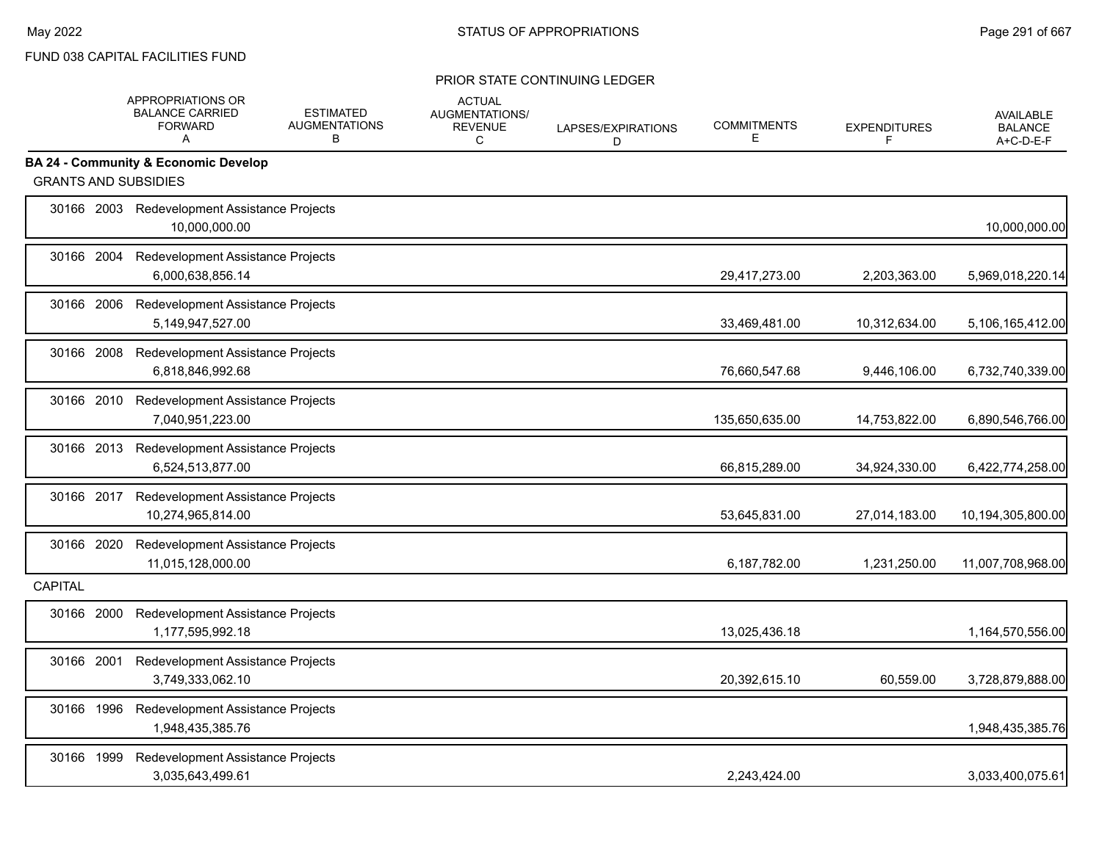|                | APPROPRIATIONS OR<br><b>BALANCE CARRIED</b><br><b>FORWARD</b><br>A | <b>ESTIMATED</b><br><b>AUGMENTATIONS</b><br>В | <b>ACTUAL</b><br><b>AUGMENTATIONS/</b><br><b>REVENUE</b><br>C | LAPSES/EXPIRATIONS<br>D | <b>COMMITMENTS</b><br>Е | <b>EXPENDITURES</b><br>F | <b>AVAILABLE</b><br><b>BALANCE</b><br>A+C-D-E-F |
|----------------|--------------------------------------------------------------------|-----------------------------------------------|---------------------------------------------------------------|-------------------------|-------------------------|--------------------------|-------------------------------------------------|
|                | <b>BA 24 - Community &amp; Economic Develop</b>                    |                                               |                                                               |                         |                         |                          |                                                 |
|                | <b>GRANTS AND SUBSIDIES</b>                                        |                                               |                                                               |                         |                         |                          |                                                 |
|                | 30166 2003 Redevelopment Assistance Projects<br>10,000,000.00      |                                               |                                                               |                         |                         |                          | 10,000,000.00                                   |
|                | 30166 2004 Redevelopment Assistance Projects<br>6,000,638,856.14   |                                               |                                                               |                         | 29,417,273.00           | 2,203,363.00             | 5,969,018,220.14                                |
|                | 30166 2006 Redevelopment Assistance Projects<br>5,149,947,527.00   |                                               |                                                               |                         | 33,469,481.00           | 10,312,634.00            | 5,106,165,412.00                                |
| 30166 2008     | Redevelopment Assistance Projects<br>6,818,846,992.68              |                                               |                                                               |                         | 76,660,547.68           | 9,446,106.00             | 6,732,740,339.00                                |
|                | 30166 2010 Redevelopment Assistance Projects<br>7,040,951,223.00   |                                               |                                                               |                         | 135,650,635.00          | 14,753,822.00            | 6,890,546,766.00                                |
|                | 30166 2013 Redevelopment Assistance Projects<br>6,524,513,877.00   |                                               |                                                               |                         | 66,815,289.00           | 34,924,330.00            | 6,422,774,258.00                                |
| 30166 2017     | 10.274.965.814.00                                                  | Redevelopment Assistance Projects             |                                                               |                         | 53,645,831.00           | 27,014,183.00            | 10,194,305,800.00                               |
| 30166 2020     | 11,015,128,000.00                                                  | Redevelopment Assistance Projects             |                                                               |                         | 6,187,782.00            | 1,231,250.00             | 11,007,708,968.00                               |
| <b>CAPITAL</b> |                                                                    |                                               |                                                               |                         |                         |                          |                                                 |
| 30166 2000     | Redevelopment Assistance Projects<br>1,177,595,992.18              |                                               |                                                               |                         | 13,025,436.18           |                          | 1,164,570,556.00                                |
| 30166 2001     | 3,749,333,062.10                                                   | Redevelopment Assistance Projects             |                                                               |                         | 20,392,615.10           | 60,559.00                | 3,728,879,888.00                                |
| 30166 1996     | Redevelopment Assistance Projects<br>1,948,435,385.76              |                                               |                                                               |                         |                         |                          | 1,948,435,385.76                                |
| 30166 1999     | 3,035,643,499.61                                                   | Redevelopment Assistance Projects             |                                                               |                         | 2,243,424.00            |                          | 3,033,400,075.61                                |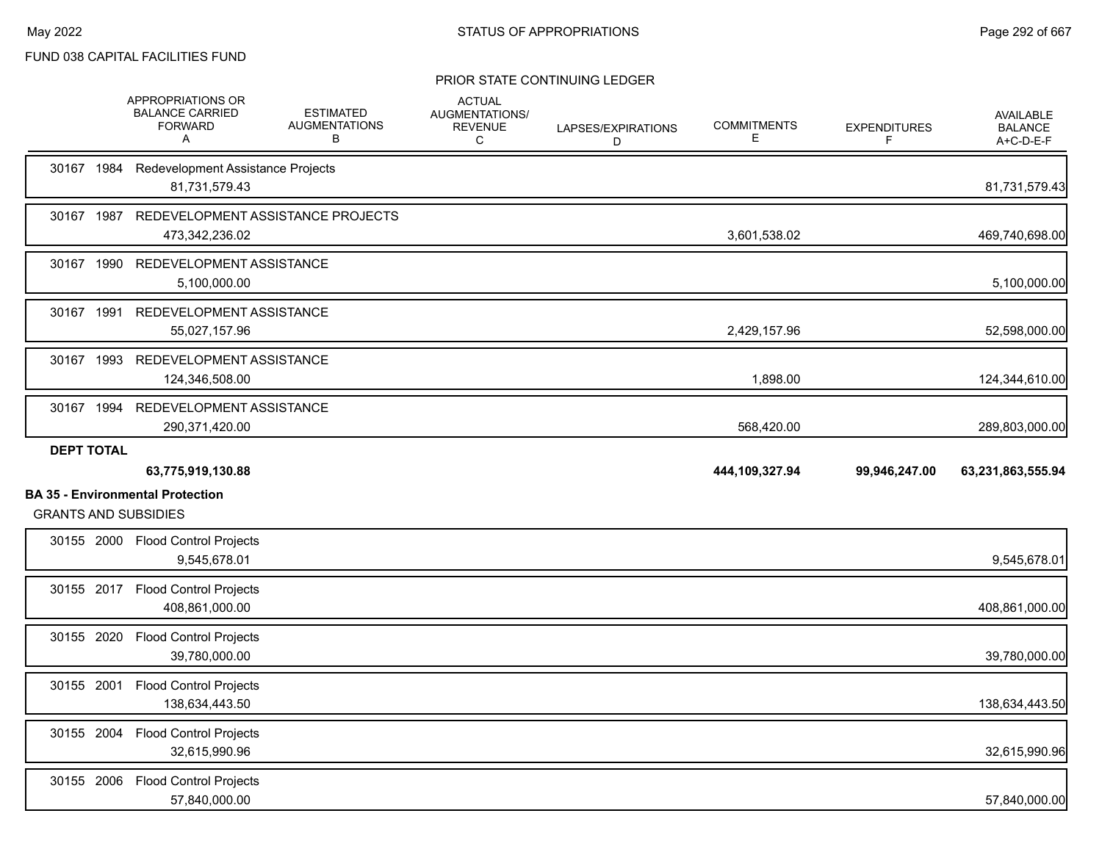|            |                   | APPROPRIATIONS OR<br><b>BALANCE CARRIED</b><br><b>FORWARD</b><br>A                          | <b>ESTIMATED</b><br><b>AUGMENTATIONS</b><br>В | <b>ACTUAL</b><br>AUGMENTATIONS/<br><b>REVENUE</b><br>C | LAPSES/EXPIRATIONS<br>D | <b>COMMITMENTS</b><br>Е | <b>EXPENDITURES</b><br>F | AVAILABLE<br><b>BALANCE</b><br>A+C-D-E-F |
|------------|-------------------|---------------------------------------------------------------------------------------------|-----------------------------------------------|--------------------------------------------------------|-------------------------|-------------------------|--------------------------|------------------------------------------|
| 30167 1984 |                   | Redevelopment Assistance Projects<br>81,731,579.43                                          |                                               |                                                        |                         |                         |                          | 81,731,579.43                            |
|            |                   | 30167 1987 REDEVELOPMENT ASSISTANCE PROJECTS<br>473,342,236.02                              |                                               |                                                        |                         | 3,601,538.02            |                          | 469,740,698.00                           |
|            |                   | 30167 1990 REDEVELOPMENT ASSISTANCE<br>5,100,000.00                                         |                                               |                                                        |                         |                         |                          | 5,100,000.00                             |
|            |                   | 30167 1991 REDEVELOPMENT ASSISTANCE<br>55,027,157.96                                        |                                               |                                                        |                         | 2,429,157.96            |                          | 52,598,000.00                            |
| 30167 1993 |                   | REDEVELOPMENT ASSISTANCE<br>124,346,508.00                                                  |                                               |                                                        |                         | 1,898.00                |                          | 124,344,610.00                           |
|            |                   | 30167 1994 REDEVELOPMENT ASSISTANCE<br>290,371,420.00                                       |                                               |                                                        |                         | 568,420.00              |                          | 289,803,000.00                           |
|            | <b>DEPT TOTAL</b> |                                                                                             |                                               |                                                        |                         |                         |                          |                                          |
|            |                   |                                                                                             |                                               |                                                        |                         |                         |                          |                                          |
|            |                   | 63,775,919,130.88<br><b>BA 35 - Environmental Protection</b><br><b>GRANTS AND SUBSIDIES</b> |                                               |                                                        |                         | 444,109,327.94          | 99,946,247.00            | 63,231,863,555.94                        |
|            |                   | 30155 2000 Flood Control Projects<br>9,545,678.01                                           |                                               |                                                        |                         |                         |                          |                                          |
|            |                   | 30155 2017 Flood Control Projects<br>408,861,000.00                                         |                                               |                                                        |                         |                         |                          | 9,545,678.01<br>408,861,000.00           |
|            |                   | 30155 2020 Flood Control Projects<br>39,780,000.00                                          |                                               |                                                        |                         |                         |                          | 39,780,000.00                            |
|            |                   | 30155 2001 Flood Control Projects<br>138,634,443.50                                         |                                               |                                                        |                         |                         |                          | 138,634,443.50                           |
|            |                   | 30155 2004 Flood Control Projects<br>32,615,990.96                                          |                                               |                                                        |                         |                         |                          | 32,615,990.96                            |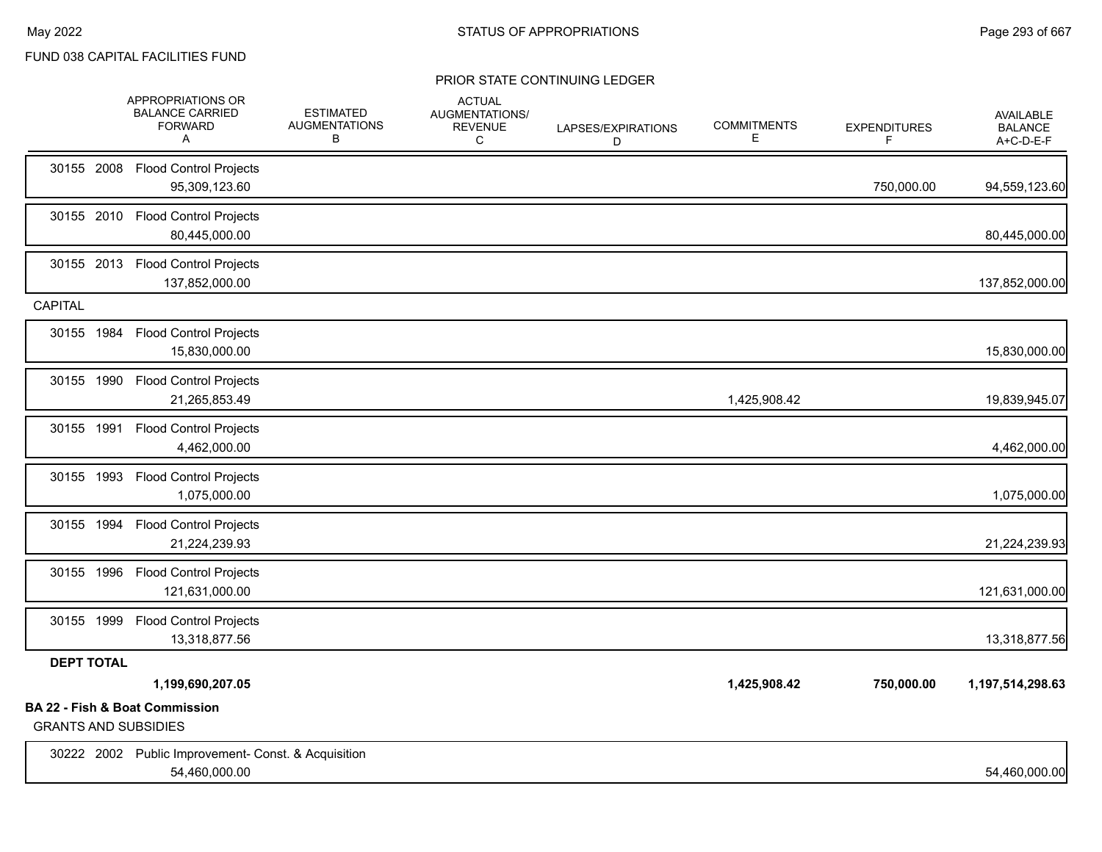|                             | APPROPRIATIONS OR<br><b>BALANCE CARRIED</b><br><b>FORWARD</b><br>A   | <b>ESTIMATED</b><br><b>AUGMENTATIONS</b><br>В | <b>ACTUAL</b><br><b>AUGMENTATIONS/</b><br><b>REVENUE</b><br>C | LAPSES/EXPIRATIONS<br>D | <b>COMMITMENTS</b><br>Е | <b>EXPENDITURES</b><br>F | <b>AVAILABLE</b><br><b>BALANCE</b><br>A+C-D-E-F |
|-----------------------------|----------------------------------------------------------------------|-----------------------------------------------|---------------------------------------------------------------|-------------------------|-------------------------|--------------------------|-------------------------------------------------|
|                             | 30155 2008 Flood Control Projects<br>95,309,123.60                   |                                               |                                                               |                         |                         | 750,000.00               | 94,559,123.60                                   |
|                             | 30155 2010 Flood Control Projects<br>80,445,000.00                   |                                               |                                                               |                         |                         |                          | 80,445,000.00                                   |
|                             | 30155 2013 Flood Control Projects<br>137,852,000.00                  |                                               |                                                               |                         |                         |                          | 137,852,000.00                                  |
| <b>CAPITAL</b>              |                                                                      |                                               |                                                               |                         |                         |                          |                                                 |
|                             | 30155 1984 Flood Control Projects<br>15,830,000.00                   |                                               |                                                               |                         |                         |                          | 15,830,000.00                                   |
|                             | 30155 1990 Flood Control Projects<br>21,265,853.49                   |                                               |                                                               |                         | 1,425,908.42            |                          | 19,839,945.07                                   |
|                             | 30155 1991 Flood Control Projects<br>4,462,000.00                    |                                               |                                                               |                         |                         |                          | 4,462,000.00                                    |
|                             | 30155 1993 Flood Control Projects<br>1,075,000.00                    |                                               |                                                               |                         |                         |                          | 1,075,000.00                                    |
|                             | 30155 1994 Flood Control Projects<br>21,224,239.93                   |                                               |                                                               |                         |                         |                          | 21,224,239.93                                   |
|                             | 30155 1996 Flood Control Projects<br>121,631,000.00                  |                                               |                                                               |                         |                         |                          | 121,631,000.00                                  |
|                             | 30155 1999 Flood Control Projects<br>13,318,877.56                   |                                               |                                                               |                         |                         |                          | 13,318,877.56                                   |
| <b>DEPT TOTAL</b>           |                                                                      |                                               |                                                               |                         |                         |                          |                                                 |
|                             | 1,199,690,207.05                                                     |                                               |                                                               |                         | 1,425,908.42            | 750,000.00               | 1,197,514,298.63                                |
| <b>GRANTS AND SUBSIDIES</b> | BA 22 - Fish & Boat Commission                                       |                                               |                                                               |                         |                         |                          |                                                 |
|                             | 30222 2002 Public Improvement- Const. & Acquisition<br>54,460,000.00 |                                               |                                                               |                         |                         |                          | 54,460,000.00                                   |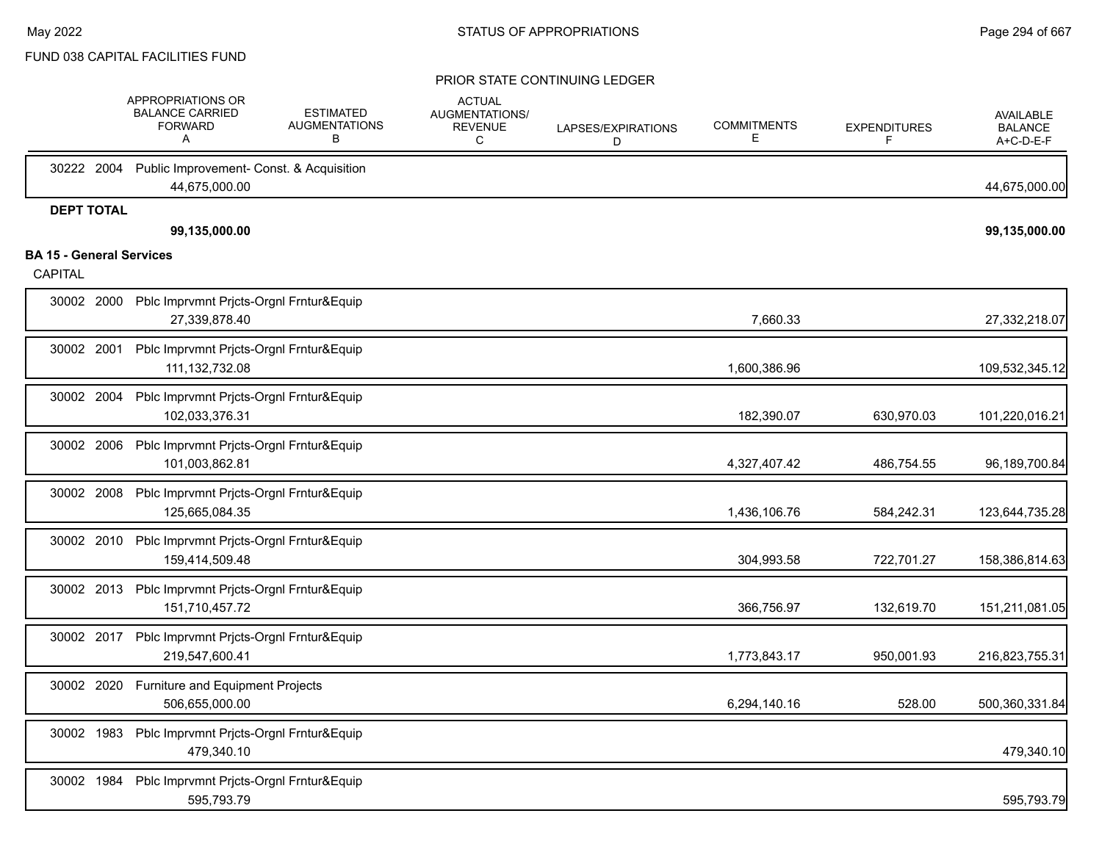|                                                   | APPROPRIATIONS OR<br><b>BALANCE CARRIED</b><br><b>FORWARD</b><br>Α   | <b>ESTIMATED</b><br><b>AUGMENTATIONS</b><br>В | <b>ACTUAL</b><br>AUGMENTATIONS/<br>REVENUE<br>C | LAPSES/EXPIRATIONS<br>D | <b>COMMITMENTS</b><br>E. | <b>EXPENDITURES</b><br>F | <b>AVAILABLE</b><br><b>BALANCE</b><br>A+C-D-E-F |
|---------------------------------------------------|----------------------------------------------------------------------|-----------------------------------------------|-------------------------------------------------|-------------------------|--------------------------|--------------------------|-------------------------------------------------|
| 30222 2004                                        | Public Improvement- Const. & Acquisition<br>44,675,000.00            |                                               |                                                 |                         |                          |                          | 44,675,000.00                                   |
| <b>DEPT TOTAL</b>                                 | 99,135,000.00                                                        |                                               |                                                 |                         |                          |                          | 99,135,000.00                                   |
| <b>BA 15 - General Services</b><br><b>CAPITAL</b> |                                                                      |                                               |                                                 |                         |                          |                          |                                                 |
|                                                   | 30002 2000 Pblc Imprvmnt Prjcts-Orgnl Frntur&Equip<br>27,339,878.40  |                                               |                                                 |                         | 7,660.33                 |                          | 27,332,218.07                                   |
| 30002 2001                                        | Pblc Imprvmnt Prjcts-Orgnl Frntur&Equip<br>111, 132, 732.08          |                                               |                                                 |                         | 1,600,386.96             |                          | 109,532,345.12                                  |
| 30002 2004                                        | Pblc Imprvmnt Prjcts-Orgnl Frntur&Equip<br>102,033,376.31            |                                               |                                                 |                         | 182,390.07               | 630,970.03               | 101,220,016.21                                  |
| 30002 2006                                        | Pblc Imprvmnt Prjcts-Orgnl Frntur&Equip<br>101,003,862.81            |                                               |                                                 |                         | 4,327,407.42             | 486,754.55               | 96,189,700.84                                   |
| 30002 2008                                        | Pblc Imprvmnt Prjcts-Orgnl Frntur&Equip<br>125,665,084.35            |                                               |                                                 |                         | 1,436,106.76             | 584,242.31               | 123,644,735.28                                  |
|                                                   | 30002 2010 Pblc Imprvmnt Prjcts-Orgnl Frntur&Equip<br>159,414,509.48 |                                               |                                                 |                         | 304,993.58               | 722,701.27               | 158,386,814.63                                  |
|                                                   | 30002 2013 Pblc Imprvmnt Prjcts-Orgnl Frntur&Equip<br>151,710,457.72 |                                               |                                                 |                         | 366,756.97               | 132,619.70               | 151,211,081.05                                  |
|                                                   | 30002 2017 Pblc Imprvmnt Pricts-Orgnl Frntur&Equip<br>219,547,600.41 |                                               |                                                 |                         | 1,773,843.17             | 950,001.93               | 216,823,755.31                                  |
|                                                   | 30002 2020 Furniture and Equipment Projects<br>506,655,000.00        |                                               |                                                 |                         | 6,294,140.16             | 528.00                   | 500,360,331.84                                  |
|                                                   | 30002 1983 Pblc Imprvmnt Prjcts-Orgnl Frntur&Equip<br>479,340.10     |                                               |                                                 |                         |                          |                          | 479,340.10                                      |
|                                                   | 30002 1984 Pblc Imprvmnt Prjcts-Orgnl Frntur&Equip<br>595,793.79     |                                               |                                                 |                         |                          |                          | 595,793.79                                      |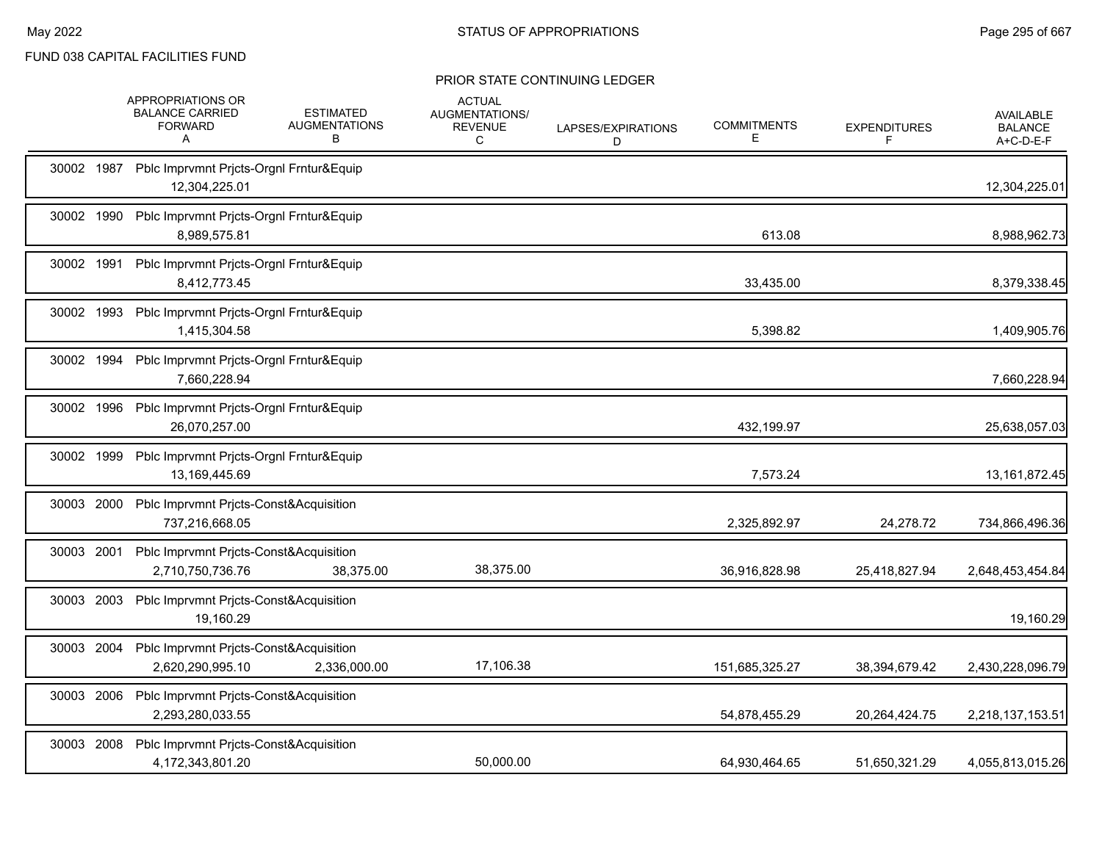|            | APPROPRIATIONS OR<br><b>BALANCE CARRIED</b><br><b>FORWARD</b><br>Α    | <b>ESTIMATED</b><br><b>AUGMENTATIONS</b><br>В | <b>ACTUAL</b><br>AUGMENTATIONS/<br><b>REVENUE</b><br>C | LAPSES/EXPIRATIONS<br>D | <b>COMMITMENTS</b><br>Е | <b>EXPENDITURES</b><br>F | <b>AVAILABLE</b><br><b>BALANCE</b><br>A+C-D-E-F |
|------------|-----------------------------------------------------------------------|-----------------------------------------------|--------------------------------------------------------|-------------------------|-------------------------|--------------------------|-------------------------------------------------|
| 30002 1987 | Pblc Imprvmnt Prjcts-Orgnl Frntur&Equip<br>12,304,225.01              |                                               |                                                        |                         |                         |                          | 12,304,225.01                                   |
| 30002 1990 | Pblc Imprvmnt Prjcts-Orgnl Frntur&Equip<br>8,989,575.81               |                                               |                                                        |                         | 613.08                  |                          | 8,988,962.73                                    |
| 30002 1991 | Pblc Imprvmnt Prjcts-Orgnl Frntur&Equip<br>8,412,773.45               |                                               |                                                        |                         | 33,435.00               |                          | 8,379,338.45                                    |
| 30002 1993 | Pblc Imprvmnt Pricts-Orgnl Frntur&Equip<br>1,415,304.58               |                                               |                                                        |                         | 5,398.82                |                          | 1,409,905.76                                    |
| 30002 1994 | Pblc Imprvmnt Pricts-Orgnl Frntur&Equip<br>7,660,228.94               |                                               |                                                        |                         |                         |                          | 7,660,228.94                                    |
| 30002 1996 | Pblc Imprvmnt Prjcts-Orgnl Frntur&Equip<br>26,070,257.00              |                                               |                                                        |                         | 432,199.97              |                          | 25,638,057.03                                   |
| 30002 1999 | Pblc Imprvmnt Prjcts-Orgnl Frntur&Equip<br>13,169,445.69              |                                               |                                                        |                         | 7,573.24                |                          | 13, 161, 872. 45                                |
| 30003 2000 | Pblc Imprvmnt Prjcts-Const&Acquisition<br>737,216,668.05              |                                               |                                                        |                         | 2,325,892.97            | 24,278.72                | 734,866,496.36                                  |
| 30003 2001 | Pblc Imprvmnt Prjcts-Const&Acquisition<br>2,710,750,736.76            | 38,375.00                                     | 38,375.00                                              |                         | 36,916,828.98           | 25,418,827.94            | 2,648,453,454.84                                |
| 30003 2003 | Pblc Imprvmnt Prjcts-Const&Acquisition<br>19,160.29                   |                                               |                                                        |                         |                         |                          | 19,160.29                                       |
|            | 30003 2004 Pblc Imprvmnt Prjcts-Const&Acquisition<br>2,620,290,995.10 | 2,336,000.00                                  | 17,106.38                                              |                         | 151,685,325.27          | 38,394,679.42            | 2,430,228,096.79                                |
|            | 30003 2006 Pblc Imprvmnt Pricts-Const&Acquisition<br>2,293,280,033.55 |                                               |                                                        |                         | 54,878,455.29           | 20,264,424.75            | 2,218,137,153.51                                |
| 30003 2008 | Pblc Imprvmnt Prjcts-Const&Acquisition<br>4,172,343,801.20            |                                               | 50.000.00                                              |                         | 64,930,464.65           | 51,650,321.29            | 4,055,813,015.26                                |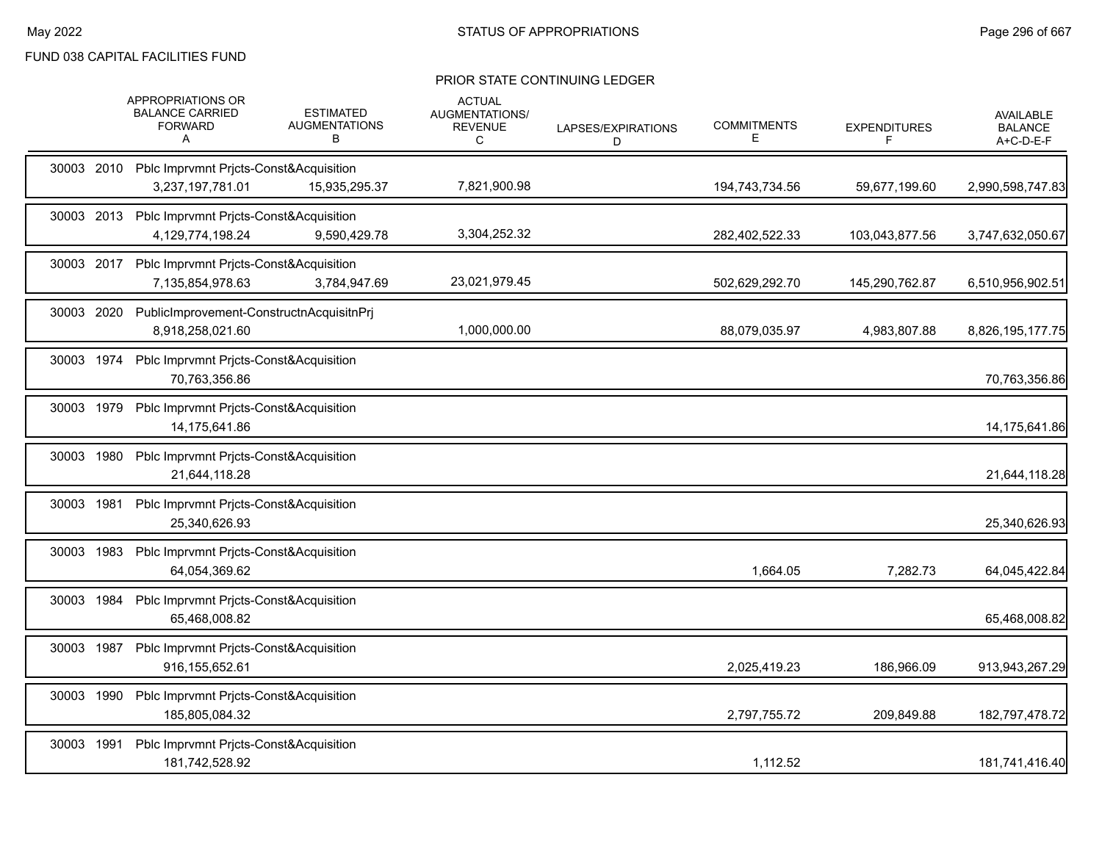|            | APPROPRIATIONS OR<br><b>BALANCE CARRIED</b><br><b>FORWARD</b><br>A      | <b>ESTIMATED</b><br><b>AUGMENTATIONS</b><br>В | <b>ACTUAL</b><br>AUGMENTATIONS/<br><b>REVENUE</b><br>C | LAPSES/EXPIRATIONS<br>D | <b>COMMITMENTS</b><br>Е | <b>EXPENDITURES</b><br>F | <b>AVAILABLE</b><br><b>BALANCE</b><br>A+C-D-E-F |
|------------|-------------------------------------------------------------------------|-----------------------------------------------|--------------------------------------------------------|-------------------------|-------------------------|--------------------------|-------------------------------------------------|
|            | 30003 2010 Pblc Imprvmnt Pricts-Const&Acquisition<br>3,237,197,781.01   | 15,935,295.37                                 | 7,821,900.98                                           |                         | 194,743,734.56          | 59,677,199.60            | 2,990,598,747.83                                |
|            | 30003 2013 Pblc Imprvmnt Pricts-Const&Acquisition<br>4,129,774,198.24   | 9,590,429.78                                  | 3,304,252.32                                           |                         | 282,402,522.33          | 103,043,877.56           | 3,747,632,050.67                                |
|            | 30003 2017 Pblc Imprvmnt Prjcts-Const&Acquisition<br>7,135,854,978.63   | 3,784,947.69                                  | 23,021,979.45                                          |                         | 502,629,292.70          | 145,290,762.87           | 6,510,956,902.51                                |
|            | 30003 2020 PublicImprovement-ConstructnAcquisitnPrj<br>8,918,258,021.60 |                                               | 1,000,000.00                                           |                         | 88,079,035.97           | 4,983,807.88             | 8,826,195,177.75                                |
|            | 30003 1974 Pblc Imprvmnt Pricts-Const&Acquisition<br>70,763,356.86      |                                               |                                                        |                         |                         |                          | 70,763,356.86                                   |
|            | 30003 1979 Pblc Imprvmnt Pricts-Const&Acquisition<br>14,175,641.86      |                                               |                                                        |                         |                         |                          | 14,175,641.86                                   |
| 30003 1980 | Pblc Imprvmnt Pricts-Const&Acquisition<br>21,644,118.28                 |                                               |                                                        |                         |                         |                          | 21,644,118.28                                   |
| 30003 1981 | Pblc Imprvmnt Pricts-Const&Acquisition<br>25,340,626.93                 |                                               |                                                        |                         |                         |                          | 25,340,626.93                                   |
| 30003 1983 | Pblc Imprvmnt Pricts-Const&Acquisition<br>64,054,369.62                 |                                               |                                                        |                         | 1,664.05                | 7,282.73                 | 64,045,422.84                                   |
| 30003 1984 | Pblc Imprvmnt Prjcts-Const&Acquisition<br>65,468,008.82                 |                                               |                                                        |                         |                         |                          | 65,468,008.82                                   |
|            | 30003 1987 Pblc Imprvmnt Prjcts-Const&Acquisition<br>916,155,652.61     |                                               |                                                        |                         | 2,025,419.23            | 186,966.09               | 913,943,267.29                                  |
|            | 30003 1990 Pblc Imprvmnt Pricts-Const&Acquisition<br>185,805,084.32     |                                               |                                                        |                         | 2,797,755.72            | 209,849.88               | 182,797,478.72                                  |
| 30003 1991 | Pblc Imprvmnt Pricts-Const&Acquisition<br>181,742,528.92                |                                               |                                                        |                         | 1,112.52                |                          | 181,741,416.40                                  |
|            |                                                                         |                                               |                                                        |                         |                         |                          |                                                 |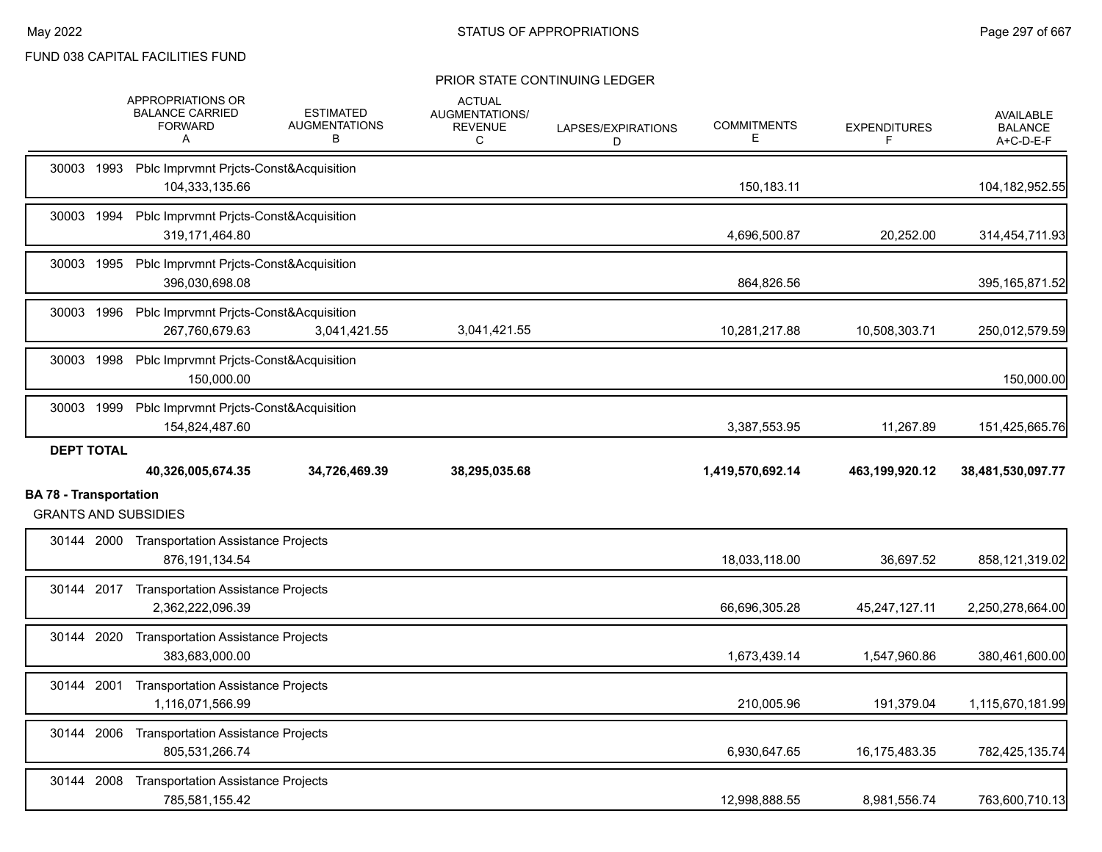|                               | APPROPRIATIONS OR<br><b>BALANCE CARRIED</b><br><b>FORWARD</b><br>A  | <b>ESTIMATED</b><br><b>AUGMENTATIONS</b><br>В | <b>ACTUAL</b><br>AUGMENTATIONS/<br><b>REVENUE</b><br>C | LAPSES/EXPIRATIONS<br>D | <b>COMMITMENTS</b><br>Е | <b>EXPENDITURES</b><br>F | <b>AVAILABLE</b><br><b>BALANCE</b><br>$A+C-D-E-F$ |
|-------------------------------|---------------------------------------------------------------------|-----------------------------------------------|--------------------------------------------------------|-------------------------|-------------------------|--------------------------|---------------------------------------------------|
|                               | 30003 1993 Pblc Imprvmnt Prjcts-Const&Acquisition<br>104,333,135.66 |                                               |                                                        |                         | 150,183.11              |                          | 104, 182, 952.55                                  |
|                               | 30003 1994 Pblc Imprvmnt Pricts-Const&Acquisition<br>319,171,464.80 |                                               |                                                        |                         | 4,696,500.87            | 20,252.00                | 314,454,711.93                                    |
|                               | 30003 1995 Pblc Imprvmnt Pricts-Const&Acquisition<br>396,030,698.08 |                                               |                                                        |                         | 864,826.56              |                          | 395, 165, 871.52                                  |
|                               | 30003 1996 Pblc Imprvmnt Pricts-Const&Acquisition<br>267,760,679.63 | 3,041,421.55                                  | 3,041,421.55                                           |                         | 10,281,217.88           | 10,508,303.71            | 250,012,579.59                                    |
|                               | 30003 1998 Pblc Imprvmnt Prjcts-Const&Acquisition<br>150,000.00     |                                               |                                                        |                         |                         |                          | 150,000.00                                        |
| 30003 1999                    | Pblc Imprvmnt Prjcts-Const&Acquisition<br>154,824,487.60            |                                               |                                                        |                         | 3,387,553.95            | 11,267.89                | 151,425,665.76                                    |
|                               |                                                                     |                                               |                                                        |                         |                         |                          |                                                   |
| <b>DEPT TOTAL</b>             | 40,326,005,674.35                                                   | 34,726,469.39                                 | 38,295,035.68                                          |                         | 1,419,570,692.14        | 463,199,920.12           | 38,481,530,097.77                                 |
| <b>BA 78 - Transportation</b> | <b>GRANTS AND SUBSIDIES</b>                                         |                                               |                                                        |                         |                         |                          |                                                   |
|                               | 30144 2000 Transportation Assistance Projects<br>876.191.134.54     |                                               |                                                        |                         | 18.033.118.00           | 36.697.52                | 858,121,319.02                                    |
|                               | 30144 2017 Transportation Assistance Projects<br>2.362.222.096.39   |                                               |                                                        |                         | 66,696,305.28           | 45,247,127.11            | 2,250,278,664.00                                  |
|                               | 30144 2020 Transportation Assistance Projects<br>383,683,000.00     |                                               |                                                        |                         | 1,673,439.14            | 1,547,960.86             | 380,461,600.00                                    |
| 30144 2001                    | <b>Transportation Assistance Projects</b><br>1,116,071,566.99       |                                               |                                                        |                         | 210,005.96              | 191,379.04               | 1,115,670,181.99                                  |
|                               | 30144 2006 Transportation Assistance Projects<br>805,531,266.74     |                                               |                                                        |                         | 6,930,647.65            | 16,175,483.35            | 782,425,135.74                                    |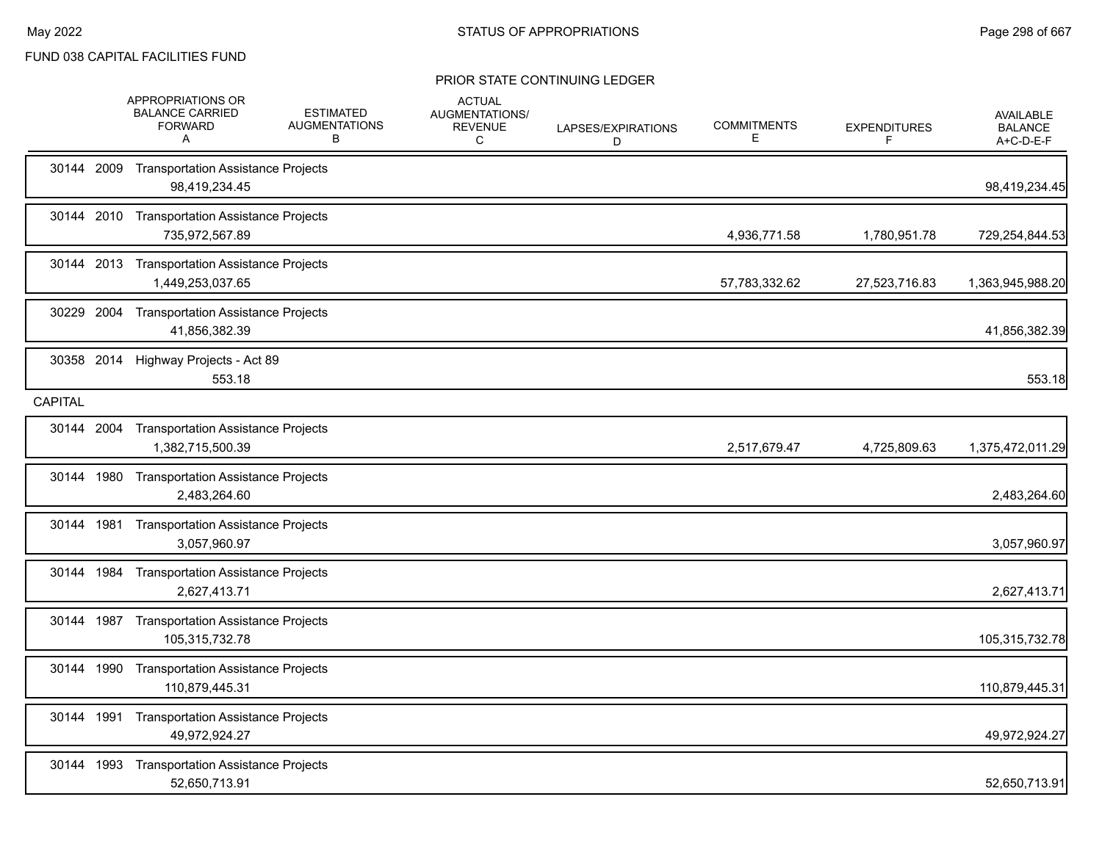|                | APPROPRIATIONS OR<br><b>BALANCE CARRIED</b><br><b>FORWARD</b><br>A | <b>ESTIMATED</b><br><b>AUGMENTATIONS</b><br>В | <b>ACTUAL</b><br>AUGMENTATIONS/<br><b>REVENUE</b><br>C | LAPSES/EXPIRATIONS<br>D | <b>COMMITMENTS</b><br>E | <b>EXPENDITURES</b><br>F | <b>AVAILABLE</b><br><b>BALANCE</b><br>A+C-D-E-F |
|----------------|--------------------------------------------------------------------|-----------------------------------------------|--------------------------------------------------------|-------------------------|-------------------------|--------------------------|-------------------------------------------------|
| 30144 2009     | <b>Transportation Assistance Projects</b><br>98,419,234.45         |                                               |                                                        |                         |                         |                          | 98,419,234.45                                   |
|                | 30144 2010 Transportation Assistance Projects<br>735,972,567.89    |                                               |                                                        |                         | 4,936,771.58            | 1,780,951.78             | 729,254,844.53                                  |
|                | 30144 2013 Transportation Assistance Projects<br>1,449,253,037.65  |                                               |                                                        |                         | 57,783,332.62           | 27,523,716.83            | 1,363,945,988.20                                |
| 30229 2004     | <b>Transportation Assistance Projects</b><br>41,856,382.39         |                                               |                                                        |                         |                         |                          | 41,856,382.39                                   |
| 30358 2014     | Highway Projects - Act 89<br>553.18                                |                                               |                                                        |                         |                         |                          | 553.18                                          |
| <b>CAPITAL</b> |                                                                    |                                               |                                                        |                         |                         |                          |                                                 |
| 30144 2004     | <b>Transportation Assistance Projects</b><br>1,382,715,500.39      |                                               |                                                        |                         | 2,517,679.47            | 4,725,809.63             | 1,375,472,011.29                                |
| 30144 1980     | <b>Transportation Assistance Projects</b><br>2,483,264.60          |                                               |                                                        |                         |                         |                          | 2,483,264.60                                    |
| 30144 1981     | <b>Transportation Assistance Projects</b><br>3,057,960.97          |                                               |                                                        |                         |                         |                          | 3,057,960.97                                    |
| 30144 1984     | <b>Transportation Assistance Projects</b><br>2,627,413.71          |                                               |                                                        |                         |                         |                          | 2,627,413.71                                    |
| 30144 1987     | <b>Transportation Assistance Projects</b><br>105,315,732.78        |                                               |                                                        |                         |                         |                          | 105,315,732.78                                  |
| 30144 1990     | <b>Transportation Assistance Projects</b><br>110,879,445.31        |                                               |                                                        |                         |                         |                          | 110,879,445.31                                  |
| 30144 1991     | <b>Transportation Assistance Projects</b><br>49,972,924.27         |                                               |                                                        |                         |                         |                          | 49,972,924.27                                   |
| 30144 1993     | <b>Transportation Assistance Projects</b><br>52,650,713.91         |                                               |                                                        |                         |                         |                          | 52,650,713.91                                   |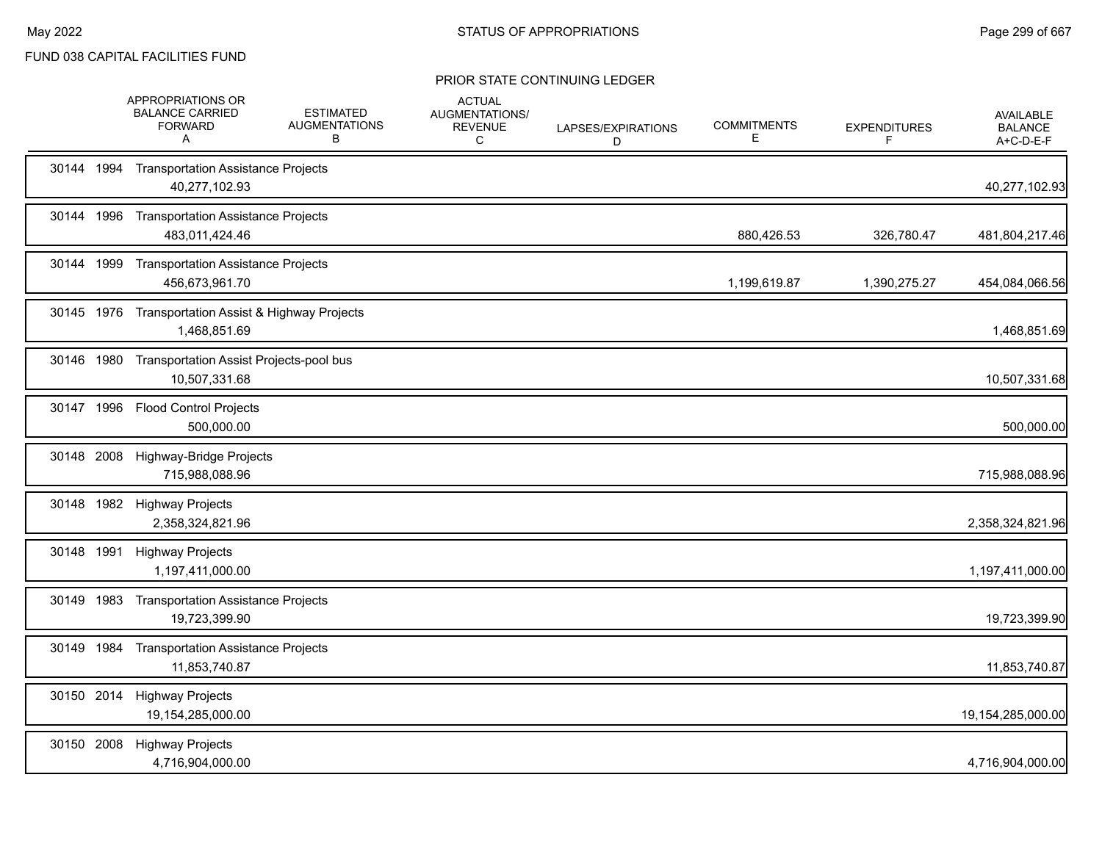|            | APPROPRIATIONS OR<br><b>BALANCE CARRIED</b><br><b>FORWARD</b><br>A  | <b>ESTIMATED</b><br><b>AUGMENTATIONS</b><br>B | <b>ACTUAL</b><br>AUGMENTATIONS/<br><b>REVENUE</b><br>C | LAPSES/EXPIRATIONS<br>D | <b>COMMITMENTS</b><br>Е | <b>EXPENDITURES</b><br>F | <b>AVAILABLE</b><br><b>BALANCE</b><br>A+C-D-E-F |
|------------|---------------------------------------------------------------------|-----------------------------------------------|--------------------------------------------------------|-------------------------|-------------------------|--------------------------|-------------------------------------------------|
|            | 30144 1994 Transportation Assistance Projects<br>40,277,102.93      |                                               |                                                        |                         |                         |                          | 40,277,102.93                                   |
| 30144 1996 | <b>Transportation Assistance Projects</b><br>483,011,424.46         |                                               |                                                        |                         | 880,426.53              | 326,780.47               | 481,804,217.46                                  |
|            | 30144 1999 Transportation Assistance Projects<br>456,673,961.70     |                                               |                                                        |                         | 1,199,619.87            | 1,390,275.27             | 454,084,066.56                                  |
|            | 30145 1976 Transportation Assist & Highway Projects<br>1,468,851.69 |                                               |                                                        |                         |                         |                          | 1,468,851.69                                    |
|            | 30146 1980 Transportation Assist Projects-pool bus<br>10,507,331.68 |                                               |                                                        |                         |                         |                          | 10,507,331.68                                   |
| 30147 1996 | <b>Flood Control Projects</b><br>500,000.00                         |                                               |                                                        |                         |                         |                          | 500,000.00                                      |
| 30148 2008 | Highway-Bridge Projects<br>715,988,088.96                           |                                               |                                                        |                         |                         |                          | 715,988,088.96                                  |
|            | 30148 1982 Highway Projects<br>2,358,324,821.96                     |                                               |                                                        |                         |                         |                          | 2,358,324,821.96                                |
| 30148 1991 | <b>Highway Projects</b><br>1,197,411,000.00                         |                                               |                                                        |                         |                         |                          | 1,197,411,000.00                                |
| 30149 1983 | <b>Transportation Assistance Projects</b><br>19,723,399.90          |                                               |                                                        |                         |                         |                          | 19,723,399.90                                   |
|            | 30149 1984 Transportation Assistance Projects<br>11,853,740.87      |                                               |                                                        |                         |                         |                          | 11,853,740.87                                   |
| 30150 2014 | <b>Highway Projects</b><br>19,154,285,000.00                        |                                               |                                                        |                         |                         |                          | 19,154,285,000.00                               |
| 30150 2008 | <b>Highway Projects</b><br>4,716,904,000.00                         |                                               |                                                        |                         |                         |                          | 4,716,904,000.00                                |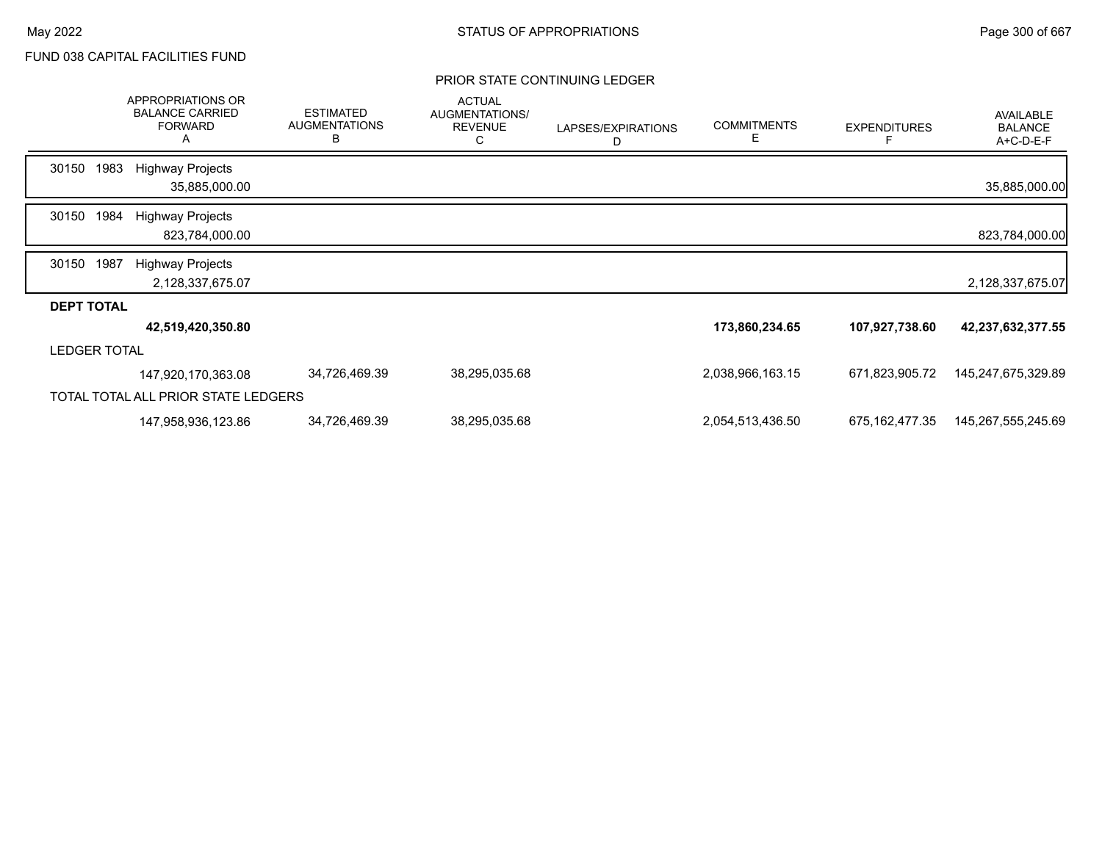|                     |      | APPROPRIATIONS OR<br><b>BALANCE CARRIED</b><br><b>FORWARD</b><br>A | <b>ESTIMATED</b><br><b>AUGMENTATIONS</b><br>B | <b>ACTUAL</b><br>AUGMENTATIONS/<br><b>REVENUE</b><br>C | LAPSES/EXPIRATIONS<br>D | <b>COMMITMENTS</b><br>Е | <b>EXPENDITURES</b> | AVAILABLE<br><b>BALANCE</b><br>A+C-D-E-F |
|---------------------|------|--------------------------------------------------------------------|-----------------------------------------------|--------------------------------------------------------|-------------------------|-------------------------|---------------------|------------------------------------------|
| 30150               | 1983 | <b>Highway Projects</b><br>35,885,000.00                           |                                               |                                                        |                         |                         |                     | 35,885,000.00                            |
|                     |      |                                                                    |                                               |                                                        |                         |                         |                     |                                          |
| 30150               | 1984 | <b>Highway Projects</b>                                            |                                               |                                                        |                         |                         |                     |                                          |
|                     |      | 823,784,000.00                                                     |                                               |                                                        |                         |                         |                     | 823,784,000.00                           |
| 30150               | 1987 | <b>Highway Projects</b>                                            |                                               |                                                        |                         |                         |                     |                                          |
|                     |      | 2,128,337,675.07                                                   |                                               |                                                        |                         |                         |                     | 2,128,337,675.07                         |
| <b>DEPT TOTAL</b>   |      |                                                                    |                                               |                                                        |                         |                         |                     |                                          |
|                     |      | 42,519,420,350.80                                                  |                                               |                                                        |                         | 173,860,234.65          | 107,927,738.60      | 42,237,632,377.55                        |
| <b>LEDGER TOTAL</b> |      |                                                                    |                                               |                                                        |                         |                         |                     |                                          |
|                     |      | 147,920,170,363.08                                                 | 34,726,469.39                                 | 38,295,035.68                                          |                         | 2,038,966,163.15        | 671,823,905.72      | 145,247,675,329.89                       |
|                     |      | TOTAL TOTAL ALL PRIOR STATE LEDGERS                                |                                               |                                                        |                         |                         |                     |                                          |
|                     |      | 147,958,936,123.86                                                 | 34,726,469.39                                 | 38,295,035.68                                          |                         | 2,054,513,436.50        | 675, 162, 477. 35   | 145,267,555,245.69                       |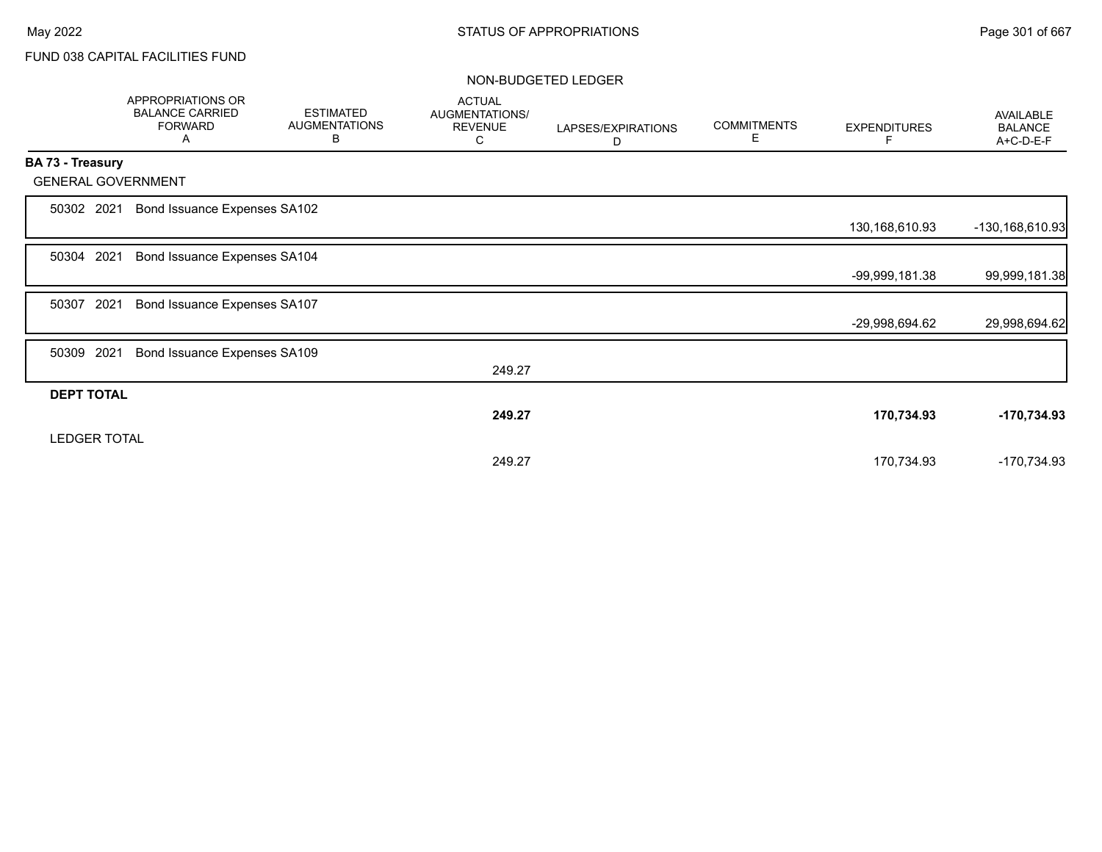|                   | APPROPRIATIONS OR<br><b>BALANCE CARRIED</b><br><b>FORWARD</b><br>Α | <b>ESTIMATED</b><br><b>AUGMENTATIONS</b><br>В | <b>ACTUAL</b><br>AUGMENTATIONS/<br><b>REVENUE</b><br>С | LAPSES/EXPIRATIONS<br>D | <b>COMMITMENTS</b><br>E. | <b>EXPENDITURES</b><br>F. | AVAILABLE<br><b>BALANCE</b><br>A+C-D-E-F |
|-------------------|--------------------------------------------------------------------|-----------------------------------------------|--------------------------------------------------------|-------------------------|--------------------------|---------------------------|------------------------------------------|
| BA 73 - Treasury  |                                                                    |                                               |                                                        |                         |                          |                           |                                          |
|                   | <b>GENERAL GOVERNMENT</b>                                          |                                               |                                                        |                         |                          |                           |                                          |
| 50302 2021        | Bond Issuance Expenses SA102                                       |                                               |                                                        |                         |                          |                           |                                          |
|                   |                                                                    |                                               |                                                        |                         |                          | 130,168,610.93            | -130,168,610.93                          |
| 50304             | 2021<br>Bond Issuance Expenses SA104                               |                                               |                                                        |                         |                          |                           |                                          |
|                   |                                                                    |                                               |                                                        |                         |                          | -99,999,181.38            | 99,999,181.38                            |
| 50307             | 2021<br>Bond Issuance Expenses SA107                               |                                               |                                                        |                         |                          |                           |                                          |
|                   |                                                                    |                                               |                                                        |                         |                          | -29,998,694.62            | 29,998,694.62                            |
| 50309             | 2021<br>Bond Issuance Expenses SA109                               |                                               |                                                        |                         |                          |                           |                                          |
|                   |                                                                    |                                               | 249.27                                                 |                         |                          |                           |                                          |
| <b>DEPT TOTAL</b> |                                                                    |                                               |                                                        |                         |                          |                           |                                          |
|                   |                                                                    |                                               | 249.27                                                 |                         |                          | 170,734.93                | $-170,734.93$                            |
|                   | <b>LEDGER TOTAL</b>                                                |                                               |                                                        |                         |                          |                           |                                          |
|                   |                                                                    |                                               | 249.27                                                 |                         |                          | 170,734.93                | -170,734.93                              |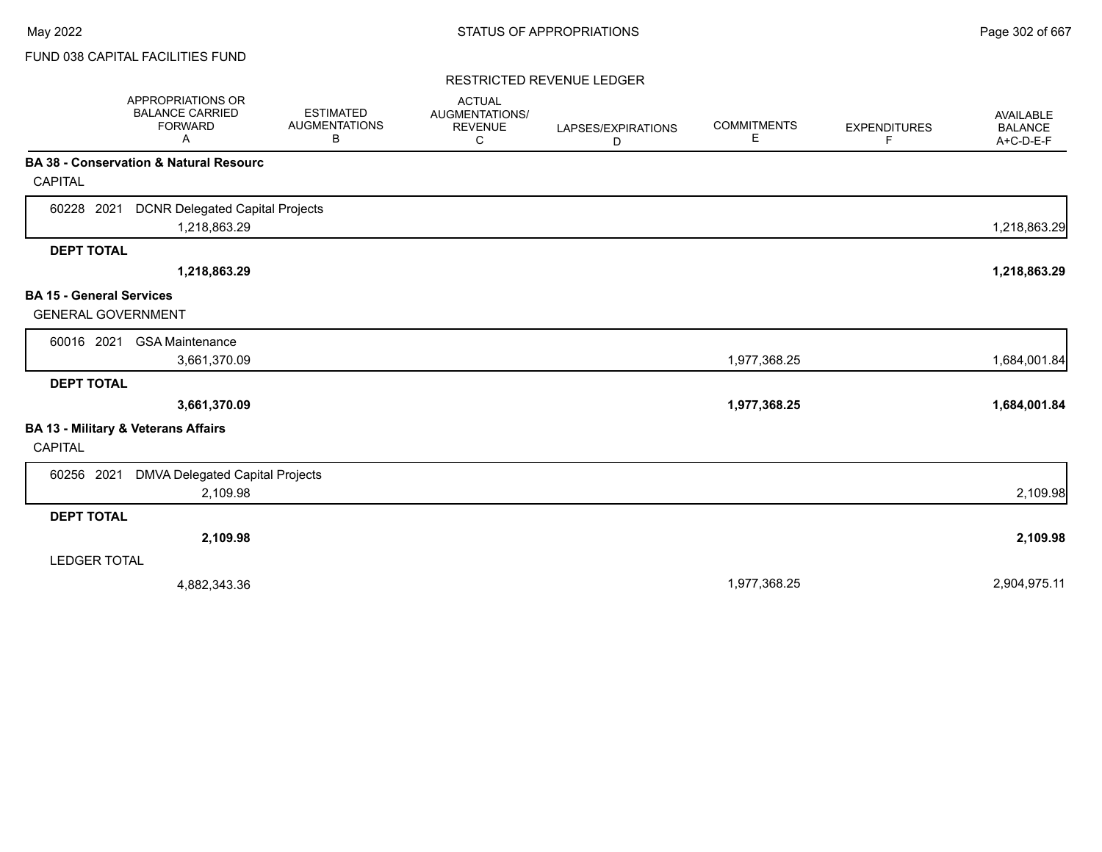### RESTRICTED REVENUE LEDGER

|                                 | <b>APPROPRIATIONS OR</b><br><b>BALANCE CARRIED</b><br><b>FORWARD</b><br>A | <b>ESTIMATED</b><br><b>AUGMENTATIONS</b><br>В | <b>ACTUAL</b><br>AUGMENTATIONS/<br><b>REVENUE</b><br>С | LAPSES/EXPIRATIONS<br>D | <b>COMMITMENTS</b><br>E | <b>EXPENDITURES</b><br>F | AVAILABLE<br><b>BALANCE</b><br>A+C-D-E-F |
|---------------------------------|---------------------------------------------------------------------------|-----------------------------------------------|--------------------------------------------------------|-------------------------|-------------------------|--------------------------|------------------------------------------|
|                                 | BA 38 - Conservation & Natural Resourc                                    |                                               |                                                        |                         |                         |                          |                                          |
| <b>CAPITAL</b>                  |                                                                           |                                               |                                                        |                         |                         |                          |                                          |
| 60228 2021                      | <b>DCNR Delegated Capital Projects</b>                                    |                                               |                                                        |                         |                         |                          |                                          |
|                                 | 1,218,863.29                                                              |                                               |                                                        |                         |                         |                          | 1,218,863.29                             |
| <b>DEPT TOTAL</b>               |                                                                           |                                               |                                                        |                         |                         |                          |                                          |
|                                 | 1,218,863.29                                                              |                                               |                                                        |                         |                         |                          | 1,218,863.29                             |
| <b>BA 15 - General Services</b> |                                                                           |                                               |                                                        |                         |                         |                          |                                          |
| <b>GENERAL GOVERNMENT</b>       |                                                                           |                                               |                                                        |                         |                         |                          |                                          |
| 60016 2021                      | <b>GSA Maintenance</b>                                                    |                                               |                                                        |                         |                         |                          |                                          |
|                                 | 3,661,370.09                                                              |                                               |                                                        |                         | 1,977,368.25            |                          | 1,684,001.84                             |
| <b>DEPT TOTAL</b>               |                                                                           |                                               |                                                        |                         |                         |                          |                                          |
|                                 | 3,661,370.09                                                              |                                               |                                                        |                         | 1,977,368.25            |                          | 1,684,001.84                             |
|                                 | BA 13 - Military & Veterans Affairs                                       |                                               |                                                        |                         |                         |                          |                                          |
| <b>CAPITAL</b>                  |                                                                           |                                               |                                                        |                         |                         |                          |                                          |
| 60256 2021                      | <b>DMVA Delegated Capital Projects</b>                                    |                                               |                                                        |                         |                         |                          |                                          |
|                                 | 2,109.98                                                                  |                                               |                                                        |                         |                         |                          | 2,109.98                                 |
| <b>DEPT TOTAL</b>               |                                                                           |                                               |                                                        |                         |                         |                          |                                          |
|                                 | 2,109.98                                                                  |                                               |                                                        |                         |                         |                          | 2,109.98                                 |
| <b>LEDGER TOTAL</b>             |                                                                           |                                               |                                                        |                         |                         |                          |                                          |
|                                 | 4,882,343.36                                                              |                                               |                                                        |                         | 1,977,368.25            |                          | 2,904,975.11                             |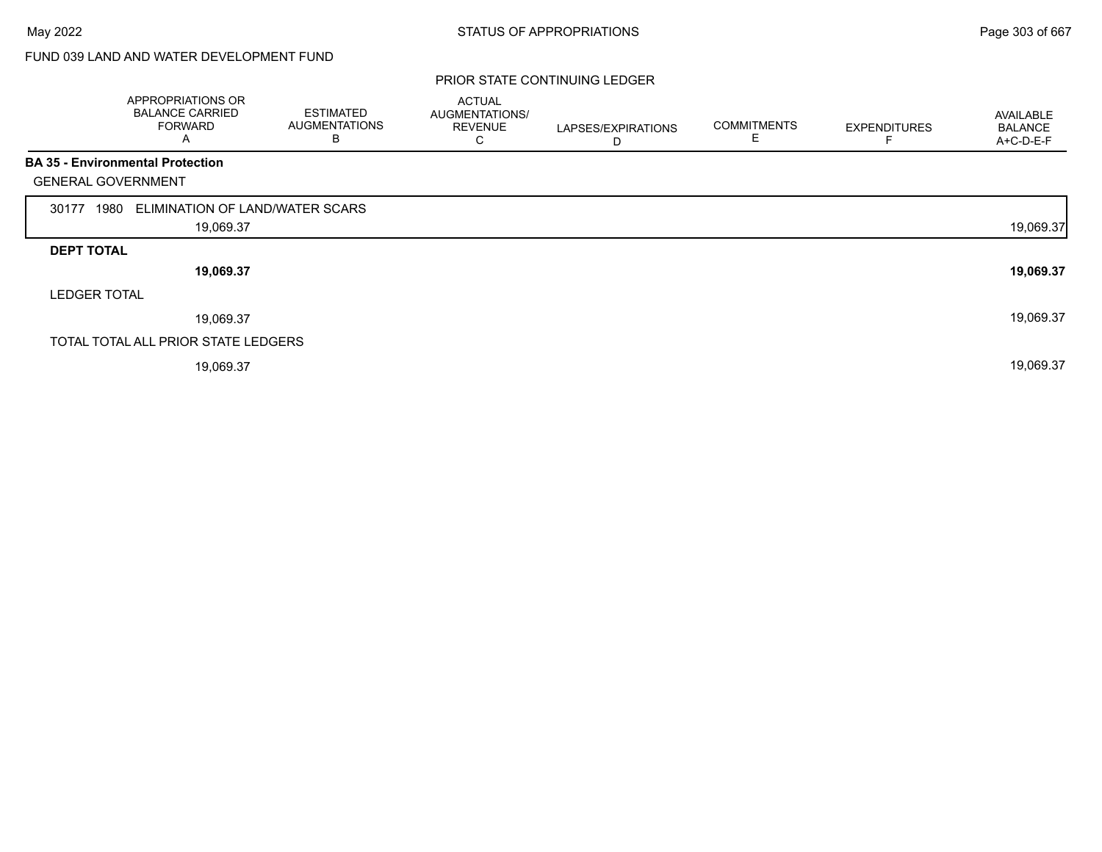# FUND 039 LAND AND WATER DEVELOPMENT FUND

|                           | APPROPRIATIONS OR<br><b>BALANCE CARRIED</b><br><b>FORWARD</b><br>A | <b>ESTIMATED</b><br><b>AUGMENTATIONS</b><br>В | <b>ACTUAL</b><br>AUGMENTATIONS/<br><b>REVENUE</b><br>С | LAPSES/EXPIRATIONS<br>D | <b>COMMITMENTS</b><br>Е | <b>EXPENDITURES</b> | AVAILABLE<br><b>BALANCE</b><br>$A+C-D-E-F$ |
|---------------------------|--------------------------------------------------------------------|-----------------------------------------------|--------------------------------------------------------|-------------------------|-------------------------|---------------------|--------------------------------------------|
|                           | <b>BA 35 - Environmental Protection</b>                            |                                               |                                                        |                         |                         |                     |                                            |
| <b>GENERAL GOVERNMENT</b> |                                                                    |                                               |                                                        |                         |                         |                     |                                            |
| 30177<br>1980             | ELIMINATION OF LAND/WATER SCARS                                    |                                               |                                                        |                         |                         |                     |                                            |
|                           | 19,069.37                                                          |                                               |                                                        |                         |                         |                     | 19,069.37                                  |
| <b>DEPT TOTAL</b>         |                                                                    |                                               |                                                        |                         |                         |                     |                                            |
|                           | 19,069.37                                                          |                                               |                                                        |                         |                         |                     | 19,069.37                                  |
| <b>LEDGER TOTAL</b>       |                                                                    |                                               |                                                        |                         |                         |                     |                                            |
|                           | 19,069.37                                                          |                                               |                                                        |                         |                         |                     | 19,069.37                                  |
|                           | TOTAL TOTAL ALL PRIOR STATE LEDGERS                                |                                               |                                                        |                         |                         |                     |                                            |
|                           | 19,069.37                                                          |                                               |                                                        |                         |                         |                     | 19,069.37                                  |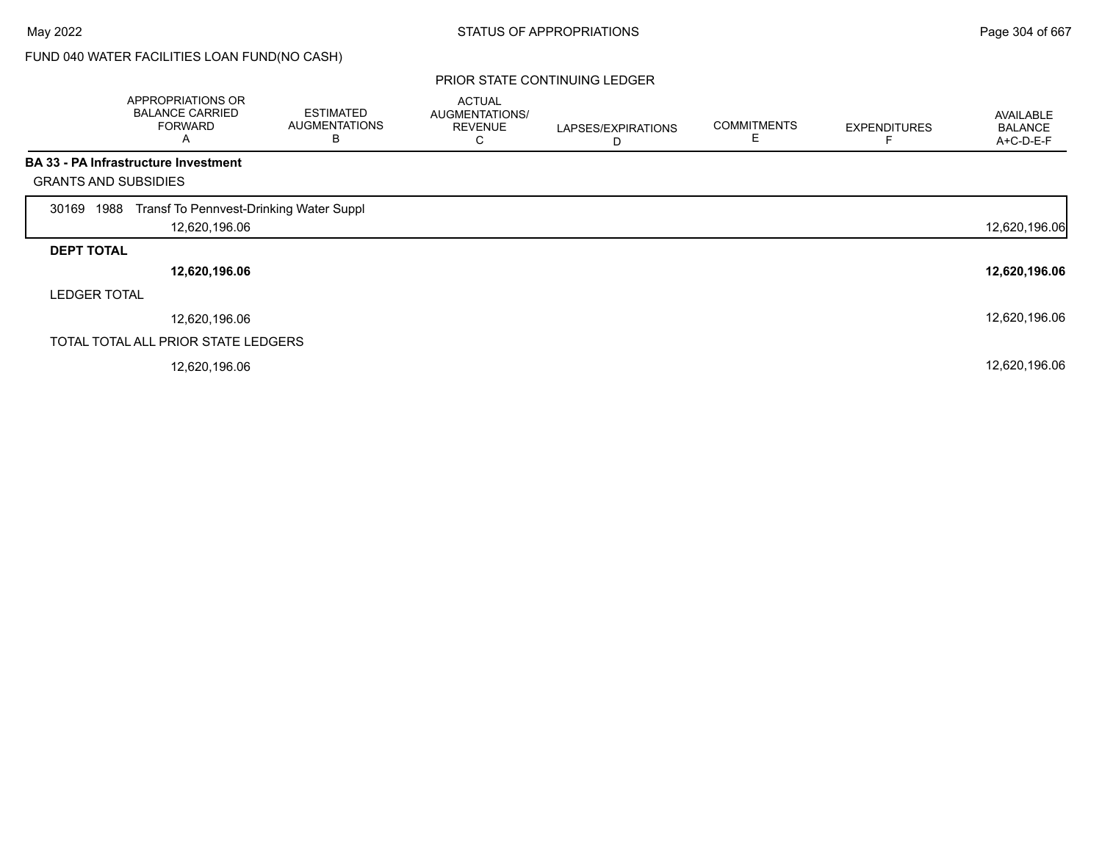# FUND 040 WATER FACILITIES LOAN FUND(NO CASH)

|                             | APPROPRIATIONS OR<br><b>BALANCE CARRIED</b><br><b>FORWARD</b><br>Α | <b>ESTIMATED</b><br><b>AUGMENTATIONS</b><br>B | <b>ACTUAL</b><br>AUGMENTATIONS/<br><b>REVENUE</b><br>◡ | LAPSES/EXPIRATIONS<br>D | <b>COMMITMENTS</b> | <b>EXPENDITURES</b> | <b>AVAILABLE</b><br><b>BALANCE</b><br>A+C-D-E-F |
|-----------------------------|--------------------------------------------------------------------|-----------------------------------------------|--------------------------------------------------------|-------------------------|--------------------|---------------------|-------------------------------------------------|
|                             | <b>BA 33 - PA Infrastructure Investment</b>                        |                                               |                                                        |                         |                    |                     |                                                 |
| <b>GRANTS AND SUBSIDIES</b> |                                                                    |                                               |                                                        |                         |                    |                     |                                                 |
| 1988<br>30169               | Transf To Pennvest-Drinking Water Suppl                            |                                               |                                                        |                         |                    |                     |                                                 |
|                             | 12,620,196.06                                                      |                                               |                                                        |                         |                    |                     | 12,620,196.06                                   |
| <b>DEPT TOTAL</b>           |                                                                    |                                               |                                                        |                         |                    |                     |                                                 |
|                             | 12,620,196.06                                                      |                                               |                                                        |                         |                    |                     | 12,620,196.06                                   |
| <b>LEDGER TOTAL</b>         |                                                                    |                                               |                                                        |                         |                    |                     |                                                 |
|                             | 12,620,196.06                                                      |                                               |                                                        |                         |                    |                     | 12,620,196.06                                   |
|                             | TOTAL TOTAL ALL PRIOR STATE LEDGERS                                |                                               |                                                        |                         |                    |                     |                                                 |
|                             | 12,620,196.06                                                      |                                               |                                                        |                         |                    |                     | 12,620,196.06                                   |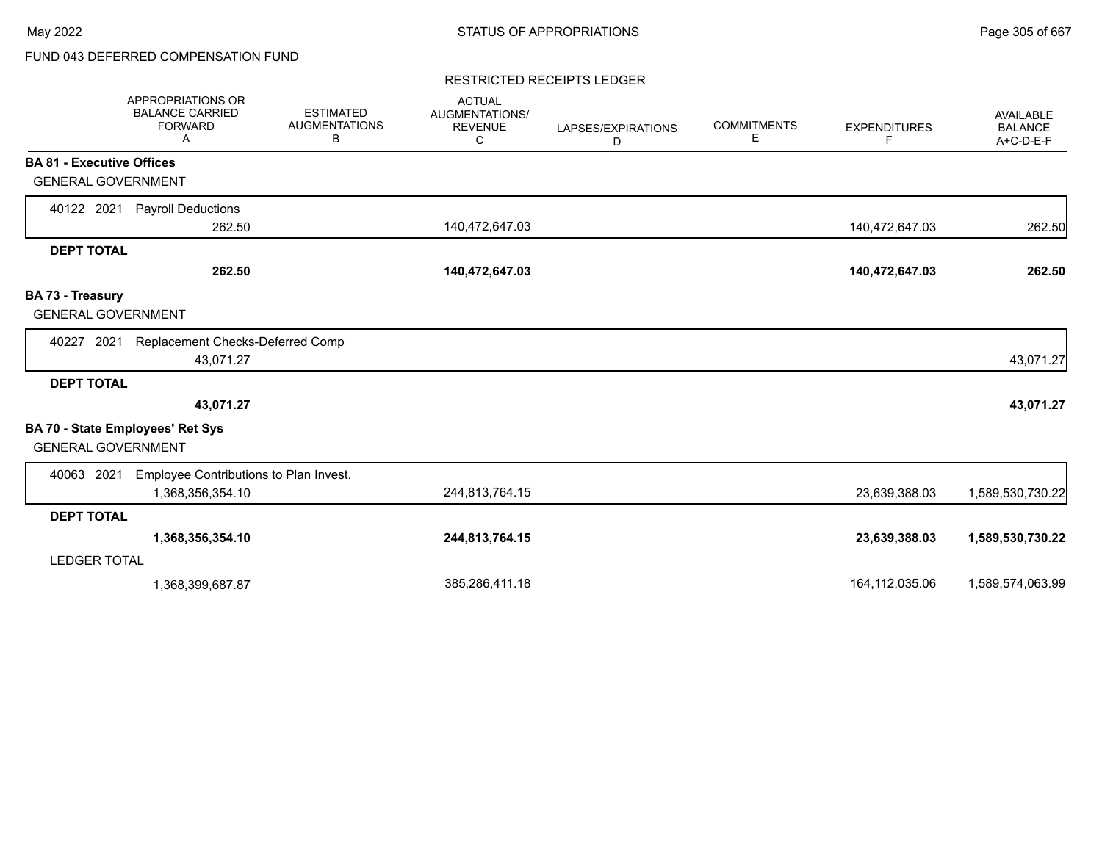# FUND 043 DEFERRED COMPENSATION FUND

### RESTRICTED RECEIPTS LEDGER

|                                                                      | <b>APPROPRIATIONS OR</b><br><b>BALANCE CARRIED</b><br><b>FORWARD</b><br>A | <b>ESTIMATED</b><br><b>AUGMENTATIONS</b><br>В | <b>ACTUAL</b><br>AUGMENTATIONS/<br><b>REVENUE</b><br>С | LAPSES/EXPIRATIONS<br>D | <b>COMMITMENTS</b><br>Е | <b>EXPENDITURES</b><br>F. | <b>AVAILABLE</b><br><b>BALANCE</b><br>A+C-D-E-F |
|----------------------------------------------------------------------|---------------------------------------------------------------------------|-----------------------------------------------|--------------------------------------------------------|-------------------------|-------------------------|---------------------------|-------------------------------------------------|
| <b>BA 81 - Executive Offices</b>                                     |                                                                           |                                               |                                                        |                         |                         |                           |                                                 |
| <b>GENERAL GOVERNMENT</b>                                            |                                                                           |                                               |                                                        |                         |                         |                           |                                                 |
| 40122 2021                                                           | <b>Payroll Deductions</b>                                                 |                                               |                                                        |                         |                         |                           |                                                 |
|                                                                      | 262.50                                                                    |                                               | 140,472,647.03                                         |                         |                         | 140,472,647.03            | 262.50                                          |
| <b>DEPT TOTAL</b>                                                    |                                                                           |                                               |                                                        |                         |                         |                           |                                                 |
|                                                                      | 262.50                                                                    |                                               | 140,472,647.03                                         |                         |                         | 140,472,647.03            | 262.50                                          |
| BA 73 - Treasury                                                     |                                                                           |                                               |                                                        |                         |                         |                           |                                                 |
| <b>GENERAL GOVERNMENT</b>                                            |                                                                           |                                               |                                                        |                         |                         |                           |                                                 |
| 2021<br>40227                                                        | Replacement Checks-Deferred Comp                                          |                                               |                                                        |                         |                         |                           |                                                 |
|                                                                      | 43,071.27                                                                 |                                               |                                                        |                         |                         |                           | 43,071.27                                       |
| <b>DEPT TOTAL</b>                                                    |                                                                           |                                               |                                                        |                         |                         |                           |                                                 |
|                                                                      | 43,071.27                                                                 |                                               |                                                        |                         |                         |                           | 43,071.27                                       |
| <b>BA 70 - State Employees' Ret Sys</b><br><b>GENERAL GOVERNMENT</b> |                                                                           |                                               |                                                        |                         |                         |                           |                                                 |
| 40063 2021                                                           | Employee Contributions to Plan Invest.                                    |                                               |                                                        |                         |                         |                           |                                                 |
|                                                                      | 1,368,356,354.10                                                          |                                               | 244,813,764.15                                         |                         |                         | 23,639,388.03             | 1,589,530,730.22                                |
| <b>DEPT TOTAL</b>                                                    |                                                                           |                                               |                                                        |                         |                         |                           |                                                 |
|                                                                      | 1,368,356,354.10                                                          |                                               | 244,813,764.15                                         |                         |                         | 23,639,388.03             | 1,589,530,730.22                                |
| <b>LEDGER TOTAL</b>                                                  |                                                                           |                                               |                                                        |                         |                         |                           |                                                 |
|                                                                      | 1,368,399,687.87                                                          |                                               | 385,286,411.18                                         |                         |                         | 164,112,035.06            | 1,589,574,063.99                                |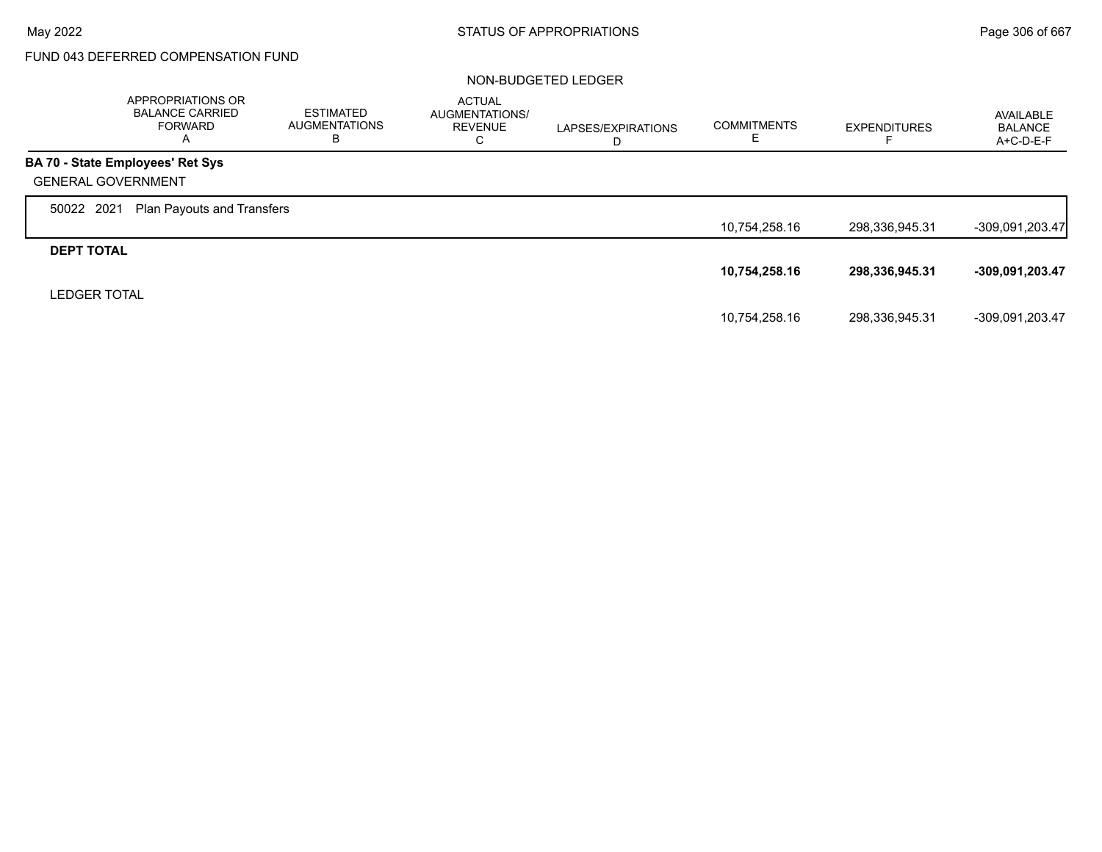# FUND 043 DEFERRED COMPENSATION FUND

|                     | APPROPRIATIONS OR<br><b>BALANCE CARRIED</b><br><b>FORWARD</b><br>A | <b>ESTIMATED</b><br><b>AUGMENTATIONS</b><br>в | <b>ACTUAL</b><br>AUGMENTATIONS/<br>REVENUE<br>С | LAPSES/EXPIRATIONS<br>D | <b>COMMITMENTS</b> | <b>EXPENDITURES</b> | AVAILABLE<br><b>BALANCE</b><br>$A+C-D-E-F$ |
|---------------------|--------------------------------------------------------------------|-----------------------------------------------|-------------------------------------------------|-------------------------|--------------------|---------------------|--------------------------------------------|
|                     | <b>BA 70 - State Employees' Ret Sys</b>                            |                                               |                                                 |                         |                    |                     |                                            |
|                     | <b>GENERAL GOVERNMENT</b>                                          |                                               |                                                 |                         |                    |                     |                                            |
| 50022 2021          | Plan Payouts and Transfers                                         |                                               |                                                 |                         |                    |                     |                                            |
|                     |                                                                    |                                               |                                                 |                         | 10,754,258.16      | 298,336,945.31      | $-309,091,203.47$                          |
| <b>DEPT TOTAL</b>   |                                                                    |                                               |                                                 |                         |                    |                     |                                            |
|                     |                                                                    |                                               |                                                 |                         | 10,754,258.16      | 298,336,945.31      | -309,091,203.47                            |
| <b>LEDGER TOTAL</b> |                                                                    |                                               |                                                 |                         |                    |                     |                                            |
|                     |                                                                    |                                               |                                                 |                         | 10,754,258.16      | 298,336,945.31      | -309,091,203.47                            |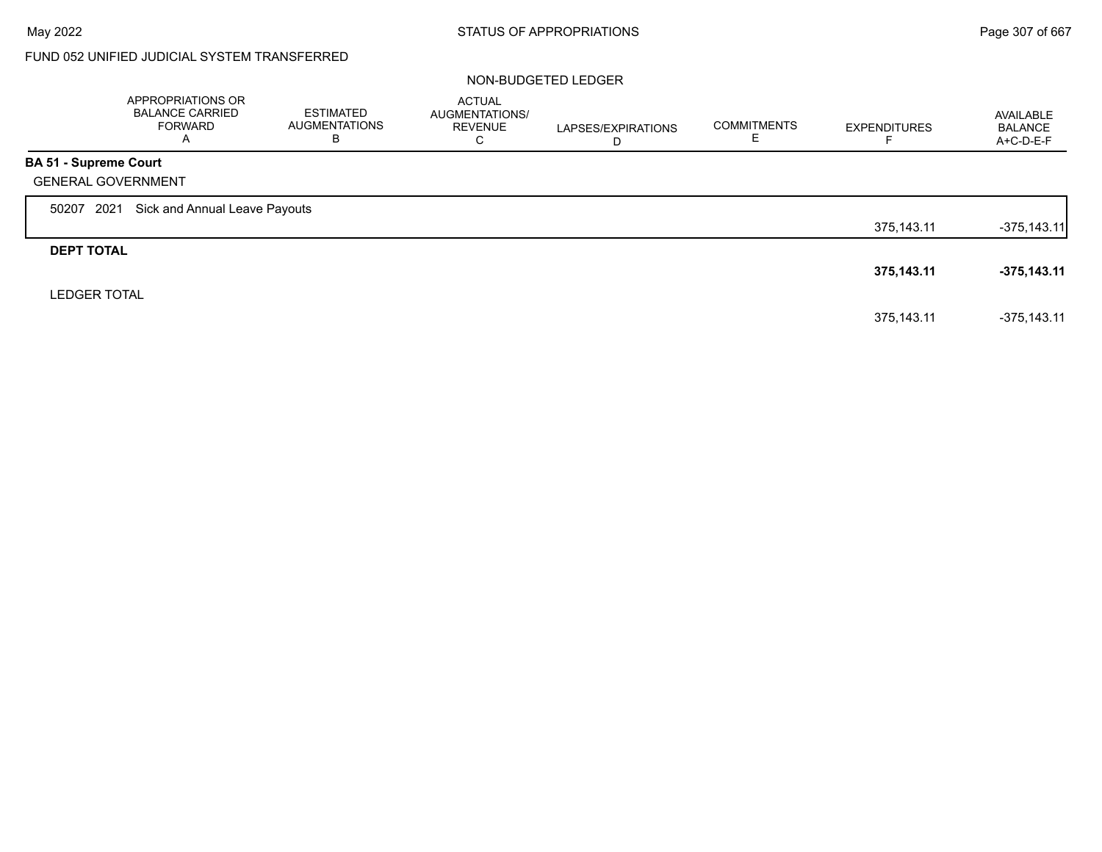# FUND 052 UNIFIED JUDICIAL SYSTEM TRANSFERRED

|                              | APPROPRIATIONS OR<br><b>BALANCE CARRIED</b><br><b>FORWARD</b><br>A | <b>ESTIMATED</b><br><b>AUGMENTATIONS</b><br>В | <b>ACTUAL</b><br>AUGMENTATIONS/<br><b>REVENUE</b><br>С | LAPSES/EXPIRATIONS<br>D | <b>COMMITMENTS</b> | <b>EXPENDITURES</b> | AVAILABLE<br><b>BALANCE</b><br>A+C-D-E-F |
|------------------------------|--------------------------------------------------------------------|-----------------------------------------------|--------------------------------------------------------|-------------------------|--------------------|---------------------|------------------------------------------|
| <b>BA 51 - Supreme Court</b> |                                                                    |                                               |                                                        |                         |                    |                     |                                          |
|                              | <b>GENERAL GOVERNMENT</b>                                          |                                               |                                                        |                         |                    |                     |                                          |
| 50207                        | Sick and Annual Leave Payouts<br>2021                              |                                               |                                                        |                         |                    |                     |                                          |
|                              |                                                                    |                                               |                                                        |                         |                    | 375,143.11          | $-375,143.11$                            |
| <b>DEPT TOTAL</b>            |                                                                    |                                               |                                                        |                         |                    |                     |                                          |
|                              |                                                                    |                                               |                                                        |                         |                    | 375,143.11          | $-375,143.11$                            |
| <b>LEDGER TOTAL</b>          |                                                                    |                                               |                                                        |                         |                    |                     |                                          |
|                              |                                                                    |                                               |                                                        |                         |                    | 375.143.11          | $-375.143.11$                            |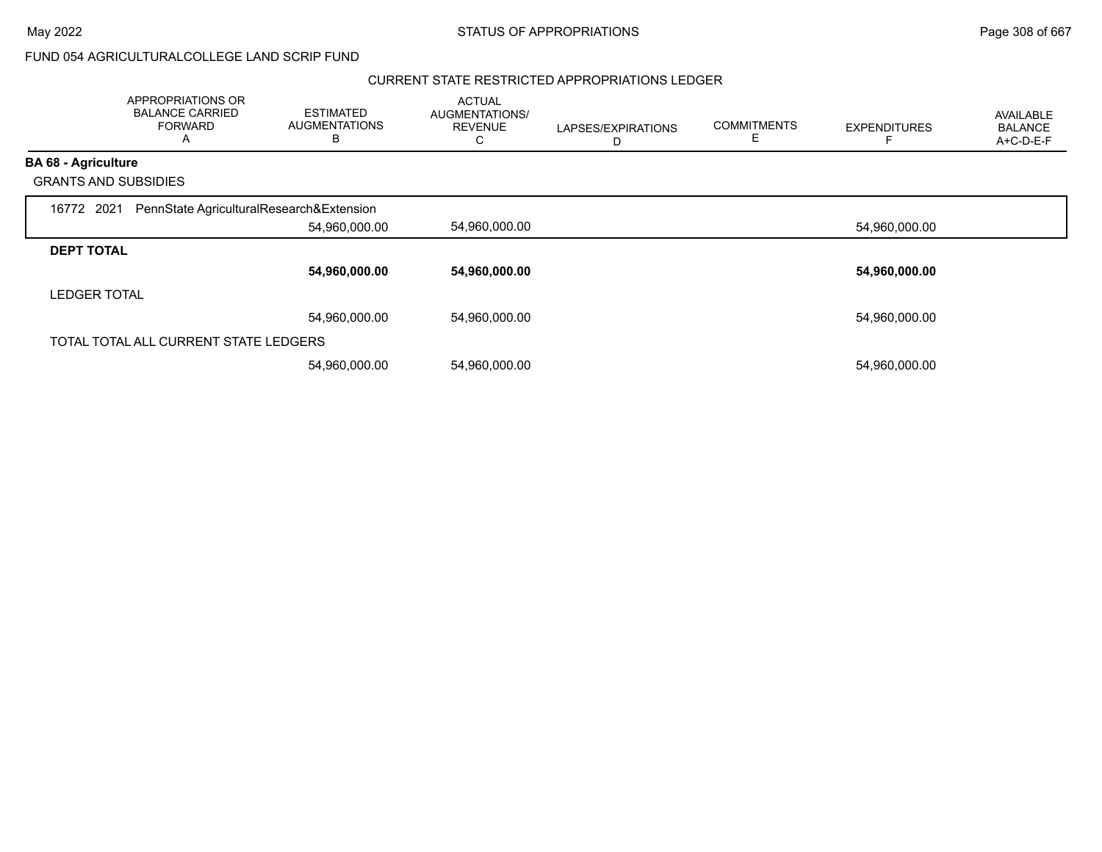## FUND 054 AGRICULTURALCOLLEGE LAND SCRIP FUND

#### CURRENT STATE RESTRICTED APPROPRIATIONS LEDGER

|                             | APPROPRIATIONS OR<br><b>BALANCE CARRIED</b><br><b>FORWARD</b><br>A | <b>ESTIMATED</b><br><b>AUGMENTATIONS</b><br>B | <b>ACTUAL</b><br>AUGMENTATIONS/<br><b>REVENUE</b><br>С | LAPSES/EXPIRATIONS<br>D | <b>COMMITMENTS</b><br>Е | <b>EXPENDITURES</b> | AVAILABLE<br><b>BALANCE</b><br>A+C-D-E-F |
|-----------------------------|--------------------------------------------------------------------|-----------------------------------------------|--------------------------------------------------------|-------------------------|-------------------------|---------------------|------------------------------------------|
| <b>BA 68 - Agriculture</b>  |                                                                    |                                               |                                                        |                         |                         |                     |                                          |
| <b>GRANTS AND SUBSIDIES</b> |                                                                    |                                               |                                                        |                         |                         |                     |                                          |
| 16772 2021                  | PennState AgriculturalResearch&Extension                           |                                               |                                                        |                         |                         |                     |                                          |
|                             |                                                                    | 54,960,000.00                                 | 54,960,000.00                                          |                         |                         | 54,960,000.00       |                                          |
| <b>DEPT TOTAL</b>           |                                                                    |                                               |                                                        |                         |                         |                     |                                          |
|                             |                                                                    | 54,960,000.00                                 | 54,960,000.00                                          |                         |                         | 54,960,000.00       |                                          |
| <b>LEDGER TOTAL</b>         |                                                                    |                                               |                                                        |                         |                         |                     |                                          |
|                             |                                                                    | 54.960.000.00                                 | 54,960,000.00                                          |                         |                         | 54,960,000.00       |                                          |
|                             | TOTAL TOTAL ALL CURRENT STATE LEDGERS                              |                                               |                                                        |                         |                         |                     |                                          |
|                             |                                                                    | 54,960,000.00                                 | 54,960,000.00                                          |                         |                         | 54,960,000.00       |                                          |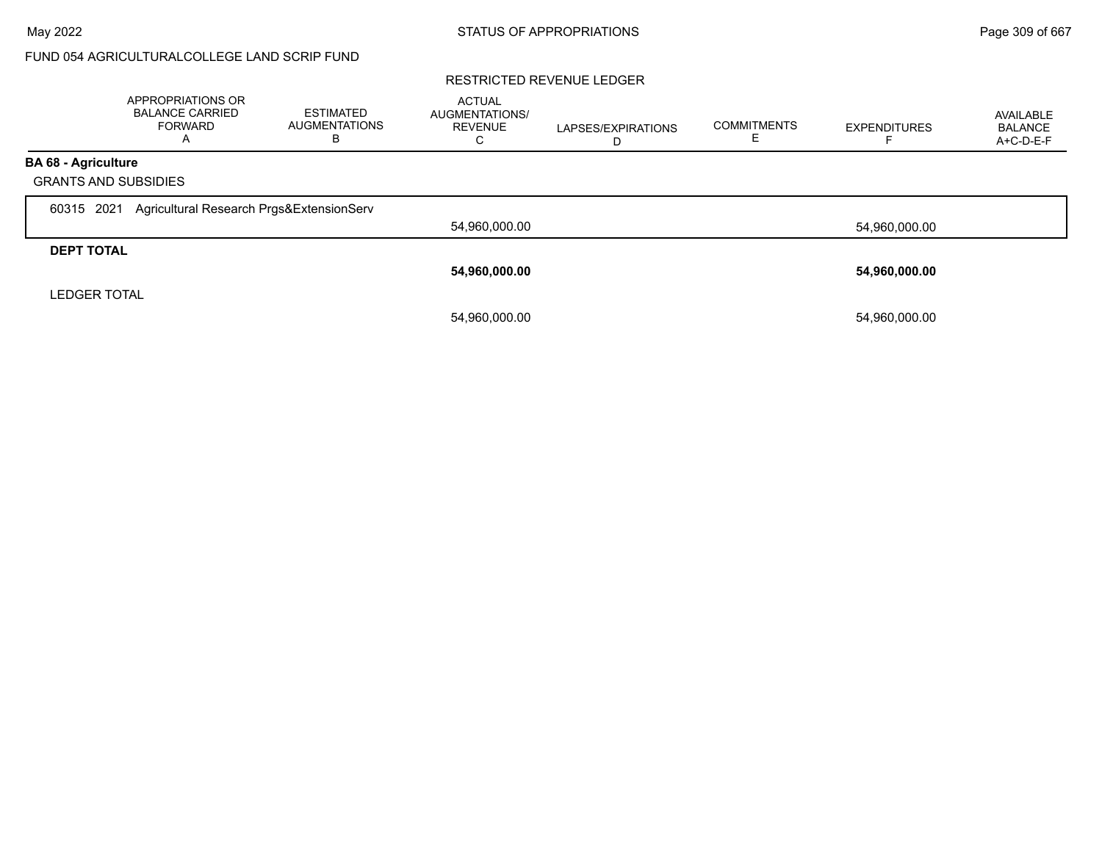## FUND 054 AGRICULTURALCOLLEGE LAND SCRIP FUND

#### RESTRICTED REVENUE LEDGER

|                                                           | <b>APPROPRIATIONS OR</b><br><b>BALANCE CARRIED</b><br><b>FORWARD</b> | <b>ESTIMATED</b><br><b>AUGMENTATIONS</b><br>в | <b>ACTUAL</b><br>AUGMENTATIONS/<br><b>REVENUE</b><br>$\mathbf{\tilde{v}}$ | LAPSES/EXPIRATIONS | <b>COMMITMENTS</b><br>E | <b>EXPENDITURES</b> | AVAILABLE<br><b>BALANCE</b><br>A+C-D-E-F |
|-----------------------------------------------------------|----------------------------------------------------------------------|-----------------------------------------------|---------------------------------------------------------------------------|--------------------|-------------------------|---------------------|------------------------------------------|
| <b>BA 68 - Agriculture</b><br><b>GRANTS AND SUBSIDIES</b> |                                                                      |                                               |                                                                           |                    |                         |                     |                                          |
| 2021<br>60315                                             | Agricultural Research Prgs&ExtensionServ                             |                                               | 54,960,000.00                                                             |                    |                         | 54,960,000.00       |                                          |
| <b>DEPT TOTAL</b>                                         |                                                                      |                                               | 54,960,000.00                                                             |                    |                         | 54,960,000.00       |                                          |
| <b>LEDGER TOTAL</b>                                       |                                                                      |                                               | 54,960,000.00                                                             |                    |                         | 54,960,000.00       |                                          |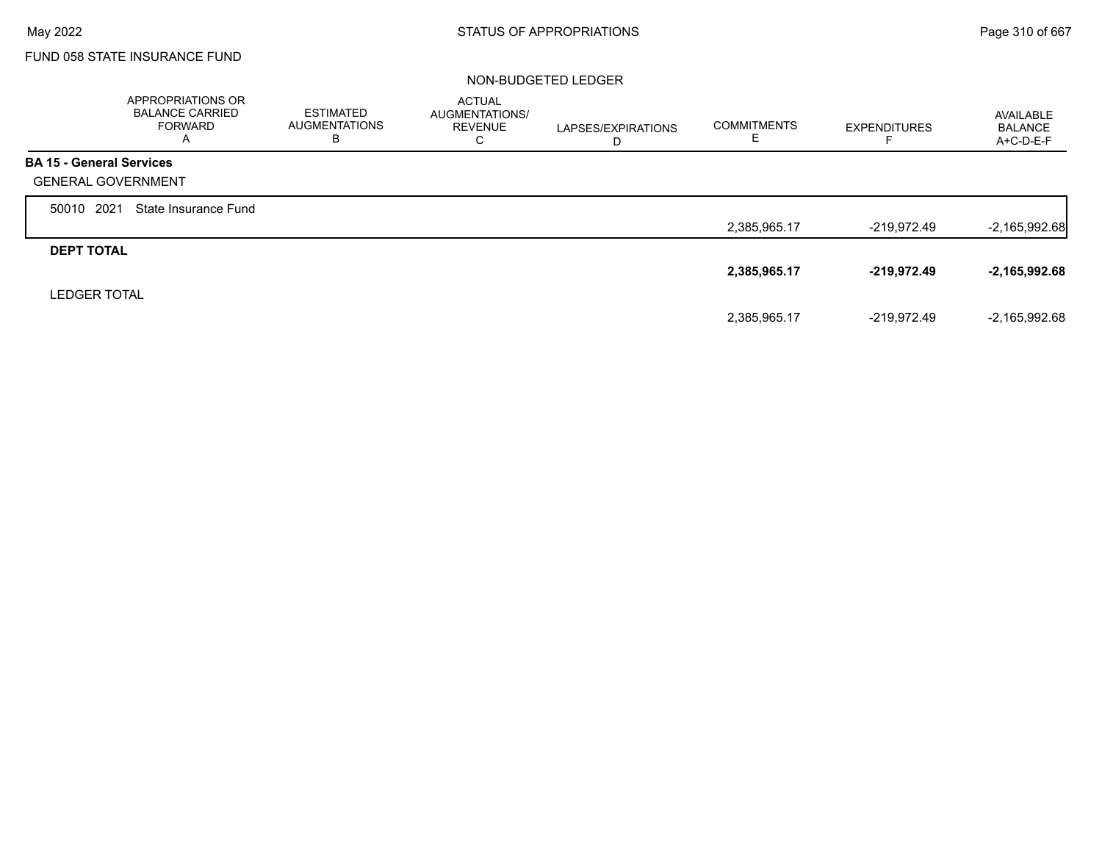$\Gamma$ 

## FUND 058 STATE INSURANCE FUND

|                                 | <b>APPROPRIATIONS OR</b><br><b>BALANCE CARRIED</b><br><b>FORWARD</b><br>A | <b>ESTIMATED</b><br>AUGMENTATIONS<br>в | <b>ACTUAL</b><br><b>AUGMENTATIONS/</b><br><b>REVENUE</b><br>С | LAPSES/EXPIRATIONS<br>D | <b>COMMITMENTS</b><br>ᄂ | <b>EXPENDITURES</b> | AVAILABLE<br><b>BALANCE</b><br>A+C-D-E-F |
|---------------------------------|---------------------------------------------------------------------------|----------------------------------------|---------------------------------------------------------------|-------------------------|-------------------------|---------------------|------------------------------------------|
| <b>BA 15 - General Services</b> |                                                                           |                                        |                                                               |                         |                         |                     |                                          |
| <b>GENERAL GOVERNMENT</b>       |                                                                           |                                        |                                                               |                         |                         |                     |                                          |
| 2021<br>50010                   | State Insurance Fund                                                      |                                        |                                                               |                         |                         |                     |                                          |
|                                 |                                                                           |                                        |                                                               |                         | 2,385,965.17            | -219,972.49         | $-2,165,992.68$                          |
| <b>DEPT TOTAL</b>               |                                                                           |                                        |                                                               |                         |                         |                     |                                          |
|                                 |                                                                           |                                        |                                                               |                         | 2,385,965.17            | $-219,972.49$       | $-2,165,992.68$                          |
| <b>LEDGER TOTAL</b>             |                                                                           |                                        |                                                               |                         |                         |                     |                                          |
|                                 |                                                                           |                                        |                                                               |                         | 2,385,965.17            | -219.972.49         | $-2,165,992.68$                          |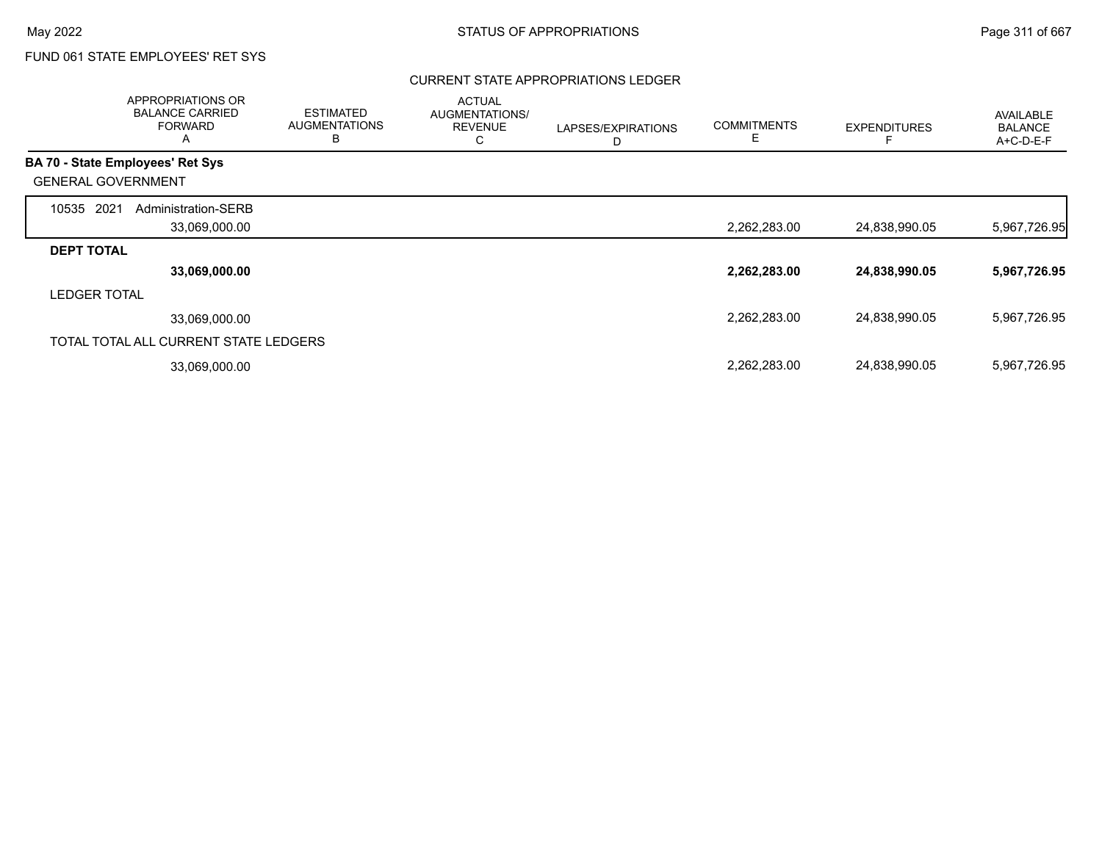г

## FUND 061 STATE EMPLOYEES' RET SYS

### CURRENT STATE APPROPRIATIONS LEDGER

|                                         | APPROPRIATIONS OR<br><b>BALANCE CARRIED</b><br><b>FORWARD</b><br>A | <b>ESTIMATED</b><br><b>AUGMENTATIONS</b><br>B | <b>ACTUAL</b><br>AUGMENTATIONS/<br><b>REVENUE</b><br>C | LAPSES/EXPIRATIONS<br>D | <b>COMMITMENTS</b><br>E | <b>EXPENDITURES</b> | <b>AVAILABLE</b><br><b>BALANCE</b><br>A+C-D-E-F |
|-----------------------------------------|--------------------------------------------------------------------|-----------------------------------------------|--------------------------------------------------------|-------------------------|-------------------------|---------------------|-------------------------------------------------|
| <b>BA 70 - State Employees' Ret Sys</b> |                                                                    |                                               |                                                        |                         |                         |                     |                                                 |
| <b>GENERAL GOVERNMENT</b>               |                                                                    |                                               |                                                        |                         |                         |                     |                                                 |
| 2021<br>10535                           | Administration-SERB                                                |                                               |                                                        |                         |                         |                     |                                                 |
|                                         | 33,069,000.00                                                      |                                               |                                                        |                         | 2,262,283.00            | 24,838,990.05       | 5,967,726.95                                    |
| <b>DEPT TOTAL</b>                       |                                                                    |                                               |                                                        |                         |                         |                     |                                                 |
|                                         | 33,069,000.00                                                      |                                               |                                                        |                         | 2,262,283.00            | 24,838,990.05       | 5,967,726.95                                    |
| <b>LEDGER TOTAL</b>                     |                                                                    |                                               |                                                        |                         |                         |                     |                                                 |
|                                         | 33,069,000.00                                                      |                                               |                                                        |                         | 2,262,283.00            | 24,838,990.05       | 5,967,726.95                                    |
|                                         | TOTAL TOTAL ALL CURRENT STATE LEDGERS                              |                                               |                                                        |                         |                         |                     |                                                 |
|                                         | 33,069,000.00                                                      |                                               |                                                        |                         | 2,262,283.00            | 24,838,990.05       | 5,967,726.95                                    |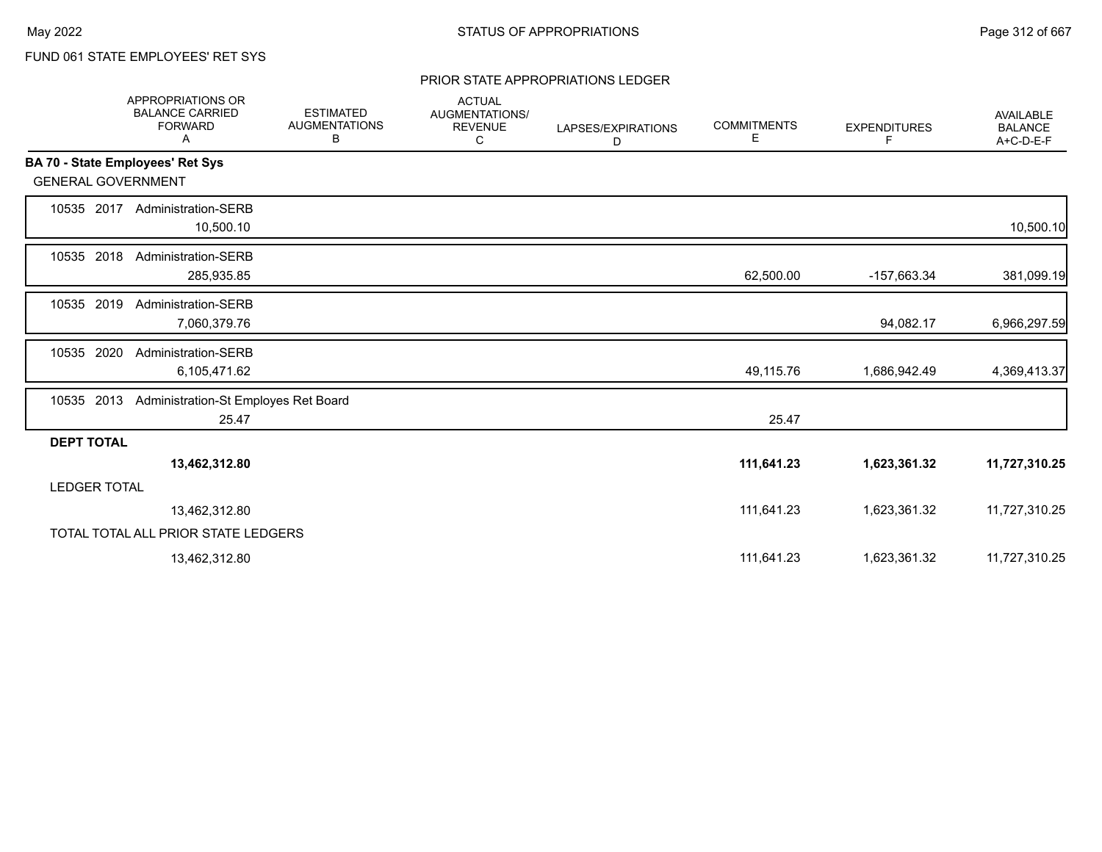# FUND 061 STATE EMPLOYEES' RET SYS

#### PRIOR STATE APPROPRIATIONS LEDGER

|                           | APPROPRIATIONS OR<br><b>BALANCE CARRIED</b><br><b>FORWARD</b><br>Α | <b>ESTIMATED</b><br><b>AUGMENTATIONS</b><br>В | <b>ACTUAL</b><br><b>AUGMENTATIONS/</b><br><b>REVENUE</b><br>С | LAPSES/EXPIRATIONS<br>D | <b>COMMITMENTS</b><br>Е | <b>EXPENDITURES</b><br>F | AVAILABLE<br><b>BALANCE</b><br>A+C-D-E-F |
|---------------------------|--------------------------------------------------------------------|-----------------------------------------------|---------------------------------------------------------------|-------------------------|-------------------------|--------------------------|------------------------------------------|
|                           | BA 70 - State Employees' Ret Sys                                   |                                               |                                                               |                         |                         |                          |                                          |
| <b>GENERAL GOVERNMENT</b> |                                                                    |                                               |                                                               |                         |                         |                          |                                          |
| 10535 2017                | <b>Administration-SERB</b><br>10,500.10                            |                                               |                                                               |                         |                         |                          | 10,500.10                                |
| 10535 2018                | Administration-SERB<br>285,935.85                                  |                                               |                                                               |                         | 62,500.00               | -157,663.34              | 381,099.19                               |
| 10535 2019                | <b>Administration-SERB</b><br>7,060,379.76                         |                                               |                                                               |                         |                         | 94,082.17                | 6,966,297.59                             |
| 2020<br>10535             | Administration-SERB<br>6,105,471.62                                |                                               |                                                               |                         | 49,115.76               | 1,686,942.49             | 4,369,413.37                             |
| 2013<br>10535             | Administration-St Employes Ret Board<br>25.47                      |                                               |                                                               |                         | 25.47                   |                          |                                          |
| <b>DEPT TOTAL</b>         |                                                                    |                                               |                                                               |                         |                         |                          |                                          |
|                           | 13,462,312.80                                                      |                                               |                                                               |                         | 111,641.23              | 1,623,361.32             | 11,727,310.25                            |
| <b>LEDGER TOTAL</b>       |                                                                    |                                               |                                                               |                         |                         |                          |                                          |
|                           | 13,462,312.80                                                      |                                               |                                                               |                         | 111,641.23              | 1,623,361.32             | 11,727,310.25                            |
|                           | TOTAL TOTAL ALL PRIOR STATE LEDGERS                                |                                               |                                                               |                         |                         |                          |                                          |
|                           | 13,462,312.80                                                      |                                               |                                                               |                         | 111,641.23              | 1,623,361.32             | 11,727,310.25                            |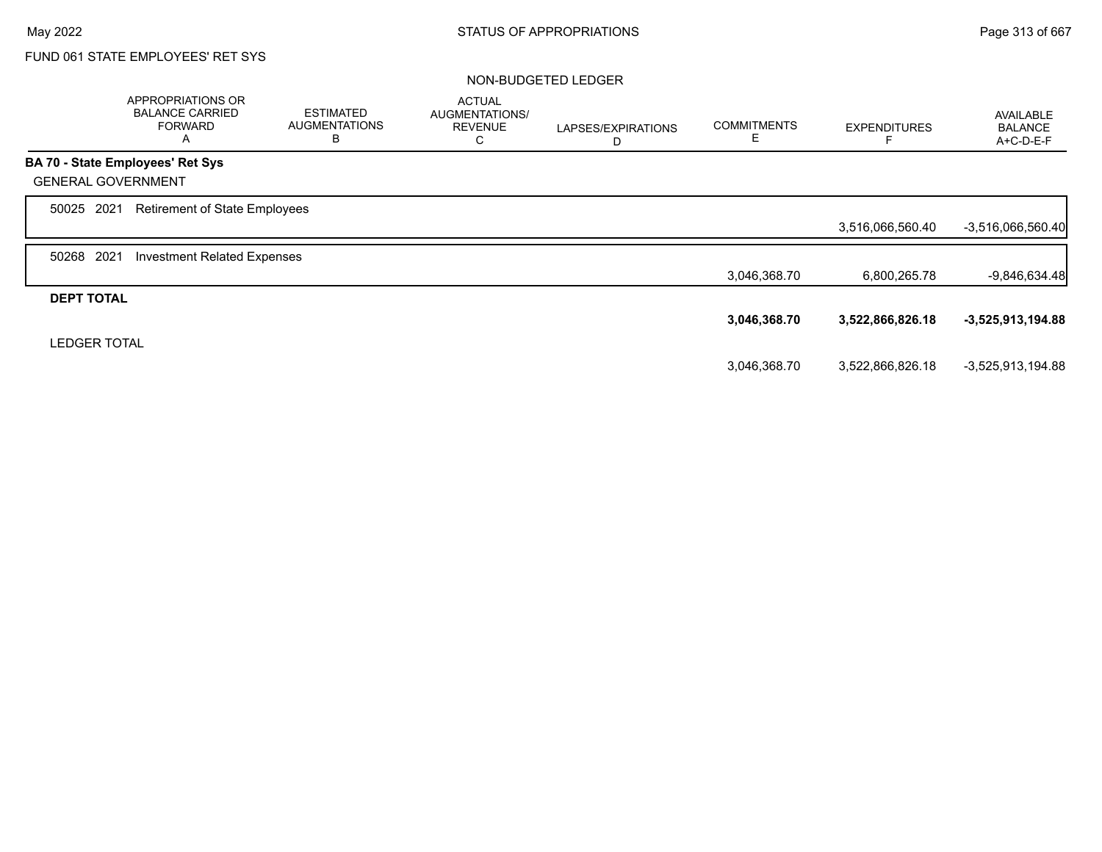# FUND 061 STATE EMPLOYEES' RET SYS

|                           | APPROPRIATIONS OR<br><b>BALANCE CARRIED</b><br><b>FORWARD</b><br>Α | <b>ESTIMATED</b><br><b>AUGMENTATIONS</b><br>В | <b>ACTUAL</b><br>AUGMENTATIONS/<br><b>REVENUE</b> | LAPSES/EXPIRATIONS<br>D | <b>COMMITMENTS</b><br>Е | <b>EXPENDITURES</b> | <b>AVAILABLE</b><br><b>BALANCE</b><br>A+C-D-E-F |
|---------------------------|--------------------------------------------------------------------|-----------------------------------------------|---------------------------------------------------|-------------------------|-------------------------|---------------------|-------------------------------------------------|
|                           | <b>BA 70 - State Employees' Ret Sys</b>                            |                                               |                                                   |                         |                         |                     |                                                 |
| <b>GENERAL GOVERNMENT</b> |                                                                    |                                               |                                                   |                         |                         |                     |                                                 |
| 50025 2021                | <b>Retirement of State Employees</b>                               |                                               |                                                   |                         |                         |                     |                                                 |
|                           |                                                                    |                                               |                                                   |                         |                         | 3,516,066,560.40    | $-3,516,066,560.40$                             |
| 2021<br>50268             | <b>Investment Related Expenses</b>                                 |                                               |                                                   |                         |                         |                     |                                                 |
|                           |                                                                    |                                               |                                                   |                         | 3,046,368.70            | 6,800,265.78        | $-9,846,634.48$                                 |
| <b>DEPT TOTAL</b>         |                                                                    |                                               |                                                   |                         |                         |                     |                                                 |
|                           |                                                                    |                                               |                                                   |                         | 3,046,368.70            | 3,522,866,826.18    | $-3,525,913,194.88$                             |
| <b>LEDGER TOTAL</b>       |                                                                    |                                               |                                                   |                         |                         |                     |                                                 |
|                           |                                                                    |                                               |                                                   |                         | 3,046,368.70            | 3,522,866,826.18    | -3,525,913,194.88                               |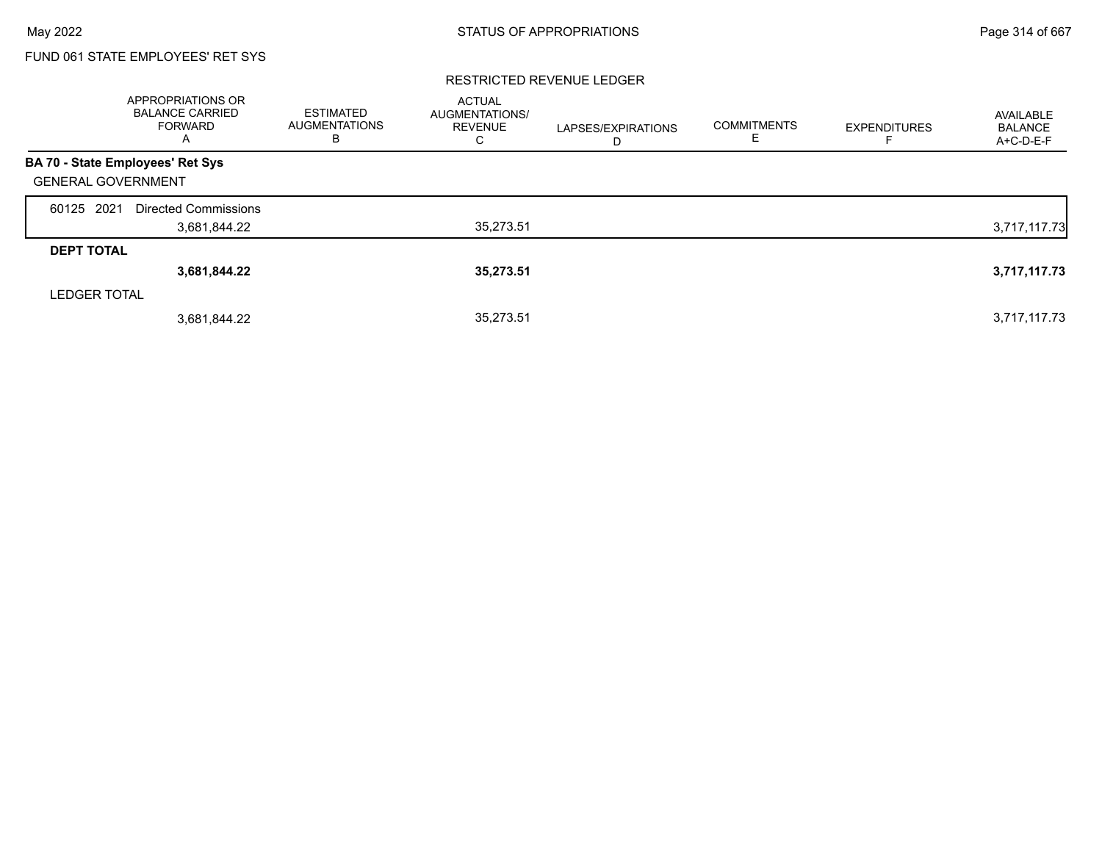## FUND 061 STATE EMPLOYEES' RET SYS

### RESTRICTED REVENUE LEDGER

|                                         | <b>APPROPRIATIONS OR</b><br><b>BALANCE CARRIED</b><br><b>FORWARD</b><br>A | <b>ESTIMATED</b><br><b>AUGMENTATIONS</b><br>в | <b>ACTUAL</b><br>AUGMENTATIONS/<br><b>REVENUE</b><br>C | LAPSES/EXPIRATIONS<br>D | <b>COMMITMENTS</b><br>Е | <b>EXPENDITURES</b> | AVAILABLE<br><b>BALANCE</b><br>A+C-D-E-F |
|-----------------------------------------|---------------------------------------------------------------------------|-----------------------------------------------|--------------------------------------------------------|-------------------------|-------------------------|---------------------|------------------------------------------|
| <b>BA 70 - State Employees' Ret Sys</b> |                                                                           |                                               |                                                        |                         |                         |                     |                                          |
| <b>GENERAL GOVERNMENT</b>               |                                                                           |                                               |                                                        |                         |                         |                     |                                          |
| 60125 2021                              | Directed Commissions                                                      |                                               |                                                        |                         |                         |                     |                                          |
|                                         | 3,681,844.22                                                              |                                               | 35,273.51                                              |                         |                         |                     | 3,717,117.73                             |
| <b>DEPT TOTAL</b>                       |                                                                           |                                               |                                                        |                         |                         |                     |                                          |
|                                         | 3,681,844.22                                                              |                                               | 35,273.51                                              |                         |                         |                     | 3,717,117.73                             |
| <b>LEDGER TOTAL</b>                     |                                                                           |                                               |                                                        |                         |                         |                     |                                          |
|                                         | 3,681,844.22                                                              |                                               | 35.273.51                                              |                         |                         |                     | 3,717,117.73                             |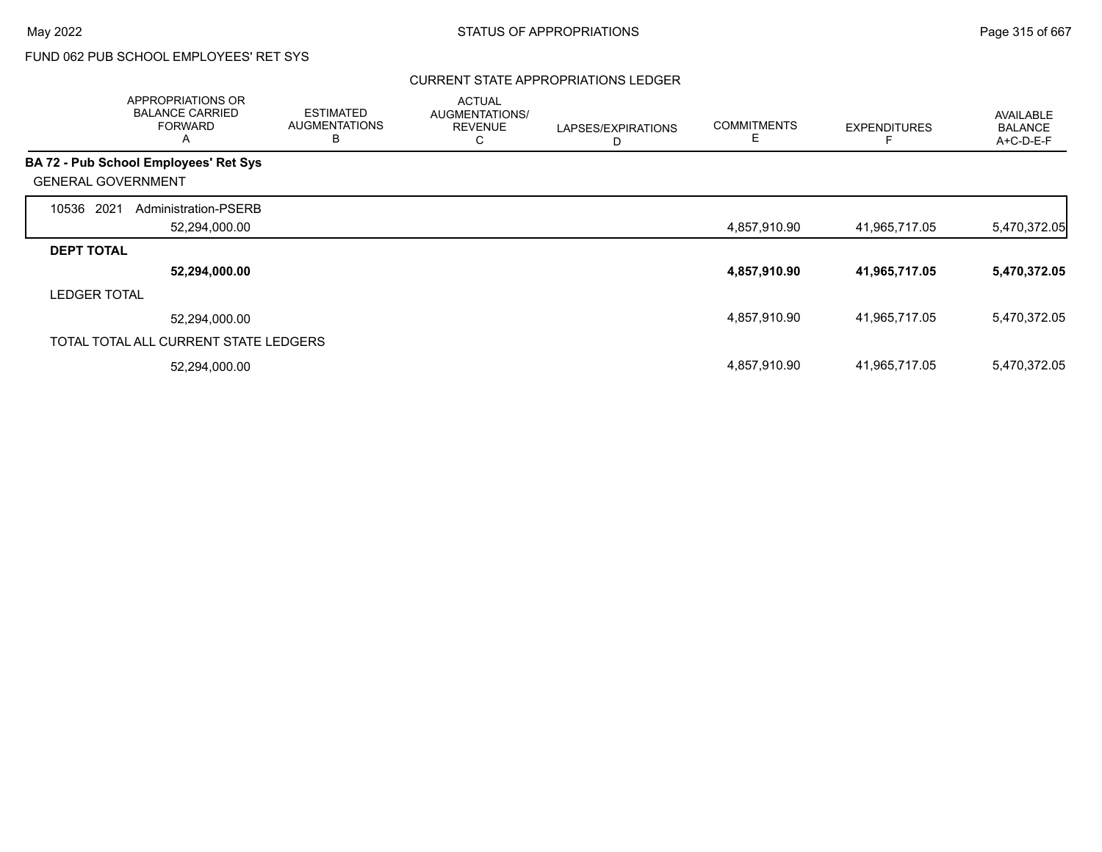### CURRENT STATE APPROPRIATIONS LEDGER

|                           | APPROPRIATIONS OR<br><b>BALANCE CARRIED</b><br><b>FORWARD</b><br>A | <b>ESTIMATED</b><br><b>AUGMENTATIONS</b><br>B | <b>ACTUAL</b><br>AUGMENTATIONS/<br><b>REVENUE</b><br>С | LAPSES/EXPIRATIONS<br>D | <b>COMMITMENTS</b><br>E. | <b>EXPENDITURES</b> | AVAILABLE<br><b>BALANCE</b><br>A+C-D-E-F |
|---------------------------|--------------------------------------------------------------------|-----------------------------------------------|--------------------------------------------------------|-------------------------|--------------------------|---------------------|------------------------------------------|
|                           | <b>BA 72 - Pub School Employees' Ret Sys</b>                       |                                               |                                                        |                         |                          |                     |                                          |
| <b>GENERAL GOVERNMENT</b> |                                                                    |                                               |                                                        |                         |                          |                     |                                          |
| 10536<br>2021             | Administration-PSERB                                               |                                               |                                                        |                         |                          |                     |                                          |
|                           | 52,294,000.00                                                      |                                               |                                                        |                         | 4,857,910.90             | 41,965,717.05       | 5,470,372.05                             |
| <b>DEPT TOTAL</b>         |                                                                    |                                               |                                                        |                         |                          |                     |                                          |
|                           | 52,294,000.00                                                      |                                               |                                                        |                         | 4,857,910.90             | 41,965,717.05       | 5,470,372.05                             |
| <b>LEDGER TOTAL</b>       |                                                                    |                                               |                                                        |                         |                          |                     |                                          |
|                           | 52,294,000.00                                                      |                                               |                                                        |                         | 4,857,910.90             | 41,965,717.05       | 5,470,372.05                             |
|                           | TOTAL TOTAL ALL CURRENT STATE LEDGERS                              |                                               |                                                        |                         |                          |                     |                                          |
|                           | 52,294,000.00                                                      |                                               |                                                        |                         | 4,857,910.90             | 41,965,717.05       | 5,470,372.05                             |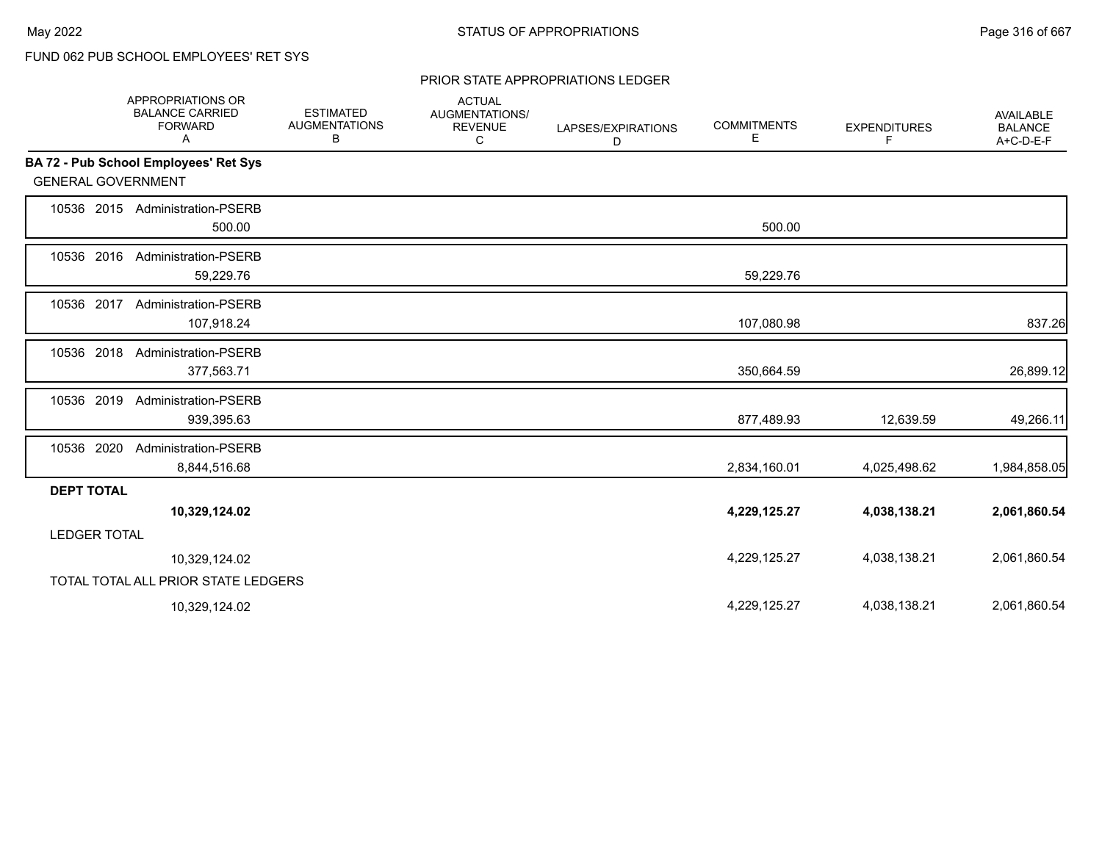### PRIOR STATE APPROPRIATIONS LEDGER

|                           | APPROPRIATIONS OR<br><b>BALANCE CARRIED</b><br><b>FORWARD</b><br>Α | <b>ESTIMATED</b><br><b>AUGMENTATIONS</b><br>В | <b>ACTUAL</b><br>AUGMENTATIONS/<br><b>REVENUE</b><br>C | LAPSES/EXPIRATIONS<br>D | <b>COMMITMENTS</b><br>Е | <b>EXPENDITURES</b><br>F | <b>AVAILABLE</b><br><b>BALANCE</b><br>A+C-D-E-F |
|---------------------------|--------------------------------------------------------------------|-----------------------------------------------|--------------------------------------------------------|-------------------------|-------------------------|--------------------------|-------------------------------------------------|
|                           | BA 72 - Pub School Employees' Ret Sys                              |                                               |                                                        |                         |                         |                          |                                                 |
| <b>GENERAL GOVERNMENT</b> |                                                                    |                                               |                                                        |                         |                         |                          |                                                 |
|                           | 10536 2015 Administration-PSERB<br>500.00                          |                                               |                                                        |                         | 500.00                  |                          |                                                 |
| 10536 2016                | <b>Administration-PSERB</b><br>59,229.76                           |                                               |                                                        |                         | 59,229.76               |                          |                                                 |
| 10536 2017                | <b>Administration-PSERB</b><br>107,918.24                          |                                               |                                                        |                         | 107,080.98              |                          | 837.26                                          |
| 10536 2018                | Administration-PSERB<br>377,563.71                                 |                                               |                                                        |                         | 350,664.59              |                          | 26,899.12                                       |
| 10536 2019                | Administration-PSERB<br>939,395.63                                 |                                               |                                                        |                         | 877,489.93              | 12,639.59                | 49,266.11                                       |
| 10536 2020                | <b>Administration-PSERB</b><br>8,844,516.68                        |                                               |                                                        |                         | 2,834,160.01            | 4,025,498.62             | 1,984,858.05                                    |
| <b>DEPT TOTAL</b>         |                                                                    |                                               |                                                        |                         |                         |                          |                                                 |
|                           | 10,329,124.02                                                      |                                               |                                                        |                         | 4,229,125.27            | 4,038,138.21             | 2,061,860.54                                    |
| <b>LEDGER TOTAL</b>       |                                                                    |                                               |                                                        |                         |                         |                          |                                                 |
|                           | 10,329,124.02                                                      |                                               |                                                        |                         | 4,229,125.27            | 4,038,138.21             | 2,061,860.54                                    |
|                           | TOTAL TOTAL ALL PRIOR STATE LEDGERS                                |                                               |                                                        |                         |                         |                          |                                                 |
|                           | 10,329,124.02                                                      |                                               |                                                        |                         | 4,229,125.27            | 4,038,138.21             | 2,061,860.54                                    |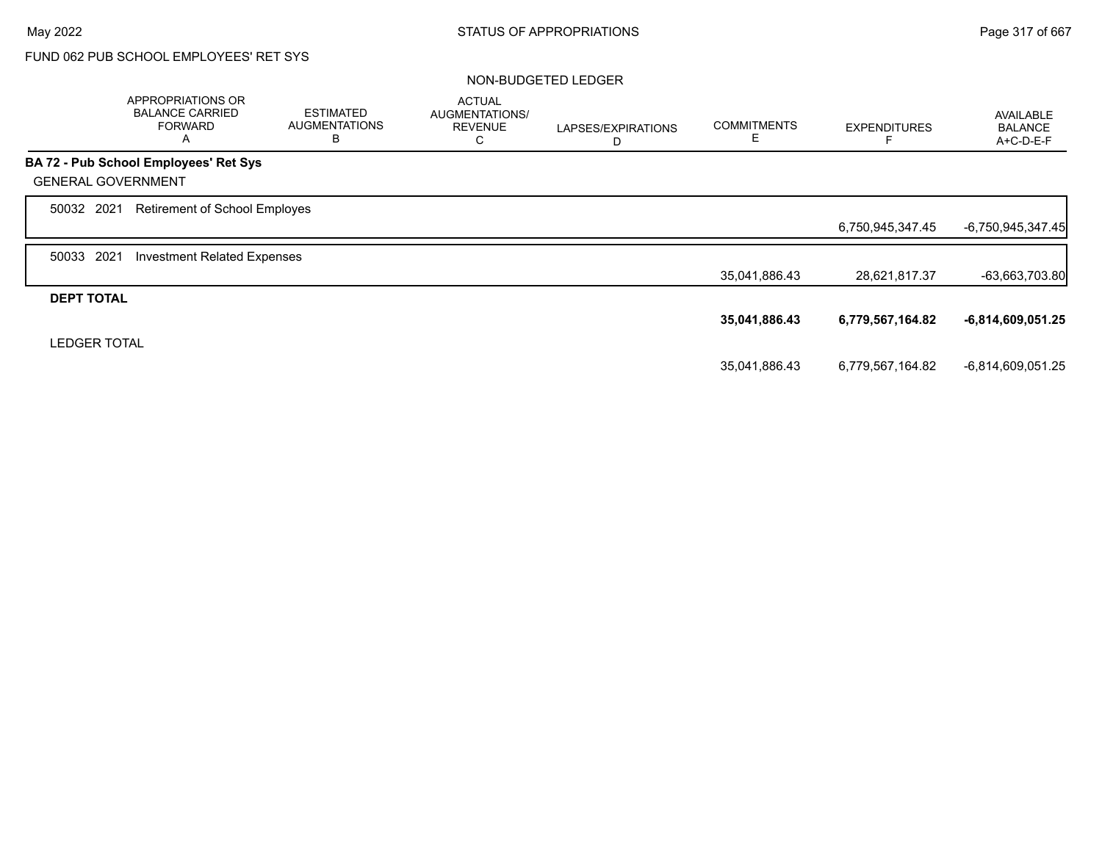|                           | APPROPRIATIONS OR<br><b>BALANCE CARRIED</b><br><b>FORWARD</b><br>Α | <b>ESTIMATED</b><br><b>AUGMENTATIONS</b><br>B | <b>ACTUAL</b><br>AUGMENTATIONS/<br><b>REVENUE</b><br>C | LAPSES/EXPIRATIONS<br>D | <b>COMMITMENTS</b><br>Е | <b>EXPENDITURES</b> | <b>AVAILABLE</b><br><b>BALANCE</b><br>A+C-D-E-F |
|---------------------------|--------------------------------------------------------------------|-----------------------------------------------|--------------------------------------------------------|-------------------------|-------------------------|---------------------|-------------------------------------------------|
|                           | <b>BA 72 - Pub School Employees' Ret Sys</b>                       |                                               |                                                        |                         |                         |                     |                                                 |
| <b>GENERAL GOVERNMENT</b> |                                                                    |                                               |                                                        |                         |                         |                     |                                                 |
| 50032 2021                | Retirement of School Employes                                      |                                               |                                                        |                         |                         |                     |                                                 |
|                           |                                                                    |                                               |                                                        |                         |                         | 6,750,945,347.45    | -6,750,945,347.45                               |
| 2021<br>50033             | <b>Investment Related Expenses</b>                                 |                                               |                                                        |                         |                         |                     |                                                 |
|                           |                                                                    |                                               |                                                        |                         | 35,041,886.43           | 28,621,817.37       | $-63,663,703.80$                                |
| <b>DEPT TOTAL</b>         |                                                                    |                                               |                                                        |                         |                         |                     |                                                 |
|                           |                                                                    |                                               |                                                        |                         | 35,041,886.43           | 6,779,567,164.82    | $-6,814,609,051.25$                             |
| <b>LEDGER TOTAL</b>       |                                                                    |                                               |                                                        |                         |                         |                     |                                                 |
|                           |                                                                    |                                               |                                                        |                         | 35,041,886.43           | 6,779,567,164.82    | -6,814,609,051.25                               |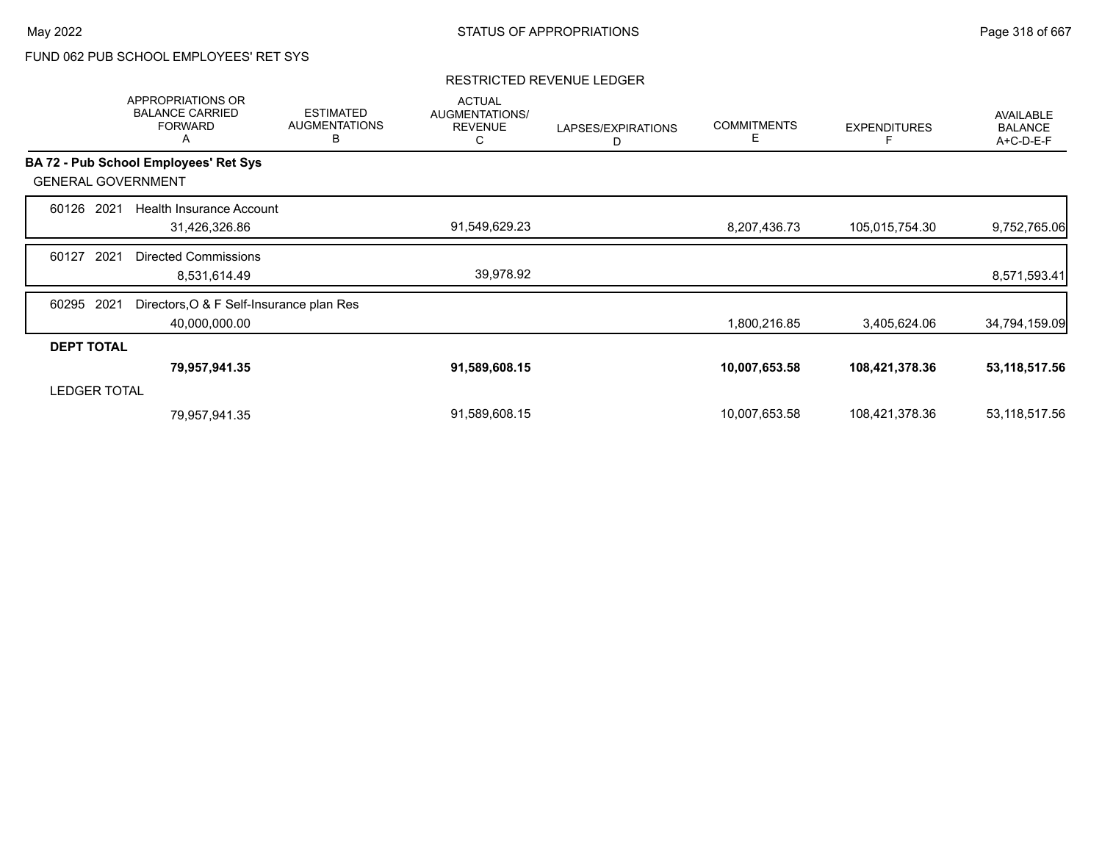### RESTRICTED REVENUE LEDGER

|                     | APPROPRIATIONS OR<br><b>BALANCE CARRIED</b><br><b>FORWARD</b><br>A | <b>ESTIMATED</b><br><b>AUGMENTATIONS</b><br>B | <b>ACTUAL</b><br>AUGMENTATIONS/<br><b>REVENUE</b><br>С | LAPSES/EXPIRATIONS<br>D | <b>COMMITMENTS</b><br>E | <b>EXPENDITURES</b> | <b>AVAILABLE</b><br><b>BALANCE</b><br>A+C-D-E-F |
|---------------------|--------------------------------------------------------------------|-----------------------------------------------|--------------------------------------------------------|-------------------------|-------------------------|---------------------|-------------------------------------------------|
|                     | <b>BA 72 - Pub School Employees' Ret Sys</b>                       |                                               |                                                        |                         |                         |                     |                                                 |
|                     | <b>GENERAL GOVERNMENT</b>                                          |                                               |                                                        |                         |                         |                     |                                                 |
| 60126               | 2021<br>Health Insurance Account                                   |                                               |                                                        |                         |                         |                     |                                                 |
|                     | 31,426,326.86                                                      |                                               | 91,549,629.23                                          |                         | 8,207,436.73            | 105,015,754.30      | 9,752,765.06                                    |
| 60127               | 2021<br><b>Directed Commissions</b>                                |                                               |                                                        |                         |                         |                     |                                                 |
|                     | 8,531,614.49                                                       |                                               | 39,978.92                                              |                         |                         |                     | 8,571,593.41                                    |
| 60295               | Directors, O & F Self-Insurance plan Res<br>2021                   |                                               |                                                        |                         |                         |                     |                                                 |
|                     | 40,000,000.00                                                      |                                               |                                                        |                         | 1,800,216.85            | 3,405,624.06        | 34,794,159.09                                   |
| <b>DEPT TOTAL</b>   |                                                                    |                                               |                                                        |                         |                         |                     |                                                 |
|                     | 79,957,941.35                                                      |                                               | 91,589,608.15                                          |                         | 10,007,653.58           | 108,421,378.36      | 53,118,517.56                                   |
| <b>LEDGER TOTAL</b> |                                                                    |                                               |                                                        |                         |                         |                     |                                                 |
|                     | 79,957,941.35                                                      |                                               | 91,589,608.15                                          |                         | 10,007,653.58           | 108,421,378.36      | 53,118,517.56                                   |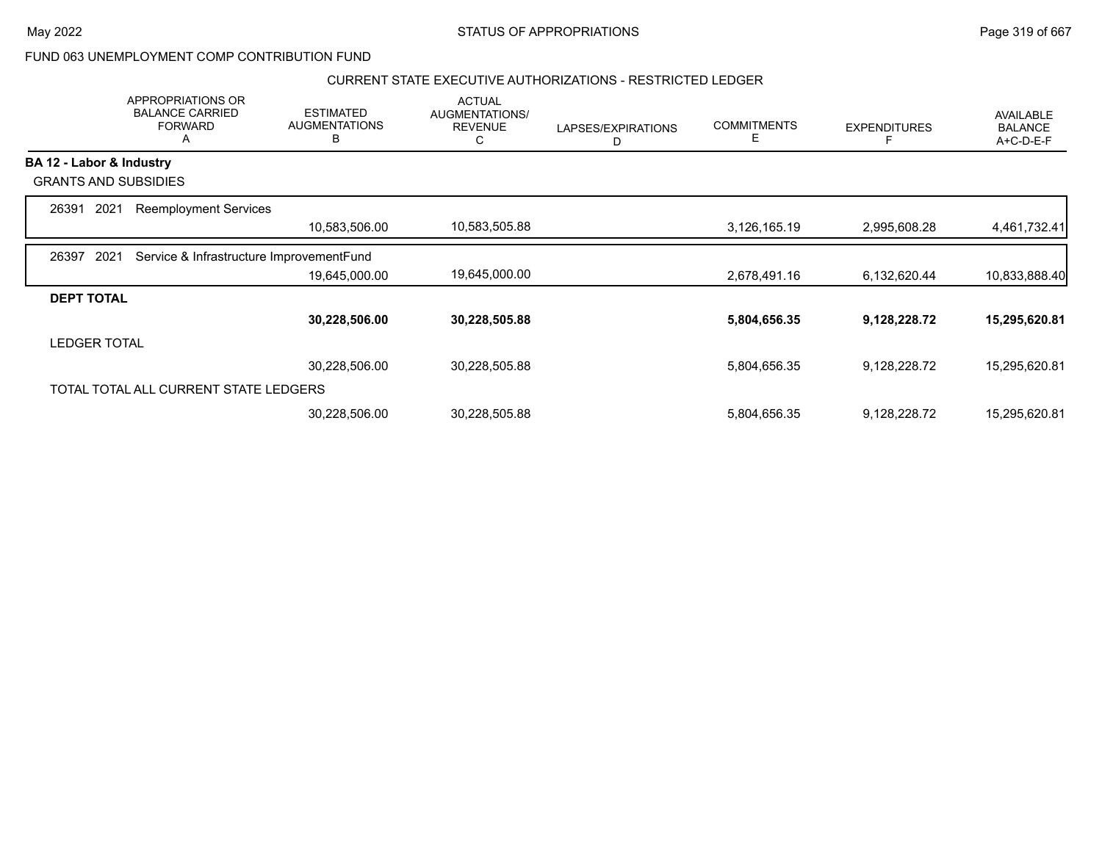### CURRENT STATE EXECUTIVE AUTHORIZATIONS - RESTRICTED LEDGER

|                          | APPROPRIATIONS OR<br><b>BALANCE CARRIED</b><br><b>FORWARD</b><br>A | <b>ESTIMATED</b><br><b>AUGMENTATIONS</b><br>B | <b>ACTUAL</b><br>AUGMENTATIONS/<br><b>REVENUE</b><br>С | LAPSES/EXPIRATIONS<br>D | <b>COMMITMENTS</b><br>E | <b>EXPENDITURES</b> | <b>AVAILABLE</b><br><b>BALANCE</b><br>A+C-D-E-F |
|--------------------------|--------------------------------------------------------------------|-----------------------------------------------|--------------------------------------------------------|-------------------------|-------------------------|---------------------|-------------------------------------------------|
| BA 12 - Labor & Industry |                                                                    |                                               |                                                        |                         |                         |                     |                                                 |
|                          | <b>GRANTS AND SUBSIDIES</b>                                        |                                               |                                                        |                         |                         |                     |                                                 |
| 26391                    | 2021<br><b>Reemployment Services</b>                               |                                               |                                                        |                         |                         |                     |                                                 |
|                          |                                                                    | 10,583,506.00                                 | 10,583,505.88                                          |                         | 3,126,165.19            | 2,995,608.28        | 4,461,732.41                                    |
| 26397                    | 2021<br>Service & Infrastructure ImprovementFund                   |                                               |                                                        |                         |                         |                     |                                                 |
|                          |                                                                    | 19,645,000.00                                 | 19,645,000.00                                          |                         | 2,678,491.16            | 6,132,620.44        | 10,833,888.40                                   |
| <b>DEPT TOTAL</b>        |                                                                    |                                               |                                                        |                         |                         |                     |                                                 |
|                          |                                                                    | 30,228,506.00                                 | 30,228,505.88                                          |                         | 5,804,656.35            | 9,128,228.72        | 15,295,620.81                                   |
| <b>LEDGER TOTAL</b>      |                                                                    |                                               |                                                        |                         |                         |                     |                                                 |
|                          |                                                                    | 30,228,506.00                                 | 30,228,505.88                                          |                         | 5,804,656.35            | 9,128,228.72        | 15,295,620.81                                   |
|                          | TOTAL TOTAL ALL CURRENT STATE LEDGERS                              |                                               |                                                        |                         |                         |                     |                                                 |
|                          |                                                                    | 30,228,506.00                                 | 30,228,505.88                                          |                         | 5,804,656.35            | 9,128,228.72        | 15,295,620.81                                   |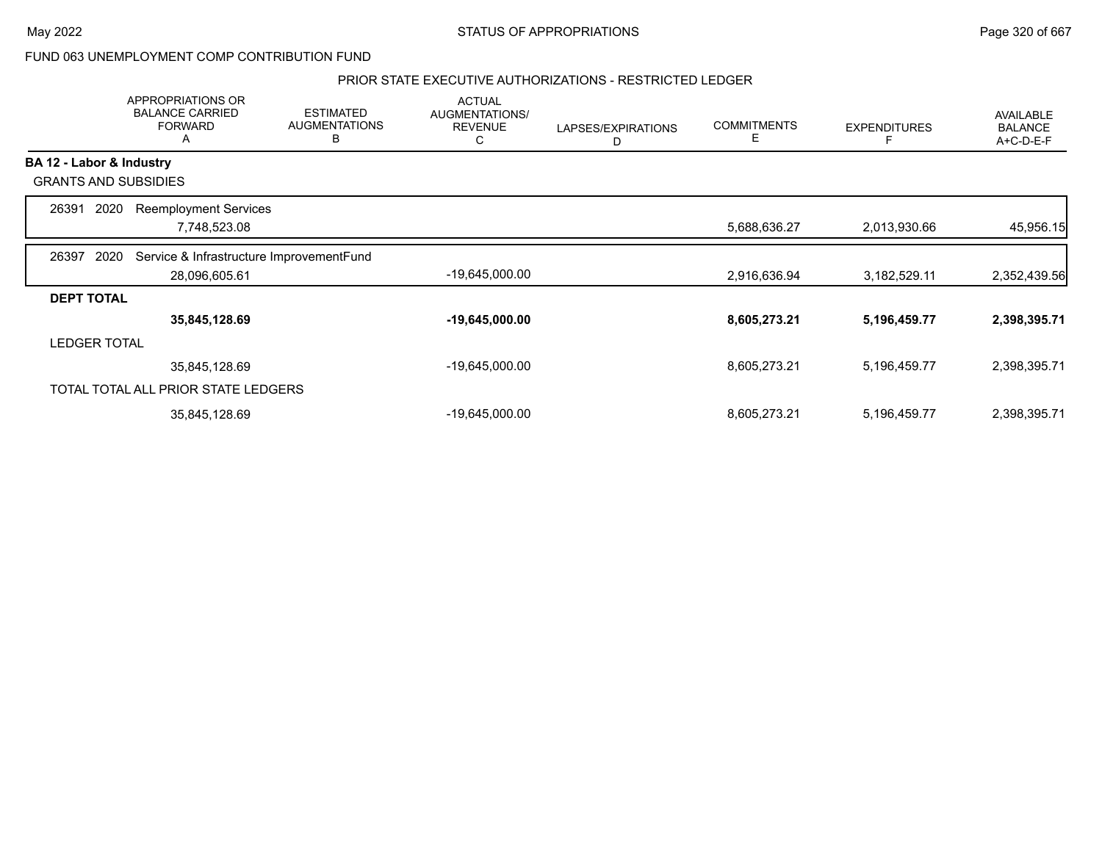### PRIOR STATE EXECUTIVE AUTHORIZATIONS - RESTRICTED LEDGER

|                          | APPROPRIATIONS OR<br><b>BALANCE CARRIED</b><br><b>FORWARD</b><br>A | <b>ESTIMATED</b><br><b>AUGMENTATIONS</b><br>в | <b>ACTUAL</b><br>AUGMENTATIONS/<br><b>REVENUE</b><br>С | LAPSES/EXPIRATIONS<br>D | <b>COMMITMENTS</b><br>E | <b>EXPENDITURES</b> | AVAILABLE<br><b>BALANCE</b><br>A+C-D-E-F |
|--------------------------|--------------------------------------------------------------------|-----------------------------------------------|--------------------------------------------------------|-------------------------|-------------------------|---------------------|------------------------------------------|
| BA 12 - Labor & Industry |                                                                    |                                               |                                                        |                         |                         |                     |                                          |
|                          | <b>GRANTS AND SUBSIDIES</b>                                        |                                               |                                                        |                         |                         |                     |                                          |
| 26391                    | 2020<br><b>Reemployment Services</b>                               |                                               |                                                        |                         |                         |                     |                                          |
|                          | 7,748,523.08                                                       |                                               |                                                        |                         | 5,688,636.27            | 2,013,930.66        | 45,956.15                                |
| 26397                    | Service & Infrastructure ImprovementFund<br>2020                   |                                               |                                                        |                         |                         |                     |                                          |
|                          | 28,096,605.61                                                      |                                               | $-19,645,000.00$                                       |                         | 2,916,636.94            | 3,182,529.11        | 2,352,439.56                             |
| <b>DEPT TOTAL</b>        |                                                                    |                                               |                                                        |                         |                         |                     |                                          |
|                          | 35,845,128.69                                                      |                                               | $-19,645,000.00$                                       |                         | 8,605,273.21            | 5,196,459.77        | 2,398,395.71                             |
| <b>LEDGER TOTAL</b>      |                                                                    |                                               |                                                        |                         |                         |                     |                                          |
|                          | 35,845,128.69                                                      |                                               | -19,645,000.00                                         |                         | 8,605,273.21            | 5,196,459.77        | 2,398,395.71                             |
|                          | TOTAL TOTAL ALL PRIOR STATE LEDGERS                                |                                               |                                                        |                         |                         |                     |                                          |
|                          | 35,845,128.69                                                      |                                               | -19,645,000.00                                         |                         | 8,605,273.21            | 5,196,459.77        | 2,398,395.71                             |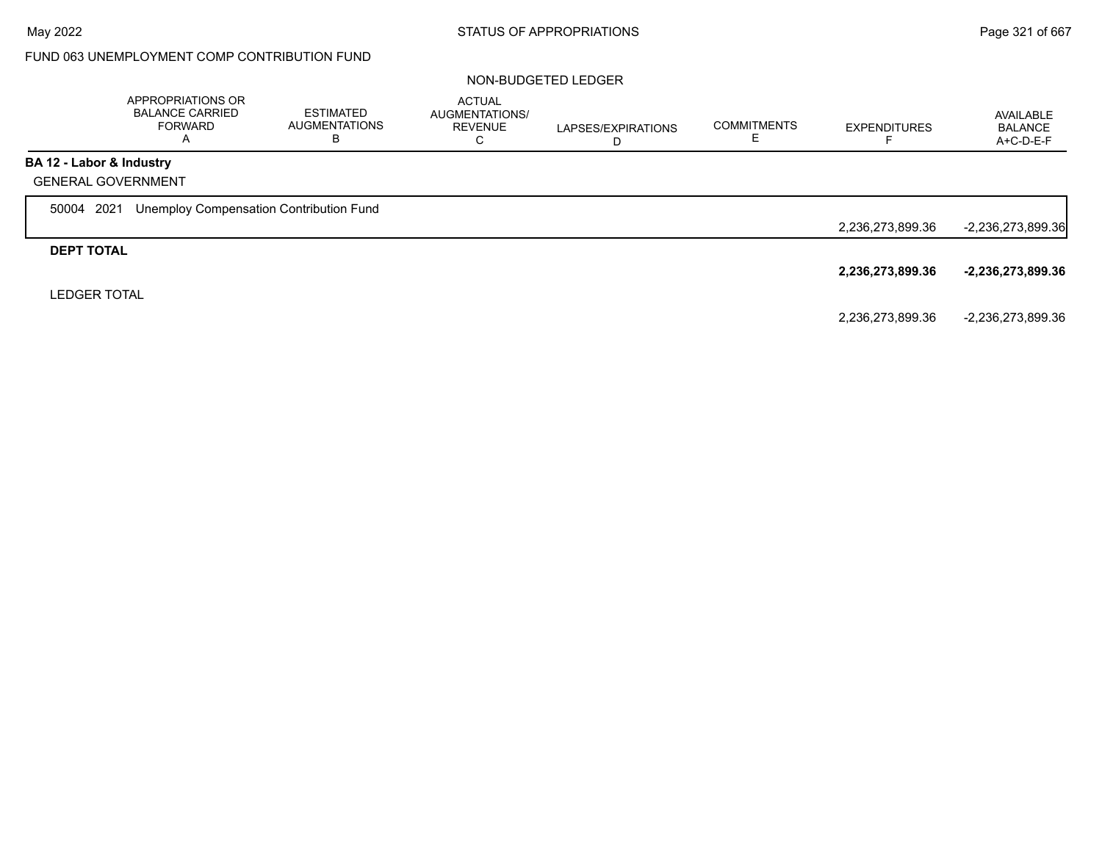|                          | APPROPRIATIONS OR<br><b>BALANCE CARRIED</b><br><b>FORWARD</b><br>A | <b>ESTIMATED</b><br><b>AUGMENTATIONS</b><br>В | <b>ACTUAL</b><br><b>AUGMENTATIONS/</b><br><b>REVENUE</b><br>$\sim$<br>Ü | LAPSES/EXPIRATIONS<br>D | <b>COMMITMENTS</b> | <b>EXPENDITURES</b> | AVAILABLE<br><b>BALANCE</b><br>A+C-D-E-F |
|--------------------------|--------------------------------------------------------------------|-----------------------------------------------|-------------------------------------------------------------------------|-------------------------|--------------------|---------------------|------------------------------------------|
| BA 12 - Labor & Industry |                                                                    |                                               |                                                                         |                         |                    |                     |                                          |
|                          | <b>GENERAL GOVERNMENT</b>                                          |                                               |                                                                         |                         |                    |                     |                                          |
| 50004 2021               | Unemploy Compensation Contribution Fund                            |                                               |                                                                         |                         |                    |                     |                                          |
|                          |                                                                    |                                               |                                                                         |                         |                    | 2,236,273,899.36    | $-2,236,273,899.36$                      |
| <b>DEPT TOTAL</b>        |                                                                    |                                               |                                                                         |                         |                    |                     |                                          |
|                          |                                                                    |                                               |                                                                         |                         |                    | 2,236,273,899.36    | -2,236,273,899.36                        |
| <b>LEDGER TOTAL</b>      |                                                                    |                                               |                                                                         |                         |                    |                     |                                          |
|                          |                                                                    |                                               |                                                                         |                         |                    | 2,236,273,899.36    | -2,236,273,899.36                        |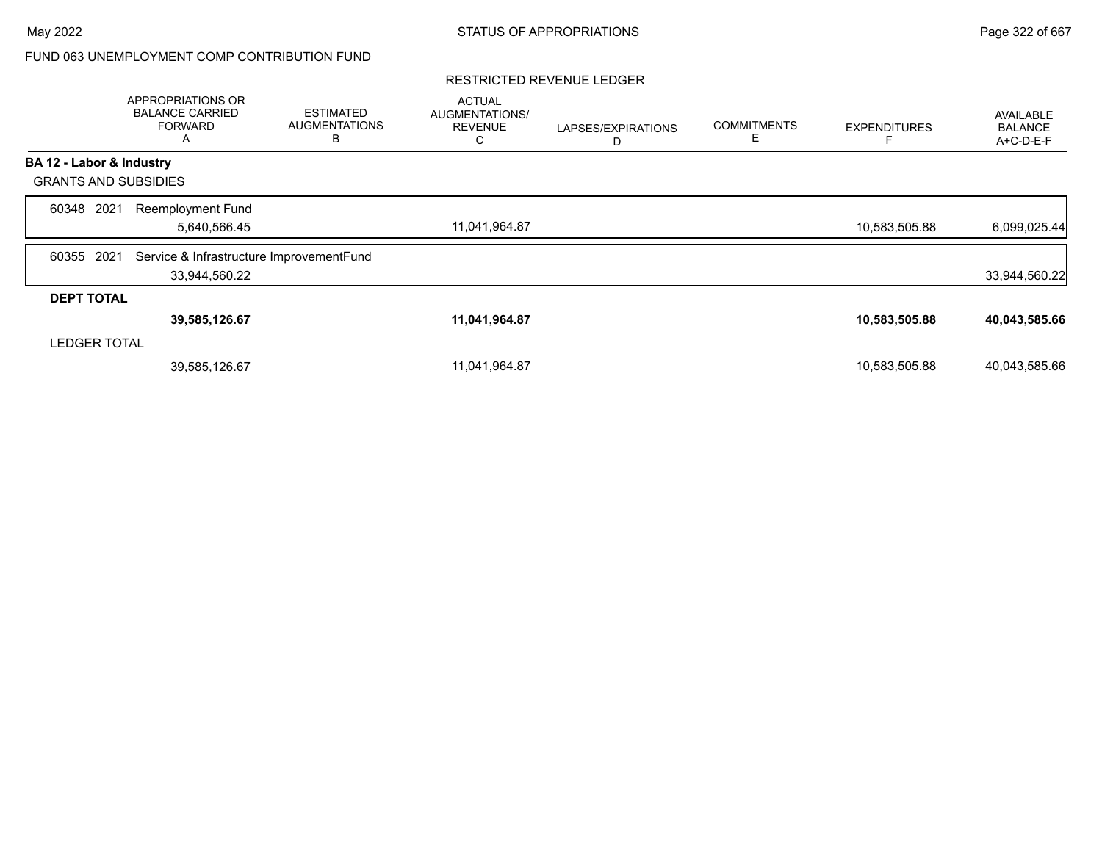### RESTRICTED REVENUE LEDGER

|                             | <b>APPROPRIATIONS OR</b><br><b>BALANCE CARRIED</b><br><b>FORWARD</b><br>A | <b>ESTIMATED</b><br><b>AUGMENTATIONS</b><br>B | <b>ACTUAL</b><br>AUGMENTATIONS/<br><b>REVENUE</b><br>С | LAPSES/EXPIRATIONS<br>D | <b>COMMITMENTS</b><br>Е | <b>EXPENDITURES</b> | AVAILABLE<br><b>BALANCE</b><br>A+C-D-E-F |
|-----------------------------|---------------------------------------------------------------------------|-----------------------------------------------|--------------------------------------------------------|-------------------------|-------------------------|---------------------|------------------------------------------|
| BA 12 - Labor & Industry    |                                                                           |                                               |                                                        |                         |                         |                     |                                          |
| <b>GRANTS AND SUBSIDIES</b> |                                                                           |                                               |                                                        |                         |                         |                     |                                          |
| 2021<br>60348               | <b>Reemployment Fund</b><br>5,640,566.45                                  |                                               | 11,041,964.87                                          |                         |                         | 10,583,505.88       | 6,099,025.44                             |
| 2021<br>60355               | Service & Infrastructure ImprovementFund<br>33,944,560.22                 |                                               |                                                        |                         |                         |                     | 33,944,560.22                            |
| <b>DEPT TOTAL</b>           |                                                                           |                                               |                                                        |                         |                         |                     |                                          |
|                             | 39,585,126.67                                                             |                                               | 11,041,964.87                                          |                         |                         | 10,583,505.88       | 40,043,585.66                            |
| <b>LEDGER TOTAL</b>         |                                                                           |                                               |                                                        |                         |                         |                     |                                          |
|                             | 39,585,126.67                                                             |                                               | 11,041,964.87                                          |                         |                         | 10,583,505.88       | 40,043,585.66                            |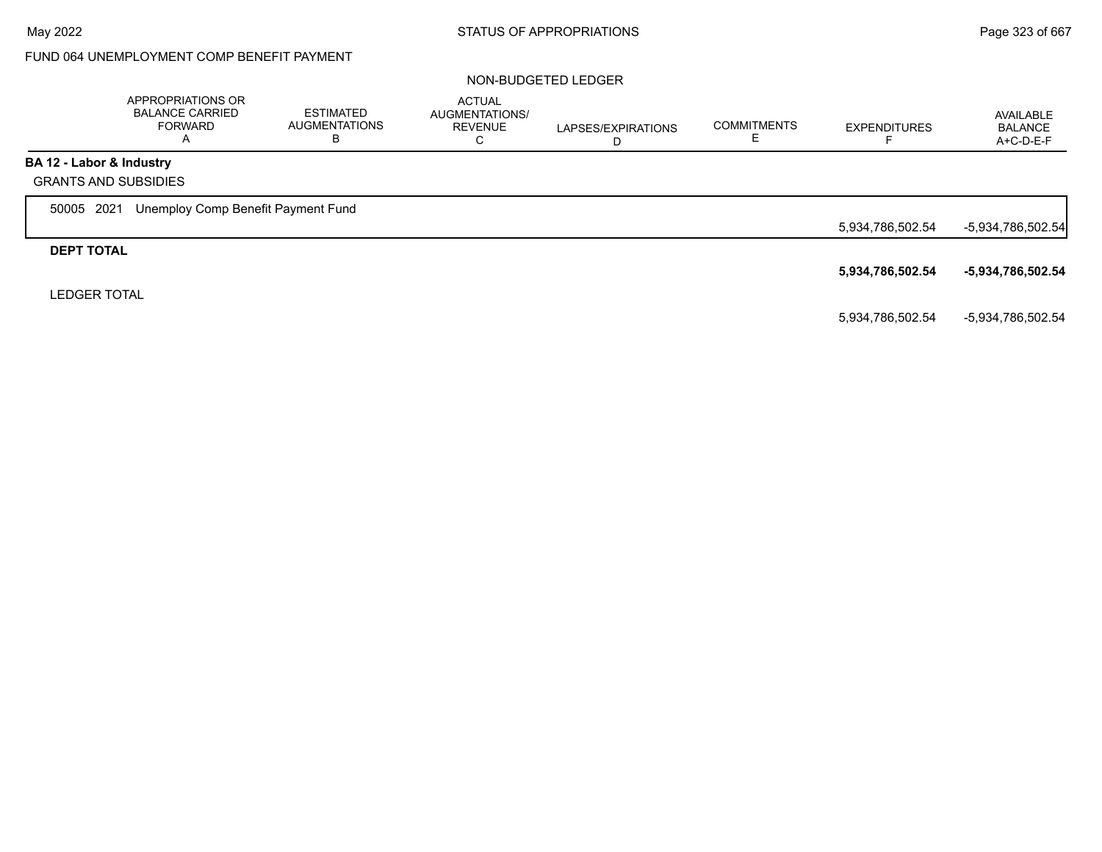## FUND 064 UNEMPLOYMENT COMP BENEFIT PAYMENT

|                          | APPROPRIATIONS OR<br><b>BALANCE CARRIED</b><br><b>FORWARD</b><br>A | <b>ESTIMATED</b><br><b>AUGMENTATIONS</b><br>в | ACTUAL<br><b>AUGMENTATIONS/</b><br><b>REVENUE</b><br>С | LAPSES/EXPIRATIONS | <b>COMMITMENTS</b> | <b>EXPENDITURES</b> | AVAILABLE<br><b>BALANCE</b><br>A+C-D-E-F |
|--------------------------|--------------------------------------------------------------------|-----------------------------------------------|--------------------------------------------------------|--------------------|--------------------|---------------------|------------------------------------------|
| BA 12 - Labor & Industry |                                                                    |                                               |                                                        |                    |                    |                     |                                          |
|                          | <b>GRANTS AND SUBSIDIES</b>                                        |                                               |                                                        |                    |                    |                     |                                          |
| 50005                    | Unemploy Comp Benefit Payment Fund<br>2021                         |                                               |                                                        |                    |                    |                     |                                          |
|                          |                                                                    |                                               |                                                        |                    |                    | 5,934,786,502.54    | -5,934,786,502.54                        |
| <b>DEPT TOTAL</b>        |                                                                    |                                               |                                                        |                    |                    |                     |                                          |
|                          |                                                                    |                                               |                                                        |                    |                    | 5,934,786,502.54    | -5,934,786,502.54                        |
| <b>LEDGER TOTAL</b>      |                                                                    |                                               |                                                        |                    |                    |                     |                                          |
|                          |                                                                    |                                               |                                                        |                    |                    | 5,934,786,502.54    | -5,934,786,502.54                        |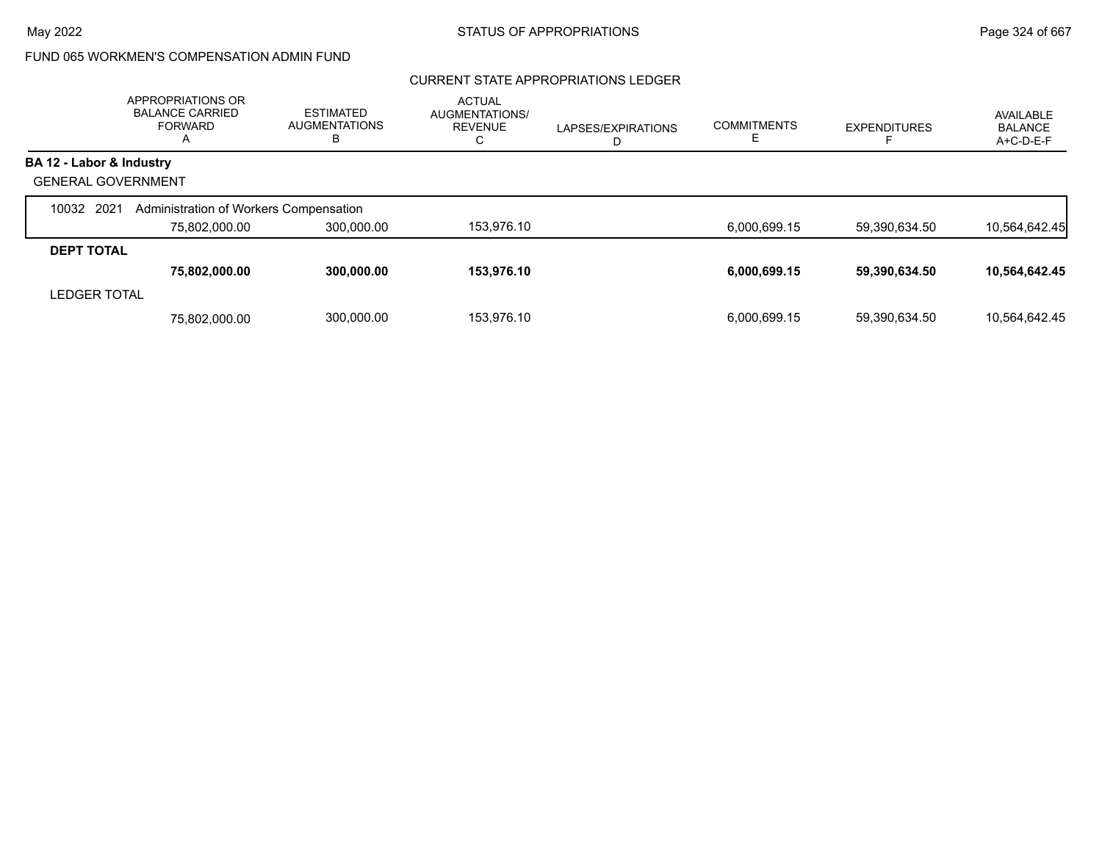# FUND 065 WORKMEN'S COMPENSATION ADMIN FUND

## CURRENT STATE APPROPRIATIONS LEDGER

|                           | APPROPRIATIONS OR<br><b>BALANCE CARRIED</b><br><b>FORWARD</b> | <b>ESTIMATED</b><br><b>AUGMENTATIONS</b><br>В | <b>ACTUAL</b><br>AUGMENTATIONS/<br><b>REVENUE</b><br>С | LAPSES/EXPIRATIONS<br>D | <b>COMMITMENTS</b> | <b>EXPENDITURES</b> | AVAILABLE<br><b>BALANCE</b><br>A+C-D-E-F |
|---------------------------|---------------------------------------------------------------|-----------------------------------------------|--------------------------------------------------------|-------------------------|--------------------|---------------------|------------------------------------------|
| BA 12 - Labor & Industry  |                                                               |                                               |                                                        |                         |                    |                     |                                          |
| <b>GENERAL GOVERNMENT</b> |                                                               |                                               |                                                        |                         |                    |                     |                                          |
| 10032 2021                | Administration of Workers Compensation                        |                                               |                                                        |                         |                    |                     |                                          |
|                           | 75,802,000.00                                                 | 300,000.00                                    | 153,976.10                                             |                         | 6,000,699.15       | 59,390,634.50       | 10,564,642.45                            |
| <b>DEPT TOTAL</b>         |                                                               |                                               |                                                        |                         |                    |                     |                                          |
|                           | 75,802,000.00                                                 | 300,000.00                                    | 153,976.10                                             |                         | 6,000,699.15       | 59,390,634.50       | 10,564,642.45                            |
| <b>LEDGER TOTAL</b>       |                                                               |                                               |                                                        |                         |                    |                     |                                          |
|                           | 75.802.000.00                                                 | 300,000.00                                    | 153.976.10                                             |                         | 6.000.699.15       | 59.390.634.50       | 10.564.642.45                            |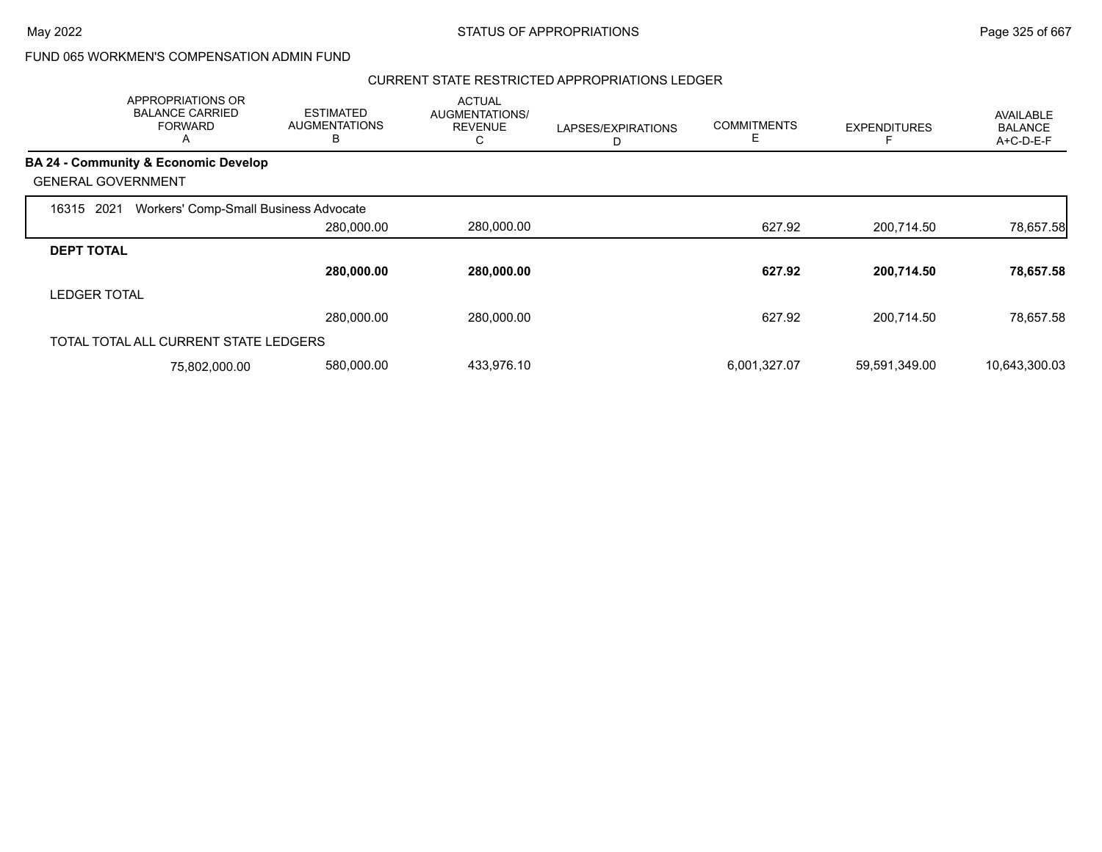### CURRENT STATE RESTRICTED APPROPRIATIONS LEDGER

|                           | APPROPRIATIONS OR<br><b>BALANCE CARRIED</b><br><b>FORWARD</b><br>$\mathsf{A}$ | <b>ESTIMATED</b><br><b>AUGMENTATIONS</b><br>B | <b>ACTUAL</b><br>AUGMENTATIONS/<br><b>REVENUE</b><br>С | LAPSES/EXPIRATIONS<br>D | <b>COMMITMENTS</b><br>E. | <b>EXPENDITURES</b> | AVAILABLE<br><b>BALANCE</b><br>A+C-D-E-F |
|---------------------------|-------------------------------------------------------------------------------|-----------------------------------------------|--------------------------------------------------------|-------------------------|--------------------------|---------------------|------------------------------------------|
|                           | <b>BA 24 - Community &amp; Economic Develop</b>                               |                                               |                                                        |                         |                          |                     |                                          |
| <b>GENERAL GOVERNMENT</b> |                                                                               |                                               |                                                        |                         |                          |                     |                                          |
| 2021<br>16315             | Workers' Comp-Small Business Advocate                                         |                                               |                                                        |                         |                          |                     |                                          |
|                           |                                                                               | 280,000.00                                    | 280,000.00                                             |                         | 627.92                   | 200,714.50          | 78,657.58                                |
| <b>DEPT TOTAL</b>         |                                                                               |                                               |                                                        |                         |                          |                     |                                          |
|                           |                                                                               | 280,000.00                                    | 280,000.00                                             |                         | 627.92                   | 200,714.50          | 78,657.58                                |
| <b>LEDGER TOTAL</b>       |                                                                               |                                               |                                                        |                         |                          |                     |                                          |
|                           |                                                                               | 280,000.00                                    | 280,000.00                                             |                         | 627.92                   | 200,714.50          | 78,657.58                                |
|                           | TOTAL TOTAL ALL CURRENT STATE LEDGERS                                         |                                               |                                                        |                         |                          |                     |                                          |
|                           | 75,802,000.00                                                                 | 580,000.00                                    | 433,976.10                                             |                         | 6,001,327.07             | 59,591,349.00       | 10,643,300.03                            |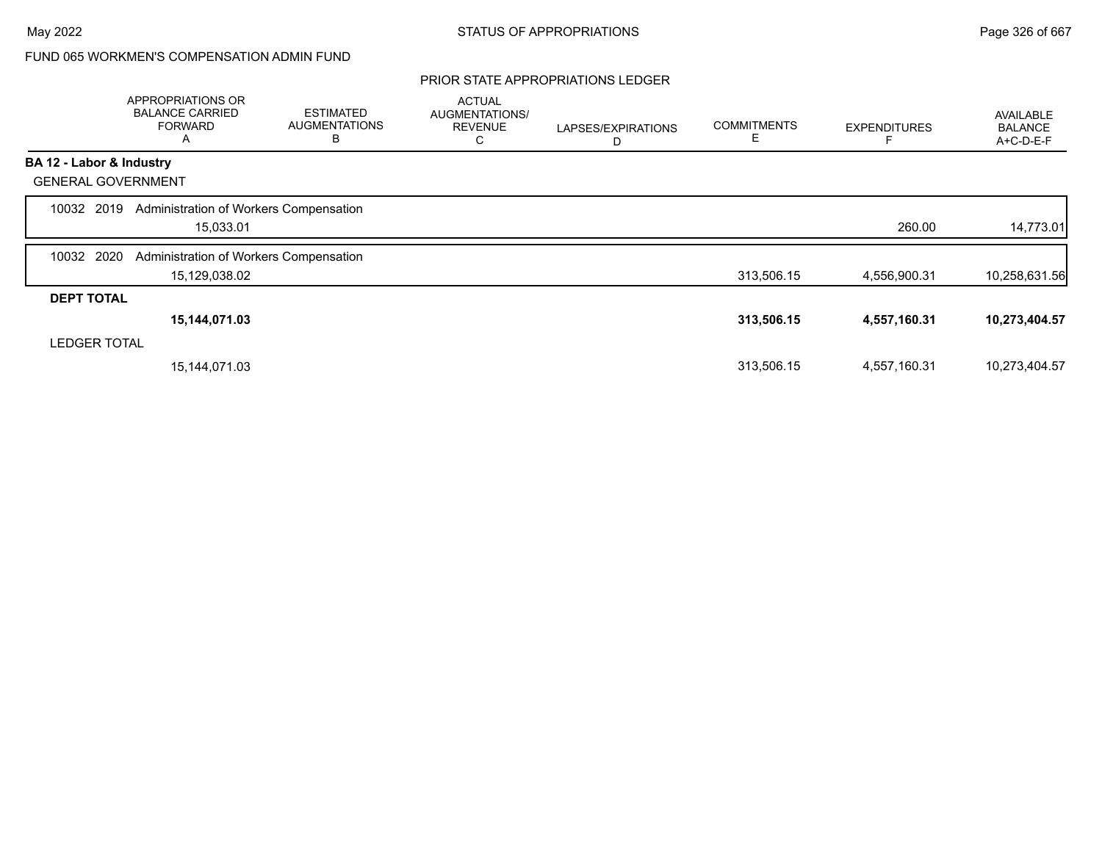### PRIOR STATE APPROPRIATIONS LEDGER

|                           | APPROPRIATIONS OR<br><b>BALANCE CARRIED</b><br><b>FORWARD</b><br>Α | <b>ESTIMATED</b><br><b>AUGMENTATIONS</b><br>В | <b>ACTUAL</b><br>AUGMENTATIONS/<br><b>REVENUE</b><br>U | LAPSES/EXPIRATIONS<br>D | <b>COMMITMENTS</b><br>E | <b>EXPENDITURES</b> | AVAILABLE<br><b>BALANCE</b><br>A+C-D-E-F |
|---------------------------|--------------------------------------------------------------------|-----------------------------------------------|--------------------------------------------------------|-------------------------|-------------------------|---------------------|------------------------------------------|
| BA 12 - Labor & Industry  |                                                                    |                                               |                                                        |                         |                         |                     |                                          |
| <b>GENERAL GOVERNMENT</b> |                                                                    |                                               |                                                        |                         |                         |                     |                                          |
| 10032 2019                | Administration of Workers Compensation<br>15,033.01                |                                               |                                                        |                         |                         | 260.00              | 14,773.01                                |
| 2020<br>10032             | Administration of Workers Compensation                             |                                               |                                                        |                         |                         |                     |                                          |
|                           | 15,129,038.02                                                      |                                               |                                                        |                         | 313,506.15              | 4,556,900.31        | 10,258,631.56                            |
| <b>DEPT TOTAL</b>         |                                                                    |                                               |                                                        |                         |                         |                     |                                          |
|                           | 15,144,071.03                                                      |                                               |                                                        |                         | 313,506.15              | 4,557,160.31        | 10,273,404.57                            |
| <b>LEDGER TOTAL</b>       |                                                                    |                                               |                                                        |                         |                         |                     |                                          |
|                           | 15, 144, 071.03                                                    |                                               |                                                        |                         | 313,506.15              | 4,557,160.31        | 10,273,404.57                            |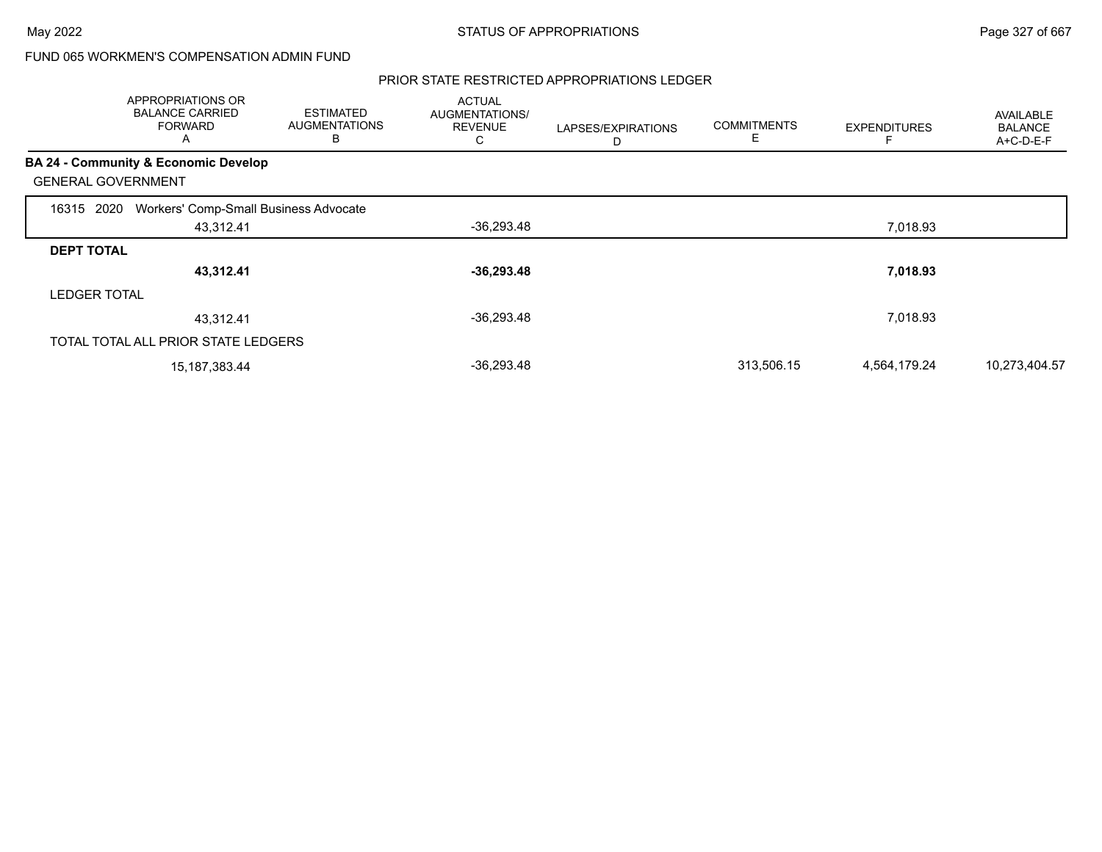#### PRIOR STATE RESTRICTED APPROPRIATIONS LEDGER

|                     | APPROPRIATIONS OR<br><b>BALANCE CARRIED</b><br><b>FORWARD</b><br>Α | <b>ESTIMATED</b><br><b>AUGMENTATIONS</b><br>B | <b>ACTUAL</b><br>AUGMENTATIONS/<br><b>REVENUE</b><br>С | LAPSES/EXPIRATIONS<br>D | <b>COMMITMENTS</b><br>E | <b>EXPENDITURES</b> | AVAILABLE<br><b>BALANCE</b><br>A+C-D-E-F |
|---------------------|--------------------------------------------------------------------|-----------------------------------------------|--------------------------------------------------------|-------------------------|-------------------------|---------------------|------------------------------------------|
|                     | <b>BA 24 - Community &amp; Economic Develop</b>                    |                                               |                                                        |                         |                         |                     |                                          |
|                     | <b>GENERAL GOVERNMENT</b>                                          |                                               |                                                        |                         |                         |                     |                                          |
| 16315 2020          | Workers' Comp-Small Business Advocate                              |                                               |                                                        |                         |                         |                     |                                          |
|                     | 43,312.41                                                          |                                               | -36,293.48                                             |                         |                         | 7,018.93            |                                          |
| <b>DEPT TOTAL</b>   |                                                                    |                                               |                                                        |                         |                         |                     |                                          |
|                     | 43,312.41                                                          |                                               | $-36,293.48$                                           |                         |                         | 7,018.93            |                                          |
| <b>LEDGER TOTAL</b> |                                                                    |                                               |                                                        |                         |                         |                     |                                          |
|                     | 43,312.41                                                          |                                               | $-36,293.48$                                           |                         |                         | 7,018.93            |                                          |
|                     | TOTAL TOTAL ALL PRIOR STATE LEDGERS                                |                                               |                                                        |                         |                         |                     |                                          |
|                     | 15, 187, 383. 44                                                   |                                               | $-36,293.48$                                           |                         | 313,506.15              | 4,564,179.24        | 10,273,404.57                            |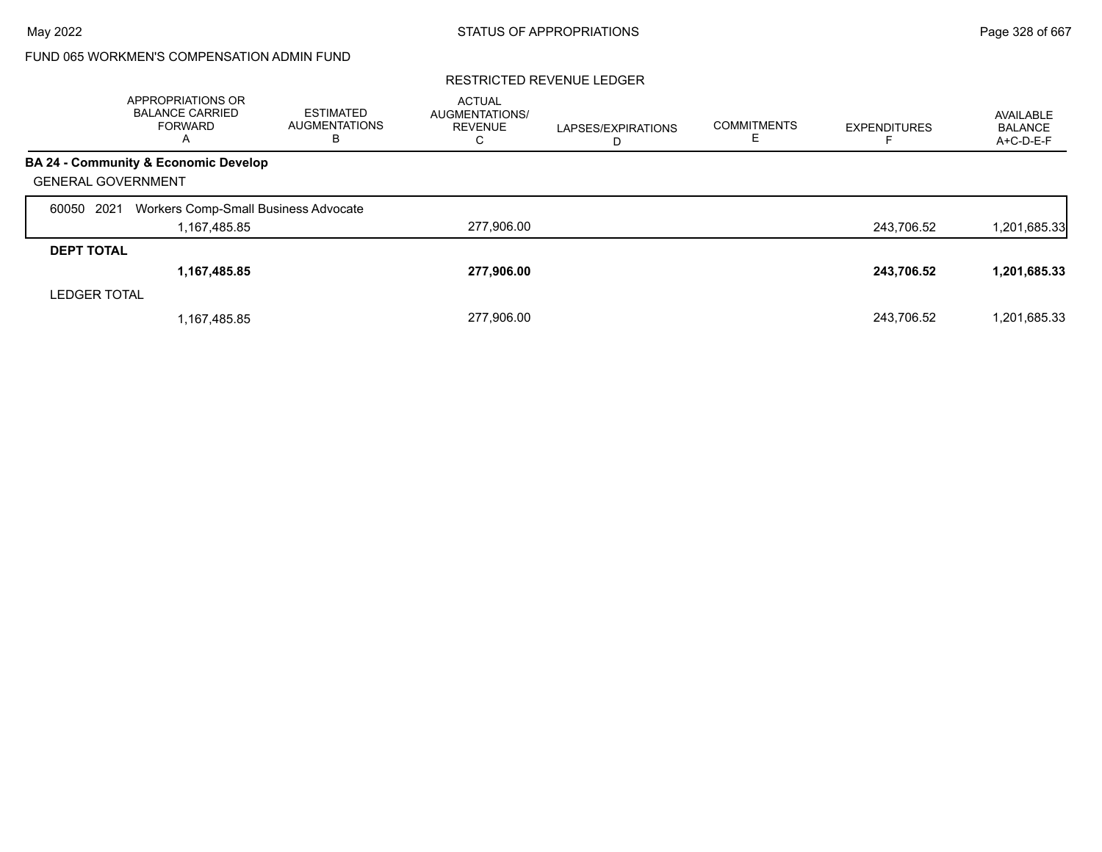|                           | <b>APPROPRIATIONS OR</b><br><b>BALANCE CARRIED</b><br><b>FORWARD</b><br>A | <b>ESTIMATED</b><br><b>AUGMENTATIONS</b><br>в | <b>ACTUAL</b><br><b>AUGMENTATIONS/</b><br><b>REVENUE</b><br>С | LAPSES/EXPIRATIONS<br>D | <b>COMMITMENTS</b> | <b>EXPENDITURES</b> | AVAILABLE<br><b>BALANCE</b><br>A+C-D-E-F |
|---------------------------|---------------------------------------------------------------------------|-----------------------------------------------|---------------------------------------------------------------|-------------------------|--------------------|---------------------|------------------------------------------|
|                           | BA 24 - Community & Economic Develop                                      |                                               |                                                               |                         |                    |                     |                                          |
| <b>GENERAL GOVERNMENT</b> |                                                                           |                                               |                                                               |                         |                    |                     |                                          |
| 2021<br>60050             | Workers Comp-Small Business Advocate                                      |                                               |                                                               |                         |                    |                     |                                          |
|                           | 1,167,485.85                                                              |                                               | 277,906.00                                                    |                         |                    | 243,706.52          | 1,201,685.33                             |
| <b>DEPT TOTAL</b>         |                                                                           |                                               |                                                               |                         |                    |                     |                                          |
|                           | 1,167,485.85                                                              |                                               | 277,906.00                                                    |                         |                    | 243,706.52          | 1,201,685.33                             |
| <b>LEDGER TOTAL</b>       |                                                                           |                                               |                                                               |                         |                    |                     |                                          |
|                           | 1,167,485.85                                                              |                                               | 277,906.00                                                    |                         |                    | 243.706.52          | 1,201,685.33                             |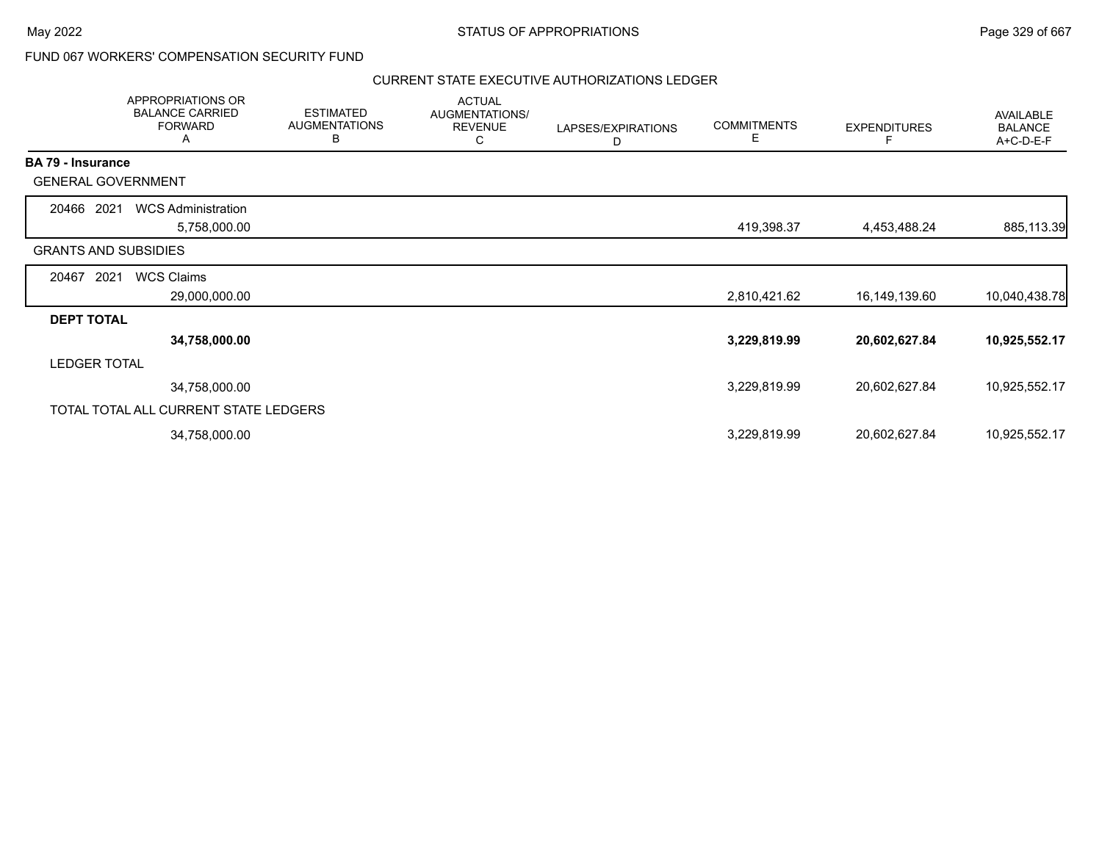### FUND 067 WORKERS' COMPENSATION SECURITY FUND

### CURRENT STATE EXECUTIVE AUTHORIZATIONS LEDGER

|                             | APPROPRIATIONS OR<br><b>BALANCE CARRIED</b><br><b>FORWARD</b><br>A | <b>ESTIMATED</b><br><b>AUGMENTATIONS</b><br>В | <b>ACTUAL</b><br>AUGMENTATIONS/<br><b>REVENUE</b><br>C | LAPSES/EXPIRATIONS<br>D | <b>COMMITMENTS</b><br>Е | <b>EXPENDITURES</b><br>F | <b>AVAILABLE</b><br><b>BALANCE</b><br>A+C-D-E-F |
|-----------------------------|--------------------------------------------------------------------|-----------------------------------------------|--------------------------------------------------------|-------------------------|-------------------------|--------------------------|-------------------------------------------------|
| <b>BA 79 - Insurance</b>    |                                                                    |                                               |                                                        |                         |                         |                          |                                                 |
| <b>GENERAL GOVERNMENT</b>   |                                                                    |                                               |                                                        |                         |                         |                          |                                                 |
| 20466<br>2021               | <b>WCS Administration</b>                                          |                                               |                                                        |                         |                         |                          |                                                 |
|                             | 5,758,000.00                                                       |                                               |                                                        |                         | 419,398.37              | 4,453,488.24             | 885,113.39                                      |
| <b>GRANTS AND SUBSIDIES</b> |                                                                    |                                               |                                                        |                         |                         |                          |                                                 |
| 2021<br>20467               | <b>WCS Claims</b>                                                  |                                               |                                                        |                         |                         |                          |                                                 |
|                             | 29,000,000.00                                                      |                                               |                                                        |                         | 2,810,421.62            | 16,149,139.60            | 10,040,438.78                                   |
| <b>DEPT TOTAL</b>           |                                                                    |                                               |                                                        |                         |                         |                          |                                                 |
|                             | 34,758,000.00                                                      |                                               |                                                        |                         | 3,229,819.99            | 20,602,627.84            | 10,925,552.17                                   |
| <b>LEDGER TOTAL</b>         |                                                                    |                                               |                                                        |                         |                         |                          |                                                 |
|                             | 34,758,000.00                                                      |                                               |                                                        |                         | 3,229,819.99            | 20,602,627.84            | 10,925,552.17                                   |
|                             | TOTAL TOTAL ALL CURRENT STATE LEDGERS                              |                                               |                                                        |                         |                         |                          |                                                 |
|                             | 34,758,000.00                                                      |                                               |                                                        |                         | 3,229,819.99            | 20,602,627.84            | 10,925,552.17                                   |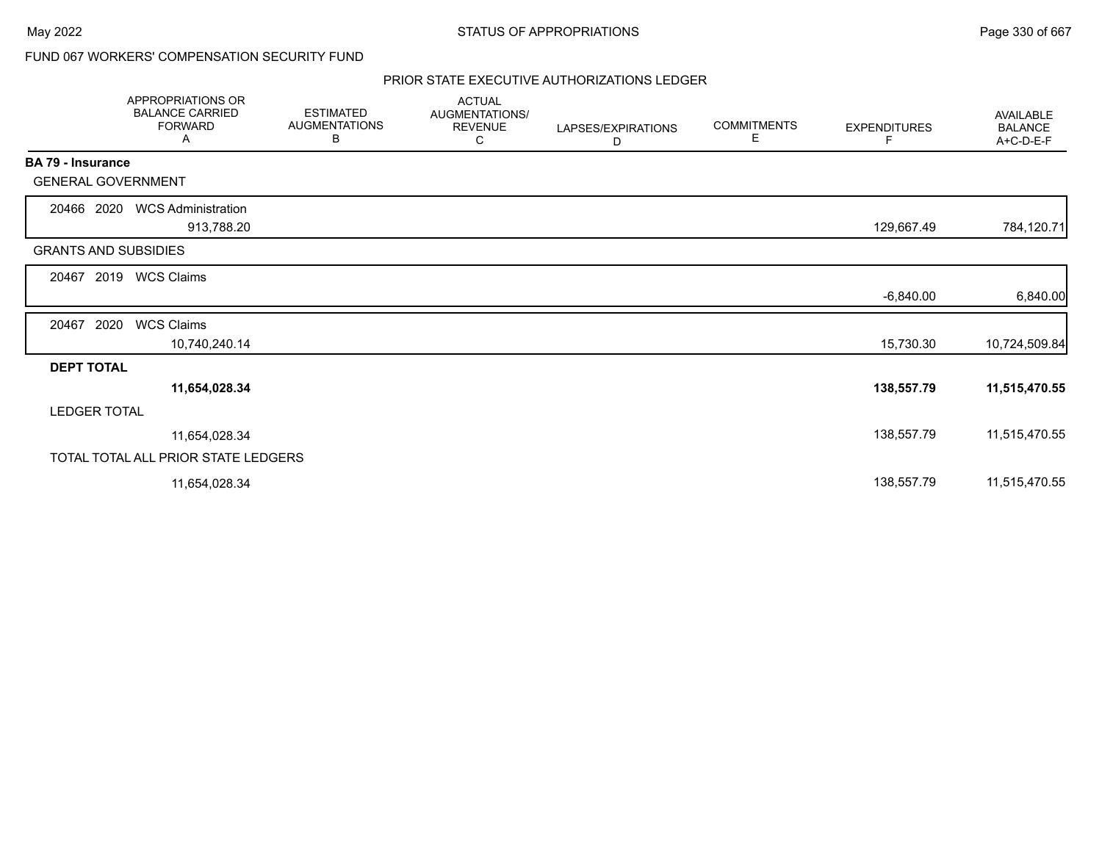### FUND 067 WORKERS' COMPENSATION SECURITY FUND

### PRIOR STATE EXECUTIVE AUTHORIZATIONS LEDGER

|                             | APPROPRIATIONS OR<br><b>BALANCE CARRIED</b><br><b>FORWARD</b><br>Α | <b>ESTIMATED</b><br><b>AUGMENTATIONS</b><br>В | <b>ACTUAL</b><br>AUGMENTATIONS/<br><b>REVENUE</b><br>С | LAPSES/EXPIRATIONS<br>D | <b>COMMITMENTS</b><br>Е | <b>EXPENDITURES</b><br>F | <b>AVAILABLE</b><br><b>BALANCE</b><br>A+C-D-E-F |
|-----------------------------|--------------------------------------------------------------------|-----------------------------------------------|--------------------------------------------------------|-------------------------|-------------------------|--------------------------|-------------------------------------------------|
| BA 79 - Insurance           |                                                                    |                                               |                                                        |                         |                         |                          |                                                 |
| <b>GENERAL GOVERNMENT</b>   |                                                                    |                                               |                                                        |                         |                         |                          |                                                 |
| 20466 2020                  | <b>WCS Administration</b><br>913,788.20                            |                                               |                                                        |                         |                         | 129,667.49               | 784,120.71                                      |
| <b>GRANTS AND SUBSIDIES</b> |                                                                    |                                               |                                                        |                         |                         |                          |                                                 |
| 2019<br>20467               | <b>WCS Claims</b>                                                  |                                               |                                                        |                         |                         |                          |                                                 |
|                             |                                                                    |                                               |                                                        |                         |                         | $-6,840.00$              | 6,840.00                                        |
| 2020<br>20467               | <b>WCS Claims</b>                                                  |                                               |                                                        |                         |                         |                          |                                                 |
|                             | 10,740,240.14                                                      |                                               |                                                        |                         |                         | 15,730.30                | 10,724,509.84                                   |
| <b>DEPT TOTAL</b>           |                                                                    |                                               |                                                        |                         |                         |                          |                                                 |
|                             | 11,654,028.34                                                      |                                               |                                                        |                         |                         | 138,557.79               | 11,515,470.55                                   |
| <b>LEDGER TOTAL</b>         |                                                                    |                                               |                                                        |                         |                         |                          |                                                 |
|                             | 11,654,028.34                                                      |                                               |                                                        |                         |                         | 138,557.79               | 11,515,470.55                                   |
|                             | TOTAL TOTAL ALL PRIOR STATE LEDGERS                                |                                               |                                                        |                         |                         |                          |                                                 |
|                             | 11,654,028.34                                                      |                                               |                                                        |                         |                         | 138,557.79               | 11,515,470.55                                   |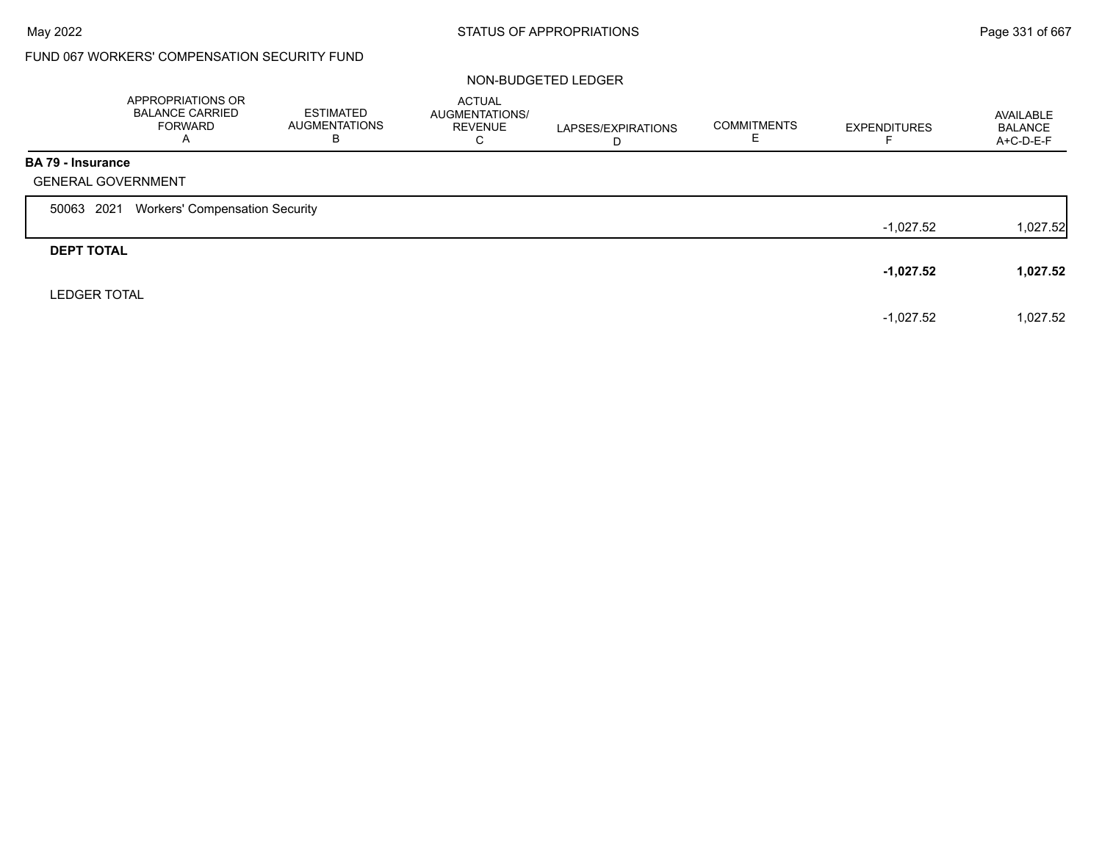# FUND 067 WORKERS' COMPENSATION SECURITY FUND

### NON-BUDGETED LEDGER

|                          | APPROPRIATIONS OR<br><b>BALANCE CARRIED</b><br><b>FORWARD</b><br>A | <b>ESTIMATED</b><br><b>AUGMENTATIONS</b><br>B | <b>ACTUAL</b><br>AUGMENTATIONS/<br><b>REVENUE</b><br>C | LAPSES/EXPIRATIONS<br>D | <b>COMMITMENTS</b> | <b>EXPENDITURES</b> | AVAILABLE<br><b>BALANCE</b><br>A+C-D-E-F |
|--------------------------|--------------------------------------------------------------------|-----------------------------------------------|--------------------------------------------------------|-------------------------|--------------------|---------------------|------------------------------------------|
| <b>BA 79 - Insurance</b> | <b>GENERAL GOVERNMENT</b>                                          |                                               |                                                        |                         |                    |                     |                                          |
| 50063 2021               | <b>Workers' Compensation Security</b>                              |                                               |                                                        |                         |                    |                     |                                          |
|                          |                                                                    |                                               |                                                        |                         |                    | $-1,027.52$         | 1,027.52                                 |
| <b>DEPT TOTAL</b>        |                                                                    |                                               |                                                        |                         |                    |                     |                                          |
|                          |                                                                    |                                               |                                                        |                         |                    | $-1,027.52$         | 1,027.52                                 |
| <b>LEDGER TOTAL</b>      |                                                                    |                                               |                                                        |                         |                    |                     |                                          |
|                          |                                                                    |                                               |                                                        |                         |                    | $-1,027.52$         | 1,027.52                                 |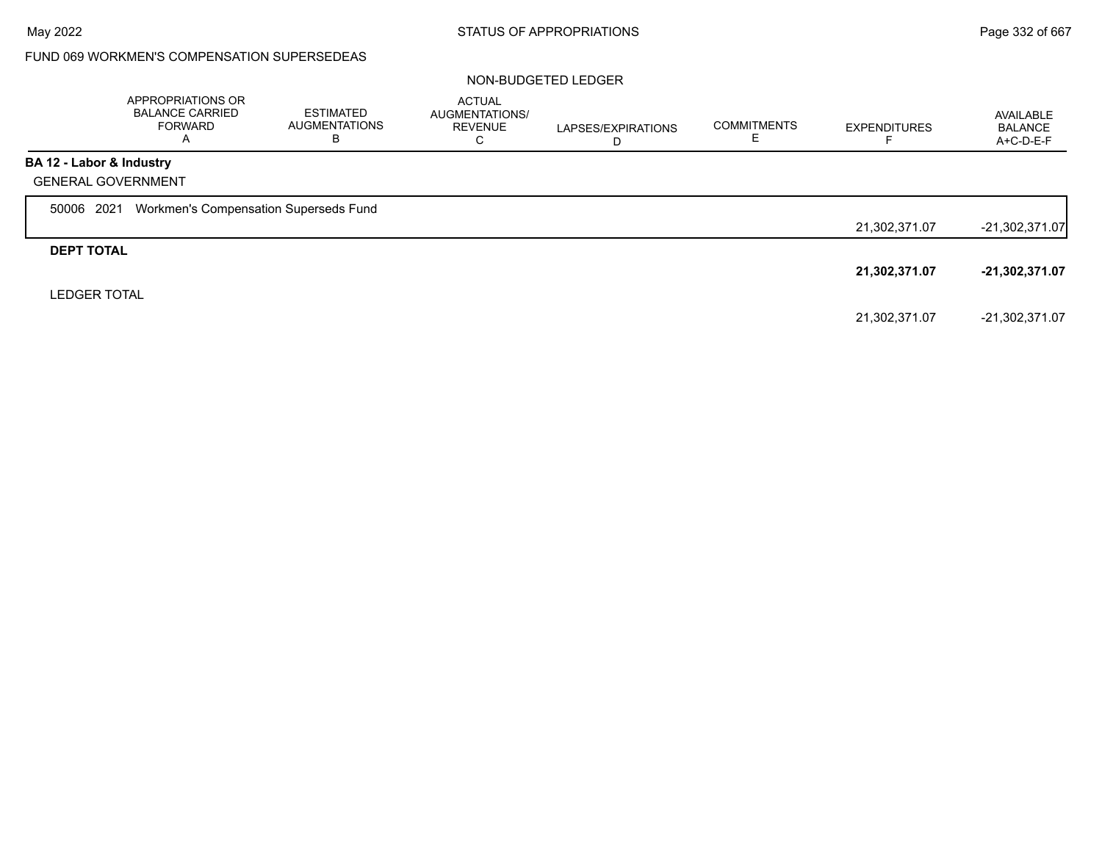### FUND 069 WORKMEN'S COMPENSATION SUPERSEDEAS

### NON-BUDGETED LEDGER

|                          | APPROPRIATIONS OR<br><b>BALANCE CARRIED</b><br><b>FORWARD</b><br>A | ESTIMATED<br><b>AUGMENTATIONS</b><br>В | <b>ACTUAL</b><br>AUGMENTATIONS/<br><b>REVENUE</b><br>С | LAPSES/EXPIRATIONS<br>D | <b>COMMITMENTS</b><br>ᄂ | <b>EXPENDITURES</b> | AVAILABLE<br><b>BALANCE</b><br>A+C-D-E-F |
|--------------------------|--------------------------------------------------------------------|----------------------------------------|--------------------------------------------------------|-------------------------|-------------------------|---------------------|------------------------------------------|
| BA 12 - Labor & Industry |                                                                    |                                        |                                                        |                         |                         |                     |                                          |
|                          | <b>GENERAL GOVERNMENT</b>                                          |                                        |                                                        |                         |                         |                     |                                          |
| 2021<br>50006            | Workmen's Compensation Superseds Fund                              |                                        |                                                        |                         |                         |                     |                                          |
|                          |                                                                    |                                        |                                                        |                         |                         | 21,302,371.07       | $-21,302,371.07$                         |
| <b>DEPT TOTAL</b>        |                                                                    |                                        |                                                        |                         |                         |                     |                                          |
|                          |                                                                    |                                        |                                                        |                         |                         | 21,302,371.07       | $-21,302,371.07$                         |
| <b>LEDGER TOTAL</b>      |                                                                    |                                        |                                                        |                         |                         |                     |                                          |
|                          |                                                                    |                                        |                                                        |                         |                         | 21,302,371.07       | -21.302.371.07                           |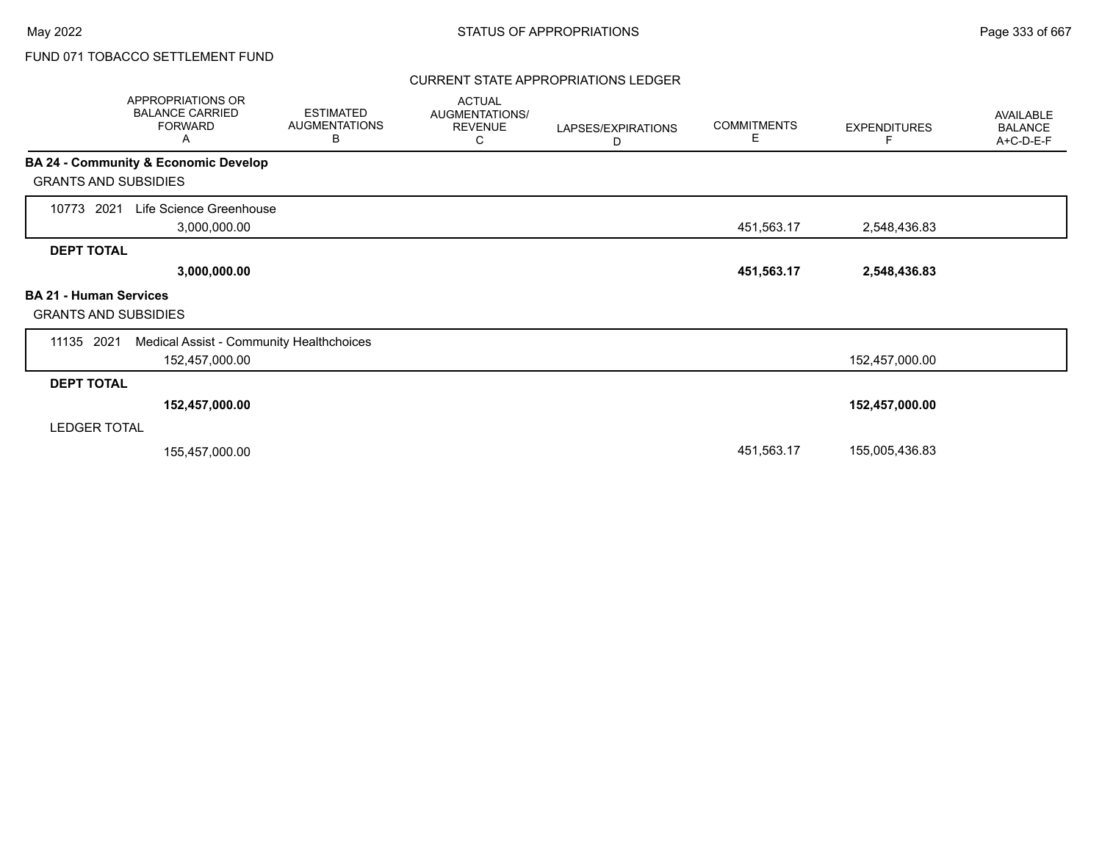### CURRENT STATE APPROPRIATIONS LEDGER

| APPROPRIATIONS OR<br><b>BALANCE CARRIED</b><br><b>FORWARD</b><br>Α | <b>ESTIMATED</b><br><b>AUGMENTATIONS</b><br>В | <b>ACTUAL</b><br>AUGMENTATIONS/<br><b>REVENUE</b><br>С | LAPSES/EXPIRATIONS<br>D | <b>COMMITMENTS</b><br>Е | <b>EXPENDITURES</b> | AVAILABLE<br><b>BALANCE</b><br>A+C-D-E-F |
|--------------------------------------------------------------------|-----------------------------------------------|--------------------------------------------------------|-------------------------|-------------------------|---------------------|------------------------------------------|
| <b>BA 24 - Community &amp; Economic Develop</b>                    |                                               |                                                        |                         |                         |                     |                                          |
| <b>GRANTS AND SUBSIDIES</b>                                        |                                               |                                                        |                         |                         |                     |                                          |
| Life Science Greenhouse<br>10773 2021                              |                                               |                                                        |                         |                         |                     |                                          |
| 3,000,000.00                                                       |                                               |                                                        |                         | 451,563.17              | 2,548,436.83        |                                          |
| <b>DEPT TOTAL</b>                                                  |                                               |                                                        |                         |                         |                     |                                          |
| 3,000,000.00                                                       |                                               |                                                        |                         | 451,563.17              | 2,548,436.83        |                                          |
| <b>BA 21 - Human Services</b>                                      |                                               |                                                        |                         |                         |                     |                                          |
| <b>GRANTS AND SUBSIDIES</b>                                        |                                               |                                                        |                         |                         |                     |                                          |
| 11135 2021                                                         | Medical Assist - Community Healthchoices      |                                                        |                         |                         |                     |                                          |
| 152,457,000.00                                                     |                                               |                                                        |                         |                         | 152,457,000.00      |                                          |
| <b>DEPT TOTAL</b>                                                  |                                               |                                                        |                         |                         |                     |                                          |
| 152,457,000.00                                                     |                                               |                                                        |                         |                         | 152,457,000.00      |                                          |
| <b>LEDGER TOTAL</b>                                                |                                               |                                                        |                         |                         |                     |                                          |
| 155,457,000.00                                                     |                                               |                                                        |                         | 451,563.17              | 155,005,436.83      |                                          |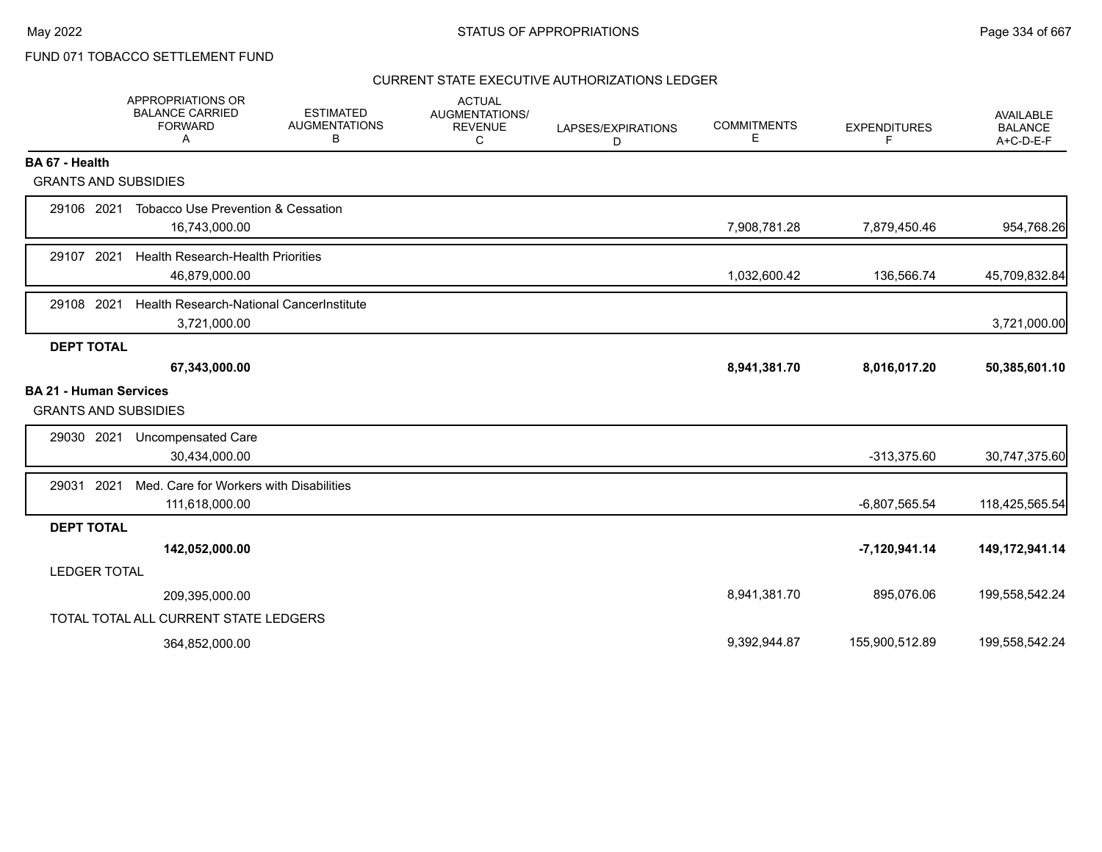### CURRENT STATE EXECUTIVE AUTHORIZATIONS LEDGER

|                                                              | APPROPRIATIONS OR<br><b>BALANCE CARRIED</b><br><b>FORWARD</b><br>A | <b>ESTIMATED</b><br><b>AUGMENTATIONS</b><br>В | <b>ACTUAL</b><br><b>AUGMENTATIONS/</b><br><b>REVENUE</b><br>C | LAPSES/EXPIRATIONS<br>D | <b>COMMITMENTS</b><br>Ε | <b>EXPENDITURES</b><br>F | <b>AVAILABLE</b><br><b>BALANCE</b><br>A+C-D-E-F |
|--------------------------------------------------------------|--------------------------------------------------------------------|-----------------------------------------------|---------------------------------------------------------------|-------------------------|-------------------------|--------------------------|-------------------------------------------------|
| BA 67 - Health                                               |                                                                    |                                               |                                                               |                         |                         |                          |                                                 |
| <b>GRANTS AND SUBSIDIES</b>                                  |                                                                    |                                               |                                                               |                         |                         |                          |                                                 |
| 29106 2021                                                   | Tobacco Use Prevention & Cessation<br>16,743,000.00                |                                               |                                                               |                         | 7,908,781.28            | 7,879,450.46             | 954,768.26                                      |
| 29107 2021                                                   | <b>Health Research-Health Priorities</b><br>46,879,000.00          |                                               |                                                               |                         | 1,032,600.42            | 136,566.74               | 45,709,832.84                                   |
| 29108 2021                                                   | Health Research-National CancerInstitute<br>3,721,000.00           |                                               |                                                               |                         |                         |                          | 3,721,000.00                                    |
| <b>DEPT TOTAL</b>                                            |                                                                    |                                               |                                                               |                         |                         |                          |                                                 |
|                                                              | 67,343,000.00                                                      |                                               |                                                               |                         | 8,941,381.70            | 8,016,017.20             | 50,385,601.10                                   |
| <b>BA 21 - Human Services</b><br><b>GRANTS AND SUBSIDIES</b> |                                                                    |                                               |                                                               |                         |                         |                          |                                                 |
| 29030 2021                                                   | Uncompensated Care<br>30,434,000.00                                |                                               |                                                               |                         |                         | $-313,375.60$            | 30,747,375.60                                   |
| 29031 2021                                                   | Med. Care for Workers with Disabilities<br>111,618,000.00          |                                               |                                                               |                         |                         | $-6,807,565.54$          | 118,425,565.54                                  |
| <b>DEPT TOTAL</b>                                            |                                                                    |                                               |                                                               |                         |                         |                          |                                                 |
|                                                              | 142,052,000.00                                                     |                                               |                                                               |                         |                         | $-7,120,941.14$          | 149,172,941.14                                  |
| <b>LEDGER TOTAL</b>                                          |                                                                    |                                               |                                                               |                         |                         |                          |                                                 |
|                                                              | 209,395,000.00                                                     |                                               |                                                               |                         | 8,941,381.70            | 895,076.06               | 199,558,542.24                                  |
|                                                              | TOTAL TOTAL ALL CURRENT STATE LEDGERS                              |                                               |                                                               |                         |                         |                          |                                                 |
|                                                              | 364,852,000.00                                                     |                                               |                                                               |                         | 9,392,944.87            | 155,900,512.89           | 199,558,542.24                                  |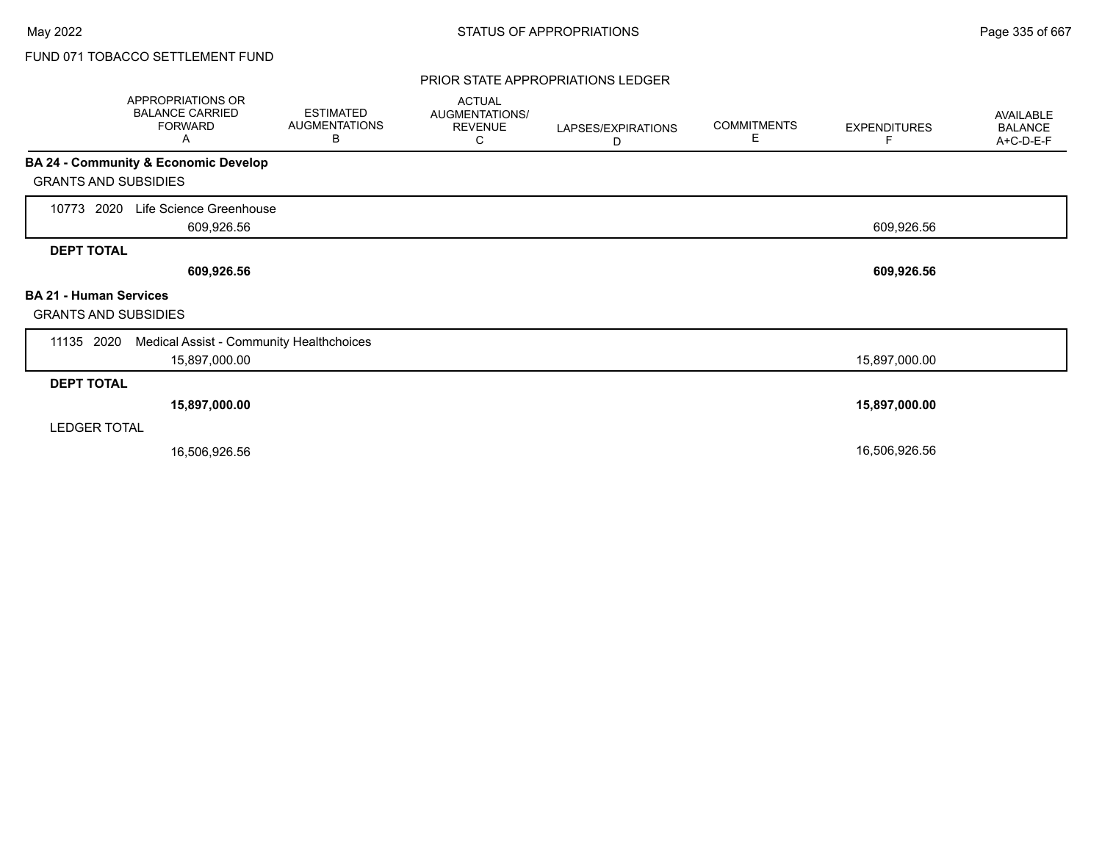### PRIOR STATE APPROPRIATIONS LEDGER

|                                                              | APPROPRIATIONS OR<br><b>BALANCE CARRIED</b><br><b>FORWARD</b><br>A | <b>ESTIMATED</b><br><b>AUGMENTATIONS</b><br>В | <b>ACTUAL</b><br>AUGMENTATIONS/<br><b>REVENUE</b><br>С | LAPSES/EXPIRATIONS<br>D | <b>COMMITMENTS</b><br>E | <b>EXPENDITURES</b><br>F | AVAILABLE<br><b>BALANCE</b><br>A+C-D-E-F |
|--------------------------------------------------------------|--------------------------------------------------------------------|-----------------------------------------------|--------------------------------------------------------|-------------------------|-------------------------|--------------------------|------------------------------------------|
|                                                              | BA 24 - Community & Economic Develop                               |                                               |                                                        |                         |                         |                          |                                          |
| <b>GRANTS AND SUBSIDIES</b>                                  |                                                                    |                                               |                                                        |                         |                         |                          |                                          |
| 2020<br>10773                                                | Life Science Greenhouse<br>609,926.56                              |                                               |                                                        |                         |                         | 609,926.56               |                                          |
| <b>DEPT TOTAL</b>                                            |                                                                    |                                               |                                                        |                         |                         |                          |                                          |
|                                                              | 609,926.56                                                         |                                               |                                                        |                         |                         | 609,926.56               |                                          |
| <b>BA 21 - Human Services</b><br><b>GRANTS AND SUBSIDIES</b> |                                                                    |                                               |                                                        |                         |                         |                          |                                          |
| 11135 2020                                                   | Medical Assist - Community Healthchoices                           |                                               |                                                        |                         |                         |                          |                                          |
|                                                              | 15,897,000.00                                                      |                                               |                                                        |                         |                         | 15,897,000.00            |                                          |
| <b>DEPT TOTAL</b>                                            |                                                                    |                                               |                                                        |                         |                         |                          |                                          |
|                                                              | 15,897,000.00                                                      |                                               |                                                        |                         |                         | 15,897,000.00            |                                          |
| <b>LEDGER TOTAL</b>                                          |                                                                    |                                               |                                                        |                         |                         |                          |                                          |
|                                                              | 16,506,926.56                                                      |                                               |                                                        |                         |                         | 16,506,926.56            |                                          |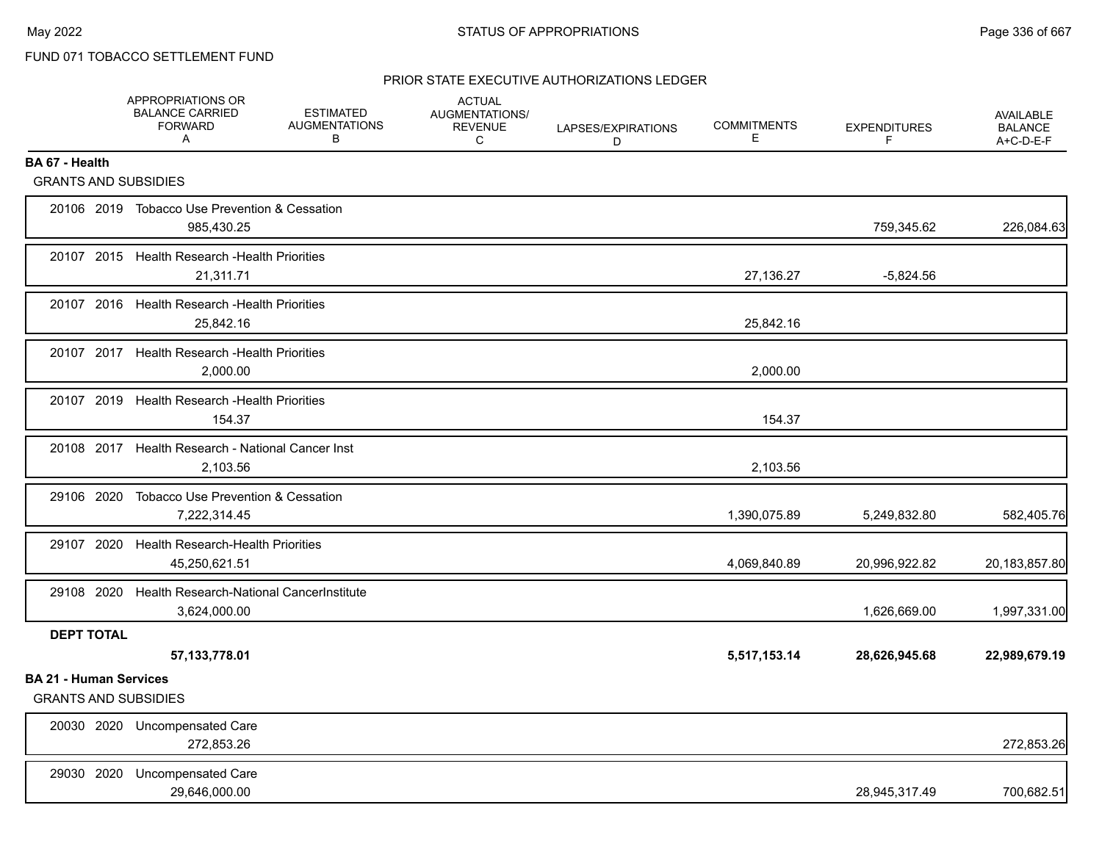### PRIOR STATE EXECUTIVE AUTHORIZATIONS LEDGER

|                                                              | APPROPRIATIONS OR<br><b>BALANCE CARRIED</b><br><b>FORWARD</b><br>A  | <b>ESTIMATED</b><br><b>AUGMENTATIONS</b><br>В | <b>ACTUAL</b><br>AUGMENTATIONS/<br><b>REVENUE</b><br>C | LAPSES/EXPIRATIONS<br>D | <b>COMMITMENTS</b><br>Е | <b>EXPENDITURES</b><br>F. | <b>AVAILABLE</b><br><b>BALANCE</b><br>A+C-D-E-F |
|--------------------------------------------------------------|---------------------------------------------------------------------|-----------------------------------------------|--------------------------------------------------------|-------------------------|-------------------------|---------------------------|-------------------------------------------------|
| BA 67 - Health<br><b>GRANTS AND SUBSIDIES</b>                |                                                                     |                                               |                                                        |                         |                         |                           |                                                 |
|                                                              |                                                                     |                                               |                                                        |                         |                         |                           |                                                 |
|                                                              | 20106 2019 Tobacco Use Prevention & Cessation<br>985,430.25         |                                               |                                                        |                         |                         | 759,345.62                | 226,084.63                                      |
|                                                              | 20107 2015 Health Research - Health Priorities<br>21,311.71         |                                               |                                                        |                         | 27,136.27               | $-5,824.56$               |                                                 |
|                                                              | 20107 2016 Health Research - Health Priorities<br>25,842.16         |                                               |                                                        |                         | 25,842.16               |                           |                                                 |
|                                                              | 20107 2017 Health Research - Health Priorities<br>2,000.00          |                                               |                                                        |                         | 2,000.00                |                           |                                                 |
|                                                              | 20107 2019 Health Research - Health Priorities<br>154.37            |                                               |                                                        |                         | 154.37                  |                           |                                                 |
|                                                              | 20108 2017 Health Research - National Cancer Inst<br>2,103.56       |                                               |                                                        |                         | 2,103.56                |                           |                                                 |
| 29106 2020                                                   | Tobacco Use Prevention & Cessation<br>7,222,314.45                  |                                               |                                                        |                         | 1,390,075.89            | 5,249,832.80              | 582,405.76                                      |
|                                                              | 29107 2020 Health Research-Health Priorities<br>45,250,621.51       |                                               |                                                        |                         | 4,069,840.89            | 20,996,922.82             | 20,183,857.80                                   |
|                                                              | 29108 2020 Health Research-National CancerInstitute<br>3,624,000.00 |                                               |                                                        |                         |                         | 1,626,669.00              | 1,997,331.00                                    |
| <b>DEPT TOTAL</b>                                            | 57, 133, 778.01                                                     |                                               |                                                        |                         | 5,517,153.14            | 28,626,945.68             | 22,989,679.19                                   |
| <b>BA 21 - Human Services</b><br><b>GRANTS AND SUBSIDIES</b> |                                                                     |                                               |                                                        |                         |                         |                           |                                                 |
|                                                              | 20030 2020 Uncompensated Care<br>272,853.26                         |                                               |                                                        |                         |                         |                           | 272,853.26                                      |
| 29030 2020                                                   | <b>Uncompensated Care</b><br>29,646,000.00                          |                                               |                                                        |                         |                         | 28,945,317.49             | 700,682.51                                      |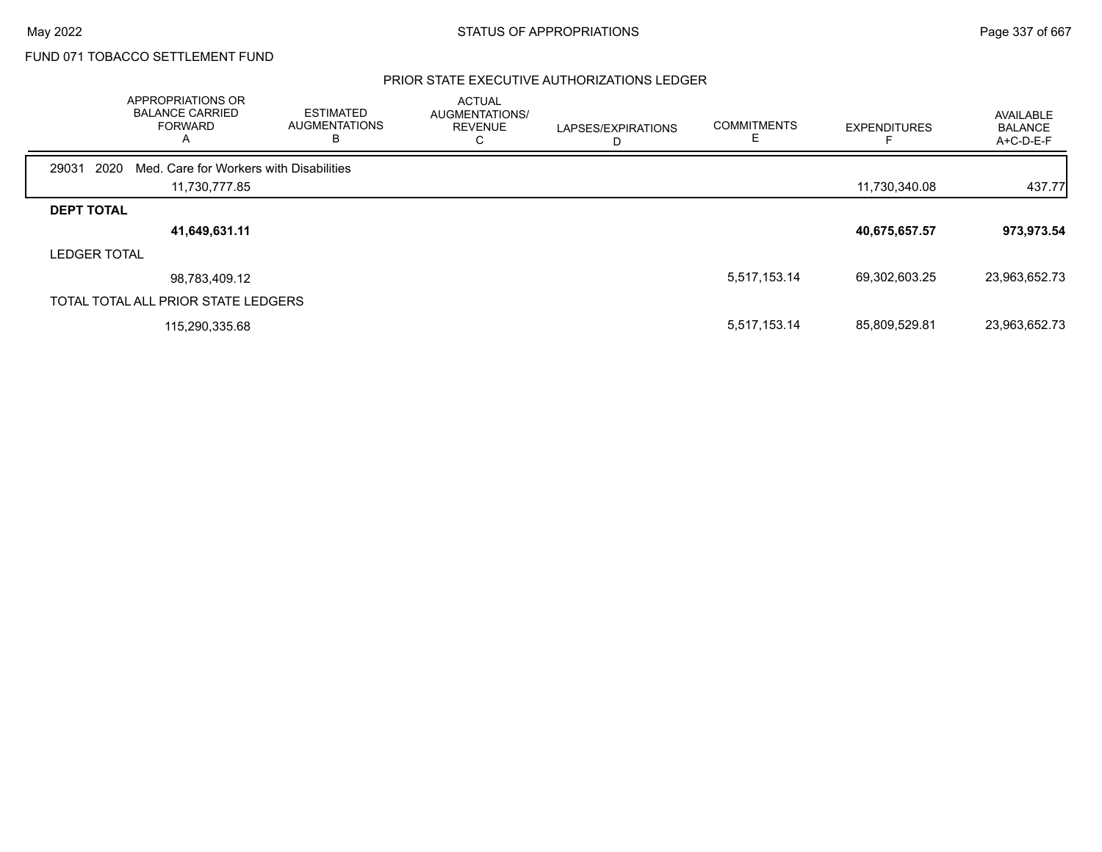### PRIOR STATE EXECUTIVE AUTHORIZATIONS LEDGER

|                     | APPROPRIATIONS OR<br><b>BALANCE CARRIED</b><br><b>FORWARD</b><br>A | ESTIMATED<br><b>AUGMENTATIONS</b><br>в | <b>ACTUAL</b><br>AUGMENTATIONS/<br><b>REVENUE</b><br>C | LAPSES/EXPIRATIONS | <b>COMMITMENTS</b> | <b>EXPENDITURES</b> | AVAILABLE<br><b>BALANCE</b><br>A+C-D-E-F |
|---------------------|--------------------------------------------------------------------|----------------------------------------|--------------------------------------------------------|--------------------|--------------------|---------------------|------------------------------------------|
| 2020<br>29031       | Med. Care for Workers with Disabilities                            |                                        |                                                        |                    |                    |                     |                                          |
|                     | 11,730,777.85                                                      |                                        |                                                        |                    |                    | 11,730,340.08       | 437.77                                   |
| <b>DEPT TOTAL</b>   |                                                                    |                                        |                                                        |                    |                    |                     |                                          |
|                     | 41,649,631.11                                                      |                                        |                                                        |                    |                    | 40,675,657.57       | 973,973.54                               |
| <b>LEDGER TOTAL</b> |                                                                    |                                        |                                                        |                    |                    |                     |                                          |
|                     | 98,783,409.12                                                      |                                        |                                                        |                    | 5,517,153.14       | 69,302,603.25       | 23,963,652.73                            |
|                     | TOTAL TOTAL ALL PRIOR STATE LEDGERS                                |                                        |                                                        |                    |                    |                     |                                          |
|                     | 115,290,335.68                                                     |                                        |                                                        |                    | 5,517,153.14       | 85,809,529.81       | 23,963,652.73                            |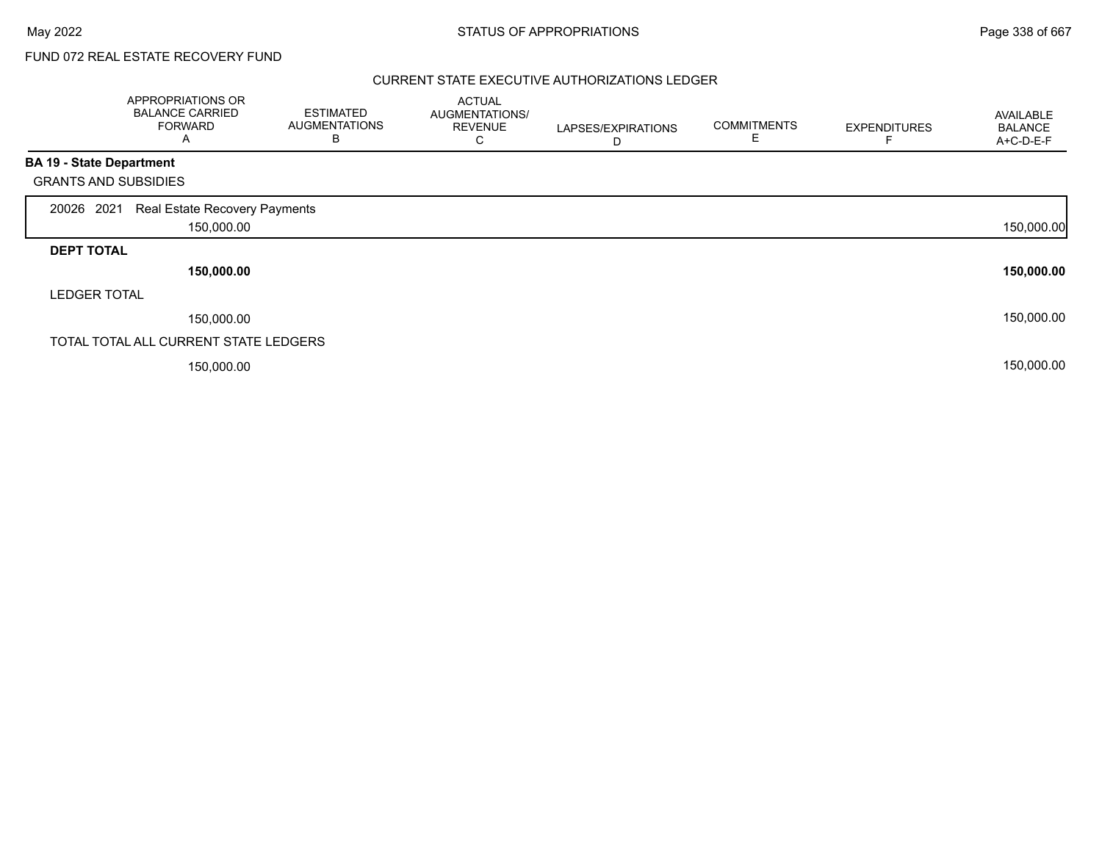FUND 072 REAL ESTATE RECOVERY FUND

### CURRENT STATE EXECUTIVE AUTHORIZATIONS LEDGER

|                                 | <b>APPROPRIATIONS OR</b><br><b>BALANCE CARRIED</b><br><b>FORWARD</b><br>A | <b>ESTIMATED</b><br><b>AUGMENTATIONS</b><br>В | <b>ACTUAL</b><br>AUGMENTATIONS/<br><b>REVENUE</b><br>U | LAPSES/EXPIRATIONS<br>D | <b>COMMITMENTS</b><br>E | <b>EXPENDITURES</b> | AVAILABLE<br><b>BALANCE</b><br>A+C-D-E-F |
|---------------------------------|---------------------------------------------------------------------------|-----------------------------------------------|--------------------------------------------------------|-------------------------|-------------------------|---------------------|------------------------------------------|
| <b>BA 19 - State Department</b> |                                                                           |                                               |                                                        |                         |                         |                     |                                          |
| <b>GRANTS AND SUBSIDIES</b>     |                                                                           |                                               |                                                        |                         |                         |                     |                                          |
| 2021<br>20026                   | Real Estate Recovery Payments                                             |                                               |                                                        |                         |                         |                     |                                          |
|                                 | 150,000.00                                                                |                                               |                                                        |                         |                         |                     | 150,000.00                               |
| <b>DEPT TOTAL</b>               |                                                                           |                                               |                                                        |                         |                         |                     |                                          |
|                                 | 150,000.00                                                                |                                               |                                                        |                         |                         |                     | 150,000.00                               |
| <b>LEDGER TOTAL</b>             |                                                                           |                                               |                                                        |                         |                         |                     |                                          |
|                                 | 150,000.00                                                                |                                               |                                                        |                         |                         |                     | 150,000.00                               |
|                                 | TOTAL TOTAL ALL CURRENT STATE LEDGERS                                     |                                               |                                                        |                         |                         |                     |                                          |
|                                 | 150,000.00                                                                |                                               |                                                        |                         |                         |                     | 150,000.00                               |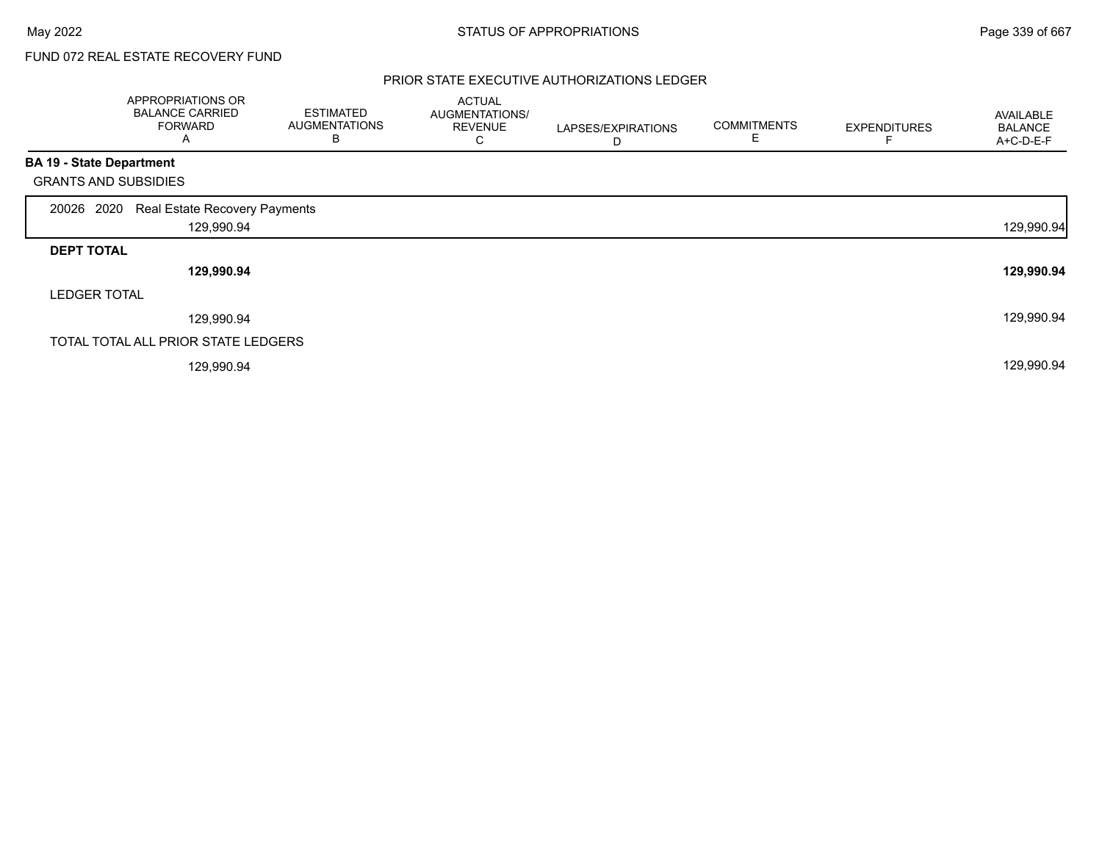# FUND 072 REAL ESTATE RECOVERY FUND

### PRIOR STATE EXECUTIVE AUTHORIZATIONS LEDGER

|                                 | APPROPRIATIONS OR<br><b>BALANCE CARRIED</b><br><b>FORWARD</b><br>Α | <b>ESTIMATED</b><br><b>AUGMENTATIONS</b><br>B | <b>ACTUAL</b><br>AUGMENTATIONS/<br><b>REVENUE</b><br>С | LAPSES/EXPIRATIONS<br>D | <b>COMMITMENTS</b><br>Ε | <b>EXPENDITURES</b> | <b>AVAILABLE</b><br><b>BALANCE</b><br>A+C-D-E-F |
|---------------------------------|--------------------------------------------------------------------|-----------------------------------------------|--------------------------------------------------------|-------------------------|-------------------------|---------------------|-------------------------------------------------|
| <b>BA 19 - State Department</b> |                                                                    |                                               |                                                        |                         |                         |                     |                                                 |
| <b>GRANTS AND SUBSIDIES</b>     |                                                                    |                                               |                                                        |                         |                         |                     |                                                 |
| 20026 2020                      | Real Estate Recovery Payments                                      |                                               |                                                        |                         |                         |                     |                                                 |
|                                 | 129,990.94                                                         |                                               |                                                        |                         |                         |                     | 129,990.94                                      |
| <b>DEPT TOTAL</b>               |                                                                    |                                               |                                                        |                         |                         |                     |                                                 |
|                                 | 129,990.94                                                         |                                               |                                                        |                         |                         |                     | 129,990.94                                      |
| <b>LEDGER TOTAL</b>             |                                                                    |                                               |                                                        |                         |                         |                     |                                                 |
|                                 | 129,990.94                                                         |                                               |                                                        |                         |                         |                     | 129,990.94                                      |
|                                 | TOTAL TOTAL ALL PRIOR STATE LEDGERS                                |                                               |                                                        |                         |                         |                     |                                                 |
|                                 | 129,990.94                                                         |                                               |                                                        |                         |                         |                     | 129,990.94                                      |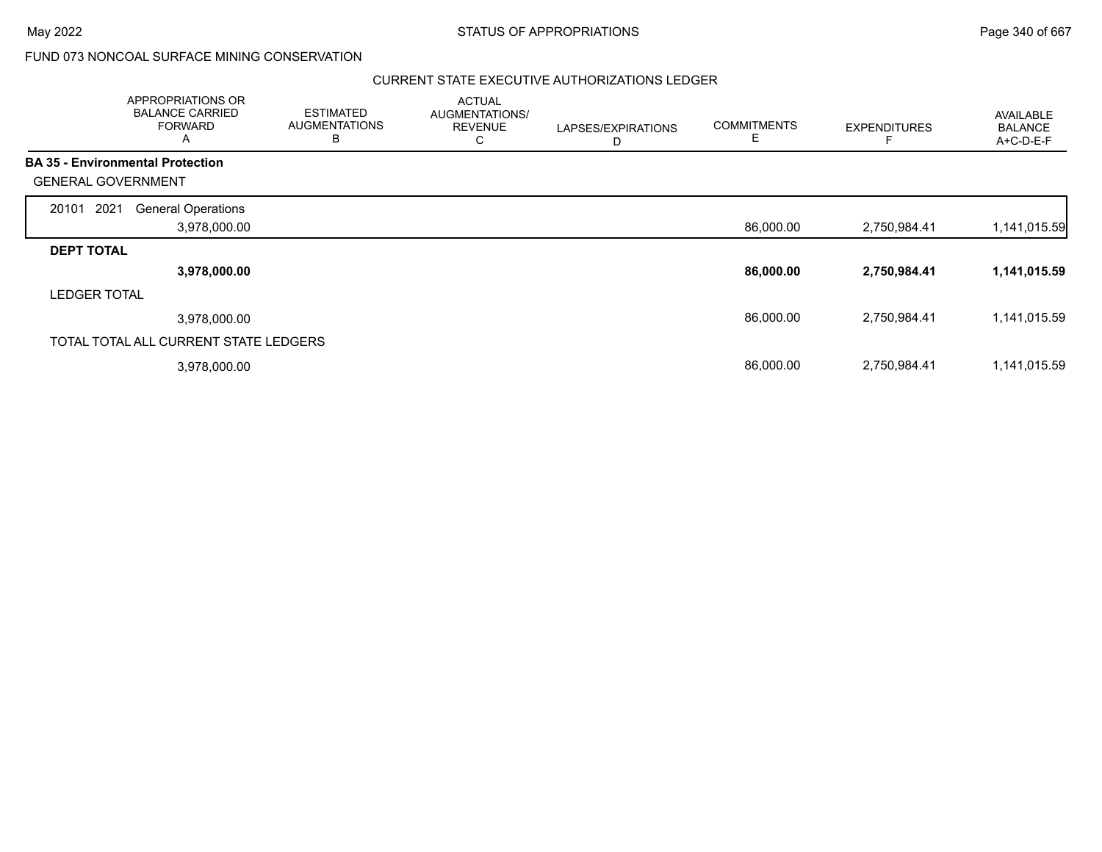$\overline{\phantom{0}}$ 

### FUND 073 NONCOAL SURFACE MINING CONSERVATION

### CURRENT STATE EXECUTIVE AUTHORIZATIONS LEDGER

| APPROPRIATIONS OR<br><b>BALANCE CARRIED</b><br><b>FORWARD</b><br>A |                           | <b>ESTIMATED</b><br><b>AUGMENTATIONS</b><br>в | <b>ACTUAL</b><br>AUGMENTATIONS/<br><b>REVENUE</b><br>С | LAPSES/EXPIRATIONS<br>D | <b>COMMITMENTS</b><br>E | <b>EXPENDITURES</b> | AVAILABLE<br><b>BALANCE</b><br>A+C-D-E-F |
|--------------------------------------------------------------------|---------------------------|-----------------------------------------------|--------------------------------------------------------|-------------------------|-------------------------|---------------------|------------------------------------------|
| <b>BA 35 - Environmental Protection</b>                            |                           |                                               |                                                        |                         |                         |                     |                                          |
| <b>GENERAL GOVERNMENT</b>                                          |                           |                                               |                                                        |                         |                         |                     |                                          |
| 2021<br>20101                                                      | <b>General Operations</b> |                                               |                                                        |                         |                         |                     |                                          |
|                                                                    | 3,978,000.00              |                                               |                                                        |                         | 86,000.00               | 2,750,984.41        | 1,141,015.59                             |
| <b>DEPT TOTAL</b>                                                  |                           |                                               |                                                        |                         |                         |                     |                                          |
|                                                                    | 3,978,000.00              |                                               |                                                        |                         | 86,000.00               | 2,750,984.41        | 1,141,015.59                             |
| <b>LEDGER TOTAL</b>                                                |                           |                                               |                                                        |                         |                         |                     |                                          |
|                                                                    | 3,978,000.00              |                                               |                                                        |                         | 86,000.00               | 2,750,984.41        | 1,141,015.59                             |
| TOTAL TOTAL ALL CURRENT STATE LEDGERS                              |                           |                                               |                                                        |                         |                         |                     |                                          |
|                                                                    | 3,978,000.00              |                                               |                                                        |                         | 86,000.00               | 2,750,984.41        | 1,141,015.59                             |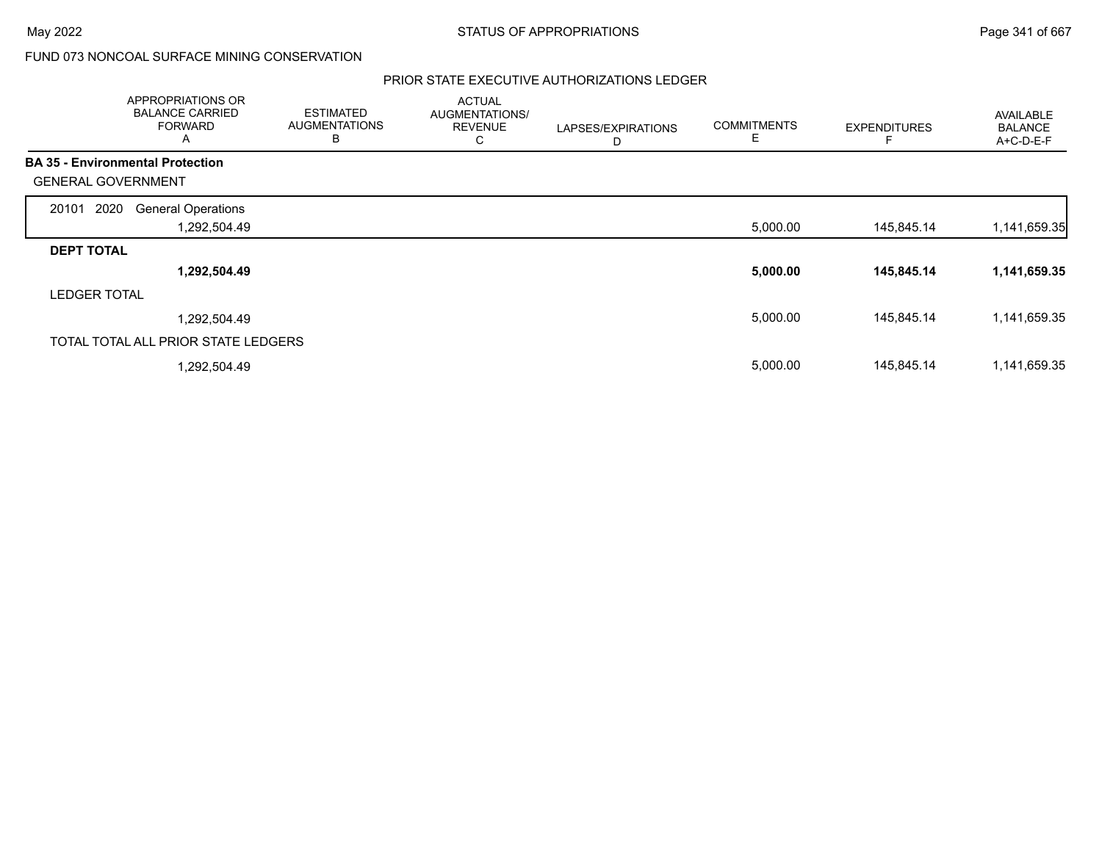## FUND 073 NONCOAL SURFACE MINING CONSERVATION

### PRIOR STATE EXECUTIVE AUTHORIZATIONS LEDGER

|                                         | APPROPRIATIONS OR<br><b>BALANCE CARRIED</b><br><b>FORWARD</b><br>A | <b>ESTIMATED</b><br><b>AUGMENTATIONS</b><br>B | <b>ACTUAL</b><br>AUGMENTATIONS/<br><b>REVENUE</b><br>С | LAPSES/EXPIRATIONS<br>D | <b>COMMITMENTS</b><br>E | <b>EXPENDITURES</b> | AVAILABLE<br><b>BALANCE</b><br>A+C-D-E-F |
|-----------------------------------------|--------------------------------------------------------------------|-----------------------------------------------|--------------------------------------------------------|-------------------------|-------------------------|---------------------|------------------------------------------|
| <b>BA 35 - Environmental Protection</b> |                                                                    |                                               |                                                        |                         |                         |                     |                                          |
| <b>GENERAL GOVERNMENT</b>               |                                                                    |                                               |                                                        |                         |                         |                     |                                          |
| 2020<br>20101                           | <b>General Operations</b>                                          |                                               |                                                        |                         |                         |                     |                                          |
|                                         | 1,292,504.49                                                       |                                               |                                                        |                         | 5,000.00                | 145,845.14          | 1,141,659.35                             |
| <b>DEPT TOTAL</b>                       |                                                                    |                                               |                                                        |                         |                         |                     |                                          |
|                                         | 1,292,504.49                                                       |                                               |                                                        |                         | 5,000.00                | 145,845.14          | 1,141,659.35                             |
| <b>LEDGER TOTAL</b>                     |                                                                    |                                               |                                                        |                         |                         |                     |                                          |
|                                         | 1,292,504.49                                                       |                                               |                                                        |                         | 5,000.00                | 145,845.14          | 1,141,659.35                             |
|                                         | TOTAL TOTAL ALL PRIOR STATE LEDGERS                                |                                               |                                                        |                         |                         |                     |                                          |
|                                         | 1,292,504.49                                                       |                                               |                                                        |                         | 5,000.00                | 145,845.14          | 1,141,659.35                             |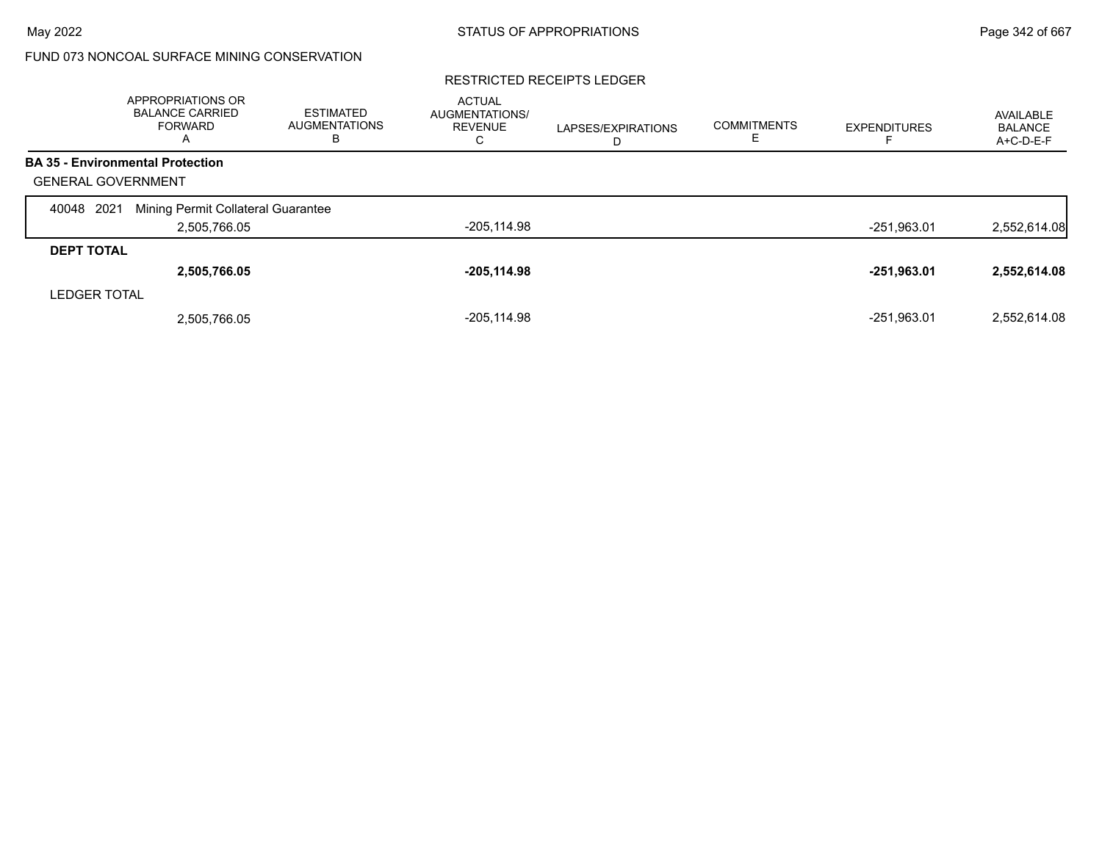# FUND 073 NONCOAL SURFACE MINING CONSERVATION

### RESTRICTED RECEIPTS LEDGER

|                           | <b>APPROPRIATIONS OR</b><br><b>BALANCE CARRIED</b><br>FORWARD<br>A | <b>ESTIMATED</b><br><b>AUGMENTATIONS</b><br>В | <b>ACTUAL</b><br><b>AUGMENTATIONS/</b><br><b>REVENUE</b><br>С | LAPSES/EXPIRATIONS<br>D | <b>COMMITMENTS</b> | <b>EXPENDITURES</b> | AVAILABLE<br><b>BALANCE</b><br>A+C-D-E-F |
|---------------------------|--------------------------------------------------------------------|-----------------------------------------------|---------------------------------------------------------------|-------------------------|--------------------|---------------------|------------------------------------------|
|                           | <b>BA 35 - Environmental Protection</b>                            |                                               |                                                               |                         |                    |                     |                                          |
| <b>GENERAL GOVERNMENT</b> |                                                                    |                                               |                                                               |                         |                    |                     |                                          |
| 2021<br>40048             | Mining Permit Collateral Guarantee                                 |                                               |                                                               |                         |                    |                     |                                          |
|                           | 2,505,766.05                                                       |                                               | $-205, 114.98$                                                |                         |                    | $-251,963.01$       | 2,552,614.08                             |
| <b>DEPT TOTAL</b>         |                                                                    |                                               |                                                               |                         |                    |                     |                                          |
|                           | 2,505,766.05                                                       |                                               | $-205,114.98$                                                 |                         |                    | $-251,963.01$       | 2,552,614.08                             |
| <b>LEDGER TOTAL</b>       |                                                                    |                                               |                                                               |                         |                    |                     |                                          |
|                           | 2,505,766.05                                                       |                                               | $-205.114.98$                                                 |                         |                    | $-251.963.01$       | 2.552.614.08                             |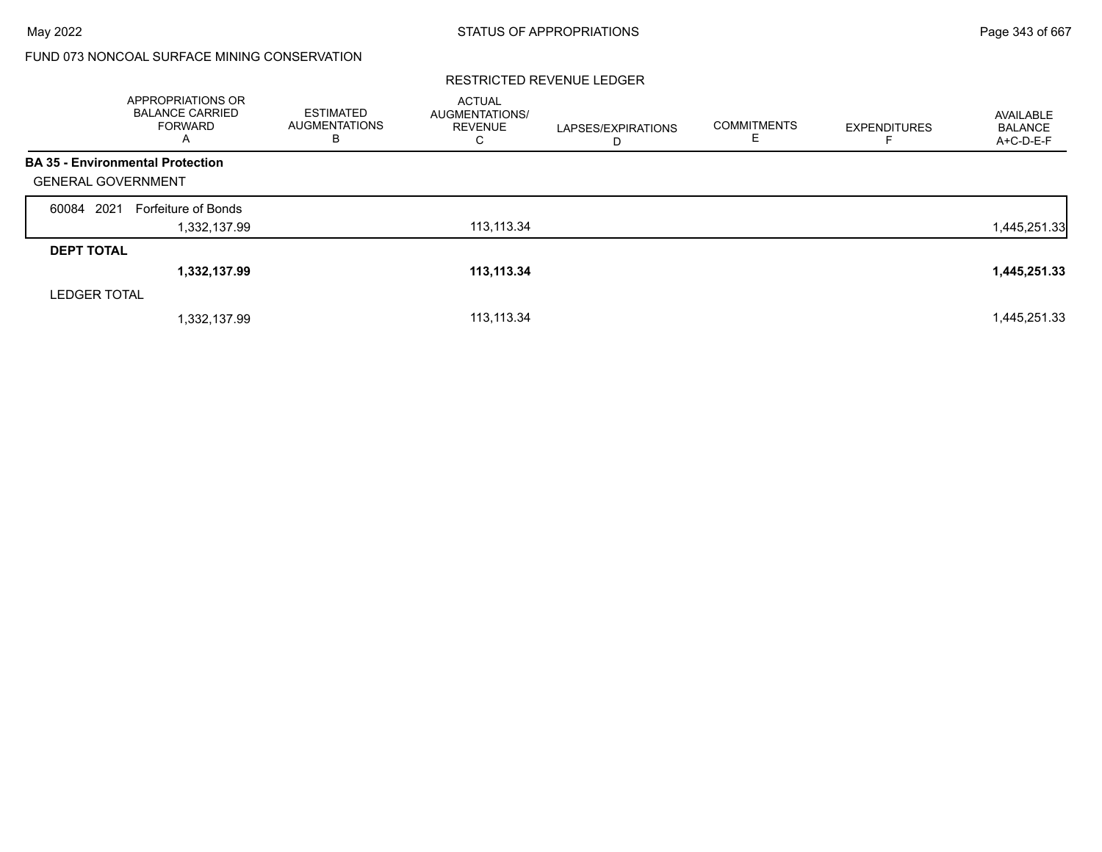# FUND 073 NONCOAL SURFACE MINING CONSERVATION

|                           | <b>APPROPRIATIONS OR</b><br><b>BALANCE CARRIED</b><br>FORWARD<br>A | <b>ESTIMATED</b><br><b>AUGMENTATIONS</b><br>в | <b>ACTUAL</b><br>AUGMENTATIONS/<br><b>REVENUE</b><br>С | LAPSES/EXPIRATIONS<br>D | <b>COMMITMENTS</b><br>Е | <b>EXPENDITURES</b> | AVAILABLE<br><b>BALANCE</b><br>A+C-D-E-F |
|---------------------------|--------------------------------------------------------------------|-----------------------------------------------|--------------------------------------------------------|-------------------------|-------------------------|---------------------|------------------------------------------|
|                           | <b>BA 35 - Environmental Protection</b>                            |                                               |                                                        |                         |                         |                     |                                          |
| <b>GENERAL GOVERNMENT</b> |                                                                    |                                               |                                                        |                         |                         |                     |                                          |
| 2021<br>60084             | Forfeiture of Bonds                                                |                                               |                                                        |                         |                         |                     |                                          |
|                           | 1,332,137.99                                                       |                                               | 113,113.34                                             |                         |                         |                     | 1,445,251.33                             |
| <b>DEPT TOTAL</b>         |                                                                    |                                               |                                                        |                         |                         |                     |                                          |
|                           | 1,332,137.99                                                       |                                               | 113,113.34                                             |                         |                         |                     | 1,445,251.33                             |
| <b>LEDGER TOTAL</b>       |                                                                    |                                               |                                                        |                         |                         |                     |                                          |
|                           | 1,332,137.99                                                       |                                               | 113,113.34                                             |                         |                         |                     | 1,445,251.33                             |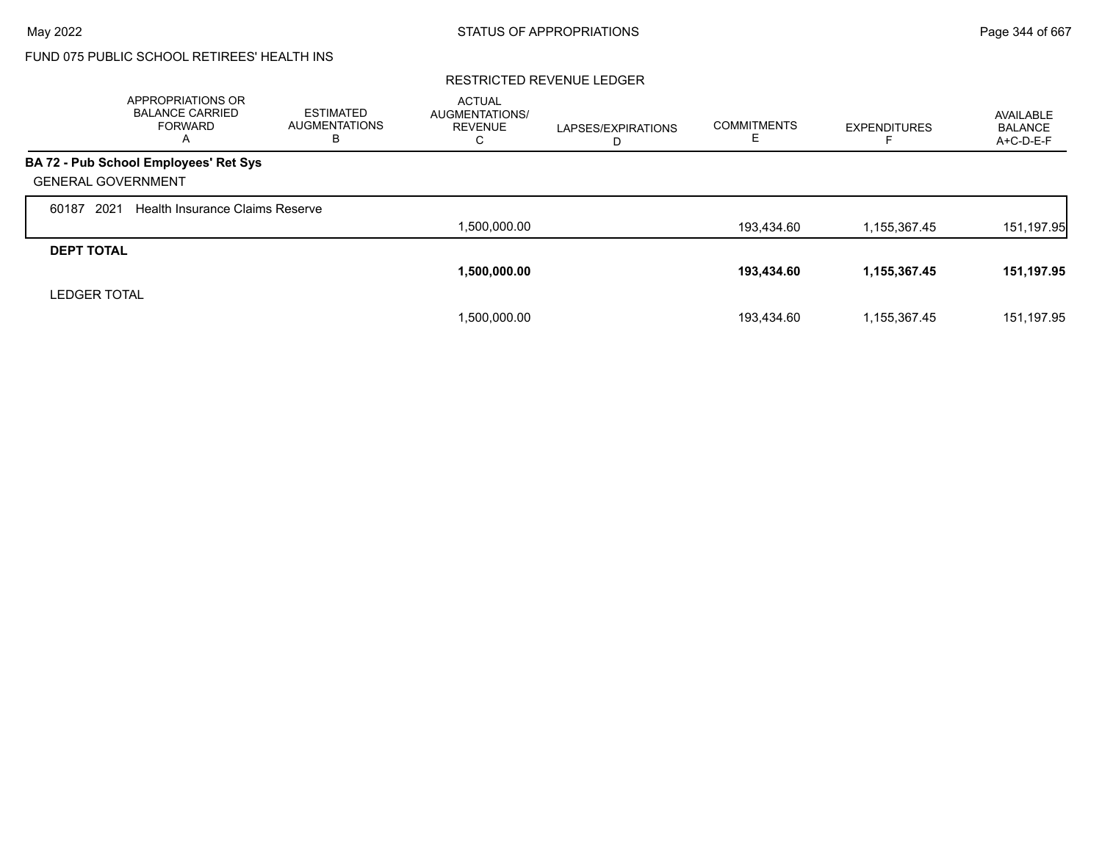# FUND 075 PUBLIC SCHOOL RETIREES' HEALTH INS

|                           | APPROPRIATIONS OR<br><b>BALANCE CARRIED</b><br>FORWARD<br>A | <b>ESTIMATED</b><br><b>AUGMENTATIONS</b><br>в | <b>ACTUAL</b><br><b>AUGMENTATIONS/</b><br><b>REVENUE</b><br>C | LAPSES/EXPIRATIONS<br>D | <b>COMMITMENTS</b> | <b>EXPENDITURES</b> | <b>AVAILABLE</b><br>BALANCE<br>A+C-D-E-F |
|---------------------------|-------------------------------------------------------------|-----------------------------------------------|---------------------------------------------------------------|-------------------------|--------------------|---------------------|------------------------------------------|
|                           | BA 72 - Pub School Employees' Ret Sys                       |                                               |                                                               |                         |                    |                     |                                          |
| <b>GENERAL GOVERNMENT</b> |                                                             |                                               |                                                               |                         |                    |                     |                                          |
| 2021<br>60187             | <b>Health Insurance Claims Reserve</b>                      |                                               |                                                               |                         |                    |                     |                                          |
|                           |                                                             |                                               | 1,500,000.00                                                  |                         | 193.434.60         | 1,155,367.45        | 151, 197.95                              |
| <b>DEPT TOTAL</b>         |                                                             |                                               |                                                               |                         |                    |                     |                                          |
|                           |                                                             |                                               | 1,500,000.00                                                  |                         | 193,434.60         | 1,155,367.45        | 151,197.95                               |
| <b>LEDGER TOTAL</b>       |                                                             |                                               |                                                               |                         |                    |                     |                                          |
|                           |                                                             |                                               | 1,500,000.00                                                  |                         | 193,434.60         | 1,155,367.45        | 151,197.95                               |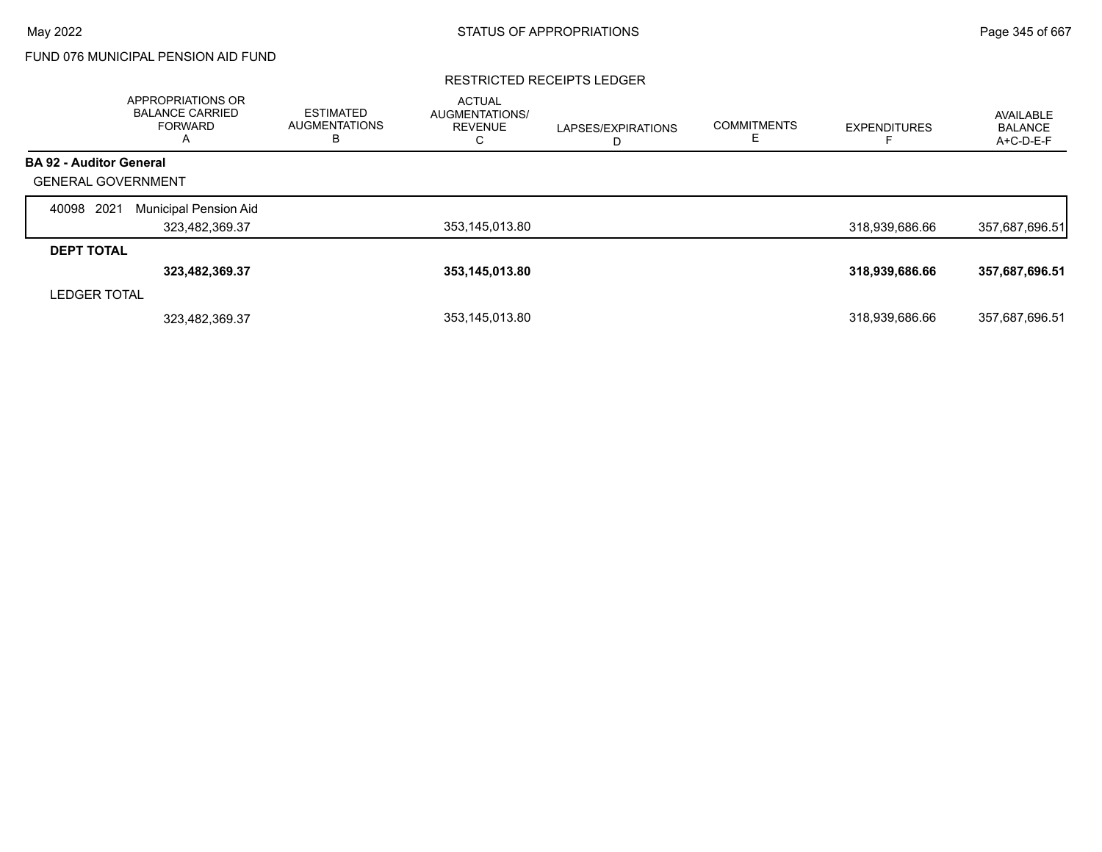# FUND 076 MUNICIPAL PENSION AID FUND

#### RESTRICTED RECEIPTS LEDGER

|                                | APPROPRIATIONS OR<br><b>BALANCE CARRIED</b><br>FORWARD<br>$\overline{\mathsf{A}}$ | <b>ESTIMATED</b><br><b>AUGMENTATIONS</b><br>в | <b>ACTUAL</b><br>AUGMENTATIONS/<br><b>REVENUE</b><br>С | LAPSES/EXPIRATIONS<br>D | <b>COMMITMENTS</b> | <b>EXPENDITURES</b> | AVAILABLE<br><b>BALANCE</b><br>A+C-D-E-F |
|--------------------------------|-----------------------------------------------------------------------------------|-----------------------------------------------|--------------------------------------------------------|-------------------------|--------------------|---------------------|------------------------------------------|
| <b>BA 92 - Auditor General</b> |                                                                                   |                                               |                                                        |                         |                    |                     |                                          |
| <b>GENERAL GOVERNMENT</b>      |                                                                                   |                                               |                                                        |                         |                    |                     |                                          |
| 2021<br>40098                  | Municipal Pension Aid                                                             |                                               |                                                        |                         |                    |                     |                                          |
|                                | 323,482,369.37                                                                    |                                               | 353,145,013.80                                         |                         |                    | 318,939,686.66      | 357,687,696.51                           |
| <b>DEPT TOTAL</b>              |                                                                                   |                                               |                                                        |                         |                    |                     |                                          |
|                                | 323,482,369.37                                                                    |                                               | 353,145,013.80                                         |                         |                    | 318,939,686.66      | 357,687,696.51                           |
| <b>LEDGER TOTAL</b>            |                                                                                   |                                               |                                                        |                         |                    |                     |                                          |
|                                | 323,482,369.37                                                                    |                                               | 353,145,013.80                                         |                         |                    | 318,939,686.66      | 357,687,696.51                           |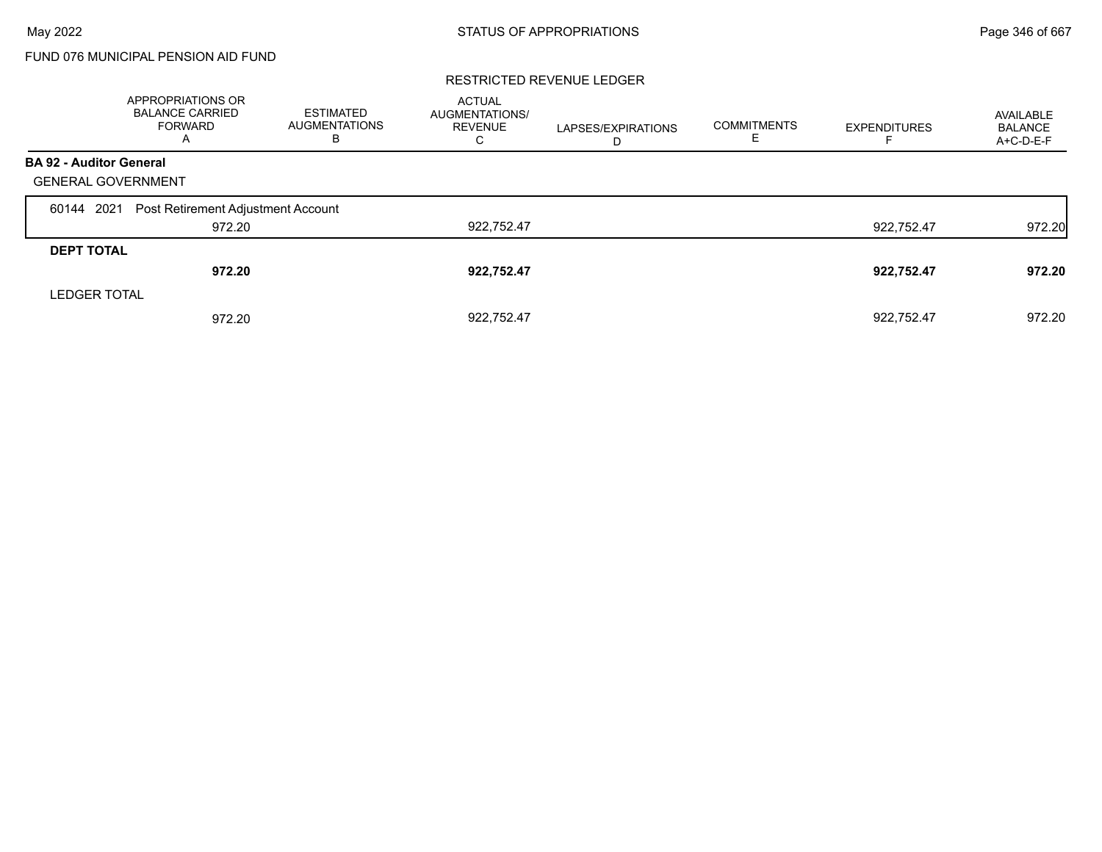# FUND 076 MUNICIPAL PENSION AID FUND

|                                | APPROPRIATIONS OR<br><b>BALANCE CARRIED</b><br><b>FORWARD</b><br>A | ESTIMATED<br><b>AUGMENTATIONS</b><br>В | <b>ACTUAL</b><br>AUGMENTATIONS/<br><b>REVENUE</b><br>С | LAPSES/EXPIRATIONS<br>D | <b>COMMITMENTS</b><br>Е | <b>EXPENDITURES</b> | AVAILABLE<br><b>BALANCE</b><br>A+C-D-E-F |
|--------------------------------|--------------------------------------------------------------------|----------------------------------------|--------------------------------------------------------|-------------------------|-------------------------|---------------------|------------------------------------------|
| <b>BA 92 - Auditor General</b> |                                                                    |                                        |                                                        |                         |                         |                     |                                          |
| <b>GENERAL GOVERNMENT</b>      |                                                                    |                                        |                                                        |                         |                         |                     |                                          |
| 60144 2021                     | Post Retirement Adjustment Account                                 |                                        |                                                        |                         |                         |                     |                                          |
|                                | 972.20                                                             |                                        | 922,752.47                                             |                         |                         | 922,752.47          | 972.20                                   |
| <b>DEPT TOTAL</b>              |                                                                    |                                        |                                                        |                         |                         |                     |                                          |
|                                | 972.20                                                             |                                        | 922,752.47                                             |                         |                         | 922,752.47          | 972.20                                   |
| <b>LEDGER TOTAL</b>            |                                                                    |                                        |                                                        |                         |                         |                     |                                          |
|                                | 972.20                                                             |                                        | 922.752.47                                             |                         |                         | 922.752.47          | 972.20                                   |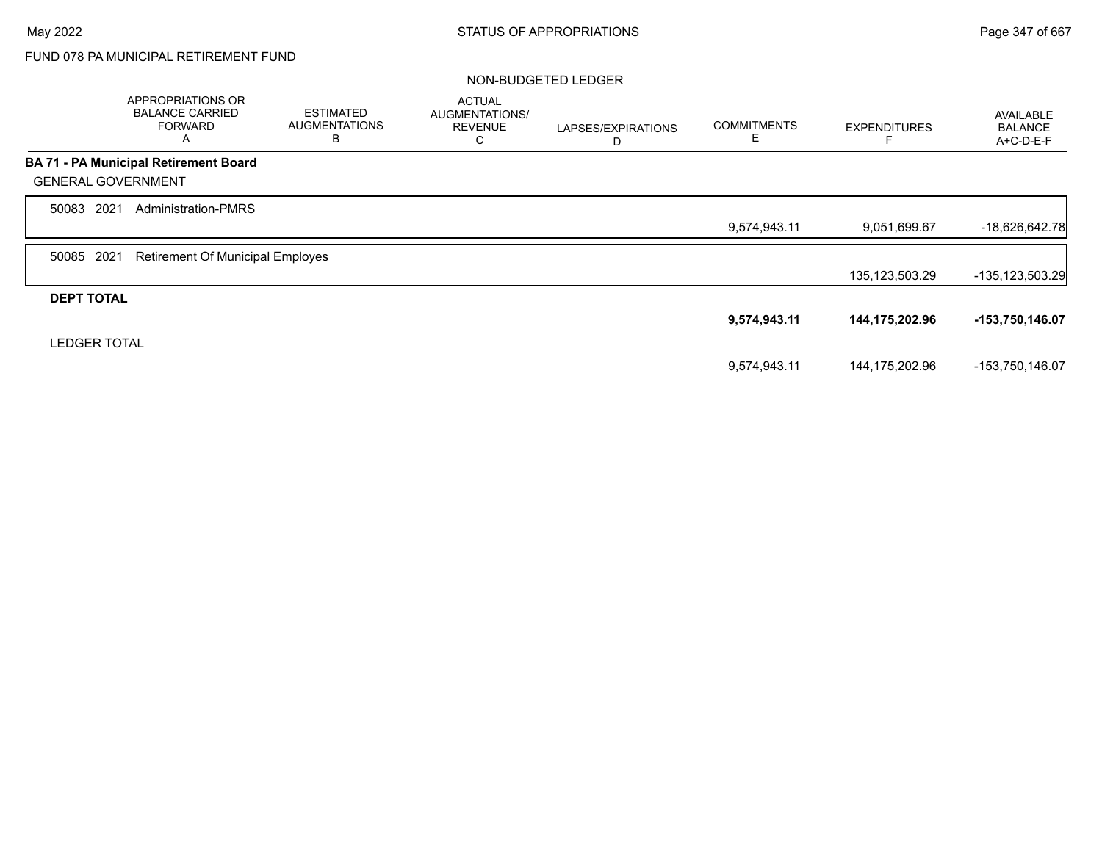# FUND 078 PA MUNICIPAL RETIREMENT FUND

### NON-BUDGETED LEDGER

|                           | <b>APPROPRIATIONS OR</b><br><b>BALANCE CARRIED</b><br><b>FORWARD</b><br>A | <b>ESTIMATED</b><br><b>AUGMENTATIONS</b><br>B | <b>ACTUAL</b><br>AUGMENTATIONS/<br><b>REVENUE</b><br>С | LAPSES/EXPIRATIONS<br>D | <b>COMMITMENTS</b><br>Е | <b>EXPENDITURES</b> | <b>AVAILABLE</b><br><b>BALANCE</b><br>A+C-D-E-F |
|---------------------------|---------------------------------------------------------------------------|-----------------------------------------------|--------------------------------------------------------|-------------------------|-------------------------|---------------------|-------------------------------------------------|
|                           | <b>BA 71 - PA Municipal Retirement Board</b>                              |                                               |                                                        |                         |                         |                     |                                                 |
| <b>GENERAL GOVERNMENT</b> |                                                                           |                                               |                                                        |                         |                         |                     |                                                 |
| 50083 2021                | <b>Administration-PMRS</b>                                                |                                               |                                                        |                         |                         |                     |                                                 |
|                           |                                                                           |                                               |                                                        |                         | 9,574,943.11            | 9,051,699.67        | -18,626,642.78                                  |
| 2021<br>50085             | <b>Retirement Of Municipal Employes</b>                                   |                                               |                                                        |                         |                         |                     |                                                 |
|                           |                                                                           |                                               |                                                        |                         |                         | 135, 123, 503. 29   | -135,123,503.29                                 |
| <b>DEPT TOTAL</b>         |                                                                           |                                               |                                                        |                         |                         |                     |                                                 |
|                           |                                                                           |                                               |                                                        |                         | 9,574,943.11            | 144,175,202.96      | -153,750,146.07                                 |
| <b>LEDGER TOTAL</b>       |                                                                           |                                               |                                                        |                         |                         |                     |                                                 |
|                           |                                                                           |                                               |                                                        |                         | 9,574,943.11            | 144,175,202.96      | -153,750,146.07                                 |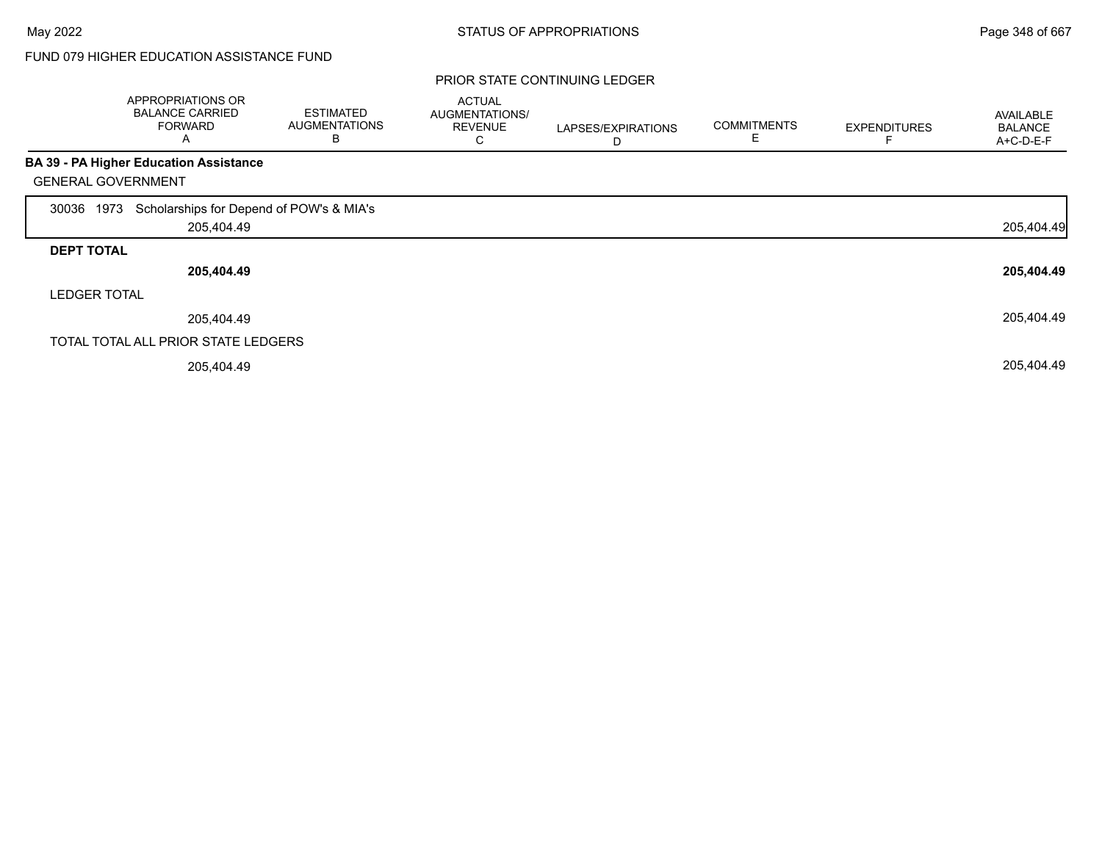### PRIOR STATE CONTINUING LEDGER

|                           | APPROPRIATIONS OR<br><b>BALANCE CARRIED</b><br><b>FORWARD</b><br>Α | <b>ESTIMATED</b><br><b>AUGMENTATIONS</b><br>В | <b>ACTUAL</b><br>AUGMENTATIONS/<br><b>REVENUE</b><br>Ü | LAPSES/EXPIRATIONS<br>D | <b>COMMITMENTS</b><br>E | <b>EXPENDITURES</b> | <b>AVAILABLE</b><br><b>BALANCE</b><br>A+C-D-E-F |
|---------------------------|--------------------------------------------------------------------|-----------------------------------------------|--------------------------------------------------------|-------------------------|-------------------------|---------------------|-------------------------------------------------|
|                           | <b>BA 39 - PA Higher Education Assistance</b>                      |                                               |                                                        |                         |                         |                     |                                                 |
| <b>GENERAL GOVERNMENT</b> |                                                                    |                                               |                                                        |                         |                         |                     |                                                 |
| 1973<br>30036             | Scholarships for Depend of POW's & MIA's                           |                                               |                                                        |                         |                         |                     |                                                 |
|                           | 205,404.49                                                         |                                               |                                                        |                         |                         |                     | 205,404.49                                      |
| <b>DEPT TOTAL</b>         |                                                                    |                                               |                                                        |                         |                         |                     |                                                 |
|                           | 205,404.49                                                         |                                               |                                                        |                         |                         |                     | 205,404.49                                      |
| <b>LEDGER TOTAL</b>       |                                                                    |                                               |                                                        |                         |                         |                     |                                                 |
|                           | 205,404.49                                                         |                                               |                                                        |                         |                         |                     | 205,404.49                                      |
|                           | TOTAL TOTAL ALL PRIOR STATE LEDGERS                                |                                               |                                                        |                         |                         |                     |                                                 |
|                           | 205,404.49                                                         |                                               |                                                        |                         |                         |                     | 205,404.49                                      |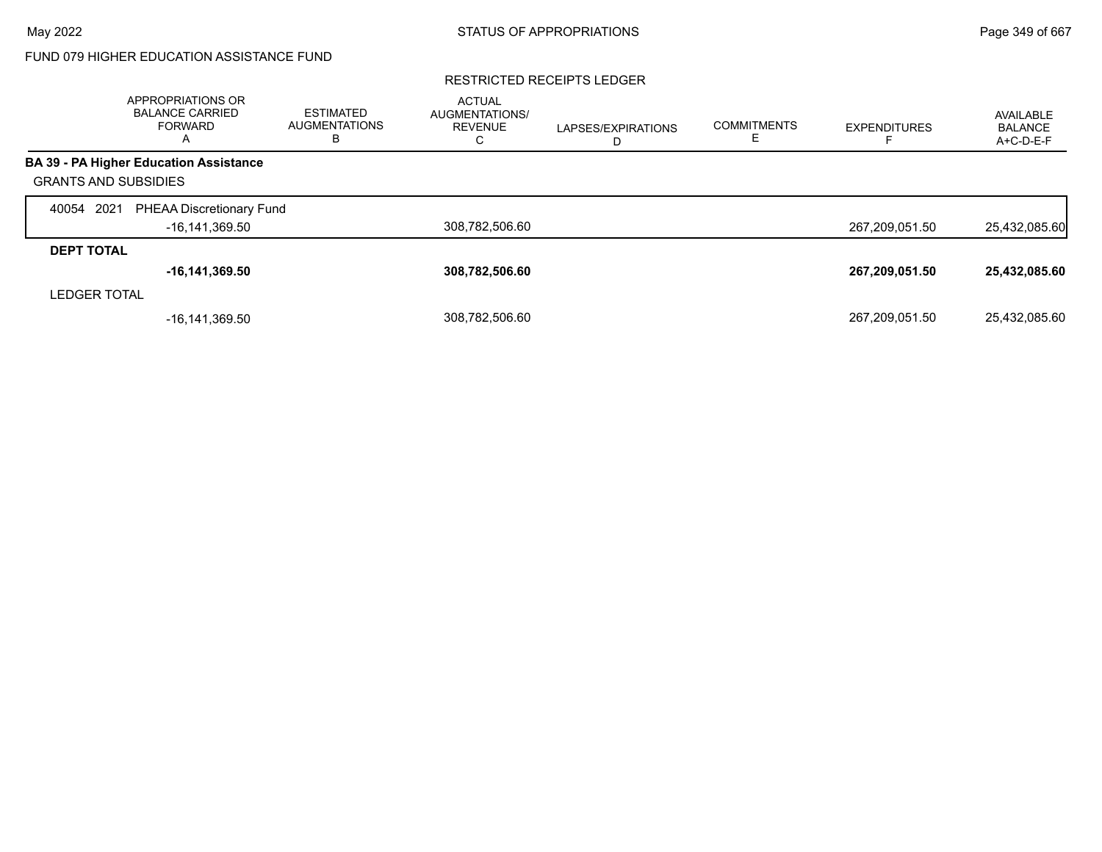#### RESTRICTED RECEIPTS LEDGER

|                             | APPROPRIATIONS OR<br><b>BALANCE CARRIED</b><br><b>FORWARD</b><br>$\overline{A}$ | <b>ESTIMATED</b><br><b>AUGMENTATIONS</b><br>в | <b>ACTUAL</b><br><b>AUGMENTATIONS/</b><br><b>REVENUE</b><br>Ü | LAPSES/EXPIRATIONS<br>D | <b>COMMITMENTS</b> | <b>EXPENDITURES</b> | AVAILABLE<br><b>BALANCE</b><br>A+C-D-E-F |
|-----------------------------|---------------------------------------------------------------------------------|-----------------------------------------------|---------------------------------------------------------------|-------------------------|--------------------|---------------------|------------------------------------------|
|                             | <b>BA 39 - PA Higher Education Assistance</b>                                   |                                               |                                                               |                         |                    |                     |                                          |
| <b>GRANTS AND SUBSIDIES</b> |                                                                                 |                                               |                                                               |                         |                    |                     |                                          |
| 2021<br>40054               | PHEAA Discretionary Fund                                                        |                                               |                                                               |                         |                    |                     |                                          |
|                             | -16,141,369.50                                                                  |                                               | 308,782,506.60                                                |                         |                    | 267,209,051.50      | 25,432,085.60                            |
| <b>DEPT TOTAL</b>           |                                                                                 |                                               |                                                               |                         |                    |                     |                                          |
|                             | $-16, 141, 369.50$                                                              |                                               | 308,782,506.60                                                |                         |                    | 267,209,051.50      | 25,432,085.60                            |
| <b>LEDGER TOTAL</b>         |                                                                                 |                                               |                                                               |                         |                    |                     |                                          |
|                             | -16,141,369.50                                                                  |                                               | 308,782,506.60                                                |                         |                    | 267,209,051.50      | 25,432,085.60                            |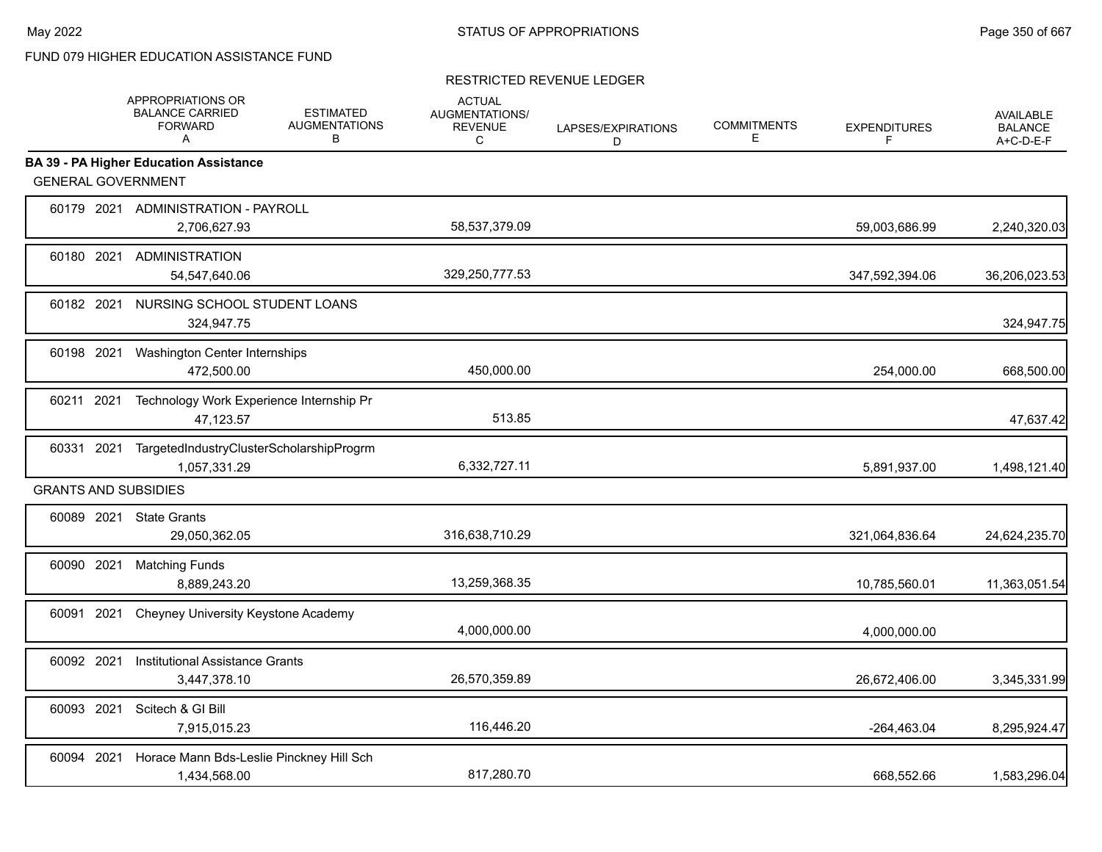|            | APPROPRIATIONS OR<br><b>BALANCE CARRIED</b><br><b>FORWARD</b><br>A | <b>ESTIMATED</b><br><b>AUGMENTATIONS</b><br>В | <b>ACTUAL</b><br>AUGMENTATIONS/<br><b>REVENUE</b><br>C | LAPSES/EXPIRATIONS<br>D | <b>COMMITMENTS</b><br>Е | <b>EXPENDITURES</b><br>F | AVAILABLE<br><b>BALANCE</b><br>A+C-D-E-F |
|------------|--------------------------------------------------------------------|-----------------------------------------------|--------------------------------------------------------|-------------------------|-------------------------|--------------------------|------------------------------------------|
|            | <b>BA 39 - PA Higher Education Assistance</b>                      |                                               |                                                        |                         |                         |                          |                                          |
|            | <b>GENERAL GOVERNMENT</b>                                          |                                               |                                                        |                         |                         |                          |                                          |
|            | 60179 2021 ADMINISTRATION - PAYROLL<br>2,706,627.93                |                                               | 58,537,379.09                                          |                         |                         | 59,003,686.99            | 2,240,320.03                             |
|            | 60180 2021 ADMINISTRATION<br>54,547,640.06                         |                                               | 329,250,777.53                                         |                         |                         | 347,592,394.06           | 36,206,023.53                            |
|            | 60182 2021 NURSING SCHOOL STUDENT LOANS<br>324,947.75              |                                               |                                                        |                         |                         |                          | 324,947.75                               |
| 60198 2021 | Washington Center Internships<br>472,500.00                        |                                               | 450,000.00                                             |                         |                         | 254,000.00               | 668,500.00                               |
| 60211 2021 | 47,123.57                                                          | Technology Work Experience Internship Pr      | 513.85                                                 |                         |                         |                          | 47,637.42                                |
| 60331 2021 | 1,057,331.29                                                       | TargetedIndustryClusterScholarshipProgrm      | 6,332,727.11                                           |                         |                         | 5,891,937.00             | 1,498,121.40                             |
|            | <b>GRANTS AND SUBSIDIES</b>                                        |                                               |                                                        |                         |                         |                          |                                          |
|            | 60089 2021 State Grants<br>29,050,362.05                           |                                               | 316,638,710.29                                         |                         |                         | 321,064,836.64           | 24,624,235.70                            |
|            | 60090 2021 Matching Funds<br>8,889,243.20                          |                                               | 13,259,368.35                                          |                         |                         | 10,785,560.01            | 11,363,051.54                            |
| 60091 2021 | Cheyney University Keystone Academy                                |                                               | 4,000,000.00                                           |                         |                         | 4,000,000.00             |                                          |
| 60092 2021 | Institutional Assistance Grants<br>3,447,378.10                    |                                               | 26,570,359.89                                          |                         |                         | 26,672,406.00            | 3,345,331.99                             |
|            | 60093 2021 Scitech & GI Bill<br>7,915,015.23                       |                                               | 116,446.20                                             |                         |                         | $-264,463.04$            | 8,295,924.47                             |
| 60094 2021 | 1,434,568.00                                                       | Horace Mann Bds-Leslie Pinckney Hill Sch      | 817,280.70                                             |                         |                         | 668.552.66               | 1,583,296.04                             |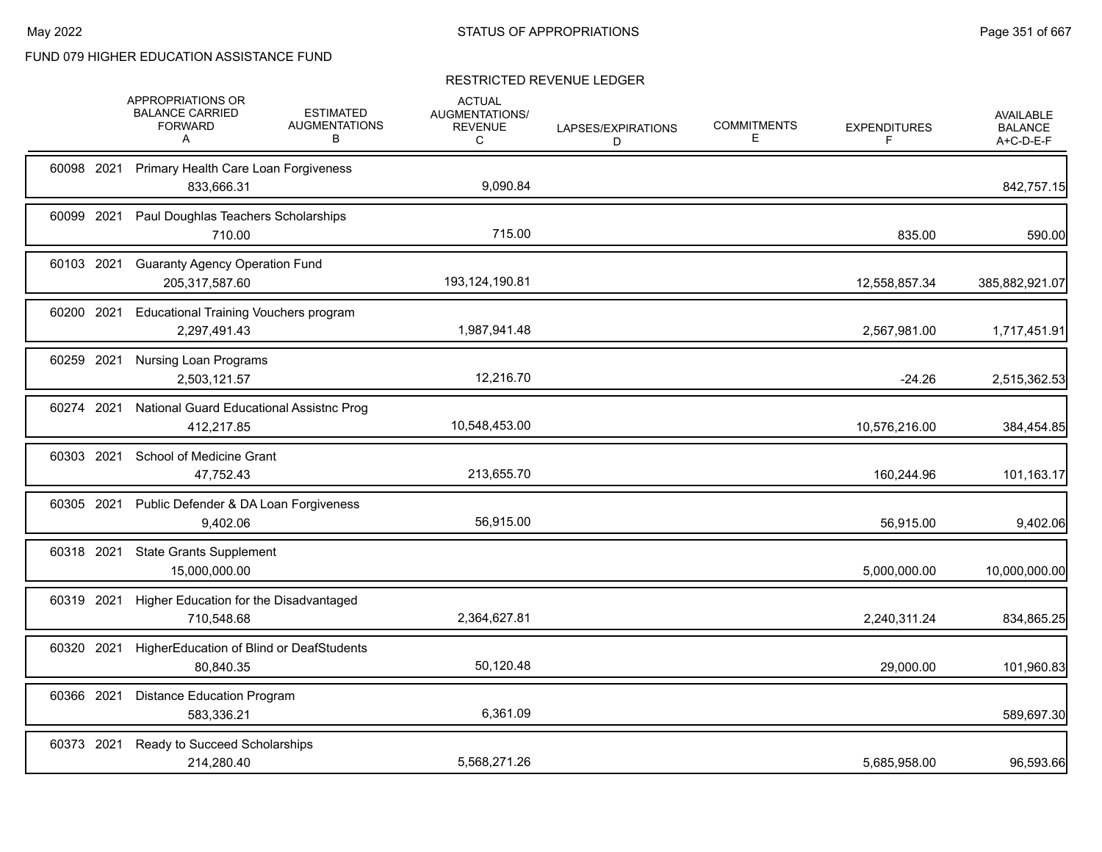|            | APPROPRIATIONS OR<br><b>BALANCE CARRIED</b><br><b>FORWARD</b><br>A | <b>ESTIMATED</b><br><b>AUGMENTATIONS</b><br>в | <b>ACTUAL</b><br>AUGMENTATIONS/<br><b>REVENUE</b><br>C | LAPSES/EXPIRATIONS<br>D | <b>COMMITMENTS</b><br>Ε | <b>EXPENDITURES</b><br>F | <b>AVAILABLE</b><br><b>BALANCE</b><br>A+C-D-E-F |
|------------|--------------------------------------------------------------------|-----------------------------------------------|--------------------------------------------------------|-------------------------|-------------------------|--------------------------|-------------------------------------------------|
| 60098 2021 | Primary Health Care Loan Forgiveness<br>833,666.31                 |                                               | 9.090.84                                               |                         |                         |                          | 842,757.15                                      |
| 60099 2021 | Paul Doughlas Teachers Scholarships<br>710.00                      |                                               | 715.00                                                 |                         |                         | 835.00                   | 590.00                                          |
| 60103 2021 | <b>Guaranty Agency Operation Fund</b><br>205,317,587.60            |                                               | 193,124,190.81                                         |                         |                         | 12,558,857.34            | 385,882,921.07                                  |
| 60200 2021 | <b>Educational Training Vouchers program</b><br>2,297,491.43       |                                               | 1,987,941.48                                           |                         |                         | 2,567,981.00             | 1,717,451.91                                    |
| 60259 2021 | <b>Nursing Loan Programs</b><br>2,503,121.57                       |                                               | 12,216.70                                              |                         |                         | $-24.26$                 | 2,515,362.53                                    |
| 60274 2021 | National Guard Educational Assistnc Prog<br>412,217.85             |                                               | 10,548,453.00                                          |                         |                         | 10,576,216.00            | 384,454.85                                      |
| 60303 2021 | School of Medicine Grant<br>47,752.43                              |                                               | 213,655.70                                             |                         |                         | 160,244.96               | 101,163.17                                      |
| 60305 2021 | Public Defender & DA Loan Forgiveness<br>9.402.06                  |                                               | 56,915.00                                              |                         |                         | 56,915.00                | 9,402.06                                        |
| 60318 2021 | <b>State Grants Supplement</b><br>15,000,000.00                    |                                               |                                                        |                         |                         | 5,000,000.00             | 10,000,000.00                                   |
| 60319 2021 | Higher Education for the Disadvantaged<br>710,548.68               |                                               | 2,364,627.81                                           |                         |                         | 2,240,311.24             | 834,865.25                                      |
| 60320 2021 | HigherEducation of Blind or DeafStudents<br>80,840.35              |                                               | 50,120.48                                              |                         |                         | 29,000.00                | 101,960.83                                      |
| 60366 2021 | <b>Distance Education Program</b><br>583,336.21                    |                                               | 6,361.09                                               |                         |                         |                          | 589,697.30                                      |
| 60373 2021 | Ready to Succeed Scholarships<br>214,280.40                        |                                               | 5,568,271.26                                           |                         |                         | 5,685,958.00             | 96,593.66                                       |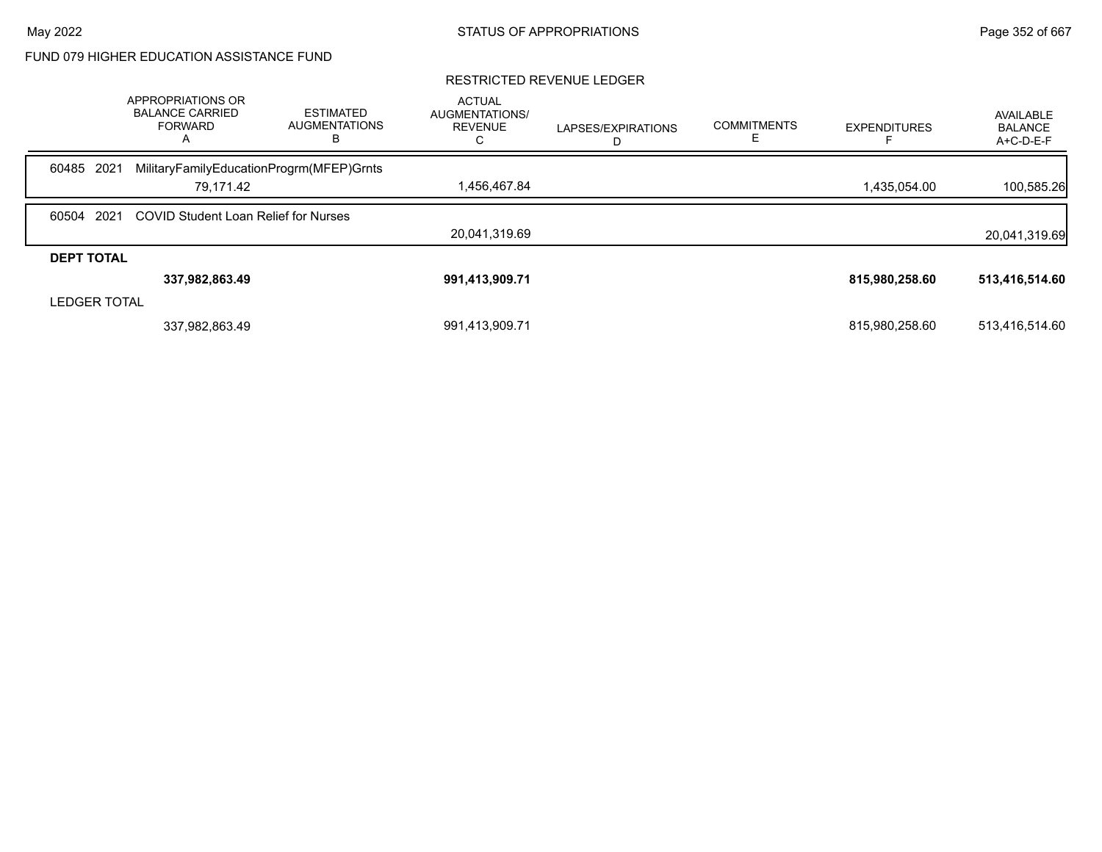|                     | APPROPRIATIONS OR<br><b>BALANCE CARRIED</b><br><b>FORWARD</b><br>$\mathsf{A}$ | <b>ESTIMATED</b><br><b>AUGMENTATIONS</b><br>в | <b>ACTUAL</b><br>AUGMENTATIONS/<br><b>REVENUE</b> | LAPSES/EXPIRATIONS | <b>COMMITMENTS</b> | <b>EXPENDITURES</b> | AVAILABLE<br><b>BALANCE</b><br>A+C-D-E-F |
|---------------------|-------------------------------------------------------------------------------|-----------------------------------------------|---------------------------------------------------|--------------------|--------------------|---------------------|------------------------------------------|
| 60485 2021          | MilitaryFamilyEducationProgrm(MFEP)Grnts                                      |                                               |                                                   |                    |                    |                     |                                          |
|                     | 79.171.42                                                                     |                                               | 1,456,467.84                                      |                    |                    | 1,435,054.00        | 100,585.26                               |
| 60504               | 2021<br><b>COVID Student Loan Relief for Nurses</b>                           |                                               |                                                   |                    |                    |                     |                                          |
|                     |                                                                               |                                               | 20.041.319.69                                     |                    |                    |                     | 20,041,319.69                            |
| <b>DEPT TOTAL</b>   |                                                                               |                                               |                                                   |                    |                    |                     |                                          |
|                     | 337,982,863.49                                                                |                                               | 991,413,909.71                                    |                    |                    | 815,980,258.60      | 513,416,514.60                           |
| <b>LEDGER TOTAL</b> |                                                                               |                                               |                                                   |                    |                    |                     |                                          |
|                     | 337,982,863.49                                                                |                                               | 991,413,909.71                                    |                    |                    | 815,980,258.60      | 513,416,514.60                           |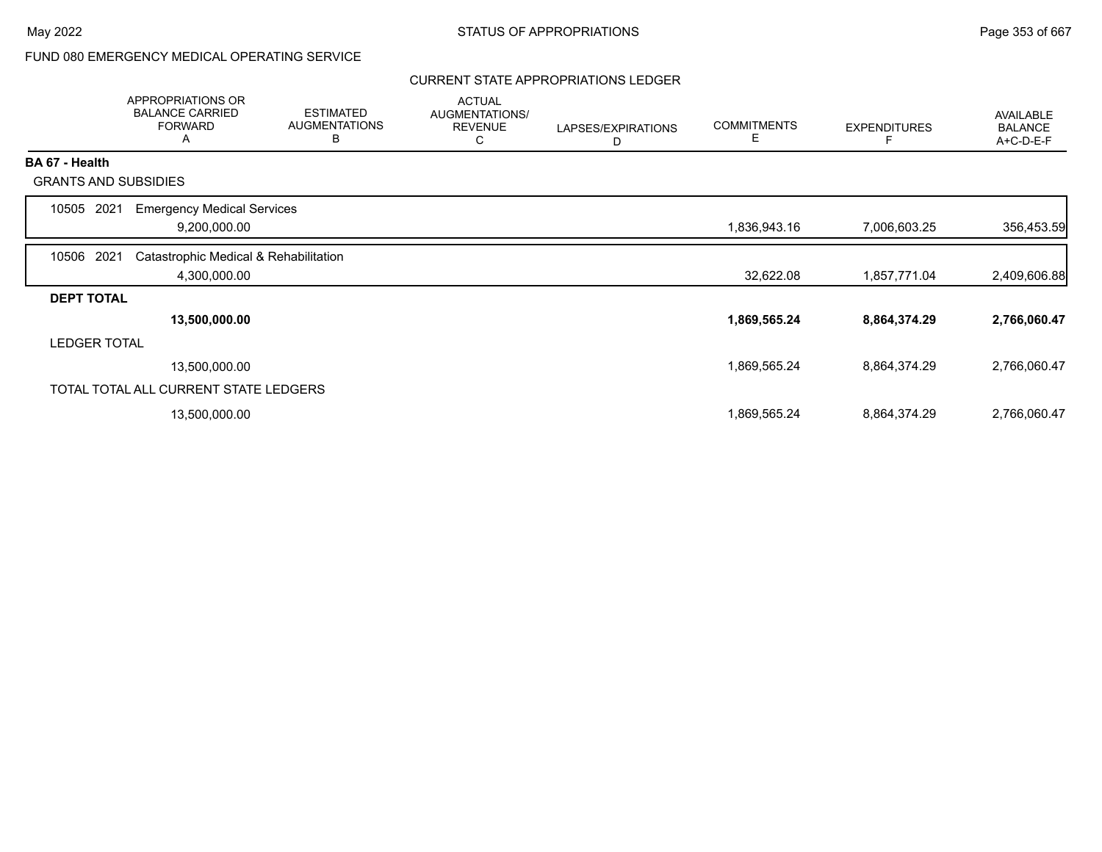# FUND 080 EMERGENCY MEDICAL OPERATING SERVICE

### CURRENT STATE APPROPRIATIONS LEDGER

|                       | <b>APPROPRIATIONS OR</b><br><b>BALANCE CARRIED</b><br><b>FORWARD</b><br>A | <b>ESTIMATED</b><br><b>AUGMENTATIONS</b><br>В | <b>ACTUAL</b><br>AUGMENTATIONS/<br><b>REVENUE</b><br>C | LAPSES/EXPIRATIONS<br>D | <b>COMMITMENTS</b><br>Ε | <b>EXPENDITURES</b> | <b>AVAILABLE</b><br><b>BALANCE</b><br>A+C-D-E-F |
|-----------------------|---------------------------------------------------------------------------|-----------------------------------------------|--------------------------------------------------------|-------------------------|-------------------------|---------------------|-------------------------------------------------|
| <b>BA 67 - Health</b> |                                                                           |                                               |                                                        |                         |                         |                     |                                                 |
|                       | <b>GRANTS AND SUBSIDIES</b>                                               |                                               |                                                        |                         |                         |                     |                                                 |
| 2021<br>10505         | <b>Emergency Medical Services</b>                                         |                                               |                                                        |                         |                         |                     |                                                 |
|                       | 9,200,000.00                                                              |                                               |                                                        |                         | 1,836,943.16            | 7,006,603.25        | 356,453.59                                      |
| 10506 2021            | Catastrophic Medical & Rehabilitation                                     |                                               |                                                        |                         |                         |                     |                                                 |
|                       | 4,300,000.00                                                              |                                               |                                                        |                         | 32,622.08               | 1,857,771.04        | 2,409,606.88                                    |
| <b>DEPT TOTAL</b>     |                                                                           |                                               |                                                        |                         |                         |                     |                                                 |
|                       | 13,500,000.00                                                             |                                               |                                                        |                         | 1,869,565.24            | 8,864,374.29        | 2,766,060.47                                    |
| <b>LEDGER TOTAL</b>   |                                                                           |                                               |                                                        |                         |                         |                     |                                                 |
|                       | 13,500,000.00                                                             |                                               |                                                        |                         | 1,869,565.24            | 8,864,374.29        | 2,766,060.47                                    |
|                       | TOTAL TOTAL ALL CURRENT STATE LEDGERS                                     |                                               |                                                        |                         |                         |                     |                                                 |
|                       | 13,500,000.00                                                             |                                               |                                                        |                         | 1,869,565.24            | 8,864,374.29        | 2,766,060.47                                    |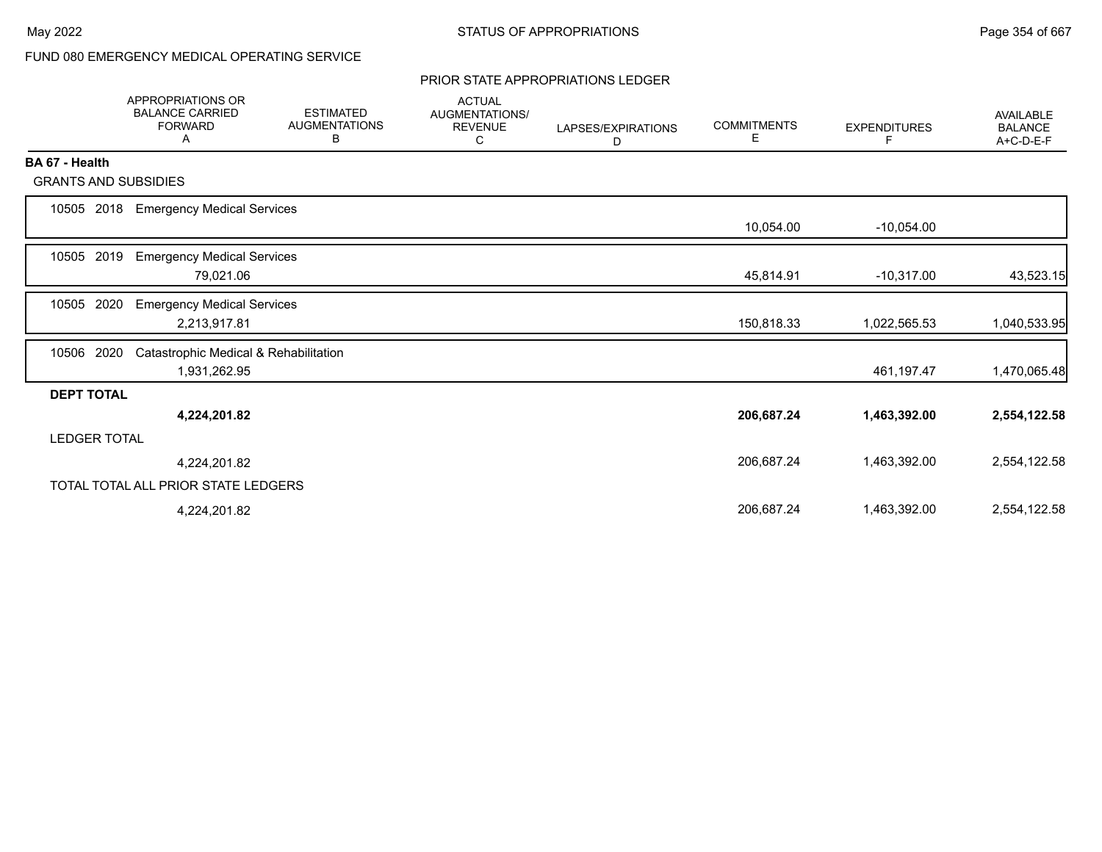# FUND 080 EMERGENCY MEDICAL OPERATING SERVICE

#### PRIOR STATE APPROPRIATIONS LEDGER

|                             | <b>APPROPRIATIONS OR</b><br><b>BALANCE CARRIED</b><br><b>FORWARD</b><br>Α | <b>ESTIMATED</b><br><b>AUGMENTATIONS</b><br>B | <b>ACTUAL</b><br><b>AUGMENTATIONS/</b><br><b>REVENUE</b><br>С | LAPSES/EXPIRATIONS<br>D | <b>COMMITMENTS</b><br>Е | <b>EXPENDITURES</b><br>F | <b>AVAILABLE</b><br><b>BALANCE</b><br>A+C-D-E-F |
|-----------------------------|---------------------------------------------------------------------------|-----------------------------------------------|---------------------------------------------------------------|-------------------------|-------------------------|--------------------------|-------------------------------------------------|
| BA 67 - Health              |                                                                           |                                               |                                                               |                         |                         |                          |                                                 |
| <b>GRANTS AND SUBSIDIES</b> |                                                                           |                                               |                                                               |                         |                         |                          |                                                 |
| 10505<br>2018               | <b>Emergency Medical Services</b>                                         |                                               |                                                               |                         |                         |                          |                                                 |
|                             |                                                                           |                                               |                                                               |                         | 10,054.00               | $-10,054.00$             |                                                 |
| 2019<br>10505               | <b>Emergency Medical Services</b>                                         |                                               |                                                               |                         |                         |                          |                                                 |
|                             | 79,021.06                                                                 |                                               |                                                               |                         | 45,814.91               | $-10,317.00$             | 43,523.15                                       |
| 2020<br>10505               | <b>Emergency Medical Services</b>                                         |                                               |                                                               |                         |                         |                          |                                                 |
|                             | 2,213,917.81                                                              |                                               |                                                               |                         | 150,818.33              | 1,022,565.53             | 1,040,533.95                                    |
| 10506<br>2020               | Catastrophic Medical & Rehabilitation                                     |                                               |                                                               |                         |                         |                          |                                                 |
|                             | 1,931,262.95                                                              |                                               |                                                               |                         |                         | 461,197.47               | 1,470,065.48                                    |
| <b>DEPT TOTAL</b>           |                                                                           |                                               |                                                               |                         |                         |                          |                                                 |
|                             | 4,224,201.82                                                              |                                               |                                                               |                         | 206,687.24              | 1,463,392.00             | 2,554,122.58                                    |
| <b>LEDGER TOTAL</b>         |                                                                           |                                               |                                                               |                         |                         |                          |                                                 |
|                             | 4,224,201.82                                                              |                                               |                                                               |                         | 206,687.24              | 1,463,392.00             | 2,554,122.58                                    |
|                             | TOTAL TOTAL ALL PRIOR STATE LEDGERS                                       |                                               |                                                               |                         |                         |                          |                                                 |
|                             | 4,224,201.82                                                              |                                               |                                                               |                         | 206,687.24              | 1,463,392.00             | 2,554,122.58                                    |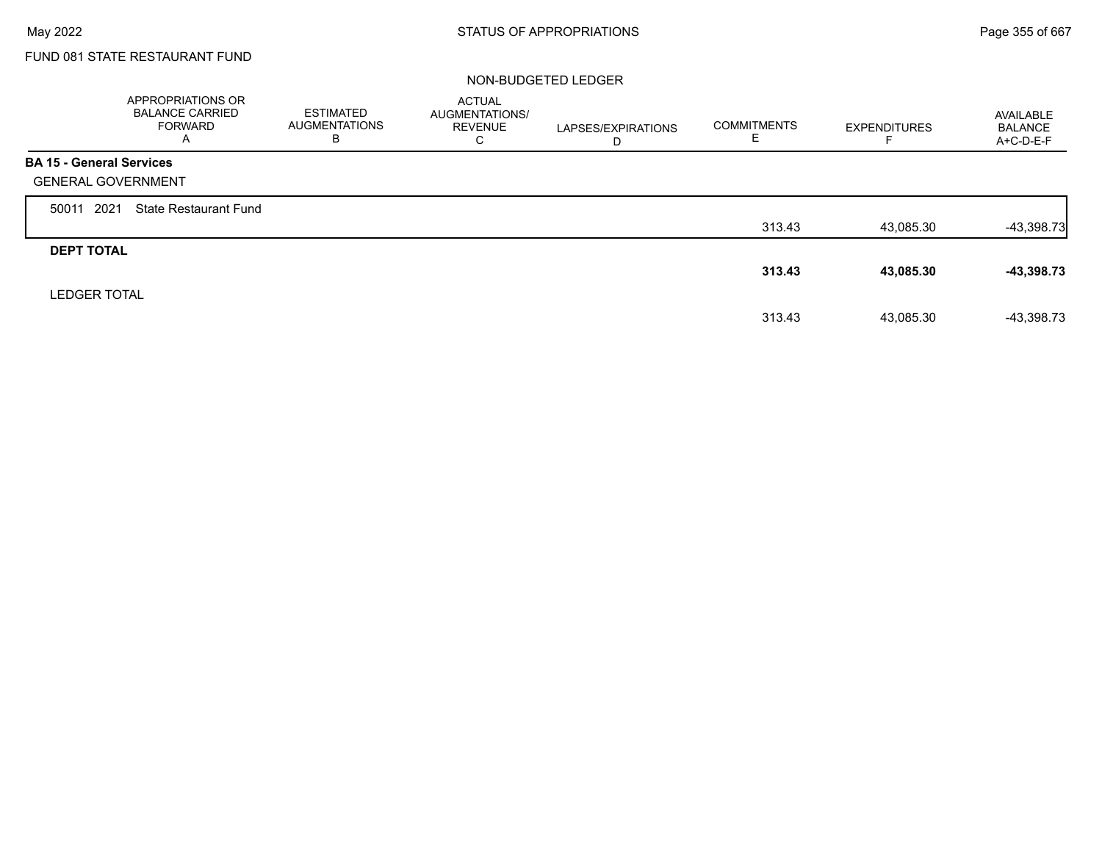# FUND 081 STATE RESTAURANT FUND

### NON-BUDGETED LEDGER

|                                 | APPROPRIATIONS OR<br><b>BALANCE CARRIED</b><br><b>FORWARD</b><br>A | <b>ESTIMATED</b><br><b>AUGMENTATIONS</b><br>в | <b>ACTUAL</b><br>AUGMENTATIONS/<br><b>REVENUE</b><br>C | LAPSES/EXPIRATIONS<br>D | <b>COMMITMENTS</b><br>ᆮ | <b>EXPENDITURES</b> | AVAILABLE<br><b>BALANCE</b><br>A+C-D-E-F |
|---------------------------------|--------------------------------------------------------------------|-----------------------------------------------|--------------------------------------------------------|-------------------------|-------------------------|---------------------|------------------------------------------|
| <b>BA 15 - General Services</b> |                                                                    |                                               |                                                        |                         |                         |                     |                                          |
| <b>GENERAL GOVERNMENT</b>       |                                                                    |                                               |                                                        |                         |                         |                     |                                          |
| 2021<br>50011                   | <b>State Restaurant Fund</b>                                       |                                               |                                                        |                         |                         |                     |                                          |
|                                 |                                                                    |                                               |                                                        |                         | 313.43                  | 43,085.30           | $-43,398.73$                             |
| <b>DEPT TOTAL</b>               |                                                                    |                                               |                                                        |                         |                         |                     |                                          |
|                                 |                                                                    |                                               |                                                        |                         | 313.43                  | 43,085.30           | $-43,398.73$                             |
| <b>LEDGER TOTAL</b>             |                                                                    |                                               |                                                        |                         |                         |                     |                                          |
|                                 |                                                                    |                                               |                                                        |                         | 313.43                  | 43,085.30           | -43,398.73                               |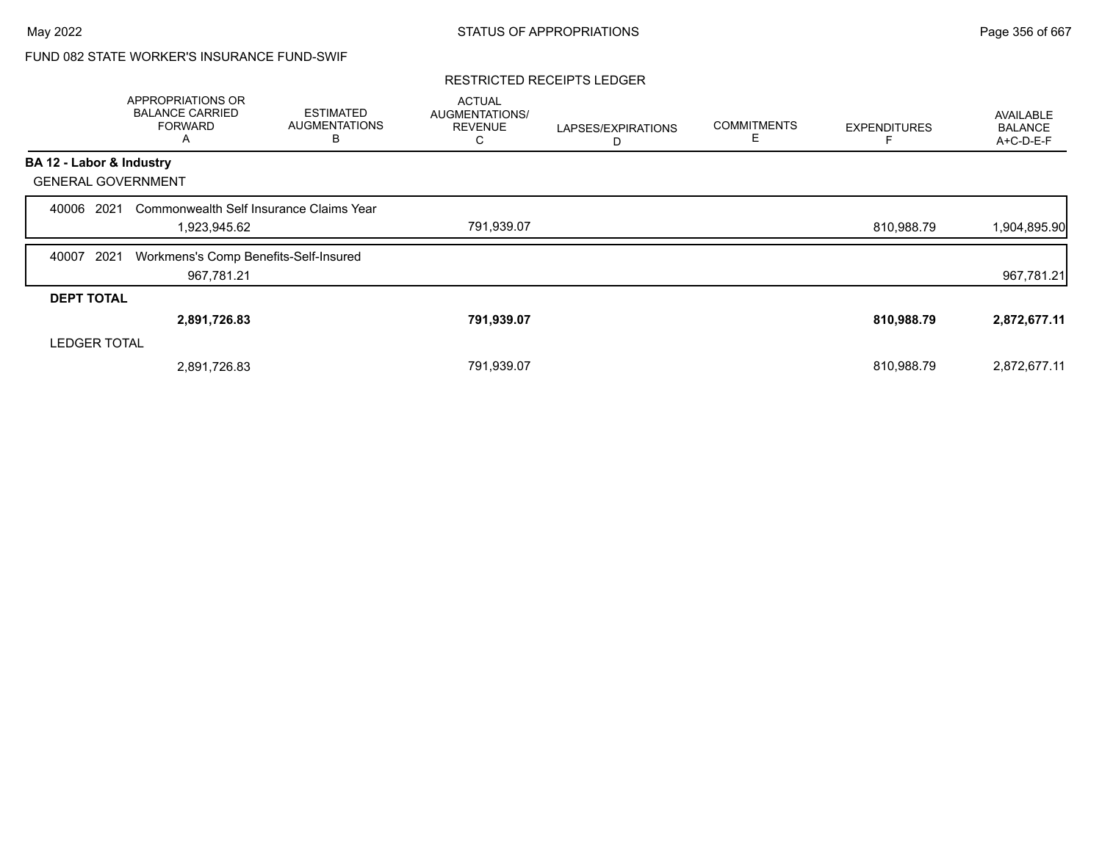## FUND 082 STATE WORKER'S INSURANCE FUND-SWIF

#### RESTRICTED RECEIPTS LEDGER

|                           | APPROPRIATIONS OR<br><b>BALANCE CARRIED</b><br><b>FORWARD</b><br>A | <b>ESTIMATED</b><br><b>AUGMENTATIONS</b><br>В | <b>ACTUAL</b><br>AUGMENTATIONS/<br><b>REVENUE</b><br>Ü | LAPSES/EXPIRATIONS<br>D | <b>COMMITMENTS</b><br>Е | <b>EXPENDITURES</b> | <b>AVAILABLE</b><br><b>BALANCE</b><br>A+C-D-E-F |
|---------------------------|--------------------------------------------------------------------|-----------------------------------------------|--------------------------------------------------------|-------------------------|-------------------------|---------------------|-------------------------------------------------|
| BA 12 - Labor & Industry  |                                                                    |                                               |                                                        |                         |                         |                     |                                                 |
| <b>GENERAL GOVERNMENT</b> |                                                                    |                                               |                                                        |                         |                         |                     |                                                 |
| 2021<br>40006             | Commonwealth Self Insurance Claims Year                            |                                               |                                                        |                         |                         |                     |                                                 |
|                           | 1,923,945.62                                                       |                                               | 791,939.07                                             |                         |                         | 810,988.79          | 1,904,895.90                                    |
| 2021<br>40007             | Workmens's Comp Benefits-Self-Insured                              |                                               |                                                        |                         |                         |                     |                                                 |
|                           | 967,781.21                                                         |                                               |                                                        |                         |                         |                     | 967,781.21                                      |
| <b>DEPT TOTAL</b>         |                                                                    |                                               |                                                        |                         |                         |                     |                                                 |
|                           | 2,891,726.83                                                       |                                               | 791,939.07                                             |                         |                         | 810,988.79          | 2,872,677.11                                    |
| <b>LEDGER TOTAL</b>       |                                                                    |                                               |                                                        |                         |                         |                     |                                                 |
|                           | 2,891,726.83                                                       |                                               | 791,939.07                                             |                         |                         | 810.988.79          | 2,872,677.11                                    |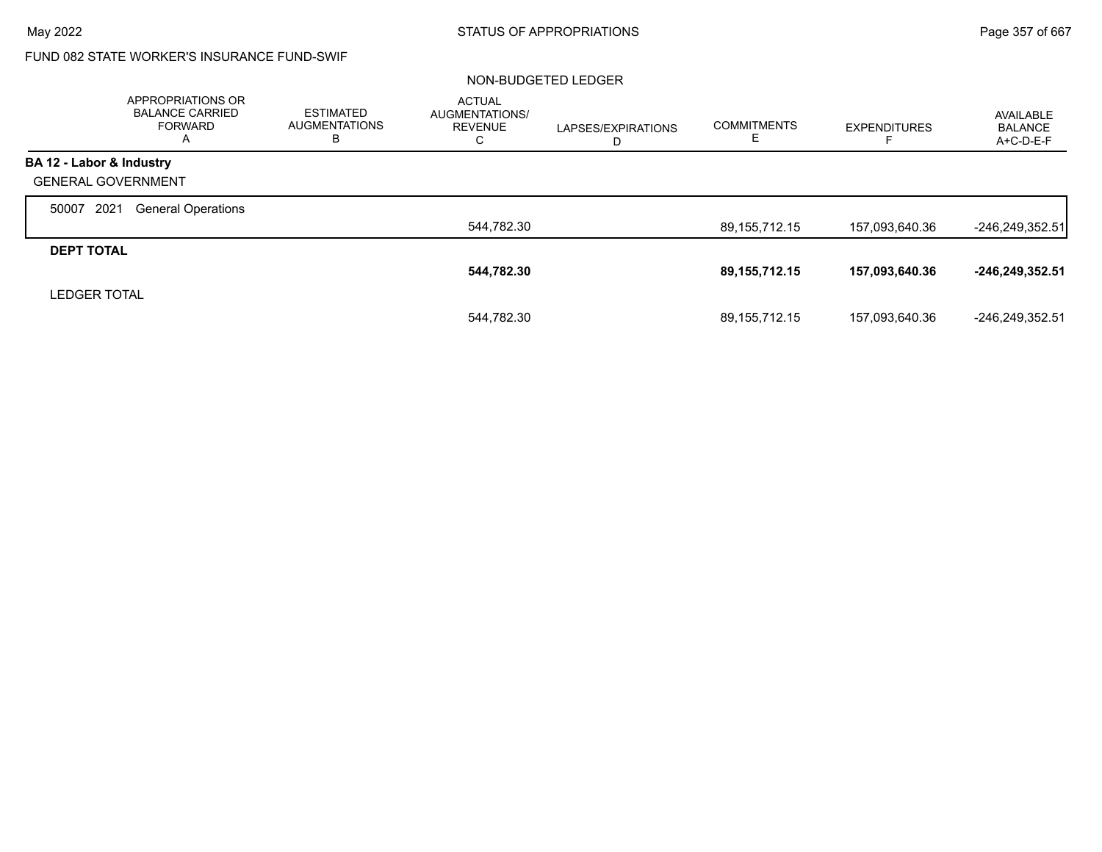## FUND 082 STATE WORKER'S INSURANCE FUND-SWIF

### NON-BUDGETED LEDGER

|                           | <b>APPROPRIATIONS OR</b><br><b>BALANCE CARRIED</b><br><b>FORWARD</b><br>A | <b>ESTIMATED</b><br><b>AUGMENTATIONS</b><br>в | <b>ACTUAL</b><br>AUGMENTATIONS/<br><b>REVENUE</b><br>С | LAPSES/EXPIRATIONS<br>D | <b>COMMITMENTS</b><br>Е | <b>EXPENDITURES</b> | AVAILABLE<br><b>BALANCE</b><br>$A+C-D-E-F$ |
|---------------------------|---------------------------------------------------------------------------|-----------------------------------------------|--------------------------------------------------------|-------------------------|-------------------------|---------------------|--------------------------------------------|
| BA 12 - Labor & Industry  |                                                                           |                                               |                                                        |                         |                         |                     |                                            |
| <b>GENERAL GOVERNMENT</b> |                                                                           |                                               |                                                        |                         |                         |                     |                                            |
| 2021<br>50007             | <b>General Operations</b>                                                 |                                               |                                                        |                         |                         |                     |                                            |
|                           |                                                                           |                                               | 544,782.30                                             |                         | 89, 155, 712. 15        | 157,093,640.36      | $-246,249,352.51$                          |
| <b>DEPT TOTAL</b>         |                                                                           |                                               |                                                        |                         |                         |                     |                                            |
|                           |                                                                           |                                               | 544,782.30                                             |                         | 89,155,712.15           | 157,093,640.36      | -246,249,352.51                            |
| <b>LEDGER TOTAL</b>       |                                                                           |                                               |                                                        |                         |                         |                     |                                            |
|                           |                                                                           |                                               | 544,782.30                                             |                         | 89,155,712.15           | 157,093,640.36      | -246.249.352.51                            |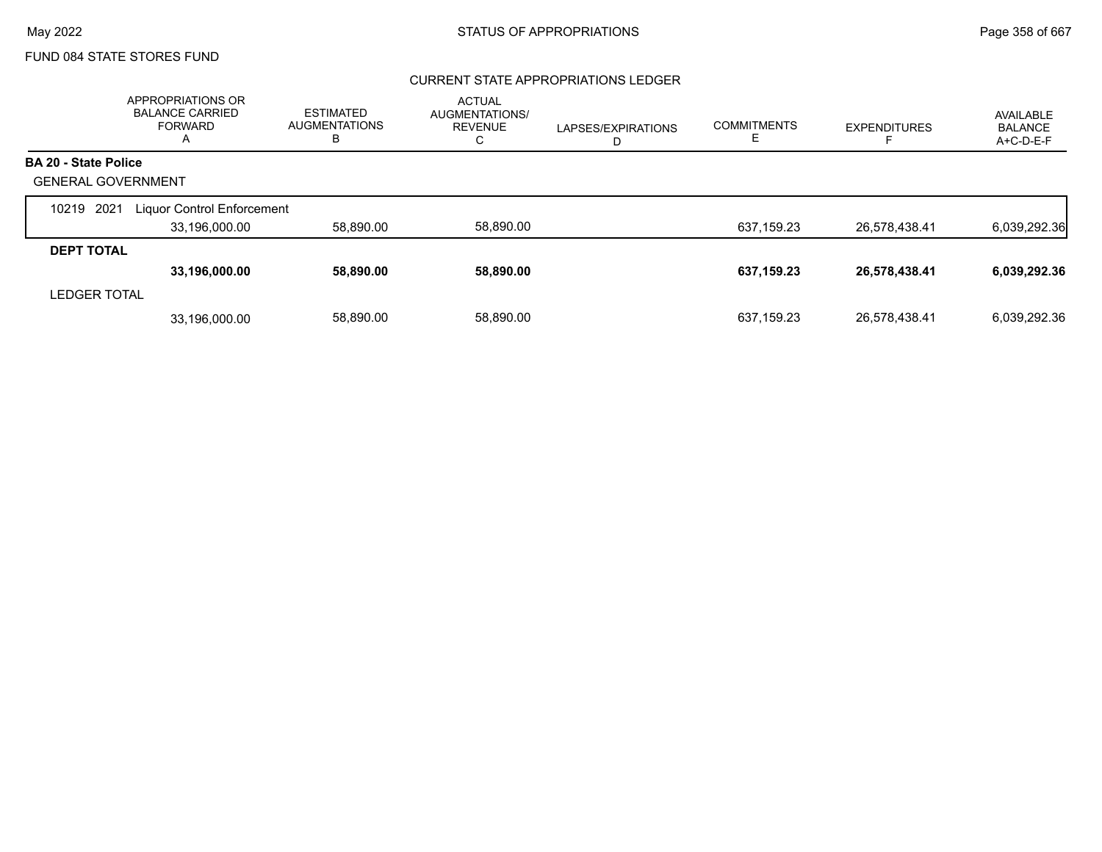### FUND 084 STATE STORES FUND

### CURRENT STATE APPROPRIATIONS LEDGER

|                             | APPROPRIATIONS OR<br><b>BALANCE CARRIED</b><br><b>FORWARD</b><br>Α | <b>ESTIMATED</b><br><b>AUGMENTATIONS</b><br>B | <b>ACTUAL</b><br>AUGMENTATIONS/<br><b>REVENUE</b><br>С | LAPSES/EXPIRATIONS<br>D | <b>COMMITMENTS</b> | <b>EXPENDITURES</b> | AVAILABLE<br><b>BALANCE</b><br>A+C-D-E-F |
|-----------------------------|--------------------------------------------------------------------|-----------------------------------------------|--------------------------------------------------------|-------------------------|--------------------|---------------------|------------------------------------------|
| <b>BA 20 - State Police</b> |                                                                    |                                               |                                                        |                         |                    |                     |                                          |
| <b>GENERAL GOVERNMENT</b>   |                                                                    |                                               |                                                        |                         |                    |                     |                                          |
| 2021<br>10219               | Liquor Control Enforcement                                         |                                               |                                                        |                         |                    |                     |                                          |
|                             | 33,196,000.00                                                      | 58,890.00                                     | 58,890.00                                              |                         | 637,159.23         | 26,578,438.41       | 6,039,292.36                             |
| <b>DEPT TOTAL</b>           |                                                                    |                                               |                                                        |                         |                    |                     |                                          |
|                             | 33,196,000.00                                                      | 58,890.00                                     | 58,890.00                                              |                         | 637,159.23         | 26,578,438.41       | 6,039,292.36                             |
| <b>LEDGER TOTAL</b>         |                                                                    |                                               |                                                        |                         |                    |                     |                                          |
|                             | 33,196,000.00                                                      | 58,890.00                                     | 58,890.00                                              |                         | 637,159.23         | 26,578,438.41       | 6,039,292.36                             |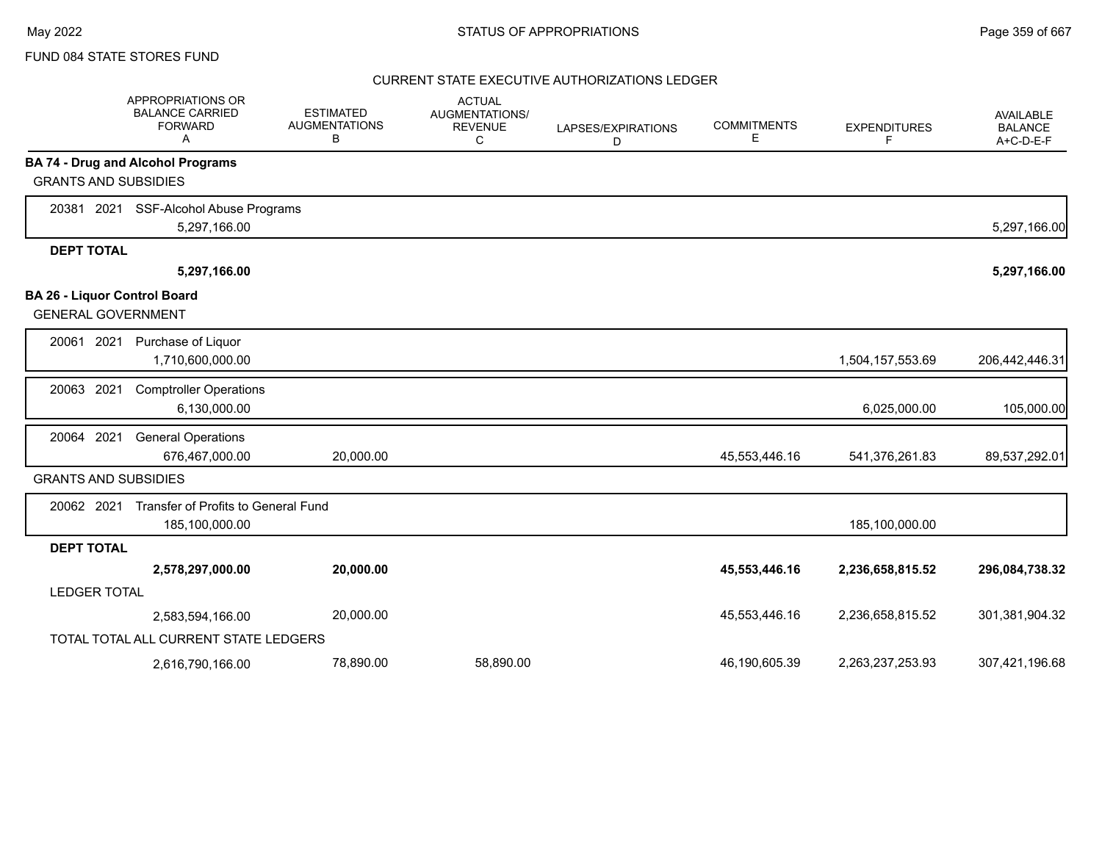### FUND 084 STATE STORES FUND

#### CURRENT STATE EXECUTIVE AUTHORIZATIONS LEDGER

|                     | <b>APPROPRIATIONS OR</b><br><b>BALANCE CARRIED</b><br><b>FORWARD</b><br>A | <b>ESTIMATED</b><br><b>AUGMENTATIONS</b><br>в | <b>ACTUAL</b><br>AUGMENTATIONS/<br><b>REVENUE</b><br>C | LAPSES/EXPIRATIONS<br>D | <b>COMMITMENTS</b><br>Е | <b>EXPENDITURES</b><br>F | AVAILABLE<br><b>BALANCE</b><br>$A+C-D-E-F$ |
|---------------------|---------------------------------------------------------------------------|-----------------------------------------------|--------------------------------------------------------|-------------------------|-------------------------|--------------------------|--------------------------------------------|
|                     | <b>BA 74 - Drug and Alcohol Programs</b>                                  |                                               |                                                        |                         |                         |                          |                                            |
|                     | <b>GRANTS AND SUBSIDIES</b>                                               |                                               |                                                        |                         |                         |                          |                                            |
|                     | 20381 2021 SSF-Alcohol Abuse Programs                                     |                                               |                                                        |                         |                         |                          |                                            |
|                     | 5,297,166.00                                                              |                                               |                                                        |                         |                         |                          | 5,297,166.00                               |
| <b>DEPT TOTAL</b>   |                                                                           |                                               |                                                        |                         |                         |                          |                                            |
|                     | 5,297,166.00                                                              |                                               |                                                        |                         |                         |                          | 5,297,166.00                               |
|                     | <b>BA 26 - Liquor Control Board</b><br><b>GENERAL GOVERNMENT</b>          |                                               |                                                        |                         |                         |                          |                                            |
| 20061 2021          | Purchase of Liquor<br>1,710,600,000.00                                    |                                               |                                                        |                         |                         | 1,504,157,553.69         | 206,442,446.31                             |
| 20063               | 2021<br><b>Comptroller Operations</b><br>6,130,000.00                     |                                               |                                                        |                         |                         | 6,025,000.00             | 105,000.00                                 |
| 20064 2021          | <b>General Operations</b><br>676,467,000.00                               | 20,000.00                                     |                                                        |                         | 45,553,446.16           | 541,376,261.83           | 89,537,292.01                              |
|                     | <b>GRANTS AND SUBSIDIES</b>                                               |                                               |                                                        |                         |                         |                          |                                            |
| 20062 2021          | Transfer of Profits to General Fund<br>185,100,000.00                     |                                               |                                                        |                         |                         | 185,100,000.00           |                                            |
| <b>DEPT TOTAL</b>   |                                                                           |                                               |                                                        |                         |                         |                          |                                            |
|                     | 2,578,297,000.00                                                          | 20,000.00                                     |                                                        |                         | 45,553,446.16           | 2,236,658,815.52         | 296,084,738.32                             |
| <b>LEDGER TOTAL</b> |                                                                           |                                               |                                                        |                         |                         |                          |                                            |
|                     | 2,583,594,166.00                                                          | 20,000.00                                     |                                                        |                         | 45,553,446.16           | 2,236,658,815.52         | 301,381,904.32                             |
|                     | TOTAL TOTAL ALL CURRENT STATE LEDGERS                                     |                                               |                                                        |                         |                         |                          |                                            |
|                     | 2,616,790,166.00                                                          | 78,890.00                                     | 58,890.00                                              |                         | 46,190,605.39           | 2,263,237,253.93         | 307,421,196.68                             |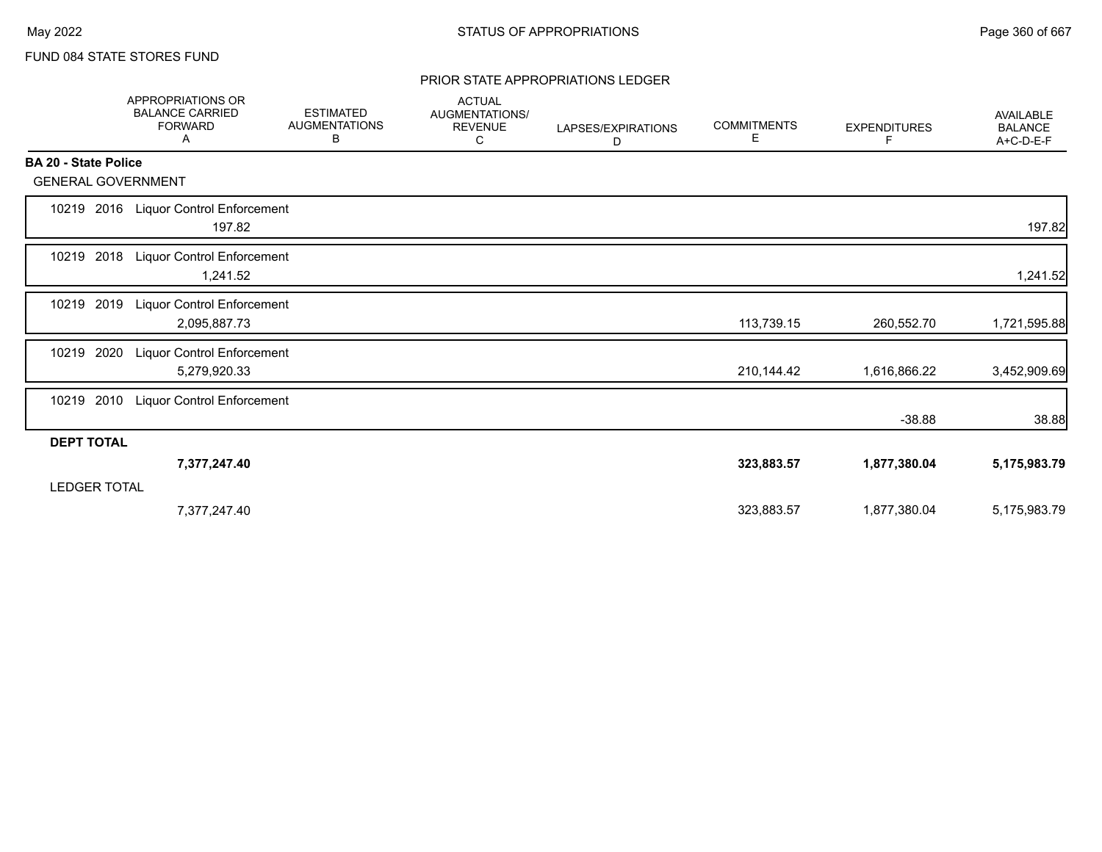### FUND 084 STATE STORES FUND

### PRIOR STATE APPROPRIATIONS LEDGER

|                             | <b>APPROPRIATIONS OR</b><br><b>BALANCE CARRIED</b><br><b>FORWARD</b><br>Α | <b>ESTIMATED</b><br><b>AUGMENTATIONS</b><br>В | <b>ACTUAL</b><br>AUGMENTATIONS/<br><b>REVENUE</b><br>С | LAPSES/EXPIRATIONS<br>D | <b>COMMITMENTS</b><br>Е | <b>EXPENDITURES</b><br>F. | <b>AVAILABLE</b><br><b>BALANCE</b><br>A+C-D-E-F |
|-----------------------------|---------------------------------------------------------------------------|-----------------------------------------------|--------------------------------------------------------|-------------------------|-------------------------|---------------------------|-------------------------------------------------|
| <b>BA 20 - State Police</b> |                                                                           |                                               |                                                        |                         |                         |                           |                                                 |
| <b>GENERAL GOVERNMENT</b>   |                                                                           |                                               |                                                        |                         |                         |                           |                                                 |
| 10219                       | 2016 Liquor Control Enforcement<br>197.82                                 |                                               |                                                        |                         |                         |                           | 197.82                                          |
| 10219 2018                  | <b>Liquor Control Enforcement</b><br>1,241.52                             |                                               |                                                        |                         |                         |                           | 1,241.52                                        |
| 2019<br>10219               | <b>Liquor Control Enforcement</b><br>2,095,887.73                         |                                               |                                                        |                         | 113,739.15              | 260,552.70                | 1,721,595.88                                    |
| 10219<br>2020               | Liquor Control Enforcement<br>5,279,920.33                                |                                               |                                                        |                         | 210,144.42              | 1,616,866.22              | 3,452,909.69                                    |
| 2010<br>10219               | <b>Liquor Control Enforcement</b>                                         |                                               |                                                        |                         |                         | $-38.88$                  | 38.88                                           |
| <b>DEPT TOTAL</b>           |                                                                           |                                               |                                                        |                         |                         |                           |                                                 |
| <b>LEDGER TOTAL</b>         | 7,377,247.40                                                              |                                               |                                                        |                         | 323,883.57              | 1,877,380.04              | 5,175,983.79                                    |
|                             | 7,377,247.40                                                              |                                               |                                                        |                         | 323,883.57              | 1,877,380.04              | 5,175,983.79                                    |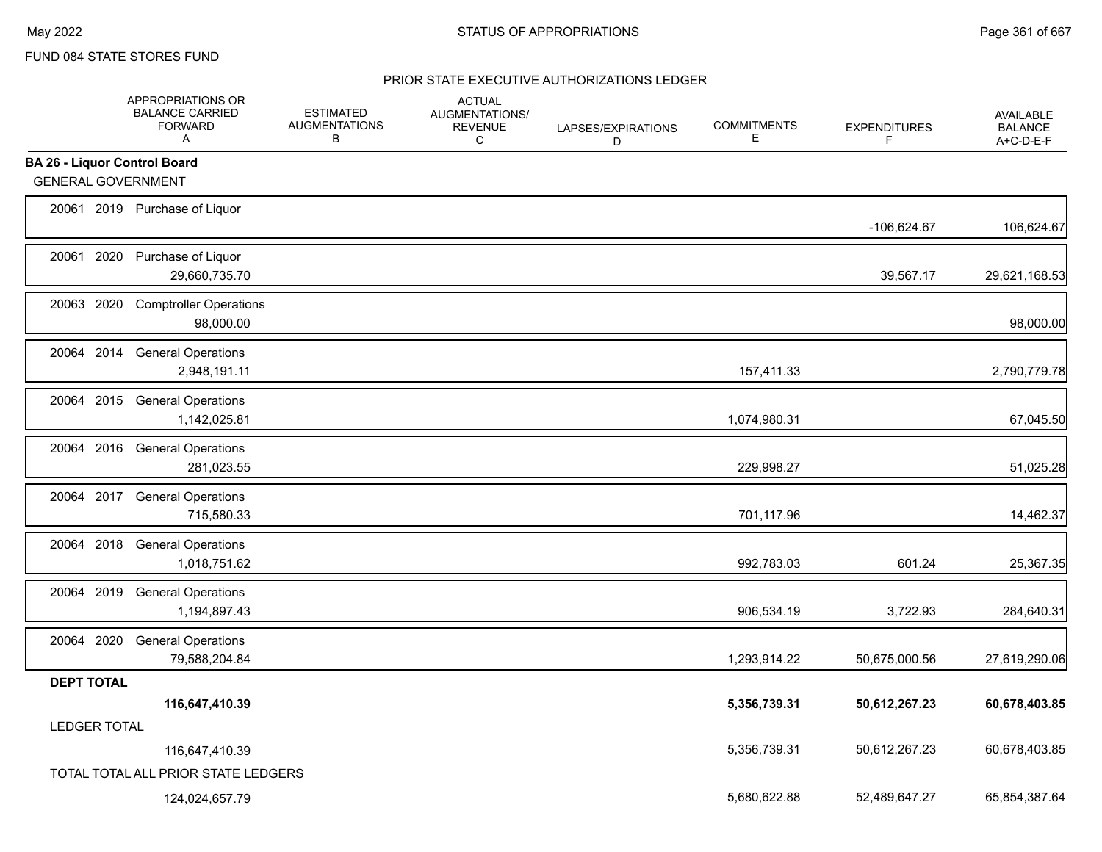# FUND 084 STATE STORES FUND

|                                     | APPROPRIATIONS OR<br><b>BALANCE CARRIED</b><br><b>FORWARD</b><br>A | <b>ESTIMATED</b><br><b>AUGMENTATIONS</b><br>В | <b>ACTUAL</b><br><b>AUGMENTATIONS/</b><br><b>REVENUE</b><br>C | LAPSES/EXPIRATIONS<br>D | <b>COMMITMENTS</b><br>E | <b>EXPENDITURES</b><br>F | AVAILABLE<br><b>BALANCE</b><br>A+C-D-E-F |
|-------------------------------------|--------------------------------------------------------------------|-----------------------------------------------|---------------------------------------------------------------|-------------------------|-------------------------|--------------------------|------------------------------------------|
| <b>BA 26 - Liquor Control Board</b> |                                                                    |                                               |                                                               |                         |                         |                          |                                          |
| <b>GENERAL GOVERNMENT</b>           |                                                                    |                                               |                                                               |                         |                         |                          |                                          |
|                                     | 20061 2019 Purchase of Liquor                                      |                                               |                                                               |                         |                         | $-106,624.67$            | 106,624.67                               |
|                                     | 20061 2020 Purchase of Liquor<br>29,660,735.70                     |                                               |                                                               |                         |                         | 39,567.17                | 29,621,168.53                            |
|                                     | 20063 2020 Comptroller Operations<br>98,000.00                     |                                               |                                                               |                         |                         |                          | 98,000.00                                |
|                                     | 20064 2014 General Operations<br>2,948,191.11                      |                                               |                                                               |                         | 157,411.33              |                          | 2,790,779.78                             |
|                                     | 20064 2015 General Operations<br>1,142,025.81                      |                                               |                                                               |                         | 1,074,980.31            |                          | 67,045.50                                |
|                                     | 20064 2016 General Operations<br>281,023.55                        |                                               |                                                               |                         | 229,998.27              |                          | 51,025.28                                |
|                                     | 20064 2017 General Operations<br>715,580.33                        |                                               |                                                               |                         | 701,117.96              |                          | 14,462.37                                |
|                                     | 20064 2018 General Operations<br>1,018,751.62                      |                                               |                                                               |                         | 992,783.03              | 601.24                   | 25,367.35                                |
|                                     | 20064 2019 General Operations<br>1,194,897.43                      |                                               |                                                               |                         | 906,534.19              | 3,722.93                 | 284,640.31                               |
|                                     | 20064 2020 General Operations<br>79,588,204.84                     |                                               |                                                               |                         | 1,293,914.22            | 50,675,000.56            | 27,619,290.06                            |
| <b>DEPT TOTAL</b>                   |                                                                    |                                               |                                                               |                         |                         |                          |                                          |
|                                     | 116,647,410.39                                                     |                                               |                                                               |                         | 5,356,739.31            | 50,612,267.23            | 60,678,403.85                            |
| <b>LEDGER TOTAL</b>                 |                                                                    |                                               |                                                               |                         |                         |                          |                                          |
|                                     | 116,647,410.39                                                     |                                               |                                                               |                         | 5,356,739.31            | 50,612,267.23            | 60,678,403.85                            |
|                                     | TOTAL TOTAL ALL PRIOR STATE LEDGERS                                |                                               |                                                               |                         |                         |                          |                                          |
|                                     | 124,024,657.79                                                     |                                               |                                                               |                         | 5,680,622.88            | 52,489,647.27            | 65,854,387.64                            |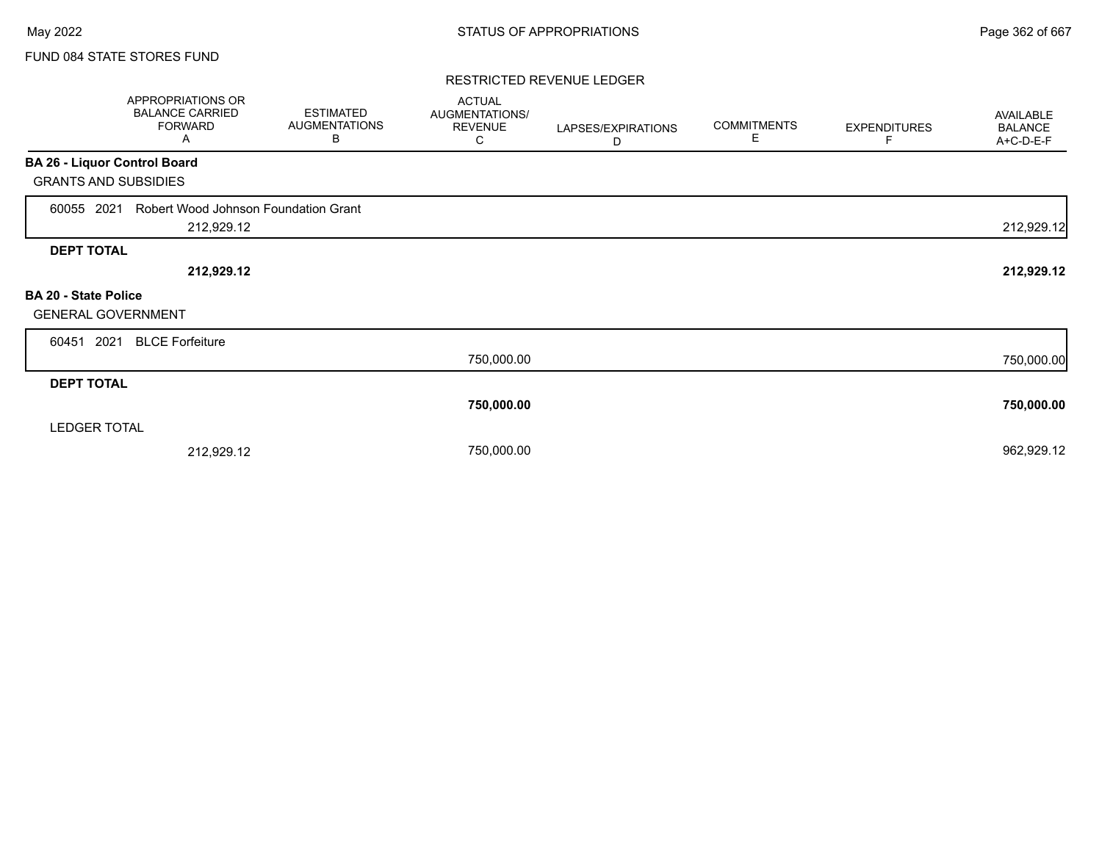## FUND 084 STATE STORES FUND

#### RESTRICTED REVENUE LEDGER

|                                                   | APPROPRIATIONS OR<br><b>BALANCE CARRIED</b><br><b>FORWARD</b><br>Α | <b>ESTIMATED</b><br><b>AUGMENTATIONS</b><br>В | <b>ACTUAL</b><br>AUGMENTATIONS/<br><b>REVENUE</b><br>C | LAPSES/EXPIRATIONS<br>D | <b>COMMITMENTS</b><br>Е | <b>EXPENDITURES</b><br>F | AVAILABLE<br><b>BALANCE</b><br>A+C-D-E-F |
|---------------------------------------------------|--------------------------------------------------------------------|-----------------------------------------------|--------------------------------------------------------|-------------------------|-------------------------|--------------------------|------------------------------------------|
| BA 26 - Liquor Control Board                      |                                                                    |                                               |                                                        |                         |                         |                          |                                          |
| <b>GRANTS AND SUBSIDIES</b>                       |                                                                    |                                               |                                                        |                         |                         |                          |                                          |
| 2021<br>60055                                     | Robert Wood Johnson Foundation Grant                               |                                               |                                                        |                         |                         |                          |                                          |
|                                                   | 212,929.12                                                         |                                               |                                                        |                         |                         |                          | 212,929.12                               |
| <b>DEPT TOTAL</b>                                 |                                                                    |                                               |                                                        |                         |                         |                          |                                          |
|                                                   | 212,929.12                                                         |                                               |                                                        |                         |                         |                          | 212,929.12                               |
| BA 20 - State Police<br><b>GENERAL GOVERNMENT</b> |                                                                    |                                               |                                                        |                         |                         |                          |                                          |
| 2021<br>60451                                     | <b>BLCE Forfeiture</b>                                             |                                               |                                                        |                         |                         |                          |                                          |
|                                                   |                                                                    |                                               | 750,000.00                                             |                         |                         |                          | 750,000.00                               |
| <b>DEPT TOTAL</b>                                 |                                                                    |                                               |                                                        |                         |                         |                          |                                          |
|                                                   |                                                                    |                                               | 750,000.00                                             |                         |                         |                          | 750,000.00                               |
| <b>LEDGER TOTAL</b>                               |                                                                    |                                               |                                                        |                         |                         |                          |                                          |
|                                                   | 212,929.12                                                         |                                               | 750,000.00                                             |                         |                         |                          | 962,929.12                               |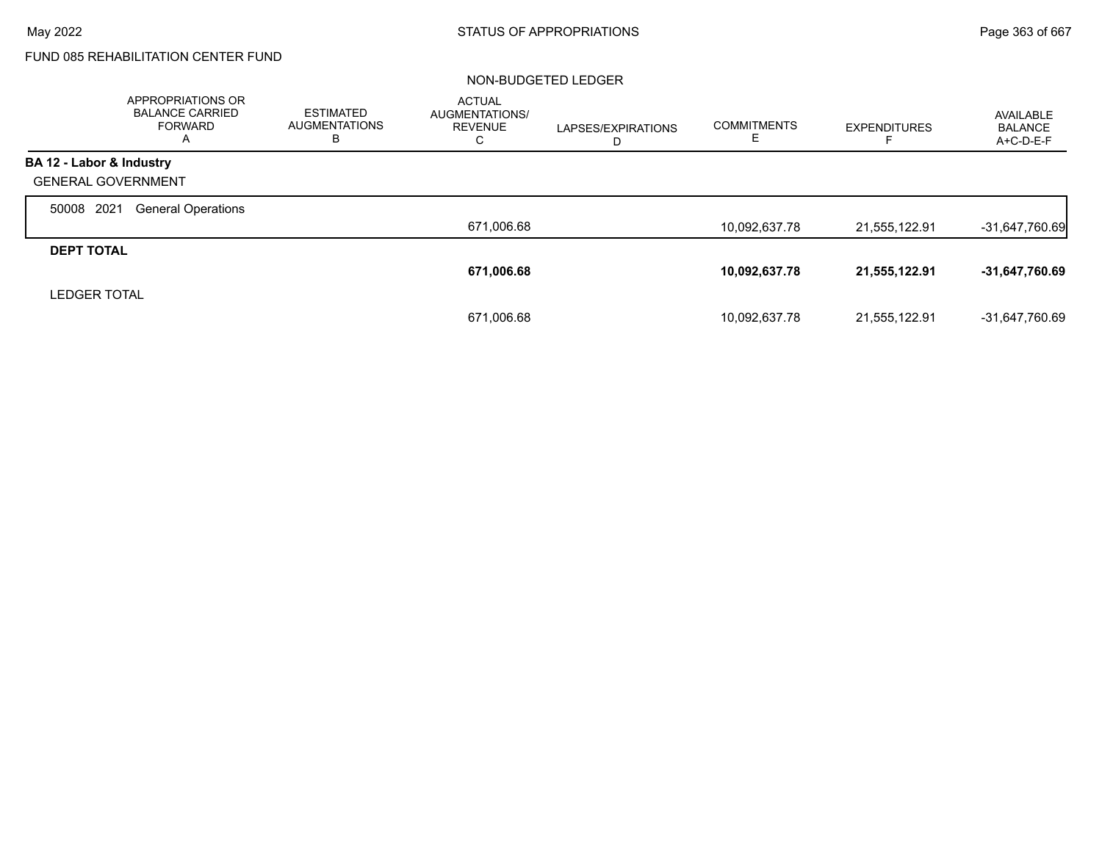# FUND 085 REHABILITATION CENTER FUND

#### NON-BUDGETED LEDGER

|                           | APPROPRIATIONS OR<br><b>BALANCE CARRIED</b><br><b>FORWARD</b><br>A | <b>ESTIMATED</b><br><b>AUGMENTATIONS</b><br>в | <b>ACTUAL</b><br><b>AUGMENTATIONS/</b><br>REVENUE<br>С | LAPSES/EXPIRATIONS<br>D | <b>COMMITMENTS</b> | <b>EXPENDITURES</b> | <b>AVAILABLE</b><br>BALANCE<br>A+C-D-E-F |
|---------------------------|--------------------------------------------------------------------|-----------------------------------------------|--------------------------------------------------------|-------------------------|--------------------|---------------------|------------------------------------------|
| BA 12 - Labor & Industry  |                                                                    |                                               |                                                        |                         |                    |                     |                                          |
| <b>GENERAL GOVERNMENT</b> |                                                                    |                                               |                                                        |                         |                    |                     |                                          |
| 2021<br>50008             | <b>General Operations</b>                                          |                                               |                                                        |                         |                    |                     |                                          |
|                           |                                                                    |                                               | 671,006.68                                             |                         | 10.092,637.78      | 21,555,122.91       | $-31,647,760.69$                         |
| <b>DEPT TOTAL</b>         |                                                                    |                                               |                                                        |                         |                    |                     |                                          |
|                           |                                                                    |                                               | 671,006.68                                             |                         | 10,092,637.78      | 21,555,122.91       | -31,647,760.69                           |
| <b>LEDGER TOTAL</b>       |                                                                    |                                               |                                                        |                         |                    |                     |                                          |
|                           |                                                                    |                                               | 671,006.68                                             |                         | 10,092,637.78      | 21,555,122.91       | -31,647,760.69                           |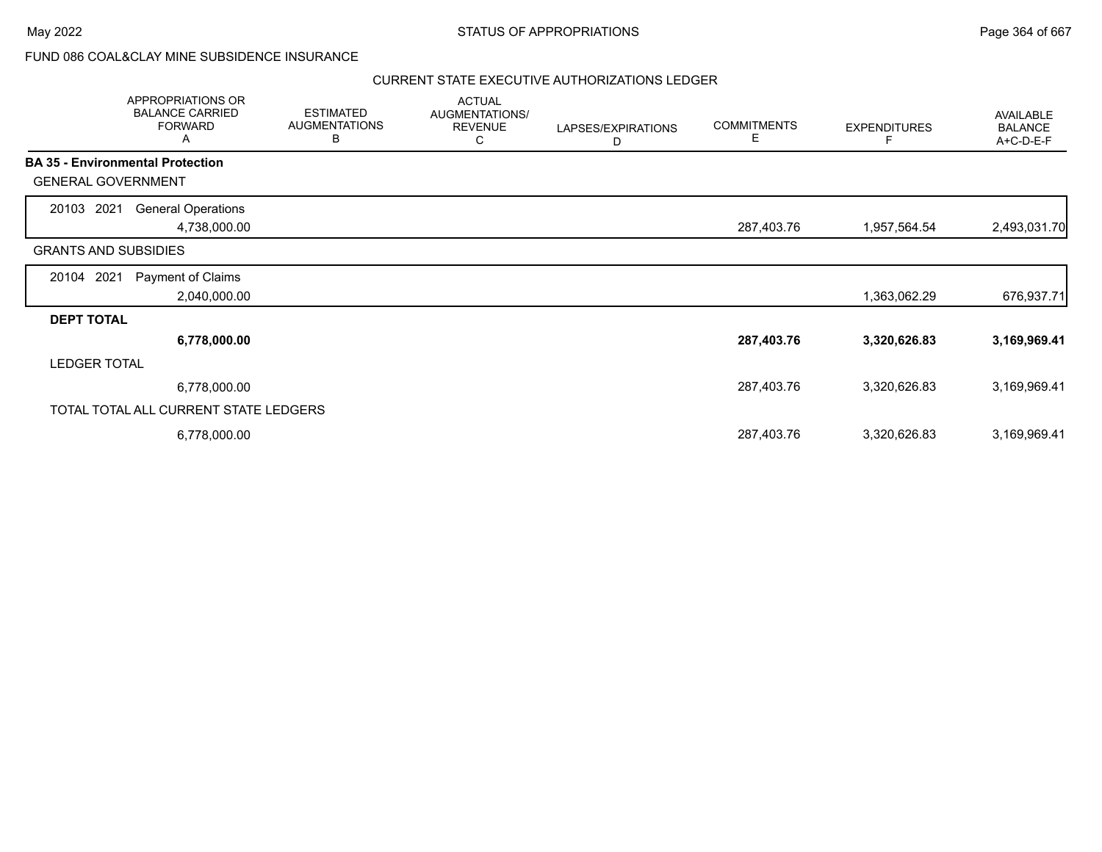# FUND 086 COAL&CLAY MINE SUBSIDENCE INSURANCE

|                                         | APPROPRIATIONS OR<br><b>BALANCE CARRIED</b><br><b>FORWARD</b><br>A | <b>ESTIMATED</b><br><b>AUGMENTATIONS</b><br>В | <b>ACTUAL</b><br>AUGMENTATIONS/<br><b>REVENUE</b><br>С | LAPSES/EXPIRATIONS<br>D | <b>COMMITMENTS</b><br>Е | <b>EXPENDITURES</b> | AVAILABLE<br><b>BALANCE</b><br>A+C-D-E-F |
|-----------------------------------------|--------------------------------------------------------------------|-----------------------------------------------|--------------------------------------------------------|-------------------------|-------------------------|---------------------|------------------------------------------|
| <b>BA 35 - Environmental Protection</b> |                                                                    |                                               |                                                        |                         |                         |                     |                                          |
| <b>GENERAL GOVERNMENT</b>               |                                                                    |                                               |                                                        |                         |                         |                     |                                          |
| 20103 2021                              | <b>General Operations</b>                                          |                                               |                                                        |                         |                         |                     |                                          |
|                                         | 4,738,000.00                                                       |                                               |                                                        |                         | 287,403.76              | 1,957,564.54        | 2,493,031.70                             |
| <b>GRANTS AND SUBSIDIES</b>             |                                                                    |                                               |                                                        |                         |                         |                     |                                          |
| 20104 2021                              | Payment of Claims                                                  |                                               |                                                        |                         |                         |                     |                                          |
|                                         | 2,040,000.00                                                       |                                               |                                                        |                         |                         | 1,363,062.29        | 676,937.71                               |
| <b>DEPT TOTAL</b>                       |                                                                    |                                               |                                                        |                         |                         |                     |                                          |
|                                         | 6,778,000.00                                                       |                                               |                                                        |                         | 287,403.76              | 3,320,626.83        | 3,169,969.41                             |
| <b>LEDGER TOTAL</b>                     |                                                                    |                                               |                                                        |                         |                         |                     |                                          |
|                                         | 6,778,000.00                                                       |                                               |                                                        |                         | 287,403.76              | 3,320,626.83        | 3,169,969.41                             |
|                                         | TOTAL TOTAL ALL CURRENT STATE LEDGERS                              |                                               |                                                        |                         |                         |                     |                                          |
|                                         | 6,778,000.00                                                       |                                               |                                                        |                         | 287,403.76              | 3,320,626.83        | 3,169,969.41                             |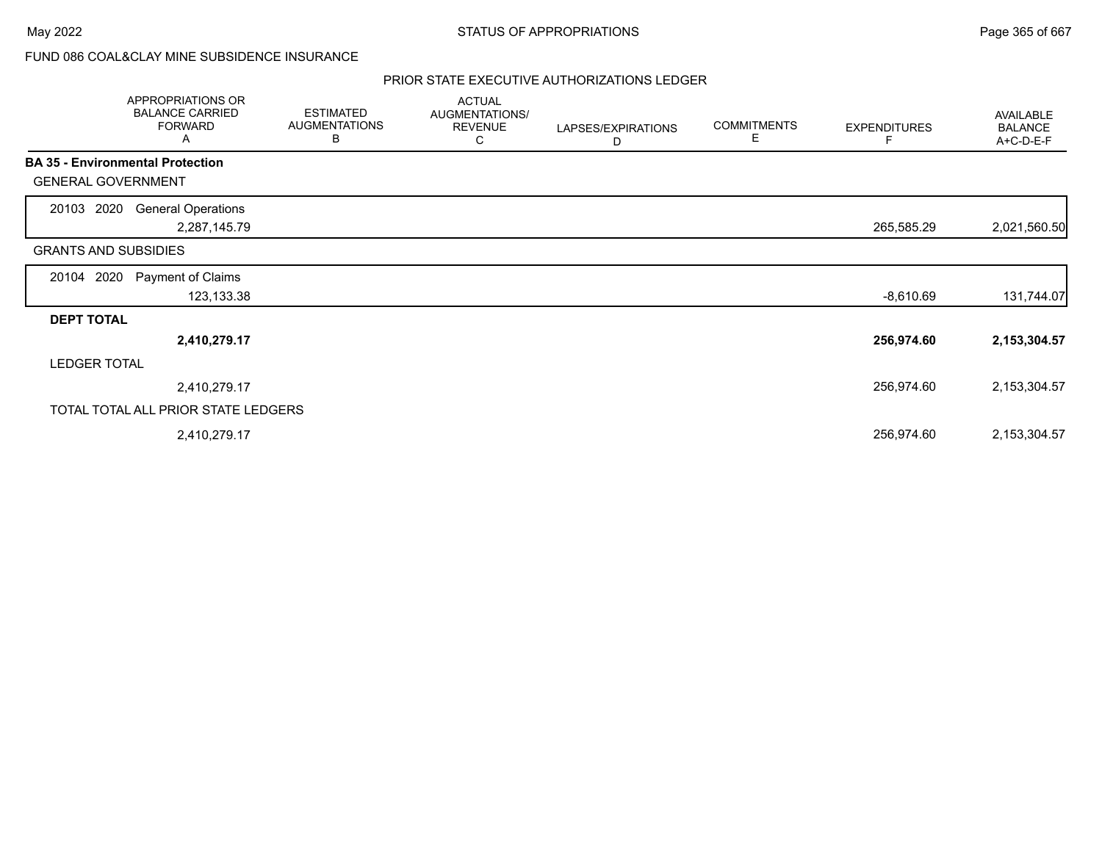# FUND 086 COAL&CLAY MINE SUBSIDENCE INSURANCE

|                             | APPROPRIATIONS OR<br><b>BALANCE CARRIED</b><br><b>FORWARD</b><br>A | <b>ESTIMATED</b><br><b>AUGMENTATIONS</b><br>B | <b>ACTUAL</b><br>AUGMENTATIONS/<br><b>REVENUE</b><br>С | LAPSES/EXPIRATIONS<br>D | <b>COMMITMENTS</b><br>E | <b>EXPENDITURES</b><br>F | <b>AVAILABLE</b><br><b>BALANCE</b><br>A+C-D-E-F |
|-----------------------------|--------------------------------------------------------------------|-----------------------------------------------|--------------------------------------------------------|-------------------------|-------------------------|--------------------------|-------------------------------------------------|
|                             | <b>BA 35 - Environmental Protection</b>                            |                                               |                                                        |                         |                         |                          |                                                 |
| <b>GENERAL GOVERNMENT</b>   |                                                                    |                                               |                                                        |                         |                         |                          |                                                 |
| 2020<br>20103               | <b>General Operations</b><br>2,287,145.79                          |                                               |                                                        |                         |                         | 265,585.29               | 2,021,560.50                                    |
| <b>GRANTS AND SUBSIDIES</b> |                                                                    |                                               |                                                        |                         |                         |                          |                                                 |
| 2020<br>20104               | Payment of Claims<br>123,133.38                                    |                                               |                                                        |                         |                         | $-8,610.69$              | 131,744.07                                      |
| <b>DEPT TOTAL</b>           |                                                                    |                                               |                                                        |                         |                         |                          |                                                 |
|                             | 2,410,279.17                                                       |                                               |                                                        |                         |                         | 256,974.60               | 2,153,304.57                                    |
| <b>LEDGER TOTAL</b>         |                                                                    |                                               |                                                        |                         |                         |                          |                                                 |
|                             | 2,410,279.17                                                       |                                               |                                                        |                         |                         | 256,974.60               | 2,153,304.57                                    |
|                             | TOTAL TOTAL ALL PRIOR STATE LEDGERS                                |                                               |                                                        |                         |                         |                          |                                                 |
|                             | 2,410,279.17                                                       |                                               |                                                        |                         |                         | 256,974.60               | 2,153,304.57                                    |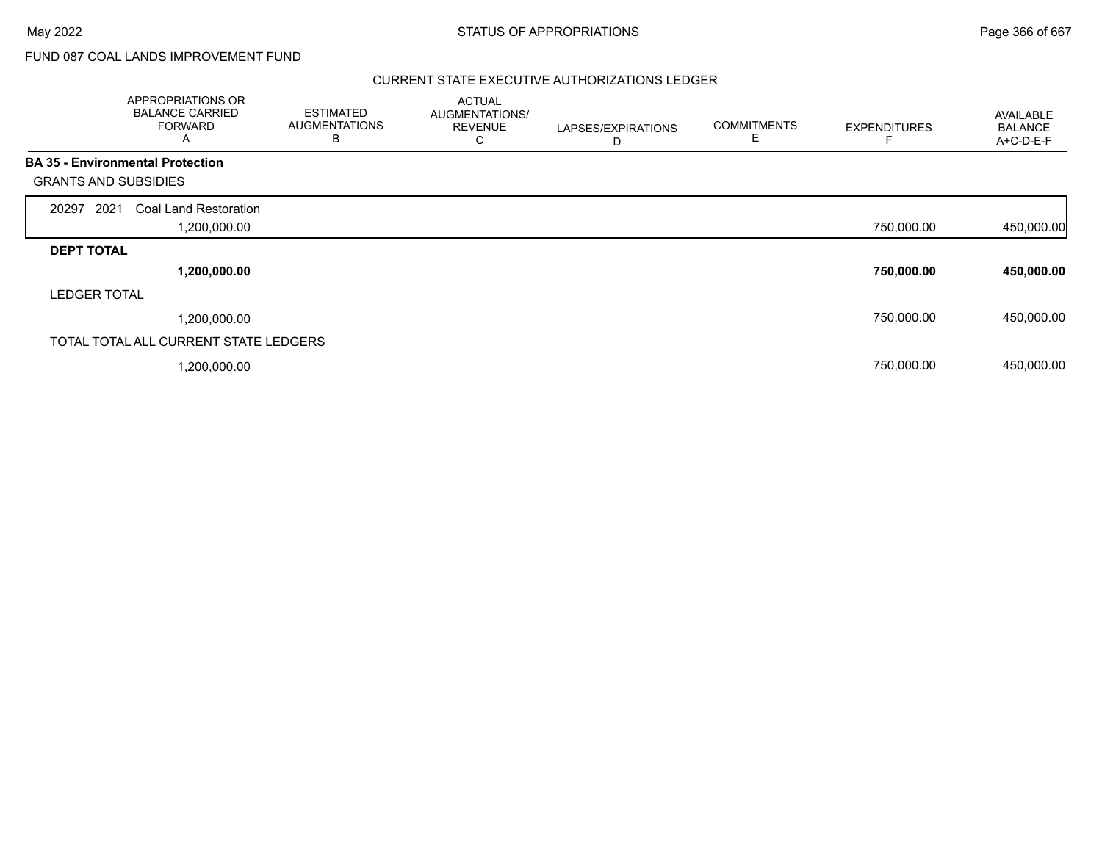# FUND 087 COAL LANDS IMPROVEMENT FUND

|                             | APPROPRIATIONS OR<br><b>BALANCE CARRIED</b><br><b>FORWARD</b><br>A | <b>ESTIMATED</b><br><b>AUGMENTATIONS</b><br>В | <b>ACTUAL</b><br>AUGMENTATIONS/<br><b>REVENUE</b><br>С | LAPSES/EXPIRATIONS<br>D | <b>COMMITMENTS</b><br>Е | <b>EXPENDITURES</b> | AVAILABLE<br><b>BALANCE</b><br>A+C-D-E-F |
|-----------------------------|--------------------------------------------------------------------|-----------------------------------------------|--------------------------------------------------------|-------------------------|-------------------------|---------------------|------------------------------------------|
|                             | <b>BA 35 - Environmental Protection</b>                            |                                               |                                                        |                         |                         |                     |                                          |
| <b>GRANTS AND SUBSIDIES</b> |                                                                    |                                               |                                                        |                         |                         |                     |                                          |
| 2021<br>20297               | Coal Land Restoration                                              |                                               |                                                        |                         |                         |                     |                                          |
|                             | 1,200,000.00                                                       |                                               |                                                        |                         |                         | 750,000.00          | 450,000.00                               |
| <b>DEPT TOTAL</b>           |                                                                    |                                               |                                                        |                         |                         |                     |                                          |
|                             | 1,200,000.00                                                       |                                               |                                                        |                         |                         | 750,000.00          | 450,000.00                               |
| <b>LEDGER TOTAL</b>         |                                                                    |                                               |                                                        |                         |                         |                     |                                          |
|                             | 1,200,000.00                                                       |                                               |                                                        |                         |                         | 750,000.00          | 450,000.00                               |
|                             | TOTAL TOTAL ALL CURRENT STATE LEDGERS                              |                                               |                                                        |                         |                         |                     |                                          |
|                             | ,200,000.00                                                        |                                               |                                                        |                         |                         | 750,000.00          | 450,000.00                               |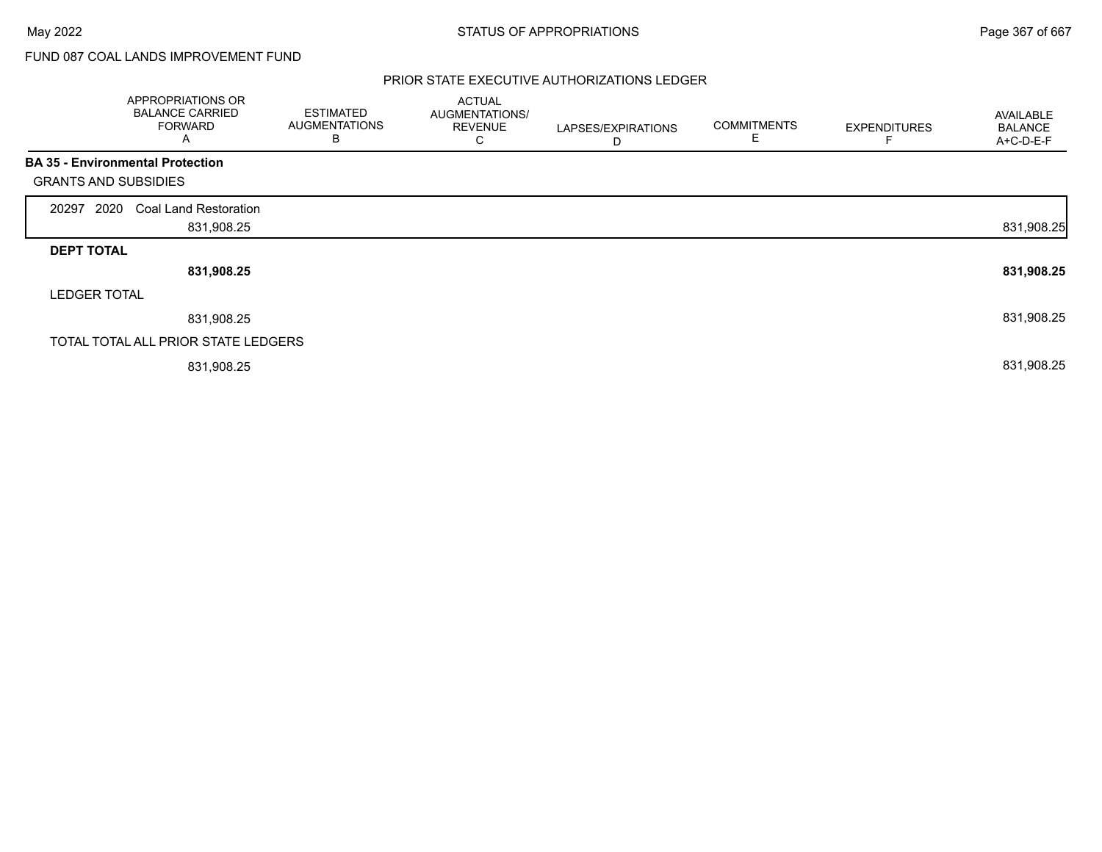# FUND 087 COAL LANDS IMPROVEMENT FUND

|                             | APPROPRIATIONS OR<br><b>BALANCE CARRIED</b><br><b>FORWARD</b><br>A | <b>ESTIMATED</b><br><b>AUGMENTATIONS</b><br>B | <b>ACTUAL</b><br>AUGMENTATIONS/<br><b>REVENUE</b><br>С | LAPSES/EXPIRATIONS<br>D | <b>COMMITMENTS</b><br>Е | <b>EXPENDITURES</b> | <b>AVAILABLE</b><br><b>BALANCE</b><br>A+C-D-E-F |
|-----------------------------|--------------------------------------------------------------------|-----------------------------------------------|--------------------------------------------------------|-------------------------|-------------------------|---------------------|-------------------------------------------------|
|                             | <b>BA 35 - Environmental Protection</b>                            |                                               |                                                        |                         |                         |                     |                                                 |
| <b>GRANTS AND SUBSIDIES</b> |                                                                    |                                               |                                                        |                         |                         |                     |                                                 |
| 2020<br>20297               | <b>Coal Land Restoration</b>                                       |                                               |                                                        |                         |                         |                     |                                                 |
|                             | 831,908.25                                                         |                                               |                                                        |                         |                         |                     | 831,908.25                                      |
| <b>DEPT TOTAL</b>           |                                                                    |                                               |                                                        |                         |                         |                     |                                                 |
|                             | 831,908.25                                                         |                                               |                                                        |                         |                         |                     | 831,908.25                                      |
| <b>LEDGER TOTAL</b>         |                                                                    |                                               |                                                        |                         |                         |                     |                                                 |
|                             | 831,908.25                                                         |                                               |                                                        |                         |                         |                     | 831,908.25                                      |
|                             | TOTAL TOTAL ALL PRIOR STATE LEDGERS                                |                                               |                                                        |                         |                         |                     |                                                 |
|                             | 831,908.25                                                         |                                               |                                                        |                         |                         |                     | 831,908.25                                      |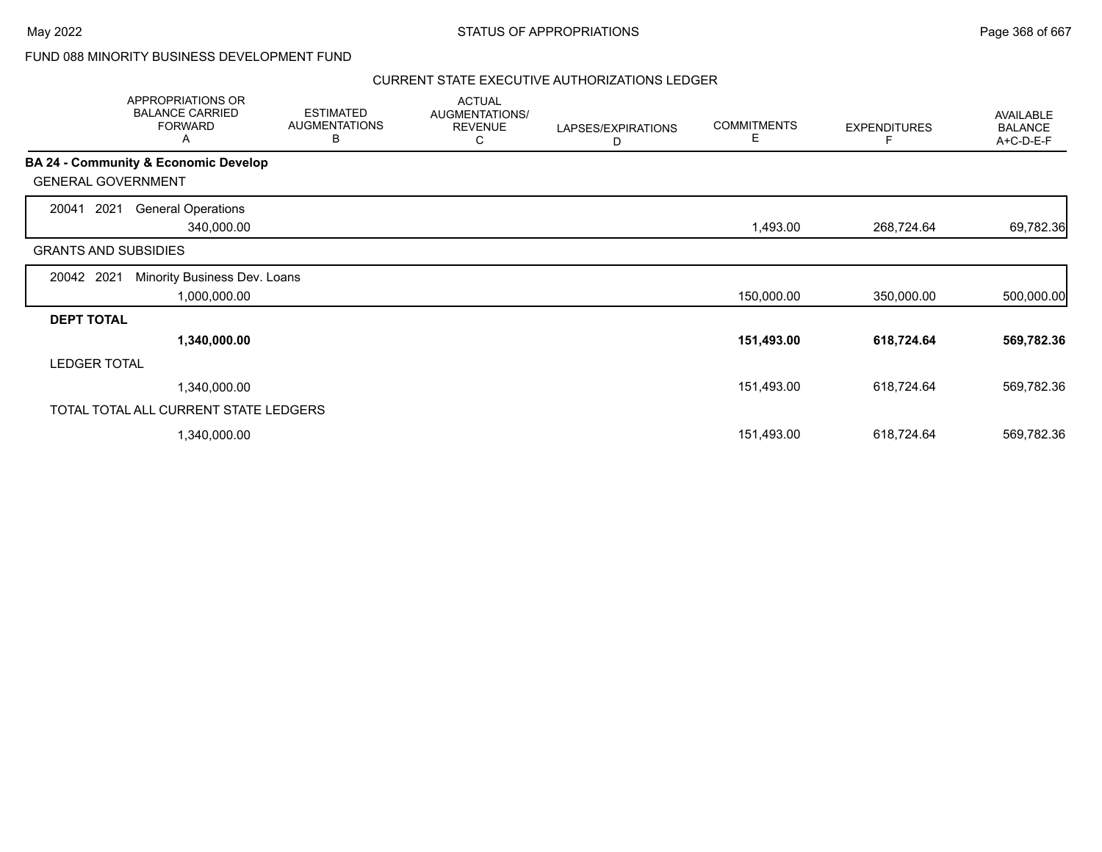# FUND 088 MINORITY BUSINESS DEVELOPMENT FUND

|                             | APPROPRIATIONS OR<br><b>BALANCE CARRIED</b><br><b>FORWARD</b><br>Α | <b>ESTIMATED</b><br><b>AUGMENTATIONS</b><br>В | <b>ACTUAL</b><br>AUGMENTATIONS/<br><b>REVENUE</b><br>С | LAPSES/EXPIRATIONS<br>D | <b>COMMITMENTS</b><br>Е | <b>EXPENDITURES</b> | AVAILABLE<br><b>BALANCE</b><br>A+C-D-E-F |
|-----------------------------|--------------------------------------------------------------------|-----------------------------------------------|--------------------------------------------------------|-------------------------|-------------------------|---------------------|------------------------------------------|
|                             | <b>BA 24 - Community &amp; Economic Develop</b>                    |                                               |                                                        |                         |                         |                     |                                          |
| <b>GENERAL GOVERNMENT</b>   |                                                                    |                                               |                                                        |                         |                         |                     |                                          |
| 2021<br>20041               | <b>General Operations</b>                                          |                                               |                                                        |                         |                         |                     |                                          |
|                             | 340,000.00                                                         |                                               |                                                        |                         | 1,493.00                | 268,724.64          | 69,782.36                                |
| <b>GRANTS AND SUBSIDIES</b> |                                                                    |                                               |                                                        |                         |                         |                     |                                          |
| 20042 2021                  | Minority Business Dev. Loans                                       |                                               |                                                        |                         |                         |                     |                                          |
|                             | 1,000,000.00                                                       |                                               |                                                        |                         | 150,000.00              | 350,000.00          | 500,000.00                               |
| <b>DEPT TOTAL</b>           |                                                                    |                                               |                                                        |                         |                         |                     |                                          |
|                             | 1,340,000.00                                                       |                                               |                                                        |                         | 151,493.00              | 618,724.64          | 569,782.36                               |
| <b>LEDGER TOTAL</b>         |                                                                    |                                               |                                                        |                         |                         |                     |                                          |
|                             | 1,340,000.00                                                       |                                               |                                                        |                         | 151,493.00              | 618,724.64          | 569,782.36                               |
|                             | TOTAL TOTAL ALL CURRENT STATE LEDGERS                              |                                               |                                                        |                         |                         |                     |                                          |
|                             | 1,340,000.00                                                       |                                               |                                                        |                         | 151,493.00              | 618,724.64          | 569,782.36                               |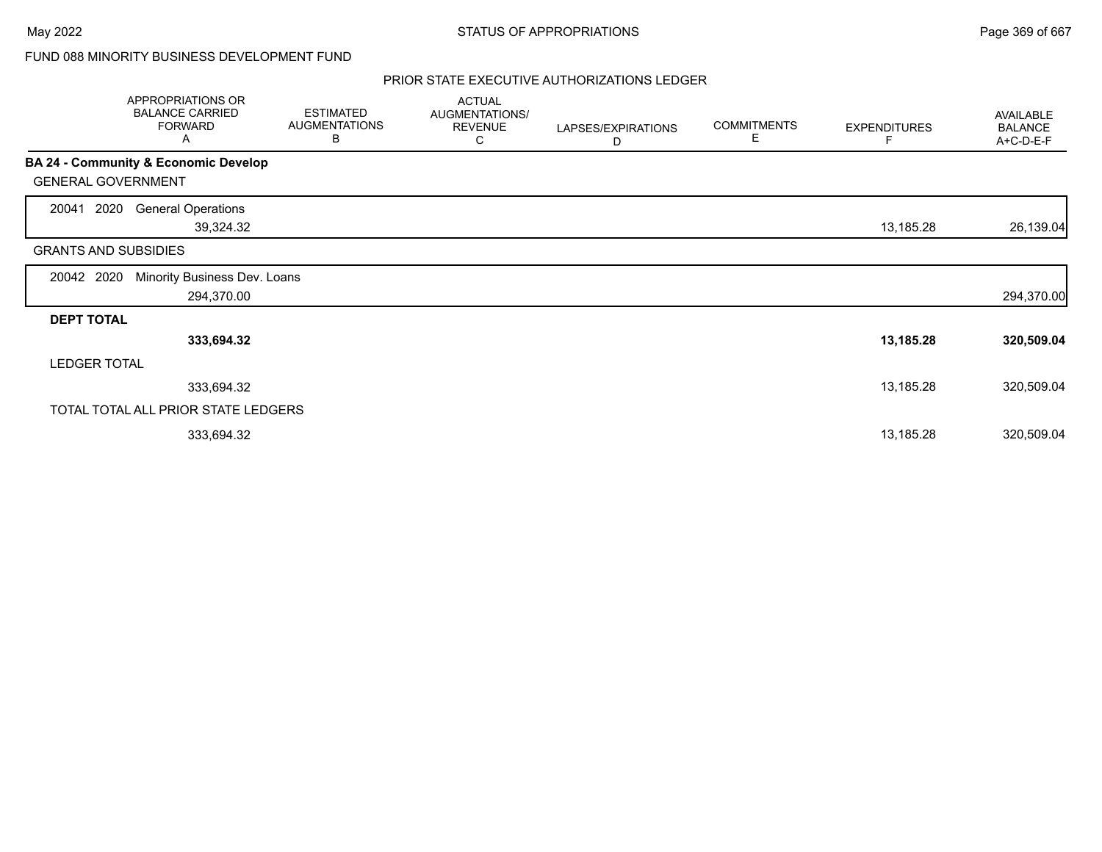# FUND 088 MINORITY BUSINESS DEVELOPMENT FUND

|                             | APPROPRIATIONS OR<br><b>BALANCE CARRIED</b><br><b>FORWARD</b><br>A | <b>ESTIMATED</b><br><b>AUGMENTATIONS</b><br>B | <b>ACTUAL</b><br>AUGMENTATIONS/<br><b>REVENUE</b><br>С | LAPSES/EXPIRATIONS<br>D | <b>COMMITMENTS</b><br>E. | <b>EXPENDITURES</b><br>F | AVAILABLE<br><b>BALANCE</b><br>A+C-D-E-F |
|-----------------------------|--------------------------------------------------------------------|-----------------------------------------------|--------------------------------------------------------|-------------------------|--------------------------|--------------------------|------------------------------------------|
|                             | <b>BA 24 - Community &amp; Economic Develop</b>                    |                                               |                                                        |                         |                          |                          |                                          |
| <b>GENERAL GOVERNMENT</b>   |                                                                    |                                               |                                                        |                         |                          |                          |                                          |
| 2020<br>20041               | <b>General Operations</b><br>39,324.32                             |                                               |                                                        |                         |                          | 13,185.28                | 26,139.04                                |
| <b>GRANTS AND SUBSIDIES</b> |                                                                    |                                               |                                                        |                         |                          |                          |                                          |
| 20042 2020                  | Minority Business Dev. Loans<br>294,370.00                         |                                               |                                                        |                         |                          |                          | 294,370.00                               |
| <b>DEPT TOTAL</b>           |                                                                    |                                               |                                                        |                         |                          |                          |                                          |
|                             | 333,694.32                                                         |                                               |                                                        |                         |                          | 13,185.28                | 320,509.04                               |
| <b>LEDGER TOTAL</b>         |                                                                    |                                               |                                                        |                         |                          |                          |                                          |
|                             | 333,694.32                                                         |                                               |                                                        |                         |                          | 13,185.28                | 320,509.04                               |
|                             | TOTAL TOTAL ALL PRIOR STATE LEDGERS                                |                                               |                                                        |                         |                          |                          |                                          |
|                             | 333,694.32                                                         |                                               |                                                        |                         |                          | 13,185.28                | 320,509.04                               |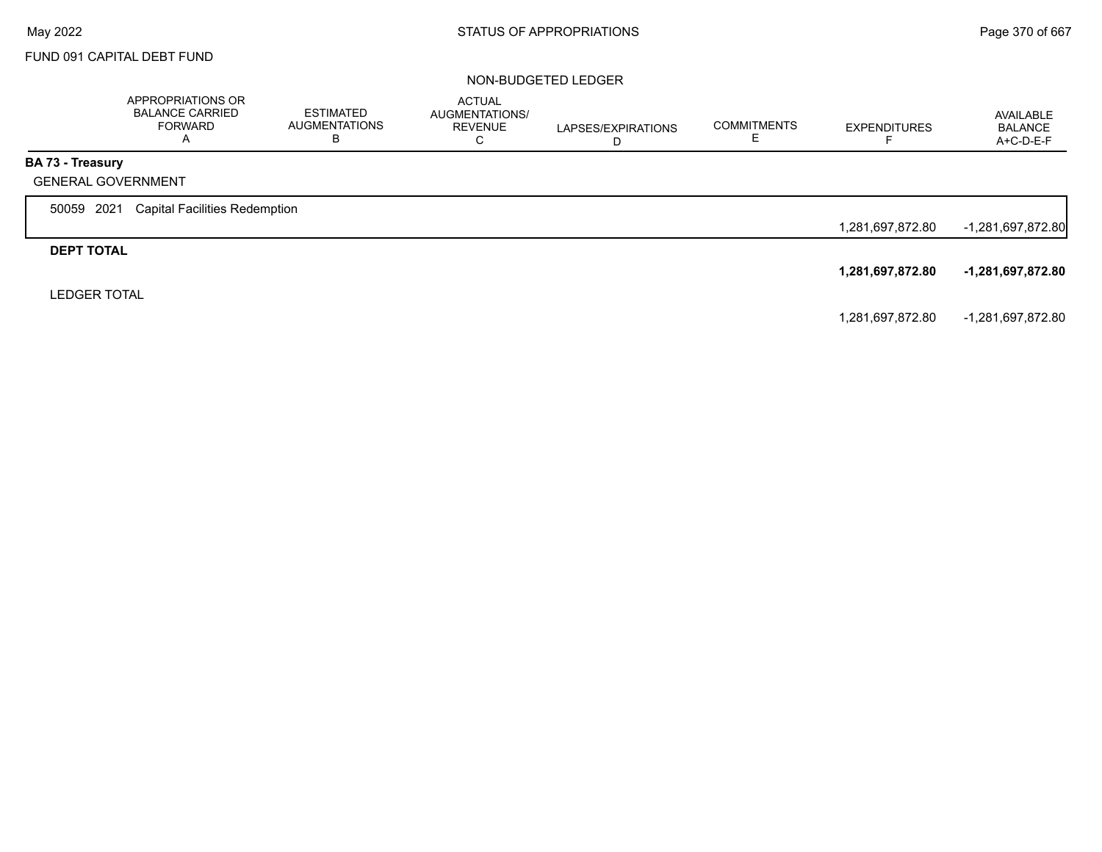# FUND 091 CAPITAL DEBT FUND

### NON-BUDGETED LEDGER

|                                                      | APPROPRIATIONS OR<br>BALANCE CARRIED<br>FORWARD<br>Α | <b>ESTIMATED</b><br><b>AUGMENTATIONS</b> | <b>ACTUAL</b><br>AUGMENTATIONS/<br><b>REVENUE</b><br>◡ | LAPSES/EXPIRATIONS<br>D | <b>COMMITMENTS</b> | <b>EXPENDITURES</b> | AVAILABLE<br><b>BALANCE</b><br>$A+C-D-E-F$ |
|------------------------------------------------------|------------------------------------------------------|------------------------------------------|--------------------------------------------------------|-------------------------|--------------------|---------------------|--------------------------------------------|
| <b>BA 73 - Treasury</b><br><b>GENERAL GOVERNMENT</b> |                                                      |                                          |                                                        |                         |                    |                     |                                            |
| 50059 2021                                           | <b>Capital Facilities Redemption</b>                 |                                          |                                                        |                         |                    | 1,281,697,872.80    | $-1,281,697,872.80$                        |
| <b>DEPT TOTAL</b>                                    |                                                      |                                          |                                                        |                         |                    | 1,281,697,872.80    | -1,281,697,872.80                          |
| <b>LEDGER TOTAL</b>                                  |                                                      |                                          |                                                        |                         |                    |                     |                                            |

1,281,697,872.80 -1,281,697,872.80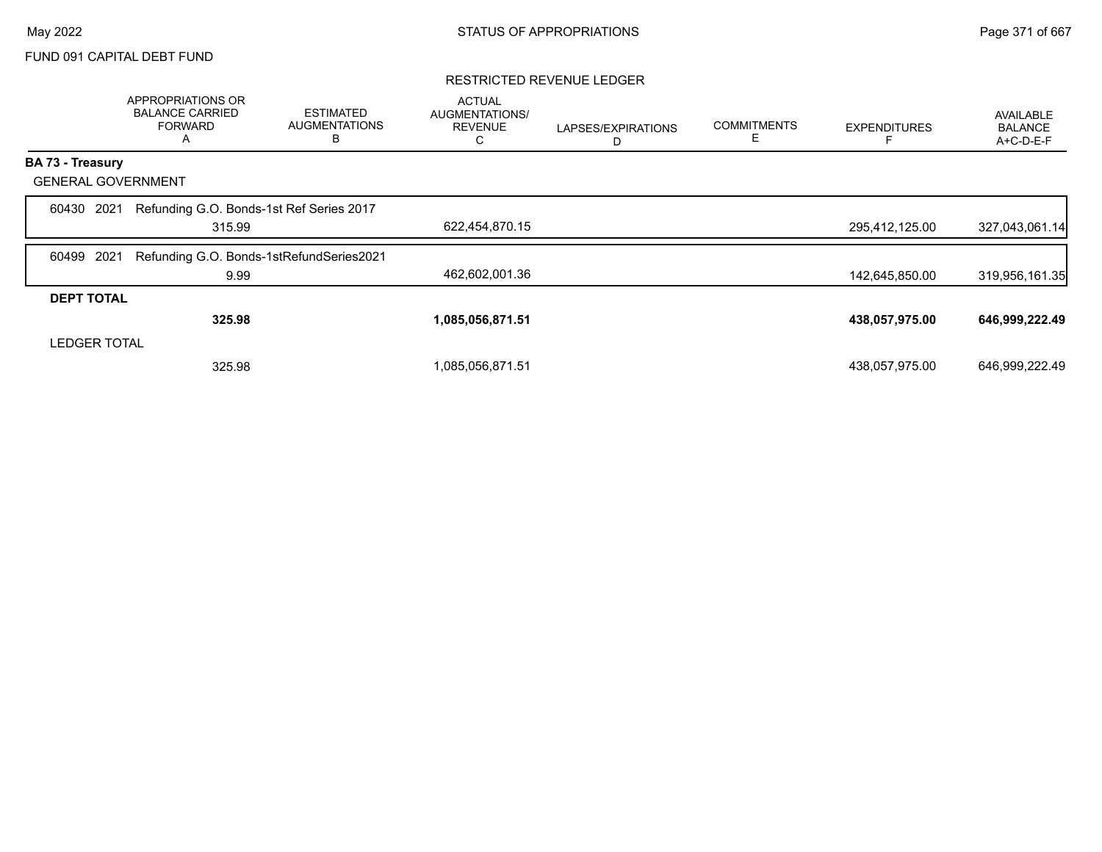# FUND 091 CAPITAL DEBT FUND

### RESTRICTED REVENUE LEDGER

|                           | APPROPRIATIONS OR<br><b>BALANCE CARRIED</b><br><b>FORWARD</b><br>A | <b>ESTIMATED</b><br><b>AUGMENTATIONS</b><br>B | <b>ACTUAL</b><br>AUGMENTATIONS/<br><b>REVENUE</b><br>С | LAPSES/EXPIRATIONS<br>D | <b>COMMITMENTS</b> | <b>EXPENDITURES</b> | AVAILABLE<br><b>BALANCE</b><br>A+C-D-E-F |
|---------------------------|--------------------------------------------------------------------|-----------------------------------------------|--------------------------------------------------------|-------------------------|--------------------|---------------------|------------------------------------------|
| BA 73 - Treasury          |                                                                    |                                               |                                                        |                         |                    |                     |                                          |
| <b>GENERAL GOVERNMENT</b> |                                                                    |                                               |                                                        |                         |                    |                     |                                          |
| 2021<br>60430             | Refunding G.O. Bonds-1st Ref Series 2017                           |                                               |                                                        |                         |                    |                     |                                          |
|                           | 315.99                                                             |                                               | 622,454,870.15                                         |                         |                    | 295,412,125.00      | 327,043,061.14                           |
| 2021<br>60499             | Refunding G.O. Bonds-1stRefundSeries2021                           |                                               |                                                        |                         |                    |                     |                                          |
|                           | 9.99                                                               |                                               | 462,602,001.36                                         |                         |                    | 142,645,850.00      | 319,956,161.35                           |
| <b>DEPT TOTAL</b>         |                                                                    |                                               |                                                        |                         |                    |                     |                                          |
|                           | 325.98                                                             |                                               | 1,085,056,871.51                                       |                         |                    | 438,057,975.00      | 646,999,222.49                           |
| <b>LEDGER TOTAL</b>       |                                                                    |                                               |                                                        |                         |                    |                     |                                          |
|                           | 325.98                                                             |                                               | 1,085,056,871.51                                       |                         |                    | 438,057,975.00      | 646,999,222.49                           |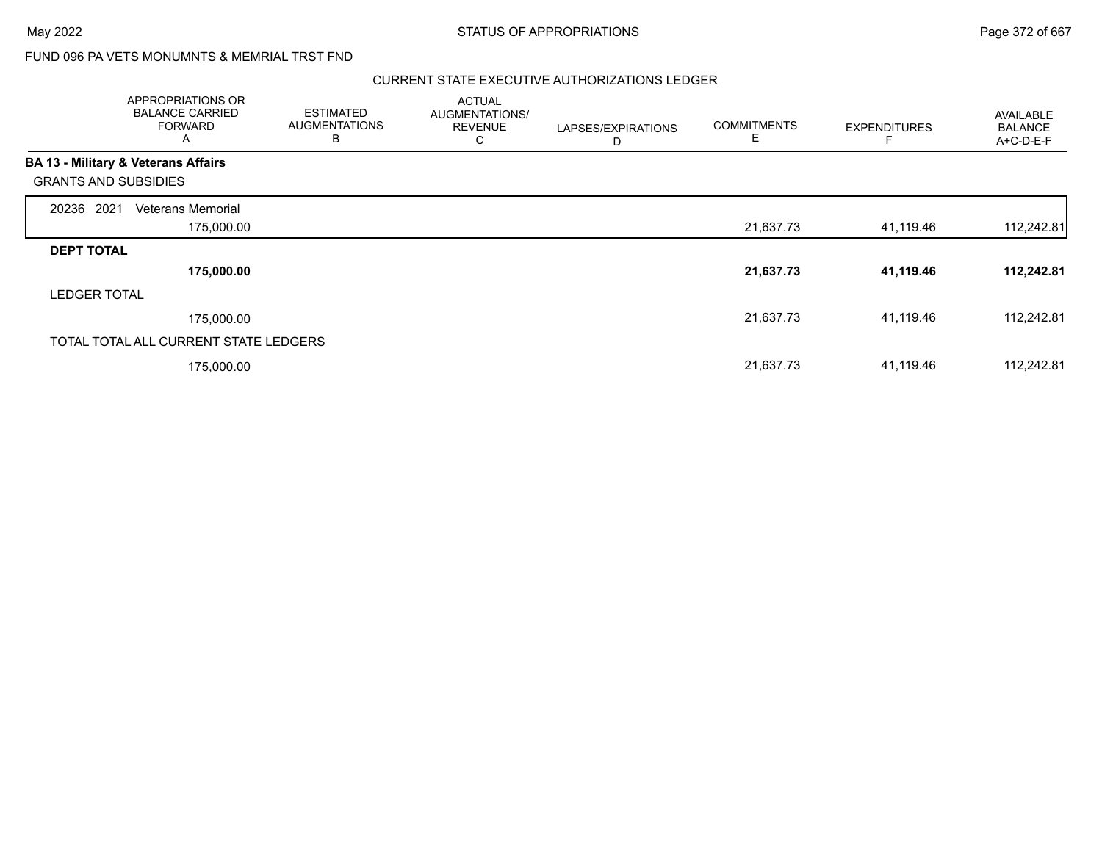Г

# FUND 096 PA VETS MONUMNTS & MEMRIAL TRST FND

|                             | APPROPRIATIONS OR<br><b>BALANCE CARRIED</b><br><b>FORWARD</b><br>A | <b>ESTIMATED</b><br><b>AUGMENTATIONS</b><br>B | <b>ACTUAL</b><br>AUGMENTATIONS/<br><b>REVENUE</b><br>С | LAPSES/EXPIRATIONS<br>D | <b>COMMITMENTS</b><br>Е | <b>EXPENDITURES</b> | <b>AVAILABLE</b><br><b>BALANCE</b><br>A+C-D-E-F |
|-----------------------------|--------------------------------------------------------------------|-----------------------------------------------|--------------------------------------------------------|-------------------------|-------------------------|---------------------|-------------------------------------------------|
|                             | <b>BA 13 - Military &amp; Veterans Affairs</b>                     |                                               |                                                        |                         |                         |                     |                                                 |
| <b>GRANTS AND SUBSIDIES</b> |                                                                    |                                               |                                                        |                         |                         |                     |                                                 |
| 20236 2021                  | <b>Veterans Memorial</b>                                           |                                               |                                                        |                         |                         |                     |                                                 |
|                             | 175,000.00                                                         |                                               |                                                        |                         | 21,637.73               | 41,119.46           | 112,242.81                                      |
| <b>DEPT TOTAL</b>           |                                                                    |                                               |                                                        |                         |                         |                     |                                                 |
|                             | 175,000.00                                                         |                                               |                                                        |                         | 21,637.73               | 41,119.46           | 112,242.81                                      |
| <b>LEDGER TOTAL</b>         |                                                                    |                                               |                                                        |                         |                         |                     |                                                 |
|                             | 175,000.00                                                         |                                               |                                                        |                         | 21,637.73               | 41,119.46           | 112,242.81                                      |
|                             | TOTAL TOTAL ALL CURRENT STATE LEDGERS                              |                                               |                                                        |                         |                         |                     |                                                 |
|                             | 175,000.00                                                         |                                               |                                                        |                         | 21,637.73               | 41,119.46           | 112,242.81                                      |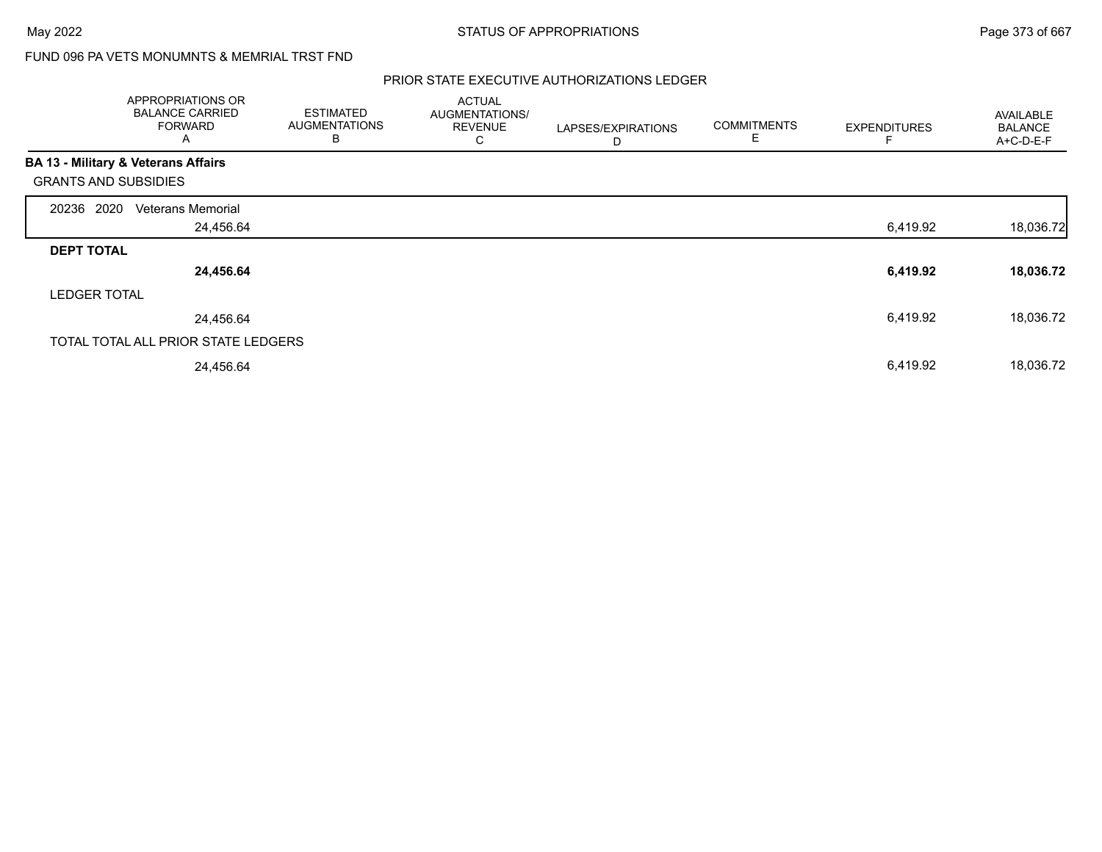# FUND 096 PA VETS MONUMNTS & MEMRIAL TRST FND

| APPROPRIATIONS OR<br><b>BALANCE CARRIED</b><br><b>FORWARD</b><br>Α | <b>ESTIMATED</b><br><b>AUGMENTATIONS</b><br>B | <b>ACTUAL</b><br>AUGMENTATIONS/<br><b>REVENUE</b><br>C | LAPSES/EXPIRATIONS<br>D | <b>COMMITMENTS</b><br>E | <b>EXPENDITURES</b> | AVAILABLE<br><b>BALANCE</b><br>A+C-D-E-F |
|--------------------------------------------------------------------|-----------------------------------------------|--------------------------------------------------------|-------------------------|-------------------------|---------------------|------------------------------------------|
| <b>BA 13 - Military &amp; Veterans Affairs</b>                     |                                               |                                                        |                         |                         |                     |                                          |
| <b>GRANTS AND SUBSIDIES</b>                                        |                                               |                                                        |                         |                         |                     |                                          |
| 2020<br><b>Veterans Memorial</b><br>20236                          |                                               |                                                        |                         |                         |                     |                                          |
|                                                                    | 24,456.64                                     |                                                        |                         |                         | 6,419.92            | 18,036.72                                |
| <b>DEPT TOTAL</b>                                                  |                                               |                                                        |                         |                         |                     |                                          |
|                                                                    | 24,456.64                                     |                                                        |                         |                         | 6,419.92            | 18,036.72                                |
| <b>LEDGER TOTAL</b>                                                |                                               |                                                        |                         |                         |                     |                                          |
|                                                                    | 24,456.64                                     |                                                        |                         |                         | 6,419.92            | 18,036.72                                |
| TOTAL TOTAL ALL PRIOR STATE LEDGERS                                |                                               |                                                        |                         |                         |                     |                                          |
|                                                                    | 24,456.64                                     |                                                        |                         |                         | 6,419.92            | 18,036.72                                |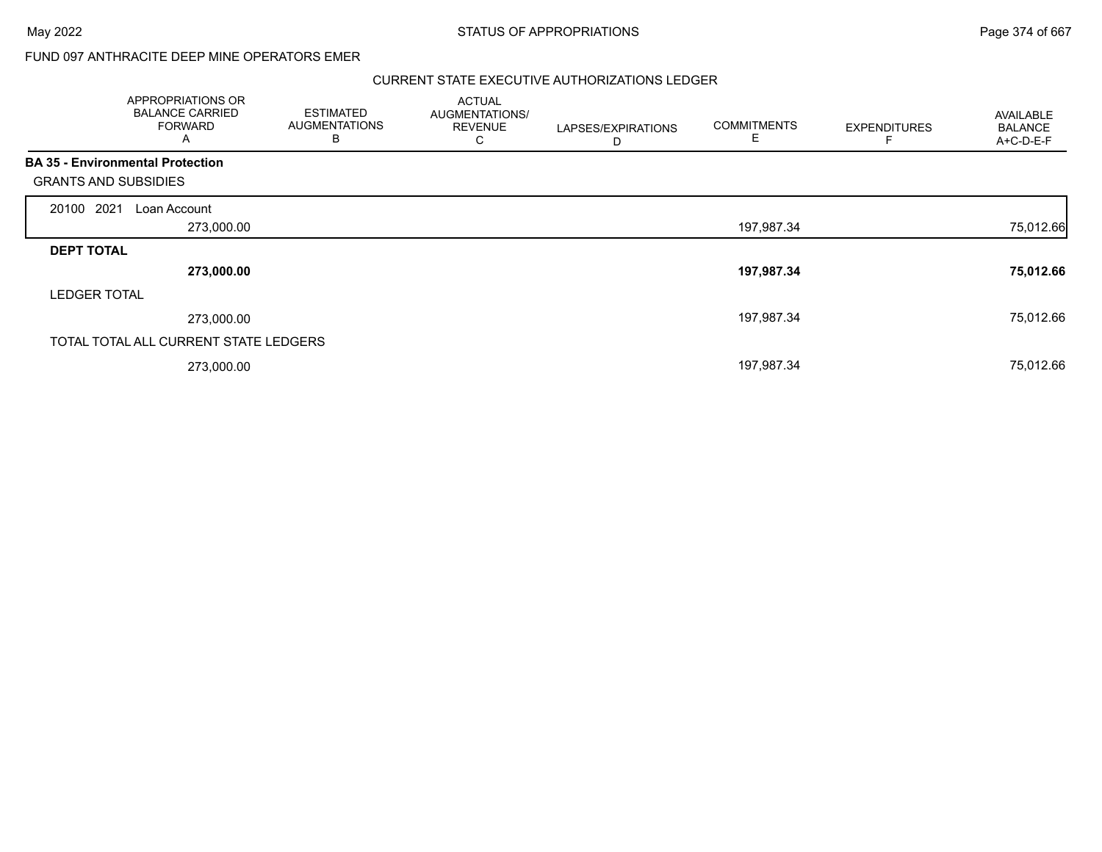# FUND 097 ANTHRACITE DEEP MINE OPERATORS EMER

| APPROPRIATIONS OR<br><b>BALANCE CARRIED</b><br><b>FORWARD</b><br>A |            | <b>ESTIMATED</b><br><b>AUGMENTATIONS</b><br>B | <b>ACTUAL</b><br>AUGMENTATIONS/<br><b>REVENUE</b><br>С | LAPSES/EXPIRATIONS<br>D | <b>COMMITMENTS</b><br>Е | <b>EXPENDITURES</b> | AVAILABLE<br><b>BALANCE</b><br>A+C-D-E-F |
|--------------------------------------------------------------------|------------|-----------------------------------------------|--------------------------------------------------------|-------------------------|-------------------------|---------------------|------------------------------------------|
| <b>BA 35 - Environmental Protection</b>                            |            |                                               |                                                        |                         |                         |                     |                                          |
| <b>GRANTS AND SUBSIDIES</b>                                        |            |                                               |                                                        |                         |                         |                     |                                          |
| 20100 2021<br>Loan Account                                         |            |                                               |                                                        |                         |                         |                     |                                          |
|                                                                    | 273,000.00 |                                               |                                                        |                         | 197,987.34              |                     | 75,012.66                                |
| <b>DEPT TOTAL</b>                                                  |            |                                               |                                                        |                         |                         |                     |                                          |
|                                                                    | 273,000.00 |                                               |                                                        |                         | 197,987.34              |                     | 75,012.66                                |
| <b>LEDGER TOTAL</b>                                                |            |                                               |                                                        |                         |                         |                     |                                          |
|                                                                    | 273,000.00 |                                               |                                                        |                         | 197,987.34              |                     | 75,012.66                                |
| TOTAL TOTAL ALL CURRENT STATE LEDGERS                              |            |                                               |                                                        |                         |                         |                     |                                          |
|                                                                    | 273,000.00 |                                               |                                                        |                         | 197,987.34              |                     | 75,012.66                                |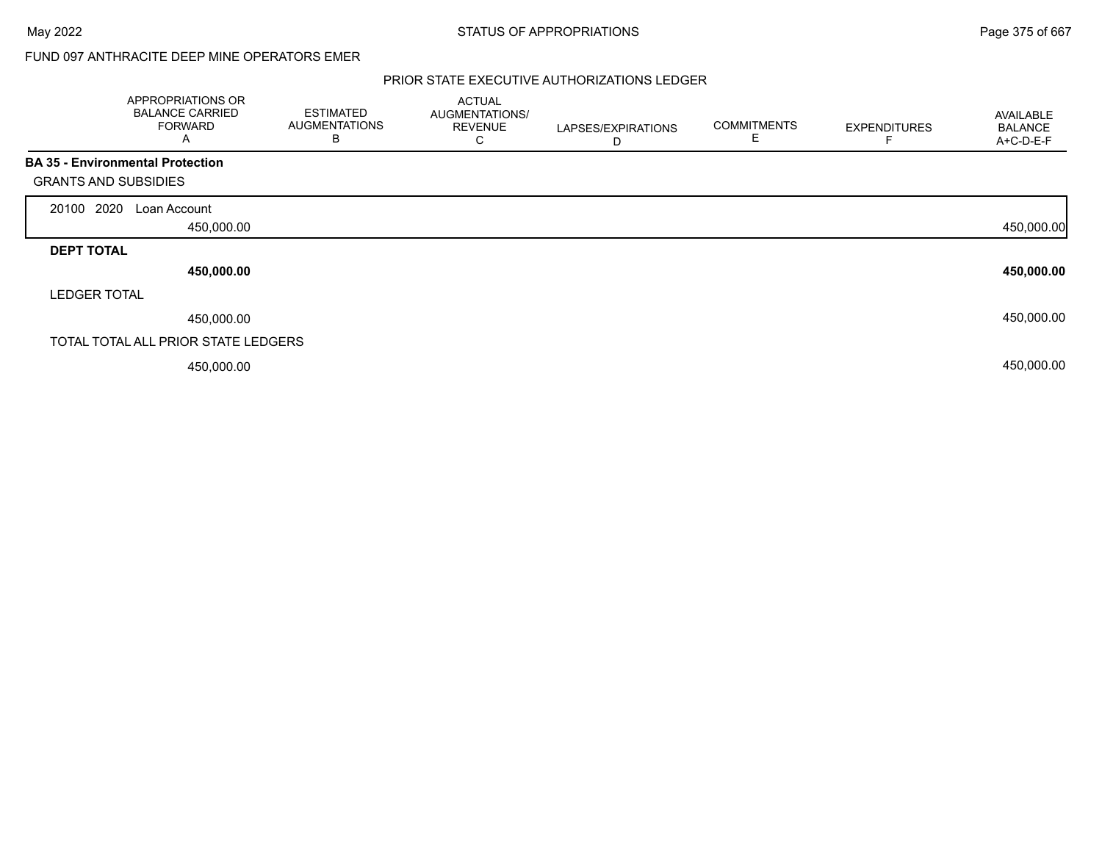# FUND 097 ANTHRACITE DEEP MINE OPERATORS EMER

|                                         | APPROPRIATIONS OR<br><b>BALANCE CARRIED</b><br><b>FORWARD</b><br>A | <b>ESTIMATED</b><br><b>AUGMENTATIONS</b><br>В | <b>ACTUAL</b><br>AUGMENTATIONS/<br><b>REVENUE</b><br>С | LAPSES/EXPIRATIONS<br>D | <b>COMMITMENTS</b><br>E | <b>EXPENDITURES</b> | AVAILABLE<br><b>BALANCE</b><br>A+C-D-E-F |
|-----------------------------------------|--------------------------------------------------------------------|-----------------------------------------------|--------------------------------------------------------|-------------------------|-------------------------|---------------------|------------------------------------------|
| <b>BA 35 - Environmental Protection</b> |                                                                    |                                               |                                                        |                         |                         |                     |                                          |
| <b>GRANTS AND SUBSIDIES</b>             |                                                                    |                                               |                                                        |                         |                         |                     |                                          |
| 20100 2020                              | Loan Account                                                       |                                               |                                                        |                         |                         |                     |                                          |
|                                         | 450,000.00                                                         |                                               |                                                        |                         |                         |                     | 450,000.00                               |
| <b>DEPT TOTAL</b>                       |                                                                    |                                               |                                                        |                         |                         |                     |                                          |
|                                         | 450,000.00                                                         |                                               |                                                        |                         |                         |                     | 450,000.00                               |
| <b>LEDGER TOTAL</b>                     |                                                                    |                                               |                                                        |                         |                         |                     |                                          |
|                                         | 450,000.00                                                         |                                               |                                                        |                         |                         |                     | 450,000.00                               |
|                                         | TOTAL TOTAL ALL PRIOR STATE LEDGERS                                |                                               |                                                        |                         |                         |                     |                                          |
|                                         | 450,000.00                                                         |                                               |                                                        |                         |                         |                     | 450,000.00                               |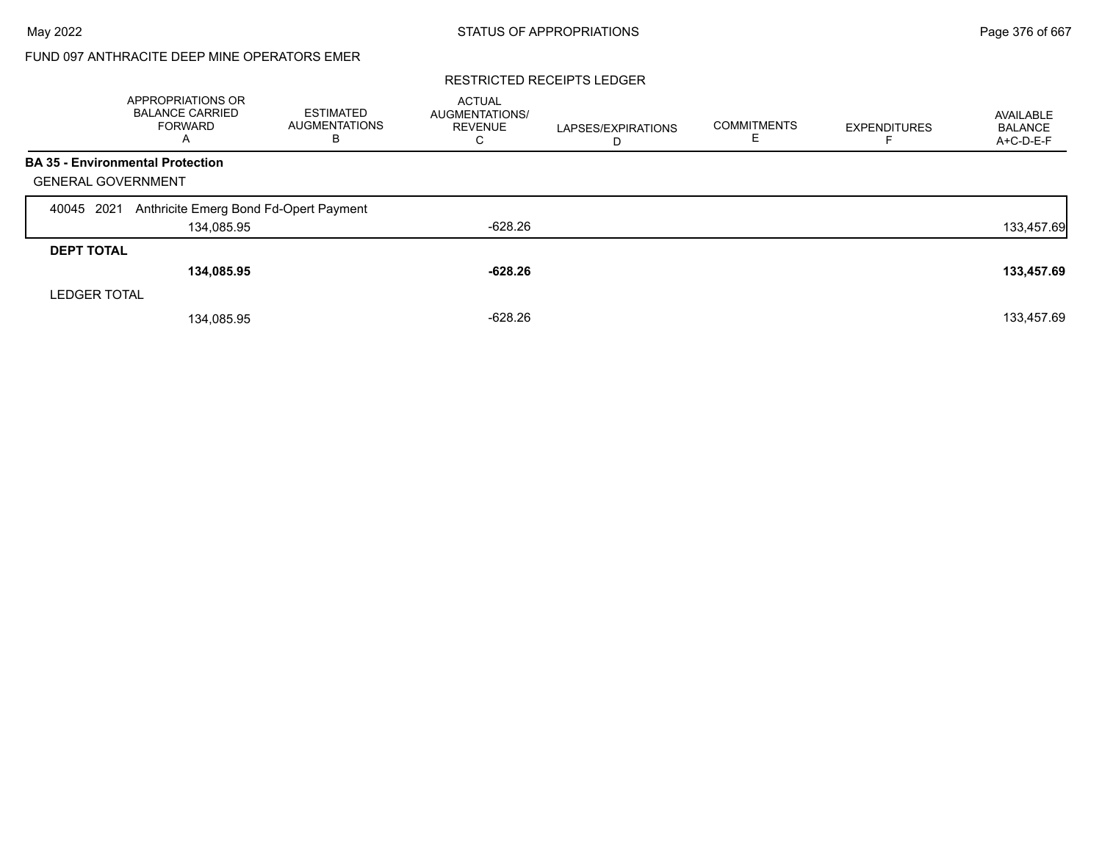# FUND 097 ANTHRACITE DEEP MINE OPERATORS EMER

### RESTRICTED RECEIPTS LEDGER

|                                         | APPROPRIATIONS OR<br><b>BALANCE CARRIED</b><br><b>FORWARD</b><br>A | <b>ESTIMATED</b><br><b>AUGMENTATIONS</b><br>в | <b>ACTUAL</b><br><b>AUGMENTATIONS/</b><br><b>REVENUE</b><br>С | LAPSES/EXPIRATIONS<br>D | <b>COMMITMENTS</b> | <b>EXPENDITURES</b> | AVAILABLE<br><b>BALANCE</b><br>A+C-D-E-F |
|-----------------------------------------|--------------------------------------------------------------------|-----------------------------------------------|---------------------------------------------------------------|-------------------------|--------------------|---------------------|------------------------------------------|
| <b>BA 35 - Environmental Protection</b> |                                                                    |                                               |                                                               |                         |                    |                     |                                          |
| <b>GENERAL GOVERNMENT</b>               |                                                                    |                                               |                                                               |                         |                    |                     |                                          |
| 2021<br>40045                           | Anthricite Emerg Bond Fd-Opert Payment                             |                                               |                                                               |                         |                    |                     |                                          |
|                                         | 134,085.95                                                         |                                               | $-628.26$                                                     |                         |                    |                     | 133,457.69                               |
| <b>DEPT TOTAL</b>                       |                                                                    |                                               |                                                               |                         |                    |                     |                                          |
|                                         | 134,085.95                                                         |                                               | $-628.26$                                                     |                         |                    |                     | 133,457.69                               |
| <b>LEDGER TOTAL</b>                     |                                                                    |                                               |                                                               |                         |                    |                     |                                          |
|                                         | 134,085.95                                                         |                                               | $-628.26$                                                     |                         |                    |                     | 133,457.69                               |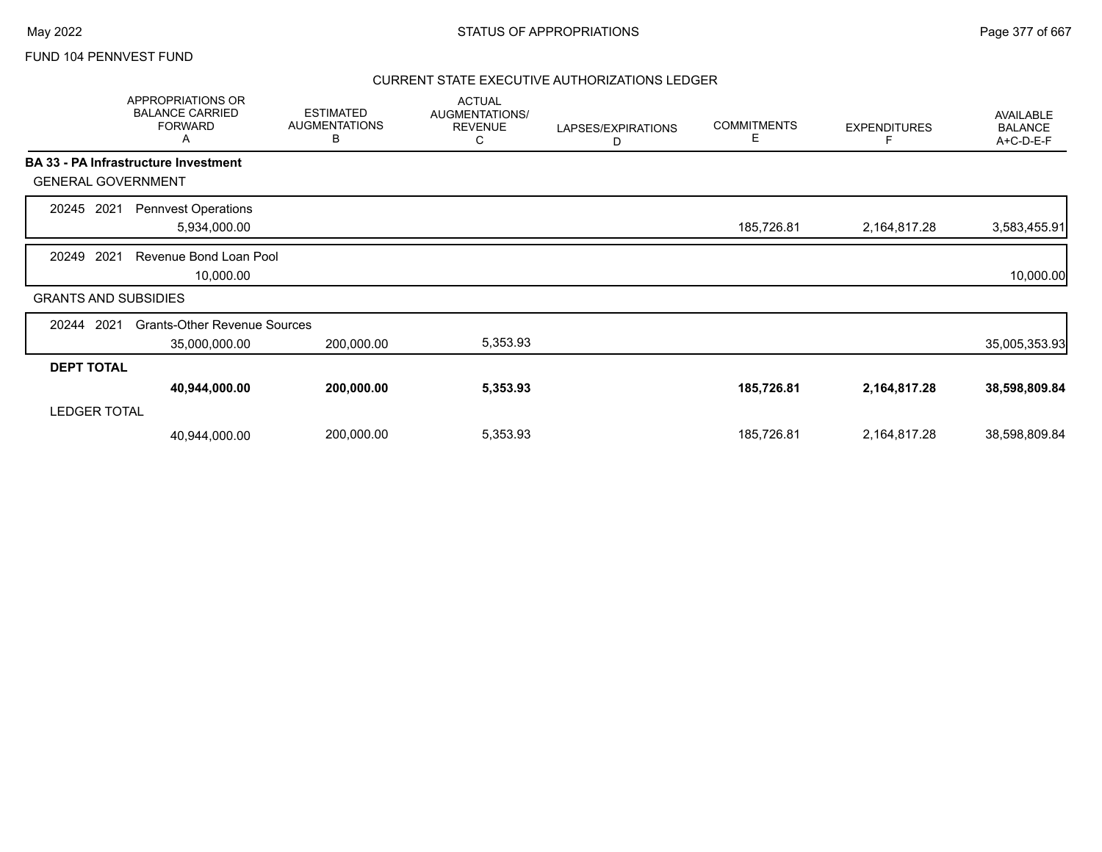|                             | APPROPRIATIONS OR<br><b>BALANCE CARRIED</b><br><b>FORWARD</b><br>A | <b>ESTIMATED</b><br><b>AUGMENTATIONS</b><br>В | <b>ACTUAL</b><br>AUGMENTATIONS/<br><b>REVENUE</b><br>C | LAPSES/EXPIRATIONS<br>D | <b>COMMITMENTS</b><br>E. | <b>EXPENDITURES</b><br>F | AVAILABLE<br><b>BALANCE</b><br>A+C-D-E-F |
|-----------------------------|--------------------------------------------------------------------|-----------------------------------------------|--------------------------------------------------------|-------------------------|--------------------------|--------------------------|------------------------------------------|
|                             | BA 33 - PA Infrastructure Investment                               |                                               |                                                        |                         |                          |                          |                                          |
| <b>GENERAL GOVERNMENT</b>   |                                                                    |                                               |                                                        |                         |                          |                          |                                          |
| 20245<br>2021               | <b>Pennvest Operations</b><br>5,934,000.00                         |                                               |                                                        |                         | 185,726.81               | 2,164,817.28             | 3,583,455.91                             |
| 2021<br>20249               | Revenue Bond Loan Pool<br>10,000.00                                |                                               |                                                        |                         |                          |                          | 10,000.00                                |
| <b>GRANTS AND SUBSIDIES</b> |                                                                    |                                               |                                                        |                         |                          |                          |                                          |
| 2021<br>20244               | <b>Grants-Other Revenue Sources</b><br>35,000,000.00               | 200,000.00                                    | 5,353.93                                               |                         |                          |                          | 35,005,353.93                            |
| <b>DEPT TOTAL</b>           |                                                                    |                                               |                                                        |                         |                          |                          |                                          |
| <b>LEDGER TOTAL</b>         | 40,944,000.00                                                      | 200,000.00                                    | 5,353.93                                               |                         | 185,726.81               | 2,164,817.28             | 38,598,809.84                            |
|                             | 40,944,000.00                                                      | 200,000.00                                    | 5,353.93                                               |                         | 185,726.81               | 2,164,817.28             | 38,598,809.84                            |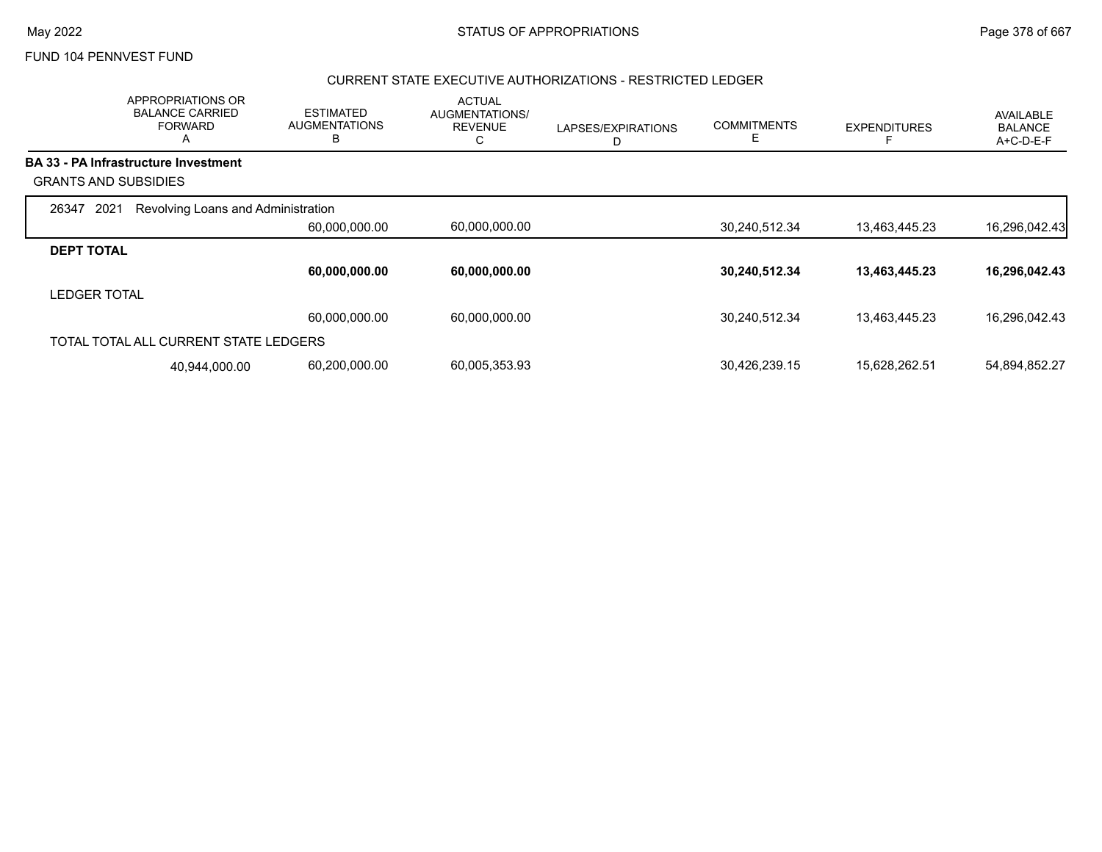## CURRENT STATE EXECUTIVE AUTHORIZATIONS - RESTRICTED LEDGER

|                             | APPROPRIATIONS OR<br><b>BALANCE CARRIED</b><br><b>FORWARD</b><br>A | <b>ESTIMATED</b><br><b>AUGMENTATIONS</b><br>B | <b>ACTUAL</b><br>AUGMENTATIONS/<br><b>REVENUE</b><br>С | LAPSES/EXPIRATIONS<br>D | <b>COMMITMENTS</b><br>Е | <b>EXPENDITURES</b> | <b>AVAILABLE</b><br><b>BALANCE</b><br>A+C-D-E-F |
|-----------------------------|--------------------------------------------------------------------|-----------------------------------------------|--------------------------------------------------------|-------------------------|-------------------------|---------------------|-------------------------------------------------|
|                             | <b>BA 33 - PA Infrastructure Investment</b>                        |                                               |                                                        |                         |                         |                     |                                                 |
| <b>GRANTS AND SUBSIDIES</b> |                                                                    |                                               |                                                        |                         |                         |                     |                                                 |
| 2021<br>26347               | Revolving Loans and Administration                                 |                                               |                                                        |                         |                         |                     |                                                 |
|                             |                                                                    | 60,000,000.00                                 | 60,000,000.00                                          |                         | 30,240,512.34           | 13,463,445.23       | 16,296,042.43                                   |
| <b>DEPT TOTAL</b>           |                                                                    |                                               |                                                        |                         |                         |                     |                                                 |
|                             |                                                                    | 60,000,000.00                                 | 60,000,000.00                                          |                         | 30,240,512.34           | 13,463,445.23       | 16,296,042.43                                   |
| <b>LEDGER TOTAL</b>         |                                                                    |                                               |                                                        |                         |                         |                     |                                                 |
|                             |                                                                    | 60,000,000.00                                 | 60.000.000.00                                          |                         | 30,240,512.34           | 13,463,445.23       | 16,296,042.43                                   |
|                             | TOTAL TOTAL ALL CURRENT STATE LEDGERS                              |                                               |                                                        |                         |                         |                     |                                                 |
|                             | 40,944,000.00                                                      | 60,200,000.00                                 | 60,005,353.93                                          |                         | 30,426,239.15           | 15,628,262.51       | 54,894,852.27                                   |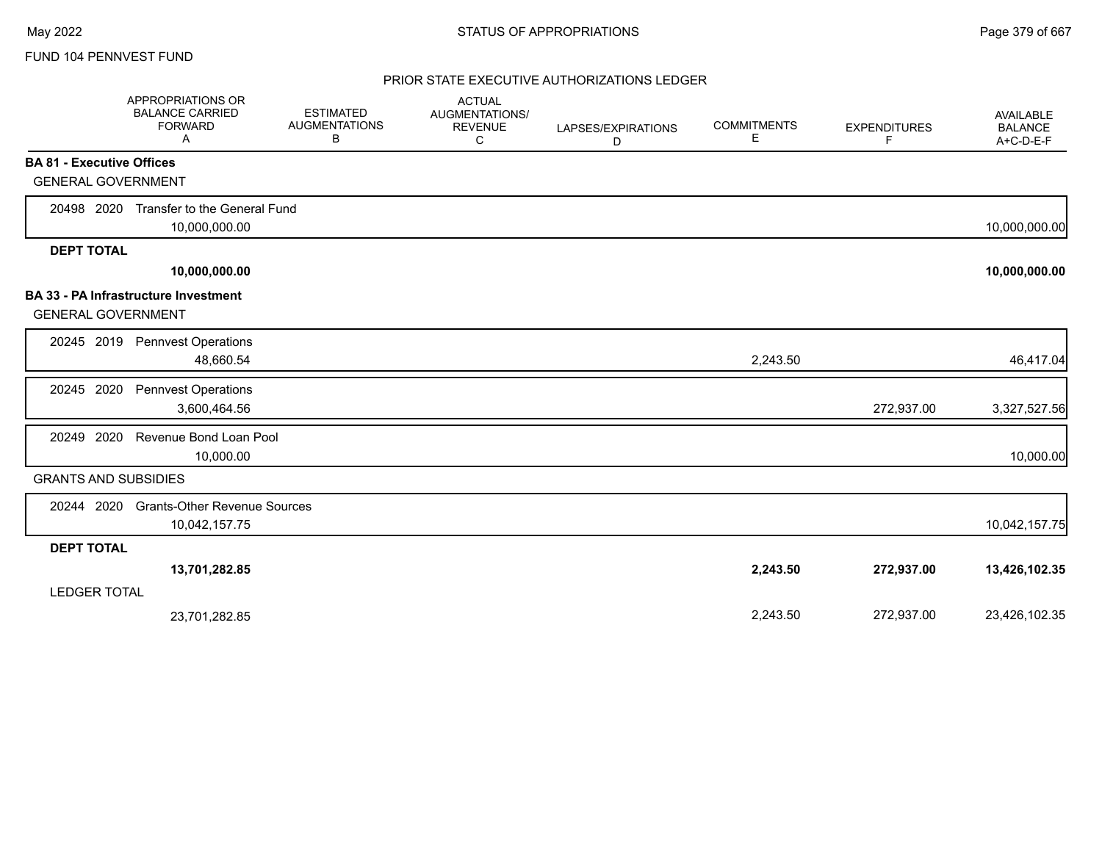|                                  | APPROPRIATIONS OR<br><b>BALANCE CARRIED</b><br><b>FORWARD</b><br>A | <b>ESTIMATED</b><br><b>AUGMENTATIONS</b><br>В | <b>ACTUAL</b><br>AUGMENTATIONS/<br><b>REVENUE</b><br>C | LAPSES/EXPIRATIONS<br>D | <b>COMMITMENTS</b><br>E | <b>EXPENDITURES</b><br>F | AVAILABLE<br><b>BALANCE</b><br>A+C-D-E-F |
|----------------------------------|--------------------------------------------------------------------|-----------------------------------------------|--------------------------------------------------------|-------------------------|-------------------------|--------------------------|------------------------------------------|
| <b>BA 81 - Executive Offices</b> |                                                                    |                                               |                                                        |                         |                         |                          |                                          |
| <b>GENERAL GOVERNMENT</b>        |                                                                    |                                               |                                                        |                         |                         |                          |                                          |
| 20498 2020                       | Transfer to the General Fund                                       |                                               |                                                        |                         |                         |                          |                                          |
|                                  | 10,000,000.00                                                      |                                               |                                                        |                         |                         |                          | 10,000,000.00                            |
| <b>DEPT TOTAL</b>                |                                                                    |                                               |                                                        |                         |                         |                          |                                          |
|                                  | 10,000,000.00                                                      |                                               |                                                        |                         |                         |                          | 10,000,000.00                            |
| <b>GENERAL GOVERNMENT</b>        | <b>BA 33 - PA Infrastructure Investment</b>                        |                                               |                                                        |                         |                         |                          |                                          |
|                                  | 20245 2019 Pennvest Operations<br>48,660.54                        |                                               |                                                        |                         | 2,243.50                |                          | 46,417.04                                |
| 20245 2020                       | <b>Pennvest Operations</b><br>3,600,464.56                         |                                               |                                                        |                         |                         | 272,937.00               | 3,327,527.56                             |
| 2020<br>20249                    | Revenue Bond Loan Pool<br>10,000.00                                |                                               |                                                        |                         |                         |                          | 10,000.00                                |
| <b>GRANTS AND SUBSIDIES</b>      |                                                                    |                                               |                                                        |                         |                         |                          |                                          |
| 20244 2020                       | <b>Grants-Other Revenue Sources</b><br>10,042,157.75               |                                               |                                                        |                         |                         |                          | 10,042,157.75                            |
| <b>DEPT TOTAL</b>                |                                                                    |                                               |                                                        |                         |                         |                          |                                          |
|                                  | 13,701,282.85                                                      |                                               |                                                        |                         | 2,243.50                | 272,937.00               | 13,426,102.35                            |
| <b>LEDGER TOTAL</b>              |                                                                    |                                               |                                                        |                         |                         |                          |                                          |
|                                  | 23,701,282.85                                                      |                                               |                                                        |                         | 2,243.50                | 272,937.00               | 23,426,102.35                            |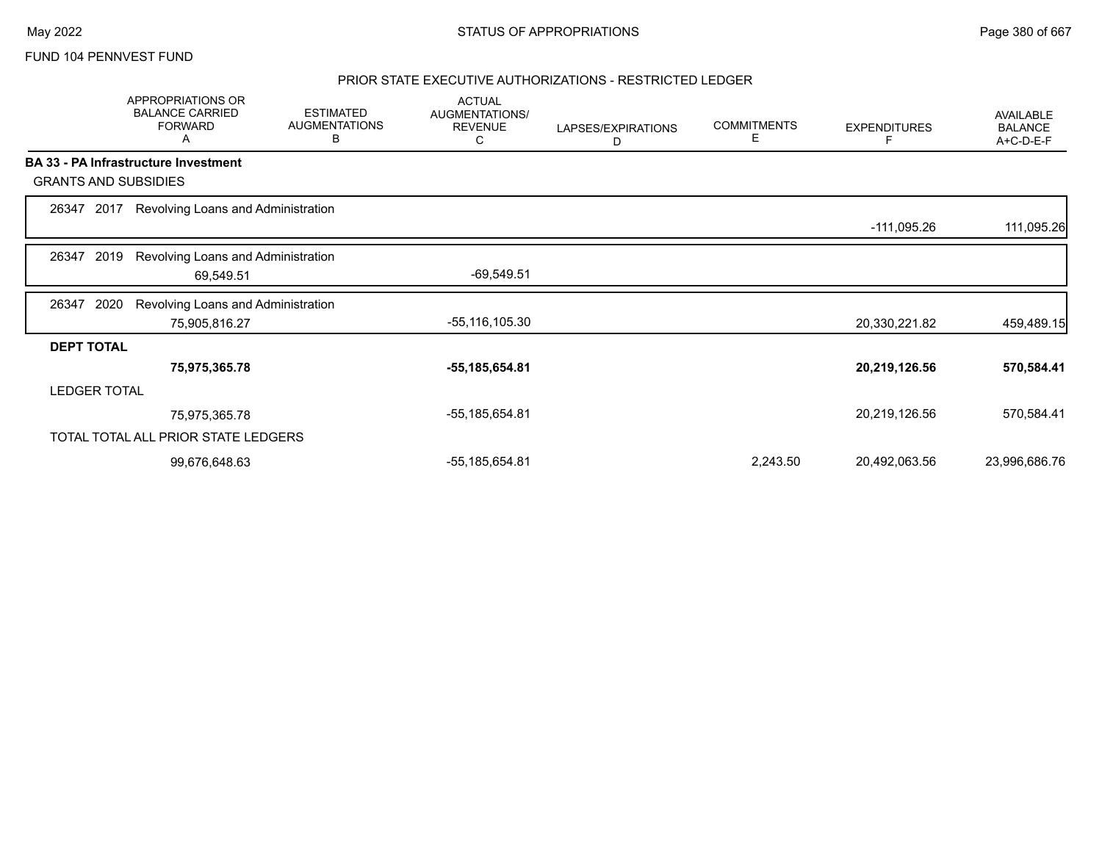### PRIOR STATE EXECUTIVE AUTHORIZATIONS - RESTRICTED LEDGER

|                             |      | APPROPRIATIONS OR<br><b>BALANCE CARRIED</b><br><b>FORWARD</b><br>A | <b>ESTIMATED</b><br><b>AUGMENTATIONS</b><br>В | <b>ACTUAL</b><br>AUGMENTATIONS/<br><b>REVENUE</b><br>С | LAPSES/EXPIRATIONS<br>D | <b>COMMITMENTS</b><br>Е | <b>EXPENDITURES</b> | <b>AVAILABLE</b><br><b>BALANCE</b><br>A+C-D-E-F |
|-----------------------------|------|--------------------------------------------------------------------|-----------------------------------------------|--------------------------------------------------------|-------------------------|-------------------------|---------------------|-------------------------------------------------|
|                             |      | BA 33 - PA Infrastructure Investment                               |                                               |                                                        |                         |                         |                     |                                                 |
| <b>GRANTS AND SUBSIDIES</b> |      |                                                                    |                                               |                                                        |                         |                         |                     |                                                 |
| 26347 2017                  |      | Revolving Loans and Administration                                 |                                               |                                                        |                         |                         |                     |                                                 |
|                             |      |                                                                    |                                               |                                                        |                         |                         | -111,095.26         | 111,095.26                                      |
| 26347                       | 2019 | Revolving Loans and Administration                                 |                                               |                                                        |                         |                         |                     |                                                 |
|                             |      | 69,549.51                                                          |                                               | $-69,549.51$                                           |                         |                         |                     |                                                 |
| 26347                       | 2020 | Revolving Loans and Administration                                 |                                               |                                                        |                         |                         |                     |                                                 |
|                             |      | 75,905,816.27                                                      |                                               | -55,116,105.30                                         |                         |                         | 20,330,221.82       | 459,489.15                                      |
| <b>DEPT TOTAL</b>           |      |                                                                    |                                               |                                                        |                         |                         |                     |                                                 |
|                             |      | 75,975,365.78                                                      |                                               | -55,185,654.81                                         |                         |                         | 20,219,126.56       | 570,584.41                                      |
| <b>LEDGER TOTAL</b>         |      |                                                                    |                                               |                                                        |                         |                         |                     |                                                 |
|                             |      | 75,975,365.78                                                      |                                               | -55,185,654.81                                         |                         |                         | 20,219,126.56       | 570,584.41                                      |
|                             |      | TOTAL TOTAL ALL PRIOR STATE LEDGERS                                |                                               |                                                        |                         |                         |                     |                                                 |
|                             |      | 99,676,648.63                                                      |                                               | -55,185,654.81                                         |                         | 2,243.50                | 20,492,063.56       | 23,996,686.76                                   |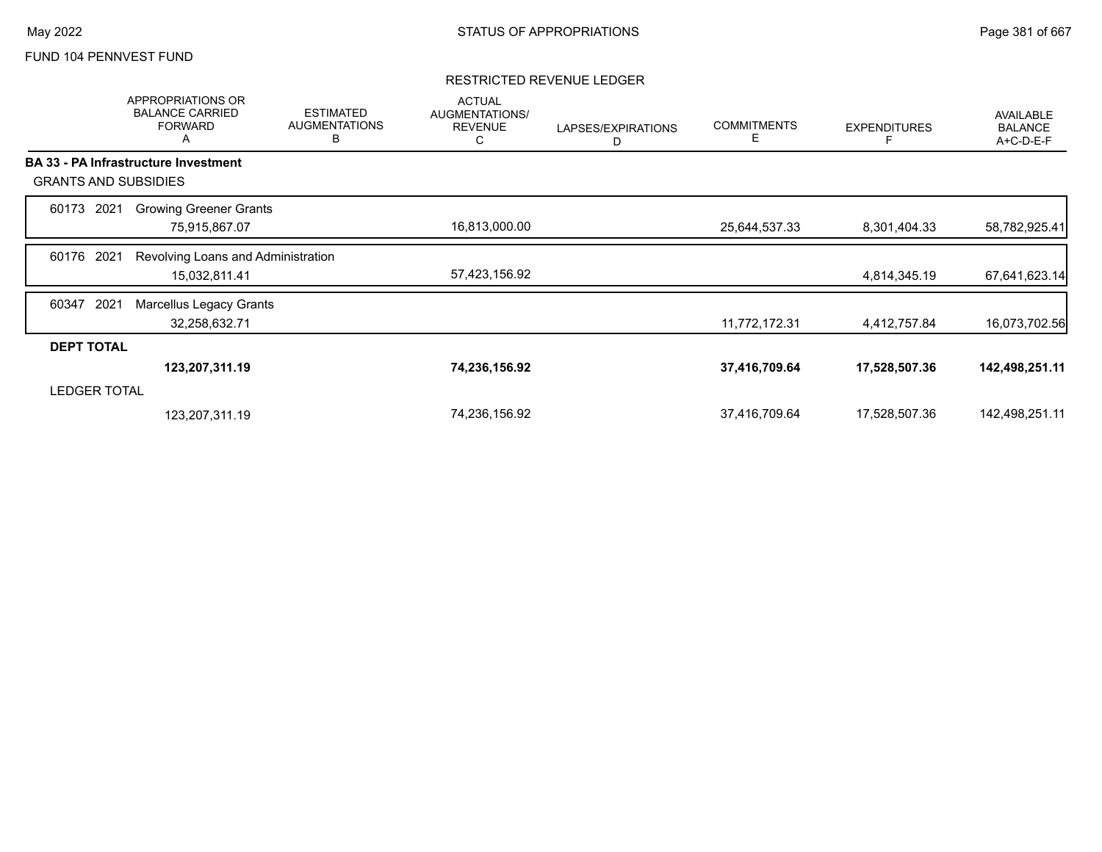### RESTRICTED REVENUE LEDGER

|                     | <b>APPROPRIATIONS OR</b><br><b>BALANCE CARRIED</b><br><b>FORWARD</b><br>A | <b>ESTIMATED</b><br><b>AUGMENTATIONS</b><br>B | <b>ACTUAL</b><br>AUGMENTATIONS/<br><b>REVENUE</b><br>С | LAPSES/EXPIRATIONS<br>D | <b>COMMITMENTS</b><br>Е | <b>EXPENDITURES</b> | <b>AVAILABLE</b><br><b>BALANCE</b><br>A+C-D-E-F |
|---------------------|---------------------------------------------------------------------------|-----------------------------------------------|--------------------------------------------------------|-------------------------|-------------------------|---------------------|-------------------------------------------------|
|                     | <b>BA 33 - PA Infrastructure Investment</b>                               |                                               |                                                        |                         |                         |                     |                                                 |
|                     | <b>GRANTS AND SUBSIDIES</b>                                               |                                               |                                                        |                         |                         |                     |                                                 |
| 60173               | <b>Growing Greener Grants</b><br>2021                                     |                                               |                                                        |                         |                         |                     |                                                 |
|                     | 75,915,867.07                                                             |                                               | 16,813,000.00                                          |                         | 25,644,537.33           | 8,301,404.33        | 58,782,925.41                                   |
| 60176               | 2021<br>Revolving Loans and Administration                                |                                               |                                                        |                         |                         |                     |                                                 |
|                     | 15,032,811.41                                                             |                                               | 57,423,156.92                                          |                         |                         | 4,814,345.19        | 67,641,623.14                                   |
| 60347               | 2021<br><b>Marcellus Legacy Grants</b>                                    |                                               |                                                        |                         |                         |                     |                                                 |
|                     | 32,258,632.71                                                             |                                               |                                                        |                         | 11,772,172.31           | 4,412,757.84        | 16,073,702.56                                   |
| <b>DEPT TOTAL</b>   |                                                                           |                                               |                                                        |                         |                         |                     |                                                 |
|                     | 123,207,311.19                                                            |                                               | 74,236,156.92                                          |                         | 37,416,709.64           | 17,528,507.36       | 142,498,251.11                                  |
| <b>LEDGER TOTAL</b> |                                                                           |                                               |                                                        |                         |                         |                     |                                                 |
|                     | 123,207,311.19                                                            |                                               | 74,236,156.92                                          |                         | 37,416,709.64           | 17,528,507.36       | 142,498,251.11                                  |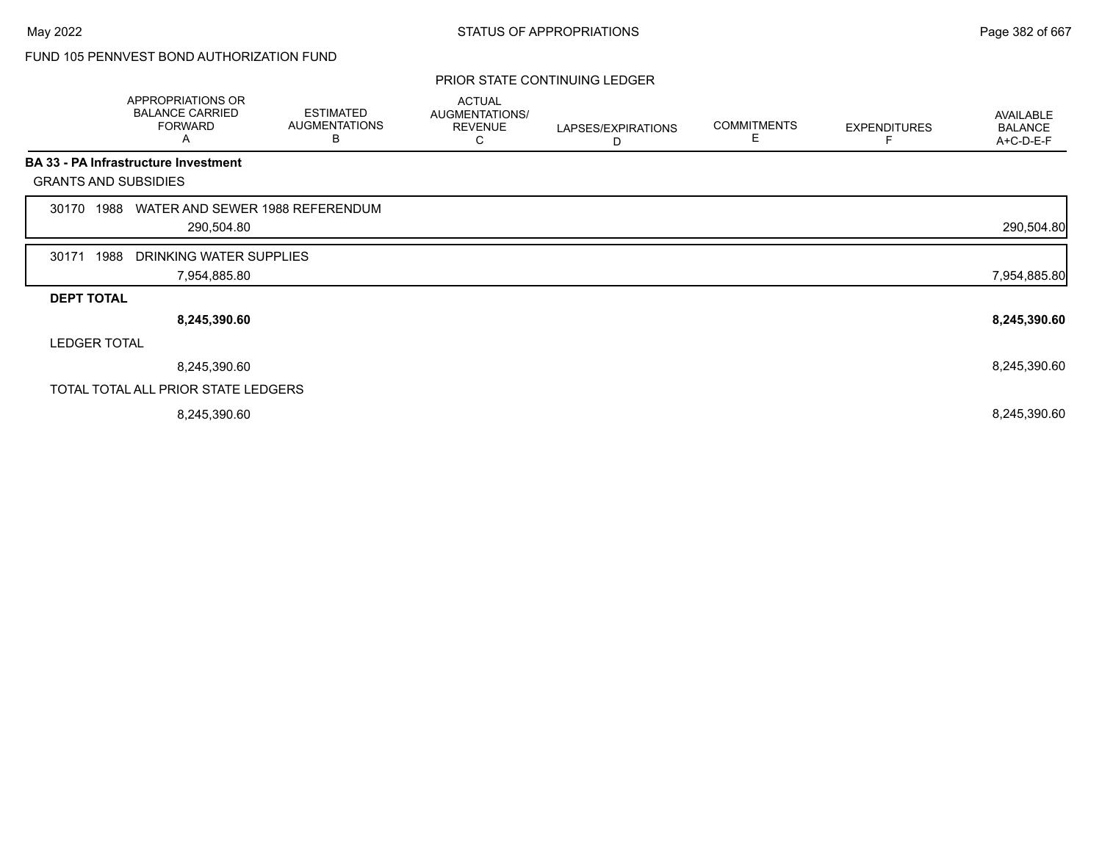# FUND 105 PENNVEST BOND AUTHORIZATION FUND

### PRIOR STATE CONTINUING LEDGER

|                   | APPROPRIATIONS OR<br><b>BALANCE CARRIED</b><br><b>FORWARD</b><br>A | <b>ESTIMATED</b><br><b>AUGMENTATIONS</b><br>в | <b>ACTUAL</b><br>AUGMENTATIONS/<br><b>REVENUE</b><br>С | LAPSES/EXPIRATIONS<br>D | <b>COMMITMENTS</b><br>Е | <b>EXPENDITURES</b> | AVAILABLE<br><b>BALANCE</b><br>A+C-D-E-F |
|-------------------|--------------------------------------------------------------------|-----------------------------------------------|--------------------------------------------------------|-------------------------|-------------------------|---------------------|------------------------------------------|
|                   | <b>BA 33 - PA Infrastructure Investment</b>                        |                                               |                                                        |                         |                         |                     |                                          |
|                   | <b>GRANTS AND SUBSIDIES</b>                                        |                                               |                                                        |                         |                         |                     |                                          |
| 30170             | WATER AND SEWER 1988 REFERENDUM<br>1988                            |                                               |                                                        |                         |                         |                     |                                          |
|                   | 290,504.80                                                         |                                               |                                                        |                         |                         |                     | 290,504.80                               |
| 30171             | 1988<br>DRINKING WATER SUPPLIES                                    |                                               |                                                        |                         |                         |                     |                                          |
|                   | 7,954,885.80                                                       |                                               |                                                        |                         |                         |                     | 7,954,885.80                             |
| <b>DEPT TOTAL</b> |                                                                    |                                               |                                                        |                         |                         |                     |                                          |
|                   | 8,245,390.60                                                       |                                               |                                                        |                         |                         |                     | 8,245,390.60                             |
|                   | <b>LEDGER TOTAL</b>                                                |                                               |                                                        |                         |                         |                     |                                          |
|                   | 8,245,390.60                                                       |                                               |                                                        |                         |                         |                     | 8,245,390.60                             |
|                   | TOTAL TOTAL ALL PRIOR STATE LEDGERS                                |                                               |                                                        |                         |                         |                     |                                          |
|                   | 8,245,390.60                                                       |                                               |                                                        |                         |                         |                     | 8,245,390.60                             |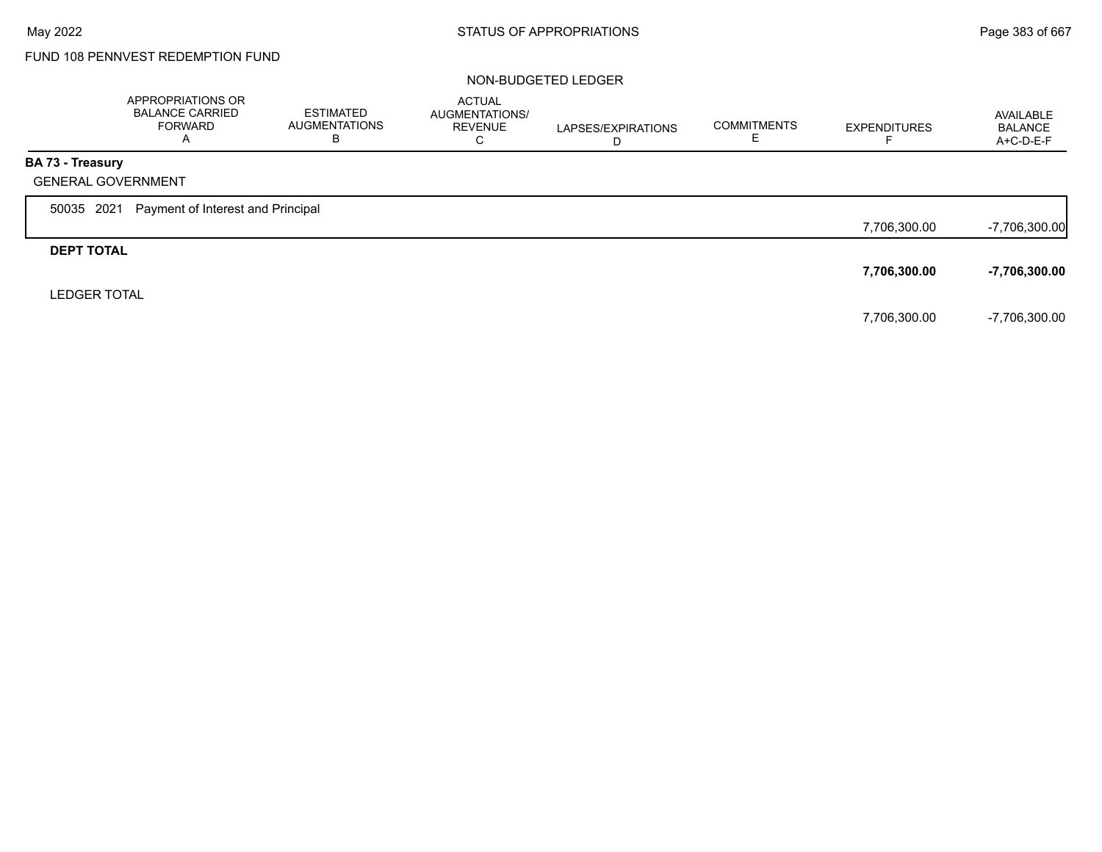# FUND 108 PENNVEST REDEMPTION FUND

### NON-BUDGETED LEDGER

|                         | APPROPRIATIONS OR<br><b>BALANCE CARRIED</b><br><b>FORWARD</b><br>A | <b>ESTIMATED</b><br><b>AUGMENTATIONS</b><br>В | <b>ACTUAL</b><br>AUGMENTATIONS/<br><b>REVENUE</b><br>C | LAPSES/EXPIRATIONS<br>D | <b>COMMITMENTS</b> | <b>EXPENDITURES</b> | AVAILABLE<br><b>BALANCE</b><br>A+C-D-E-F |
|-------------------------|--------------------------------------------------------------------|-----------------------------------------------|--------------------------------------------------------|-------------------------|--------------------|---------------------|------------------------------------------|
| <b>BA 73 - Treasury</b> |                                                                    |                                               |                                                        |                         |                    |                     |                                          |
|                         | <b>GENERAL GOVERNMENT</b>                                          |                                               |                                                        |                         |                    |                     |                                          |
| 50035 2021              | Payment of Interest and Principal                                  |                                               |                                                        |                         |                    |                     |                                          |
|                         |                                                                    |                                               |                                                        |                         |                    | 7,706,300.00        | $-7,706,300.00$                          |
| <b>DEPT TOTAL</b>       |                                                                    |                                               |                                                        |                         |                    |                     |                                          |
|                         |                                                                    |                                               |                                                        |                         |                    | 7,706,300.00        | -7,706,300.00                            |
| <b>LEDGER TOTAL</b>     |                                                                    |                                               |                                                        |                         |                    |                     |                                          |
|                         |                                                                    |                                               |                                                        |                         |                    | 7,706,300.00        | -7,706,300.00                            |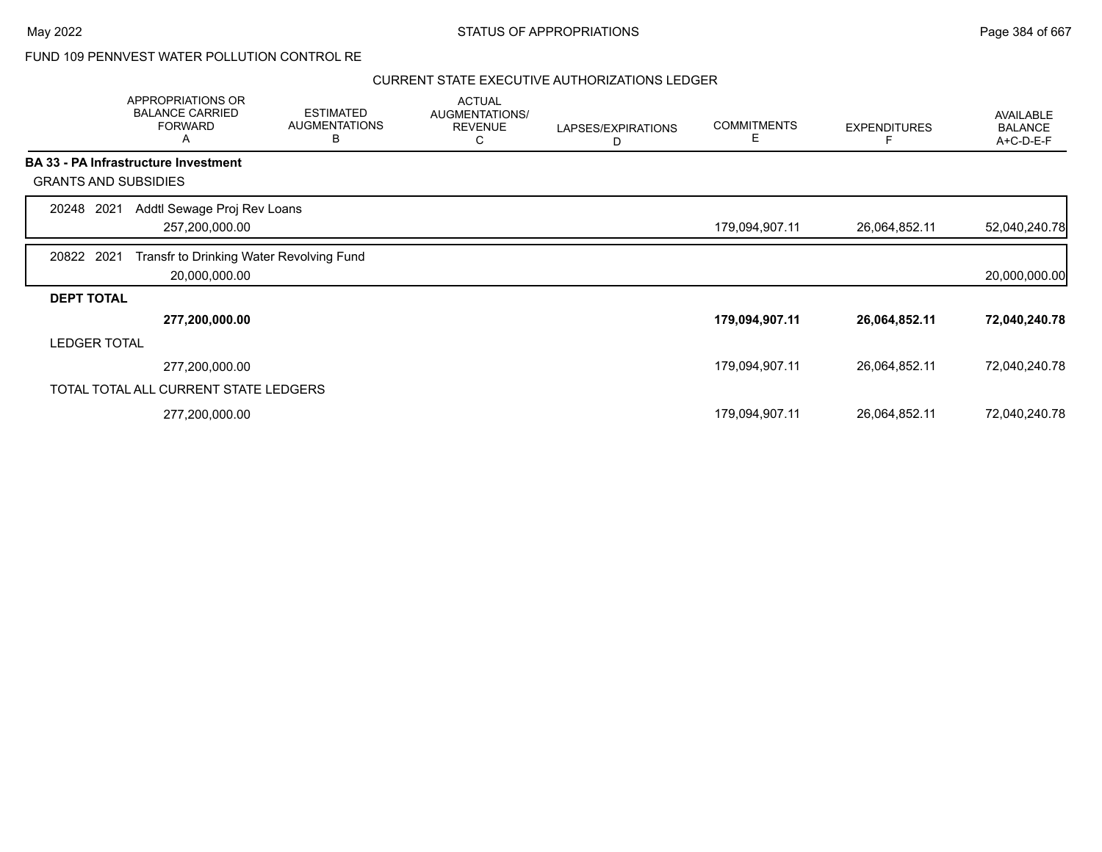# FUND 109 PENNVEST WATER POLLUTION CONTROL RE

|                             | APPROPRIATIONS OR<br><b>BALANCE CARRIED</b><br><b>FORWARD</b><br>Α | <b>ESTIMATED</b><br><b>AUGMENTATIONS</b><br>B | <b>ACTUAL</b><br><b>AUGMENTATIONS/</b><br><b>REVENUE</b><br>С | LAPSES/EXPIRATIONS<br>D | <b>COMMITMENTS</b><br>Е | <b>EXPENDITURES</b> | AVAILABLE<br><b>BALANCE</b><br>A+C-D-E-F |
|-----------------------------|--------------------------------------------------------------------|-----------------------------------------------|---------------------------------------------------------------|-------------------------|-------------------------|---------------------|------------------------------------------|
|                             | <b>BA 33 - PA Infrastructure Investment</b>                        |                                               |                                                               |                         |                         |                     |                                          |
| <b>GRANTS AND SUBSIDIES</b> |                                                                    |                                               |                                                               |                         |                         |                     |                                          |
| 20248 2021                  | Addtl Sewage Proj Rev Loans                                        |                                               |                                                               |                         |                         |                     |                                          |
|                             | 257,200,000.00                                                     |                                               |                                                               |                         | 179,094,907.11          | 26,064,852.11       | 52,040,240.78                            |
| 20822 2021                  | Transfr to Drinking Water Revolving Fund                           |                                               |                                                               |                         |                         |                     |                                          |
|                             | 20,000,000.00                                                      |                                               |                                                               |                         |                         |                     | 20,000,000.00                            |
| <b>DEPT TOTAL</b>           |                                                                    |                                               |                                                               |                         |                         |                     |                                          |
|                             | 277,200,000.00                                                     |                                               |                                                               |                         | 179,094,907.11          | 26,064,852.11       | 72,040,240.78                            |
| <b>LEDGER TOTAL</b>         |                                                                    |                                               |                                                               |                         |                         |                     |                                          |
|                             | 277,200,000.00                                                     |                                               |                                                               |                         | 179,094,907.11          | 26,064,852.11       | 72,040,240.78                            |
|                             | TOTAL TOTAL ALL CURRENT STATE LEDGERS                              |                                               |                                                               |                         |                         |                     |                                          |
|                             | 277,200,000.00                                                     |                                               |                                                               |                         | 179,094,907.11          | 26,064,852.11       | 72,040,240.78                            |
|                             |                                                                    |                                               |                                                               |                         |                         |                     |                                          |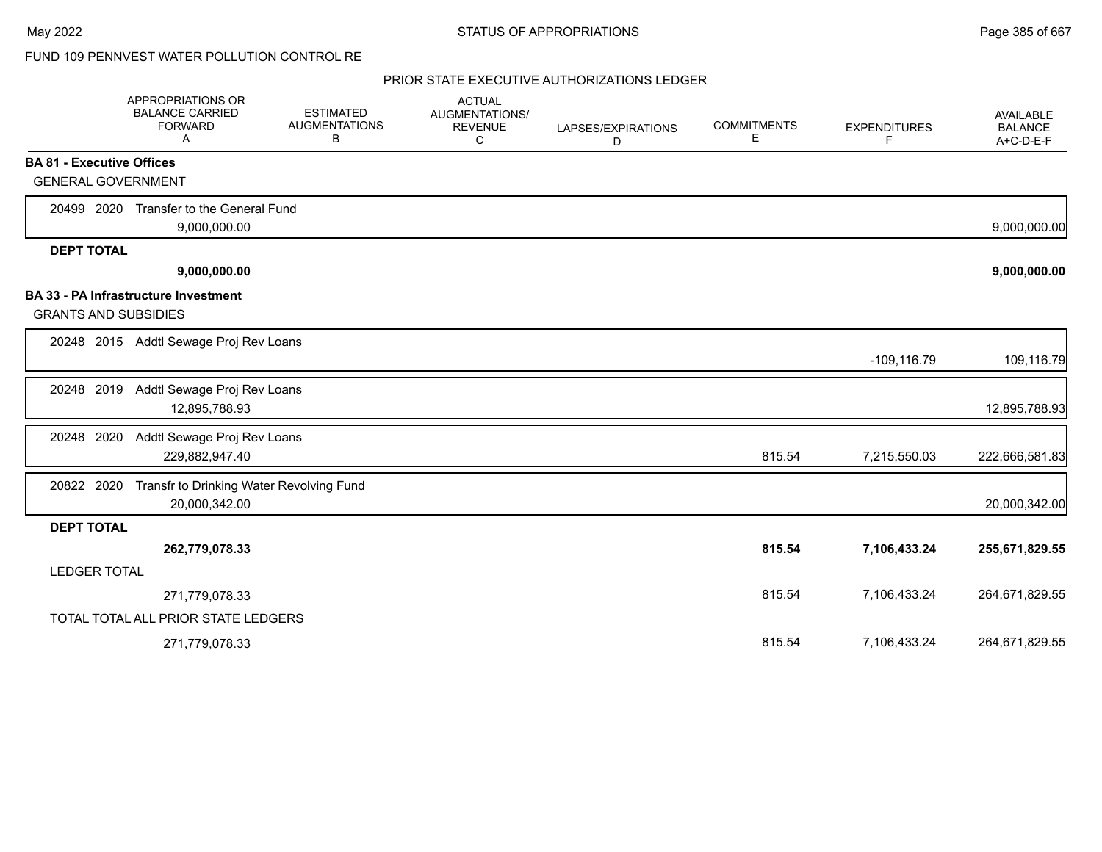# FUND 109 PENNVEST WATER POLLUTION CONTROL RE

|                                  | APPROPRIATIONS OR<br><b>BALANCE CARRIED</b><br><b>FORWARD</b><br>Α | <b>ESTIMATED</b><br><b>AUGMENTATIONS</b><br>В | <b>ACTUAL</b><br><b>AUGMENTATIONS/</b><br><b>REVENUE</b><br>C | LAPSES/EXPIRATIONS<br>D | <b>COMMITMENTS</b><br>E. | <b>EXPENDITURES</b><br>F | AVAILABLE<br><b>BALANCE</b><br>A+C-D-E-F |
|----------------------------------|--------------------------------------------------------------------|-----------------------------------------------|---------------------------------------------------------------|-------------------------|--------------------------|--------------------------|------------------------------------------|
| <b>BA 81 - Executive Offices</b> |                                                                    |                                               |                                                               |                         |                          |                          |                                          |
| <b>GENERAL GOVERNMENT</b>        |                                                                    |                                               |                                                               |                         |                          |                          |                                          |
| 20499 2020                       | Transfer to the General Fund                                       |                                               |                                                               |                         |                          |                          |                                          |
|                                  | 9,000,000.00                                                       |                                               |                                                               |                         |                          |                          | 9,000,000.00                             |
| <b>DEPT TOTAL</b>                |                                                                    |                                               |                                                               |                         |                          |                          |                                          |
|                                  | 9,000,000.00                                                       |                                               |                                                               |                         |                          |                          | 9,000,000.00                             |
|                                  | <b>BA 33 - PA Infrastructure Investment</b>                        |                                               |                                                               |                         |                          |                          |                                          |
| <b>GRANTS AND SUBSIDIES</b>      |                                                                    |                                               |                                                               |                         |                          |                          |                                          |
|                                  | 20248 2015 Addtl Sewage Proj Rev Loans                             |                                               |                                                               |                         |                          |                          |                                          |
|                                  |                                                                    |                                               |                                                               |                         |                          | $-109, 116.79$           | 109,116.79                               |
| 20248 2019                       | Addtl Sewage Proj Rev Loans                                        |                                               |                                                               |                         |                          |                          |                                          |
|                                  | 12,895,788.93                                                      |                                               |                                                               |                         |                          |                          | 12,895,788.93                            |
| 20248 2020                       | Addtl Sewage Proj Rev Loans                                        |                                               |                                                               |                         |                          |                          |                                          |
|                                  | 229,882,947.40                                                     |                                               |                                                               |                         | 815.54                   | 7,215,550.03             | 222,666,581.83                           |
| 20822 2020                       | Transfr to Drinking Water Revolving Fund                           |                                               |                                                               |                         |                          |                          |                                          |
|                                  | 20,000,342.00                                                      |                                               |                                                               |                         |                          |                          | 20,000,342.00                            |
| <b>DEPT TOTAL</b>                |                                                                    |                                               |                                                               |                         |                          |                          |                                          |
|                                  | 262,779,078.33                                                     |                                               |                                                               |                         | 815.54                   | 7,106,433.24             | 255,671,829.55                           |
| <b>LEDGER TOTAL</b>              |                                                                    |                                               |                                                               |                         |                          |                          |                                          |
|                                  | 271,779,078.33                                                     |                                               |                                                               |                         | 815.54                   | 7,106,433.24             | 264,671,829.55                           |
|                                  | TOTAL TOTAL ALL PRIOR STATE LEDGERS                                |                                               |                                                               |                         |                          |                          |                                          |
|                                  | 271,779,078.33                                                     |                                               |                                                               |                         | 815.54                   | 7,106,433.24             | 264,671,829.55                           |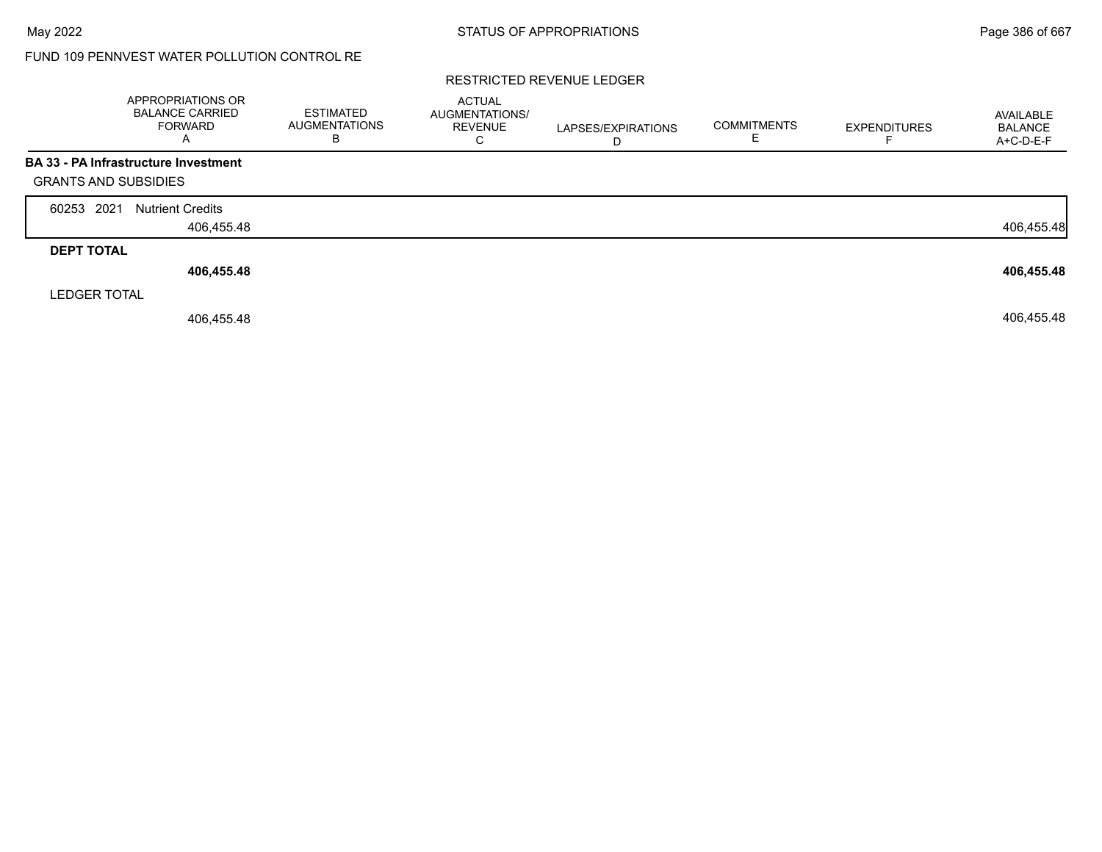# FUND 109 PENNVEST WATER POLLUTION CONTROL RE

### RESTRICTED REVENUE LEDGER

|                             | <b>APPROPRIATIONS OR</b><br><b>BALANCE CARRIED</b><br><b>FORWARD</b> | <b>ESTIMATED</b><br><b>AUGMENTATIONS</b><br>B | <b>ACTUAL</b><br>AUGMENTATIONS/<br><b>REVENUE</b><br>С | LAPSES/EXPIRATIONS | <b>COMMITMENTS</b> | <b>EXPENDITURES</b> | AVAILABLE<br><b>BALANCE</b><br>A+C-D-E-F |
|-----------------------------|----------------------------------------------------------------------|-----------------------------------------------|--------------------------------------------------------|--------------------|--------------------|---------------------|------------------------------------------|
|                             | BA 33 - PA Infrastructure Investment                                 |                                               |                                                        |                    |                    |                     |                                          |
| <b>GRANTS AND SUBSIDIES</b> |                                                                      |                                               |                                                        |                    |                    |                     |                                          |
| 2021<br>60253               | <b>Nutrient Credits</b>                                              |                                               |                                                        |                    |                    |                     |                                          |
|                             | 406,455.48                                                           |                                               |                                                        |                    |                    |                     | 406,455.48                               |
| <b>DEPT TOTAL</b>           |                                                                      |                                               |                                                        |                    |                    |                     |                                          |
|                             | 406,455.48                                                           |                                               |                                                        |                    |                    |                     | 406,455.48                               |
| <b>LEDGER TOTAL</b>         |                                                                      |                                               |                                                        |                    |                    |                     |                                          |
|                             | 406,455.48                                                           |                                               |                                                        |                    |                    |                     | 406,455.48                               |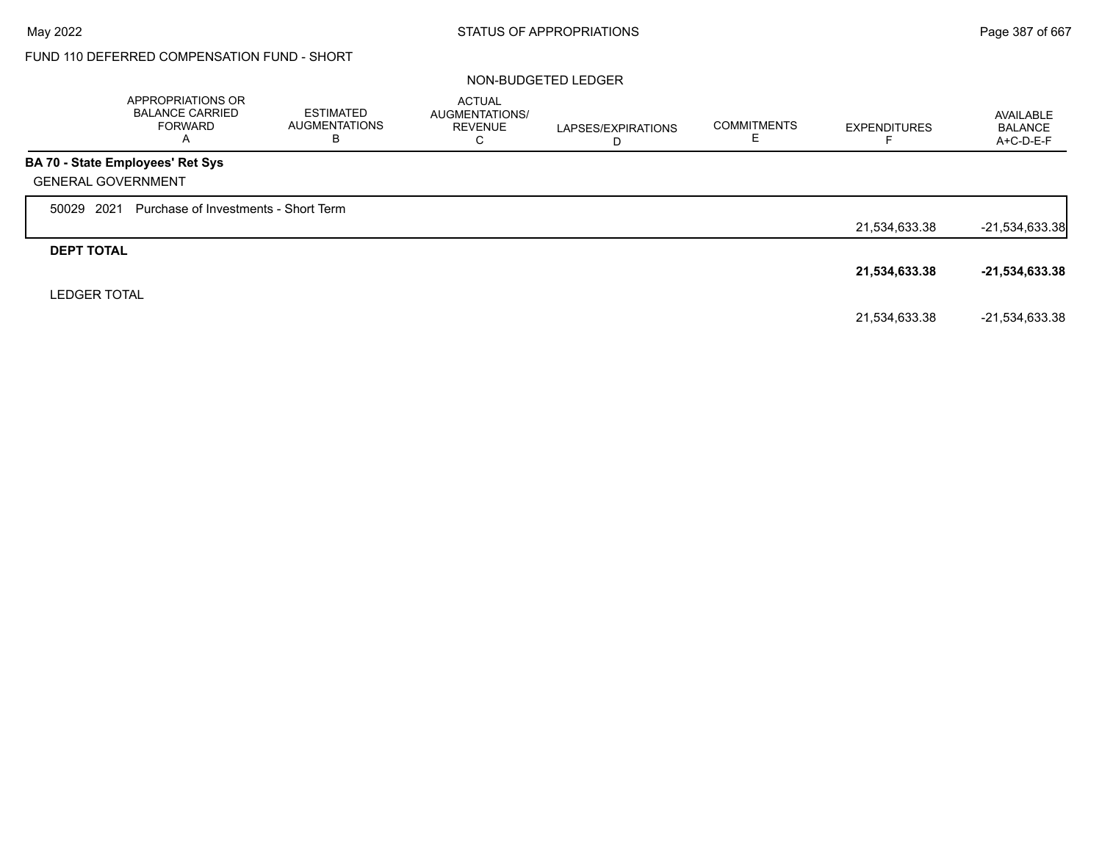# FUND 110 DEFERRED COMPENSATION FUND - SHORT

### NON-BUDGETED LEDGER

|                           | APPROPRIATIONS OR<br><b>BALANCE CARRIED</b><br><b>FORWARD</b><br>Α | ESTIMATED<br><b>AUGMENTATIONS</b><br>В | <b>ACTUAL</b><br><b>AUGMENTATIONS/</b><br><b>REVENUE</b><br>С | LAPSES/EXPIRATIONS<br>D | <b>COMMITMENTS</b><br>ᄂ | <b>EXPENDITURES</b> | AVAILABLE<br><b>BALANCE</b><br>A+C-D-E-F |
|---------------------------|--------------------------------------------------------------------|----------------------------------------|---------------------------------------------------------------|-------------------------|-------------------------|---------------------|------------------------------------------|
|                           | <b>BA 70 - State Employees' Ret Sys</b>                            |                                        |                                                               |                         |                         |                     |                                          |
| <b>GENERAL GOVERNMENT</b> |                                                                    |                                        |                                                               |                         |                         |                     |                                          |
| 2021<br>50029             | Purchase of Investments - Short Term                               |                                        |                                                               |                         |                         |                     |                                          |
|                           |                                                                    |                                        |                                                               |                         |                         | 21,534,633.38       | $-21,534,633.38$                         |
| <b>DEPT TOTAL</b>         |                                                                    |                                        |                                                               |                         |                         |                     |                                          |
|                           |                                                                    |                                        |                                                               |                         |                         | 21,534,633.38       | $-21,534,633.38$                         |
| <b>LEDGER TOTAL</b>       |                                                                    |                                        |                                                               |                         |                         |                     |                                          |
|                           |                                                                    |                                        |                                                               |                         |                         | 21,534,633.38       | -21,534,633.38                           |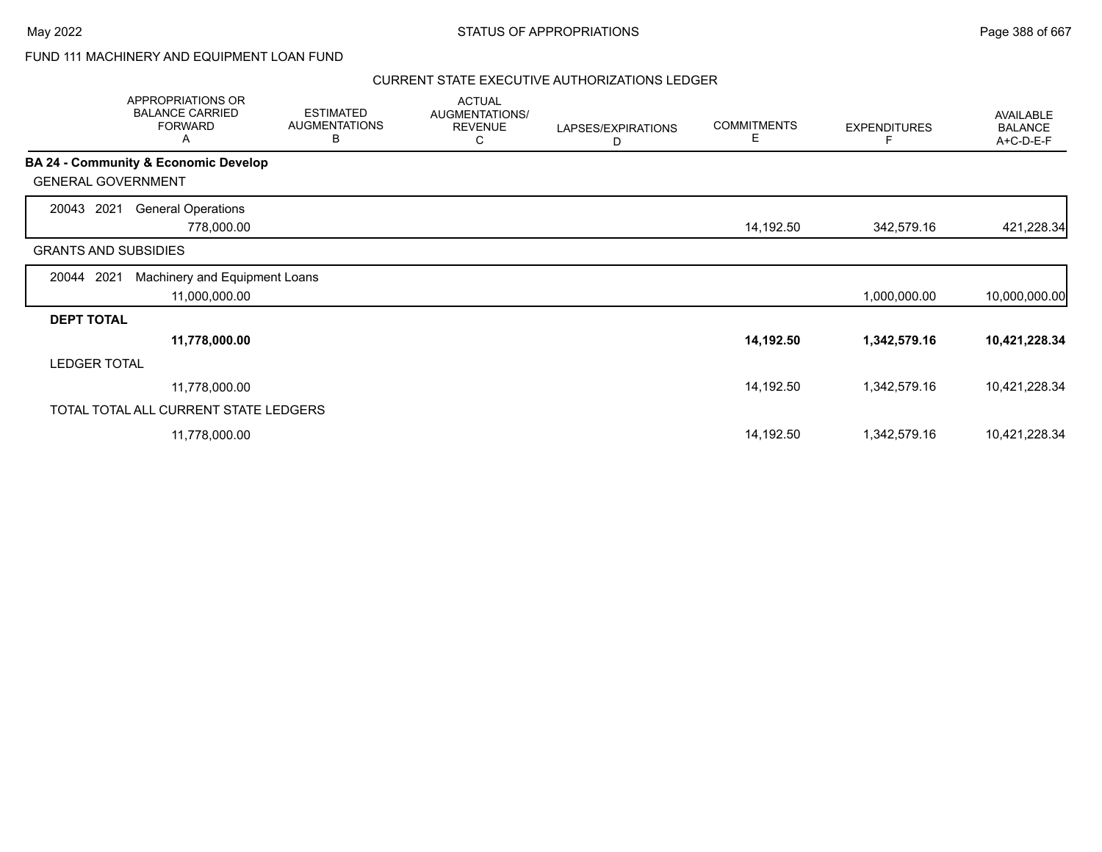# FUND 111 MACHINERY AND EQUIPMENT LOAN FUND

|                             | APPROPRIATIONS OR<br><b>BALANCE CARRIED</b><br><b>FORWARD</b><br>A | <b>ESTIMATED</b><br><b>AUGMENTATIONS</b><br>В | <b>ACTUAL</b><br>AUGMENTATIONS/<br><b>REVENUE</b><br>С | LAPSES/EXPIRATIONS<br>D | <b>COMMITMENTS</b><br>Е | <b>EXPENDITURES</b> | AVAILABLE<br><b>BALANCE</b><br>A+C-D-E-F |
|-----------------------------|--------------------------------------------------------------------|-----------------------------------------------|--------------------------------------------------------|-------------------------|-------------------------|---------------------|------------------------------------------|
|                             | <b>BA 24 - Community &amp; Economic Develop</b>                    |                                               |                                                        |                         |                         |                     |                                          |
| <b>GENERAL GOVERNMENT</b>   |                                                                    |                                               |                                                        |                         |                         |                     |                                          |
| 20043<br>2021               | <b>General Operations</b>                                          |                                               |                                                        |                         |                         |                     |                                          |
|                             | 778,000.00                                                         |                                               |                                                        |                         | 14,192.50               | 342,579.16          | 421,228.34                               |
| <b>GRANTS AND SUBSIDIES</b> |                                                                    |                                               |                                                        |                         |                         |                     |                                          |
| 20044 2021                  | Machinery and Equipment Loans                                      |                                               |                                                        |                         |                         |                     |                                          |
|                             | 11,000,000.00                                                      |                                               |                                                        |                         |                         | 1,000,000.00        | 10,000,000.00                            |
| <b>DEPT TOTAL</b>           |                                                                    |                                               |                                                        |                         |                         |                     |                                          |
|                             | 11,778,000.00                                                      |                                               |                                                        |                         | 14,192.50               | 1,342,579.16        | 10,421,228.34                            |
| <b>LEDGER TOTAL</b>         |                                                                    |                                               |                                                        |                         |                         |                     |                                          |
|                             | 11,778,000.00                                                      |                                               |                                                        |                         | 14,192.50               | 1,342,579.16        | 10,421,228.34                            |
|                             | TOTAL TOTAL ALL CURRENT STATE LEDGERS                              |                                               |                                                        |                         |                         |                     |                                          |
|                             | 11,778,000.00                                                      |                                               |                                                        |                         | 14,192.50               | 1,342,579.16        | 10,421,228.34                            |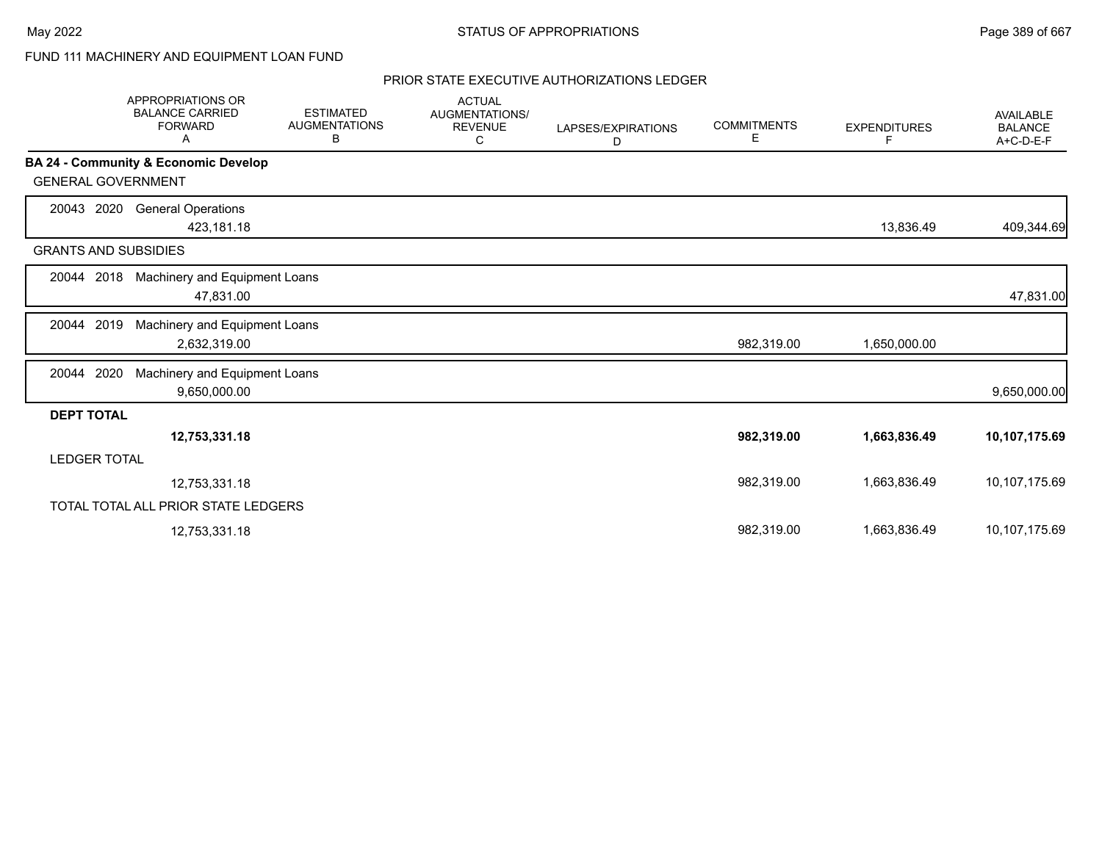# FUND 111 MACHINERY AND EQUIPMENT LOAN FUND

|                             | <b>APPROPRIATIONS OR</b><br><b>BALANCE CARRIED</b><br><b>FORWARD</b><br>Α | <b>ESTIMATED</b><br><b>AUGMENTATIONS</b><br>В | <b>ACTUAL</b><br><b>AUGMENTATIONS/</b><br><b>REVENUE</b><br>С | LAPSES/EXPIRATIONS<br>D | <b>COMMITMENTS</b><br>Е | <b>EXPENDITURES</b><br>F. | AVAILABLE<br><b>BALANCE</b><br>A+C-D-E-F |
|-----------------------------|---------------------------------------------------------------------------|-----------------------------------------------|---------------------------------------------------------------|-------------------------|-------------------------|---------------------------|------------------------------------------|
|                             | BA 24 - Community & Economic Develop                                      |                                               |                                                               |                         |                         |                           |                                          |
| <b>GENERAL GOVERNMENT</b>   |                                                                           |                                               |                                                               |                         |                         |                           |                                          |
| 20043 2020                  | <b>General Operations</b><br>423,181.18                                   |                                               |                                                               |                         |                         | 13,836.49                 | 409,344.69                               |
| <b>GRANTS AND SUBSIDIES</b> |                                                                           |                                               |                                                               |                         |                         |                           |                                          |
| 20044 2018                  | Machinery and Equipment Loans<br>47,831.00                                |                                               |                                                               |                         |                         |                           | 47,831.00                                |
| 20044 2019                  | Machinery and Equipment Loans<br>2,632,319.00                             |                                               |                                                               |                         | 982,319.00              | 1,650,000.00              |                                          |
| 20044 2020                  | Machinery and Equipment Loans<br>9,650,000.00                             |                                               |                                                               |                         |                         |                           | 9,650,000.00                             |
| <b>DEPT TOTAL</b>           |                                                                           |                                               |                                                               |                         |                         |                           |                                          |
|                             | 12,753,331.18                                                             |                                               |                                                               |                         | 982,319.00              | 1,663,836.49              | 10,107,175.69                            |
| <b>LEDGER TOTAL</b>         |                                                                           |                                               |                                                               |                         |                         |                           |                                          |
|                             | 12,753,331.18                                                             |                                               |                                                               |                         | 982,319.00              | 1,663,836.49              | 10,107,175.69                            |
|                             | TOTAL TOTAL ALL PRIOR STATE LEDGERS                                       |                                               |                                                               |                         |                         |                           |                                          |
|                             | 12,753,331.18                                                             |                                               |                                                               |                         | 982,319.00              | 1,663,836.49              | 10,107,175.69                            |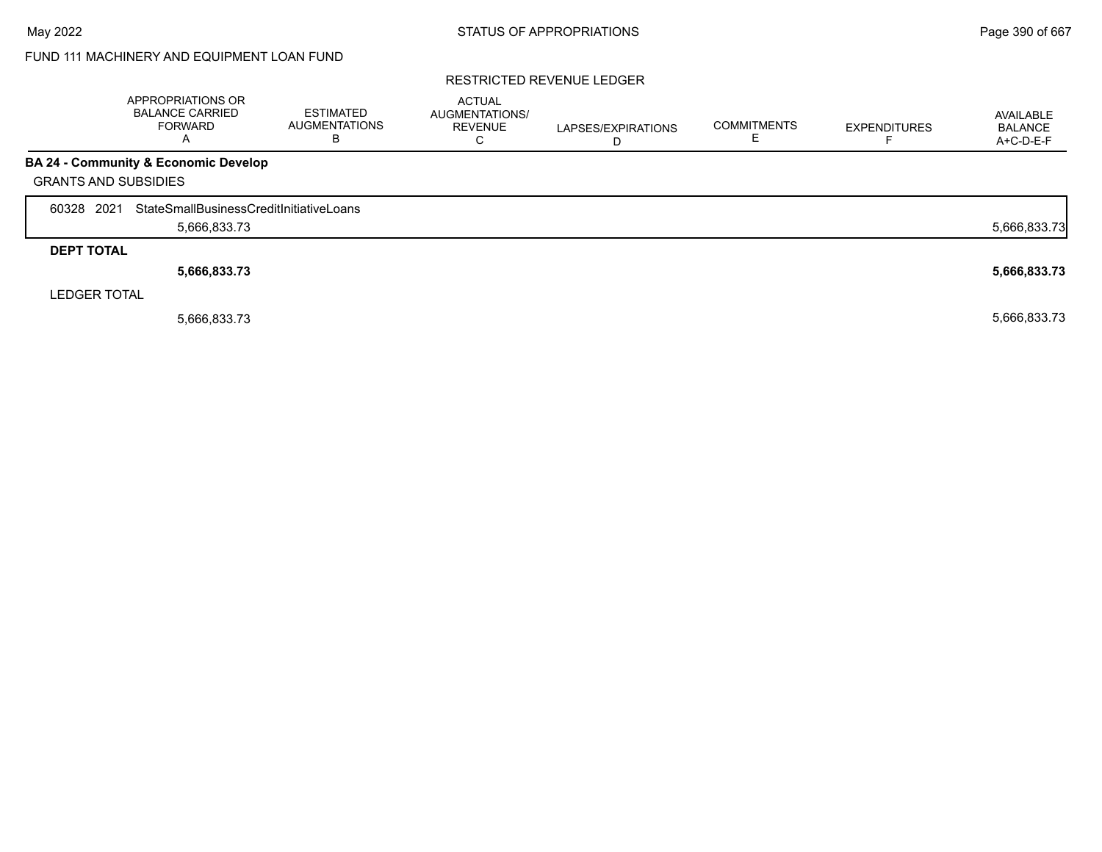# FUND 111 MACHINERY AND EQUIPMENT LOAN FUND

### RESTRICTED REVENUE LEDGER

|                             | APPROPRIATIONS OR<br><b>BALANCE CARRIED</b><br><b>FORWARD</b><br>$\overline{\mathsf{A}}$ | <b>ESTIMATED</b><br><b>AUGMENTATIONS</b><br>B | <b>ACTUAL</b><br><b>AUGMENTATIONS/</b><br><b>REVENUE</b><br>U | LAPSES/EXPIRATIONS<br>D | <b>COMMITMENTS</b> | <b>EXPENDITURES</b> | AVAILABLE<br><b>BALANCE</b><br>A+C-D-E-F |
|-----------------------------|------------------------------------------------------------------------------------------|-----------------------------------------------|---------------------------------------------------------------|-------------------------|--------------------|---------------------|------------------------------------------|
|                             | <b>BA 24 - Community &amp; Economic Develop</b>                                          |                                               |                                                               |                         |                    |                     |                                          |
| <b>GRANTS AND SUBSIDIES</b> |                                                                                          |                                               |                                                               |                         |                    |                     |                                          |
| 2021<br>60328               | StateSmallBusinessCreditInitiativeLoans                                                  |                                               |                                                               |                         |                    |                     |                                          |
|                             | 5,666,833.73                                                                             |                                               |                                                               |                         |                    |                     | 5,666,833.73                             |
| <b>DEPT TOTAL</b>           |                                                                                          |                                               |                                                               |                         |                    |                     |                                          |
|                             | 5,666,833.73                                                                             |                                               |                                                               |                         |                    |                     | 5,666,833.73                             |
| <b>LEDGER TOTAL</b>         |                                                                                          |                                               |                                                               |                         |                    |                     |                                          |
|                             | 5,666,833.73                                                                             |                                               |                                                               |                         |                    |                     | 5,666,833.73                             |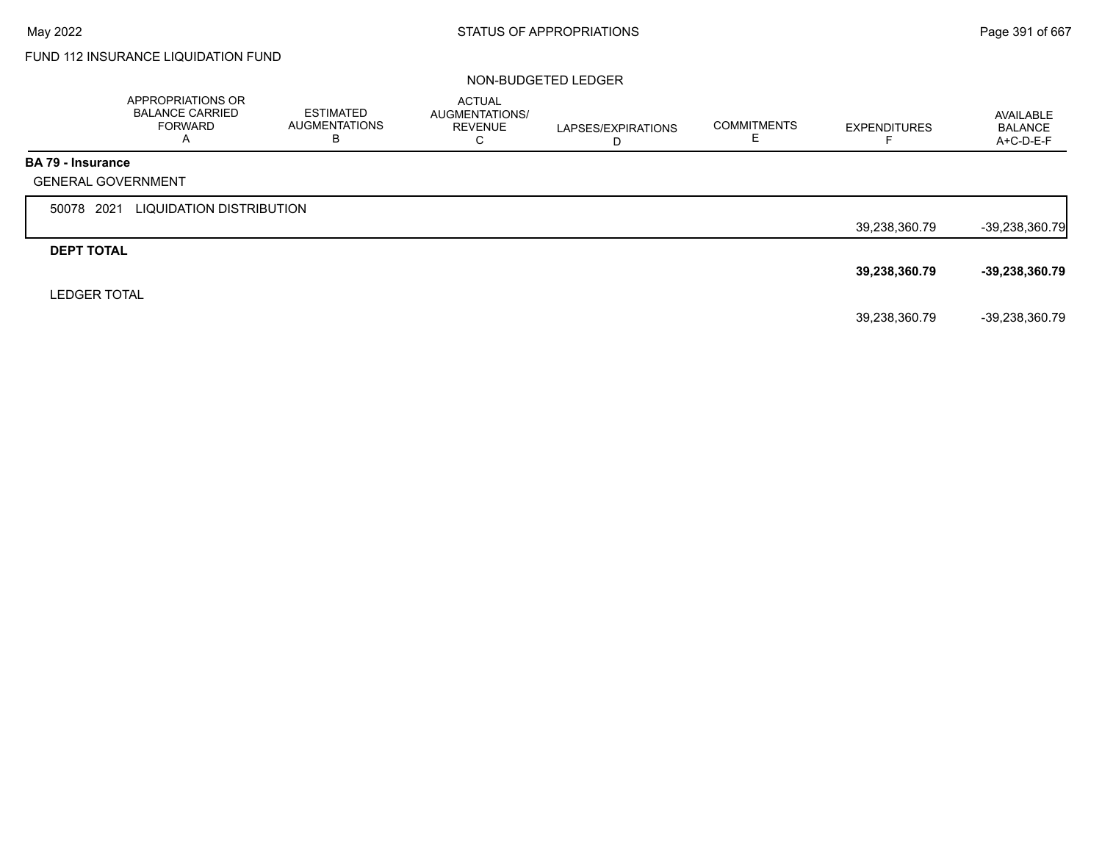# FUND 112 INSURANCE LIQUIDATION FUND

#### NON-BUDGETED LEDGER

|                          | APPROPRIATIONS OR<br><b>BALANCE CARRIED</b><br><b>FORWARD</b><br>A | <b>ESTIMATED</b><br><b>AUGMENTATIONS</b><br>В | <b>ACTUAL</b><br>AUGMENTATIONS/<br><b>REVENUE</b><br>C | LAPSES/EXPIRATIONS<br>D | <b>COMMITMENTS</b> | <b>EXPENDITURES</b><br>⊢ | AVAILABLE<br><b>BALANCE</b><br>A+C-D-E-F |
|--------------------------|--------------------------------------------------------------------|-----------------------------------------------|--------------------------------------------------------|-------------------------|--------------------|--------------------------|------------------------------------------|
| <b>BA 79 - Insurance</b> |                                                                    |                                               |                                                        |                         |                    |                          |                                          |
|                          | <b>GENERAL GOVERNMENT</b>                                          |                                               |                                                        |                         |                    |                          |                                          |
| 50078 2021               | LIQUIDATION DISTRIBUTION                                           |                                               |                                                        |                         |                    |                          |                                          |
|                          |                                                                    |                                               |                                                        |                         |                    | 39,238,360.79            | $-39,238,360.79$                         |
| <b>DEPT TOTAL</b>        |                                                                    |                                               |                                                        |                         |                    |                          |                                          |
|                          |                                                                    |                                               |                                                        |                         |                    | 39,238,360.79            | $-39,238,360.79$                         |
| <b>LEDGER TOTAL</b>      |                                                                    |                                               |                                                        |                         |                    |                          |                                          |
|                          |                                                                    |                                               |                                                        |                         |                    | 39,238,360.79            | -39,238,360.79                           |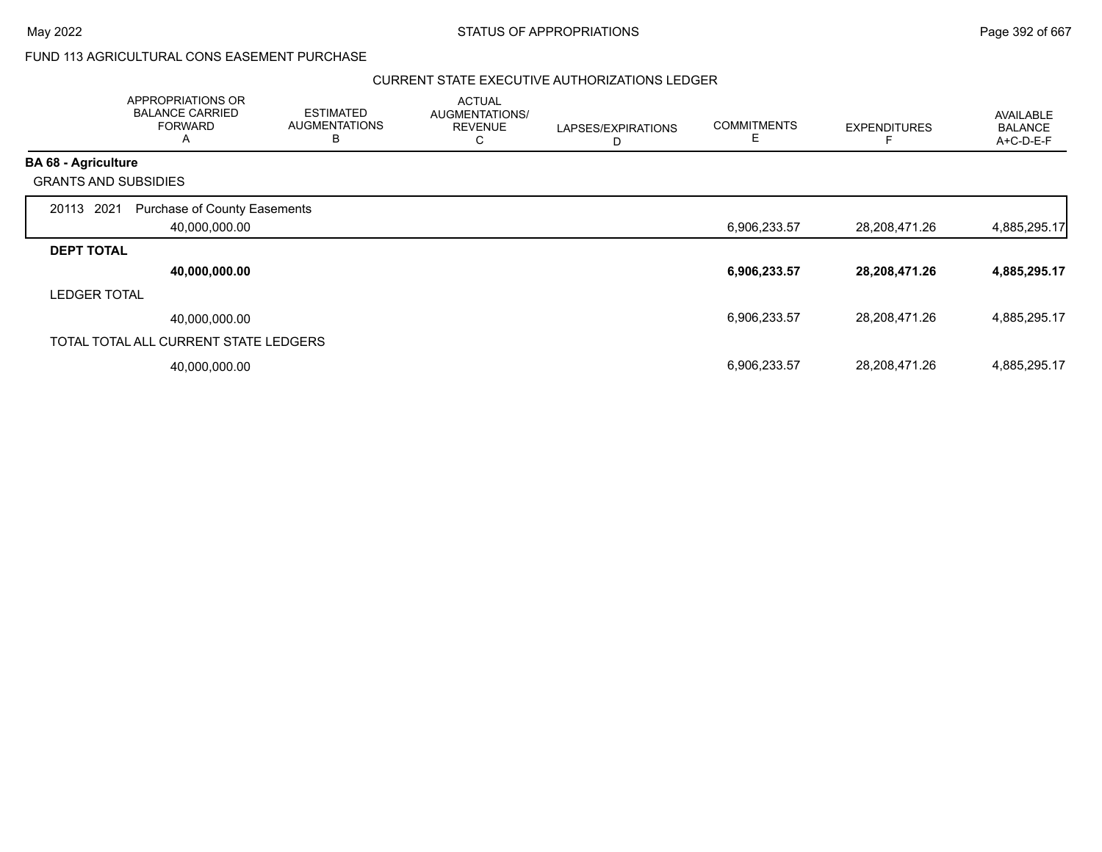# FUND 113 AGRICULTURAL CONS EASEMENT PURCHASE

|                            | APPROPRIATIONS OR<br><b>BALANCE CARRIED</b><br><b>FORWARD</b><br>A | <b>ESTIMATED</b><br><b>AUGMENTATIONS</b><br>B | <b>ACTUAL</b><br>AUGMENTATIONS/<br><b>REVENUE</b><br>С | LAPSES/EXPIRATIONS<br>D | <b>COMMITMENTS</b><br>Е | <b>EXPENDITURES</b> | <b>AVAILABLE</b><br><b>BALANCE</b><br>A+C-D-E-F |
|----------------------------|--------------------------------------------------------------------|-----------------------------------------------|--------------------------------------------------------|-------------------------|-------------------------|---------------------|-------------------------------------------------|
| <b>BA 68 - Agriculture</b> |                                                                    |                                               |                                                        |                         |                         |                     |                                                 |
|                            | <b>GRANTS AND SUBSIDIES</b>                                        |                                               |                                                        |                         |                         |                     |                                                 |
| 20113                      | 2021<br><b>Purchase of County Easements</b><br>40,000,000.00       |                                               |                                                        |                         | 6,906,233.57            | 28,208,471.26       | 4,885,295.17                                    |
| <b>DEPT TOTAL</b>          |                                                                    |                                               |                                                        |                         |                         |                     |                                                 |
|                            | 40,000,000.00                                                      |                                               |                                                        |                         | 6,906,233.57            | 28,208,471.26       | 4,885,295.17                                    |
| <b>LEDGER TOTAL</b>        |                                                                    |                                               |                                                        |                         |                         |                     |                                                 |
|                            | 40,000,000.00                                                      |                                               |                                                        |                         | 6,906,233.57            | 28,208,471.26       | 4,885,295.17                                    |
|                            | TOTAL TOTAL ALL CURRENT STATE LEDGERS                              |                                               |                                                        |                         |                         |                     |                                                 |
|                            | 40,000,000.00                                                      |                                               |                                                        |                         | 6,906,233.57            | 28,208,471.26       | 4,885,295.17                                    |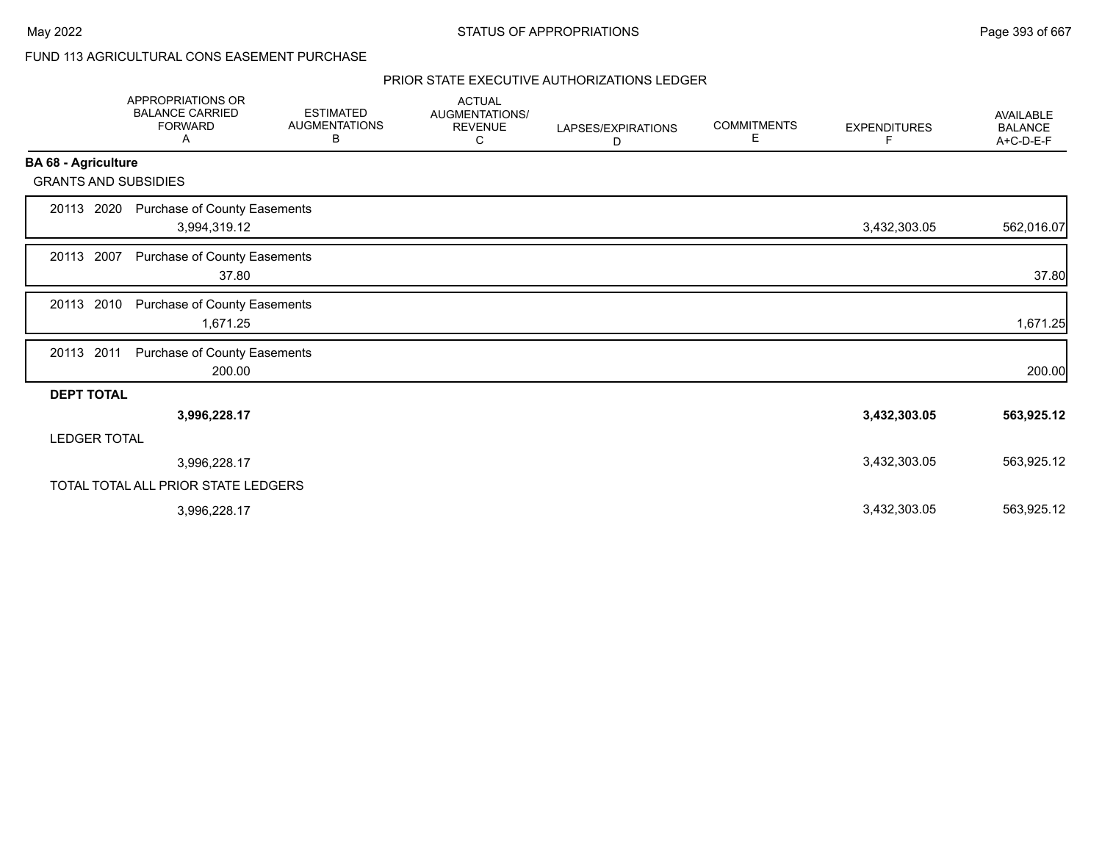# FUND 113 AGRICULTURAL CONS EASEMENT PURCHASE

|                             | <b>APPROPRIATIONS OR</b><br><b>BALANCE CARRIED</b><br><b>FORWARD</b><br>Α | <b>ESTIMATED</b><br><b>AUGMENTATIONS</b><br>В | <b>ACTUAL</b><br>AUGMENTATIONS/<br><b>REVENUE</b><br>С | LAPSES/EXPIRATIONS<br>D | <b>COMMITMENTS</b><br>Е | <b>EXPENDITURES</b><br>F | <b>AVAILABLE</b><br><b>BALANCE</b><br>A+C-D-E-F |
|-----------------------------|---------------------------------------------------------------------------|-----------------------------------------------|--------------------------------------------------------|-------------------------|-------------------------|--------------------------|-------------------------------------------------|
| <b>BA 68 - Agriculture</b>  |                                                                           |                                               |                                                        |                         |                         |                          |                                                 |
| <b>GRANTS AND SUBSIDIES</b> |                                                                           |                                               |                                                        |                         |                         |                          |                                                 |
| 20113 2020                  | Purchase of County Easements<br>3,994,319.12                              |                                               |                                                        |                         |                         | 3,432,303.05             | 562,016.07                                      |
| 20113 2007                  | Purchase of County Easements<br>37.80                                     |                                               |                                                        |                         |                         |                          | 37.80                                           |
| 20113 2010                  | Purchase of County Easements<br>1,671.25                                  |                                               |                                                        |                         |                         |                          | 1,671.25                                        |
| 20113 2011                  | Purchase of County Easements<br>200.00                                    |                                               |                                                        |                         |                         |                          | 200.00                                          |
| <b>DEPT TOTAL</b>           |                                                                           |                                               |                                                        |                         |                         |                          |                                                 |
|                             | 3,996,228.17                                                              |                                               |                                                        |                         |                         | 3,432,303.05             | 563,925.12                                      |
| <b>LEDGER TOTAL</b>         |                                                                           |                                               |                                                        |                         |                         |                          |                                                 |
|                             | 3,996,228.17                                                              |                                               |                                                        |                         |                         | 3,432,303.05             | 563,925.12                                      |
|                             | TOTAL TOTAL ALL PRIOR STATE LEDGERS                                       |                                               |                                                        |                         |                         |                          |                                                 |
|                             | 3,996,228.17                                                              |                                               |                                                        |                         |                         | 3,432,303.05             | 563,925.12                                      |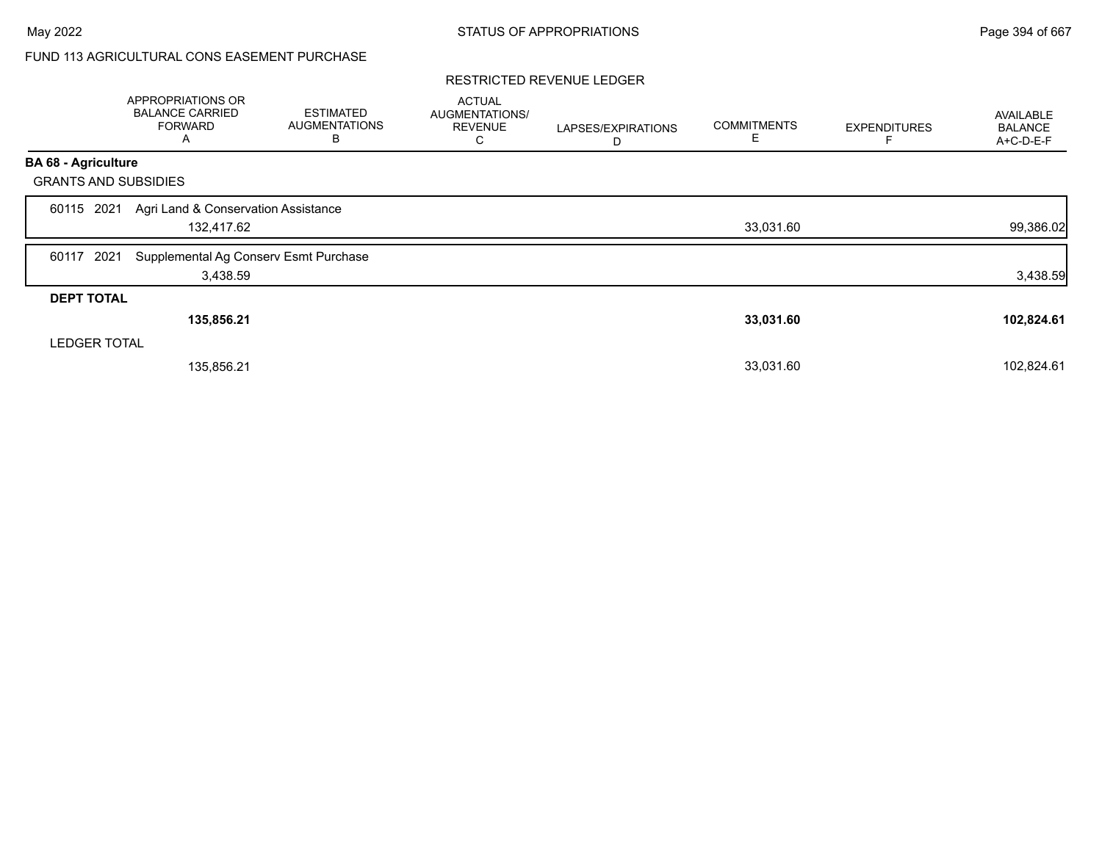# FUND 113 AGRICULTURAL CONS EASEMENT PURCHASE

#### RESTRICTED REVENUE LEDGER

|                             | APPROPRIATIONS OR<br><b>BALANCE CARRIED</b><br><b>FORWARD</b><br>A | <b>ESTIMATED</b><br><b>AUGMENTATIONS</b><br>В | <b>ACTUAL</b><br>AUGMENTATIONS/<br><b>REVENUE</b><br>С | LAPSES/EXPIRATIONS<br>D | <b>COMMITMENTS</b><br>Е | <b>EXPENDITURES</b> | <b>AVAILABLE</b><br><b>BALANCE</b><br>A+C-D-E-F |
|-----------------------------|--------------------------------------------------------------------|-----------------------------------------------|--------------------------------------------------------|-------------------------|-------------------------|---------------------|-------------------------------------------------|
| <b>BA 68 - Agriculture</b>  |                                                                    |                                               |                                                        |                         |                         |                     |                                                 |
| <b>GRANTS AND SUBSIDIES</b> |                                                                    |                                               |                                                        |                         |                         |                     |                                                 |
| 2021<br>60115               | Agri Land & Conservation Assistance<br>132,417.62                  |                                               |                                                        |                         | 33,031.60               |                     | 99,386.02                                       |
| 2021<br>60117               | Supplemental Ag Conserv Esmt Purchase<br>3,438.59                  |                                               |                                                        |                         |                         |                     | 3,438.59                                        |
| <b>DEPT TOTAL</b>           |                                                                    |                                               |                                                        |                         |                         |                     |                                                 |
|                             | 135,856.21                                                         |                                               |                                                        |                         | 33,031.60               |                     | 102,824.61                                      |
| <b>LEDGER TOTAL</b>         |                                                                    |                                               |                                                        |                         |                         |                     |                                                 |
|                             | 135,856.21                                                         |                                               |                                                        |                         | 33,031.60               |                     | 102,824.61                                      |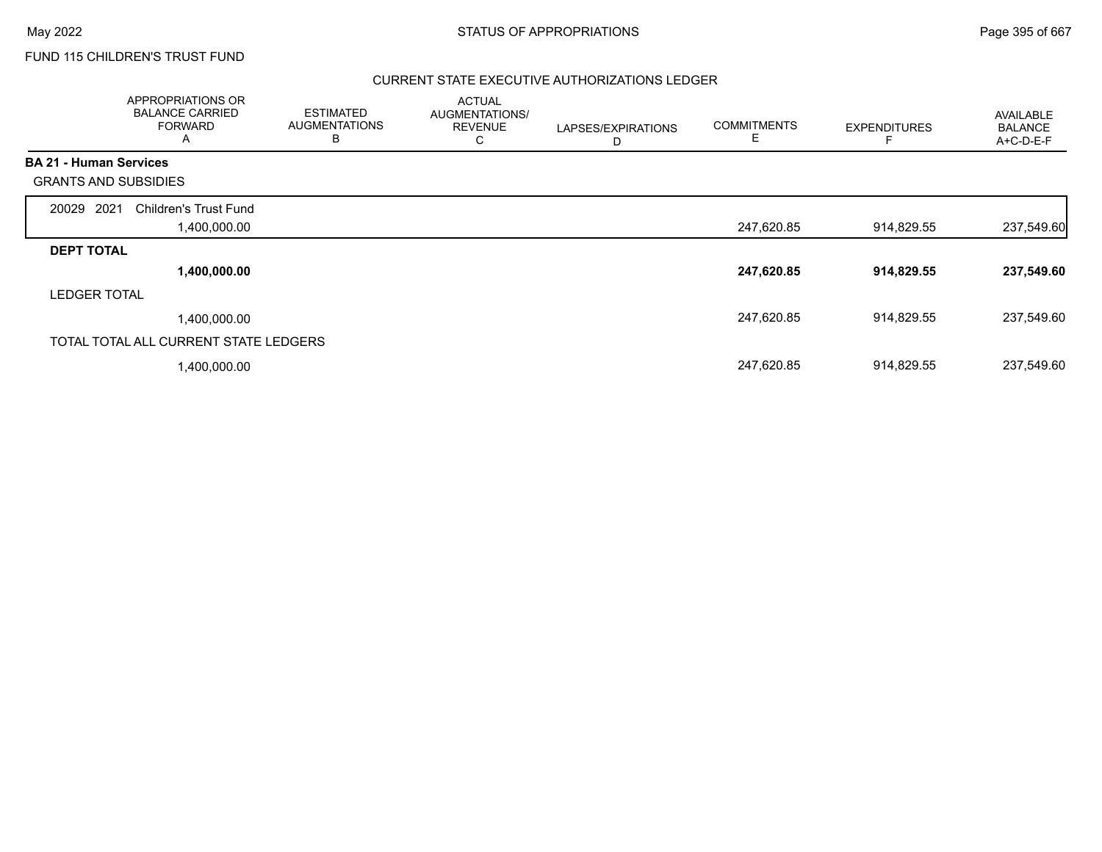FUND 115 CHILDREN'S TRUST FUND

|                               | APPROPRIATIONS OR<br><b>BALANCE CARRIED</b><br><b>FORWARD</b><br>A | <b>ESTIMATED</b><br><b>AUGMENTATIONS</b><br>B | <b>ACTUAL</b><br>AUGMENTATIONS/<br><b>REVENUE</b><br>С | LAPSES/EXPIRATIONS<br>D | <b>COMMITMENTS</b><br>Е | <b>EXPENDITURES</b> | <b>AVAILABLE</b><br><b>BALANCE</b><br>A+C-D-E-F |
|-------------------------------|--------------------------------------------------------------------|-----------------------------------------------|--------------------------------------------------------|-------------------------|-------------------------|---------------------|-------------------------------------------------|
| <b>BA 21 - Human Services</b> |                                                                    |                                               |                                                        |                         |                         |                     |                                                 |
| <b>GRANTS AND SUBSIDIES</b>   |                                                                    |                                               |                                                        |                         |                         |                     |                                                 |
| 2021<br>20029                 | <b>Children's Trust Fund</b>                                       |                                               |                                                        |                         |                         |                     |                                                 |
|                               | 00.000.00, ا                                                       |                                               |                                                        |                         | 247,620.85              | 914,829.55          | 237,549.60                                      |
| <b>DEPT TOTAL</b>             |                                                                    |                                               |                                                        |                         |                         |                     |                                                 |
|                               | 1,400,000.00                                                       |                                               |                                                        |                         | 247,620.85              | 914,829.55          | 237,549.60                                      |
| <b>LEDGER TOTAL</b>           |                                                                    |                                               |                                                        |                         |                         |                     |                                                 |
|                               | 1,400,000.00                                                       |                                               |                                                        |                         | 247,620.85              | 914,829.55          | 237,549.60                                      |
|                               | TOTAL TOTAL ALL CURRENT STATE LEDGERS                              |                                               |                                                        |                         |                         |                     |                                                 |
|                               | 1,400,000.00                                                       |                                               |                                                        |                         | 247,620.85              | 914,829.55          | 237,549.60                                      |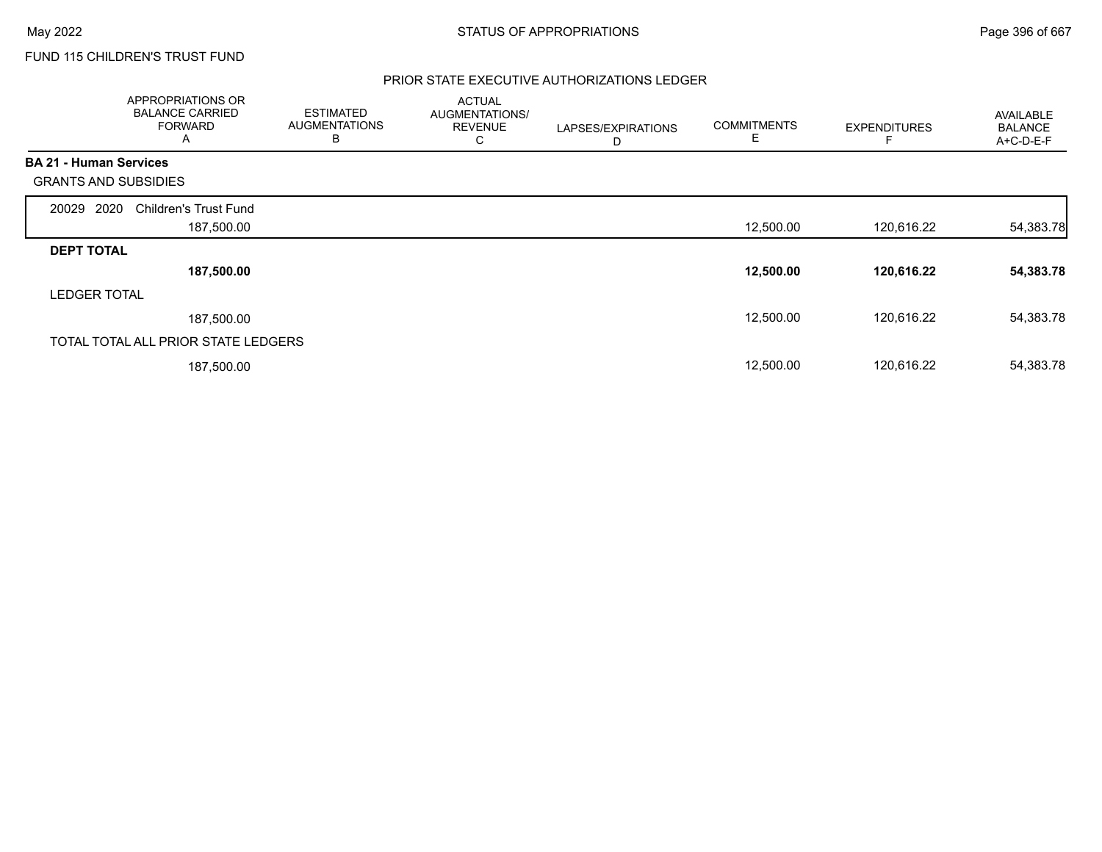FUND 115 CHILDREN'S TRUST FUND

|                               | APPROPRIATIONS OR<br><b>BALANCE CARRIED</b><br><b>FORWARD</b><br>A | <b>ESTIMATED</b><br><b>AUGMENTATIONS</b><br>в | <b>ACTUAL</b><br>AUGMENTATIONS/<br><b>REVENUE</b><br>С | LAPSES/EXPIRATIONS<br>D | <b>COMMITMENTS</b><br>Е | <b>EXPENDITURES</b> | <b>AVAILABLE</b><br><b>BALANCE</b><br>A+C-D-E-F |
|-------------------------------|--------------------------------------------------------------------|-----------------------------------------------|--------------------------------------------------------|-------------------------|-------------------------|---------------------|-------------------------------------------------|
| <b>BA 21 - Human Services</b> |                                                                    |                                               |                                                        |                         |                         |                     |                                                 |
| <b>GRANTS AND SUBSIDIES</b>   |                                                                    |                                               |                                                        |                         |                         |                     |                                                 |
| 2020<br>20029                 | <b>Children's Trust Fund</b>                                       |                                               |                                                        |                         |                         |                     |                                                 |
|                               | 187,500.00                                                         |                                               |                                                        |                         | 12,500.00               | 120,616.22          | 54,383.78                                       |
| <b>DEPT TOTAL</b>             |                                                                    |                                               |                                                        |                         |                         |                     |                                                 |
|                               | 187,500.00                                                         |                                               |                                                        |                         | 12,500.00               | 120,616.22          | 54,383.78                                       |
| <b>LEDGER TOTAL</b>           |                                                                    |                                               |                                                        |                         |                         |                     |                                                 |
|                               | 187,500.00                                                         |                                               |                                                        |                         | 12,500.00               | 120,616.22          | 54,383.78                                       |
|                               | TOTAL TOTAL ALL PRIOR STATE LEDGERS                                |                                               |                                                        |                         |                         |                     |                                                 |
|                               | 187,500.00                                                         |                                               |                                                        |                         | 12,500.00               | 120,616.22          | 54,383.78                                       |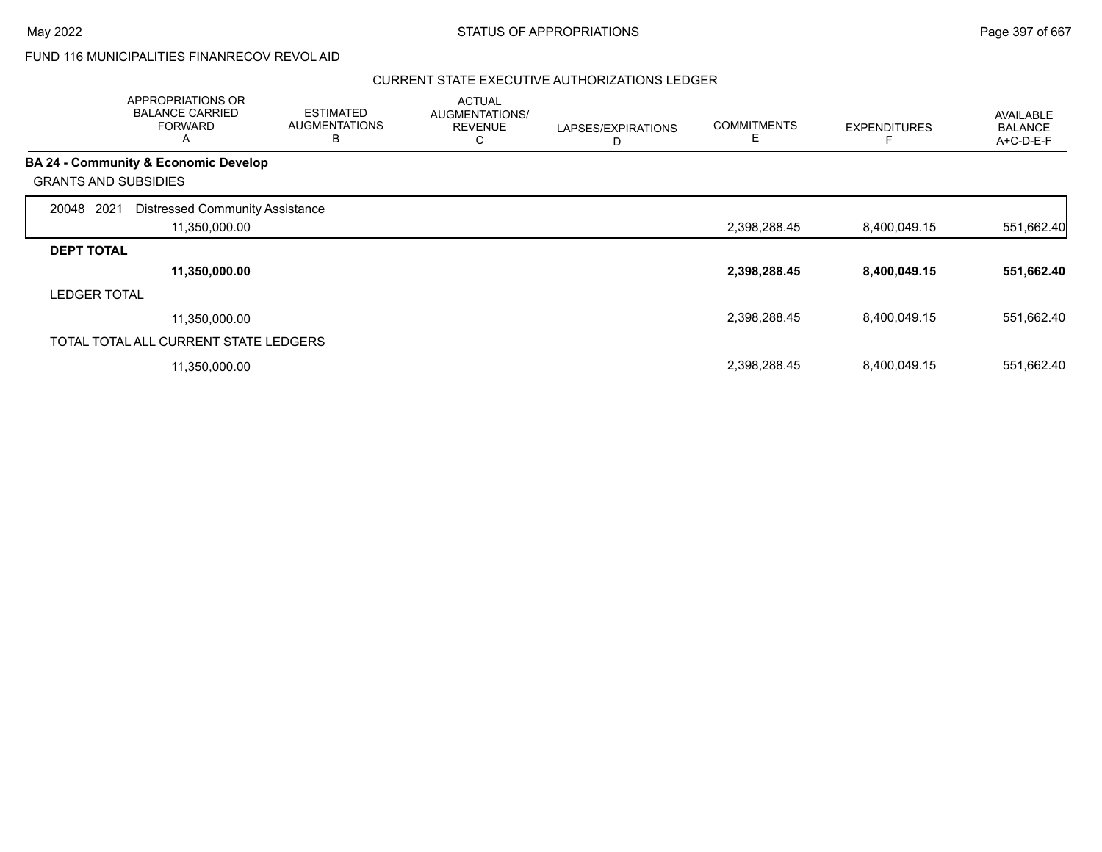# FUND 116 MUNICIPALITIES FINANRECOV REVOL AID

|                     | <b>APPROPRIATIONS OR</b><br><b>BALANCE CARRIED</b><br><b>FORWARD</b><br>$\mathsf{A}$ | <b>ESTIMATED</b><br><b>AUGMENTATIONS</b><br>В | <b>ACTUAL</b><br>AUGMENTATIONS/<br><b>REVENUE</b><br>C | LAPSES/EXPIRATIONS<br>D | <b>COMMITMENTS</b><br>Ε | <b>EXPENDITURES</b> | <b>AVAILABLE</b><br><b>BALANCE</b><br>A+C-D-E-F |
|---------------------|--------------------------------------------------------------------------------------|-----------------------------------------------|--------------------------------------------------------|-------------------------|-------------------------|---------------------|-------------------------------------------------|
|                     | <b>BA 24 - Community &amp; Economic Develop</b>                                      |                                               |                                                        |                         |                         |                     |                                                 |
|                     | <b>GRANTS AND SUBSIDIES</b>                                                          |                                               |                                                        |                         |                         |                     |                                                 |
| 20048               | 2021<br><b>Distressed Community Assistance</b>                                       |                                               |                                                        |                         |                         |                     |                                                 |
|                     | 11,350,000.00                                                                        |                                               |                                                        |                         | 2,398,288.45            | 8,400,049.15        | 551,662.40                                      |
| <b>DEPT TOTAL</b>   |                                                                                      |                                               |                                                        |                         |                         |                     |                                                 |
|                     | 11,350,000.00                                                                        |                                               |                                                        |                         | 2,398,288.45            | 8,400,049.15        | 551,662.40                                      |
| <b>LEDGER TOTAL</b> |                                                                                      |                                               |                                                        |                         |                         |                     |                                                 |
|                     | 11,350,000.00                                                                        |                                               |                                                        |                         | 2,398,288.45            | 8,400,049.15        | 551,662.40                                      |
|                     | TOTAL TOTAL ALL CURRENT STATE LEDGERS                                                |                                               |                                                        |                         |                         |                     |                                                 |
|                     | 11,350,000.00                                                                        |                                               |                                                        |                         | 2,398,288.45            | 8,400,049.15        | 551,662.40                                      |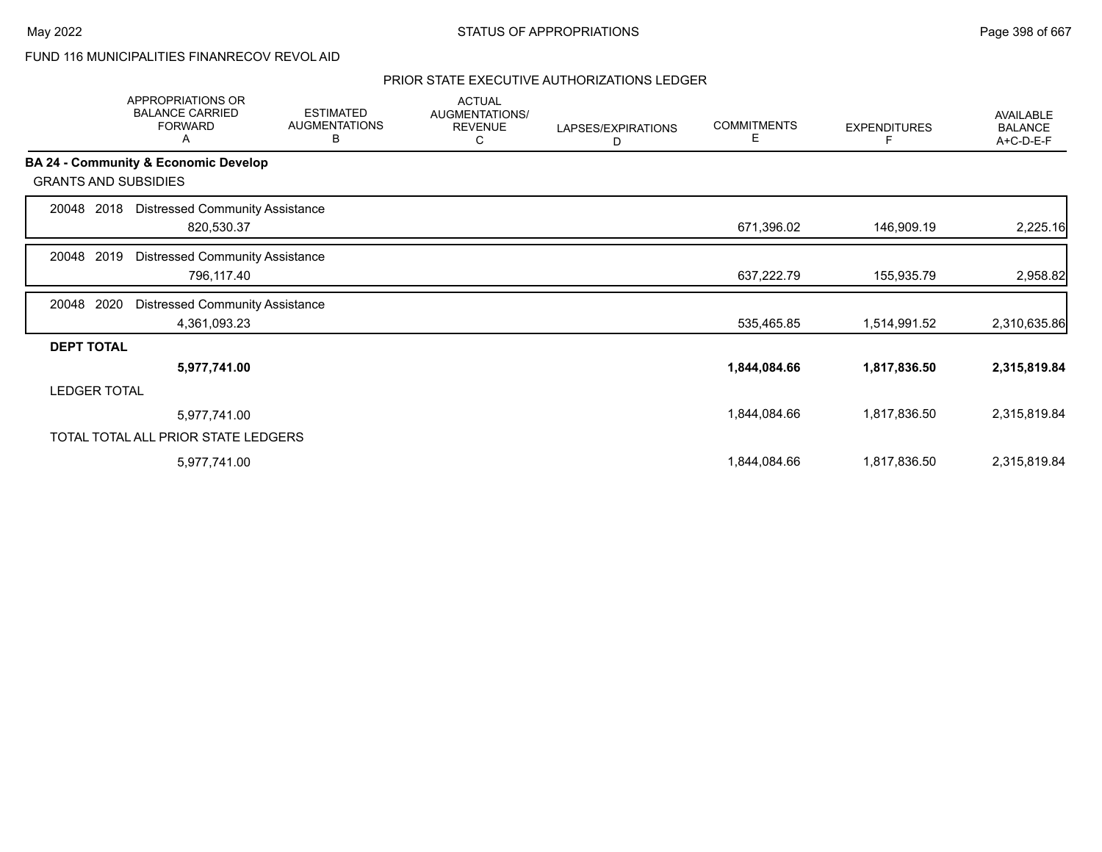FUND 116 MUNICIPALITIES FINANRECOV REVOL AID

|                             | APPROPRIATIONS OR<br><b>BALANCE CARRIED</b><br><b>FORWARD</b><br>Α | <b>ESTIMATED</b><br><b>AUGMENTATIONS</b><br>в | <b>ACTUAL</b><br>AUGMENTATIONS/<br><b>REVENUE</b><br>С | LAPSES/EXPIRATIONS<br>D | <b>COMMITMENTS</b><br>Е | <b>EXPENDITURES</b> | AVAILABLE<br><b>BALANCE</b><br>A+C-D-E-F |
|-----------------------------|--------------------------------------------------------------------|-----------------------------------------------|--------------------------------------------------------|-------------------------|-------------------------|---------------------|------------------------------------------|
|                             | BA 24 - Community & Economic Develop                               |                                               |                                                        |                         |                         |                     |                                          |
| <b>GRANTS AND SUBSIDIES</b> |                                                                    |                                               |                                                        |                         |                         |                     |                                          |
| 2018<br>20048               | <b>Distressed Community Assistance</b><br>820,530.37               |                                               |                                                        |                         | 671,396.02              | 146,909.19          | 2,225.16                                 |
| 2019<br>20048               | <b>Distressed Community Assistance</b><br>796,117.40               |                                               |                                                        |                         | 637,222.79              | 155,935.79          | 2,958.82                                 |
| 2020<br>20048               | <b>Distressed Community Assistance</b><br>4,361,093.23             |                                               |                                                        |                         | 535,465.85              | 1,514,991.52        | 2,310,635.86                             |
| <b>DEPT TOTAL</b>           |                                                                    |                                               |                                                        |                         |                         |                     |                                          |
|                             | 5,977,741.00                                                       |                                               |                                                        |                         | 1,844,084.66            | 1,817,836.50        | 2,315,819.84                             |
| <b>LEDGER TOTAL</b>         |                                                                    |                                               |                                                        |                         |                         |                     |                                          |
|                             | 5,977,741.00                                                       |                                               |                                                        |                         | 1,844,084.66            | 1,817,836.50        | 2,315,819.84                             |
|                             | TOTAL TOTAL ALL PRIOR STATE LEDGERS                                |                                               |                                                        |                         |                         |                     |                                          |
|                             | 5,977,741.00                                                       |                                               |                                                        |                         | 1,844,084.66            | 1,817,836.50        | 2,315,819.84                             |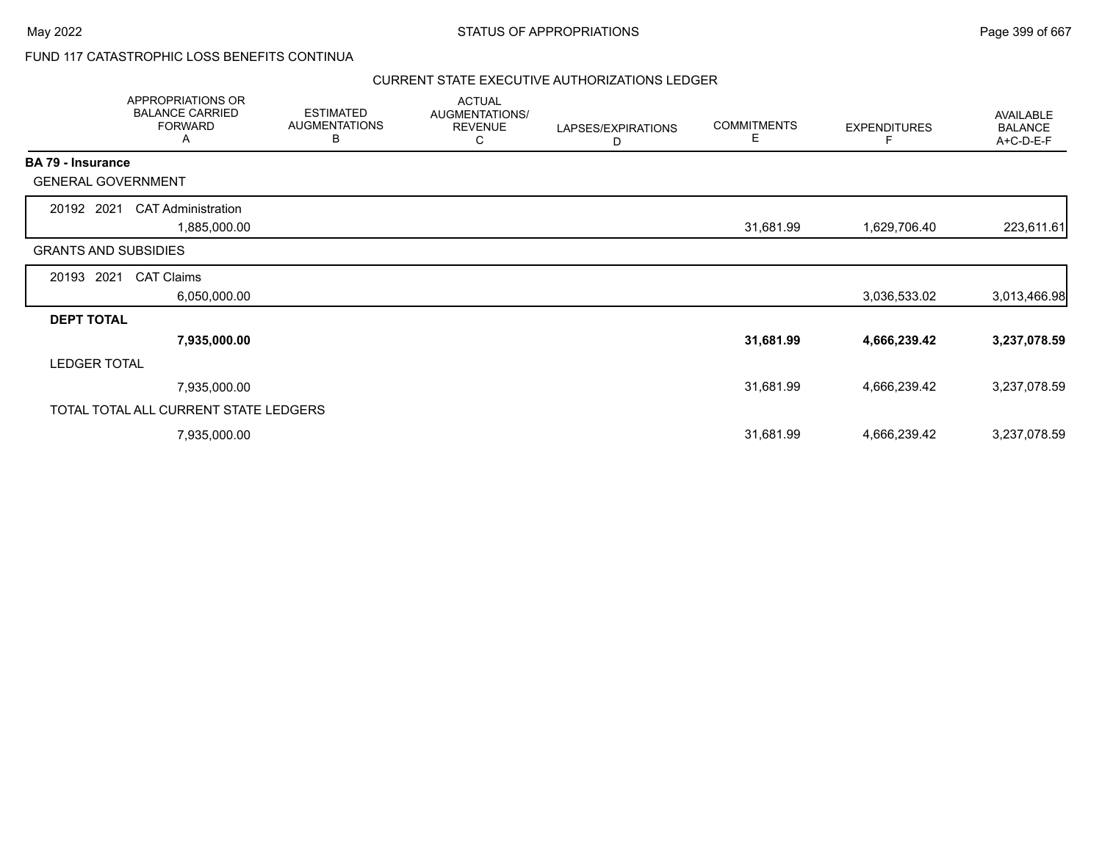# FUND 117 CATASTROPHIC LOSS BENEFITS CONTINUA

|                          | APPROPRIATIONS OR<br><b>BALANCE CARRIED</b><br><b>FORWARD</b><br>A | <b>ESTIMATED</b><br><b>AUGMENTATIONS</b><br>В | <b>ACTUAL</b><br>AUGMENTATIONS/<br><b>REVENUE</b><br>C | LAPSES/EXPIRATIONS<br>D | <b>COMMITMENTS</b><br>E. | <b>EXPENDITURES</b><br>F | AVAILABLE<br><b>BALANCE</b><br>A+C-D-E-F |
|--------------------------|--------------------------------------------------------------------|-----------------------------------------------|--------------------------------------------------------|-------------------------|--------------------------|--------------------------|------------------------------------------|
| <b>BA 79 - Insurance</b> |                                                                    |                                               |                                                        |                         |                          |                          |                                          |
|                          | <b>GENERAL GOVERNMENT</b>                                          |                                               |                                                        |                         |                          |                          |                                          |
| 20192 2021               | <b>CAT Administration</b>                                          |                                               |                                                        |                         |                          |                          |                                          |
|                          | 1,885,000.00                                                       |                                               |                                                        |                         | 31,681.99                | 1,629,706.40             | 223,611.61                               |
|                          | <b>GRANTS AND SUBSIDIES</b>                                        |                                               |                                                        |                         |                          |                          |                                          |
| 20193                    | 2021<br><b>CAT Claims</b>                                          |                                               |                                                        |                         |                          |                          |                                          |
|                          | 6,050,000.00                                                       |                                               |                                                        |                         |                          | 3,036,533.02             | 3,013,466.98                             |
| <b>DEPT TOTAL</b>        |                                                                    |                                               |                                                        |                         |                          |                          |                                          |
|                          | 7,935,000.00                                                       |                                               |                                                        |                         | 31,681.99                | 4,666,239.42             | 3,237,078.59                             |
| <b>LEDGER TOTAL</b>      |                                                                    |                                               |                                                        |                         |                          |                          |                                          |
|                          | 7,935,000.00                                                       |                                               |                                                        |                         | 31,681.99                | 4,666,239.42             | 3,237,078.59                             |
|                          | TOTAL TOTAL ALL CURRENT STATE LEDGERS                              |                                               |                                                        |                         |                          |                          |                                          |
|                          | 7,935,000.00                                                       |                                               |                                                        |                         | 31,681.99                | 4,666,239.42             | 3,237,078.59                             |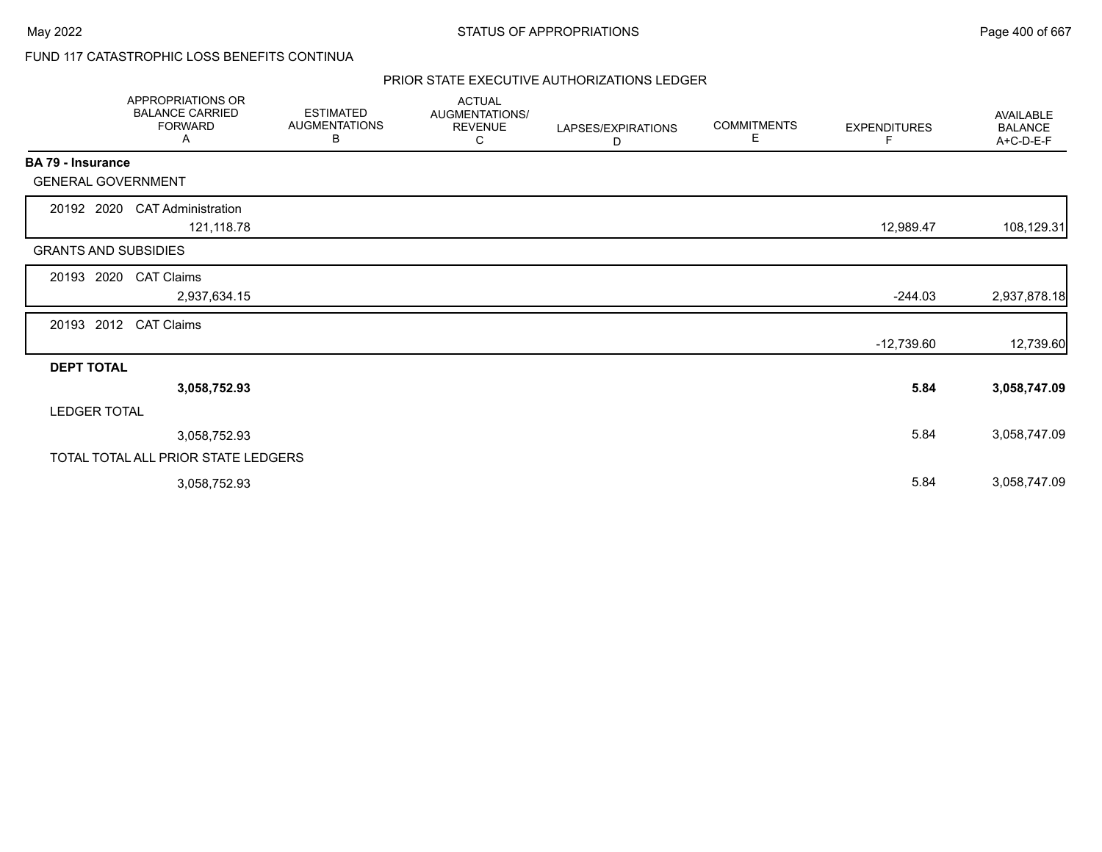# FUND 117 CATASTROPHIC LOSS BENEFITS CONTINUA

|                             | APPROPRIATIONS OR<br><b>BALANCE CARRIED</b><br><b>FORWARD</b><br>Α | <b>ESTIMATED</b><br><b>AUGMENTATIONS</b><br>В | <b>ACTUAL</b><br>AUGMENTATIONS/<br><b>REVENUE</b><br>C | LAPSES/EXPIRATIONS<br>D | <b>COMMITMENTS</b><br>Е | <b>EXPENDITURES</b><br>F | <b>AVAILABLE</b><br><b>BALANCE</b><br>A+C-D-E-F |
|-----------------------------|--------------------------------------------------------------------|-----------------------------------------------|--------------------------------------------------------|-------------------------|-------------------------|--------------------------|-------------------------------------------------|
| BA 79 - Insurance           |                                                                    |                                               |                                                        |                         |                         |                          |                                                 |
| <b>GENERAL GOVERNMENT</b>   |                                                                    |                                               |                                                        |                         |                         |                          |                                                 |
| 20192 2020                  | <b>CAT Administration</b><br>121,118.78                            |                                               |                                                        |                         |                         | 12,989.47                | 108,129.31                                      |
| <b>GRANTS AND SUBSIDIES</b> |                                                                    |                                               |                                                        |                         |                         |                          |                                                 |
| 20193<br>2020               | <b>CAT Claims</b><br>2,937,634.15                                  |                                               |                                                        |                         |                         | $-244.03$                | 2,937,878.18                                    |
|                             |                                                                    |                                               |                                                        |                         |                         |                          |                                                 |
| 20193 2012                  | <b>CAT Claims</b>                                                  |                                               |                                                        |                         |                         | $-12,739.60$             | 12,739.60                                       |
| <b>DEPT TOTAL</b>           |                                                                    |                                               |                                                        |                         |                         |                          |                                                 |
|                             | 3,058,752.93                                                       |                                               |                                                        |                         |                         | 5.84                     | 3,058,747.09                                    |
| <b>LEDGER TOTAL</b>         |                                                                    |                                               |                                                        |                         |                         |                          |                                                 |
|                             | 3,058,752.93                                                       |                                               |                                                        |                         |                         | 5.84                     | 3,058,747.09                                    |
|                             | TOTAL TOTAL ALL PRIOR STATE LEDGERS                                |                                               |                                                        |                         |                         |                          |                                                 |
|                             | 3,058,752.93                                                       |                                               |                                                        |                         |                         | 5.84                     | 3,058,747.09                                    |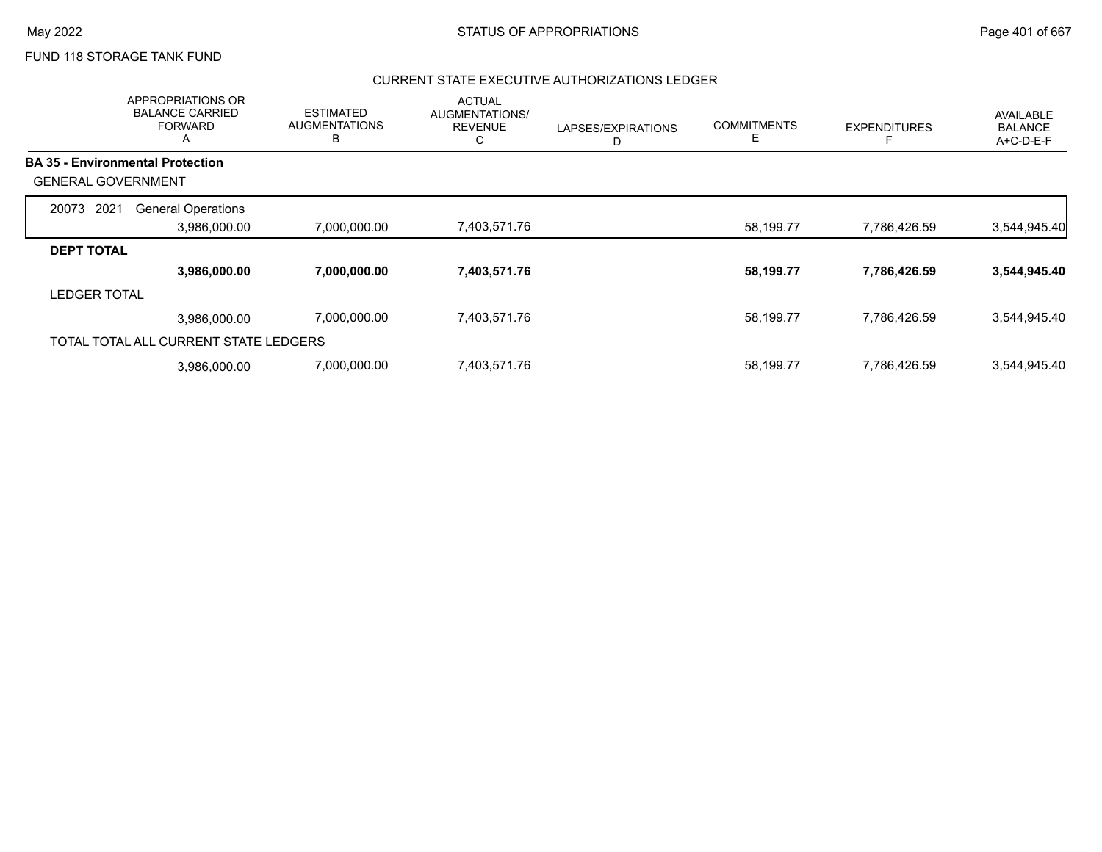# FUND 118 STORAGE TANK FUND

|                           | APPROPRIATIONS OR<br><b>BALANCE CARRIED</b><br><b>FORWARD</b><br>Α | <b>ESTIMATED</b><br><b>AUGMENTATIONS</b><br>B | <b>ACTUAL</b><br>AUGMENTATIONS/<br><b>REVENUE</b><br>С | LAPSES/EXPIRATIONS<br>D | <b>COMMITMENTS</b><br>Е | <b>EXPENDITURES</b> | AVAILABLE<br><b>BALANCE</b><br>A+C-D-E-F |
|---------------------------|--------------------------------------------------------------------|-----------------------------------------------|--------------------------------------------------------|-------------------------|-------------------------|---------------------|------------------------------------------|
|                           | <b>BA 35 - Environmental Protection</b>                            |                                               |                                                        |                         |                         |                     |                                          |
| <b>GENERAL GOVERNMENT</b> |                                                                    |                                               |                                                        |                         |                         |                     |                                          |
| 20073 2021                | <b>General Operations</b>                                          |                                               |                                                        |                         |                         |                     |                                          |
|                           | 3,986,000.00                                                       | 7,000,000.00                                  | 7,403,571.76                                           |                         | 58,199.77               | 7,786,426.59        | 3,544,945.40                             |
| <b>DEPT TOTAL</b>         |                                                                    |                                               |                                                        |                         |                         |                     |                                          |
|                           | 3,986,000.00                                                       | 7,000,000.00                                  | 7,403,571.76                                           |                         | 58,199.77               | 7,786,426.59        | 3,544,945.40                             |
| <b>LEDGER TOTAL</b>       |                                                                    |                                               |                                                        |                         |                         |                     |                                          |
|                           | 3.986.000.00                                                       | 7,000,000.00                                  | 7,403,571.76                                           |                         | 58,199.77               | 7,786,426.59        | 3,544,945.40                             |
|                           | TOTAL TOTAL ALL CURRENT STATE LEDGERS                              |                                               |                                                        |                         |                         |                     |                                          |
|                           | 3.986.000.00                                                       | 7,000,000.00                                  | 7,403,571.76                                           |                         | 58,199.77               | 7,786,426.59        | 3,544,945.40                             |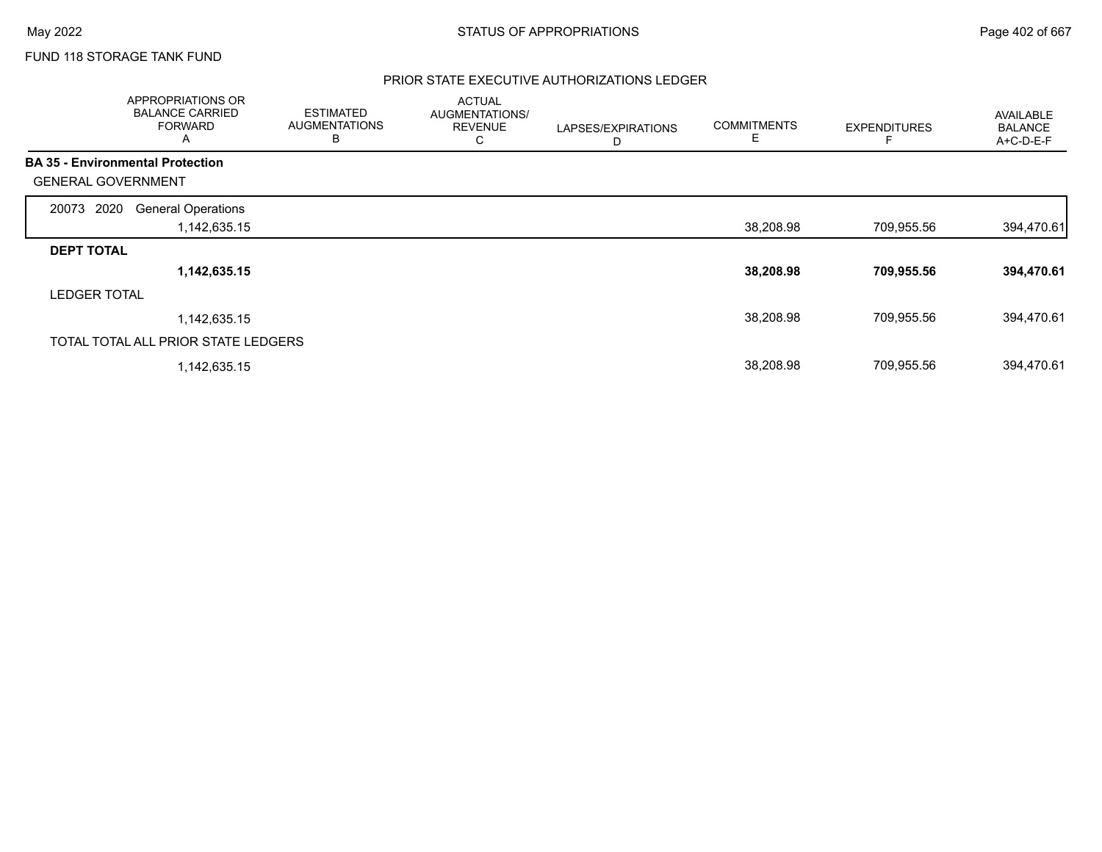# FUND 118 STORAGE TANK FUND

|                           | <b>APPROPRIATIONS OR</b><br><b>BALANCE CARRIED</b><br><b>FORWARD</b><br>A | <b>ESTIMATED</b><br><b>AUGMENTATIONS</b><br>в | <b>ACTUAL</b><br>AUGMENTATIONS/<br><b>REVENUE</b><br>С | LAPSES/EXPIRATIONS<br>D | <b>COMMITMENTS</b><br>Е | <b>EXPENDITURES</b> | AVAILABLE<br><b>BALANCE</b><br>A+C-D-E-F |
|---------------------------|---------------------------------------------------------------------------|-----------------------------------------------|--------------------------------------------------------|-------------------------|-------------------------|---------------------|------------------------------------------|
|                           | <b>BA 35 - Environmental Protection</b>                                   |                                               |                                                        |                         |                         |                     |                                          |
| <b>GENERAL GOVERNMENT</b> |                                                                           |                                               |                                                        |                         |                         |                     |                                          |
| 2020<br>20073             | <b>General Operations</b>                                                 |                                               |                                                        |                         |                         |                     |                                          |
|                           | 1,142,635.15                                                              |                                               |                                                        |                         | 38,208.98               | 709,955.56          | 394,470.61                               |
| <b>DEPT TOTAL</b>         |                                                                           |                                               |                                                        |                         |                         |                     |                                          |
|                           | 1,142,635.15                                                              |                                               |                                                        |                         | 38,208.98               | 709,955.56          | 394,470.61                               |
| <b>LEDGER TOTAL</b>       |                                                                           |                                               |                                                        |                         |                         |                     |                                          |
|                           | 1,142,635.15                                                              |                                               |                                                        |                         | 38,208.98               | 709,955.56          | 394,470.61                               |
|                           | TOTAL TOTAL ALL PRIOR STATE LEDGERS                                       |                                               |                                                        |                         |                         |                     |                                          |
|                           | 1,142,635.15                                                              |                                               |                                                        |                         | 38,208.98               | 709,955.56          | 394,470.61                               |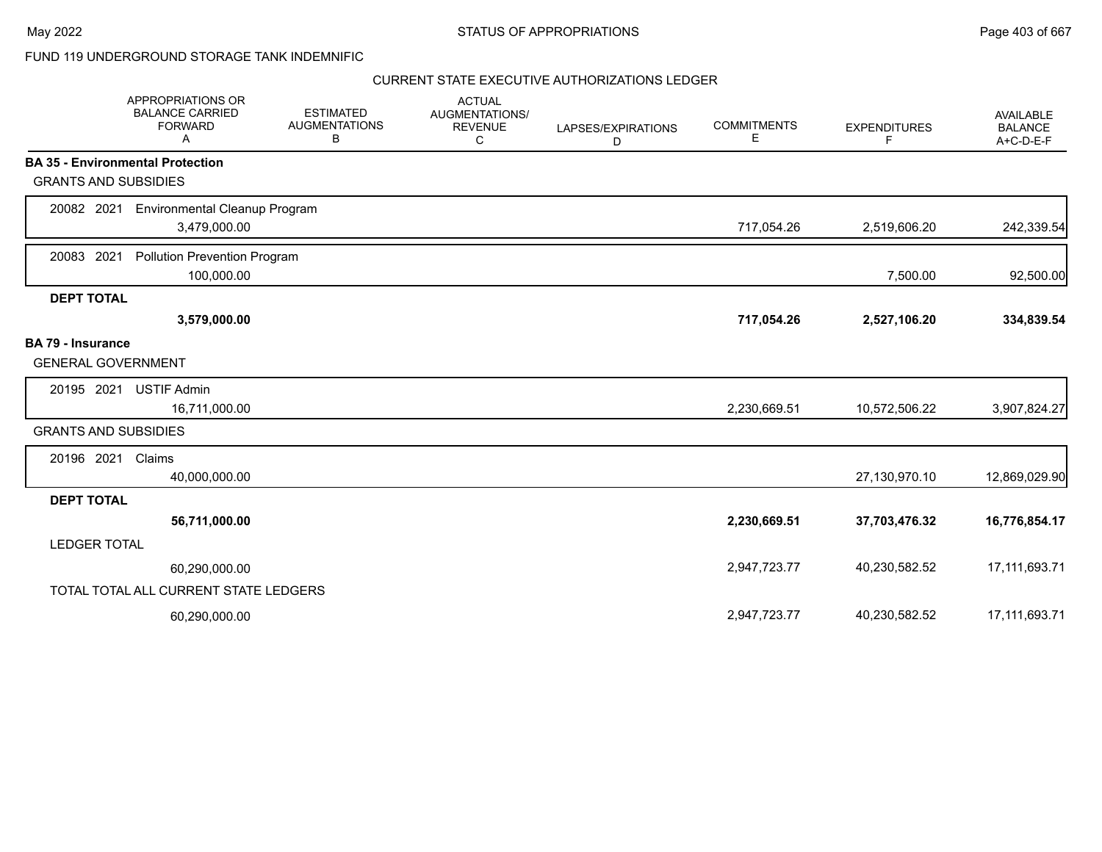# FUND 119 UNDERGROUND STORAGE TANK INDEMNIFIC

|                             | APPROPRIATIONS OR<br><b>BALANCE CARRIED</b><br><b>FORWARD</b><br>А | <b>ESTIMATED</b><br><b>AUGMENTATIONS</b><br>B | <b>ACTUAL</b><br>AUGMENTATIONS/<br><b>REVENUE</b><br>С | LAPSES/EXPIRATIONS<br>D | <b>COMMITMENTS</b><br>Е | <b>EXPENDITURES</b><br>F | <b>AVAILABLE</b><br><b>BALANCE</b><br>A+C-D-E-F |
|-----------------------------|--------------------------------------------------------------------|-----------------------------------------------|--------------------------------------------------------|-------------------------|-------------------------|--------------------------|-------------------------------------------------|
|                             | <b>BA 35 - Environmental Protection</b>                            |                                               |                                                        |                         |                         |                          |                                                 |
| <b>GRANTS AND SUBSIDIES</b> |                                                                    |                                               |                                                        |                         |                         |                          |                                                 |
| 20082 2021                  | <b>Environmental Cleanup Program</b>                               |                                               |                                                        |                         |                         |                          |                                                 |
|                             | 3,479,000.00                                                       |                                               |                                                        |                         | 717,054.26              | 2,519,606.20             | 242,339.54                                      |
| 20083 2021                  | <b>Pollution Prevention Program</b>                                |                                               |                                                        |                         |                         |                          |                                                 |
|                             | 100,000.00                                                         |                                               |                                                        |                         |                         | 7,500.00                 | 92,500.00                                       |
| <b>DEPT TOTAL</b>           |                                                                    |                                               |                                                        |                         |                         |                          |                                                 |
|                             | 3,579,000.00                                                       |                                               |                                                        |                         | 717,054.26              | 2,527,106.20             | 334,839.54                                      |
| <b>BA 79 - Insurance</b>    |                                                                    |                                               |                                                        |                         |                         |                          |                                                 |
| <b>GENERAL GOVERNMENT</b>   |                                                                    |                                               |                                                        |                         |                         |                          |                                                 |
| 20195 2021                  | <b>USTIF Admin</b>                                                 |                                               |                                                        |                         |                         |                          |                                                 |
|                             | 16,711,000.00                                                      |                                               |                                                        |                         | 2,230,669.51            | 10,572,506.22            | 3,907,824.27                                    |
| <b>GRANTS AND SUBSIDIES</b> |                                                                    |                                               |                                                        |                         |                         |                          |                                                 |
| 20196 2021                  | Claims                                                             |                                               |                                                        |                         |                         |                          |                                                 |
|                             | 40,000,000.00                                                      |                                               |                                                        |                         |                         | 27,130,970.10            | 12,869,029.90                                   |
| <b>DEPT TOTAL</b>           |                                                                    |                                               |                                                        |                         |                         |                          |                                                 |
|                             | 56,711,000.00                                                      |                                               |                                                        |                         | 2,230,669.51            | 37,703,476.32            | 16,776,854.17                                   |
| <b>LEDGER TOTAL</b>         |                                                                    |                                               |                                                        |                         |                         |                          |                                                 |
|                             | 60,290,000.00                                                      |                                               |                                                        |                         | 2,947,723.77            | 40,230,582.52            | 17,111,693.71                                   |
|                             | TOTAL TOTAL ALL CURRENT STATE LEDGERS                              |                                               |                                                        |                         |                         |                          |                                                 |
|                             | 60,290,000.00                                                      |                                               |                                                        |                         | 2,947,723.77            | 40,230,582.52            | 17, 111, 693. 71                                |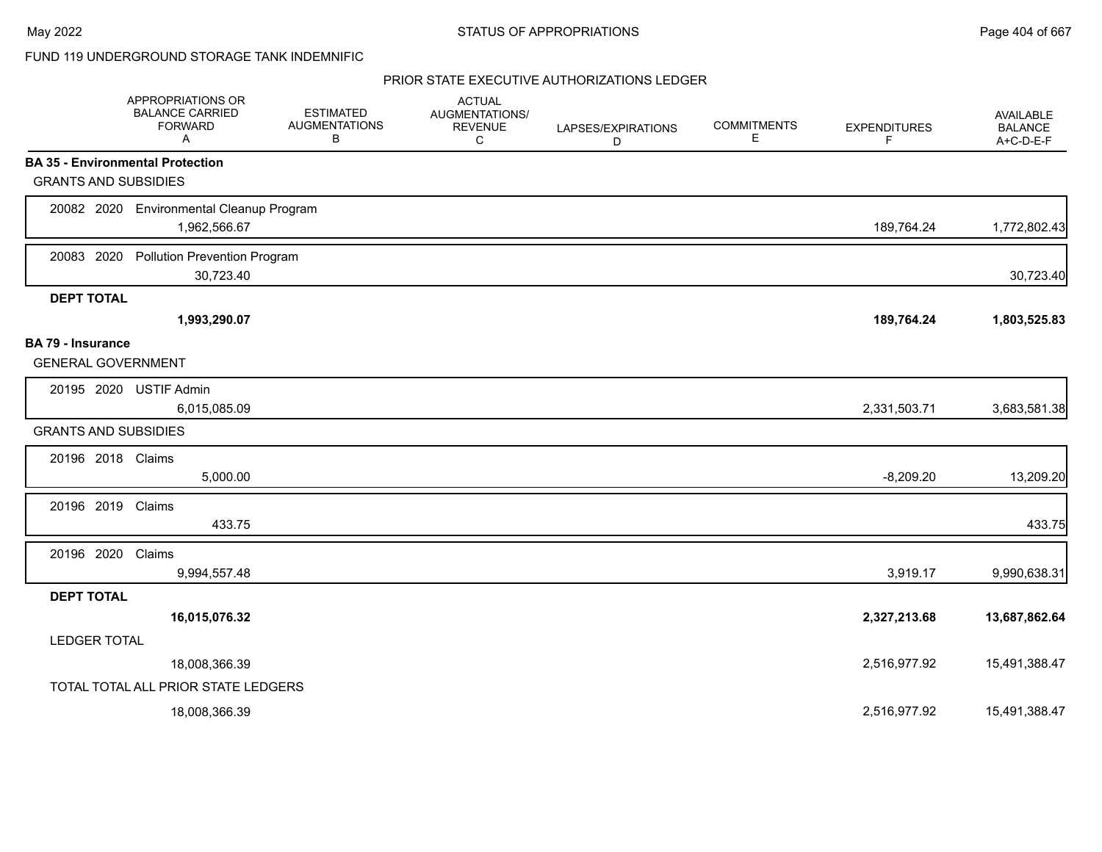# FUND 119 UNDERGROUND STORAGE TANK INDEMNIFIC

|                                                       | APPROPRIATIONS OR<br><b>BALANCE CARRIED</b><br><b>FORWARD</b><br>A | <b>ESTIMATED</b><br><b>AUGMENTATIONS</b><br>В | <b>ACTUAL</b><br>AUGMENTATIONS/<br><b>REVENUE</b><br>C | LAPSES/EXPIRATIONS<br>D | <b>COMMITMENTS</b><br>E | <b>EXPENDITURES</b><br>F | AVAILABLE<br><b>BALANCE</b><br>A+C-D-E-F |
|-------------------------------------------------------|--------------------------------------------------------------------|-----------------------------------------------|--------------------------------------------------------|-------------------------|-------------------------|--------------------------|------------------------------------------|
|                                                       | <b>BA 35 - Environmental Protection</b>                            |                                               |                                                        |                         |                         |                          |                                          |
| <b>GRANTS AND SUBSIDIES</b>                           |                                                                    |                                               |                                                        |                         |                         |                          |                                          |
|                                                       | 20082 2020 Environmental Cleanup Program<br>1,962,566.67           |                                               |                                                        |                         |                         | 189,764.24               | 1,772,802.43                             |
| 20083 2020                                            | <b>Pollution Prevention Program</b><br>30,723.40                   |                                               |                                                        |                         |                         |                          | 30,723.40                                |
| <b>DEPT TOTAL</b>                                     |                                                                    |                                               |                                                        |                         |                         |                          |                                          |
|                                                       | 1,993,290.07                                                       |                                               |                                                        |                         |                         | 189,764.24               | 1,803,525.83                             |
| <b>BA 79 - Insurance</b><br><b>GENERAL GOVERNMENT</b> |                                                                    |                                               |                                                        |                         |                         |                          |                                          |
| 20195 2020                                            | <b>USTIF Admin</b><br>6,015,085.09                                 |                                               |                                                        |                         |                         | 2,331,503.71             | 3,683,581.38                             |
| <b>GRANTS AND SUBSIDIES</b>                           |                                                                    |                                               |                                                        |                         |                         |                          |                                          |
| 20196 2018 Claims                                     | 5,000.00                                                           |                                               |                                                        |                         |                         | $-8,209.20$              | 13,209.20                                |
| 20196 2019                                            | Claims<br>433.75                                                   |                                               |                                                        |                         |                         |                          | 433.75                                   |
| 20196 2020                                            | Claims<br>9,994,557.48                                             |                                               |                                                        |                         |                         | 3,919.17                 | 9,990,638.31                             |
| <b>DEPT TOTAL</b>                                     |                                                                    |                                               |                                                        |                         |                         |                          |                                          |
|                                                       | 16,015,076.32                                                      |                                               |                                                        |                         |                         | 2,327,213.68             | 13,687,862.64                            |
| <b>LEDGER TOTAL</b>                                   |                                                                    |                                               |                                                        |                         |                         |                          |                                          |
|                                                       | 18,008,366.39                                                      |                                               |                                                        |                         |                         | 2,516,977.92             | 15,491,388.47                            |
|                                                       | TOTAL TOTAL ALL PRIOR STATE LEDGERS                                |                                               |                                                        |                         |                         |                          |                                          |
|                                                       | 18,008,366.39                                                      |                                               |                                                        |                         |                         | 2,516,977.92             | 15,491,388.47                            |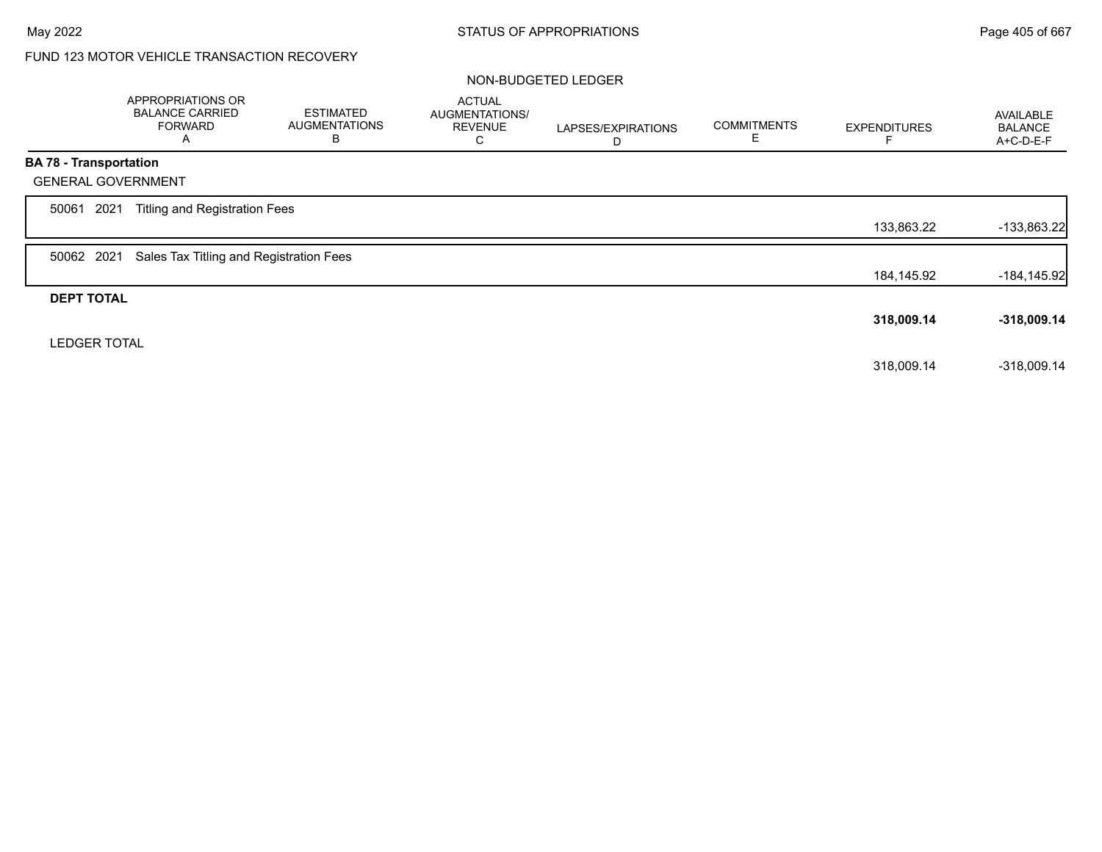# FUND 123 MOTOR VEHICLE TRANSACTION RECOVERY

### NON-BUDGETED LEDGER

|                               | APPROPRIATIONS OR<br><b>BALANCE CARRIED</b><br><b>FORWARD</b><br>A | <b>ESTIMATED</b><br><b>AUGMENTATIONS</b><br>B | <b>ACTUAL</b><br>AUGMENTATIONS/<br><b>REVENUE</b><br>С | LAPSES/EXPIRATIONS<br>D | <b>COMMITMENTS</b><br>Е | <b>EXPENDITURES</b> | <b>AVAILABLE</b><br><b>BALANCE</b><br>A+C-D-E-F |
|-------------------------------|--------------------------------------------------------------------|-----------------------------------------------|--------------------------------------------------------|-------------------------|-------------------------|---------------------|-------------------------------------------------|
| <b>BA 78 - Transportation</b> |                                                                    |                                               |                                                        |                         |                         |                     |                                                 |
|                               | <b>GENERAL GOVERNMENT</b>                                          |                                               |                                                        |                         |                         |                     |                                                 |
| 2021<br>50061                 | <b>Titling and Registration Fees</b>                               |                                               |                                                        |                         |                         |                     |                                                 |
|                               |                                                                    |                                               |                                                        |                         |                         | 133,863.22          | $-133,863.22$                                   |
| 50062 2021                    | Sales Tax Titling and Registration Fees                            |                                               |                                                        |                         |                         |                     |                                                 |
|                               |                                                                    |                                               |                                                        |                         |                         | 184,145.92          | $-184, 145.92$                                  |
| <b>DEPT TOTAL</b>             |                                                                    |                                               |                                                        |                         |                         |                     |                                                 |
|                               |                                                                    |                                               |                                                        |                         |                         | 318,009.14          | $-318,009.14$                                   |
| <b>LEDGER TOTAL</b>           |                                                                    |                                               |                                                        |                         |                         |                     |                                                 |
|                               |                                                                    |                                               |                                                        |                         |                         | 318,009.14          | $-318,009.14$                                   |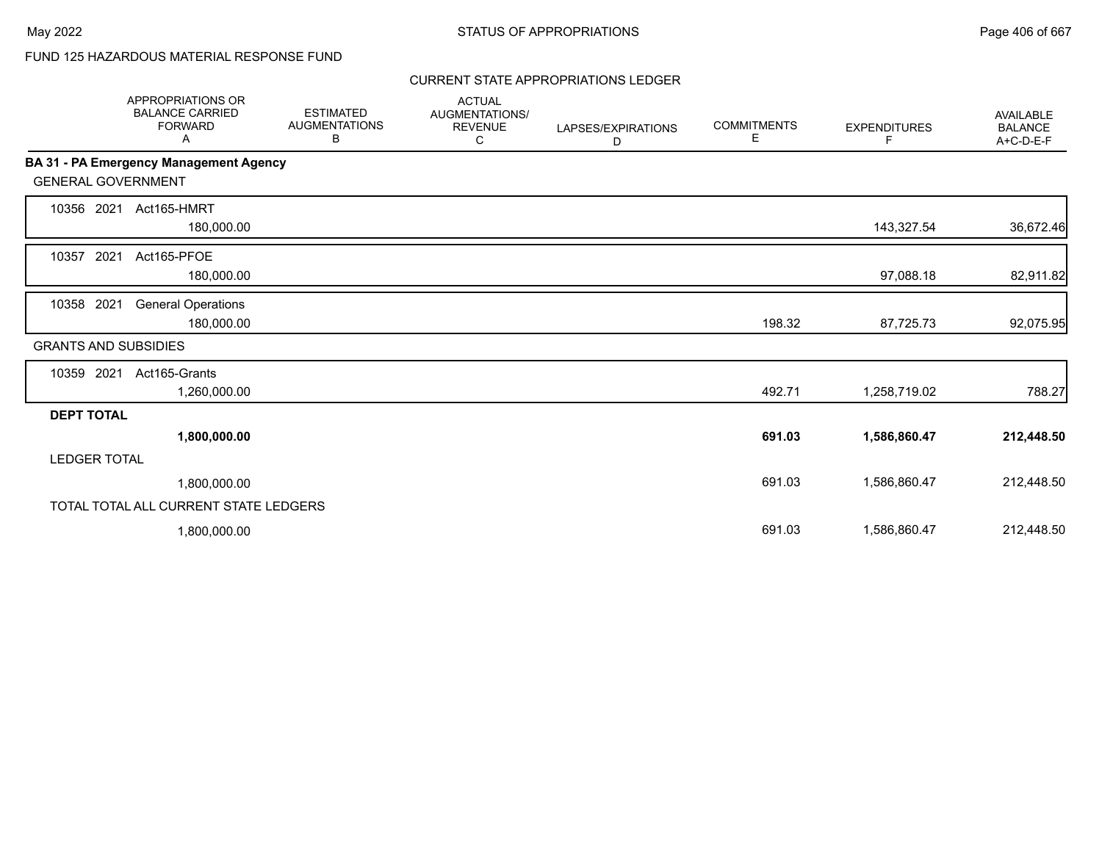# FUND 125 HAZARDOUS MATERIAL RESPONSE FUND

## CURRENT STATE APPROPRIATIONS LEDGER

|                             | APPROPRIATIONS OR<br><b>BALANCE CARRIED</b><br><b>FORWARD</b><br>Α | <b>ESTIMATED</b><br><b>AUGMENTATIONS</b><br>В | <b>ACTUAL</b><br>AUGMENTATIONS/<br><b>REVENUE</b><br>С | LAPSES/EXPIRATIONS<br>D | <b>COMMITMENTS</b><br>Е | <b>EXPENDITURES</b><br>F. | <b>AVAILABLE</b><br><b>BALANCE</b><br>A+C-D-E-F |
|-----------------------------|--------------------------------------------------------------------|-----------------------------------------------|--------------------------------------------------------|-------------------------|-------------------------|---------------------------|-------------------------------------------------|
|                             | <b>BA 31 - PA Emergency Management Agency</b>                      |                                               |                                                        |                         |                         |                           |                                                 |
| <b>GENERAL GOVERNMENT</b>   |                                                                    |                                               |                                                        |                         |                         |                           |                                                 |
| 2021<br>10356               | Act165-HMRT<br>180,000.00                                          |                                               |                                                        |                         |                         | 143,327.54                | 36,672.46                                       |
| 2021<br>10357               | Act165-PFOE<br>180,000.00                                          |                                               |                                                        |                         |                         | 97,088.18                 | 82,911.82                                       |
| 10358 2021                  | <b>General Operations</b><br>180,000.00                            |                                               |                                                        |                         | 198.32                  | 87,725.73                 | 92,075.95                                       |
| <b>GRANTS AND SUBSIDIES</b> |                                                                    |                                               |                                                        |                         |                         |                           |                                                 |
| 10359 2021                  | Act165-Grants<br>1,260,000.00                                      |                                               |                                                        |                         | 492.71                  | 1,258,719.02              | 788.27                                          |
| <b>DEPT TOTAL</b>           |                                                                    |                                               |                                                        |                         |                         |                           |                                                 |
|                             | 1,800,000.00                                                       |                                               |                                                        |                         | 691.03                  | 1,586,860.47              | 212,448.50                                      |
| <b>LEDGER TOTAL</b>         |                                                                    |                                               |                                                        |                         |                         |                           |                                                 |
|                             | 1,800,000.00                                                       |                                               |                                                        |                         | 691.03                  | 1,586,860.47              | 212,448.50                                      |
|                             | TOTAL TOTAL ALL CURRENT STATE LEDGERS                              |                                               |                                                        |                         |                         |                           |                                                 |
|                             | 1,800,000.00                                                       |                                               |                                                        |                         | 691.03                  | 1,586,860.47              | 212,448.50                                      |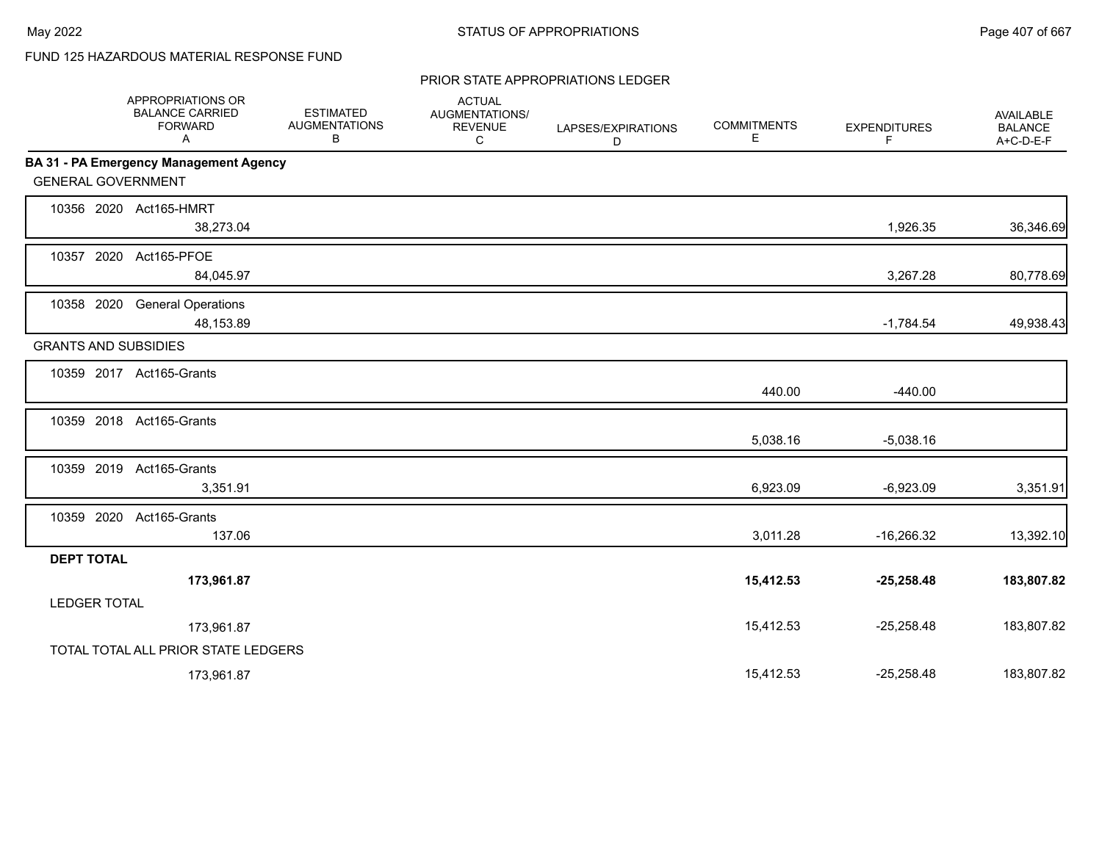# FUND 125 HAZARDOUS MATERIAL RESPONSE FUND

#### PRIOR STATE APPROPRIATIONS LEDGER

|                     | APPROPRIATIONS OR<br><b>BALANCE CARRIED</b><br><b>FORWARD</b><br>A | <b>ESTIMATED</b><br><b>AUGMENTATIONS</b><br>В | <b>ACTUAL</b><br>AUGMENTATIONS/<br><b>REVENUE</b><br>C | LAPSES/EXPIRATIONS<br>D | <b>COMMITMENTS</b><br>Е | <b>EXPENDITURES</b><br>F | <b>AVAILABLE</b><br><b>BALANCE</b><br>A+C-D-E-F |
|---------------------|--------------------------------------------------------------------|-----------------------------------------------|--------------------------------------------------------|-------------------------|-------------------------|--------------------------|-------------------------------------------------|
|                     | BA 31 - PA Emergency Management Agency                             |                                               |                                                        |                         |                         |                          |                                                 |
|                     | <b>GENERAL GOVERNMENT</b>                                          |                                               |                                                        |                         |                         |                          |                                                 |
|                     | 10356 2020 Act165-HMRT                                             |                                               |                                                        |                         |                         |                          |                                                 |
|                     | 38,273.04                                                          |                                               |                                                        |                         |                         | 1,926.35                 | 36,346.69                                       |
|                     | 10357 2020 Act165-PFOE                                             |                                               |                                                        |                         |                         |                          |                                                 |
|                     | 84,045.97                                                          |                                               |                                                        |                         |                         | 3,267.28                 | 80,778.69                                       |
| 10358 2020          | <b>General Operations</b>                                          |                                               |                                                        |                         |                         |                          |                                                 |
|                     | 48,153.89                                                          |                                               |                                                        |                         |                         | $-1,784.54$              | 49,938.43                                       |
|                     | <b>GRANTS AND SUBSIDIES</b>                                        |                                               |                                                        |                         |                         |                          |                                                 |
|                     | 10359 2017 Act165-Grants                                           |                                               |                                                        |                         |                         |                          |                                                 |
|                     |                                                                    |                                               |                                                        |                         | 440.00                  | $-440.00$                |                                                 |
|                     | 10359 2018 Act165-Grants                                           |                                               |                                                        |                         |                         |                          |                                                 |
|                     |                                                                    |                                               |                                                        |                         | 5,038.16                | $-5,038.16$              |                                                 |
|                     | 10359 2019 Act165-Grants                                           |                                               |                                                        |                         |                         |                          |                                                 |
|                     | 3,351.91                                                           |                                               |                                                        |                         | 6,923.09                | $-6,923.09$              | 3,351.91                                        |
|                     | 10359 2020 Act165-Grants                                           |                                               |                                                        |                         |                         |                          |                                                 |
|                     | 137.06                                                             |                                               |                                                        |                         | 3,011.28                | $-16,266.32$             | 13,392.10                                       |
| <b>DEPT TOTAL</b>   |                                                                    |                                               |                                                        |                         |                         |                          |                                                 |
|                     | 173,961.87                                                         |                                               |                                                        |                         | 15,412.53               | $-25,258.48$             | 183,807.82                                      |
| <b>LEDGER TOTAL</b> |                                                                    |                                               |                                                        |                         |                         |                          |                                                 |
|                     | 173,961.87                                                         |                                               |                                                        |                         | 15,412.53               | $-25,258.48$             | 183,807.82                                      |
|                     | TOTAL TOTAL ALL PRIOR STATE LEDGERS                                |                                               |                                                        |                         |                         |                          |                                                 |
|                     | 173,961.87                                                         |                                               |                                                        |                         | 15,412.53               | $-25,258.48$             | 183,807.82                                      |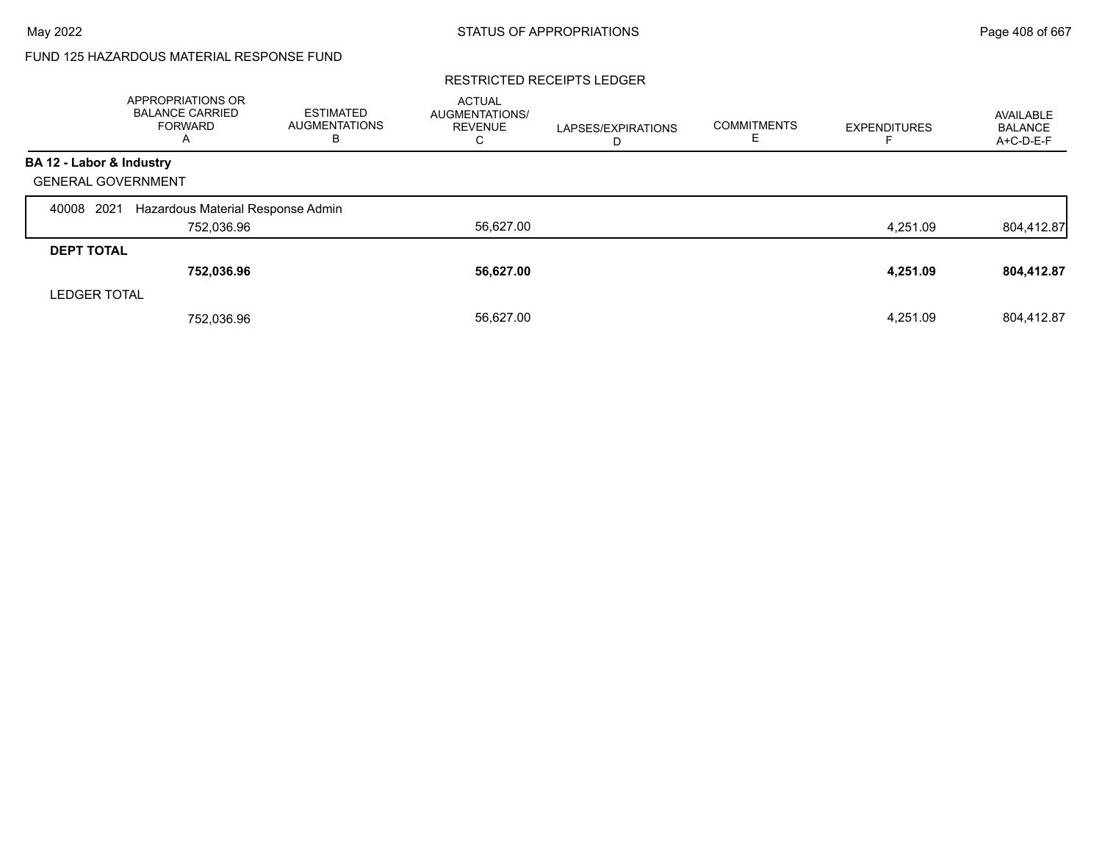# FUND 125 HAZARDOUS MATERIAL RESPONSE FUND

### RESTRICTED RECEIPTS LEDGER

|                           | <b>APPROPRIATIONS OR</b><br><b>BALANCE CARRIED</b><br><b>FORWARD</b><br>A | <b>ESTIMATED</b><br><b>AUGMENTATIONS</b><br>в | <b>ACTUAL</b><br><b>AUGMENTATIONS/</b><br><b>REVENUE</b><br>С | LAPSES/EXPIRATIONS<br>D | <b>COMMITMENTS</b><br>ᄇ | <b>EXPENDITURES</b> | AVAILABLE<br><b>BALANCE</b><br>A+C-D-E-F |
|---------------------------|---------------------------------------------------------------------------|-----------------------------------------------|---------------------------------------------------------------|-------------------------|-------------------------|---------------------|------------------------------------------|
| BA 12 - Labor & Industry  |                                                                           |                                               |                                                               |                         |                         |                     |                                          |
| <b>GENERAL GOVERNMENT</b> |                                                                           |                                               |                                                               |                         |                         |                     |                                          |
| 2021<br>40008             | Hazardous Material Response Admin                                         |                                               |                                                               |                         |                         |                     |                                          |
|                           | 752,036.96                                                                |                                               | 56,627.00                                                     |                         |                         | 4,251.09            | 804,412.87                               |
| <b>DEPT TOTAL</b>         |                                                                           |                                               |                                                               |                         |                         |                     |                                          |
|                           | 752,036.96                                                                |                                               | 56,627.00                                                     |                         |                         | 4,251.09            | 804,412.87                               |
| <b>LEDGER TOTAL</b>       |                                                                           |                                               |                                                               |                         |                         |                     |                                          |
|                           | 752,036.96                                                                |                                               | 56.627.00                                                     |                         |                         | 4.251.09            | 804.412.87                               |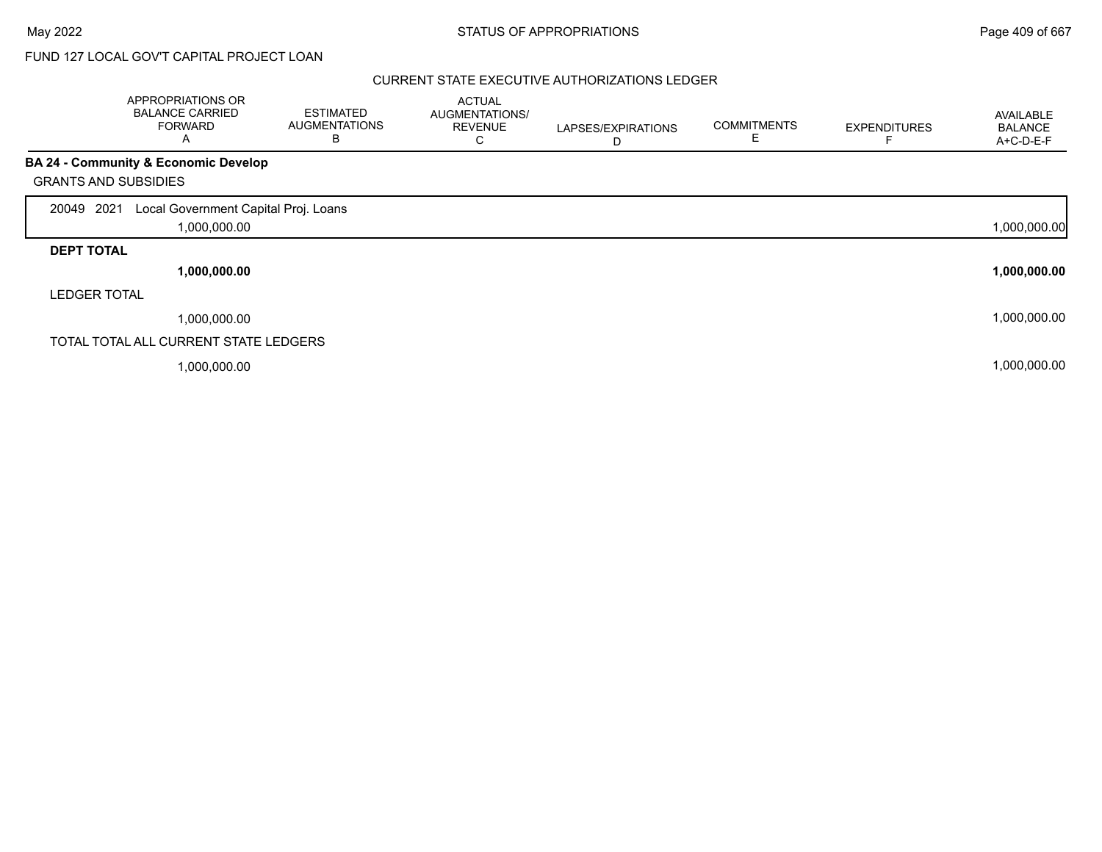# FUND 127 LOCAL GOV'T CAPITAL PROJECT LOAN

|                             | APPROPRIATIONS OR<br><b>BALANCE CARRIED</b><br><b>FORWARD</b><br>A | <b>ESTIMATED</b><br><b>AUGMENTATIONS</b><br>B | <b>ACTUAL</b><br>AUGMENTATIONS/<br><b>REVENUE</b><br>С | LAPSES/EXPIRATIONS<br>D | <b>COMMITMENTS</b><br>Е | <b>EXPENDITURES</b> | <b>AVAILABLE</b><br><b>BALANCE</b><br>A+C-D-E-F |
|-----------------------------|--------------------------------------------------------------------|-----------------------------------------------|--------------------------------------------------------|-------------------------|-------------------------|---------------------|-------------------------------------------------|
|                             | <b>BA 24 - Community &amp; Economic Develop</b>                    |                                               |                                                        |                         |                         |                     |                                                 |
| <b>GRANTS AND SUBSIDIES</b> |                                                                    |                                               |                                                        |                         |                         |                     |                                                 |
| 20049 2021                  | Local Government Capital Proj. Loans                               |                                               |                                                        |                         |                         |                     |                                                 |
|                             | 1,000,000.00                                                       |                                               |                                                        |                         |                         |                     | 1,000,000.00                                    |
| <b>DEPT TOTAL</b>           |                                                                    |                                               |                                                        |                         |                         |                     |                                                 |
|                             | 1,000,000.00                                                       |                                               |                                                        |                         |                         |                     | 1,000,000.00                                    |
| <b>LEDGER TOTAL</b>         |                                                                    |                                               |                                                        |                         |                         |                     |                                                 |
|                             | 1,000,000.00                                                       |                                               |                                                        |                         |                         |                     | 1,000,000.00                                    |
|                             | TOTAL TOTAL ALL CURRENT STATE LEDGERS                              |                                               |                                                        |                         |                         |                     |                                                 |
|                             | 1,000,000.00                                                       |                                               |                                                        |                         |                         |                     | 1,000,000.00                                    |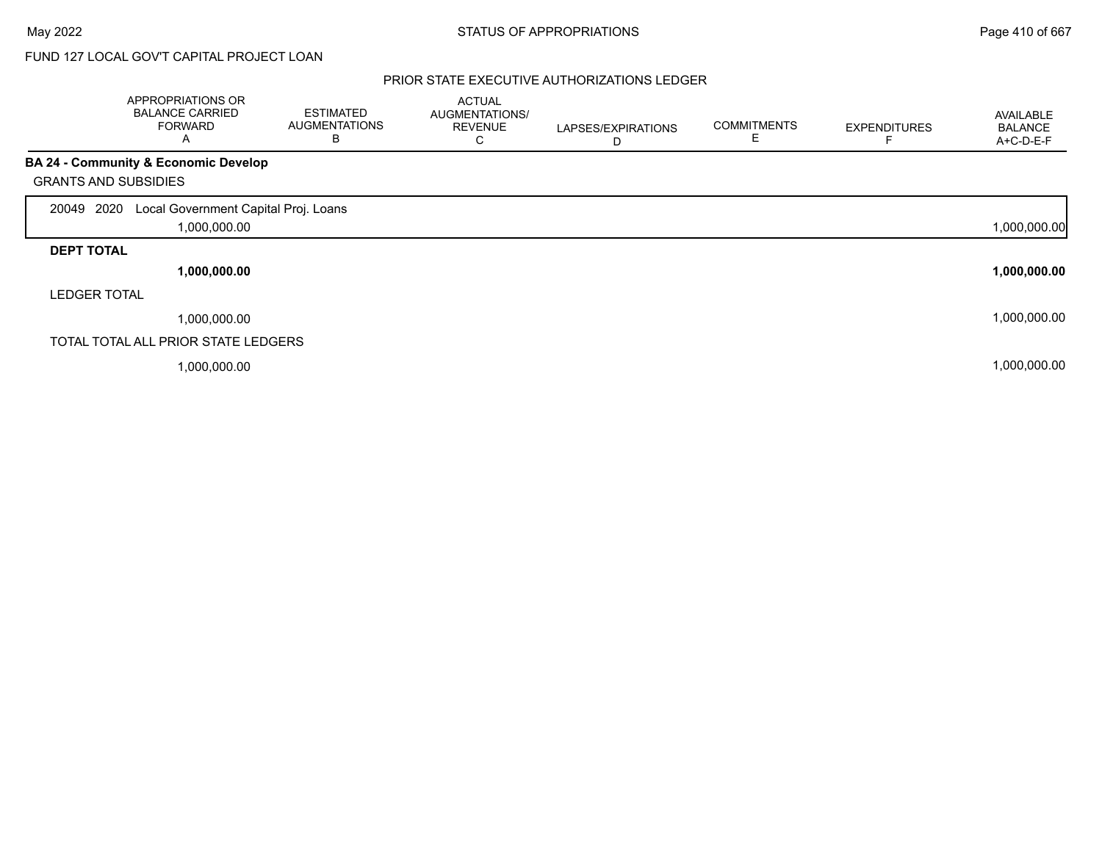# FUND 127 LOCAL GOV'T CAPITAL PROJECT LOAN

|                             | APPROPRIATIONS OR<br><b>BALANCE CARRIED</b><br><b>FORWARD</b><br>A | <b>ESTIMATED</b><br><b>AUGMENTATIONS</b><br>В | <b>ACTUAL</b><br>AUGMENTATIONS/<br><b>REVENUE</b><br>U | LAPSES/EXPIRATIONS<br>D | <b>COMMITMENTS</b><br>E | <b>EXPENDITURES</b> | AVAILABLE<br><b>BALANCE</b><br>A+C-D-E-F |
|-----------------------------|--------------------------------------------------------------------|-----------------------------------------------|--------------------------------------------------------|-------------------------|-------------------------|---------------------|------------------------------------------|
|                             | BA 24 - Community & Economic Develop                               |                                               |                                                        |                         |                         |                     |                                          |
| <b>GRANTS AND SUBSIDIES</b> |                                                                    |                                               |                                                        |                         |                         |                     |                                          |
| 2020<br>20049               | Local Government Capital Proj. Loans                               |                                               |                                                        |                         |                         |                     |                                          |
|                             | 1,000,000.00                                                       |                                               |                                                        |                         |                         |                     | 1,000,000.00                             |
| <b>DEPT TOTAL</b>           |                                                                    |                                               |                                                        |                         |                         |                     |                                          |
|                             | 1,000,000.00                                                       |                                               |                                                        |                         |                         |                     | 1,000,000.00                             |
| <b>LEDGER TOTAL</b>         |                                                                    |                                               |                                                        |                         |                         |                     |                                          |
|                             | 1,000,000.00                                                       |                                               |                                                        |                         |                         |                     | 1,000,000.00                             |
|                             | TOTAL TOTAL ALL PRIOR STATE LEDGERS                                |                                               |                                                        |                         |                         |                     |                                          |
|                             | 1,000,000.00                                                       |                                               |                                                        |                         |                         |                     | 1,000,000.00                             |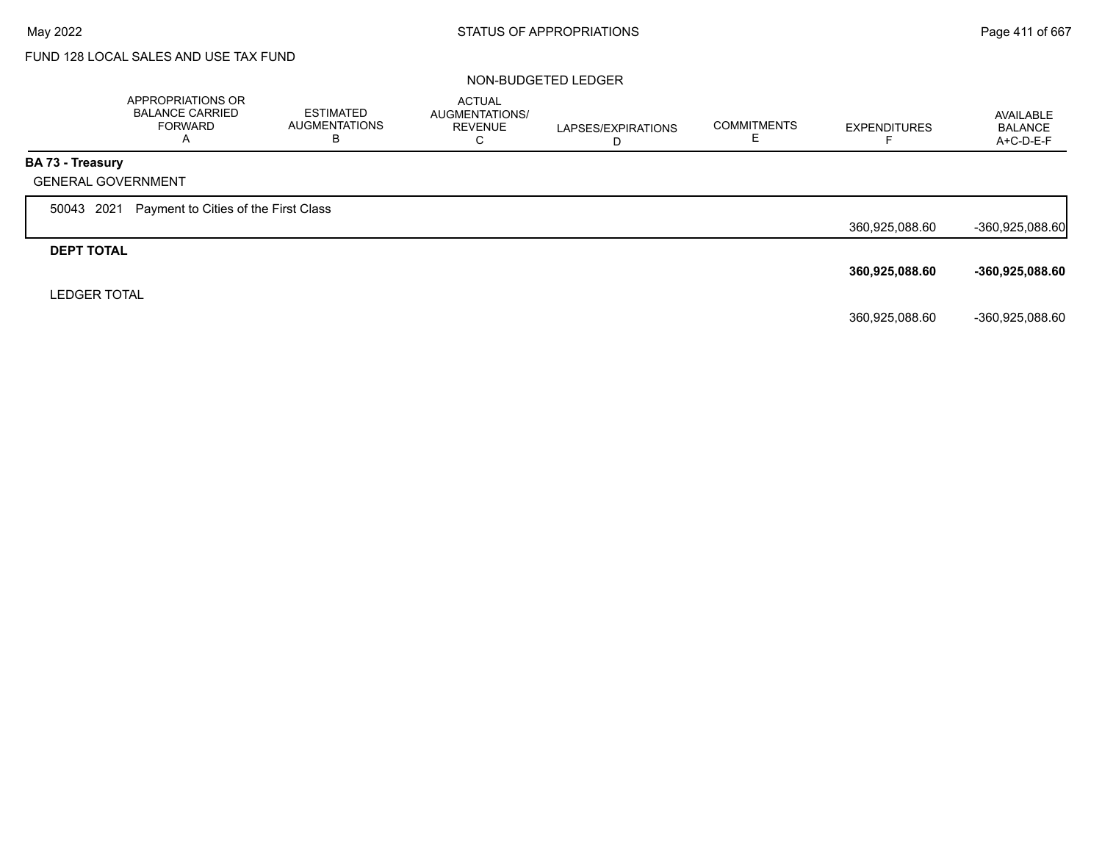# FUND 128 LOCAL SALES AND USE TAX FUND

#### NON-BUDGETED LEDGER

|                           | APPROPRIATIONS OR<br><b>BALANCE CARRIED</b><br><b>FORWARD</b><br>A | ESTIMATED<br>AUGMENTATIONS<br>В | <b>ACTUAL</b><br><b>AUGMENTATIONS/</b><br><b>REVENUE</b><br>C | LAPSES/EXPIRATIONS<br>D | <b>COMMITMENTS</b> | <b>EXPENDITURES</b> | AVAILABLE<br><b>BALANCE</b><br>A+C-D-E-F |
|---------------------------|--------------------------------------------------------------------|---------------------------------|---------------------------------------------------------------|-------------------------|--------------------|---------------------|------------------------------------------|
| BA 73 - Treasury          |                                                                    |                                 |                                                               |                         |                    |                     |                                          |
| <b>GENERAL GOVERNMENT</b> |                                                                    |                                 |                                                               |                         |                    |                     |                                          |
| 2021<br>50043             | Payment to Cities of the First Class                               |                                 |                                                               |                         |                    |                     |                                          |
|                           |                                                                    |                                 |                                                               |                         |                    | 360,925,088.60      | $-360,925,088.60$                        |
| <b>DEPT TOTAL</b>         |                                                                    |                                 |                                                               |                         |                    |                     |                                          |
|                           |                                                                    |                                 |                                                               |                         |                    | 360,925,088.60      | -360,925,088.60                          |
| <b>LEDGER TOTAL</b>       |                                                                    |                                 |                                                               |                         |                    |                     |                                          |
|                           |                                                                    |                                 |                                                               |                         |                    | 360,925,088.60      | -360,925,088.60                          |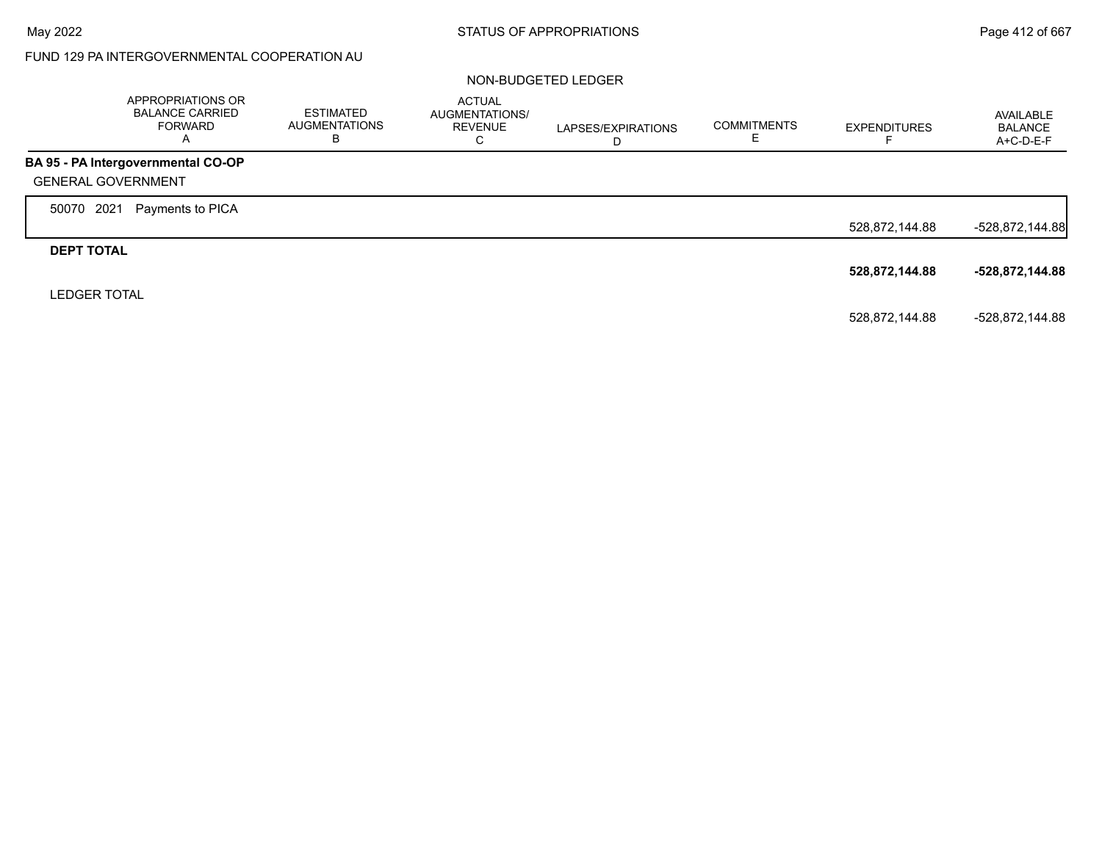# FUND 129 PA INTERGOVERNMENTAL COOPERATION AU

#### NON-BUDGETED LEDGER

|                           | APPROPRIATIONS OR<br><b>BALANCE CARRIED</b><br><b>FORWARD</b><br>A | <b>ESTIMATED</b><br>AUGMENTATIONS<br>В | <b>ACTUAL</b><br>AUGMENTATIONS/<br><b>REVENUE</b><br>С | LAPSES/EXPIRATIONS<br>D | <b>COMMITMENTS</b><br>c. | <b>EXPENDITURES</b><br>⊢ | AVAILABLE<br><b>BALANCE</b><br>A+C-D-E-F |
|---------------------------|--------------------------------------------------------------------|----------------------------------------|--------------------------------------------------------|-------------------------|--------------------------|--------------------------|------------------------------------------|
|                           | BA 95 - PA Intergovernmental CO-OP                                 |                                        |                                                        |                         |                          |                          |                                          |
| <b>GENERAL GOVERNMENT</b> |                                                                    |                                        |                                                        |                         |                          |                          |                                          |
| 2021<br>50070             | Payments to PICA                                                   |                                        |                                                        |                         |                          |                          |                                          |
|                           |                                                                    |                                        |                                                        |                         |                          | 528,872,144.88           | $-528,872,144.88$                        |
| <b>DEPT TOTAL</b>         |                                                                    |                                        |                                                        |                         |                          |                          |                                          |
|                           |                                                                    |                                        |                                                        |                         |                          | 528,872,144.88           | -528,872,144.88                          |
| <b>LEDGER TOTAL</b>       |                                                                    |                                        |                                                        |                         |                          |                          |                                          |
|                           |                                                                    |                                        |                                                        |                         |                          | 528,872,144.88           | -528,872,144.88                          |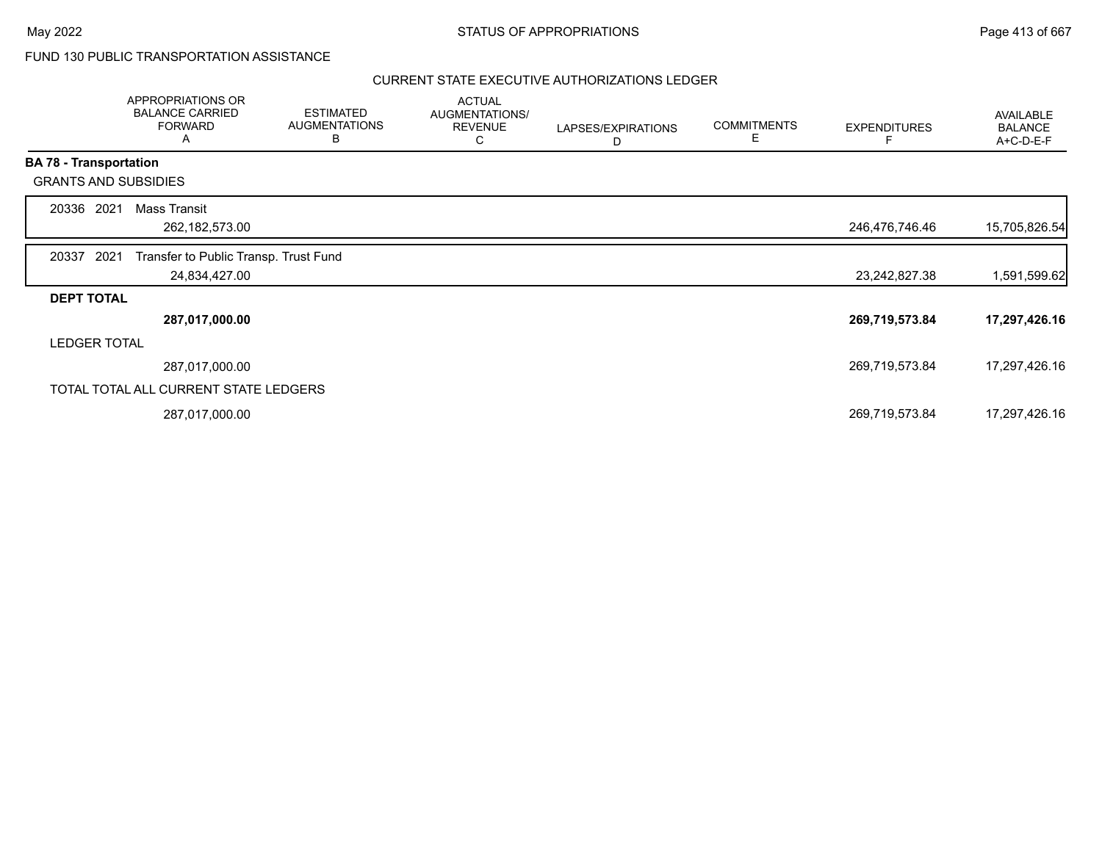# FUND 130 PUBLIC TRANSPORTATION ASSISTANCE

|                               | APPROPRIATIONS OR<br><b>BALANCE CARRIED</b><br><b>FORWARD</b><br>A | <b>ESTIMATED</b><br><b>AUGMENTATIONS</b><br>В | <b>ACTUAL</b><br>AUGMENTATIONS/<br><b>REVENUE</b><br>С | LAPSES/EXPIRATIONS<br>D | <b>COMMITMENTS</b><br>E | <b>EXPENDITURES</b> | AVAILABLE<br><b>BALANCE</b><br>A+C-D-E-F |
|-------------------------------|--------------------------------------------------------------------|-----------------------------------------------|--------------------------------------------------------|-------------------------|-------------------------|---------------------|------------------------------------------|
| <b>BA 78 - Transportation</b> |                                                                    |                                               |                                                        |                         |                         |                     |                                          |
|                               | <b>GRANTS AND SUBSIDIES</b>                                        |                                               |                                                        |                         |                         |                     |                                          |
| 2021<br>20336                 | <b>Mass Transit</b>                                                |                                               |                                                        |                         |                         |                     |                                          |
|                               | 262, 182, 573.00                                                   |                                               |                                                        |                         |                         | 246,476,746.46      | 15,705,826.54                            |
| 20337<br>2021                 | Transfer to Public Transp. Trust Fund                              |                                               |                                                        |                         |                         |                     |                                          |
|                               | 24,834,427.00                                                      |                                               |                                                        |                         |                         | 23,242,827.38       | 1,591,599.62                             |
| <b>DEPT TOTAL</b>             |                                                                    |                                               |                                                        |                         |                         |                     |                                          |
|                               | 287,017,000.00                                                     |                                               |                                                        |                         |                         | 269,719,573.84      | 17,297,426.16                            |
| <b>LEDGER TOTAL</b>           |                                                                    |                                               |                                                        |                         |                         |                     |                                          |
|                               | 287,017,000.00                                                     |                                               |                                                        |                         |                         | 269,719,573.84      | 17,297,426.16                            |
|                               | TOTAL TOTAL ALL CURRENT STATE LEDGERS                              |                                               |                                                        |                         |                         |                     |                                          |
|                               | 287,017,000.00                                                     |                                               |                                                        |                         |                         | 269,719,573.84      | 17,297,426.16                            |
|                               |                                                                    |                                               |                                                        |                         |                         |                     |                                          |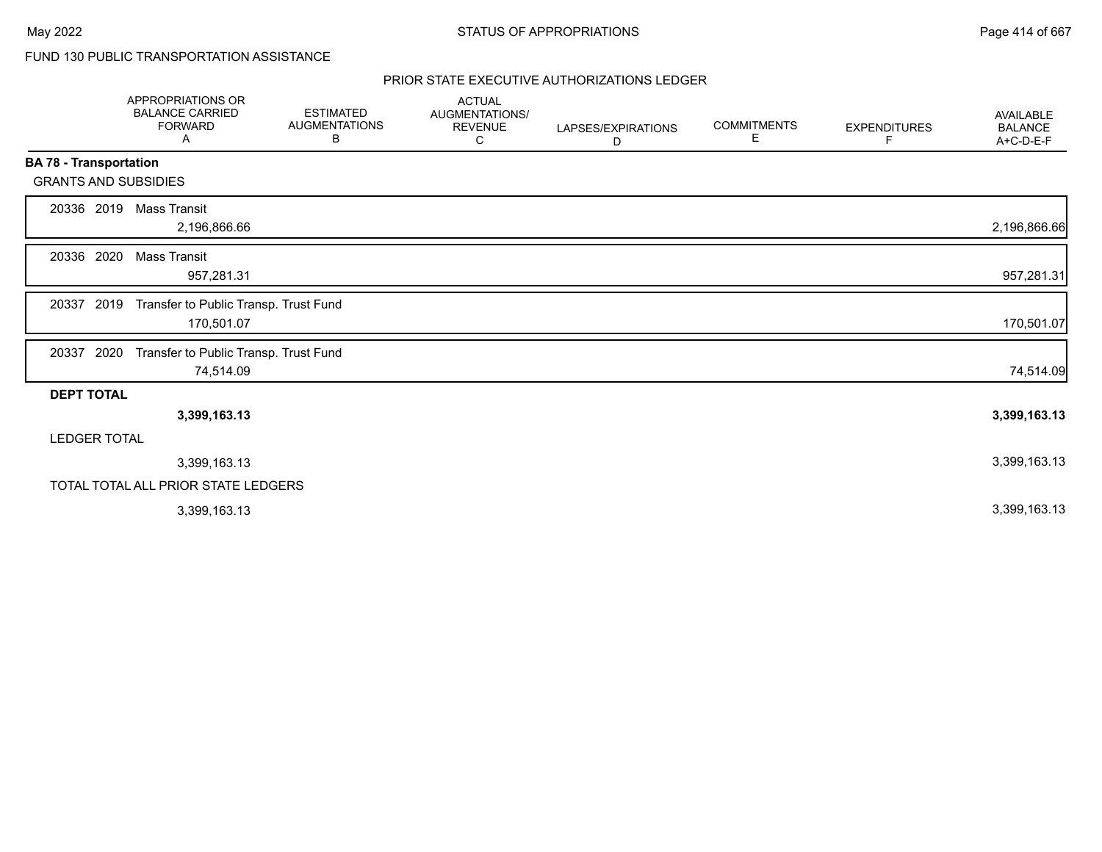# FUND 130 PUBLIC TRANSPORTATION ASSISTANCE

|                               | APPROPRIATIONS OR<br><b>BALANCE CARRIED</b><br><b>FORWARD</b><br>Α | <b>ESTIMATED</b><br><b>AUGMENTATIONS</b><br>В | <b>ACTUAL</b><br><b>AUGMENTATIONS/</b><br><b>REVENUE</b><br>С | LAPSES/EXPIRATIONS<br>D | <b>COMMITMENTS</b><br>Е | <b>EXPENDITURES</b><br>F | <b>AVAILABLE</b><br><b>BALANCE</b><br>A+C-D-E-F |
|-------------------------------|--------------------------------------------------------------------|-----------------------------------------------|---------------------------------------------------------------|-------------------------|-------------------------|--------------------------|-------------------------------------------------|
| <b>BA 78 - Transportation</b> |                                                                    |                                               |                                                               |                         |                         |                          |                                                 |
|                               | <b>GRANTS AND SUBSIDIES</b>                                        |                                               |                                                               |                         |                         |                          |                                                 |
| 20336 2019                    | Mass Transit<br>2,196,866.66                                       |                                               |                                                               |                         |                         |                          | 2,196,866.66                                    |
| 20336 2020                    | Mass Transit<br>957,281.31                                         |                                               |                                                               |                         |                         |                          | 957,281.31                                      |
| 20337                         | 2019<br>Transfer to Public Transp. Trust Fund<br>170,501.07        |                                               |                                                               |                         |                         |                          | 170,501.07                                      |
| 20337 2020                    | Transfer to Public Transp. Trust Fund<br>74,514.09                 |                                               |                                                               |                         |                         |                          | 74,514.09                                       |
| <b>DEPT TOTAL</b>             |                                                                    |                                               |                                                               |                         |                         |                          |                                                 |
|                               | 3,399,163.13                                                       |                                               |                                                               |                         |                         |                          | 3,399,163.13                                    |
| <b>LEDGER TOTAL</b>           |                                                                    |                                               |                                                               |                         |                         |                          |                                                 |
|                               | 3,399,163.13                                                       |                                               |                                                               |                         |                         |                          | 3,399,163.13                                    |
|                               | TOTAL TOTAL ALL PRIOR STATE LEDGERS                                |                                               |                                                               |                         |                         |                          |                                                 |
|                               | 3,399,163.13                                                       |                                               |                                                               |                         |                         |                          | 3,399,163.13                                    |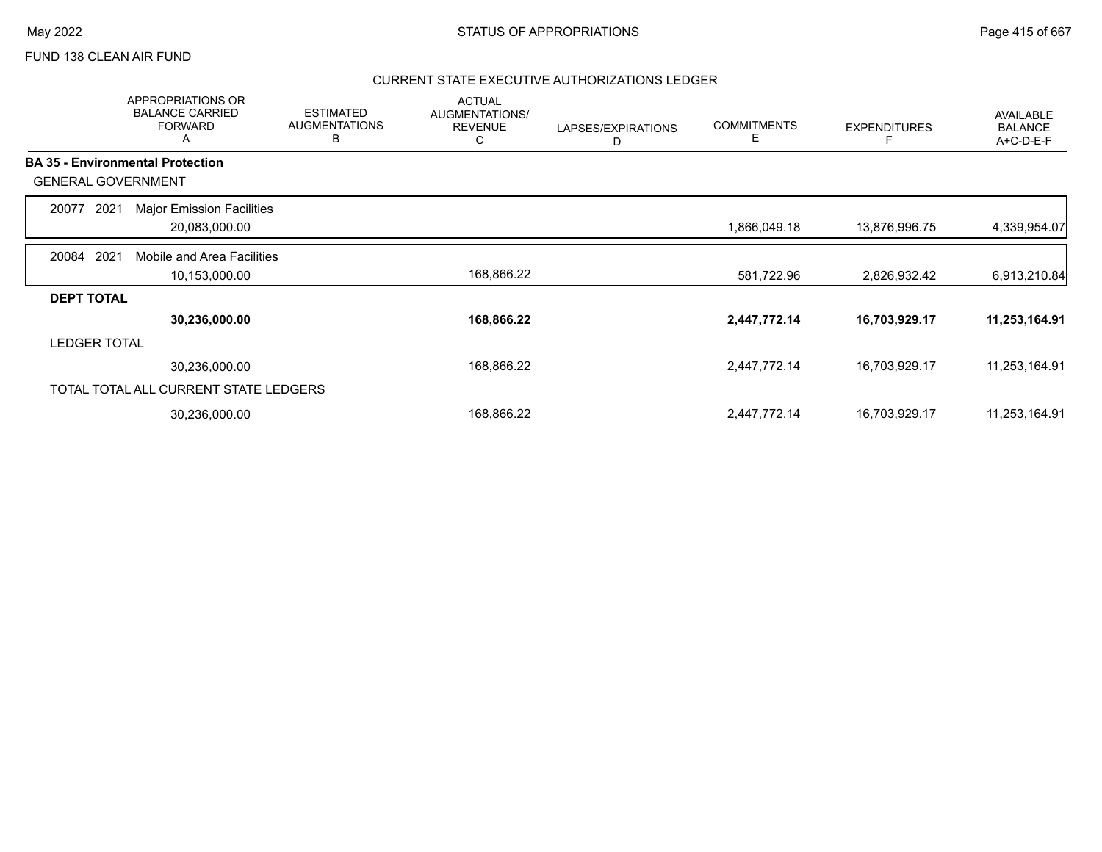# FUND 138 CLEAN AIR FUND

|                           | <b>APPROPRIATIONS OR</b><br><b>BALANCE CARRIED</b><br><b>FORWARD</b><br>A | <b>ESTIMATED</b><br><b>AUGMENTATIONS</b><br>В | <b>ACTUAL</b><br>AUGMENTATIONS/<br><b>REVENUE</b><br>С | LAPSES/EXPIRATIONS<br>D | <b>COMMITMENTS</b><br>Е | <b>EXPENDITURES</b> | <b>AVAILABLE</b><br><b>BALANCE</b><br>A+C-D-E-F |
|---------------------------|---------------------------------------------------------------------------|-----------------------------------------------|--------------------------------------------------------|-------------------------|-------------------------|---------------------|-------------------------------------------------|
|                           | <b>BA 35 - Environmental Protection</b>                                   |                                               |                                                        |                         |                         |                     |                                                 |
| <b>GENERAL GOVERNMENT</b> |                                                                           |                                               |                                                        |                         |                         |                     |                                                 |
| 2021<br>20077             | <b>Major Emission Facilities</b>                                          |                                               |                                                        |                         |                         |                     |                                                 |
|                           | 20,083,000.00                                                             |                                               |                                                        |                         | 1,866,049.18            | 13,876,996.75       | 4,339,954.07                                    |
| 2021<br>20084             | Mobile and Area Facilities                                                |                                               |                                                        |                         |                         |                     |                                                 |
|                           | 10,153,000.00                                                             |                                               | 168,866.22                                             |                         | 581,722.96              | 2,826,932.42        | 6,913,210.84                                    |
| <b>DEPT TOTAL</b>         |                                                                           |                                               |                                                        |                         |                         |                     |                                                 |
|                           | 30,236,000.00                                                             |                                               | 168,866.22                                             |                         | 2,447,772.14            | 16,703,929.17       | 11,253,164.91                                   |
| <b>LEDGER TOTAL</b>       |                                                                           |                                               |                                                        |                         |                         |                     |                                                 |
|                           | 30,236,000.00                                                             |                                               | 168,866.22                                             |                         | 2,447,772.14            | 16,703,929.17       | 11,253,164.91                                   |
|                           | TOTAL TOTAL ALL CURRENT STATE LEDGERS                                     |                                               |                                                        |                         |                         |                     |                                                 |
|                           | 30,236,000.00                                                             |                                               | 168,866.22                                             |                         | 2,447,772.14            | 16,703,929.17       | 11,253,164.91                                   |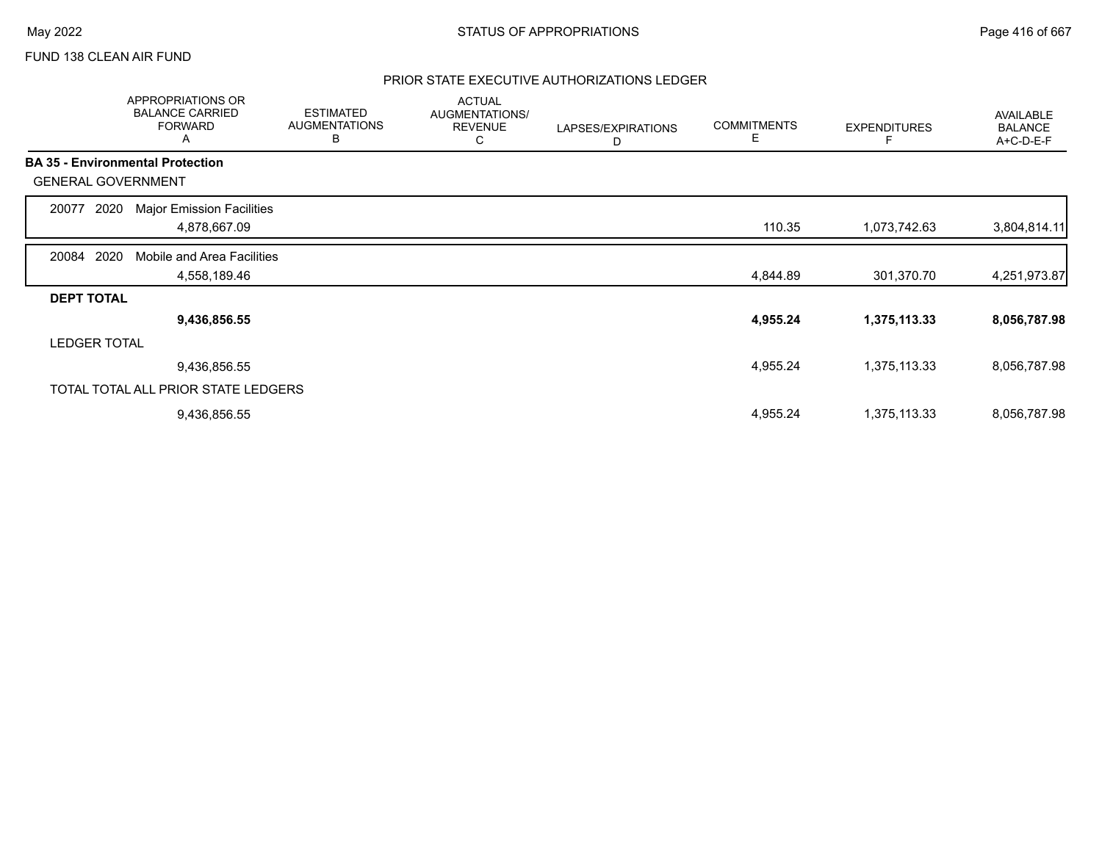# FUND 138 CLEAN AIR FUND

|                           | APPROPRIATIONS OR<br><b>BALANCE CARRIED</b><br><b>FORWARD</b><br>Α | <b>ESTIMATED</b><br><b>AUGMENTATIONS</b><br>В | <b>ACTUAL</b><br>AUGMENTATIONS/<br><b>REVENUE</b><br>С | LAPSES/EXPIRATIONS<br>D | <b>COMMITMENTS</b><br>Е | <b>EXPENDITURES</b> | AVAILABLE<br><b>BALANCE</b><br>A+C-D-E-F |
|---------------------------|--------------------------------------------------------------------|-----------------------------------------------|--------------------------------------------------------|-------------------------|-------------------------|---------------------|------------------------------------------|
|                           | <b>BA 35 - Environmental Protection</b>                            |                                               |                                                        |                         |                         |                     |                                          |
| <b>GENERAL GOVERNMENT</b> |                                                                    |                                               |                                                        |                         |                         |                     |                                          |
| 2020<br>20077             | <b>Major Emission Facilities</b>                                   |                                               |                                                        |                         |                         |                     |                                          |
|                           | 4,878,667.09                                                       |                                               |                                                        |                         | 110.35                  | 1,073,742.63        | 3,804,814.11                             |
| 2020<br>20084             | Mobile and Area Facilities                                         |                                               |                                                        |                         |                         |                     |                                          |
|                           | 4,558,189.46                                                       |                                               |                                                        |                         | 4,844.89                | 301,370.70          | 4,251,973.87                             |
| <b>DEPT TOTAL</b>         |                                                                    |                                               |                                                        |                         |                         |                     |                                          |
|                           | 9,436,856.55                                                       |                                               |                                                        |                         | 4,955.24                | 1,375,113.33        | 8,056,787.98                             |
| <b>LEDGER TOTAL</b>       |                                                                    |                                               |                                                        |                         |                         |                     |                                          |
|                           | 9,436,856.55                                                       |                                               |                                                        |                         | 4,955.24                | 1,375,113.33        | 8,056,787.98                             |
|                           | TOTAL TOTAL ALL PRIOR STATE LEDGERS                                |                                               |                                                        |                         |                         |                     |                                          |
|                           | 9,436,856.55                                                       |                                               |                                                        |                         | 4,955.24                | 1,375,113.33        | 8,056,787.98                             |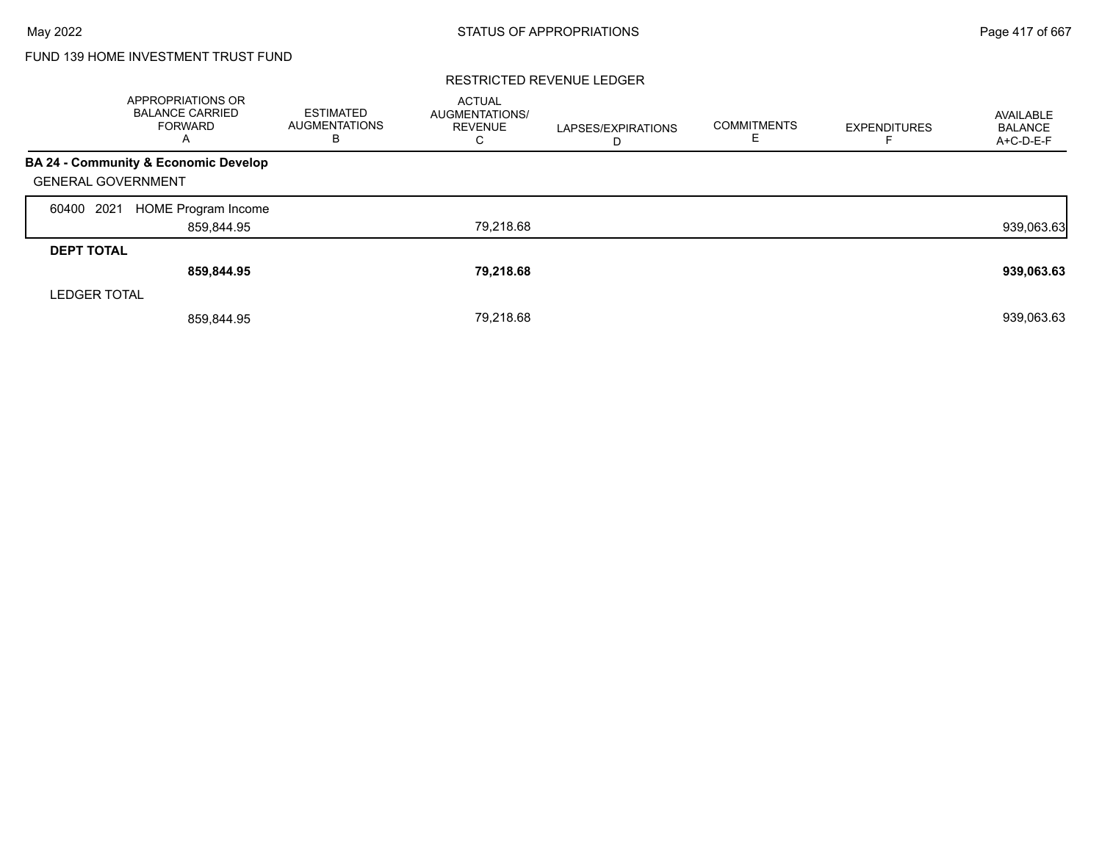# FUND 139 HOME INVESTMENT TRUST FUND

|                           | <b>APPROPRIATIONS OR</b><br><b>BALANCE CARRIED</b><br><b>FORWARD</b><br>A | <b>ESTIMATED</b><br><b>AUGMENTATIONS</b><br>в | <b>ACTUAL</b><br>AUGMENTATIONS/<br><b>REVENUE</b><br>C | LAPSES/EXPIRATIONS<br>D | <b>COMMITMENTS</b><br>Е | <b>EXPENDITURES</b> | AVAILABLE<br><b>BALANCE</b><br>A+C-D-E-F |
|---------------------------|---------------------------------------------------------------------------|-----------------------------------------------|--------------------------------------------------------|-------------------------|-------------------------|---------------------|------------------------------------------|
|                           | BA 24 - Community & Economic Develop                                      |                                               |                                                        |                         |                         |                     |                                          |
| <b>GENERAL GOVERNMENT</b> |                                                                           |                                               |                                                        |                         |                         |                     |                                          |
| 2021<br>60400             | <b>HOME Program Income</b>                                                |                                               |                                                        |                         |                         |                     |                                          |
|                           | 859,844.95                                                                |                                               | 79,218.68                                              |                         |                         |                     | 939,063.63                               |
| <b>DEPT TOTAL</b>         |                                                                           |                                               |                                                        |                         |                         |                     |                                          |
|                           | 859,844.95                                                                |                                               | 79,218.68                                              |                         |                         |                     | 939,063.63                               |
| <b>LEDGER TOTAL</b>       |                                                                           |                                               |                                                        |                         |                         |                     |                                          |
|                           | 859,844.95                                                                |                                               | 79.218.68                                              |                         |                         |                     | 939,063.63                               |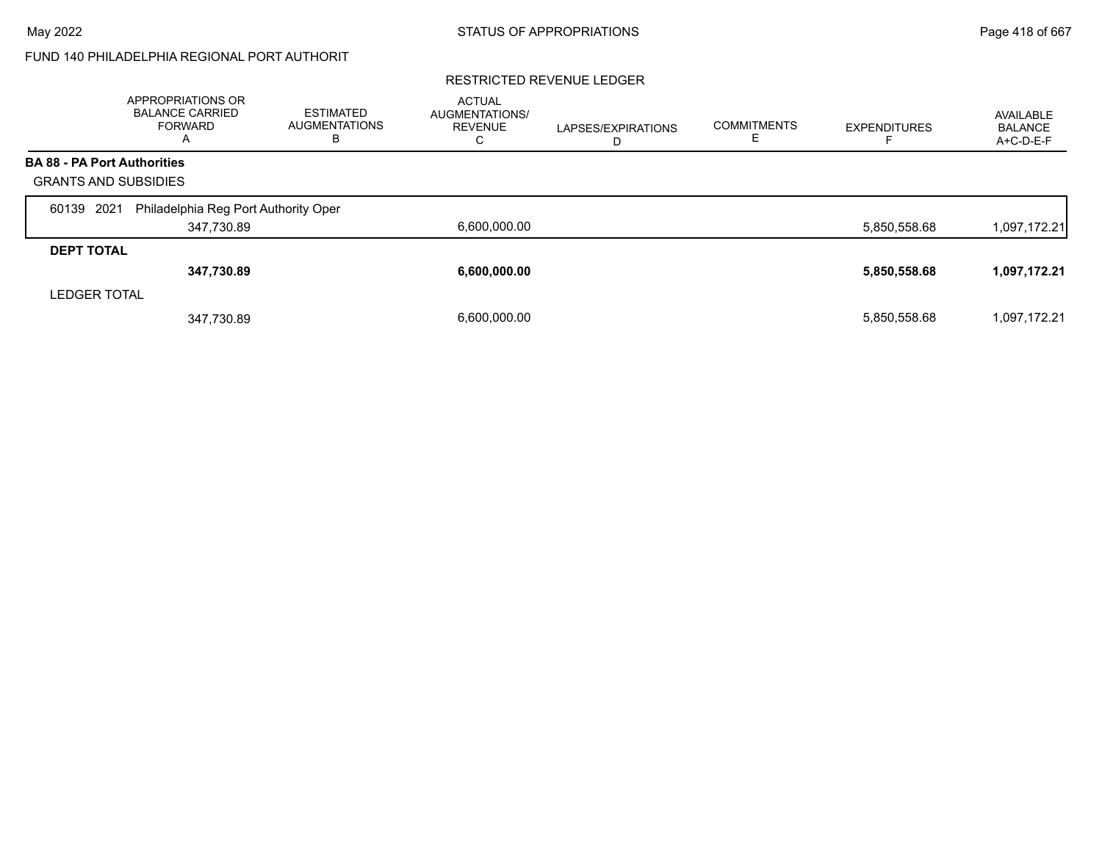# FUND 140 PHILADELPHIA REGIONAL PORT AUTHORIT

|                                    | <b>APPROPRIATIONS OR</b><br><b>BALANCE CARRIED</b><br>FORWARD<br>A | <b>ESTIMATED</b><br><b>AUGMENTATIONS</b><br>в | <b>ACTUAL</b><br>AUGMENTATIONS/<br><b>REVENUE</b><br>С | LAPSES/EXPIRATIONS<br>D | <b>COMMITMENTS</b><br>Е | <b>EXPENDITURES</b> | AVAILABLE<br><b>BALANCE</b><br>$A+C-D-E-F$ |
|------------------------------------|--------------------------------------------------------------------|-----------------------------------------------|--------------------------------------------------------|-------------------------|-------------------------|---------------------|--------------------------------------------|
| <b>BA 88 - PA Port Authorities</b> |                                                                    |                                               |                                                        |                         |                         |                     |                                            |
| <b>GRANTS AND SUBSIDIES</b>        |                                                                    |                                               |                                                        |                         |                         |                     |                                            |
| 2021<br>60139                      | Philadelphia Reg Port Authority Oper                               |                                               |                                                        |                         |                         |                     |                                            |
|                                    | 347,730.89                                                         |                                               | 6,600,000.00                                           |                         |                         | 5,850,558.68        | 1,097,172.21                               |
| <b>DEPT TOTAL</b>                  |                                                                    |                                               |                                                        |                         |                         |                     |                                            |
|                                    | 347,730.89                                                         |                                               | 6,600,000.00                                           |                         |                         | 5,850,558.68        | 1,097,172.21                               |
| <b>LEDGER TOTAL</b>                |                                                                    |                                               |                                                        |                         |                         |                     |                                            |
|                                    | 347,730.89                                                         |                                               | 6.600.000.00                                           |                         |                         | 5,850,558.68        | 1,097,172.21                               |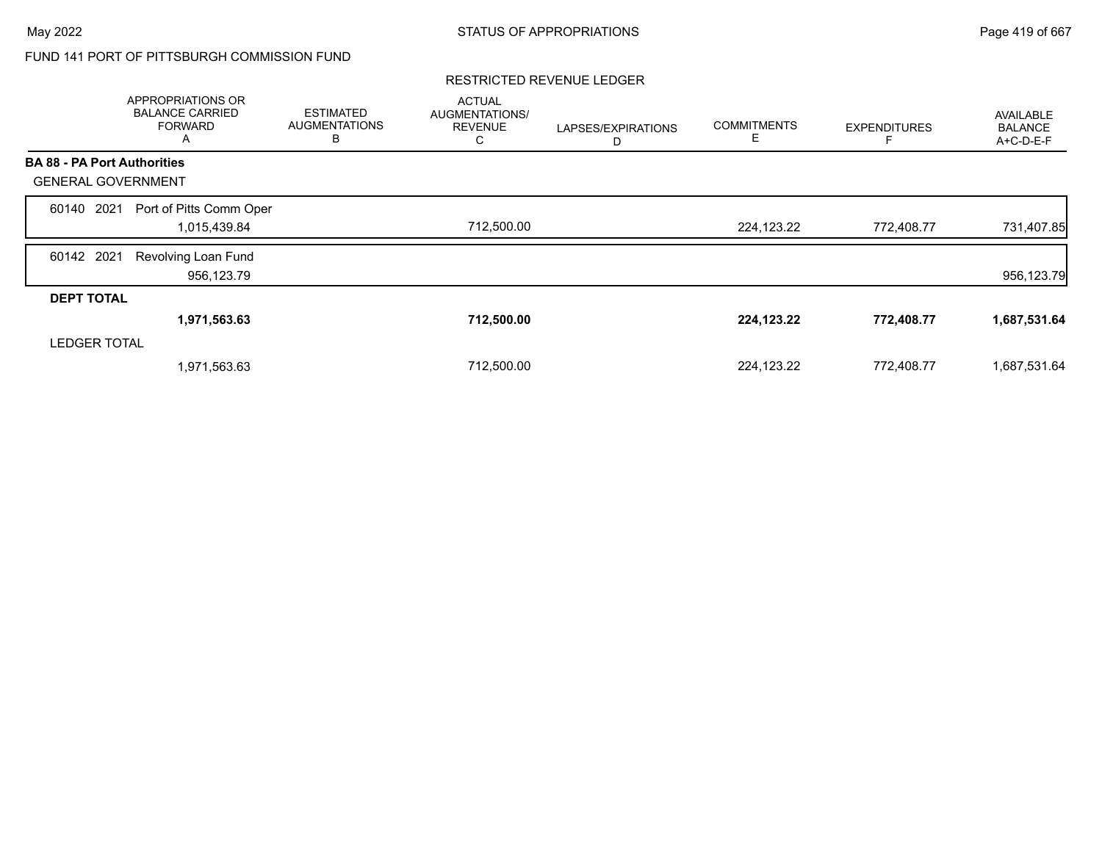# FUND 141 PORT OF PITTSBURGH COMMISSION FUND

|                                    | APPROPRIATIONS OR<br><b>BALANCE CARRIED</b><br><b>FORWARD</b><br>A | <b>ESTIMATED</b><br><b>AUGMENTATIONS</b><br>В | <b>ACTUAL</b><br>AUGMENTATIONS/<br><b>REVENUE</b><br>C | LAPSES/EXPIRATIONS<br>D | <b>COMMITMENTS</b><br>Е | <b>EXPENDITURES</b> | <b>AVAILABLE</b><br><b>BALANCE</b><br>A+C-D-E-F |
|------------------------------------|--------------------------------------------------------------------|-----------------------------------------------|--------------------------------------------------------|-------------------------|-------------------------|---------------------|-------------------------------------------------|
| <b>BA 88 - PA Port Authorities</b> |                                                                    |                                               |                                                        |                         |                         |                     |                                                 |
| <b>GENERAL GOVERNMENT</b>          |                                                                    |                                               |                                                        |                         |                         |                     |                                                 |
| 2021<br>60140                      | Port of Pitts Comm Oper                                            |                                               |                                                        |                         |                         |                     |                                                 |
|                                    | 1,015,439.84                                                       |                                               | 712,500.00                                             |                         | 224,123.22              | 772,408.77          | 731,407.85                                      |
| 60142 2021                         | Revolving Loan Fund                                                |                                               |                                                        |                         |                         |                     |                                                 |
|                                    | 956,123.79                                                         |                                               |                                                        |                         |                         |                     | 956,123.79                                      |
| <b>DEPT TOTAL</b>                  |                                                                    |                                               |                                                        |                         |                         |                     |                                                 |
|                                    | 1,971,563.63                                                       |                                               | 712,500.00                                             |                         | 224,123.22              | 772,408.77          | 1,687,531.64                                    |
| <b>LEDGER TOTAL</b>                |                                                                    |                                               |                                                        |                         |                         |                     |                                                 |
|                                    | 1,971,563.63                                                       |                                               | 712,500.00                                             |                         | 224,123.22              | 772,408.77          | 1,687,531.64                                    |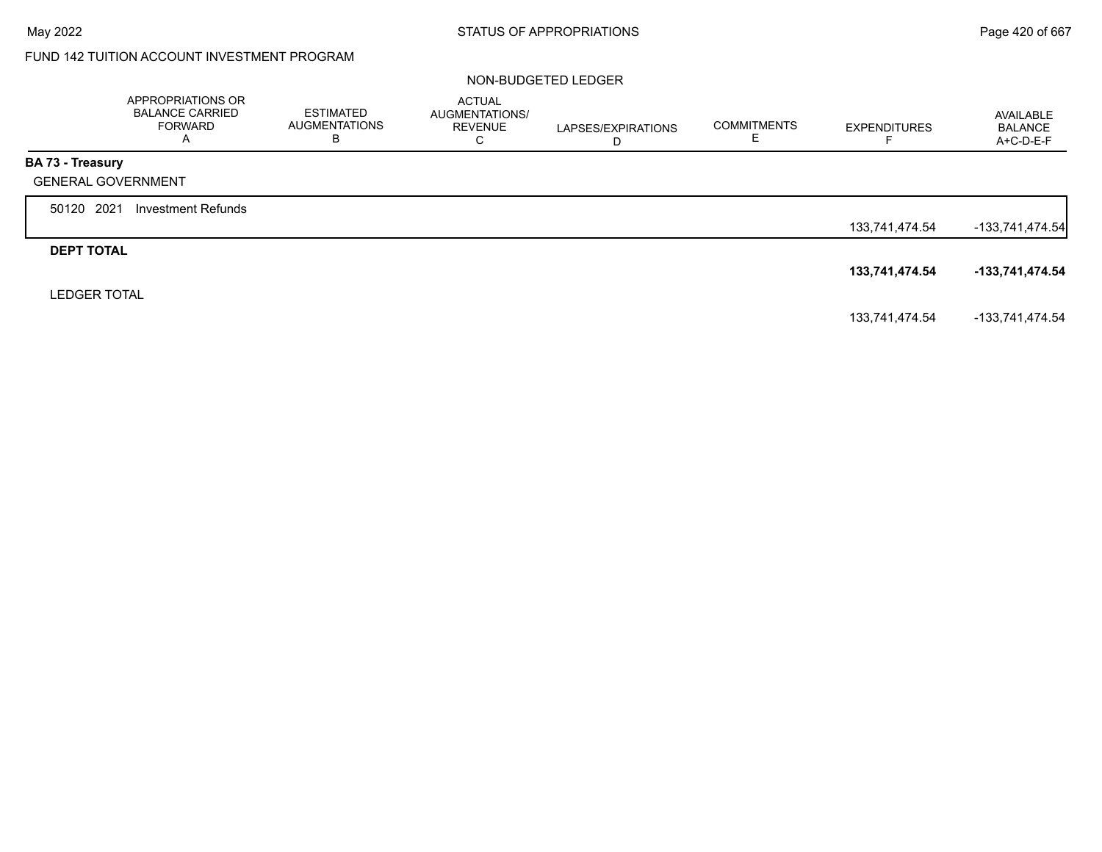# FUND 142 TUITION ACCOUNT INVESTMENT PROGRAM

#### NON-BUDGETED LEDGER

|                           | APPROPRIATIONS OR<br><b>BALANCE CARRIED</b><br><b>FORWARD</b><br>A | <b>ESTIMATED</b><br><b>AUGMENTATIONS</b><br>в | ACTUAL<br>AUGMENTATIONS/<br><b>REVENUE</b><br>C | LAPSES/EXPIRATIONS<br>D | <b>COMMITMENTS</b><br>Е | <b>EXPENDITURES</b> | AVAILABLE<br><b>BALANCE</b><br>A+C-D-E-F |
|---------------------------|--------------------------------------------------------------------|-----------------------------------------------|-------------------------------------------------|-------------------------|-------------------------|---------------------|------------------------------------------|
| <b>BA 73 - Treasury</b>   |                                                                    |                                               |                                                 |                         |                         |                     |                                          |
| <b>GENERAL GOVERNMENT</b> |                                                                    |                                               |                                                 |                         |                         |                     |                                          |
| 50120 2021                | Investment Refunds                                                 |                                               |                                                 |                         |                         |                     |                                          |
|                           |                                                                    |                                               |                                                 |                         |                         | 133,741,474.54      | $-133,741,474.54$                        |
| <b>DEPT TOTAL</b>         |                                                                    |                                               |                                                 |                         |                         |                     |                                          |
|                           |                                                                    |                                               |                                                 |                         |                         | 133,741,474.54      | -133,741,474.54                          |
| <b>LEDGER TOTAL</b>       |                                                                    |                                               |                                                 |                         |                         |                     |                                          |
|                           |                                                                    |                                               |                                                 |                         |                         | 133,741,474.54      | -133,741,474.54                          |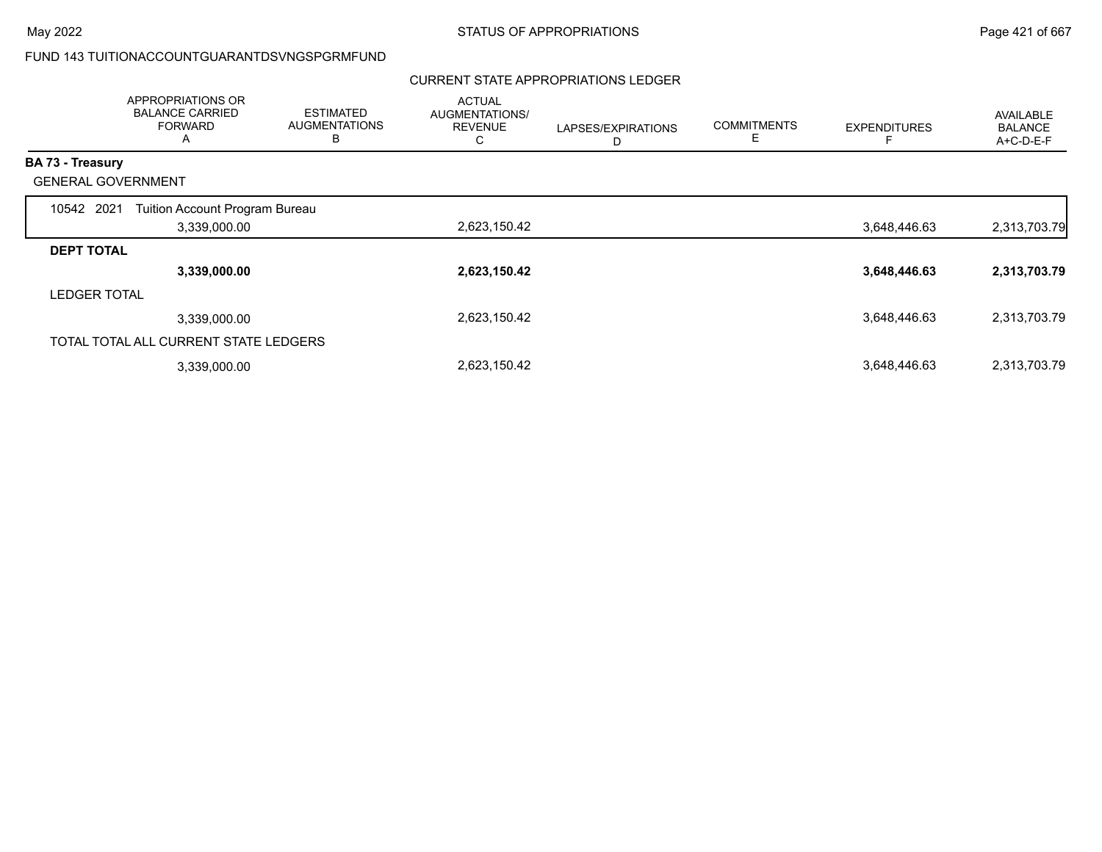# FUND 143 TUITIONACCOUNTGUARANTDSVNGSPGRMFUND

# CURRENT STATE APPROPRIATIONS LEDGER

|                           | APPROPRIATIONS OR<br><b>BALANCE CARRIED</b><br><b>FORWARD</b><br>A | <b>ESTIMATED</b><br><b>AUGMENTATIONS</b><br>в | <b>ACTUAL</b><br>AUGMENTATIONS/<br><b>REVENUE</b><br>С | LAPSES/EXPIRATIONS<br>D | <b>COMMITMENTS</b><br>Е | <b>EXPENDITURES</b> | AVAILABLE<br><b>BALANCE</b><br>A+C-D-E-F |
|---------------------------|--------------------------------------------------------------------|-----------------------------------------------|--------------------------------------------------------|-------------------------|-------------------------|---------------------|------------------------------------------|
| <b>BA 73 - Treasury</b>   |                                                                    |                                               |                                                        |                         |                         |                     |                                          |
| <b>GENERAL GOVERNMENT</b> |                                                                    |                                               |                                                        |                         |                         |                     |                                          |
| 10542 2021                | Tuition Account Program Bureau                                     |                                               |                                                        |                         |                         |                     |                                          |
|                           | 3,339,000.00                                                       |                                               | 2,623,150.42                                           |                         |                         | 3,648,446.63        | 2,313,703.79                             |
| <b>DEPT TOTAL</b>         |                                                                    |                                               |                                                        |                         |                         |                     |                                          |
|                           | 3,339,000.00                                                       |                                               | 2,623,150.42                                           |                         |                         | 3,648,446.63        | 2,313,703.79                             |
| <b>LEDGER TOTAL</b>       |                                                                    |                                               |                                                        |                         |                         |                     |                                          |
|                           | 3,339,000.00                                                       |                                               | 2,623,150.42                                           |                         |                         | 3,648,446.63        | 2,313,703.79                             |
|                           | TOTAL TOTAL ALL CURRENT STATE LEDGERS                              |                                               |                                                        |                         |                         |                     |                                          |
|                           | 3,339,000.00                                                       |                                               | 2,623,150.42                                           |                         |                         | 3,648,446.63        | 2,313,703.79                             |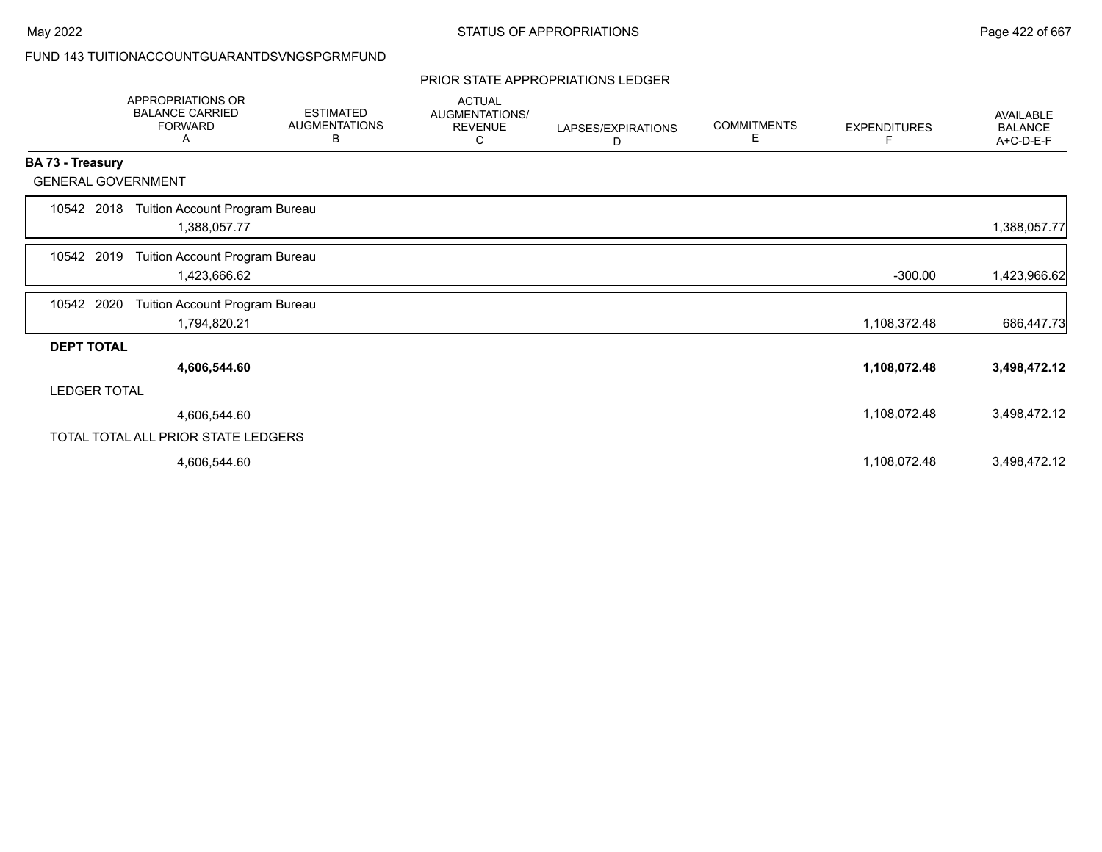# FUND 143 TUITIONACCOUNTGUARANTDSVNGSPGRMFUND

### PRIOR STATE APPROPRIATIONS LEDGER

|                           | <b>APPROPRIATIONS OR</b><br><b>BALANCE CARRIED</b><br><b>FORWARD</b><br>A | <b>ESTIMATED</b><br><b>AUGMENTATIONS</b><br>В | <b>ACTUAL</b><br>AUGMENTATIONS/<br><b>REVENUE</b><br>С | LAPSES/EXPIRATIONS<br>D | <b>COMMITMENTS</b><br>Е | <b>EXPENDITURES</b><br>F. | <b>AVAILABLE</b><br><b>BALANCE</b><br>A+C-D-E-F |
|---------------------------|---------------------------------------------------------------------------|-----------------------------------------------|--------------------------------------------------------|-------------------------|-------------------------|---------------------------|-------------------------------------------------|
| <b>BA 73 - Treasury</b>   |                                                                           |                                               |                                                        |                         |                         |                           |                                                 |
| <b>GENERAL GOVERNMENT</b> |                                                                           |                                               |                                                        |                         |                         |                           |                                                 |
| 10542 2018                | Tuition Account Program Bureau<br>1,388,057.77                            |                                               |                                                        |                         |                         |                           | 1,388,057.77                                    |
| 10542 2019                | Tuition Account Program Bureau<br>1,423,666.62                            |                                               |                                                        |                         |                         | $-300.00$                 | 1,423,966.62                                    |
| 10542 2020                | Tuition Account Program Bureau<br>1,794,820.21                            |                                               |                                                        |                         |                         | 1,108,372.48              | 686,447.73                                      |
| <b>DEPT TOTAL</b>         |                                                                           |                                               |                                                        |                         |                         |                           |                                                 |
|                           | 4,606,544.60                                                              |                                               |                                                        |                         |                         | 1,108,072.48              | 3,498,472.12                                    |
| <b>LEDGER TOTAL</b>       |                                                                           |                                               |                                                        |                         |                         |                           |                                                 |
|                           | 4,606,544.60                                                              |                                               |                                                        |                         |                         | 1,108,072.48              | 3,498,472.12                                    |
|                           | TOTAL TOTAL ALL PRIOR STATE LEDGERS                                       |                                               |                                                        |                         |                         |                           |                                                 |
|                           | 4,606,544.60                                                              |                                               |                                                        |                         |                         | 1,108,072.48              | 3,498,472.12                                    |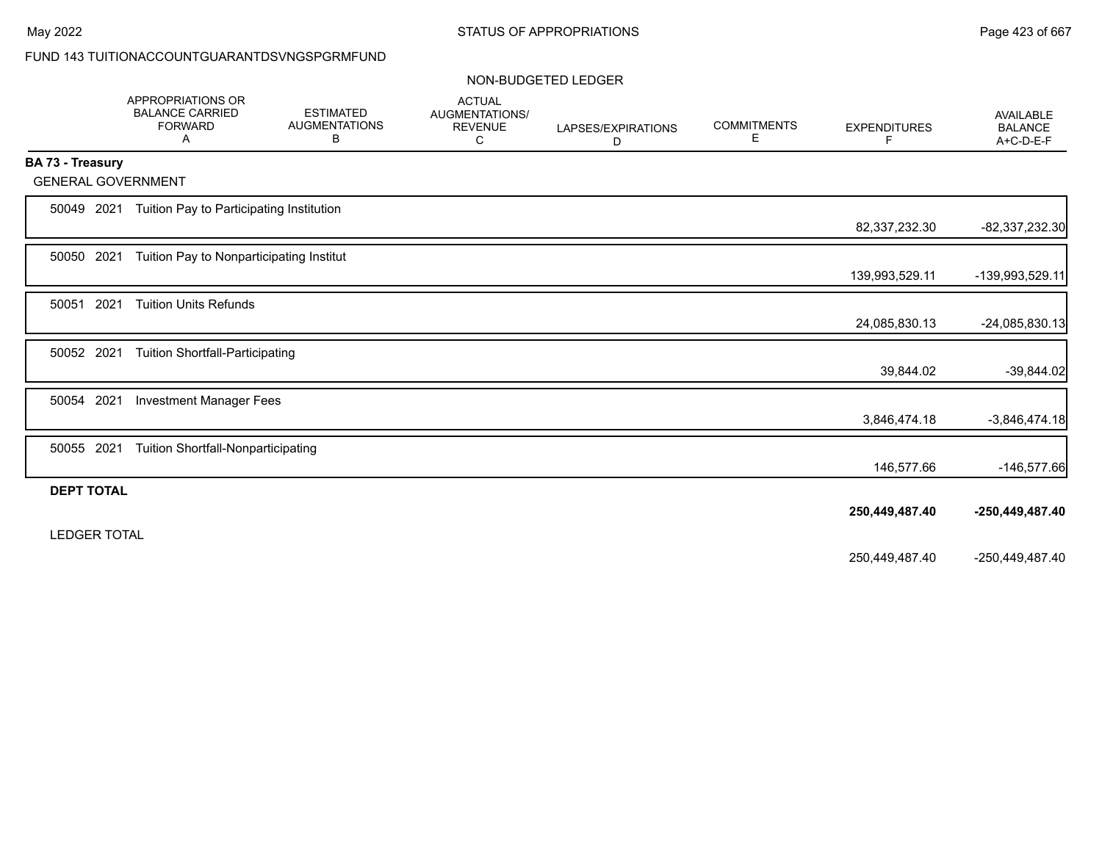# FUND 143 TUITIONACCOUNTGUARANTDSVNGSPGRMFUND

### NON-BUDGETED LEDGER

|                           | APPROPRIATIONS OR<br><b>BALANCE CARRIED</b><br><b>FORWARD</b><br>Α | <b>ESTIMATED</b><br><b>AUGMENTATIONS</b><br>в | <b>ACTUAL</b><br>AUGMENTATIONS/<br><b>REVENUE</b><br>С | LAPSES/EXPIRATIONS<br>D | <b>COMMITMENTS</b><br>Е | <b>EXPENDITURES</b><br>F | AVAILABLE<br><b>BALANCE</b><br>A+C-D-E-F |
|---------------------------|--------------------------------------------------------------------|-----------------------------------------------|--------------------------------------------------------|-------------------------|-------------------------|--------------------------|------------------------------------------|
| <b>BA 73 - Treasury</b>   |                                                                    |                                               |                                                        |                         |                         |                          |                                          |
| <b>GENERAL GOVERNMENT</b> |                                                                    |                                               |                                                        |                         |                         |                          |                                          |
| 50049 2021                | Tuition Pay to Participating Institution                           |                                               |                                                        |                         |                         |                          |                                          |
|                           |                                                                    |                                               |                                                        |                         |                         | 82,337,232.30            | -82,337,232.30                           |
| 50050 2021                | Tuition Pay to Nonparticipating Institut                           |                                               |                                                        |                         |                         |                          |                                          |
|                           |                                                                    |                                               |                                                        |                         |                         | 139,993,529.11           | -139,993,529.11                          |
| 2021<br>50051             | <b>Tuition Units Refunds</b>                                       |                                               |                                                        |                         |                         |                          |                                          |
|                           |                                                                    |                                               |                                                        |                         |                         | 24,085,830.13            | -24,085,830.13                           |
| 50052 2021                | <b>Tuition Shortfall-Participating</b>                             |                                               |                                                        |                         |                         |                          |                                          |
|                           |                                                                    |                                               |                                                        |                         |                         | 39,844.02                | $-39,844.02$                             |
| 50054 2021                | <b>Investment Manager Fees</b>                                     |                                               |                                                        |                         |                         |                          |                                          |
|                           |                                                                    |                                               |                                                        |                         |                         | 3,846,474.18             | $-3,846,474.18$                          |
|                           |                                                                    |                                               |                                                        |                         |                         |                          |                                          |
| 50055 2021                | <b>Tuition Shortfall-Nonparticipating</b>                          |                                               |                                                        |                         |                         | 146,577.66               | $-146,577.66$                            |
| <b>DEPT TOTAL</b>         |                                                                    |                                               |                                                        |                         |                         |                          |                                          |
|                           |                                                                    |                                               |                                                        |                         |                         | 250,449,487.40           | -250,449,487.40                          |
| <b>LEDGER TOTAL</b>       |                                                                    |                                               |                                                        |                         |                         |                          |                                          |
|                           |                                                                    |                                               |                                                        |                         |                         |                          |                                          |
|                           |                                                                    |                                               |                                                        |                         |                         | 250,449,487.40           | -250,449,487.40                          |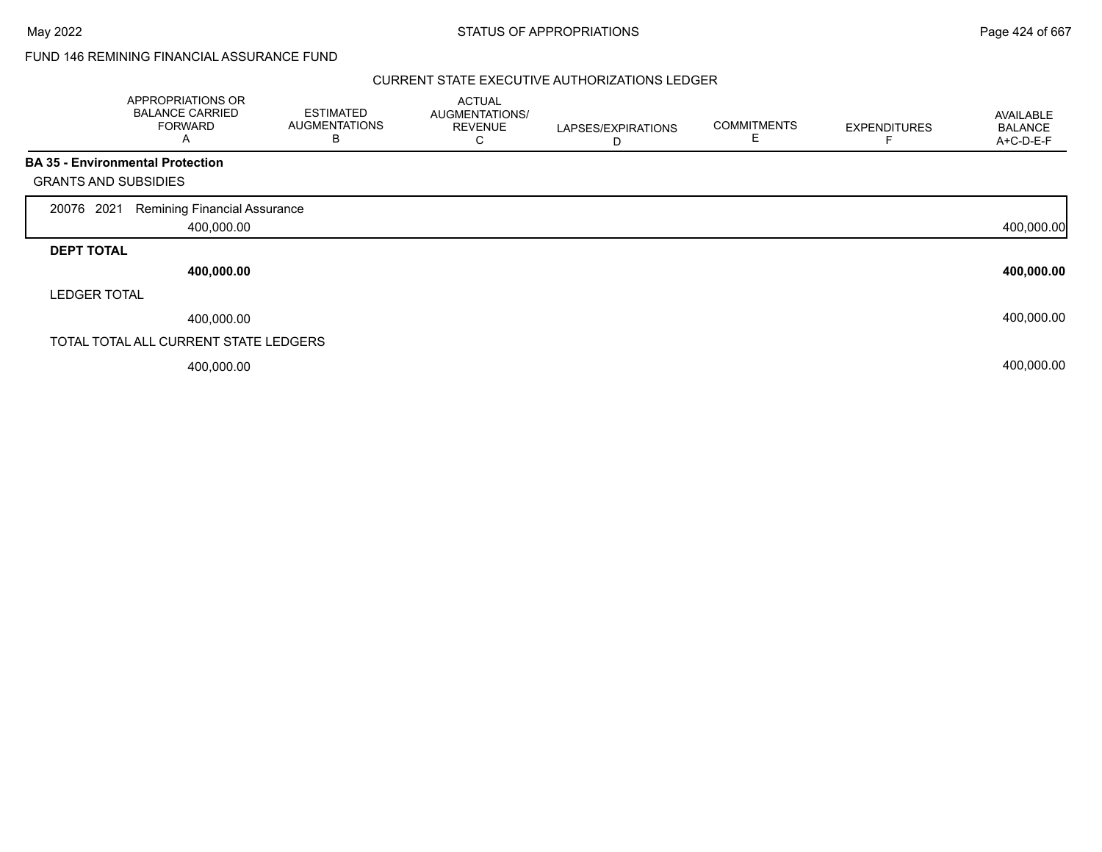FUND 146 REMINING FINANCIAL ASSURANCE FUND

|                             | APPROPRIATIONS OR<br><b>BALANCE CARRIED</b><br><b>FORWARD</b><br>A | <b>ESTIMATED</b><br><b>AUGMENTATIONS</b><br>B | <b>ACTUAL</b><br>AUGMENTATIONS/<br><b>REVENUE</b><br>С | LAPSES/EXPIRATIONS<br>D | <b>COMMITMENTS</b><br>E | <b>EXPENDITURES</b> | <b>AVAILABLE</b><br><b>BALANCE</b><br>A+C-D-E-F |
|-----------------------------|--------------------------------------------------------------------|-----------------------------------------------|--------------------------------------------------------|-------------------------|-------------------------|---------------------|-------------------------------------------------|
|                             | <b>BA 35 - Environmental Protection</b>                            |                                               |                                                        |                         |                         |                     |                                                 |
| <b>GRANTS AND SUBSIDIES</b> |                                                                    |                                               |                                                        |                         |                         |                     |                                                 |
| 2021<br>20076               | <b>Remining Financial Assurance</b>                                |                                               |                                                        |                         |                         |                     |                                                 |
|                             | 400,000.00                                                         |                                               |                                                        |                         |                         |                     | 400,000.00                                      |
| <b>DEPT TOTAL</b>           |                                                                    |                                               |                                                        |                         |                         |                     |                                                 |
|                             | 400,000.00                                                         |                                               |                                                        |                         |                         |                     | 400,000.00                                      |
| <b>LEDGER TOTAL</b>         |                                                                    |                                               |                                                        |                         |                         |                     |                                                 |
|                             | 400,000.00                                                         |                                               |                                                        |                         |                         |                     | 400,000.00                                      |
|                             | TOTAL TOTAL ALL CURRENT STATE LEDGERS                              |                                               |                                                        |                         |                         |                     |                                                 |
|                             | 400,000.00                                                         |                                               |                                                        |                         |                         |                     | 400,000.00                                      |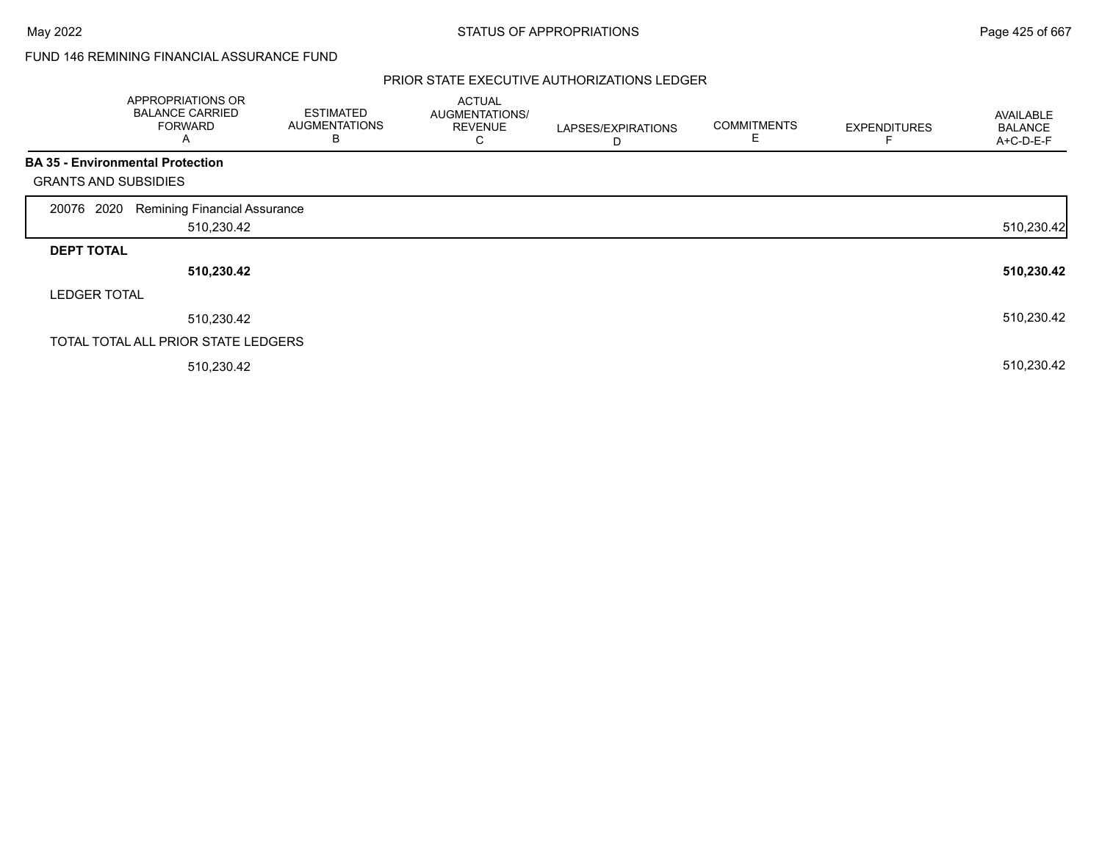# FUND 146 REMINING FINANCIAL ASSURANCE FUND

|                             | APPROPRIATIONS OR<br><b>BALANCE CARRIED</b><br><b>FORWARD</b><br>A | <b>ESTIMATED</b><br><b>AUGMENTATIONS</b><br>В | <b>ACTUAL</b><br>AUGMENTATIONS/<br><b>REVENUE</b><br>С | LAPSES/EXPIRATIONS<br>D | <b>COMMITMENTS</b><br>E | <b>EXPENDITURES</b> | AVAILABLE<br><b>BALANCE</b><br>A+C-D-E-F |
|-----------------------------|--------------------------------------------------------------------|-----------------------------------------------|--------------------------------------------------------|-------------------------|-------------------------|---------------------|------------------------------------------|
|                             | <b>BA 35 - Environmental Protection</b>                            |                                               |                                                        |                         |                         |                     |                                          |
| <b>GRANTS AND SUBSIDIES</b> |                                                                    |                                               |                                                        |                         |                         |                     |                                          |
| 2020<br>20076               | <b>Remining Financial Assurance</b>                                |                                               |                                                        |                         |                         |                     |                                          |
|                             | 510,230.42                                                         |                                               |                                                        |                         |                         |                     | 510,230.42                               |
| <b>DEPT TOTAL</b>           |                                                                    |                                               |                                                        |                         |                         |                     |                                          |
|                             | 510,230.42                                                         |                                               |                                                        |                         |                         |                     | 510,230.42                               |
| <b>LEDGER TOTAL</b>         |                                                                    |                                               |                                                        |                         |                         |                     |                                          |
|                             | 510,230.42                                                         |                                               |                                                        |                         |                         |                     | 510,230.42                               |
|                             | TOTAL TOTAL ALL PRIOR STATE LEDGERS                                |                                               |                                                        |                         |                         |                     |                                          |
|                             | 510,230.42                                                         |                                               |                                                        |                         |                         |                     | 510,230.42                               |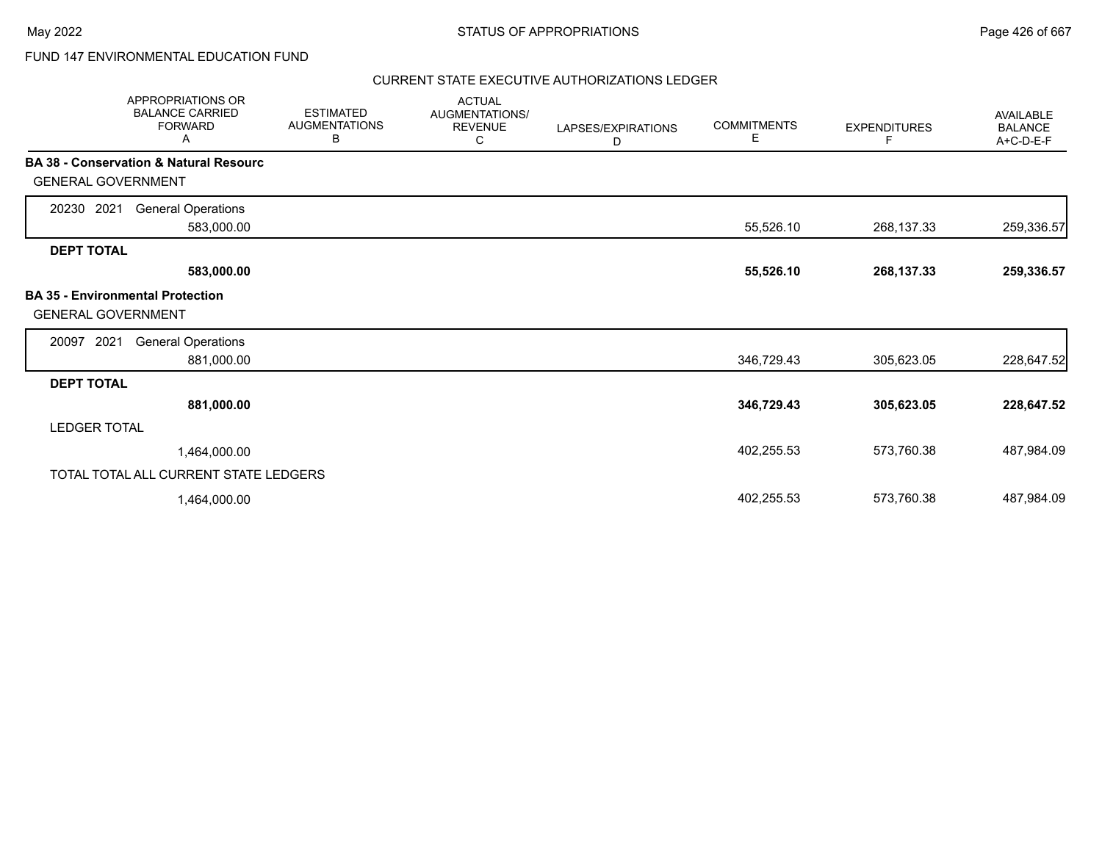# FUND 147 ENVIRONMENTAL EDUCATION FUND

| <b>APPROPRIATIONS OR</b><br><b>BALANCE CARRIED</b><br><b>FORWARD</b><br>Α | <b>ESTIMATED</b><br><b>AUGMENTATIONS</b><br>В | <b>ACTUAL</b><br>AUGMENTATIONS/<br><b>REVENUE</b><br>С | LAPSES/EXPIRATIONS<br>D | <b>COMMITMENTS</b><br>Е | <b>EXPENDITURES</b><br>F | <b>AVAILABLE</b><br><b>BALANCE</b><br>A+C-D-E-F |
|---------------------------------------------------------------------------|-----------------------------------------------|--------------------------------------------------------|-------------------------|-------------------------|--------------------------|-------------------------------------------------|
| <b>BA 38 - Conservation &amp; Natural Resourc</b>                         |                                               |                                                        |                         |                         |                          |                                                 |
| <b>GENERAL GOVERNMENT</b>                                                 |                                               |                                                        |                         |                         |                          |                                                 |
| 20230 2021<br><b>General Operations</b>                                   |                                               |                                                        |                         |                         |                          |                                                 |
| 583,000.00                                                                |                                               |                                                        |                         | 55,526.10               | 268,137.33               | 259,336.57                                      |
| <b>DEPT TOTAL</b>                                                         |                                               |                                                        |                         |                         |                          |                                                 |
| 583,000.00                                                                |                                               |                                                        |                         | 55,526.10               | 268,137.33               | 259,336.57                                      |
| <b>BA 35 - Environmental Protection</b><br><b>GENERAL GOVERNMENT</b>      |                                               |                                                        |                         |                         |                          |                                                 |
| 2021<br><b>General Operations</b><br>20097                                |                                               |                                                        |                         |                         |                          |                                                 |
| 881,000.00                                                                |                                               |                                                        |                         | 346,729.43              | 305,623.05               | 228,647.52                                      |
| <b>DEPT TOTAL</b>                                                         |                                               |                                                        |                         |                         |                          |                                                 |
| 881,000.00                                                                |                                               |                                                        |                         | 346,729.43              | 305,623.05               | 228,647.52                                      |
| <b>LEDGER TOTAL</b>                                                       |                                               |                                                        |                         |                         |                          |                                                 |
| 1,464,000.00                                                              |                                               |                                                        |                         | 402,255.53              | 573,760.38               | 487,984.09                                      |
| TOTAL TOTAL ALL CURRENT STATE LEDGERS                                     |                                               |                                                        |                         |                         |                          |                                                 |
| 1,464,000.00                                                              |                                               |                                                        |                         | 402,255.53              | 573,760.38               | 487,984.09                                      |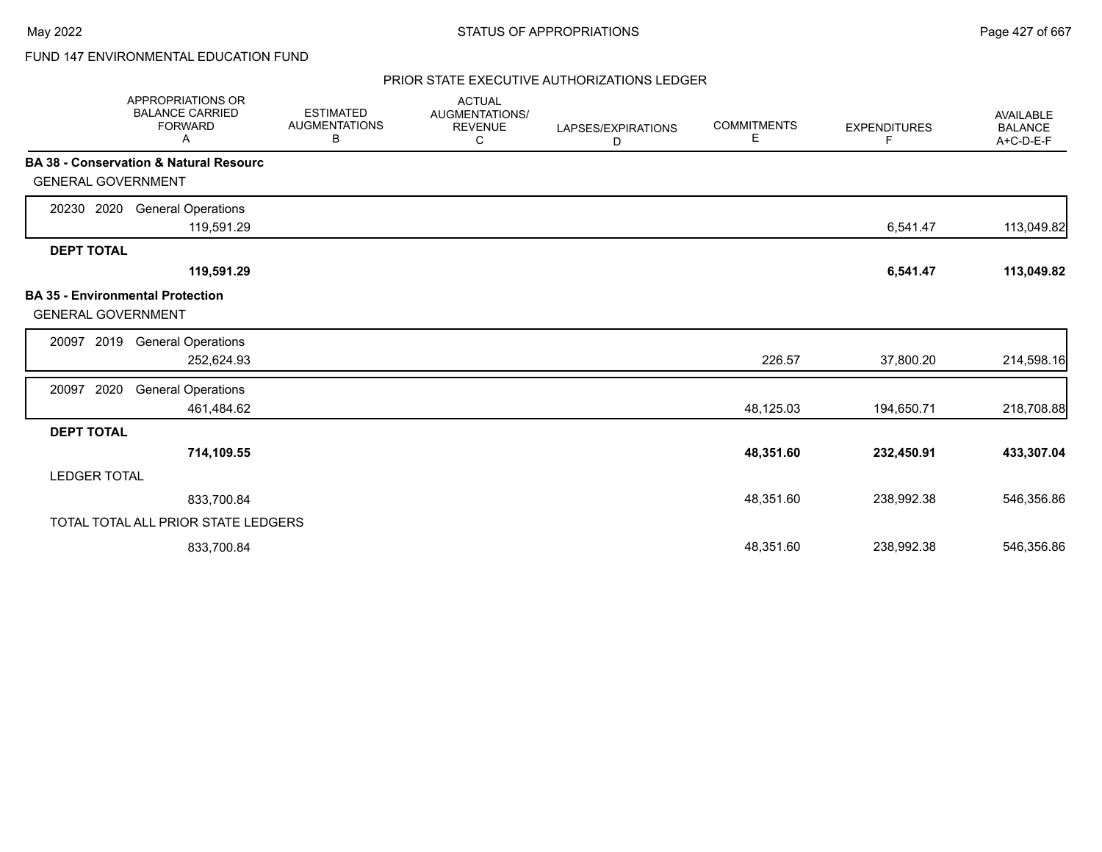# FUND 147 ENVIRONMENTAL EDUCATION FUND

|                           | <b>APPROPRIATIONS OR</b><br><b>BALANCE CARRIED</b><br><b>FORWARD</b><br>Α | <b>ESTIMATED</b><br><b>AUGMENTATIONS</b><br>В | <b>ACTUAL</b><br>AUGMENTATIONS/<br><b>REVENUE</b><br>С | LAPSES/EXPIRATIONS<br>D | <b>COMMITMENTS</b><br>Е | <b>EXPENDITURES</b><br>F | <b>AVAILABLE</b><br><b>BALANCE</b><br>A+C-D-E-F |
|---------------------------|---------------------------------------------------------------------------|-----------------------------------------------|--------------------------------------------------------|-------------------------|-------------------------|--------------------------|-------------------------------------------------|
| <b>GENERAL GOVERNMENT</b> | <b>BA 38 - Conservation &amp; Natural Resourc</b>                         |                                               |                                                        |                         |                         |                          |                                                 |
| 20230 2020                | <b>General Operations</b><br>119,591.29                                   |                                               |                                                        |                         |                         | 6,541.47                 | 113,049.82                                      |
| <b>DEPT TOTAL</b>         | 119,591.29                                                                |                                               |                                                        |                         |                         | 6,541.47                 | 113,049.82                                      |
| <b>GENERAL GOVERNMENT</b> | <b>BA 35 - Environmental Protection</b>                                   |                                               |                                                        |                         |                         |                          |                                                 |
| 2019<br>20097             | <b>General Operations</b><br>252,624.93                                   |                                               |                                                        |                         | 226.57                  | 37,800.20                | 214,598.16                                      |
| 2020<br>20097             | <b>General Operations</b><br>461,484.62                                   |                                               |                                                        |                         | 48,125.03               | 194,650.71               | 218,708.88                                      |
| <b>DEPT TOTAL</b>         | 714,109.55                                                                |                                               |                                                        |                         | 48,351.60               | 232,450.91               | 433,307.04                                      |
| <b>LEDGER TOTAL</b>       |                                                                           |                                               |                                                        |                         |                         |                          |                                                 |
|                           | 833,700.84                                                                |                                               |                                                        |                         | 48,351.60               | 238,992.38               | 546,356.86                                      |
|                           | TOTAL TOTAL ALL PRIOR STATE LEDGERS                                       |                                               |                                                        |                         |                         |                          |                                                 |
|                           | 833,700.84                                                                |                                               |                                                        |                         | 48,351.60               | 238,992.38               | 546,356.86                                      |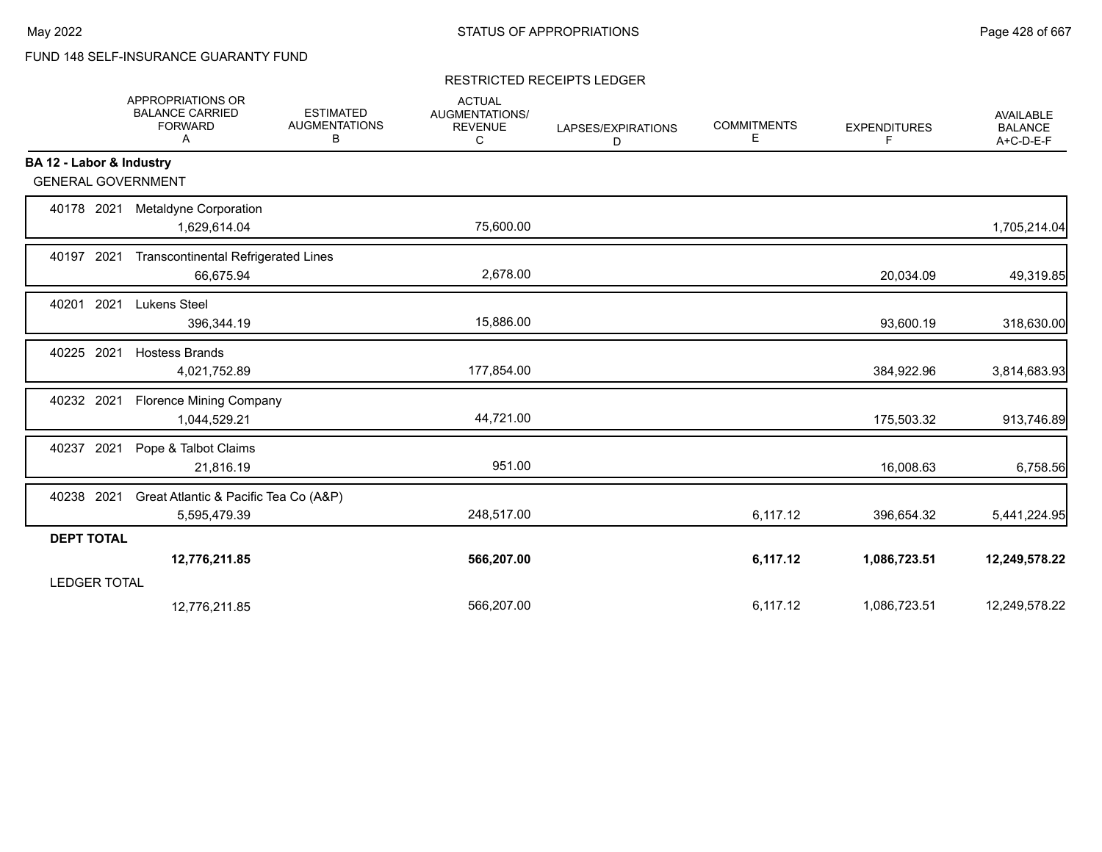# FUND 148 SELF-INSURANCE GUARANTY FUND

#### RESTRICTED RECEIPTS LEDGER

|                          | <b>APPROPRIATIONS OR</b><br><b>BALANCE CARRIED</b><br><b>FORWARD</b><br>Α | <b>ESTIMATED</b><br><b>AUGMENTATIONS</b><br>В | <b>ACTUAL</b><br>AUGMENTATIONS/<br><b>REVENUE</b><br>C | LAPSES/EXPIRATIONS<br>D | <b>COMMITMENTS</b><br>Е | <b>EXPENDITURES</b><br>F | <b>AVAILABLE</b><br><b>BALANCE</b><br>A+C-D-E-F |
|--------------------------|---------------------------------------------------------------------------|-----------------------------------------------|--------------------------------------------------------|-------------------------|-------------------------|--------------------------|-------------------------------------------------|
| BA 12 - Labor & Industry |                                                                           |                                               |                                                        |                         |                         |                          |                                                 |
|                          | <b>GENERAL GOVERNMENT</b>                                                 |                                               |                                                        |                         |                         |                          |                                                 |
| 40178 2021               | Metaldyne Corporation<br>1,629,614.04                                     |                                               | 75,600.00                                              |                         |                         |                          | 1,705,214.04                                    |
| 40197 2021               | <b>Transcontinental Refrigerated Lines</b><br>66,675.94                   |                                               | 2,678.00                                               |                         |                         | 20,034.09                | 49,319.85                                       |
| 2021<br>40201            | Lukens Steel<br>396,344.19                                                |                                               | 15,886.00                                              |                         |                         | 93,600.19                | 318,630.00                                      |
| 40225 2021               | <b>Hostess Brands</b><br>4,021,752.89                                     |                                               | 177,854.00                                             |                         |                         | 384,922.96               | 3,814,683.93                                    |
| 40232 2021               | <b>Florence Mining Company</b><br>1,044,529.21                            |                                               | 44,721.00                                              |                         |                         | 175,503.32               | 913,746.89                                      |
| 40237 2021               | Pope & Talbot Claims<br>21,816.19                                         |                                               | 951.00                                                 |                         |                         | 16,008.63                | 6,758.56                                        |
| 40238 2021               | Great Atlantic & Pacific Tea Co (A&P)<br>5,595,479.39                     |                                               | 248,517.00                                             |                         | 6,117.12                | 396,654.32               | 5,441,224.95                                    |
| <b>DEPT TOTAL</b>        |                                                                           |                                               |                                                        |                         |                         |                          |                                                 |
|                          | 12,776,211.85                                                             |                                               | 566,207.00                                             |                         | 6,117.12                | 1,086,723.51             | 12,249,578.22                                   |
| <b>LEDGER TOTAL</b>      |                                                                           |                                               |                                                        |                         |                         |                          |                                                 |
|                          | 12,776,211.85                                                             |                                               | 566,207.00                                             |                         | 6,117.12                | 1,086,723.51             | 12,249,578.22                                   |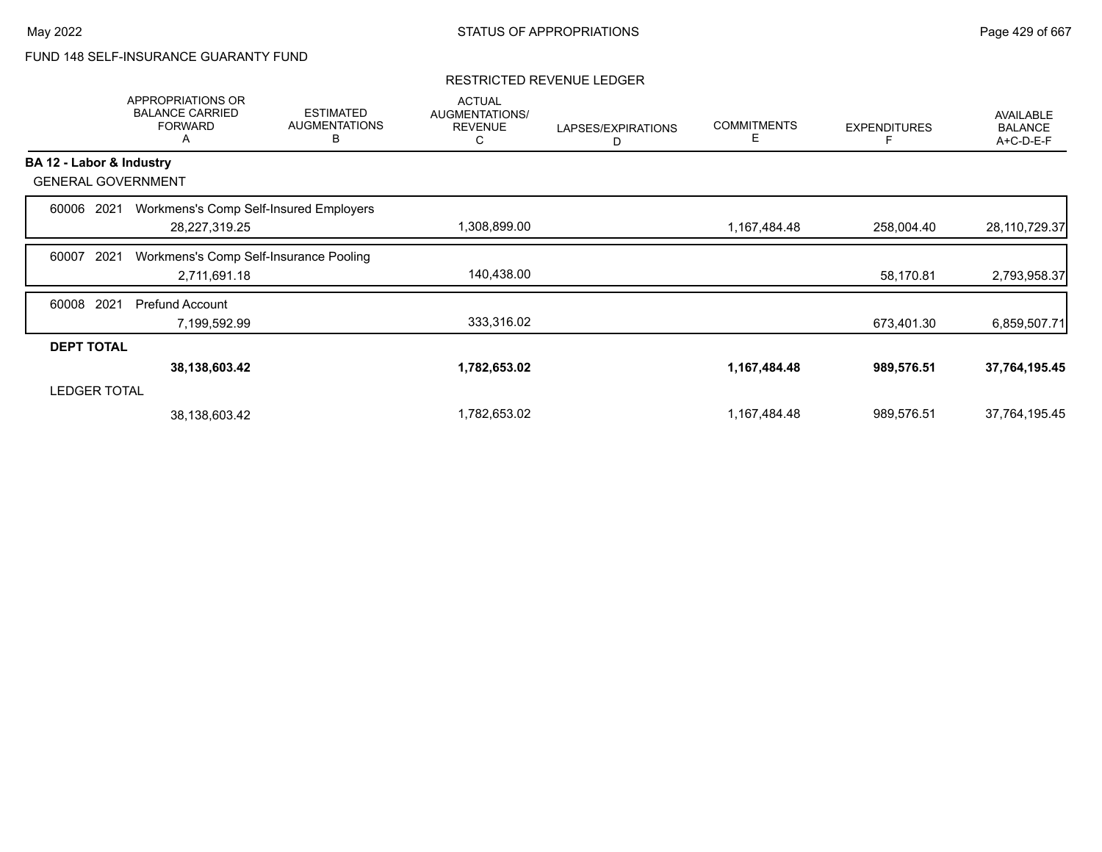# FUND 148 SELF-INSURANCE GUARANTY FUND

|                          | <b>APPROPRIATIONS OR</b><br><b>BALANCE CARRIED</b><br><b>FORWARD</b><br>Α | <b>ESTIMATED</b><br><b>AUGMENTATIONS</b><br>B | <b>ACTUAL</b><br><b>AUGMENTATIONS/</b><br><b>REVENUE</b><br>С | LAPSES/EXPIRATIONS<br>D | <b>COMMITMENTS</b><br>Е | <b>EXPENDITURES</b> | <b>AVAILABLE</b><br><b>BALANCE</b><br>A+C-D-E-F |
|--------------------------|---------------------------------------------------------------------------|-----------------------------------------------|---------------------------------------------------------------|-------------------------|-------------------------|---------------------|-------------------------------------------------|
| BA 12 - Labor & Industry |                                                                           |                                               |                                                               |                         |                         |                     |                                                 |
|                          | <b>GENERAL GOVERNMENT</b>                                                 |                                               |                                                               |                         |                         |                     |                                                 |
| 60006                    | 2021                                                                      | Workmens's Comp Self-Insured Employers        |                                                               |                         |                         |                     |                                                 |
|                          | 28,227,319.25                                                             |                                               | 1,308,899.00                                                  |                         | 1,167,484.48            | 258,004.40          | 28,110,729.37                                   |
| 60007                    | 2021                                                                      | Workmens's Comp Self-Insurance Pooling        |                                                               |                         |                         |                     |                                                 |
|                          | 2,711,691.18                                                              |                                               | 140,438.00                                                    |                         |                         | 58,170.81           | 2,793,958.37                                    |
| 60008                    | 2021<br>Prefund Account                                                   |                                               |                                                               |                         |                         |                     |                                                 |
|                          | 7,199,592.99                                                              |                                               | 333,316.02                                                    |                         |                         | 673,401.30          | 6,859,507.71                                    |
| <b>DEPT TOTAL</b>        |                                                                           |                                               |                                                               |                         |                         |                     |                                                 |
|                          | 38, 138, 603. 42                                                          |                                               | 1,782,653.02                                                  |                         | 1,167,484.48            | 989,576.51          | 37,764,195.45                                   |
| <b>LEDGER TOTAL</b>      |                                                                           |                                               |                                                               |                         |                         |                     |                                                 |
|                          | 38,138,603.42                                                             |                                               | 1,782,653.02                                                  |                         | 1,167,484.48            | 989,576.51          | 37,764,195.45                                   |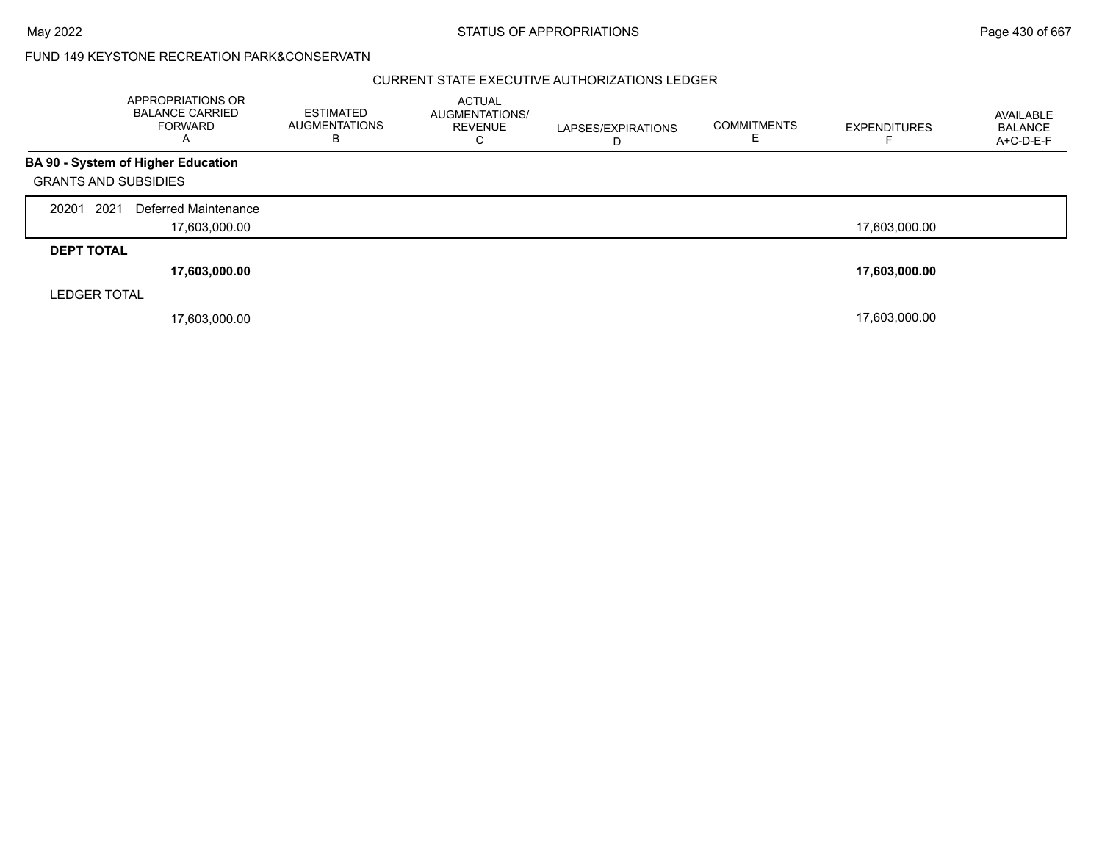## FUND 149 KEYSTONE RECREATION PARK&CONSERVATN

|                             | APPROPRIATIONS OR<br><b>BALANCE CARRIED</b><br><b>FORWARD</b><br>A | <b>ESTIMATED</b><br><b>AUGMENTATIONS</b><br>в | <b>ACTUAL</b><br><b>AUGMENTATIONS/</b><br><b>REVENUE</b><br>C | LAPSES/EXPIRATIONS | <b>COMMITMENTS</b> | <b>EXPENDITURES</b> | AVAILABLE<br><b>BALANCE</b><br>A+C-D-E-F |
|-----------------------------|--------------------------------------------------------------------|-----------------------------------------------|---------------------------------------------------------------|--------------------|--------------------|---------------------|------------------------------------------|
|                             | BA 90 - System of Higher Education                                 |                                               |                                                               |                    |                    |                     |                                          |
| <b>GRANTS AND SUBSIDIES</b> |                                                                    |                                               |                                                               |                    |                    |                     |                                          |
| 2021<br>20201               | Deferred Maintenance                                               |                                               |                                                               |                    |                    |                     |                                          |
|                             | 17,603,000.00                                                      |                                               |                                                               |                    |                    | 17,603,000.00       |                                          |
| <b>DEPT TOTAL</b>           |                                                                    |                                               |                                                               |                    |                    |                     |                                          |
|                             | 17,603,000.00                                                      |                                               |                                                               |                    |                    | 17,603,000.00       |                                          |
| <b>LEDGER TOTAL</b>         |                                                                    |                                               |                                                               |                    |                    |                     |                                          |
|                             | 17,603,000.00                                                      |                                               |                                                               |                    |                    | 17,603,000.00       |                                          |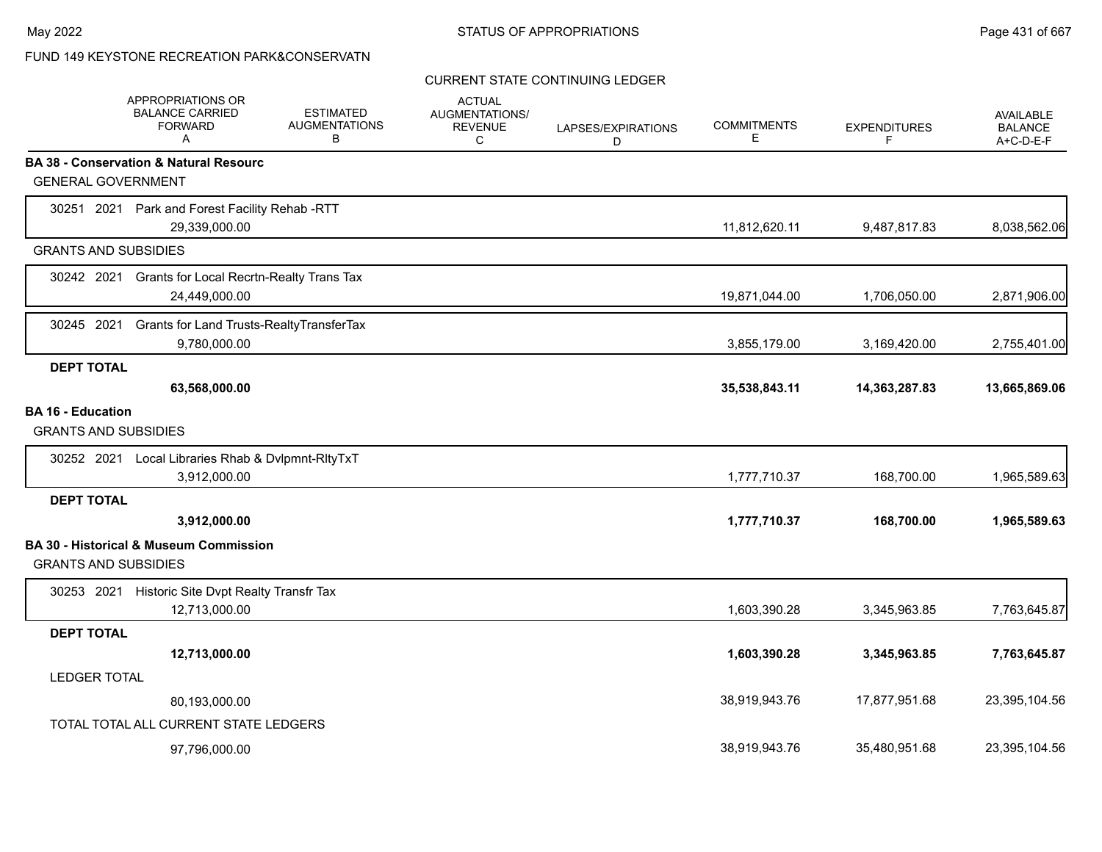# FUND 149 KEYSTONE RECREATION PARK&CONSERVATN

## CURRENT STATE CONTINUING LEDGER

|                                                         | APPROPRIATIONS OR<br><b>BALANCE CARRIED</b><br><b>FORWARD</b><br>A   | <b>ESTIMATED</b><br><b>AUGMENTATIONS</b><br>В | <b>ACTUAL</b><br><b>AUGMENTATIONS/</b><br><b>REVENUE</b><br>С | LAPSES/EXPIRATIONS<br>D | <b>COMMITMENTS</b><br>E | <b>EXPENDITURES</b><br>F | AVAILABLE<br><b>BALANCE</b><br>A+C-D-E-F |
|---------------------------------------------------------|----------------------------------------------------------------------|-----------------------------------------------|---------------------------------------------------------------|-------------------------|-------------------------|--------------------------|------------------------------------------|
|                                                         | <b>BA 38 - Conservation &amp; Natural Resourc</b>                    |                                               |                                                               |                         |                         |                          |                                          |
| <b>GENERAL GOVERNMENT</b>                               |                                                                      |                                               |                                                               |                         |                         |                          |                                          |
|                                                         | 30251 2021 Park and Forest Facility Rehab -RTT<br>29,339,000.00      |                                               |                                                               |                         | 11,812,620.11           | 9,487,817.83             | 8,038,562.06                             |
| <b>GRANTS AND SUBSIDIES</b>                             |                                                                      |                                               |                                                               |                         |                         |                          |                                          |
|                                                         | 30242 2021 Grants for Local Recrtn-Realty Trans Tax<br>24,449,000.00 |                                               |                                                               |                         | 19,871,044.00           | 1,706,050.00             | 2,871,906.00                             |
| 30245 2021                                              | Grants for Land Trusts-RealtyTransferTax<br>9,780,000.00             |                                               |                                                               |                         | 3,855,179.00            | 3,169,420.00             | 2,755,401.00                             |
| <b>DEPT TOTAL</b>                                       |                                                                      |                                               |                                                               |                         |                         |                          |                                          |
|                                                         | 63,568,000.00                                                        |                                               |                                                               |                         | 35,538,843.11           | 14,363,287.83            | 13,665,869.06                            |
| <b>BA 16 - Education</b><br><b>GRANTS AND SUBSIDIES</b> |                                                                      |                                               |                                                               |                         |                         |                          |                                          |
|                                                         | 30252 2021 Local Libraries Rhab & Dvlpmnt-RltyTxT<br>3,912,000.00    |                                               |                                                               |                         | 1,777,710.37            | 168,700.00               | 1,965,589.63                             |
| <b>DEPT TOTAL</b>                                       |                                                                      |                                               |                                                               |                         |                         |                          |                                          |
|                                                         | 3,912,000.00                                                         |                                               |                                                               |                         | 1,777,710.37            | 168,700.00               | 1,965,589.63                             |
| <b>GRANTS AND SUBSIDIES</b>                             | BA 30 - Historical & Museum Commission                               |                                               |                                                               |                         |                         |                          |                                          |
|                                                         | 30253 2021 Historic Site Dvpt Realty Transfr Tax<br>12,713,000.00    |                                               |                                                               |                         | 1,603,390.28            | 3,345,963.85             | 7,763,645.87                             |
| <b>DEPT TOTAL</b>                                       |                                                                      |                                               |                                                               |                         |                         |                          |                                          |
|                                                         | 12,713,000.00                                                        |                                               |                                                               |                         | 1,603,390.28            | 3,345,963.85             | 7,763,645.87                             |
| <b>LEDGER TOTAL</b>                                     |                                                                      |                                               |                                                               |                         |                         |                          |                                          |
|                                                         | 80,193,000.00                                                        |                                               |                                                               |                         | 38,919,943.76           | 17,877,951.68            | 23,395,104.56                            |
|                                                         | TOTAL TOTAL ALL CURRENT STATE LEDGERS                                |                                               |                                                               |                         |                         |                          |                                          |
|                                                         | 97,796,000.00                                                        |                                               |                                                               |                         | 38,919,943.76           | 35,480,951.68            | 23,395,104.56                            |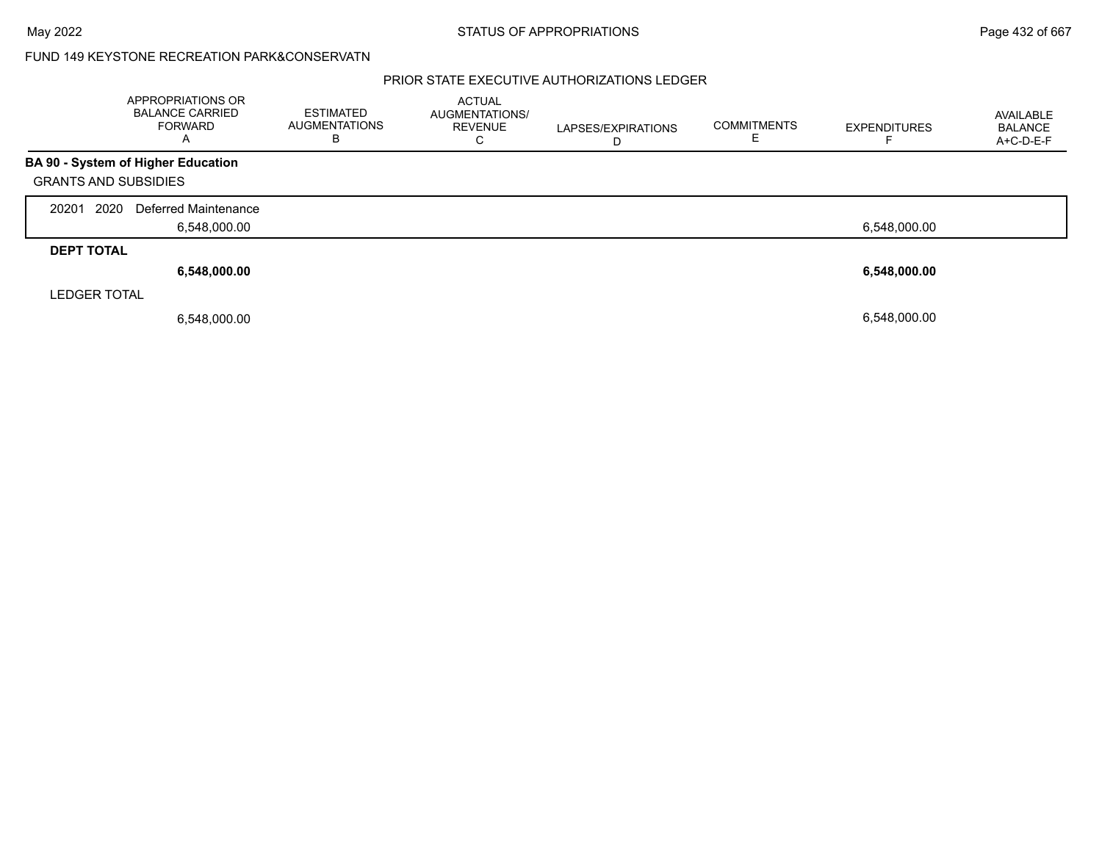## FUND 149 KEYSTONE RECREATION PARK&CONSERVATN

|                             | APPROPRIATIONS OR<br><b>BALANCE CARRIED</b><br><b>FORWARD</b><br>$\mathsf{A}$ | <b>ESTIMATED</b><br><b>AUGMENTATIONS</b><br>в | <b>ACTUAL</b><br><b>AUGMENTATIONS/</b><br><b>REVENUE</b><br>◡ | LAPSES/EXPIRATIONS<br>D | <b>COMMITMENTS</b> | <b>EXPENDITURES</b> | AVAILABLE<br>BALANCE<br>A+C-D-E-F |
|-----------------------------|-------------------------------------------------------------------------------|-----------------------------------------------|---------------------------------------------------------------|-------------------------|--------------------|---------------------|-----------------------------------|
|                             | BA 90 - System of Higher Education                                            |                                               |                                                               |                         |                    |                     |                                   |
| <b>GRANTS AND SUBSIDIES</b> |                                                                               |                                               |                                                               |                         |                    |                     |                                   |
| 2020<br>20201               | Deferred Maintenance                                                          |                                               |                                                               |                         |                    |                     |                                   |
|                             | 6,548,000.00                                                                  |                                               |                                                               |                         |                    | 6,548,000.00        |                                   |
| <b>DEPT TOTAL</b>           |                                                                               |                                               |                                                               |                         |                    |                     |                                   |
|                             | 6,548,000.00                                                                  |                                               |                                                               |                         |                    | 6,548,000.00        |                                   |
| <b>LEDGER TOTAL</b>         |                                                                               |                                               |                                                               |                         |                    |                     |                                   |
|                             | 6,548,000.00                                                                  |                                               |                                                               |                         |                    | 6,548,000.00        |                                   |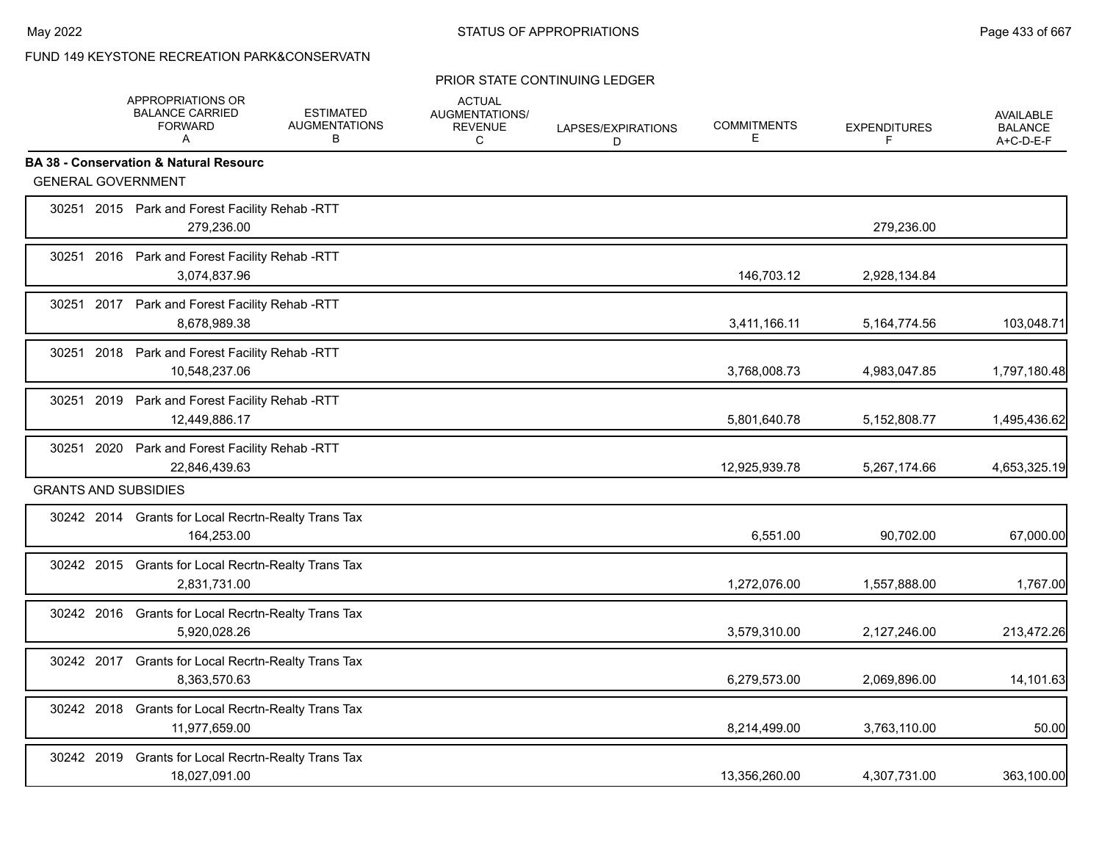### PRIOR STATE CONTINUING LEDGER

|                             | <b>BALANCE CARRIED</b><br><b>FORWARD</b><br>A                        | <b>ESTIMATED</b><br><b>AUGMENTATIONS</b><br>B | <b>ACTUAL</b><br>AUGMENTATIONS/<br><b>REVENUE</b><br>C | LAPSES/EXPIRATIONS<br>D | <b>COMMITMENTS</b><br>Е | <b>EXPENDITURES</b><br>F | AVAILABLE<br><b>BALANCE</b><br>A+C-D-E-F |
|-----------------------------|----------------------------------------------------------------------|-----------------------------------------------|--------------------------------------------------------|-------------------------|-------------------------|--------------------------|------------------------------------------|
|                             | <b>BA 38 - Conservation &amp; Natural Resourc</b>                    |                                               |                                                        |                         |                         |                          |                                          |
| <b>GENERAL GOVERNMENT</b>   |                                                                      |                                               |                                                        |                         |                         |                          |                                          |
|                             | 30251 2015 Park and Forest Facility Rehab -RTT<br>279,236.00         |                                               |                                                        |                         |                         | 279,236.00               |                                          |
|                             | 30251 2016 Park and Forest Facility Rehab -RTT<br>3,074,837.96       |                                               |                                                        |                         | 146,703.12              | 2,928,134.84             |                                          |
|                             | 30251 2017 Park and Forest Facility Rehab -RTT<br>8,678,989.38       |                                               |                                                        |                         | 3,411,166.11            | 5,164,774.56             | 103,048.71                               |
|                             | 30251 2018 Park and Forest Facility Rehab -RTT<br>10,548,237.06      |                                               |                                                        |                         | 3,768,008.73            | 4,983,047.85             | 1,797,180.48                             |
|                             | 30251 2019 Park and Forest Facility Rehab -RTT<br>12,449,886.17      |                                               |                                                        |                         | 5,801,640.78            | 5,152,808.77             | 1,495,436.62                             |
|                             | 30251 2020 Park and Forest Facility Rehab -RTT<br>22,846,439.63      |                                               |                                                        |                         | 12,925,939.78           | 5,267,174.66             | 4,653,325.19                             |
| <b>GRANTS AND SUBSIDIES</b> |                                                                      |                                               |                                                        |                         |                         |                          |                                          |
|                             | 30242 2014 Grants for Local Recrtn-Realty Trans Tax<br>164,253.00    |                                               |                                                        |                         | 6,551.00                | 90,702.00                | 67,000.00                                |
|                             | 30242 2015 Grants for Local Recrtn-Realty Trans Tax<br>2.831.731.00  |                                               |                                                        |                         | 1,272,076.00            | 1,557,888.00             | 1,767.00                                 |
|                             | 30242 2016 Grants for Local Recrtn-Realty Trans Tax<br>5,920,028.26  |                                               |                                                        |                         | 3,579,310.00            | 2,127,246.00             | 213,472.26                               |
|                             | 30242 2017 Grants for Local Recrtn-Realty Trans Tax<br>8,363,570.63  |                                               |                                                        |                         | 6,279,573.00            | 2,069,896.00             | 14,101.63                                |
|                             | 30242 2018 Grants for Local Recrtn-Realty Trans Tax<br>11,977,659.00 |                                               |                                                        |                         | 8,214,499.00            | 3,763,110.00             | 50.00                                    |
| 30242 2019                  | Grants for Local Recrtn-Realty Trans Tax<br>18,027,091.00            |                                               |                                                        |                         | 13,356,260.00           | 4,307,731.00             | 363,100.00                               |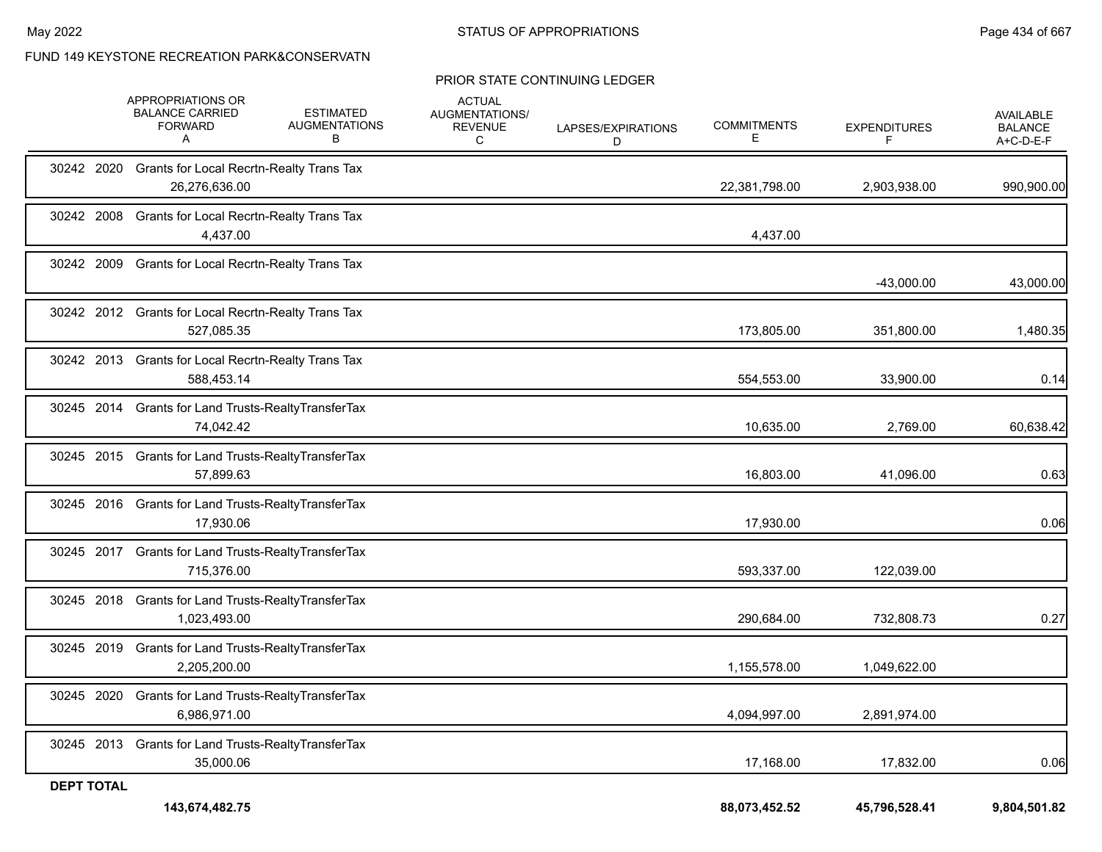#### PRIOR STATE CONTINUING LEDGER

|                   | APPROPRIATIONS OR<br><b>BALANCE CARRIED</b><br><b>FORWARD</b><br>Α  | <b>ESTIMATED</b><br><b>AUGMENTATIONS</b><br>В | <b>ACTUAL</b><br>AUGMENTATIONS/<br><b>REVENUE</b><br>C | LAPSES/EXPIRATIONS<br>D | <b>COMMITMENTS</b><br>Ε | <b>EXPENDITURES</b> | <b>AVAILABLE</b><br><b>BALANCE</b><br>A+C-D-E-F |
|-------------------|---------------------------------------------------------------------|-----------------------------------------------|--------------------------------------------------------|-------------------------|-------------------------|---------------------|-------------------------------------------------|
| 30242 2020        | <b>Grants for Local Recrtn-Realty Trans Tax</b><br>26,276,636.00    |                                               |                                                        |                         | 22,381,798.00           | 2,903,938.00        | 990,900.00                                      |
| 30242 2008        | Grants for Local Recrtn-Realty Trans Tax<br>4,437.00                |                                               |                                                        |                         | 4,437.00                |                     |                                                 |
| 30242 2009        | Grants for Local Recrtn-Realty Trans Tax                            |                                               |                                                        |                         |                         | $-43,000.00$        | 43,000.00                                       |
|                   | 30242 2012 Grants for Local Recrtn-Realty Trans Tax<br>527.085.35   |                                               |                                                        |                         | 173,805.00              | 351,800.00          | 1,480.35                                        |
|                   | 30242 2013 Grants for Local Recrtn-Realty Trans Tax<br>588,453.14   |                                               |                                                        |                         | 554,553.00              | 33,900.00           | 0.14                                            |
|                   | 30245 2014 Grants for Land Trusts-RealtyTransferTax<br>74,042.42    |                                               |                                                        |                         | 10,635.00               | 2,769.00            | 60,638.42                                       |
|                   | 30245 2015 Grants for Land Trusts-RealtyTransferTax<br>57,899.63    |                                               |                                                        |                         | 16,803.00               | 41,096.00           | 0.63                                            |
|                   | 30245 2016 Grants for Land Trusts-RealtyTransferTax<br>17,930.06    |                                               |                                                        |                         | 17,930.00               |                     | 0.06                                            |
|                   | 30245 2017 Grants for Land Trusts-RealtyTransferTax<br>715,376.00   |                                               |                                                        |                         | 593,337.00              | 122,039.00          |                                                 |
|                   | 30245 2018 Grants for Land Trusts-RealtyTransferTax<br>1,023,493.00 |                                               |                                                        |                         | 290,684.00              | 732,808.73          | 0.27                                            |
| 30245 2019        | Grants for Land Trusts-RealtyTransferTax<br>2,205,200.00            |                                               |                                                        |                         | 1,155,578.00            | 1,049,622.00        |                                                 |
| 30245 2020        | Grants for Land Trusts-RealtyTransferTax<br>6,986,971.00            |                                               |                                                        |                         | 4,094,997.00            | 2,891,974.00        |                                                 |
|                   | 30245 2013 Grants for Land Trusts-RealtyTransferTax<br>35,000.06    |                                               |                                                        |                         | 17,168.00               | 17,832.00           | 0.06                                            |
| <b>DEPT TOTAL</b> | 143,674,482.75                                                      |                                               |                                                        |                         | 88,073,452.52           | 45,796,528.41       | 9,804,501.82                                    |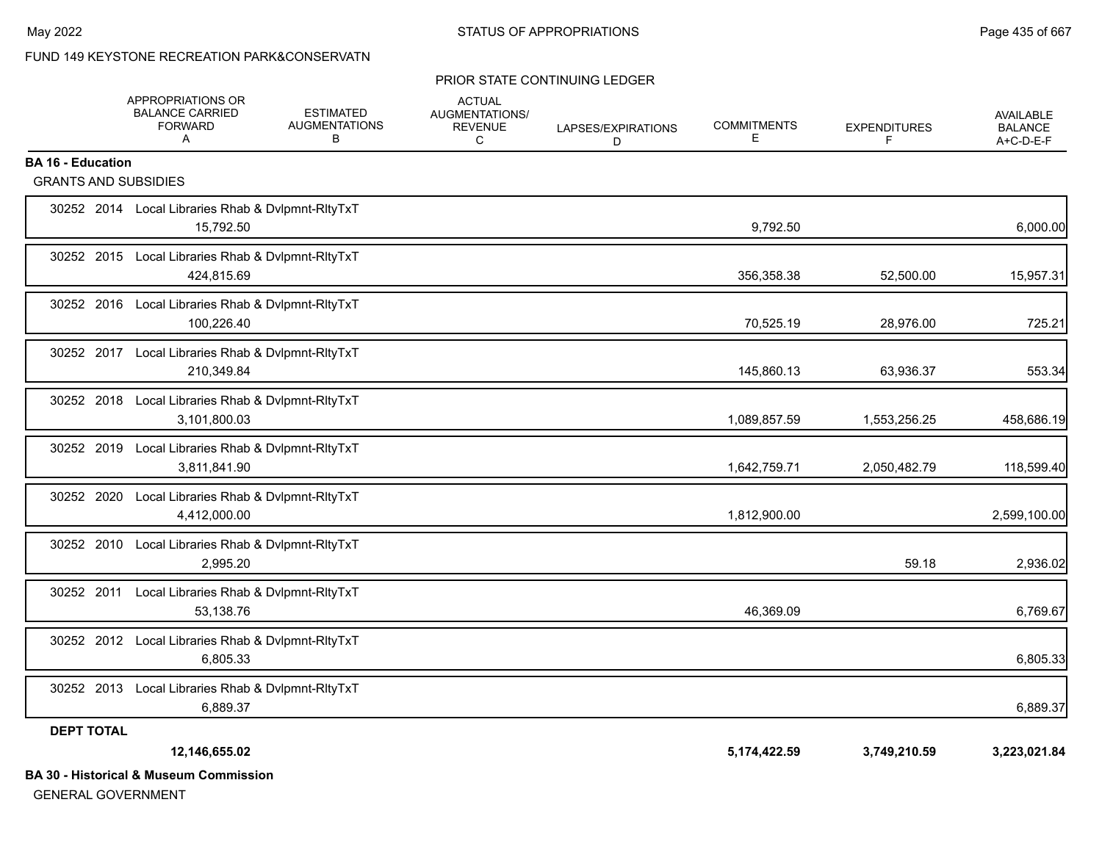#### PRIOR STATE CONTINUING LEDGER

|                             | APPROPRIATIONS OR<br><b>BALANCE CARRIED</b><br><b>FORWARD</b><br>A | <b>ESTIMATED</b><br><b>AUGMENTATIONS</b><br>В | <b>ACTUAL</b><br><b>AUGMENTATIONS/</b><br><b>REVENUE</b><br>C | LAPSES/EXPIRATIONS<br>D | <b>COMMITMENTS</b><br>Е | <b>EXPENDITURES</b><br>F | <b>AVAILABLE</b><br><b>BALANCE</b><br>A+C-D-E-F |
|-----------------------------|--------------------------------------------------------------------|-----------------------------------------------|---------------------------------------------------------------|-------------------------|-------------------------|--------------------------|-------------------------------------------------|
| <b>BA 16 - Education</b>    |                                                                    |                                               |                                                               |                         |                         |                          |                                                 |
| <b>GRANTS AND SUBSIDIES</b> |                                                                    |                                               |                                                               |                         |                         |                          |                                                 |
|                             | 30252 2014 Local Libraries Rhab & Dvlpmnt-RltyTxT<br>15,792.50     |                                               |                                                               |                         | 9,792.50                |                          | 6,000.00                                        |
|                             | 30252 2015 Local Libraries Rhab & Dvlpmnt-RltyTxT<br>424,815.69    |                                               |                                                               |                         | 356,358.38              | 52,500.00                | 15,957.31                                       |
|                             | 30252 2016 Local Libraries Rhab & Dvlpmnt-RltyTxT<br>100,226.40    |                                               |                                                               |                         | 70,525.19               | 28,976.00                | 725.21                                          |
| 30252 2017                  | Local Libraries Rhab & Dvlpmnt-RltyTxT<br>210,349.84               |                                               |                                                               |                         | 145,860.13              | 63,936.37                | 553.34                                          |
|                             | 30252 2018 Local Libraries Rhab & Dvlpmnt-RltyTxT<br>3,101,800.03  |                                               |                                                               |                         | 1,089,857.59            | 1,553,256.25             | 458,686.19                                      |
| 30252 2019                  | Local Libraries Rhab & Dvlpmnt-RltyTxT<br>3,811,841.90             |                                               |                                                               |                         | 1,642,759.71            | 2,050,482.79             | 118,599.40                                      |
| 30252 2020                  | Local Libraries Rhab & Dvlpmnt-RltyTxT<br>4,412,000.00             |                                               |                                                               |                         | 1,812,900.00            |                          | 2,599,100.00                                    |
|                             | 30252 2010 Local Libraries Rhab & Dvlpmnt-RItyTxT<br>2.995.20      |                                               |                                                               |                         |                         | 59.18                    | 2,936.02                                        |
| 30252 2011                  | Local Libraries Rhab & Dvlpmnt-RltyTxT<br>53,138.76                |                                               |                                                               |                         | 46,369.09               |                          | 6,769.67                                        |
|                             | 30252 2012 Local Libraries Rhab & Dvlpmnt-RltyTxT<br>6.805.33      |                                               |                                                               |                         |                         |                          | 6,805.33                                        |
|                             | 30252 2013 Local Libraries Rhab & Dvlpmnt-RltyTxT<br>6.889.37      |                                               |                                                               |                         |                         |                          | 6,889.37                                        |
| <b>DEPT TOTAL</b>           |                                                                    |                                               |                                                               |                         |                         |                          |                                                 |
|                             | 12,146,655.02                                                      |                                               |                                                               |                         | 5,174,422.59            | 3,749,210.59             | 3,223,021.84                                    |
|                             | <b>BA 30 - Historical &amp; Museum Commission</b>                  |                                               |                                                               |                         |                         |                          |                                                 |

GENERAL GOVERNMENT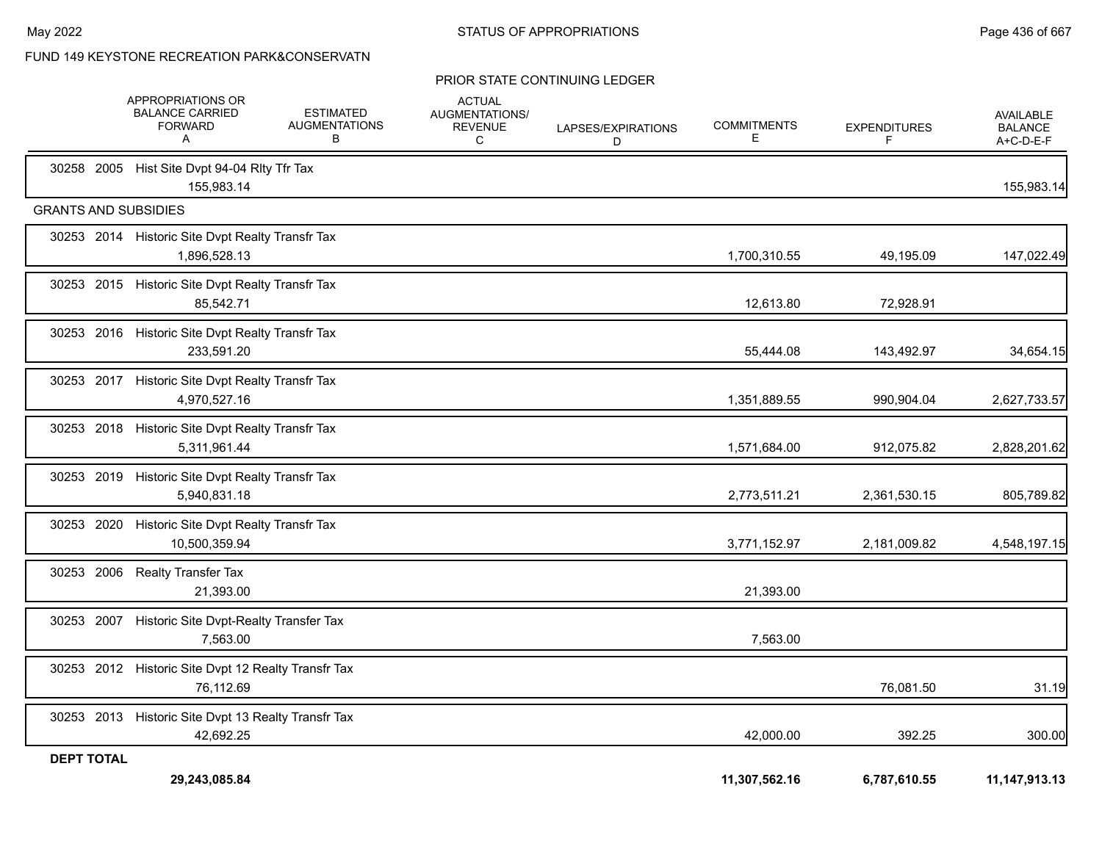#### PRIOR STATE CONTINUING LEDGER

|                             | APPROPRIATIONS OR<br><b>BALANCE CARRIED</b><br><b>FORWARD</b><br>A | <b>ESTIMATED</b><br><b>AUGMENTATIONS</b><br>В | <b>ACTUAL</b><br>AUGMENTATIONS/<br><b>REVENUE</b><br>C | LAPSES/EXPIRATIONS<br>D | <b>COMMITMENTS</b><br>Е | <b>EXPENDITURES</b><br>F | <b>AVAILABLE</b><br><b>BALANCE</b><br>A+C-D-E-F |
|-----------------------------|--------------------------------------------------------------------|-----------------------------------------------|--------------------------------------------------------|-------------------------|-------------------------|--------------------------|-------------------------------------------------|
|                             | 30258 2005 Hist Site Dvpt 94-04 RIty Tfr Tax<br>155,983.14         |                                               |                                                        |                         |                         |                          | 155,983.14                                      |
| <b>GRANTS AND SUBSIDIES</b> |                                                                    |                                               |                                                        |                         |                         |                          |                                                 |
|                             | 30253 2014 Historic Site Dvpt Realty Transfr Tax<br>1,896,528.13   |                                               |                                                        |                         | 1,700,310.55            | 49,195.09                | 147,022.49                                      |
|                             | 30253 2015 Historic Site Dvpt Realty Transfr Tax<br>85,542.71      |                                               |                                                        |                         | 12,613.80               | 72,928.91                |                                                 |
|                             | 30253 2016 Historic Site Dvpt Realty Transfr Tax<br>233,591.20     |                                               |                                                        |                         | 55,444.08               | 143,492.97               | 34,654.15                                       |
|                             | 30253 2017 Historic Site Dvpt Realty Transfr Tax<br>4,970,527.16   |                                               |                                                        |                         | 1,351,889.55            | 990,904.04               | 2,627,733.57                                    |
|                             | 30253 2018 Historic Site Dvpt Realty Transfr Tax<br>5,311,961.44   |                                               |                                                        |                         | 1,571,684.00            | 912,075.82               | 2,828,201.62                                    |
| 30253 2019                  | Historic Site Dvpt Realty Transfr Tax<br>5,940,831.18              |                                               |                                                        |                         | 2,773,511.21            | 2,361,530.15             | 805,789.82                                      |
| 30253 2020                  | Historic Site Dvpt Realty Transfr Tax<br>10,500,359.94             |                                               |                                                        |                         | 3,771,152.97            | 2,181,009.82             | 4,548,197.15                                    |
|                             | 30253 2006 Realty Transfer Tax<br>21,393.00                        |                                               |                                                        |                         | 21,393.00               |                          |                                                 |
|                             | 30253 2007 Historic Site Dvpt-Realty Transfer Tax<br>7,563.00      |                                               |                                                        |                         | 7,563.00                |                          |                                                 |
|                             | 30253 2012 Historic Site Dvpt 12 Realty Transfr Tax<br>76,112.69   |                                               |                                                        |                         |                         | 76,081.50                | 31.19                                           |
|                             | 30253 2013 Historic Site Dvpt 13 Realty Transfr Tax<br>42,692.25   |                                               |                                                        |                         | 42,000.00               | 392.25                   | 300.00                                          |
| <b>DEPT TOTAL</b>           | 29.243.085.84                                                      |                                               |                                                        |                         | 11,307,562.16           | 6,787,610.55             | 11, 147, 913. 13                                |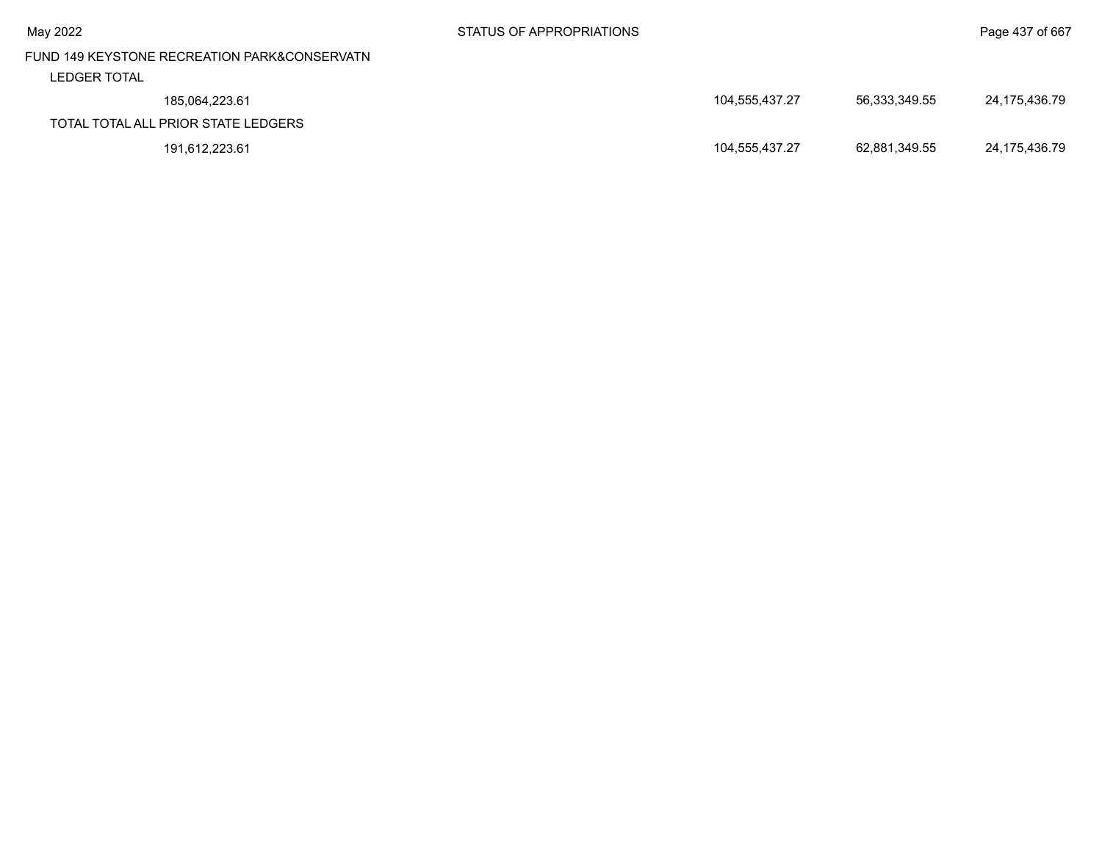|                                              |                |               | ັ             |
|----------------------------------------------|----------------|---------------|---------------|
| FUND 149 KEYSTONE RECREATION PARK&CONSERVATN |                |               |               |
| <b>LEDGER TOTAL</b>                          |                |               |               |
| 185,064,223.61                               | 104,555,437.27 | 56,333,349.55 | 24,175,436.79 |
| TOTAL TOTAL ALL PRIOR STATE LEDGERS          |                |               |               |
| 191,612,223.61                               | 104,555,437.27 | 62,881,349.55 | 24,175,436.79 |
|                                              |                |               |               |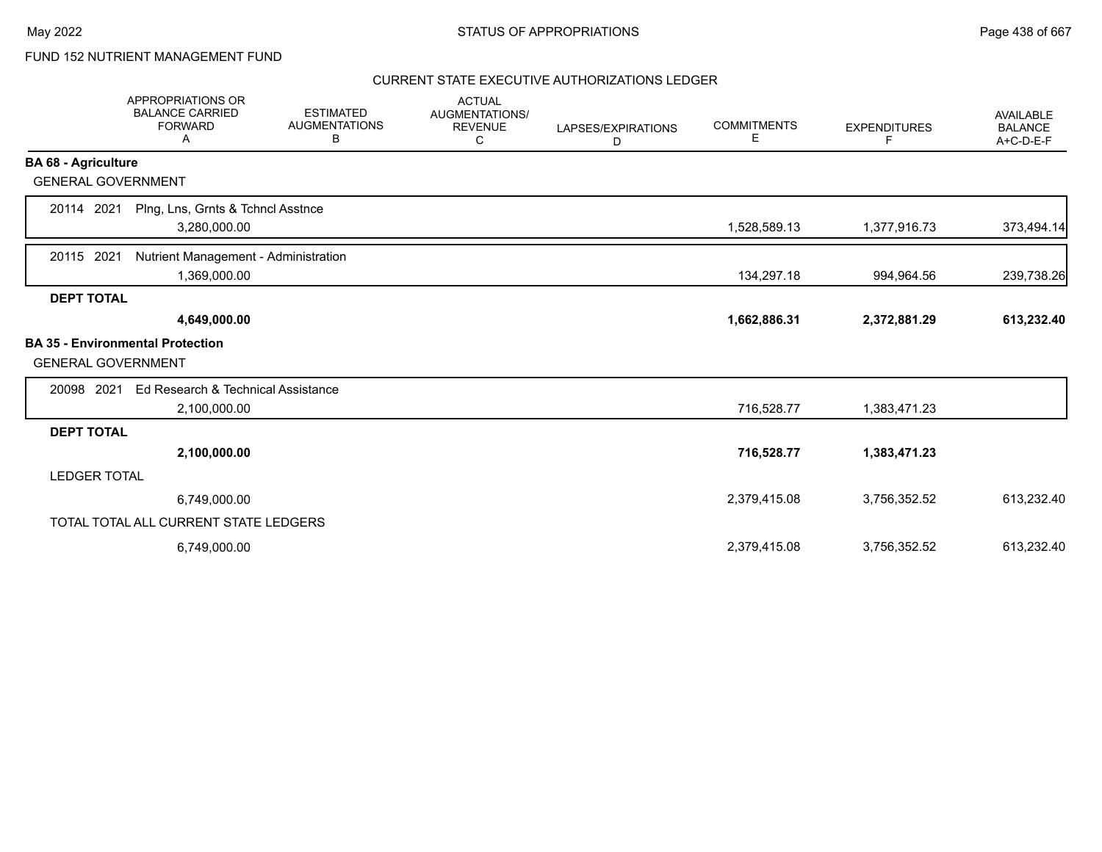# FUND 152 NUTRIENT MANAGEMENT FUND

|                            | <b>APPROPRIATIONS OR</b><br><b>BALANCE CARRIED</b><br><b>FORWARD</b><br>Α | <b>ESTIMATED</b><br><b>AUGMENTATIONS</b><br>В | <b>ACTUAL</b><br><b>AUGMENTATIONS/</b><br><b>REVENUE</b><br>C | LAPSES/EXPIRATIONS<br>D | <b>COMMITMENTS</b><br>Е | <b>EXPENDITURES</b><br>F | <b>AVAILABLE</b><br><b>BALANCE</b><br>A+C-D-E-F |
|----------------------------|---------------------------------------------------------------------------|-----------------------------------------------|---------------------------------------------------------------|-------------------------|-------------------------|--------------------------|-------------------------------------------------|
| <b>BA 68 - Agriculture</b> |                                                                           |                                               |                                                               |                         |                         |                          |                                                 |
| <b>GENERAL GOVERNMENT</b>  |                                                                           |                                               |                                                               |                         |                         |                          |                                                 |
| 20114 2021                 | Plng, Lns, Grnts & Tchncl Asstnce<br>3,280,000.00                         |                                               |                                                               |                         | 1,528,589.13            | 1,377,916.73             | 373,494.14                                      |
| 20115 2021                 | Nutrient Management - Administration<br>1,369,000.00                      |                                               |                                                               |                         | 134,297.18              | 994,964.56               | 239,738.26                                      |
| <b>DEPT TOTAL</b>          |                                                                           |                                               |                                                               |                         |                         |                          |                                                 |
|                            | 4,649,000.00                                                              |                                               |                                                               |                         | 1,662,886.31            | 2,372,881.29             | 613,232.40                                      |
| <b>GENERAL GOVERNMENT</b>  | <b>BA 35 - Environmental Protection</b>                                   |                                               |                                                               |                         |                         |                          |                                                 |
| 20098 2021                 | Ed Research & Technical Assistance                                        |                                               |                                                               |                         |                         |                          |                                                 |
|                            | 2,100,000.00                                                              |                                               |                                                               |                         | 716,528.77              | 1,383,471.23             |                                                 |
| <b>DEPT TOTAL</b>          |                                                                           |                                               |                                                               |                         |                         |                          |                                                 |
|                            | 2,100,000.00                                                              |                                               |                                                               |                         | 716,528.77              | 1,383,471.23             |                                                 |
| <b>LEDGER TOTAL</b>        |                                                                           |                                               |                                                               |                         |                         |                          |                                                 |
|                            | 6,749,000.00                                                              |                                               |                                                               |                         | 2,379,415.08            | 3,756,352.52             | 613,232.40                                      |
|                            | TOTAL TOTAL ALL CURRENT STATE LEDGERS                                     |                                               |                                                               |                         |                         |                          |                                                 |
|                            | 6,749,000.00                                                              |                                               |                                                               |                         | 2,379,415.08            | 3,756,352.52             | 613,232.40                                      |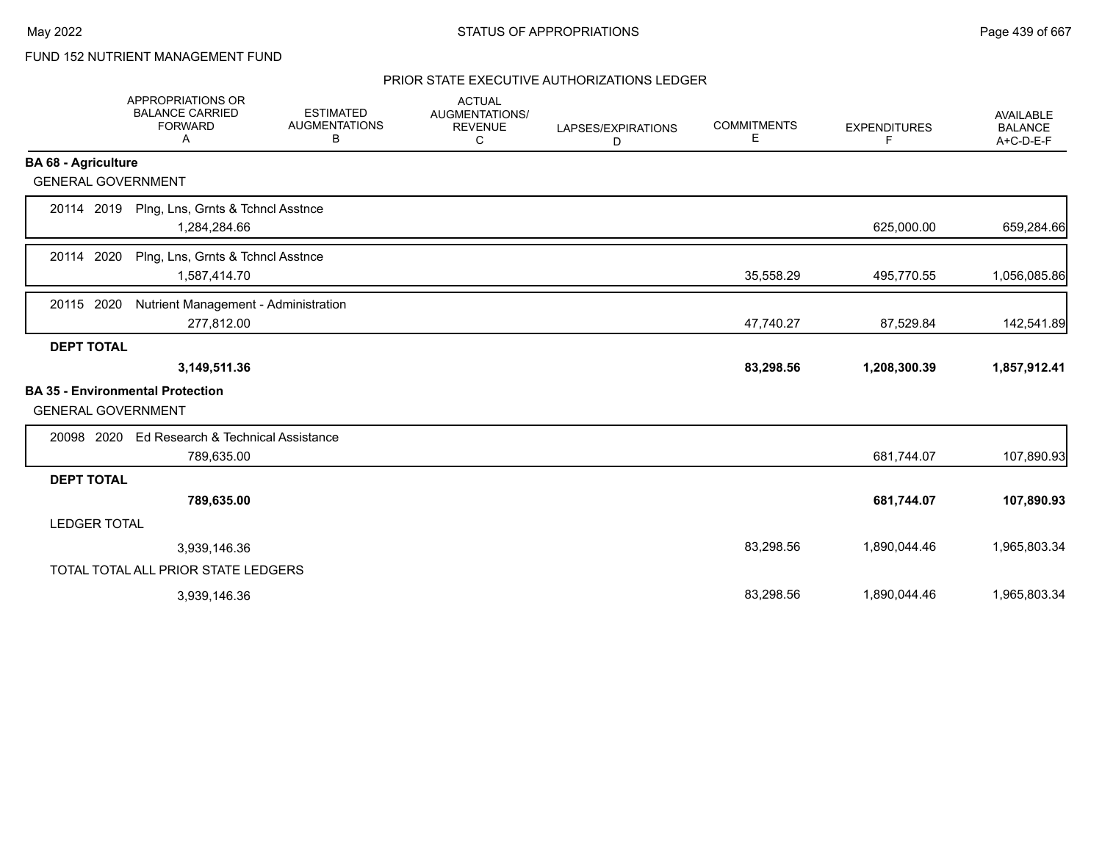# FUND 152 NUTRIENT MANAGEMENT FUND

|                            | <b>APPROPRIATIONS OR</b><br><b>BALANCE CARRIED</b><br><b>FORWARD</b><br>A | <b>ESTIMATED</b><br><b>AUGMENTATIONS</b><br>В | <b>ACTUAL</b><br><b>AUGMENTATIONS/</b><br><b>REVENUE</b><br>С | LAPSES/EXPIRATIONS<br>D | <b>COMMITMENTS</b><br>Е | <b>EXPENDITURES</b><br>F. | <b>AVAILABLE</b><br><b>BALANCE</b><br>A+C-D-E-F |
|----------------------------|---------------------------------------------------------------------------|-----------------------------------------------|---------------------------------------------------------------|-------------------------|-------------------------|---------------------------|-------------------------------------------------|
| <b>BA 68 - Agriculture</b> |                                                                           |                                               |                                                               |                         |                         |                           |                                                 |
| <b>GENERAL GOVERNMENT</b>  |                                                                           |                                               |                                                               |                         |                         |                           |                                                 |
| 20114 2019                 | Plng, Lns, Grnts & Tchncl Asstnce<br>1,284,284.66                         |                                               |                                                               |                         |                         | 625,000.00                | 659,284.66                                      |
| 20114 2020                 | Plng, Lns, Grnts & Tchncl Asstnce<br>1,587,414.70                         |                                               |                                                               |                         | 35,558.29               | 495,770.55                | 1,056,085.86                                    |
| 20115 2020                 | Nutrient Management - Administration<br>277,812.00                        |                                               |                                                               |                         | 47,740.27               | 87,529.84                 | 142,541.89                                      |
| <b>DEPT TOTAL</b>          |                                                                           |                                               |                                                               |                         |                         |                           |                                                 |
|                            | 3,149,511.36                                                              |                                               |                                                               |                         | 83,298.56               | 1,208,300.39              | 1,857,912.41                                    |
| <b>GENERAL GOVERNMENT</b>  | <b>BA 35 - Environmental Protection</b>                                   |                                               |                                                               |                         |                         |                           |                                                 |
| 20098 2020                 | Ed Research & Technical Assistance<br>789,635.00                          |                                               |                                                               |                         |                         | 681,744.07                | 107,890.93                                      |
| <b>DEPT TOTAL</b>          |                                                                           |                                               |                                                               |                         |                         |                           |                                                 |
|                            | 789,635.00                                                                |                                               |                                                               |                         |                         | 681,744.07                | 107,890.93                                      |
| <b>LEDGER TOTAL</b>        |                                                                           |                                               |                                                               |                         |                         |                           |                                                 |
|                            | 3,939,146.36                                                              |                                               |                                                               |                         | 83,298.56               | 1,890,044.46              | 1,965,803.34                                    |
|                            | TOTAL TOTAL ALL PRIOR STATE LEDGERS                                       |                                               |                                                               |                         |                         |                           |                                                 |
|                            | 3,939,146.36                                                              |                                               |                                                               |                         | 83,298.56               | 1,890,044.46              | 1,965,803.34                                    |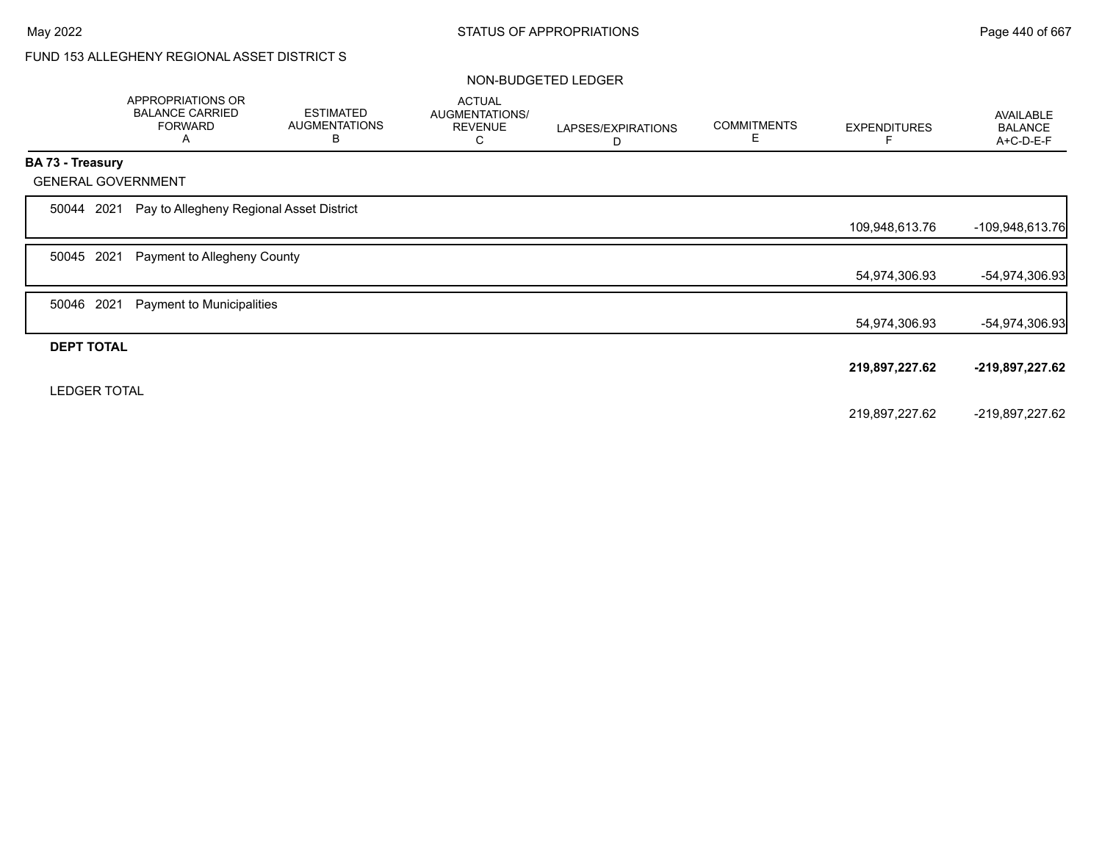# FUND 153 ALLEGHENY REGIONAL ASSET DISTRICT S

#### NON-BUDGETED LEDGER

|                         |                     | APPROPRIATIONS OR<br><b>BALANCE CARRIED</b><br><b>FORWARD</b><br>A | <b>ESTIMATED</b><br><b>AUGMENTATIONS</b><br>B | <b>ACTUAL</b><br>AUGMENTATIONS/<br><b>REVENUE</b><br>С | LAPSES/EXPIRATIONS<br>D | <b>COMMITMENTS</b><br>Е | <b>EXPENDITURES</b> | <b>AVAILABLE</b><br><b>BALANCE</b><br>A+C-D-E-F |
|-------------------------|---------------------|--------------------------------------------------------------------|-----------------------------------------------|--------------------------------------------------------|-------------------------|-------------------------|---------------------|-------------------------------------------------|
| <b>BA 73 - Treasury</b> |                     |                                                                    |                                               |                                                        |                         |                         |                     |                                                 |
|                         |                     | <b>GENERAL GOVERNMENT</b>                                          |                                               |                                                        |                         |                         |                     |                                                 |
| 50044                   | 2021                | Pay to Allegheny Regional Asset District                           |                                               |                                                        |                         |                         |                     |                                                 |
|                         |                     |                                                                    |                                               |                                                        |                         |                         | 109,948,613.76      | -109,948,613.76                                 |
| 50045                   | 2021                | Payment to Allegheny County                                        |                                               |                                                        |                         |                         |                     |                                                 |
|                         |                     |                                                                    |                                               |                                                        |                         |                         | 54,974,306.93       | -54,974,306.93                                  |
| 50046                   | 2021                | Payment to Municipalities                                          |                                               |                                                        |                         |                         |                     |                                                 |
|                         |                     |                                                                    |                                               |                                                        |                         |                         | 54,974,306.93       | -54,974,306.93                                  |
|                         | <b>DEPT TOTAL</b>   |                                                                    |                                               |                                                        |                         |                         |                     |                                                 |
|                         |                     |                                                                    |                                               |                                                        |                         |                         | 219,897,227.62      | -219,897,227.62                                 |
|                         | <b>LEDGER TOTAL</b> |                                                                    |                                               |                                                        |                         |                         |                     |                                                 |
|                         |                     |                                                                    |                                               |                                                        |                         |                         | 219,897,227.62      | -219,897,227.62                                 |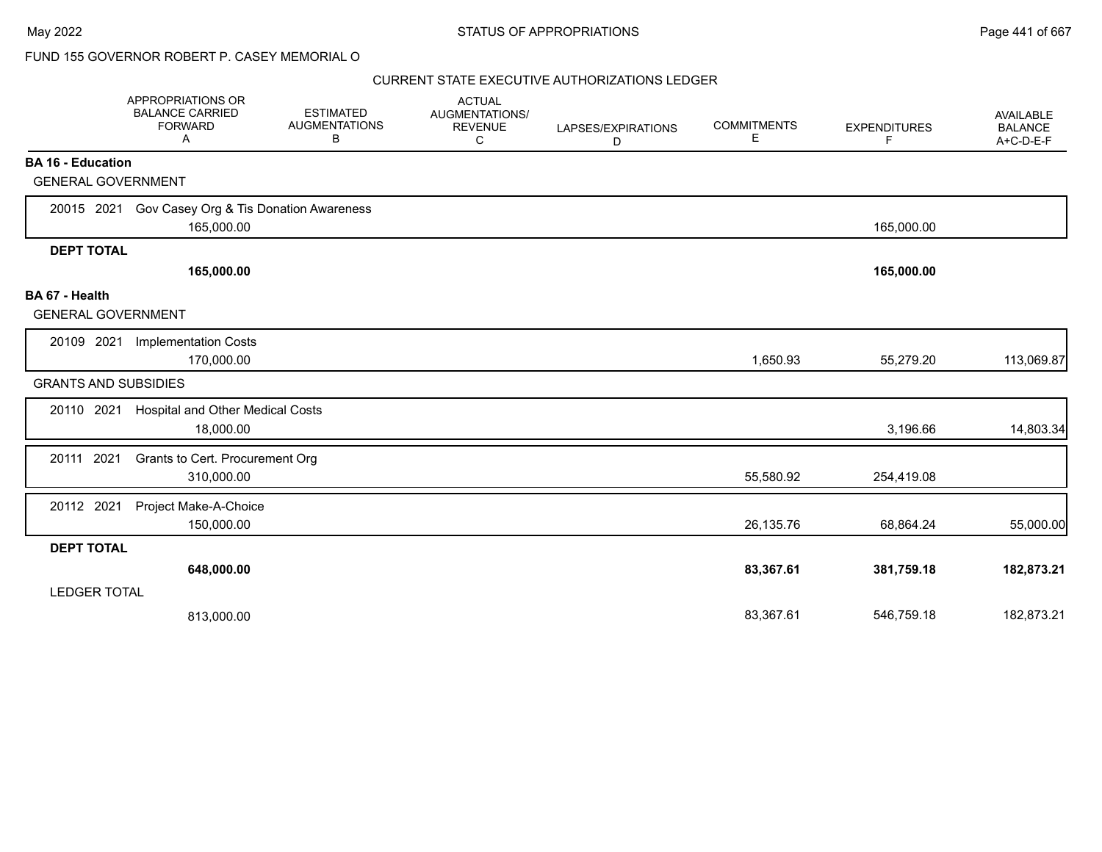|                                                       | APPROPRIATIONS OR<br><b>BALANCE CARRIED</b><br><b>FORWARD</b><br>A | <b>ESTIMATED</b><br><b>AUGMENTATIONS</b><br>В | <b>ACTUAL</b><br>AUGMENTATIONS/<br><b>REVENUE</b><br>С | LAPSES/EXPIRATIONS<br>D | <b>COMMITMENTS</b><br>Е | <b>EXPENDITURES</b><br>F | AVAILABLE<br><b>BALANCE</b><br>A+C-D-E-F |
|-------------------------------------------------------|--------------------------------------------------------------------|-----------------------------------------------|--------------------------------------------------------|-------------------------|-------------------------|--------------------------|------------------------------------------|
| <b>BA 16 - Education</b><br><b>GENERAL GOVERNMENT</b> |                                                                    |                                               |                                                        |                         |                         |                          |                                          |
|                                                       |                                                                    |                                               |                                                        |                         |                         |                          |                                          |
|                                                       | 20015 2021 Gov Casey Org & Tis Donation Awareness<br>165,000.00    |                                               |                                                        |                         |                         | 165,000.00               |                                          |
| <b>DEPT TOTAL</b>                                     |                                                                    |                                               |                                                        |                         |                         |                          |                                          |
|                                                       | 165,000.00                                                         |                                               |                                                        |                         |                         | 165,000.00               |                                          |
| BA 67 - Health<br><b>GENERAL GOVERNMENT</b>           |                                                                    |                                               |                                                        |                         |                         |                          |                                          |
| 20109 2021                                            | <b>Implementation Costs</b>                                        |                                               |                                                        |                         |                         |                          |                                          |
|                                                       | 170,000.00                                                         |                                               |                                                        |                         | 1,650.93                | 55,279.20                | 113,069.87                               |
| <b>GRANTS AND SUBSIDIES</b>                           |                                                                    |                                               |                                                        |                         |                         |                          |                                          |
| 20110 2021                                            | <b>Hospital and Other Medical Costs</b><br>18,000.00               |                                               |                                                        |                         |                         | 3,196.66                 | 14,803.34                                |
| 20111 2021                                            | Grants to Cert. Procurement Org<br>310,000.00                      |                                               |                                                        |                         | 55,580.92               | 254,419.08               |                                          |
| 20112 2021                                            | Project Make-A-Choice<br>150,000.00                                |                                               |                                                        |                         | 26,135.76               | 68,864.24                | 55,000.00                                |
| <b>DEPT TOTAL</b>                                     |                                                                    |                                               |                                                        |                         |                         |                          |                                          |
|                                                       | 648,000.00                                                         |                                               |                                                        |                         | 83,367.61               | 381,759.18               | 182,873.21                               |
| <b>LEDGER TOTAL</b>                                   |                                                                    |                                               |                                                        |                         |                         |                          |                                          |
|                                                       | 813,000.00                                                         |                                               |                                                        |                         | 83,367.61               | 546,759.18               | 182,873.21                               |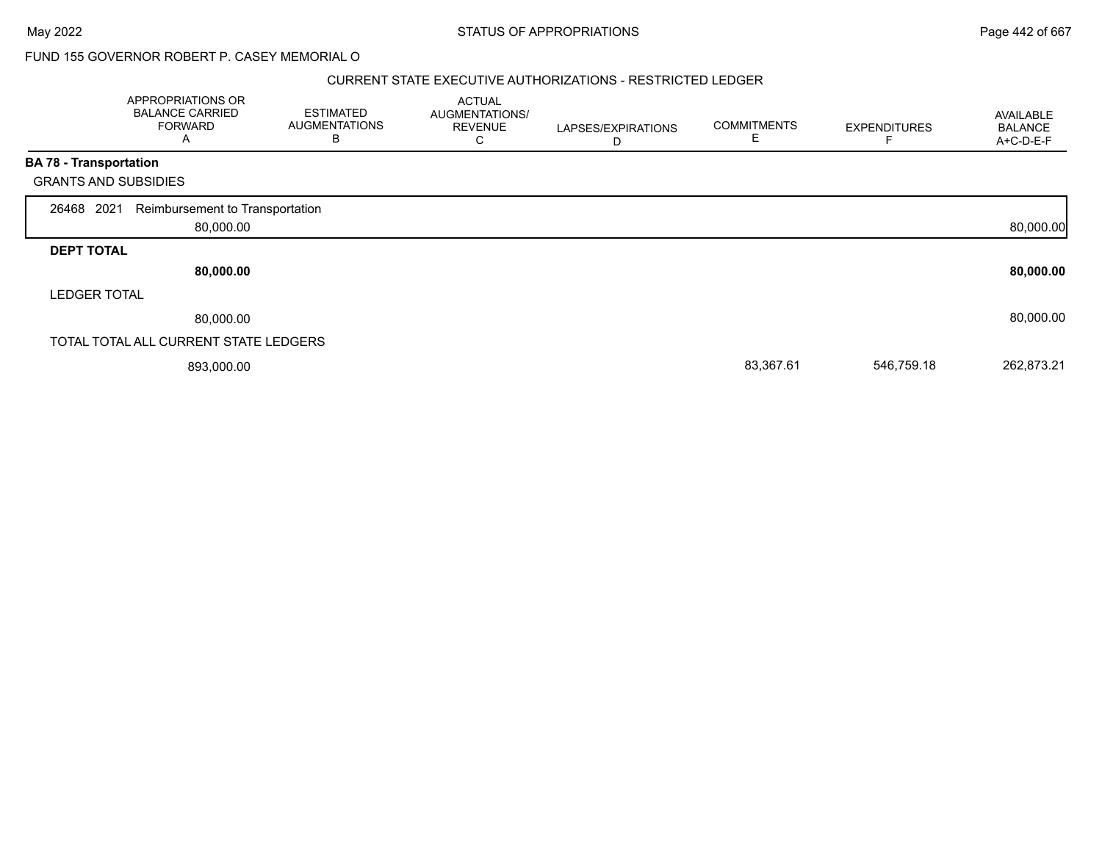#### CURRENT STATE EXECUTIVE AUTHORIZATIONS - RESTRICTED LEDGER

|                               | APPROPRIATIONS OR<br><b>BALANCE CARRIED</b><br><b>FORWARD</b><br>A | <b>ESTIMATED</b><br><b>AUGMENTATIONS</b><br>В | <b>ACTUAL</b><br>AUGMENTATIONS/<br><b>REVENUE</b><br>C | LAPSES/EXPIRATIONS<br>D | <b>COMMITMENTS</b><br>Е | <b>EXPENDITURES</b> | <b>AVAILABLE</b><br><b>BALANCE</b><br>A+C-D-E-F |
|-------------------------------|--------------------------------------------------------------------|-----------------------------------------------|--------------------------------------------------------|-------------------------|-------------------------|---------------------|-------------------------------------------------|
| <b>BA 78 - Transportation</b> |                                                                    |                                               |                                                        |                         |                         |                     |                                                 |
|                               | <b>GRANTS AND SUBSIDIES</b>                                        |                                               |                                                        |                         |                         |                     |                                                 |
| 26468 2021                    | Reimbursement to Transportation<br>80,000.00                       |                                               |                                                        |                         |                         |                     | 80,000.00                                       |
| <b>DEPT TOTAL</b>             |                                                                    |                                               |                                                        |                         |                         |                     |                                                 |
|                               | 80,000.00                                                          |                                               |                                                        |                         |                         |                     | 80,000.00                                       |
| <b>LEDGER TOTAL</b>           |                                                                    |                                               |                                                        |                         |                         |                     |                                                 |
|                               | 80,000.00                                                          |                                               |                                                        |                         |                         |                     | 80,000.00                                       |
|                               | TOTAL TOTAL ALL CURRENT STATE LEDGERS                              |                                               |                                                        |                         |                         |                     |                                                 |
|                               | 893,000.00                                                         |                                               |                                                        |                         | 83,367.61               | 546,759.18          | 262,873.21                                      |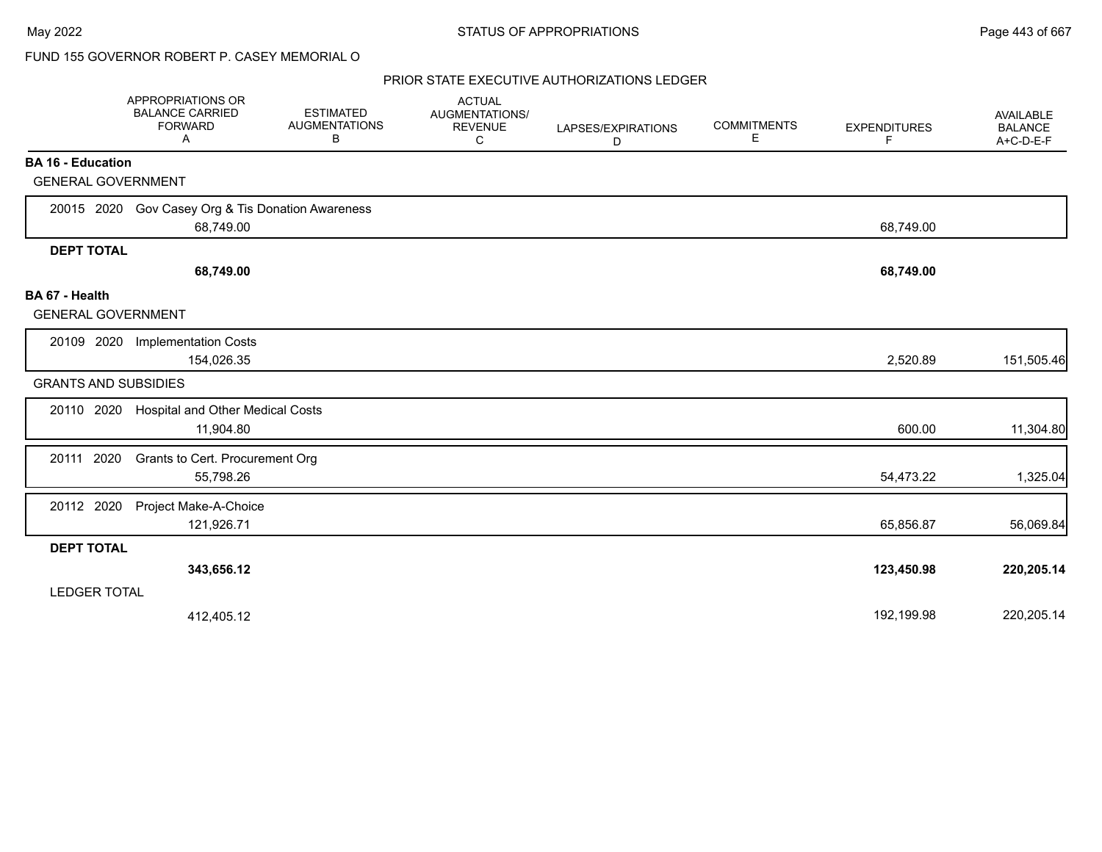|                                             | APPROPRIATIONS OR<br><b>BALANCE CARRIED</b><br><b>FORWARD</b><br>A | <b>ESTIMATED</b><br><b>AUGMENTATIONS</b><br>B | <b>ACTUAL</b><br>AUGMENTATIONS/<br><b>REVENUE</b><br>C | LAPSES/EXPIRATIONS<br>D | <b>COMMITMENTS</b><br>Е | <b>EXPENDITURES</b><br>F | <b>AVAILABLE</b><br><b>BALANCE</b><br>A+C-D-E-F |
|---------------------------------------------|--------------------------------------------------------------------|-----------------------------------------------|--------------------------------------------------------|-------------------------|-------------------------|--------------------------|-------------------------------------------------|
| <b>BA 16 - Education</b>                    |                                                                    |                                               |                                                        |                         |                         |                          |                                                 |
| <b>GENERAL GOVERNMENT</b>                   |                                                                    |                                               |                                                        |                         |                         |                          |                                                 |
|                                             | 20015 2020 Gov Casey Org & Tis Donation Awareness<br>68,749.00     |                                               |                                                        |                         |                         | 68,749.00                |                                                 |
| <b>DEPT TOTAL</b>                           |                                                                    |                                               |                                                        |                         |                         |                          |                                                 |
|                                             | 68,749.00                                                          |                                               |                                                        |                         |                         | 68,749.00                |                                                 |
| BA 67 - Health<br><b>GENERAL GOVERNMENT</b> |                                                                    |                                               |                                                        |                         |                         |                          |                                                 |
| 20109 2020                                  | <b>Implementation Costs</b><br>154,026.35                          |                                               |                                                        |                         |                         | 2,520.89                 | 151,505.46                                      |
| <b>GRANTS AND SUBSIDIES</b>                 |                                                                    |                                               |                                                        |                         |                         |                          |                                                 |
| 20110 2020                                  | Hospital and Other Medical Costs<br>11,904.80                      |                                               |                                                        |                         |                         | 600.00                   | 11,304.80                                       |
| 20111 2020                                  | Grants to Cert. Procurement Org<br>55,798.26                       |                                               |                                                        |                         |                         | 54,473.22                | 1,325.04                                        |
| 20112 2020                                  | Project Make-A-Choice<br>121,926.71                                |                                               |                                                        |                         |                         | 65,856.87                | 56,069.84                                       |
| <b>DEPT TOTAL</b>                           |                                                                    |                                               |                                                        |                         |                         |                          |                                                 |
|                                             | 343,656.12                                                         |                                               |                                                        |                         |                         | 123,450.98               | 220,205.14                                      |
| <b>LEDGER TOTAL</b>                         |                                                                    |                                               |                                                        |                         |                         |                          |                                                 |
|                                             | 412,405.12                                                         |                                               |                                                        |                         |                         | 192,199.98               | 220,205.14                                      |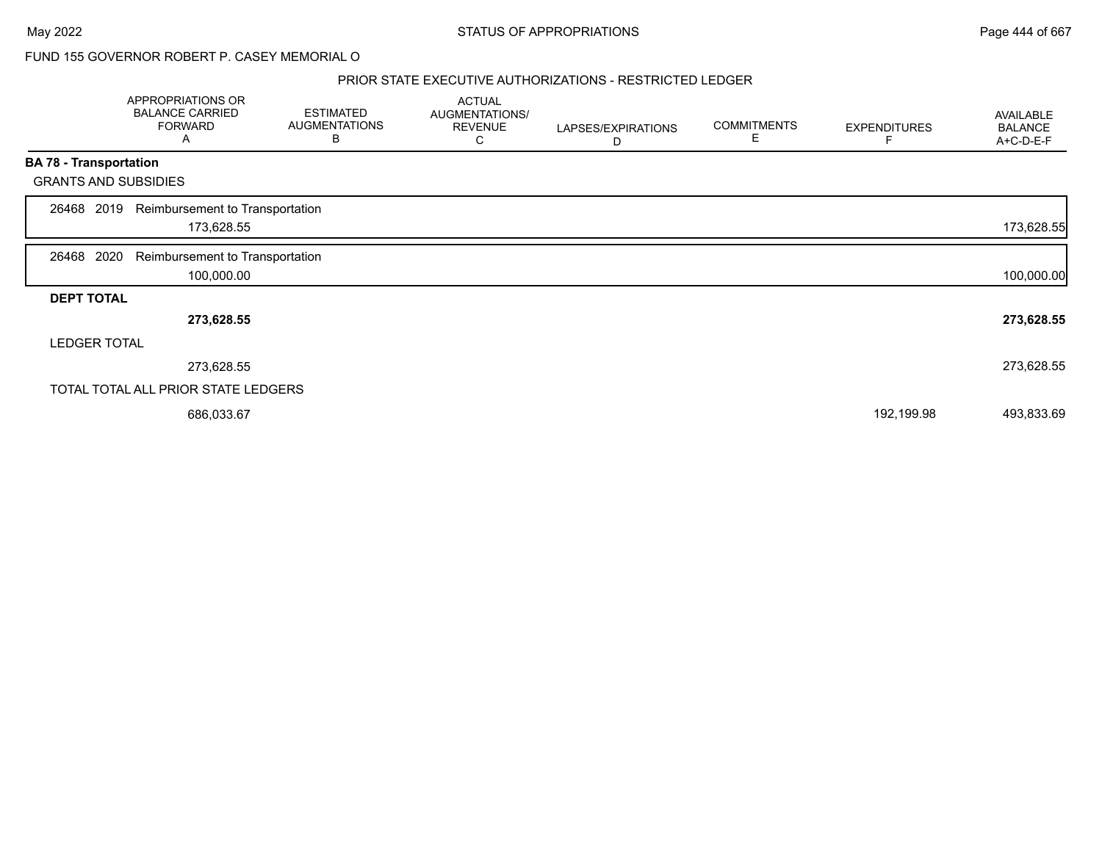#### PRIOR STATE EXECUTIVE AUTHORIZATIONS - RESTRICTED LEDGER

|                   | APPROPRIATIONS OR<br><b>BALANCE CARRIED</b><br><b>FORWARD</b><br>$\mathsf{A}$ | <b>ESTIMATED</b><br><b>AUGMENTATIONS</b><br>В | <b>ACTUAL</b><br>AUGMENTATIONS/<br><b>REVENUE</b><br>С | LAPSES/EXPIRATIONS<br>D | <b>COMMITMENTS</b><br>E | <b>EXPENDITURES</b> | <b>AVAILABLE</b><br><b>BALANCE</b><br>A+C-D-E-F |
|-------------------|-------------------------------------------------------------------------------|-----------------------------------------------|--------------------------------------------------------|-------------------------|-------------------------|---------------------|-------------------------------------------------|
|                   | <b>BA 78 - Transportation</b>                                                 |                                               |                                                        |                         |                         |                     |                                                 |
|                   | <b>GRANTS AND SUBSIDIES</b>                                                   |                                               |                                                        |                         |                         |                     |                                                 |
| 26468             | Reimbursement to Transportation<br>2019<br>173,628.55                         |                                               |                                                        |                         |                         |                     | 173,628.55                                      |
| 26468 2020        | Reimbursement to Transportation<br>100,000.00                                 |                                               |                                                        |                         |                         |                     | 100,000.00                                      |
| <b>DEPT TOTAL</b> |                                                                               |                                               |                                                        |                         |                         |                     |                                                 |
|                   | 273,628.55                                                                    |                                               |                                                        |                         |                         |                     | 273,628.55                                      |
|                   | <b>LEDGER TOTAL</b>                                                           |                                               |                                                        |                         |                         |                     |                                                 |
|                   | 273,628.55                                                                    |                                               |                                                        |                         |                         |                     | 273,628.55                                      |
|                   | TOTAL TOTAL ALL PRIOR STATE LEDGERS                                           |                                               |                                                        |                         |                         |                     |                                                 |
|                   | 686,033.67                                                                    |                                               |                                                        |                         |                         | 192,199.98          | 493,833.69                                      |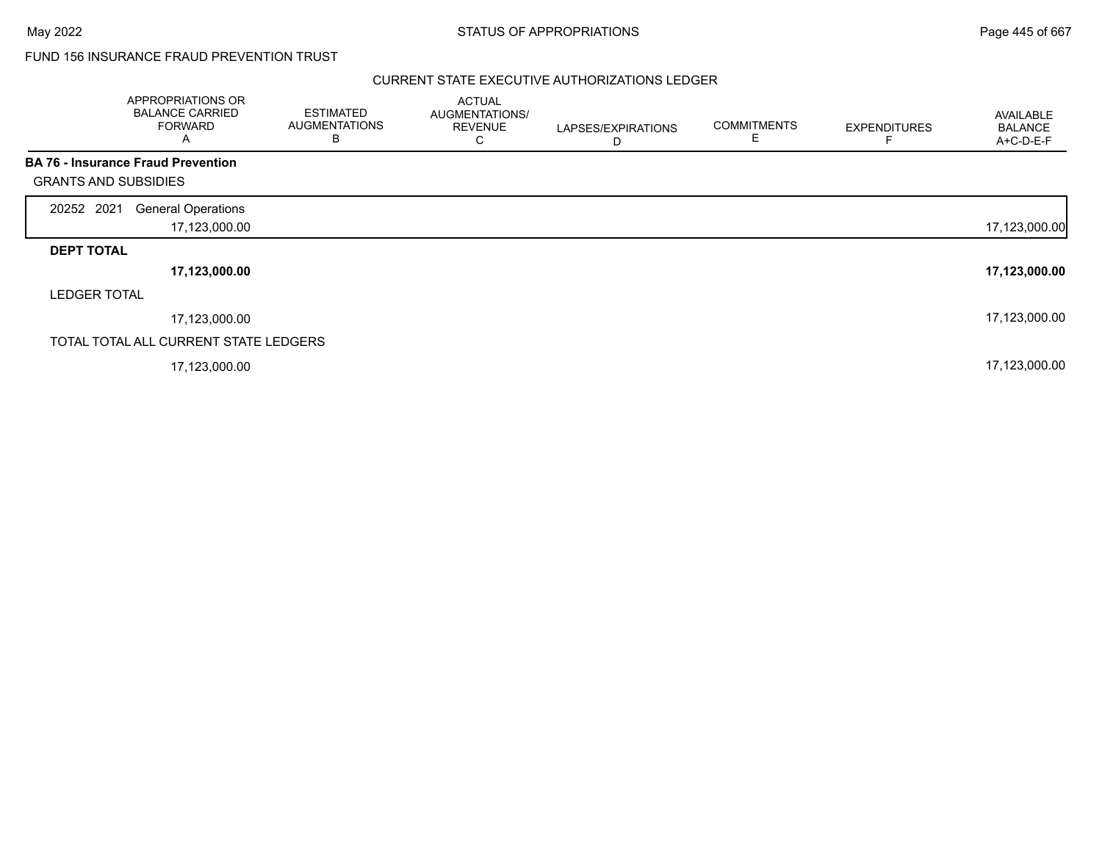### FUND 156 INSURANCE FRAUD PREVENTION TRUST

|                             | APPROPRIATIONS OR<br><b>BALANCE CARRIED</b><br><b>FORWARD</b><br>A | <b>ESTIMATED</b><br><b>AUGMENTATIONS</b><br>в | <b>ACTUAL</b><br>AUGMENTATIONS/<br><b>REVENUE</b><br>С | LAPSES/EXPIRATIONS<br>D | <b>COMMITMENTS</b><br>E | <b>EXPENDITURES</b> | AVAILABLE<br><b>BALANCE</b><br>A+C-D-E-F |
|-----------------------------|--------------------------------------------------------------------|-----------------------------------------------|--------------------------------------------------------|-------------------------|-------------------------|---------------------|------------------------------------------|
|                             | <b>BA 76 - Insurance Fraud Prevention</b>                          |                                               |                                                        |                         |                         |                     |                                          |
| <b>GRANTS AND SUBSIDIES</b> |                                                                    |                                               |                                                        |                         |                         |                     |                                          |
| 20252 2021                  | <b>General Operations</b>                                          |                                               |                                                        |                         |                         |                     |                                          |
|                             | 17,123,000.00                                                      |                                               |                                                        |                         |                         |                     | 17,123,000.00                            |
| <b>DEPT TOTAL</b>           |                                                                    |                                               |                                                        |                         |                         |                     |                                          |
|                             | 17,123,000.00                                                      |                                               |                                                        |                         |                         |                     | 17,123,000.00                            |
| <b>LEDGER TOTAL</b>         |                                                                    |                                               |                                                        |                         |                         |                     |                                          |
|                             | 17,123,000.00                                                      |                                               |                                                        |                         |                         |                     | 17,123,000.00                            |
|                             | TOTAL TOTAL ALL CURRENT STATE LEDGERS                              |                                               |                                                        |                         |                         |                     |                                          |
|                             | 17,123,000.00                                                      |                                               |                                                        |                         |                         |                     | 17,123,000.00                            |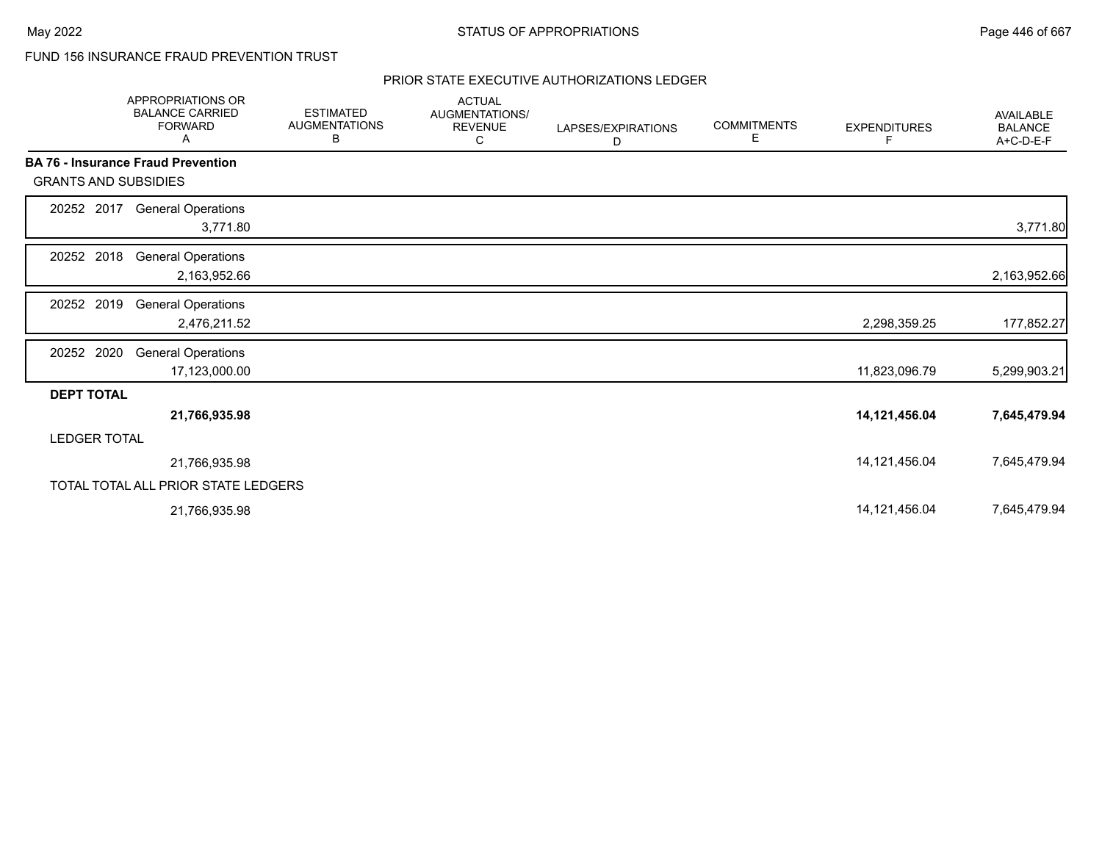## FUND 156 INSURANCE FRAUD PREVENTION TRUST

|                             | <b>APPROPRIATIONS OR</b><br><b>BALANCE CARRIED</b><br><b>FORWARD</b><br>Α | <b>ESTIMATED</b><br><b>AUGMENTATIONS</b><br>В | <b>ACTUAL</b><br>AUGMENTATIONS/<br><b>REVENUE</b><br>С | LAPSES/EXPIRATIONS<br>D | <b>COMMITMENTS</b><br>Е | <b>EXPENDITURES</b><br>F | <b>AVAILABLE</b><br><b>BALANCE</b><br>A+C-D-E-F |
|-----------------------------|---------------------------------------------------------------------------|-----------------------------------------------|--------------------------------------------------------|-------------------------|-------------------------|--------------------------|-------------------------------------------------|
|                             | <b>BA 76 - Insurance Fraud Prevention</b>                                 |                                               |                                                        |                         |                         |                          |                                                 |
| <b>GRANTS AND SUBSIDIES</b> |                                                                           |                                               |                                                        |                         |                         |                          |                                                 |
| 20252 2017                  | <b>General Operations</b><br>3,771.80                                     |                                               |                                                        |                         |                         |                          | 3,771.80                                        |
| 20252 2018                  | <b>General Operations</b><br>2,163,952.66                                 |                                               |                                                        |                         |                         |                          | 2,163,952.66                                    |
| 20252 2019                  | <b>General Operations</b><br>2,476,211.52                                 |                                               |                                                        |                         |                         | 2,298,359.25             | 177,852.27                                      |
| 20252 2020                  | <b>General Operations</b><br>17,123,000.00                                |                                               |                                                        |                         |                         | 11,823,096.79            | 5,299,903.21                                    |
| <b>DEPT TOTAL</b>           |                                                                           |                                               |                                                        |                         |                         |                          |                                                 |
|                             | 21,766,935.98                                                             |                                               |                                                        |                         |                         | 14,121,456.04            | 7,645,479.94                                    |
| <b>LEDGER TOTAL</b>         |                                                                           |                                               |                                                        |                         |                         |                          |                                                 |
|                             | 21,766,935.98                                                             |                                               |                                                        |                         |                         | 14,121,456.04            | 7,645,479.94                                    |
|                             | TOTAL TOTAL ALL PRIOR STATE LEDGERS                                       |                                               |                                                        |                         |                         |                          |                                                 |
|                             | 21,766,935.98                                                             |                                               |                                                        |                         |                         | 14,121,456.04            | 7,645,479.94                                    |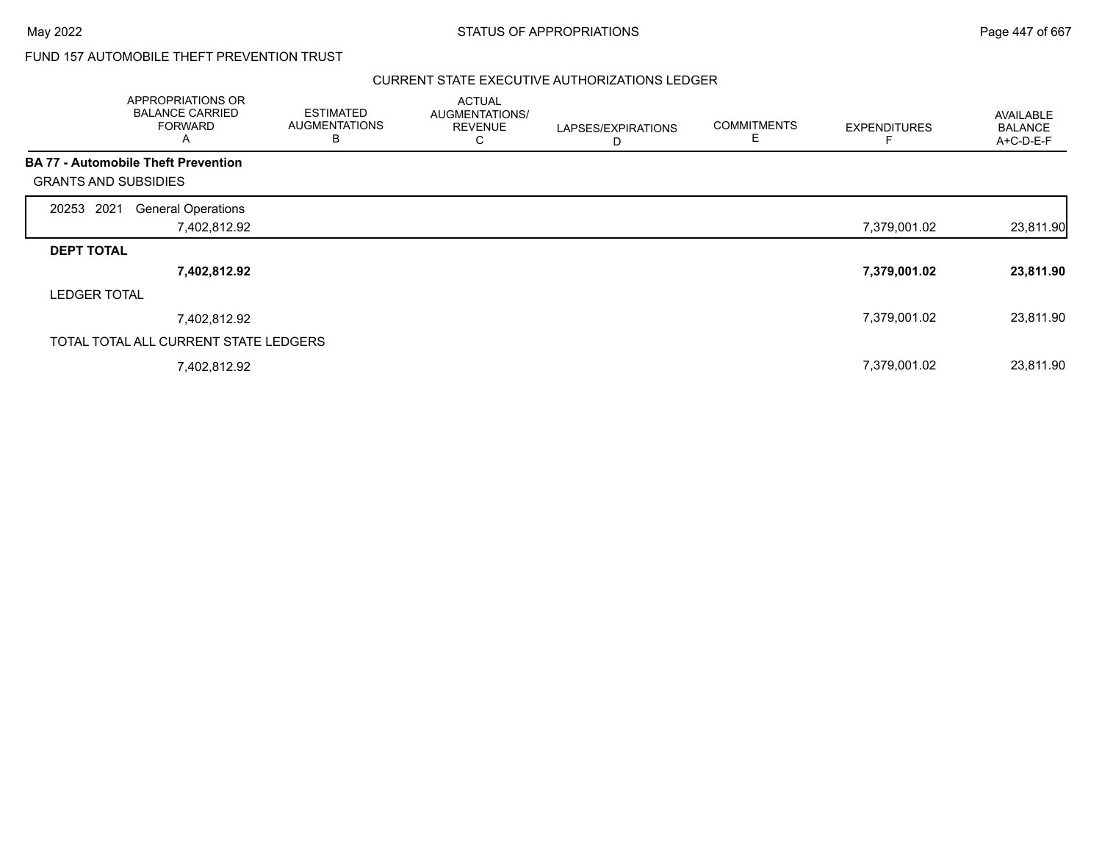## FUND 157 AUTOMOBILE THEFT PREVENTION TRUST

| APPROPRIATIONS OR<br><b>BALANCE CARRIED</b><br><b>FORWARD</b><br>A |              | <b>ESTIMATED</b><br><b>AUGMENTATIONS</b><br>В | <b>ACTUAL</b><br>AUGMENTATIONS/<br><b>REVENUE</b><br>С | LAPSES/EXPIRATIONS<br>D | <b>COMMITMENTS</b><br>E | <b>EXPENDITURES</b> | AVAILABLE<br><b>BALANCE</b><br>A+C-D-E-F |
|--------------------------------------------------------------------|--------------|-----------------------------------------------|--------------------------------------------------------|-------------------------|-------------------------|---------------------|------------------------------------------|
| <b>BA 77 - Automobile Theft Prevention</b>                         |              |                                               |                                                        |                         |                         |                     |                                          |
| <b>GRANTS AND SUBSIDIES</b>                                        |              |                                               |                                                        |                         |                         |                     |                                          |
| 2021<br>20253<br><b>General Operations</b>                         |              |                                               |                                                        |                         |                         |                     |                                          |
|                                                                    | 7,402,812.92 |                                               |                                                        |                         |                         | 7,379,001.02        | 23,811.90                                |
| <b>DEPT TOTAL</b>                                                  |              |                                               |                                                        |                         |                         |                     |                                          |
|                                                                    | 7,402,812.92 |                                               |                                                        |                         |                         | 7,379,001.02        | 23,811.90                                |
| <b>LEDGER TOTAL</b>                                                |              |                                               |                                                        |                         |                         |                     |                                          |
|                                                                    | 7,402,812.92 |                                               |                                                        |                         |                         | 7,379,001.02        | 23,811.90                                |
| TOTAL TOTAL ALL CURRENT STATE LEDGERS                              |              |                                               |                                                        |                         |                         |                     |                                          |
|                                                                    | 7,402,812.92 |                                               |                                                        |                         |                         | 7,379,001.02        | 23,811.90                                |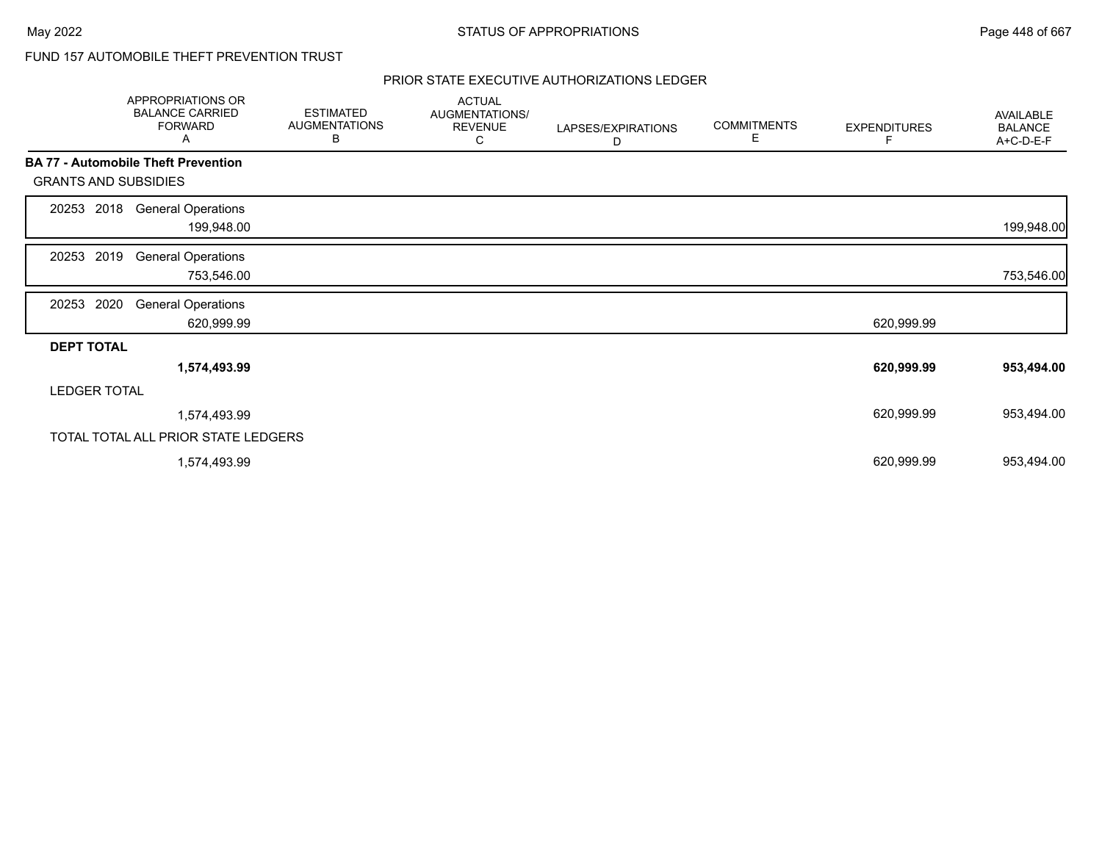# FUND 157 AUTOMOBILE THEFT PREVENTION TRUST

|                             | APPROPRIATIONS OR<br><b>BALANCE CARRIED</b><br><b>FORWARD</b><br>Α | <b>ESTIMATED</b><br><b>AUGMENTATIONS</b><br>В | <b>ACTUAL</b><br>AUGMENTATIONS/<br><b>REVENUE</b><br>С | LAPSES/EXPIRATIONS<br>D | <b>COMMITMENTS</b><br>Е | <b>EXPENDITURES</b><br>F | AVAILABLE<br><b>BALANCE</b><br>A+C-D-E-F |
|-----------------------------|--------------------------------------------------------------------|-----------------------------------------------|--------------------------------------------------------|-------------------------|-------------------------|--------------------------|------------------------------------------|
|                             | <b>BA 77 - Automobile Theft Prevention</b>                         |                                               |                                                        |                         |                         |                          |                                          |
| <b>GRANTS AND SUBSIDIES</b> |                                                                    |                                               |                                                        |                         |                         |                          |                                          |
| 2018<br>20253               | <b>General Operations</b><br>199,948.00                            |                                               |                                                        |                         |                         |                          | 199,948.00                               |
| 2019<br>20253               | <b>General Operations</b><br>753,546.00                            |                                               |                                                        |                         |                         |                          | 753,546.00                               |
| 2020<br>20253               | <b>General Operations</b><br>620,999.99                            |                                               |                                                        |                         |                         | 620,999.99               |                                          |
| <b>DEPT TOTAL</b>           |                                                                    |                                               |                                                        |                         |                         |                          |                                          |
|                             | 1,574,493.99                                                       |                                               |                                                        |                         |                         | 620,999.99               | 953,494.00                               |
| <b>LEDGER TOTAL</b>         |                                                                    |                                               |                                                        |                         |                         |                          |                                          |
|                             | 1,574,493.99                                                       |                                               |                                                        |                         |                         | 620,999.99               | 953,494.00                               |
|                             | TOTAL TOTAL ALL PRIOR STATE LEDGERS                                |                                               |                                                        |                         |                         |                          |                                          |
|                             | 1,574,493.99                                                       |                                               |                                                        |                         |                         | 620,999.99               | 953,494.00                               |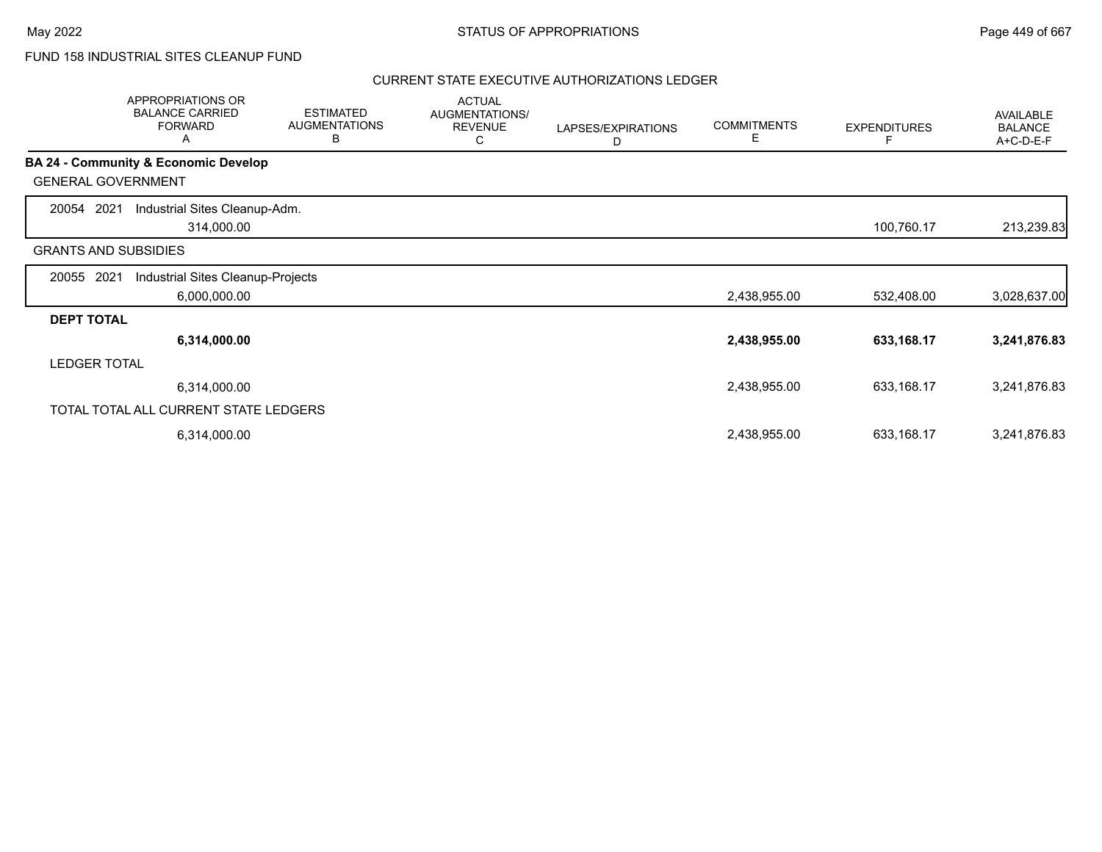# FUND 158 INDUSTRIAL SITES CLEANUP FUND

|                             | APPROPRIATIONS OR<br><b>BALANCE CARRIED</b><br><b>FORWARD</b><br>Α | <b>ESTIMATED</b><br><b>AUGMENTATIONS</b><br>В | <b>ACTUAL</b><br><b>AUGMENTATIONS/</b><br><b>REVENUE</b><br>С | LAPSES/EXPIRATIONS<br>D | <b>COMMITMENTS</b><br>Е | <b>EXPENDITURES</b> | AVAILABLE<br><b>BALANCE</b><br>A+C-D-E-F |
|-----------------------------|--------------------------------------------------------------------|-----------------------------------------------|---------------------------------------------------------------|-------------------------|-------------------------|---------------------|------------------------------------------|
|                             | <b>BA 24 - Community &amp; Economic Develop</b>                    |                                               |                                                               |                         |                         |                     |                                          |
| <b>GENERAL GOVERNMENT</b>   |                                                                    |                                               |                                                               |                         |                         |                     |                                          |
| 2021<br>20054               | Industrial Sites Cleanup-Adm.<br>314,000.00                        |                                               |                                                               |                         |                         | 100,760.17          | 213,239.83                               |
| <b>GRANTS AND SUBSIDIES</b> |                                                                    |                                               |                                                               |                         |                         |                     |                                          |
| 2021<br>20055               | Industrial Sites Cleanup-Projects                                  |                                               |                                                               |                         |                         |                     |                                          |
|                             | 6,000,000.00                                                       |                                               |                                                               |                         | 2,438,955.00            | 532,408.00          | 3,028,637.00                             |
| <b>DEPT TOTAL</b>           |                                                                    |                                               |                                                               |                         |                         |                     |                                          |
|                             | 6,314,000.00                                                       |                                               |                                                               |                         | 2,438,955.00            | 633,168.17          | 3,241,876.83                             |
| <b>LEDGER TOTAL</b>         |                                                                    |                                               |                                                               |                         |                         |                     |                                          |
|                             | 6,314,000.00                                                       |                                               |                                                               |                         | 2,438,955.00            | 633,168.17          | 3,241,876.83                             |
|                             | TOTAL TOTAL ALL CURRENT STATE LEDGERS                              |                                               |                                                               |                         |                         |                     |                                          |
|                             | 6,314,000.00                                                       |                                               |                                                               |                         | 2,438,955.00            | 633,168.17          | 3,241,876.83                             |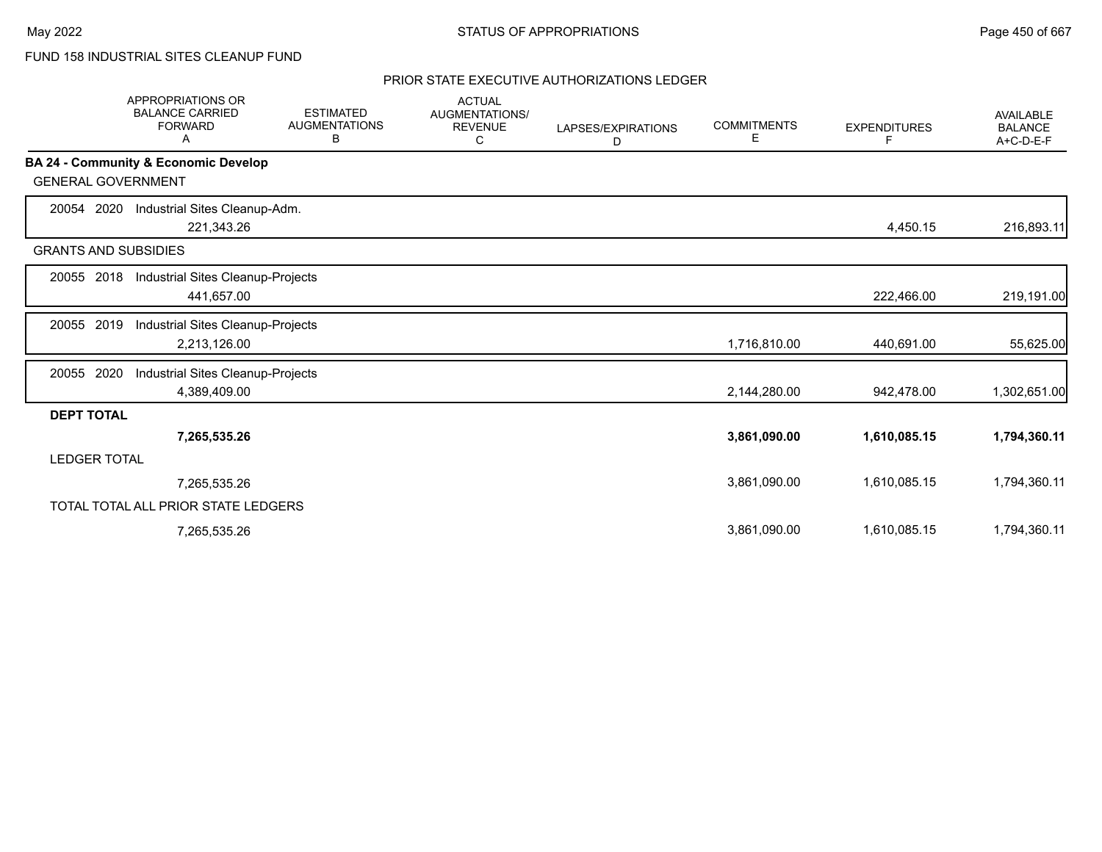FUND 158 INDUSTRIAL SITES CLEANUP FUND

|                             | <b>APPROPRIATIONS OR</b><br><b>BALANCE CARRIED</b><br><b>FORWARD</b><br>A | <b>ESTIMATED</b><br><b>AUGMENTATIONS</b><br>В | <b>ACTUAL</b><br><b>AUGMENTATIONS/</b><br><b>REVENUE</b><br>С | LAPSES/EXPIRATIONS<br>D | <b>COMMITMENTS</b><br>Е | <b>EXPENDITURES</b><br>F | <b>AVAILABLE</b><br><b>BALANCE</b><br>A+C-D-E-F |
|-----------------------------|---------------------------------------------------------------------------|-----------------------------------------------|---------------------------------------------------------------|-------------------------|-------------------------|--------------------------|-------------------------------------------------|
|                             | BA 24 - Community & Economic Develop                                      |                                               |                                                               |                         |                         |                          |                                                 |
| <b>GENERAL GOVERNMENT</b>   |                                                                           |                                               |                                                               |                         |                         |                          |                                                 |
| 2020<br>20054               | Industrial Sites Cleanup-Adm.                                             |                                               |                                                               |                         |                         |                          |                                                 |
|                             | 221,343.26                                                                |                                               |                                                               |                         |                         | 4,450.15                 | 216,893.11                                      |
| <b>GRANTS AND SUBSIDIES</b> |                                                                           |                                               |                                                               |                         |                         |                          |                                                 |
| 20055 2018                  | Industrial Sites Cleanup-Projects                                         |                                               |                                                               |                         |                         |                          |                                                 |
|                             | 441,657.00                                                                |                                               |                                                               |                         |                         | 222,466.00               | 219,191.00                                      |
| 20055 2019                  | Industrial Sites Cleanup-Projects                                         |                                               |                                                               |                         |                         |                          |                                                 |
|                             | 2,213,126.00                                                              |                                               |                                                               |                         | 1,716,810.00            | 440,691.00               | 55,625.00                                       |
| 2020<br>20055               | Industrial Sites Cleanup-Projects                                         |                                               |                                                               |                         |                         |                          |                                                 |
|                             | 4,389,409.00                                                              |                                               |                                                               |                         | 2,144,280.00            | 942,478.00               | 1,302,651.00                                    |
| <b>DEPT TOTAL</b>           |                                                                           |                                               |                                                               |                         |                         |                          |                                                 |
|                             | 7,265,535.26                                                              |                                               |                                                               |                         | 3,861,090.00            | 1,610,085.15             | 1,794,360.11                                    |
| <b>LEDGER TOTAL</b>         |                                                                           |                                               |                                                               |                         |                         |                          |                                                 |
|                             | 7,265,535.26                                                              |                                               |                                                               |                         | 3,861,090.00            | 1,610,085.15             | 1,794,360.11                                    |
|                             | TOTAL TOTAL ALL PRIOR STATE LEDGERS                                       |                                               |                                                               |                         |                         |                          |                                                 |
|                             | 7,265,535.26                                                              |                                               |                                                               |                         | 3,861,090.00            | 1,610,085.15             | 1,794,360.11                                    |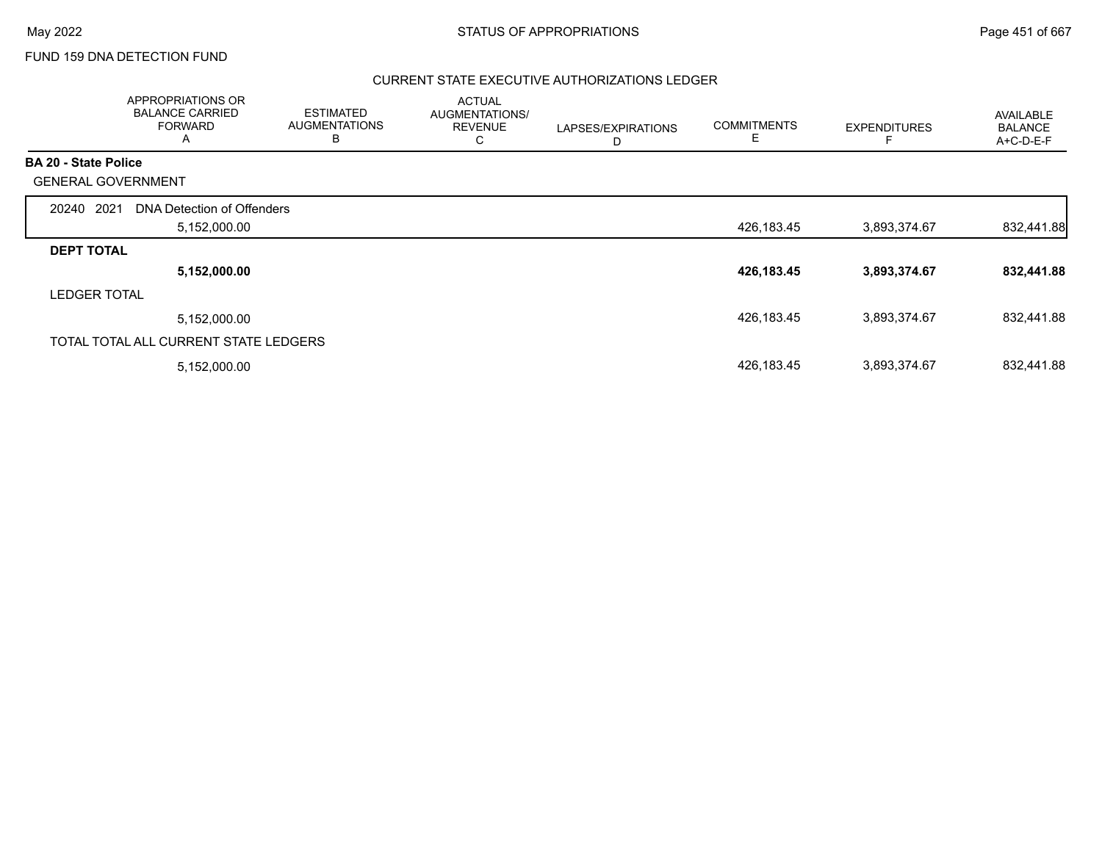### FUND 159 DNA DETECTION FUND

|                             | APPROPRIATIONS OR<br><b>BALANCE CARRIED</b><br><b>FORWARD</b><br>A | <b>ESTIMATED</b><br><b>AUGMENTATIONS</b><br>B | <b>ACTUAL</b><br>AUGMENTATIONS/<br><b>REVENUE</b><br>C | LAPSES/EXPIRATIONS<br>D | <b>COMMITMENTS</b><br>Е | <b>EXPENDITURES</b> | AVAILABLE<br><b>BALANCE</b><br>$A+C-D-E-F$ |
|-----------------------------|--------------------------------------------------------------------|-----------------------------------------------|--------------------------------------------------------|-------------------------|-------------------------|---------------------|--------------------------------------------|
| <b>BA 20 - State Police</b> |                                                                    |                                               |                                                        |                         |                         |                     |                                            |
|                             | <b>GENERAL GOVERNMENT</b>                                          |                                               |                                                        |                         |                         |                     |                                            |
| 20240                       | 2021<br>DNA Detection of Offenders                                 |                                               |                                                        |                         |                         |                     |                                            |
|                             | 5,152,000.00                                                       |                                               |                                                        |                         | 426,183.45              | 3,893,374.67        | 832,441.88                                 |
| <b>DEPT TOTAL</b>           |                                                                    |                                               |                                                        |                         |                         |                     |                                            |
|                             | 5,152,000.00                                                       |                                               |                                                        |                         | 426,183.45              | 3,893,374.67        | 832,441.88                                 |
| <b>LEDGER TOTAL</b>         |                                                                    |                                               |                                                        |                         |                         |                     |                                            |
|                             | 5,152,000.00                                                       |                                               |                                                        |                         | 426,183.45              | 3,893,374.67        | 832,441.88                                 |
|                             | TOTAL TOTAL ALL CURRENT STATE LEDGERS                              |                                               |                                                        |                         |                         |                     |                                            |
|                             | 5,152,000.00                                                       |                                               |                                                        |                         | 426,183.45              | 3,893,374.67        | 832,441.88                                 |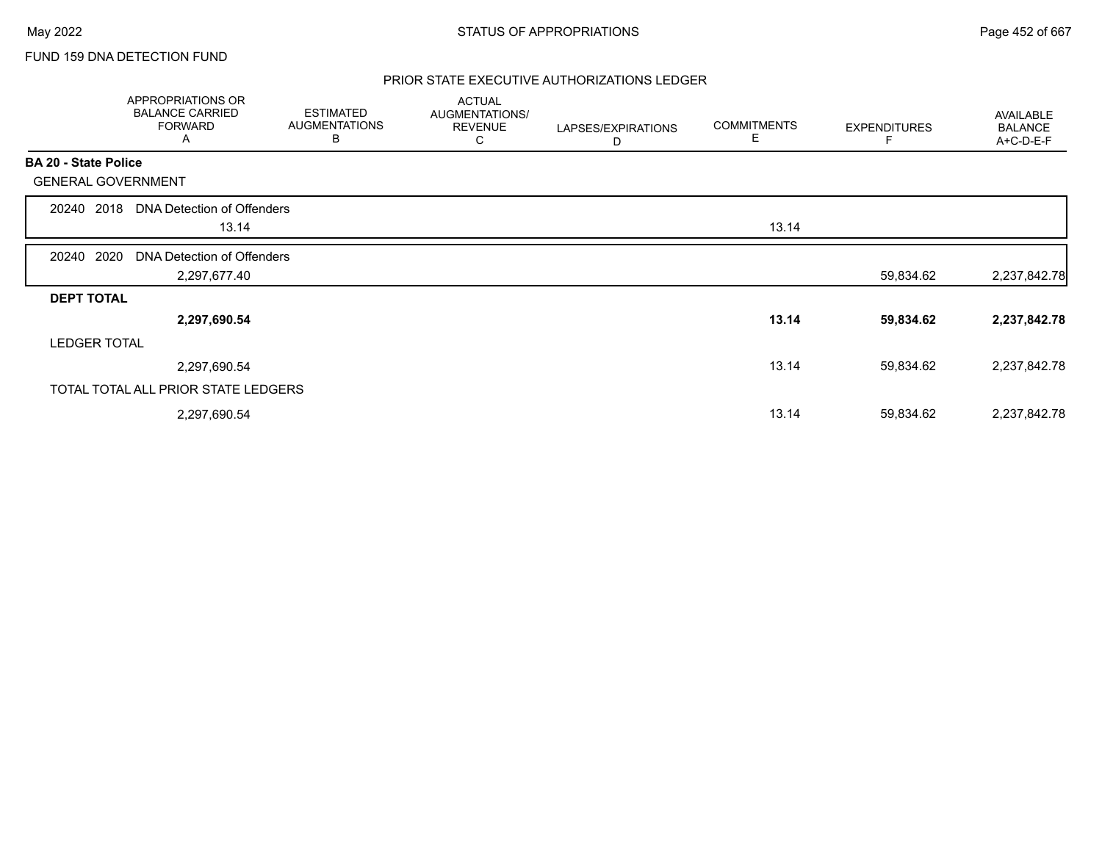### FUND 159 DNA DETECTION FUND

|                           | APPROPRIATIONS OR<br><b>BALANCE CARRIED</b><br><b>FORWARD</b><br>A | <b>ESTIMATED</b><br><b>AUGMENTATIONS</b><br>B | <b>ACTUAL</b><br>AUGMENTATIONS/<br><b>REVENUE</b><br>С | LAPSES/EXPIRATIONS<br>D | <b>COMMITMENTS</b><br>Е | <b>EXPENDITURES</b> | AVAILABLE<br><b>BALANCE</b><br>A+C-D-E-F |
|---------------------------|--------------------------------------------------------------------|-----------------------------------------------|--------------------------------------------------------|-------------------------|-------------------------|---------------------|------------------------------------------|
| BA 20 - State Police      |                                                                    |                                               |                                                        |                         |                         |                     |                                          |
| <b>GENERAL GOVERNMENT</b> |                                                                    |                                               |                                                        |                         |                         |                     |                                          |
| 2018<br>20240             | DNA Detection of Offenders                                         |                                               |                                                        |                         |                         |                     |                                          |
|                           | 13.14                                                              |                                               |                                                        |                         | 13.14                   |                     |                                          |
| 2020<br>20240             | DNA Detection of Offenders                                         |                                               |                                                        |                         |                         |                     |                                          |
|                           | 2,297,677.40                                                       |                                               |                                                        |                         |                         | 59,834.62           | 2,237,842.78                             |
| <b>DEPT TOTAL</b>         |                                                                    |                                               |                                                        |                         |                         |                     |                                          |
|                           | 2,297,690.54                                                       |                                               |                                                        |                         | 13.14                   | 59,834.62           | 2,237,842.78                             |
| <b>LEDGER TOTAL</b>       |                                                                    |                                               |                                                        |                         |                         |                     |                                          |
|                           | 2,297,690.54                                                       |                                               |                                                        |                         | 13.14                   | 59,834.62           | 2,237,842.78                             |
|                           | TOTAL TOTAL ALL PRIOR STATE LEDGERS                                |                                               |                                                        |                         |                         |                     |                                          |
|                           | 2,297,690.54                                                       |                                               |                                                        |                         | 13.14                   | 59,834.62           | 2,237,842.78                             |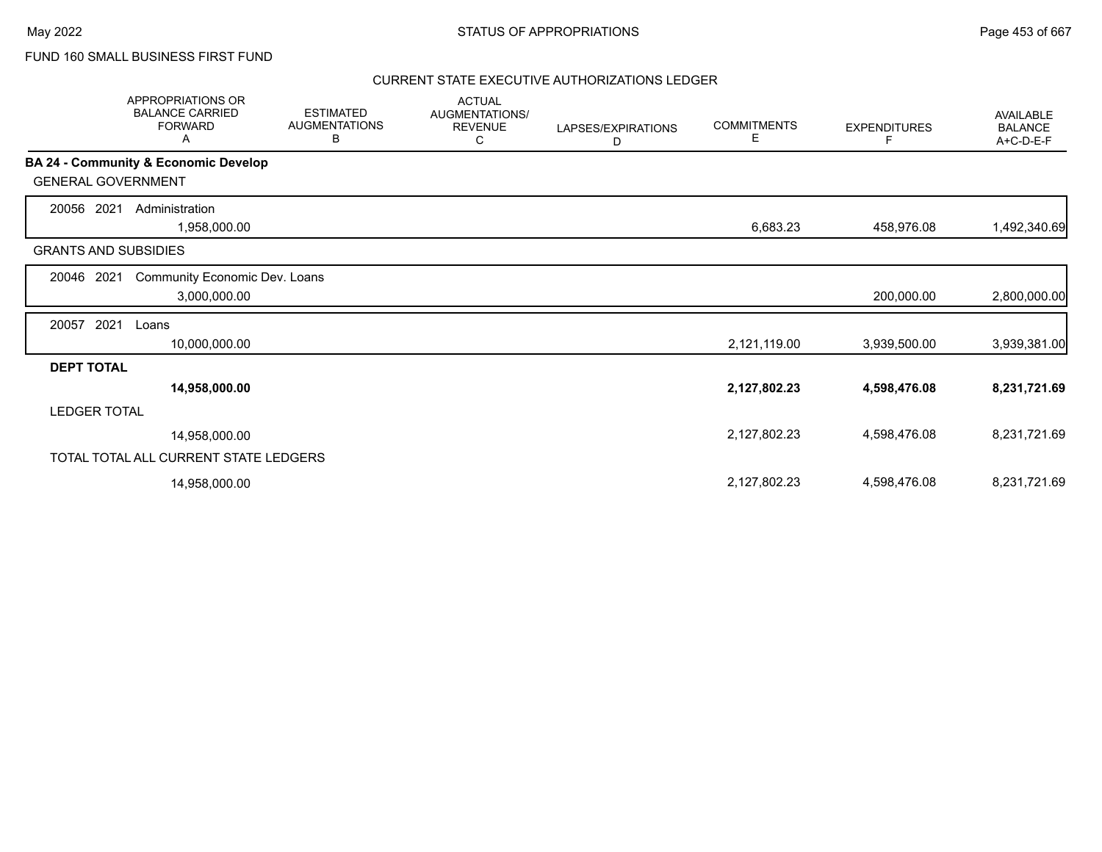FUND 160 SMALL BUSINESS FIRST FUND

|                             | APPROPRIATIONS OR<br><b>BALANCE CARRIED</b><br><b>FORWARD</b><br>Α | <b>ESTIMATED</b><br><b>AUGMENTATIONS</b><br>В | <b>ACTUAL</b><br>AUGMENTATIONS/<br><b>REVENUE</b><br>С | LAPSES/EXPIRATIONS<br>D | <b>COMMITMENTS</b><br>Е | <b>EXPENDITURES</b> | <b>AVAILABLE</b><br><b>BALANCE</b><br>A+C-D-E-F |
|-----------------------------|--------------------------------------------------------------------|-----------------------------------------------|--------------------------------------------------------|-------------------------|-------------------------|---------------------|-------------------------------------------------|
|                             | <b>BA 24 - Community &amp; Economic Develop</b>                    |                                               |                                                        |                         |                         |                     |                                                 |
| <b>GENERAL GOVERNMENT</b>   |                                                                    |                                               |                                                        |                         |                         |                     |                                                 |
| 2021<br>20056               | Administration<br>1,958,000.00                                     |                                               |                                                        |                         | 6,683.23                | 458,976.08          | 1,492,340.69                                    |
| <b>GRANTS AND SUBSIDIES</b> |                                                                    |                                               |                                                        |                         |                         |                     |                                                 |
| 20046<br>2021               | Community Economic Dev. Loans                                      |                                               |                                                        |                         |                         |                     |                                                 |
|                             | 3,000,000.00                                                       |                                               |                                                        |                         |                         | 200,000.00          | 2,800,000.00                                    |
| 2021<br>20057               | Loans                                                              |                                               |                                                        |                         |                         |                     |                                                 |
|                             | 10,000,000.00                                                      |                                               |                                                        |                         | 2,121,119.00            | 3,939,500.00        | 3,939,381.00                                    |
| <b>DEPT TOTAL</b>           |                                                                    |                                               |                                                        |                         |                         |                     |                                                 |
|                             | 14,958,000.00                                                      |                                               |                                                        |                         | 2,127,802.23            | 4,598,476.08        | 8,231,721.69                                    |
| <b>LEDGER TOTAL</b>         |                                                                    |                                               |                                                        |                         |                         |                     |                                                 |
|                             | 14,958,000.00                                                      |                                               |                                                        |                         | 2,127,802.23            | 4,598,476.08        | 8,231,721.69                                    |
|                             | TOTAL TOTAL ALL CURRENT STATE LEDGERS                              |                                               |                                                        |                         |                         |                     |                                                 |
|                             | 14,958,000.00                                                      |                                               |                                                        |                         | 2,127,802.23            | 4,598,476.08        | 8,231,721.69                                    |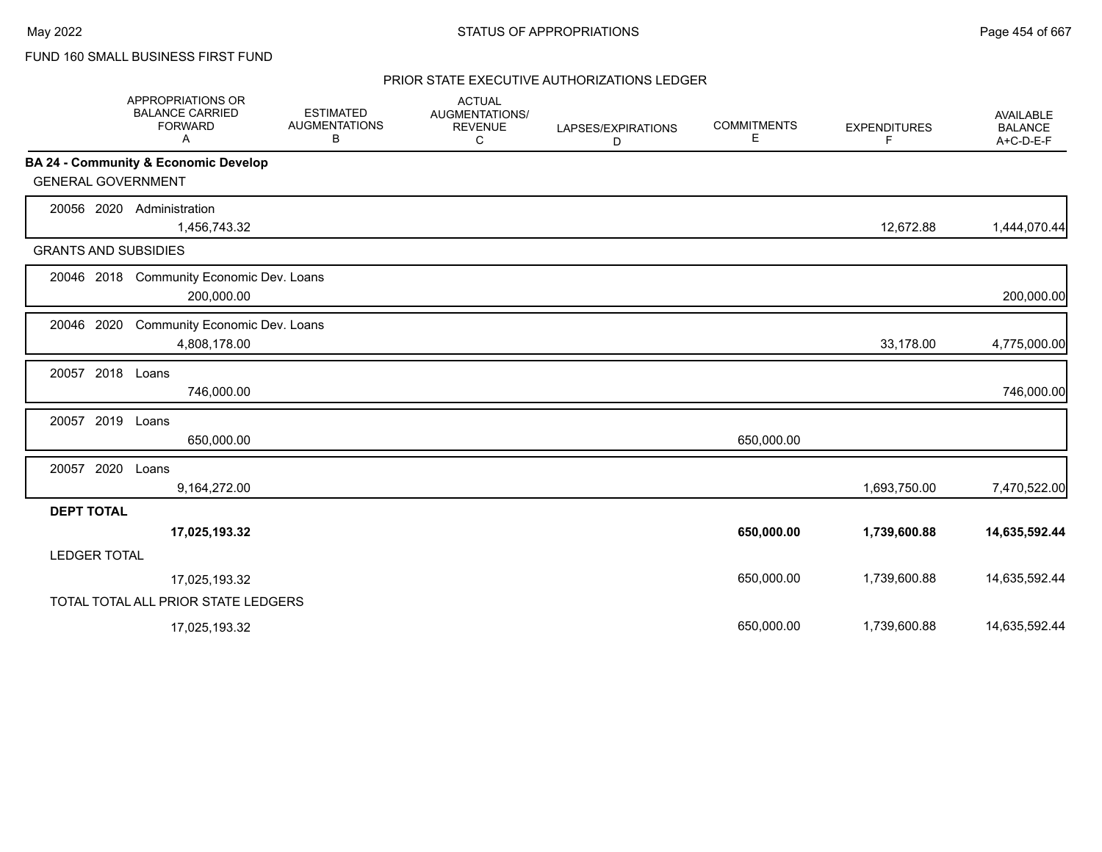FUND 160 SMALL BUSINESS FIRST FUND

|                             | <b>APPROPRIATIONS OR</b><br><b>BALANCE CARRIED</b><br><b>FORWARD</b><br>A | <b>ESTIMATED</b><br><b>AUGMENTATIONS</b><br>В | <b>ACTUAL</b><br>AUGMENTATIONS/<br><b>REVENUE</b><br>C | LAPSES/EXPIRATIONS<br>D | <b>COMMITMENTS</b><br>Е | <b>EXPENDITURES</b><br>F | <b>AVAILABLE</b><br><b>BALANCE</b><br>A+C-D-E-F |
|-----------------------------|---------------------------------------------------------------------------|-----------------------------------------------|--------------------------------------------------------|-------------------------|-------------------------|--------------------------|-------------------------------------------------|
|                             | BA 24 - Community & Economic Develop                                      |                                               |                                                        |                         |                         |                          |                                                 |
| <b>GENERAL GOVERNMENT</b>   |                                                                           |                                               |                                                        |                         |                         |                          |                                                 |
| 20056 2020                  | Administration<br>1,456,743.32                                            |                                               |                                                        |                         |                         | 12,672.88                | 1,444,070.44                                    |
| <b>GRANTS AND SUBSIDIES</b> |                                                                           |                                               |                                                        |                         |                         |                          |                                                 |
|                             | 20046 2018 Community Economic Dev. Loans<br>200,000.00                    |                                               |                                                        |                         |                         |                          | 200,000.00                                      |
| 20046 2020                  | Community Economic Dev. Loans<br>4,808,178.00                             |                                               |                                                        |                         |                         | 33,178.00                | 4,775,000.00                                    |
| 20057 2018 Loans            | 746,000.00                                                                |                                               |                                                        |                         |                         |                          | 746,000.00                                      |
| 20057 2019                  | Loans<br>650,000.00                                                       |                                               |                                                        |                         | 650,000.00              |                          |                                                 |
| 20057 2020                  | Loans<br>9,164,272.00                                                     |                                               |                                                        |                         |                         | 1,693,750.00             | 7,470,522.00                                    |
| <b>DEPT TOTAL</b>           |                                                                           |                                               |                                                        |                         |                         |                          |                                                 |
|                             | 17,025,193.32                                                             |                                               |                                                        |                         | 650,000.00              | 1,739,600.88             | 14,635,592.44                                   |
| <b>LEDGER TOTAL</b>         |                                                                           |                                               |                                                        |                         |                         |                          |                                                 |
|                             | 17,025,193.32                                                             |                                               |                                                        |                         | 650,000.00              | 1,739,600.88             | 14,635,592.44                                   |
|                             | TOTAL TOTAL ALL PRIOR STATE LEDGERS                                       |                                               |                                                        |                         |                         |                          |                                                 |
|                             | 17,025,193.32                                                             |                                               |                                                        |                         | 650.000.00              | 1,739,600.88             | 14,635,592.44                                   |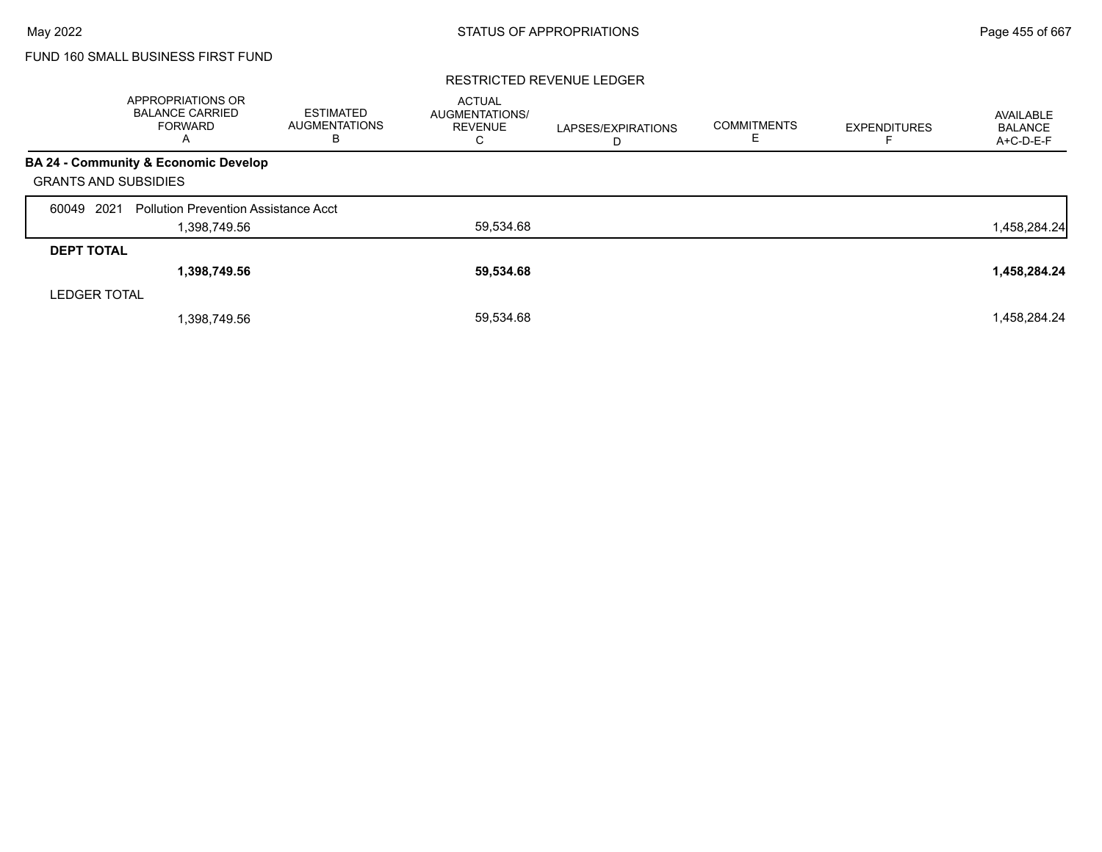# FUND 160 SMALL BUSINESS FIRST FUND

#### RESTRICTED REVENUE LEDGER

|                             | <b>APPROPRIATIONS OR</b><br><b>BALANCE CARRIED</b><br><b>FORWARD</b><br>$\overline{A}$ | <b>ESTIMATED</b><br><b>AUGMENTATIONS</b><br>В | <b>ACTUAL</b><br><b>AUGMENTATIONS/</b><br><b>REVENUE</b><br>С | LAPSES/EXPIRATIONS<br>D | <b>COMMITMENTS</b> | <b>EXPENDITURES</b> | AVAILABLE<br><b>BALANCE</b><br>A+C-D-E-F |
|-----------------------------|----------------------------------------------------------------------------------------|-----------------------------------------------|---------------------------------------------------------------|-------------------------|--------------------|---------------------|------------------------------------------|
|                             | BA 24 - Community & Economic Develop                                                   |                                               |                                                               |                         |                    |                     |                                          |
| <b>GRANTS AND SUBSIDIES</b> |                                                                                        |                                               |                                                               |                         |                    |                     |                                          |
| 2021<br>60049               | <b>Pollution Prevention Assistance Acct</b>                                            |                                               |                                                               |                         |                    |                     |                                          |
|                             | 1,398,749.56                                                                           |                                               | 59,534.68                                                     |                         |                    |                     | 1,458,284.24                             |
| <b>DEPT TOTAL</b>           |                                                                                        |                                               |                                                               |                         |                    |                     |                                          |
|                             | 1,398,749.56                                                                           |                                               | 59,534.68                                                     |                         |                    |                     | 1,458,284.24                             |
| <b>LEDGER TOTAL</b>         |                                                                                        |                                               |                                                               |                         |                    |                     |                                          |
|                             | 1,398,749.56                                                                           |                                               | 59,534.68                                                     |                         |                    |                     | 1,458,284.24                             |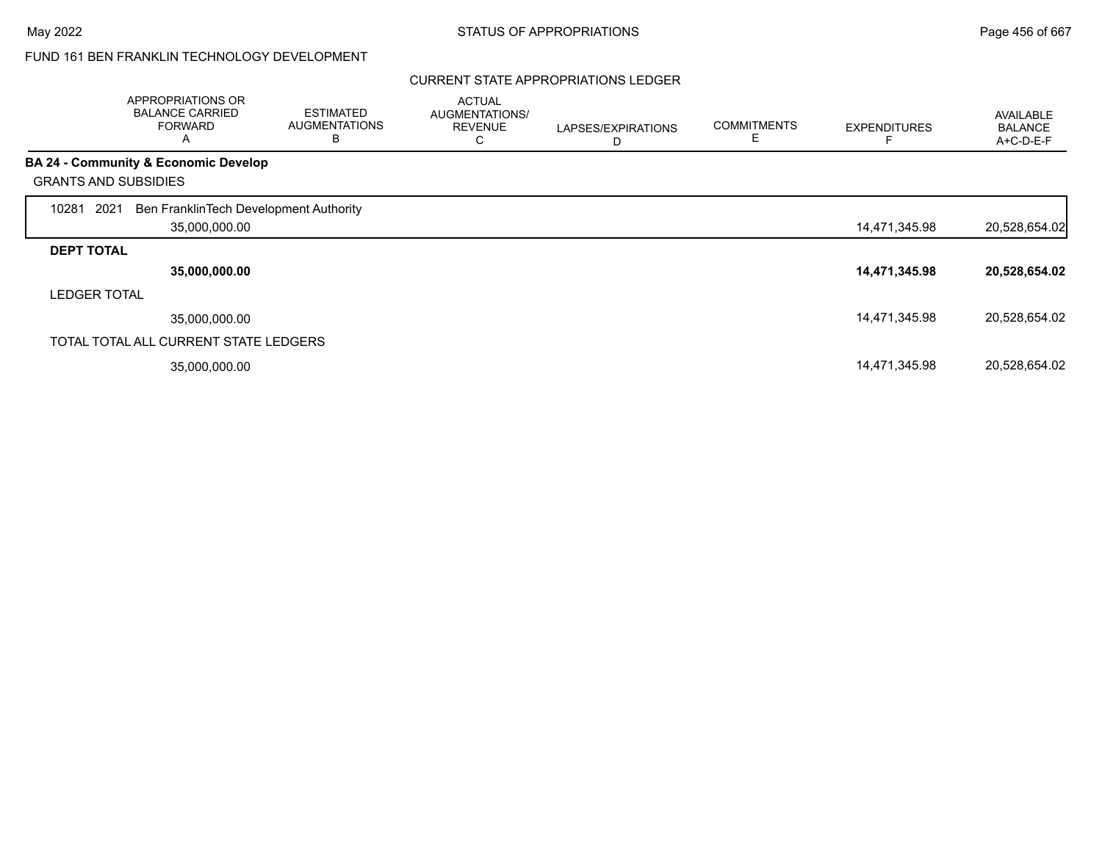#### CURRENT STATE APPROPRIATIONS LEDGER

|                     | APPROPRIATIONS OR<br><b>BALANCE CARRIED</b><br><b>FORWARD</b><br>A | <b>ESTIMATED</b><br><b>AUGMENTATIONS</b><br>B | <b>ACTUAL</b><br>AUGMENTATIONS/<br><b>REVENUE</b><br>С | LAPSES/EXPIRATIONS<br>D | <b>COMMITMENTS</b><br>Е | <b>EXPENDITURES</b> | <b>AVAILABLE</b><br><b>BALANCE</b><br>A+C-D-E-F |
|---------------------|--------------------------------------------------------------------|-----------------------------------------------|--------------------------------------------------------|-------------------------|-------------------------|---------------------|-------------------------------------------------|
|                     | <b>BA 24 - Community &amp; Economic Develop</b>                    |                                               |                                                        |                         |                         |                     |                                                 |
|                     | <b>GRANTS AND SUBSIDIES</b>                                        |                                               |                                                        |                         |                         |                     |                                                 |
| 10281               | Ben FranklinTech Development Authority<br>2021<br>35,000,000.00    |                                               |                                                        |                         |                         | 14,471,345.98       | 20,528,654.02                                   |
| <b>DEPT TOTAL</b>   |                                                                    |                                               |                                                        |                         |                         |                     |                                                 |
|                     | 35,000,000.00                                                      |                                               |                                                        |                         |                         | 14,471,345.98       | 20,528,654.02                                   |
| <b>LEDGER TOTAL</b> |                                                                    |                                               |                                                        |                         |                         |                     |                                                 |
|                     | 35,000,000.00                                                      |                                               |                                                        |                         |                         | 14,471,345.98       | 20,528,654.02                                   |
|                     | TOTAL TOTAL ALL CURRENT STATE LEDGERS                              |                                               |                                                        |                         |                         |                     |                                                 |
|                     | 35,000,000.00                                                      |                                               |                                                        |                         |                         | 14,471,345.98       | 20,528,654.02                                   |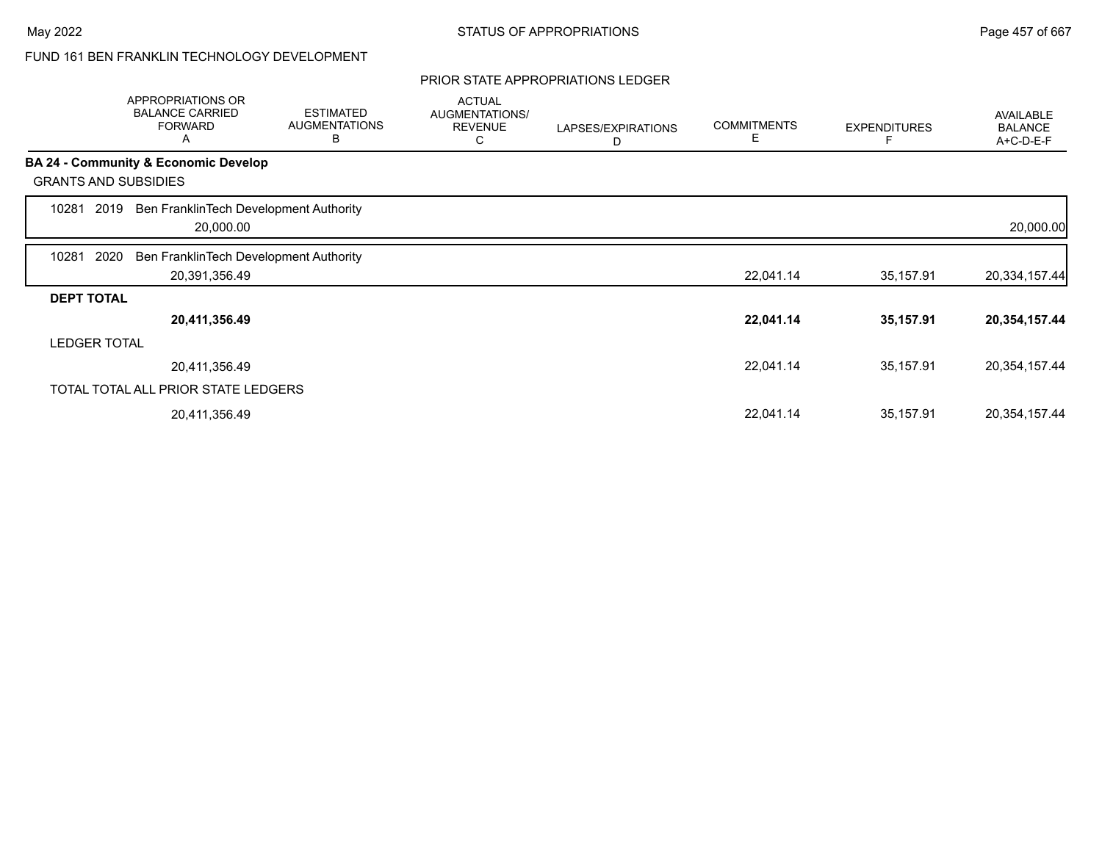### PRIOR STATE APPROPRIATIONS LEDGER

|                   | APPROPRIATIONS OR<br><b>BALANCE CARRIED</b><br><b>FORWARD</b><br>A | <b>ESTIMATED</b><br><b>AUGMENTATIONS</b><br>B | <b>ACTUAL</b><br>AUGMENTATIONS/<br><b>REVENUE</b><br>С | LAPSES/EXPIRATIONS<br>D | <b>COMMITMENTS</b><br>Е | <b>EXPENDITURES</b> | <b>AVAILABLE</b><br><b>BALANCE</b><br>A+C-D-E-F |
|-------------------|--------------------------------------------------------------------|-----------------------------------------------|--------------------------------------------------------|-------------------------|-------------------------|---------------------|-------------------------------------------------|
|                   | <b>BA 24 - Community &amp; Economic Develop</b>                    |                                               |                                                        |                         |                         |                     |                                                 |
|                   | <b>GRANTS AND SUBSIDIES</b>                                        |                                               |                                                        |                         |                         |                     |                                                 |
| 10281             | Ben FranklinTech Development Authority<br>2019<br>20,000.00        |                                               |                                                        |                         |                         |                     | 20,000.00                                       |
| 10281             | 2020<br>Ben FranklinTech Development Authority                     |                                               |                                                        |                         |                         |                     |                                                 |
|                   | 20,391,356.49                                                      |                                               |                                                        |                         | 22,041.14               | 35,157.91           | 20,334,157.44                                   |
| <b>DEPT TOTAL</b> |                                                                    |                                               |                                                        |                         |                         |                     |                                                 |
|                   | 20,411,356.49                                                      |                                               |                                                        |                         | 22,041.14               | 35,157.91           | 20,354,157.44                                   |
|                   | <b>LEDGER TOTAL</b>                                                |                                               |                                                        |                         |                         |                     |                                                 |
|                   | 20,411,356.49                                                      |                                               |                                                        |                         | 22,041.14               | 35,157.91           | 20,354,157.44                                   |
|                   | TOTAL TOTAL ALL PRIOR STATE LEDGERS                                |                                               |                                                        |                         |                         |                     |                                                 |
|                   | 20,411,356.49                                                      |                                               |                                                        |                         | 22,041.14               | 35,157.91           | 20,354,157.44                                   |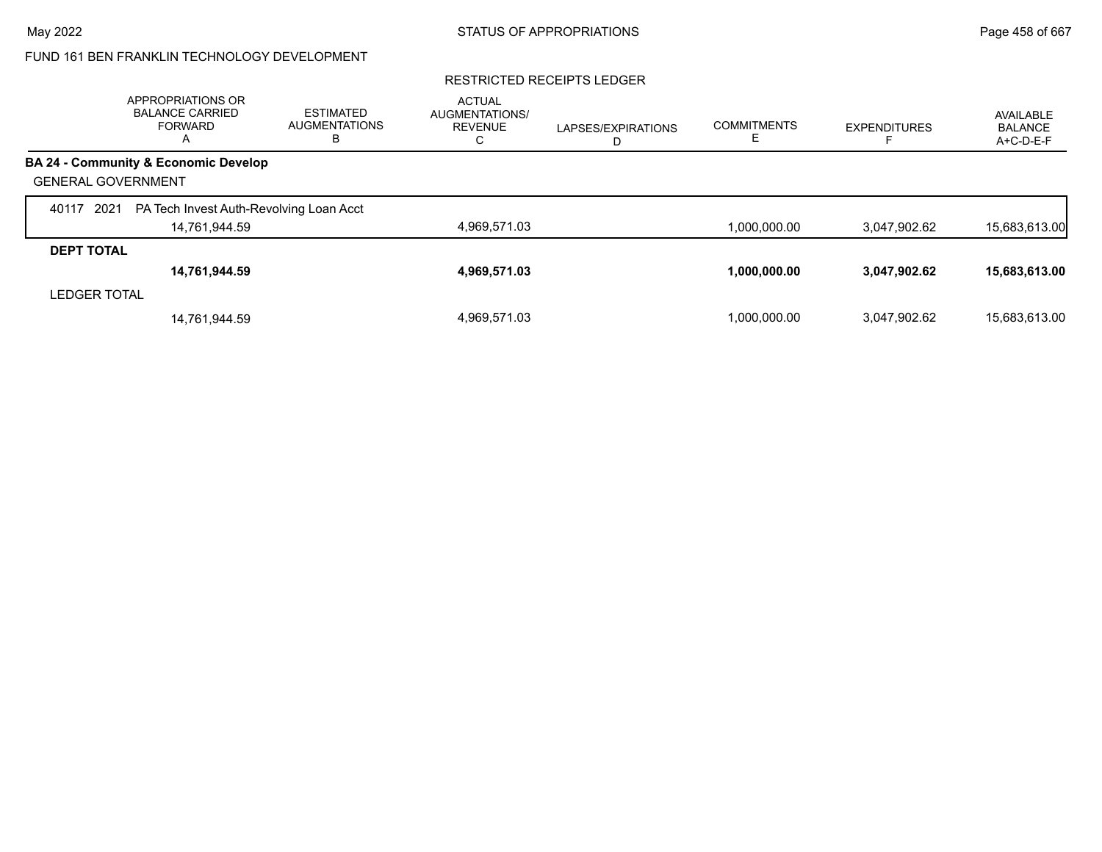#### RESTRICTED RECEIPTS LEDGER

|                           | APPROPRIATIONS OR<br><b>BALANCE CARRIED</b><br><b>FORWARD</b><br>$\overline{A}$ | <b>ESTIMATED</b><br><b>AUGMENTATIONS</b><br>В | <b>ACTUAL</b><br><b>AUGMENTATIONS/</b><br><b>REVENUE</b><br>Ü | LAPSES/EXPIRATIONS<br>D | <b>COMMITMENTS</b> | <b>EXPENDITURES</b> | AVAILABLE<br><b>BALANCE</b><br>A+C-D-E-F |
|---------------------------|---------------------------------------------------------------------------------|-----------------------------------------------|---------------------------------------------------------------|-------------------------|--------------------|---------------------|------------------------------------------|
|                           | <b>BA 24 - Community &amp; Economic Develop</b>                                 |                                               |                                                               |                         |                    |                     |                                          |
| <b>GENERAL GOVERNMENT</b> |                                                                                 |                                               |                                                               |                         |                    |                     |                                          |
| 2021<br>40117             | PA Tech Invest Auth-Revolving Loan Acct                                         |                                               |                                                               |                         |                    |                     |                                          |
|                           | 14,761,944.59                                                                   |                                               | 4,969,571.03                                                  |                         | 1,000,000.00       | 3,047,902.62        | 15,683,613.00                            |
| <b>DEPT TOTAL</b>         |                                                                                 |                                               |                                                               |                         |                    |                     |                                          |
|                           | 14,761,944.59                                                                   |                                               | 4,969,571.03                                                  |                         | 1,000,000.00       | 3,047,902.62        | 15,683,613.00                            |
| <b>LEDGER TOTAL</b>       |                                                                                 |                                               |                                                               |                         |                    |                     |                                          |
|                           | 14,761,944.59                                                                   |                                               | 4.969.571.03                                                  |                         | 1.000.000.00       | 3.047.902.62        | 15,683,613.00                            |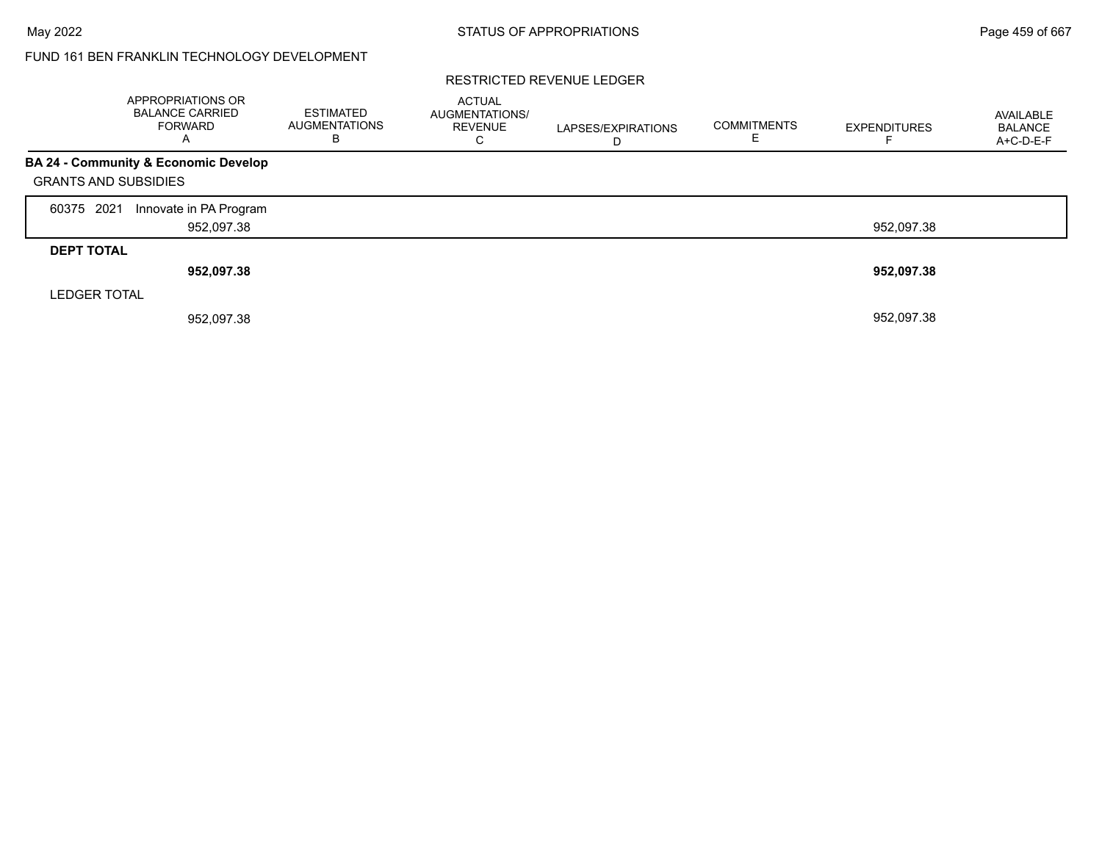#### RESTRICTED REVENUE LEDGER

|                             | APPROPRIATIONS OR<br><b>BALANCE CARRIED</b><br><b>FORWARD</b> | <b>ESTIMATED</b><br><b>AUGMENTATIONS</b><br>в | <b>ACTUAL</b><br>AUGMENTATIONS/<br><b>REVENUE</b><br>С | LAPSES/EXPIRATIONS<br>D | <b>COMMITMENTS</b> | <b>EXPENDITURES</b> | AVAILABLE<br><b>BALANCE</b><br>A+C-D-E-F |
|-----------------------------|---------------------------------------------------------------|-----------------------------------------------|--------------------------------------------------------|-------------------------|--------------------|---------------------|------------------------------------------|
| <b>GRANTS AND SUBSIDIES</b> | BA 24 - Community & Economic Develop                          |                                               |                                                        |                         |                    |                     |                                          |
| 2021<br>60375               | Innovate in PA Program<br>952,097.38                          |                                               |                                                        |                         |                    | 952.097.38          |                                          |
| <b>DEPT TOTAL</b>           | 952,097.38                                                    |                                               |                                                        |                         |                    | 952,097.38          |                                          |
| <b>LEDGER TOTAL</b>         | 952,097.38                                                    |                                               |                                                        |                         |                    | 952,097.38          |                                          |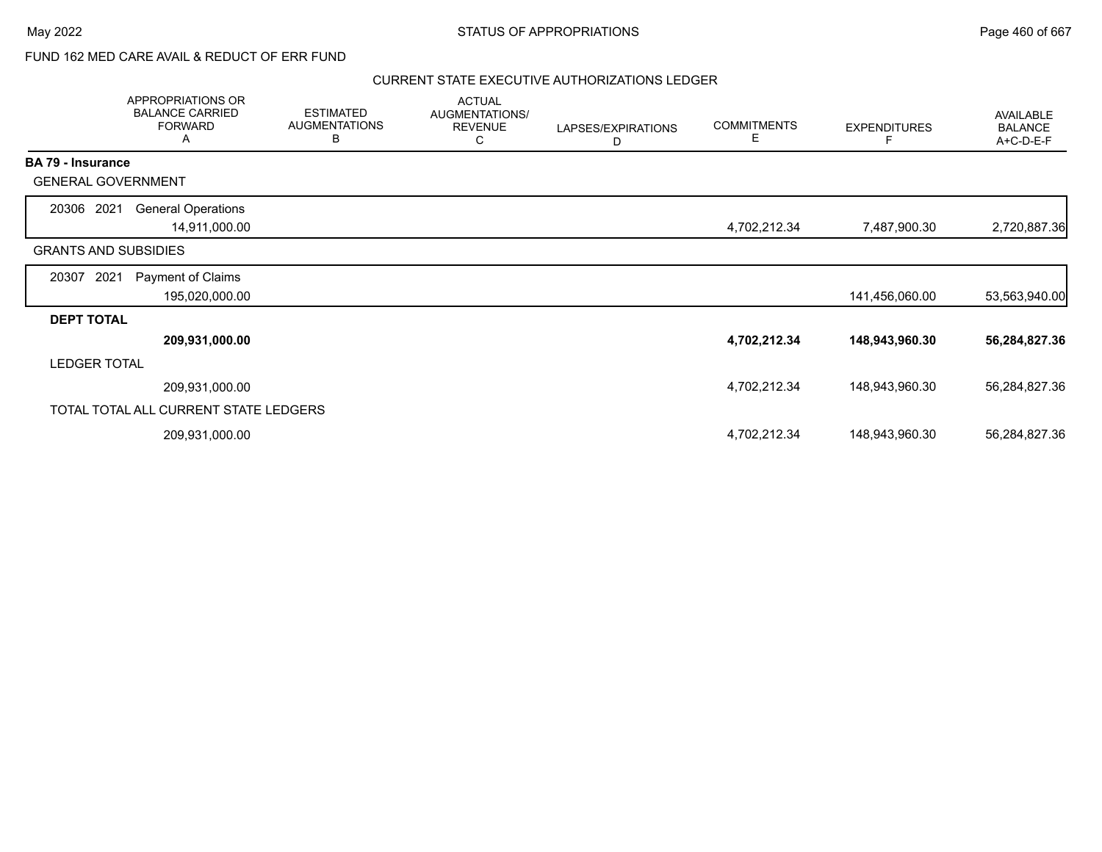## FUND 162 MED CARE AVAIL & REDUCT OF ERR FUND

|                          | APPROPRIATIONS OR<br><b>BALANCE CARRIED</b><br><b>FORWARD</b><br>A | <b>ESTIMATED</b><br><b>AUGMENTATIONS</b><br>B | <b>ACTUAL</b><br>AUGMENTATIONS/<br><b>REVENUE</b><br>C | LAPSES/EXPIRATIONS<br>D | <b>COMMITMENTS</b><br>Е. | <b>EXPENDITURES</b><br>F | AVAILABLE<br><b>BALANCE</b><br>A+C-D-E-F |
|--------------------------|--------------------------------------------------------------------|-----------------------------------------------|--------------------------------------------------------|-------------------------|--------------------------|--------------------------|------------------------------------------|
| <b>BA 79 - Insurance</b> |                                                                    |                                               |                                                        |                         |                          |                          |                                          |
|                          | <b>GENERAL GOVERNMENT</b>                                          |                                               |                                                        |                         |                          |                          |                                          |
| 20306 2021               | <b>General Operations</b>                                          |                                               |                                                        |                         |                          |                          |                                          |
|                          | 14,911,000.00                                                      |                                               |                                                        |                         | 4,702,212.34             | 7,487,900.30             | 2,720,887.36                             |
|                          | <b>GRANTS AND SUBSIDIES</b>                                        |                                               |                                                        |                         |                          |                          |                                          |
| 20307                    | 2021<br>Payment of Claims                                          |                                               |                                                        |                         |                          |                          |                                          |
|                          | 195,020,000.00                                                     |                                               |                                                        |                         |                          | 141,456,060.00           | 53,563,940.00                            |
| <b>DEPT TOTAL</b>        |                                                                    |                                               |                                                        |                         |                          |                          |                                          |
|                          | 209,931,000.00                                                     |                                               |                                                        |                         | 4,702,212.34             | 148,943,960.30           | 56,284,827.36                            |
| <b>LEDGER TOTAL</b>      |                                                                    |                                               |                                                        |                         |                          |                          |                                          |
|                          | 209,931,000.00                                                     |                                               |                                                        |                         | 4,702,212.34             | 148,943,960.30           | 56,284,827.36                            |
|                          | TOTAL TOTAL ALL CURRENT STATE LEDGERS                              |                                               |                                                        |                         |                          |                          |                                          |
|                          | 209,931,000.00                                                     |                                               |                                                        |                         | 4,702,212.34             | 148,943,960.30           | 56,284,827.36                            |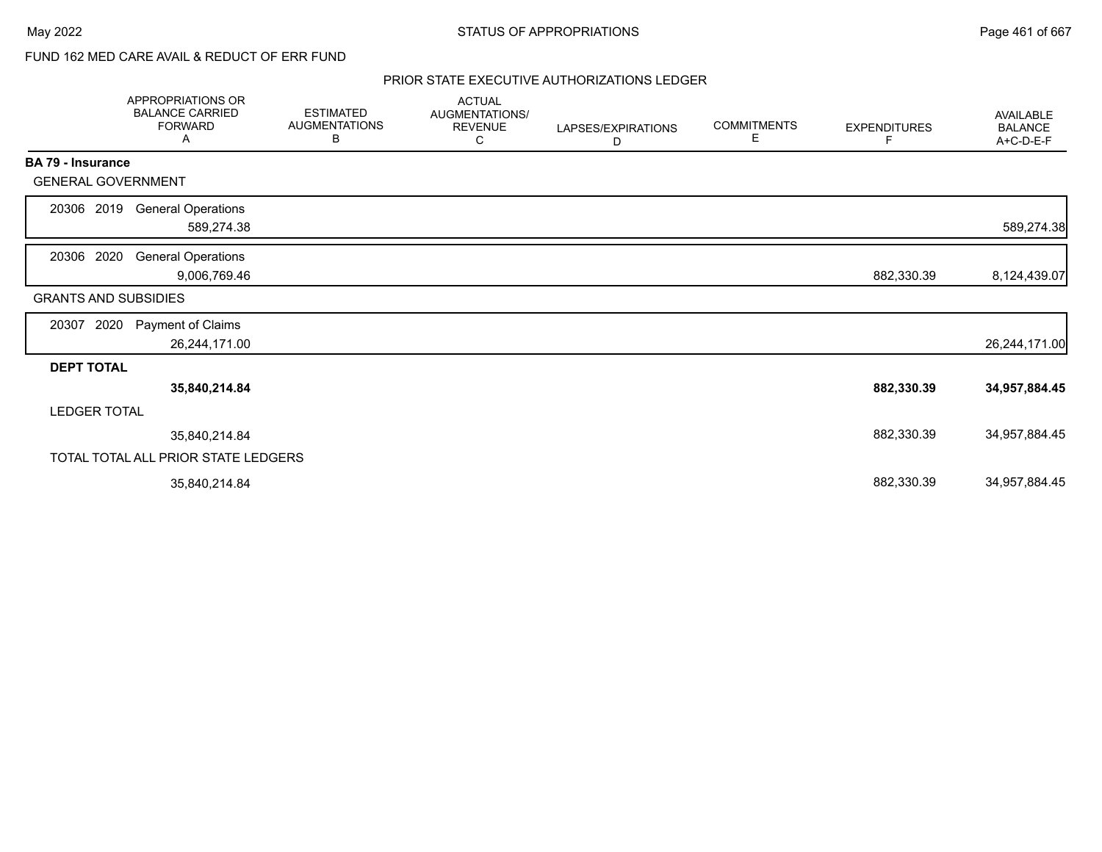# FUND 162 MED CARE AVAIL & REDUCT OF ERR FUND

|                             | APPROPRIATIONS OR<br><b>BALANCE CARRIED</b><br><b>FORWARD</b><br>A | <b>ESTIMATED</b><br><b>AUGMENTATIONS</b><br>В | <b>ACTUAL</b><br>AUGMENTATIONS/<br><b>REVENUE</b><br>С | LAPSES/EXPIRATIONS<br>D | <b>COMMITMENTS</b><br>Е | <b>EXPENDITURES</b><br>F | AVAILABLE<br><b>BALANCE</b><br>A+C-D-E-F |
|-----------------------------|--------------------------------------------------------------------|-----------------------------------------------|--------------------------------------------------------|-------------------------|-------------------------|--------------------------|------------------------------------------|
| BA 79 - Insurance           |                                                                    |                                               |                                                        |                         |                         |                          |                                          |
| <b>GENERAL GOVERNMENT</b>   |                                                                    |                                               |                                                        |                         |                         |                          |                                          |
| 20306 2019                  | <b>General Operations</b>                                          |                                               |                                                        |                         |                         |                          |                                          |
|                             | 589,274.38                                                         |                                               |                                                        |                         |                         |                          | 589,274.38                               |
| 20306 2020                  | <b>General Operations</b>                                          |                                               |                                                        |                         |                         |                          |                                          |
|                             | 9,006,769.46                                                       |                                               |                                                        |                         |                         | 882,330.39               | 8,124,439.07                             |
| <b>GRANTS AND SUBSIDIES</b> |                                                                    |                                               |                                                        |                         |                         |                          |                                          |
| 20307<br>2020               | Payment of Claims                                                  |                                               |                                                        |                         |                         |                          |                                          |
|                             | 26,244,171.00                                                      |                                               |                                                        |                         |                         |                          | 26,244,171.00                            |
| <b>DEPT TOTAL</b>           |                                                                    |                                               |                                                        |                         |                         |                          |                                          |
|                             | 35,840,214.84                                                      |                                               |                                                        |                         |                         | 882,330.39               | 34,957,884.45                            |
| <b>LEDGER TOTAL</b>         |                                                                    |                                               |                                                        |                         |                         |                          |                                          |
|                             | 35,840,214.84                                                      |                                               |                                                        |                         |                         | 882,330.39               | 34,957,884.45                            |
|                             | TOTAL TOTAL ALL PRIOR STATE LEDGERS                                |                                               |                                                        |                         |                         |                          |                                          |
|                             | 35,840,214.84                                                      |                                               |                                                        |                         |                         | 882,330.39               | 34,957,884.45                            |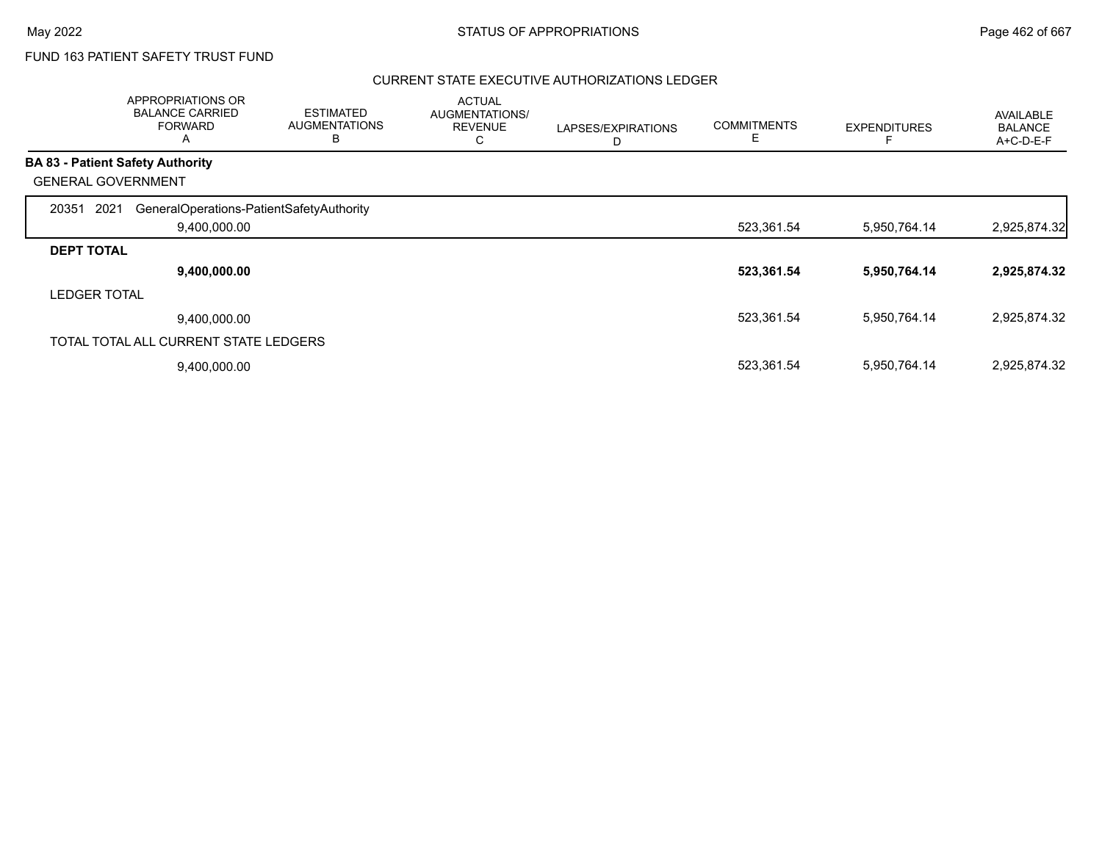# FUND 163 PATIENT SAFETY TRUST FUND

|                           | <b>APPROPRIATIONS OR</b><br><b>BALANCE CARRIED</b><br><b>FORWARD</b><br>$\mathsf{A}$ | <b>ESTIMATED</b><br><b>AUGMENTATIONS</b><br>В | <b>ACTUAL</b><br>AUGMENTATIONS/<br><b>REVENUE</b><br>C | LAPSES/EXPIRATIONS<br>D | <b>COMMITMENTS</b><br>E. | <b>EXPENDITURES</b> | <b>AVAILABLE</b><br><b>BALANCE</b><br>A+C-D-E-F |
|---------------------------|--------------------------------------------------------------------------------------|-----------------------------------------------|--------------------------------------------------------|-------------------------|--------------------------|---------------------|-------------------------------------------------|
|                           | <b>BA 83 - Patient Safety Authority</b>                                              |                                               |                                                        |                         |                          |                     |                                                 |
| <b>GENERAL GOVERNMENT</b> |                                                                                      |                                               |                                                        |                         |                          |                     |                                                 |
| 2021<br>20351             | GeneralOperations-PatientSafetyAuthority<br>9,400,000.00                             |                                               |                                                        |                         | 523,361.54               | 5,950,764.14        | 2,925,874.32                                    |
| <b>DEPT TOTAL</b>         |                                                                                      |                                               |                                                        |                         |                          |                     |                                                 |
|                           | 9,400,000.00                                                                         |                                               |                                                        |                         | 523,361.54               | 5,950,764.14        | 2,925,874.32                                    |
| <b>LEDGER TOTAL</b>       |                                                                                      |                                               |                                                        |                         |                          |                     |                                                 |
|                           | 9,400,000.00                                                                         |                                               |                                                        |                         | 523,361.54               | 5,950,764.14        | 2,925,874.32                                    |
|                           | TOTAL TOTAL ALL CURRENT STATE LEDGERS                                                |                                               |                                                        |                         |                          |                     |                                                 |
|                           | 9,400,000.00                                                                         |                                               |                                                        |                         | 523,361.54               | 5,950,764.14        | 2,925,874.32                                    |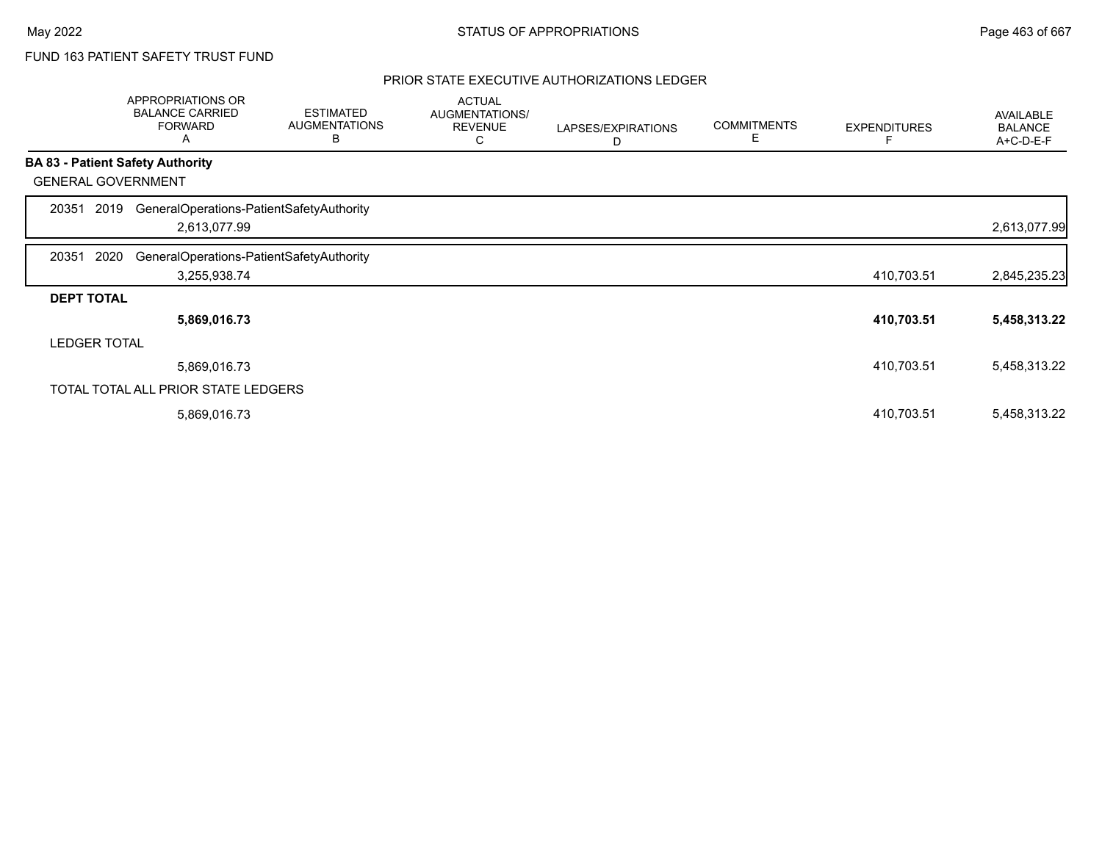# FUND 163 PATIENT SAFETY TRUST FUND

|                     | APPROPRIATIONS OR<br><b>BALANCE CARRIED</b><br><b>FORWARD</b><br>A | <b>ESTIMATED</b><br><b>AUGMENTATIONS</b><br>В | <b>ACTUAL</b><br>AUGMENTATIONS/<br><b>REVENUE</b><br>С | LAPSES/EXPIRATIONS<br>D | <b>COMMITMENTS</b><br>E | <b>EXPENDITURES</b> | AVAILABLE<br><b>BALANCE</b><br>A+C-D-E-F |
|---------------------|--------------------------------------------------------------------|-----------------------------------------------|--------------------------------------------------------|-------------------------|-------------------------|---------------------|------------------------------------------|
|                     | <b>BA 83 - Patient Safety Authority</b>                            |                                               |                                                        |                         |                         |                     |                                          |
|                     | <b>GENERAL GOVERNMENT</b>                                          |                                               |                                                        |                         |                         |                     |                                          |
| 20351               | GeneralOperations-PatientSafetyAuthority<br>2019                   |                                               |                                                        |                         |                         |                     |                                          |
|                     | 2,613,077.99                                                       |                                               |                                                        |                         |                         |                     | 2,613,077.99                             |
| 20351               | 2020<br>GeneralOperations-PatientSafetyAuthority                   |                                               |                                                        |                         |                         |                     |                                          |
|                     | 3,255,938.74                                                       |                                               |                                                        |                         |                         | 410,703.51          | 2,845,235.23                             |
| <b>DEPT TOTAL</b>   |                                                                    |                                               |                                                        |                         |                         |                     |                                          |
|                     | 5,869,016.73                                                       |                                               |                                                        |                         |                         | 410,703.51          | 5,458,313.22                             |
| <b>LEDGER TOTAL</b> |                                                                    |                                               |                                                        |                         |                         |                     |                                          |
|                     | 5,869,016.73                                                       |                                               |                                                        |                         |                         | 410,703.51          | 5,458,313.22                             |
|                     | TOTAL TOTAL ALL PRIOR STATE LEDGERS                                |                                               |                                                        |                         |                         |                     |                                          |
|                     | 5,869,016.73                                                       |                                               |                                                        |                         |                         | 410,703.51          | 5,458,313.22                             |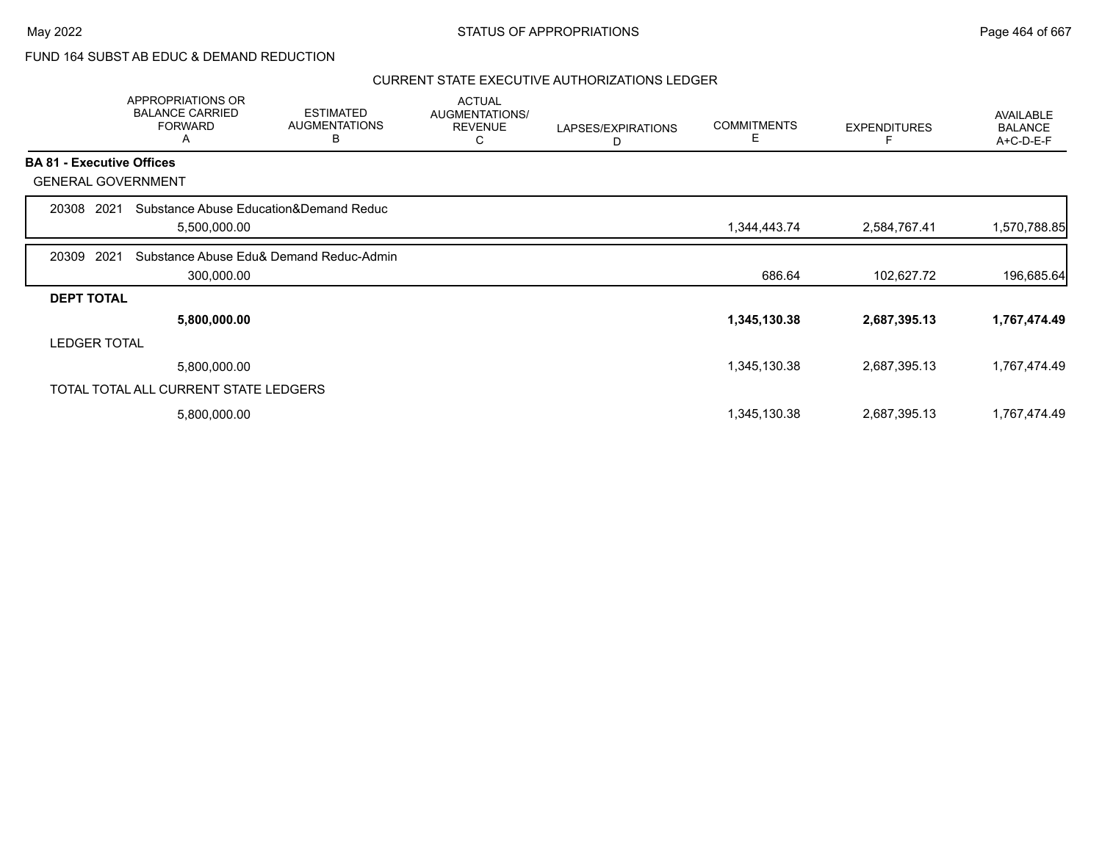## FUND 164 SUBST AB EDUC & DEMAND REDUCTION

|                   | APPROPRIATIONS OR<br><b>BALANCE CARRIED</b><br><b>FORWARD</b><br>Α | <b>ESTIMATED</b><br><b>AUGMENTATIONS</b><br>B | <b>ACTUAL</b><br><b>AUGMENTATIONS/</b><br><b>REVENUE</b><br>С | LAPSES/EXPIRATIONS<br>D | <b>COMMITMENTS</b><br>Е | <b>EXPENDITURES</b> | AVAILABLE<br><b>BALANCE</b><br>A+C-D-E-F |
|-------------------|--------------------------------------------------------------------|-----------------------------------------------|---------------------------------------------------------------|-------------------------|-------------------------|---------------------|------------------------------------------|
|                   | <b>BA 81 - Executive Offices</b>                                   |                                               |                                                               |                         |                         |                     |                                          |
|                   | <b>GENERAL GOVERNMENT</b>                                          |                                               |                                                               |                         |                         |                     |                                          |
| 20308             | 2021                                                               | Substance Abuse Education&Demand Reduc        |                                                               |                         |                         |                     |                                          |
|                   | 5,500,000.00                                                       |                                               |                                                               |                         | 1,344,443.74            | 2,584,767.41        | 1,570,788.85                             |
| 20309             | 2021                                                               | Substance Abuse Edu& Demand Reduc-Admin       |                                                               |                         |                         |                     |                                          |
|                   | 300,000.00                                                         |                                               |                                                               |                         | 686.64                  | 102,627.72          | 196,685.64                               |
| <b>DEPT TOTAL</b> |                                                                    |                                               |                                                               |                         |                         |                     |                                          |
|                   | 5,800,000.00                                                       |                                               |                                                               |                         | 1,345,130.38            | 2,687,395.13        | 1,767,474.49                             |
|                   | <b>LEDGER TOTAL</b>                                                |                                               |                                                               |                         |                         |                     |                                          |
|                   | 5,800,000.00                                                       |                                               |                                                               |                         | 1,345,130.38            | 2,687,395.13        | 1,767,474.49                             |
|                   | TOTAL TOTAL ALL CURRENT STATE LEDGERS                              |                                               |                                                               |                         |                         |                     |                                          |
|                   | 5,800,000.00                                                       |                                               |                                                               |                         | 1,345,130.38            | 2,687,395.13        | 1,767,474.49                             |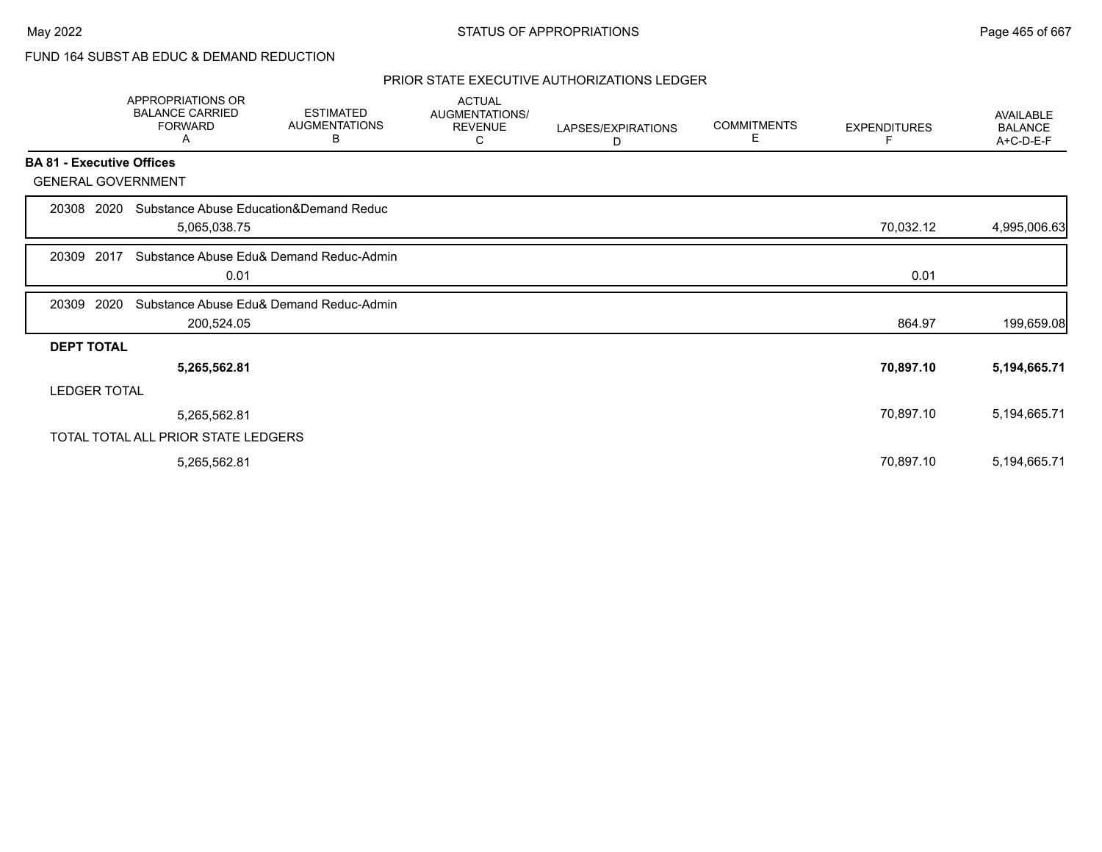# FUND 164 SUBST AB EDUC & DEMAND REDUCTION

|                                  | <b>APPROPRIATIONS OR</b><br><b>BALANCE CARRIED</b><br><b>FORWARD</b><br>Α | <b>ESTIMATED</b><br><b>AUGMENTATIONS</b><br>В | <b>ACTUAL</b><br>AUGMENTATIONS/<br><b>REVENUE</b><br>С | LAPSES/EXPIRATIONS<br>D | <b>COMMITMENTS</b><br>E. | <b>EXPENDITURES</b> | AVAILABLE<br><b>BALANCE</b><br>A+C-D-E-F |
|----------------------------------|---------------------------------------------------------------------------|-----------------------------------------------|--------------------------------------------------------|-------------------------|--------------------------|---------------------|------------------------------------------|
| <b>BA 81 - Executive Offices</b> |                                                                           |                                               |                                                        |                         |                          |                     |                                          |
| <b>GENERAL GOVERNMENT</b>        |                                                                           |                                               |                                                        |                         |                          |                     |                                          |
| 20308 2020                       | Substance Abuse Education&Demand Reduc<br>5,065,038.75                    |                                               |                                                        |                         |                          | 70,032.12           | 4,995,006.63                             |
| 2017<br>20309                    | 0.01                                                                      | Substance Abuse Edu& Demand Reduc-Admin       |                                                        |                         |                          | 0.01                |                                          |
| 2020<br>20309                    | 200,524.05                                                                | Substance Abuse Edu& Demand Reduc-Admin       |                                                        |                         |                          | 864.97              | 199,659.08                               |
| <b>DEPT TOTAL</b>                |                                                                           |                                               |                                                        |                         |                          |                     |                                          |
|                                  | 5,265,562.81                                                              |                                               |                                                        |                         |                          | 70,897.10           | 5,194,665.71                             |
| <b>LEDGER TOTAL</b>              |                                                                           |                                               |                                                        |                         |                          |                     |                                          |
|                                  | 5,265,562.81                                                              |                                               |                                                        |                         |                          | 70,897.10           | 5,194,665.71                             |
|                                  | TOTAL TOTAL ALL PRIOR STATE LEDGERS                                       |                                               |                                                        |                         |                          |                     |                                          |
|                                  | 5,265,562.81                                                              |                                               |                                                        |                         |                          | 70,897.10           | 5,194,665.71                             |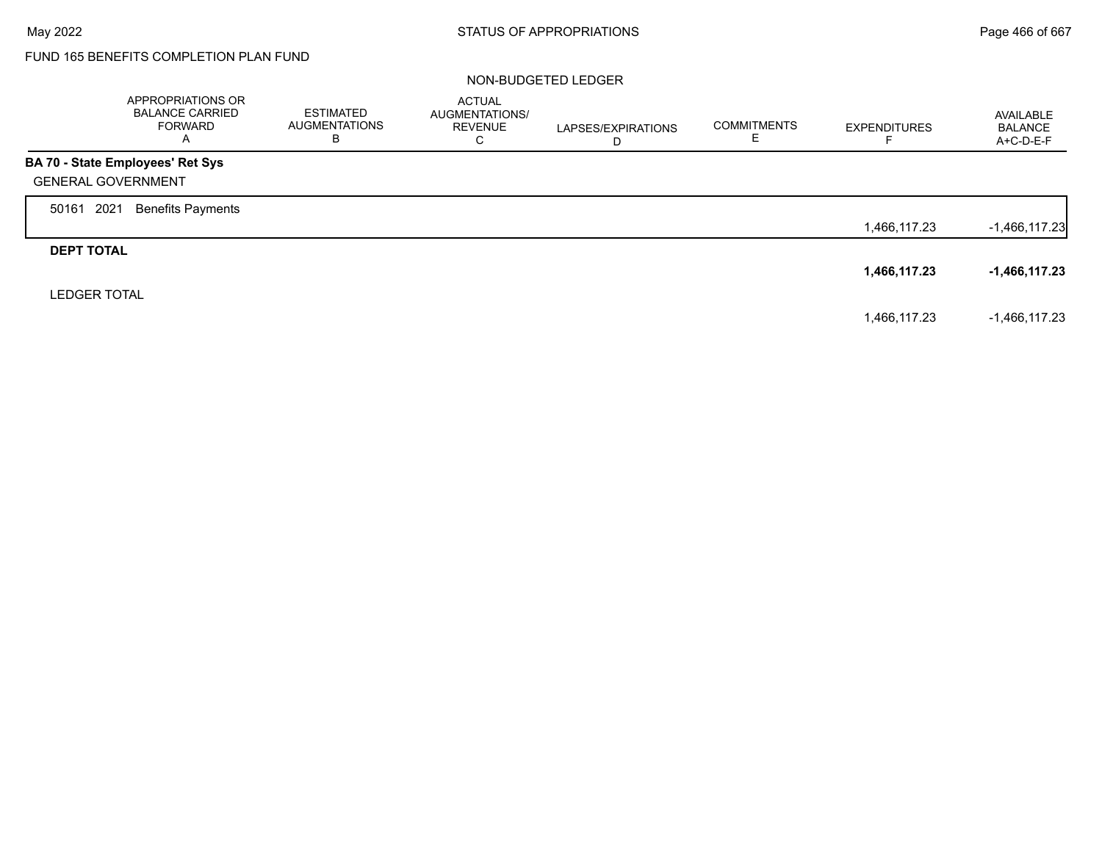Г

# FUND 165 BENEFITS COMPLETION PLAN FUND

#### NON-BUDGETED LEDGER

|                           | APPROPRIATIONS OR<br><b>BALANCE CARRIED</b><br><b>FORWARD</b><br>A | ESTIMATED<br><b>AUGMENTATIONS</b><br>в | <b>ACTUAL</b><br>AUGMENTATIONS/<br><b>REVENUE</b><br>C | LAPSES/EXPIRATIONS<br>D | <b>COMMITMENTS</b> | <b>EXPENDITURES</b> | AVAILABLE<br><b>BALANCE</b><br>A+C-D-E-F |
|---------------------------|--------------------------------------------------------------------|----------------------------------------|--------------------------------------------------------|-------------------------|--------------------|---------------------|------------------------------------------|
|                           | <b>BA 70 - State Employees' Ret Sys</b>                            |                                        |                                                        |                         |                    |                     |                                          |
| <b>GENERAL GOVERNMENT</b> |                                                                    |                                        |                                                        |                         |                    |                     |                                          |
| 2021<br>50161             | <b>Benefits Payments</b>                                           |                                        |                                                        |                         |                    |                     |                                          |
|                           |                                                                    |                                        |                                                        |                         |                    | 1,466,117.23        | $-1,466,117.23$                          |
| <b>DEPT TOTAL</b>         |                                                                    |                                        |                                                        |                         |                    |                     |                                          |
|                           |                                                                    |                                        |                                                        |                         |                    | 1,466,117.23        | -1,466,117.23                            |
| <b>LEDGER TOTAL</b>       |                                                                    |                                        |                                                        |                         |                    |                     |                                          |
|                           |                                                                    |                                        |                                                        |                         |                    | 1,466,117.23        | $-1,466,117.23$                          |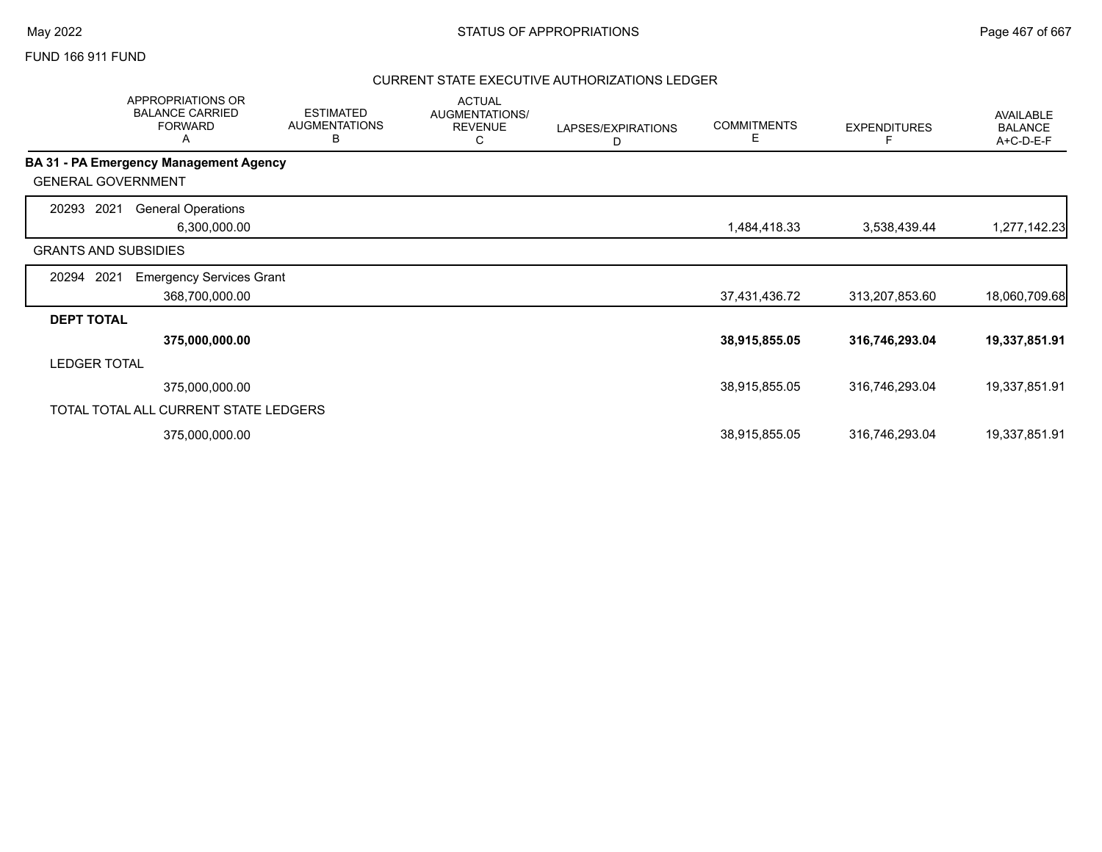### FUND 166 911 FUND

|                             | APPROPRIATIONS OR<br><b>BALANCE CARRIED</b><br><b>FORWARD</b><br>A | <b>ESTIMATED</b><br><b>AUGMENTATIONS</b><br>B | <b>ACTUAL</b><br>AUGMENTATIONS/<br><b>REVENUE</b><br>С | LAPSES/EXPIRATIONS<br>D | <b>COMMITMENTS</b><br>Е | <b>EXPENDITURES</b> | AVAILABLE<br><b>BALANCE</b><br>A+C-D-E-F |
|-----------------------------|--------------------------------------------------------------------|-----------------------------------------------|--------------------------------------------------------|-------------------------|-------------------------|---------------------|------------------------------------------|
|                             | BA 31 - PA Emergency Management Agency                             |                                               |                                                        |                         |                         |                     |                                          |
| <b>GENERAL GOVERNMENT</b>   |                                                                    |                                               |                                                        |                         |                         |                     |                                          |
| 2021<br>20293               | <b>General Operations</b><br>6,300,000.00                          |                                               |                                                        |                         | 1,484,418.33            | 3,538,439.44        | 1,277,142.23                             |
| <b>GRANTS AND SUBSIDIES</b> |                                                                    |                                               |                                                        |                         |                         |                     |                                          |
| 2021<br>20294               | <b>Emergency Services Grant</b>                                    |                                               |                                                        |                         |                         |                     |                                          |
|                             | 368,700,000.00                                                     |                                               |                                                        |                         | 37,431,436.72           | 313,207,853.60      | 18,060,709.68                            |
| <b>DEPT TOTAL</b>           |                                                                    |                                               |                                                        |                         |                         |                     |                                          |
|                             | 375,000,000.00                                                     |                                               |                                                        |                         | 38,915,855.05           | 316,746,293.04      | 19,337,851.91                            |
| <b>LEDGER TOTAL</b>         |                                                                    |                                               |                                                        |                         |                         |                     |                                          |
|                             | 375,000,000.00                                                     |                                               |                                                        |                         | 38,915,855.05           | 316,746,293.04      | 19,337,851.91                            |
|                             | TOTAL TOTAL ALL CURRENT STATE LEDGERS                              |                                               |                                                        |                         |                         |                     |                                          |
|                             | 375,000,000.00                                                     |                                               |                                                        |                         | 38,915,855.05           | 316,746,293.04      | 19,337,851.91                            |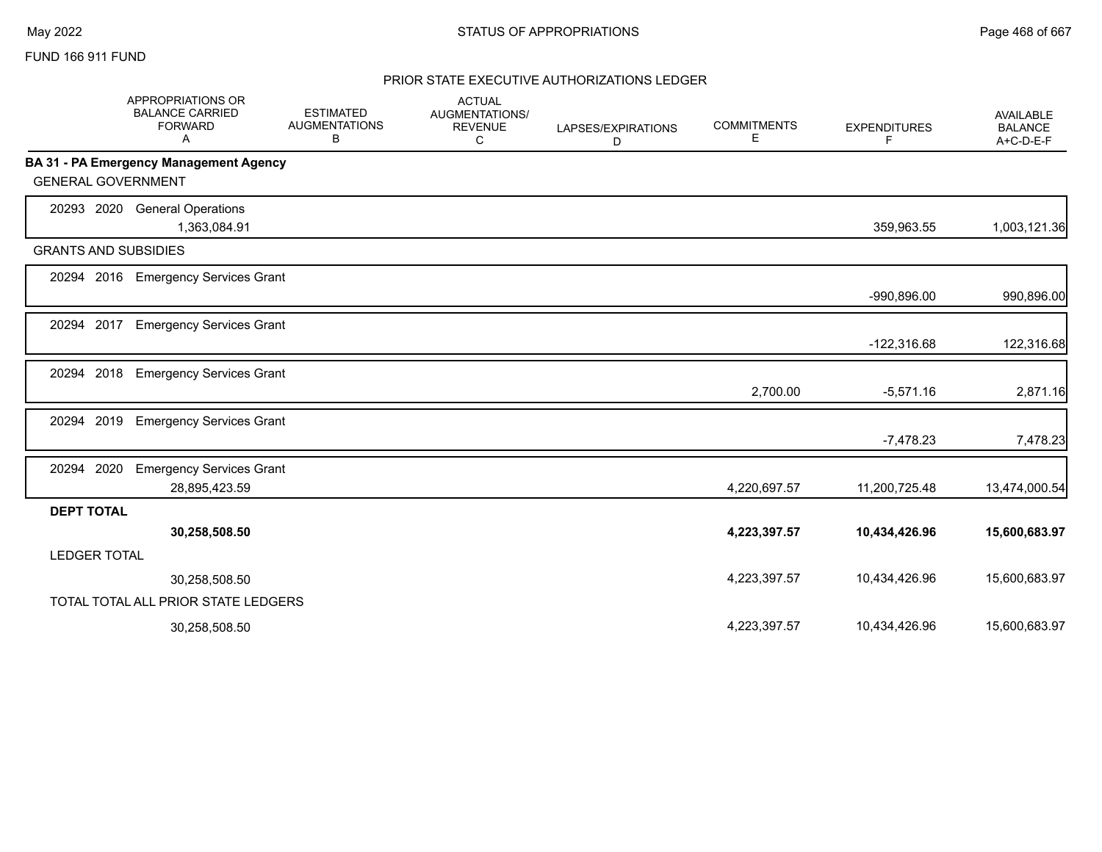### FUND 166 911 FUND

|                             | <b>APPROPRIATIONS OR</b><br><b>BALANCE CARRIED</b><br><b>FORWARD</b><br>A | <b>ESTIMATED</b><br><b>AUGMENTATIONS</b><br>В | <b>ACTUAL</b><br><b>AUGMENTATIONS/</b><br><b>REVENUE</b><br>C | LAPSES/EXPIRATIONS<br>D | <b>COMMITMENTS</b><br>Е | <b>EXPENDITURES</b><br>F. | <b>AVAILABLE</b><br><b>BALANCE</b><br>A+C-D-E-F |
|-----------------------------|---------------------------------------------------------------------------|-----------------------------------------------|---------------------------------------------------------------|-------------------------|-------------------------|---------------------------|-------------------------------------------------|
|                             | BA 31 - PA Emergency Management Agency                                    |                                               |                                                               |                         |                         |                           |                                                 |
| <b>GENERAL GOVERNMENT</b>   |                                                                           |                                               |                                                               |                         |                         |                           |                                                 |
| 20293 2020                  | <b>General Operations</b>                                                 |                                               |                                                               |                         |                         |                           |                                                 |
|                             | 1,363,084.91                                                              |                                               |                                                               |                         |                         | 359,963.55                | 1,003,121.36                                    |
| <b>GRANTS AND SUBSIDIES</b> |                                                                           |                                               |                                                               |                         |                         |                           |                                                 |
| 20294 2016                  | <b>Emergency Services Grant</b>                                           |                                               |                                                               |                         |                         |                           |                                                 |
|                             |                                                                           |                                               |                                                               |                         |                         | -990,896.00               | 990,896.00                                      |
| 2017<br>20294               | <b>Emergency Services Grant</b>                                           |                                               |                                                               |                         |                         |                           |                                                 |
|                             |                                                                           |                                               |                                                               |                         |                         | $-122,316.68$             | 122,316.68                                      |
| 2018<br>20294               | <b>Emergency Services Grant</b>                                           |                                               |                                                               |                         |                         |                           |                                                 |
|                             |                                                                           |                                               |                                                               |                         | 2,700.00                | $-5,571.16$               | 2,871.16                                        |
| 2019<br>20294               | <b>Emergency Services Grant</b>                                           |                                               |                                                               |                         |                         |                           |                                                 |
|                             |                                                                           |                                               |                                                               |                         |                         | $-7,478.23$               | 7,478.23                                        |
| 2020<br>20294               | <b>Emergency Services Grant</b>                                           |                                               |                                                               |                         |                         |                           |                                                 |
|                             | 28,895,423.59                                                             |                                               |                                                               |                         | 4,220,697.57            | 11,200,725.48             | 13,474,000.54                                   |
| <b>DEPT TOTAL</b>           |                                                                           |                                               |                                                               |                         |                         |                           |                                                 |
|                             | 30,258,508.50                                                             |                                               |                                                               |                         | 4,223,397.57            | 10,434,426.96             | 15,600,683.97                                   |
| <b>LEDGER TOTAL</b>         |                                                                           |                                               |                                                               |                         |                         |                           |                                                 |
|                             | 30,258,508.50                                                             |                                               |                                                               |                         | 4,223,397.57            | 10,434,426.96             | 15,600,683.97                                   |
|                             | TOTAL TOTAL ALL PRIOR STATE LEDGERS                                       |                                               |                                                               |                         |                         |                           |                                                 |
|                             | 30,258,508.50                                                             |                                               |                                                               |                         | 4,223,397.57            | 10,434,426.96             | 15,600,683.97                                   |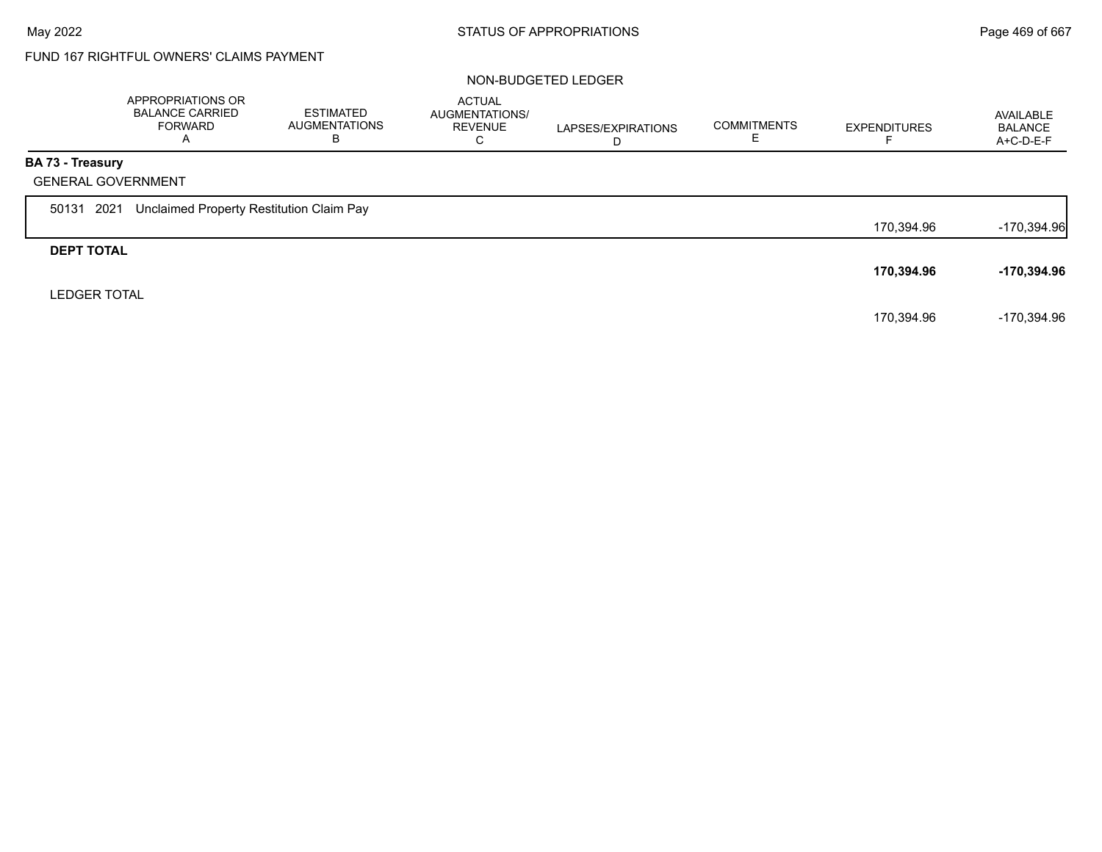# FUND 167 RIGHTFUL OWNERS' CLAIMS PAYMENT

#### NON-BUDGETED LEDGER

|                         | APPROPRIATIONS OR<br><b>BALANCE CARRIED</b><br><b>FORWARD</b><br>A | ESTIMATED<br><b>AUGMENTATIONS</b><br>В | <b>ACTUAL</b><br>AUGMENTATIONS/<br><b>REVENUE</b><br>C | LAPSES/EXPIRATIONS<br>D | <b>COMMITMENTS</b><br>ᄇ | <b>EXPENDITURES</b> | AVAILABLE<br><b>BALANCE</b><br>$A+C-D-E-F$ |
|-------------------------|--------------------------------------------------------------------|----------------------------------------|--------------------------------------------------------|-------------------------|-------------------------|---------------------|--------------------------------------------|
| <b>BA 73 - Treasury</b> |                                                                    |                                        |                                                        |                         |                         |                     |                                            |
|                         | <b>GENERAL GOVERNMENT</b>                                          |                                        |                                                        |                         |                         |                     |                                            |
| 50131 2021              | Unclaimed Property Restitution Claim Pay                           |                                        |                                                        |                         |                         |                     |                                            |
|                         |                                                                    |                                        |                                                        |                         |                         | 170,394.96          | $-170,394.96$                              |
| <b>DEPT TOTAL</b>       |                                                                    |                                        |                                                        |                         |                         |                     |                                            |
|                         |                                                                    |                                        |                                                        |                         |                         | 170,394.96          | -170,394.96                                |
| <b>LEDGER TOTAL</b>     |                                                                    |                                        |                                                        |                         |                         |                     |                                            |
|                         |                                                                    |                                        |                                                        |                         |                         | 170,394.96          | -170,394.96                                |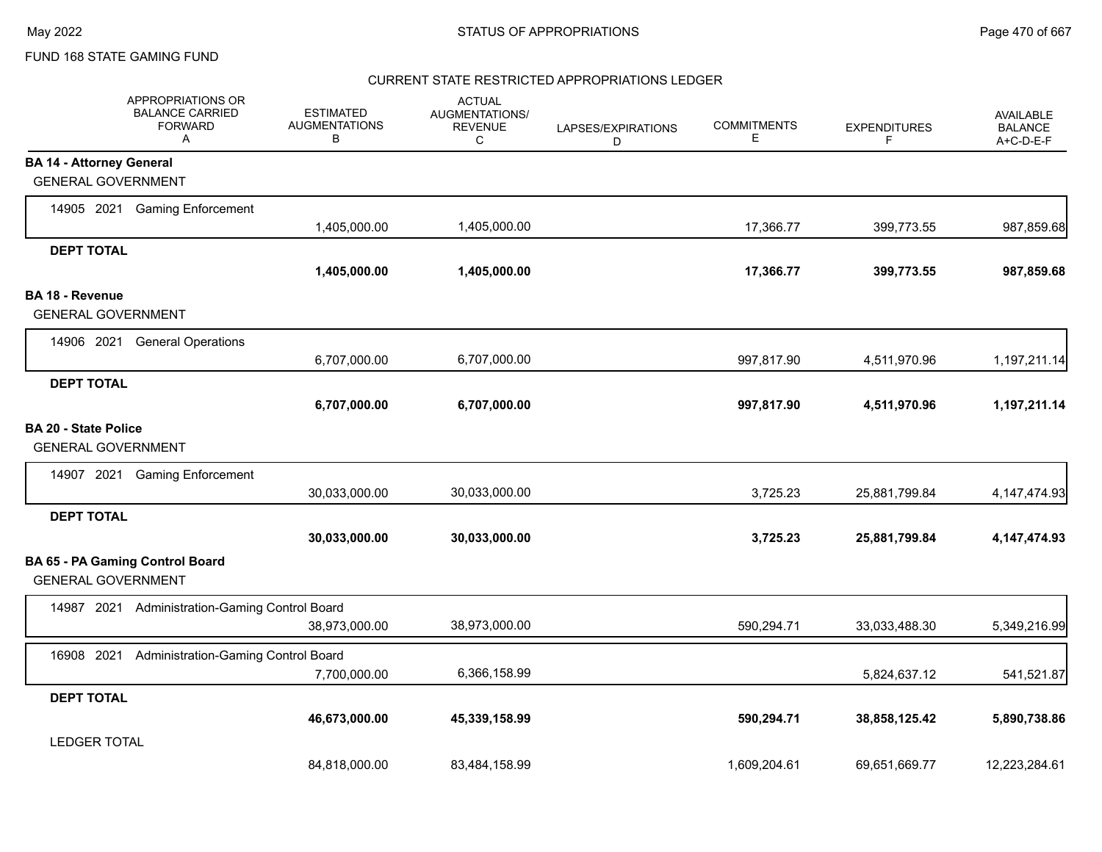#### CURRENT STATE RESTRICTED APPROPRIATIONS LEDGER

|                                 | APPROPRIATIONS OR<br><b>BALANCE CARRIED</b><br><b>FORWARD</b><br>Α | <b>ESTIMATED</b><br><b>AUGMENTATIONS</b><br>В | <b>ACTUAL</b><br><b>AUGMENTATIONS/</b><br><b>REVENUE</b><br>C | LAPSES/EXPIRATIONS<br>D | <b>COMMITMENTS</b><br>E | <b>EXPENDITURES</b><br>F | <b>AVAILABLE</b><br><b>BALANCE</b><br>$A+C-D-E-F$ |
|---------------------------------|--------------------------------------------------------------------|-----------------------------------------------|---------------------------------------------------------------|-------------------------|-------------------------|--------------------------|---------------------------------------------------|
| <b>BA 14 - Attorney General</b> |                                                                    |                                               |                                                               |                         |                         |                          |                                                   |
| <b>GENERAL GOVERNMENT</b>       |                                                                    |                                               |                                                               |                         |                         |                          |                                                   |
|                                 | 14905 2021 Gaming Enforcement                                      |                                               |                                                               |                         |                         |                          |                                                   |
|                                 |                                                                    | 1,405,000.00                                  | 1,405,000.00                                                  |                         | 17,366.77               | 399,773.55               | 987,859.68                                        |
| <b>DEPT TOTAL</b>               |                                                                    |                                               |                                                               |                         |                         |                          |                                                   |
|                                 |                                                                    | 1,405,000.00                                  | 1,405,000.00                                                  |                         | 17,366.77               | 399,773.55               | 987,859.68                                        |
| <b>BA 18 - Revenue</b>          |                                                                    |                                               |                                                               |                         |                         |                          |                                                   |
| <b>GENERAL GOVERNMENT</b>       |                                                                    |                                               |                                                               |                         |                         |                          |                                                   |
|                                 | 14906 2021 General Operations                                      |                                               |                                                               |                         |                         |                          |                                                   |
|                                 |                                                                    | 6,707,000.00                                  | 6,707,000.00                                                  |                         | 997,817.90              | 4,511,970.96             | 1,197,211.14                                      |
| <b>DEPT TOTAL</b>               |                                                                    |                                               |                                                               |                         |                         |                          |                                                   |
|                                 |                                                                    | 6,707,000.00                                  | 6,707,000.00                                                  |                         | 997,817.90              | 4,511,970.96             | 1,197,211.14                                      |
| <b>BA 20 - State Police</b>     |                                                                    |                                               |                                                               |                         |                         |                          |                                                   |
| <b>GENERAL GOVERNMENT</b>       |                                                                    |                                               |                                                               |                         |                         |                          |                                                   |
|                                 | 14907 2021 Gaming Enforcement                                      |                                               |                                                               |                         |                         |                          |                                                   |
|                                 |                                                                    | 30,033,000.00                                 | 30,033,000.00                                                 |                         | 3,725.23                | 25,881,799.84            | 4, 147, 474. 93                                   |
| <b>DEPT TOTAL</b>               |                                                                    |                                               |                                                               |                         |                         |                          |                                                   |
|                                 |                                                                    | 30,033,000.00                                 | 30,033,000.00                                                 |                         | 3,725.23                | 25,881,799.84            | 4, 147, 474. 93                                   |
|                                 | BA 65 - PA Gaming Control Board                                    |                                               |                                                               |                         |                         |                          |                                                   |
| <b>GENERAL GOVERNMENT</b>       |                                                                    |                                               |                                                               |                         |                         |                          |                                                   |
|                                 | 14987 2021 Administration-Gaming Control Board                     |                                               |                                                               |                         |                         |                          |                                                   |
|                                 |                                                                    | 38,973,000.00                                 | 38,973,000.00                                                 |                         | 590,294.71              | 33,033,488.30            | 5,349,216.99                                      |
| 16908 2021                      | Administration-Gaming Control Board                                |                                               |                                                               |                         |                         |                          |                                                   |
|                                 |                                                                    | 7,700,000.00                                  | 6,366,158.99                                                  |                         |                         | 5,824,637.12             | 541,521.87                                        |
| <b>DEPT TOTAL</b>               |                                                                    |                                               |                                                               |                         |                         |                          |                                                   |
|                                 |                                                                    | 46,673,000.00                                 | 45,339,158.99                                                 |                         | 590,294.71              | 38,858,125.42            | 5,890,738.86                                      |
| <b>LEDGER TOTAL</b>             |                                                                    |                                               |                                                               |                         |                         |                          |                                                   |
|                                 |                                                                    | 84,818,000.00                                 | 83,484,158.99                                                 |                         | 1,609,204.61            | 69,651,669.77            | 12,223,284.61                                     |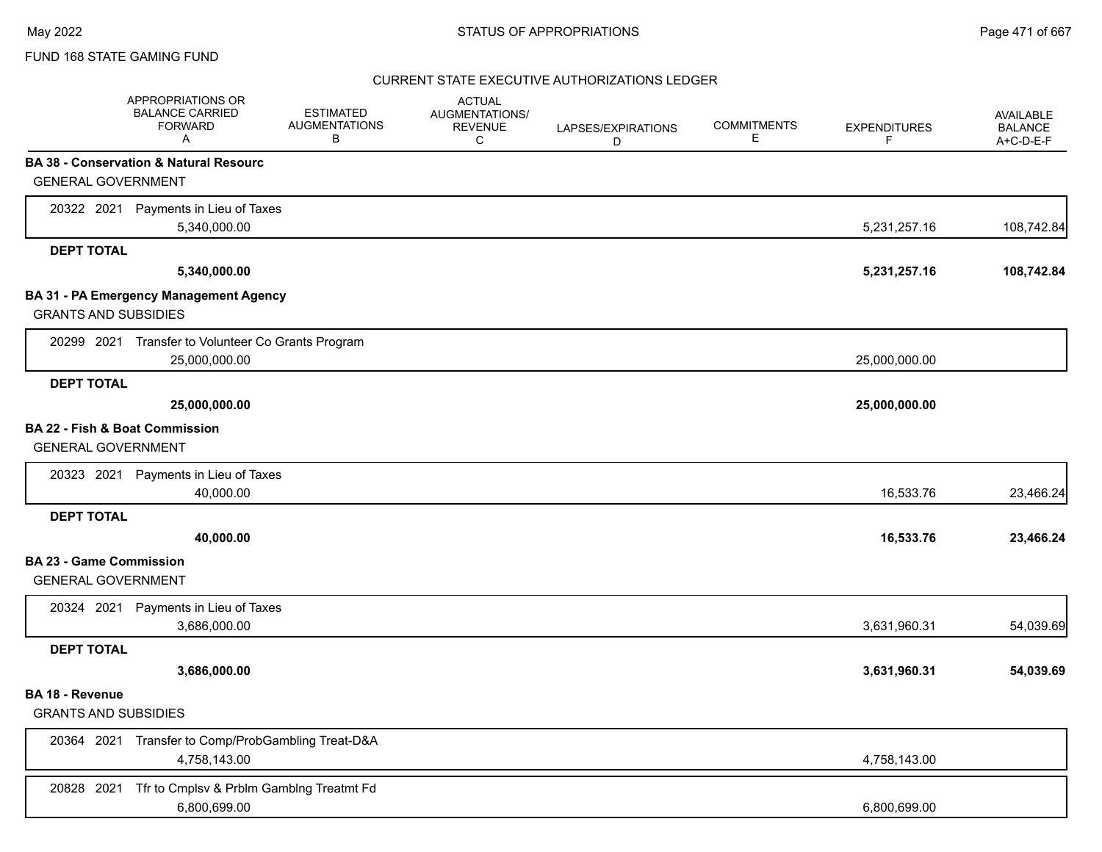### CURRENT STATE EXECUTIVE AUTHORIZATIONS LEDGER

|                                | APPROPRIATIONS OR<br><b>BALANCE CARRIED</b><br><b>FORWARD</b><br>A | <b>ESTIMATED</b><br><b>AUGMENTATIONS</b><br>В | <b>ACTUAL</b><br>AUGMENTATIONS/<br><b>REVENUE</b><br>C | LAPSES/EXPIRATIONS<br>D | <b>COMMITMENTS</b><br>Е | <b>EXPENDITURES</b><br>F | AVAILABLE<br><b>BALANCE</b><br>A+C-D-E-F |
|--------------------------------|--------------------------------------------------------------------|-----------------------------------------------|--------------------------------------------------------|-------------------------|-------------------------|--------------------------|------------------------------------------|
|                                | BA 38 - Conservation & Natural Resourc                             |                                               |                                                        |                         |                         |                          |                                          |
| <b>GENERAL GOVERNMENT</b>      |                                                                    |                                               |                                                        |                         |                         |                          |                                          |
|                                | 20322 2021 Payments in Lieu of Taxes                               |                                               |                                                        |                         |                         |                          |                                          |
|                                | 5,340,000.00                                                       |                                               |                                                        |                         |                         | 5,231,257.16             | 108,742.84                               |
| <b>DEPT TOTAL</b>              |                                                                    |                                               |                                                        |                         |                         |                          |                                          |
|                                | 5,340,000.00                                                       |                                               |                                                        |                         |                         | 5,231,257.16             | 108,742.84                               |
|                                | BA 31 - PA Emergency Management Agency                             |                                               |                                                        |                         |                         |                          |                                          |
| <b>GRANTS AND SUBSIDIES</b>    |                                                                    |                                               |                                                        |                         |                         |                          |                                          |
|                                | 20299 2021 Transfer to Volunteer Co Grants Program                 |                                               |                                                        |                         |                         |                          |                                          |
|                                | 25,000,000.00                                                      |                                               |                                                        |                         |                         | 25,000,000.00            |                                          |
| <b>DEPT TOTAL</b>              |                                                                    |                                               |                                                        |                         |                         |                          |                                          |
|                                | 25,000,000.00                                                      |                                               |                                                        |                         |                         | 25,000,000.00            |                                          |
| BA 22 - Fish & Boat Commission |                                                                    |                                               |                                                        |                         |                         |                          |                                          |
| <b>GENERAL GOVERNMENT</b>      |                                                                    |                                               |                                                        |                         |                         |                          |                                          |
|                                | 20323 2021 Payments in Lieu of Taxes                               |                                               |                                                        |                         |                         |                          |                                          |
|                                | 40,000.00                                                          |                                               |                                                        |                         |                         | 16,533.76                | 23,466.24                                |
| <b>DEPT TOTAL</b>              |                                                                    |                                               |                                                        |                         |                         |                          |                                          |
|                                | 40,000.00                                                          |                                               |                                                        |                         |                         | 16,533.76                | 23,466.24                                |
| <b>BA 23 - Game Commission</b> |                                                                    |                                               |                                                        |                         |                         |                          |                                          |
| <b>GENERAL GOVERNMENT</b>      |                                                                    |                                               |                                                        |                         |                         |                          |                                          |
|                                | 20324 2021 Payments in Lieu of Taxes                               |                                               |                                                        |                         |                         |                          |                                          |
|                                | 3,686,000.00                                                       |                                               |                                                        |                         |                         | 3,631,960.31             | 54,039.69                                |
| <b>DEPT TOTAL</b>              |                                                                    |                                               |                                                        |                         |                         |                          |                                          |
|                                | 3,686,000.00                                                       |                                               |                                                        |                         |                         | 3,631,960.31             | 54,039.69                                |
| <b>BA 18 - Revenue</b>         |                                                                    |                                               |                                                        |                         |                         |                          |                                          |
| <b>GRANTS AND SUBSIDIES</b>    |                                                                    |                                               |                                                        |                         |                         |                          |                                          |
|                                | 20364 2021 Transfer to Comp/ProbGambling Treat-D&A                 |                                               |                                                        |                         |                         |                          |                                          |
|                                | 4,758,143.00                                                       |                                               |                                                        |                         |                         | 4,758,143.00             |                                          |
| 20828 2021                     | Tfr to Cmplsv & Prblm Gamblng Treatmt Fd                           |                                               |                                                        |                         |                         |                          |                                          |
|                                | 6,800,699.00                                                       |                                               |                                                        |                         |                         | 6,800,699.00             |                                          |
|                                |                                                                    |                                               |                                                        |                         |                         |                          |                                          |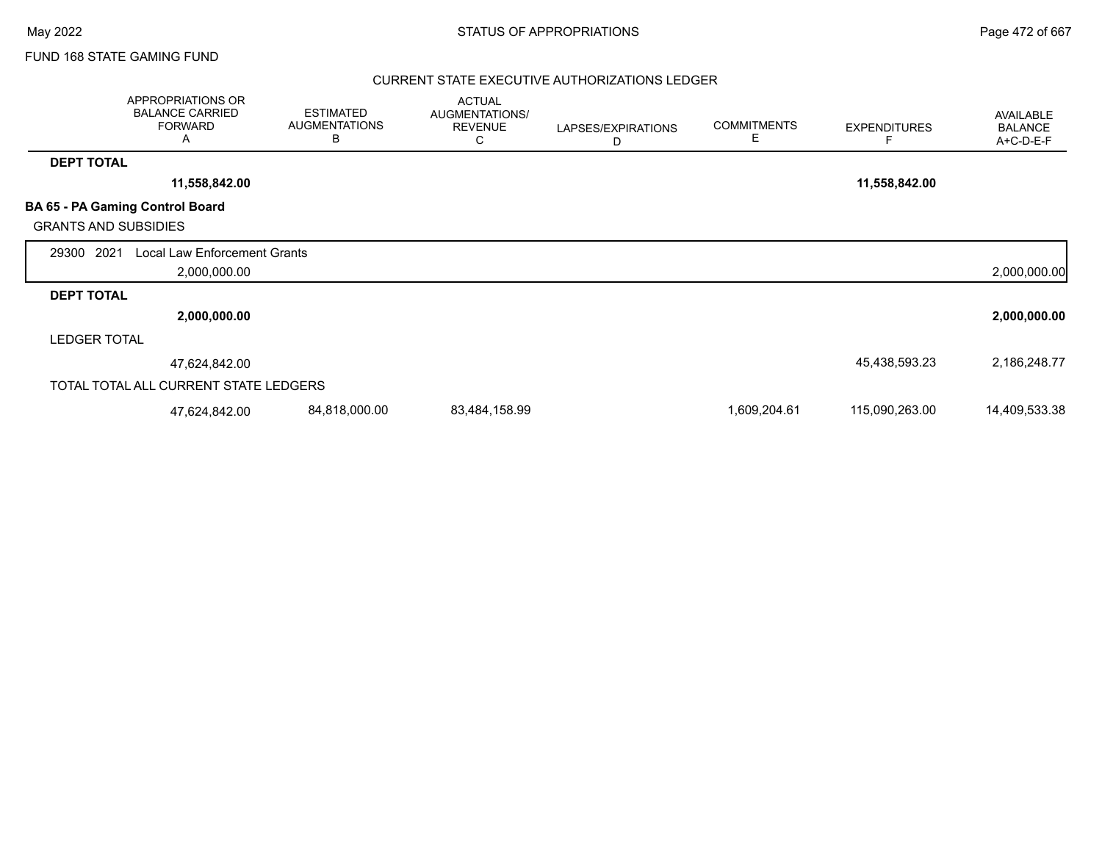### CURRENT STATE EXECUTIVE AUTHORIZATIONS LEDGER

|                             | <b>APPROPRIATIONS OR</b><br><b>BALANCE CARRIED</b><br><b>FORWARD</b><br>A | <b>ESTIMATED</b><br><b>AUGMENTATIONS</b><br>B | <b>ACTUAL</b><br>AUGMENTATIONS/<br><b>REVENUE</b><br>С | LAPSES/EXPIRATIONS<br>D | <b>COMMITMENTS</b><br>E | <b>EXPENDITURES</b> | AVAILABLE<br><b>BALANCE</b><br>A+C-D-E-F |
|-----------------------------|---------------------------------------------------------------------------|-----------------------------------------------|--------------------------------------------------------|-------------------------|-------------------------|---------------------|------------------------------------------|
| <b>DEPT TOTAL</b>           |                                                                           |                                               |                                                        |                         |                         |                     |                                          |
|                             | 11,558,842.00                                                             |                                               |                                                        |                         |                         | 11,558,842.00       |                                          |
| <b>GRANTS AND SUBSIDIES</b> | BA 65 - PA Gaming Control Board                                           |                                               |                                                        |                         |                         |                     |                                          |
| 2021<br>29300               | <b>Local Law Enforcement Grants</b><br>2,000,000.00                       |                                               |                                                        |                         |                         |                     | 2,000,000.00                             |
| <b>DEPT TOTAL</b>           |                                                                           |                                               |                                                        |                         |                         |                     |                                          |
|                             | 2,000,000.00                                                              |                                               |                                                        |                         |                         |                     | 2,000,000.00                             |
| <b>LEDGER TOTAL</b>         |                                                                           |                                               |                                                        |                         |                         |                     |                                          |
|                             | 47,624,842.00                                                             |                                               |                                                        |                         |                         | 45,438,593.23       | 2,186,248.77                             |
|                             | TOTAL TOTAL ALL CURRENT STATE LEDGERS                                     |                                               |                                                        |                         |                         |                     |                                          |
|                             | 47,624,842.00                                                             | 84,818,000.00                                 | 83,484,158.99                                          |                         | 1,609,204.61            | 115,090,263.00      | 14,409,533.38                            |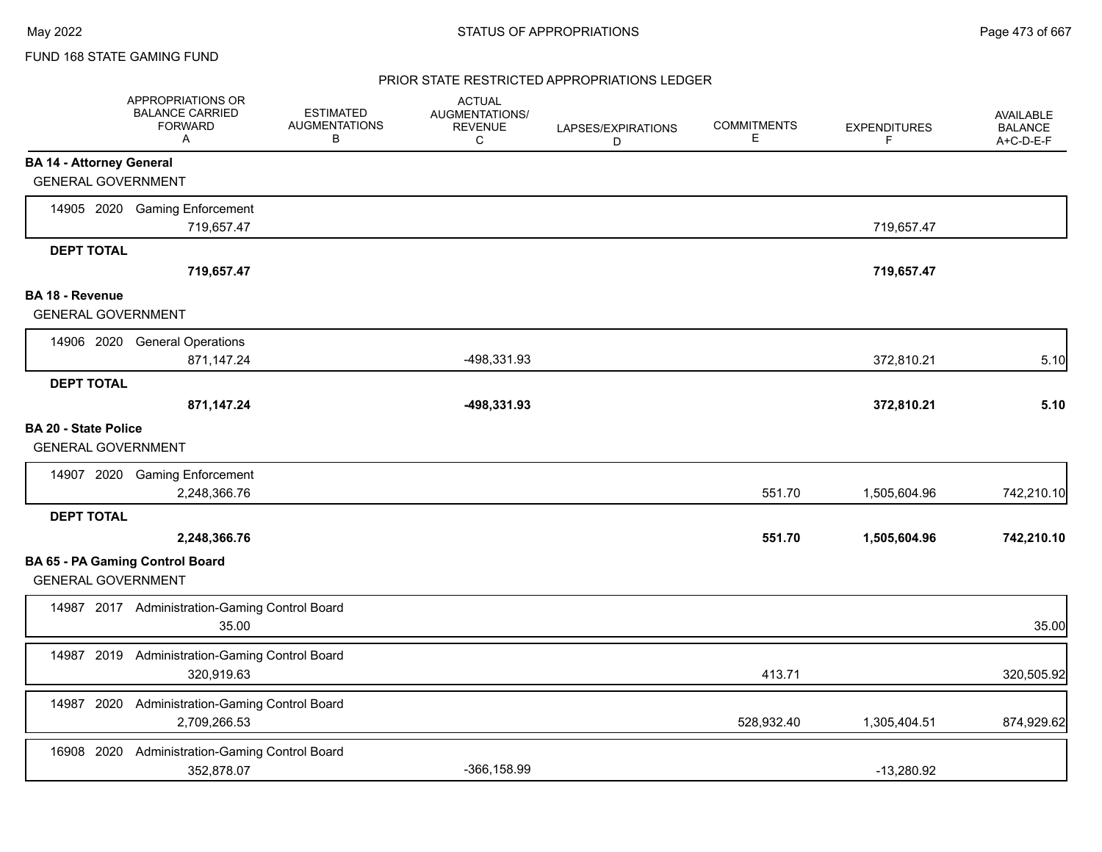#### PRIOR STATE RESTRICTED APPROPRIATIONS LEDGER

|                                                              | APPROPRIATIONS OR<br><b>BALANCE CARRIED</b><br><b>FORWARD</b><br>A | <b>ESTIMATED</b><br><b>AUGMENTATIONS</b><br>В | <b>ACTUAL</b><br>AUGMENTATIONS/<br><b>REVENUE</b><br>С | LAPSES/EXPIRATIONS<br>D | <b>COMMITMENTS</b><br>E | <b>EXPENDITURES</b><br>F | <b>AVAILABLE</b><br><b>BALANCE</b><br>A+C-D-E-F |
|--------------------------------------------------------------|--------------------------------------------------------------------|-----------------------------------------------|--------------------------------------------------------|-------------------------|-------------------------|--------------------------|-------------------------------------------------|
| <b>BA 14 - Attorney General</b><br><b>GENERAL GOVERNMENT</b> |                                                                    |                                               |                                                        |                         |                         |                          |                                                 |
|                                                              | 14905 2020 Gaming Enforcement<br>719,657.47                        |                                               |                                                        |                         |                         | 719,657.47               |                                                 |
| <b>DEPT TOTAL</b>                                            | 719,657.47                                                         |                                               |                                                        |                         |                         | 719,657.47               |                                                 |
| <b>BA 18 - Revenue</b><br><b>GENERAL GOVERNMENT</b>          |                                                                    |                                               |                                                        |                         |                         |                          |                                                 |
|                                                              | 14906 2020 General Operations<br>871,147.24                        |                                               | -498,331.93                                            |                         |                         | 372,810.21               | 5.10                                            |
| <b>DEPT TOTAL</b>                                            | 871,147.24                                                         |                                               | -498,331.93                                            |                         |                         | 372,810.21               | 5.10                                            |
| <b>BA 20 - State Police</b><br><b>GENERAL GOVERNMENT</b>     |                                                                    |                                               |                                                        |                         |                         |                          |                                                 |
|                                                              | 14907 2020 Gaming Enforcement<br>2,248,366.76                      |                                               |                                                        |                         | 551.70                  | 1,505,604.96             | 742,210.10                                      |
| <b>DEPT TOTAL</b>                                            | 2,248,366.76                                                       |                                               |                                                        |                         | 551.70                  | 1,505,604.96             | 742,210.10                                      |
| <b>GENERAL GOVERNMENT</b>                                    | <b>BA 65 - PA Gaming Control Board</b>                             |                                               |                                                        |                         |                         |                          |                                                 |
|                                                              | 14987 2017 Administration-Gaming Control Board<br>35.00            |                                               |                                                        |                         |                         |                          | 35.00                                           |
|                                                              | 14987 2019 Administration-Gaming Control Board<br>320,919.63       |                                               |                                                        |                         | 413.71                  |                          | 320,505.92                                      |
|                                                              | 14987 2020 Administration-Gaming Control Board<br>2,709,266.53     |                                               |                                                        |                         | 528,932.40              | 1,305,404.51             | 874,929.62                                      |
| 16908 2020                                                   | <b>Administration-Gaming Control Board</b><br>352,878.07           |                                               | $-366, 158.99$                                         |                         |                         | $-13,280.92$             |                                                 |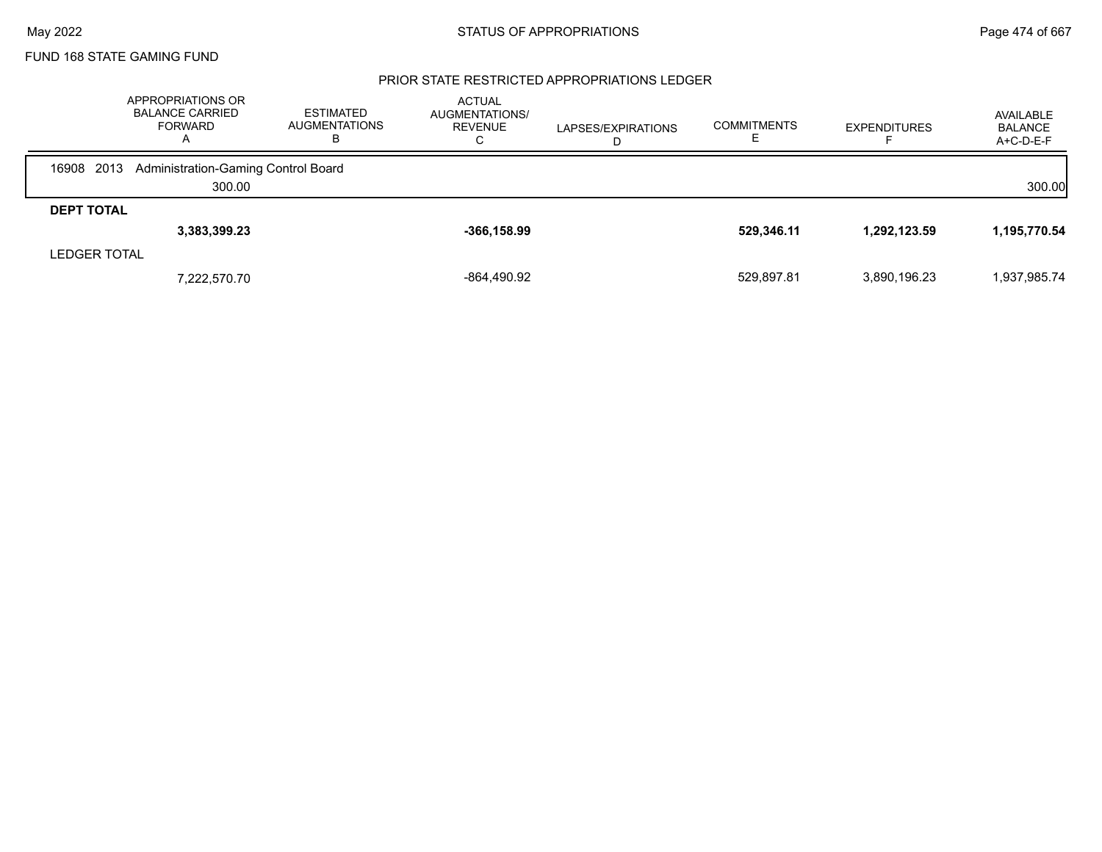### PRIOR STATE RESTRICTED APPROPRIATIONS LEDGER

|                     | APPROPRIATIONS OR<br><b>BALANCE CARRIED</b><br><b>FORWARD</b><br>$\mathsf{A}$ | <b>ESTIMATED</b><br><b>AUGMENTATIONS</b><br>в | <b>ACTUAL</b><br>AUGMENTATIONS/<br><b>REVENUE</b><br>◡ | LAPSES/EXPIRATIONS | <b>COMMITMENTS</b> | <b>EXPENDITURES</b> | AVAILABLE<br><b>BALANCE</b><br>A+C-D-E-F |
|---------------------|-------------------------------------------------------------------------------|-----------------------------------------------|--------------------------------------------------------|--------------------|--------------------|---------------------|------------------------------------------|
| 16908 2013          | Administration-Gaming Control Board                                           |                                               |                                                        |                    |                    |                     |                                          |
|                     | 300.00                                                                        |                                               |                                                        |                    |                    |                     | 300.00                                   |
| <b>DEPT TOTAL</b>   |                                                                               |                                               |                                                        |                    |                    |                     |                                          |
|                     | 3,383,399.23                                                                  |                                               | $-366, 158.99$                                         |                    | 529,346.11         | 1,292,123.59        | 1,195,770.54                             |
| <b>LEDGER TOTAL</b> |                                                                               |                                               |                                                        |                    |                    |                     |                                          |
|                     | 7.222.570.70                                                                  |                                               | -864,490.92                                            |                    | 529,897.81         | 3,890,196.23        | 1,937,985.74                             |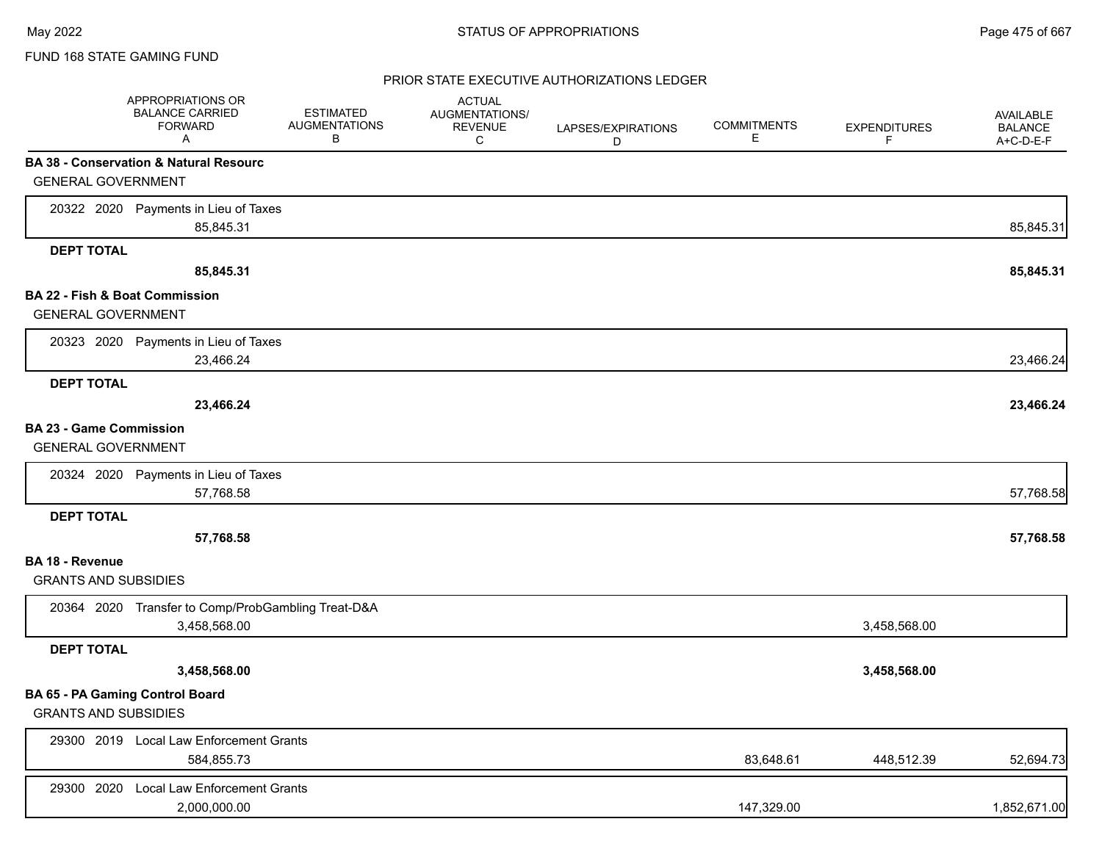### PRIOR STATE EXECUTIVE AUTHORIZATIONS LEDGER

|                                           | APPROPRIATIONS OR<br><b>BALANCE CARRIED</b><br><b>FORWARD</b><br>A | <b>ESTIMATED</b><br><b>AUGMENTATIONS</b><br>В | <b>ACTUAL</b><br>AUGMENTATIONS/<br><b>REVENUE</b><br>C | LAPSES/EXPIRATIONS<br>D | <b>COMMITMENTS</b><br>Е | <b>EXPENDITURES</b><br>F. | AVAILABLE<br><b>BALANCE</b><br>A+C-D-E-F |
|-------------------------------------------|--------------------------------------------------------------------|-----------------------------------------------|--------------------------------------------------------|-------------------------|-------------------------|---------------------------|------------------------------------------|
|                                           | <b>BA 38 - Conservation &amp; Natural Resourc</b>                  |                                               |                                                        |                         |                         |                           |                                          |
| <b>GENERAL GOVERNMENT</b>                 |                                                                    |                                               |                                                        |                         |                         |                           |                                          |
|                                           | 20322 2020 Payments in Lieu of Taxes                               |                                               |                                                        |                         |                         |                           |                                          |
|                                           | 85,845.31                                                          |                                               |                                                        |                         |                         |                           | 85,845.31                                |
| <b>DEPT TOTAL</b>                         |                                                                    |                                               |                                                        |                         |                         |                           |                                          |
|                                           | 85,845.31                                                          |                                               |                                                        |                         |                         |                           | 85,845.31                                |
| <b>BA 22 - Fish &amp; Boat Commission</b> |                                                                    |                                               |                                                        |                         |                         |                           |                                          |
| <b>GENERAL GOVERNMENT</b>                 |                                                                    |                                               |                                                        |                         |                         |                           |                                          |
|                                           | 20323 2020 Payments in Lieu of Taxes                               |                                               |                                                        |                         |                         |                           |                                          |
|                                           | 23,466.24                                                          |                                               |                                                        |                         |                         |                           | 23,466.24                                |
| <b>DEPT TOTAL</b>                         |                                                                    |                                               |                                                        |                         |                         |                           |                                          |
|                                           | 23,466.24                                                          |                                               |                                                        |                         |                         |                           | 23,466.24                                |
| <b>BA 23 - Game Commission</b>            |                                                                    |                                               |                                                        |                         |                         |                           |                                          |
| <b>GENERAL GOVERNMENT</b>                 |                                                                    |                                               |                                                        |                         |                         |                           |                                          |
|                                           | 20324 2020 Payments in Lieu of Taxes                               |                                               |                                                        |                         |                         |                           |                                          |
|                                           | 57,768.58                                                          |                                               |                                                        |                         |                         |                           | 57,768.58                                |
| <b>DEPT TOTAL</b>                         |                                                                    |                                               |                                                        |                         |                         |                           |                                          |
|                                           | 57,768.58                                                          |                                               |                                                        |                         |                         |                           | 57,768.58                                |
| BA 18 - Revenue                           |                                                                    |                                               |                                                        |                         |                         |                           |                                          |
| <b>GRANTS AND SUBSIDIES</b>               |                                                                    |                                               |                                                        |                         |                         |                           |                                          |
|                                           | 20364 2020 Transfer to Comp/ProbGambling Treat-D&A                 |                                               |                                                        |                         |                         |                           |                                          |
|                                           | 3,458,568.00                                                       |                                               |                                                        |                         |                         | 3,458,568.00              |                                          |
| <b>DEPT TOTAL</b>                         |                                                                    |                                               |                                                        |                         |                         |                           |                                          |
|                                           | 3,458,568.00                                                       |                                               |                                                        |                         |                         | 3,458,568.00              |                                          |
|                                           | BA 65 - PA Gaming Control Board                                    |                                               |                                                        |                         |                         |                           |                                          |
| <b>GRANTS AND SUBSIDIES</b>               |                                                                    |                                               |                                                        |                         |                         |                           |                                          |
|                                           | 29300 2019 Local Law Enforcement Grants                            |                                               |                                                        |                         |                         |                           |                                          |
|                                           | 584,855.73                                                         |                                               |                                                        |                         | 83,648.61               | 448,512.39                | 52,694.73                                |
| 29300 2020                                | <b>Local Law Enforcement Grants</b>                                |                                               |                                                        |                         |                         |                           |                                          |
|                                           | 2,000,000.00                                                       |                                               |                                                        |                         | 147,329.00              |                           | 1,852,671.00                             |
|                                           |                                                                    |                                               |                                                        |                         |                         |                           |                                          |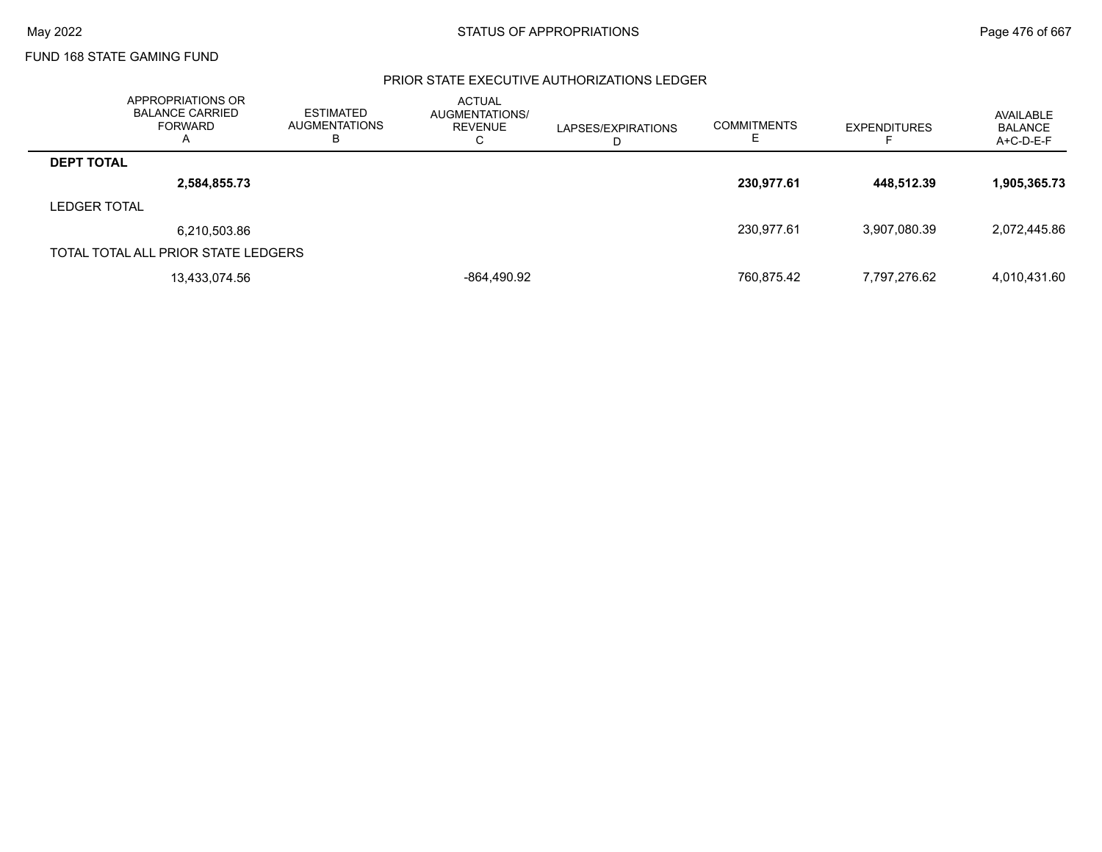### PRIOR STATE EXECUTIVE AUTHORIZATIONS LEDGER

|                     | APPROPRIATIONS OR<br><b>BALANCE CARRIED</b><br>FORWARD<br>Α | <b>ESTIMATED</b><br><b>AUGMENTATIONS</b><br>В | <b>ACTUAL</b><br>AUGMENTATIONS/<br>REVENUE<br>⌒<br>◡ | LAPSES/EXPIRATIONS<br>D | <b>COMMITMENTS</b> | <b>EXPENDITURES</b> | AVAILABLE<br><b>BALANCE</b><br>A+C-D-E-F |
|---------------------|-------------------------------------------------------------|-----------------------------------------------|------------------------------------------------------|-------------------------|--------------------|---------------------|------------------------------------------|
| <b>DEPT TOTAL</b>   |                                                             |                                               |                                                      |                         |                    |                     |                                          |
|                     | 2,584,855.73                                                |                                               |                                                      |                         | 230,977.61         | 448.512.39          | 1,905,365.73                             |
| <b>LEDGER TOTAL</b> |                                                             |                                               |                                                      |                         |                    |                     |                                          |
|                     | 6,210,503.86                                                |                                               |                                                      |                         | 230,977.61         | 3.907.080.39        | 2,072,445.86                             |
|                     | TOTAL TOTAL ALL PRIOR STATE LEDGERS                         |                                               |                                                      |                         |                    |                     |                                          |
|                     | 13,433,074.56                                               |                                               | -864,490.92                                          |                         | 760,875.42         | 7.797.276.62        | 4,010,431.60                             |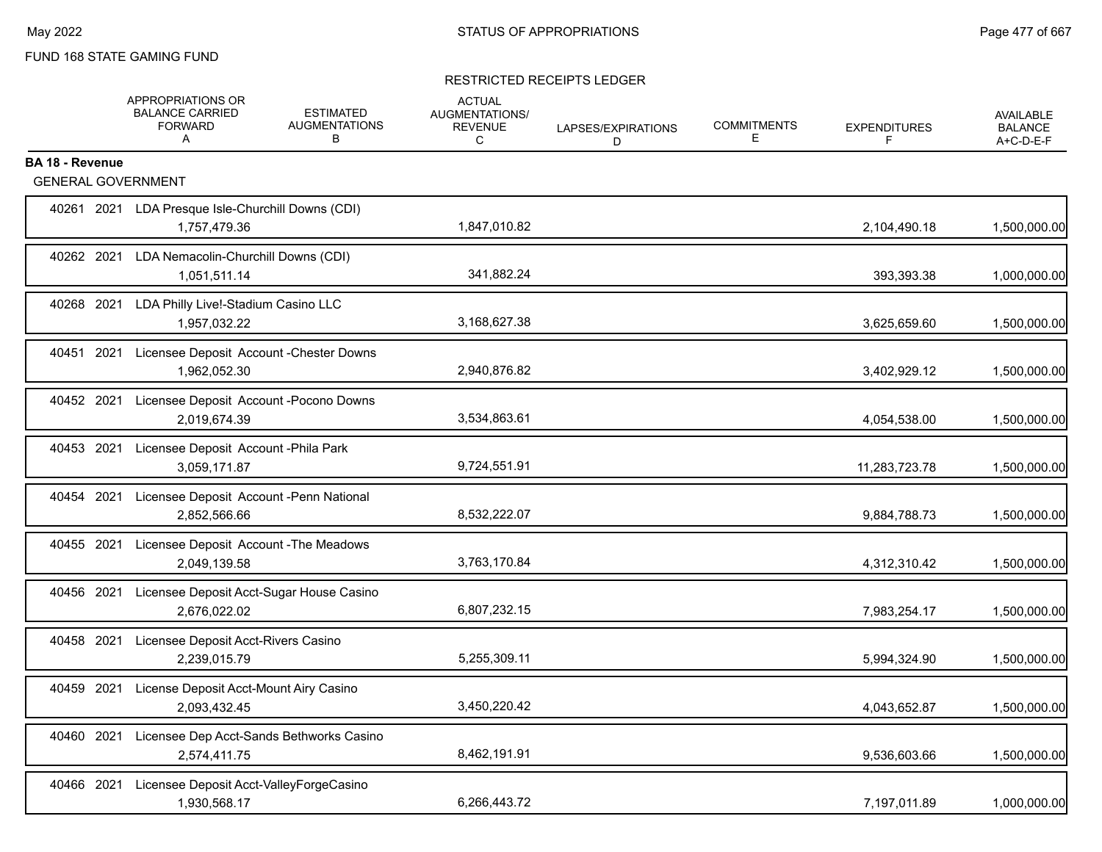### RESTRICTED RECEIPTS LEDGER

|                                                     | APPROPRIATIONS OR<br><b>BALANCE CARRIED</b><br><b>FORWARD</b><br>A  | <b>ESTIMATED</b><br><b>AUGMENTATIONS</b><br>в | <b>ACTUAL</b><br>AUGMENTATIONS/<br><b>REVENUE</b><br>C | LAPSES/EXPIRATIONS<br>D | <b>COMMITMENTS</b><br>Е | <b>EXPENDITURES</b><br>F | <b>AVAILABLE</b><br><b>BALANCE</b><br>A+C-D-E-F |
|-----------------------------------------------------|---------------------------------------------------------------------|-----------------------------------------------|--------------------------------------------------------|-------------------------|-------------------------|--------------------------|-------------------------------------------------|
| <b>BA 18 - Revenue</b><br><b>GENERAL GOVERNMENT</b> |                                                                     |                                               |                                                        |                         |                         |                          |                                                 |
|                                                     |                                                                     |                                               |                                                        |                         |                         |                          |                                                 |
|                                                     | 40261 2021 LDA Presque Isle-Churchill Downs (CDI)<br>1,757,479.36   |                                               | 1,847,010.82                                           |                         |                         | 2,104,490.18             | 1,500,000.00                                    |
| 40262 2021                                          | LDA Nemacolin-Churchill Downs (CDI)<br>1,051,511.14                 |                                               | 341,882.24                                             |                         |                         | 393,393.38               | 1,000,000.00                                    |
| 40268 2021                                          | LDA Philly Live!-Stadium Casino LLC<br>1,957,032.22                 |                                               | 3,168,627.38                                           |                         |                         | 3,625,659.60             | 1,500,000.00                                    |
|                                                     | 40451 2021 Licensee Deposit Account - Chester Downs<br>1,962,052.30 |                                               | 2,940,876.82                                           |                         |                         | 3,402,929.12             | 1,500,000.00                                    |
|                                                     | 40452 2021 Licensee Deposit Account - Pocono Downs<br>2,019,674.39  |                                               | 3,534,863.61                                           |                         |                         | 4,054,538.00             | 1,500,000.00                                    |
|                                                     | 40453 2021 Licensee Deposit Account - Phila Park<br>3,059,171.87    |                                               | 9,724,551.91                                           |                         |                         | 11,283,723.78            | 1,500,000.00                                    |
|                                                     | 40454 2021 Licensee Deposit Account -Penn National<br>2,852,566.66  |                                               | 8,532,222.07                                           |                         |                         | 9,884,788.73             | 1,500,000.00                                    |
|                                                     | 40455 2021 Licensee Deposit Account - The Meadows<br>2,049,139.58   |                                               | 3,763,170.84                                           |                         |                         | 4,312,310.42             | 1,500,000.00                                    |
| 40456 2021                                          | Licensee Deposit Acct-Sugar House Casino<br>2,676,022.02            |                                               | 6,807,232.15                                           |                         |                         | 7,983,254.17             | 1,500,000.00                                    |
| 40458 2021                                          | Licensee Deposit Acct-Rivers Casino<br>2.239.015.79                 |                                               | 5,255,309.11                                           |                         |                         | 5,994,324.90             | 1,500,000.00                                    |
| 40459 2021                                          | License Deposit Acct-Mount Airy Casino<br>2,093,432.45              |                                               | 3,450,220.42                                           |                         |                         | 4,043,652.87             | 1,500,000.00                                    |
| 40460 2021                                          | Licensee Dep Acct-Sands Bethworks Casino<br>2,574,411.75            |                                               | 8,462,191.91                                           |                         |                         | 9,536,603.66             | 1,500,000.00                                    |
| 40466 2021                                          | Licensee Deposit Acct-ValleyForgeCasino<br>1,930,568.17             |                                               | 6,266,443.72                                           |                         |                         | 7,197,011.89             | 1,000,000.00                                    |
|                                                     |                                                                     |                                               |                                                        |                         |                         |                          |                                                 |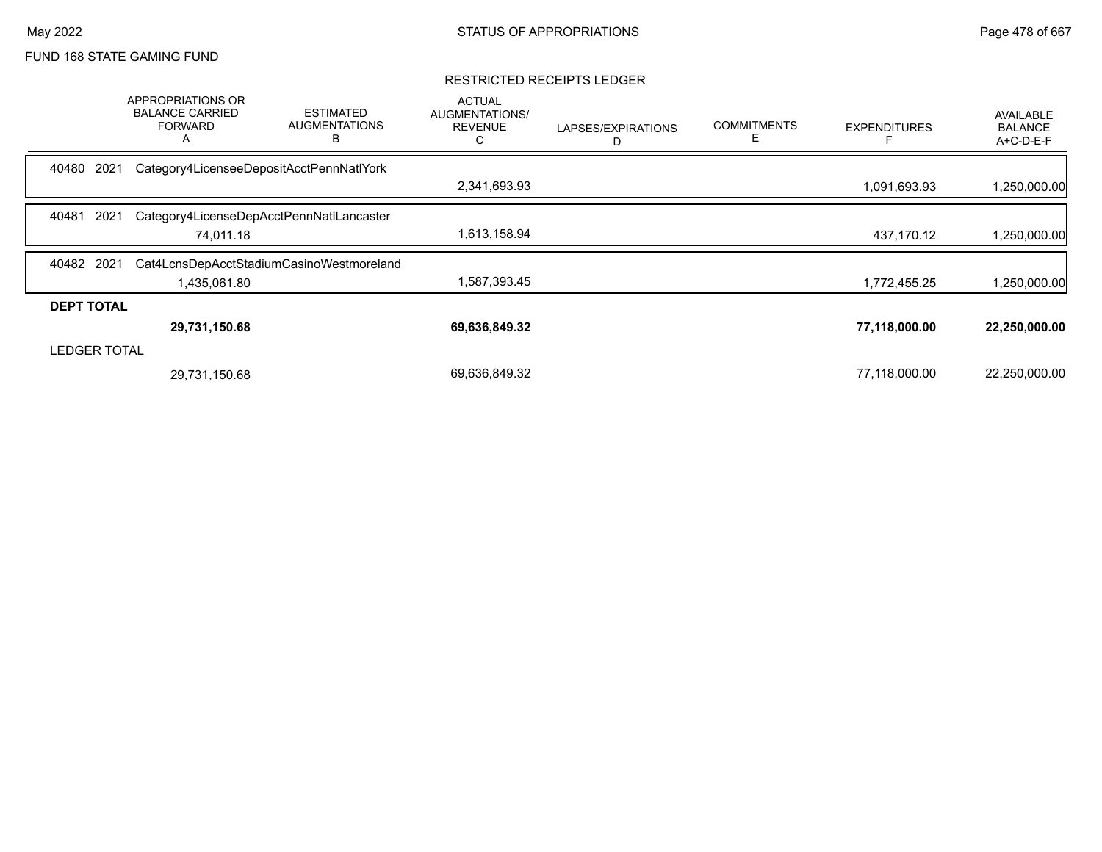#### RESTRICTED RECEIPTS LEDGER

|                     | APPROPRIATIONS OR<br><b>BALANCE CARRIED</b><br><b>FORWARD</b><br>A | <b>ESTIMATED</b><br><b>AUGMENTATIONS</b><br>B | <b>ACTUAL</b><br>AUGMENTATIONS/<br><b>REVENUE</b><br>C | LAPSES/EXPIRATIONS | <b>COMMITMENTS</b> | <b>EXPENDITURES</b> | <b>AVAILABLE</b><br><b>BALANCE</b><br>A+C-D-E-F |
|---------------------|--------------------------------------------------------------------|-----------------------------------------------|--------------------------------------------------------|--------------------|--------------------|---------------------|-------------------------------------------------|
| 2021<br>40480       |                                                                    | Category4LicenseeDepositAcctPennNatlYork      |                                                        |                    |                    |                     |                                                 |
|                     |                                                                    |                                               | 2,341,693.93                                           |                    |                    | 1,091,693.93        | 1,250,000.00                                    |
| 40481<br>2021       |                                                                    | Category4LicenseDepAcctPennNatILancaster      |                                                        |                    |                    |                     |                                                 |
|                     | 74,011.18                                                          |                                               | 1,613,158.94                                           |                    |                    | 437,170.12          | 1,250,000.00                                    |
| 40482 2021          |                                                                    | Cat4LcnsDepAcctStadiumCasinoWestmoreland      |                                                        |                    |                    |                     |                                                 |
|                     | 1,435,061.80                                                       |                                               | 1,587,393.45                                           |                    |                    | 1,772,455.25        | 1,250,000.00                                    |
| <b>DEPT TOTAL</b>   |                                                                    |                                               |                                                        |                    |                    |                     |                                                 |
|                     | 29,731,150.68                                                      |                                               | 69,636,849.32                                          |                    |                    | 77,118,000.00       | 22,250,000.00                                   |
| <b>LEDGER TOTAL</b> |                                                                    |                                               |                                                        |                    |                    |                     |                                                 |
|                     | 29,731,150.68                                                      |                                               | 69,636,849.32                                          |                    |                    | 77,118,000.00       | 22,250,000.00                                   |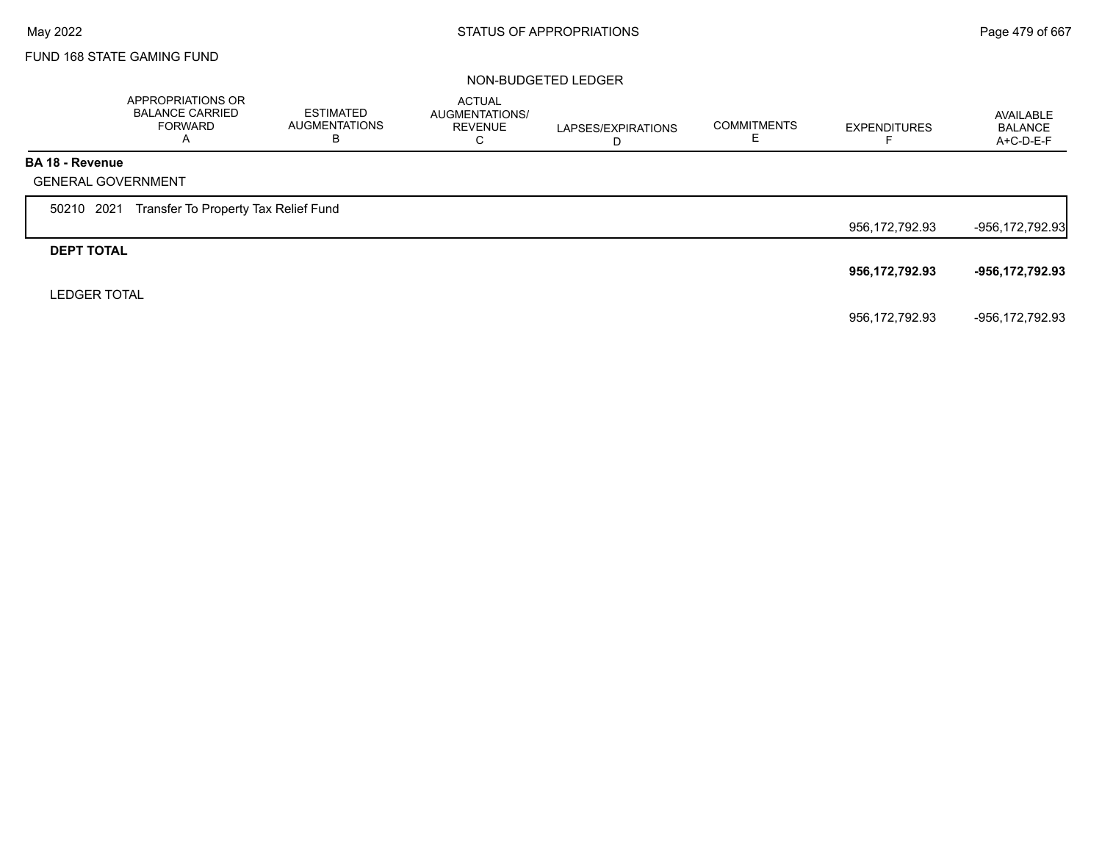#### NON-BUDGETED LEDGER

|                        | APPROPRIATIONS OR<br><b>BALANCE CARRIED</b><br><b>FORWARD</b><br>A | <b>ESTIMATED</b><br><b>AUGMENTATIONS</b><br>в | <b>ACTUAL</b><br>AUGMENTATIONS/<br><b>REVENUE</b><br>C | LAPSES/EXPIRATIONS<br>D | <b>COMMITMENTS</b><br>Е | <b>EXPENDITURES</b> | AVAILABLE<br><b>BALANCE</b><br>A+C-D-E-F |
|------------------------|--------------------------------------------------------------------|-----------------------------------------------|--------------------------------------------------------|-------------------------|-------------------------|---------------------|------------------------------------------|
| <b>BA 18 - Revenue</b> |                                                                    |                                               |                                                        |                         |                         |                     |                                          |
|                        | <b>GENERAL GOVERNMENT</b>                                          |                                               |                                                        |                         |                         |                     |                                          |
| 50210 2021             | Transfer To Property Tax Relief Fund                               |                                               |                                                        |                         |                         |                     |                                          |
|                        |                                                                    |                                               |                                                        |                         |                         | 956,172,792.93      | -956,172,792.93                          |
| <b>DEPT TOTAL</b>      |                                                                    |                                               |                                                        |                         |                         |                     |                                          |
|                        |                                                                    |                                               |                                                        |                         |                         | 956,172,792.93      | -956,172,792.93                          |
| <b>LEDGER TOTAL</b>    |                                                                    |                                               |                                                        |                         |                         |                     |                                          |
|                        |                                                                    |                                               |                                                        |                         |                         | 956,172,792.93      | -956,172,792.93                          |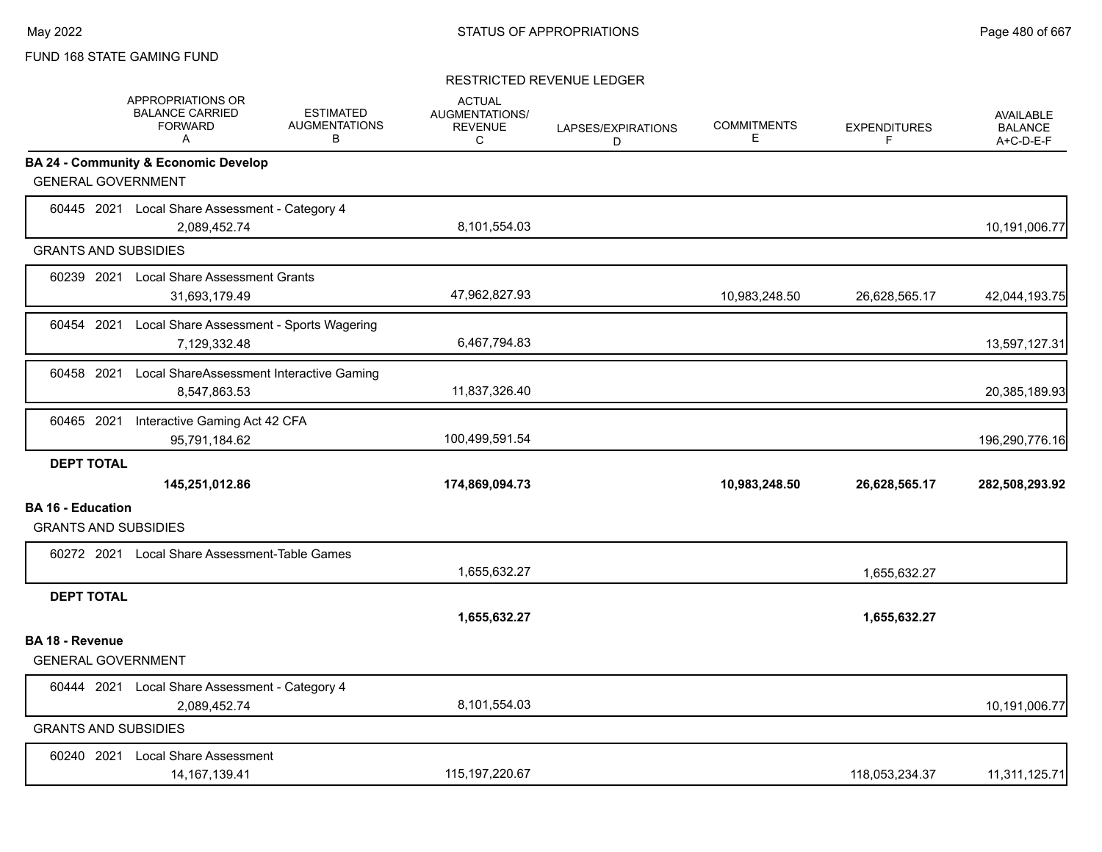#### RESTRICTED REVENUE LEDGER

|                          | <b>APPROPRIATIONS OR</b><br><b>BALANCE CARRIED</b><br><b>FORWARD</b><br>A | <b>ESTIMATED</b><br><b>AUGMENTATIONS</b><br>В | <b>ACTUAL</b><br><b>AUGMENTATIONS/</b><br><b>REVENUE</b><br>C | LAPSES/EXPIRATIONS<br>D | <b>COMMITMENTS</b><br>Е | <b>EXPENDITURES</b><br>F | <b>AVAILABLE</b><br><b>BALANCE</b><br>A+C-D-E-F |
|--------------------------|---------------------------------------------------------------------------|-----------------------------------------------|---------------------------------------------------------------|-------------------------|-------------------------|--------------------------|-------------------------------------------------|
|                          | <b>BA 24 - Community &amp; Economic Develop</b>                           |                                               |                                                               |                         |                         |                          |                                                 |
|                          | <b>GENERAL GOVERNMENT</b>                                                 |                                               |                                                               |                         |                         |                          |                                                 |
|                          | 60445 2021 Local Share Assessment - Category 4<br>2,089,452.74            |                                               | 8,101,554.03                                                  |                         |                         |                          | 10,191,006.77                                   |
|                          | <b>GRANTS AND SUBSIDIES</b>                                               |                                               |                                                               |                         |                         |                          |                                                 |
|                          | 60239 2021 Local Share Assessment Grants<br>31,693,179.49                 |                                               | 47,962,827.93                                                 |                         | 10,983,248.50           | 26,628,565.17            | 42,044,193.75                                   |
| 60454 2021               | Local Share Assessment - Sports Wagering<br>7,129,332.48                  |                                               | 6,467,794.83                                                  |                         |                         |                          | 13,597,127.31                                   |
| 60458 2021               | Local ShareAssessment Interactive Gaming<br>8,547,863.53                  |                                               | 11,837,326.40                                                 |                         |                         |                          | 20,385,189.93                                   |
| 60465 2021               | Interactive Gaming Act 42 CFA<br>95,791,184.62                            |                                               | 100,499,591.54                                                |                         |                         |                          | 196,290,776.16                                  |
| <b>DEPT TOTAL</b>        | 145,251,012.86                                                            |                                               | 174,869,094.73                                                |                         | 10,983,248.50           | 26,628,565.17            | 282,508,293.92                                  |
| <b>BA 16 - Education</b> | <b>GRANTS AND SUBSIDIES</b>                                               |                                               |                                                               |                         |                         |                          |                                                 |
|                          | 60272 2021 Local Share Assessment-Table Games                             |                                               | 1,655,632.27                                                  |                         |                         | 1,655,632.27             |                                                 |
| <b>DEPT TOTAL</b>        |                                                                           |                                               |                                                               |                         |                         |                          |                                                 |
|                          |                                                                           |                                               | 1,655,632.27                                                  |                         |                         | 1,655,632.27             |                                                 |
| <b>BA 18 - Revenue</b>   | <b>GENERAL GOVERNMENT</b>                                                 |                                               |                                                               |                         |                         |                          |                                                 |
|                          | 60444 2021 Local Share Assessment - Category 4<br>2,089,452.74            |                                               | 8,101,554.03                                                  |                         |                         |                          | 10,191,006.77                                   |
|                          | <b>GRANTS AND SUBSIDIES</b>                                               |                                               |                                                               |                         |                         |                          |                                                 |
| 60240 2021               | <b>Local Share Assessment</b><br>14, 167, 139. 41                         |                                               | 115.197.220.67                                                |                         |                         | 118,053,234.37           | 11,311,125.71                                   |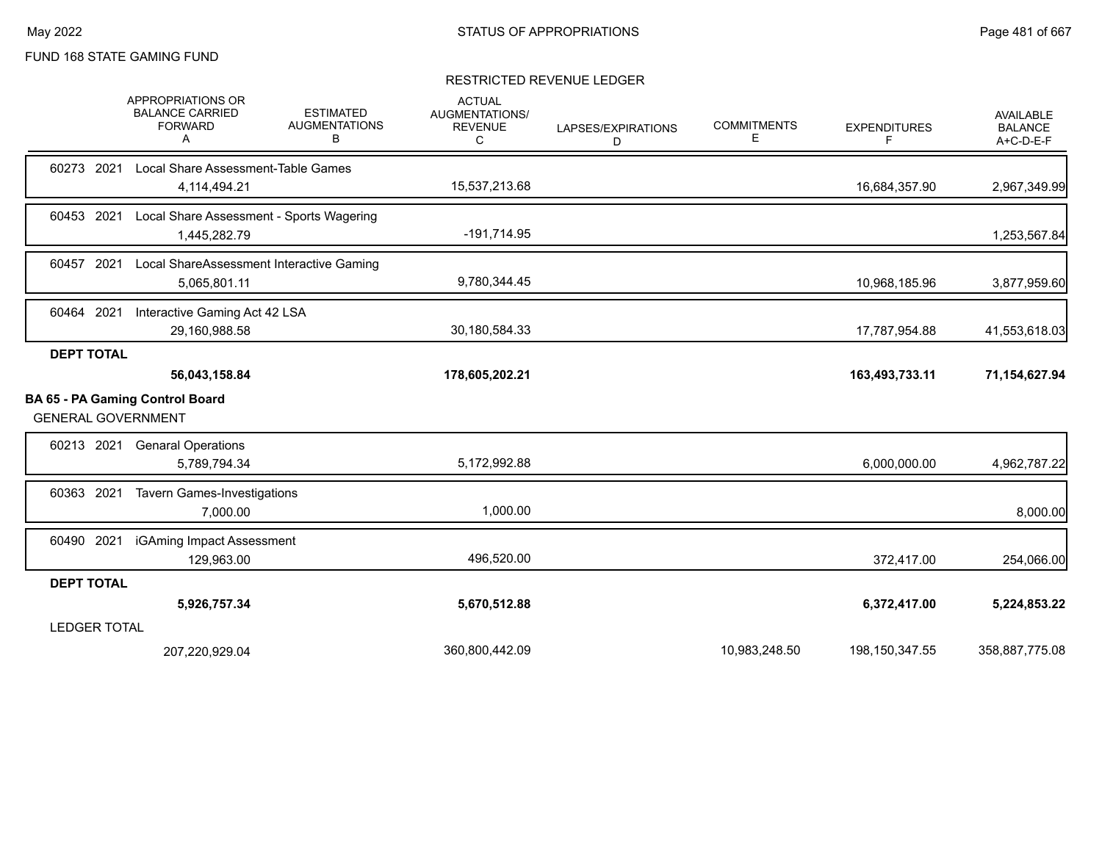#### RESTRICTED REVENUE LEDGER

|                           | APPROPRIATIONS OR<br><b>BALANCE CARRIED</b><br><b>FORWARD</b><br>A | <b>ESTIMATED</b><br><b>AUGMENTATIONS</b><br>в | <b>ACTUAL</b><br><b>AUGMENTATIONS/</b><br><b>REVENUE</b><br>С | LAPSES/EXPIRATIONS<br>D | <b>COMMITMENTS</b><br>Ε | <b>EXPENDITURES</b><br>F | <b>AVAILABLE</b><br><b>BALANCE</b><br>A+C-D-E-F |
|---------------------------|--------------------------------------------------------------------|-----------------------------------------------|---------------------------------------------------------------|-------------------------|-------------------------|--------------------------|-------------------------------------------------|
| 60273 2021                | Local Share Assessment-Table Games                                 |                                               |                                                               |                         |                         |                          |                                                 |
|                           | 4,114,494.21                                                       |                                               | 15,537,213.68                                                 |                         |                         | 16,684,357.90            | 2,967,349.99                                    |
| 60453 2021                | Local Share Assessment - Sports Wagering                           |                                               |                                                               |                         |                         |                          |                                                 |
|                           | 1,445,282.79                                                       |                                               | $-191,714.95$                                                 |                         |                         |                          | 1,253,567.84                                    |
| 60457 2021                | Local ShareAssessment Interactive Gaming                           |                                               |                                                               |                         |                         |                          |                                                 |
|                           | 5,065,801.11                                                       |                                               | 9,780,344.45                                                  |                         |                         | 10,968,185.96            | 3,877,959.60                                    |
| 60464 2021                | Interactive Gaming Act 42 LSA                                      |                                               |                                                               |                         |                         |                          |                                                 |
|                           | 29,160,988.58                                                      |                                               | 30,180,584.33                                                 |                         |                         | 17,787,954.88            | 41,553,618.03                                   |
| <b>DEPT TOTAL</b>         |                                                                    |                                               |                                                               |                         |                         |                          |                                                 |
|                           | 56,043,158.84                                                      |                                               | 178,605,202.21                                                |                         |                         | 163,493,733.11           | 71,154,627.94                                   |
| <b>GENERAL GOVERNMENT</b> | BA 65 - PA Gaming Control Board                                    |                                               |                                                               |                         |                         |                          |                                                 |
| 60213 2021                | <b>Genaral Operations</b>                                          |                                               |                                                               |                         |                         |                          |                                                 |
|                           | 5,789,794.34                                                       |                                               | 5,172,992.88                                                  |                         |                         | 6,000,000.00             | 4,962,787.22                                    |
| 60363 2021                | <b>Tavern Games-Investigations</b>                                 |                                               |                                                               |                         |                         |                          |                                                 |
|                           | 7,000.00                                                           |                                               | 1,000.00                                                      |                         |                         |                          | 8,000.00                                        |
| 60490 2021                | iGAming Impact Assessment                                          |                                               |                                                               |                         |                         |                          |                                                 |
|                           | 129,963.00                                                         |                                               | 496,520.00                                                    |                         |                         | 372,417.00               | 254,066.00                                      |
| <b>DEPT TOTAL</b>         |                                                                    |                                               |                                                               |                         |                         |                          |                                                 |
|                           | 5,926,757.34                                                       |                                               | 5,670,512.88                                                  |                         |                         | 6,372,417.00             | 5,224,853.22                                    |
| <b>LEDGER TOTAL</b>       |                                                                    |                                               |                                                               |                         |                         |                          |                                                 |
|                           | 207,220,929.04                                                     |                                               | 360,800,442.09                                                |                         | 10,983,248.50           | 198,150,347.55           | 358,887,775.08                                  |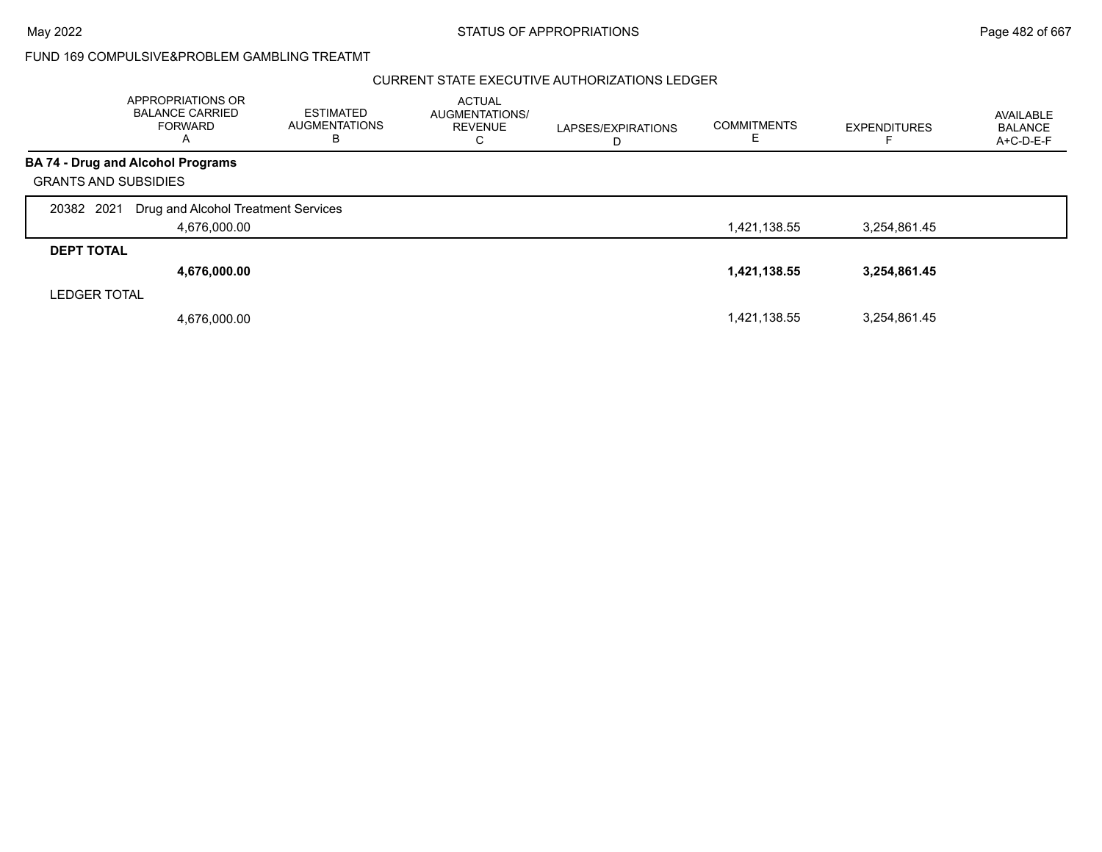#### CURRENT STATE EXECUTIVE AUTHORIZATIONS LEDGER

|                             | APPROPRIATIONS OR<br><b>BALANCE CARRIED</b><br><b>FORWARD</b><br>A | <b>ESTIMATED</b><br><b>AUGMENTATIONS</b><br>B | <b>ACTUAL</b><br>AUGMENTATIONS/<br><b>REVENUE</b><br>С | LAPSES/EXPIRATIONS<br>D | <b>COMMITMENTS</b> | <b>EXPENDITURES</b> | AVAILABLE<br><b>BALANCE</b><br>A+C-D-E-F |
|-----------------------------|--------------------------------------------------------------------|-----------------------------------------------|--------------------------------------------------------|-------------------------|--------------------|---------------------|------------------------------------------|
|                             | <b>BA 74 - Drug and Alcohol Programs</b>                           |                                               |                                                        |                         |                    |                     |                                          |
| <b>GRANTS AND SUBSIDIES</b> |                                                                    |                                               |                                                        |                         |                    |                     |                                          |
| 20382 2021                  | Drug and Alcohol Treatment Services                                |                                               |                                                        |                         |                    |                     |                                          |
|                             | 4,676,000.00                                                       |                                               |                                                        |                         | 1,421,138.55       | 3,254,861.45        |                                          |
| <b>DEPT TOTAL</b>           |                                                                    |                                               |                                                        |                         |                    |                     |                                          |
|                             | 4,676,000.00                                                       |                                               |                                                        |                         | 1,421,138.55       | 3,254,861.45        |                                          |
| <b>LEDGER TOTAL</b>         |                                                                    |                                               |                                                        |                         |                    |                     |                                          |
|                             | 4,676,000.00                                                       |                                               |                                                        |                         | 1,421,138.55       | 3.254.861.45        |                                          |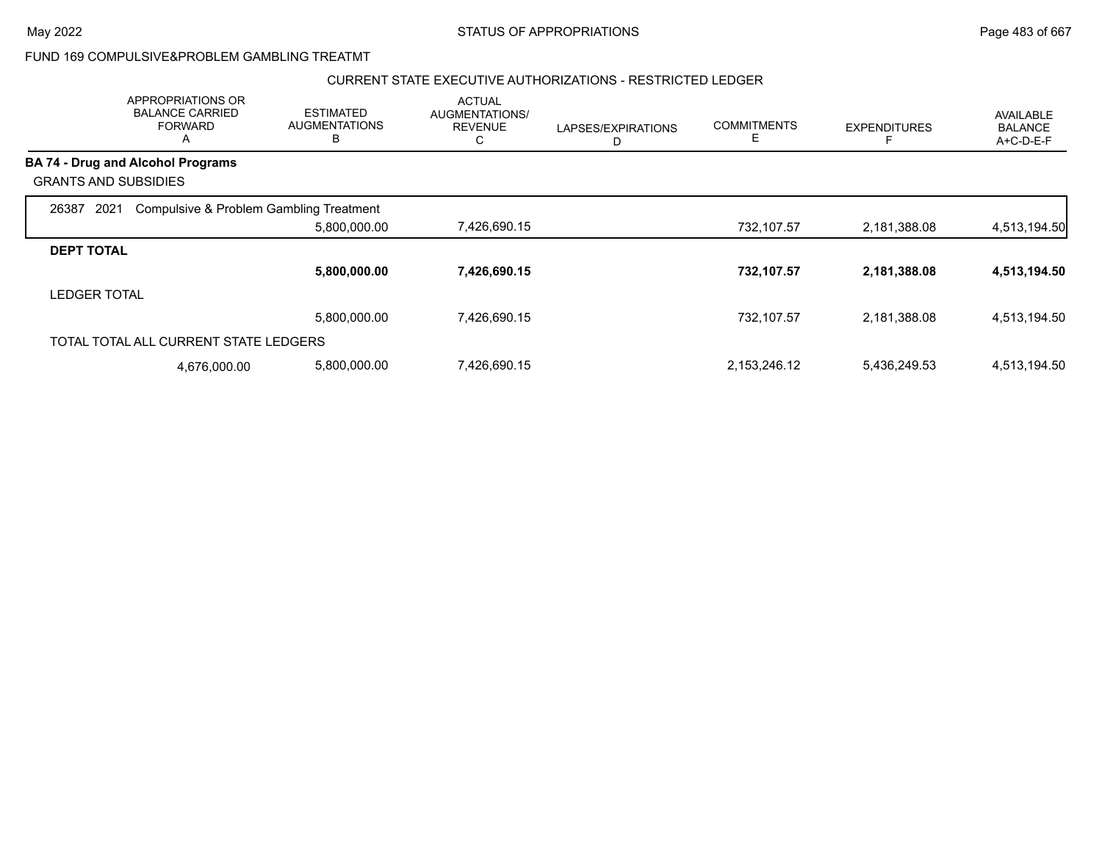#### CURRENT STATE EXECUTIVE AUTHORIZATIONS - RESTRICTED LEDGER

|                             | APPROPRIATIONS OR<br><b>BALANCE CARRIED</b><br><b>FORWARD</b><br>A | <b>ESTIMATED</b><br><b>AUGMENTATIONS</b><br>в | <b>ACTUAL</b><br>AUGMENTATIONS/<br><b>REVENUE</b><br>U | LAPSES/EXPIRATIONS<br>D | <b>COMMITMENTS</b><br>E | <b>EXPENDITURES</b> | AVAILABLE<br><b>BALANCE</b><br>A+C-D-E-F |
|-----------------------------|--------------------------------------------------------------------|-----------------------------------------------|--------------------------------------------------------|-------------------------|-------------------------|---------------------|------------------------------------------|
|                             | <b>BA 74 - Drug and Alcohol Programs</b>                           |                                               |                                                        |                         |                         |                     |                                          |
| <b>GRANTS AND SUBSIDIES</b> |                                                                    |                                               |                                                        |                         |                         |                     |                                          |
| 2021<br>26387               | Compulsive & Problem Gambling Treatment                            |                                               |                                                        |                         |                         |                     |                                          |
|                             |                                                                    | 5,800,000.00                                  | 7,426,690.15                                           |                         | 732,107.57              | 2,181,388.08        | 4,513,194.50                             |
| <b>DEPT TOTAL</b>           |                                                                    |                                               |                                                        |                         |                         |                     |                                          |
|                             |                                                                    | 5,800,000.00                                  | 7,426,690.15                                           |                         | 732,107.57              | 2,181,388.08        | 4,513,194.50                             |
| <b>LEDGER TOTAL</b>         |                                                                    |                                               |                                                        |                         |                         |                     |                                          |
|                             |                                                                    | 5,800,000.00                                  | 7,426,690.15                                           |                         | 732,107.57              | 2,181,388.08        | 4,513,194.50                             |
|                             | TOTAL TOTAL ALL CURRENT STATE LEDGERS                              |                                               |                                                        |                         |                         |                     |                                          |
|                             | 4,676,000.00                                                       | 5,800,000.00                                  | 7,426,690.15                                           |                         | 2,153,246.12            | 5,436,249.53        | 4,513,194.50                             |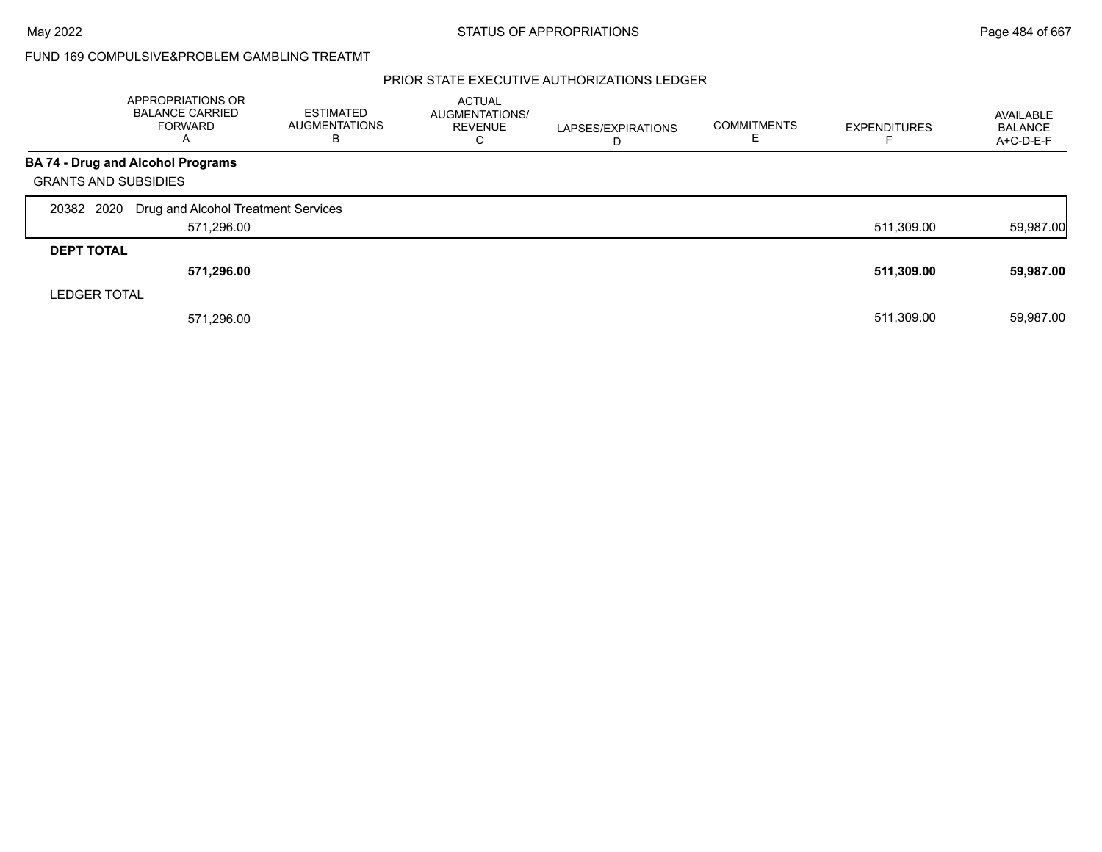### PRIOR STATE EXECUTIVE AUTHORIZATIONS LEDGER

|                             | APPROPRIATIONS OR<br><b>BALANCE CARRIED</b><br>FORWARD<br>A | <b>ESTIMATED</b><br><b>AUGMENTATIONS</b><br>В | <b>ACTUAL</b><br>AUGMENTATIONS/<br><b>REVENUE</b><br>C | LAPSES/EXPIRATIONS<br>D | <b>COMMITMENTS</b> | <b>EXPENDITURES</b> | AVAILABLE<br><b>BALANCE</b><br>A+C-D-E-F |
|-----------------------------|-------------------------------------------------------------|-----------------------------------------------|--------------------------------------------------------|-------------------------|--------------------|---------------------|------------------------------------------|
|                             | <b>BA 74 - Drug and Alcohol Programs</b>                    |                                               |                                                        |                         |                    |                     |                                          |
| <b>GRANTS AND SUBSIDIES</b> |                                                             |                                               |                                                        |                         |                    |                     |                                          |
| 20382 2020                  | Drug and Alcohol Treatment Services                         |                                               |                                                        |                         |                    |                     |                                          |
|                             | 571,296.00                                                  |                                               |                                                        |                         |                    | 511,309.00          | 59,987.00                                |
| <b>DEPT TOTAL</b>           |                                                             |                                               |                                                        |                         |                    |                     |                                          |
|                             | 571,296.00                                                  |                                               |                                                        |                         |                    | 511,309.00          | 59,987.00                                |
| <b>LEDGER TOTAL</b>         |                                                             |                                               |                                                        |                         |                    |                     |                                          |
|                             | 571,296.00                                                  |                                               |                                                        |                         |                    | 511.309.00          | 59,987.00                                |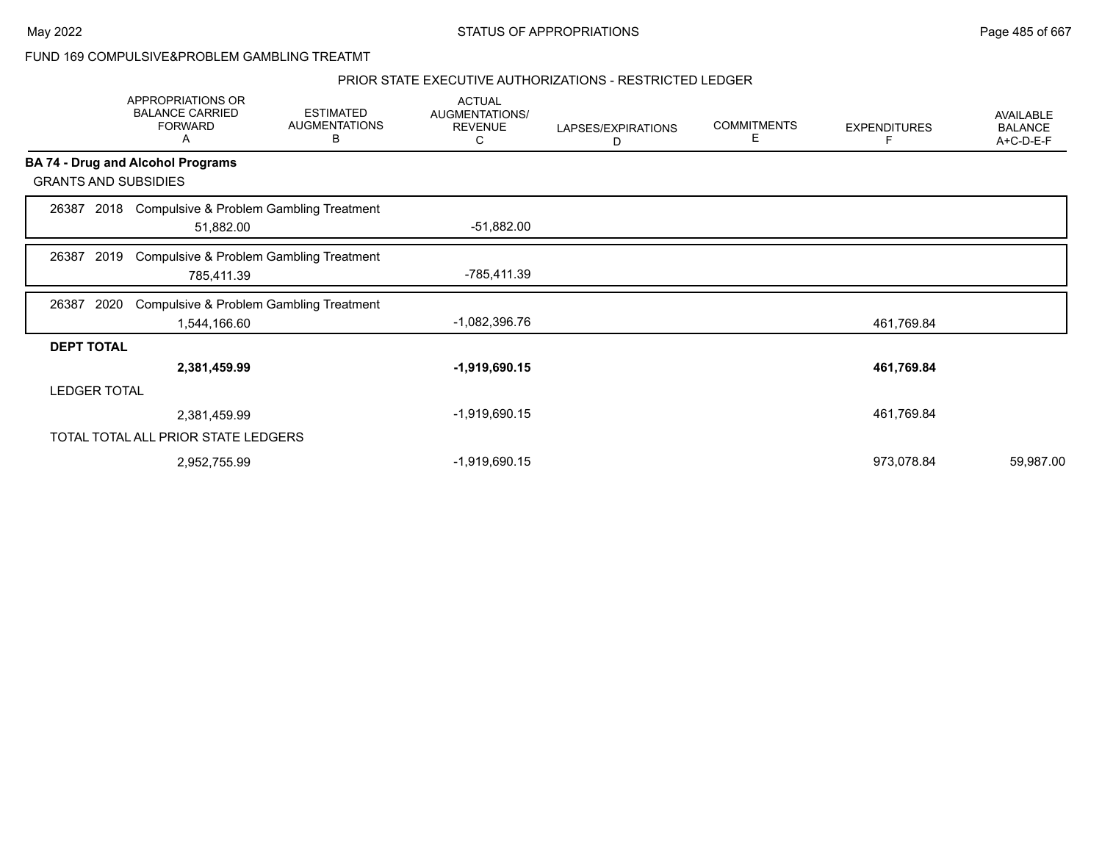#### PRIOR STATE EXECUTIVE AUTHORIZATIONS - RESTRICTED LEDGER

|                   | APPROPRIATIONS OR<br><b>BALANCE CARRIED</b><br><b>FORWARD</b><br>Α | <b>ESTIMATED</b><br><b>AUGMENTATIONS</b><br>В | <b>ACTUAL</b><br>AUGMENTATIONS/<br><b>REVENUE</b><br>С | LAPSES/EXPIRATIONS<br>D | <b>COMMITMENTS</b><br>Е | <b>EXPENDITURES</b><br>F | AVAILABLE<br><b>BALANCE</b><br>A+C-D-E-F |
|-------------------|--------------------------------------------------------------------|-----------------------------------------------|--------------------------------------------------------|-------------------------|-------------------------|--------------------------|------------------------------------------|
|                   | <b>BA 74 - Drug and Alcohol Programs</b>                           |                                               |                                                        |                         |                         |                          |                                          |
|                   | <b>GRANTS AND SUBSIDIES</b>                                        |                                               |                                                        |                         |                         |                          |                                          |
| 26387             | 51,882.00                                                          | 2018 Compulsive & Problem Gambling Treatment  | $-51,882.00$                                           |                         |                         |                          |                                          |
| 26387             | 2019<br>785,411.39                                                 | Compulsive & Problem Gambling Treatment       | -785,411.39                                            |                         |                         |                          |                                          |
| 26387             | 2020                                                               | Compulsive & Problem Gambling Treatment       | -1,082,396.76                                          |                         |                         |                          |                                          |
|                   | 1,544,166.60                                                       |                                               |                                                        |                         |                         | 461,769.84               |                                          |
| <b>DEPT TOTAL</b> | 2,381,459.99                                                       |                                               | $-1,919,690.15$                                        |                         |                         | 461,769.84               |                                          |
|                   | <b>LEDGER TOTAL</b>                                                |                                               |                                                        |                         |                         |                          |                                          |
|                   | 2,381,459.99                                                       |                                               | -1,919,690.15                                          |                         |                         | 461,769.84               |                                          |
|                   | TOTAL TOTAL ALL PRIOR STATE LEDGERS                                |                                               |                                                        |                         |                         |                          |                                          |
|                   | 2,952,755.99                                                       |                                               | -1,919,690.15                                          |                         |                         | 973,078.84               | 59,987.00                                |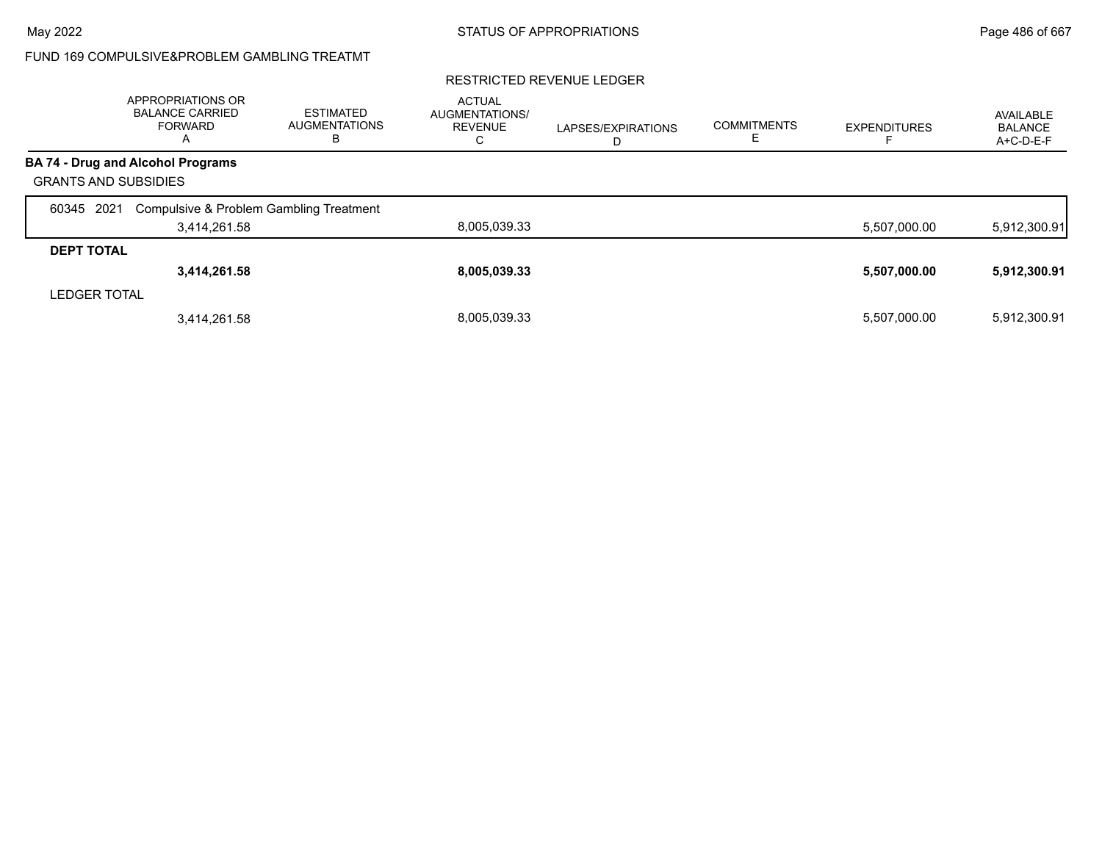#### RESTRICTED REVENUE LEDGER

|                             | APPROPRIATIONS OR<br><b>BALANCE CARRIED</b><br><b>FORWARD</b><br>A | <b>ESTIMATED</b><br><b>AUGMENTATIONS</b><br>в | <b>ACTUAL</b><br>AUGMENTATIONS/<br><b>REVENUE</b><br>◡ | LAPSES/EXPIRATIONS<br>ш | <b>COMMITMENTS</b> | <b>EXPENDITURES</b> | AVAILABLE<br><b>BALANCE</b><br>A+C-D-E-F |
|-----------------------------|--------------------------------------------------------------------|-----------------------------------------------|--------------------------------------------------------|-------------------------|--------------------|---------------------|------------------------------------------|
|                             | <b>BA 74 - Drug and Alcohol Programs</b>                           |                                               |                                                        |                         |                    |                     |                                          |
| <b>GRANTS AND SUBSIDIES</b> |                                                                    |                                               |                                                        |                         |                    |                     |                                          |
| 2021<br>60345               | Compulsive & Problem Gambling Treatment                            |                                               |                                                        |                         |                    |                     |                                          |
|                             | 3,414,261.58                                                       |                                               | 8,005,039.33                                           |                         |                    | 5,507,000.00        | 5,912,300.91                             |
| <b>DEPT TOTAL</b>           |                                                                    |                                               |                                                        |                         |                    |                     |                                          |
|                             | 3,414,261.58                                                       |                                               | 8,005,039.33                                           |                         |                    | 5,507,000.00        | 5,912,300.91                             |
| <b>LEDGER TOTAL</b>         |                                                                    |                                               |                                                        |                         |                    |                     |                                          |
|                             | 3,414,261.58                                                       |                                               | 8.005.039.33                                           |                         |                    | 5,507,000.00        | 5,912,300.91                             |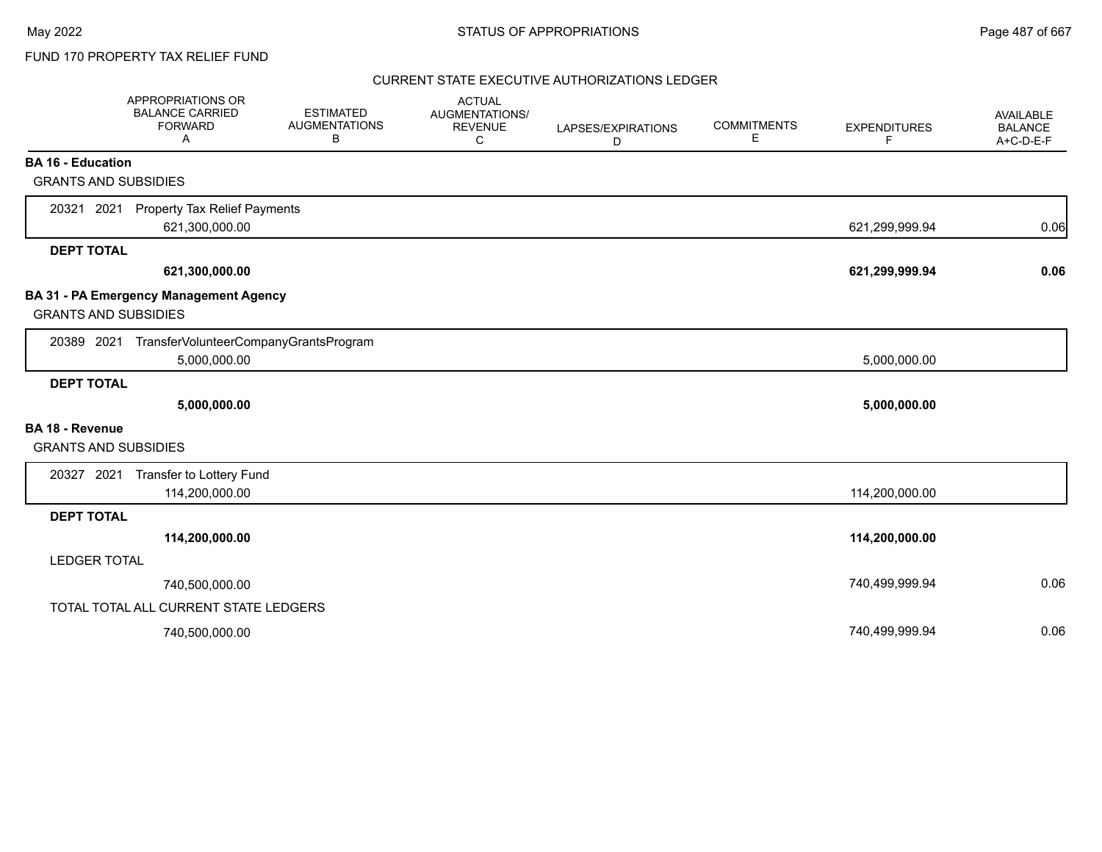#### CURRENT STATE EXECUTIVE AUTHORIZATIONS LEDGER

|                             | <b>APPROPRIATIONS OR</b><br><b>BALANCE CARRIED</b><br><b>FORWARD</b><br>A | <b>ESTIMATED</b><br><b>AUGMENTATIONS</b><br>В | <b>ACTUAL</b><br>AUGMENTATIONS/<br><b>REVENUE</b><br>C | LAPSES/EXPIRATIONS<br>D | <b>COMMITMENTS</b><br>Е | <b>EXPENDITURES</b><br>F | AVAILABLE<br><b>BALANCE</b><br>A+C-D-E-F |
|-----------------------------|---------------------------------------------------------------------------|-----------------------------------------------|--------------------------------------------------------|-------------------------|-------------------------|--------------------------|------------------------------------------|
| <b>BA 16 - Education</b>    |                                                                           |                                               |                                                        |                         |                         |                          |                                          |
| <b>GRANTS AND SUBSIDIES</b> |                                                                           |                                               |                                                        |                         |                         |                          |                                          |
| 20321 2021                  | <b>Property Tax Relief Payments</b><br>621,300,000.00                     |                                               |                                                        |                         |                         | 621,299,999.94           | 0.06                                     |
| <b>DEPT TOTAL</b>           |                                                                           |                                               |                                                        |                         |                         |                          |                                          |
|                             | 621,300,000.00                                                            |                                               |                                                        |                         |                         | 621,299,999.94           | 0.06                                     |
| <b>GRANTS AND SUBSIDIES</b> | <b>BA 31 - PA Emergency Management Agency</b>                             |                                               |                                                        |                         |                         |                          |                                          |
| 20389 2021                  | TransferVolunteerCompanyGrantsProgram<br>5,000,000.00                     |                                               |                                                        |                         |                         | 5,000,000.00             |                                          |
| <b>DEPT TOTAL</b>           |                                                                           |                                               |                                                        |                         |                         |                          |                                          |
|                             | 5,000,000.00                                                              |                                               |                                                        |                         |                         | 5,000,000.00             |                                          |
| <b>BA 18 - Revenue</b>      |                                                                           |                                               |                                                        |                         |                         |                          |                                          |
| <b>GRANTS AND SUBSIDIES</b> |                                                                           |                                               |                                                        |                         |                         |                          |                                          |
| 20327 2021                  | Transfer to Lottery Fund                                                  |                                               |                                                        |                         |                         |                          |                                          |
|                             | 114,200,000.00                                                            |                                               |                                                        |                         |                         | 114,200,000.00           |                                          |
| <b>DEPT TOTAL</b>           |                                                                           |                                               |                                                        |                         |                         |                          |                                          |
|                             | 114,200,000.00                                                            |                                               |                                                        |                         |                         | 114,200,000.00           |                                          |
| <b>LEDGER TOTAL</b>         |                                                                           |                                               |                                                        |                         |                         |                          |                                          |
|                             | 740,500,000.00                                                            |                                               |                                                        |                         |                         | 740,499,999.94           | 0.06                                     |
|                             | TOTAL TOTAL ALL CURRENT STATE LEDGERS                                     |                                               |                                                        |                         |                         |                          |                                          |
|                             | 740,500,000.00                                                            |                                               |                                                        |                         |                         | 740,499,999.94           | 0.06                                     |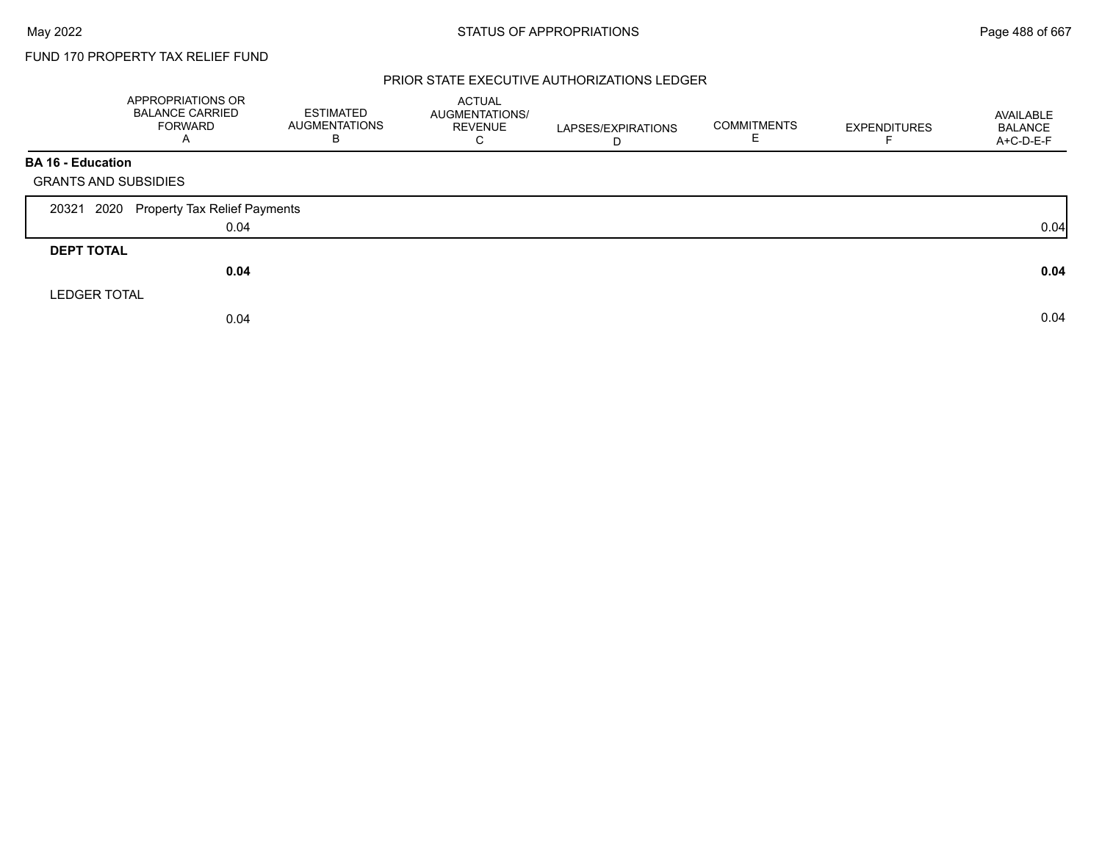#### PRIOR STATE EXECUTIVE AUTHORIZATIONS LEDGER

|                             | APPROPRIATIONS OR<br><b>BALANCE CARRIED</b><br><b>FORWARD</b><br>Α | <b>ESTIMATED</b><br><b>AUGMENTATIONS</b><br>В | <b>ACTUAL</b><br>AUGMENTATIONS/<br><b>REVENUE</b><br>C | LAPSES/EXPIRATIONS<br>D | <b>COMMITMENTS</b><br>E. | <b>EXPENDITURES</b> | AVAILABLE<br><b>BALANCE</b><br>A+C-D-E-F |
|-----------------------------|--------------------------------------------------------------------|-----------------------------------------------|--------------------------------------------------------|-------------------------|--------------------------|---------------------|------------------------------------------|
| <b>BA 16 - Education</b>    |                                                                    |                                               |                                                        |                         |                          |                     |                                          |
| <b>GRANTS AND SUBSIDIES</b> |                                                                    |                                               |                                                        |                         |                          |                     |                                          |
| 20321                       | 2020 Property Tax Relief Payments                                  |                                               |                                                        |                         |                          |                     |                                          |
|                             | 0.04                                                               |                                               |                                                        |                         |                          |                     | 0.04                                     |
| <b>DEPT TOTAL</b>           |                                                                    |                                               |                                                        |                         |                          |                     |                                          |
|                             | 0.04                                                               |                                               |                                                        |                         |                          |                     | 0.04                                     |
| <b>LEDGER TOTAL</b>         |                                                                    |                                               |                                                        |                         |                          |                     |                                          |
|                             | 0.04                                                               |                                               |                                                        |                         |                          |                     | 0.04                                     |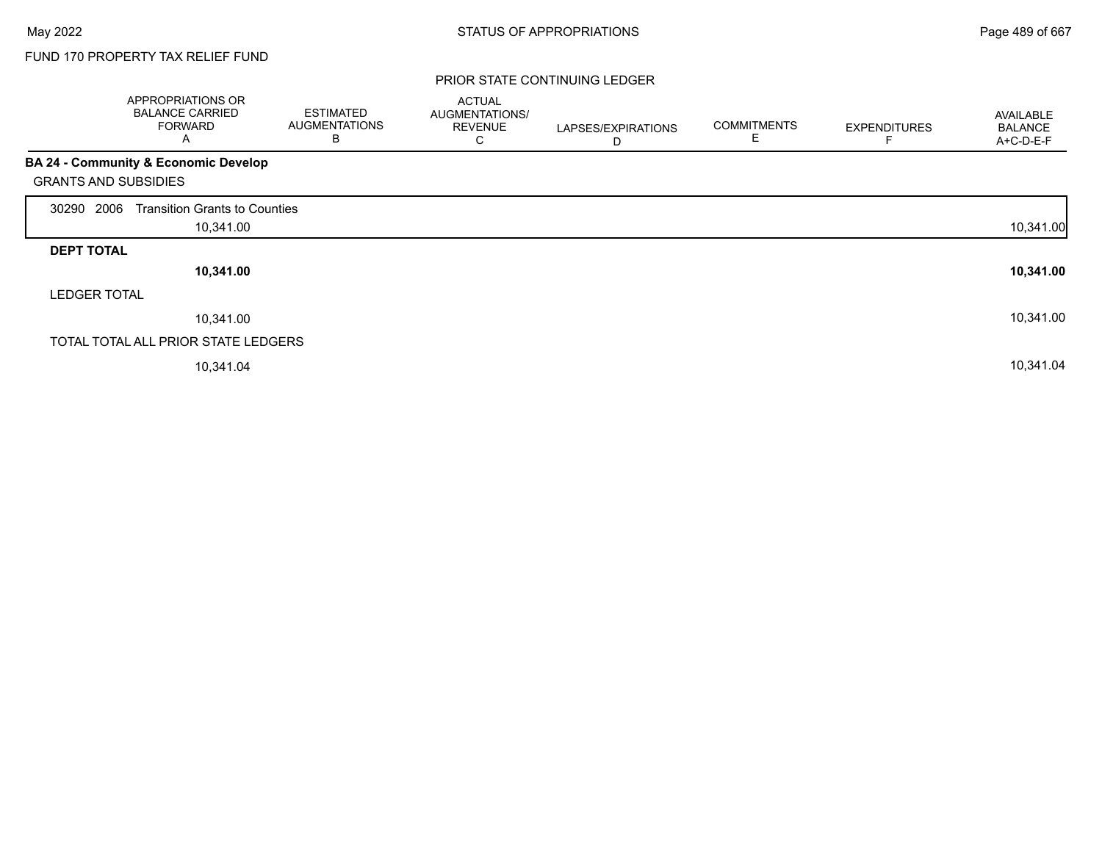#### PRIOR STATE CONTINUING LEDGER

|                             | APPROPRIATIONS OR<br><b>BALANCE CARRIED</b><br><b>FORWARD</b><br>A | <b>ESTIMATED</b><br><b>AUGMENTATIONS</b><br>B | <b>ACTUAL</b><br>AUGMENTATIONS/<br><b>REVENUE</b><br>С | LAPSES/EXPIRATIONS<br>D | <b>COMMITMENTS</b><br>E | <b>EXPENDITURES</b> | AVAILABLE<br><b>BALANCE</b><br>A+C-D-E-F |
|-----------------------------|--------------------------------------------------------------------|-----------------------------------------------|--------------------------------------------------------|-------------------------|-------------------------|---------------------|------------------------------------------|
|                             | BA 24 - Community & Economic Develop                               |                                               |                                                        |                         |                         |                     |                                          |
| <b>GRANTS AND SUBSIDIES</b> |                                                                    |                                               |                                                        |                         |                         |                     |                                          |
| 2006<br>30290               | <b>Transition Grants to Counties</b>                               |                                               |                                                        |                         |                         |                     |                                          |
|                             | 10,341.00                                                          |                                               |                                                        |                         |                         |                     | 10,341.00                                |
| <b>DEPT TOTAL</b>           |                                                                    |                                               |                                                        |                         |                         |                     |                                          |
|                             | 10,341.00                                                          |                                               |                                                        |                         |                         |                     | 10,341.00                                |
| <b>LEDGER TOTAL</b>         |                                                                    |                                               |                                                        |                         |                         |                     |                                          |
|                             | 10,341.00                                                          |                                               |                                                        |                         |                         |                     | 10,341.00                                |
|                             | TOTAL TOTAL ALL PRIOR STATE LEDGERS                                |                                               |                                                        |                         |                         |                     |                                          |
|                             | 10,341.04                                                          |                                               |                                                        |                         |                         |                     | 10,341.04                                |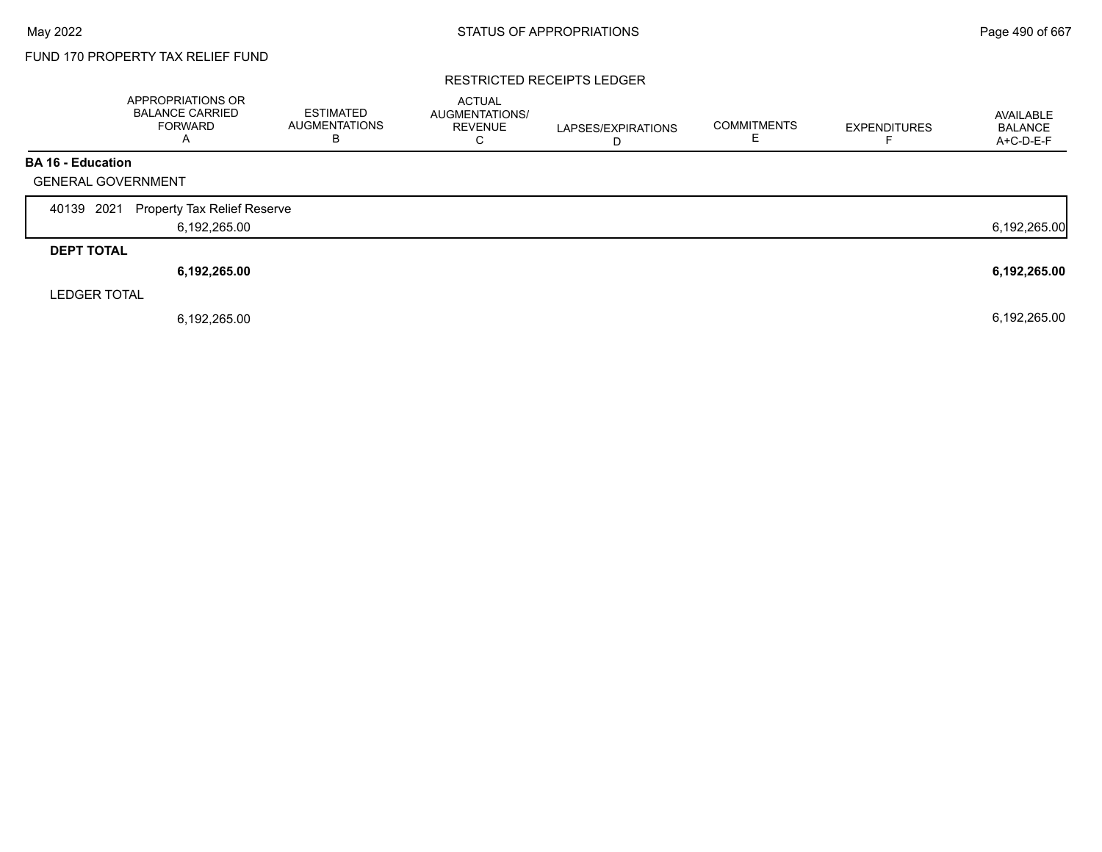#### RESTRICTED RECEIPTS LEDGER

|                           | APPROPRIATIONS OR<br><b>BALANCE CARRIED</b><br><b>FORWARD</b><br>А | <b>ESTIMATED</b><br><b>AUGMENTATIONS</b><br>B | <b>ACTUAL</b><br>AUGMENTATIONS/<br><b>REVENUE</b><br>C | LAPSES/EXPIRATIONS<br>D | <b>COMMITMENTS</b> | <b>EXPENDITURES</b> | AVAILABLE<br><b>BALANCE</b><br>A+C-D-E-F |
|---------------------------|--------------------------------------------------------------------|-----------------------------------------------|--------------------------------------------------------|-------------------------|--------------------|---------------------|------------------------------------------|
| <b>BA 16 - Education</b>  |                                                                    |                                               |                                                        |                         |                    |                     |                                          |
| <b>GENERAL GOVERNMENT</b> |                                                                    |                                               |                                                        |                         |                    |                     |                                          |
| 2021<br>40139             | <b>Property Tax Relief Reserve</b>                                 |                                               |                                                        |                         |                    |                     |                                          |
|                           | 6,192,265.00                                                       |                                               |                                                        |                         |                    |                     | 6,192,265.00                             |
| <b>DEPT TOTAL</b>         |                                                                    |                                               |                                                        |                         |                    |                     |                                          |
|                           | 6,192,265.00                                                       |                                               |                                                        |                         |                    |                     | 6,192,265.00                             |
| <b>LEDGER TOTAL</b>       |                                                                    |                                               |                                                        |                         |                    |                     |                                          |
|                           | 6,192,265.00                                                       |                                               |                                                        |                         |                    |                     | 6,192,265.00                             |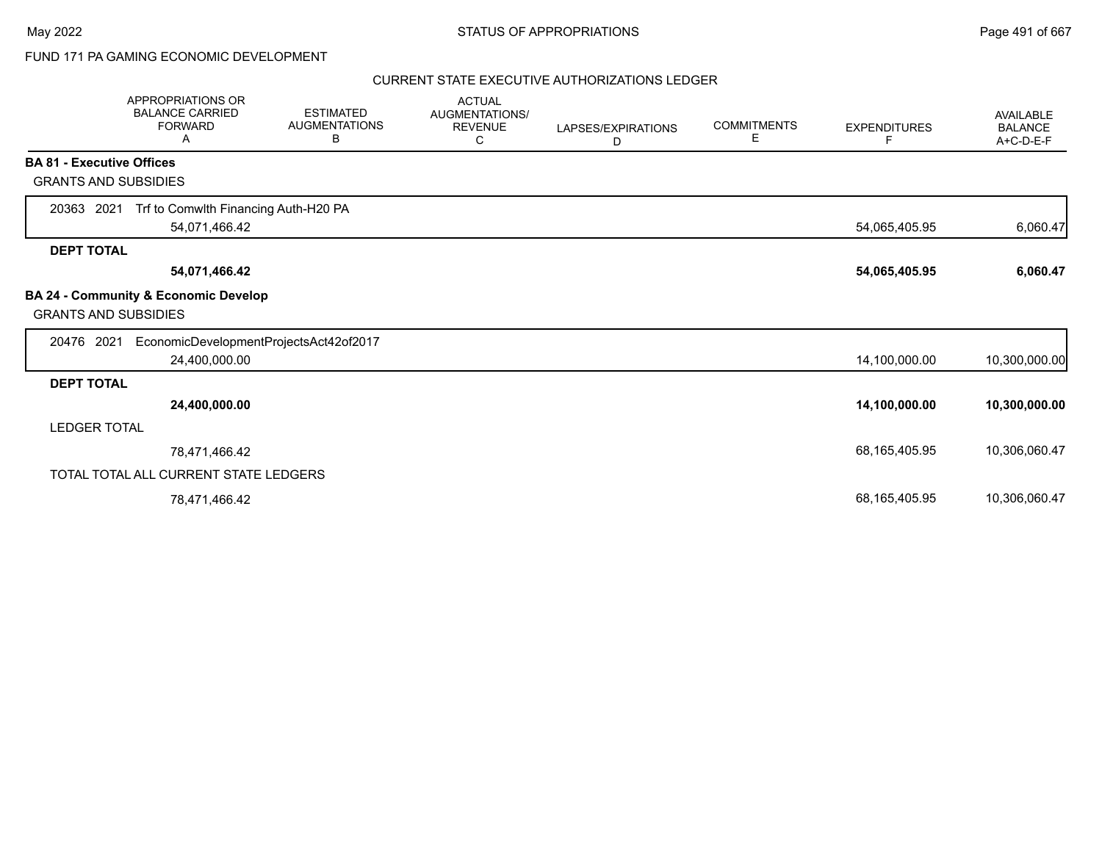## FUND 171 PA GAMING ECONOMIC DEVELOPMENT

#### CURRENT STATE EXECUTIVE AUTHORIZATIONS LEDGER

|                                  | APPROPRIATIONS OR<br><b>BALANCE CARRIED</b><br><b>FORWARD</b><br>A | <b>ESTIMATED</b><br><b>AUGMENTATIONS</b><br>В | <b>ACTUAL</b><br><b>AUGMENTATIONS/</b><br><b>REVENUE</b><br>С | LAPSES/EXPIRATIONS<br>D | <b>COMMITMENTS</b><br>E. | <b>EXPENDITURES</b><br>F | <b>AVAILABLE</b><br><b>BALANCE</b><br>A+C-D-E-F |
|----------------------------------|--------------------------------------------------------------------|-----------------------------------------------|---------------------------------------------------------------|-------------------------|--------------------------|--------------------------|-------------------------------------------------|
| <b>BA 81 - Executive Offices</b> |                                                                    |                                               |                                                               |                         |                          |                          |                                                 |
| <b>GRANTS AND SUBSIDIES</b>      |                                                                    |                                               |                                                               |                         |                          |                          |                                                 |
| 20363 2021                       | Trf to Comwlth Financing Auth-H20 PA<br>54,071,466.42              |                                               |                                                               |                         |                          | 54,065,405.95            | 6,060.47                                        |
| <b>DEPT TOTAL</b>                |                                                                    |                                               |                                                               |                         |                          |                          |                                                 |
|                                  | 54,071,466.42                                                      |                                               |                                                               |                         |                          | 54,065,405.95            | 6,060.47                                        |
| <b>GRANTS AND SUBSIDIES</b>      | <b>BA 24 - Community &amp; Economic Develop</b>                    |                                               |                                                               |                         |                          |                          |                                                 |
| 20476 2021                       | EconomicDevelopmentProjectsAct42of2017<br>24,400,000.00            |                                               |                                                               |                         |                          | 14,100,000.00            | 10,300,000.00                                   |
| <b>DEPT TOTAL</b>                |                                                                    |                                               |                                                               |                         |                          |                          |                                                 |
|                                  | 24,400,000.00                                                      |                                               |                                                               |                         |                          | 14,100,000.00            | 10,300,000.00                                   |
| <b>LEDGER TOTAL</b>              |                                                                    |                                               |                                                               |                         |                          |                          |                                                 |
|                                  | 78,471,466.42                                                      |                                               |                                                               |                         |                          | 68,165,405.95            | 10,306,060.47                                   |
|                                  | TOTAL TOTAL ALL CURRENT STATE LEDGERS                              |                                               |                                                               |                         |                          |                          |                                                 |
|                                  | 78,471,466.42                                                      |                                               |                                                               |                         |                          | 68,165,405.95            | 10,306,060.47                                   |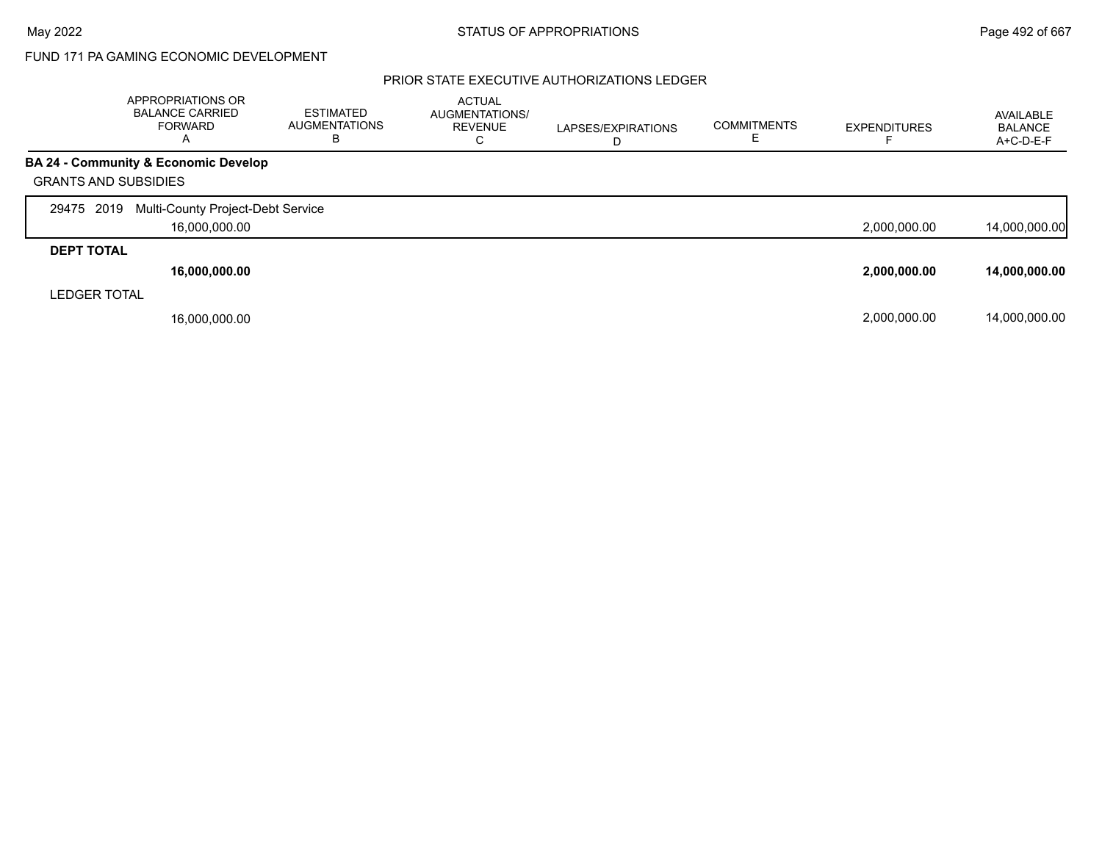## FUND 171 PA GAMING ECONOMIC DEVELOPMENT

### PRIOR STATE EXECUTIVE AUTHORIZATIONS LEDGER

|                             | APPROPRIATIONS OR<br><b>BALANCE CARRIED</b><br>FORWARD<br>A | <b>ESTIMATED</b><br><b>AUGMENTATIONS</b><br>в | <b>ACTUAL</b><br>AUGMENTATIONS/<br><b>REVENUE</b><br>С | LAPSES/EXPIRATIONS | <b>COMMITMENTS</b> | <b>EXPENDITURES</b> | AVAILABLE<br><b>BALANCE</b><br>$A+C-D-E-F$ |
|-----------------------------|-------------------------------------------------------------|-----------------------------------------------|--------------------------------------------------------|--------------------|--------------------|---------------------|--------------------------------------------|
|                             | BA 24 - Community & Economic Develop                        |                                               |                                                        |                    |                    |                     |                                            |
| <b>GRANTS AND SUBSIDIES</b> |                                                             |                                               |                                                        |                    |                    |                     |                                            |
| 29475 2019                  | Multi-County Project-Debt Service                           |                                               |                                                        |                    |                    |                     |                                            |
|                             | 16,000,000.00                                               |                                               |                                                        |                    |                    | 2,000,000.00        | 14,000,000.00                              |
| <b>DEPT TOTAL</b>           |                                                             |                                               |                                                        |                    |                    |                     |                                            |
|                             | 16,000,000.00                                               |                                               |                                                        |                    |                    | 2,000,000.00        | 14,000,000.00                              |
| <b>LEDGER TOTAL</b>         |                                                             |                                               |                                                        |                    |                    |                     |                                            |
|                             | 16,000,000.00                                               |                                               |                                                        |                    |                    | 2,000,000.00        | 14,000,000.00                              |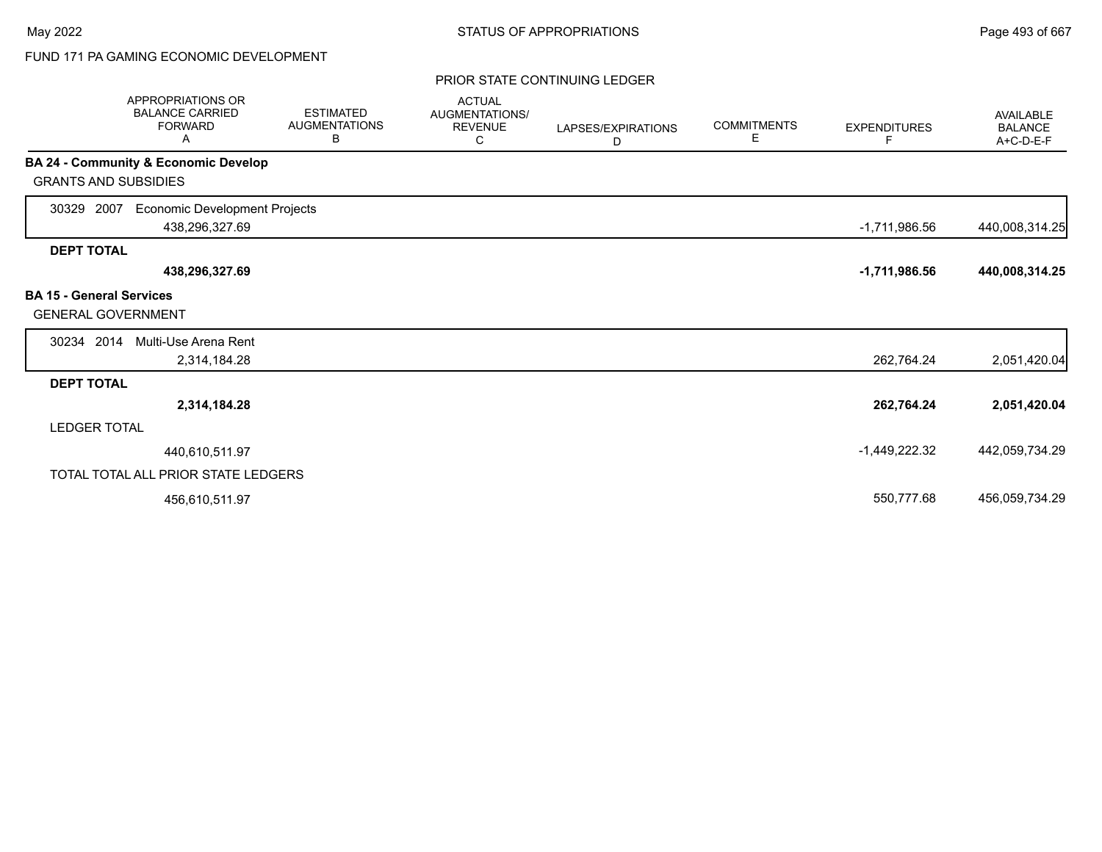# FUND 171 PA GAMING ECONOMIC DEVELOPMENT

#### PRIOR STATE CONTINUING LEDGER

| APPROPRIATIONS OR<br><b>BALANCE CARRIED</b><br><b>FORWARD</b><br>A   | <b>ESTIMATED</b><br><b>AUGMENTATIONS</b><br>В | <b>ACTUAL</b><br>AUGMENTATIONS/<br><b>REVENUE</b><br>С | LAPSES/EXPIRATIONS<br>D | <b>COMMITMENTS</b><br>Е | <b>EXPENDITURES</b><br>F | <b>AVAILABLE</b><br><b>BALANCE</b><br>A+C-D-E-F |
|----------------------------------------------------------------------|-----------------------------------------------|--------------------------------------------------------|-------------------------|-------------------------|--------------------------|-------------------------------------------------|
| <b>BA 24 - Community &amp; Economic Develop</b>                      |                                               |                                                        |                         |                         |                          |                                                 |
| <b>GRANTS AND SUBSIDIES</b>                                          |                                               |                                                        |                         |                         |                          |                                                 |
| 30329 2007<br><b>Economic Development Projects</b><br>438,296,327.69 |                                               |                                                        |                         |                         | $-1,711,986.56$          | 440,008,314.25                                  |
| <b>DEPT TOTAL</b>                                                    |                                               |                                                        |                         |                         |                          |                                                 |
| 438,296,327.69                                                       |                                               |                                                        |                         |                         | $-1,711,986.56$          | 440,008,314.25                                  |
| <b>BA 15 - General Services</b><br><b>GENERAL GOVERNMENT</b>         |                                               |                                                        |                         |                         |                          |                                                 |
| 30234 2014<br>Multi-Use Arena Rent                                   |                                               |                                                        |                         |                         |                          |                                                 |
| 2,314,184.28                                                         |                                               |                                                        |                         |                         | 262,764.24               | 2,051,420.04                                    |
| <b>DEPT TOTAL</b>                                                    |                                               |                                                        |                         |                         |                          |                                                 |
| 2,314,184.28                                                         |                                               |                                                        |                         |                         | 262,764.24               | 2,051,420.04                                    |
| <b>LEDGER TOTAL</b>                                                  |                                               |                                                        |                         |                         |                          |                                                 |
| 440,610,511.97                                                       |                                               |                                                        |                         |                         | -1,449,222.32            | 442,059,734.29                                  |
| TOTAL TOTAL ALL PRIOR STATE LEDGERS                                  |                                               |                                                        |                         |                         |                          |                                                 |
| 456,610,511.97                                                       |                                               |                                                        |                         |                         | 550,777.68               | 456,059,734.29                                  |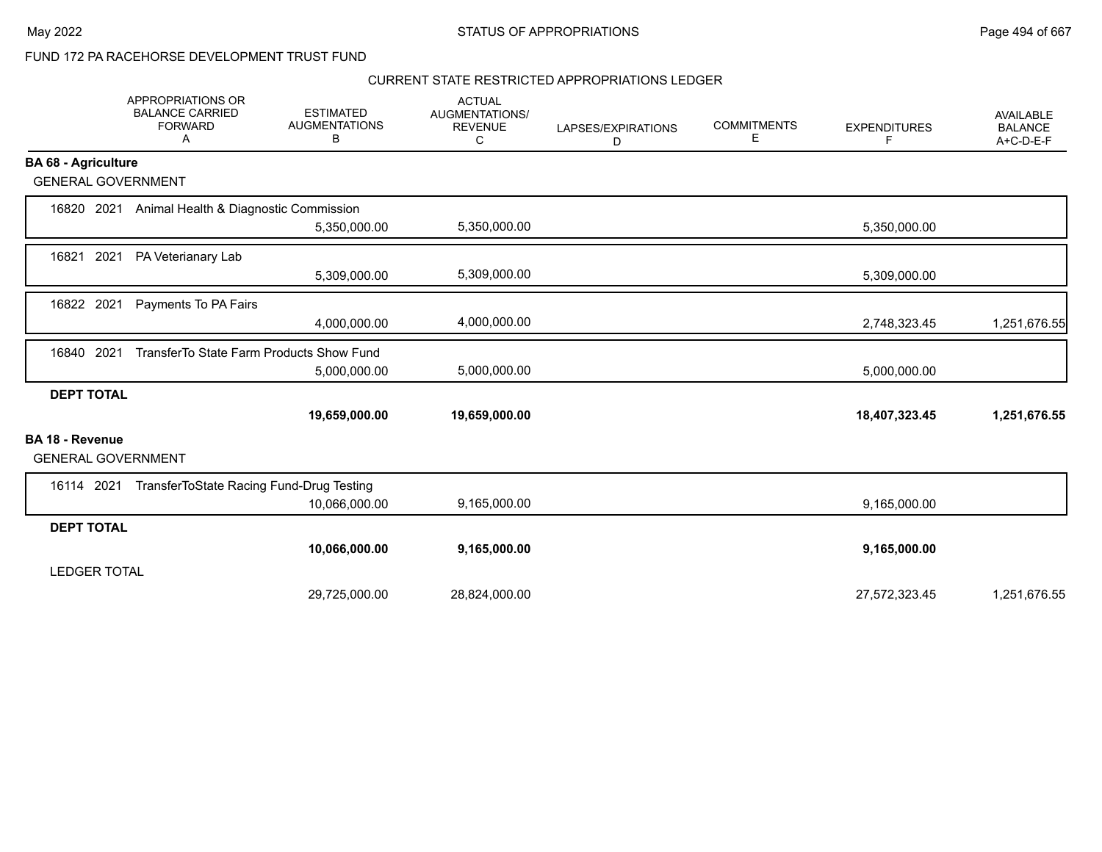### CURRENT STATE RESTRICTED APPROPRIATIONS LEDGER

|                                                     | APPROPRIATIONS OR<br><b>BALANCE CARRIED</b><br><b>FORWARD</b><br>A | <b>ESTIMATED</b><br><b>AUGMENTATIONS</b><br>В | <b>ACTUAL</b><br>AUGMENTATIONS/<br><b>REVENUE</b><br>C | LAPSES/EXPIRATIONS<br>D | <b>COMMITMENTS</b><br>Е | <b>EXPENDITURES</b><br>F | <b>AVAILABLE</b><br><b>BALANCE</b><br>A+C-D-E-F |
|-----------------------------------------------------|--------------------------------------------------------------------|-----------------------------------------------|--------------------------------------------------------|-------------------------|-------------------------|--------------------------|-------------------------------------------------|
| <b>BA 68 - Agriculture</b>                          |                                                                    |                                               |                                                        |                         |                         |                          |                                                 |
| <b>GENERAL GOVERNMENT</b>                           |                                                                    |                                               |                                                        |                         |                         |                          |                                                 |
| 16820 2021                                          | Animal Health & Diagnostic Commission                              |                                               |                                                        |                         |                         |                          |                                                 |
|                                                     |                                                                    | 5,350,000.00                                  | 5,350,000.00                                           |                         |                         | 5,350,000.00             |                                                 |
| 2021<br>16821                                       | PA Veterianary Lab                                                 |                                               |                                                        |                         |                         |                          |                                                 |
|                                                     |                                                                    | 5,309,000.00                                  | 5,309,000.00                                           |                         |                         | 5,309,000.00             |                                                 |
| 16822 2021                                          | Payments To PA Fairs                                               |                                               |                                                        |                         |                         |                          |                                                 |
|                                                     |                                                                    | 4,000,000.00                                  | 4,000,000.00                                           |                         |                         | 2,748,323.45             | 1,251,676.55                                    |
| 16840 2021                                          | TransferTo State Farm Products Show Fund                           |                                               |                                                        |                         |                         |                          |                                                 |
|                                                     |                                                                    | 5,000,000.00                                  | 5,000,000.00                                           |                         |                         | 5,000,000.00             |                                                 |
| <b>DEPT TOTAL</b>                                   |                                                                    |                                               |                                                        |                         |                         |                          |                                                 |
|                                                     |                                                                    | 19,659,000.00                                 | 19,659,000.00                                          |                         |                         | 18,407,323.45            | 1,251,676.55                                    |
| <b>BA 18 - Revenue</b><br><b>GENERAL GOVERNMENT</b> |                                                                    |                                               |                                                        |                         |                         |                          |                                                 |
| 16114 2021                                          | TransferToState Racing Fund-Drug Testing                           |                                               |                                                        |                         |                         |                          |                                                 |
|                                                     |                                                                    | 10,066,000.00                                 | 9,165,000.00                                           |                         |                         | 9,165,000.00             |                                                 |
| <b>DEPT TOTAL</b>                                   |                                                                    |                                               |                                                        |                         |                         |                          |                                                 |
|                                                     |                                                                    | 10,066,000.00                                 | 9,165,000.00                                           |                         |                         | 9,165,000.00             |                                                 |
| <b>LEDGER TOTAL</b>                                 |                                                                    |                                               |                                                        |                         |                         |                          |                                                 |
|                                                     |                                                                    | 29,725,000.00                                 | 28,824,000.00                                          |                         |                         | 27,572,323.45            | 1,251,676.55                                    |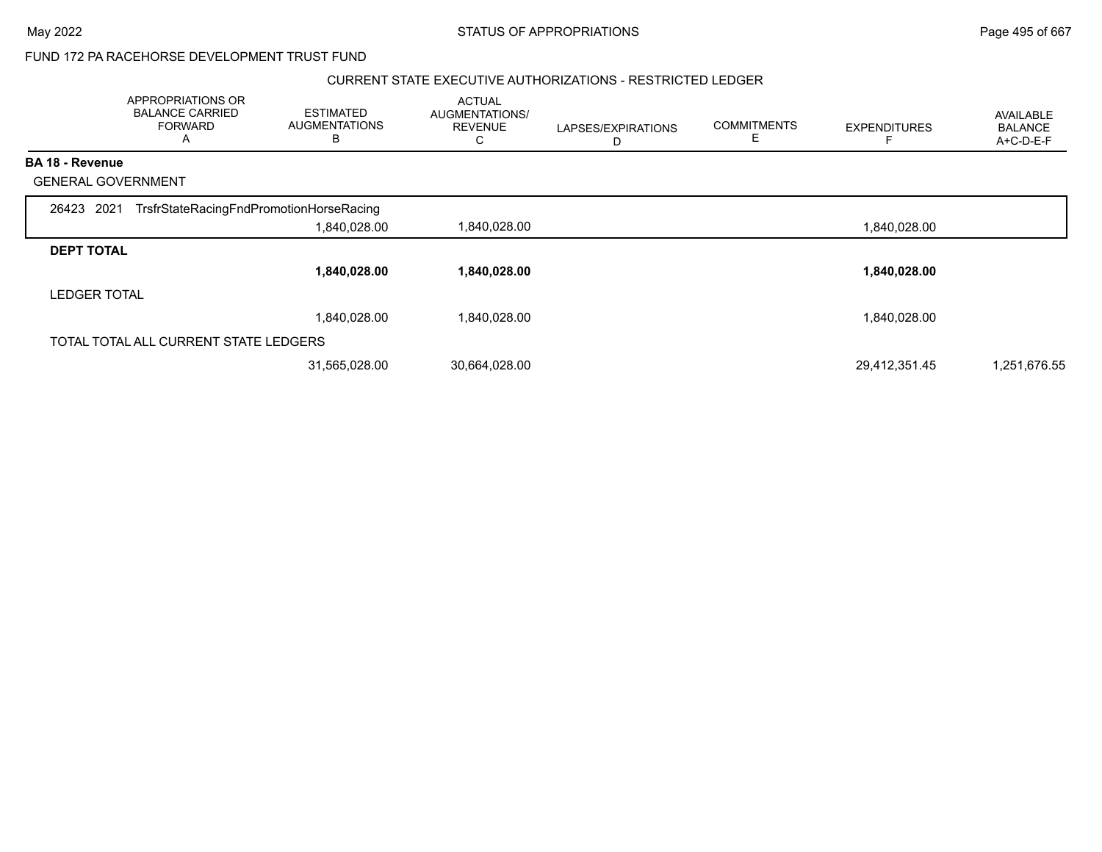#### CURRENT STATE EXECUTIVE AUTHORIZATIONS - RESTRICTED LEDGER

|                           | APPROPRIATIONS OR<br><b>BALANCE CARRIED</b><br><b>FORWARD</b><br>A | <b>ESTIMATED</b><br><b>AUGMENTATIONS</b><br>B | <b>ACTUAL</b><br>AUGMENTATIONS/<br><b>REVENUE</b><br>C | LAPSES/EXPIRATIONS<br>D | <b>COMMITMENTS</b><br>Е | <b>EXPENDITURES</b> | AVAILABLE<br><b>BALANCE</b><br>A+C-D-E-F |
|---------------------------|--------------------------------------------------------------------|-----------------------------------------------|--------------------------------------------------------|-------------------------|-------------------------|---------------------|------------------------------------------|
| <b>BA 18 - Revenue</b>    |                                                                    |                                               |                                                        |                         |                         |                     |                                          |
| <b>GENERAL GOVERNMENT</b> |                                                                    |                                               |                                                        |                         |                         |                     |                                          |
| 26423 2021                | TrsfrStateRacingFndPromotionHorseRacing                            |                                               |                                                        |                         |                         |                     |                                          |
|                           |                                                                    | 1,840,028.00                                  | 1,840,028.00                                           |                         |                         | 1,840,028.00        |                                          |
| <b>DEPT TOTAL</b>         |                                                                    |                                               |                                                        |                         |                         |                     |                                          |
|                           |                                                                    | 1,840,028.00                                  | 1,840,028.00                                           |                         |                         | 1,840,028.00        |                                          |
| <b>LEDGER TOTAL</b>       |                                                                    |                                               |                                                        |                         |                         |                     |                                          |
|                           |                                                                    | 1,840,028.00                                  | 1,840,028.00                                           |                         |                         | 1,840,028.00        |                                          |
|                           | TOTAL TOTAL ALL CURRENT STATE LEDGERS                              |                                               |                                                        |                         |                         |                     |                                          |
|                           |                                                                    | 31,565,028.00                                 | 30,664,028.00                                          |                         |                         | 29.412.351.45       | 1,251,676.55                             |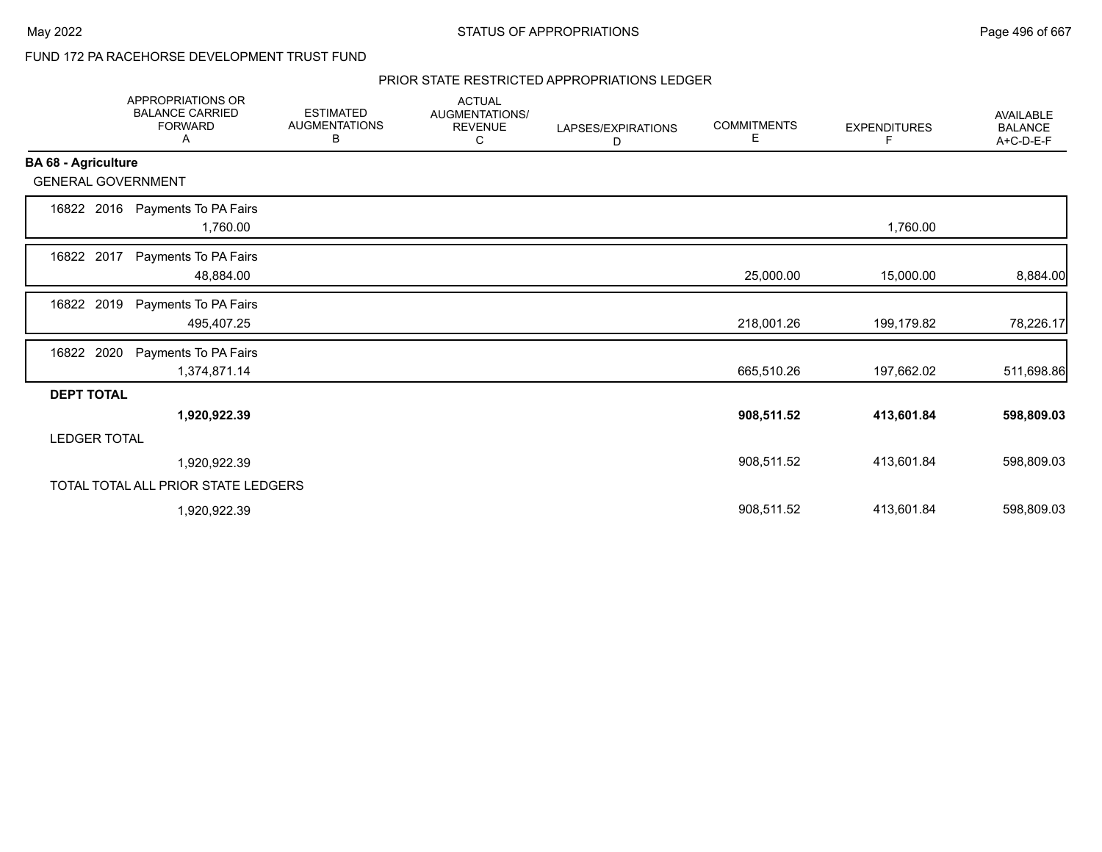#### PRIOR STATE RESTRICTED APPROPRIATIONS LEDGER

|                            | <b>APPROPRIATIONS OR</b><br><b>BALANCE CARRIED</b><br><b>FORWARD</b><br>A | <b>ESTIMATED</b><br><b>AUGMENTATIONS</b><br>B | <b>ACTUAL</b><br><b>AUGMENTATIONS/</b><br><b>REVENUE</b><br>С | LAPSES/EXPIRATIONS<br>D | <b>COMMITMENTS</b><br>Е | <b>EXPENDITURES</b><br>F | <b>AVAILABLE</b><br><b>BALANCE</b><br>A+C-D-E-F |
|----------------------------|---------------------------------------------------------------------------|-----------------------------------------------|---------------------------------------------------------------|-------------------------|-------------------------|--------------------------|-------------------------------------------------|
| <b>BA 68 - Agriculture</b> |                                                                           |                                               |                                                               |                         |                         |                          |                                                 |
| <b>GENERAL GOVERNMENT</b>  |                                                                           |                                               |                                                               |                         |                         |                          |                                                 |
| 16822 2016                 | Payments To PA Fairs<br>1,760.00                                          |                                               |                                                               |                         |                         | 1,760.00                 |                                                 |
| 16822 2017                 | Payments To PA Fairs<br>48,884.00                                         |                                               |                                                               |                         | 25,000.00               | 15,000.00                | 8,884.00                                        |
| 2019<br>16822              | Payments To PA Fairs<br>495,407.25                                        |                                               |                                                               |                         | 218,001.26              | 199,179.82               | 78,226.17                                       |
| 16822 2020                 | Payments To PA Fairs<br>1,374,871.14                                      |                                               |                                                               |                         | 665,510.26              | 197,662.02               | 511,698.86                                      |
| <b>DEPT TOTAL</b>          |                                                                           |                                               |                                                               |                         |                         |                          |                                                 |
|                            | 1,920,922.39                                                              |                                               |                                                               |                         | 908,511.52              | 413,601.84               | 598,809.03                                      |
| <b>LEDGER TOTAL</b>        |                                                                           |                                               |                                                               |                         |                         |                          |                                                 |
|                            | 1,920,922.39                                                              |                                               |                                                               |                         | 908,511.52              | 413,601.84               | 598,809.03                                      |
|                            | TOTAL TOTAL ALL PRIOR STATE LEDGERS                                       |                                               |                                                               |                         |                         |                          |                                                 |
|                            | 1,920,922.39                                                              |                                               |                                                               |                         | 908,511.52              | 413,601.84               | 598,809.03                                      |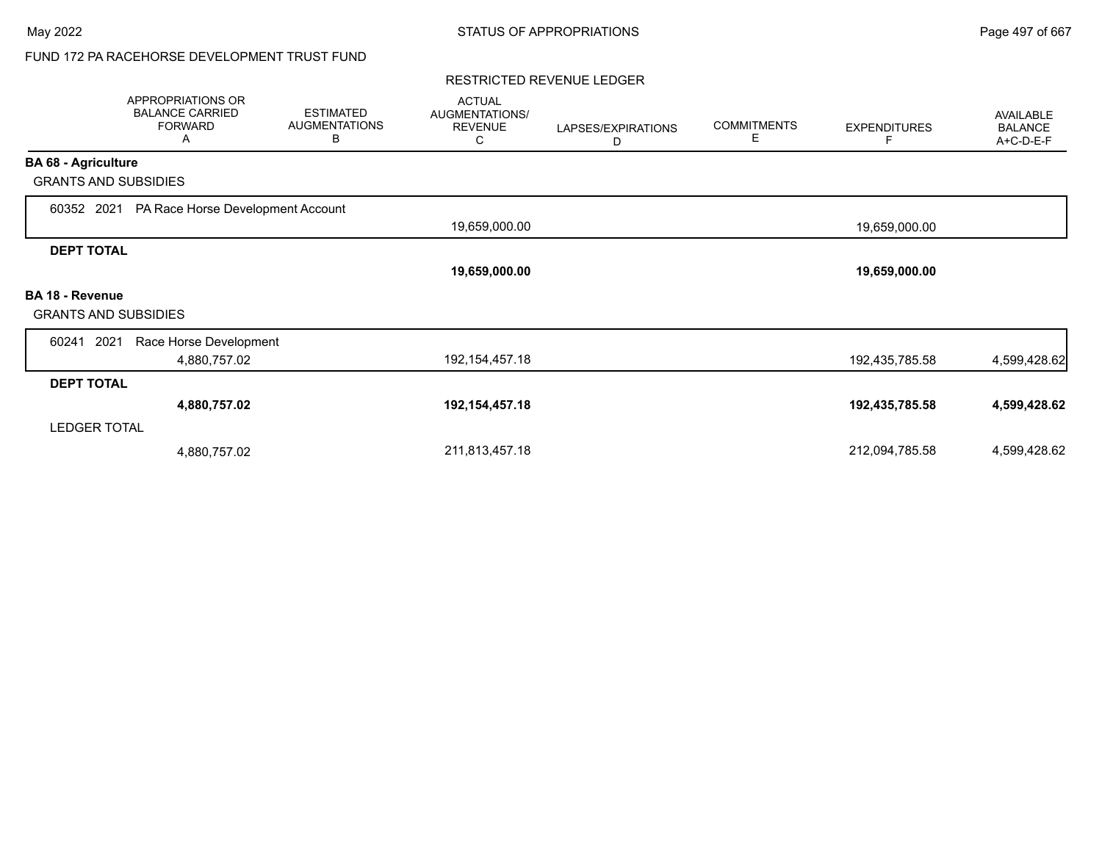#### RESTRICTED REVENUE LEDGER

|                             | APPROPRIATIONS OR<br><b>BALANCE CARRIED</b><br><b>FORWARD</b><br>A | <b>ESTIMATED</b><br><b>AUGMENTATIONS</b><br>B | <b>ACTUAL</b><br>AUGMENTATIONS/<br><b>REVENUE</b><br>С | LAPSES/EXPIRATIONS<br>D | <b>COMMITMENTS</b><br>Е | <b>EXPENDITURES</b><br>F | AVAILABLE<br><b>BALANCE</b><br>A+C-D-E-F |
|-----------------------------|--------------------------------------------------------------------|-----------------------------------------------|--------------------------------------------------------|-------------------------|-------------------------|--------------------------|------------------------------------------|
| <b>BA 68 - Agriculture</b>  |                                                                    |                                               |                                                        |                         |                         |                          |                                          |
| <b>GRANTS AND SUBSIDIES</b> |                                                                    |                                               |                                                        |                         |                         |                          |                                          |
| 60352 2021                  | PA Race Horse Development Account                                  |                                               |                                                        |                         |                         |                          |                                          |
|                             |                                                                    |                                               | 19,659,000.00                                          |                         |                         | 19,659,000.00            |                                          |
| <b>DEPT TOTAL</b>           |                                                                    |                                               |                                                        |                         |                         |                          |                                          |
|                             |                                                                    |                                               | 19,659,000.00                                          |                         |                         | 19,659,000.00            |                                          |
| <b>BA 18 - Revenue</b>      |                                                                    |                                               |                                                        |                         |                         |                          |                                          |
| <b>GRANTS AND SUBSIDIES</b> |                                                                    |                                               |                                                        |                         |                         |                          |                                          |
| 60241<br>2021               | Race Horse Development                                             |                                               |                                                        |                         |                         |                          |                                          |
|                             | 4,880,757.02                                                       |                                               | 192, 154, 457. 18                                      |                         |                         | 192,435,785.58           | 4,599,428.62                             |
| <b>DEPT TOTAL</b>           |                                                                    |                                               |                                                        |                         |                         |                          |                                          |
|                             | 4,880,757.02                                                       |                                               | 192,154,457.18                                         |                         |                         | 192,435,785.58           | 4,599,428.62                             |
| <b>LEDGER TOTAL</b>         |                                                                    |                                               |                                                        |                         |                         |                          |                                          |
|                             | 4,880,757.02                                                       |                                               | 211,813,457.18                                         |                         |                         | 212,094,785.58           | 4,599,428.62                             |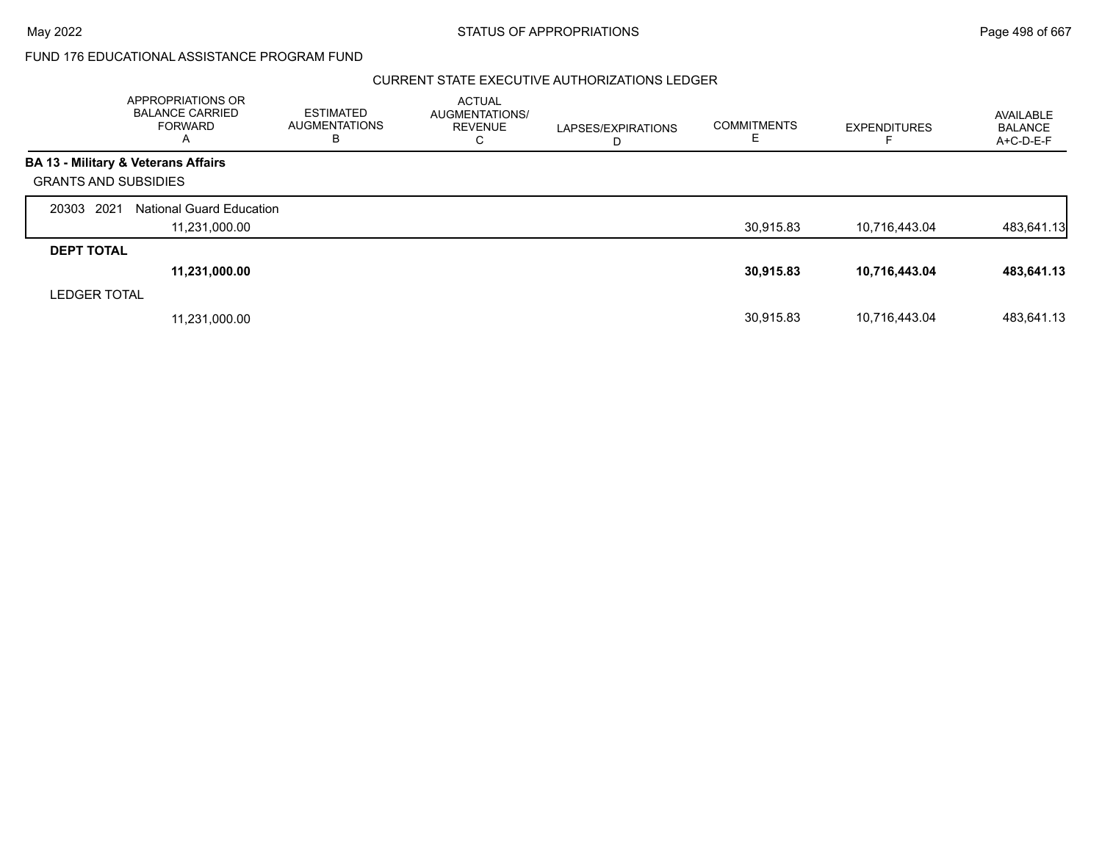#### CURRENT STATE EXECUTIVE AUTHORIZATIONS LEDGER

|                             | APPROPRIATIONS OR<br><b>BALANCE CARRIED</b><br><b>FORWARD</b><br>A | <b>ESTIMATED</b><br><b>AUGMENTATIONS</b><br>В | <b>ACTUAL</b><br>AUGMENTATIONS/<br><b>REVENUE</b><br>C | LAPSES/EXPIRATIONS<br>D | <b>COMMITMENTS</b><br>ᄂ | <b>EXPENDITURES</b> | AVAILABLE<br><b>BALANCE</b><br>$A+C-D-E-F$ |
|-----------------------------|--------------------------------------------------------------------|-----------------------------------------------|--------------------------------------------------------|-------------------------|-------------------------|---------------------|--------------------------------------------|
|                             | <b>BA 13 - Military &amp; Veterans Affairs</b>                     |                                               |                                                        |                         |                         |                     |                                            |
| <b>GRANTS AND SUBSIDIES</b> |                                                                    |                                               |                                                        |                         |                         |                     |                                            |
| 20303 2021                  | <b>National Guard Education</b>                                    |                                               |                                                        |                         |                         |                     |                                            |
|                             | 11,231,000.00                                                      |                                               |                                                        |                         | 30,915.83               | 10,716,443.04       | 483,641.13                                 |
| <b>DEPT TOTAL</b>           |                                                                    |                                               |                                                        |                         |                         |                     |                                            |
|                             | 11,231,000.00                                                      |                                               |                                                        |                         | 30,915.83               | 10,716,443.04       | 483,641.13                                 |
| <b>LEDGER TOTAL</b>         |                                                                    |                                               |                                                        |                         |                         |                     |                                            |
|                             | 11,231,000.00                                                      |                                               |                                                        |                         | 30.915.83               | 10,716,443.04       | 483.641.13                                 |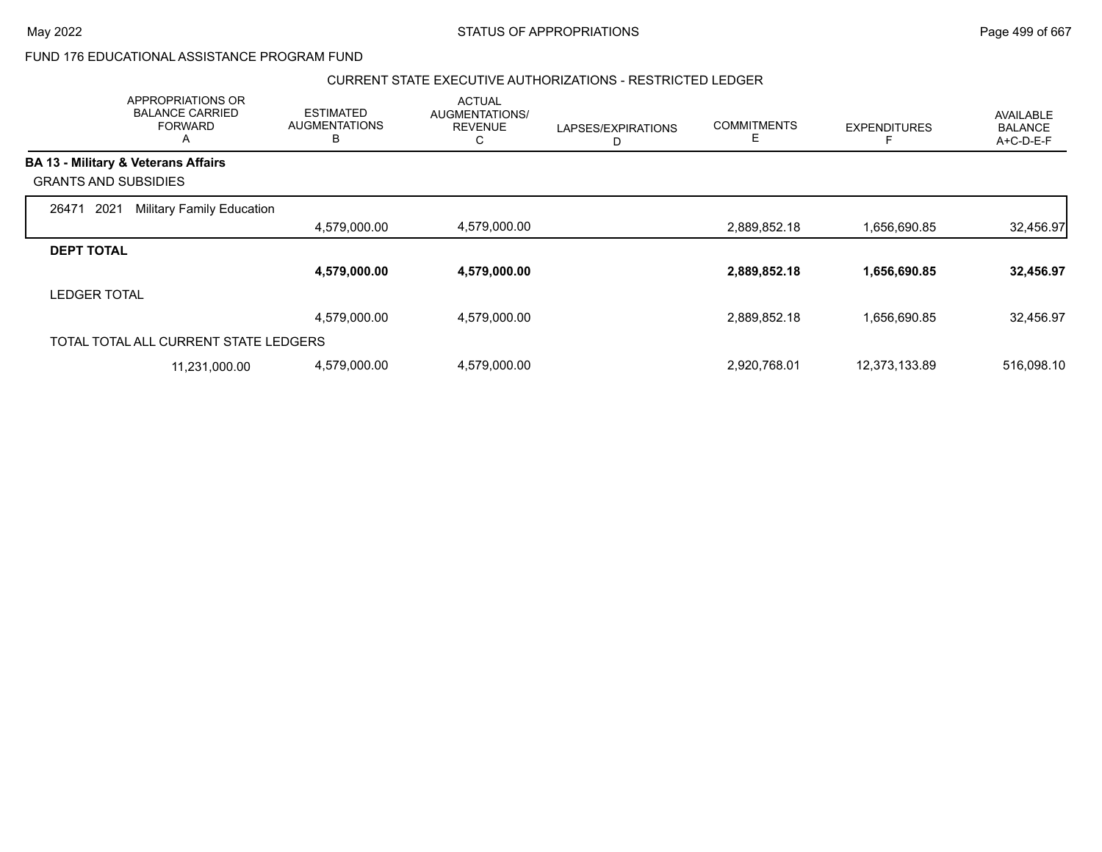### CURRENT STATE EXECUTIVE AUTHORIZATIONS - RESTRICTED LEDGER

|                             | APPROPRIATIONS OR<br><b>BALANCE CARRIED</b><br><b>FORWARD</b><br>$\mathsf{A}$ | <b>ESTIMATED</b><br><b>AUGMENTATIONS</b><br>B | <b>ACTUAL</b><br>AUGMENTATIONS/<br><b>REVENUE</b><br>С | LAPSES/EXPIRATIONS<br>D | <b>COMMITMENTS</b><br>Е | <b>EXPENDITURES</b> | AVAILABLE<br><b>BALANCE</b><br>A+C-D-E-F |
|-----------------------------|-------------------------------------------------------------------------------|-----------------------------------------------|--------------------------------------------------------|-------------------------|-------------------------|---------------------|------------------------------------------|
|                             | <b>BA 13 - Military &amp; Veterans Affairs</b>                                |                                               |                                                        |                         |                         |                     |                                          |
| <b>GRANTS AND SUBSIDIES</b> |                                                                               |                                               |                                                        |                         |                         |                     |                                          |
| 2021<br>26471               | <b>Military Family Education</b>                                              |                                               |                                                        |                         |                         |                     |                                          |
|                             |                                                                               | 4,579,000.00                                  | 4,579,000.00                                           |                         | 2,889,852.18            | 1,656,690.85        | 32,456.97                                |
| <b>DEPT TOTAL</b>           |                                                                               |                                               |                                                        |                         |                         |                     |                                          |
|                             |                                                                               | 4,579,000.00                                  | 4,579,000.00                                           |                         | 2,889,852.18            | 1,656,690.85        | 32,456.97                                |
| <b>LEDGER TOTAL</b>         |                                                                               |                                               |                                                        |                         |                         |                     |                                          |
|                             |                                                                               | 4,579,000.00                                  | 4,579,000.00                                           |                         | 2,889,852.18            | 1,656,690.85        | 32,456.97                                |
|                             | TOTAL TOTAL ALL CURRENT STATE LEDGERS                                         |                                               |                                                        |                         |                         |                     |                                          |
|                             | 11,231,000.00                                                                 | 4,579,000.00                                  | 4,579,000.00                                           |                         | 2,920,768.01            | 12,373,133.89       | 516,098.10                               |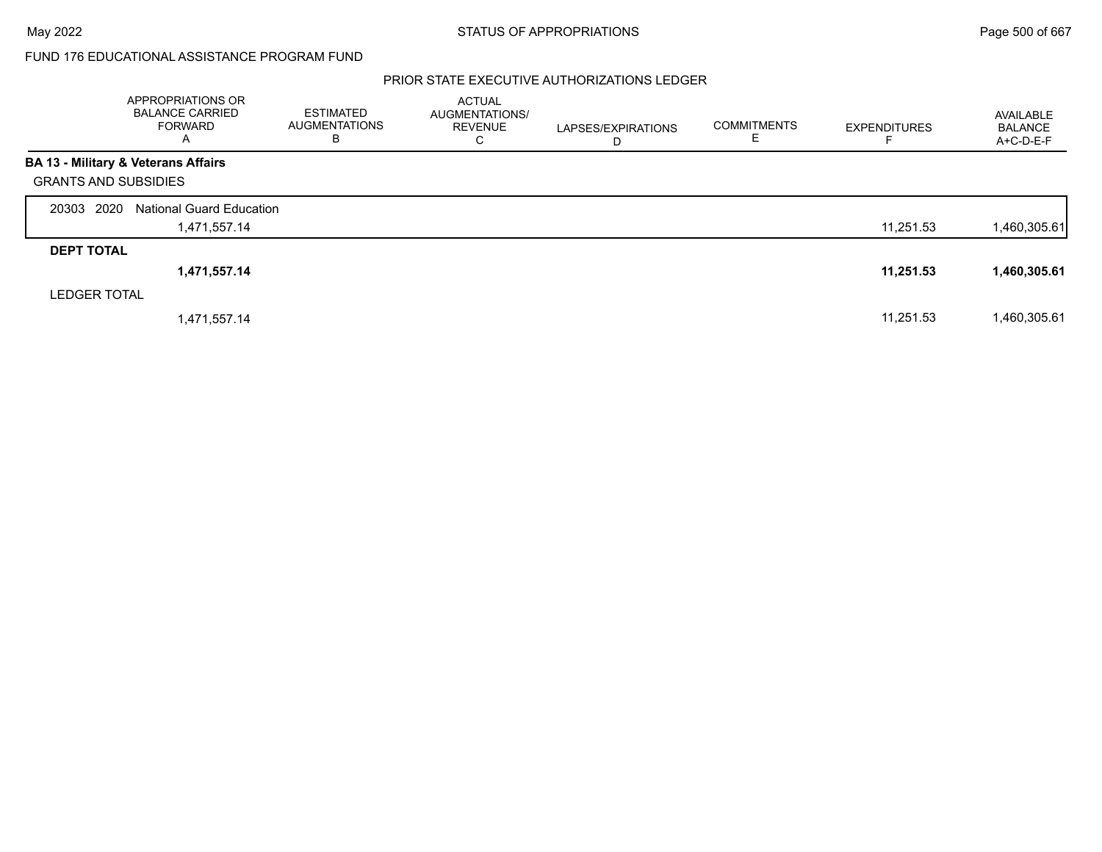### PRIOR STATE EXECUTIVE AUTHORIZATIONS LEDGER

|                             | APPROPRIATIONS OR<br><b>BALANCE CARRIED</b><br>FORWARD<br>A | <b>ESTIMATED</b><br><b>AUGMENTATIONS</b><br>В | <b>ACTUAL</b><br>AUGMENTATIONS/<br><b>REVENUE</b><br>C | LAPSES/EXPIRATIONS<br>D | <b>COMMITMENTS</b><br>E. | <b>EXPENDITURES</b> | AVAILABLE<br><b>BALANCE</b><br>$A+C-D-E-F$ |
|-----------------------------|-------------------------------------------------------------|-----------------------------------------------|--------------------------------------------------------|-------------------------|--------------------------|---------------------|--------------------------------------------|
|                             | <b>BA 13 - Military &amp; Veterans Affairs</b>              |                                               |                                                        |                         |                          |                     |                                            |
| <b>GRANTS AND SUBSIDIES</b> |                                                             |                                               |                                                        |                         |                          |                     |                                            |
| 20303 2020                  | <b>National Guard Education</b>                             |                                               |                                                        |                         |                          |                     |                                            |
|                             | 1,471,557.14                                                |                                               |                                                        |                         |                          | 11,251.53           | 1,460,305.61                               |
| <b>DEPT TOTAL</b>           |                                                             |                                               |                                                        |                         |                          |                     |                                            |
|                             | 1,471,557.14                                                |                                               |                                                        |                         |                          | 11,251.53           | 1,460,305.61                               |
| <b>LEDGER TOTAL</b>         |                                                             |                                               |                                                        |                         |                          |                     |                                            |
|                             | 1,471,557.14                                                |                                               |                                                        |                         |                          | 11,251.53           | 1,460,305.61                               |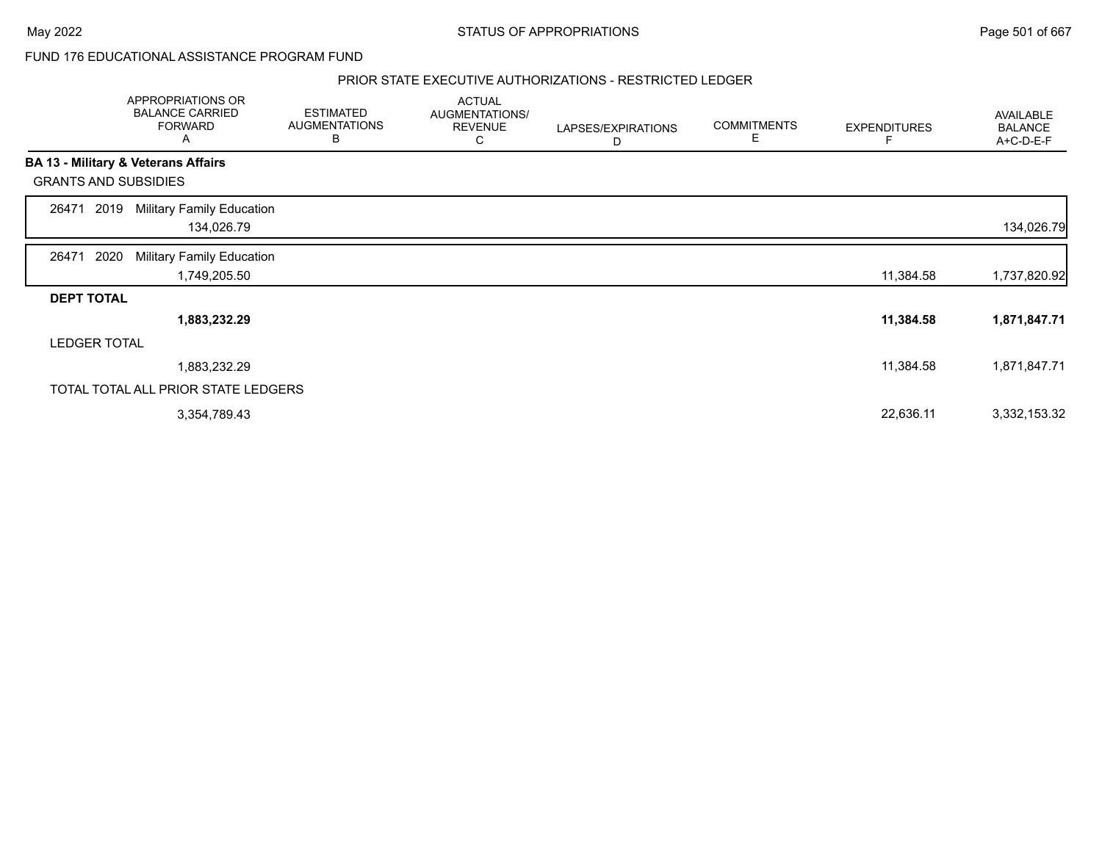#### PRIOR STATE EXECUTIVE AUTHORIZATIONS - RESTRICTED LEDGER

|                             | APPROPRIATIONS OR<br><b>BALANCE CARRIED</b><br><b>FORWARD</b><br>A | <b>ESTIMATED</b><br><b>AUGMENTATIONS</b><br>в | <b>ACTUAL</b><br>AUGMENTATIONS/<br><b>REVENUE</b><br>С | LAPSES/EXPIRATIONS<br>D | <b>COMMITMENTS</b><br>E | <b>EXPENDITURES</b> | AVAILABLE<br><b>BALANCE</b><br>A+C-D-E-F |
|-----------------------------|--------------------------------------------------------------------|-----------------------------------------------|--------------------------------------------------------|-------------------------|-------------------------|---------------------|------------------------------------------|
|                             | BA 13 - Military & Veterans Affairs                                |                                               |                                                        |                         |                         |                     |                                          |
| <b>GRANTS AND SUBSIDIES</b> |                                                                    |                                               |                                                        |                         |                         |                     |                                          |
| 2019<br>26471               | <b>Military Family Education</b><br>134,026.79                     |                                               |                                                        |                         |                         |                     | 134,026.79                               |
| 2020<br>26471               | <b>Military Family Education</b><br>1,749,205.50                   |                                               |                                                        |                         |                         | 11,384.58           | 1,737,820.92                             |
| <b>DEPT TOTAL</b>           |                                                                    |                                               |                                                        |                         |                         |                     |                                          |
|                             | 1,883,232.29                                                       |                                               |                                                        |                         |                         | 11,384.58           | 1,871,847.71                             |
| <b>LEDGER TOTAL</b>         |                                                                    |                                               |                                                        |                         |                         |                     |                                          |
|                             | 1,883,232.29                                                       |                                               |                                                        |                         |                         | 11,384.58           | 1,871,847.71                             |
|                             | TOTAL TOTAL ALL PRIOR STATE LEDGERS                                |                                               |                                                        |                         |                         |                     |                                          |
|                             | 3,354,789.43                                                       |                                               |                                                        |                         |                         | 22,636.11           | 3,332,153.32                             |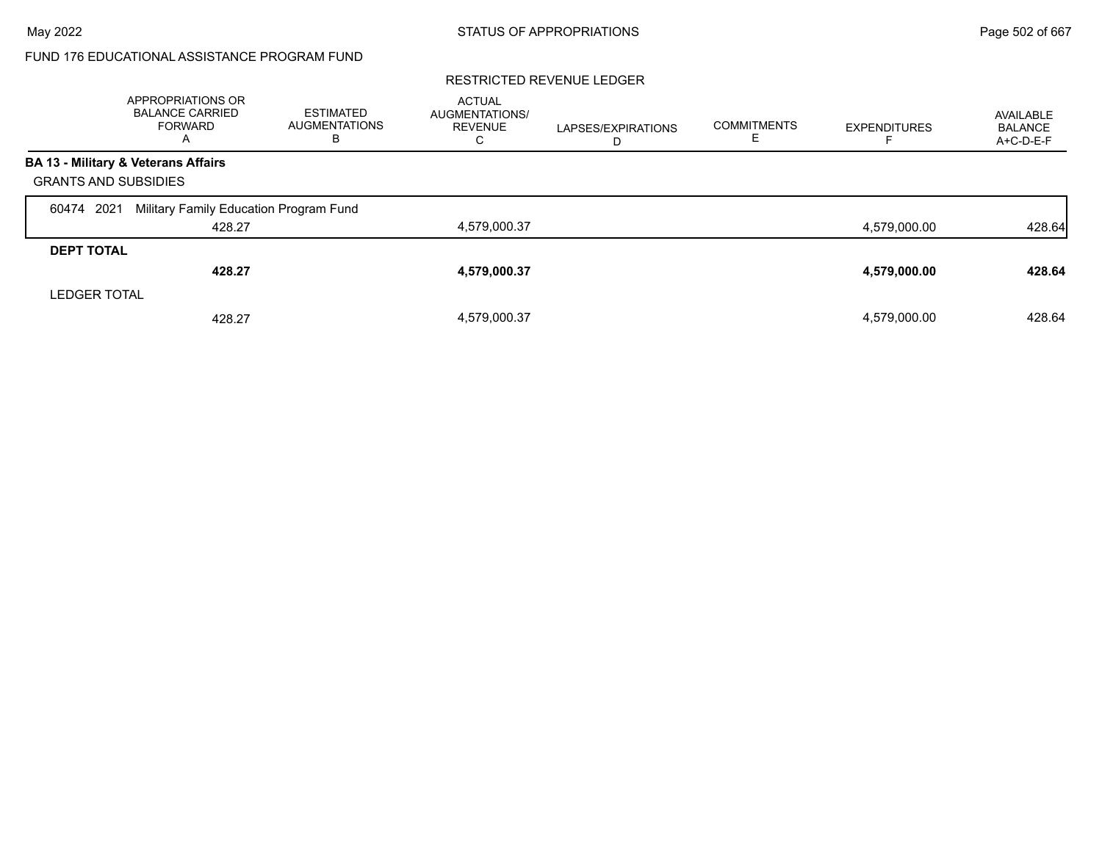#### RESTRICTED REVENUE LEDGER

|                             | APPROPRIATIONS OR<br><b>BALANCE CARRIED</b><br><b>FORWARD</b><br>А | ESTIMATED<br><b>AUGMENTATIONS</b><br>в | <b>ACTUAL</b><br>AUGMENTATIONS/<br><b>REVENUE</b><br>С | LAPSES/EXPIRATIONS<br>Ð | <b>COMMITMENTS</b> | <b>EXPENDITURES</b> | AVAILABLE<br><b>BALANCE</b><br>A+C-D-E-F |
|-----------------------------|--------------------------------------------------------------------|----------------------------------------|--------------------------------------------------------|-------------------------|--------------------|---------------------|------------------------------------------|
|                             | BA 13 - Military & Veterans Affairs                                |                                        |                                                        |                         |                    |                     |                                          |
| <b>GRANTS AND SUBSIDIES</b> |                                                                    |                                        |                                                        |                         |                    |                     |                                          |
| 2021<br>60474               | Military Family Education Program Fund                             |                                        |                                                        |                         |                    |                     |                                          |
|                             | 428.27                                                             |                                        | 4,579,000.37                                           |                         |                    | 4.579.000.00        | 428.64                                   |
| <b>DEPT TOTAL</b>           |                                                                    |                                        |                                                        |                         |                    |                     |                                          |
|                             | 428.27                                                             |                                        | 4,579,000.37                                           |                         |                    | 4,579,000.00        | 428.64                                   |
| <b>LEDGER TOTAL</b>         |                                                                    |                                        |                                                        |                         |                    |                     |                                          |
|                             | 428.27                                                             |                                        | 4,579,000.37                                           |                         |                    | 4,579,000.00        | 428.64                                   |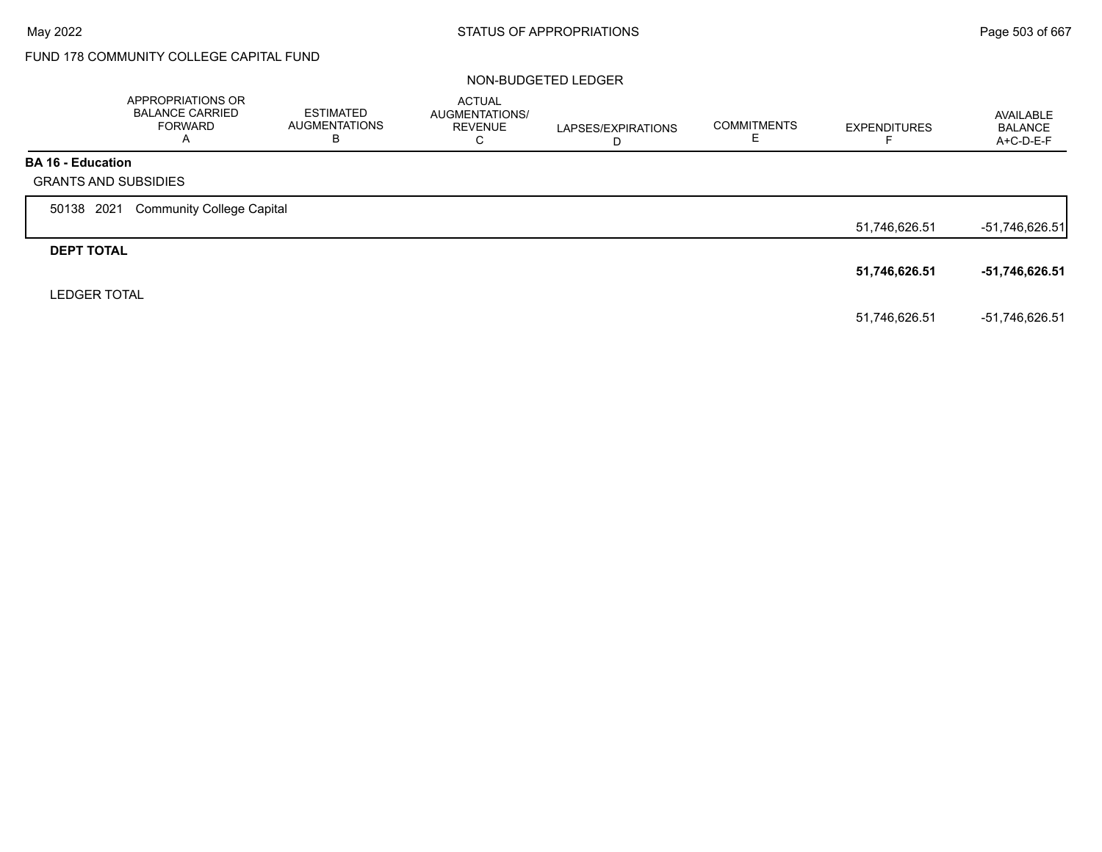# FUND 178 COMMUNITY COLLEGE CAPITAL FUND

#### NON-BUDGETED LEDGER

|                          | APPROPRIATIONS OR<br><b>BALANCE CARRIED</b><br><b>FORWARD</b><br>A | <b>ESTIMATED</b><br><b>AUGMENTATIONS</b><br>В | <b>ACTUAL</b><br>AUGMENTATIONS/<br><b>REVENUE</b><br>C | LAPSES/EXPIRATIONS<br>D | <b>COMMITMENTS</b><br>ᄂ | <b>EXPENDITURES</b> | AVAILABLE<br><b>BALANCE</b><br>A+C-D-E-F |
|--------------------------|--------------------------------------------------------------------|-----------------------------------------------|--------------------------------------------------------|-------------------------|-------------------------|---------------------|------------------------------------------|
| <b>BA 16 - Education</b> | <b>GRANTS AND SUBSIDIES</b>                                        |                                               |                                                        |                         |                         |                     |                                          |
| 50138 2021               | <b>Community College Capital</b>                                   |                                               |                                                        |                         |                         |                     |                                          |
|                          |                                                                    |                                               |                                                        |                         |                         | 51,746,626.51       | -51,746,626.51                           |
| <b>DEPT TOTAL</b>        |                                                                    |                                               |                                                        |                         |                         |                     |                                          |
|                          |                                                                    |                                               |                                                        |                         |                         | 51,746,626.51       | -51,746,626.51                           |
| <b>LEDGER TOTAL</b>      |                                                                    |                                               |                                                        |                         |                         |                     |                                          |
|                          |                                                                    |                                               |                                                        |                         |                         | 51.746.626.51       | -51,746,626.51                           |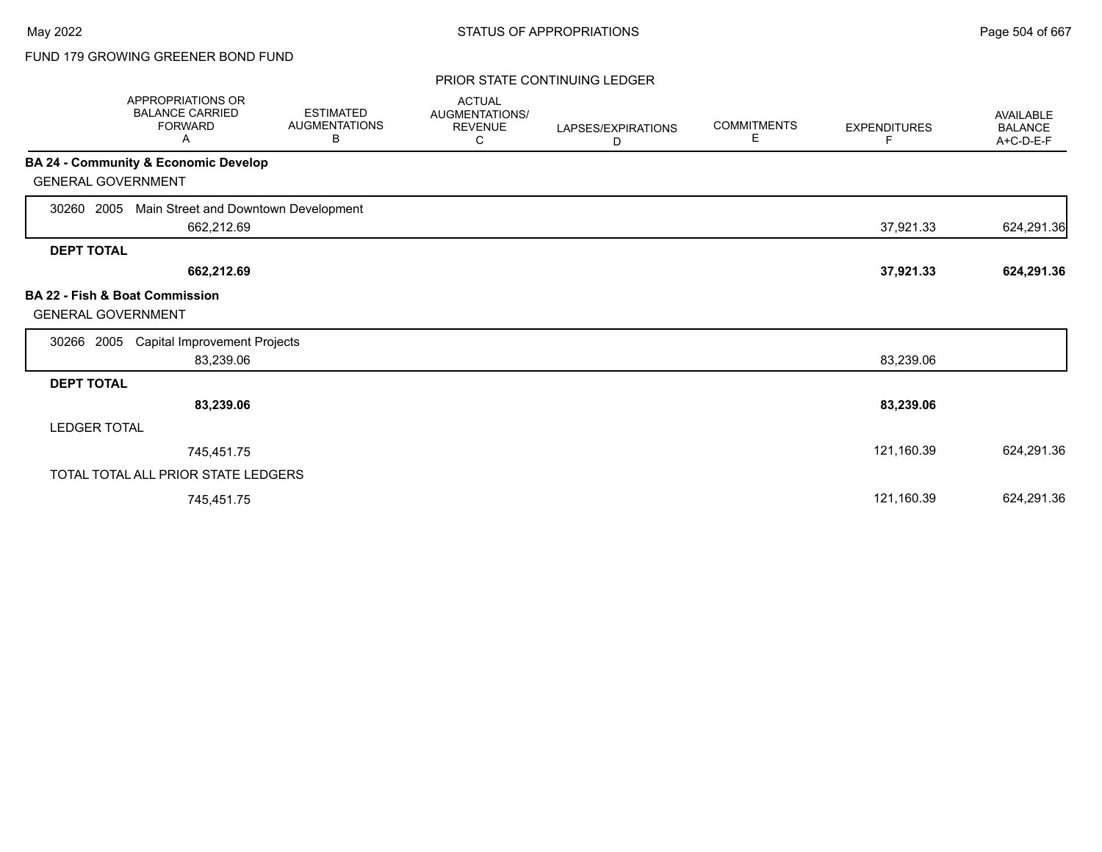# FUND 179 GROWING GREENER BOND FUND

#### PRIOR STATE CONTINUING LEDGER

| <b>APPROPRIATIONS OR</b><br><b>BALANCE CARRIED</b><br><b>FORWARD</b><br>Α | <b>ESTIMATED</b><br><b>AUGMENTATIONS</b><br>В | <b>ACTUAL</b><br>AUGMENTATIONS/<br><b>REVENUE</b><br>С | LAPSES/EXPIRATIONS<br>D | <b>COMMITMENTS</b><br>Е | <b>EXPENDITURES</b><br>F | <b>AVAILABLE</b><br><b>BALANCE</b><br>A+C-D-E-F |
|---------------------------------------------------------------------------|-----------------------------------------------|--------------------------------------------------------|-------------------------|-------------------------|--------------------------|-------------------------------------------------|
| <b>BA 24 - Community &amp; Economic Develop</b>                           |                                               |                                                        |                         |                         |                          |                                                 |
| <b>GENERAL GOVERNMENT</b>                                                 |                                               |                                                        |                         |                         |                          |                                                 |
| Main Street and Downtown Development<br>2005<br>30260                     |                                               |                                                        |                         |                         |                          |                                                 |
| 662,212.69                                                                |                                               |                                                        |                         |                         | 37,921.33                | 624,291.36                                      |
| <b>DEPT TOTAL</b>                                                         |                                               |                                                        |                         |                         |                          |                                                 |
| 662,212.69                                                                |                                               |                                                        |                         |                         | 37,921.33                | 624,291.36                                      |
| <b>BA 22 - Fish &amp; Boat Commission</b><br><b>GENERAL GOVERNMENT</b>    |                                               |                                                        |                         |                         |                          |                                                 |
| <b>Capital Improvement Projects</b><br>30266<br>2005                      |                                               |                                                        |                         |                         |                          |                                                 |
| 83,239.06                                                                 |                                               |                                                        |                         |                         | 83,239.06                |                                                 |
| <b>DEPT TOTAL</b>                                                         |                                               |                                                        |                         |                         |                          |                                                 |
| 83,239.06                                                                 |                                               |                                                        |                         |                         | 83,239.06                |                                                 |
| <b>LEDGER TOTAL</b>                                                       |                                               |                                                        |                         |                         |                          |                                                 |
| 745,451.75                                                                |                                               |                                                        |                         |                         | 121,160.39               | 624,291.36                                      |
| TOTAL TOTAL ALL PRIOR STATE LEDGERS                                       |                                               |                                                        |                         |                         |                          |                                                 |
| 745,451.75                                                                |                                               |                                                        |                         |                         | 121,160.39               | 624,291.36                                      |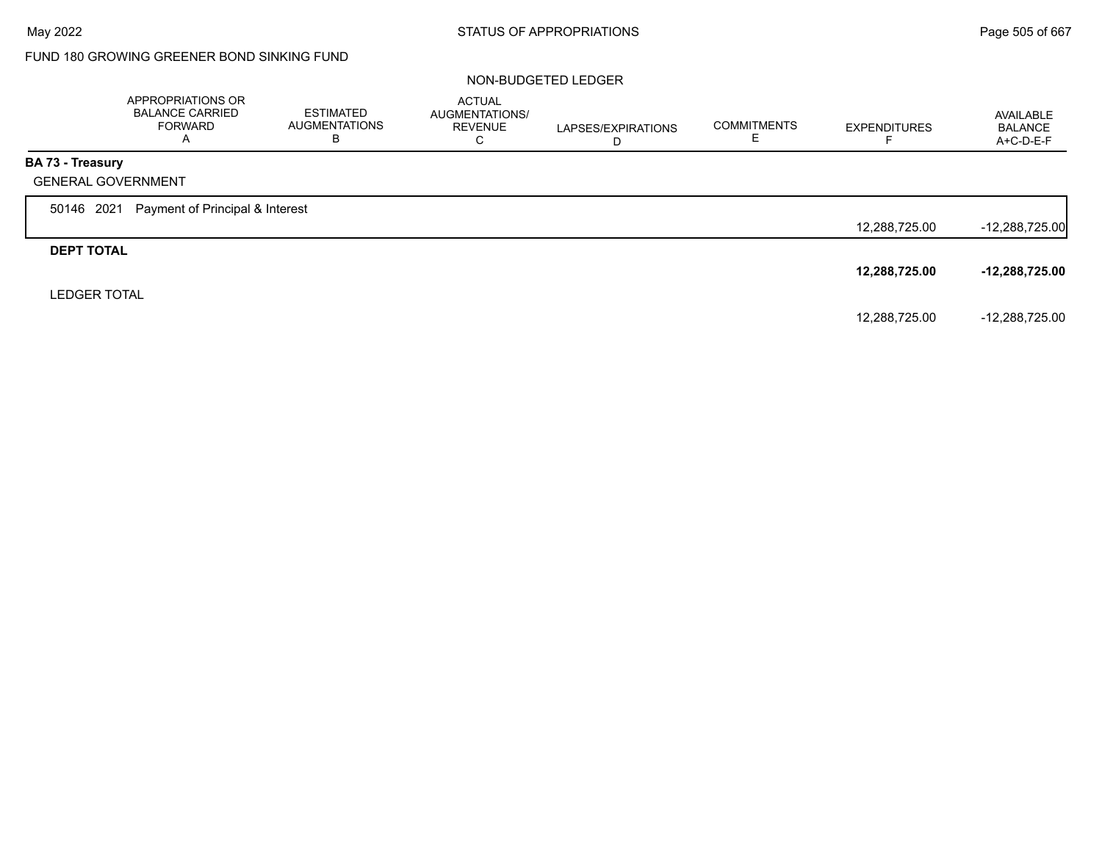# FUND 180 GROWING GREENER BOND SINKING FUND

## NON-BUDGETED LEDGER

|                         | APPROPRIATIONS OR<br><b>BALANCE CARRIED</b><br><b>FORWARD</b><br>A | <b>ESTIMATED</b><br><b>AUGMENTATIONS</b><br>В | <b>ACTUAL</b><br>AUGMENTATIONS/<br><b>REVENUE</b><br>C | LAPSES/EXPIRATIONS<br>D | <b>COMMITMENTS</b> | <b>EXPENDITURES</b><br>⊢ | AVAILABLE<br><b>BALANCE</b><br>A+C-D-E-F |
|-------------------------|--------------------------------------------------------------------|-----------------------------------------------|--------------------------------------------------------|-------------------------|--------------------|--------------------------|------------------------------------------|
| <b>BA 73 - Treasury</b> |                                                                    |                                               |                                                        |                         |                    |                          |                                          |
|                         | <b>GENERAL GOVERNMENT</b>                                          |                                               |                                                        |                         |                    |                          |                                          |
| 50146 2021              | Payment of Principal & Interest                                    |                                               |                                                        |                         |                    |                          |                                          |
|                         |                                                                    |                                               |                                                        |                         |                    | 12,288,725.00            | $-12,288,725.00$                         |
| <b>DEPT TOTAL</b>       |                                                                    |                                               |                                                        |                         |                    |                          |                                          |
|                         |                                                                    |                                               |                                                        |                         |                    | 12,288,725.00            | $-12,288,725.00$                         |
| <b>LEDGER TOTAL</b>     |                                                                    |                                               |                                                        |                         |                    |                          |                                          |
|                         |                                                                    |                                               |                                                        |                         |                    | 12,288,725.00            | -12,288,725.00                           |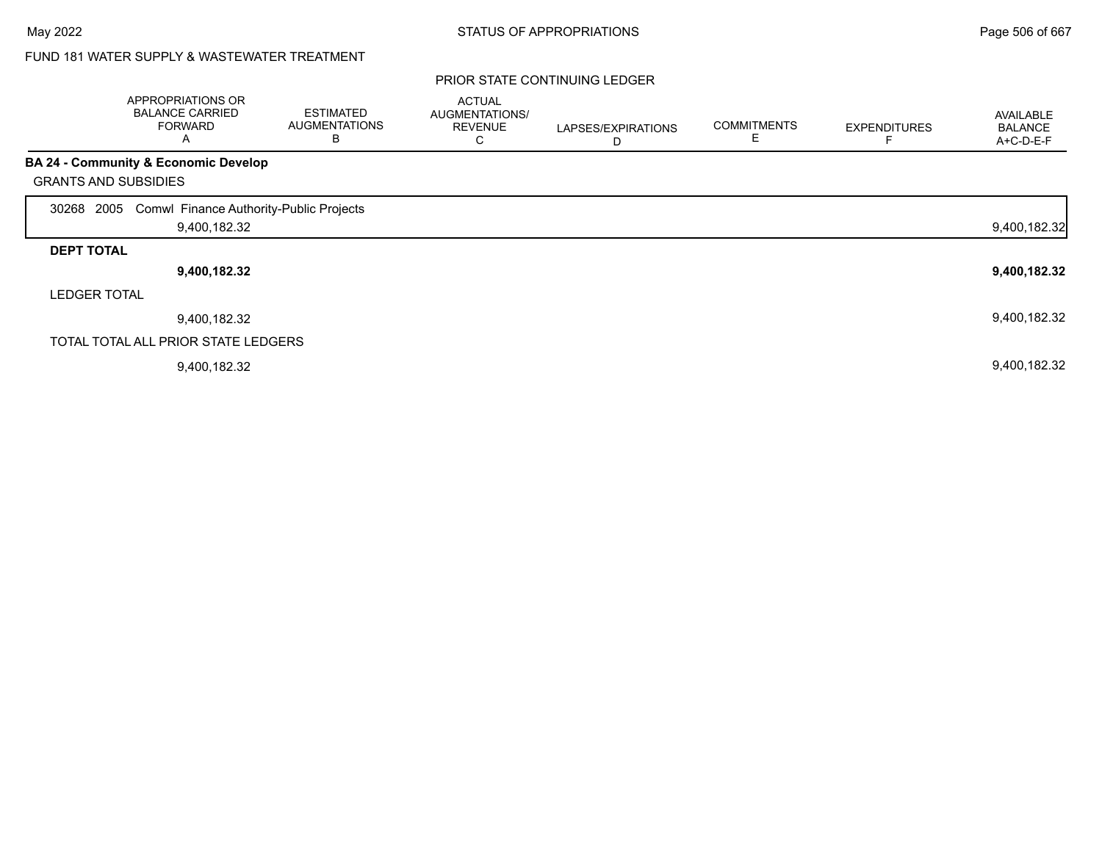# FUND 181 WATER SUPPLY & WASTEWATER TREATMENT

|                             | APPROPRIATIONS OR<br><b>BALANCE CARRIED</b><br><b>FORWARD</b><br>Α | <b>ESTIMATED</b><br><b>AUGMENTATIONS</b><br>В | <b>ACTUAL</b><br>AUGMENTATIONS/<br><b>REVENUE</b><br>◡ | LAPSES/EXPIRATIONS<br>D | <b>COMMITMENTS</b><br>E | <b>EXPENDITURES</b> | <b>AVAILABLE</b><br><b>BALANCE</b><br>A+C-D-E-F |
|-----------------------------|--------------------------------------------------------------------|-----------------------------------------------|--------------------------------------------------------|-------------------------|-------------------------|---------------------|-------------------------------------------------|
|                             | <b>BA 24 - Community &amp; Economic Develop</b>                    |                                               |                                                        |                         |                         |                     |                                                 |
| <b>GRANTS AND SUBSIDIES</b> |                                                                    |                                               |                                                        |                         |                         |                     |                                                 |
| 2005<br>30268               | Comwl Finance Authority-Public Projects                            |                                               |                                                        |                         |                         |                     |                                                 |
|                             | 9,400,182.32                                                       |                                               |                                                        |                         |                         |                     | 9,400,182.32                                    |
| <b>DEPT TOTAL</b>           |                                                                    |                                               |                                                        |                         |                         |                     |                                                 |
|                             | 9,400,182.32                                                       |                                               |                                                        |                         |                         |                     | 9,400,182.32                                    |
| <b>LEDGER TOTAL</b>         |                                                                    |                                               |                                                        |                         |                         |                     |                                                 |
|                             | 9,400,182.32                                                       |                                               |                                                        |                         |                         |                     | 9,400,182.32                                    |
|                             | TOTAL TOTAL ALL PRIOR STATE LEDGERS                                |                                               |                                                        |                         |                         |                     |                                                 |
|                             | 9,400,182.32                                                       |                                               |                                                        |                         |                         |                     | 9,400,182.32                                    |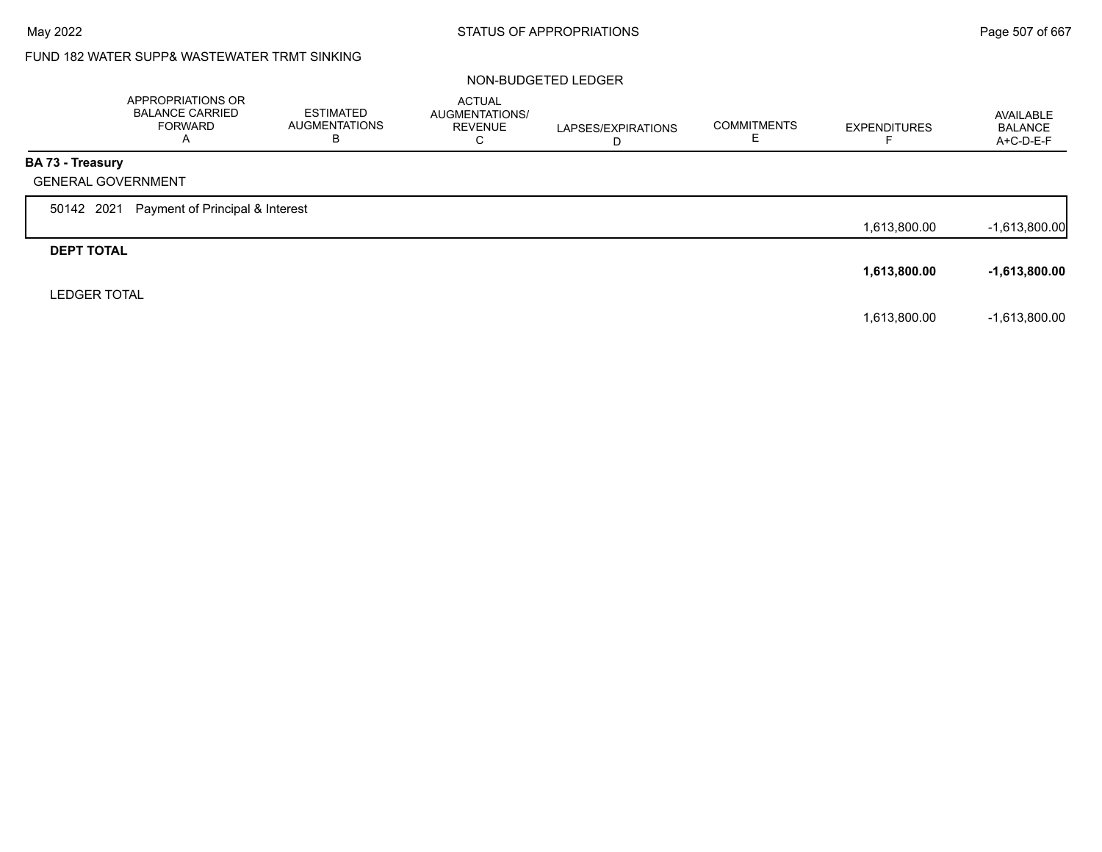# FUND 182 WATER SUPP& WASTEWATER TRMT SINKING

## NON-BUDGETED LEDGER

|                     | APPROPRIATIONS OR<br><b>BALANCE CARRIED</b><br><b>FORWARD</b><br>A | <b>ESTIMATED</b><br><b>AUGMENTATIONS</b><br>В | <b>ACTUAL</b><br>AUGMENTATIONS/<br><b>REVENUE</b><br>C | LAPSES/EXPIRATIONS<br>D | <b>COMMITMENTS</b> | <b>EXPENDITURES</b> | AVAILABLE<br><b>BALANCE</b><br>A+C-D-E-F |
|---------------------|--------------------------------------------------------------------|-----------------------------------------------|--------------------------------------------------------|-------------------------|--------------------|---------------------|------------------------------------------|
| BA 73 - Treasury    |                                                                    |                                               |                                                        |                         |                    |                     |                                          |
|                     | <b>GENERAL GOVERNMENT</b>                                          |                                               |                                                        |                         |                    |                     |                                          |
| 50142 2021          | Payment of Principal & Interest                                    |                                               |                                                        |                         |                    |                     |                                          |
|                     |                                                                    |                                               |                                                        |                         |                    | 1,613,800.00        | $-1,613,800.00$                          |
| <b>DEPT TOTAL</b>   |                                                                    |                                               |                                                        |                         |                    |                     |                                          |
|                     |                                                                    |                                               |                                                        |                         |                    | 1,613,800.00        | $-1,613,800.00$                          |
| <b>LEDGER TOTAL</b> |                                                                    |                                               |                                                        |                         |                    |                     |                                          |
|                     |                                                                    |                                               |                                                        |                         |                    | 1,613,800.00        | $-1,613,800.00$                          |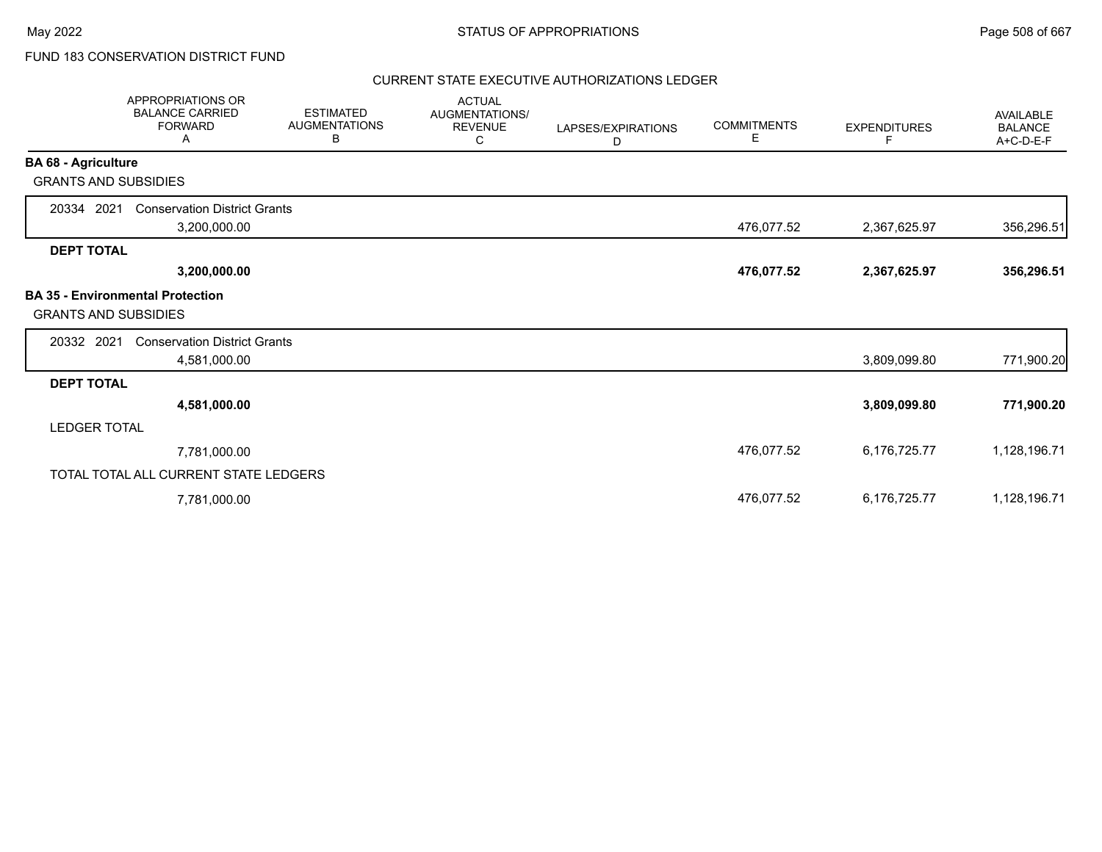# FUND 183 CONSERVATION DISTRICT FUND

## CURRENT STATE EXECUTIVE AUTHORIZATIONS LEDGER

|                             | <b>APPROPRIATIONS OR</b><br><b>BALANCE CARRIED</b><br><b>FORWARD</b><br>Α | <b>ESTIMATED</b><br><b>AUGMENTATIONS</b><br>В | <b>ACTUAL</b><br>AUGMENTATIONS/<br><b>REVENUE</b><br>С | LAPSES/EXPIRATIONS<br>D | <b>COMMITMENTS</b><br>Е | <b>EXPENDITURES</b><br>F | <b>AVAILABLE</b><br><b>BALANCE</b><br>A+C-D-E-F |
|-----------------------------|---------------------------------------------------------------------------|-----------------------------------------------|--------------------------------------------------------|-------------------------|-------------------------|--------------------------|-------------------------------------------------|
| <b>BA 68 - Agriculture</b>  |                                                                           |                                               |                                                        |                         |                         |                          |                                                 |
| <b>GRANTS AND SUBSIDIES</b> |                                                                           |                                               |                                                        |                         |                         |                          |                                                 |
| 20334 2021                  | <b>Conservation District Grants</b>                                       |                                               |                                                        |                         |                         |                          |                                                 |
|                             | 3,200,000.00                                                              |                                               |                                                        |                         | 476,077.52              | 2,367,625.97             | 356,296.51                                      |
| <b>DEPT TOTAL</b>           |                                                                           |                                               |                                                        |                         |                         |                          |                                                 |
|                             | 3,200,000.00                                                              |                                               |                                                        |                         | 476,077.52              | 2,367,625.97             | 356,296.51                                      |
| <b>GRANTS AND SUBSIDIES</b> | <b>BA 35 - Environmental Protection</b>                                   |                                               |                                                        |                         |                         |                          |                                                 |
| 20332 2021                  | <b>Conservation District Grants</b>                                       |                                               |                                                        |                         |                         |                          |                                                 |
|                             | 4,581,000.00                                                              |                                               |                                                        |                         |                         | 3,809,099.80             | 771,900.20                                      |
| <b>DEPT TOTAL</b>           |                                                                           |                                               |                                                        |                         |                         |                          |                                                 |
|                             | 4,581,000.00                                                              |                                               |                                                        |                         |                         | 3,809,099.80             | 771,900.20                                      |
| <b>LEDGER TOTAL</b>         |                                                                           |                                               |                                                        |                         |                         |                          |                                                 |
|                             | 7,781,000.00                                                              |                                               |                                                        |                         | 476,077.52              | 6,176,725.77             | 1,128,196.71                                    |
|                             | TOTAL TOTAL ALL CURRENT STATE LEDGERS                                     |                                               |                                                        |                         |                         |                          |                                                 |
|                             | 7,781,000.00                                                              |                                               |                                                        |                         | 476,077.52              | 6,176,725.77             | 1,128,196.71                                    |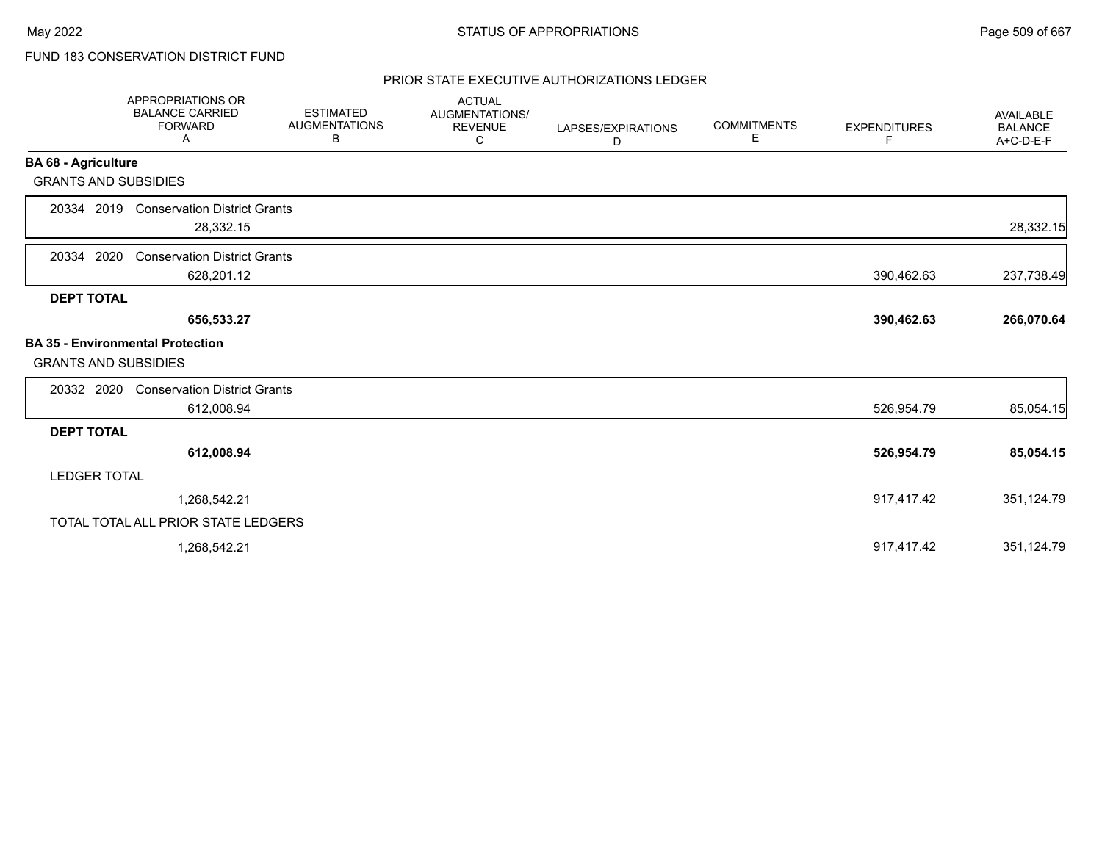# FUND 183 CONSERVATION DISTRICT FUND

## PRIOR STATE EXECUTIVE AUTHORIZATIONS LEDGER

|                                         | <b>APPROPRIATIONS OR</b><br><b>BALANCE CARRIED</b><br><b>FORWARD</b><br>Α | <b>ESTIMATED</b><br><b>AUGMENTATIONS</b><br>В | <b>ACTUAL</b><br>AUGMENTATIONS/<br><b>REVENUE</b><br>С | LAPSES/EXPIRATIONS<br>D | <b>COMMITMENTS</b><br>Е | <b>EXPENDITURES</b><br>F. | <b>AVAILABLE</b><br><b>BALANCE</b><br>A+C-D-E-F |
|-----------------------------------------|---------------------------------------------------------------------------|-----------------------------------------------|--------------------------------------------------------|-------------------------|-------------------------|---------------------------|-------------------------------------------------|
| <b>BA 68 - Agriculture</b>              |                                                                           |                                               |                                                        |                         |                         |                           |                                                 |
| <b>GRANTS AND SUBSIDIES</b>             |                                                                           |                                               |                                                        |                         |                         |                           |                                                 |
| 20334 2019                              | <b>Conservation District Grants</b><br>28,332.15                          |                                               |                                                        |                         |                         |                           | 28,332.15                                       |
| 2020<br>20334                           | <b>Conservation District Grants</b><br>628,201.12                         |                                               |                                                        |                         |                         | 390,462.63                | 237,738.49                                      |
| <b>DEPT TOTAL</b>                       |                                                                           |                                               |                                                        |                         |                         |                           |                                                 |
|                                         | 656,533.27                                                                |                                               |                                                        |                         |                         | 390,462.63                | 266,070.64                                      |
| <b>BA 35 - Environmental Protection</b> |                                                                           |                                               |                                                        |                         |                         |                           |                                                 |
| <b>GRANTS AND SUBSIDIES</b>             |                                                                           |                                               |                                                        |                         |                         |                           |                                                 |
| 20332 2020                              | <b>Conservation District Grants</b>                                       |                                               |                                                        |                         |                         |                           |                                                 |
|                                         | 612,008.94                                                                |                                               |                                                        |                         |                         | 526,954.79                | 85,054.15                                       |
| <b>DEPT TOTAL</b>                       |                                                                           |                                               |                                                        |                         |                         |                           |                                                 |
|                                         | 612,008.94                                                                |                                               |                                                        |                         |                         | 526,954.79                | 85,054.15                                       |
| <b>LEDGER TOTAL</b>                     |                                                                           |                                               |                                                        |                         |                         |                           |                                                 |
|                                         | 1,268,542.21                                                              |                                               |                                                        |                         |                         | 917,417.42                | 351,124.79                                      |
|                                         | TOTAL TOTAL ALL PRIOR STATE LEDGERS                                       |                                               |                                                        |                         |                         |                           |                                                 |
|                                         | 1,268,542.21                                                              |                                               |                                                        |                         |                         | 917,417.42                | 351,124.79                                      |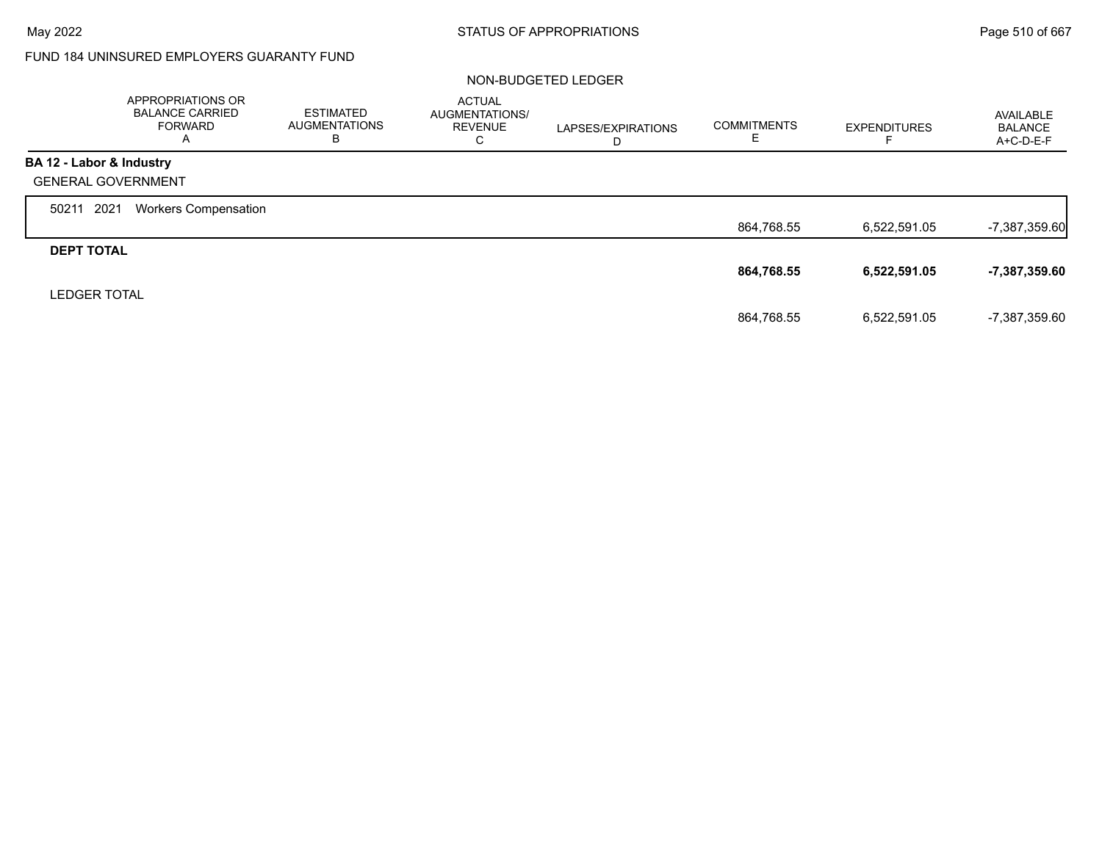Г

## FUND 184 UNINSURED EMPLOYERS GUARANTY FUND

## NON-BUDGETED LEDGER

|                           | APPROPRIATIONS OR<br><b>BALANCE CARRIED</b><br><b>FORWARD</b><br>A | <b>ESTIMATED</b><br><b>AUGMENTATIONS</b><br>в | <b>ACTUAL</b><br>AUGMENTATIONS/<br><b>REVENUE</b><br>⌒<br>◡ | LAPSES/EXPIRATIONS<br>ш | <b>COMMITMENTS</b> | <b>EXPENDITURES</b> | AVAILABLE<br><b>BALANCE</b><br>$A+C-D-E-F$ |
|---------------------------|--------------------------------------------------------------------|-----------------------------------------------|-------------------------------------------------------------|-------------------------|--------------------|---------------------|--------------------------------------------|
| BA 12 - Labor & Industry  |                                                                    |                                               |                                                             |                         |                    |                     |                                            |
| <b>GENERAL GOVERNMENT</b> |                                                                    |                                               |                                                             |                         |                    |                     |                                            |
| 2021<br>50211             | <b>Workers Compensation</b>                                        |                                               |                                                             |                         |                    |                     |                                            |
|                           |                                                                    |                                               |                                                             |                         | 864,768.55         | 6,522,591.05        | $-7,387,359.60$                            |
| <b>DEPT TOTAL</b>         |                                                                    |                                               |                                                             |                         |                    |                     |                                            |
|                           |                                                                    |                                               |                                                             |                         | 864,768.55         | 6,522,591.05        | -7,387,359.60                              |
| <b>LEDGER TOTAL</b>       |                                                                    |                                               |                                                             |                         |                    |                     |                                            |
|                           |                                                                    |                                               |                                                             |                         | 864,768.55         | 6,522,591.05        | -7,387,359.60                              |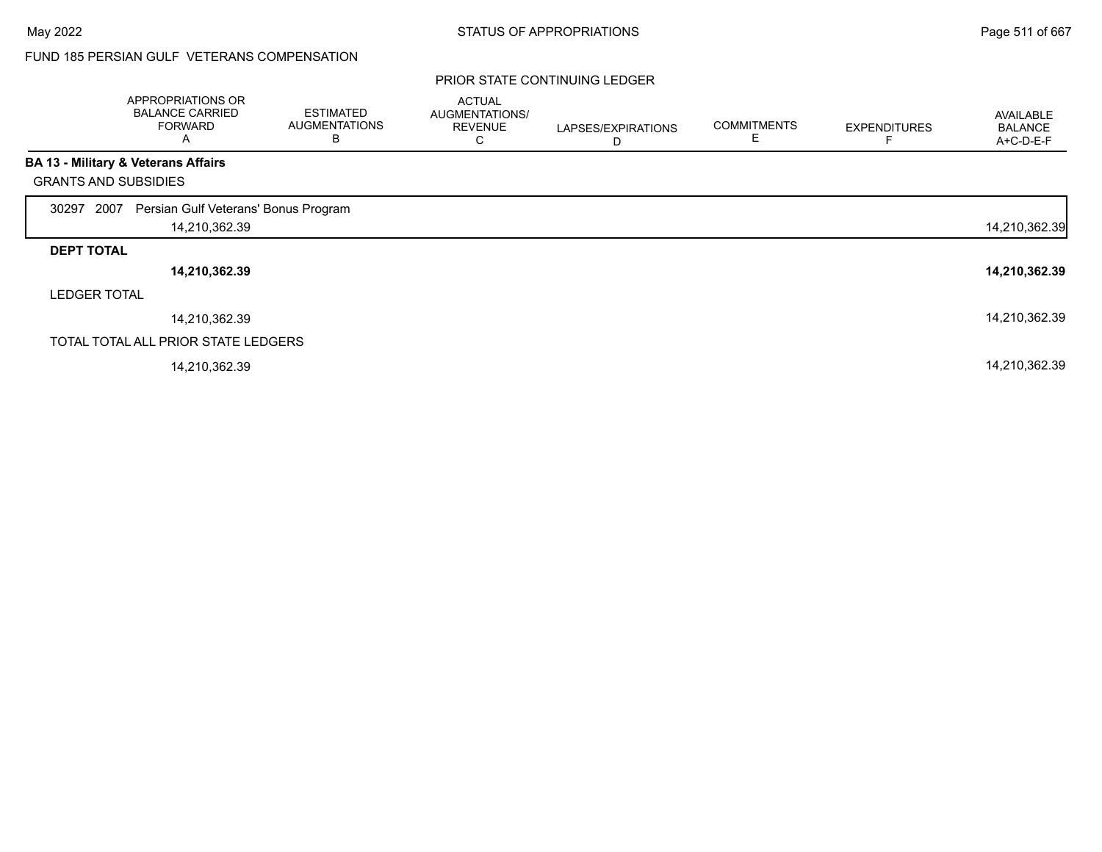# FUND 185 PERSIAN GULF VETERANS COMPENSATION

|                             | APPROPRIATIONS OR<br><b>BALANCE CARRIED</b><br><b>FORWARD</b><br>Α | <b>ESTIMATED</b><br><b>AUGMENTATIONS</b><br>в | <b>ACTUAL</b><br>AUGMENTATIONS/<br><b>REVENUE</b><br>С | LAPSES/EXPIRATIONS<br>D | <b>COMMITMENTS</b> | <b>EXPENDITURES</b> | AVAILABLE<br><b>BALANCE</b><br>A+C-D-E-F |
|-----------------------------|--------------------------------------------------------------------|-----------------------------------------------|--------------------------------------------------------|-------------------------|--------------------|---------------------|------------------------------------------|
|                             | <b>BA 13 - Military &amp; Veterans Affairs</b>                     |                                               |                                                        |                         |                    |                     |                                          |
| <b>GRANTS AND SUBSIDIES</b> |                                                                    |                                               |                                                        |                         |                    |                     |                                          |
| 2007<br>30297               | Persian Gulf Veterans' Bonus Program                               |                                               |                                                        |                         |                    |                     |                                          |
|                             | 14,210,362.39                                                      |                                               |                                                        |                         |                    |                     | 14,210,362.39                            |
| <b>DEPT TOTAL</b>           |                                                                    |                                               |                                                        |                         |                    |                     |                                          |
|                             | 14,210,362.39                                                      |                                               |                                                        |                         |                    |                     | 14,210,362.39                            |
| <b>LEDGER TOTAL</b>         |                                                                    |                                               |                                                        |                         |                    |                     |                                          |
|                             | 14,210,362.39                                                      |                                               |                                                        |                         |                    |                     | 14,210,362.39                            |
|                             | TOTAL TOTAL ALL PRIOR STATE LEDGERS                                |                                               |                                                        |                         |                    |                     |                                          |
|                             | 14,210,362.39                                                      |                                               |                                                        |                         |                    |                     | 14,210,362.39                            |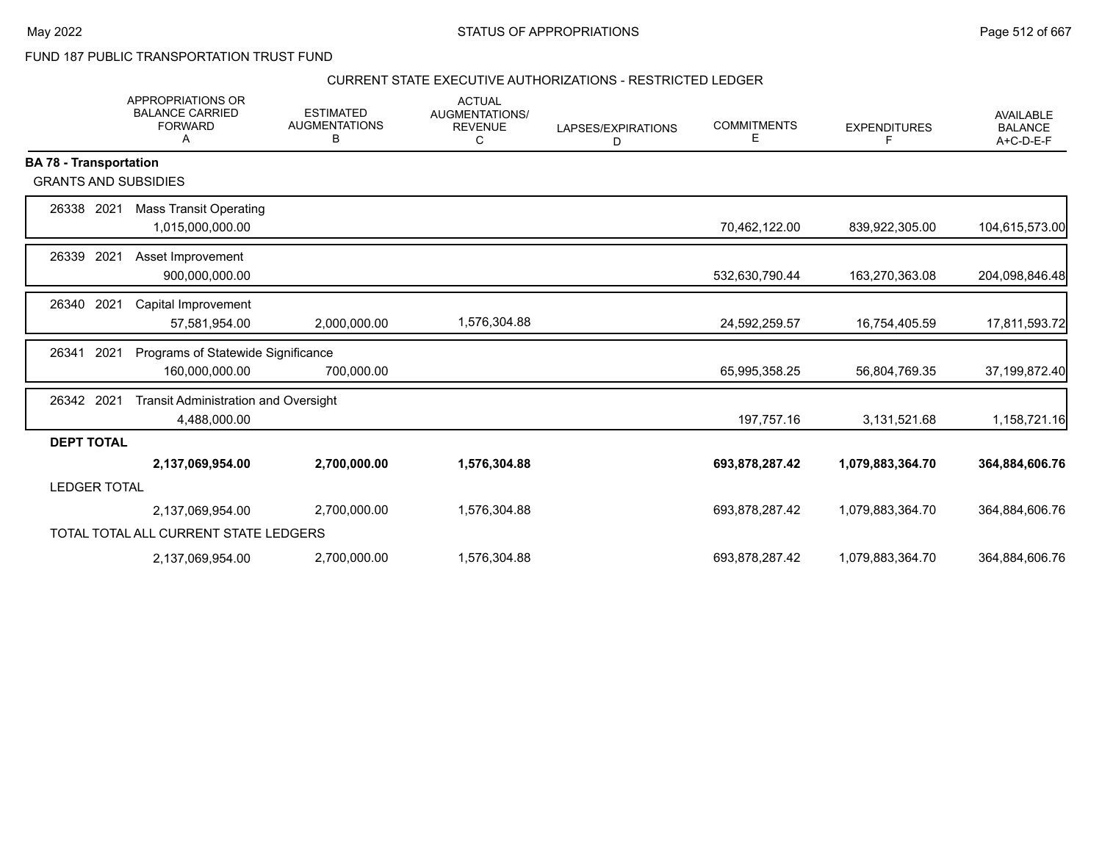FUND 187 PUBLIC TRANSPORTATION TRUST FUND

## CURRENT STATE EXECUTIVE AUTHORIZATIONS - RESTRICTED LEDGER

|                               | <b>APPROPRIATIONS OR</b><br><b>BALANCE CARRIED</b><br><b>FORWARD</b><br>Α | <b>ESTIMATED</b><br><b>AUGMENTATIONS</b><br>В | <b>ACTUAL</b><br>AUGMENTATIONS/<br><b>REVENUE</b><br>C | LAPSES/EXPIRATIONS<br>D | <b>COMMITMENTS</b><br>Ε | <b>EXPENDITURES</b><br>F. | <b>AVAILABLE</b><br><b>BALANCE</b><br>A+C-D-E-F |
|-------------------------------|---------------------------------------------------------------------------|-----------------------------------------------|--------------------------------------------------------|-------------------------|-------------------------|---------------------------|-------------------------------------------------|
| <b>BA 78 - Transportation</b> |                                                                           |                                               |                                                        |                         |                         |                           |                                                 |
| <b>GRANTS AND SUBSIDIES</b>   |                                                                           |                                               |                                                        |                         |                         |                           |                                                 |
| 26338 2021                    | <b>Mass Transit Operating</b>                                             |                                               |                                                        |                         |                         |                           |                                                 |
|                               | 1,015,000,000.00                                                          |                                               |                                                        |                         | 70,462,122.00           | 839,922,305.00            | 104,615,573.00                                  |
| 2021<br>26339                 | Asset Improvement                                                         |                                               |                                                        |                         |                         |                           |                                                 |
|                               | 900,000,000.00                                                            |                                               |                                                        |                         | 532,630,790.44          | 163,270,363.08            | 204,098,846.48                                  |
| 2021<br>26340                 | Capital Improvement                                                       |                                               |                                                        |                         |                         |                           |                                                 |
|                               | 57,581,954.00                                                             | 2,000,000.00                                  | 1,576,304.88                                           |                         | 24,592,259.57           | 16,754,405.59             | 17,811,593.72                                   |
| 2021<br>26341                 | Programs of Statewide Significance                                        |                                               |                                                        |                         |                         |                           |                                                 |
|                               | 160,000,000.00                                                            | 700,000.00                                    |                                                        |                         | 65,995,358.25           | 56,804,769.35             | 37,199,872.40                                   |
| 26342 2021                    | <b>Transit Administration and Oversight</b>                               |                                               |                                                        |                         |                         |                           |                                                 |
|                               | 4,488,000.00                                                              |                                               |                                                        |                         | 197,757.16              | 3,131,521.68              | 1,158,721.16                                    |
| <b>DEPT TOTAL</b>             |                                                                           |                                               |                                                        |                         |                         |                           |                                                 |
|                               | 2,137,069,954.00                                                          | 2,700,000.00                                  | 1,576,304.88                                           |                         | 693,878,287.42          | 1,079,883,364.70          | 364,884,606.76                                  |
| <b>LEDGER TOTAL</b>           |                                                                           |                                               |                                                        |                         |                         |                           |                                                 |
|                               | 2,137,069,954.00                                                          | 2,700,000.00                                  | 1,576,304.88                                           |                         | 693,878,287.42          | 1,079,883,364.70          | 364,884,606.76                                  |
|                               | TOTAL TOTAL ALL CURRENT STATE LEDGERS                                     |                                               |                                                        |                         |                         |                           |                                                 |
|                               | 2,137,069,954.00                                                          | 2,700,000.00                                  | 1,576,304.88                                           |                         | 693,878,287.42          | 1,079,883,364.70          | 364,884,606.76                                  |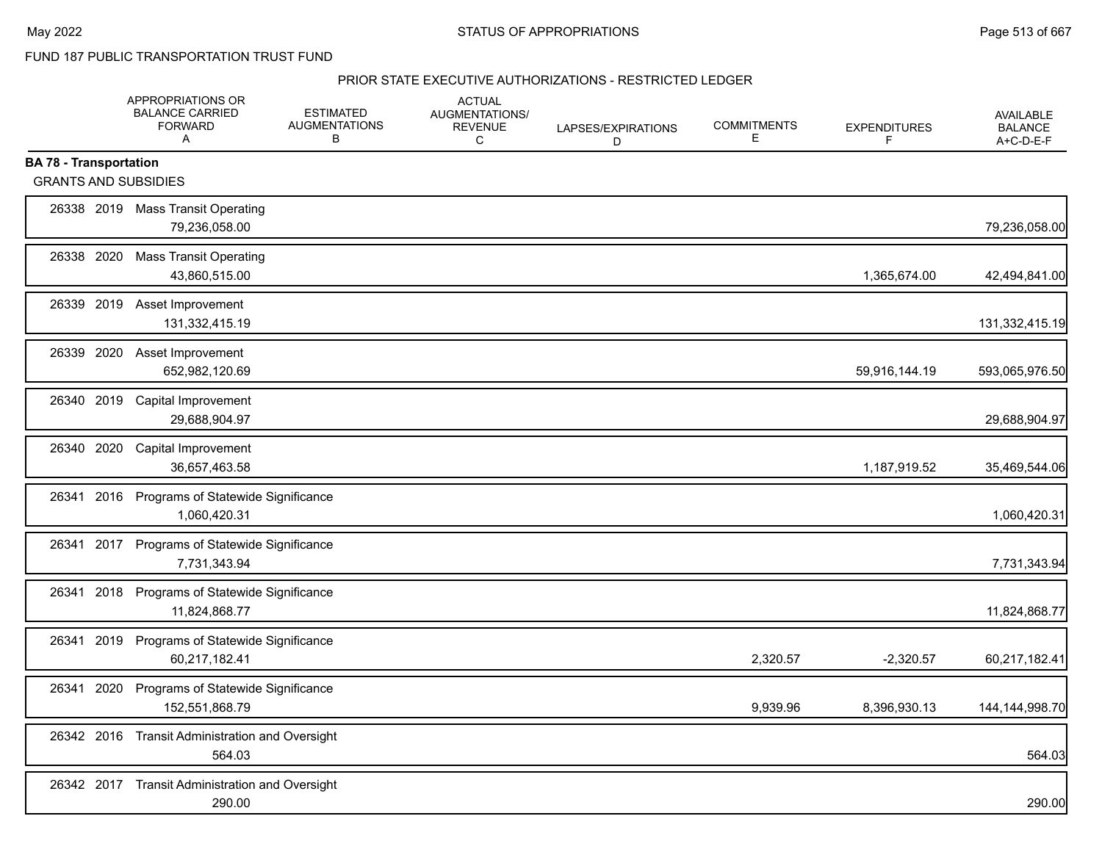FUND 187 PUBLIC TRANSPORTATION TRUST FUND

#### PRIOR STATE EXECUTIVE AUTHORIZATIONS - RESTRICTED LEDGER

|                                                              | APPROPRIATIONS OR<br><b>BALANCE CARRIED</b><br><b>FORWARD</b><br>Α | <b>ESTIMATED</b><br><b>AUGMENTATIONS</b><br>В | <b>ACTUAL</b><br>AUGMENTATIONS/<br><b>REVENUE</b><br>C | LAPSES/EXPIRATIONS<br>D | <b>COMMITMENTS</b><br>E. | <b>EXPENDITURES</b><br>F | <b>AVAILABLE</b><br><b>BALANCE</b><br>A+C-D-E-F |
|--------------------------------------------------------------|--------------------------------------------------------------------|-----------------------------------------------|--------------------------------------------------------|-------------------------|--------------------------|--------------------------|-------------------------------------------------|
| <b>BA 78 - Transportation</b><br><b>GRANTS AND SUBSIDIES</b> |                                                                    |                                               |                                                        |                         |                          |                          |                                                 |
|                                                              | 26338 2019 Mass Transit Operating<br>79,236,058.00                 |                                               |                                                        |                         |                          |                          | 79,236,058.00                                   |
| 26338 2020                                                   | <b>Mass Transit Operating</b><br>43,860,515.00                     |                                               |                                                        |                         |                          | 1,365,674.00             | 42,494,841.00                                   |
| 26339 2019                                                   | Asset Improvement<br>131,332,415.19                                |                                               |                                                        |                         |                          |                          | 131,332,415.19                                  |
| 26339 2020                                                   | Asset Improvement<br>652,982,120.69                                |                                               |                                                        |                         |                          | 59,916,144.19            | 593,065,976.50                                  |
| 26340 2019                                                   | Capital Improvement<br>29,688,904.97                               |                                               |                                                        |                         |                          |                          | 29,688,904.97                                   |
| 26340 2020                                                   | Capital Improvement<br>36,657,463.58                               |                                               |                                                        |                         |                          | 1,187,919.52             | 35,469,544.06                                   |
| 2016<br>26341                                                | Programs of Statewide Significance<br>1,060,420.31                 |                                               |                                                        |                         |                          |                          | 1,060,420.31                                    |
| 26341 2017                                                   | Programs of Statewide Significance<br>7,731,343.94                 |                                               |                                                        |                         |                          |                          | 7,731,343.94                                    |
| 26341<br>2018                                                | Programs of Statewide Significance<br>11,824,868.77                |                                               |                                                        |                         |                          |                          | 11,824,868.77                                   |
| 26341 2019                                                   | Programs of Statewide Significance<br>60,217,182.41                |                                               |                                                        |                         | 2,320.57                 | $-2,320.57$              | 60,217,182.41                                   |
| 2020<br>26341                                                | Programs of Statewide Significance<br>152,551,868.79               |                                               |                                                        |                         | 9,939.96                 | 8,396,930.13             | 144, 144, 998. 70                               |
| 26342 2016                                                   | <b>Transit Administration and Oversight</b><br>564.03              |                                               |                                                        |                         |                          |                          | 564.03                                          |
|                                                              | 26342 2017 Transit Administration and Oversight<br>290.00          |                                               |                                                        |                         |                          |                          | 290.00                                          |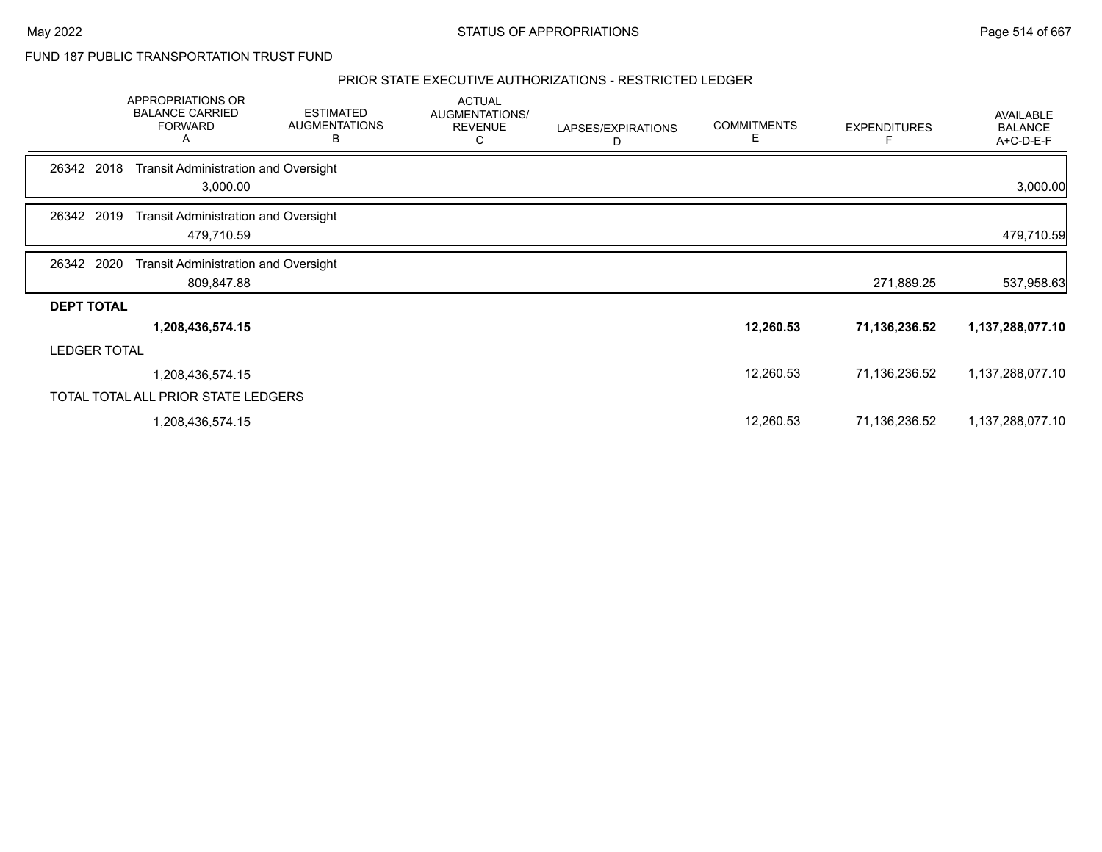FUND 187 PUBLIC TRANSPORTATION TRUST FUND

## PRIOR STATE EXECUTIVE AUTHORIZATIONS - RESTRICTED LEDGER

|                     | APPROPRIATIONS OR<br><b>BALANCE CARRIED</b><br><b>FORWARD</b><br>A | <b>ESTIMATED</b><br><b>AUGMENTATIONS</b><br>в | <b>ACTUAL</b><br>AUGMENTATIONS/<br><b>REVENUE</b><br>С | LAPSES/EXPIRATIONS<br>D | <b>COMMITMENTS</b><br>E | <b>EXPENDITURES</b> | <b>AVAILABLE</b><br><b>BALANCE</b><br>A+C-D-E-F |
|---------------------|--------------------------------------------------------------------|-----------------------------------------------|--------------------------------------------------------|-------------------------|-------------------------|---------------------|-------------------------------------------------|
| 26342 2018          | <b>Transit Administration and Oversight</b><br>3,000.00            |                                               |                                                        |                         |                         |                     | 3,000.00                                        |
| 2019<br>26342       | <b>Transit Administration and Oversight</b><br>479,710.59          |                                               |                                                        |                         |                         |                     | 479,710.59                                      |
| 2020<br>26342       | <b>Transit Administration and Oversight</b><br>809,847.88          |                                               |                                                        |                         |                         | 271,889.25          | 537,958.63                                      |
| <b>DEPT TOTAL</b>   |                                                                    |                                               |                                                        |                         |                         |                     |                                                 |
|                     | 1,208,436,574.15                                                   |                                               |                                                        |                         | 12,260.53               | 71,136,236.52       | 1,137,288,077.10                                |
| <b>LEDGER TOTAL</b> |                                                                    |                                               |                                                        |                         |                         |                     |                                                 |
|                     | 1,208,436,574.15                                                   |                                               |                                                        |                         | 12,260.53               | 71,136,236.52       | 1,137,288,077.10                                |
|                     | TOTAL TOTAL ALL PRIOR STATE LEDGERS                                |                                               |                                                        |                         |                         |                     |                                                 |
|                     | 1,208,436,574.15                                                   |                                               |                                                        |                         | 12,260.53               | 71,136,236.52       | 1,137,288,077.10                                |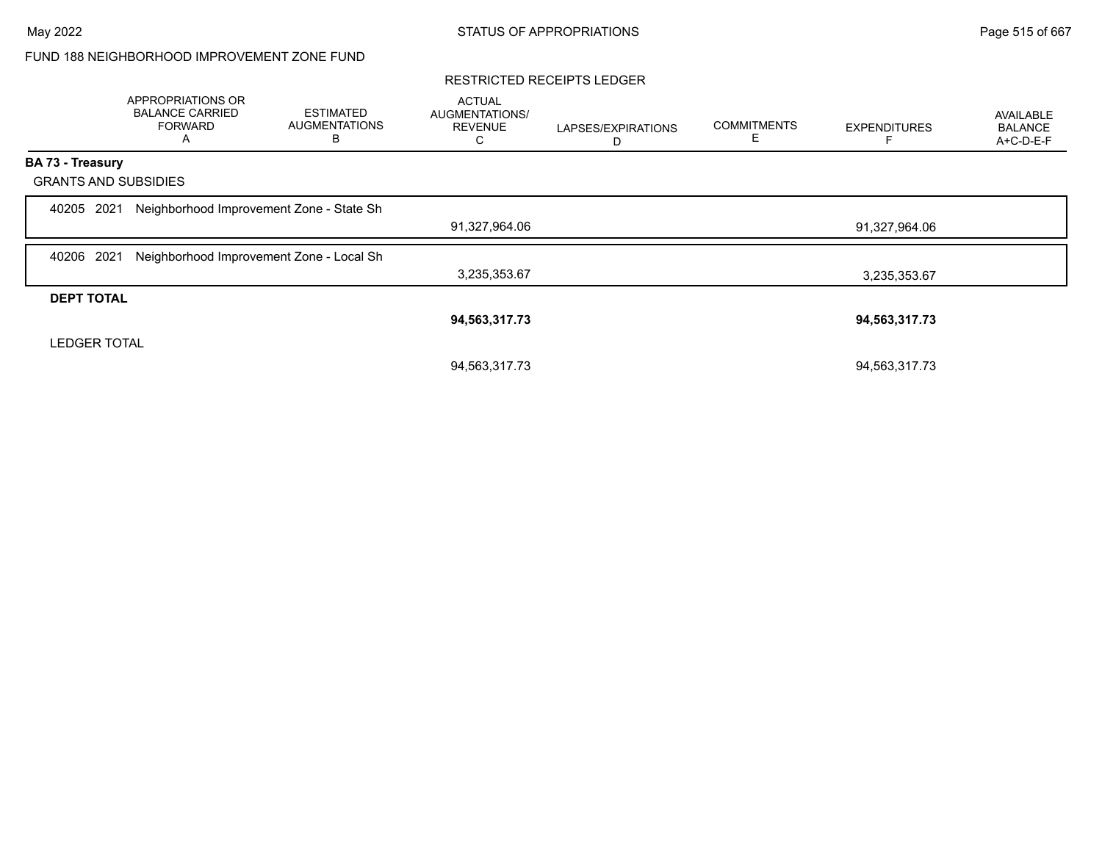## FUND 188 NEIGHBORHOOD IMPROVEMENT ZONE FUND

## RESTRICTED RECEIPTS LEDGER

|                             | APPROPRIATIONS OR<br><b>BALANCE CARRIED</b><br><b>FORWARD</b><br>A | <b>ESTIMATED</b><br><b>AUGMENTATIONS</b><br>в | <b>ACTUAL</b><br>AUGMENTATIONS/<br><b>REVENUE</b><br>С | LAPSES/EXPIRATIONS<br>D | <b>COMMITMENTS</b><br>ᄂ | <b>EXPENDITURES</b> | <b>AVAILABLE</b><br><b>BALANCE</b><br>A+C-D-E-F |
|-----------------------------|--------------------------------------------------------------------|-----------------------------------------------|--------------------------------------------------------|-------------------------|-------------------------|---------------------|-------------------------------------------------|
| <b>BA 73 - Treasury</b>     |                                                                    |                                               |                                                        |                         |                         |                     |                                                 |
| <b>GRANTS AND SUBSIDIES</b> |                                                                    |                                               |                                                        |                         |                         |                     |                                                 |
| 2021<br>40205               | Neighborhood Improvement Zone - State Sh                           |                                               |                                                        |                         |                         |                     |                                                 |
|                             |                                                                    |                                               | 91,327,964.06                                          |                         |                         | 91,327,964.06       |                                                 |
| 2021<br>40206               | Neighborhood Improvement Zone - Local Sh                           |                                               |                                                        |                         |                         |                     |                                                 |
|                             |                                                                    |                                               | 3,235,353.67                                           |                         |                         | 3,235,353.67        |                                                 |
| <b>DEPT TOTAL</b>           |                                                                    |                                               |                                                        |                         |                         |                     |                                                 |
|                             |                                                                    |                                               | 94,563,317.73                                          |                         |                         | 94,563,317.73       |                                                 |
| <b>LEDGER TOTAL</b>         |                                                                    |                                               |                                                        |                         |                         |                     |                                                 |
|                             |                                                                    |                                               | 94,563,317.73                                          |                         |                         | 94,563,317.73       |                                                 |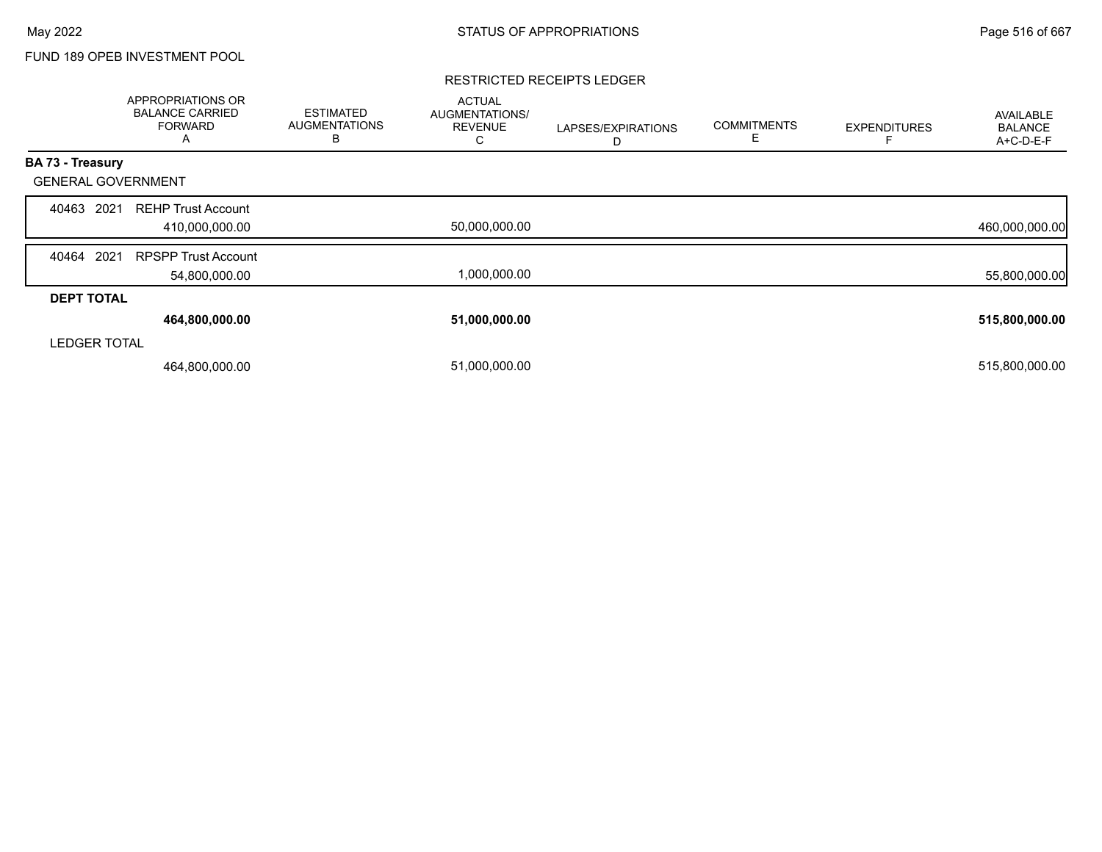# FUND 189 OPEB INVESTMENT POOL

#### RESTRICTED RECEIPTS LEDGER

|                           | <b>APPROPRIATIONS OR</b><br><b>BALANCE CARRIED</b><br><b>FORWARD</b><br>A | <b>ESTIMATED</b><br><b>AUGMENTATIONS</b><br>B | <b>ACTUAL</b><br>AUGMENTATIONS/<br><b>REVENUE</b><br>С | LAPSES/EXPIRATIONS<br>D | <b>COMMITMENTS</b><br>Е | <b>EXPENDITURES</b> | <b>AVAILABLE</b><br><b>BALANCE</b><br>A+C-D-E-F |
|---------------------------|---------------------------------------------------------------------------|-----------------------------------------------|--------------------------------------------------------|-------------------------|-------------------------|---------------------|-------------------------------------------------|
| BA 73 - Treasury          |                                                                           |                                               |                                                        |                         |                         |                     |                                                 |
| <b>GENERAL GOVERNMENT</b> |                                                                           |                                               |                                                        |                         |                         |                     |                                                 |
| 2021<br>40463             | <b>REHP Trust Account</b>                                                 |                                               |                                                        |                         |                         |                     |                                                 |
|                           | 410,000,000.00                                                            |                                               | 50,000,000.00                                          |                         |                         |                     | 460,000,000.00                                  |
| 2021<br>40464             | <b>RPSPP Trust Account</b>                                                |                                               |                                                        |                         |                         |                     |                                                 |
|                           | 54,800,000.00                                                             |                                               | 1,000,000.00                                           |                         |                         |                     | 55,800,000.00                                   |
| <b>DEPT TOTAL</b>         |                                                                           |                                               |                                                        |                         |                         |                     |                                                 |
|                           | 464,800,000.00                                                            |                                               | 51,000,000.00                                          |                         |                         |                     | 515,800,000.00                                  |
| <b>LEDGER TOTAL</b>       |                                                                           |                                               |                                                        |                         |                         |                     |                                                 |
|                           | 464,800,000.00                                                            |                                               | 51,000,000.00                                          |                         |                         |                     | 515,800,000.00                                  |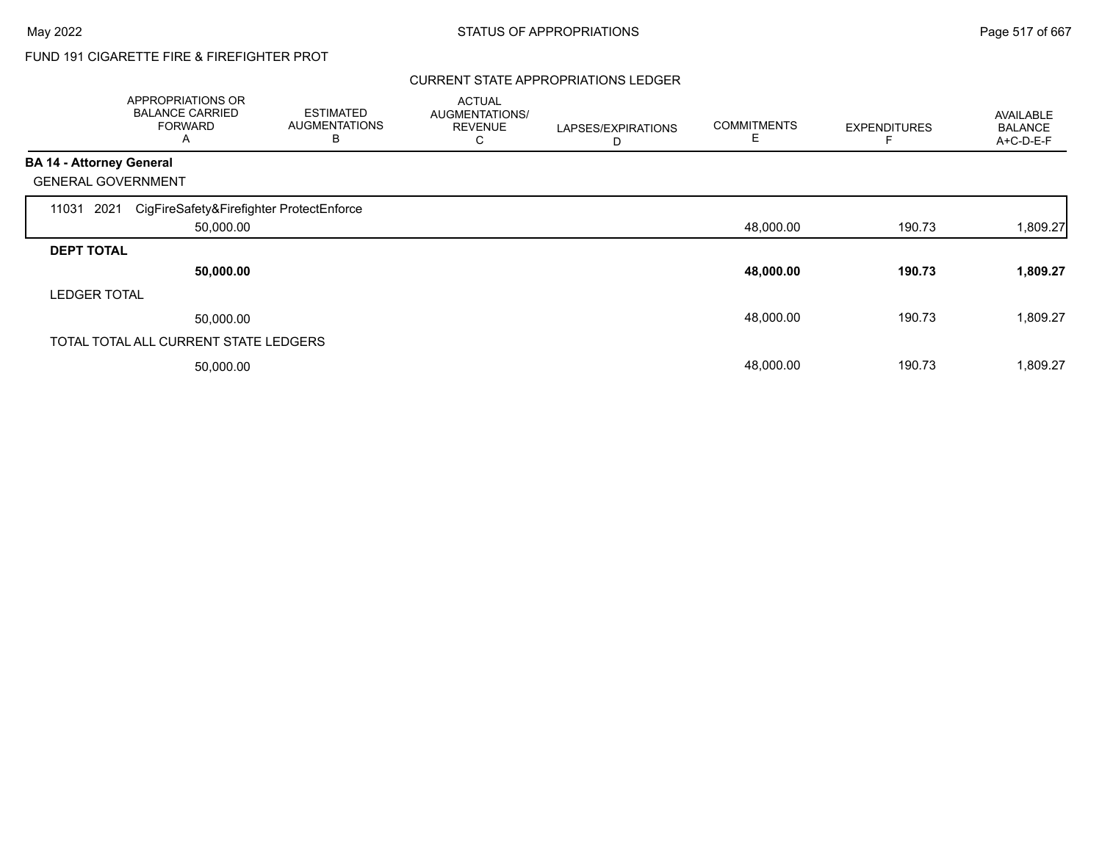# FUND 191 CIGARETTE FIRE & FIREFIGHTER PROT

## CURRENT STATE APPROPRIATIONS LEDGER

|                                 | APPROPRIATIONS OR<br><b>BALANCE CARRIED</b><br><b>FORWARD</b><br>A | <b>ESTIMATED</b><br><b>AUGMENTATIONS</b><br>B | <b>ACTUAL</b><br>AUGMENTATIONS/<br><b>REVENUE</b><br>С | LAPSES/EXPIRATIONS<br>D | <b>COMMITMENTS</b> | <b>EXPENDITURES</b> | AVAILABLE<br><b>BALANCE</b><br>A+C-D-E-F |
|---------------------------------|--------------------------------------------------------------------|-----------------------------------------------|--------------------------------------------------------|-------------------------|--------------------|---------------------|------------------------------------------|
| <b>BA 14 - Attorney General</b> |                                                                    |                                               |                                                        |                         |                    |                     |                                          |
|                                 | <b>GENERAL GOVERNMENT</b>                                          |                                               |                                                        |                         |                    |                     |                                          |
| 11031                           | CigFireSafety&Firefighter ProtectEnforce<br>2021                   |                                               |                                                        |                         |                    |                     |                                          |
|                                 | 50,000.00                                                          |                                               |                                                        |                         | 48,000.00          | 190.73              | 1,809.27                                 |
| <b>DEPT TOTAL</b>               |                                                                    |                                               |                                                        |                         |                    |                     |                                          |
|                                 | 50,000.00                                                          |                                               |                                                        |                         | 48,000.00          | 190.73              | 1,809.27                                 |
| <b>LEDGER TOTAL</b>             |                                                                    |                                               |                                                        |                         |                    |                     |                                          |
|                                 | 50,000.00                                                          |                                               |                                                        |                         | 48,000.00          | 190.73              | 1,809.27                                 |
|                                 | TOTAL TOTAL ALL CURRENT STATE LEDGERS                              |                                               |                                                        |                         |                    |                     |                                          |
|                                 | 50,000.00                                                          |                                               |                                                        |                         | 48,000.00          | 190.73              | 1,809.27                                 |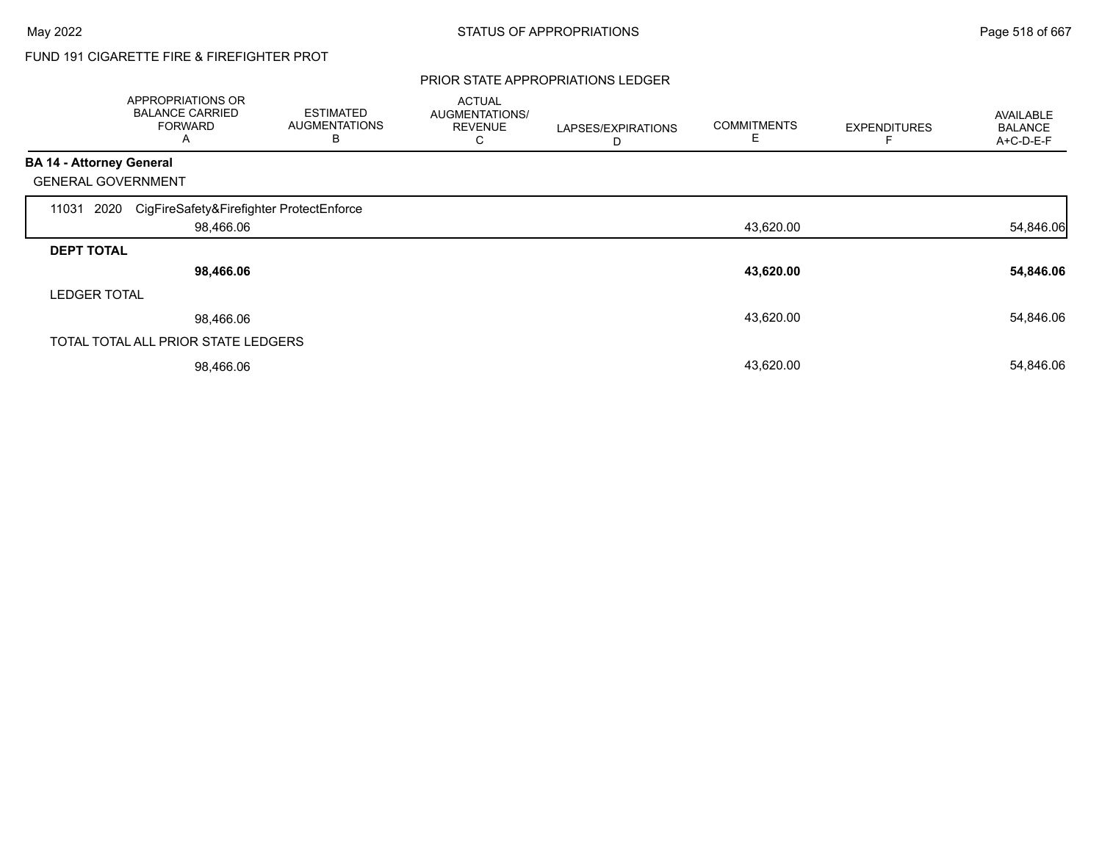# FUND 191 CIGARETTE FIRE & FIREFIGHTER PROT

#### PRIOR STATE APPROPRIATIONS LEDGER

|                                 | APPROPRIATIONS OR<br><b>BALANCE CARRIED</b><br><b>FORWARD</b><br>A | <b>ESTIMATED</b><br><b>AUGMENTATIONS</b><br>B | <b>ACTUAL</b><br>AUGMENTATIONS/<br><b>REVENUE</b><br>С | LAPSES/EXPIRATIONS<br>D | <b>COMMITMENTS</b><br>Е | <b>EXPENDITURES</b> | <b>AVAILABLE</b><br><b>BALANCE</b><br>A+C-D-E-F |
|---------------------------------|--------------------------------------------------------------------|-----------------------------------------------|--------------------------------------------------------|-------------------------|-------------------------|---------------------|-------------------------------------------------|
| <b>BA 14 - Attorney General</b> |                                                                    |                                               |                                                        |                         |                         |                     |                                                 |
|                                 | <b>GENERAL GOVERNMENT</b>                                          |                                               |                                                        |                         |                         |                     |                                                 |
| 11031                           | CigFireSafety&Firefighter ProtectEnforce<br>2020                   |                                               |                                                        |                         |                         |                     |                                                 |
|                                 | 98,466.06                                                          |                                               |                                                        |                         | 43,620.00               |                     | 54,846.06                                       |
| <b>DEPT TOTAL</b>               |                                                                    |                                               |                                                        |                         |                         |                     |                                                 |
|                                 | 98,466.06                                                          |                                               |                                                        |                         | 43,620.00               |                     | 54,846.06                                       |
| <b>LEDGER TOTAL</b>             |                                                                    |                                               |                                                        |                         |                         |                     |                                                 |
|                                 | 98,466.06                                                          |                                               |                                                        |                         | 43,620.00               |                     | 54,846.06                                       |
|                                 | TOTAL TOTAL ALL PRIOR STATE LEDGERS                                |                                               |                                                        |                         |                         |                     |                                                 |
|                                 | 98,466.06                                                          |                                               |                                                        |                         | 43,620.00               |                     | 54,846.06                                       |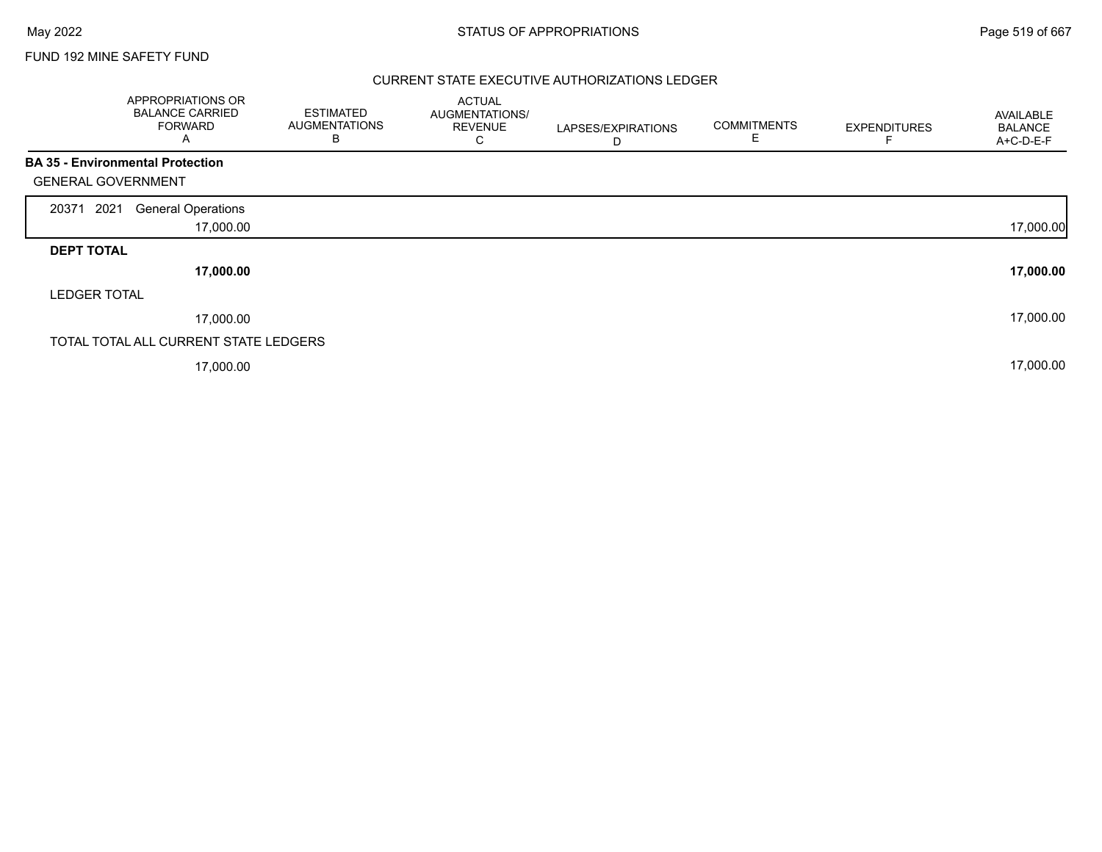## FUND 192 MINE SAFETY FUND

## CURRENT STATE EXECUTIVE AUTHORIZATIONS LEDGER

| APPROPRIATIONS OR<br><b>BALANCE CARRIED</b><br><b>FORWARD</b><br>A   | <b>ESTIMATED</b><br><b>AUGMENTATIONS</b><br>В | <b>ACTUAL</b><br>AUGMENTATIONS/<br><b>REVENUE</b><br>С | LAPSES/EXPIRATIONS<br>D | <b>COMMITMENTS</b><br>Е | <b>EXPENDITURES</b> | AVAILABLE<br><b>BALANCE</b><br>A+C-D-E-F |
|----------------------------------------------------------------------|-----------------------------------------------|--------------------------------------------------------|-------------------------|-------------------------|---------------------|------------------------------------------|
| <b>BA 35 - Environmental Protection</b><br><b>GENERAL GOVERNMENT</b> |                                               |                                                        |                         |                         |                     |                                          |
| 2021<br><b>General Operations</b><br>20371                           |                                               |                                                        |                         |                         |                     |                                          |
|                                                                      | 17,000.00                                     |                                                        |                         |                         |                     | 17,000.00                                |
| <b>DEPT TOTAL</b>                                                    |                                               |                                                        |                         |                         |                     |                                          |
|                                                                      | 17,000.00                                     |                                                        |                         |                         |                     | 17,000.00                                |
| <b>LEDGER TOTAL</b>                                                  |                                               |                                                        |                         |                         |                     |                                          |
|                                                                      | 17,000.00                                     |                                                        |                         |                         |                     | 17,000.00                                |
| TOTAL TOTAL ALL CURRENT STATE LEDGERS                                |                                               |                                                        |                         |                         |                     |                                          |
|                                                                      | 17,000.00                                     |                                                        |                         |                         |                     | 17,000.00                                |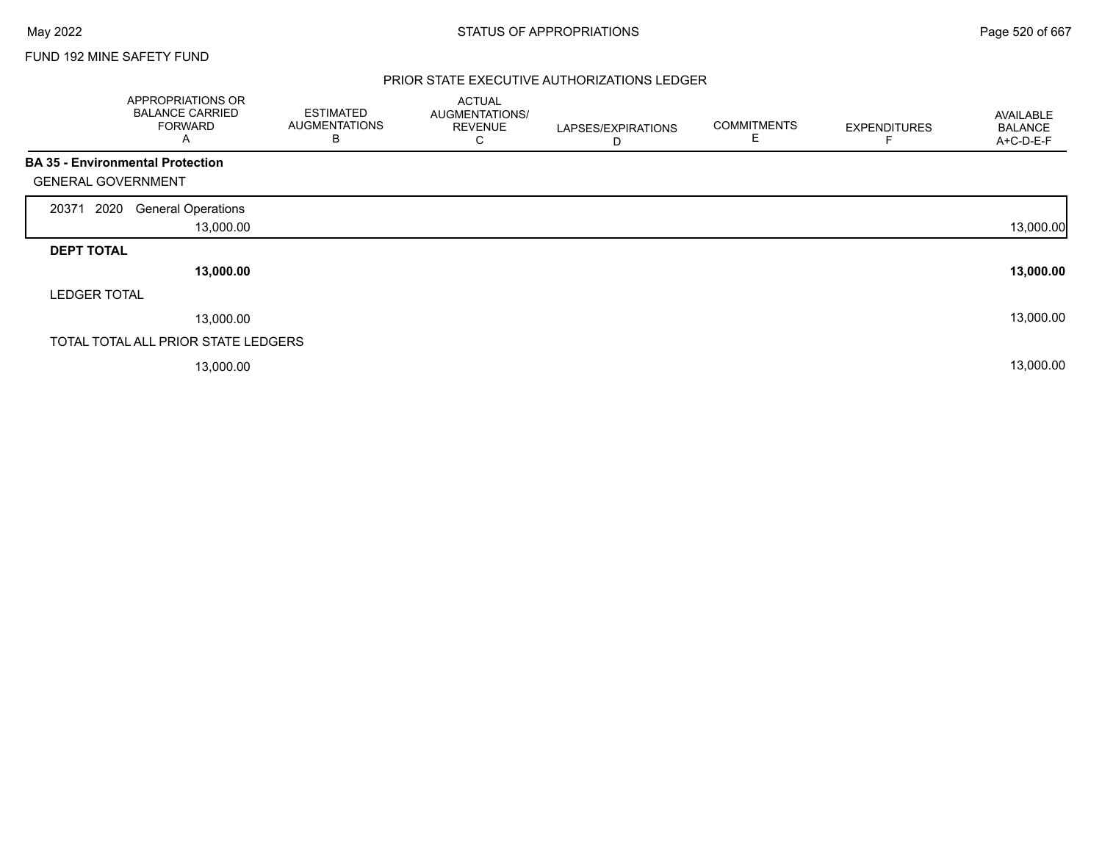## FUND 192 MINE SAFETY FUND

## PRIOR STATE EXECUTIVE AUTHORIZATIONS LEDGER

|                           | APPROPRIATIONS OR<br><b>BALANCE CARRIED</b><br><b>FORWARD</b><br>Α | <b>ESTIMATED</b><br><b>AUGMENTATIONS</b><br>В | <b>ACTUAL</b><br>AUGMENTATIONS/<br><b>REVENUE</b><br>С | LAPSES/EXPIRATIONS<br>D | <b>COMMITMENTS</b><br>E | <b>EXPENDITURES</b> | <b>AVAILABLE</b><br><b>BALANCE</b><br>A+C-D-E-F |
|---------------------------|--------------------------------------------------------------------|-----------------------------------------------|--------------------------------------------------------|-------------------------|-------------------------|---------------------|-------------------------------------------------|
|                           | <b>BA 35 - Environmental Protection</b>                            |                                               |                                                        |                         |                         |                     |                                                 |
| <b>GENERAL GOVERNMENT</b> |                                                                    |                                               |                                                        |                         |                         |                     |                                                 |
| 2020<br>20371             | <b>General Operations</b>                                          |                                               |                                                        |                         |                         |                     |                                                 |
|                           | 13,000.00                                                          |                                               |                                                        |                         |                         |                     | 13,000.00                                       |
| <b>DEPT TOTAL</b>         |                                                                    |                                               |                                                        |                         |                         |                     |                                                 |
|                           | 13,000.00                                                          |                                               |                                                        |                         |                         |                     | 13,000.00                                       |
| <b>LEDGER TOTAL</b>       |                                                                    |                                               |                                                        |                         |                         |                     |                                                 |
|                           | 13,000.00                                                          |                                               |                                                        |                         |                         |                     | 13,000.00                                       |
|                           | TOTAL TOTAL ALL PRIOR STATE LEDGERS                                |                                               |                                                        |                         |                         |                     |                                                 |
|                           | 13,000.00                                                          |                                               |                                                        |                         |                         |                     | 13,000.00                                       |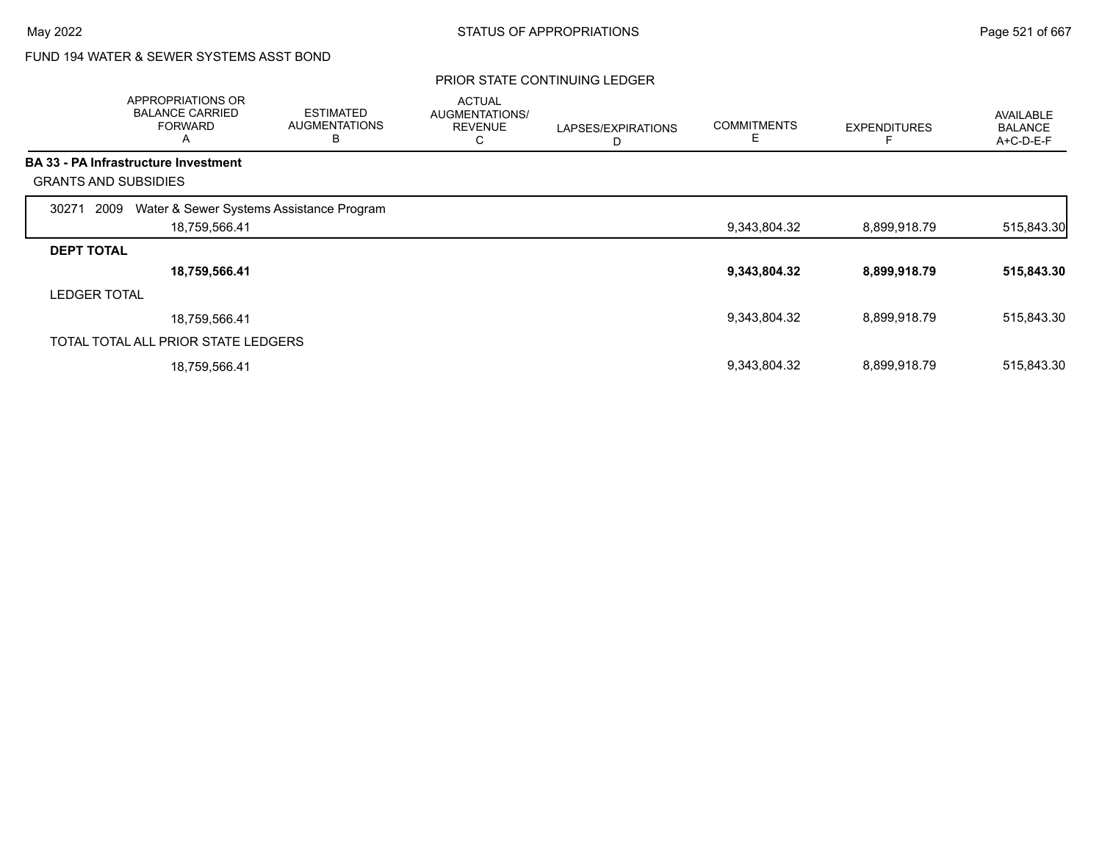# FUND 194 WATER & SEWER SYSTEMS ASST BOND

|                     | APPROPRIATIONS OR<br><b>BALANCE CARRIED</b><br><b>FORWARD</b><br>A | <b>ESTIMATED</b><br><b>AUGMENTATIONS</b><br>B | <b>ACTUAL</b><br>AUGMENTATIONS/<br><b>REVENUE</b><br>С | LAPSES/EXPIRATIONS<br>D | <b>COMMITMENTS</b><br>Е | <b>EXPENDITURES</b> | <b>AVAILABLE</b><br><b>BALANCE</b><br>A+C-D-E-F |
|---------------------|--------------------------------------------------------------------|-----------------------------------------------|--------------------------------------------------------|-------------------------|-------------------------|---------------------|-------------------------------------------------|
|                     | <b>BA 33 - PA Infrastructure Investment</b>                        |                                               |                                                        |                         |                         |                     |                                                 |
|                     | <b>GRANTS AND SUBSIDIES</b>                                        |                                               |                                                        |                         |                         |                     |                                                 |
| 30271               | Water & Sewer Systems Assistance Program<br>2009                   |                                               |                                                        |                         |                         |                     |                                                 |
|                     | 18,759,566.41                                                      |                                               |                                                        |                         | 9,343,804.32            | 8,899,918.79        | 515,843.30                                      |
| <b>DEPT TOTAL</b>   |                                                                    |                                               |                                                        |                         |                         |                     |                                                 |
|                     | 18,759,566.41                                                      |                                               |                                                        |                         | 9,343,804.32            | 8,899,918.79        | 515,843.30                                      |
| <b>LEDGER TOTAL</b> |                                                                    |                                               |                                                        |                         |                         |                     |                                                 |
|                     | 18,759,566.41                                                      |                                               |                                                        |                         | 9,343,804.32            | 8,899,918.79        | 515,843.30                                      |
|                     | TOTAL TOTAL ALL PRIOR STATE LEDGERS                                |                                               |                                                        |                         |                         |                     |                                                 |
|                     | 18,759,566.41                                                      |                                               |                                                        |                         | 9,343,804.32            | 8,899,918.79        | 515,843.30                                      |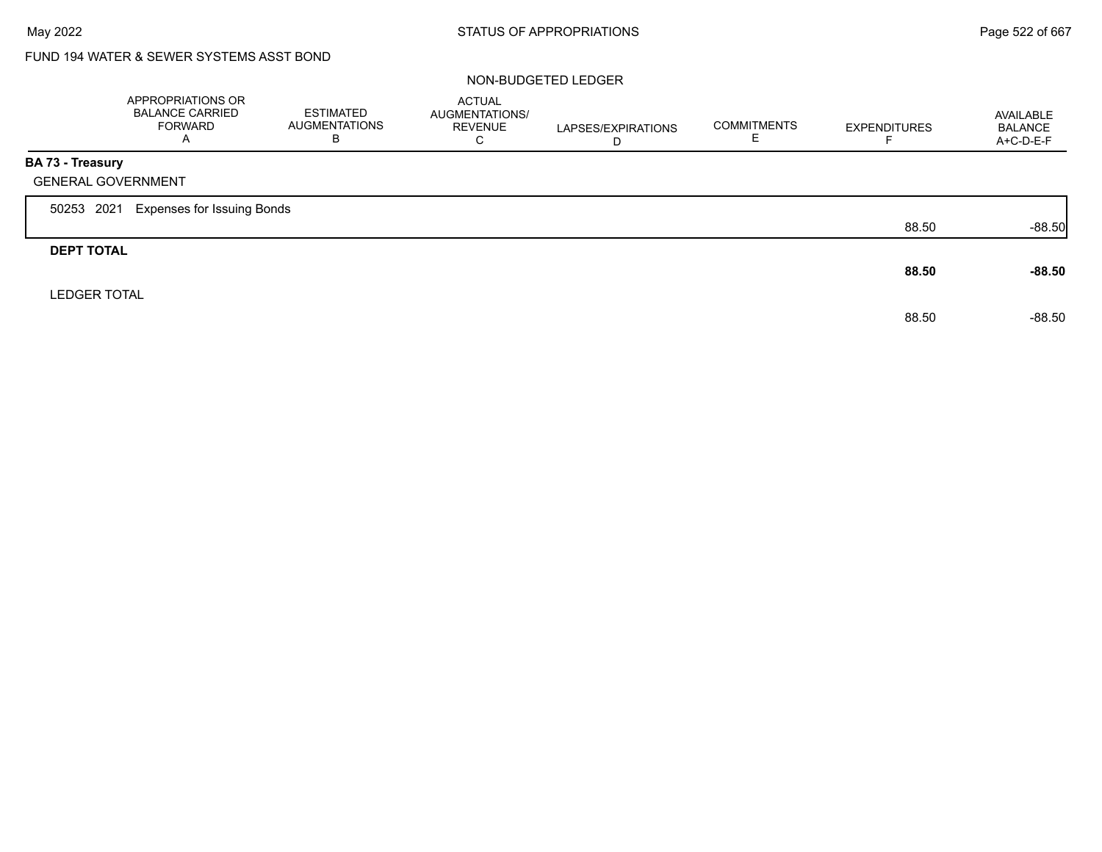# FUND 194 WATER & SEWER SYSTEMS ASST BOND

## NON-BUDGETED LEDGER

|                         | APPROPRIATIONS OR<br><b>BALANCE CARRIED</b><br><b>FORWARD</b><br>A | <b>ESTIMATED</b><br><b>AUGMENTATIONS</b><br>B | <b>ACTUAL</b><br>AUGMENTATIONS/<br><b>REVENUE</b><br>C | LAPSES/EXPIRATIONS<br>D | <b>COMMITMENTS</b> | <b>EXPENDITURES</b> | AVAILABLE<br><b>BALANCE</b><br>A+C-D-E-F |
|-------------------------|--------------------------------------------------------------------|-----------------------------------------------|--------------------------------------------------------|-------------------------|--------------------|---------------------|------------------------------------------|
| <b>BA 73 - Treasury</b> |                                                                    |                                               |                                                        |                         |                    |                     |                                          |
|                         | <b>GENERAL GOVERNMENT</b>                                          |                                               |                                                        |                         |                    |                     |                                          |
| 50253 2021              | <b>Expenses for Issuing Bonds</b>                                  |                                               |                                                        |                         |                    |                     |                                          |
|                         |                                                                    |                                               |                                                        |                         |                    | 88.50               | $-88.50$                                 |
| <b>DEPT TOTAL</b>       |                                                                    |                                               |                                                        |                         |                    |                     |                                          |
|                         |                                                                    |                                               |                                                        |                         |                    | 88.50               | $-88.50$                                 |
| <b>LEDGER TOTAL</b>     |                                                                    |                                               |                                                        |                         |                    |                     |                                          |
|                         |                                                                    |                                               |                                                        |                         |                    | 88.50               | $-88.50$                                 |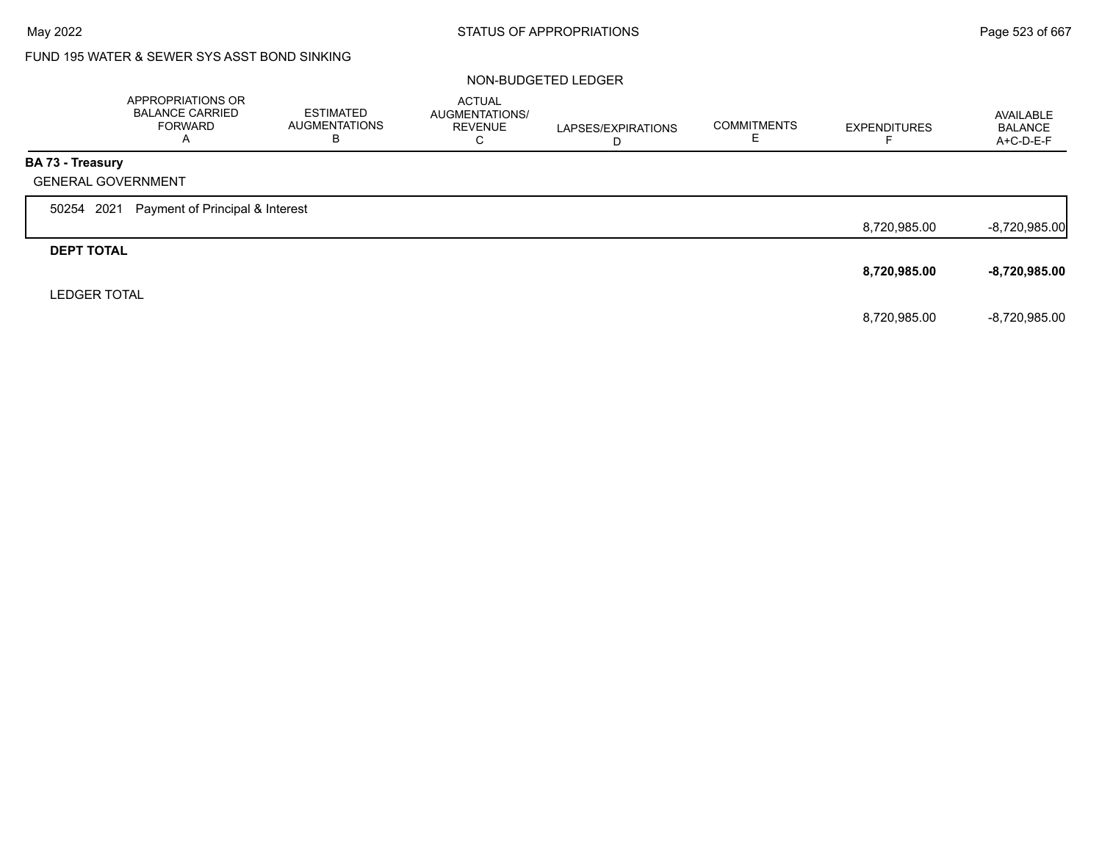# FUND 195 WATER & SEWER SYS ASST BOND SINKING

## NON-BUDGETED LEDGER

|                         | APPROPRIATIONS OR<br><b>BALANCE CARRIED</b><br><b>FORWARD</b><br>A | <b>ESTIMATED</b><br><b>AUGMENTATIONS</b><br>В | <b>ACTUAL</b><br>AUGMENTATIONS/<br><b>REVENUE</b><br>C | LAPSES/EXPIRATIONS<br>D | <b>COMMITMENTS</b> | <b>EXPENDITURES</b> | AVAILABLE<br><b>BALANCE</b><br>A+C-D-E-F |
|-------------------------|--------------------------------------------------------------------|-----------------------------------------------|--------------------------------------------------------|-------------------------|--------------------|---------------------|------------------------------------------|
| <b>BA 73 - Treasury</b> |                                                                    |                                               |                                                        |                         |                    |                     |                                          |
|                         | <b>GENERAL GOVERNMENT</b>                                          |                                               |                                                        |                         |                    |                     |                                          |
| 50254 2021              | Payment of Principal & Interest                                    |                                               |                                                        |                         |                    |                     |                                          |
|                         |                                                                    |                                               |                                                        |                         |                    | 8,720,985.00        | $-8,720,985.00$                          |
| <b>DEPT TOTAL</b>       |                                                                    |                                               |                                                        |                         |                    |                     |                                          |
|                         |                                                                    |                                               |                                                        |                         |                    | 8,720,985.00        | -8,720,985.00                            |
| <b>LEDGER TOTAL</b>     |                                                                    |                                               |                                                        |                         |                    |                     |                                          |
|                         |                                                                    |                                               |                                                        |                         |                    | 8,720,985.00        | -8,720,985.00                            |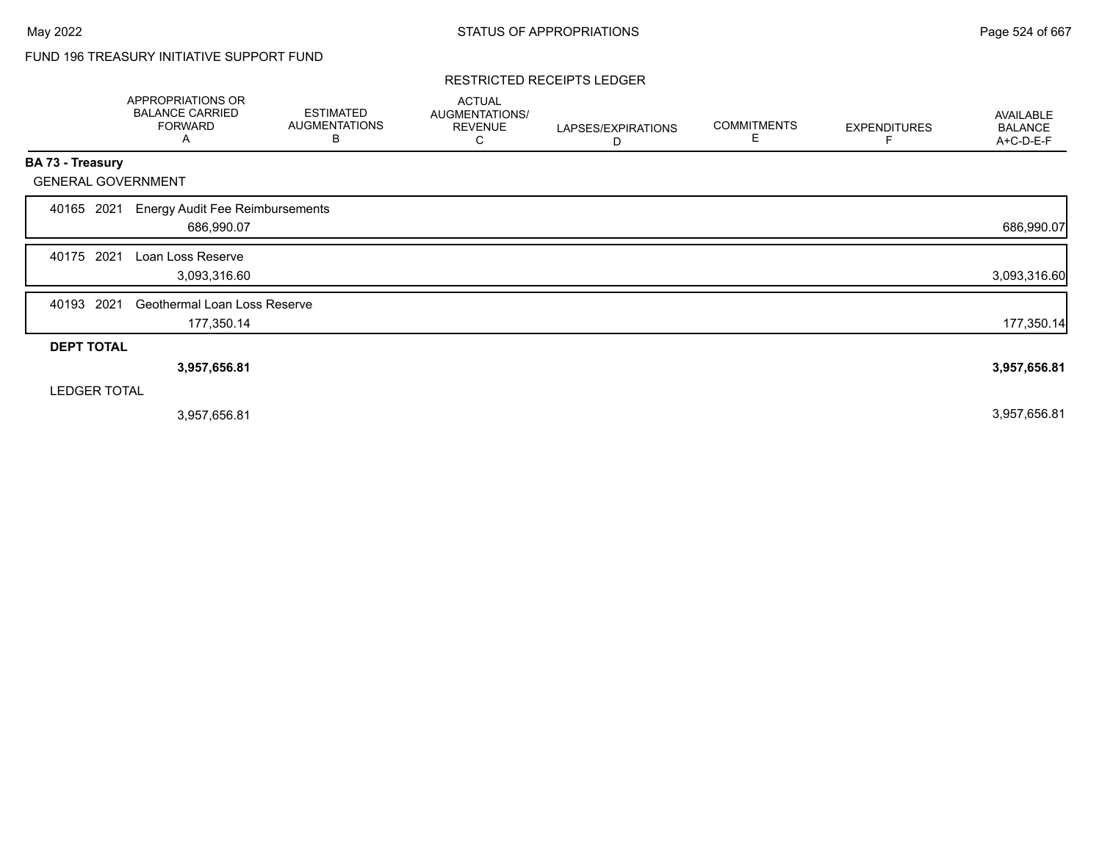# FUND 196 TREASURY INITIATIVE SUPPORT FUND

#### RESTRICTED RECEIPTS LEDGER

|                           | <b>APPROPRIATIONS OR</b><br><b>BALANCE CARRIED</b><br><b>FORWARD</b><br>A | <b>ESTIMATED</b><br><b>AUGMENTATIONS</b><br>B | <b>ACTUAL</b><br>AUGMENTATIONS/<br><b>REVENUE</b><br>С | LAPSES/EXPIRATIONS<br>D | <b>COMMITMENTS</b><br>E | <b>EXPENDITURES</b> | <b>AVAILABLE</b><br><b>BALANCE</b><br>A+C-D-E-F |
|---------------------------|---------------------------------------------------------------------------|-----------------------------------------------|--------------------------------------------------------|-------------------------|-------------------------|---------------------|-------------------------------------------------|
| BA 73 - Treasury          |                                                                           |                                               |                                                        |                         |                         |                     |                                                 |
| <b>GENERAL GOVERNMENT</b> |                                                                           |                                               |                                                        |                         |                         |                     |                                                 |
| 2021<br>40165             | <b>Energy Audit Fee Reimbursements</b><br>686,990.07                      |                                               |                                                        |                         |                         |                     | 686,990.07                                      |
| 2021<br>40175             | Loan Loss Reserve<br>3,093,316.60                                         |                                               |                                                        |                         |                         |                     | 3,093,316.60                                    |
| 2021<br>40193             | Geothermal Loan Loss Reserve<br>177,350.14                                |                                               |                                                        |                         |                         |                     | 177,350.14                                      |
| <b>DEPT TOTAL</b>         |                                                                           |                                               |                                                        |                         |                         |                     |                                                 |
|                           | 3,957,656.81                                                              |                                               |                                                        |                         |                         |                     | 3,957,656.81                                    |
| <b>LEDGER TOTAL</b>       |                                                                           |                                               |                                                        |                         |                         |                     |                                                 |
|                           | 3,957,656.81                                                              |                                               |                                                        |                         |                         |                     | 3,957,656.81                                    |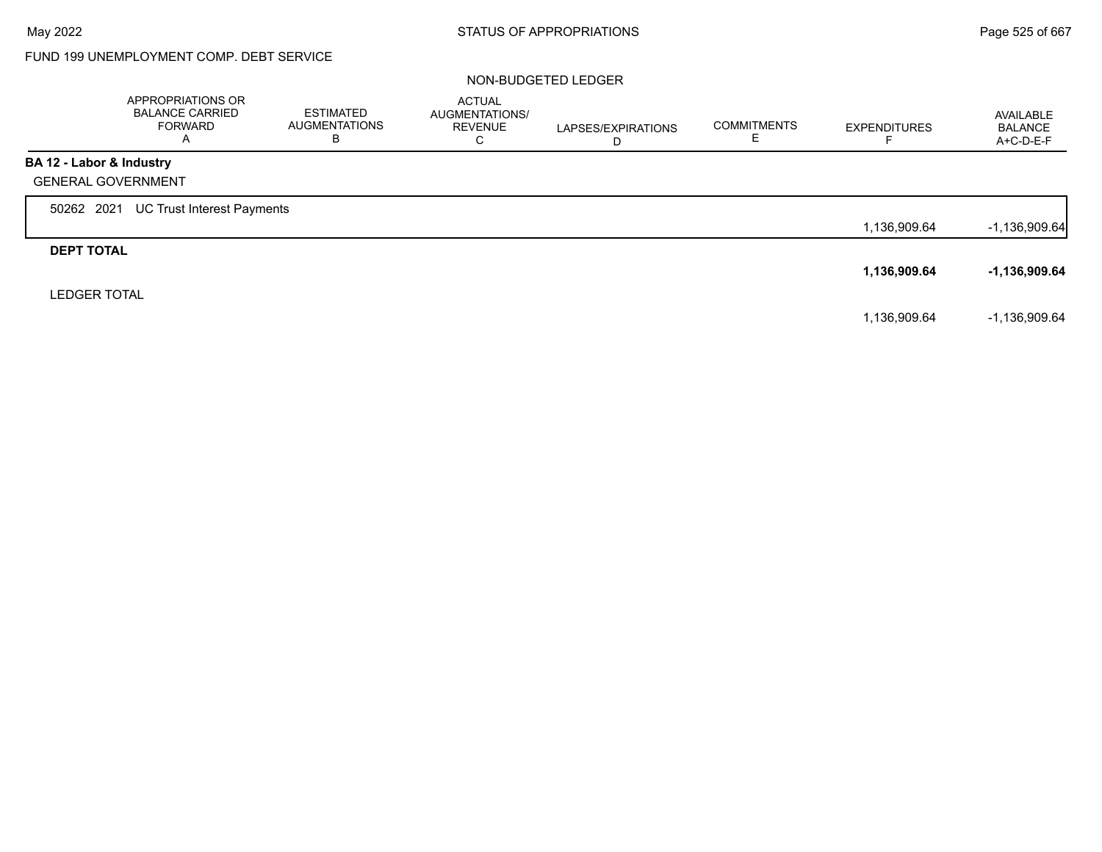# FUND 199 UNEMPLOYMENT COMP. DEBT SERVICE

## NON-BUDGETED LEDGER

|                           | APPROPRIATIONS OR<br><b>BALANCE CARRIED</b><br><b>FORWARD</b><br>Α | <b>ESTIMATED</b><br><b>AUGMENTATIONS</b><br>B | <b>ACTUAL</b><br>AUGMENTATIONS/<br><b>REVENUE</b><br>C | LAPSES/EXPIRATIONS<br>D | <b>COMMITMENTS</b> | <b>EXPENDITURES</b> | AVAILABLE<br><b>BALANCE</b><br>A+C-D-E-F |
|---------------------------|--------------------------------------------------------------------|-----------------------------------------------|--------------------------------------------------------|-------------------------|--------------------|---------------------|------------------------------------------|
| BA 12 - Labor & Industry  |                                                                    |                                               |                                                        |                         |                    |                     |                                          |
| <b>GENERAL GOVERNMENT</b> |                                                                    |                                               |                                                        |                         |                    |                     |                                          |
| 50262 2021                | UC Trust Interest Payments                                         |                                               |                                                        |                         |                    |                     |                                          |
|                           |                                                                    |                                               |                                                        |                         |                    | 1,136,909.64        | $-1,136,909.64$                          |
| <b>DEPT TOTAL</b>         |                                                                    |                                               |                                                        |                         |                    |                     |                                          |
|                           |                                                                    |                                               |                                                        |                         |                    | 1,136,909.64        | -1,136,909.64                            |
| <b>LEDGER TOTAL</b>       |                                                                    |                                               |                                                        |                         |                    |                     |                                          |
|                           |                                                                    |                                               |                                                        |                         |                    | 1,136,909.64        | $-1,136,909.64$                          |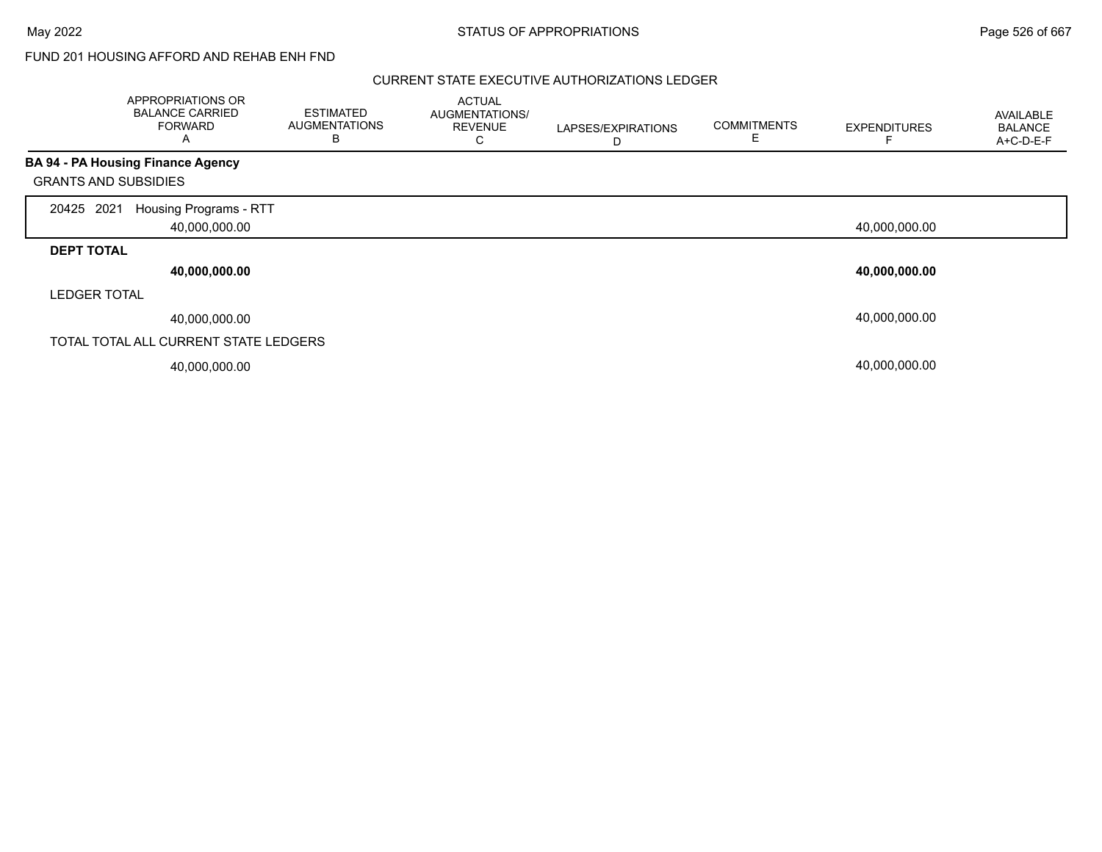## FUND 201 HOUSING AFFORD AND REHAB ENH FND

## CURRENT STATE EXECUTIVE AUTHORIZATIONS LEDGER

|                             | <b>APPROPRIATIONS OR</b><br><b>BALANCE CARRIED</b><br><b>FORWARD</b><br>A | <b>ESTIMATED</b><br><b>AUGMENTATIONS</b><br>в | <b>ACTUAL</b><br>AUGMENTATIONS/<br><b>REVENUE</b><br>С | LAPSES/EXPIRATIONS<br>D | <b>COMMITMENTS</b><br>Е | <b>EXPENDITURES</b> | AVAILABLE<br><b>BALANCE</b><br>A+C-D-E-F |
|-----------------------------|---------------------------------------------------------------------------|-----------------------------------------------|--------------------------------------------------------|-------------------------|-------------------------|---------------------|------------------------------------------|
|                             | <b>BA 94 - PA Housing Finance Agency</b>                                  |                                               |                                                        |                         |                         |                     |                                          |
| <b>GRANTS AND SUBSIDIES</b> |                                                                           |                                               |                                                        |                         |                         |                     |                                          |
| 2021<br>20425               | Housing Programs - RTT<br>40,000,000.00                                   |                                               |                                                        |                         |                         | 40,000,000.00       |                                          |
|                             |                                                                           |                                               |                                                        |                         |                         |                     |                                          |
| <b>DEPT TOTAL</b>           |                                                                           |                                               |                                                        |                         |                         |                     |                                          |
|                             | 40,000,000.00                                                             |                                               |                                                        |                         |                         | 40,000,000.00       |                                          |
| <b>LEDGER TOTAL</b>         |                                                                           |                                               |                                                        |                         |                         |                     |                                          |
|                             | 40,000,000.00                                                             |                                               |                                                        |                         |                         | 40,000,000.00       |                                          |
|                             | TOTAL TOTAL ALL CURRENT STATE LEDGERS                                     |                                               |                                                        |                         |                         |                     |                                          |
|                             | 40,000,000.00                                                             |                                               |                                                        |                         |                         | 40,000,000.00       |                                          |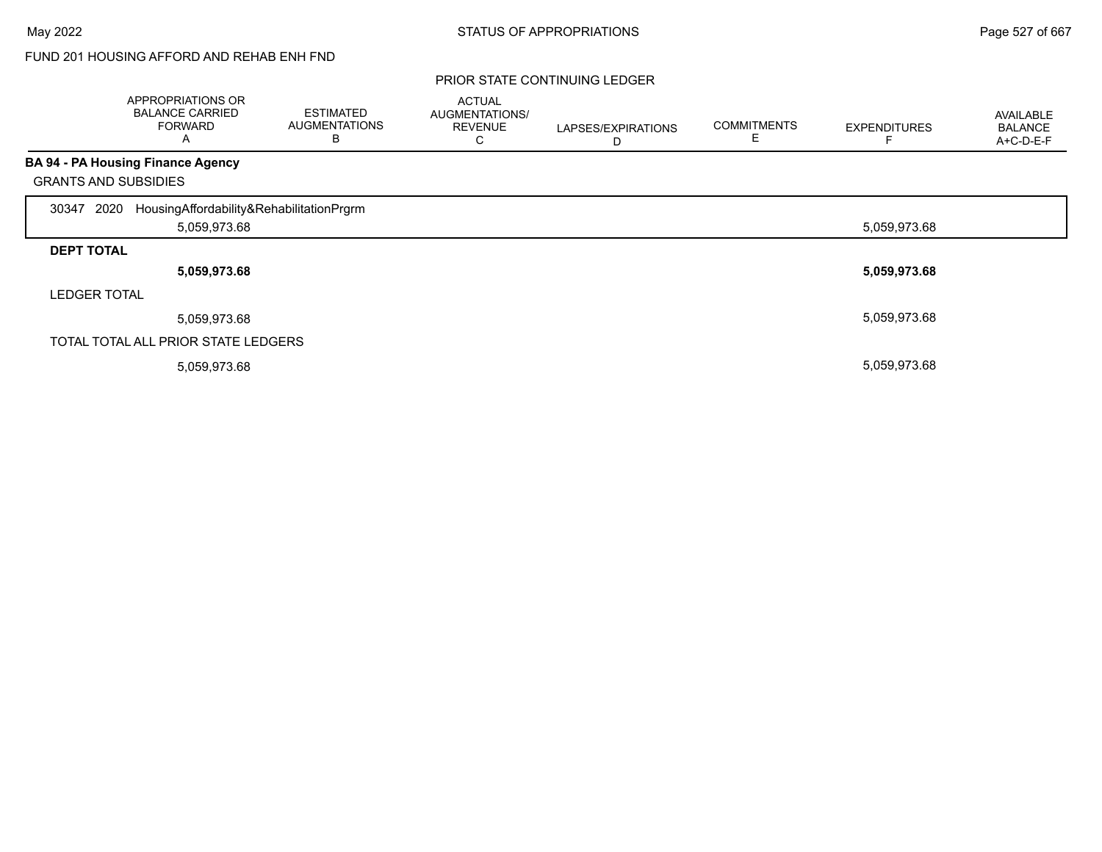# FUND 201 HOUSING AFFORD AND REHAB ENH FND

|                     | APPROPRIATIONS OR<br><b>BALANCE CARRIED</b><br><b>FORWARD</b><br>Α | <b>ESTIMATED</b><br><b>AUGMENTATIONS</b><br>B | <b>ACTUAL</b><br>AUGMENTATIONS/<br><b>REVENUE</b><br>С | LAPSES/EXPIRATIONS<br>D | <b>COMMITMENTS</b><br>Е | <b>EXPENDITURES</b> | <b>AVAILABLE</b><br><b>BALANCE</b><br>A+C-D-E-F |
|---------------------|--------------------------------------------------------------------|-----------------------------------------------|--------------------------------------------------------|-------------------------|-------------------------|---------------------|-------------------------------------------------|
|                     | <b>BA 94 - PA Housing Finance Agency</b>                           |                                               |                                                        |                         |                         |                     |                                                 |
|                     | <b>GRANTS AND SUBSIDIES</b>                                        |                                               |                                                        |                         |                         |                     |                                                 |
| 2020<br>30347       | HousingAffordability&RehabilitationPrgrm                           |                                               |                                                        |                         |                         |                     |                                                 |
|                     | 5,059,973.68                                                       |                                               |                                                        |                         |                         | 5,059,973.68        |                                                 |
| <b>DEPT TOTAL</b>   |                                                                    |                                               |                                                        |                         |                         |                     |                                                 |
|                     | 5,059,973.68                                                       |                                               |                                                        |                         |                         | 5,059,973.68        |                                                 |
| <b>LEDGER TOTAL</b> |                                                                    |                                               |                                                        |                         |                         |                     |                                                 |
|                     | 5,059,973.68                                                       |                                               |                                                        |                         |                         | 5,059,973.68        |                                                 |
|                     | TOTAL TOTAL ALL PRIOR STATE LEDGERS                                |                                               |                                                        |                         |                         |                     |                                                 |
|                     | 5,059,973.68                                                       |                                               |                                                        |                         |                         | 5,059,973.68        |                                                 |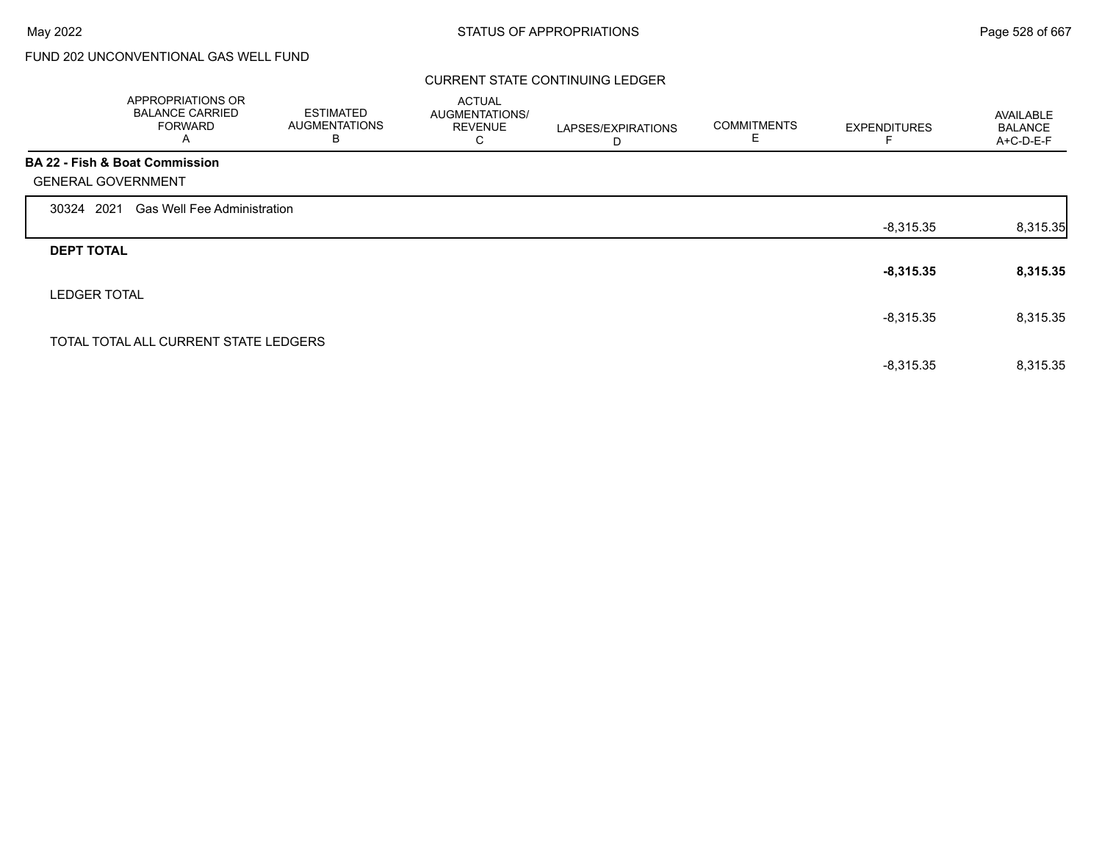## CURRENT STATE CONTINUING LEDGER

|                   | APPROPRIATIONS OR<br><b>BALANCE CARRIED</b><br><b>FORWARD</b><br>A | <b>ESTIMATED</b><br><b>AUGMENTATIONS</b><br>B | <b>ACTUAL</b><br>AUGMENTATIONS/<br><b>REVENUE</b><br>С | LAPSES/EXPIRATIONS<br>D | <b>COMMITMENTS</b><br>Е | <b>EXPENDITURES</b> | <b>AVAILABLE</b><br><b>BALANCE</b><br>$A+C-D-E-F$ |
|-------------------|--------------------------------------------------------------------|-----------------------------------------------|--------------------------------------------------------|-------------------------|-------------------------|---------------------|---------------------------------------------------|
|                   | <b>BA 22 - Fish &amp; Boat Commission</b>                          |                                               |                                                        |                         |                         |                     |                                                   |
|                   | <b>GENERAL GOVERNMENT</b>                                          |                                               |                                                        |                         |                         |                     |                                                   |
| 30324 2021        | <b>Gas Well Fee Administration</b>                                 |                                               |                                                        |                         |                         |                     |                                                   |
|                   |                                                                    |                                               |                                                        |                         |                         | $-8,315.35$         | 8,315.35                                          |
| <b>DEPT TOTAL</b> |                                                                    |                                               |                                                        |                         |                         |                     |                                                   |
|                   |                                                                    |                                               |                                                        |                         |                         | $-8,315.35$         | 8,315.35                                          |
|                   | <b>LEDGER TOTAL</b>                                                |                                               |                                                        |                         |                         |                     |                                                   |
|                   |                                                                    |                                               |                                                        |                         |                         | $-8,315.35$         | 8,315.35                                          |
|                   | TOTAL TOTAL ALL CURRENT STATE LEDGERS                              |                                               |                                                        |                         |                         |                     |                                                   |
|                   |                                                                    |                                               |                                                        |                         |                         | $-8,315.35$         | 8,315.35                                          |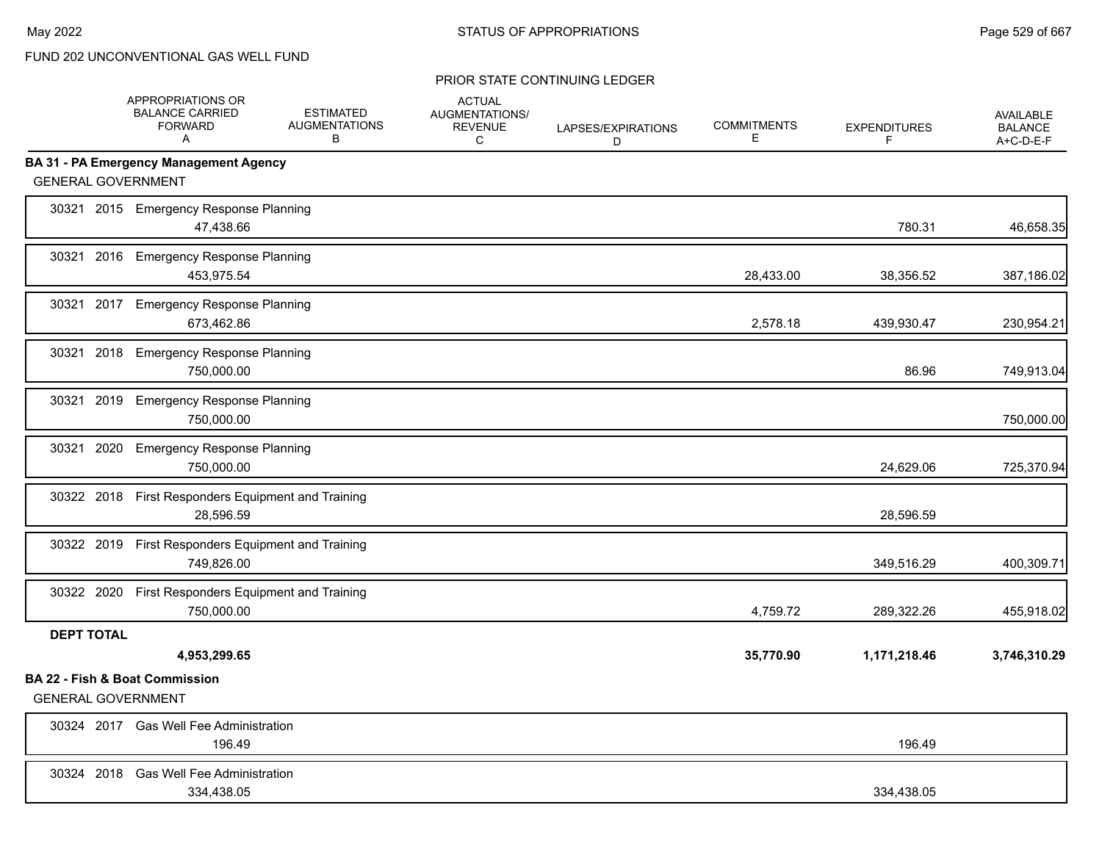|                           | APPROPRIATIONS OR<br><b>BALANCE CARRIED</b><br><b>FORWARD</b><br>A | <b>ESTIMATED</b><br><b>AUGMENTATIONS</b><br>B | <b>ACTUAL</b><br>AUGMENTATIONS/<br><b>REVENUE</b><br>C | LAPSES/EXPIRATIONS<br>D | <b>COMMITMENTS</b><br>E. | <b>EXPENDITURES</b><br>F | <b>AVAILABLE</b><br><b>BALANCE</b><br>$A+C-D-E-F$ |
|---------------------------|--------------------------------------------------------------------|-----------------------------------------------|--------------------------------------------------------|-------------------------|--------------------------|--------------------------|---------------------------------------------------|
|                           | BA 31 - PA Emergency Management Agency                             |                                               |                                                        |                         |                          |                          |                                                   |
| <b>GENERAL GOVERNMENT</b> |                                                                    |                                               |                                                        |                         |                          |                          |                                                   |
|                           | 30321 2015 Emergency Response Planning<br>47,438.66                |                                               |                                                        |                         |                          | 780.31                   | 46,658.35                                         |
| 30321                     | 2016 Emergency Response Planning<br>453,975.54                     |                                               |                                                        |                         | 28,433.00                | 38,356.52                | 387,186.02                                        |
| 30321                     | 2017 Emergency Response Planning<br>673,462.86                     |                                               |                                                        |                         | 2,578.18                 | 439,930.47               | 230,954.21                                        |
| 30321                     | 2018 Emergency Response Planning<br>750,000.00                     |                                               |                                                        |                         |                          | 86.96                    | 749,913.04                                        |
|                           | 30321 2019 Emergency Response Planning<br>750,000.00               |                                               |                                                        |                         |                          |                          | 750,000.00                                        |
|                           | 30321 2020 Emergency Response Planning<br>750,000.00               |                                               |                                                        |                         |                          | 24,629.06                | 725,370.94                                        |
|                           | 30322 2018 First Responders Equipment and Training<br>28,596.59    |                                               |                                                        |                         |                          | 28,596.59                |                                                   |
|                           | 30322 2019 First Responders Equipment and Training<br>749,826.00   |                                               |                                                        |                         |                          | 349,516.29               | 400,309.71                                        |
|                           | 30322 2020 First Responders Equipment and Training<br>750,000.00   |                                               |                                                        |                         | 4,759.72                 | 289,322.26               | 455,918.02                                        |
| <b>DEPT TOTAL</b>         | 4,953,299.65                                                       |                                               |                                                        |                         | 35,770.90                | 1,171,218.46             | 3,746,310.29                                      |
| <b>GENERAL GOVERNMENT</b> | <b>BA 22 - Fish &amp; Boat Commission</b>                          |                                               |                                                        |                         |                          |                          |                                                   |
|                           | 30324 2017 Gas Well Fee Administration<br>196.49                   |                                               |                                                        |                         |                          | 196.49                   |                                                   |
|                           | 30324 2018 Gas Well Fee Administration<br>334,438.05               |                                               |                                                        |                         |                          | 334,438.05               |                                                   |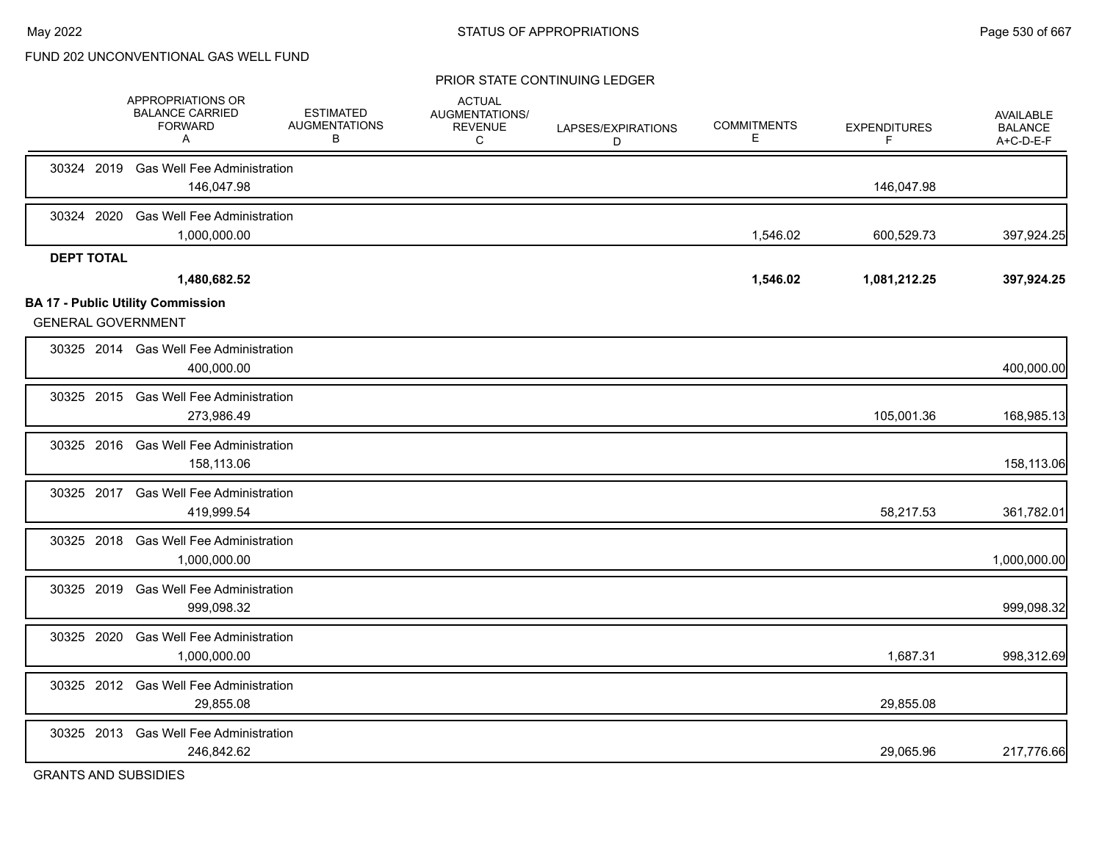#### PRIOR STATE CONTINUING LEDGER

|                   | APPROPRIATIONS OR<br><b>BALANCE CARRIED</b><br><b>FORWARD</b><br>A    | <b>ESTIMATED</b><br><b>AUGMENTATIONS</b><br>в | <b>ACTUAL</b><br>AUGMENTATIONS/<br><b>REVENUE</b><br>C | LAPSES/EXPIRATIONS<br>D | <b>COMMITMENTS</b><br>Е | <b>EXPENDITURES</b><br>F | <b>AVAILABLE</b><br><b>BALANCE</b><br>A+C-D-E-F |
|-------------------|-----------------------------------------------------------------------|-----------------------------------------------|--------------------------------------------------------|-------------------------|-------------------------|--------------------------|-------------------------------------------------|
|                   | 30324 2019 Gas Well Fee Administration<br>146,047.98                  |                                               |                                                        |                         |                         | 146,047.98               |                                                 |
| 30324 2020        | <b>Gas Well Fee Administration</b><br>1,000,000.00                    |                                               |                                                        |                         | 1,546.02                | 600,529.73               | 397,924.25                                      |
| <b>DEPT TOTAL</b> | 1,480,682.52                                                          |                                               |                                                        |                         | 1,546.02                | 1,081,212.25             | 397,924.25                                      |
|                   | <b>BA 17 - Public Utility Commission</b><br><b>GENERAL GOVERNMENT</b> |                                               |                                                        |                         |                         |                          |                                                 |
|                   | 30325 2014 Gas Well Fee Administration<br>400,000.00                  |                                               |                                                        |                         |                         |                          | 400,000.00                                      |
|                   | 30325 2015 Gas Well Fee Administration<br>273,986.49                  |                                               |                                                        |                         |                         | 105,001.36               | 168,985.13                                      |
|                   | 30325 2016 Gas Well Fee Administration<br>158,113.06                  |                                               |                                                        |                         |                         |                          | 158,113.06                                      |
|                   | 30325 2017 Gas Well Fee Administration<br>419,999.54                  |                                               |                                                        |                         |                         | 58,217.53                | 361,782.01                                      |
| 30325 2018        | <b>Gas Well Fee Administration</b><br>1,000,000.00                    |                                               |                                                        |                         |                         |                          | 1,000,000.00                                    |
|                   | 30325 2019 Gas Well Fee Administration<br>999,098.32                  |                                               |                                                        |                         |                         |                          | 999,098.32                                      |
| 30325 2020        | <b>Gas Well Fee Administration</b><br>1,000,000.00                    |                                               |                                                        |                         |                         | 1,687.31                 | 998,312.69                                      |
|                   | 30325 2012 Gas Well Fee Administration<br>29,855.08                   |                                               |                                                        |                         |                         | 29,855.08                |                                                 |
|                   | 30325 2013 Gas Well Fee Administration<br>246,842.62                  |                                               |                                                        |                         |                         | 29,065.96                | 217,776.66                                      |
|                   |                                                                       |                                               |                                                        |                         |                         |                          |                                                 |

GRANTS AND SUBSIDIES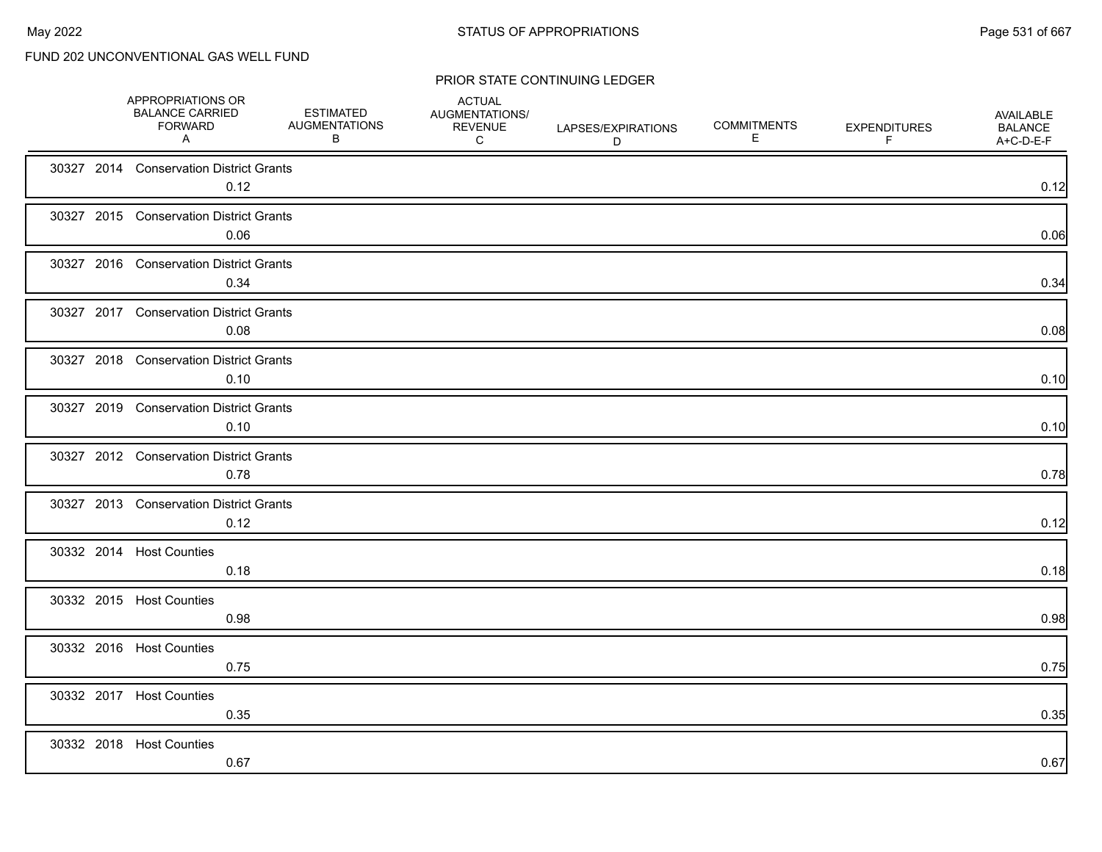| APPROPRIATIONS OR<br><b>BALANCE CARRIED</b><br><b>FORWARD</b><br>A | <b>ESTIMATED</b><br><b>AUGMENTATIONS</b><br>B | <b>ACTUAL</b><br>AUGMENTATIONS/<br><b>REVENUE</b><br>C | LAPSES/EXPIRATIONS<br>D | <b>COMMITMENTS</b><br>Е | <b>EXPENDITURES</b><br>F | AVAILABLE<br><b>BALANCE</b><br>A+C-D-E-F |
|--------------------------------------------------------------------|-----------------------------------------------|--------------------------------------------------------|-------------------------|-------------------------|--------------------------|------------------------------------------|
| 30327 2014 Conservation District Grants<br>0.12                    |                                               |                                                        |                         |                         |                          | 0.12                                     |
| 30327 2015 Conservation District Grants<br>0.06                    |                                               |                                                        |                         |                         |                          | 0.06                                     |
| 30327 2016 Conservation District Grants<br>0.34                    |                                               |                                                        |                         |                         |                          | 0.34                                     |
| 30327 2017 Conservation District Grants<br>0.08                    |                                               |                                                        |                         |                         |                          | 0.08                                     |
| 30327 2018 Conservation District Grants<br>0.10                    |                                               |                                                        |                         |                         |                          | 0.10                                     |
| 30327 2019 Conservation District Grants<br>0.10                    |                                               |                                                        |                         |                         |                          | 0.10                                     |
| 30327 2012 Conservation District Grants<br>0.78                    |                                               |                                                        |                         |                         |                          | 0.78                                     |
| 30327 2013 Conservation District Grants<br>0.12                    |                                               |                                                        |                         |                         |                          | 0.12                                     |
| 30332 2014 Host Counties<br>0.18                                   |                                               |                                                        |                         |                         |                          | 0.18                                     |
| 30332 2015 Host Counties<br>0.98                                   |                                               |                                                        |                         |                         |                          | 0.98                                     |
| 30332 2016 Host Counties<br>0.75                                   |                                               |                                                        |                         |                         |                          | 0.75                                     |
| 30332 2017 Host Counties<br>0.35                                   |                                               |                                                        |                         |                         |                          | 0.35                                     |
| 30332 2018 Host Counties<br>0.67                                   |                                               |                                                        |                         |                         |                          | 0.67                                     |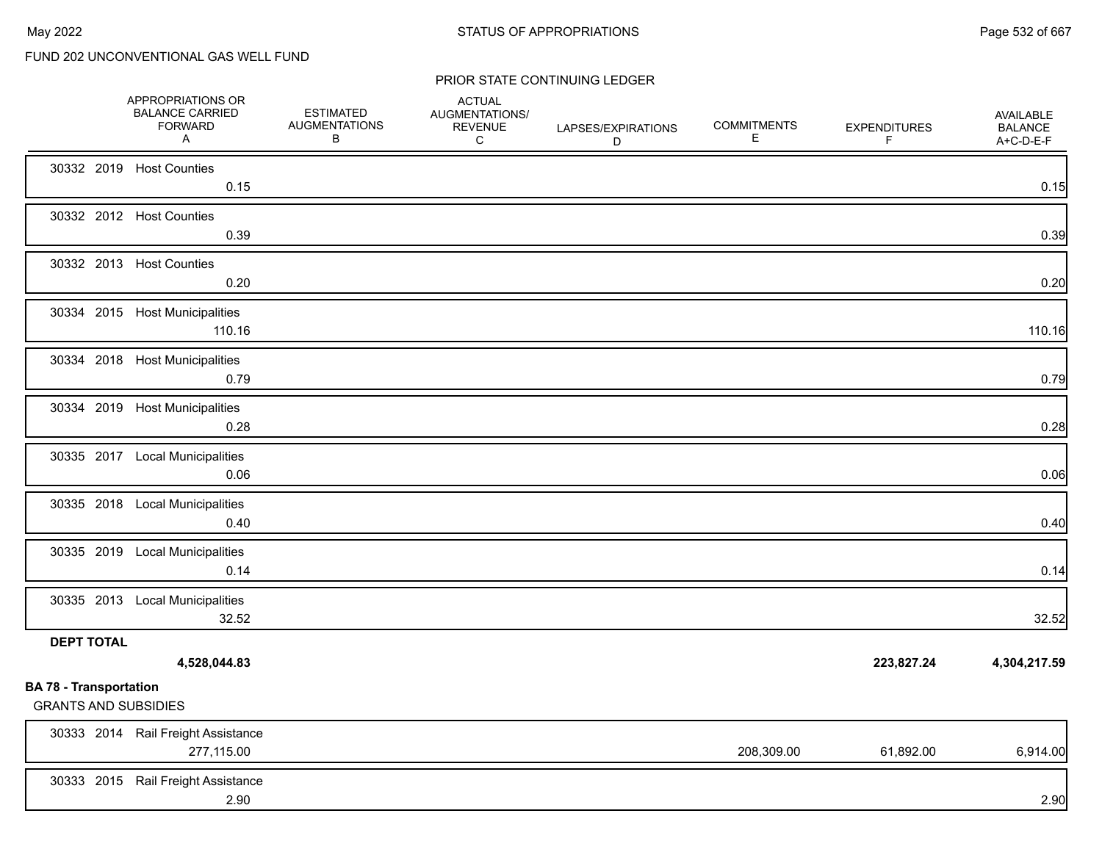|                                                              | APPROPRIATIONS OR<br><b>BALANCE CARRIED</b><br><b>FORWARD</b><br>A | <b>ESTIMATED</b><br><b>AUGMENTATIONS</b><br>В | <b>ACTUAL</b><br>AUGMENTATIONS/<br><b>REVENUE</b><br>C | LAPSES/EXPIRATIONS<br>D | <b>COMMITMENTS</b><br>Е | <b>EXPENDITURES</b><br>F. | AVAILABLE<br><b>BALANCE</b><br>A+C-D-E-F |
|--------------------------------------------------------------|--------------------------------------------------------------------|-----------------------------------------------|--------------------------------------------------------|-------------------------|-------------------------|---------------------------|------------------------------------------|
|                                                              | 30332 2019 Host Counties<br>0.15                                   |                                               |                                                        |                         |                         |                           | 0.15                                     |
|                                                              | 30332 2012 Host Counties<br>0.39                                   |                                               |                                                        |                         |                         |                           | 0.39                                     |
|                                                              | 30332 2013 Host Counties<br>0.20                                   |                                               |                                                        |                         |                         |                           | 0.20                                     |
|                                                              | 30334 2015 Host Municipalities<br>110.16                           |                                               |                                                        |                         |                         |                           | 110.16                                   |
|                                                              | 30334 2018 Host Municipalities<br>0.79                             |                                               |                                                        |                         |                         |                           | 0.79                                     |
|                                                              | 30334 2019 Host Municipalities<br>0.28                             |                                               |                                                        |                         |                         |                           | 0.28                                     |
|                                                              | 30335 2017 Local Municipalities<br>0.06                            |                                               |                                                        |                         |                         |                           | 0.06                                     |
|                                                              | 30335 2018 Local Municipalities<br>0.40                            |                                               |                                                        |                         |                         |                           | 0.40                                     |
|                                                              | 30335 2019 Local Municipalities<br>0.14                            |                                               |                                                        |                         |                         |                           | 0.14                                     |
|                                                              | 30335 2013 Local Municipalities<br>32.52                           |                                               |                                                        |                         |                         |                           | 32.52                                    |
| <b>DEPT TOTAL</b>                                            | 4,528,044.83                                                       |                                               |                                                        |                         |                         | 223,827.24                | 4,304,217.59                             |
| <b>BA 78 - Transportation</b><br><b>GRANTS AND SUBSIDIES</b> |                                                                    |                                               |                                                        |                         |                         |                           |                                          |
|                                                              | 30333 2014 Rail Freight Assistance<br>277,115.00                   |                                               |                                                        |                         | 208,309.00              | 61,892.00                 | 6,914.00                                 |
|                                                              | 30333 2015 Rail Freight Assistance<br>2.90                         |                                               |                                                        |                         |                         |                           | 2.90                                     |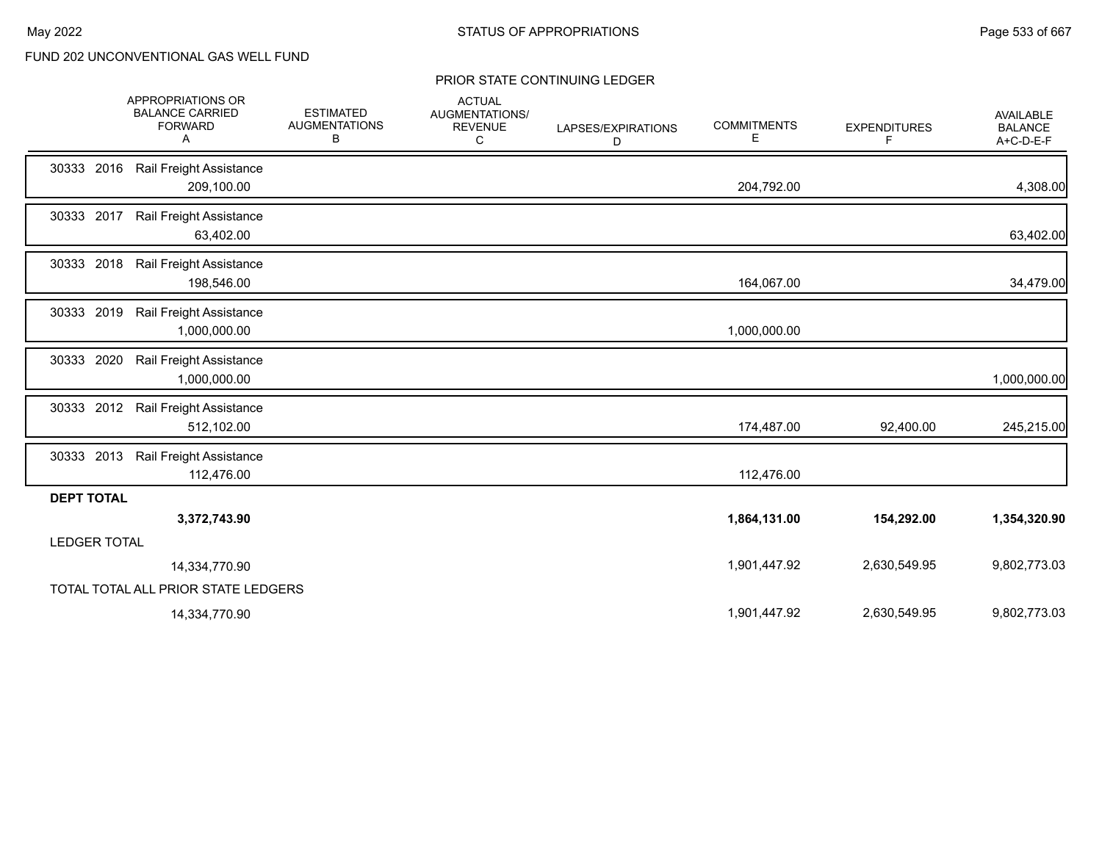|                                     | APPROPRIATIONS OR<br><b>BALANCE CARRIED</b><br><b>FORWARD</b><br>Α | <b>ESTIMATED</b><br><b>AUGMENTATIONS</b><br>В | <b>ACTUAL</b><br>AUGMENTATIONS/<br><b>REVENUE</b><br>C | LAPSES/EXPIRATIONS<br>D | <b>COMMITMENTS</b><br>Е | <b>EXPENDITURES</b><br>F | AVAILABLE<br><b>BALANCE</b><br>A+C-D-E-F |
|-------------------------------------|--------------------------------------------------------------------|-----------------------------------------------|--------------------------------------------------------|-------------------------|-------------------------|--------------------------|------------------------------------------|
| 30333 2016                          | Rail Freight Assistance<br>209,100.00                              |                                               |                                                        |                         | 204,792.00              |                          | 4,308.00                                 |
| 30333 2017                          | Rail Freight Assistance<br>63,402.00                               |                                               |                                                        |                         |                         |                          | 63,402.00                                |
| 30333 2018                          | Rail Freight Assistance<br>198,546.00                              |                                               |                                                        |                         | 164,067.00              |                          | 34,479.00                                |
| 30333 2019                          | Rail Freight Assistance<br>1,000,000.00                            |                                               |                                                        |                         | 1,000,000.00            |                          |                                          |
| 30333 2020                          | Rail Freight Assistance<br>1,000,000.00                            |                                               |                                                        |                         |                         |                          | 1,000,000.00                             |
| 30333 2012                          | Rail Freight Assistance<br>512,102.00                              |                                               |                                                        |                         | 174,487.00              | 92,400.00                | 245,215.00                               |
| 30333 2013                          | Rail Freight Assistance<br>112,476.00                              |                                               |                                                        |                         | 112,476.00              |                          |                                          |
| <b>DEPT TOTAL</b>                   |                                                                    |                                               |                                                        |                         |                         |                          |                                          |
|                                     | 3,372,743.90                                                       |                                               |                                                        |                         | 1,864,131.00            | 154,292.00               | 1,354,320.90                             |
| <b>LEDGER TOTAL</b>                 |                                                                    |                                               |                                                        |                         |                         |                          |                                          |
|                                     | 14,334,770.90                                                      |                                               |                                                        |                         | 1,901,447.92            | 2,630,549.95             | 9,802,773.03                             |
| TOTAL TOTAL ALL PRIOR STATE LEDGERS |                                                                    |                                               |                                                        |                         |                         |                          |                                          |
|                                     | 14,334,770.90                                                      |                                               |                                                        |                         | 1,901,447.92            | 2,630,549.95             | 9,802,773.03                             |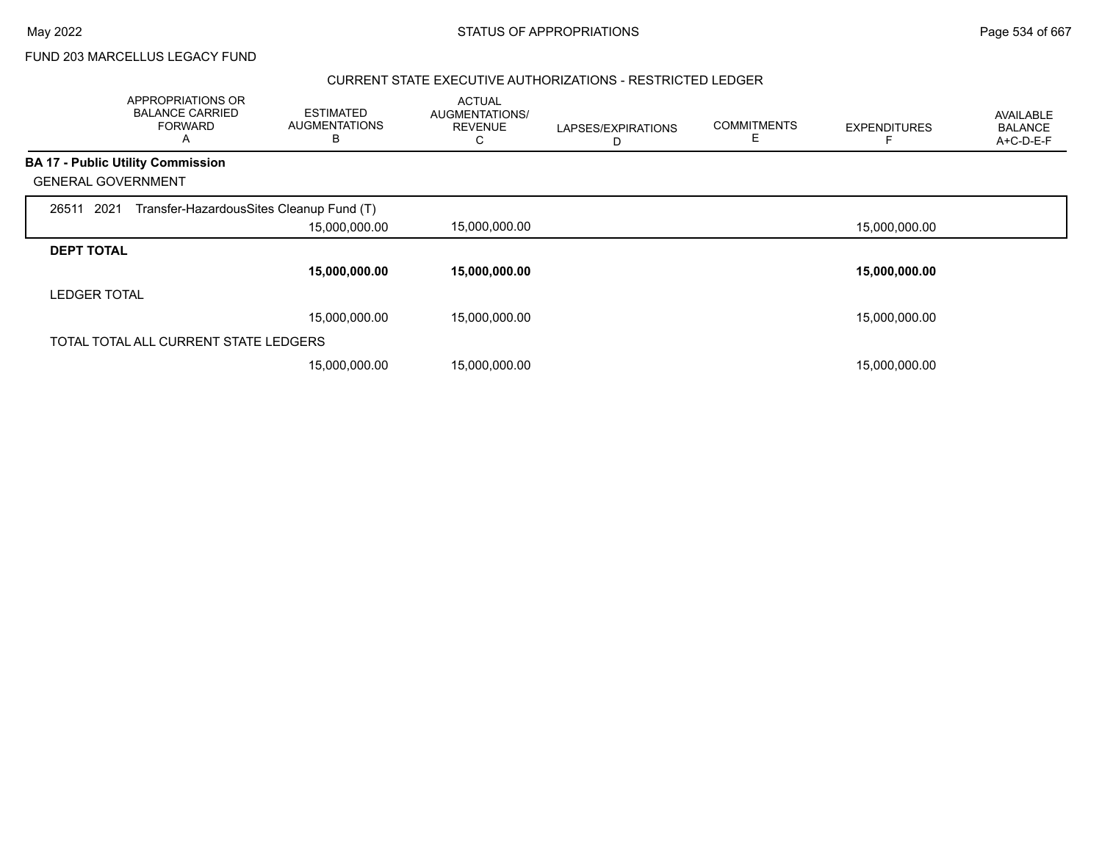FUND 203 MARCELLUS LEGACY FUND

## CURRENT STATE EXECUTIVE AUTHORIZATIONS - RESTRICTED LEDGER

|                           | APPROPRIATIONS OR<br><b>BALANCE CARRIED</b><br><b>FORWARD</b><br>A | <b>ESTIMATED</b><br><b>AUGMENTATIONS</b><br>В | <b>ACTUAL</b><br>AUGMENTATIONS/<br><b>REVENUE</b><br>Ü | LAPSES/EXPIRATIONS<br>D | <b>COMMITMENTS</b><br>E | <b>EXPENDITURES</b> | AVAILABLE<br><b>BALANCE</b><br>A+C-D-E-F |
|---------------------------|--------------------------------------------------------------------|-----------------------------------------------|--------------------------------------------------------|-------------------------|-------------------------|---------------------|------------------------------------------|
|                           | <b>BA 17 - Public Utility Commission</b>                           |                                               |                                                        |                         |                         |                     |                                          |
| <b>GENERAL GOVERNMENT</b> |                                                                    |                                               |                                                        |                         |                         |                     |                                          |
| 26511 2021                | Transfer-HazardousSites Cleanup Fund (T)                           |                                               |                                                        |                         |                         |                     |                                          |
|                           |                                                                    | 15,000,000.00                                 | 15,000,000.00                                          |                         |                         | 15,000,000.00       |                                          |
| <b>DEPT TOTAL</b>         |                                                                    |                                               |                                                        |                         |                         |                     |                                          |
|                           |                                                                    | 15,000,000.00                                 | 15,000,000.00                                          |                         |                         | 15,000,000.00       |                                          |
| <b>LEDGER TOTAL</b>       |                                                                    |                                               |                                                        |                         |                         |                     |                                          |
|                           |                                                                    | 15,000,000.00                                 | 15,000,000.00                                          |                         |                         | 15,000,000.00       |                                          |
|                           | TOTAL TOTAL ALL CURRENT STATE LEDGERS                              |                                               |                                                        |                         |                         |                     |                                          |
|                           |                                                                    | 15,000,000.00                                 | 15,000,000.00                                          |                         |                         | 15,000,000.00       |                                          |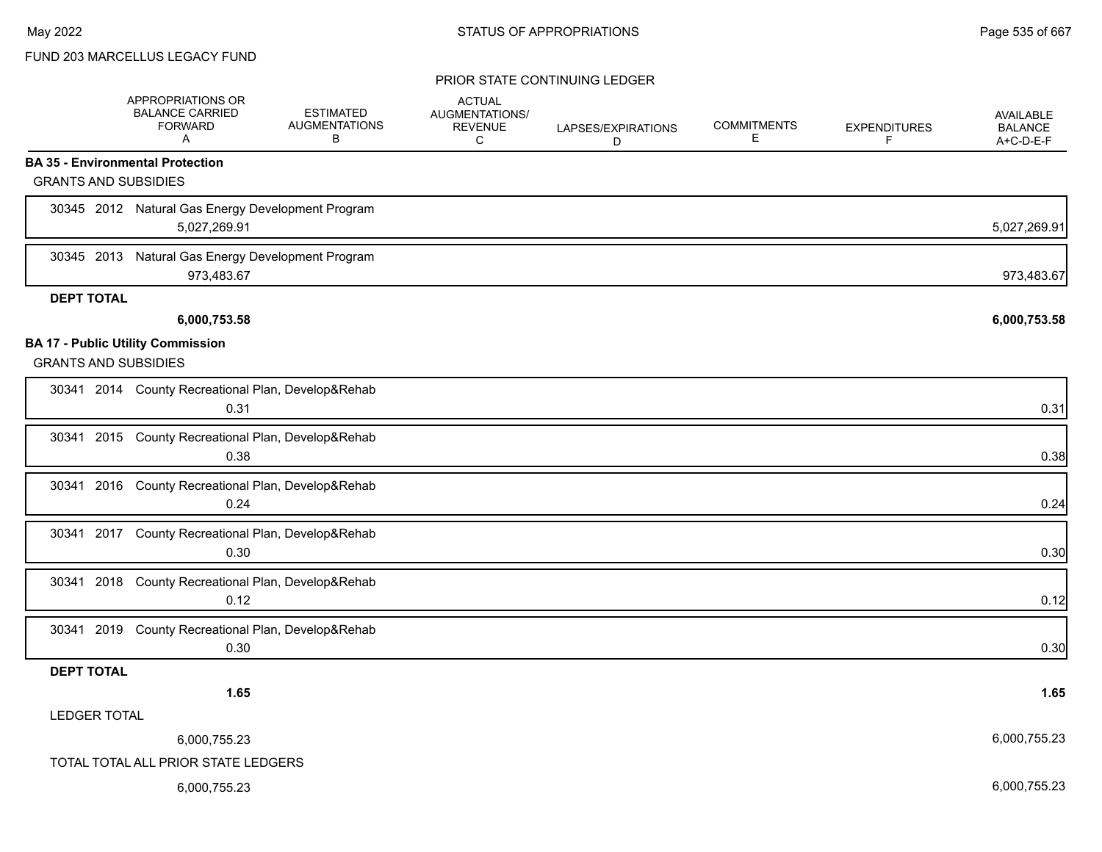## FUND 203 MARCELLUS LEGACY FUND

|                                                                         | APPROPRIATIONS OR<br><b>BALANCE CARRIED</b><br><b>FORWARD</b><br>A | <b>ESTIMATED</b><br><b>AUGMENTATIONS</b><br>В | <b>ACTUAL</b><br>AUGMENTATIONS/<br><b>REVENUE</b><br>C | LAPSES/EXPIRATIONS<br>D | <b>COMMITMENTS</b><br>Е | <b>EXPENDITURES</b><br>F | <b>AVAILABLE</b><br><b>BALANCE</b><br>A+C-D-E-F |
|-------------------------------------------------------------------------|--------------------------------------------------------------------|-----------------------------------------------|--------------------------------------------------------|-------------------------|-------------------------|--------------------------|-------------------------------------------------|
| <b>BA 35 - Environmental Protection</b>                                 |                                                                    |                                               |                                                        |                         |                         |                          |                                                 |
| <b>GRANTS AND SUBSIDIES</b>                                             |                                                                    |                                               |                                                        |                         |                         |                          |                                                 |
|                                                                         | 30345 2012 Natural Gas Energy Development Program<br>5,027,269.91  |                                               |                                                        |                         |                         |                          | 5,027,269.91                                    |
| 30345 2013                                                              | Natural Gas Energy Development Program<br>973,483.67               |                                               |                                                        |                         |                         |                          | 973,483.67                                      |
| <b>DEPT TOTAL</b>                                                       |                                                                    |                                               |                                                        |                         |                         |                          |                                                 |
|                                                                         | 6,000,753.58                                                       |                                               |                                                        |                         |                         |                          | 6,000,753.58                                    |
| <b>BA 17 - Public Utility Commission</b><br><b>GRANTS AND SUBSIDIES</b> |                                                                    |                                               |                                                        |                         |                         |                          |                                                 |
|                                                                         | 30341 2014 County Recreational Plan, Develop&Rehab<br>0.31         |                                               |                                                        |                         |                         |                          | 0.31                                            |
|                                                                         | 30341 2015 County Recreational Plan, Develop&Rehab<br>0.38         |                                               |                                                        |                         |                         |                          | 0.38                                            |
|                                                                         | 30341 2016 County Recreational Plan, Develop&Rehab<br>0.24         |                                               |                                                        |                         |                         |                          | 0.24                                            |
|                                                                         | 30341 2017 County Recreational Plan, Develop&Rehab<br>0.30         |                                               |                                                        |                         |                         |                          | 0.30                                            |
|                                                                         | 30341 2018 County Recreational Plan, Develop&Rehab<br>0.12         |                                               |                                                        |                         |                         |                          | 0.12                                            |
|                                                                         | 30341 2019 County Recreational Plan, Develop&Rehab<br>0.30         |                                               |                                                        |                         |                         |                          | 0.30                                            |
| <b>DEPT TOTAL</b>                                                       |                                                                    |                                               |                                                        |                         |                         |                          |                                                 |
|                                                                         | 1.65                                                               |                                               |                                                        |                         |                         |                          | 1.65                                            |
| <b>LEDGER TOTAL</b>                                                     |                                                                    |                                               |                                                        |                         |                         |                          |                                                 |
|                                                                         | 6,000,755.23                                                       |                                               |                                                        |                         |                         |                          | 6,000,755.23                                    |
|                                                                         | TOTAL TOTAL ALL PRIOR STATE LEDGERS                                |                                               |                                                        |                         |                         |                          |                                                 |
|                                                                         | 6,000,755.23                                                       |                                               |                                                        |                         |                         |                          | 6,000,755.23                                    |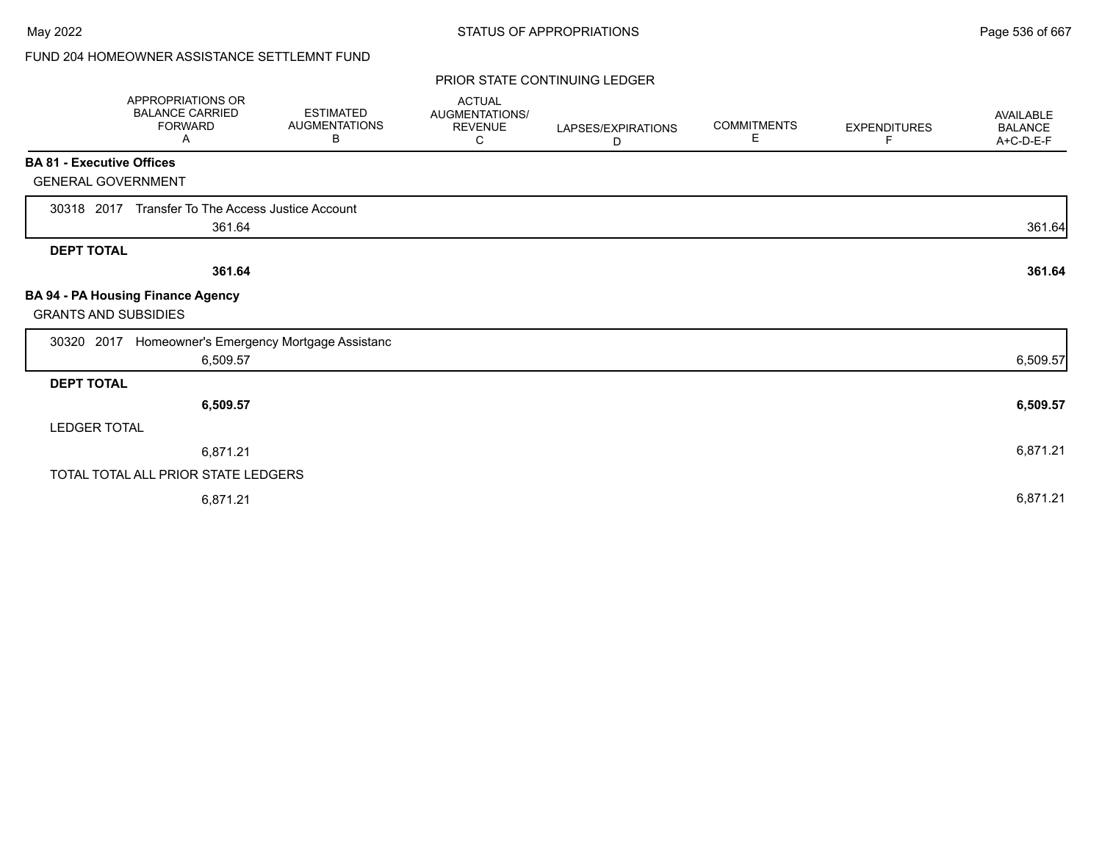# FUND 204 HOMEOWNER ASSISTANCE SETTLEMNT FUND

|                                  | <b>APPROPRIATIONS OR</b><br><b>BALANCE CARRIED</b><br><b>FORWARD</b><br>A | <b>ESTIMATED</b><br><b>AUGMENTATIONS</b><br>В | <b>ACTUAL</b><br><b>AUGMENTATIONS/</b><br><b>REVENUE</b><br>C | LAPSES/EXPIRATIONS<br>D | <b>COMMITMENTS</b><br>Е | <b>EXPENDITURES</b><br>F | <b>AVAILABLE</b><br><b>BALANCE</b><br>A+C-D-E-F |
|----------------------------------|---------------------------------------------------------------------------|-----------------------------------------------|---------------------------------------------------------------|-------------------------|-------------------------|--------------------------|-------------------------------------------------|
| <b>BA 81 - Executive Offices</b> |                                                                           |                                               |                                                               |                         |                         |                          |                                                 |
| <b>GENERAL GOVERNMENT</b>        |                                                                           |                                               |                                                               |                         |                         |                          |                                                 |
| 30318 2017                       | Transfer To The Access Justice Account                                    |                                               |                                                               |                         |                         |                          |                                                 |
|                                  | 361.64                                                                    |                                               |                                                               |                         |                         |                          | 361.64                                          |
| <b>DEPT TOTAL</b>                |                                                                           |                                               |                                                               |                         |                         |                          |                                                 |
|                                  | 361.64                                                                    |                                               |                                                               |                         |                         |                          | 361.64                                          |
| <b>GRANTS AND SUBSIDIES</b>      | <b>BA 94 - PA Housing Finance Agency</b>                                  |                                               |                                                               |                         |                         |                          |                                                 |
| 30320 2017                       | Homeowner's Emergency Mortgage Assistanc                                  |                                               |                                                               |                         |                         |                          |                                                 |
|                                  | 6,509.57                                                                  |                                               |                                                               |                         |                         |                          | 6,509.57                                        |
| <b>DEPT TOTAL</b>                |                                                                           |                                               |                                                               |                         |                         |                          |                                                 |
|                                  | 6,509.57                                                                  |                                               |                                                               |                         |                         |                          | 6,509.57                                        |
| <b>LEDGER TOTAL</b>              |                                                                           |                                               |                                                               |                         |                         |                          |                                                 |
|                                  | 6,871.21                                                                  |                                               |                                                               |                         |                         |                          | 6,871.21                                        |
|                                  | TOTAL TOTAL ALL PRIOR STATE LEDGERS                                       |                                               |                                                               |                         |                         |                          |                                                 |
|                                  | 6,871.21                                                                  |                                               |                                                               |                         |                         |                          | 6,871.21                                        |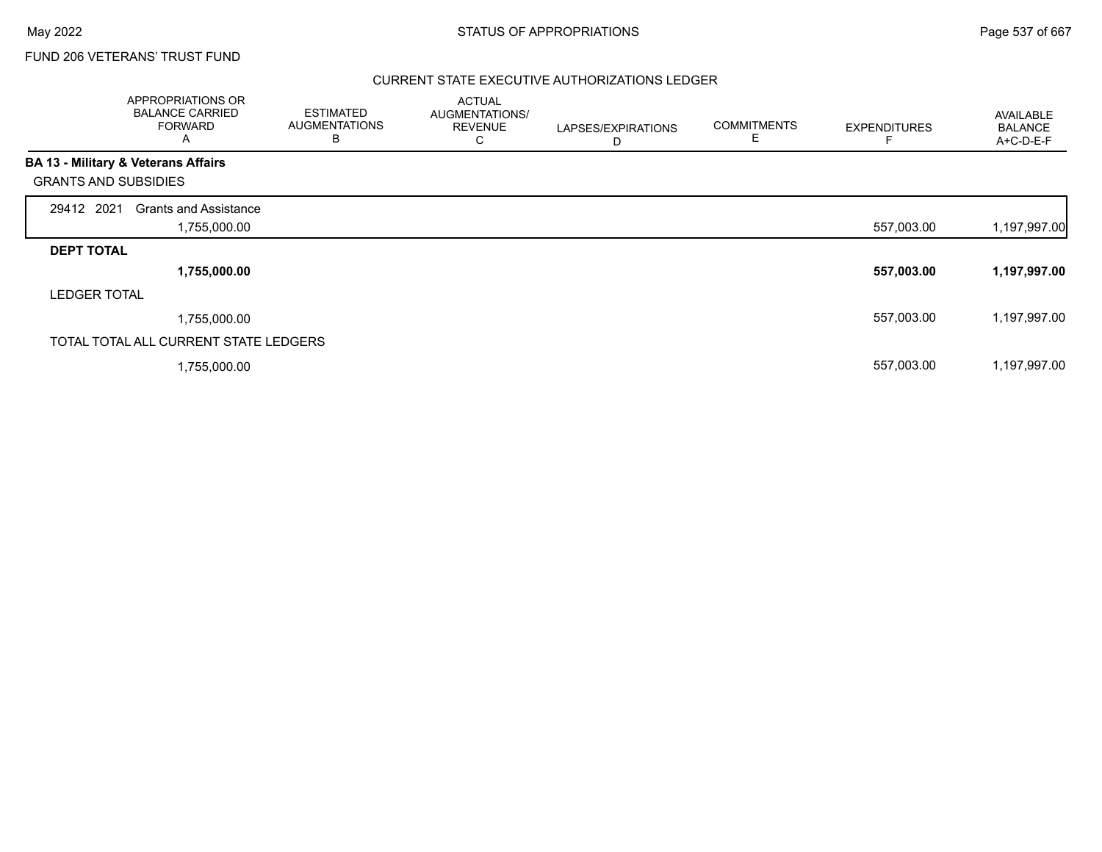## FUND 206 VETERANS' TRUST FUND

## CURRENT STATE EXECUTIVE AUTHORIZATIONS LEDGER

|                             | APPROPRIATIONS OR<br><b>BALANCE CARRIED</b><br><b>FORWARD</b><br>Α | <b>ESTIMATED</b><br><b>AUGMENTATIONS</b><br>в | <b>ACTUAL</b><br>AUGMENTATIONS/<br><b>REVENUE</b><br>С | LAPSES/EXPIRATIONS<br>D | <b>COMMITMENTS</b><br>E | <b>EXPENDITURES</b> | AVAILABLE<br><b>BALANCE</b><br>A+C-D-E-F |
|-----------------------------|--------------------------------------------------------------------|-----------------------------------------------|--------------------------------------------------------|-------------------------|-------------------------|---------------------|------------------------------------------|
|                             | BA 13 - Military & Veterans Affairs                                |                                               |                                                        |                         |                         |                     |                                          |
| <b>GRANTS AND SUBSIDIES</b> |                                                                    |                                               |                                                        |                         |                         |                     |                                          |
| 29412 2021                  | <b>Grants and Assistance</b>                                       |                                               |                                                        |                         |                         |                     |                                          |
|                             | 1,755,000.00                                                       |                                               |                                                        |                         |                         | 557,003.00          | 1,197,997.00                             |
| <b>DEPT TOTAL</b>           |                                                                    |                                               |                                                        |                         |                         |                     |                                          |
|                             | 1,755,000.00                                                       |                                               |                                                        |                         |                         | 557,003.00          | 1,197,997.00                             |
| <b>LEDGER TOTAL</b>         |                                                                    |                                               |                                                        |                         |                         |                     |                                          |
|                             | 1,755,000.00                                                       |                                               |                                                        |                         |                         | 557,003.00          | 1,197,997.00                             |
|                             | TOTAL TOTAL ALL CURRENT STATE LEDGERS                              |                                               |                                                        |                         |                         |                     |                                          |
|                             | 1,755,000.00                                                       |                                               |                                                        |                         |                         | 557,003.00          | 1,197,997.00                             |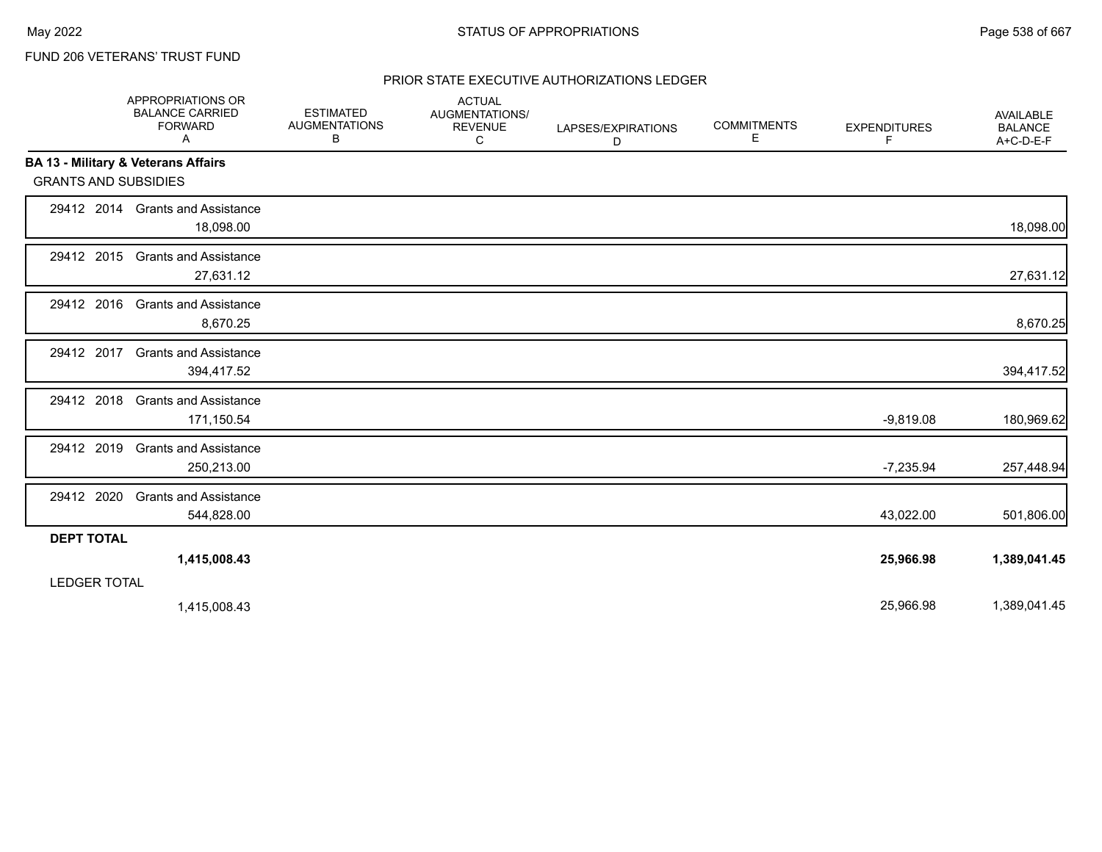# FUND 206 VETERANS' TRUST FUND

## PRIOR STATE EXECUTIVE AUTHORIZATIONS LEDGER

|                             | APPROPRIATIONS OR<br><b>BALANCE CARRIED</b><br><b>FORWARD</b><br>A | <b>ESTIMATED</b><br><b>AUGMENTATIONS</b><br>В | <b>ACTUAL</b><br>AUGMENTATIONS/<br><b>REVENUE</b><br>С | LAPSES/EXPIRATIONS<br>D | <b>COMMITMENTS</b><br>Е | <b>EXPENDITURES</b><br>F | AVAILABLE<br><b>BALANCE</b><br>A+C-D-E-F |
|-----------------------------|--------------------------------------------------------------------|-----------------------------------------------|--------------------------------------------------------|-------------------------|-------------------------|--------------------------|------------------------------------------|
|                             | <b>BA 13 - Military &amp; Veterans Affairs</b>                     |                                               |                                                        |                         |                         |                          |                                          |
| <b>GRANTS AND SUBSIDIES</b> |                                                                    |                                               |                                                        |                         |                         |                          |                                          |
|                             | 29412 2014 Grants and Assistance<br>18,098.00                      |                                               |                                                        |                         |                         |                          | 18,098.00                                |
| 29412 2015                  | <b>Grants and Assistance</b><br>27,631.12                          |                                               |                                                        |                         |                         |                          | 27,631.12                                |
| 29412 2016                  | <b>Grants and Assistance</b><br>8,670.25                           |                                               |                                                        |                         |                         |                          | 8,670.25                                 |
| 29412 2017                  | <b>Grants and Assistance</b><br>394,417.52                         |                                               |                                                        |                         |                         |                          | 394,417.52                               |
| 29412 2018                  | <b>Grants and Assistance</b><br>171,150.54                         |                                               |                                                        |                         |                         | $-9,819.08$              | 180,969.62                               |
| 29412 2019                  | <b>Grants and Assistance</b><br>250,213.00                         |                                               |                                                        |                         |                         | $-7,235.94$              | 257,448.94                               |
| 29412 2020                  | <b>Grants and Assistance</b><br>544,828.00                         |                                               |                                                        |                         |                         | 43,022.00                | 501,806.00                               |
| <b>DEPT TOTAL</b>           |                                                                    |                                               |                                                        |                         |                         |                          |                                          |
|                             | 1,415,008.43                                                       |                                               |                                                        |                         |                         | 25,966.98                | 1,389,041.45                             |
| <b>LEDGER TOTAL</b>         |                                                                    |                                               |                                                        |                         |                         |                          |                                          |
|                             | 1,415,008.43                                                       |                                               |                                                        |                         |                         | 25,966.98                | 1,389,041.45                             |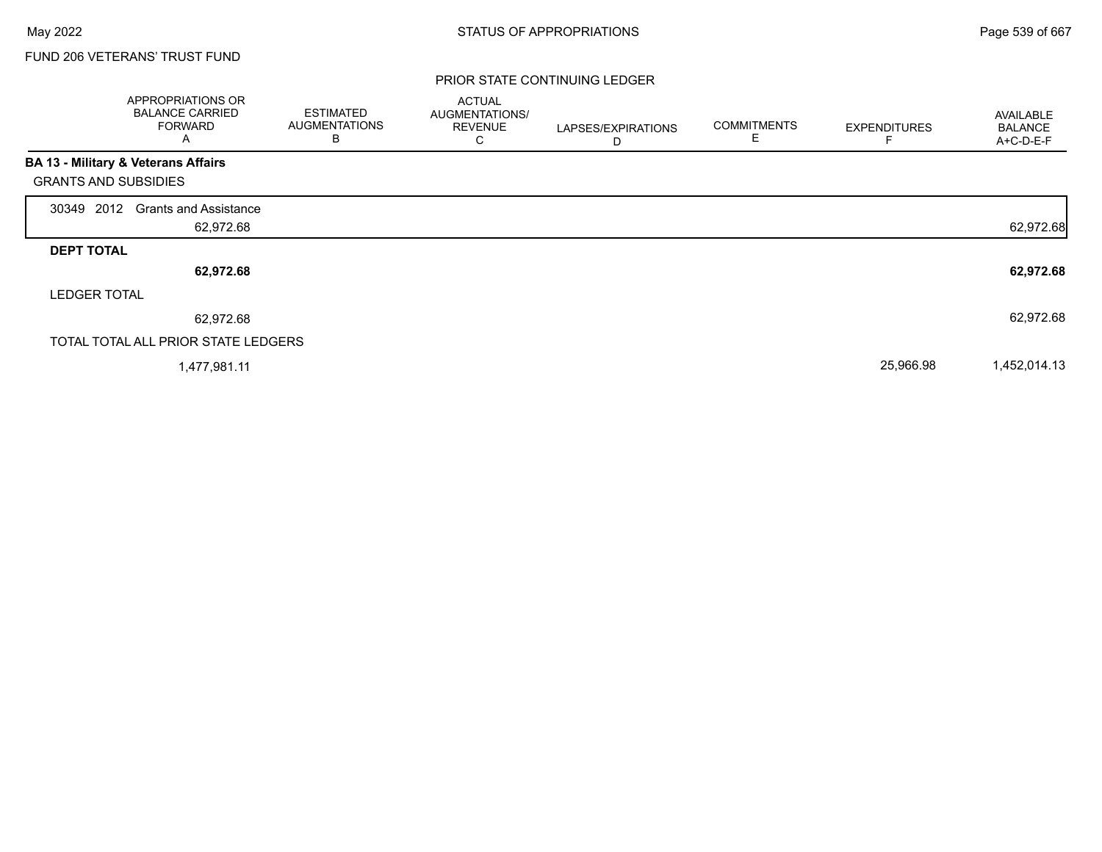г

## FUND 206 VETERANS' TRUST FUND

|                                                | APPROPRIATIONS OR<br><b>BALANCE CARRIED</b><br><b>FORWARD</b><br>Α | <b>ESTIMATED</b><br><b>AUGMENTATIONS</b><br>B | <b>ACTUAL</b><br>AUGMENTATIONS/<br><b>REVENUE</b><br>С | LAPSES/EXPIRATIONS<br>D | <b>COMMITMENTS</b><br>Е | <b>EXPENDITURES</b> | AVAILABLE<br><b>BALANCE</b><br>A+C-D-E-F |
|------------------------------------------------|--------------------------------------------------------------------|-----------------------------------------------|--------------------------------------------------------|-------------------------|-------------------------|---------------------|------------------------------------------|
| <b>BA 13 - Military &amp; Veterans Affairs</b> |                                                                    |                                               |                                                        |                         |                         |                     |                                          |
| <b>GRANTS AND SUBSIDIES</b>                    |                                                                    |                                               |                                                        |                         |                         |                     |                                          |
| 30349 2012                                     | <b>Grants and Assistance</b>                                       |                                               |                                                        |                         |                         |                     |                                          |
|                                                | 62,972.68                                                          |                                               |                                                        |                         |                         |                     | 62,972.68                                |
| <b>DEPT TOTAL</b>                              |                                                                    |                                               |                                                        |                         |                         |                     |                                          |
|                                                | 62,972.68                                                          |                                               |                                                        |                         |                         |                     | 62,972.68                                |
| <b>LEDGER TOTAL</b>                            |                                                                    |                                               |                                                        |                         |                         |                     |                                          |
|                                                | 62,972.68                                                          |                                               |                                                        |                         |                         |                     | 62,972.68                                |
| TOTAL TOTAL ALL PRIOR STATE LEDGERS            |                                                                    |                                               |                                                        |                         |                         |                     |                                          |
|                                                | 1,477,981.11                                                       |                                               |                                                        |                         |                         | 25,966.98           | 1,452,014.13                             |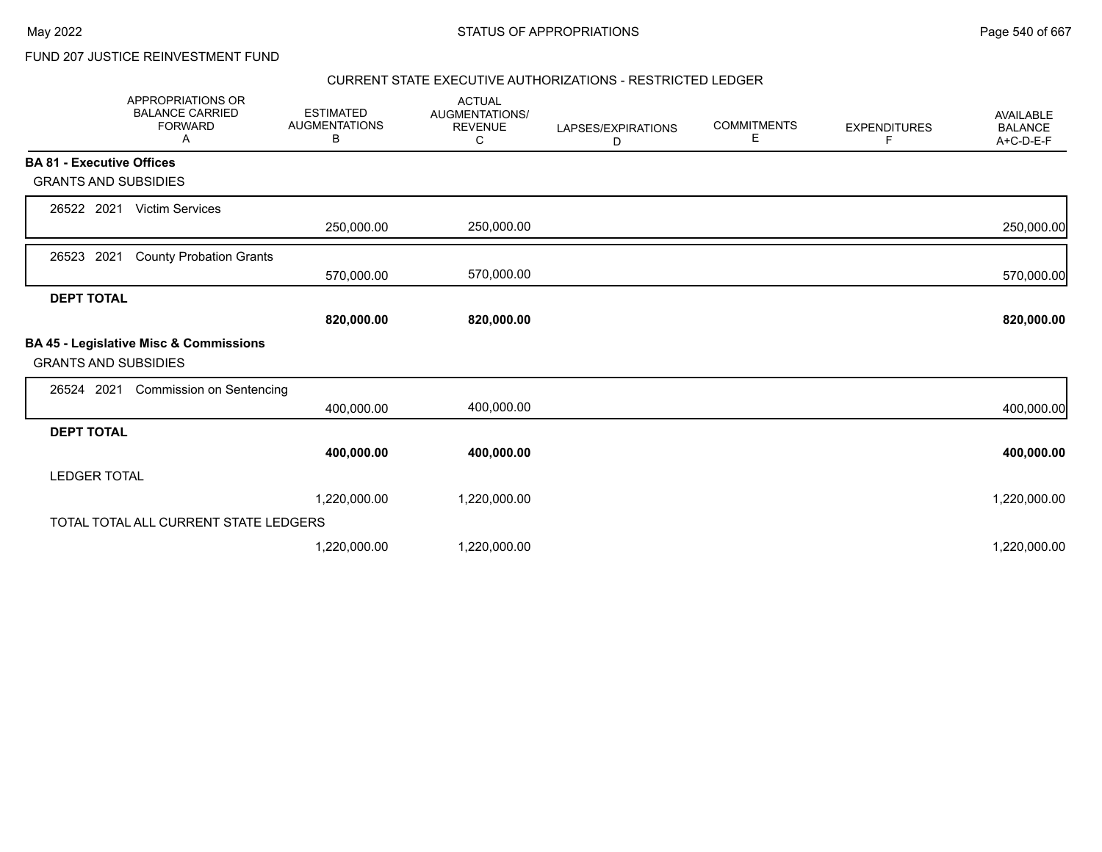FUND 207 JUSTICE REINVESTMENT FUND

## CURRENT STATE EXECUTIVE AUTHORIZATIONS - RESTRICTED LEDGER

|                                  | APPROPRIATIONS OR<br><b>BALANCE CARRIED</b><br><b>FORWARD</b><br>A | <b>ESTIMATED</b><br><b>AUGMENTATIONS</b><br>В | <b>ACTUAL</b><br><b>AUGMENTATIONS/</b><br><b>REVENUE</b><br>С | LAPSES/EXPIRATIONS<br>D | <b>COMMITMENTS</b><br>Ε | <b>EXPENDITURES</b><br>F | AVAILABLE<br><b>BALANCE</b><br>A+C-D-E-F |
|----------------------------------|--------------------------------------------------------------------|-----------------------------------------------|---------------------------------------------------------------|-------------------------|-------------------------|--------------------------|------------------------------------------|
| <b>BA 81 - Executive Offices</b> |                                                                    |                                               |                                                               |                         |                         |                          |                                          |
| <b>GRANTS AND SUBSIDIES</b>      |                                                                    |                                               |                                                               |                         |                         |                          |                                          |
| 26522 2021                       | <b>Victim Services</b>                                             |                                               |                                                               |                         |                         |                          |                                          |
|                                  |                                                                    | 250,000.00                                    | 250,000.00                                                    |                         |                         |                          | 250,000.00                               |
| 2021<br>26523                    | <b>County Probation Grants</b>                                     |                                               |                                                               |                         |                         |                          |                                          |
|                                  |                                                                    | 570,000.00                                    | 570,000.00                                                    |                         |                         |                          | 570,000.00                               |
| <b>DEPT TOTAL</b>                |                                                                    |                                               |                                                               |                         |                         |                          |                                          |
|                                  |                                                                    | 820,000.00                                    | 820,000.00                                                    |                         |                         |                          | 820,000.00                               |
| <b>GRANTS AND SUBSIDIES</b>      | BA 45 - Legislative Misc & Commissions                             |                                               |                                                               |                         |                         |                          |                                          |
| 26524 2021                       | <b>Commission on Sentencing</b>                                    |                                               |                                                               |                         |                         |                          |                                          |
|                                  |                                                                    | 400,000.00                                    | 400,000.00                                                    |                         |                         |                          | 400,000.00                               |
| <b>DEPT TOTAL</b>                |                                                                    |                                               |                                                               |                         |                         |                          |                                          |
|                                  |                                                                    | 400,000.00                                    | 400,000.00                                                    |                         |                         |                          | 400,000.00                               |
| <b>LEDGER TOTAL</b>              |                                                                    |                                               |                                                               |                         |                         |                          |                                          |
|                                  |                                                                    | 1,220,000.00                                  | 1,220,000.00                                                  |                         |                         |                          | 1,220,000.00                             |
|                                  | TOTAL TOTAL ALL CURRENT STATE LEDGERS                              |                                               |                                                               |                         |                         |                          |                                          |
|                                  |                                                                    | 1,220,000.00                                  | 1,220,000.00                                                  |                         |                         |                          | 1,220,000.00                             |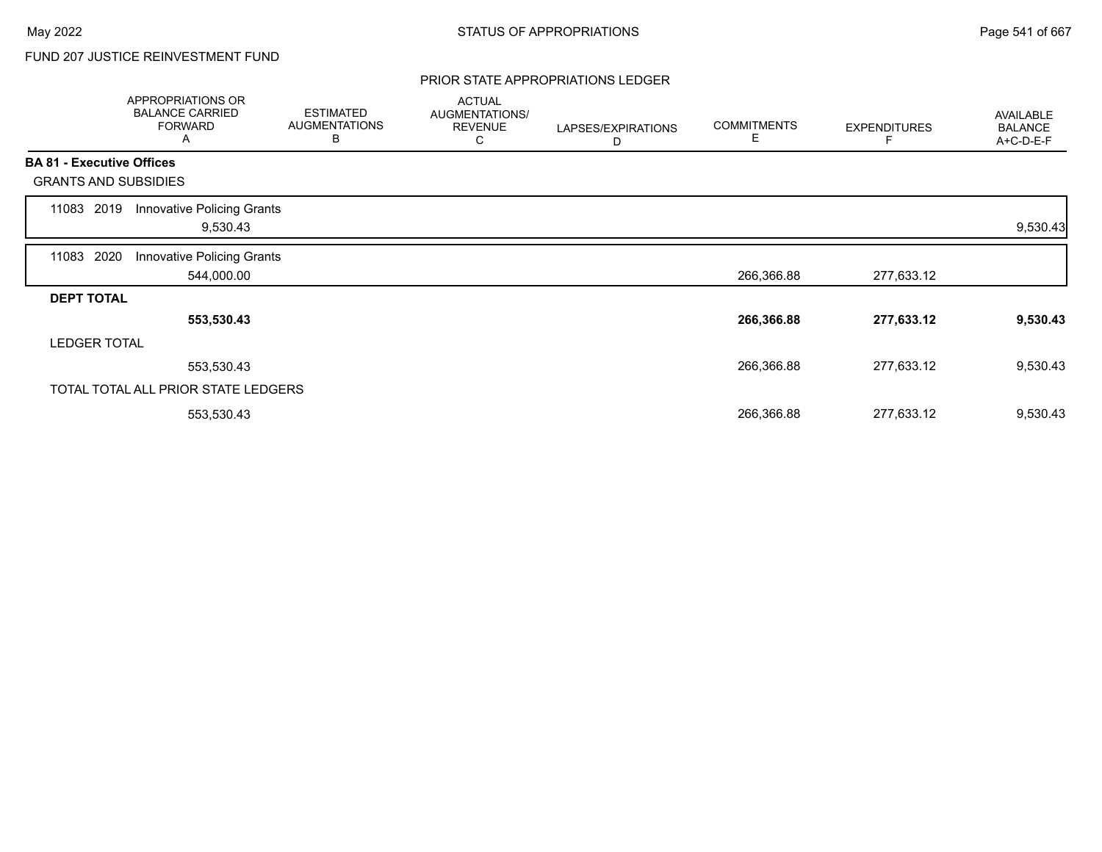# FUND 207 JUSTICE REINVESTMENT FUND

#### PRIOR STATE APPROPRIATIONS LEDGER

|       | APPROPRIATIONS OR<br><b>BALANCE CARRIED</b><br><b>FORWARD</b><br>A | <b>ESTIMATED</b><br><b>AUGMENTATIONS</b><br>B | <b>ACTUAL</b><br>AUGMENTATIONS/<br><b>REVENUE</b><br>С | LAPSES/EXPIRATIONS<br>D | <b>COMMITMENTS</b><br>Е | <b>EXPENDITURES</b> | AVAILABLE<br><b>BALANCE</b><br>A+C-D-E-F |
|-------|--------------------------------------------------------------------|-----------------------------------------------|--------------------------------------------------------|-------------------------|-------------------------|---------------------|------------------------------------------|
|       | <b>BA 81 - Executive Offices</b>                                   |                                               |                                                        |                         |                         |                     |                                          |
|       | <b>GRANTS AND SUBSIDIES</b>                                        |                                               |                                                        |                         |                         |                     |                                          |
| 11083 | <b>Innovative Policing Grants</b><br>2019<br>9,530.43              |                                               |                                                        |                         |                         |                     | 9,530.43                                 |
| 11083 | 2020<br>Innovative Policing Grants<br>544,000.00                   |                                               |                                                        |                         | 266,366.88              | 277,633.12          |                                          |
|       | <b>DEPT TOTAL</b>                                                  |                                               |                                                        |                         |                         |                     |                                          |
|       | 553,530.43                                                         |                                               |                                                        |                         | 266,366.88              | 277,633.12          | 9,530.43                                 |
|       | <b>LEDGER TOTAL</b>                                                |                                               |                                                        |                         |                         |                     |                                          |
|       | 553,530.43                                                         |                                               |                                                        |                         | 266,366.88              | 277,633.12          | 9,530.43                                 |
|       | TOTAL TOTAL ALL PRIOR STATE LEDGERS                                |                                               |                                                        |                         |                         |                     |                                          |
|       | 553,530.43                                                         |                                               |                                                        |                         | 266,366.88              | 277,633.12          | 9,530.43                                 |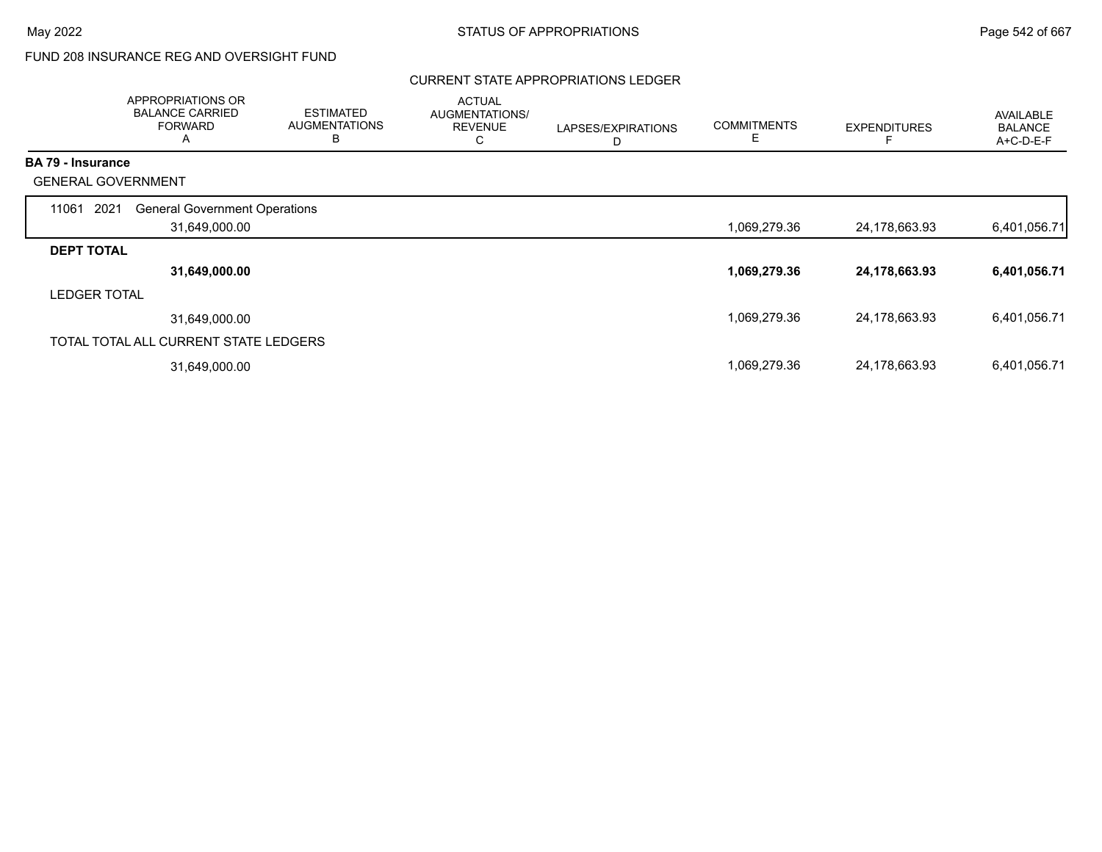# FUND 208 INSURANCE REG AND OVERSIGHT FUND

### CURRENT STATE APPROPRIATIONS LEDGER

|                           | APPROPRIATIONS OR<br><b>BALANCE CARRIED</b><br><b>FORWARD</b><br>A | <b>ESTIMATED</b><br><b>AUGMENTATIONS</b><br>В | <b>ACTUAL</b><br>AUGMENTATIONS/<br><b>REVENUE</b><br>C | LAPSES/EXPIRATIONS<br>D | <b>COMMITMENTS</b><br>Е | <b>EXPENDITURES</b> | <b>AVAILABLE</b><br><b>BALANCE</b><br>A+C-D-E-F |
|---------------------------|--------------------------------------------------------------------|-----------------------------------------------|--------------------------------------------------------|-------------------------|-------------------------|---------------------|-------------------------------------------------|
| <b>BA 79 - Insurance</b>  |                                                                    |                                               |                                                        |                         |                         |                     |                                                 |
| <b>GENERAL GOVERNMENT</b> |                                                                    |                                               |                                                        |                         |                         |                     |                                                 |
| 2021<br>11061             | <b>General Government Operations</b>                               |                                               |                                                        |                         |                         |                     |                                                 |
|                           | 31,649,000.00                                                      |                                               |                                                        |                         | 1,069,279.36            | 24,178,663.93       | 6,401,056.71                                    |
| <b>DEPT TOTAL</b>         |                                                                    |                                               |                                                        |                         |                         |                     |                                                 |
|                           | 31,649,000.00                                                      |                                               |                                                        |                         | 1,069,279.36            | 24,178,663.93       | 6,401,056.71                                    |
| <b>LEDGER TOTAL</b>       |                                                                    |                                               |                                                        |                         |                         |                     |                                                 |
|                           | 31,649,000.00                                                      |                                               |                                                        |                         | 1,069,279.36            | 24,178,663.93       | 6,401,056.71                                    |
|                           | TOTAL TOTAL ALL CURRENT STATE LEDGERS                              |                                               |                                                        |                         |                         |                     |                                                 |
|                           | 31,649,000.00                                                      |                                               |                                                        |                         | 1,069,279.36            | 24,178,663.93       | 6,401,056.71                                    |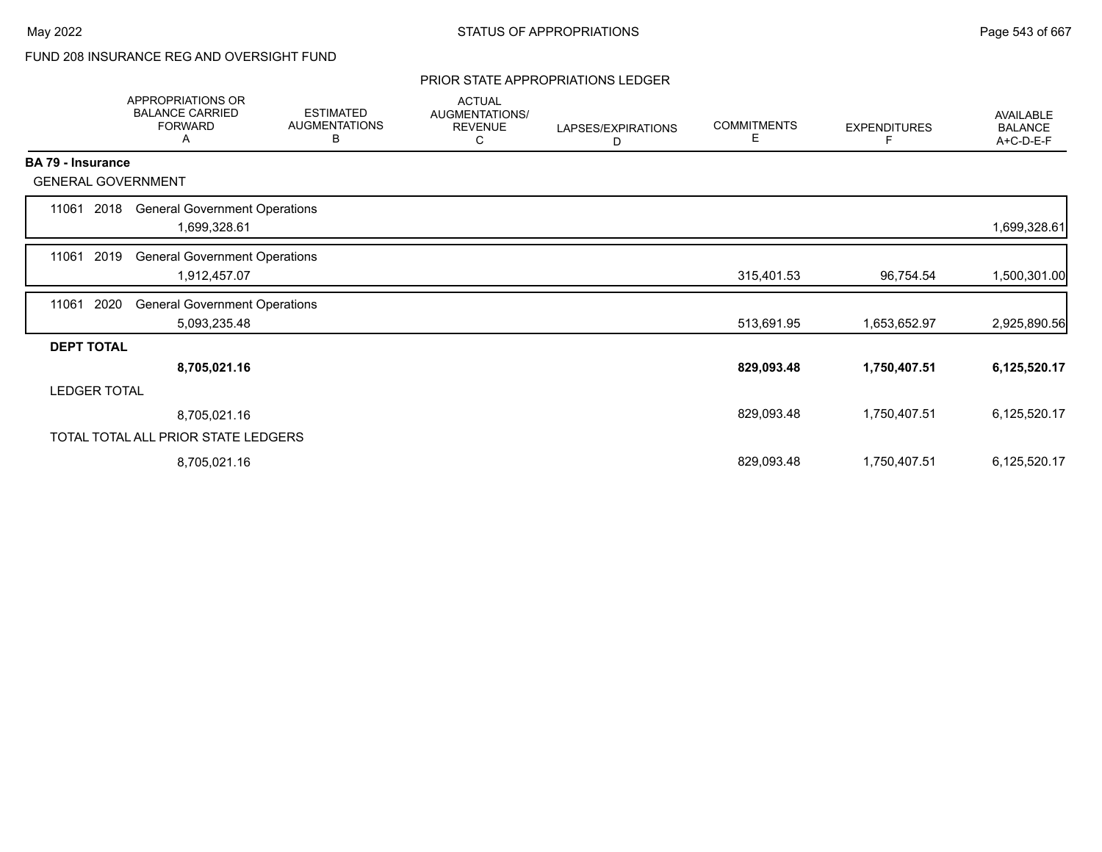# FUND 208 INSURANCE REG AND OVERSIGHT FUND

#### PRIOR STATE APPROPRIATIONS LEDGER

|                     | APPROPRIATIONS OR<br><b>BALANCE CARRIED</b><br><b>FORWARD</b><br>A | <b>ESTIMATED</b><br><b>AUGMENTATIONS</b><br>В | <b>ACTUAL</b><br>AUGMENTATIONS/<br>REVENUE<br>С | LAPSES/EXPIRATIONS<br>D | <b>COMMITMENTS</b><br>Е | <b>EXPENDITURES</b><br>F | <b>AVAILABLE</b><br><b>BALANCE</b><br>A+C-D-E-F |
|---------------------|--------------------------------------------------------------------|-----------------------------------------------|-------------------------------------------------|-------------------------|-------------------------|--------------------------|-------------------------------------------------|
| BA 79 - Insurance   |                                                                    |                                               |                                                 |                         |                         |                          |                                                 |
|                     | <b>GENERAL GOVERNMENT</b>                                          |                                               |                                                 |                         |                         |                          |                                                 |
| 11061               | <b>General Government Operations</b><br>2018<br>1,699,328.61       |                                               |                                                 |                         |                         |                          | 1,699,328.61                                    |
| 11061               | 2019<br><b>General Government Operations</b><br>1,912,457.07       |                                               |                                                 |                         | 315,401.53              | 96,754.54                | 1,500,301.00                                    |
| 2020<br>11061       | <b>General Government Operations</b><br>5,093,235.48               |                                               |                                                 |                         | 513,691.95              | 1,653,652.97             | 2,925,890.56                                    |
| <b>DEPT TOTAL</b>   |                                                                    |                                               |                                                 |                         |                         |                          |                                                 |
|                     | 8,705,021.16                                                       |                                               |                                                 |                         | 829,093.48              | 1,750,407.51             | 6,125,520.17                                    |
| <b>LEDGER TOTAL</b> |                                                                    |                                               |                                                 |                         |                         |                          |                                                 |
|                     | 8,705,021.16                                                       |                                               |                                                 |                         | 829,093.48              | 1,750,407.51             | 6,125,520.17                                    |
|                     | TOTAL TOTAL ALL PRIOR STATE LEDGERS                                |                                               |                                                 |                         |                         |                          |                                                 |
|                     | 8,705,021.16                                                       |                                               |                                                 |                         | 829,093.48              | 1,750,407.51             | 6,125,520.17                                    |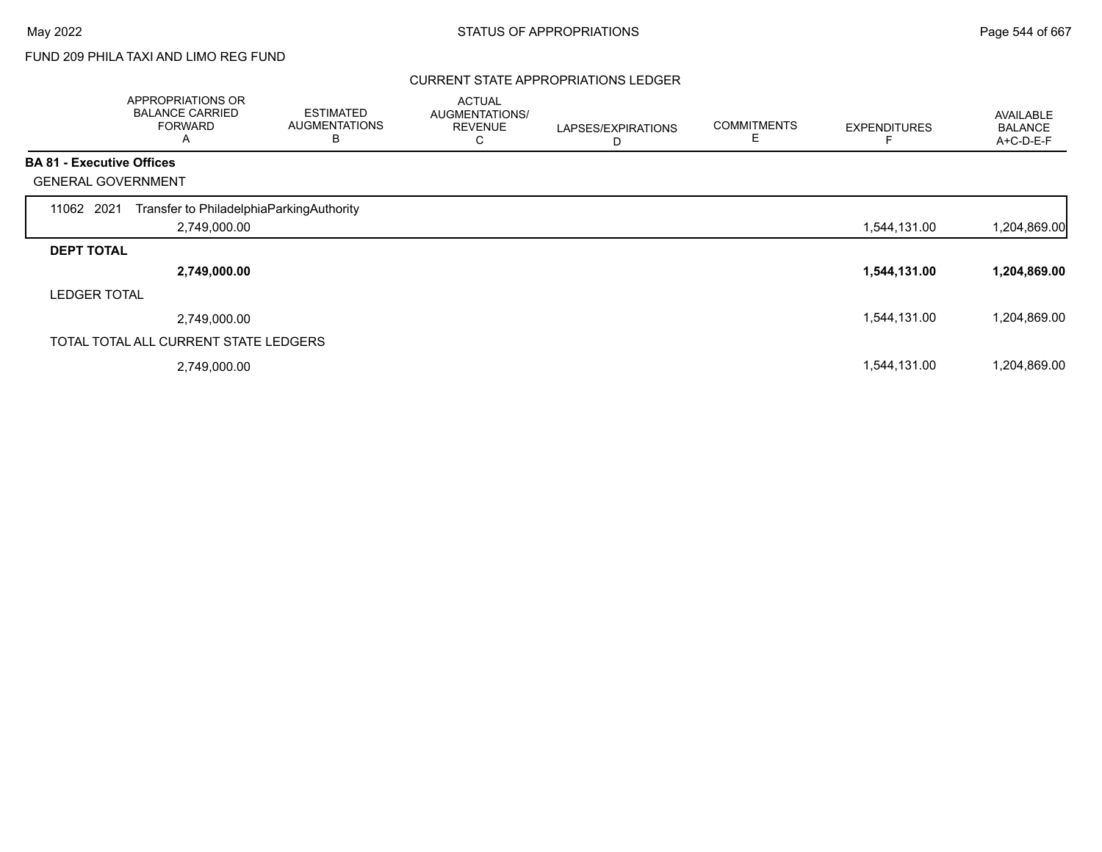# FUND 209 PHILA TAXI AND LIMO REG FUND

#### CURRENT STATE APPROPRIATIONS LEDGER

|                                  | APPROPRIATIONS OR<br><b>BALANCE CARRIED</b><br><b>FORWARD</b><br>Α | <b>ESTIMATED</b><br><b>AUGMENTATIONS</b><br>B | <b>ACTUAL</b><br>AUGMENTATIONS/<br><b>REVENUE</b><br>С | LAPSES/EXPIRATIONS<br>D | <b>COMMITMENTS</b> | <b>EXPENDITURES</b> | AVAILABLE<br><b>BALANCE</b><br>A+C-D-E-F |
|----------------------------------|--------------------------------------------------------------------|-----------------------------------------------|--------------------------------------------------------|-------------------------|--------------------|---------------------|------------------------------------------|
| <b>BA 81 - Executive Offices</b> |                                                                    |                                               |                                                        |                         |                    |                     |                                          |
|                                  | <b>GENERAL GOVERNMENT</b>                                          |                                               |                                                        |                         |                    |                     |                                          |
| 11062 2021                       | Transfer to PhiladelphiaParkingAuthority                           |                                               |                                                        |                         |                    |                     |                                          |
|                                  | 2,749,000.00                                                       |                                               |                                                        |                         |                    | 1,544,131.00        | 1,204,869.00                             |
| <b>DEPT TOTAL</b>                |                                                                    |                                               |                                                        |                         |                    |                     |                                          |
|                                  | 2,749,000.00                                                       |                                               |                                                        |                         |                    | 1,544,131.00        | 1,204,869.00                             |
| <b>LEDGER TOTAL</b>              |                                                                    |                                               |                                                        |                         |                    |                     |                                          |
|                                  | 2,749,000.00                                                       |                                               |                                                        |                         |                    | 1,544,131.00        | 1,204,869.00                             |
|                                  | TOTAL TOTAL ALL CURRENT STATE LEDGERS                              |                                               |                                                        |                         |                    |                     |                                          |
|                                  | 2,749,000.00                                                       |                                               |                                                        |                         |                    | 1,544,131.00        | 1,204,869.00                             |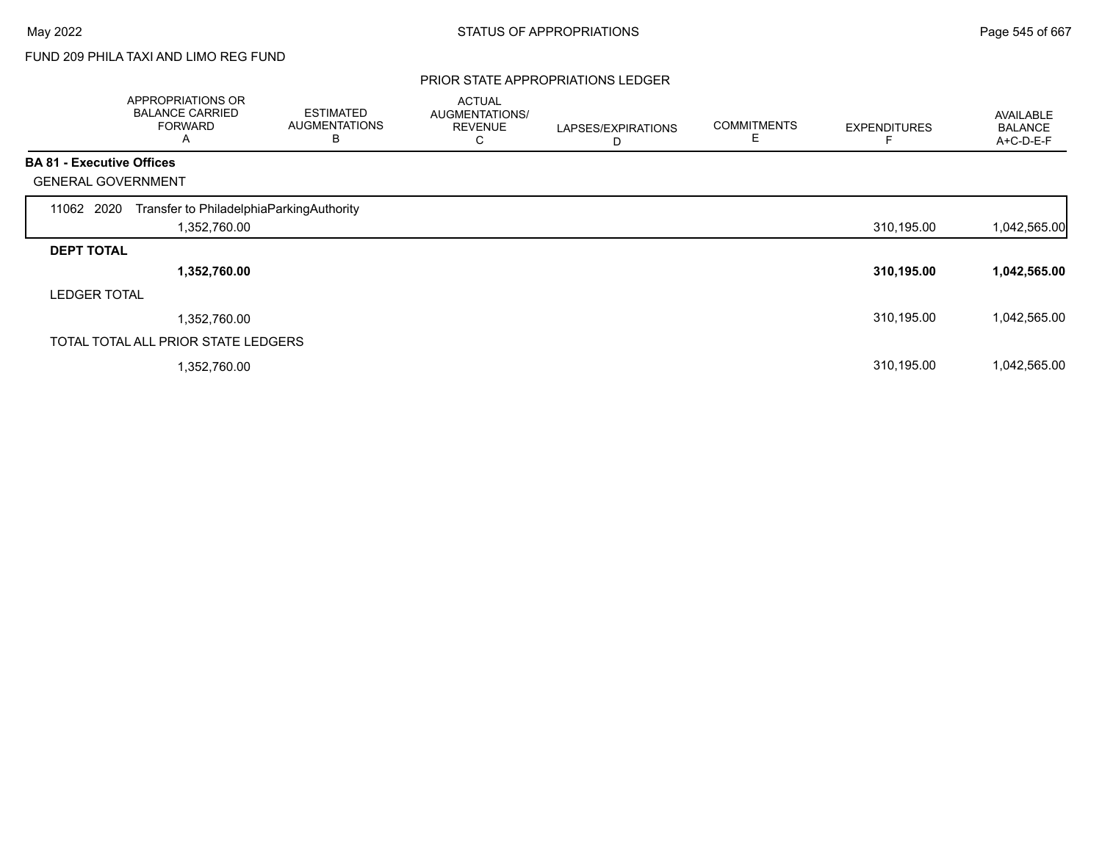# FUND 209 PHILA TAXI AND LIMO REG FUND

#### PRIOR STATE APPROPRIATIONS LEDGER

|                                  | APPROPRIATIONS OR<br><b>BALANCE CARRIED</b><br><b>FORWARD</b><br>A | <b>ESTIMATED</b><br><b>AUGMENTATIONS</b><br>В | <b>ACTUAL</b><br><b>AUGMENTATIONS/</b><br><b>REVENUE</b><br>С | LAPSES/EXPIRATIONS<br>D | <b>COMMITMENTS</b> | <b>EXPENDITURES</b> | AVAILABLE<br><b>BALANCE</b><br>A+C-D-E-F |
|----------------------------------|--------------------------------------------------------------------|-----------------------------------------------|---------------------------------------------------------------|-------------------------|--------------------|---------------------|------------------------------------------|
| <b>BA 81 - Executive Offices</b> |                                                                    |                                               |                                                               |                         |                    |                     |                                          |
|                                  | <b>GENERAL GOVERNMENT</b>                                          |                                               |                                                               |                         |                    |                     |                                          |
| 11062 2020                       | Transfer to PhiladelphiaParkingAuthority                           |                                               |                                                               |                         |                    |                     |                                          |
|                                  | 1,352,760.00                                                       |                                               |                                                               |                         |                    | 310,195.00          | 1,042,565.00                             |
| <b>DEPT TOTAL</b>                |                                                                    |                                               |                                                               |                         |                    |                     |                                          |
|                                  | 1,352,760.00                                                       |                                               |                                                               |                         |                    | 310,195.00          | 1,042,565.00                             |
| <b>LEDGER TOTAL</b>              |                                                                    |                                               |                                                               |                         |                    |                     |                                          |
|                                  | 1,352,760.00                                                       |                                               |                                                               |                         |                    | 310,195.00          | 1,042,565.00                             |
|                                  | TOTAL TOTAL ALL PRIOR STATE LEDGERS                                |                                               |                                                               |                         |                    |                     |                                          |
|                                  | 1,352,760.00                                                       |                                               |                                                               |                         |                    | 310,195.00          | 1,042,565.00                             |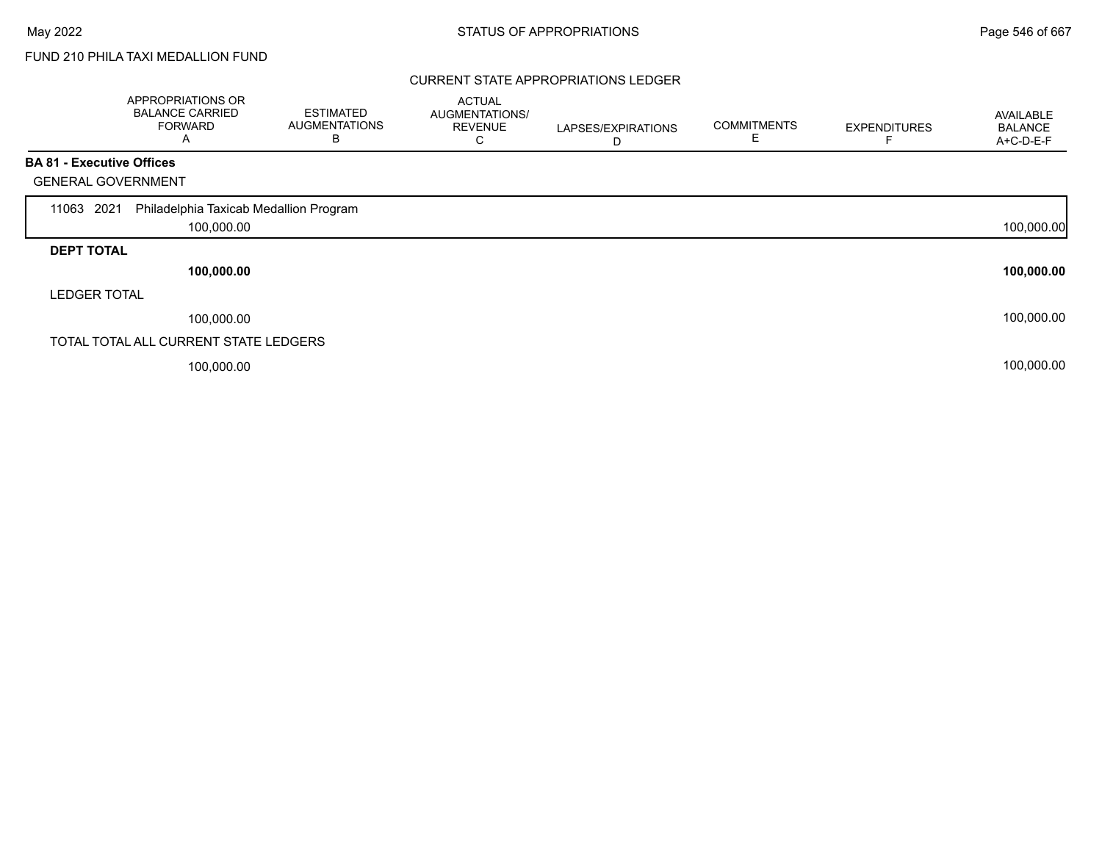# FUND 210 PHILA TAXI MEDALLION FUND

#### CURRENT STATE APPROPRIATIONS LEDGER

|                                  | APPROPRIATIONS OR<br><b>BALANCE CARRIED</b><br><b>FORWARD</b><br>Α | <b>ESTIMATED</b><br><b>AUGMENTATIONS</b><br>В | <b>ACTUAL</b><br><b>AUGMENTATIONS/</b><br><b>REVENUE</b><br>С | LAPSES/EXPIRATIONS<br>D | <b>COMMITMENTS</b> | <b>EXPENDITURES</b> | AVAILABLE<br><b>BALANCE</b><br>A+C-D-E-F |
|----------------------------------|--------------------------------------------------------------------|-----------------------------------------------|---------------------------------------------------------------|-------------------------|--------------------|---------------------|------------------------------------------|
| <b>BA 81 - Executive Offices</b> |                                                                    |                                               |                                                               |                         |                    |                     |                                          |
| <b>GENERAL GOVERNMENT</b>        |                                                                    |                                               |                                                               |                         |                    |                     |                                          |
| 2021<br>11063                    | Philadelphia Taxicab Medallion Program                             |                                               |                                                               |                         |                    |                     |                                          |
|                                  | 100,000.00                                                         |                                               |                                                               |                         |                    |                     | 100,000.00                               |
| <b>DEPT TOTAL</b>                |                                                                    |                                               |                                                               |                         |                    |                     |                                          |
|                                  | 100,000.00                                                         |                                               |                                                               |                         |                    |                     | 100,000.00                               |
| <b>LEDGER TOTAL</b>              |                                                                    |                                               |                                                               |                         |                    |                     |                                          |
|                                  | 100,000.00                                                         |                                               |                                                               |                         |                    |                     | 100,000.00                               |
|                                  | TOTAL TOTAL ALL CURRENT STATE LEDGERS                              |                                               |                                                               |                         |                    |                     |                                          |
|                                  | 100,000.00                                                         |                                               |                                                               |                         |                    |                     | 100,000.00                               |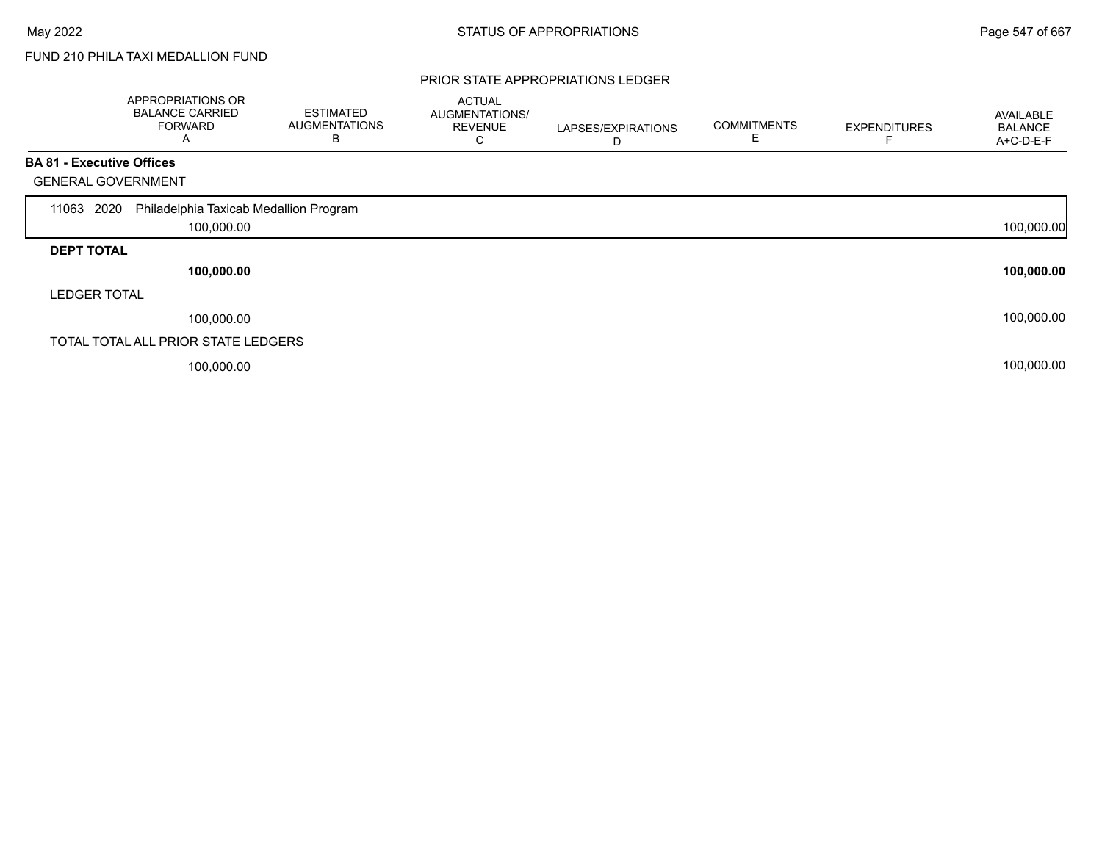Г

# FUND 210 PHILA TAXI MEDALLION FUND

#### PRIOR STATE APPROPRIATIONS LEDGER

|                                  | APPROPRIATIONS OR<br><b>BALANCE CARRIED</b><br><b>FORWARD</b><br>Α | <b>ESTIMATED</b><br><b>AUGMENTATIONS</b><br>В | <b>ACTUAL</b><br>AUGMENTATIONS/<br><b>REVENUE</b><br>С | LAPSES/EXPIRATIONS<br>D | <b>COMMITMENTS</b> | <b>EXPENDITURES</b> | AVAILABLE<br><b>BALANCE</b><br>A+C-D-E-F |
|----------------------------------|--------------------------------------------------------------------|-----------------------------------------------|--------------------------------------------------------|-------------------------|--------------------|---------------------|------------------------------------------|
| <b>BA 81 - Executive Offices</b> |                                                                    |                                               |                                                        |                         |                    |                     |                                          |
| <b>GENERAL GOVERNMENT</b>        |                                                                    |                                               |                                                        |                         |                    |                     |                                          |
| 2020<br>11063                    | Philadelphia Taxicab Medallion Program                             |                                               |                                                        |                         |                    |                     |                                          |
|                                  | 100,000.00                                                         |                                               |                                                        |                         |                    |                     | 100,000.00                               |
| <b>DEPT TOTAL</b>                |                                                                    |                                               |                                                        |                         |                    |                     |                                          |
|                                  | 100,000.00                                                         |                                               |                                                        |                         |                    |                     | 100,000.00                               |
| <b>LEDGER TOTAL</b>              |                                                                    |                                               |                                                        |                         |                    |                     |                                          |
|                                  | 100,000.00                                                         |                                               |                                                        |                         |                    |                     | 100,000.00                               |
|                                  | TOTAL TOTAL ALL PRIOR STATE LEDGERS                                |                                               |                                                        |                         |                    |                     |                                          |
|                                  | 100,000.00                                                         |                                               |                                                        |                         |                    |                     | 100,000.00                               |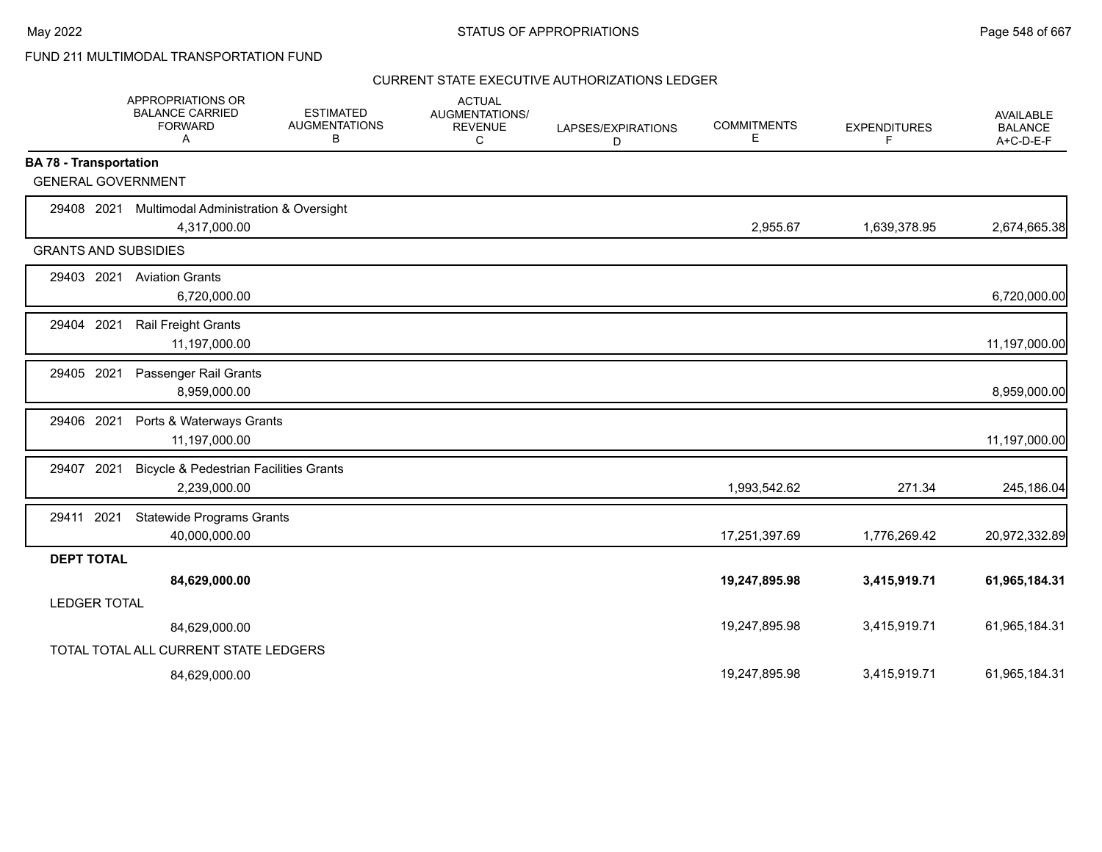|                               | APPROPRIATIONS OR<br><b>BALANCE CARRIED</b><br><b>FORWARD</b><br>Α | <b>ESTIMATED</b><br><b>AUGMENTATIONS</b><br>В | <b>ACTUAL</b><br>AUGMENTATIONS/<br><b>REVENUE</b><br>C | LAPSES/EXPIRATIONS<br>D | <b>COMMITMENTS</b><br>E. | <b>EXPENDITURES</b><br>F | <b>AVAILABLE</b><br><b>BALANCE</b><br>$A+C-D-E-F$ |
|-------------------------------|--------------------------------------------------------------------|-----------------------------------------------|--------------------------------------------------------|-------------------------|--------------------------|--------------------------|---------------------------------------------------|
| <b>BA 78 - Transportation</b> |                                                                    |                                               |                                                        |                         |                          |                          |                                                   |
| <b>GENERAL GOVERNMENT</b>     |                                                                    |                                               |                                                        |                         |                          |                          |                                                   |
| 29408 2021                    | <b>Multimodal Administration &amp; Oversight</b>                   |                                               |                                                        |                         |                          |                          |                                                   |
|                               | 4,317,000.00                                                       |                                               |                                                        |                         | 2,955.67                 | 1,639,378.95             | 2,674,665.38                                      |
| <b>GRANTS AND SUBSIDIES</b>   |                                                                    |                                               |                                                        |                         |                          |                          |                                                   |
|                               | 29403 2021 Aviation Grants                                         |                                               |                                                        |                         |                          |                          |                                                   |
|                               | 6,720,000.00                                                       |                                               |                                                        |                         |                          |                          | 6,720,000.00                                      |
| 2021<br>29404                 | Rail Freight Grants                                                |                                               |                                                        |                         |                          |                          |                                                   |
|                               | 11,197,000.00                                                      |                                               |                                                        |                         |                          |                          | 11,197,000.00                                     |
| 29405 2021                    | Passenger Rail Grants                                              |                                               |                                                        |                         |                          |                          |                                                   |
|                               | 8,959,000.00                                                       |                                               |                                                        |                         |                          |                          | 8,959,000.00                                      |
| 29406 2021                    | Ports & Waterways Grants                                           |                                               |                                                        |                         |                          |                          |                                                   |
|                               | 11,197,000.00                                                      |                                               |                                                        |                         |                          |                          | 11,197,000.00                                     |
| 29407 2021                    | <b>Bicycle &amp; Pedestrian Facilities Grants</b>                  |                                               |                                                        |                         |                          |                          |                                                   |
|                               | 2,239,000.00                                                       |                                               |                                                        |                         | 1,993,542.62             | 271.34                   | 245,186.04                                        |
| 29411 2021                    | <b>Statewide Programs Grants</b>                                   |                                               |                                                        |                         |                          |                          |                                                   |
|                               | 40,000,000.00                                                      |                                               |                                                        |                         | 17,251,397.69            | 1,776,269.42             | 20,972,332.89                                     |
| <b>DEPT TOTAL</b>             |                                                                    |                                               |                                                        |                         |                          |                          |                                                   |
|                               | 84,629,000.00                                                      |                                               |                                                        |                         | 19,247,895.98            | 3,415,919.71             | 61,965,184.31                                     |
| <b>LEDGER TOTAL</b>           |                                                                    |                                               |                                                        |                         |                          |                          |                                                   |
|                               | 84,629,000.00                                                      |                                               |                                                        |                         | 19,247,895.98            | 3,415,919.71             | 61,965,184.31                                     |
|                               | TOTAL TOTAL ALL CURRENT STATE LEDGERS                              |                                               |                                                        |                         |                          |                          |                                                   |
|                               | 84,629,000.00                                                      |                                               |                                                        |                         | 19,247,895.98            | 3,415,919.71             | 61,965,184.31                                     |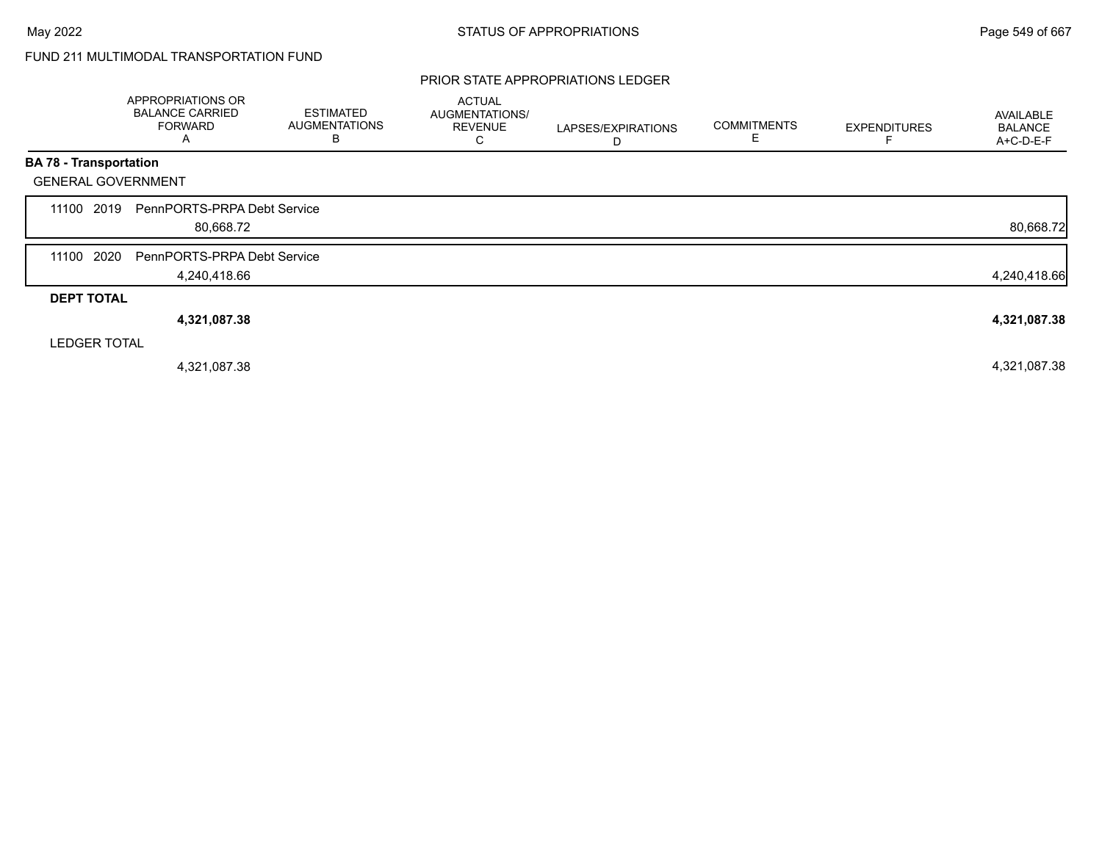#### PRIOR STATE APPROPRIATIONS LEDGER

|                               | APPROPRIATIONS OR<br><b>BALANCE CARRIED</b><br><b>FORWARD</b><br>Α | <b>ESTIMATED</b><br><b>AUGMENTATIONS</b><br>B | <b>ACTUAL</b><br>AUGMENTATIONS/<br><b>REVENUE</b><br>С | LAPSES/EXPIRATIONS<br>D | <b>COMMITMENTS</b><br>Е | <b>EXPENDITURES</b> | AVAILABLE<br><b>BALANCE</b><br>A+C-D-E-F |
|-------------------------------|--------------------------------------------------------------------|-----------------------------------------------|--------------------------------------------------------|-------------------------|-------------------------|---------------------|------------------------------------------|
| <b>BA 78 - Transportation</b> |                                                                    |                                               |                                                        |                         |                         |                     |                                          |
| <b>GENERAL GOVERNMENT</b>     |                                                                    |                                               |                                                        |                         |                         |                     |                                          |
| 2019<br>11100                 | PennPORTS-PRPA Debt Service<br>80,668.72                           |                                               |                                                        |                         |                         |                     | 80,668.72                                |
| 2020<br>11100                 | PennPORTS-PRPA Debt Service<br>4,240,418.66                        |                                               |                                                        |                         |                         |                     | 4,240,418.66                             |
| <b>DEPT TOTAL</b>             |                                                                    |                                               |                                                        |                         |                         |                     |                                          |
|                               | 4,321,087.38                                                       |                                               |                                                        |                         |                         |                     | 4,321,087.38                             |
| <b>LEDGER TOTAL</b>           |                                                                    |                                               |                                                        |                         |                         |                     |                                          |
|                               | 4,321,087.38                                                       |                                               |                                                        |                         |                         |                     | 4,321,087.38                             |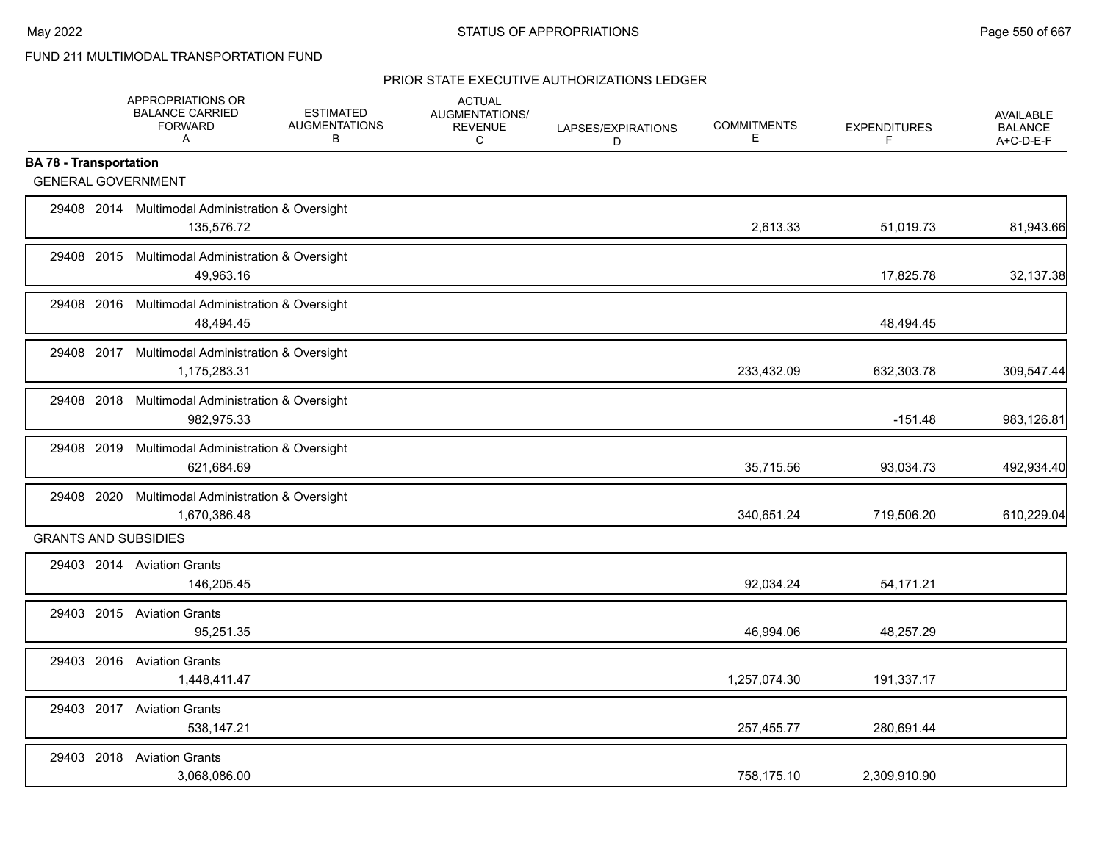|                               | APPROPRIATIONS OR<br><b>BALANCE CARRIED</b><br><b>FORWARD</b><br>A | <b>ESTIMATED</b><br><b>AUGMENTATIONS</b><br>В | <b>ACTUAL</b><br>AUGMENTATIONS/<br><b>REVENUE</b><br>C | LAPSES/EXPIRATIONS<br>D | <b>COMMITMENTS</b><br>Е | <b>EXPENDITURES</b><br>F | <b>AVAILABLE</b><br><b>BALANCE</b><br>A+C-D-E-F |
|-------------------------------|--------------------------------------------------------------------|-----------------------------------------------|--------------------------------------------------------|-------------------------|-------------------------|--------------------------|-------------------------------------------------|
| <b>BA 78 - Transportation</b> |                                                                    |                                               |                                                        |                         |                         |                          |                                                 |
| <b>GENERAL GOVERNMENT</b>     |                                                                    |                                               |                                                        |                         |                         |                          |                                                 |
|                               | 29408 2014 Multimodal Administration & Oversight<br>135,576.72     |                                               |                                                        |                         | 2,613.33                | 51,019.73                | 81,943.66                                       |
|                               | 29408 2015 Multimodal Administration & Oversight<br>49,963.16      |                                               |                                                        |                         |                         | 17,825.78                | 32,137.38                                       |
|                               | 29408 2016 Multimodal Administration & Oversight<br>48,494.45      |                                               |                                                        |                         |                         | 48,494.45                |                                                 |
|                               | 29408 2017 Multimodal Administration & Oversight<br>1,175,283.31   |                                               |                                                        |                         | 233,432.09              | 632,303.78               | 309,547.44                                      |
|                               | 29408 2018 Multimodal Administration & Oversight<br>982,975.33     |                                               |                                                        |                         |                         | $-151.48$                | 983,126.81                                      |
| 29408 2019                    | <b>Multimodal Administration &amp; Oversight</b><br>621,684.69     |                                               |                                                        |                         | 35,715.56               | 93,034.73                | 492,934.40                                      |
| 29408 2020                    | Multimodal Administration & Oversight<br>1,670,386.48              |                                               |                                                        |                         | 340,651.24              | 719,506.20               | 610,229.04                                      |
| <b>GRANTS AND SUBSIDIES</b>   |                                                                    |                                               |                                                        |                         |                         |                          |                                                 |
|                               | 29403 2014 Aviation Grants<br>146,205.45                           |                                               |                                                        |                         | 92,034.24               | 54,171.21                |                                                 |
|                               | 29403 2015 Aviation Grants<br>95.251.35                            |                                               |                                                        |                         | 46,994.06               | 48,257.29                |                                                 |
|                               | 29403 2016 Aviation Grants<br>1,448,411.47                         |                                               |                                                        |                         | 1,257,074.30            | 191,337.17               |                                                 |
|                               | 29403 2017 Aviation Grants<br>538,147.21                           |                                               |                                                        |                         | 257,455.77              | 280,691.44               |                                                 |
| 29403 2018                    | <b>Aviation Grants</b><br>3,068,086.00                             |                                               |                                                        |                         | 758,175.10              | 2,309,910.90             |                                                 |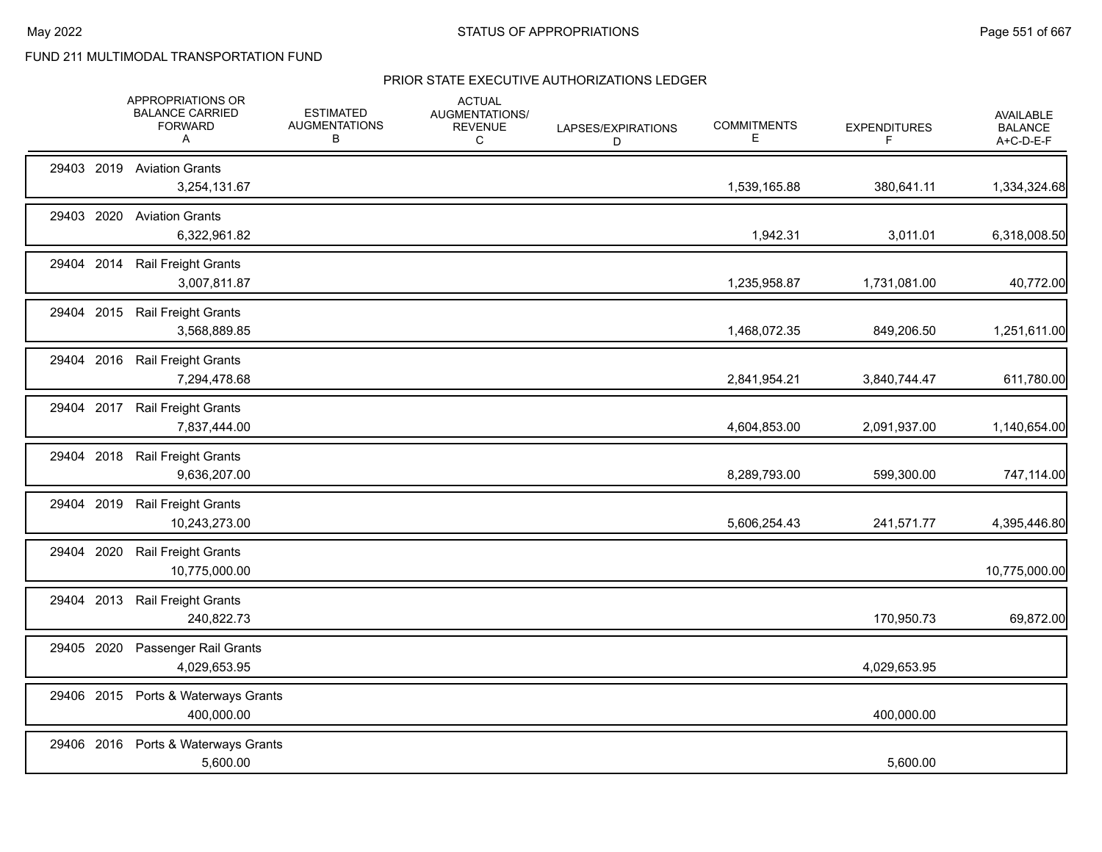|               | APPROPRIATIONS OR<br><b>BALANCE CARRIED</b><br><b>FORWARD</b><br>Α | <b>ESTIMATED</b><br><b>AUGMENTATIONS</b><br>B | <b>ACTUAL</b><br>AUGMENTATIONS/<br><b>REVENUE</b><br>C | LAPSES/EXPIRATIONS<br>D | <b>COMMITMENTS</b><br>Е | <b>EXPENDITURES</b><br>F | <b>AVAILABLE</b><br><b>BALANCE</b><br>A+C-D-E-F |
|---------------|--------------------------------------------------------------------|-----------------------------------------------|--------------------------------------------------------|-------------------------|-------------------------|--------------------------|-------------------------------------------------|
|               | 29403 2019 Aviation Grants<br>3,254,131.67                         |                                               |                                                        |                         | 1,539,165.88            | 380,641.11               | 1,334,324.68                                    |
| 29403 2020    | <b>Aviation Grants</b><br>6,322,961.82                             |                                               |                                                        |                         | 1,942.31                | 3,011.01                 | 6,318,008.50                                    |
| 29404 2014    | <b>Rail Freight Grants</b><br>3,007,811.87                         |                                               |                                                        |                         | 1,235,958.87            | 1,731,081.00             | 40,772.00                                       |
|               | 29404 2015 Rail Freight Grants<br>3,568,889.85                     |                                               |                                                        |                         | 1,468,072.35            | 849,206.50               | 1,251,611.00                                    |
|               | 29404 2016 Rail Freight Grants<br>7,294,478.68                     |                                               |                                                        |                         | 2,841,954.21            | 3,840,744.47             | 611,780.00                                      |
|               | 29404 2017 Rail Freight Grants<br>7,837,444.00                     |                                               |                                                        |                         | 4,604,853.00            | 2,091,937.00             | 1,140,654.00                                    |
| 2018<br>29404 | <b>Rail Freight Grants</b><br>9,636,207.00                         |                                               |                                                        |                         | 8,289,793.00            | 599,300.00               | 747,114.00                                      |
| 29404 2019    | Rail Freight Grants<br>10,243,273.00                               |                                               |                                                        |                         | 5,606,254.43            | 241,571.77               | 4,395,446.80                                    |
| 29404 2020    | <b>Rail Freight Grants</b><br>10,775,000.00                        |                                               |                                                        |                         |                         |                          | 10,775,000.00                                   |
| 29404 2013    | <b>Rail Freight Grants</b><br>240,822.73                           |                                               |                                                        |                         |                         | 170,950.73               | 69,872.00                                       |
| 29405 2020    | Passenger Rail Grants<br>4,029,653.95                              |                                               |                                                        |                         |                         | 4,029,653.95             |                                                 |
| 29406 2015    | Ports & Waterways Grants<br>400,000.00                             |                                               |                                                        |                         |                         | 400,000.00               |                                                 |
|               | 29406 2016 Ports & Waterways Grants<br>5,600.00                    |                                               |                                                        |                         |                         | 5,600.00                 |                                                 |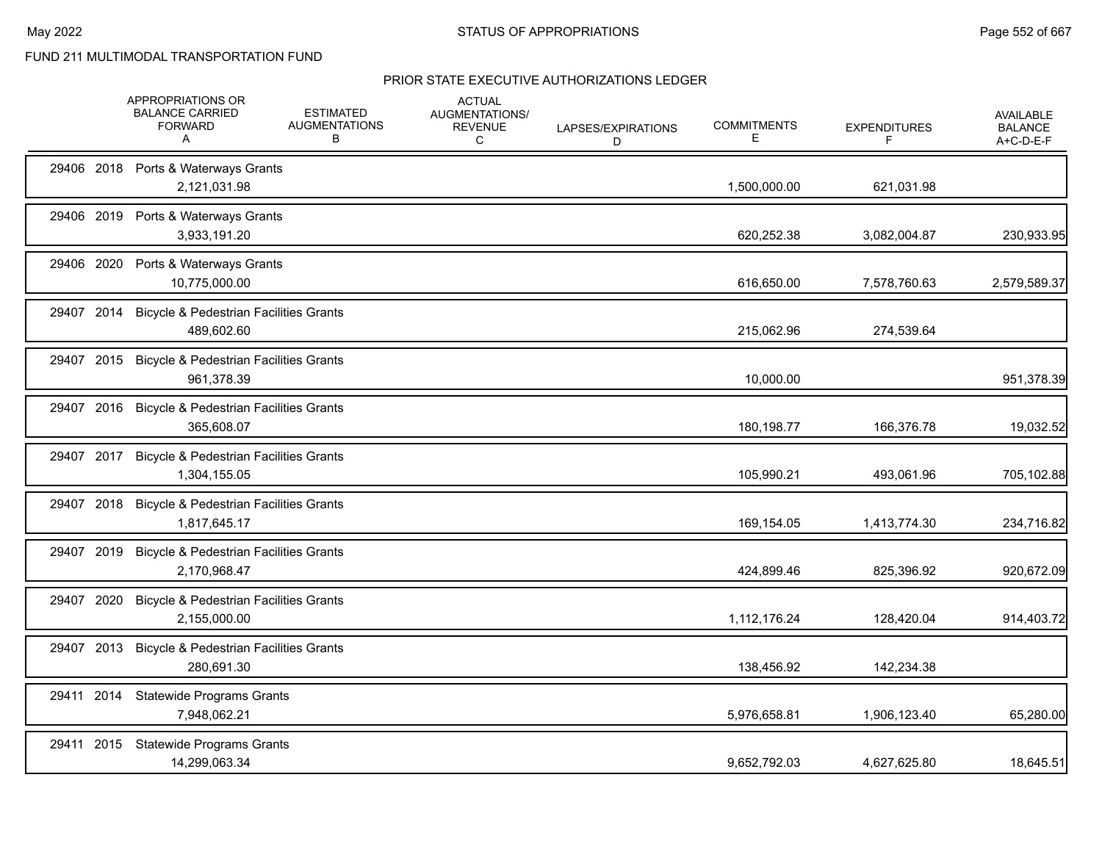|            | APPROPRIATIONS OR<br><b>BALANCE CARRIED</b><br><b>FORWARD</b><br>A | <b>ESTIMATED</b><br><b>AUGMENTATIONS</b><br>в | <b>ACTUAL</b><br>AUGMENTATIONS/<br><b>REVENUE</b><br>С | LAPSES/EXPIRATIONS<br>D | <b>COMMITMENTS</b><br>E | <b>EXPENDITURES</b><br>F | <b>AVAILABLE</b><br><b>BALANCE</b><br>A+C-D-E-F |
|------------|--------------------------------------------------------------------|-----------------------------------------------|--------------------------------------------------------|-------------------------|-------------------------|--------------------------|-------------------------------------------------|
|            | 29406 2018 Ports & Waterways Grants<br>2,121,031.98                |                                               |                                                        |                         | 1,500,000.00            | 621,031.98               |                                                 |
|            | 29406 2019 Ports & Waterways Grants<br>3,933,191.20                |                                               |                                                        |                         | 620,252.38              | 3,082,004.87             | 230,933.95                                      |
| 29406 2020 | Ports & Waterways Grants<br>10,775,000.00                          |                                               |                                                        |                         | 616,650.00              | 7,578,760.63             | 2,579,589.37                                    |
| 29407 2014 | <b>Bicycle &amp; Pedestrian Facilities Grants</b><br>489,602.60    |                                               |                                                        |                         | 215,062.96              | 274,539.64               |                                                 |
| 29407 2015 | <b>Bicycle &amp; Pedestrian Facilities Grants</b><br>961,378.39    |                                               |                                                        |                         | 10,000.00               |                          | 951,378.39                                      |
| 29407 2016 | <b>Bicycle &amp; Pedestrian Facilities Grants</b><br>365,608.07    |                                               |                                                        |                         | 180,198.77              | 166,376.78               | 19,032.52                                       |
| 29407 2017 | <b>Bicycle &amp; Pedestrian Facilities Grants</b><br>1,304,155.05  |                                               |                                                        |                         | 105,990.21              | 493,061.96               | 705,102.88                                      |
| 29407 2018 | <b>Bicycle &amp; Pedestrian Facilities Grants</b><br>1,817,645.17  |                                               |                                                        |                         | 169,154.05              | 1,413,774.30             | 234,716.82                                      |
| 29407 2019 | <b>Bicycle &amp; Pedestrian Facilities Grants</b><br>2,170,968.47  |                                               |                                                        |                         | 424,899.46              | 825,396.92               | 920,672.09                                      |
| 29407 2020 | <b>Bicycle &amp; Pedestrian Facilities Grants</b><br>2,155,000.00  |                                               |                                                        |                         | 1,112,176.24            | 128,420.04               | 914,403.72                                      |
| 29407 2013 | <b>Bicycle &amp; Pedestrian Facilities Grants</b><br>280,691.30    |                                               |                                                        |                         | 138,456.92              | 142,234.38               |                                                 |
| 29411 2014 | <b>Statewide Programs Grants</b><br>7,948,062.21                   |                                               |                                                        |                         | 5,976,658.81            | 1,906,123.40             | 65,280.00                                       |
| 29411 2015 | <b>Statewide Programs Grants</b><br>14,299,063.34                  |                                               |                                                        |                         | 9,652,792.03            | 4,627,625.80             | 18,645.51                                       |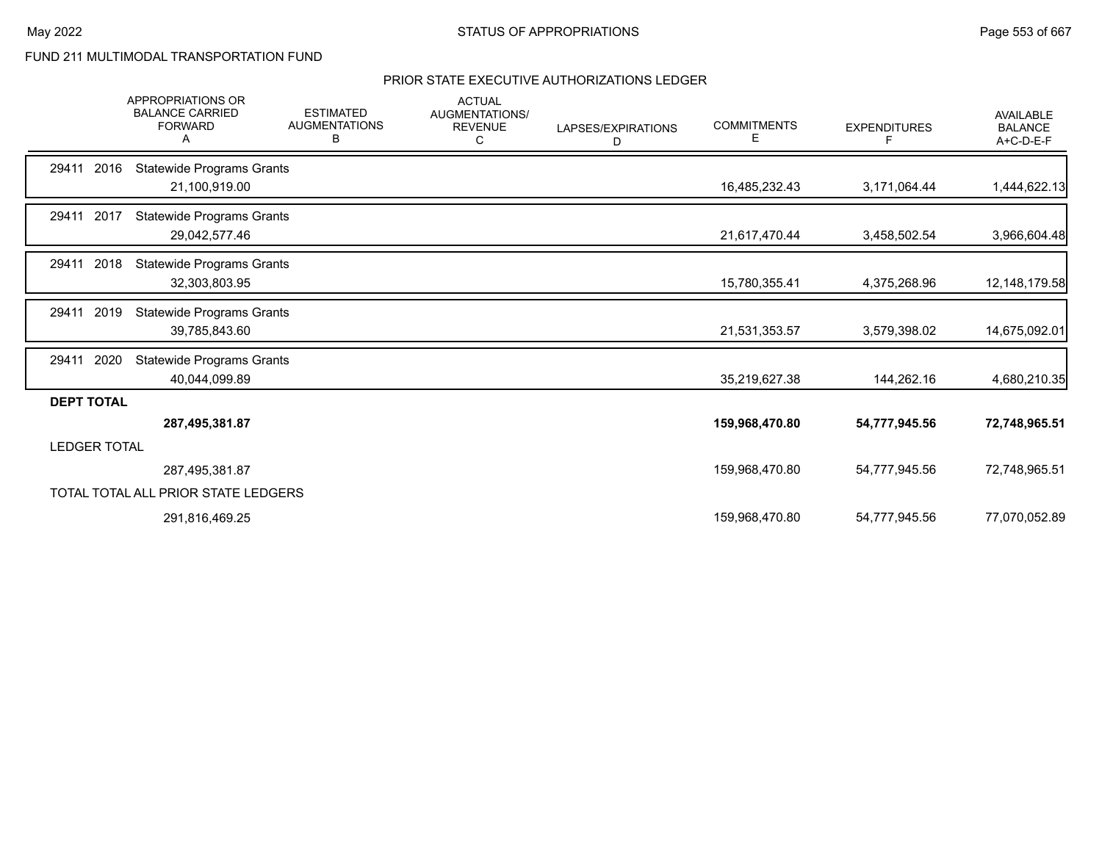|                     | <b>APPROPRIATIONS OR</b><br><b>BALANCE CARRIED</b><br><b>FORWARD</b> | <b>ESTIMATED</b><br><b>AUGMENTATIONS</b><br>В | <b>ACTUAL</b><br>AUGMENTATIONS/<br><b>REVENUE</b><br>C | LAPSES/EXPIRATIONS<br>D | <b>COMMITMENTS</b><br>E. | <b>EXPENDITURES</b><br>F | <b>AVAILABLE</b><br><b>BALANCE</b><br>A+C-D-E-F |
|---------------------|----------------------------------------------------------------------|-----------------------------------------------|--------------------------------------------------------|-------------------------|--------------------------|--------------------------|-------------------------------------------------|
| 29411<br>2016       | <b>Statewide Programs Grants</b><br>21,100,919.00                    |                                               |                                                        |                         | 16,485,232.43            | 3,171,064.44             | 1,444,622.13                                    |
| 29411 2017          | <b>Statewide Programs Grants</b><br>29,042,577.46                    |                                               |                                                        |                         | 21,617,470.44            | 3,458,502.54             | 3,966,604.48                                    |
| 2018<br>29411       | <b>Statewide Programs Grants</b><br>32,303,803.95                    |                                               |                                                        |                         | 15,780,355.41            | 4,375,268.96             | 12, 148, 179.58                                 |
| 2019<br>29411       | <b>Statewide Programs Grants</b><br>39,785,843.60                    |                                               |                                                        |                         | 21,531,353.57            | 3,579,398.02             | 14,675,092.01                                   |
| 2020<br>29411       | <b>Statewide Programs Grants</b><br>40,044,099.89                    |                                               |                                                        |                         | 35,219,627.38            | 144,262.16               | 4,680,210.35                                    |
| <b>DEPT TOTAL</b>   | 287,495,381.87                                                       |                                               |                                                        |                         | 159,968,470.80           | 54,777,945.56            | 72,748,965.51                                   |
| <b>LEDGER TOTAL</b> |                                                                      |                                               |                                                        |                         |                          |                          |                                                 |
|                     | 287,495,381.87                                                       |                                               |                                                        |                         | 159,968,470.80           | 54,777,945.56            | 72,748,965.51                                   |
|                     | TOTAL TOTAL ALL PRIOR STATE LEDGERS                                  |                                               |                                                        |                         |                          |                          |                                                 |
|                     | 291,816,469.25                                                       |                                               |                                                        |                         | 159,968,470.80           | 54,777,945.56            | 77,070,052.89                                   |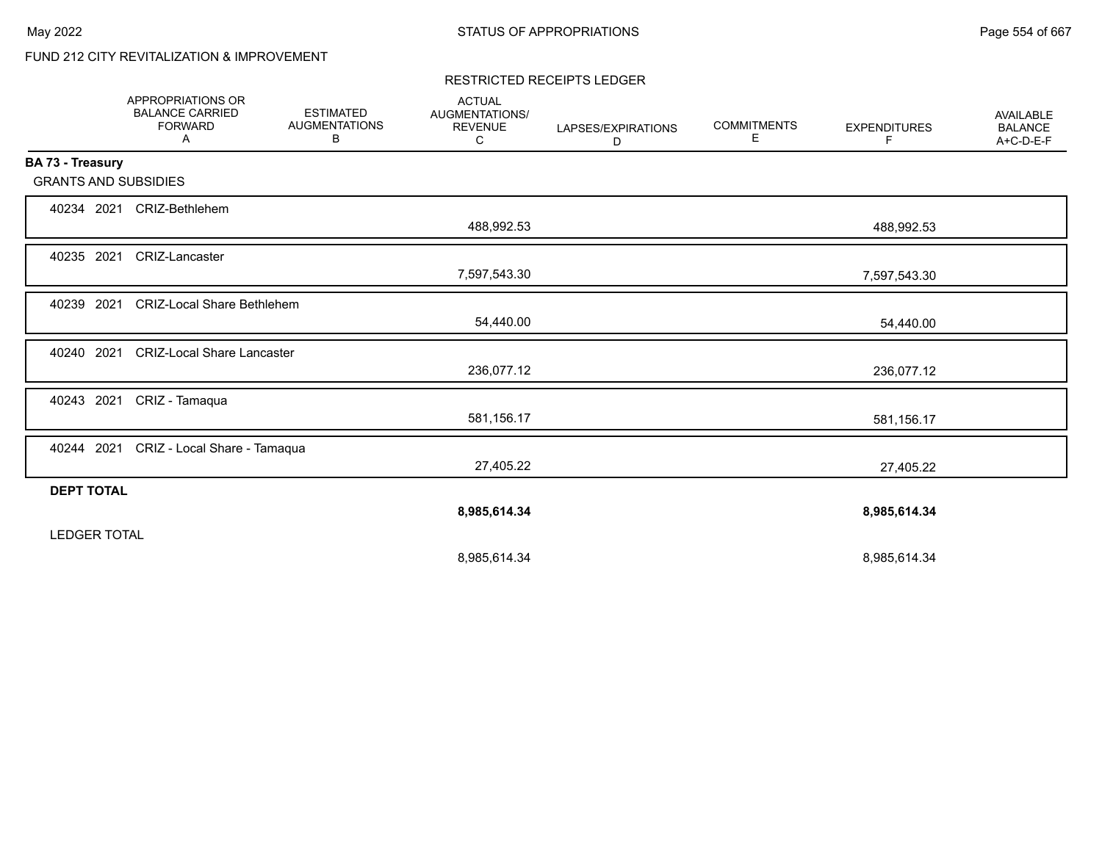# FUND 212 CITY REVITALIZATION & IMPROVEMENT

#### RESTRICTED RECEIPTS LEDGER

|                             | <b>APPROPRIATIONS OR</b><br><b>BALANCE CARRIED</b><br><b>FORWARD</b><br>Α | <b>ESTIMATED</b><br><b>AUGMENTATIONS</b><br>В | <b>ACTUAL</b><br>AUGMENTATIONS/<br><b>REVENUE</b><br>С | LAPSES/EXPIRATIONS<br>D | <b>COMMITMENTS</b><br>Е | <b>EXPENDITURES</b><br>F | <b>AVAILABLE</b><br><b>BALANCE</b><br>A+C-D-E-F |
|-----------------------------|---------------------------------------------------------------------------|-----------------------------------------------|--------------------------------------------------------|-------------------------|-------------------------|--------------------------|-------------------------------------------------|
| BA 73 - Treasury            |                                                                           |                                               |                                                        |                         |                         |                          |                                                 |
| <b>GRANTS AND SUBSIDIES</b> |                                                                           |                                               |                                                        |                         |                         |                          |                                                 |
| 40234 2021                  | CRIZ-Bethlehem                                                            |                                               |                                                        |                         |                         |                          |                                                 |
|                             |                                                                           |                                               | 488,992.53                                             |                         |                         | 488,992.53               |                                                 |
| 40235 2021                  | CRIZ-Lancaster                                                            |                                               |                                                        |                         |                         |                          |                                                 |
|                             |                                                                           |                                               | 7,597,543.30                                           |                         |                         | 7,597,543.30             |                                                 |
| 40239 2021                  | <b>CRIZ-Local Share Bethlehem</b>                                         |                                               |                                                        |                         |                         |                          |                                                 |
|                             |                                                                           |                                               | 54,440.00                                              |                         |                         | 54,440.00                |                                                 |
| 40240 2021                  | <b>CRIZ-Local Share Lancaster</b>                                         |                                               |                                                        |                         |                         |                          |                                                 |
|                             |                                                                           |                                               | 236,077.12                                             |                         |                         | 236,077.12               |                                                 |
| 40243 2021                  | CRIZ - Tamaqua                                                            |                                               |                                                        |                         |                         |                          |                                                 |
|                             |                                                                           |                                               | 581,156.17                                             |                         |                         | 581,156.17               |                                                 |
| 40244 2021                  | CRIZ - Local Share - Tamaqua                                              |                                               |                                                        |                         |                         |                          |                                                 |
|                             |                                                                           |                                               | 27,405.22                                              |                         |                         | 27,405.22                |                                                 |
| <b>DEPT TOTAL</b>           |                                                                           |                                               |                                                        |                         |                         |                          |                                                 |
|                             |                                                                           |                                               | 8,985,614.34                                           |                         |                         | 8,985,614.34             |                                                 |
| <b>LEDGER TOTAL</b>         |                                                                           |                                               |                                                        |                         |                         |                          |                                                 |
|                             |                                                                           |                                               | 8,985,614.34                                           |                         |                         | 8,985,614.34             |                                                 |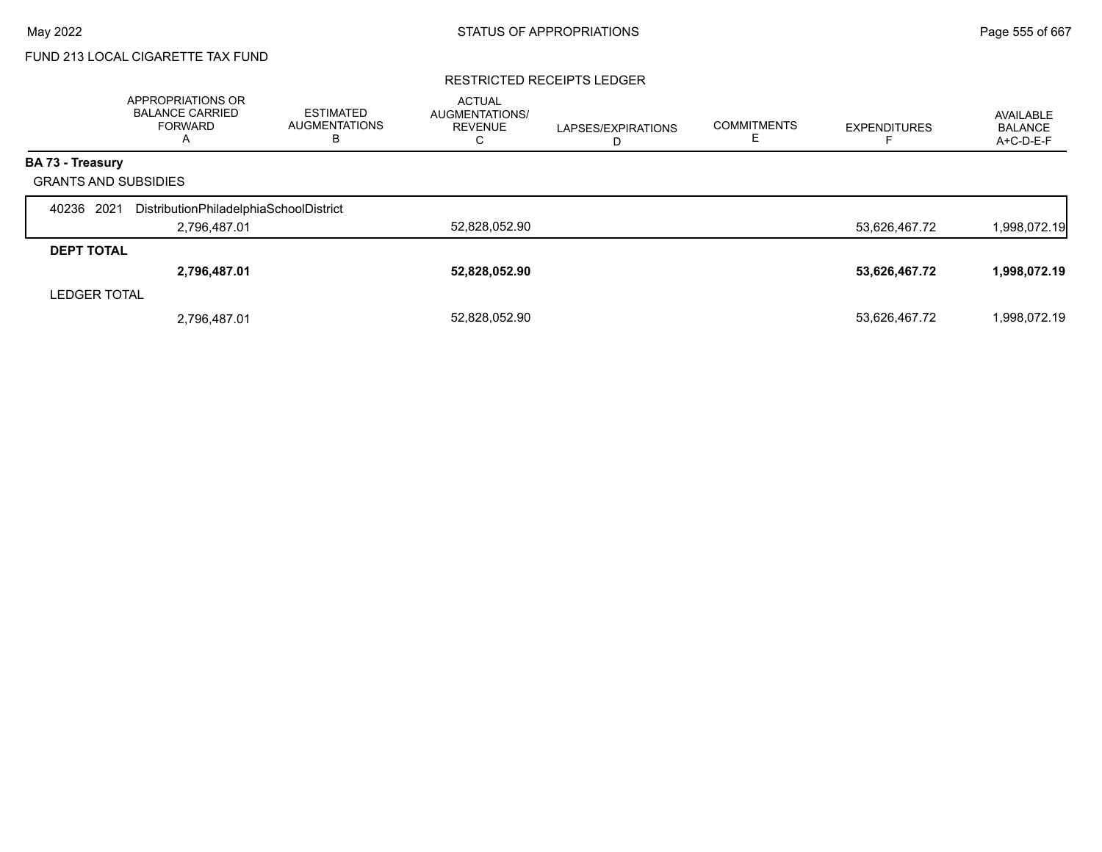# FUND 213 LOCAL CIGARETTE TAX FUND

#### RESTRICTED RECEIPTS LEDGER

|                             | APPROPRIATIONS OR<br><b>BALANCE CARRIED</b><br>FORWARD<br>A | <b>ESTIMATED</b><br><b>AUGMENTATIONS</b><br>в | <b>ACTUAL</b><br>AUGMENTATIONS/<br><b>REVENUE</b><br>◡ | LAPSES/EXPIRATIONS<br>ш | <b>COMMITMENTS</b> | <b>EXPENDITURES</b> | AVAILABLE<br><b>BALANCE</b><br>A+C-D-E-F |
|-----------------------------|-------------------------------------------------------------|-----------------------------------------------|--------------------------------------------------------|-------------------------|--------------------|---------------------|------------------------------------------|
| <b>BA 73 - Treasury</b>     |                                                             |                                               |                                                        |                         |                    |                     |                                          |
| <b>GRANTS AND SUBSIDIES</b> |                                                             |                                               |                                                        |                         |                    |                     |                                          |
| 2021<br>40236               | DistributionPhiladelphiaSchoolDistrict                      |                                               |                                                        |                         |                    |                     |                                          |
|                             | 2,796,487.01                                                |                                               | 52,828,052.90                                          |                         |                    | 53,626,467.72       | 1,998,072.19                             |
| <b>DEPT TOTAL</b>           |                                                             |                                               |                                                        |                         |                    |                     |                                          |
|                             | 2,796,487.01                                                |                                               | 52,828,052.90                                          |                         |                    | 53,626,467.72       | 1,998,072.19                             |
| <b>LEDGER TOTAL</b>         |                                                             |                                               |                                                        |                         |                    |                     |                                          |
|                             | 2,796,487.01                                                |                                               | 52,828,052.90                                          |                         |                    | 53,626,467.72       | 1,998,072.19                             |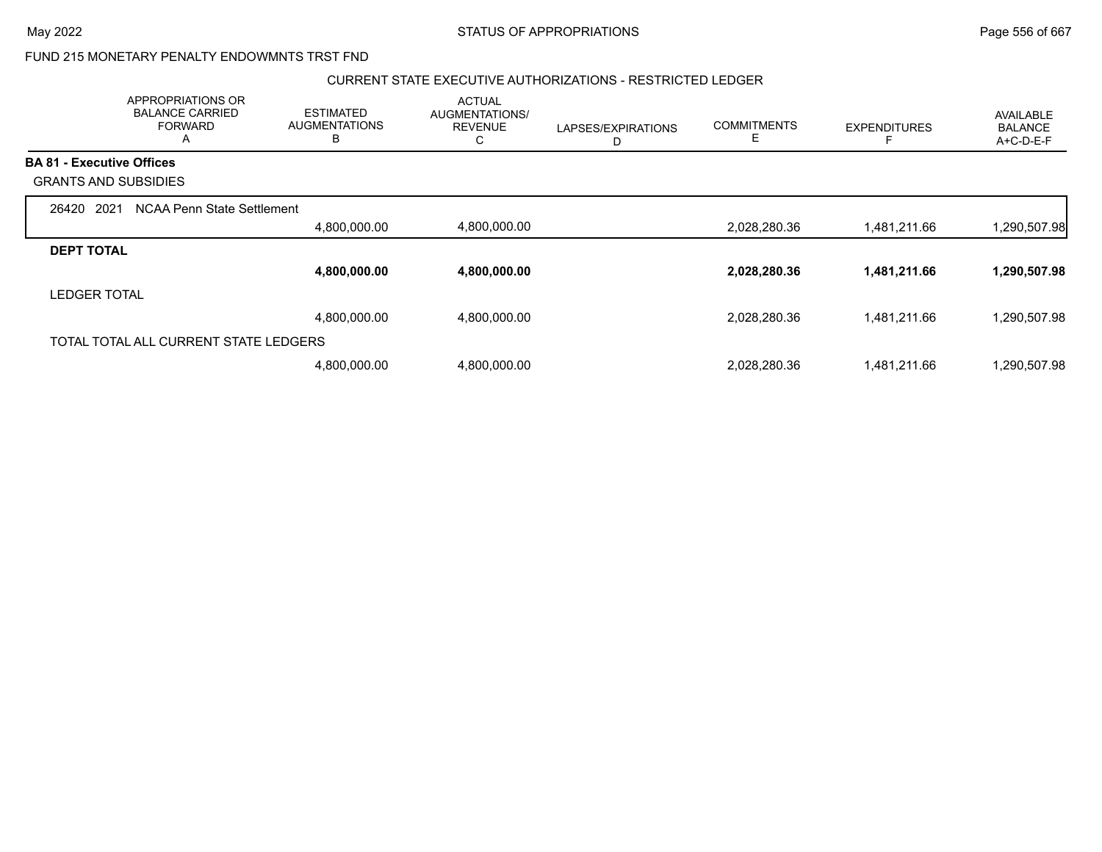### FUND 215 MONETARY PENALTY ENDOWMNTS TRST FND

#### CURRENT STATE EXECUTIVE AUTHORIZATIONS - RESTRICTED LEDGER

|                                  | APPROPRIATIONS OR<br><b>BALANCE CARRIED</b><br><b>FORWARD</b><br>A | <b>ESTIMATED</b><br><b>AUGMENTATIONS</b><br>B | <b>ACTUAL</b><br>AUGMENTATIONS/<br><b>REVENUE</b><br>С | LAPSES/EXPIRATIONS<br>D | <b>COMMITMENTS</b><br>Е | <b>EXPENDITURES</b> | <b>AVAILABLE</b><br><b>BALANCE</b><br>A+C-D-E-F |
|----------------------------------|--------------------------------------------------------------------|-----------------------------------------------|--------------------------------------------------------|-------------------------|-------------------------|---------------------|-------------------------------------------------|
| <b>BA 81 - Executive Offices</b> |                                                                    |                                               |                                                        |                         |                         |                     |                                                 |
| <b>GRANTS AND SUBSIDIES</b>      |                                                                    |                                               |                                                        |                         |                         |                     |                                                 |
| 2021<br>26420                    | NCAA Penn State Settlement                                         |                                               |                                                        |                         |                         |                     |                                                 |
|                                  |                                                                    | 4,800,000.00                                  | 4,800,000.00                                           |                         | 2,028,280.36            | 1,481,211.66        | 1,290,507.98                                    |
| <b>DEPT TOTAL</b>                |                                                                    |                                               |                                                        |                         |                         |                     |                                                 |
|                                  |                                                                    | 4,800,000.00                                  | 4,800,000.00                                           |                         | 2,028,280.36            | 1,481,211.66        | 1,290,507.98                                    |
| <b>LEDGER TOTAL</b>              |                                                                    |                                               |                                                        |                         |                         |                     |                                                 |
|                                  |                                                                    | 4,800,000.00                                  | 4,800,000.00                                           |                         | 2,028,280.36            | 1,481,211.66        | 1,290,507.98                                    |
|                                  | TOTAL TOTAL ALL CURRENT STATE LEDGERS                              |                                               |                                                        |                         |                         |                     |                                                 |
|                                  |                                                                    | 4,800,000.00                                  | 4,800,000.00                                           |                         | 2,028,280.36            | 1,481,211.66        | 1,290,507.98                                    |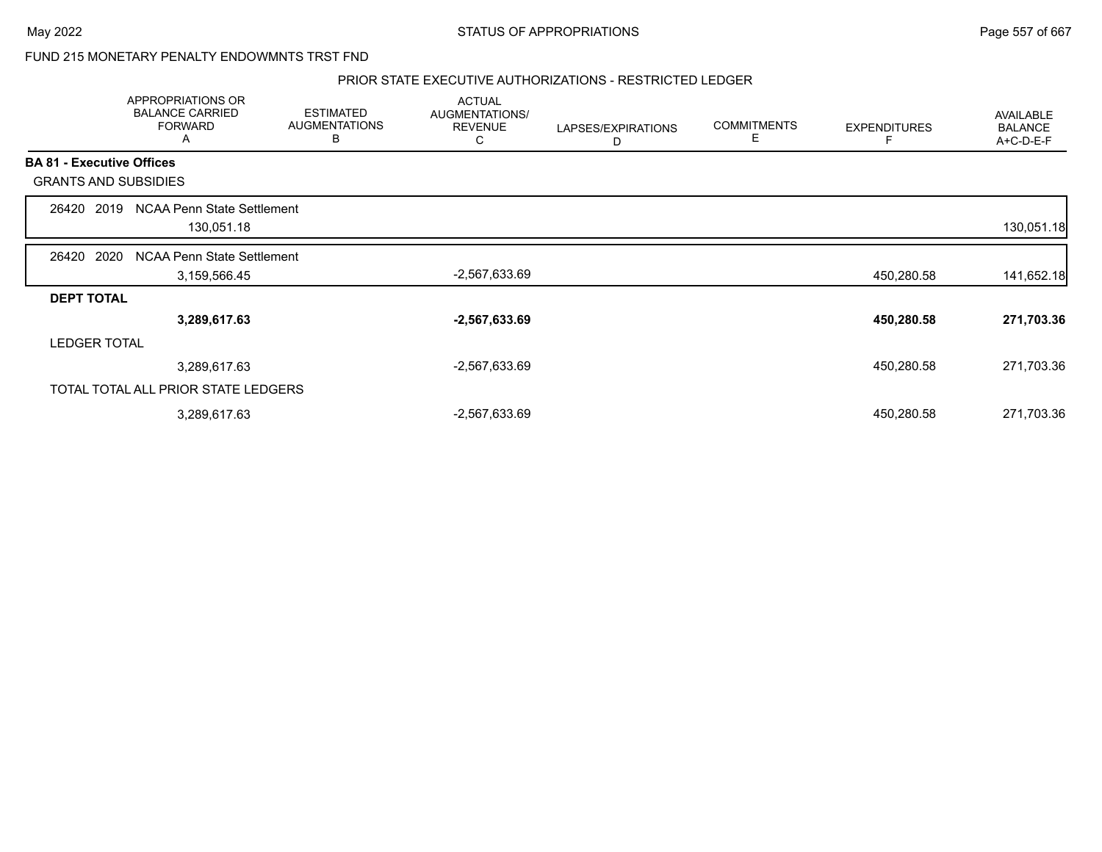### FUND 215 MONETARY PENALTY ENDOWMNTS TRST FND

#### PRIOR STATE EXECUTIVE AUTHORIZATIONS - RESTRICTED LEDGER

|                   |                                     | APPROPRIATIONS OR<br><b>BALANCE CARRIED</b><br><b>FORWARD</b><br>A | <b>ESTIMATED</b><br><b>AUGMENTATIONS</b><br>В | <b>ACTUAL</b><br>AUGMENTATIONS/<br><b>REVENUE</b><br>С | LAPSES/EXPIRATIONS<br>D | <b>COMMITMENTS</b><br>E | <b>EXPENDITURES</b> | AVAILABLE<br><b>BALANCE</b><br>A+C-D-E-F |
|-------------------|-------------------------------------|--------------------------------------------------------------------|-----------------------------------------------|--------------------------------------------------------|-------------------------|-------------------------|---------------------|------------------------------------------|
|                   | <b>BA 81 - Executive Offices</b>    |                                                                    |                                               |                                                        |                         |                         |                     |                                          |
|                   | <b>GRANTS AND SUBSIDIES</b>         |                                                                    |                                               |                                                        |                         |                         |                     |                                          |
| 26420             | 2019                                | NCAA Penn State Settlement                                         |                                               |                                                        |                         |                         |                     |                                          |
|                   |                                     | 130,051.18                                                         |                                               |                                                        |                         |                         |                     | 130,051.18                               |
| 26420             | 2020                                | NCAA Penn State Settlement                                         |                                               |                                                        |                         |                         |                     |                                          |
|                   |                                     | 3,159,566.45                                                       |                                               | -2,567,633.69                                          |                         |                         | 450,280.58          | 141,652.18                               |
| <b>DEPT TOTAL</b> |                                     |                                                                    |                                               |                                                        |                         |                         |                     |                                          |
|                   |                                     | 3,289,617.63                                                       |                                               | $-2,567,633.69$                                        |                         |                         | 450,280.58          | 271,703.36                               |
|                   | <b>LEDGER TOTAL</b>                 |                                                                    |                                               |                                                        |                         |                         |                     |                                          |
|                   |                                     | 3,289,617.63                                                       |                                               | $-2,567,633.69$                                        |                         |                         | 450,280.58          | 271,703.36                               |
|                   | TOTAL TOTAL ALL PRIOR STATE LEDGERS |                                                                    |                                               |                                                        |                         |                         |                     |                                          |
|                   |                                     | 3,289,617.63                                                       |                                               | $-2,567,633.69$                                        |                         |                         | 450,280.58          | 271,703.36                               |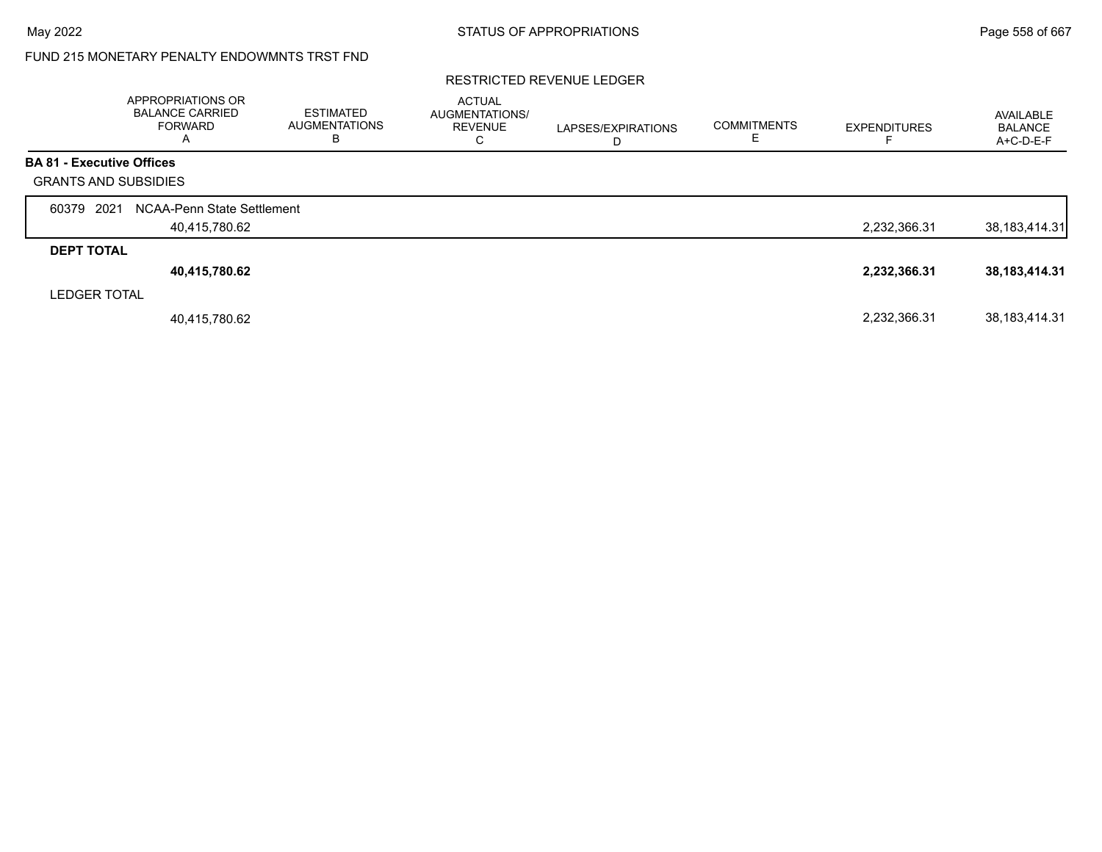# FUND 215 MONETARY PENALTY ENDOWMNTS TRST FND

#### RESTRICTED REVENUE LEDGER

|                                  | APPROPRIATIONS OR<br><b>BALANCE CARRIED</b><br><b>FORWARD</b><br>A | <b>ESTIMATED</b><br><b>AUGMENTATIONS</b><br>В | <b>ACTUAL</b><br>AUGMENTATIONS/<br><b>REVENUE</b><br>⌒<br>◡ | LAPSES/EXPIRATIONS | <b>COMMITMENTS</b> | <b>EXPENDITURES</b> | AVAILABLE<br><b>BALANCE</b><br>A+C-D-E-F |
|----------------------------------|--------------------------------------------------------------------|-----------------------------------------------|-------------------------------------------------------------|--------------------|--------------------|---------------------|------------------------------------------|
| <b>BA 81 - Executive Offices</b> |                                                                    |                                               |                                                             |                    |                    |                     |                                          |
| <b>GRANTS AND SUBSIDIES</b>      |                                                                    |                                               |                                                             |                    |                    |                     |                                          |
| 2021<br>60379                    | NCAA-Penn State Settlement                                         |                                               |                                                             |                    |                    |                     |                                          |
|                                  | 40,415,780.62                                                      |                                               |                                                             |                    |                    | 2,232,366.31        | 38, 183, 414. 31                         |
| <b>DEPT TOTAL</b>                |                                                                    |                                               |                                                             |                    |                    |                     |                                          |
|                                  | 40,415,780.62                                                      |                                               |                                                             |                    |                    | 2,232,366.31        | 38, 183, 414. 31                         |
| <b>LEDGER TOTAL</b>              |                                                                    |                                               |                                                             |                    |                    |                     |                                          |
|                                  | 40,415,780.62                                                      |                                               |                                                             |                    |                    | 2,232,366.31        | 38, 183, 414. 31                         |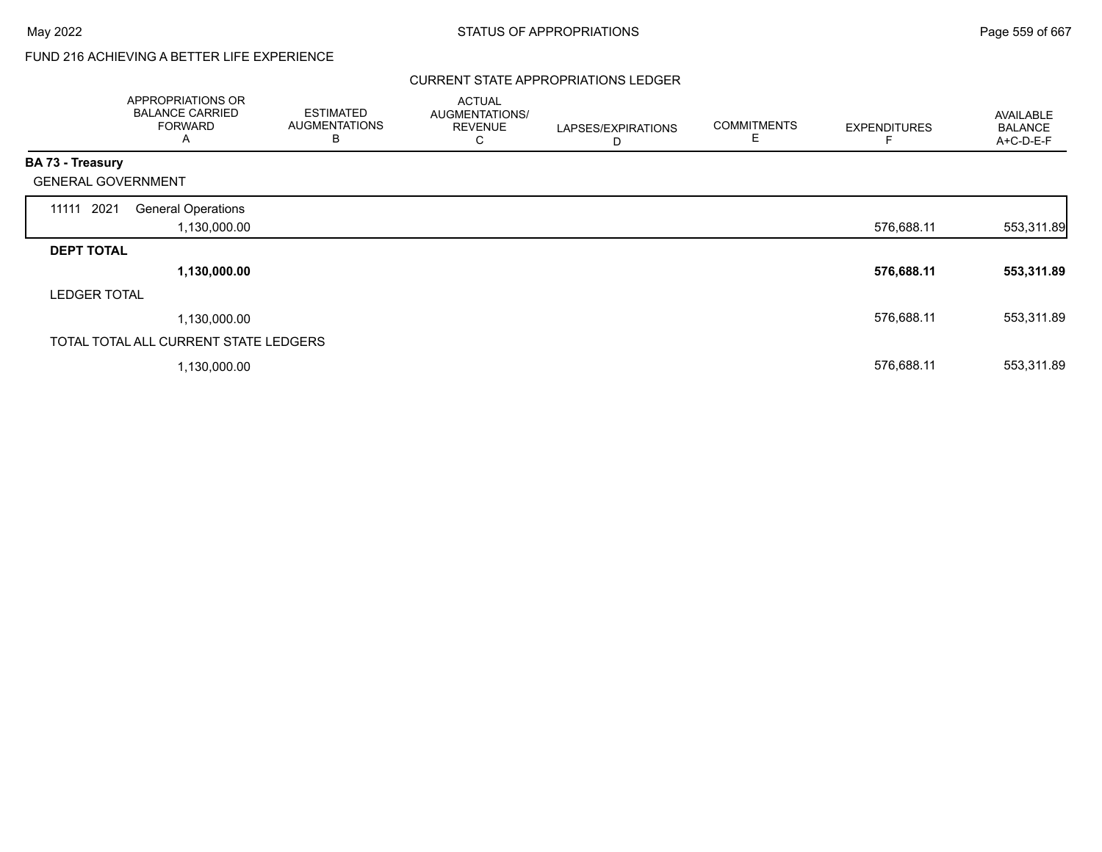# FUND 216 ACHIEVING A BETTER LIFE EXPERIENCE

#### CURRENT STATE APPROPRIATIONS LEDGER

|                           | APPROPRIATIONS OR<br><b>BALANCE CARRIED</b><br><b>FORWARD</b><br>A | <b>ESTIMATED</b><br><b>AUGMENTATIONS</b><br>В | <b>ACTUAL</b><br>AUGMENTATIONS/<br><b>REVENUE</b><br>C | LAPSES/EXPIRATIONS<br>D | <b>COMMITMENTS</b><br>Е | <b>EXPENDITURES</b> | AVAILABLE<br><b>BALANCE</b><br>A+C-D-E-F |
|---------------------------|--------------------------------------------------------------------|-----------------------------------------------|--------------------------------------------------------|-------------------------|-------------------------|---------------------|------------------------------------------|
| <b>BA 73 - Treasury</b>   |                                                                    |                                               |                                                        |                         |                         |                     |                                          |
| <b>GENERAL GOVERNMENT</b> |                                                                    |                                               |                                                        |                         |                         |                     |                                          |
| 11111 2021                | <b>General Operations</b><br>1,130,000.00                          |                                               |                                                        |                         |                         | 576,688.11          | 553,311.89                               |
| <b>DEPT TOTAL</b>         |                                                                    |                                               |                                                        |                         |                         |                     |                                          |
|                           | 1,130,000.00                                                       |                                               |                                                        |                         |                         | 576,688.11          | 553,311.89                               |
| <b>LEDGER TOTAL</b>       |                                                                    |                                               |                                                        |                         |                         |                     |                                          |
|                           | 1,130,000.00                                                       |                                               |                                                        |                         |                         | 576,688.11          | 553,311.89                               |
|                           | TOTAL TOTAL ALL CURRENT STATE LEDGERS                              |                                               |                                                        |                         |                         |                     |                                          |
|                           | 1,130,000.00                                                       |                                               |                                                        |                         |                         | 576,688.11          | 553,311.89                               |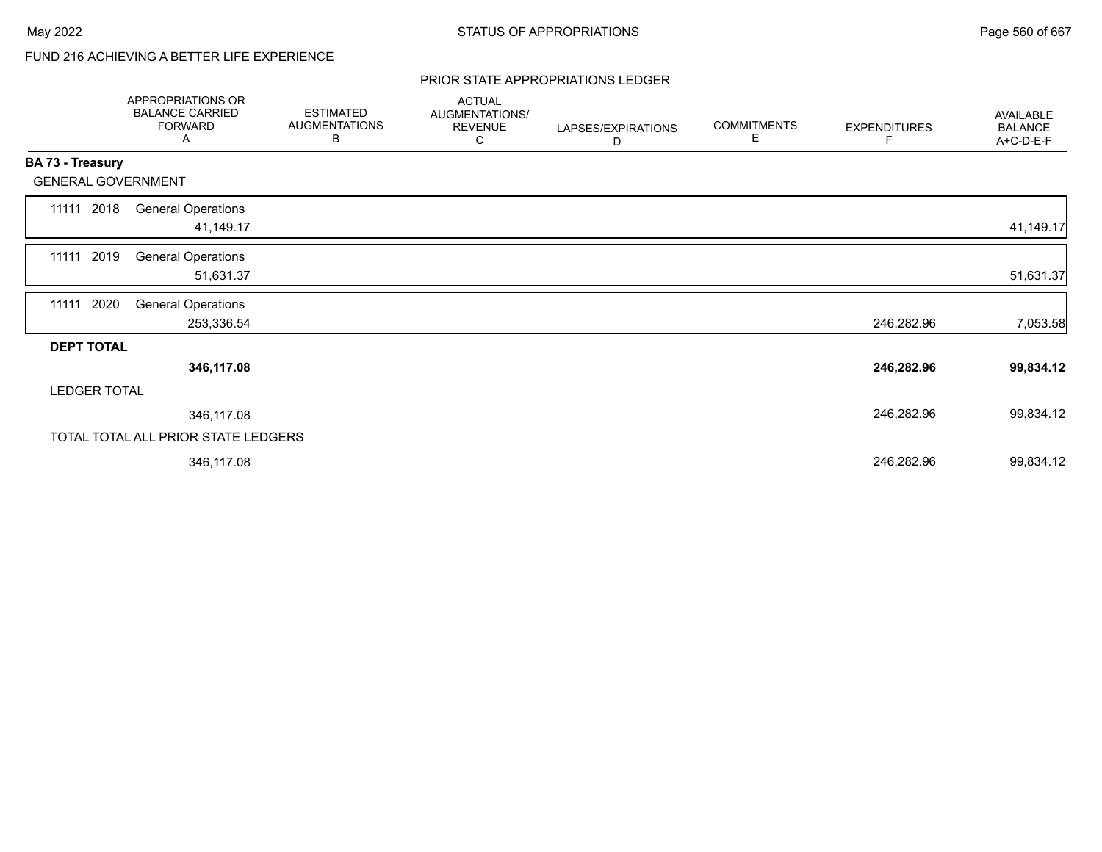# FUND 216 ACHIEVING A BETTER LIFE EXPERIENCE

#### PRIOR STATE APPROPRIATIONS LEDGER

|                   | APPROPRIATIONS OR<br><b>BALANCE CARRIED</b><br><b>FORWARD</b><br>A | <b>ESTIMATED</b><br><b>AUGMENTATIONS</b><br>В | <b>ACTUAL</b><br>AUGMENTATIONS/<br><b>REVENUE</b><br>С | LAPSES/EXPIRATIONS<br>D | <b>COMMITMENTS</b><br>Е | <b>EXPENDITURES</b><br>F | <b>AVAILABLE</b><br><b>BALANCE</b><br>A+C-D-E-F |
|-------------------|--------------------------------------------------------------------|-----------------------------------------------|--------------------------------------------------------|-------------------------|-------------------------|--------------------------|-------------------------------------------------|
| BA 73 - Treasury  |                                                                    |                                               |                                                        |                         |                         |                          |                                                 |
|                   | <b>GENERAL GOVERNMENT</b>                                          |                                               |                                                        |                         |                         |                          |                                                 |
| 11111 2018        | <b>General Operations</b><br>41,149.17                             |                                               |                                                        |                         |                         |                          | 41,149.17                                       |
| 11111 2019        | <b>General Operations</b><br>51,631.37                             |                                               |                                                        |                         |                         |                          | 51,631.37                                       |
| 11111             | 2020<br><b>General Operations</b><br>253,336.54                    |                                               |                                                        |                         |                         | 246,282.96               |                                                 |
| <b>DEPT TOTAL</b> |                                                                    |                                               |                                                        |                         |                         |                          | 7,053.58                                        |
|                   | 346,117.08                                                         |                                               |                                                        |                         |                         | 246,282.96               | 99,834.12                                       |
|                   | <b>LEDGER TOTAL</b>                                                |                                               |                                                        |                         |                         |                          |                                                 |
|                   | 346,117.08                                                         |                                               |                                                        |                         |                         | 246,282.96               | 99,834.12                                       |
|                   | TOTAL TOTAL ALL PRIOR STATE LEDGERS                                |                                               |                                                        |                         |                         |                          |                                                 |
|                   | 346,117.08                                                         |                                               |                                                        |                         |                         | 246,282.96               | 99,834.12                                       |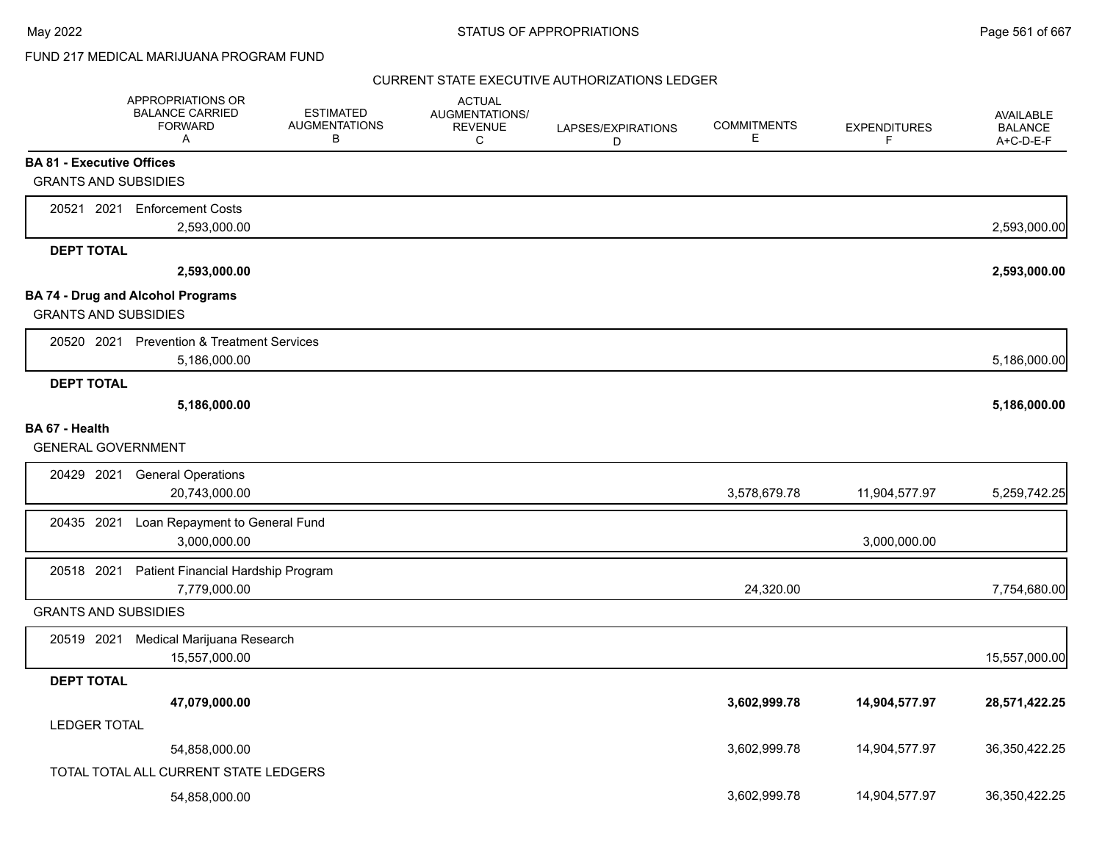## FUND 217 MEDICAL MARIJUANA PROGRAM FUND

|                                             | APPROPRIATIONS OR<br><b>BALANCE CARRIED</b><br><b>FORWARD</b><br>A | <b>ESTIMATED</b><br><b>AUGMENTATIONS</b><br>В | <b>ACTUAL</b><br>AUGMENTATIONS/<br><b>REVENUE</b><br>C | LAPSES/EXPIRATIONS<br>D | <b>COMMITMENTS</b><br>Е | <b>EXPENDITURES</b><br>F | <b>AVAILABLE</b><br><b>BALANCE</b><br>A+C-D-E-F |
|---------------------------------------------|--------------------------------------------------------------------|-----------------------------------------------|--------------------------------------------------------|-------------------------|-------------------------|--------------------------|-------------------------------------------------|
| <b>BA 81 - Executive Offices</b>            |                                                                    |                                               |                                                        |                         |                         |                          |                                                 |
| <b>GRANTS AND SUBSIDIES</b>                 |                                                                    |                                               |                                                        |                         |                         |                          |                                                 |
|                                             | 20521 2021 Enforcement Costs                                       |                                               |                                                        |                         |                         |                          |                                                 |
|                                             | 2,593,000.00                                                       |                                               |                                                        |                         |                         |                          | 2,593,000.00                                    |
| <b>DEPT TOTAL</b>                           |                                                                    |                                               |                                                        |                         |                         |                          |                                                 |
|                                             | 2,593,000.00                                                       |                                               |                                                        |                         |                         |                          | 2,593,000.00                                    |
|                                             | <b>BA 74 - Drug and Alcohol Programs</b>                           |                                               |                                                        |                         |                         |                          |                                                 |
| <b>GRANTS AND SUBSIDIES</b>                 |                                                                    |                                               |                                                        |                         |                         |                          |                                                 |
|                                             | 20520 2021 Prevention & Treatment Services                         |                                               |                                                        |                         |                         |                          |                                                 |
|                                             | 5,186,000.00                                                       |                                               |                                                        |                         |                         |                          | 5,186,000.00                                    |
| <b>DEPT TOTAL</b>                           | 5,186,000.00                                                       |                                               |                                                        |                         |                         |                          | 5,186,000.00                                    |
|                                             |                                                                    |                                               |                                                        |                         |                         |                          |                                                 |
| BA 67 - Health<br><b>GENERAL GOVERNMENT</b> |                                                                    |                                               |                                                        |                         |                         |                          |                                                 |
|                                             | <b>General Operations</b>                                          |                                               |                                                        |                         |                         |                          |                                                 |
| 20429 2021                                  | 20,743,000.00                                                      |                                               |                                                        |                         | 3,578,679.78            | 11,904,577.97            | 5,259,742.25                                    |
|                                             |                                                                    |                                               |                                                        |                         |                         |                          |                                                 |
| 20435 2021                                  | Loan Repayment to General Fund<br>3,000,000.00                     |                                               |                                                        |                         |                         | 3,000,000.00             |                                                 |
|                                             |                                                                    |                                               |                                                        |                         |                         |                          |                                                 |
| 20518 2021                                  | Patient Financial Hardship Program<br>7,779,000.00                 |                                               |                                                        |                         | 24,320.00               |                          | 7,754,680.00                                    |
| <b>GRANTS AND SUBSIDIES</b>                 |                                                                    |                                               |                                                        |                         |                         |                          |                                                 |
|                                             |                                                                    |                                               |                                                        |                         |                         |                          |                                                 |
| 20519 2021                                  | Medical Marijuana Research<br>15,557,000.00                        |                                               |                                                        |                         |                         |                          | 15,557,000.00                                   |
| <b>DEPT TOTAL</b>                           |                                                                    |                                               |                                                        |                         |                         |                          |                                                 |
|                                             | 47,079,000.00                                                      |                                               |                                                        |                         | 3,602,999.78            | 14,904,577.97            | 28,571,422.25                                   |
| <b>LEDGER TOTAL</b>                         |                                                                    |                                               |                                                        |                         |                         |                          |                                                 |
|                                             | 54,858,000.00                                                      |                                               |                                                        |                         | 3,602,999.78            | 14,904,577.97            | 36,350,422.25                                   |
|                                             | TOTAL TOTAL ALL CURRENT STATE LEDGERS                              |                                               |                                                        |                         |                         |                          |                                                 |
|                                             |                                                                    |                                               |                                                        |                         | 3,602,999.78            |                          | 36,350,422.25                                   |
|                                             | 54,858,000.00                                                      |                                               |                                                        |                         |                         | 14,904,577.97            |                                                 |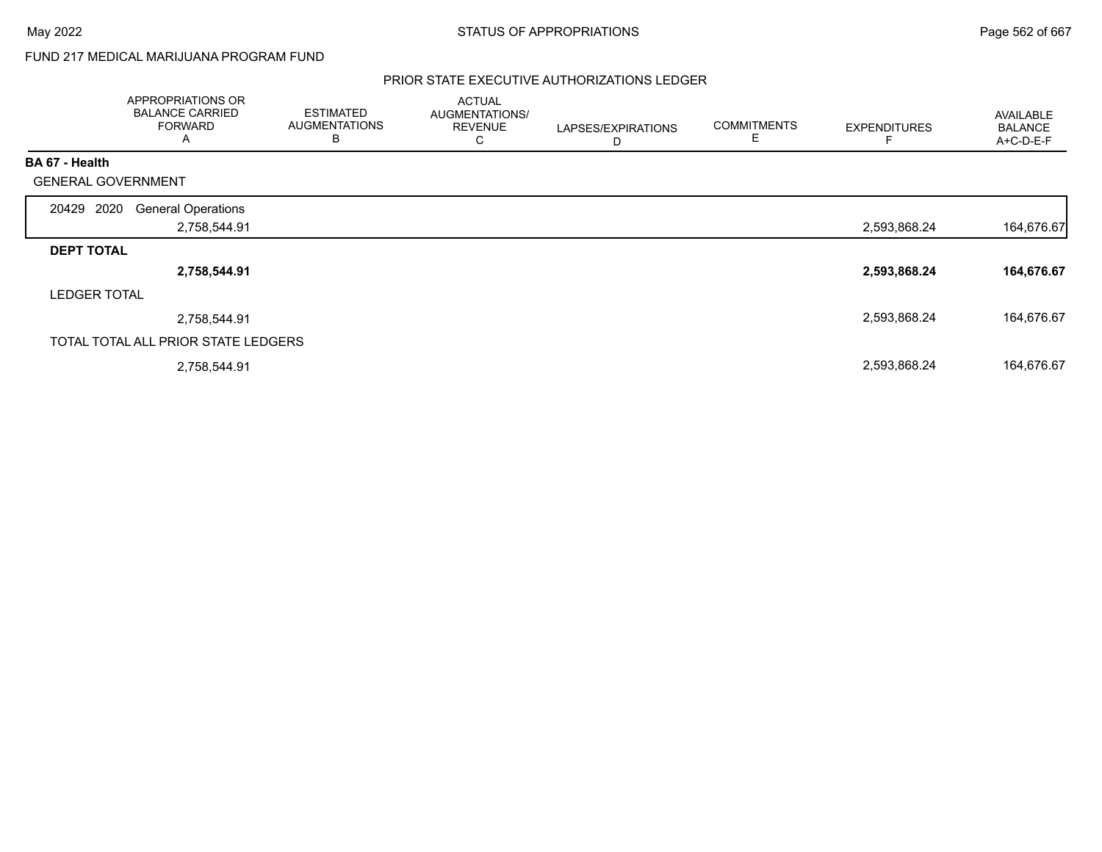### FUND 217 MEDICAL MARIJUANA PROGRAM FUND

|                           | APPROPRIATIONS OR<br><b>BALANCE CARRIED</b><br><b>FORWARD</b><br>A | <b>ESTIMATED</b><br><b>AUGMENTATIONS</b><br>В | <b>ACTUAL</b><br>AUGMENTATIONS/<br><b>REVENUE</b><br>C | LAPSES/EXPIRATIONS<br>D | <b>COMMITMENTS</b><br>Е | <b>EXPENDITURES</b> | <b>AVAILABLE</b><br><b>BALANCE</b><br>A+C-D-E-F |
|---------------------------|--------------------------------------------------------------------|-----------------------------------------------|--------------------------------------------------------|-------------------------|-------------------------|---------------------|-------------------------------------------------|
| BA 67 - Health            |                                                                    |                                               |                                                        |                         |                         |                     |                                                 |
| <b>GENERAL GOVERNMENT</b> |                                                                    |                                               |                                                        |                         |                         |                     |                                                 |
| 2020<br>20429             | <b>General Operations</b>                                          |                                               |                                                        |                         |                         |                     |                                                 |
|                           | 2,758,544.91                                                       |                                               |                                                        |                         |                         | 2,593,868.24        | 164,676.67                                      |
| <b>DEPT TOTAL</b>         |                                                                    |                                               |                                                        |                         |                         |                     |                                                 |
|                           | 2,758,544.91                                                       |                                               |                                                        |                         |                         | 2,593,868.24        | 164,676.67                                      |
| <b>LEDGER TOTAL</b>       |                                                                    |                                               |                                                        |                         |                         |                     |                                                 |
|                           | 2,758,544.91                                                       |                                               |                                                        |                         |                         | 2,593,868.24        | 164,676.67                                      |
|                           | TOTAL TOTAL ALL PRIOR STATE LEDGERS                                |                                               |                                                        |                         |                         |                     |                                                 |
|                           | 2,758,544.91                                                       |                                               |                                                        |                         |                         | 2,593,868.24        | 164,676.67                                      |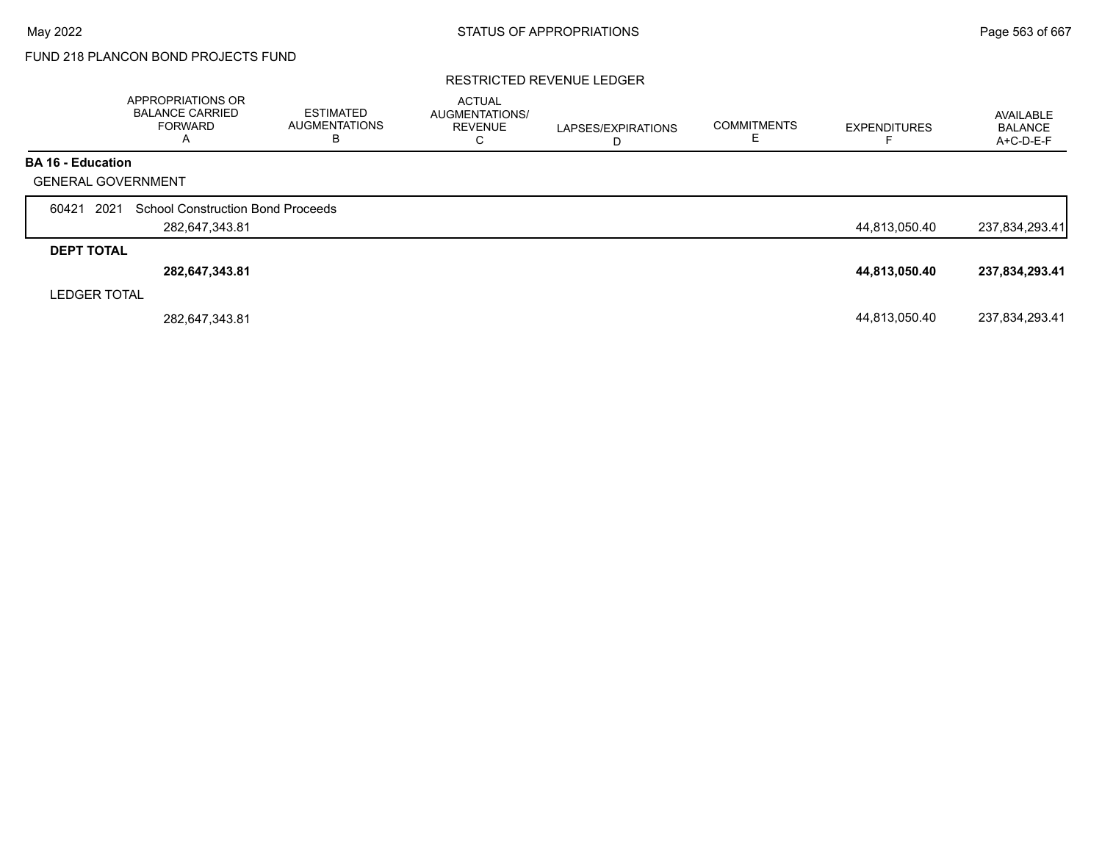# FUND 218 PLANCON BOND PROJECTS FUND

#### RESTRICTED REVENUE LEDGER

|                           | <b>APPROPRIATIONS OR</b><br><b>BALANCE CARRIED</b><br><b>FORWARD</b><br>А | ESTIMATED<br><b>AUGMENTATIONS</b><br>В | <b>ACTUAL</b><br>AUGMENTATIONS/<br><b>REVENUE</b><br>С | LAPSES/EXPIRATIONS | <b>COMMITMENTS</b> | <b>EXPENDITURES</b> | AVAILABLE<br><b>BALANCE</b><br>A+C-D-E-F |
|---------------------------|---------------------------------------------------------------------------|----------------------------------------|--------------------------------------------------------|--------------------|--------------------|---------------------|------------------------------------------|
| <b>BA 16 - Education</b>  |                                                                           |                                        |                                                        |                    |                    |                     |                                          |
| <b>GENERAL GOVERNMENT</b> |                                                                           |                                        |                                                        |                    |                    |                     |                                          |
| 2021<br>60421             | <b>School Construction Bond Proceeds</b>                                  |                                        |                                                        |                    |                    |                     |                                          |
|                           | 282,647,343.81                                                            |                                        |                                                        |                    |                    | 44,813,050.40       | 237,834,293.41                           |
| <b>DEPT TOTAL</b>         |                                                                           |                                        |                                                        |                    |                    |                     |                                          |
|                           | 282,647,343.81                                                            |                                        |                                                        |                    |                    | 44,813,050.40       | 237,834,293.41                           |
| <b>LEDGER TOTAL</b>       |                                                                           |                                        |                                                        |                    |                    |                     |                                          |
|                           | 282,647,343.81                                                            |                                        |                                                        |                    |                    | 44,813,050.40       | 237,834,293.41                           |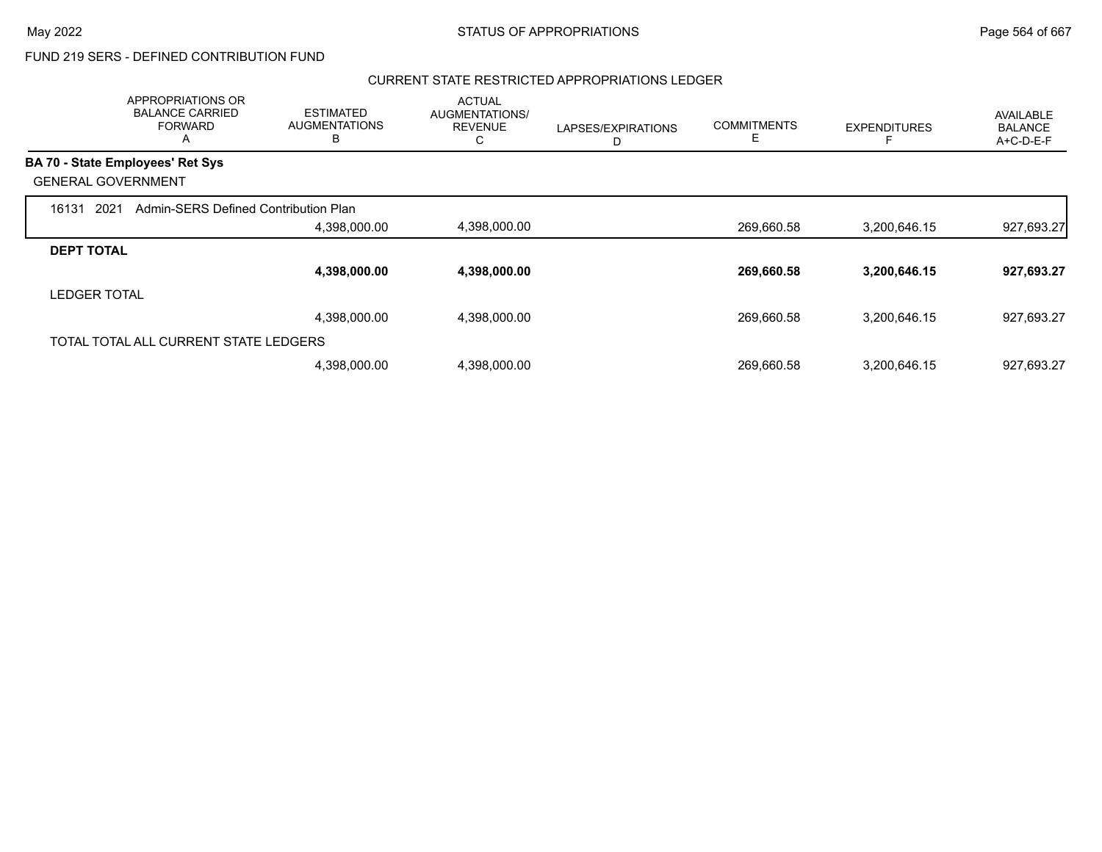#### CURRENT STATE RESTRICTED APPROPRIATIONS LEDGER

|                           | APPROPRIATIONS OR<br><b>BALANCE CARRIED</b><br><b>FORWARD</b><br>A | <b>ESTIMATED</b><br><b>AUGMENTATIONS</b><br>B | <b>ACTUAL</b><br>AUGMENTATIONS/<br><b>REVENUE</b><br>С | LAPSES/EXPIRATIONS<br>D | <b>COMMITMENTS</b><br>E. | <b>EXPENDITURES</b> | AVAILABLE<br><b>BALANCE</b><br>A+C-D-E-F |
|---------------------------|--------------------------------------------------------------------|-----------------------------------------------|--------------------------------------------------------|-------------------------|--------------------------|---------------------|------------------------------------------|
|                           | <b>BA 70 - State Employees' Ret Sys</b>                            |                                               |                                                        |                         |                          |                     |                                          |
| <b>GENERAL GOVERNMENT</b> |                                                                    |                                               |                                                        |                         |                          |                     |                                          |
| 2021<br>16131             | Admin-SERS Defined Contribution Plan                               |                                               |                                                        |                         |                          |                     |                                          |
|                           |                                                                    | 4,398,000.00                                  | 4,398,000.00                                           |                         | 269,660.58               | 3,200,646.15        | 927,693.27                               |
| <b>DEPT TOTAL</b>         |                                                                    |                                               |                                                        |                         |                          |                     |                                          |
|                           |                                                                    | 4,398,000.00                                  | 4,398,000.00                                           |                         | 269,660.58               | 3,200,646.15        | 927,693.27                               |
| <b>LEDGER TOTAL</b>       |                                                                    |                                               |                                                        |                         |                          |                     |                                          |
|                           |                                                                    | 4,398,000.00                                  | 4,398,000.00                                           |                         | 269,660.58               | 3,200,646.15        | 927,693.27                               |
|                           | TOTAL TOTAL ALL CURRENT STATE LEDGERS                              |                                               |                                                        |                         |                          |                     |                                          |
|                           |                                                                    | 4,398,000.00                                  | 4,398,000.00                                           |                         | 269.660.58               | 3,200,646.15        | 927,693.27                               |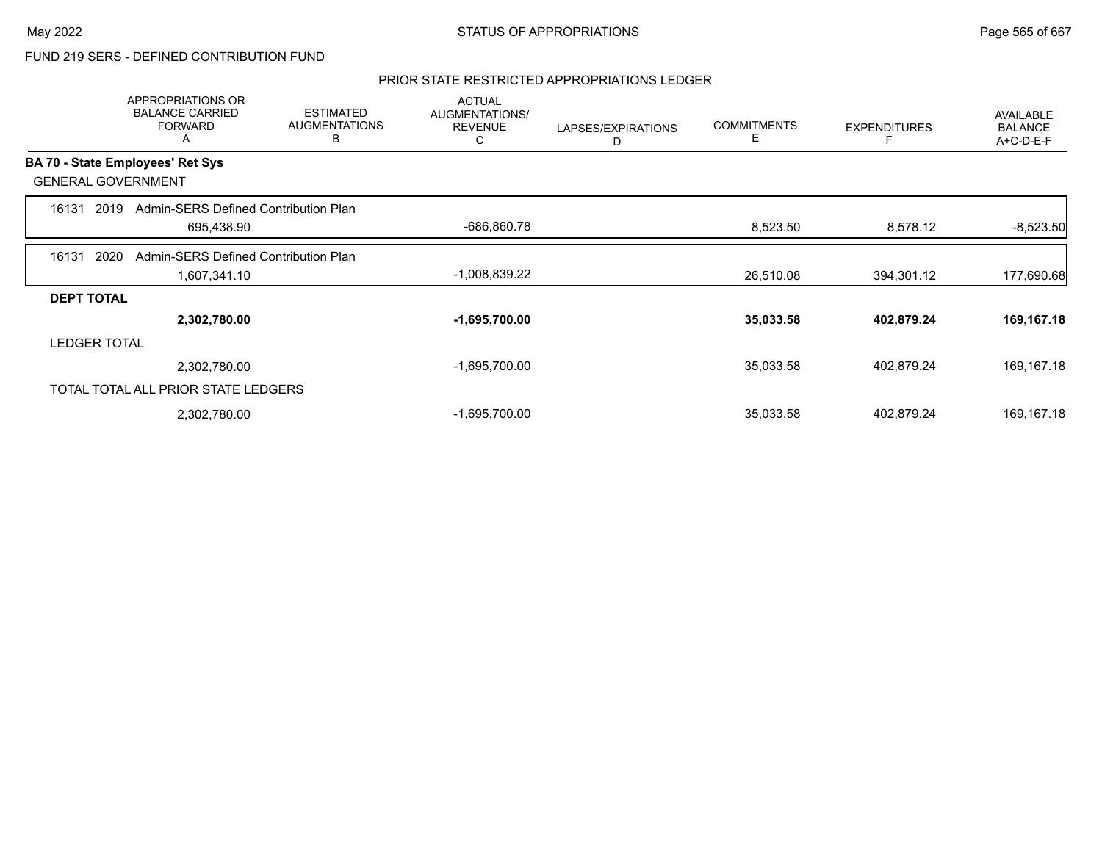#### PRIOR STATE RESTRICTED APPROPRIATIONS LEDGER

|                   | APPROPRIATIONS OR<br><b>BALANCE CARRIED</b><br><b>FORWARD</b><br>A | <b>ESTIMATED</b><br><b>AUGMENTATIONS</b><br>в | <b>ACTUAL</b><br>AUGMENTATIONS/<br><b>REVENUE</b><br>С | LAPSES/EXPIRATIONS<br>D | <b>COMMITMENTS</b><br>Е | <b>EXPENDITURES</b> | AVAILABLE<br><b>BALANCE</b><br>A+C-D-E-F |
|-------------------|--------------------------------------------------------------------|-----------------------------------------------|--------------------------------------------------------|-------------------------|-------------------------|---------------------|------------------------------------------|
|                   | BA 70 - State Employees' Ret Sys                                   |                                               |                                                        |                         |                         |                     |                                          |
|                   | <b>GENERAL GOVERNMENT</b>                                          |                                               |                                                        |                         |                         |                     |                                          |
| 16131             | Admin-SERS Defined Contribution Plan<br>2019                       |                                               |                                                        |                         |                         |                     |                                          |
|                   | 695,438.90                                                         |                                               | -686,860.78                                            |                         | 8,523.50                | 8,578.12            | $-8,523.50$                              |
| 16131             | 2020<br>Admin-SERS Defined Contribution Plan                       |                                               |                                                        |                         |                         |                     |                                          |
|                   | 1,607,341.10                                                       |                                               | $-1,008,839.22$                                        |                         | 26,510.08               | 394,301.12          | 177,690.68                               |
| <b>DEPT TOTAL</b> |                                                                    |                                               |                                                        |                         |                         |                     |                                          |
|                   | 2,302,780.00                                                       |                                               | $-1,695,700.00$                                        |                         | 35,033.58               | 402,879.24          | 169,167.18                               |
|                   | <b>LEDGER TOTAL</b>                                                |                                               |                                                        |                         |                         |                     |                                          |
|                   | 2,302,780.00                                                       |                                               | $-1,695,700.00$                                        |                         | 35,033.58               | 402,879.24          | 169,167.18                               |
|                   | TOTAL TOTAL ALL PRIOR STATE LEDGERS                                |                                               |                                                        |                         |                         |                     |                                          |
|                   | 2,302,780.00                                                       |                                               | $-1,695,700.00$                                        |                         | 35,033.58               | 402,879.24          | 169,167.18                               |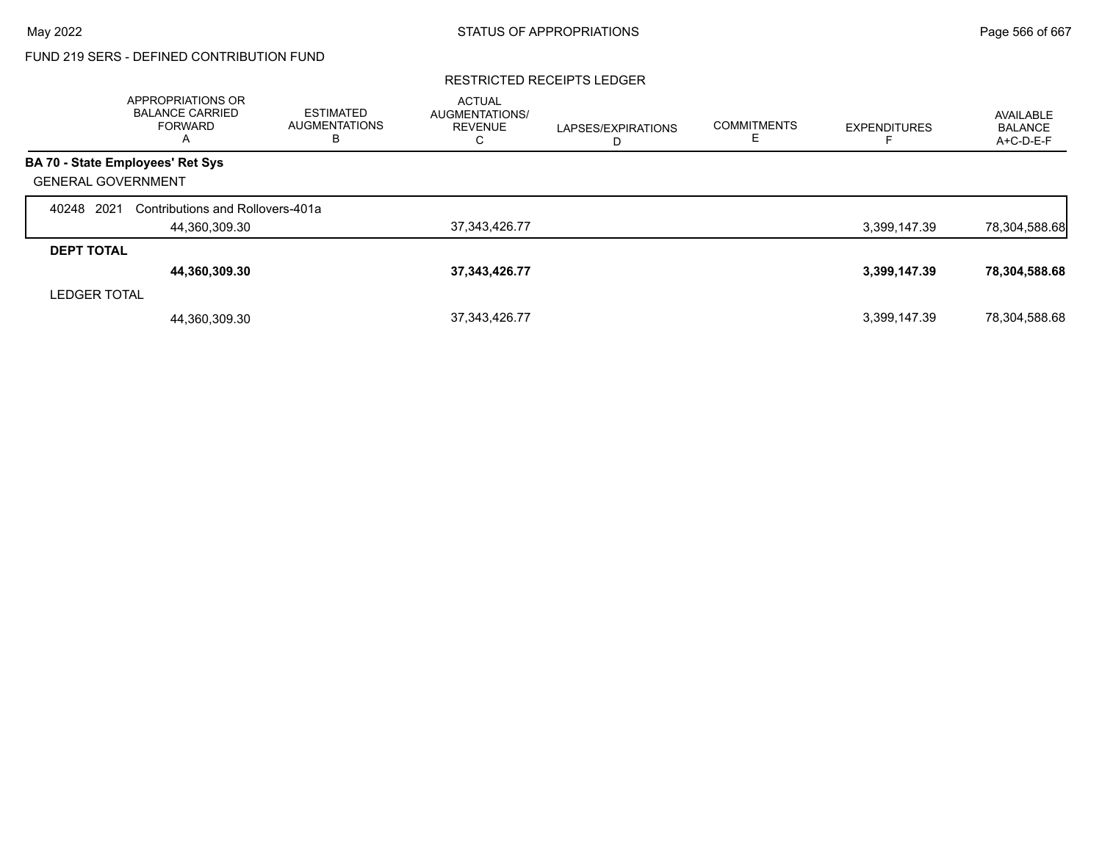#### RESTRICTED RECEIPTS LEDGER

|                           | APPROPRIATIONS OR<br><b>BALANCE CARRIED</b><br><b>FORWARD</b><br>$\overline{A}$ | <b>ESTIMATED</b><br><b>AUGMENTATIONS</b><br>В | <b>ACTUAL</b><br><b>AUGMENTATIONS/</b><br><b>REVENUE</b><br>U | LAPSES/EXPIRATIONS<br>D | <b>COMMITMENTS</b> | <b>EXPENDITURES</b> | AVAILABLE<br><b>BALANCE</b><br>A+C-D-E-F |
|---------------------------|---------------------------------------------------------------------------------|-----------------------------------------------|---------------------------------------------------------------|-------------------------|--------------------|---------------------|------------------------------------------|
|                           | <b>BA 70 - State Employees' Ret Sys</b>                                         |                                               |                                                               |                         |                    |                     |                                          |
| <b>GENERAL GOVERNMENT</b> |                                                                                 |                                               |                                                               |                         |                    |                     |                                          |
| 2021<br>40248             | Contributions and Rollovers-401a                                                |                                               |                                                               |                         |                    |                     |                                          |
|                           | 44,360,309.30                                                                   |                                               | 37, 343, 426. 77                                              |                         |                    | 3,399,147.39        | 78,304,588.68                            |
| <b>DEPT TOTAL</b>         |                                                                                 |                                               |                                                               |                         |                    |                     |                                          |
|                           | 44,360,309.30                                                                   |                                               | 37, 343, 426. 77                                              |                         |                    | 3,399,147.39        | 78,304,588.68                            |
| <b>LEDGER TOTAL</b>       |                                                                                 |                                               |                                                               |                         |                    |                     |                                          |
|                           | 44,360,309.30                                                                   |                                               | 37, 343, 426. 77                                              |                         |                    | 3,399,147.39        | 78,304,588.68                            |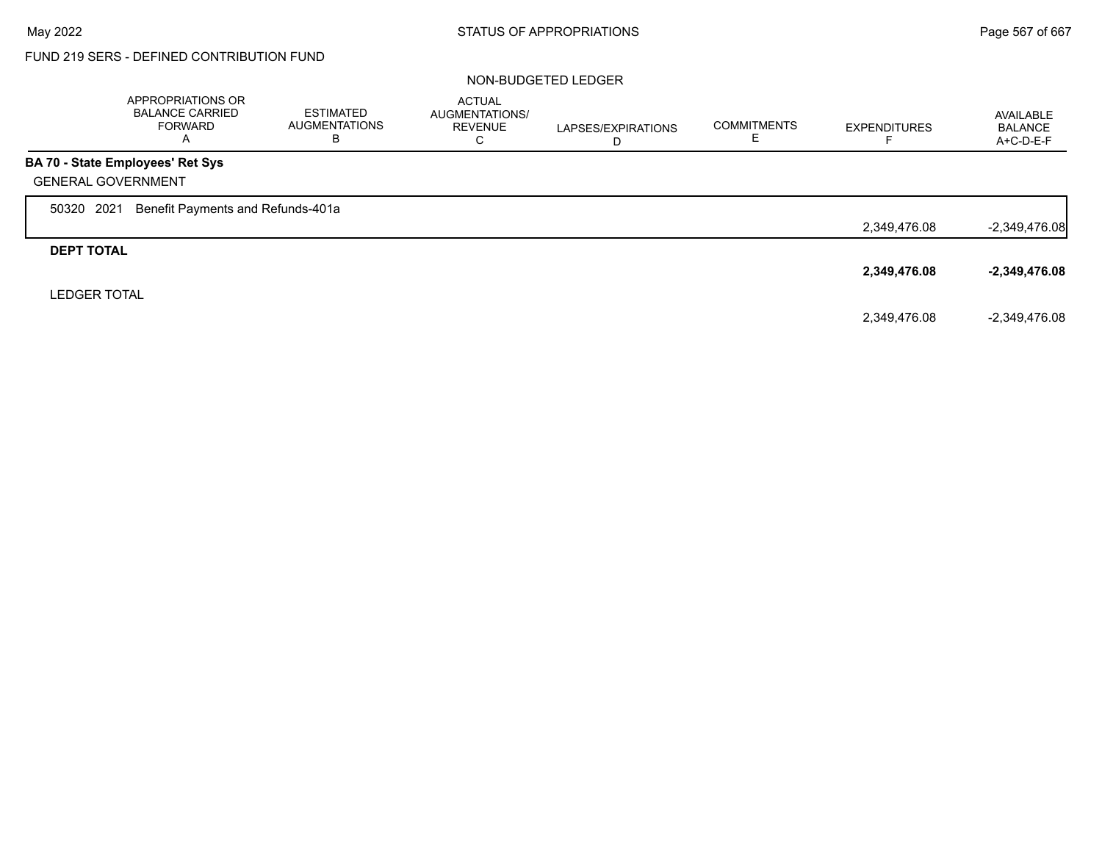#### NON-BUDGETED LEDGER

|                     | APPROPRIATIONS OR<br><b>BALANCE CARRIED</b><br><b>FORWARD</b><br>A | <b>ESTIMATED</b><br><b>AUGMENTATIONS</b><br>В | <b>ACTUAL</b><br>AUGMENTATIONS/<br><b>REVENUE</b><br>С | LAPSES/EXPIRATIONS<br>D | <b>COMMITMENTS</b><br>E | <b>EXPENDITURES</b> | AVAILABLE<br><b>BALANCE</b><br>$A+C-D-E-F$ |
|---------------------|--------------------------------------------------------------------|-----------------------------------------------|--------------------------------------------------------|-------------------------|-------------------------|---------------------|--------------------------------------------|
|                     | BA 70 - State Employees' Ret Sys                                   |                                               |                                                        |                         |                         |                     |                                            |
|                     | <b>GENERAL GOVERNMENT</b>                                          |                                               |                                                        |                         |                         |                     |                                            |
| 50320               | 2021<br>Benefit Payments and Refunds-401a                          |                                               |                                                        |                         |                         |                     |                                            |
|                     |                                                                    |                                               |                                                        |                         |                         | 2,349,476.08        | $-2,349,476.08$                            |
| <b>DEPT TOTAL</b>   |                                                                    |                                               |                                                        |                         |                         |                     |                                            |
|                     |                                                                    |                                               |                                                        |                         |                         | 2,349,476.08        | $-2,349,476.08$                            |
| <b>LEDGER TOTAL</b> |                                                                    |                                               |                                                        |                         |                         |                     |                                            |
|                     |                                                                    |                                               |                                                        |                         |                         | 2,349,476.08        | $-2,349,476.08$                            |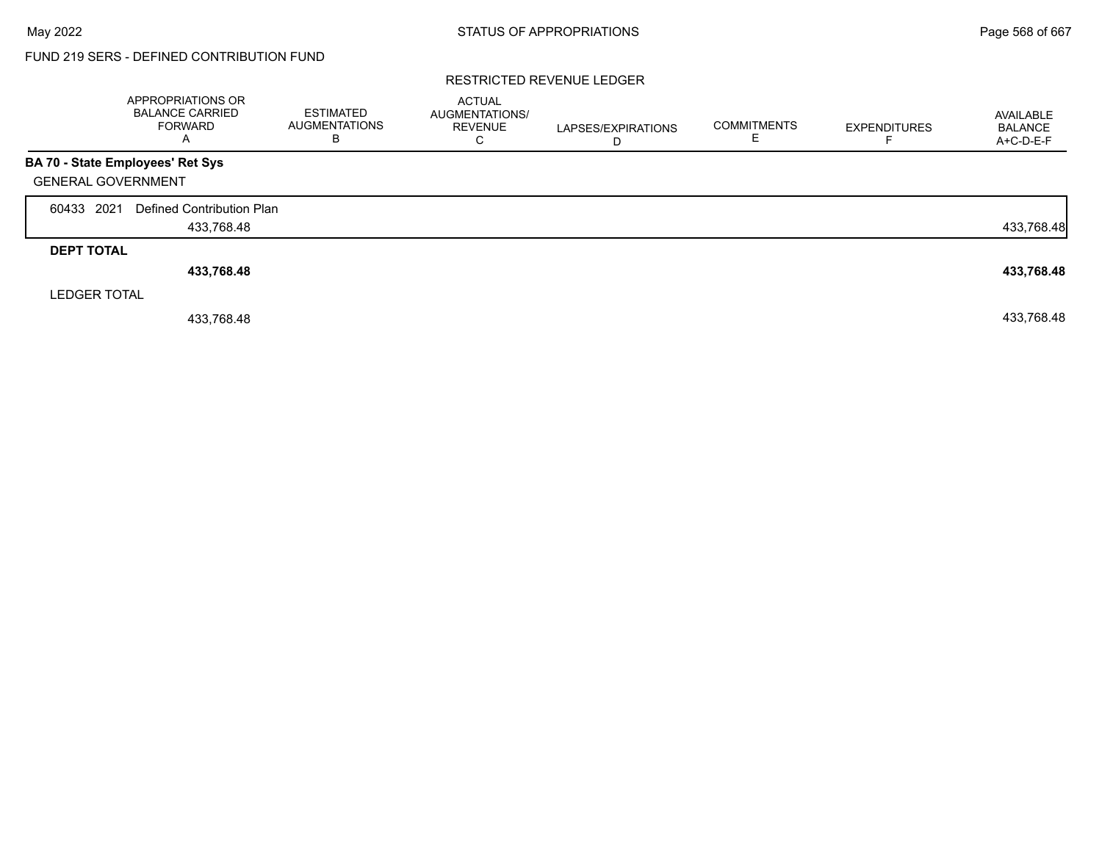#### RESTRICTED REVENUE LEDGER

|                     | <b>APPROPRIATIONS OR</b><br><b>BALANCE CARRIED</b><br><b>FORWARD</b><br>Α | <b>ESTIMATED</b><br><b>AUGMENTATIONS</b><br>В | <b>ACTUAL</b><br>AUGMENTATIONS/<br><b>REVENUE</b><br>С | LAPSES/EXPIRATIONS<br>D | <b>COMMITMENTS</b> | <b>EXPENDITURES</b> | AVAILABLE<br><b>BALANCE</b><br>$A+C-D-E-F$ |
|---------------------|---------------------------------------------------------------------------|-----------------------------------------------|--------------------------------------------------------|-------------------------|--------------------|---------------------|--------------------------------------------|
|                     | BA 70 - State Employees' Ret Sys                                          |                                               |                                                        |                         |                    |                     |                                            |
|                     | <b>GENERAL GOVERNMENT</b>                                                 |                                               |                                                        |                         |                    |                     |                                            |
| 60433 2021          | Defined Contribution Plan                                                 |                                               |                                                        |                         |                    |                     |                                            |
|                     | 433,768.48                                                                |                                               |                                                        |                         |                    |                     | 433,768.48                                 |
| <b>DEPT TOTAL</b>   |                                                                           |                                               |                                                        |                         |                    |                     |                                            |
|                     | 433,768.48                                                                |                                               |                                                        |                         |                    |                     | 433,768.48                                 |
| <b>LEDGER TOTAL</b> |                                                                           |                                               |                                                        |                         |                    |                     |                                            |
|                     | 433,768.48                                                                |                                               |                                                        |                         |                    |                     | 433,768.48                                 |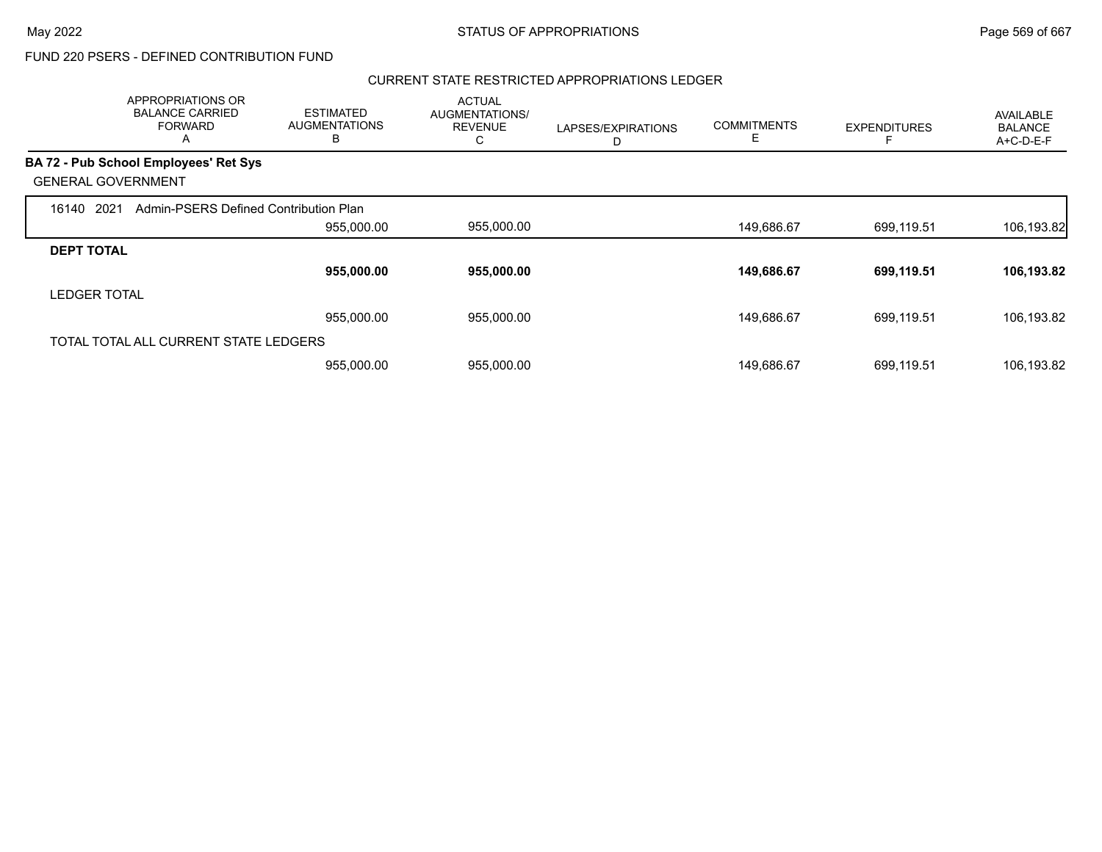### CURRENT STATE RESTRICTED APPROPRIATIONS LEDGER

|                           | APPROPRIATIONS OR<br><b>BALANCE CARRIED</b><br><b>FORWARD</b><br>A | <b>ESTIMATED</b><br><b>AUGMENTATIONS</b><br>B | <b>ACTUAL</b><br>AUGMENTATIONS/<br><b>REVENUE</b><br>С | LAPSES/EXPIRATIONS<br>D | <b>COMMITMENTS</b><br>Е | <b>EXPENDITURES</b> | AVAILABLE<br><b>BALANCE</b><br>A+C-D-E-F |
|---------------------------|--------------------------------------------------------------------|-----------------------------------------------|--------------------------------------------------------|-------------------------|-------------------------|---------------------|------------------------------------------|
|                           | <b>BA 72 - Pub School Employees' Ret Sys</b>                       |                                               |                                                        |                         |                         |                     |                                          |
| <b>GENERAL GOVERNMENT</b> |                                                                    |                                               |                                                        |                         |                         |                     |                                          |
| 2021<br>16140             | Admin-PSERS Defined Contribution Plan                              |                                               |                                                        |                         |                         |                     |                                          |
|                           |                                                                    | 955,000.00                                    | 955,000.00                                             |                         | 149,686.67              | 699,119.51          | 106,193.82                               |
| <b>DEPT TOTAL</b>         |                                                                    |                                               |                                                        |                         |                         |                     |                                          |
|                           |                                                                    | 955,000.00                                    | 955,000.00                                             |                         | 149,686.67              | 699,119.51          | 106,193.82                               |
| <b>LEDGER TOTAL</b>       |                                                                    |                                               |                                                        |                         |                         |                     |                                          |
|                           |                                                                    | 955,000.00                                    | 955,000.00                                             |                         | 149,686.67              | 699,119.51          | 106,193.82                               |
|                           | TOTAL TOTAL ALL CURRENT STATE LEDGERS                              |                                               |                                                        |                         |                         |                     |                                          |
|                           |                                                                    | 955,000.00                                    | 955,000.00                                             |                         | 149,686.67              | 699,119.51          | 106,193.82                               |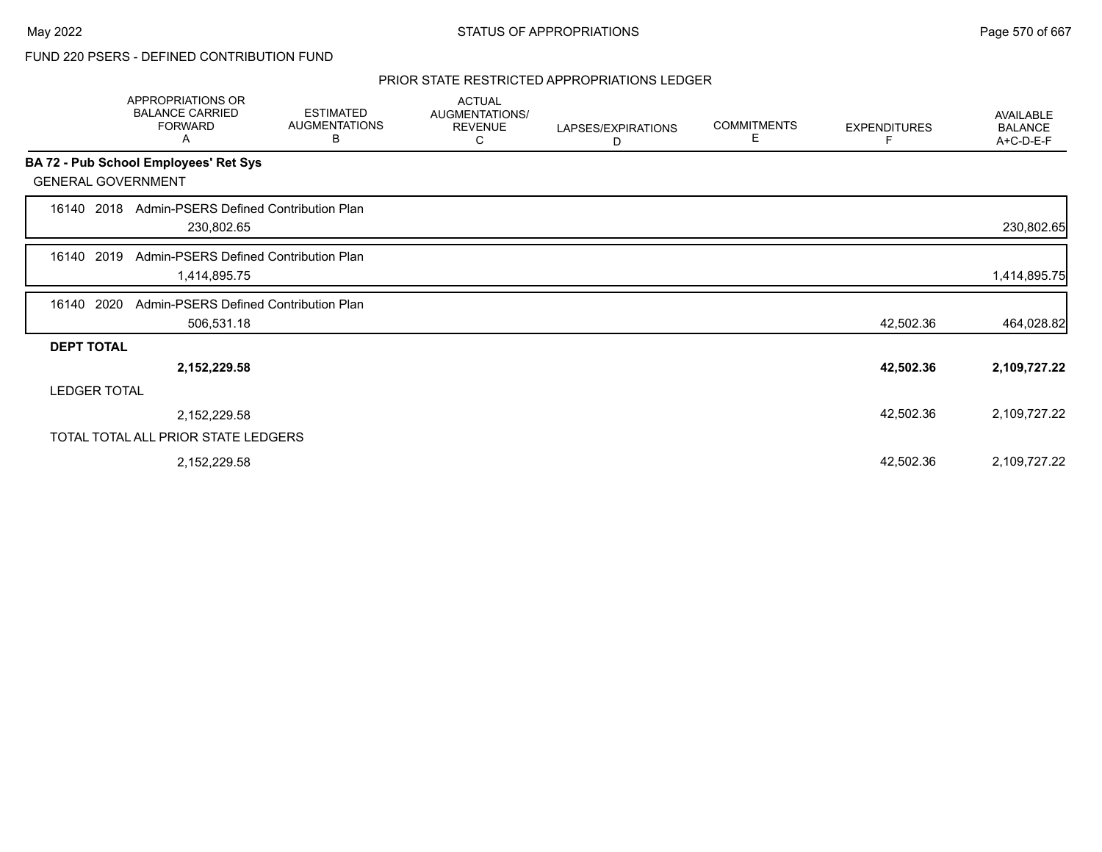#### PRIOR STATE RESTRICTED APPROPRIATIONS LEDGER

|                           | APPROPRIATIONS OR<br><b>BALANCE CARRIED</b><br><b>FORWARD</b><br>A | <b>ESTIMATED</b><br><b>AUGMENTATIONS</b><br>В | <b>ACTUAL</b><br>AUGMENTATIONS/<br><b>REVENUE</b><br>С | LAPSES/EXPIRATIONS<br>D | <b>COMMITMENTS</b><br>Е | <b>EXPENDITURES</b> | AVAILABLE<br><b>BALANCE</b><br>A+C-D-E-F |
|---------------------------|--------------------------------------------------------------------|-----------------------------------------------|--------------------------------------------------------|-------------------------|-------------------------|---------------------|------------------------------------------|
|                           | BA 72 - Pub School Employees' Ret Sys                              |                                               |                                                        |                         |                         |                     |                                          |
| <b>GENERAL GOVERNMENT</b> |                                                                    |                                               |                                                        |                         |                         |                     |                                          |
| 2018<br>16140             | Admin-PSERS Defined Contribution Plan<br>230,802.65                |                                               |                                                        |                         |                         |                     | 230,802.65                               |
| 2019<br>16140             | Admin-PSERS Defined Contribution Plan<br>1,414,895.75              |                                               |                                                        |                         |                         |                     | 1,414,895.75                             |
| 2020<br>16140             | Admin-PSERS Defined Contribution Plan<br>506,531.18                |                                               |                                                        |                         |                         | 42,502.36           | 464,028.82                               |
| <b>DEPT TOTAL</b>         |                                                                    |                                               |                                                        |                         |                         |                     |                                          |
|                           | 2,152,229.58                                                       |                                               |                                                        |                         |                         | 42,502.36           | 2,109,727.22                             |
| <b>LEDGER TOTAL</b>       |                                                                    |                                               |                                                        |                         |                         |                     |                                          |
|                           | 2,152,229.58                                                       |                                               |                                                        |                         |                         | 42,502.36           | 2,109,727.22                             |
|                           | TOTAL TOTAL ALL PRIOR STATE LEDGERS                                |                                               |                                                        |                         |                         |                     |                                          |
|                           | 2,152,229.58                                                       |                                               |                                                        |                         |                         | 42,502.36           | 2,109,727.22                             |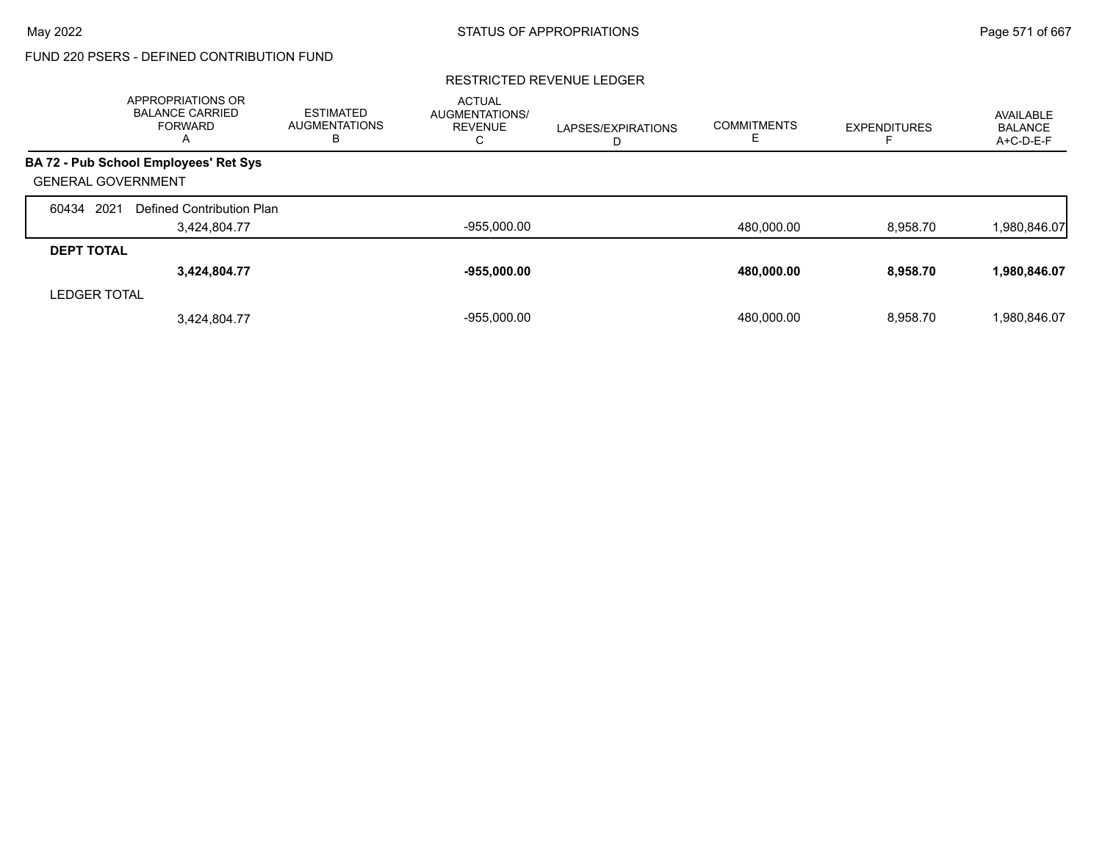#### RESTRICTED REVENUE LEDGER

|                           | APPROPRIATIONS OR<br><b>BALANCE CARRIED</b><br><b>FORWARD</b><br>A | <b>ESTIMATED</b><br><b>AUGMENTATIONS</b><br>в | <b>ACTUAL</b><br><b>AUGMENTATIONS/</b><br><b>REVENUE</b><br>С | LAPSES/EXPIRATIONS<br>D | <b>COMMITMENTS</b> | <b>EXPENDITURES</b> | AVAILABLE<br><b>BALANCE</b><br>A+C-D-E-F |
|---------------------------|--------------------------------------------------------------------|-----------------------------------------------|---------------------------------------------------------------|-------------------------|--------------------|---------------------|------------------------------------------|
|                           | BA 72 - Pub School Employees' Ret Sys                              |                                               |                                                               |                         |                    |                     |                                          |
| <b>GENERAL GOVERNMENT</b> |                                                                    |                                               |                                                               |                         |                    |                     |                                          |
| 2021<br>60434             | Defined Contribution Plan                                          |                                               |                                                               |                         |                    |                     |                                          |
|                           | 3,424,804.77                                                       |                                               | $-955,000.00$                                                 |                         | 480,000.00         | 8,958.70            | 1,980,846.07                             |
| <b>DEPT TOTAL</b>         |                                                                    |                                               |                                                               |                         |                    |                     |                                          |
|                           | 3,424,804.77                                                       |                                               | $-955,000.00$                                                 |                         | 480,000.00         | 8,958.70            | 1,980,846.07                             |
| <b>LEDGER TOTAL</b>       |                                                                    |                                               |                                                               |                         |                    |                     |                                          |
|                           | 3,424,804.77                                                       |                                               | $-955.000.00$                                                 |                         | 480.000.00         | 8.958.70            | 1,980,846.07                             |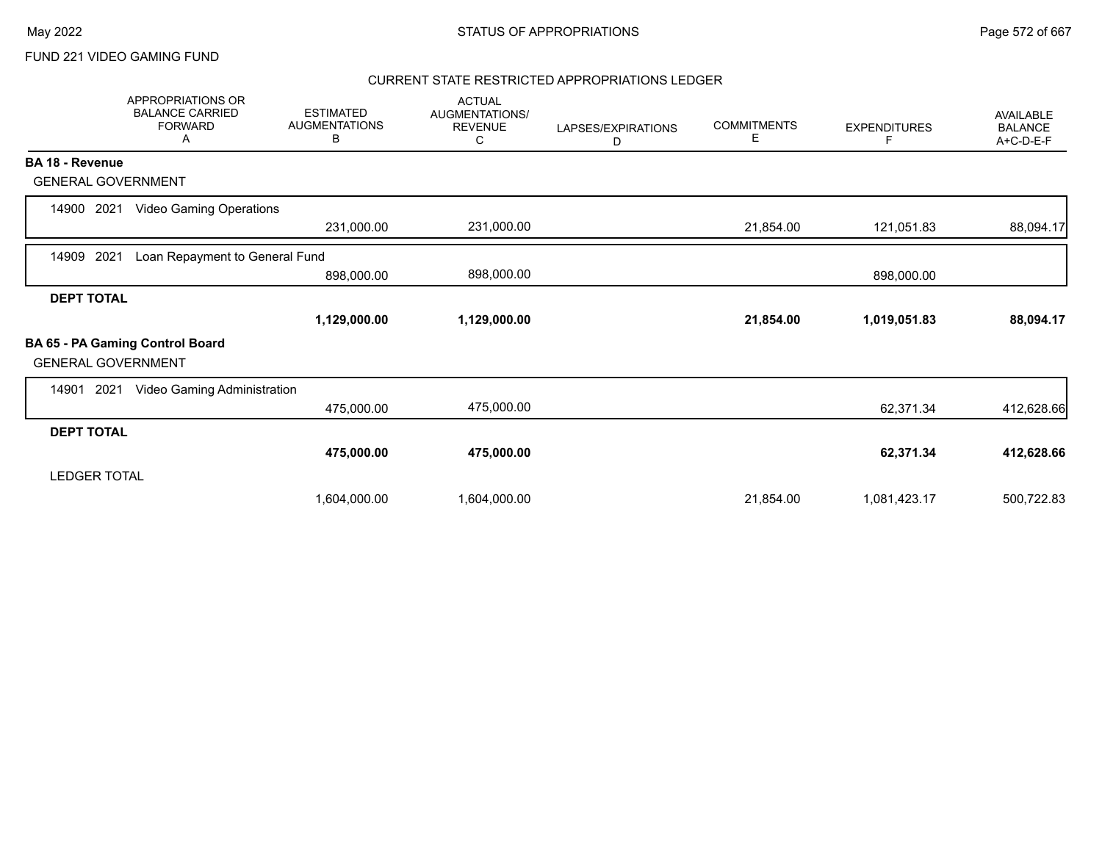#### CURRENT STATE RESTRICTED APPROPRIATIONS LEDGER

|                           | <b>APPROPRIATIONS OR</b><br><b>BALANCE CARRIED</b><br><b>FORWARD</b><br>Α | <b>ESTIMATED</b><br><b>AUGMENTATIONS</b><br>В | <b>ACTUAL</b><br><b>AUGMENTATIONS/</b><br><b>REVENUE</b><br>С | LAPSES/EXPIRATIONS<br>D | <b>COMMITMENTS</b><br>Е | <b>EXPENDITURES</b><br>F | AVAILABLE<br><b>BALANCE</b><br>A+C-D-E-F |
|---------------------------|---------------------------------------------------------------------------|-----------------------------------------------|---------------------------------------------------------------|-------------------------|-------------------------|--------------------------|------------------------------------------|
| <b>BA 18 - Revenue</b>    |                                                                           |                                               |                                                               |                         |                         |                          |                                          |
| <b>GENERAL GOVERNMENT</b> |                                                                           |                                               |                                                               |                         |                         |                          |                                          |
| 2021<br>14900             | <b>Video Gaming Operations</b>                                            |                                               |                                                               |                         |                         |                          |                                          |
|                           |                                                                           | 231,000.00                                    | 231,000.00                                                    |                         | 21,854.00               | 121,051.83               | 88,094.17                                |
| 2021<br>14909             | Loan Repayment to General Fund                                            |                                               |                                                               |                         |                         |                          |                                          |
|                           |                                                                           | 898,000.00                                    | 898,000.00                                                    |                         |                         | 898,000.00               |                                          |
| <b>DEPT TOTAL</b>         |                                                                           |                                               |                                                               |                         |                         |                          |                                          |
|                           |                                                                           | 1,129,000.00                                  | 1,129,000.00                                                  |                         | 21,854.00               | 1,019,051.83             | 88,094.17                                |
| <b>GENERAL GOVERNMENT</b> | BA 65 - PA Gaming Control Board                                           |                                               |                                                               |                         |                         |                          |                                          |
| 2021<br>14901             | Video Gaming Administration                                               |                                               |                                                               |                         |                         |                          |                                          |
|                           |                                                                           | 475,000.00                                    | 475,000.00                                                    |                         |                         | 62,371.34                | 412,628.66                               |
| <b>DEPT TOTAL</b>         |                                                                           |                                               |                                                               |                         |                         |                          |                                          |
|                           |                                                                           | 475,000.00                                    | 475,000.00                                                    |                         |                         | 62,371.34                | 412,628.66                               |
| <b>LEDGER TOTAL</b>       |                                                                           |                                               |                                                               |                         |                         |                          |                                          |
|                           |                                                                           | 1,604,000.00                                  | 1,604,000.00                                                  |                         | 21,854.00               | 1,081,423.17             | 500,722.83                               |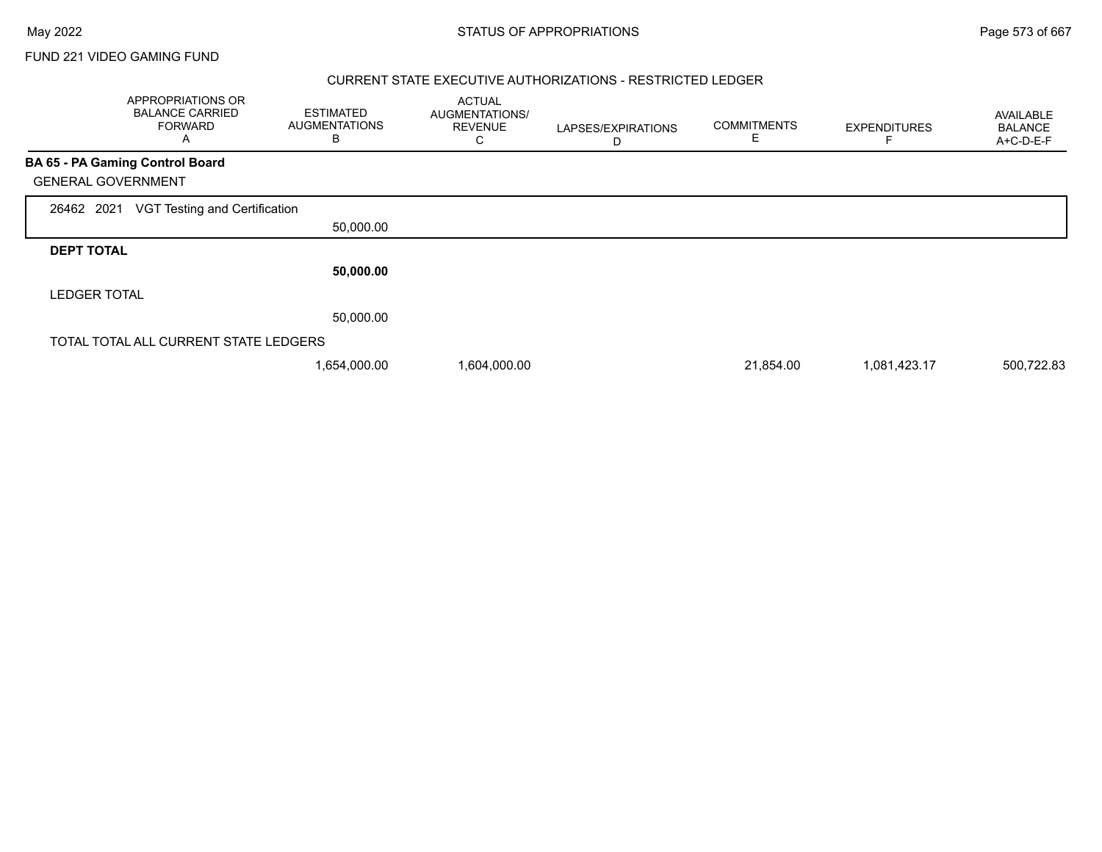#### CURRENT STATE EXECUTIVE AUTHORIZATIONS - RESTRICTED LEDGER

|                     | APPROPRIATIONS OR<br><b>BALANCE CARRIED</b><br><b>FORWARD</b><br>Α | <b>ESTIMATED</b><br><b>AUGMENTATIONS</b><br>B | <b>ACTUAL</b><br>AUGMENTATIONS/<br><b>REVENUE</b><br>С | LAPSES/EXPIRATIONS<br>D | <b>COMMITMENTS</b><br>E | <b>EXPENDITURES</b> | <b>AVAILABLE</b><br><b>BALANCE</b><br>A+C-D-E-F |
|---------------------|--------------------------------------------------------------------|-----------------------------------------------|--------------------------------------------------------|-------------------------|-------------------------|---------------------|-------------------------------------------------|
|                     | <b>BA 65 - PA Gaming Control Board</b>                             |                                               |                                                        |                         |                         |                     |                                                 |
|                     | <b>GENERAL GOVERNMENT</b>                                          |                                               |                                                        |                         |                         |                     |                                                 |
| 26462 2021          | VGT Testing and Certification                                      |                                               |                                                        |                         |                         |                     |                                                 |
|                     |                                                                    | 50,000.00                                     |                                                        |                         |                         |                     |                                                 |
| <b>DEPT TOTAL</b>   |                                                                    |                                               |                                                        |                         |                         |                     |                                                 |
|                     |                                                                    | 50,000.00                                     |                                                        |                         |                         |                     |                                                 |
| <b>LEDGER TOTAL</b> |                                                                    |                                               |                                                        |                         |                         |                     |                                                 |
|                     |                                                                    | 50,000.00                                     |                                                        |                         |                         |                     |                                                 |
|                     | TOTAL TOTAL ALL CURRENT STATE LEDGERS                              |                                               |                                                        |                         |                         |                     |                                                 |
|                     |                                                                    | 1,654,000.00                                  | 1,604,000.00                                           |                         | 21,854.00               | 1,081,423.17        | 500,722.83                                      |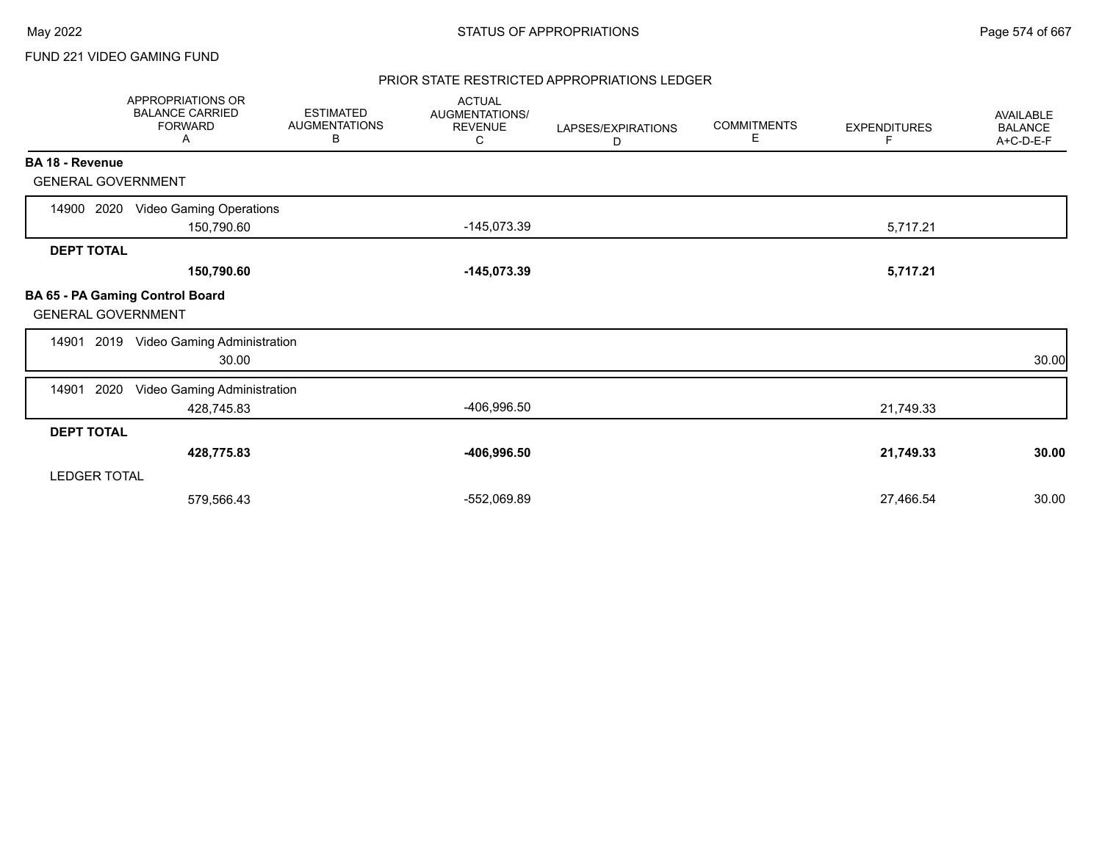#### PRIOR STATE RESTRICTED APPROPRIATIONS LEDGER

|                           | APPROPRIATIONS OR<br><b>BALANCE CARRIED</b><br><b>FORWARD</b><br>A | <b>ESTIMATED</b><br><b>AUGMENTATIONS</b><br>В | <b>ACTUAL</b><br>AUGMENTATIONS/<br><b>REVENUE</b><br>С | LAPSES/EXPIRATIONS<br>D | <b>COMMITMENTS</b><br>Е | <b>EXPENDITURES</b><br>F | AVAILABLE<br><b>BALANCE</b><br>A+C-D-E-F |
|---------------------------|--------------------------------------------------------------------|-----------------------------------------------|--------------------------------------------------------|-------------------------|-------------------------|--------------------------|------------------------------------------|
| BA 18 - Revenue           |                                                                    |                                               |                                                        |                         |                         |                          |                                          |
| <b>GENERAL GOVERNMENT</b> |                                                                    |                                               |                                                        |                         |                         |                          |                                          |
| 14900 2020                | <b>Video Gaming Operations</b><br>150,790.60                       |                                               | $-145,073.39$                                          |                         |                         | 5,717.21                 |                                          |
| <b>DEPT TOTAL</b>         |                                                                    |                                               |                                                        |                         |                         |                          |                                          |
|                           | 150,790.60                                                         |                                               | $-145,073.39$                                          |                         |                         | 5,717.21                 |                                          |
| <b>GENERAL GOVERNMENT</b> | BA 65 - PA Gaming Control Board                                    |                                               |                                                        |                         |                         |                          |                                          |
|                           | 14901 2019 Video Gaming Administration<br>30.00                    |                                               |                                                        |                         |                         |                          | 30.00                                    |
| 2020<br>14901             | Video Gaming Administration<br>428,745.83                          |                                               | -406,996.50                                            |                         |                         | 21,749.33                |                                          |
| <b>DEPT TOTAL</b>         |                                                                    |                                               |                                                        |                         |                         |                          |                                          |
|                           | 428,775.83                                                         |                                               | -406,996.50                                            |                         |                         | 21,749.33                | 30.00                                    |
| <b>LEDGER TOTAL</b>       |                                                                    |                                               |                                                        |                         |                         |                          |                                          |
|                           | 579,566.43                                                         |                                               | -552,069.89                                            |                         |                         | 27,466.54                | 30.00                                    |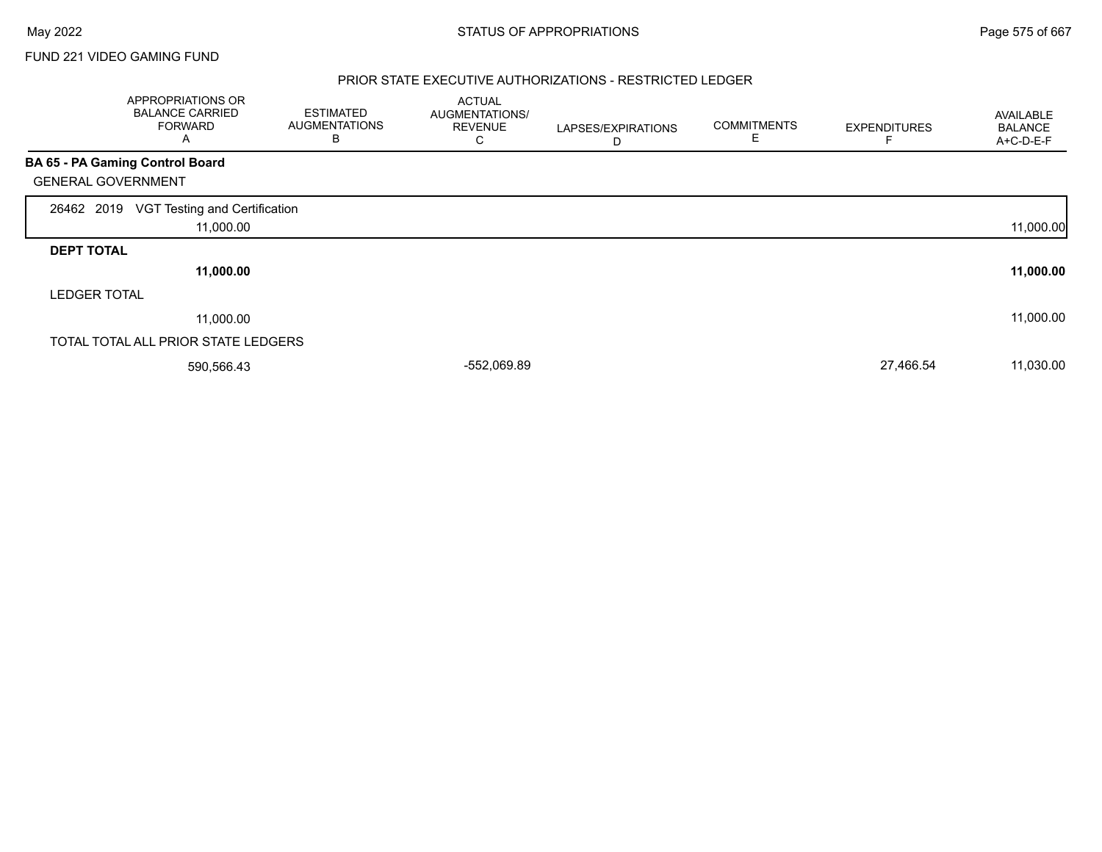#### PRIOR STATE EXECUTIVE AUTHORIZATIONS - RESTRICTED LEDGER

|                           | APPROPRIATIONS OR<br><b>BALANCE CARRIED</b><br><b>FORWARD</b><br>A | <b>ESTIMATED</b><br><b>AUGMENTATIONS</b><br>в | <b>ACTUAL</b><br>AUGMENTATIONS/<br><b>REVENUE</b><br>С | LAPSES/EXPIRATIONS<br>D | <b>COMMITMENTS</b><br>E | <b>EXPENDITURES</b> | AVAILABLE<br><b>BALANCE</b><br>A+C-D-E-F |
|---------------------------|--------------------------------------------------------------------|-----------------------------------------------|--------------------------------------------------------|-------------------------|-------------------------|---------------------|------------------------------------------|
|                           | BA 65 - PA Gaming Control Board                                    |                                               |                                                        |                         |                         |                     |                                          |
| <b>GENERAL GOVERNMENT</b> |                                                                    |                                               |                                                        |                         |                         |                     |                                          |
| 26462 2019                | VGT Testing and Certification<br>11,000.00                         |                                               |                                                        |                         |                         |                     | 11,000.00                                |
| <b>DEPT TOTAL</b>         |                                                                    |                                               |                                                        |                         |                         |                     |                                          |
|                           | 11,000.00                                                          |                                               |                                                        |                         |                         |                     | 11,000.00                                |
| <b>LEDGER TOTAL</b>       |                                                                    |                                               |                                                        |                         |                         |                     |                                          |
|                           | 11,000.00                                                          |                                               |                                                        |                         |                         |                     | 11,000.00                                |
|                           | TOTAL TOTAL ALL PRIOR STATE LEDGERS                                |                                               |                                                        |                         |                         |                     |                                          |
|                           | 590,566.43                                                         |                                               | -552,069.89                                            |                         |                         | 27,466.54           | 11,030.00                                |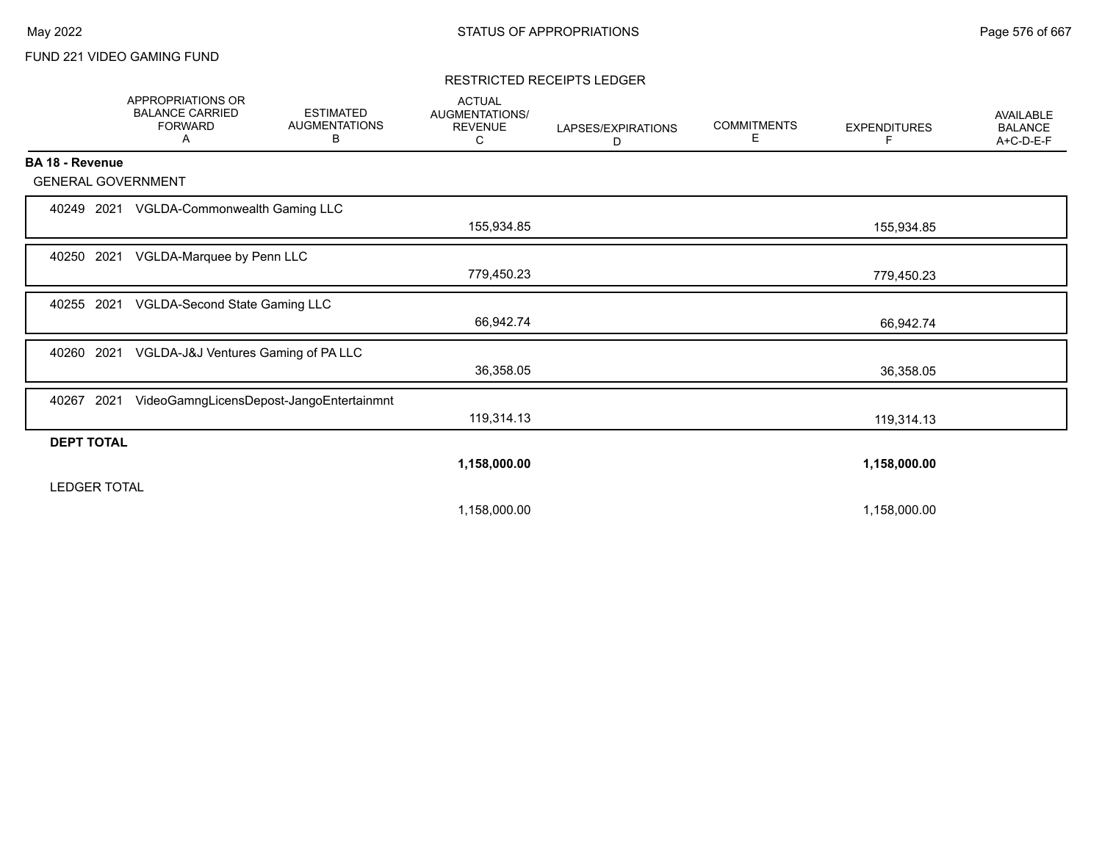#### RESTRICTED RECEIPTS LEDGER

|                           | APPROPRIATIONS OR<br><b>BALANCE CARRIED</b><br><b>FORWARD</b><br>Α | <b>ESTIMATED</b><br><b>AUGMENTATIONS</b><br>В | <b>ACTUAL</b><br>AUGMENTATIONS/<br><b>REVENUE</b><br>С | LAPSES/EXPIRATIONS<br>D | <b>COMMITMENTS</b><br>Е | <b>EXPENDITURES</b><br>F | <b>AVAILABLE</b><br><b>BALANCE</b><br>A+C-D-E-F |
|---------------------------|--------------------------------------------------------------------|-----------------------------------------------|--------------------------------------------------------|-------------------------|-------------------------|--------------------------|-------------------------------------------------|
| BA 18 - Revenue           |                                                                    |                                               |                                                        |                         |                         |                          |                                                 |
| <b>GENERAL GOVERNMENT</b> |                                                                    |                                               |                                                        |                         |                         |                          |                                                 |
|                           | 40249 2021 VGLDA-Commonwealth Gaming LLC                           |                                               | 155,934.85                                             |                         |                         | 155,934.85               |                                                 |
| 40250 2021                | VGLDA-Marquee by Penn LLC                                          |                                               | 779,450.23                                             |                         |                         | 779,450.23               |                                                 |
| 40255 2021                | VGLDA-Second State Gaming LLC                                      |                                               | 66,942.74                                              |                         |                         | 66,942.74                |                                                 |
| 2021<br>40260             | VGLDA-J&J Ventures Gaming of PA LLC                                |                                               | 36,358.05                                              |                         |                         | 36,358.05                |                                                 |
| 2021<br>40267             |                                                                    | VideoGamngLicensDepost-JangoEntertainmnt      | 119,314.13                                             |                         |                         | 119,314.13               |                                                 |
| <b>DEPT TOTAL</b>         |                                                                    |                                               |                                                        |                         |                         |                          |                                                 |
| <b>LEDGER TOTAL</b>       |                                                                    |                                               | 1,158,000.00                                           |                         |                         | 1,158,000.00             |                                                 |
|                           |                                                                    |                                               | 1,158,000.00                                           |                         |                         | 1,158,000.00             |                                                 |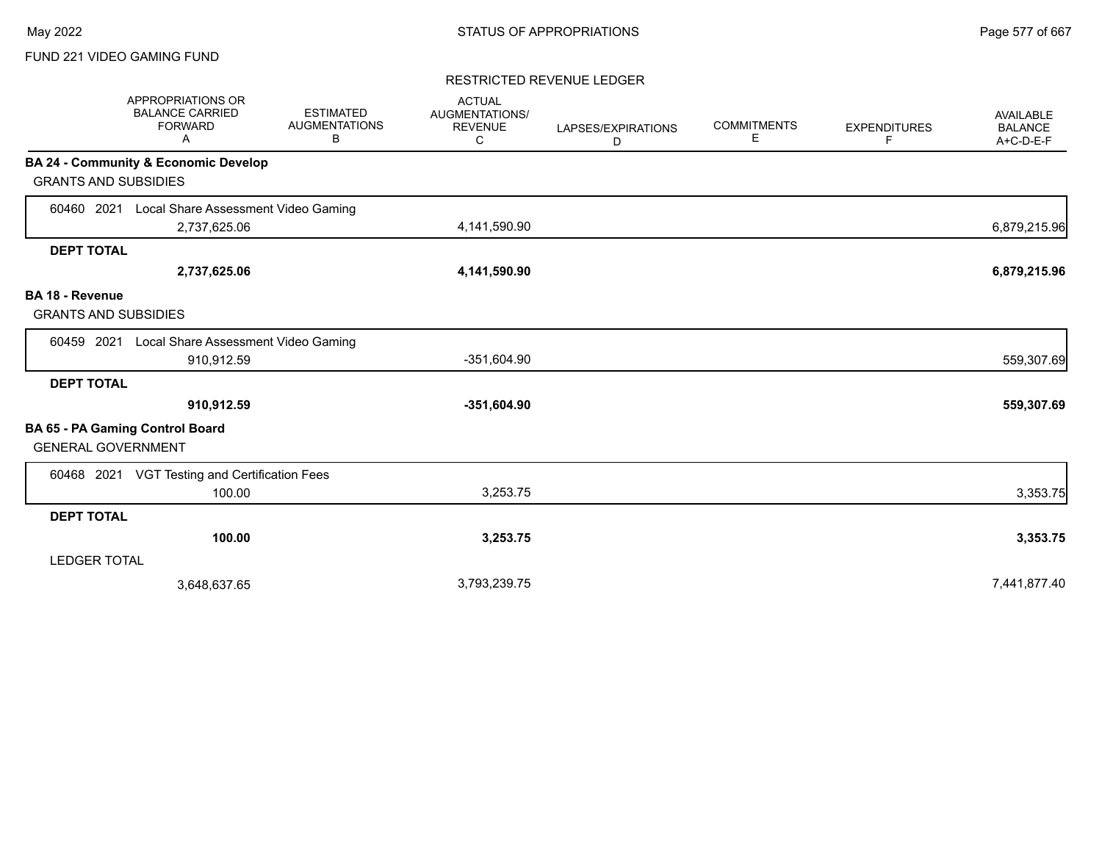## FUND 221 VIDEO GAMING FUND

#### RESTRICTED REVENUE LEDGER

|                                                       | APPROPRIATIONS OR<br><b>BALANCE CARRIED</b><br><b>FORWARD</b><br>Α | <b>ESTIMATED</b><br><b>AUGMENTATIONS</b><br>В | <b>ACTUAL</b><br><b>AUGMENTATIONS/</b><br><b>REVENUE</b><br>C | LAPSES/EXPIRATIONS<br>D | <b>COMMITMENTS</b><br>Е | <b>EXPENDITURES</b><br>F. | <b>AVAILABLE</b><br><b>BALANCE</b><br>A+C-D-E-F |
|-------------------------------------------------------|--------------------------------------------------------------------|-----------------------------------------------|---------------------------------------------------------------|-------------------------|-------------------------|---------------------------|-------------------------------------------------|
|                                                       | <b>BA 24 - Community &amp; Economic Develop</b>                    |                                               |                                                               |                         |                         |                           |                                                 |
| <b>GRANTS AND SUBSIDIES</b>                           |                                                                    |                                               |                                                               |                         |                         |                           |                                                 |
| 60460 2021                                            | Local Share Assessment Video Gaming                                |                                               |                                                               |                         |                         |                           |                                                 |
|                                                       | 2,737,625.06                                                       |                                               | 4,141,590.90                                                  |                         |                         |                           | 6,879,215.96                                    |
| <b>DEPT TOTAL</b>                                     |                                                                    |                                               |                                                               |                         |                         |                           |                                                 |
|                                                       | 2,737,625.06                                                       |                                               | 4,141,590.90                                                  |                         |                         |                           | 6,879,215.96                                    |
| <b>BA 18 - Revenue</b><br><b>GRANTS AND SUBSIDIES</b> |                                                                    |                                               |                                                               |                         |                         |                           |                                                 |
| 60459 2021                                            | Local Share Assessment Video Gaming                                |                                               |                                                               |                         |                         |                           |                                                 |
|                                                       | 910,912.59                                                         |                                               | -351,604.90                                                   |                         |                         |                           | 559,307.69                                      |
| <b>DEPT TOTAL</b>                                     |                                                                    |                                               |                                                               |                         |                         |                           |                                                 |
|                                                       | 910,912.59                                                         |                                               | $-351,604.90$                                                 |                         |                         |                           | 559,307.69                                      |
| <b>GENERAL GOVERNMENT</b>                             | BA 65 - PA Gaming Control Board                                    |                                               |                                                               |                         |                         |                           |                                                 |
|                                                       | 60468 2021 VGT Testing and Certification Fees                      |                                               |                                                               |                         |                         |                           |                                                 |
|                                                       | 100.00                                                             |                                               | 3,253.75                                                      |                         |                         |                           | 3,353.75                                        |
| <b>DEPT TOTAL</b>                                     |                                                                    |                                               |                                                               |                         |                         |                           |                                                 |
|                                                       | 100.00                                                             |                                               | 3,253.75                                                      |                         |                         |                           | 3,353.75                                        |
| <b>LEDGER TOTAL</b>                                   |                                                                    |                                               |                                                               |                         |                         |                           |                                                 |
|                                                       | 3,648,637.65                                                       |                                               | 3,793,239.75                                                  |                         |                         |                           | 7,441,877.40                                    |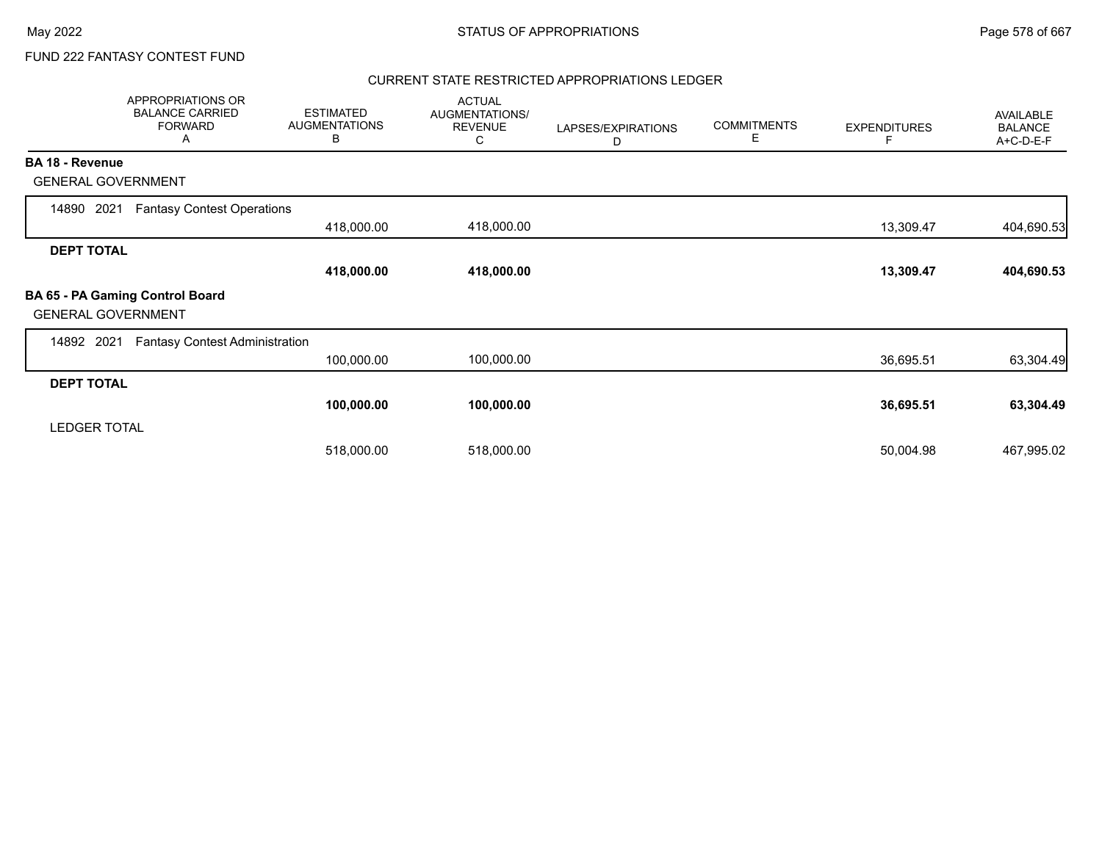## CURRENT STATE RESTRICTED APPROPRIATIONS LEDGER

|                           | APPROPRIATIONS OR<br><b>BALANCE CARRIED</b><br><b>FORWARD</b><br>A | <b>ESTIMATED</b><br><b>AUGMENTATIONS</b><br>В | <b>ACTUAL</b><br>AUGMENTATIONS/<br><b>REVENUE</b><br>С | LAPSES/EXPIRATIONS<br>D | <b>COMMITMENTS</b><br>E | <b>EXPENDITURES</b><br>F | AVAILABLE<br><b>BALANCE</b><br>A+C-D-E-F |
|---------------------------|--------------------------------------------------------------------|-----------------------------------------------|--------------------------------------------------------|-------------------------|-------------------------|--------------------------|------------------------------------------|
| <b>BA 18 - Revenue</b>    |                                                                    |                                               |                                                        |                         |                         |                          |                                          |
| <b>GENERAL GOVERNMENT</b> |                                                                    |                                               |                                                        |                         |                         |                          |                                          |
| 2021<br>14890             | <b>Fantasy Contest Operations</b>                                  |                                               |                                                        |                         |                         |                          |                                          |
|                           |                                                                    | 418,000.00                                    | 418,000.00                                             |                         |                         | 13,309.47                | 404,690.53                               |
| <b>DEPT TOTAL</b>         |                                                                    |                                               |                                                        |                         |                         |                          |                                          |
|                           |                                                                    | 418,000.00                                    | 418,000.00                                             |                         |                         | 13,309.47                | 404,690.53                               |
| <b>GENERAL GOVERNMENT</b> | BA 65 - PA Gaming Control Board                                    |                                               |                                                        |                         |                         |                          |                                          |
| 14892<br>2021             | <b>Fantasy Contest Administration</b>                              |                                               |                                                        |                         |                         |                          |                                          |
|                           |                                                                    | 100,000.00                                    | 100,000.00                                             |                         |                         | 36,695.51                | 63,304.49                                |
| <b>DEPT TOTAL</b>         |                                                                    |                                               |                                                        |                         |                         |                          |                                          |
|                           |                                                                    | 100,000.00                                    | 100,000.00                                             |                         |                         | 36,695.51                | 63,304.49                                |
| <b>LEDGER TOTAL</b>       |                                                                    |                                               |                                                        |                         |                         |                          |                                          |
|                           |                                                                    | 518,000.00                                    | 518,000.00                                             |                         |                         | 50,004.98                | 467,995.02                               |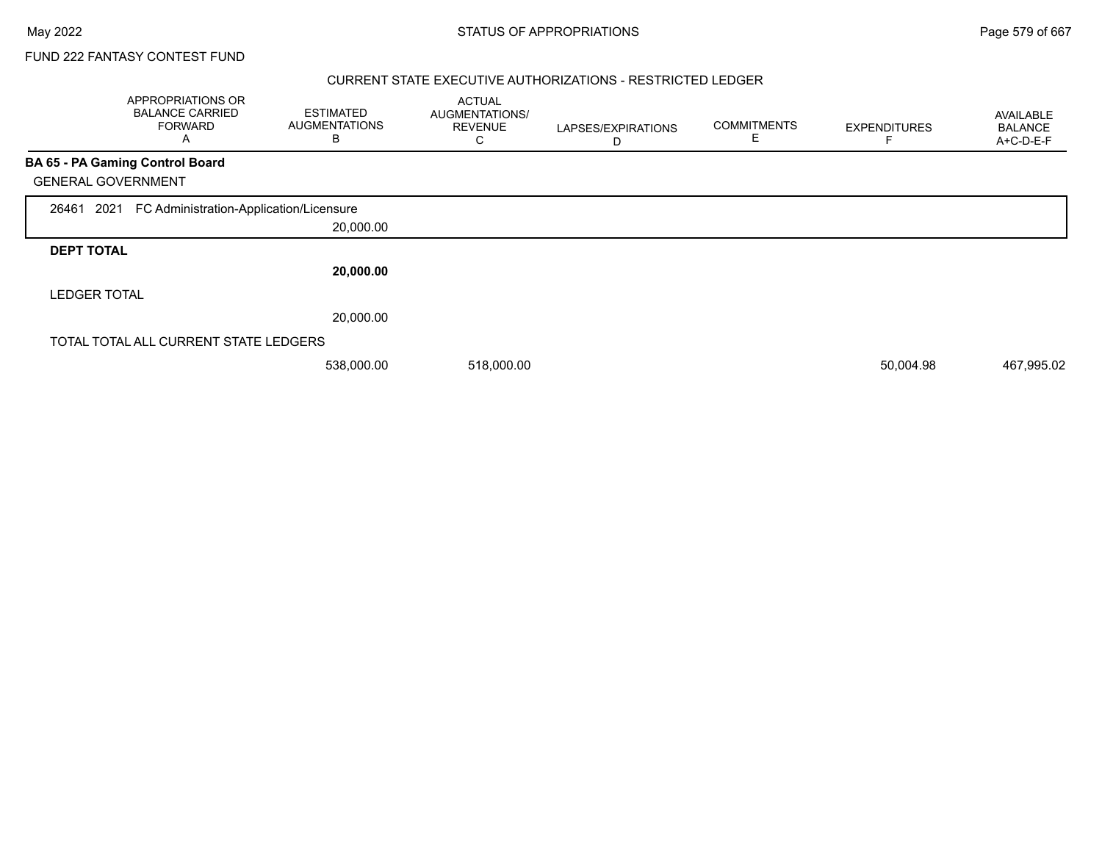### CURRENT STATE EXECUTIVE AUTHORIZATIONS - RESTRICTED LEDGER

|                           | APPROPRIATIONS OR<br><b>BALANCE CARRIED</b><br><b>FORWARD</b><br>A | <b>ESTIMATED</b><br><b>AUGMENTATIONS</b><br>B | <b>ACTUAL</b><br>AUGMENTATIONS/<br><b>REVENUE</b><br>C | LAPSES/EXPIRATIONS<br>D | <b>COMMITMENTS</b><br>Е | <b>EXPENDITURES</b> | AVAILABLE<br><b>BALANCE</b><br>A+C-D-E-F |
|---------------------------|--------------------------------------------------------------------|-----------------------------------------------|--------------------------------------------------------|-------------------------|-------------------------|---------------------|------------------------------------------|
|                           | BA 65 - PA Gaming Control Board                                    |                                               |                                                        |                         |                         |                     |                                          |
| <b>GENERAL GOVERNMENT</b> |                                                                    |                                               |                                                        |                         |                         |                     |                                          |
| 2021<br>26461             | FC Administration-Application/Licensure                            |                                               |                                                        |                         |                         |                     |                                          |
|                           |                                                                    | 20,000.00                                     |                                                        |                         |                         |                     |                                          |
| <b>DEPT TOTAL</b>         |                                                                    |                                               |                                                        |                         |                         |                     |                                          |
|                           |                                                                    | 20,000.00                                     |                                                        |                         |                         |                     |                                          |
| <b>LEDGER TOTAL</b>       |                                                                    |                                               |                                                        |                         |                         |                     |                                          |
|                           |                                                                    | 20,000.00                                     |                                                        |                         |                         |                     |                                          |
|                           | TOTAL TOTAL ALL CURRENT STATE LEDGERS                              |                                               |                                                        |                         |                         |                     |                                          |
|                           |                                                                    | 538,000.00                                    | 518,000.00                                             |                         |                         | 50,004.98           | 467,995.02                               |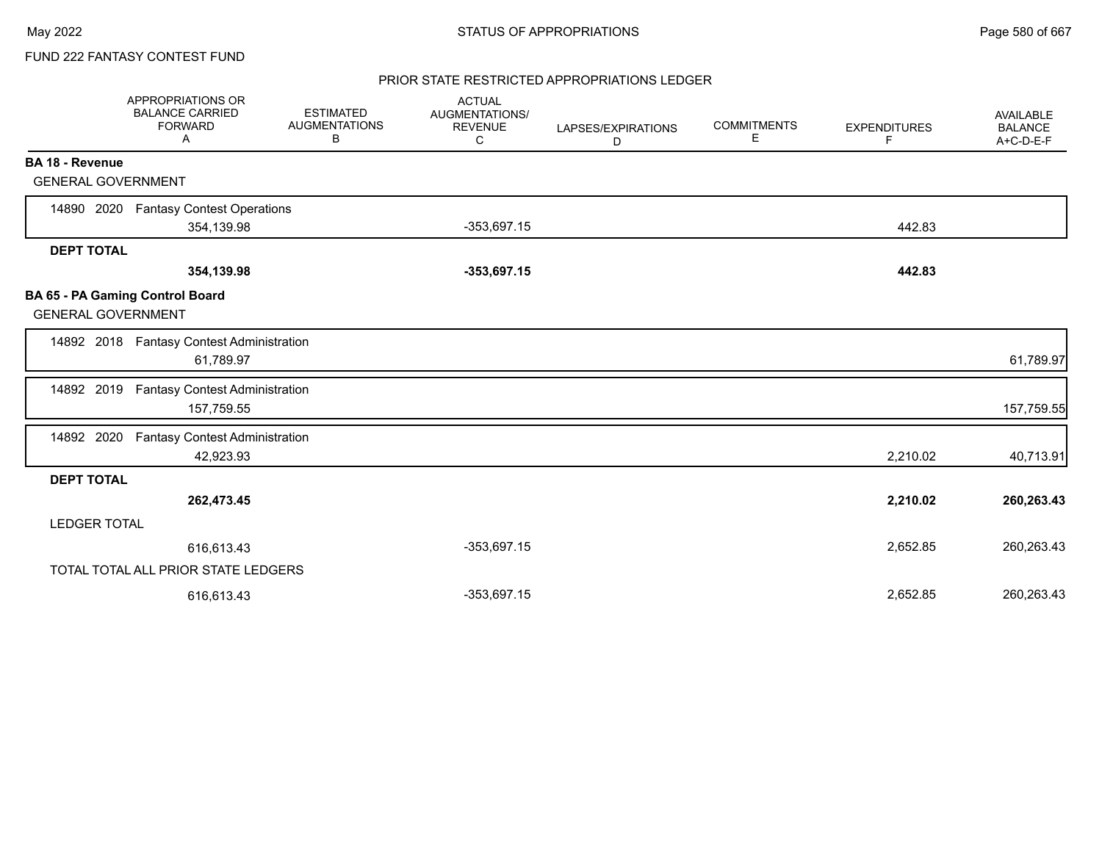## PRIOR STATE RESTRICTED APPROPRIATIONS LEDGER

|                           | APPROPRIATIONS OR<br><b>BALANCE CARRIED</b><br><b>FORWARD</b><br>Α | <b>ESTIMATED</b><br><b>AUGMENTATIONS</b><br>В | <b>ACTUAL</b><br>AUGMENTATIONS/<br><b>REVENUE</b><br>C | LAPSES/EXPIRATIONS<br>D | <b>COMMITMENTS</b><br>Е | <b>EXPENDITURES</b><br>F | AVAILABLE<br><b>BALANCE</b><br>A+C-D-E-F |
|---------------------------|--------------------------------------------------------------------|-----------------------------------------------|--------------------------------------------------------|-------------------------|-------------------------|--------------------------|------------------------------------------|
| <b>BA 18 - Revenue</b>    |                                                                    |                                               |                                                        |                         |                         |                          |                                          |
| <b>GENERAL GOVERNMENT</b> |                                                                    |                                               |                                                        |                         |                         |                          |                                          |
| 14890 2020                | <b>Fantasy Contest Operations</b>                                  |                                               |                                                        |                         |                         |                          |                                          |
|                           | 354,139.98                                                         |                                               | $-353,697.15$                                          |                         |                         | 442.83                   |                                          |
| <b>DEPT TOTAL</b>         |                                                                    |                                               |                                                        |                         |                         |                          |                                          |
|                           | 354,139.98                                                         |                                               | $-353,697.15$                                          |                         |                         | 442.83                   |                                          |
| <b>GENERAL GOVERNMENT</b> | BA 65 - PA Gaming Control Board                                    |                                               |                                                        |                         |                         |                          |                                          |
|                           | 14892 2018 Fantasy Contest Administration<br>61,789.97             |                                               |                                                        |                         |                         |                          | 61,789.97                                |
| 14892 2019                | <b>Fantasy Contest Administration</b><br>157,759.55                |                                               |                                                        |                         |                         |                          | 157,759.55                               |
| 14892 2020                | <b>Fantasy Contest Administration</b><br>42,923.93                 |                                               |                                                        |                         |                         | 2,210.02                 | 40,713.91                                |
| <b>DEPT TOTAL</b>         |                                                                    |                                               |                                                        |                         |                         |                          |                                          |
|                           | 262,473.45                                                         |                                               |                                                        |                         |                         | 2,210.02                 | 260,263.43                               |
| <b>LEDGER TOTAL</b>       |                                                                    |                                               |                                                        |                         |                         |                          |                                          |
|                           | 616,613.43                                                         |                                               | $-353,697.15$                                          |                         |                         | 2,652.85                 | 260,263.43                               |
|                           | TOTAL TOTAL ALL PRIOR STATE LEDGERS                                |                                               |                                                        |                         |                         |                          |                                          |
|                           | 616.613.43                                                         |                                               | $-353,697.15$                                          |                         |                         | 2,652.85                 | 260,263.43                               |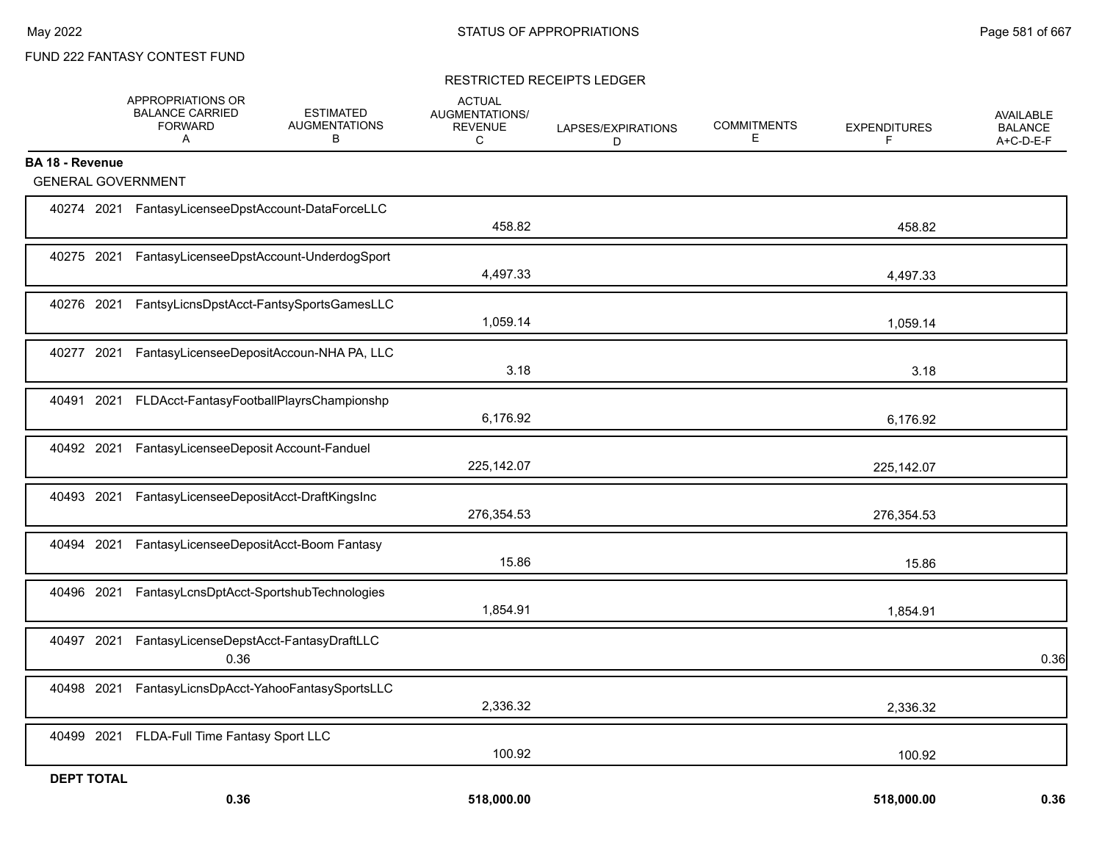#### RESTRICTED RECEIPTS LEDGER

|                           | APPROPRIATIONS OR<br><b>BALANCE CARRIED</b><br><b>FORWARD</b><br>Α | <b>ESTIMATED</b><br><b>AUGMENTATIONS</b><br>B | <b>ACTUAL</b><br>AUGMENTATIONS/<br><b>REVENUE</b><br>C | LAPSES/EXPIRATIONS<br>D | <b>COMMITMENTS</b><br>E | <b>EXPENDITURES</b><br>F | AVAILABLE<br><b>BALANCE</b><br>A+C-D-E-F |
|---------------------------|--------------------------------------------------------------------|-----------------------------------------------|--------------------------------------------------------|-------------------------|-------------------------|--------------------------|------------------------------------------|
| <b>BA 18 - Revenue</b>    |                                                                    |                                               |                                                        |                         |                         |                          |                                          |
| <b>GENERAL GOVERNMENT</b> |                                                                    |                                               |                                                        |                         |                         |                          |                                          |
|                           | 40274 2021 FantasyLicenseeDpstAccount-DataForceLLC                 |                                               | 458.82                                                 |                         |                         | 458.82                   |                                          |
|                           | 40275 2021 FantasyLicenseeDpstAccount-UnderdogSport                |                                               | 4,497.33                                               |                         |                         | 4,497.33                 |                                          |
|                           | 40276 2021 FantsyLicnsDpstAcct-FantsySportsGamesLLC                |                                               | 1,059.14                                               |                         |                         | 1,059.14                 |                                          |
|                           | 40277 2021 FantasyLicenseeDepositAccoun-NHA PA, LLC                |                                               | 3.18                                                   |                         |                         | 3.18                     |                                          |
|                           | 40491 2021 FLDAcct-FantasyFootballPlayrsChampionshp                |                                               | 6,176.92                                               |                         |                         | 6,176.92                 |                                          |
|                           | 40492 2021 FantasyLicenseeDeposit Account-Fanduel                  |                                               | 225,142.07                                             |                         |                         | 225,142.07               |                                          |
|                           | 40493 2021 FantasyLicenseeDepositAcct-DraftKingsInc                |                                               | 276,354.53                                             |                         |                         | 276,354.53               |                                          |
|                           | 40494 2021 FantasyLicenseeDepositAcct-Boom Fantasy                 |                                               | 15.86                                                  |                         |                         | 15.86                    |                                          |
| 40496 2021                |                                                                    | FantasyLcnsDptAcct-SportshubTechnologies      | 1,854.91                                               |                         |                         | 1,854.91                 |                                          |
| 40497 2021                | FantasyLicenseDepstAcct-FantasyDraftLLC<br>0.36                    |                                               |                                                        |                         |                         |                          | 0.36                                     |
| 40498 2021                |                                                                    | FantasyLicnsDpAcct-YahooFantasySportsLLC      | 2,336.32                                               |                         |                         | 2,336.32                 |                                          |
|                           | 40499 2021 FLDA-Full Time Fantasy Sport LLC                        |                                               | 100.92                                                 |                         |                         | 100.92                   |                                          |
| <b>DEPT TOTAL</b>         |                                                                    |                                               |                                                        |                         |                         |                          |                                          |
|                           | 0.36                                                               |                                               | 518,000.00                                             |                         |                         | 518,000.00               | 0.36                                     |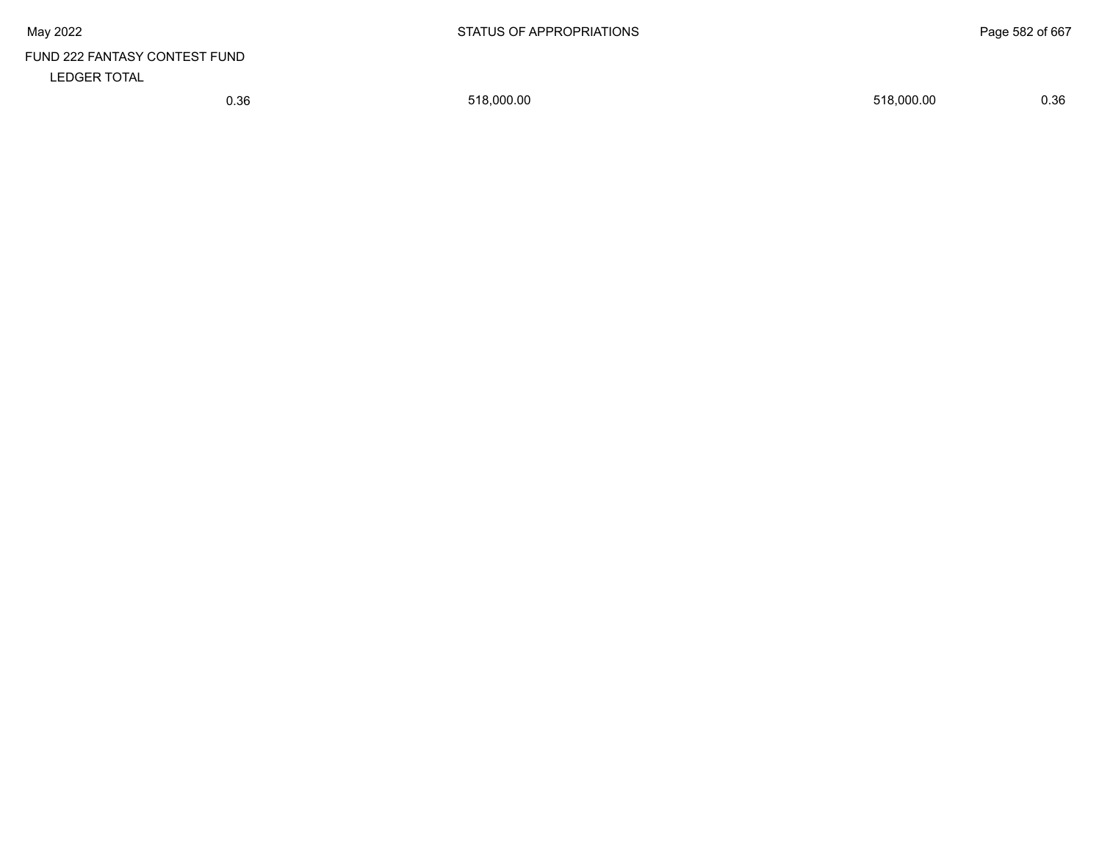# FUND 222 FANTASY CONTEST FUND LEDGER TOTAL

0.36 518,000.00 518,000.00 0.36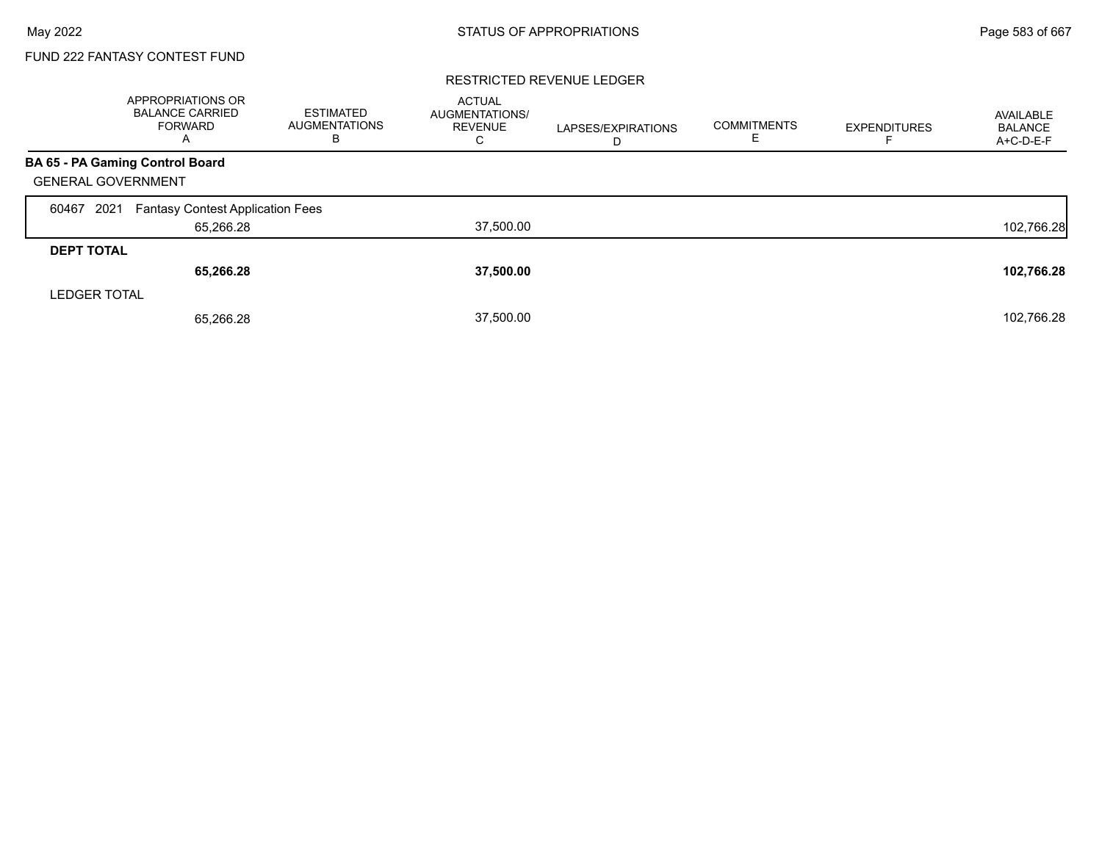#### RESTRICTED REVENUE LEDGER

|                           | <b>APPROPRIATIONS OR</b><br><b>BALANCE CARRIED</b><br>FORWARD<br>A | <b>ESTIMATED</b><br><b>AUGMENTATIONS</b><br>в | <b>ACTUAL</b><br>AUGMENTATIONS/<br><b>REVENUE</b><br>С | LAPSES/EXPIRATIONS<br>D | <b>COMMITMENTS</b><br>ᄂ | <b>EXPENDITURES</b> | AVAILABLE<br><b>BALANCE</b><br>$A+C-D-E-F$ |
|---------------------------|--------------------------------------------------------------------|-----------------------------------------------|--------------------------------------------------------|-------------------------|-------------------------|---------------------|--------------------------------------------|
|                           | BA 65 - PA Gaming Control Board                                    |                                               |                                                        |                         |                         |                     |                                            |
| <b>GENERAL GOVERNMENT</b> |                                                                    |                                               |                                                        |                         |                         |                     |                                            |
| 2021<br>60467             | <b>Fantasy Contest Application Fees</b>                            |                                               |                                                        |                         |                         |                     |                                            |
|                           | 65,266.28                                                          |                                               | 37,500.00                                              |                         |                         |                     | 102,766.28                                 |
| <b>DEPT TOTAL</b>         |                                                                    |                                               |                                                        |                         |                         |                     |                                            |
|                           | 65,266.28                                                          |                                               | 37,500.00                                              |                         |                         |                     | 102,766.28                                 |
| <b>LEDGER TOTAL</b>       |                                                                    |                                               |                                                        |                         |                         |                     |                                            |
|                           | 65.266.28                                                          |                                               | 37,500.00                                              |                         |                         |                     | 102,766.28                                 |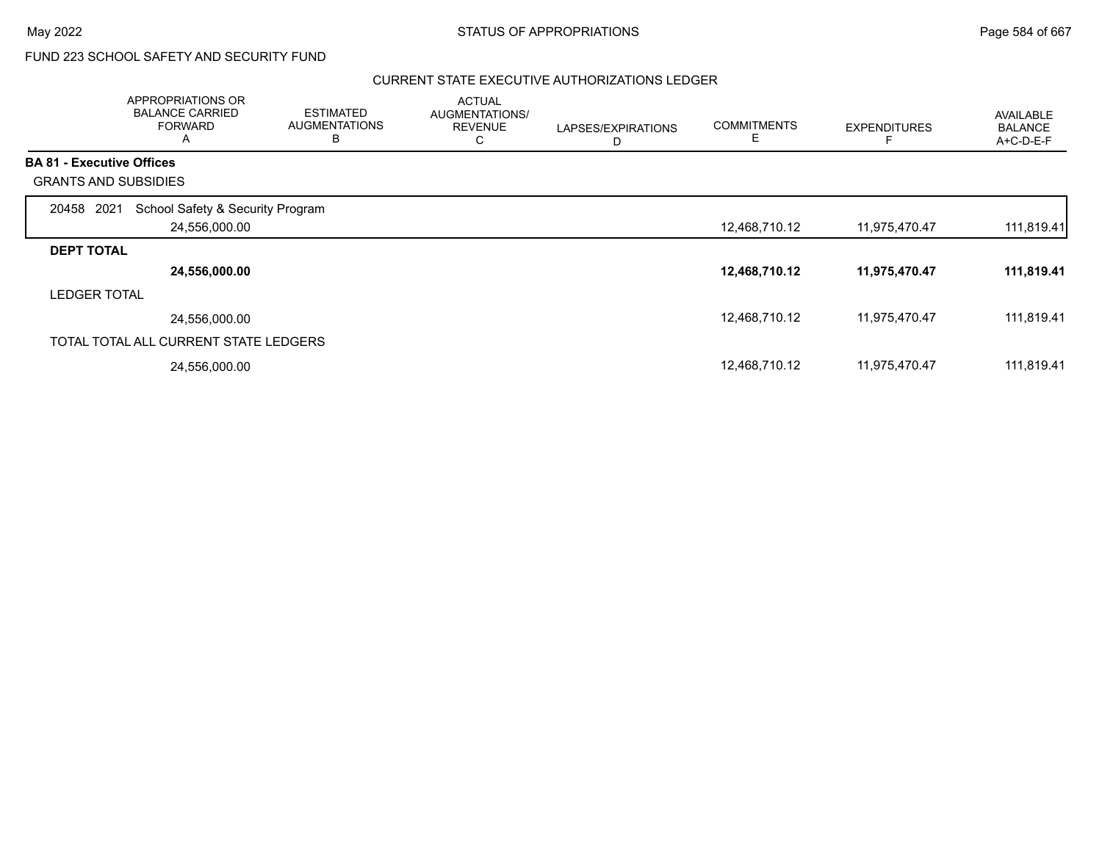$\overline{\phantom{a}}$ 

# FUND 223 SCHOOL SAFETY AND SECURITY FUND

#### CURRENT STATE EXECUTIVE AUTHORIZATIONS LEDGER

|                                  | <b>APPROPRIATIONS OR</b><br><b>BALANCE CARRIED</b><br><b>FORWARD</b><br>A | <b>ESTIMATED</b><br><b>AUGMENTATIONS</b><br>в | <b>ACTUAL</b><br>AUGMENTATIONS/<br><b>REVENUE</b><br>С | LAPSES/EXPIRATIONS<br>D | <b>COMMITMENTS</b><br>E. | <b>EXPENDITURES</b> | <b>AVAILABLE</b><br><b>BALANCE</b><br>A+C-D-E-F |
|----------------------------------|---------------------------------------------------------------------------|-----------------------------------------------|--------------------------------------------------------|-------------------------|--------------------------|---------------------|-------------------------------------------------|
| <b>BA 81 - Executive Offices</b> |                                                                           |                                               |                                                        |                         |                          |                     |                                                 |
| <b>GRANTS AND SUBSIDIES</b>      |                                                                           |                                               |                                                        |                         |                          |                     |                                                 |
| 2021<br>20458                    | School Safety & Security Program                                          |                                               |                                                        |                         |                          |                     |                                                 |
|                                  | 24,556,000.00                                                             |                                               |                                                        |                         | 12,468,710.12            | 11,975,470.47       | 111,819.41                                      |
| <b>DEPT TOTAL</b>                |                                                                           |                                               |                                                        |                         |                          |                     |                                                 |
|                                  | 24,556,000.00                                                             |                                               |                                                        |                         | 12,468,710.12            | 11,975,470.47       | 111,819.41                                      |
| <b>LEDGER TOTAL</b>              |                                                                           |                                               |                                                        |                         |                          |                     |                                                 |
|                                  | 24,556,000.00                                                             |                                               |                                                        |                         | 12,468,710.12            | 11,975,470.47       | 111,819.41                                      |
|                                  | TOTAL TOTAL ALL CURRENT STATE LEDGERS                                     |                                               |                                                        |                         |                          |                     |                                                 |
|                                  | 24,556,000.00                                                             |                                               |                                                        |                         | 12,468,710.12            | 11,975,470.47       | 111,819.41                                      |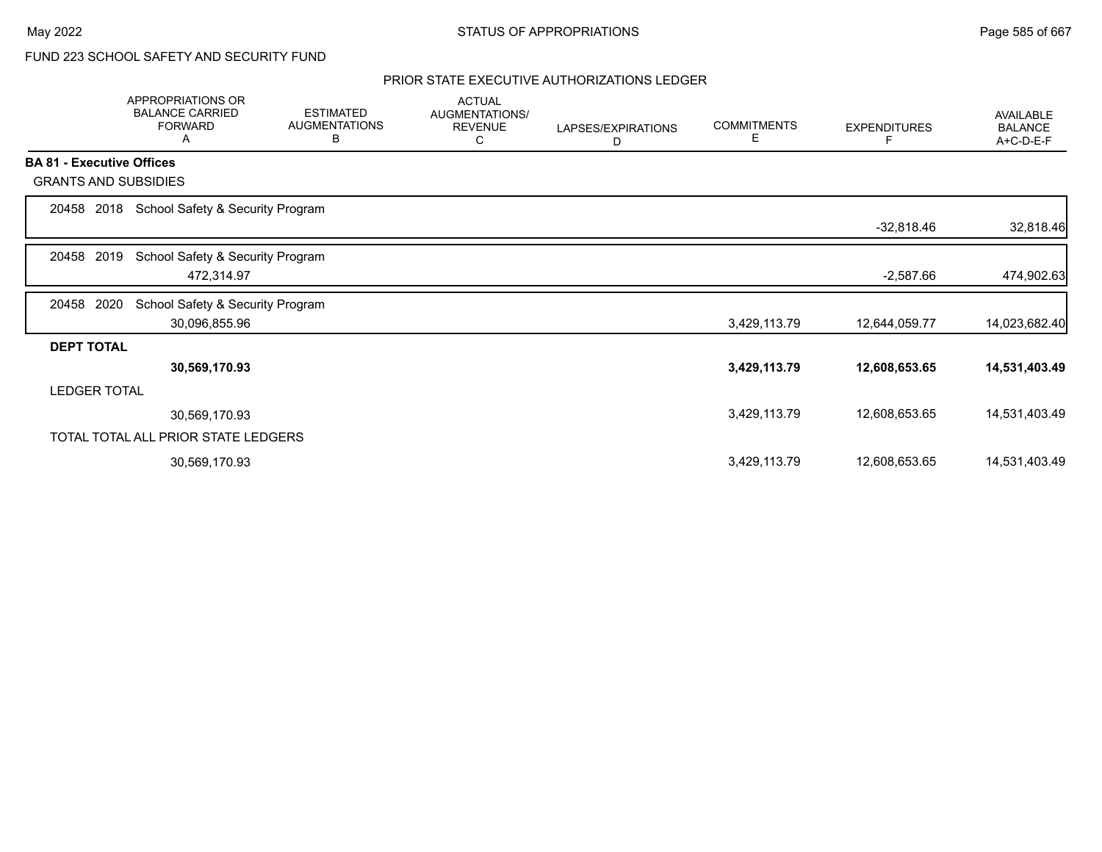# FUND 223 SCHOOL SAFETY AND SECURITY FUND

## PRIOR STATE EXECUTIVE AUTHORIZATIONS LEDGER

|                                  | <b>APPROPRIATIONS OR</b><br><b>BALANCE CARRIED</b><br><b>FORWARD</b><br>Α | <b>ESTIMATED</b><br><b>AUGMENTATIONS</b><br>в | <b>ACTUAL</b><br>AUGMENTATIONS/<br><b>REVENUE</b><br>С | LAPSES/EXPIRATIONS<br>D | <b>COMMITMENTS</b><br>Е | <b>EXPENDITURES</b> | AVAILABLE<br><b>BALANCE</b><br>A+C-D-E-F |
|----------------------------------|---------------------------------------------------------------------------|-----------------------------------------------|--------------------------------------------------------|-------------------------|-------------------------|---------------------|------------------------------------------|
| <b>BA 81 - Executive Offices</b> |                                                                           |                                               |                                                        |                         |                         |                     |                                          |
| <b>GRANTS AND SUBSIDIES</b>      |                                                                           |                                               |                                                        |                         |                         |                     |                                          |
| 2018<br>20458                    | School Safety & Security Program                                          |                                               |                                                        |                         |                         |                     |                                          |
|                                  |                                                                           |                                               |                                                        |                         |                         | $-32,818.46$        | 32,818.46                                |
| 2019<br>20458                    | School Safety & Security Program                                          |                                               |                                                        |                         |                         |                     |                                          |
|                                  | 472,314.97                                                                |                                               |                                                        |                         |                         | $-2,587.66$         | 474,902.63                               |
| 2020<br>20458                    | School Safety & Security Program                                          |                                               |                                                        |                         |                         |                     |                                          |
|                                  | 30,096,855.96                                                             |                                               |                                                        |                         | 3,429,113.79            | 12,644,059.77       | 14,023,682.40                            |
| <b>DEPT TOTAL</b>                |                                                                           |                                               |                                                        |                         |                         |                     |                                          |
|                                  | 30,569,170.93                                                             |                                               |                                                        |                         | 3,429,113.79            | 12,608,653.65       | 14,531,403.49                            |
| <b>LEDGER TOTAL</b>              |                                                                           |                                               |                                                        |                         |                         |                     |                                          |
|                                  | 30,569,170.93                                                             |                                               |                                                        |                         | 3,429,113.79            | 12,608,653.65       | 14,531,403.49                            |
|                                  | TOTAL TOTAL ALL PRIOR STATE LEDGERS                                       |                                               |                                                        |                         |                         |                     |                                          |
|                                  | 30,569,170.93                                                             |                                               |                                                        |                         | 3,429,113.79            | 12,608,653.65       | 14,531,403.49                            |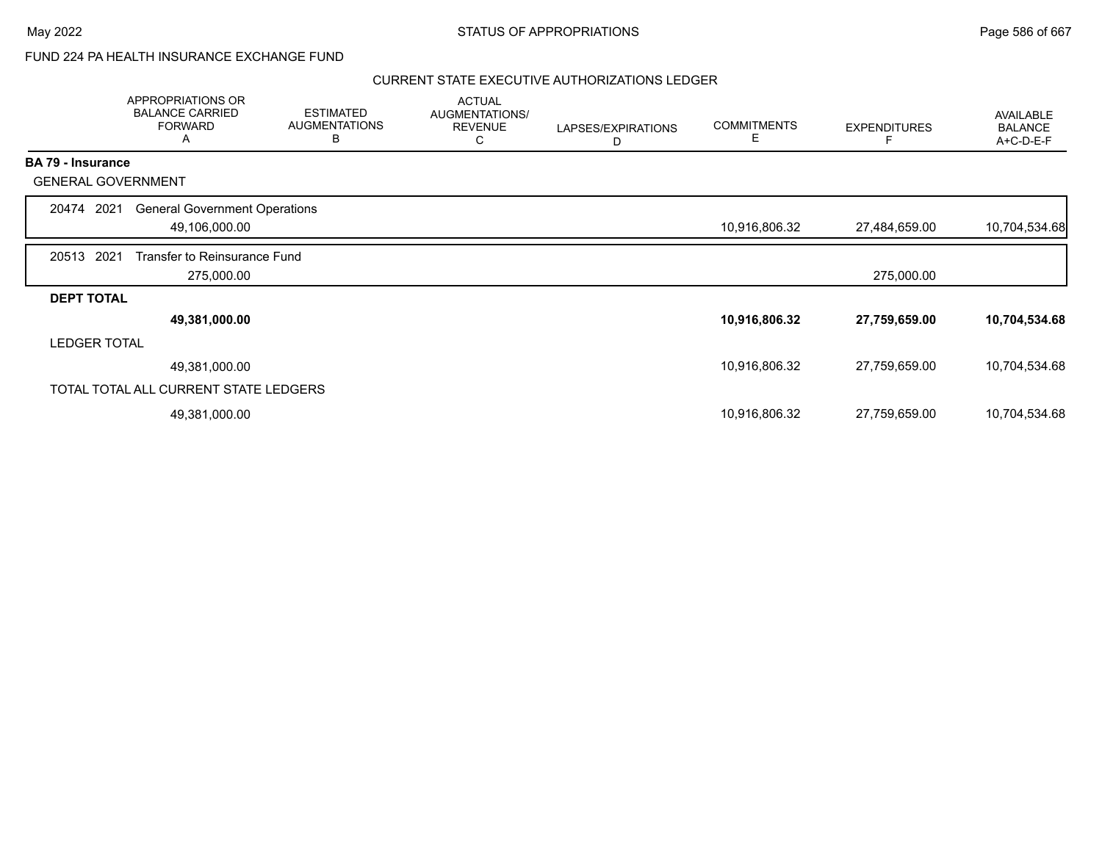## FUND 224 PA HEALTH INSURANCE EXCHANGE FUND

#### CURRENT STATE EXECUTIVE AUTHORIZATIONS LEDGER

|                          | APPROPRIATIONS OR<br><b>BALANCE CARRIED</b><br><b>FORWARD</b><br>A | <b>ESTIMATED</b><br><b>AUGMENTATIONS</b><br>В | <b>ACTUAL</b><br>AUGMENTATIONS/<br><b>REVENUE</b><br>C | LAPSES/EXPIRATIONS<br>D | <b>COMMITMENTS</b><br>Е | <b>EXPENDITURES</b> | AVAILABLE<br><b>BALANCE</b><br>A+C-D-E-F |
|--------------------------|--------------------------------------------------------------------|-----------------------------------------------|--------------------------------------------------------|-------------------------|-------------------------|---------------------|------------------------------------------|
| <b>BA 79 - Insurance</b> |                                                                    |                                               |                                                        |                         |                         |                     |                                          |
|                          | <b>GENERAL GOVERNMENT</b>                                          |                                               |                                                        |                         |                         |                     |                                          |
| 20474                    | <b>General Government Operations</b><br>2021                       |                                               |                                                        |                         |                         |                     |                                          |
|                          | 49,106,000.00                                                      |                                               |                                                        |                         | 10,916,806.32           | 27,484,659.00       | 10,704,534.68                            |
| 20513                    | 2021<br>Transfer to Reinsurance Fund                               |                                               |                                                        |                         |                         |                     |                                          |
|                          | 275,000.00                                                         |                                               |                                                        |                         |                         | 275,000.00          |                                          |
| <b>DEPT TOTAL</b>        |                                                                    |                                               |                                                        |                         |                         |                     |                                          |
|                          | 49,381,000.00                                                      |                                               |                                                        |                         | 10,916,806.32           | 27,759,659.00       | 10,704,534.68                            |
|                          | <b>LEDGER TOTAL</b>                                                |                                               |                                                        |                         |                         |                     |                                          |
|                          | 49,381,000.00                                                      |                                               |                                                        |                         | 10,916,806.32           | 27,759,659.00       | 10,704,534.68                            |
|                          | TOTAL TOTAL ALL CURRENT STATE LEDGERS                              |                                               |                                                        |                         |                         |                     |                                          |
|                          | 49,381,000.00                                                      |                                               |                                                        |                         | 10,916,806.32           | 27,759,659.00       | 10,704,534.68                            |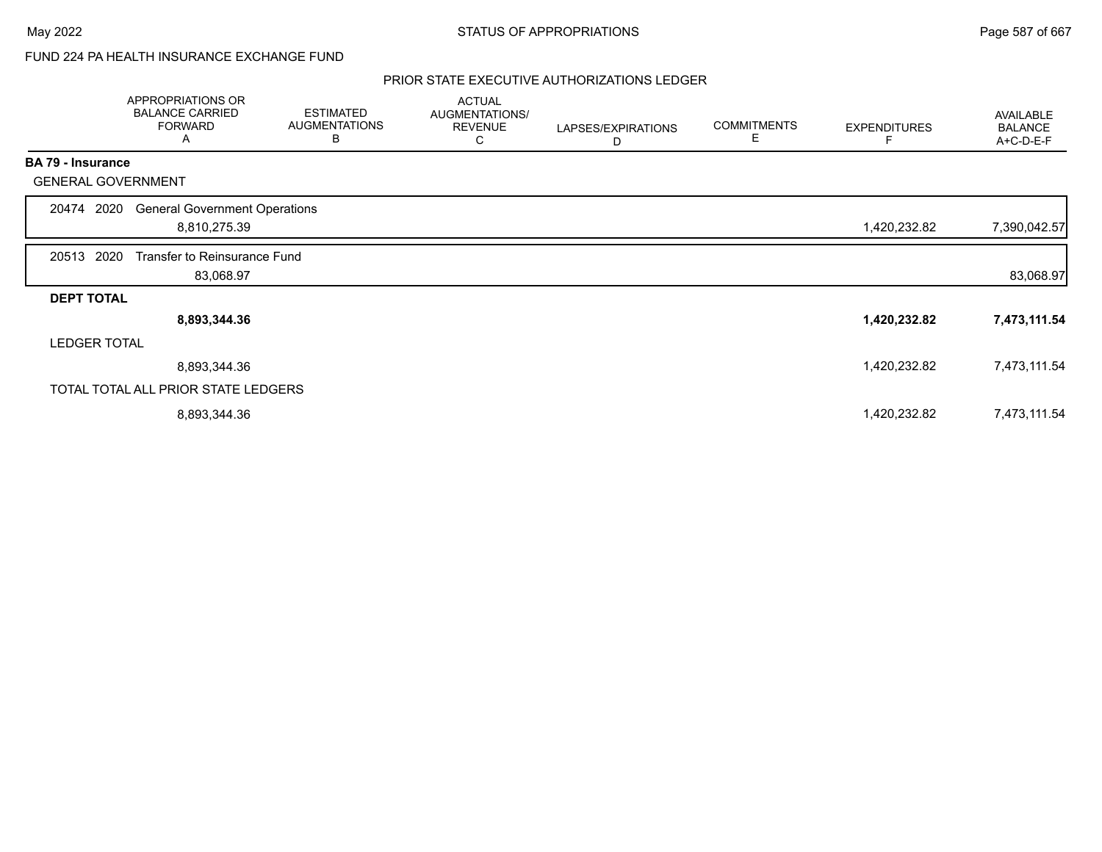# FUND 224 PA HEALTH INSURANCE EXCHANGE FUND

### PRIOR STATE EXECUTIVE AUTHORIZATIONS LEDGER

|                          | APPROPRIATIONS OR<br><b>BALANCE CARRIED</b><br><b>FORWARD</b><br>A | <b>ESTIMATED</b><br><b>AUGMENTATIONS</b><br>B | <b>ACTUAL</b><br>AUGMENTATIONS/<br><b>REVENUE</b><br>С | LAPSES/EXPIRATIONS<br>D | <b>COMMITMENTS</b><br>Е | <b>EXPENDITURES</b> | AVAILABLE<br><b>BALANCE</b><br>A+C-D-E-F |
|--------------------------|--------------------------------------------------------------------|-----------------------------------------------|--------------------------------------------------------|-------------------------|-------------------------|---------------------|------------------------------------------|
| <b>BA 79 - Insurance</b> |                                                                    |                                               |                                                        |                         |                         |                     |                                          |
|                          | <b>GENERAL GOVERNMENT</b>                                          |                                               |                                                        |                         |                         |                     |                                          |
| 20474                    | <b>General Government Operations</b><br>2020                       |                                               |                                                        |                         |                         |                     |                                          |
|                          | 8,810,275.39                                                       |                                               |                                                        |                         |                         | 1,420,232.82        | 7,390,042.57                             |
| 20513 2020               | Transfer to Reinsurance Fund                                       |                                               |                                                        |                         |                         |                     |                                          |
|                          | 83,068.97                                                          |                                               |                                                        |                         |                         |                     | 83,068.97                                |
| <b>DEPT TOTAL</b>        |                                                                    |                                               |                                                        |                         |                         |                     |                                          |
|                          | 8,893,344.36                                                       |                                               |                                                        |                         |                         | 1,420,232.82        | 7,473,111.54                             |
|                          | <b>LEDGER TOTAL</b>                                                |                                               |                                                        |                         |                         |                     |                                          |
|                          | 8,893,344.36                                                       |                                               |                                                        |                         |                         | 1,420,232.82        | 7,473,111.54                             |
|                          | TOTAL TOTAL ALL PRIOR STATE LEDGERS                                |                                               |                                                        |                         |                         |                     |                                          |
|                          | 8,893,344.36                                                       |                                               |                                                        |                         |                         | 1,420,232.82        | 7,473,111.54                             |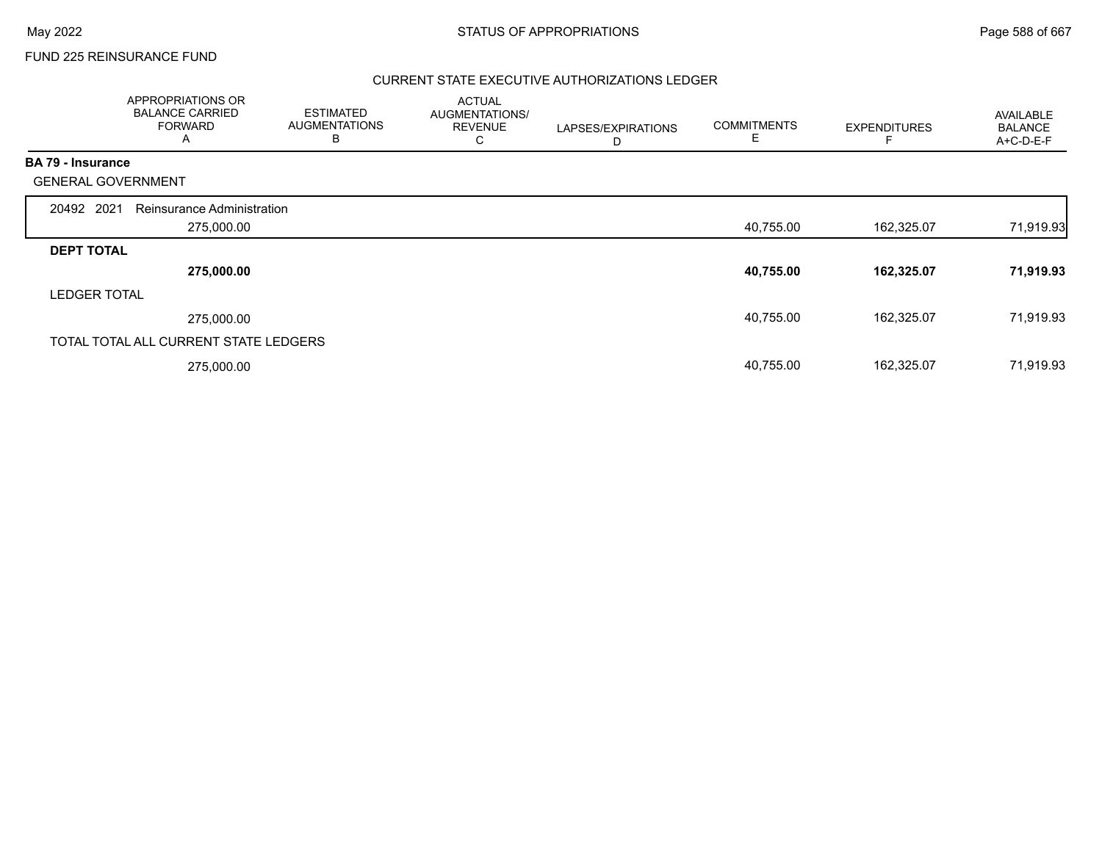## FUND 225 REINSURANCE FUND

## CURRENT STATE EXECUTIVE AUTHORIZATIONS LEDGER

|                          | APPROPRIATIONS OR<br><b>BALANCE CARRIED</b><br><b>FORWARD</b><br>A | <b>ESTIMATED</b><br><b>AUGMENTATIONS</b><br>B | <b>ACTUAL</b><br>AUGMENTATIONS/<br><b>REVENUE</b><br>С | LAPSES/EXPIRATIONS<br>D | <b>COMMITMENTS</b><br>E | <b>EXPENDITURES</b> | <b>AVAILABLE</b><br><b>BALANCE</b><br>A+C-D-E-F |
|--------------------------|--------------------------------------------------------------------|-----------------------------------------------|--------------------------------------------------------|-------------------------|-------------------------|---------------------|-------------------------------------------------|
| <b>BA 79 - Insurance</b> |                                                                    |                                               |                                                        |                         |                         |                     |                                                 |
|                          | <b>GENERAL GOVERNMENT</b>                                          |                                               |                                                        |                         |                         |                     |                                                 |
| 20492 2021               | Reinsurance Administration                                         |                                               |                                                        |                         |                         |                     |                                                 |
|                          | 275,000.00                                                         |                                               |                                                        |                         | 40,755.00               | 162,325.07          | 71,919.93                                       |
| <b>DEPT TOTAL</b>        |                                                                    |                                               |                                                        |                         |                         |                     |                                                 |
|                          | 275,000.00                                                         |                                               |                                                        |                         | 40,755.00               | 162,325.07          | 71,919.93                                       |
| <b>LEDGER TOTAL</b>      |                                                                    |                                               |                                                        |                         |                         |                     |                                                 |
|                          | 275,000.00                                                         |                                               |                                                        |                         | 40,755.00               | 162,325.07          | 71,919.93                                       |
|                          | TOTAL TOTAL ALL CURRENT STATE LEDGERS                              |                                               |                                                        |                         |                         |                     |                                                 |
|                          | 275,000.00                                                         |                                               |                                                        |                         | 40,755.00               | 162,325.07          | 71,919.93                                       |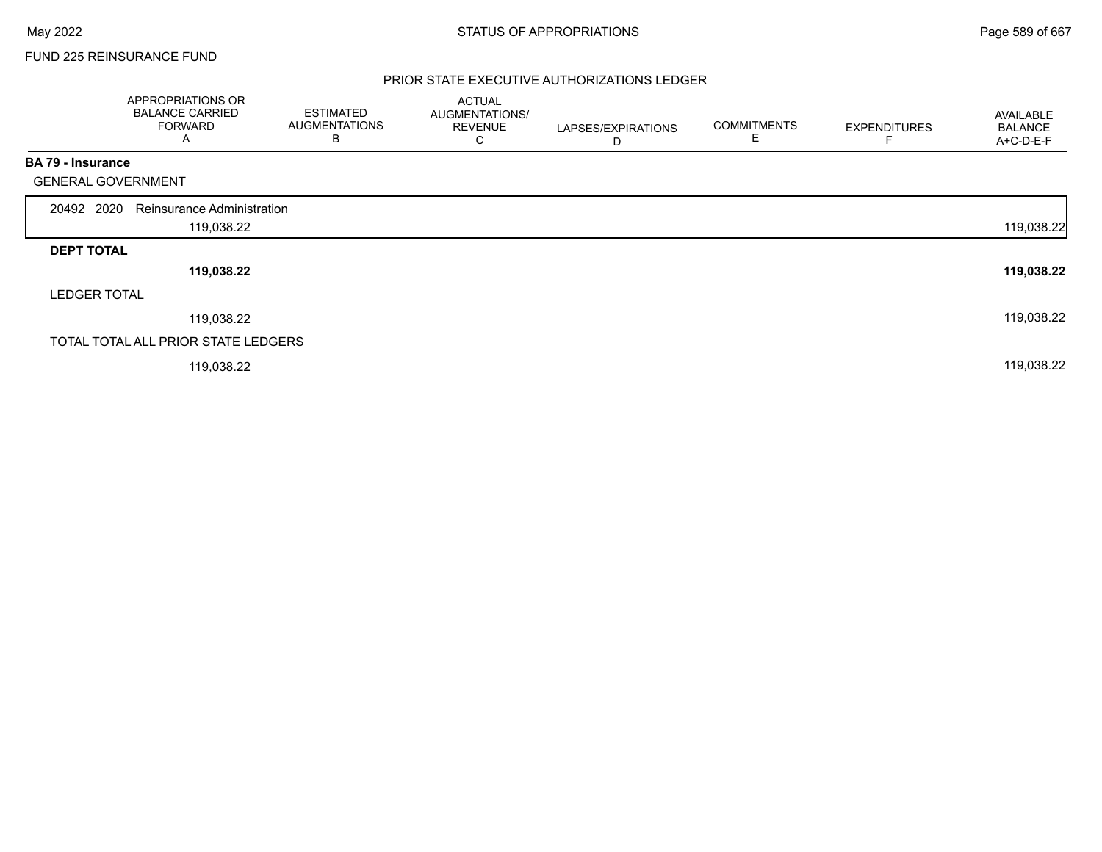## FUND 225 REINSURANCE FUND

## PRIOR STATE EXECUTIVE AUTHORIZATIONS LEDGER

|                           | APPROPRIATIONS OR<br><b>BALANCE CARRIED</b><br><b>FORWARD</b><br>A | <b>ESTIMATED</b><br><b>AUGMENTATIONS</b><br>B | <b>ACTUAL</b><br>AUGMENTATIONS/<br><b>REVENUE</b><br>C | LAPSES/EXPIRATIONS<br>D | <b>COMMITMENTS</b><br>Е | <b>EXPENDITURES</b> | AVAILABLE<br><b>BALANCE</b><br>A+C-D-E-F |
|---------------------------|--------------------------------------------------------------------|-----------------------------------------------|--------------------------------------------------------|-------------------------|-------------------------|---------------------|------------------------------------------|
| <b>BA 79 - Insurance</b>  |                                                                    |                                               |                                                        |                         |                         |                     |                                          |
| <b>GENERAL GOVERNMENT</b> |                                                                    |                                               |                                                        |                         |                         |                     |                                          |
| 20492 2020                | Reinsurance Administration                                         |                                               |                                                        |                         |                         |                     |                                          |
|                           | 119,038.22                                                         |                                               |                                                        |                         |                         |                     | 119,038.22                               |
| <b>DEPT TOTAL</b>         |                                                                    |                                               |                                                        |                         |                         |                     |                                          |
|                           | 119,038.22                                                         |                                               |                                                        |                         |                         |                     | 119,038.22                               |
| <b>LEDGER TOTAL</b>       |                                                                    |                                               |                                                        |                         |                         |                     |                                          |
|                           | 119,038.22                                                         |                                               |                                                        |                         |                         |                     | 119,038.22                               |
|                           | TOTAL TOTAL ALL PRIOR STATE LEDGERS                                |                                               |                                                        |                         |                         |                     |                                          |
|                           | 119,038.22                                                         |                                               |                                                        |                         |                         |                     | 119,038.22                               |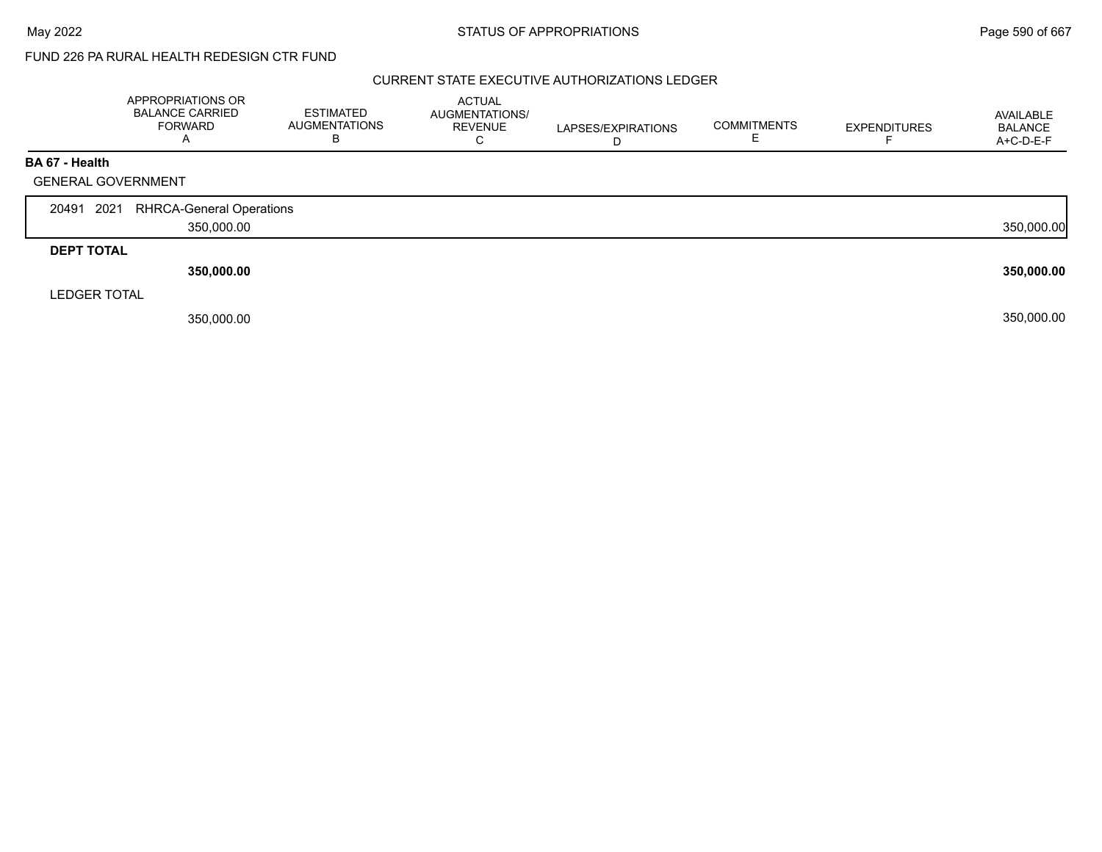#### CURRENT STATE EXECUTIVE AUTHORIZATIONS LEDGER

|                     | APPROPRIATIONS OR<br><b>BALANCE CARRIED</b><br>FORWARD<br>$\overline{A}$ | <b>ESTIMATED</b><br><b>AUGMENTATIONS</b><br>В | <b>ACTUAL</b><br>AUGMENTATIONS/<br><b>REVENUE</b> | LAPSES/EXPIRATIONS | <b>COMMITMENTS</b> | <b>EXPENDITURES</b> | AVAILABLE<br><b>BALANCE</b><br>A+C-D-E-F |
|---------------------|--------------------------------------------------------------------------|-----------------------------------------------|---------------------------------------------------|--------------------|--------------------|---------------------|------------------------------------------|
| BA 67 - Health      |                                                                          |                                               |                                                   |                    |                    |                     |                                          |
|                     | <b>GENERAL GOVERNMENT</b>                                                |                                               |                                                   |                    |                    |                     |                                          |
|                     |                                                                          |                                               |                                                   |                    |                    |                     |                                          |
| 20491 2021          | <b>RHRCA-General Operations</b>                                          |                                               |                                                   |                    |                    |                     |                                          |
|                     | 350,000.00                                                               |                                               |                                                   |                    |                    |                     | 350,000.00                               |
|                     |                                                                          |                                               |                                                   |                    |                    |                     |                                          |
| <b>DEPT TOTAL</b>   |                                                                          |                                               |                                                   |                    |                    |                     |                                          |
|                     | 350,000.00                                                               |                                               |                                                   |                    |                    |                     | 350,000.00                               |
| <b>LEDGER TOTAL</b> |                                                                          |                                               |                                                   |                    |                    |                     |                                          |
|                     | 350,000.00                                                               |                                               |                                                   |                    |                    |                     | 350,000.00                               |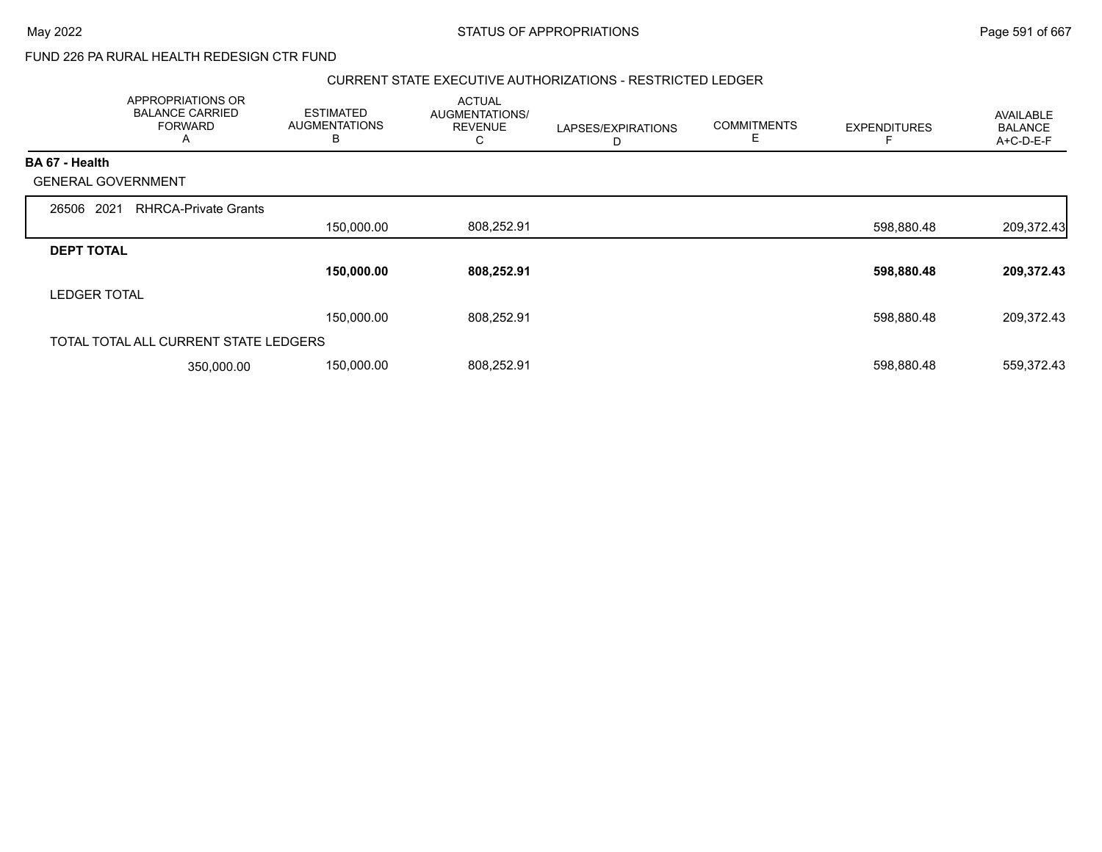### CURRENT STATE EXECUTIVE AUTHORIZATIONS - RESTRICTED LEDGER

|                           | APPROPRIATIONS OR<br><b>BALANCE CARRIED</b><br><b>FORWARD</b><br>A | <b>ESTIMATED</b><br><b>AUGMENTATIONS</b><br>B | <b>ACTUAL</b><br>AUGMENTATIONS/<br><b>REVENUE</b> | LAPSES/EXPIRATIONS<br>D | <b>COMMITMENTS</b> | <b>EXPENDITURES</b> | AVAILABLE<br><b>BALANCE</b><br>A+C-D-E-F |
|---------------------------|--------------------------------------------------------------------|-----------------------------------------------|---------------------------------------------------|-------------------------|--------------------|---------------------|------------------------------------------|
| <b>BA 67 - Health</b>     |                                                                    |                                               |                                                   |                         |                    |                     |                                          |
| <b>GENERAL GOVERNMENT</b> |                                                                    |                                               |                                                   |                         |                    |                     |                                          |
| 2021<br>26506             | <b>RHRCA-Private Grants</b>                                        |                                               |                                                   |                         |                    |                     |                                          |
|                           |                                                                    | 150,000.00                                    | 808,252.91                                        |                         |                    | 598,880.48          | 209,372.43                               |
| <b>DEPT TOTAL</b>         |                                                                    |                                               |                                                   |                         |                    |                     |                                          |
|                           |                                                                    | 150,000.00                                    | 808,252.91                                        |                         |                    | 598,880.48          | 209,372.43                               |
| <b>LEDGER TOTAL</b>       |                                                                    |                                               |                                                   |                         |                    |                     |                                          |
|                           |                                                                    | 150,000.00                                    | 808,252.91                                        |                         |                    | 598,880.48          | 209,372.43                               |
|                           | TOTAL TOTAL ALL CURRENT STATE LEDGERS                              |                                               |                                                   |                         |                    |                     |                                          |
|                           | 350,000.00                                                         | 150,000.00                                    | 808,252.91                                        |                         |                    | 598,880.48          | 559,372.43                               |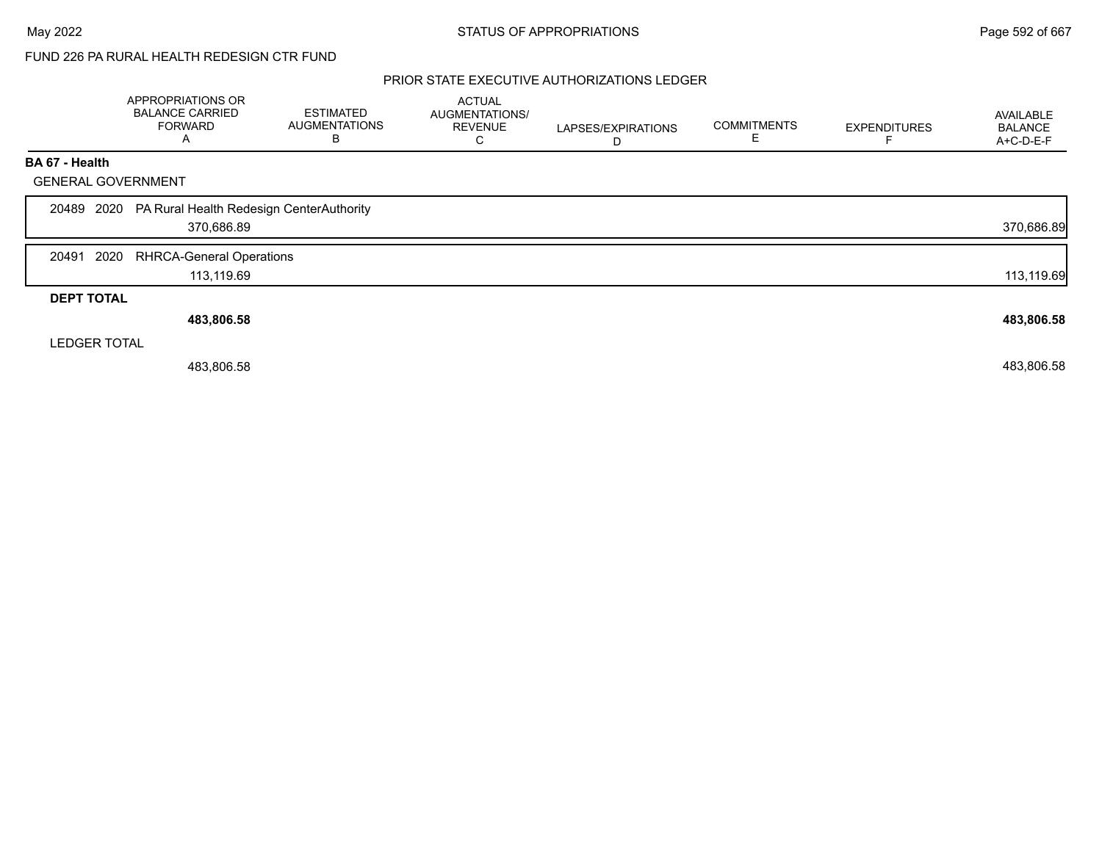## PRIOR STATE EXECUTIVE AUTHORIZATIONS LEDGER

|                           | APPROPRIATIONS OR<br><b>BALANCE CARRIED</b><br><b>FORWARD</b><br>A | <b>ESTIMATED</b><br><b>AUGMENTATIONS</b><br>В | <b>ACTUAL</b><br>AUGMENTATIONS/<br><b>REVENUE</b><br>C | LAPSES/EXPIRATIONS<br>D | <b>COMMITMENTS</b> | <b>EXPENDITURES</b> | <b>AVAILABLE</b><br><b>BALANCE</b><br>A+C-D-E-F |
|---------------------------|--------------------------------------------------------------------|-----------------------------------------------|--------------------------------------------------------|-------------------------|--------------------|---------------------|-------------------------------------------------|
| <b>BA 67 - Health</b>     |                                                                    |                                               |                                                        |                         |                    |                     |                                                 |
| <b>GENERAL GOVERNMENT</b> |                                                                    |                                               |                                                        |                         |                    |                     |                                                 |
|                           | 20489 2020 PA Rural Health Redesign CenterAuthority<br>370,686.89  |                                               |                                                        |                         |                    |                     | 370,686.89                                      |
| 20491<br>2020             | <b>RHRCA-General Operations</b>                                    |                                               |                                                        |                         |                    |                     |                                                 |
|                           | 113,119.69                                                         |                                               |                                                        |                         |                    |                     | 113,119.69                                      |
| <b>DEPT TOTAL</b>         |                                                                    |                                               |                                                        |                         |                    |                     |                                                 |
|                           | 483,806.58                                                         |                                               |                                                        |                         |                    |                     | 483,806.58                                      |
| <b>LEDGER TOTAL</b>       |                                                                    |                                               |                                                        |                         |                    |                     |                                                 |
|                           | 483,806.58                                                         |                                               |                                                        |                         |                    |                     | 483,806.58                                      |
|                           |                                                                    |                                               |                                                        |                         |                    |                     |                                                 |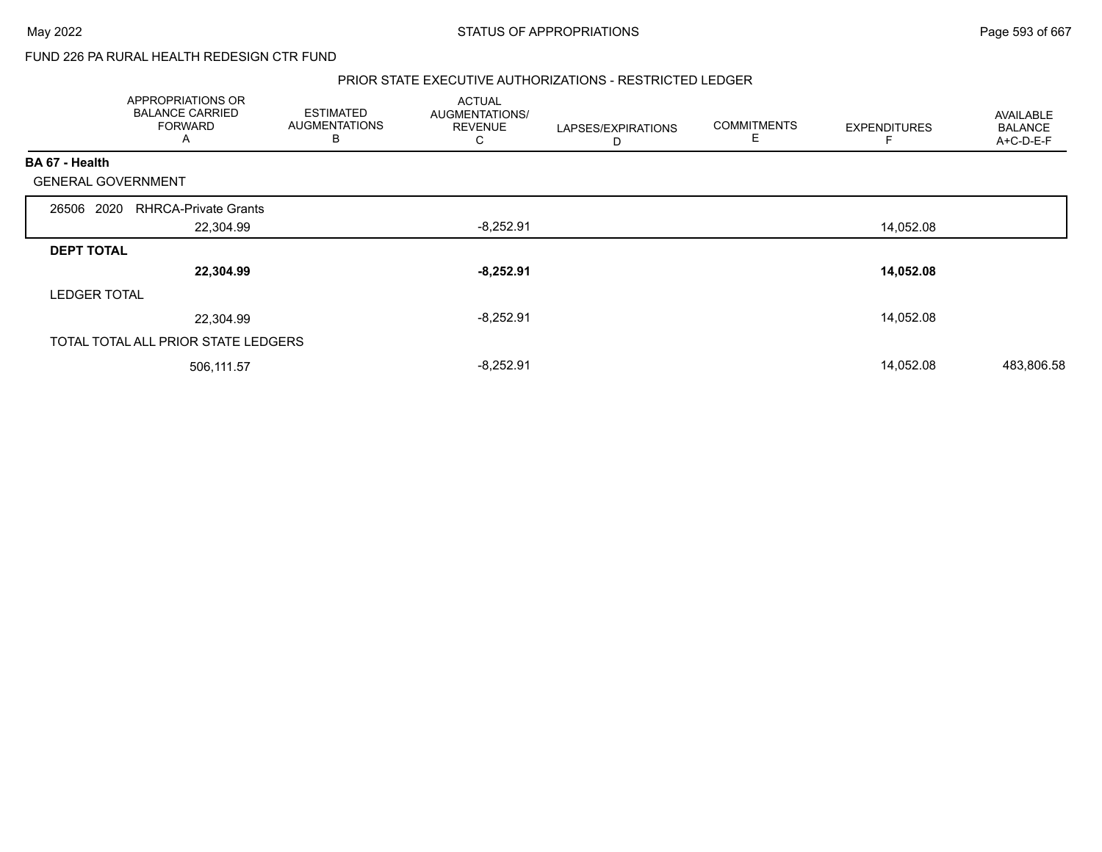#### PRIOR STATE EXECUTIVE AUTHORIZATIONS - RESTRICTED LEDGER

|                           | APPROPRIATIONS OR<br><b>BALANCE CARRIED</b><br><b>FORWARD</b><br>A | <b>ESTIMATED</b><br><b>AUGMENTATIONS</b><br>В | <b>ACTUAL</b><br>AUGMENTATIONS/<br><b>REVENUE</b><br>C | LAPSES/EXPIRATIONS<br>D | <b>COMMITMENTS</b><br>Е | <b>EXPENDITURES</b> | <b>AVAILABLE</b><br><b>BALANCE</b><br>A+C-D-E-F |
|---------------------------|--------------------------------------------------------------------|-----------------------------------------------|--------------------------------------------------------|-------------------------|-------------------------|---------------------|-------------------------------------------------|
| BA 67 - Health            |                                                                    |                                               |                                                        |                         |                         |                     |                                                 |
| <b>GENERAL GOVERNMENT</b> |                                                                    |                                               |                                                        |                         |                         |                     |                                                 |
| 26506 2020                | <b>RHRCA-Private Grants</b>                                        |                                               |                                                        |                         |                         |                     |                                                 |
|                           | 22,304.99                                                          |                                               | $-8,252.91$                                            |                         |                         | 14,052.08           |                                                 |
| <b>DEPT TOTAL</b>         |                                                                    |                                               |                                                        |                         |                         |                     |                                                 |
|                           | 22,304.99                                                          |                                               | $-8,252.91$                                            |                         |                         | 14,052.08           |                                                 |
| <b>LEDGER TOTAL</b>       |                                                                    |                                               |                                                        |                         |                         |                     |                                                 |
|                           | 22,304.99                                                          |                                               | $-8,252.91$                                            |                         |                         | 14,052.08           |                                                 |
|                           | TOTAL TOTAL ALL PRIOR STATE LEDGERS                                |                                               |                                                        |                         |                         |                     |                                                 |
|                           | 506,111.57                                                         |                                               | $-8,252.91$                                            |                         |                         | 14,052.08           | 483,806.58                                      |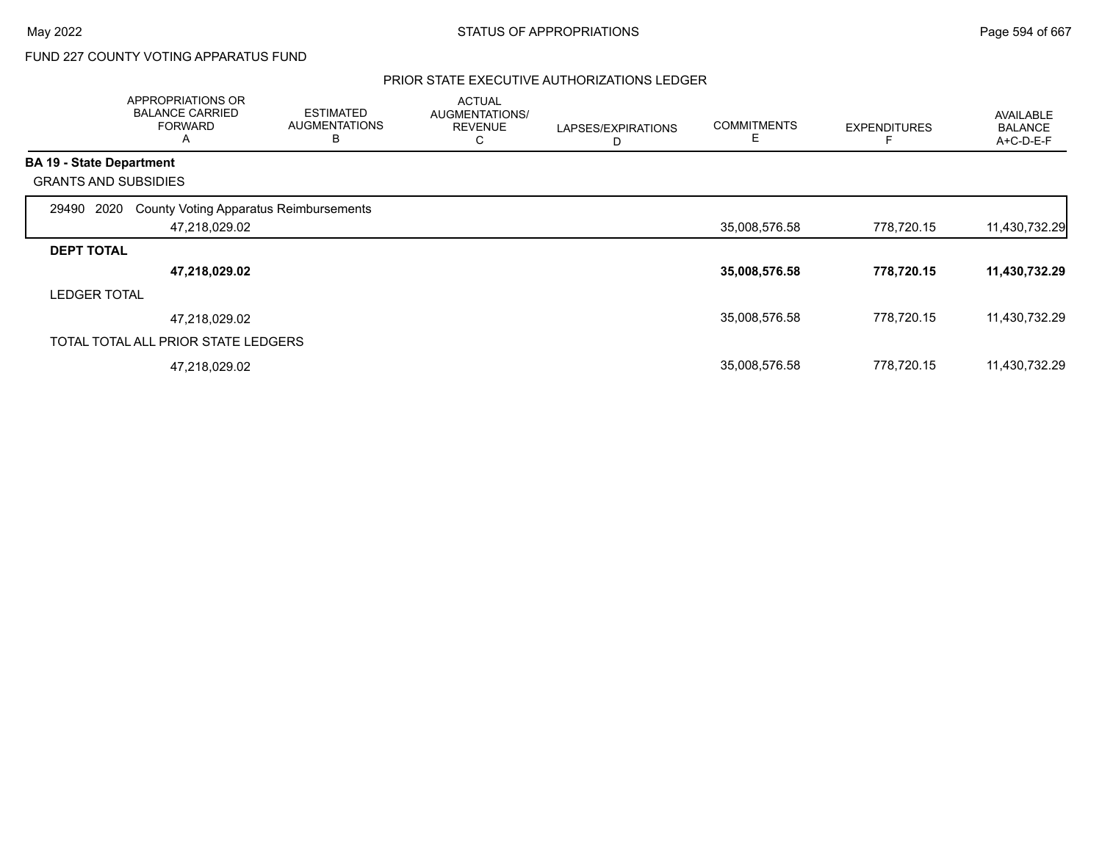# FUND 227 COUNTY VOTING APPARATUS FUND

## PRIOR STATE EXECUTIVE AUTHORIZATIONS LEDGER

|                     | APPROPRIATIONS OR<br><b>BALANCE CARRIED</b><br><b>FORWARD</b><br>A | <b>ESTIMATED</b><br><b>AUGMENTATIONS</b><br>В | <b>ACTUAL</b><br>AUGMENTATIONS/<br><b>REVENUE</b><br>С | LAPSES/EXPIRATIONS<br>D | <b>COMMITMENTS</b><br>Е | <b>EXPENDITURES</b> | AVAILABLE<br><b>BALANCE</b><br>A+C-D-E-F |
|---------------------|--------------------------------------------------------------------|-----------------------------------------------|--------------------------------------------------------|-------------------------|-------------------------|---------------------|------------------------------------------|
|                     | <b>BA 19 - State Department</b>                                    |                                               |                                                        |                         |                         |                     |                                          |
|                     | <b>GRANTS AND SUBSIDIES</b>                                        |                                               |                                                        |                         |                         |                     |                                          |
| 29490               | 2020<br><b>County Voting Apparatus Reimbursements</b>              |                                               |                                                        |                         |                         |                     |                                          |
|                     | 47,218,029.02                                                      |                                               |                                                        |                         | 35,008,576.58           | 778,720.15          | 11,430,732.29                            |
| <b>DEPT TOTAL</b>   |                                                                    |                                               |                                                        |                         |                         |                     |                                          |
|                     | 47,218,029.02                                                      |                                               |                                                        |                         | 35,008,576.58           | 778,720.15          | 11,430,732.29                            |
| <b>LEDGER TOTAL</b> |                                                                    |                                               |                                                        |                         |                         |                     |                                          |
|                     | 47,218,029.02                                                      |                                               |                                                        |                         | 35,008,576.58           | 778,720.15          | 11,430,732.29                            |
|                     | TOTAL TOTAL ALL PRIOR STATE LEDGERS                                |                                               |                                                        |                         |                         |                     |                                          |
|                     | 47,218,029.02                                                      |                                               |                                                        |                         | 35,008,576.58           | 778,720.15          | 11,430,732.29                            |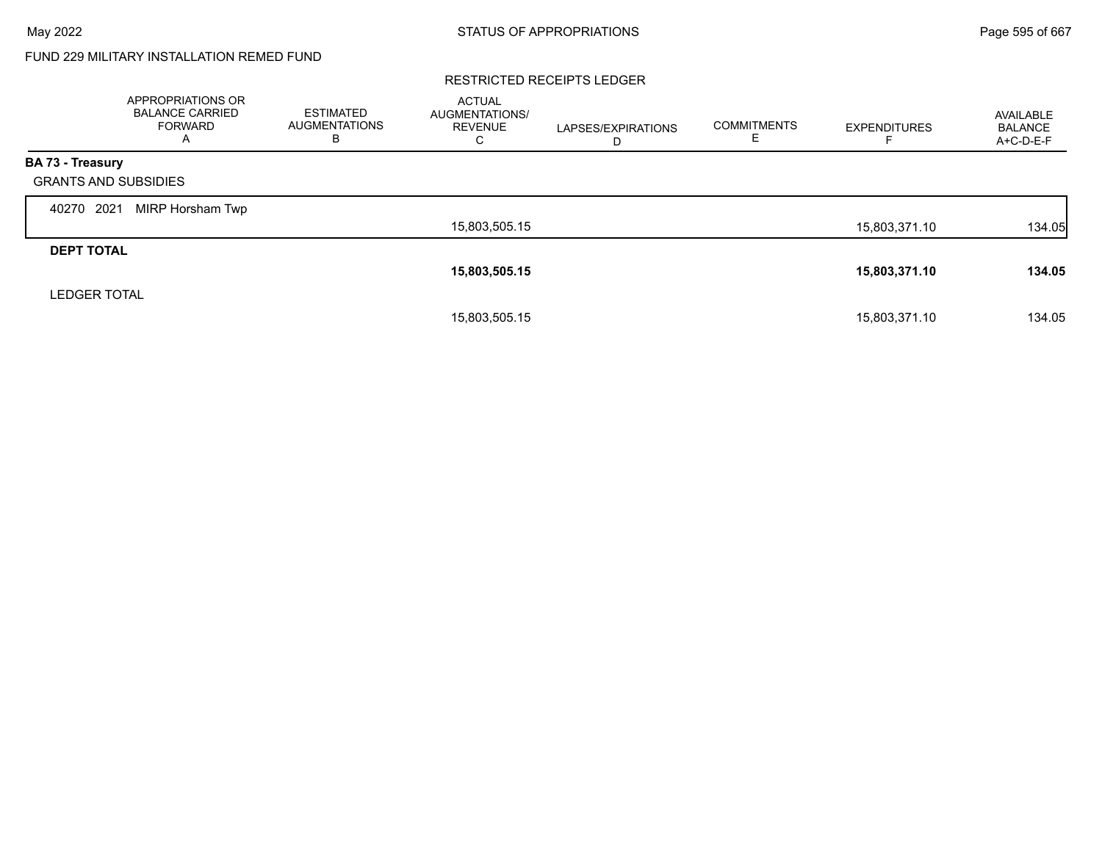# FUND 229 MILITARY INSTALLATION REMED FUND

#### RESTRICTED RECEIPTS LEDGER

|                             | APPROPRIATIONS OR<br><b>BALANCE CARRIED</b><br>FORWARD<br>A | <b>ESTIMATED</b><br><b>AUGMENTATIONS</b><br>в | <b>ACTUAL</b><br>AUGMENTATIONS/<br><b>REVENUE</b><br>C | LAPSES/EXPIRATIONS<br>D | <b>COMMITMENTS</b><br>Е | <b>EXPENDITURES</b> | AVAILABLE<br><b>BALANCE</b><br>A+C-D-E-F |
|-----------------------------|-------------------------------------------------------------|-----------------------------------------------|--------------------------------------------------------|-------------------------|-------------------------|---------------------|------------------------------------------|
| <b>BA 73 - Treasury</b>     |                                                             |                                               |                                                        |                         |                         |                     |                                          |
| <b>GRANTS AND SUBSIDIES</b> |                                                             |                                               |                                                        |                         |                         |                     |                                          |
| 2021<br>40270               | MIRP Horsham Twp                                            |                                               |                                                        |                         |                         |                     |                                          |
|                             |                                                             |                                               | 15,803,505.15                                          |                         |                         | 15,803,371.10       | 134.05                                   |
| <b>DEPT TOTAL</b>           |                                                             |                                               |                                                        |                         |                         |                     |                                          |
|                             |                                                             |                                               | 15,803,505.15                                          |                         |                         | 15,803,371.10       | 134.05                                   |
| <b>LEDGER TOTAL</b>         |                                                             |                                               |                                                        |                         |                         |                     |                                          |
|                             |                                                             |                                               | 15.803.505.15                                          |                         |                         | 15.803.371.10       | 134.05                                   |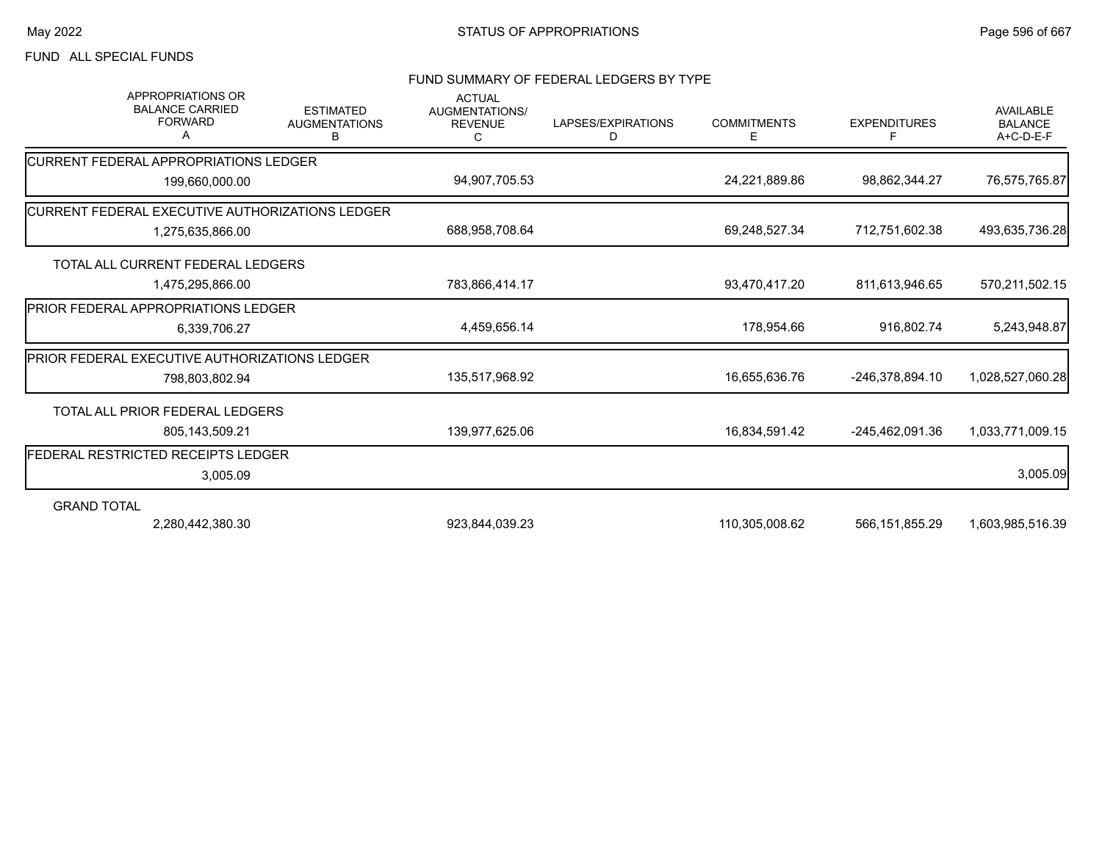# FUND ALL SPECIAL FUNDS

#### FUND SUMMARY OF FEDERAL LEDGERS BY TYPE

| <b>APPROPRIATIONS OR</b><br><b>BALANCE CARRIED</b><br><b>FORWARD</b> | <b>ESTIMATED</b><br><b>AUGMENTATIONS</b><br>В | <b>ACTUAL</b><br>AUGMENTATIONS/<br><b>REVENUE</b><br>C | LAPSES/EXPIRATIONS<br>D | <b>COMMITMENTS</b><br>Е | <b>EXPENDITURES</b> | <b>AVAILABLE</b><br><b>BALANCE</b><br>A+C-D-E-F |
|----------------------------------------------------------------------|-----------------------------------------------|--------------------------------------------------------|-------------------------|-------------------------|---------------------|-------------------------------------------------|
| CURRENT FEDERAL APPROPRIATIONS LEDGER                                |                                               |                                                        |                         |                         |                     |                                                 |
| 199,660,000.00                                                       |                                               | 94,907,705.53                                          |                         | 24,221,889.86           | 98,862,344.27       | 76,575,765.87                                   |
| CURRENT FEDERAL EXECUTIVE AUTHORIZATIONS LEDGER                      |                                               |                                                        |                         |                         |                     |                                                 |
| 1,275,635,866.00                                                     |                                               | 688,958,708.64                                         |                         | 69,248,527.34           | 712,751,602.38      | 493,635,736.28                                  |
| TOTAL ALL CURRENT FEDERAL LEDGERS                                    |                                               |                                                        |                         |                         |                     |                                                 |
| 1,475,295,866.00                                                     |                                               | 783,866,414.17                                         |                         | 93,470,417.20           | 811,613,946.65      | 570,211,502.15                                  |
| <b>IPRIOR FEDERAL APPROPRIATIONS LEDGER</b>                          |                                               |                                                        |                         |                         |                     |                                                 |
| 6,339,706.27                                                         |                                               | 4,459,656.14                                           |                         | 178,954.66              | 916,802.74          | 5,243,948.87                                    |
| PRIOR FEDERAL EXECUTIVE AUTHORIZATIONS LEDGER                        |                                               |                                                        |                         |                         |                     |                                                 |
| 798,803,802.94                                                       |                                               | 135,517,968.92                                         |                         | 16,655,636.76           | -246,378,894.10     | 1,028,527,060.28                                |
| TOTAL ALL PRIOR FEDERAL LEDGERS                                      |                                               |                                                        |                         |                         |                     |                                                 |
| 805,143,509.21                                                       |                                               | 139,977,625.06                                         |                         | 16,834,591.42           | -245,462,091.36     | 1,033,771,009.15                                |
| FEDERAL RESTRICTED RECEIPTS LEDGER                                   |                                               |                                                        |                         |                         |                     |                                                 |
| 3,005.09                                                             |                                               |                                                        |                         |                         |                     | 3,005.09                                        |
| <b>GRAND TOTAL</b>                                                   |                                               |                                                        |                         |                         |                     |                                                 |
| 2,280,442,380.30                                                     |                                               | 923,844,039.23                                         |                         | 110,305,008.62          | 566, 151, 855. 29   | 1,603,985,516.39                                |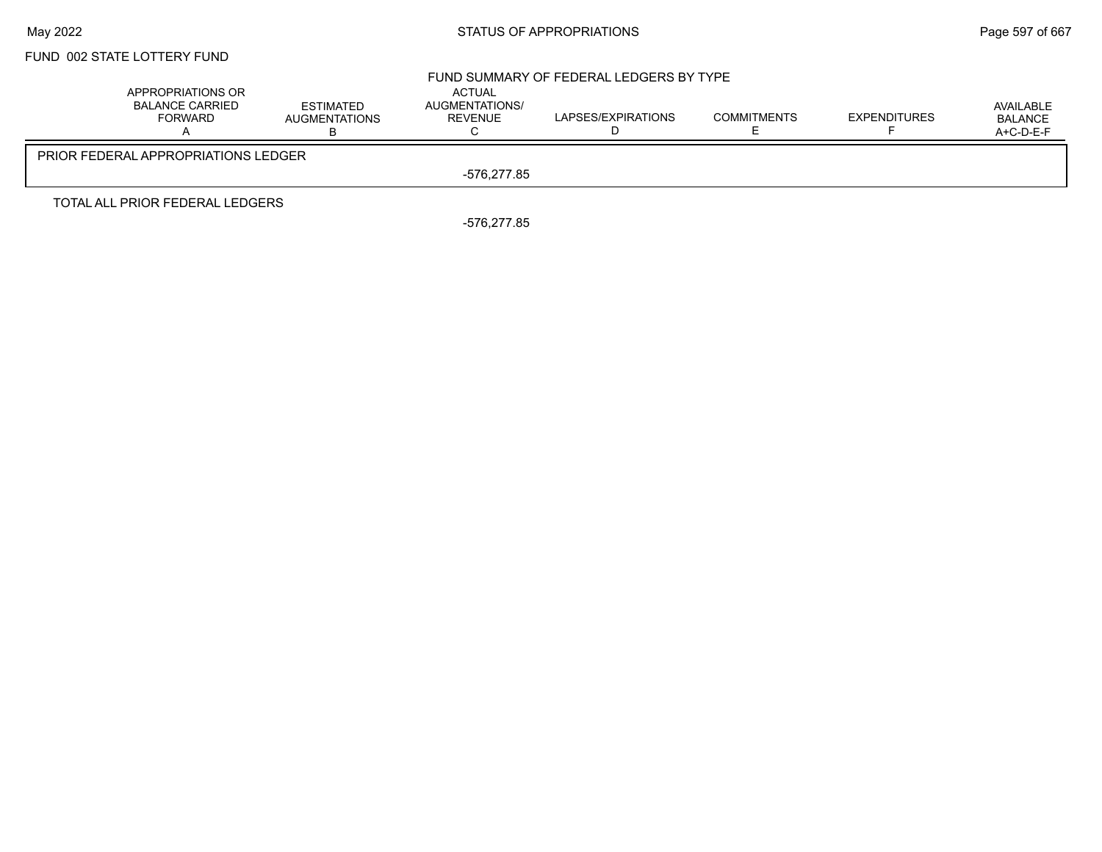## May 2022 **Example 2022** Page 597 of 667

# FUND 002 STATE LOTTERY FUND

|                                                        |                                          |                                     | FUND SUMMARY OF FEDERAL LEDGERS BY TYPE |                    |                     |                                          |
|--------------------------------------------------------|------------------------------------------|-------------------------------------|-----------------------------------------|--------------------|---------------------|------------------------------------------|
| APPROPRIATIONS OR<br><b>BALANCE CARRIED</b><br>FORWARD | <b>ESTIMATED</b><br><b>AUGMENTATIONS</b> | ACTUAL<br>AUGMENTATIONS/<br>REVENUE | LAPSES/EXPIRATIONS                      | <b>COMMITMENTS</b> | <b>EXPENDITURES</b> | AVAILABLE<br><b>BALANCE</b><br>A+C-D-E-F |
| <b>PRIOR FEDERAL APPROPRIATIONS LEDGER</b>             |                                          |                                     |                                         |                    |                     |                                          |
|                                                        |                                          | -576.277.85                         |                                         |                    |                     |                                          |
| TOTAL ALL PRIOR FEDERAL LEDGERS                        |                                          |                                     |                                         |                    |                     |                                          |

-576,277.85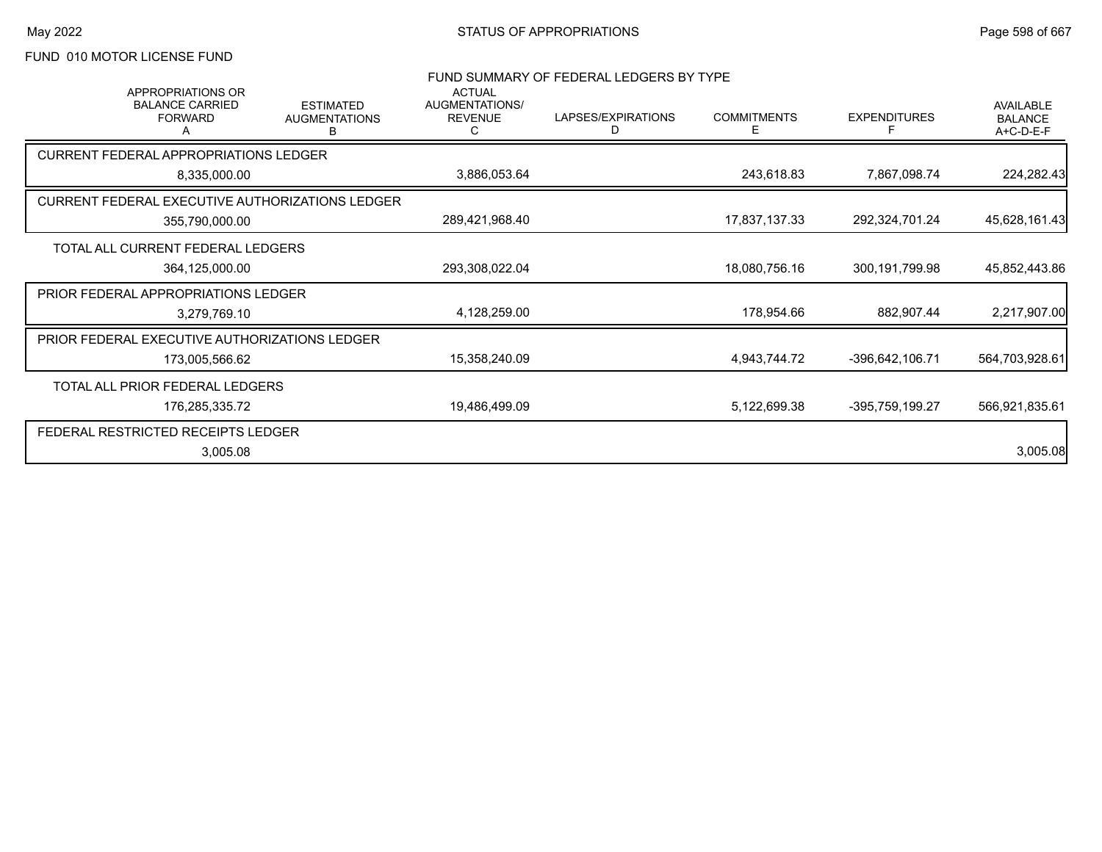# FUND 010 MOTOR LICENSE FUND

| <b>APPROPRIATIONS OR</b>                        |                                               | <b>ACTUAL</b>                         | FUND SUMMARY OF FEDERAL LEDGERS BY TYPE |                         |                     |                                                 |
|-------------------------------------------------|-----------------------------------------------|---------------------------------------|-----------------------------------------|-------------------------|---------------------|-------------------------------------------------|
| <b>BALANCE CARRIED</b><br><b>FORWARD</b>        | <b>ESTIMATED</b><br><b>AUGMENTATIONS</b><br>в | AUGMENTATIONS/<br><b>REVENUE</b><br>C | LAPSES/EXPIRATIONS<br>D                 | <b>COMMITMENTS</b><br>Е | <b>EXPENDITURES</b> | <b>AVAILABLE</b><br><b>BALANCE</b><br>A+C-D-E-F |
| <b>CURRENT FEDERAL APPROPRIATIONS LEDGER</b>    |                                               |                                       |                                         |                         |                     |                                                 |
| 8,335,000.00                                    |                                               | 3,886,053.64                          |                                         | 243,618.83              | 7,867,098.74        | 224,282.43                                      |
| CURRENT FEDERAL EXECUTIVE AUTHORIZATIONS LEDGER |                                               |                                       |                                         |                         |                     |                                                 |
| 355,790,000.00                                  |                                               | 289,421,968.40                        |                                         | 17,837,137.33           | 292,324,701.24      | 45,628,161.43                                   |
| TOTAL ALL CURRENT FEDERAL LEDGERS               |                                               |                                       |                                         |                         |                     |                                                 |
| 364,125,000.00                                  |                                               | 293,308,022.04                        |                                         | 18,080,756.16           | 300,191,799.98      | 45,852,443.86                                   |
| PRIOR FEDERAL APPROPRIATIONS LEDGER             |                                               |                                       |                                         |                         |                     |                                                 |
| 3,279,769.10                                    |                                               | 4,128,259.00                          |                                         | 178,954.66              | 882,907.44          | 2,217,907.00                                    |
| PRIOR FEDERAL EXECUTIVE AUTHORIZATIONS LEDGER   |                                               |                                       |                                         |                         |                     |                                                 |
| 173,005,566.62                                  |                                               | 15,358,240.09                         |                                         | 4,943,744.72            | -396,642,106.71     | 564,703,928.61                                  |
| TOTAL ALL PRIOR FEDERAL LEDGERS                 |                                               |                                       |                                         |                         |                     |                                                 |
| 176,285,335.72                                  |                                               | 19,486,499.09                         |                                         | 5,122,699.38            | -395,759,199.27     | 566,921,835.61                                  |
| FEDERAL RESTRICTED RECEIPTS LEDGER              |                                               |                                       |                                         |                         |                     |                                                 |
| 3,005.08                                        |                                               |                                       |                                         |                         |                     | 3,005.08                                        |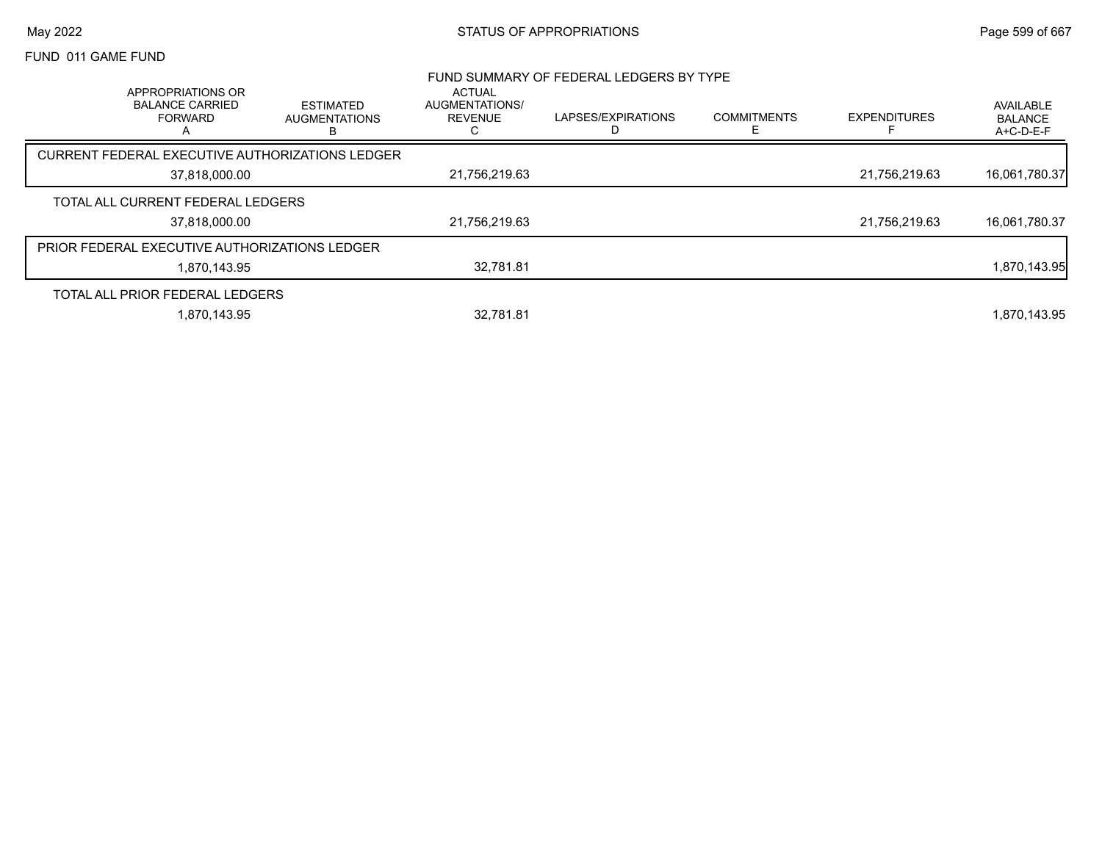## May 2022 **Example 2022** Page 599 of 667

## FUND 011 GAME FUND

|                                                                    |                                                 |                                                        | FUND SUMMARY OF FEDERAL LEDGERS BY TYPE |                    |                     |                                          |
|--------------------------------------------------------------------|-------------------------------------------------|--------------------------------------------------------|-----------------------------------------|--------------------|---------------------|------------------------------------------|
| APPROPRIATIONS OR<br><b>BALANCE CARRIED</b><br><b>FORWARD</b><br>A | <b>ESTIMATED</b><br><b>AUGMENTATIONS</b><br>В   | <b>ACTUAL</b><br>AUGMENTATIONS/<br><b>REVENUE</b><br>U | LAPSES/EXPIRATIONS                      | <b>COMMITMENTS</b> | <b>EXPENDITURES</b> | AVAILABLE<br><b>BALANCE</b><br>A+C-D-E-F |
|                                                                    | CURRENT FEDERAL EXECUTIVE AUTHORIZATIONS LEDGER |                                                        |                                         |                    |                     |                                          |
| 37,818,000.00                                                      |                                                 | 21,756,219.63                                          |                                         |                    | 21,756,219.63       | 16,061,780.37                            |
| TOTAL ALL CURRENT FEDERAL LEDGERS                                  |                                                 |                                                        |                                         |                    |                     |                                          |
| 37.818.000.00                                                      |                                                 | 21.756.219.63                                          |                                         |                    | 21,756,219.63       | 16,061,780.37                            |
|                                                                    | PRIOR FEDERAL EXECUTIVE AUTHORIZATIONS LEDGER   |                                                        |                                         |                    |                     |                                          |
| 1.870.143.95                                                       |                                                 | 32.781.81                                              |                                         |                    |                     | 1,870,143.95                             |
| TOTAL ALL PRIOR FEDERAL LEDGERS                                    |                                                 |                                                        |                                         |                    |                     |                                          |
| 1.870.143.95                                                       |                                                 | 32.781.81                                              |                                         |                    |                     | 1.870.143.95                             |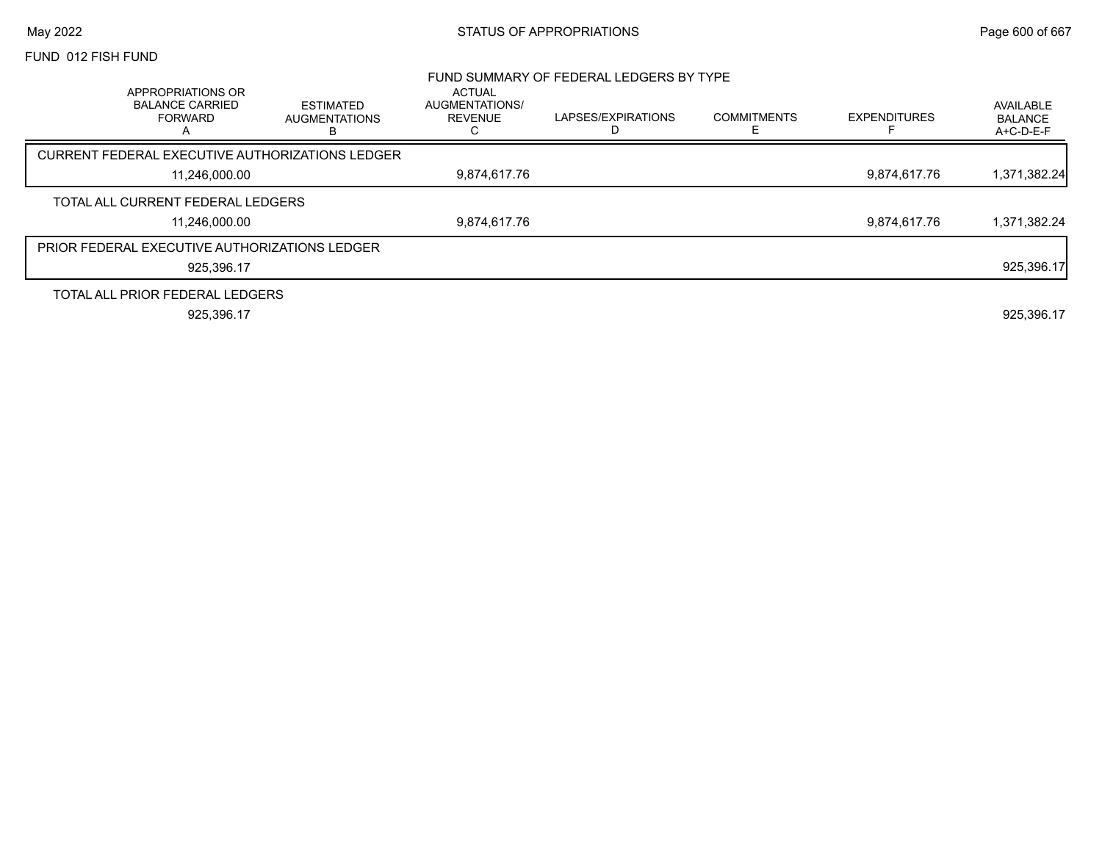## May 2022 **Example 2018** STATUS OF APPROPRIATIONS **STATUS OF APPROPRIATIONS** Page 600 of 667

## FUND 012 FISH FUND

|                                                                    |                                        |                                            | FUND SUMMARY OF FEDERAL LEDGERS BY TYPE |                    |                     |                                          |
|--------------------------------------------------------------------|----------------------------------------|--------------------------------------------|-----------------------------------------|--------------------|---------------------|------------------------------------------|
| APPROPRIATIONS OR<br><b>BALANCE CARRIED</b><br><b>FORWARD</b><br>A | ESTIMATED<br><b>AUGMENTATIONS</b><br>в | ACTUAL<br>AUGMENTATIONS/<br><b>REVENUE</b> | LAPSES/EXPIRATIONS                      | <b>COMMITMENTS</b> | <b>EXPENDITURES</b> | AVAILABLE<br><b>BALANCE</b><br>A+C-D-E-F |
| CURRENT FEDERAL EXECUTIVE AUTHORIZATIONS LEDGER                    |                                        |                                            |                                         |                    |                     |                                          |
| 11,246,000.00                                                      |                                        | 9,874,617.76                               |                                         |                    | 9,874,617.76        | 1,371,382.24                             |
| TOTAL ALL CURRENT FEDERAL LEDGERS                                  |                                        |                                            |                                         |                    |                     |                                          |
| 11,246,000.00                                                      |                                        | 9.874.617.76                               |                                         |                    | 9.874.617.76        | 1,371,382.24                             |
| <b>PRIOR FEDERAL EXECUTIVE AUTHORIZATIONS LEDGER</b>               |                                        |                                            |                                         |                    |                     |                                          |
| 925.396.17                                                         |                                        |                                            |                                         |                    |                     | 925,396.17                               |
| TOTAL ALL PRIOR FEDERAL LEDGERS                                    |                                        |                                            |                                         |                    |                     |                                          |
| 925.396.17                                                         |                                        |                                            |                                         |                    |                     | 925,396.17                               |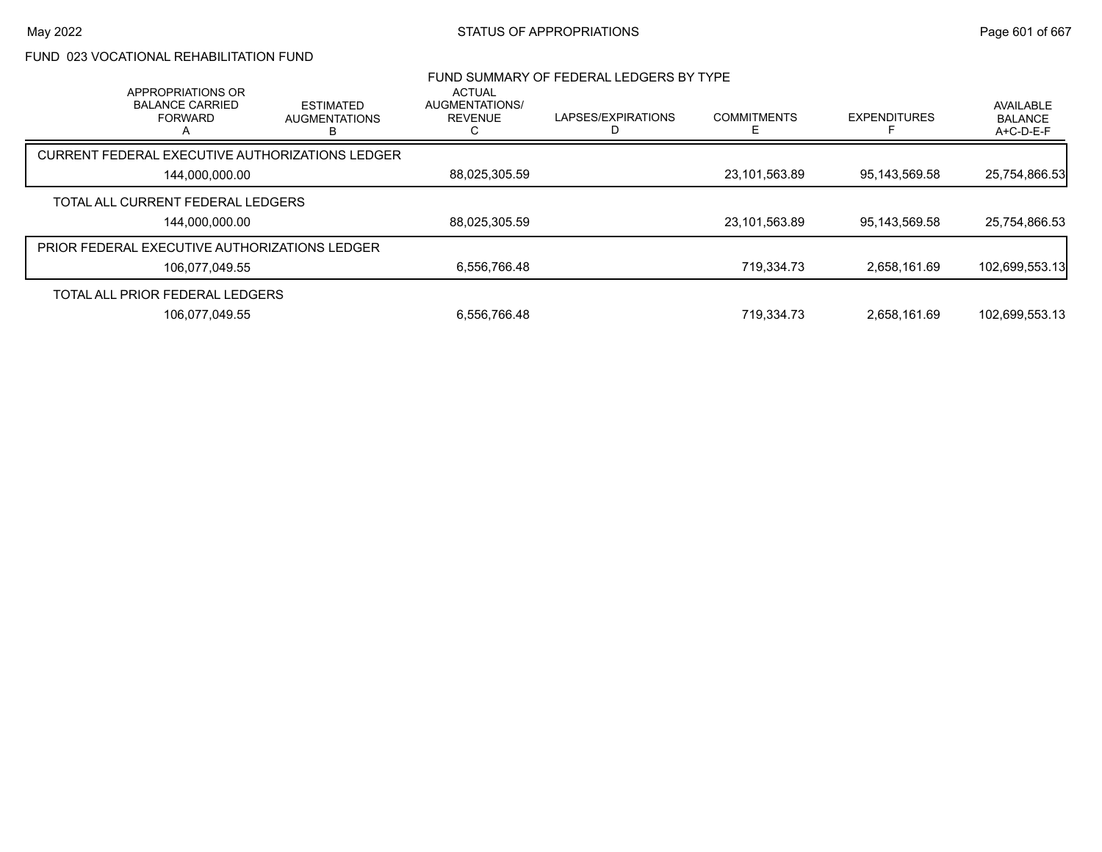# FUND 023 VOCATIONAL REHABILITATION FUND

|                                                      | APPROPRIATIONS OR<br><b>BALANCE CARRIED</b><br><b>FORWARD</b> | <b>ESTIMATED</b><br><b>AUGMENTATIONS</b>        | ACTUAL<br><b>AUGMENTATIONS/</b><br><b>REVENUE</b> | FUND SUMMARY OF FEDERAL LEDGERS BY TYPE<br>LAPSES/EXPIRATIONS | <b>COMMITMENTS</b> | <b>EXPENDITURES</b> | AVAILABLE<br><b>BALANCE</b> |
|------------------------------------------------------|---------------------------------------------------------------|-------------------------------------------------|---------------------------------------------------|---------------------------------------------------------------|--------------------|---------------------|-----------------------------|
|                                                      |                                                               | в                                               |                                                   |                                                               | F                  |                     | A+C-D-E-F                   |
|                                                      |                                                               | CURRENT FEDERAL EXECUTIVE AUTHORIZATIONS LEDGER |                                                   |                                                               |                    |                     |                             |
|                                                      | 144,000,000.00                                                |                                                 | 88,025,305.59                                     |                                                               | 23,101,563.89      | 95,143,569.58       | 25,754,866.53               |
|                                                      | TOTAL ALL CURRENT FEDERAL LEDGERS                             |                                                 |                                                   |                                                               |                    |                     |                             |
|                                                      | 144,000,000.00                                                |                                                 | 88,025,305.59                                     |                                                               | 23,101,563.89      | 95,143,569.58       | 25,754,866.53               |
| <b>PRIOR FEDERAL EXECUTIVE AUTHORIZATIONS LEDGER</b> |                                                               |                                                 |                                                   |                                                               |                    |                     |                             |
|                                                      | 106,077,049.55                                                |                                                 | 6,556,766.48                                      |                                                               | 719.334.73         | 2.658.161.69        | 102,699,553.13              |
|                                                      | TOTAL ALL PRIOR FEDERAL LEDGERS                               |                                                 |                                                   |                                                               |                    |                     |                             |
|                                                      | 106.077.049.55                                                |                                                 | 6,556,766.48                                      |                                                               | 719.334.73         | 2.658.161.69        | 102.699.553.13              |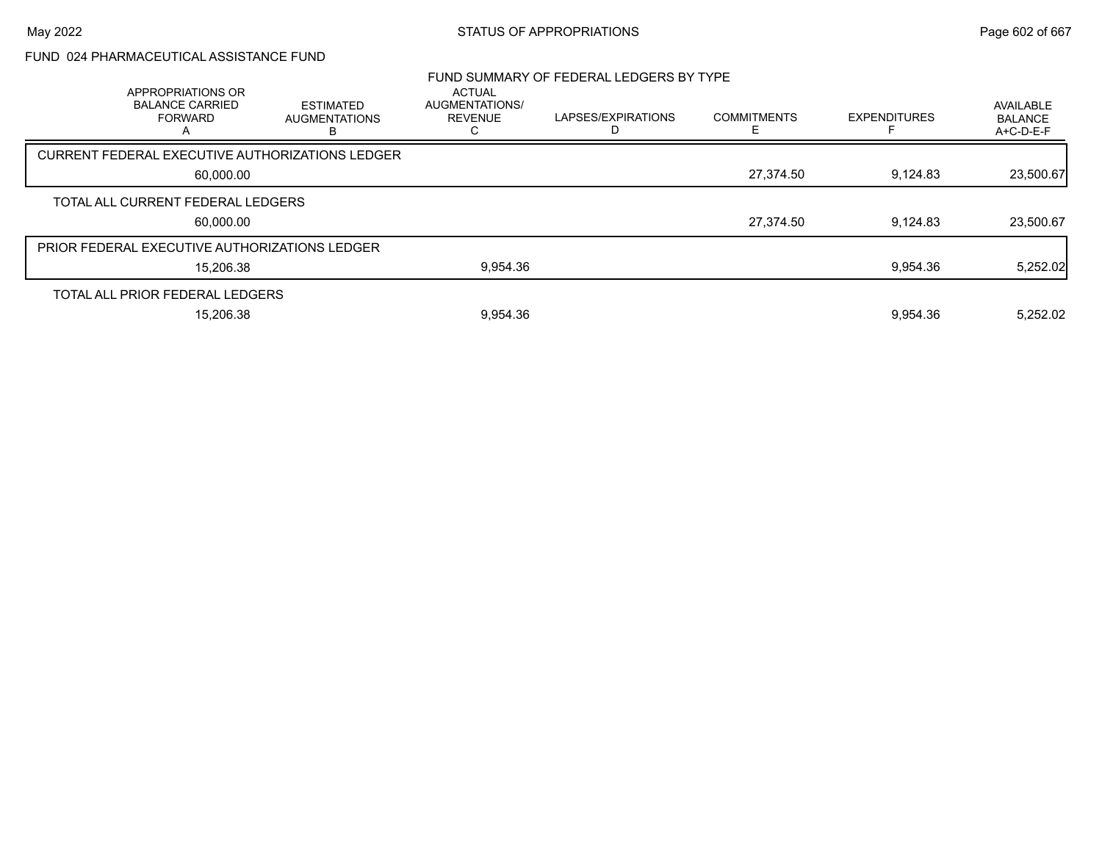# FUND 024 PHARMACEUTICAL ASSISTANCE FUND

| APPROPRIATIONS OR<br><b>BALANCE CARRIED</b><br><b>FORWARD</b> | <b>ESTIMATED</b><br><b>AUGMENTATIONS</b><br>в | <b>ACTUAL</b><br>AUGMENTATIONS/<br><b>REVENUE</b> | FUND SUMMARY OF FEDERAL LEDGERS BY TYPE<br>LAPSES/EXPIRATIONS | <b>COMMITMENTS</b><br>F | <b>EXPENDITURES</b> | AVAILABLE<br><b>BALANCE</b><br>A+C-D-E-F |
|---------------------------------------------------------------|-----------------------------------------------|---------------------------------------------------|---------------------------------------------------------------|-------------------------|---------------------|------------------------------------------|
| CURRENT FEDERAL EXECUTIVE AUTHORIZATIONS LEDGER               |                                               |                                                   |                                                               |                         |                     |                                          |
| 60,000.00                                                     |                                               |                                                   |                                                               | 27,374.50               | 9,124.83            | 23,500.67                                |
| TOTAL ALL CURRENT FEDERAL LEDGERS                             |                                               |                                                   |                                                               |                         |                     |                                          |
| 60,000.00                                                     |                                               |                                                   |                                                               | 27,374.50               | 9.124.83            | 23,500.67                                |
| <b>PRIOR FEDERAL EXECUTIVE AUTHORIZATIONS LEDGER</b>          |                                               |                                                   |                                                               |                         |                     |                                          |
| 15,206.38                                                     |                                               | 9,954.36                                          |                                                               |                         | 9,954.36            | 5,252.02                                 |
| TOTAL ALL PRIOR FEDERAL LEDGERS                               |                                               |                                                   |                                                               |                         |                     |                                          |
| 15.206.38                                                     |                                               | 9.954.36                                          |                                                               |                         | 9.954.36            | 5.252.02                                 |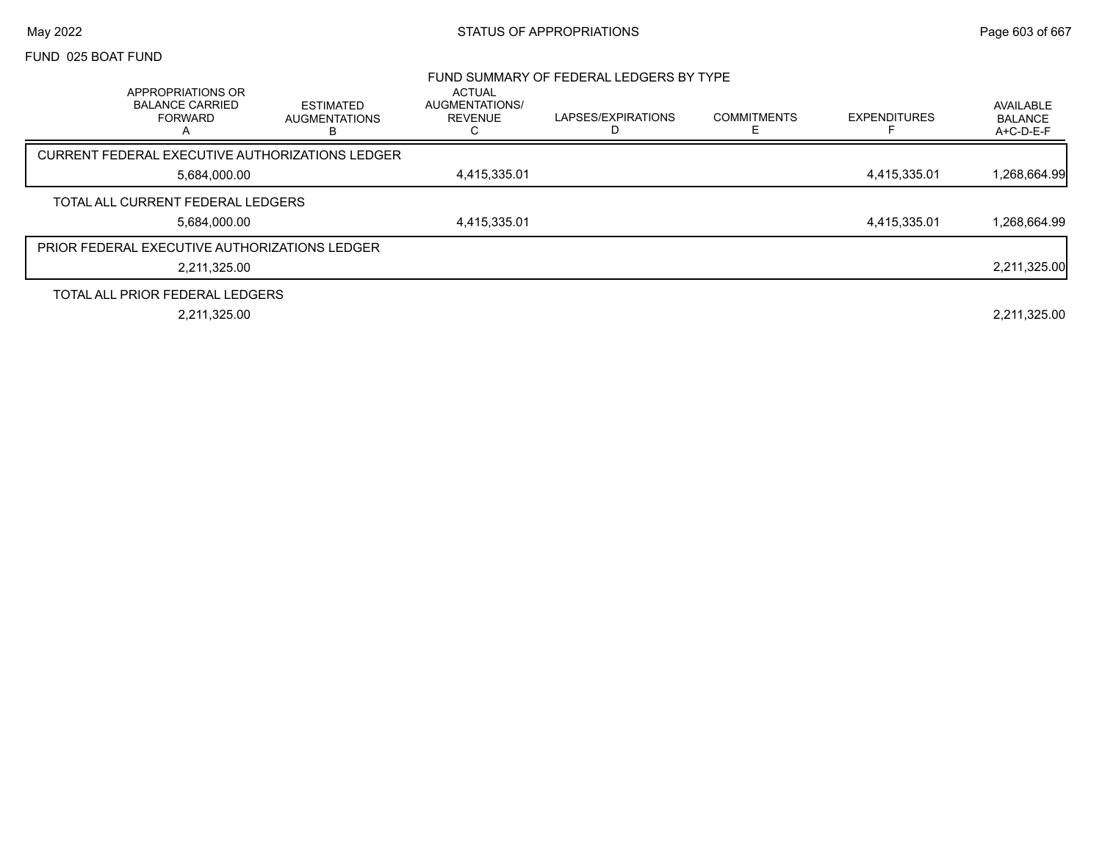## May 2022 **Example 2022** Page 603 of 667

## FUND 025 BOAT FUND

|                                                                                     |                                               |                                                        | FUND SUMMARY OF FEDERAL LEDGERS BY TYPE |                    |                     |                                          |
|-------------------------------------------------------------------------------------|-----------------------------------------------|--------------------------------------------------------|-----------------------------------------|--------------------|---------------------|------------------------------------------|
| APPROPRIATIONS OR<br><b>BALANCE CARRIED</b><br><b>FORWARD</b><br>$\mathsf{\Lambda}$ | <b>ESTIMATED</b><br><b>AUGMENTATIONS</b><br>в | <b>ACTUAL</b><br>AUGMENTATIONS/<br><b>REVENUE</b><br>С | LAPSES/EXPIRATIONS                      | <b>COMMITMENTS</b> | <b>EXPENDITURES</b> | AVAILABLE<br><b>BALANCE</b><br>A+C-D-E-F |
| CURRENT FEDERAL EXECUTIVE AUTHORIZATIONS LEDGER                                     |                                               |                                                        |                                         |                    |                     |                                          |
| 5.684.000.00                                                                        |                                               | 4,415,335.01                                           |                                         |                    | 4.415.335.01        | 1,268,664.99                             |
| TOTAL ALL CURRENT FEDERAL LEDGERS                                                   |                                               |                                                        |                                         |                    |                     |                                          |
| 5.684.000.00                                                                        |                                               | 4,415,335.01                                           |                                         |                    | 4.415.335.01        | 1,268,664.99                             |
| PRIOR FEDERAL EXECUTIVE AUTHORIZATIONS LEDGER                                       |                                               |                                                        |                                         |                    |                     |                                          |
| 2,211,325.00                                                                        |                                               |                                                        |                                         |                    |                     | 2,211,325.00                             |
| TOTAL ALL PRIOR FEDERAL LEDGERS                                                     |                                               |                                                        |                                         |                    |                     |                                          |
| 2,211,325.00                                                                        |                                               |                                                        |                                         |                    |                     | 2,211,325.00                             |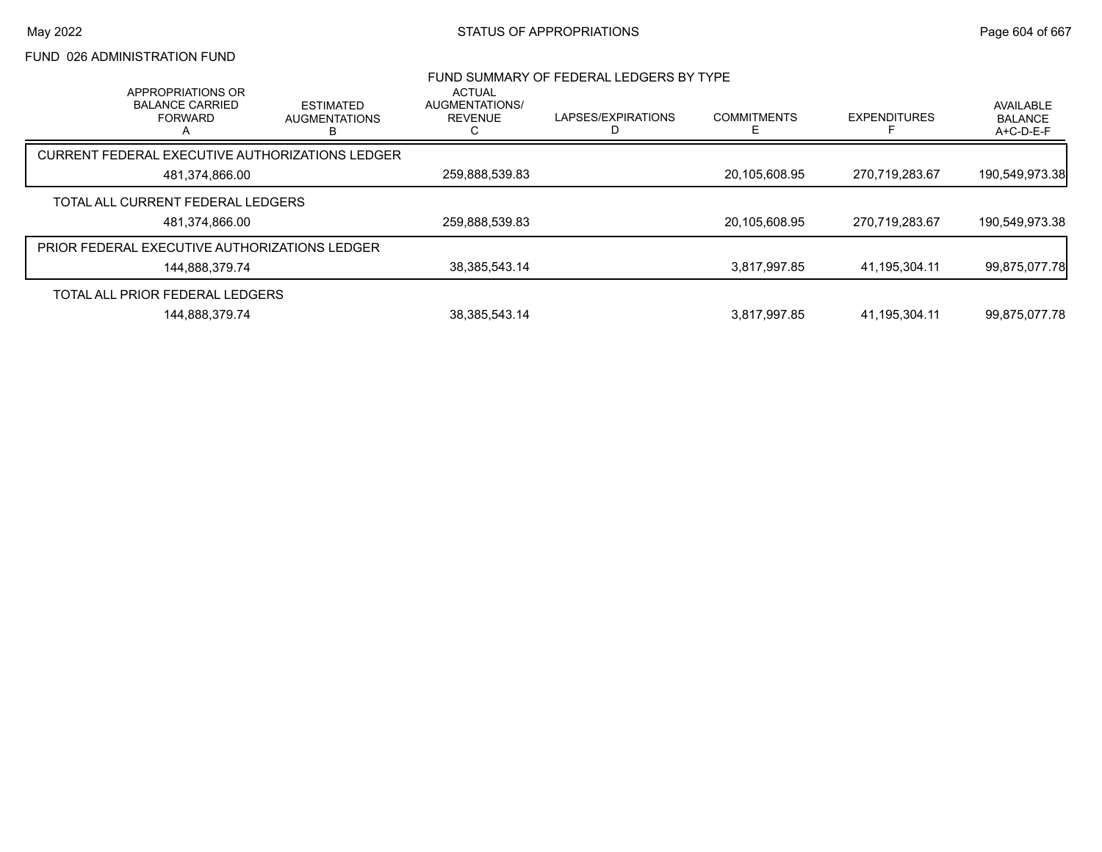# FUND 026 ADMINISTRATION FUND

| APPROPRIATIONS OR                                    |                                                 | <b>ACTUAL</b>                    | FUND SUMMARY OF FEDERAL LEDGERS BY TYPE |                    |                     |                                          |
|------------------------------------------------------|-------------------------------------------------|----------------------------------|-----------------------------------------|--------------------|---------------------|------------------------------------------|
| <b>BALANCE CARRIED</b><br><b>FORWARD</b>             | <b>ESTIMATED</b><br><b>AUGMENTATIONS</b><br>в   | AUGMENTATIONS/<br><b>REVENUE</b> | LAPSES/EXPIRATIONS                      | <b>COMMITMENTS</b> | <b>EXPENDITURES</b> | AVAILABLE<br><b>BALANCE</b><br>A+C-D-E-F |
|                                                      | CURRENT FEDERAL EXECUTIVE AUTHORIZATIONS LEDGER |                                  |                                         |                    |                     |                                          |
| 481,374,866.00                                       |                                                 | 259,888,539.83                   |                                         | 20,105,608.95      | 270,719,283.67      | 190,549,973.38                           |
| TOTAL ALL CURRENT FEDERAL LEDGERS                    |                                                 |                                  |                                         |                    |                     |                                          |
| 481,374,866.00                                       |                                                 | 259,888,539.83                   |                                         | 20,105,608.95      | 270.719.283.67      | 190,549,973.38                           |
| <b>PRIOR FEDERAL EXECUTIVE AUTHORIZATIONS LEDGER</b> |                                                 |                                  |                                         |                    |                     |                                          |
| 144.888.379.74                                       |                                                 | 38, 385, 543. 14                 |                                         | 3,817,997.85       | 41,195,304.11       | 99,875,077.78                            |
| TOTAL ALL PRIOR FEDERAL LEDGERS                      |                                                 |                                  |                                         |                    |                     |                                          |
| 144,888,379.74                                       |                                                 | 38, 385, 543. 14                 |                                         | 3.817.997.85       | 41.195.304.11       | 99,875,077.78                            |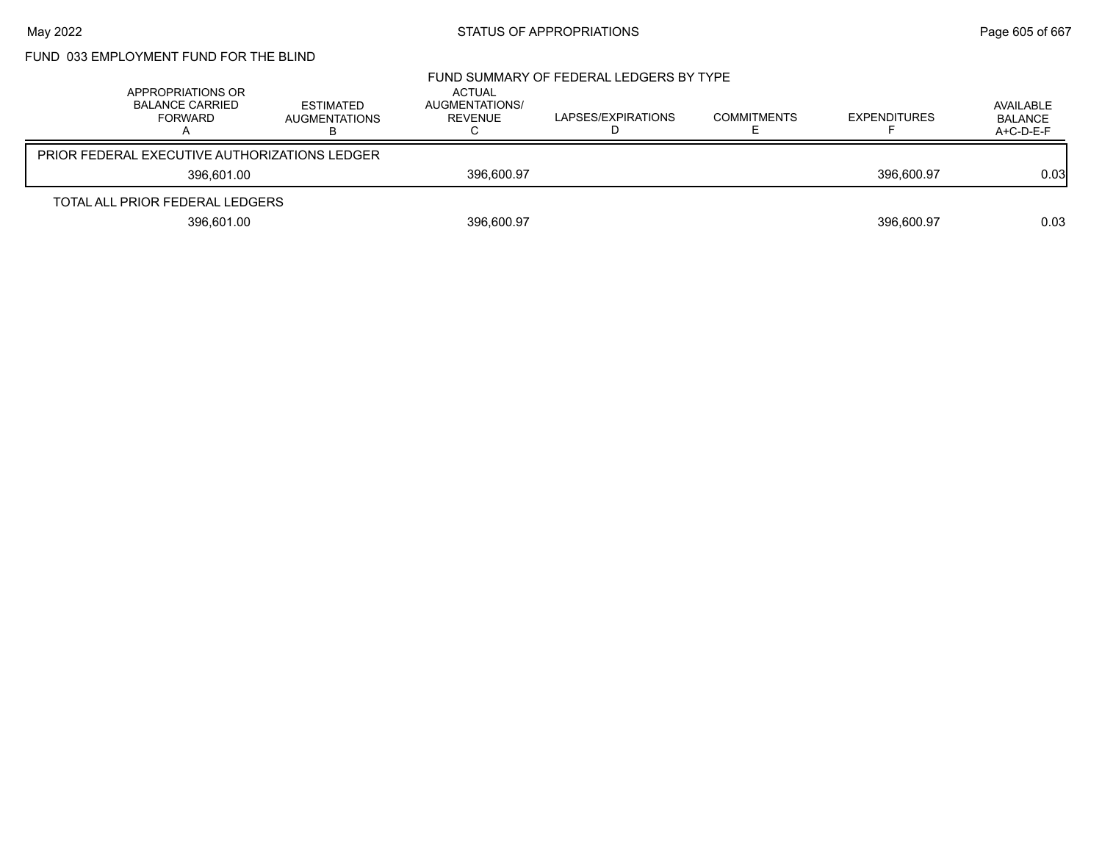# FUND 033 EMPLOYMENT FUND FOR THE BLIND

| APPROPRIATIONS OR<br><b>BALANCE CARRIED</b><br>FORWARD | <b>ESTIMATED</b><br><b>AUGMENTATIONS</b> | ACTUAL<br>AUGMENTATIONS/<br>REVENUE<br>ັ | FUND SUMMARY OF FEDERAL LEDGERS BY TYPE<br>LAPSES/EXPIRATIONS | <b>COMMITMENTS</b> | <b>EXPENDITURES</b> | AVAILABLE<br><b>BALANCE</b><br>$A+C-D-E-F$ |
|--------------------------------------------------------|------------------------------------------|------------------------------------------|---------------------------------------------------------------|--------------------|---------------------|--------------------------------------------|
| PRIOR FEDERAL EXECUTIVE AUTHORIZATIONS LEDGER          |                                          |                                          |                                                               |                    |                     |                                            |
| 396.601.00                                             |                                          | 396,600.97                               |                                                               |                    | 396.600.97          | 0.03 <sub>l</sub>                          |
| TOTAL ALL PRIOR FEDERAL LEDGERS                        |                                          |                                          |                                                               |                    |                     |                                            |
| 396,601.00                                             |                                          | 396,600.97                               |                                                               |                    | 396.600.97          | 0.03                                       |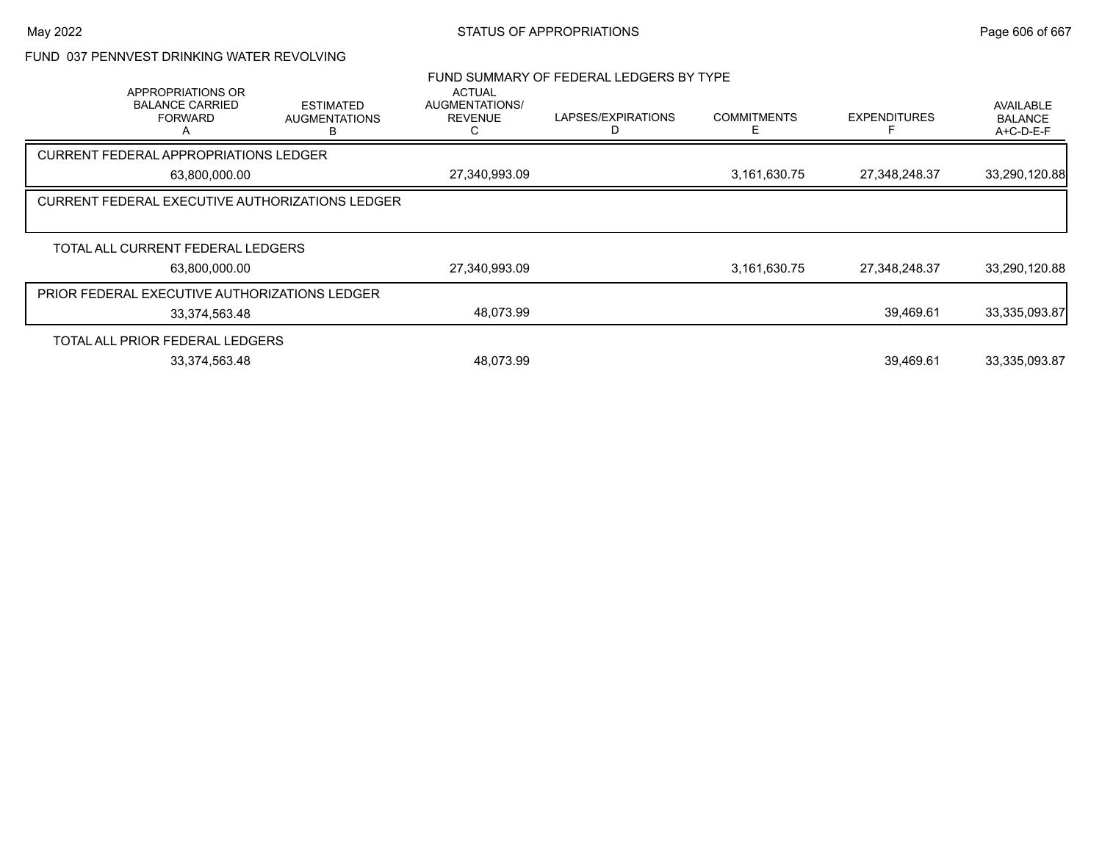## FUND 037 PENNVEST DRINKING WATER REVOLVING

| <b>APPROPRIATIONS OR</b><br><b>BALANCE CARRIED</b><br><b>FORWARD</b> | <b>ESTIMATED</b><br><b>AUGMENTATIONS</b> | <b>ACTUAL</b><br>AUGMENTATIONS/<br><b>REVENUE</b> | FUND SUMMARY OF FEDERAL LEDGERS BY TYPE<br>LAPSES/EXPIRATIONS | <b>COMMITMENTS</b> | <b>EXPENDITURES</b> | AVAILABLE<br><b>BALANCE</b><br>$A+C-D-E-F$ |
|----------------------------------------------------------------------|------------------------------------------|---------------------------------------------------|---------------------------------------------------------------|--------------------|---------------------|--------------------------------------------|
| <b>CURRENT FEDERAL APPROPRIATIONS LEDGER</b>                         |                                          |                                                   |                                                               |                    |                     |                                            |
| 63,800,000.00                                                        |                                          | 27,340,993.09                                     |                                                               | 3,161,630.75       | 27,348,248.37       | 33,290,120.88                              |
| <b>CURRENT FEDERAL EXECUTIVE AUTHORIZATIONS LEDGER</b>               |                                          |                                                   |                                                               |                    |                     |                                            |
| TOTAL ALL CURRENT FEDERAL LEDGERS                                    |                                          |                                                   |                                                               |                    |                     |                                            |
| 63.800.000.00                                                        |                                          | 27,340,993.09                                     |                                                               | 3,161,630.75       | 27.348.248.37       | 33,290,120.88                              |
| PRIOR FEDERAL EXECUTIVE AUTHORIZATIONS LEDGER                        |                                          |                                                   |                                                               |                    |                     |                                            |
| 33,374,563.48                                                        |                                          | 48,073.99                                         |                                                               |                    | 39,469.61           | 33,335,093.87                              |
| TOTAL ALL PRIOR FEDERAL LEDGERS                                      |                                          |                                                   |                                                               |                    |                     |                                            |
| 33,374,563.48                                                        |                                          | 48.073.99                                         |                                                               |                    | 39.469.61           | 33,335,093.87                              |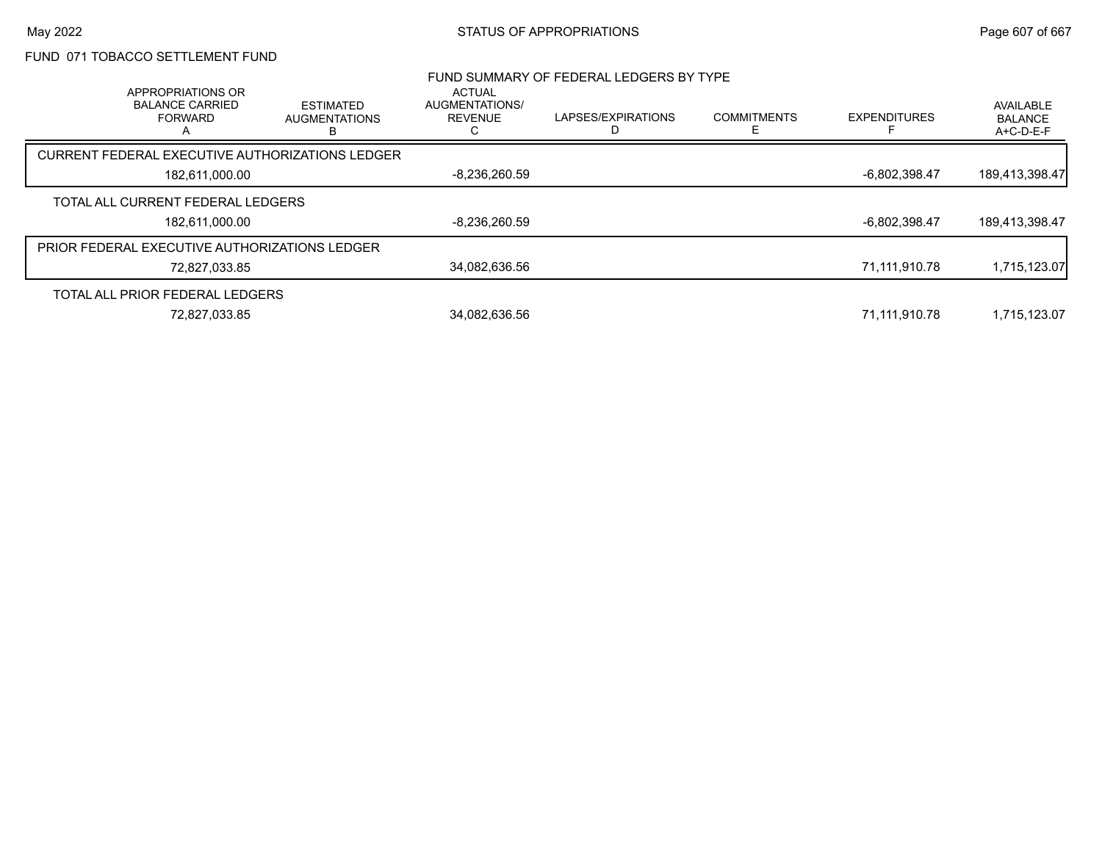## FUND 071 TOBACCO SETTLEMENT FUND

|                                                               |                                               |                                     | FUND SUMMARY OF FEDERAL LEDGERS BY TYPE |                    |                     |                                          |
|---------------------------------------------------------------|-----------------------------------------------|-------------------------------------|-----------------------------------------|--------------------|---------------------|------------------------------------------|
| APPROPRIATIONS OR<br><b>BALANCE CARRIED</b><br><b>FORWARD</b> | <b>ESTIMATED</b><br><b>AUGMENTATIONS</b><br>в | ACTUAL<br>AUGMENTATIONS/<br>REVENUE | LAPSES/EXPIRATIONS                      | <b>COMMITMENTS</b> | <b>EXPENDITURES</b> | AVAILABLE<br><b>BALANCE</b><br>A+C-D-E-F |
| CURRENT FEDERAL EXECUTIVE AUTHORIZATIONS LEDGER               |                                               |                                     |                                         |                    |                     |                                          |
| 182.611.000.00                                                |                                               | $-8.236.260.59$                     |                                         |                    | -6.802.398.47       | 189.413.398.47                           |
| TOTAL ALL CURRENT FEDERAL LEDGERS                             |                                               |                                     |                                         |                    |                     |                                          |
| 182,611,000.00                                                |                                               | $-8,236,260.59$                     |                                         |                    | -6,802,398.47       | 189,413,398.47                           |
| <b>PRIOR FEDERAL EXECUTIVE AUTHORIZATIONS LEDGER</b>          |                                               |                                     |                                         |                    |                     |                                          |
| 72,827,033.85                                                 |                                               | 34.082.636.56                       |                                         |                    | 71.111.910.78       | 1,715,123.07                             |
| TOTAL ALL PRIOR FEDERAL LEDGERS                               |                                               |                                     |                                         |                    |                     |                                          |
| 72,827,033.85                                                 |                                               | 34.082.636.56                       |                                         |                    | 71,111,910.78       | 1.715.123.07                             |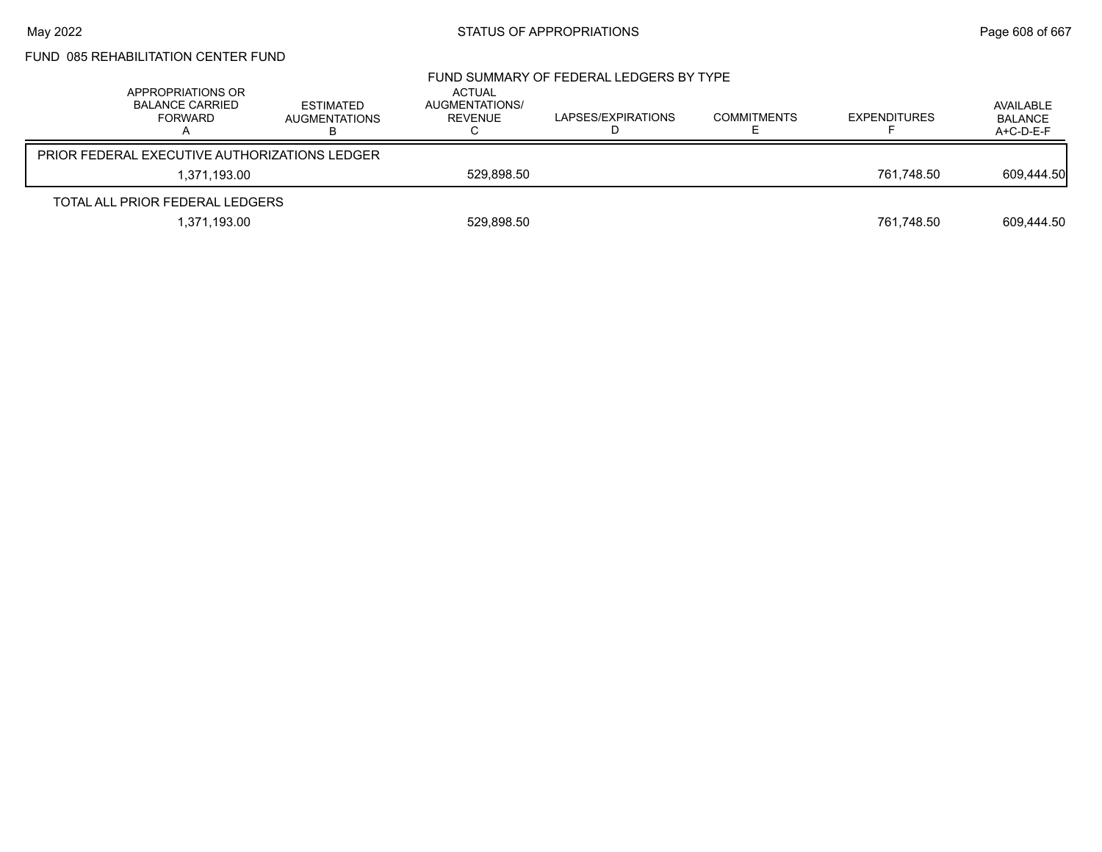# FUND 085 REHABILITATION CENTER FUND

|                                               | APPROPRIATIONS OR<br>BALANCE CARRIED<br><b>FORWARD</b> | ESTIMATED<br><b>AUGMENTATIONS</b> | <b>ACTUAL</b><br>AUGMENTATIONS/<br>REVENUE | FUND SUMMARY OF FEDERAL LEDGERS BY TYPE<br>LAPSES/EXPIRATIONS | <b>COMMITMENTS</b> | <b>EXPENDITURES</b> | AVAILABLE<br><b>BALANCE</b><br>A+C-D-E-F |
|-----------------------------------------------|--------------------------------------------------------|-----------------------------------|--------------------------------------------|---------------------------------------------------------------|--------------------|---------------------|------------------------------------------|
| PRIOR FEDERAL EXECUTIVE AUTHORIZATIONS LEDGER |                                                        |                                   |                                            |                                                               |                    |                     |                                          |
|                                               | 1.371.193.00                                           |                                   | 529.898.50                                 |                                                               |                    | 761.748.50          | 609,444.50                               |
|                                               | TOTAL ALL PRIOR FEDERAL LEDGERS                        |                                   |                                            |                                                               |                    |                     |                                          |
|                                               | 1,371,193.00                                           |                                   | 529,898.50                                 |                                                               |                    | 761,748.50          | 609,444.50                               |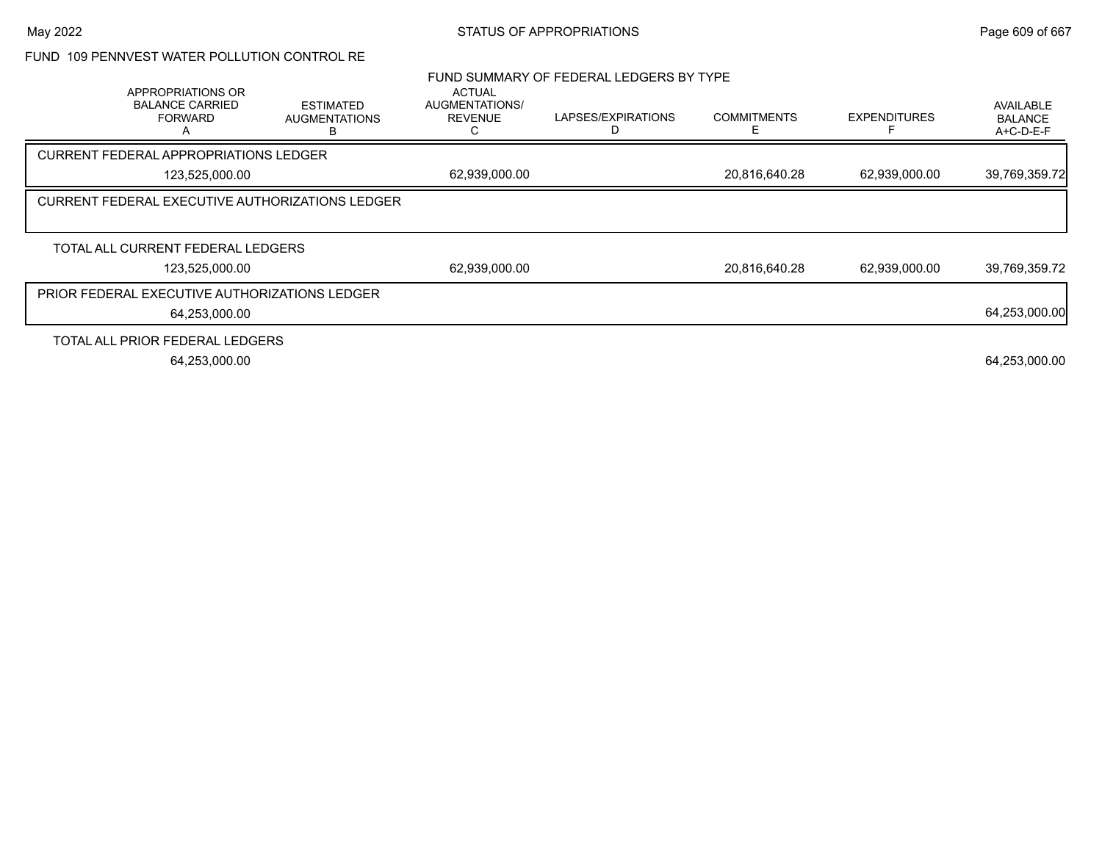## FUND 109 PENNVEST WATER POLLUTION CONTROL RE

|                                                                    |                                                 |                                                   | FUND SUMMARY OF FEDERAL LEDGERS BY TYPE |                    |                     |                                            |
|--------------------------------------------------------------------|-------------------------------------------------|---------------------------------------------------|-----------------------------------------|--------------------|---------------------|--------------------------------------------|
| APPROPRIATIONS OR<br><b>BALANCE CARRIED</b><br><b>FORWARD</b><br>А | <b>ESTIMATED</b><br><b>AUGMENTATIONS</b>        | <b>ACTUAL</b><br>AUGMENTATIONS/<br><b>REVENUE</b> | LAPSES/EXPIRATIONS                      | <b>COMMITMENTS</b> | <b>EXPENDITURES</b> | AVAILABLE<br><b>BALANCE</b><br>$A+C-D-E-F$ |
| <b>CURRENT FEDERAL APPROPRIATIONS LEDGER</b>                       |                                                 |                                                   |                                         |                    |                     |                                            |
| 123,525,000.00                                                     |                                                 | 62,939,000.00                                     |                                         | 20,816,640.28      | 62,939,000.00       | 39,769,359.72                              |
|                                                                    | CURRENT FEDERAL EXECUTIVE AUTHORIZATIONS LEDGER |                                                   |                                         |                    |                     |                                            |
|                                                                    |                                                 |                                                   |                                         |                    |                     |                                            |
| TOTAL ALL CURRENT FEDERAL LEDGERS                                  |                                                 |                                                   |                                         |                    |                     |                                            |
| 123,525,000.00                                                     |                                                 | 62,939,000.00                                     |                                         | 20,816,640.28      | 62,939,000.00       | 39,769,359.72                              |
| <b>PRIOR FEDERAL EXECUTIVE AUTHORIZATIONS LEDGER</b>               |                                                 |                                                   |                                         |                    |                     |                                            |
| 64,253,000.00                                                      |                                                 |                                                   |                                         |                    |                     | 64,253,000.00                              |
| TOTAL ALL PRIOR FEDERAL LEDGERS                                    |                                                 |                                                   |                                         |                    |                     |                                            |
| 64,253,000.00                                                      |                                                 |                                                   |                                         |                    |                     | 64,253,000.00                              |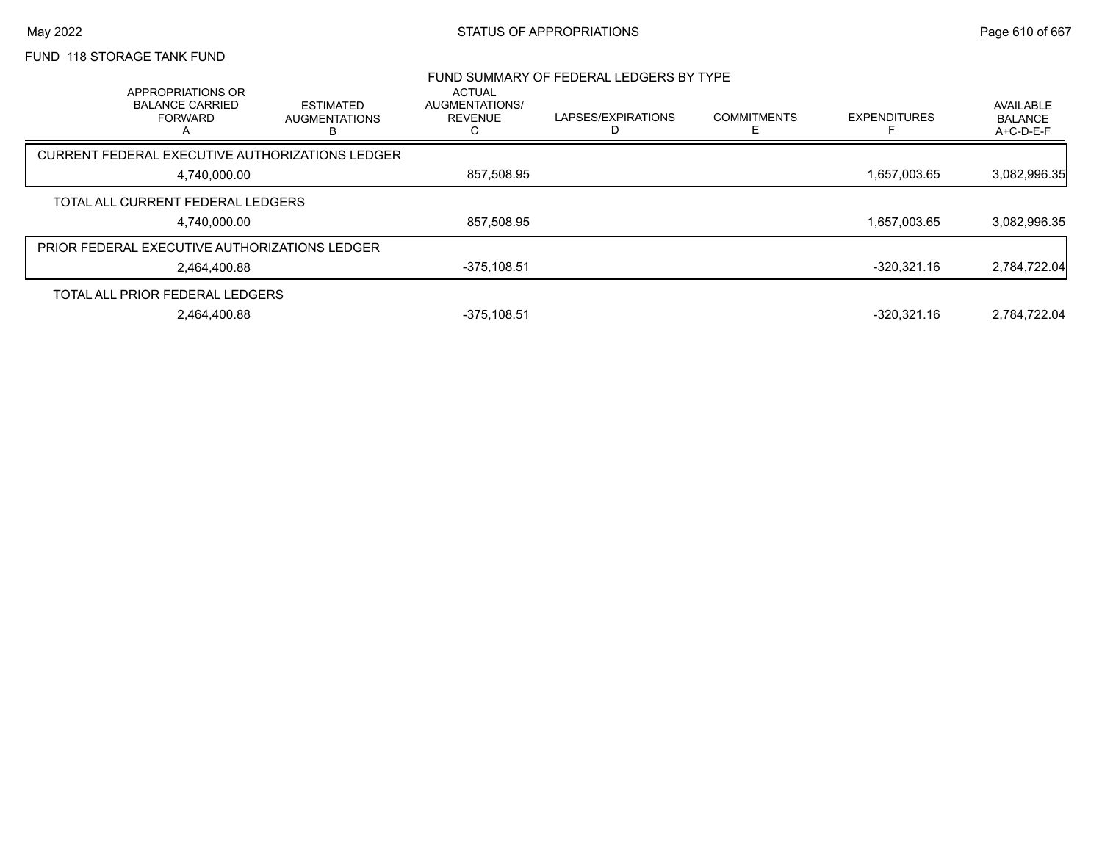# FUND 118 STORAGE TANK FUND

| APPROPRIATIONS OR                                    |                                               | <b>ACTUAL</b>                    | FUND SUMMARY OF FEDERAL LEDGERS BY TYPE |                    |                     |                                          |
|------------------------------------------------------|-----------------------------------------------|----------------------------------|-----------------------------------------|--------------------|---------------------|------------------------------------------|
| <b>BALANCE CARRIED</b><br><b>FORWARD</b>             | <b>ESTIMATED</b><br><b>AUGMENTATIONS</b><br>в | AUGMENTATIONS/<br><b>REVENUE</b> | LAPSES/EXPIRATIONS                      | <b>COMMITMENTS</b> | <b>EXPENDITURES</b> | AVAILABLE<br><b>BALANCE</b><br>A+C-D-E-F |
| CURRENT FEDERAL EXECUTIVE AUTHORIZATIONS LEDGER      |                                               |                                  |                                         |                    |                     |                                          |
| 4,740,000.00                                         |                                               | 857,508.95                       |                                         |                    | 1,657,003.65        | 3,082,996.35                             |
| TOTAL ALL CURRENT FEDERAL LEDGERS                    |                                               |                                  |                                         |                    |                     |                                          |
| 4,740,000.00                                         |                                               | 857,508.95                       |                                         |                    | 1,657,003.65        | 3,082,996.35                             |
| <b>PRIOR FEDERAL EXECUTIVE AUTHORIZATIONS LEDGER</b> |                                               |                                  |                                         |                    |                     |                                          |
| 2.464.400.88                                         |                                               | $-375,108.51$                    |                                         |                    | $-320.321.16$       | 2,784,722.04                             |
| TOTAL ALL PRIOR FEDERAL LEDGERS                      |                                               |                                  |                                         |                    |                     |                                          |
| 2,464,400.88                                         |                                               | $-375,108.51$                    |                                         |                    | $-320.321.16$       | 2,784,722.04                             |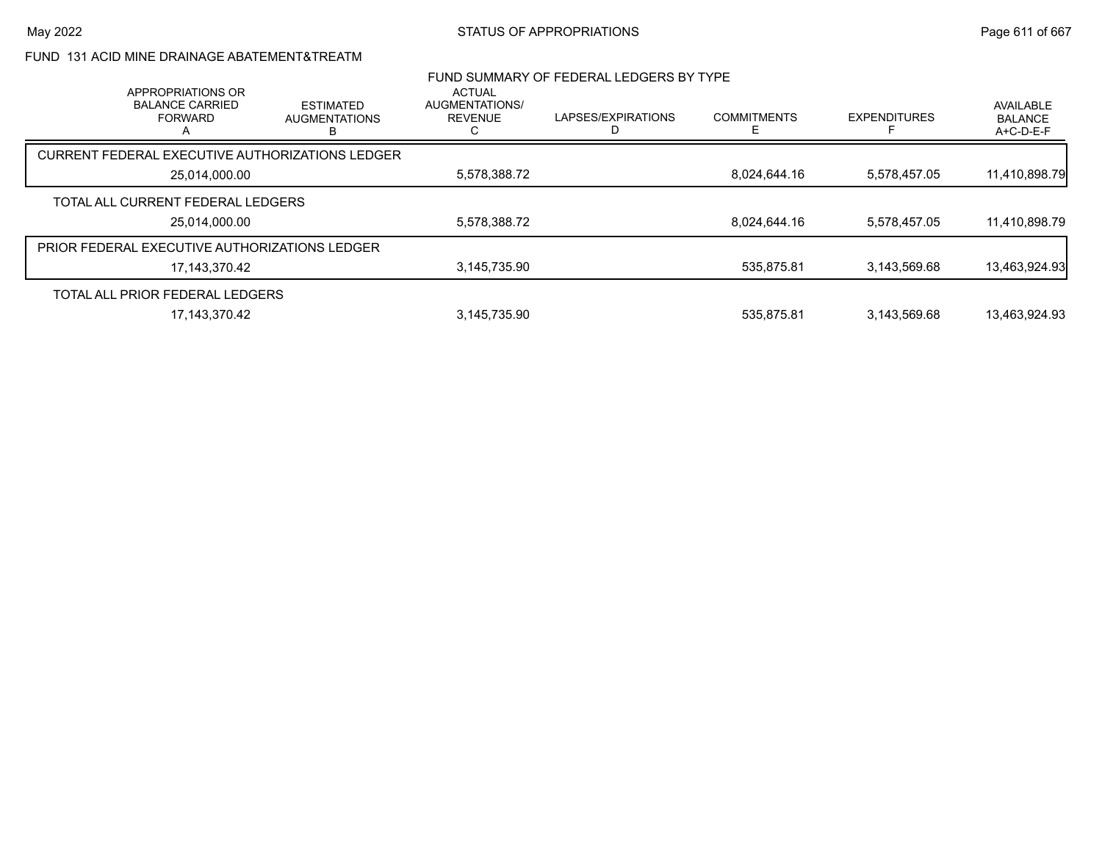## FUND 131 ACID MINE DRAINAGE ABATEMENT&TREATM

|                                                               |                                          |                                                   | FUND SUMMARY OF FEDERAL LEDGERS BY TYPE |                    |                     |                                          |
|---------------------------------------------------------------|------------------------------------------|---------------------------------------------------|-----------------------------------------|--------------------|---------------------|------------------------------------------|
| APPROPRIATIONS OR<br><b>BALANCE CARRIED</b><br><b>FORWARD</b> | <b>ESTIMATED</b><br><b>AUGMENTATIONS</b> | <b>ACTUAL</b><br>AUGMENTATIONS/<br><b>REVENUE</b> | LAPSES/EXPIRATIONS                      | <b>COMMITMENTS</b> | <b>EXPENDITURES</b> | AVAILABLE<br><b>BALANCE</b><br>A+C-D-E-F |
| CURRENT FEDERAL EXECUTIVE AUTHORIZATIONS LEDGER               |                                          |                                                   |                                         |                    |                     |                                          |
| 25.014.000.00                                                 |                                          | 5,578,388.72                                      |                                         | 8.024.644.16       | 5.578.457.05        | 11,410,898.79                            |
| TOTAL ALL CURRENT FEDERAL LEDGERS                             |                                          |                                                   |                                         |                    |                     |                                          |
| 25,014,000.00                                                 |                                          | 5,578,388.72                                      |                                         | 8,024,644.16       | 5,578,457.05        | 11,410,898.79                            |
| PRIOR FEDERAL EXECUTIVE AUTHORIZATIONS LEDGER                 |                                          |                                                   |                                         |                    |                     |                                          |
| 17,143,370.42                                                 |                                          | 3,145,735.90                                      |                                         | 535.875.81         | 3.143.569.68        | 13,463,924.93                            |
| TOTAL ALL PRIOR FEDERAL LEDGERS                               |                                          |                                                   |                                         |                    |                     |                                          |
| 17.143.370.42                                                 |                                          | 3,145,735.90                                      |                                         | 535.875.81         | 3.143.569.68        | 13.463.924.93                            |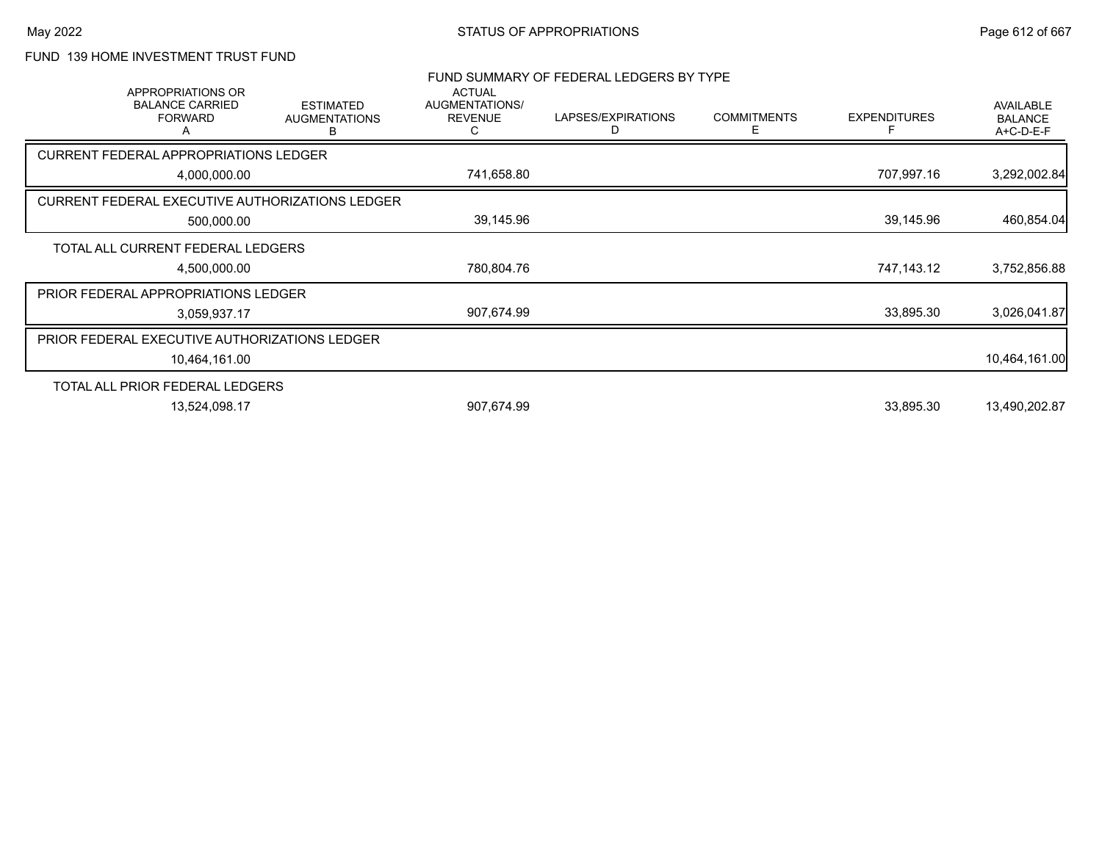## FUND 139 HOME INVESTMENT TRUST FUND

| <b>APPROPRIATIONS OR</b><br><b>BALANCE CARRIED</b><br><b>FORWARD</b><br>A | <b>ESTIMATED</b><br><b>AUGMENTATIONS</b><br>В | <b>ACTUAL</b><br>AUGMENTATIONS/<br><b>REVENUE</b><br>C                                                                                                                                                                                                          | LAPSES/EXPIRATIONS<br>D | <b>COMMITMENTS</b><br>Е | <b>EXPENDITURES</b><br>F                | <b>AVAILABLE</b><br><b>BALANCE</b><br>A+C-D-E-F |
|---------------------------------------------------------------------------|-----------------------------------------------|-----------------------------------------------------------------------------------------------------------------------------------------------------------------------------------------------------------------------------------------------------------------|-------------------------|-------------------------|-----------------------------------------|-------------------------------------------------|
|                                                                           |                                               |                                                                                                                                                                                                                                                                 |                         |                         |                                         |                                                 |
| 4,000,000.00                                                              |                                               | 741,658.80                                                                                                                                                                                                                                                      |                         |                         | 707,997.16                              | 3,292,002.84                                    |
|                                                                           |                                               |                                                                                                                                                                                                                                                                 |                         |                         |                                         |                                                 |
| 500,000.00                                                                |                                               | 39,145.96                                                                                                                                                                                                                                                       |                         |                         | 39,145.96                               | 460,854.04                                      |
|                                                                           |                                               |                                                                                                                                                                                                                                                                 |                         |                         |                                         |                                                 |
| 4,500,000.00                                                              |                                               | 780,804.76                                                                                                                                                                                                                                                      |                         |                         | 747,143.12                              | 3,752,856.88                                    |
|                                                                           |                                               |                                                                                                                                                                                                                                                                 |                         |                         |                                         |                                                 |
| 3,059,937.17                                                              |                                               | 907,674.99                                                                                                                                                                                                                                                      |                         |                         | 33,895.30                               | 3,026,041.87                                    |
|                                                                           |                                               |                                                                                                                                                                                                                                                                 |                         |                         |                                         |                                                 |
| 10,464,161.00                                                             |                                               |                                                                                                                                                                                                                                                                 |                         |                         |                                         | 10,464,161.00                                   |
|                                                                           |                                               |                                                                                                                                                                                                                                                                 |                         |                         |                                         |                                                 |
| 13,524,098.17                                                             |                                               | 907,674.99                                                                                                                                                                                                                                                      |                         |                         | 33,895.30                               | 13,490,202.87                                   |
|                                                                           |                                               | <b>CURRENT FEDERAL APPROPRIATIONS LEDGER</b><br>CURRENT FEDERAL EXECUTIVE AUTHORIZATIONS LEDGER<br>TOTAL ALL CURRENT FEDERAL LEDGERS<br>PRIOR FEDERAL APPROPRIATIONS LEDGER<br>PRIOR FEDERAL EXECUTIVE AUTHORIZATIONS LEDGER<br>TOTAL ALL PRIOR FEDERAL LEDGERS |                         |                         | FUND SUMMARY OF FEDERAL LEDGERS BY TYPE |                                                 |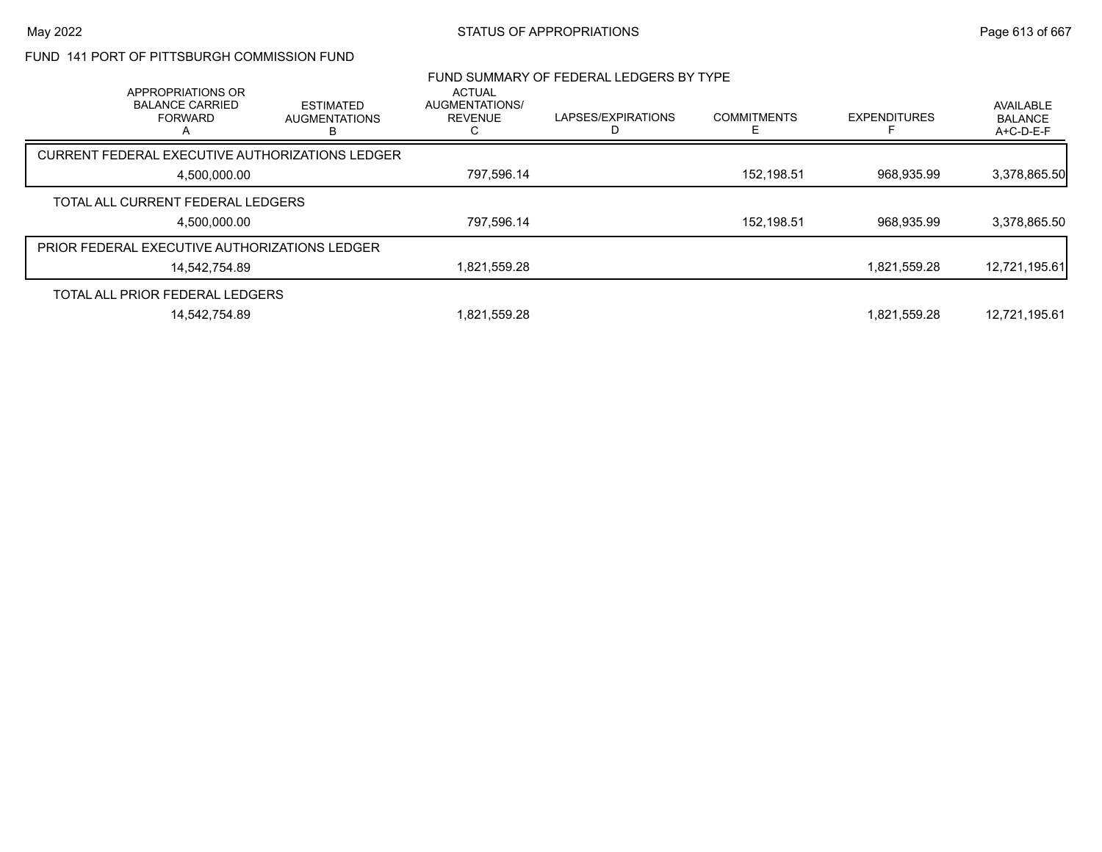## FUND 141 PORT OF PITTSBURGH COMMISSION FUND

|                                               |                                                                    |                                                 |                                                 | FUND SUMMARY OF FEDERAL LEDGERS BY TYPE |                    |                     |                                          |
|-----------------------------------------------|--------------------------------------------------------------------|-------------------------------------------------|-------------------------------------------------|-----------------------------------------|--------------------|---------------------|------------------------------------------|
|                                               | APPROPRIATIONS OR<br><b>BALANCE CARRIED</b><br><b>FORWARD</b><br>A | <b>ESTIMATED</b><br><b>AUGMENTATIONS</b><br>В   | ACTUAL<br>AUGMENTATIONS/<br><b>REVENUE</b><br>U | LAPSES/EXPIRATIONS                      | <b>COMMITMENTS</b> | <b>EXPENDITURES</b> | AVAILABLE<br><b>BALANCE</b><br>A+C-D-E-F |
|                                               |                                                                    | CURRENT FEDERAL EXECUTIVE AUTHORIZATIONS LEDGER |                                                 |                                         |                    |                     |                                          |
|                                               | 4.500.000.00                                                       |                                                 | 797,596.14                                      |                                         | 152.198.51         | 968.935.99          | 3,378,865.50                             |
| TOTAL ALL CURRENT FEDERAL LEDGERS             |                                                                    |                                                 |                                                 |                                         |                    |                     |                                          |
|                                               | 4.500.000.00                                                       |                                                 | 797,596.14                                      |                                         | 152,198.51         | 968.935.99          | 3,378,865.50                             |
| PRIOR FEDERAL EXECUTIVE AUTHORIZATIONS LEDGER |                                                                    |                                                 |                                                 |                                         |                    |                     |                                          |
|                                               | 14,542,754.89                                                      |                                                 | 1,821,559.28                                    |                                         |                    | 1.821.559.28        | 12,721,195.61                            |
| TOTAL ALL PRIOR FEDERAL LEDGERS               |                                                                    |                                                 |                                                 |                                         |                    |                     |                                          |
|                                               | 14.542.754.89                                                      |                                                 | 1,821,559.28                                    |                                         |                    | 1.821.559.28        | 12,721,195.61                            |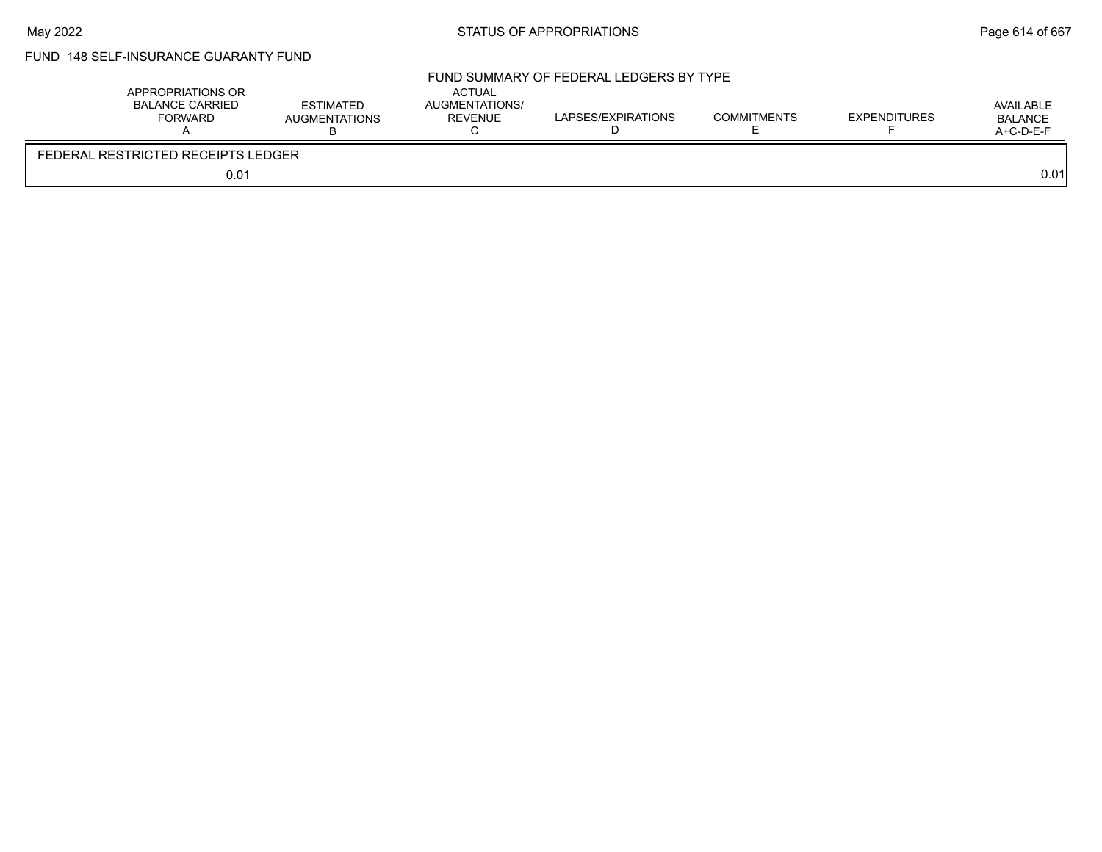# FUND 148 SELF-INSURANCE GUARANTY FUND

|                                    | APPROPRIATIONS OR<br>BALANCE CARRIED<br><b>FORWARD</b> | <b>ESTIMATED</b><br><b>AUGMENTATIONS</b> | <b>ACTUAL</b><br>AUGMENTATIONS/<br><b>REVENUE</b> | FUND SUMMARY OF FEDERAL LEDGERS BY TYPE<br>LAPSES/EXPIRATIONS | <b>COMMITMENTS</b> | <b>EXPENDITURES</b> | AVAILABLE<br><b>BALANCE</b><br>A+C-D-E-F |
|------------------------------------|--------------------------------------------------------|------------------------------------------|---------------------------------------------------|---------------------------------------------------------------|--------------------|---------------------|------------------------------------------|
| FEDERAL RESTRICTED RECEIPTS LEDGER |                                                        |                                          |                                                   |                                                               |                    |                     |                                          |
|                                    | 0.01                                                   |                                          |                                                   |                                                               |                    |                     | 0.01                                     |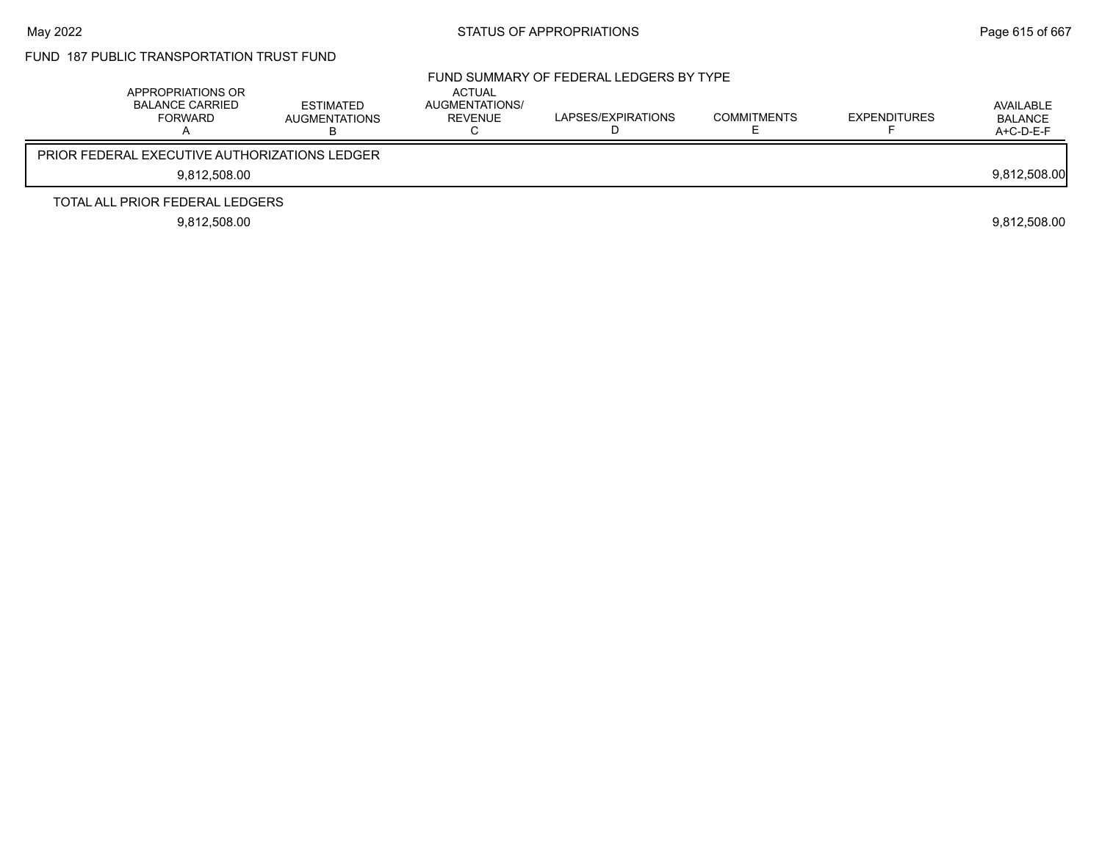# FUND 187 PUBLIC TRANSPORTATION TRUST FUND

| APPROPRIATIONS OR<br><b>BALANCE CARRIED</b><br><b>FORWARD</b> | <b>ESTIMATED</b><br><b>AUGMENTATIONS</b> | <b>ACTUAL</b><br>AUGMENTATIONS/<br>REVENUE | FUND SUMMARY OF FEDERAL LEDGERS BY TYPE<br>LAPSES/EXPIRATIONS | <b>COMMITMENTS</b> | <b>EXPENDITURES</b> | AVAILABLE<br><b>BALANCE</b><br>$A+C-D-E-F$ |
|---------------------------------------------------------------|------------------------------------------|--------------------------------------------|---------------------------------------------------------------|--------------------|---------------------|--------------------------------------------|
| PRIOR FEDERAL EXECUTIVE AUTHORIZATIONS LEDGER                 |                                          |                                            |                                                               |                    |                     |                                            |
| 9.812.508.00                                                  |                                          |                                            |                                                               |                    |                     | 9,812,508.00                               |
| TOTAL ALL PRIOR FEDERAL LEDGERS                               |                                          |                                            |                                                               |                    |                     |                                            |
| 9.812.508.00                                                  |                                          |                                            |                                                               |                    |                     | 9.812.508.00                               |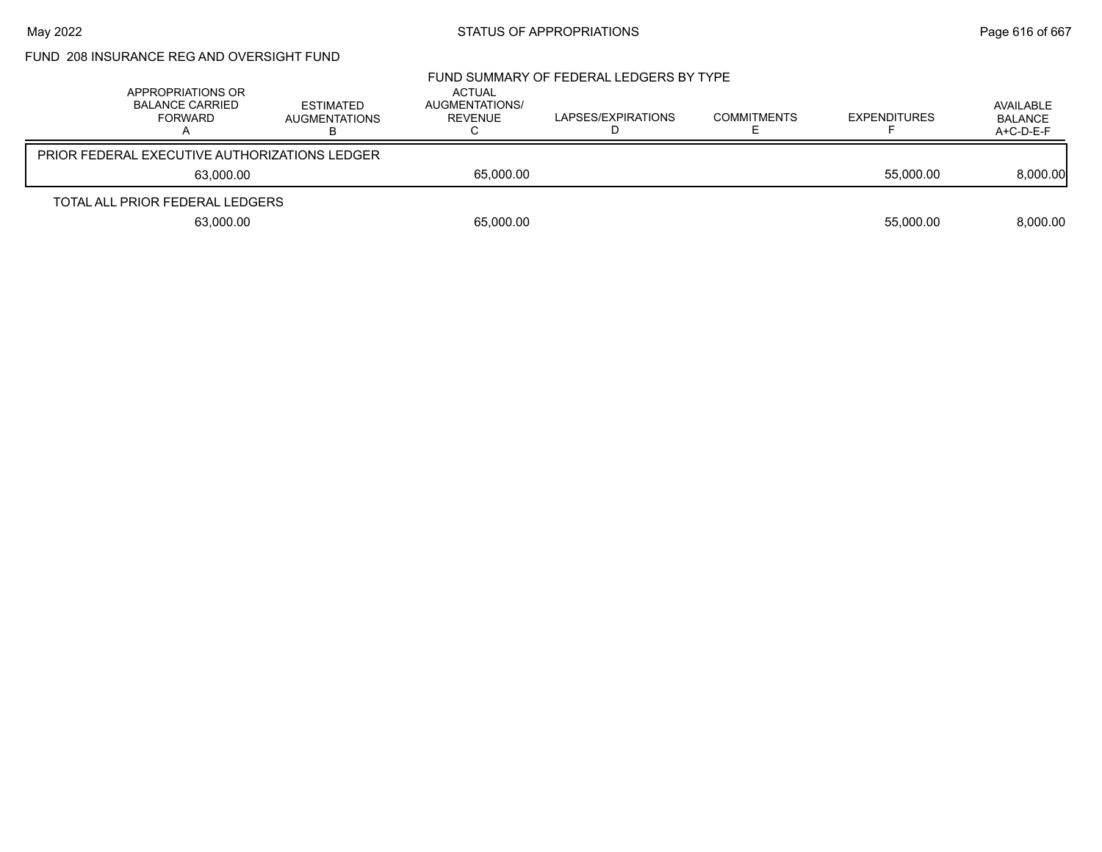# FUND 208 INSURANCE REG AND OVERSIGHT FUND

| APPROPRIATIONS OR<br><b>BALANCE CARRIED</b><br>FORWARD | <b>ESTIMATED</b><br><b>AUGMENTATIONS</b> | <b>ACTUAL</b><br>AUGMENTATIONS/<br>REVENUE | FUND SUMMARY OF FEDERAL LEDGERS BY TYPE<br>LAPSES/EXPIRATIONS | <b>COMMITMENTS</b> | <b>EXPENDITURES</b> | AVAILABLE<br><b>BALANCE</b><br>$A+C-D-E-F$ |
|--------------------------------------------------------|------------------------------------------|--------------------------------------------|---------------------------------------------------------------|--------------------|---------------------|--------------------------------------------|
| <b>PRIOR FEDERAL EXECUTIVE AUTHORIZATIONS LEDGER</b>   |                                          |                                            |                                                               |                    |                     |                                            |
| 63.000.00                                              |                                          | 65,000.00                                  |                                                               |                    | 55,000.00           | 8,000.00                                   |
| TOTAL ALL PRIOR FEDERAL LEDGERS                        |                                          |                                            |                                                               |                    |                     |                                            |
| 63,000.00                                              |                                          | 65,000.00                                  |                                                               |                    | 55.000.00           | 8.000.00                                   |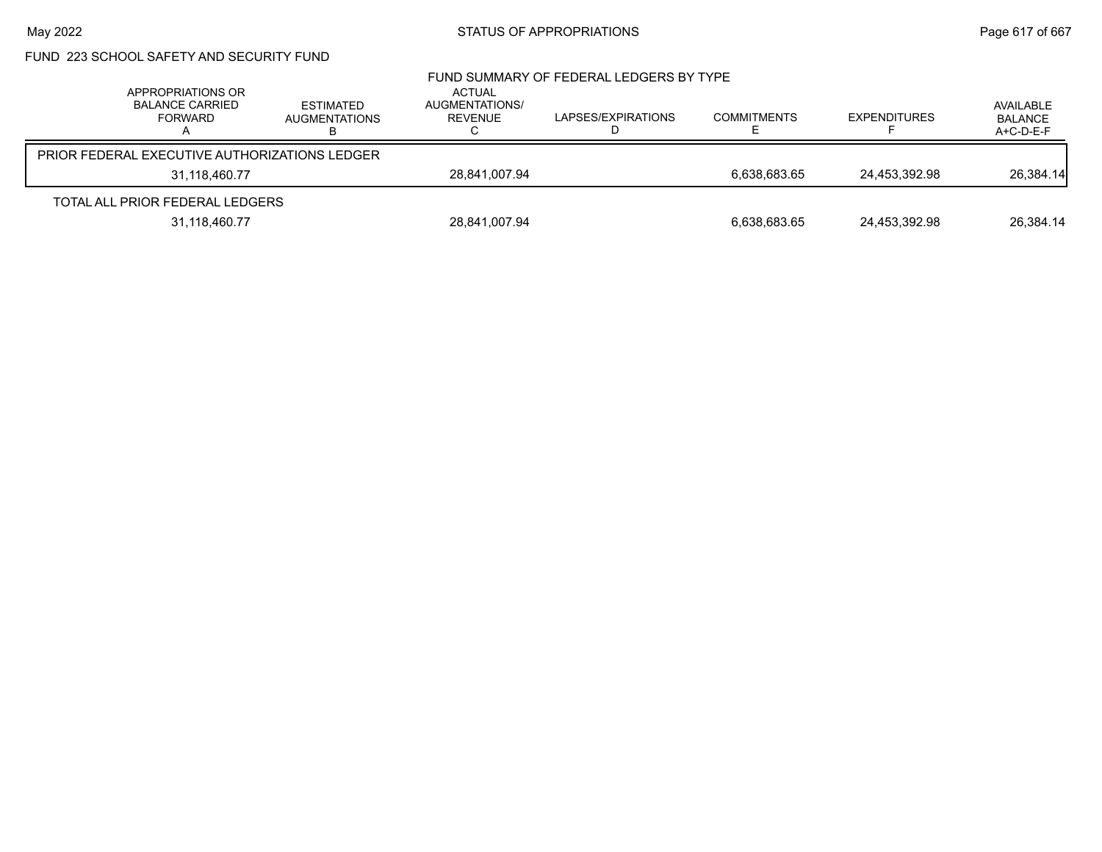# FUND 223 SCHOOL SAFETY AND SECURITY FUND

| APPROPRIATIONS OR<br><b>BALANCE CARRIED</b><br><b>FORWARD</b> | <b>ESTIMATED</b><br><b>AUGMENTATIONS</b> | <b>ACTUAL</b><br>AUGMENTATIONS/<br>REVENUE | FUND SUMMARY OF FEDERAL LEDGERS BY TYPE<br>LAPSES/EXPIRATIONS | <b>COMMITMENTS</b> | <b>EXPENDITURES</b> | AVAILABLE<br><b>BALANCE</b><br>$A+C-D-E-F$ |
|---------------------------------------------------------------|------------------------------------------|--------------------------------------------|---------------------------------------------------------------|--------------------|---------------------|--------------------------------------------|
| <b>PRIOR FEDERAL EXECUTIVE AUTHORIZATIONS LEDGER</b>          |                                          |                                            |                                                               |                    |                     |                                            |
| 31,118,460.77                                                 |                                          | 28.841.007.94                              |                                                               | 6.638.683.65       | 24.453.392.98       | 26,384.14                                  |
| TOTAL ALL PRIOR FEDERAL LEDGERS                               |                                          |                                            |                                                               |                    |                     |                                            |
| 31,118,460.77                                                 |                                          | 28,841,007.94                              |                                                               | 6.638.683.65       | 24,453,392.98       | 26,384.14                                  |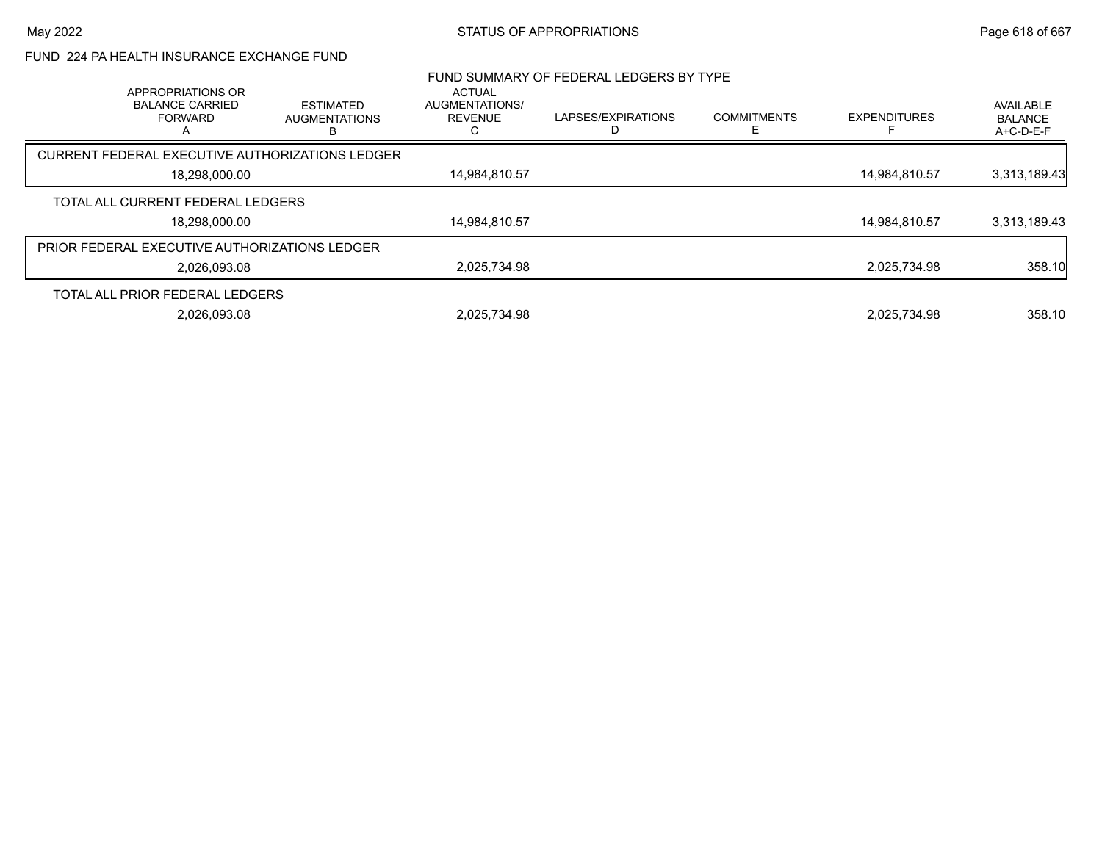## FUND 224 PA HEALTH INSURANCE EXCHANGE FUND

| APPROPRIATIONS OR                                    |                                               | <b>ACTUAL</b>                    | FUND SUMMARY OF FEDERAL LEDGERS BY TYPE |                         |                     |                                          |
|------------------------------------------------------|-----------------------------------------------|----------------------------------|-----------------------------------------|-------------------------|---------------------|------------------------------------------|
| <b>BALANCE CARRIED</b><br><b>FORWARD</b>             | <b>ESTIMATED</b><br><b>AUGMENTATIONS</b><br>в | AUGMENTATIONS/<br><b>REVENUE</b> | LAPSES/EXPIRATIONS                      | <b>COMMITMENTS</b><br>F | <b>EXPENDITURES</b> | AVAILABLE<br><b>BALANCE</b><br>A+C-D-E-F |
| CURRENT FEDERAL EXECUTIVE AUTHORIZATIONS LEDGER      |                                               |                                  |                                         |                         |                     |                                          |
| 18.298.000.00                                        |                                               | 14,984,810.57                    |                                         |                         | 14,984,810.57       | 3,313,189.43                             |
| TOTAL ALL CURRENT FEDERAL LEDGERS                    |                                               |                                  |                                         |                         |                     |                                          |
| 18,298,000.00                                        |                                               | 14,984,810.57                    |                                         |                         | 14,984,810.57       | 3,313,189.43                             |
| <b>PRIOR FEDERAL EXECUTIVE AUTHORIZATIONS LEDGER</b> |                                               |                                  |                                         |                         |                     |                                          |
| 2,026,093.08                                         |                                               | 2,025,734.98                     |                                         |                         | 2,025,734.98        | 358.10                                   |
| TOTAL ALL PRIOR FEDERAL LEDGERS                      |                                               |                                  |                                         |                         |                     |                                          |
| 2.026.093.08                                         |                                               | 2.025.734.98                     |                                         |                         | 2.025.734.98        | 358.10                                   |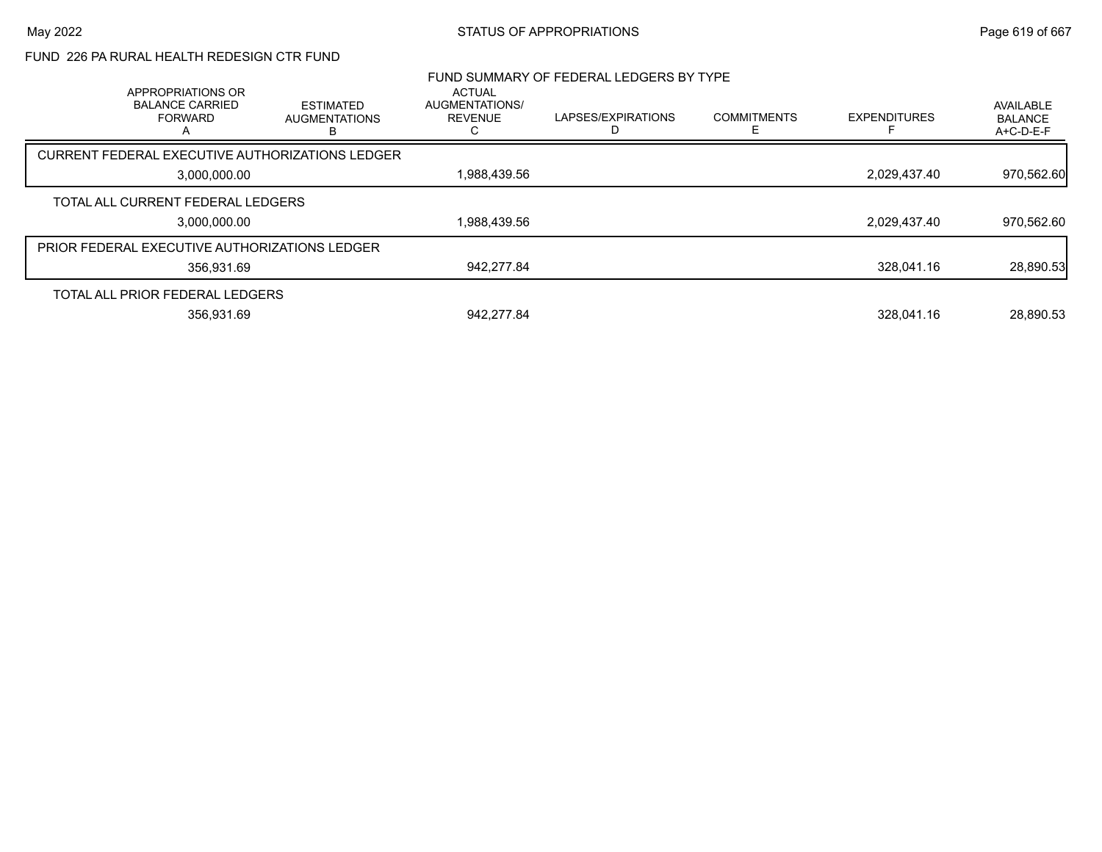## FUND 226 PA RURAL HEALTH REDESIGN CTR FUND

| APPROPRIATIONS OR                               |                                               | <b>ACTUAL</b>                    | FUND SUMMARY OF FEDERAL LEDGERS BY TYPE |                         |                     |                                          |
|-------------------------------------------------|-----------------------------------------------|----------------------------------|-----------------------------------------|-------------------------|---------------------|------------------------------------------|
| <b>BALANCE CARRIED</b><br><b>FORWARD</b>        | <b>ESTIMATED</b><br><b>AUGMENTATIONS</b><br>в | AUGMENTATIONS/<br><b>REVENUE</b> | LAPSES/EXPIRATIONS                      | <b>COMMITMENTS</b><br>E | <b>EXPENDITURES</b> | AVAILABLE<br><b>BALANCE</b><br>A+C-D-E-F |
| CURRENT FEDERAL EXECUTIVE AUTHORIZATIONS LEDGER |                                               |                                  |                                         |                         |                     |                                          |
| 3.000.000.00                                    |                                               | 1,988,439.56                     |                                         |                         | 2,029,437.40        | 970,562.60                               |
| TOTAL ALL CURRENT FEDERAL LEDGERS               |                                               |                                  |                                         |                         |                     |                                          |
| 3,000,000.00                                    |                                               | 1,988,439.56                     |                                         |                         | 2,029,437.40        | 970,562.60                               |
| PRIOR FEDERAL EXECUTIVE AUTHORIZATIONS LEDGER   |                                               |                                  |                                         |                         |                     |                                          |
| 356.931.69                                      |                                               | 942.277.84                       |                                         |                         | 328.041.16          | 28,890.53                                |
| TOTAL ALL PRIOR FEDERAL LEDGERS                 |                                               |                                  |                                         |                         |                     |                                          |
| 356.931.69                                      |                                               | 942.277.84                       |                                         |                         | 328.041.16          | 28.890.53                                |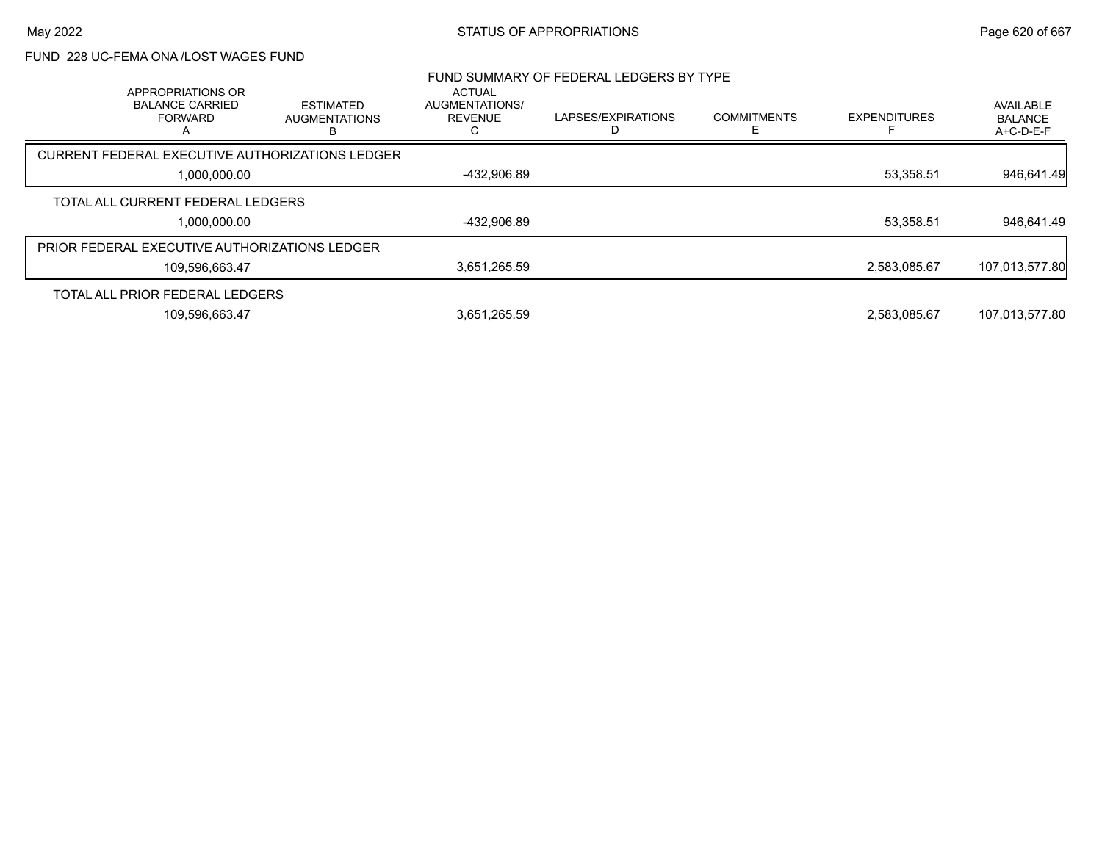## FUND 228 UC-FEMA ONA /LOST WAGES FUND

| APPROPRIATIONS OR                               |                                               | <b>ACTUAL</b>                    | FUND SUMMARY OF FEDERAL LEDGERS BY TYPE |                    |                     |                                          |
|-------------------------------------------------|-----------------------------------------------|----------------------------------|-----------------------------------------|--------------------|---------------------|------------------------------------------|
| <b>BALANCE CARRIED</b><br><b>FORWARD</b>        | <b>ESTIMATED</b><br><b>AUGMENTATIONS</b><br>B | AUGMENTATIONS/<br><b>REVENUE</b> | LAPSES/EXPIRATIONS                      | <b>COMMITMENTS</b> | <b>EXPENDITURES</b> | AVAILABLE<br><b>BALANCE</b><br>A+C-D-E-F |
| CURRENT FEDERAL EXECUTIVE AUTHORIZATIONS LEDGER |                                               |                                  |                                         |                    |                     |                                          |
| 1,000,000.00                                    |                                               | -432,906.89                      |                                         |                    | 53,358.51           | 946,641.49                               |
| TOTAL ALL CURRENT FEDERAL LEDGERS               |                                               |                                  |                                         |                    |                     |                                          |
| 1,000,000.00                                    |                                               | -432,906.89                      |                                         |                    | 53,358.51           | 946,641.49                               |
| PRIOR FEDERAL EXECUTIVE AUTHORIZATIONS LEDGER   |                                               |                                  |                                         |                    |                     |                                          |
| 109,596,663.47                                  |                                               | 3,651,265.59                     |                                         |                    | 2,583,085.67        | 107,013,577.80                           |
| TOTAL ALL PRIOR FEDERAL LEDGERS                 |                                               |                                  |                                         |                    |                     |                                          |
| 109,596,663.47                                  |                                               | 3,651,265.59                     |                                         |                    | 2,583,085.67        | 107,013,577.80                           |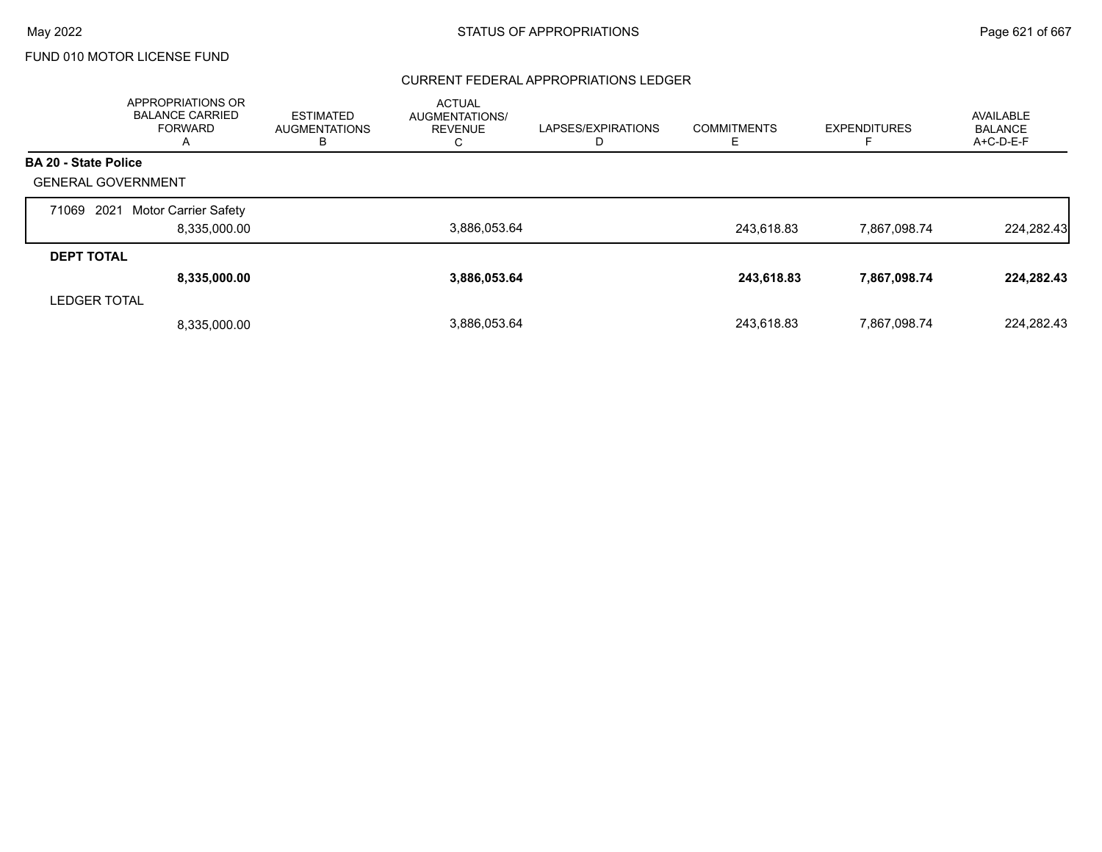#### CURRENT FEDERAL APPROPRIATIONS LEDGER

|                             | APPROPRIATIONS OR<br><b>BALANCE CARRIED</b><br><b>FORWARD</b><br>A | <b>ESTIMATED</b><br><b>AUGMENTATIONS</b><br>в | <b>ACTUAL</b><br><b>AUGMENTATIONS/</b><br><b>REVENUE</b><br>◡ | LAPSES/EXPIRATIONS<br>D | <b>COMMITMENTS</b> | <b>EXPENDITURES</b> | AVAILABLE<br><b>BALANCE</b><br>A+C-D-E-F |
|-----------------------------|--------------------------------------------------------------------|-----------------------------------------------|---------------------------------------------------------------|-------------------------|--------------------|---------------------|------------------------------------------|
| <b>BA 20 - State Police</b> |                                                                    |                                               |                                                               |                         |                    |                     |                                          |
| <b>GENERAL GOVERNMENT</b>   |                                                                    |                                               |                                                               |                         |                    |                     |                                          |
| 2021<br>71069               | Motor Carrier Safety                                               |                                               |                                                               |                         |                    |                     |                                          |
|                             | 8,335,000.00                                                       |                                               | 3,886,053.64                                                  |                         | 243.618.83         | 7,867,098.74        | 224,282.43                               |
| <b>DEPT TOTAL</b>           |                                                                    |                                               |                                                               |                         |                    |                     |                                          |
|                             | 8,335,000.00                                                       |                                               | 3,886,053.64                                                  |                         | 243.618.83         | 7,867,098.74        | 224,282.43                               |
| <b>LEDGER TOTAL</b>         |                                                                    |                                               |                                                               |                         |                    |                     |                                          |
|                             | 8,335,000.00                                                       |                                               | 3,886,053.64                                                  |                         | 243.618.83         | 7,867,098.74        | 224.282.43                               |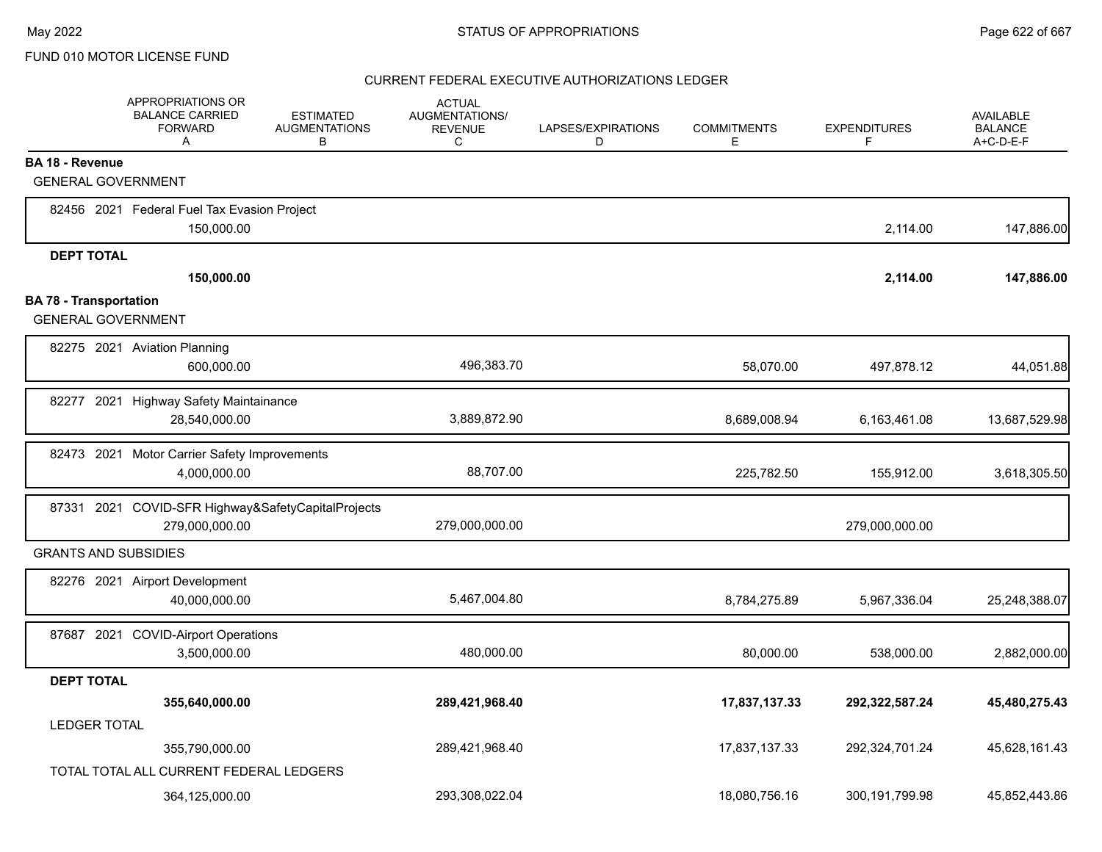|                               | APPROPRIATIONS OR<br><b>BALANCE CARRIED</b><br><b>FORWARD</b><br>A | <b>ESTIMATED</b><br><b>AUGMENTATIONS</b><br>B | <b>ACTUAL</b><br>AUGMENTATIONS/<br><b>REVENUE</b><br>C | LAPSES/EXPIRATIONS<br>D | <b>COMMITMENTS</b><br>E | <b>EXPENDITURES</b><br>F | <b>AVAILABLE</b><br><b>BALANCE</b><br>A+C-D-E-F |
|-------------------------------|--------------------------------------------------------------------|-----------------------------------------------|--------------------------------------------------------|-------------------------|-------------------------|--------------------------|-------------------------------------------------|
| <b>BA 18 - Revenue</b>        |                                                                    |                                               |                                                        |                         |                         |                          |                                                 |
| <b>GENERAL GOVERNMENT</b>     |                                                                    |                                               |                                                        |                         |                         |                          |                                                 |
|                               | 82456 2021 Federal Fuel Tax Evasion Project                        |                                               |                                                        |                         |                         |                          |                                                 |
|                               | 150,000.00                                                         |                                               |                                                        |                         |                         | 2,114.00                 | 147,886.00                                      |
| <b>DEPT TOTAL</b>             |                                                                    |                                               |                                                        |                         |                         |                          |                                                 |
|                               | 150,000.00                                                         |                                               |                                                        |                         |                         | 2,114.00                 | 147,886.00                                      |
| <b>BA 78 - Transportation</b> |                                                                    |                                               |                                                        |                         |                         |                          |                                                 |
| <b>GENERAL GOVERNMENT</b>     |                                                                    |                                               |                                                        |                         |                         |                          |                                                 |
|                               | 82275 2021 Aviation Planning                                       |                                               |                                                        |                         |                         |                          |                                                 |
|                               | 600,000.00                                                         |                                               | 496,383.70                                             |                         | 58,070.00               | 497,878.12               | 44,051.88                                       |
|                               | 82277 2021 Highway Safety Maintainance                             |                                               |                                                        |                         |                         |                          |                                                 |
|                               | 28,540,000.00                                                      |                                               | 3,889,872.90                                           |                         | 8,689,008.94            | 6,163,461.08             | 13,687,529.98                                   |
|                               | 82473 2021 Motor Carrier Safety Improvements                       |                                               |                                                        |                         |                         |                          |                                                 |
|                               | 4,000,000.00                                                       |                                               | 88,707.00                                              |                         | 225,782.50              | 155,912.00               | 3,618,305.50                                    |
|                               | 87331 2021 COVID-SFR Highway&SafetyCapitalProjects                 |                                               |                                                        |                         |                         |                          |                                                 |
|                               | 279,000,000.00                                                     |                                               | 279,000,000.00                                         |                         |                         | 279,000,000.00           |                                                 |
| <b>GRANTS AND SUBSIDIES</b>   |                                                                    |                                               |                                                        |                         |                         |                          |                                                 |
|                               | 82276 2021 Airport Development                                     |                                               |                                                        |                         |                         |                          |                                                 |
|                               | 40,000,000.00                                                      |                                               | 5,467,004.80                                           |                         | 8,784,275.89            | 5,967,336.04             | 25,248,388.07                                   |
|                               | 87687 2021 COVID-Airport Operations                                |                                               |                                                        |                         |                         |                          |                                                 |
|                               | 3,500,000.00                                                       |                                               | 480,000.00                                             |                         | 80,000.00               | 538,000.00               | 2,882,000.00                                    |
| <b>DEPT TOTAL</b>             |                                                                    |                                               |                                                        |                         |                         |                          |                                                 |
|                               | 355,640,000.00                                                     |                                               | 289,421,968.40                                         |                         | 17,837,137.33           | 292,322,587.24           | 45,480,275.43                                   |
| <b>LEDGER TOTAL</b>           |                                                                    |                                               |                                                        |                         |                         |                          |                                                 |
|                               | 355,790,000.00                                                     |                                               | 289,421,968.40                                         |                         | 17,837,137.33           | 292,324,701.24           | 45,628,161.43                                   |
|                               | TOTAL TOTAL ALL CURRENT FEDERAL LEDGERS                            |                                               |                                                        |                         |                         |                          |                                                 |
|                               | 364,125,000.00                                                     |                                               | 293,308,022.04                                         |                         | 18,080,756.16           | 300, 191, 799. 98        | 45.852.443.86                                   |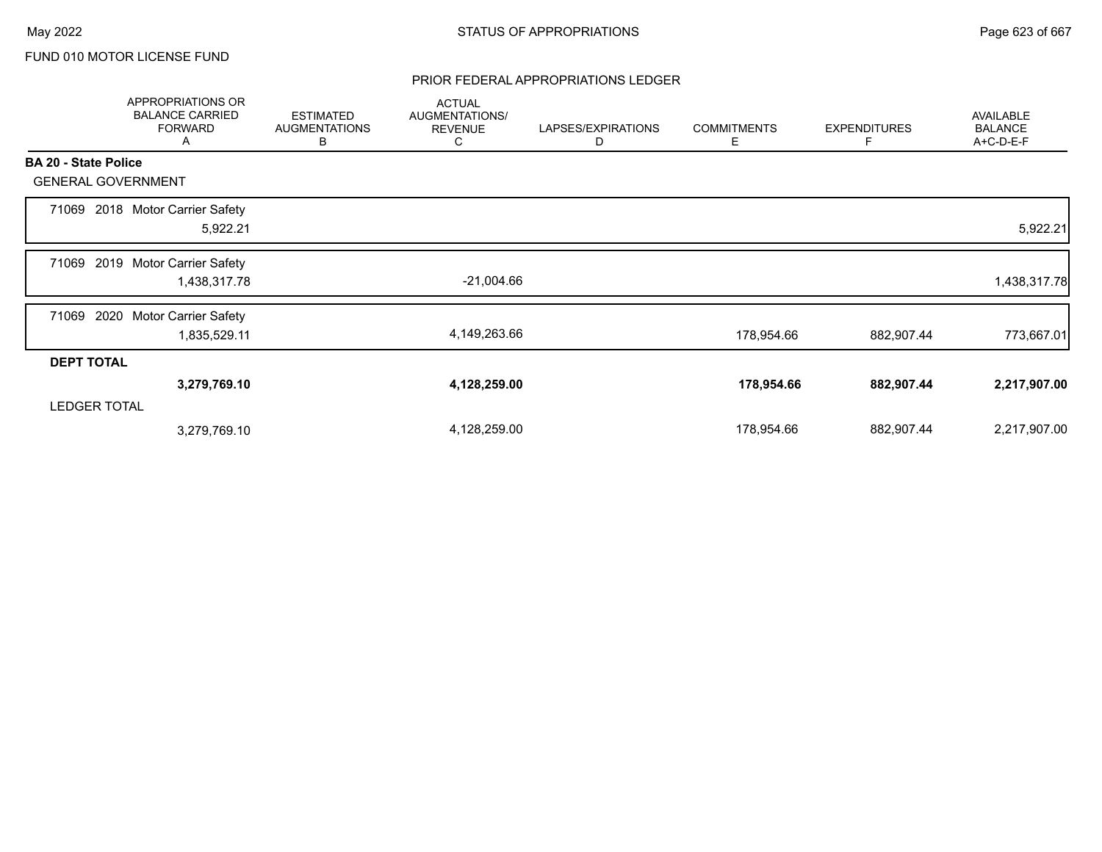## PRIOR FEDERAL APPROPRIATIONS LEDGER

|                             | APPROPRIATIONS OR<br><b>BALANCE CARRIED</b><br><b>FORWARD</b><br>A | <b>ESTIMATED</b><br><b>AUGMENTATIONS</b><br>В | <b>ACTUAL</b><br>AUGMENTATIONS/<br><b>REVENUE</b><br>С | LAPSES/EXPIRATIONS<br>D | <b>COMMITMENTS</b><br>E | <b>EXPENDITURES</b><br>F | AVAILABLE<br><b>BALANCE</b><br>A+C-D-E-F |
|-----------------------------|--------------------------------------------------------------------|-----------------------------------------------|--------------------------------------------------------|-------------------------|-------------------------|--------------------------|------------------------------------------|
| <b>BA 20 - State Police</b> |                                                                    |                                               |                                                        |                         |                         |                          |                                          |
| <b>GENERAL GOVERNMENT</b>   |                                                                    |                                               |                                                        |                         |                         |                          |                                          |
| 71069                       | 2018 Motor Carrier Safety<br>5,922.21                              |                                               |                                                        |                         |                         |                          | 5,922.21                                 |
| 71069                       | 2019 Motor Carrier Safety<br>1,438,317.78                          |                                               | $-21,004.66$                                           |                         |                         |                          | 1,438,317.78                             |
| 2020<br>71069               | <b>Motor Carrier Safety</b><br>1,835,529.11                        |                                               | 4,149,263.66                                           |                         | 178,954.66              | 882,907.44               | 773,667.01                               |
| <b>DEPT TOTAL</b>           |                                                                    |                                               |                                                        |                         |                         |                          |                                          |
|                             | 3,279,769.10                                                       |                                               | 4,128,259.00                                           |                         | 178,954.66              | 882,907.44               | 2,217,907.00                             |
| <b>LEDGER TOTAL</b>         |                                                                    |                                               |                                                        |                         |                         |                          |                                          |
|                             | 3,279,769.10                                                       |                                               | 4,128,259.00                                           |                         | 178,954.66              | 882,907.44               | 2,217,907.00                             |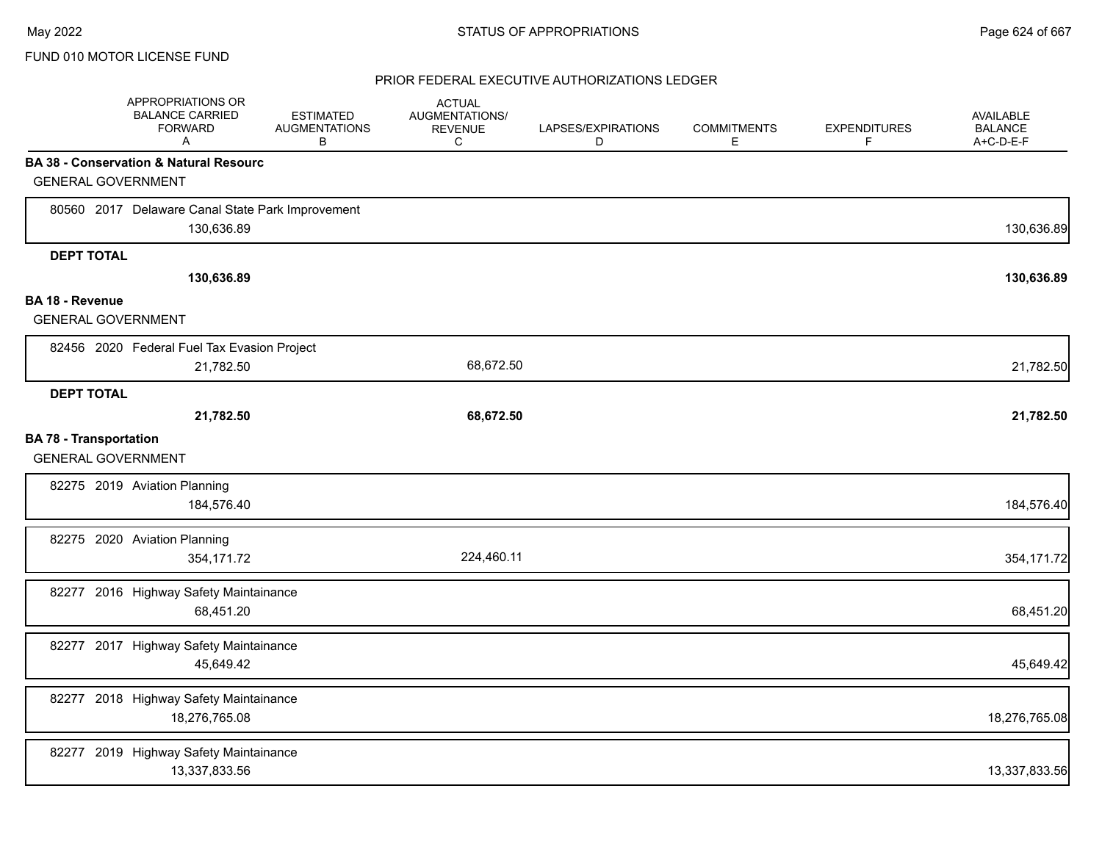|                               | APPROPRIATIONS OR<br><b>BALANCE CARRIED</b><br><b>FORWARD</b><br>Α | <b>ESTIMATED</b><br><b>AUGMENTATIONS</b><br>B | <b>ACTUAL</b><br>AUGMENTATIONS/<br><b>REVENUE</b><br>C | LAPSES/EXPIRATIONS<br>D | <b>COMMITMENTS</b><br>Е | <b>EXPENDITURES</b><br>F | <b>AVAILABLE</b><br><b>BALANCE</b><br>A+C-D-E-F |
|-------------------------------|--------------------------------------------------------------------|-----------------------------------------------|--------------------------------------------------------|-------------------------|-------------------------|--------------------------|-------------------------------------------------|
|                               | <b>BA 38 - Conservation &amp; Natural Resourc</b>                  |                                               |                                                        |                         |                         |                          |                                                 |
|                               | <b>GENERAL GOVERNMENT</b>                                          |                                               |                                                        |                         |                         |                          |                                                 |
|                               | 80560 2017 Delaware Canal State Park Improvement<br>130,636.89     |                                               |                                                        |                         |                         |                          | 130,636.89                                      |
| <b>DEPT TOTAL</b>             |                                                                    |                                               |                                                        |                         |                         |                          |                                                 |
|                               | 130,636.89                                                         |                                               |                                                        |                         |                         |                          | 130,636.89                                      |
| <b>BA 18 - Revenue</b>        |                                                                    |                                               |                                                        |                         |                         |                          |                                                 |
|                               | <b>GENERAL GOVERNMENT</b>                                          |                                               |                                                        |                         |                         |                          |                                                 |
|                               | 82456 2020 Federal Fuel Tax Evasion Project                        |                                               |                                                        |                         |                         |                          |                                                 |
|                               | 21,782.50                                                          |                                               | 68,672.50                                              |                         |                         |                          | 21,782.50                                       |
| <b>DEPT TOTAL</b>             |                                                                    |                                               |                                                        |                         |                         |                          |                                                 |
|                               | 21,782.50                                                          |                                               | 68,672.50                                              |                         |                         |                          | 21,782.50                                       |
| <b>BA 78 - Transportation</b> | <b>GENERAL GOVERNMENT</b>                                          |                                               |                                                        |                         |                         |                          |                                                 |
|                               | 82275 2019 Aviation Planning<br>184,576.40                         |                                               |                                                        |                         |                         |                          | 184,576.40                                      |
|                               | 82275 2020 Aviation Planning<br>354,171.72                         |                                               | 224,460.11                                             |                         |                         |                          | 354,171.72                                      |
|                               | 82277 2016 Highway Safety Maintainance<br>68,451.20                |                                               |                                                        |                         |                         |                          | 68,451.20                                       |
|                               | 82277 2017 Highway Safety Maintainance<br>45,649.42                |                                               |                                                        |                         |                         |                          | 45,649.42                                       |
|                               | 82277 2018 Highway Safety Maintainance<br>18,276,765.08            |                                               |                                                        |                         |                         |                          | 18,276,765.08                                   |
|                               | 82277 2019 Highway Safety Maintainance<br>13,337,833.56            |                                               |                                                        |                         |                         |                          | 13,337,833.56                                   |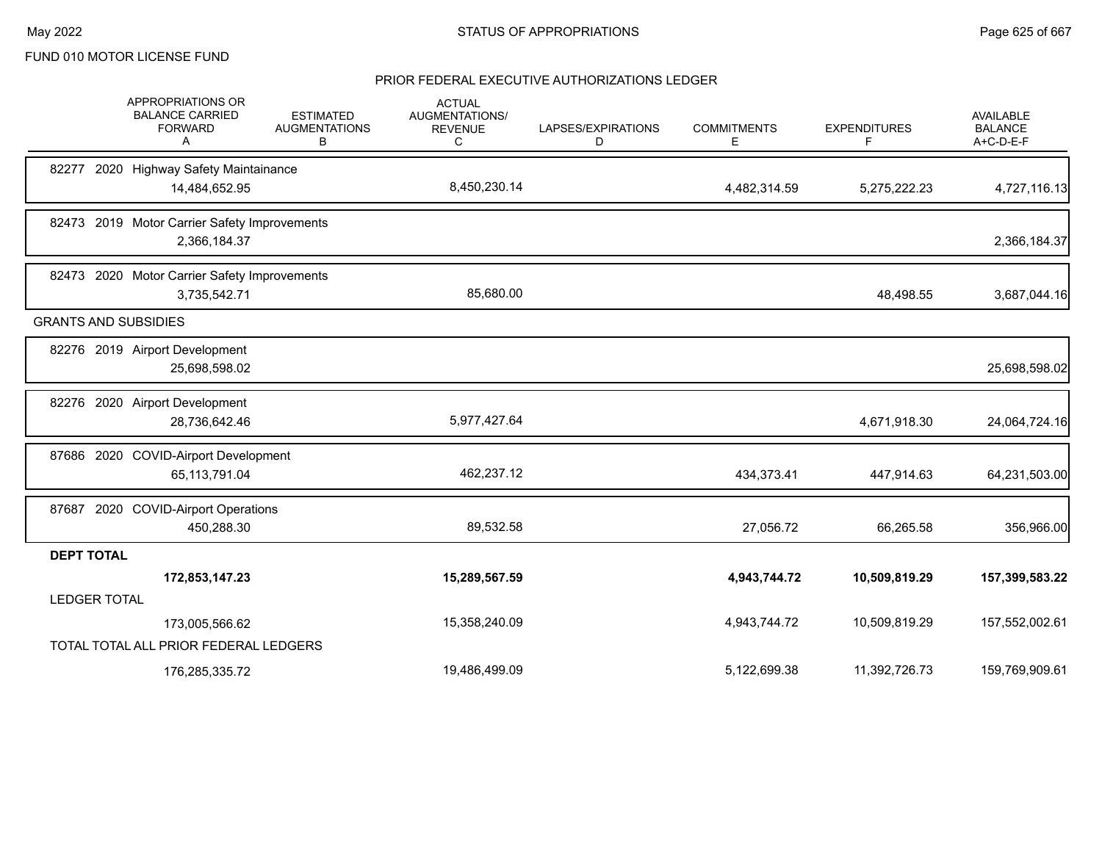|                     | APPROPRIATIONS OR<br><b>BALANCE CARRIED</b><br><b>FORWARD</b><br>A | <b>ESTIMATED</b><br><b>AUGMENTATIONS</b><br>В | <b>ACTUAL</b><br><b>AUGMENTATIONS/</b><br><b>REVENUE</b><br>С | LAPSES/EXPIRATIONS<br>D | <b>COMMITMENTS</b><br>Е | <b>EXPENDITURES</b><br>F | AVAILABLE<br><b>BALANCE</b><br>A+C-D-E-F |
|---------------------|--------------------------------------------------------------------|-----------------------------------------------|---------------------------------------------------------------|-------------------------|-------------------------|--------------------------|------------------------------------------|
|                     | 82277 2020 Highway Safety Maintainance                             |                                               |                                                               |                         |                         |                          |                                          |
|                     | 14,484,652.95                                                      |                                               | 8,450,230.14                                                  |                         | 4,482,314.59            | 5,275,222.23             | 4,727,116.13                             |
|                     | 82473 2019 Motor Carrier Safety Improvements                       |                                               |                                                               |                         |                         |                          |                                          |
|                     | 2,366,184.37                                                       |                                               |                                                               |                         |                         |                          | 2,366,184.37                             |
|                     | 82473 2020 Motor Carrier Safety Improvements                       |                                               |                                                               |                         |                         |                          |                                          |
|                     | 3,735,542.71                                                       |                                               | 85,680.00                                                     |                         |                         | 48,498.55                | 3,687,044.16                             |
|                     | <b>GRANTS AND SUBSIDIES</b>                                        |                                               |                                                               |                         |                         |                          |                                          |
|                     | 82276 2019 Airport Development                                     |                                               |                                                               |                         |                         |                          |                                          |
|                     | 25,698,598.02                                                      |                                               |                                                               |                         |                         |                          | 25,698,598.02                            |
|                     | 82276 2020 Airport Development                                     |                                               |                                                               |                         |                         |                          |                                          |
|                     | 28,736,642.46                                                      |                                               | 5,977,427.64                                                  |                         |                         | 4,671,918.30             | 24,064,724.16                            |
|                     | 87686 2020 COVID-Airport Development                               |                                               |                                                               |                         |                         |                          |                                          |
|                     | 65, 113, 791.04                                                    |                                               | 462,237.12                                                    |                         | 434,373.41              | 447,914.63               | 64,231,503.00                            |
|                     | 87687 2020 COVID-Airport Operations                                |                                               |                                                               |                         |                         |                          |                                          |
|                     | 450,288.30                                                         |                                               | 89,532.58                                                     |                         | 27,056.72               | 66,265.58                | 356,966.00                               |
| <b>DEPT TOTAL</b>   |                                                                    |                                               |                                                               |                         |                         |                          |                                          |
|                     | 172,853,147.23                                                     |                                               | 15,289,567.59                                                 |                         | 4,943,744.72            | 10,509,819.29            | 157,399,583.22                           |
| <b>LEDGER TOTAL</b> |                                                                    |                                               |                                                               |                         |                         |                          |                                          |
|                     | 173,005,566.62                                                     |                                               | 15,358,240.09                                                 |                         | 4,943,744.72            | 10,509,819.29            | 157,552,002.61                           |
|                     | TOTAL TOTAL ALL PRIOR FEDERAL LEDGERS                              |                                               |                                                               |                         |                         |                          |                                          |
|                     | 176,285,335.72                                                     |                                               | 19,486,499.09                                                 |                         | 5,122,699.38            | 11,392,726.73            | 159,769,909.61                           |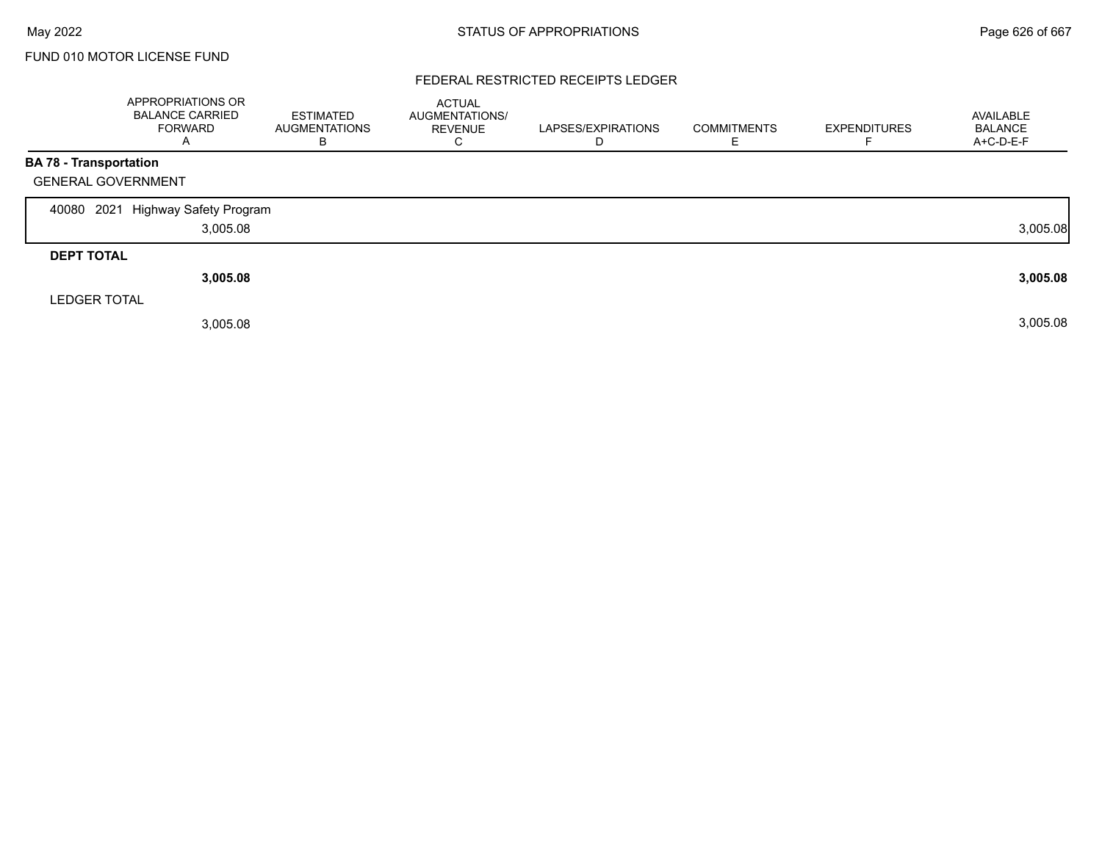## FEDERAL RESTRICTED RECEIPTS LEDGER

|                               | <b>APPROPRIATIONS OR</b><br><b>BALANCE CARRIED</b><br>FORWARD<br>A | <b>ESTIMATED</b><br><b>AUGMENTATIONS</b><br>В | <b>ACTUAL</b><br>AUGMENTATIONS/<br><b>REVENUE</b><br>С | LAPSES/EXPIRATIONS<br>D | <b>COMMITMENTS</b> | <b>EXPENDITURES</b> | AVAILABLE<br><b>BALANCE</b><br>A+C-D-E-F |
|-------------------------------|--------------------------------------------------------------------|-----------------------------------------------|--------------------------------------------------------|-------------------------|--------------------|---------------------|------------------------------------------|
| <b>BA 78 - Transportation</b> |                                                                    |                                               |                                                        |                         |                    |                     |                                          |
| <b>GENERAL GOVERNMENT</b>     |                                                                    |                                               |                                                        |                         |                    |                     |                                          |
| 2021<br>40080                 | Highway Safety Program                                             |                                               |                                                        |                         |                    |                     |                                          |
|                               | 3,005.08                                                           |                                               |                                                        |                         |                    |                     | 3,005.08                                 |
| <b>DEPT TOTAL</b>             |                                                                    |                                               |                                                        |                         |                    |                     |                                          |
|                               | 3,005.08                                                           |                                               |                                                        |                         |                    |                     | 3,005.08                                 |
| <b>LEDGER TOTAL</b>           |                                                                    |                                               |                                                        |                         |                    |                     |                                          |
|                               | 3,005.08                                                           |                                               |                                                        |                         |                    |                     | 3,005.08                                 |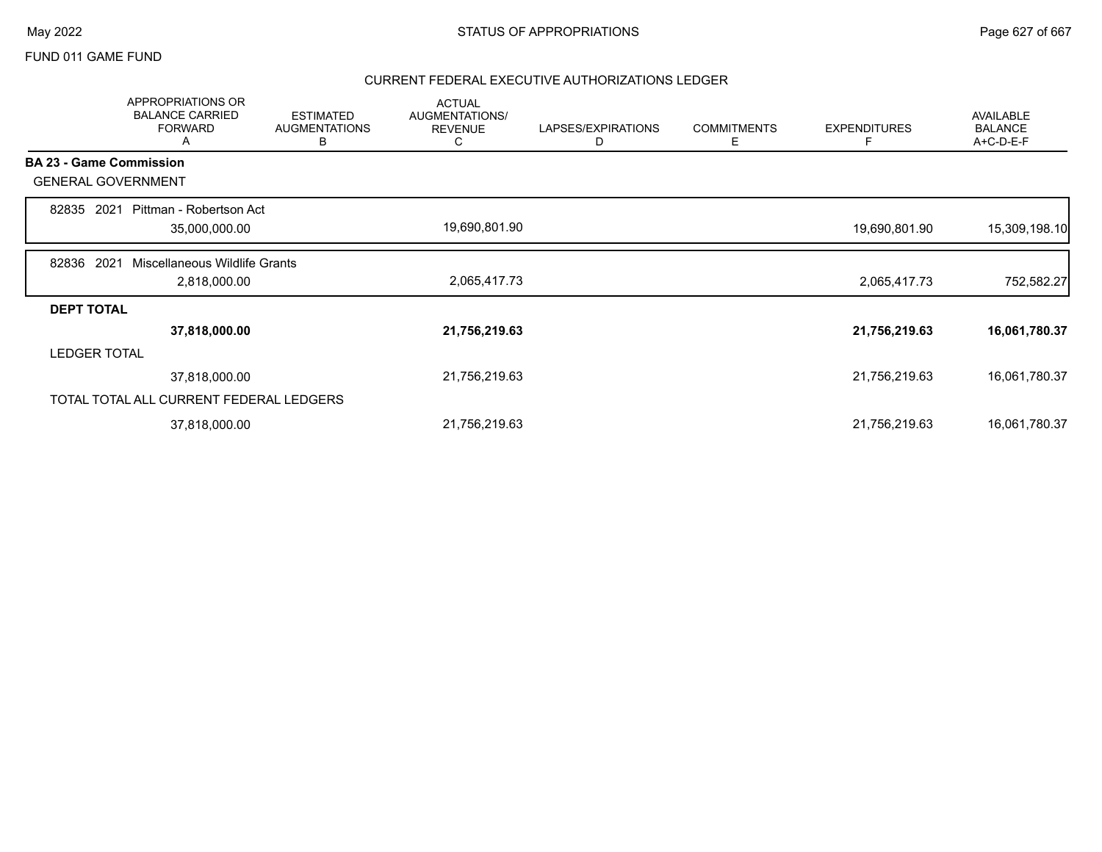## FUND 011 GAME FUND

|       | APPROPRIATIONS OR<br><b>BALANCE CARRIED</b><br><b>FORWARD</b><br>A | <b>ESTIMATED</b><br><b>AUGMENTATIONS</b><br>В | <b>ACTUAL</b><br>AUGMENTATIONS/<br><b>REVENUE</b><br>C | LAPSES/EXPIRATIONS<br>D | <b>COMMITMENTS</b><br>Ε | <b>EXPENDITURES</b><br>F | <b>AVAILABLE</b><br><b>BALANCE</b><br>A+C-D-E-F |
|-------|--------------------------------------------------------------------|-----------------------------------------------|--------------------------------------------------------|-------------------------|-------------------------|--------------------------|-------------------------------------------------|
|       | <b>BA 23 - Game Commission</b>                                     |                                               |                                                        |                         |                         |                          |                                                 |
|       | <b>GENERAL GOVERNMENT</b>                                          |                                               |                                                        |                         |                         |                          |                                                 |
| 82835 | Pittman - Robertson Act<br>2021<br>35,000,000.00                   |                                               | 19,690,801.90                                          |                         |                         | 19,690,801.90            | 15,309,198.10                                   |
| 82836 | 2021<br>Miscellaneous Wildlife Grants<br>2,818,000.00              |                                               | 2,065,417.73                                           |                         |                         | 2,065,417.73             | 752,582.27                                      |
|       | <b>DEPT TOTAL</b>                                                  |                                               |                                                        |                         |                         |                          |                                                 |
|       | 37,818,000.00                                                      |                                               | 21,756,219.63                                          |                         |                         | 21,756,219.63            | 16,061,780.37                                   |
|       | <b>LEDGER TOTAL</b>                                                |                                               |                                                        |                         |                         |                          |                                                 |
|       | 37,818,000.00                                                      |                                               | 21,756,219.63                                          |                         |                         | 21,756,219.63            | 16,061,780.37                                   |
|       | TOTAL TOTAL ALL CURRENT FEDERAL LEDGERS                            |                                               |                                                        |                         |                         |                          |                                                 |
|       | 37,818,000.00                                                      |                                               | 21,756,219.63                                          |                         |                         | 21,756,219.63            | 16,061,780.37                                   |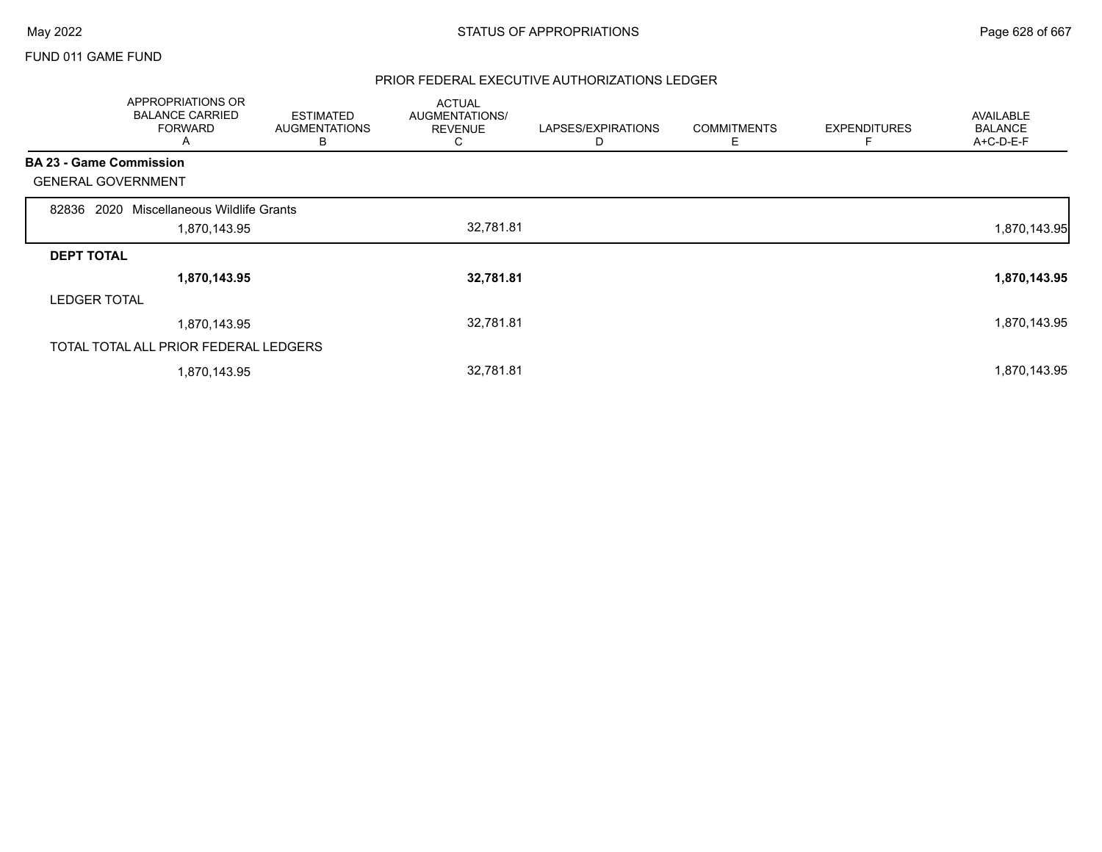## FUND 011 GAME FUND

|                                | APPROPRIATIONS OR<br><b>BALANCE CARRIED</b><br><b>FORWARD</b><br>A | <b>ESTIMATED</b><br><b>AUGMENTATIONS</b><br>В | <b>ACTUAL</b><br>AUGMENTATIONS/<br><b>REVENUE</b><br>C | LAPSES/EXPIRATIONS<br>D | <b>COMMITMENTS</b><br>Ε | <b>EXPENDITURES</b><br>F | <b>AVAILABLE</b><br><b>BALANCE</b><br>A+C-D-E-F |
|--------------------------------|--------------------------------------------------------------------|-----------------------------------------------|--------------------------------------------------------|-------------------------|-------------------------|--------------------------|-------------------------------------------------|
| <b>BA 23 - Game Commission</b> |                                                                    |                                               |                                                        |                         |                         |                          |                                                 |
| <b>GENERAL GOVERNMENT</b>      |                                                                    |                                               |                                                        |                         |                         |                          |                                                 |
| 2020<br>82836                  | Miscellaneous Wildlife Grants                                      |                                               |                                                        |                         |                         |                          |                                                 |
|                                | 1,870,143.95                                                       |                                               | 32,781.81                                              |                         |                         |                          | 1,870,143.95                                    |
| <b>DEPT TOTAL</b>              |                                                                    |                                               |                                                        |                         |                         |                          |                                                 |
|                                | 1,870,143.95                                                       |                                               | 32,781.81                                              |                         |                         |                          | 1,870,143.95                                    |
| <b>LEDGER TOTAL</b>            |                                                                    |                                               |                                                        |                         |                         |                          |                                                 |
|                                | 1,870,143.95                                                       |                                               | 32,781.81                                              |                         |                         |                          | 1,870,143.95                                    |
|                                | TOTAL TOTAL ALL PRIOR FEDERAL LEDGERS                              |                                               |                                                        |                         |                         |                          |                                                 |
|                                | 1,870,143.95                                                       |                                               | 32,781.81                                              |                         |                         |                          | 1,870,143.95                                    |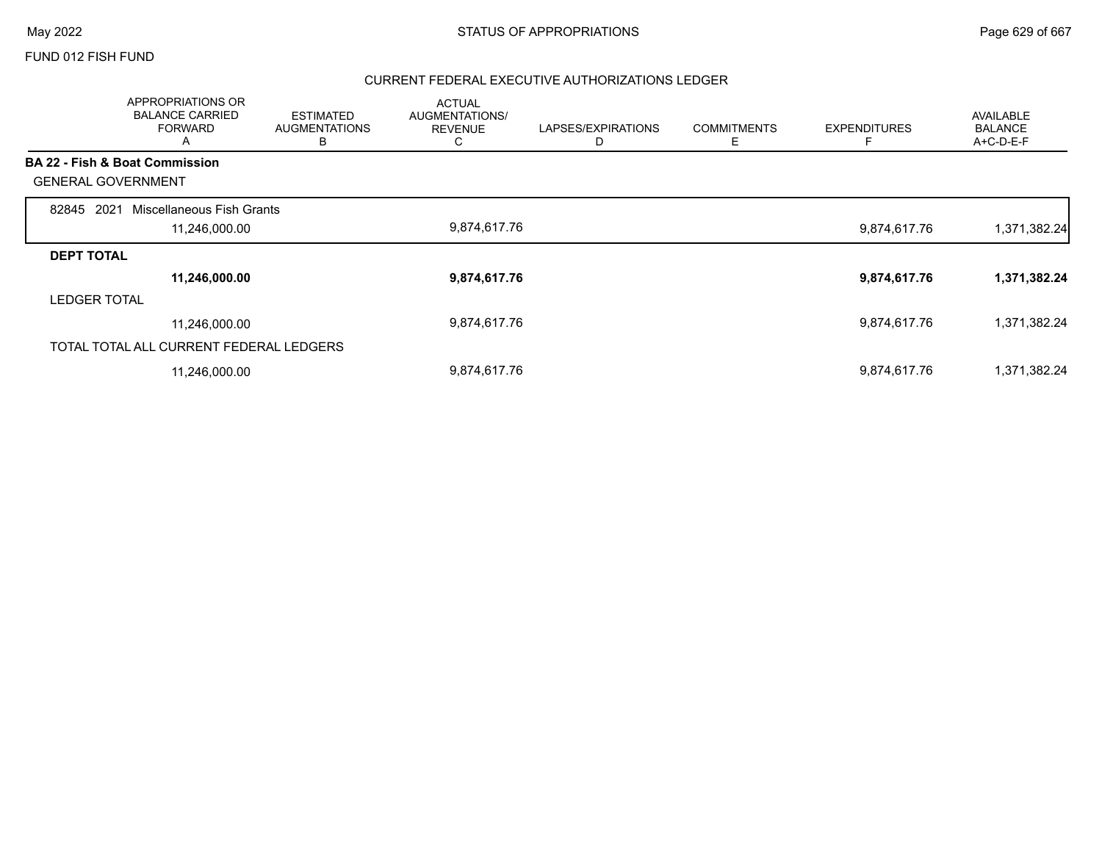### FUND 012 FISH FUND

|                           | APPROPRIATIONS OR<br><b>BALANCE CARRIED</b><br><b>FORWARD</b><br>A | <b>ESTIMATED</b><br><b>AUGMENTATIONS</b><br>в | <b>ACTUAL</b><br><b>AUGMENTATIONS/</b><br><b>REVENUE</b><br>C | LAPSES/EXPIRATIONS | <b>COMMITMENTS</b><br>Ε | <b>EXPENDITURES</b> | <b>AVAILABLE</b><br><b>BALANCE</b><br>A+C-D-E-F |
|---------------------------|--------------------------------------------------------------------|-----------------------------------------------|---------------------------------------------------------------|--------------------|-------------------------|---------------------|-------------------------------------------------|
|                           | <b>BA 22 - Fish &amp; Boat Commission</b>                          |                                               |                                                               |                    |                         |                     |                                                 |
| <b>GENERAL GOVERNMENT</b> |                                                                    |                                               |                                                               |                    |                         |                     |                                                 |
| 2021<br>82845             | Miscellaneous Fish Grants                                          |                                               |                                                               |                    |                         |                     |                                                 |
|                           | 11,246,000.00                                                      |                                               | 9,874,617.76                                                  |                    |                         | 9,874,617.76        | 1,371,382.24                                    |
| <b>DEPT TOTAL</b>         |                                                                    |                                               |                                                               |                    |                         |                     |                                                 |
|                           | 11,246,000.00                                                      |                                               | 9,874,617.76                                                  |                    |                         | 9,874,617.76        | 1,371,382.24                                    |
| <b>LEDGER TOTAL</b>       |                                                                    |                                               |                                                               |                    |                         |                     |                                                 |
|                           | 11,246,000.00                                                      |                                               | 9,874,617.76                                                  |                    |                         | 9,874,617.76        | 1,371,382.24                                    |
|                           | TOTAL TOTAL ALL CURRENT FEDERAL LEDGERS                            |                                               |                                                               |                    |                         |                     |                                                 |
|                           | 11,246,000.00                                                      |                                               | 9,874,617.76                                                  |                    |                         | 9,874,617.76        | 1,371,382.24                                    |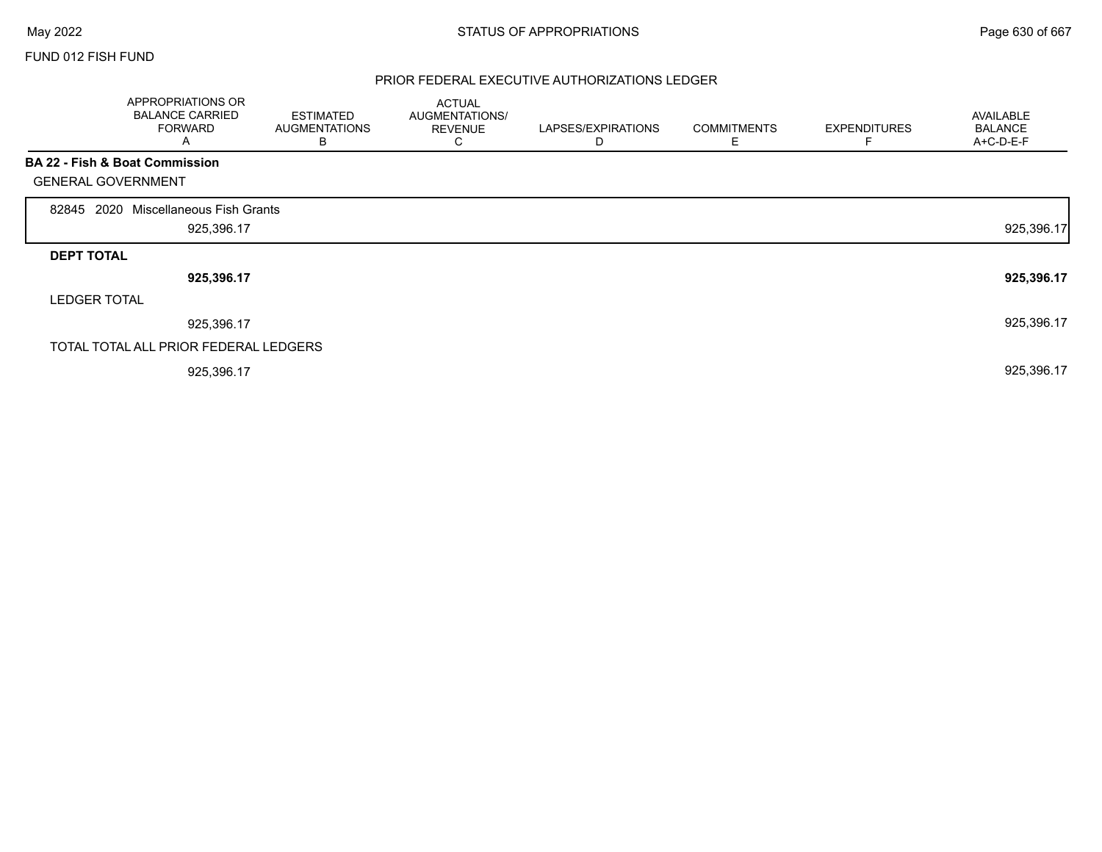Г

### FUND 012 FISH FUND

|                           | APPROPRIATIONS OR<br><b>BALANCE CARRIED</b><br><b>FORWARD</b><br>A | <b>ESTIMATED</b><br><b>AUGMENTATIONS</b><br>В | <b>ACTUAL</b><br>AUGMENTATIONS/<br><b>REVENUE</b><br>◡ | LAPSES/EXPIRATIONS<br>D | <b>COMMITMENTS</b><br>Е | <b>EXPENDITURES</b><br>F | <b>AVAILABLE</b><br><b>BALANCE</b><br>A+C-D-E-F |
|---------------------------|--------------------------------------------------------------------|-----------------------------------------------|--------------------------------------------------------|-------------------------|-------------------------|--------------------------|-------------------------------------------------|
| <b>GENERAL GOVERNMENT</b> | <b>BA 22 - Fish &amp; Boat Commission</b>                          |                                               |                                                        |                         |                         |                          |                                                 |
| 2020<br>82845             | Miscellaneous Fish Grants<br>925,396.17                            |                                               |                                                        |                         |                         |                          | 925,396.17                                      |
| <b>DEPT TOTAL</b>         |                                                                    |                                               |                                                        |                         |                         |                          |                                                 |
|                           | 925,396.17                                                         |                                               |                                                        |                         |                         |                          | 925,396.17                                      |
| <b>LEDGER TOTAL</b>       |                                                                    |                                               |                                                        |                         |                         |                          |                                                 |
|                           | 925,396.17                                                         |                                               |                                                        |                         |                         |                          | 925,396.17                                      |
|                           | TOTAL TOTAL ALL PRIOR FEDERAL LEDGERS                              |                                               |                                                        |                         |                         |                          |                                                 |
|                           | 925,396.17                                                         |                                               |                                                        |                         |                         |                          | 925,396.17                                      |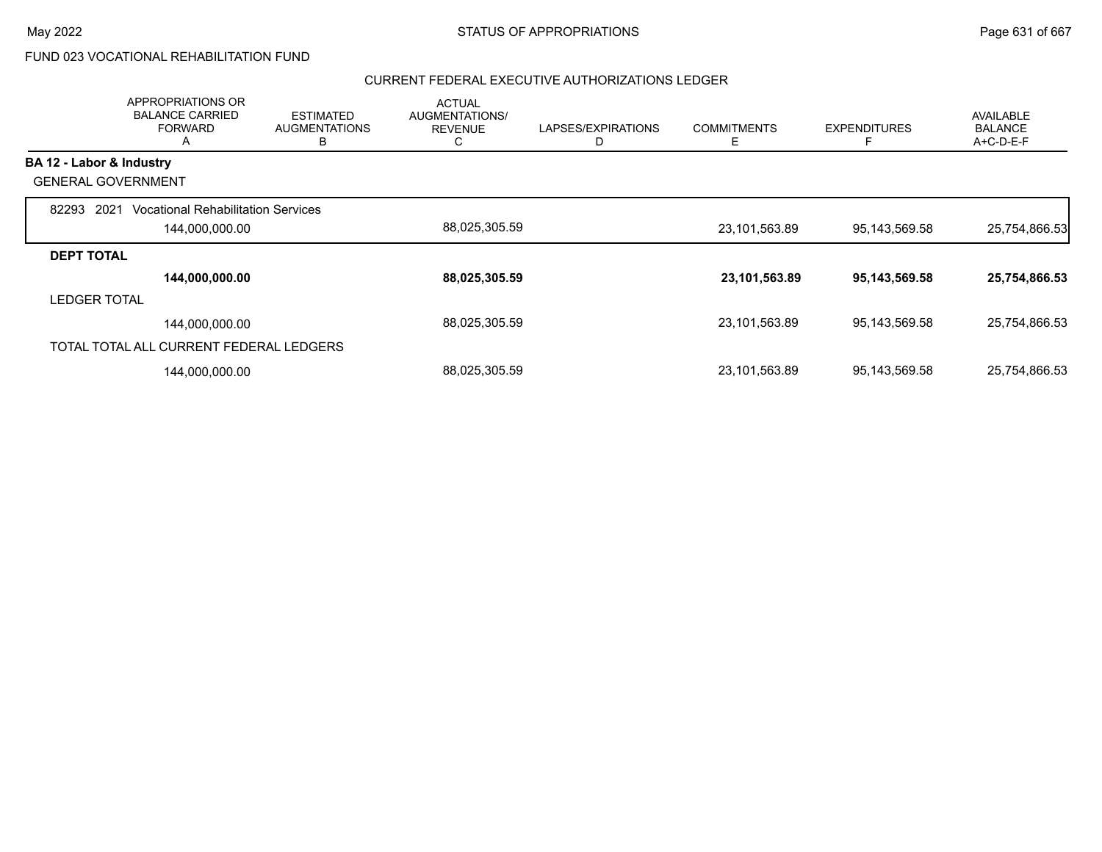# FUND 023 VOCATIONAL REHABILITATION FUND

|                           | APPROPRIATIONS OR<br><b>BALANCE CARRIED</b><br><b>FORWARD</b><br>A | <b>ESTIMATED</b><br><b>AUGMENTATIONS</b><br>в | <b>ACTUAL</b><br><b>AUGMENTATIONS/</b><br><b>REVENUE</b><br>◡ | LAPSES/EXPIRATIONS | <b>COMMITMENTS</b><br>Е | <b>EXPENDITURES</b><br>E | <b>AVAILABLE</b><br><b>BALANCE</b><br>A+C-D-E-F |
|---------------------------|--------------------------------------------------------------------|-----------------------------------------------|---------------------------------------------------------------|--------------------|-------------------------|--------------------------|-------------------------------------------------|
| BA 12 - Labor & Industry  |                                                                    |                                               |                                                               |                    |                         |                          |                                                 |
| <b>GENERAL GOVERNMENT</b> |                                                                    |                                               |                                                               |                    |                         |                          |                                                 |
| 2021<br>82293             | <b>Vocational Rehabilitation Services</b>                          |                                               |                                                               |                    |                         |                          |                                                 |
|                           | 144,000,000.00                                                     |                                               | 88,025,305.59                                                 |                    | 23,101,563.89           | 95,143,569.58            | 25,754,866.53                                   |
| <b>DEPT TOTAL</b>         |                                                                    |                                               |                                                               |                    |                         |                          |                                                 |
|                           | 144,000,000.00                                                     |                                               | 88,025,305.59                                                 |                    | 23,101,563.89           | 95,143,569.58            | 25,754,866.53                                   |
| <b>LEDGER TOTAL</b>       |                                                                    |                                               |                                                               |                    |                         |                          |                                                 |
|                           | 144,000,000.00                                                     |                                               | 88,025,305.59                                                 |                    | 23,101,563.89           | 95,143,569.58            | 25,754,866.53                                   |
|                           | TOTAL TOTAL ALL CURRENT FEDERAL LEDGERS                            |                                               |                                                               |                    |                         |                          |                                                 |
|                           | 144,000,000.00                                                     |                                               | 88,025,305.59                                                 |                    | 23,101,563.89           | 95,143,569.58            | 25,754,866.53                                   |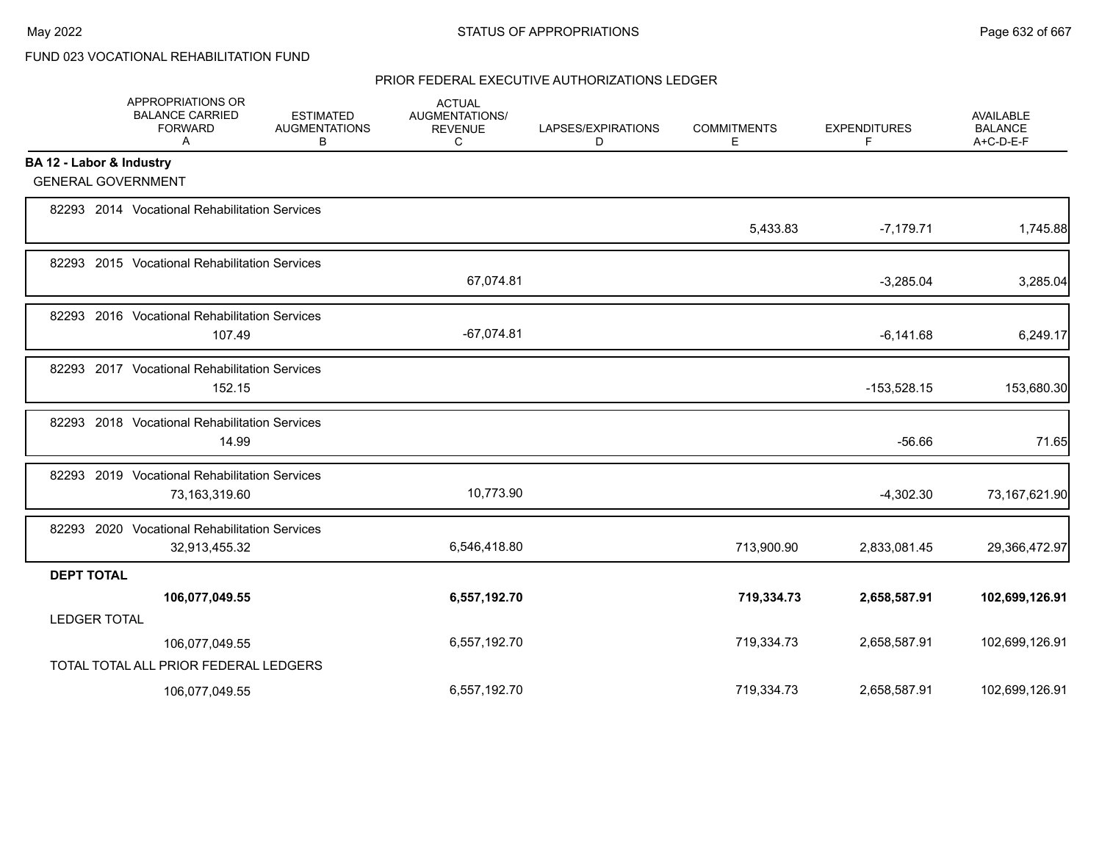# FUND 023 VOCATIONAL REHABILITATION FUND

|                          | APPROPRIATIONS OR<br><b>BALANCE CARRIED</b><br><b>FORWARD</b><br>A | <b>ESTIMATED</b><br><b>AUGMENTATIONS</b><br>В | <b>ACTUAL</b><br>AUGMENTATIONS/<br><b>REVENUE</b><br>C | LAPSES/EXPIRATIONS<br>D | <b>COMMITMENTS</b><br>Е | <b>EXPENDITURES</b><br>F | AVAILABLE<br><b>BALANCE</b><br>A+C-D-E-F |
|--------------------------|--------------------------------------------------------------------|-----------------------------------------------|--------------------------------------------------------|-------------------------|-------------------------|--------------------------|------------------------------------------|
| BA 12 - Labor & Industry |                                                                    |                                               |                                                        |                         |                         |                          |                                          |
|                          | <b>GENERAL GOVERNMENT</b>                                          |                                               |                                                        |                         |                         |                          |                                          |
|                          | 82293 2014 Vocational Rehabilitation Services                      |                                               |                                                        |                         | 5,433.83                | $-7,179.71$              | 1,745.88                                 |
|                          | 82293 2015 Vocational Rehabilitation Services                      |                                               | 67,074.81                                              |                         |                         | $-3,285.04$              | 3,285.04                                 |
|                          | 82293 2016 Vocational Rehabilitation Services<br>107.49            |                                               | $-67,074.81$                                           |                         |                         | $-6,141.68$              | 6,249.17                                 |
|                          | 82293 2017 Vocational Rehabilitation Services<br>152.15            |                                               |                                                        |                         |                         | $-153,528.15$            | 153,680.30                               |
|                          | 82293 2018 Vocational Rehabilitation Services<br>14.99             |                                               |                                                        |                         |                         | $-56.66$                 | 71.65                                    |
|                          | 82293 2019 Vocational Rehabilitation Services<br>73,163,319.60     |                                               | 10,773.90                                              |                         |                         | $-4,302.30$              | 73,167,621.90                            |
|                          | 82293 2020 Vocational Rehabilitation Services<br>32,913,455.32     |                                               | 6,546,418.80                                           |                         | 713,900.90              | 2,833,081.45             | 29,366,472.97                            |
| <b>DEPT TOTAL</b>        |                                                                    |                                               |                                                        |                         |                         |                          |                                          |
|                          | 106,077,049.55                                                     |                                               | 6,557,192.70                                           |                         | 719,334.73              | 2,658,587.91             | 102,699,126.91                           |
| <b>LEDGER TOTAL</b>      |                                                                    |                                               |                                                        |                         |                         |                          |                                          |
|                          | 106,077,049.55                                                     |                                               | 6,557,192.70                                           |                         | 719,334.73              | 2,658,587.91             | 102,699,126.91                           |
|                          | TOTAL TOTAL ALL PRIOR FEDERAL LEDGERS                              |                                               |                                                        |                         |                         |                          |                                          |
|                          | 106,077,049.55                                                     |                                               | 6,557,192.70                                           |                         | 719,334.73              | 2,658,587.91             | 102,699,126.91                           |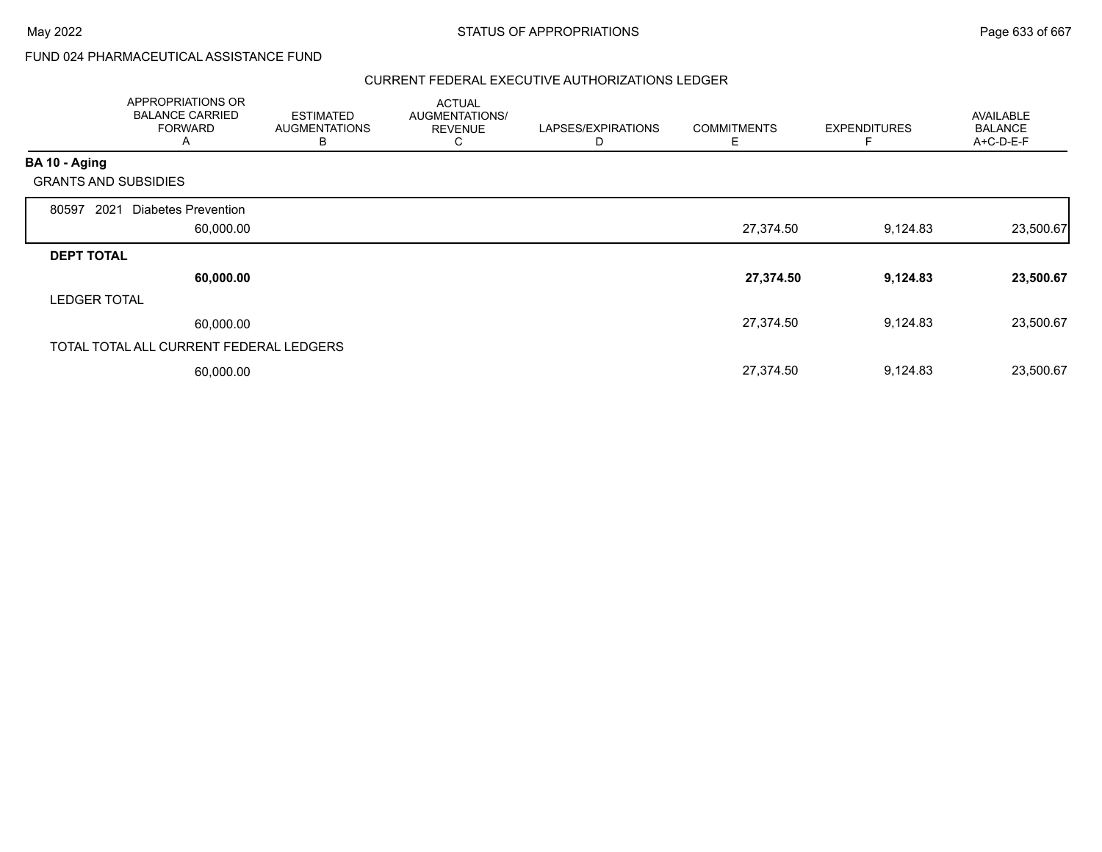# FUND 024 PHARMACEUTICAL ASSISTANCE FUND

|                             | APPROPRIATIONS OR<br><b>BALANCE CARRIED</b><br><b>FORWARD</b><br>A | <b>ESTIMATED</b><br><b>AUGMENTATIONS</b><br>в | <b>ACTUAL</b><br>AUGMENTATIONS/<br><b>REVENUE</b><br>C | LAPSES/EXPIRATIONS<br>D | <b>COMMITMENTS</b><br>Е | <b>EXPENDITURES</b> | <b>AVAILABLE</b><br><b>BALANCE</b><br>A+C-D-E-F |
|-----------------------------|--------------------------------------------------------------------|-----------------------------------------------|--------------------------------------------------------|-------------------------|-------------------------|---------------------|-------------------------------------------------|
| BA 10 - Aging               |                                                                    |                                               |                                                        |                         |                         |                     |                                                 |
| <b>GRANTS AND SUBSIDIES</b> |                                                                    |                                               |                                                        |                         |                         |                     |                                                 |
| 2021<br>80597               | Diabetes Prevention                                                |                                               |                                                        |                         |                         |                     |                                                 |
|                             | 60,000.00                                                          |                                               |                                                        |                         | 27,374.50               | 9,124.83            | 23,500.67                                       |
| <b>DEPT TOTAL</b>           |                                                                    |                                               |                                                        |                         |                         |                     |                                                 |
|                             | 60,000.00                                                          |                                               |                                                        |                         | 27,374.50               | 9,124.83            | 23,500.67                                       |
| <b>LEDGER TOTAL</b>         |                                                                    |                                               |                                                        |                         |                         |                     |                                                 |
|                             | 60,000.00                                                          |                                               |                                                        |                         | 27,374.50               | 9,124.83            | 23,500.67                                       |
|                             | TOTAL TOTAL ALL CURRENT FEDERAL LEDGERS                            |                                               |                                                        |                         |                         |                     |                                                 |
|                             | 60,000.00                                                          |                                               |                                                        |                         | 27,374.50               | 9,124.83            | 23,500.67                                       |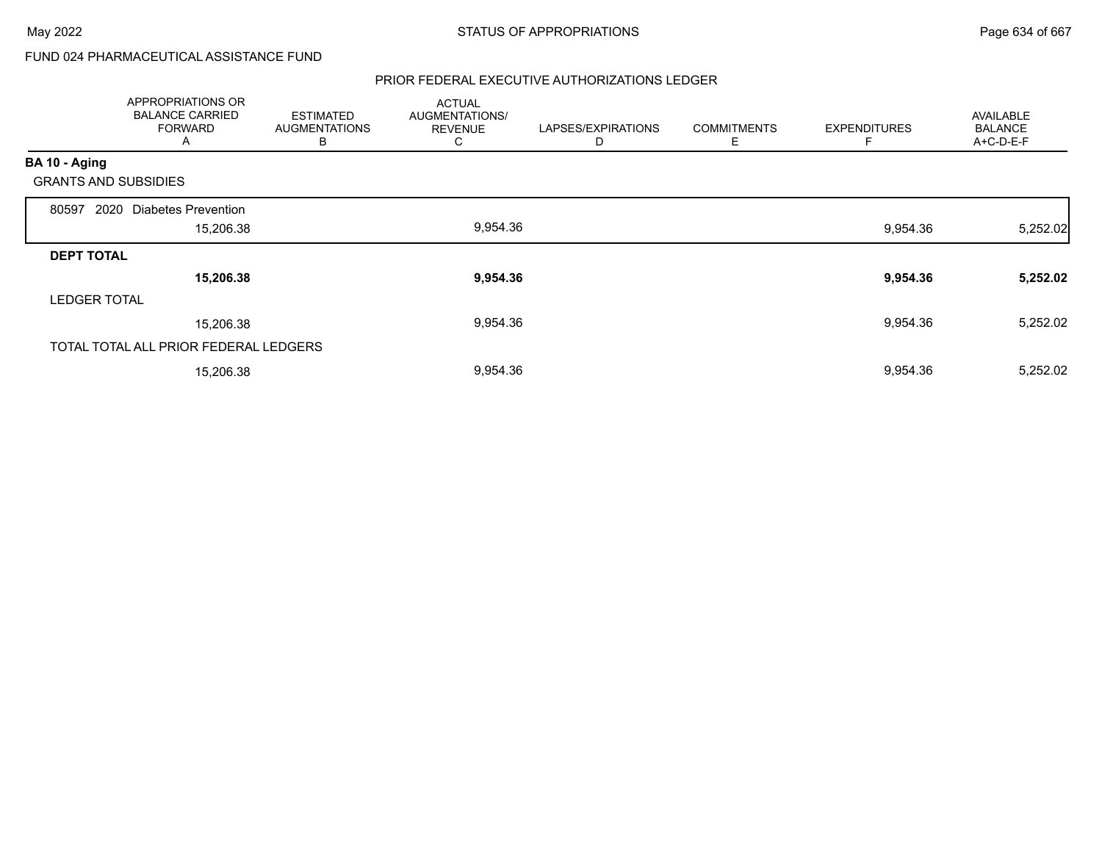# FUND 024 PHARMACEUTICAL ASSISTANCE FUND

|                             | APPROPRIATIONS OR<br><b>BALANCE CARRIED</b><br><b>FORWARD</b><br>A | <b>ESTIMATED</b><br><b>AUGMENTATIONS</b><br>В | <b>ACTUAL</b><br>AUGMENTATIONS/<br><b>REVENUE</b><br>⌒<br>◡ | LAPSES/EXPIRATIONS<br>D | <b>COMMITMENTS</b><br>Е | <b>EXPENDITURES</b><br>F | <b>AVAILABLE</b><br><b>BALANCE</b><br>A+C-D-E-F |
|-----------------------------|--------------------------------------------------------------------|-----------------------------------------------|-------------------------------------------------------------|-------------------------|-------------------------|--------------------------|-------------------------------------------------|
| BA 10 - Aging               |                                                                    |                                               |                                                             |                         |                         |                          |                                                 |
| <b>GRANTS AND SUBSIDIES</b> |                                                                    |                                               |                                                             |                         |                         |                          |                                                 |
| 2020<br>80597               | <b>Diabetes Prevention</b>                                         |                                               |                                                             |                         |                         |                          |                                                 |
|                             | 15,206.38                                                          |                                               | 9,954.36                                                    |                         |                         | 9,954.36                 | 5,252.02                                        |
| <b>DEPT TOTAL</b>           |                                                                    |                                               |                                                             |                         |                         |                          |                                                 |
|                             | 15,206.38                                                          |                                               | 9,954.36                                                    |                         |                         | 9,954.36                 | 5,252.02                                        |
| <b>LEDGER TOTAL</b>         |                                                                    |                                               |                                                             |                         |                         |                          |                                                 |
|                             | 15,206.38                                                          |                                               | 9,954.36                                                    |                         |                         | 9,954.36                 | 5,252.02                                        |
|                             | TOTAL TOTAL ALL PRIOR FEDERAL LEDGERS                              |                                               |                                                             |                         |                         |                          |                                                 |
|                             | 15,206.38                                                          |                                               | 9,954.36                                                    |                         |                         | 9,954.36                 | 5,252.02                                        |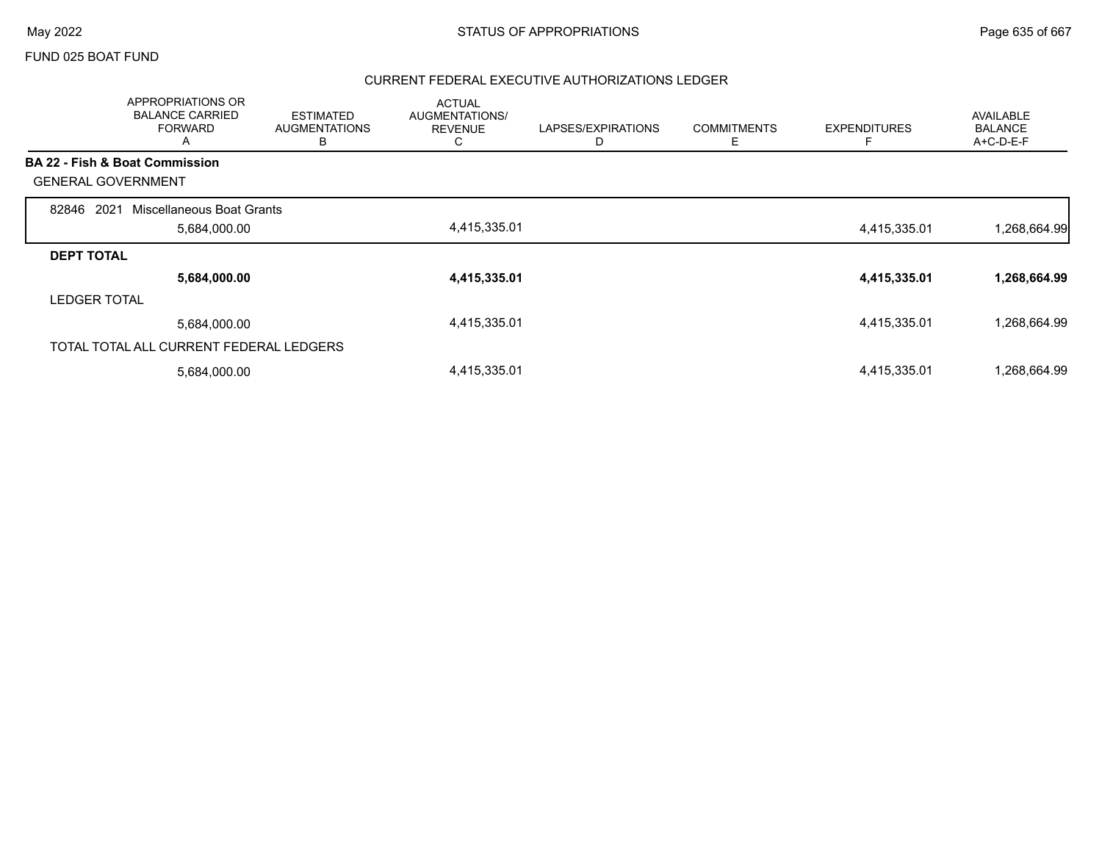### FUND 025 BOAT FUND

|                           | APPROPRIATIONS OR<br><b>BALANCE CARRIED</b><br><b>FORWARD</b><br>A | <b>ESTIMATED</b><br><b>AUGMENTATIONS</b><br>В | <b>ACTUAL</b><br>AUGMENTATIONS/<br><b>REVENUE</b><br>C | LAPSES/EXPIRATIONS<br>D | <b>COMMITMENTS</b><br>Е | <b>EXPENDITURES</b> | <b>AVAILABLE</b><br><b>BALANCE</b><br>A+C-D-E-F |
|---------------------------|--------------------------------------------------------------------|-----------------------------------------------|--------------------------------------------------------|-------------------------|-------------------------|---------------------|-------------------------------------------------|
|                           | <b>BA 22 - Fish &amp; Boat Commission</b>                          |                                               |                                                        |                         |                         |                     |                                                 |
| <b>GENERAL GOVERNMENT</b> |                                                                    |                                               |                                                        |                         |                         |                     |                                                 |
| 2021<br>82846             | Miscellaneous Boat Grants                                          |                                               |                                                        |                         |                         |                     |                                                 |
|                           | 5,684,000.00                                                       |                                               | 4,415,335.01                                           |                         |                         | 4,415,335.01        | 1,268,664.99                                    |
| <b>DEPT TOTAL</b>         |                                                                    |                                               |                                                        |                         |                         |                     |                                                 |
|                           | 5,684,000.00                                                       |                                               | 4,415,335.01                                           |                         |                         | 4,415,335.01        | 1,268,664.99                                    |
| <b>LEDGER TOTAL</b>       |                                                                    |                                               |                                                        |                         |                         |                     |                                                 |
|                           | 5,684,000.00                                                       |                                               | 4,415,335.01                                           |                         |                         | 4,415,335.01        | 1,268,664.99                                    |
|                           | TOTAL TOTAL ALL CURRENT FEDERAL LEDGERS                            |                                               |                                                        |                         |                         |                     |                                                 |
|                           | 5,684,000.00                                                       |                                               | 4,415,335.01                                           |                         |                         | 4,415,335.01        | 1,268,664.99                                    |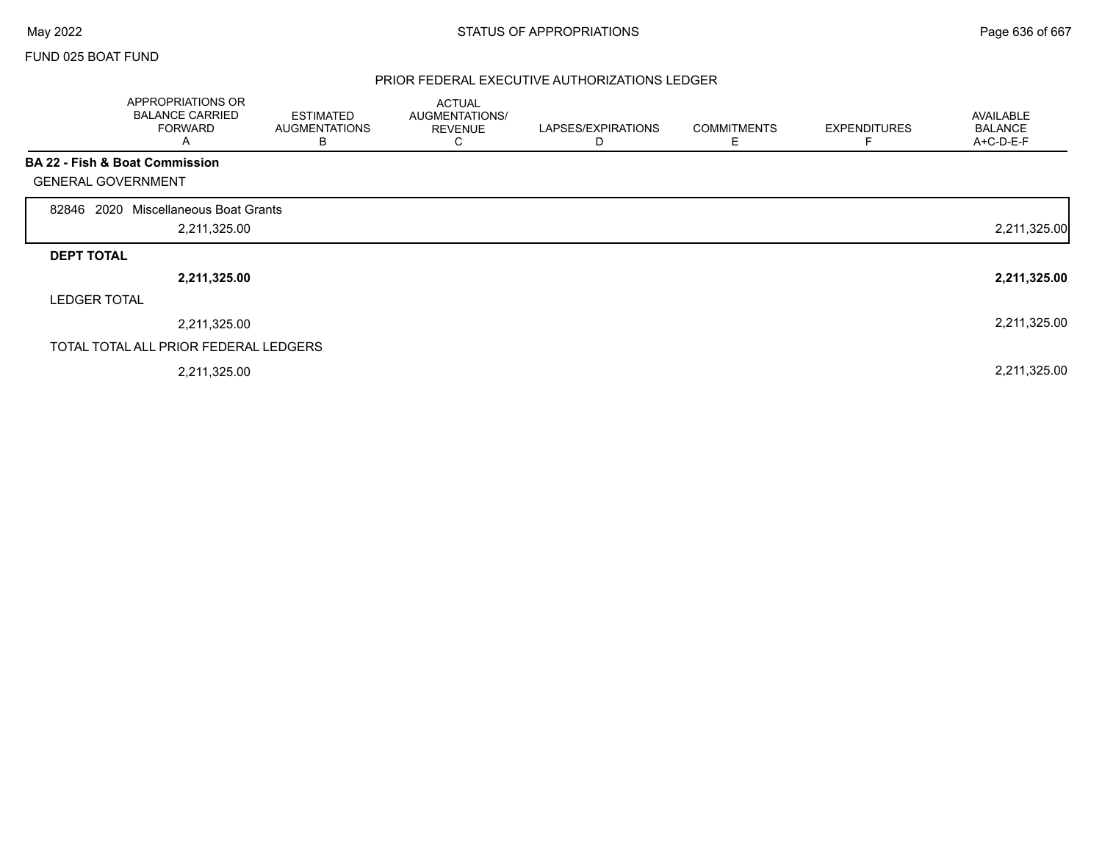$\Gamma$ 

## FUND 025 BOAT FUND

|                           | APPROPRIATIONS OR<br><b>BALANCE CARRIED</b><br><b>FORWARD</b><br>A | <b>ESTIMATED</b><br><b>AUGMENTATIONS</b><br>B | <b>ACTUAL</b><br>AUGMENTATIONS/<br><b>REVENUE</b><br>C | LAPSES/EXPIRATIONS<br>D | <b>COMMITMENTS</b><br>Е | <b>EXPENDITURES</b><br>F | <b>AVAILABLE</b><br><b>BALANCE</b><br>A+C-D-E-F |
|---------------------------|--------------------------------------------------------------------|-----------------------------------------------|--------------------------------------------------------|-------------------------|-------------------------|--------------------------|-------------------------------------------------|
|                           | BA 22 - Fish & Boat Commission                                     |                                               |                                                        |                         |                         |                          |                                                 |
| <b>GENERAL GOVERNMENT</b> |                                                                    |                                               |                                                        |                         |                         |                          |                                                 |
| 2020<br>82846             | Miscellaneous Boat Grants                                          |                                               |                                                        |                         |                         |                          |                                                 |
|                           | 2,211,325.00                                                       |                                               |                                                        |                         |                         |                          | 2,211,325.00                                    |
| <b>DEPT TOTAL</b>         |                                                                    |                                               |                                                        |                         |                         |                          |                                                 |
|                           | 2,211,325.00                                                       |                                               |                                                        |                         |                         |                          | 2,211,325.00                                    |
| <b>LEDGER TOTAL</b>       |                                                                    |                                               |                                                        |                         |                         |                          |                                                 |
|                           | 2,211,325.00                                                       |                                               |                                                        |                         |                         |                          | 2,211,325.00                                    |
|                           | TOTAL TOTAL ALL PRIOR FEDERAL LEDGERS                              |                                               |                                                        |                         |                         |                          |                                                 |
|                           | 2,211,325.00                                                       |                                               |                                                        |                         |                         |                          | 2,211,325.00                                    |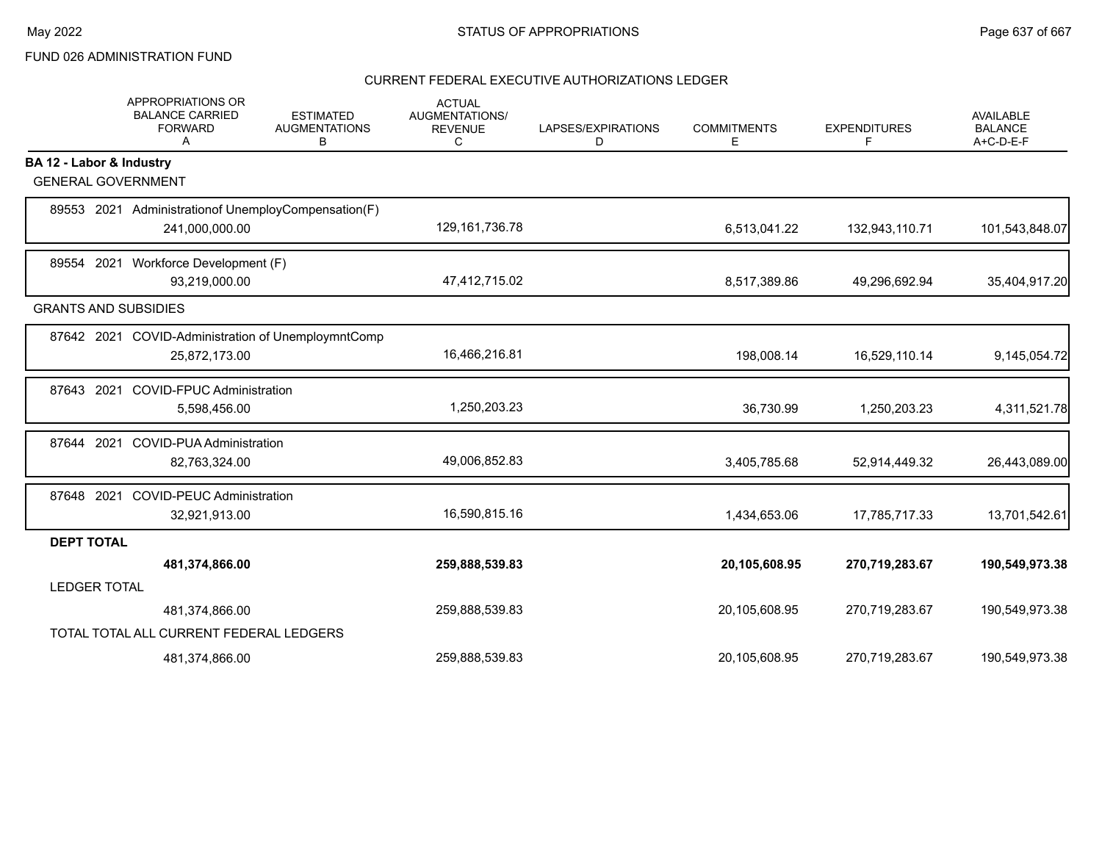# FUND 026 ADMINISTRATION FUND

|                          | <b>APPROPRIATIONS OR</b><br><b>BALANCE CARRIED</b><br><b>FORWARD</b><br>A | <b>ESTIMATED</b><br><b>AUGMENTATIONS</b><br>В | <b>ACTUAL</b><br><b>AUGMENTATIONS/</b><br><b>REVENUE</b><br>C | LAPSES/EXPIRATIONS<br>D | <b>COMMITMENTS</b><br>Е | <b>EXPENDITURES</b><br>F | <b>AVAILABLE</b><br><b>BALANCE</b><br>A+C-D-E-F |
|--------------------------|---------------------------------------------------------------------------|-----------------------------------------------|---------------------------------------------------------------|-------------------------|-------------------------|--------------------------|-------------------------------------------------|
| BA 12 - Labor & Industry |                                                                           |                                               |                                                               |                         |                         |                          |                                                 |
|                          | <b>GENERAL GOVERNMENT</b>                                                 |                                               |                                                               |                         |                         |                          |                                                 |
|                          | 89553 2021 Administration of Unemploy Compensation (F)                    |                                               |                                                               |                         |                         |                          |                                                 |
|                          | 241,000,000.00                                                            |                                               | 129, 161, 736. 78                                             |                         | 6,513,041.22            | 132,943,110.71           | 101,543,848.07                                  |
|                          | 89554 2021 Workforce Development (F)                                      |                                               |                                                               |                         |                         |                          |                                                 |
|                          | 93,219,000.00                                                             |                                               | 47,412,715.02                                                 |                         | 8,517,389.86            | 49,296,692.94            | 35,404,917.20                                   |
|                          | <b>GRANTS AND SUBSIDIES</b>                                               |                                               |                                                               |                         |                         |                          |                                                 |
|                          | 87642 2021 COVID-Administration of UnemploymntComp                        |                                               |                                                               |                         |                         |                          |                                                 |
|                          | 25,872,173.00                                                             |                                               | 16,466,216.81                                                 |                         | 198,008.14              | 16,529,110.14            | 9,145,054.72                                    |
| 87643                    | <b>COVID-FPUC Administration</b><br>2021                                  |                                               |                                                               |                         |                         |                          |                                                 |
|                          | 5,598,456.00                                                              |                                               | 1,250,203.23                                                  |                         | 36,730.99               | 1,250,203.23             | 4,311,521.78                                    |
| 87644                    | 2021<br><b>COVID-PUA Administration</b>                                   |                                               |                                                               |                         |                         |                          |                                                 |
|                          | 82,763,324.00                                                             |                                               | 49,006,852.83                                                 |                         | 3,405,785.68            | 52,914,449.32            | 26,443,089.00                                   |
|                          | 87648 2021 COVID-PEUC Administration                                      |                                               |                                                               |                         |                         |                          |                                                 |
|                          | 32,921,913.00                                                             |                                               | 16,590,815.16                                                 |                         | 1,434,653.06            | 17,785,717.33            | 13,701,542.61                                   |
| <b>DEPT TOTAL</b>        |                                                                           |                                               |                                                               |                         |                         |                          |                                                 |
|                          | 481,374,866.00                                                            |                                               | 259,888,539.83                                                |                         | 20,105,608.95           | 270,719,283.67           | 190,549,973.38                                  |
| <b>LEDGER TOTAL</b>      |                                                                           |                                               |                                                               |                         |                         |                          |                                                 |
|                          | 481,374,866.00                                                            |                                               | 259,888,539.83                                                |                         | 20,105,608.95           | 270,719,283.67           | 190,549,973.38                                  |
|                          | TOTAL TOTAL ALL CURRENT FEDERAL LEDGERS                                   |                                               |                                                               |                         |                         |                          |                                                 |
|                          | 481,374,866.00                                                            |                                               | 259,888,539.83                                                |                         | 20,105,608.95           | 270,719,283.67           | 190,549,973.38                                  |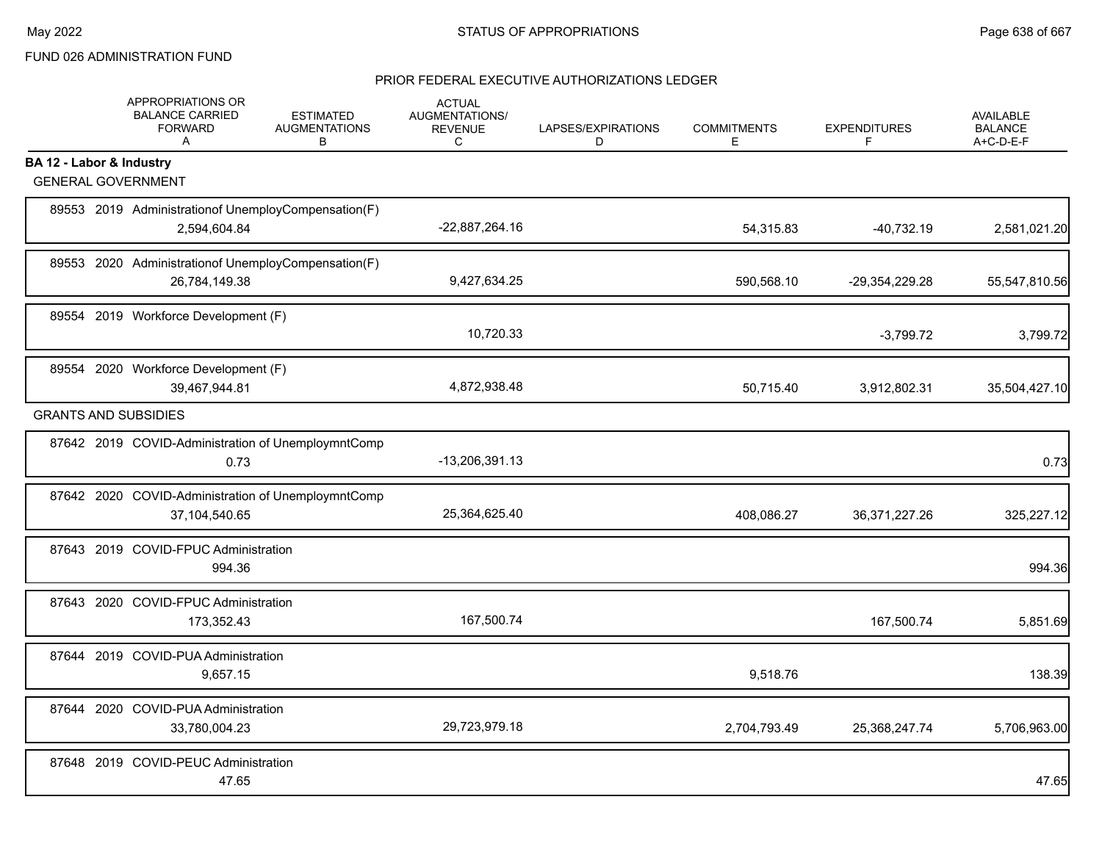# FUND 026 ADMINISTRATION FUND

|                          | APPROPRIATIONS OR<br><b>BALANCE CARRIED</b><br><b>FORWARD</b><br>A     | <b>ESTIMATED</b><br><b>AUGMENTATIONS</b><br>B | <b>ACTUAL</b><br>AUGMENTATIONS/<br><b>REVENUE</b><br>C | LAPSES/EXPIRATIONS<br>D | <b>COMMITMENTS</b><br>E. | <b>EXPENDITURES</b><br>F | <b>AVAILABLE</b><br><b>BALANCE</b><br>A+C-D-E-F |
|--------------------------|------------------------------------------------------------------------|-----------------------------------------------|--------------------------------------------------------|-------------------------|--------------------------|--------------------------|-------------------------------------------------|
| BA 12 - Labor & Industry |                                                                        |                                               |                                                        |                         |                          |                          |                                                 |
|                          | <b>GENERAL GOVERNMENT</b>                                              |                                               |                                                        |                         |                          |                          |                                                 |
|                          | 89553 2019 Administration of Unemploy Compensation (F)<br>2,594,604.84 |                                               | -22,887,264.16                                         |                         | 54,315.83                | $-40,732.19$             | 2,581,021.20                                    |
|                          | 89553 2020 Administrationof UnemployCompensation(F)<br>26,784,149.38   |                                               | 9,427,634.25                                           |                         | 590,568.10               | -29,354,229.28           | 55,547,810.56                                   |
|                          | 89554 2019 Workforce Development (F)                                   |                                               | 10,720.33                                              |                         |                          | $-3,799.72$              | 3,799.72                                        |
|                          | 89554 2020 Workforce Development (F)<br>39,467,944.81                  |                                               | 4,872,938.48                                           |                         | 50,715.40                | 3,912,802.31             | 35,504,427.10                                   |
|                          | <b>GRANTS AND SUBSIDIES</b>                                            |                                               |                                                        |                         |                          |                          |                                                 |
|                          | 87642 2019 COVID-Administration of UnemploymntComp<br>0.73             |                                               | -13,206,391.13                                         |                         |                          |                          | 0.73                                            |
|                          | 87642 2020 COVID-Administration of UnemploymntComp<br>37,104,540.65    |                                               | 25,364,625.40                                          |                         | 408,086.27               | 36, 371, 227. 26         | 325,227.12                                      |
|                          | 87643 2019 COVID-FPUC Administration<br>994.36                         |                                               |                                                        |                         |                          |                          | 994.36                                          |
|                          | 87643 2020 COVID-FPUC Administration<br>173,352.43                     |                                               | 167,500.74                                             |                         |                          | 167,500.74               | 5,851.69                                        |
|                          | 87644 2019 COVID-PUA Administration<br>9,657.15                        |                                               |                                                        |                         | 9,518.76                 |                          | 138.39                                          |
|                          | 87644 2020 COVID-PUA Administration<br>33,780,004.23                   |                                               | 29,723,979.18                                          |                         | 2,704,793.49             | 25,368,247.74            | 5,706,963.00                                    |
|                          | 87648 2019 COVID-PEUC Administration<br>47.65                          |                                               |                                                        |                         |                          |                          | 47.65                                           |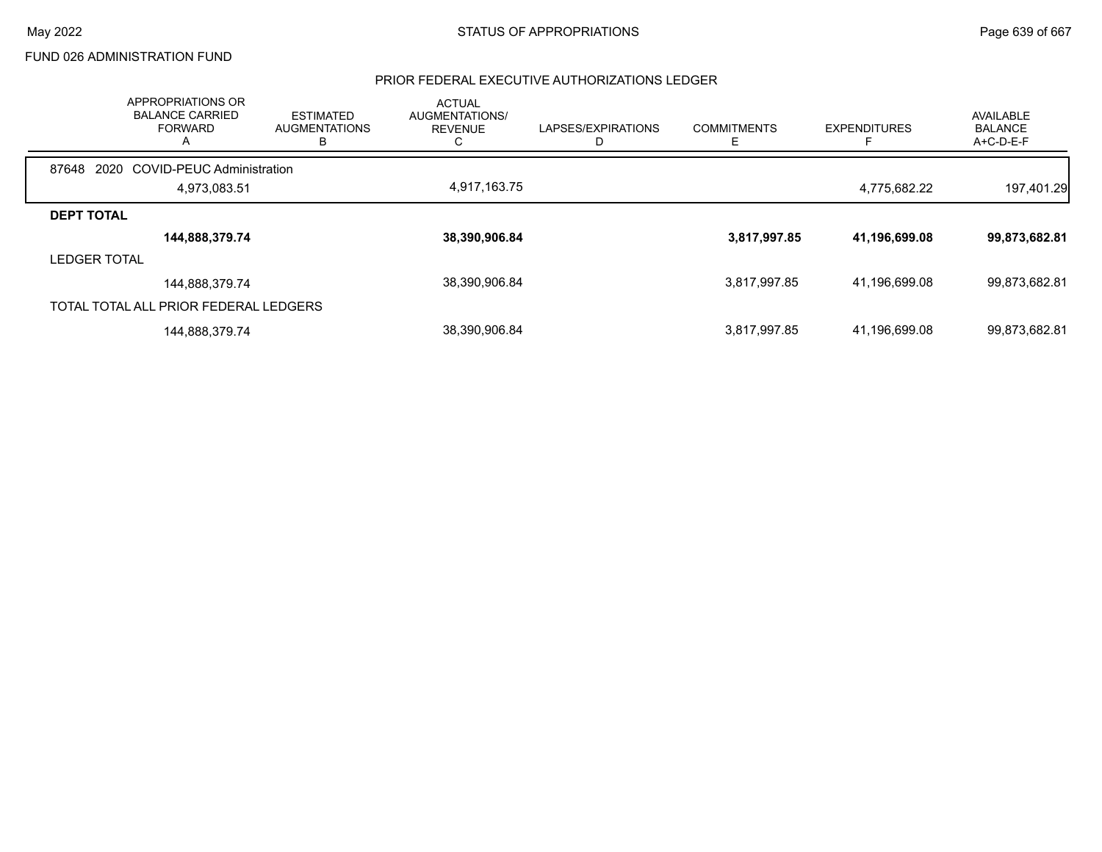## FUND 026 ADMINISTRATION FUND

|                     | APPROPRIATIONS OR<br><b>BALANCE CARRIED</b><br><b>FORWARD</b><br>$\mathsf{A}$ | <b>ESTIMATED</b><br><b>AUGMENTATIONS</b><br>в | <b>ACTUAL</b><br>AUGMENTATIONS/<br><b>REVENUE</b> | LAPSES/EXPIRATIONS | <b>COMMITMENTS</b><br>⊢ | <b>EXPENDITURES</b> | AVAILABLE<br><b>BALANCE</b><br>$A+C-D-E-F$ |
|---------------------|-------------------------------------------------------------------------------|-----------------------------------------------|---------------------------------------------------|--------------------|-------------------------|---------------------|--------------------------------------------|
| 87648               | 2020 COVID-PEUC Administration                                                |                                               |                                                   |                    |                         |                     |                                            |
|                     | 4.973.083.51                                                                  |                                               | 4,917,163.75                                      |                    |                         | 4.775.682.22        | 197,401.29                                 |
| <b>DEPT TOTAL</b>   |                                                                               |                                               |                                                   |                    |                         |                     |                                            |
|                     | 144,888,379.74                                                                |                                               | 38,390,906.84                                     |                    | 3,817,997.85            | 41,196,699.08       | 99,873,682.81                              |
| <b>LEDGER TOTAL</b> |                                                                               |                                               |                                                   |                    |                         |                     |                                            |
|                     | 144,888,379.74                                                                |                                               | 38,390,906.84                                     |                    | 3,817,997.85            | 41.196.699.08       | 99,873,682.81                              |
|                     | TOTAL TOTAL ALL PRIOR FEDERAL LEDGERS                                         |                                               |                                                   |                    |                         |                     |                                            |
|                     | 144,888,379.74                                                                |                                               | 38,390,906.84                                     |                    | 3,817,997.85            | 41,196,699.08       | 99,873,682.81                              |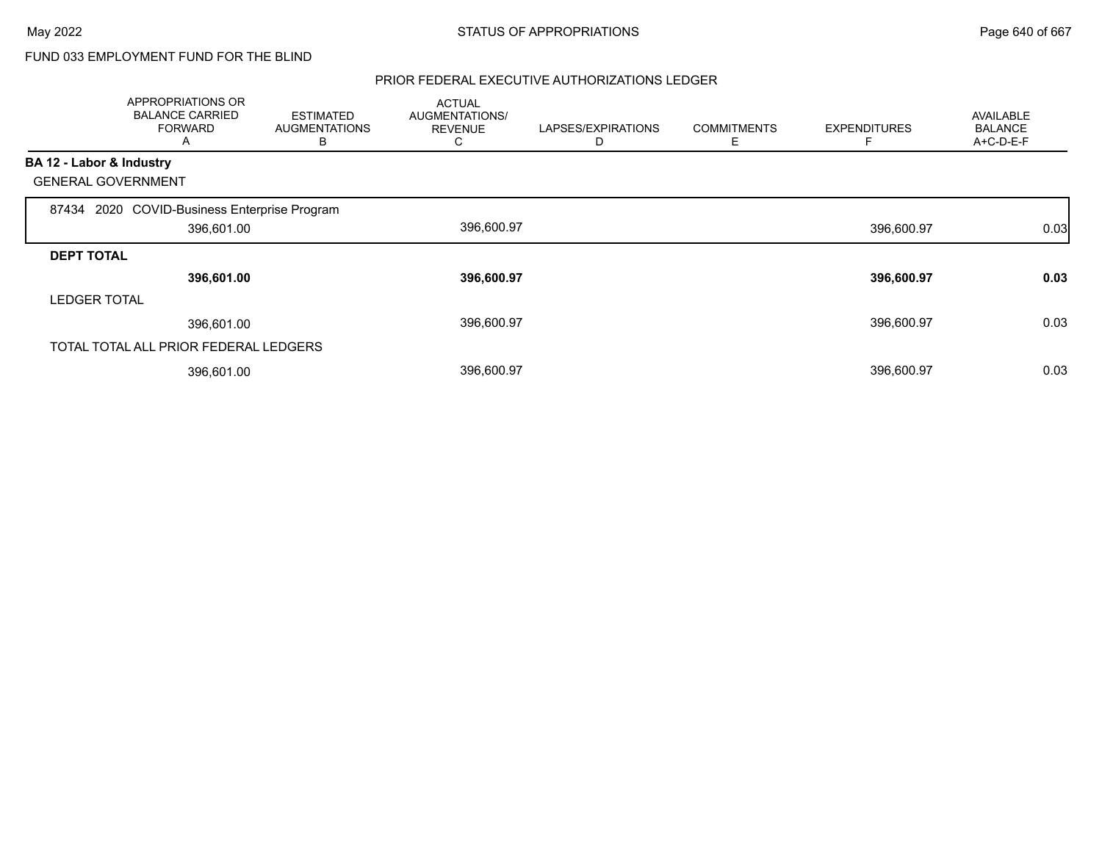# FUND 033 EMPLOYMENT FUND FOR THE BLIND

|                          | APPROPRIATIONS OR<br><b>BALANCE CARRIED</b><br><b>FORWARD</b><br>A | <b>ESTIMATED</b><br><b>AUGMENTATIONS</b><br>B | <b>ACTUAL</b><br>AUGMENTATIONS/<br><b>REVENUE</b><br>C | LAPSES/EXPIRATIONS<br>D | <b>COMMITMENTS</b><br>E | <b>EXPENDITURES</b> | <b>AVAILABLE</b><br><b>BALANCE</b><br>A+C-D-E-F |
|--------------------------|--------------------------------------------------------------------|-----------------------------------------------|--------------------------------------------------------|-------------------------|-------------------------|---------------------|-------------------------------------------------|
| BA 12 - Labor & Industry |                                                                    |                                               |                                                        |                         |                         |                     |                                                 |
|                          | <b>GENERAL GOVERNMENT</b>                                          |                                               |                                                        |                         |                         |                     |                                                 |
|                          | 87434 2020 COVID-Business Enterprise Program                       |                                               |                                                        |                         |                         |                     |                                                 |
|                          | 396,601.00                                                         |                                               | 396,600.97                                             |                         |                         | 396,600.97          | 0.03                                            |
| <b>DEPT TOTAL</b>        |                                                                    |                                               |                                                        |                         |                         |                     |                                                 |
|                          | 396,601.00                                                         |                                               | 396,600.97                                             |                         |                         | 396,600.97          | 0.03                                            |
| <b>LEDGER TOTAL</b>      |                                                                    |                                               |                                                        |                         |                         |                     |                                                 |
|                          | 396,601.00                                                         |                                               | 396,600.97                                             |                         |                         | 396,600.97          | 0.03                                            |
|                          | TOTAL TOTAL ALL PRIOR FEDERAL LEDGERS                              |                                               |                                                        |                         |                         |                     |                                                 |
|                          | 396,601.00                                                         |                                               | 396,600.97                                             |                         |                         | 396,600.97          | 0.03                                            |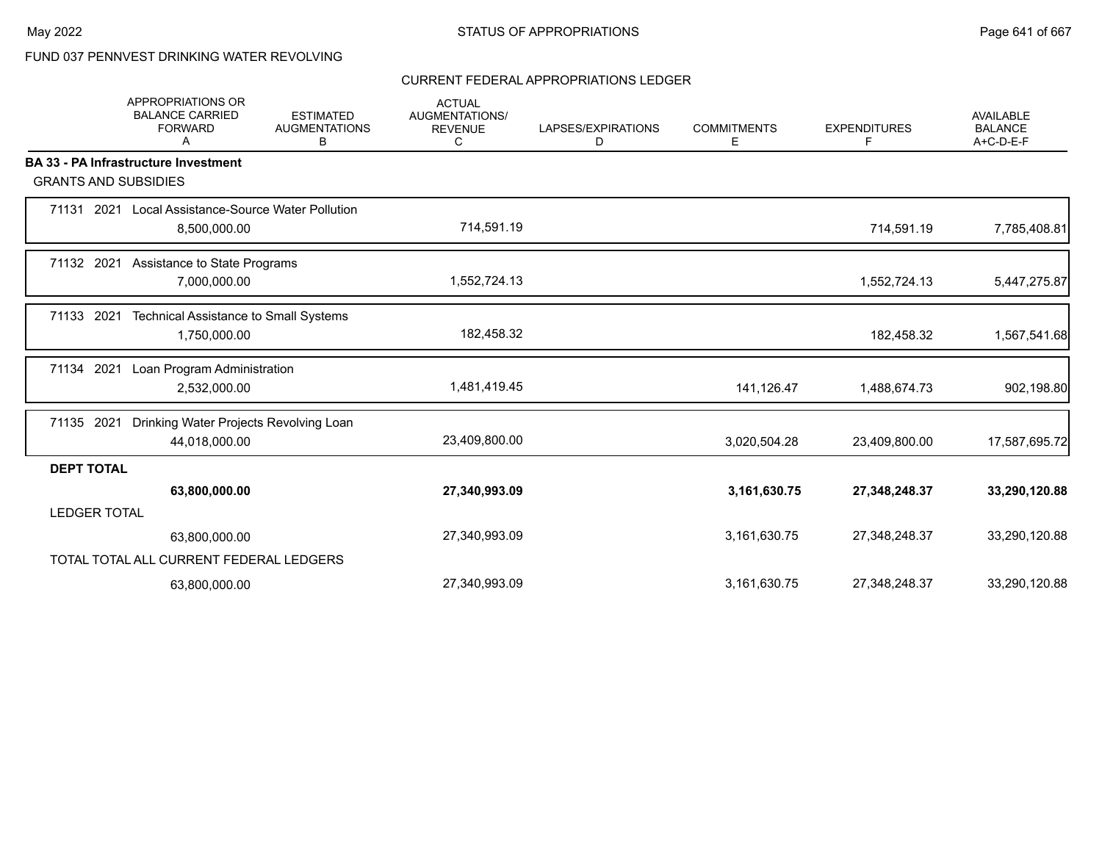# FUND 037 PENNVEST DRINKING WATER REVOLVING

## CURRENT FEDERAL APPROPRIATIONS LEDGER

|                             | APPROPRIATIONS OR<br><b>BALANCE CARRIED</b><br><b>FORWARD</b><br>A | <b>ESTIMATED</b><br><b>AUGMENTATIONS</b><br>В | <b>ACTUAL</b><br><b>AUGMENTATIONS/</b><br><b>REVENUE</b><br>C | LAPSES/EXPIRATIONS<br>D | <b>COMMITMENTS</b><br>Е | <b>EXPENDITURES</b><br>F | <b>AVAILABLE</b><br><b>BALANCE</b><br>A+C-D-E-F |
|-----------------------------|--------------------------------------------------------------------|-----------------------------------------------|---------------------------------------------------------------|-------------------------|-------------------------|--------------------------|-------------------------------------------------|
|                             | <b>BA 33 - PA Infrastructure Investment</b>                        |                                               |                                                               |                         |                         |                          |                                                 |
| <b>GRANTS AND SUBSIDIES</b> |                                                                    |                                               |                                                               |                         |                         |                          |                                                 |
|                             | 71131 2021 Local Assistance-Source Water Pollution<br>8,500,000.00 |                                               | 714,591.19                                                    |                         |                         | 714,591.19               | 7,785,408.81                                    |
| 71132 2021                  | Assistance to State Programs<br>7,000,000.00                       |                                               | 1,552,724.13                                                  |                         |                         | 1,552,724.13             | 5,447,275.87                                    |
| 71133 2021                  | Technical Assistance to Small Systems<br>1,750,000.00              |                                               | 182,458.32                                                    |                         |                         | 182,458.32               | 1,567,541.68                                    |
| 71134 2021                  | Loan Program Administration<br>2,532,000.00                        |                                               | 1,481,419.45                                                  |                         | 141,126.47              | 1,488,674.73             | 902,198.80                                      |
| 71135 2021                  | Drinking Water Projects Revolving Loan<br>44,018,000.00            |                                               | 23,409,800.00                                                 |                         | 3,020,504.28            | 23,409,800.00            | 17,587,695.72                                   |
| <b>DEPT TOTAL</b>           |                                                                    |                                               |                                                               |                         |                         |                          |                                                 |
|                             | 63,800,000.00                                                      |                                               | 27,340,993.09                                                 |                         | 3,161,630.75            | 27,348,248.37            | 33,290,120.88                                   |
| <b>LEDGER TOTAL</b>         |                                                                    |                                               |                                                               |                         |                         |                          |                                                 |
|                             | 63,800,000.00                                                      |                                               | 27,340,993.09                                                 |                         | 3,161,630.75            | 27,348,248.37            | 33,290,120.88                                   |
|                             | TOTAL TOTAL ALL CURRENT FEDERAL LEDGERS                            |                                               |                                                               |                         |                         |                          |                                                 |
|                             | 63,800,000.00                                                      |                                               | 27,340,993.09                                                 |                         | 3,161,630.75            | 27,348,248.37            | 33,290,120.88                                   |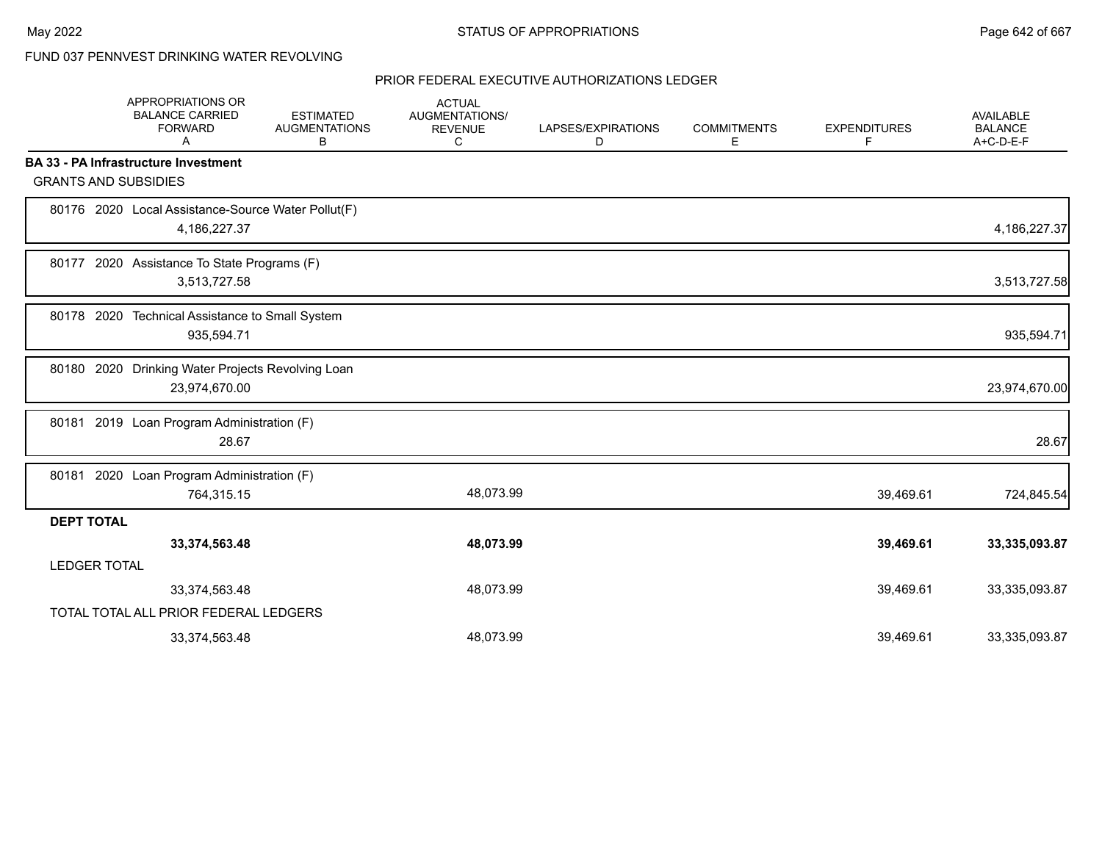# FUND 037 PENNVEST DRINKING WATER REVOLVING

|                     | APPROPRIATIONS OR<br><b>BALANCE CARRIED</b><br><b>FORWARD</b><br>A | <b>ESTIMATED</b><br><b>AUGMENTATIONS</b><br>В | <b>ACTUAL</b><br>AUGMENTATIONS/<br><b>REVENUE</b><br>C | LAPSES/EXPIRATIONS<br>D | <b>COMMITMENTS</b><br>Е | <b>EXPENDITURES</b><br>F | <b>AVAILABLE</b><br><b>BALANCE</b><br>A+C-D-E-F |
|---------------------|--------------------------------------------------------------------|-----------------------------------------------|--------------------------------------------------------|-------------------------|-------------------------|--------------------------|-------------------------------------------------|
|                     | <b>BA 33 - PA Infrastructure Investment</b>                        |                                               |                                                        |                         |                         |                          |                                                 |
|                     | <b>GRANTS AND SUBSIDIES</b>                                        |                                               |                                                        |                         |                         |                          |                                                 |
|                     | 80176 2020 Local Assistance-Source Water Pollut(F)<br>4,186,227.37 |                                               |                                                        |                         |                         |                          | 4,186,227.37                                    |
|                     | 80177 2020 Assistance To State Programs (F)<br>3,513,727.58        |                                               |                                                        |                         |                         |                          | 3,513,727.58                                    |
| 80178 2020          | Technical Assistance to Small System<br>935,594.71                 |                                               |                                                        |                         |                         |                          | 935,594.71                                      |
|                     | 80180 2020 Drinking Water Projects Revolving Loan<br>23,974,670.00 |                                               |                                                        |                         |                         |                          | 23,974,670.00                                   |
|                     | 80181 2019 Loan Program Administration (F)<br>28.67                |                                               |                                                        |                         |                         |                          | 28.67                                           |
| 80181               | 2020 Loan Program Administration (F)<br>764,315.15                 |                                               | 48,073.99                                              |                         |                         | 39,469.61                | 724,845.54                                      |
| <b>DEPT TOTAL</b>   |                                                                    |                                               |                                                        |                         |                         |                          |                                                 |
|                     | 33,374,563.48                                                      |                                               | 48,073.99                                              |                         |                         | 39,469.61                | 33,335,093.87                                   |
| <b>LEDGER TOTAL</b> |                                                                    |                                               |                                                        |                         |                         |                          |                                                 |
|                     | 33,374,563.48                                                      |                                               | 48,073.99                                              |                         |                         | 39,469.61                | 33,335,093.87                                   |
|                     | TOTAL TOTAL ALL PRIOR FEDERAL LEDGERS                              |                                               |                                                        |                         |                         |                          |                                                 |
|                     | 33,374,563.48                                                      |                                               | 48,073.99                                              |                         |                         | 39,469.61                | 33,335,093.87                                   |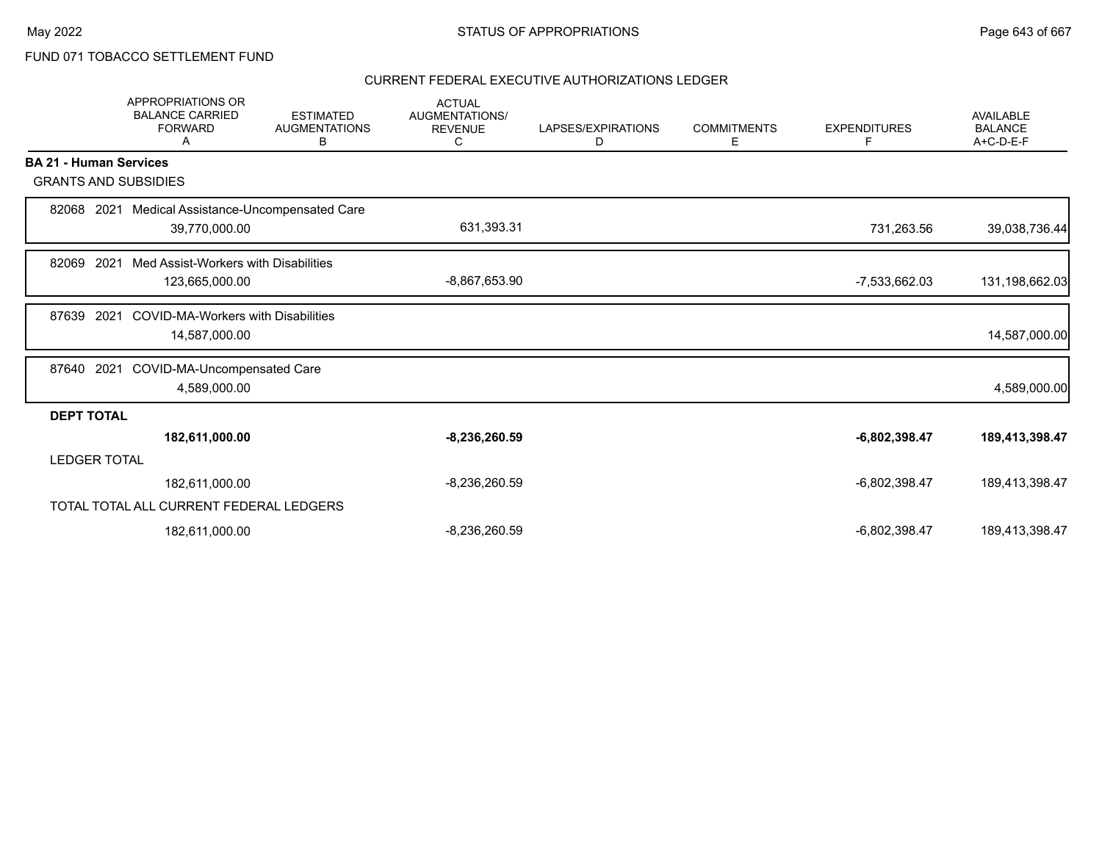# FUND 071 TOBACCO SETTLEMENT FUND

|                               | <b>APPROPRIATIONS OR</b><br><b>BALANCE CARRIED</b><br><b>FORWARD</b><br>А | <b>ESTIMATED</b><br><b>AUGMENTATIONS</b><br>В | <b>ACTUAL</b><br>AUGMENTATIONS/<br><b>REVENUE</b><br>С | LAPSES/EXPIRATIONS<br>D | <b>COMMITMENTS</b><br>Е | <b>EXPENDITURES</b><br>F | <b>AVAILABLE</b><br><b>BALANCE</b><br>$A+C-D-E-F$ |
|-------------------------------|---------------------------------------------------------------------------|-----------------------------------------------|--------------------------------------------------------|-------------------------|-------------------------|--------------------------|---------------------------------------------------|
| <b>BA 21 - Human Services</b> |                                                                           |                                               |                                                        |                         |                         |                          |                                                   |
| <b>GRANTS AND SUBSIDIES</b>   |                                                                           |                                               |                                                        |                         |                         |                          |                                                   |
| 82068                         | 2021 Medical Assistance-Uncompensated Care                                |                                               |                                                        |                         |                         |                          |                                                   |
|                               | 39,770,000.00                                                             |                                               | 631,393.31                                             |                         |                         | 731,263.56               | 39,038,736.44                                     |
| 2021<br>82069                 | Med Assist-Workers with Disabilities                                      |                                               |                                                        |                         |                         |                          |                                                   |
|                               | 123,665,000.00                                                            |                                               | $-8,867,653.90$                                        |                         |                         | -7,533,662.03            | 131,198,662.03                                    |
| 2021<br>87639                 | <b>COVID-MA-Workers with Disabilities</b>                                 |                                               |                                                        |                         |                         |                          |                                                   |
|                               | 14,587,000.00                                                             |                                               |                                                        |                         |                         |                          | 14,587,000.00                                     |
| 87640                         | 2021 COVID-MA-Uncompensated Care                                          |                                               |                                                        |                         |                         |                          |                                                   |
|                               | 4,589,000.00                                                              |                                               |                                                        |                         |                         |                          | 4,589,000.00                                      |
| <b>DEPT TOTAL</b>             |                                                                           |                                               |                                                        |                         |                         |                          |                                                   |
|                               | 182,611,000.00                                                            |                                               | $-8,236,260.59$                                        |                         |                         | $-6,802,398.47$          | 189,413,398.47                                    |
| <b>LEDGER TOTAL</b>           |                                                                           |                                               |                                                        |                         |                         |                          |                                                   |
|                               | 182,611,000.00                                                            |                                               | $-8,236,260.59$                                        |                         |                         | $-6,802,398.47$          | 189,413,398.47                                    |
|                               | TOTAL TOTAL ALL CURRENT FEDERAL LEDGERS                                   |                                               |                                                        |                         |                         |                          |                                                   |
|                               | 182,611,000.00                                                            |                                               | $-8,236,260.59$                                        |                         |                         | $-6,802,398.47$          | 189,413,398.47                                    |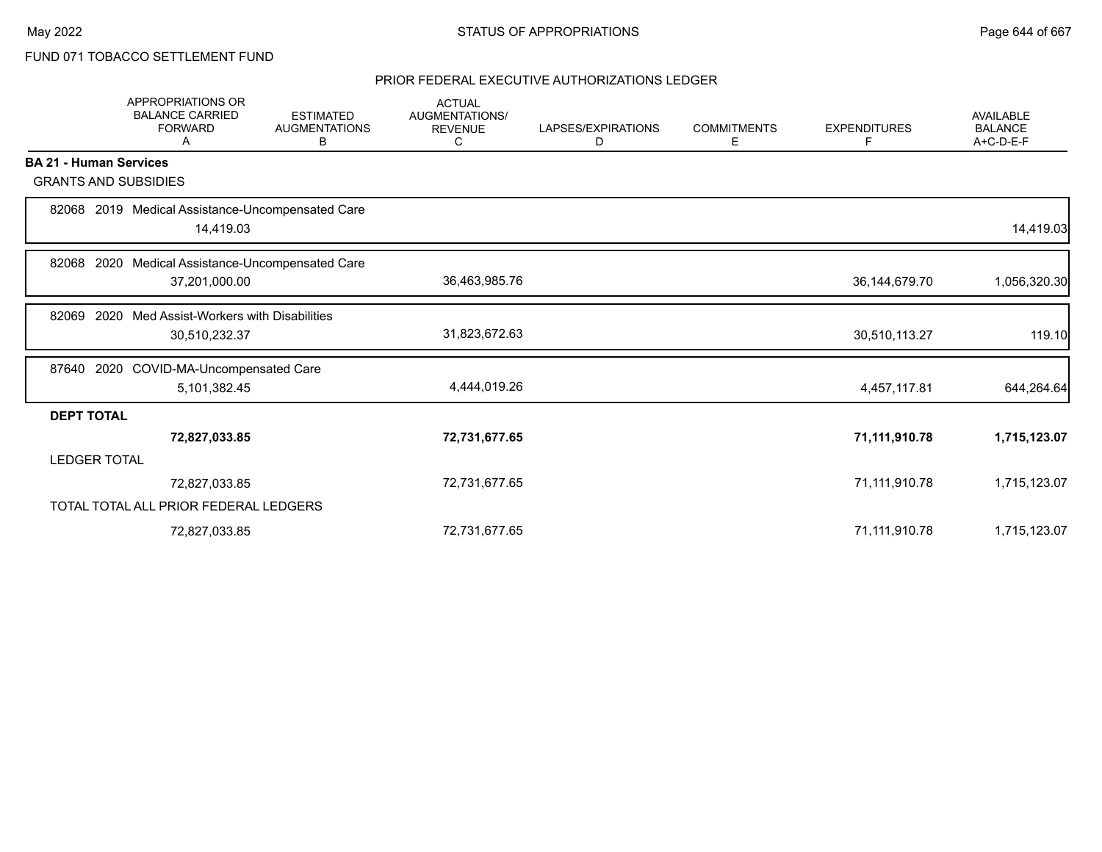FUND 071 TOBACCO SETTLEMENT FUND

|                               | APPROPRIATIONS OR<br><b>BALANCE CARRIED</b><br><b>FORWARD</b><br>A | <b>ESTIMATED</b><br><b>AUGMENTATIONS</b><br>В | <b>ACTUAL</b><br>AUGMENTATIONS/<br><b>REVENUE</b><br>С | LAPSES/EXPIRATIONS<br>D | <b>COMMITMENTS</b><br>E | <b>EXPENDITURES</b><br>F | <b>AVAILABLE</b><br><b>BALANCE</b><br>A+C-D-E-F |
|-------------------------------|--------------------------------------------------------------------|-----------------------------------------------|--------------------------------------------------------|-------------------------|-------------------------|--------------------------|-------------------------------------------------|
| <b>BA 21 - Human Services</b> |                                                                    |                                               |                                                        |                         |                         |                          |                                                 |
| <b>GRANTS AND SUBSIDIES</b>   |                                                                    |                                               |                                                        |                         |                         |                          |                                                 |
|                               | 82068 2019 Medical Assistance-Uncompensated Care<br>14,419.03      |                                               |                                                        |                         |                         |                          | 14,419.03                                       |
| 2020<br>82068                 | Medical Assistance-Uncompensated Care                              |                                               |                                                        |                         |                         |                          |                                                 |
|                               | 37,201,000.00                                                      |                                               | 36,463,985.76                                          |                         |                         | 36, 144, 679. 70         | 1,056,320.30                                    |
| 82069                         | 2020 Med Assist-Workers with Disabilities                          |                                               |                                                        |                         |                         |                          |                                                 |
|                               | 30,510,232.37                                                      |                                               | 31,823,672.63                                          |                         |                         | 30,510,113.27            | 119.10                                          |
|                               | 87640 2020 COVID-MA-Uncompensated Care                             |                                               |                                                        |                         |                         |                          |                                                 |
|                               | 5,101,382.45                                                       |                                               | 4,444,019.26                                           |                         |                         | 4,457,117.81             | 644,264.64                                      |
| <b>DEPT TOTAL</b>             |                                                                    |                                               |                                                        |                         |                         |                          |                                                 |
|                               | 72,827,033.85                                                      |                                               | 72,731,677.65                                          |                         |                         | 71,111,910.78            | 1,715,123.07                                    |
| <b>LEDGER TOTAL</b>           |                                                                    |                                               |                                                        |                         |                         |                          |                                                 |
|                               | 72,827,033.85                                                      |                                               | 72,731,677.65                                          |                         |                         | 71,111,910.78            | 1,715,123.07                                    |
|                               | TOTAL TOTAL ALL PRIOR FEDERAL LEDGERS                              |                                               |                                                        |                         |                         |                          |                                                 |
|                               | 72,827,033.85                                                      |                                               | 72,731,677.65                                          |                         |                         | 71,111,910.78            | 1,715,123.07                                    |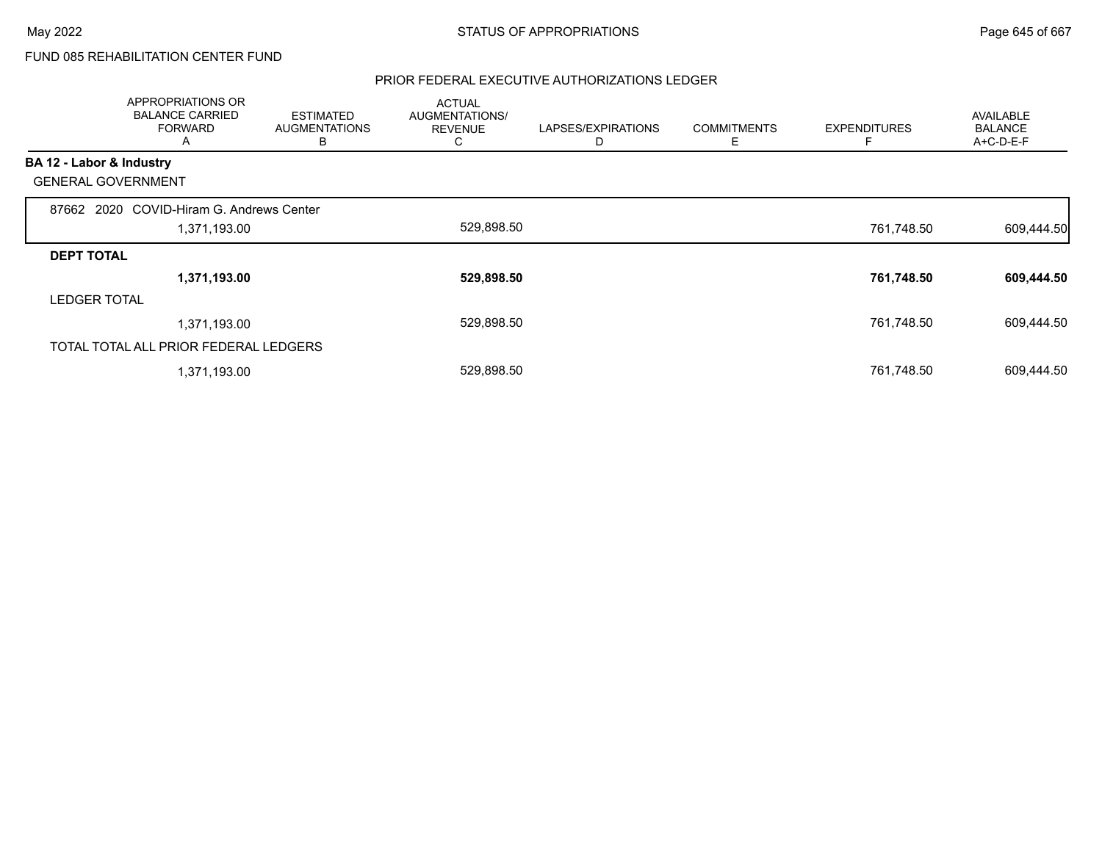# FUND 085 REHABILITATION CENTER FUND

|                          | APPROPRIATIONS OR<br><b>BALANCE CARRIED</b><br><b>FORWARD</b><br>A | <b>ESTIMATED</b><br><b>AUGMENTATIONS</b><br>В | <b>ACTUAL</b><br>AUGMENTATIONS/<br><b>REVENUE</b><br>C | LAPSES/EXPIRATIONS<br>D | <b>COMMITMENTS</b><br>Е | <b>EXPENDITURES</b> | <b>AVAILABLE</b><br><b>BALANCE</b><br>A+C-D-E-F |
|--------------------------|--------------------------------------------------------------------|-----------------------------------------------|--------------------------------------------------------|-------------------------|-------------------------|---------------------|-------------------------------------------------|
| BA 12 - Labor & Industry |                                                                    |                                               |                                                        |                         |                         |                     |                                                 |
|                          | <b>GENERAL GOVERNMENT</b>                                          |                                               |                                                        |                         |                         |                     |                                                 |
|                          | 87662 2020 COVID-Hiram G. Andrews Center                           |                                               |                                                        |                         |                         |                     |                                                 |
|                          | 1,371,193.00                                                       |                                               | 529,898.50                                             |                         |                         | 761,748.50          | 609,444.50                                      |
| <b>DEPT TOTAL</b>        |                                                                    |                                               |                                                        |                         |                         |                     |                                                 |
|                          | 1,371,193.00                                                       |                                               | 529,898.50                                             |                         |                         | 761,748.50          | 609,444.50                                      |
| <b>LEDGER TOTAL</b>      |                                                                    |                                               |                                                        |                         |                         |                     |                                                 |
|                          | 1,371,193.00                                                       |                                               | 529,898.50                                             |                         |                         | 761,748.50          | 609,444.50                                      |
|                          | TOTAL TOTAL ALL PRIOR FEDERAL LEDGERS                              |                                               |                                                        |                         |                         |                     |                                                 |
|                          | 1,371,193.00                                                       |                                               | 529,898.50                                             |                         |                         | 761,748.50          | 609,444.50                                      |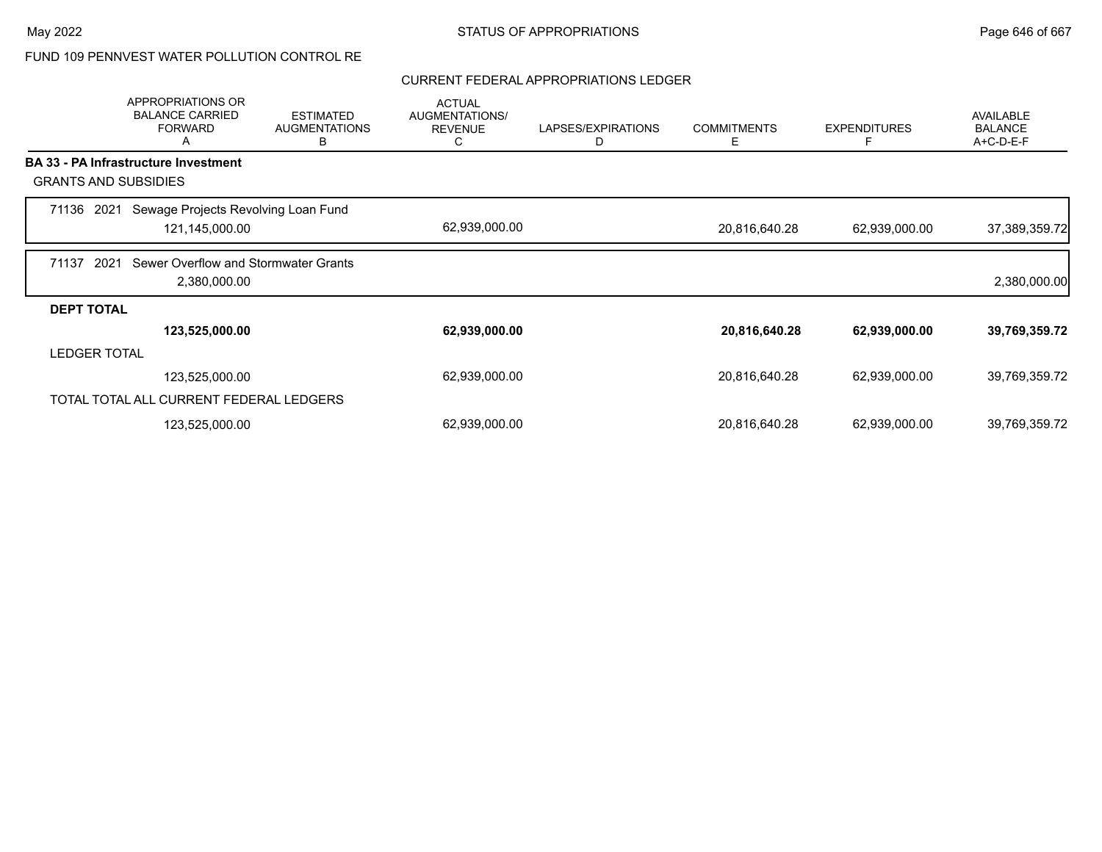# FUND 109 PENNVEST WATER POLLUTION CONTROL RE

## CURRENT FEDERAL APPROPRIATIONS LEDGER

|                     | APPROPRIATIONS OR<br><b>BALANCE CARRIED</b><br><b>FORWARD</b><br>A | <b>ESTIMATED</b><br><b>AUGMENTATIONS</b><br>в | <b>ACTUAL</b><br><b>AUGMENTATIONS/</b><br><b>REVENUE</b><br>C | LAPSES/EXPIRATIONS<br>D | <b>COMMITMENTS</b><br>Е | <b>EXPENDITURES</b><br>F | <b>AVAILABLE</b><br><b>BALANCE</b><br>A+C-D-E-F |
|---------------------|--------------------------------------------------------------------|-----------------------------------------------|---------------------------------------------------------------|-------------------------|-------------------------|--------------------------|-------------------------------------------------|
|                     | BA 33 - PA Infrastructure Investment                               |                                               |                                                               |                         |                         |                          |                                                 |
|                     | <b>GRANTS AND SUBSIDIES</b>                                        |                                               |                                                               |                         |                         |                          |                                                 |
| 71136 2021          | Sewage Projects Revolving Loan Fund<br>121,145,000.00              |                                               | 62,939,000.00                                                 |                         | 20,816,640.28           | 62,939,000.00            | 37,389,359.72                                   |
| 71137               | Sewer Overflow and Stormwater Grants<br>2021<br>2,380,000.00       |                                               |                                                               |                         |                         |                          | 2,380,000.00                                    |
| <b>DEPT TOTAL</b>   |                                                                    |                                               |                                                               |                         |                         |                          |                                                 |
|                     | 123,525,000.00                                                     |                                               | 62,939,000.00                                                 |                         | 20,816,640.28           | 62,939,000.00            | 39,769,359.72                                   |
| <b>LEDGER TOTAL</b> |                                                                    |                                               |                                                               |                         |                         |                          |                                                 |
|                     | 123,525,000.00                                                     |                                               | 62,939,000.00                                                 |                         | 20,816,640.28           | 62,939,000.00            | 39,769,359.72                                   |
|                     | TOTAL TOTAL ALL CURRENT FEDERAL LEDGERS                            |                                               |                                                               |                         |                         |                          |                                                 |
|                     | 123,525,000.00                                                     |                                               | 62,939,000.00                                                 |                         | 20,816,640.28           | 62,939,000.00            | 39,769,359.72                                   |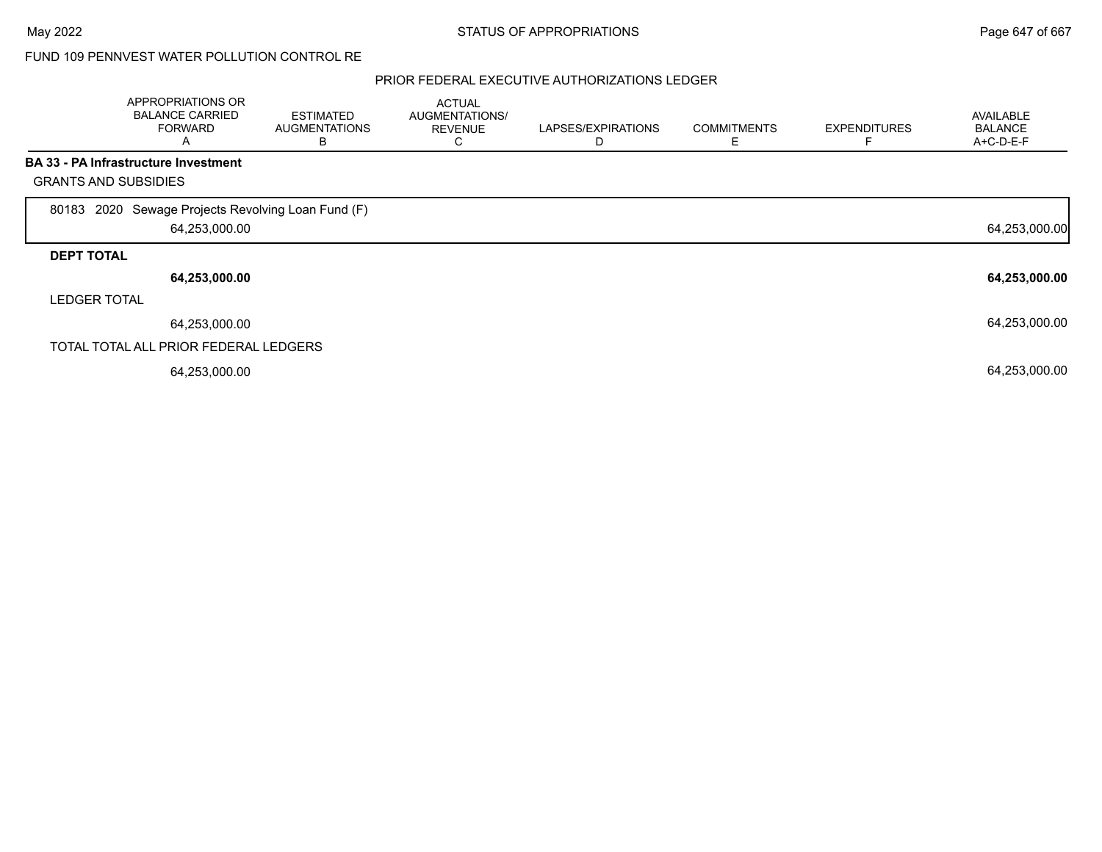## FUND 109 PENNVEST WATER POLLUTION CONTROL RE

|                             | APPROPRIATIONS OR<br><b>BALANCE CARRIED</b><br><b>FORWARD</b><br>A | <b>ESTIMATED</b><br><b>AUGMENTATIONS</b><br>в | <b>ACTUAL</b><br>AUGMENTATIONS/<br><b>REVENUE</b><br>◡ | LAPSES/EXPIRATIONS | <b>COMMITMENTS</b> | <b>EXPENDITURES</b> | <b>AVAILABLE</b><br><b>BALANCE</b><br>A+C-D-E-F |
|-----------------------------|--------------------------------------------------------------------|-----------------------------------------------|--------------------------------------------------------|--------------------|--------------------|---------------------|-------------------------------------------------|
|                             | BA 33 - PA Infrastructure Investment                               |                                               |                                                        |                    |                    |                     |                                                 |
| <b>GRANTS AND SUBSIDIES</b> |                                                                    |                                               |                                                        |                    |                    |                     |                                                 |
| 80183                       | 2020 Sewage Projects Revolving Loan Fund (F)<br>64,253,000.00      |                                               |                                                        |                    |                    |                     | 64,253,000.00                                   |
| <b>DEPT TOTAL</b>           |                                                                    |                                               |                                                        |                    |                    |                     |                                                 |
|                             | 64,253,000.00                                                      |                                               |                                                        |                    |                    |                     | 64,253,000.00                                   |
| <b>LEDGER TOTAL</b>         |                                                                    |                                               |                                                        |                    |                    |                     |                                                 |
|                             | 64,253,000.00                                                      |                                               |                                                        |                    |                    |                     | 64,253,000.00                                   |
|                             | TOTAL TOTAL ALL PRIOR FEDERAL LEDGERS                              |                                               |                                                        |                    |                    |                     |                                                 |
|                             | 64,253,000.00                                                      |                                               |                                                        |                    |                    |                     | 64,253,000.00                                   |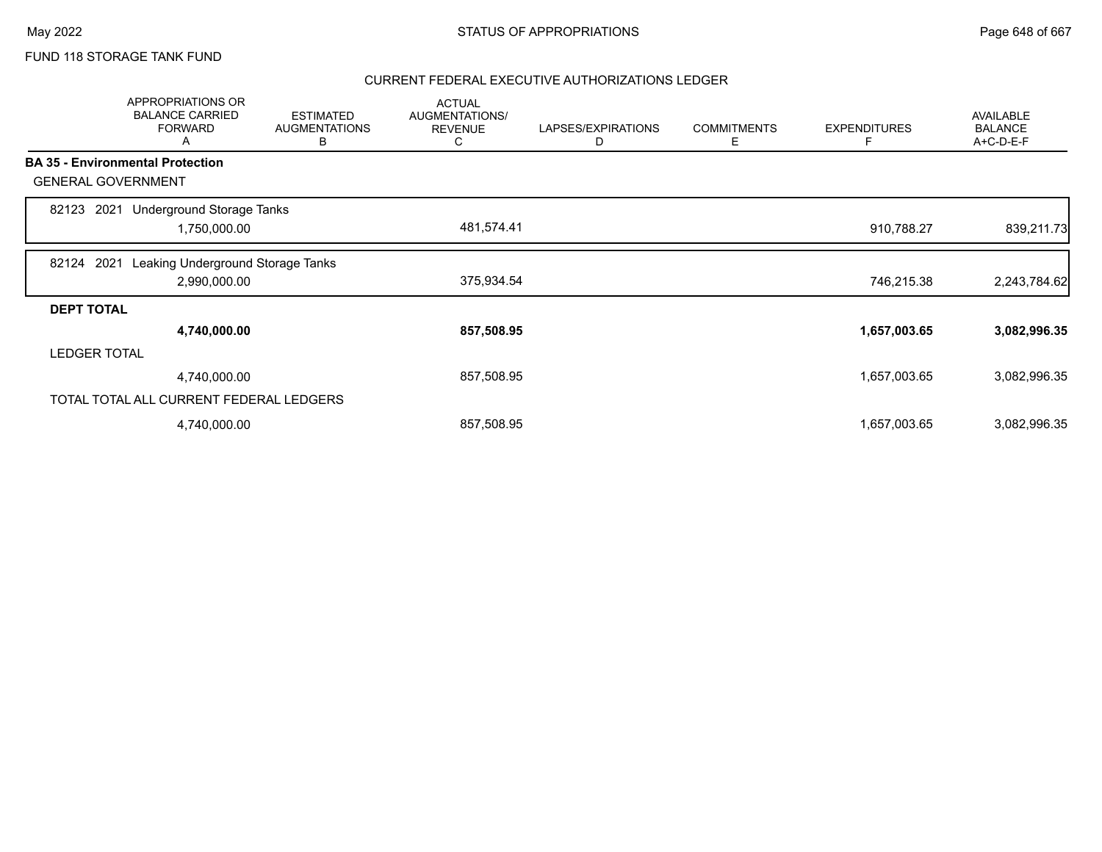# FUND 118 STORAGE TANK FUND

|                   | APPROPRIATIONS OR<br><b>BALANCE CARRIED</b><br><b>FORWARD</b><br>A | <b>ESTIMATED</b><br><b>AUGMENTATIONS</b><br>в | <b>ACTUAL</b><br>AUGMENTATIONS/<br><b>REVENUE</b><br>C | LAPSES/EXPIRATIONS<br>D | <b>COMMITMENTS</b><br>Е | <b>EXPENDITURES</b><br>F | <b>AVAILABLE</b><br><b>BALANCE</b><br>A+C-D-E-F |
|-------------------|--------------------------------------------------------------------|-----------------------------------------------|--------------------------------------------------------|-------------------------|-------------------------|--------------------------|-------------------------------------------------|
|                   | <b>BA 35 - Environmental Protection</b>                            |                                               |                                                        |                         |                         |                          |                                                 |
|                   | <b>GENERAL GOVERNMENT</b>                                          |                                               |                                                        |                         |                         |                          |                                                 |
| 82123             | Underground Storage Tanks<br>2021                                  |                                               |                                                        |                         |                         |                          |                                                 |
|                   | 1,750,000.00                                                       |                                               | 481,574.41                                             |                         |                         | 910,788.27               | 839,211.73                                      |
| 82124             | Leaking Underground Storage Tanks<br>2021                          |                                               |                                                        |                         |                         |                          |                                                 |
|                   | 2,990,000.00                                                       |                                               | 375,934.54                                             |                         |                         | 746,215.38               | 2,243,784.62                                    |
| <b>DEPT TOTAL</b> |                                                                    |                                               |                                                        |                         |                         |                          |                                                 |
|                   | 4,740,000.00                                                       |                                               | 857,508.95                                             |                         |                         | 1,657,003.65             | 3,082,996.35                                    |
|                   | <b>LEDGER TOTAL</b>                                                |                                               |                                                        |                         |                         |                          |                                                 |
|                   | 4,740,000.00                                                       |                                               | 857,508.95                                             |                         |                         | 1,657,003.65             | 3,082,996.35                                    |
|                   | TOTAL TOTAL ALL CURRENT FEDERAL LEDGERS                            |                                               |                                                        |                         |                         |                          |                                                 |
|                   | 4,740,000.00                                                       |                                               | 857,508.95                                             |                         |                         | 1,657,003.65             | 3,082,996.35                                    |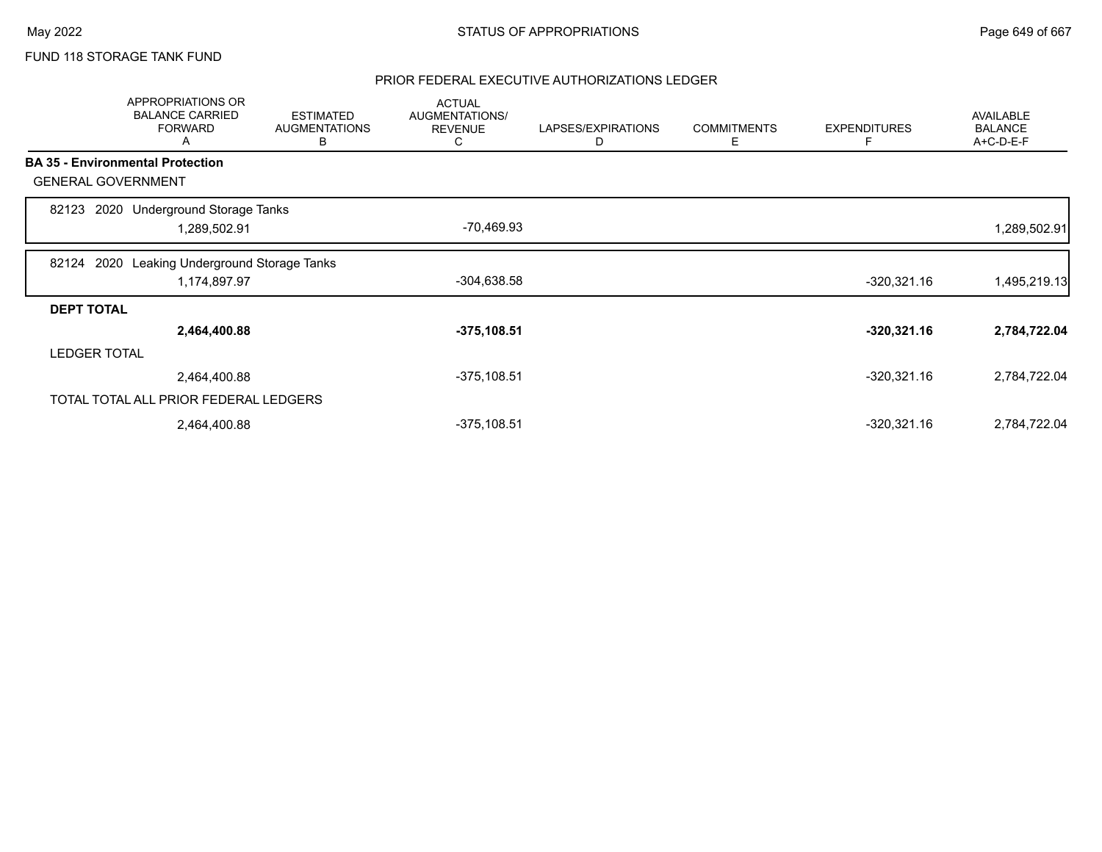## FUND 118 STORAGE TANK FUND

|                   | <b>APPROPRIATIONS OR</b><br><b>BALANCE CARRIED</b><br><b>FORWARD</b><br>A | <b>ESTIMATED</b><br><b>AUGMENTATIONS</b><br>B | <b>ACTUAL</b><br>AUGMENTATIONS/<br><b>REVENUE</b><br>C | LAPSES/EXPIRATIONS<br>D | <b>COMMITMENTS</b><br>Ε | <b>EXPENDITURES</b><br>Е | <b>AVAILABLE</b><br><b>BALANCE</b><br>A+C-D-E-F |
|-------------------|---------------------------------------------------------------------------|-----------------------------------------------|--------------------------------------------------------|-------------------------|-------------------------|--------------------------|-------------------------------------------------|
|                   | <b>BA 35 - Environmental Protection</b>                                   |                                               |                                                        |                         |                         |                          |                                                 |
|                   | <b>GENERAL GOVERNMENT</b>                                                 |                                               |                                                        |                         |                         |                          |                                                 |
| 82123             | 2020 Underground Storage Tanks<br>1,289,502.91                            |                                               | -70,469.93                                             |                         |                         |                          | 1,289,502.91                                    |
| 82124             | Leaking Underground Storage Tanks<br>2020<br>1,174,897.97                 |                                               | $-304,638.58$                                          |                         |                         | $-320,321.16$            | 1,495,219.13                                    |
| <b>DEPT TOTAL</b> |                                                                           |                                               |                                                        |                         |                         |                          |                                                 |
|                   | 2,464,400.88                                                              |                                               | $-375, 108.51$                                         |                         |                         | $-320,321.16$            | 2,784,722.04                                    |
|                   | <b>LEDGER TOTAL</b>                                                       |                                               |                                                        |                         |                         |                          |                                                 |
|                   | 2,464,400.88                                                              |                                               | $-375, 108.51$                                         |                         |                         | $-320,321.16$            | 2,784,722.04                                    |
|                   | TOTAL TOTAL ALL PRIOR FEDERAL LEDGERS                                     |                                               |                                                        |                         |                         |                          |                                                 |
|                   | 2,464,400.88                                                              |                                               | $-375,108.51$                                          |                         |                         | $-320,321.16$            | 2,784,722.04                                    |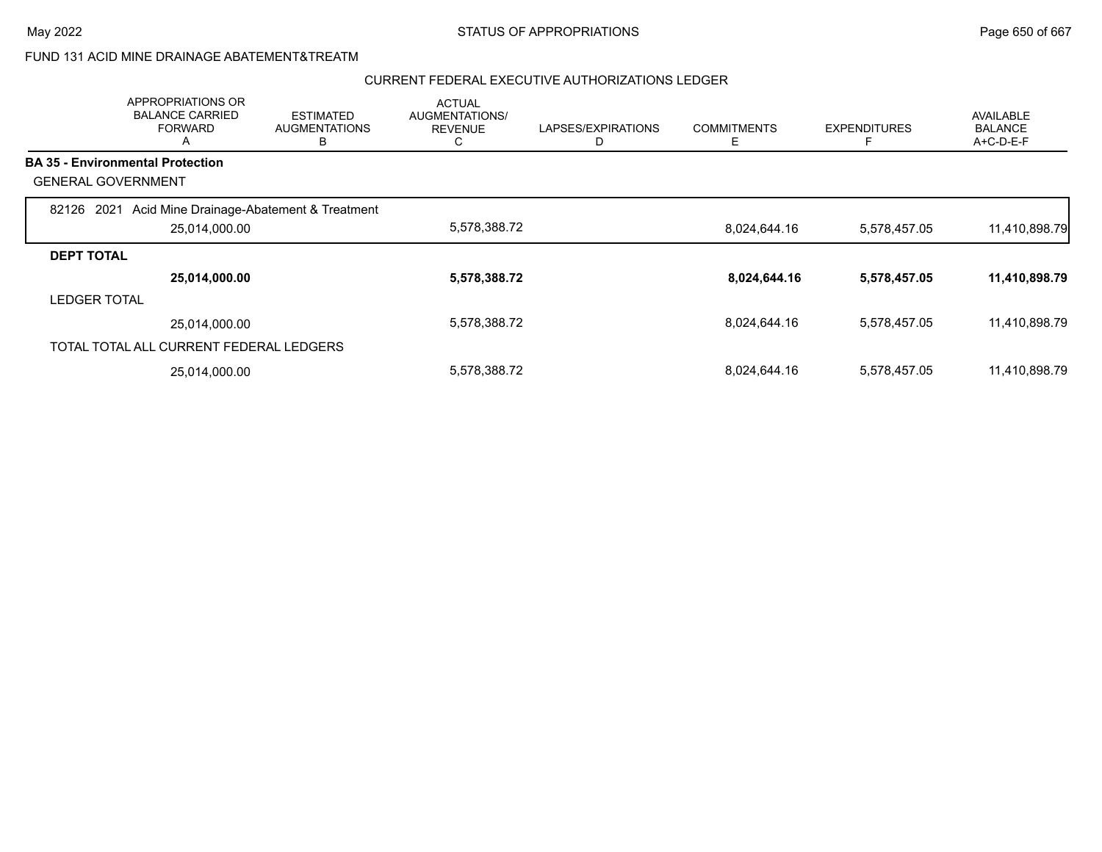### FUND 131 ACID MINE DRAINAGE ABATEMENT&TREATM

|                           | <b>APPROPRIATIONS OR</b><br><b>BALANCE CARRIED</b><br><b>FORWARD</b><br>A | <b>ESTIMATED</b><br><b>AUGMENTATIONS</b><br>в | <b>ACTUAL</b><br><b>AUGMENTATIONS/</b><br><b>REVENUE</b><br>◡ | LAPSES/EXPIRATIONS | <b>COMMITMENTS</b><br>Е | <b>EXPENDITURES</b><br>E | <b>AVAILABLE</b><br><b>BALANCE</b><br>$A+C-D-E-F$ |
|---------------------------|---------------------------------------------------------------------------|-----------------------------------------------|---------------------------------------------------------------|--------------------|-------------------------|--------------------------|---------------------------------------------------|
|                           | <b>BA 35 - Environmental Protection</b>                                   |                                               |                                                               |                    |                         |                          |                                                   |
| <b>GENERAL GOVERNMENT</b> |                                                                           |                                               |                                                               |                    |                         |                          |                                                   |
| 2021<br>82126             | Acid Mine Drainage-Abatement & Treatment                                  |                                               |                                                               |                    |                         |                          |                                                   |
|                           | 25,014,000.00                                                             |                                               | 5,578,388.72                                                  |                    | 8,024,644.16            | 5,578,457.05             | 11,410,898.79                                     |
| <b>DEPT TOTAL</b>         |                                                                           |                                               |                                                               |                    |                         |                          |                                                   |
|                           | 25,014,000.00                                                             |                                               | 5,578,388.72                                                  |                    | 8,024,644.16            | 5,578,457.05             | 11,410,898.79                                     |
| <b>LEDGER TOTAL</b>       |                                                                           |                                               |                                                               |                    |                         |                          |                                                   |
|                           | 25,014,000.00                                                             |                                               | 5,578,388.72                                                  |                    | 8,024,644.16            | 5,578,457.05             | 11,410,898.79                                     |
|                           | TOTAL TOTAL ALL CURRENT FEDERAL LEDGERS                                   |                                               |                                                               |                    |                         |                          |                                                   |
|                           | 25,014,000.00                                                             |                                               | 5,578,388.72                                                  |                    | 8,024,644.16            | 5,578,457.05             | 11,410,898.79                                     |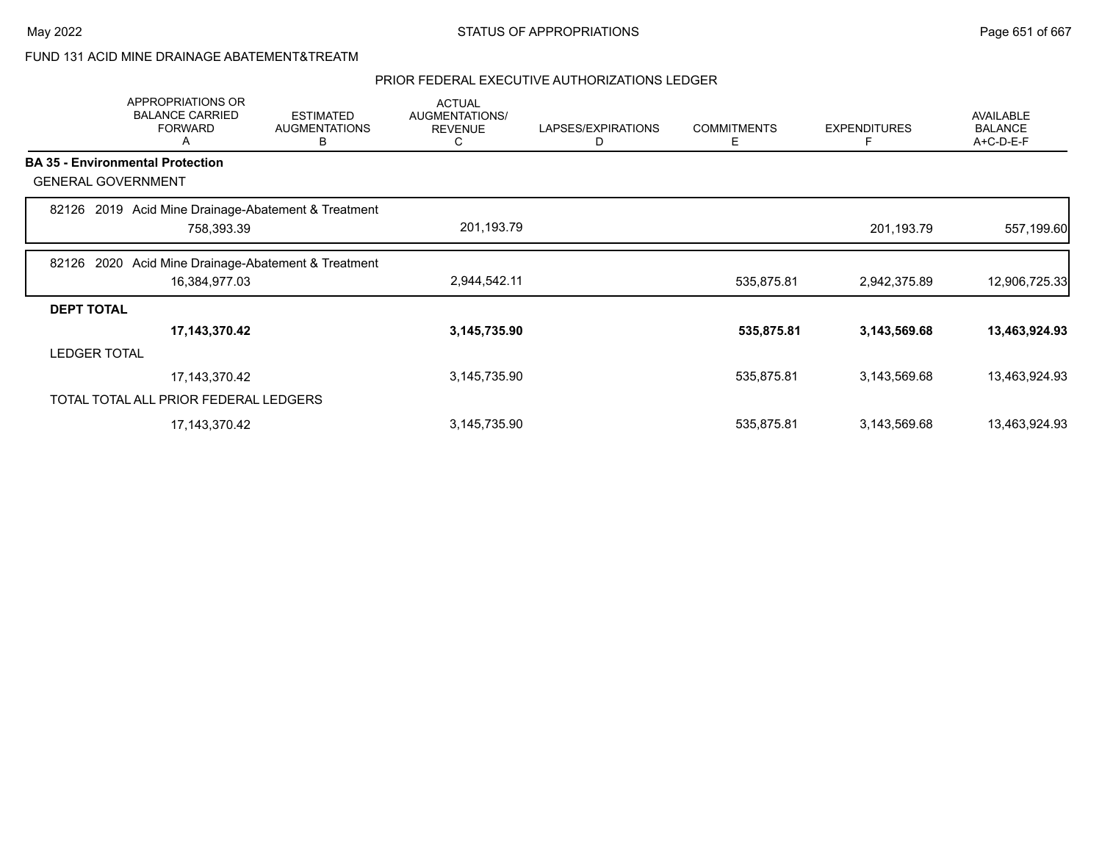### FUND 131 ACID MINE DRAINAGE ABATEMENT&TREATM

|                     | APPROPRIATIONS OR<br><b>BALANCE CARRIED</b><br><b>FORWARD</b><br>A | <b>ESTIMATED</b><br><b>AUGMENTATIONS</b><br>в | <b>ACTUAL</b><br>AUGMENTATIONS/<br><b>REVENUE</b><br>C | LAPSES/EXPIRATIONS<br>D | <b>COMMITMENTS</b><br>Ε | <b>EXPENDITURES</b><br>F | <b>AVAILABLE</b><br><b>BALANCE</b><br>A+C-D-E-F |
|---------------------|--------------------------------------------------------------------|-----------------------------------------------|--------------------------------------------------------|-------------------------|-------------------------|--------------------------|-------------------------------------------------|
|                     | <b>BA 35 - Environmental Protection</b>                            |                                               |                                                        |                         |                         |                          |                                                 |
|                     | <b>GENERAL GOVERNMENT</b>                                          |                                               |                                                        |                         |                         |                          |                                                 |
|                     | 82126 2019 Acid Mine Drainage-Abatement & Treatment                |                                               |                                                        |                         |                         |                          |                                                 |
|                     | 758,393.39                                                         |                                               | 201,193.79                                             |                         |                         | 201,193.79               | 557,199.60                                      |
| 82126               | 2020 Acid Mine Drainage-Abatement & Treatment                      |                                               |                                                        |                         |                         |                          |                                                 |
|                     | 16,384,977.03                                                      |                                               | 2,944,542.11                                           |                         | 535,875.81              | 2,942,375.89             | 12,906,725.33                                   |
| <b>DEPT TOTAL</b>   |                                                                    |                                               |                                                        |                         |                         |                          |                                                 |
|                     | 17,143,370.42                                                      |                                               | 3,145,735.90                                           |                         | 535,875.81              | 3,143,569.68             | 13,463,924.93                                   |
| <b>LEDGER TOTAL</b> |                                                                    |                                               |                                                        |                         |                         |                          |                                                 |
|                     | 17, 143, 370. 42                                                   |                                               | 3,145,735.90                                           |                         | 535,875.81              | 3,143,569.68             | 13,463,924.93                                   |
|                     | TOTAL TOTAL ALL PRIOR FEDERAL LEDGERS                              |                                               |                                                        |                         |                         |                          |                                                 |
|                     | 17, 143, 370. 42                                                   |                                               | 3,145,735.90                                           |                         | 535,875.81              | 3,143,569.68             | 13,463,924.93                                   |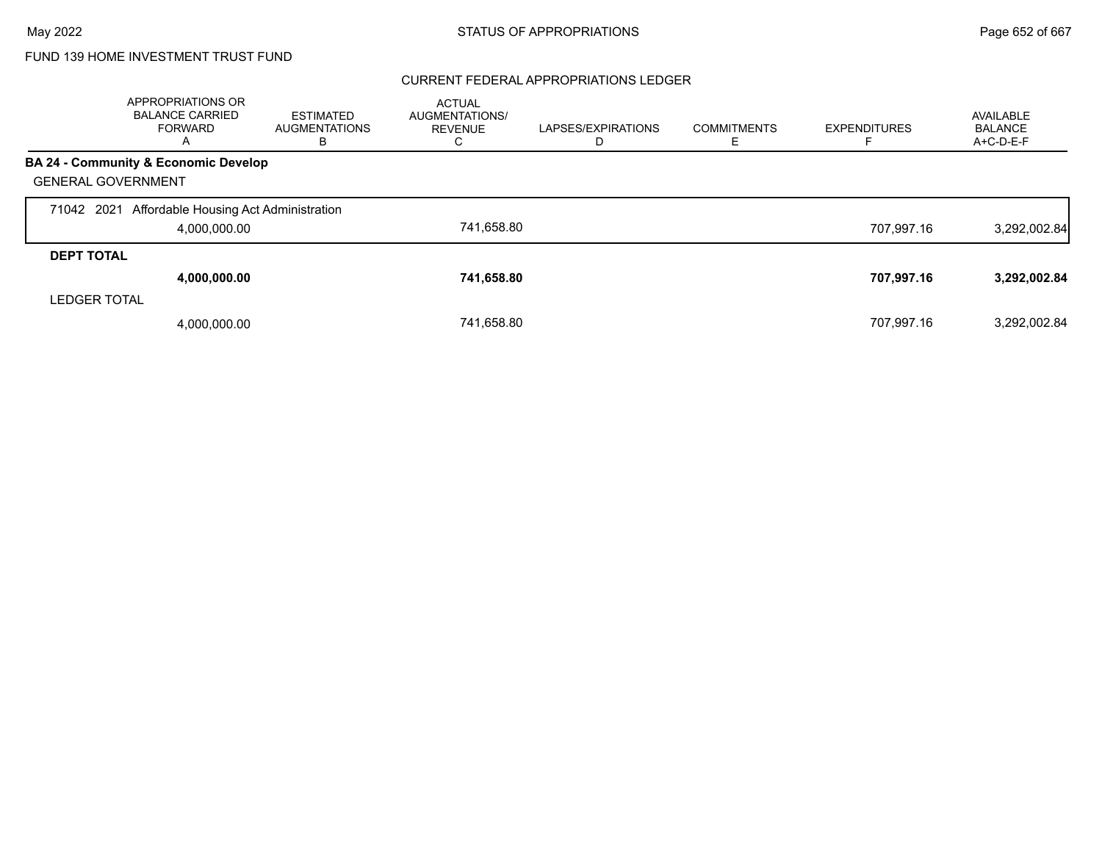### CURRENT FEDERAL APPROPRIATIONS LEDGER

|                           | <b>APPROPRIATIONS OR</b><br><b>BALANCE CARRIED</b><br>FORWARD<br>A | ESTIMATED<br><b>AUGMENTATIONS</b><br>в | <b>ACTUAL</b><br><b>AUGMENTATIONS/</b><br><b>REVENUE</b><br>Ü | LAPSES/EXPIRATIONS | <b>COMMITMENTS</b> | <b>EXPENDITURES</b> | AVAILABLE<br>BALANCE<br>A+C-D-E-F |
|---------------------------|--------------------------------------------------------------------|----------------------------------------|---------------------------------------------------------------|--------------------|--------------------|---------------------|-----------------------------------|
|                           | BA 24 - Community & Economic Develop                               |                                        |                                                               |                    |                    |                     |                                   |
| <b>GENERAL GOVERNMENT</b> |                                                                    |                                        |                                                               |                    |                    |                     |                                   |
| 71042 2021                | Affordable Housing Act Administration                              |                                        |                                                               |                    |                    |                     |                                   |
|                           | 4,000,000.00                                                       |                                        | 741.658.80                                                    |                    |                    | 707.997.16          | 3,292,002.84                      |
| <b>DEPT TOTAL</b>         |                                                                    |                                        |                                                               |                    |                    |                     |                                   |
|                           | 4,000,000.00                                                       |                                        | 741,658.80                                                    |                    |                    | 707,997.16          | 3,292,002.84                      |
| <b>LEDGER TOTAL</b>       |                                                                    |                                        |                                                               |                    |                    |                     |                                   |
|                           | 4,000,000.00                                                       |                                        | 741.658.80                                                    |                    |                    | 707.997.16          | 3,292,002.84                      |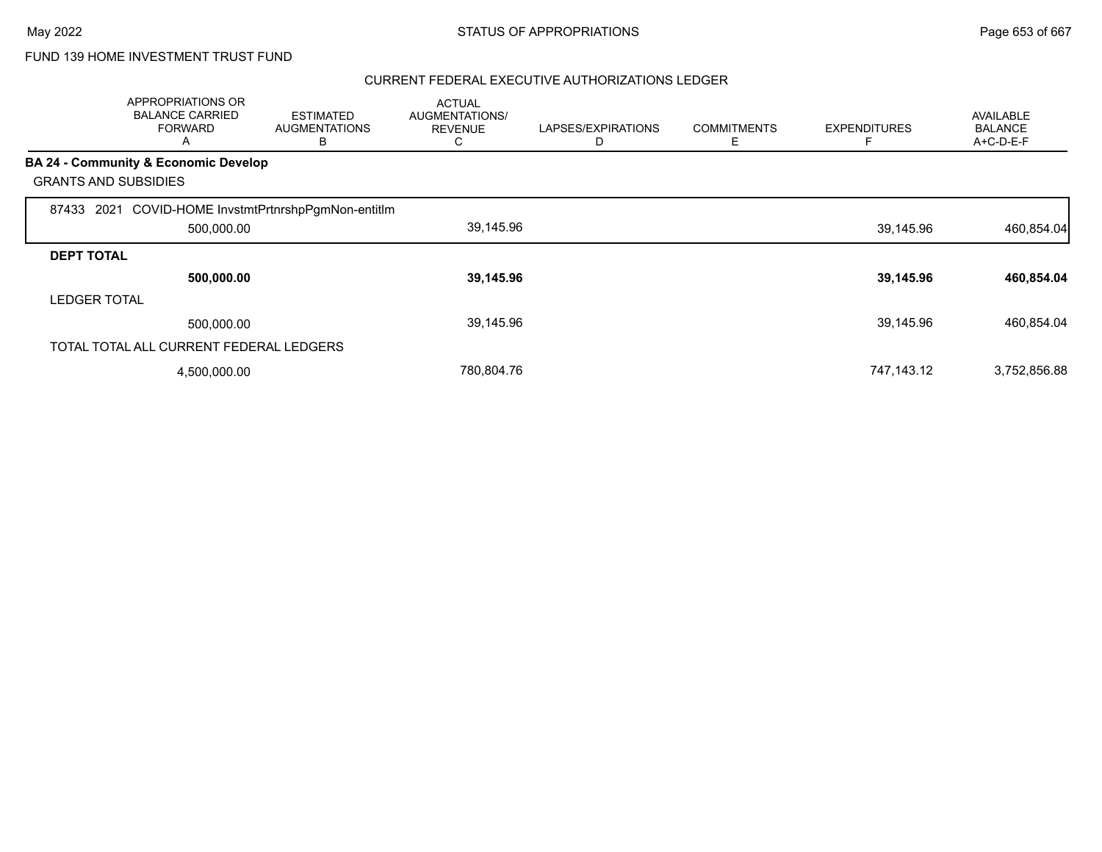|                             | APPROPRIATIONS OR<br><b>BALANCE CARRIED</b><br><b>FORWARD</b><br>A | <b>ESTIMATED</b><br><b>AUGMENTATIONS</b><br>В | <b>ACTUAL</b><br>AUGMENTATIONS/<br><b>REVENUE</b><br>C | LAPSES/EXPIRATIONS<br>D | <b>COMMITMENTS</b><br>Ε | <b>EXPENDITURES</b> | <b>AVAILABLE</b><br><b>BALANCE</b><br>A+C-D-E-F |
|-----------------------------|--------------------------------------------------------------------|-----------------------------------------------|--------------------------------------------------------|-------------------------|-------------------------|---------------------|-------------------------------------------------|
|                             | BA 24 - Community & Economic Develop                               |                                               |                                                        |                         |                         |                     |                                                 |
| <b>GRANTS AND SUBSIDIES</b> |                                                                    |                                               |                                                        |                         |                         |                     |                                                 |
| 87433                       | 2021 COVID-HOME InvstmtPrtnrshpPgmNon-entitIm                      |                                               |                                                        |                         |                         |                     |                                                 |
|                             | 500,000.00                                                         |                                               | 39,145.96                                              |                         |                         | 39,145.96           | 460,854.04                                      |
| <b>DEPT TOTAL</b>           |                                                                    |                                               |                                                        |                         |                         |                     |                                                 |
|                             | 500,000.00                                                         |                                               | 39,145.96                                              |                         |                         | 39,145.96           | 460,854.04                                      |
| <b>LEDGER TOTAL</b>         |                                                                    |                                               |                                                        |                         |                         |                     |                                                 |
|                             | 500,000.00                                                         |                                               | 39,145.96                                              |                         |                         | 39,145.96           | 460,854.04                                      |
|                             | TOTAL TOTAL ALL CURRENT FEDERAL LEDGERS                            |                                               |                                                        |                         |                         |                     |                                                 |
|                             | 4,500,000.00                                                       |                                               | 780,804.76                                             |                         |                         | 747,143.12          | 3,752,856.88                                    |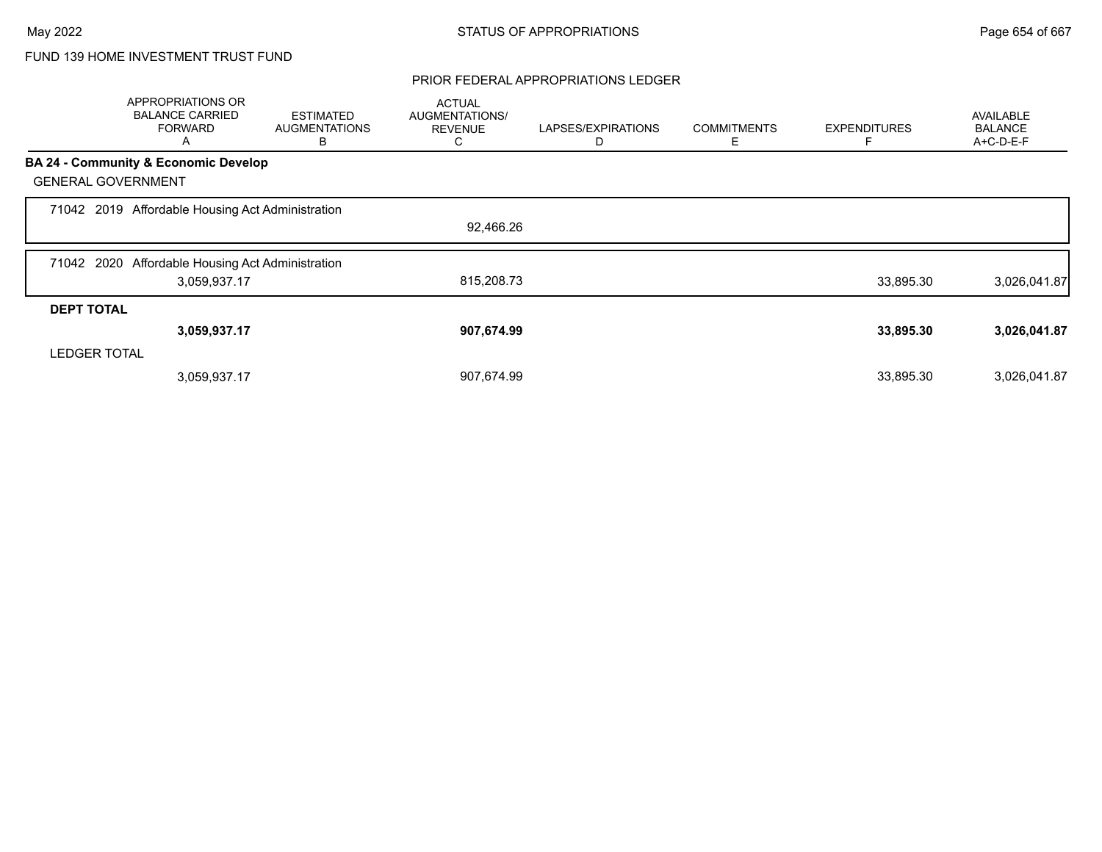### PRIOR FEDERAL APPROPRIATIONS LEDGER

|                     | APPROPRIATIONS OR<br><b>BALANCE CARRIED</b><br><b>FORWARD</b><br>Α | <b>ESTIMATED</b><br><b>AUGMENTATIONS</b><br>B | <b>ACTUAL</b><br>AUGMENTATIONS/<br><b>REVENUE</b><br>С | LAPSES/EXPIRATIONS<br>D | <b>COMMITMENTS</b><br>Е | <b>EXPENDITURES</b> | <b>AVAILABLE</b><br><b>BALANCE</b><br>A+C-D-E-F |
|---------------------|--------------------------------------------------------------------|-----------------------------------------------|--------------------------------------------------------|-------------------------|-------------------------|---------------------|-------------------------------------------------|
|                     | <b>BA 24 - Community &amp; Economic Develop</b>                    |                                               |                                                        |                         |                         |                     |                                                 |
|                     | <b>GENERAL GOVERNMENT</b>                                          |                                               |                                                        |                         |                         |                     |                                                 |
|                     | 71042 2019 Affordable Housing Act Administration                   |                                               |                                                        |                         |                         |                     |                                                 |
|                     |                                                                    |                                               | 92,466.26                                              |                         |                         |                     |                                                 |
| 71042 2020          | Affordable Housing Act Administration                              |                                               |                                                        |                         |                         |                     |                                                 |
|                     | 3,059,937.17                                                       |                                               | 815,208.73                                             |                         |                         | 33,895.30           | 3,026,041.87                                    |
| <b>DEPT TOTAL</b>   |                                                                    |                                               |                                                        |                         |                         |                     |                                                 |
|                     | 3,059,937.17                                                       |                                               | 907,674.99                                             |                         |                         | 33,895.30           | 3,026,041.87                                    |
| <b>LEDGER TOTAL</b> |                                                                    |                                               |                                                        |                         |                         |                     |                                                 |
|                     | 3,059,937.17                                                       |                                               | 907,674.99                                             |                         |                         | 33,895.30           | 3,026,041.87                                    |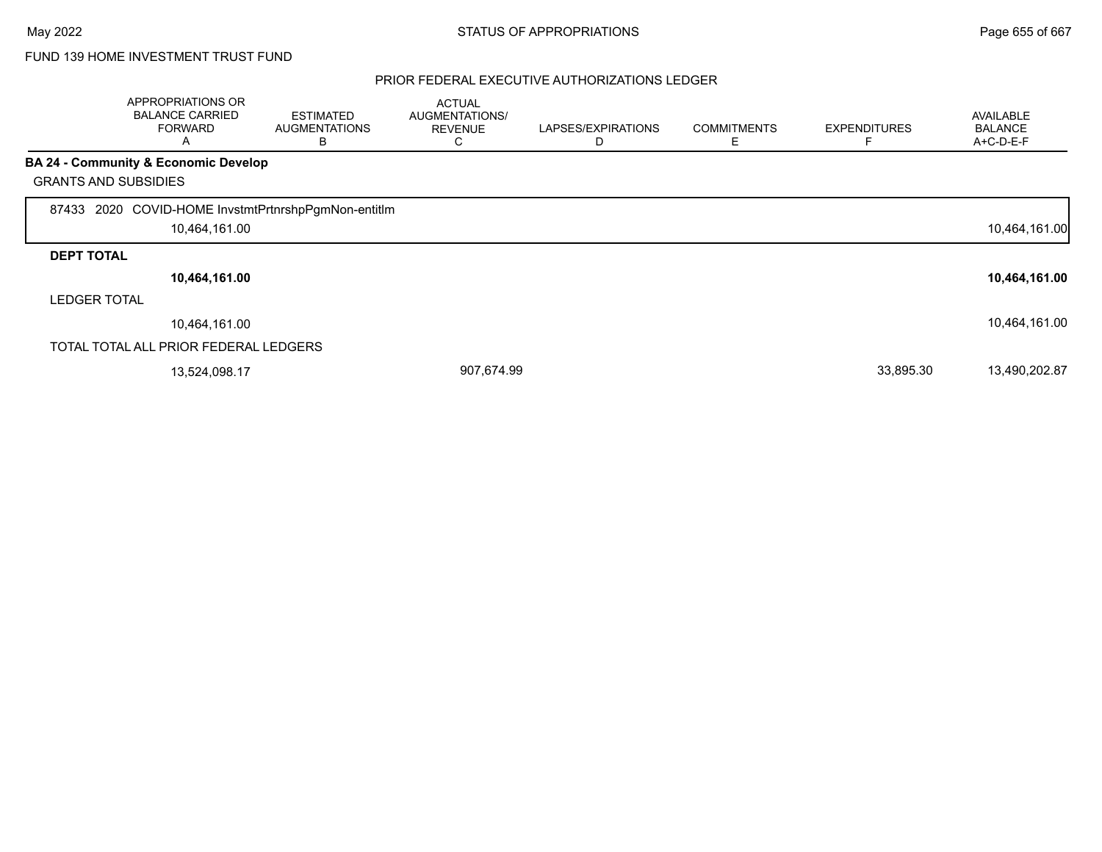|                             | <b>APPROPRIATIONS OR</b><br><b>BALANCE CARRIED</b><br><b>FORWARD</b><br>A | <b>ESTIMATED</b><br><b>AUGMENTATIONS</b><br>B | <b>ACTUAL</b><br>AUGMENTATIONS/<br><b>REVENUE</b><br>С | LAPSES/EXPIRATIONS<br>D | <b>COMMITMENTS</b><br>Ε | <b>EXPENDITURES</b> | <b>AVAILABLE</b><br><b>BALANCE</b><br>A+C-D-E-F |
|-----------------------------|---------------------------------------------------------------------------|-----------------------------------------------|--------------------------------------------------------|-------------------------|-------------------------|---------------------|-------------------------------------------------|
|                             | <b>BA 24 - Community &amp; Economic Develop</b>                           |                                               |                                                        |                         |                         |                     |                                                 |
| <b>GRANTS AND SUBSIDIES</b> |                                                                           |                                               |                                                        |                         |                         |                     |                                                 |
| 87433                       | 2020 COVID-HOME InvstmtPrtnrshpPgmNon-entitIm                             |                                               |                                                        |                         |                         |                     |                                                 |
|                             | 10,464,161.00                                                             |                                               |                                                        |                         |                         |                     | 10,464,161.00                                   |
| <b>DEPT TOTAL</b>           |                                                                           |                                               |                                                        |                         |                         |                     |                                                 |
|                             | 10,464,161.00                                                             |                                               |                                                        |                         |                         |                     | 10,464,161.00                                   |
| <b>LEDGER TOTAL</b>         |                                                                           |                                               |                                                        |                         |                         |                     |                                                 |
|                             | 10.464.161.00                                                             |                                               |                                                        |                         |                         |                     | 10,464,161.00                                   |
|                             | TOTAL TOTAL ALL PRIOR FEDERAL LEDGERS                                     |                                               |                                                        |                         |                         |                     |                                                 |
|                             | 13,524,098.17                                                             |                                               | 907,674.99                                             |                         |                         | 33,895.30           | 13,490,202.87                                   |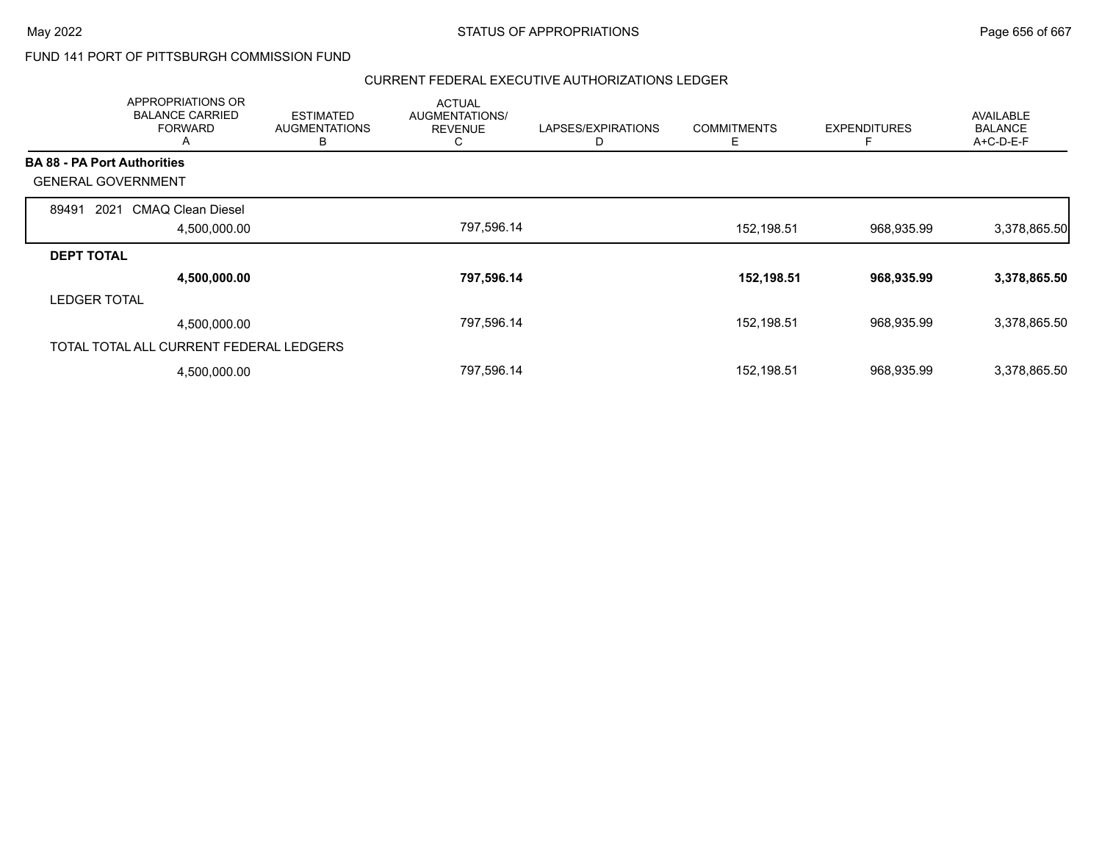### FUND 141 PORT OF PITTSBURGH COMMISSION FUND

| APPROPRIATIONS OR<br><b>BALANCE CARRIED</b><br><b>FORWARD</b><br>A | <b>ESTIMATED</b><br><b>AUGMENTATIONS</b><br>В | <b>ACTUAL</b><br><b>AUGMENTATIONS/</b><br><b>REVENUE</b><br>C | LAPSES/EXPIRATIONS<br>D | <b>COMMITMENTS</b><br>Е | <b>EXPENDITURES</b><br>F | <b>AVAILABLE</b><br><b>BALANCE</b><br>A+C-D-E-F |
|--------------------------------------------------------------------|-----------------------------------------------|---------------------------------------------------------------|-------------------------|-------------------------|--------------------------|-------------------------------------------------|
| <b>BA 88 - PA Port Authorities</b>                                 |                                               |                                                               |                         |                         |                          |                                                 |
| <b>GENERAL GOVERNMENT</b>                                          |                                               |                                                               |                         |                         |                          |                                                 |
| <b>CMAQ Clean Diesel</b><br>89491<br>2021                          |                                               |                                                               |                         |                         |                          |                                                 |
| 4,500,000.00                                                       |                                               | 797,596.14                                                    |                         | 152,198.51              | 968,935.99               | 3,378,865.50                                    |
| <b>DEPT TOTAL</b>                                                  |                                               |                                                               |                         |                         |                          |                                                 |
| 4,500,000.00                                                       |                                               | 797,596.14                                                    |                         | 152,198.51              | 968,935.99               | 3,378,865.50                                    |
| <b>LEDGER TOTAL</b>                                                |                                               |                                                               |                         |                         |                          |                                                 |
| 4,500,000.00                                                       |                                               | 797,596.14                                                    |                         | 152,198.51              | 968,935.99               | 3,378,865.50                                    |
| TOTAL TOTAL ALL CURRENT FEDERAL LEDGERS                            |                                               |                                                               |                         |                         |                          |                                                 |
| 4,500,000.00                                                       |                                               | 797,596.14                                                    |                         | 152,198.51              | 968,935.99               | 3,378,865.50                                    |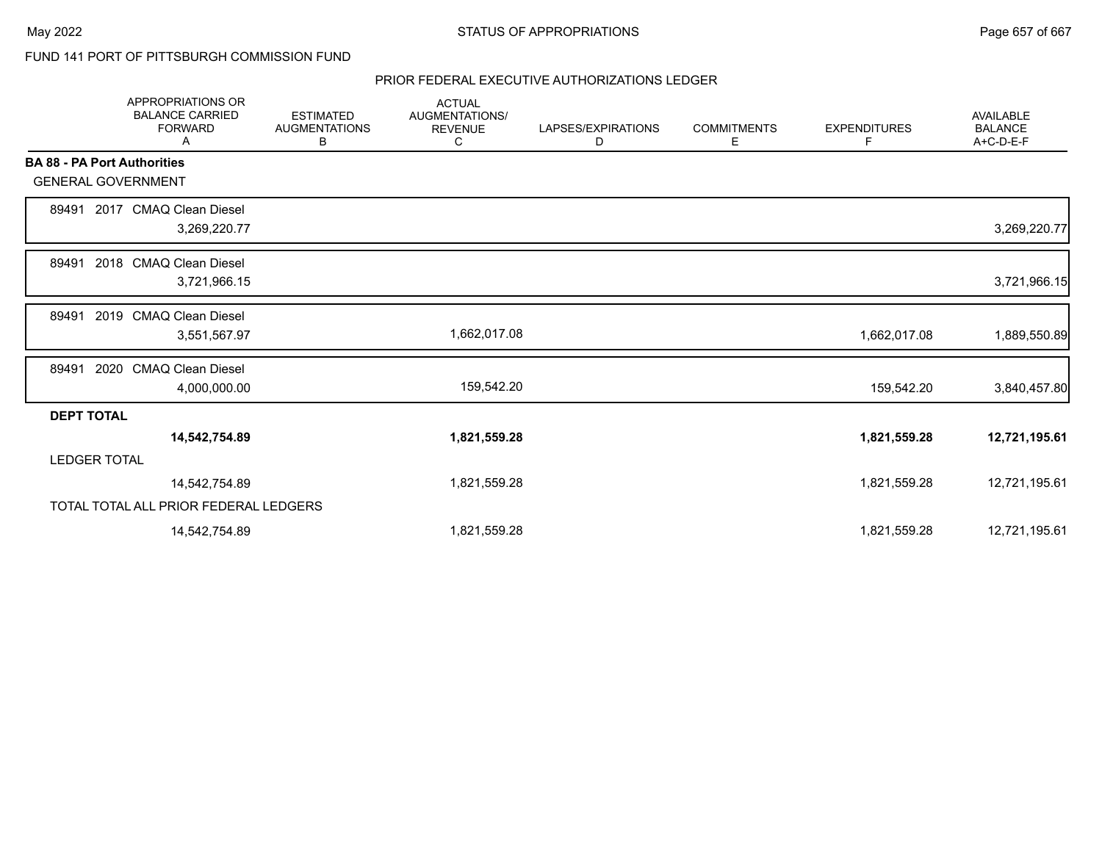### FUND 141 PORT OF PITTSBURGH COMMISSION FUND

|                                    | <b>APPROPRIATIONS OR</b><br><b>BALANCE CARRIED</b><br><b>FORWARD</b><br>Α | <b>ESTIMATED</b><br><b>AUGMENTATIONS</b><br>В | <b>ACTUAL</b><br><b>AUGMENTATIONS/</b><br><b>REVENUE</b><br>С | LAPSES/EXPIRATIONS<br>D | <b>COMMITMENTS</b><br>Е | <b>EXPENDITURES</b><br>F | AVAILABLE<br><b>BALANCE</b><br>A+C-D-E-F |
|------------------------------------|---------------------------------------------------------------------------|-----------------------------------------------|---------------------------------------------------------------|-------------------------|-------------------------|--------------------------|------------------------------------------|
| <b>BA 88 - PA Port Authorities</b> |                                                                           |                                               |                                                               |                         |                         |                          |                                          |
| <b>GENERAL GOVERNMENT</b>          |                                                                           |                                               |                                                               |                         |                         |                          |                                          |
| 89491                              | 2017 CMAQ Clean Diesel                                                    |                                               |                                                               |                         |                         |                          |                                          |
|                                    | 3,269,220.77                                                              |                                               |                                                               |                         |                         |                          | 3,269,220.77                             |
| 89491                              | 2018 CMAQ Clean Diesel                                                    |                                               |                                                               |                         |                         |                          |                                          |
|                                    | 3,721,966.15                                                              |                                               |                                                               |                         |                         |                          | 3,721,966.15                             |
| 89491                              | 2019 CMAQ Clean Diesel                                                    |                                               |                                                               |                         |                         |                          |                                          |
|                                    | 3,551,567.97                                                              |                                               | 1,662,017.08                                                  |                         |                         | 1,662,017.08             | 1,889,550.89                             |
| 2020<br>89491                      | <b>CMAQ Clean Diesel</b>                                                  |                                               |                                                               |                         |                         |                          |                                          |
|                                    | 4,000,000.00                                                              |                                               | 159,542.20                                                    |                         |                         | 159,542.20               | 3,840,457.80                             |
| <b>DEPT TOTAL</b>                  |                                                                           |                                               |                                                               |                         |                         |                          |                                          |
|                                    | 14,542,754.89                                                             |                                               | 1,821,559.28                                                  |                         |                         | 1,821,559.28             | 12,721,195.61                            |
| <b>LEDGER TOTAL</b>                |                                                                           |                                               |                                                               |                         |                         |                          |                                          |
|                                    | 14,542,754.89                                                             |                                               | 1,821,559.28                                                  |                         |                         | 1,821,559.28             | 12,721,195.61                            |
|                                    | TOTAL TOTAL ALL PRIOR FEDERAL LEDGERS                                     |                                               |                                                               |                         |                         |                          |                                          |
|                                    | 14,542,754.89                                                             |                                               | 1,821,559.28                                                  |                         |                         | 1,821,559.28             | 12,721,195.61                            |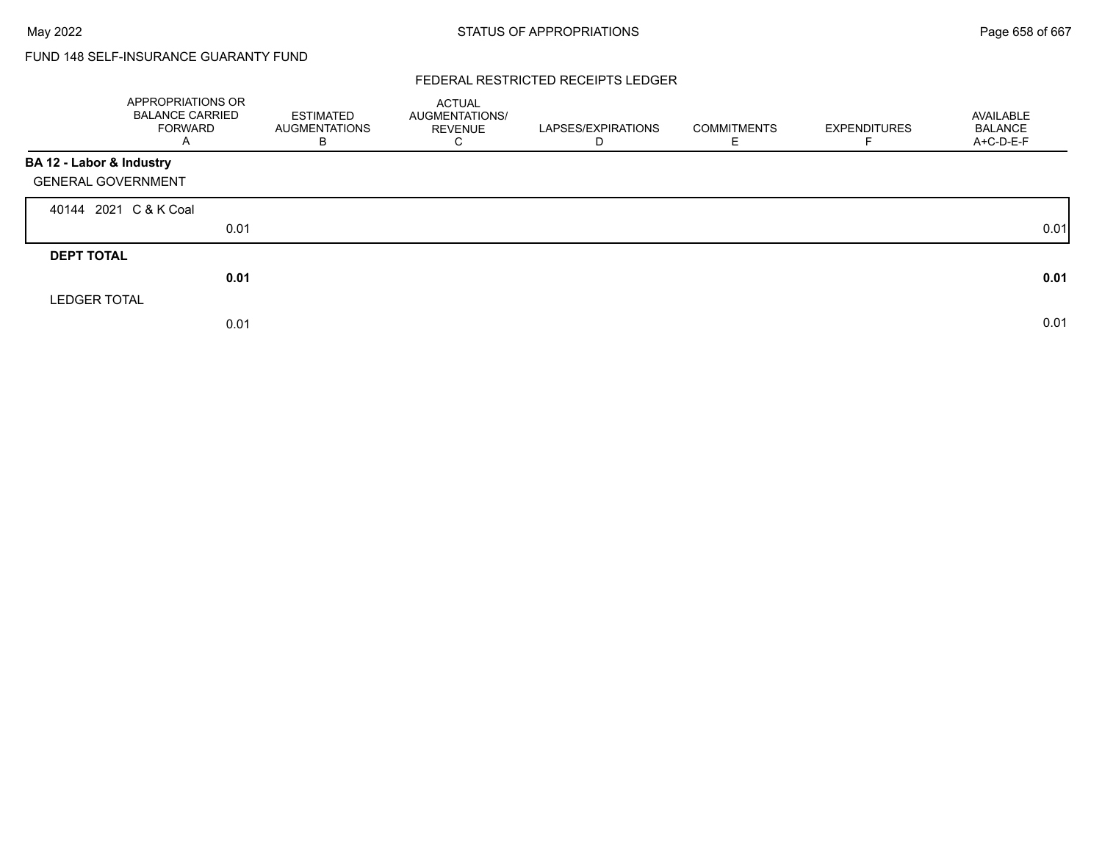# FUND 148 SELF-INSURANCE GUARANTY FUND

### FEDERAL RESTRICTED RECEIPTS LEDGER

|                           | APPROPRIATIONS OR<br><b>BALANCE CARRIED</b><br><b>FORWARD</b><br>Α | <b>ESTIMATED</b><br><b>AUGMENTATIONS</b><br>В | <b>ACTUAL</b><br>AUGMENTATIONS/<br><b>REVENUE</b><br>С | LAPSES/EXPIRATIONS<br>D | <b>COMMITMENTS</b><br>E. | <b>EXPENDITURES</b> | AVAILABLE<br><b>BALANCE</b><br>A+C-D-E-F |
|---------------------------|--------------------------------------------------------------------|-----------------------------------------------|--------------------------------------------------------|-------------------------|--------------------------|---------------------|------------------------------------------|
| BA 12 - Labor & Industry  |                                                                    |                                               |                                                        |                         |                          |                     |                                          |
| <b>GENERAL GOVERNMENT</b> |                                                                    |                                               |                                                        |                         |                          |                     |                                          |
| 40144 2021 C & K Coal     |                                                                    |                                               |                                                        |                         |                          |                     |                                          |
|                           | 0.01                                                               |                                               |                                                        |                         |                          |                     | 0.01                                     |
| <b>DEPT TOTAL</b>         |                                                                    |                                               |                                                        |                         |                          |                     |                                          |
|                           | 0.01                                                               |                                               |                                                        |                         |                          |                     | 0.01                                     |
| <b>LEDGER TOTAL</b>       |                                                                    |                                               |                                                        |                         |                          |                     |                                          |
|                           | 0.01                                                               |                                               |                                                        |                         |                          |                     | 0.01                                     |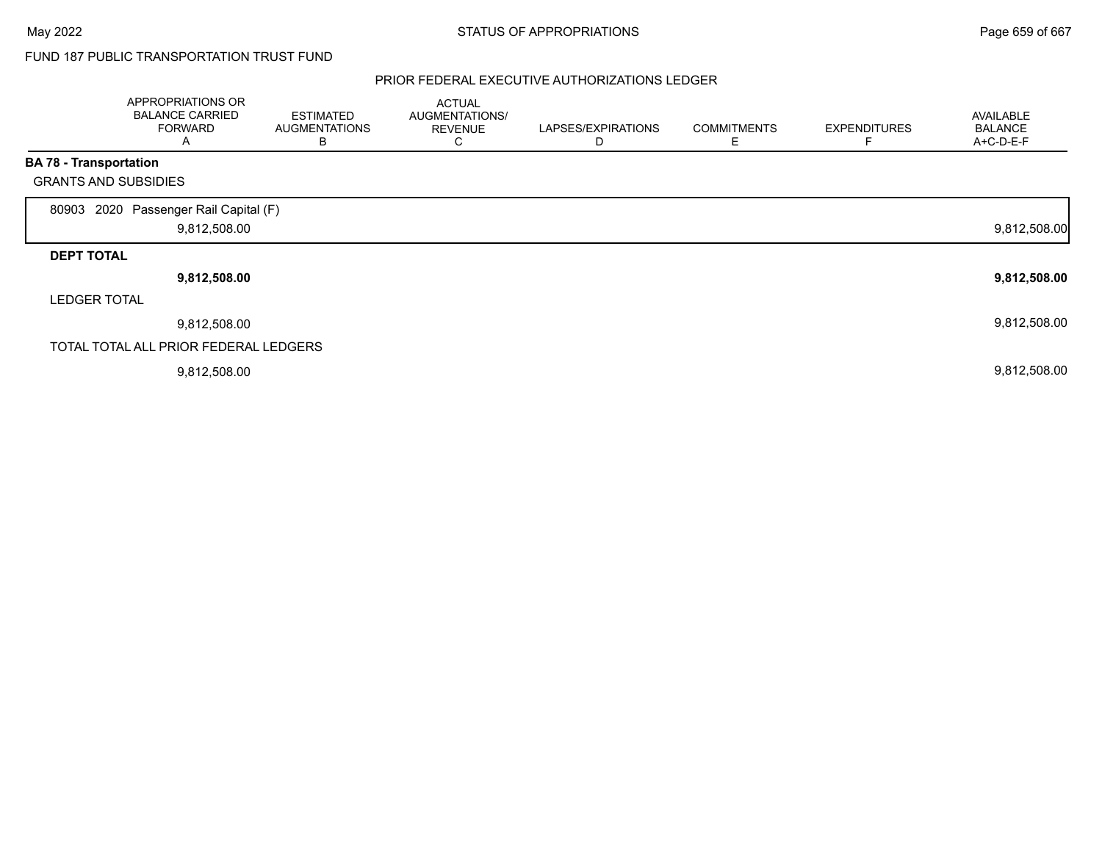## FUND 187 PUBLIC TRANSPORTATION TRUST FUND

|                               | APPROPRIATIONS OR<br><b>BALANCE CARRIED</b><br><b>FORWARD</b><br>A | <b>ESTIMATED</b><br>AUGMENTATIONS<br>В | <b>ACTUAL</b><br>AUGMENTATIONS/<br><b>REVENUE</b><br>С | LAPSES/EXPIRATIONS<br>D | <b>COMMITMENTS</b><br>Е | <b>EXPENDITURES</b> | <b>AVAILABLE</b><br><b>BALANCE</b><br>A+C-D-E-F |
|-------------------------------|--------------------------------------------------------------------|----------------------------------------|--------------------------------------------------------|-------------------------|-------------------------|---------------------|-------------------------------------------------|
| <b>BA 78 - Transportation</b> |                                                                    |                                        |                                                        |                         |                         |                     |                                                 |
|                               | <b>GRANTS AND SUBSIDIES</b>                                        |                                        |                                                        |                         |                         |                     |                                                 |
| 80903                         | 2020 Passenger Rail Capital (F)<br>9,812,508.00                    |                                        |                                                        |                         |                         |                     | 9,812,508.00                                    |
| <b>DEPT TOTAL</b>             |                                                                    |                                        |                                                        |                         |                         |                     |                                                 |
|                               | 9,812,508.00                                                       |                                        |                                                        |                         |                         |                     | 9,812,508.00                                    |
| <b>LEDGER TOTAL</b>           |                                                                    |                                        |                                                        |                         |                         |                     |                                                 |
|                               | 9,812,508.00                                                       |                                        |                                                        |                         |                         |                     | 9,812,508.00                                    |
|                               | TOTAL TOTAL ALL PRIOR FEDERAL LEDGERS                              |                                        |                                                        |                         |                         |                     |                                                 |
|                               | 9,812,508.00                                                       |                                        |                                                        |                         |                         |                     | 9,812,508.00                                    |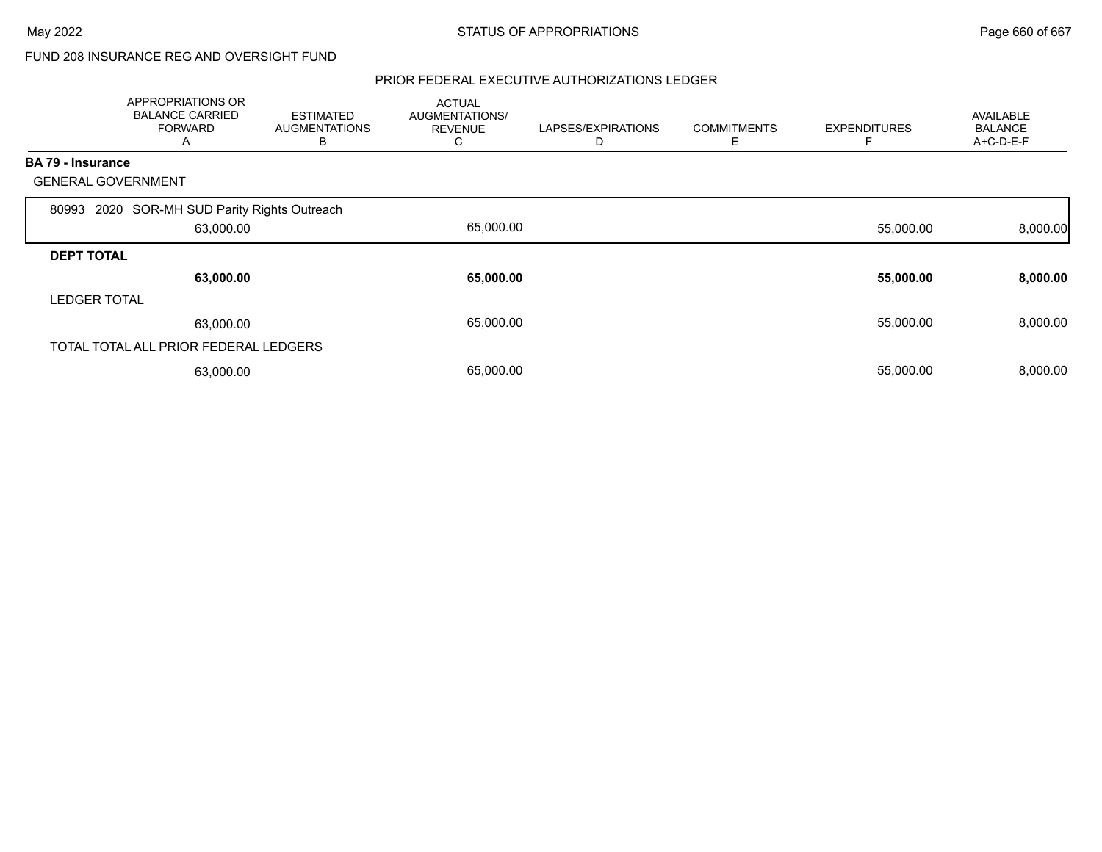## FUND 208 INSURANCE REG AND OVERSIGHT FUND

|                     | APPROPRIATIONS OR<br><b>BALANCE CARRIED</b><br><b>FORWARD</b><br>A | <b>ESTIMATED</b><br><b>AUGMENTATIONS</b><br>В | <b>ACTUAL</b><br><b>AUGMENTATIONS/</b><br><b>REVENUE</b><br>С | LAPSES/EXPIRATIONS<br>D | <b>COMMITMENTS</b><br>Е | <b>EXPENDITURES</b> | <b>AVAILABLE</b><br><b>BALANCE</b><br>A+C-D-E-F |
|---------------------|--------------------------------------------------------------------|-----------------------------------------------|---------------------------------------------------------------|-------------------------|-------------------------|---------------------|-------------------------------------------------|
| BA 79 - Insurance   |                                                                    |                                               |                                                               |                         |                         |                     |                                                 |
|                     | <b>GENERAL GOVERNMENT</b>                                          |                                               |                                                               |                         |                         |                     |                                                 |
| 80993               | 2020 SOR-MH SUD Parity Rights Outreach                             |                                               |                                                               |                         |                         |                     |                                                 |
|                     | 63,000.00                                                          |                                               | 65,000.00                                                     |                         |                         | 55,000.00           | 8,000.00                                        |
| <b>DEPT TOTAL</b>   |                                                                    |                                               |                                                               |                         |                         |                     |                                                 |
|                     | 63,000.00                                                          |                                               | 65,000.00                                                     |                         |                         | 55,000.00           | 8,000.00                                        |
| <b>LEDGER TOTAL</b> |                                                                    |                                               |                                                               |                         |                         |                     |                                                 |
|                     | 63,000.00                                                          |                                               | 65,000.00                                                     |                         |                         | 55,000.00           | 8,000.00                                        |
|                     | TOTAL TOTAL ALL PRIOR FEDERAL LEDGERS                              |                                               |                                                               |                         |                         |                     |                                                 |
|                     | 63,000.00                                                          |                                               | 65,000.00                                                     |                         |                         | 55,000.00           | 8,000.00                                        |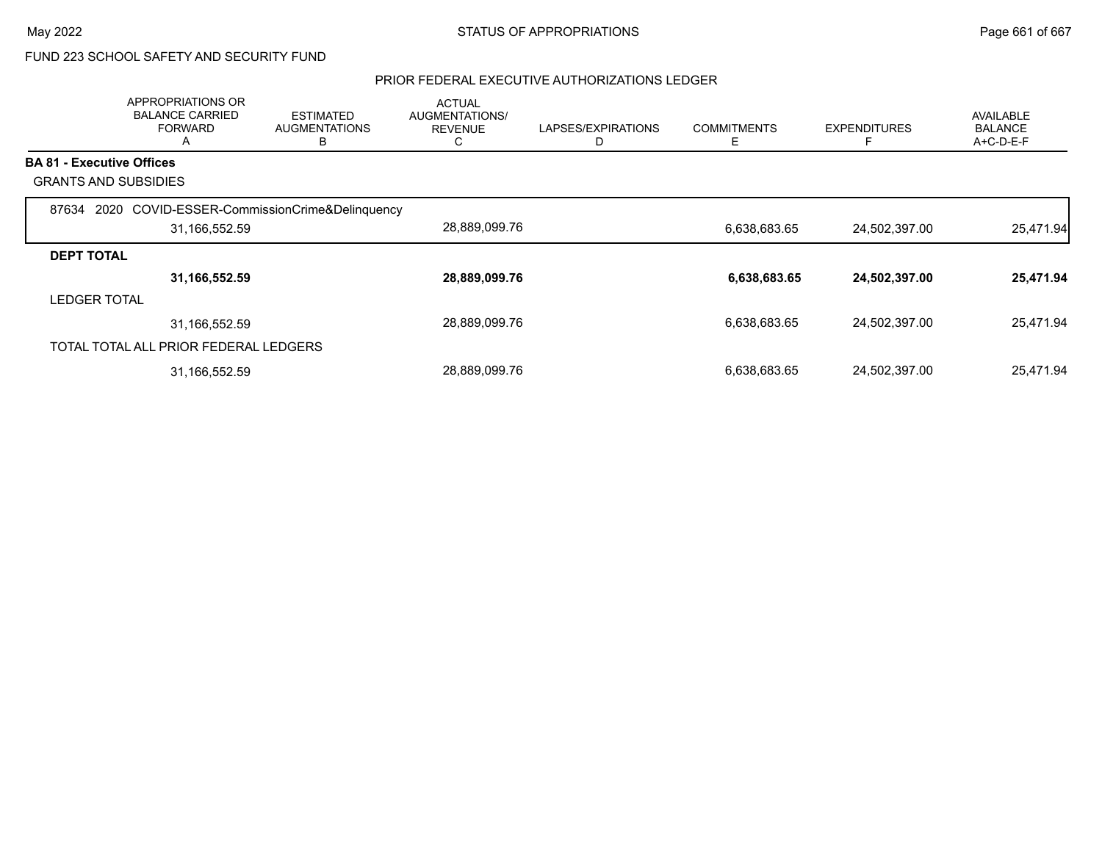# FUND 223 SCHOOL SAFETY AND SECURITY FUND

|                                  | APPROPRIATIONS OR<br><b>BALANCE CARRIED</b><br><b>FORWARD</b><br>A | <b>ESTIMATED</b><br><b>AUGMENTATIONS</b><br>В | <b>ACTUAL</b><br><b>AUGMENTATIONS/</b><br><b>REVENUE</b><br>C | LAPSES/EXPIRATIONS | <b>COMMITMENTS</b><br>Ε | <b>EXPENDITURES</b><br>F | AVAILABLE<br><b>BALANCE</b><br>A+C-D-E-F |
|----------------------------------|--------------------------------------------------------------------|-----------------------------------------------|---------------------------------------------------------------|--------------------|-------------------------|--------------------------|------------------------------------------|
| <b>BA 81 - Executive Offices</b> |                                                                    |                                               |                                                               |                    |                         |                          |                                          |
|                                  | <b>GRANTS AND SUBSIDIES</b>                                        |                                               |                                                               |                    |                         |                          |                                          |
| 87634                            | 2020 COVID-ESSER-CommissionCrime&Delinquency<br>31,166,552.59      |                                               | 28,889,099.76                                                 |                    | 6,638,683.65            | 24,502,397.00            | 25,471.94                                |
| <b>DEPT TOTAL</b>                |                                                                    |                                               |                                                               |                    |                         |                          |                                          |
|                                  | 31,166,552.59                                                      |                                               | 28,889,099.76                                                 |                    | 6,638,683.65            | 24,502,397.00            | 25,471.94                                |
| <b>LEDGER TOTAL</b>              |                                                                    |                                               |                                                               |                    |                         |                          |                                          |
|                                  | 31,166,552.59                                                      |                                               | 28,889,099.76                                                 |                    | 6,638,683.65            | 24,502,397.00            | 25,471.94                                |
|                                  | TOTAL TOTAL ALL PRIOR FEDERAL LEDGERS                              |                                               |                                                               |                    |                         |                          |                                          |
|                                  | 31,166,552.59                                                      |                                               | 28,889,099.76                                                 |                    | 6,638,683.65            | 24,502,397.00            | 25,471.94                                |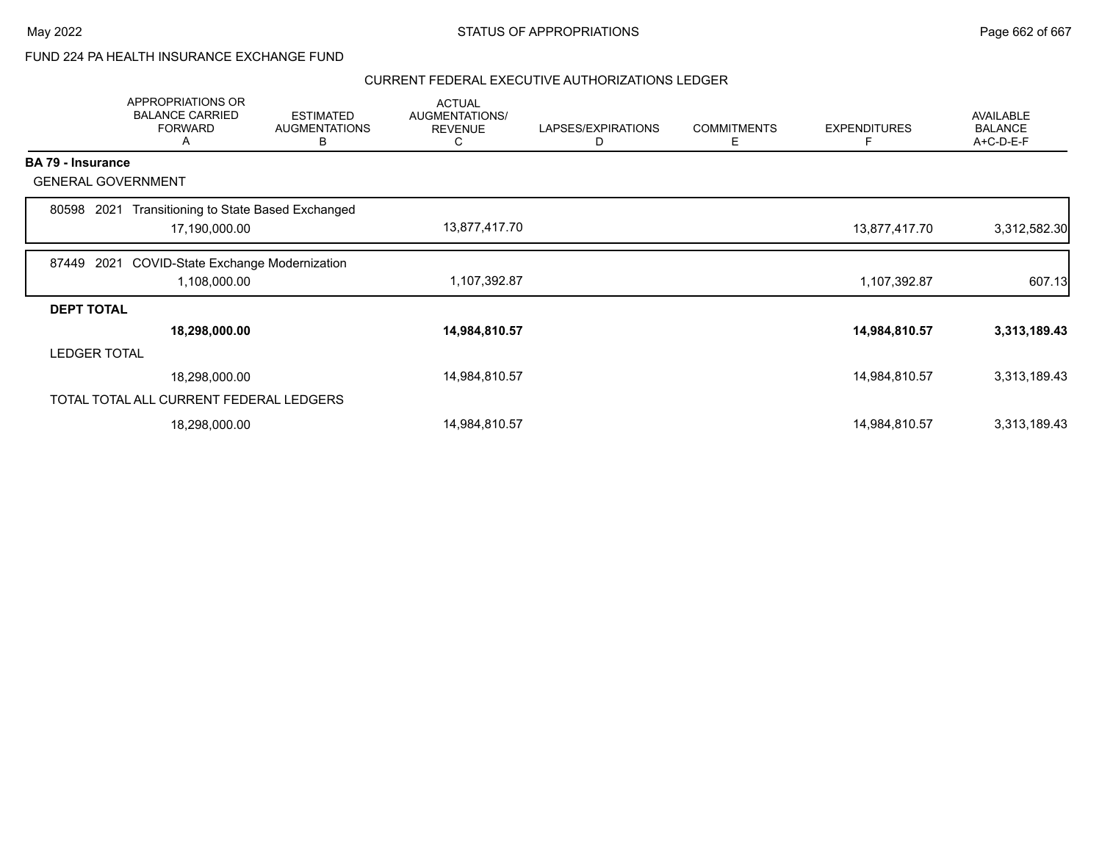### FUND 224 PA HEALTH INSURANCE EXCHANGE FUND

|                          | APPROPRIATIONS OR<br><b>BALANCE CARRIED</b><br><b>FORWARD</b><br>Α | <b>ESTIMATED</b><br><b>AUGMENTATIONS</b><br>В | <b>ACTUAL</b><br>AUGMENTATIONS/<br><b>REVENUE</b><br>C | LAPSES/EXPIRATIONS<br>D | <b>COMMITMENTS</b><br>Ε | <b>EXPENDITURES</b><br>F | <b>AVAILABLE</b><br><b>BALANCE</b><br>A+C-D-E-F |
|--------------------------|--------------------------------------------------------------------|-----------------------------------------------|--------------------------------------------------------|-------------------------|-------------------------|--------------------------|-------------------------------------------------|
| <b>BA 79 - Insurance</b> |                                                                    |                                               |                                                        |                         |                         |                          |                                                 |
|                          | <b>GENERAL GOVERNMENT</b>                                          |                                               |                                                        |                         |                         |                          |                                                 |
| 80598                    | Transitioning to State Based Exchanged<br>2021                     |                                               |                                                        |                         |                         |                          |                                                 |
|                          | 17,190,000.00                                                      |                                               | 13,877,417.70                                          |                         |                         | 13,877,417.70            | 3,312,582.30                                    |
| 87449                    | 2021<br><b>COVID-State Exchange Modernization</b>                  |                                               |                                                        |                         |                         |                          |                                                 |
|                          | 1,108,000.00                                                       |                                               | 1,107,392.87                                           |                         |                         | 1,107,392.87             | 607.13                                          |
| <b>DEPT TOTAL</b>        |                                                                    |                                               |                                                        |                         |                         |                          |                                                 |
|                          | 18,298,000.00                                                      |                                               | 14,984,810.57                                          |                         |                         | 14,984,810.57            | 3,313,189.43                                    |
|                          | <b>LEDGER TOTAL</b>                                                |                                               |                                                        |                         |                         |                          |                                                 |
|                          | 18,298,000.00                                                      |                                               | 14,984,810.57                                          |                         |                         | 14,984,810.57            | 3,313,189.43                                    |
|                          | TOTAL TOTAL ALL CURRENT FEDERAL LEDGERS                            |                                               |                                                        |                         |                         |                          |                                                 |
|                          | 18,298,000.00                                                      |                                               | 14,984,810.57                                          |                         |                         | 14,984,810.57            | 3,313,189.43                                    |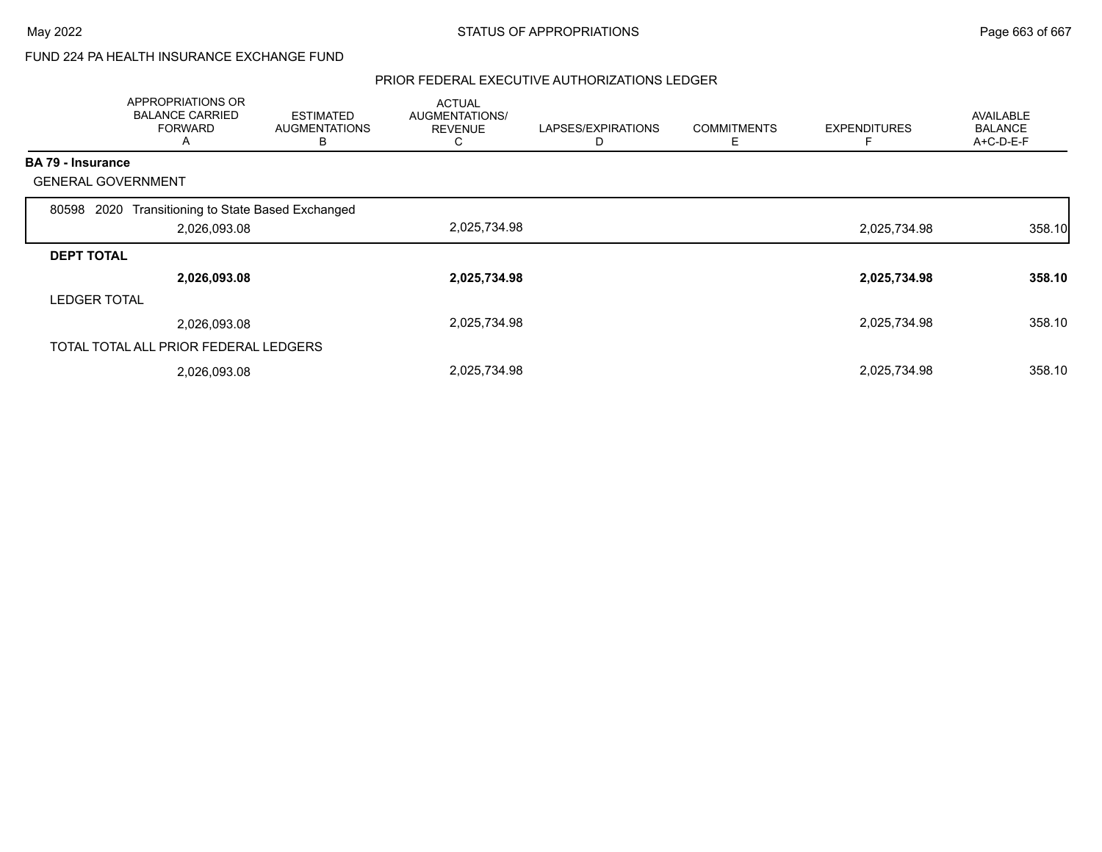### FUND 224 PA HEALTH INSURANCE EXCHANGE FUND

|                     | APPROPRIATIONS OR<br><b>BALANCE CARRIED</b><br><b>FORWARD</b><br>A | <b>ESTIMATED</b><br><b>AUGMENTATIONS</b><br>В | <b>ACTUAL</b><br>AUGMENTATIONS/<br><b>REVENUE</b><br>◡ | LAPSES/EXPIRATIONS<br>D | <b>COMMITMENTS</b><br>Е | <b>EXPENDITURES</b> | AVAILABLE<br><b>BALANCE</b><br>A+C-D-E-F |
|---------------------|--------------------------------------------------------------------|-----------------------------------------------|--------------------------------------------------------|-------------------------|-------------------------|---------------------|------------------------------------------|
| BA 79 - Insurance   |                                                                    |                                               |                                                        |                         |                         |                     |                                          |
|                     | <b>GENERAL GOVERNMENT</b>                                          |                                               |                                                        |                         |                         |                     |                                          |
| 80598               | Transitioning to State Based Exchanged<br>2020                     |                                               |                                                        |                         |                         |                     |                                          |
|                     | 2,026,093.08                                                       |                                               | 2,025,734.98                                           |                         |                         | 2,025,734.98        | 358.10                                   |
| <b>DEPT TOTAL</b>   |                                                                    |                                               |                                                        |                         |                         |                     |                                          |
|                     | 2,026,093.08                                                       |                                               | 2,025,734.98                                           |                         |                         | 2,025,734.98        | 358.10                                   |
| <b>LEDGER TOTAL</b> |                                                                    |                                               |                                                        |                         |                         |                     |                                          |
|                     | 2,026,093.08                                                       |                                               | 2,025,734.98                                           |                         |                         | 2,025,734.98        | 358.10                                   |
|                     | TOTAL TOTAL ALL PRIOR FEDERAL LEDGERS                              |                                               |                                                        |                         |                         |                     |                                          |
|                     | 2,026,093.08                                                       |                                               | 2,025,734.98                                           |                         |                         | 2,025,734.98        | 358.10                                   |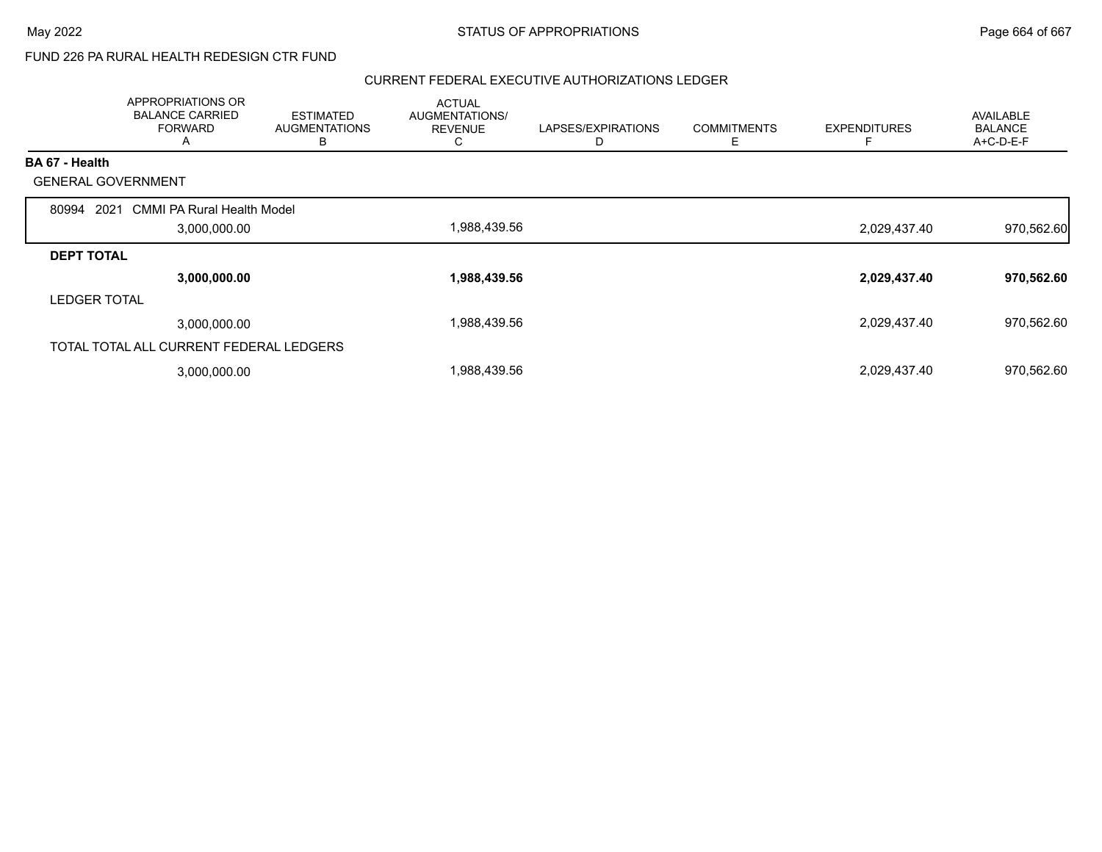## FUND 226 PA RURAL HEALTH REDESIGN CTR FUND

|                           | APPROPRIATIONS OR<br><b>BALANCE CARRIED</b><br><b>FORWARD</b><br>A | <b>ESTIMATED</b><br><b>AUGMENTATIONS</b><br>в | <b>ACTUAL</b><br>AUGMENTATIONS/<br><b>REVENUE</b><br>Ü | LAPSES/EXPIRATIONS<br>D | <b>COMMITMENTS</b><br>E | <b>EXPENDITURES</b> | AVAILABLE<br><b>BALANCE</b><br>A+C-D-E-F |
|---------------------------|--------------------------------------------------------------------|-----------------------------------------------|--------------------------------------------------------|-------------------------|-------------------------|---------------------|------------------------------------------|
| BA 67 - Health            |                                                                    |                                               |                                                        |                         |                         |                     |                                          |
| <b>GENERAL GOVERNMENT</b> |                                                                    |                                               |                                                        |                         |                         |                     |                                          |
| 80994<br>2021             | <b>CMMI PA Rural Health Model</b>                                  |                                               |                                                        |                         |                         |                     |                                          |
|                           | 3,000,000.00                                                       |                                               | 1,988,439.56                                           |                         |                         | 2,029,437.40        | 970,562.60                               |
| <b>DEPT TOTAL</b>         |                                                                    |                                               |                                                        |                         |                         |                     |                                          |
|                           | 3,000,000.00                                                       |                                               | 1,988,439.56                                           |                         |                         | 2,029,437.40        | 970,562.60                               |
| <b>LEDGER TOTAL</b>       |                                                                    |                                               |                                                        |                         |                         |                     |                                          |
|                           | 3,000,000.00                                                       |                                               | 1,988,439.56                                           |                         |                         | 2,029,437.40        | 970,562.60                               |
|                           | TOTAL TOTAL ALL CURRENT FEDERAL LEDGERS                            |                                               |                                                        |                         |                         |                     |                                          |
|                           | 3,000,000.00                                                       |                                               | 1,988,439.56                                           |                         |                         | 2,029,437.40        | 970,562.60                               |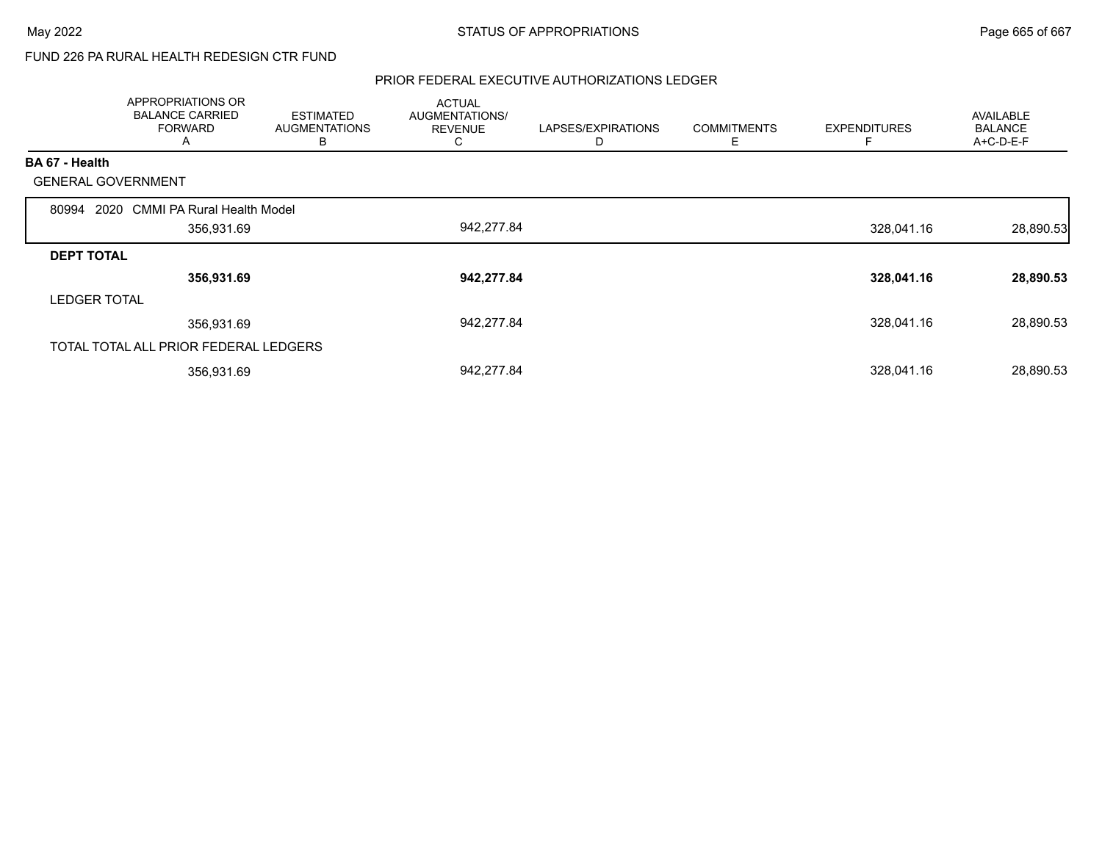## FUND 226 PA RURAL HEALTH REDESIGN CTR FUND

|                           | APPROPRIATIONS OR<br><b>BALANCE CARRIED</b><br><b>FORWARD</b><br>A | <b>ESTIMATED</b><br><b>AUGMENTATIONS</b><br>В | <b>ACTUAL</b><br><b>AUGMENTATIONS/</b><br><b>REVENUE</b><br>C | LAPSES/EXPIRATIONS<br>D | <b>COMMITMENTS</b><br>Е | <b>EXPENDITURES</b> | AVAILABLE<br><b>BALANCE</b><br>A+C-D-E-F |
|---------------------------|--------------------------------------------------------------------|-----------------------------------------------|---------------------------------------------------------------|-------------------------|-------------------------|---------------------|------------------------------------------|
| BA 67 - Health            |                                                                    |                                               |                                                               |                         |                         |                     |                                          |
| <b>GENERAL GOVERNMENT</b> |                                                                    |                                               |                                                               |                         |                         |                     |                                          |
| 80994 2020                | <b>CMMI PA Rural Health Model</b>                                  |                                               |                                                               |                         |                         |                     |                                          |
|                           | 356,931.69                                                         |                                               | 942,277.84                                                    |                         |                         | 328,041.16          | 28,890.53                                |
| <b>DEPT TOTAL</b>         |                                                                    |                                               |                                                               |                         |                         |                     |                                          |
|                           | 356,931.69                                                         |                                               | 942,277.84                                                    |                         |                         | 328,041.16          | 28,890.53                                |
| <b>LEDGER TOTAL</b>       |                                                                    |                                               |                                                               |                         |                         |                     |                                          |
|                           | 356,931.69                                                         |                                               | 942,277.84                                                    |                         |                         | 328,041.16          | 28,890.53                                |
|                           | TOTAL TOTAL ALL PRIOR FEDERAL LEDGERS                              |                                               |                                                               |                         |                         |                     |                                          |
|                           | 356,931.69                                                         |                                               | 942,277.84                                                    |                         |                         | 328,041.16          | 28,890.53                                |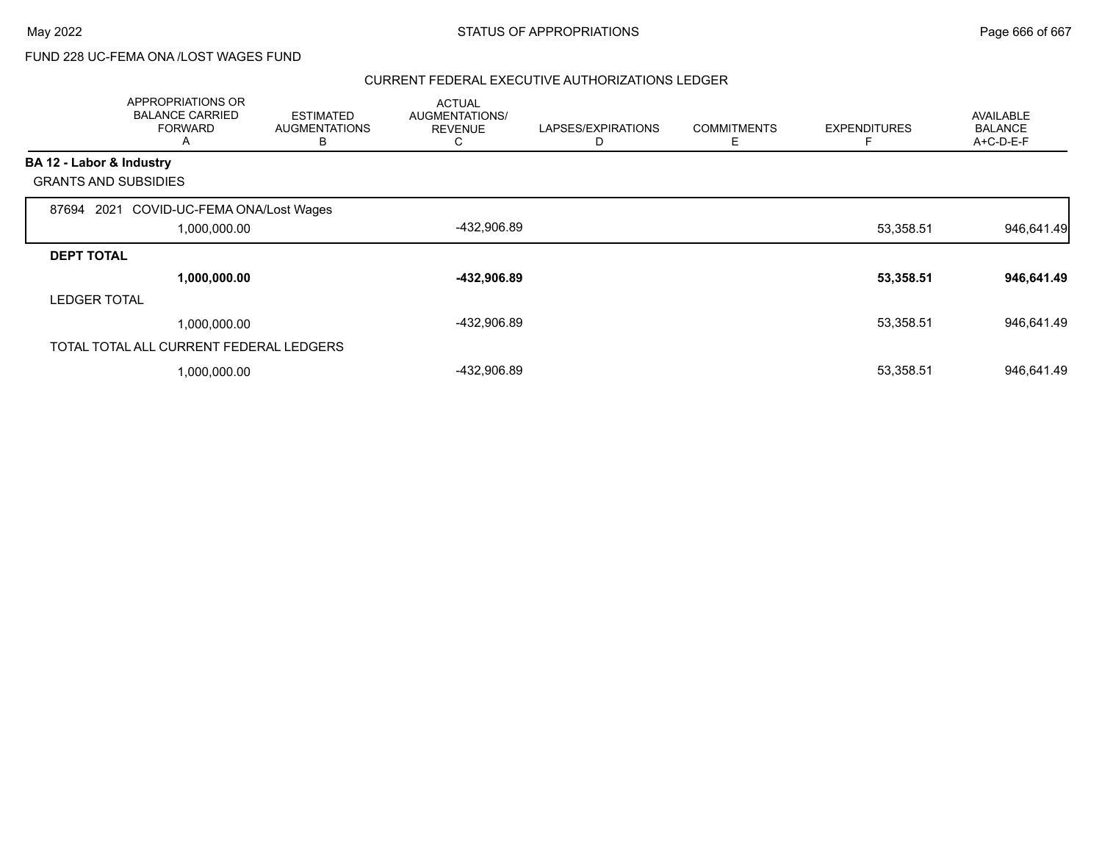FUND 228 UC-FEMA ONA /LOST WAGES FUND

|                             | APPROPRIATIONS OR<br><b>BALANCE CARRIED</b><br><b>FORWARD</b><br>A | <b>ESTIMATED</b><br><b>AUGMENTATIONS</b><br>В | <b>ACTUAL</b><br>AUGMENTATIONS/<br><b>REVENUE</b><br>C | LAPSES/EXPIRATIONS<br>D | <b>COMMITMENTS</b><br>Ε | <b>EXPENDITURES</b> | <b>AVAILABLE</b><br><b>BALANCE</b><br>A+C-D-E-F |
|-----------------------------|--------------------------------------------------------------------|-----------------------------------------------|--------------------------------------------------------|-------------------------|-------------------------|---------------------|-------------------------------------------------|
| BA 12 - Labor & Industry    |                                                                    |                                               |                                                        |                         |                         |                     |                                                 |
| <b>GRANTS AND SUBSIDIES</b> |                                                                    |                                               |                                                        |                         |                         |                     |                                                 |
| 87694                       | COVID-UC-FEMA ONA/Lost Wages<br>2021                               |                                               |                                                        |                         |                         |                     |                                                 |
|                             | 1,000,000.00                                                       |                                               | -432,906.89                                            |                         |                         | 53,358.51           | 946,641.49                                      |
| <b>DEPT TOTAL</b>           |                                                                    |                                               |                                                        |                         |                         |                     |                                                 |
|                             | 1,000,000.00                                                       |                                               | -432,906.89                                            |                         |                         | 53,358.51           | 946,641.49                                      |
| <b>LEDGER TOTAL</b>         |                                                                    |                                               |                                                        |                         |                         |                     |                                                 |
|                             | 1,000,000.00                                                       |                                               | -432,906.89                                            |                         |                         | 53,358.51           | 946,641.49                                      |
|                             | TOTAL TOTAL ALL CURRENT FEDERAL LEDGERS                            |                                               |                                                        |                         |                         |                     |                                                 |
|                             | 1,000,000.00                                                       |                                               | -432,906.89                                            |                         |                         | 53,358.51           | 946,641.49                                      |